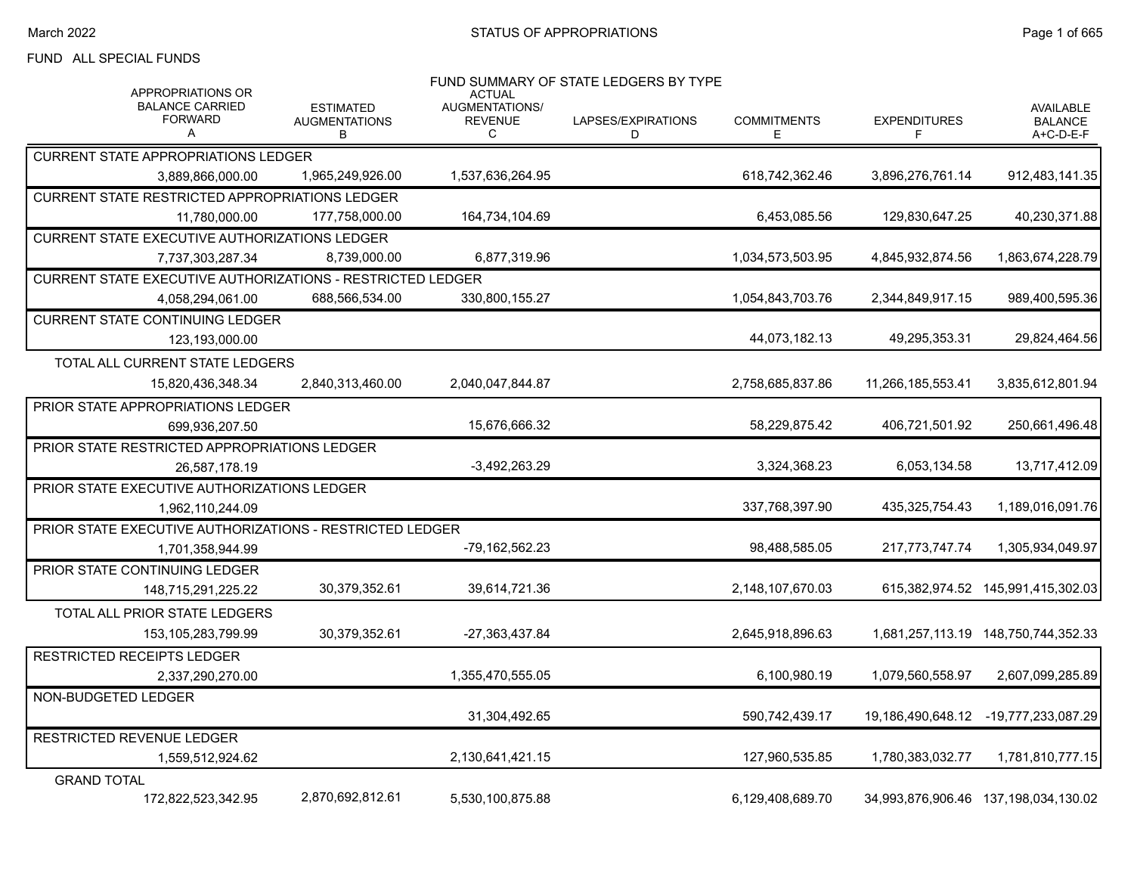#### FUND ALL SPECIAL FUNDS

| APPROPRIATIONS OR                                          |                                               | <b>ACTUAL</b>                         | FUND SUMMARY OF STATE LEDGERS BY TYPE |                         |                          |                                                 |
|------------------------------------------------------------|-----------------------------------------------|---------------------------------------|---------------------------------------|-------------------------|--------------------------|-------------------------------------------------|
| <b>BALANCE CARRIED</b><br><b>FORWARD</b><br>A              | <b>ESTIMATED</b><br><b>AUGMENTATIONS</b><br>В | AUGMENTATIONS/<br><b>REVENUE</b><br>C | LAPSES/EXPIRATIONS<br>D               | <b>COMMITMENTS</b><br>Е | <b>EXPENDITURES</b><br>F | <b>AVAILABLE</b><br><b>BALANCE</b><br>A+C-D-E-F |
| <b>CURRENT STATE APPROPRIATIONS LEDGER</b>                 |                                               |                                       |                                       |                         |                          |                                                 |
| 3,889,866,000.00                                           | 1.965.249.926.00                              | 1.537.636.264.95                      |                                       | 618.742.362.46          | 3.896.276.761.14         | 912.483.141.35                                  |
| <b>CURRENT STATE RESTRICTED APPROPRIATIONS LEDGER</b>      |                                               |                                       |                                       |                         |                          |                                                 |
| 11,780,000.00                                              | 177,758,000.00                                | 164,734,104.69                        |                                       | 6,453,085.56            | 129,830,647.25           | 40,230,371.88                                   |
| <b>CURRENT STATE EXECUTIVE AUTHORIZATIONS LEDGER</b>       |                                               |                                       |                                       |                         |                          |                                                 |
| 7,737,303,287.34                                           | 8,739,000.00                                  | 6,877,319.96                          |                                       | 1,034,573,503.95        | 4,845,932,874.56         | 1,863,674,228.79                                |
| CURRENT STATE EXECUTIVE AUTHORIZATIONS - RESTRICTED LEDGER |                                               |                                       |                                       |                         |                          |                                                 |
| 4,058,294,061.00                                           | 688,566,534.00                                | 330,800,155.27                        |                                       | 1,054,843,703.76        | 2,344,849,917.15         | 989,400,595.36                                  |
| <b>CURRENT STATE CONTINUING LEDGER</b>                     |                                               |                                       |                                       |                         |                          |                                                 |
| 123,193,000.00                                             |                                               |                                       |                                       | 44,073,182.13           | 49,295,353.31            | 29,824,464.56                                   |
| TOTAL ALL CURRENT STATE LEDGERS                            |                                               |                                       |                                       |                         |                          |                                                 |
| 15,820,436,348.34                                          | 2,840,313,460.00                              | 2,040,047,844.87                      |                                       | 2,758,685,837.86        | 11,266,185,553.41        | 3,835,612,801.94                                |
| PRIOR STATE APPROPRIATIONS LEDGER                          |                                               |                                       |                                       |                         |                          |                                                 |
| 699,936,207.50                                             |                                               | 15.676.666.32                         |                                       | 58.229.875.42           | 406.721.501.92           | 250,661,496.48                                  |
| PRIOR STATE RESTRICTED APPROPRIATIONS LEDGER               |                                               |                                       |                                       |                         |                          |                                                 |
| 26,587,178.19                                              |                                               | $-3,492,263.29$                       |                                       | 3,324,368.23            | 6,053,134.58             | 13,717,412.09                                   |
| PRIOR STATE EXECUTIVE AUTHORIZATIONS LEDGER                |                                               |                                       |                                       |                         |                          |                                                 |
| 1,962,110,244.09                                           |                                               |                                       |                                       | 337,768,397.90          | 435,325,754.43           | 1,189,016,091.76                                |
| PRIOR STATE EXECUTIVE AUTHORIZATIONS - RESTRICTED LEDGER   |                                               |                                       |                                       |                         |                          |                                                 |
| 1,701,358,944.99                                           |                                               | -79,162,562.23                        |                                       | 98,488,585.05           | 217,773,747.74           | 1,305,934,049.97                                |
| <b>PRIOR STATE CONTINUING LEDGER</b>                       |                                               |                                       |                                       |                         |                          |                                                 |
| 148.715.291.225.22                                         | 30,379,352.61                                 | 39,614,721.36                         |                                       | 2,148,107,670.03        |                          | 615,382,974.52 145,991,415,302.03               |
| TOTAL ALL PRIOR STATE LEDGERS                              |                                               |                                       |                                       |                         |                          |                                                 |
| 153,105,283,799.99                                         | 30,379,352.61                                 | -27,363,437.84                        |                                       | 2,645,918,896.63        |                          |                                                 |
| <b>RESTRICTED RECEIPTS LEDGER</b>                          |                                               |                                       |                                       |                         |                          |                                                 |
| 2,337,290,270.00                                           |                                               | 1.355.470.555.05                      |                                       | 6,100,980.19            | 1.079.560.558.97         | 2.607.099.285.89                                |
| NON-BUDGETED LEDGER                                        |                                               |                                       |                                       |                         |                          |                                                 |
|                                                            |                                               | 31,304,492.65                         |                                       | 590,742,439.17          | 19,186,490,648.12        | -19,777,233,087.29                              |
| RESTRICTED REVENUE LEDGER                                  |                                               |                                       |                                       |                         |                          |                                                 |
| 1,559,512,924.62                                           |                                               | 2,130,641,421.15                      |                                       | 127,960,535.85          | 1,780,383,032.77         | 1,781,810,777.15                                |
| <b>GRAND TOTAL</b>                                         |                                               |                                       |                                       |                         |                          |                                                 |
| 172,822,523,342.95                                         | 2,870,692,812.61                              | 5,530,100,875.88                      |                                       | 6,129,408,689.70        |                          | 34,993,876,906.46 137,198,034,130.02            |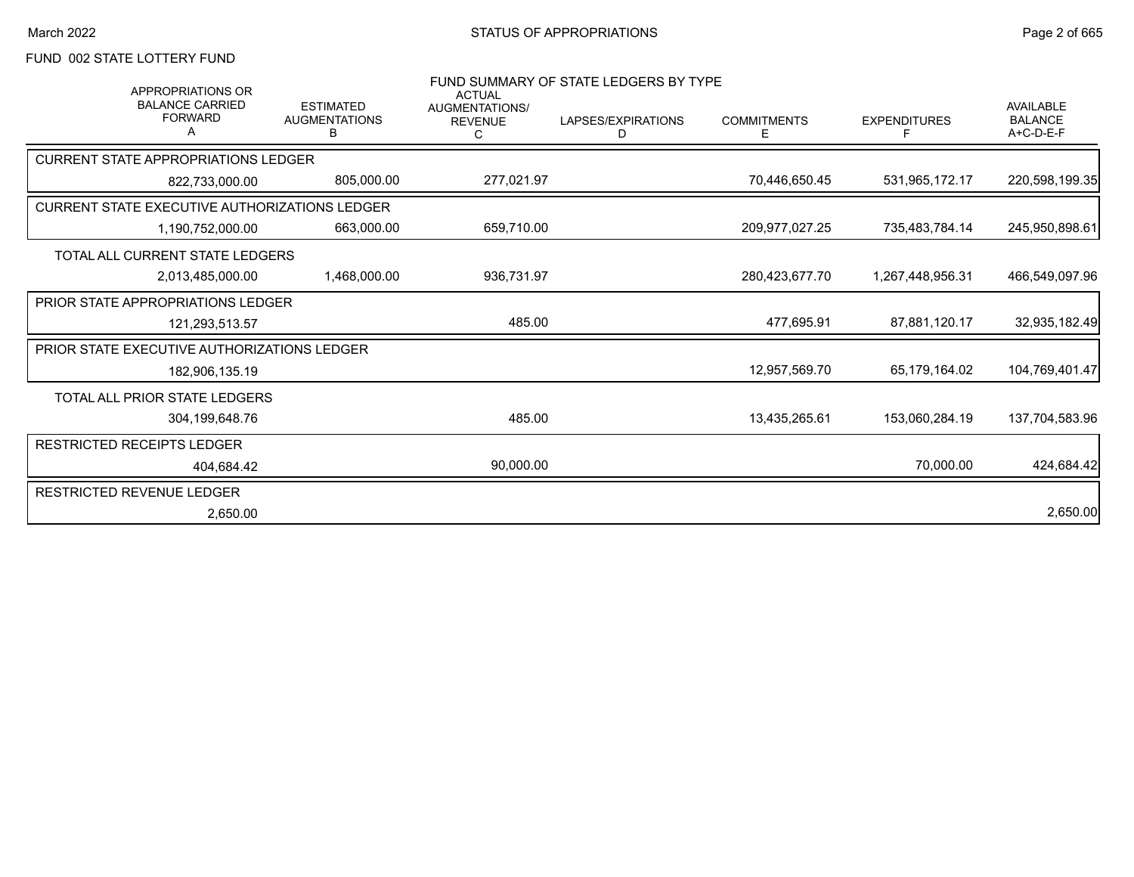# FUND 002 STATE LOTTERY FUND

| <b>APPROPRIATIONS OR</b>                           |                                               | <b>ACTUAL</b>                                | FUND SUMMARY OF STATE LEDGERS BY TYPE |                         |                          |                                                 |
|----------------------------------------------------|-----------------------------------------------|----------------------------------------------|---------------------------------------|-------------------------|--------------------------|-------------------------------------------------|
| <b>BALANCE CARRIED</b><br><b>FORWARD</b>           | <b>ESTIMATED</b><br><b>AUGMENTATIONS</b><br>в | <b>AUGMENTATIONS/</b><br><b>REVENUE</b><br>С | LAPSES/EXPIRATIONS<br>D               | <b>COMMITMENTS</b><br>Е | <b>EXPENDITURES</b><br>F | <b>AVAILABLE</b><br><b>BALANCE</b><br>A+C-D-E-F |
| <b>CURRENT STATE APPROPRIATIONS LEDGER</b>         |                                               |                                              |                                       |                         |                          |                                                 |
| 822.733.000.00                                     | 805,000.00                                    | 277,021.97                                   |                                       | 70,446,650.45           | 531,965,172.17           | 220,598,199.35                                  |
| CURRENT STATE EXECUTIVE AUTHORIZATIONS LEDGER      |                                               |                                              |                                       |                         |                          |                                                 |
| 1,190,752,000.00                                   | 663,000.00                                    | 659,710.00                                   |                                       | 209,977,027.25          | 735,483,784.14           | 245,950,898.61                                  |
| <b>TOTAL ALL CURRENT STATE LEDGERS</b>             |                                               |                                              |                                       |                         |                          |                                                 |
| 2.013.485.000.00                                   | 1,468,000.00                                  | 936,731.97                                   |                                       | 280,423,677.70          | 1.267.448.956.31         | 466,549,097.96                                  |
| <b>PRIOR STATE APPROPRIATIONS LEDGER</b>           |                                               |                                              |                                       |                         |                          |                                                 |
| 121,293,513.57                                     |                                               | 485.00                                       |                                       | 477,695.91              | 87,881,120.17            | 32,935,182.49                                   |
| <b>PRIOR STATE EXECUTIVE AUTHORIZATIONS LEDGER</b> |                                               |                                              |                                       |                         |                          |                                                 |
| 182,906,135.19                                     |                                               |                                              |                                       | 12,957,569.70           | 65,179,164.02            | 104,769,401.47                                  |
| TOTAL ALL PRIOR STATE LEDGERS                      |                                               |                                              |                                       |                         |                          |                                                 |
| 304,199,648.76                                     |                                               | 485.00                                       |                                       | 13,435,265.61           | 153,060,284.19           | 137,704,583.96                                  |
| <b>RESTRICTED RECEIPTS LEDGER</b>                  |                                               |                                              |                                       |                         |                          |                                                 |
| 404,684.42                                         |                                               | 90,000.00                                    |                                       |                         | 70,000.00                | 424,684.42                                      |
| <b>RESTRICTED REVENUE LEDGER</b>                   |                                               |                                              |                                       |                         |                          |                                                 |
| 2,650.00                                           |                                               |                                              |                                       |                         |                          | 2,650.00                                        |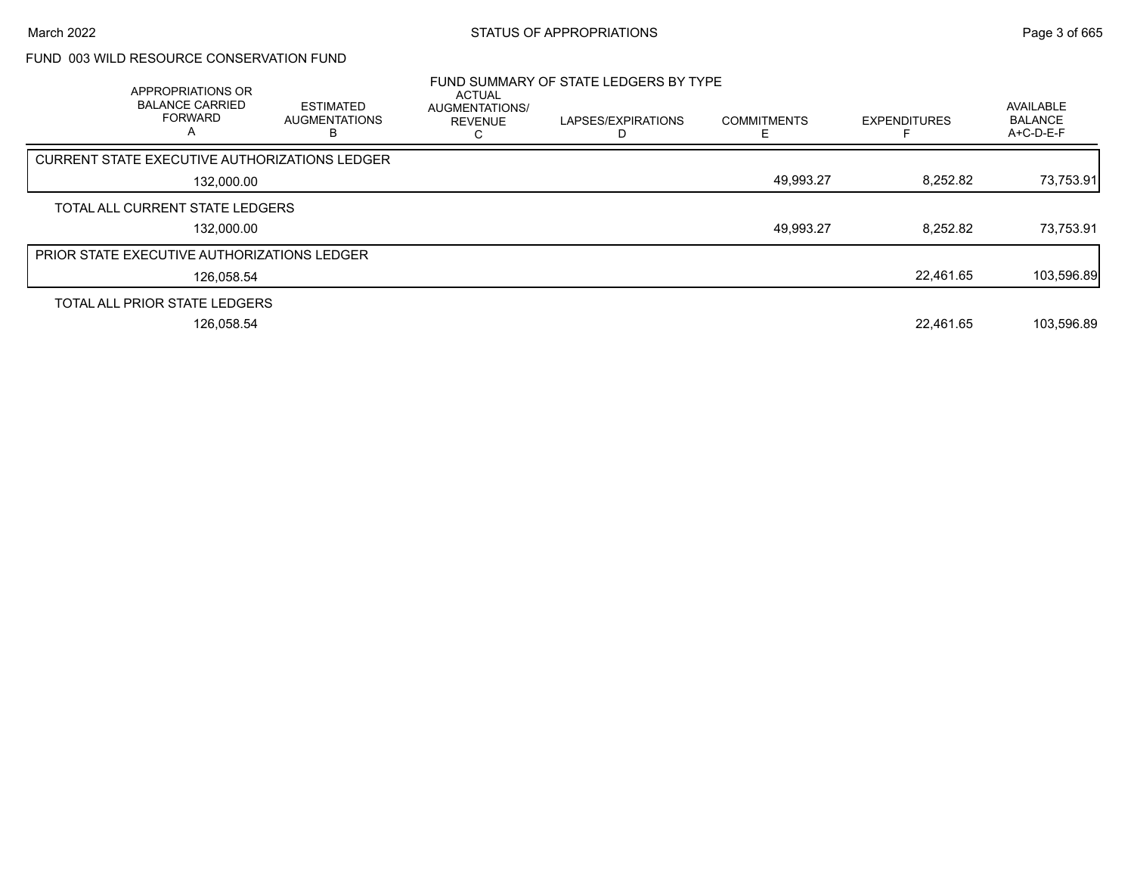## FUND 003 WILD RESOURCE CONSERVATION FUND

| APPROPRIATIONS OR<br><b>BALANCE CARRIED</b><br><b>FORWARD</b><br>А | <b>ESTIMATED</b><br><b>AUGMENTATIONS</b> | ACTUAL<br>AUGMENTATIONS/<br><b>REVENUE</b> | FUND SUMMARY OF STATE LEDGERS BY TYPE<br>LAPSES/EXPIRATIONS | <b>COMMITMENTS</b> | <b>EXPENDITURES</b> | AVAILABLE<br><b>BALANCE</b><br>A+C-D-E-F |
|--------------------------------------------------------------------|------------------------------------------|--------------------------------------------|-------------------------------------------------------------|--------------------|---------------------|------------------------------------------|
| CURRENT STATE EXECUTIVE AUTHORIZATIONS LEDGER                      |                                          |                                            |                                                             |                    |                     |                                          |
| 132,000.00                                                         |                                          |                                            |                                                             | 49,993.27          | 8,252.82            | 73,753.91                                |
| TOTAL ALL CURRENT STATE LEDGERS                                    |                                          |                                            |                                                             |                    |                     |                                          |
| 132,000.00                                                         |                                          |                                            |                                                             | 49,993.27          | 8,252.82            | 73,753.91                                |
| PRIOR STATE EXECUTIVE AUTHORIZATIONS LEDGER                        |                                          |                                            |                                                             |                    |                     |                                          |
| 126.058.54                                                         |                                          |                                            |                                                             |                    | 22.461.65           | 103,596.89                               |
| TOTAL ALL PRIOR STATE LEDGERS                                      |                                          |                                            |                                                             |                    |                     |                                          |
| 126,058.54                                                         |                                          |                                            |                                                             |                    | 22.461.65           | 103,596.89                               |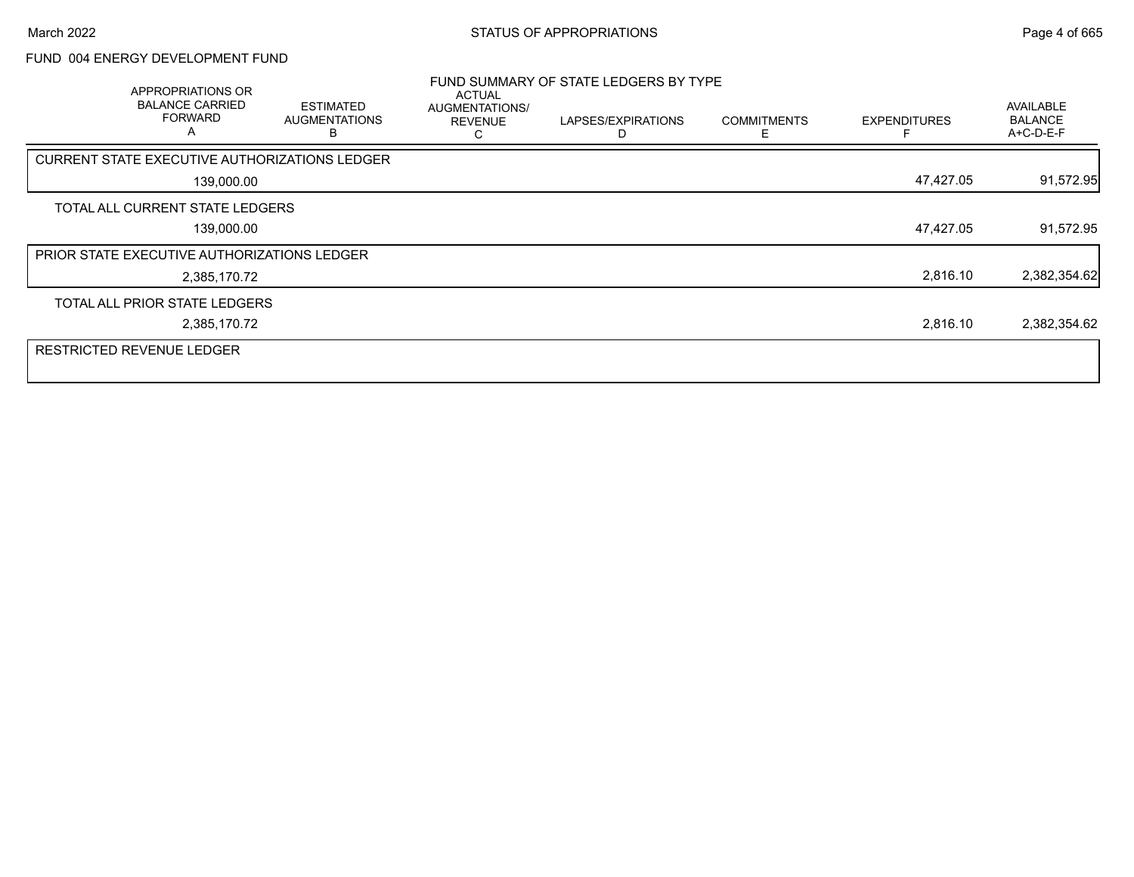# FUND 004 ENERGY DEVELOPMENT FUND

| APPROPRIATIONS OR<br><b>BALANCE CARRIED</b><br><b>FORWARD</b><br>A | <b>ESTIMATED</b><br><b>AUGMENTATIONS</b><br>R | ACTUAL<br>AUGMENTATIONS/<br><b>REVENUE</b><br>С | FUND SUMMARY OF STATE LEDGERS BY TYPE<br>LAPSES/EXPIRATIONS | <b>COMMITMENTS</b><br>F | <b>EXPENDITURES</b> | AVAILABLE<br><b>BALANCE</b><br>A+C-D-E-F |
|--------------------------------------------------------------------|-----------------------------------------------|-------------------------------------------------|-------------------------------------------------------------|-------------------------|---------------------|------------------------------------------|
| <b>CURRENT STATE EXECUTIVE AUTHORIZATIONS LEDGER</b>               |                                               |                                                 |                                                             |                         |                     |                                          |
| 139,000.00                                                         |                                               |                                                 |                                                             |                         | 47,427.05           | 91,572.95                                |
| TOTAL ALL CURRENT STATE LEDGERS                                    |                                               |                                                 |                                                             |                         |                     |                                          |
| 139,000.00                                                         |                                               |                                                 |                                                             |                         | 47,427.05           | 91,572.95                                |
| <b>PRIOR STATE EXECUTIVE AUTHORIZATIONS LEDGER</b>                 |                                               |                                                 |                                                             |                         |                     |                                          |
| 2,385,170.72                                                       |                                               |                                                 |                                                             |                         | 2,816.10            | 2,382,354.62                             |
| TOTAL ALL PRIOR STATE LEDGERS                                      |                                               |                                                 |                                                             |                         |                     |                                          |
| 2,385,170.72                                                       |                                               |                                                 |                                                             |                         | 2,816.10            | 2,382,354.62                             |
| <b>RESTRICTED REVENUE LEDGER</b>                                   |                                               |                                                 |                                                             |                         |                     |                                          |
|                                                                    |                                               |                                                 |                                                             |                         |                     |                                          |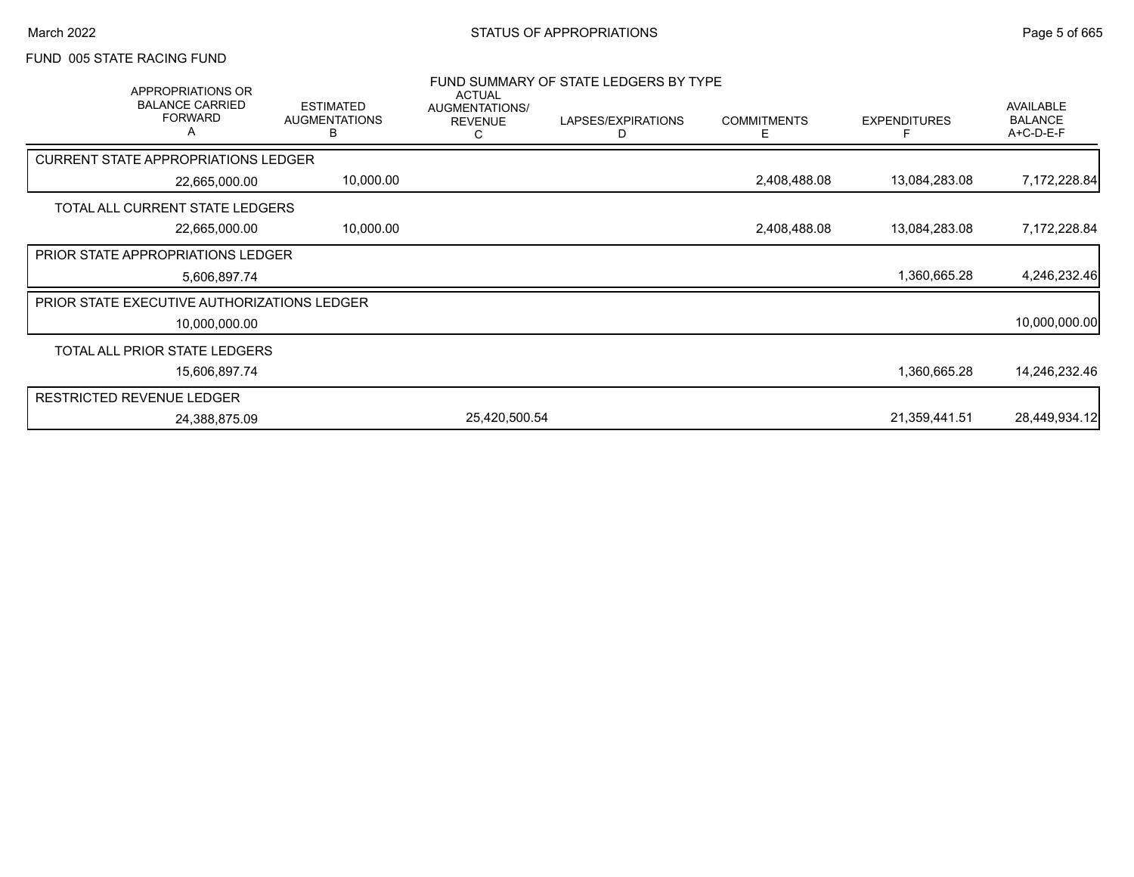#### FUND 005 STATE RACING FUND

| APPROPRIATIONS OR<br><b>BALANCE CARRIED</b><br><b>FORWARD</b><br>A | <b>ESTIMATED</b><br><b>AUGMENTATIONS</b><br>в | <b>ACTUAL</b><br>AUGMENTATIONS/<br><b>REVENUE</b><br>С | FUND SUMMARY OF STATE LEDGERS BY TYPE<br>LAPSES/EXPIRATIONS<br>D | <b>COMMITMENTS</b><br>E. | <b>EXPENDITURES</b> | AVAILABLE<br><b>BALANCE</b><br>A+C-D-E-F |
|--------------------------------------------------------------------|-----------------------------------------------|--------------------------------------------------------|------------------------------------------------------------------|--------------------------|---------------------|------------------------------------------|
| <b>CURRENT STATE APPROPRIATIONS LEDGER</b>                         |                                               |                                                        |                                                                  |                          |                     |                                          |
| 22,665,000.00                                                      | 10,000.00                                     |                                                        |                                                                  | 2,408,488.08             | 13,084,283.08       | 7,172,228.84                             |
| TOTAL ALL CURRENT STATE LEDGERS                                    |                                               |                                                        |                                                                  |                          |                     |                                          |
| 22,665,000.00                                                      | 10,000.00                                     |                                                        |                                                                  | 2,408,488.08             | 13,084,283.08       | 7,172,228.84                             |
| PRIOR STATE APPROPRIATIONS LEDGER                                  |                                               |                                                        |                                                                  |                          |                     |                                          |
| 5,606,897.74                                                       |                                               |                                                        |                                                                  |                          | 1,360,665.28        | 4,246,232.46                             |
| <b>PRIOR STATE EXECUTIVE AUTHORIZATIONS LEDGER</b>                 |                                               |                                                        |                                                                  |                          |                     |                                          |
| 10,000,000.00                                                      |                                               |                                                        |                                                                  |                          |                     | 10,000,000.00                            |
| TOTAL ALL PRIOR STATE LEDGERS                                      |                                               |                                                        |                                                                  |                          |                     |                                          |
| 15,606,897.74                                                      |                                               |                                                        |                                                                  |                          | 1,360,665.28        | 14,246,232.46                            |
| <b>RESTRICTED REVENUE LEDGER</b>                                   |                                               |                                                        |                                                                  |                          |                     |                                          |
| 24,388,875.09                                                      |                                               | 25,420,500.54                                          |                                                                  |                          | 21,359,441.51       | 28,449,934.12                            |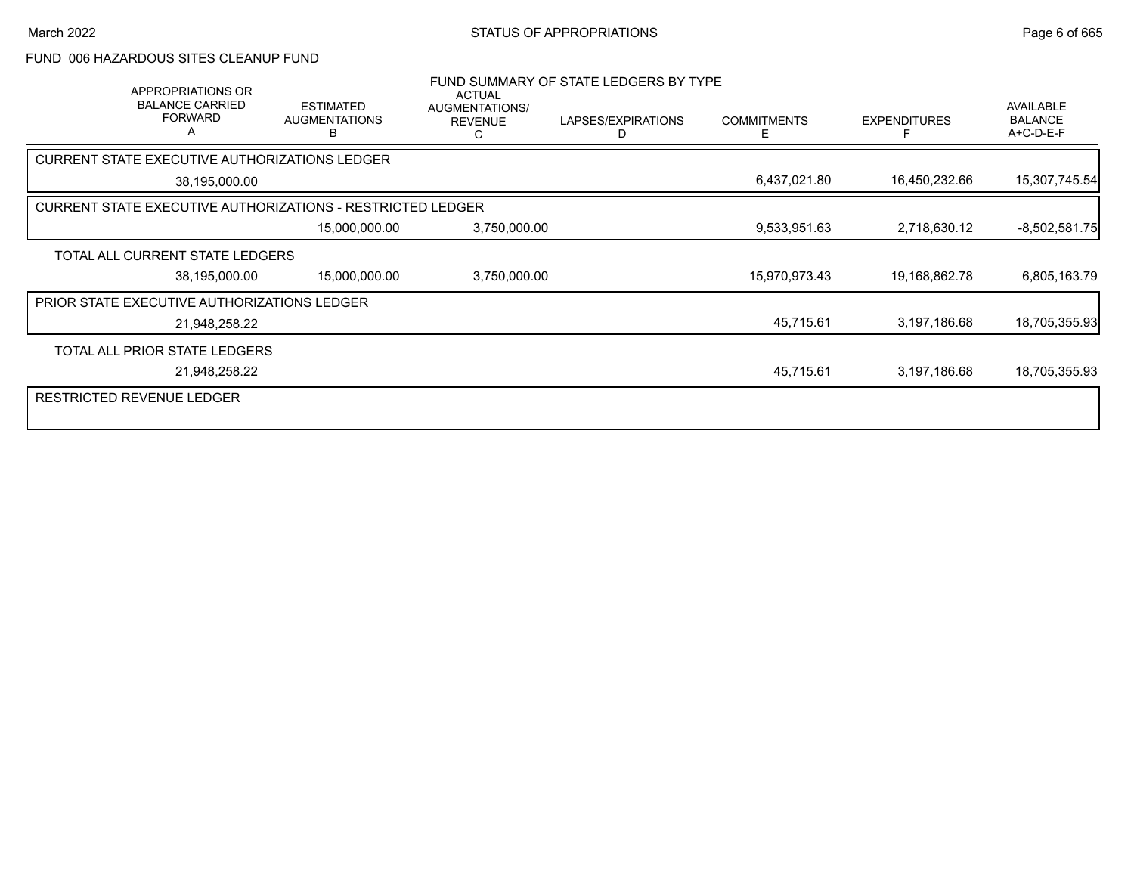#### FUND 006 HAZARDOUS SITES CLEANUP FUND

| APPROPRIATIONS OR<br><b>BALANCE CARRIED</b><br><b>FORWARD</b> | <b>ESTIMATED</b><br><b>AUGMENTATIONS</b><br>B              | <b>ACTUAL</b><br><b>AUGMENTATIONS/</b><br><b>REVENUE</b><br>C | FUND SUMMARY OF STATE LEDGERS BY TYPE<br>LAPSES/EXPIRATIONS<br>D | <b>COMMITMENTS</b><br>E. | <b>EXPENDITURES</b> | AVAILABLE<br><b>BALANCE</b><br>A+C-D-E-F |
|---------------------------------------------------------------|------------------------------------------------------------|---------------------------------------------------------------|------------------------------------------------------------------|--------------------------|---------------------|------------------------------------------|
| CURRENT STATE EXECUTIVE AUTHORIZATIONS LEDGER                 |                                                            |                                                               |                                                                  |                          |                     |                                          |
| 38,195,000.00                                                 |                                                            |                                                               |                                                                  | 6,437,021.80             | 16,450,232.66       | 15,307,745.54                            |
|                                                               | CURRENT STATE EXECUTIVE AUTHORIZATIONS - RESTRICTED LEDGER |                                                               |                                                                  |                          |                     |                                          |
|                                                               | 15,000,000.00                                              | 3,750,000.00                                                  |                                                                  | 9,533,951.63             | 2,718,630.12        | $-8,502,581.75$                          |
| TOTAL ALL CURRENT STATE LEDGERS                               |                                                            |                                                               |                                                                  |                          |                     |                                          |
| 38,195,000.00                                                 | 15,000,000.00                                              | 3,750,000.00                                                  |                                                                  | 15,970,973.43            | 19,168,862.78       | 6,805,163.79                             |
| PRIOR STATE EXECUTIVE AUTHORIZATIONS LEDGER                   |                                                            |                                                               |                                                                  |                          |                     |                                          |
| 21,948,258.22                                                 |                                                            |                                                               |                                                                  | 45,715.61                | 3,197,186.68        | 18,705,355.93                            |
| TOTAL ALL PRIOR STATE LEDGERS                                 |                                                            |                                                               |                                                                  |                          |                     |                                          |
| 21,948,258.22                                                 |                                                            |                                                               |                                                                  | 45,715.61                | 3,197,186.68        | 18,705,355.93                            |
| RESTRICTED REVENUE LEDGER                                     |                                                            |                                                               |                                                                  |                          |                     |                                          |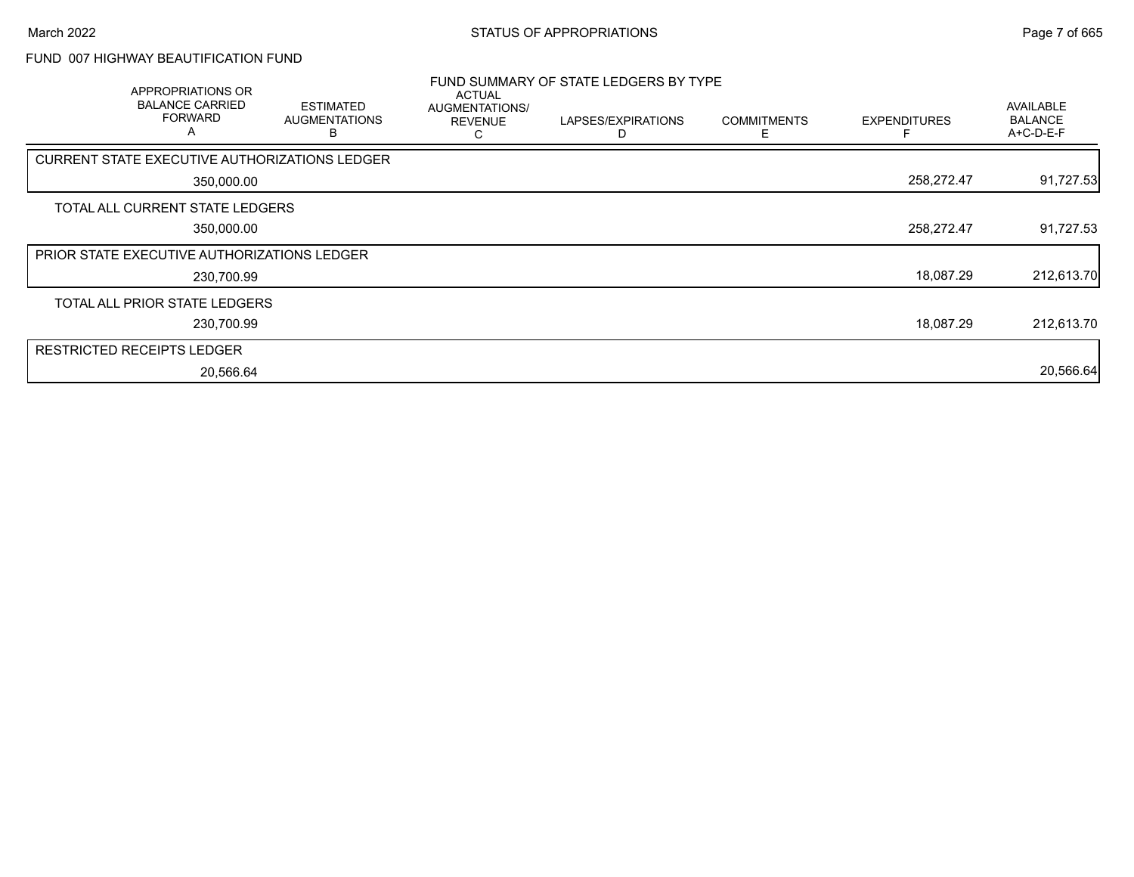## FUND 007 HIGHWAY BEAUTIFICATION FUND

| <b>APPROPRIATIONS OR</b><br><b>BALANCE CARRIED</b><br><b>FORWARD</b><br>A | <b>ESTIMATED</b><br><b>AUGMENTATIONS</b><br>в | ACTUAL<br>AUGMENTATIONS/<br><b>REVENUE</b> | FUND SUMMARY OF STATE LEDGERS BY TYPE<br>LAPSES/EXPIRATIONS | <b>COMMITMENTS</b> | <b>EXPENDITURES</b> | AVAILABLE<br><b>BALANCE</b><br>A+C-D-E-F |
|---------------------------------------------------------------------------|-----------------------------------------------|--------------------------------------------|-------------------------------------------------------------|--------------------|---------------------|------------------------------------------|
| CURRENT STATE EXECUTIVE AUTHORIZATIONS LEDGER                             |                                               |                                            |                                                             |                    |                     |                                          |
| 350,000.00                                                                |                                               |                                            |                                                             |                    | 258,272.47          | 91,727.53                                |
| TOTAL ALL CURRENT STATE LEDGERS                                           |                                               |                                            |                                                             |                    |                     |                                          |
| 350,000.00                                                                |                                               |                                            |                                                             |                    | 258,272.47          | 91,727.53                                |
| <b>PRIOR STATE EXECUTIVE AUTHORIZATIONS LEDGER</b>                        |                                               |                                            |                                                             |                    |                     |                                          |
| 230,700.99                                                                |                                               |                                            |                                                             |                    | 18,087.29           | 212,613.70                               |
| TOTAL ALL PRIOR STATE LEDGERS                                             |                                               |                                            |                                                             |                    |                     |                                          |
| 230,700.99                                                                |                                               |                                            |                                                             |                    | 18,087.29           | 212,613.70                               |
| <b>RESTRICTED RECEIPTS LEDGER</b>                                         |                                               |                                            |                                                             |                    |                     |                                          |
| 20,566.64                                                                 |                                               |                                            |                                                             |                    |                     | 20,566.64                                |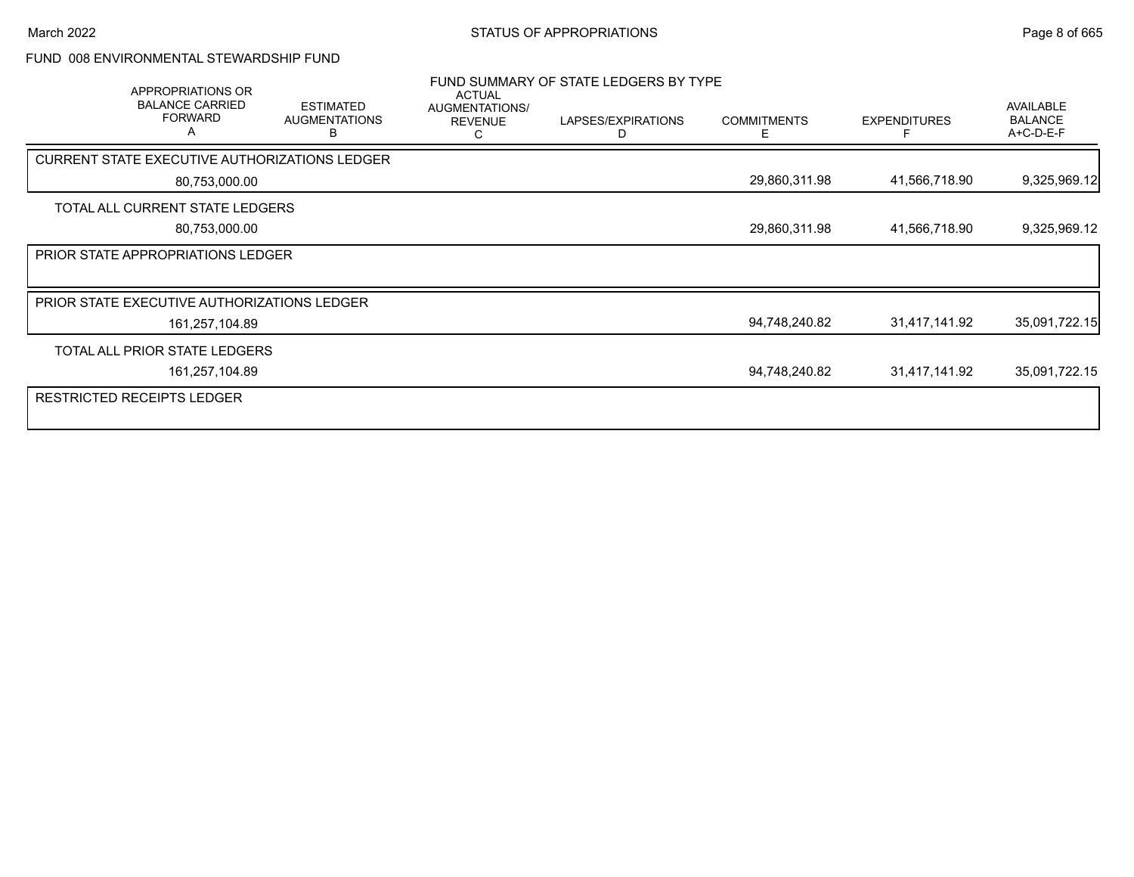#### FUND 008 ENVIRONMENTAL STEWARDSHIP FUND

| APPROPRIATIONS OR<br><b>BALANCE CARRIED</b><br><b>FORWARD</b><br>Α | <b>ESTIMATED</b><br><b>AUGMENTATIONS</b><br>в | <b>ACTUAL</b><br>AUGMENTATIONS/<br><b>REVENUE</b> | FUND SUMMARY OF STATE LEDGERS BY TYPE<br>LAPSES/EXPIRATIONS<br>D | <b>COMMITMENTS</b><br>Е | <b>EXPENDITURES</b> | AVAILABLE<br><b>BALANCE</b><br>A+C-D-E-F |
|--------------------------------------------------------------------|-----------------------------------------------|---------------------------------------------------|------------------------------------------------------------------|-------------------------|---------------------|------------------------------------------|
| CURRENT STATE EXECUTIVE AUTHORIZATIONS LEDGER                      |                                               |                                                   |                                                                  |                         |                     |                                          |
| 80,753,000.00                                                      |                                               |                                                   |                                                                  | 29,860,311.98           | 41,566,718.90       | 9,325,969.12                             |
| TOTAL ALL CURRENT STATE LEDGERS                                    |                                               |                                                   |                                                                  |                         |                     |                                          |
| 80,753,000.00                                                      |                                               |                                                   |                                                                  | 29,860,311.98           | 41,566,718.90       | 9,325,969.12                             |
| PRIOR STATE APPROPRIATIONS LEDGER                                  |                                               |                                                   |                                                                  |                         |                     |                                          |
|                                                                    |                                               |                                                   |                                                                  |                         |                     |                                          |
| PRIOR STATE EXECUTIVE AUTHORIZATIONS LEDGER                        |                                               |                                                   |                                                                  |                         |                     |                                          |
| 161,257,104.89                                                     |                                               |                                                   |                                                                  | 94,748,240.82           | 31,417,141.92       | 35,091,722.15                            |
| TOTAL ALL PRIOR STATE LEDGERS                                      |                                               |                                                   |                                                                  |                         |                     |                                          |
| 161,257,104.89                                                     |                                               |                                                   |                                                                  | 94,748,240.82           | 31,417,141.92       | 35,091,722.15                            |
| RESTRICTED RECEIPTS LEDGER                                         |                                               |                                                   |                                                                  |                         |                     |                                          |
|                                                                    |                                               |                                                   |                                                                  |                         |                     |                                          |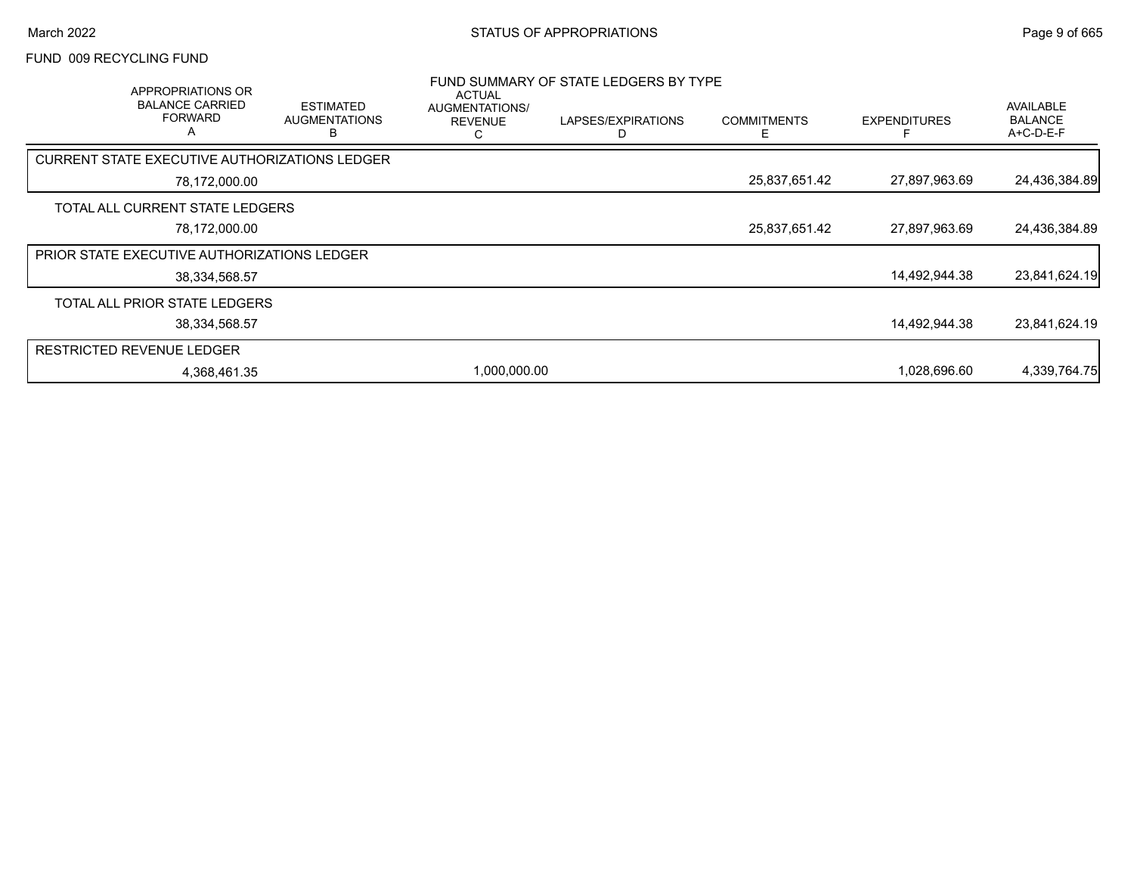#### FUND 009 RECYCLING FUND

| APPROPRIATIONS OR<br><b>BALANCE CARRIED</b><br><b>FORWARD</b><br>A | <b>ESTIMATED</b><br><b>AUGMENTATIONS</b><br>В | <b>ACTUAL</b><br>AUGMENTATIONS/<br><b>REVENUE</b><br>С | FUND SUMMARY OF STATE LEDGERS BY TYPE<br>LAPSES/EXPIRATIONS | <b>COMMITMENTS</b><br>⊢ | <b>EXPENDITURES</b> | AVAILABLE<br><b>BALANCE</b><br>A+C-D-E-F |
|--------------------------------------------------------------------|-----------------------------------------------|--------------------------------------------------------|-------------------------------------------------------------|-------------------------|---------------------|------------------------------------------|
| CURRENT STATE EXECUTIVE AUTHORIZATIONS LEDGER                      |                                               |                                                        |                                                             |                         |                     |                                          |
| 78,172,000.00                                                      |                                               |                                                        |                                                             | 25,837,651.42           | 27,897,963.69       | 24,436,384.89                            |
| TOTAL ALL CURRENT STATE LEDGERS                                    |                                               |                                                        |                                                             |                         |                     |                                          |
| 78,172,000.00                                                      |                                               |                                                        |                                                             | 25,837,651.42           | 27,897,963.69       | 24,436,384.89                            |
| <b>PRIOR STATE EXECUTIVE AUTHORIZATIONS LEDGER</b>                 |                                               |                                                        |                                                             |                         |                     |                                          |
| 38,334,568.57                                                      |                                               |                                                        |                                                             |                         | 14,492,944.38       | 23,841,624.19                            |
| TOTAL ALL PRIOR STATE LEDGERS                                      |                                               |                                                        |                                                             |                         |                     |                                          |
| 38,334,568.57                                                      |                                               |                                                        |                                                             |                         | 14,492,944.38       | 23,841,624.19                            |
| <b>RESTRICTED REVENUE LEDGER</b>                                   |                                               |                                                        |                                                             |                         |                     |                                          |
| 4,368,461.35                                                       |                                               | 1,000,000.00                                           |                                                             |                         | 1,028,696.60        | 4,339,764.75                             |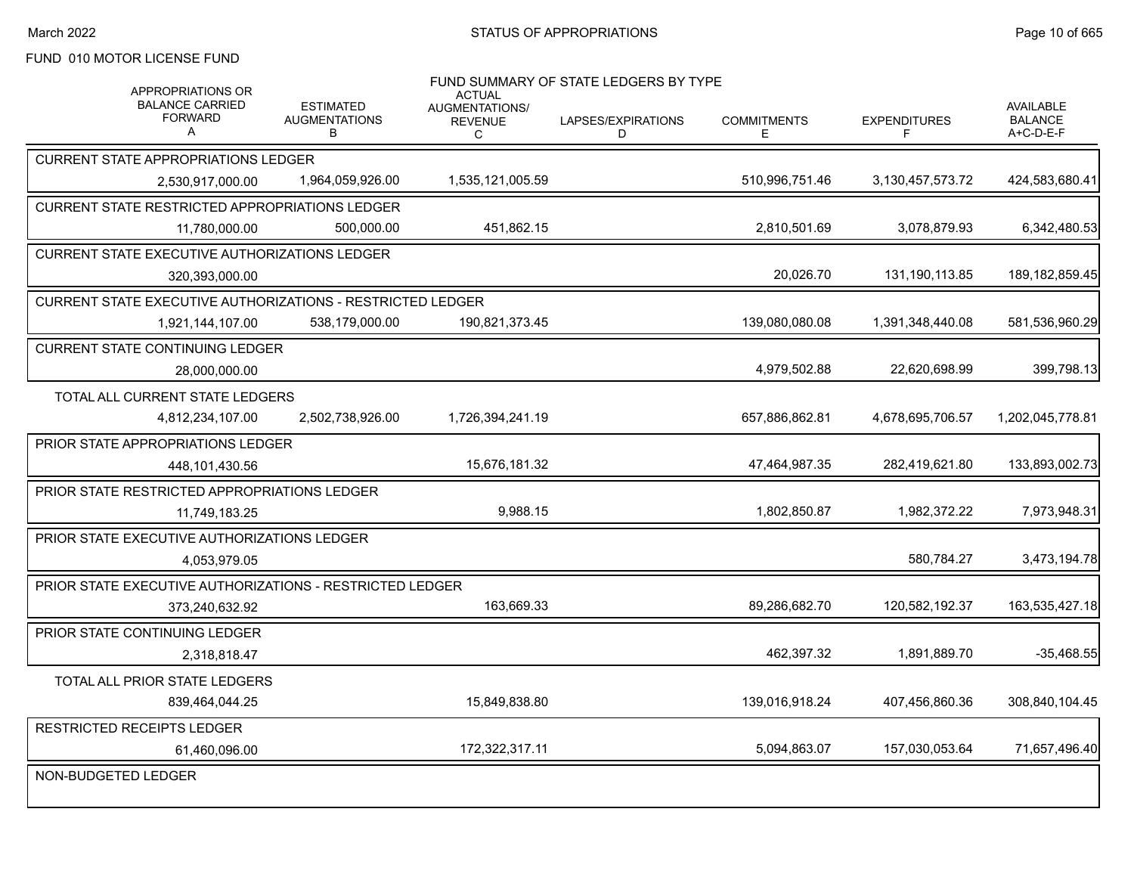# FUND 010 MOTOR LICENSE FUND

| APPROPRIATIONS OR<br><b>BALANCE CARRIED</b><br><b>FORWARD</b><br>$\mathsf{A}$ | <b>ESTIMATED</b><br><b>AUGMENTATIONS</b><br>В | <b>ACTUAL</b><br><b>AUGMENTATIONS/</b><br><b>REVENUE</b><br>С | FUND SUMMARY OF STATE LEDGERS BY TYPE<br>LAPSES/EXPIRATIONS<br>D | <b>COMMITMENTS</b><br>Е | <b>EXPENDITURES</b><br>F | <b>AVAILABLE</b><br><b>BALANCE</b><br>A+C-D-E-F |
|-------------------------------------------------------------------------------|-----------------------------------------------|---------------------------------------------------------------|------------------------------------------------------------------|-------------------------|--------------------------|-------------------------------------------------|
| <b>CURRENT STATE APPROPRIATIONS LEDGER</b>                                    |                                               |                                                               |                                                                  |                         |                          |                                                 |
| 2.530.917.000.00                                                              | 1,964,059,926.00                              | 1,535,121,005.59                                              |                                                                  | 510,996,751.46          | 3,130,457,573.72         | 424,583,680.41                                  |
| CURRENT STATE RESTRICTED APPROPRIATIONS LEDGER                                |                                               |                                                               |                                                                  |                         |                          |                                                 |
| 11,780,000.00                                                                 | 500,000.00                                    | 451,862.15                                                    |                                                                  | 2,810,501.69            | 3,078,879.93             | 6,342,480.53                                    |
| CURRENT STATE EXECUTIVE AUTHORIZATIONS LEDGER                                 |                                               |                                                               |                                                                  |                         |                          |                                                 |
| 320,393,000.00                                                                |                                               |                                                               |                                                                  | 20,026.70               | 131, 190, 113.85         | 189, 182, 859. 45                               |
| CURRENT STATE EXECUTIVE AUTHORIZATIONS - RESTRICTED LEDGER                    |                                               |                                                               |                                                                  |                         |                          |                                                 |
| 1,921,144,107.00                                                              | 538,179,000.00                                | 190,821,373.45                                                |                                                                  | 139,080,080.08          | 1,391,348,440.08         | 581,536,960.29                                  |
| <b>CURRENT STATE CONTINUING LEDGER</b>                                        |                                               |                                                               |                                                                  |                         |                          |                                                 |
| 28,000,000.00                                                                 |                                               |                                                               |                                                                  | 4,979,502.88            | 22,620,698.99            | 399,798.13                                      |
| TOTAL ALL CURRENT STATE LEDGERS                                               |                                               |                                                               |                                                                  |                         |                          |                                                 |
| 4,812,234,107.00                                                              | 2,502,738,926.00                              | 1,726,394,241.19                                              |                                                                  | 657,886,862.81          | 4,678,695,706.57         | 1,202,045,778.81                                |
| <b>PRIOR STATE APPROPRIATIONS LEDGER</b>                                      |                                               |                                                               |                                                                  |                         |                          |                                                 |
| 448,101,430.56                                                                |                                               | 15,676,181.32                                                 |                                                                  | 47,464,987.35           | 282,419,621.80           | 133,893,002.73                                  |
| PRIOR STATE RESTRICTED APPROPRIATIONS LEDGER                                  |                                               |                                                               |                                                                  |                         |                          |                                                 |
| 11.749.183.25                                                                 |                                               | 9,988.15                                                      |                                                                  | 1,802,850.87            | 1,982,372.22             | 7,973,948.31                                    |
| PRIOR STATE EXECUTIVE AUTHORIZATIONS LEDGER                                   |                                               |                                                               |                                                                  |                         |                          |                                                 |
| 4,053,979.05                                                                  |                                               |                                                               |                                                                  |                         | 580,784.27               | 3,473,194.78                                    |
| PRIOR STATE EXECUTIVE AUTHORIZATIONS - RESTRICTED LEDGER                      |                                               |                                                               |                                                                  |                         |                          |                                                 |
| 373.240.632.92                                                                |                                               | 163.669.33                                                    |                                                                  | 89,286,682.70           | 120,582,192.37           | 163,535,427.18                                  |
| <b>PRIOR STATE CONTINUING LEDGER</b>                                          |                                               |                                                               |                                                                  |                         |                          |                                                 |
| 2,318,818.47                                                                  |                                               |                                                               |                                                                  | 462,397.32              | 1.891.889.70             | $-35,468.55$                                    |
| TOTAL ALL PRIOR STATE LEDGERS                                                 |                                               |                                                               |                                                                  |                         |                          |                                                 |
| 839,464,044.25                                                                |                                               | 15,849,838.80                                                 |                                                                  | 139,016,918.24          | 407,456,860.36           | 308,840,104.45                                  |
| <b>RESTRICTED RECEIPTS LEDGER</b>                                             |                                               |                                                               |                                                                  |                         |                          |                                                 |
| 61,460,096.00                                                                 |                                               | 172,322,317.11                                                |                                                                  | 5,094,863.07            | 157,030,053.64           | 71,657,496.40                                   |
| NON-BUDGETED LEDGER                                                           |                                               |                                                               |                                                                  |                         |                          |                                                 |
|                                                                               |                                               |                                                               |                                                                  |                         |                          |                                                 |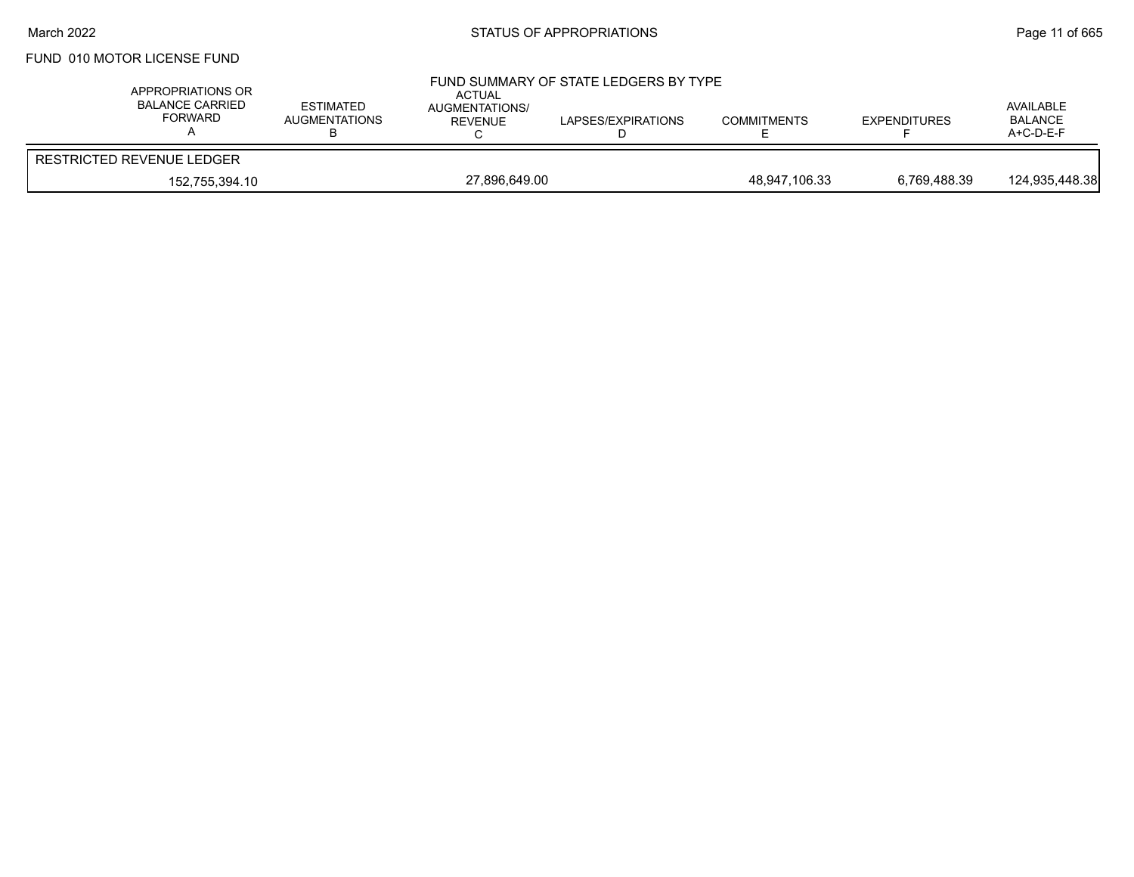# FUND 010 MOTOR LICENSE FUND

| APPROPRIATIONS OR<br><b>BALANCE CARRIED</b><br>FORWARD | <b>ESTIMATED</b><br><b>AUGMENTATIONS</b> | ACTUAL<br><b>AUGMENTATIONS/</b><br>REVENUE | FUND SUMMARY OF STATE LEDGERS BY TYPE<br>LAPSES/EXPIRATIONS | <b>COMMITMENTS</b> | <b>EXPENDITURES</b> | AVAILABLE<br><b>BALANCE</b><br>$A+C-D-E-F$ |
|--------------------------------------------------------|------------------------------------------|--------------------------------------------|-------------------------------------------------------------|--------------------|---------------------|--------------------------------------------|
| RESTRICTED REVENUE LEDGER                              |                                          |                                            |                                                             |                    |                     |                                            |
| 152,755,394.10                                         |                                          | 27,896,649.00                              |                                                             | 48,947,106.33      | 6,769,488.39        | 124,935,448.38                             |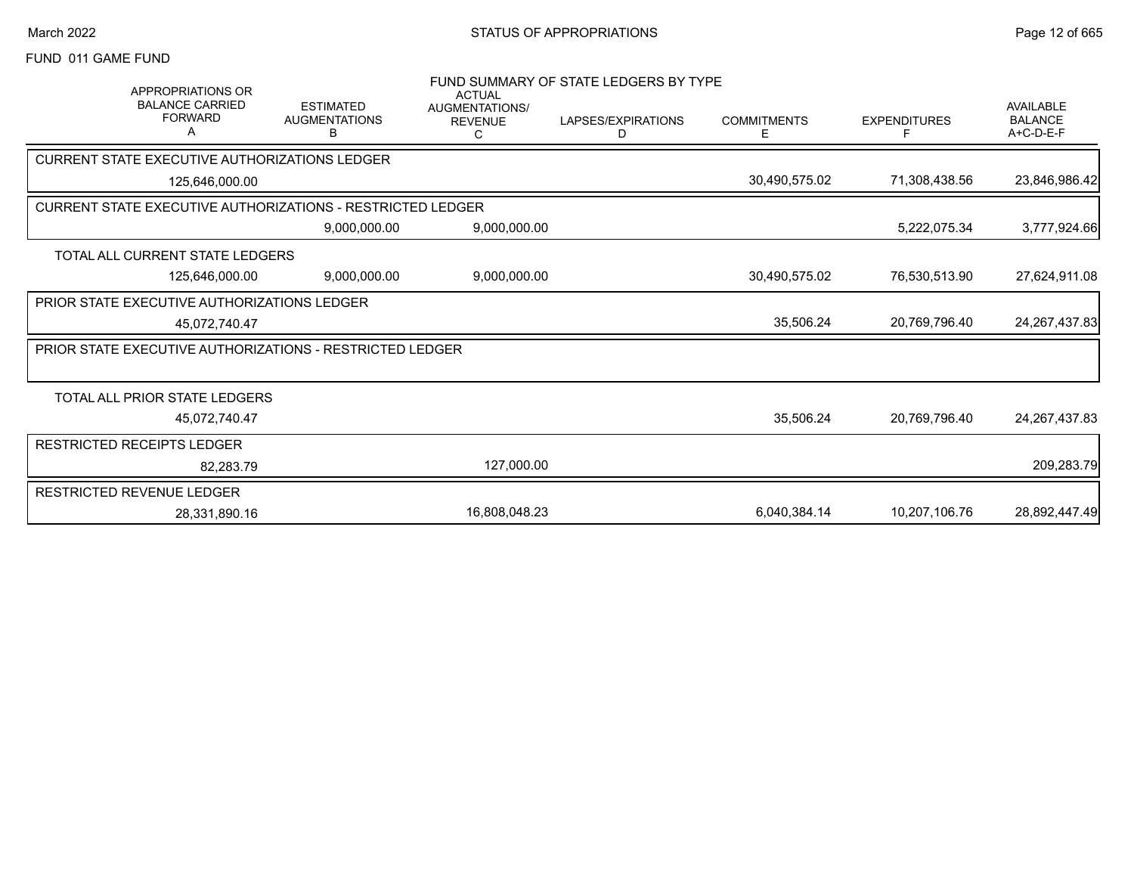#### FUND 011 GAME FUND

| <b>APPROPRIATIONS OR</b><br><b>BALANCE CARRIED</b>                |                                               | <b>ACTUAL</b>                         | FUND SUMMARY OF STATE LEDGERS BY TYPE |                         |                     |                                                 |
|-------------------------------------------------------------------|-----------------------------------------------|---------------------------------------|---------------------------------------|-------------------------|---------------------|-------------------------------------------------|
| <b>FORWARD</b>                                                    | <b>ESTIMATED</b><br><b>AUGMENTATIONS</b><br>В | AUGMENTATIONS/<br><b>REVENUE</b><br>C | LAPSES/EXPIRATIONS<br>D               | <b>COMMITMENTS</b><br>Е | <b>EXPENDITURES</b> | <b>AVAILABLE</b><br><b>BALANCE</b><br>A+C-D-E-F |
| <b>CURRENT STATE EXECUTIVE AUTHORIZATIONS LEDGER</b>              |                                               |                                       |                                       |                         |                     |                                                 |
| 125,646,000.00                                                    |                                               |                                       |                                       | 30,490,575.02           | 71,308,438.56       | 23,846,986.42                                   |
| <b>CURRENT STATE EXECUTIVE AUTHORIZATIONS - RESTRICTED LEDGER</b> |                                               |                                       |                                       |                         |                     |                                                 |
|                                                                   | 9,000,000.00                                  | 9,000,000.00                          |                                       |                         | 5,222,075.34        | 3,777,924.66                                    |
| <b>TOTAL ALL CURRENT STATE LEDGERS</b>                            |                                               |                                       |                                       |                         |                     |                                                 |
| 125,646,000.00                                                    | 9,000,000.00                                  | 9,000,000.00                          |                                       | 30,490,575.02           | 76,530,513.90       | 27,624,911.08                                   |
| PRIOR STATE EXECUTIVE AUTHORIZATIONS LEDGER                       |                                               |                                       |                                       |                         |                     |                                                 |
| 45,072,740.47                                                     |                                               |                                       |                                       | 35,506.24               | 20.769.796.40       | 24, 267, 437.83                                 |
| <b>PRIOR STATE EXECUTIVE AUTHORIZATIONS - RESTRICTED LEDGER</b>   |                                               |                                       |                                       |                         |                     |                                                 |
|                                                                   |                                               |                                       |                                       |                         |                     |                                                 |
| TOTAL ALL PRIOR STATE LEDGERS                                     |                                               |                                       |                                       |                         |                     |                                                 |
| 45,072,740.47                                                     |                                               |                                       |                                       | 35,506.24               | 20,769,796.40       | 24, 267, 437.83                                 |
| <b>RESTRICTED RECEIPTS LEDGER</b>                                 |                                               |                                       |                                       |                         |                     |                                                 |
| 82.283.79                                                         |                                               | 127,000.00                            |                                       |                         |                     | 209,283.79                                      |
| RESTRICTED REVENUE LEDGER                                         |                                               |                                       |                                       |                         |                     |                                                 |
| 28,331,890.16                                                     |                                               | 16,808,048.23                         |                                       | 6,040,384.14            | 10,207,106.76       | 28,892,447.49                                   |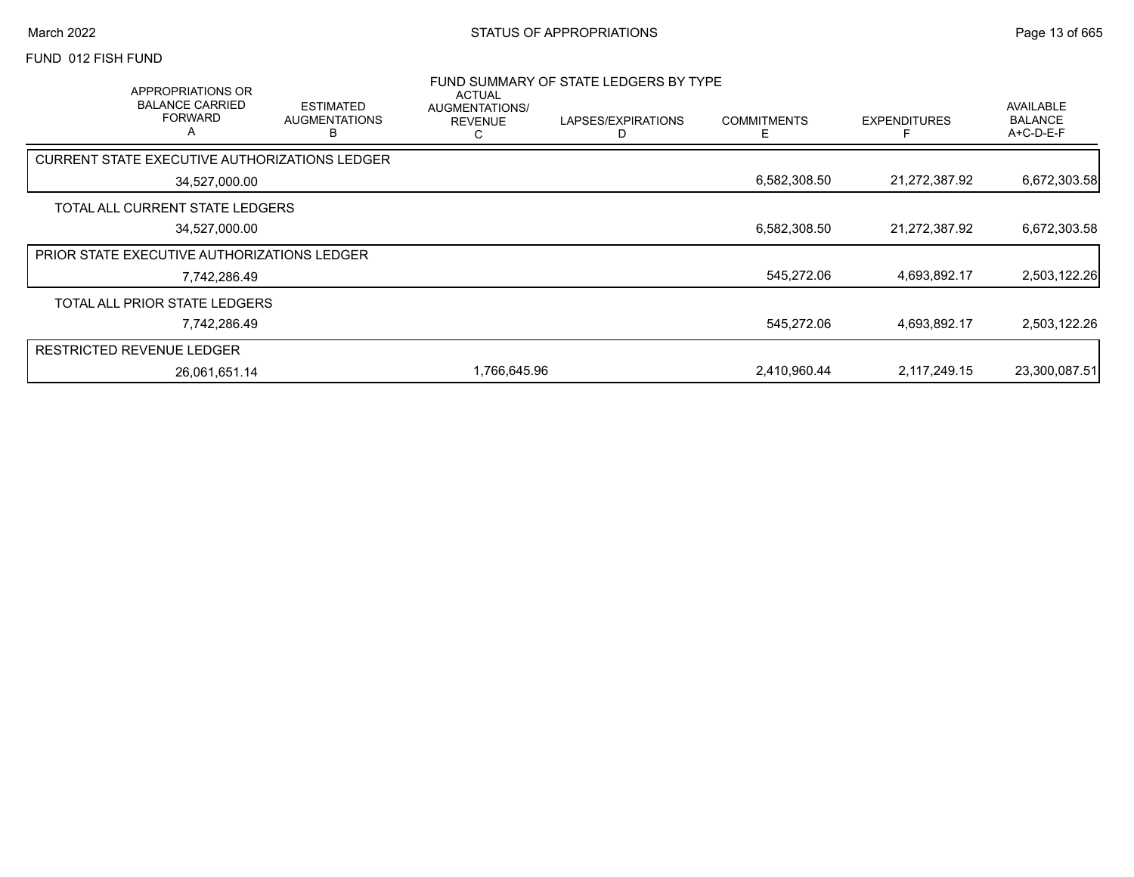#### FUND 012 FISH FUND

| <b>APPROPRIATIONS OR</b><br><b>BALANCE CARRIED</b><br><b>FORWARD</b><br>$\overline{A}$ |               | <b>ESTIMATED</b><br><b>AUGMENTATIONS</b><br>R | <b>ACTUAL</b><br>AUGMENTATIONS/<br><b>REVENUE</b><br>C | FUND SUMMARY OF STATE LEDGERS BY TYPE<br>LAPSES/EXPIRATIONS | <b>COMMITMENTS</b><br>F | <b>EXPENDITURES</b> | <b>AVAILABLE</b><br><b>BALANCE</b><br>A+C-D-E-F |
|----------------------------------------------------------------------------------------|---------------|-----------------------------------------------|--------------------------------------------------------|-------------------------------------------------------------|-------------------------|---------------------|-------------------------------------------------|
| CURRENT STATE EXECUTIVE AUTHORIZATIONS LEDGER                                          |               |                                               |                                                        |                                                             |                         |                     |                                                 |
|                                                                                        | 34,527,000.00 |                                               |                                                        |                                                             | 6,582,308.50            | 21,272,387.92       | 6,672,303.58                                    |
| TOTAL ALL CURRENT STATE LEDGERS                                                        |               |                                               |                                                        |                                                             |                         |                     |                                                 |
|                                                                                        | 34,527,000.00 |                                               |                                                        |                                                             | 6,582,308.50            | 21,272,387.92       | 6,672,303.58                                    |
| PRIOR STATE EXECUTIVE AUTHORIZATIONS LEDGER                                            |               |                                               |                                                        |                                                             |                         |                     |                                                 |
|                                                                                        | 7,742,286.49  |                                               |                                                        |                                                             | 545,272.06              | 4,693,892.17        | 2,503,122.26                                    |
| TOTAL ALL PRIOR STATE LEDGERS                                                          |               |                                               |                                                        |                                                             |                         |                     |                                                 |
|                                                                                        | 7,742,286.49  |                                               |                                                        |                                                             | 545,272.06              | 4,693,892.17        | 2,503,122.26                                    |
| <b>RESTRICTED REVENUE LEDGER</b>                                                       |               |                                               |                                                        |                                                             |                         |                     |                                                 |
|                                                                                        | 26,061,651.14 |                                               | 1,766,645.96                                           |                                                             | 2,410,960.44            | 2,117,249.15        | 23,300,087.51                                   |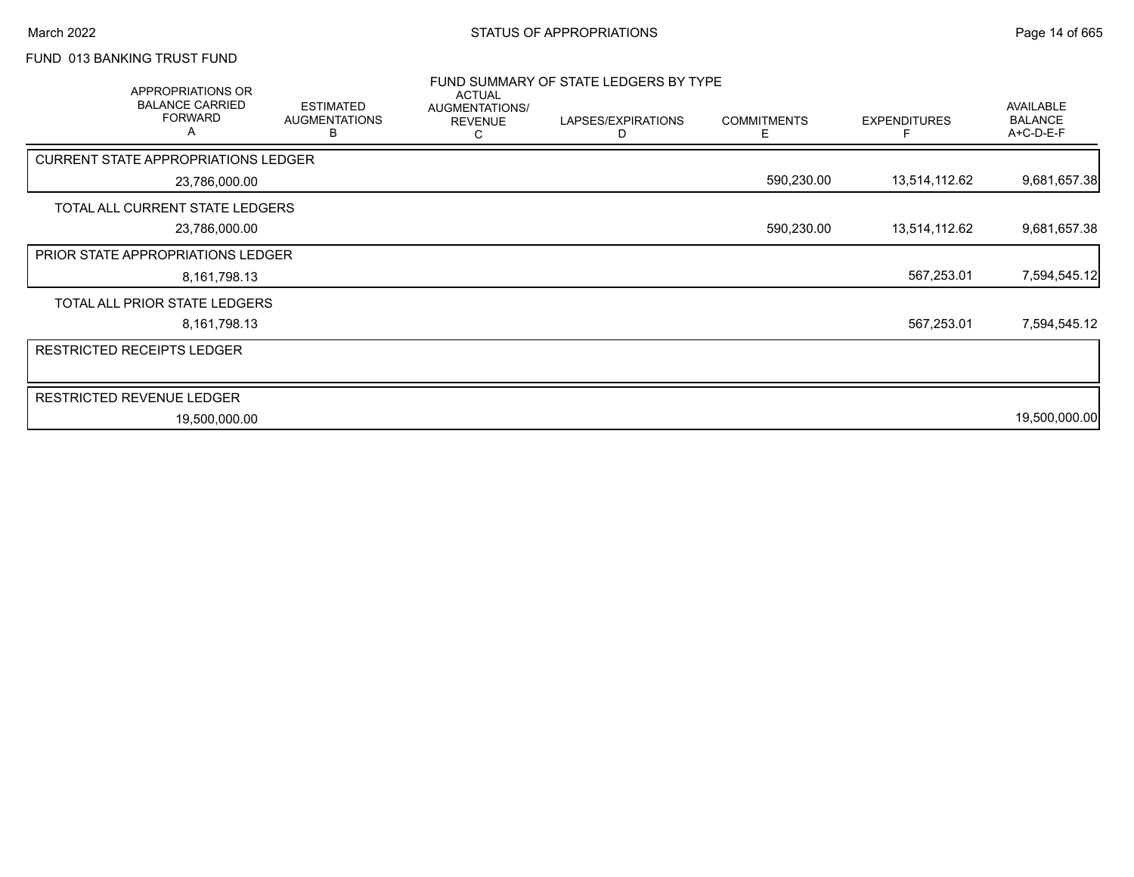# FUND 013 BANKING TRUST FUND

| APPROPRIATIONS OR<br><b>BALANCE CARRIED</b><br><b>FORWARD</b><br>A | <b>ESTIMATED</b><br><b>AUGMENTATIONS</b><br>В | <b>ACTUAL</b><br>AUGMENTATIONS/<br><b>REVENUE</b><br>С | FUND SUMMARY OF STATE LEDGERS BY TYPE<br>LAPSES/EXPIRATIONS<br>D | <b>COMMITMENTS</b><br>E. | <b>EXPENDITURES</b> | AVAILABLE<br><b>BALANCE</b><br>A+C-D-E-F |
|--------------------------------------------------------------------|-----------------------------------------------|--------------------------------------------------------|------------------------------------------------------------------|--------------------------|---------------------|------------------------------------------|
| <b>CURRENT STATE APPROPRIATIONS LEDGER</b>                         |                                               |                                                        |                                                                  |                          |                     |                                          |
| 23,786,000.00                                                      |                                               |                                                        |                                                                  | 590,230.00               | 13,514,112.62       | 9,681,657.38                             |
| TOTAL ALL CURRENT STATE LEDGERS                                    |                                               |                                                        |                                                                  |                          |                     |                                          |
| 23,786,000.00                                                      |                                               |                                                        |                                                                  | 590,230.00               | 13,514,112.62       | 9,681,657.38                             |
| PRIOR STATE APPROPRIATIONS LEDGER                                  |                                               |                                                        |                                                                  |                          |                     |                                          |
| 8,161,798.13                                                       |                                               |                                                        |                                                                  |                          | 567,253.01          | 7,594,545.12                             |
| TOTAL ALL PRIOR STATE LEDGERS                                      |                                               |                                                        |                                                                  |                          |                     |                                          |
| 8,161,798.13                                                       |                                               |                                                        |                                                                  |                          | 567,253.01          | 7,594,545.12                             |
| <b>RESTRICTED RECEIPTS LEDGER</b>                                  |                                               |                                                        |                                                                  |                          |                     |                                          |
|                                                                    |                                               |                                                        |                                                                  |                          |                     |                                          |
| <b>RESTRICTED REVENUE LEDGER</b>                                   |                                               |                                                        |                                                                  |                          |                     |                                          |
| 19,500,000.00                                                      |                                               |                                                        |                                                                  |                          |                     | 19,500,000.00                            |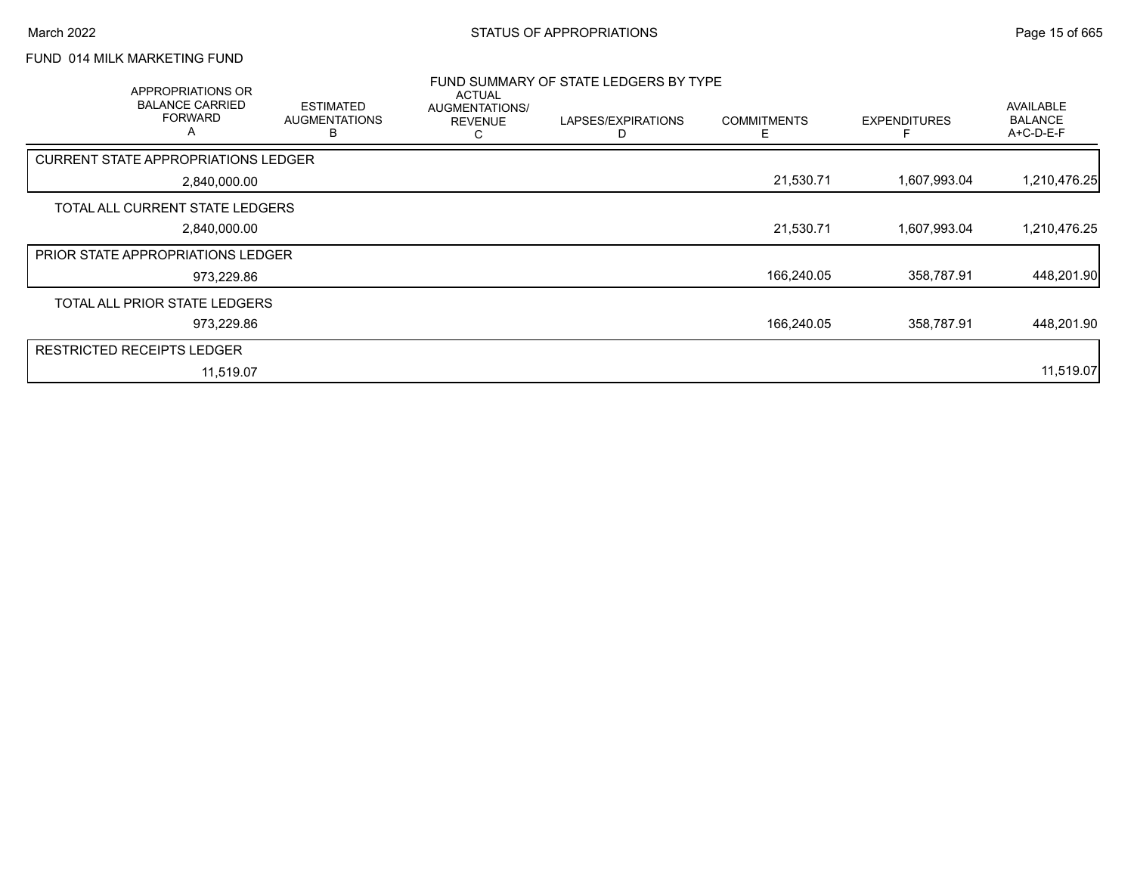# FUND 014 MILK MARKETING FUND

| APPROPRIATIONS OR<br><b>BALANCE CARRIED</b><br><b>FORWARD</b> | <b>ESTIMATED</b><br><b>AUGMENTATIONS</b><br>в | <b>ACTUAL</b><br>AUGMENTATIONS/<br><b>REVENUE</b><br>ι. | FUND SUMMARY OF STATE LEDGERS BY TYPE<br>LAPSES/EXPIRATIONS<br>D | <b>COMMITMENTS</b> | <b>EXPENDITURES</b> | <b>AVAILABLE</b><br><b>BALANCE</b><br>A+C-D-E-F |
|---------------------------------------------------------------|-----------------------------------------------|---------------------------------------------------------|------------------------------------------------------------------|--------------------|---------------------|-------------------------------------------------|
| CURRENT STATE APPROPRIATIONS LEDGER                           |                                               |                                                         |                                                                  |                    |                     |                                                 |
| 2,840,000.00                                                  |                                               |                                                         |                                                                  | 21,530.71          | 1,607,993.04        | 1,210,476.25                                    |
| TOTAL ALL CURRENT STATE LEDGERS                               |                                               |                                                         |                                                                  |                    |                     |                                                 |
| 2,840,000.00                                                  |                                               |                                                         |                                                                  | 21,530.71          | 1,607,993.04        | 1,210,476.25                                    |
| <b>PRIOR STATE APPROPRIATIONS LEDGER</b>                      |                                               |                                                         |                                                                  |                    |                     |                                                 |
| 973,229.86                                                    |                                               |                                                         |                                                                  | 166,240.05         | 358,787.91          | 448,201.90                                      |
| TOTAL ALL PRIOR STATE LEDGERS                                 |                                               |                                                         |                                                                  |                    |                     |                                                 |
| 973,229.86                                                    |                                               |                                                         |                                                                  | 166,240.05         | 358,787.91          | 448,201.90                                      |
| <b>RESTRICTED RECEIPTS LEDGER</b>                             |                                               |                                                         |                                                                  |                    |                     |                                                 |
| 11,519.07                                                     |                                               |                                                         |                                                                  |                    |                     | 11,519.07                                       |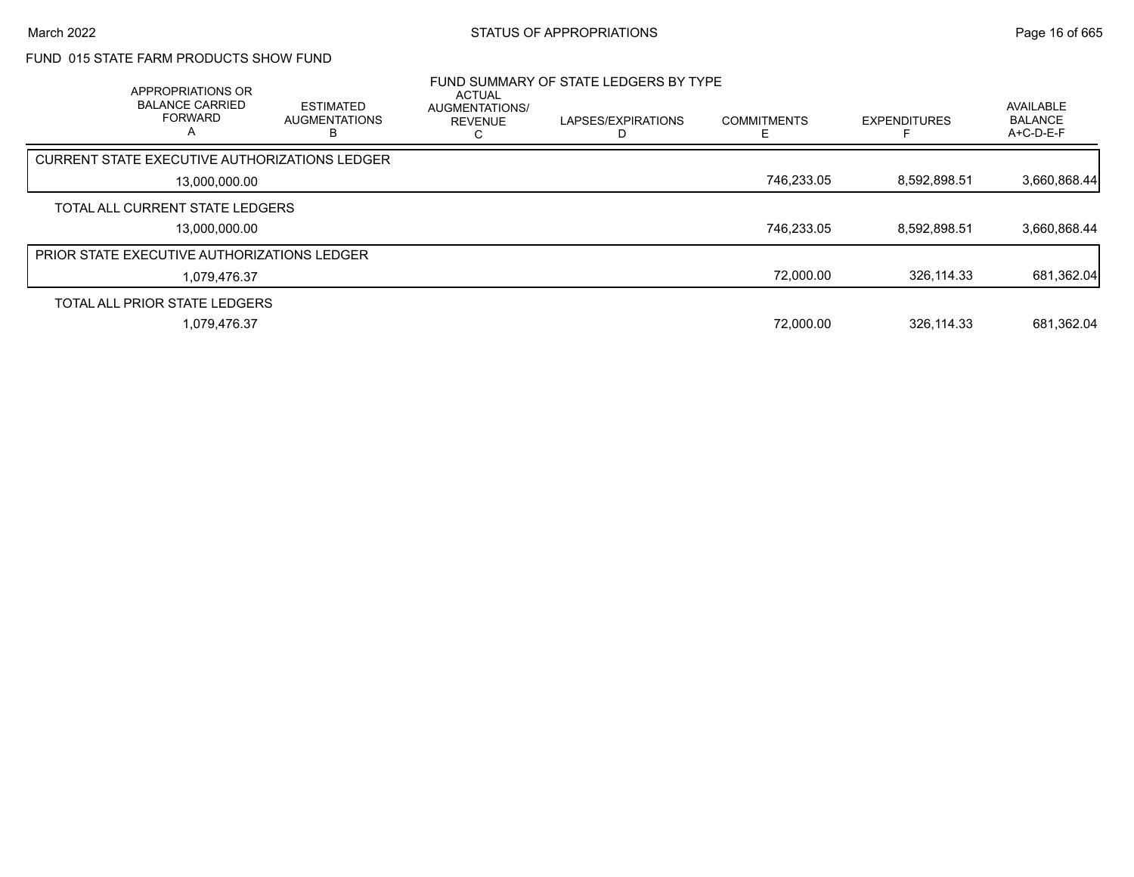# FUND 015 STATE FARM PRODUCTS SHOW FUND

| <b>APPROPRIATIONS OR</b><br><b>BALANCE CARRIED</b><br><b>FORWARD</b><br>А | <b>ESTIMATED</b><br><b>AUGMENTATIONS</b> | <b>ACTUAL</b><br><b>AUGMENTATIONS/</b><br><b>REVENUE</b> | FUND SUMMARY OF STATE LEDGERS BY TYPE<br>LAPSES/EXPIRATIONS | <b>COMMITMENTS</b> | <b>EXPENDITURES</b> | <b>AVAILABLE</b><br><b>BALANCE</b><br>$A+C-D-E-F$ |
|---------------------------------------------------------------------------|------------------------------------------|----------------------------------------------------------|-------------------------------------------------------------|--------------------|---------------------|---------------------------------------------------|
| <b>CURRENT STATE EXECUTIVE AUTHORIZATIONS LEDGER</b>                      |                                          |                                                          |                                                             |                    |                     |                                                   |
| 13.000.000.00                                                             |                                          |                                                          |                                                             | 746,233.05         | 8,592,898.51        | 3,660,868.44                                      |
| TOTAL ALL CURRENT STATE LEDGERS                                           |                                          |                                                          |                                                             |                    |                     |                                                   |
| 13.000.000.00                                                             |                                          |                                                          |                                                             | 746,233.05         | 8.592.898.51        | 3,660,868.44                                      |
| <b>PRIOR STATE EXECUTIVE AUTHORIZATIONS LEDGER</b>                        |                                          |                                                          |                                                             |                    |                     |                                                   |
| 1,079,476.37                                                              |                                          |                                                          |                                                             | 72,000.00          | 326.114.33          | 681,362.04                                        |
| TOTAL ALL PRIOR STATE LEDGERS                                             |                                          |                                                          |                                                             |                    |                     |                                                   |
| 1,079,476.37                                                              |                                          |                                                          |                                                             | 72,000.00          | 326,114.33          | 681,362.04                                        |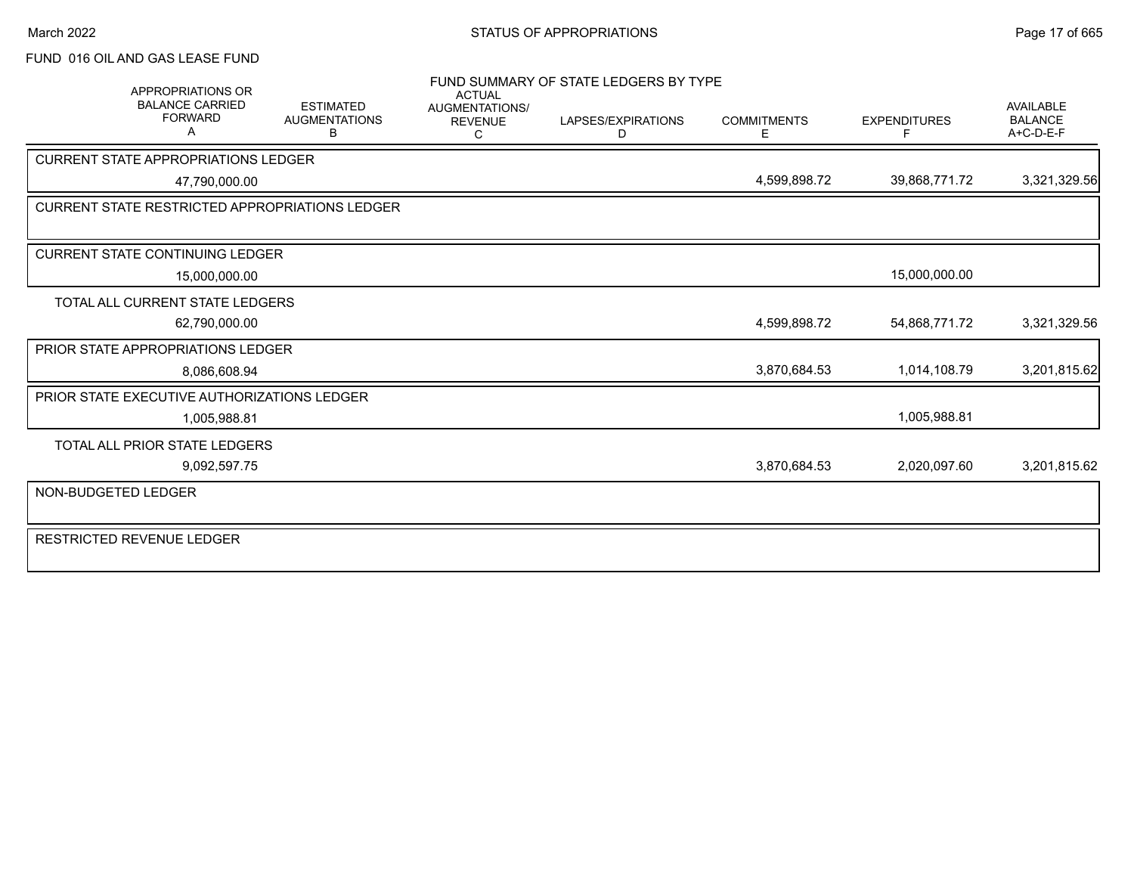## March 2022 **STATUS OF APPROPRIATIONS** STATUS OF APPROPRIATIONS

# FUND 016 OIL AND GAS LEASE FUND

| <b>APPROPRIATIONS OR</b><br><b>BALANCE CARRIED</b><br><b>FORWARD</b><br>A | <b>ESTIMATED</b><br><b>AUGMENTATIONS</b><br>B | <b>ACTUAL</b><br><b>AUGMENTATIONS/</b><br><b>REVENUE</b><br>C | FUND SUMMARY OF STATE LEDGERS BY TYPE<br>LAPSES/EXPIRATIONS<br>D | <b>COMMITMENTS</b><br>Е | <b>EXPENDITURES</b><br>F | <b>AVAILABLE</b><br><b>BALANCE</b><br>A+C-D-E-F |
|---------------------------------------------------------------------------|-----------------------------------------------|---------------------------------------------------------------|------------------------------------------------------------------|-------------------------|--------------------------|-------------------------------------------------|
| <b>CURRENT STATE APPROPRIATIONS LEDGER</b>                                |                                               |                                                               |                                                                  |                         |                          |                                                 |
| 47,790,000.00                                                             |                                               |                                                               |                                                                  | 4,599,898.72            | 39,868,771.72            | 3,321,329.56                                    |
| <b>CURRENT STATE RESTRICTED APPROPRIATIONS LEDGER</b>                     |                                               |                                                               |                                                                  |                         |                          |                                                 |
|                                                                           |                                               |                                                               |                                                                  |                         |                          |                                                 |
| <b>CURRENT STATE CONTINUING LEDGER</b>                                    |                                               |                                                               |                                                                  |                         |                          |                                                 |
| 15,000,000.00                                                             |                                               |                                                               |                                                                  |                         | 15,000,000.00            |                                                 |
| TOTAL ALL CURRENT STATE LEDGERS                                           |                                               |                                                               |                                                                  |                         |                          |                                                 |
| 62,790,000.00                                                             |                                               |                                                               |                                                                  | 4,599,898.72            | 54,868,771.72            | 3,321,329.56                                    |
| PRIOR STATE APPROPRIATIONS LEDGER                                         |                                               |                                                               |                                                                  |                         |                          |                                                 |
| 8,086,608.94                                                              |                                               |                                                               |                                                                  | 3,870,684.53            | 1,014,108.79             | 3,201,815.62                                    |
| <b>PRIOR STATE EXECUTIVE AUTHORIZATIONS LEDGER</b>                        |                                               |                                                               |                                                                  |                         |                          |                                                 |
| 1,005,988.81                                                              |                                               |                                                               |                                                                  |                         | 1,005,988.81             |                                                 |
| TOTAL ALL PRIOR STATE LEDGERS                                             |                                               |                                                               |                                                                  |                         |                          |                                                 |
| 9,092,597.75                                                              |                                               |                                                               |                                                                  | 3,870,684.53            | 2,020,097.60             | 3,201,815.62                                    |
| NON-BUDGETED LEDGER                                                       |                                               |                                                               |                                                                  |                         |                          |                                                 |
| <b>RESTRICTED REVENUE LEDGER</b>                                          |                                               |                                                               |                                                                  |                         |                          |                                                 |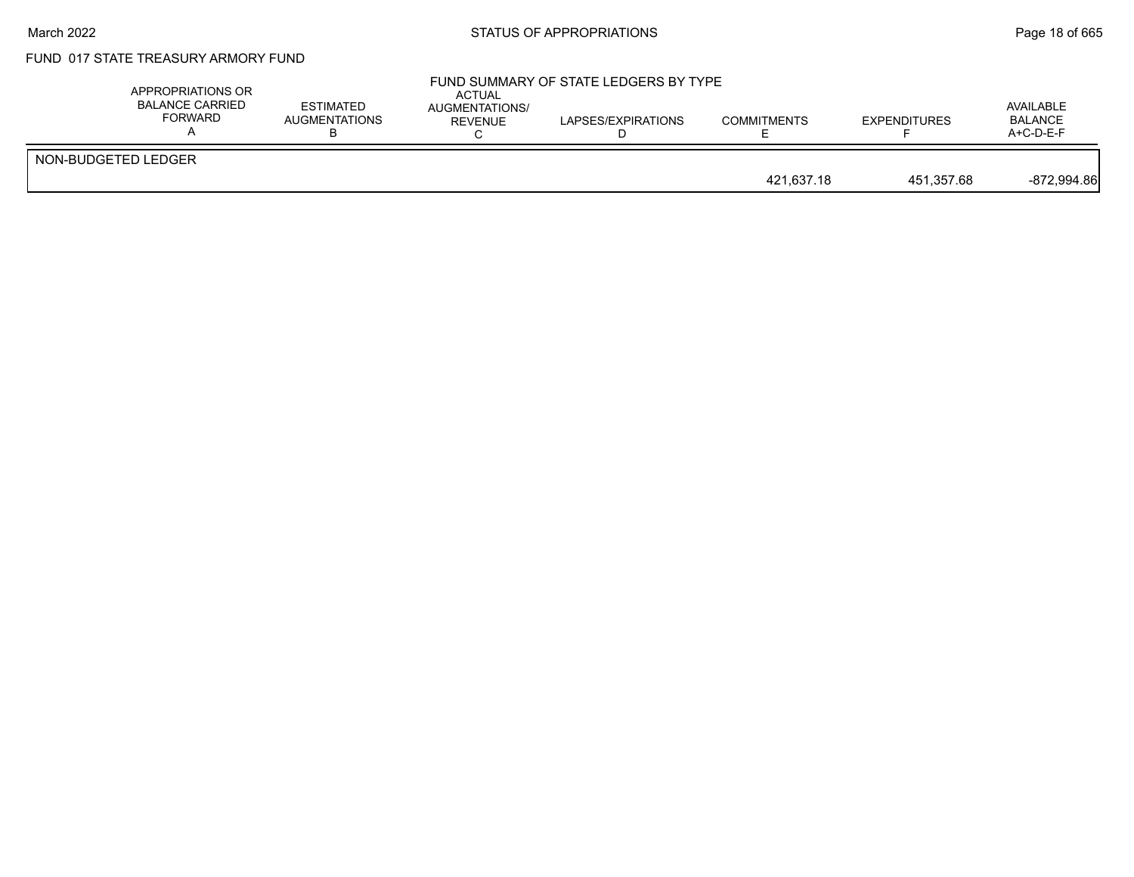#### March 2022 **Example 2022** Page 18 of 665

# FUND 017 STATE TREASURY ARMORY FUND

|                     | APPROPRIATIONS OR<br>BALANCE CARRIED<br>FORWARD | <b>ESTIMATED</b><br>AUGMENTATIONS | ACTUAL<br>AUGMENTATIONS/<br>REVENUE | FUND SUMMARY OF STATE LEDGERS BY TYPE<br>LAPSES/EXPIRATIONS | <b>COMMITMENTS</b> | <b>EXPENDITURES</b> | AVAILABLE<br><b>BALANCE</b><br>$A+C-D-E-F$ |
|---------------------|-------------------------------------------------|-----------------------------------|-------------------------------------|-------------------------------------------------------------|--------------------|---------------------|--------------------------------------------|
| NON-BUDGETED LEDGER |                                                 |                                   |                                     |                                                             | 421.637.18         | 451.357.68          | $-872.994.86$                              |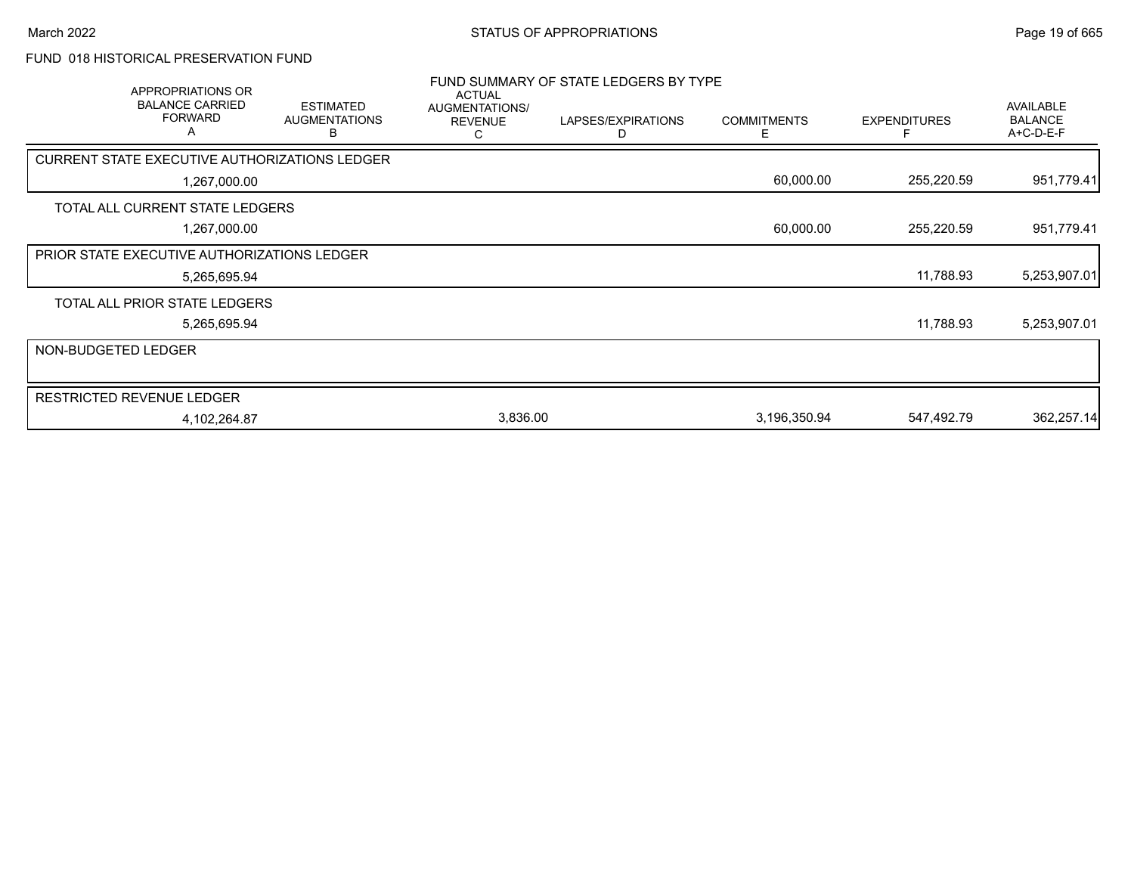# FUND 018 HISTORICAL PRESERVATION FUND

|                     | APPROPRIATIONS OR<br><b>BALANCE CARRIED</b><br><b>FORWARD</b><br>A | <b>ESTIMATED</b><br><b>AUGMENTATIONS</b><br>В | <b>ACTUAL</b><br>AUGMENTATIONS/<br><b>REVENUE</b><br>С | FUND SUMMARY OF STATE LEDGERS BY TYPE<br>LAPSES/EXPIRATIONS<br>D | <b>COMMITMENTS</b><br>E | <b>EXPENDITURES</b> | <b>AVAILABLE</b><br><b>BALANCE</b><br>A+C-D-E-F |
|---------------------|--------------------------------------------------------------------|-----------------------------------------------|--------------------------------------------------------|------------------------------------------------------------------|-------------------------|---------------------|-------------------------------------------------|
|                     | CURRENT STATE EXECUTIVE AUTHORIZATIONS LEDGER                      |                                               |                                                        |                                                                  |                         |                     |                                                 |
|                     | 1,267,000.00                                                       |                                               |                                                        |                                                                  | 60,000.00               | 255,220.59          | 951,779.41                                      |
|                     | TOTAL ALL CURRENT STATE LEDGERS                                    |                                               |                                                        |                                                                  |                         |                     |                                                 |
|                     | 1,267,000.00                                                       |                                               |                                                        |                                                                  | 60,000.00               | 255,220.59          | 951,779.41                                      |
|                     | PRIOR STATE EXECUTIVE AUTHORIZATIONS LEDGER                        |                                               |                                                        |                                                                  |                         |                     |                                                 |
|                     | 5,265,695.94                                                       |                                               |                                                        |                                                                  |                         | 11,788.93           | 5,253,907.01                                    |
|                     | TOTAL ALL PRIOR STATE LEDGERS                                      |                                               |                                                        |                                                                  |                         |                     |                                                 |
|                     | 5,265,695.94                                                       |                                               |                                                        |                                                                  |                         | 11,788.93           | 5,253,907.01                                    |
| NON-BUDGETED LEDGER |                                                                    |                                               |                                                        |                                                                  |                         |                     |                                                 |
|                     | <b>RESTRICTED REVENUE LEDGER</b>                                   |                                               |                                                        |                                                                  |                         |                     |                                                 |
|                     | 4,102,264.87                                                       |                                               | 3,836.00                                               |                                                                  | 3,196,350.94            | 547,492.79          | 362,257.14                                      |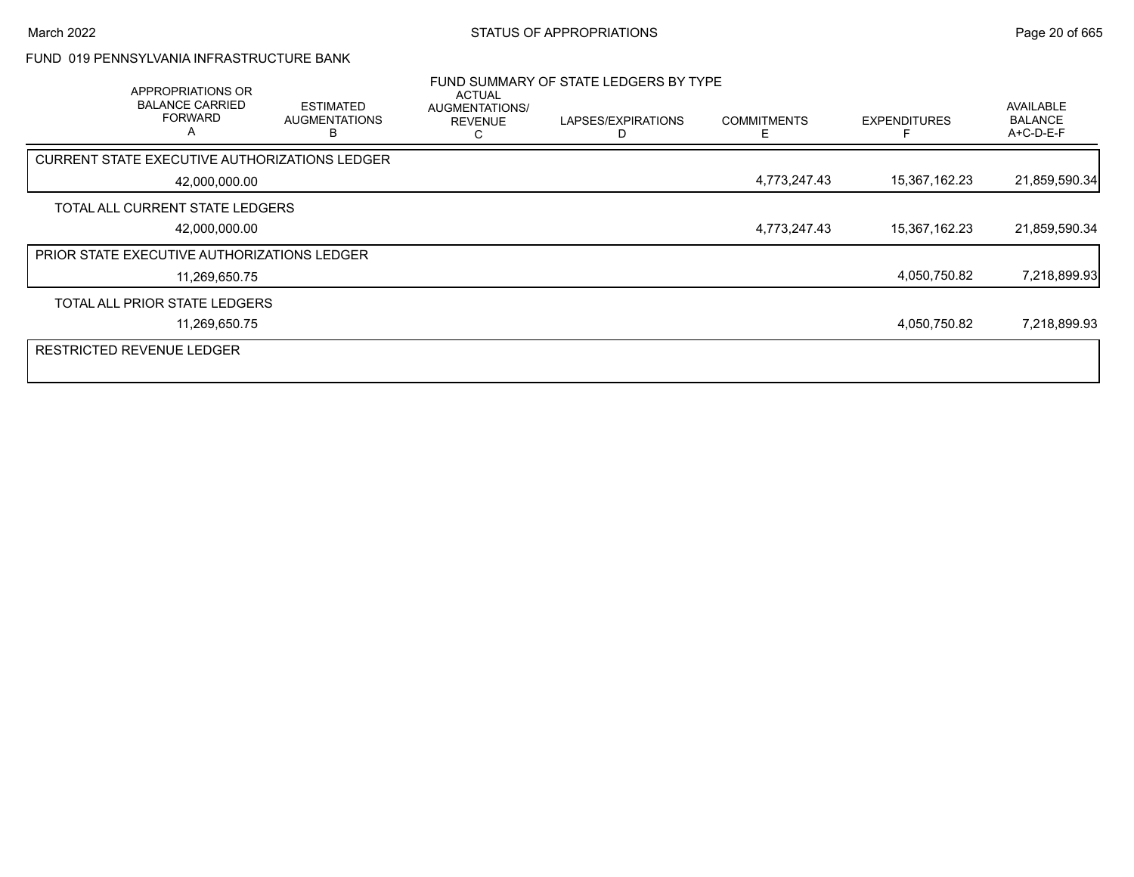## FUND 019 PENNSYLVANIA INFRASTRUCTURE BANK

| APPROPRIATIONS OR<br><b>BALANCE CARRIED</b><br><b>FORWARD</b><br>A | <b>ESTIMATED</b><br><b>AUGMENTATIONS</b><br>R | ACTUAL<br>AUGMENTATIONS/<br><b>REVENUE</b> | FUND SUMMARY OF STATE LEDGERS BY TYPE<br>LAPSES/EXPIRATIONS | <b>COMMITMENTS</b> | <b>EXPENDITURES</b> | <b>AVAILABLE</b><br><b>BALANCE</b><br>A+C-D-E-F |
|--------------------------------------------------------------------|-----------------------------------------------|--------------------------------------------|-------------------------------------------------------------|--------------------|---------------------|-------------------------------------------------|
| <b>CURRENT STATE EXECUTIVE AUTHORIZATIONS LEDGER</b>               |                                               |                                            |                                                             |                    |                     |                                                 |
| 42,000,000.00                                                      |                                               |                                            |                                                             | 4,773,247.43       | 15,367,162.23       | 21,859,590.34                                   |
| TOTAL ALL CURRENT STATE LEDGERS                                    |                                               |                                            |                                                             |                    |                     |                                                 |
| 42,000,000.00                                                      |                                               |                                            |                                                             | 4,773,247.43       | 15,367,162.23       | 21,859,590.34                                   |
| PRIOR STATE EXECUTIVE AUTHORIZATIONS LEDGER                        |                                               |                                            |                                                             |                    |                     |                                                 |
| 11,269,650.75                                                      |                                               |                                            |                                                             |                    | 4,050,750.82        | 7,218,899.93                                    |
| TOTAL ALL PRIOR STATE LEDGERS                                      |                                               |                                            |                                                             |                    |                     |                                                 |
| 11,269,650.75                                                      |                                               |                                            |                                                             |                    | 4,050,750.82        | 7,218,899.93                                    |
| <b>RESTRICTED REVENUE LEDGER</b>                                   |                                               |                                            |                                                             |                    |                     |                                                 |
|                                                                    |                                               |                                            |                                                             |                    |                     |                                                 |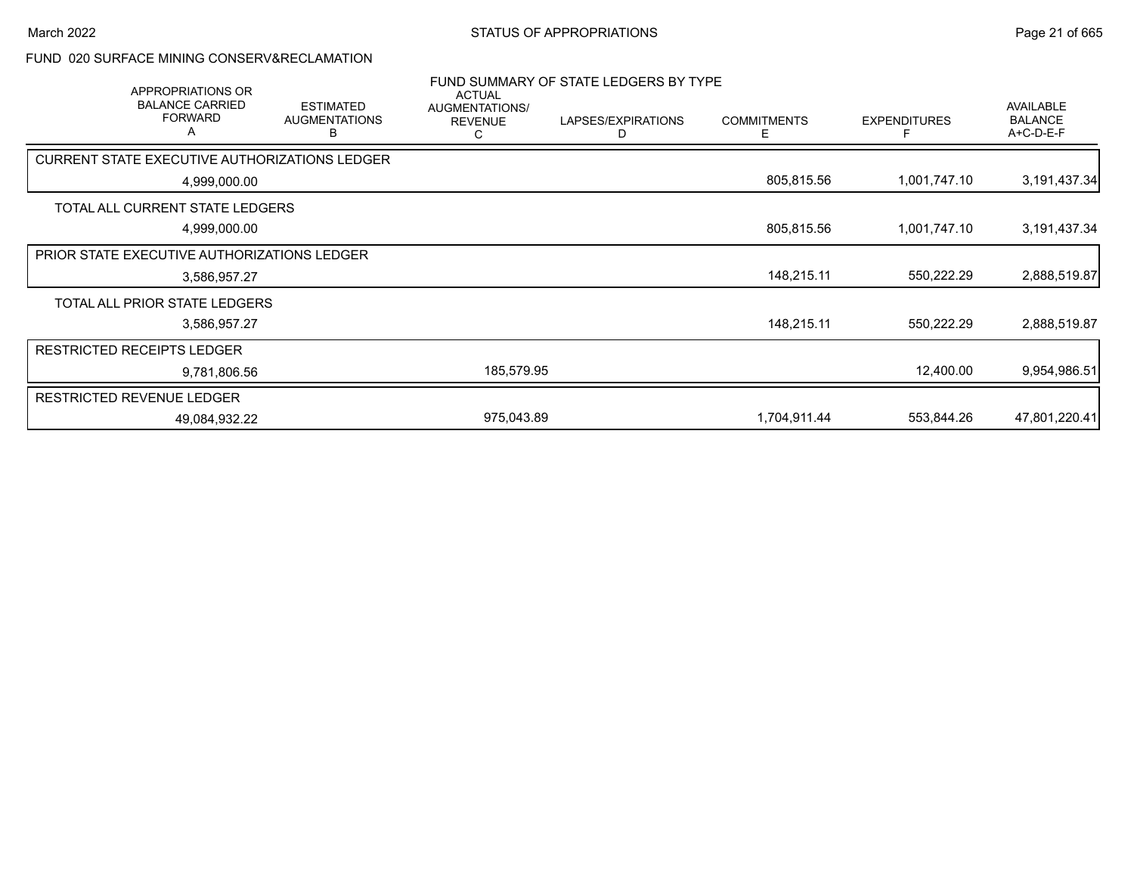#### FUND 020 SURFACE MINING CONSERV&RECLAMATION

| <b>APPROPRIATIONS OR</b><br><b>BALANCE CARRIED</b><br><b>FORWARD</b><br>Α | <b>ESTIMATED</b><br><b>AUGMENTATIONS</b><br>В | <b>ACTUAL</b><br>AUGMENTATIONS/<br><b>REVENUE</b><br>С | FUND SUMMARY OF STATE LEDGERS BY TYPE<br>LAPSES/EXPIRATIONS<br>D | <b>COMMITMENTS</b><br>E. | <b>EXPENDITURES</b> | <b>AVAILABLE</b><br><b>BALANCE</b><br>A+C-D-E-F |
|---------------------------------------------------------------------------|-----------------------------------------------|--------------------------------------------------------|------------------------------------------------------------------|--------------------------|---------------------|-------------------------------------------------|
| CURRENT STATE EXECUTIVE AUTHORIZATIONS LEDGER                             |                                               |                                                        |                                                                  |                          |                     |                                                 |
| 4,999,000.00                                                              |                                               |                                                        |                                                                  | 805,815.56               | 1,001,747.10        | 3,191,437.34                                    |
| TOTAL ALL CURRENT STATE LEDGERS                                           |                                               |                                                        |                                                                  |                          |                     |                                                 |
| 4,999,000.00                                                              |                                               |                                                        |                                                                  | 805,815.56               | 1,001,747.10        | 3,191,437.34                                    |
| PRIOR STATE EXECUTIVE AUTHORIZATIONS LEDGER                               |                                               |                                                        |                                                                  |                          |                     |                                                 |
| 3,586,957.27                                                              |                                               |                                                        |                                                                  | 148,215.11               | 550,222.29          | 2,888,519.87                                    |
| TOTAL ALL PRIOR STATE LEDGERS                                             |                                               |                                                        |                                                                  |                          |                     |                                                 |
| 3,586,957.27                                                              |                                               |                                                        |                                                                  | 148,215.11               | 550,222.29          | 2,888,519.87                                    |
| <b>RESTRICTED RECEIPTS LEDGER</b>                                         |                                               |                                                        |                                                                  |                          |                     |                                                 |
| 9,781,806.56                                                              |                                               | 185,579.95                                             |                                                                  |                          | 12,400.00           | 9,954,986.51                                    |
| RESTRICTED REVENUE LEDGER                                                 |                                               |                                                        |                                                                  |                          |                     |                                                 |
| 49,084,932.22                                                             |                                               | 975,043.89                                             |                                                                  | 1,704,911.44             | 553,844.26          | 47,801,220.41                                   |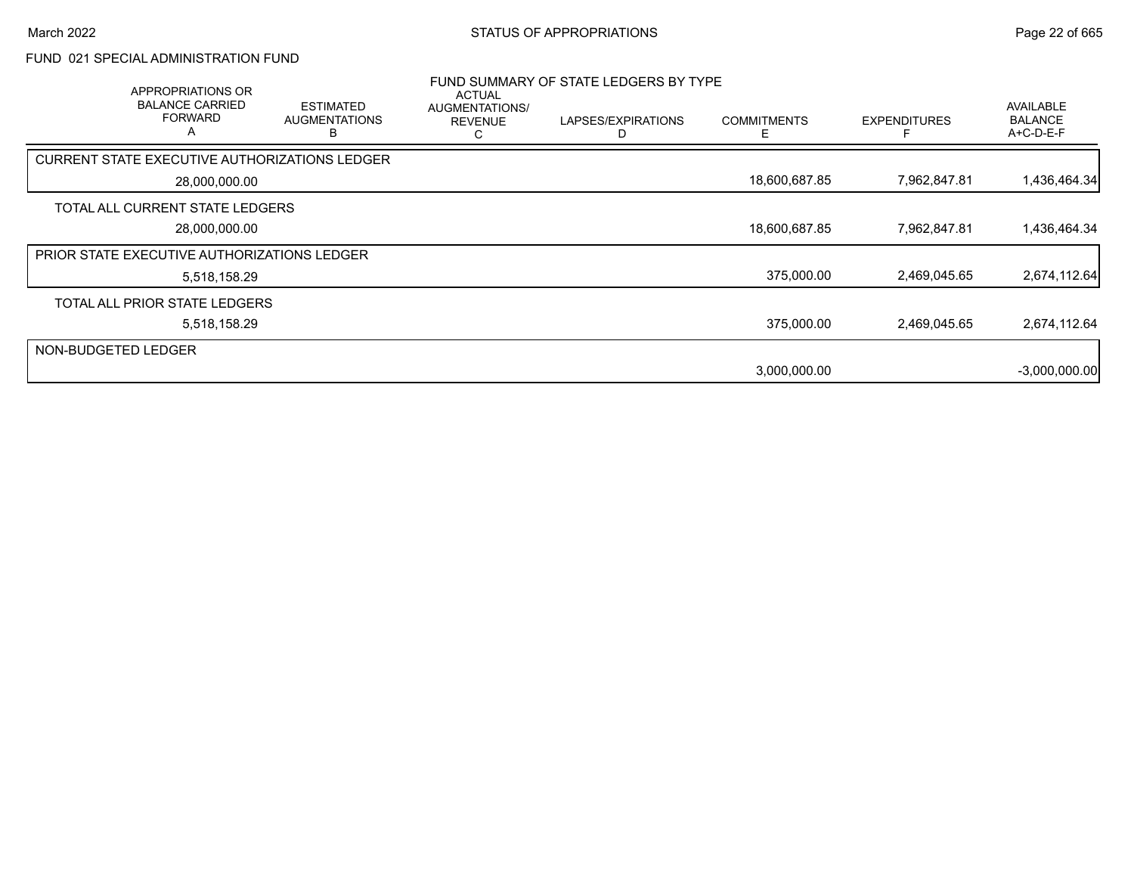## FUND 021 SPECIAL ADMINISTRATION FUND

|                     | APPROPRIATIONS OR<br><b>BALANCE CARRIED</b><br><b>FORWARD</b><br>A | <b>ESTIMATED</b><br><b>AUGMENTATIONS</b><br>в | ACTUAL<br>AUGMENTATIONS/<br><b>REVENUE</b><br>ι. | FUND SUMMARY OF STATE LEDGERS BY TYPE<br>LAPSES/EXPIRATIONS | <b>COMMITMENTS</b><br>F | <b>EXPENDITURES</b> | <b>AVAILABLE</b><br><b>BALANCE</b><br>A+C-D-E-F |
|---------------------|--------------------------------------------------------------------|-----------------------------------------------|--------------------------------------------------|-------------------------------------------------------------|-------------------------|---------------------|-------------------------------------------------|
|                     | <b>CURRENT STATE EXECUTIVE AUTHORIZATIONS LEDGER</b>               |                                               |                                                  |                                                             |                         |                     |                                                 |
|                     | 28,000,000.00                                                      |                                               |                                                  |                                                             | 18,600,687.85           | 7,962,847.81        | 1,436,464.34                                    |
|                     | TOTAL ALL CURRENT STATE LEDGERS                                    |                                               |                                                  |                                                             |                         |                     |                                                 |
|                     | 28,000,000.00                                                      |                                               |                                                  |                                                             | 18,600,687.85           | 7,962,847.81        | 1,436,464.34                                    |
|                     | PRIOR STATE EXECUTIVE AUTHORIZATIONS LEDGER                        |                                               |                                                  |                                                             |                         |                     |                                                 |
|                     | 5,518,158.29                                                       |                                               |                                                  |                                                             | 375,000.00              | 2,469,045.65        | 2,674,112.64                                    |
|                     | TOTAL ALL PRIOR STATE LEDGERS                                      |                                               |                                                  |                                                             |                         |                     |                                                 |
|                     | 5,518,158.29                                                       |                                               |                                                  |                                                             | 375,000.00              | 2,469,045.65        | 2,674,112.64                                    |
| NON-BUDGETED LEDGER |                                                                    |                                               |                                                  |                                                             |                         |                     |                                                 |
|                     |                                                                    |                                               |                                                  |                                                             | 3,000,000.00            |                     | $-3,000,000.00$                                 |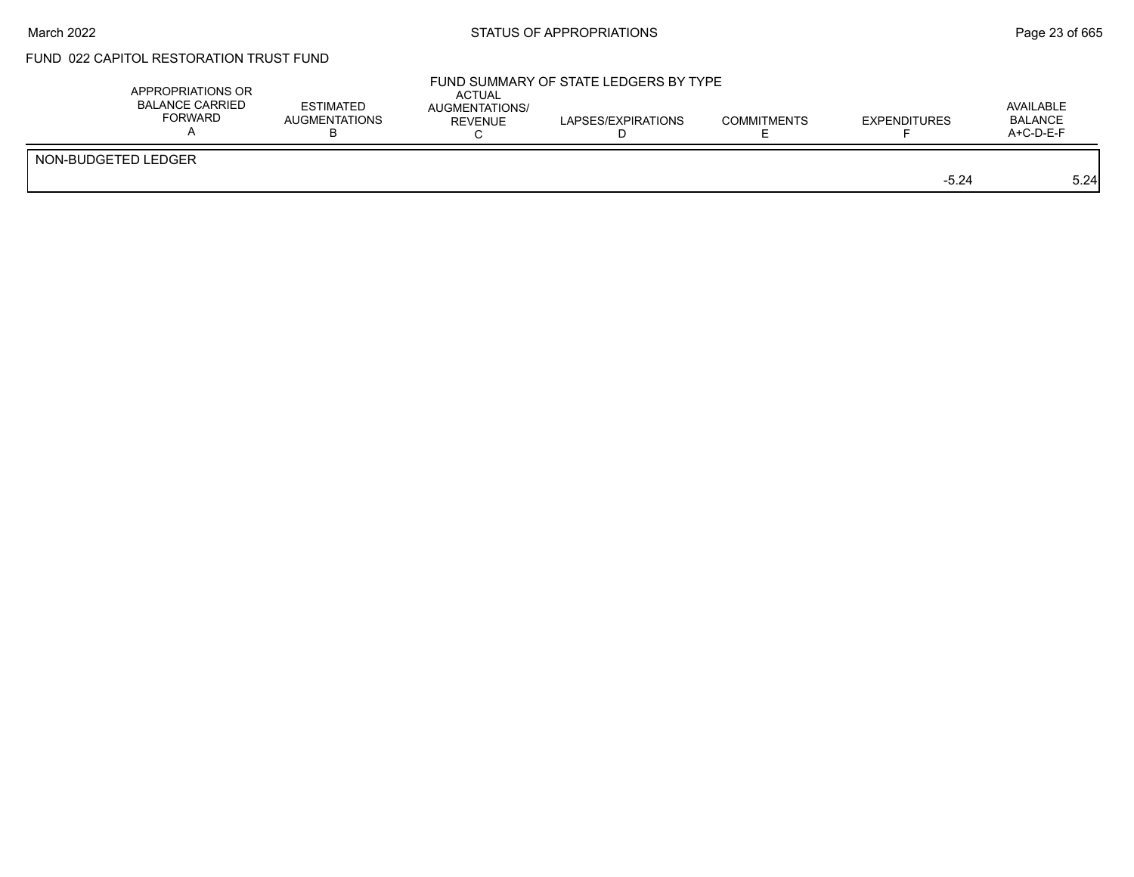# FUND 022 CAPITOL RESTORATION TRUST FUND

| APPROPRIATIONS OR<br><b>BALANCE CARRIED</b><br><b>FORWARD</b> | <b>ESTIMATED</b><br><b>AUGMENTATIONS</b> | ACTUAL<br><b>AUGMENTATIONS/</b><br>REVENUE | FUND SUMMARY OF STATE LEDGERS BY TYPE<br>LAPSES/EXPIRATIONS | <b>COMMITMENTS</b> | <b>EXPENDITURES</b> | AVAILABLE<br><b>BALANCE</b><br>A+C-D-E-F |
|---------------------------------------------------------------|------------------------------------------|--------------------------------------------|-------------------------------------------------------------|--------------------|---------------------|------------------------------------------|
| NON-BUDGETED LEDGER                                           |                                          |                                            |                                                             |                    | $-5.24$             | 5.24                                     |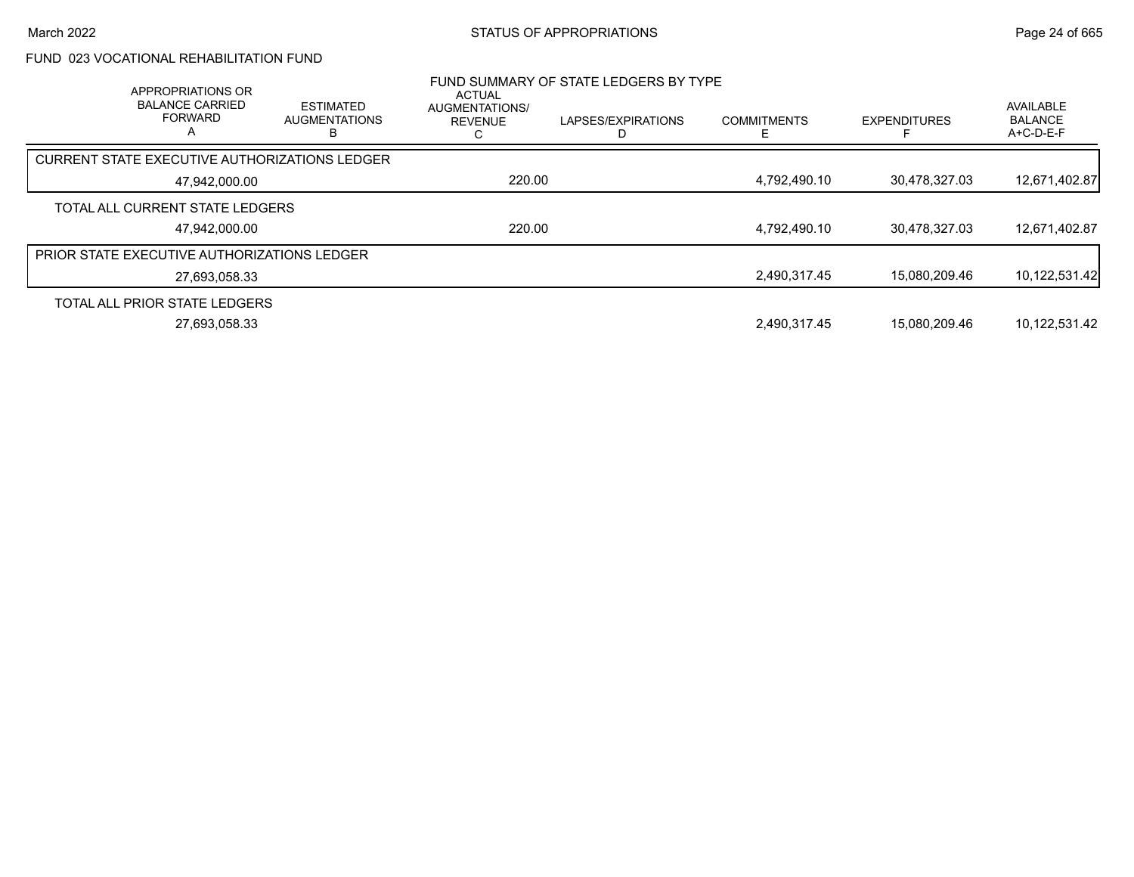# FUND 023 VOCATIONAL REHABILITATION FUND

| APPROPRIATIONS OR<br><b>BALANCE CARRIED</b><br><b>FORWARD</b><br>A | <b>ESTIMATED</b><br><b>AUGMENTATIONS</b> | <b>ACTUAL</b><br>AUGMENTATIONS/<br><b>REVENUE</b> | FUND SUMMARY OF STATE LEDGERS BY TYPE<br>LAPSES/EXPIRATIONS | <b>COMMITMENTS</b> | <b>EXPENDITURES</b> | AVAILABLE<br><b>BALANCE</b><br>$A+C-D-E-F$ |
|--------------------------------------------------------------------|------------------------------------------|---------------------------------------------------|-------------------------------------------------------------|--------------------|---------------------|--------------------------------------------|
| CURRENT STATE EXECUTIVE AUTHORIZATIONS LEDGER                      |                                          |                                                   |                                                             |                    |                     |                                            |
| 47,942,000.00                                                      |                                          | 220.00                                            |                                                             | 4,792,490.10       | 30,478,327.03       | 12,671,402.87                              |
| TOTAL ALL CURRENT STATE LEDGERS                                    |                                          |                                                   |                                                             |                    |                     |                                            |
| 47,942,000.00                                                      |                                          | 220.00                                            |                                                             | 4,792,490.10       | 30,478,327.03       | 12,671,402.87                              |
| <b>PRIOR STATE EXECUTIVE AUTHORIZATIONS LEDGER</b>                 |                                          |                                                   |                                                             |                    |                     |                                            |
| 27,693,058.33                                                      |                                          |                                                   |                                                             | 2.490.317.45       | 15.080.209.46       | 10,122,531.42                              |
| TOTAL ALL PRIOR STATE LEDGERS                                      |                                          |                                                   |                                                             |                    |                     |                                            |
| 27.693.058.33                                                      |                                          |                                                   |                                                             | 2,490,317.45       | 15.080.209.46       | 10,122,531.42                              |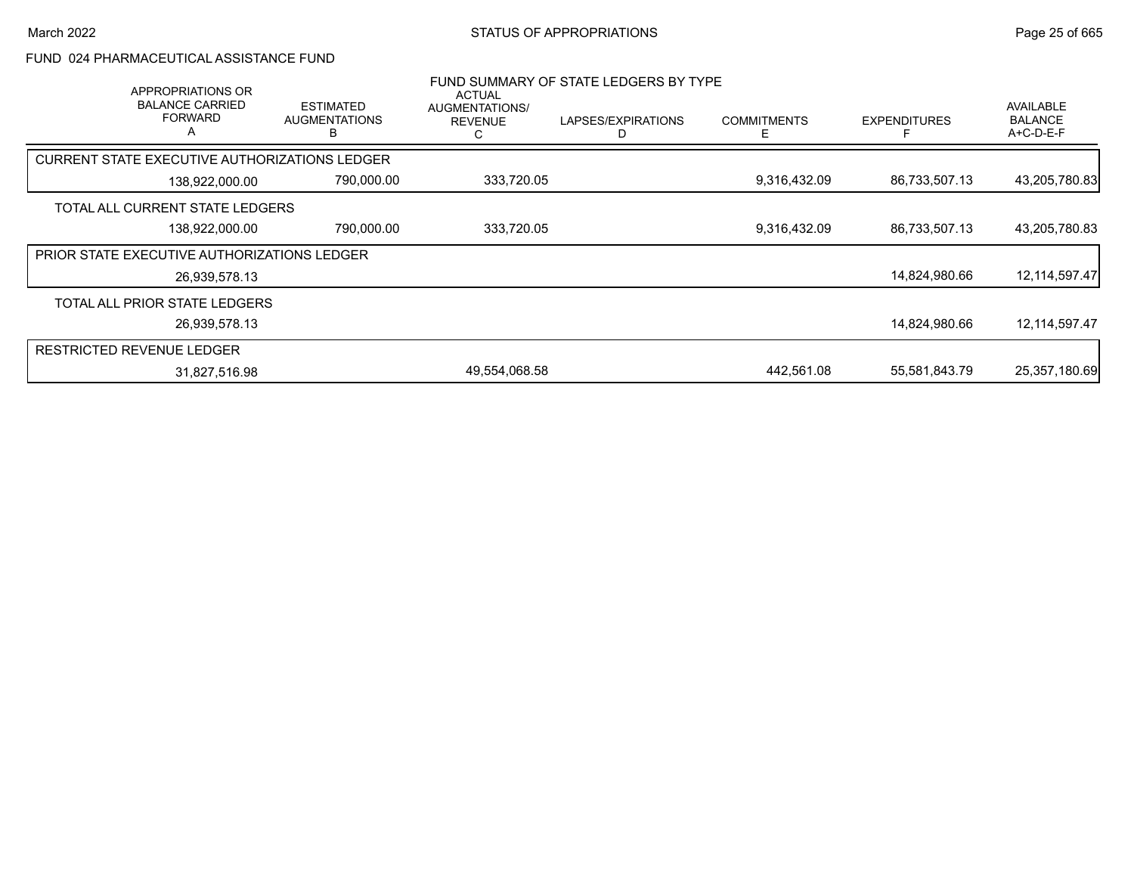## FUND 024 PHARMACEUTICAL ASSISTANCE FUND

| APPROPRIATIONS OR<br><b>BALANCE CARRIED</b><br><b>FORWARD</b><br>Α | <b>ESTIMATED</b><br><b>AUGMENTATIONS</b> | <b>ACTUAL</b><br>AUGMENTATIONS/<br><b>REVENUE</b> | FUND SUMMARY OF STATE LEDGERS BY TYPE<br>LAPSES/EXPIRATIONS | <b>COMMITMENTS</b><br>⊢ | <b>EXPENDITURES</b> | AVAILABLE<br><b>BALANCE</b><br>A+C-D-E-F |
|--------------------------------------------------------------------|------------------------------------------|---------------------------------------------------|-------------------------------------------------------------|-------------------------|---------------------|------------------------------------------|
| CURRENT STATE EXECUTIVE AUTHORIZATIONS LEDGER                      |                                          |                                                   |                                                             |                         |                     |                                          |
| 138,922,000.00                                                     | 790,000.00                               | 333,720.05                                        |                                                             | 9,316,432.09            | 86,733,507.13       | 43,205,780.83                            |
| TOTAL ALL CURRENT STATE LEDGERS                                    |                                          |                                                   |                                                             |                         |                     |                                          |
| 138,922,000.00                                                     | 790,000.00                               | 333,720.05                                        |                                                             | 9,316,432.09            | 86,733,507.13       | 43,205,780.83                            |
| <b>PRIOR STATE EXECUTIVE AUTHORIZATIONS LEDGER</b>                 |                                          |                                                   |                                                             |                         |                     |                                          |
| 26,939,578.13                                                      |                                          |                                                   |                                                             |                         | 14,824,980.66       | 12, 114, 597. 47                         |
| TOTAL ALL PRIOR STATE LEDGERS                                      |                                          |                                                   |                                                             |                         |                     |                                          |
| 26,939,578.13                                                      |                                          |                                                   |                                                             |                         | 14,824,980.66       | 12,114,597.47                            |
| RESTRICTED REVENUE LEDGER                                          |                                          |                                                   |                                                             |                         |                     |                                          |
| 31,827,516.98                                                      |                                          | 49,554,068.58                                     |                                                             | 442.561.08              | 55,581,843.79       | 25,357,180.69                            |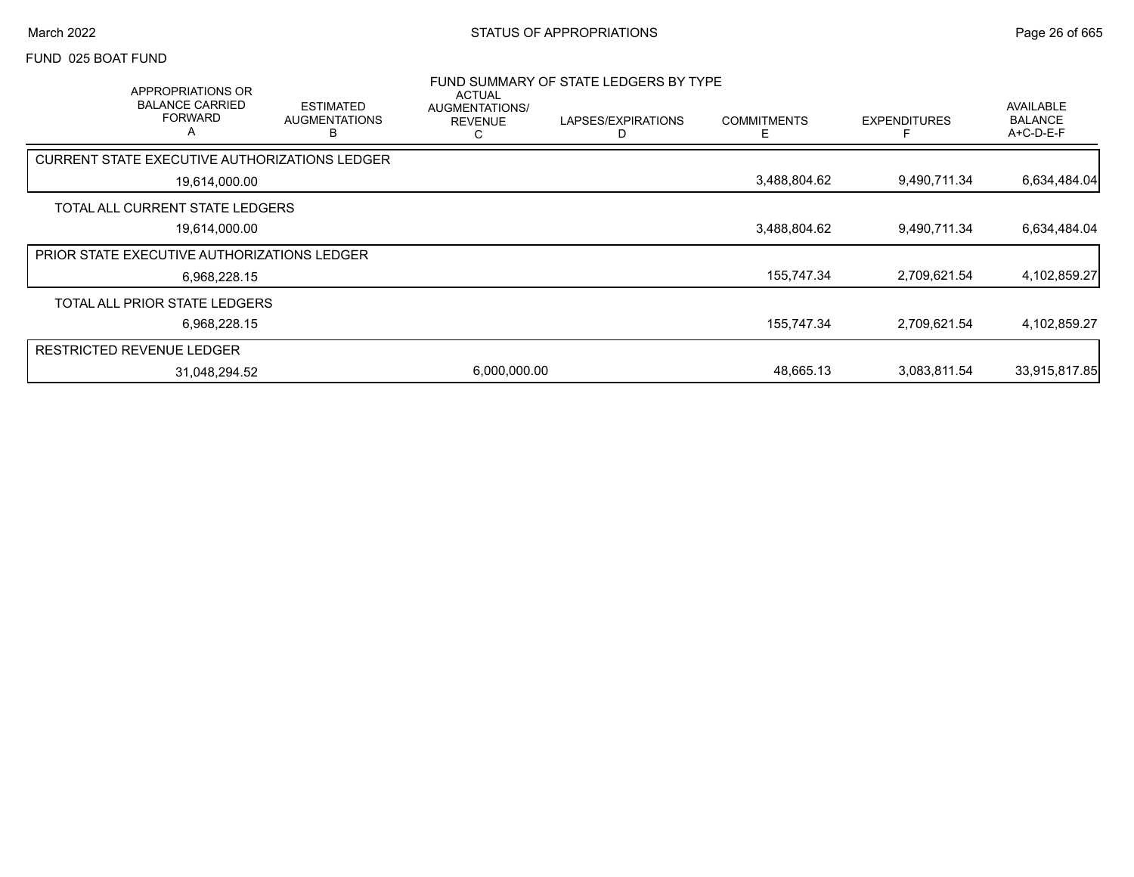#### FUND 025 BOAT FUND

|                                  | APPROPRIATIONS OR<br><b>BALANCE CARRIED</b><br><b>FORWARD</b><br>A | <b>ESTIMATED</b><br><b>AUGMENTATIONS</b><br>в | <b>ACTUAL</b><br>AUGMENTATIONS/<br><b>REVENUE</b><br>С | FUND SUMMARY OF STATE LEDGERS BY TYPE<br>LAPSES/EXPIRATIONS | <b>COMMITMENTS</b> | <b>EXPENDITURES</b> | AVAILABLE<br><b>BALANCE</b><br>A+C-D-E-F |
|----------------------------------|--------------------------------------------------------------------|-----------------------------------------------|--------------------------------------------------------|-------------------------------------------------------------|--------------------|---------------------|------------------------------------------|
|                                  |                                                                    | CURRENT STATE EXECUTIVE AUTHORIZATIONS LEDGER |                                                        |                                                             |                    |                     |                                          |
|                                  | 19,614,000.00                                                      |                                               |                                                        |                                                             | 3,488,804.62       | 9,490,711.34        | 6,634,484.04                             |
|                                  | TOTAL ALL CURRENT STATE LEDGERS                                    |                                               |                                                        |                                                             |                    |                     |                                          |
|                                  | 19,614,000.00                                                      |                                               |                                                        |                                                             | 3,488,804.62       | 9,490,711.34        | 6,634,484.04                             |
|                                  | <b>PRIOR STATE EXECUTIVE AUTHORIZATIONS LEDGER</b>                 |                                               |                                                        |                                                             |                    |                     |                                          |
|                                  | 6,968,228.15                                                       |                                               |                                                        |                                                             | 155,747.34         | 2,709,621.54        | 4,102,859.27                             |
|                                  | TOTAL ALL PRIOR STATE LEDGERS                                      |                                               |                                                        |                                                             |                    |                     |                                          |
|                                  | 6,968,228.15                                                       |                                               |                                                        |                                                             | 155,747.34         | 2,709,621.54        | 4,102,859.27                             |
| <b>RESTRICTED REVENUE LEDGER</b> |                                                                    |                                               |                                                        |                                                             |                    |                     |                                          |
|                                  | 31,048,294.52                                                      |                                               | 6,000,000.00                                           |                                                             | 48,665.13          | 3,083,811.54        | 33,915,817.85                            |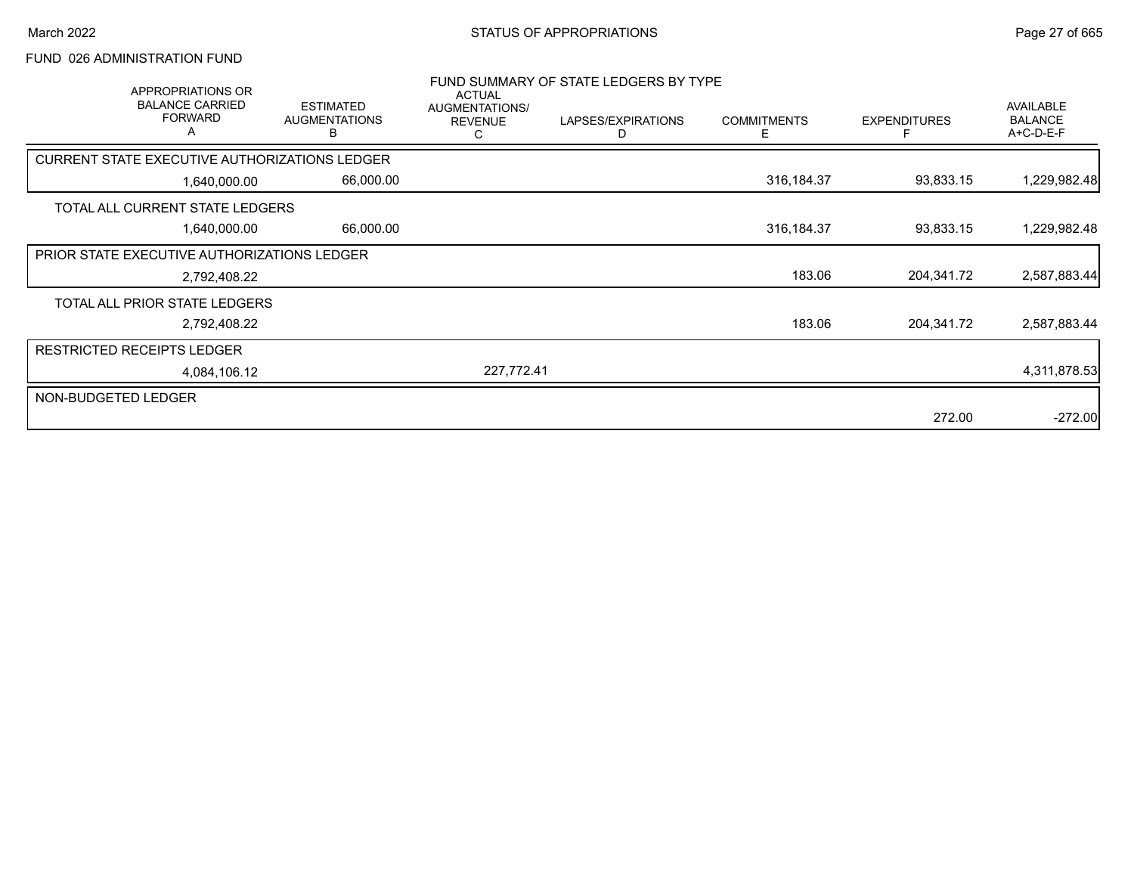## FUND 026 ADMINISTRATION FUND

| APPROPRIATIONS OR<br><b>BALANCE CARRIED</b><br><b>FORWARD</b><br>A | <b>ESTIMATED</b><br><b>AUGMENTATIONS</b><br>В | <b>ACTUAL</b><br>AUGMENTATIONS/<br><b>REVENUE</b><br>С | FUND SUMMARY OF STATE LEDGERS BY TYPE<br>LAPSES/EXPIRATIONS<br>D | <b>COMMITMENTS</b><br>E. | <b>EXPENDITURES</b> | <b>AVAILABLE</b><br><b>BALANCE</b><br>A+C-D-E-F |
|--------------------------------------------------------------------|-----------------------------------------------|--------------------------------------------------------|------------------------------------------------------------------|--------------------------|---------------------|-------------------------------------------------|
| <b>CURRENT STATE EXECUTIVE AUTHORIZATIONS LEDGER</b>               |                                               |                                                        |                                                                  |                          |                     |                                                 |
| 1,640,000.00                                                       | 66,000.00                                     |                                                        |                                                                  | 316, 184. 37             | 93,833.15           | 1,229,982.48                                    |
| TOTAL ALL CURRENT STATE LEDGERS                                    |                                               |                                                        |                                                                  |                          |                     |                                                 |
| 1,640,000.00                                                       | 66,000.00                                     |                                                        |                                                                  | 316,184.37               | 93,833.15           | 1,229,982.48                                    |
| PRIOR STATE EXECUTIVE AUTHORIZATIONS LEDGER                        |                                               |                                                        |                                                                  |                          |                     |                                                 |
| 2,792,408.22                                                       |                                               |                                                        |                                                                  | 183.06                   | 204,341.72          | 2,587,883.44                                    |
| TOTAL ALL PRIOR STATE LEDGERS                                      |                                               |                                                        |                                                                  |                          |                     |                                                 |
| 2,792,408.22                                                       |                                               |                                                        |                                                                  | 183.06                   | 204,341.72          | 2,587,883.44                                    |
| <b>RESTRICTED RECEIPTS LEDGER</b>                                  |                                               |                                                        |                                                                  |                          |                     |                                                 |
| 4,084,106.12                                                       |                                               | 227,772.41                                             |                                                                  |                          |                     | 4,311,878.53                                    |
| NON-BUDGETED LEDGER                                                |                                               |                                                        |                                                                  |                          |                     |                                                 |
|                                                                    |                                               |                                                        |                                                                  |                          | 272.00              | $-272.00$                                       |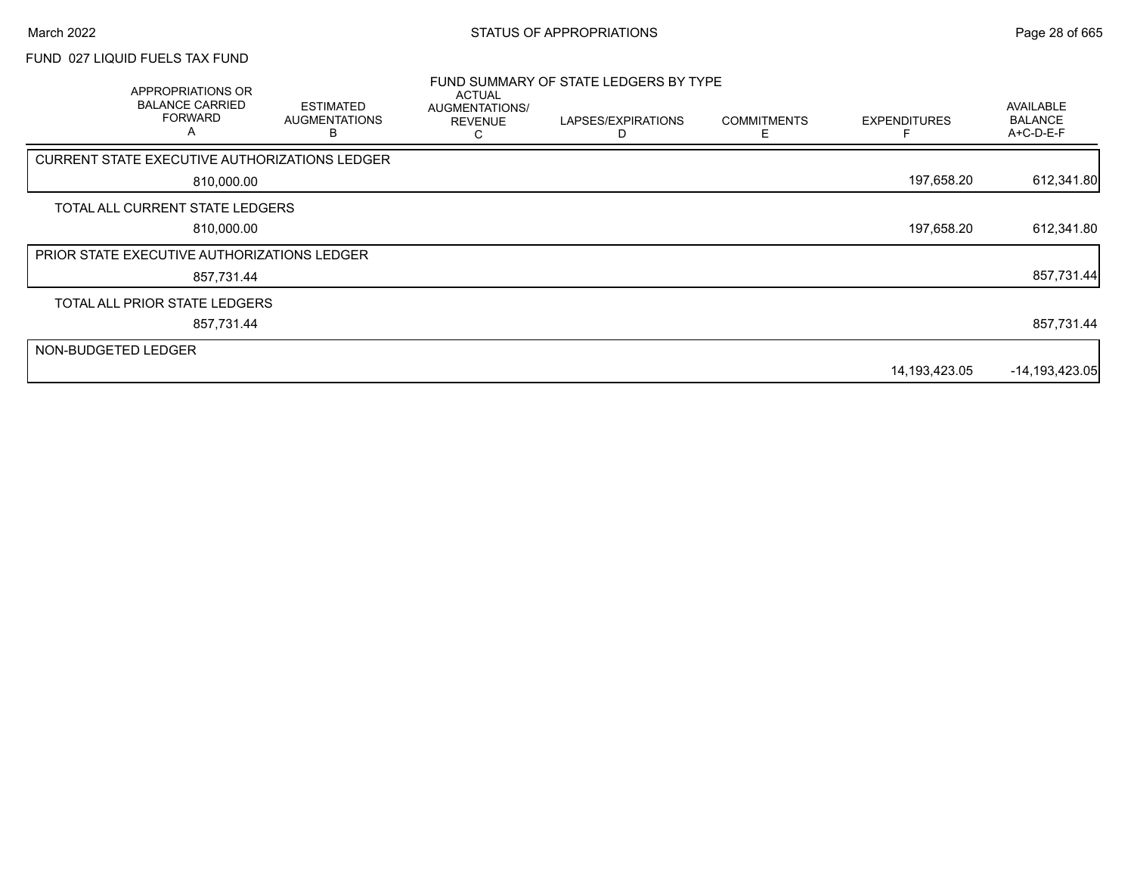# FUND 027 LIQUID FUELS TAX FUND

|                     | APPROPRIATIONS OR<br><b>BALANCE CARRIED</b><br><b>FORWARD</b><br>A | <b>ESTIMATED</b><br><b>AUGMENTATIONS</b> | <b>ACTUAL</b><br>AUGMENTATIONS/<br><b>REVENUE</b> | FUND SUMMARY OF STATE LEDGERS BY TYPE<br>LAPSES/EXPIRATIONS | <b>COMMITMENTS</b><br>E | <b>EXPENDITURES</b> | AVAILABLE<br><b>BALANCE</b><br>A+C-D-E-F |
|---------------------|--------------------------------------------------------------------|------------------------------------------|---------------------------------------------------|-------------------------------------------------------------|-------------------------|---------------------|------------------------------------------|
|                     | CURRENT STATE EXECUTIVE AUTHORIZATIONS LEDGER                      |                                          |                                                   |                                                             |                         |                     |                                          |
|                     | 810,000.00                                                         |                                          |                                                   |                                                             |                         | 197,658.20          | 612,341.80                               |
|                     | TOTAL ALL CURRENT STATE LEDGERS                                    |                                          |                                                   |                                                             |                         |                     |                                          |
|                     | 810,000.00                                                         |                                          |                                                   |                                                             |                         | 197,658.20          | 612,341.80                               |
|                     | PRIOR STATE EXECUTIVE AUTHORIZATIONS LEDGER                        |                                          |                                                   |                                                             |                         |                     |                                          |
|                     | 857,731.44                                                         |                                          |                                                   |                                                             |                         |                     | 857,731.44                               |
|                     | TOTAL ALL PRIOR STATE LEDGERS                                      |                                          |                                                   |                                                             |                         |                     |                                          |
|                     | 857,731.44                                                         |                                          |                                                   |                                                             |                         |                     | 857,731.44                               |
| NON-BUDGETED LEDGER |                                                                    |                                          |                                                   |                                                             |                         |                     |                                          |
|                     |                                                                    |                                          |                                                   |                                                             |                         | 14,193,423.05       | $-14,193,423.05$                         |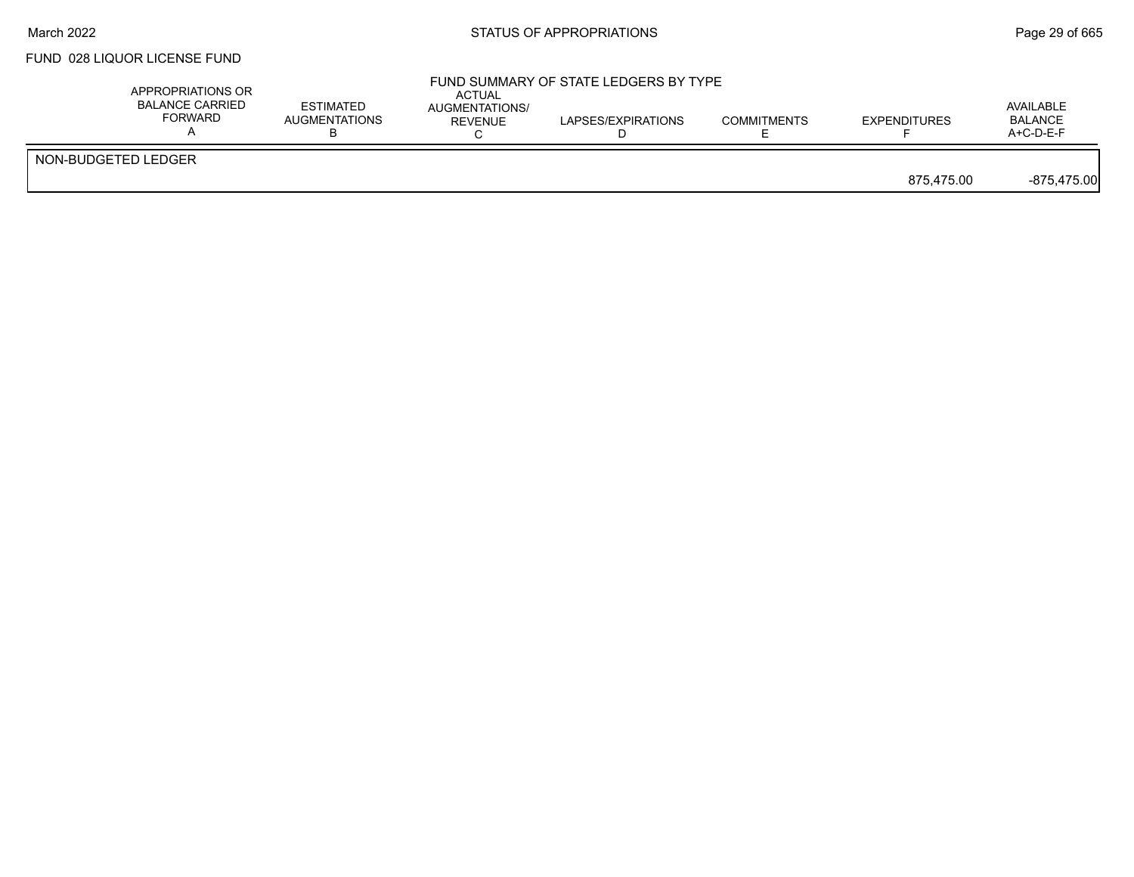#### March 2022 **Example 2018** STATUS OF APPROPRIATIONS **Page 29 of 665**

## FUND 028 LIQUOR LICENSE FUND

| APPROPRIATIONS OR<br><b>BALANCE CARRIED</b><br><b>FORWARD</b> | <b>ESTIMATED</b><br><b>AUGMENTATIONS</b> | ACTUAL<br>AUGMENTATIONS/<br>REVENUE | FUND SUMMARY OF STATE LEDGERS BY TYPE<br>LAPSES/EXPIRATIONS | <b>COMMITMENTS</b> | <b>EXPENDITURES</b> | AVAILABLE<br><b>BALANCE</b><br>$A+C-D-E-F$ |
|---------------------------------------------------------------|------------------------------------------|-------------------------------------|-------------------------------------------------------------|--------------------|---------------------|--------------------------------------------|
| NON-BUDGETED LEDGER                                           |                                          |                                     |                                                             |                    | 875.475.00          | $-875,475.00$                              |
|                                                               |                                          |                                     |                                                             |                    |                     |                                            |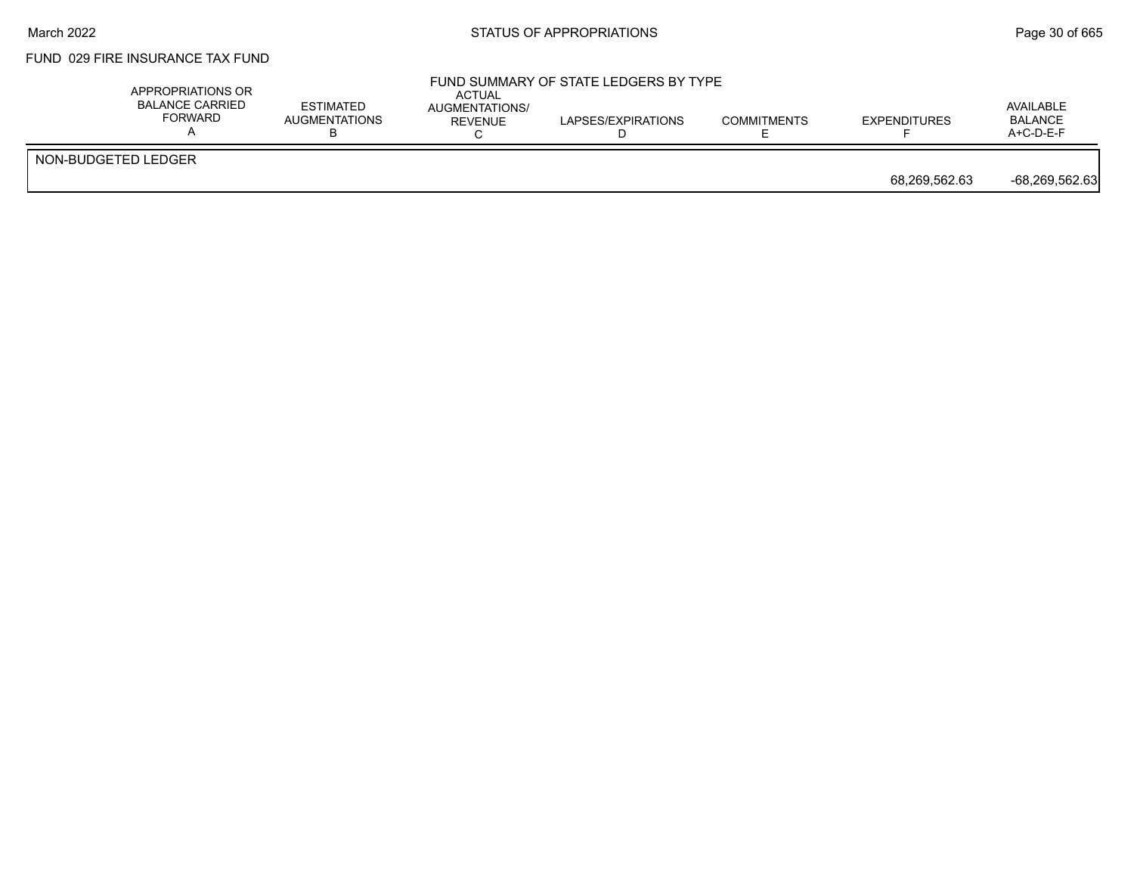#### March 2022 **Example 2018** STATUS OF APPROPRIATIONS **Page 30 of 665**

## FUND 029 FIRE INSURANCE TAX FUND

|                     | APPROPRIATIONS OR<br>BALANCE CARRIED<br><b>ESTIMATED</b><br><b>FORWARD</b><br><b>AUGMENTATIONS</b> | ACTUAL<br>AUGMENTATIONS/<br>REVENUE | FUND SUMMARY OF STATE LEDGERS BY TYPE<br>LAPSES/EXPIRATIONS | <b>COMMITMENTS</b> | <b>EXPENDITURES</b> | AVAILABLE<br><b>BALANCE</b><br>$A+C-D-E-F$ |
|---------------------|----------------------------------------------------------------------------------------------------|-------------------------------------|-------------------------------------------------------------|--------------------|---------------------|--------------------------------------------|
| NON-BUDGETED LEDGER |                                                                                                    |                                     |                                                             |                    | 68,269,562.63       | -68,269,562.63                             |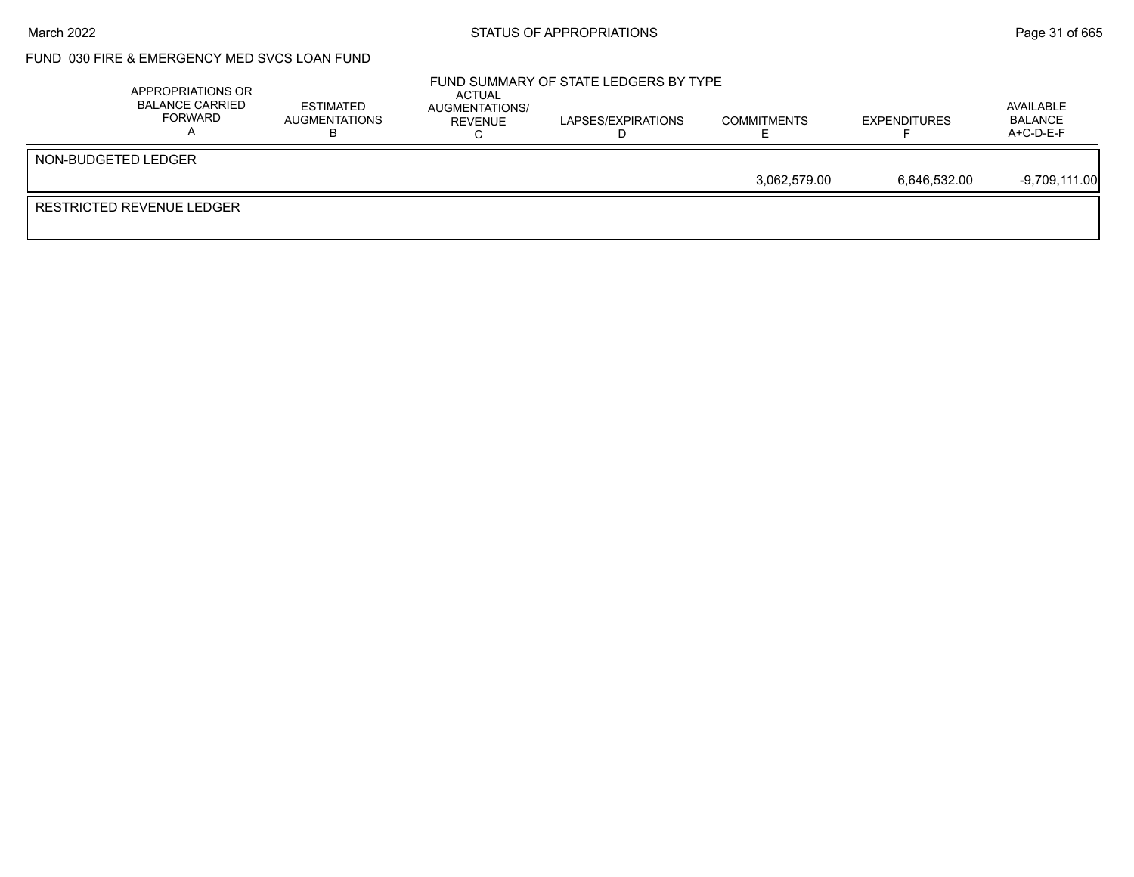#### March 2022 **Example 2018** STATUS OF APPROPRIATIONS **Page 31** of 665

# FUND 030 FIRE & EMERGENCY MED SVCS LOAN FUND

| APPROPRIATIONS OR<br><b>BALANCE CARRIED</b><br>FORWARD | <b>ESTIMATED</b><br>AUGMENTATIONS | ACTUAL<br>AUGMENTATIONS/<br>REVENUE | FUND SUMMARY OF STATE LEDGERS BY TYPE<br>LAPSES/EXPIRATIONS | <b>COMMITMENTS</b> | <b>EXPENDITURES</b> | AVAILABLE<br><b>BALANCE</b><br>$A+C-D-E-F$ |
|--------------------------------------------------------|-----------------------------------|-------------------------------------|-------------------------------------------------------------|--------------------|---------------------|--------------------------------------------|
| NON-BUDGETED LEDGER                                    |                                   |                                     |                                                             |                    |                     |                                            |
|                                                        |                                   |                                     |                                                             | 3,062,579.00       | 6,646,532.00        | $-9,709,111.00$                            |
| <b>RESTRICTED REVENUE LEDGER</b>                       |                                   |                                     |                                                             |                    |                     |                                            |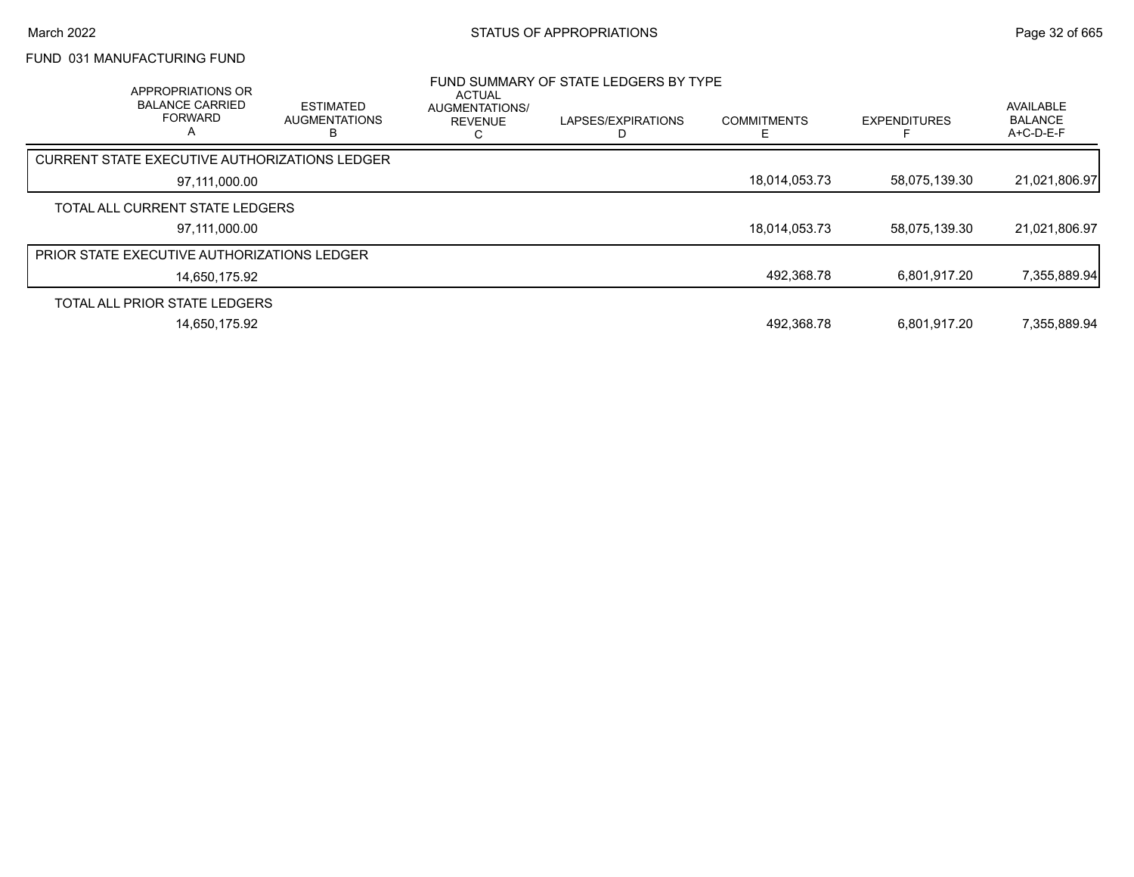# FUND 031 MANUFACTURING FUND

| <b>APPROPRIATIONS OR</b><br><b>BALANCE CARRIED</b><br><b>FORWARD</b><br>A | <b>ESTIMATED</b><br><b>AUGMENTATIONS</b> | ACTUAL<br>AUGMENTATIONS/<br><b>REVENUE</b> | FUND SUMMARY OF STATE LEDGERS BY TYPE<br>LAPSES/EXPIRATIONS | <b>COMMITMENTS</b> | <b>EXPENDITURES</b> | AVAILABLE<br><b>BALANCE</b><br>$A+C-D-E-F$ |
|---------------------------------------------------------------------------|------------------------------------------|--------------------------------------------|-------------------------------------------------------------|--------------------|---------------------|--------------------------------------------|
| <b>CURRENT STATE EXECUTIVE AUTHORIZATIONS LEDGER</b>                      |                                          |                                            |                                                             |                    |                     |                                            |
| 97,111,000.00                                                             |                                          |                                            |                                                             | 18,014,053.73      | 58,075,139.30       | 21,021,806.97                              |
| TOTAL ALL CURRENT STATE LEDGERS                                           |                                          |                                            |                                                             |                    |                     |                                            |
| 97.111.000.00                                                             |                                          |                                            |                                                             | 18,014,053.73      | 58,075,139.30       | 21,021,806.97                              |
| <b>PRIOR STATE EXECUTIVE AUTHORIZATIONS LEDGER</b>                        |                                          |                                            |                                                             |                    |                     |                                            |
| 14,650,175.92                                                             |                                          |                                            |                                                             | 492,368.78         | 6.801.917.20        | 7,355,889.94                               |
| TOTAL ALL PRIOR STATE LEDGERS                                             |                                          |                                            |                                                             |                    |                     |                                            |
| 14,650,175.92                                                             |                                          |                                            |                                                             | 492,368.78         | 6,801,917.20        | 7,355,889.94                               |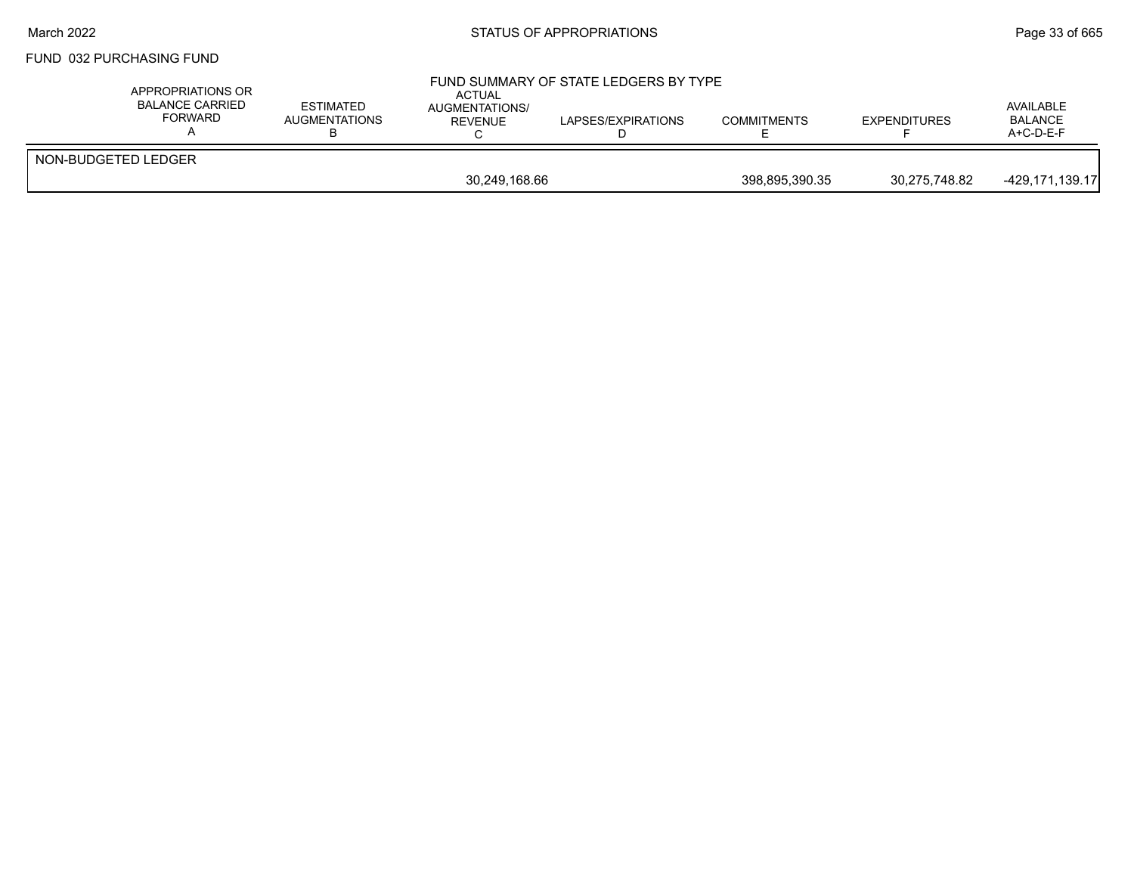## March 2022 **STATUS OF APPROPRIATIONS** STATUS OF APPROPRIATIONS

#### FUND 032 PURCHASING FUND

| APPROPRIATIONS OR<br><b>BALANCE CARRIED</b><br><b>FORWARD</b> | <b>ESTIMATED</b><br>AUGMENTATIONS | ACTUAL<br>AUGMENTATIONS/<br>REVENUE | FUND SUMMARY OF STATE LEDGERS BY TYPE<br>LAPSES/EXPIRATIONS | <b>COMMITMENTS</b> | <b>EXPENDITURES</b> | AVAILABLE<br><b>BALANCE</b><br>$A+C-D-E-F$ |
|---------------------------------------------------------------|-----------------------------------|-------------------------------------|-------------------------------------------------------------|--------------------|---------------------|--------------------------------------------|
| NON-BUDGETED LEDGER                                           |                                   |                                     |                                                             |                    |                     |                                            |
|                                                               | 30,249,168.66                     |                                     |                                                             | 398,895,390.35     | 30,275,748.82       | -429,171,139.17                            |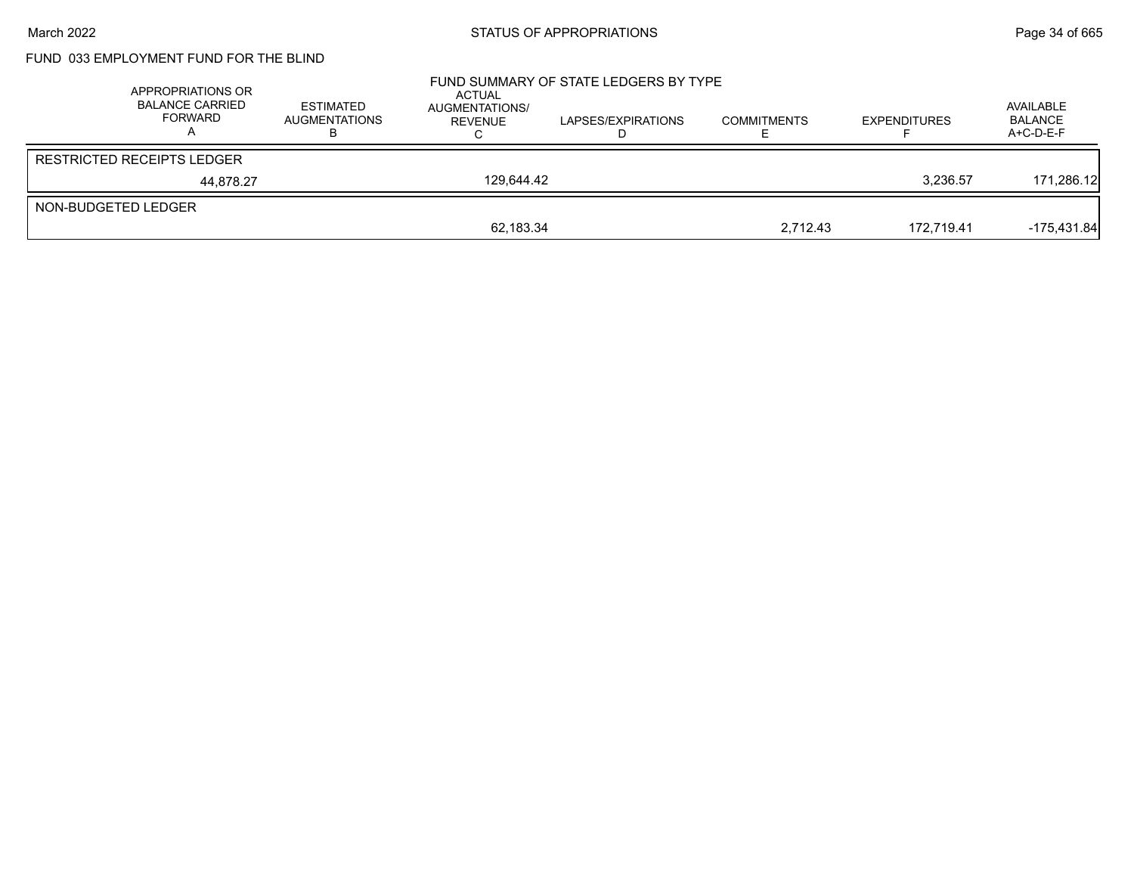# FUND 033 EMPLOYMENT FUND FOR THE BLIND

| APPROPRIATIONS OR<br><b>BALANCE CARRIED</b><br>FORWARD | <b>ESTIMATED</b><br><b>AUGMENTATIONS</b> | ACTUAL<br>AUGMENTATIONS/<br><b>REVENUE</b> | FUND SUMMARY OF STATE LEDGERS BY TYPE<br>LAPSES/EXPIRATIONS | <b>COMMITMENTS</b> | <b>EXPENDITURES</b> | AVAILABLE<br><b>BALANCE</b><br>A+C-D-E-F |
|--------------------------------------------------------|------------------------------------------|--------------------------------------------|-------------------------------------------------------------|--------------------|---------------------|------------------------------------------|
| <b>RESTRICTED RECEIPTS LEDGER</b>                      |                                          |                                            |                                                             |                    |                     |                                          |
| 44.878.27                                              |                                          | 129.644.42                                 |                                                             |                    | 3.236.57            | 171,286.12                               |
| NON-BUDGETED LEDGER                                    |                                          |                                            |                                                             |                    |                     |                                          |
|                                                        |                                          | 62,183.34                                  |                                                             | 2.712.43           | 172.719.41          | $-175,431.84$                            |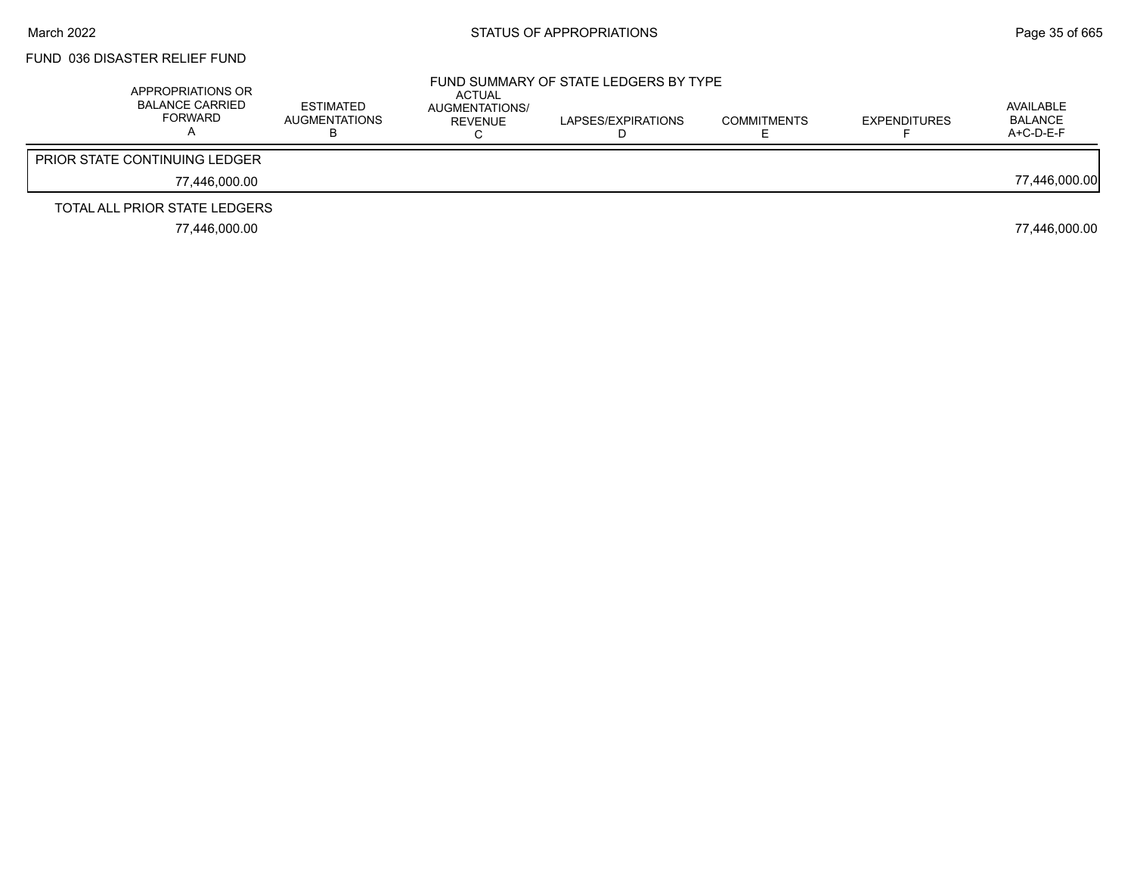# FUND 036 DISASTER RELIEF FUND

| APPROPRIATIONS OR<br><b>BALANCE CARRIED</b><br>FORWARD | ESTIMATED<br>AUGMENTATIONS<br>D | ACTUAL<br>AUGMENTATIONS/<br>REVENUE | FUND SUMMARY OF STATE LEDGERS BY TYPE<br>LAPSES/EXPIRATIONS | <b>COMMITMENTS</b> | <b>EXPENDITURES</b> | AVAILABLE<br>BALANCE<br>$A+C-D-E-F$ |
|--------------------------------------------------------|---------------------------------|-------------------------------------|-------------------------------------------------------------|--------------------|---------------------|-------------------------------------|
| <b>PRIOR STATE CONTINUING LEDGER</b>                   |                                 |                                     |                                                             |                    |                     |                                     |
| 77.446.000.00                                          |                                 |                                     |                                                             |                    |                     | 77,446,000.00                       |
| TOTAL ALL PRIOR STATE LEDGERS                          |                                 |                                     |                                                             |                    |                     |                                     |
| 77.446.000.00                                          |                                 |                                     |                                                             |                    |                     | 77,446,000.00                       |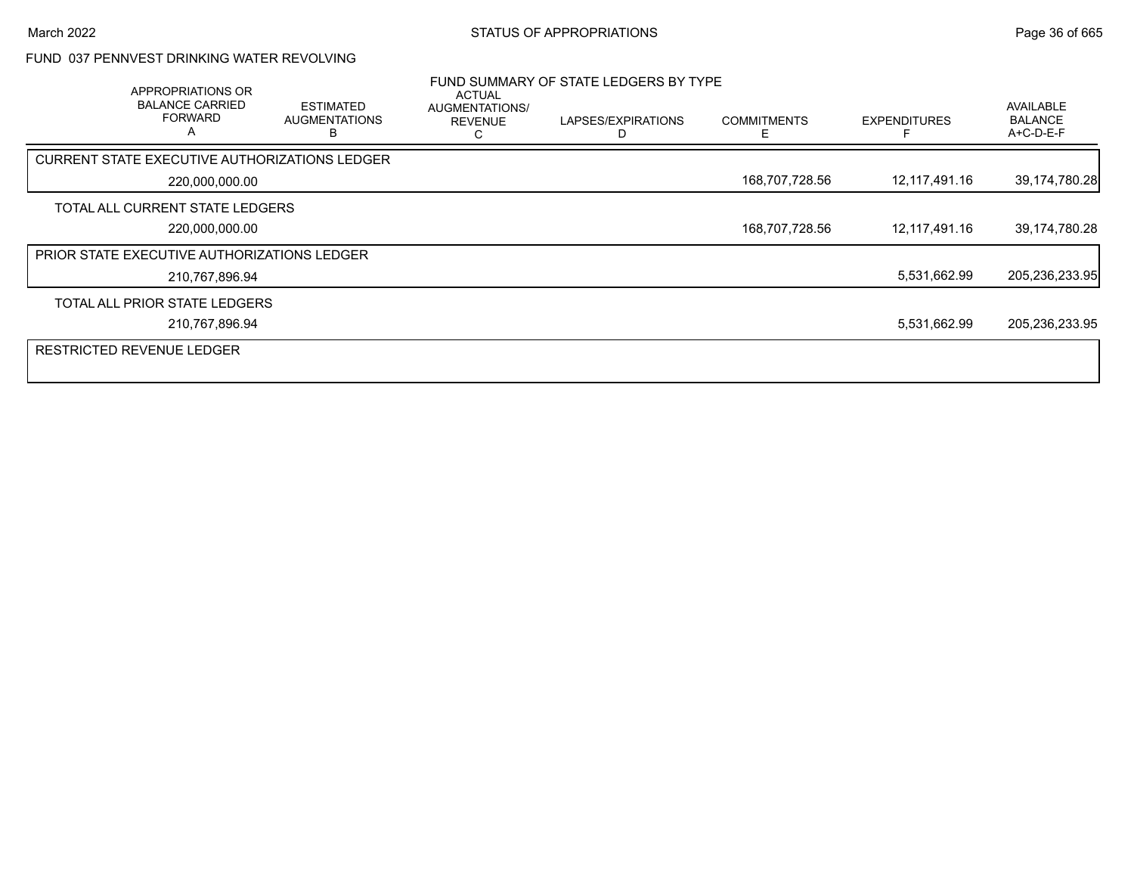## FUND 037 PENNVEST DRINKING WATER REVOLVING

| <b>APPROPRIATIONS OR</b><br><b>BALANCE CARRIED</b><br><b>FORWARD</b><br>$\overline{A}$ | <b>ESTIMATED</b><br><b>AUGMENTATIONS</b> | ACTUAL<br>AUGMENTATIONS/<br><b>REVENUE</b> | FUND SUMMARY OF STATE LEDGERS BY TYPE<br>LAPSES/EXPIRATIONS | <b>COMMITMENTS</b><br>F | <b>EXPENDITURES</b> | AVAILABLE<br><b>BALANCE</b><br>A+C-D-E-F |
|----------------------------------------------------------------------------------------|------------------------------------------|--------------------------------------------|-------------------------------------------------------------|-------------------------|---------------------|------------------------------------------|
| CURRENT STATE EXECUTIVE AUTHORIZATIONS LEDGER                                          |                                          |                                            |                                                             |                         |                     |                                          |
| 220,000,000.00                                                                         |                                          |                                            |                                                             | 168,707,728.56          | 12,117,491.16       | 39,174,780.28                            |
| TOTAL ALL CURRENT STATE LEDGERS                                                        |                                          |                                            |                                                             |                         |                     |                                          |
| 220,000,000.00                                                                         |                                          |                                            |                                                             | 168,707,728.56          | 12,117,491.16       | 39,174,780.28                            |
| PRIOR STATE EXECUTIVE AUTHORIZATIONS LEDGER                                            |                                          |                                            |                                                             |                         |                     |                                          |
| 210,767,896.94                                                                         |                                          |                                            |                                                             |                         | 5,531,662.99        | 205,236,233.95                           |
| TOTAL ALL PRIOR STATE LEDGERS                                                          |                                          |                                            |                                                             |                         |                     |                                          |
| 210,767,896.94                                                                         |                                          |                                            |                                                             |                         | 5,531,662.99        | 205,236,233.95                           |
| <b>RESTRICTED REVENUE LEDGER</b>                                                       |                                          |                                            |                                                             |                         |                     |                                          |
|                                                                                        |                                          |                                            |                                                             |                         |                     |                                          |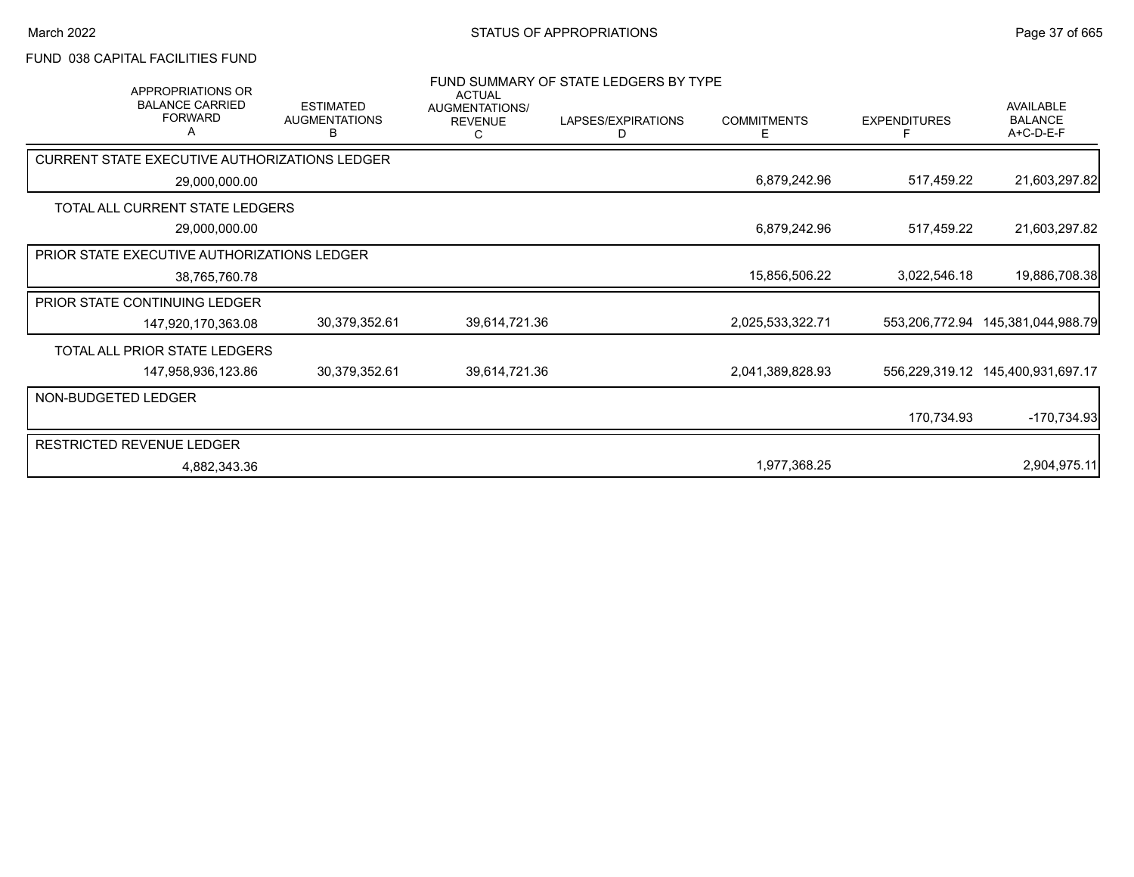## FUND 038 CAPITAL FACILITIES FUND

| APPROPRIATIONS OR<br><b>BALANCE CARRIED</b><br><b>FORWARD</b> | <b>ESTIMATED</b><br><b>AUGMENTATIONS</b><br>В | <b>ACTUAL</b><br>AUGMENTATIONS/<br><b>REVENUE</b><br>C | FUND SUMMARY OF STATE LEDGERS BY TYPE<br>LAPSES/EXPIRATIONS<br>D | <b>COMMITMENTS</b><br>Е | <b>EXPENDITURES</b><br>E | AVAILABLE<br><b>BALANCE</b><br>A+C-D-E-F |
|---------------------------------------------------------------|-----------------------------------------------|--------------------------------------------------------|------------------------------------------------------------------|-------------------------|--------------------------|------------------------------------------|
| CURRENT STATE EXECUTIVE AUTHORIZATIONS LEDGER                 |                                               |                                                        |                                                                  |                         |                          |                                          |
| 29,000,000.00                                                 |                                               |                                                        |                                                                  | 6,879,242.96            | 517,459.22               | 21,603,297.82                            |
| TOTAL ALL CURRENT STATE LEDGERS                               |                                               |                                                        |                                                                  |                         |                          |                                          |
| 29,000,000.00                                                 |                                               |                                                        |                                                                  | 6,879,242.96            | 517,459.22               | 21,603,297.82                            |
| <b>PRIOR STATE EXECUTIVE AUTHORIZATIONS LEDGER</b>            |                                               |                                                        |                                                                  |                         |                          |                                          |
| 38,765,760.78                                                 |                                               |                                                        |                                                                  | 15,856,506.22           | 3,022,546.18             | 19,886,708.38                            |
| PRIOR STATE CONTINUING LEDGER                                 |                                               |                                                        |                                                                  |                         |                          |                                          |
| 147,920,170,363.08                                            | 30,379,352.61                                 | 39,614,721.36                                          |                                                                  | 2,025,533,322.71        | 553,206,772.94           | 145,381,044,988.79                       |
| TOTAL ALL PRIOR STATE LEDGERS                                 |                                               |                                                        |                                                                  |                         |                          |                                          |
| 147,958,936,123.86                                            | 30,379,352.61                                 | 39,614,721.36                                          |                                                                  | 2,041,389,828.93        | 556,229,319.12           | 145,400,931,697.17                       |
| NON-BUDGETED LEDGER                                           |                                               |                                                        |                                                                  |                         |                          |                                          |
|                                                               |                                               |                                                        |                                                                  |                         | 170,734.93               | $-170,734.93$                            |
| <b>RESTRICTED REVENUE LEDGER</b>                              |                                               |                                                        |                                                                  |                         |                          |                                          |
| 4,882,343.36                                                  |                                               |                                                        |                                                                  | 1,977,368.25            |                          | 2,904,975.11                             |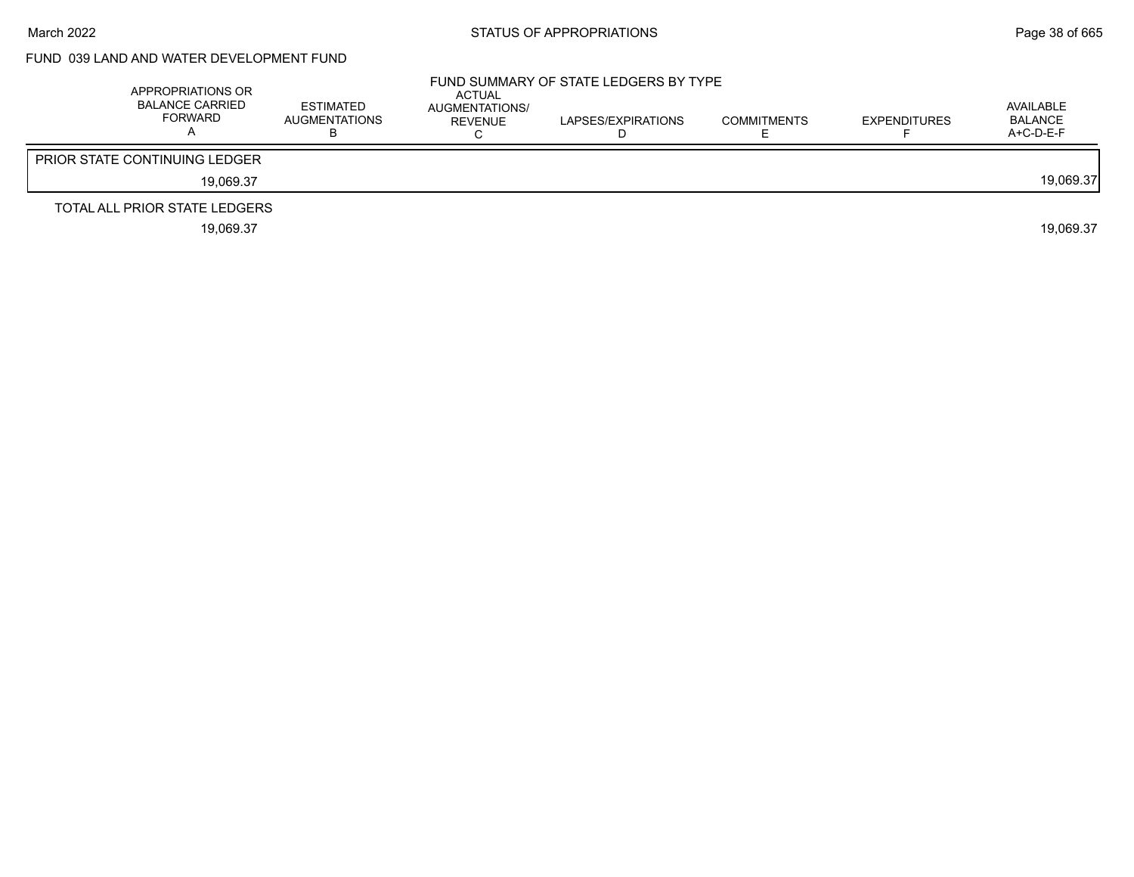# FUND 039 LAND AND WATER DEVELOPMENT FUND

| APPROPRIATIONS OR<br><b>BALANCE CARRIED</b><br><b>FORWARD</b> | ESTIMATED<br>AUGMENTATIONS | <b>ACTUAL</b><br>AUGMENTATIONS/<br>REVENUE | FUND SUMMARY OF STATE LEDGERS BY TYPE<br>LAPSES/EXPIRATIONS | COMMITMENTS | <b>EXPENDITURES</b> | AVAILABLE<br>BALANCE<br>A+C-D-E-F |
|---------------------------------------------------------------|----------------------------|--------------------------------------------|-------------------------------------------------------------|-------------|---------------------|-----------------------------------|
| <b>PRIOR STATE CONTINUING LEDGER</b>                          |                            |                                            |                                                             |             |                     |                                   |
| 19.069.37                                                     |                            |                                            |                                                             |             |                     | 19.069.37                         |
| TOTAL ALL PRIOR STATE LEDGERS                                 |                            |                                            |                                                             |             |                     |                                   |
| 19,069.37                                                     |                            |                                            |                                                             |             |                     | 19.069.37                         |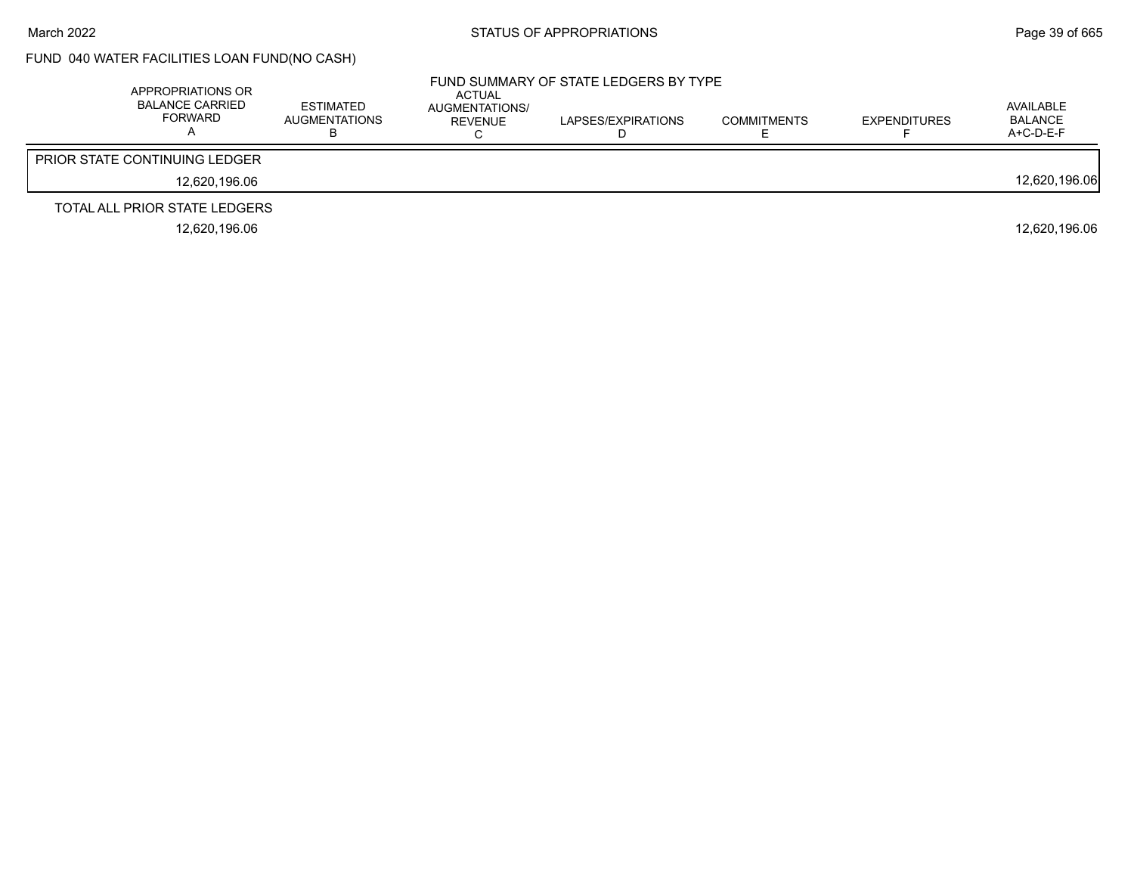# FUND 040 WATER FACILITIES LOAN FUND(NO CASH)

| APPROPRIATIONS OR<br><b>BALANCE CARRIED</b><br><b>FORWARD</b> | <b>ESTIMATED</b><br><b>AUGMENTATIONS</b> | ACTUAL<br>AUGMENTATIONS/<br>REVENUE | FUND SUMMARY OF STATE LEDGERS BY TYPE<br>LAPSES/EXPIRATIONS | <b>COMMITMENTS</b> | <b>EXPENDITURES</b> | AVAILABLE<br><b>BALANCE</b><br>$A+C-D-E-F$ |
|---------------------------------------------------------------|------------------------------------------|-------------------------------------|-------------------------------------------------------------|--------------------|---------------------|--------------------------------------------|
| <b>PRIOR STATE CONTINUING LEDGER</b>                          |                                          |                                     |                                                             |                    |                     |                                            |
| 12.620.196.06                                                 |                                          |                                     |                                                             |                    |                     | 12,620,196.06                              |
| TOTAL ALL PRIOR STATE LEDGERS                                 |                                          |                                     |                                                             |                    |                     |                                            |
| 12.620.196.06                                                 |                                          |                                     |                                                             |                    |                     | 12.620.196.06                              |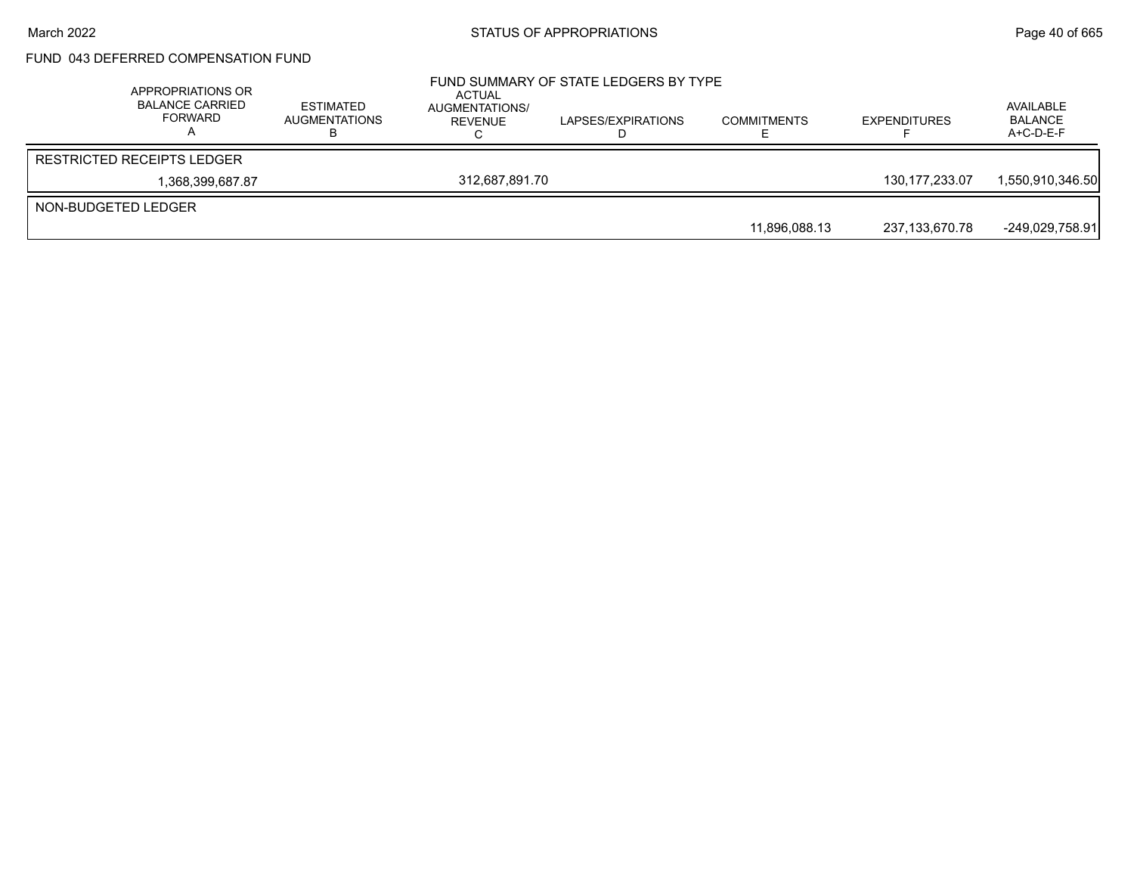## FUND 043 DEFERRED COMPENSATION FUND

|                     | APPROPRIATIONS OR<br><b>BALANCE CARRIED</b><br>FORWARD | <b>ESTIMATED</b><br><b>AUGMENTATIONS</b> | ACTUAL<br>AUGMENTATIONS/<br>REVENUE | FUND SUMMARY OF STATE LEDGERS BY TYPE<br>LAPSES/EXPIRATIONS | <b>COMMITMENTS</b> | <b>EXPENDITURES</b> | AVAILABLE<br><b>BALANCE</b><br>$A+C-D-E-F$ |
|---------------------|--------------------------------------------------------|------------------------------------------|-------------------------------------|-------------------------------------------------------------|--------------------|---------------------|--------------------------------------------|
|                     | <b>RESTRICTED RECEIPTS LEDGER</b>                      |                                          |                                     |                                                             |                    |                     |                                            |
|                     | 1,368,399,687.87                                       |                                          | 312.687.891.70                      |                                                             |                    | 130.177.233.07      | 1,550,910,346.50                           |
| NON-BUDGETED LEDGER |                                                        |                                          |                                     |                                                             |                    |                     |                                            |
|                     |                                                        |                                          |                                     |                                                             | 11.896.088.13      | 237,133,670.78      | $-249,029,758.91$                          |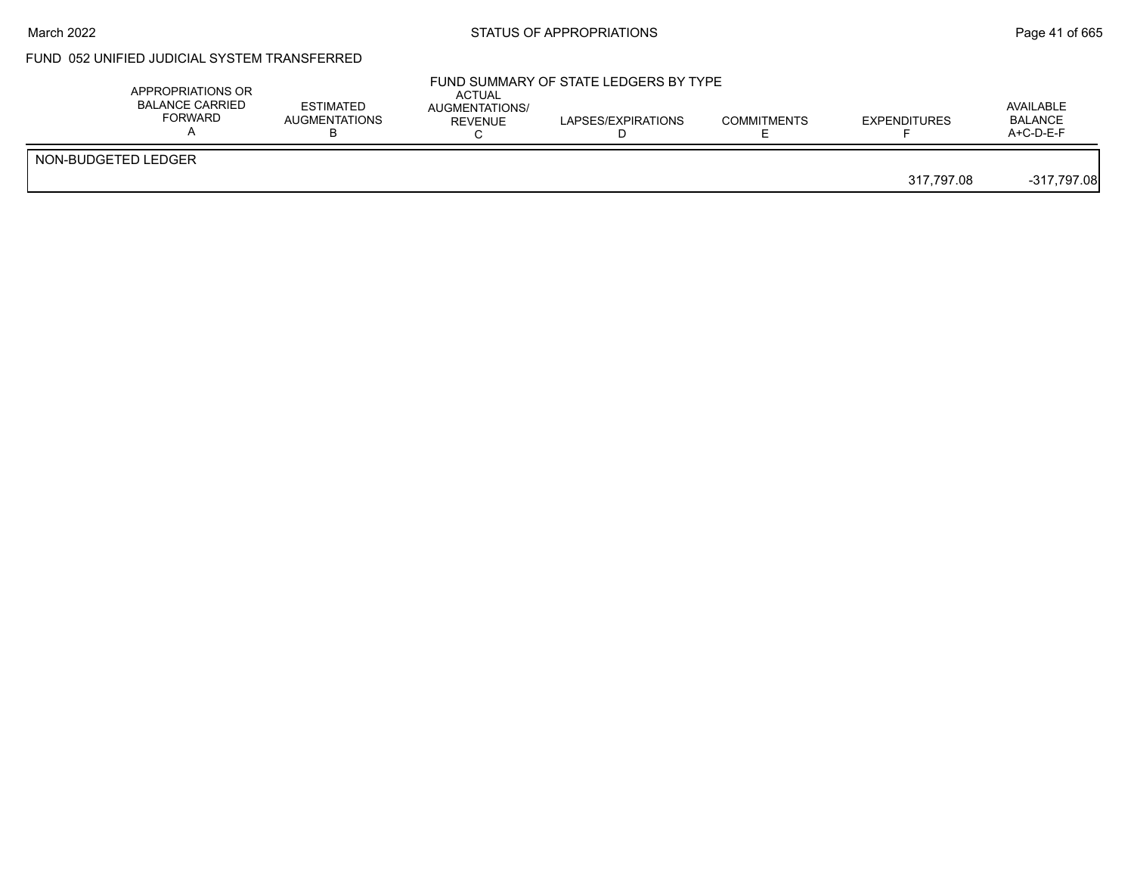#### March 2022 **Example 2022** Page 41 of 665

# FUND 052 UNIFIED JUDICIAL SYSTEM TRANSFERRED

| APPROPRIATIONS OR<br><b>BALANCE CARRIED</b><br><b>FORWARD</b> | <b>ESTIMATED</b><br><b>AUGMENTATIONS</b> | <b>ACTUAL</b><br>AUGMENTATIONS/<br>REVENUE | FUND SUMMARY OF STATE LEDGERS BY TYPE<br>LAPSES/EXPIRATIONS | <b>COMMITMENTS</b> | <b>EXPENDITURES</b> | AVAILABLE<br><b>BALANCE</b><br>$A+C-D-E-F$ |
|---------------------------------------------------------------|------------------------------------------|--------------------------------------------|-------------------------------------------------------------|--------------------|---------------------|--------------------------------------------|
| NON-BUDGETED LEDGER                                           |                                          |                                            |                                                             |                    | 317.797.08          | $-317,797.08$                              |
|                                                               |                                          |                                            |                                                             |                    |                     |                                            |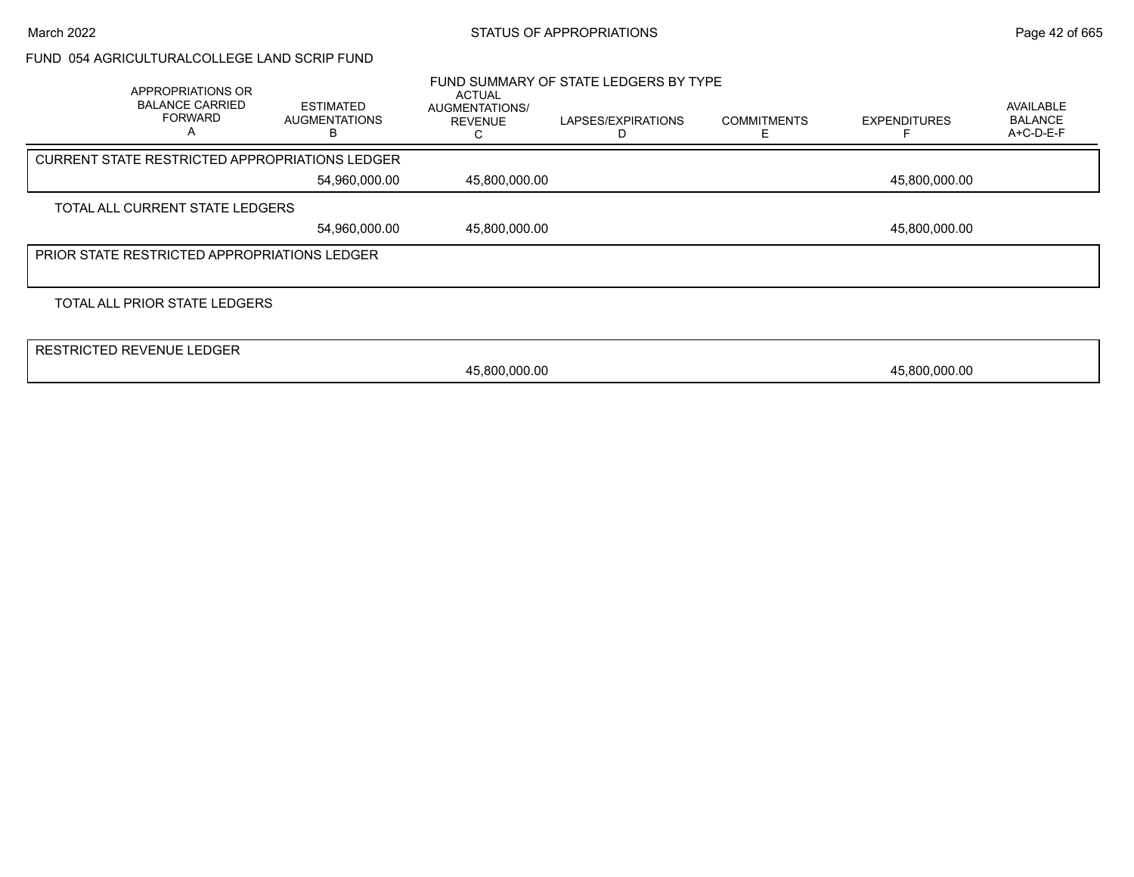#### FUND 054 AGRICULTURALCOLLEGE LAND SCRIP FUND

| APPROPRIATIONS OR<br><b>BALANCE CARRIED</b><br><b>FORWARD</b><br>А | <b>ESTIMATED</b><br><b>AUGMENTATIONS</b> | <b>ACTUAL</b><br>AUGMENTATIONS/<br><b>REVENUE</b> | FUND SUMMARY OF STATE LEDGERS BY TYPE<br>LAPSES/EXPIRATIONS | <b>COMMITMENTS</b> | <b>EXPENDITURES</b> | <b>AVAILABLE</b><br><b>BALANCE</b><br>A+C-D-E-F |
|--------------------------------------------------------------------|------------------------------------------|---------------------------------------------------|-------------------------------------------------------------|--------------------|---------------------|-------------------------------------------------|
| <b>CURRENT STATE RESTRICTED APPROPRIATIONS LEDGER</b>              |                                          |                                                   |                                                             |                    |                     |                                                 |
|                                                                    | 54,960,000.00                            | 45,800,000.00                                     |                                                             |                    | 45,800,000.00       |                                                 |
| TOTAL ALL CURRENT STATE LEDGERS                                    |                                          |                                                   |                                                             |                    |                     |                                                 |
|                                                                    | 54,960,000.00                            | 45,800,000.00                                     |                                                             |                    | 45,800,000.00       |                                                 |
| <b>PRIOR STATE RESTRICTED APPROPRIATIONS LEDGER</b>                |                                          |                                                   |                                                             |                    |                     |                                                 |
|                                                                    |                                          |                                                   |                                                             |                    |                     |                                                 |
| TOTAL ALL PRIOR STATE LEDGERS                                      |                                          |                                                   |                                                             |                    |                     |                                                 |
|                                                                    |                                          |                                                   |                                                             |                    |                     |                                                 |
| <b>RESTRICTED REVENUE LEDGER</b>                                   |                                          |                                                   |                                                             |                    |                     |                                                 |
|                                                                    |                                          | 45,800,000.00                                     |                                                             |                    | 45,800,000.00       |                                                 |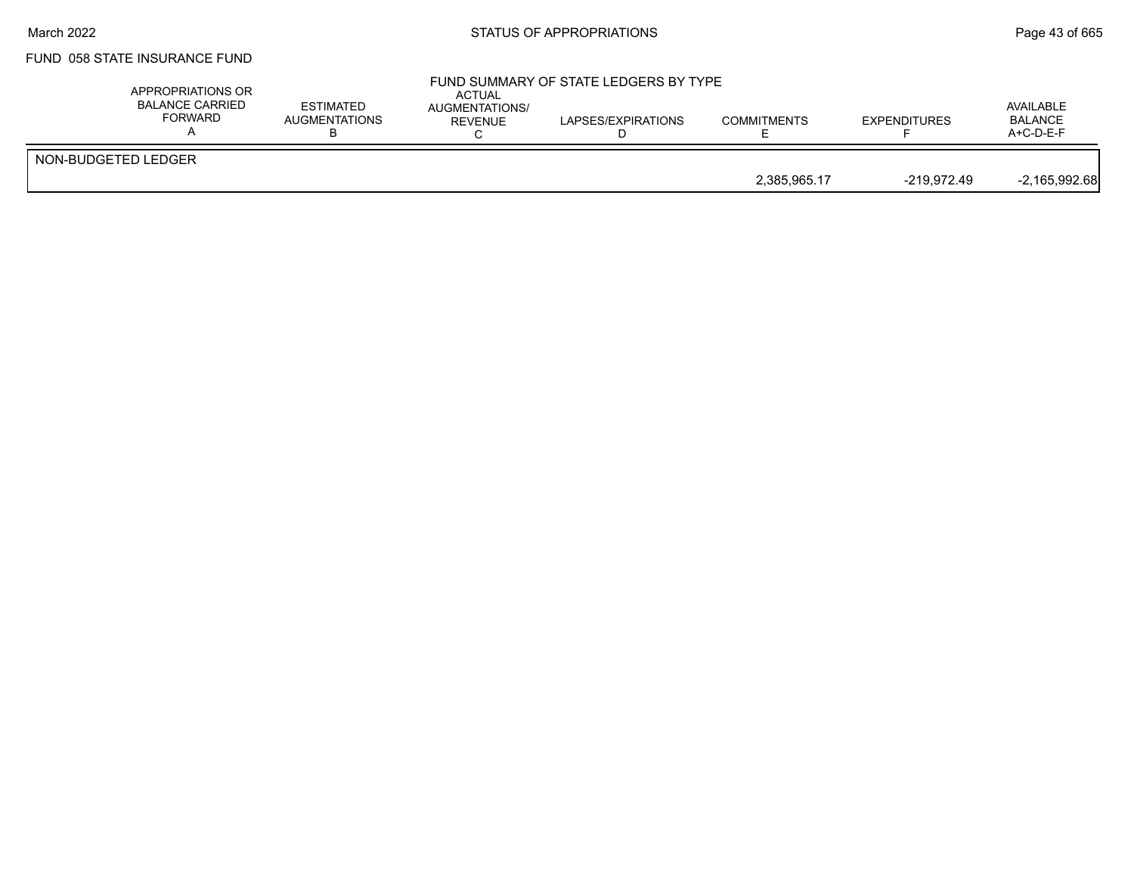#### March 2022 **Example 2022** Page 43 of 665

## FUND 058 STATE INSURANCE FUND

| APPROPRIATIONS OR<br>BALANCE CARRIED<br>FORWARD | <b>ESTIMATED</b><br>AUGMENTATIONS | <b>ACTUAL</b><br><b>AUGMENTATIONS/</b><br><b>REVENUE</b> | FUND SUMMARY OF STATE LEDGERS BY TYPE<br>LAPSES/EXPIRATIONS | <b>COMMITMENTS</b> | <b>EXPENDITURES</b> | AVAILABLE<br><b>BALANCE</b><br>$A+C-D-E-F$ |
|-------------------------------------------------|-----------------------------------|----------------------------------------------------------|-------------------------------------------------------------|--------------------|---------------------|--------------------------------------------|
| NON-BUDGETED LEDGER                             |                                   |                                                          |                                                             |                    |                     |                                            |
|                                                 |                                   |                                                          |                                                             | 2,385,965.17       | -219.972.49         | $-2,165,992.68$                            |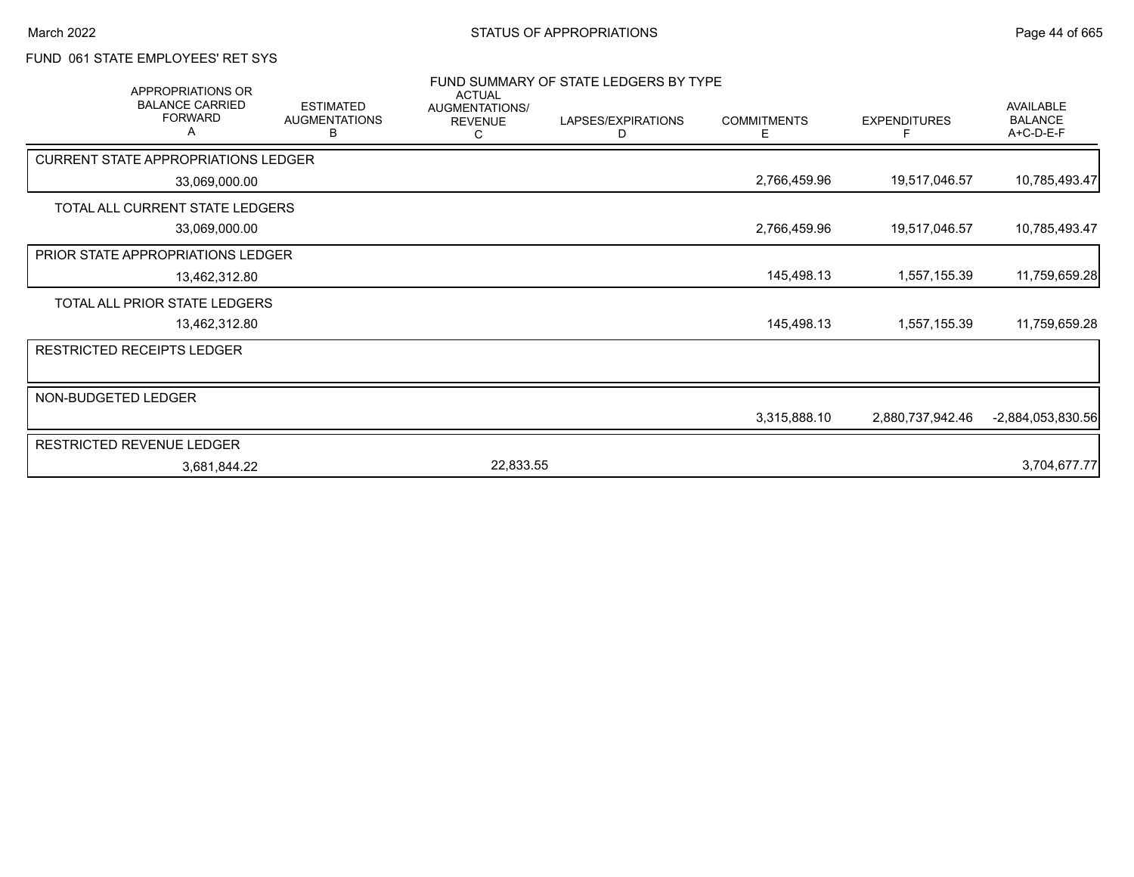## FUND 061 STATE EMPLOYEES' RET SYS

|                     | APPROPRIATIONS OR                             |                                               | <b>ACTUAL</b>                    | FUND SUMMARY OF STATE LEDGERS BY TYPE |                         |                     |                                                 |
|---------------------|-----------------------------------------------|-----------------------------------------------|----------------------------------|---------------------------------------|-------------------------|---------------------|-------------------------------------------------|
|                     | <b>BALANCE CARRIED</b><br><b>FORWARD</b><br>А | <b>ESTIMATED</b><br><b>AUGMENTATIONS</b><br>в | AUGMENTATIONS/<br><b>REVENUE</b> | LAPSES/EXPIRATIONS<br>D               | <b>COMMITMENTS</b><br>E | <b>EXPENDITURES</b> | <b>AVAILABLE</b><br><b>BALANCE</b><br>A+C-D-E-F |
|                     | <b>CURRENT STATE APPROPRIATIONS LEDGER</b>    |                                               |                                  |                                       |                         |                     |                                                 |
|                     | 33,069,000.00                                 |                                               |                                  |                                       | 2,766,459.96            | 19,517,046.57       | 10,785,493.47                                   |
|                     | TOTAL ALL CURRENT STATE LEDGERS               |                                               |                                  |                                       |                         |                     |                                                 |
|                     | 33,069,000.00                                 |                                               |                                  |                                       | 2,766,459.96            | 19,517,046.57       | 10,785,493.47                                   |
|                     | <b>PRIOR STATE APPROPRIATIONS LEDGER</b>      |                                               |                                  |                                       |                         |                     |                                                 |
|                     | 13,462,312.80                                 |                                               |                                  |                                       | 145,498.13              | 1,557,155.39        | 11,759,659.28                                   |
|                     | TOTAL ALL PRIOR STATE LEDGERS                 |                                               |                                  |                                       |                         |                     |                                                 |
|                     | 13,462,312.80                                 |                                               |                                  |                                       | 145,498.13              | 1,557,155.39        | 11,759,659.28                                   |
|                     | <b>RESTRICTED RECEIPTS LEDGER</b>             |                                               |                                  |                                       |                         |                     |                                                 |
|                     |                                               |                                               |                                  |                                       |                         |                     |                                                 |
| NON-BUDGETED LEDGER |                                               |                                               |                                  |                                       |                         |                     |                                                 |
|                     |                                               |                                               |                                  |                                       | 3,315,888.10            | 2,880,737,942.46    | $-2,884,053,830.56$                             |
|                     | RESTRICTED REVENUE LEDGER                     |                                               |                                  |                                       |                         |                     |                                                 |
|                     | 3,681,844.22                                  |                                               | 22,833.55                        |                                       |                         |                     | 3,704,677.77                                    |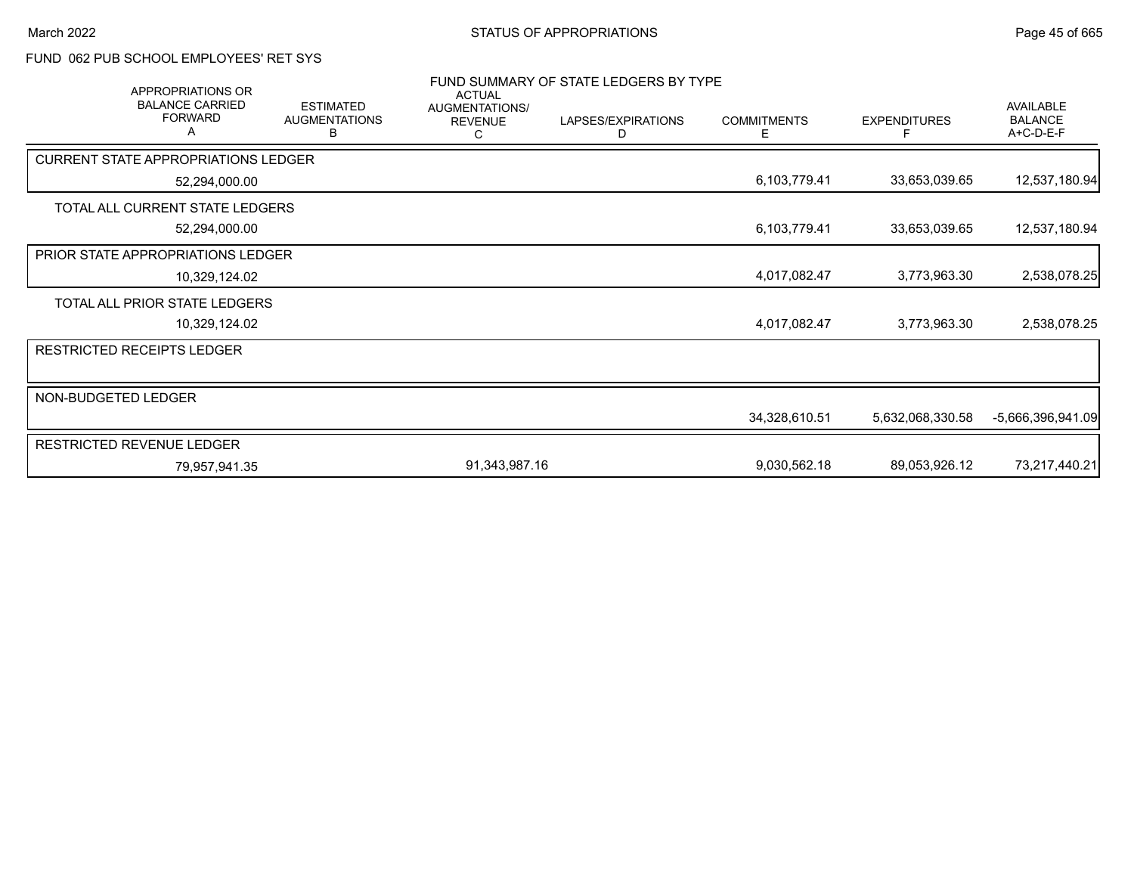# FUND 062 PUB SCHOOL EMPLOYEES' RET SYS

| <b>APPROPRIATIONS OR</b>                      |                                               | <b>ACTUAL</b>                         | FUND SUMMARY OF STATE LEDGERS BY TYPE |                         |                     |                                                 |
|-----------------------------------------------|-----------------------------------------------|---------------------------------------|---------------------------------------|-------------------------|---------------------|-------------------------------------------------|
| <b>BALANCE CARRIED</b><br><b>FORWARD</b><br>А | <b>ESTIMATED</b><br><b>AUGMENTATIONS</b><br>B | AUGMENTATIONS/<br><b>REVENUE</b><br>С | LAPSES/EXPIRATIONS<br>D               | <b>COMMITMENTS</b><br>Е | <b>EXPENDITURES</b> | <b>AVAILABLE</b><br><b>BALANCE</b><br>A+C-D-E-F |
| <b>CURRENT STATE APPROPRIATIONS LEDGER</b>    |                                               |                                       |                                       |                         |                     |                                                 |
| 52,294,000.00                                 |                                               |                                       |                                       | 6,103,779.41            | 33,653,039.65       | 12,537,180.94                                   |
| TOTAL ALL CURRENT STATE LEDGERS               |                                               |                                       |                                       |                         |                     |                                                 |
| 52,294,000.00                                 |                                               |                                       |                                       | 6,103,779.41            | 33,653,039.65       | 12,537,180.94                                   |
| <b>PRIOR STATE APPROPRIATIONS LEDGER</b>      |                                               |                                       |                                       |                         |                     |                                                 |
| 10,329,124.02                                 |                                               |                                       |                                       | 4,017,082.47            | 3,773,963.30        | 2,538,078.25                                    |
| TOTAL ALL PRIOR STATE LEDGERS                 |                                               |                                       |                                       |                         |                     |                                                 |
| 10,329,124.02                                 |                                               |                                       |                                       | 4,017,082.47            | 3,773,963.30        | 2,538,078.25                                    |
| RESTRICTED RECEIPTS LEDGER                    |                                               |                                       |                                       |                         |                     |                                                 |
|                                               |                                               |                                       |                                       |                         |                     |                                                 |
| NON-BUDGETED LEDGER                           |                                               |                                       |                                       |                         |                     |                                                 |
|                                               |                                               |                                       |                                       | 34,328,610.51           | 5,632,068,330.58    | -5,666,396,941.09                               |
| RESTRICTED REVENUE LEDGER                     |                                               |                                       |                                       |                         |                     |                                                 |
| 79,957,941.35                                 |                                               | 91,343,987.16                         |                                       | 9,030,562.18            | 89,053,926.12       | 73,217,440.21                                   |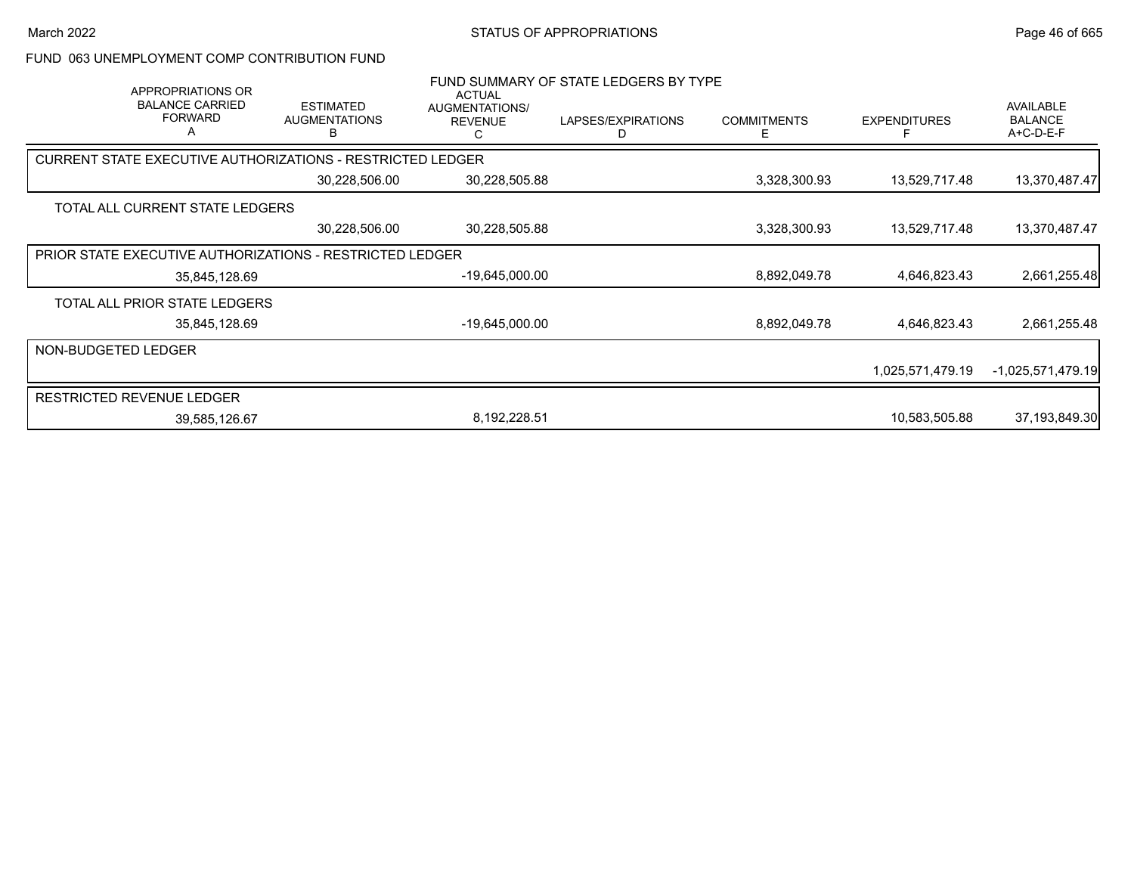#### FUND 063 UNEMPLOYMENT COMP CONTRIBUTION FUND

| APPROPRIATIONS OR<br><b>BALANCE CARRIED</b><br><b>FORWARD</b><br>A | <b>ESTIMATED</b><br><b>AUGMENTATIONS</b> | <b>ACTUAL</b><br>AUGMENTATIONS/<br><b>REVENUE</b><br>C | FUND SUMMARY OF STATE LEDGERS BY TYPE<br>LAPSES/EXPIRATIONS<br>D | <b>COMMITMENTS</b><br>Ε | <b>EXPENDITURES</b> | <b>AVAILABLE</b><br><b>BALANCE</b><br>A+C-D-E-F |
|--------------------------------------------------------------------|------------------------------------------|--------------------------------------------------------|------------------------------------------------------------------|-------------------------|---------------------|-------------------------------------------------|
| <b>CURRENT STATE EXECUTIVE AUTHORIZATIONS - RESTRICTED LEDGER</b>  |                                          |                                                        |                                                                  |                         |                     |                                                 |
|                                                                    | 30,228,506.00                            | 30,228,505.88                                          |                                                                  | 3,328,300.93            | 13,529,717.48       | 13,370,487.47                                   |
| TOTAL ALL CURRENT STATE LEDGERS                                    |                                          |                                                        |                                                                  |                         |                     |                                                 |
|                                                                    | 30,228,506.00                            | 30,228,505.88                                          |                                                                  | 3,328,300.93            | 13,529,717.48       | 13,370,487.47                                   |
| PRIOR STATE EXECUTIVE AUTHORIZATIONS - RESTRICTED LEDGER           |                                          |                                                        |                                                                  |                         |                     |                                                 |
| 35,845,128.69                                                      |                                          | -19,645,000.00                                         |                                                                  | 8,892,049.78            | 4,646,823.43        | 2,661,255.48                                    |
| TOTAL ALL PRIOR STATE LEDGERS                                      |                                          |                                                        |                                                                  |                         |                     |                                                 |
| 35,845,128.69                                                      |                                          | -19,645,000.00                                         |                                                                  | 8,892,049.78            | 4,646,823.43        | 2,661,255.48                                    |
| NON-BUDGETED LEDGER                                                |                                          |                                                        |                                                                  |                         |                     |                                                 |
|                                                                    |                                          |                                                        |                                                                  |                         | 1,025,571,479.19    | $-1,025,571,479.19$                             |
| <b>RESTRICTED REVENUE LEDGER</b>                                   |                                          |                                                        |                                                                  |                         |                     |                                                 |
| 39,585,126.67                                                      |                                          | 8,192,228.51                                           |                                                                  |                         | 10,583,505.88       | 37,193,849.30                                   |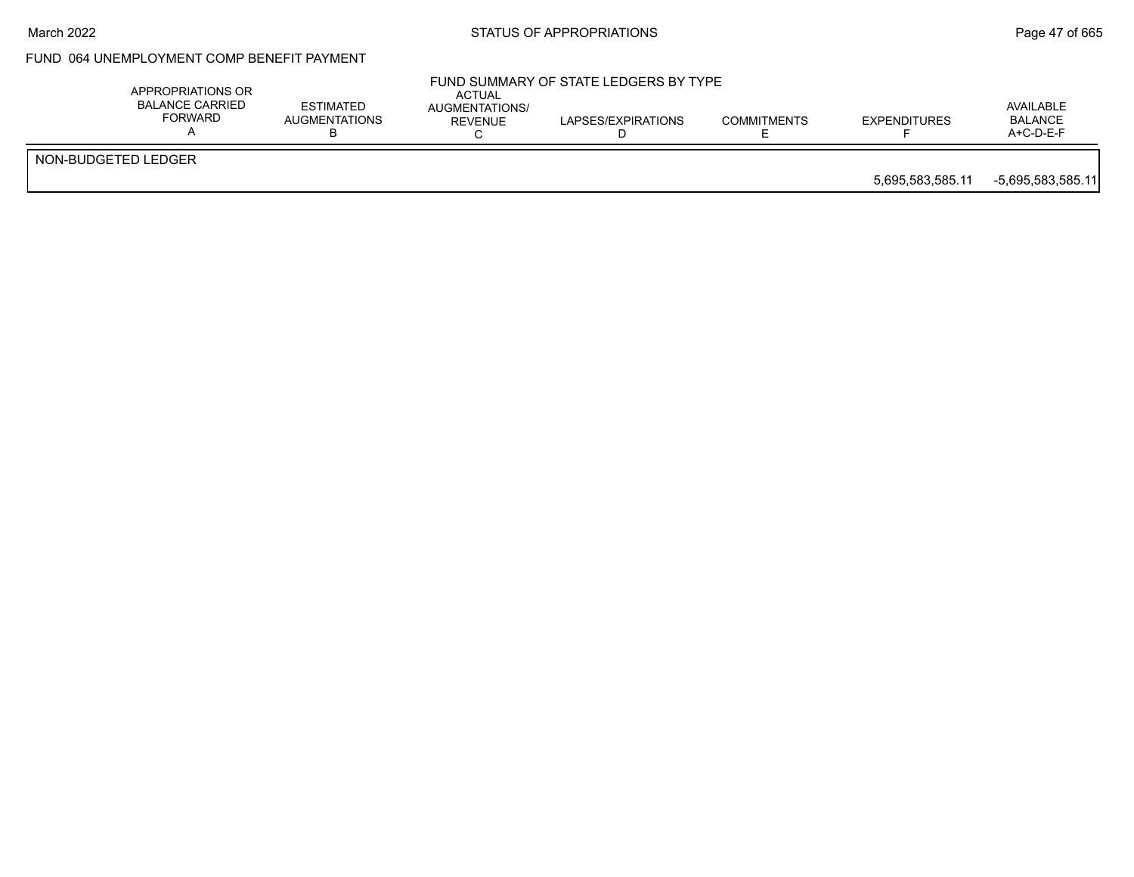#### March 2022 **STATUS OF APPROPRIATIONS** STATUS OF APPROPRIATIONS

## FUND 064 UNEMPLOYMENT COMP BENEFIT PAYMENT

|                     | APPROPRIATIONS OR<br><b>BALANCE CARRIED</b><br>FORWARD | <b>ESTIMATED</b><br><b>AUGMENTATIONS</b> | ACTUAL<br>AUGMENTATIONS/<br>REVENUE | FUND SUMMARY OF STATE LEDGERS BY TYPE<br>LAPSES/EXPIRATIONS | <b>COMMITMENTS</b> | <b>EXPENDITURES</b> | AVAILABLE<br><b>BALANCE</b><br>$A+C-D-E-F$ |
|---------------------|--------------------------------------------------------|------------------------------------------|-------------------------------------|-------------------------------------------------------------|--------------------|---------------------|--------------------------------------------|
| NON-BUDGETED LEDGER |                                                        |                                          |                                     |                                                             |                    | 5.695.583.585.11    | $-5,695,583,585.11$                        |
|                     |                                                        |                                          |                                     |                                                             |                    |                     |                                            |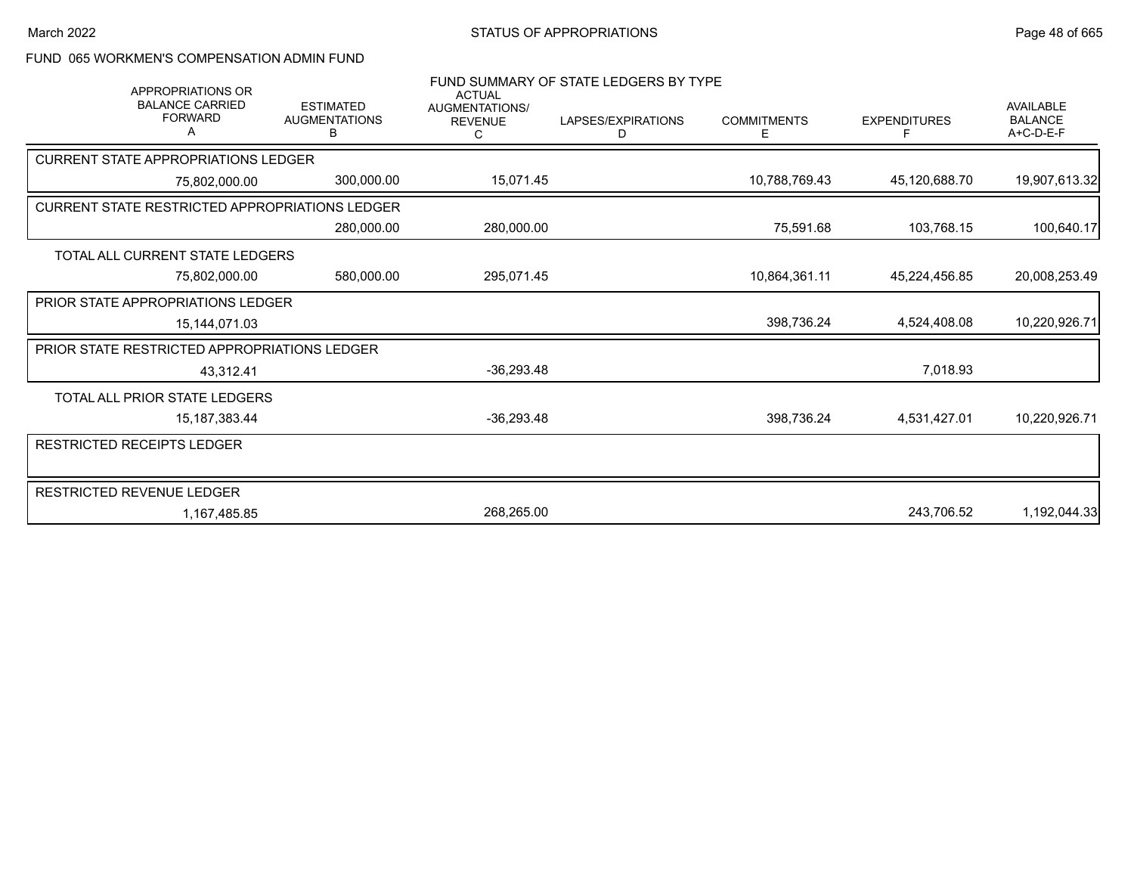## FUND 065 WORKMEN'S COMPENSATION ADMIN FUND

|                                                       | <b>APPROPRIATIONS OR</b>                 |                                               |                                                        | FUND SUMMARY OF STATE LEDGERS BY TYPE |                    |                     |                                                 |
|-------------------------------------------------------|------------------------------------------|-----------------------------------------------|--------------------------------------------------------|---------------------------------------|--------------------|---------------------|-------------------------------------------------|
|                                                       | <b>BALANCE CARRIED</b><br><b>FORWARD</b> | <b>ESTIMATED</b><br><b>AUGMENTATIONS</b><br>В | <b>ACTUAL</b><br>AUGMENTATIONS/<br><b>REVENUE</b><br>C | LAPSES/EXPIRATIONS<br>D               | <b>COMMITMENTS</b> | <b>EXPENDITURES</b> | <b>AVAILABLE</b><br><b>BALANCE</b><br>A+C-D-E-F |
| <b>CURRENT STATE APPROPRIATIONS LEDGER</b>            |                                          |                                               |                                                        |                                       |                    |                     |                                                 |
|                                                       | 75,802,000.00                            | 300,000.00                                    | 15,071.45                                              |                                       | 10,788,769.43      | 45,120,688.70       | 19,907,613.32                                   |
| <b>CURRENT STATE RESTRICTED APPROPRIATIONS LEDGER</b> |                                          |                                               |                                                        |                                       |                    |                     |                                                 |
|                                                       |                                          | 280,000.00                                    | 280,000.00                                             |                                       | 75,591.68          | 103,768.15          | 100,640.17                                      |
| TOTAL ALL CURRENT STATE LEDGERS                       |                                          |                                               |                                                        |                                       |                    |                     |                                                 |
|                                                       | 75,802,000.00                            | 580,000.00                                    | 295,071.45                                             |                                       | 10,864,361.11      | 45,224,456.85       | 20,008,253.49                                   |
| <b>PRIOR STATE APPROPRIATIONS LEDGER</b>              |                                          |                                               |                                                        |                                       |                    |                     |                                                 |
|                                                       | 15,144,071.03                            |                                               |                                                        |                                       | 398,736.24         | 4,524,408.08        | 10,220,926.71                                   |
| <b>PRIOR STATE RESTRICTED APPROPRIATIONS LEDGER</b>   |                                          |                                               |                                                        |                                       |                    |                     |                                                 |
|                                                       | 43,312.41                                |                                               | $-36,293.48$                                           |                                       |                    | 7,018.93            |                                                 |
| TOTAL ALL PRIOR STATE LEDGERS                         |                                          |                                               |                                                        |                                       |                    |                     |                                                 |
|                                                       | 15, 187, 383. 44                         |                                               | $-36,293.48$                                           |                                       | 398,736.24         | 4,531,427.01        | 10,220,926.71                                   |
| RESTRICTED RECEIPTS LEDGER                            |                                          |                                               |                                                        |                                       |                    |                     |                                                 |
| RESTRICTED REVENUE LEDGER                             |                                          |                                               |                                                        |                                       |                    |                     |                                                 |
|                                                       | 1,167,485.85                             |                                               | 268,265.00                                             |                                       |                    | 243,706.52          | 1,192,044.33                                    |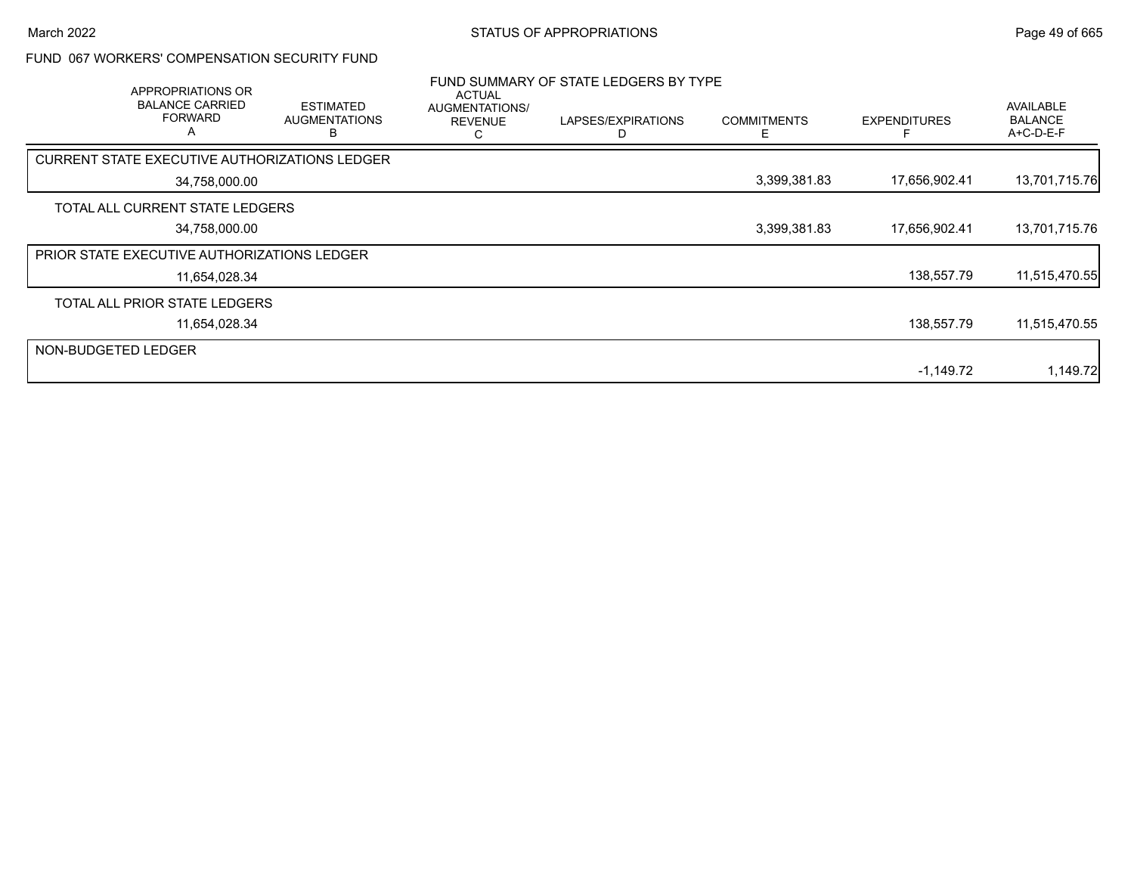### FUND 067 WORKERS' COMPENSATION SECURITY FUND

|                     | APPROPRIATIONS OR<br><b>BALANCE CARRIED</b><br><b>FORWARD</b><br>A | <b>ESTIMATED</b><br><b>AUGMENTATIONS</b><br>н | ACTUAL<br>AUGMENTATIONS/<br><b>REVENUE</b><br>С | FUND SUMMARY OF STATE LEDGERS BY TYPE<br>LAPSES/EXPIRATIONS | <b>COMMITMENTS</b><br>F | <b>EXPENDITURES</b> | AVAILABLE<br><b>BALANCE</b><br>A+C-D-E-F |
|---------------------|--------------------------------------------------------------------|-----------------------------------------------|-------------------------------------------------|-------------------------------------------------------------|-------------------------|---------------------|------------------------------------------|
|                     | CURRENT STATE EXECUTIVE AUTHORIZATIONS LEDGER                      |                                               |                                                 |                                                             |                         |                     |                                          |
|                     | 34,758,000.00                                                      |                                               |                                                 |                                                             | 3,399,381.83            | 17,656,902.41       | 13,701,715.76                            |
|                     | TOTAL ALL CURRENT STATE LEDGERS                                    |                                               |                                                 |                                                             |                         |                     |                                          |
|                     | 34,758,000.00                                                      |                                               |                                                 |                                                             | 3,399,381.83            | 17,656,902.41       | 13,701,715.76                            |
|                     | <b>PRIOR STATE EXECUTIVE AUTHORIZATIONS LEDGER</b>                 |                                               |                                                 |                                                             |                         |                     |                                          |
|                     | 11,654,028.34                                                      |                                               |                                                 |                                                             |                         | 138,557.79          | 11,515,470.55                            |
|                     | TOTAL ALL PRIOR STATE LEDGERS                                      |                                               |                                                 |                                                             |                         |                     |                                          |
|                     | 11,654,028.34                                                      |                                               |                                                 |                                                             |                         | 138,557.79          | 11,515,470.55                            |
| NON-BUDGETED LEDGER |                                                                    |                                               |                                                 |                                                             |                         |                     |                                          |
|                     |                                                                    |                                               |                                                 |                                                             |                         | $-1,149.72$         | 1,149.72                                 |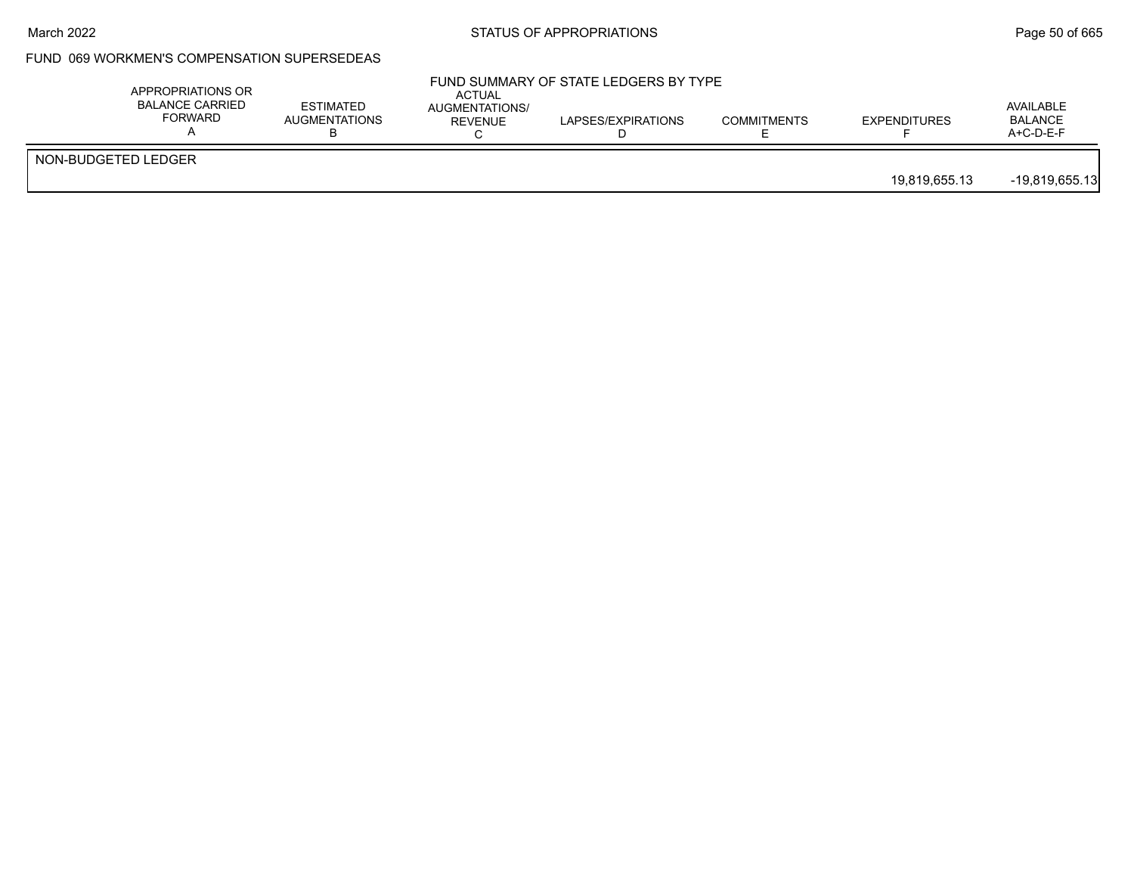#### March 2022 **STATUS OF APPROPRIATIONS** STATUS OF APPROPRIATIONS

## FUND 069 WORKMEN'S COMPENSATION SUPERSEDEAS

| APPROPRIATIONS OR<br><b>BALANCE CARRIED</b><br>FORWARD | <b>ESTIMATED</b><br><b>AUGMENTATIONS</b> | <b>ACTUAL</b><br>AUGMENTATIONS/<br><b>REVENUE</b> | FUND SUMMARY OF STATE LEDGERS BY TYPE<br>LAPSES/EXPIRATIONS | <b>COMMITMENTS</b> | <b>EXPENDITURES</b> | AVAILABLE<br><b>BALANCE</b><br>A+C-D-E-F |
|--------------------------------------------------------|------------------------------------------|---------------------------------------------------|-------------------------------------------------------------|--------------------|---------------------|------------------------------------------|
| NON-BUDGETED LEDGER                                    |                                          |                                                   |                                                             |                    | 19,819,655.13       | $-19,819,655.13$                         |
|                                                        |                                          |                                                   |                                                             |                    |                     |                                          |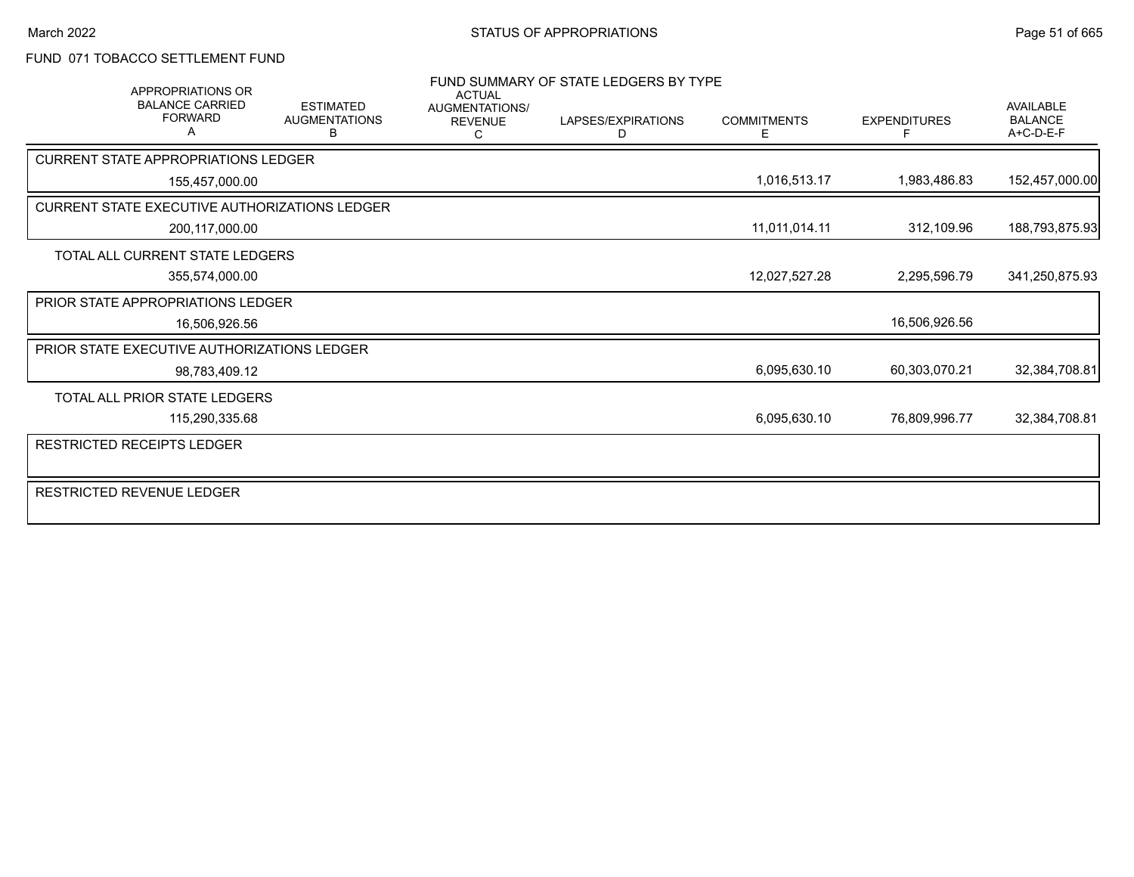### FUND 071 TOBACCO SETTLEMENT FUND

| <b>APPROPRIATIONS OR</b>                      |                                               | <b>ACTUAL</b>                           | FUND SUMMARY OF STATE LEDGERS BY TYPE |                         |                     |                                                 |
|-----------------------------------------------|-----------------------------------------------|-----------------------------------------|---------------------------------------|-------------------------|---------------------|-------------------------------------------------|
| <b>BALANCE CARRIED</b><br><b>FORWARD</b>      | <b>ESTIMATED</b><br><b>AUGMENTATIONS</b><br>в | <b>AUGMENTATIONS/</b><br><b>REVENUE</b> | LAPSES/EXPIRATIONS<br>D               | <b>COMMITMENTS</b><br>E | <b>EXPENDITURES</b> | <b>AVAILABLE</b><br><b>BALANCE</b><br>A+C-D-E-F |
| <b>CURRENT STATE APPROPRIATIONS LEDGER</b>    |                                               |                                         |                                       |                         |                     |                                                 |
| 155,457,000.00                                |                                               |                                         |                                       | 1,016,513.17            | 1,983,486.83        | 152,457,000.00                                  |
| CURRENT STATE EXECUTIVE AUTHORIZATIONS LEDGER |                                               |                                         |                                       |                         |                     |                                                 |
| 200,117,000.00                                |                                               |                                         |                                       | 11,011,014.11           | 312,109.96          | 188,793,875.93                                  |
| TOTAL ALL CURRENT STATE LEDGERS               |                                               |                                         |                                       |                         |                     |                                                 |
| 355,574,000.00                                |                                               |                                         |                                       | 12,027,527.28           | 2,295,596.79        | 341,250,875.93                                  |
| <b>PRIOR STATE APPROPRIATIONS LEDGER</b>      |                                               |                                         |                                       |                         |                     |                                                 |
| 16,506,926.56                                 |                                               |                                         |                                       |                         | 16,506,926.56       |                                                 |
| PRIOR STATE EXECUTIVE AUTHORIZATIONS LEDGER   |                                               |                                         |                                       |                         |                     |                                                 |
| 98,783,409.12                                 |                                               |                                         |                                       | 6,095,630.10            | 60,303,070.21       | 32,384,708.81                                   |
| TOTAL ALL PRIOR STATE LEDGERS                 |                                               |                                         |                                       |                         |                     |                                                 |
| 115,290,335.68                                |                                               |                                         |                                       | 6,095,630.10            | 76,809,996.77       | 32,384,708.81                                   |
| RESTRICTED RECEIPTS LEDGER                    |                                               |                                         |                                       |                         |                     |                                                 |
| <b>RESTRICTED REVENUE LEDGER</b>              |                                               |                                         |                                       |                         |                     |                                                 |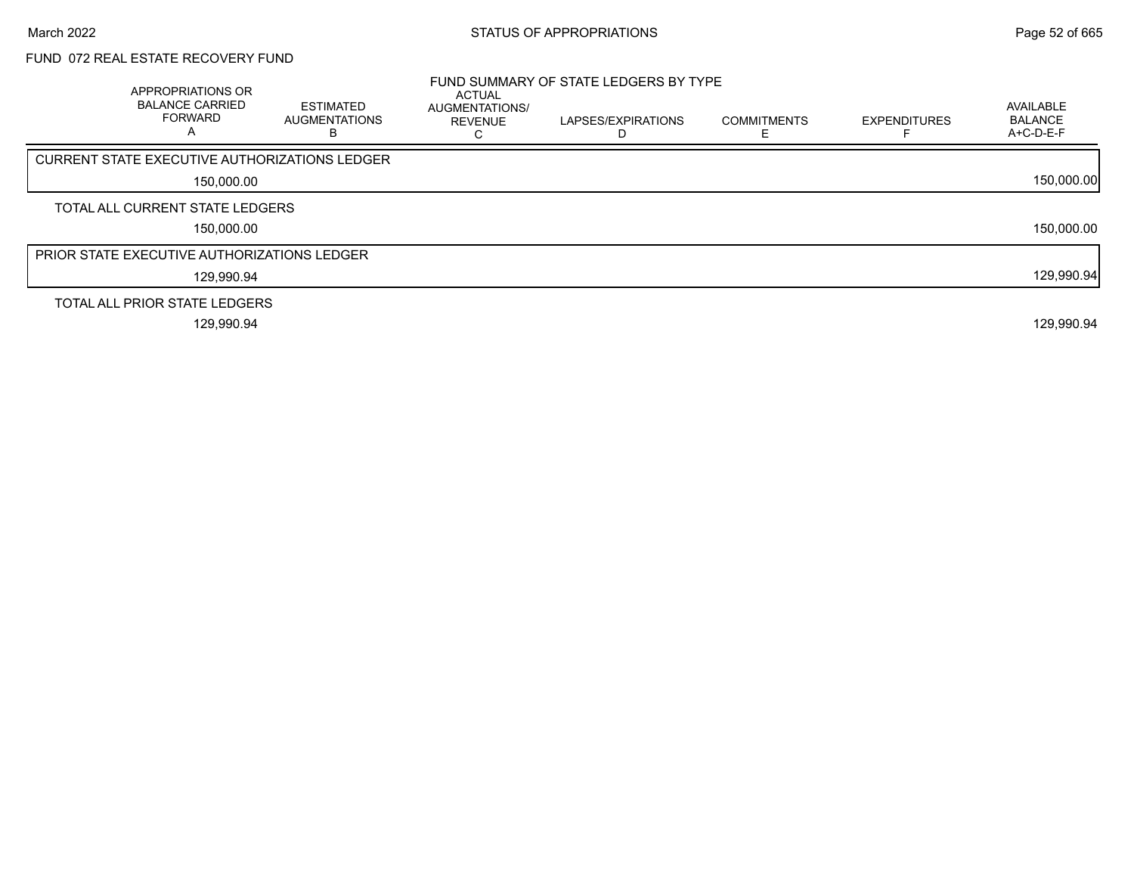# FUND 072 REAL ESTATE RECOVERY FUND

| APPROPRIATIONS OR<br><b>BALANCE CARRIED</b><br><b>FORWARD</b> | <b>ESTIMATED</b><br>AUGMENTATIONS<br>в | <b>ACTUAL</b><br>AUGMENTATIONS/<br><b>REVENUE</b> | FUND SUMMARY OF STATE LEDGERS BY TYPE<br>LAPSES/EXPIRATIONS<br>D | <b>COMMITMENTS</b> | <b>EXPENDITURES</b> | AVAILABLE<br><b>BALANCE</b><br>$A+C-D-E-F$ |
|---------------------------------------------------------------|----------------------------------------|---------------------------------------------------|------------------------------------------------------------------|--------------------|---------------------|--------------------------------------------|
| <b>CURRENT STATE EXECUTIVE AUTHORIZATIONS LEDGER</b>          |                                        |                                                   |                                                                  |                    |                     |                                            |
| 150,000.00                                                    |                                        |                                                   |                                                                  |                    |                     | 150,000.00                                 |
| TOTAL ALL CURRENT STATE LEDGERS                               |                                        |                                                   |                                                                  |                    |                     |                                            |
| 150,000.00                                                    |                                        |                                                   |                                                                  |                    |                     | 150,000.00                                 |
| <b>PRIOR STATE EXECUTIVE AUTHORIZATIONS LEDGER</b>            |                                        |                                                   |                                                                  |                    |                     |                                            |
| 129,990.94                                                    |                                        |                                                   |                                                                  |                    |                     | 129,990.94                                 |
| TOTAL ALL PRIOR STATE LEDGERS                                 |                                        |                                                   |                                                                  |                    |                     |                                            |
| 129.990.94                                                    |                                        |                                                   |                                                                  |                    |                     | 129,990.94                                 |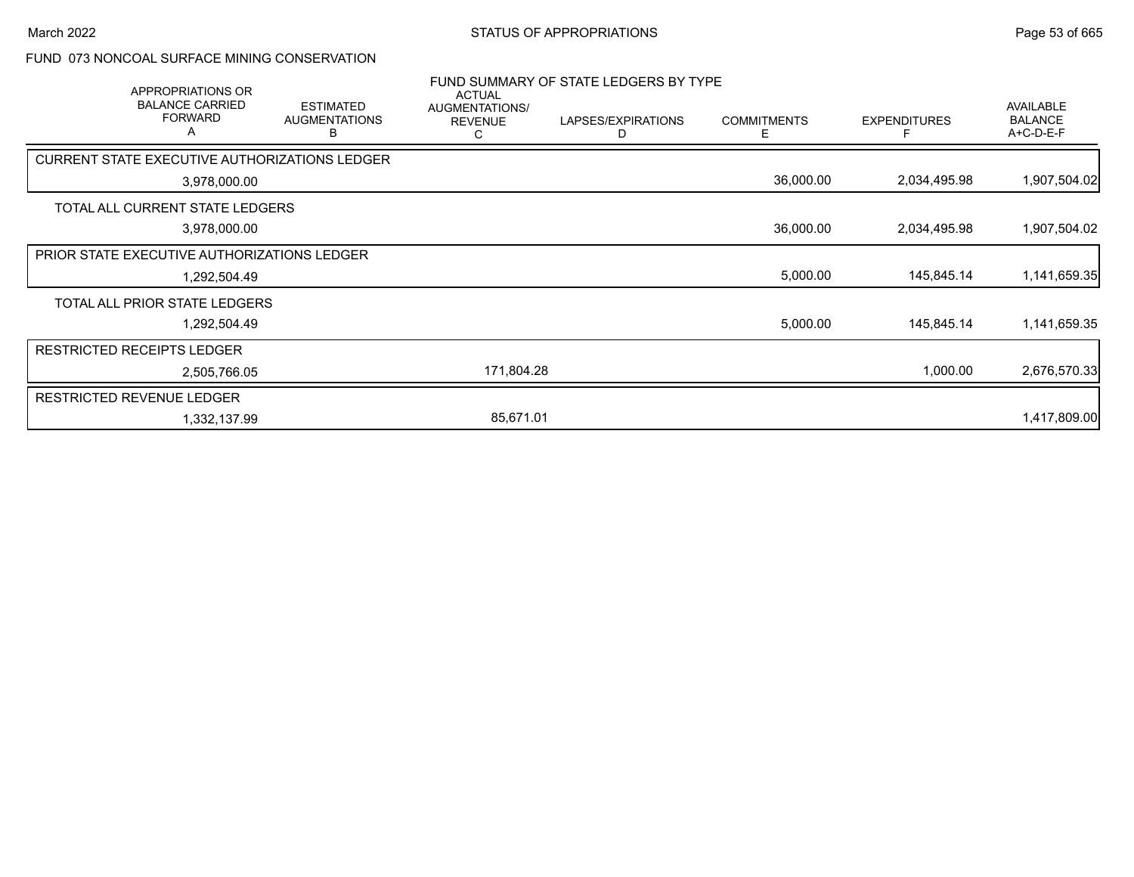### FUND 073 NONCOAL SURFACE MINING CONSERVATION

| APPROPRIATIONS OR                                    |                                               | <b>ACTUAL</b>                         | FUND SUMMARY OF STATE LEDGERS BY TYPE |                         |                     |                                          |  |
|------------------------------------------------------|-----------------------------------------------|---------------------------------------|---------------------------------------|-------------------------|---------------------|------------------------------------------|--|
| <b>BALANCE CARRIED</b><br><b>FORWARD</b><br>A        | <b>ESTIMATED</b><br><b>AUGMENTATIONS</b><br>В | AUGMENTATIONS/<br><b>REVENUE</b><br>С | LAPSES/EXPIRATIONS<br>D               | <b>COMMITMENTS</b><br>Е | <b>EXPENDITURES</b> | AVAILABLE<br><b>BALANCE</b><br>A+C-D-E-F |  |
| <b>CURRENT STATE EXECUTIVE AUTHORIZATIONS LEDGER</b> |                                               |                                       |                                       |                         |                     |                                          |  |
| 3,978,000.00                                         |                                               |                                       |                                       | 36,000.00               | 2,034,495.98        | 1,907,504.02                             |  |
| TOTAL ALL CURRENT STATE LEDGERS                      |                                               |                                       |                                       |                         |                     |                                          |  |
| 3,978,000.00                                         |                                               |                                       |                                       | 36,000.00               | 2,034,495.98        | 1,907,504.02                             |  |
| PRIOR STATE EXECUTIVE AUTHORIZATIONS LEDGER          |                                               |                                       |                                       |                         |                     |                                          |  |
| 1,292,504.49                                         |                                               |                                       |                                       | 5,000.00                | 145,845.14          | 1,141,659.35                             |  |
| TOTAL ALL PRIOR STATE LEDGERS                        |                                               |                                       |                                       |                         |                     |                                          |  |
| 1,292,504.49                                         |                                               |                                       |                                       | 5,000.00                | 145,845.14          | 1,141,659.35                             |  |
| <b>RESTRICTED RECEIPTS LEDGER</b>                    |                                               |                                       |                                       |                         |                     |                                          |  |
| 2,505,766.05                                         |                                               | 171,804.28                            |                                       |                         | 1,000.00            | 2,676,570.33                             |  |
| <b>RESTRICTED REVENUE LEDGER</b>                     |                                               |                                       |                                       |                         |                     |                                          |  |
| 1,332,137.99                                         |                                               | 85,671.01                             |                                       |                         |                     | 1,417,809.00                             |  |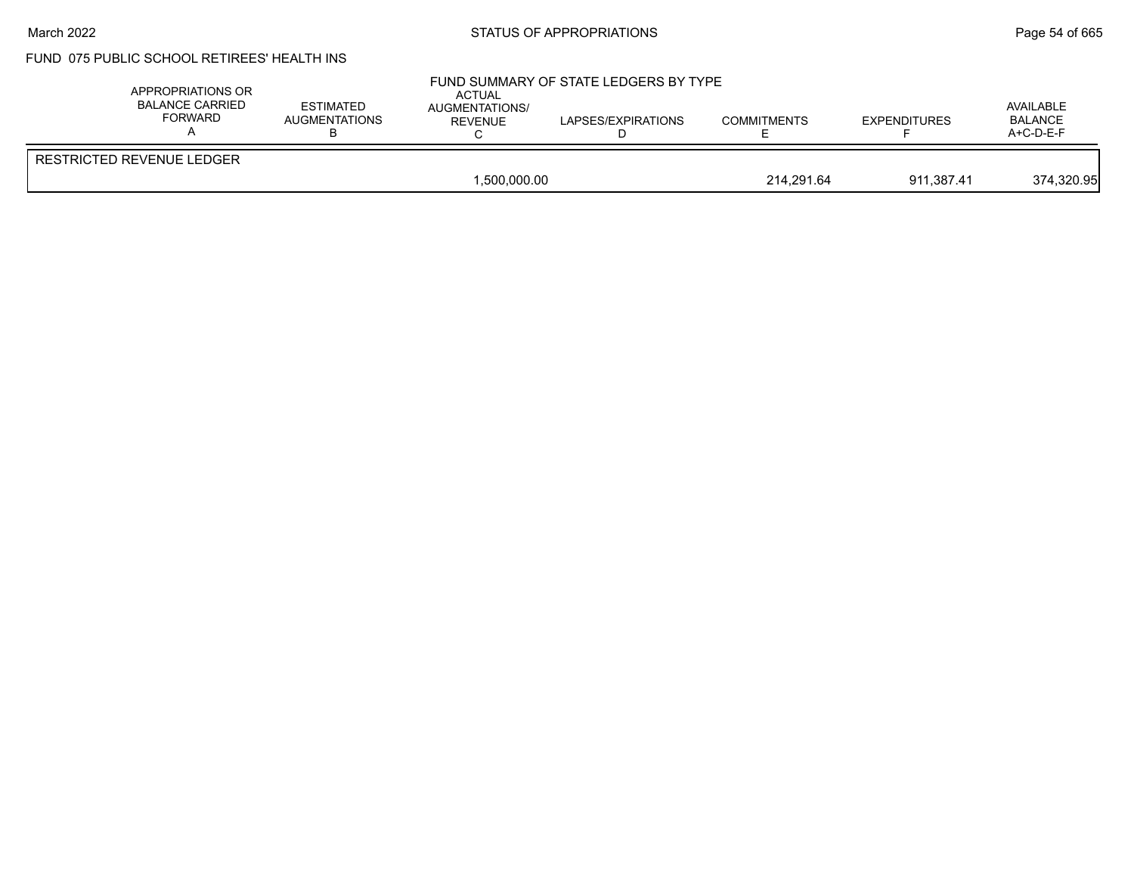#### March 2022 **Example 2022** Page 54 of 665

# FUND 075 PUBLIC SCHOOL RETIREES' HEALTH INS

|                                                  |                          | $A+C-D-E-F$ |
|--------------------------------------------------|--------------------------|-------------|
| <b>RESTRICTED REVENUE LEDGER</b><br>1.500.000.00 | 214.291.64<br>911.387.41 | 374,320.95  |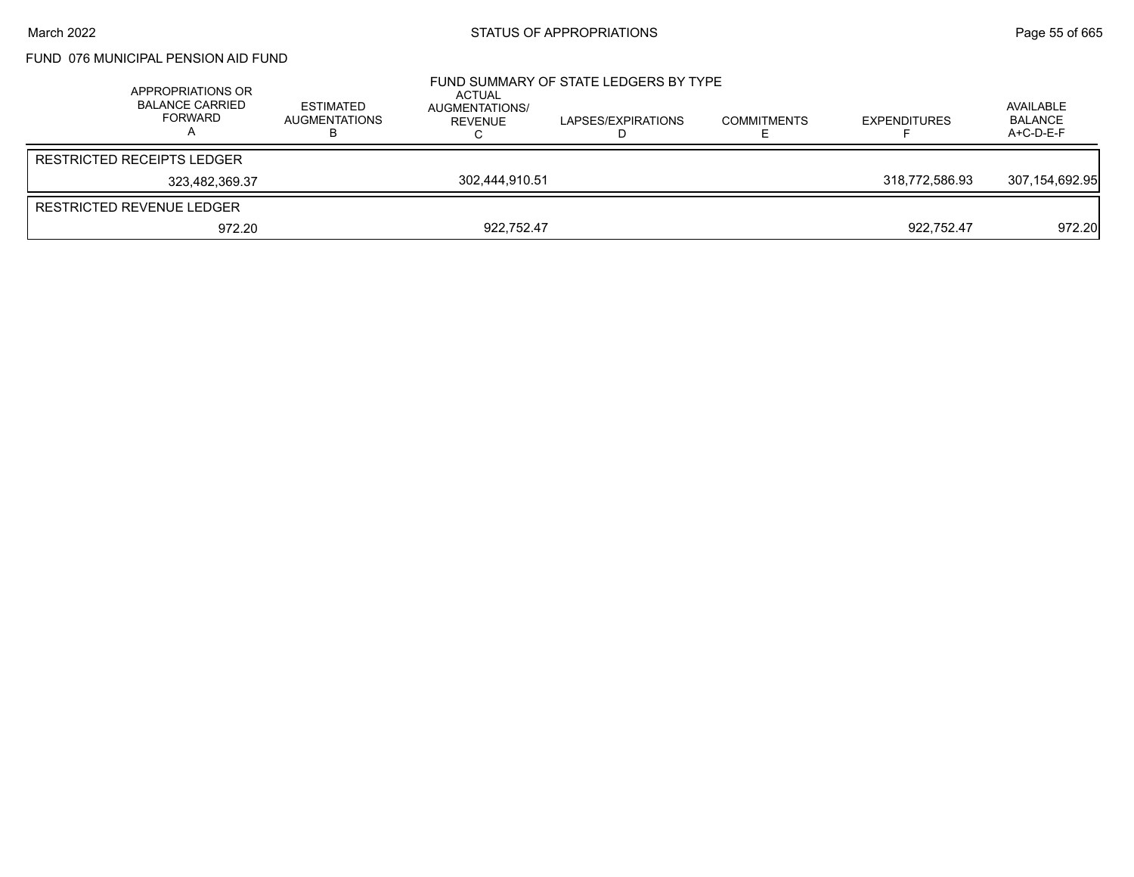## FUND 076 MUNICIPAL PENSION AID FUND

| APPROPRIATIONS OR<br><b>BALANCE CARRIED</b><br>FORWARD | ESTIMATED<br><b>AUGMENTATIONS</b> | ACTUAL<br>AUGMENTATIONS/<br>REVENUE | FUND SUMMARY OF STATE LEDGERS BY TYPE<br>LAPSES/EXPIRATIONS | <b>COMMITMENTS</b> | <b>EXPENDITURES</b> | AVAILABLE<br><b>BALANCE</b><br>A+C-D-E-F |
|--------------------------------------------------------|-----------------------------------|-------------------------------------|-------------------------------------------------------------|--------------------|---------------------|------------------------------------------|
| RESTRICTED RECEIPTS LEDGER                             |                                   |                                     |                                                             |                    |                     |                                          |
| 323.482.369.37                                         |                                   | 302,444,910.51                      |                                                             |                    | 318,772,586.93      | 307,154,692.95                           |
| RESTRICTED REVENUE LEDGER                              |                                   |                                     |                                                             |                    |                     |                                          |
| 972.20                                                 |                                   | 922,752.47                          |                                                             |                    | 922.752.47          | 972.20                                   |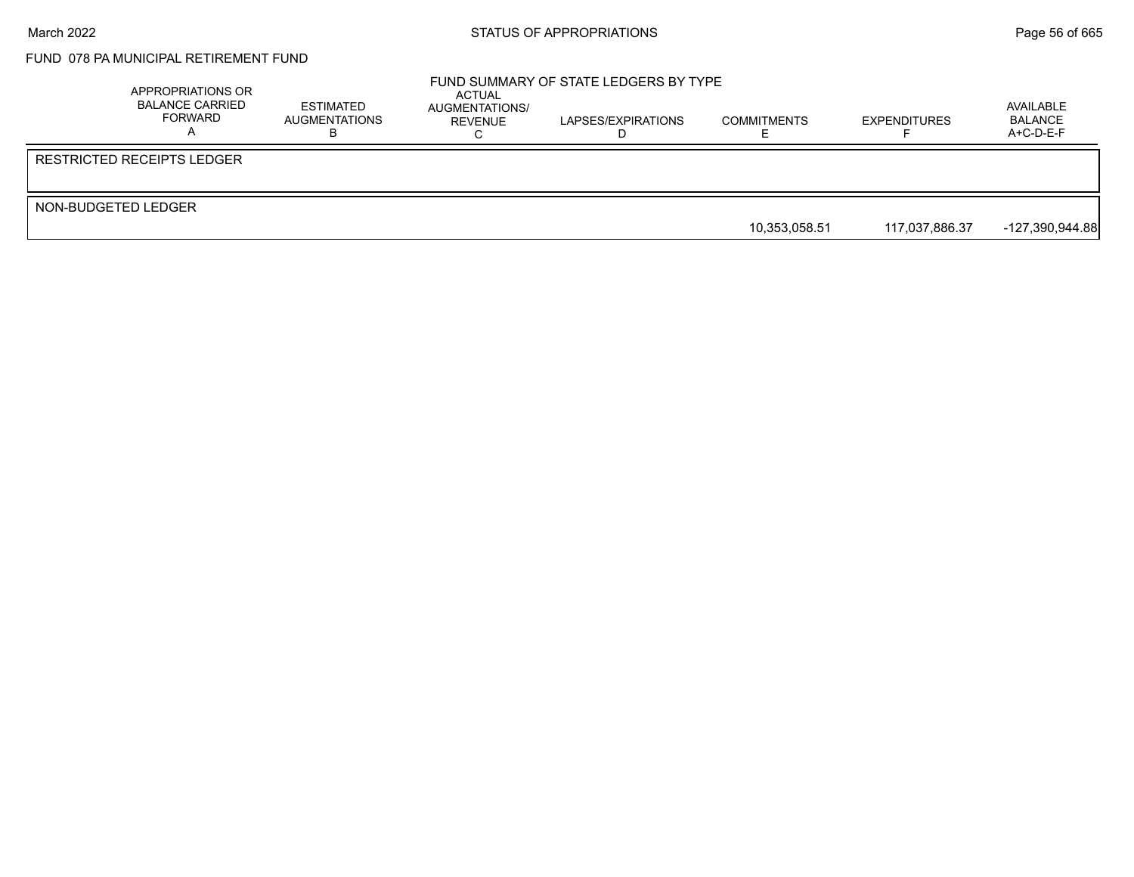# FUND 078 PA MUNICIPAL RETIREMENT FUND

|                     | APPROPRIATIONS OR<br>BALANCE CARRIED<br>FORWARD | ESTIMATED<br>AUGMENTATIONS | ACTUAL<br>AUGMENTATIONS/<br><b>REVENUE</b> | FUND SUMMARY OF STATE LEDGERS BY TYPE<br>LAPSES/EXPIRATIONS | <b>COMMITMENTS</b> | <b>EXPENDITURES</b> | AVAILABLE<br><b>BALANCE</b><br>$A+C-D-E-F$ |
|---------------------|-------------------------------------------------|----------------------------|--------------------------------------------|-------------------------------------------------------------|--------------------|---------------------|--------------------------------------------|
|                     | RESTRICTED RECEIPTS LEDGER                      |                            |                                            |                                                             |                    |                     |                                            |
| NON-BUDGETED LEDGER |                                                 |                            |                                            |                                                             |                    |                     |                                            |
|                     |                                                 |                            |                                            |                                                             | 10,353,058.51      | 117,037,886.37      | -127,390,944.88                            |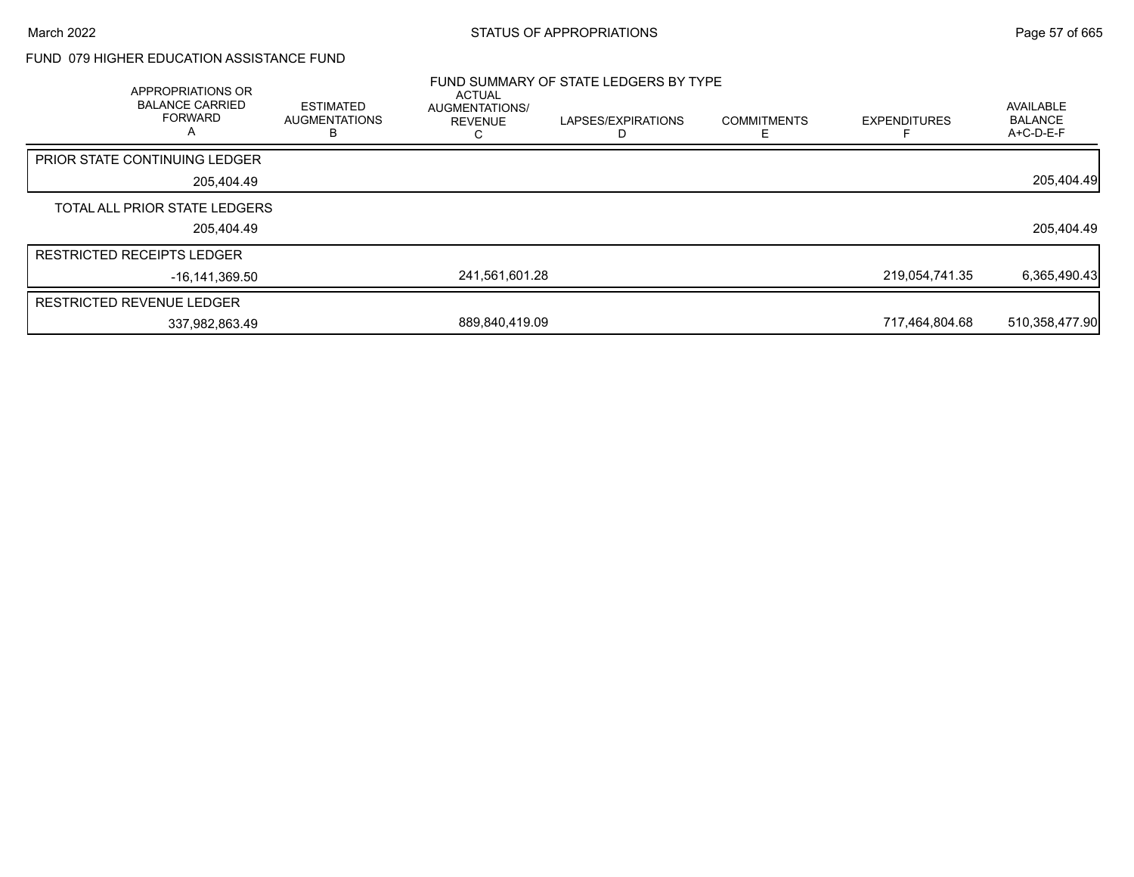### FUND 079 HIGHER EDUCATION ASSISTANCE FUND

| APPROPRIATIONS OR<br><b>BALANCE CARRIED</b><br><b>FORWARD</b><br>A | <b>ESTIMATED</b><br><b>AUGMENTATIONS</b><br>в | ACTUAL<br>AUGMENTATIONS/<br>REVENUE | FUND SUMMARY OF STATE LEDGERS BY TYPE<br>LAPSES/EXPIRATIONS | <b>COMMITMENTS</b> | <b>EXPENDITURES</b> | AVAILABLE<br><b>BALANCE</b><br>A+C-D-E-F |
|--------------------------------------------------------------------|-----------------------------------------------|-------------------------------------|-------------------------------------------------------------|--------------------|---------------------|------------------------------------------|
| <b>PRIOR STATE CONTINUING LEDGER</b>                               |                                               |                                     |                                                             |                    |                     |                                          |
| 205,404.49                                                         |                                               |                                     |                                                             |                    |                     | 205,404.49                               |
| TOTAL ALL PRIOR STATE LEDGERS                                      |                                               |                                     |                                                             |                    |                     |                                          |
| 205,404.49                                                         |                                               |                                     |                                                             |                    |                     | 205,404.49                               |
| <b>RESTRICTED RECEIPTS LEDGER</b>                                  |                                               |                                     |                                                             |                    |                     |                                          |
| $-16.141.369.50$                                                   |                                               | 241.561.601.28                      |                                                             |                    | 219,054,741.35      | 6,365,490.43                             |
| <b>RESTRICTED REVENUE LEDGER</b>                                   |                                               |                                     |                                                             |                    |                     |                                          |
| 337,982,863.49                                                     |                                               | 889,840,419.09                      |                                                             |                    | 717,464,804.68      | 510,358,477.90                           |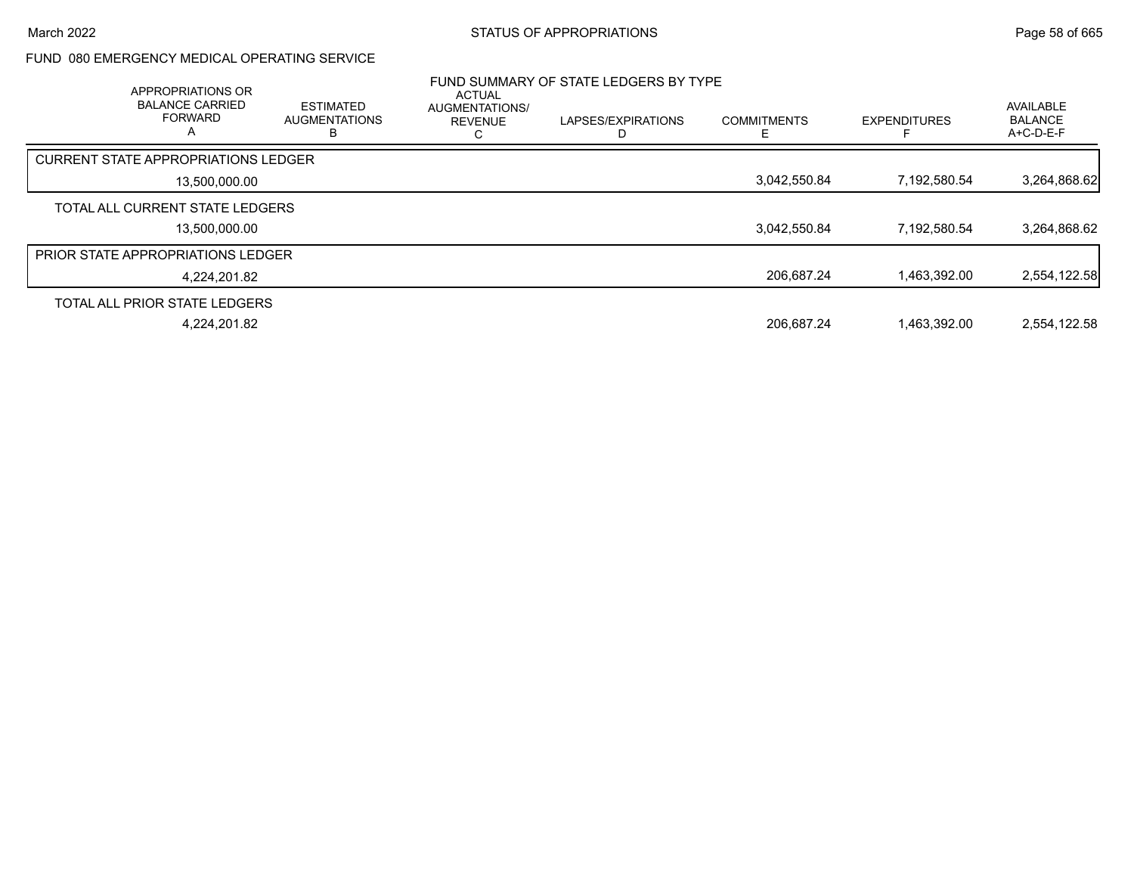### FUND 080 EMERGENCY MEDICAL OPERATING SERVICE

| APPROPRIATIONS OR<br><b>BALANCE CARRIED</b><br><b>FORWARD</b><br>А | <b>ESTIMATED</b><br><b>AUGMENTATIONS</b> | <b>ACTUAL</b><br><b>AUGMENTATIONS/</b><br><b>REVENUE</b> | FUND SUMMARY OF STATE LEDGERS BY TYPE<br>LAPSES/EXPIRATIONS | <b>COMMITMENTS</b> | <b>EXPENDITURES</b> | AVAILABLE<br><b>BALANCE</b><br>$A+C-D-E-F$ |
|--------------------------------------------------------------------|------------------------------------------|----------------------------------------------------------|-------------------------------------------------------------|--------------------|---------------------|--------------------------------------------|
| <b>CURRENT STATE APPROPRIATIONS LEDGER</b>                         |                                          |                                                          |                                                             |                    |                     |                                            |
| 13.500.000.00                                                      |                                          |                                                          |                                                             | 3,042,550.84       | 7,192,580.54        | 3,264,868.62                               |
| TOTAL ALL CURRENT STATE LEDGERS                                    |                                          |                                                          |                                                             |                    |                     |                                            |
| 13.500.000.00                                                      |                                          |                                                          |                                                             | 3,042,550.84       | 7,192,580.54        | 3,264,868.62                               |
| <b>PRIOR STATE APPROPRIATIONS LEDGER</b>                           |                                          |                                                          |                                                             |                    |                     |                                            |
| 4.224.201.82                                                       |                                          |                                                          |                                                             | 206.687.24         | 1.463.392.00        | 2,554,122.58                               |
| TOTAL ALL PRIOR STATE LEDGERS                                      |                                          |                                                          |                                                             |                    |                     |                                            |
| 4.224.201.82                                                       |                                          |                                                          |                                                             | 206.687.24         | 1.463.392.00        | 2.554.122.58                               |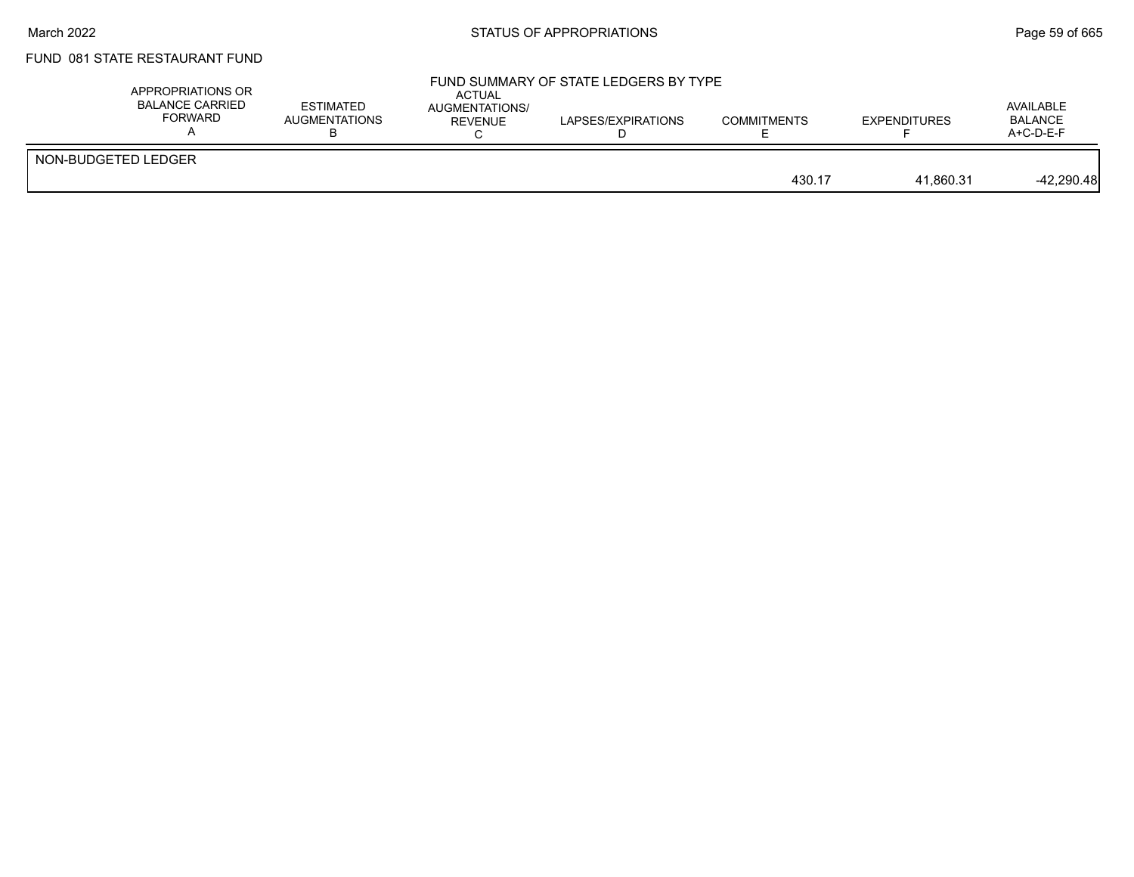## FUND 081 STATE RESTAURANT FUND

| APPROPRIATIONS OR<br><b>BALANCE CARRIED</b><br><b>FORWARD</b> | <b>ESTIMATED</b><br>AUGMENTATIONS | ACTUAL<br><b>AUGMENTATIONS/</b><br>REVENUE | FUND SUMMARY OF STATE LEDGERS BY TYPE<br>LAPSES/EXPIRATIONS | <b>COMMITMENTS</b> | <b>EXPENDITURES</b> | AVAILABLE<br><b>BALANCE</b><br>$A+C-D-E-F$ |
|---------------------------------------------------------------|-----------------------------------|--------------------------------------------|-------------------------------------------------------------|--------------------|---------------------|--------------------------------------------|
| NON-BUDGETED LEDGER                                           |                                   |                                            |                                                             | 430.17             | 41.860.31           | $-42,290.48$                               |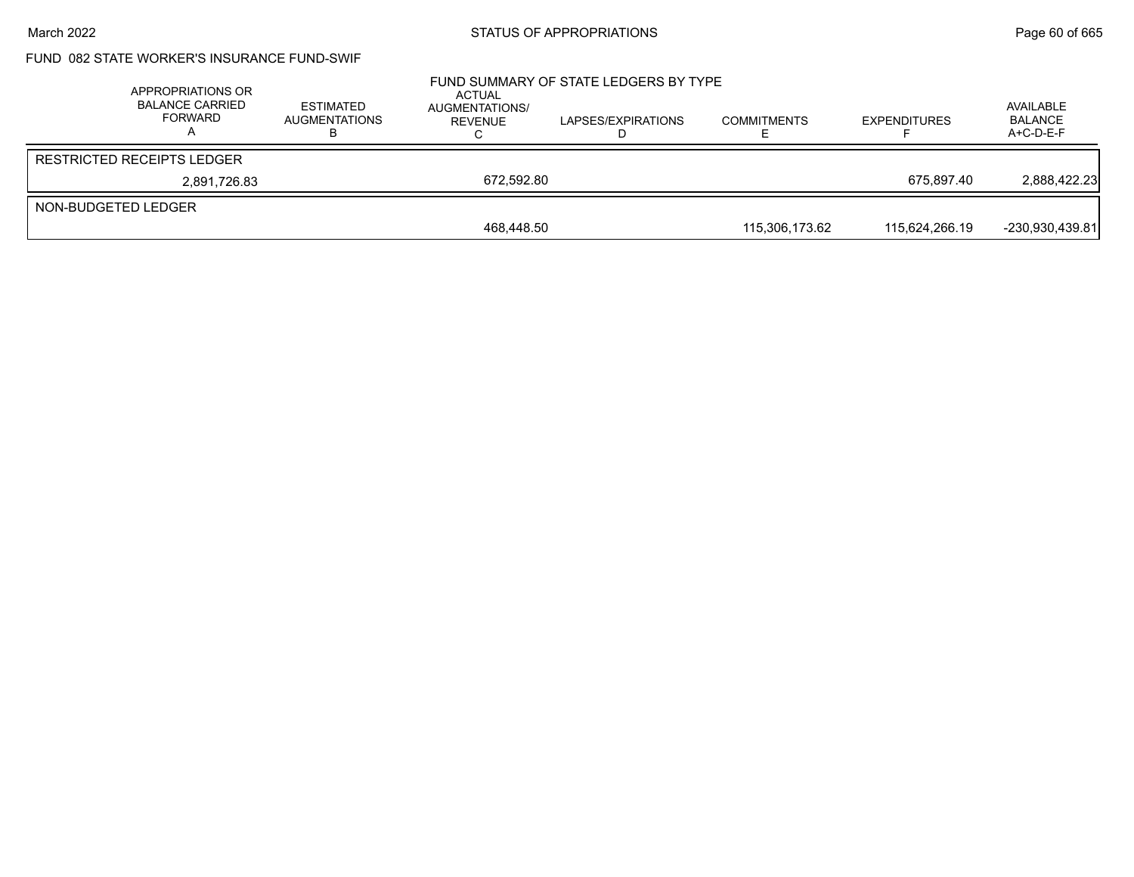## FUND 082 STATE WORKER'S INSURANCE FUND-SWIF

|                     | APPROPRIATIONS OR<br><b>BALANCE CARRIED</b><br>FORWARD | <b>ESTIMATED</b><br><b>AUGMENTATIONS</b> | ACTUAL<br>AUGMENTATIONS/<br>REVENUE | FUND SUMMARY OF STATE LEDGERS BY TYPE<br>LAPSES/EXPIRATIONS | <b>COMMITMENTS</b> | <b>EXPENDITURES</b> | AVAILABLE<br><b>BALANCE</b><br>$A+C-D-E-F$ |
|---------------------|--------------------------------------------------------|------------------------------------------|-------------------------------------|-------------------------------------------------------------|--------------------|---------------------|--------------------------------------------|
|                     | <b>RESTRICTED RECEIPTS LEDGER</b>                      |                                          |                                     |                                                             |                    |                     |                                            |
|                     | 2,891,726.83                                           |                                          | 672.592.80                          |                                                             |                    | 675.897.40          | 2,888,422.23                               |
| NON-BUDGETED LEDGER |                                                        |                                          |                                     |                                                             |                    |                     |                                            |
|                     |                                                        |                                          | 468.448.50                          |                                                             | 115.306.173.62     | 115.624.266.19      | -230,930,439.81                            |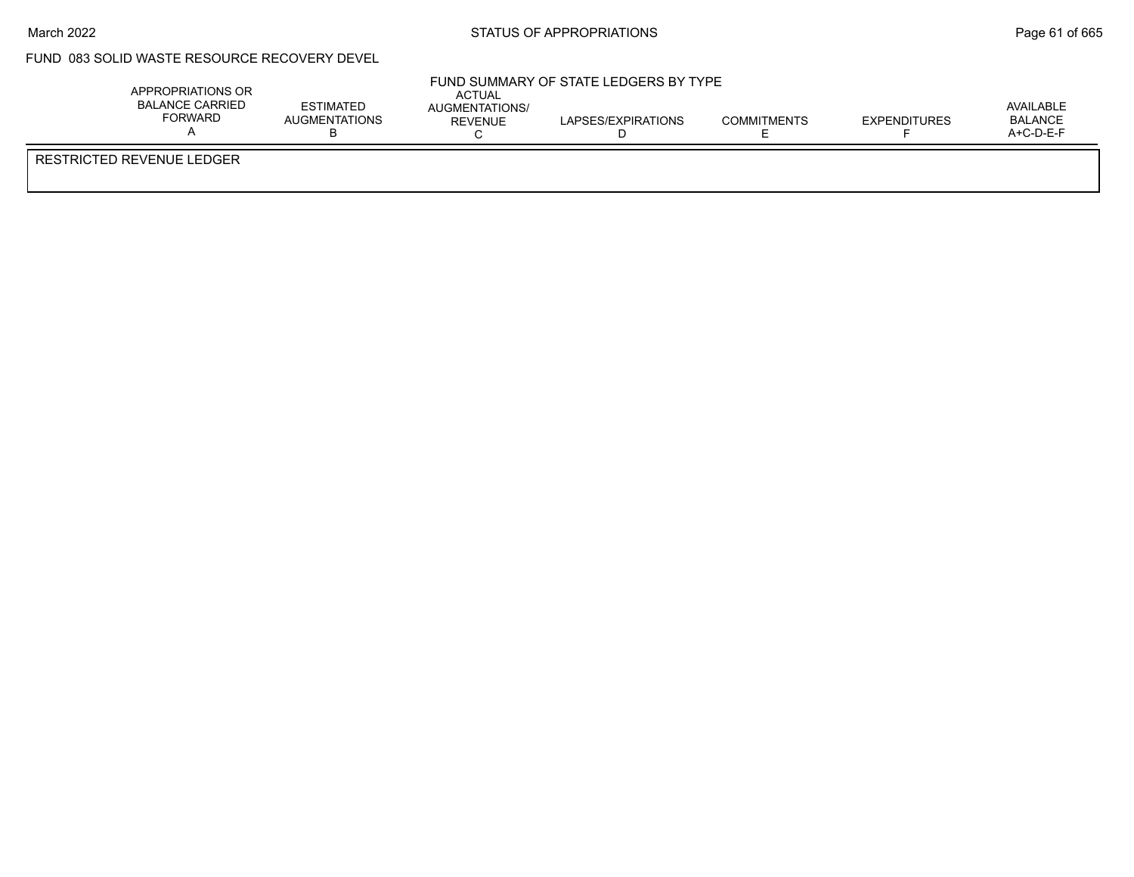$\overline{1}$ 

## FUND 083 SOLID WASTE RESOURCE RECOVERY DEVEL

| APPROPRIATIONS OR<br>BALANCE CARRIED<br>FORWARD | ESTIMATED<br>AUGMENTATIONS | ACTUAL<br>AUGMENTATIONS/<br><b>REVENUE</b> | FUND SUMMARY OF STATE LEDGERS BY TYPE<br>LAPSES/EXPIRATIONS | <b>COMMITMENTS</b> | <b>EXPENDITURES</b> | AVAILABLE<br><b>BALANCE</b><br>A+C-D-E-F |
|-------------------------------------------------|----------------------------|--------------------------------------------|-------------------------------------------------------------|--------------------|---------------------|------------------------------------------|
| RESTRICTED REVENUE LEDGER                       |                            |                                            |                                                             |                    |                     |                                          |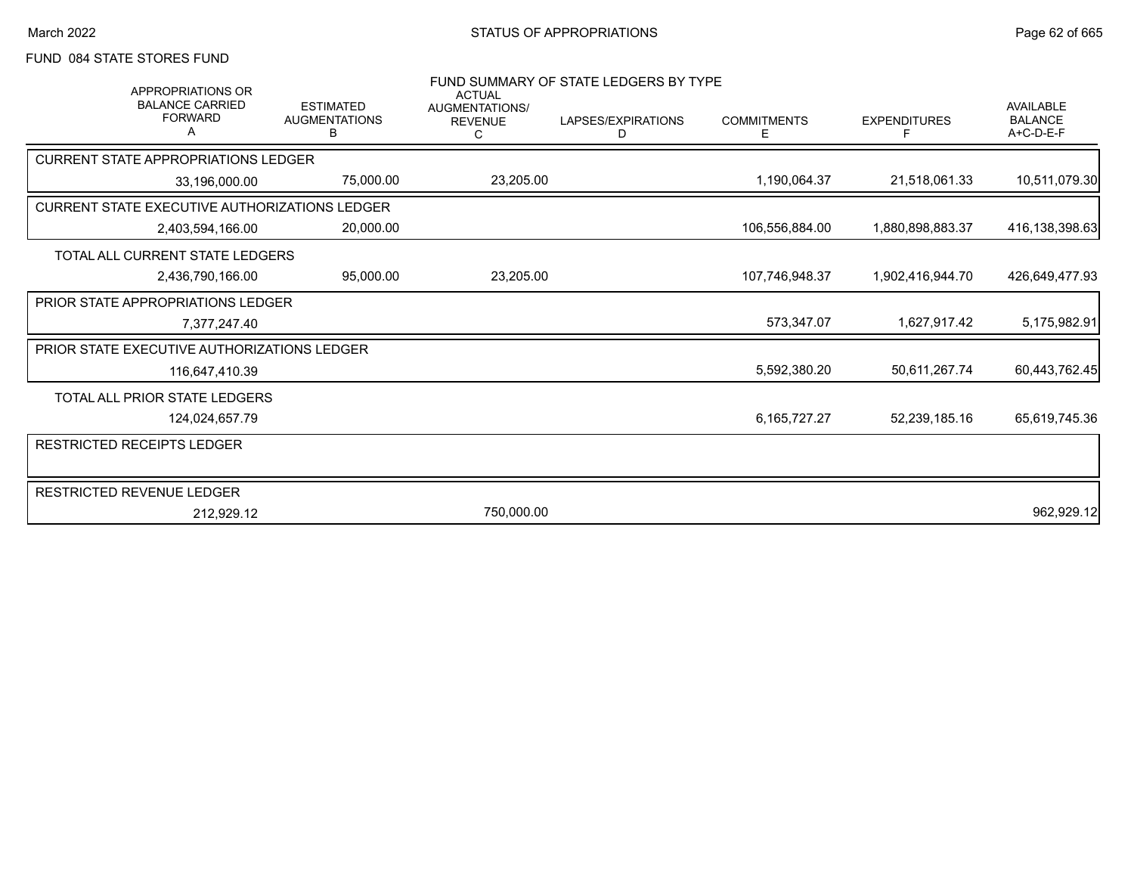# FUND 084 STATE STORES FUND

| <b>APPROPRIATIONS OR</b><br><b>BALANCE CARRIED</b><br><b>FORWARD</b> | <b>ESTIMATED</b><br><b>AUGMENTATIONS</b><br>в | <b>ACTUAL</b><br><b>AUGMENTATIONS/</b><br><b>REVENUE</b><br>C | FUND SUMMARY OF STATE LEDGERS BY TYPE<br>LAPSES/EXPIRATIONS<br>D | <b>COMMITMENTS</b><br>Е | <b>EXPENDITURES</b> | <b>AVAILABLE</b><br><b>BALANCE</b><br>$A+C-D-E-F$ |
|----------------------------------------------------------------------|-----------------------------------------------|---------------------------------------------------------------|------------------------------------------------------------------|-------------------------|---------------------|---------------------------------------------------|
| <b>CURRENT STATE APPROPRIATIONS LEDGER</b>                           |                                               |                                                               |                                                                  |                         |                     |                                                   |
| 33.196.000.00                                                        | 75,000.00                                     | 23,205.00                                                     |                                                                  | 1,190,064.37            | 21,518,061.33       | 10,511,079.30                                     |
| CURRENT STATE EXECUTIVE AUTHORIZATIONS LEDGER                        |                                               |                                                               |                                                                  |                         |                     |                                                   |
| 2,403,594,166.00                                                     | 20,000.00                                     |                                                               |                                                                  | 106,556,884.00          | 1,880,898,883.37    | 416,138,398.63                                    |
| TOTAL ALL CURRENT STATE LEDGERS                                      |                                               |                                                               |                                                                  |                         |                     |                                                   |
| 2,436,790,166.00                                                     | 95,000.00                                     | 23,205.00                                                     |                                                                  | 107,746,948.37          | 1,902,416,944.70    | 426,649,477.93                                    |
| <b>PRIOR STATE APPROPRIATIONS LEDGER</b>                             |                                               |                                                               |                                                                  |                         |                     |                                                   |
| 7,377,247.40                                                         |                                               |                                                               |                                                                  | 573,347.07              | 1,627,917.42        | 5,175,982.91                                      |
| PRIOR STATE EXECUTIVE AUTHORIZATIONS LEDGER                          |                                               |                                                               |                                                                  |                         |                     |                                                   |
| 116,647,410.39                                                       |                                               |                                                               |                                                                  | 5,592,380.20            | 50,611,267.74       | 60,443,762.45                                     |
| <b>TOTAL ALL PRIOR STATE LEDGERS</b>                                 |                                               |                                                               |                                                                  |                         |                     |                                                   |
| 124,024,657.79                                                       |                                               |                                                               |                                                                  | 6, 165, 727. 27         | 52,239,185.16       | 65,619,745.36                                     |
| <b>RESTRICTED RECEIPTS LEDGER</b>                                    |                                               |                                                               |                                                                  |                         |                     |                                                   |
| <b>RESTRICTED REVENUE LEDGER</b>                                     |                                               |                                                               |                                                                  |                         |                     |                                                   |
| 212,929.12                                                           |                                               | 750,000.00                                                    |                                                                  |                         |                     | 962,929.12                                        |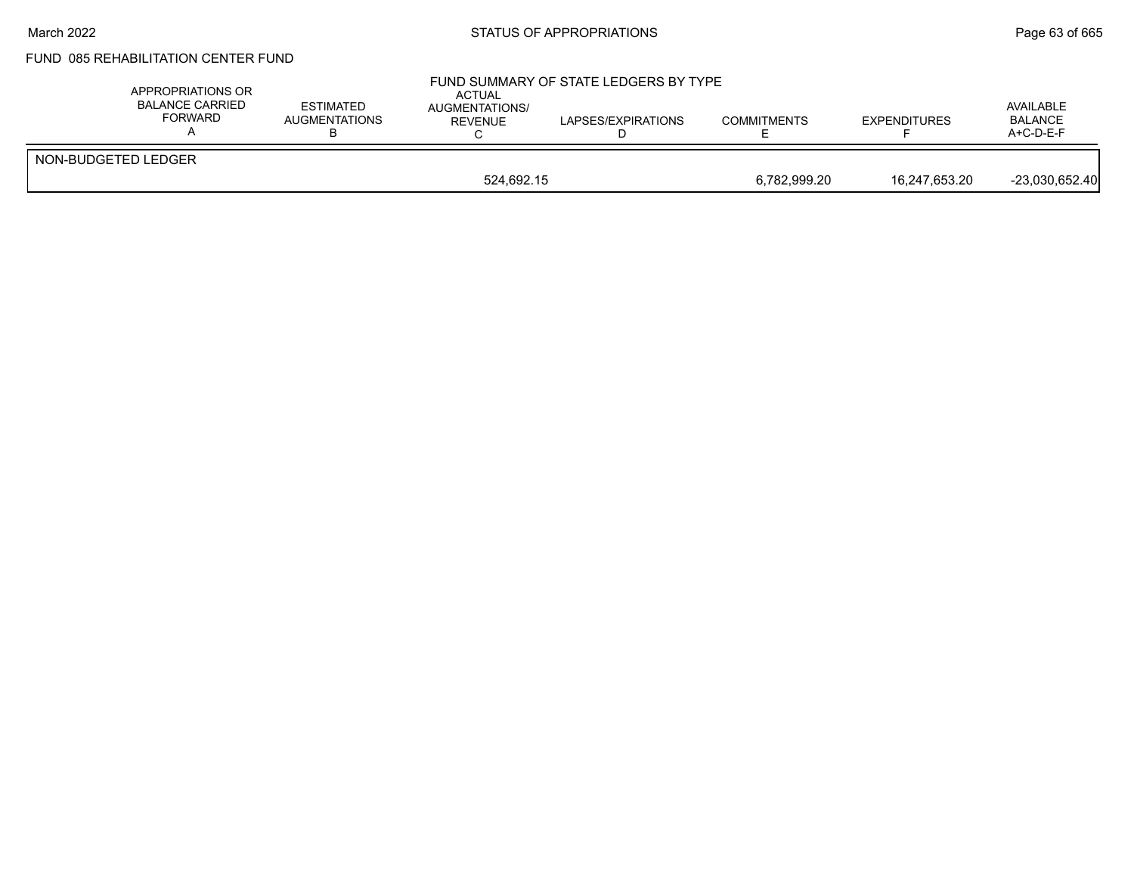#### March 2022 **Example 2022** Page 63 of 665

# FUND 085 REHABILITATION CENTER FUND

| APPROPRIATIONS OR<br><b>BALANCE CARRIED</b><br><b>FORWARD</b> | <b>ESTIMATED</b><br><b>AUGMENTATIONS</b> | <b>ACTUAL</b><br>AUGMENTATIONS/<br><b>REVENUE</b> | FUND SUMMARY OF STATE LEDGERS BY TYPE<br>LAPSES/EXPIRATIONS | <b>COMMITMENTS</b> | <b>EXPENDITURES</b> | AVAILABLE<br><b>BALANCE</b><br>$A+C-D-E-F$ |
|---------------------------------------------------------------|------------------------------------------|---------------------------------------------------|-------------------------------------------------------------|--------------------|---------------------|--------------------------------------------|
| NON-BUDGETED LEDGER                                           |                                          |                                                   |                                                             |                    |                     |                                            |
|                                                               |                                          | 524.692.15                                        |                                                             | 6,782,999.20       | 16,247,653.20       | $-23,030,652.40$                           |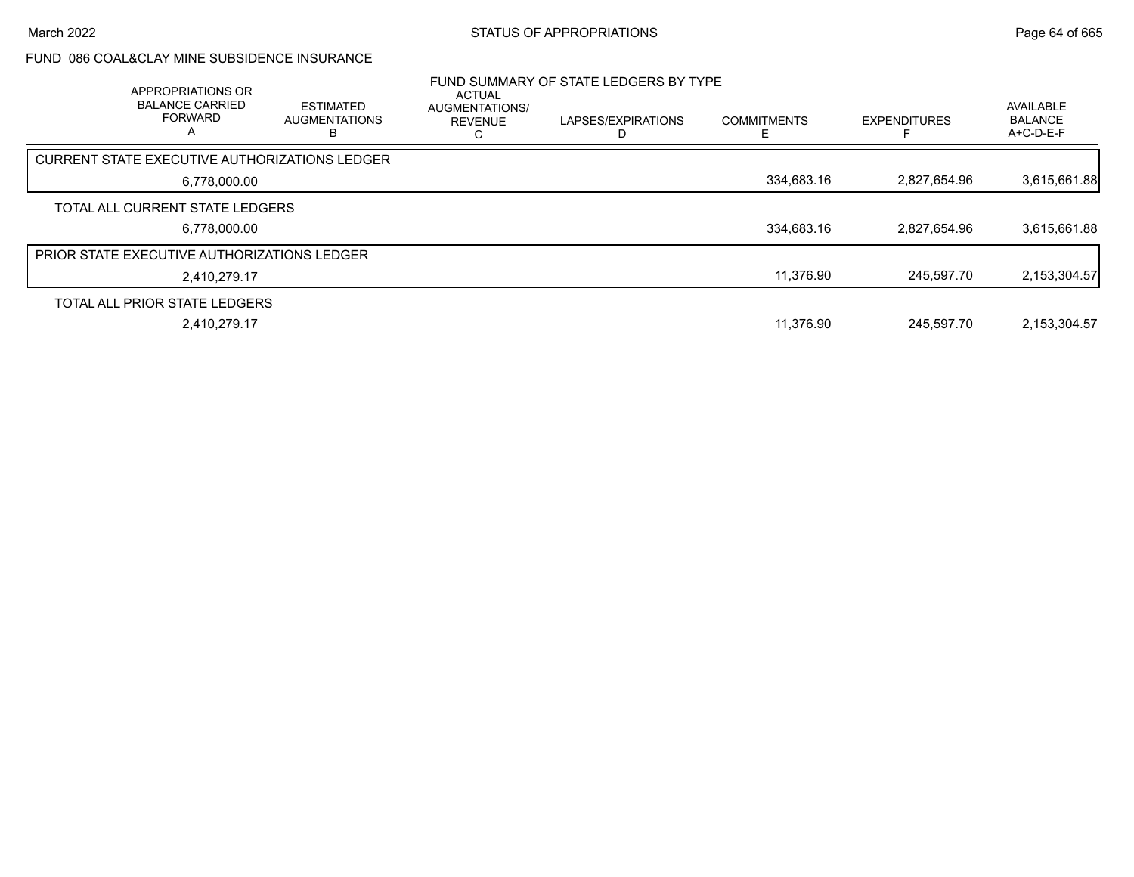### FUND 086 COAL&CLAY MINE SUBSIDENCE INSURANCE

| APPROPRIATIONS OR<br><b>BALANCE CARRIED</b><br><b>FORWARD</b><br>A | <b>ESTIMATED</b><br><b>AUGMENTATIONS</b> | <b>ACTUAL</b><br><b>AUGMENTATIONS/</b><br><b>REVENUE</b> | FUND SUMMARY OF STATE LEDGERS BY TYPE<br>LAPSES/EXPIRATIONS | <b>COMMITMENTS</b> | <b>EXPENDITURES</b> | AVAILABLE<br><b>BALANCE</b><br>$A+C-D-E-F$ |
|--------------------------------------------------------------------|------------------------------------------|----------------------------------------------------------|-------------------------------------------------------------|--------------------|---------------------|--------------------------------------------|
| CURRENT STATE EXECUTIVE AUTHORIZATIONS LEDGER                      |                                          |                                                          |                                                             |                    |                     |                                            |
| 6,778,000.00                                                       |                                          |                                                          |                                                             | 334,683.16         | 2,827,654.96        | 3,615,661.88                               |
| TOTAL ALL CURRENT STATE LEDGERS                                    |                                          |                                                          |                                                             |                    |                     |                                            |
| 6,778,000.00                                                       |                                          |                                                          |                                                             | 334,683.16         | 2.827.654.96        | 3,615,661.88                               |
| <b>PRIOR STATE EXECUTIVE AUTHORIZATIONS LEDGER</b>                 |                                          |                                                          |                                                             |                    |                     |                                            |
| 2,410,279.17                                                       |                                          |                                                          |                                                             | 11,376.90          | 245.597.70          | 2,153,304.57                               |
| TOTAL ALL PRIOR STATE LEDGERS                                      |                                          |                                                          |                                                             |                    |                     |                                            |
| 2,410,279.17                                                       |                                          |                                                          |                                                             | 11,376.90          | 245.597.70          | 2,153,304.57                               |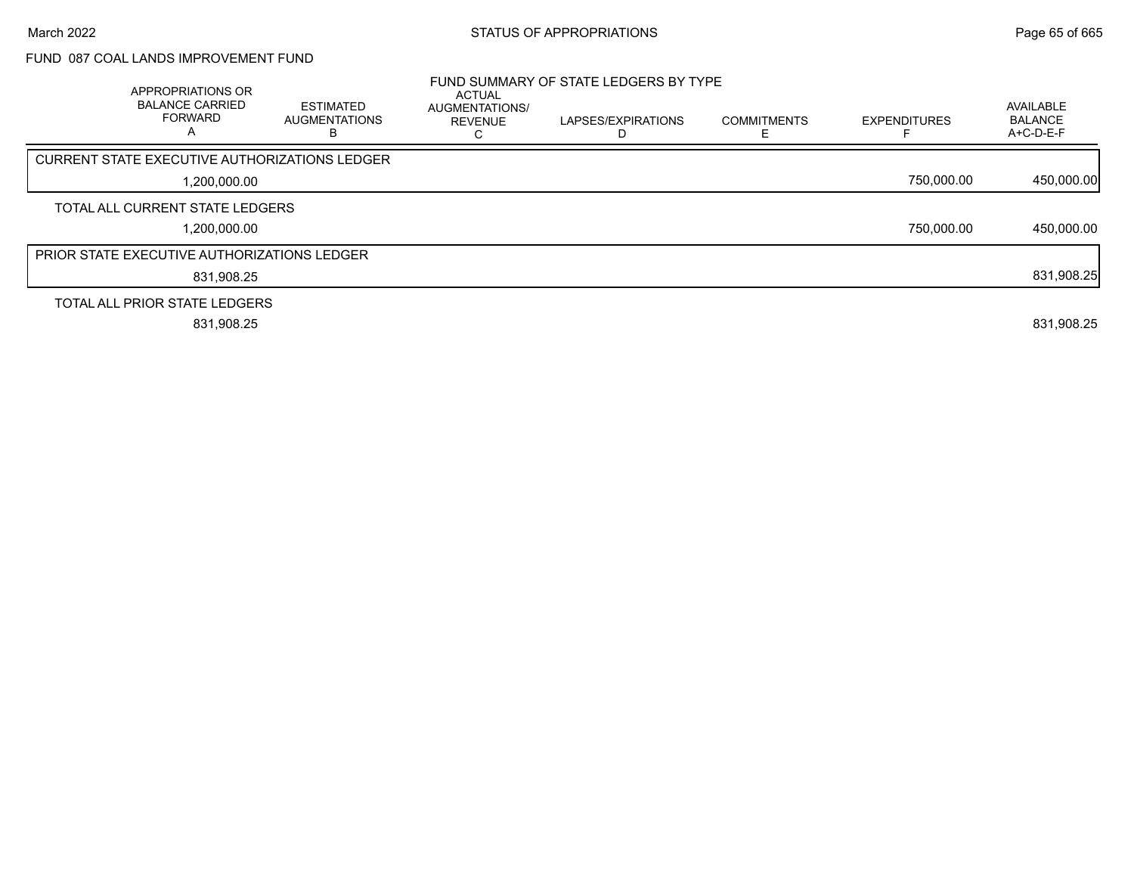## FUND 087 COAL LANDS IMPROVEMENT FUND

| APPROPRIATIONS OR<br><b>BALANCE CARRIED</b><br><b>FORWARD</b><br>A | <b>ESTIMATED</b><br><b>AUGMENTATIONS</b><br>n | <b>ACTUAL</b><br><b>AUGMENTATIONS/</b><br><b>REVENUE</b> | FUND SUMMARY OF STATE LEDGERS BY TYPE<br>LAPSES/EXPIRATIONS | <b>COMMITMENTS</b> | <b>EXPENDITURES</b> | AVAILABLE<br><b>BALANCE</b><br>A+C-D-E-F |
|--------------------------------------------------------------------|-----------------------------------------------|----------------------------------------------------------|-------------------------------------------------------------|--------------------|---------------------|------------------------------------------|
| CURRENT STATE EXECUTIVE AUTHORIZATIONS LEDGER                      |                                               |                                                          |                                                             |                    |                     |                                          |
| 1,200,000.00                                                       |                                               |                                                          |                                                             |                    | 750,000.00          | 450,000.00                               |
| TOTAL ALL CURRENT STATE LEDGERS                                    |                                               |                                                          |                                                             |                    |                     |                                          |
| 1,200,000.00                                                       |                                               |                                                          |                                                             |                    | 750,000.00          | 450,000.00                               |
| <b>PRIOR STATE EXECUTIVE AUTHORIZATIONS LEDGER</b>                 |                                               |                                                          |                                                             |                    |                     |                                          |
| 831,908.25                                                         |                                               |                                                          |                                                             |                    |                     | 831,908.25                               |
| TOTAL ALL PRIOR STATE LEDGERS                                      |                                               |                                                          |                                                             |                    |                     |                                          |
| 831,908.25                                                         |                                               |                                                          |                                                             |                    |                     | 831,908.25                               |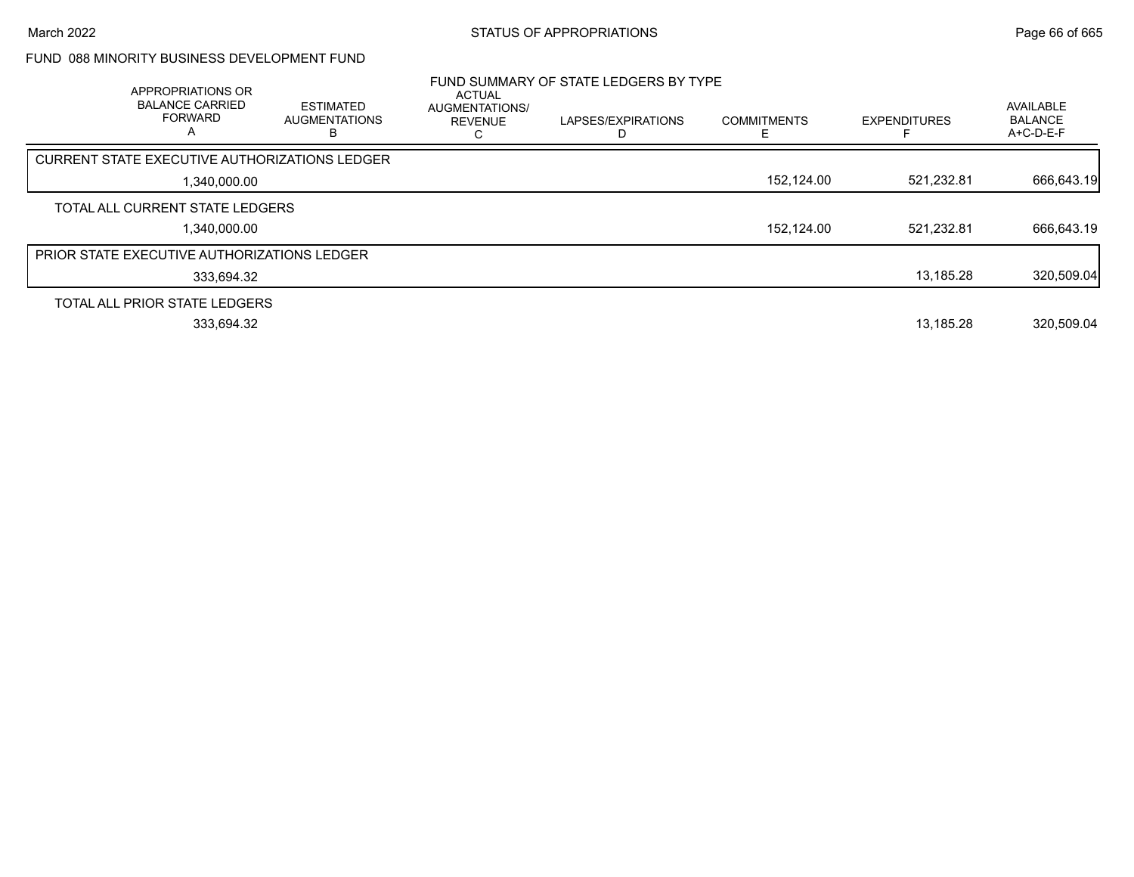## FUND 088 MINORITY BUSINESS DEVELOPMENT FUND

| APPROPRIATIONS OR<br><b>BALANCE CARRIED</b><br><b>FORWARD</b><br>A | <b>ESTIMATED</b><br><b>AUGMENTATIONS</b> | <b>ACTUAL</b><br>AUGMENTATIONS/<br><b>REVENUE</b> | FUND SUMMARY OF STATE LEDGERS BY TYPE<br>LAPSES/EXPIRATIONS | <b>COMMITMENTS</b> | <b>EXPENDITURES</b> | <b>AVAILABLE</b><br><b>BALANCE</b><br>$A+C-D-E-F$ |
|--------------------------------------------------------------------|------------------------------------------|---------------------------------------------------|-------------------------------------------------------------|--------------------|---------------------|---------------------------------------------------|
| CURRENT STATE EXECUTIVE AUTHORIZATIONS LEDGER                      |                                          |                                                   |                                                             |                    |                     |                                                   |
| 1,340,000.00                                                       |                                          |                                                   |                                                             | 152,124.00         | 521,232.81          | 666,643.19                                        |
| TOTAL ALL CURRENT STATE LEDGERS                                    |                                          |                                                   |                                                             |                    |                     |                                                   |
| 1.340.000.00                                                       |                                          |                                                   |                                                             | 152,124.00         | 521.232.81          | 666,643.19                                        |
| <b>PRIOR STATE EXECUTIVE AUTHORIZATIONS LEDGER</b>                 |                                          |                                                   |                                                             |                    |                     |                                                   |
| 333,694.32                                                         |                                          |                                                   |                                                             |                    | 13,185.28           | 320,509.04                                        |
| TOTAL ALL PRIOR STATE LEDGERS                                      |                                          |                                                   |                                                             |                    |                     |                                                   |
| 333.694.32                                                         |                                          |                                                   |                                                             |                    | 13.185.28           | 320.509.04                                        |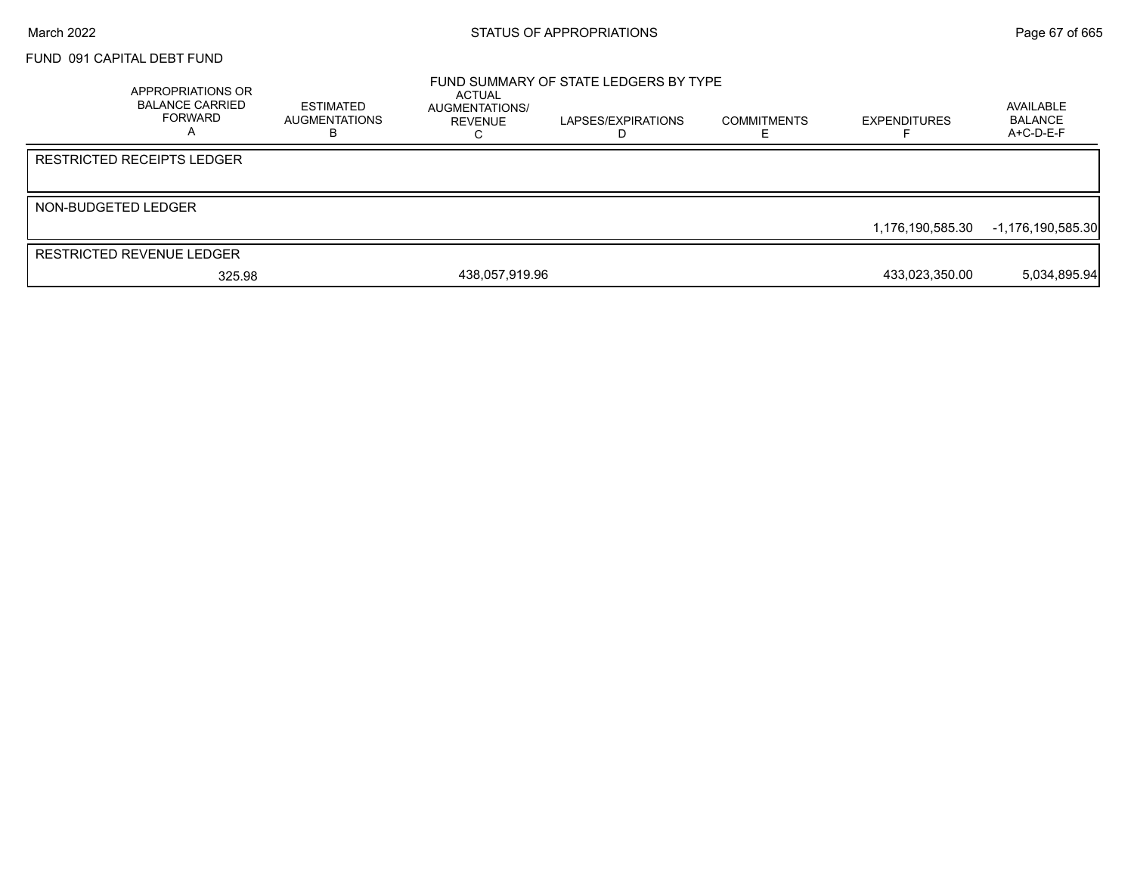#### FUND 091 CAPITAL DEBT FUND

| <b>APPROPRIATIONS OR</b><br><b>BALANCE CARRIED</b><br>FORWARD | <b>ESTIMATED</b><br><b>AUGMENTATIONS</b> | ACTUAL<br>AUGMENTATIONS/<br>REVENUE | FUND SUMMARY OF STATE LEDGERS BY TYPE<br>LAPSES/EXPIRATIONS | <b>COMMITMENTS</b> | <b>EXPENDITURES</b> | AVAILABLE<br><b>BALANCE</b><br>$A+C-D-E-F$ |
|---------------------------------------------------------------|------------------------------------------|-------------------------------------|-------------------------------------------------------------|--------------------|---------------------|--------------------------------------------|
| <b>RESTRICTED RECEIPTS LEDGER</b>                             |                                          |                                     |                                                             |                    |                     |                                            |
| NON-BUDGETED LEDGER                                           |                                          |                                     |                                                             |                    | 1.176.190.585.30    | -1,176,190,585.30                          |
| <b>RESTRICTED REVENUE LEDGER</b>                              |                                          |                                     |                                                             |                    |                     | 5,034,895.94                               |
| 325.98                                                        |                                          | 438,057,919.96                      |                                                             |                    | 433,023,350.00      |                                            |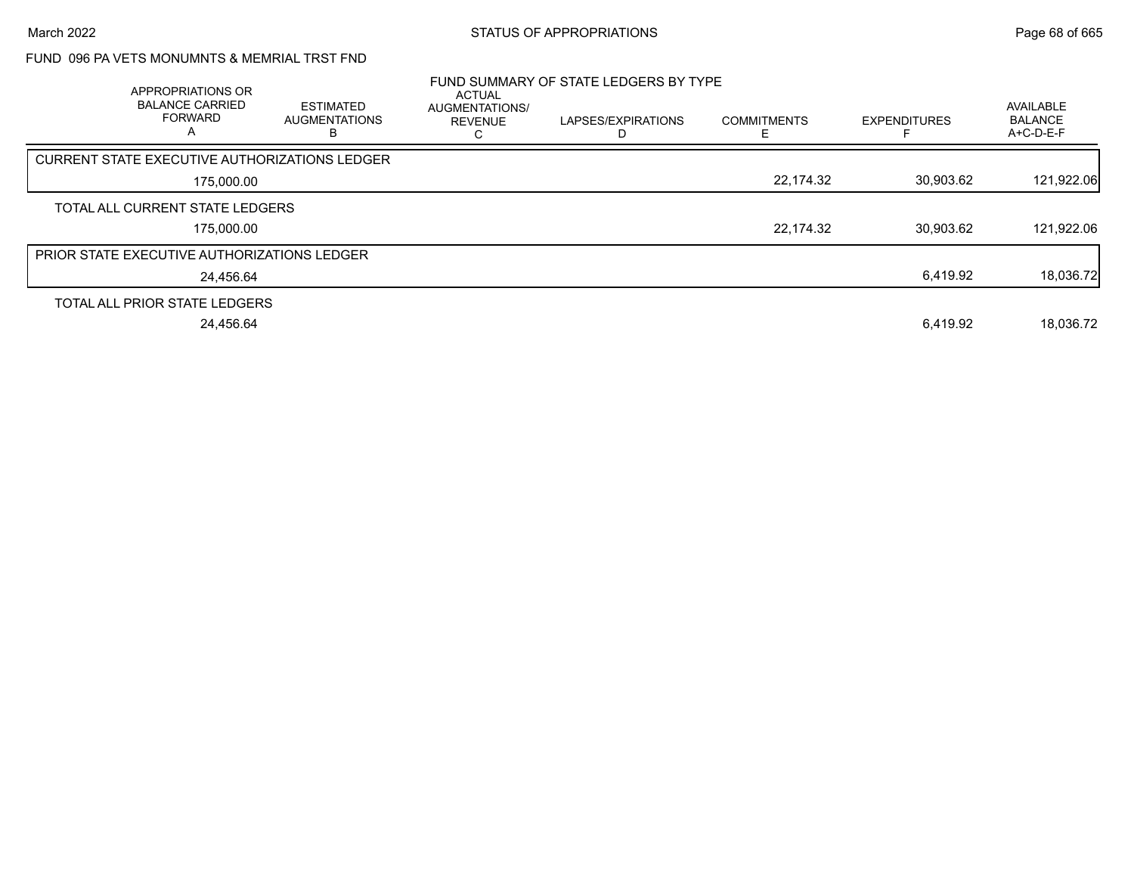## FUND 096 PA VETS MONUMNTS & MEMRIAL TRST FND

| APPROPRIATIONS OR<br><b>BALANCE CARRIED</b><br><b>FORWARD</b><br>A | <b>ESTIMATED</b><br><b>AUGMENTATIONS</b><br>в | <b>ACTUAL</b><br><b>AUGMENTATIONS/</b><br><b>REVENUE</b> | FUND SUMMARY OF STATE LEDGERS BY TYPE<br>LAPSES/EXPIRATIONS | <b>COMMITMENTS</b> | <b>EXPENDITURES</b> | AVAILABLE<br><b>BALANCE</b><br>A+C-D-E-F |
|--------------------------------------------------------------------|-----------------------------------------------|----------------------------------------------------------|-------------------------------------------------------------|--------------------|---------------------|------------------------------------------|
| CURRENT STATE EXECUTIVE AUTHORIZATIONS LEDGER                      |                                               |                                                          |                                                             |                    |                     |                                          |
| 175,000.00                                                         |                                               |                                                          |                                                             | 22,174.32          | 30,903.62           | 121,922.06                               |
| TOTAL ALL CURRENT STATE LEDGERS                                    |                                               |                                                          |                                                             |                    |                     |                                          |
| 175,000.00                                                         |                                               |                                                          |                                                             | 22,174.32          | 30.903.62           | 121,922.06                               |
| <b>PRIOR STATE EXECUTIVE AUTHORIZATIONS LEDGER</b>                 |                                               |                                                          |                                                             |                    |                     |                                          |
| 24.456.64                                                          |                                               |                                                          |                                                             |                    | 6,419.92            | 18,036.72                                |
| TOTAL ALL PRIOR STATE LEDGERS                                      |                                               |                                                          |                                                             |                    |                     |                                          |
| 24.456.64                                                          |                                               |                                                          |                                                             |                    | 6.419.92            | 18.036.72                                |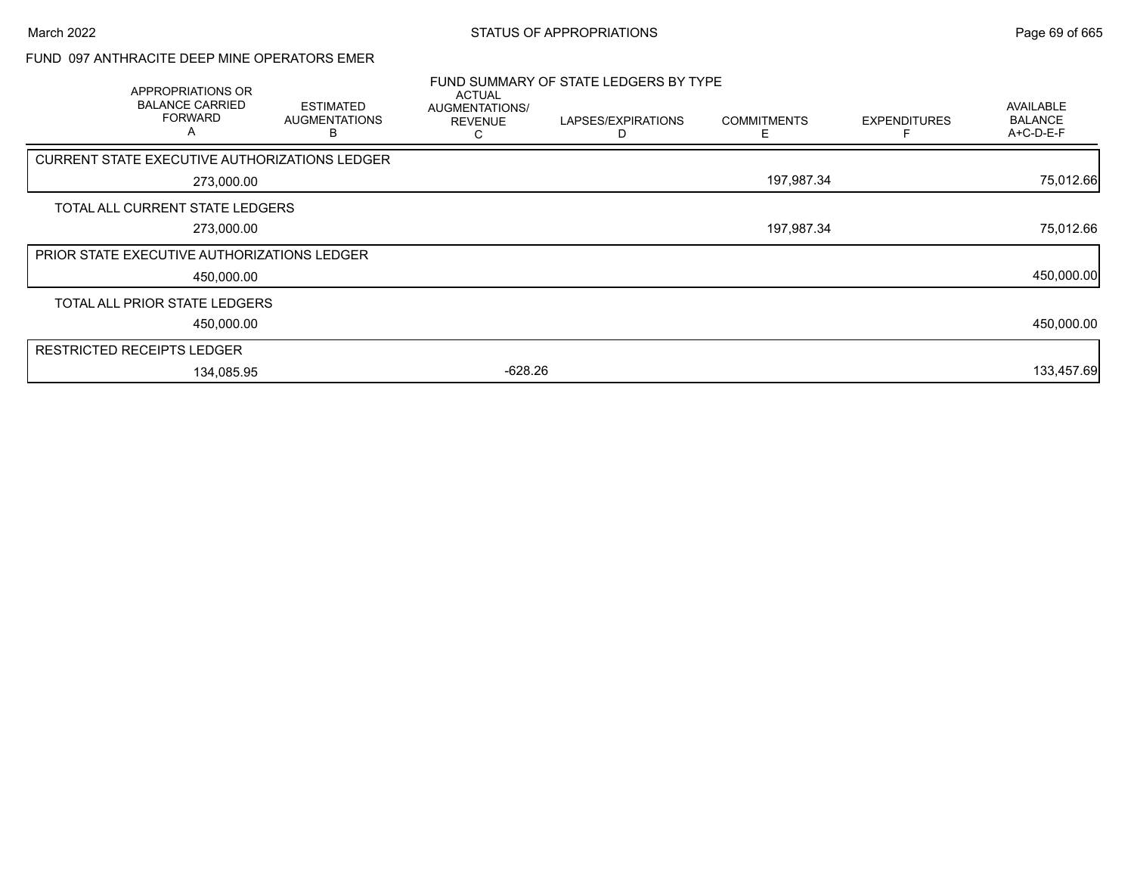## FUND 097 ANTHRACITE DEEP MINE OPERATORS EMER

| <b>APPROPRIATIONS OR</b><br><b>BALANCE CARRIED</b><br><b>FORWARD</b><br>A | <b>ESTIMATED</b><br><b>AUGMENTATIONS</b><br>B | ACTUAL<br>AUGMENTATIONS/<br><b>REVENUE</b><br>С | FUND SUMMARY OF STATE LEDGERS BY TYPE<br>LAPSES/EXPIRATIONS | <b>COMMITMENTS</b><br>Е | <b>EXPENDITURES</b> | AVAILABLE<br><b>BALANCE</b><br>A+C-D-E-F |
|---------------------------------------------------------------------------|-----------------------------------------------|-------------------------------------------------|-------------------------------------------------------------|-------------------------|---------------------|------------------------------------------|
| CURRENT STATE EXECUTIVE AUTHORIZATIONS LEDGER                             |                                               |                                                 |                                                             |                         |                     |                                          |
| 273,000.00                                                                |                                               |                                                 |                                                             | 197,987.34              |                     | 75,012.66                                |
| TOTAL ALL CURRENT STATE LEDGERS                                           |                                               |                                                 |                                                             |                         |                     |                                          |
| 273,000.00                                                                |                                               |                                                 |                                                             | 197,987.34              |                     | 75,012.66                                |
| <b>PRIOR STATE EXECUTIVE AUTHORIZATIONS LEDGER</b>                        |                                               |                                                 |                                                             |                         |                     |                                          |
| 450,000.00                                                                |                                               |                                                 |                                                             |                         |                     | 450,000.00                               |
| TOTAL ALL PRIOR STATE LEDGERS                                             |                                               |                                                 |                                                             |                         |                     |                                          |
| 450,000.00                                                                |                                               |                                                 |                                                             |                         |                     | 450,000.00                               |
| <b>RESTRICTED RECEIPTS LEDGER</b>                                         |                                               |                                                 |                                                             |                         |                     |                                          |
| 134,085.95                                                                |                                               | $-628.26$                                       |                                                             |                         |                     | 133,457.69                               |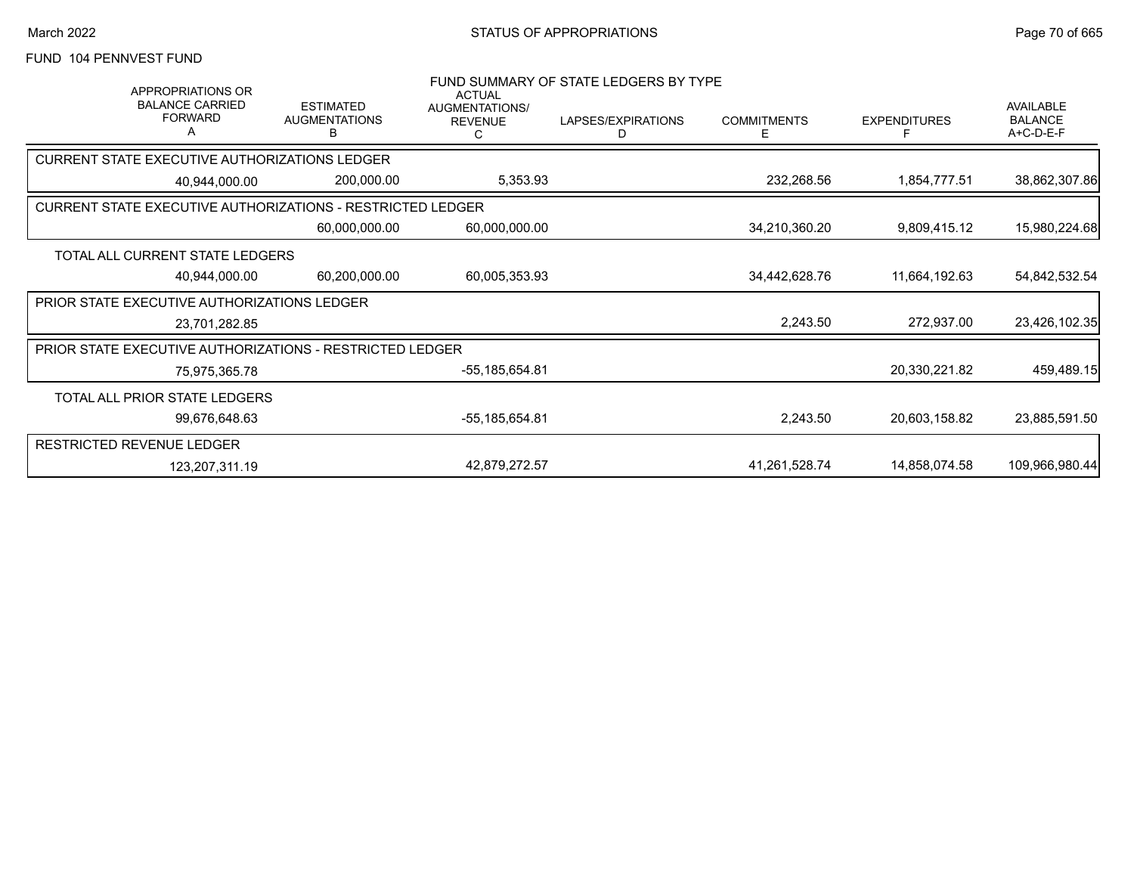## FUND 104 PENNVEST FUND

| <b>APPROPRIATIONS OR</b><br><b>BALANCE CARRIED</b><br><b>FORWARD</b> | <b>ESTIMATED</b><br><b>AUGMENTATIONS</b><br>В | <b>ACTUAL</b><br>AUGMENTATIONS/<br><b>REVENUE</b> | FUND SUMMARY OF STATE LEDGERS BY TYPE<br>LAPSES/EXPIRATIONS<br>D | <b>COMMITMENTS</b><br>Ε | <b>EXPENDITURES</b><br>F | AVAILABLE<br><b>BALANCE</b><br>A+C-D-E-F |
|----------------------------------------------------------------------|-----------------------------------------------|---------------------------------------------------|------------------------------------------------------------------|-------------------------|--------------------------|------------------------------------------|
| CURRENT STATE EXECUTIVE AUTHORIZATIONS LEDGER                        |                                               |                                                   |                                                                  |                         |                          |                                          |
| 40,944,000.00                                                        | 200,000.00                                    | 5,353.93                                          |                                                                  | 232,268.56              | 1,854,777.51             | 38,862,307.86                            |
| <b>CURRENT STATE EXECUTIVE AUTHORIZATIONS - RESTRICTED LEDGER</b>    |                                               |                                                   |                                                                  |                         |                          |                                          |
|                                                                      | 60,000,000.00                                 | 60,000,000.00                                     |                                                                  | 34,210,360.20           | 9,809,415.12             | 15,980,224.68                            |
| TOTAL ALL CURRENT STATE LEDGERS                                      |                                               |                                                   |                                                                  |                         |                          |                                          |
| 40,944,000.00                                                        | 60,200,000.00                                 | 60,005,353.93                                     |                                                                  | 34,442,628.76           | 11,664,192.63            | 54,842,532.54                            |
| PRIOR STATE EXECUTIVE AUTHORIZATIONS LEDGER                          |                                               |                                                   |                                                                  |                         |                          |                                          |
| 23,701,282.85                                                        |                                               |                                                   |                                                                  | 2,243.50                | 272,937.00               | 23,426,102.35                            |
| PRIOR STATE EXECUTIVE AUTHORIZATIONS - RESTRICTED LEDGER             |                                               |                                                   |                                                                  |                         |                          |                                          |
| 75,975,365.78                                                        |                                               | -55,185,654.81                                    |                                                                  |                         | 20,330,221.82            | 459,489.15                               |
| TOTAL ALL PRIOR STATE LEDGERS                                        |                                               |                                                   |                                                                  |                         |                          |                                          |
| 99,676,648.63                                                        |                                               | -55,185,654.81                                    |                                                                  | 2,243.50                | 20,603,158.82            | 23,885,591.50                            |
| RESTRICTED REVENUE LEDGER                                            |                                               |                                                   |                                                                  |                         |                          |                                          |
| 123,207,311.19                                                       |                                               | 42,879,272.57                                     |                                                                  | 41,261,528.74           | 14,858,074.58            | 109,966,980.44                           |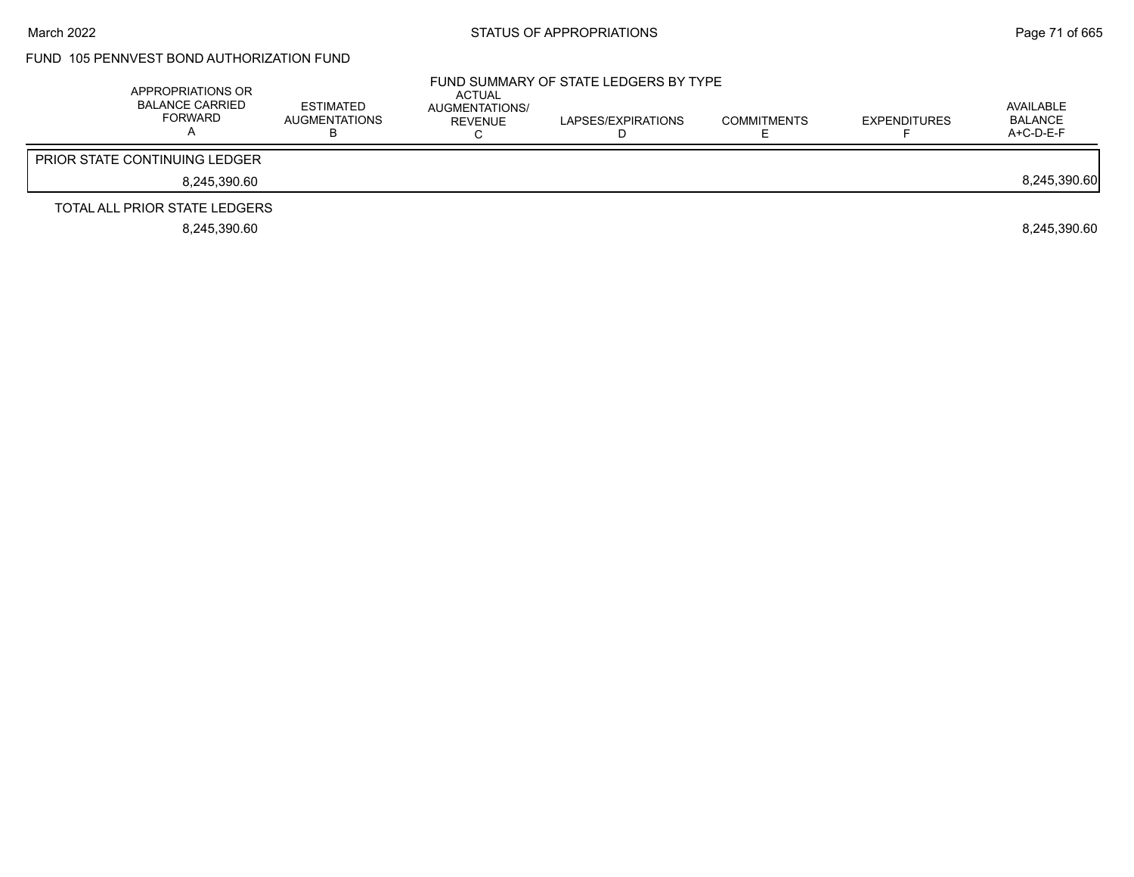## FUND 105 PENNVEST BOND AUTHORIZATION FUND

| APPROPRIATIONS OR<br><b>BALANCE CARRIED</b><br>FORWARD | ESTIMATED<br>AUGMENTATIONS<br>ר | ACTUAL<br>AUGMENTATIONS/<br>REVENUE | FUND SUMMARY OF STATE LEDGERS BY TYPE<br>LAPSES/EXPIRATIONS | <b>COMMITMENTS</b> | <b>EXPENDITURES</b> | AVAILABLE<br>BALANCE<br>$A+C-D-E-F$ |
|--------------------------------------------------------|---------------------------------|-------------------------------------|-------------------------------------------------------------|--------------------|---------------------|-------------------------------------|
| <b>PRIOR STATE CONTINUING LEDGER</b>                   |                                 |                                     |                                                             |                    |                     |                                     |
| 8,245,390.60                                           |                                 |                                     |                                                             |                    |                     | 8,245,390.60                        |
| TOTAL ALL PRIOR STATE LEDGERS                          |                                 |                                     |                                                             |                    |                     |                                     |
| 8.245.390.60                                           |                                 |                                     |                                                             |                    |                     | 8.245.390.60                        |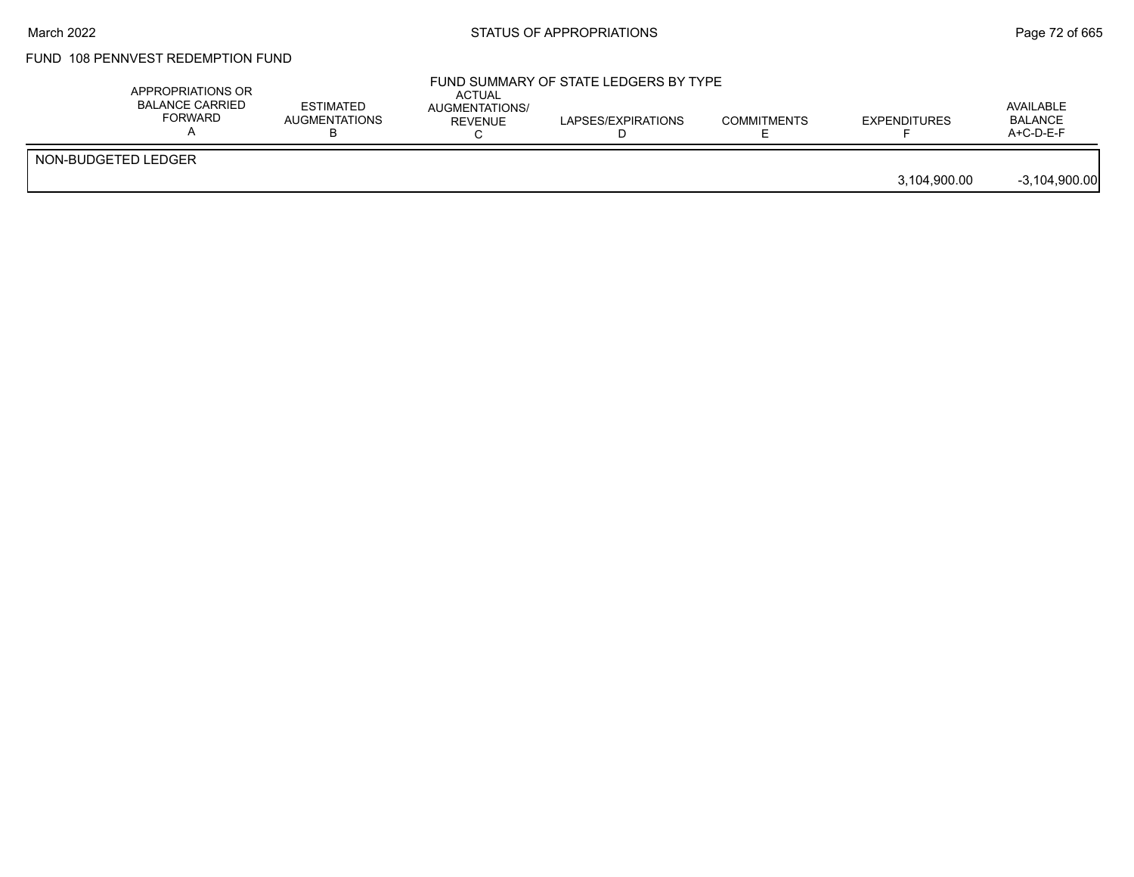#### March 2022 **Example 2018** STATUS OF APPROPRIATIONS **Page 72 of 665**

## FUND 108 PENNVEST REDEMPTION FUND

|                     | BALANCE CARRIED<br><b>FORWARD</b> | <b>ESTIMATED</b><br>AUGMENTATIONS<br>ח | ACTUAL<br>AUGMENTATIONS/<br><b>REVENUE</b> | LAPSES/EXPIRATIONS | <b>COMMITMENTS</b> | <b>EXPENDITURES</b> | AVAILABLE<br><b>BALANCE</b><br>$A+C-D-E-F$ |
|---------------------|-----------------------------------|----------------------------------------|--------------------------------------------|--------------------|--------------------|---------------------|--------------------------------------------|
| NON-BUDGETED LEDGER |                                   |                                        |                                            |                    |                    | 3,104,900.00        | $-3,104,900.00$                            |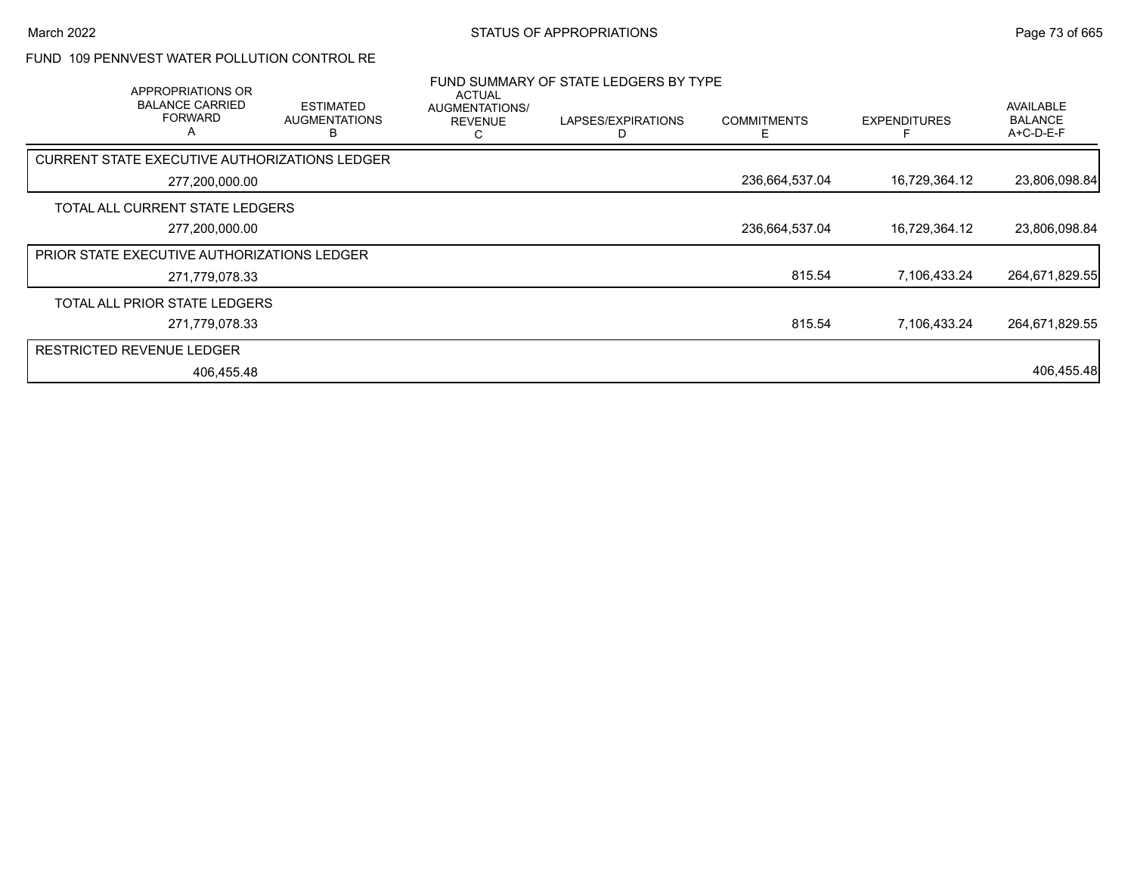## FUND 109 PENNVEST WATER POLLUTION CONTROL RE

| APPROPRIATIONS OR<br><b>BALANCE CARRIED</b><br><b>FORWARD</b><br>A | <b>ESTIMATED</b><br><b>AUGMENTATIONS</b><br>в | <b>ACTUAL</b><br>AUGMENTATIONS/<br><b>REVENUE</b><br>ι. | FUND SUMMARY OF STATE LEDGERS BY TYPE<br>LAPSES/EXPIRATIONS<br>D | <b>COMMITMENTS</b><br>E | <b>EXPENDITURES</b> | <b>AVAILABLE</b><br><b>BALANCE</b><br>$A+C-D-E-F$ |
|--------------------------------------------------------------------|-----------------------------------------------|---------------------------------------------------------|------------------------------------------------------------------|-------------------------|---------------------|---------------------------------------------------|
| CURRENT STATE EXECUTIVE AUTHORIZATIONS LEDGER                      |                                               |                                                         |                                                                  |                         |                     |                                                   |
| 277,200,000.00                                                     |                                               |                                                         |                                                                  | 236,664,537.04          | 16,729,364.12       | 23,806,098.84                                     |
| TOTAL ALL CURRENT STATE LEDGERS                                    |                                               |                                                         |                                                                  |                         |                     |                                                   |
| 277,200,000.00                                                     |                                               |                                                         |                                                                  | 236,664,537.04          | 16,729,364.12       | 23,806,098.84                                     |
| PRIOR STATE EXECUTIVE AUTHORIZATIONS LEDGER                        |                                               |                                                         |                                                                  |                         |                     |                                                   |
| 271,779,078.33                                                     |                                               |                                                         |                                                                  | 815.54                  | 7,106,433.24        | 264,671,829.55                                    |
| TOTAL ALL PRIOR STATE LEDGERS                                      |                                               |                                                         |                                                                  |                         |                     |                                                   |
| 271,779,078.33                                                     |                                               |                                                         |                                                                  | 815.54                  | 7.106.433.24        | 264,671,829.55                                    |
| <b>RESTRICTED REVENUE LEDGER</b>                                   |                                               |                                                         |                                                                  |                         |                     |                                                   |
| 406,455.48                                                         |                                               |                                                         |                                                                  |                         |                     | 406,455.48                                        |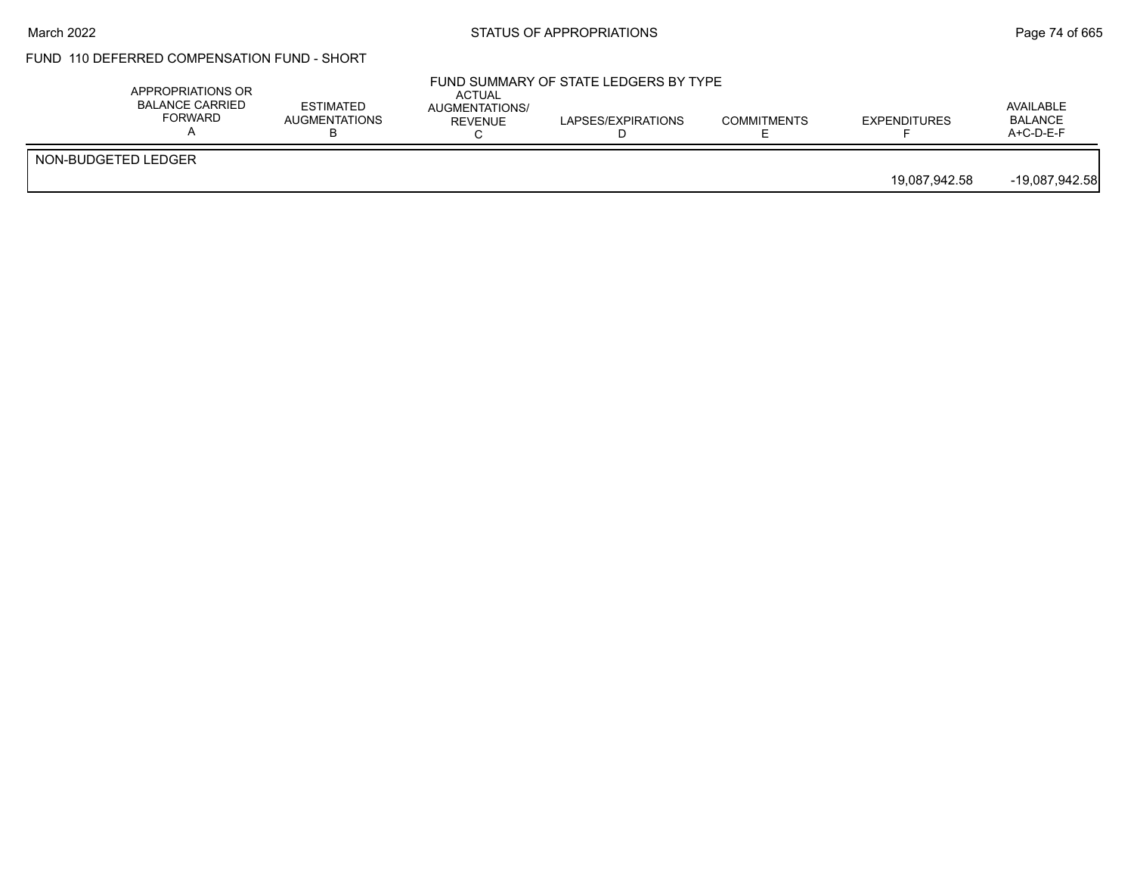#### March 2022 **STATUS OF APPROPRIATIONS** STATUS OF APPROPRIATIONS

# FUND 110 DEFERRED COMPENSATION FUND - SHORT

|                     | APPROPRIATIONS OR<br><b>BALANCE CARRIED</b><br>FORWARD | <b>ESTIMATED</b><br><b>AUGMENTATIONS</b> | <b>ACTUAL</b><br>AUGMENTATIONS/<br><b>REVENUE</b> | FUND SUMMARY OF STATE LEDGERS BY TYPE<br>LAPSES/EXPIRATIONS | <b>COMMITMENTS</b> | <b>EXPENDITURES</b> | AVAILABLE<br><b>BALANCE</b><br>$A+C-D-E-F$ |
|---------------------|--------------------------------------------------------|------------------------------------------|---------------------------------------------------|-------------------------------------------------------------|--------------------|---------------------|--------------------------------------------|
| NON-BUDGETED LEDGER |                                                        |                                          |                                                   |                                                             |                    | 19.087.942.58       | $-19,087,942.58$                           |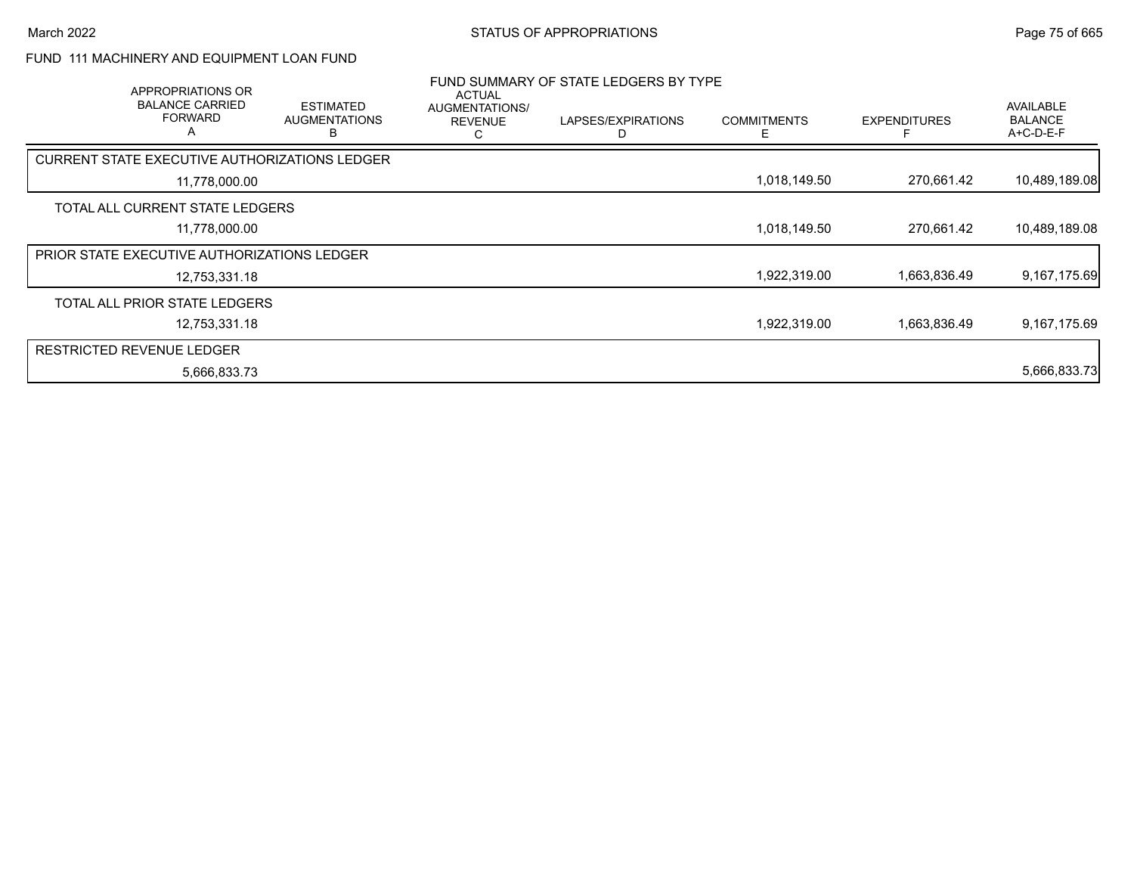### FUND 111 MACHINERY AND EQUIPMENT LOAN FUND

| APPROPRIATIONS OR                                  |                                               | <b>ACTUAL</b>                         | FUND SUMMARY OF STATE LEDGERS BY TYPE |                    |                     |                                          |
|----------------------------------------------------|-----------------------------------------------|---------------------------------------|---------------------------------------|--------------------|---------------------|------------------------------------------|
| <b>BALANCE CARRIED</b><br><b>FORWARD</b><br>A      | <b>ESTIMATED</b><br><b>AUGMENTATIONS</b><br>B | AUGMENTATIONS/<br><b>REVENUE</b><br>С | LAPSES/EXPIRATIONS                    | <b>COMMITMENTS</b> | <b>EXPENDITURES</b> | AVAILABLE<br><b>BALANCE</b><br>A+C-D-E-F |
| CURRENT STATE EXECUTIVE AUTHORIZATIONS LEDGER      |                                               |                                       |                                       |                    |                     |                                          |
| 11,778,000.00                                      |                                               |                                       |                                       | 1,018,149.50       | 270,661.42          | 10,489,189.08                            |
| TOTAL ALL CURRENT STATE LEDGERS                    |                                               |                                       |                                       |                    |                     |                                          |
| 11,778,000.00                                      |                                               |                                       |                                       | 1,018,149.50       | 270,661.42          | 10,489,189.08                            |
| <b>PRIOR STATE EXECUTIVE AUTHORIZATIONS LEDGER</b> |                                               |                                       |                                       |                    |                     |                                          |
| 12,753,331.18                                      |                                               |                                       |                                       | 1,922,319.00       | 1,663,836.49        | 9,167,175.69                             |
| TOTAL ALL PRIOR STATE LEDGERS                      |                                               |                                       |                                       |                    |                     |                                          |
| 12,753,331.18                                      |                                               |                                       |                                       | 1,922,319.00       | 1,663,836.49        | 9,167,175.69                             |
| <b>RESTRICTED REVENUE LEDGER</b>                   |                                               |                                       |                                       |                    |                     |                                          |
| 5,666,833.73                                       |                                               |                                       |                                       |                    |                     | 5,666,833.73                             |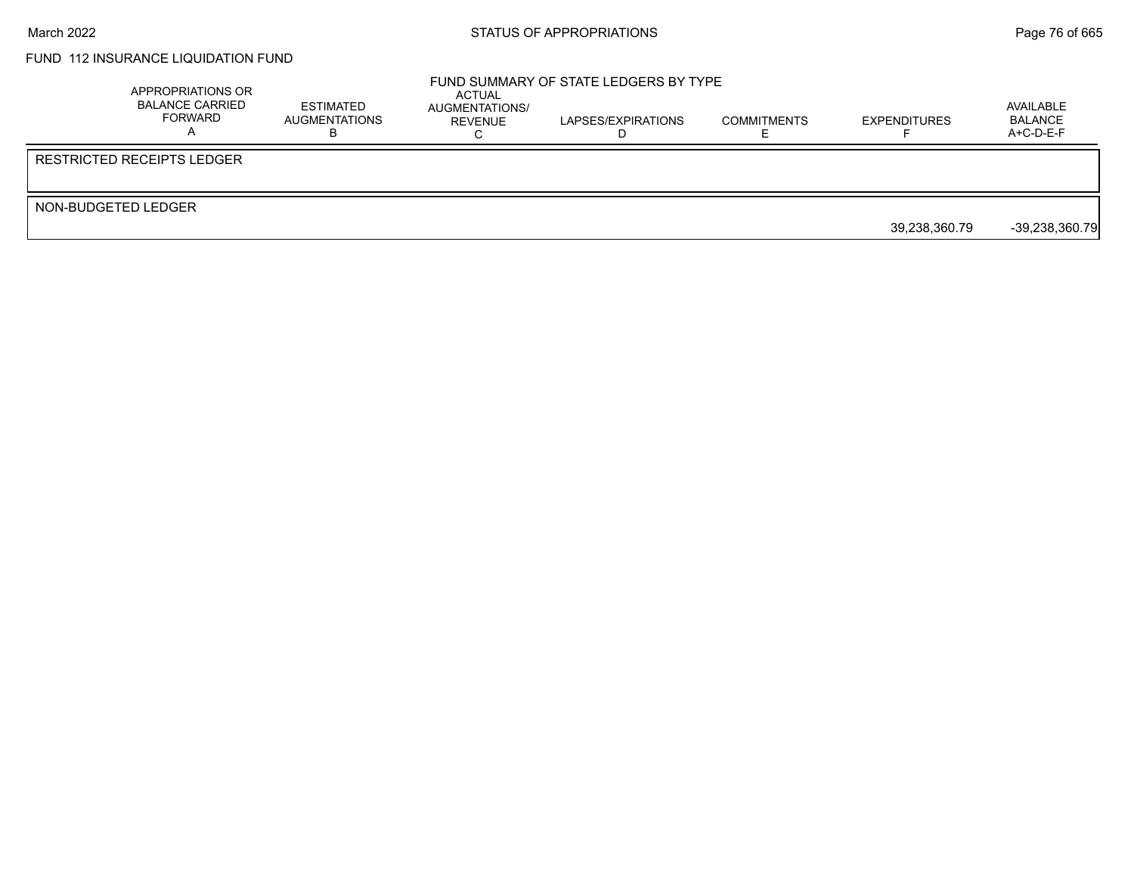## FUND 112 INSURANCE LIQUIDATION FUND

|                     | APPROPRIATIONS OR<br>BALANCE CARRIED<br>FORWARD | <b>ESTIMATED</b><br>AUGMENTATIONS | ACTUAL<br>AUGMENTATIONS/<br>REVENUE | FUND SUMMARY OF STATE LEDGERS BY TYPE<br>LAPSES/EXPIRATIONS | <b>COMMITMENTS</b> | <b>EXPENDITURES</b> | AVAILABLE<br><b>BALANCE</b><br>$A+C-D-E-F$ |
|---------------------|-------------------------------------------------|-----------------------------------|-------------------------------------|-------------------------------------------------------------|--------------------|---------------------|--------------------------------------------|
|                     | <b>RESTRICTED RECEIPTS LEDGER</b>               |                                   |                                     |                                                             |                    |                     |                                            |
| NON-BUDGETED LEDGER |                                                 |                                   |                                     |                                                             |                    | 39.238.360.79       | $-39,238,360.79$                           |
|                     |                                                 |                                   |                                     |                                                             |                    |                     |                                            |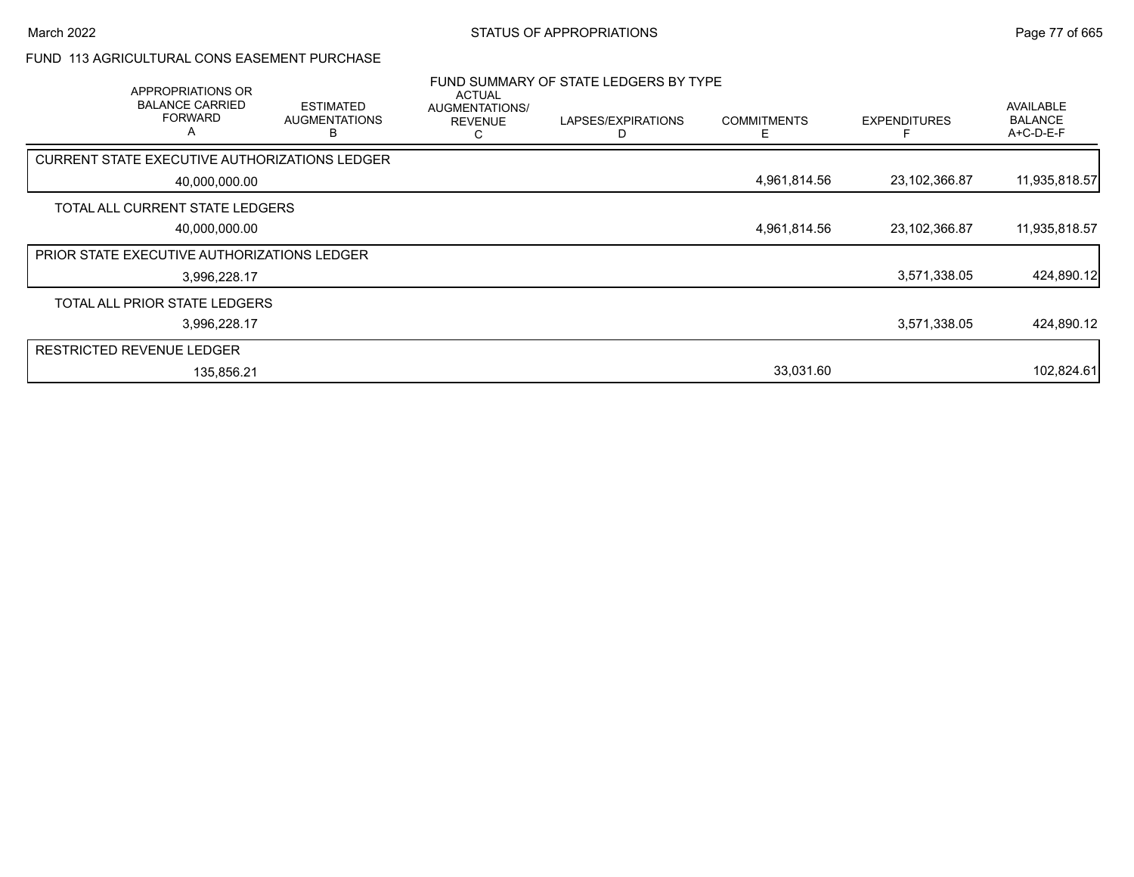### FUND 113 AGRICULTURAL CONS EASEMENT PURCHASE

| APPROPRIATIONS OR<br><b>BALANCE CARRIED</b><br><b>FORWARD</b><br>A | <b>ESTIMATED</b><br><b>AUGMENTATIONS</b><br>B | ACTUAL<br>AUGMENTATIONS/<br><b>REVENUE</b><br>С | FUND SUMMARY OF STATE LEDGERS BY TYPE<br>LAPSES/EXPIRATIONS | <b>COMMITMENTS</b><br>F | <b>EXPENDITURES</b> | <b>AVAILABLE</b><br><b>BALANCE</b><br>A+C-D-E-F |
|--------------------------------------------------------------------|-----------------------------------------------|-------------------------------------------------|-------------------------------------------------------------|-------------------------|---------------------|-------------------------------------------------|
| CURRENT STATE EXECUTIVE AUTHORIZATIONS LEDGER                      |                                               |                                                 |                                                             |                         |                     |                                                 |
| 40,000,000.00                                                      |                                               |                                                 |                                                             | 4,961,814.56            | 23,102,366.87       | 11,935,818.57                                   |
| TOTAL ALL CURRENT STATE LEDGERS                                    |                                               |                                                 |                                                             |                         |                     |                                                 |
| 40,000,000.00                                                      |                                               |                                                 |                                                             | 4,961,814.56            | 23,102,366.87       | 11,935,818.57                                   |
| PRIOR STATE EXECUTIVE AUTHORIZATIONS LEDGER                        |                                               |                                                 |                                                             |                         |                     |                                                 |
| 3,996,228.17                                                       |                                               |                                                 |                                                             |                         | 3,571,338.05        | 424,890.12                                      |
| TOTAL ALL PRIOR STATE LEDGERS                                      |                                               |                                                 |                                                             |                         |                     |                                                 |
| 3,996,228.17                                                       |                                               |                                                 |                                                             |                         | 3,571,338.05        | 424,890.12                                      |
| <b>RESTRICTED REVENUE LEDGER</b>                                   |                                               |                                                 |                                                             |                         |                     |                                                 |
| 135,856.21                                                         |                                               |                                                 |                                                             | 33,031.60               |                     | 102,824.61                                      |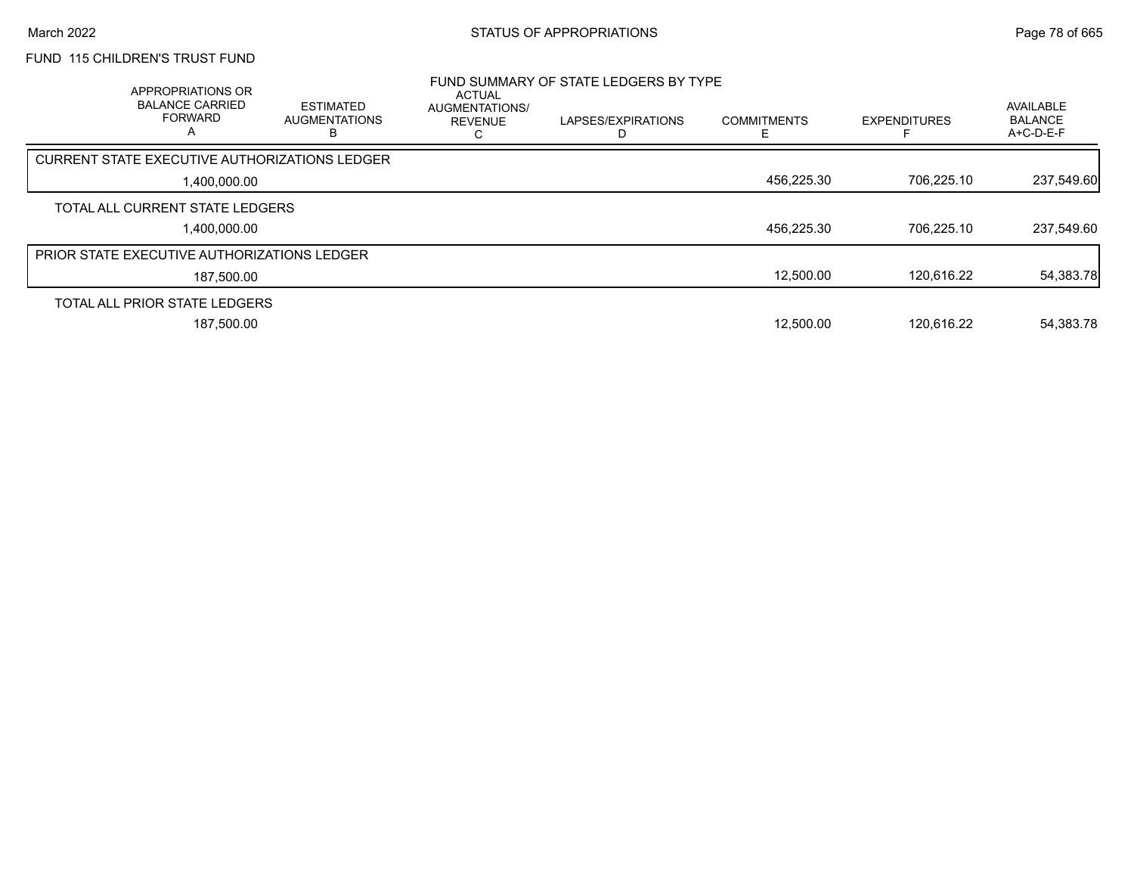# FUND 115 CHILDREN'S TRUST FUND

| APPROPRIATIONS OR<br><b>BALANCE CARRIED</b><br><b>FORWARD</b><br>А | <b>ESTIMATED</b><br><b>AUGMENTATIONS</b> | ACTUAL<br>AUGMENTATIONS/<br><b>REVENUE</b> | FUND SUMMARY OF STATE LEDGERS BY TYPE<br>LAPSES/EXPIRATIONS | <b>COMMITMENTS</b> | <b>EXPENDITURES</b> | AVAILABLE<br><b>BALANCE</b><br>A+C-D-E-F |
|--------------------------------------------------------------------|------------------------------------------|--------------------------------------------|-------------------------------------------------------------|--------------------|---------------------|------------------------------------------|
| <b>CURRENT STATE EXECUTIVE AUTHORIZATIONS LEDGER</b>               |                                          |                                            |                                                             |                    |                     |                                          |
| 1,400,000.00                                                       |                                          |                                            |                                                             | 456,225.30         | 706.225.10          | 237,549.60                               |
| TOTAL ALL CURRENT STATE LEDGERS                                    |                                          |                                            |                                                             |                    |                     |                                          |
| 1.400.000.00                                                       |                                          |                                            |                                                             | 456,225.30         | 706.225.10          | 237,549.60                               |
| <b>PRIOR STATE EXECUTIVE AUTHORIZATIONS LEDGER</b>                 |                                          |                                            |                                                             |                    |                     |                                          |
| 187,500.00                                                         |                                          |                                            |                                                             | 12,500.00          | 120.616.22          | 54,383.78                                |
| TOTAL ALL PRIOR STATE LEDGERS                                      |                                          |                                            |                                                             |                    |                     |                                          |
| 187.500.00                                                         |                                          |                                            |                                                             | 12.500.00          | 120.616.22          | 54.383.78                                |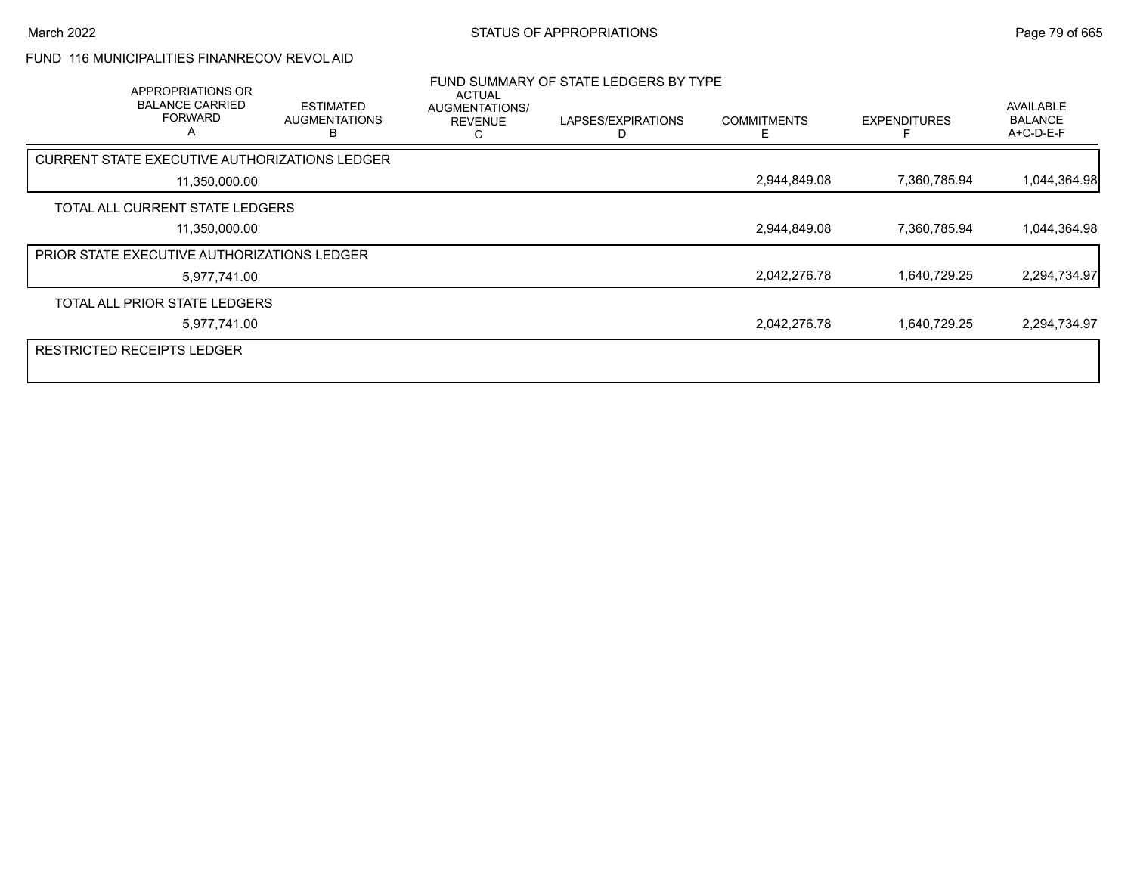### FUND 116 MUNICIPALITIES FINANRECOV REVOL AID

| APPROPRIATIONS OR<br><b>BALANCE CARRIED</b><br><b>FORWARD</b><br>A | <b>ESTIMATED</b><br><b>AUGMENTATIONS</b> | <b>ACTUAL</b><br>AUGMENTATIONS/<br><b>REVENUE</b><br>С | FUND SUMMARY OF STATE LEDGERS BY TYPE<br>LAPSES/EXPIRATIONS | <b>COMMITMENTS</b><br>F | <b>EXPENDITURES</b> | AVAILABLE<br><b>BALANCE</b><br>A+C-D-E-F |
|--------------------------------------------------------------------|------------------------------------------|--------------------------------------------------------|-------------------------------------------------------------|-------------------------|---------------------|------------------------------------------|
| CURRENT STATE EXECUTIVE AUTHORIZATIONS LEDGER                      |                                          |                                                        |                                                             |                         |                     |                                          |
| 11,350,000.00                                                      |                                          |                                                        |                                                             | 2,944,849.08            | 7,360,785.94        | 1,044,364.98                             |
| TOTAL ALL CURRENT STATE LEDGERS                                    |                                          |                                                        |                                                             |                         |                     |                                          |
| 11,350,000.00                                                      |                                          |                                                        |                                                             | 2,944,849.08            | 7,360,785.94        | 1,044,364.98                             |
| <b>PRIOR STATE EXECUTIVE AUTHORIZATIONS LEDGER</b>                 |                                          |                                                        |                                                             |                         |                     |                                          |
| 5,977,741.00                                                       |                                          |                                                        |                                                             | 2,042,276.78            | 1,640,729.25        | 2,294,734.97                             |
| TOTAL ALL PRIOR STATE LEDGERS                                      |                                          |                                                        |                                                             |                         |                     |                                          |
| 5,977,741.00                                                       |                                          |                                                        |                                                             | 2,042,276.78            | 1,640,729.25        | 2,294,734.97                             |
| <b>RESTRICTED RECEIPTS LEDGER</b>                                  |                                          |                                                        |                                                             |                         |                     |                                          |
|                                                                    |                                          |                                                        |                                                             |                         |                     |                                          |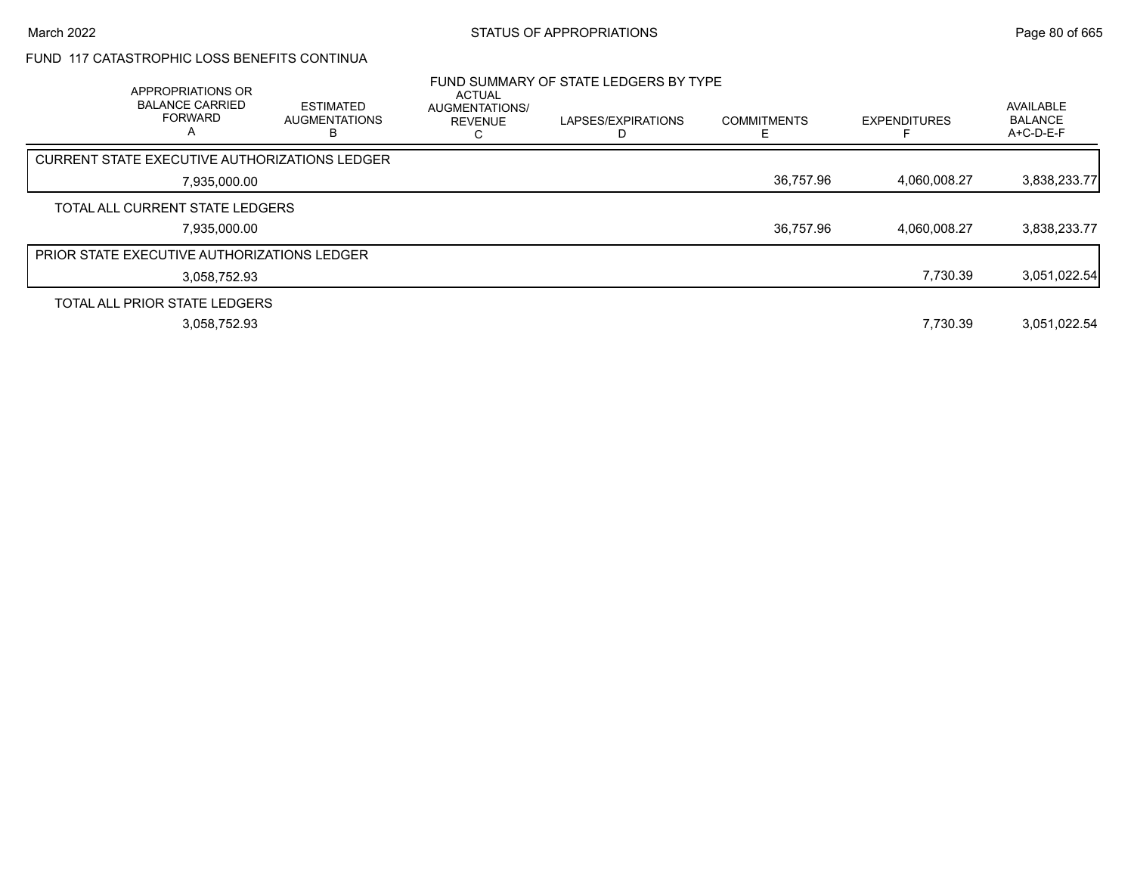## FUND 117 CATASTROPHIC LOSS BENEFITS CONTINUA

| APPROPRIATIONS OR<br><b>BALANCE CARRIED</b><br><b>FORWARD</b><br>А | <b>ESTIMATED</b><br><b>AUGMENTATIONS</b> | ACTUAL<br>AUGMENTATIONS/<br><b>REVENUE</b> | FUND SUMMARY OF STATE LEDGERS BY TYPE<br>LAPSES/EXPIRATIONS | <b>COMMITMENTS</b> | <b>EXPENDITURES</b> | AVAILABLE<br><b>BALANCE</b><br>A+C-D-E-F |
|--------------------------------------------------------------------|------------------------------------------|--------------------------------------------|-------------------------------------------------------------|--------------------|---------------------|------------------------------------------|
| <b>CURRENT STATE EXECUTIVE AUTHORIZATIONS LEDGER</b>               |                                          |                                            |                                                             |                    |                     |                                          |
| 7,935,000.00                                                       |                                          |                                            |                                                             | 36,757.96          | 4,060,008.27        | 3,838,233.77                             |
| TOTAL ALL CURRENT STATE LEDGERS                                    |                                          |                                            |                                                             |                    |                     |                                          |
| 7,935,000.00                                                       |                                          |                                            |                                                             | 36,757.96          | 4.060.008.27        | 3,838,233.77                             |
| <b>PRIOR STATE EXECUTIVE AUTHORIZATIONS LEDGER</b>                 |                                          |                                            |                                                             |                    |                     |                                          |
| 3.058.752.93                                                       |                                          |                                            |                                                             |                    | 7,730.39            | 3,051,022.54                             |
| TOTAL ALL PRIOR STATE LEDGERS                                      |                                          |                                            |                                                             |                    |                     |                                          |
| 3.058.752.93                                                       |                                          |                                            |                                                             |                    | 7.730.39            | 3.051.022.54                             |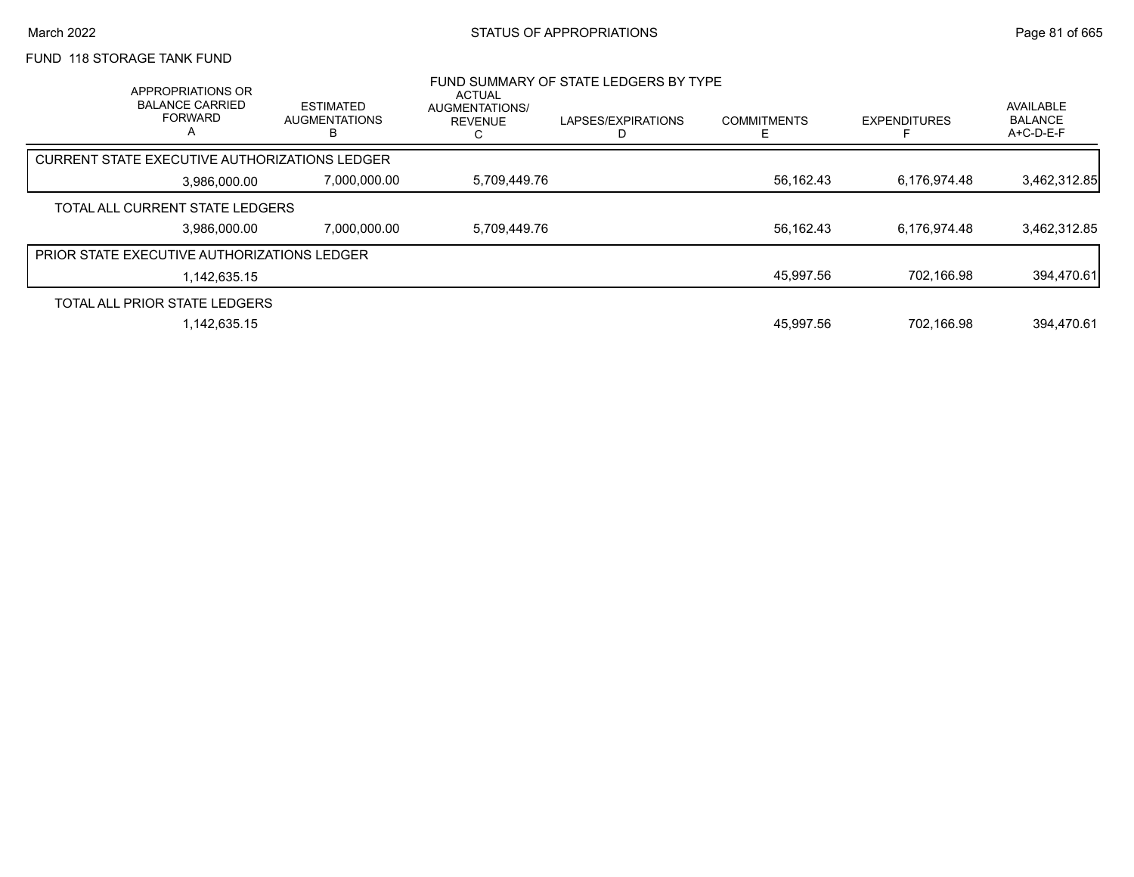# FUND 118 STORAGE TANK FUND

| APPROPRIATIONS OR<br><b>BALANCE CARRIED</b><br><b>FORWARD</b><br>A | <b>ESTIMATED</b><br><b>AUGMENTATIONS</b> | <b>ACTUAL</b><br><b>AUGMENTATIONS/</b><br><b>REVENUE</b> | FUND SUMMARY OF STATE LEDGERS BY TYPE<br>LAPSES/EXPIRATIONS | <b>COMMITMENTS</b> | <b>EXPENDITURES</b> | AVAILABLE<br><b>BALANCE</b><br>A+C-D-E-F |
|--------------------------------------------------------------------|------------------------------------------|----------------------------------------------------------|-------------------------------------------------------------|--------------------|---------------------|------------------------------------------|
| CURRENT STATE EXECUTIVE AUTHORIZATIONS LEDGER                      |                                          |                                                          |                                                             |                    |                     |                                          |
| 3.986.000.00                                                       | 7,000,000.00                             | 5,709,449.76                                             |                                                             | 56,162.43          | 6,176,974.48        | 3,462,312.85                             |
| TOTAL ALL CURRENT STATE LEDGERS                                    |                                          |                                                          |                                                             |                    |                     |                                          |
| 3.986.000.00                                                       | 7.000.000.00                             | 5.709.449.76                                             |                                                             | 56.162.43          | 6.176.974.48        | 3,462,312.85                             |
| <b>PRIOR STATE EXECUTIVE AUTHORIZATIONS LEDGER</b>                 |                                          |                                                          |                                                             |                    |                     |                                          |
| 1.142.635.15                                                       |                                          |                                                          |                                                             | 45,997.56          | 702,166.98          | 394,470.61                               |
| TOTAL ALL PRIOR STATE LEDGERS                                      |                                          |                                                          |                                                             |                    |                     |                                          |
| 1.142.635.15                                                       |                                          |                                                          |                                                             | 45.997.56          | 702.166.98          | 394.470.61                               |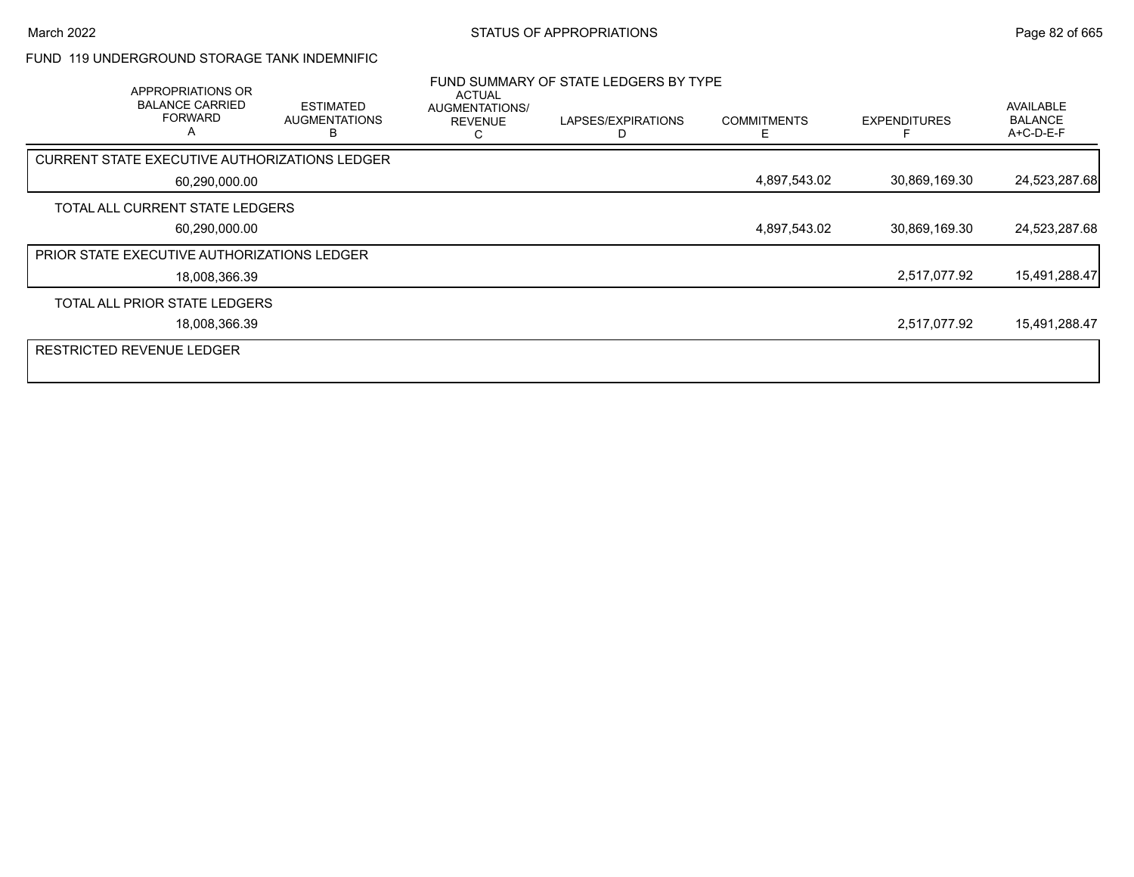### FUND 119 UNDERGROUND STORAGE TANK INDEMNIFIC

|                                  | APPROPRIATIONS OR<br><b>BALANCE CARRIED</b><br><b>FORWARD</b><br>A | <b>ESTIMATED</b><br><b>AUGMENTATIONS</b><br>н | <b>ACTUAL</b><br>AUGMENTATIONS/<br><b>REVENUE</b> | FUND SUMMARY OF STATE LEDGERS BY TYPE<br>LAPSES/EXPIRATIONS | <b>COMMITMENTS</b> | <b>EXPENDITURES</b> | AVAILABLE<br><b>BALANCE</b><br>A+C-D-E-F |
|----------------------------------|--------------------------------------------------------------------|-----------------------------------------------|---------------------------------------------------|-------------------------------------------------------------|--------------------|---------------------|------------------------------------------|
|                                  |                                                                    | CURRENT STATE EXECUTIVE AUTHORIZATIONS LEDGER |                                                   |                                                             |                    |                     |                                          |
|                                  | 60,290,000.00                                                      |                                               |                                                   |                                                             | 4,897,543.02       | 30,869,169.30       | 24,523,287.68                            |
|                                  | TOTAL ALL CURRENT STATE LEDGERS                                    |                                               |                                                   |                                                             |                    |                     |                                          |
|                                  | 60,290,000.00                                                      |                                               |                                                   |                                                             | 4,897,543.02       | 30,869,169.30       | 24,523,287.68                            |
|                                  | <b>PRIOR STATE EXECUTIVE AUTHORIZATIONS LEDGER</b>                 |                                               |                                                   |                                                             |                    |                     |                                          |
|                                  | 18,008,366.39                                                      |                                               |                                                   |                                                             |                    | 2,517,077.92        | 15,491,288.47                            |
|                                  | TOTAL ALL PRIOR STATE LEDGERS                                      |                                               |                                                   |                                                             |                    |                     |                                          |
|                                  | 18,008,366.39                                                      |                                               |                                                   |                                                             |                    | 2,517,077.92        | 15,491,288.47                            |
| <b>RESTRICTED REVENUE LEDGER</b> |                                                                    |                                               |                                                   |                                                             |                    |                     |                                          |
|                                  |                                                                    |                                               |                                                   |                                                             |                    |                     |                                          |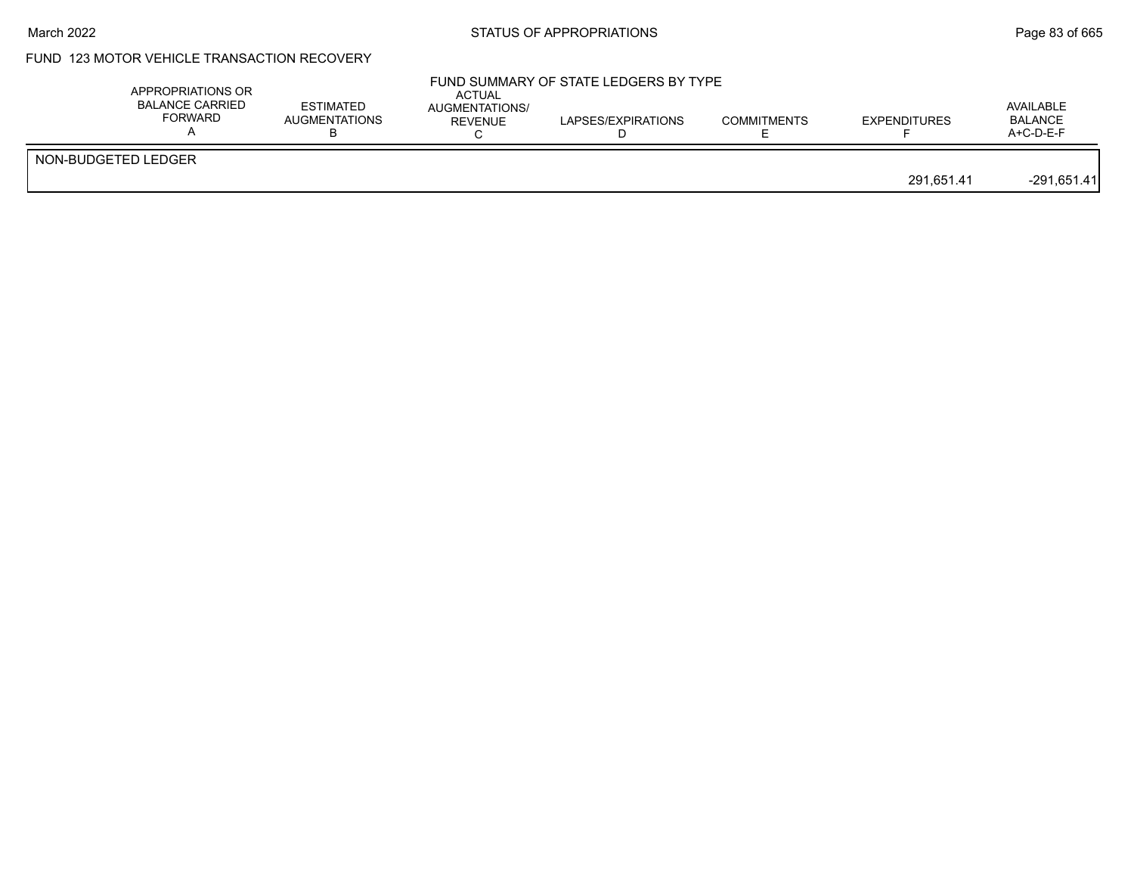#### March 2022 **STATUS OF APPROPRIATIONS** STATUS OF APPROPRIATIONS

# FUND 123 MOTOR VEHICLE TRANSACTION RECOVERY

| APPROPRIATIONS OR<br><b>BALANCE CARRIED</b><br><b>FORWARD</b> | <b>ESTIMATED</b><br>AUGMENTATIONS | <b>ACTUAL</b><br><b>AUGMENTATIONS/</b><br><b>REVENUE</b> | FUND SUMMARY OF STATE LEDGERS BY TYPE<br>LAPSES/EXPIRATIONS | <b>COMMITMENTS</b> | <b>EXPENDITURES</b> | AVAILABLE<br><b>BALANCE</b><br>$A+C-D-E-F$ |
|---------------------------------------------------------------|-----------------------------------|----------------------------------------------------------|-------------------------------------------------------------|--------------------|---------------------|--------------------------------------------|
| NON-BUDGETED LEDGER                                           |                                   |                                                          |                                                             |                    | 291.651.41          | $-291,651.41$                              |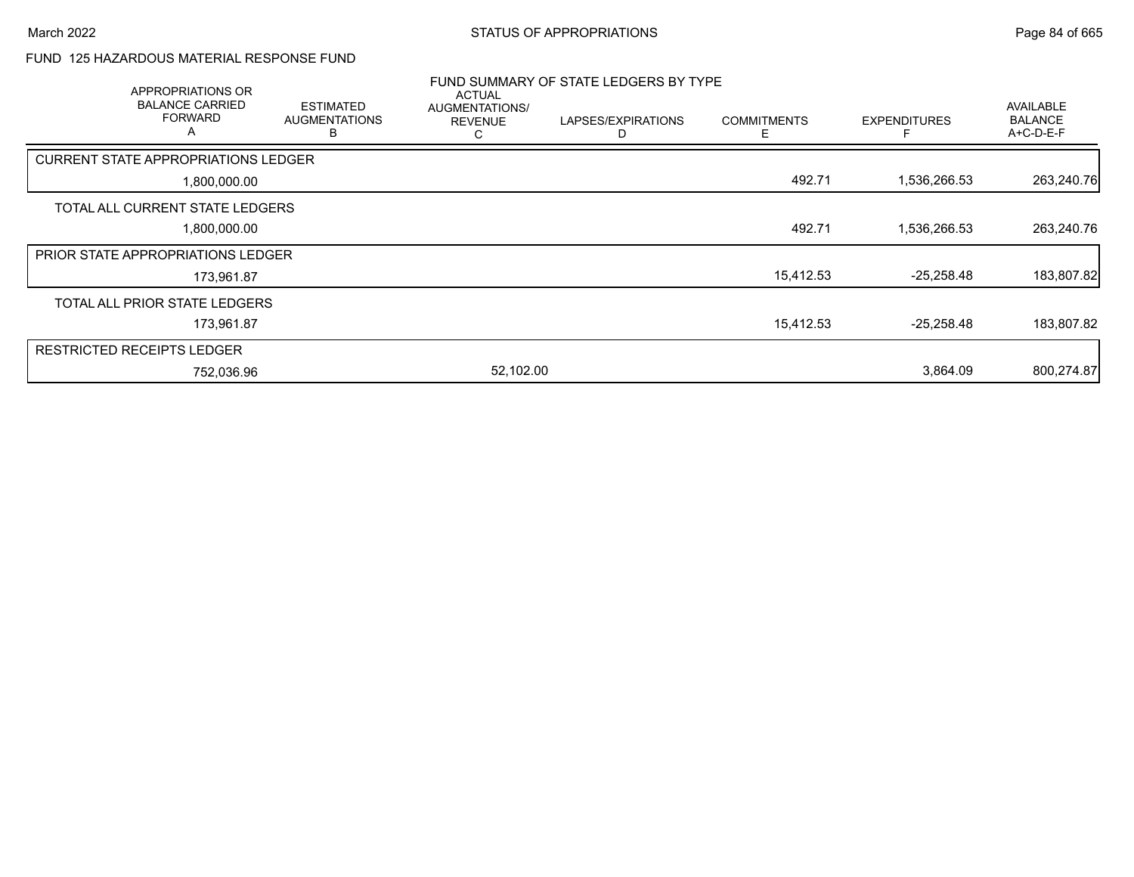### FUND 125 HAZARDOUS MATERIAL RESPONSE FUND

| APPROPRIATIONS OR                          |                                               |                                                        | FUND SUMMARY OF STATE LEDGERS BY TYPE |                    |                     |                                                 |
|--------------------------------------------|-----------------------------------------------|--------------------------------------------------------|---------------------------------------|--------------------|---------------------|-------------------------------------------------|
| <b>BALANCE CARRIED</b><br>FORWARD<br>A     | <b>ESTIMATED</b><br><b>AUGMENTATIONS</b><br>B | <b>ACTUAL</b><br>AUGMENTATIONS/<br><b>REVENUE</b><br>С | LAPSES/EXPIRATIONS<br>D               | <b>COMMITMENTS</b> | <b>EXPENDITURES</b> | <b>AVAILABLE</b><br><b>BALANCE</b><br>A+C-D-E-F |
| <b>CURRENT STATE APPROPRIATIONS LEDGER</b> |                                               |                                                        |                                       |                    |                     |                                                 |
| 1,800,000.00                               |                                               |                                                        |                                       | 492.71             | 1,536,266.53        | 263,240.76                                      |
| TOTAL ALL CURRENT STATE LEDGERS            |                                               |                                                        |                                       |                    |                     |                                                 |
| 1,800,000.00                               |                                               |                                                        |                                       | 492.71             | 1,536,266.53        | 263,240.76                                      |
| <b>PRIOR STATE APPROPRIATIONS LEDGER</b>   |                                               |                                                        |                                       |                    |                     |                                                 |
| 173,961.87                                 |                                               |                                                        |                                       | 15,412.53          | $-25,258.48$        | 183,807.82                                      |
| TOTAL ALL PRIOR STATE LEDGERS              |                                               |                                                        |                                       |                    |                     |                                                 |
| 173,961.87                                 |                                               |                                                        |                                       | 15,412.53          | $-25,258.48$        | 183,807.82                                      |
| <b>RESTRICTED RECEIPTS LEDGER</b>          |                                               |                                                        |                                       |                    |                     |                                                 |
| 752,036.96                                 |                                               | 52,102.00                                              |                                       |                    | 3.864.09            | 800,274.87                                      |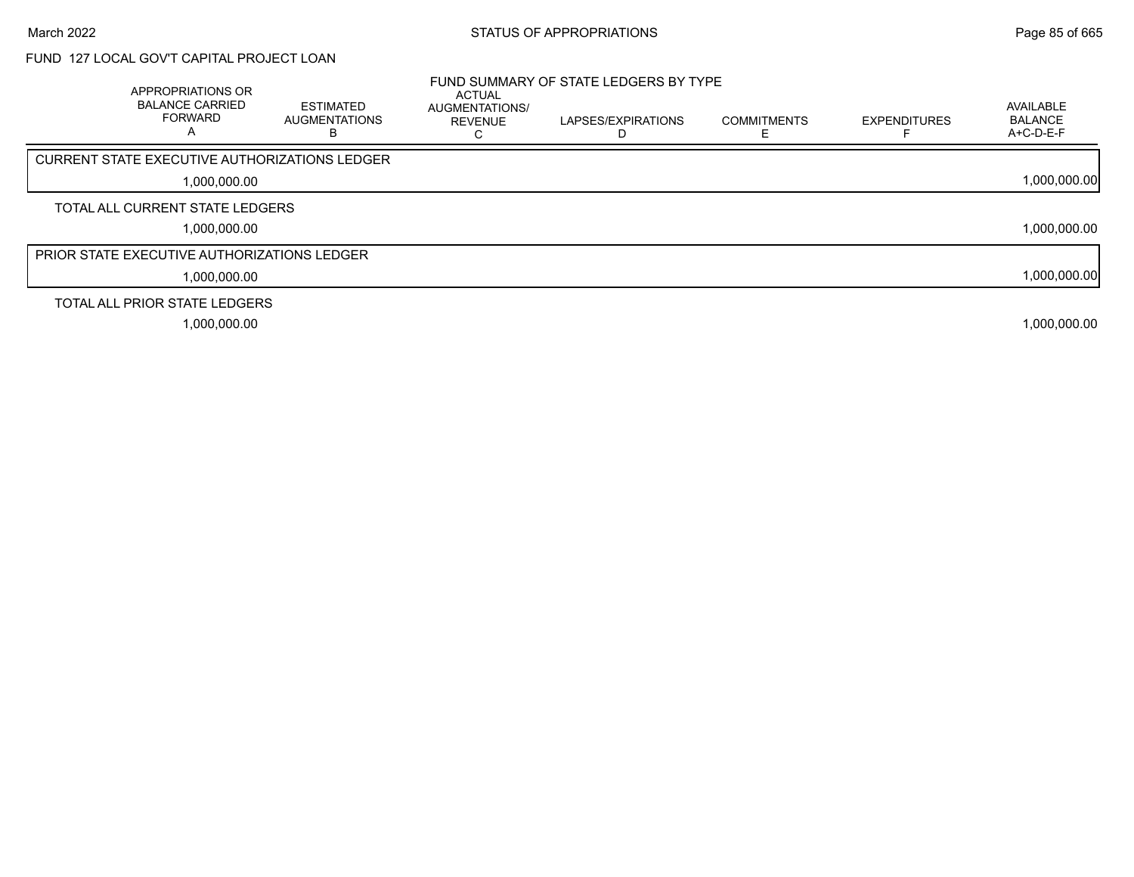# FUND 127 LOCAL GOV'T CAPITAL PROJECT LOAN

| APPROPRIATIONS OR<br><b>BALANCE CARRIED</b><br><b>FORWARD</b><br>A | <b>ESTIMATED</b><br><b>AUGMENTATIONS</b> | <b>ACTUAL</b><br>AUGMENTATIONS/<br><b>REVENUE</b> | FUND SUMMARY OF STATE LEDGERS BY TYPE<br>LAPSES/EXPIRATIONS | <b>COMMITMENTS</b> | <b>EXPENDITURES</b> | AVAILABLE<br><b>BALANCE</b><br>$A+C-D-E-F$ |
|--------------------------------------------------------------------|------------------------------------------|---------------------------------------------------|-------------------------------------------------------------|--------------------|---------------------|--------------------------------------------|
| <b>CURRENT STATE EXECUTIVE AUTHORIZATIONS LEDGER</b>               |                                          |                                                   |                                                             |                    |                     |                                            |
| 1,000,000.00                                                       |                                          |                                                   |                                                             |                    |                     | 1,000,000.00                               |
| TOTAL ALL CURRENT STATE LEDGERS                                    |                                          |                                                   |                                                             |                    |                     |                                            |
| 1,000,000.00                                                       |                                          |                                                   |                                                             |                    |                     | 1,000,000.00                               |
| <b>PRIOR STATE EXECUTIVE AUTHORIZATIONS LEDGER</b>                 |                                          |                                                   |                                                             |                    |                     |                                            |
| 1,000,000.00                                                       |                                          |                                                   |                                                             |                    |                     | 1,000,000.00                               |
| TOTAL ALL PRIOR STATE LEDGERS                                      |                                          |                                                   |                                                             |                    |                     |                                            |
| 1,000,000.00                                                       |                                          |                                                   |                                                             |                    |                     | 1,000,000.00                               |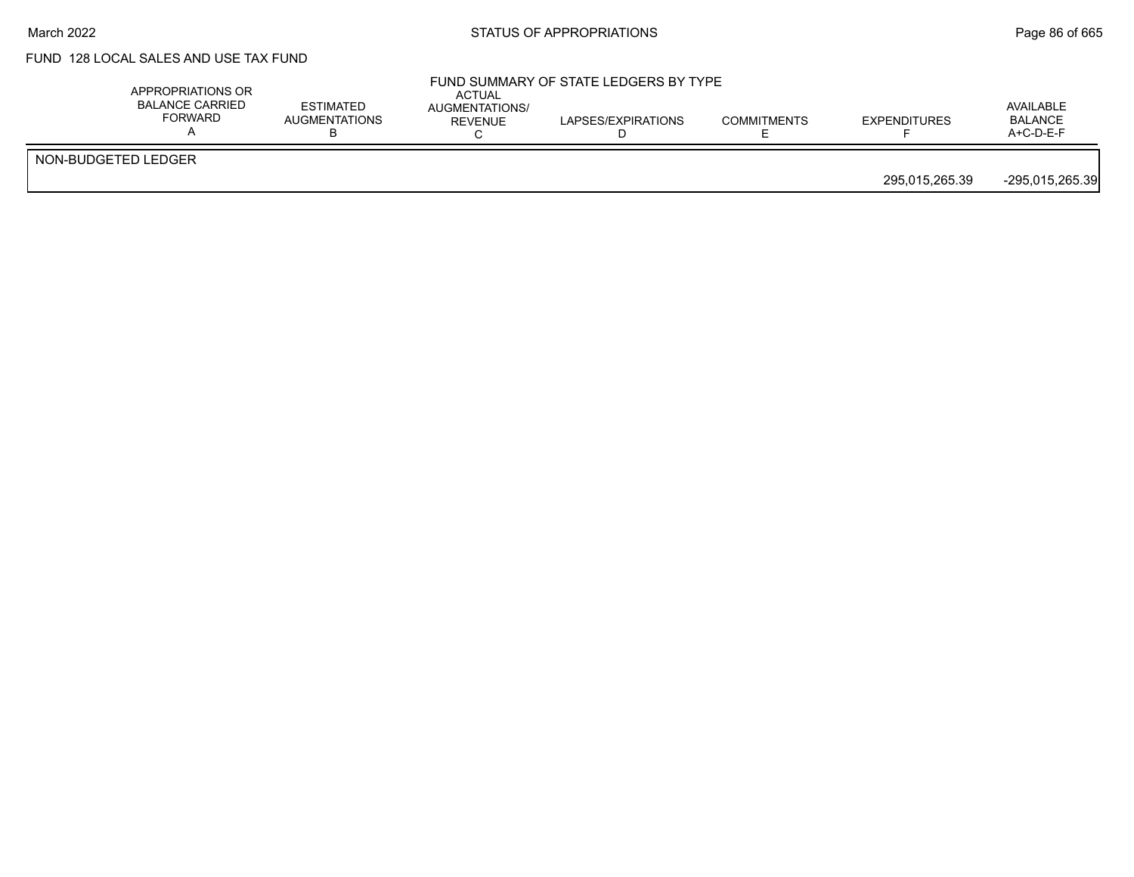#### March 2022 **Example 2022** Page 86 of 665

# FUND 128 LOCAL SALES AND USE TAX FUND

|                     | APPROPRIATIONS OR<br><b>BALANCE CARRIED</b><br>FORWARD | <b>ESTIMATED</b><br><b>AUGMENTATIONS</b> | <b>ACTUAL</b><br>AUGMENTATIONS/<br><b>REVENUE</b> | FUND SUMMARY OF STATE LEDGERS BY TYPE<br>LAPSES/EXPIRATIONS | <b>COMMITMENTS</b> | <b>EXPENDITURES</b> | AVAILABLE<br><b>BALANCE</b><br>$A+C-D-E-F$ |
|---------------------|--------------------------------------------------------|------------------------------------------|---------------------------------------------------|-------------------------------------------------------------|--------------------|---------------------|--------------------------------------------|
| NON-BUDGETED LEDGER |                                                        |                                          |                                                   |                                                             |                    | 295.015.265.39      | -295,015,265.39                            |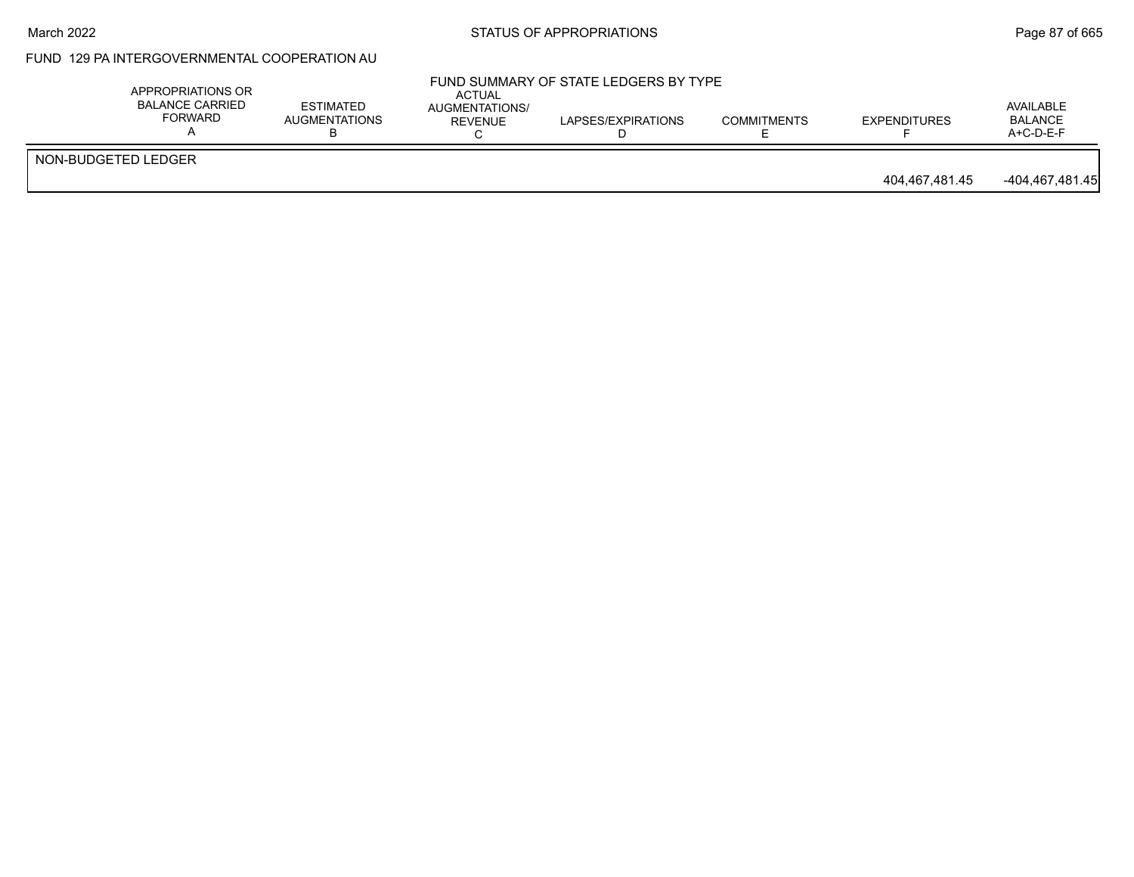#### March 2022 **STATUS OF APPROPRIATIONS** STATUS OF APPROPRIATIONS

# FUND 129 PA INTERGOVERNMENTAL COOPERATION AU

|                     | APPROPRIATIONS OR<br><b>BALANCE CARRIED</b><br>FORWARD | <b>ESTIMATED</b><br>AUGMENTATIONS | <b>ACTUAL</b><br>AUGMENTATIONS/<br>REVENUE | FUND SUMMARY OF STATE LEDGERS BY TYPE<br>LAPSES/EXPIRATIONS | <b>COMMITMENTS</b> | <b>EXPENDITURES</b> | AVAILABLE<br><b>BALANCE</b><br>$A+C-D-E-F$ |
|---------------------|--------------------------------------------------------|-----------------------------------|--------------------------------------------|-------------------------------------------------------------|--------------------|---------------------|--------------------------------------------|
| NON-BUDGETED LEDGER |                                                        |                                   |                                            |                                                             |                    | 404.467.481.45      | -404,467,481.45                            |
|                     |                                                        |                                   |                                            |                                                             |                    |                     |                                            |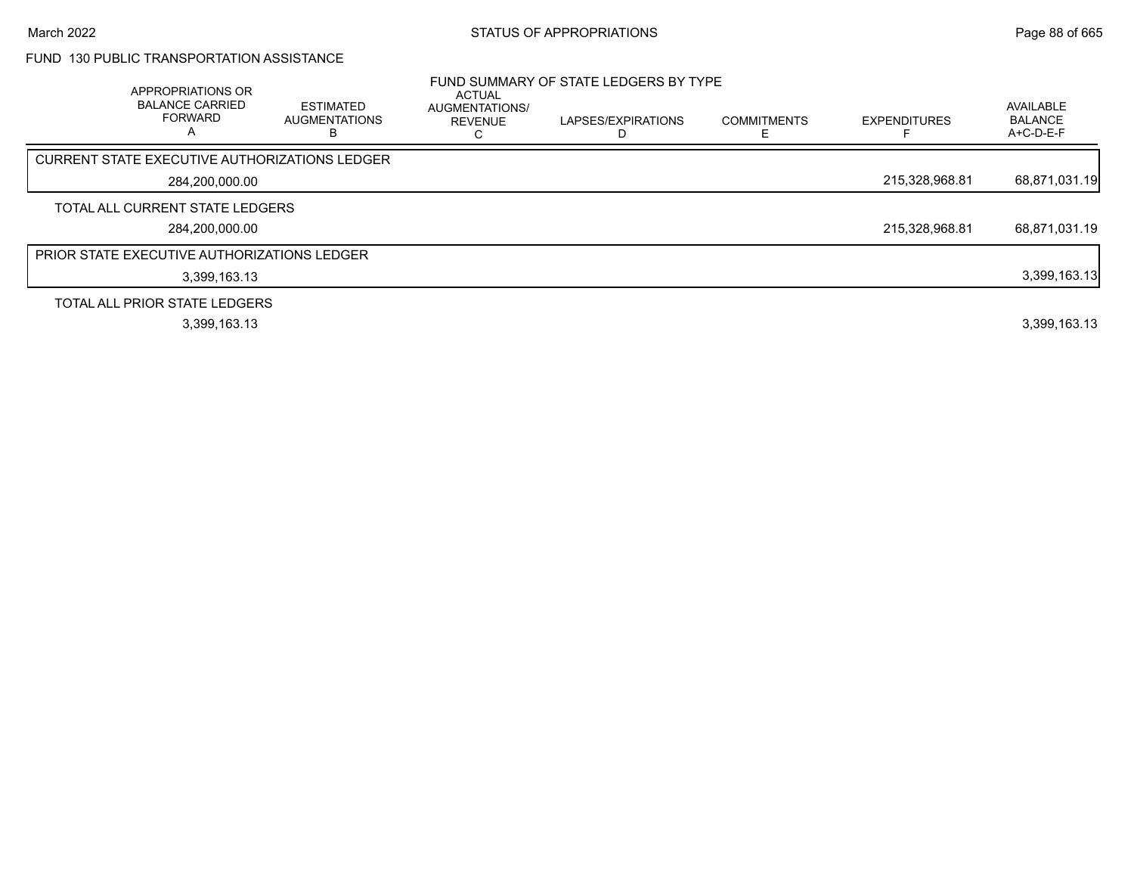## FUND 130 PUBLIC TRANSPORTATION ASSISTANCE

| APPROPRIATIONS OR<br><b>BALANCE CARRIED</b><br><b>FORWARD</b><br>A | <b>ESTIMATED</b><br><b>AUGMENTATIONS</b> | <b>ACTUAL</b><br>AUGMENTATIONS/<br><b>REVENUE</b> | FUND SUMMARY OF STATE LEDGERS BY TYPE<br>LAPSES/EXPIRATIONS | <b>COMMITMENTS</b> | <b>EXPENDITURES</b> | AVAILABLE<br><b>BALANCE</b><br>A+C-D-E-F |
|--------------------------------------------------------------------|------------------------------------------|---------------------------------------------------|-------------------------------------------------------------|--------------------|---------------------|------------------------------------------|
| CURRENT STATE EXECUTIVE AUTHORIZATIONS LEDGER                      |                                          |                                                   |                                                             |                    |                     |                                          |
| 284,200,000.00                                                     |                                          |                                                   |                                                             |                    | 215,328,968.81      | 68,871,031.19                            |
| TOTAL ALL CURRENT STATE LEDGERS                                    |                                          |                                                   |                                                             |                    |                     |                                          |
| 284,200,000.00                                                     |                                          |                                                   |                                                             |                    | 215,328,968.81      | 68,871,031.19                            |
| <b>PRIOR STATE EXECUTIVE AUTHORIZATIONS LEDGER</b>                 |                                          |                                                   |                                                             |                    |                     |                                          |
| 3,399,163.13                                                       |                                          |                                                   |                                                             |                    |                     | 3,399,163.13                             |
| TOTAL ALL PRIOR STATE LEDGERS                                      |                                          |                                                   |                                                             |                    |                     |                                          |
| 3,399,163.13                                                       |                                          |                                                   |                                                             |                    |                     | 3,399,163.13                             |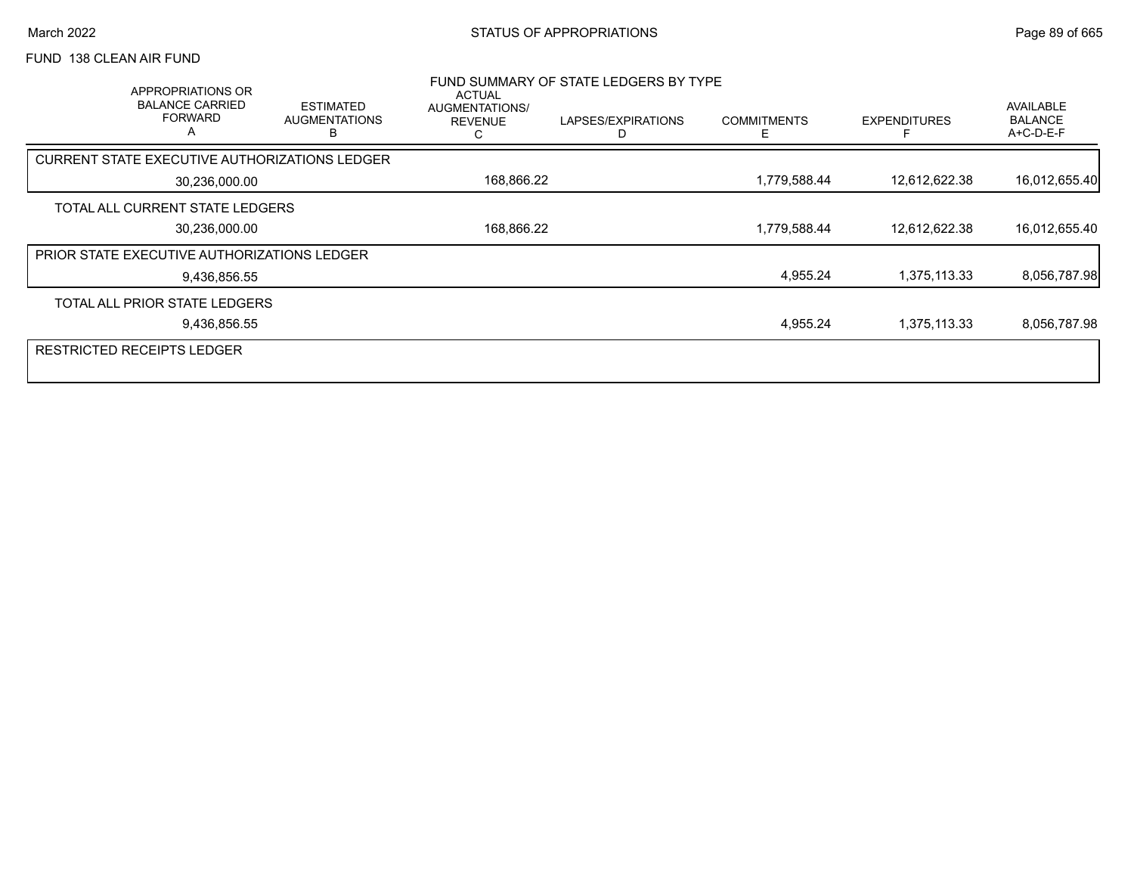## FUND 138 CLEAN AIR FUND

|               | APPROPRIATIONS OR<br><b>BALANCE CARRIED</b><br><b>FORWARD</b><br>A | <b>ESTIMATED</b><br><b>AUGMENTATIONS</b><br>B | ACTUAL<br>AUGMENTATIONS/<br><b>REVENUE</b> | FUND SUMMARY OF STATE LEDGERS BY TYPE<br>LAPSES/EXPIRATIONS | <b>COMMITMENTS</b> | <b>EXPENDITURES</b> | AVAILABLE<br><b>BALANCE</b><br>A+C-D-E-F |
|---------------|--------------------------------------------------------------------|-----------------------------------------------|--------------------------------------------|-------------------------------------------------------------|--------------------|---------------------|------------------------------------------|
|               | CURRENT STATE EXECUTIVE AUTHORIZATIONS LEDGER                      |                                               |                                            |                                                             |                    |                     |                                          |
|               | 30,236,000.00                                                      |                                               | 168,866.22                                 |                                                             | 1,779,588.44       | 12,612,622.38       | 16,012,655.40                            |
|               | TOTAL ALL CURRENT STATE LEDGERS                                    |                                               |                                            |                                                             |                    |                     |                                          |
| 30,236,000.00 |                                                                    |                                               | 168,866.22                                 |                                                             | 1,779,588.44       | 12.612.622.38       | 16,012,655.40                            |
|               | <b>PRIOR STATE EXECUTIVE AUTHORIZATIONS LEDGER</b>                 |                                               |                                            |                                                             |                    |                     |                                          |
|               | 9,436,856.55                                                       |                                               |                                            |                                                             | 4,955.24           | 1,375,113.33        | 8,056,787.98                             |
|               | TOTAL ALL PRIOR STATE LEDGERS                                      |                                               |                                            |                                                             |                    |                     |                                          |
|               | 9,436,856.55                                                       |                                               |                                            |                                                             | 4,955.24           | 1,375,113.33        | 8,056,787.98                             |
|               | <b>RESTRICTED RECEIPTS LEDGER</b>                                  |                                               |                                            |                                                             |                    |                     |                                          |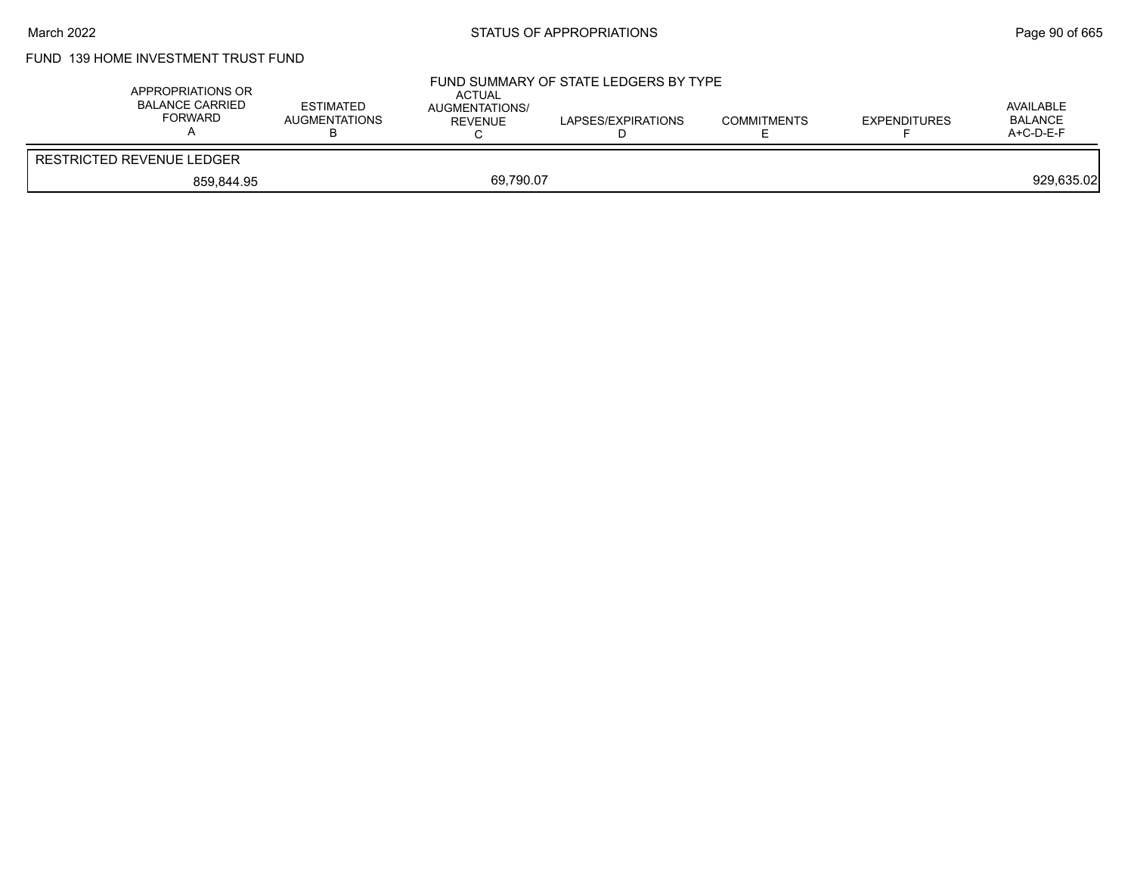# FUND 139 HOME INVESTMENT TRUST FUND

| APPROPRIATIONS OR<br><b>BALANCE CARRIED</b><br>FORWARD | <b>ESTIMATED</b><br>AUGMENTATIONS<br>◡ | <b>ACTUAL</b><br>AUGMENTATIONS/<br>REVENUE | FUND SUMMARY OF STATE LEDGERS BY TYPE<br>LAPSES/EXPIRATIONS | <b>COMMITMENTS</b> | EXPENDITURES | AVAILABLE<br><b>BALANCE</b><br>$A+C-D-E-F$ |
|--------------------------------------------------------|----------------------------------------|--------------------------------------------|-------------------------------------------------------------|--------------------|--------------|--------------------------------------------|
| <b>RESTRICTED REVENUE LEDGER</b>                       |                                        |                                            |                                                             |                    |              |                                            |
| 859.844.95                                             |                                        | 69,790.07                                  |                                                             |                    |              | 929,635.02                                 |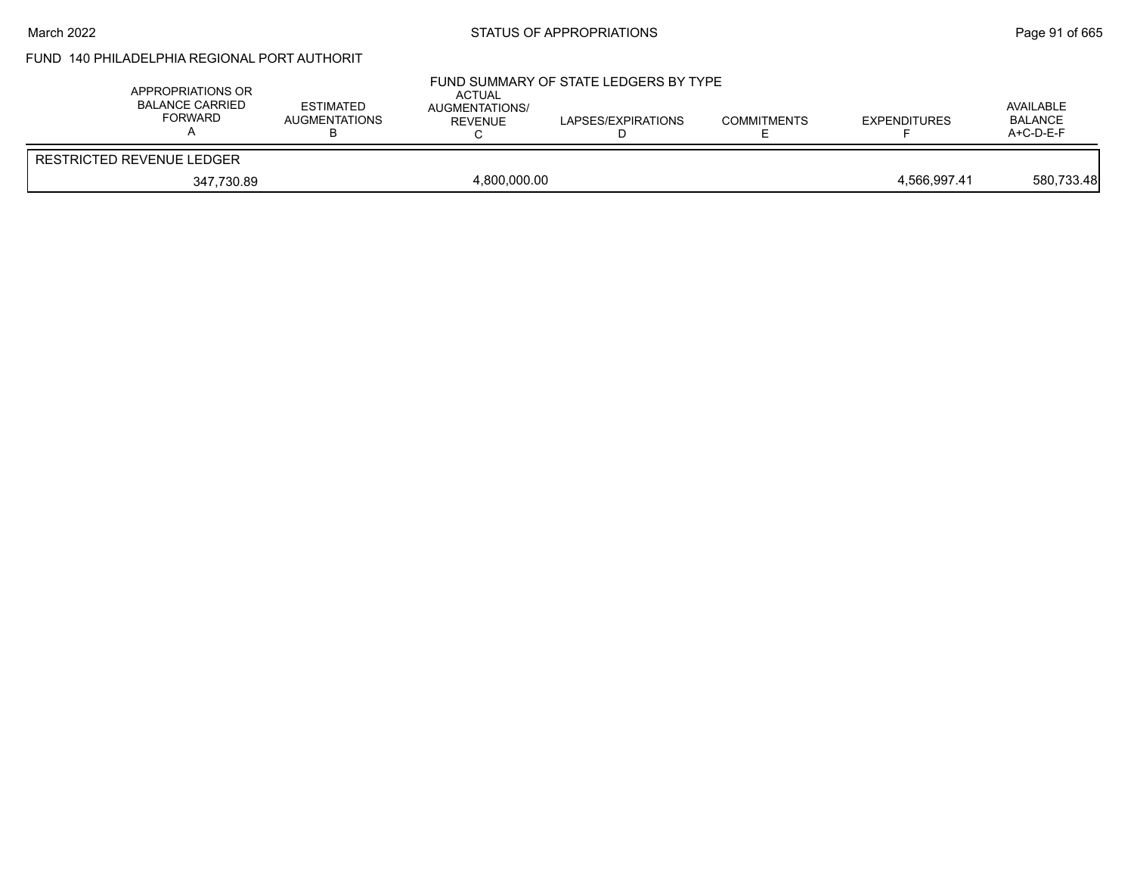#### March 2022 **STATUS OF APPROPRIATIONS** STATUS OF APPROPRIATIONS

# FUND 140 PHILADELPHIA REGIONAL PORT AUTHORIT

| APPROPRIATIONS OR<br><b>BALANCE CARRIED</b><br><b>FORWARD</b> | <b>ESTIMATED</b><br><b>AUGMENTATIONS</b> | <b>ACTUAL</b><br>AUGMENTATIONS/<br>REVENUE | FUND SUMMARY OF STATE LEDGERS BY TYPE<br>LAPSES/EXPIRATIONS | <b>COMMITMENTS</b> | <b>EXPENDITURES</b> | AVAILABLE<br>BALANCE<br>$A+C-D-E-F$ |
|---------------------------------------------------------------|------------------------------------------|--------------------------------------------|-------------------------------------------------------------|--------------------|---------------------|-------------------------------------|
| <b>RESTRICTED REVENUE LEDGER</b>                              |                                          |                                            |                                                             |                    |                     |                                     |
| 347,730.89                                                    |                                          | 4,800,000.00                               |                                                             |                    | 4.566.997.41        | 580,733.48                          |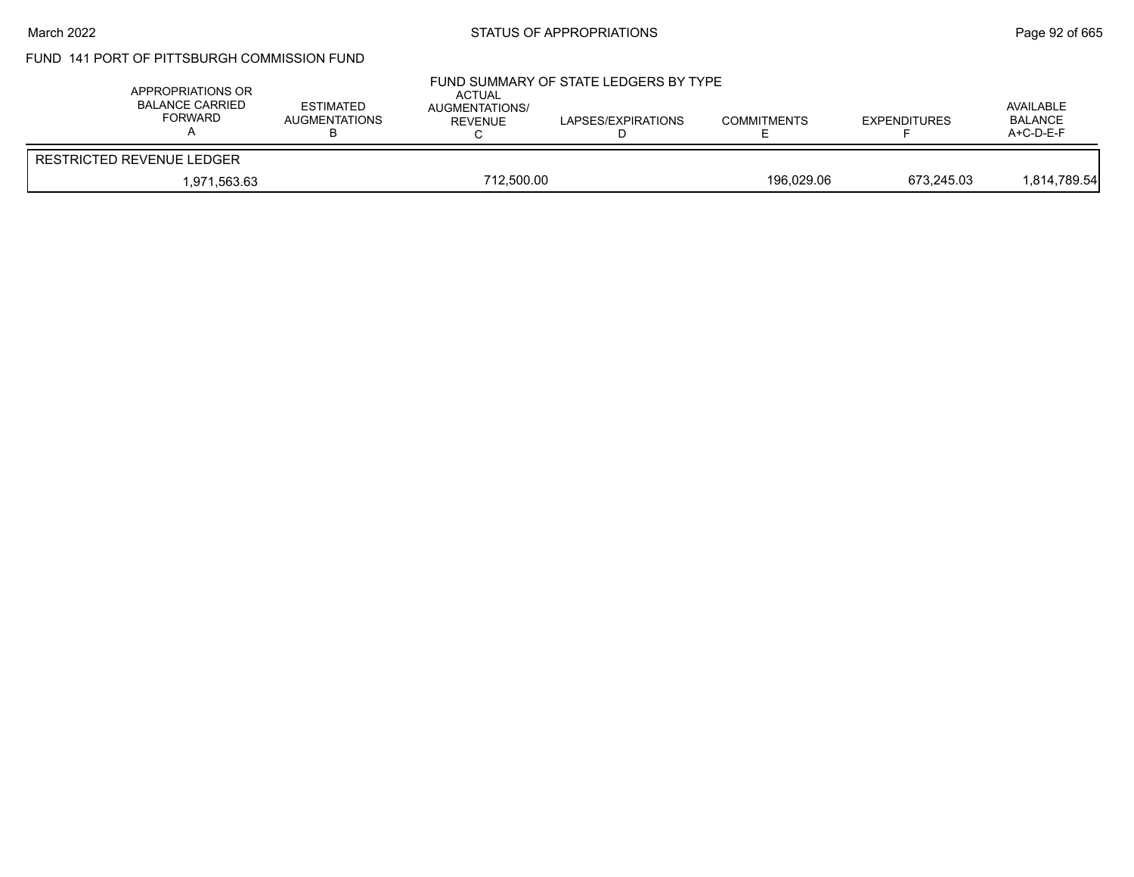#### March 2022 **Example 2018** STATUS OF APPROPRIATIONS **Page 92** of 665

# FUND 141 PORT OF PITTSBURGH COMMISSION FUND

| APPROPRIATIONS OR<br>BALANCE CARRIED<br><b>FORWARD</b> | <b>ESTIMATED</b><br><b>AUGMENTATIONS</b> | ACTUAL<br><b>AUGMENTATIONS/</b><br>REVENUE | FUND SUMMARY OF STATE LEDGERS BY TYPE<br>LAPSES/EXPIRATIONS | <b>COMMITMENTS</b> | <b>EXPENDITURES</b> | AVAILABLE<br><b>BALANCE</b><br>$A+C-D-E-F$ |
|--------------------------------------------------------|------------------------------------------|--------------------------------------------|-------------------------------------------------------------|--------------------|---------------------|--------------------------------------------|
| RESTRICTED REVENUE LEDGER                              |                                          |                                            |                                                             |                    |                     |                                            |
| 712.500.00<br>1.971.563.63                             |                                          |                                            | 196.029.06                                                  | 673.245.03         | 1,814,789.54        |                                            |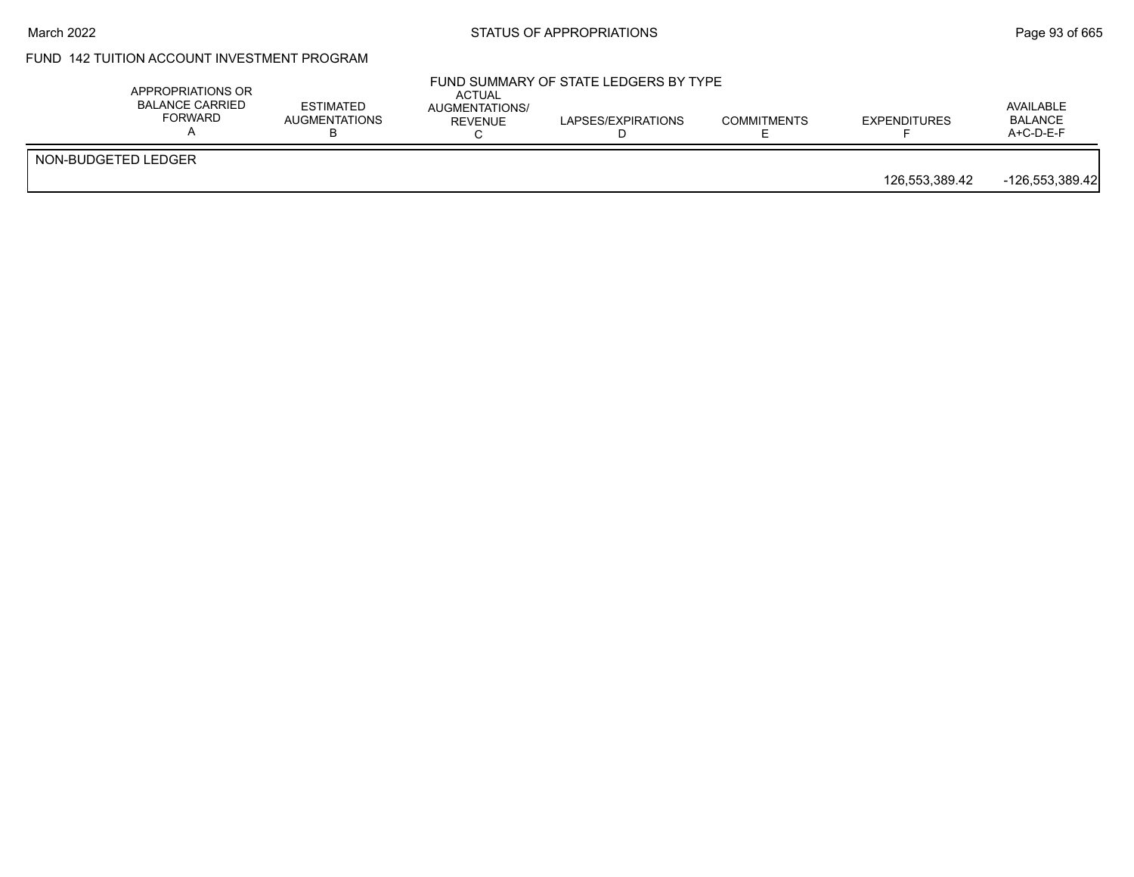#### March 2022 **Example 2018** STATUS OF APPROPRIATIONS **Page 93** of 665

# FUND 142 TUITION ACCOUNT INVESTMENT PROGRAM

|                     | APPROPRIATIONS OR<br><b>BALANCE CARRIED</b><br><b>ESTIMATED</b><br>FORWARD<br><b>AUGMENTATIONS</b> | <b>ACTUAL</b><br>AUGMENTATIONS/<br>REVENUE | FUND SUMMARY OF STATE LEDGERS BY TYPE<br>LAPSES/EXPIRATIONS | <b>COMMITMENTS</b> | <b>EXPENDITURES</b> | AVAILABLE<br><b>BALANCE</b><br>$A+C-D-E-F$ |
|---------------------|----------------------------------------------------------------------------------------------------|--------------------------------------------|-------------------------------------------------------------|--------------------|---------------------|--------------------------------------------|
| NON-BUDGETED LEDGER |                                                                                                    |                                            |                                                             |                    | 126,553,389.42      | $-126,553,389.42$                          |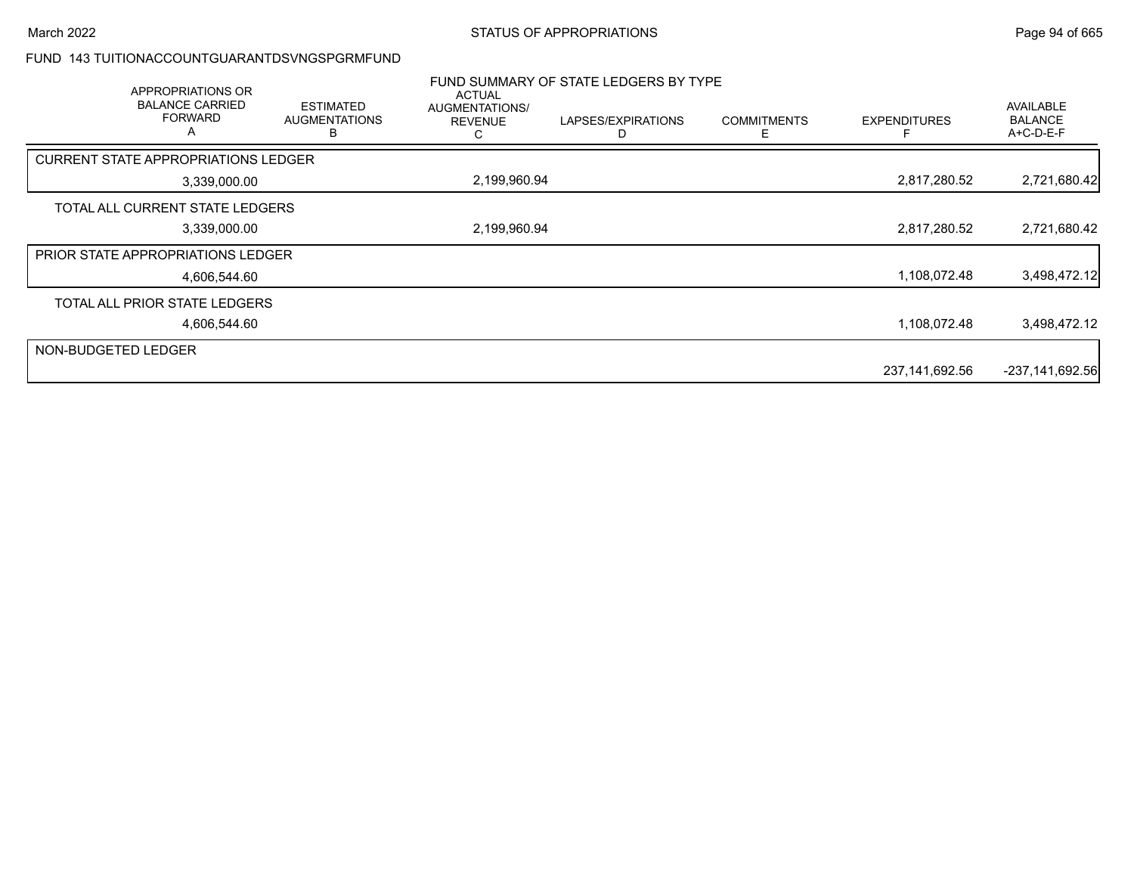#### FUND 143 TUITIONACCOUNTGUARANTDSVNGSPGRMFUND

|                     | APPROPRIATIONS OR<br><b>BALANCE CARRIED</b><br><b>FORWARD</b><br>$\mathsf{A}$ | <b>ESTIMATED</b><br><b>AUGMENTATIONS</b><br>R | ACTUAL<br>AUGMENTATIONS/<br><b>REVENUE</b><br>С | FUND SUMMARY OF STATE LEDGERS BY TYPE<br>LAPSES/EXPIRATIONS | <b>COMMITMENTS</b><br>F | <b>EXPENDITURES</b> | AVAILABLE<br><b>BALANCE</b><br>A+C-D-E-F |
|---------------------|-------------------------------------------------------------------------------|-----------------------------------------------|-------------------------------------------------|-------------------------------------------------------------|-------------------------|---------------------|------------------------------------------|
|                     | <b>CURRENT STATE APPROPRIATIONS LEDGER</b>                                    |                                               |                                                 |                                                             |                         |                     |                                          |
|                     | 3,339,000.00                                                                  |                                               | 2,199,960.94                                    |                                                             |                         | 2,817,280.52        | 2,721,680.42                             |
|                     | TOTAL ALL CURRENT STATE LEDGERS                                               |                                               |                                                 |                                                             |                         |                     |                                          |
|                     | 3,339,000.00                                                                  |                                               | 2,199,960.94                                    |                                                             |                         | 2,817,280.52        | 2,721,680.42                             |
|                     | <b>PRIOR STATE APPROPRIATIONS LEDGER</b>                                      |                                               |                                                 |                                                             |                         |                     |                                          |
|                     | 4,606,544.60                                                                  |                                               |                                                 |                                                             |                         | 1,108,072.48        | 3,498,472.12                             |
|                     | TOTAL ALL PRIOR STATE LEDGERS                                                 |                                               |                                                 |                                                             |                         |                     |                                          |
|                     | 4,606,544.60                                                                  |                                               |                                                 |                                                             |                         | 1,108,072.48        | 3,498,472.12                             |
| NON-BUDGETED LEDGER |                                                                               |                                               |                                                 |                                                             |                         |                     |                                          |
|                     |                                                                               |                                               |                                                 |                                                             |                         | 237,141,692.56      | $-237,141,692.56$                        |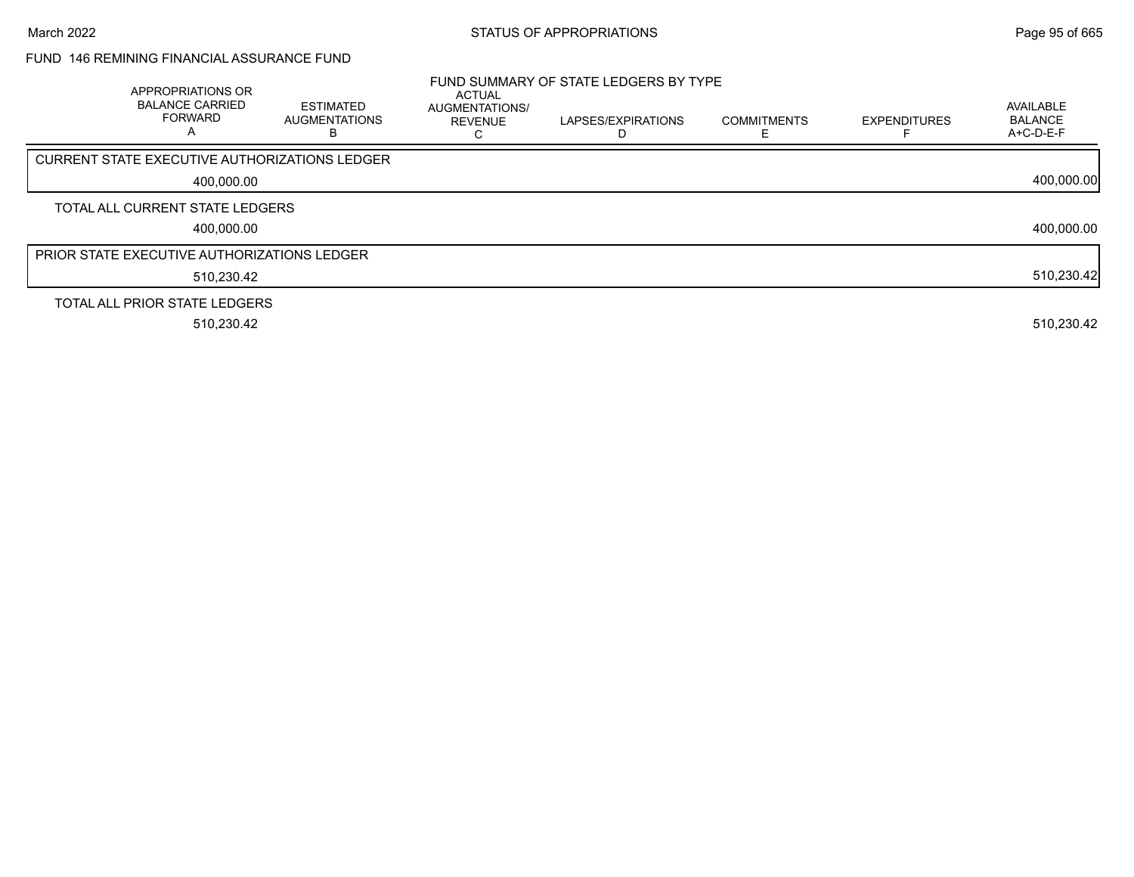## FUND 146 REMINING FINANCIAL ASSURANCE FUND

| APPROPRIATIONS OR<br><b>BALANCE CARRIED</b><br><b>FORWARD</b><br>А | <b>ESTIMATED</b><br><b>AUGMENTATIONS</b> | <b>ACTUAL</b><br><b>AUGMENTATIONS/</b><br><b>REVENUE</b> | FUND SUMMARY OF STATE LEDGERS BY TYPE<br>LAPSES/EXPIRATIONS | <b>COMMITMENTS</b> | <b>EXPENDITURES</b> | AVAILABLE<br><b>BALANCE</b><br>A+C-D-E-F |
|--------------------------------------------------------------------|------------------------------------------|----------------------------------------------------------|-------------------------------------------------------------|--------------------|---------------------|------------------------------------------|
| CURRENT STATE EXECUTIVE AUTHORIZATIONS LEDGER                      |                                          |                                                          |                                                             |                    |                     |                                          |
| 400,000.00                                                         |                                          |                                                          |                                                             |                    |                     | 400,000.00                               |
| TOTAL ALL CURRENT STATE LEDGERS                                    |                                          |                                                          |                                                             |                    |                     |                                          |
| 400,000.00                                                         |                                          |                                                          |                                                             |                    |                     | 400,000.00                               |
| PRIOR STATE EXECUTIVE AUTHORIZATIONS LEDGER                        |                                          |                                                          |                                                             |                    |                     |                                          |
| 510,230.42                                                         |                                          |                                                          |                                                             |                    |                     | 510,230.42                               |
| TOTAL ALL PRIOR STATE LEDGERS                                      |                                          |                                                          |                                                             |                    |                     |                                          |
| 510,230.42                                                         |                                          |                                                          |                                                             |                    |                     | 510,230.42                               |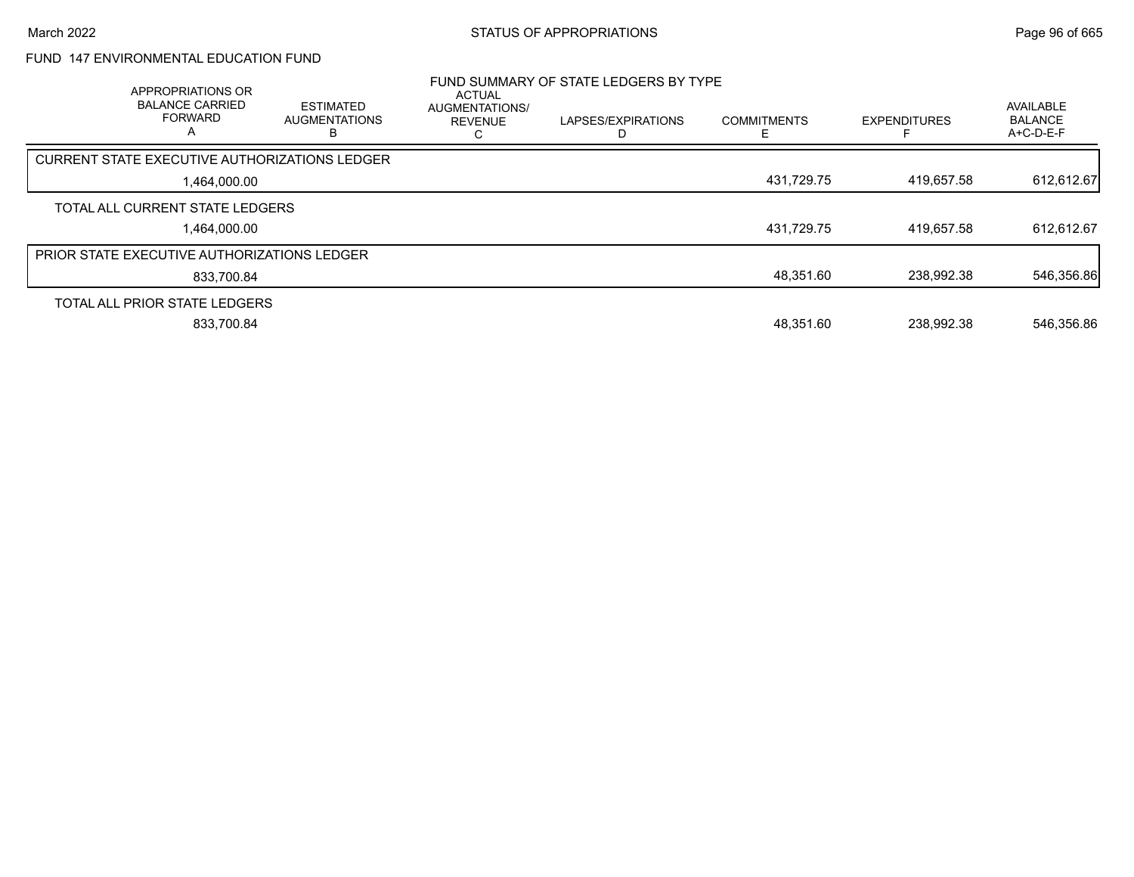# FUND 147 ENVIRONMENTAL EDUCATION FUND

| APPROPRIATIONS OR<br><b>BALANCE CARRIED</b><br><b>FORWARD</b><br>$\overline{A}$ | <b>ESTIMATED</b><br><b>AUGMENTATIONS</b> | <b>ACTUAL</b><br><b>AUGMENTATIONS/</b><br><b>REVENUE</b> | FUND SUMMARY OF STATE LEDGERS BY TYPE<br>LAPSES/EXPIRATIONS | <b>COMMITMENTS</b> | <b>EXPENDITURES</b> | <b>AVAILABLE</b><br><b>BALANCE</b><br>$A+C-D-E-F$ |
|---------------------------------------------------------------------------------|------------------------------------------|----------------------------------------------------------|-------------------------------------------------------------|--------------------|---------------------|---------------------------------------------------|
| <b>CURRENT STATE EXECUTIVE AUTHORIZATIONS LEDGER</b>                            |                                          |                                                          |                                                             |                    |                     |                                                   |
| 1.464.000.00                                                                    |                                          |                                                          |                                                             | 431,729.75         | 419.657.58          | 612,612.67                                        |
| TOTAL ALL CURRENT STATE LEDGERS                                                 |                                          |                                                          |                                                             |                    |                     |                                                   |
| 1.464.000.00                                                                    |                                          |                                                          |                                                             | 431,729.75         | 419.657.58          | 612.612.67                                        |
| PRIOR STATE EXECUTIVE AUTHORIZATIONS LEDGER                                     |                                          |                                                          |                                                             |                    |                     |                                                   |
| 833.700.84                                                                      |                                          |                                                          |                                                             | 48,351.60          | 238.992.38          | 546,356.86                                        |
| TOTAL ALL PRIOR STATE LEDGERS                                                   |                                          |                                                          |                                                             |                    |                     |                                                   |
| 833.700.84                                                                      |                                          |                                                          |                                                             | 48.351.60          | 238.992.38          | 546,356.86                                        |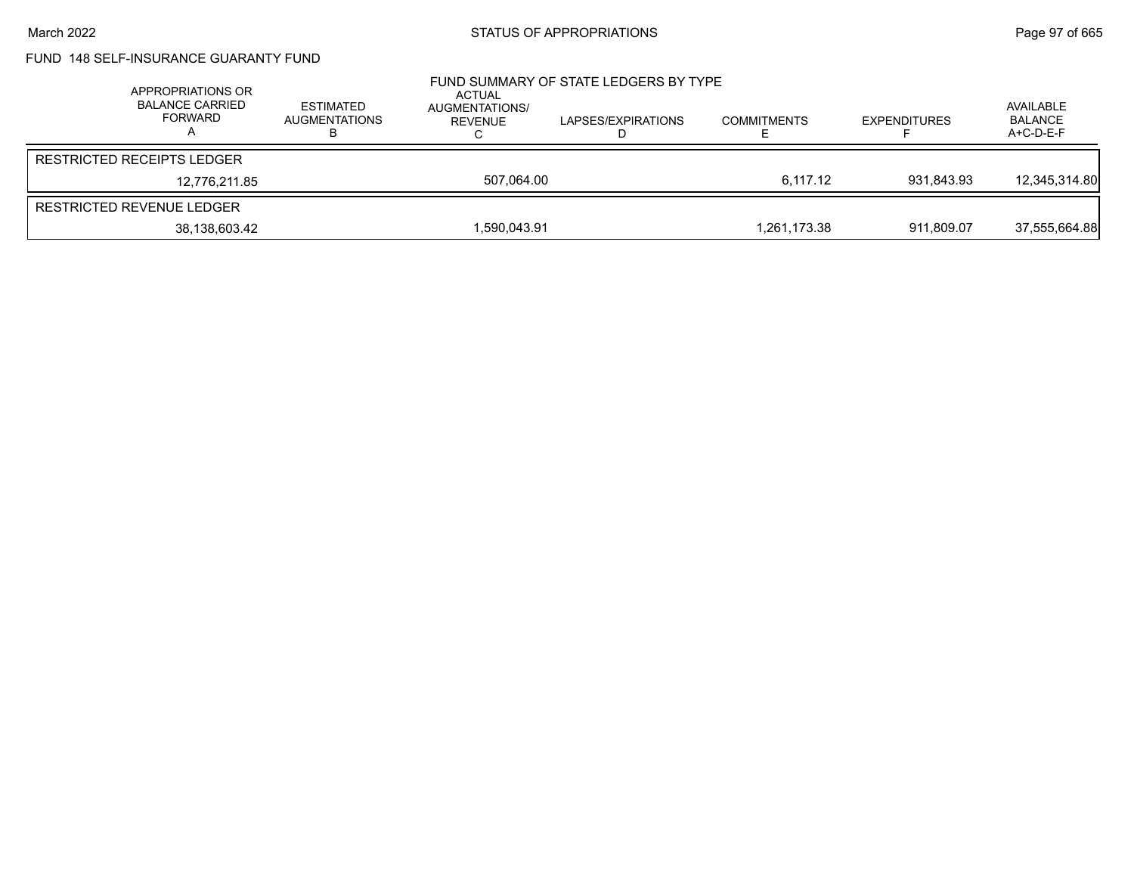## FUND 148 SELF-INSURANCE GUARANTY FUND

| APPROPRIATIONS OR<br><b>BALANCE CARRIED</b><br><b>FORWARD</b> | ESTIMATED<br>AUGMENTATIONS | ACTUAL<br>AUGMENTATIONS/<br>REVENUE | FUND SUMMARY OF STATE LEDGERS BY TYPE<br>LAPSES/EXPIRATIONS | <b>COMMITMENTS</b> | <b>EXPENDITURES</b> | AVAILABLE<br><b>BALANCE</b><br>A+C-D-E-F |
|---------------------------------------------------------------|----------------------------|-------------------------------------|-------------------------------------------------------------|--------------------|---------------------|------------------------------------------|
| <b>RESTRICTED RECEIPTS LEDGER</b>                             |                            |                                     |                                                             |                    |                     |                                          |
| 12.776.211.85                                                 |                            | 507.064.00                          |                                                             | 6.117.12           | 931.843.93          | 12,345,314.80                            |
| RESTRICTED REVENUE LEDGER                                     |                            |                                     |                                                             |                    |                     |                                          |
| 38,138,603.42                                                 |                            | 1,590,043.91                        |                                                             | 1.261.173.38       | 911.809.07          | 37,555,664.88                            |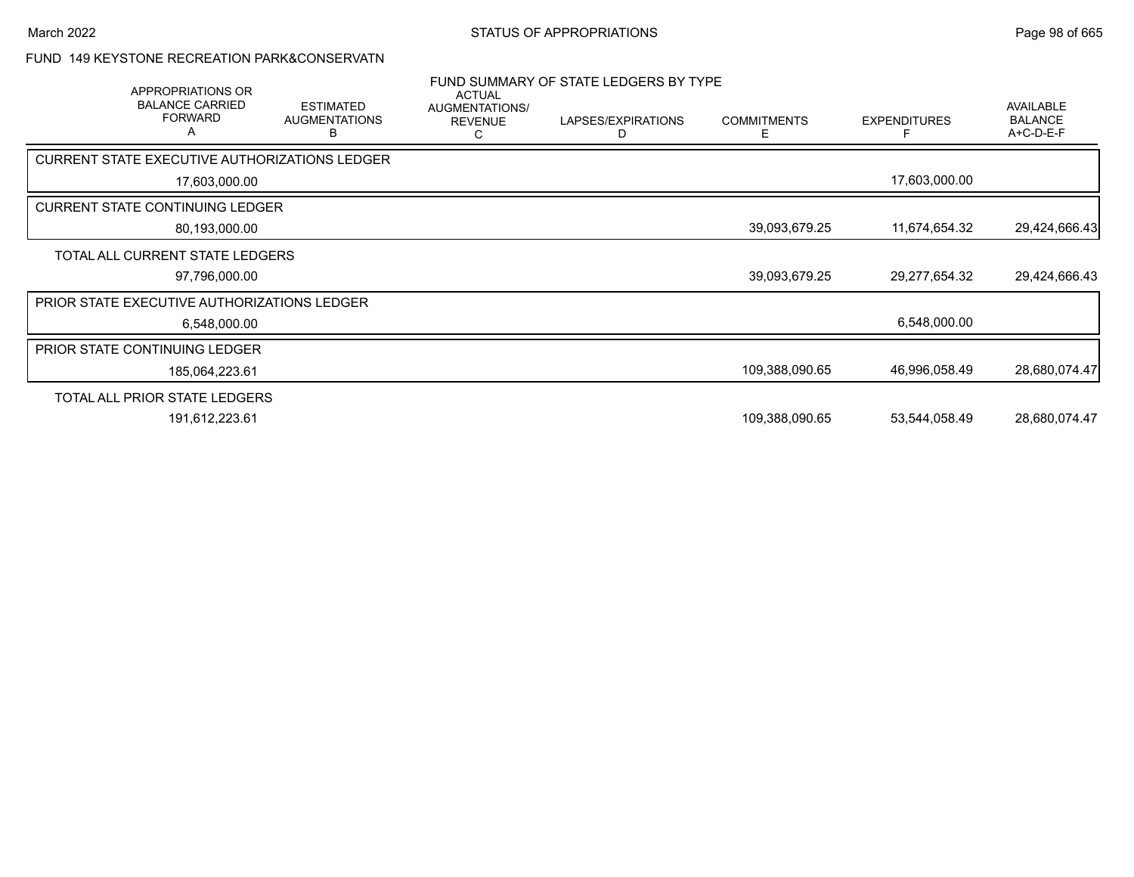### FUND 149 KEYSTONE RECREATION PARK&CONSERVATN

|                                      | APPROPRIATIONS OR<br><b>BALANCE CARRIED</b><br><b>FORWARD</b><br>A | <b>ESTIMATED</b><br><b>AUGMENTATIONS</b><br>в        | <b>ACTUAL</b><br>AUGMENTATIONS/<br><b>REVENUE</b> | FUND SUMMARY OF STATE LEDGERS BY TYPE<br>LAPSES/EXPIRATIONS<br>D | <b>COMMITMENTS</b><br>E. | <b>EXPENDITURES</b> | <b>AVAILABLE</b><br><b>BALANCE</b><br>A+C-D-E-F |
|--------------------------------------|--------------------------------------------------------------------|------------------------------------------------------|---------------------------------------------------|------------------------------------------------------------------|--------------------------|---------------------|-------------------------------------------------|
|                                      |                                                                    | <b>CURRENT STATE EXECUTIVE AUTHORIZATIONS LEDGER</b> |                                                   |                                                                  |                          |                     |                                                 |
|                                      | 17,603,000.00                                                      |                                                      |                                                   |                                                                  |                          | 17,603,000.00       |                                                 |
|                                      | <b>CURRENT STATE CONTINUING LEDGER</b>                             |                                                      |                                                   |                                                                  |                          |                     |                                                 |
|                                      | 80,193,000.00                                                      |                                                      |                                                   |                                                                  | 39,093,679.25            | 11,674,654.32       | 29,424,666.43                                   |
|                                      | TOTAL ALL CURRENT STATE LEDGERS                                    |                                                      |                                                   |                                                                  |                          |                     |                                                 |
|                                      | 97,796,000.00                                                      |                                                      |                                                   |                                                                  | 39,093,679.25            | 29,277,654.32       | 29,424,666.43                                   |
|                                      | <b>PRIOR STATE EXECUTIVE AUTHORIZATIONS LEDGER</b>                 |                                                      |                                                   |                                                                  |                          |                     |                                                 |
|                                      | 6,548,000.00                                                       |                                                      |                                                   |                                                                  |                          | 6,548,000.00        |                                                 |
| <b>PRIOR STATE CONTINUING LEDGER</b> |                                                                    |                                                      |                                                   |                                                                  |                          |                     |                                                 |
|                                      | 185,064,223.61                                                     |                                                      |                                                   |                                                                  | 109,388,090.65           | 46,996,058.49       | 28,680,074.47                                   |
|                                      | TOTAL ALL PRIOR STATE LEDGERS                                      |                                                      |                                                   |                                                                  |                          |                     |                                                 |
|                                      | 191,612,223.61                                                     |                                                      |                                                   |                                                                  | 109,388,090.65           | 53,544,058.49       | 28,680,074.47                                   |
|                                      |                                                                    |                                                      |                                                   |                                                                  |                          |                     |                                                 |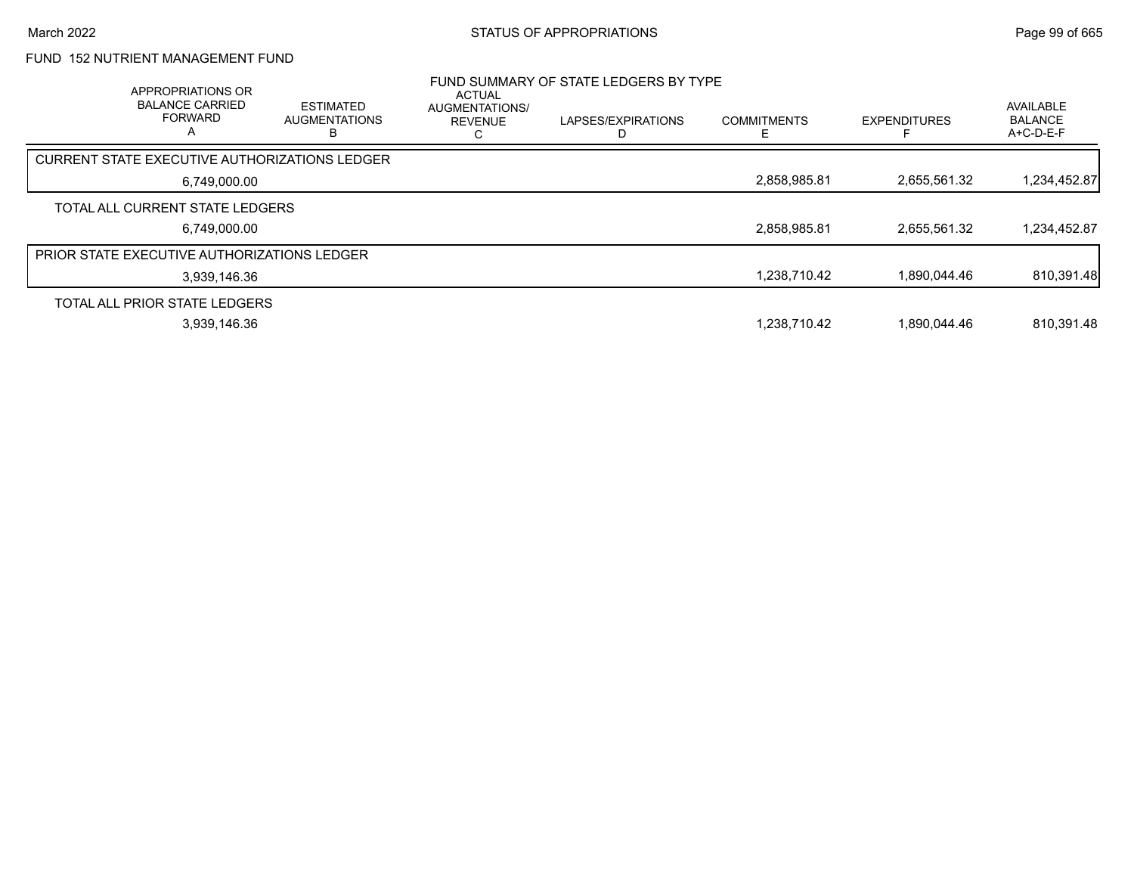# FUND 152 NUTRIENT MANAGEMENT FUND

| APPROPRIATIONS OR<br><b>BALANCE CARRIED</b><br><b>FORWARD</b><br>А | <b>ESTIMATED</b><br><b>AUGMENTATIONS</b> | <b>ACTUAL</b><br><b>AUGMENTATIONS/</b><br><b>REVENUE</b> | FUND SUMMARY OF STATE LEDGERS BY TYPE<br>LAPSES/EXPIRATIONS | <b>COMMITMENTS</b> | <b>EXPENDITURES</b> | <b>AVAILABLE</b><br><b>BALANCE</b><br>$A+C-D-E-F$ |
|--------------------------------------------------------------------|------------------------------------------|----------------------------------------------------------|-------------------------------------------------------------|--------------------|---------------------|---------------------------------------------------|
| CURRENT STATE EXECUTIVE AUTHORIZATIONS LEDGER                      |                                          |                                                          |                                                             |                    |                     |                                                   |
| 6,749,000.00                                                       |                                          |                                                          |                                                             | 2,858,985.81       | 2,655,561.32        | 1,234,452.87                                      |
| TOTAL ALL CURRENT STATE LEDGERS                                    |                                          |                                                          |                                                             |                    |                     |                                                   |
| 6,749,000.00                                                       |                                          |                                                          |                                                             | 2,858,985.81       | 2,655,561.32        | 1,234,452.87                                      |
| <b>PRIOR STATE EXECUTIVE AUTHORIZATIONS LEDGER</b>                 |                                          |                                                          |                                                             |                    |                     |                                                   |
| 3,939,146.36                                                       |                                          |                                                          |                                                             | 1,238,710.42       | 1.890.044.46        | 810,391.48                                        |
| TOTAL ALL PRIOR STATE LEDGERS                                      |                                          |                                                          |                                                             |                    |                     |                                                   |
| 3,939,146.36                                                       |                                          |                                                          |                                                             | 1,238,710.42       | 1,890,044.46        | 810,391.48                                        |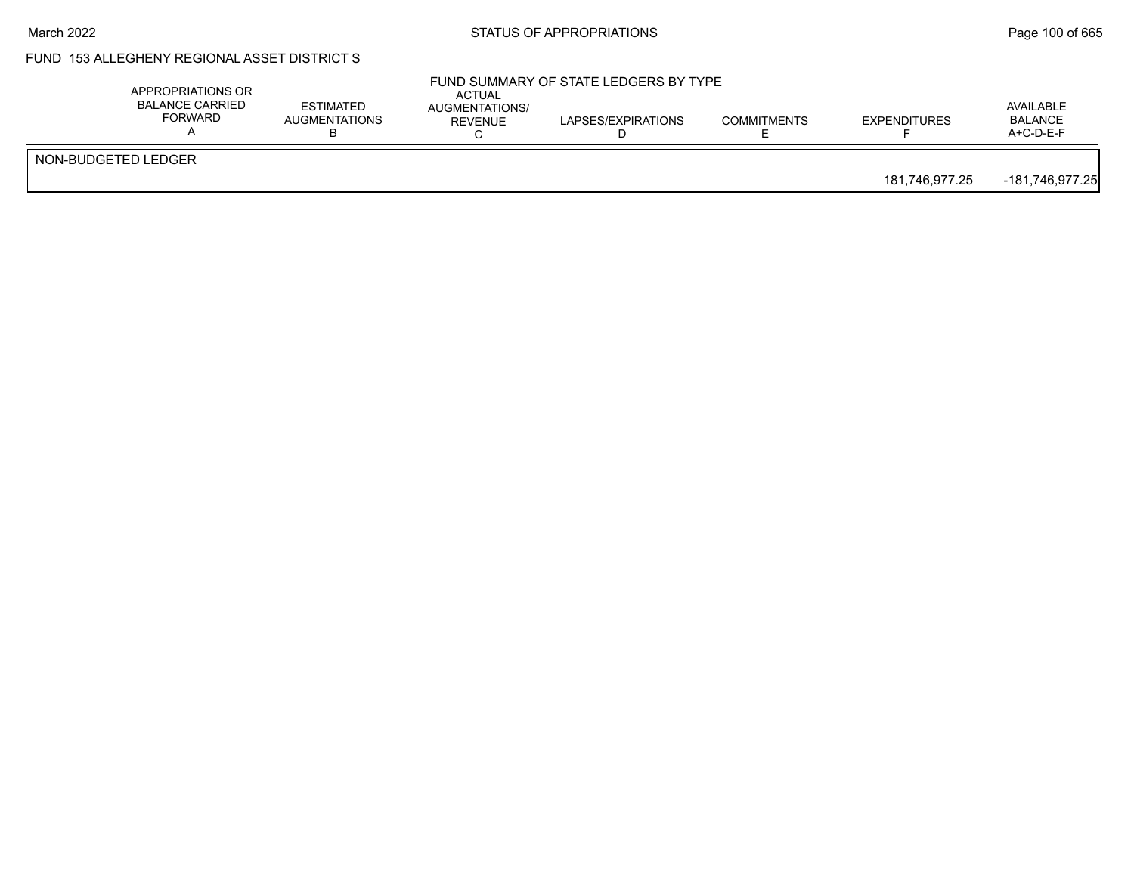#### March 2022 **STATUS OF APPROPRIATIONS** STATUS OF APPROPRIATIONS

# FUND 153 ALLEGHENY REGIONAL ASSET DISTRICT S

|                     | APPROPRIATIONS OR<br><b>BALANCE CARRIED</b><br><b>FORWARD</b> | <b>ESTIMATED</b><br><b>AUGMENTATIONS</b> | <b>ACTUAL</b><br>AUGMENTATIONS/<br><b>REVENUE</b> | FUND SUMMARY OF STATE LEDGERS BY TYPE<br>LAPSES/EXPIRATIONS | <b>COMMITMENTS</b> | <b>EXPENDITURES</b> | AVAILABLE<br><b>BALANCE</b><br>$A+C-D-E-F$ |
|---------------------|---------------------------------------------------------------|------------------------------------------|---------------------------------------------------|-------------------------------------------------------------|--------------------|---------------------|--------------------------------------------|
| NON-BUDGETED LEDGER |                                                               |                                          |                                                   |                                                             |                    | 181,746,977.25      | -181,746,977.25                            |
|                     |                                                               |                                          |                                                   |                                                             |                    |                     |                                            |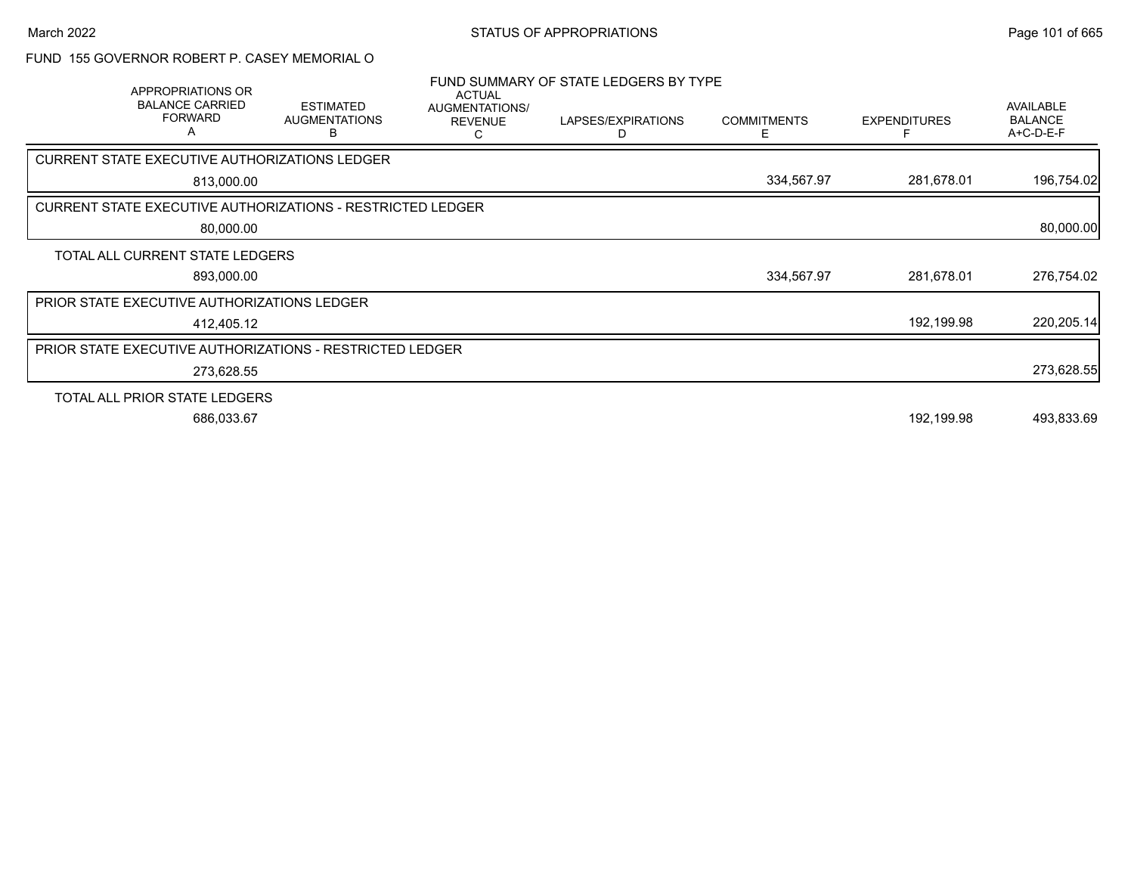### FUND 155 GOVERNOR ROBERT P. CASEY MEMORIAL O

| APPROPRIATIONS OR<br><b>BALANCE CARRIED</b><br><b>FORWARD</b><br>A | <b>ESTIMATED</b><br><b>AUGMENTATIONS</b><br>в                     | <b>ACTUAL</b><br>AUGMENTATIONS/<br><b>REVENUE</b> | FUND SUMMARY OF STATE LEDGERS BY TYPE<br>LAPSES/EXPIRATIONS<br>D | <b>COMMITMENTS</b><br>F | <b>EXPENDITURES</b> | <b>AVAILABLE</b><br><b>BALANCE</b><br>A+C-D-E-F |
|--------------------------------------------------------------------|-------------------------------------------------------------------|---------------------------------------------------|------------------------------------------------------------------|-------------------------|---------------------|-------------------------------------------------|
| <b>CURRENT STATE EXECUTIVE AUTHORIZATIONS LEDGER</b>               |                                                                   |                                                   |                                                                  |                         |                     |                                                 |
| 813,000.00                                                         |                                                                   |                                                   |                                                                  | 334,567.97              | 281,678.01          | 196,754.02                                      |
|                                                                    | <b>CURRENT STATE EXECUTIVE AUTHORIZATIONS - RESTRICTED LEDGER</b> |                                                   |                                                                  |                         |                     |                                                 |
| 80,000.00                                                          |                                                                   |                                                   |                                                                  |                         |                     | 80,000.00                                       |
| TOTAL ALL CURRENT STATE LEDGERS                                    |                                                                   |                                                   |                                                                  |                         |                     |                                                 |
| 893,000.00                                                         |                                                                   |                                                   |                                                                  | 334,567.97              | 281,678.01          | 276,754.02                                      |
| PRIOR STATE EXECUTIVE AUTHORIZATIONS LEDGER                        |                                                                   |                                                   |                                                                  |                         |                     |                                                 |
| 412,405.12                                                         |                                                                   |                                                   |                                                                  |                         | 192,199.98          | 220,205.14                                      |
|                                                                    | <b>PRIOR STATE EXECUTIVE AUTHORIZATIONS - RESTRICTED LEDGER</b>   |                                                   |                                                                  |                         |                     |                                                 |
| 273,628.55                                                         |                                                                   |                                                   |                                                                  |                         |                     | 273,628.55                                      |
| TOTAL ALL PRIOR STATE LEDGERS                                      |                                                                   |                                                   |                                                                  |                         |                     |                                                 |
| 686,033.67                                                         |                                                                   |                                                   |                                                                  |                         | 192,199.98          | 493,833.69                                      |
|                                                                    |                                                                   |                                                   |                                                                  |                         |                     |                                                 |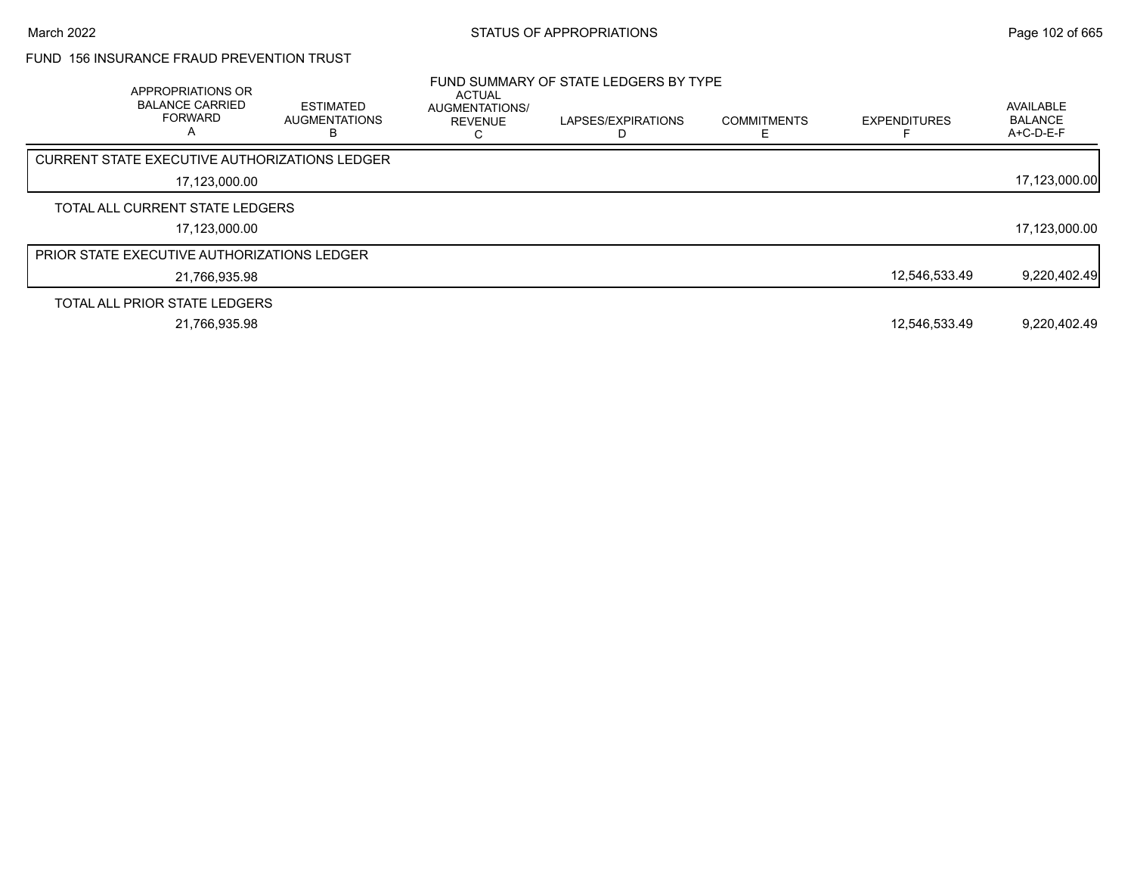# FUND 156 INSURANCE FRAUD PREVENTION TRUST

| APPROPRIATIONS OR<br><b>BALANCE CARRIED</b><br><b>FORWARD</b> | <b>ESTIMATED</b><br><b>AUGMENTATIONS</b><br>В | <b>ACTUAL</b><br>AUGMENTATIONS/<br><b>REVENUE</b> | FUND SUMMARY OF STATE LEDGERS BY TYPE<br>LAPSES/EXPIRATIONS | <b>COMMITMENTS</b> | <b>EXPENDITURES</b> | AVAILABLE<br><b>BALANCE</b><br>A+C-D-E-F |
|---------------------------------------------------------------|-----------------------------------------------|---------------------------------------------------|-------------------------------------------------------------|--------------------|---------------------|------------------------------------------|
| CURRENT STATE EXECUTIVE AUTHORIZATIONS LEDGER                 |                                               |                                                   |                                                             |                    |                     |                                          |
| 17,123,000.00                                                 |                                               |                                                   |                                                             |                    |                     | 17,123,000.00                            |
| TOTAL ALL CURRENT STATE LEDGERS                               |                                               |                                                   |                                                             |                    |                     |                                          |
| 17,123,000.00                                                 |                                               |                                                   |                                                             |                    |                     | 17,123,000.00                            |
| <b>PRIOR STATE EXECUTIVE AUTHORIZATIONS LEDGER</b>            |                                               |                                                   |                                                             |                    |                     |                                          |
| 21.766.935.98                                                 |                                               |                                                   |                                                             |                    | 12.546.533.49       | 9,220,402.49                             |
| TOTAL ALL PRIOR STATE LEDGERS                                 |                                               |                                                   |                                                             |                    |                     |                                          |
| 21.766.935.98                                                 |                                               |                                                   |                                                             |                    | 12.546.533.49       | 9.220.402.49                             |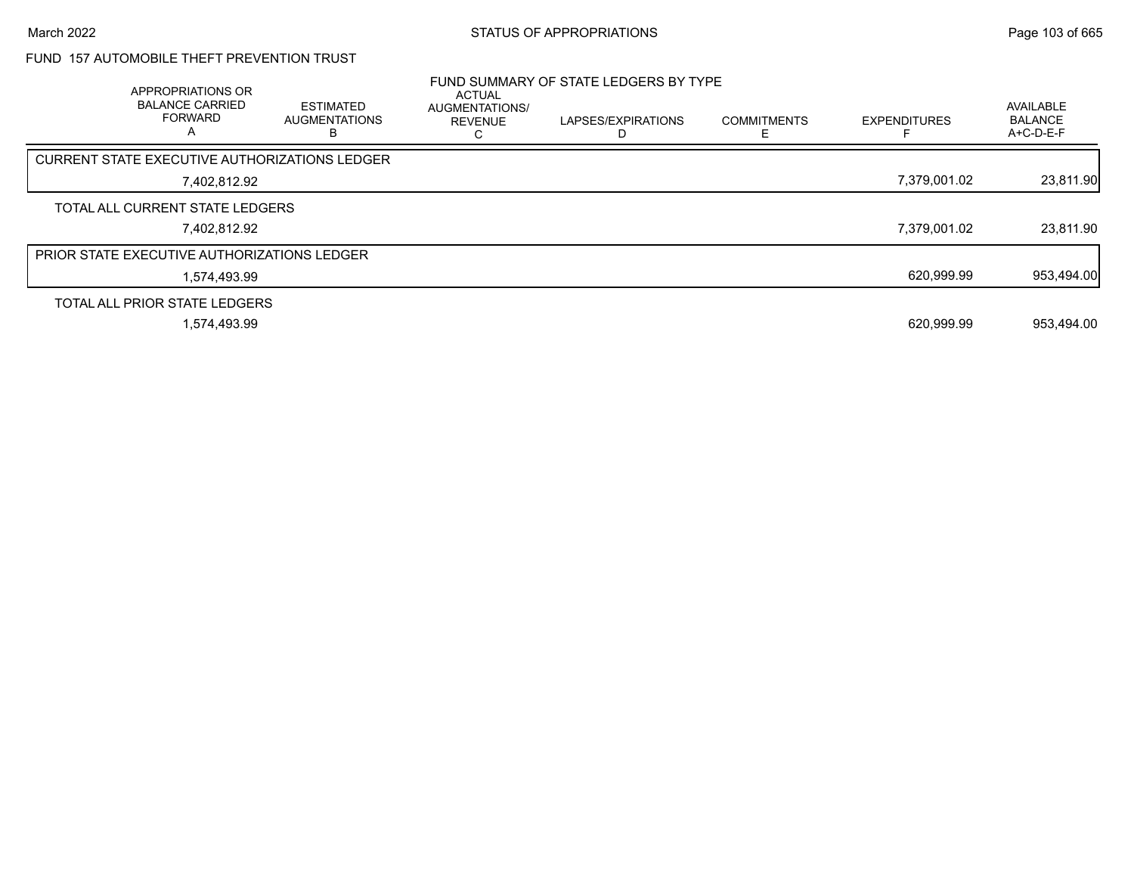# FUND 157 AUTOMOBILE THEFT PREVENTION TRUST

| APPROPRIATIONS OR<br><b>BALANCE CARRIED</b><br><b>FORWARD</b><br>A | <b>ESTIMATED</b><br><b>AUGMENTATIONS</b> | <b>ACTUAL</b><br>AUGMENTATIONS/<br><b>REVENUE</b> | FUND SUMMARY OF STATE LEDGERS BY TYPE<br>LAPSES/EXPIRATIONS | <b>COMMITMENTS</b> | <b>EXPENDITURES</b> | AVAILABLE<br><b>BALANCE</b><br>A+C-D-E-F |
|--------------------------------------------------------------------|------------------------------------------|---------------------------------------------------|-------------------------------------------------------------|--------------------|---------------------|------------------------------------------|
| CURRENT STATE EXECUTIVE AUTHORIZATIONS LEDGER                      |                                          |                                                   |                                                             |                    |                     |                                          |
| 7,402,812.92                                                       |                                          |                                                   |                                                             |                    | 7,379,001.02        | 23,811.90                                |
| TOTAL ALL CURRENT STATE LEDGERS                                    |                                          |                                                   |                                                             |                    |                     |                                          |
| 7.402.812.92                                                       |                                          |                                                   |                                                             |                    | 7.379.001.02        | 23,811.90                                |
| <b>PRIOR STATE EXECUTIVE AUTHORIZATIONS LEDGER</b>                 |                                          |                                                   |                                                             |                    |                     |                                          |
| 1.574.493.99                                                       |                                          |                                                   |                                                             |                    | 620,999.99          | 953,494.00                               |
| TOTAL ALL PRIOR STATE LEDGERS                                      |                                          |                                                   |                                                             |                    |                     |                                          |
| 1.574.493.99                                                       |                                          |                                                   |                                                             |                    | 620.999.99          | 953.494.00                               |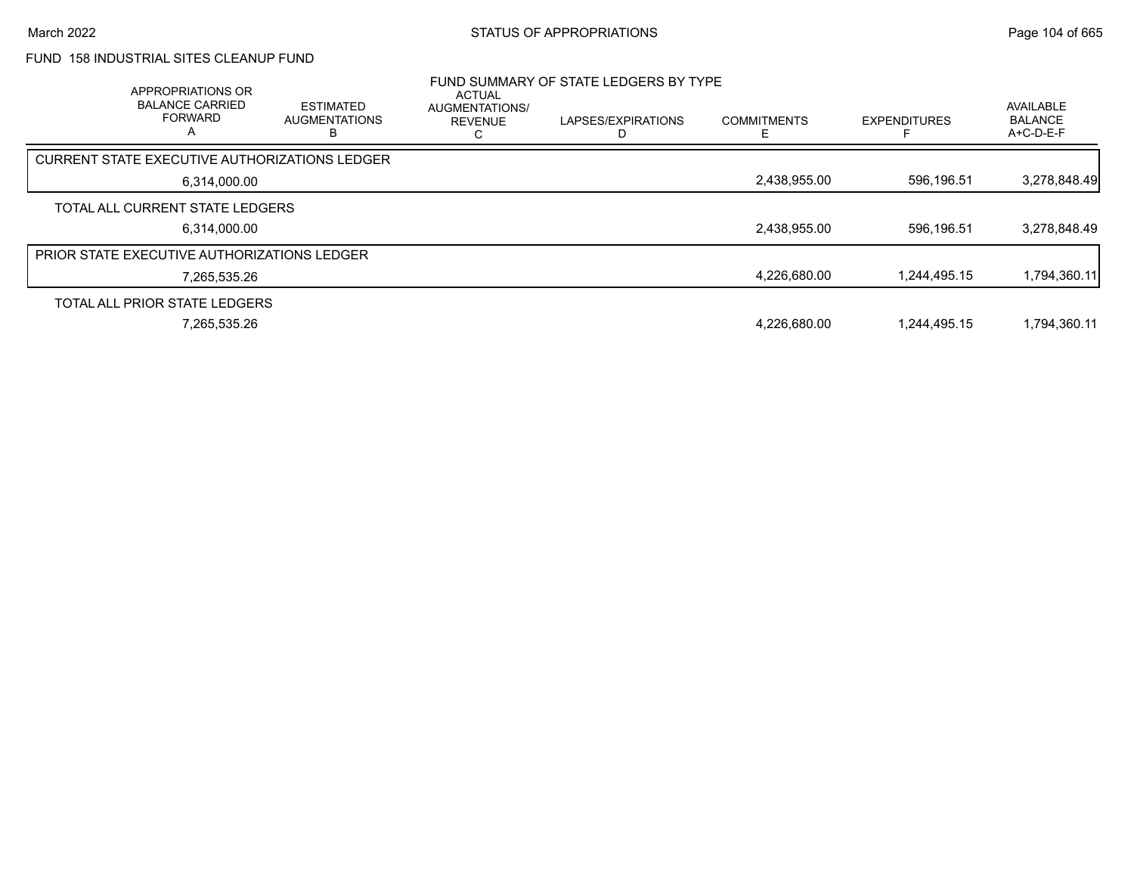# FUND 158 INDUSTRIAL SITES CLEANUP FUND

| APPROPRIATIONS OR<br><b>BALANCE CARRIED</b><br><b>FORWARD</b><br>A | <b>ESTIMATED</b><br><b>AUGMENTATIONS</b> | <b>ACTUAL</b><br>AUGMENTATIONS/<br><b>REVENUE</b> | FUND SUMMARY OF STATE LEDGERS BY TYPE<br>LAPSES/EXPIRATIONS | <b>COMMITMENTS</b> | <b>EXPENDITURES</b> | AVAILABLE<br><b>BALANCE</b><br>$A+C-D-E-F$ |
|--------------------------------------------------------------------|------------------------------------------|---------------------------------------------------|-------------------------------------------------------------|--------------------|---------------------|--------------------------------------------|
| CURRENT STATE EXECUTIVE AUTHORIZATIONS LEDGER                      |                                          |                                                   |                                                             |                    |                     |                                            |
| 6,314,000.00                                                       |                                          |                                                   |                                                             | 2,438,955.00       | 596,196.51          | 3,278,848.49                               |
| TOTAL ALL CURRENT STATE LEDGERS                                    |                                          |                                                   |                                                             |                    |                     |                                            |
| 6.314.000.00                                                       |                                          |                                                   |                                                             | 2,438,955.00       | 596.196.51          | 3,278,848.49                               |
| <b>PRIOR STATE EXECUTIVE AUTHORIZATIONS LEDGER</b>                 |                                          |                                                   |                                                             |                    |                     |                                            |
| 7.265.535.26                                                       |                                          |                                                   |                                                             | 4,226,680.00       | 1.244.495.15        | 1,794,360.11                               |
| TOTAL ALL PRIOR STATE LEDGERS                                      |                                          |                                                   |                                                             |                    |                     |                                            |
| 7,265,535.26                                                       |                                          |                                                   |                                                             | 4,226,680.00       | 1.244.495.15        | 1,794,360.11                               |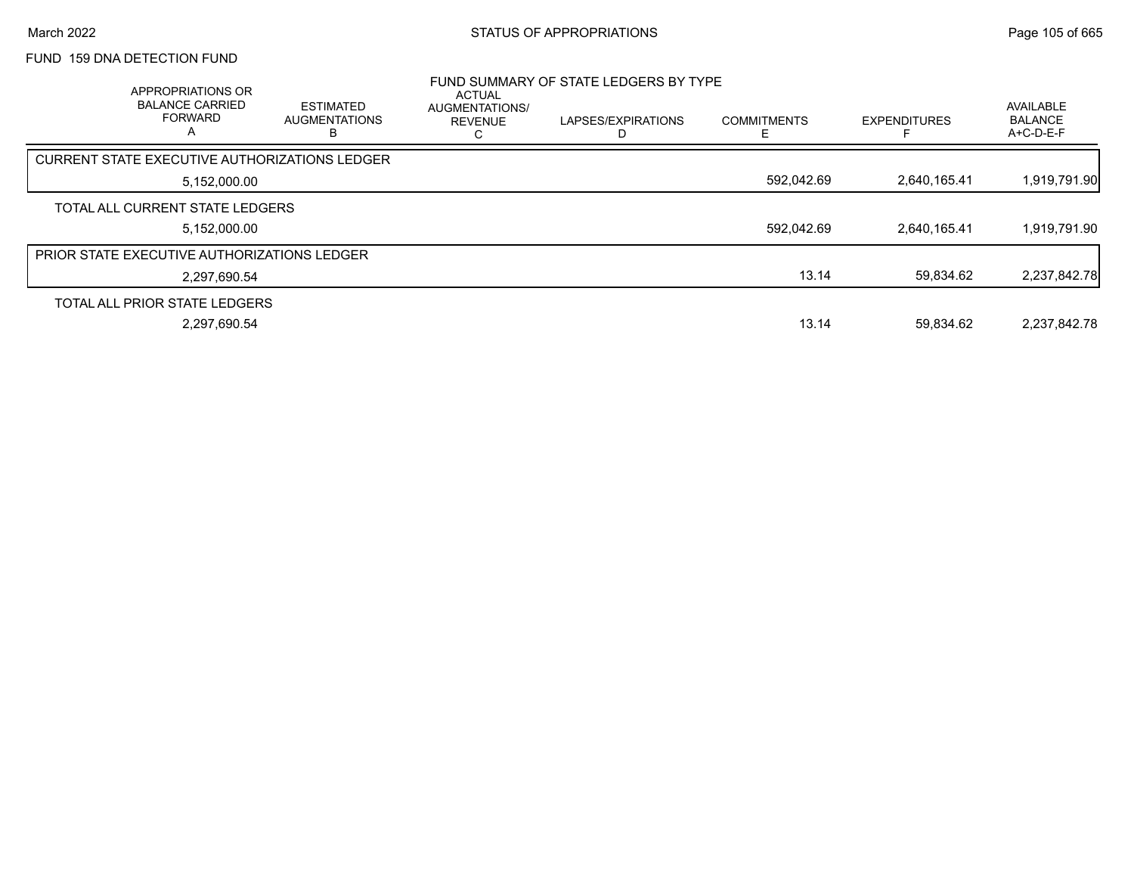# FUND 159 DNA DETECTION FUND

| APPROPRIATIONS OR<br><b>BALANCE CARRIED</b><br><b>FORWARD</b><br>А | <b>ESTIMATED</b><br><b>AUGMENTATIONS</b> | <b>ACTUAL</b><br>AUGMENTATIONS/<br><b>REVENUE</b> | FUND SUMMARY OF STATE LEDGERS BY TYPE<br>LAPSES/EXPIRATIONS | <b>COMMITMENTS</b> | <b>EXPENDITURES</b> | <b>AVAILABLE</b><br><b>BALANCE</b><br>A+C-D-E-F |
|--------------------------------------------------------------------|------------------------------------------|---------------------------------------------------|-------------------------------------------------------------|--------------------|---------------------|-------------------------------------------------|
| <b>CURRENT STATE EXECUTIVE AUTHORIZATIONS LEDGER</b>               |                                          |                                                   |                                                             |                    |                     |                                                 |
| 5,152,000.00                                                       |                                          |                                                   |                                                             | 592,042.69         | 2.640.165.41        | 1,919,791.90                                    |
| TOTAL ALL CURRENT STATE LEDGERS                                    |                                          |                                                   |                                                             |                    |                     |                                                 |
| 5,152,000.00                                                       |                                          |                                                   |                                                             | 592.042.69         | 2.640.165.41        | 1,919,791.90                                    |
| <b>PRIOR STATE EXECUTIVE AUTHORIZATIONS LEDGER</b>                 |                                          |                                                   |                                                             |                    |                     |                                                 |
| 2.297.690.54                                                       |                                          |                                                   |                                                             | 13.14              | 59.834.62           | 2,237,842.78                                    |
| TOTAL ALL PRIOR STATE LEDGERS                                      |                                          |                                                   |                                                             |                    |                     |                                                 |
| 2,297,690.54                                                       |                                          |                                                   |                                                             | 13.14              | 59.834.62           | 2.237.842.78                                    |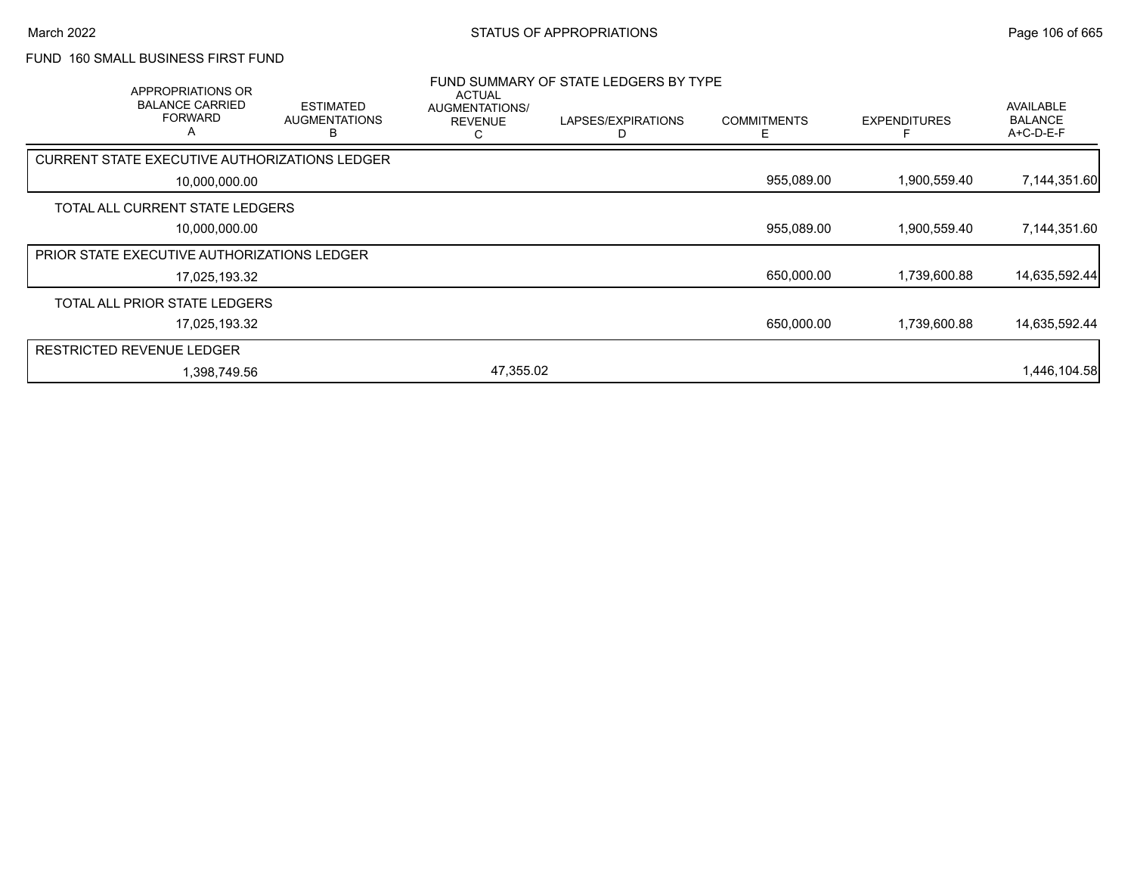## FUND 160 SMALL BUSINESS FIRST FUND

|                                  | APPROPRIATIONS OR<br><b>BALANCE CARRIED</b><br><b>FORWARD</b><br>A | <b>ESTIMATED</b><br><b>AUGMENTATIONS</b><br>R | <b>ACTUAL</b><br>AUGMENTATIONS/<br><b>REVENUE</b><br>С | FUND SUMMARY OF STATE LEDGERS BY TYPE<br>LAPSES/EXPIRATIONS<br>D | <b>COMMITMENTS</b><br>Е | <b>EXPENDITURES</b> | AVAILABLE<br><b>BALANCE</b><br>A+C-D-E-F |
|----------------------------------|--------------------------------------------------------------------|-----------------------------------------------|--------------------------------------------------------|------------------------------------------------------------------|-------------------------|---------------------|------------------------------------------|
|                                  |                                                                    | CURRENT STATE EXECUTIVE AUTHORIZATIONS LEDGER |                                                        |                                                                  |                         |                     |                                          |
|                                  | 10,000,000.00                                                      |                                               |                                                        |                                                                  | 955,089.00              | 1,900,559.40        | 7,144,351.60                             |
|                                  | TOTAL ALL CURRENT STATE LEDGERS                                    |                                               |                                                        |                                                                  |                         |                     |                                          |
|                                  | 10,000,000.00                                                      |                                               |                                                        |                                                                  | 955,089.00              | 1,900,559.40        | 7,144,351.60                             |
|                                  | PRIOR STATE EXECUTIVE AUTHORIZATIONS LEDGER                        |                                               |                                                        |                                                                  |                         |                     |                                          |
|                                  | 17,025,193.32                                                      |                                               |                                                        |                                                                  | 650,000.00              | 1,739,600.88        | 14,635,592.44                            |
|                                  | TOTAL ALL PRIOR STATE LEDGERS                                      |                                               |                                                        |                                                                  |                         |                     |                                          |
|                                  | 17,025,193.32                                                      |                                               |                                                        |                                                                  | 650,000.00              | 1,739,600.88        | 14,635,592.44                            |
| <b>RESTRICTED REVENUE LEDGER</b> |                                                                    |                                               |                                                        |                                                                  |                         |                     |                                          |
|                                  | 1,398,749.56                                                       |                                               | 47,355.02                                              |                                                                  |                         |                     | 1,446,104.58                             |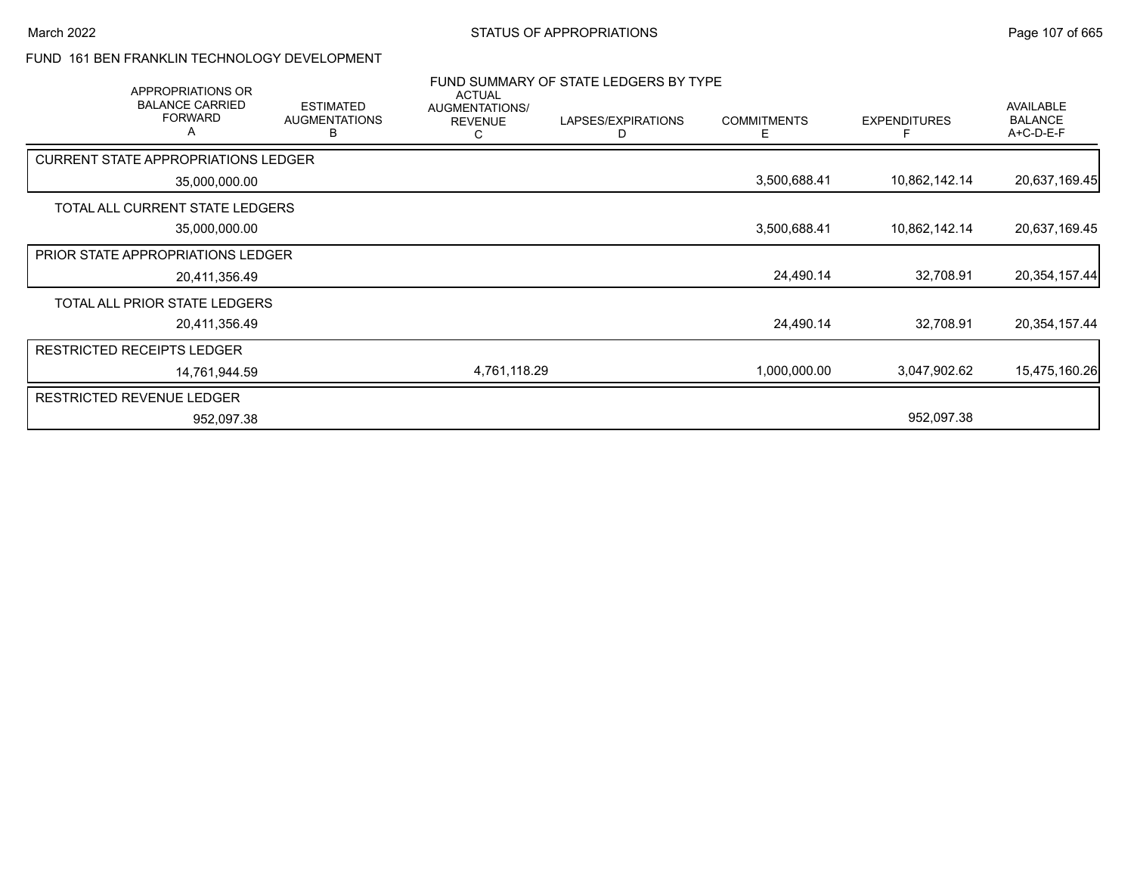## FUND 161 BEN FRANKLIN TECHNOLOGY DEVELOPMENT

| APPROPRIATIONS OR                             |                                               | <b>ACTUAL</b>                         | FUND SUMMARY OF STATE LEDGERS BY TYPE |                         |                     |                                                 |
|-----------------------------------------------|-----------------------------------------------|---------------------------------------|---------------------------------------|-------------------------|---------------------|-------------------------------------------------|
| <b>BALANCE CARRIED</b><br><b>FORWARD</b><br>A | <b>ESTIMATED</b><br><b>AUGMENTATIONS</b><br>В | AUGMENTATIONS/<br><b>REVENUE</b><br>С | LAPSES/EXPIRATIONS                    | <b>COMMITMENTS</b><br>F | <b>EXPENDITURES</b> | <b>AVAILABLE</b><br><b>BALANCE</b><br>A+C-D-E-F |
| <b>CURRENT STATE APPROPRIATIONS LEDGER</b>    |                                               |                                       |                                       |                         |                     |                                                 |
| 35,000,000.00                                 |                                               |                                       |                                       | 3,500,688.41            | 10,862,142.14       | 20,637,169.45                                   |
| TOTAL ALL CURRENT STATE LEDGERS               |                                               |                                       |                                       |                         |                     |                                                 |
| 35,000,000.00                                 |                                               |                                       |                                       | 3,500,688.41            | 10,862,142.14       | 20,637,169.45                                   |
| PRIOR STATE APPROPRIATIONS LEDGER             |                                               |                                       |                                       |                         |                     |                                                 |
| 20,411,356.49                                 |                                               |                                       |                                       | 24,490.14               | 32,708.91           | 20,354,157.44                                   |
| TOTAL ALL PRIOR STATE LEDGERS                 |                                               |                                       |                                       |                         |                     |                                                 |
| 20,411,356.49                                 |                                               |                                       |                                       | 24,490.14               | 32,708.91           | 20,354,157.44                                   |
| <b>RESTRICTED RECEIPTS LEDGER</b>             |                                               |                                       |                                       |                         |                     |                                                 |
| 14,761,944.59                                 |                                               | 4,761,118.29                          |                                       | 1,000,000.00            | 3,047,902.62        | 15,475,160.26                                   |
| <b>RESTRICTED REVENUE LEDGER</b>              |                                               |                                       |                                       |                         |                     |                                                 |
| 952,097.38                                    |                                               |                                       |                                       |                         | 952,097.38          |                                                 |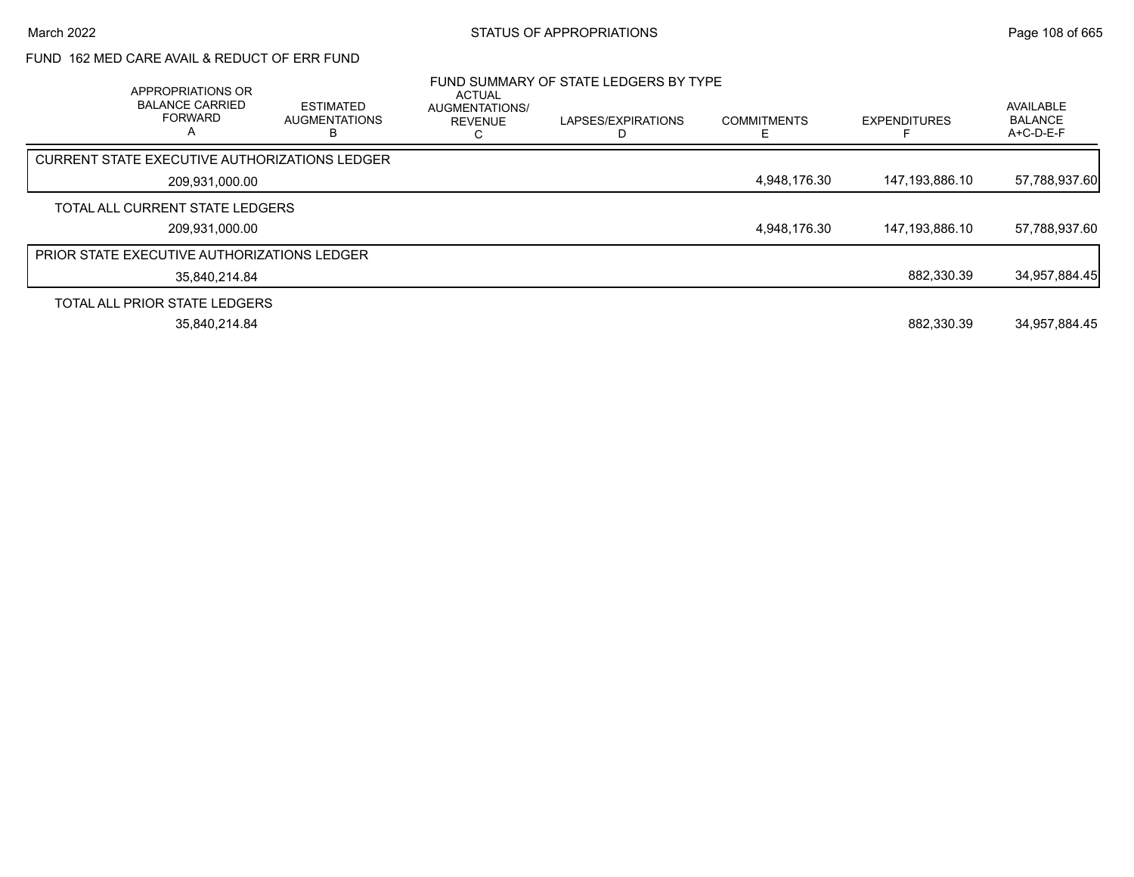# FUND 162 MED CARE AVAIL & REDUCT OF ERR FUND

| APPROPRIATIONS OR<br><b>BALANCE CARRIED</b><br><b>FORWARD</b><br>А | <b>ESTIMATED</b><br><b>AUGMENTATIONS</b> | ACTUAL<br>AUGMENTATIONS/<br><b>REVENUE</b> | FUND SUMMARY OF STATE LEDGERS BY TYPE<br>LAPSES/EXPIRATIONS | <b>COMMITMENTS</b> | <b>EXPENDITURES</b> | AVAILABLE<br><b>BALANCE</b><br>A+C-D-E-F |
|--------------------------------------------------------------------|------------------------------------------|--------------------------------------------|-------------------------------------------------------------|--------------------|---------------------|------------------------------------------|
| <b>CURRENT STATE EXECUTIVE AUTHORIZATIONS LEDGER</b>               |                                          |                                            |                                                             |                    |                     |                                          |
| 209,931,000.00                                                     |                                          |                                            |                                                             | 4,948,176.30       | 147,193,886.10      | 57,788,937.60                            |
| TOTAL ALL CURRENT STATE LEDGERS                                    |                                          |                                            |                                                             |                    |                     |                                          |
| 209.931.000.00                                                     |                                          |                                            |                                                             | 4,948,176.30       | 147,193,886.10      | 57,788,937.60                            |
| <b>PRIOR STATE EXECUTIVE AUTHORIZATIONS LEDGER</b>                 |                                          |                                            |                                                             |                    |                     |                                          |
| 35,840,214.84                                                      |                                          |                                            |                                                             |                    | 882.330.39          | 34,957,884.45                            |
| TOTAL ALL PRIOR STATE LEDGERS                                      |                                          |                                            |                                                             |                    |                     |                                          |
| 35.840.214.84                                                      |                                          |                                            |                                                             |                    | 882.330.39          | 34.957.884.45                            |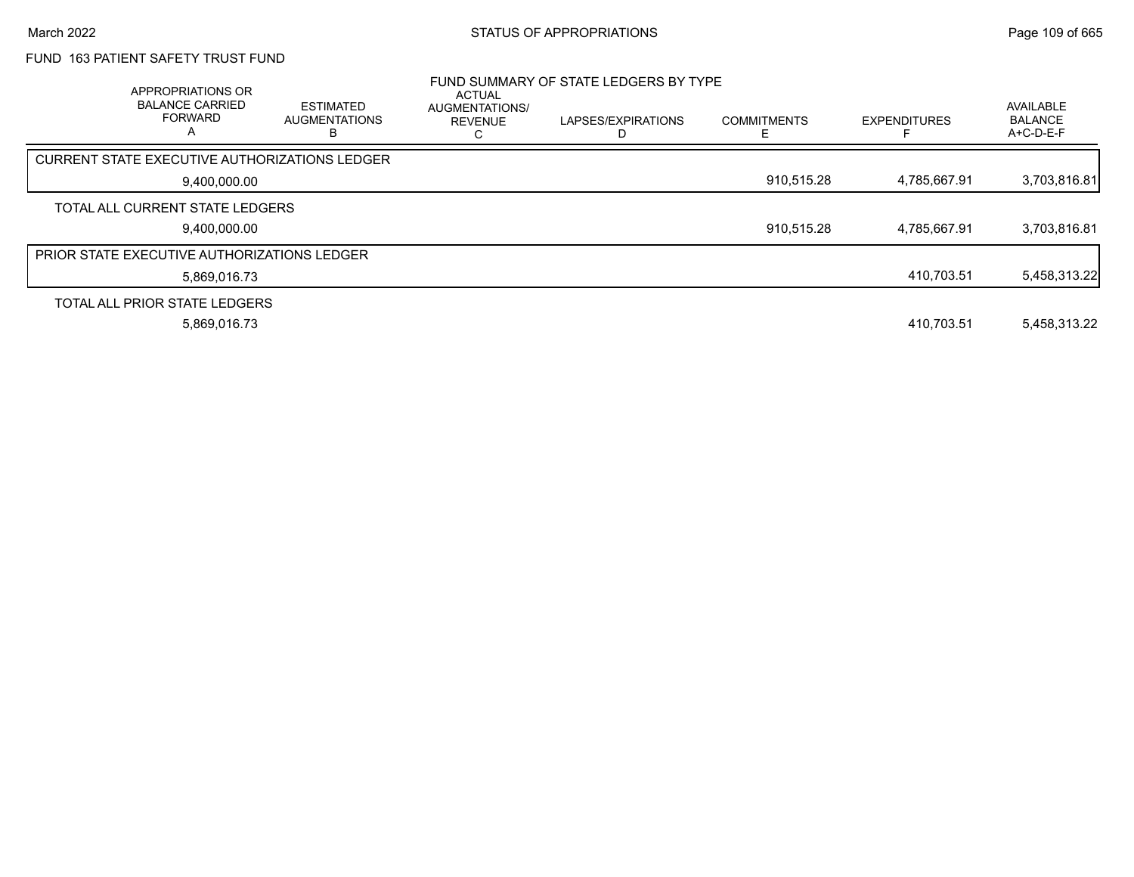## FUND 163 PATIENT SAFETY TRUST FUND

| APPROPRIATIONS OR<br><b>BALANCE CARRIED</b><br><b>FORWARD</b><br>А | <b>ESTIMATED</b><br><b>AUGMENTATIONS</b> | ACTUAL<br>AUGMENTATIONS/<br><b>REVENUE</b> | FUND SUMMARY OF STATE LEDGERS BY TYPE<br>LAPSES/EXPIRATIONS | <b>COMMITMENTS</b> | <b>EXPENDITURES</b> | AVAILABLE<br><b>BALANCE</b><br>A+C-D-E-F |
|--------------------------------------------------------------------|------------------------------------------|--------------------------------------------|-------------------------------------------------------------|--------------------|---------------------|------------------------------------------|
| CURRENT STATE EXECUTIVE AUTHORIZATIONS LEDGER                      |                                          |                                            |                                                             |                    |                     |                                          |
| 9,400,000.00                                                       |                                          |                                            |                                                             | 910,515.28         | 4.785.667.91        | 3,703,816.81                             |
| TOTAL ALL CURRENT STATE LEDGERS                                    |                                          |                                            |                                                             |                    |                     |                                          |
| 9,400,000.00                                                       |                                          |                                            |                                                             | 910,515.28         | 4.785.667.91        | 3,703,816.81                             |
| <b>PRIOR STATE EXECUTIVE AUTHORIZATIONS LEDGER</b>                 |                                          |                                            |                                                             |                    |                     |                                          |
| 5.869.016.73                                                       |                                          |                                            |                                                             |                    | 410.703.51          | 5,458,313.22                             |
| TOTAL ALL PRIOR STATE LEDGERS                                      |                                          |                                            |                                                             |                    |                     |                                          |
| 5,869,016.73                                                       |                                          |                                            |                                                             |                    | 410.703.51          | 5,458,313.22                             |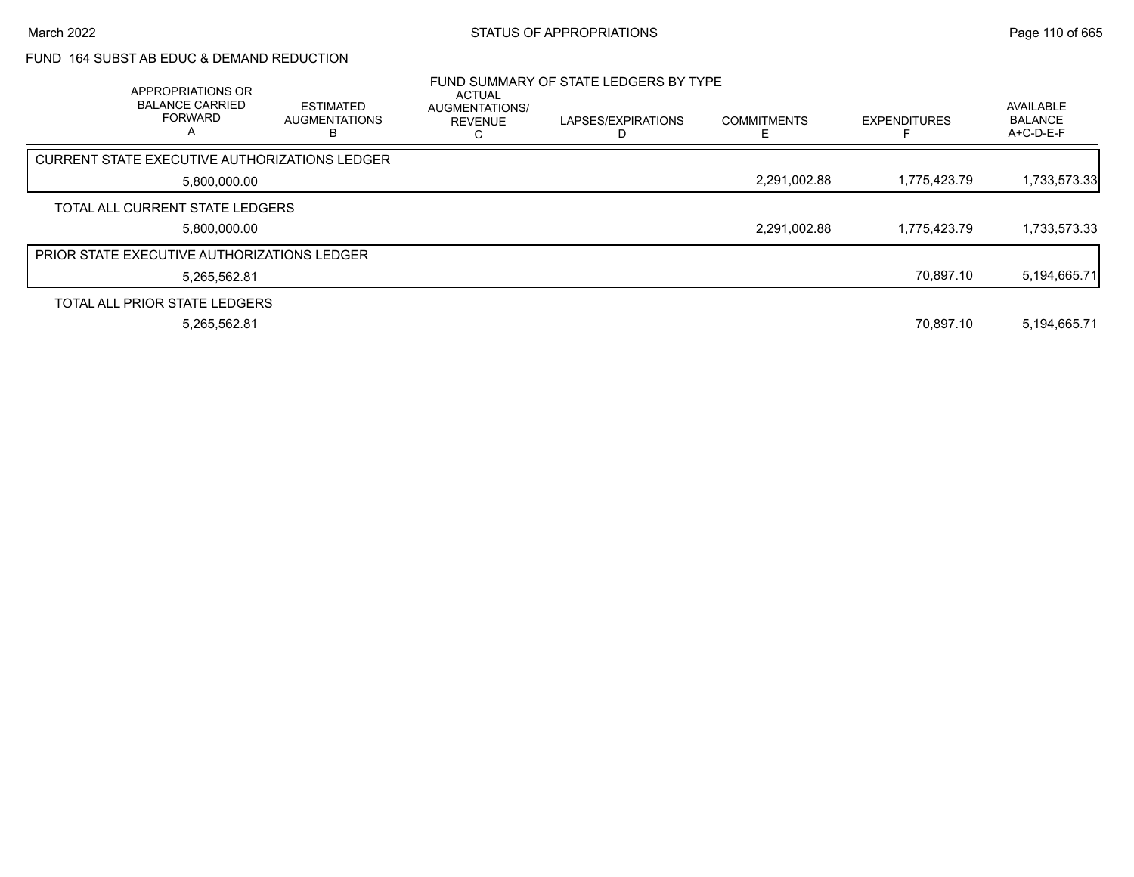## FUND 164 SUBST AB EDUC & DEMAND REDUCTION

| APPROPRIATIONS OR<br><b>BALANCE CARRIED</b><br><b>FORWARD</b><br>A | <b>ESTIMATED</b><br><b>AUGMENTATIONS</b> | <b>ACTUAL</b><br><b>AUGMENTATIONS/</b><br><b>REVENUE</b> | FUND SUMMARY OF STATE LEDGERS BY TYPE<br>LAPSES/EXPIRATIONS | <b>COMMITMENTS</b> | <b>EXPENDITURES</b> | AVAILABLE<br><b>BALANCE</b><br>A+C-D-E-F |
|--------------------------------------------------------------------|------------------------------------------|----------------------------------------------------------|-------------------------------------------------------------|--------------------|---------------------|------------------------------------------|
| CURRENT STATE EXECUTIVE AUTHORIZATIONS LEDGER                      |                                          |                                                          |                                                             |                    |                     |                                          |
| 5,800,000.00                                                       |                                          |                                                          |                                                             | 2,291,002.88       | 1.775.423.79        | 1,733,573.33                             |
| TOTAL ALL CURRENT STATE LEDGERS                                    |                                          |                                                          |                                                             |                    |                     |                                          |
| 5.800.000.00                                                       |                                          |                                                          |                                                             | 2,291,002.88       | 1.775.423.79        | 1,733,573.33                             |
| <b>PRIOR STATE EXECUTIVE AUTHORIZATIONS LEDGER</b>                 |                                          |                                                          |                                                             |                    |                     |                                          |
| 5,265,562.81                                                       |                                          |                                                          |                                                             |                    | 70.897.10           | 5,194,665.71                             |
| TOTAL ALL PRIOR STATE LEDGERS                                      |                                          |                                                          |                                                             |                    |                     |                                          |
| 5,265,562.81                                                       |                                          |                                                          |                                                             |                    | 70.897.10           | 5,194,665.71                             |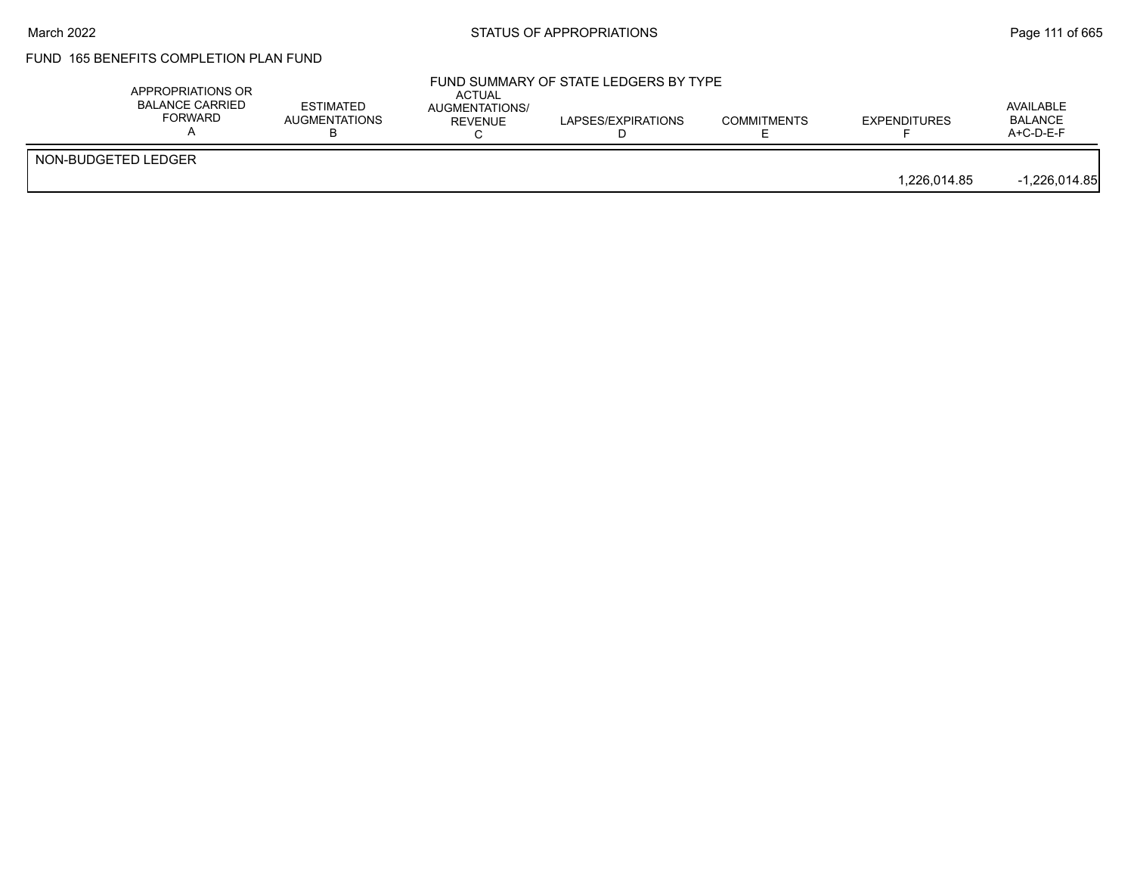#### March 2022 **STATUS OF APPROPRIATIONS** STATUS OF APPROPRIATIONS

# FUND 165 BENEFITS COMPLETION PLAN FUND

|                     | APPROPRIATIONS OR<br>BALANCE CARRIED<br>FORWARD | <b>ESTIMATED</b><br>AUGMENTATIONS | ACTUAL<br>AUGMENTATIONS/<br><b>REVENUE</b> | FUND SUMMARY OF STATE LEDGERS BY TYPE<br>LAPSES/EXPIRATIONS | <b>COMMITMENTS</b> | <b>EXPENDITURES</b> | AVAILABLE<br><b>BALANCE</b><br>A+C-D-E-F |
|---------------------|-------------------------------------------------|-----------------------------------|--------------------------------------------|-------------------------------------------------------------|--------------------|---------------------|------------------------------------------|
| NON-BUDGETED LEDGER |                                                 |                                   |                                            |                                                             |                    | 1.226.014.85        | $-1,226,014.85$                          |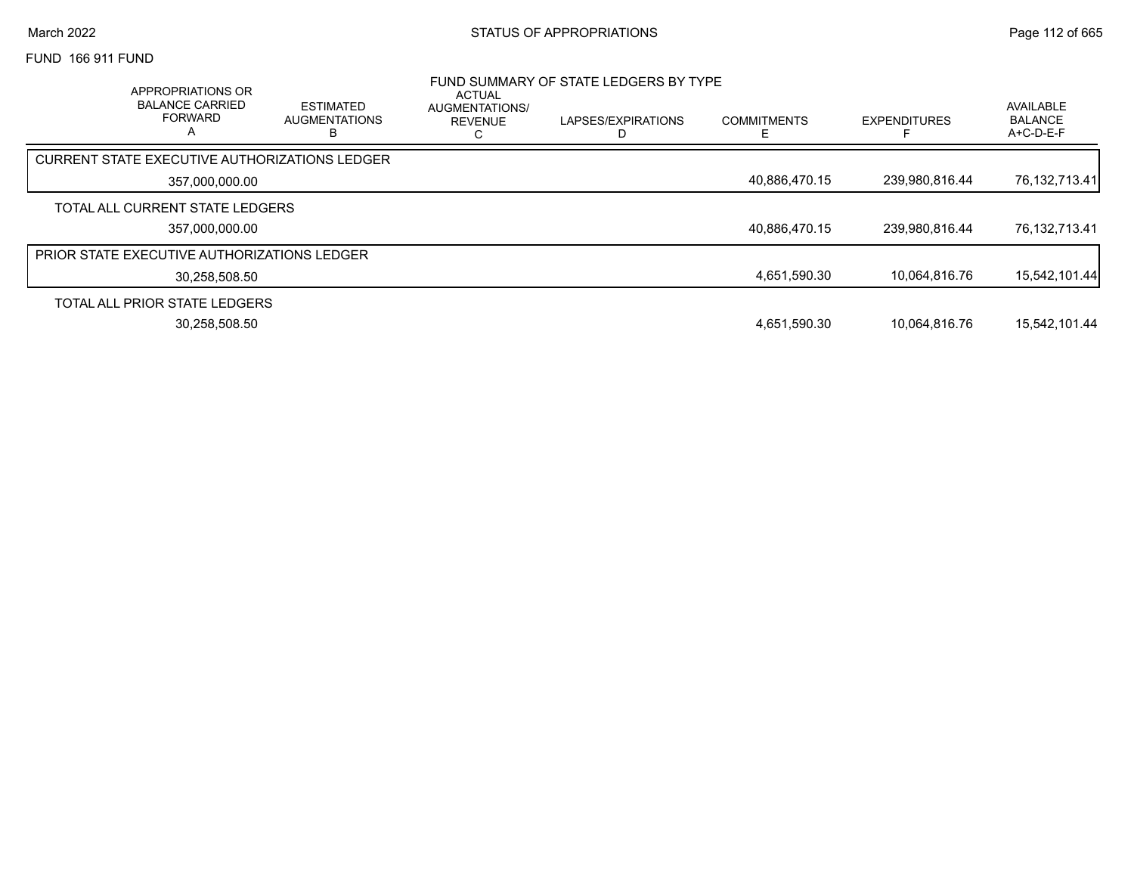FUND 166 911 FUND

| APPROPRIATIONS OR<br><b>BALANCE CARRIED</b><br><b>FORWARD</b> | <b>ESTIMATED</b><br><b>AUGMENTATIONS</b> | <b>ACTUAL</b><br>AUGMENTATIONS/<br><b>REVENUE</b> | FUND SUMMARY OF STATE LEDGERS BY TYPE<br>LAPSES/EXPIRATIONS | <b>COMMITMENTS</b> | <b>EXPENDITURES</b> | AVAILABLE<br><b>BALANCE</b><br>$A+C-D-E-F$ |
|---------------------------------------------------------------|------------------------------------------|---------------------------------------------------|-------------------------------------------------------------|--------------------|---------------------|--------------------------------------------|
| CURRENT STATE EXECUTIVE AUTHORIZATIONS LEDGER                 |                                          |                                                   |                                                             |                    |                     |                                            |
| 357.000.000.00                                                |                                          |                                                   |                                                             | 40.886.470.15      | 239,980,816.44      | 76,132,713.41                              |
| TOTAL ALL CURRENT STATE LEDGERS                               |                                          |                                                   |                                                             |                    |                     |                                            |
| 357,000,000.00                                                |                                          |                                                   |                                                             | 40,886,470.15      | 239,980,816.44      | 76,132,713.41                              |
| <b>PRIOR STATE EXECUTIVE AUTHORIZATIONS LEDGER</b>            |                                          |                                                   |                                                             |                    |                     |                                            |
| 30,258,508.50                                                 |                                          |                                                   |                                                             | 4,651,590.30       | 10.064.816.76       | 15,542,101.44                              |
| TOTAL ALL PRIOR STATE LEDGERS                                 |                                          |                                                   |                                                             |                    |                     |                                            |
| 30.258.508.50                                                 |                                          |                                                   |                                                             | 4,651,590.30       | 10.064.816.76       | 15.542.101.44                              |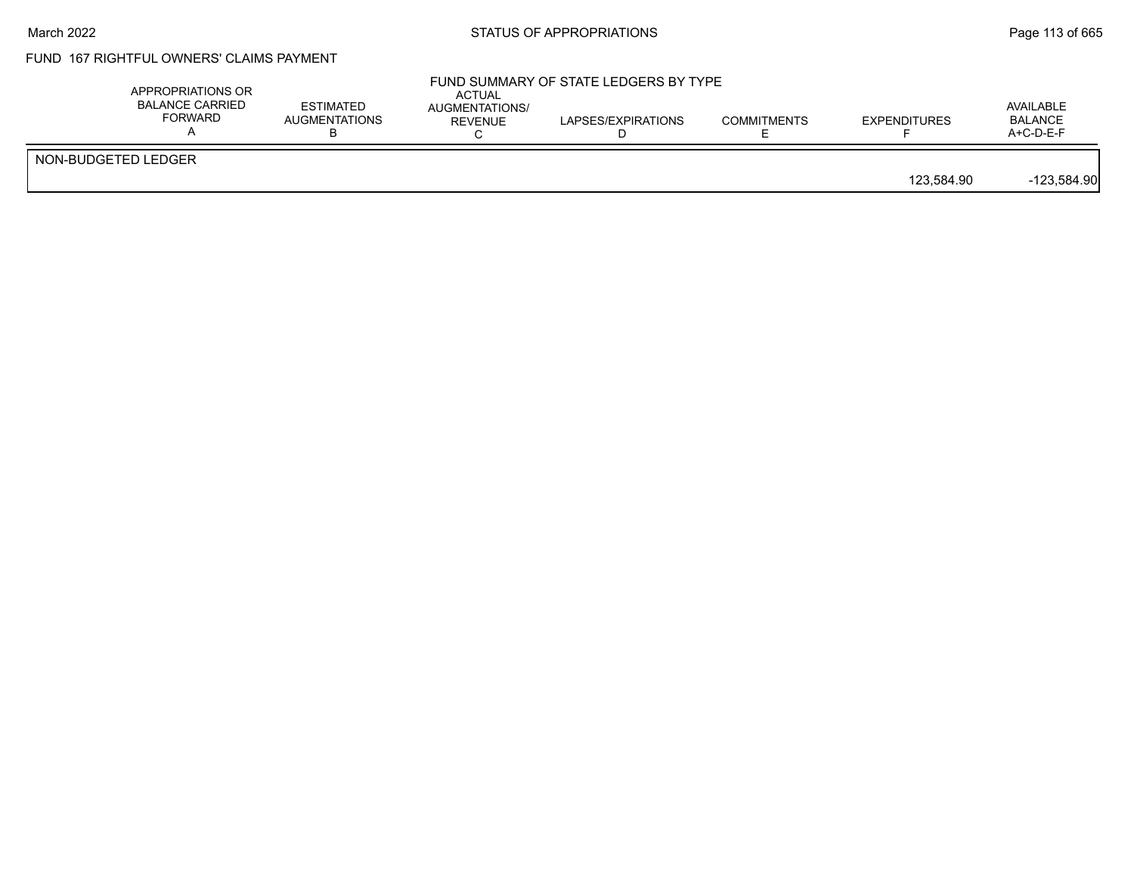## FUND 167 RIGHTFUL OWNERS' CLAIMS PAYMENT

| NON-BUDGETED LEDGER | AVAILABLE<br><b>BALANCE</b><br><b>EXPENDITURES</b><br>$A+C-D-E-F$ | <b>COMMITMENTS</b> | LAPSES/EXPIRATIONS | AUGMENTATIONS/<br>REVENUE | ESTIMATED<br><b>AUGMENTATIONS</b> | <b>BALANCE CARRIED</b><br>FORWARD |
|---------------------|-------------------------------------------------------------------|--------------------|--------------------|---------------------------|-----------------------------------|-----------------------------------|
| 123.584.90          | $-123,584.90$                                                     |                    |                    |                           |                                   |                                   |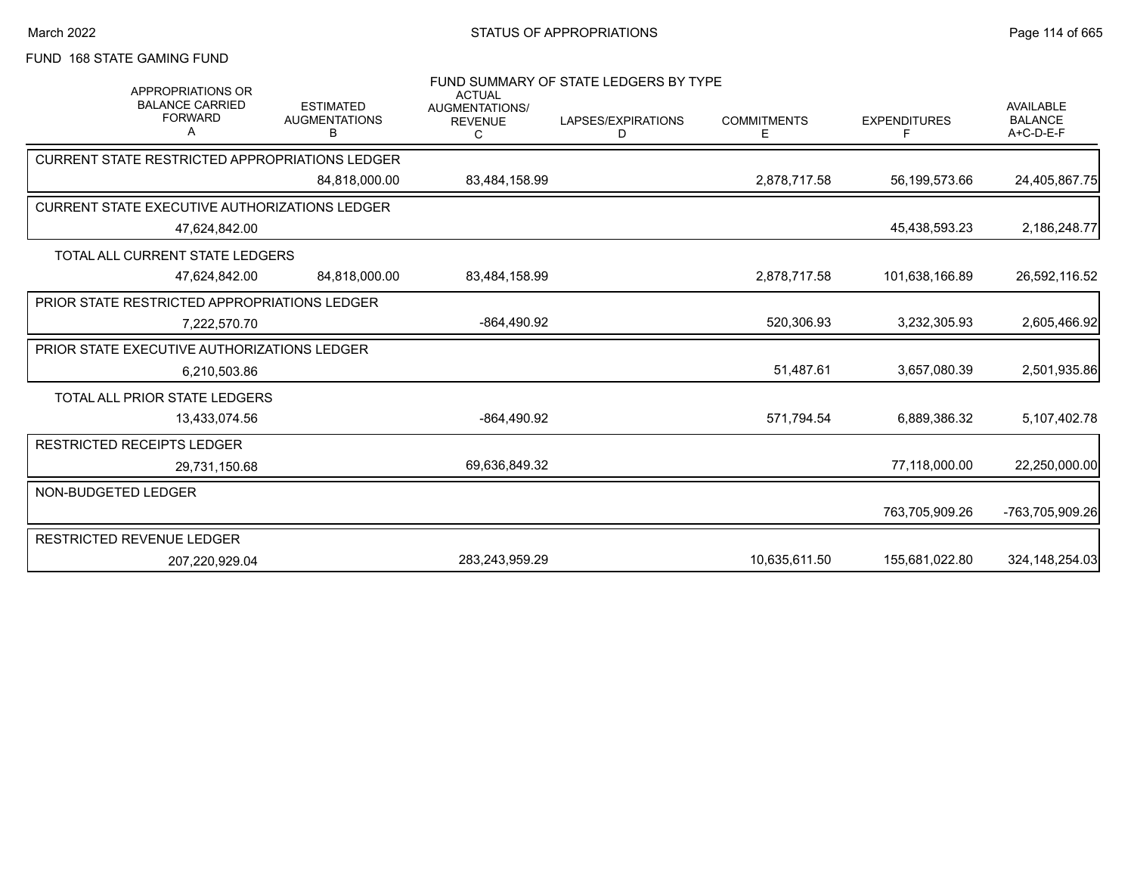# FUND 168 STATE GAMING FUND

| <b>APPROPRIATIONS OR</b><br><b>BALANCE CARRIED</b><br><b>FORWARD</b><br>А | <b>ESTIMATED</b><br><b>AUGMENTATIONS</b><br>B | <b>ACTUAL</b><br><b>AUGMENTATIONS/</b><br><b>REVENUE</b><br>C | FUND SUMMARY OF STATE LEDGERS BY TYPE<br>LAPSES/EXPIRATIONS<br>D | <b>COMMITMENTS</b><br>Е | <b>EXPENDITURES</b><br>F | <b>AVAILABLE</b><br><b>BALANCE</b><br>$A+C-D-E-F$ |
|---------------------------------------------------------------------------|-----------------------------------------------|---------------------------------------------------------------|------------------------------------------------------------------|-------------------------|--------------------------|---------------------------------------------------|
| <b>CURRENT STATE RESTRICTED APPROPRIATIONS LEDGER</b>                     |                                               |                                                               |                                                                  |                         |                          |                                                   |
|                                                                           | 84,818,000.00                                 | 83,484,158.99                                                 |                                                                  | 2,878,717.58            | 56,199,573.66            | 24,405,867.75                                     |
| <b>CURRENT STATE EXECUTIVE AUTHORIZATIONS LEDGER</b>                      |                                               |                                                               |                                                                  |                         |                          |                                                   |
| 47,624,842.00                                                             |                                               |                                                               |                                                                  |                         | 45,438,593.23            | 2,186,248.77                                      |
| TOTAL ALL CURRENT STATE LEDGERS                                           |                                               |                                                               |                                                                  |                         |                          |                                                   |
| 47.624.842.00                                                             | 84.818.000.00                                 | 83,484,158.99                                                 |                                                                  | 2,878,717.58            | 101,638,166.89           | 26,592,116.52                                     |
| PRIOR STATE RESTRICTED APPROPRIATIONS LEDGER                              |                                               |                                                               |                                                                  |                         |                          |                                                   |
| 7,222,570.70                                                              |                                               | -864,490.92                                                   |                                                                  | 520,306.93              | 3,232,305.93             | 2,605,466.92                                      |
| PRIOR STATE EXECUTIVE AUTHORIZATIONS LEDGER                               |                                               |                                                               |                                                                  |                         |                          |                                                   |
| 6.210.503.86                                                              |                                               |                                                               |                                                                  | 51,487.61               | 3,657,080.39             | 2,501,935.86                                      |
| TOTAL ALL PRIOR STATE LEDGERS                                             |                                               |                                                               |                                                                  |                         |                          |                                                   |
| 13,433,074.56                                                             |                                               | -864,490.92                                                   |                                                                  | 571,794.54              | 6,889,386.32             | 5,107,402.78                                      |
| <b>RESTRICTED RECEIPTS LEDGER</b>                                         |                                               |                                                               |                                                                  |                         |                          |                                                   |
| 29,731,150.68                                                             |                                               | 69,636,849.32                                                 |                                                                  |                         | 77,118,000.00            | 22,250,000.00                                     |
| NON-BUDGETED LEDGER                                                       |                                               |                                                               |                                                                  |                         |                          |                                                   |
|                                                                           |                                               |                                                               |                                                                  |                         | 763,705,909.26           | -763,705,909.26                                   |
| RESTRICTED REVENUE LEDGER                                                 |                                               |                                                               |                                                                  |                         |                          |                                                   |
| 207,220,929.04                                                            |                                               | 283.243.959.29                                                |                                                                  | 10.635.611.50           | 155,681,022.80           | 324, 148, 254.03                                  |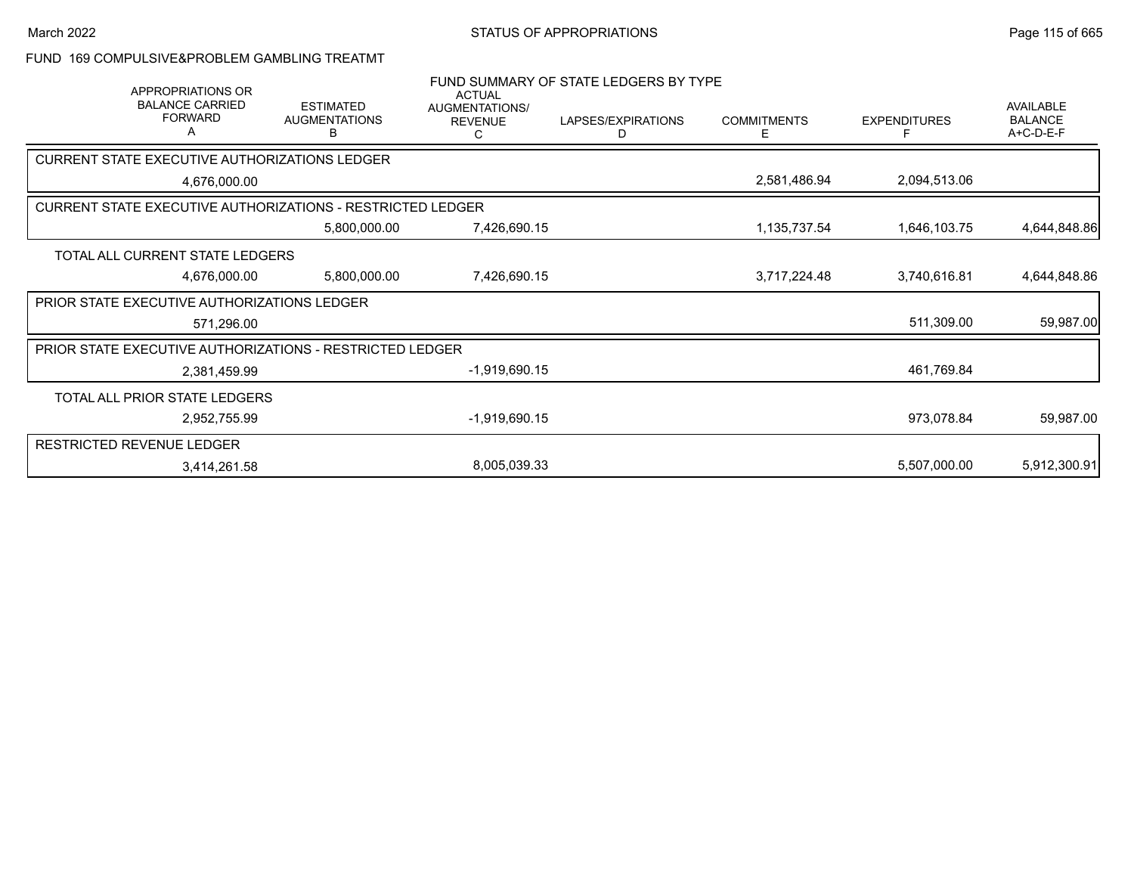### FUND 169 COMPULSIVE&PROBLEM GAMBLING TREATMT

| APPROPRIATIONS OR                                                 |              |                                               | <b>ACTUAL</b>                                | FUND SUMMARY OF STATE LEDGERS BY TYPE |                         |                     |                                          |
|-------------------------------------------------------------------|--------------|-----------------------------------------------|----------------------------------------------|---------------------------------------|-------------------------|---------------------|------------------------------------------|
| <b>BALANCE CARRIED</b><br><b>FORWARD</b><br>A                     |              | <b>ESTIMATED</b><br><b>AUGMENTATIONS</b><br>В | <b>AUGMENTATIONS/</b><br><b>REVENUE</b><br>С | LAPSES/EXPIRATIONS<br>D               | <b>COMMITMENTS</b><br>Е | <b>EXPENDITURES</b> | AVAILABLE<br><b>BALANCE</b><br>A+C-D-E-F |
| CURRENT STATE EXECUTIVE AUTHORIZATIONS LEDGER                     |              |                                               |                                              |                                       |                         |                     |                                          |
|                                                                   | 4,676,000.00 |                                               |                                              |                                       | 2,581,486.94            | 2,094,513.06        |                                          |
| <b>CURRENT STATE EXECUTIVE AUTHORIZATIONS - RESTRICTED LEDGER</b> |              |                                               |                                              |                                       |                         |                     |                                          |
|                                                                   |              | 5,800,000.00                                  | 7,426,690.15                                 |                                       | 1,135,737.54            | 1,646,103.75        | 4,644,848.86                             |
| TOTAL ALL CURRENT STATE LEDGERS                                   |              |                                               |                                              |                                       |                         |                     |                                          |
|                                                                   | 4,676,000.00 | 5,800,000.00                                  | 7,426,690.15                                 |                                       | 3,717,224.48            | 3,740,616.81        | 4,644,848.86                             |
| PRIOR STATE EXECUTIVE AUTHORIZATIONS LEDGER                       |              |                                               |                                              |                                       |                         |                     |                                          |
|                                                                   | 571,296.00   |                                               |                                              |                                       |                         | 511,309.00          | 59,987.00                                |
| PRIOR STATE EXECUTIVE AUTHORIZATIONS - RESTRICTED LEDGER          |              |                                               |                                              |                                       |                         |                     |                                          |
|                                                                   | 2,381,459.99 |                                               | $-1,919,690.15$                              |                                       |                         | 461,769.84          |                                          |
| TOTAL ALL PRIOR STATE LEDGERS                                     |              |                                               |                                              |                                       |                         |                     |                                          |
|                                                                   | 2,952,755.99 |                                               | $-1,919,690.15$                              |                                       |                         | 973,078.84          | 59,987.00                                |
| <b>RESTRICTED REVENUE LEDGER</b>                                  |              |                                               |                                              |                                       |                         |                     |                                          |
|                                                                   | 3,414,261.58 |                                               | 8,005,039.33                                 |                                       |                         | 5,507,000.00        | 5,912,300.91                             |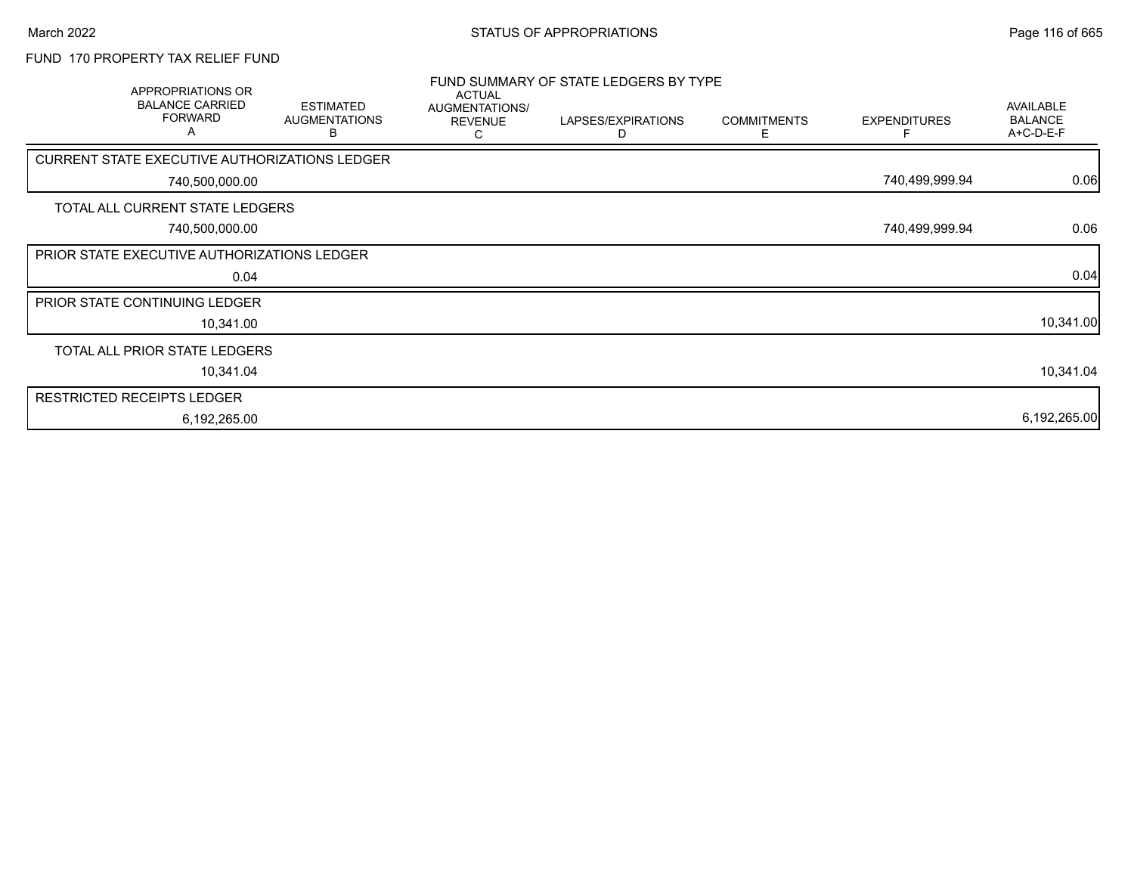## FUND 170 PROPERTY TAX RELIEF FUND

| APPROPRIATIONS OR<br><b>BALANCE CARRIED</b><br><b>FORWARD</b><br>A | <b>ESTIMATED</b><br><b>AUGMENTATIONS</b><br>B | <b>ACTUAL</b><br>AUGMENTATIONS/<br><b>REVENUE</b><br>С | FUND SUMMARY OF STATE LEDGERS BY TYPE<br>LAPSES/EXPIRATIONS<br>D | <b>COMMITMENTS</b><br>E. | <b>EXPENDITURES</b> | AVAILABLE<br><b>BALANCE</b><br>A+C-D-E-F |
|--------------------------------------------------------------------|-----------------------------------------------|--------------------------------------------------------|------------------------------------------------------------------|--------------------------|---------------------|------------------------------------------|
| CURRENT STATE EXECUTIVE AUTHORIZATIONS LEDGER                      |                                               |                                                        |                                                                  |                          |                     |                                          |
| 740,500,000.00                                                     |                                               |                                                        |                                                                  |                          | 740,499,999.94      | 0.06                                     |
| TOTAL ALL CURRENT STATE LEDGERS                                    |                                               |                                                        |                                                                  |                          |                     |                                          |
| 740,500,000.00                                                     |                                               |                                                        |                                                                  |                          | 740,499,999.94      | 0.06                                     |
| PRIOR STATE EXECUTIVE AUTHORIZATIONS LEDGER                        |                                               |                                                        |                                                                  |                          |                     |                                          |
| 0.04                                                               |                                               |                                                        |                                                                  |                          |                     | 0.04                                     |
| PRIOR STATE CONTINUING LEDGER                                      |                                               |                                                        |                                                                  |                          |                     |                                          |
| 10,341.00                                                          |                                               |                                                        |                                                                  |                          |                     | 10,341.00                                |
| TOTAL ALL PRIOR STATE LEDGERS                                      |                                               |                                                        |                                                                  |                          |                     |                                          |
| 10,341.04                                                          |                                               |                                                        |                                                                  |                          |                     | 10,341.04                                |
| <b>RESTRICTED RECEIPTS LEDGER</b>                                  |                                               |                                                        |                                                                  |                          |                     |                                          |
| 6,192,265.00                                                       |                                               |                                                        |                                                                  |                          |                     | 6,192,265.00                             |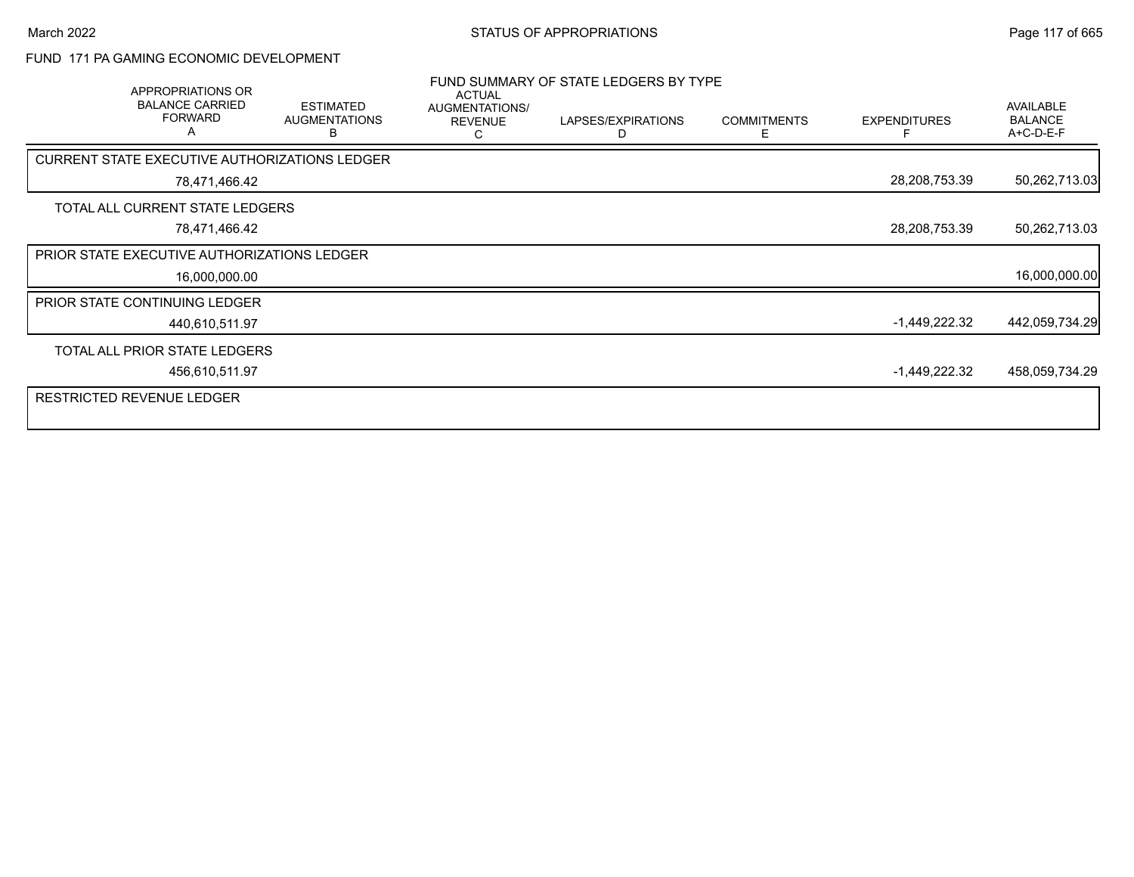## FUND 171 PA GAMING ECONOMIC DEVELOPMENT

| APPROPRIATIONS OR<br><b>BALANCE CARRIED</b><br><b>FORWARD</b><br>A | <b>ESTIMATED</b><br><b>AUGMENTATIONS</b><br>в | <b>ACTUAL</b><br>AUGMENTATIONS/<br><b>REVENUE</b><br>C | FUND SUMMARY OF STATE LEDGERS BY TYPE<br>LAPSES/EXPIRATIONS<br>D | <b>COMMITMENTS</b><br>E. | <b>EXPENDITURES</b> | <b>AVAILABLE</b><br><b>BALANCE</b><br>A+C-D-E-F |
|--------------------------------------------------------------------|-----------------------------------------------|--------------------------------------------------------|------------------------------------------------------------------|--------------------------|---------------------|-------------------------------------------------|
| <b>CURRENT STATE EXECUTIVE AUTHORIZATIONS LEDGER</b>               |                                               |                                                        |                                                                  |                          |                     |                                                 |
| 78,471,466.42                                                      |                                               |                                                        |                                                                  |                          | 28,208,753.39       | 50,262,713.03                                   |
| TOTAL ALL CURRENT STATE LEDGERS                                    |                                               |                                                        |                                                                  |                          |                     |                                                 |
| 78,471,466.42                                                      |                                               |                                                        |                                                                  |                          | 28,208,753.39       | 50,262,713.03                                   |
| <b>PRIOR STATE EXECUTIVE AUTHORIZATIONS LEDGER</b>                 |                                               |                                                        |                                                                  |                          |                     |                                                 |
| 16,000,000.00                                                      |                                               |                                                        |                                                                  |                          |                     | 16,000,000.00                                   |
| PRIOR STATE CONTINUING LEDGER                                      |                                               |                                                        |                                                                  |                          |                     |                                                 |
| 440,610,511.97                                                     |                                               |                                                        |                                                                  |                          | $-1,449,222.32$     | 442,059,734.29                                  |
| TOTAL ALL PRIOR STATE LEDGERS                                      |                                               |                                                        |                                                                  |                          |                     |                                                 |
| 456,610,511.97                                                     |                                               |                                                        |                                                                  |                          | $-1,449,222.32$     | 458,059,734.29                                  |
| <b>RESTRICTED REVENUE LEDGER</b>                                   |                                               |                                                        |                                                                  |                          |                     |                                                 |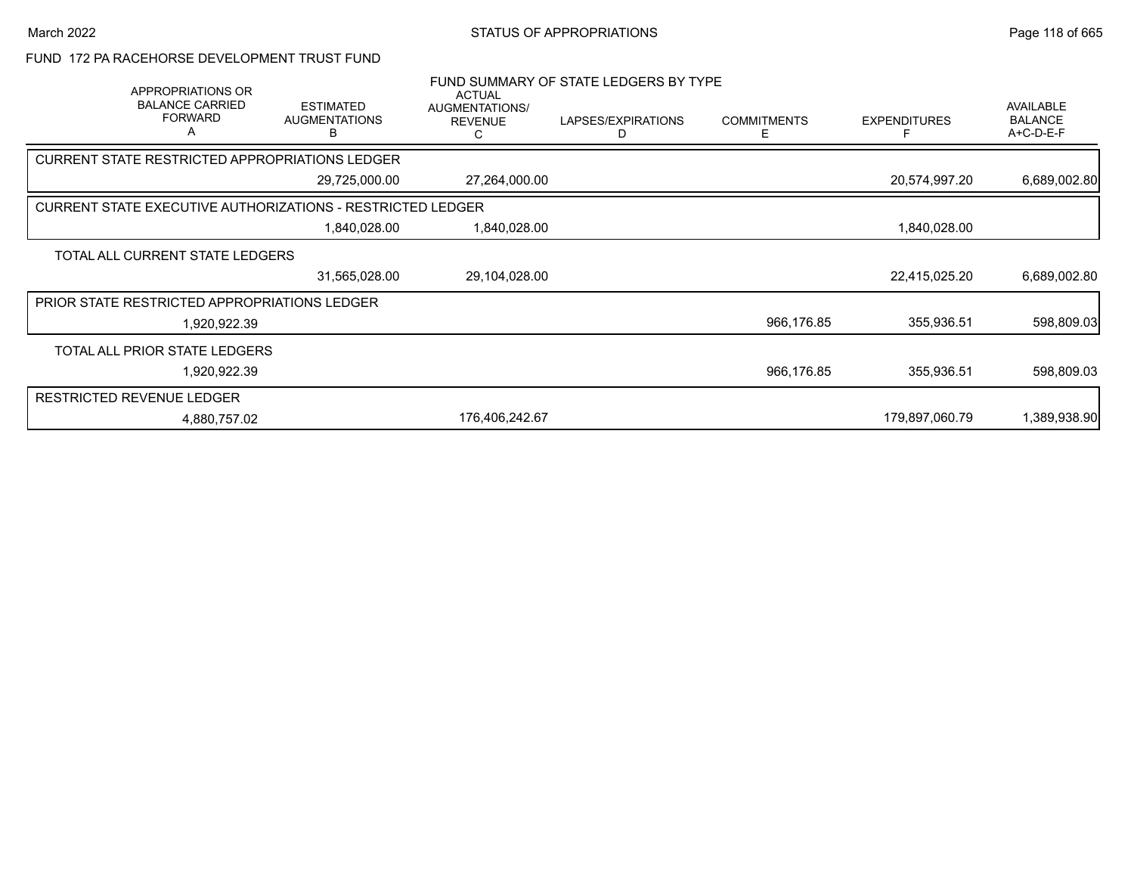FUND 172 PA RACEHORSE DEVELOPMENT TRUST FUND

| APPROPRIATIONS OR<br><b>BALANCE CARRIED</b><br><b>FORWARD</b><br>A | <b>ESTIMATED</b><br><b>AUGMENTATIONS</b><br>n | <b>ACTUAL</b><br>AUGMENTATIONS/<br><b>REVENUE</b> | FUND SUMMARY OF STATE LEDGERS BY TYPE<br>LAPSES/EXPIRATIONS<br>D | <b>COMMITMENTS</b><br>Е | <b>EXPENDITURES</b> | AVAILABLE<br><b>BALANCE</b><br>A+C-D-E-F |
|--------------------------------------------------------------------|-----------------------------------------------|---------------------------------------------------|------------------------------------------------------------------|-------------------------|---------------------|------------------------------------------|
| <b>CURRENT STATE RESTRICTED APPROPRIATIONS LEDGER</b>              |                                               |                                                   |                                                                  |                         |                     |                                          |
|                                                                    | 29,725,000.00                                 | 27,264,000.00                                     |                                                                  |                         | 20,574,997.20       | 6,689,002.80                             |
| <b>CURRENT STATE EXECUTIVE AUTHORIZATIONS - RESTRICTED LEDGER</b>  |                                               |                                                   |                                                                  |                         |                     |                                          |
|                                                                    | 1,840,028.00                                  | 1,840,028.00                                      |                                                                  |                         | 1,840,028.00        |                                          |
| TOTAL ALL CURRENT STATE LEDGERS                                    |                                               |                                                   |                                                                  |                         |                     |                                          |
|                                                                    | 31,565,028.00                                 | 29,104,028.00                                     |                                                                  |                         | 22,415,025.20       | 6,689,002.80                             |
| <b>PRIOR STATE RESTRICTED APPROPRIATIONS LEDGER</b>                |                                               |                                                   |                                                                  |                         |                     |                                          |
| 1,920,922.39                                                       |                                               |                                                   |                                                                  | 966,176.85              | 355,936.51          | 598,809.03                               |
| TOTAL ALL PRIOR STATE LEDGERS                                      |                                               |                                                   |                                                                  |                         |                     |                                          |
| 1,920,922.39                                                       |                                               |                                                   |                                                                  | 966,176.85              | 355,936.51          | 598,809.03                               |
| <b>RESTRICTED REVENUE LEDGER</b>                                   |                                               |                                                   |                                                                  |                         |                     |                                          |
| 4,880,757.02                                                       |                                               | 176,406,242.67                                    |                                                                  |                         | 179,897,060.79      | 1,389,938.90                             |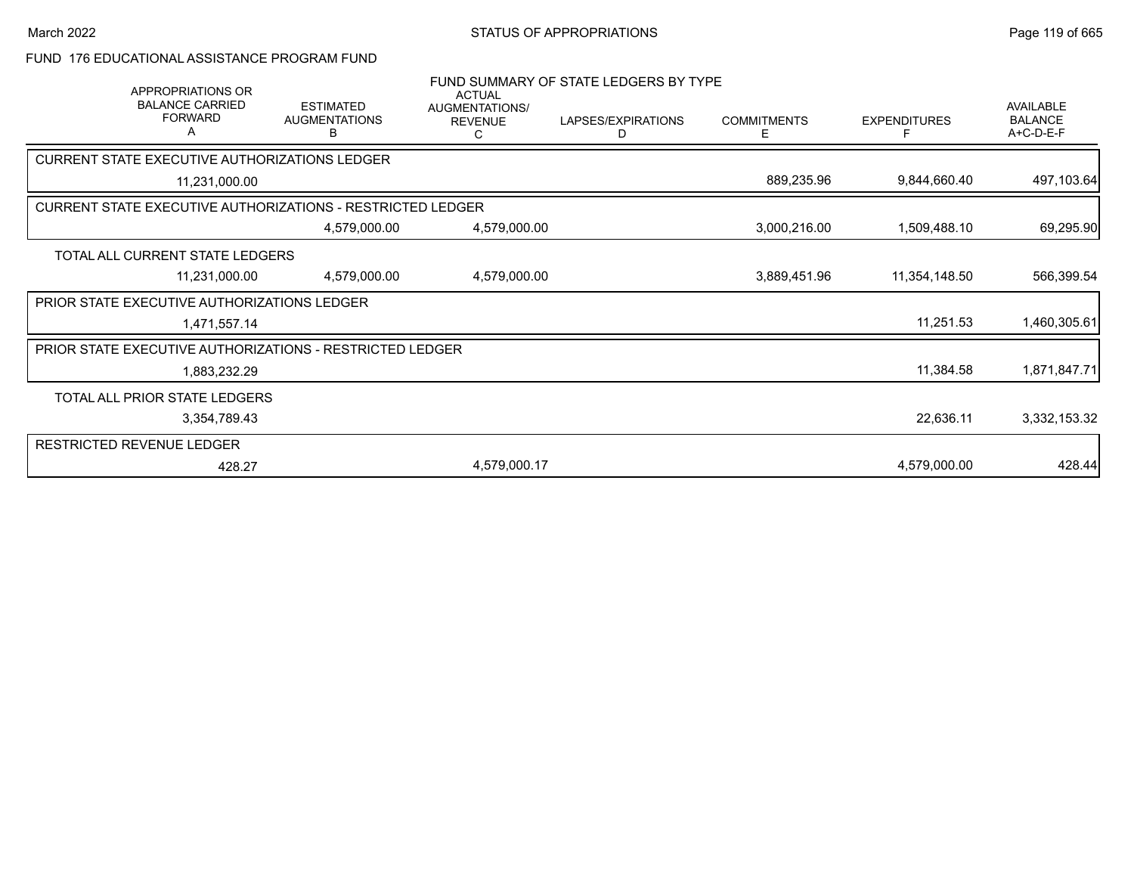### FUND 176 EDUCATIONAL ASSISTANCE PROGRAM FUND

| APPROPRIATIONS OR<br><b>BALANCE CARRIED</b><br><b>FORWARD</b><br>Α | <b>ESTIMATED</b><br><b>AUGMENTATIONS</b><br>в | <b>ACTUAL</b><br>AUGMENTATIONS/<br><b>REVENUE</b><br>C. | FUND SUMMARY OF STATE LEDGERS BY TYPE<br>LAPSES/EXPIRATIONS<br>D | <b>COMMITMENTS</b><br>Е | <b>EXPENDITURES</b><br>F | AVAILABLE<br><b>BALANCE</b><br>A+C-D-E-F |
|--------------------------------------------------------------------|-----------------------------------------------|---------------------------------------------------------|------------------------------------------------------------------|-------------------------|--------------------------|------------------------------------------|
| CURRENT STATE EXECUTIVE AUTHORIZATIONS LEDGER                      |                                               |                                                         |                                                                  |                         |                          |                                          |
| 11,231,000.00                                                      |                                               |                                                         |                                                                  | 889,235.96              | 9,844,660.40             | 497,103.64                               |
| <b>CURRENT STATE EXECUTIVE AUTHORIZATIONS - RESTRICTED LEDGER</b>  |                                               |                                                         |                                                                  |                         |                          |                                          |
|                                                                    | 4,579,000.00                                  | 4,579,000.00                                            |                                                                  | 3,000,216.00            | 1,509,488.10             | 69,295.90                                |
| TOTAL ALL CURRENT STATE LEDGERS                                    |                                               |                                                         |                                                                  |                         |                          |                                          |
| 11,231,000.00                                                      | 4,579,000.00                                  | 4,579,000.00                                            |                                                                  | 3,889,451.96            | 11,354,148.50            | 566,399.54                               |
| PRIOR STATE EXECUTIVE AUTHORIZATIONS LEDGER                        |                                               |                                                         |                                                                  |                         |                          |                                          |
| 1,471,557.14                                                       |                                               |                                                         |                                                                  |                         | 11,251.53                | 1,460,305.61                             |
| PRIOR STATE EXECUTIVE AUTHORIZATIONS - RESTRICTED LEDGER           |                                               |                                                         |                                                                  |                         |                          |                                          |
| 1,883,232.29                                                       |                                               |                                                         |                                                                  |                         | 11,384.58                | 1,871,847.71                             |
| TOTAL ALL PRIOR STATE LEDGERS                                      |                                               |                                                         |                                                                  |                         |                          |                                          |
| 3,354,789.43                                                       |                                               |                                                         |                                                                  |                         | 22,636.11                | 3,332,153.32                             |
| RESTRICTED REVENUE LEDGER                                          |                                               |                                                         |                                                                  |                         |                          |                                          |
| 428.27                                                             |                                               | 4,579,000.17                                            |                                                                  |                         | 4,579,000.00             | 428.44                                   |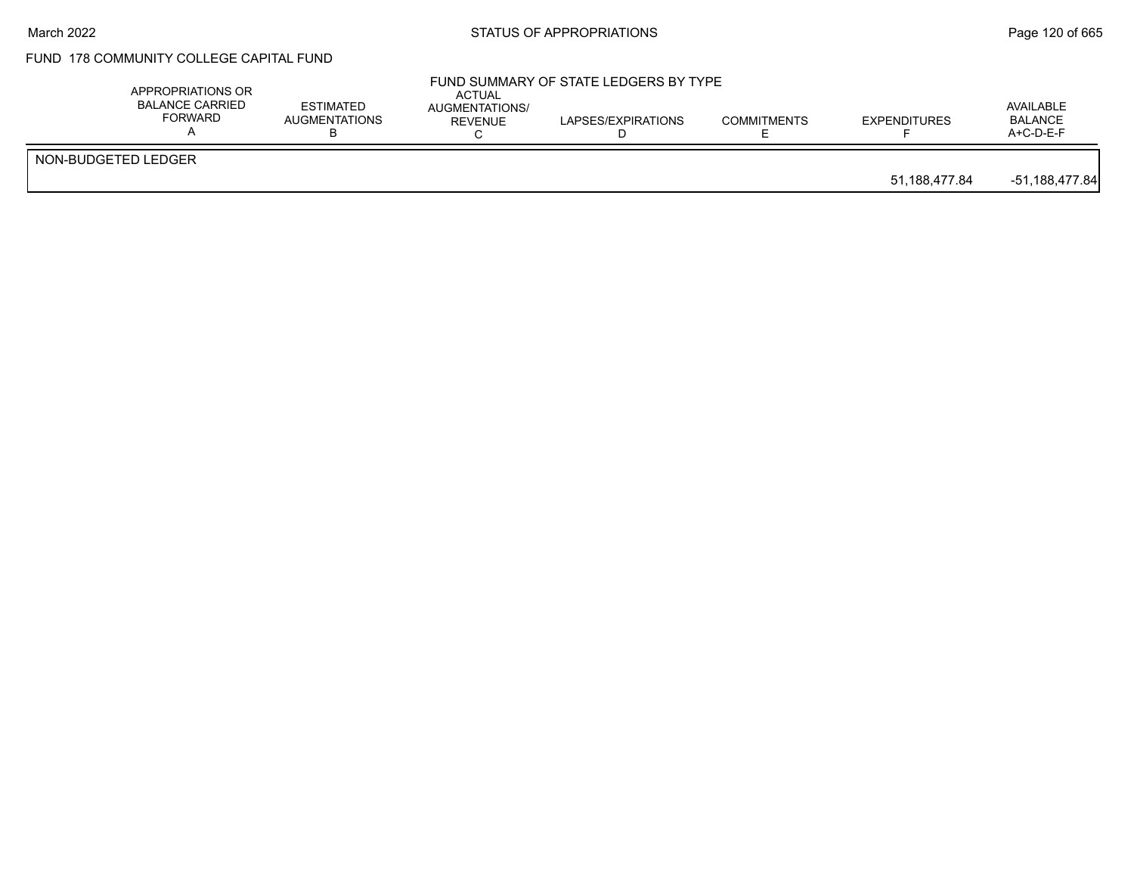# FUND 178 COMMUNITY COLLEGE CAPITAL FUND

|                     | APPROPRIATIONS OR<br><b>BALANCE CARRIED</b><br><b>FORWARD</b> | <b>ESTIMATED</b><br>AUGMENTATIONS | <b>ACTUAL</b><br>AUGMENTATIONS/<br>REVENUE | FUND SUMMARY OF STATE LEDGERS BY TYPE<br>LAPSES/EXPIRATIONS | <b>COMMITMENTS</b> | <b>EXPENDITURES</b> | AVAILABLE<br><b>BALANCE</b><br>A+C-D-E-F |
|---------------------|---------------------------------------------------------------|-----------------------------------|--------------------------------------------|-------------------------------------------------------------|--------------------|---------------------|------------------------------------------|
| NON-BUDGETED LEDGER |                                                               |                                   |                                            |                                                             |                    | 51,188,477.84       | -51,188,477.84                           |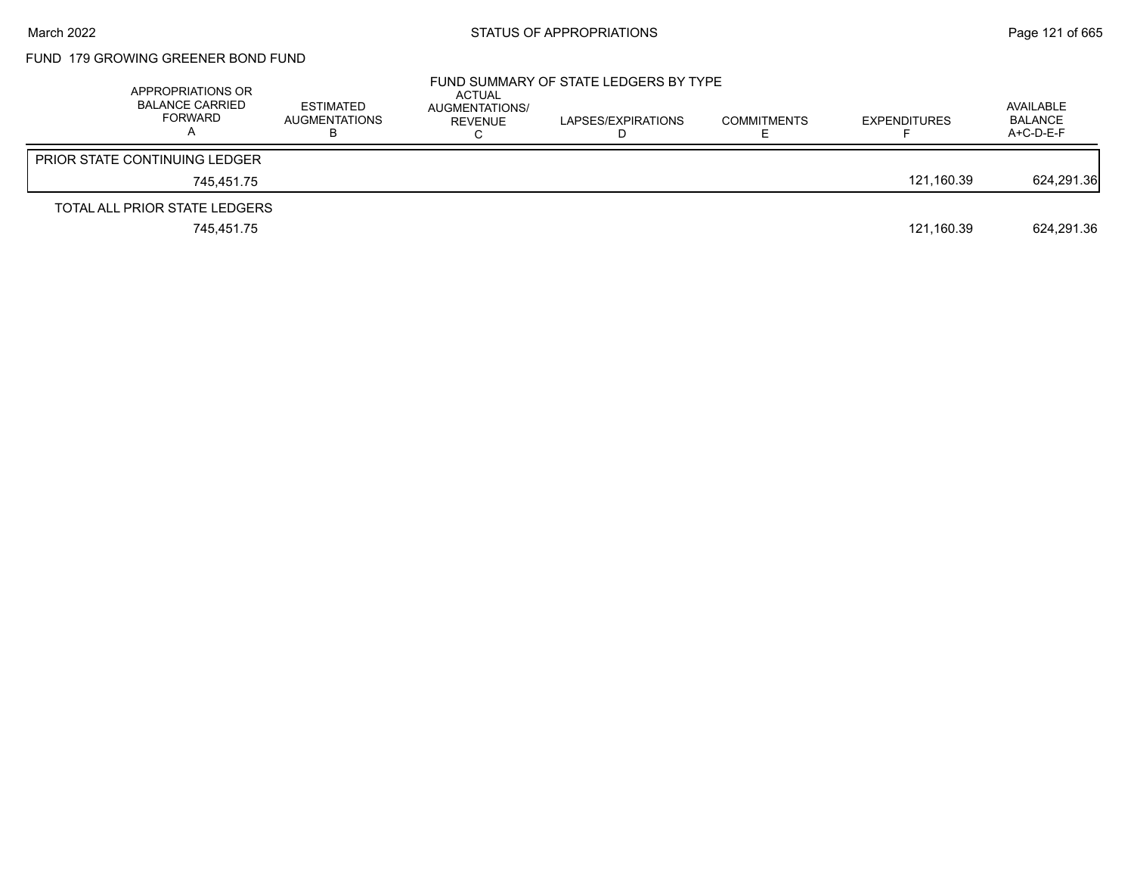# FUND 179 GROWING GREENER BOND FUND

| APPROPRIATIONS OR<br><b>BALANCE CARRIED</b><br>FORWARD | <b>ESTIMATED</b><br><b>AUGMENTATIONS</b> | ACTUAL<br>AUGMENTATIONS/<br>REVENUE | FUND SUMMARY OF STATE LEDGERS BY TYPE<br>LAPSES/EXPIRATIONS | <b>COMMITMENTS</b> | <b>EXPENDITURES</b> | AVAILABLE<br><b>BALANCE</b><br>$A+C-D-E-F$ |
|--------------------------------------------------------|------------------------------------------|-------------------------------------|-------------------------------------------------------------|--------------------|---------------------|--------------------------------------------|
| <b>PRIOR STATE CONTINUING LEDGER</b>                   |                                          |                                     |                                                             |                    |                     |                                            |
| 745.451.75                                             |                                          |                                     |                                                             |                    | 121.160.39          | 624.291.36                                 |
| TOTAL ALL PRIOR STATE LEDGERS                          |                                          |                                     |                                                             |                    |                     |                                            |
| 745,451.75                                             |                                          |                                     |                                                             |                    | 121,160.39          | 624.291.36                                 |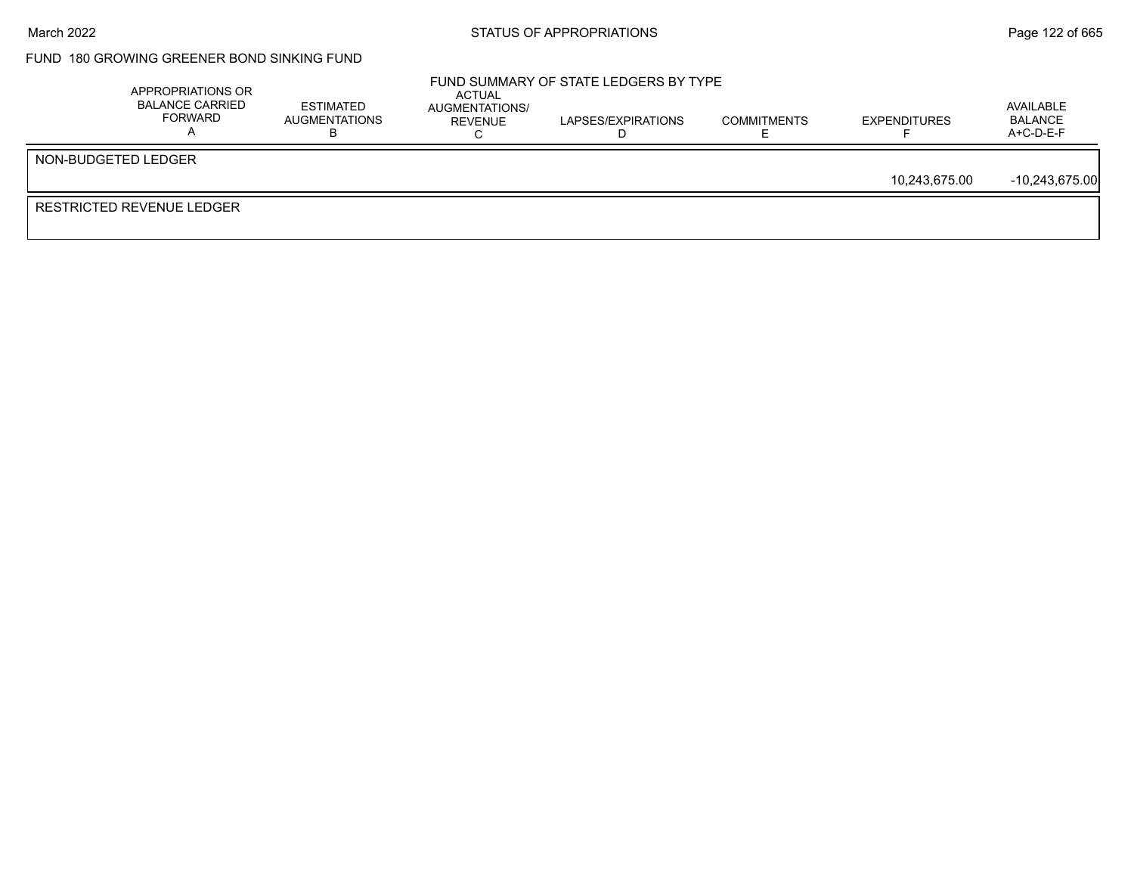## FUND 180 GROWING GREENER BOND SINKING FUND

|                                  | APPROPRIATIONS OR<br><b>BALANCE CARRIED</b><br>FORWARD | <b>ESTIMATED</b><br>AUGMENTATIONS | ACTUAL<br>AUGMENTATIONS/<br>REVENUE | FUND SUMMARY OF STATE LEDGERS BY TYPE<br>LAPSES/EXPIRATIONS | <b>COMMITMENTS</b> | <b>EXPENDITURES</b> | AVAILABLE<br>BALANCE<br>$A+C-D-E-F$ |
|----------------------------------|--------------------------------------------------------|-----------------------------------|-------------------------------------|-------------------------------------------------------------|--------------------|---------------------|-------------------------------------|
| NON-BUDGETED LEDGER              |                                                        |                                   |                                     |                                                             |                    |                     |                                     |
|                                  |                                                        |                                   |                                     |                                                             |                    | 10,243,675.00       | $-10,243,675.00$                    |
| <b>RESTRICTED REVENUE LEDGER</b> |                                                        |                                   |                                     |                                                             |                    |                     |                                     |
|                                  |                                                        |                                   |                                     |                                                             |                    |                     |                                     |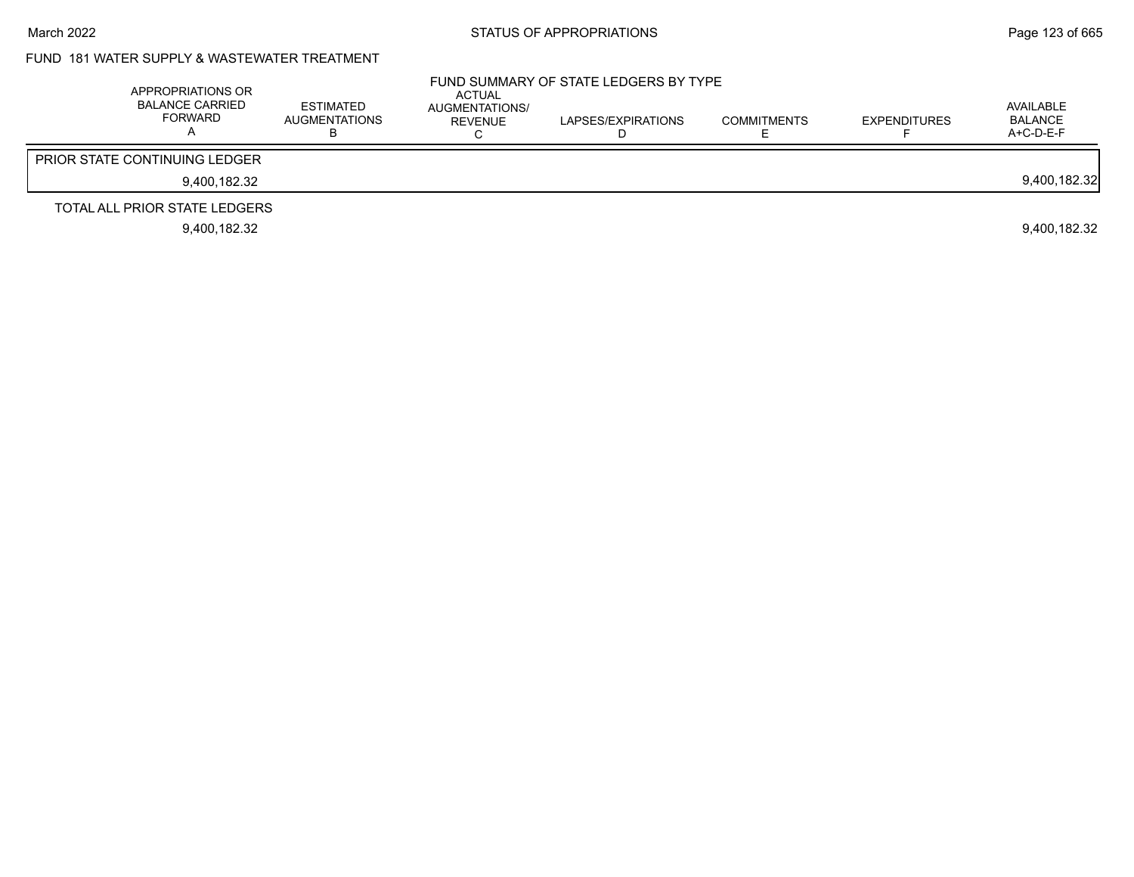# FUND 181 WATER SUPPLY & WASTEWATER TREATMENT

| APPROPRIATIONS OR<br>BALANCE CARRIED<br><b>FORWARD</b> | <b>ESTIMATED</b><br><b>AUGMENTATIONS</b> | ACTUAL<br>AUGMENTATIONS/<br>REVENUE | FUND SUMMARY OF STATE LEDGERS BY TYPE<br>LAPSES/EXPIRATIONS | <b>COMMITMENTS</b> | <b>EXPENDITURES</b> | AVAILABLE<br><b>BALANCE</b><br>$A+C-D-E-F$ |
|--------------------------------------------------------|------------------------------------------|-------------------------------------|-------------------------------------------------------------|--------------------|---------------------|--------------------------------------------|
| <b>PRIOR STATE CONTINUING LEDGER</b>                   |                                          |                                     |                                                             |                    |                     |                                            |
| 9.400.182.32                                           |                                          |                                     |                                                             |                    |                     | 9,400,182.32                               |
| TOTAL ALL PRIOR STATE LEDGERS                          |                                          |                                     |                                                             |                    |                     |                                            |
| 9.400.182.32                                           |                                          |                                     |                                                             |                    |                     | 9.400.182.32                               |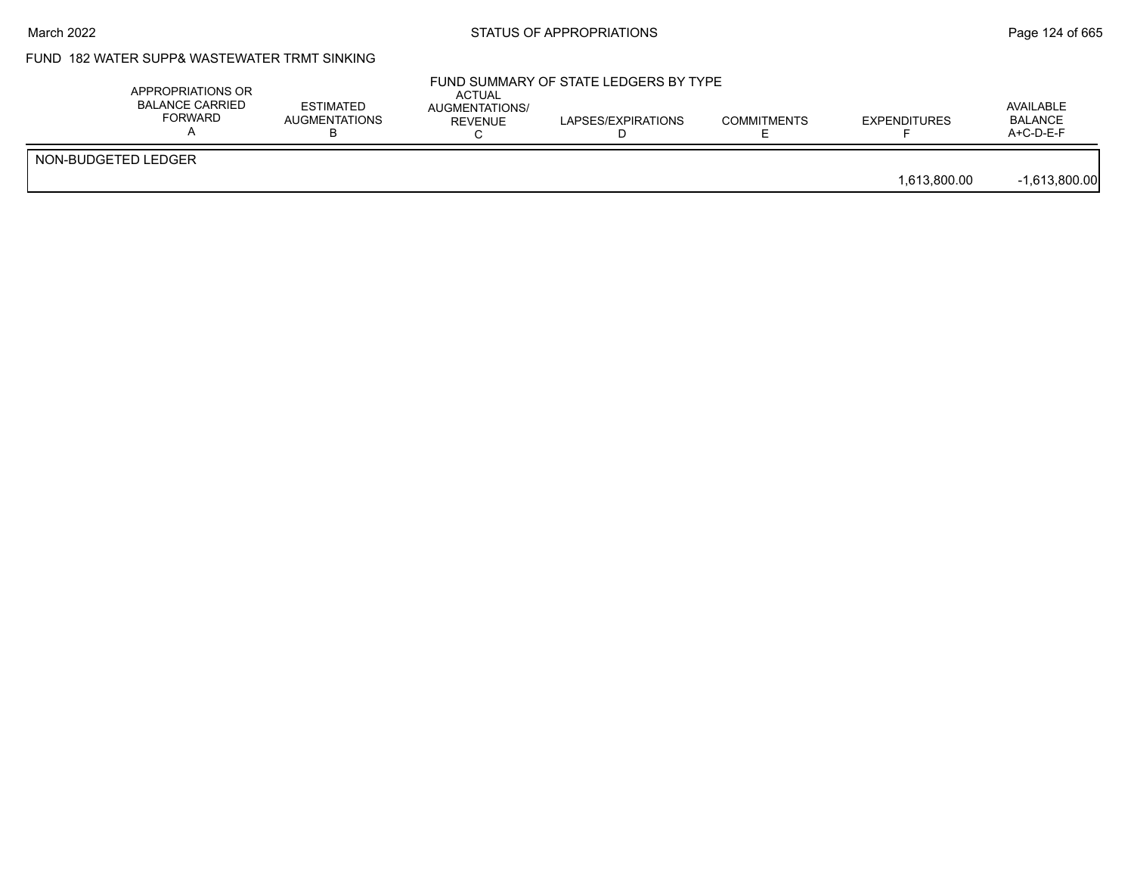## FUND 182 WATER SUPP& WASTEWATER TRMT SINKING

|                     | APPROPRIATIONS OR<br><b>BALANCE CARRIED</b><br><b>FORWARD</b> | <b>ESTIMATED</b><br>AUGMENTATIONS | <b>ACTUAL</b><br>AUGMENTATIONS/<br>REVENUE | FUND SUMMARY OF STATE LEDGERS BY TYPE<br>LAPSES/EXPIRATIONS | <b>COMMITMENTS</b> | <b>EXPENDITURES</b> | AVAILABLE<br><b>BALANCE</b><br>$A+C-D-E-F$ |
|---------------------|---------------------------------------------------------------|-----------------------------------|--------------------------------------------|-------------------------------------------------------------|--------------------|---------------------|--------------------------------------------|
| NON-BUDGETED LEDGER |                                                               |                                   |                                            |                                                             |                    | 1,613,800.00        | $-1,613,800.00$                            |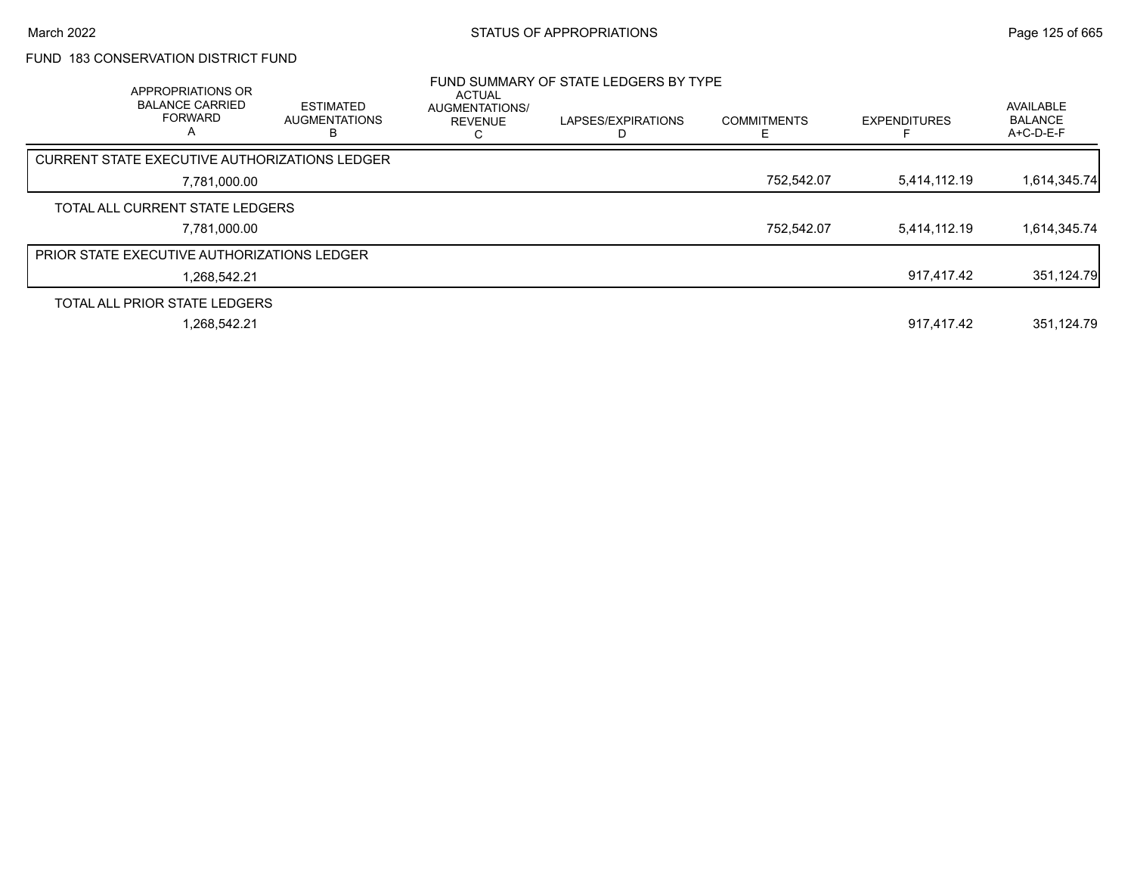## FUND 183 CONSERVATION DISTRICT FUND

| APPROPRIATIONS OR<br><b>BALANCE CARRIED</b><br><b>FORWARD</b><br>A | <b>ESTIMATED</b><br><b>AUGMENTATIONS</b><br>B | ACTUAL<br>AUGMENTATIONS/<br><b>REVENUE</b><br>ι. | FUND SUMMARY OF STATE LEDGERS BY TYPE<br>LAPSES/EXPIRATIONS | <b>COMMITMENTS</b><br>E | <b>EXPENDITURES</b> | AVAILABLE<br><b>BALANCE</b><br>A+C-D-E-F |
|--------------------------------------------------------------------|-----------------------------------------------|--------------------------------------------------|-------------------------------------------------------------|-------------------------|---------------------|------------------------------------------|
| CURRENT STATE EXECUTIVE AUTHORIZATIONS LEDGER                      |                                               |                                                  |                                                             |                         |                     |                                          |
| 7,781,000.00                                                       |                                               |                                                  |                                                             | 752,542.07              | 5,414,112.19        | 1,614,345.74                             |
| TOTAL ALL CURRENT STATE LEDGERS                                    |                                               |                                                  |                                                             |                         |                     |                                          |
| 7,781,000.00                                                       |                                               |                                                  |                                                             | 752,542.07              | 5,414,112.19        | 1,614,345.74                             |
| <b>PRIOR STATE EXECUTIVE AUTHORIZATIONS LEDGER</b>                 |                                               |                                                  |                                                             |                         |                     |                                          |
| 1.268.542.21                                                       |                                               |                                                  |                                                             |                         | 917.417.42          | 351,124.79                               |
| TOTAL ALL PRIOR STATE LEDGERS                                      |                                               |                                                  |                                                             |                         |                     |                                          |
| 1,268,542.21                                                       |                                               |                                                  |                                                             |                         | 917.417.42          | 351,124.79                               |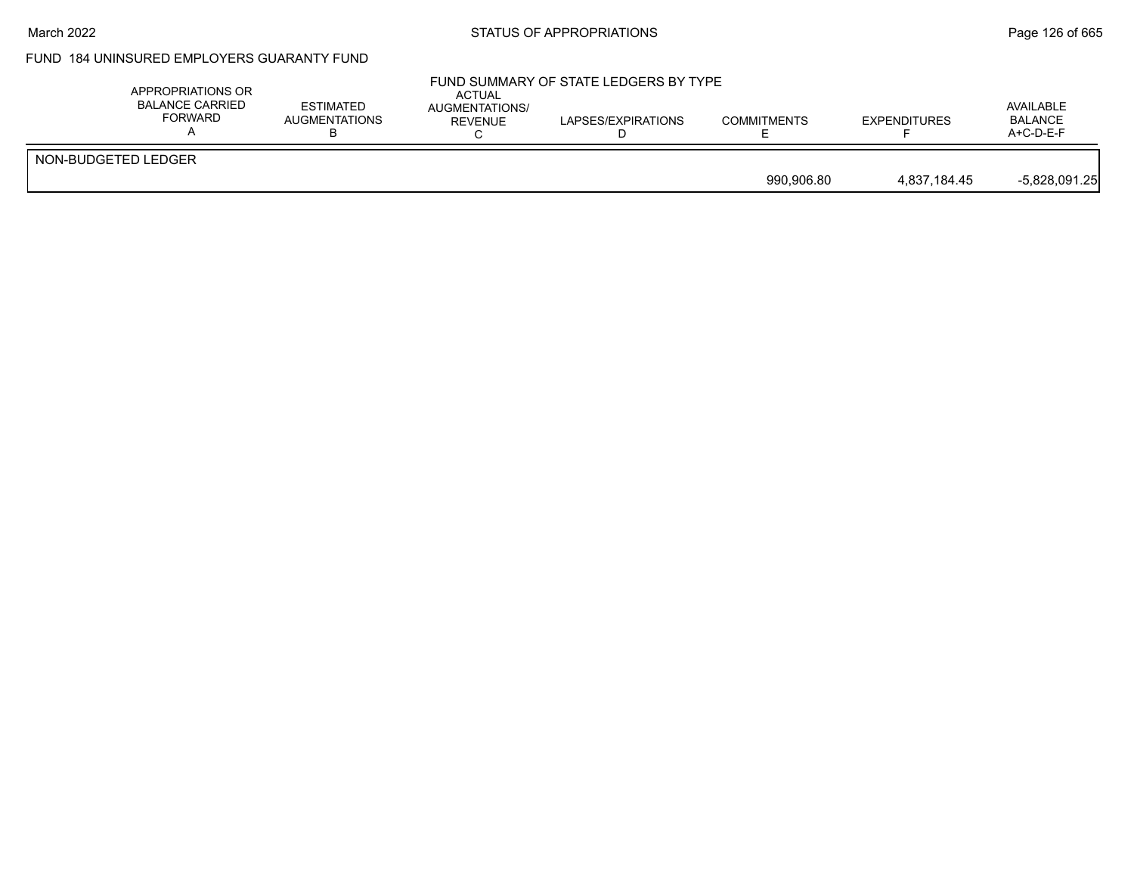## March 2022 **STATUS OF APPROPRIATIONS** STATUS OF APPROPRIATIONS

# FUND 184 UNINSURED EMPLOYERS GUARANTY FUND

| APPROPRIATIONS OR<br><b>BALANCE CARRIED</b><br><b>FORWARD</b> | <b>ESTIMATED</b><br>AUGMENTATIONS | <b>ACTUAL</b><br>AUGMENTATIONS/<br><b>REVENUE</b> | FUND SUMMARY OF STATE LEDGERS BY TYPE<br>LAPSES/EXPIRATIONS | <b>COMMITMENTS</b> | <b>EXPENDITURES</b> | AVAILABLE<br><b>BALANCE</b><br>$A+C-D-E-F$ |
|---------------------------------------------------------------|-----------------------------------|---------------------------------------------------|-------------------------------------------------------------|--------------------|---------------------|--------------------------------------------|
| NON-BUDGETED LEDGER                                           |                                   |                                                   |                                                             | 990.906.80         | 4.837.184.45        | $-5,828,091.25$                            |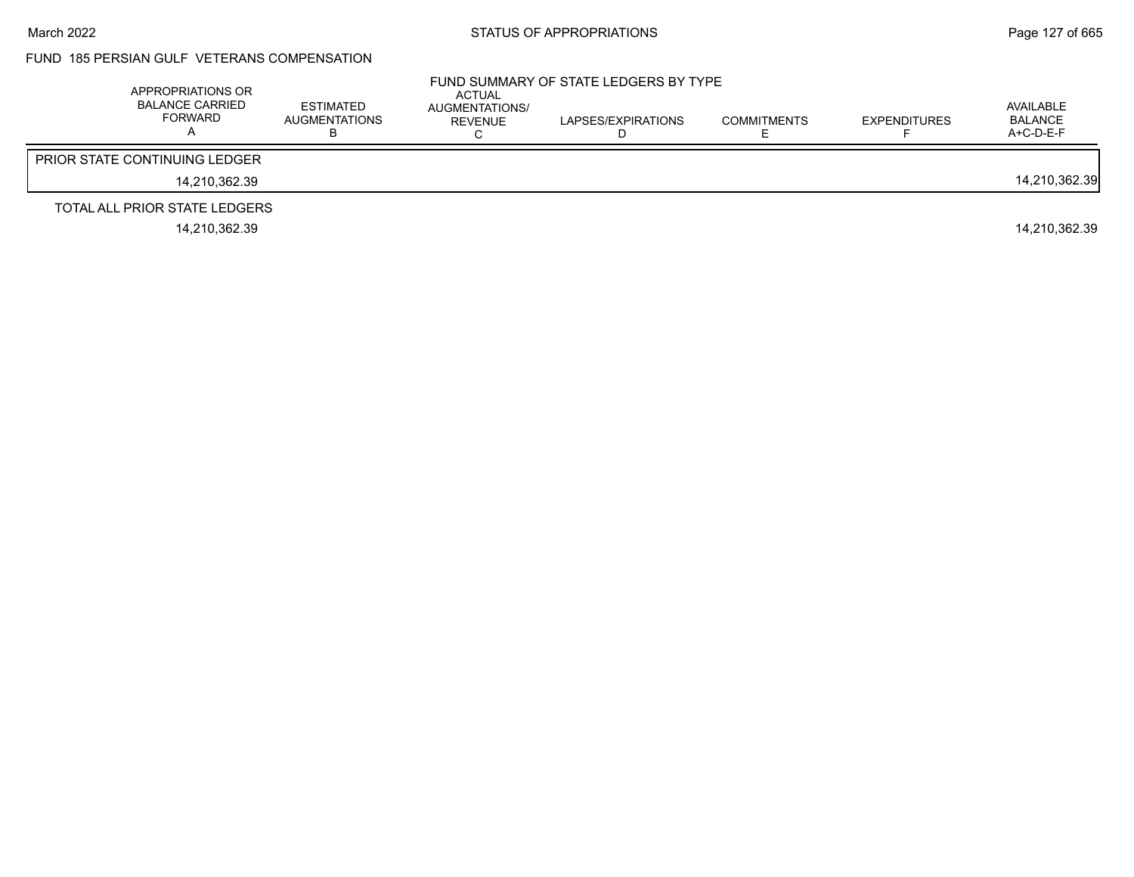### FUND 185 PERSIAN GULF VETERANS COMPENSATION

| APPROPRIATIONS OR<br><b>BALANCE CARRIED</b><br><b>FORWARD</b> | <b>ESTIMATED</b><br>AUGMENTATIONS | <b>ACTUAL</b><br>AUGMENTATIONS/<br>REVENUE | FUND SUMMARY OF STATE LEDGERS BY TYPE<br>LAPSES/EXPIRATIONS | <b>COMMITMENTS</b> | <b>EXPENDITURES</b> | AVAILABLE<br>BALANCE<br>$A+C-D-E-F$ |
|---------------------------------------------------------------|-----------------------------------|--------------------------------------------|-------------------------------------------------------------|--------------------|---------------------|-------------------------------------|
| <b>PRIOR STATE CONTINUING LEDGER</b>                          |                                   |                                            |                                                             |                    |                     |                                     |
| 14.210.362.39                                                 |                                   |                                            |                                                             |                    |                     | 14,210,362.39                       |
| TOTAL ALL PRIOR STATE LEDGERS                                 |                                   |                                            |                                                             |                    |                     |                                     |
| 14.210.362.39                                                 |                                   |                                            |                                                             |                    |                     | 14.210.362.39                       |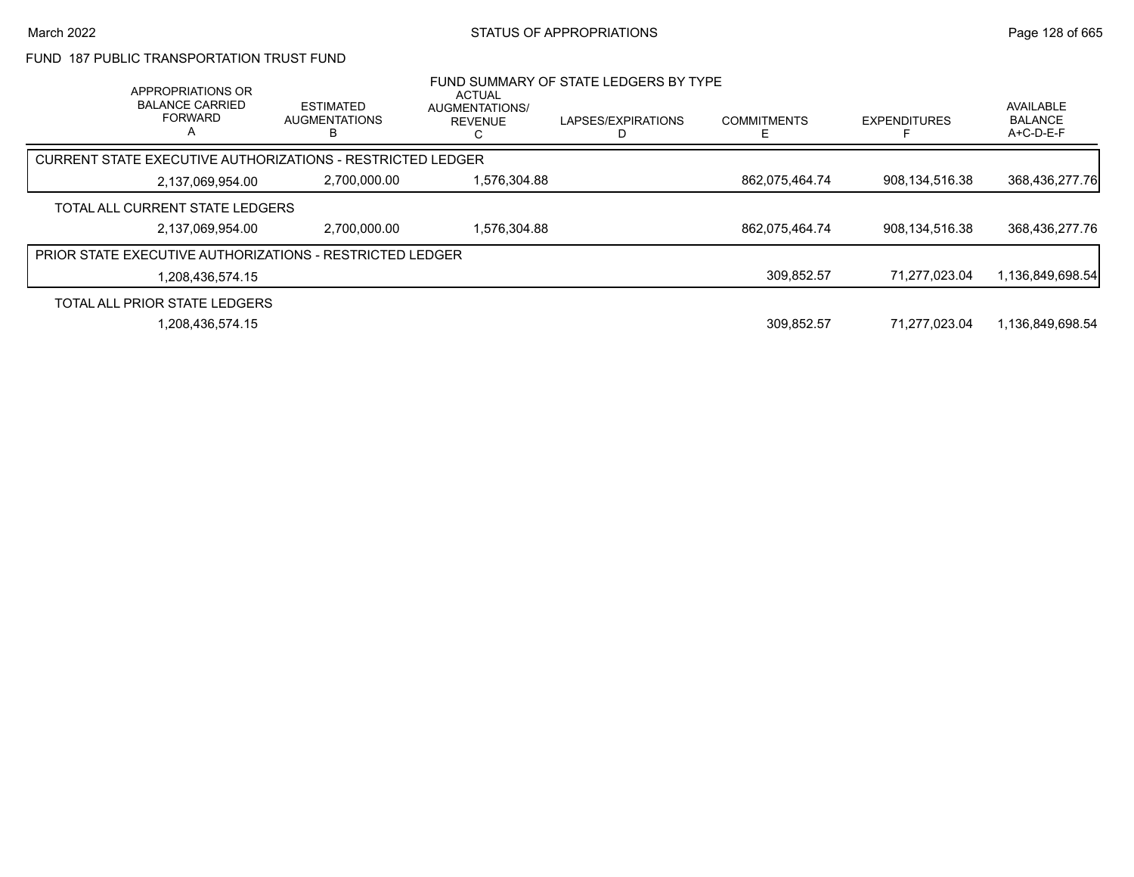### FUND 187 PUBLIC TRANSPORTATION TRUST FUND

| APPROPRIATIONS OR<br><b>BALANCE CARRIED</b><br><b>FORWARD</b><br>Α | <b>ESTIMATED</b><br><b>AUGMENTATIONS</b>                        | ACTUAL<br>AUGMENTATIONS/<br><b>REVENUE</b> | FUND SUMMARY OF STATE LEDGERS BY TYPE<br>LAPSES/EXPIRATIONS | <b>COMMITMENTS</b> | <b>EXPENDITURES</b> | AVAILABLE<br><b>BALANCE</b><br>A+C-D-E-F |
|--------------------------------------------------------------------|-----------------------------------------------------------------|--------------------------------------------|-------------------------------------------------------------|--------------------|---------------------|------------------------------------------|
|                                                                    | CURRENT STATE EXECUTIVE AUTHORIZATIONS - RESTRICTED LEDGER      |                                            |                                                             |                    |                     |                                          |
| 2,137,069,954.00                                                   | 2,700,000.00                                                    | 1,576,304.88                               |                                                             | 862,075,464.74     | 908,134,516.38      | 368,436,277.76                           |
| TOTAL ALL CURRENT STATE LEDGERS                                    |                                                                 |                                            |                                                             |                    |                     |                                          |
| 2,137,069,954.00                                                   | 2,700,000.00                                                    | 1.576.304.88                               |                                                             | 862,075,464.74     | 908,134,516.38      | 368,436,277.76                           |
|                                                                    | <b>PRIOR STATE EXECUTIVE AUTHORIZATIONS - RESTRICTED LEDGER</b> |                                            |                                                             |                    |                     |                                          |
| 1.208.436.574.15                                                   |                                                                 |                                            |                                                             | 309,852.57         | 71.277.023.04       | 1,136,849,698.54                         |
| TOTAL ALL PRIOR STATE LEDGERS                                      |                                                                 |                                            |                                                             |                    |                     |                                          |
| 1,208,436,574.15                                                   |                                                                 |                                            |                                                             | 309.852.57         | 71.277.023.04       | 1.136.849.698.54                         |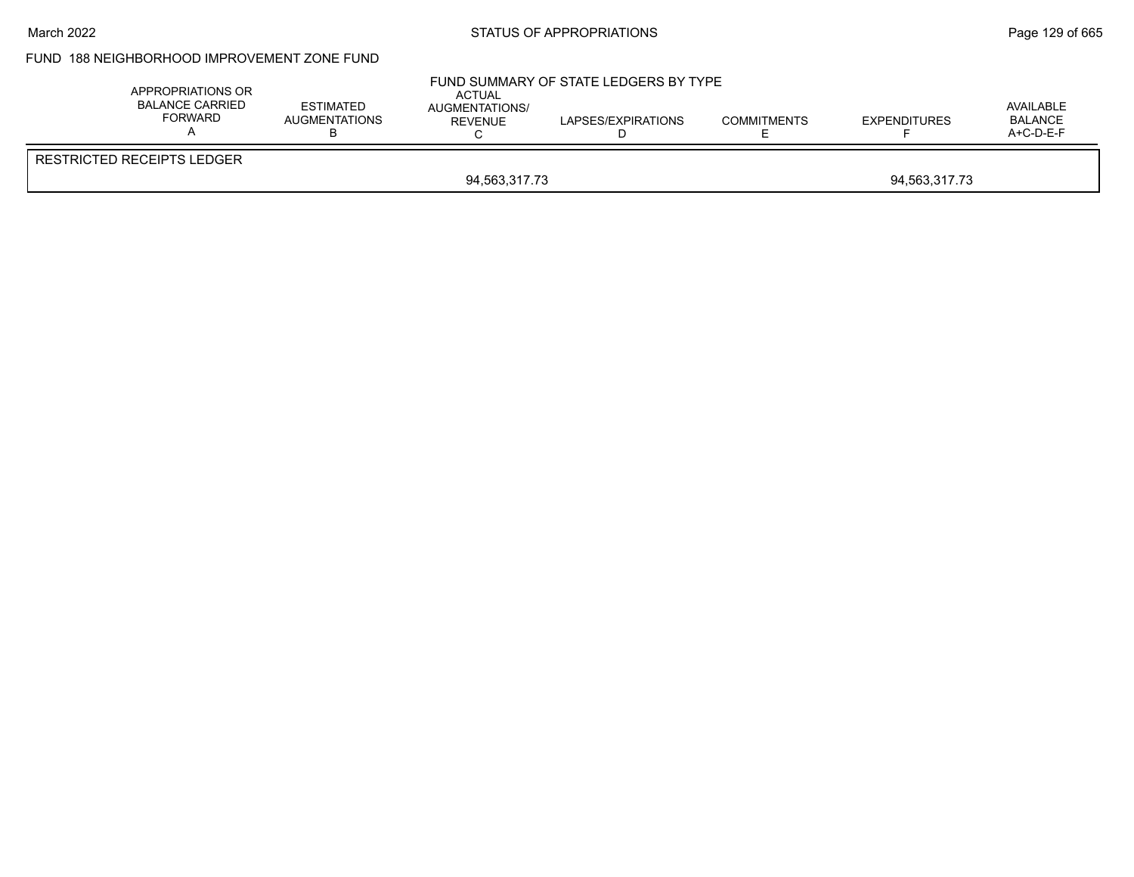#### March 2022 **STATUS OF APPROPRIATIONS** STATUS OF APPROPRIATIONS

## FUND 188 NEIGHBORHOOD IMPROVEMENT ZONE FUND

| <b>RESTRICTED RECEIPTS LEDGER</b> | APPROPRIATIONS OR<br><b>BALANCE CARRIED</b><br><b>FORWARD</b> | <b>ESTIMATED</b><br><b>AUGMENTATIONS</b> | FUND SUMMARY OF STATE LEDGERS BY TYPE<br><b>ACTUAL</b><br>AUGMENTATIONS/<br>REVENUE | <b>COMMITMENTS</b> | <b>EXPENDITURES</b> | AVAILABLE<br><b>BALANCE</b><br>A+C-D-E-F |
|-----------------------------------|---------------------------------------------------------------|------------------------------------------|-------------------------------------------------------------------------------------|--------------------|---------------------|------------------------------------------|
| 94,563,317.73<br>94,563,317.73    |                                                               |                                          |                                                                                     |                    |                     |                                          |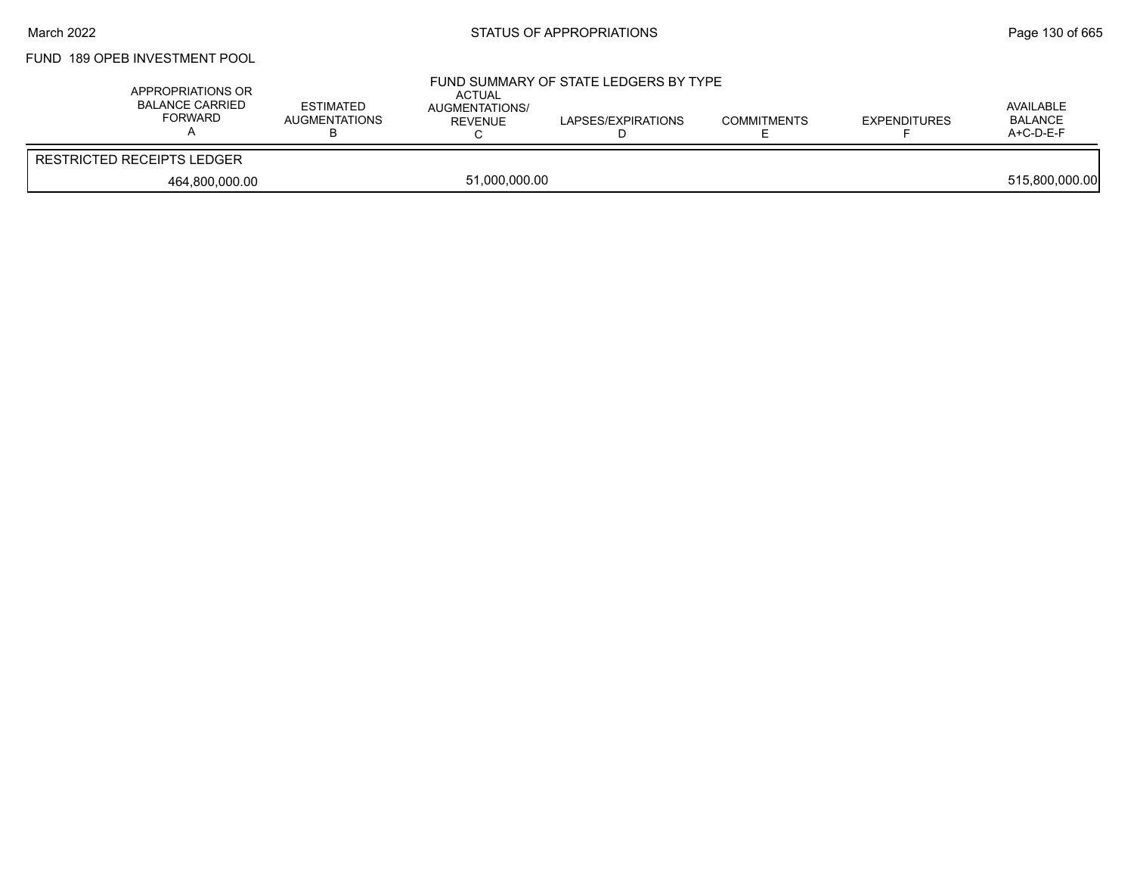# FUND 189 OPEB INVESTMENT POOL

| APPROPRIATIONS OR<br>BALANCE CARRIED<br>FORWARD | ESTIMATED<br>AUGMENTATIONS<br>D | <b>ACTUAL</b><br>AUGMENTATIONS/<br>REVENUE | FUND SUMMARY OF STATE LEDGERS BY TYPE<br>LAPSES/EXPIRATIONS | <b>COMMITMENTS</b> | <b>EXPENDITURES</b> | AVAILABLE<br><b>BALANCE</b><br>A+C-D-E-F |
|-------------------------------------------------|---------------------------------|--------------------------------------------|-------------------------------------------------------------|--------------------|---------------------|------------------------------------------|
| <b>RESTRICTED RECEIPTS LEDGER</b>               |                                 |                                            |                                                             |                    |                     |                                          |
| 464,800,000.00                                  |                                 | 51.000.000.00                              |                                                             |                    |                     | 515,800,000.00                           |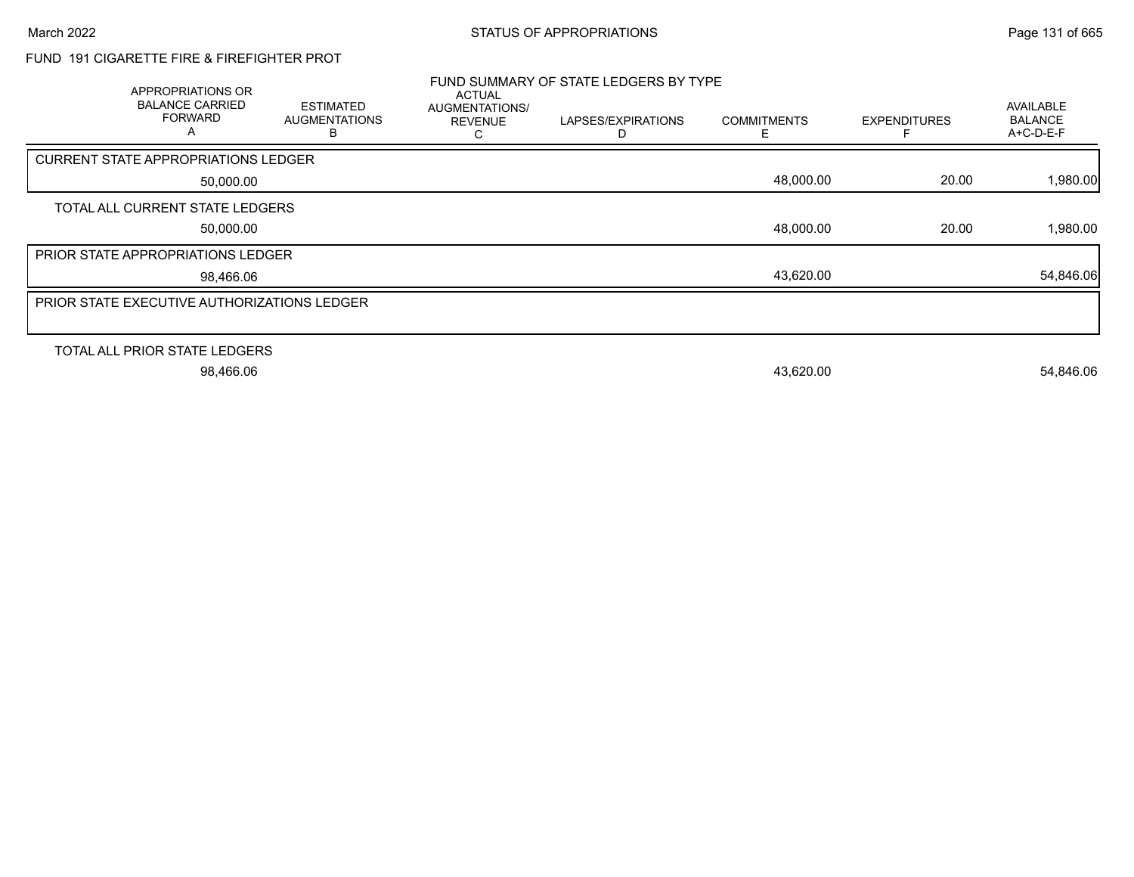# FUND 191 CIGARETTE FIRE & FIREFIGHTER PROT

| <b>APPROPRIATIONS OR</b><br><b>BALANCE CARRIED</b><br><b>FORWARD</b><br>A | <b>ESTIMATED</b><br><b>AUGMENTATIONS</b><br>ь | <b>ACTUAL</b><br><b>AUGMENTATIONS/</b><br><b>REVENUE</b> | FUND SUMMARY OF STATE LEDGERS BY TYPE<br>LAPSES/EXPIRATIONS<br>D | <b>COMMITMENTS</b><br>F. | <b>EXPENDITURES</b> | AVAILABLE<br><b>BALANCE</b><br>$A+C-D-E-F$ |
|---------------------------------------------------------------------------|-----------------------------------------------|----------------------------------------------------------|------------------------------------------------------------------|--------------------------|---------------------|--------------------------------------------|
| <b>CURRENT STATE APPROPRIATIONS LEDGER</b>                                |                                               |                                                          |                                                                  |                          |                     |                                            |
| 50,000.00                                                                 |                                               |                                                          |                                                                  | 48,000.00                | 20.00               | 1,980.00                                   |
| TOTAL ALL CURRENT STATE LEDGERS                                           |                                               |                                                          |                                                                  |                          |                     |                                            |
| 50,000.00                                                                 |                                               |                                                          |                                                                  | 48,000.00                | 20.00               | 1,980.00                                   |
| PRIOR STATE APPROPRIATIONS LEDGER                                         |                                               |                                                          |                                                                  |                          |                     |                                            |
| 98,466.06                                                                 |                                               |                                                          |                                                                  | 43,620.00                |                     | 54,846.06                                  |
| PRIOR STATE EXECUTIVE AUTHORIZATIONS LEDGER                               |                                               |                                                          |                                                                  |                          |                     |                                            |
|                                                                           |                                               |                                                          |                                                                  |                          |                     |                                            |
| TOTAL ALL PRIOR STATE LEDGERS                                             |                                               |                                                          |                                                                  |                          |                     |                                            |
| 98,466.06                                                                 |                                               |                                                          |                                                                  | 43,620.00                |                     | 54,846.06                                  |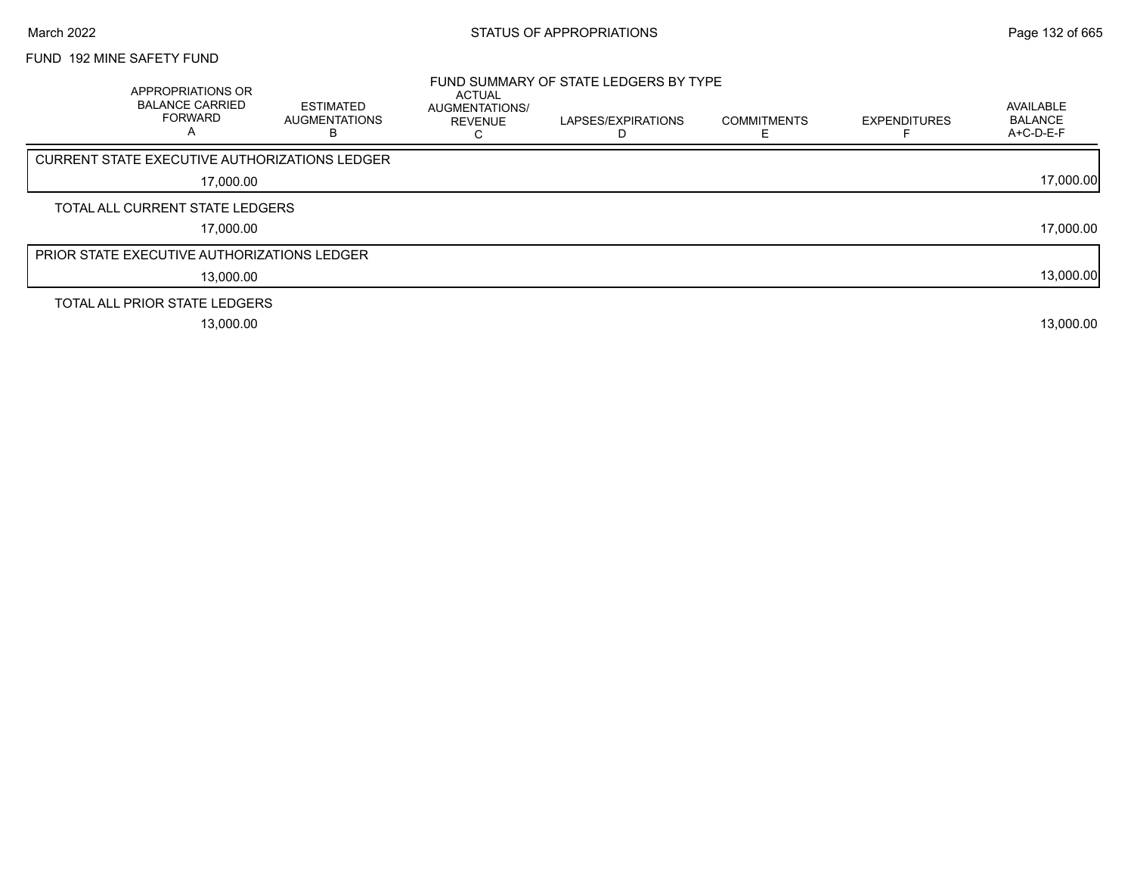## FUND 192 MINE SAFETY FUND

| <b>APPROPRIATIONS OR</b><br><b>BALANCE CARRIED</b><br><b>FORWARD</b><br>Α | <b>ESTIMATED</b><br><b>AUGMENTATIONS</b> | ACTUAL<br><b>AUGMENTATIONS/</b><br><b>REVENUE</b> | FUND SUMMARY OF STATE LEDGERS BY TYPE<br>LAPSES/EXPIRATIONS<br>D | <b>COMMITMENTS</b> | <b>EXPENDITURES</b> | AVAILABLE<br><b>BALANCE</b><br>A+C-D-E-F |
|---------------------------------------------------------------------------|------------------------------------------|---------------------------------------------------|------------------------------------------------------------------|--------------------|---------------------|------------------------------------------|
| <b>CURRENT STATE EXECUTIVE AUTHORIZATIONS LEDGER</b>                      |                                          |                                                   |                                                                  |                    |                     |                                          |
| 17,000.00                                                                 |                                          |                                                   |                                                                  |                    |                     | 17,000.00                                |
| TOTAL ALL CURRENT STATE LEDGERS                                           |                                          |                                                   |                                                                  |                    |                     |                                          |
| 17,000.00                                                                 |                                          |                                                   |                                                                  |                    |                     | 17,000.00                                |
| <b>PRIOR STATE EXECUTIVE AUTHORIZATIONS LEDGER</b>                        |                                          |                                                   |                                                                  |                    |                     |                                          |
| 13,000.00                                                                 |                                          |                                                   |                                                                  |                    |                     | 13,000.00                                |
| TOTAL ALL PRIOR STATE LEDGERS                                             |                                          |                                                   |                                                                  |                    |                     |                                          |
| 13,000.00                                                                 |                                          |                                                   |                                                                  |                    |                     | 13,000.00                                |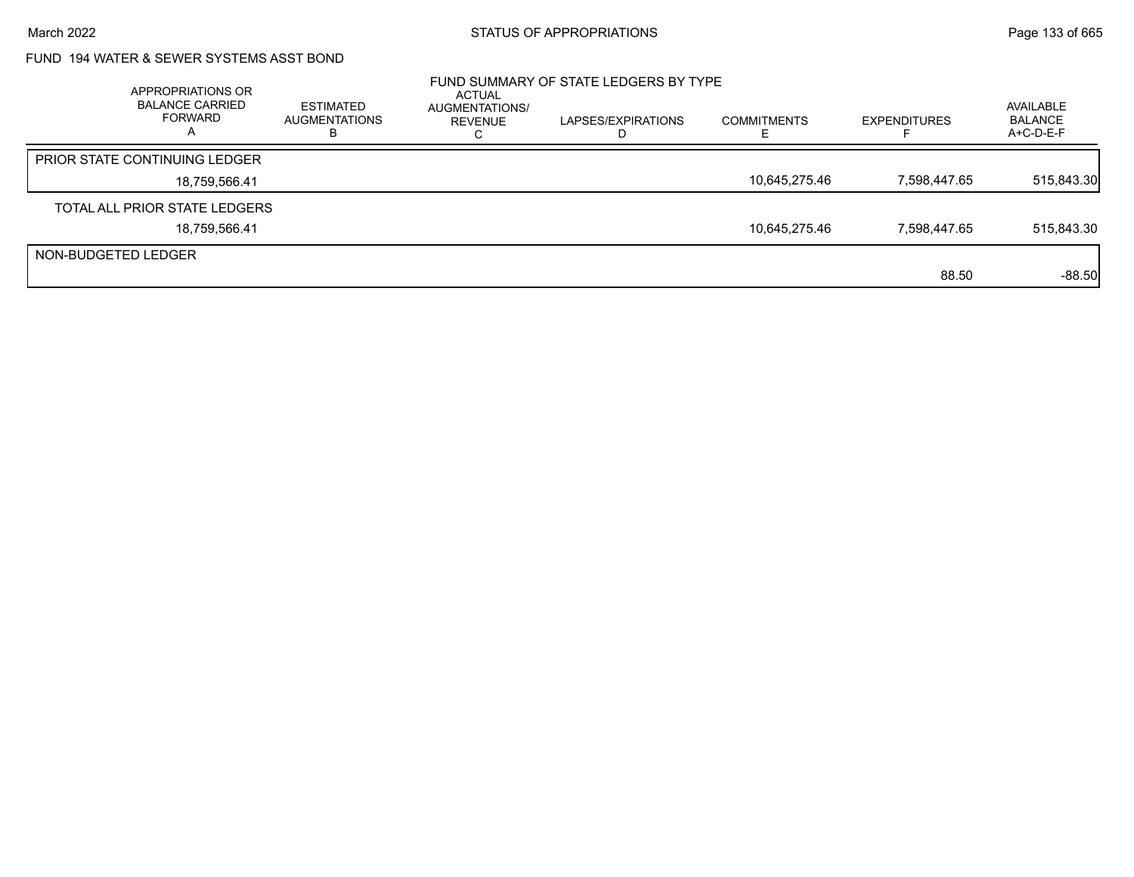# FUND 194 WATER & SEWER SYSTEMS ASST BOND

|                     | APPROPRIATIONS OR<br><b>BALANCE CARRIED</b><br>FORWARD | ESTIMATED<br><b>AUGMENTATIONS</b><br>в | <b>ACTUAL</b><br>AUGMENTATIONS/<br>REVENUE | FUND SUMMARY OF STATE LEDGERS BY TYPE<br>LAPSES/EXPIRATIONS | <b>COMMITMENTS</b> | <b>EXPENDITURES</b> | AVAILABLE<br><b>BALANCE</b><br>A+C-D-E-F |
|---------------------|--------------------------------------------------------|----------------------------------------|--------------------------------------------|-------------------------------------------------------------|--------------------|---------------------|------------------------------------------|
|                     | <b>PRIOR STATE CONTINUING LEDGER</b>                   |                                        |                                            |                                                             |                    |                     |                                          |
|                     | 18,759,566.41                                          |                                        |                                            |                                                             | 10,645,275.46      | 7,598,447.65        | 515,843.30                               |
|                     | TOTAL ALL PRIOR STATE LEDGERS                          |                                        |                                            |                                                             |                    |                     |                                          |
|                     | 18,759,566.41                                          |                                        |                                            |                                                             | 10,645,275.46      | 7,598,447.65        | 515,843.30                               |
| NON-BUDGETED LEDGER |                                                        |                                        |                                            |                                                             |                    |                     |                                          |
|                     |                                                        |                                        |                                            |                                                             |                    | 88.50               | $-88.50$                                 |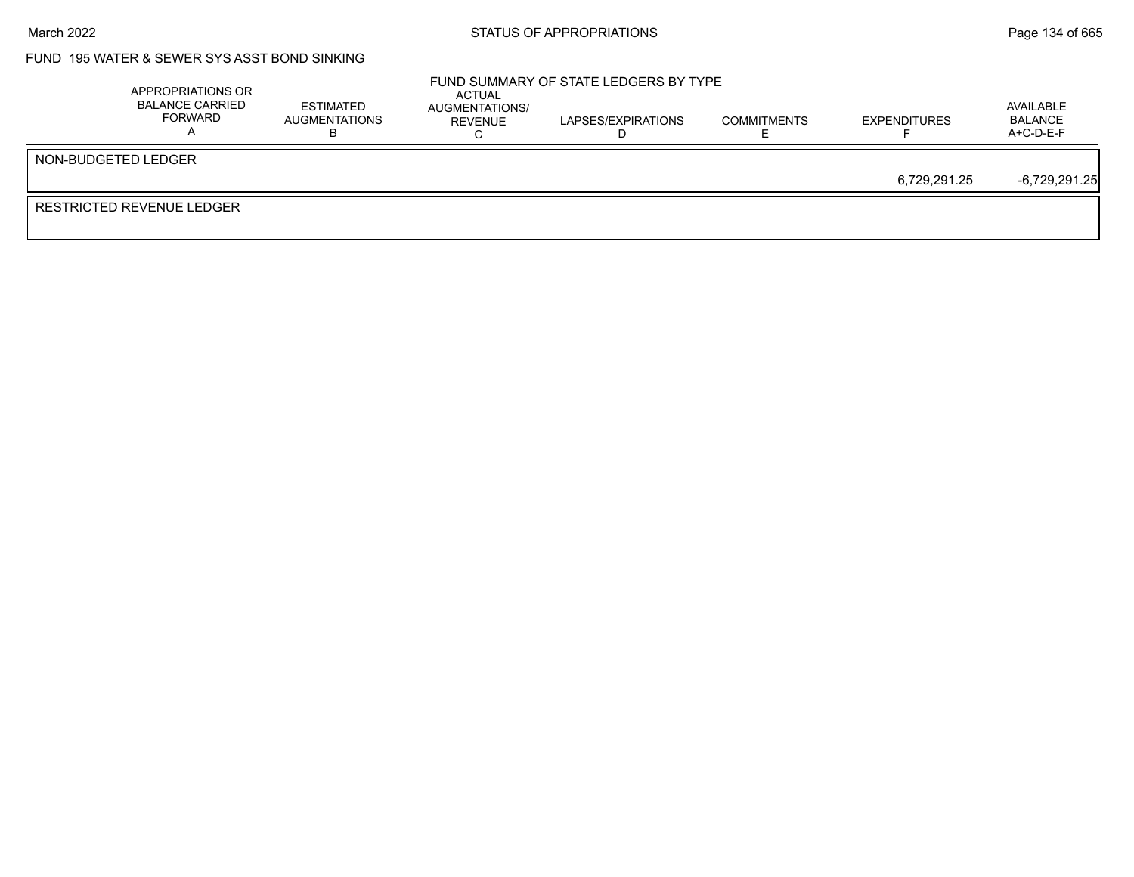## FUND 195 WATER & SEWER SYS ASST BOND SINKING

| APPROPRIATIONS OR<br><b>BALANCE CARRIED</b><br>FORWARD | <b>ESTIMATED</b><br>AUGMENTATIONS | ACTUAL<br>AUGMENTATIONS/<br>REVENUE | FUND SUMMARY OF STATE LEDGERS BY TYPE<br>LAPSES/EXPIRATIONS | <b>COMMITMENTS</b> | <b>EXPENDITURES</b> | AVAILABLE<br><b>BALANCE</b><br>$A+C-D-E-F$ |
|--------------------------------------------------------|-----------------------------------|-------------------------------------|-------------------------------------------------------------|--------------------|---------------------|--------------------------------------------|
| NON-BUDGETED LEDGER                                    |                                   |                                     |                                                             |                    |                     |                                            |
|                                                        |                                   |                                     |                                                             |                    | 6,729,291.25        | $-6,729,291.25$                            |
| RESTRICTED REVENUE LEDGER                              |                                   |                                     |                                                             |                    |                     |                                            |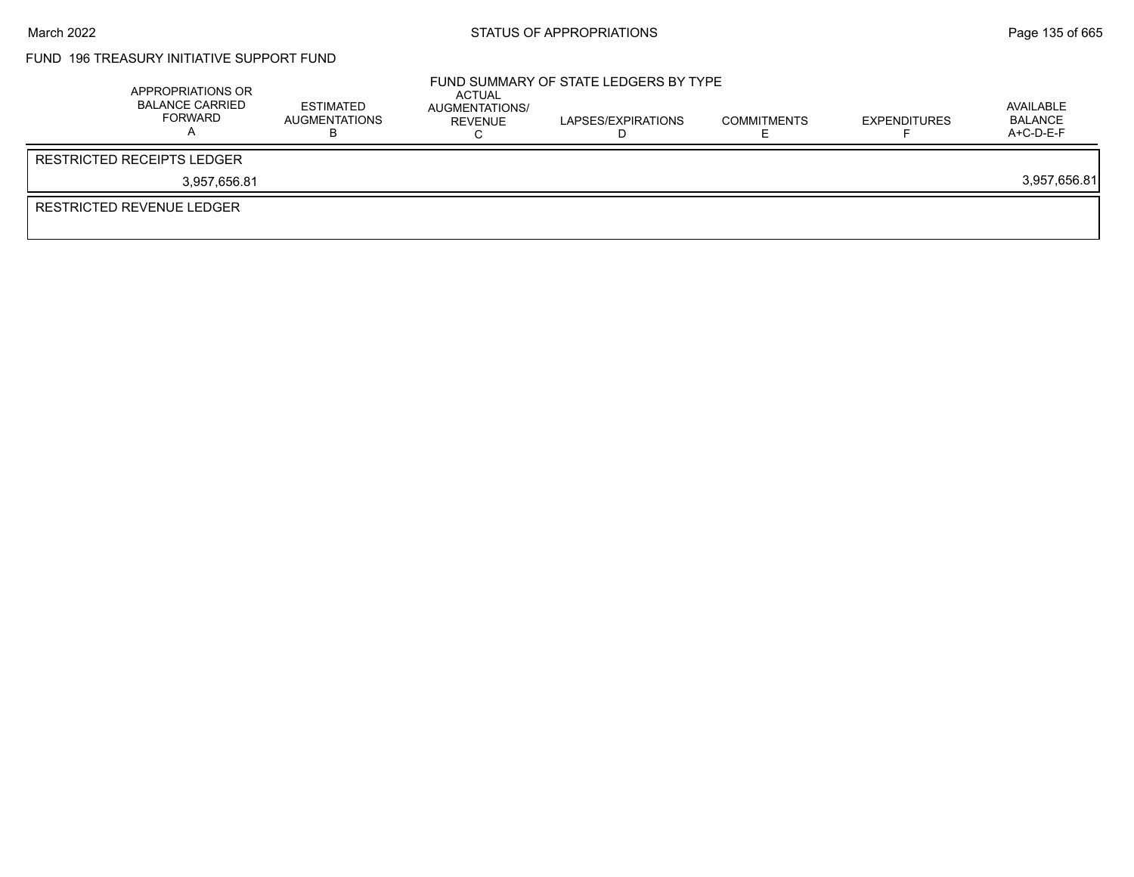# FUND 196 TREASURY INITIATIVE SUPPORT FUND

| APPROPRIATIONS OR<br><b>BALANCE CARRIED</b><br>FORWARD | ESTIMATED<br>AUGMENTATIONS | ACTUAL<br>AUGMENTATIONS/<br>REVENUE | FUND SUMMARY OF STATE LEDGERS BY TYPE<br>LAPSES/EXPIRATIONS | <b>COMMITMENTS</b> | <b>EXPENDITURES</b> | AVAILABLE<br>BALANCE<br>$A+C-D-E-F$ |
|--------------------------------------------------------|----------------------------|-------------------------------------|-------------------------------------------------------------|--------------------|---------------------|-------------------------------------|
| <b>RESTRICTED RECEIPTS LEDGER</b>                      |                            |                                     |                                                             |                    |                     |                                     |
| 3.957.656.81                                           |                            |                                     |                                                             |                    |                     | 3,957,656.81                        |
| <b>RESTRICTED REVENUE LEDGER</b>                       |                            |                                     |                                                             |                    |                     |                                     |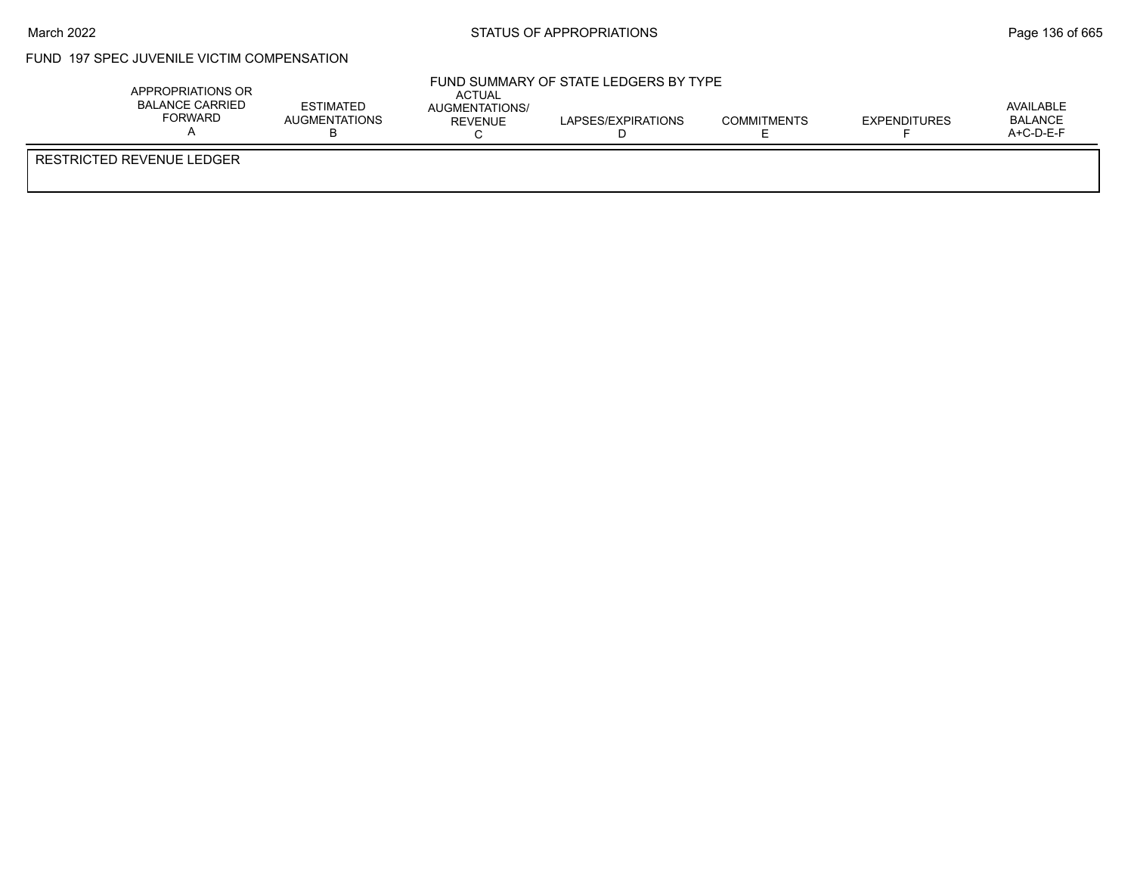$\bar{r}$ 

## FUND 197 SPEC JUVENILE VICTIM COMPENSATION

| APPROPRIATIONS OR<br><b>BALANCE CARRIED</b><br>FORWARD | ESTIMATED<br>AUGMENTATIONS | ACTUAL<br>AUGMENTATIONS/<br><b>REVENUE</b> | FUND SUMMARY OF STATE LEDGERS BY TYPE<br>LAPSES/EXPIRATIONS | <b>COMMITMENTS</b> | <b>EXPENDITURES</b> | AVAILABLE<br>BALANCE<br>$A+C-D-E-F$ |  |
|--------------------------------------------------------|----------------------------|--------------------------------------------|-------------------------------------------------------------|--------------------|---------------------|-------------------------------------|--|
| RESTRICTED REVENUE LEDGER                              |                            |                                            |                                                             |                    |                     |                                     |  |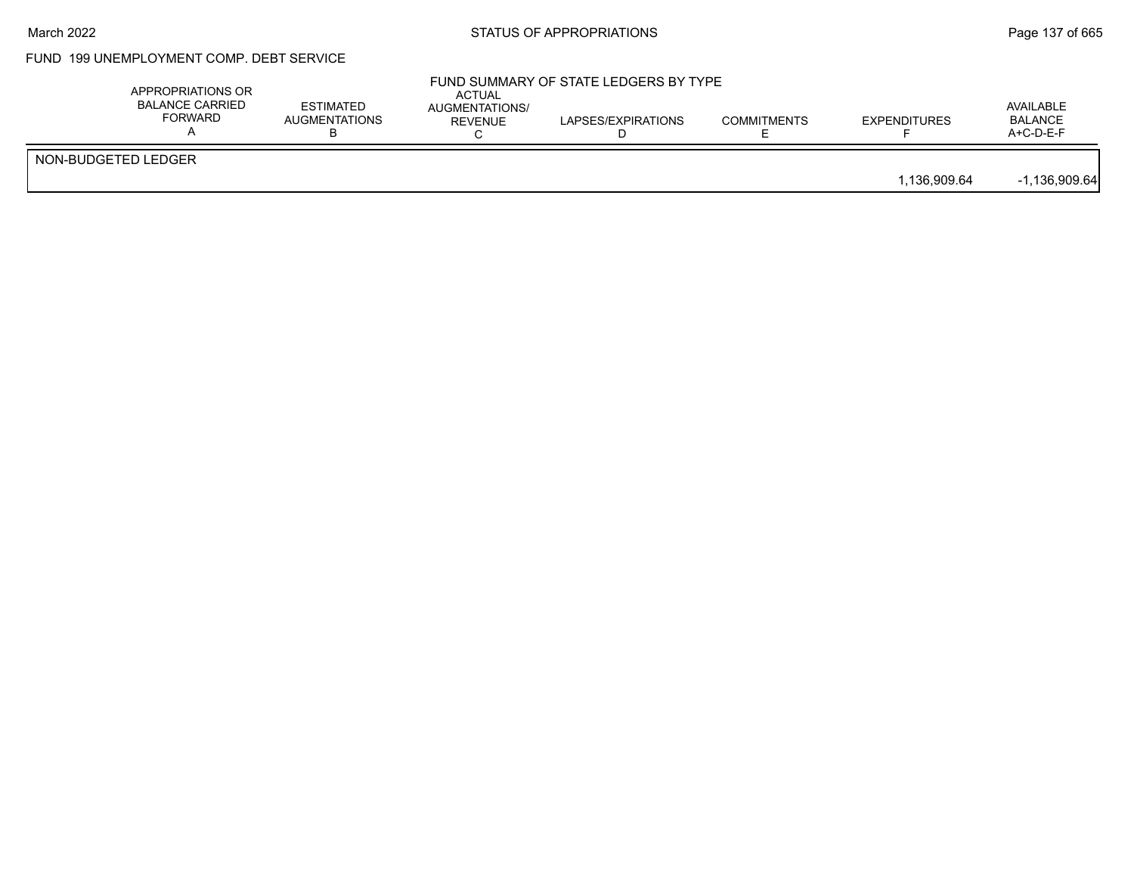#### March 2022 **STATUS OF APPROPRIATIONS** STATUS OF APPROPRIATIONS

# FUND 199 UNEMPLOYMENT COMP. DEBT SERVICE

|                     | APPROPRIATIONS OR<br>BALANCE CARRIED<br><b>FORWARD</b> | <b>ESTIMATED</b><br><b>AUGMENTATIONS</b> | ACTUAL<br>AUGMENTATIONS/<br><b>REVENUE</b> | FUND SUMMARY OF STATE LEDGERS BY TYPE<br>LAPSES/EXPIRATIONS | <b>COMMITMENTS</b> | <b>EXPENDITURES</b> | AVAILABLE<br><b>BALANCE</b><br>A+C-D-E-F |
|---------------------|--------------------------------------------------------|------------------------------------------|--------------------------------------------|-------------------------------------------------------------|--------------------|---------------------|------------------------------------------|
| NON-BUDGETED LEDGER |                                                        |                                          |                                            |                                                             |                    | 1.136.909.64        | $-1,136,909.64$                          |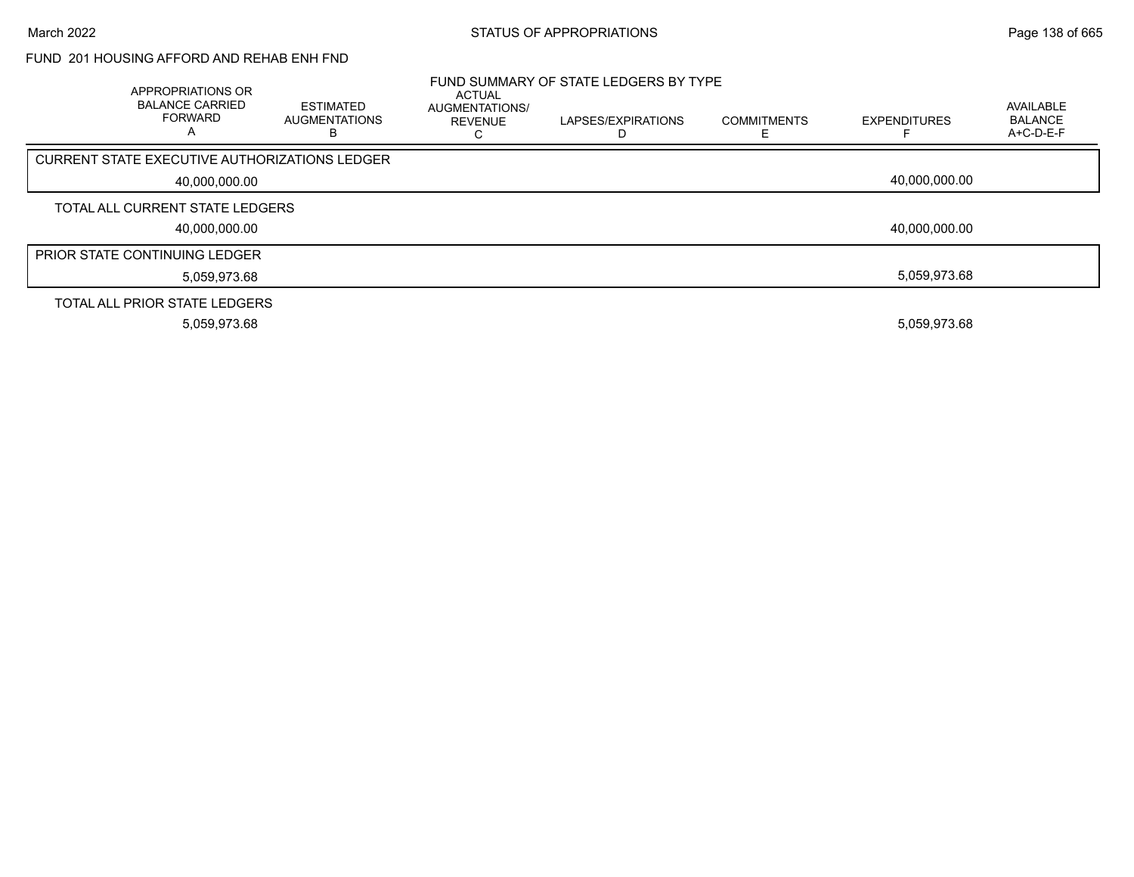## FUND 201 HOUSING AFFORD AND REHAB ENH FND

| APPROPRIATIONS OR<br><b>BALANCE CARRIED</b><br><b>FORWARD</b> | ESTIMATED<br><b>AUGMENTATIONS</b><br>в | ACTUAL<br>AUGMENTATIONS/<br><b>REVENUE</b> | FUND SUMMARY OF STATE LEDGERS BY TYPE<br>LAPSES/EXPIRATIONS | <b>COMMITMENTS</b> | <b>EXPENDITURES</b> | AVAILABLE<br><b>BALANCE</b><br>$A+C-D-E-F$ |
|---------------------------------------------------------------|----------------------------------------|--------------------------------------------|-------------------------------------------------------------|--------------------|---------------------|--------------------------------------------|
| CURRENT STATE EXECUTIVE AUTHORIZATIONS LEDGER                 |                                        |                                            |                                                             |                    |                     |                                            |
| 40,000,000.00                                                 |                                        |                                            |                                                             |                    | 40.000.000.00       |                                            |
| TOTAL ALL CURRENT STATE LEDGERS                               |                                        |                                            |                                                             |                    |                     |                                            |
| 40,000,000.00                                                 |                                        |                                            |                                                             |                    | 40,000,000.00       |                                            |
| <b>PRIOR STATE CONTINUING LEDGER</b>                          |                                        |                                            |                                                             |                    |                     |                                            |
| 5,059,973.68                                                  |                                        |                                            |                                                             |                    | 5.059.973.68        |                                            |
| TOTAL ALL PRIOR STATE LEDGERS                                 |                                        |                                            |                                                             |                    |                     |                                            |
| 5,059,973.68                                                  |                                        |                                            |                                                             |                    | 5,059,973.68        |                                            |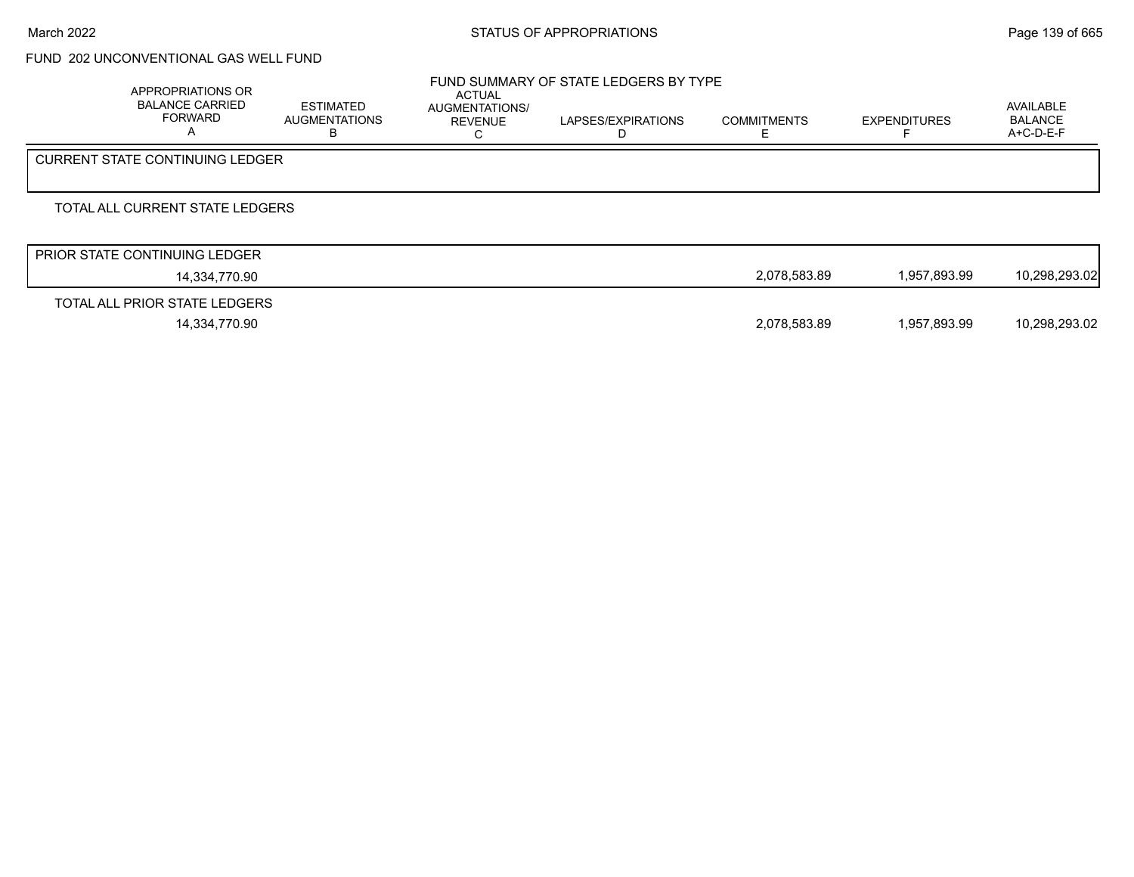# FUND 202 UNCONVENTIONAL GAS WELL FUND

| <b>APPROPRIATIONS OR</b><br><b>BALANCE CARRIED</b><br><b>FORWARD</b> | <b>ESTIMATED</b><br><b>AUGMENTATIONS</b><br>в | ACTUAL<br>AUGMENTATIONS/<br><b>REVENUE</b> | FUND SUMMARY OF STATE LEDGERS BY TYPE<br>LAPSES/EXPIRATIONS | <b>COMMITMENTS</b> | <b>EXPENDITURES</b> | AVAILABLE<br><b>BALANCE</b><br>$A+C-D-E-F$ |
|----------------------------------------------------------------------|-----------------------------------------------|--------------------------------------------|-------------------------------------------------------------|--------------------|---------------------|--------------------------------------------|
| <b>CURRENT STATE CONTINUING LEDGER</b>                               |                                               |                                            |                                                             |                    |                     |                                            |
| TOTAL ALL CURRENT STATE LEDGERS                                      |                                               |                                            |                                                             |                    |                     |                                            |
| <b>PRIOR STATE CONTINUING LEDGER</b>                                 |                                               |                                            |                                                             |                    |                     |                                            |
| 14,334,770.90                                                        |                                               |                                            |                                                             | 2,078,583.89       | 1,957,893.99        | 10,298,293.02                              |
| TOTAL ALL PRIOR STATE LEDGERS                                        |                                               |                                            |                                                             |                    |                     |                                            |

14,334,770.90 2,078,583.89 1,957,893.99 10,298,293.02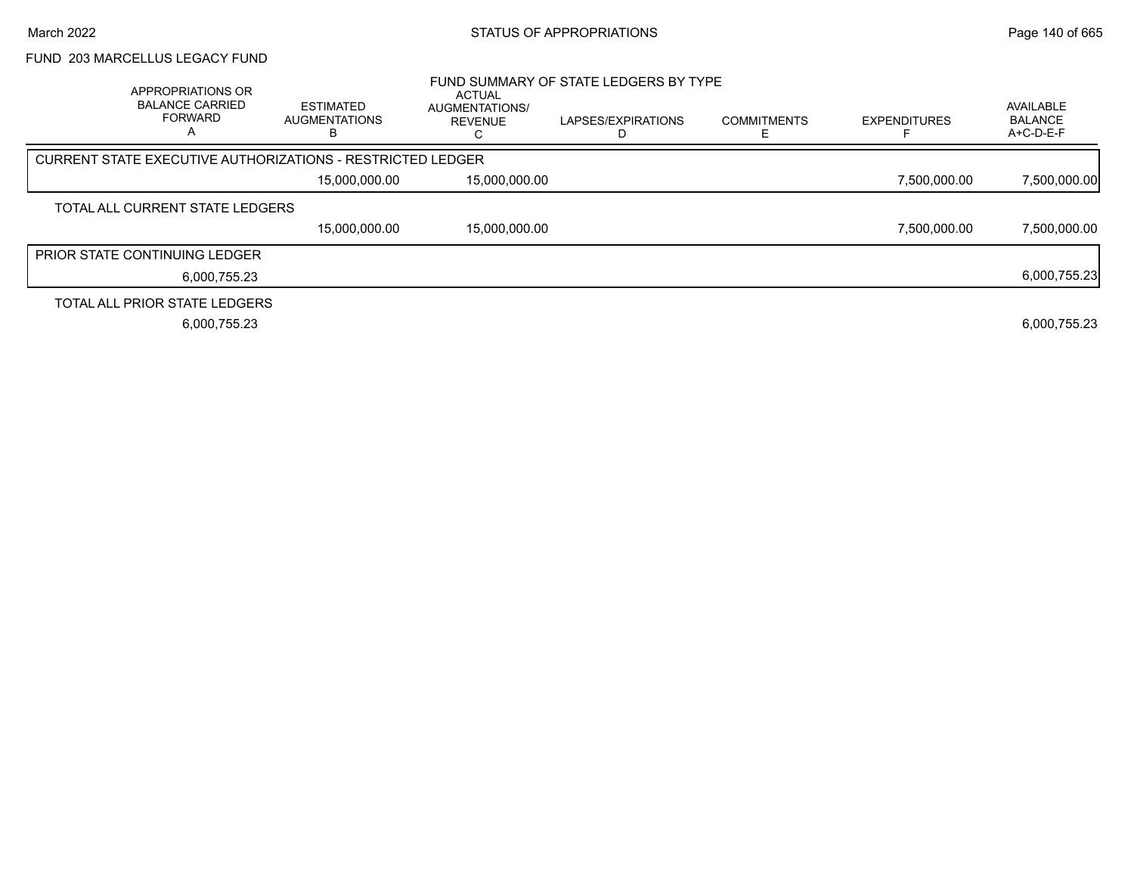### FUND 203 MARCELLUS LEGACY FUND

|                                      | APPROPRIATIONS OR<br><b>BALANCE CARRIED</b><br><b>FORWARD</b><br>А | <b>ESTIMATED</b><br><b>AUGMENTATIONS</b>                          | <b>ACTUAL</b><br><b>AUGMENTATIONS/</b><br><b>REVENUE</b> | FUND SUMMARY OF STATE LEDGERS BY TYPE<br>LAPSES/EXPIRATIONS | <b>COMMITMENTS</b> | <b>EXPENDITURES</b> | AVAILABLE<br><b>BALANCE</b><br>A+C-D-E-F |
|--------------------------------------|--------------------------------------------------------------------|-------------------------------------------------------------------|----------------------------------------------------------|-------------------------------------------------------------|--------------------|---------------------|------------------------------------------|
|                                      |                                                                    | <b>CURRENT STATE EXECUTIVE AUTHORIZATIONS - RESTRICTED LEDGER</b> |                                                          |                                                             |                    |                     |                                          |
|                                      |                                                                    | 15.000.000.00                                                     | 15,000,000.00                                            |                                                             |                    | 7.500.000.00        | 7,500,000.00                             |
|                                      | TOTAL ALL CURRENT STATE LEDGERS                                    |                                                                   |                                                          |                                                             |                    |                     |                                          |
|                                      |                                                                    | 15,000,000.00                                                     | 15,000,000.00                                            |                                                             |                    | 7.500.000.00        | 7,500,000.00                             |
| <b>PRIOR STATE CONTINUING LEDGER</b> |                                                                    |                                                                   |                                                          |                                                             |                    |                     |                                          |
|                                      | 6.000.755.23                                                       |                                                                   |                                                          |                                                             |                    |                     | 6,000,755.23                             |
|                                      | TOTAL ALL PRIOR STATE LEDGERS                                      |                                                                   |                                                          |                                                             |                    |                     |                                          |
|                                      | 6,000,755.23                                                       |                                                                   |                                                          |                                                             |                    |                     | 6,000,755.23                             |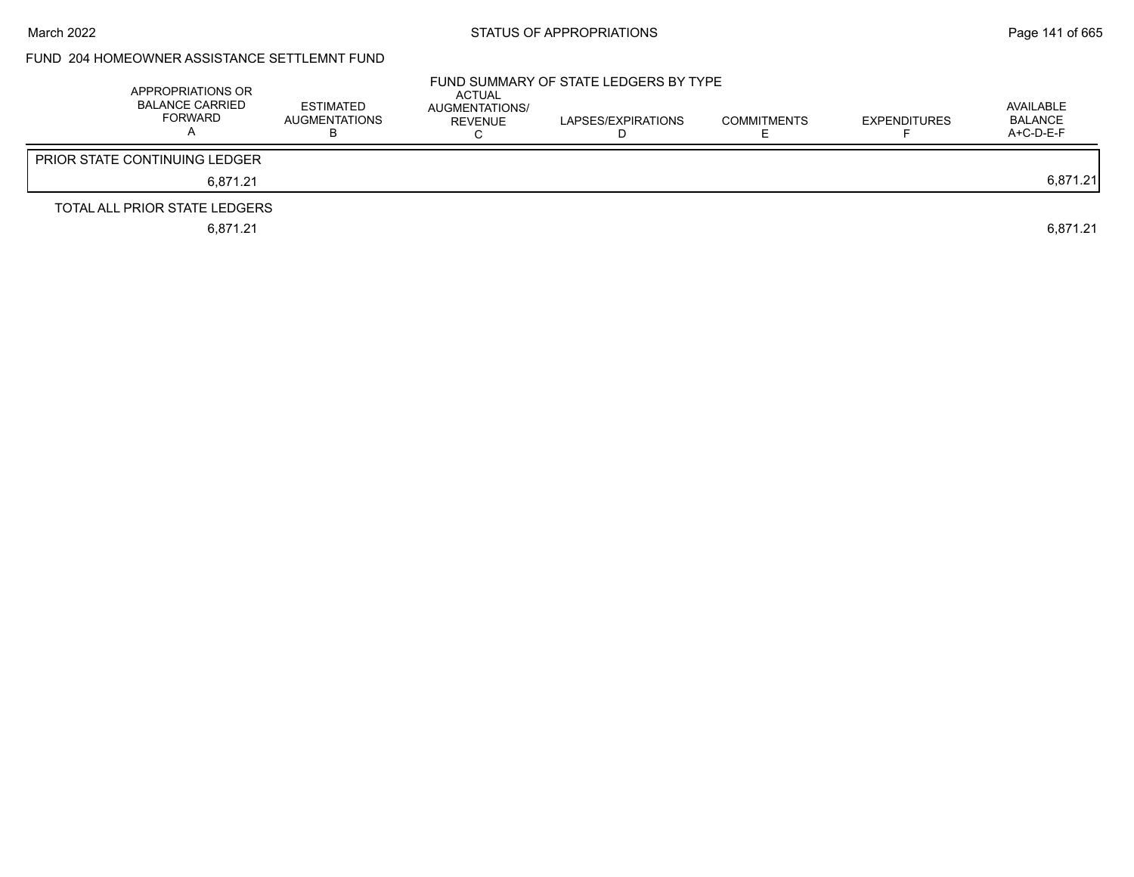## FUND 204 HOMEOWNER ASSISTANCE SETTLEMNT FUND

| APPROPRIATIONS OR<br><b>BALANCE CARRIED</b><br>FORWARD | <b>ESTIMATED</b><br><b>AUGMENTATIONS</b> | ACTUAL<br>AUGMENTATIONS/<br><b>REVENUE</b> | FUND SUMMARY OF STATE LEDGERS BY TYPE<br>LAPSES/EXPIRATIONS | <b>COMMITMENTS</b> | <b>EXPENDITURES</b> | AVAILABLE<br><b>BALANCE</b><br>$A+C-D-E-F$ |
|--------------------------------------------------------|------------------------------------------|--------------------------------------------|-------------------------------------------------------------|--------------------|---------------------|--------------------------------------------|
| <b>PRIOR STATE CONTINUING LEDGER</b>                   |                                          |                                            |                                                             |                    |                     |                                            |
| 6.871.21                                               |                                          |                                            |                                                             |                    |                     | 6,871.21                                   |
| TOTAL ALL PRIOR STATE LEDGERS                          |                                          |                                            |                                                             |                    |                     |                                            |
| 6,871.21                                               |                                          |                                            |                                                             |                    |                     | 6.871.21                                   |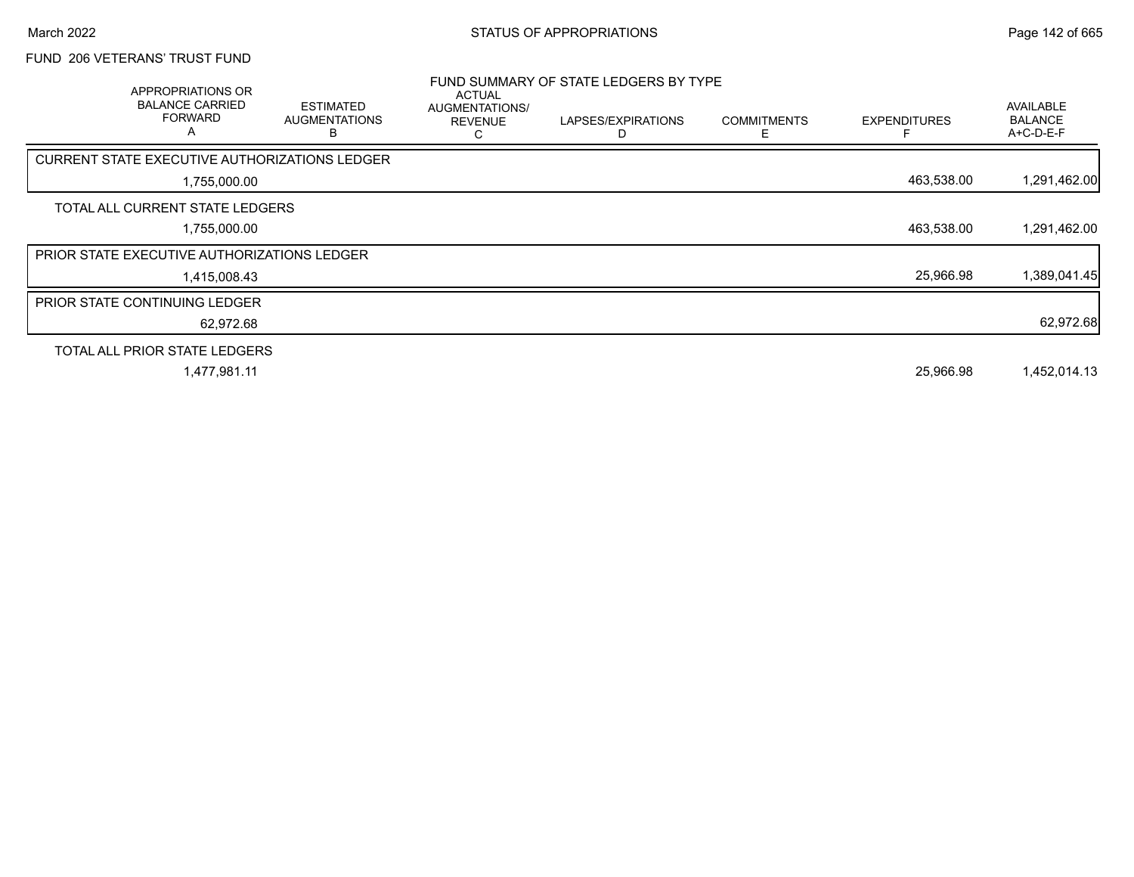## FUND 206 VETERANS' TRUST FUND

| <b>APPROPRIATIONS OR</b><br><b>BALANCE CARRIED</b><br><b>FORWARD</b><br>A | <b>ESTIMATED</b><br><b>AUGMENTATIONS</b><br>R | ACTUAL<br>AUGMENTATIONS/<br><b>REVENUE</b><br>C | FUND SUMMARY OF STATE LEDGERS BY TYPE<br>LAPSES/EXPIRATIONS | <b>COMMITMENTS</b><br>E. | <b>EXPENDITURES</b> | AVAILABLE<br><b>BALANCE</b><br>A+C-D-E-F |
|---------------------------------------------------------------------------|-----------------------------------------------|-------------------------------------------------|-------------------------------------------------------------|--------------------------|---------------------|------------------------------------------|
| CURRENT STATE EXECUTIVE AUTHORIZATIONS LEDGER                             |                                               |                                                 |                                                             |                          |                     |                                          |
| 1,755,000.00                                                              |                                               |                                                 |                                                             |                          | 463,538.00          | 1,291,462.00                             |
| TOTAL ALL CURRENT STATE LEDGERS                                           |                                               |                                                 |                                                             |                          |                     |                                          |
| 1,755,000.00                                                              |                                               |                                                 |                                                             |                          | 463,538.00          | 1,291,462.00                             |
| <b>PRIOR STATE EXECUTIVE AUTHORIZATIONS LEDGER</b>                        |                                               |                                                 |                                                             |                          |                     |                                          |
| 1,415,008.43                                                              |                                               |                                                 |                                                             |                          | 25,966.98           | 1,389,041.45                             |
| <b>PRIOR STATE CONTINUING LEDGER</b>                                      |                                               |                                                 |                                                             |                          |                     |                                          |
| 62,972.68                                                                 |                                               |                                                 |                                                             |                          |                     | 62,972.68                                |
| TOTAL ALL PRIOR STATE LEDGERS                                             |                                               |                                                 |                                                             |                          |                     |                                          |
| 1,477,981.11                                                              |                                               |                                                 |                                                             |                          | 25,966.98           | 1,452,014.13                             |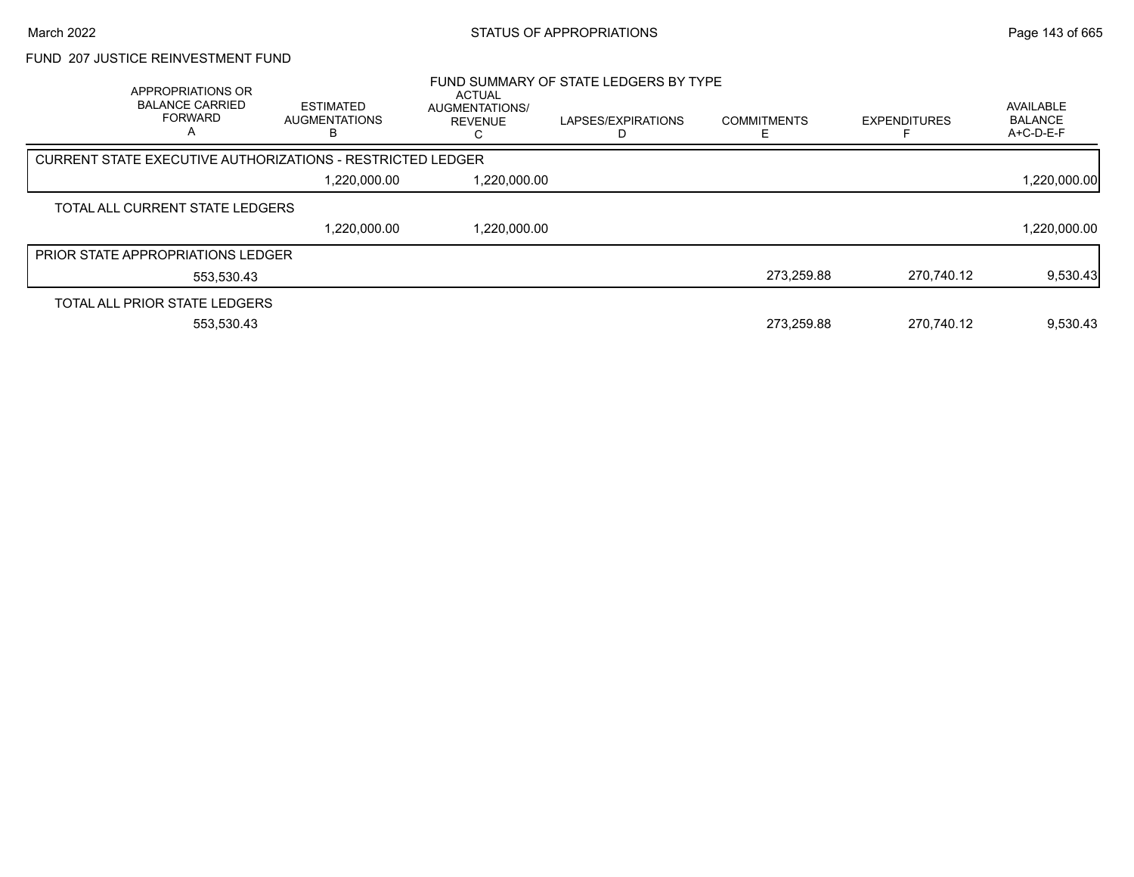### FUND 207 JUSTICE REINVESTMENT FUND

| APPROPRIATIONS OR<br><b>BALANCE CARRIED</b><br><b>FORWARD</b> | <b>ESTIMATED</b><br>AUGMENTATIONS<br>в                     | ACTUAL<br><b>AUGMENTATIONS/</b><br><b>REVENUE</b> | FUND SUMMARY OF STATE LEDGERS BY TYPE<br>LAPSES/EXPIRATIONS | <b>COMMITMENTS</b> | <b>EXPENDITURES</b> | <b>AVAILABLE</b><br><b>BALANCE</b><br>A+C-D-E-F |
|---------------------------------------------------------------|------------------------------------------------------------|---------------------------------------------------|-------------------------------------------------------------|--------------------|---------------------|-------------------------------------------------|
|                                                               | CURRENT STATE EXECUTIVE AUTHORIZATIONS - RESTRICTED LEDGER |                                                   |                                                             |                    |                     |                                                 |
|                                                               | 1,220,000.00                                               | 1,220,000.00                                      |                                                             |                    |                     | 1,220,000.00                                    |
| TOTAL ALL CURRENT STATE LEDGERS                               |                                                            |                                                   |                                                             |                    |                     |                                                 |
|                                                               | 1,220,000.00                                               | 1,220,000.00                                      |                                                             |                    |                     | 1,220,000.00                                    |
| <b>PRIOR STATE APPROPRIATIONS LEDGER</b>                      |                                                            |                                                   |                                                             |                    |                     |                                                 |
| 553.530.43                                                    |                                                            |                                                   |                                                             | 273,259.88         | 270.740.12          | 9,530.43                                        |
| TOTAL ALL PRIOR STATE LEDGERS                                 |                                                            |                                                   |                                                             |                    |                     |                                                 |
| 553.530.43                                                    |                                                            |                                                   |                                                             | 273.259.88         | 270.740.12          | 9,530.43                                        |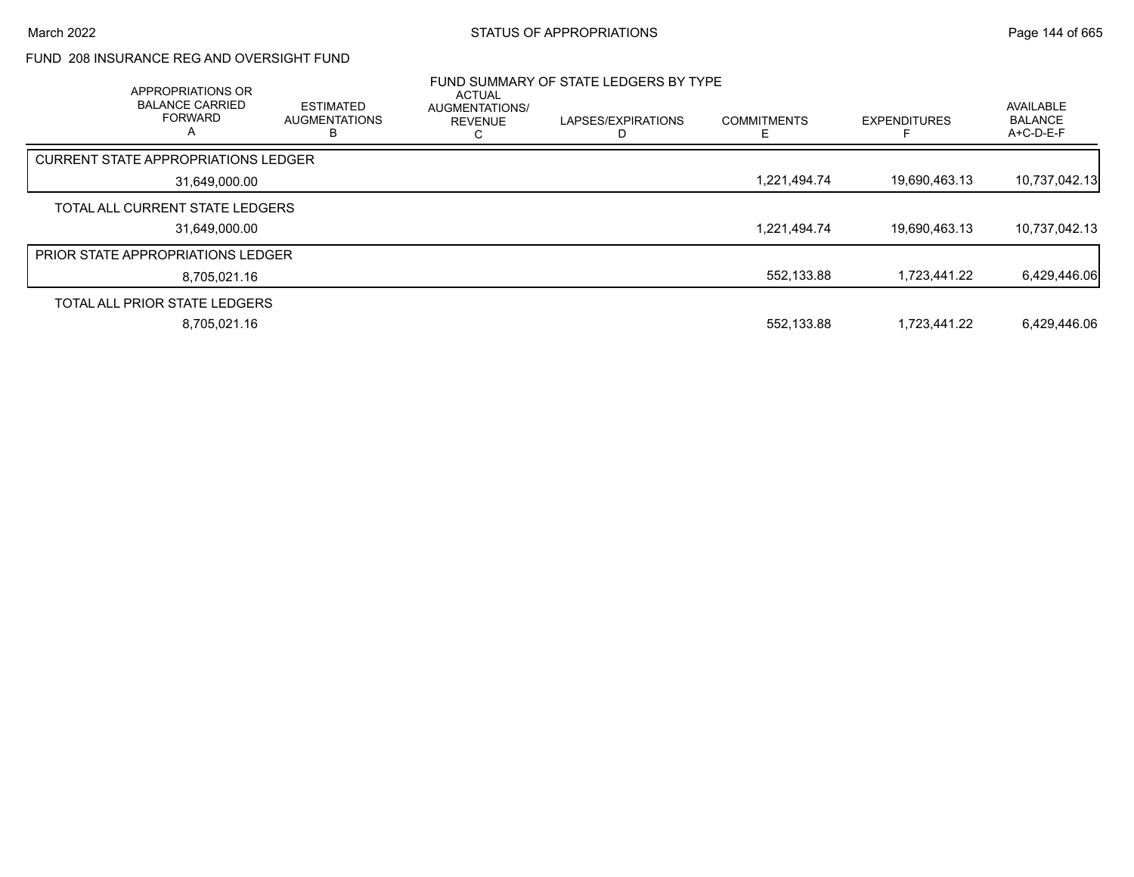## FUND 208 INSURANCE REG AND OVERSIGHT FUND

| APPROPRIATIONS OR<br><b>BALANCE CARRIED</b><br><b>FORWARD</b><br>A | <b>ESTIMATED</b><br><b>AUGMENTATIONS</b><br>ь | <b>ACTUAL</b><br>AUGMENTATIONS/<br><b>REVENUE</b> | FUND SUMMARY OF STATE LEDGERS BY TYPE<br>LAPSES/EXPIRATIONS | <b>COMMITMENTS</b> | <b>EXPENDITURES</b> | AVAILABLE<br><b>BALANCE</b><br>$A+C-D-E-F$ |
|--------------------------------------------------------------------|-----------------------------------------------|---------------------------------------------------|-------------------------------------------------------------|--------------------|---------------------|--------------------------------------------|
| <b>CURRENT STATE APPROPRIATIONS LEDGER</b>                         |                                               |                                                   |                                                             |                    |                     |                                            |
| 31,649,000.00                                                      |                                               |                                                   |                                                             | 1,221,494.74       | 19,690,463.13       | 10,737,042.13                              |
| TOTAL ALL CURRENT STATE LEDGERS                                    |                                               |                                                   |                                                             |                    |                     |                                            |
| 31,649,000.00                                                      |                                               |                                                   |                                                             | 1,221,494.74       | 19,690,463.13       | 10,737,042.13                              |
| <b>PRIOR STATE APPROPRIATIONS LEDGER</b>                           |                                               |                                                   |                                                             |                    |                     |                                            |
| 8,705,021.16                                                       |                                               |                                                   |                                                             | 552,133.88         | 1.723.441.22        | 6,429,446.06                               |
| TOTAL ALL PRIOR STATE LEDGERS                                      |                                               |                                                   |                                                             |                    |                     |                                            |
| 8,705,021.16                                                       |                                               |                                                   |                                                             | 552,133.88         | 1.723.441.22        | 6,429,446.06                               |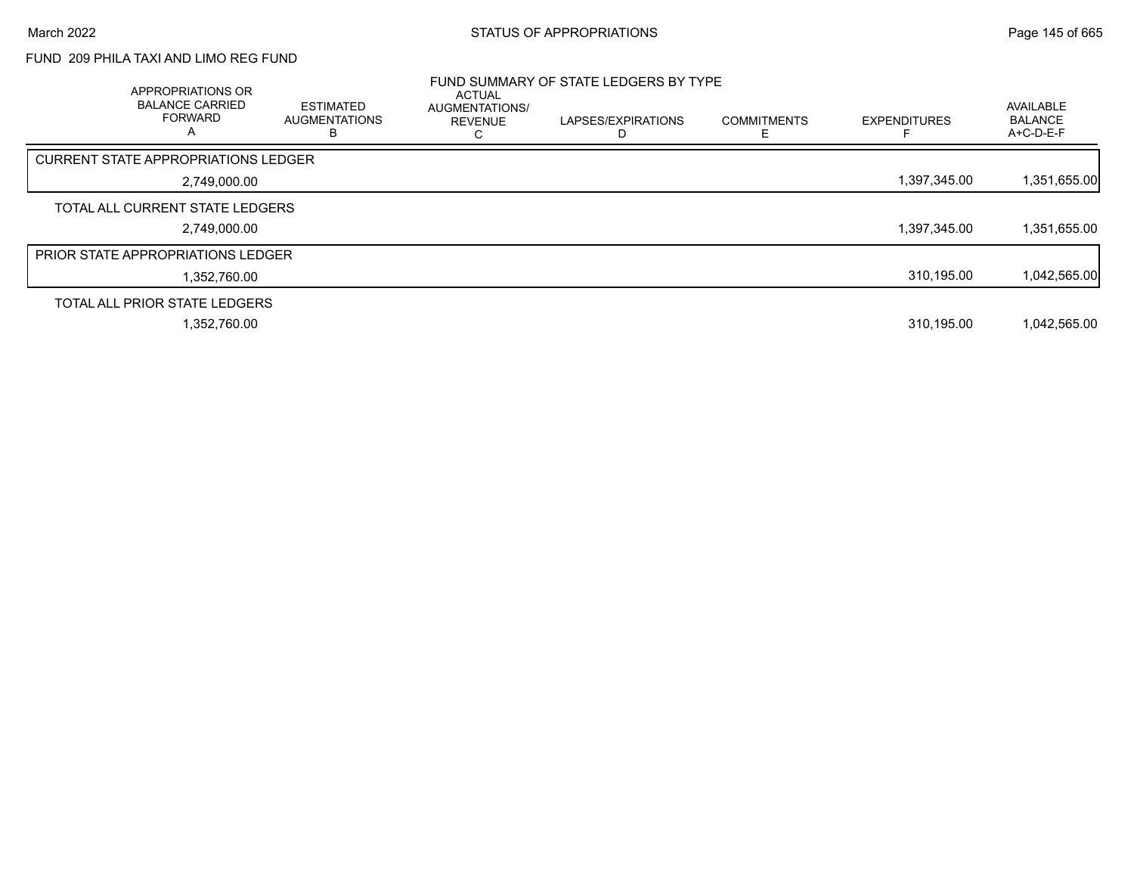# FUND 209 PHILA TAXI AND LIMO REG FUND

| APPROPRIATIONS OR<br><b>BALANCE CARRIED</b><br><b>FORWARD</b> | <b>ESTIMATED</b><br><b>AUGMENTATIONS</b> | <b>ACTUAL</b><br>AUGMENTATIONS/<br><b>REVENUE</b> | FUND SUMMARY OF STATE LEDGERS BY TYPE<br>LAPSES/EXPIRATIONS | <b>COMMITMENTS</b> | <b>EXPENDITURES</b> | <b>AVAILABLE</b><br><b>BALANCE</b><br>A+C-D-E-F |
|---------------------------------------------------------------|------------------------------------------|---------------------------------------------------|-------------------------------------------------------------|--------------------|---------------------|-------------------------------------------------|
| <b>CURRENT STATE APPROPRIATIONS LEDGER</b>                    |                                          |                                                   |                                                             |                    |                     |                                                 |
| 2,749,000.00                                                  |                                          |                                                   |                                                             |                    | 1,397,345.00        | 1,351,655.00                                    |
| TOTAL ALL CURRENT STATE LEDGERS                               |                                          |                                                   |                                                             |                    |                     |                                                 |
| 2,749,000.00                                                  |                                          |                                                   |                                                             |                    | 1,397,345.00        | 1,351,655.00                                    |
| <b>PRIOR STATE APPROPRIATIONS LEDGER</b>                      |                                          |                                                   |                                                             |                    |                     |                                                 |
| 1,352,760.00                                                  |                                          |                                                   |                                                             |                    | 310,195.00          | 1,042,565.00                                    |
| TOTAL ALL PRIOR STATE LEDGERS                                 |                                          |                                                   |                                                             |                    |                     |                                                 |
| 1.352.760.00                                                  |                                          |                                                   |                                                             |                    | 310.195.00          | 1,042,565.00                                    |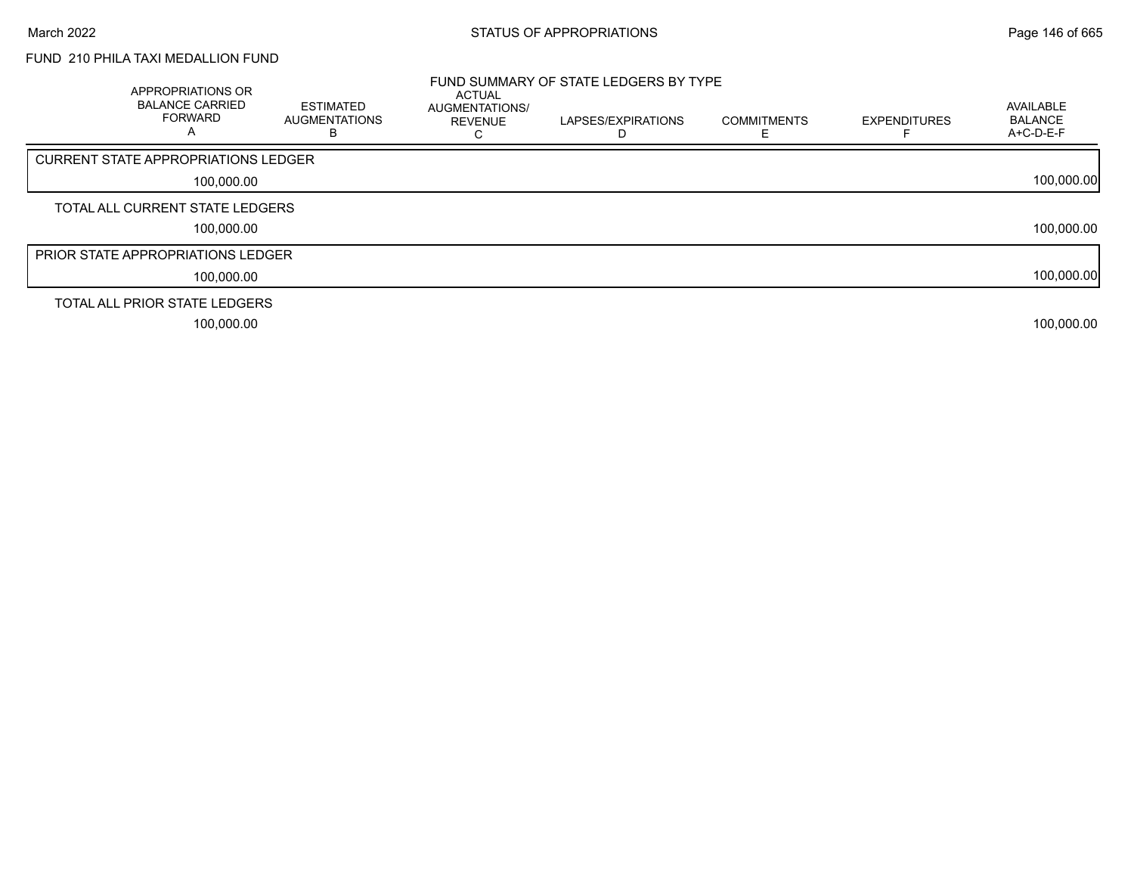## FUND 210 PHILA TAXI MEDALLION FUND

| APPROPRIATIONS OR<br><b>BALANCE CARRIED</b><br><b>FORWARD</b><br>A | <b>ESTIMATED</b><br><b>AUGMENTATIONS</b> | <b>ACTUAL</b><br>AUGMENTATIONS/<br><b>REVENUE</b> | FUND SUMMARY OF STATE LEDGERS BY TYPE<br>LAPSES/EXPIRATIONS | <b>COMMITMENTS</b> | <b>EXPENDITURES</b> | AVAILABLE<br><b>BALANCE</b><br>A+C-D-E-F |
|--------------------------------------------------------------------|------------------------------------------|---------------------------------------------------|-------------------------------------------------------------|--------------------|---------------------|------------------------------------------|
| CURRENT STATE APPROPRIATIONS LEDGER                                |                                          |                                                   |                                                             |                    |                     |                                          |
| 100,000.00                                                         |                                          |                                                   |                                                             |                    |                     | 100,000.00                               |
| TOTAL ALL CURRENT STATE LEDGERS                                    |                                          |                                                   |                                                             |                    |                     |                                          |
| 100,000.00                                                         |                                          |                                                   |                                                             |                    |                     | 100,000.00                               |
| <b>PRIOR STATE APPROPRIATIONS LEDGER</b>                           |                                          |                                                   |                                                             |                    |                     |                                          |
| 100,000.00                                                         |                                          |                                                   |                                                             |                    |                     | 100,000.00                               |
| TOTAL ALL PRIOR STATE LEDGERS                                      |                                          |                                                   |                                                             |                    |                     |                                          |
| 100,000.00                                                         |                                          |                                                   |                                                             |                    |                     | 100,000.00                               |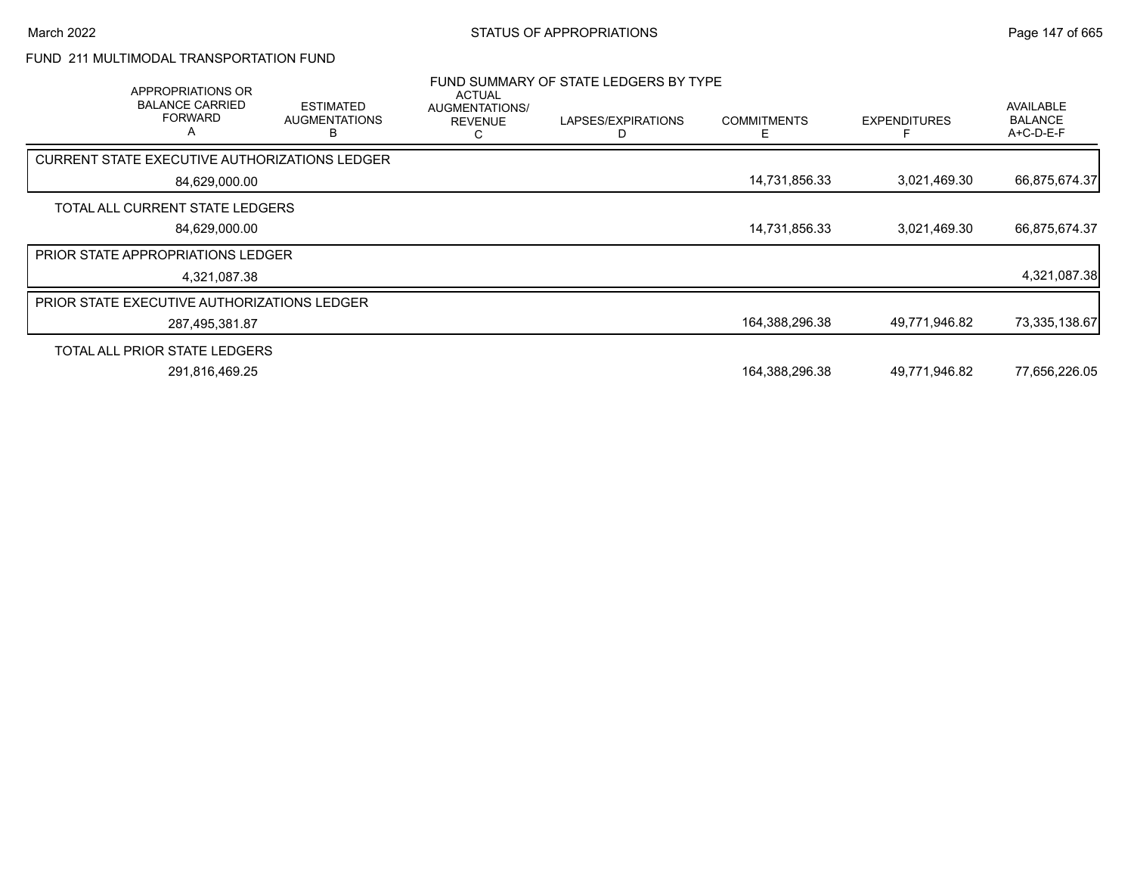# FUND 211 MULTIMODAL TRANSPORTATION FUND

| APPROPRIATIONS OR<br><b>BALANCE CARRIED</b><br><b>FORWARD</b><br>Α | <b>ESTIMATED</b><br><b>AUGMENTATIONS</b><br>n | <b>ACTUAL</b><br><b>AUGMENTATIONS/</b><br><b>REVENUE</b> | FUND SUMMARY OF STATE LEDGERS BY TYPE<br>LAPSES/EXPIRATIONS | <b>COMMITMENTS</b> | <b>EXPENDITURES</b> | AVAILABLE<br><b>BALANCE</b><br>A+C-D-E-F |
|--------------------------------------------------------------------|-----------------------------------------------|----------------------------------------------------------|-------------------------------------------------------------|--------------------|---------------------|------------------------------------------|
| CURRENT STATE EXECUTIVE AUTHORIZATIONS LEDGER                      |                                               |                                                          |                                                             |                    |                     |                                          |
| 84,629,000.00                                                      |                                               |                                                          |                                                             | 14,731,856.33      | 3,021,469.30        | 66,875,674.37                            |
| TOTAL ALL CURRENT STATE LEDGERS                                    |                                               |                                                          |                                                             |                    |                     |                                          |
| 84,629,000.00                                                      |                                               |                                                          |                                                             | 14,731,856.33      | 3,021,469.30        | 66,875,674.37                            |
| <b>PRIOR STATE APPROPRIATIONS LEDGER</b>                           |                                               |                                                          |                                                             |                    |                     |                                          |
| 4,321,087.38                                                       |                                               |                                                          |                                                             |                    |                     | 4,321,087.38                             |
| <b>PRIOR STATE EXECUTIVE AUTHORIZATIONS LEDGER</b>                 |                                               |                                                          |                                                             |                    |                     |                                          |
| 287,495,381.87                                                     |                                               |                                                          |                                                             | 164,388,296.38     | 49,771,946.82       | 73,335,138.67                            |
| TOTAL ALL PRIOR STATE LEDGERS                                      |                                               |                                                          |                                                             |                    |                     |                                          |
| 291,816,469.25                                                     |                                               |                                                          |                                                             | 164,388,296.38     | 49,771,946.82       | 77,656,226.05                            |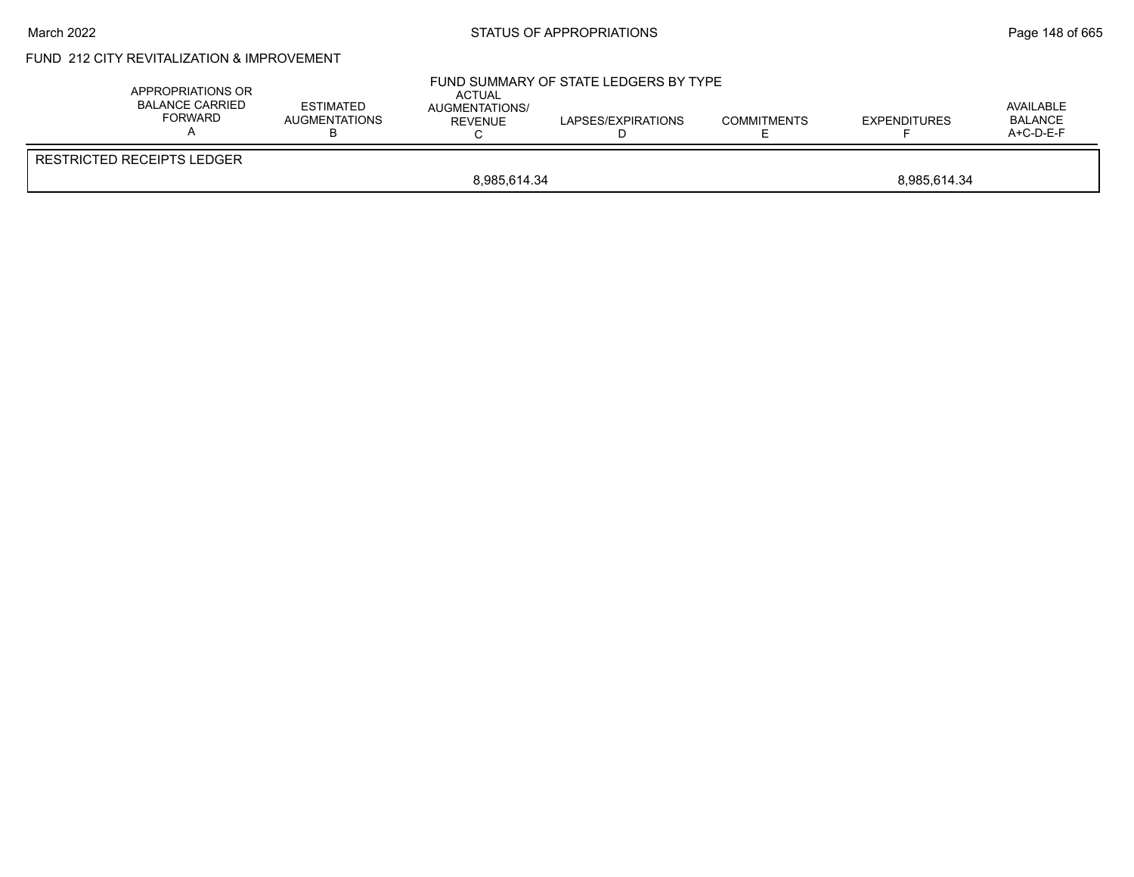### March 2022 **STATUS OF APPROPRIATIONS** STATUS OF APPROPRIATIONS

# FUND 212 CITY REVITALIZATION & IMPROVEMENT

| APPROPRIATIONS OR<br><b>BALANCE CARRIED</b><br>FORWARD | <b>ESTIMATED</b><br><b>AUGMENTATIONS</b> | <b>ACTUAL</b><br>AUGMENTATIONS/<br><b>REVENUE</b> | FUND SUMMARY OF STATE LEDGERS BY TYPE<br>LAPSES/EXPIRATIONS | <b>COMMITMENTS</b> | <b>EXPENDITURES</b> | AVAILABLE<br><b>BALANCE</b><br>$A+C-D-E-F$ |
|--------------------------------------------------------|------------------------------------------|---------------------------------------------------|-------------------------------------------------------------|--------------------|---------------------|--------------------------------------------|
| <b>RESTRICTED RECEIPTS LEDGER</b>                      |                                          |                                                   |                                                             |                    |                     |                                            |
|                                                        | 8,985,614.34<br>8.985.614.34             |                                                   |                                                             |                    |                     |                                            |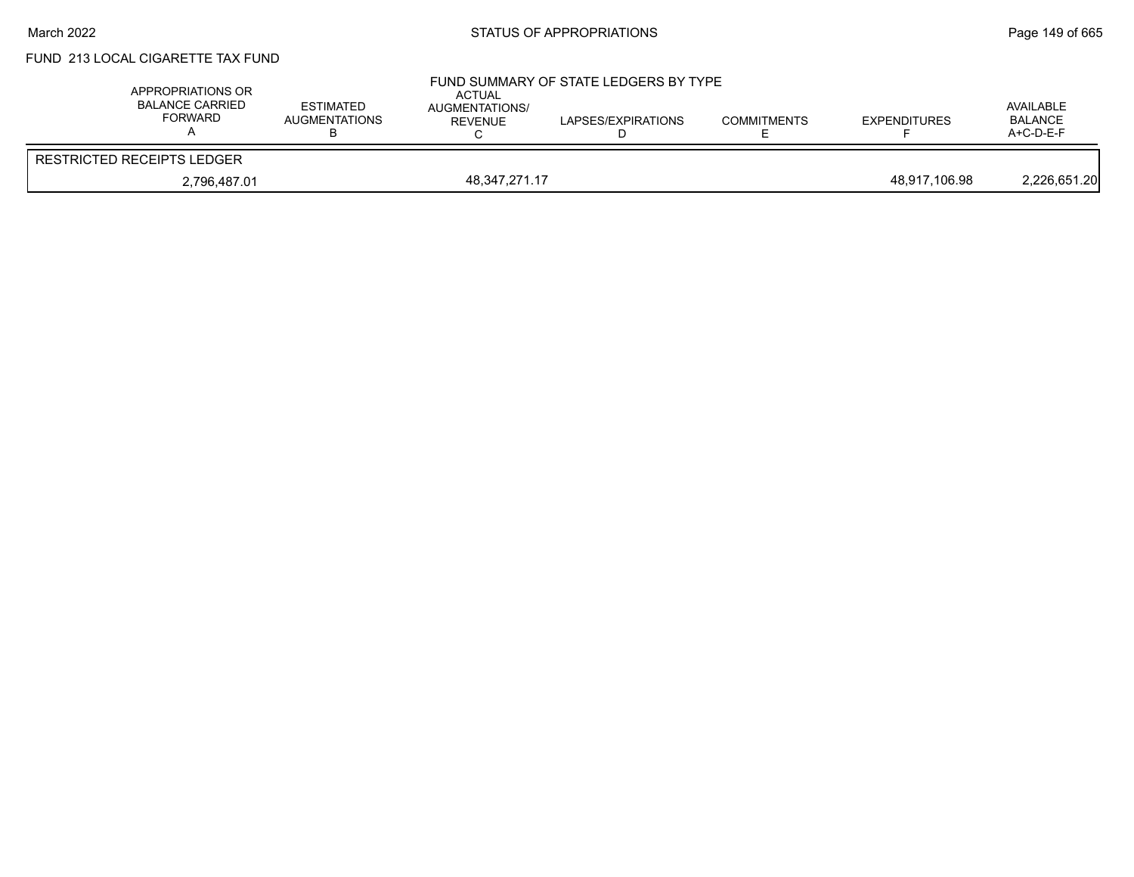# FUND 213 LOCAL CIGARETTE TAX FUND

| APPROPRIATIONS OR<br><b>BALANCE CARRIED</b><br>FORWARD | <b>ESTIMATED</b><br>AUGMENTATIONS | <b>ACTUAL</b><br><b>AUGMENTATIONS/</b><br><b>REVENUE</b> | FUND SUMMARY OF STATE LEDGERS BY TYPE<br>LAPSES/EXPIRATIONS | <b>COMMITMENTS</b> | <b>EXPENDITURES</b> | AVAILABLE<br><b>BALANCE</b><br>A+C-D-E-F |
|--------------------------------------------------------|-----------------------------------|----------------------------------------------------------|-------------------------------------------------------------|--------------------|---------------------|------------------------------------------|
| <b>RESTRICTED RECEIPTS LEDGER</b>                      |                                   |                                                          |                                                             |                    |                     |                                          |
| 2,796,487.01                                           |                                   | 48,347,271.17                                            |                                                             |                    | 48,917,106.98       | 2,226,651.20                             |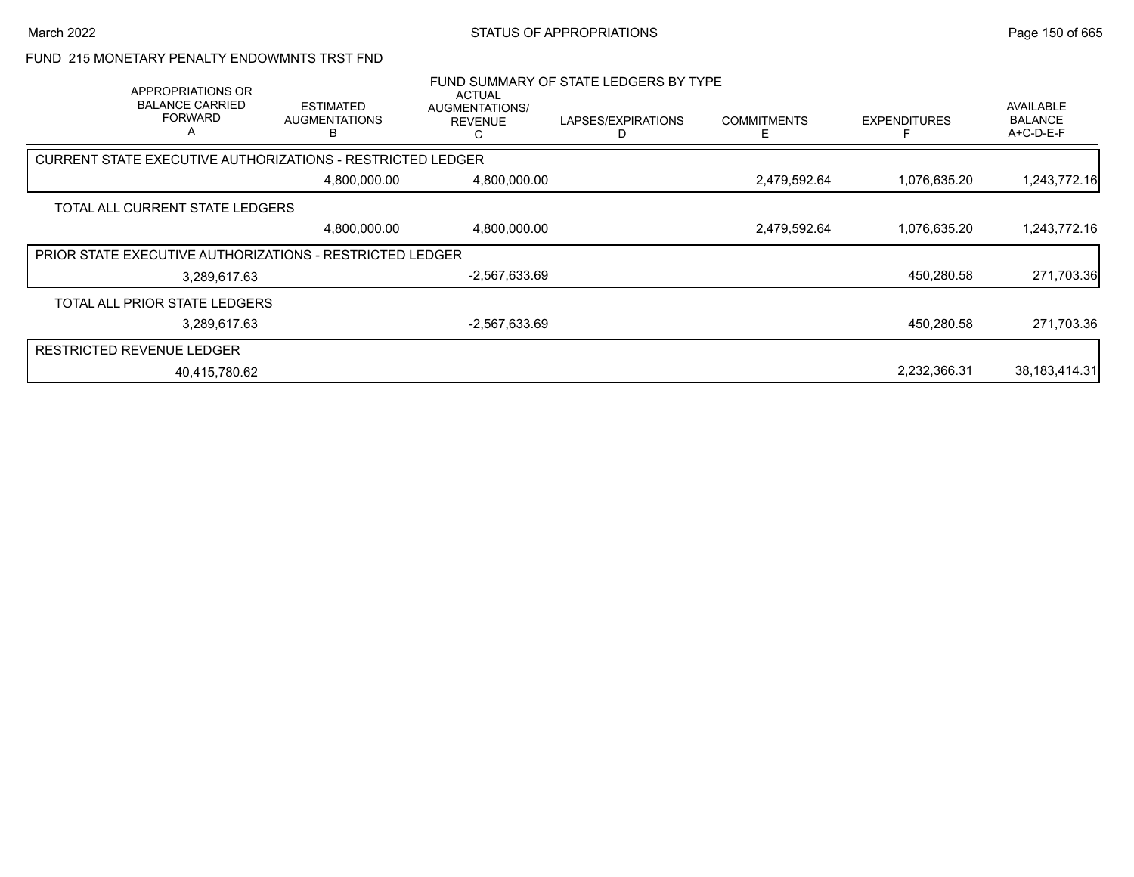### FUND 215 MONETARY PENALTY ENDOWMNTS TRST FND

| APPROPRIATIONS OR<br><b>BALANCE CARRIED</b><br><b>FORWARD</b><br>A | <b>ESTIMATED</b><br><b>AUGMENTATIONS</b>                   | ACTUAL<br>AUGMENTATIONS/<br><b>REVENUE</b><br>С | FUND SUMMARY OF STATE LEDGERS BY TYPE<br>LAPSES/EXPIRATIONS | <b>COMMITMENTS</b><br>F | <b>EXPENDITURES</b> | AVAILABLE<br><b>BALANCE</b><br>$A+C-D-E-F$ |
|--------------------------------------------------------------------|------------------------------------------------------------|-------------------------------------------------|-------------------------------------------------------------|-------------------------|---------------------|--------------------------------------------|
|                                                                    | CURRENT STATE EXECUTIVE AUTHORIZATIONS - RESTRICTED LEDGER |                                                 |                                                             |                         |                     |                                            |
|                                                                    | 4,800,000.00                                               | 4,800,000.00                                    |                                                             | 2,479,592.64            | 1,076,635.20        | 1,243,772.16                               |
| TOTAL ALL CURRENT STATE LEDGERS                                    |                                                            |                                                 |                                                             |                         |                     |                                            |
|                                                                    | 4,800,000.00                                               | 4,800,000.00                                    |                                                             | 2,479,592.64            | 1,076,635.20        | 1,243,772.16                               |
|                                                                    | PRIOR STATE EXECUTIVE AUTHORIZATIONS - RESTRICTED LEDGER   |                                                 |                                                             |                         |                     |                                            |
| 3,289,617.63                                                       |                                                            | -2,567,633.69                                   |                                                             |                         | 450,280.58          | 271,703.36                                 |
| TOTAL ALL PRIOR STATE LEDGERS                                      |                                                            |                                                 |                                                             |                         |                     |                                            |
| 3,289,617.63                                                       |                                                            | $-2,567,633.69$                                 |                                                             |                         | 450,280.58          | 271,703.36                                 |
| <b>RESTRICTED REVENUE LEDGER</b>                                   |                                                            |                                                 |                                                             |                         |                     |                                            |
| 40.415.780.62                                                      |                                                            |                                                 |                                                             |                         | 2,232,366.31        | 38,183,414.31                              |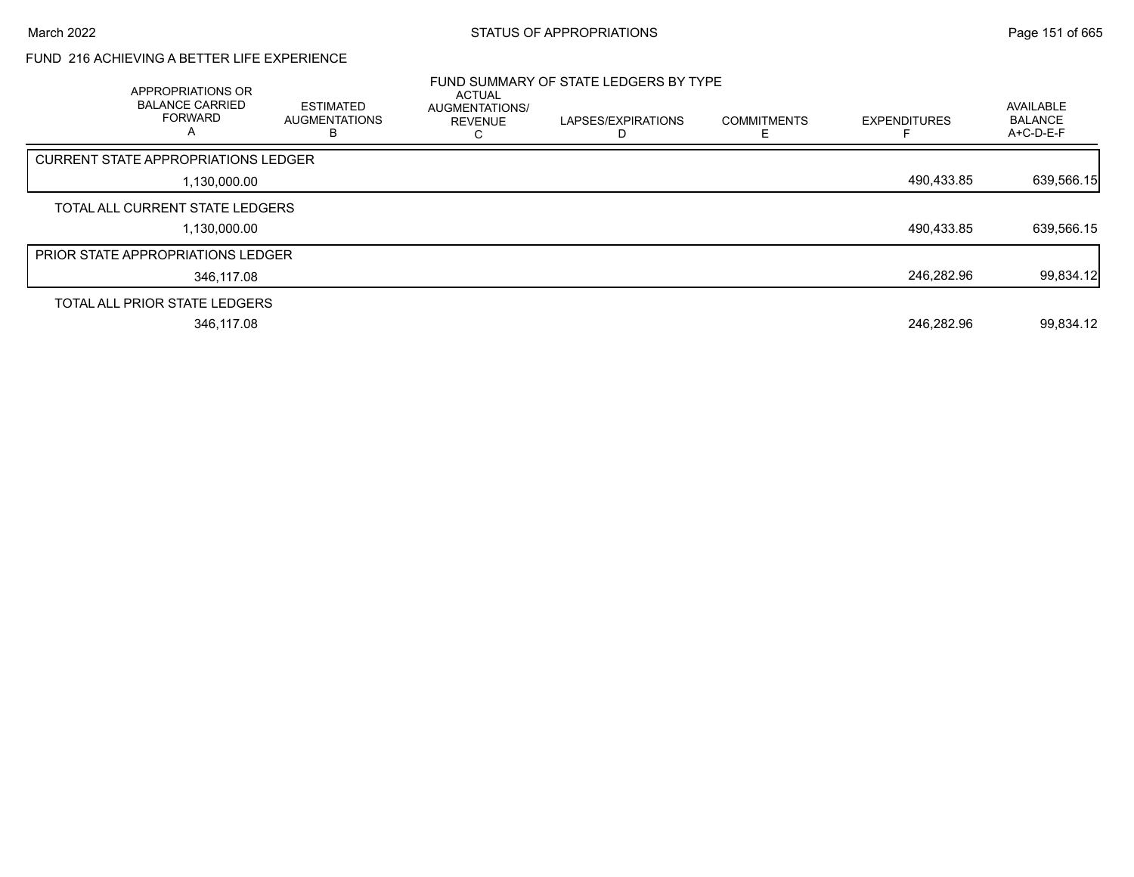# FUND 216 ACHIEVING A BETTER LIFE EXPERIENCE

| APPROPRIATIONS OR<br><b>BALANCE CARRIED</b><br><b>FORWARD</b><br>A | <b>ESTIMATED</b><br><b>AUGMENTATIONS</b><br>В | <b>ACTUAL</b><br>AUGMENTATIONS/<br><b>REVENUE</b> | FUND SUMMARY OF STATE LEDGERS BY TYPE<br>LAPSES/EXPIRATIONS | <b>COMMITMENTS</b> | <b>EXPENDITURES</b> | AVAILABLE<br><b>BALANCE</b><br>$A+C-D-E-F$ |
|--------------------------------------------------------------------|-----------------------------------------------|---------------------------------------------------|-------------------------------------------------------------|--------------------|---------------------|--------------------------------------------|
| <b>CURRENT STATE APPROPRIATIONS LEDGER</b>                         |                                               |                                                   |                                                             |                    |                     |                                            |
| 1,130,000.00                                                       |                                               |                                                   |                                                             |                    | 490.433.85          | 639,566.15                                 |
| TOTAL ALL CURRENT STATE LEDGERS                                    |                                               |                                                   |                                                             |                    |                     |                                            |
| 1,130,000.00                                                       |                                               |                                                   |                                                             |                    | 490,433.85          | 639,566.15                                 |
| <b>PRIOR STATE APPROPRIATIONS LEDGER</b>                           |                                               |                                                   |                                                             |                    |                     |                                            |
| 346.117.08                                                         |                                               |                                                   |                                                             |                    | 246.282.96          | 99,834.12                                  |
| TOTAL ALL PRIOR STATE LEDGERS                                      |                                               |                                                   |                                                             |                    |                     |                                            |
| 346,117.08                                                         |                                               |                                                   |                                                             |                    | 246.282.96          | 99,834.12                                  |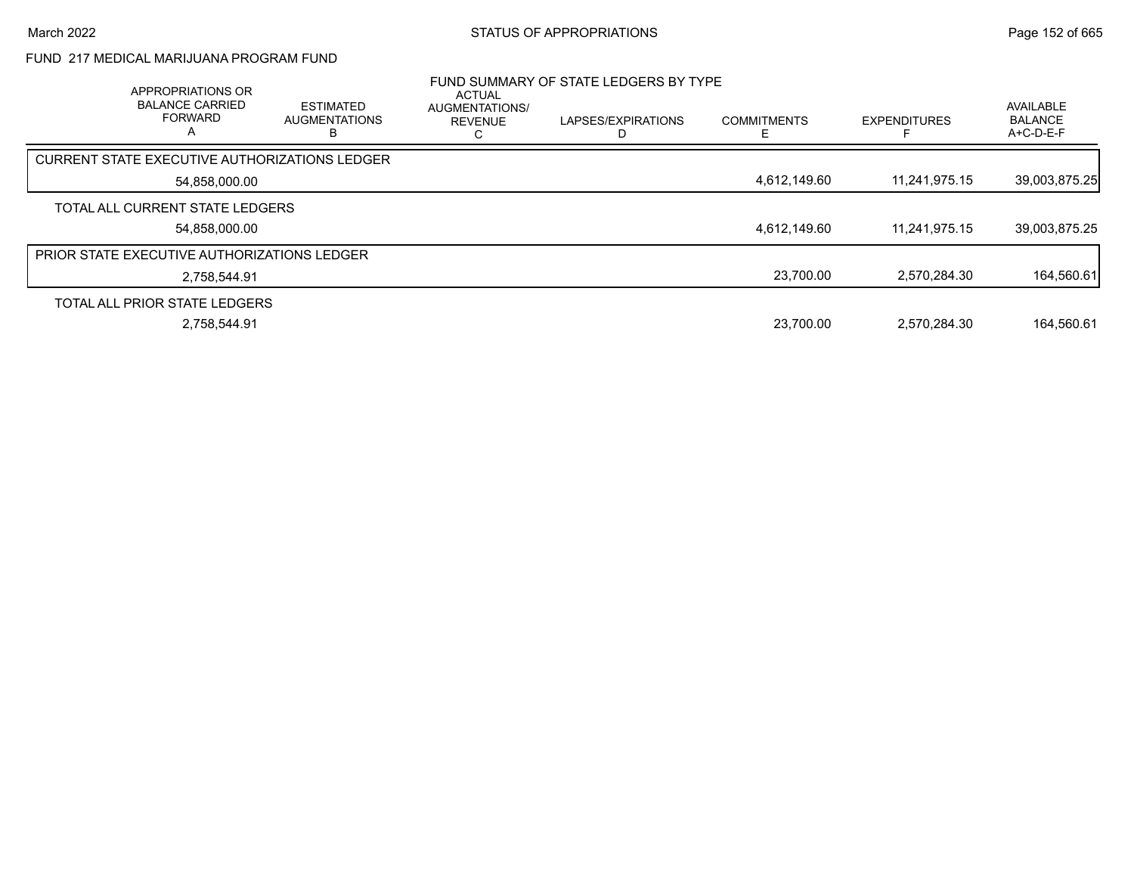# FUND 217 MEDICAL MARIJUANA PROGRAM FUND

| APPROPRIATIONS OR<br><b>BALANCE CARRIED</b><br><b>FORWARD</b><br>А | <b>ESTIMATED</b><br><b>AUGMENTATIONS</b> | ACTUAL<br>AUGMENTATIONS/<br><b>REVENUE</b> | FUND SUMMARY OF STATE LEDGERS BY TYPE<br>LAPSES/EXPIRATIONS | <b>COMMITMENTS</b> | <b>EXPENDITURES</b> | AVAILABLE<br><b>BALANCE</b><br>A+C-D-E-F |
|--------------------------------------------------------------------|------------------------------------------|--------------------------------------------|-------------------------------------------------------------|--------------------|---------------------|------------------------------------------|
| CURRENT STATE EXECUTIVE AUTHORIZATIONS LEDGER                      |                                          |                                            |                                                             |                    |                     |                                          |
| 54,858,000.00                                                      |                                          |                                            |                                                             | 4,612,149.60       | 11,241,975.15       | 39,003,875.25                            |
| TOTAL ALL CURRENT STATE LEDGERS                                    |                                          |                                            |                                                             |                    |                     |                                          |
| 54.858.000.00                                                      |                                          |                                            |                                                             | 4.612.149.60       | 11.241.975.15       | 39,003,875.25                            |
| PRIOR STATE EXECUTIVE AUTHORIZATIONS LEDGER                        |                                          |                                            |                                                             |                    |                     |                                          |
| 2.758.544.91                                                       |                                          |                                            |                                                             | 23,700.00          | 2,570,284.30        | 164,560.61                               |
| TOTAL ALL PRIOR STATE LEDGERS                                      |                                          |                                            |                                                             |                    |                     |                                          |
| 2.758.544.91                                                       |                                          |                                            |                                                             | 23.700.00          | 2.570.284.30        | 164.560.61                               |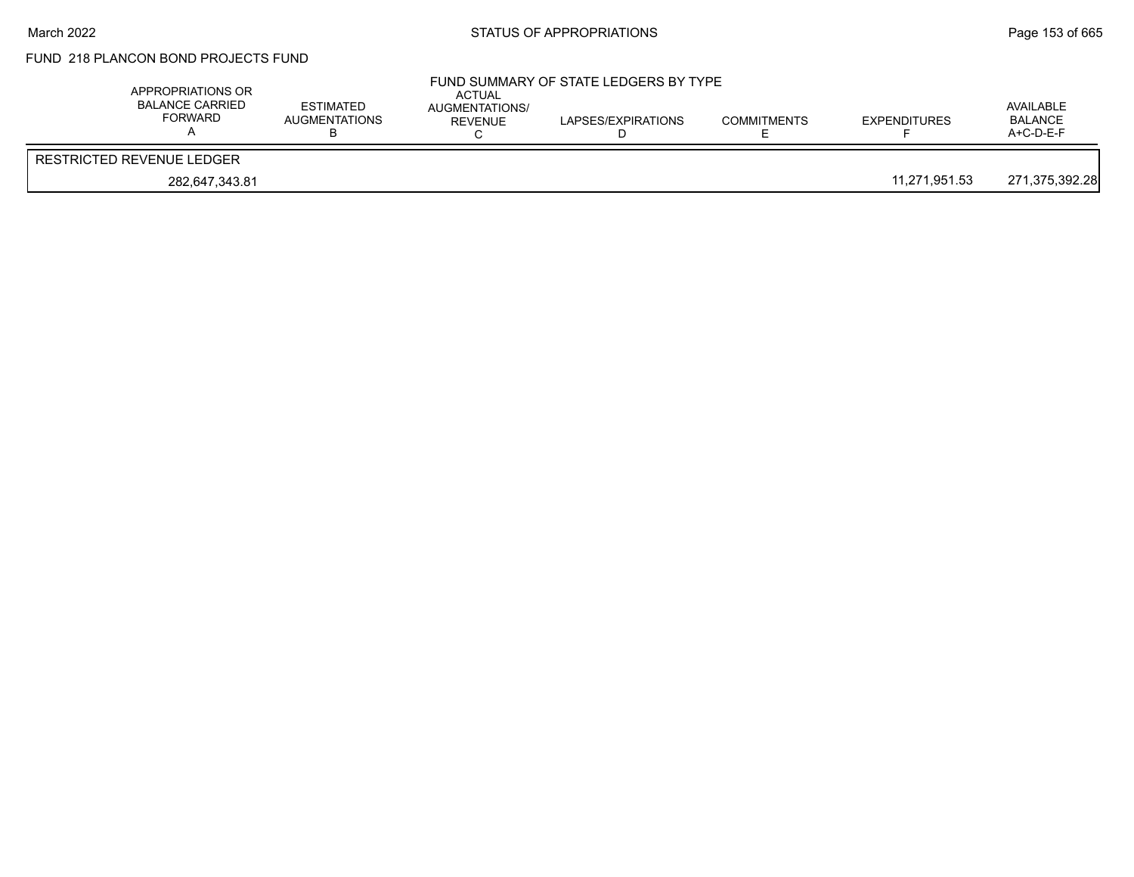# FUND 218 PLANCON BOND PROJECTS FUND

| APPROPRIATIONS OR<br><b>BALANCE CARRIED</b><br>FORWARD | <b>ESTIMATED</b><br><b>AUGMENTATIONS</b> | <b>ACTUAL</b><br>AUGMENTATIONS/<br><b>REVENUE</b> | FUND SUMMARY OF STATE LEDGERS BY TYPE<br>LAPSES/EXPIRATIONS | <b>COMMITMENTS</b> | <b>EXPENDITURES</b> | AVAILABLE<br><b>BALANCE</b><br>A+C-D-E-F |
|--------------------------------------------------------|------------------------------------------|---------------------------------------------------|-------------------------------------------------------------|--------------------|---------------------|------------------------------------------|
| RESTRICTED REVENUE LEDGER                              |                                          |                                                   |                                                             |                    |                     |                                          |
| 282.647.343.81                                         |                                          |                                                   |                                                             |                    | 11.271.951.53       | 271,375,392.28                           |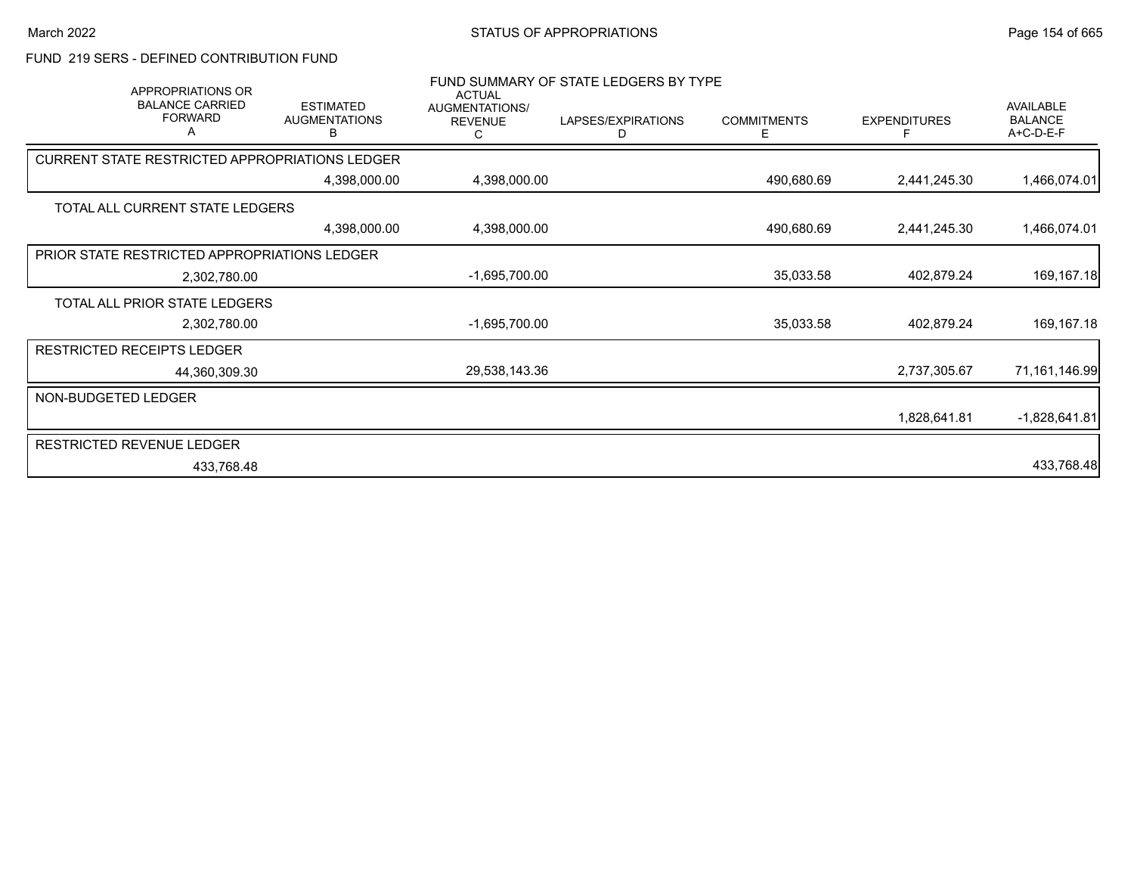## FUND 219 SERS - DEFINED CONTRIBUTION FUND

| APPROPRIATIONS OR<br><b>BALANCE CARRIED</b><br><b>FORWARD</b><br>Α | <b>ESTIMATED</b><br><b>AUGMENTATIONS</b><br>В | <b>ACTUAL</b><br>AUGMENTATIONS/<br><b>REVENUE</b><br>С | FUND SUMMARY OF STATE LEDGERS BY TYPE<br>LAPSES/EXPIRATIONS<br>D | <b>COMMITMENTS</b><br>Е | <b>EXPENDITURES</b><br>F | AVAILABLE<br><b>BALANCE</b><br>A+C-D-E-F |
|--------------------------------------------------------------------|-----------------------------------------------|--------------------------------------------------------|------------------------------------------------------------------|-------------------------|--------------------------|------------------------------------------|
| CURRENT STATE RESTRICTED APPROPRIATIONS LEDGER                     |                                               |                                                        |                                                                  |                         |                          |                                          |
|                                                                    | 4,398,000.00                                  | 4,398,000.00                                           |                                                                  | 490,680.69              | 2,441,245.30             | 1,466,074.01                             |
| TOTAL ALL CURRENT STATE LEDGERS                                    |                                               |                                                        |                                                                  |                         |                          |                                          |
|                                                                    | 4,398,000.00                                  | 4,398,000.00                                           |                                                                  | 490,680.69              | 2,441,245.30             | 1,466,074.01                             |
| PRIOR STATE RESTRICTED APPROPRIATIONS LEDGER                       |                                               |                                                        |                                                                  |                         |                          |                                          |
| 2,302,780.00                                                       |                                               | $-1,695,700.00$                                        |                                                                  | 35,033.58               | 402,879.24               | 169, 167. 18                             |
| TOTAL ALL PRIOR STATE LEDGERS                                      |                                               |                                                        |                                                                  |                         |                          |                                          |
| 2,302,780.00                                                       |                                               | -1,695,700.00                                          |                                                                  | 35,033.58               | 402,879.24               | 169,167.18                               |
| <b>RESTRICTED RECEIPTS LEDGER</b>                                  |                                               |                                                        |                                                                  |                         |                          |                                          |
| 44,360,309.30                                                      |                                               | 29,538,143.36                                          |                                                                  |                         | 2,737,305.67             | 71,161,146.99                            |
| NON-BUDGETED LEDGER                                                |                                               |                                                        |                                                                  |                         |                          |                                          |
|                                                                    |                                               |                                                        |                                                                  |                         | 1,828,641.81             | $-1,828,641.81$                          |
| <b>RESTRICTED REVENUE LEDGER</b>                                   |                                               |                                                        |                                                                  |                         |                          |                                          |
| 433,768.48                                                         |                                               |                                                        |                                                                  |                         |                          | 433,768.48                               |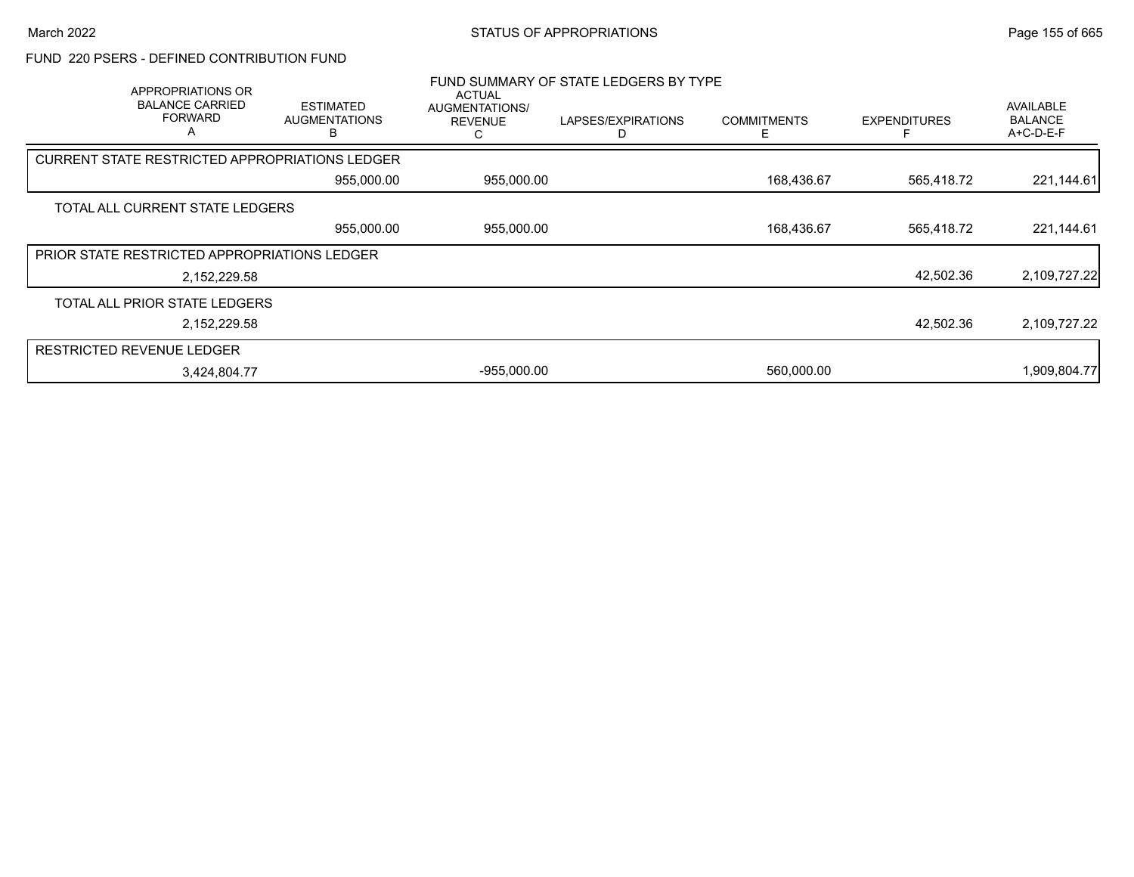## FUND 220 PSERS - DEFINED CONTRIBUTION FUND

|                                                       | APPROPRIATIONS OR<br><b>BALANCE CARRIED</b><br><b>FORWARD</b><br>A | <b>ESTIMATED</b><br><b>AUGMENTATIONS</b> | <b>ACTUAL</b><br>AUGMENTATIONS/<br><b>REVENUE</b> | FUND SUMMARY OF STATE LEDGERS BY TYPE<br>LAPSES/EXPIRATIONS | <b>COMMITMENTS</b> | <b>EXPENDITURES</b> | <b>AVAILABLE</b><br><b>BALANCE</b><br>A+C-D-E-F |
|-------------------------------------------------------|--------------------------------------------------------------------|------------------------------------------|---------------------------------------------------|-------------------------------------------------------------|--------------------|---------------------|-------------------------------------------------|
| <b>CURRENT STATE RESTRICTED APPROPRIATIONS LEDGER</b> |                                                                    |                                          |                                                   |                                                             |                    |                     |                                                 |
|                                                       |                                                                    | 955,000.00                               | 955,000.00                                        |                                                             | 168,436.67         | 565,418.72          | 221,144.61                                      |
| TOTAL ALL CURRENT STATE LEDGERS                       |                                                                    |                                          |                                                   |                                                             |                    |                     |                                                 |
|                                                       |                                                                    | 955,000.00                               | 955,000.00                                        |                                                             | 168,436.67         | 565,418.72          | 221,144.61                                      |
| PRIOR STATE RESTRICTED APPROPRIATIONS LEDGER          |                                                                    |                                          |                                                   |                                                             |                    |                     |                                                 |
|                                                       | 2,152,229.58                                                       |                                          |                                                   |                                                             |                    | 42,502.36           | 2,109,727.22                                    |
| TOTAL ALL PRIOR STATE LEDGERS                         |                                                                    |                                          |                                                   |                                                             |                    |                     |                                                 |
|                                                       | 2,152,229.58                                                       |                                          |                                                   |                                                             |                    | 42,502.36           | 2,109,727.22                                    |
| <b>RESTRICTED REVENUE LEDGER</b>                      |                                                                    |                                          |                                                   |                                                             |                    |                     |                                                 |
|                                                       | 3,424,804.77                                                       |                                          | $-955,000.00$                                     |                                                             | 560,000.00         |                     | 1,909,804.77                                    |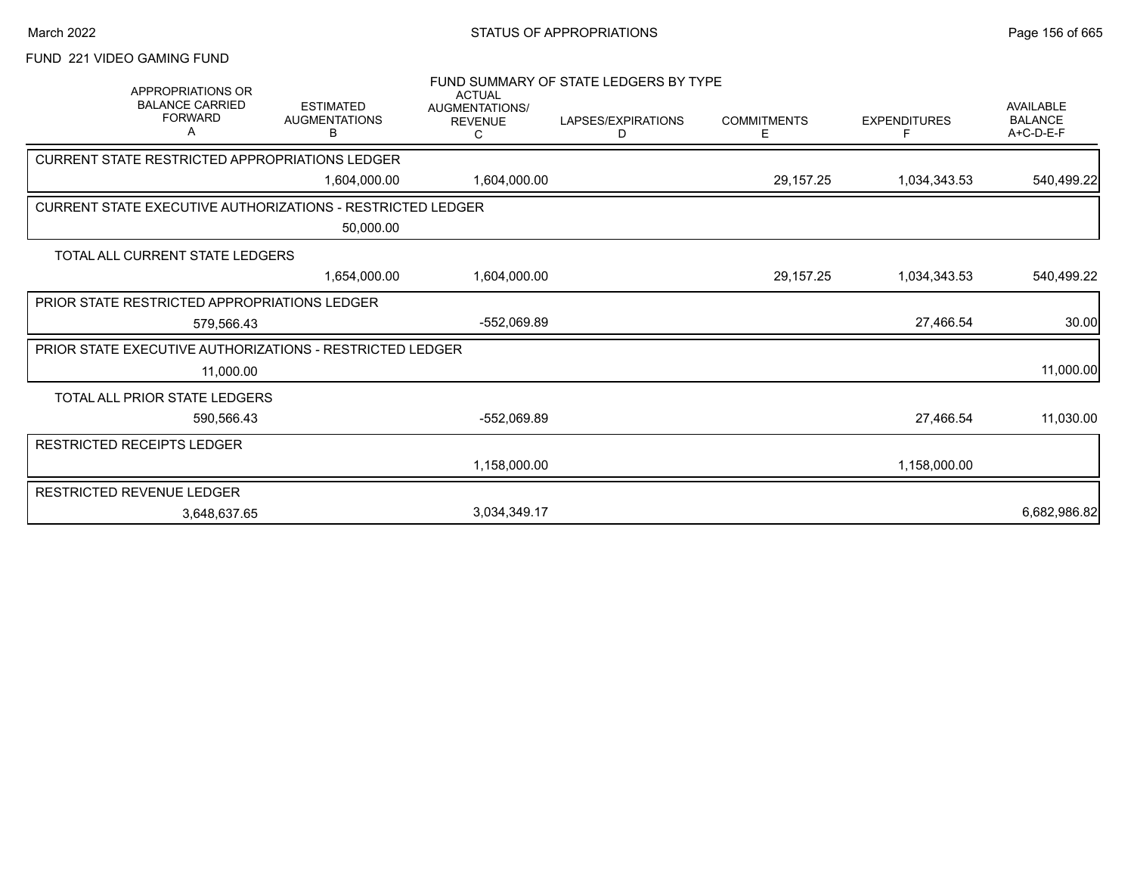# FUND 221 VIDEO GAMING FUND

| <b>APPROPRIATIONS OR</b><br><b>BALANCE CARRIED</b><br><b>FORWARD</b><br>Α    | <b>ESTIMATED</b><br><b>AUGMENTATIONS</b><br>В | <b>ACTUAL</b><br>AUGMENTATIONS/<br><b>REVENUE</b><br>С | FUND SUMMARY OF STATE LEDGERS BY TYPE<br>LAPSES/EXPIRATIONS<br>D | <b>COMMITMENTS</b><br>Е | <b>EXPENDITURES</b> | <b>AVAILABLE</b><br><b>BALANCE</b><br>A+C-D-E-F |
|------------------------------------------------------------------------------|-----------------------------------------------|--------------------------------------------------------|------------------------------------------------------------------|-------------------------|---------------------|-------------------------------------------------|
| CURRENT STATE RESTRICTED APPROPRIATIONS LEDGER                               |                                               |                                                        |                                                                  |                         |                     |                                                 |
|                                                                              | 1,604,000.00                                  | 1,604,000.00                                           |                                                                  | 29,157.25               | 1,034,343.53        | 540,499.22                                      |
| <b>CURRENT STATE EXECUTIVE AUTHORIZATIONS - RESTRICTED LEDGER</b>            |                                               |                                                        |                                                                  |                         |                     |                                                 |
|                                                                              | 50,000.00                                     |                                                        |                                                                  |                         |                     |                                                 |
| TOTAL ALL CURRENT STATE LEDGERS                                              |                                               |                                                        |                                                                  |                         |                     |                                                 |
|                                                                              | 1,654,000.00                                  | 1,604,000.00                                           |                                                                  | 29,157.25               | 1,034,343.53        | 540,499.22                                      |
| PRIOR STATE RESTRICTED APPROPRIATIONS LEDGER                                 |                                               |                                                        |                                                                  |                         |                     |                                                 |
| 579,566.43                                                                   |                                               | $-552,069.89$                                          |                                                                  |                         | 27,466.54           | 30.00                                           |
| <b>PRIOR STATE EXECUTIVE AUTHORIZATIONS - RESTRICTED LEDGER</b><br>11,000.00 |                                               |                                                        |                                                                  |                         |                     | 11,000.00                                       |
| TOTAL ALL PRIOR STATE LEDGERS                                                |                                               |                                                        |                                                                  |                         |                     |                                                 |
| 590,566.43                                                                   |                                               | -552,069.89                                            |                                                                  |                         | 27,466.54           | 11,030.00                                       |
| RESTRICTED RECEIPTS LEDGER                                                   |                                               |                                                        |                                                                  |                         |                     |                                                 |
|                                                                              |                                               | 1,158,000.00                                           |                                                                  |                         | 1,158,000.00        |                                                 |
| <b>RESTRICTED REVENUE LEDGER</b>                                             |                                               |                                                        |                                                                  |                         |                     |                                                 |
| 3,648,637.65                                                                 |                                               | 3,034,349.17                                           |                                                                  |                         |                     | 6,682,986.82                                    |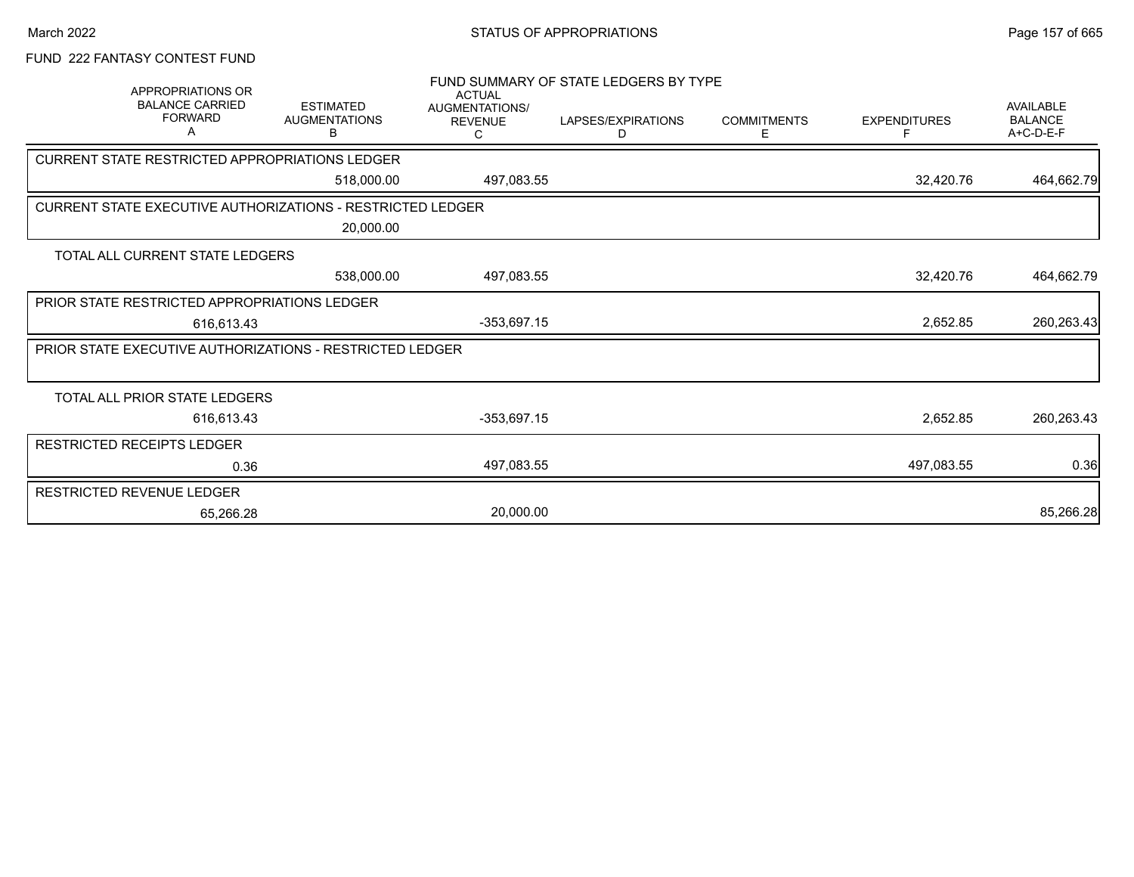# FUND 222 FANTASY CONTEST FUND

|                                                                   | APPROPRIATIONS OR                             |                                               |                                                        | FUND SUMMARY OF STATE LEDGERS BY TYPE |                         |                          |                                                 |
|-------------------------------------------------------------------|-----------------------------------------------|-----------------------------------------------|--------------------------------------------------------|---------------------------------------|-------------------------|--------------------------|-------------------------------------------------|
|                                                                   | <b>BALANCE CARRIED</b><br><b>FORWARD</b><br>A | <b>ESTIMATED</b><br><b>AUGMENTATIONS</b><br>в | <b>ACTUAL</b><br>AUGMENTATIONS/<br><b>REVENUE</b><br>С | LAPSES/EXPIRATIONS<br>D               | <b>COMMITMENTS</b><br>Ε | <b>EXPENDITURES</b><br>F | <b>AVAILABLE</b><br><b>BALANCE</b><br>A+C-D-E-F |
| CURRENT STATE RESTRICTED APPROPRIATIONS LEDGER                    |                                               |                                               |                                                        |                                       |                         |                          |                                                 |
|                                                                   |                                               | 518,000.00                                    | 497,083.55                                             |                                       |                         | 32,420.76                | 464,662.79                                      |
| <b>CURRENT STATE EXECUTIVE AUTHORIZATIONS - RESTRICTED LEDGER</b> |                                               |                                               |                                                        |                                       |                         |                          |                                                 |
|                                                                   |                                               | 20,000.00                                     |                                                        |                                       |                         |                          |                                                 |
| TOTAL ALL CURRENT STATE LEDGERS                                   |                                               |                                               |                                                        |                                       |                         |                          |                                                 |
|                                                                   |                                               | 538,000.00                                    | 497,083.55                                             |                                       |                         | 32,420.76                | 464,662.79                                      |
| PRIOR STATE RESTRICTED APPROPRIATIONS LEDGER                      |                                               |                                               |                                                        |                                       |                         |                          |                                                 |
|                                                                   | 616,613.43                                    |                                               | $-353,697.15$                                          |                                       |                         | 2,652.85                 | 260,263.43                                      |
| PRIOR STATE EXECUTIVE AUTHORIZATIONS - RESTRICTED LEDGER          |                                               |                                               |                                                        |                                       |                         |                          |                                                 |
|                                                                   |                                               |                                               |                                                        |                                       |                         |                          |                                                 |
| TOTAL ALL PRIOR STATE LEDGERS                                     |                                               |                                               |                                                        |                                       |                         |                          |                                                 |
|                                                                   | 616,613.43                                    |                                               | $-353,697.15$                                          |                                       |                         | 2,652.85                 | 260,263.43                                      |
| RESTRICTED RECEIPTS LEDGER                                        |                                               |                                               |                                                        |                                       |                         |                          |                                                 |
|                                                                   | 0.36                                          |                                               | 497,083.55                                             |                                       |                         | 497,083.55               | 0.36                                            |
| <b>RESTRICTED REVENUE LEDGER</b>                                  |                                               |                                               |                                                        |                                       |                         |                          |                                                 |
|                                                                   | 65.266.28                                     |                                               | 20,000.00                                              |                                       |                         |                          | 85,266.28                                       |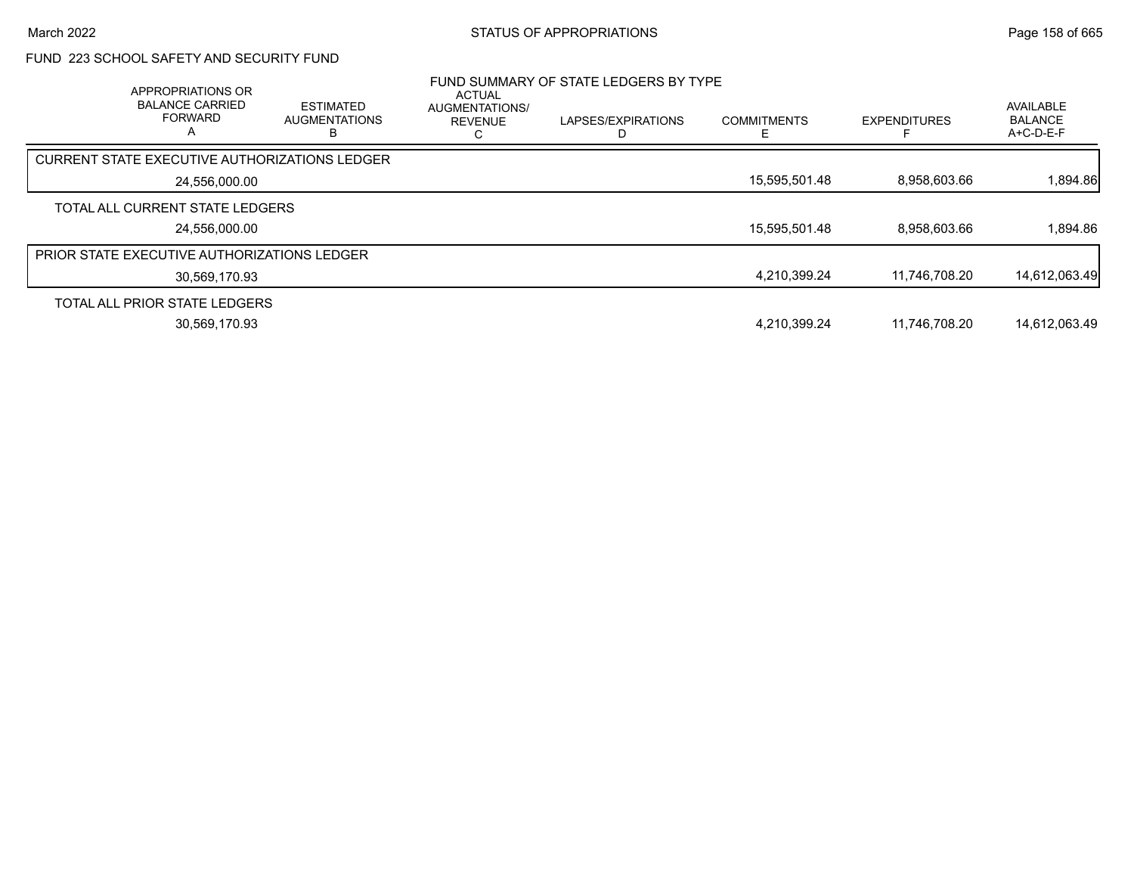# FUND 223 SCHOOL SAFETY AND SECURITY FUND

| APPROPRIATIONS OR<br><b>BALANCE CARRIED</b><br><b>FORWARD</b><br>А | <b>ESTIMATED</b><br><b>AUGMENTATIONS</b> | ACTUAL<br>AUGMENTATIONS/<br><b>REVENUE</b> | FUND SUMMARY OF STATE LEDGERS BY TYPE<br>LAPSES/EXPIRATIONS | <b>COMMITMENTS</b> | <b>EXPENDITURES</b> | AVAILABLE<br><b>BALANCE</b><br>A+C-D-E-F |
|--------------------------------------------------------------------|------------------------------------------|--------------------------------------------|-------------------------------------------------------------|--------------------|---------------------|------------------------------------------|
| <b>CURRENT STATE EXECUTIVE AUTHORIZATIONS LEDGER</b>               |                                          |                                            |                                                             |                    |                     |                                          |
| 24,556,000.00                                                      |                                          |                                            |                                                             | 15,595,501.48      | 8,958,603.66        | 1,894.86                                 |
| TOTAL ALL CURRENT STATE LEDGERS                                    |                                          |                                            |                                                             |                    |                     |                                          |
| 24.556.000.00                                                      |                                          |                                            |                                                             | 15.595.501.48      | 8.958.603.66        | 1.894.86                                 |
| <b>PRIOR STATE EXECUTIVE AUTHORIZATIONS LEDGER</b>                 |                                          |                                            |                                                             |                    |                     |                                          |
| 30,569,170.93                                                      |                                          |                                            |                                                             | 4,210,399.24       | 11.746.708.20       | 14,612,063.49                            |
| TOTAL ALL PRIOR STATE LEDGERS                                      |                                          |                                            |                                                             |                    |                     |                                          |
| 30,569,170.93                                                      |                                          |                                            |                                                             | 4,210,399.24       | 11.746.708.20       | 14.612.063.49                            |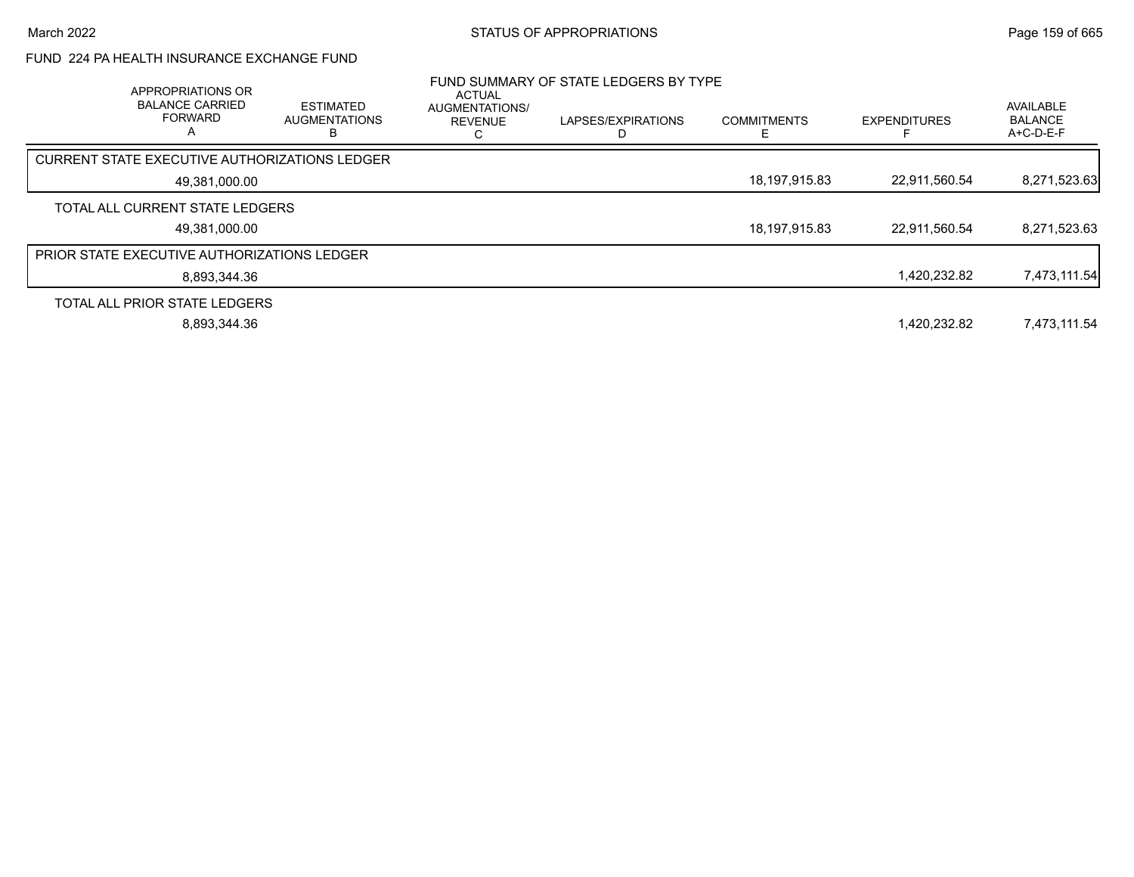# FUND 224 PA HEALTH INSURANCE EXCHANGE FUND

| APPROPRIATIONS OR<br><b>BALANCE CARRIED</b><br><b>FORWARD</b><br>А | <b>ESTIMATED</b><br><b>AUGMENTATIONS</b> | <b>ACTUAL</b><br>AUGMENTATIONS/<br><b>REVENUE</b> | FUND SUMMARY OF STATE LEDGERS BY TYPE<br>LAPSES/EXPIRATIONS | <b>COMMITMENTS</b> | <b>EXPENDITURES</b> | <b>AVAILABLE</b><br><b>BALANCE</b><br>$A+C-D-E-F$ |
|--------------------------------------------------------------------|------------------------------------------|---------------------------------------------------|-------------------------------------------------------------|--------------------|---------------------|---------------------------------------------------|
| CURRENT STATE EXECUTIVE AUTHORIZATIONS LEDGER                      |                                          |                                                   |                                                             |                    |                     |                                                   |
| 49,381,000.00                                                      |                                          |                                                   |                                                             | 18,197,915.83      | 22,911,560.54       | 8,271,523.63                                      |
| TOTAL ALL CURRENT STATE LEDGERS                                    |                                          |                                                   |                                                             |                    |                     |                                                   |
| 49,381,000.00                                                      |                                          |                                                   |                                                             | 18,197,915.83      | 22,911,560.54       | 8,271,523.63                                      |
| <b>PRIOR STATE EXECUTIVE AUTHORIZATIONS LEDGER</b>                 |                                          |                                                   |                                                             |                    |                     |                                                   |
| 8.893.344.36                                                       |                                          |                                                   |                                                             |                    | 1,420,232.82        | 7,473,111.54                                      |
| TOTAL ALL PRIOR STATE LEDGERS                                      |                                          |                                                   |                                                             |                    |                     |                                                   |
| 8,893,344.36                                                       |                                          |                                                   |                                                             |                    | 1.420.232.82        | 7,473,111.54                                      |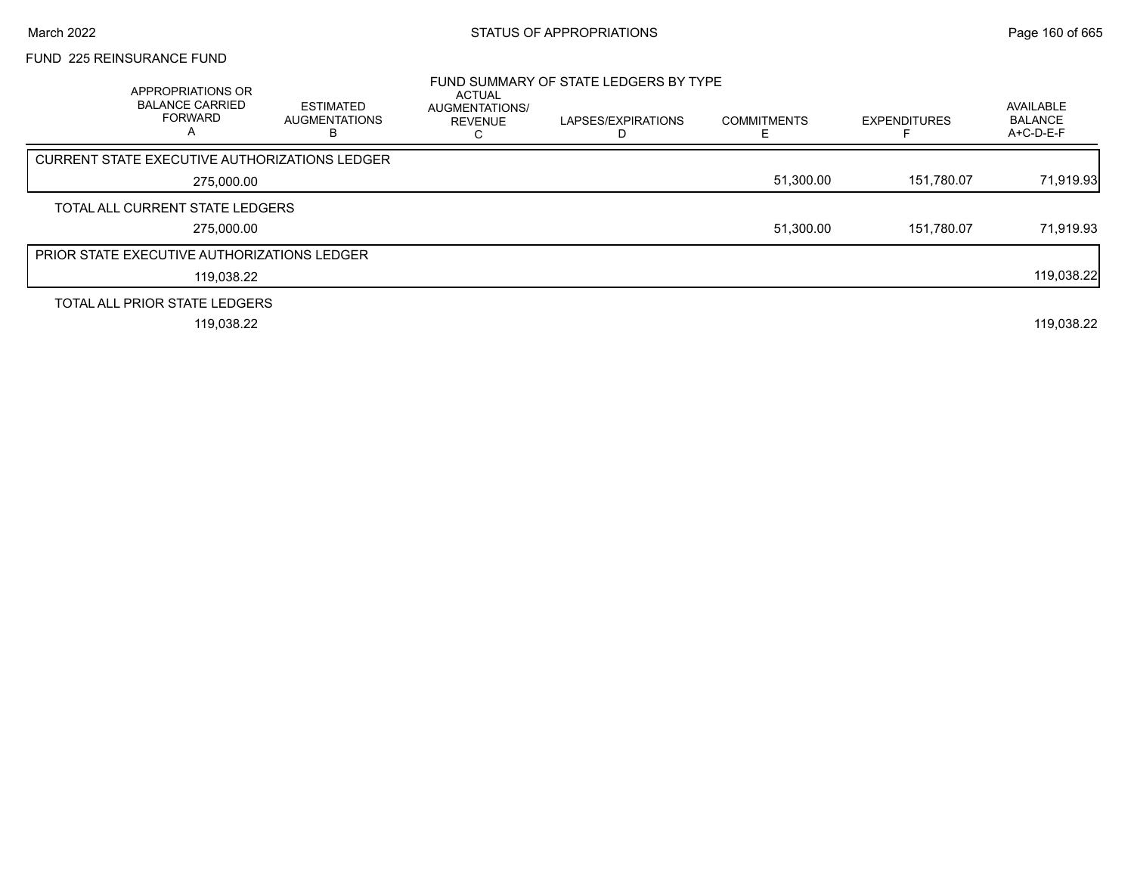## FUND 225 REINSURANCE FUND

| APPROPRIATIONS OR<br><b>BALANCE CARRIED</b><br><b>FORWARD</b><br>A | <b>ESTIMATED</b><br><b>AUGMENTATIONS</b> | ACTUAL<br>AUGMENTATIONS/<br><b>REVENUE</b> | FUND SUMMARY OF STATE LEDGERS BY TYPE<br>LAPSES/EXPIRATIONS | <b>COMMITMENTS</b> | <b>EXPENDITURES</b> | AVAILABLE<br><b>BALANCE</b><br>A+C-D-E-F |
|--------------------------------------------------------------------|------------------------------------------|--------------------------------------------|-------------------------------------------------------------|--------------------|---------------------|------------------------------------------|
| <b>CURRENT STATE EXECUTIVE AUTHORIZATIONS LEDGER</b>               |                                          |                                            |                                                             |                    |                     |                                          |
| 275,000.00                                                         |                                          |                                            |                                                             | 51,300.00          | 151,780.07          | 71,919.93                                |
| TOTAL ALL CURRENT STATE LEDGERS                                    |                                          |                                            |                                                             |                    |                     |                                          |
| 275,000.00                                                         |                                          |                                            |                                                             | 51,300.00          | 151.780.07          | 71,919.93                                |
| PRIOR STATE EXECUTIVE AUTHORIZATIONS LEDGER                        |                                          |                                            |                                                             |                    |                     |                                          |
| 119,038.22                                                         |                                          |                                            |                                                             |                    |                     | 119,038.22                               |
| TOTAL ALL PRIOR STATE LEDGERS                                      |                                          |                                            |                                                             |                    |                     |                                          |
| 119,038.22                                                         |                                          |                                            |                                                             |                    |                     | 119,038.22                               |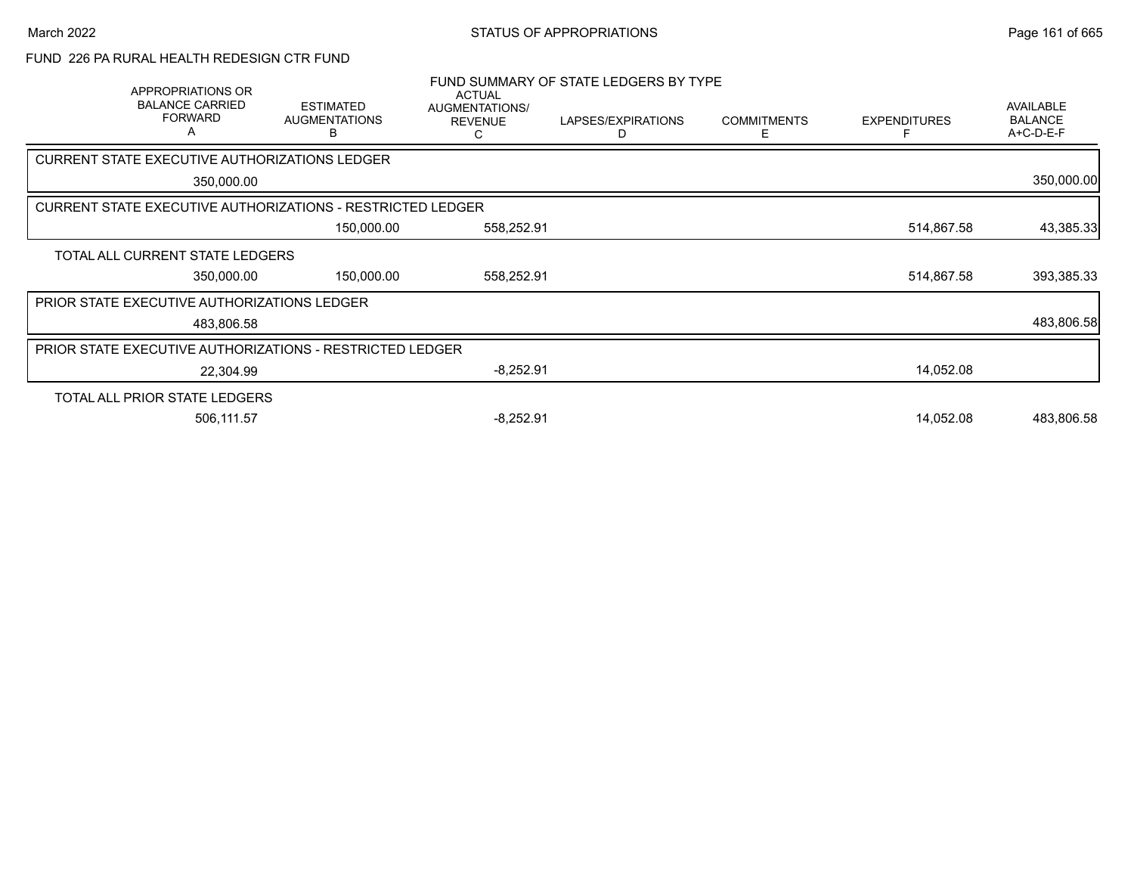# FUND 226 PA RURAL HEALTH REDESIGN CTR FUND

| APPROPRIATIONS OR<br><b>BALANCE CARRIED</b><br><b>FORWARD</b> | <b>ESTIMATED</b><br><b>AUGMENTATIONS</b><br>в | <b>ACTUAL</b><br>AUGMENTATIONS/<br><b>REVENUE</b><br>C | FUND SUMMARY OF STATE LEDGERS BY TYPE<br>LAPSES/EXPIRATIONS<br>D | <b>COMMITMENTS</b><br>Е | <b>EXPENDITURES</b> | <b>AVAILABLE</b><br><b>BALANCE</b><br>A+C-D-E-F |
|---------------------------------------------------------------|-----------------------------------------------|--------------------------------------------------------|------------------------------------------------------------------|-------------------------|---------------------|-------------------------------------------------|
| CURRENT STATE EXECUTIVE AUTHORIZATIONS LEDGER                 |                                               |                                                        |                                                                  |                         |                     |                                                 |
| 350,000.00                                                    |                                               |                                                        |                                                                  |                         |                     | 350,000.00                                      |
| CURRENT STATE EXECUTIVE AUTHORIZATIONS - RESTRICTED LEDGER    |                                               |                                                        |                                                                  |                         |                     |                                                 |
|                                                               | 150,000.00                                    | 558,252.91                                             |                                                                  |                         | 514,867.58          | 43,385.33                                       |
| TOTAL ALL CURRENT STATE LEDGERS                               |                                               |                                                        |                                                                  |                         |                     |                                                 |
| 350,000.00                                                    | 150,000.00                                    | 558,252.91                                             |                                                                  |                         | 514,867.58          | 393,385.33                                      |
| PRIOR STATE EXECUTIVE AUTHORIZATIONS LEDGER                   |                                               |                                                        |                                                                  |                         |                     |                                                 |
| 483,806.58                                                    |                                               |                                                        |                                                                  |                         |                     | 483,806.58                                      |
| PRIOR STATE EXECUTIVE AUTHORIZATIONS - RESTRICTED LEDGER      |                                               |                                                        |                                                                  |                         |                     |                                                 |
| 22,304.99                                                     |                                               | $-8,252.91$                                            |                                                                  |                         | 14,052.08           |                                                 |
| TOTAL ALL PRIOR STATE LEDGERS                                 |                                               |                                                        |                                                                  |                         |                     |                                                 |
| 506,111.57                                                    |                                               | $-8,252.91$                                            |                                                                  |                         | 14,052.08           | 483,806.58                                      |
|                                                               |                                               |                                                        |                                                                  |                         |                     |                                                 |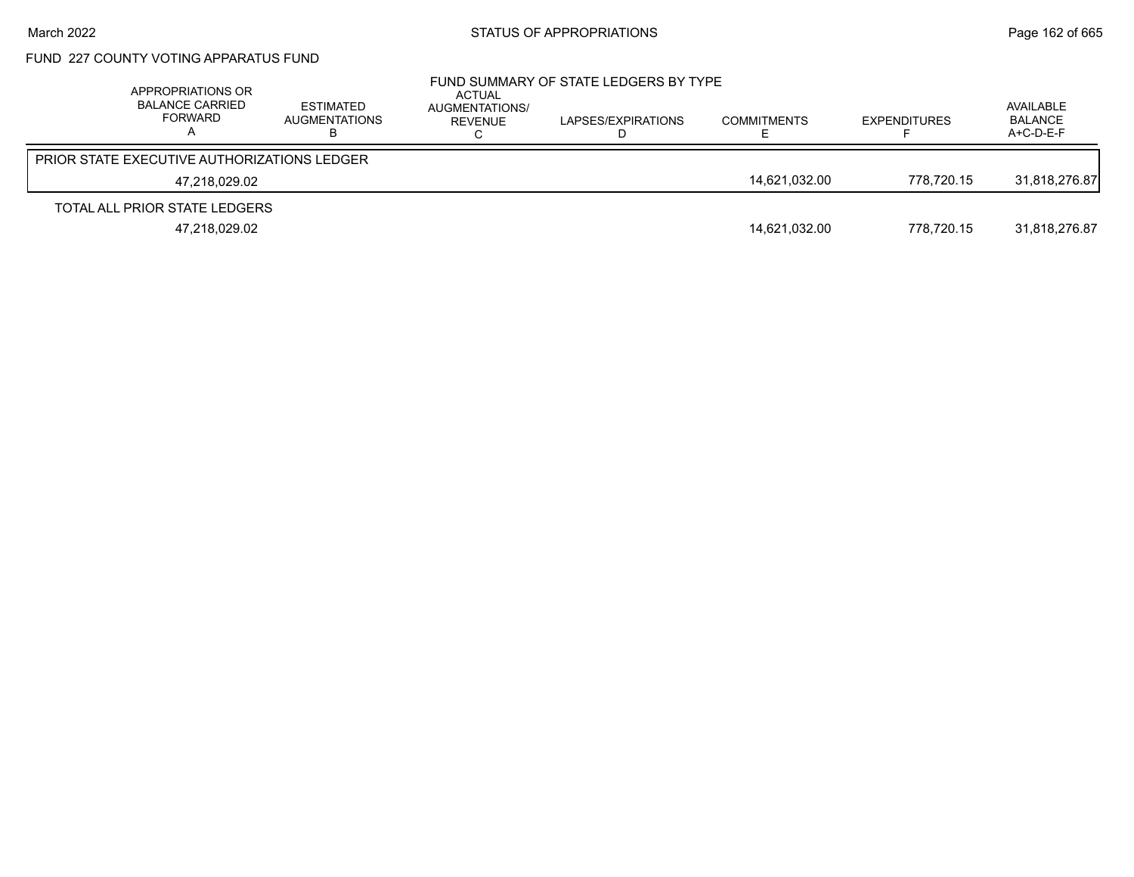# FUND 227 COUNTY VOTING APPARATUS FUND

| APPROPRIATIONS OR<br><b>BALANCE CARRIED</b><br>FORWARD | ESTIMATED<br>AUGMENTATIONS | ACTUAL<br>AUGMENTATIONS/<br>REVENUE | FUND SUMMARY OF STATE LEDGERS BY TYPE<br>LAPSES/EXPIRATIONS | <b>COMMITMENTS</b> | <b>EXPENDITURES</b> | AVAILABLE<br>BALANCE<br>A+C-D-E-F |
|--------------------------------------------------------|----------------------------|-------------------------------------|-------------------------------------------------------------|--------------------|---------------------|-----------------------------------|
| <b>PRIOR STATE EXECUTIVE AUTHORIZATIONS LEDGER</b>     |                            |                                     |                                                             |                    |                     |                                   |
| 47.218.029.02                                          |                            |                                     |                                                             | 14.621.032.00      | 778.720.15          | 31.818.276.87                     |
| TOTAL ALL PRIOR STATE LEDGERS                          |                            |                                     |                                                             |                    |                     |                                   |
| 47.218.029.02                                          |                            |                                     |                                                             | 14,621,032.00      | 778.720.15          | 31.818.276.87                     |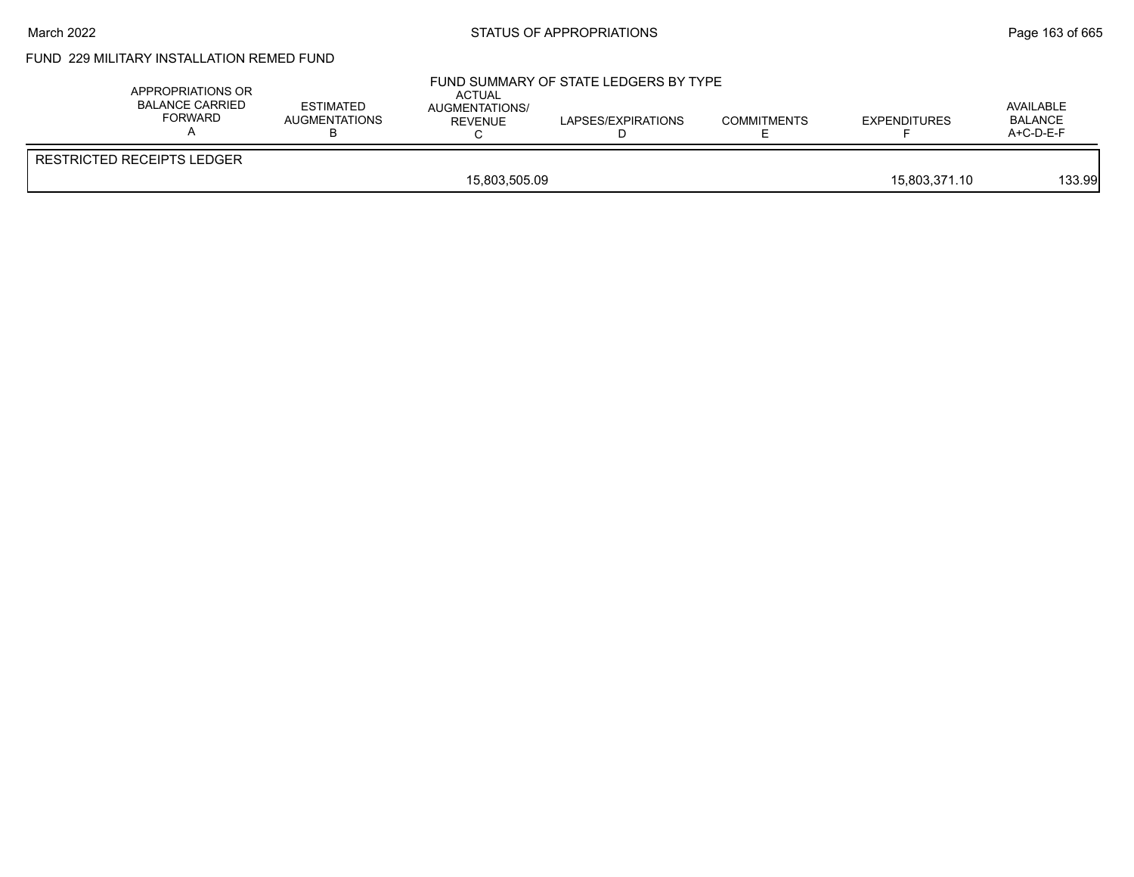### March 2022 **STATUS OF APPROPRIATIONS** STATUS OF APPROPRIATIONS

# FUND 229 MILITARY INSTALLATION REMED FUND

| APPROPRIATIONS OR<br>BALANCE CARRIED<br>FORWARD | <b>ESTIMATED</b><br>AUGMENTATIONS | ACTUAL<br>AUGMENTATIONS/<br><b>REVENUE</b> | FUND SUMMARY OF STATE LEDGERS BY TYPE<br>LAPSES/EXPIRATIONS | <b>COMMITMENTS</b> | <b>EXPENDITURES</b> | AVAILABLE<br><b>BALANCE</b><br>A+C-D-E-F |
|-------------------------------------------------|-----------------------------------|--------------------------------------------|-------------------------------------------------------------|--------------------|---------------------|------------------------------------------|
| <b>RESTRICTED RECEIPTS LEDGER</b>               |                                   |                                            |                                                             |                    |                     |                                          |
|                                                 |                                   | 15,803,505.09                              |                                                             |                    | 15,803,371.10       | 133.99                                   |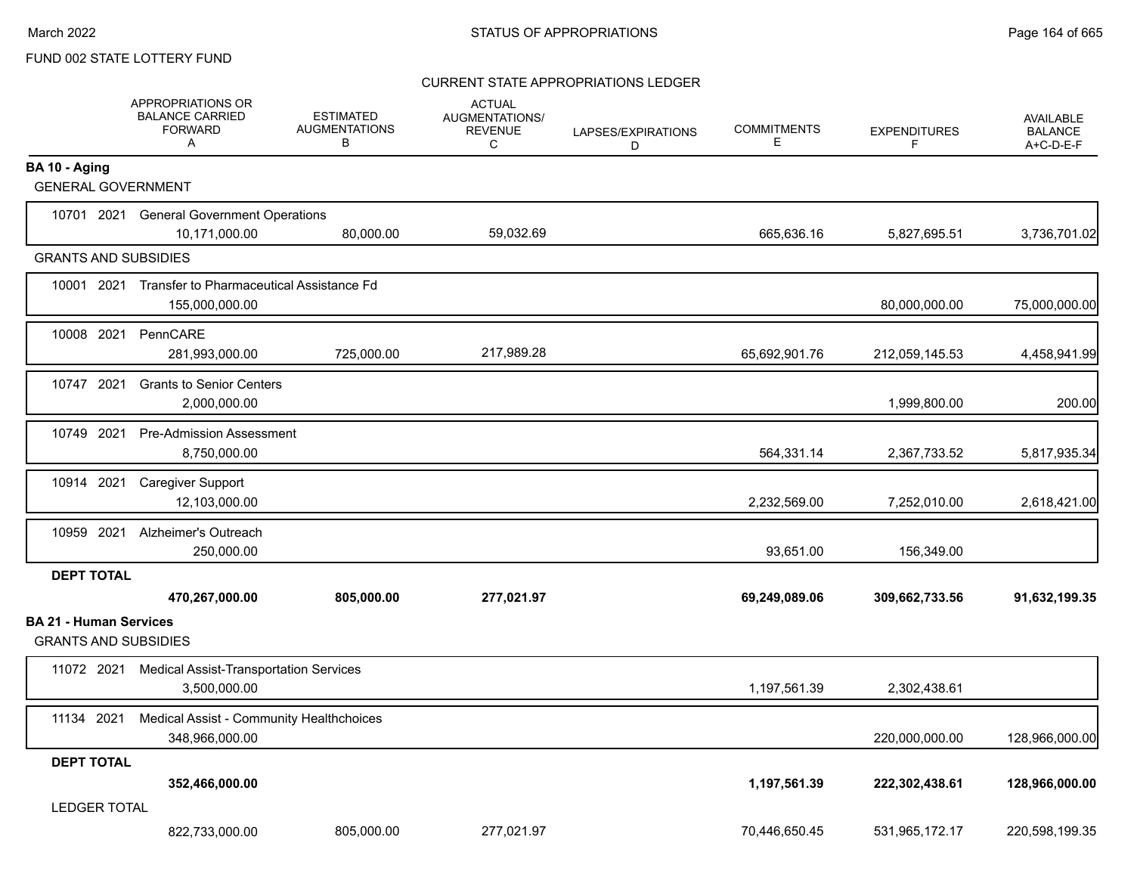### CURRENT STATE APPROPRIATIONS LEDGER

|                                                              | APPROPRIATIONS OR<br><b>BALANCE CARRIED</b><br><b>FORWARD</b><br>Α    | <b>ESTIMATED</b><br><b>AUGMENTATIONS</b><br>B | <b>ACTUAL</b><br>AUGMENTATIONS/<br><b>REVENUE</b><br>C | LAPSES/EXPIRATIONS<br>D | <b>COMMITMENTS</b><br>Е | <b>EXPENDITURES</b><br>F | <b>AVAILABLE</b><br><b>BALANCE</b><br>A+C-D-E-F |
|--------------------------------------------------------------|-----------------------------------------------------------------------|-----------------------------------------------|--------------------------------------------------------|-------------------------|-------------------------|--------------------------|-------------------------------------------------|
| BA 10 - Aging<br><b>GENERAL GOVERNMENT</b>                   |                                                                       |                                               |                                                        |                         |                         |                          |                                                 |
|                                                              | 10701 2021 General Government Operations                              |                                               | 59,032.69                                              |                         |                         |                          |                                                 |
| <b>GRANTS AND SUBSIDIES</b>                                  | 10,171,000.00                                                         | 80,000.00                                     |                                                        |                         | 665,636.16              | 5,827,695.51             | 3,736,701.02                                    |
|                                                              | 10001 2021 Transfer to Pharmaceutical Assistance Fd<br>155,000,000.00 |                                               |                                                        |                         |                         | 80,000,000.00            | 75,000,000.00                                   |
| 10008 2021                                                   | PennCARE<br>281,993,000.00                                            | 725,000.00                                    | 217,989.28                                             |                         | 65,692,901.76           | 212,059,145.53           | 4,458,941.99                                    |
| 10747 2021                                                   | <b>Grants to Senior Centers</b><br>2,000,000.00                       |                                               |                                                        |                         |                         | 1,999,800.00             | 200.00                                          |
| 10749 2021                                                   | <b>Pre-Admission Assessment</b><br>8,750,000.00                       |                                               |                                                        |                         | 564,331.14              | 2,367,733.52             | 5,817,935.34                                    |
| 10914 2021                                                   | <b>Caregiver Support</b><br>12,103,000.00                             |                                               |                                                        |                         | 2,232,569.00            | 7,252,010.00             | 2,618,421.00                                    |
| 10959 2021                                                   | Alzheimer's Outreach<br>250,000.00                                    |                                               |                                                        |                         | 93,651.00               | 156,349.00               |                                                 |
| <b>DEPT TOTAL</b>                                            | 470,267,000.00                                                        | 805,000.00                                    | 277,021.97                                             |                         | 69,249,089.06           | 309,662,733.56           | 91,632,199.35                                   |
| <b>BA 21 - Human Services</b><br><b>GRANTS AND SUBSIDIES</b> |                                                                       |                                               |                                                        |                         |                         |                          |                                                 |
|                                                              | 11072 2021 Medical Assist-Transportation Services<br>3,500,000.00     |                                               |                                                        |                         | 1,197,561.39            | 2,302,438.61             |                                                 |
| 11134 2021                                                   | <b>Medical Assist - Community Healthchoices</b><br>348,966,000.00     |                                               |                                                        |                         |                         | 220,000,000.00           | 128,966,000.00                                  |
| <b>DEPT TOTAL</b>                                            | 352,466,000.00                                                        |                                               |                                                        |                         | 1,197,561.39            | 222,302,438.61           | 128,966,000.00                                  |
| <b>LEDGER TOTAL</b>                                          | 822,733,000.00                                                        | 805,000.00                                    | 277,021.97                                             |                         | 70,446,650.45           | 531,965,172.17           | 220,598,199.35                                  |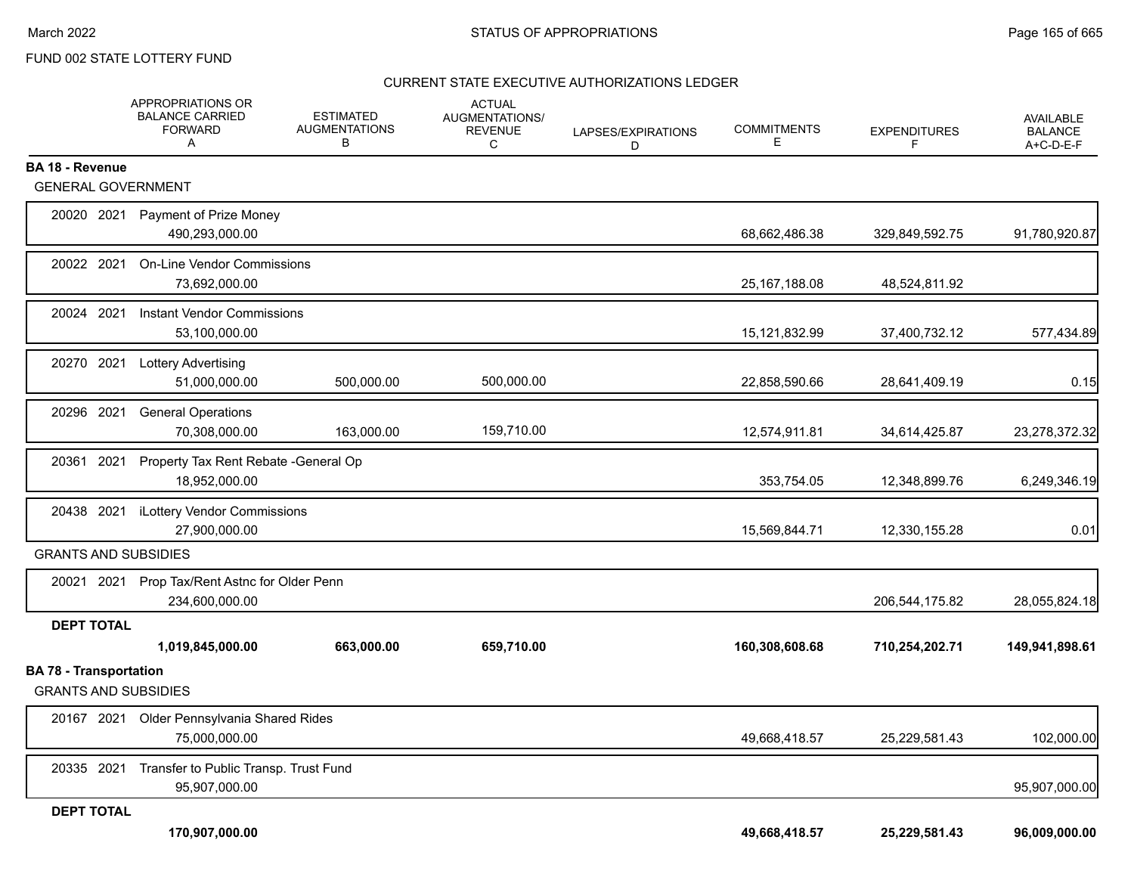### CURRENT STATE EXECUTIVE AUTHORIZATIONS LEDGER

|                                                              | APPROPRIATIONS OR<br><b>BALANCE CARRIED</b><br><b>FORWARD</b><br>Α | <b>ESTIMATED</b><br><b>AUGMENTATIONS</b><br>в | <b>ACTUAL</b><br>AUGMENTATIONS/<br><b>REVENUE</b><br>C | LAPSES/EXPIRATIONS<br>D | <b>COMMITMENTS</b><br>E. | <b>EXPENDITURES</b><br>F | <b>AVAILABLE</b><br><b>BALANCE</b><br>A+C-D-E-F |
|--------------------------------------------------------------|--------------------------------------------------------------------|-----------------------------------------------|--------------------------------------------------------|-------------------------|--------------------------|--------------------------|-------------------------------------------------|
| BA 18 - Revenue                                              |                                                                    |                                               |                                                        |                         |                          |                          |                                                 |
| <b>GENERAL GOVERNMENT</b>                                    |                                                                    |                                               |                                                        |                         |                          |                          |                                                 |
| 20020 2021                                                   | Payment of Prize Money<br>490,293,000.00                           |                                               |                                                        |                         | 68,662,486.38            | 329,849,592.75           | 91,780,920.87                                   |
| 20022 2021                                                   | <b>On-Line Vendor Commissions</b><br>73,692,000.00                 |                                               |                                                        |                         | 25, 167, 188.08          | 48,524,811.92            |                                                 |
| 20024 2021                                                   | <b>Instant Vendor Commissions</b><br>53,100,000.00                 |                                               |                                                        |                         | 15,121,832.99            | 37,400,732.12            | 577,434.89                                      |
| 20270 2021                                                   | <b>Lottery Advertising</b><br>51,000,000.00                        | 500,000.00                                    | 500,000.00                                             |                         | 22,858,590.66            | 28,641,409.19            | 0.15                                            |
| 20296 2021                                                   | <b>General Operations</b><br>70,308,000.00                         | 163,000.00                                    | 159,710.00                                             |                         | 12,574,911.81            | 34,614,425.87            | 23,278,372.32                                   |
| 20361 2021                                                   | Property Tax Rent Rebate - General Op<br>18,952,000.00             |                                               |                                                        |                         | 353,754.05               | 12,348,899.76            | 6,249,346.19                                    |
| 20438 2021                                                   | iLottery Vendor Commissions<br>27,900,000.00                       |                                               |                                                        |                         | 15,569,844.71            | 12,330,155.28            | 0.01                                            |
| <b>GRANTS AND SUBSIDIES</b>                                  |                                                                    |                                               |                                                        |                         |                          |                          |                                                 |
|                                                              | 20021 2021 Prop Tax/Rent Astnc for Older Penn<br>234,600,000.00    |                                               |                                                        |                         |                          | 206,544,175.82           | 28,055,824.18                                   |
| <b>DEPT TOTAL</b>                                            |                                                                    |                                               |                                                        |                         |                          |                          |                                                 |
|                                                              | 1,019,845,000.00                                                   | 663,000.00                                    | 659,710.00                                             |                         | 160,308,608.68           | 710,254,202.71           | 149,941,898.61                                  |
| <b>BA 78 - Transportation</b><br><b>GRANTS AND SUBSIDIES</b> |                                                                    |                                               |                                                        |                         |                          |                          |                                                 |
| 20167 2021                                                   | Older Pennsylvania Shared Rides<br>75,000,000.00                   |                                               |                                                        |                         | 49,668,418.57            | 25,229,581.43            | 102,000.00                                      |
| 20335 2021                                                   | Transfer to Public Transp. Trust Fund<br>95,907,000.00             |                                               |                                                        |                         |                          |                          | 95,907,000.00                                   |
| <b>DEPT TOTAL</b>                                            |                                                                    |                                               |                                                        |                         |                          |                          |                                                 |
|                                                              | 170,907,000.00                                                     |                                               |                                                        |                         | 49,668,418.57            | 25,229,581.43            | 96,009,000.00                                   |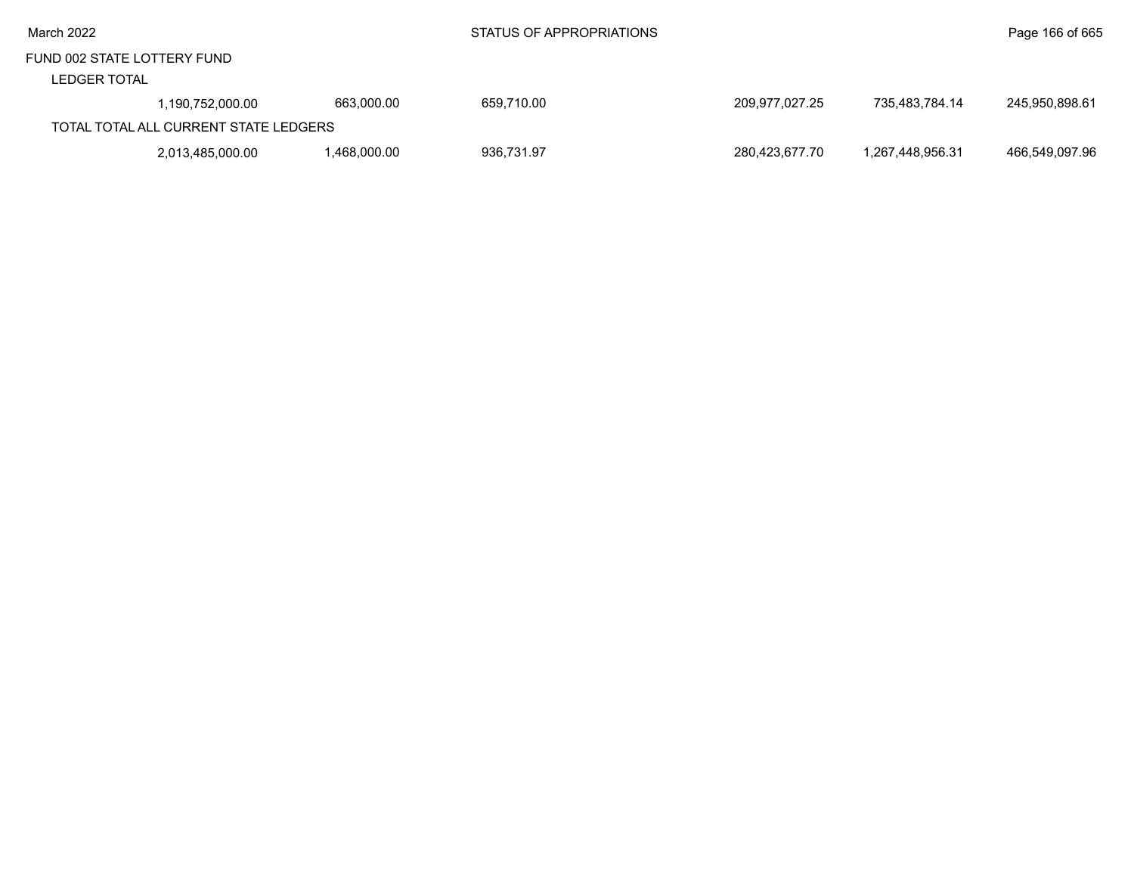#### LEDGER TOTAL

| 1.190.752.000.00                      | 663.000.00  | 659,710.00 | 209.977.027.25 | 735.483.784.14   | 245.950.898.61 |
|---------------------------------------|-------------|------------|----------------|------------------|----------------|
|                                       |             |            |                |                  |                |
| TOTAL TOTAL ALL CURRENT STATE LEDGERS |             |            |                |                  |                |
| 2,013,485,000.00                      | .468.000.00 | 936.731.97 | 280.423.677.70 | 1.267.448.956.31 | 466,549,097.96 |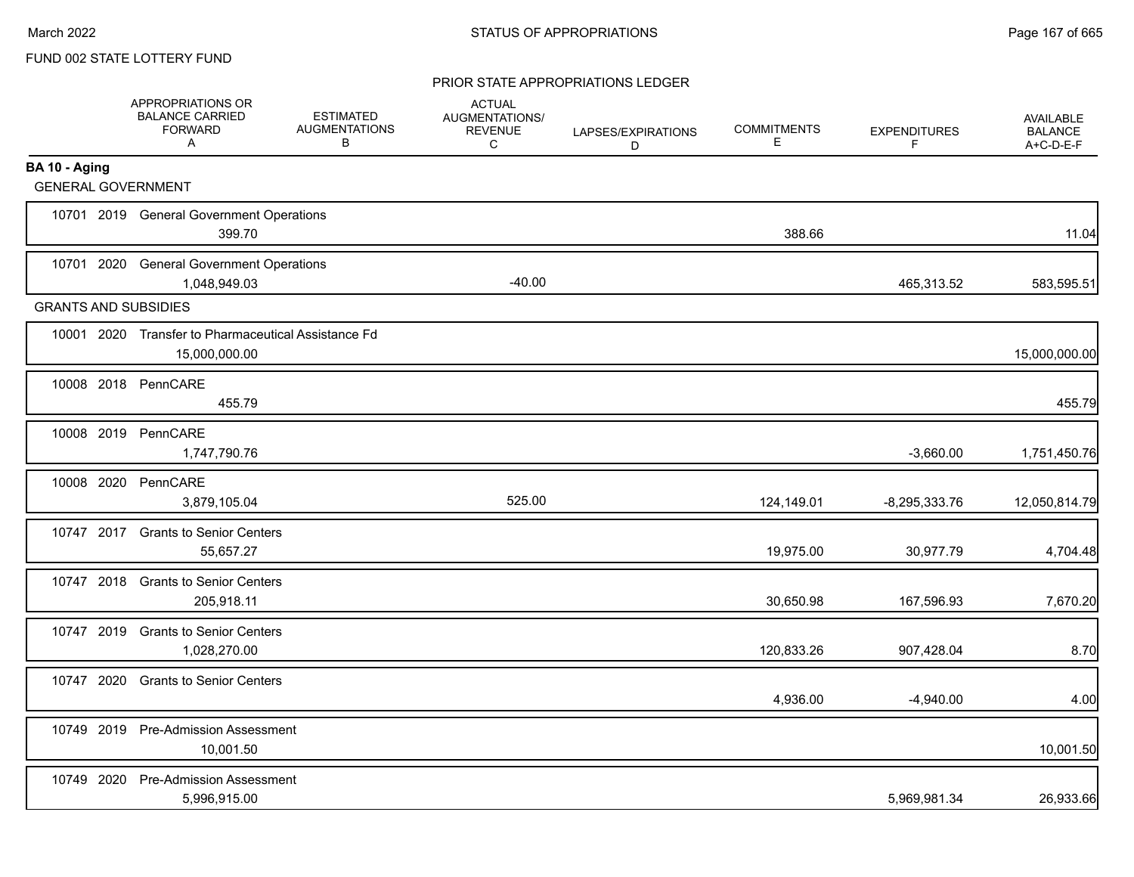#### PRIOR STATE APPROPRIATIONS LEDGER

|                             | APPROPRIATIONS OR<br><b>BALANCE CARRIED</b><br><b>FORWARD</b><br>A   | <b>ESTIMATED</b><br><b>AUGMENTATIONS</b><br>B | <b>ACTUAL</b><br>AUGMENTATIONS/<br><b>REVENUE</b><br>C | LAPSES/EXPIRATIONS<br>D | <b>COMMITMENTS</b><br>E | <b>EXPENDITURES</b><br>F | <b>AVAILABLE</b><br><b>BALANCE</b><br>A+C-D-E-F |
|-----------------------------|----------------------------------------------------------------------|-----------------------------------------------|--------------------------------------------------------|-------------------------|-------------------------|--------------------------|-------------------------------------------------|
| BA 10 - Aging               |                                                                      |                                               |                                                        |                         |                         |                          |                                                 |
| <b>GENERAL GOVERNMENT</b>   |                                                                      |                                               |                                                        |                         |                         |                          |                                                 |
|                             | 10701 2019 General Government Operations<br>399.70                   |                                               |                                                        |                         | 388.66                  |                          | 11.04                                           |
|                             | 10701 2020 General Government Operations<br>1,048,949.03             |                                               | $-40.00$                                               |                         |                         | 465,313.52               | 583,595.51                                      |
| <b>GRANTS AND SUBSIDIES</b> |                                                                      |                                               |                                                        |                         |                         |                          |                                                 |
|                             | 10001 2020 Transfer to Pharmaceutical Assistance Fd<br>15,000,000.00 |                                               |                                                        |                         |                         |                          | 15,000,000.00                                   |
|                             | 10008 2018 PennCARE<br>455.79                                        |                                               |                                                        |                         |                         |                          | 455.79                                          |
| 10008 2019                  | PennCARE<br>1,747,790.76                                             |                                               |                                                        |                         |                         | $-3,660.00$              | 1,751,450.76                                    |
| 10008 2020                  | PennCARE<br>3,879,105.04                                             |                                               | 525.00                                                 |                         | 124,149.01              | $-8,295,333.76$          | 12,050,814.79                                   |
| 10747 2017                  | <b>Grants to Senior Centers</b><br>55,657.27                         |                                               |                                                        |                         | 19,975.00               | 30,977.79                | 4,704.48                                        |
|                             | 10747 2018 Grants to Senior Centers<br>205,918.11                    |                                               |                                                        |                         | 30,650.98               | 167,596.93               | 7,670.20                                        |
| 10747 2019                  | <b>Grants to Senior Centers</b><br>1,028,270.00                      |                                               |                                                        |                         | 120,833.26              | 907,428.04               | 8.70                                            |
| 10747 2020                  | <b>Grants to Senior Centers</b>                                      |                                               |                                                        |                         | 4,936.00                | $-4,940.00$              | 4.00                                            |
|                             | 10749 2019 Pre-Admission Assessment<br>10,001.50                     |                                               |                                                        |                         |                         |                          | 10,001.50                                       |
| 10749 2020                  | <b>Pre-Admission Assessment</b><br>5,996,915.00                      |                                               |                                                        |                         |                         | 5,969,981.34             | 26,933.66                                       |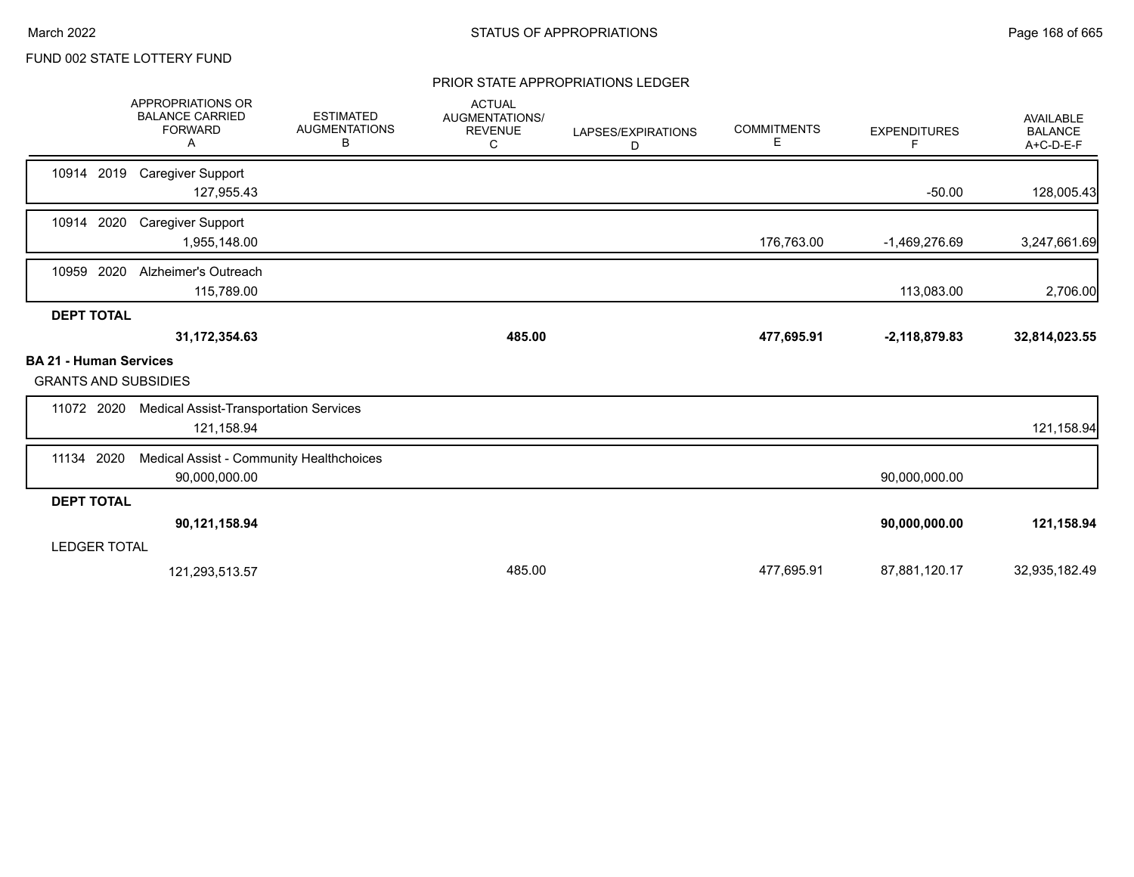#### PRIOR STATE APPROPRIATIONS LEDGER

|                                                              | <b>APPROPRIATIONS OR</b><br><b>BALANCE CARRIED</b><br><b>FORWARD</b><br>Α | <b>ESTIMATED</b><br><b>AUGMENTATIONS</b><br>В | <b>ACTUAL</b><br>AUGMENTATIONS/<br><b>REVENUE</b><br>С | LAPSES/EXPIRATIONS<br>D | <b>COMMITMENTS</b><br>Е | <b>EXPENDITURES</b><br>F. | <b>AVAILABLE</b><br><b>BALANCE</b><br>A+C-D-E-F |
|--------------------------------------------------------------|---------------------------------------------------------------------------|-----------------------------------------------|--------------------------------------------------------|-------------------------|-------------------------|---------------------------|-------------------------------------------------|
| 10914 2019                                                   | <b>Caregiver Support</b><br>127,955.43                                    |                                               |                                                        |                         |                         | $-50.00$                  | 128,005.43                                      |
| 2020<br>10914                                                | <b>Caregiver Support</b><br>1,955,148.00                                  |                                               |                                                        |                         | 176,763.00              | $-1,469,276.69$           | 3,247,661.69                                    |
| 10959 2020                                                   | Alzheimer's Outreach<br>115,789.00                                        |                                               |                                                        |                         |                         | 113,083.00                | 2,706.00                                        |
| <b>DEPT TOTAL</b>                                            |                                                                           |                                               |                                                        |                         |                         |                           |                                                 |
|                                                              | 31, 172, 354.63                                                           |                                               | 485.00                                                 |                         | 477,695.91              | $-2,118,879.83$           | 32,814,023.55                                   |
| <b>BA 21 - Human Services</b><br><b>GRANTS AND SUBSIDIES</b> |                                                                           |                                               |                                                        |                         |                         |                           |                                                 |
| 11072 2020                                                   | <b>Medical Assist-Transportation Services</b><br>121,158.94               |                                               |                                                        |                         |                         |                           | 121,158.94                                      |
| 11134 2020                                                   | Medical Assist - Community Healthchoices<br>90,000,000.00                 |                                               |                                                        |                         |                         | 90,000,000.00             |                                                 |
| <b>DEPT TOTAL</b>                                            |                                                                           |                                               |                                                        |                         |                         |                           |                                                 |
|                                                              | 90,121,158.94                                                             |                                               |                                                        |                         |                         | 90,000,000.00             | 121,158.94                                      |
| <b>LEDGER TOTAL</b>                                          |                                                                           |                                               |                                                        |                         |                         |                           |                                                 |
|                                                              | 121,293,513.57                                                            |                                               | 485.00                                                 |                         | 477,695.91              | 87,881,120.17             | 32,935,182.49                                   |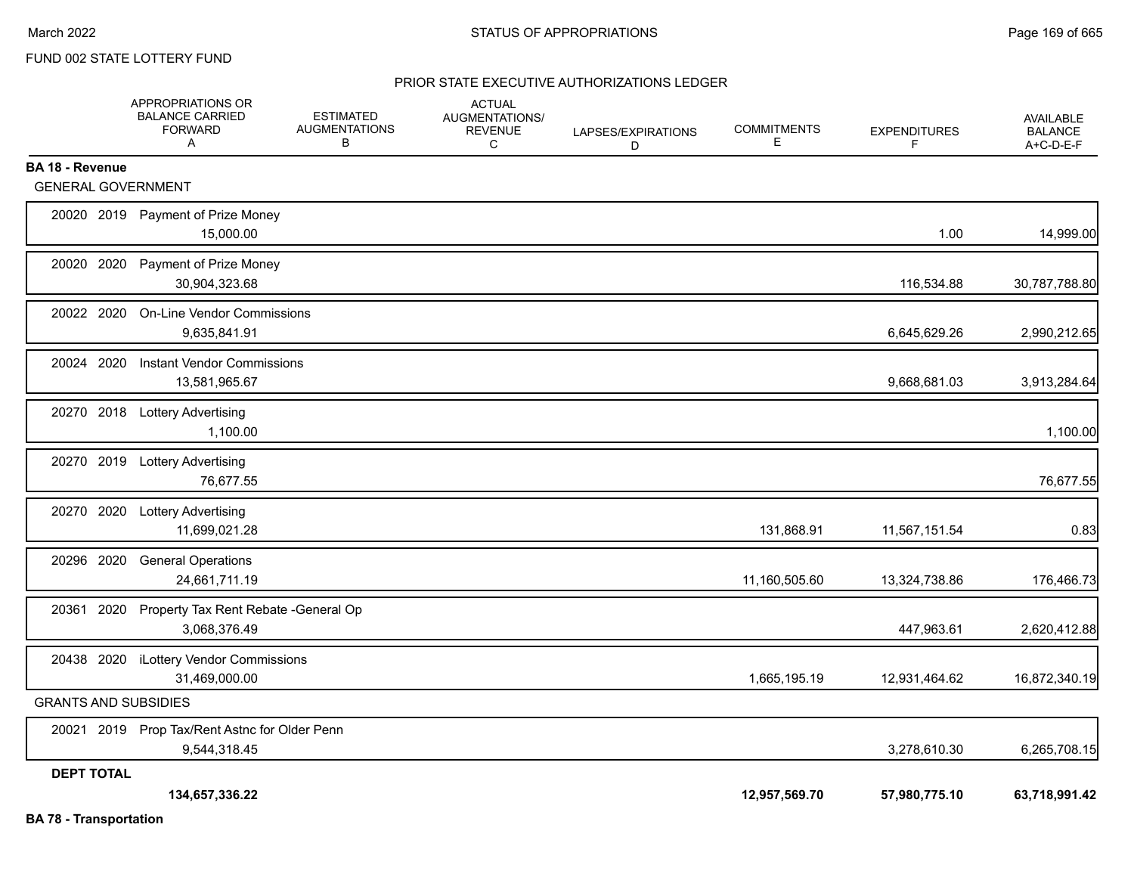#### PRIOR STATE EXECUTIVE AUTHORIZATIONS LEDGER

|                               | APPROPRIATIONS OR<br><b>BALANCE CARRIED</b><br><b>FORWARD</b><br>A | <b>ESTIMATED</b><br><b>AUGMENTATIONS</b><br>B | <b>ACTUAL</b><br>AUGMENTATIONS/<br><b>REVENUE</b><br>C | LAPSES/EXPIRATIONS<br>D | <b>COMMITMENTS</b><br>Е | <b>EXPENDITURES</b><br>F | AVAILABLE<br><b>BALANCE</b><br>A+C-D-E-F |
|-------------------------------|--------------------------------------------------------------------|-----------------------------------------------|--------------------------------------------------------|-------------------------|-------------------------|--------------------------|------------------------------------------|
| <b>BA 18 - Revenue</b>        |                                                                    |                                               |                                                        |                         |                         |                          |                                          |
| <b>GENERAL GOVERNMENT</b>     |                                                                    |                                               |                                                        |                         |                         |                          |                                          |
|                               | 20020 2019 Payment of Prize Money<br>15,000.00                     |                                               |                                                        |                         |                         | 1.00                     | 14,999.00                                |
| 20020 2020                    | Payment of Prize Money<br>30,904,323.68                            |                                               |                                                        |                         |                         | 116,534.88               | 30,787,788.80                            |
| 20022 2020                    | <b>On-Line Vendor Commissions</b><br>9,635,841.91                  |                                               |                                                        |                         |                         | 6,645,629.26             | 2,990,212.65                             |
| 20024 2020                    | <b>Instant Vendor Commissions</b><br>13,581,965.67                 |                                               |                                                        |                         |                         | 9,668,681.03             | 3,913,284.64                             |
|                               | 20270 2018 Lottery Advertising<br>1,100.00                         |                                               |                                                        |                         |                         |                          | 1,100.00                                 |
|                               | 20270 2019 Lottery Advertising<br>76,677.55                        |                                               |                                                        |                         |                         |                          | 76,677.55                                |
|                               | 20270 2020 Lottery Advertising<br>11,699,021.28                    |                                               |                                                        |                         | 131,868.91              | 11,567,151.54            | 0.83                                     |
| 20296 2020                    | <b>General Operations</b><br>24,661,711.19                         |                                               |                                                        |                         | 11,160,505.60           | 13,324,738.86            | 176,466.73                               |
|                               | 20361 2020 Property Tax Rent Rebate - General Op<br>3,068,376.49   |                                               |                                                        |                         |                         | 447,963.61               | 2,620,412.88                             |
|                               | 20438 2020 iLottery Vendor Commissions<br>31,469,000.00            |                                               |                                                        |                         | 1,665,195.19            | 12,931,464.62            | 16,872,340.19                            |
| <b>GRANTS AND SUBSIDIES</b>   |                                                                    |                                               |                                                        |                         |                         |                          |                                          |
|                               | 20021 2019 Prop Tax/Rent Astnc for Older Penn<br>9,544,318.45      |                                               |                                                        |                         |                         | 3,278,610.30             | 6,265,708.15                             |
| <b>DEPT TOTAL</b>             |                                                                    |                                               |                                                        |                         |                         |                          |                                          |
| <b>BA 78 - Transportation</b> | 134,657,336.22                                                     |                                               |                                                        |                         | 12,957,569.70           | 57,980,775.10            | 63,718,991.42                            |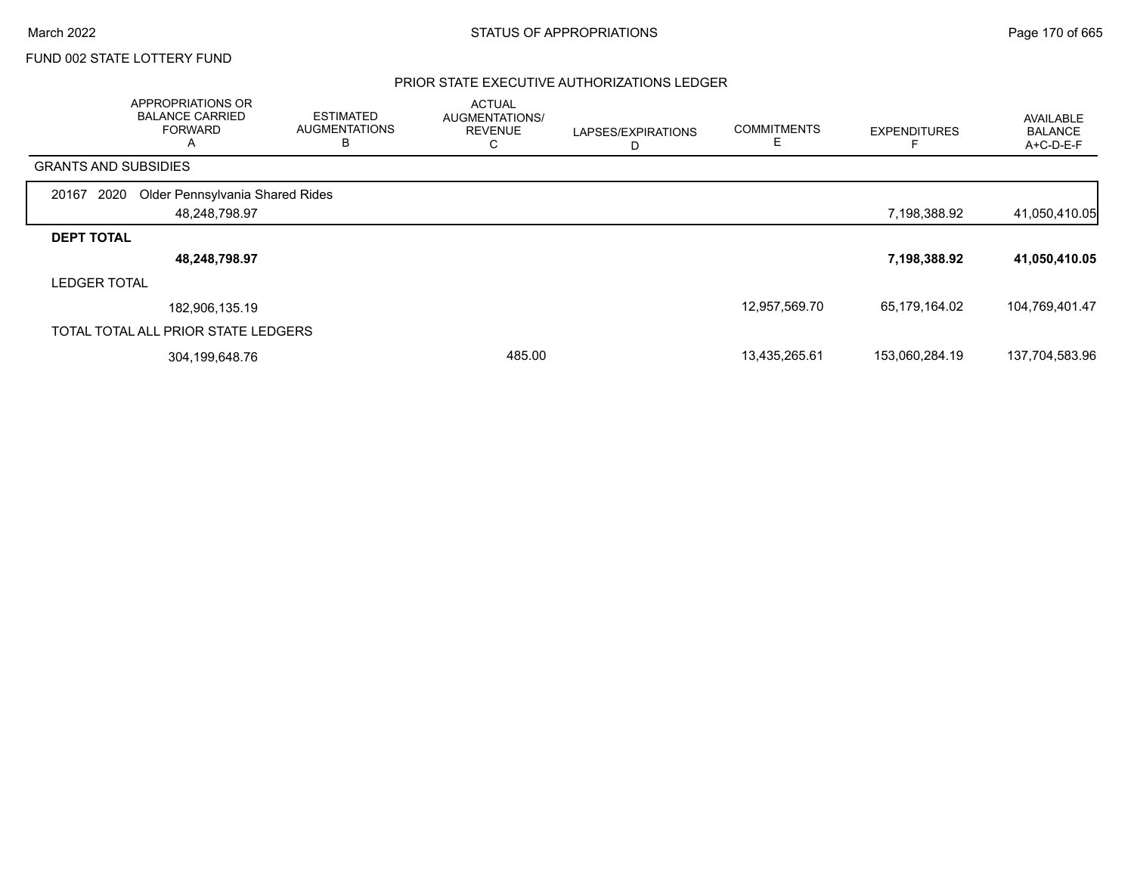### PRIOR STATE EXECUTIVE AUTHORIZATIONS LEDGER

|                             | APPROPRIATIONS OR<br><b>BALANCE CARRIED</b><br><b>FORWARD</b><br>$\mathsf{A}$ | <b>ESTIMATED</b><br><b>AUGMENTATIONS</b><br>в | <b>ACTUAL</b><br>AUGMENTATIONS/<br><b>REVENUE</b><br>C | LAPSES/EXPIRATIONS<br>D | <b>COMMITMENTS</b> | <b>EXPENDITURES</b> | AVAILABLE<br><b>BALANCE</b><br>A+C-D-E-F |
|-----------------------------|-------------------------------------------------------------------------------|-----------------------------------------------|--------------------------------------------------------|-------------------------|--------------------|---------------------|------------------------------------------|
| <b>GRANTS AND SUBSIDIES</b> |                                                                               |                                               |                                                        |                         |                    |                     |                                          |
| 2020<br>20167               | Older Pennsylvania Shared Rides                                               |                                               |                                                        |                         |                    |                     |                                          |
|                             | 48,248,798.97                                                                 |                                               |                                                        |                         |                    | 7,198,388.92        | 41,050,410.05                            |
| <b>DEPT TOTAL</b>           |                                                                               |                                               |                                                        |                         |                    |                     |                                          |
|                             | 48,248,798.97                                                                 |                                               |                                                        |                         |                    | 7,198,388.92        | 41,050,410.05                            |
| <b>LEDGER TOTAL</b>         |                                                                               |                                               |                                                        |                         |                    |                     |                                          |
|                             | 182,906,135.19                                                                |                                               |                                                        |                         | 12,957,569.70      | 65,179,164.02       | 104,769,401.47                           |
|                             | TOTAL TOTAL ALL PRIOR STATE LEDGERS                                           |                                               |                                                        |                         |                    |                     |                                          |
|                             | 304,199,648.76                                                                |                                               | 485.00                                                 |                         | 13,435,265.61      | 153,060,284.19      | 137,704,583.96                           |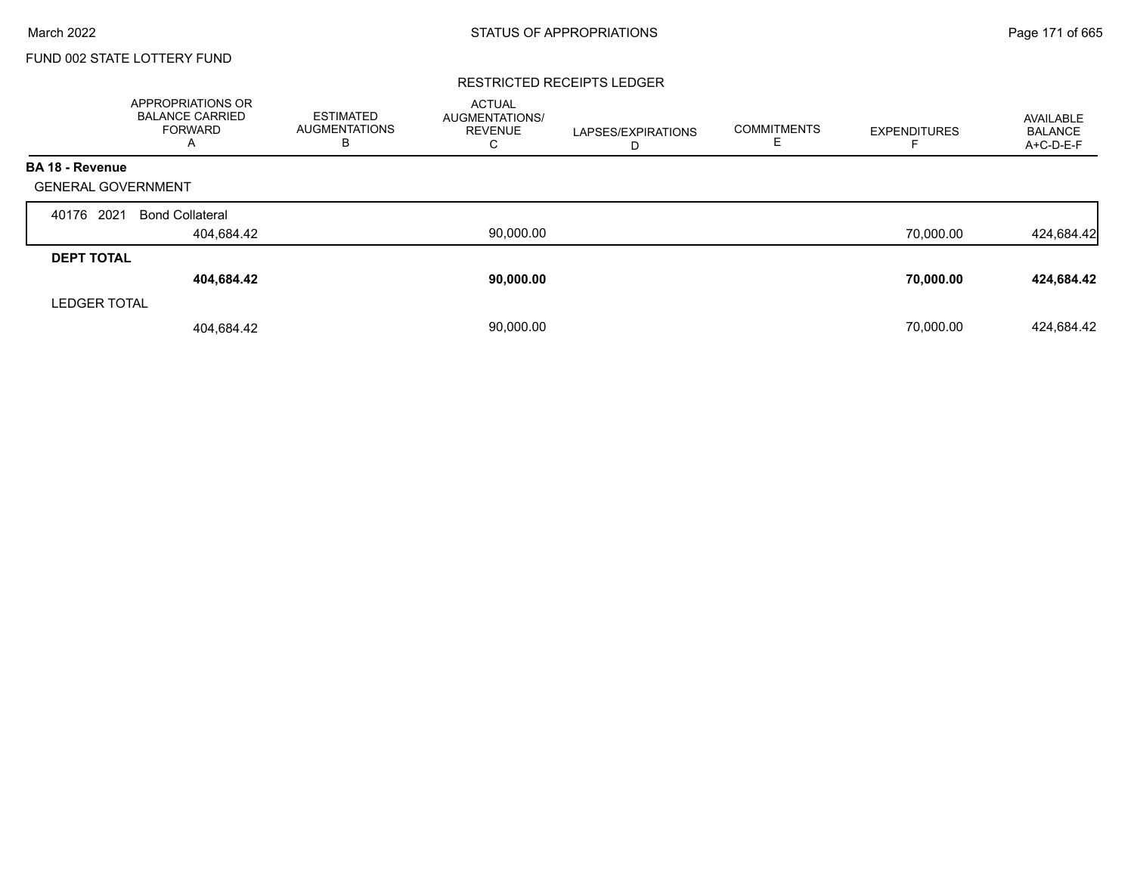### RESTRICTED RECEIPTS LEDGER

|                           | APPROPRIATIONS OR<br><b>BALANCE CARRIED</b><br>FORWARD<br>A | <b>ESTIMATED</b><br><b>AUGMENTATIONS</b><br>В | <b>ACTUAL</b><br><b>AUGMENTATIONS/</b><br><b>REVENUE</b><br>C | LAPSES/EXPIRATIONS<br>D | <b>COMMITMENTS</b><br>E | <b>EXPENDITURES</b> | AVAILABLE<br><b>BALANCE</b><br>A+C-D-E-F |
|---------------------------|-------------------------------------------------------------|-----------------------------------------------|---------------------------------------------------------------|-------------------------|-------------------------|---------------------|------------------------------------------|
| <b>BA 18 - Revenue</b>    |                                                             |                                               |                                                               |                         |                         |                     |                                          |
| <b>GENERAL GOVERNMENT</b> |                                                             |                                               |                                                               |                         |                         |                     |                                          |
| 2021<br>40176             | <b>Bond Collateral</b>                                      |                                               |                                                               |                         |                         |                     |                                          |
|                           | 404,684.42                                                  |                                               | 90,000.00                                                     |                         |                         | 70,000.00           | 424,684.42                               |
| <b>DEPT TOTAL</b>         |                                                             |                                               |                                                               |                         |                         |                     |                                          |
|                           | 404,684.42                                                  |                                               | 90,000.00                                                     |                         |                         | 70,000.00           | 424,684.42                               |
| <b>LEDGER TOTAL</b>       |                                                             |                                               |                                                               |                         |                         |                     |                                          |
|                           | 404,684.42                                                  |                                               | 90.000.00                                                     |                         |                         | 70.000.00           | 424,684.42                               |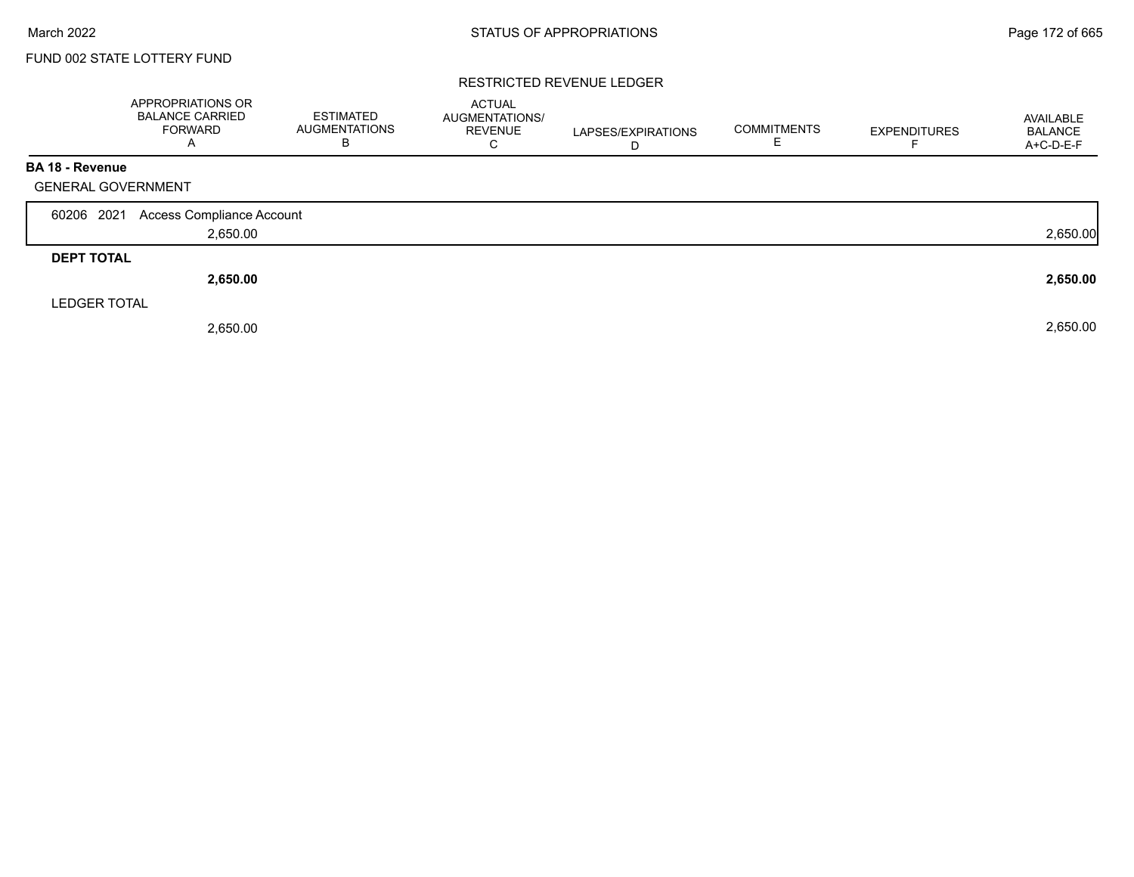### RESTRICTED REVENUE LEDGER

|                           | APPROPRIATIONS OR<br><b>BALANCE CARRIED</b><br><b>FORWARD</b><br>$\overline{A}$ | <b>ESTIMATED</b><br><b>AUGMENTATIONS</b><br>В | <b>ACTUAL</b><br>AUGMENTATIONS/<br><b>REVENUE</b><br>C | LAPSES/EXPIRATIONS<br>D | <b>COMMITMENTS</b><br>Е | <b>EXPENDITURES</b> | AVAILABLE<br><b>BALANCE</b><br>A+C-D-E-F |
|---------------------------|---------------------------------------------------------------------------------|-----------------------------------------------|--------------------------------------------------------|-------------------------|-------------------------|---------------------|------------------------------------------|
| <b>BA 18 - Revenue</b>    |                                                                                 |                                               |                                                        |                         |                         |                     |                                          |
| <b>GENERAL GOVERNMENT</b> |                                                                                 |                                               |                                                        |                         |                         |                     |                                          |
| 60206 2021                | Access Compliance Account                                                       |                                               |                                                        |                         |                         |                     |                                          |
|                           | 2,650.00                                                                        |                                               |                                                        |                         |                         |                     | 2,650.00                                 |
| <b>DEPT TOTAL</b>         |                                                                                 |                                               |                                                        |                         |                         |                     |                                          |
|                           | 2,650.00                                                                        |                                               |                                                        |                         |                         |                     | 2,650.00                                 |
| <b>LEDGER TOTAL</b>       |                                                                                 |                                               |                                                        |                         |                         |                     |                                          |
|                           | 2,650.00                                                                        |                                               |                                                        |                         |                         |                     | 2,650.00                                 |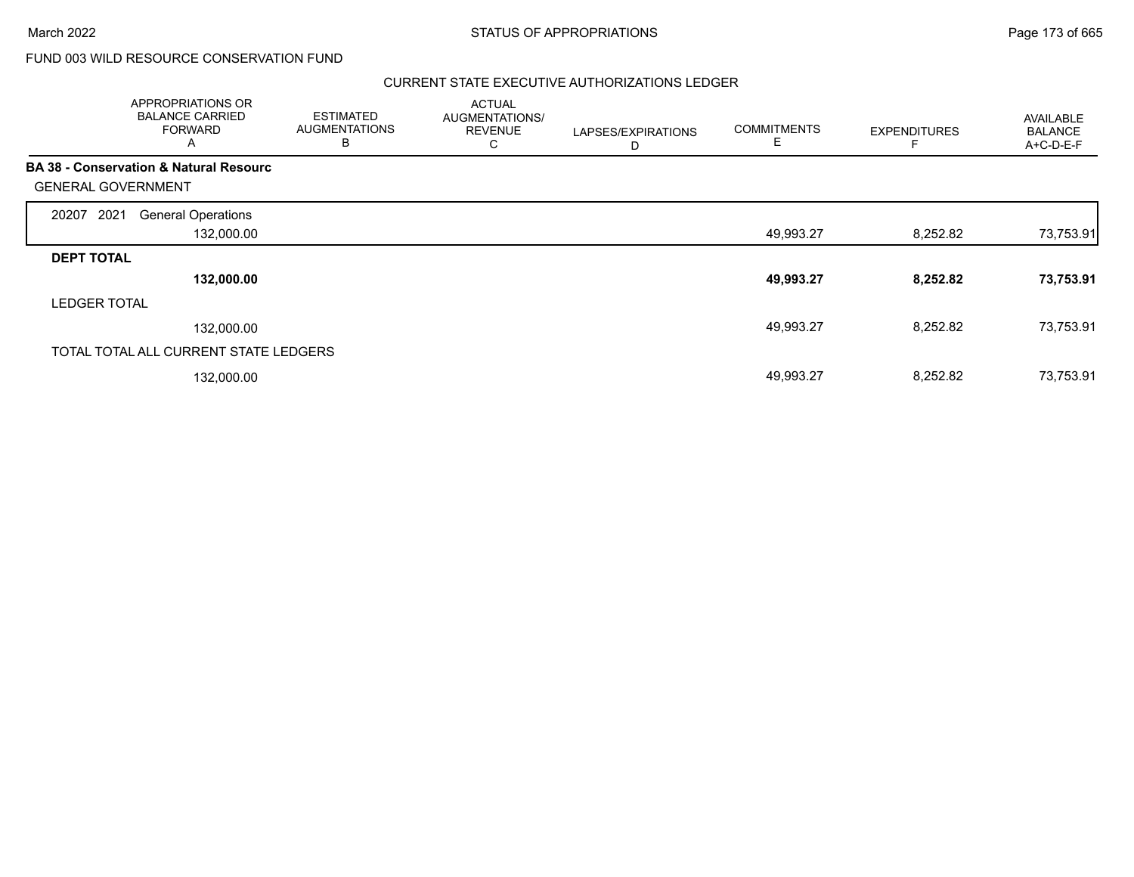Г

# FUND 003 WILD RESOURCE CONSERVATION FUND

### CURRENT STATE EXECUTIVE AUTHORIZATIONS LEDGER

|                           | APPROPRIATIONS OR<br><b>BALANCE CARRIED</b><br><b>FORWARD</b><br>A | <b>ESTIMATED</b><br><b>AUGMENTATIONS</b><br>B | <b>ACTUAL</b><br>AUGMENTATIONS/<br><b>REVENUE</b><br>С | LAPSES/EXPIRATIONS<br>D | <b>COMMITMENTS</b><br>E | <b>EXPENDITURES</b> | AVAILABLE<br><b>BALANCE</b><br>$A+C-D-E-F$ |
|---------------------------|--------------------------------------------------------------------|-----------------------------------------------|--------------------------------------------------------|-------------------------|-------------------------|---------------------|--------------------------------------------|
|                           | <b>BA 38 - Conservation &amp; Natural Resourc</b>                  |                                               |                                                        |                         |                         |                     |                                            |
| <b>GENERAL GOVERNMENT</b> |                                                                    |                                               |                                                        |                         |                         |                     |                                            |
| 2021<br>20207             | <b>General Operations</b>                                          |                                               |                                                        |                         |                         |                     |                                            |
|                           | 132,000.00                                                         |                                               |                                                        |                         | 49,993.27               | 8,252.82            | 73,753.91                                  |
| <b>DEPT TOTAL</b>         |                                                                    |                                               |                                                        |                         |                         |                     |                                            |
|                           | 132,000.00                                                         |                                               |                                                        |                         | 49,993.27               | 8,252.82            | 73,753.91                                  |
| <b>LEDGER TOTAL</b>       |                                                                    |                                               |                                                        |                         |                         |                     |                                            |
|                           | 132,000.00                                                         |                                               |                                                        |                         | 49,993.27               | 8,252.82            | 73,753.91                                  |
|                           | TOTAL TOTAL ALL CURRENT STATE LEDGERS                              |                                               |                                                        |                         |                         |                     |                                            |
|                           | 132,000.00                                                         |                                               |                                                        |                         | 49,993.27               | 8,252.82            | 73,753.91                                  |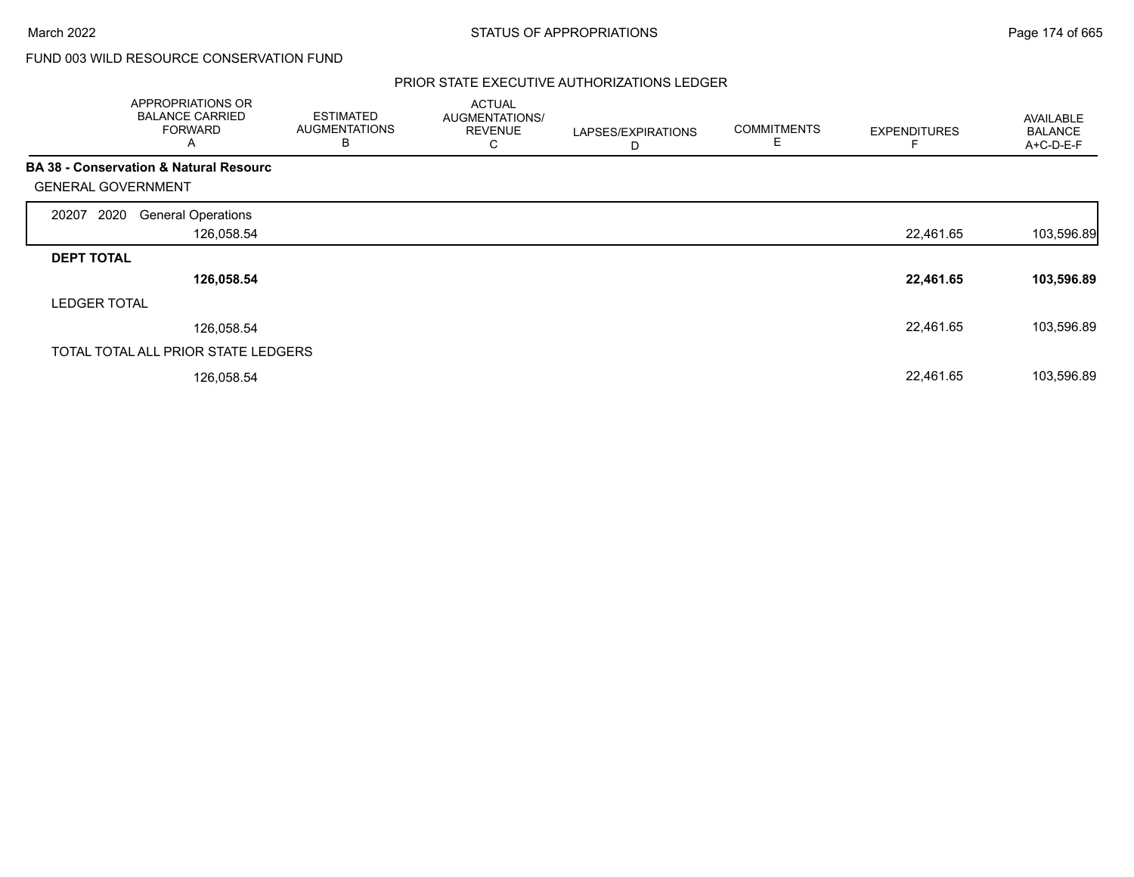# FUND 003 WILD RESOURCE CONSERVATION FUND

### PRIOR STATE EXECUTIVE AUTHORIZATIONS LEDGER

|                           | <b>APPROPRIATIONS OR</b><br><b>BALANCE CARRIED</b><br><b>FORWARD</b><br>A | <b>ESTIMATED</b><br><b>AUGMENTATIONS</b><br>B | <b>ACTUAL</b><br>AUGMENTATIONS/<br><b>REVENUE</b><br>С | LAPSES/EXPIRATIONS<br>D | <b>COMMITMENTS</b><br>Е | <b>EXPENDITURES</b> | AVAILABLE<br><b>BALANCE</b><br>A+C-D-E-F |
|---------------------------|---------------------------------------------------------------------------|-----------------------------------------------|--------------------------------------------------------|-------------------------|-------------------------|---------------------|------------------------------------------|
|                           | <b>BA 38 - Conservation &amp; Natural Resourc</b>                         |                                               |                                                        |                         |                         |                     |                                          |
| <b>GENERAL GOVERNMENT</b> |                                                                           |                                               |                                                        |                         |                         |                     |                                          |
| 2020<br>20207             | <b>General Operations</b>                                                 |                                               |                                                        |                         |                         |                     |                                          |
|                           | 126,058.54                                                                |                                               |                                                        |                         |                         | 22,461.65           | 103,596.89                               |
| <b>DEPT TOTAL</b>         |                                                                           |                                               |                                                        |                         |                         |                     |                                          |
|                           | 126,058.54                                                                |                                               |                                                        |                         |                         | 22,461.65           | 103,596.89                               |
| <b>LEDGER TOTAL</b>       |                                                                           |                                               |                                                        |                         |                         |                     |                                          |
|                           | 126,058.54                                                                |                                               |                                                        |                         |                         | 22,461.65           | 103,596.89                               |
|                           | TOTAL TOTAL ALL PRIOR STATE LEDGERS                                       |                                               |                                                        |                         |                         |                     |                                          |
|                           | 126,058.54                                                                |                                               |                                                        |                         |                         | 22,461.65           | 103,596.89                               |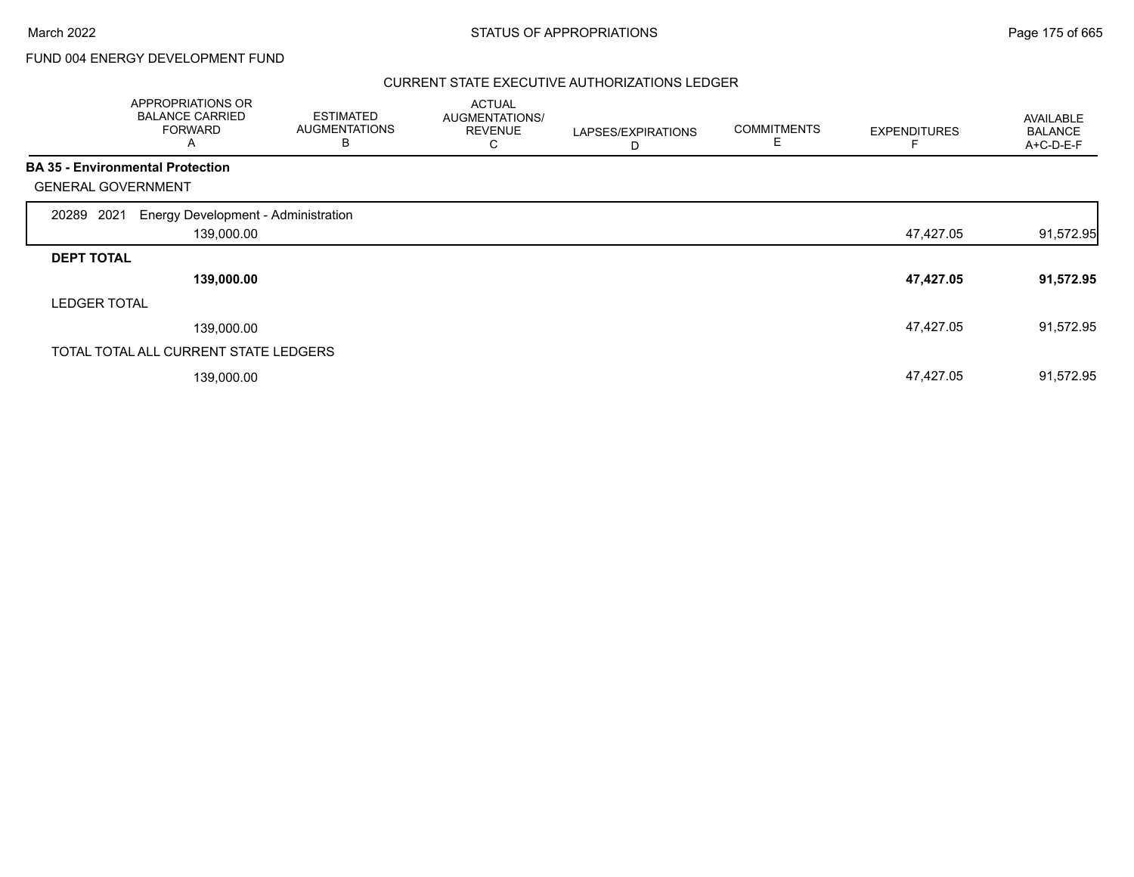# FUND 004 ENERGY DEVELOPMENT FUND

### CURRENT STATE EXECUTIVE AUTHORIZATIONS LEDGER

|                           | APPROPRIATIONS OR<br><b>BALANCE CARRIED</b><br><b>FORWARD</b><br>A | <b>ESTIMATED</b><br><b>AUGMENTATIONS</b><br>в | <b>ACTUAL</b><br>AUGMENTATIONS/<br><b>REVENUE</b><br>С | LAPSES/EXPIRATIONS<br>D | <b>COMMITMENTS</b><br>Е | <b>EXPENDITURES</b> | AVAILABLE<br><b>BALANCE</b><br>A+C-D-E-F |
|---------------------------|--------------------------------------------------------------------|-----------------------------------------------|--------------------------------------------------------|-------------------------|-------------------------|---------------------|------------------------------------------|
|                           | <b>BA 35 - Environmental Protection</b>                            |                                               |                                                        |                         |                         |                     |                                          |
| <b>GENERAL GOVERNMENT</b> |                                                                    |                                               |                                                        |                         |                         |                     |                                          |
| 2021<br>20289             | Energy Development - Administration                                |                                               |                                                        |                         |                         |                     |                                          |
|                           | 139,000.00                                                         |                                               |                                                        |                         |                         | 47,427.05           | 91,572.95                                |
| <b>DEPT TOTAL</b>         |                                                                    |                                               |                                                        |                         |                         |                     |                                          |
|                           | 139,000.00                                                         |                                               |                                                        |                         |                         | 47,427.05           | 91,572.95                                |
| <b>LEDGER TOTAL</b>       |                                                                    |                                               |                                                        |                         |                         |                     |                                          |
|                           | 139,000.00                                                         |                                               |                                                        |                         |                         | 47,427.05           | 91,572.95                                |
|                           | TOTAL TOTAL ALL CURRENT STATE LEDGERS                              |                                               |                                                        |                         |                         |                     |                                          |
|                           | 139,000.00                                                         |                                               |                                                        |                         |                         | 47,427.05           | 91,572.95                                |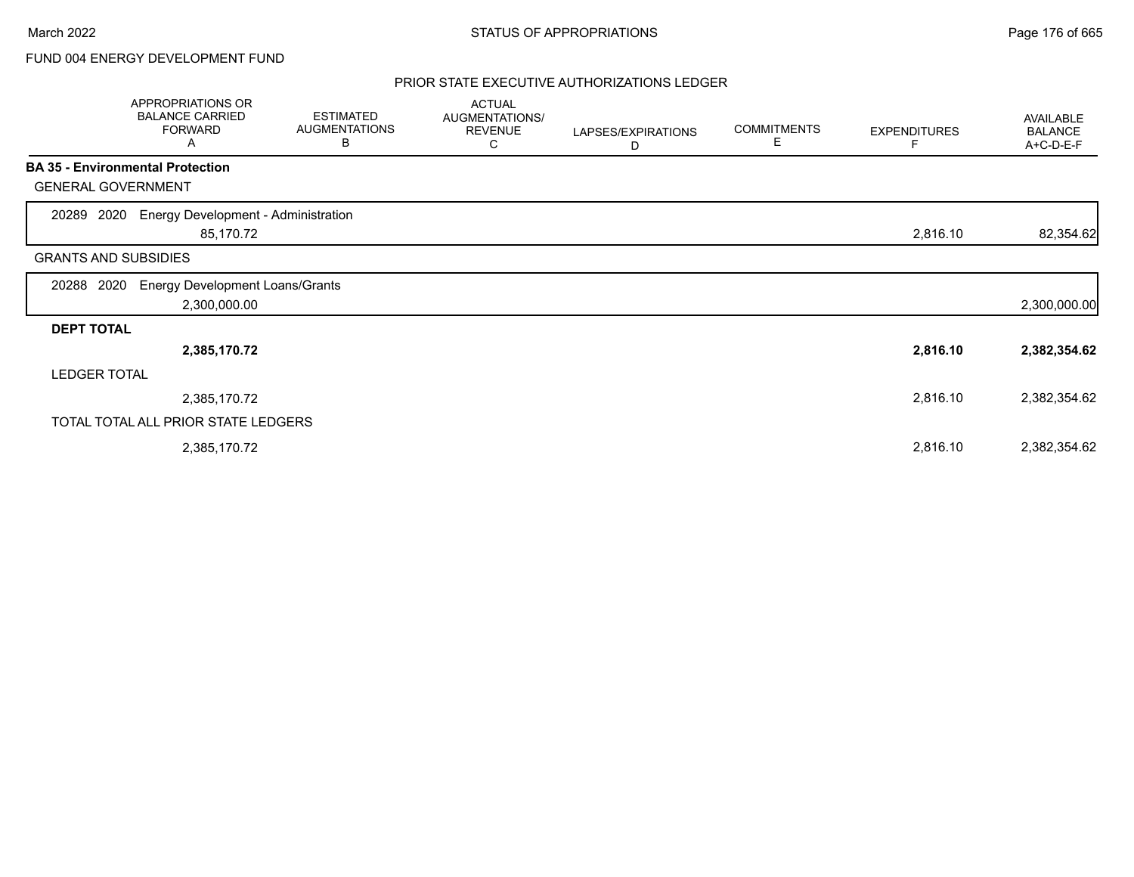# FUND 004 ENERGY DEVELOPMENT FUND

### PRIOR STATE EXECUTIVE AUTHORIZATIONS LEDGER

|                             | <b>APPROPRIATIONS OR</b><br><b>BALANCE CARRIED</b><br><b>FORWARD</b><br>Α | <b>ESTIMATED</b><br><b>AUGMENTATIONS</b><br>В | <b>ACTUAL</b><br>AUGMENTATIONS/<br><b>REVENUE</b><br>С | LAPSES/EXPIRATIONS<br>D | <b>COMMITMENTS</b><br>Е | <b>EXPENDITURES</b> | AVAILABLE<br><b>BALANCE</b><br>A+C-D-E-F |
|-----------------------------|---------------------------------------------------------------------------|-----------------------------------------------|--------------------------------------------------------|-------------------------|-------------------------|---------------------|------------------------------------------|
|                             | <b>BA 35 - Environmental Protection</b>                                   |                                               |                                                        |                         |                         |                     |                                          |
| <b>GENERAL GOVERNMENT</b>   |                                                                           |                                               |                                                        |                         |                         |                     |                                          |
| 2020<br>20289               | <b>Energy Development - Administration</b><br>85,170.72                   |                                               |                                                        |                         |                         | 2,816.10            | 82,354.62                                |
| <b>GRANTS AND SUBSIDIES</b> |                                                                           |                                               |                                                        |                         |                         |                     |                                          |
| 2020<br>20288               | <b>Energy Development Loans/Grants</b><br>2,300,000.00                    |                                               |                                                        |                         |                         |                     | 2,300,000.00                             |
| <b>DEPT TOTAL</b>           |                                                                           |                                               |                                                        |                         |                         |                     |                                          |
|                             | 2,385,170.72                                                              |                                               |                                                        |                         |                         | 2,816.10            | 2,382,354.62                             |
| <b>LEDGER TOTAL</b>         |                                                                           |                                               |                                                        |                         |                         |                     |                                          |
|                             | 2,385,170.72                                                              |                                               |                                                        |                         |                         | 2,816.10            | 2,382,354.62                             |
|                             | TOTAL TOTAL ALL PRIOR STATE LEDGERS                                       |                                               |                                                        |                         |                         |                     |                                          |
|                             | 2,385,170.72                                                              |                                               |                                                        |                         |                         | 2,816.10            | 2,382,354.62                             |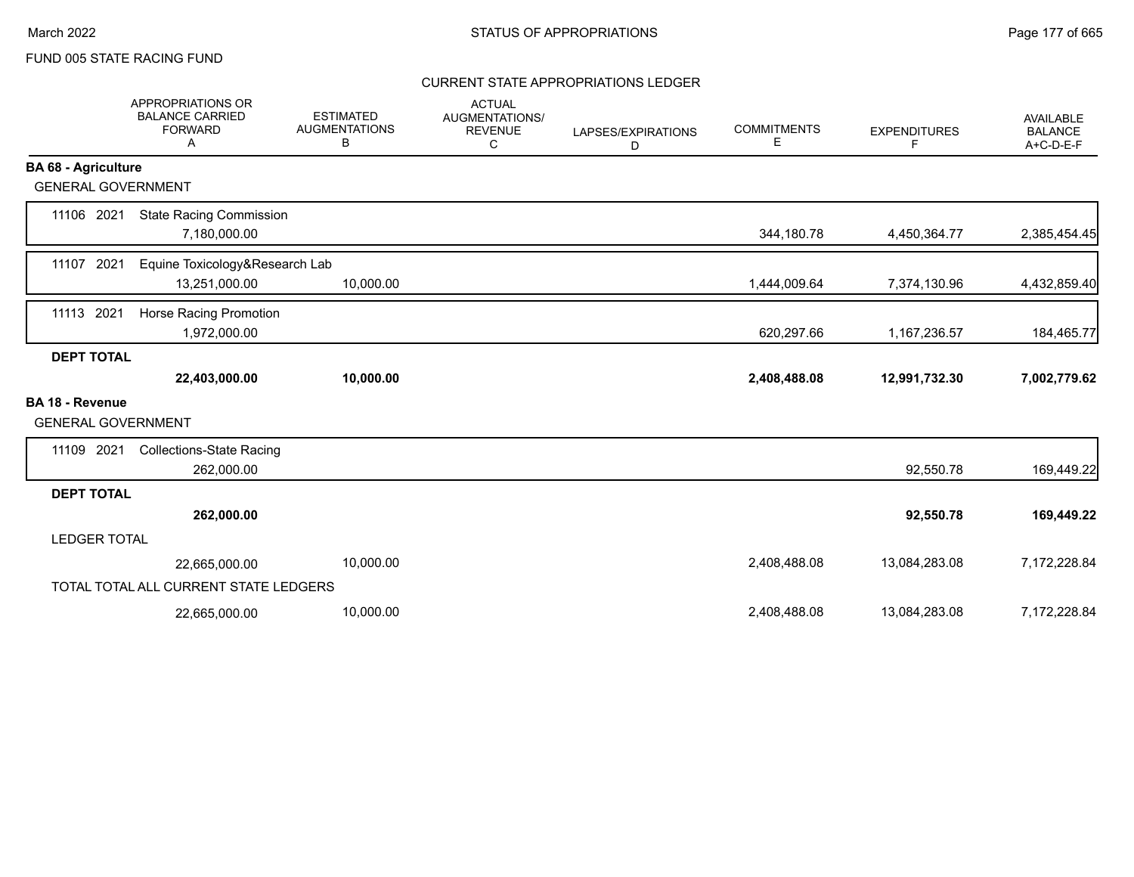### CURRENT STATE APPROPRIATIONS LEDGER

|                                                     | <b>APPROPRIATIONS OR</b><br><b>BALANCE CARRIED</b><br><b>FORWARD</b><br>A | <b>ESTIMATED</b><br><b>AUGMENTATIONS</b><br>В | <b>ACTUAL</b><br><b>AUGMENTATIONS/</b><br><b>REVENUE</b><br>C | LAPSES/EXPIRATIONS<br>D | <b>COMMITMENTS</b><br>E | <b>EXPENDITURES</b><br>F | <b>AVAILABLE</b><br><b>BALANCE</b><br>A+C-D-E-F |
|-----------------------------------------------------|---------------------------------------------------------------------------|-----------------------------------------------|---------------------------------------------------------------|-------------------------|-------------------------|--------------------------|-------------------------------------------------|
| <b>BA 68 - Agriculture</b>                          |                                                                           |                                               |                                                               |                         |                         |                          |                                                 |
| <b>GENERAL GOVERNMENT</b>                           |                                                                           |                                               |                                                               |                         |                         |                          |                                                 |
| 11106 2021                                          | <b>State Racing Commission</b><br>7,180,000.00                            |                                               |                                                               |                         | 344,180.78              | 4,450,364.77             | 2,385,454.45                                    |
| 11107 2021                                          | Equine Toxicology&Research Lab<br>13,251,000.00                           | 10,000.00                                     |                                                               |                         | 1,444,009.64            | 7,374,130.96             | 4,432,859.40                                    |
| 2021<br>11113                                       | Horse Racing Promotion<br>1,972,000.00                                    |                                               |                                                               |                         | 620,297.66              | 1,167,236.57             | 184,465.77                                      |
| <b>DEPT TOTAL</b>                                   |                                                                           |                                               |                                                               |                         |                         |                          |                                                 |
|                                                     | 22,403,000.00                                                             | 10,000.00                                     |                                                               |                         | 2,408,488.08            | 12,991,732.30            | 7,002,779.62                                    |
| <b>BA 18 - Revenue</b><br><b>GENERAL GOVERNMENT</b> |                                                                           |                                               |                                                               |                         |                         |                          |                                                 |
| 11109 2021                                          | <b>Collections-State Racing</b><br>262,000.00                             |                                               |                                                               |                         |                         | 92,550.78                | 169,449.22                                      |
| <b>DEPT TOTAL</b>                                   |                                                                           |                                               |                                                               |                         |                         |                          |                                                 |
|                                                     | 262,000.00                                                                |                                               |                                                               |                         |                         | 92,550.78                | 169,449.22                                      |
| <b>LEDGER TOTAL</b>                                 |                                                                           |                                               |                                                               |                         |                         |                          |                                                 |
|                                                     | 22,665,000.00                                                             | 10,000.00                                     |                                                               |                         | 2,408,488.08            | 13,084,283.08            | 7,172,228.84                                    |
|                                                     | TOTAL TOTAL ALL CURRENT STATE LEDGERS                                     |                                               |                                                               |                         |                         |                          |                                                 |
|                                                     | 22,665,000.00                                                             | 10,000.00                                     |                                                               |                         | 2,408,488.08            | 13,084,283.08            | 7,172,228.84                                    |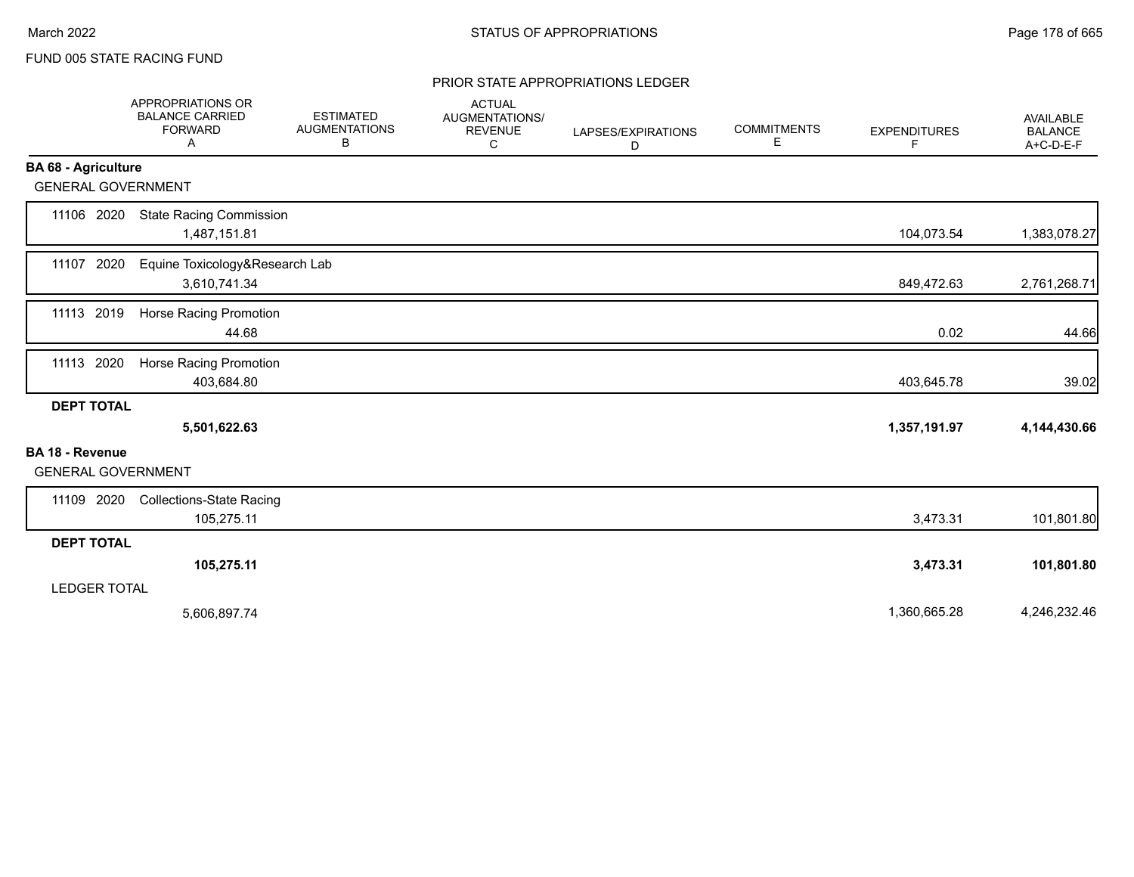#### PRIOR STATE APPROPRIATIONS LEDGER

|                                                     | APPROPRIATIONS OR<br><b>BALANCE CARRIED</b><br><b>FORWARD</b><br>Α | <b>ESTIMATED</b><br><b>AUGMENTATIONS</b><br>В | <b>ACTUAL</b><br>AUGMENTATIONS/<br><b>REVENUE</b><br>C | LAPSES/EXPIRATIONS<br>D | <b>COMMITMENTS</b><br>Е | <b>EXPENDITURES</b><br>F | AVAILABLE<br><b>BALANCE</b><br>$A+C-D-E-F$ |
|-----------------------------------------------------|--------------------------------------------------------------------|-----------------------------------------------|--------------------------------------------------------|-------------------------|-------------------------|--------------------------|--------------------------------------------|
| <b>BA 68 - Agriculture</b>                          |                                                                    |                                               |                                                        |                         |                         |                          |                                            |
| <b>GENERAL GOVERNMENT</b>                           |                                                                    |                                               |                                                        |                         |                         |                          |                                            |
| 11106 2020                                          | <b>State Racing Commission</b><br>1,487,151.81                     |                                               |                                                        |                         |                         | 104,073.54               | 1,383,078.27                               |
| 11107 2020                                          | Equine Toxicology&Research Lab<br>3,610,741.34                     |                                               |                                                        |                         |                         | 849,472.63               | 2,761,268.71                               |
| 11113 2019                                          | Horse Racing Promotion<br>44.68                                    |                                               |                                                        |                         |                         | 0.02                     | 44.66                                      |
| 11113 2020                                          | Horse Racing Promotion<br>403,684.80                               |                                               |                                                        |                         |                         | 403,645.78               | 39.02                                      |
| <b>DEPT TOTAL</b>                                   | 5,501,622.63                                                       |                                               |                                                        |                         |                         | 1,357,191.97             | 4,144,430.66                               |
| <b>BA 18 - Revenue</b><br><b>GENERAL GOVERNMENT</b> |                                                                    |                                               |                                                        |                         |                         |                          |                                            |
| 2020<br>11109                                       | <b>Collections-State Racing</b><br>105,275.11                      |                                               |                                                        |                         |                         | 3,473.31                 | 101,801.80                                 |
| <b>DEPT TOTAL</b>                                   |                                                                    |                                               |                                                        |                         |                         |                          |                                            |
|                                                     | 105,275.11                                                         |                                               |                                                        |                         |                         | 3,473.31                 | 101,801.80                                 |
| <b>LEDGER TOTAL</b>                                 |                                                                    |                                               |                                                        |                         |                         |                          |                                            |
|                                                     | 5,606,897.74                                                       |                                               |                                                        |                         |                         | 1,360,665.28             | 4,246,232.46                               |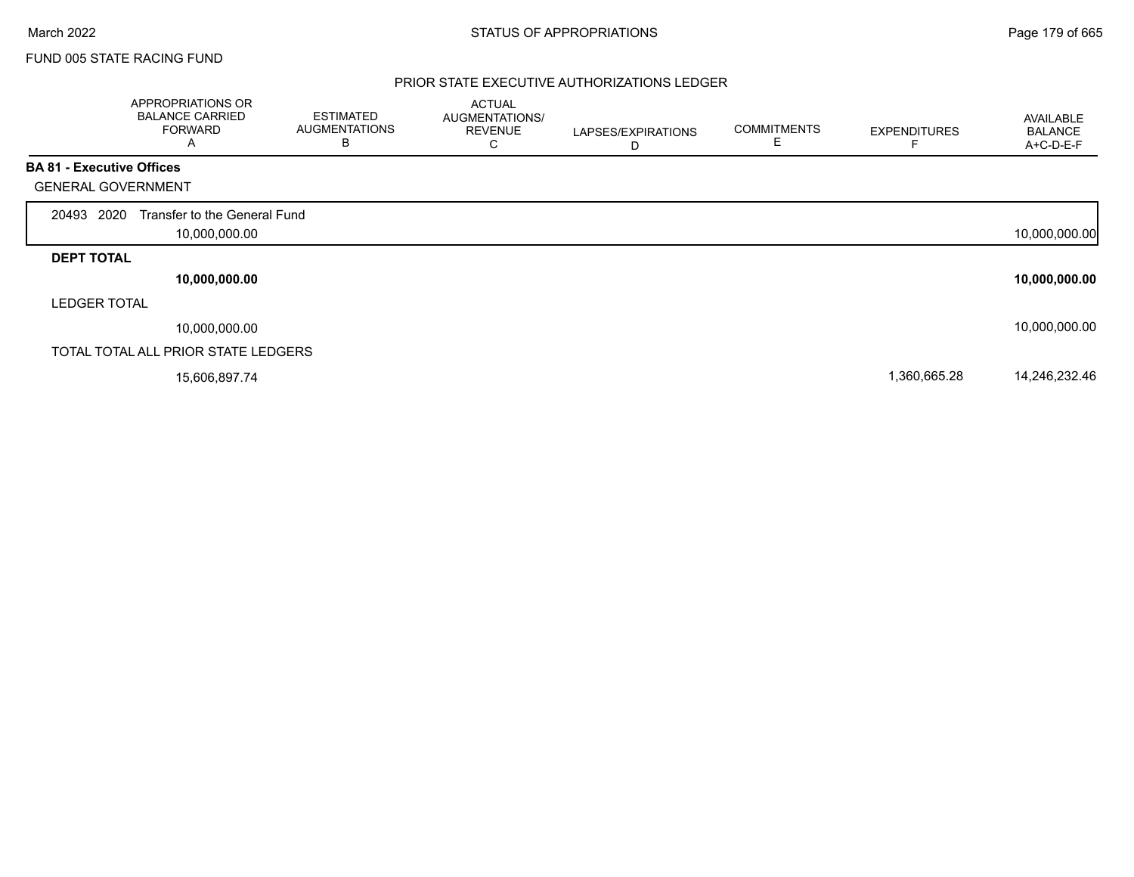### PRIOR STATE EXECUTIVE AUTHORIZATIONS LEDGER

|                                  | APPROPRIATIONS OR<br><b>BALANCE CARRIED</b><br><b>FORWARD</b><br>Α | <b>ESTIMATED</b><br><b>AUGMENTATIONS</b><br>B | <b>ACTUAL</b><br>AUGMENTATIONS/<br><b>REVENUE</b><br>С | LAPSES/EXPIRATIONS<br>D | <b>COMMITMENTS</b><br>E | <b>EXPENDITURES</b> | AVAILABLE<br><b>BALANCE</b><br>A+C-D-E-F |
|----------------------------------|--------------------------------------------------------------------|-----------------------------------------------|--------------------------------------------------------|-------------------------|-------------------------|---------------------|------------------------------------------|
| <b>BA 81 - Executive Offices</b> |                                                                    |                                               |                                                        |                         |                         |                     |                                          |
| <b>GENERAL GOVERNMENT</b>        |                                                                    |                                               |                                                        |                         |                         |                     |                                          |
| 20493 2020                       | Transfer to the General Fund                                       |                                               |                                                        |                         |                         |                     |                                          |
|                                  | 10,000,000.00                                                      |                                               |                                                        |                         |                         |                     | 10,000,000.00                            |
| <b>DEPT TOTAL</b>                |                                                                    |                                               |                                                        |                         |                         |                     |                                          |
|                                  | 10,000,000.00                                                      |                                               |                                                        |                         |                         |                     | 10,000,000.00                            |
| <b>LEDGER TOTAL</b>              |                                                                    |                                               |                                                        |                         |                         |                     |                                          |
|                                  | 10,000,000.00                                                      |                                               |                                                        |                         |                         |                     | 10,000,000.00                            |
|                                  | TOTAL TOTAL ALL PRIOR STATE LEDGERS                                |                                               |                                                        |                         |                         |                     |                                          |
|                                  | 15,606,897.74                                                      |                                               |                                                        |                         |                         | 1,360,665.28        | 14,246,232.46                            |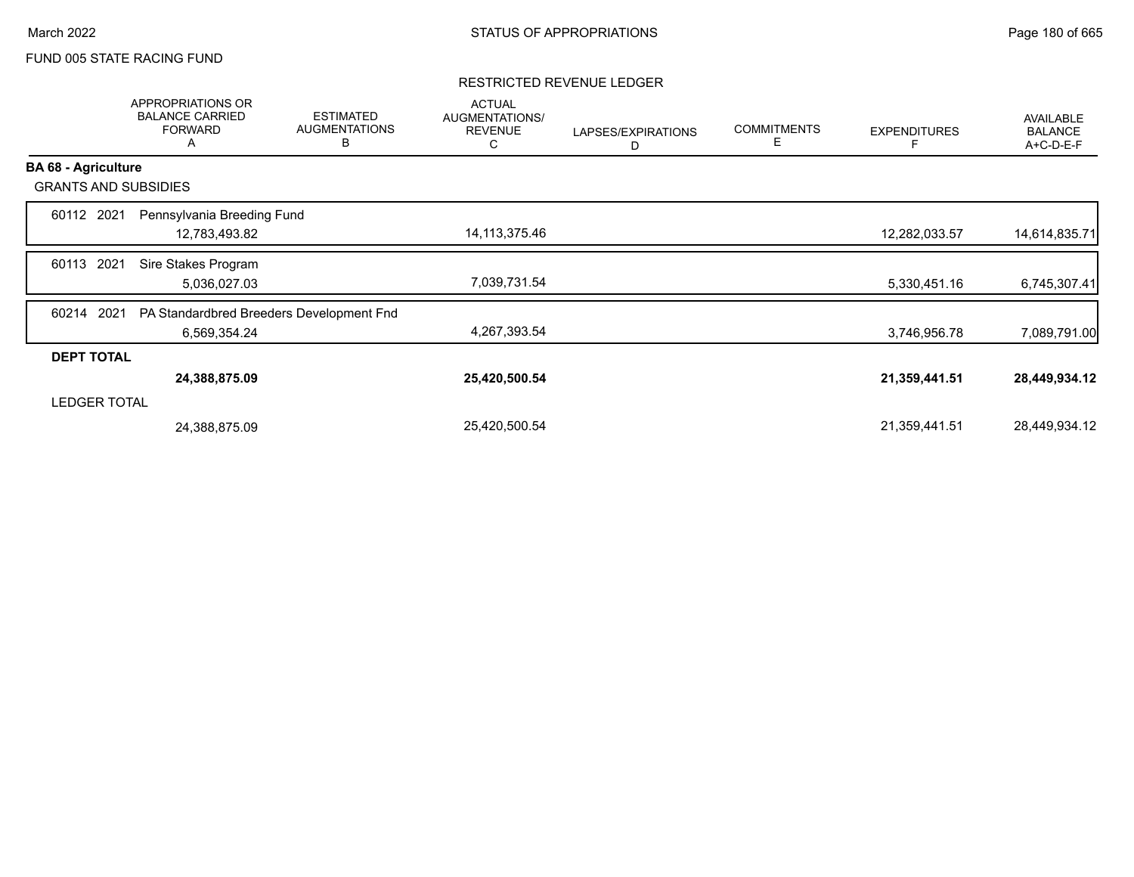### RESTRICTED REVENUE LEDGER

|                             | APPROPRIATIONS OR<br><b>BALANCE CARRIED</b><br><b>FORWARD</b><br>A | <b>ESTIMATED</b><br><b>AUGMENTATIONS</b><br>B | <b>ACTUAL</b><br>AUGMENTATIONS/<br><b>REVENUE</b><br>С | LAPSES/EXPIRATIONS<br>D | <b>COMMITMENTS</b><br>Е | <b>EXPENDITURES</b> | <b>AVAILABLE</b><br><b>BALANCE</b><br>A+C-D-E-F |
|-----------------------------|--------------------------------------------------------------------|-----------------------------------------------|--------------------------------------------------------|-------------------------|-------------------------|---------------------|-------------------------------------------------|
| <b>BA 68 - Agriculture</b>  |                                                                    |                                               |                                                        |                         |                         |                     |                                                 |
| <b>GRANTS AND SUBSIDIES</b> |                                                                    |                                               |                                                        |                         |                         |                     |                                                 |
| 60112 2021                  | Pennsylvania Breeding Fund                                         |                                               |                                                        |                         |                         |                     |                                                 |
|                             | 12,783,493.82                                                      |                                               | 14,113,375.46                                          |                         |                         | 12,282,033.57       | 14,614,835.71                                   |
| 2021<br>60113               | Sire Stakes Program                                                |                                               |                                                        |                         |                         |                     |                                                 |
|                             | 5,036,027.03                                                       |                                               | 7,039,731.54                                           |                         |                         | 5,330,451.16        | 6,745,307.41                                    |
| 2021<br>60214               | PA Standardbred Breeders Development Fnd                           |                                               |                                                        |                         |                         |                     |                                                 |
|                             | 6,569,354.24                                                       |                                               | 4,267,393.54                                           |                         |                         | 3,746,956.78        | 7,089,791.00                                    |
| <b>DEPT TOTAL</b>           |                                                                    |                                               |                                                        |                         |                         |                     |                                                 |
|                             | 24,388,875.09                                                      |                                               | 25,420,500.54                                          |                         |                         | 21,359,441.51       | 28,449,934.12                                   |
| <b>LEDGER TOTAL</b>         |                                                                    |                                               |                                                        |                         |                         |                     |                                                 |
|                             | 24,388,875.09                                                      |                                               | 25,420,500.54                                          |                         |                         | 21,359,441.51       | 28,449,934.12                                   |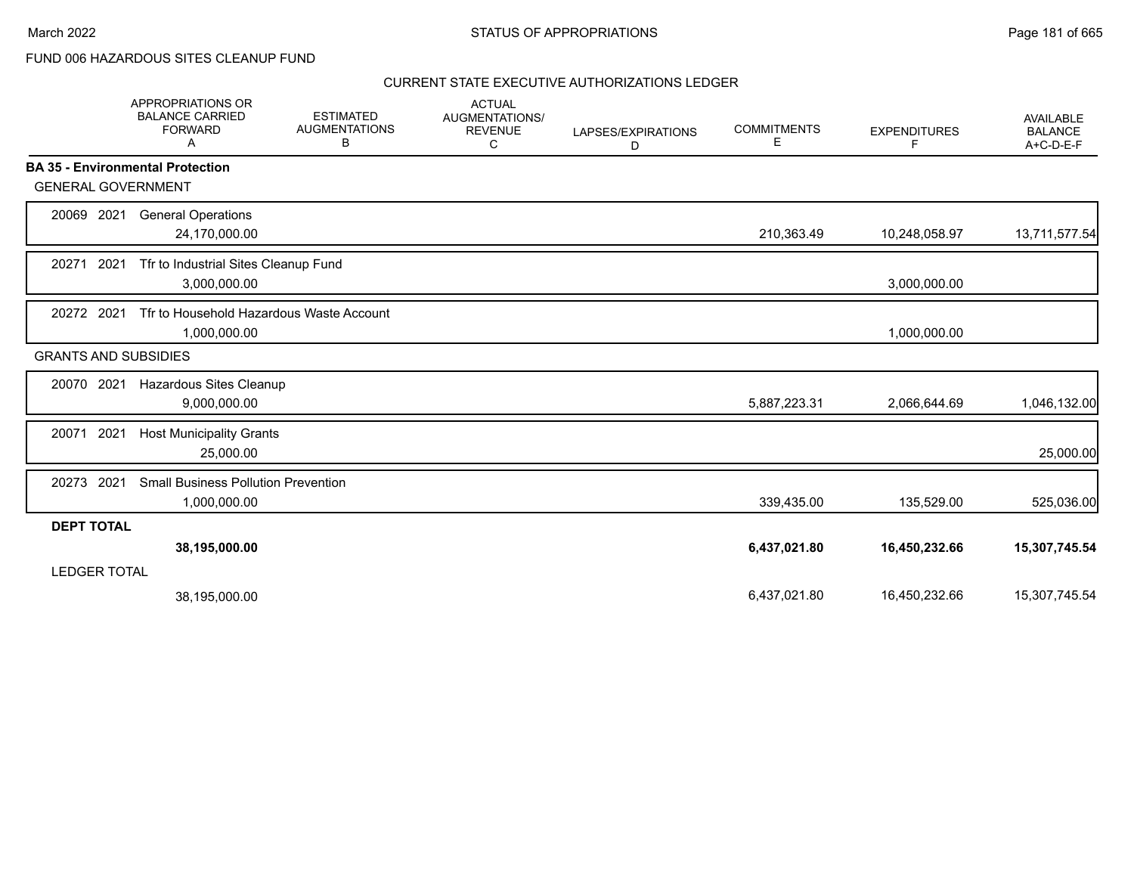FUND 006 HAZARDOUS SITES CLEANUP FUND

|                   | APPROPRIATIONS OR<br><b>BALANCE CARRIED</b><br><b>FORWARD</b><br>A | <b>ESTIMATED</b><br><b>AUGMENTATIONS</b><br>В | <b>ACTUAL</b><br>AUGMENTATIONS/<br><b>REVENUE</b><br>С | LAPSES/EXPIRATIONS<br>D | <b>COMMITMENTS</b><br>E | <b>EXPENDITURES</b><br>F | <b>AVAILABLE</b><br><b>BALANCE</b><br>$A+C-D-E-F$ |
|-------------------|--------------------------------------------------------------------|-----------------------------------------------|--------------------------------------------------------|-------------------------|-------------------------|--------------------------|---------------------------------------------------|
|                   | <b>BA 35 - Environmental Protection</b>                            |                                               |                                                        |                         |                         |                          |                                                   |
|                   | <b>GENERAL GOVERNMENT</b>                                          |                                               |                                                        |                         |                         |                          |                                                   |
| 20069 2021        | <b>General Operations</b><br>24,170,000.00                         |                                               |                                                        |                         | 210,363.49              | 10,248,058.97            | 13,711,577.54                                     |
| 20271             | 2021<br>Tfr to Industrial Sites Cleanup Fund<br>3,000,000.00       |                                               |                                                        |                         |                         | 3,000,000.00             |                                                   |
| 20272 2021        | 1,000,000.00                                                       | Tfr to Household Hazardous Waste Account      |                                                        |                         |                         | 1,000,000.00             |                                                   |
|                   | <b>GRANTS AND SUBSIDIES</b>                                        |                                               |                                                        |                         |                         |                          |                                                   |
| 20070 2021        | Hazardous Sites Cleanup<br>9,000,000.00                            |                                               |                                                        |                         | 5,887,223.31            | 2,066,644.69             | 1,046,132.00                                      |
| 20071             | 2021<br><b>Host Municipality Grants</b><br>25,000.00               |                                               |                                                        |                         |                         |                          | 25,000.00                                         |
| 20273             | 2021<br><b>Small Business Pollution Prevention</b><br>1,000,000.00 |                                               |                                                        |                         | 339,435.00              | 135,529.00               | 525,036.00                                        |
| <b>DEPT TOTAL</b> |                                                                    |                                               |                                                        |                         |                         |                          |                                                   |
|                   | 38,195,000.00<br><b>LEDGER TOTAL</b>                               |                                               |                                                        |                         | 6,437,021.80            | 16,450,232.66            | 15,307,745.54                                     |
|                   | 38,195,000.00                                                      |                                               |                                                        |                         | 6,437,021.80            | 16,450,232.66            | 15,307,745.54                                     |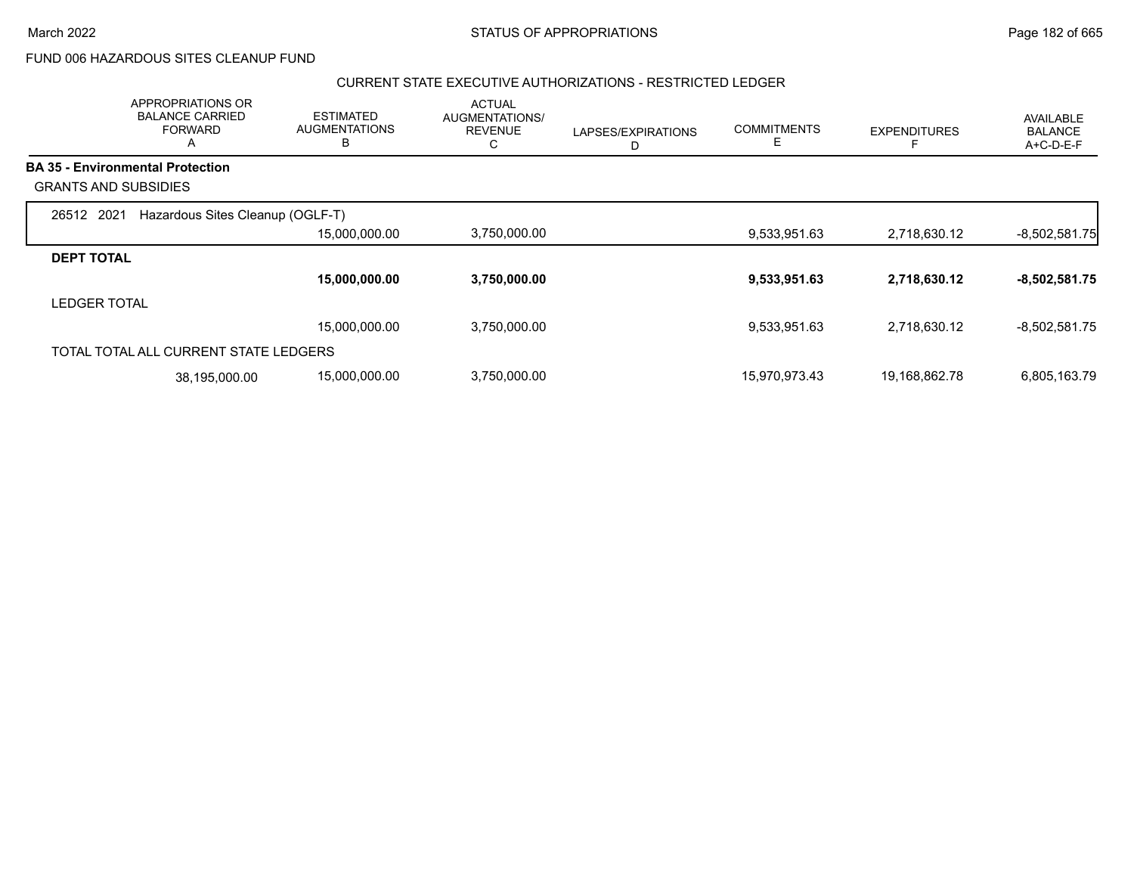FUND 006 HAZARDOUS SITES CLEANUP FUND

#### CURRENT STATE EXECUTIVE AUTHORIZATIONS - RESTRICTED LEDGER

|                             | <b>APPROPRIATIONS OR</b><br><b>BALANCE CARRIED</b><br><b>FORWARD</b><br>$\mathsf{\Lambda}{}$ | <b>ESTIMATED</b><br><b>AUGMENTATIONS</b><br>в | <b>ACTUAL</b><br>AUGMENTATIONS/<br><b>REVENUE</b><br>С | LAPSES/EXPIRATIONS<br>D | <b>COMMITMENTS</b><br>E. | <b>EXPENDITURES</b> | AVAILABLE<br><b>BALANCE</b><br>A+C-D-E-F |
|-----------------------------|----------------------------------------------------------------------------------------------|-----------------------------------------------|--------------------------------------------------------|-------------------------|--------------------------|---------------------|------------------------------------------|
|                             | <b>BA 35 - Environmental Protection</b>                                                      |                                               |                                                        |                         |                          |                     |                                          |
| <b>GRANTS AND SUBSIDIES</b> |                                                                                              |                                               |                                                        |                         |                          |                     |                                          |
| 26512 2021                  | Hazardous Sites Cleanup (OGLF-T)                                                             |                                               |                                                        |                         |                          |                     |                                          |
|                             |                                                                                              | 15,000,000.00                                 | 3,750,000.00                                           |                         | 9,533,951.63             | 2,718,630.12        | $-8,502,581.75$                          |
| <b>DEPT TOTAL</b>           |                                                                                              |                                               |                                                        |                         |                          |                     |                                          |
|                             |                                                                                              | 15,000,000.00                                 | 3,750,000.00                                           |                         | 9,533,951.63             | 2,718,630.12        | $-8,502,581.75$                          |
| <b>LEDGER TOTAL</b>         |                                                                                              |                                               |                                                        |                         |                          |                     |                                          |
|                             |                                                                                              | 15,000,000.00                                 | 3,750,000.00                                           |                         | 9,533,951.63             | 2,718,630.12        | $-8,502,581.75$                          |
|                             | TOTAL TOTAL ALL CURRENT STATE LEDGERS                                                        |                                               |                                                        |                         |                          |                     |                                          |
|                             | 38,195,000.00                                                                                | 15,000,000.00                                 | 3,750,000.00                                           |                         | 15,970,973.43            | 19,168,862.78       | 6,805,163.79                             |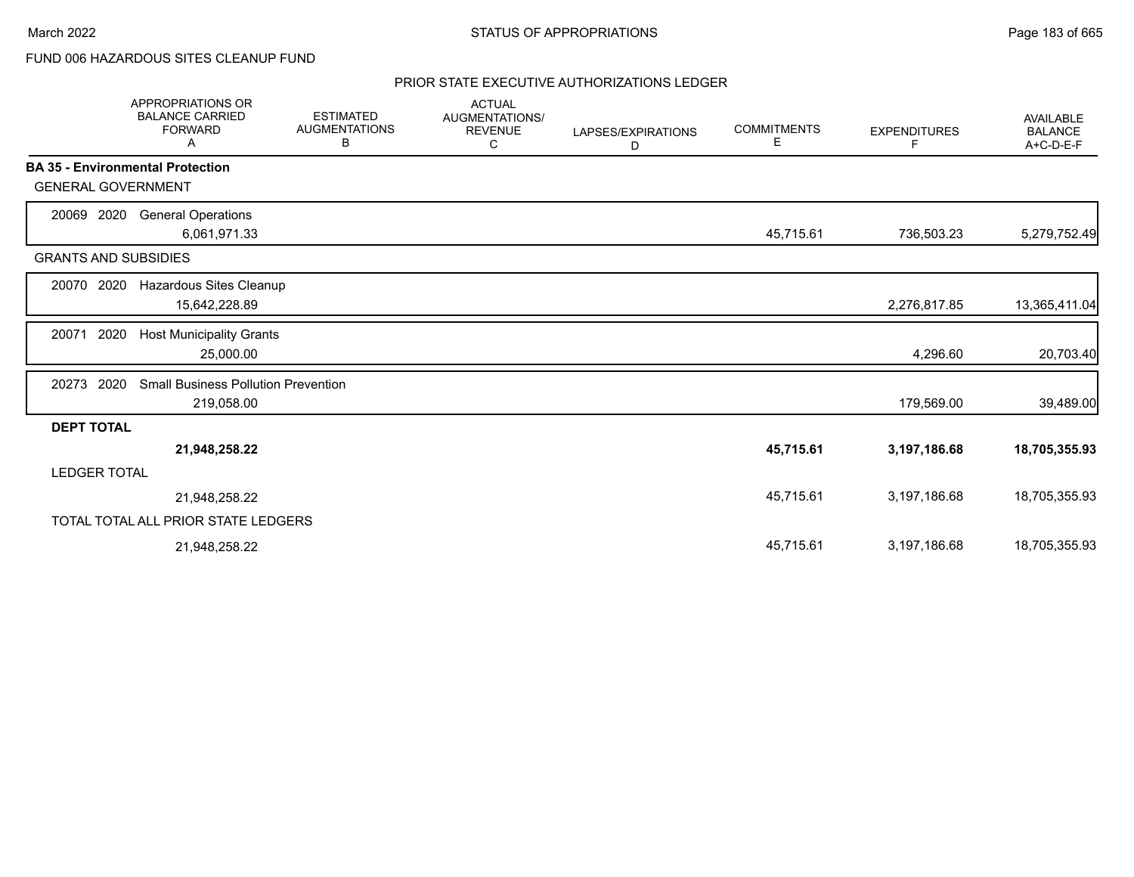## FUND 006 HAZARDOUS SITES CLEANUP FUND

|                             | <b>APPROPRIATIONS OR</b><br><b>BALANCE CARRIED</b><br><b>FORWARD</b><br>A | <b>ESTIMATED</b><br><b>AUGMENTATIONS</b><br>в | <b>ACTUAL</b><br>AUGMENTATIONS/<br><b>REVENUE</b><br>C | LAPSES/EXPIRATIONS<br>D | <b>COMMITMENTS</b><br>Е | <b>EXPENDITURES</b><br>F | <b>AVAILABLE</b><br><b>BALANCE</b><br>A+C-D-E-F |
|-----------------------------|---------------------------------------------------------------------------|-----------------------------------------------|--------------------------------------------------------|-------------------------|-------------------------|--------------------------|-------------------------------------------------|
|                             | <b>BA 35 - Environmental Protection</b>                                   |                                               |                                                        |                         |                         |                          |                                                 |
| <b>GENERAL GOVERNMENT</b>   |                                                                           |                                               |                                                        |                         |                         |                          |                                                 |
| 2020<br>20069               | <b>General Operations</b>                                                 |                                               |                                                        |                         |                         |                          |                                                 |
|                             | 6,061,971.33                                                              |                                               |                                                        |                         | 45,715.61               | 736,503.23               | 5,279,752.49                                    |
| <b>GRANTS AND SUBSIDIES</b> |                                                                           |                                               |                                                        |                         |                         |                          |                                                 |
| 2020<br>20070               | Hazardous Sites Cleanup                                                   |                                               |                                                        |                         |                         |                          |                                                 |
|                             | 15,642,228.89                                                             |                                               |                                                        |                         |                         | 2,276,817.85             | 13,365,411.04                                   |
| 2020<br>20071               | <b>Host Municipality Grants</b>                                           |                                               |                                                        |                         |                         |                          |                                                 |
|                             | 25,000.00                                                                 |                                               |                                                        |                         |                         | 4,296.60                 | 20,703.40                                       |
| 2020<br>20273               | <b>Small Business Pollution Prevention</b>                                |                                               |                                                        |                         |                         |                          |                                                 |
|                             | 219,058.00                                                                |                                               |                                                        |                         |                         | 179,569.00               | 39,489.00                                       |
| <b>DEPT TOTAL</b>           |                                                                           |                                               |                                                        |                         |                         |                          |                                                 |
|                             | 21,948,258.22                                                             |                                               |                                                        |                         | 45,715.61               | 3,197,186.68             | 18,705,355.93                                   |
| LEDGER TOTAL                |                                                                           |                                               |                                                        |                         |                         |                          |                                                 |
|                             | 21,948,258.22                                                             |                                               |                                                        |                         | 45,715.61               | 3,197,186.68             | 18,705,355.93                                   |
|                             | TOTAL TOTAL ALL PRIOR STATE LEDGERS                                       |                                               |                                                        |                         |                         |                          |                                                 |
|                             | 21,948,258.22                                                             |                                               |                                                        |                         | 45,715.61               | 3,197,186.68             | 18,705,355.93                                   |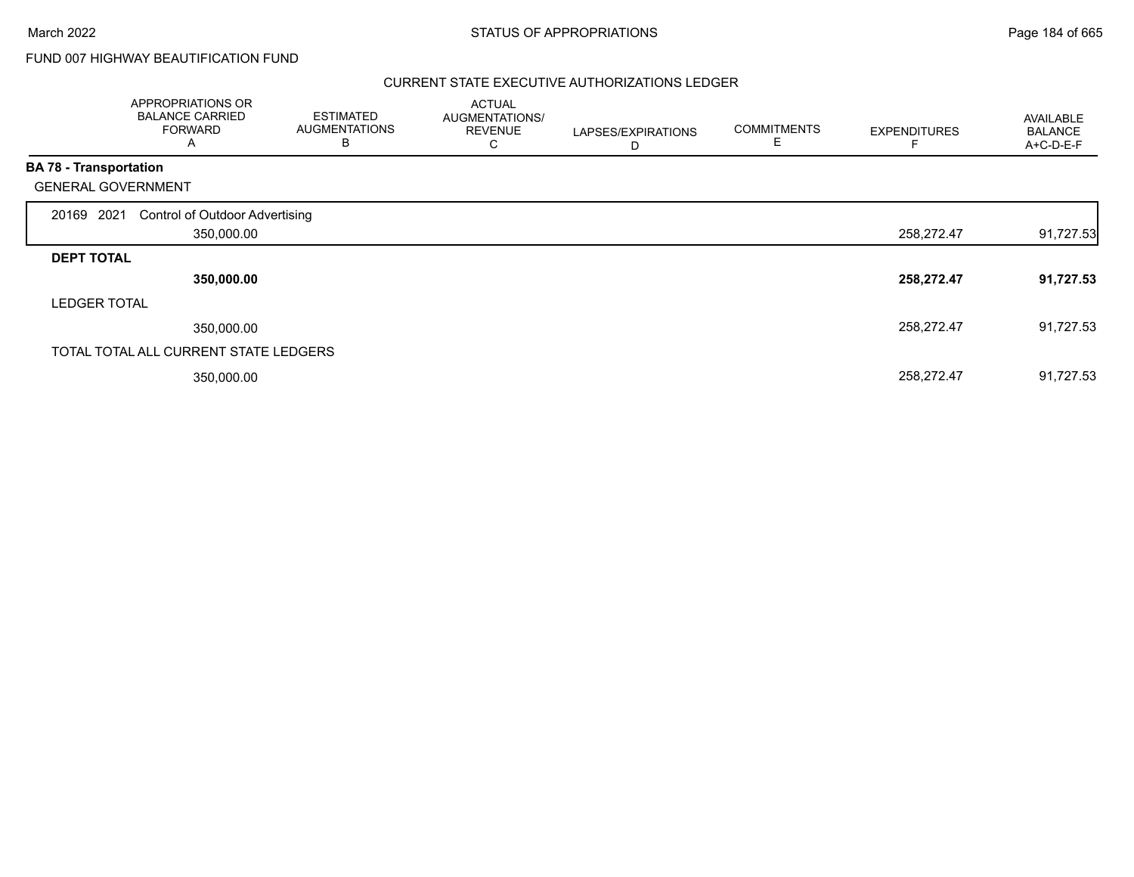## FUND 007 HIGHWAY BEAUTIFICATION FUND

|                               | APPROPRIATIONS OR<br><b>BALANCE CARRIED</b><br><b>FORWARD</b><br>A | <b>ESTIMATED</b><br><b>AUGMENTATIONS</b><br>B | <b>ACTUAL</b><br>AUGMENTATIONS/<br><b>REVENUE</b><br>С | LAPSES/EXPIRATIONS<br>D | <b>COMMITMENTS</b><br>Е | <b>EXPENDITURES</b> | AVAILABLE<br><b>BALANCE</b><br>A+C-D-E-F |
|-------------------------------|--------------------------------------------------------------------|-----------------------------------------------|--------------------------------------------------------|-------------------------|-------------------------|---------------------|------------------------------------------|
| <b>BA 78 - Transportation</b> |                                                                    |                                               |                                                        |                         |                         |                     |                                          |
|                               | <b>GENERAL GOVERNMENT</b>                                          |                                               |                                                        |                         |                         |                     |                                          |
| 20169 2021                    | <b>Control of Outdoor Advertising</b>                              |                                               |                                                        |                         |                         |                     |                                          |
|                               | 350,000.00                                                         |                                               |                                                        |                         |                         | 258,272.47          | 91,727.53                                |
| <b>DEPT TOTAL</b>             |                                                                    |                                               |                                                        |                         |                         |                     |                                          |
|                               | 350,000.00                                                         |                                               |                                                        |                         |                         | 258,272.47          | 91,727.53                                |
|                               | <b>LEDGER TOTAL</b>                                                |                                               |                                                        |                         |                         |                     |                                          |
|                               | 350,000.00                                                         |                                               |                                                        |                         |                         | 258,272.47          | 91,727.53                                |
|                               | TOTAL TOTAL ALL CURRENT STATE LEDGERS                              |                                               |                                                        |                         |                         |                     |                                          |
|                               | 350,000.00                                                         |                                               |                                                        |                         |                         | 258,272.47          | 91,727.53                                |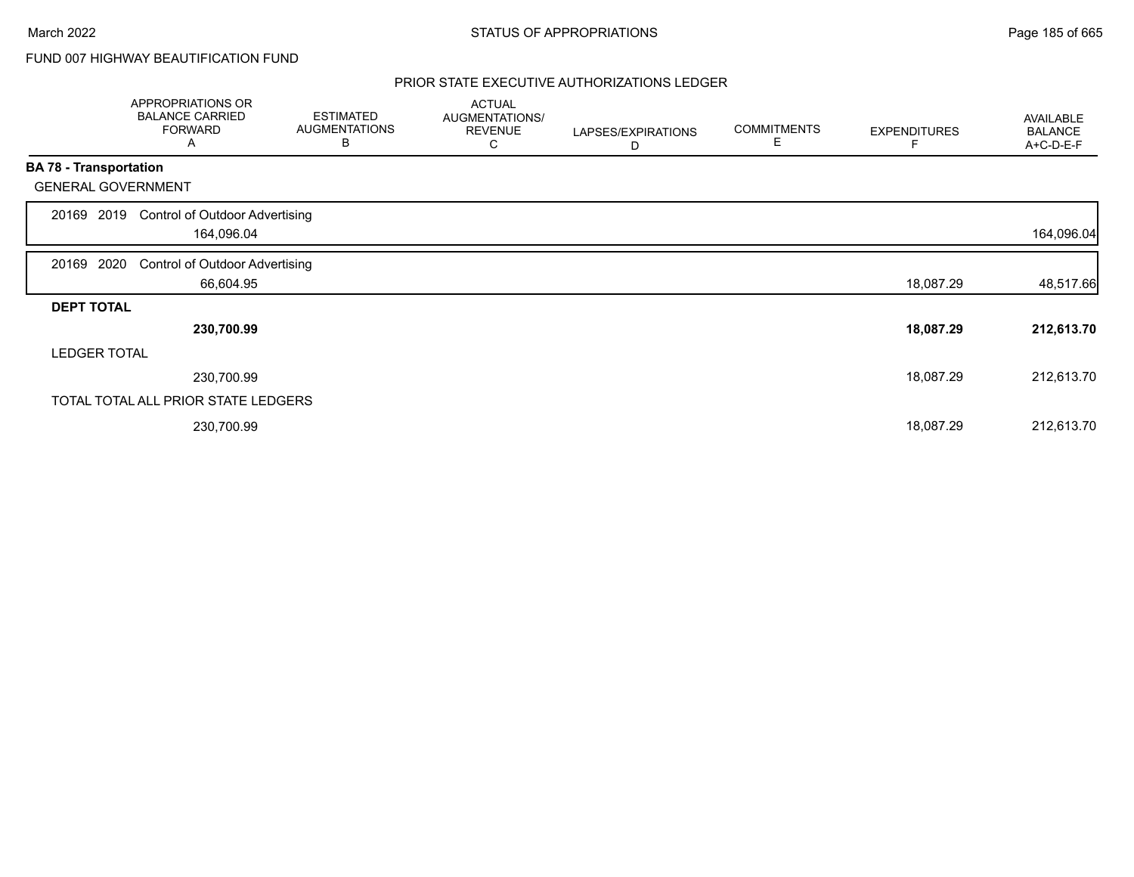## FUND 007 HIGHWAY BEAUTIFICATION FUND

|                               | APPROPRIATIONS OR<br><b>BALANCE CARRIED</b><br><b>FORWARD</b><br>A | <b>ESTIMATED</b><br><b>AUGMENTATIONS</b><br>В | <b>ACTUAL</b><br>AUGMENTATIONS/<br><b>REVENUE</b><br>С | LAPSES/EXPIRATIONS<br>D | <b>COMMITMENTS</b><br>Е | <b>EXPENDITURES</b> | AVAILABLE<br><b>BALANCE</b><br>A+C-D-E-F |
|-------------------------------|--------------------------------------------------------------------|-----------------------------------------------|--------------------------------------------------------|-------------------------|-------------------------|---------------------|------------------------------------------|
| <b>BA 78 - Transportation</b> |                                                                    |                                               |                                                        |                         |                         |                     |                                          |
|                               | <b>GENERAL GOVERNMENT</b>                                          |                                               |                                                        |                         |                         |                     |                                          |
| 20169                         | <b>Control of Outdoor Advertising</b><br>2019<br>164,096.04        |                                               |                                                        |                         |                         |                     | 164,096.04                               |
| 20169 2020                    | <b>Control of Outdoor Advertising</b>                              |                                               |                                                        |                         |                         |                     |                                          |
|                               | 66,604.95                                                          |                                               |                                                        |                         |                         | 18,087.29           | 48,517.66                                |
| <b>DEPT TOTAL</b>             |                                                                    |                                               |                                                        |                         |                         |                     |                                          |
|                               | 230,700.99                                                         |                                               |                                                        |                         |                         | 18,087.29           | 212,613.70                               |
|                               | <b>LEDGER TOTAL</b>                                                |                                               |                                                        |                         |                         |                     |                                          |
|                               | 230,700.99                                                         |                                               |                                                        |                         |                         | 18,087.29           | 212,613.70                               |
|                               | TOTAL TOTAL ALL PRIOR STATE LEDGERS                                |                                               |                                                        |                         |                         |                     |                                          |
|                               | 230,700.99                                                         |                                               |                                                        |                         |                         | 18,087.29           | 212,613.70                               |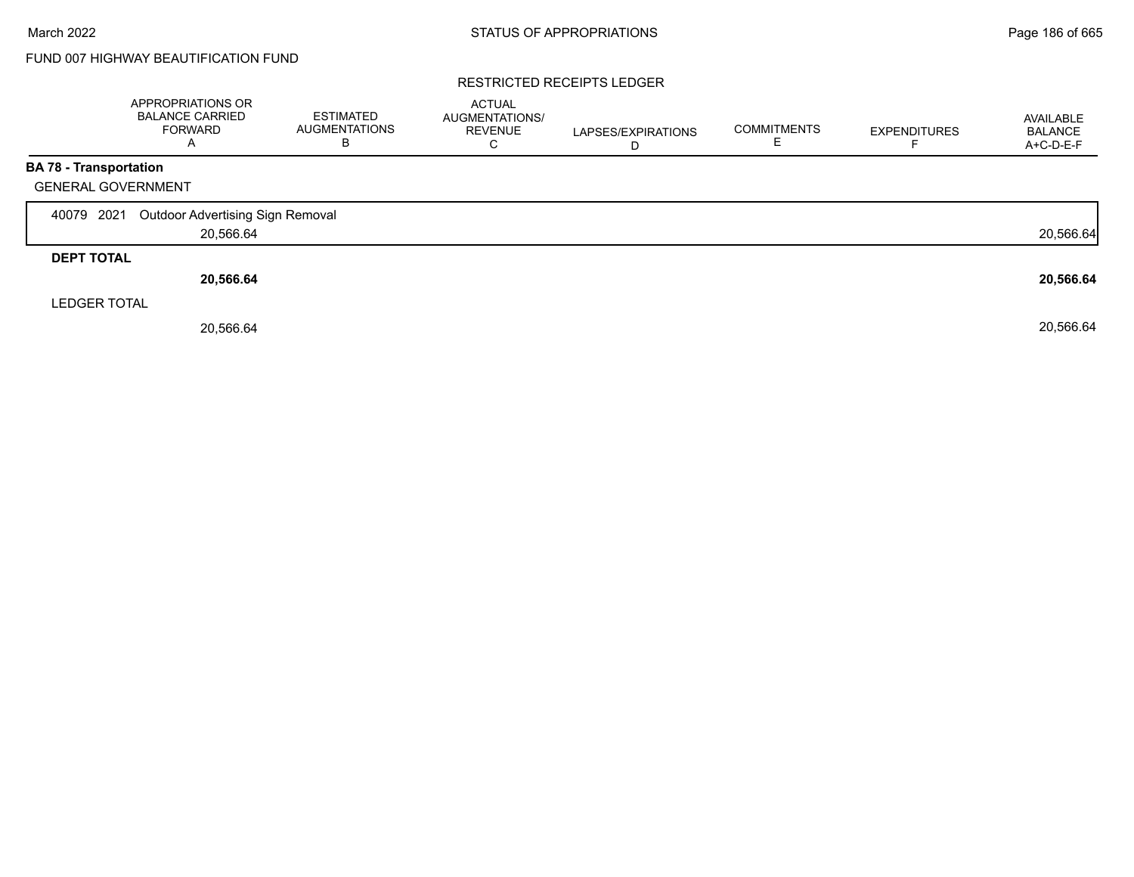## FUND 007 HIGHWAY BEAUTIFICATION FUND

#### RESTRICTED RECEIPTS LEDGER

|                               | APPROPRIATIONS OR<br><b>BALANCE CARRIED</b><br><b>FORWARD</b><br>A | <b>ESTIMATED</b><br><b>AUGMENTATIONS</b><br>B | <b>ACTUAL</b><br><b>AUGMENTATIONS/</b><br><b>REVENUE</b><br>U | LAPSES/EXPIRATIONS<br>D | <b>COMMITMENTS</b> | <b>EXPENDITURES</b> | AVAILABLE<br><b>BALANCE</b><br>A+C-D-E-F |
|-------------------------------|--------------------------------------------------------------------|-----------------------------------------------|---------------------------------------------------------------|-------------------------|--------------------|---------------------|------------------------------------------|
| <b>BA 78 - Transportation</b> |                                                                    |                                               |                                                               |                         |                    |                     |                                          |
| <b>GENERAL GOVERNMENT</b>     |                                                                    |                                               |                                                               |                         |                    |                     |                                          |
| 40079 2021                    | <b>Outdoor Advertising Sign Removal</b>                            |                                               |                                                               |                         |                    |                     |                                          |
|                               | 20,566.64                                                          |                                               |                                                               |                         |                    |                     | 20,566.64                                |
| <b>DEPT TOTAL</b>             |                                                                    |                                               |                                                               |                         |                    |                     |                                          |
|                               | 20,566.64                                                          |                                               |                                                               |                         |                    |                     | 20,566.64                                |
| <b>LEDGER TOTAL</b>           |                                                                    |                                               |                                                               |                         |                    |                     |                                          |
|                               | 20,566.64                                                          |                                               |                                                               |                         |                    |                     | 20,566.64                                |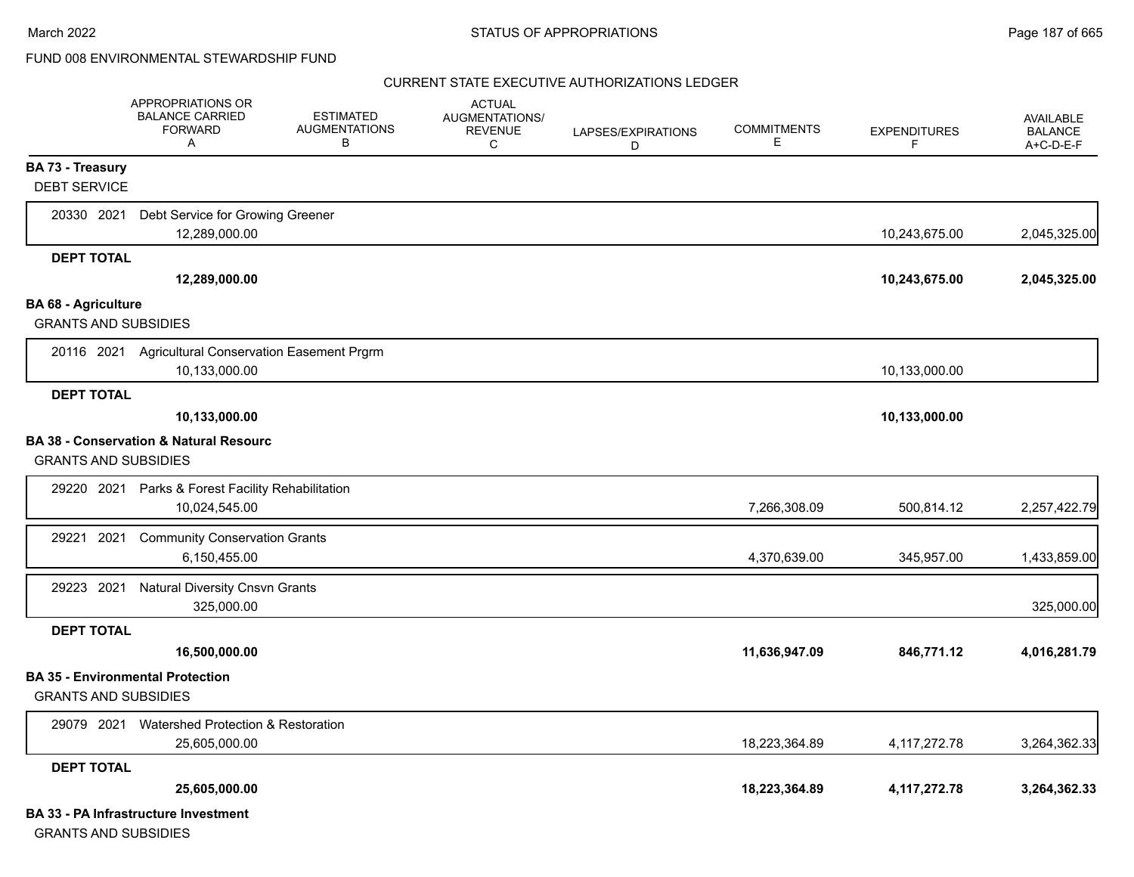#### CURRENT STATE EXECUTIVE AUTHORIZATIONS LEDGER

|                             | <b>APPROPRIATIONS OR</b><br><b>BALANCE CARRIED</b><br><b>FORWARD</b><br>Α | <b>ESTIMATED</b><br><b>AUGMENTATIONS</b><br>В | <b>ACTUAL</b><br><b>AUGMENTATIONS/</b><br><b>REVENUE</b><br>C | LAPSES/EXPIRATIONS<br>D | <b>COMMITMENTS</b><br>Е | <b>EXPENDITURES</b><br>F. | <b>AVAILABLE</b><br><b>BALANCE</b><br>A+C-D-E-F |
|-----------------------------|---------------------------------------------------------------------------|-----------------------------------------------|---------------------------------------------------------------|-------------------------|-------------------------|---------------------------|-------------------------------------------------|
| <b>BA 73 - Treasury</b>     |                                                                           |                                               |                                                               |                         |                         |                           |                                                 |
| <b>DEBT SERVICE</b>         |                                                                           |                                               |                                                               |                         |                         |                           |                                                 |
| 20330 2021                  | Debt Service for Growing Greener                                          |                                               |                                                               |                         |                         |                           |                                                 |
|                             | 12.289.000.00                                                             |                                               |                                                               |                         |                         | 10,243,675.00             | 2,045,325.00                                    |
| <b>DEPT TOTAL</b>           |                                                                           |                                               |                                                               |                         |                         |                           |                                                 |
|                             | 12,289,000.00                                                             |                                               |                                                               |                         |                         | 10,243,675.00             | 2,045,325.00                                    |
| <b>BA 68 - Agriculture</b>  |                                                                           |                                               |                                                               |                         |                         |                           |                                                 |
| <b>GRANTS AND SUBSIDIES</b> |                                                                           |                                               |                                                               |                         |                         |                           |                                                 |
|                             | 20116 2021 Agricultural Conservation Easement Prgrm<br>10,133,000.00      |                                               |                                                               |                         |                         | 10,133,000.00             |                                                 |
| <b>DEPT TOTAL</b>           |                                                                           |                                               |                                                               |                         |                         |                           |                                                 |
|                             | 10,133,000.00                                                             |                                               |                                                               |                         |                         | 10,133,000.00             |                                                 |
|                             | <b>BA 38 - Conservation &amp; Natural Resourc</b>                         |                                               |                                                               |                         |                         |                           |                                                 |
| <b>GRANTS AND SUBSIDIES</b> |                                                                           |                                               |                                                               |                         |                         |                           |                                                 |
| 29220 2021                  | Parks & Forest Facility Rehabilitation                                    |                                               |                                                               |                         |                         |                           |                                                 |
|                             | 10,024,545.00                                                             |                                               |                                                               |                         | 7,266,308.09            | 500,814.12                | 2,257,422.79                                    |
| 29221 2021                  | <b>Community Conservation Grants</b>                                      |                                               |                                                               |                         |                         |                           |                                                 |
|                             | 6,150,455.00                                                              |                                               |                                                               |                         | 4,370,639.00            | 345,957.00                | 1,433,859.00                                    |
| 29223 2021                  | <b>Natural Diversity Cnsvn Grants</b>                                     |                                               |                                                               |                         |                         |                           |                                                 |
|                             | 325,000.00                                                                |                                               |                                                               |                         |                         |                           | 325,000.00                                      |
| <b>DEPT TOTAL</b>           |                                                                           |                                               |                                                               |                         |                         |                           |                                                 |
|                             | 16,500,000.00                                                             |                                               |                                                               |                         | 11,636,947.09           | 846,771.12                | 4,016,281.79                                    |
|                             | <b>BA 35 - Environmental Protection</b>                                   |                                               |                                                               |                         |                         |                           |                                                 |
| <b>GRANTS AND SUBSIDIES</b> |                                                                           |                                               |                                                               |                         |                         |                           |                                                 |
| 29079 2021                  | Watershed Protection & Restoration                                        |                                               |                                                               |                         |                         |                           |                                                 |
|                             | 25,605,000.00                                                             |                                               |                                                               |                         | 18,223,364.89           | 4, 117, 272. 78           | 3,264,362.33                                    |
| <b>DEPT TOTAL</b>           |                                                                           |                                               |                                                               |                         |                         |                           |                                                 |
|                             | 25,605,000.00                                                             |                                               |                                                               |                         | 18,223,364.89           | 4,117,272.78              | 3,264,362.33                                    |
|                             | <b>BA 33 - PA Infrastructure Investment</b>                               |                                               |                                                               |                         |                         |                           |                                                 |

GRANTS AND SUBSIDIES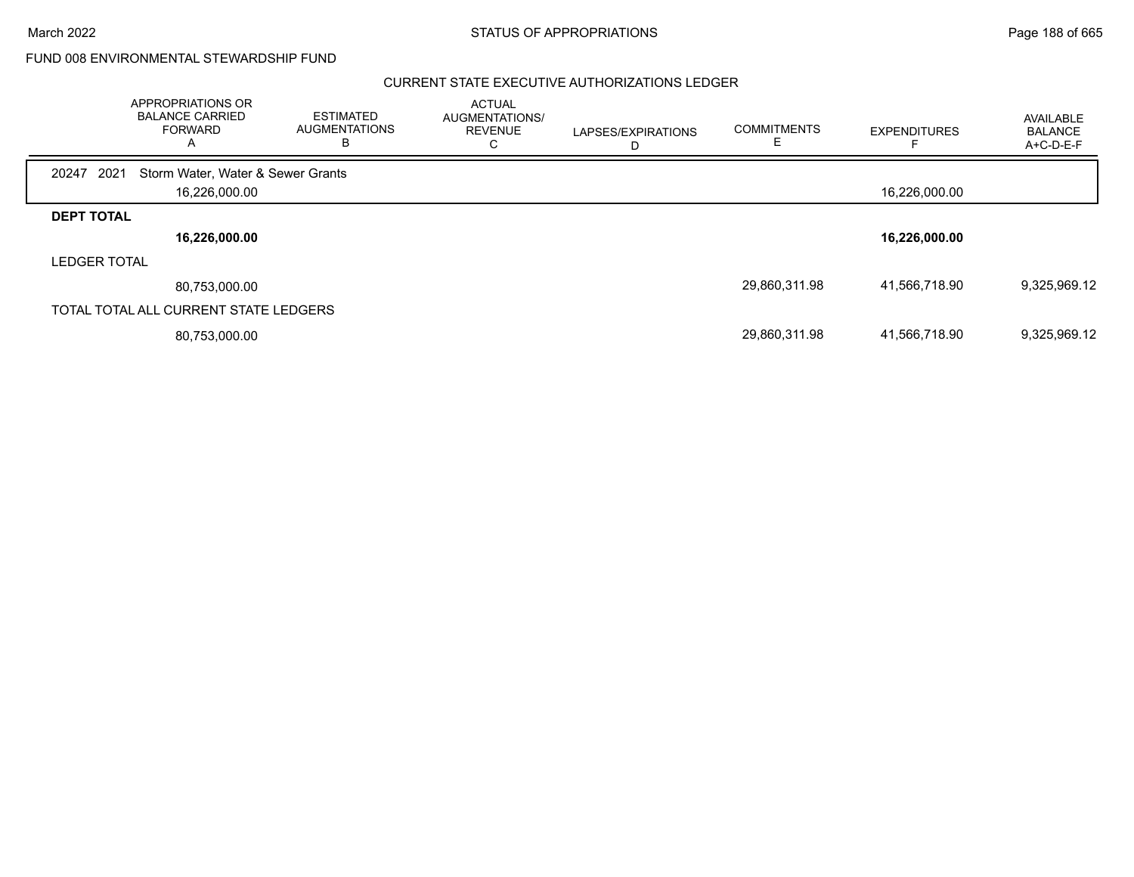March 2022 **STATUS OF APPROPRIATIONS** STATUS OF APPROPRIATIONS

FUND 008 ENVIRONMENTAL STEWARDSHIP FUND

|                     | <b>APPROPRIATIONS OR</b><br><b>BALANCE CARRIED</b><br><b>FORWARD</b><br>Α | <b>ESTIMATED</b><br><b>AUGMENTATIONS</b><br>в | <b>ACTUAL</b><br>AUGMENTATIONS/<br><b>REVENUE</b><br>C. | LAPSES/EXPIRATIONS | <b>COMMITMENTS</b> | <b>EXPENDITURES</b> | <b>AVAILABLE</b><br><b>BALANCE</b><br>A+C-D-E-F |
|---------------------|---------------------------------------------------------------------------|-----------------------------------------------|---------------------------------------------------------|--------------------|--------------------|---------------------|-------------------------------------------------|
| 2021<br>20247       | Storm Water, Water & Sewer Grants                                         |                                               |                                                         |                    |                    |                     |                                                 |
|                     | 16,226,000.00                                                             |                                               |                                                         |                    |                    | 16,226,000.00       |                                                 |
| <b>DEPT TOTAL</b>   |                                                                           |                                               |                                                         |                    |                    |                     |                                                 |
|                     | 16,226,000.00                                                             |                                               |                                                         |                    |                    | 16,226,000.00       |                                                 |
| <b>LEDGER TOTAL</b> |                                                                           |                                               |                                                         |                    |                    |                     |                                                 |
|                     | 80,753,000.00                                                             |                                               |                                                         |                    | 29,860,311.98      | 41,566,718.90       | 9,325,969.12                                    |
|                     | TOTAL TOTAL ALL CURRENT STATE LEDGERS                                     |                                               |                                                         |                    |                    |                     |                                                 |
|                     | 80,753,000.00                                                             |                                               |                                                         |                    | 29,860,311.98      | 41,566,718.90       | 9,325,969.12                                    |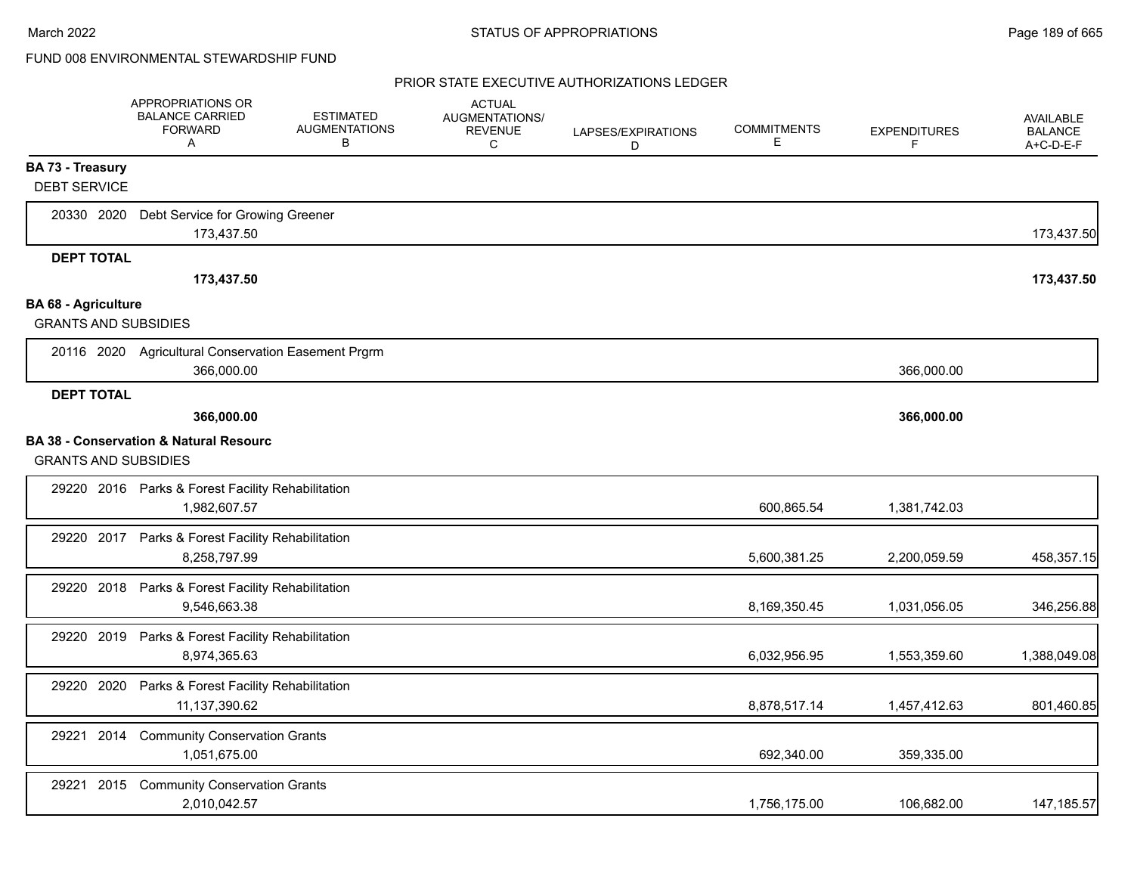|                             | APPROPRIATIONS OR<br><b>BALANCE CARRIED</b><br><b>FORWARD</b><br>Α | <b>ESTIMATED</b><br><b>AUGMENTATIONS</b><br>В | <b>ACTUAL</b><br><b>AUGMENTATIONS/</b><br><b>REVENUE</b><br>C | LAPSES/EXPIRATIONS<br>D | <b>COMMITMENTS</b><br>Е | <b>EXPENDITURES</b><br>F | <b>AVAILABLE</b><br><b>BALANCE</b><br>$A+C-D-E-F$ |
|-----------------------------|--------------------------------------------------------------------|-----------------------------------------------|---------------------------------------------------------------|-------------------------|-------------------------|--------------------------|---------------------------------------------------|
| <b>BA 73 - Treasury</b>     |                                                                    |                                               |                                                               |                         |                         |                          |                                                   |
| <b>DEBT SERVICE</b>         |                                                                    |                                               |                                                               |                         |                         |                          |                                                   |
| 20330 2020                  | Debt Service for Growing Greener<br>173,437.50                     |                                               |                                                               |                         |                         |                          | 173,437.50                                        |
| <b>DEPT TOTAL</b>           |                                                                    |                                               |                                                               |                         |                         |                          |                                                   |
|                             | 173,437.50                                                         |                                               |                                                               |                         |                         |                          | 173,437.50                                        |
| <b>BA 68 - Agriculture</b>  |                                                                    |                                               |                                                               |                         |                         |                          |                                                   |
| <b>GRANTS AND SUBSIDIES</b> |                                                                    |                                               |                                                               |                         |                         |                          |                                                   |
|                             | 20116 2020 Agricultural Conservation Easement Prgrm<br>366,000.00  |                                               |                                                               |                         |                         | 366,000.00               |                                                   |
| <b>DEPT TOTAL</b>           |                                                                    |                                               |                                                               |                         |                         |                          |                                                   |
|                             | 366,000.00                                                         |                                               |                                                               |                         |                         | 366,000.00               |                                                   |
| <b>GRANTS AND SUBSIDIES</b> | <b>BA 38 - Conservation &amp; Natural Resourc</b>                  |                                               |                                                               |                         |                         |                          |                                                   |
|                             | 29220 2016 Parks & Forest Facility Rehabilitation<br>1,982,607.57  |                                               |                                                               |                         | 600,865.54              | 1,381,742.03             |                                                   |
|                             | 29220 2017 Parks & Forest Facility Rehabilitation<br>8,258,797.99  |                                               |                                                               |                         | 5,600,381.25            | 2,200,059.59             | 458,357.15                                        |
|                             | 29220 2018 Parks & Forest Facility Rehabilitation<br>9,546,663.38  |                                               |                                                               |                         | 8,169,350.45            | 1,031,056.05             | 346,256.88                                        |
| 29220 2019                  | Parks & Forest Facility Rehabilitation<br>8,974,365.63             |                                               |                                                               |                         | 6,032,956.95            | 1,553,359.60             | 1,388,049.08                                      |
| 29220 2020                  | Parks & Forest Facility Rehabilitation<br>11,137,390.62            |                                               |                                                               |                         | 8,878,517.14            | 1,457,412.63             | 801,460.85                                        |
| 2014<br>29221               | <b>Community Conservation Grants</b><br>1,051,675.00               |                                               |                                                               |                         | 692,340.00              | 359,335.00               |                                                   |
| 29221<br>2015               | <b>Community Conservation Grants</b><br>2,010,042.57               |                                               |                                                               |                         | 1,756,175.00            | 106,682.00               | 147, 185.57                                       |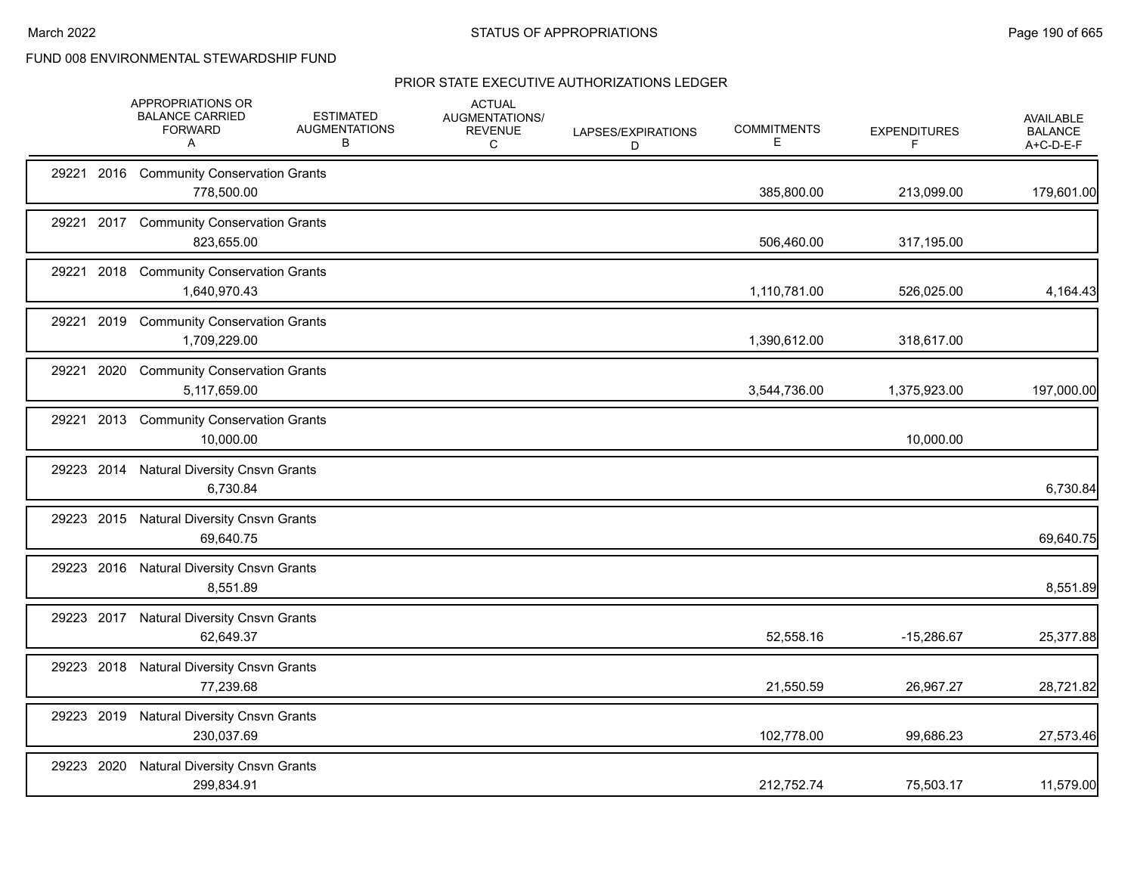|            |      | APPROPRIATIONS OR<br><b>BALANCE CARRIED</b><br><b>FORWARD</b><br>A | <b>ESTIMATED</b><br><b>AUGMENTATIONS</b><br>в | <b>ACTUAL</b><br>AUGMENTATIONS/<br><b>REVENUE</b><br>C | LAPSES/EXPIRATIONS<br>D | <b>COMMITMENTS</b><br>Е | <b>EXPENDITURES</b><br>F | <b>AVAILABLE</b><br><b>BALANCE</b><br>A+C-D-E-F |
|------------|------|--------------------------------------------------------------------|-----------------------------------------------|--------------------------------------------------------|-------------------------|-------------------------|--------------------------|-------------------------------------------------|
|            |      | 29221 2016 Community Conservation Grants<br>778,500.00             |                                               |                                                        |                         | 385,800.00              | 213,099.00               | 179,601.00                                      |
|            |      | 29221 2017 Community Conservation Grants<br>823,655.00             |                                               |                                                        |                         | 506,460.00              | 317,195.00               |                                                 |
|            |      | 29221 2018 Community Conservation Grants<br>1,640,970.43           |                                               |                                                        |                         | 1,110,781.00            | 526,025.00               | 4,164.43                                        |
|            |      | 29221 2019 Community Conservation Grants<br>1,709,229.00           |                                               |                                                        |                         | 1,390,612.00            | 318,617.00               |                                                 |
| 29221      | 2020 | <b>Community Conservation Grants</b><br>5,117,659.00               |                                               |                                                        |                         | 3,544,736.00            | 1,375,923.00             | 197,000.00                                      |
|            |      | 29221 2013 Community Conservation Grants<br>10,000.00              |                                               |                                                        |                         |                         | 10,000.00                |                                                 |
|            |      | 29223 2014 Natural Diversity Cnsvn Grants<br>6,730.84              |                                               |                                                        |                         |                         |                          | 6,730.84                                        |
|            |      | 29223 2015 Natural Diversity Cnsvn Grants<br>69,640.75             |                                               |                                                        |                         |                         |                          | 69,640.75                                       |
|            |      | 29223 2016 Natural Diversity Cnsvn Grants<br>8,551.89              |                                               |                                                        |                         |                         |                          | 8,551.89                                        |
|            |      | 29223 2017 Natural Diversity Cnsvn Grants<br>62,649.37             |                                               |                                                        |                         | 52,558.16               | $-15,286.67$             | 25,377.88                                       |
|            |      | 29223 2018 Natural Diversity Cnsvn Grants<br>77,239.68             |                                               |                                                        |                         | 21,550.59               | 26,967.27                | 28,721.82                                       |
|            |      | 29223 2019 Natural Diversity Cnsvn Grants<br>230,037.69            |                                               |                                                        |                         | 102,778.00              | 99,686.23                | 27,573.46                                       |
| 29223 2020 |      | <b>Natural Diversity Cnsvn Grants</b><br>299,834.91                |                                               |                                                        |                         | 212,752.74              | 75,503.17                | 11,579.00                                       |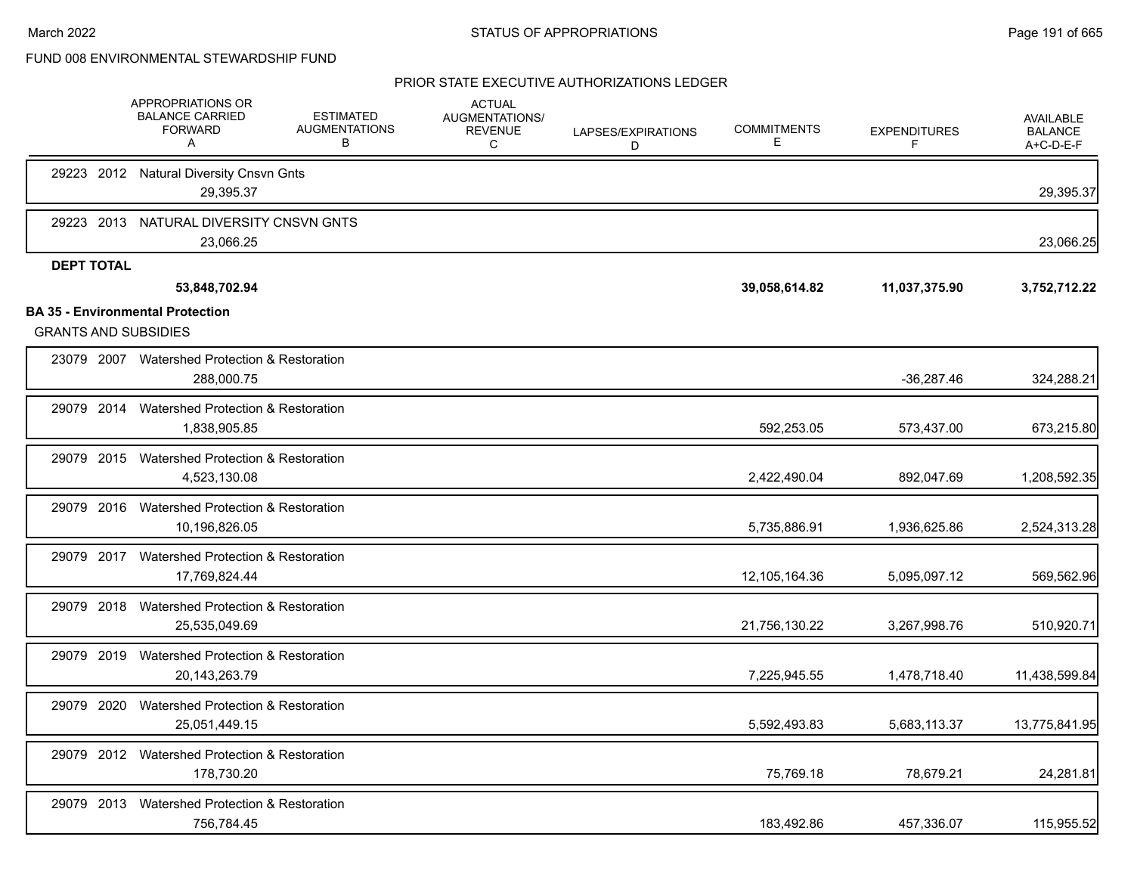|                                                                        | APPROPRIATIONS OR<br><b>BALANCE CARRIED</b><br><b>FORWARD</b><br>Α | <b>ESTIMATED</b><br><b>AUGMENTATIONS</b><br>В | <b>ACTUAL</b><br>AUGMENTATIONS/<br><b>REVENUE</b><br>С | LAPSES/EXPIRATIONS<br>D | <b>COMMITMENTS</b><br>Е | <b>EXPENDITURES</b><br>F | <b>AVAILABLE</b><br><b>BALANCE</b><br>A+C-D-E-F |
|------------------------------------------------------------------------|--------------------------------------------------------------------|-----------------------------------------------|--------------------------------------------------------|-------------------------|-------------------------|--------------------------|-------------------------------------------------|
|                                                                        | 29223 2012 Natural Diversity Cnsvn Gnts<br>29,395.37               |                                               |                                                        |                         |                         |                          | 29,395.37                                       |
|                                                                        | 29223 2013 NATURAL DIVERSITY CNSVN GNTS<br>23,066.25               |                                               |                                                        |                         |                         |                          | 23,066.25                                       |
| <b>DEPT TOTAL</b>                                                      | 53,848,702.94                                                      |                                               |                                                        |                         | 39,058,614.82           | 11,037,375.90            | 3,752,712.22                                    |
| <b>BA 35 - Environmental Protection</b><br><b>GRANTS AND SUBSIDIES</b> |                                                                    |                                               |                                                        |                         |                         |                          |                                                 |
|                                                                        | 23079 2007 Watershed Protection & Restoration<br>288,000.75        |                                               |                                                        |                         |                         | $-36,287.46$             | 324,288.21                                      |
| 29079 2014                                                             | Watershed Protection & Restoration<br>1,838,905.85                 |                                               |                                                        |                         | 592,253.05              | 573,437.00               | 673,215.80                                      |
|                                                                        | 29079 2015 Watershed Protection & Restoration<br>4,523,130.08      |                                               |                                                        |                         | 2,422,490.04            | 892,047.69               | 1,208,592.35                                    |
| 29079 2016                                                             | Watershed Protection & Restoration<br>10,196,826.05                |                                               |                                                        |                         | 5,735,886.91            | 1,936,625.86             | 2,524,313.28                                    |
|                                                                        | 29079 2017 Watershed Protection & Restoration<br>17,769,824.44     |                                               |                                                        |                         | 12,105,164.36           | 5,095,097.12             | 569,562.96                                      |
| 29079 2018                                                             | Watershed Protection & Restoration<br>25,535,049.69                |                                               |                                                        |                         | 21,756,130.22           | 3,267,998.76             | 510,920.71                                      |
| 29079 2019                                                             | Watershed Protection & Restoration<br>20,143,263.79                |                                               |                                                        |                         | 7,225,945.55            | 1,478,718.40             | 11,438,599.84                                   |
| 29079 2020                                                             | Watershed Protection & Restoration<br>25,051,449.15                |                                               |                                                        |                         | 5,592,493.83            | 5,683,113.37             | 13,775,841.95                                   |
|                                                                        | 29079 2012 Watershed Protection & Restoration<br>178,730.20        |                                               |                                                        |                         | 75,769.18               | 78,679.21                | 24,281.81                                       |
| 29079 2013                                                             | Watershed Protection & Restoration<br>756,784.45                   |                                               |                                                        |                         | 183,492.86              | 457,336.07               | 115,955.52                                      |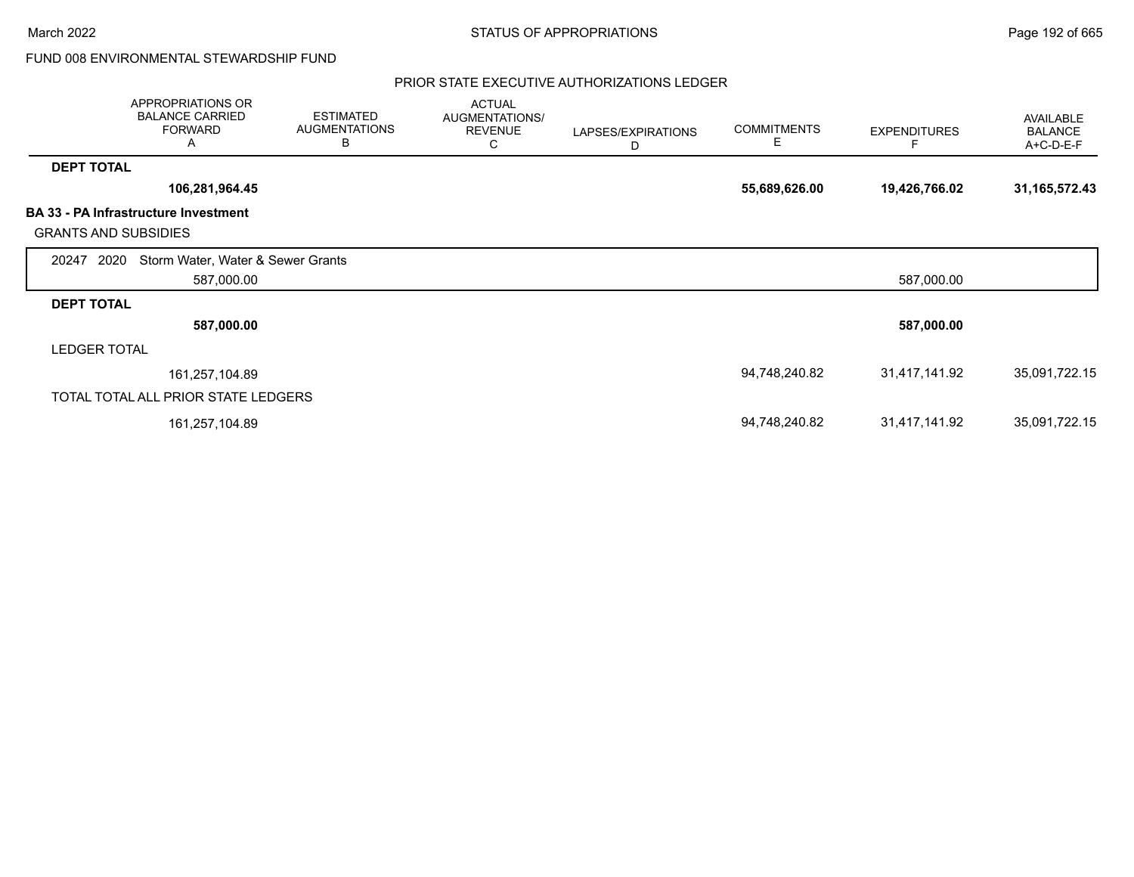March 2022 **STATUS OF APPROPRIATIONS** STATUS OF APPROPRIATIONS

FUND 008 ENVIRONMENTAL STEWARDSHIP FUND

|                             | APPROPRIATIONS OR<br><b>BALANCE CARRIED</b><br><b>FORWARD</b><br>Α | <b>ESTIMATED</b><br><b>AUGMENTATIONS</b><br>В | <b>ACTUAL</b><br>AUGMENTATIONS/<br><b>REVENUE</b><br>С | LAPSES/EXPIRATIONS<br>D | <b>COMMITMENTS</b><br>Е | <b>EXPENDITURES</b> | <b>AVAILABLE</b><br><b>BALANCE</b><br>A+C-D-E-F |
|-----------------------------|--------------------------------------------------------------------|-----------------------------------------------|--------------------------------------------------------|-------------------------|-------------------------|---------------------|-------------------------------------------------|
| <b>DEPT TOTAL</b>           |                                                                    |                                               |                                                        |                         |                         |                     |                                                 |
|                             | 106,281,964.45                                                     |                                               |                                                        |                         | 55,689,626.00           | 19,426,766.02       | 31,165,572.43                                   |
| <b>GRANTS AND SUBSIDIES</b> | <b>BA 33 - PA Infrastructure Investment</b>                        |                                               |                                                        |                         |                         |                     |                                                 |
| 2020<br>20247               | Storm Water, Water & Sewer Grants                                  |                                               |                                                        |                         |                         |                     |                                                 |
|                             | 587,000.00                                                         |                                               |                                                        |                         |                         | 587,000.00          |                                                 |
| <b>DEPT TOTAL</b>           |                                                                    |                                               |                                                        |                         |                         |                     |                                                 |
|                             | 587,000.00                                                         |                                               |                                                        |                         |                         | 587,000.00          |                                                 |
| <b>LEDGER TOTAL</b>         |                                                                    |                                               |                                                        |                         |                         |                     |                                                 |
|                             | 161,257,104.89                                                     |                                               |                                                        |                         | 94,748,240.82           | 31,417,141.92       | 35,091,722.15                                   |
|                             | TOTAL TOTAL ALL PRIOR STATE LEDGERS                                |                                               |                                                        |                         |                         |                     |                                                 |
|                             | 161,257,104.89                                                     |                                               |                                                        |                         | 94,748,240.82           | 31,417,141.92       | 35,091,722.15                                   |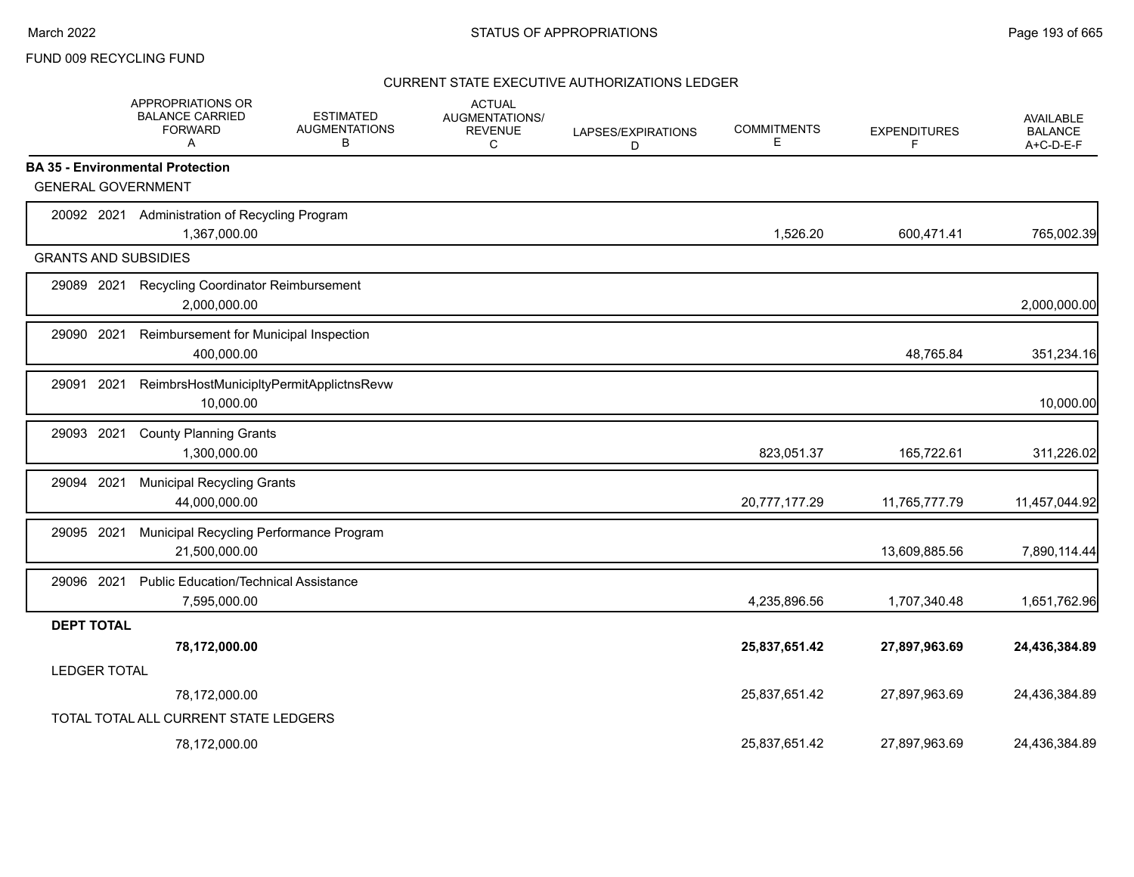### FUND 009 RECYCLING FUND

|                   | APPROPRIATIONS OR<br><b>BALANCE CARRIED</b><br><b>FORWARD</b><br>A | <b>ESTIMATED</b><br><b>AUGMENTATIONS</b><br>В | <b>ACTUAL</b><br><b>AUGMENTATIONS/</b><br><b>REVENUE</b><br>C | LAPSES/EXPIRATIONS<br>D | <b>COMMITMENTS</b><br>E | <b>EXPENDITURES</b><br>F | <b>AVAILABLE</b><br><b>BALANCE</b><br>A+C-D-E-F |
|-------------------|--------------------------------------------------------------------|-----------------------------------------------|---------------------------------------------------------------|-------------------------|-------------------------|--------------------------|-------------------------------------------------|
|                   | <b>BA 35 - Environmental Protection</b>                            |                                               |                                                               |                         |                         |                          |                                                 |
|                   | <b>GENERAL GOVERNMENT</b>                                          |                                               |                                                               |                         |                         |                          |                                                 |
|                   | 20092 2021 Administration of Recycling Program<br>1,367,000.00     |                                               |                                                               |                         | 1,526.20                | 600,471.41               | 765,002.39                                      |
|                   | <b>GRANTS AND SUBSIDIES</b>                                        |                                               |                                                               |                         |                         |                          |                                                 |
| 29089 2021        | <b>Recycling Coordinator Reimbursement</b><br>2,000,000.00         |                                               |                                                               |                         |                         |                          | 2,000,000.00                                    |
| 29090 2021        | Reimbursement for Municipal Inspection<br>400,000.00               |                                               |                                                               |                         |                         | 48,765.84                | 351,234.16                                      |
| 29091             | 2021<br>10,000.00                                                  | ReimbrsHostMunicipltyPermitApplictnsRevw      |                                                               |                         |                         |                          | 10,000.00                                       |
| 29093             | 2021<br><b>County Planning Grants</b><br>1,300,000.00              |                                               |                                                               |                         | 823,051.37              | 165,722.61               | 311,226.02                                      |
| 29094 2021        | <b>Municipal Recycling Grants</b><br>44,000,000.00                 |                                               |                                                               |                         | 20,777,177.29           | 11,765,777.79            | 11,457,044.92                                   |
| 29095 2021        | 21,500,000.00                                                      | Municipal Recycling Performance Program       |                                                               |                         |                         | 13,609,885.56            | 7,890,114.44                                    |
| 29096 2021        | <b>Public Education/Technical Assistance</b><br>7,595,000.00       |                                               |                                                               |                         | 4,235,896.56            | 1,707,340.48             | 1,651,762.96                                    |
| <b>DEPT TOTAL</b> |                                                                    |                                               |                                                               |                         |                         |                          |                                                 |
|                   | 78,172,000.00                                                      |                                               |                                                               |                         | 25,837,651.42           | 27,897,963.69            | 24,436,384.89                                   |
|                   | <b>LEDGER TOTAL</b>                                                |                                               |                                                               |                         |                         |                          |                                                 |
|                   | 78,172,000.00                                                      |                                               |                                                               |                         | 25,837,651.42           | 27,897,963.69            | 24,436,384.89                                   |
|                   | TOTAL TOTAL ALL CURRENT STATE LEDGERS                              |                                               |                                                               |                         |                         |                          |                                                 |
|                   | 78,172,000.00                                                      |                                               |                                                               |                         | 25,837,651.42           | 27,897,963.69            | 24.436.384.89                                   |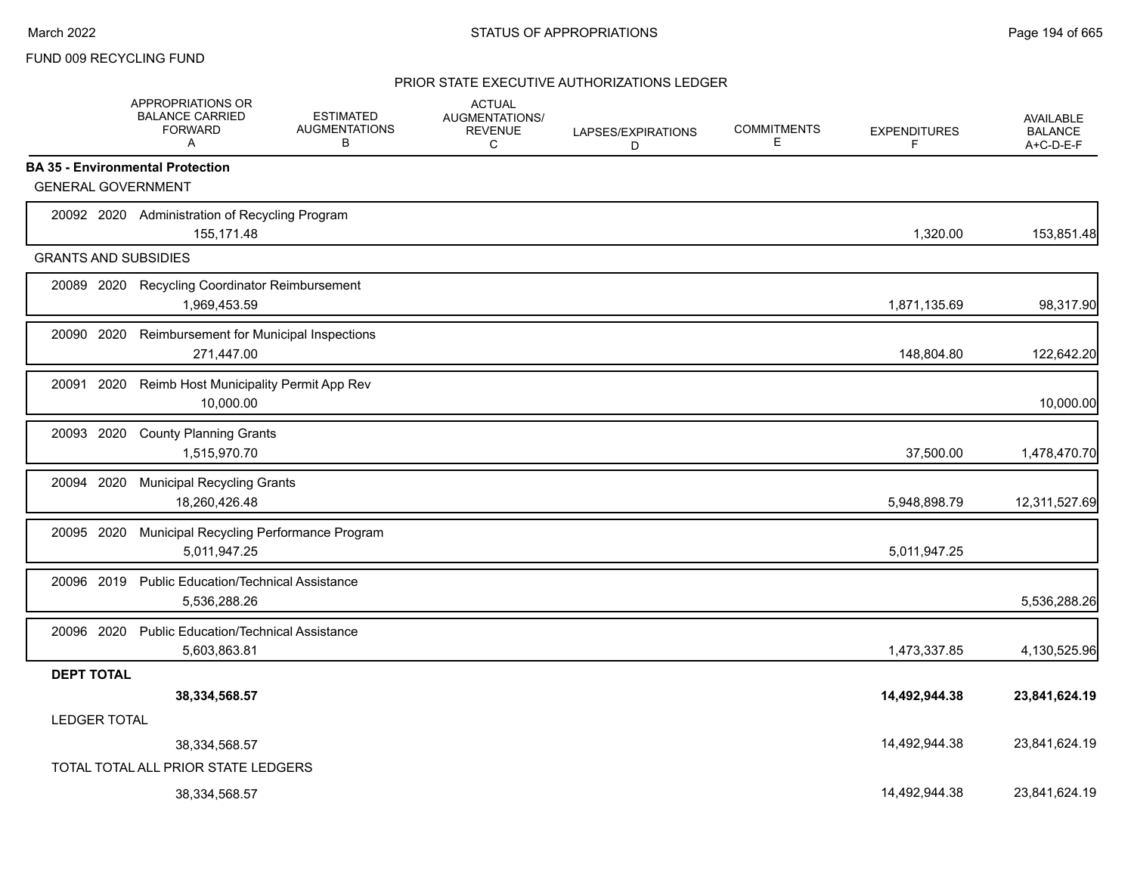### FUND 009 RECYCLING FUND

|                                         | APPROPRIATIONS OR<br><b>BALANCE CARRIED</b><br>FORWARD<br>A    | <b>ESTIMATED</b><br><b>AUGMENTATIONS</b><br>B | <b>ACTUAL</b><br>AUGMENTATIONS/<br><b>REVENUE</b><br>C | LAPSES/EXPIRATIONS<br>D | <b>COMMITMENTS</b><br>Е | <b>EXPENDITURES</b><br>F | <b>AVAILABLE</b><br><b>BALANCE</b><br>A+C-D-E-F |
|-----------------------------------------|----------------------------------------------------------------|-----------------------------------------------|--------------------------------------------------------|-------------------------|-------------------------|--------------------------|-------------------------------------------------|
| <b>BA 35 - Environmental Protection</b> |                                                                |                                               |                                                        |                         |                         |                          |                                                 |
| <b>GENERAL GOVERNMENT</b>               |                                                                |                                               |                                                        |                         |                         |                          |                                                 |
|                                         | 20092 2020 Administration of Recycling Program<br>155,171.48   |                                               |                                                        |                         |                         | 1,320.00                 | 153,851.48                                      |
| <b>GRANTS AND SUBSIDIES</b>             |                                                                |                                               |                                                        |                         |                         |                          |                                                 |
|                                         | 20089 2020 Recycling Coordinator Reimbursement<br>1,969,453.59 |                                               |                                                        |                         |                         | 1,871,135.69             | 98,317.90                                       |
| 20090 2020                              | Reimbursement for Municipal Inspections<br>271,447.00          |                                               |                                                        |                         |                         | 148,804.80               | 122,642.20                                      |
| 2020<br>20091                           | Reimb Host Municipality Permit App Rev<br>10,000.00            |                                               |                                                        |                         |                         |                          | 10,000.00                                       |
| 20093 2020                              | <b>County Planning Grants</b><br>1,515,970.70                  |                                               |                                                        |                         |                         | 37,500.00                | 1,478,470.70                                    |
| 20094 2020                              | <b>Municipal Recycling Grants</b><br>18,260,426.48             |                                               |                                                        |                         |                         | 5,948,898.79             | 12,311,527.69                                   |
| 20095 2020                              | Municipal Recycling Performance Program<br>5,011,947.25        |                                               |                                                        |                         |                         | 5,011,947.25             |                                                 |
| 20096 2019                              | <b>Public Education/Technical Assistance</b><br>5,536,288.26   |                                               |                                                        |                         |                         |                          | 5,536,288.26                                    |
| 20096 2020                              | <b>Public Education/Technical Assistance</b><br>5,603,863.81   |                                               |                                                        |                         |                         | 1,473,337.85             | 4,130,525.96                                    |
| <b>DEPT TOTAL</b>                       |                                                                |                                               |                                                        |                         |                         |                          |                                                 |
|                                         | 38,334,568.57                                                  |                                               |                                                        |                         |                         | 14,492,944.38            | 23,841,624.19                                   |
| <b>LEDGER TOTAL</b>                     |                                                                |                                               |                                                        |                         |                         |                          |                                                 |
|                                         | 38,334,568.57                                                  |                                               |                                                        |                         |                         | 14,492,944.38            | 23,841,624.19                                   |
|                                         | TOTAL TOTAL ALL PRIOR STATE LEDGERS                            |                                               |                                                        |                         |                         |                          |                                                 |
|                                         | 38,334,568.57                                                  |                                               |                                                        |                         |                         | 14.492.944.38            | 23.841.624.19                                   |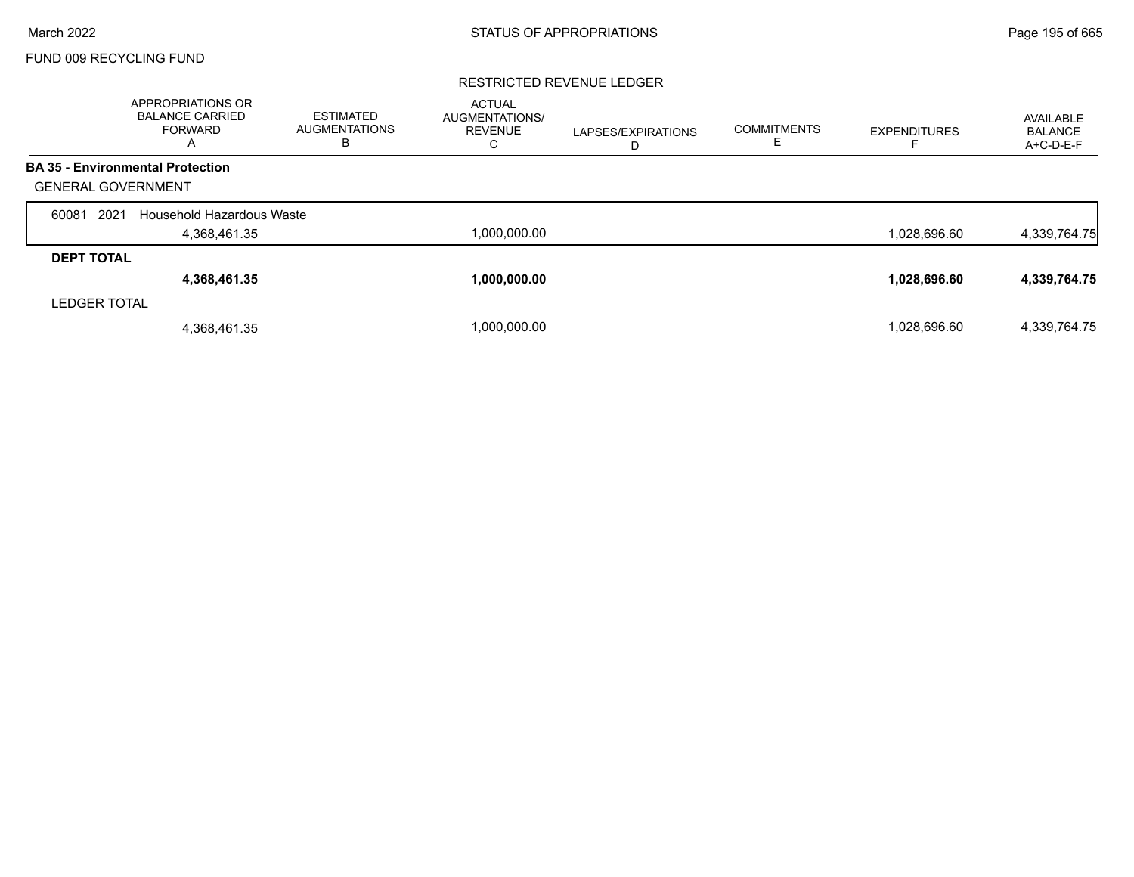# FUND 009 RECYCLING FUND

### RESTRICTED REVENUE LEDGER

|                           | <b>APPROPRIATIONS OR</b><br><b>BALANCE CARRIED</b><br><b>FORWARD</b><br>A | <b>ESTIMATED</b><br><b>AUGMENTATIONS</b><br>в | <b>ACTUAL</b><br><b>AUGMENTATIONS/</b><br><b>REVENUE</b><br>С | LAPSES/EXPIRATIONS<br>D | <b>COMMITMENTS</b><br>╘ | <b>EXPENDITURES</b> | AVAILABLE<br><b>BALANCE</b><br>A+C-D-E-F |
|---------------------------|---------------------------------------------------------------------------|-----------------------------------------------|---------------------------------------------------------------|-------------------------|-------------------------|---------------------|------------------------------------------|
|                           | <b>BA 35 - Environmental Protection</b>                                   |                                               |                                                               |                         |                         |                     |                                          |
| <b>GENERAL GOVERNMENT</b> |                                                                           |                                               |                                                               |                         |                         |                     |                                          |
| 2021<br>60081             | Household Hazardous Waste                                                 |                                               |                                                               |                         |                         |                     |                                          |
|                           | 4,368,461.35                                                              |                                               | 1,000,000.00                                                  |                         |                         | 1,028,696.60        | 4,339,764.75                             |
| <b>DEPT TOTAL</b>         |                                                                           |                                               |                                                               |                         |                         |                     |                                          |
|                           | 4,368,461.35                                                              |                                               | 1,000,000.00                                                  |                         |                         | 1,028,696.60        | 4,339,764.75                             |
| <b>LEDGER TOTAL</b>       |                                                                           |                                               |                                                               |                         |                         |                     |                                          |
|                           | 4,368,461.35                                                              |                                               | 1.000.000.00                                                  |                         |                         | 1,028,696.60        | 4,339,764.75                             |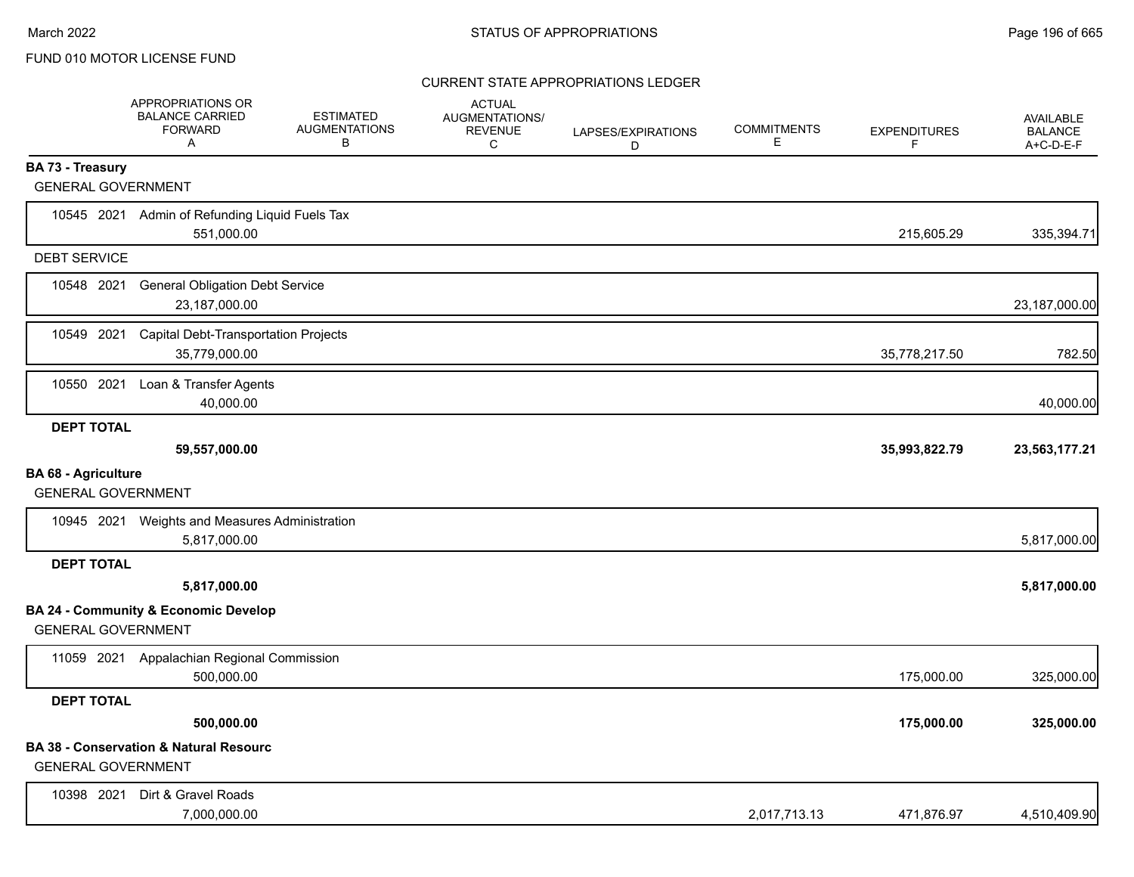|                                                         | APPROPRIATIONS OR<br><b>BALANCE CARRIED</b><br><b>FORWARD</b><br>Α | <b>ESTIMATED</b><br><b>AUGMENTATIONS</b><br>В | <b>ACTUAL</b><br><b>AUGMENTATIONS/</b><br><b>REVENUE</b><br>C | LAPSES/EXPIRATIONS<br>D | <b>COMMITMENTS</b><br>E. | <b>EXPENDITURES</b><br>F | <b>AVAILABLE</b><br><b>BALANCE</b><br>A+C-D-E-F |
|---------------------------------------------------------|--------------------------------------------------------------------|-----------------------------------------------|---------------------------------------------------------------|-------------------------|--------------------------|--------------------------|-------------------------------------------------|
| BA 73 - Treasury                                        |                                                                    |                                               |                                                               |                         |                          |                          |                                                 |
| <b>GENERAL GOVERNMENT</b>                               |                                                                    |                                               |                                                               |                         |                          |                          |                                                 |
| 10545 2021                                              | Admin of Refunding Liquid Fuels Tax<br>551,000.00                  |                                               |                                                               |                         |                          | 215,605.29               | 335,394.71                                      |
| <b>DEBT SERVICE</b>                                     |                                                                    |                                               |                                                               |                         |                          |                          |                                                 |
| 10548 2021                                              | <b>General Obligation Debt Service</b><br>23,187,000.00            |                                               |                                                               |                         |                          |                          | 23,187,000.00                                   |
| 10549 2021                                              | <b>Capital Debt-Transportation Projects</b><br>35,779,000.00       |                                               |                                                               |                         |                          | 35,778,217.50            | 782.50                                          |
| 10550 2021                                              | Loan & Transfer Agents<br>40,000.00                                |                                               |                                                               |                         |                          |                          | 40,000.00                                       |
| <b>DEPT TOTAL</b>                                       | 59,557,000.00                                                      |                                               |                                                               |                         |                          | 35,993,822.79            | 23,563,177.21                                   |
| <b>BA 68 - Agriculture</b><br><b>GENERAL GOVERNMENT</b> |                                                                    |                                               |                                                               |                         |                          |                          |                                                 |
|                                                         | 10945 2021 Weights and Measures Administration<br>5,817,000.00     |                                               |                                                               |                         |                          |                          | 5,817,000.00                                    |
| <b>DEPT TOTAL</b>                                       |                                                                    |                                               |                                                               |                         |                          |                          |                                                 |
|                                                         | 5,817,000.00                                                       |                                               |                                                               |                         |                          |                          | 5,817,000.00                                    |
| <b>GENERAL GOVERNMENT</b>                               | <b>BA 24 - Community &amp; Economic Develop</b>                    |                                               |                                                               |                         |                          |                          |                                                 |
| 11059 2021                                              | Appalachian Regional Commission<br>500,000.00                      |                                               |                                                               |                         |                          | 175,000.00               | 325,000.00                                      |
| <b>DEPT TOTAL</b>                                       |                                                                    |                                               |                                                               |                         |                          |                          |                                                 |
|                                                         | 500,000.00                                                         |                                               |                                                               |                         |                          | 175,000.00               | 325,000.00                                      |
| <b>GENERAL GOVERNMENT</b>                               | <b>BA 38 - Conservation &amp; Natural Resourc</b>                  |                                               |                                                               |                         |                          |                          |                                                 |
| 10398 2021                                              | Dirt & Gravel Roads<br>7,000,000.00                                |                                               |                                                               |                         | 2,017,713.13             | 471,876.97               | 4,510,409.90                                    |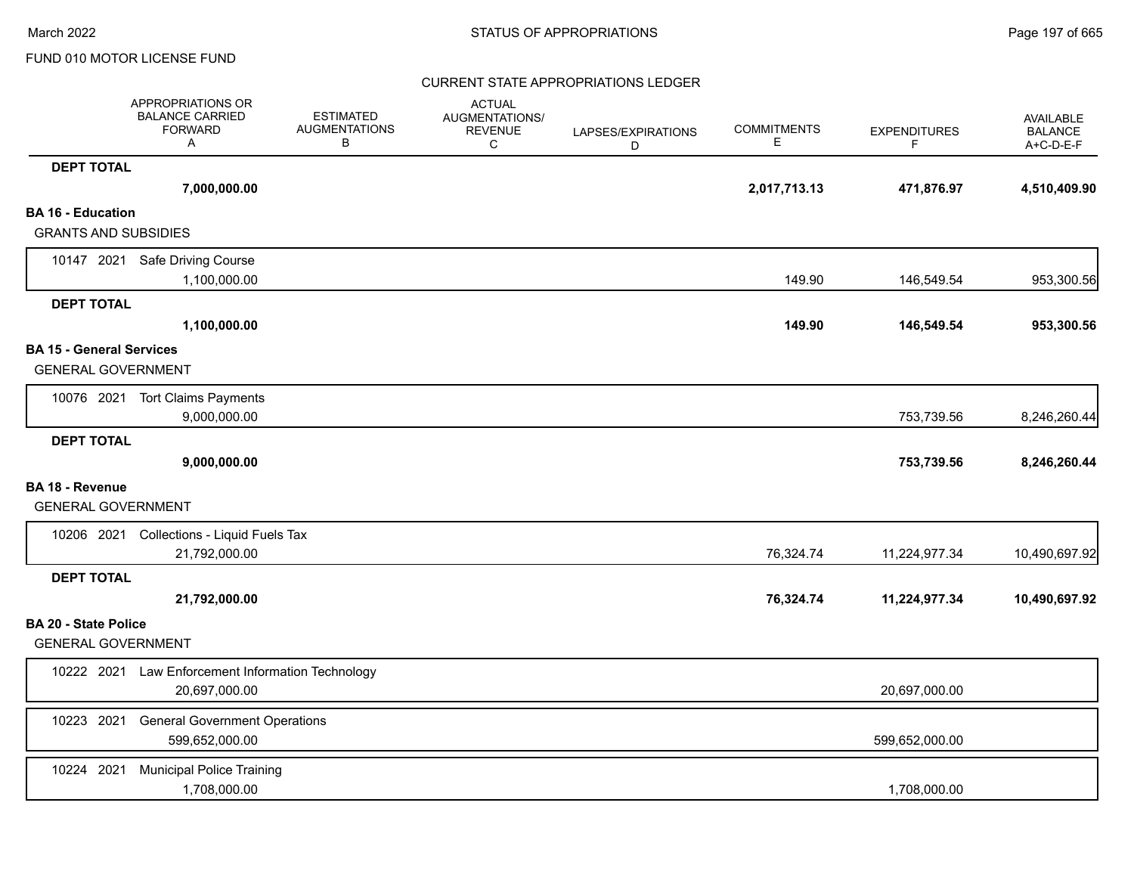|                                                              | APPROPRIATIONS OR<br><b>BALANCE CARRIED</b><br><b>FORWARD</b><br>Α | <b>ESTIMATED</b><br><b>AUGMENTATIONS</b><br>В | <b>ACTUAL</b><br><b>AUGMENTATIONS/</b><br><b>REVENUE</b><br>C | LAPSES/EXPIRATIONS<br>D | <b>COMMITMENTS</b><br>Е | <b>EXPENDITURES</b><br>F. | AVAILABLE<br><b>BALANCE</b><br>A+C-D-E-F |
|--------------------------------------------------------------|--------------------------------------------------------------------|-----------------------------------------------|---------------------------------------------------------------|-------------------------|-------------------------|---------------------------|------------------------------------------|
| <b>DEPT TOTAL</b>                                            |                                                                    |                                               |                                                               |                         |                         |                           |                                          |
|                                                              | 7,000,000.00                                                       |                                               |                                                               |                         | 2,017,713.13            | 471,876.97                | 4,510,409.90                             |
| <b>BA 16 - Education</b>                                     |                                                                    |                                               |                                                               |                         |                         |                           |                                          |
| <b>GRANTS AND SUBSIDIES</b>                                  |                                                                    |                                               |                                                               |                         |                         |                           |                                          |
|                                                              | 10147 2021 Safe Driving Course                                     |                                               |                                                               |                         |                         |                           |                                          |
|                                                              | 1,100,000.00                                                       |                                               |                                                               |                         | 149.90                  | 146,549.54                | 953,300.56                               |
| <b>DEPT TOTAL</b>                                            |                                                                    |                                               |                                                               |                         |                         |                           |                                          |
|                                                              | 1,100,000.00                                                       |                                               |                                                               |                         | 149.90                  | 146,549.54                | 953,300.56                               |
| <b>BA 15 - General Services</b><br><b>GENERAL GOVERNMENT</b> |                                                                    |                                               |                                                               |                         |                         |                           |                                          |
|                                                              | 10076 2021 Tort Claims Payments<br>9,000,000.00                    |                                               |                                                               |                         |                         | 753,739.56                | 8,246,260.44                             |
| <b>DEPT TOTAL</b>                                            |                                                                    |                                               |                                                               |                         |                         |                           |                                          |
|                                                              | 9,000,000.00                                                       |                                               |                                                               |                         |                         | 753,739.56                | 8,246,260.44                             |
| <b>BA 18 - Revenue</b>                                       |                                                                    |                                               |                                                               |                         |                         |                           |                                          |
| <b>GENERAL GOVERNMENT</b>                                    |                                                                    |                                               |                                                               |                         |                         |                           |                                          |
|                                                              | 10206 2021 Collections - Liquid Fuels Tax                          |                                               |                                                               |                         |                         |                           |                                          |
|                                                              | 21,792,000.00                                                      |                                               |                                                               |                         | 76,324.74               | 11,224,977.34             | 10,490,697.92                            |
| <b>DEPT TOTAL</b>                                            |                                                                    |                                               |                                                               |                         |                         |                           |                                          |
|                                                              | 21,792,000.00                                                      |                                               |                                                               |                         | 76,324.74               | 11,224,977.34             | 10,490,697.92                            |
| <b>BA 20 - State Police</b>                                  |                                                                    |                                               |                                                               |                         |                         |                           |                                          |
| <b>GENERAL GOVERNMENT</b>                                    |                                                                    |                                               |                                                               |                         |                         |                           |                                          |
| 10222 2021                                                   | Law Enforcement Information Technology<br>20,697,000.00            |                                               |                                                               |                         |                         | 20,697,000.00             |                                          |
| 10223 2021                                                   | <b>General Government Operations</b><br>599,652,000.00             |                                               |                                                               |                         |                         | 599,652,000.00            |                                          |
| 10224 2021                                                   | <b>Municipal Police Training</b><br>1,708,000.00                   |                                               |                                                               |                         |                         | 1,708,000.00              |                                          |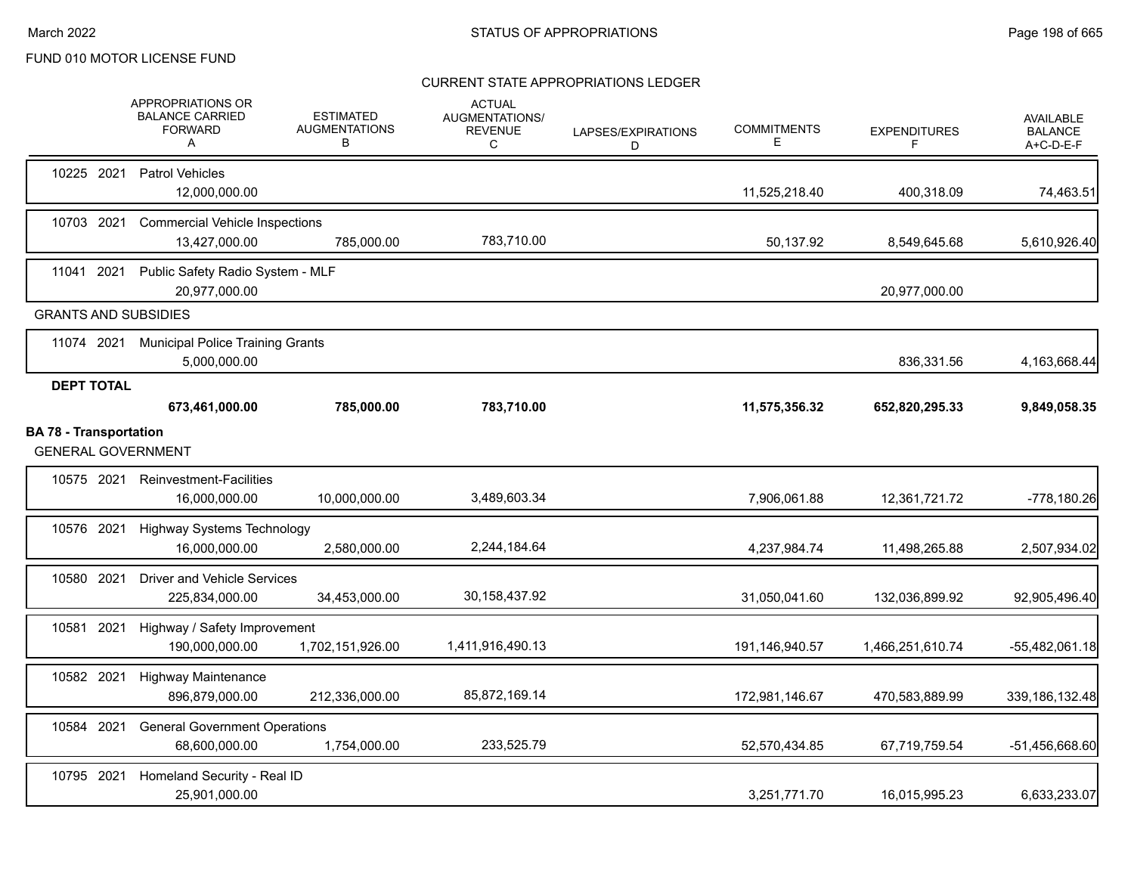|                               |                   | <b>APPROPRIATIONS OR</b><br><b>BALANCE CARRIED</b><br><b>FORWARD</b><br>A | <b>ESTIMATED</b><br><b>AUGMENTATIONS</b><br>В | <b>ACTUAL</b><br><b>AUGMENTATIONS/</b><br><b>REVENUE</b><br>C | LAPSES/EXPIRATIONS<br>D | <b>COMMITMENTS</b><br>Е | <b>EXPENDITURES</b><br>F | <b>AVAILABLE</b><br><b>BALANCE</b><br>A+C-D-E-F |
|-------------------------------|-------------------|---------------------------------------------------------------------------|-----------------------------------------------|---------------------------------------------------------------|-------------------------|-------------------------|--------------------------|-------------------------------------------------|
|                               | 10225 2021        | <b>Patrol Vehicles</b><br>12,000,000.00                                   |                                               |                                                               |                         | 11,525,218.40           | 400,318.09               | 74,463.51                                       |
|                               | 10703 2021        | <b>Commercial Vehicle Inspections</b><br>13,427,000.00                    | 785,000.00                                    | 783,710.00                                                    |                         | 50,137.92               | 8,549,645.68             | 5,610,926.40                                    |
| 11041 2021                    |                   | Public Safety Radio System - MLF<br>20,977,000.00                         |                                               |                                                               |                         |                         | 20,977,000.00            |                                                 |
|                               |                   | <b>GRANTS AND SUBSIDIES</b>                                               |                                               |                                                               |                         |                         |                          |                                                 |
|                               | 11074 2021        | <b>Municipal Police Training Grants</b><br>5,000,000.00                   |                                               |                                                               |                         |                         | 836,331.56               | 4,163,668.44                                    |
|                               | <b>DEPT TOTAL</b> | 673,461,000.00                                                            | 785,000.00                                    | 783,710.00                                                    |                         | 11,575,356.32           | 652,820,295.33           | 9,849,058.35                                    |
| <b>BA 78 - Transportation</b> |                   | <b>GENERAL GOVERNMENT</b>                                                 |                                               |                                                               |                         |                         |                          |                                                 |
|                               |                   | 10575 2021 Reinvestment-Facilities<br>16,000,000.00                       | 10,000,000.00                                 | 3,489,603.34                                                  |                         | 7,906,061.88            | 12,361,721.72            | -778,180.26                                     |
| 10576 2021                    |                   | <b>Highway Systems Technology</b><br>16,000,000.00                        | 2,580,000.00                                  | 2,244,184.64                                                  |                         | 4,237,984.74            | 11,498,265.88            | 2,507,934.02                                    |
|                               | 10580 2021        | <b>Driver and Vehicle Services</b><br>225,834,000.00                      | 34,453,000.00                                 | 30, 158, 437. 92                                              |                         | 31,050,041.60           | 132,036,899.92           | 92,905,496.40                                   |
| 10581 2021                    |                   | Highway / Safety Improvement<br>190,000,000.00                            | 1,702,151,926.00                              | 1,411,916,490.13                                              |                         | 191,146,940.57          | 1,466,251,610.74         | $-55,482,061.18$                                |
| 10582 2021                    |                   | <b>Highway Maintenance</b><br>896,879,000.00                              | 212,336,000.00                                | 85,872,169.14                                                 |                         | 172,981,146.67          | 470,583,889.99           | 339, 186, 132. 48                               |
| 10584 2021                    |                   | <b>General Government Operations</b><br>68,600,000.00                     | 1,754,000.00                                  | 233,525.79                                                    |                         | 52,570,434.85           | 67,719,759.54            | -51,456,668.60                                  |
| 10795 2021                    |                   | Homeland Security - Real ID<br>25,901,000.00                              |                                               |                                                               |                         | 3,251,771.70            | 16,015,995.23            | 6,633,233.07                                    |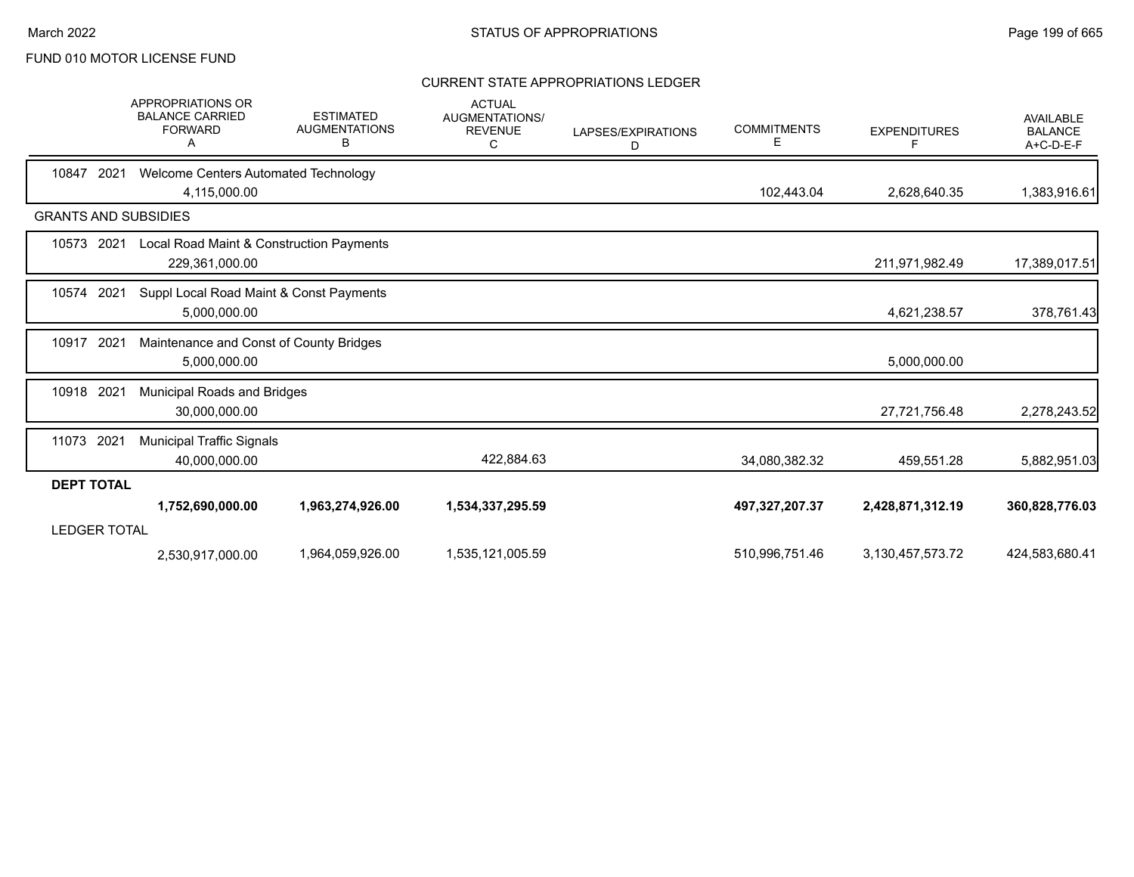|                             | APPROPRIATIONS OR<br><b>BALANCE CARRIED</b><br><b>FORWARD</b><br>A | <b>ESTIMATED</b><br><b>AUGMENTATIONS</b><br>в | <b>ACTUAL</b><br><b>AUGMENTATIONS/</b><br><b>REVENUE</b><br>C | LAPSES/EXPIRATIONS<br>D | <b>COMMITMENTS</b><br>Е | <b>EXPENDITURES</b><br>F | <b>AVAILABLE</b><br><b>BALANCE</b><br>A+C-D-E-F |
|-----------------------------|--------------------------------------------------------------------|-----------------------------------------------|---------------------------------------------------------------|-------------------------|-------------------------|--------------------------|-------------------------------------------------|
| 10847<br>2021               | Welcome Centers Automated Technology<br>4,115,000.00               |                                               |                                                               |                         | 102,443.04              | 2,628,640.35             | 1,383,916.61                                    |
| <b>GRANTS AND SUBSIDIES</b> |                                                                    |                                               |                                                               |                         |                         |                          |                                                 |
| 10573<br>2021               | Local Road Maint & Construction Payments<br>229,361,000.00         |                                               |                                                               |                         |                         | 211,971,982.49           | 17,389,017.51                                   |
| 10574<br>2021               | Suppl Local Road Maint & Const Payments<br>5,000,000.00            |                                               |                                                               |                         |                         | 4,621,238.57             | 378,761.43                                      |
| 10917<br>2021               | Maintenance and Const of County Bridges<br>5,000,000.00            |                                               |                                                               |                         |                         | 5,000,000.00             |                                                 |
| 10918 2021                  | Municipal Roads and Bridges<br>30,000,000.00                       |                                               |                                                               |                         |                         | 27,721,756.48            | 2,278,243.52                                    |
| 11073 2021                  | <b>Municipal Traffic Signals</b><br>40,000,000.00                  |                                               | 422,884.63                                                    |                         | 34,080,382.32           | 459,551.28               | 5,882,951.03                                    |
| <b>DEPT TOTAL</b>           |                                                                    |                                               |                                                               |                         |                         |                          |                                                 |
| <b>LEDGER TOTAL</b>         | 1,752,690,000.00                                                   | 1,963,274,926.00                              | 1,534,337,295.59                                              |                         | 497,327,207.37          | 2,428,871,312.19         | 360,828,776.03                                  |
|                             | 2,530,917,000.00                                                   | 1,964,059,926.00                              | 1,535,121,005.59                                              |                         | 510,996,751.46          | 3,130,457,573.72         | 424,583,680.41                                  |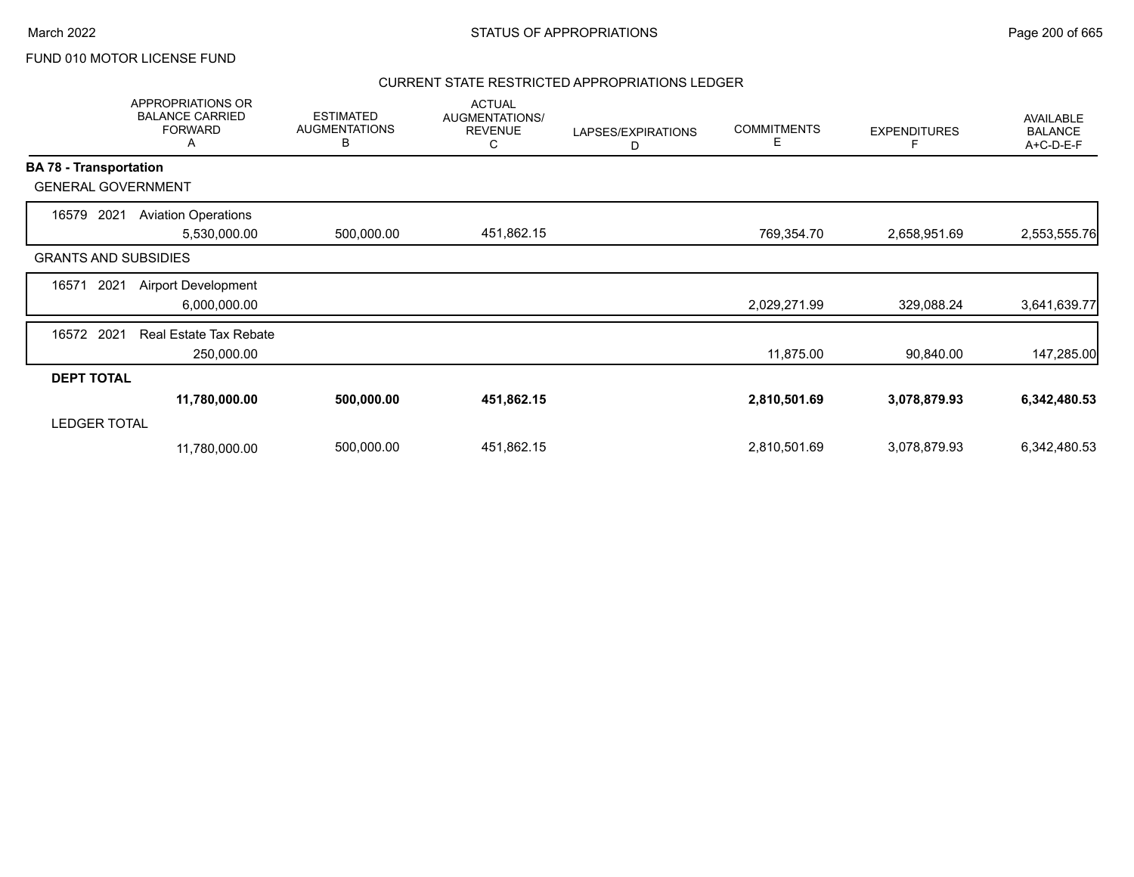#### CURRENT STATE RESTRICTED APPROPRIATIONS LEDGER

|                               | <b>APPROPRIATIONS OR</b><br><b>BALANCE CARRIED</b><br><b>FORWARD</b><br>Α | <b>ESTIMATED</b><br><b>AUGMENTATIONS</b><br>В | <b>ACTUAL</b><br><b>AUGMENTATIONS/</b><br><b>REVENUE</b><br>С | LAPSES/EXPIRATIONS<br>D | <b>COMMITMENTS</b><br>Е | <b>EXPENDITURES</b><br>F | <b>AVAILABLE</b><br><b>BALANCE</b><br>A+C-D-E-F |
|-------------------------------|---------------------------------------------------------------------------|-----------------------------------------------|---------------------------------------------------------------|-------------------------|-------------------------|--------------------------|-------------------------------------------------|
| <b>BA 78 - Transportation</b> |                                                                           |                                               |                                                               |                         |                         |                          |                                                 |
| <b>GENERAL GOVERNMENT</b>     |                                                                           |                                               |                                                               |                         |                         |                          |                                                 |
| 16579<br>2021                 | <b>Aviation Operations</b><br>5,530,000.00                                | 500,000.00                                    | 451,862.15                                                    |                         | 769,354.70              | 2,658,951.69             | 2,553,555.76                                    |
| <b>GRANTS AND SUBSIDIES</b>   |                                                                           |                                               |                                                               |                         |                         |                          |                                                 |
| 16571<br>2021                 | <b>Airport Development</b><br>6,000,000.00                                |                                               |                                                               |                         | 2,029,271.99            | 329,088.24               | 3,641,639.77                                    |
| 16572 2021                    | <b>Real Estate Tax Rebate</b><br>250,000.00                               |                                               |                                                               |                         | 11,875.00               | 90,840.00                | 147,285.00                                      |
| <b>DEPT TOTAL</b>             |                                                                           |                                               |                                                               |                         |                         |                          |                                                 |
|                               | 11,780,000.00                                                             | 500,000.00                                    | 451,862.15                                                    |                         | 2,810,501.69            | 3,078,879.93             | 6,342,480.53                                    |
| <b>LEDGER TOTAL</b>           |                                                                           |                                               |                                                               |                         |                         |                          |                                                 |
|                               | 11,780,000.00                                                             | 500,000.00                                    | 451,862.15                                                    |                         | 2,810,501.69            | 3,078,879.93             | 6,342,480.53                                    |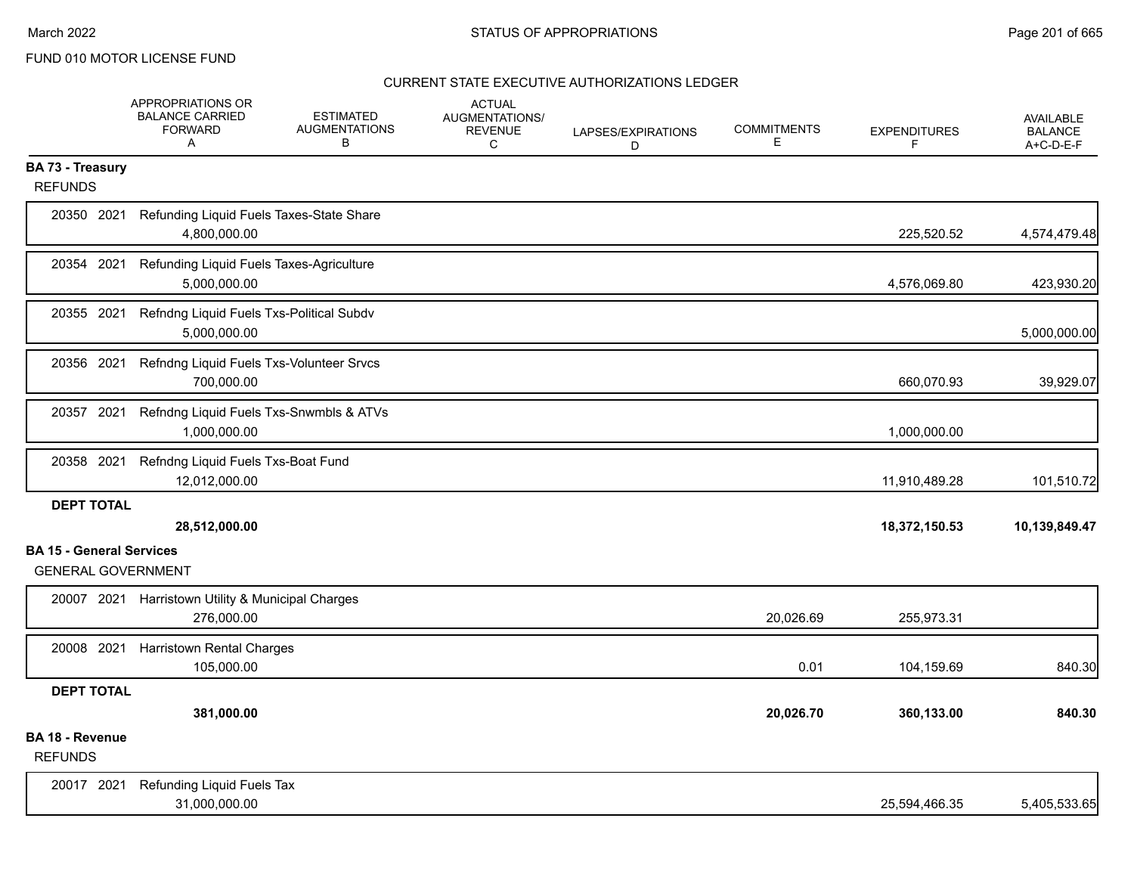|                                   | APPROPRIATIONS OR<br><b>BALANCE CARRIED</b><br><b>FORWARD</b><br>Α | <b>ESTIMATED</b><br><b>AUGMENTATIONS</b><br>в | <b>ACTUAL</b><br>AUGMENTATIONS/<br><b>REVENUE</b><br>C | LAPSES/EXPIRATIONS<br>D | <b>COMMITMENTS</b><br>E. | <b>EXPENDITURES</b><br>F | <b>AVAILABLE</b><br><b>BALANCE</b><br>$A+C-D-E-F$ |
|-----------------------------------|--------------------------------------------------------------------|-----------------------------------------------|--------------------------------------------------------|-------------------------|--------------------------|--------------------------|---------------------------------------------------|
| <b>BA 73 - Treasury</b>           |                                                                    |                                               |                                                        |                         |                          |                          |                                                   |
| <b>REFUNDS</b>                    |                                                                    |                                               |                                                        |                         |                          |                          |                                                   |
| 20350 2021                        | 4,800,000.00                                                       | Refunding Liquid Fuels Taxes-State Share      |                                                        |                         |                          | 225,520.52               | 4,574,479.48                                      |
| 20354 2021                        | 5,000,000.00                                                       | Refunding Liquid Fuels Taxes-Agriculture      |                                                        |                         |                          | 4,576,069.80             | 423,930.20                                        |
| 20355 2021                        | 5,000,000.00                                                       | Refndng Liquid Fuels Txs-Political Subdv      |                                                        |                         |                          |                          | 5,000,000.00                                      |
| 20356 2021                        | 700,000.00                                                         | Refndng Liquid Fuels Txs-Volunteer Srvcs      |                                                        |                         |                          | 660,070.93               | 39,929.07                                         |
| 20357 2021                        | 1,000,000.00                                                       | Refndng Liquid Fuels Txs-Snwmbls & ATVs       |                                                        |                         |                          | 1,000,000.00             |                                                   |
| 20358 2021                        | Refndng Liquid Fuels Txs-Boat Fund<br>12,012,000.00                |                                               |                                                        |                         |                          | 11,910,489.28            | 101,510.72                                        |
| <b>DEPT TOTAL</b>                 |                                                                    |                                               |                                                        |                         |                          |                          |                                                   |
|                                   | 28,512,000.00                                                      |                                               |                                                        |                         |                          | 18,372,150.53            | 10,139,849.47                                     |
| <b>BA 15 - General Services</b>   |                                                                    |                                               |                                                        |                         |                          |                          |                                                   |
|                                   | <b>GENERAL GOVERNMENT</b>                                          |                                               |                                                        |                         |                          |                          |                                                   |
|                                   | 20007 2021 Harristown Utility & Municipal Charges<br>276,000.00    |                                               |                                                        |                         | 20,026.69                | 255,973.31               |                                                   |
| 20008 2021                        | <b>Harristown Rental Charges</b><br>105,000.00                     |                                               |                                                        |                         | 0.01                     | 104,159.69               | 840.30                                            |
| <b>DEPT TOTAL</b>                 |                                                                    |                                               |                                                        |                         |                          |                          |                                                   |
|                                   | 381,000.00                                                         |                                               |                                                        |                         | 20,026.70                | 360,133.00               | 840.30                                            |
| BA 18 - Revenue<br><b>REFUNDS</b> |                                                                    |                                               |                                                        |                         |                          |                          |                                                   |
| 20017 2021                        | Refunding Liquid Fuels Tax                                         |                                               |                                                        |                         |                          |                          |                                                   |
|                                   | 31,000,000.00                                                      |                                               |                                                        |                         |                          | 25,594,466.35            | 5,405,533.65                                      |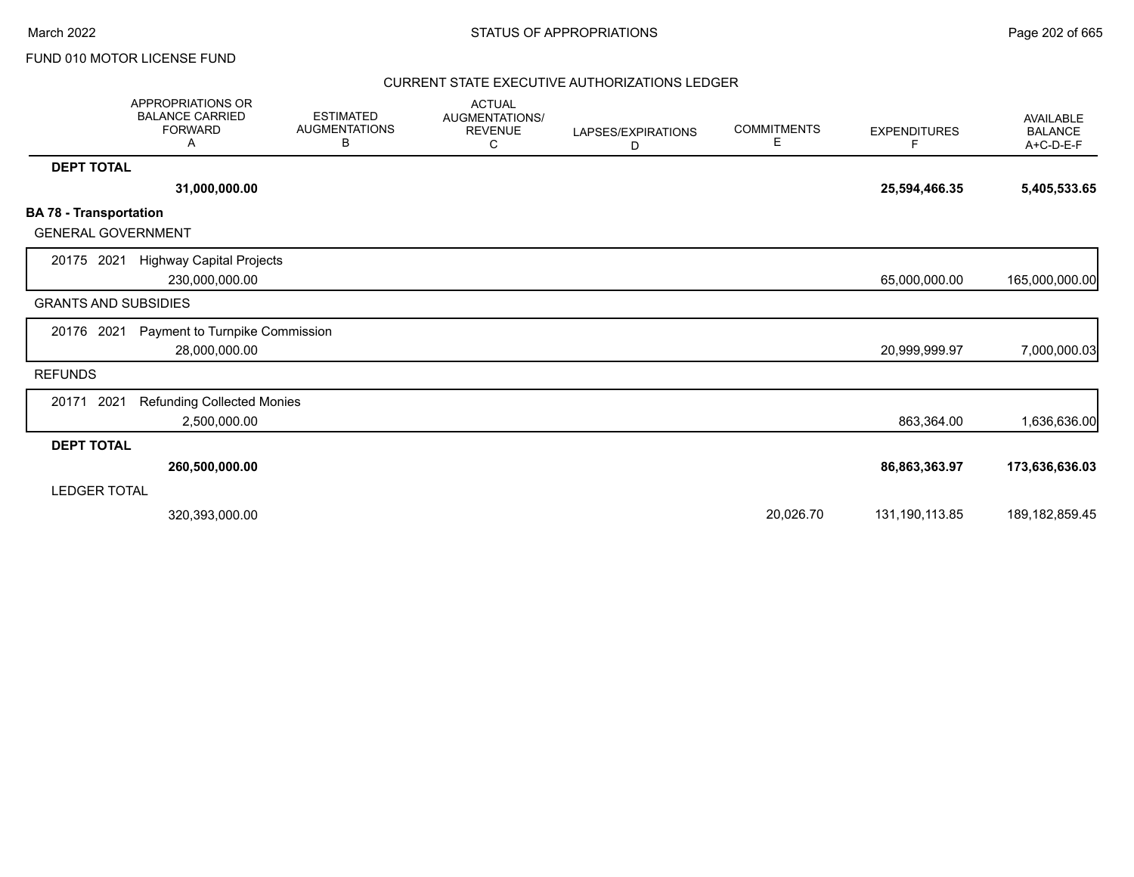March 2022 **STATUS OF APPROPRIATIONS** STATUS OF APPROPRIATIONS

## FUND 010 MOTOR LICENSE FUND

|                                                            | <b>APPROPRIATIONS OR</b><br><b>BALANCE CARRIED</b><br><b>FORWARD</b><br>Α | <b>ESTIMATED</b><br><b>AUGMENTATIONS</b><br>В | <b>ACTUAL</b><br><b>AUGMENTATIONS/</b><br><b>REVENUE</b><br>С | LAPSES/EXPIRATIONS<br>D | <b>COMMITMENTS</b><br>Е | <b>EXPENDITURES</b><br>F | <b>AVAILABLE</b><br><b>BALANCE</b><br>A+C-D-E-F |
|------------------------------------------------------------|---------------------------------------------------------------------------|-----------------------------------------------|---------------------------------------------------------------|-------------------------|-------------------------|--------------------------|-------------------------------------------------|
| <b>DEPT TOTAL</b>                                          |                                                                           |                                               |                                                               |                         |                         |                          |                                                 |
|                                                            | 31,000,000.00                                                             |                                               |                                                               |                         |                         | 25,594,466.35            | 5,405,533.65                                    |
| <b>BA 78 - Transportation</b><br><b>GENERAL GOVERNMENT</b> |                                                                           |                                               |                                                               |                         |                         |                          |                                                 |
| 20175 2021                                                 | <b>Highway Capital Projects</b><br>230,000,000.00                         |                                               |                                                               |                         |                         | 65,000,000.00            | 165,000,000.00                                  |
| <b>GRANTS AND SUBSIDIES</b>                                |                                                                           |                                               |                                                               |                         |                         |                          |                                                 |
| 20176 2021                                                 | Payment to Turnpike Commission<br>28,000,000.00                           |                                               |                                                               |                         |                         | 20,999,999.97            | 7,000,000.03                                    |
| <b>REFUNDS</b>                                             |                                                                           |                                               |                                                               |                         |                         |                          |                                                 |
| 2021<br>20171                                              | <b>Refunding Collected Monies</b><br>2,500,000.00                         |                                               |                                                               |                         |                         | 863,364.00               | 1,636,636.00                                    |
| <b>DEPT TOTAL</b>                                          |                                                                           |                                               |                                                               |                         |                         |                          |                                                 |
| LEDGER TOTAL                                               | 260,500,000.00                                                            |                                               |                                                               |                         |                         | 86,863,363.97            | 173,636,636.03                                  |
|                                                            | 320,393,000.00                                                            |                                               |                                                               |                         | 20,026.70               | 131,190,113.85           | 189, 182, 859. 45                               |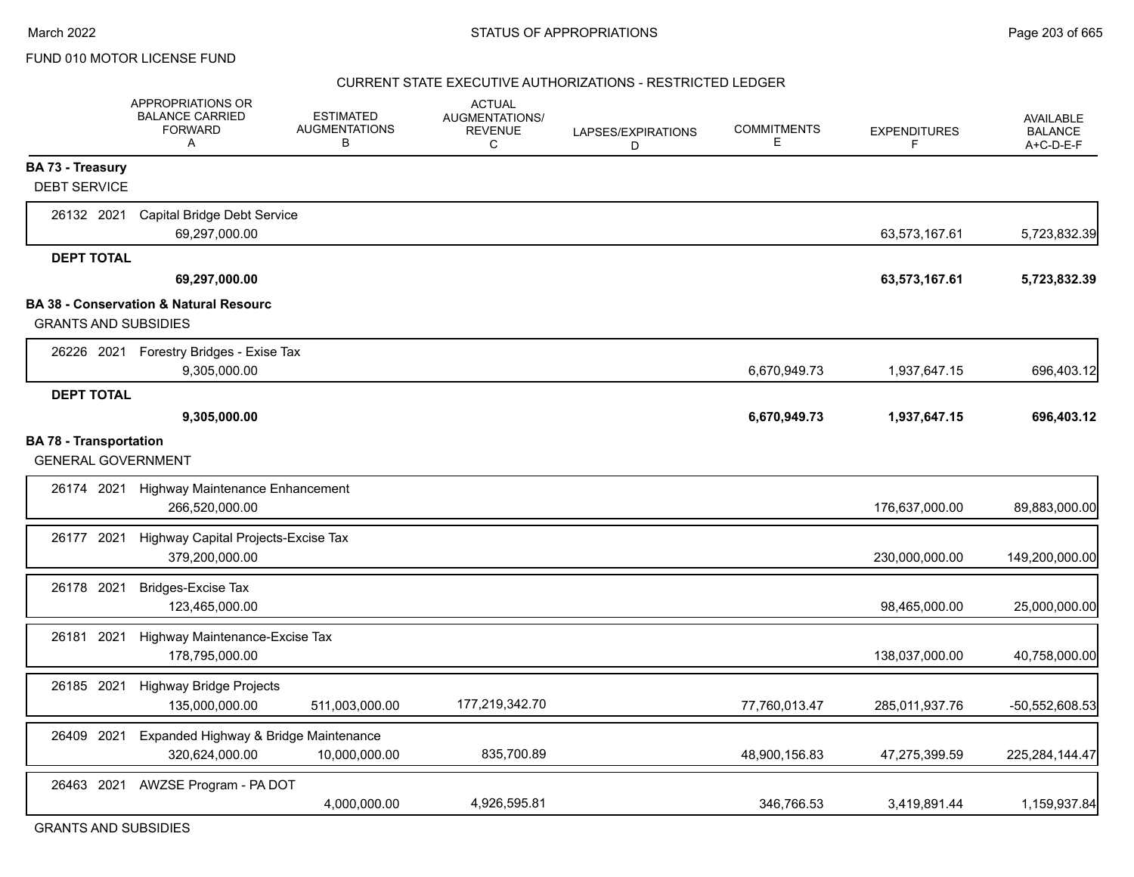#### CURRENT STATE EXECUTIVE AUTHORIZATIONS - RESTRICTED LEDGER

|                               | APPROPRIATIONS OR<br><b>BALANCE CARRIED</b><br><b>FORWARD</b><br>$\mathsf{A}$ | <b>ESTIMATED</b><br><b>AUGMENTATIONS</b><br>B | <b>ACTUAL</b><br>AUGMENTATIONS/<br><b>REVENUE</b><br>C | LAPSES/EXPIRATIONS<br>D | <b>COMMITMENTS</b><br>Е | <b>EXPENDITURES</b><br>F | <b>AVAILABLE</b><br><b>BALANCE</b><br>$A+C-D-E-F$ |
|-------------------------------|-------------------------------------------------------------------------------|-----------------------------------------------|--------------------------------------------------------|-------------------------|-------------------------|--------------------------|---------------------------------------------------|
| <b>BA 73 - Treasury</b>       |                                                                               |                                               |                                                        |                         |                         |                          |                                                   |
| <b>DEBT SERVICE</b>           |                                                                               |                                               |                                                        |                         |                         |                          |                                                   |
| 26132 2021                    | Capital Bridge Debt Service<br>69,297,000.00                                  |                                               |                                                        |                         |                         | 63,573,167.61            | 5,723,832.39                                      |
| <b>DEPT TOTAL</b>             |                                                                               |                                               |                                                        |                         |                         |                          |                                                   |
|                               | 69,297,000.00                                                                 |                                               |                                                        |                         |                         | 63,573,167.61            | 5,723,832.39                                      |
|                               | <b>BA 38 - Conservation &amp; Natural Resourc</b>                             |                                               |                                                        |                         |                         |                          |                                                   |
| <b>GRANTS AND SUBSIDIES</b>   |                                                                               |                                               |                                                        |                         |                         |                          |                                                   |
|                               | 26226 2021 Forestry Bridges - Exise Tax                                       |                                               |                                                        |                         |                         |                          |                                                   |
|                               | 9,305,000.00                                                                  |                                               |                                                        |                         | 6,670,949.73            | 1,937,647.15             | 696,403.12                                        |
| <b>DEPT TOTAL</b>             |                                                                               |                                               |                                                        |                         |                         |                          |                                                   |
|                               | 9,305,000.00                                                                  |                                               |                                                        |                         | 6,670,949.73            | 1,937,647.15             | 696,403.12                                        |
| <b>BA 78 - Transportation</b> |                                                                               |                                               |                                                        |                         |                         |                          |                                                   |
| <b>GENERAL GOVERNMENT</b>     |                                                                               |                                               |                                                        |                         |                         |                          |                                                   |
|                               | 26174 2021 Highway Maintenance Enhancement<br>266,520,000.00                  |                                               |                                                        |                         |                         | 176,637,000.00           | 89,883,000.00                                     |
| 26177 2021                    | Highway Capital Projects-Excise Tax<br>379,200,000.00                         |                                               |                                                        |                         |                         | 230,000,000.00           | 149,200,000.00                                    |
| 26178 2021                    | <b>Bridges-Excise Tax</b><br>123,465,000.00                                   |                                               |                                                        |                         |                         | 98,465,000.00            | 25,000,000.00                                     |
| 26181 2021                    | Highway Maintenance-Excise Tax<br>178,795,000.00                              |                                               |                                                        |                         |                         | 138,037,000.00           | 40,758,000.00                                     |
| 26185 2021                    | <b>Highway Bridge Projects</b><br>135,000,000.00                              | 511,003,000.00                                | 177,219,342.70                                         |                         | 77,760,013.47           | 285,011,937.76           | -50,552,608.53                                    |
| 26409 2021                    | Expanded Highway & Bridge Maintenance<br>320,624,000.00                       | 10,000,000.00                                 | 835,700.89                                             |                         | 48,900,156.83           | 47,275,399.59            | 225,284,144.47                                    |
| 26463 2021                    | AWZSE Program - PA DOT                                                        | 4,000,000.00                                  | 4,926,595.81                                           |                         | 346.766.53              | 3,419,891.44             | 1,159,937.84                                      |

GRANTS AND SUBSIDIES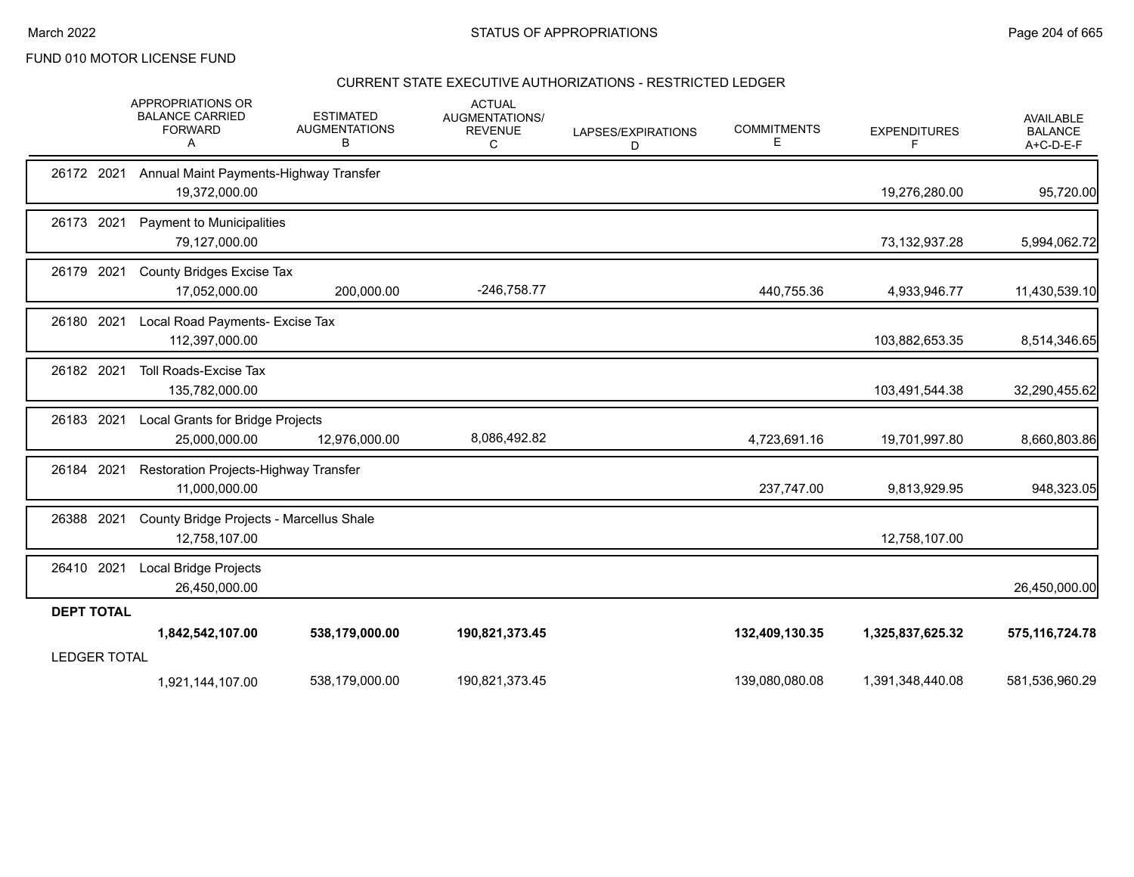### CURRENT STATE EXECUTIVE AUTHORIZATIONS - RESTRICTED LEDGER

|                     | <b>APPROPRIATIONS OR</b><br><b>BALANCE CARRIED</b><br><b>FORWARD</b><br>A | <b>ESTIMATED</b><br><b>AUGMENTATIONS</b><br>В | <b>ACTUAL</b><br>AUGMENTATIONS/<br><b>REVENUE</b><br>C | LAPSES/EXPIRATIONS<br>D | <b>COMMITMENTS</b><br>E. | <b>EXPENDITURES</b><br>F | <b>AVAILABLE</b><br><b>BALANCE</b><br>A+C-D-E-F |
|---------------------|---------------------------------------------------------------------------|-----------------------------------------------|--------------------------------------------------------|-------------------------|--------------------------|--------------------------|-------------------------------------------------|
| 26172 2021          | Annual Maint Payments-Highway Transfer<br>19,372,000.00                   |                                               |                                                        |                         |                          | 19,276,280.00            | 95,720.00                                       |
| 26173 2021          | Payment to Municipalities<br>79,127,000.00                                |                                               |                                                        |                         |                          | 73,132,937.28            | 5,994,062.72                                    |
| 26179 2021          | <b>County Bridges Excise Tax</b><br>17,052,000.00                         | 200,000.00                                    | $-246,758.77$                                          |                         | 440,755.36               | 4,933,946.77             | 11,430,539.10                                   |
| 26180 2021          | Local Road Payments- Excise Tax<br>112,397,000.00                         |                                               |                                                        |                         |                          | 103,882,653.35           | 8,514,346.65                                    |
| 26182 2021          | <b>Toll Roads-Excise Tax</b><br>135,782,000.00                            |                                               |                                                        |                         |                          | 103,491,544.38           | 32,290,455.62                                   |
| 26183 2021          | Local Grants for Bridge Projects<br>25,000,000.00                         | 12,976,000.00                                 | 8,086,492.82                                           |                         | 4,723,691.16             | 19,701,997.80            | 8,660,803.86                                    |
| 26184 2021          | Restoration Projects-Highway Transfer<br>11,000,000.00                    |                                               |                                                        |                         | 237,747.00               | 9,813,929.95             | 948,323.05                                      |
| 26388 2021          | County Bridge Projects - Marcellus Shale<br>12,758,107.00                 |                                               |                                                        |                         |                          | 12,758,107.00            |                                                 |
| 26410 2021          | Local Bridge Projects<br>26,450,000.00                                    |                                               |                                                        |                         |                          |                          | 26,450,000.00                                   |
| <b>DEPT TOTAL</b>   |                                                                           |                                               |                                                        |                         |                          |                          |                                                 |
|                     | 1,842,542,107.00                                                          | 538,179,000.00                                | 190,821,373.45                                         |                         | 132,409,130.35           | 1,325,837,625.32         | 575, 116, 724. 78                               |
| <b>LEDGER TOTAL</b> | 1,921,144,107.00                                                          | 538,179,000.00                                | 190,821,373.45                                         |                         | 139,080,080.08           | 1,391,348,440.08         | 581,536,960.29                                  |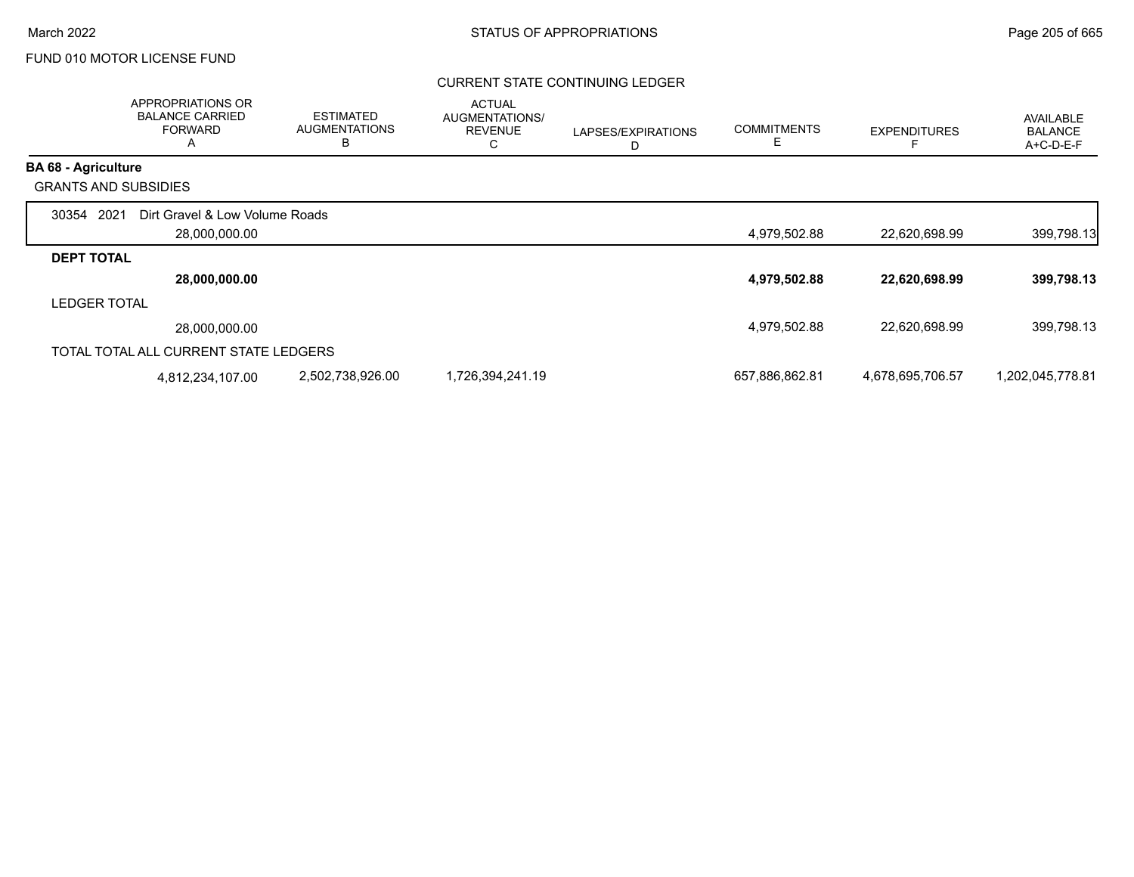### CURRENT STATE CONTINUING LEDGER

|                             | APPROPRIATIONS OR<br><b>BALANCE CARRIED</b><br><b>FORWARD</b><br>A | <b>ESTIMATED</b><br><b>AUGMENTATIONS</b><br>В | <b>ACTUAL</b><br>AUGMENTATIONS/<br><b>REVENUE</b><br>◡ | LAPSES/EXPIRATIONS | <b>COMMITMENTS</b><br>Ε | <b>EXPENDITURES</b> | <b>AVAILABLE</b><br><b>BALANCE</b><br>A+C-D-E-F |
|-----------------------------|--------------------------------------------------------------------|-----------------------------------------------|--------------------------------------------------------|--------------------|-------------------------|---------------------|-------------------------------------------------|
| <b>BA 68 - Agriculture</b>  |                                                                    |                                               |                                                        |                    |                         |                     |                                                 |
| <b>GRANTS AND SUBSIDIES</b> |                                                                    |                                               |                                                        |                    |                         |                     |                                                 |
| 2021<br>30354               | Dirt Gravel & Low Volume Roads<br>28,000,000.00                    |                                               |                                                        |                    | 4,979,502.88            | 22,620,698.99       | 399,798.13                                      |
| <b>DEPT TOTAL</b>           |                                                                    |                                               |                                                        |                    |                         |                     |                                                 |
|                             | 28,000,000.00                                                      |                                               |                                                        |                    | 4,979,502.88            | 22,620,698.99       | 399,798.13                                      |
| <b>LEDGER TOTAL</b>         |                                                                    |                                               |                                                        |                    |                         |                     |                                                 |
|                             | 28,000,000.00                                                      |                                               |                                                        |                    | 4,979,502.88            | 22,620,698.99       | 399,798.13                                      |
|                             | TOTAL TOTAL ALL CURRENT STATE LEDGERS                              |                                               |                                                        |                    |                         |                     |                                                 |
|                             | 4,812,234,107.00                                                   | 2,502,738,926.00                              | 1,726,394,241.19                                       |                    | 657,886,862.81          | 4,678,695,706.57    | 1,202,045,778.81                                |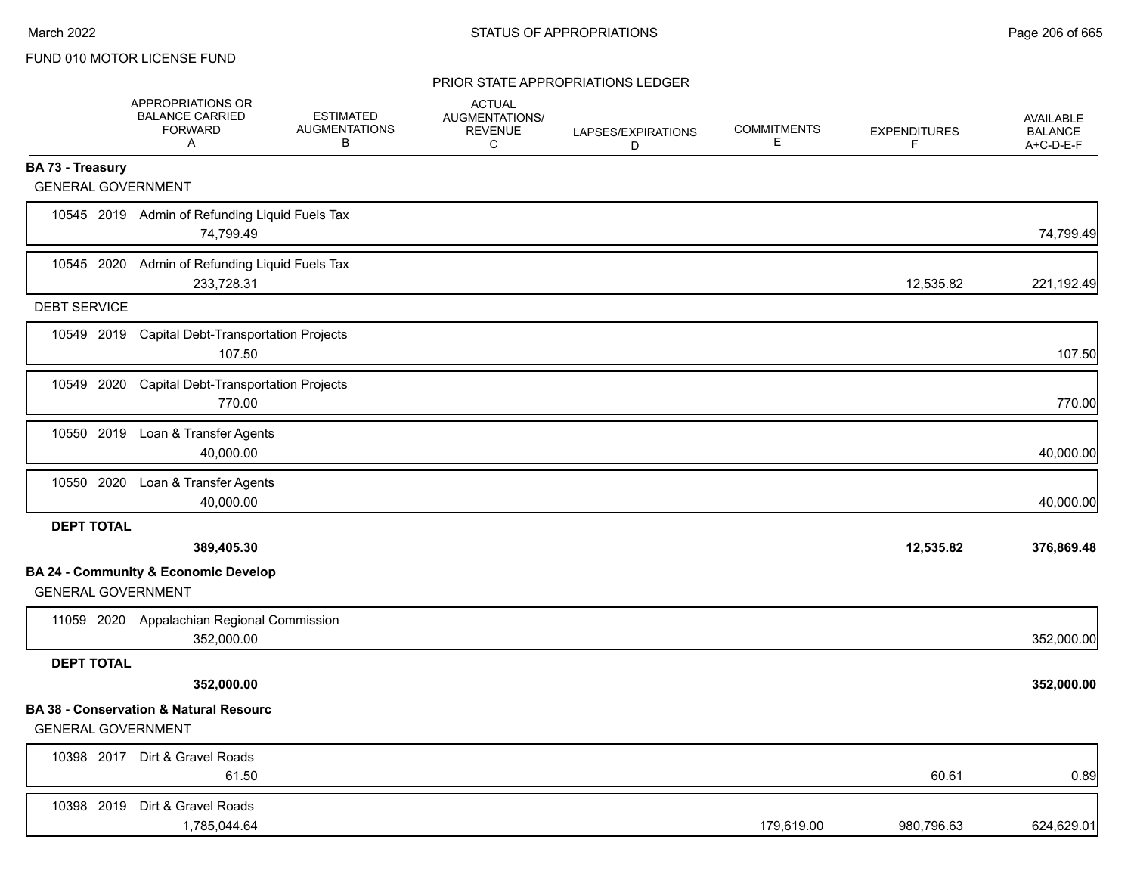|                           | APPROPRIATIONS OR<br><b>BALANCE CARRIED</b><br><b>FORWARD</b><br>A | <b>ESTIMATED</b><br><b>AUGMENTATIONS</b><br>В | <b>ACTUAL</b><br>AUGMENTATIONS/<br><b>REVENUE</b><br>C | LAPSES/EXPIRATIONS<br>D | <b>COMMITMENTS</b><br>Е | <b>EXPENDITURES</b><br>F | <b>AVAILABLE</b><br><b>BALANCE</b><br>A+C-D-E-F |
|---------------------------|--------------------------------------------------------------------|-----------------------------------------------|--------------------------------------------------------|-------------------------|-------------------------|--------------------------|-------------------------------------------------|
| BA 73 - Treasury          |                                                                    |                                               |                                                        |                         |                         |                          |                                                 |
| <b>GENERAL GOVERNMENT</b> |                                                                    |                                               |                                                        |                         |                         |                          |                                                 |
|                           | 10545 2019 Admin of Refunding Liquid Fuels Tax<br>74,799.49        |                                               |                                                        |                         |                         |                          | 74,799.49                                       |
|                           | 10545 2020 Admin of Refunding Liquid Fuels Tax<br>233,728.31       |                                               |                                                        |                         |                         | 12,535.82                | 221,192.49                                      |
| <b>DEBT SERVICE</b>       |                                                                    |                                               |                                                        |                         |                         |                          |                                                 |
|                           | 10549 2019 Capital Debt-Transportation Projects<br>107.50          |                                               |                                                        |                         |                         |                          | 107.50                                          |
| 10549 2020                | <b>Capital Debt-Transportation Projects</b><br>770.00              |                                               |                                                        |                         |                         |                          | 770.00                                          |
|                           | 10550 2019 Loan & Transfer Agents<br>40,000.00                     |                                               |                                                        |                         |                         |                          | 40,000.00                                       |
|                           | 10550 2020 Loan & Transfer Agents<br>40,000.00                     |                                               |                                                        |                         |                         |                          | 40,000.00                                       |
| <b>DEPT TOTAL</b>         |                                                                    |                                               |                                                        |                         |                         |                          |                                                 |
|                           | 389,405.30                                                         |                                               |                                                        |                         |                         | 12,535.82                | 376,869.48                                      |
| <b>GENERAL GOVERNMENT</b> | <b>BA 24 - Community &amp; Economic Develop</b>                    |                                               |                                                        |                         |                         |                          |                                                 |
|                           | 11059 2020 Appalachian Regional Commission<br>352,000.00           |                                               |                                                        |                         |                         |                          | 352,000.00                                      |
| <b>DEPT TOTAL</b>         |                                                                    |                                               |                                                        |                         |                         |                          |                                                 |
|                           | 352,000.00                                                         |                                               |                                                        |                         |                         |                          | 352,000.00                                      |
| <b>GENERAL GOVERNMENT</b> | <b>BA 38 - Conservation &amp; Natural Resourc</b>                  |                                               |                                                        |                         |                         |                          |                                                 |
|                           | 10398 2017 Dirt & Gravel Roads<br>61.50                            |                                               |                                                        |                         |                         | 60.61                    | 0.89                                            |
|                           | 10398 2019 Dirt & Gravel Roads<br>1,785,044.64                     |                                               |                                                        |                         | 179,619.00              | 980,796.63               | 624,629.01                                      |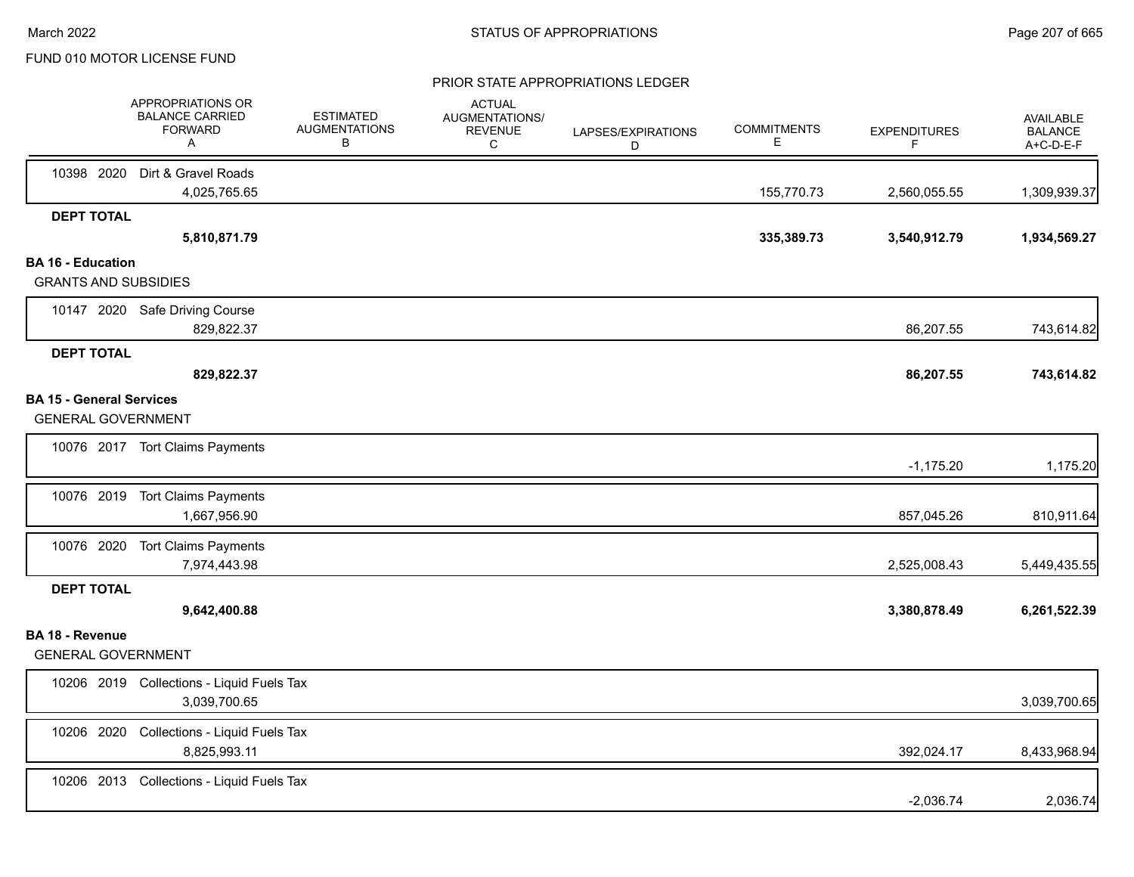|                                                              | APPROPRIATIONS OR<br><b>BALANCE CARRIED</b><br><b>FORWARD</b><br>A | <b>ESTIMATED</b><br><b>AUGMENTATIONS</b><br>В | <b>ACTUAL</b><br>AUGMENTATIONS/<br><b>REVENUE</b><br>С | LAPSES/EXPIRATIONS<br>D | <b>COMMITMENTS</b><br>Е | <b>EXPENDITURES</b><br>F | AVAILABLE<br><b>BALANCE</b><br>A+C-D-E-F |
|--------------------------------------------------------------|--------------------------------------------------------------------|-----------------------------------------------|--------------------------------------------------------|-------------------------|-------------------------|--------------------------|------------------------------------------|
|                                                              | 10398 2020 Dirt & Gravel Roads<br>4,025,765.65                     |                                               |                                                        |                         | 155,770.73              | 2,560,055.55             | 1,309,939.37                             |
| <b>DEPT TOTAL</b>                                            |                                                                    |                                               |                                                        |                         |                         |                          |                                          |
|                                                              | 5,810,871.79                                                       |                                               |                                                        |                         | 335,389.73              | 3,540,912.79             | 1,934,569.27                             |
| <b>BA 16 - Education</b><br><b>GRANTS AND SUBSIDIES</b>      |                                                                    |                                               |                                                        |                         |                         |                          |                                          |
|                                                              | 10147 2020 Safe Driving Course<br>829,822.37                       |                                               |                                                        |                         |                         | 86,207.55                | 743,614.82                               |
| <b>DEPT TOTAL</b>                                            | 829,822.37                                                         |                                               |                                                        |                         |                         | 86,207.55                | 743,614.82                               |
| <b>BA 15 - General Services</b><br><b>GENERAL GOVERNMENT</b> |                                                                    |                                               |                                                        |                         |                         |                          |                                          |
|                                                              | 10076 2017 Tort Claims Payments                                    |                                               |                                                        |                         |                         | $-1,175.20$              | 1,175.20                                 |
|                                                              | 10076 2019 Tort Claims Payments<br>1,667,956.90                    |                                               |                                                        |                         |                         | 857,045.26               | 810,911.64                               |
|                                                              | 10076 2020 Tort Claims Payments<br>7,974,443.98                    |                                               |                                                        |                         |                         | 2,525,008.43             | 5,449,435.55                             |
| <b>DEPT TOTAL</b>                                            | 9,642,400.88                                                       |                                               |                                                        |                         |                         | 3,380,878.49             | 6,261,522.39                             |
| <b>BA 18 - Revenue</b><br><b>GENERAL GOVERNMENT</b>          |                                                                    |                                               |                                                        |                         |                         |                          |                                          |
|                                                              | 10206 2019 Collections - Liquid Fuels Tax<br>3,039,700.65          |                                               |                                                        |                         |                         |                          | 3,039,700.65                             |
| 10206 2020                                                   | Collections - Liquid Fuels Tax<br>8,825,993.11                     |                                               |                                                        |                         |                         | 392,024.17               | 8,433,968.94                             |
|                                                              | 10206 2013 Collections - Liquid Fuels Tax                          |                                               |                                                        |                         |                         | $-2,036.74$              | 2,036.74                                 |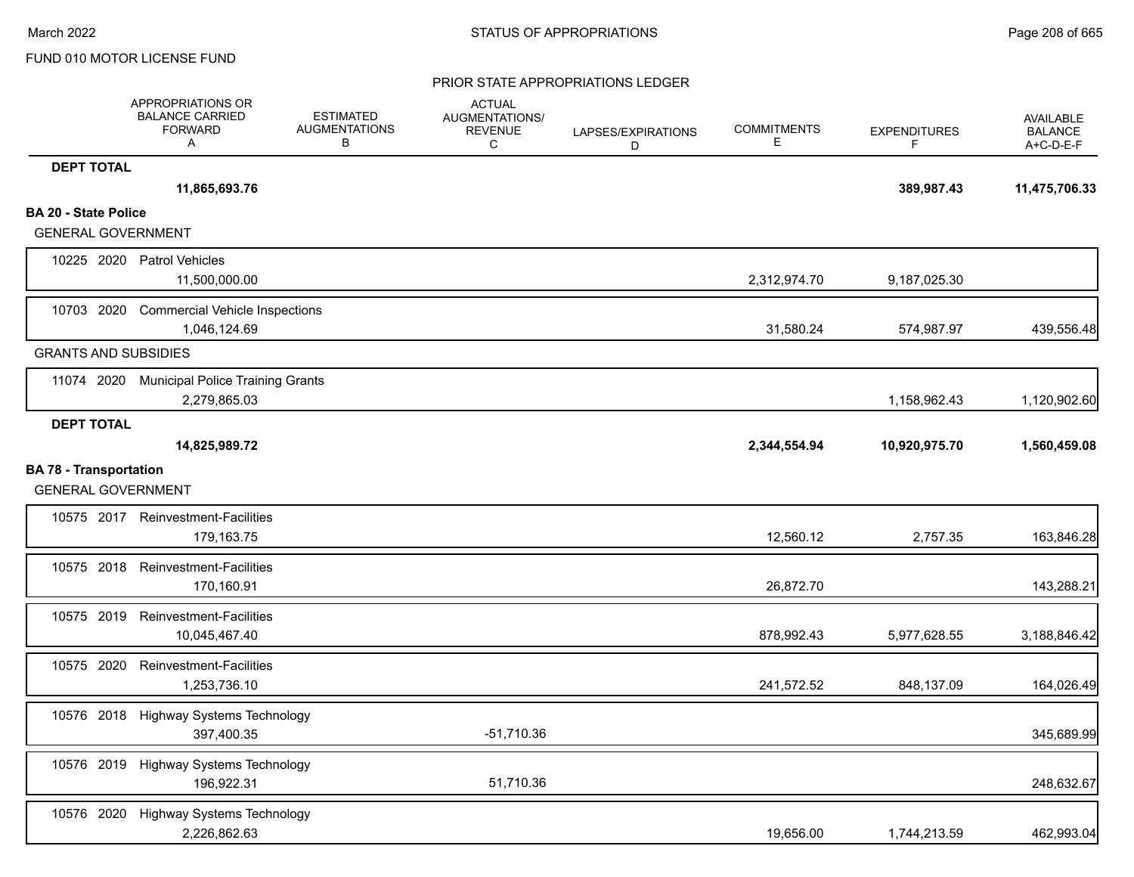|                                                            | APPROPRIATIONS OR<br><b>BALANCE CARRIED</b><br><b>FORWARD</b><br>A | <b>ESTIMATED</b><br><b>AUGMENTATIONS</b><br>В | <b>ACTUAL</b><br>AUGMENTATIONS/<br><b>REVENUE</b><br>C | LAPSES/EXPIRATIONS<br>D | <b>COMMITMENTS</b><br>Е | <b>EXPENDITURES</b><br>F | AVAILABLE<br><b>BALANCE</b><br>A+C-D-E-F |
|------------------------------------------------------------|--------------------------------------------------------------------|-----------------------------------------------|--------------------------------------------------------|-------------------------|-------------------------|--------------------------|------------------------------------------|
| <b>DEPT TOTAL</b>                                          |                                                                    |                                               |                                                        |                         |                         |                          |                                          |
|                                                            | 11,865,693.76                                                      |                                               |                                                        |                         |                         | 389,987.43               | 11,475,706.33                            |
| <b>BA 20 - State Police</b>                                |                                                                    |                                               |                                                        |                         |                         |                          |                                          |
| <b>GENERAL GOVERNMENT</b>                                  |                                                                    |                                               |                                                        |                         |                         |                          |                                          |
|                                                            | 10225 2020 Patrol Vehicles<br>11,500,000.00                        |                                               |                                                        |                         | 2,312,974.70            | 9,187,025.30             |                                          |
| 10703 2020                                                 | <b>Commercial Vehicle Inspections</b><br>1,046,124.69              |                                               |                                                        |                         | 31,580.24               | 574,987.97               | 439,556.48                               |
| <b>GRANTS AND SUBSIDIES</b>                                |                                                                    |                                               |                                                        |                         |                         |                          |                                          |
| 11074 2020                                                 | <b>Municipal Police Training Grants</b><br>2,279,865.03            |                                               |                                                        |                         |                         | 1,158,962.43             | 1,120,902.60                             |
| <b>DEPT TOTAL</b>                                          |                                                                    |                                               |                                                        |                         |                         |                          |                                          |
|                                                            | 14,825,989.72                                                      |                                               |                                                        |                         | 2,344,554.94            | 10,920,975.70            | 1,560,459.08                             |
| <b>BA 78 - Transportation</b><br><b>GENERAL GOVERNMENT</b> |                                                                    |                                               |                                                        |                         |                         |                          |                                          |
| 10575 2017                                                 | Reinvestment-Facilities<br>179,163.75                              |                                               |                                                        |                         | 12,560.12               | 2,757.35                 | 163,846.28                               |
| 10575 2018                                                 | <b>Reinvestment-Facilities</b><br>170,160.91                       |                                               |                                                        |                         | 26,872.70               |                          | 143,288.21                               |
| 10575 2019                                                 | Reinvestment-Facilities<br>10,045,467.40                           |                                               |                                                        |                         | 878,992.43              | 5,977,628.55             | 3,188,846.42                             |
| 10575 2020                                                 | Reinvestment-Facilities<br>1,253,736.10                            |                                               |                                                        |                         | 241,572.52              | 848,137.09               | 164,026.49                               |
| 10576 2018                                                 | Highway Systems Technology<br>397,400.35                           |                                               | $-51,710.36$                                           |                         |                         |                          | 345,689.99                               |
|                                                            | 10576 2019 Highway Systems Technology<br>196,922.31                |                                               | 51,710.36                                              |                         |                         |                          | 248,632.67                               |
| 10576 2020                                                 | <b>Highway Systems Technology</b><br>2,226,862.63                  |                                               |                                                        |                         | 19,656.00               | 1,744,213.59             | 462,993.04                               |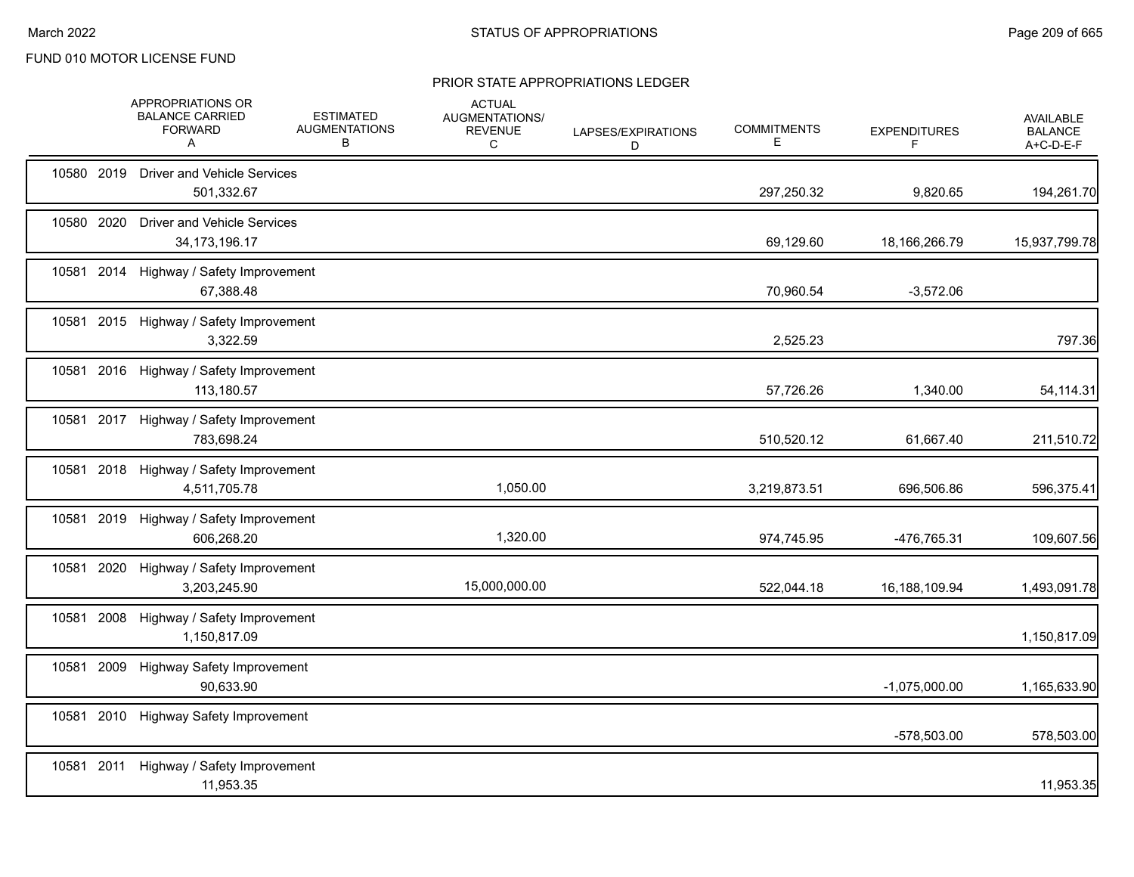|            | APPROPRIATIONS OR<br><b>BALANCE CARRIED</b><br><b>FORWARD</b><br>A | <b>ESTIMATED</b><br><b>AUGMENTATIONS</b><br>В | <b>ACTUAL</b><br>AUGMENTATIONS/<br><b>REVENUE</b><br>С | LAPSES/EXPIRATIONS<br>D | <b>COMMITMENTS</b><br>E. | <b>EXPENDITURES</b><br>F. | <b>AVAILABLE</b><br><b>BALANCE</b><br>A+C-D-E-F |
|------------|--------------------------------------------------------------------|-----------------------------------------------|--------------------------------------------------------|-------------------------|--------------------------|---------------------------|-------------------------------------------------|
| 10580 2019 | <b>Driver and Vehicle Services</b><br>501,332.67                   |                                               |                                                        |                         | 297,250.32               | 9,820.65                  | 194,261.70                                      |
| 10580 2020 | <b>Driver and Vehicle Services</b><br>34, 173, 196. 17             |                                               |                                                        |                         | 69,129.60                | 18,166,266.79             | 15,937,799.78                                   |
| 10581 2014 | Highway / Safety Improvement<br>67,388.48                          |                                               |                                                        |                         | 70,960.54                | $-3,572.06$               |                                                 |
|            | 10581 2015 Highway / Safety Improvement<br>3,322.59                |                                               |                                                        |                         | 2,525.23                 |                           | 797.36                                          |
|            | 10581 2016 Highway / Safety Improvement<br>113,180.57              |                                               |                                                        |                         | 57,726.26                | 1,340.00                  | 54,114.31                                       |
|            | 10581 2017 Highway / Safety Improvement<br>783,698.24              |                                               |                                                        |                         | 510,520.12               | 61,667.40                 | 211,510.72                                      |
| 10581 2018 | Highway / Safety Improvement<br>4,511,705.78                       |                                               | 1,050.00                                               |                         | 3,219,873.51             | 696,506.86                | 596,375.41                                      |
| 10581 2019 | Highway / Safety Improvement<br>606,268.20                         |                                               | 1,320.00                                               |                         | 974,745.95               | -476,765.31               | 109,607.56                                      |
| 10581 2020 | Highway / Safety Improvement<br>3,203,245.90                       |                                               | 15,000,000.00                                          |                         | 522,044.18               | 16,188,109.94             | 1,493,091.78                                    |
| 10581 2008 | Highway / Safety Improvement<br>1,150,817.09                       |                                               |                                                        |                         |                          |                           | 1,150,817.09                                    |
| 10581 2009 | <b>Highway Safety Improvement</b><br>90,633.90                     |                                               |                                                        |                         |                          | $-1,075,000.00$           | 1,165,633.90                                    |
| 10581 2010 | <b>Highway Safety Improvement</b>                                  |                                               |                                                        |                         |                          | -578,503.00               | 578,503.00                                      |
| 10581 2011 | Highway / Safety Improvement<br>11,953.35                          |                                               |                                                        |                         |                          |                           | 11,953.35                                       |
|            |                                                                    |                                               |                                                        |                         |                          |                           |                                                 |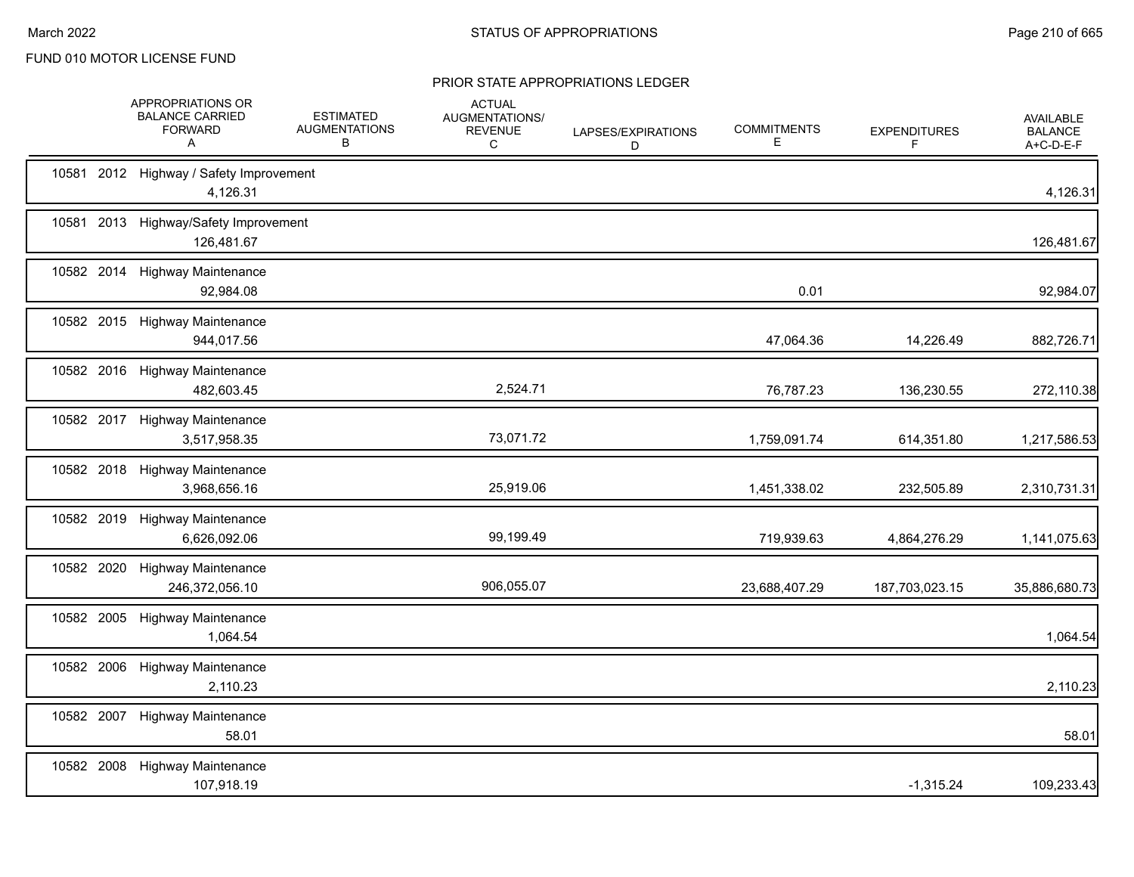|            | APPROPRIATIONS OR<br><b>BALANCE CARRIED</b><br><b>FORWARD</b><br>A | <b>ESTIMATED</b><br><b>AUGMENTATIONS</b><br>В | <b>ACTUAL</b><br>AUGMENTATIONS/<br><b>REVENUE</b><br>C | LAPSES/EXPIRATIONS<br>D | <b>COMMITMENTS</b><br>E | <b>EXPENDITURES</b><br>F | <b>AVAILABLE</b><br><b>BALANCE</b><br>$A+C-D-E-F$ |
|------------|--------------------------------------------------------------------|-----------------------------------------------|--------------------------------------------------------|-------------------------|-------------------------|--------------------------|---------------------------------------------------|
|            | 10581 2012 Highway / Safety Improvement<br>4,126.31                |                                               |                                                        |                         |                         |                          | 4,126.31                                          |
|            | 10581 2013 Highway/Safety Improvement<br>126,481.67                |                                               |                                                        |                         |                         |                          | 126,481.67                                        |
|            | 10582 2014 Highway Maintenance<br>92,984.08                        |                                               |                                                        |                         | 0.01                    |                          | 92,984.07                                         |
|            | 10582 2015 Highway Maintenance<br>944,017.56                       |                                               |                                                        |                         | 47,064.36               | 14,226.49                | 882,726.71                                        |
|            | 10582 2016 Highway Maintenance<br>482,603.45                       |                                               | 2,524.71                                               |                         | 76,787.23               | 136,230.55               | 272,110.38                                        |
|            | 10582 2017 Highway Maintenance<br>3,517,958.35                     |                                               | 73,071.72                                              |                         | 1,759,091.74            | 614,351.80               | 1,217,586.53                                      |
| 10582 2018 | <b>Highway Maintenance</b><br>3,968,656.16                         |                                               | 25,919.06                                              |                         | 1,451,338.02            | 232,505.89               | 2,310,731.31                                      |
| 10582 2019 | <b>Highway Maintenance</b><br>6,626,092.06                         |                                               | 99,199.49                                              |                         | 719,939.63              | 4,864,276.29             | 1,141,075.63                                      |
| 10582 2020 | <b>Highway Maintenance</b><br>246,372,056.10                       |                                               | 906,055.07                                             |                         | 23,688,407.29           | 187,703,023.15           | 35,886,680.73                                     |
| 10582 2005 | <b>Highway Maintenance</b><br>1,064.54                             |                                               |                                                        |                         |                         |                          | 1,064.54                                          |
| 10582 2006 | <b>Highway Maintenance</b><br>2,110.23                             |                                               |                                                        |                         |                         |                          | 2,110.23                                          |
| 10582 2007 | <b>Highway Maintenance</b><br>58.01                                |                                               |                                                        |                         |                         |                          | 58.01                                             |
|            | 10582 2008 Highway Maintenance<br>107,918.19                       |                                               |                                                        |                         |                         | $-1,315.24$              | 109,233.43                                        |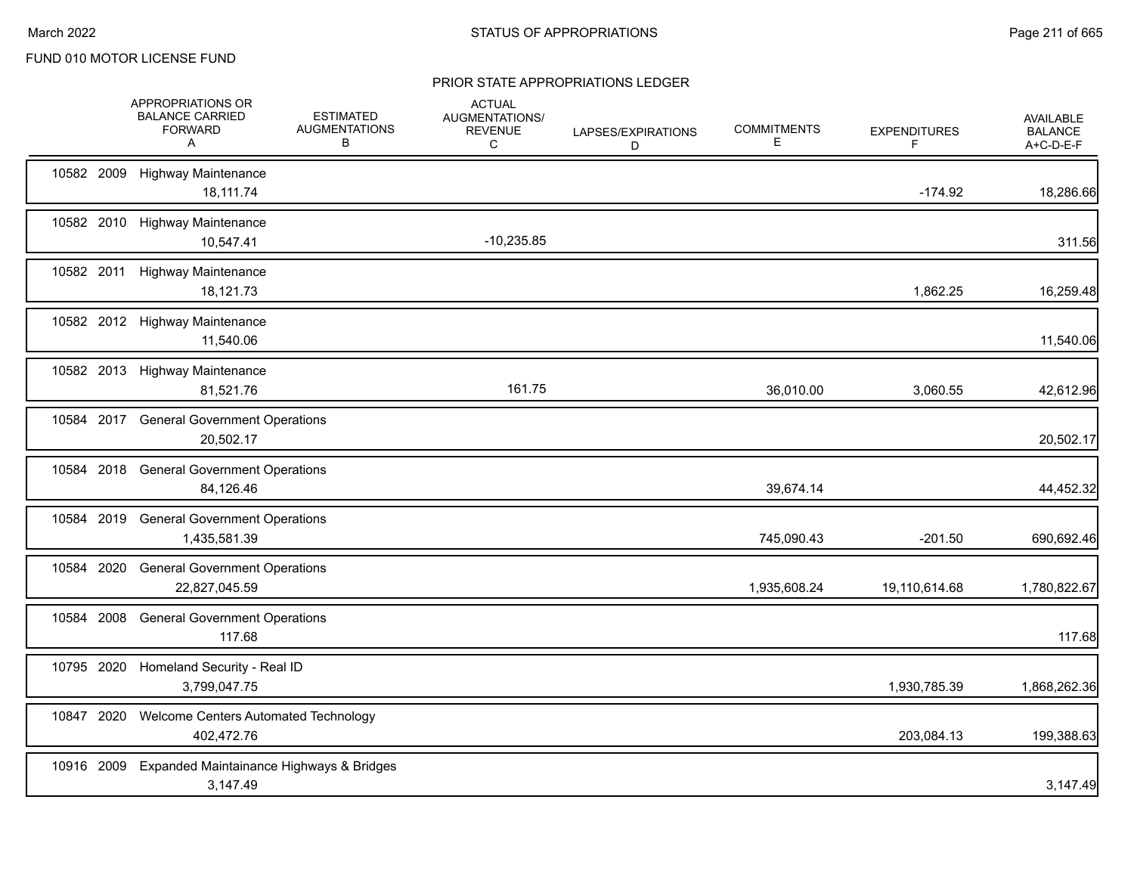|            | APPROPRIATIONS OR<br><b>BALANCE CARRIED</b><br><b>FORWARD</b><br>A | <b>ESTIMATED</b><br><b>AUGMENTATIONS</b><br>В | <b>ACTUAL</b><br>AUGMENTATIONS/<br><b>REVENUE</b><br>С | LAPSES/EXPIRATIONS<br>D | <b>COMMITMENTS</b><br>Е | <b>EXPENDITURES</b><br>F | <b>AVAILABLE</b><br><b>BALANCE</b><br>A+C-D-E-F |
|------------|--------------------------------------------------------------------|-----------------------------------------------|--------------------------------------------------------|-------------------------|-------------------------|--------------------------|-------------------------------------------------|
|            | 10582 2009 Highway Maintenance<br>18,111.74                        |                                               |                                                        |                         |                         | $-174.92$                | 18,286.66                                       |
|            | 10582 2010 Highway Maintenance<br>10,547.41                        |                                               | $-10,235.85$                                           |                         |                         |                          | 311.56                                          |
|            | 10582 2011 Highway Maintenance<br>18,121.73                        |                                               |                                                        |                         |                         | 1,862.25                 | 16,259.48                                       |
|            | 10582 2012 Highway Maintenance<br>11,540.06                        |                                               |                                                        |                         |                         |                          | 11,540.06                                       |
|            | 10582 2013 Highway Maintenance<br>81,521.76                        |                                               | 161.75                                                 |                         | 36,010.00               | 3,060.55                 | 42,612.96                                       |
|            | 10584 2017 General Government Operations<br>20,502.17              |                                               |                                                        |                         |                         |                          | 20,502.17                                       |
| 10584 2018 | <b>General Government Operations</b><br>84,126.46                  |                                               |                                                        |                         | 39,674.14               |                          | 44,452.32                                       |
| 10584 2019 | <b>General Government Operations</b><br>1,435,581.39               |                                               |                                                        |                         | 745,090.43              | $-201.50$                | 690,692.46                                      |
| 10584 2020 | <b>General Government Operations</b><br>22,827,045.59              |                                               |                                                        |                         | 1,935,608.24            | 19,110,614.68            | 1,780,822.67                                    |
| 10584 2008 | <b>General Government Operations</b><br>117.68                     |                                               |                                                        |                         |                         |                          | 117.68                                          |
| 10795 2020 | Homeland Security - Real ID<br>3,799,047.75                        |                                               |                                                        |                         |                         | 1,930,785.39             | 1,868,262.36                                    |
| 10847 2020 | Welcome Centers Automated Technology<br>402,472.76                 |                                               |                                                        |                         |                         | 203,084.13               | 199,388.63                                      |
| 10916 2009 | Expanded Maintainance Highways & Bridges<br>3,147.49               |                                               |                                                        |                         |                         |                          | 3,147.49                                        |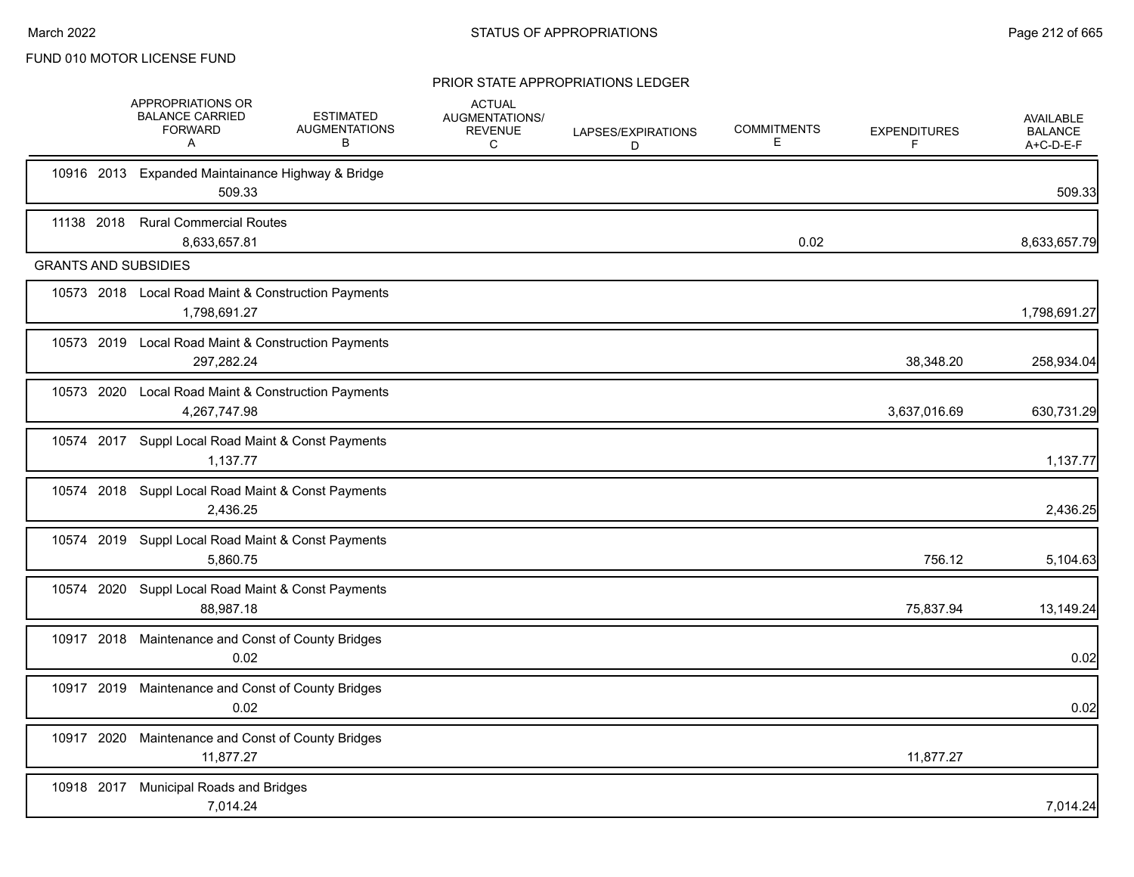|            |            | APPROPRIATIONS OR<br><b>BALANCE CARRIED</b><br><b>FORWARD</b><br>A  | <b>ESTIMATED</b><br><b>AUGMENTATIONS</b><br>В | <b>ACTUAL</b><br>AUGMENTATIONS/<br>REVENUE<br>C | LAPSES/EXPIRATIONS<br>D | <b>COMMITMENTS</b><br>E | <b>EXPENDITURES</b><br>F | <b>AVAILABLE</b><br><b>BALANCE</b><br>A+C-D-E-F |
|------------|------------|---------------------------------------------------------------------|-----------------------------------------------|-------------------------------------------------|-------------------------|-------------------------|--------------------------|-------------------------------------------------|
|            |            | 10916 2013 Expanded Maintainance Highway & Bridge<br>509.33         |                                               |                                                 |                         |                         |                          | 509.33                                          |
| 11138 2018 |            | <b>Rural Commercial Routes</b><br>8,633,657.81                      |                                               |                                                 |                         | 0.02                    |                          | 8,633,657.79                                    |
|            |            | <b>GRANTS AND SUBSIDIES</b>                                         |                                               |                                                 |                         |                         |                          |                                                 |
|            |            | 10573 2018 Local Road Maint & Construction Payments<br>1,798,691.27 |                                               |                                                 |                         |                         |                          | 1,798,691.27                                    |
|            |            | 10573 2019 Local Road Maint & Construction Payments<br>297,282.24   |                                               |                                                 |                         |                         | 38,348.20                | 258,934.04                                      |
|            |            | 10573 2020 Local Road Maint & Construction Payments<br>4,267,747.98 |                                               |                                                 |                         |                         | 3,637,016.69             | 630,731.29                                      |
|            |            | 10574 2017 Suppl Local Road Maint & Const Payments<br>1,137.77      |                                               |                                                 |                         |                         |                          | 1,137.77                                        |
|            |            | 10574 2018 Suppl Local Road Maint & Const Payments<br>2,436.25      |                                               |                                                 |                         |                         |                          | 2,436.25                                        |
|            |            | 10574 2019 Suppl Local Road Maint & Const Payments<br>5.860.75      |                                               |                                                 |                         |                         | 756.12                   | 5,104.63                                        |
|            |            | 10574 2020 Suppl Local Road Maint & Const Payments<br>88.987.18     |                                               |                                                 |                         |                         | 75,837.94                | 13,149.24                                       |
|            |            | 10917 2018 Maintenance and Const of County Bridges<br>0.02          |                                               |                                                 |                         |                         |                          | 0.02                                            |
|            |            | 10917 2019 Maintenance and Const of County Bridges<br>0.02          |                                               |                                                 |                         |                         |                          | 0.02                                            |
|            | 10917 2020 | Maintenance and Const of County Bridges<br>11,877.27                |                                               |                                                 |                         |                         | 11,877.27                |                                                 |
|            |            | 10918 2017 Municipal Roads and Bridges<br>7,014.24                  |                                               |                                                 |                         |                         |                          | 7,014.24                                        |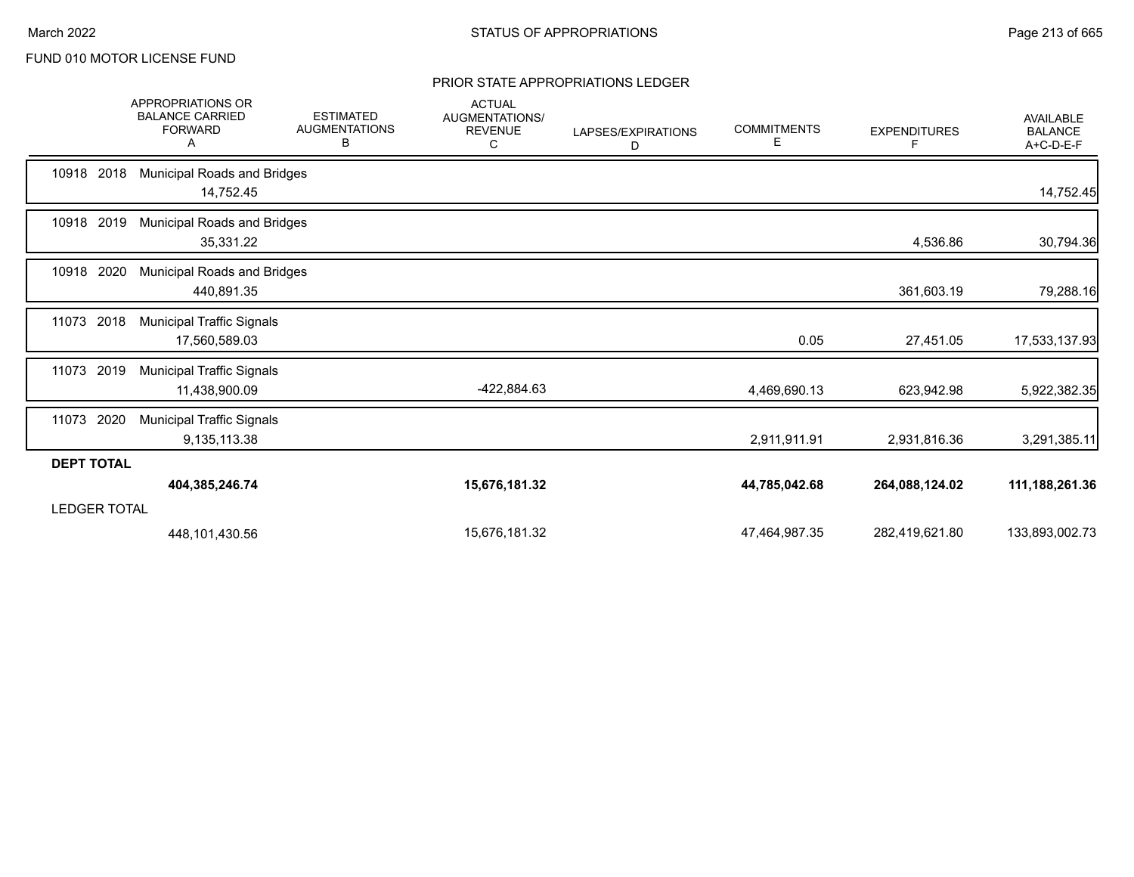|                     | <b>APPROPRIATIONS OR</b><br><b>BALANCE CARRIED</b><br><b>FORWARD</b><br>A | <b>ESTIMATED</b><br><b>AUGMENTATIONS</b><br>В | <b>ACTUAL</b><br>AUGMENTATIONS/<br><b>REVENUE</b><br>C | LAPSES/EXPIRATIONS<br>D | <b>COMMITMENTS</b><br>Е | <b>EXPENDITURES</b><br>F | <b>AVAILABLE</b><br><b>BALANCE</b><br>A+C-D-E-F |
|---------------------|---------------------------------------------------------------------------|-----------------------------------------------|--------------------------------------------------------|-------------------------|-------------------------|--------------------------|-------------------------------------------------|
| 10918 2018          | Municipal Roads and Bridges<br>14,752.45                                  |                                               |                                                        |                         |                         |                          | 14,752.45                                       |
| 10918 2019          | <b>Municipal Roads and Bridges</b><br>35,331.22                           |                                               |                                                        |                         |                         | 4,536.86                 | 30,794.36                                       |
| 10918<br>2020       | Municipal Roads and Bridges<br>440,891.35                                 |                                               |                                                        |                         |                         | 361,603.19               | 79,288.16                                       |
| 11073<br>2018       | <b>Municipal Traffic Signals</b><br>17,560,589.03                         |                                               |                                                        |                         | 0.05                    | 27,451.05                | 17,533,137.93                                   |
| 2019<br>11073       | <b>Municipal Traffic Signals</b><br>11,438,900.09                         |                                               | -422,884.63                                            |                         | 4,469,690.13            | 623,942.98               | 5,922,382.35                                    |
| 2020<br>11073       | <b>Municipal Traffic Signals</b><br>9,135,113.38                          |                                               |                                                        |                         | 2,911,911.91            | 2,931,816.36             | 3,291,385.11                                    |
| <b>DEPT TOTAL</b>   |                                                                           |                                               |                                                        |                         |                         |                          |                                                 |
|                     | 404,385,246.74                                                            |                                               | 15,676,181.32                                          |                         | 44,785,042.68           | 264,088,124.02           | 111, 188, 261. 36                               |
| <b>LEDGER TOTAL</b> |                                                                           |                                               |                                                        |                         |                         |                          |                                                 |
|                     | 448,101,430.56                                                            |                                               | 15,676,181.32                                          |                         | 47,464,987.35           | 282,419,621.80           | 133,893,002.73                                  |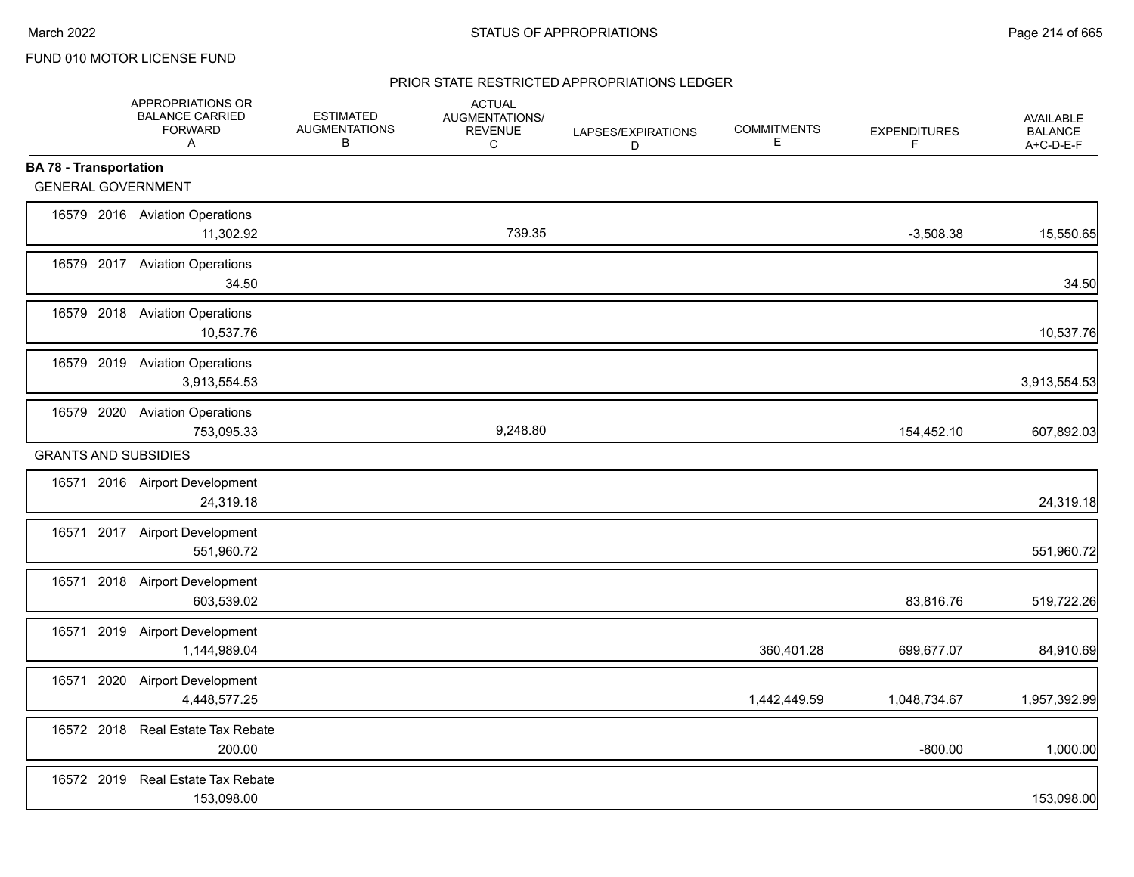### PRIOR STATE RESTRICTED APPROPRIATIONS LEDGER

|                               | APPROPRIATIONS OR<br><b>BALANCE CARRIED</b><br><b>FORWARD</b><br>$\mathsf{A}$ | <b>ESTIMATED</b><br><b>AUGMENTATIONS</b><br>В | <b>ACTUAL</b><br>AUGMENTATIONS/<br><b>REVENUE</b><br>C | LAPSES/EXPIRATIONS<br>D | <b>COMMITMENTS</b><br>E. | <b>EXPENDITURES</b><br>F | <b>AVAILABLE</b><br><b>BALANCE</b><br>A+C-D-E-F |
|-------------------------------|-------------------------------------------------------------------------------|-----------------------------------------------|--------------------------------------------------------|-------------------------|--------------------------|--------------------------|-------------------------------------------------|
| <b>BA 78 - Transportation</b> |                                                                               |                                               |                                                        |                         |                          |                          |                                                 |
| <b>GENERAL GOVERNMENT</b>     |                                                                               |                                               |                                                        |                         |                          |                          |                                                 |
|                               | 16579 2016 Aviation Operations<br>11,302.92                                   |                                               | 739.35                                                 |                         |                          | $-3,508.38$              | 15,550.65                                       |
|                               | 16579 2017 Aviation Operations<br>34.50                                       |                                               |                                                        |                         |                          |                          | 34.50                                           |
|                               | 16579 2018 Aviation Operations<br>10,537.76                                   |                                               |                                                        |                         |                          |                          | 10,537.76                                       |
|                               | 16579 2019 Aviation Operations<br>3,913,554.53                                |                                               |                                                        |                         |                          |                          | 3,913,554.53                                    |
|                               | 16579 2020 Aviation Operations<br>753,095.33                                  |                                               | 9,248.80                                               |                         |                          | 154,452.10               | 607,892.03                                      |
| <b>GRANTS AND SUBSIDIES</b>   |                                                                               |                                               |                                                        |                         |                          |                          |                                                 |
|                               | 16571 2016 Airport Development<br>24,319.18                                   |                                               |                                                        |                         |                          |                          | 24,319.18                                       |
|                               | 16571 2017 Airport Development<br>551,960.72                                  |                                               |                                                        |                         |                          |                          | 551,960.72                                      |
|                               | 16571 2018 Airport Development<br>603,539.02                                  |                                               |                                                        |                         |                          | 83,816.76                | 519,722.26                                      |
|                               | 16571 2019 Airport Development<br>1,144,989.04                                |                                               |                                                        |                         | 360,401.28               | 699,677.07               | 84,910.69                                       |
| 16571                         | 2020 Airport Development<br>4,448,577.25                                      |                                               |                                                        |                         | 1,442,449.59             | 1,048,734.67             | 1,957,392.99                                    |
|                               | 16572 2018 Real Estate Tax Rebate<br>200.00                                   |                                               |                                                        |                         |                          | $-800.00$                | 1,000.00                                        |
|                               | 16572 2019 Real Estate Tax Rebate<br>153,098.00                               |                                               |                                                        |                         |                          |                          | 153,098.00                                      |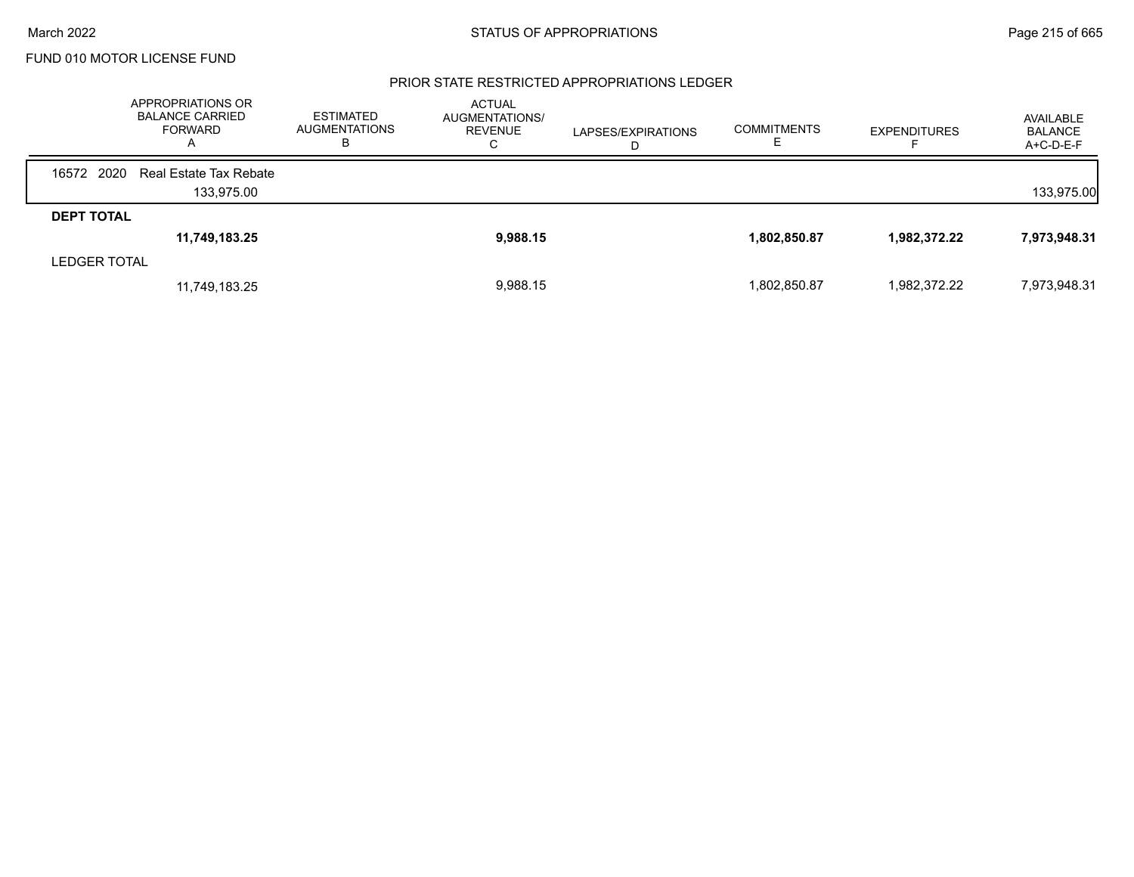#### PRIOR STATE RESTRICTED APPROPRIATIONS LEDGER

|                     | APPROPRIATIONS OR<br><b>BALANCE CARRIED</b><br>FORWARD | <b>ESTIMATED</b><br><b>AUGMENTATIONS</b><br>ь | <b>ACTUAL</b><br>AUGMENTATIONS/<br><b>REVENUE</b><br>С | LAPSES/EXPIRATIONS<br>D | <b>COMMITMENTS</b> | <b>EXPENDITURES</b> | AVAILABLE<br><b>BALANCE</b><br>$A+C-D-E-F$ |
|---------------------|--------------------------------------------------------|-----------------------------------------------|--------------------------------------------------------|-------------------------|--------------------|---------------------|--------------------------------------------|
| 16572 2020          | Real Estate Tax Rebate                                 |                                               |                                                        |                         |                    |                     |                                            |
|                     | 133,975.00                                             |                                               |                                                        |                         |                    |                     | 133,975.00                                 |
| <b>DEPT TOTAL</b>   |                                                        |                                               |                                                        |                         |                    |                     |                                            |
|                     | 11,749,183.25                                          |                                               | 9,988.15                                               |                         | 1,802,850.87       | 1,982,372.22        | 7,973,948.31                               |
| <b>LEDGER TOTAL</b> |                                                        |                                               |                                                        |                         |                    |                     |                                            |
|                     | 11,749,183.25                                          |                                               | 9,988.15                                               |                         | 1,802,850.87       | 1,982,372.22        | 7,973,948.31                               |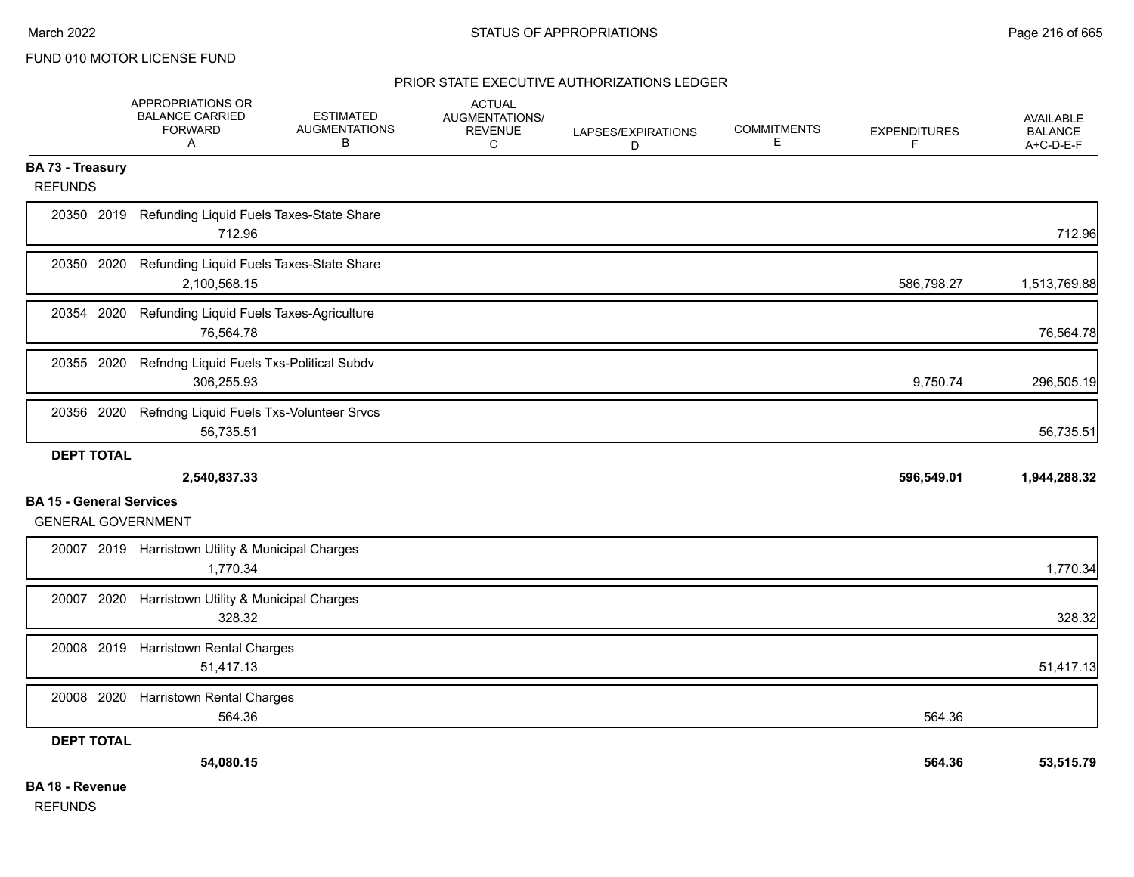#### PRIOR STATE EXECUTIVE AUTHORIZATIONS LEDGER

|                                    | APPROPRIATIONS OR<br><b>BALANCE CARRIED</b><br><b>FORWARD</b><br>A | <b>ESTIMATED</b><br><b>AUGMENTATIONS</b><br>в       | <b>ACTUAL</b><br>AUGMENTATIONS/<br><b>REVENUE</b><br>C | LAPSES/EXPIRATIONS<br>D | <b>COMMITMENTS</b><br>Е | <b>EXPENDITURES</b><br>F | <b>AVAILABLE</b><br><b>BALANCE</b><br>A+C-D-E-F |
|------------------------------------|--------------------------------------------------------------------|-----------------------------------------------------|--------------------------------------------------------|-------------------------|-------------------------|--------------------------|-------------------------------------------------|
| BA 73 - Treasury<br><b>REFUNDS</b> |                                                                    |                                                     |                                                        |                         |                         |                          |                                                 |
|                                    | 712.96                                                             | 20350 2019 Refunding Liquid Fuels Taxes-State Share |                                                        |                         |                         |                          | 712.96                                          |
| 20350 2020                         | 2,100,568.15                                                       | Refunding Liquid Fuels Taxes-State Share            |                                                        |                         |                         | 586,798.27               | 1,513,769.88                                    |
| 20354 2020                         | 76,564.78                                                          | Refunding Liquid Fuels Taxes-Agriculture            |                                                        |                         |                         |                          | 76,564.78                                       |
| 20355 2020                         | 306,255.93                                                         | Refndng Liquid Fuels Txs-Political Subdv            |                                                        |                         |                         | 9,750.74                 | 296,505.19                                      |
| 20356 2020                         | 56,735.51                                                          | Refndng Liquid Fuels Txs-Volunteer Srvcs            |                                                        |                         |                         |                          | 56,735.51                                       |
| <b>DEPT TOTAL</b>                  |                                                                    |                                                     |                                                        |                         |                         |                          |                                                 |
|                                    | 2,540,837.33                                                       |                                                     |                                                        |                         |                         | 596,549.01               | 1,944,288.32                                    |
| <b>BA 15 - General Services</b>    | <b>GENERAL GOVERNMENT</b>                                          |                                                     |                                                        |                         |                         |                          |                                                 |
|                                    | 20007 2019 Harristown Utility & Municipal Charges<br>1,770.34      |                                                     |                                                        |                         |                         |                          | 1,770.34                                        |
| 20007 2020                         | 328.32                                                             | Harristown Utility & Municipal Charges              |                                                        |                         |                         |                          | 328.32                                          |
| 20008 2019                         | <b>Harristown Rental Charges</b><br>51,417.13                      |                                                     |                                                        |                         |                         |                          | 51,417.13                                       |
| 20008 2020                         | <b>Harristown Rental Charges</b><br>564.36                         |                                                     |                                                        |                         |                         | 564.36                   |                                                 |
| <b>DEPT TOTAL</b>                  |                                                                    |                                                     |                                                        |                         |                         |                          |                                                 |
|                                    | 54,080.15                                                          |                                                     |                                                        |                         |                         | 564.36                   | 53,515.79                                       |
| <b>BA 18 - Revenue</b>             |                                                                    |                                                     |                                                        |                         |                         |                          |                                                 |

REFUNDS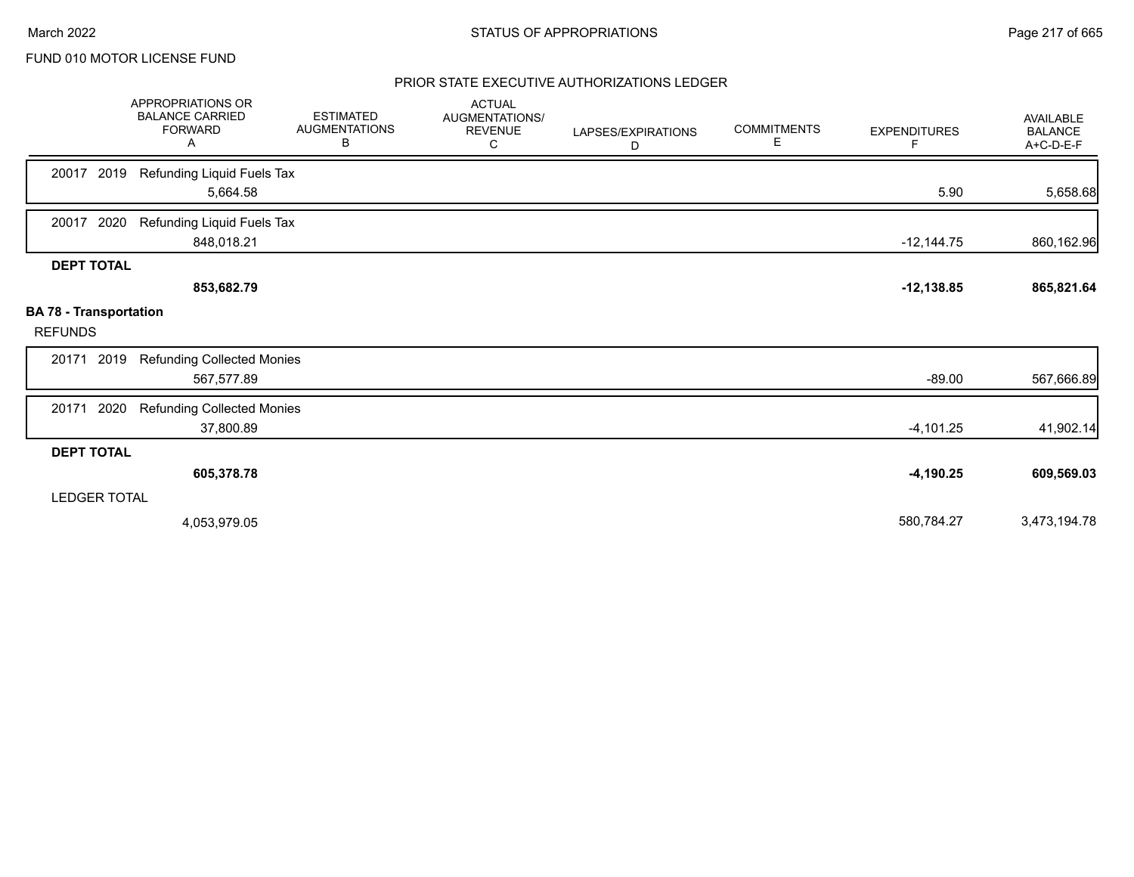## PRIOR STATE EXECUTIVE AUTHORIZATIONS LEDGER

|                                                 | APPROPRIATIONS OR<br><b>BALANCE CARRIED</b><br><b>FORWARD</b><br>Α | <b>ESTIMATED</b><br><b>AUGMENTATIONS</b><br>В | <b>ACTUAL</b><br><b>AUGMENTATIONS/</b><br><b>REVENUE</b><br>C | LAPSES/EXPIRATIONS<br>D | <b>COMMITMENTS</b><br>Е | <b>EXPENDITURES</b><br>F | <b>AVAILABLE</b><br><b>BALANCE</b><br>A+C-D-E-F |
|-------------------------------------------------|--------------------------------------------------------------------|-----------------------------------------------|---------------------------------------------------------------|-------------------------|-------------------------|--------------------------|-------------------------------------------------|
| 2019<br>20017                                   | Refunding Liquid Fuels Tax<br>5,664.58                             |                                               |                                                               |                         |                         | 5.90                     | 5,658.68                                        |
| 2020<br>20017                                   | Refunding Liquid Fuels Tax<br>848,018.21                           |                                               |                                                               |                         |                         | $-12,144.75$             | 860,162.96                                      |
| <b>DEPT TOTAL</b>                               | 853,682.79                                                         |                                               |                                                               |                         |                         | $-12,138.85$             | 865,821.64                                      |
| <b>BA 78 - Transportation</b><br><b>REFUNDS</b> |                                                                    |                                               |                                                               |                         |                         |                          |                                                 |
| 2019<br>20171                                   | <b>Refunding Collected Monies</b><br>567,577.89                    |                                               |                                                               |                         |                         | $-89.00$                 | 567,666.89                                      |
| 2020<br>20171                                   | <b>Refunding Collected Monies</b><br>37,800.89                     |                                               |                                                               |                         |                         | $-4,101.25$              | 41,902.14                                       |
| <b>DEPT TOTAL</b>                               |                                                                    |                                               |                                                               |                         |                         |                          |                                                 |
|                                                 | 605,378.78                                                         |                                               |                                                               |                         |                         | $-4,190.25$              | 609,569.03                                      |
| <b>LEDGER TOTAL</b>                             |                                                                    |                                               |                                                               |                         |                         |                          |                                                 |
|                                                 | 4,053,979.05                                                       |                                               |                                                               |                         |                         | 580,784.27               | 3,473,194.78                                    |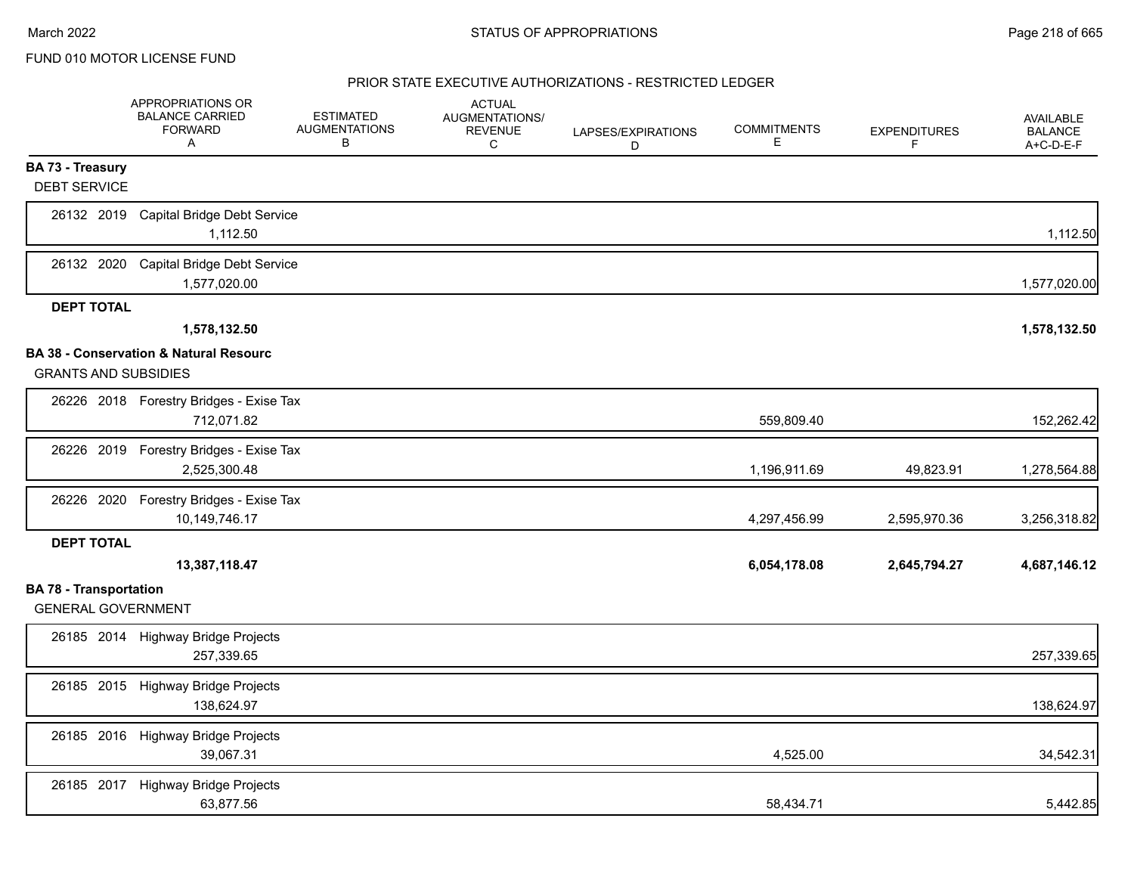|                                                            | APPROPRIATIONS OR<br><b>BALANCE CARRIED</b><br><b>FORWARD</b><br>A | <b>ESTIMATED</b><br><b>AUGMENTATIONS</b><br>В | <b>ACTUAL</b><br>AUGMENTATIONS/<br><b>REVENUE</b><br>С | LAPSES/EXPIRATIONS<br>D | <b>COMMITMENTS</b><br>E. | <b>EXPENDITURES</b><br>F | <b>AVAILABLE</b><br><b>BALANCE</b><br>A+C-D-E-F |
|------------------------------------------------------------|--------------------------------------------------------------------|-----------------------------------------------|--------------------------------------------------------|-------------------------|--------------------------|--------------------------|-------------------------------------------------|
| BA 73 - Treasury<br><b>DEBT SERVICE</b>                    |                                                                    |                                               |                                                        |                         |                          |                          |                                                 |
| 26132 2019                                                 | Capital Bridge Debt Service<br>1,112.50                            |                                               |                                                        |                         |                          |                          | 1,112.50                                        |
| 26132 2020                                                 | Capital Bridge Debt Service<br>1,577,020.00                        |                                               |                                                        |                         |                          |                          | 1,577,020.00                                    |
| <b>DEPT TOTAL</b>                                          |                                                                    |                                               |                                                        |                         |                          |                          |                                                 |
|                                                            | 1,578,132.50                                                       |                                               |                                                        |                         |                          |                          | 1,578,132.50                                    |
| <b>GRANTS AND SUBSIDIES</b>                                | BA 38 - Conservation & Natural Resourc                             |                                               |                                                        |                         |                          |                          |                                                 |
|                                                            | 26226 2018 Forestry Bridges - Exise Tax<br>712,071.82              |                                               |                                                        |                         | 559,809.40               |                          | 152,262.42                                      |
| 26226 2019                                                 | Forestry Bridges - Exise Tax<br>2,525,300.48                       |                                               |                                                        |                         | 1,196,911.69             | 49,823.91                | 1,278,564.88                                    |
| 26226 2020                                                 | Forestry Bridges - Exise Tax<br>10,149,746.17                      |                                               |                                                        |                         | 4,297,456.99             | 2,595,970.36             | 3,256,318.82                                    |
| <b>DEPT TOTAL</b>                                          |                                                                    |                                               |                                                        |                         |                          |                          |                                                 |
|                                                            | 13,387,118.47                                                      |                                               |                                                        |                         | 6,054,178.08             | 2,645,794.27             | 4,687,146.12                                    |
| <b>BA 78 - Transportation</b><br><b>GENERAL GOVERNMENT</b> |                                                                    |                                               |                                                        |                         |                          |                          |                                                 |
|                                                            | 26185 2014 Highway Bridge Projects<br>257,339.65                   |                                               |                                                        |                         |                          |                          | 257,339.65                                      |
| 26185 2015                                                 | Highway Bridge Projects<br>138,624.97                              |                                               |                                                        |                         |                          |                          | 138,624.97                                      |
|                                                            | 26185 2016 Highway Bridge Projects<br>39,067.31                    |                                               |                                                        |                         | 4,525.00                 |                          | 34,542.31                                       |
| 26185 2017                                                 | Highway Bridge Projects<br>63,877.56                               |                                               |                                                        |                         | 58,434.71                |                          | 5,442.85                                        |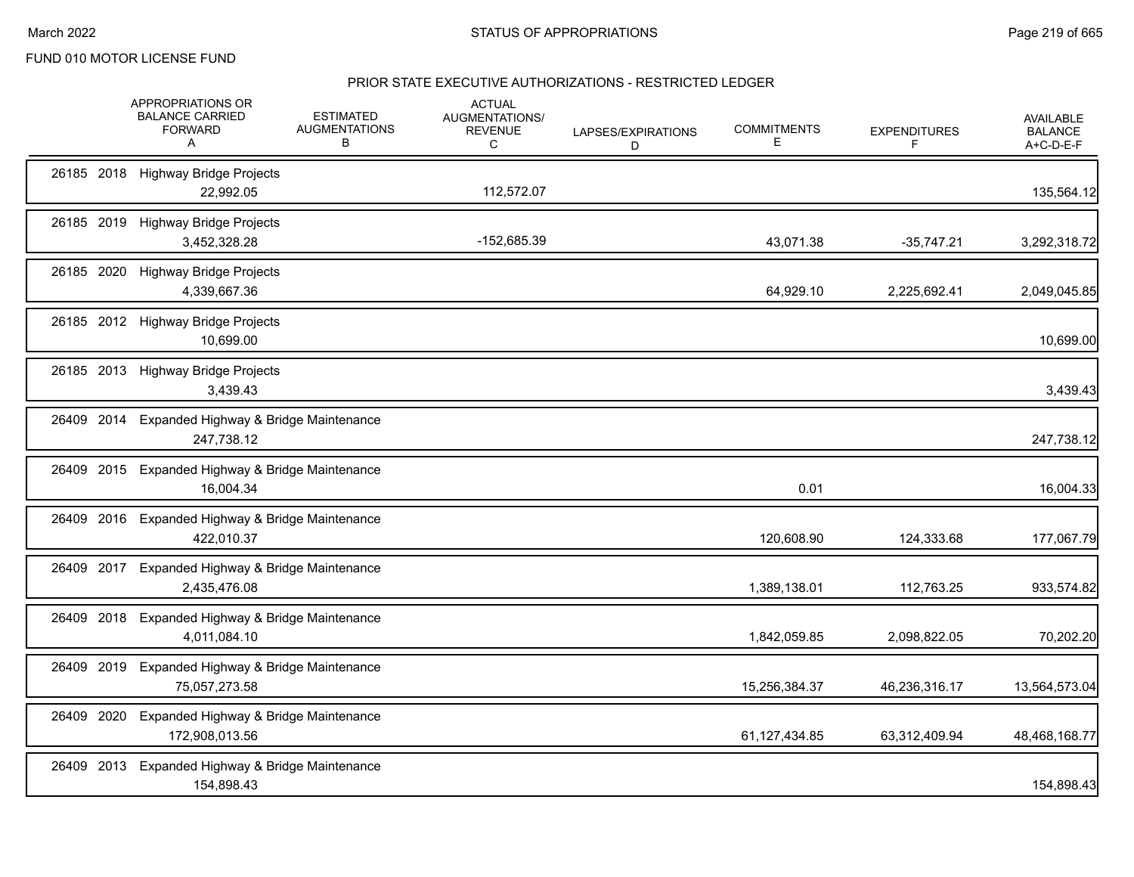|            |      | APPROPRIATIONS OR<br><b>BALANCE CARRIED</b><br><b>FORWARD</b><br>A | <b>ESTIMATED</b><br><b>AUGMENTATIONS</b><br>в | <b>ACTUAL</b><br>AUGMENTATIONS/<br><b>REVENUE</b><br>C | LAPSES/EXPIRATIONS<br>D | <b>COMMITMENTS</b><br>Е | <b>EXPENDITURES</b><br>F. | <b>AVAILABLE</b><br><b>BALANCE</b><br>A+C-D-E-F |
|------------|------|--------------------------------------------------------------------|-----------------------------------------------|--------------------------------------------------------|-------------------------|-------------------------|---------------------------|-------------------------------------------------|
|            |      | 26185 2018 Highway Bridge Projects<br>22,992.05                    |                                               | 112,572.07                                             |                         |                         |                           | 135,564.12                                      |
|            |      | 26185 2019 Highway Bridge Projects<br>3,452,328.28                 |                                               | -152,685.39                                            |                         | 43,071.38               | $-35,747.21$              | 3,292,318.72                                    |
| 26185 2020 |      | <b>Highway Bridge Projects</b><br>4,339,667.36                     |                                               |                                                        |                         | 64,929.10               | 2,225,692.41              | 2,049,045.85                                    |
|            |      | 26185 2012 Highway Bridge Projects<br>10,699.00                    |                                               |                                                        |                         |                         |                           | 10,699.00                                       |
|            |      | 26185 2013 Highway Bridge Projects<br>3,439.43                     |                                               |                                                        |                         |                         |                           | 3,439.43                                        |
| 26409 2014 |      | Expanded Highway & Bridge Maintenance<br>247,738.12                |                                               |                                                        |                         |                         |                           | 247,738.12                                      |
| 26409      | 2015 | Expanded Highway & Bridge Maintenance<br>16,004.34                 |                                               |                                                        |                         | 0.01                    |                           | 16,004.33                                       |
|            |      | 26409 2016 Expanded Highway & Bridge Maintenance<br>422,010.37     |                                               |                                                        |                         | 120,608.90              | 124,333.68                | 177,067.79                                      |
| 26409 2017 |      | Expanded Highway & Bridge Maintenance<br>2,435,476.08              |                                               |                                                        |                         | 1,389,138.01            | 112,763.25                | 933,574.82                                      |
| 26409 2018 |      | Expanded Highway & Bridge Maintenance<br>4,011,084.10              |                                               |                                                        |                         | 1,842,059.85            | 2,098,822.05              | 70,202.20                                       |
| 26409 2019 |      | Expanded Highway & Bridge Maintenance<br>75,057,273.58             |                                               |                                                        |                         | 15,256,384.37           | 46,236,316.17             | 13,564,573.04                                   |
| 26409 2020 |      | Expanded Highway & Bridge Maintenance<br>172,908,013.56            |                                               |                                                        |                         | 61,127,434.85           | 63,312,409.94             | 48,468,168.77                                   |
|            |      | 26409 2013 Expanded Highway & Bridge Maintenance<br>154,898.43     |                                               |                                                        |                         |                         |                           | 154,898.43                                      |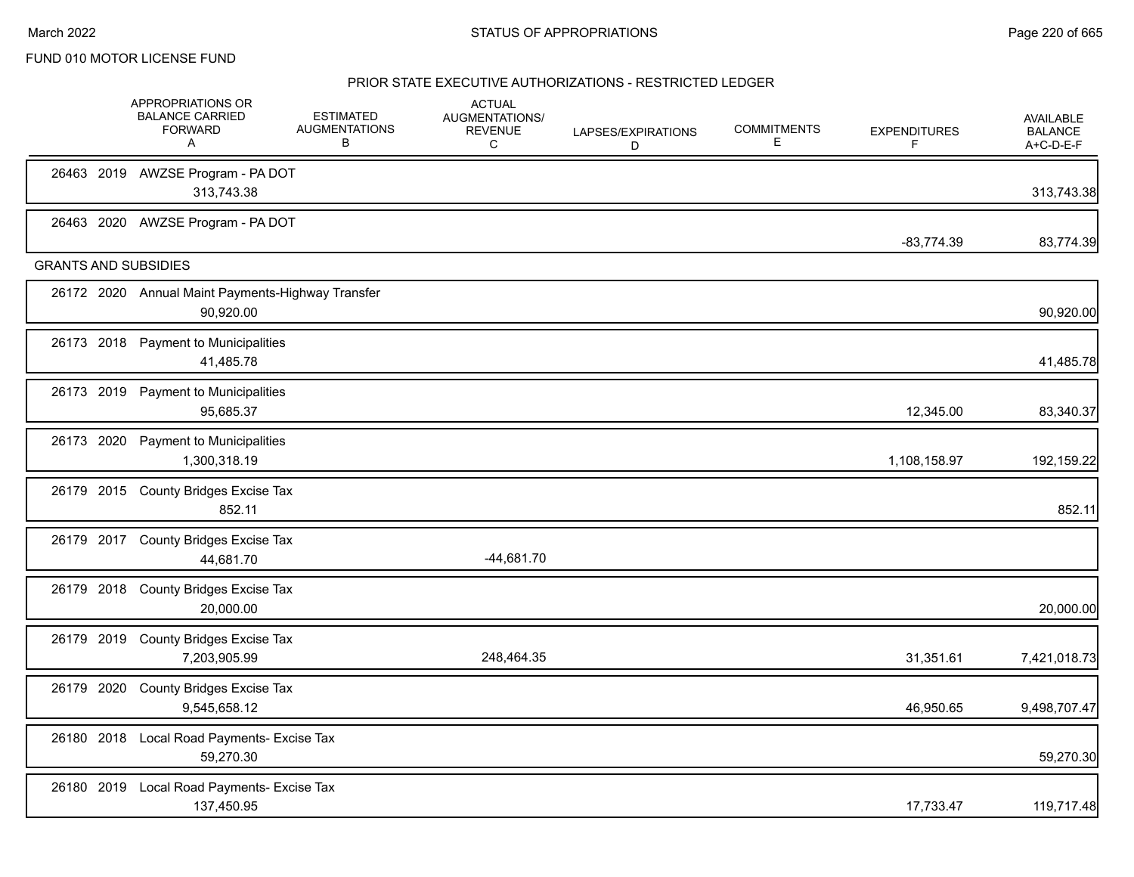|                             | APPROPRIATIONS OR<br><b>BALANCE CARRIED</b><br><b>FORWARD</b><br>Α | <b>ESTIMATED</b><br><b>AUGMENTATIONS</b><br>В | <b>ACTUAL</b><br>AUGMENTATIONS/<br><b>REVENUE</b><br>$\mathsf{C}$ | LAPSES/EXPIRATIONS<br>D | <b>COMMITMENTS</b><br>Е | <b>EXPENDITURES</b><br>F | <b>AVAILABLE</b><br><b>BALANCE</b><br>A+C-D-E-F |
|-----------------------------|--------------------------------------------------------------------|-----------------------------------------------|-------------------------------------------------------------------|-------------------------|-------------------------|--------------------------|-------------------------------------------------|
|                             | 26463 2019 AWZSE Program - PA DOT<br>313,743.38                    |                                               |                                                                   |                         |                         |                          | 313,743.38                                      |
|                             | 26463 2020 AWZSE Program - PA DOT                                  |                                               |                                                                   |                         |                         | $-83,774.39$             | 83,774.39                                       |
| <b>GRANTS AND SUBSIDIES</b> |                                                                    |                                               |                                                                   |                         |                         |                          |                                                 |
|                             | 26172 2020 Annual Maint Payments-Highway Transfer<br>90,920.00     |                                               |                                                                   |                         |                         |                          | 90,920.00                                       |
|                             | 26173 2018 Payment to Municipalities<br>41,485.78                  |                                               |                                                                   |                         |                         |                          | 41,485.78                                       |
|                             | 26173 2019 Payment to Municipalities<br>95,685.37                  |                                               |                                                                   |                         |                         | 12,345.00                | 83,340.37                                       |
|                             | 26173 2020 Payment to Municipalities<br>1,300,318.19               |                                               |                                                                   |                         |                         | 1,108,158.97             | 192,159.22                                      |
|                             | 26179 2015 County Bridges Excise Tax<br>852.11                     |                                               |                                                                   |                         |                         |                          | 852.11                                          |
|                             | 26179 2017 County Bridges Excise Tax<br>44,681.70                  |                                               | $-44,681.70$                                                      |                         |                         |                          |                                                 |
|                             | 26179 2018 County Bridges Excise Tax<br>20,000.00                  |                                               |                                                                   |                         |                         |                          | 20,000.00                                       |
| 26179 2019                  | County Bridges Excise Tax<br>7,203,905.99                          |                                               | 248,464.35                                                        |                         |                         | 31,351.61                | 7,421,018.73                                    |
| 26179 2020                  | County Bridges Excise Tax<br>9.545.658.12                          |                                               |                                                                   |                         |                         | 46,950.65                | 9,498,707.47                                    |
|                             | 26180 2018 Local Road Payments- Excise Tax<br>59,270.30            |                                               |                                                                   |                         |                         |                          | 59,270.30                                       |
|                             | 26180 2019 Local Road Payments- Excise Tax<br>137,450.95           |                                               |                                                                   |                         |                         | 17,733.47                | 119,717.48                                      |
|                             |                                                                    |                                               |                                                                   |                         |                         |                          |                                                 |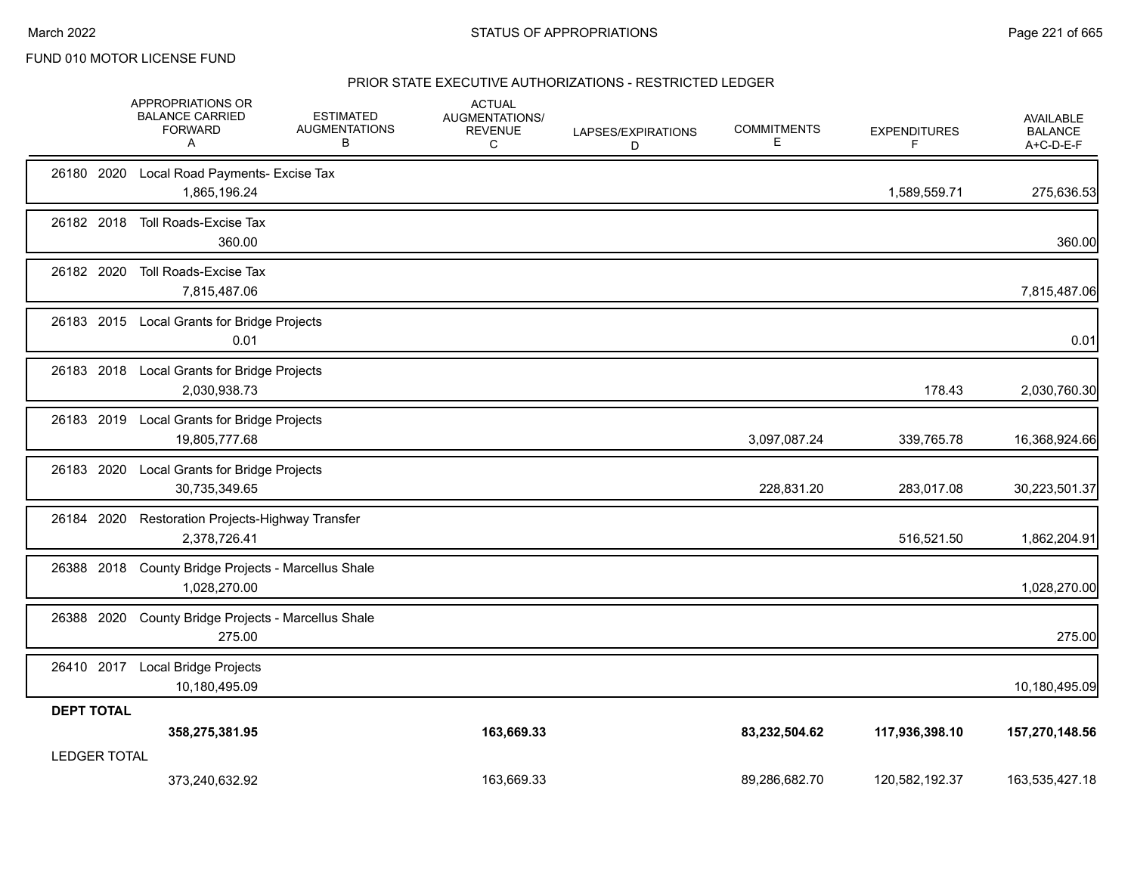|                     | APPROPRIATIONS OR<br><b>BALANCE CARRIED</b><br><b>FORWARD</b><br>A | <b>ESTIMATED</b><br><b>AUGMENTATIONS</b><br>B | <b>ACTUAL</b><br>AUGMENTATIONS/<br><b>REVENUE</b><br>C | LAPSES/EXPIRATIONS<br>D | <b>COMMITMENTS</b><br>Е | <b>EXPENDITURES</b><br>F | AVAILABLE<br><b>BALANCE</b><br>A+C-D-E-F |
|---------------------|--------------------------------------------------------------------|-----------------------------------------------|--------------------------------------------------------|-------------------------|-------------------------|--------------------------|------------------------------------------|
|                     | 26180 2020 Local Road Payments- Excise Tax<br>1,865,196.24         |                                               |                                                        |                         |                         | 1,589,559.71             | 275,636.53                               |
|                     | 26182 2018 Toll Roads-Excise Tax<br>360.00                         |                                               |                                                        |                         |                         |                          | 360.00                                   |
| 26182 2020          | Toll Roads-Excise Tax<br>7,815,487.06                              |                                               |                                                        |                         |                         |                          | 7,815,487.06                             |
|                     | 26183 2015 Local Grants for Bridge Projects<br>0.01                |                                               |                                                        |                         |                         |                          | 0.01                                     |
|                     | 26183 2018 Local Grants for Bridge Projects<br>2,030,938.73        |                                               |                                                        |                         |                         | 178.43                   | 2,030,760.30                             |
| 26183 2019          | Local Grants for Bridge Projects<br>19,805,777.68                  |                                               |                                                        |                         | 3,097,087.24            | 339,765.78               | 16,368,924.66                            |
| 26183 2020          | Local Grants for Bridge Projects<br>30,735,349.65                  |                                               |                                                        |                         | 228,831.20              | 283,017.08               | 30,223,501.37                            |
| 26184 2020          | Restoration Projects-Highway Transfer<br>2,378,726.41              |                                               |                                                        |                         |                         | 516,521.50               | 1,862,204.91                             |
| 26388 2018          | County Bridge Projects - Marcellus Shale<br>1,028,270.00           |                                               |                                                        |                         |                         |                          | 1,028,270.00                             |
| 26388 2020          | County Bridge Projects - Marcellus Shale<br>275.00                 |                                               |                                                        |                         |                         |                          | 275.00                                   |
|                     | 26410 2017 Local Bridge Projects<br>10,180,495.09                  |                                               |                                                        |                         |                         |                          | 10,180,495.09                            |
| <b>DEPT TOTAL</b>   | 358,275,381.95                                                     |                                               | 163,669.33                                             |                         | 83,232,504.62           | 117,936,398.10           | 157,270,148.56                           |
| <b>LEDGER TOTAL</b> | 373,240,632.92                                                     |                                               | 163.669.33                                             |                         | 89,286,682.70           | 120,582,192.37           | 163,535,427.18                           |
|                     |                                                                    |                                               |                                                        |                         |                         |                          |                                          |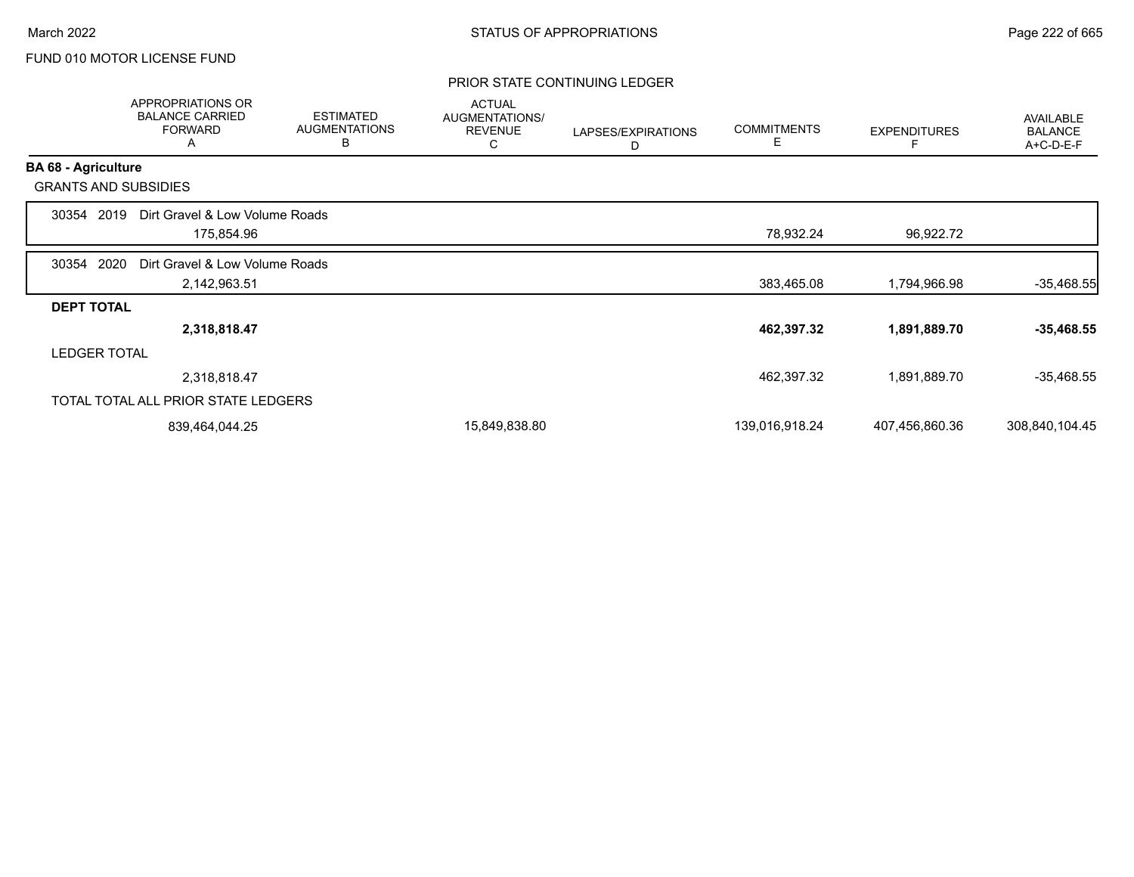## PRIOR STATE CONTINUING LEDGER

|                            | <b>APPROPRIATIONS OR</b><br><b>BALANCE CARRIED</b><br><b>FORWARD</b><br>A | <b>ESTIMATED</b><br><b>AUGMENTATIONS</b><br>B | <b>ACTUAL</b><br>AUGMENTATIONS/<br><b>REVENUE</b><br>С | LAPSES/EXPIRATIONS<br>D | <b>COMMITMENTS</b><br>Е | <b>EXPENDITURES</b> | AVAILABLE<br><b>BALANCE</b><br>A+C-D-E-F |
|----------------------------|---------------------------------------------------------------------------|-----------------------------------------------|--------------------------------------------------------|-------------------------|-------------------------|---------------------|------------------------------------------|
| <b>BA 68 - Agriculture</b> |                                                                           |                                               |                                                        |                         |                         |                     |                                          |
|                            | <b>GRANTS AND SUBSIDIES</b>                                               |                                               |                                                        |                         |                         |                     |                                          |
| 30354                      | Dirt Gravel & Low Volume Roads<br>2019                                    |                                               |                                                        |                         |                         |                     |                                          |
|                            | 175,854.96                                                                |                                               |                                                        |                         | 78,932.24               | 96,922.72           |                                          |
| 30354                      | 2020<br>Dirt Gravel & Low Volume Roads                                    |                                               |                                                        |                         |                         |                     |                                          |
|                            | 2,142,963.51                                                              |                                               |                                                        |                         | 383,465.08              | 1,794,966.98        | $-35,468.55$                             |
| <b>DEPT TOTAL</b>          |                                                                           |                                               |                                                        |                         |                         |                     |                                          |
|                            | 2,318,818.47                                                              |                                               |                                                        |                         | 462,397.32              | 1,891,889.70        | $-35,468.55$                             |
|                            | <b>LEDGER TOTAL</b>                                                       |                                               |                                                        |                         |                         |                     |                                          |
|                            | 2,318,818.47                                                              |                                               |                                                        |                         | 462,397.32              | 1,891,889.70        | $-35,468.55$                             |
|                            | TOTAL TOTAL ALL PRIOR STATE LEDGERS                                       |                                               |                                                        |                         |                         |                     |                                          |
|                            | 839,464,044.25                                                            |                                               | 15,849,838.80                                          |                         | 139,016,918.24          | 407,456,860.36      | 308,840,104.45                           |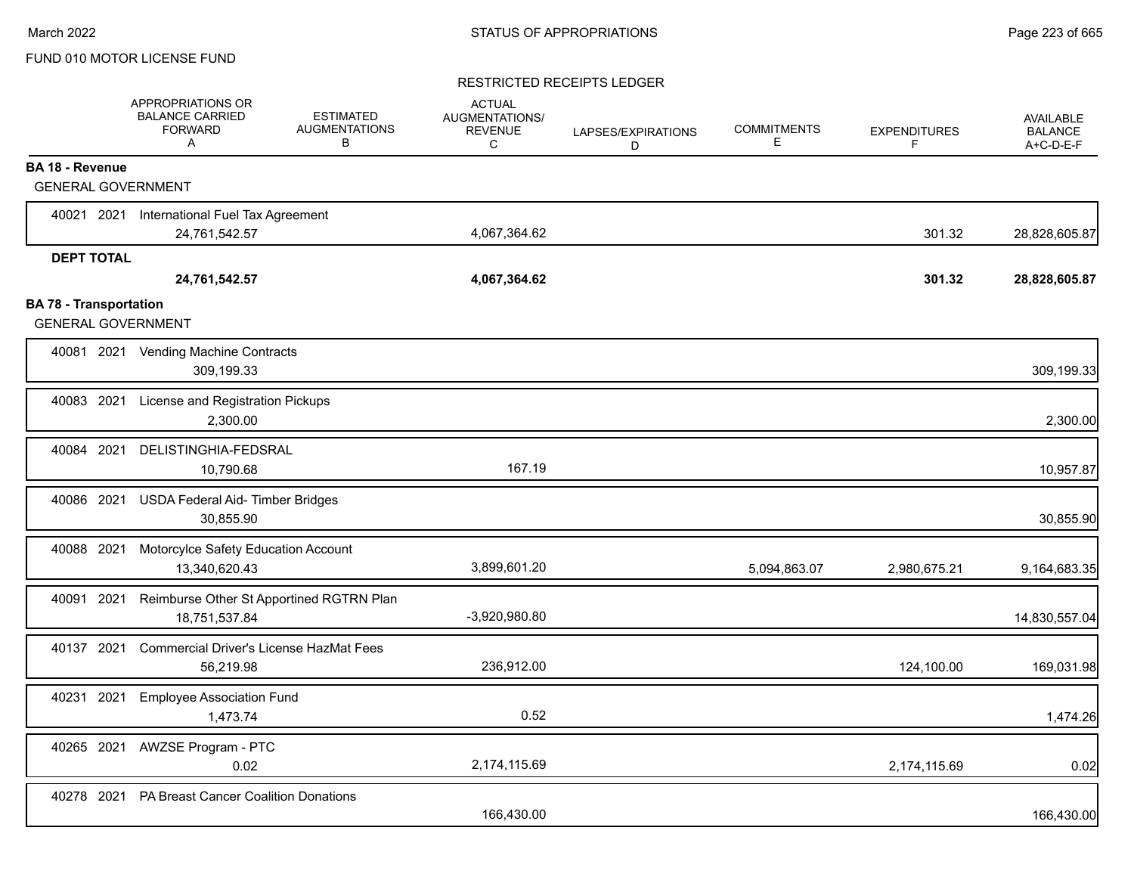## RESTRICTED RECEIPTS LEDGER

|                               | APPROPRIATIONS OR<br><b>BALANCE CARRIED</b><br><b>FORWARD</b><br>A | <b>ESTIMATED</b><br><b>AUGMENTATIONS</b><br>В | <b>ACTUAL</b><br>AUGMENTATIONS/<br><b>REVENUE</b><br>C | LAPSES/EXPIRATIONS<br>D | <b>COMMITMENTS</b><br>Е | <b>EXPENDITURES</b><br>F | <b>AVAILABLE</b><br><b>BALANCE</b><br>A+C-D-E-F |
|-------------------------------|--------------------------------------------------------------------|-----------------------------------------------|--------------------------------------------------------|-------------------------|-------------------------|--------------------------|-------------------------------------------------|
| <b>BA 18 - Revenue</b>        |                                                                    |                                               |                                                        |                         |                         |                          |                                                 |
| <b>GENERAL GOVERNMENT</b>     |                                                                    |                                               |                                                        |                         |                         |                          |                                                 |
| 40021 2021                    | International Fuel Tax Agreement                                   |                                               |                                                        |                         |                         |                          |                                                 |
|                               | 24,761,542.57                                                      |                                               | 4,067,364.62                                           |                         |                         | 301.32                   | 28,828,605.87                                   |
| <b>DEPT TOTAL</b>             |                                                                    |                                               |                                                        |                         |                         |                          |                                                 |
|                               | 24,761,542.57                                                      |                                               | 4,067,364.62                                           |                         |                         | 301.32                   | 28,828,605.87                                   |
| <b>BA 78 - Transportation</b> |                                                                    |                                               |                                                        |                         |                         |                          |                                                 |
| <b>GENERAL GOVERNMENT</b>     |                                                                    |                                               |                                                        |                         |                         |                          |                                                 |
|                               | 40081 2021 Vending Machine Contracts<br>309,199.33                 |                                               |                                                        |                         |                         |                          | 309,199.33                                      |
| 40083 2021                    | License and Registration Pickups<br>2,300.00                       |                                               |                                                        |                         |                         |                          | 2,300.00                                        |
| 40084 2021                    | DELISTINGHIA-FEDSRAL<br>10,790.68                                  |                                               | 167.19                                                 |                         |                         |                          | 10,957.87                                       |
| 40086 2021                    | USDA Federal Aid- Timber Bridges<br>30,855.90                      |                                               |                                                        |                         |                         |                          | 30,855.90                                       |
| 40088 2021                    | Motorcylce Safety Education Account<br>13,340,620.43               |                                               | 3,899,601.20                                           |                         | 5,094,863.07            | 2,980,675.21             | 9,164,683.35                                    |
| 40091 2021                    | Reimburse Other St Apportined RGTRN Plan<br>18,751,537.84          |                                               | $-3,920,980.80$                                        |                         |                         |                          | 14,830,557.04                                   |
| 40137 2021                    | <b>Commercial Driver's License HazMat Fees</b><br>56,219.98        |                                               | 236,912.00                                             |                         |                         | 124,100.00               | 169,031.98                                      |
| 40231 2021                    | <b>Employee Association Fund</b><br>1,473.74                       |                                               | 0.52                                                   |                         |                         |                          | 1,474.26                                        |
| 40265 2021                    | <b>AWZSE Program - PTC</b><br>0.02                                 |                                               | 2,174,115.69                                           |                         |                         | 2,174,115.69             | 0.02                                            |
| 40278 2021                    | PA Breast Cancer Coalition Donations                               |                                               | 166,430.00                                             |                         |                         |                          | 166,430.00                                      |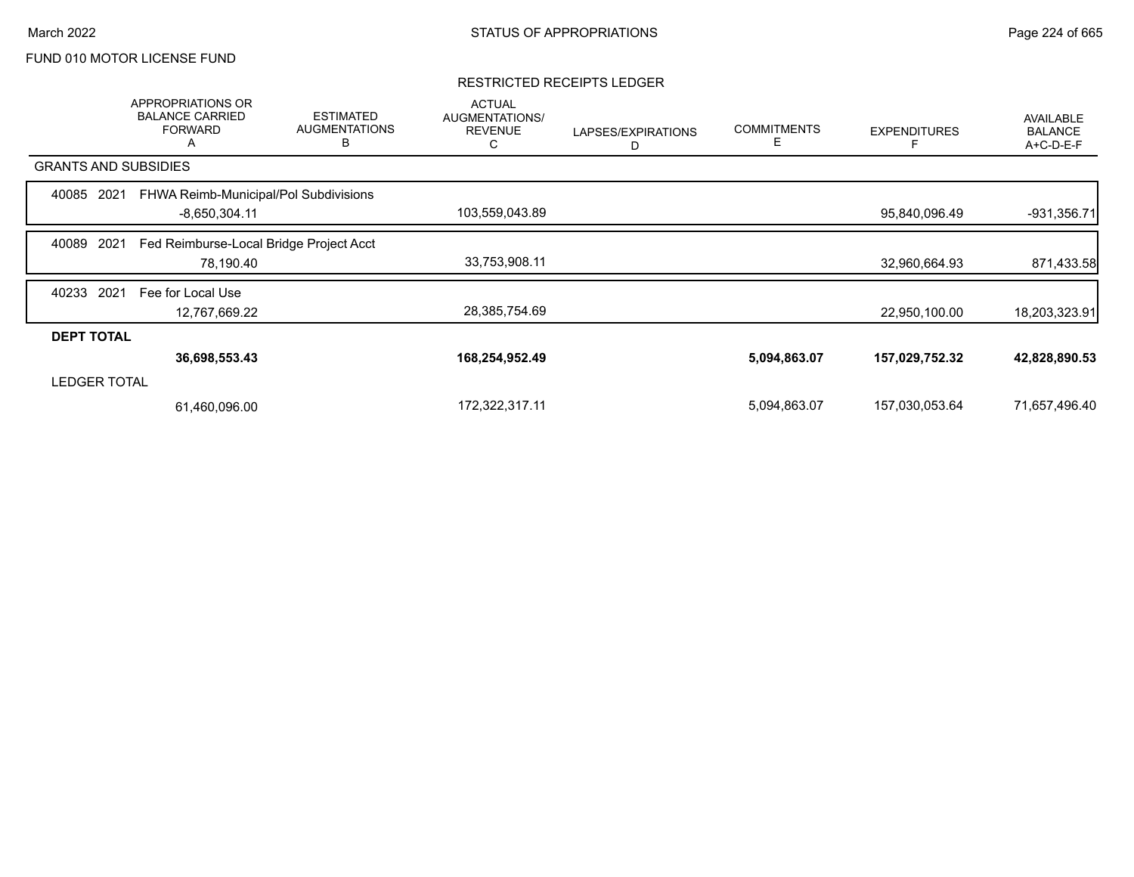## RESTRICTED RECEIPTS LEDGER

|                             | APPROPRIATIONS OR<br><b>BALANCE CARRIED</b><br><b>FORWARD</b><br>A | <b>ESTIMATED</b><br><b>AUGMENTATIONS</b><br>B | <b>ACTUAL</b><br>AUGMENTATIONS/<br><b>REVENUE</b><br>С | LAPSES/EXPIRATIONS<br>D | <b>COMMITMENTS</b><br>E | <b>EXPENDITURES</b> | AVAILABLE<br><b>BALANCE</b><br>A+C-D-E-F |
|-----------------------------|--------------------------------------------------------------------|-----------------------------------------------|--------------------------------------------------------|-------------------------|-------------------------|---------------------|------------------------------------------|
| <b>GRANTS AND SUBSIDIES</b> |                                                                    |                                               |                                                        |                         |                         |                     |                                          |
| 2021<br>40085               | FHWA Reimb-Municipal/Pol Subdivisions                              |                                               |                                                        |                         |                         |                     |                                          |
|                             | $-8,650,304.11$                                                    |                                               | 103,559,043.89                                         |                         |                         | 95,840,096.49       | $-931,356.71$                            |
| 2021<br>40089               | Fed Reimburse-Local Bridge Project Acct                            |                                               |                                                        |                         |                         |                     |                                          |
|                             | 78,190.40                                                          |                                               | 33,753,908.11                                          |                         |                         | 32,960,664.93       | 871,433.58                               |
| 2021<br>40233               | Fee for Local Use                                                  |                                               |                                                        |                         |                         |                     |                                          |
|                             | 12,767,669.22                                                      |                                               | 28,385,754.69                                          |                         |                         | 22,950,100.00       | 18,203,323.91                            |
| <b>DEPT TOTAL</b>           |                                                                    |                                               |                                                        |                         |                         |                     |                                          |
|                             | 36,698,553.43                                                      |                                               | 168,254,952.49                                         |                         | 5,094,863.07            | 157,029,752.32      | 42,828,890.53                            |
| <b>LEDGER TOTAL</b>         |                                                                    |                                               |                                                        |                         |                         |                     |                                          |
|                             | 61,460,096.00                                                      |                                               | 172,322,317.11                                         |                         | 5,094,863.07            | 157,030,053.64      | 71,657,496.40                            |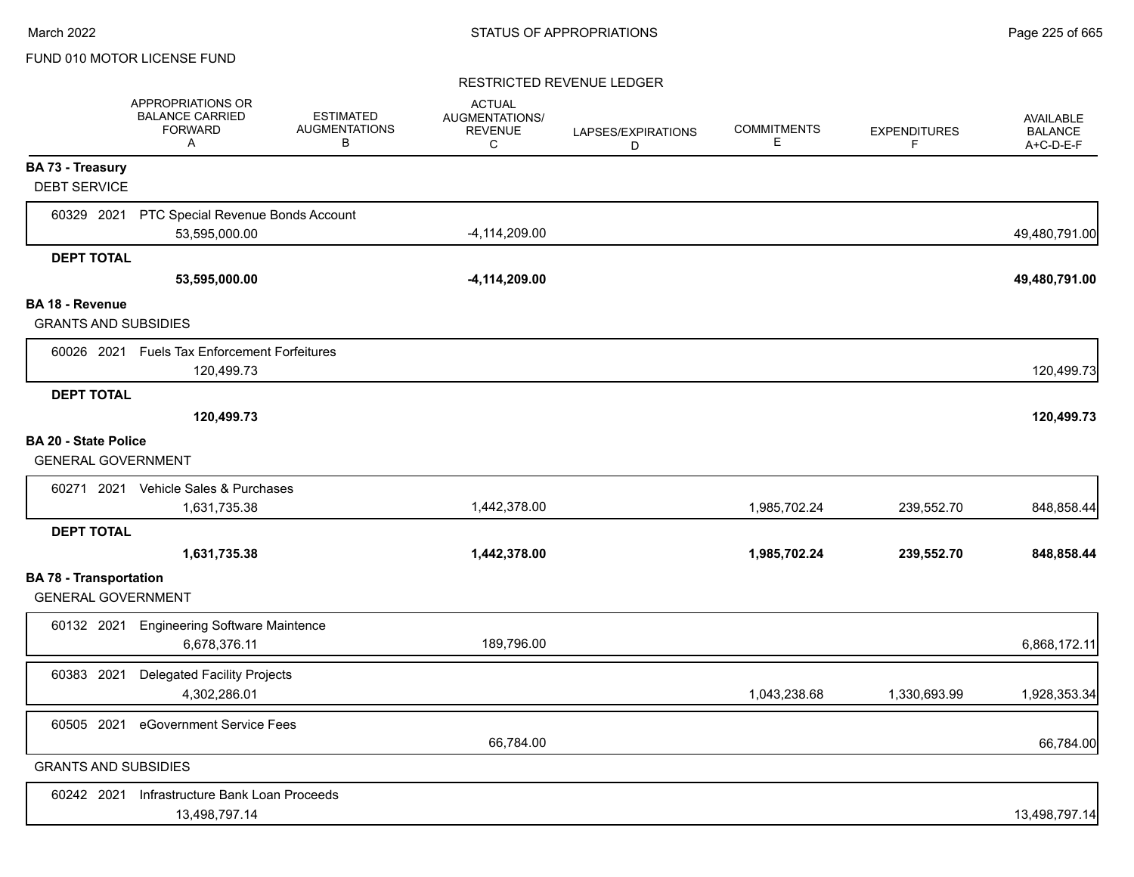## RESTRICTED REVENUE LEDGER

|                                                            | APPROPRIATIONS OR<br><b>BALANCE CARRIED</b><br><b>FORWARD</b><br>A | <b>ESTIMATED</b><br><b>AUGMENTATIONS</b><br>В | <b>ACTUAL</b><br>AUGMENTATIONS/<br><b>REVENUE</b><br>C | LAPSES/EXPIRATIONS<br>D | <b>COMMITMENTS</b><br>Е | <b>EXPENDITURES</b><br>F. | <b>AVAILABLE</b><br><b>BALANCE</b><br>A+C-D-E-F |
|------------------------------------------------------------|--------------------------------------------------------------------|-----------------------------------------------|--------------------------------------------------------|-------------------------|-------------------------|---------------------------|-------------------------------------------------|
| <b>BA 73 - Treasury</b><br><b>DEBT SERVICE</b>             |                                                                    |                                               |                                                        |                         |                         |                           |                                                 |
| 60329 2021                                                 | PTC Special Revenue Bonds Account<br>53,595,000.00                 |                                               | $-4, 114, 209.00$                                      |                         |                         |                           | 49,480,791.00                                   |
| <b>DEPT TOTAL</b>                                          |                                                                    |                                               |                                                        |                         |                         |                           |                                                 |
|                                                            | 53,595,000.00                                                      |                                               | $-4,114,209.00$                                        |                         |                         |                           | 49,480,791.00                                   |
| <b>BA 18 - Revenue</b>                                     |                                                                    |                                               |                                                        |                         |                         |                           |                                                 |
| <b>GRANTS AND SUBSIDIES</b>                                |                                                                    |                                               |                                                        |                         |                         |                           |                                                 |
|                                                            | 60026 2021 Fuels Tax Enforcement Forfeitures<br>120,499.73         |                                               |                                                        |                         |                         |                           | 120,499.73                                      |
| <b>DEPT TOTAL</b>                                          |                                                                    |                                               |                                                        |                         |                         |                           |                                                 |
|                                                            | 120,499.73                                                         |                                               |                                                        |                         |                         |                           | 120,499.73                                      |
| <b>BA 20 - State Police</b><br><b>GENERAL GOVERNMENT</b>   |                                                                    |                                               |                                                        |                         |                         |                           |                                                 |
|                                                            | 60271 2021 Vehicle Sales & Purchases                               |                                               |                                                        |                         |                         |                           |                                                 |
|                                                            | 1,631,735.38                                                       |                                               | 1,442,378.00                                           |                         | 1,985,702.24            | 239,552.70                | 848,858.44                                      |
| <b>DEPT TOTAL</b>                                          |                                                                    |                                               |                                                        |                         |                         |                           |                                                 |
|                                                            | 1,631,735.38                                                       |                                               | 1,442,378.00                                           |                         | 1,985,702.24            | 239,552.70                | 848,858.44                                      |
| <b>BA 78 - Transportation</b><br><b>GENERAL GOVERNMENT</b> |                                                                    |                                               |                                                        |                         |                         |                           |                                                 |
|                                                            | 60132 2021 Engineering Software Maintence<br>6,678,376.11          |                                               | 189,796.00                                             |                         |                         |                           | 6,868,172.11                                    |
| 60383 2021                                                 | <b>Delegated Facility Projects</b><br>4,302,286.01                 |                                               |                                                        |                         | 1,043,238.68            | 1,330,693.99              | 1,928,353.34                                    |
| 60505 2021                                                 | eGovernment Service Fees                                           |                                               | 66,784.00                                              |                         |                         |                           | 66,784.00                                       |
| <b>GRANTS AND SUBSIDIES</b>                                |                                                                    |                                               |                                                        |                         |                         |                           |                                                 |
| 60242 2021                                                 | Infrastructure Bank Loan Proceeds<br>13,498,797.14                 |                                               |                                                        |                         |                         |                           | 13,498,797.14                                   |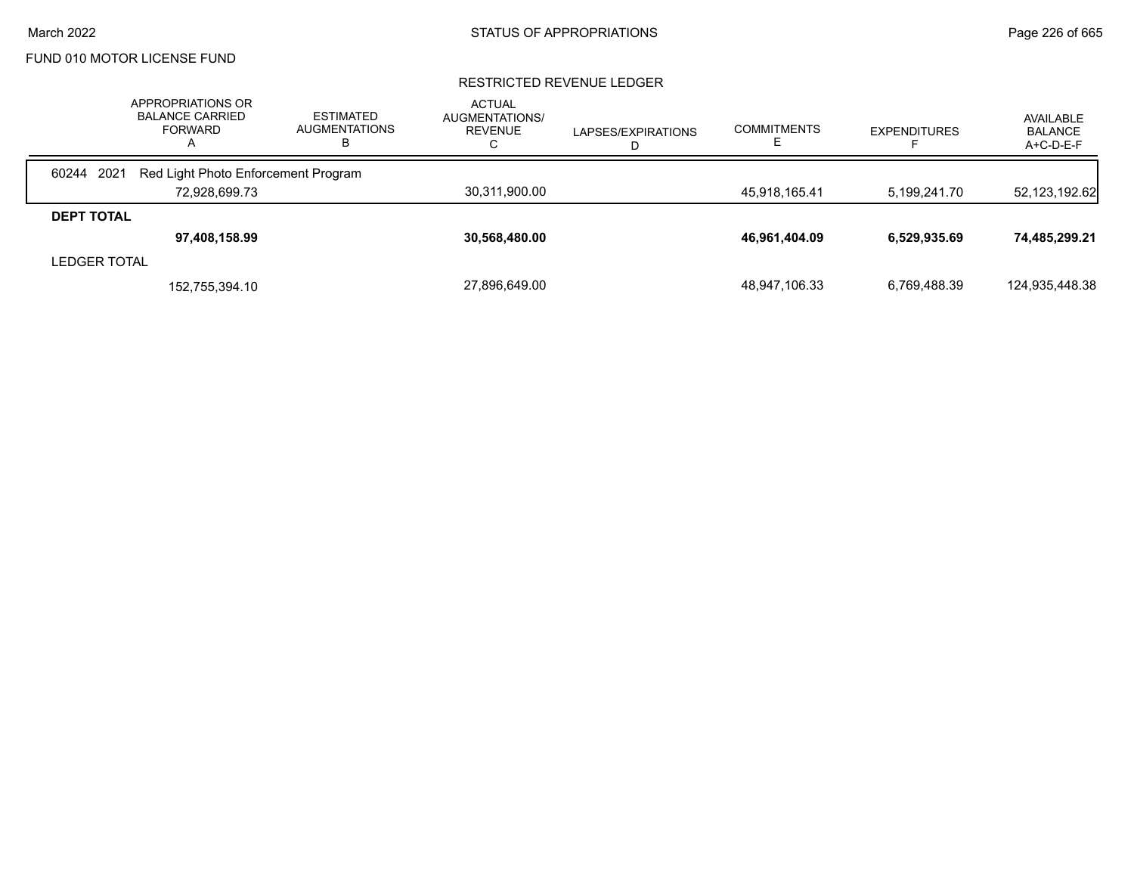### RESTRICTED REVENUE LEDGER

|                     | APPROPRIATIONS OR<br><b>BALANCE CARRIED</b><br><b>FORWARD</b><br>$\mathsf{A}$ | <b>ESTIMATED</b><br><b>AUGMENTATIONS</b><br>в | <b>ACTUAL</b><br>AUGMENTATIONS/<br>REVENUE<br>◡ | LAPSES/EXPIRATIONS<br>D | <b>COMMITMENTS</b> | <b>EXPENDITURES</b> | AVAILABLE<br><b>BALANCE</b><br>$A+C-D-E-F$ |
|---------------------|-------------------------------------------------------------------------------|-----------------------------------------------|-------------------------------------------------|-------------------------|--------------------|---------------------|--------------------------------------------|
| 60244 2021          | Red Light Photo Enforcement Program                                           |                                               |                                                 |                         |                    |                     |                                            |
|                     | 72.928.699.73                                                                 |                                               | 30,311,900.00                                   |                         | 45.918.165.41      | 5.199.241.70        | 52,123,192.62                              |
| <b>DEPT TOTAL</b>   |                                                                               |                                               |                                                 |                         |                    |                     |                                            |
|                     | 97,408,158.99                                                                 |                                               | 30,568,480.00                                   |                         | 46,961,404.09      | 6,529,935.69        | 74,485,299.21                              |
| <b>LEDGER TOTAL</b> |                                                                               |                                               |                                                 |                         |                    |                     |                                            |
|                     | 152,755,394.10                                                                |                                               | 27,896,649.00                                   |                         | 48,947,106.33      | 6,769,488.39        | 124,935,448.38                             |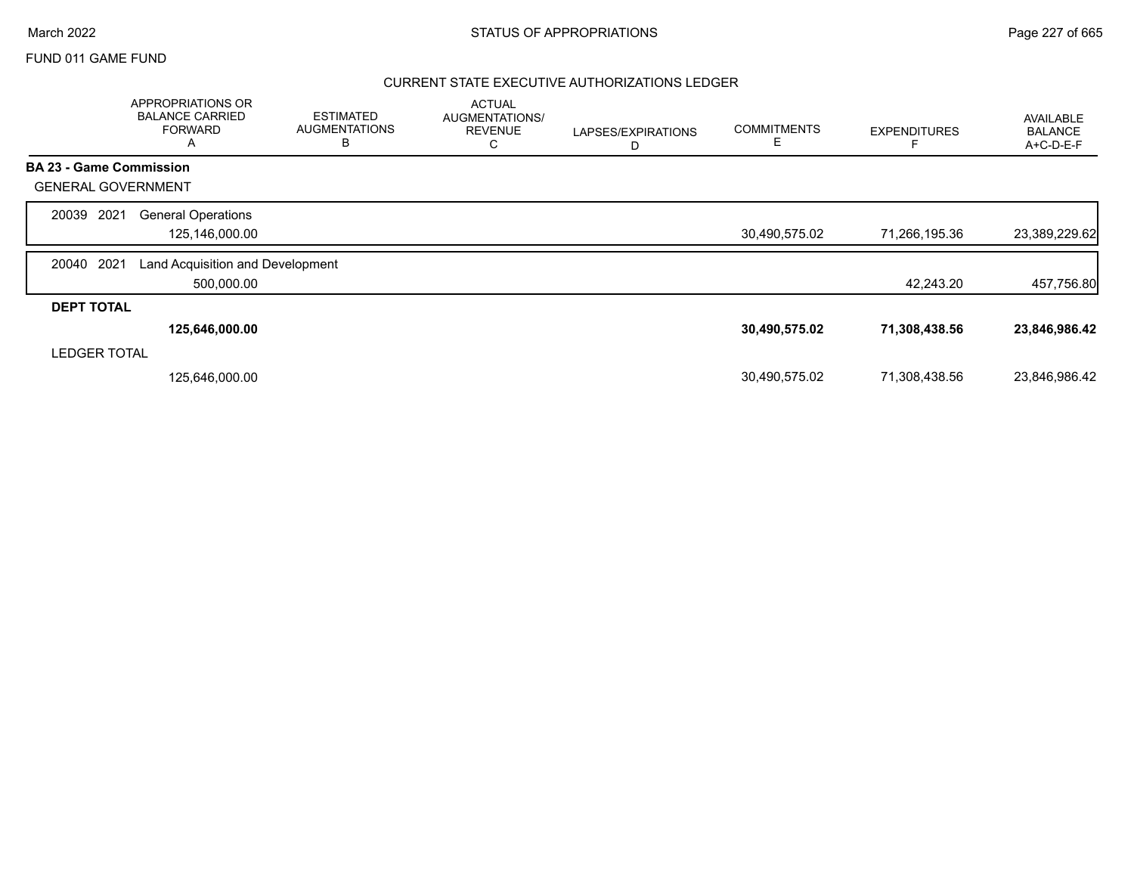## March 2022 **STATUS OF APPROPRIATIONS** STATUS OF APPROPRIATIONS

## FUND 011 GAME FUND

## CURRENT STATE EXECUTIVE AUTHORIZATIONS LEDGER

|                                | APPROPRIATIONS OR<br><b>BALANCE CARRIED</b><br><b>FORWARD</b><br>Α | <b>ESTIMATED</b><br><b>AUGMENTATIONS</b><br>В | <b>ACTUAL</b><br>AUGMENTATIONS/<br><b>REVENUE</b><br>С | LAPSES/EXPIRATIONS<br>D | <b>COMMITMENTS</b><br>Е | <b>EXPENDITURES</b> | <b>AVAILABLE</b><br><b>BALANCE</b><br>A+C-D-E-F |
|--------------------------------|--------------------------------------------------------------------|-----------------------------------------------|--------------------------------------------------------|-------------------------|-------------------------|---------------------|-------------------------------------------------|
| <b>BA 23 - Game Commission</b> |                                                                    |                                               |                                                        |                         |                         |                     |                                                 |
| <b>GENERAL GOVERNMENT</b>      |                                                                    |                                               |                                                        |                         |                         |                     |                                                 |
| 2021<br>20039                  | <b>General Operations</b><br>125,146,000.00                        |                                               |                                                        |                         | 30,490,575.02           | 71,266,195.36       | 23,389,229.62                                   |
| 2021<br>20040                  | Land Acquisition and Development<br>500,000.00                     |                                               |                                                        |                         |                         | 42.243.20           | 457,756.80                                      |
| <b>DEPT TOTAL</b>              |                                                                    |                                               |                                                        |                         |                         |                     |                                                 |
|                                | 125,646,000.00                                                     |                                               |                                                        |                         | 30,490,575.02           | 71,308,438.56       | 23,846,986.42                                   |
| <b>LEDGER TOTAL</b>            |                                                                    |                                               |                                                        |                         |                         |                     |                                                 |
|                                | 125,646,000.00                                                     |                                               |                                                        |                         | 30,490,575.02           | 71,308,438.56       | 23,846,986.42                                   |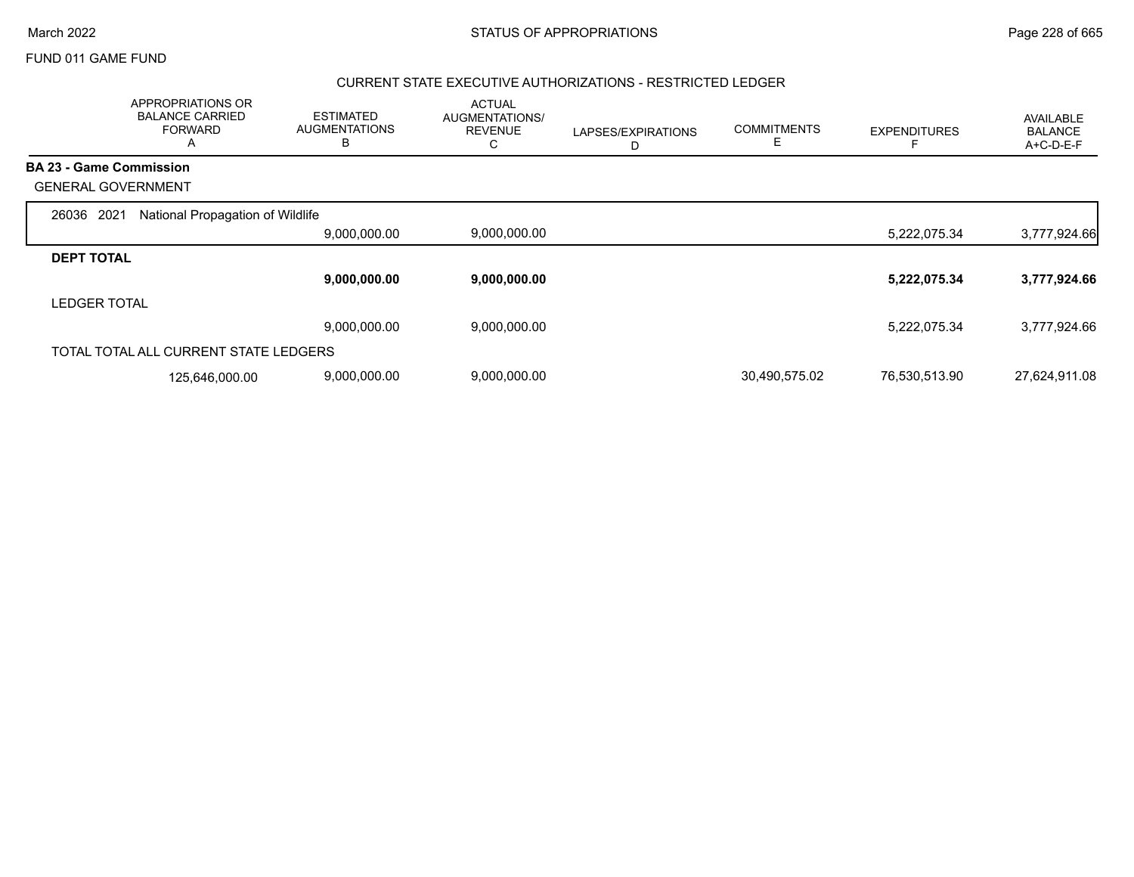|                                | APPROPRIATIONS OR<br><b>BALANCE CARRIED</b><br><b>FORWARD</b><br>А | <b>ESTIMATED</b><br><b>AUGMENTATIONS</b><br>В | <b>ACTUAL</b><br>AUGMENTATIONS/<br><b>REVENUE</b><br>С | LAPSES/EXPIRATIONS<br>D | <b>COMMITMENTS</b><br>E. | <b>EXPENDITURES</b> | <b>AVAILABLE</b><br><b>BALANCE</b><br>A+C-D-E-F |
|--------------------------------|--------------------------------------------------------------------|-----------------------------------------------|--------------------------------------------------------|-------------------------|--------------------------|---------------------|-------------------------------------------------|
| <b>BA 23 - Game Commission</b> |                                                                    |                                               |                                                        |                         |                          |                     |                                                 |
| <b>GENERAL GOVERNMENT</b>      |                                                                    |                                               |                                                        |                         |                          |                     |                                                 |
| 2021<br>26036                  | National Propagation of Wildlife                                   |                                               |                                                        |                         |                          |                     |                                                 |
|                                |                                                                    | 9,000,000.00                                  | 9,000,000.00                                           |                         |                          | 5,222,075.34        | 3,777,924.66                                    |
| <b>DEPT TOTAL</b>              |                                                                    |                                               |                                                        |                         |                          |                     |                                                 |
|                                |                                                                    | 9,000,000.00                                  | 9,000,000.00                                           |                         |                          | 5,222,075.34        | 3,777,924.66                                    |
| <b>LEDGER TOTAL</b>            |                                                                    |                                               |                                                        |                         |                          |                     |                                                 |
|                                |                                                                    | 9,000,000.00                                  | 9,000,000.00                                           |                         |                          | 5,222,075.34        | 3,777,924.66                                    |
|                                | TOTAL TOTAL ALL CURRENT STATE LEDGERS                              |                                               |                                                        |                         |                          |                     |                                                 |
|                                | 125,646,000.00                                                     | 9,000,000.00                                  | 9,000,000.00                                           |                         | 30,490,575.02            | 76,530,513.90       | 27,624,911.08                                   |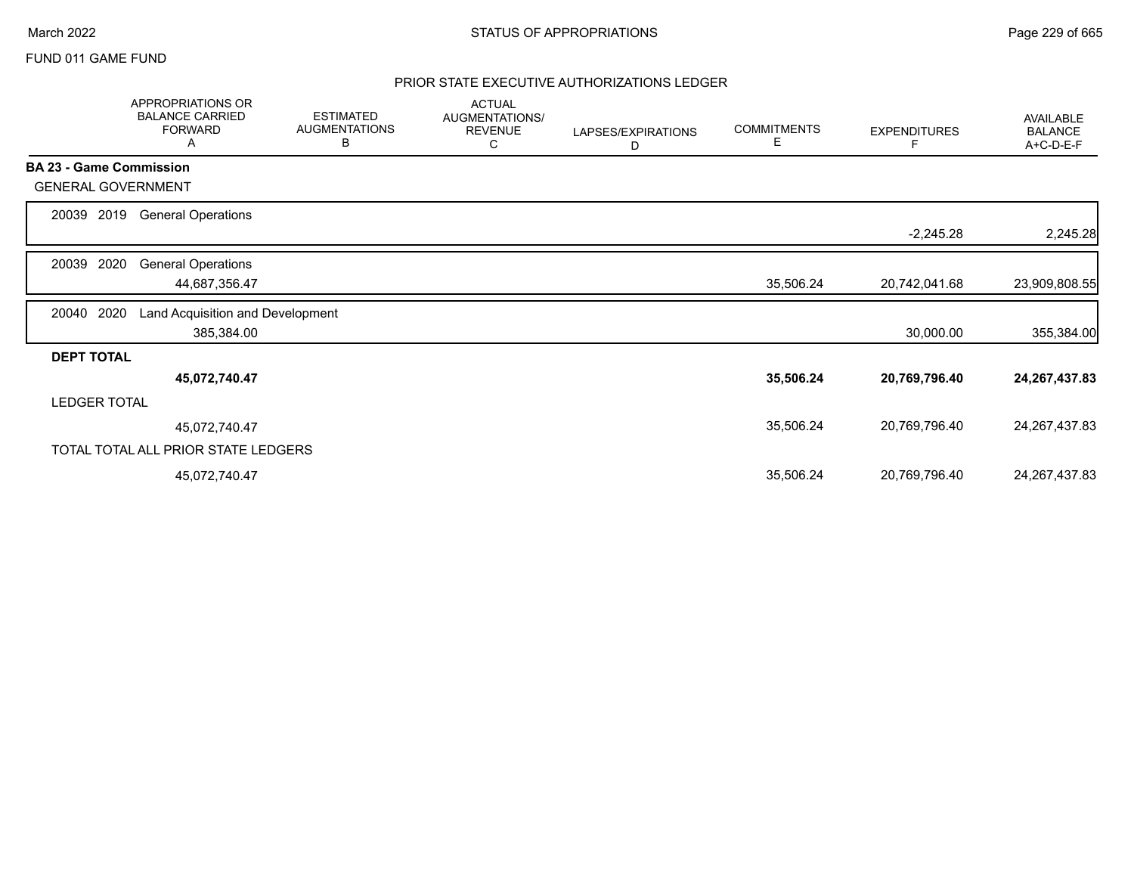## PRIOR STATE EXECUTIVE AUTHORIZATIONS LEDGER

|                                | <b>APPROPRIATIONS OR</b><br><b>BALANCE CARRIED</b><br><b>FORWARD</b><br>Α | <b>ESTIMATED</b><br><b>AUGMENTATIONS</b><br>в | <b>ACTUAL</b><br>AUGMENTATIONS/<br><b>REVENUE</b><br>С | LAPSES/EXPIRATIONS<br>D | <b>COMMITMENTS</b><br>Е | <b>EXPENDITURES</b> | <b>AVAILABLE</b><br><b>BALANCE</b><br>A+C-D-E-F |
|--------------------------------|---------------------------------------------------------------------------|-----------------------------------------------|--------------------------------------------------------|-------------------------|-------------------------|---------------------|-------------------------------------------------|
| <b>BA 23 - Game Commission</b> |                                                                           |                                               |                                                        |                         |                         |                     |                                                 |
| <b>GENERAL GOVERNMENT</b>      |                                                                           |                                               |                                                        |                         |                         |                     |                                                 |
| 2019<br>20039                  | <b>General Operations</b>                                                 |                                               |                                                        |                         |                         |                     |                                                 |
|                                |                                                                           |                                               |                                                        |                         |                         | $-2,245.28$         | 2,245.28                                        |
| 2020<br>20039                  | <b>General Operations</b>                                                 |                                               |                                                        |                         |                         |                     |                                                 |
|                                | 44,687,356.47                                                             |                                               |                                                        |                         | 35,506.24               | 20,742,041.68       | 23,909,808.55                                   |
| 2020<br>20040                  | Land Acquisition and Development                                          |                                               |                                                        |                         |                         |                     |                                                 |
|                                | 385,384.00                                                                |                                               |                                                        |                         |                         | 30,000.00           | 355,384.00                                      |
| <b>DEPT TOTAL</b>              |                                                                           |                                               |                                                        |                         |                         |                     |                                                 |
|                                | 45,072,740.47                                                             |                                               |                                                        |                         | 35,506.24               | 20,769,796.40       | 24, 267, 437.83                                 |
| <b>LEDGER TOTAL</b>            |                                                                           |                                               |                                                        |                         |                         |                     |                                                 |
|                                | 45,072,740.47                                                             |                                               |                                                        |                         | 35,506.24               | 20,769,796.40       | 24, 267, 437.83                                 |
|                                | TOTAL TOTAL ALL PRIOR STATE LEDGERS                                       |                                               |                                                        |                         |                         |                     |                                                 |
|                                | 45,072,740.47                                                             |                                               |                                                        |                         | 35,506.24               | 20,769,796.40       | 24, 267, 437.83                                 |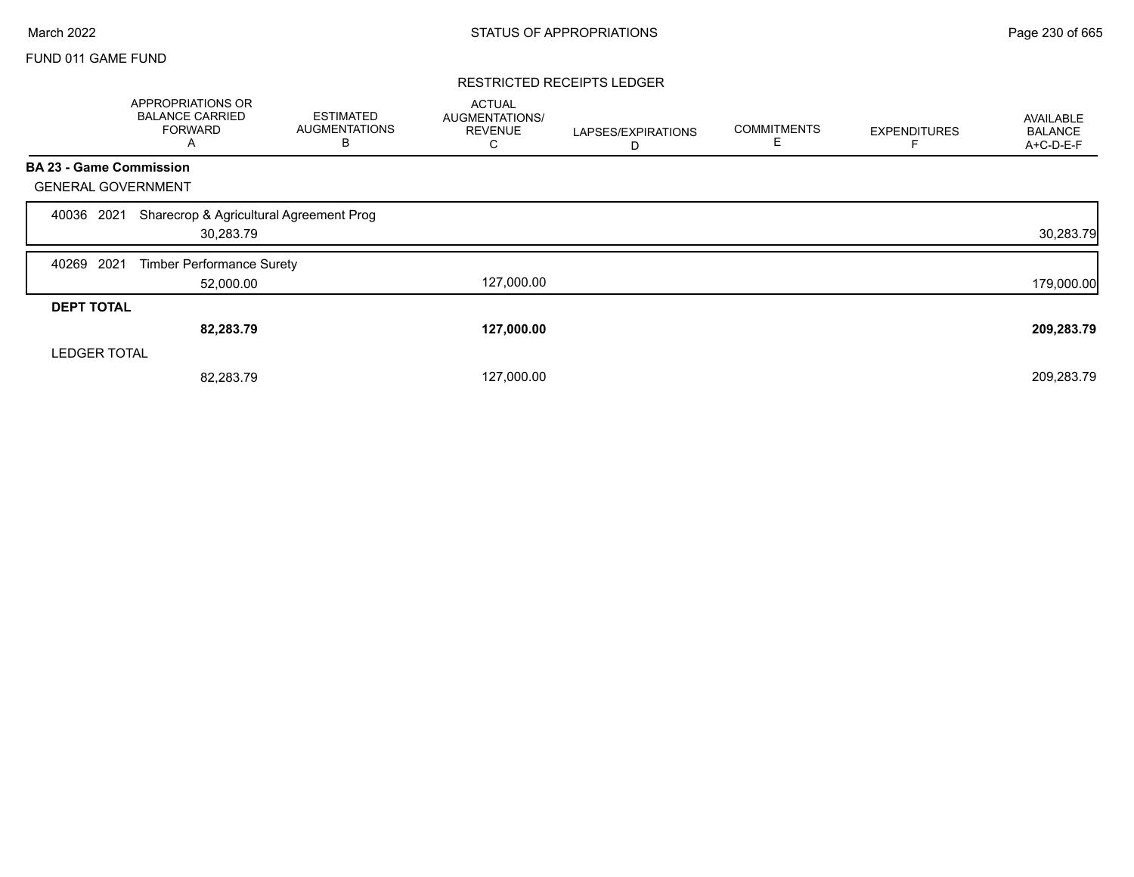## RESTRICTED RECEIPTS LEDGER

|                                | APPROPRIATIONS OR<br><b>BALANCE CARRIED</b><br><b>FORWARD</b><br>A | <b>ESTIMATED</b><br><b>AUGMENTATIONS</b><br>В | <b>ACTUAL</b><br><b>AUGMENTATIONS/</b><br><b>REVENUE</b><br>C | LAPSES/EXPIRATIONS<br>D | <b>COMMITMENTS</b><br>Е | <b>EXPENDITURES</b> | AVAILABLE<br><b>BALANCE</b><br>A+C-D-E-F |
|--------------------------------|--------------------------------------------------------------------|-----------------------------------------------|---------------------------------------------------------------|-------------------------|-------------------------|---------------------|------------------------------------------|
| <b>BA 23 - Game Commission</b> |                                                                    |                                               |                                                               |                         |                         |                     |                                          |
| <b>GENERAL GOVERNMENT</b>      |                                                                    |                                               |                                                               |                         |                         |                     |                                          |
| 2021<br>40036                  | Sharecrop & Agricultural Agreement Prog<br>30,283.79               |                                               |                                                               |                         |                         |                     | 30,283.79                                |
| 2021<br>40269                  | <b>Timber Performance Surety</b>                                   |                                               |                                                               |                         |                         |                     |                                          |
|                                | 52,000.00                                                          |                                               | 127,000.00                                                    |                         |                         |                     | 179,000.00                               |
| <b>DEPT TOTAL</b>              |                                                                    |                                               |                                                               |                         |                         |                     |                                          |
|                                | 82,283.79                                                          |                                               | 127,000.00                                                    |                         |                         |                     | 209,283.79                               |
| <b>LEDGER TOTAL</b>            |                                                                    |                                               |                                                               |                         |                         |                     |                                          |
|                                | 82,283.79                                                          |                                               | 127,000.00                                                    |                         |                         |                     | 209,283.79                               |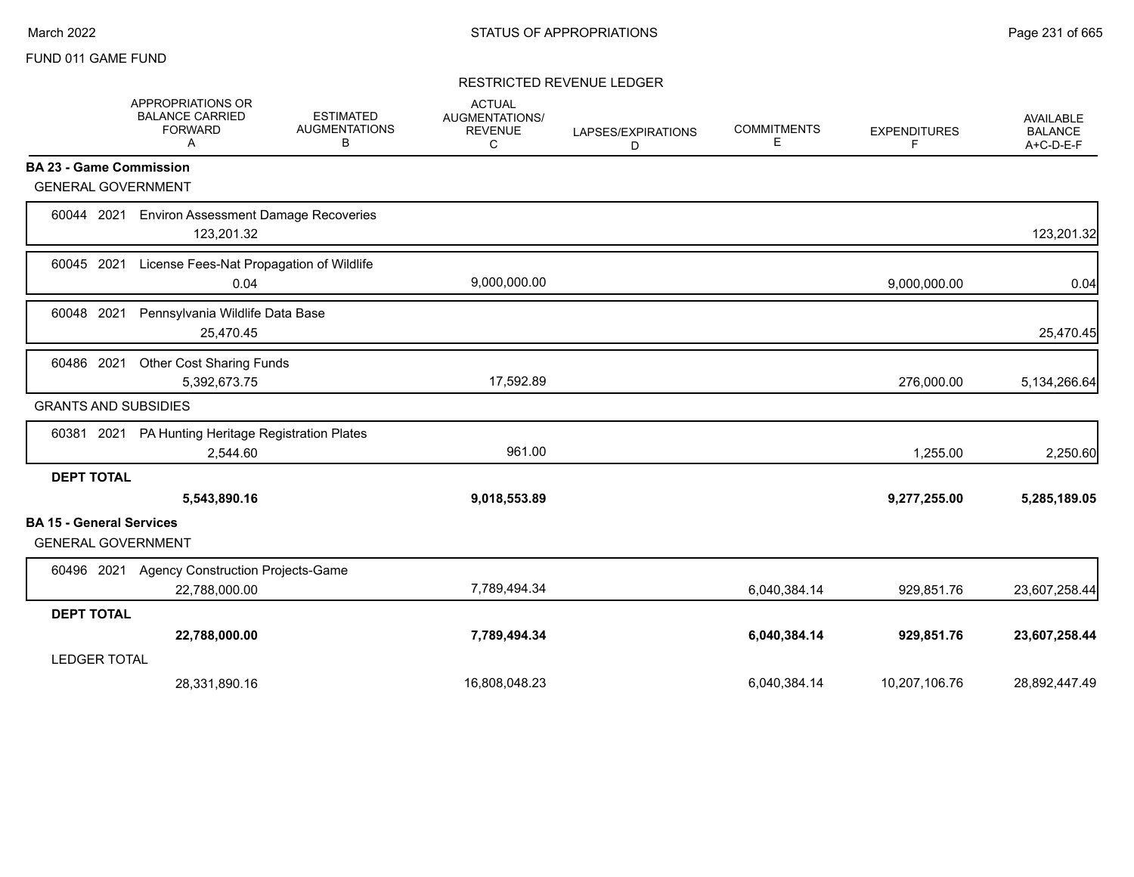## RESTRICTED REVENUE LEDGER

|                     | <b>APPROPRIATIONS OR</b><br><b>BALANCE CARRIED</b><br><b>FORWARD</b><br>Α | <b>ESTIMATED</b><br><b>AUGMENTATIONS</b><br>В | <b>ACTUAL</b><br><b>AUGMENTATIONS/</b><br><b>REVENUE</b><br>C | LAPSES/EXPIRATIONS<br>D | <b>COMMITMENTS</b><br>E | <b>EXPENDITURES</b><br>F | <b>AVAILABLE</b><br><b>BALANCE</b><br>A+C-D-E-F |
|---------------------|---------------------------------------------------------------------------|-----------------------------------------------|---------------------------------------------------------------|-------------------------|-------------------------|--------------------------|-------------------------------------------------|
|                     | <b>BA 23 - Game Commission</b>                                            |                                               |                                                               |                         |                         |                          |                                                 |
|                     | <b>GENERAL GOVERNMENT</b>                                                 |                                               |                                                               |                         |                         |                          |                                                 |
| 60044               | 2021<br><b>Environ Assessment Damage Recoveries</b><br>123,201.32         |                                               |                                                               |                         |                         |                          | 123,201.32                                      |
| 60045 2021          | License Fees-Nat Propagation of Wildlife<br>0.04                          |                                               | 9,000,000.00                                                  |                         |                         | 9,000,000.00             | 0.04                                            |
| 60048 2021          | Pennsylvania Wildlife Data Base<br>25,470.45                              |                                               |                                                               |                         |                         |                          | 25,470.45                                       |
| 60486 2021          | <b>Other Cost Sharing Funds</b><br>5,392,673.75                           |                                               | 17,592.89                                                     |                         |                         | 276,000.00               | 5,134,266.64                                    |
|                     | <b>GRANTS AND SUBSIDIES</b>                                               |                                               |                                                               |                         |                         |                          |                                                 |
| 60381 2021          | PA Hunting Heritage Registration Plates<br>2,544.60                       |                                               | 961.00                                                        |                         |                         | 1,255.00                 | 2,250.60                                        |
| <b>DEPT TOTAL</b>   | 5,543,890.16                                                              |                                               | 9,018,553.89                                                  |                         |                         | 9,277,255.00             | 5,285,189.05                                    |
|                     | <b>BA 15 - General Services</b><br><b>GENERAL GOVERNMENT</b>              |                                               |                                                               |                         |                         |                          |                                                 |
| 60496 2021          | <b>Agency Construction Projects-Game</b><br>22,788,000.00                 |                                               | 7,789,494.34                                                  |                         | 6,040,384.14            | 929,851.76               | 23,607,258.44                                   |
| <b>DEPT TOTAL</b>   |                                                                           |                                               |                                                               |                         |                         |                          |                                                 |
|                     | 22,788,000.00                                                             |                                               | 7,789,494.34                                                  |                         | 6,040,384.14            | 929,851.76               | 23,607,258.44                                   |
| <b>LEDGER TOTAL</b> |                                                                           |                                               |                                                               |                         |                         |                          |                                                 |
|                     | 28,331,890.16                                                             |                                               | 16,808,048.23                                                 |                         | 6,040,384.14            | 10,207,106.76            | 28,892,447.49                                   |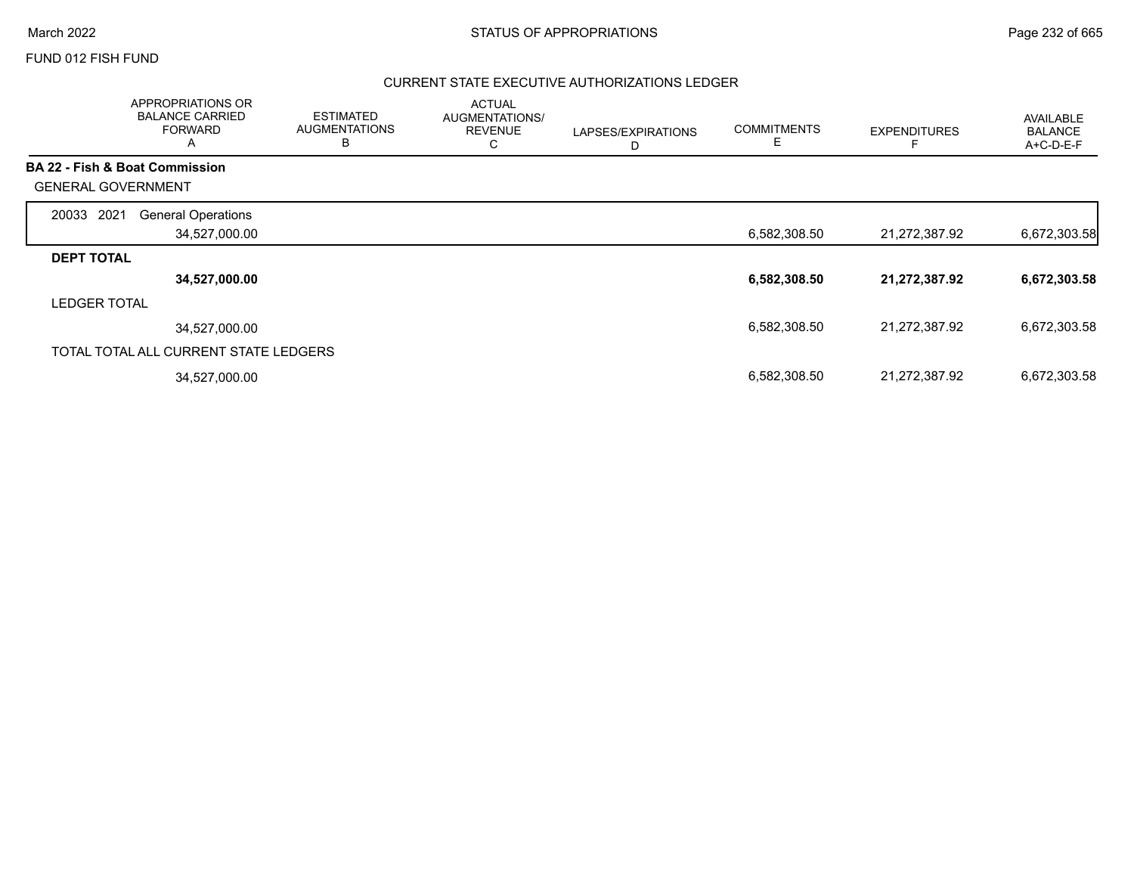## FUND 012 FISH FUND

## CURRENT STATE EXECUTIVE AUTHORIZATIONS LEDGER

|                           | APPROPRIATIONS OR<br><b>BALANCE CARRIED</b><br><b>FORWARD</b><br>$\overline{A}$ | <b>ESTIMATED</b><br><b>AUGMENTATIONS</b><br>В | <b>ACTUAL</b><br>AUGMENTATIONS/<br><b>REVENUE</b><br>U | LAPSES/EXPIRATIONS<br>D | <b>COMMITMENTS</b><br>Е | <b>EXPENDITURES</b> | <b>AVAILABLE</b><br><b>BALANCE</b><br>A+C-D-E-F |
|---------------------------|---------------------------------------------------------------------------------|-----------------------------------------------|--------------------------------------------------------|-------------------------|-------------------------|---------------------|-------------------------------------------------|
|                           | BA 22 - Fish & Boat Commission                                                  |                                               |                                                        |                         |                         |                     |                                                 |
| <b>GENERAL GOVERNMENT</b> |                                                                                 |                                               |                                                        |                         |                         |                     |                                                 |
| 2021<br>20033             | <b>General Operations</b>                                                       |                                               |                                                        |                         |                         |                     |                                                 |
|                           | 34,527,000.00                                                                   |                                               |                                                        |                         | 6,582,308.50            | 21,272,387.92       | 6,672,303.58                                    |
| <b>DEPT TOTAL</b>         |                                                                                 |                                               |                                                        |                         |                         |                     |                                                 |
|                           | 34,527,000.00                                                                   |                                               |                                                        |                         | 6,582,308.50            | 21,272,387.92       | 6,672,303.58                                    |
| <b>LEDGER TOTAL</b>       |                                                                                 |                                               |                                                        |                         |                         |                     |                                                 |
|                           | 34,527,000.00                                                                   |                                               |                                                        |                         | 6,582,308.50            | 21,272,387.92       | 6,672,303.58                                    |
|                           | TOTAL TOTAL ALL CURRENT STATE LEDGERS                                           |                                               |                                                        |                         |                         |                     |                                                 |
|                           | 34,527,000.00                                                                   |                                               |                                                        |                         | 6,582,308.50            | 21,272,387.92       | 6,672,303.58                                    |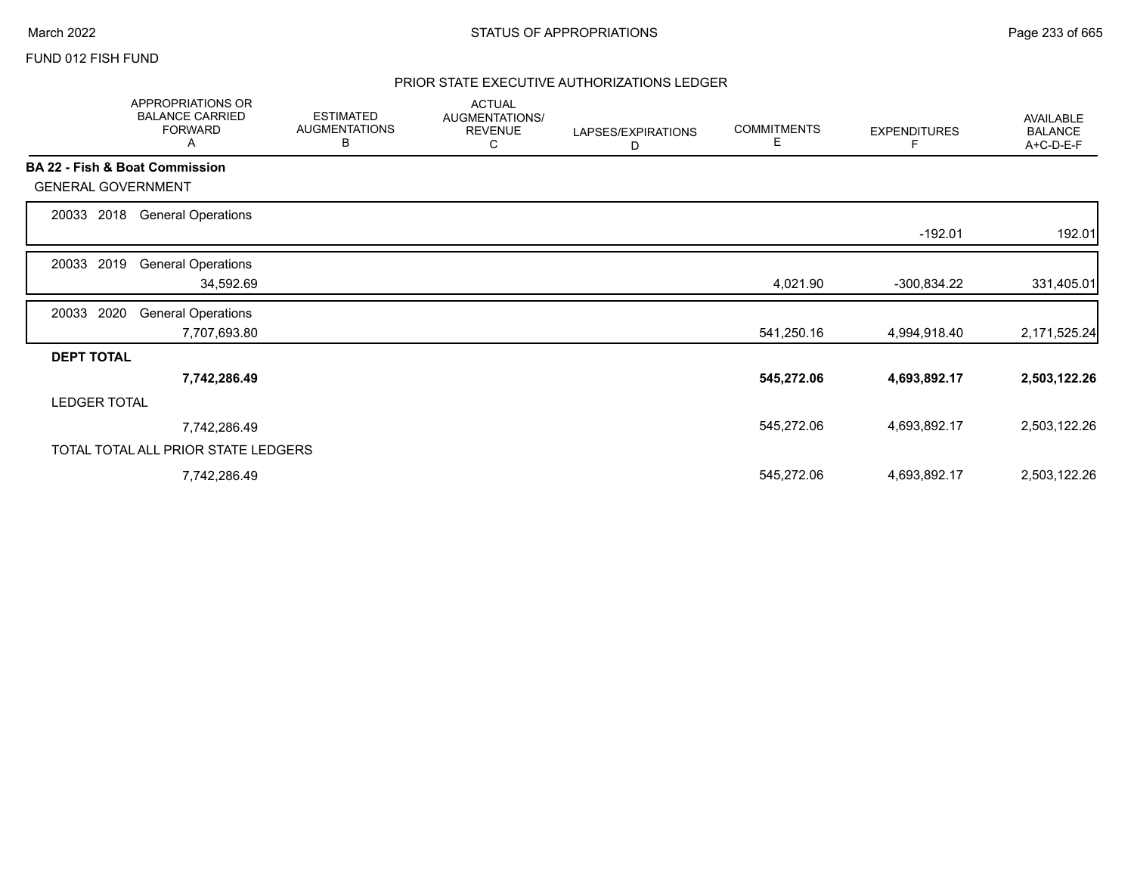## FUND 012 FISH FUND

# PRIOR STATE EXECUTIVE AUTHORIZATIONS LEDGER

|                           | APPROPRIATIONS OR<br><b>BALANCE CARRIED</b><br><b>FORWARD</b><br>A | <b>ESTIMATED</b><br><b>AUGMENTATIONS</b><br>В | <b>ACTUAL</b><br>AUGMENTATIONS/<br><b>REVENUE</b><br>С | LAPSES/EXPIRATIONS<br>D | <b>COMMITMENTS</b><br>Е | <b>EXPENDITURES</b> | AVAILABLE<br><b>BALANCE</b><br>A+C-D-E-F |
|---------------------------|--------------------------------------------------------------------|-----------------------------------------------|--------------------------------------------------------|-------------------------|-------------------------|---------------------|------------------------------------------|
|                           | <b>BA 22 - Fish &amp; Boat Commission</b>                          |                                               |                                                        |                         |                         |                     |                                          |
| <b>GENERAL GOVERNMENT</b> |                                                                    |                                               |                                                        |                         |                         |                     |                                          |
| 2018<br>20033             | <b>General Operations</b>                                          |                                               |                                                        |                         |                         |                     |                                          |
|                           |                                                                    |                                               |                                                        |                         |                         | $-192.01$           | 192.01                                   |
| 20033<br>2019             | <b>General Operations</b>                                          |                                               |                                                        |                         |                         |                     |                                          |
|                           | 34,592.69                                                          |                                               |                                                        |                         | 4,021.90                | $-300,834.22$       | 331,405.01                               |
| 2020<br>20033             | <b>General Operations</b>                                          |                                               |                                                        |                         |                         |                     |                                          |
|                           | 7,707,693.80                                                       |                                               |                                                        |                         | 541,250.16              | 4,994,918.40        | 2,171,525.24                             |
| <b>DEPT TOTAL</b>         |                                                                    |                                               |                                                        |                         |                         |                     |                                          |
|                           | 7,742,286.49                                                       |                                               |                                                        |                         | 545,272.06              | 4,693,892.17        | 2,503,122.26                             |
| <b>LEDGER TOTAL</b>       |                                                                    |                                               |                                                        |                         |                         |                     |                                          |
|                           | 7,742,286.49                                                       |                                               |                                                        |                         | 545,272.06              | 4,693,892.17        | 2,503,122.26                             |
|                           | TOTAL TOTAL ALL PRIOR STATE LEDGERS                                |                                               |                                                        |                         |                         |                     |                                          |
|                           | 7,742,286.49                                                       |                                               |                                                        |                         | 545,272.06              | 4,693,892.17        | 2,503,122.26                             |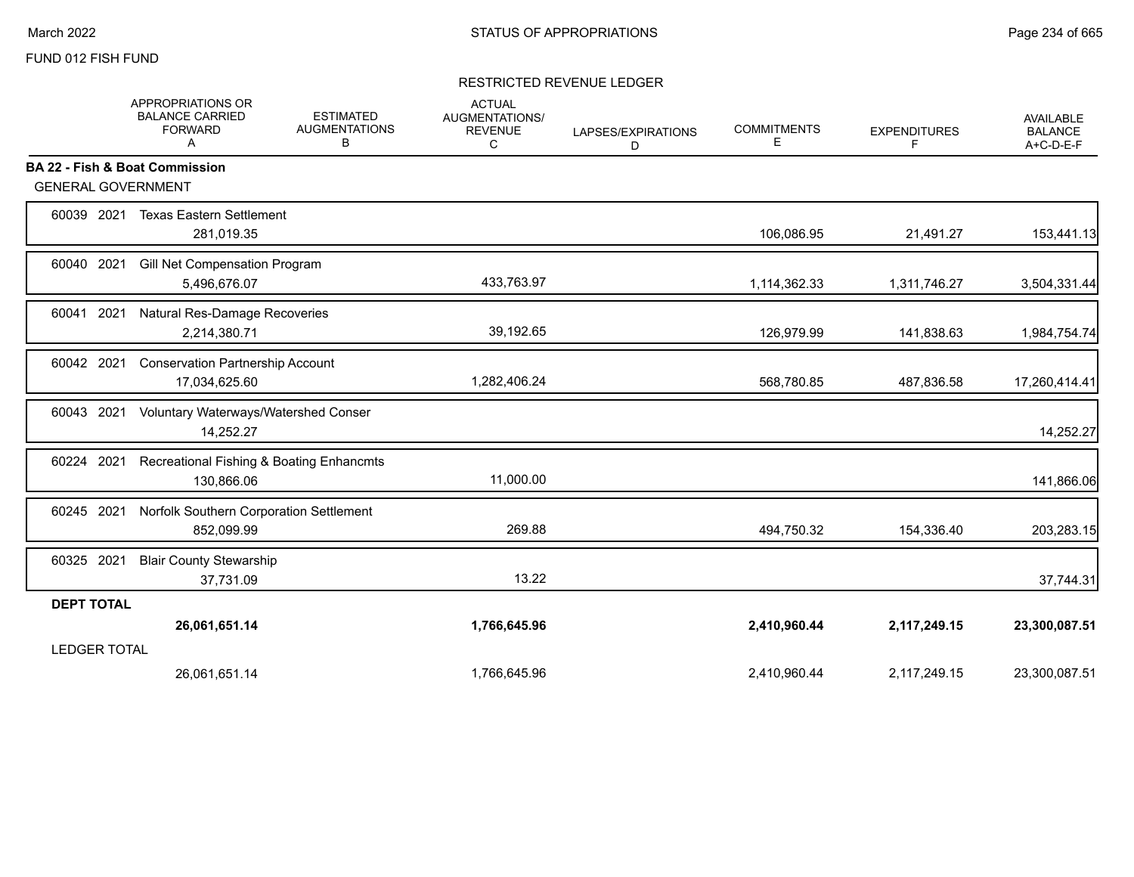## FUND 012 FISH FUND

## RESTRICTED REVENUE LEDGER

|                           | APPROPRIATIONS OR<br><b>BALANCE CARRIED</b><br><b>FORWARD</b><br>Α | <b>ESTIMATED</b><br><b>AUGMENTATIONS</b><br>в | <b>ACTUAL</b><br><b>AUGMENTATIONS/</b><br><b>REVENUE</b><br>C | LAPSES/EXPIRATIONS<br>D | <b>COMMITMENTS</b><br>E. | <b>EXPENDITURES</b><br>F | AVAILABLE<br><b>BALANCE</b><br>A+C-D-E-F |
|---------------------------|--------------------------------------------------------------------|-----------------------------------------------|---------------------------------------------------------------|-------------------------|--------------------------|--------------------------|------------------------------------------|
|                           | BA 22 - Fish & Boat Commission                                     |                                               |                                                               |                         |                          |                          |                                          |
| <b>GENERAL GOVERNMENT</b> |                                                                    |                                               |                                                               |                         |                          |                          |                                          |
| 60039 2021                | <b>Texas Eastern Settlement</b><br>281,019.35                      |                                               |                                                               |                         | 106,086.95               | 21,491.27                | 153,441.13                               |
| 2021<br>60040             | Gill Net Compensation Program<br>5,496,676.07                      |                                               | 433,763.97                                                    |                         | 1,114,362.33             | 1,311,746.27             | 3,504,331.44                             |
| 60041 2021                | Natural Res-Damage Recoveries<br>2,214,380.71                      |                                               | 39,192.65                                                     |                         | 126,979.99               | 141,838.63               | 1,984,754.74                             |
| 60042 2021                | <b>Conservation Partnership Account</b><br>17,034,625.60           |                                               | 1,282,406.24                                                  |                         | 568,780.85               | 487,836.58               | 17,260,414.41                            |
| 60043 2021                | Voluntary Waterways/Watershed Conser<br>14,252.27                  |                                               |                                                               |                         |                          |                          | 14,252.27                                |
| 60224 2021                | Recreational Fishing & Boating Enhancmts<br>130,866.06             |                                               | 11,000.00                                                     |                         |                          |                          | 141,866.06                               |
| 60245 2021                | Norfolk Southern Corporation Settlement<br>852,099.99              |                                               | 269.88                                                        |                         | 494,750.32               | 154,336.40               | 203,283.15                               |
| 60325 2021                | <b>Blair County Stewarship</b><br>37,731.09                        |                                               | 13.22                                                         |                         |                          |                          | 37,744.31                                |
| <b>DEPT TOTAL</b>         |                                                                    |                                               |                                                               |                         |                          |                          |                                          |
|                           | 26,061,651.14                                                      |                                               | 1,766,645.96                                                  |                         | 2,410,960.44             | 2,117,249.15             | 23,300,087.51                            |
| <b>LEDGER TOTAL</b>       |                                                                    |                                               |                                                               |                         |                          |                          |                                          |
|                           | 26,061,651.14                                                      |                                               | 1,766,645.96                                                  |                         | 2,410,960.44             | 2,117,249.15             | 23,300,087.51                            |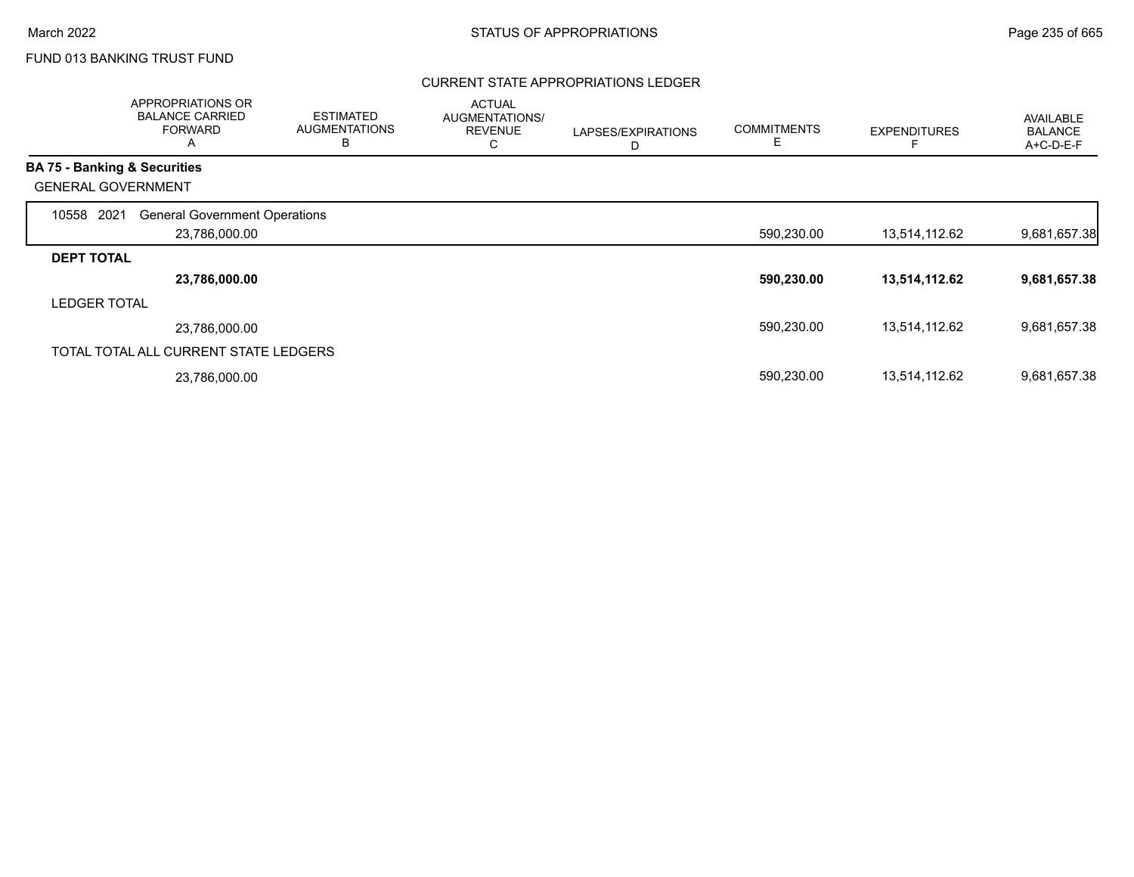# FUND 013 BANKING TRUST FUND

## CURRENT STATE APPROPRIATIONS LEDGER

|                     | APPROPRIATIONS OR<br><b>BALANCE CARRIED</b><br><b>FORWARD</b><br>Α | <b>ESTIMATED</b><br><b>AUGMENTATIONS</b><br>B | <b>ACTUAL</b><br><b>AUGMENTATIONS/</b><br><b>REVENUE</b><br>С | LAPSES/EXPIRATIONS<br>D | <b>COMMITMENTS</b><br>Е | <b>EXPENDITURES</b> | AVAILABLE<br><b>BALANCE</b><br>A+C-D-E-F |
|---------------------|--------------------------------------------------------------------|-----------------------------------------------|---------------------------------------------------------------|-------------------------|-------------------------|---------------------|------------------------------------------|
|                     | <b>BA 75 - Banking &amp; Securities</b>                            |                                               |                                                               |                         |                         |                     |                                          |
|                     | <b>GENERAL GOVERNMENT</b>                                          |                                               |                                                               |                         |                         |                     |                                          |
| 2021<br>10558       | <b>General Government Operations</b>                               |                                               |                                                               |                         |                         |                     |                                          |
|                     | 23,786,000.00                                                      |                                               |                                                               |                         | 590,230.00              | 13,514,112.62       | 9,681,657.38                             |
| <b>DEPT TOTAL</b>   |                                                                    |                                               |                                                               |                         |                         |                     |                                          |
|                     | 23,786,000.00                                                      |                                               |                                                               |                         | 590,230.00              | 13,514,112.62       | 9,681,657.38                             |
| <b>LEDGER TOTAL</b> |                                                                    |                                               |                                                               |                         |                         |                     |                                          |
|                     | 23,786,000.00                                                      |                                               |                                                               |                         | 590,230.00              | 13,514,112.62       | 9,681,657.38                             |
|                     | TOTAL TOTAL ALL CURRENT STATE LEDGERS                              |                                               |                                                               |                         |                         |                     |                                          |
|                     | 23,786,000.00                                                      |                                               |                                                               |                         | 590,230.00              | 13,514,112.62       | 9,681,657.38                             |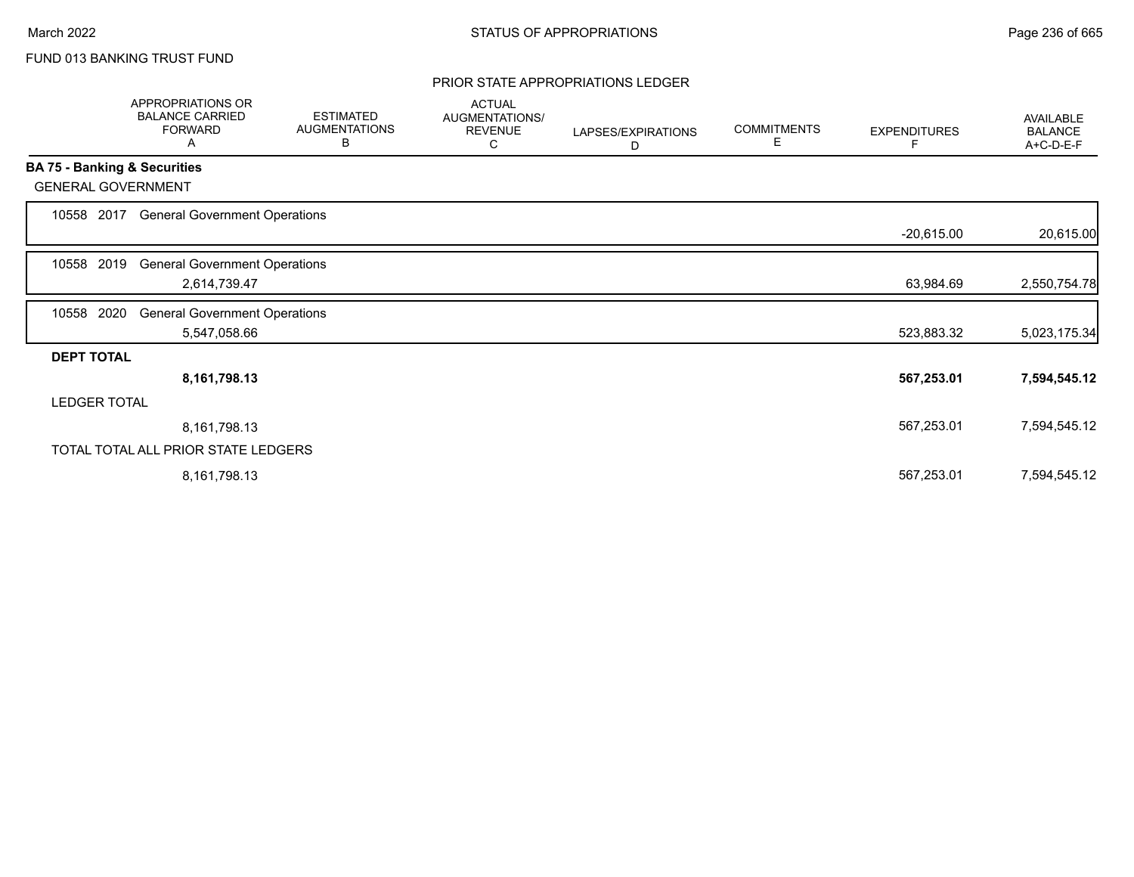# FUND 013 BANKING TRUST FUND

#### PRIOR STATE APPROPRIATIONS LEDGER

|                              | APPROPRIATIONS OR<br><b>BALANCE CARRIED</b><br><b>FORWARD</b><br>A | <b>ESTIMATED</b><br><b>AUGMENTATIONS</b><br>В | <b>ACTUAL</b><br>AUGMENTATIONS/<br><b>REVENUE</b><br>С | LAPSES/EXPIRATIONS<br>D | <b>COMMITMENTS</b><br>Е | <b>EXPENDITURES</b><br>F | <b>AVAILABLE</b><br><b>BALANCE</b><br>A+C-D-E-F |
|------------------------------|--------------------------------------------------------------------|-----------------------------------------------|--------------------------------------------------------|-------------------------|-------------------------|--------------------------|-------------------------------------------------|
| BA 75 - Banking & Securities |                                                                    |                                               |                                                        |                         |                         |                          |                                                 |
| <b>GENERAL GOVERNMENT</b>    |                                                                    |                                               |                                                        |                         |                         |                          |                                                 |
| 10558 2017                   | <b>General Government Operations</b>                               |                                               |                                                        |                         |                         |                          |                                                 |
|                              |                                                                    |                                               |                                                        |                         |                         | $-20,615.00$             | 20,615.00                                       |
| 2019<br>10558                | <b>General Government Operations</b>                               |                                               |                                                        |                         |                         |                          |                                                 |
|                              | 2,614,739.47                                                       |                                               |                                                        |                         |                         | 63,984.69                | 2,550,754.78                                    |
| 2020<br>10558                | <b>General Government Operations</b>                               |                                               |                                                        |                         |                         |                          |                                                 |
|                              | 5,547,058.66                                                       |                                               |                                                        |                         |                         | 523,883.32               | 5,023,175.34                                    |
| <b>DEPT TOTAL</b>            |                                                                    |                                               |                                                        |                         |                         |                          |                                                 |
|                              | 8,161,798.13                                                       |                                               |                                                        |                         |                         | 567,253.01               | 7,594,545.12                                    |
| <b>LEDGER TOTAL</b>          |                                                                    |                                               |                                                        |                         |                         |                          |                                                 |
|                              | 8,161,798.13                                                       |                                               |                                                        |                         |                         | 567,253.01               | 7,594,545.12                                    |
|                              | TOTAL TOTAL ALL PRIOR STATE LEDGERS                                |                                               |                                                        |                         |                         |                          |                                                 |
|                              | 8,161,798.13                                                       |                                               |                                                        |                         |                         | 567,253.01               | 7,594,545.12                                    |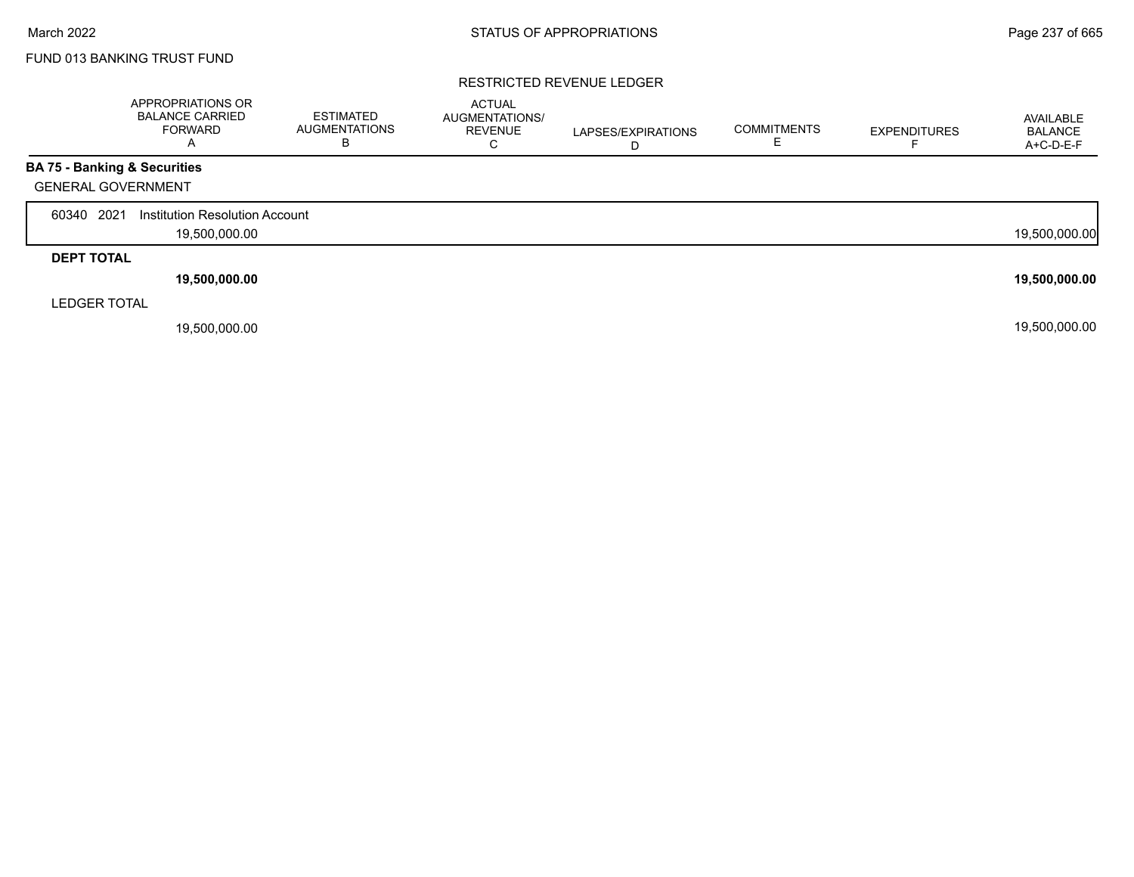Г

# FUND 013 BANKING TRUST FUND

## RESTRICTED REVENUE LEDGER

|                                         | APPROPRIATIONS OR<br><b>BALANCE CARRIED</b><br><b>FORWARD</b><br>A | ESTIMATED<br>AUGMENTATIONS<br>В | <b>ACTUAL</b><br><b>AUGMENTATIONS/</b><br><b>REVENUE</b><br>⌒<br>◡ | LAPSES/EXPIRATIONS | <b>COMMITMENTS</b> | <b>EXPENDITURES</b> | AVAILABLE<br><b>BALANCE</b><br>A+C-D-E-F |
|-----------------------------------------|--------------------------------------------------------------------|---------------------------------|--------------------------------------------------------------------|--------------------|--------------------|---------------------|------------------------------------------|
| <b>BA 75 - Banking &amp; Securities</b> |                                                                    |                                 |                                                                    |                    |                    |                     |                                          |
| <b>GENERAL GOVERNMENT</b>               |                                                                    |                                 |                                                                    |                    |                    |                     |                                          |
| 2021<br>60340                           | Institution Resolution Account                                     |                                 |                                                                    |                    |                    |                     |                                          |
|                                         | 19,500,000.00                                                      |                                 |                                                                    |                    |                    |                     | 19,500,000.00                            |
| <b>DEPT TOTAL</b>                       |                                                                    |                                 |                                                                    |                    |                    |                     |                                          |
|                                         | 19,500,000.00                                                      |                                 |                                                                    |                    |                    |                     | 19,500,000.00                            |
| <b>LEDGER TOTAL</b>                     |                                                                    |                                 |                                                                    |                    |                    |                     |                                          |
|                                         | 19,500,000.00                                                      |                                 |                                                                    |                    |                    |                     | 19,500,000.00                            |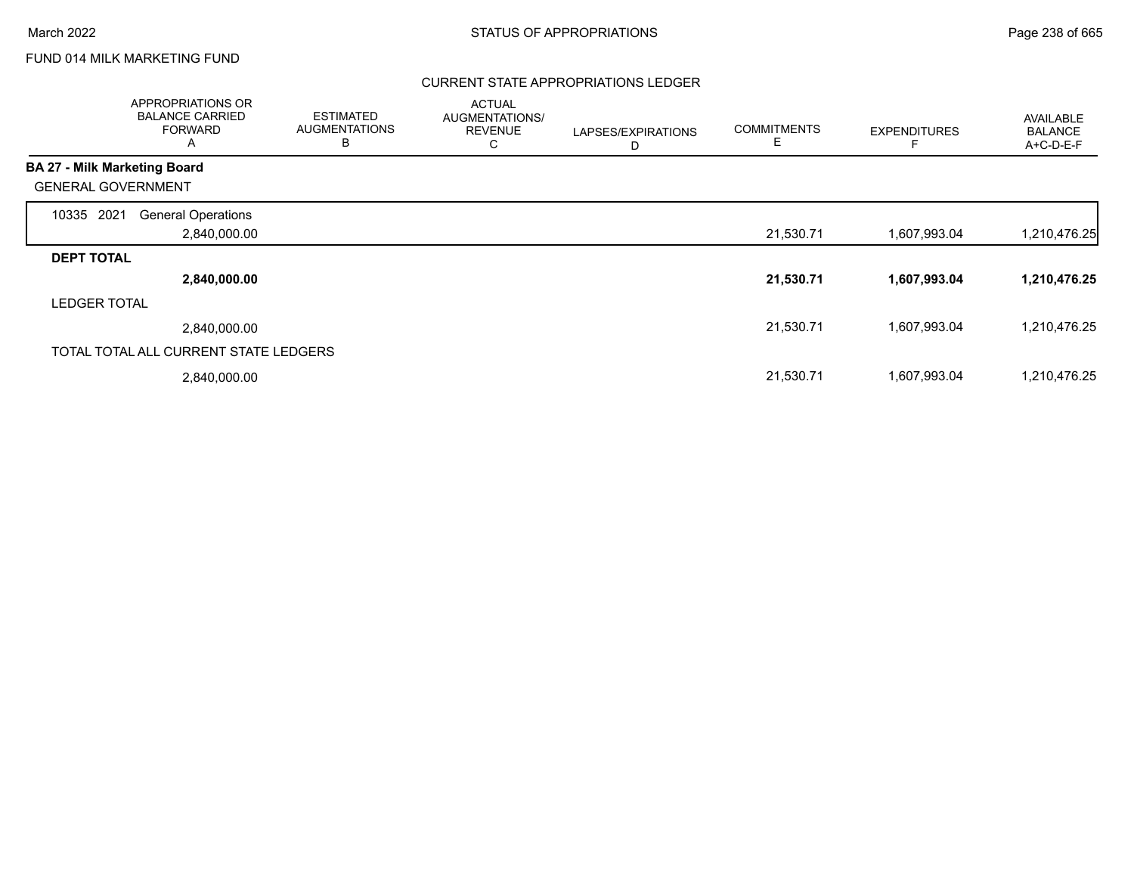# FUND 014 MILK MARKETING FUND

## CURRENT STATE APPROPRIATIONS LEDGER

| APPROPRIATIONS OR<br><b>BALANCE CARRIED</b><br><b>FORWARD</b><br>$\mathsf{A}$ | <b>ESTIMATED</b><br><b>AUGMENTATIONS</b><br>в | <b>ACTUAL</b><br>AUGMENTATIONS/<br><b>REVENUE</b><br>С | LAPSES/EXPIRATIONS<br>D | <b>COMMITMENTS</b><br>Е | <b>EXPENDITURES</b> | <b>AVAILABLE</b><br><b>BALANCE</b><br>A+C-D-E-F |
|-------------------------------------------------------------------------------|-----------------------------------------------|--------------------------------------------------------|-------------------------|-------------------------|---------------------|-------------------------------------------------|
| <b>BA 27 - Milk Marketing Board</b>                                           |                                               |                                                        |                         |                         |                     |                                                 |
| <b>GENERAL GOVERNMENT</b>                                                     |                                               |                                                        |                         |                         |                     |                                                 |
| 2021<br><b>General Operations</b><br>10335                                    |                                               |                                                        |                         |                         |                     |                                                 |
| 2,840,000.00                                                                  |                                               |                                                        |                         | 21,530.71               | 1,607,993.04        | 1,210,476.25                                    |
| <b>DEPT TOTAL</b>                                                             |                                               |                                                        |                         |                         |                     |                                                 |
| 2,840,000.00                                                                  |                                               |                                                        |                         | 21,530.71               | 1,607,993.04        | 1,210,476.25                                    |
| <b>LEDGER TOTAL</b>                                                           |                                               |                                                        |                         |                         |                     |                                                 |
| 2,840,000.00                                                                  |                                               |                                                        |                         | 21,530.71               | 1,607,993.04        | 1,210,476.25                                    |
| TOTAL TOTAL ALL CURRENT STATE LEDGERS                                         |                                               |                                                        |                         |                         |                     |                                                 |
| 2,840,000.00                                                                  |                                               |                                                        |                         | 21,530.71               | 1,607,993.04        | 1,210,476.25                                    |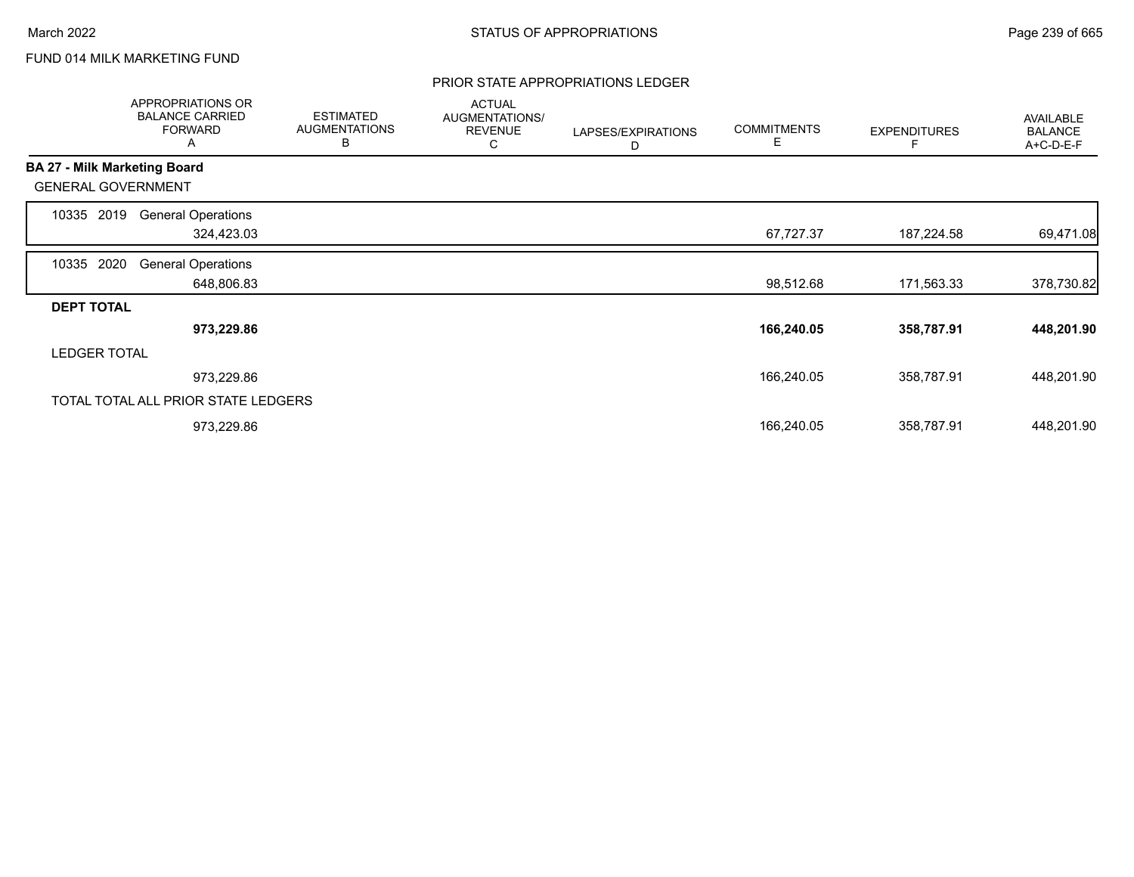# FUND 014 MILK MARKETING FUND

#### PRIOR STATE APPROPRIATIONS LEDGER

|                     | APPROPRIATIONS OR<br><b>BALANCE CARRIED</b><br><b>FORWARD</b><br>A | <b>ESTIMATED</b><br><b>AUGMENTATIONS</b><br>В | <b>ACTUAL</b><br>AUGMENTATIONS/<br><b>REVENUE</b><br>С | LAPSES/EXPIRATIONS<br>D | <b>COMMITMENTS</b><br>Е | <b>EXPENDITURES</b> | <b>AVAILABLE</b><br><b>BALANCE</b><br>A+C-D-E-F |
|---------------------|--------------------------------------------------------------------|-----------------------------------------------|--------------------------------------------------------|-------------------------|-------------------------|---------------------|-------------------------------------------------|
|                     | <b>BA 27 - Milk Marketing Board</b>                                |                                               |                                                        |                         |                         |                     |                                                 |
|                     | <b>GENERAL GOVERNMENT</b>                                          |                                               |                                                        |                         |                         |                     |                                                 |
| 10335               | <b>General Operations</b><br>2019                                  |                                               |                                                        |                         |                         |                     |                                                 |
|                     | 324,423.03                                                         |                                               |                                                        |                         | 67,727.37               | 187,224.58          | 69,471.08                                       |
| 10335               | 2020<br><b>General Operations</b>                                  |                                               |                                                        |                         |                         |                     |                                                 |
|                     | 648,806.83                                                         |                                               |                                                        |                         | 98,512.68               | 171,563.33          | 378,730.82                                      |
| <b>DEPT TOTAL</b>   |                                                                    |                                               |                                                        |                         |                         |                     |                                                 |
|                     | 973,229.86                                                         |                                               |                                                        |                         | 166,240.05              | 358,787.91          | 448,201.90                                      |
| <b>LEDGER TOTAL</b> |                                                                    |                                               |                                                        |                         |                         |                     |                                                 |
|                     | 973,229.86                                                         |                                               |                                                        |                         | 166,240.05              | 358,787.91          | 448,201.90                                      |
|                     | TOTAL TOTAL ALL PRIOR STATE LEDGERS                                |                                               |                                                        |                         |                         |                     |                                                 |
|                     | 973,229.86                                                         |                                               |                                                        |                         | 166,240.05              | 358,787.91          | 448,201.90                                      |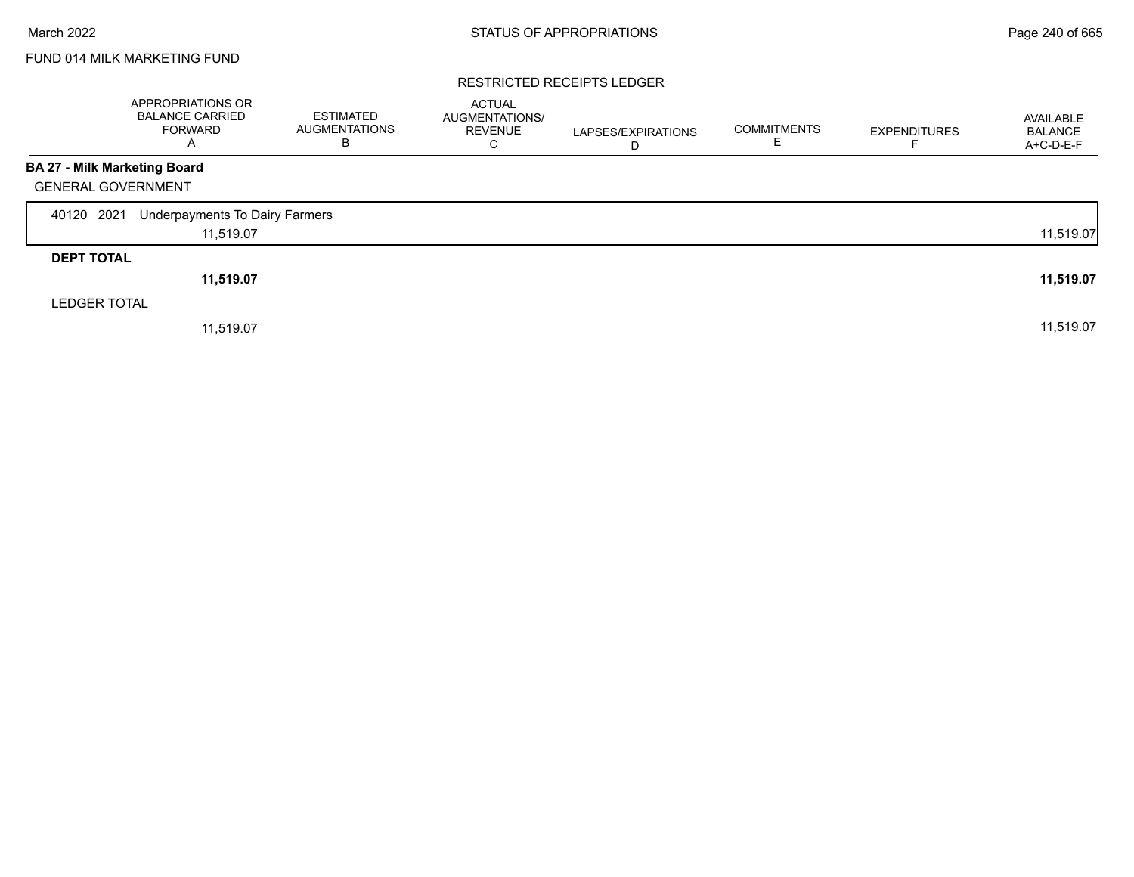# FUND 014 MILK MARKETING FUND

## RESTRICTED RECEIPTS LEDGER

|                                     | APPROPRIATIONS OR<br><b>BALANCE CARRIED</b><br><b>FORWARD</b><br>A | <b>ESTIMATED</b><br><b>AUGMENTATIONS</b><br>B | <b>ACTUAL</b><br>AUGMENTATIONS/<br><b>REVENUE</b><br>С | LAPSES/EXPIRATIONS<br>D | <b>COMMITMENTS</b> | <b>EXPENDITURES</b><br>F | AVAILABLE<br><b>BALANCE</b><br>A+C-D-E-F |
|-------------------------------------|--------------------------------------------------------------------|-----------------------------------------------|--------------------------------------------------------|-------------------------|--------------------|--------------------------|------------------------------------------|
| <b>BA 27 - Milk Marketing Board</b> |                                                                    |                                               |                                                        |                         |                    |                          |                                          |
| <b>GENERAL GOVERNMENT</b>           |                                                                    |                                               |                                                        |                         |                    |                          |                                          |
| 40120 2021                          | Underpayments To Dairy Farmers                                     |                                               |                                                        |                         |                    |                          |                                          |
|                                     | 11,519.07                                                          |                                               |                                                        |                         |                    |                          | 11,519.07                                |
| <b>DEPT TOTAL</b>                   |                                                                    |                                               |                                                        |                         |                    |                          |                                          |
|                                     | 11,519.07                                                          |                                               |                                                        |                         |                    |                          | 11,519.07                                |
| <b>LEDGER TOTAL</b>                 |                                                                    |                                               |                                                        |                         |                    |                          |                                          |
|                                     | 11,519.07                                                          |                                               |                                                        |                         |                    |                          | 11,519.07                                |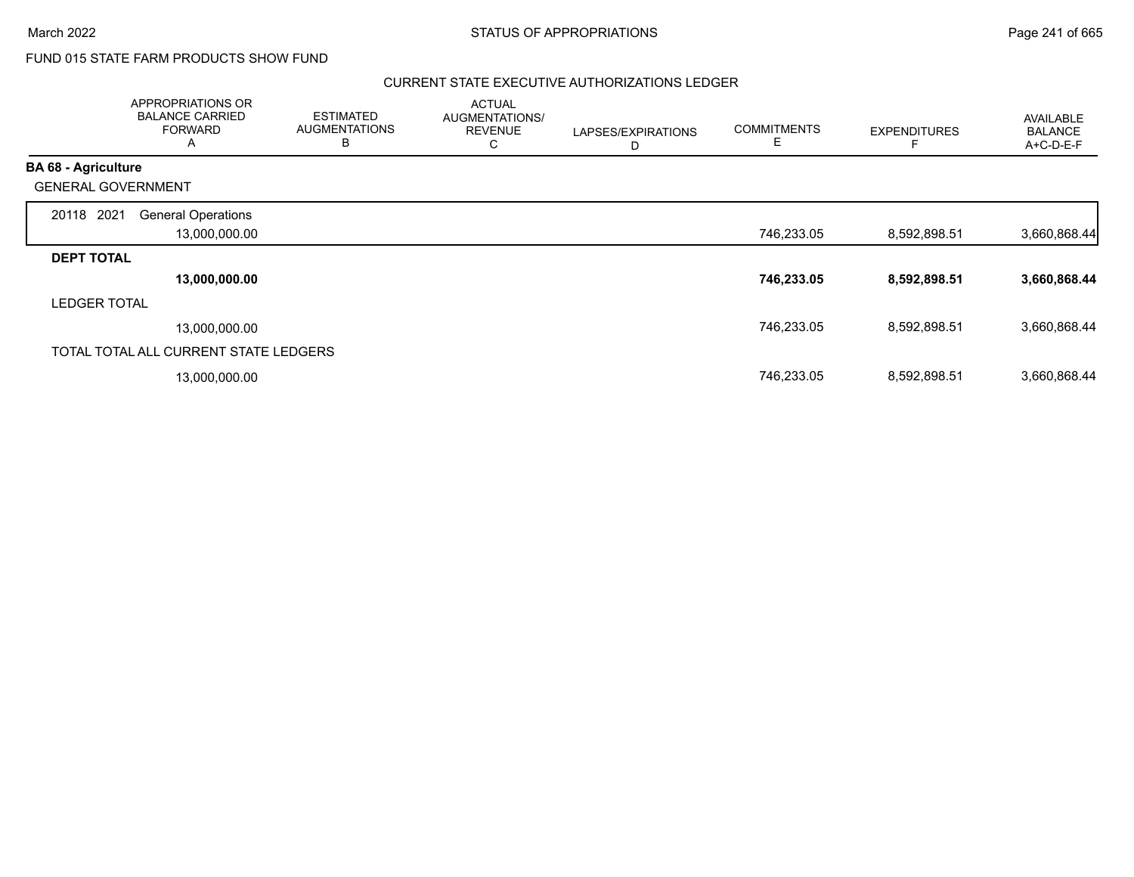# FUND 015 STATE FARM PRODUCTS SHOW FUND

## CURRENT STATE EXECUTIVE AUTHORIZATIONS LEDGER

|                            | APPROPRIATIONS OR<br><b>BALANCE CARRIED</b><br><b>FORWARD</b><br>A | <b>ESTIMATED</b><br><b>AUGMENTATIONS</b><br>B | <b>ACTUAL</b><br>AUGMENTATIONS/<br><b>REVENUE</b><br>С | LAPSES/EXPIRATIONS<br>D | <b>COMMITMENTS</b><br>Е | <b>EXPENDITURES</b> | <b>AVAILABLE</b><br><b>BALANCE</b><br>A+C-D-E-F |
|----------------------------|--------------------------------------------------------------------|-----------------------------------------------|--------------------------------------------------------|-------------------------|-------------------------|---------------------|-------------------------------------------------|
| <b>BA 68 - Agriculture</b> |                                                                    |                                               |                                                        |                         |                         |                     |                                                 |
| <b>GENERAL GOVERNMENT</b>  |                                                                    |                                               |                                                        |                         |                         |                     |                                                 |
| 2021<br>20118              | <b>General Operations</b>                                          |                                               |                                                        |                         |                         |                     |                                                 |
|                            | 13,000,000.00                                                      |                                               |                                                        |                         | 746,233.05              | 8,592,898.51        | 3,660,868.44                                    |
| <b>DEPT TOTAL</b>          |                                                                    |                                               |                                                        |                         |                         |                     |                                                 |
|                            | 13,000,000.00                                                      |                                               |                                                        |                         | 746,233.05              | 8,592,898.51        | 3,660,868.44                                    |
| <b>LEDGER TOTAL</b>        |                                                                    |                                               |                                                        |                         |                         |                     |                                                 |
|                            | 13,000,000.00                                                      |                                               |                                                        |                         | 746,233.05              | 8,592,898.51        | 3,660,868.44                                    |
|                            | TOTAL TOTAL ALL CURRENT STATE LEDGERS                              |                                               |                                                        |                         |                         |                     |                                                 |
|                            | 13,000,000.00                                                      |                                               |                                                        |                         | 746,233.05              | 8,592,898.51        | 3,660,868.44                                    |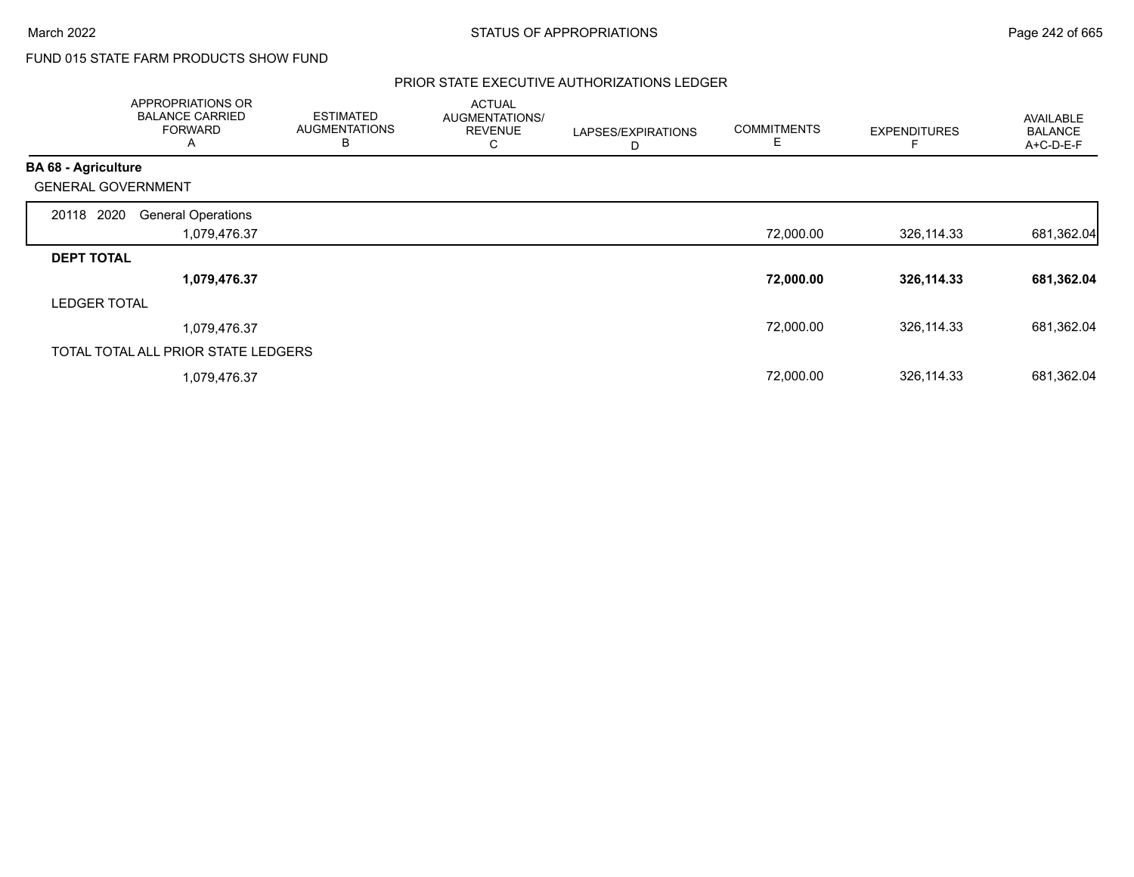# FUND 015 STATE FARM PRODUCTS SHOW FUND

## PRIOR STATE EXECUTIVE AUTHORIZATIONS LEDGER

|                            | APPROPRIATIONS OR<br><b>BALANCE CARRIED</b><br><b>FORWARD</b><br>A | <b>ESTIMATED</b><br><b>AUGMENTATIONS</b><br>B | <b>ACTUAL</b><br>AUGMENTATIONS/<br><b>REVENUE</b><br>С | LAPSES/EXPIRATIONS<br>D | <b>COMMITMENTS</b><br>E | <b>EXPENDITURES</b> | <b>AVAILABLE</b><br><b>BALANCE</b><br>A+C-D-E-F |
|----------------------------|--------------------------------------------------------------------|-----------------------------------------------|--------------------------------------------------------|-------------------------|-------------------------|---------------------|-------------------------------------------------|
| <b>BA 68 - Agriculture</b> |                                                                    |                                               |                                                        |                         |                         |                     |                                                 |
| <b>GENERAL GOVERNMENT</b>  |                                                                    |                                               |                                                        |                         |                         |                     |                                                 |
| 20118 2020                 | <b>General Operations</b>                                          |                                               |                                                        |                         |                         |                     |                                                 |
|                            | 1,079,476.37                                                       |                                               |                                                        |                         | 72,000.00               | 326,114.33          | 681,362.04                                      |
| <b>DEPT TOTAL</b>          |                                                                    |                                               |                                                        |                         |                         |                     |                                                 |
|                            | 1,079,476.37                                                       |                                               |                                                        |                         | 72,000.00               | 326,114.33          | 681,362.04                                      |
| <b>LEDGER TOTAL</b>        |                                                                    |                                               |                                                        |                         |                         |                     |                                                 |
|                            | 1,079,476.37                                                       |                                               |                                                        |                         | 72,000.00               | 326,114.33          | 681,362.04                                      |
|                            | TOTAL TOTAL ALL PRIOR STATE LEDGERS                                |                                               |                                                        |                         |                         |                     |                                                 |
|                            | 1,079,476.37                                                       |                                               |                                                        |                         | 72,000.00               | 326,114.33          | 681,362.04                                      |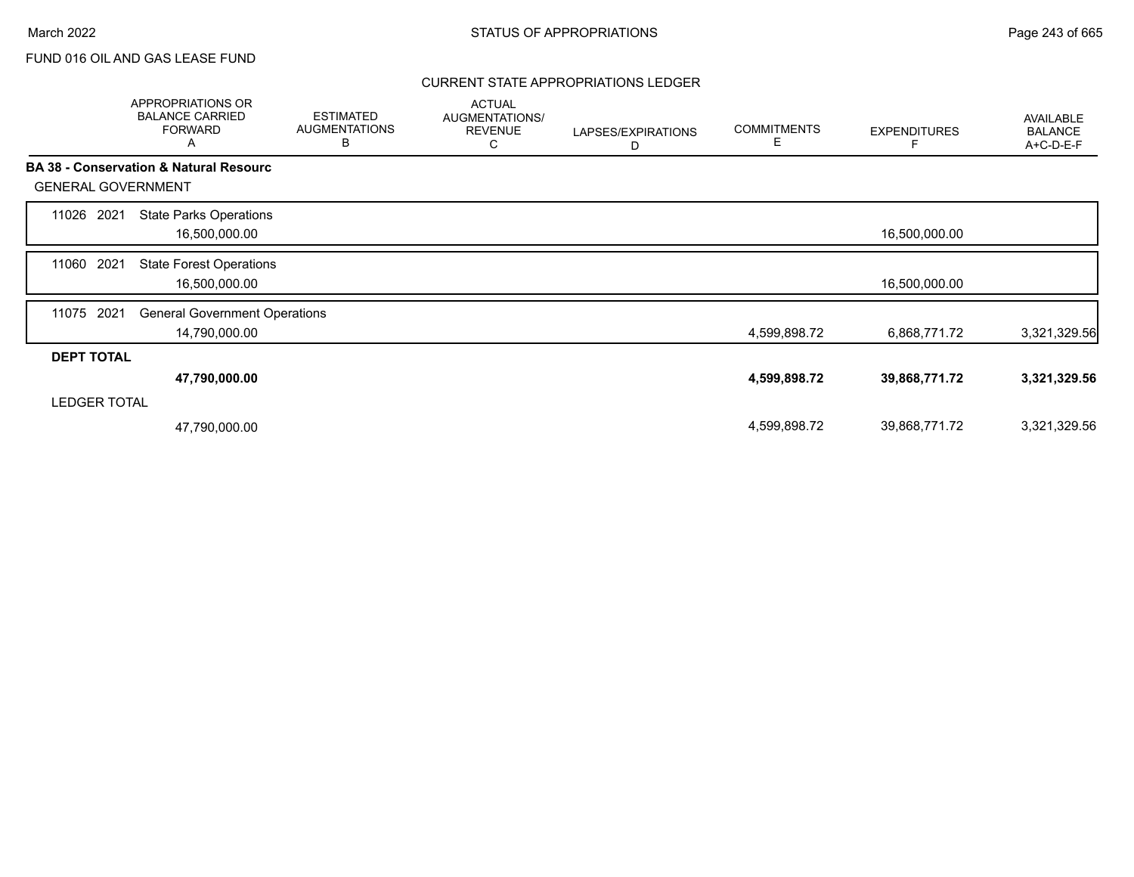## CURRENT STATE APPROPRIATIONS LEDGER

|                           | <b>APPROPRIATIONS OR</b><br><b>BALANCE CARRIED</b><br><b>FORWARD</b><br>A | <b>ESTIMATED</b><br><b>AUGMENTATIONS</b><br>В | <b>ACTUAL</b><br>AUGMENTATIONS/<br><b>REVENUE</b><br>С | LAPSES/EXPIRATIONS<br>D | <b>COMMITMENTS</b><br>Е | <b>EXPENDITURES</b> | AVAILABLE<br><b>BALANCE</b><br>A+C-D-E-F |
|---------------------------|---------------------------------------------------------------------------|-----------------------------------------------|--------------------------------------------------------|-------------------------|-------------------------|---------------------|------------------------------------------|
|                           | <b>BA 38 - Conservation &amp; Natural Resourc</b>                         |                                               |                                                        |                         |                         |                     |                                          |
| <b>GENERAL GOVERNMENT</b> |                                                                           |                                               |                                                        |                         |                         |                     |                                          |
| 2021<br>11026             | <b>State Parks Operations</b><br>16,500,000.00                            |                                               |                                                        |                         |                         | 16,500,000.00       |                                          |
| 2021<br>11060             | <b>State Forest Operations</b><br>16,500,000.00                           |                                               |                                                        |                         |                         | 16,500,000.00       |                                          |
| 2021<br>11075             | <b>General Government Operations</b><br>14,790,000.00                     |                                               |                                                        |                         | 4,599,898.72            | 6,868,771.72        | 3,321,329.56                             |
| <b>DEPT TOTAL</b>         |                                                                           |                                               |                                                        |                         |                         |                     |                                          |
|                           | 47,790,000.00                                                             |                                               |                                                        |                         | 4,599,898.72            | 39,868,771.72       | 3,321,329.56                             |
| <b>LEDGER TOTAL</b>       |                                                                           |                                               |                                                        |                         |                         |                     |                                          |
|                           | 47,790,000.00                                                             |                                               |                                                        |                         | 4,599,898.72            | 39,868,771.72       | 3,321,329.56                             |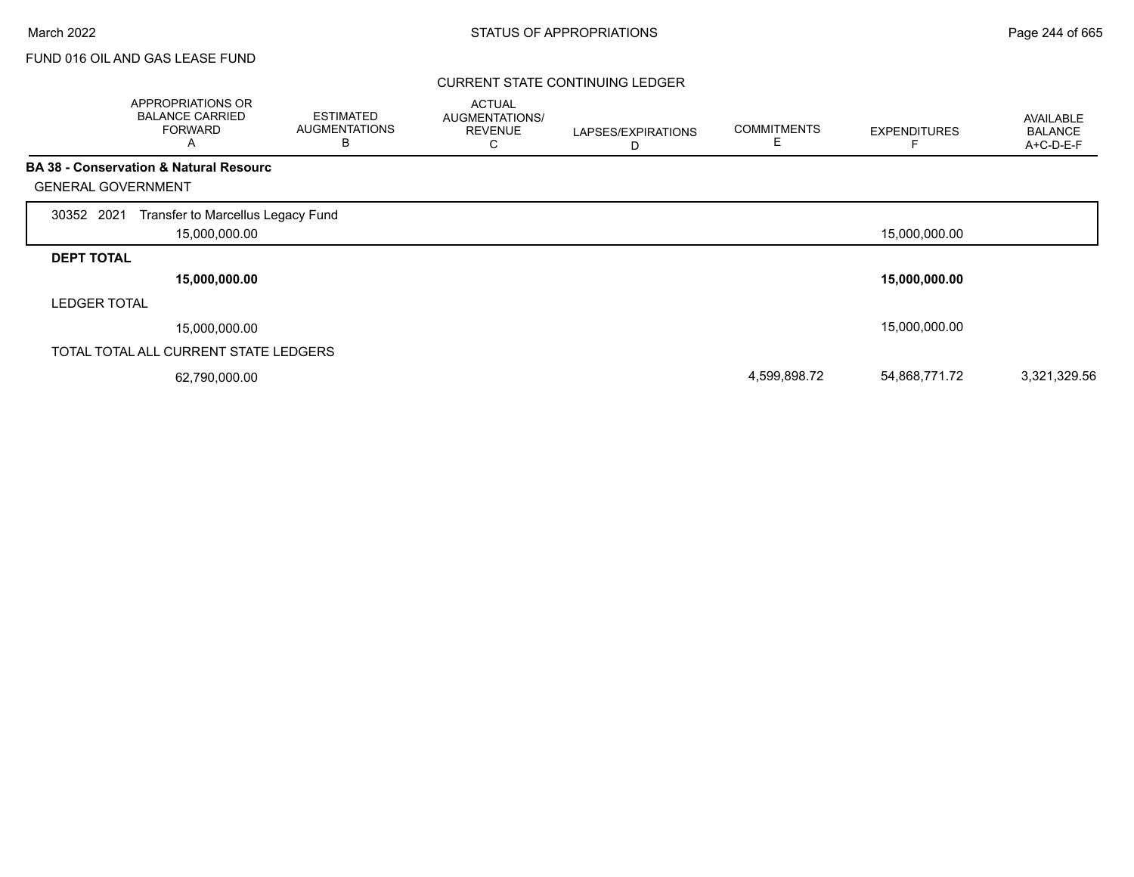## CURRENT STATE CONTINUING LEDGER

|                     | APPROPRIATIONS OR<br><b>BALANCE CARRIED</b><br><b>FORWARD</b><br>A | <b>ESTIMATED</b><br><b>AUGMENTATIONS</b><br>B | <b>ACTUAL</b><br>AUGMENTATIONS/<br><b>REVENUE</b><br>С | LAPSES/EXPIRATIONS<br>D | <b>COMMITMENTS</b><br>E | <b>EXPENDITURES</b> | AVAILABLE<br><b>BALANCE</b><br>A+C-D-E-F |
|---------------------|--------------------------------------------------------------------|-----------------------------------------------|--------------------------------------------------------|-------------------------|-------------------------|---------------------|------------------------------------------|
|                     | <b>BA 38 - Conservation &amp; Natural Resourc</b>                  |                                               |                                                        |                         |                         |                     |                                          |
|                     | <b>GENERAL GOVERNMENT</b>                                          |                                               |                                                        |                         |                         |                     |                                          |
| 30352 2021          | Transfer to Marcellus Legacy Fund                                  |                                               |                                                        |                         |                         |                     |                                          |
|                     | 15,000,000.00                                                      |                                               |                                                        |                         |                         | 15,000,000.00       |                                          |
| <b>DEPT TOTAL</b>   |                                                                    |                                               |                                                        |                         |                         |                     |                                          |
|                     | 15,000,000.00                                                      |                                               |                                                        |                         |                         | 15,000,000.00       |                                          |
| <b>LEDGER TOTAL</b> |                                                                    |                                               |                                                        |                         |                         |                     |                                          |
|                     | 15,000,000.00                                                      |                                               |                                                        |                         |                         | 15,000,000.00       |                                          |
|                     | TOTAL TOTAL ALL CURRENT STATE LEDGERS                              |                                               |                                                        |                         |                         |                     |                                          |
|                     | 62,790,000.00                                                      |                                               |                                                        |                         | 4,599,898.72            | 54,868,771.72       | 3,321,329.56                             |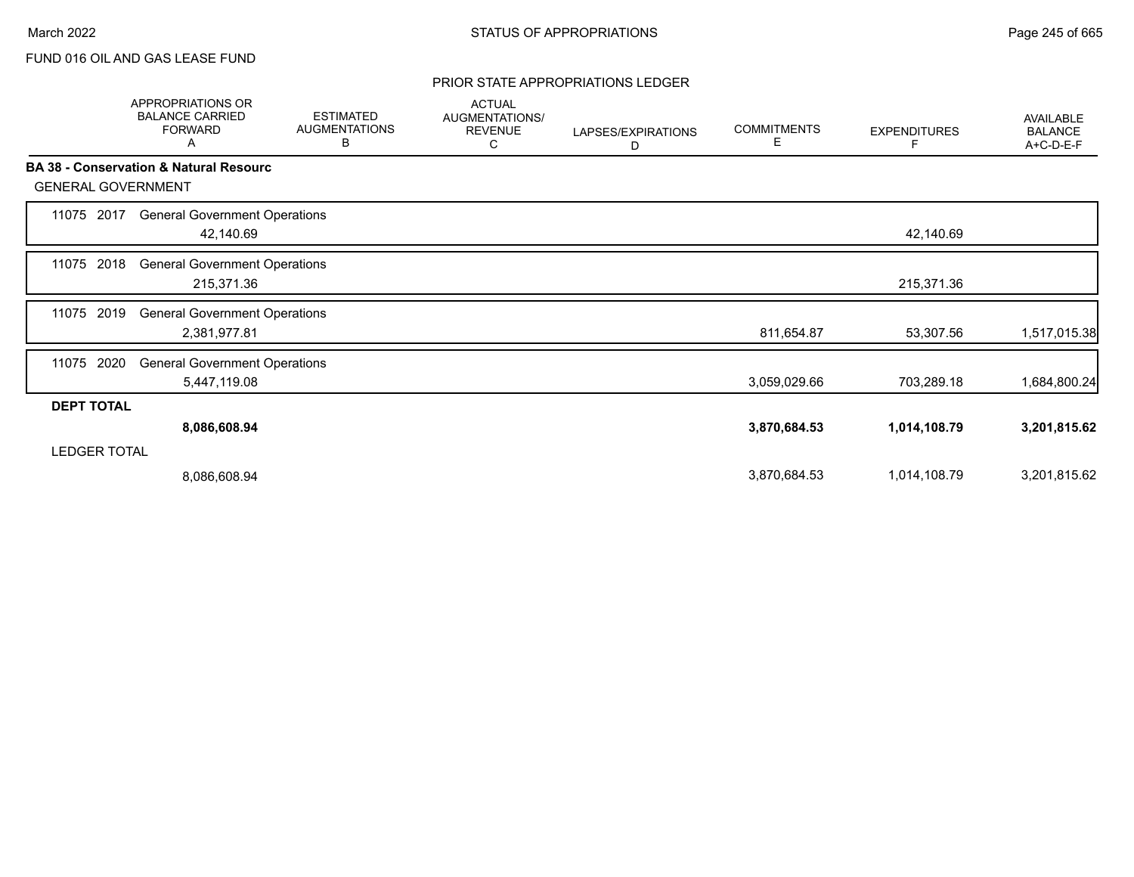#### PRIOR STATE APPROPRIATIONS LEDGER

|                           | <b>APPROPRIATIONS OR</b><br><b>BALANCE CARRIED</b><br><b>FORWARD</b><br>A | <b>ESTIMATED</b><br><b>AUGMENTATIONS</b><br>В | <b>ACTUAL</b><br>AUGMENTATIONS/<br><b>REVENUE</b><br>С | LAPSES/EXPIRATIONS<br>D | <b>COMMITMENTS</b><br>Е | <b>EXPENDITURES</b><br>F | <b>AVAILABLE</b><br><b>BALANCE</b><br>A+C-D-E-F |
|---------------------------|---------------------------------------------------------------------------|-----------------------------------------------|--------------------------------------------------------|-------------------------|-------------------------|--------------------------|-------------------------------------------------|
| <b>GENERAL GOVERNMENT</b> | <b>BA 38 - Conservation &amp; Natural Resourc</b>                         |                                               |                                                        |                         |                         |                          |                                                 |
| 11075<br>2017             | <b>General Government Operations</b><br>42,140.69                         |                                               |                                                        |                         |                         | 42,140.69                |                                                 |
| 2018<br>11075             | <b>General Government Operations</b><br>215,371.36                        |                                               |                                                        |                         |                         | 215,371.36               |                                                 |
| 2019<br>11075             | <b>General Government Operations</b><br>2,381,977.81                      |                                               |                                                        |                         | 811,654.87              | 53,307.56                | 1,517,015.38                                    |
| 2020<br>11075             | <b>General Government Operations</b><br>5,447,119.08                      |                                               |                                                        |                         | 3,059,029.66            | 703,289.18               | 1,684,800.24                                    |
| <b>DEPT TOTAL</b>         |                                                                           |                                               |                                                        |                         |                         |                          |                                                 |
|                           | 8,086,608.94                                                              |                                               |                                                        |                         | 3,870,684.53            | 1,014,108.79             | 3,201,815.62                                    |
| <b>LEDGER TOTAL</b>       |                                                                           |                                               |                                                        |                         |                         |                          |                                                 |
|                           | 8,086,608.94                                                              |                                               |                                                        |                         | 3,870,684.53            | 1,014,108.79             | 3,201,815.62                                    |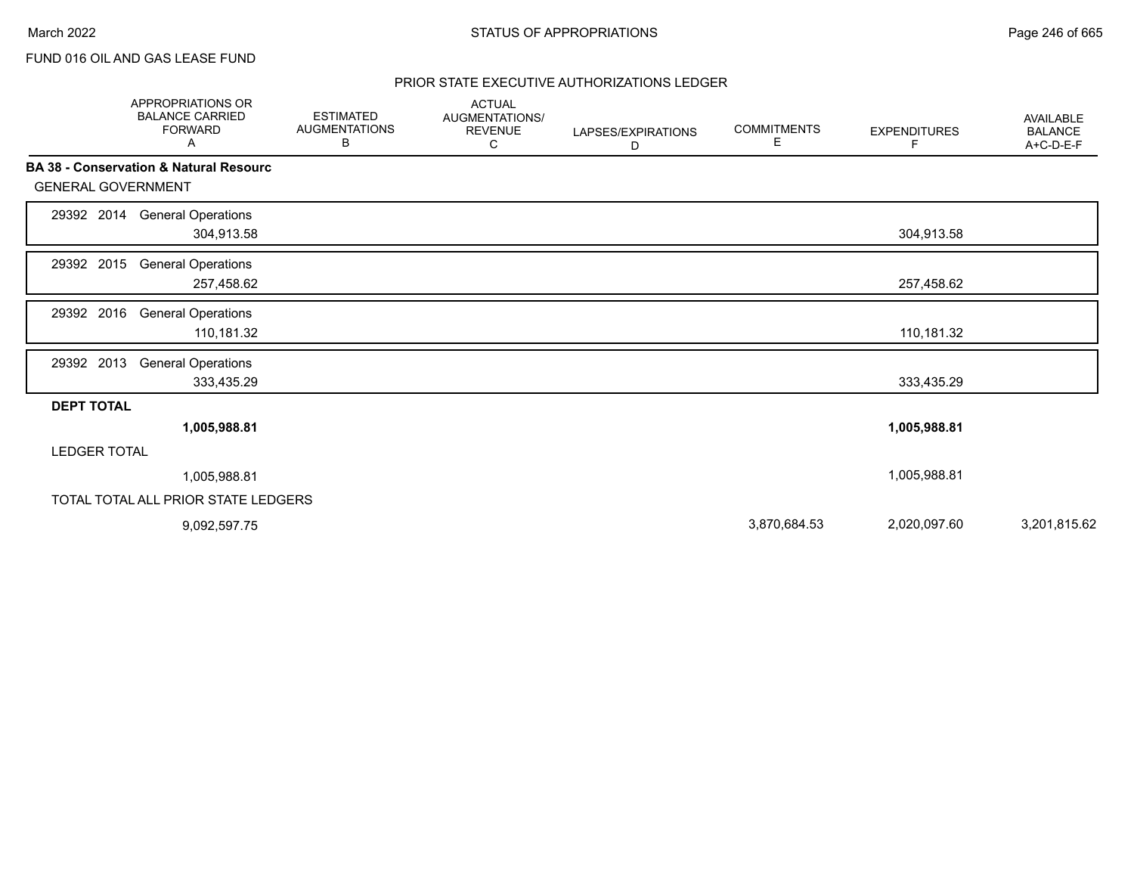## PRIOR STATE EXECUTIVE AUTHORIZATIONS LEDGER

|                           | APPROPRIATIONS OR<br><b>BALANCE CARRIED</b><br><b>FORWARD</b><br>Α | <b>ESTIMATED</b><br><b>AUGMENTATIONS</b><br>В | <b>ACTUAL</b><br>AUGMENTATIONS/<br><b>REVENUE</b><br>С | LAPSES/EXPIRATIONS<br>D | <b>COMMITMENTS</b><br>Е | <b>EXPENDITURES</b><br>F. | <b>AVAILABLE</b><br><b>BALANCE</b><br>A+C-D-E-F |
|---------------------------|--------------------------------------------------------------------|-----------------------------------------------|--------------------------------------------------------|-------------------------|-------------------------|---------------------------|-------------------------------------------------|
|                           | <b>BA 38 - Conservation &amp; Natural Resourc</b>                  |                                               |                                                        |                         |                         |                           |                                                 |
| <b>GENERAL GOVERNMENT</b> |                                                                    |                                               |                                                        |                         |                         |                           |                                                 |
| 29392 2014                | <b>General Operations</b><br>304,913.58                            |                                               |                                                        |                         |                         | 304,913.58                |                                                 |
| 29392 2015                | <b>General Operations</b><br>257,458.62                            |                                               |                                                        |                         |                         | 257,458.62                |                                                 |
| 29392 2016                | <b>General Operations</b><br>110,181.32                            |                                               |                                                        |                         |                         | 110,181.32                |                                                 |
| 29392 2013                | <b>General Operations</b><br>333,435.29                            |                                               |                                                        |                         |                         | 333,435.29                |                                                 |
| <b>DEPT TOTAL</b>         |                                                                    |                                               |                                                        |                         |                         |                           |                                                 |
|                           | 1,005,988.81                                                       |                                               |                                                        |                         |                         | 1,005,988.81              |                                                 |
| <b>LEDGER TOTAL</b>       |                                                                    |                                               |                                                        |                         |                         |                           |                                                 |
|                           | 1,005,988.81                                                       |                                               |                                                        |                         |                         | 1,005,988.81              |                                                 |
|                           | TOTAL TOTAL ALL PRIOR STATE LEDGERS                                |                                               |                                                        |                         |                         |                           |                                                 |
|                           | 9,092,597.75                                                       |                                               |                                                        |                         | 3,870,684.53            | 2,020,097.60              | 3,201,815.62                                    |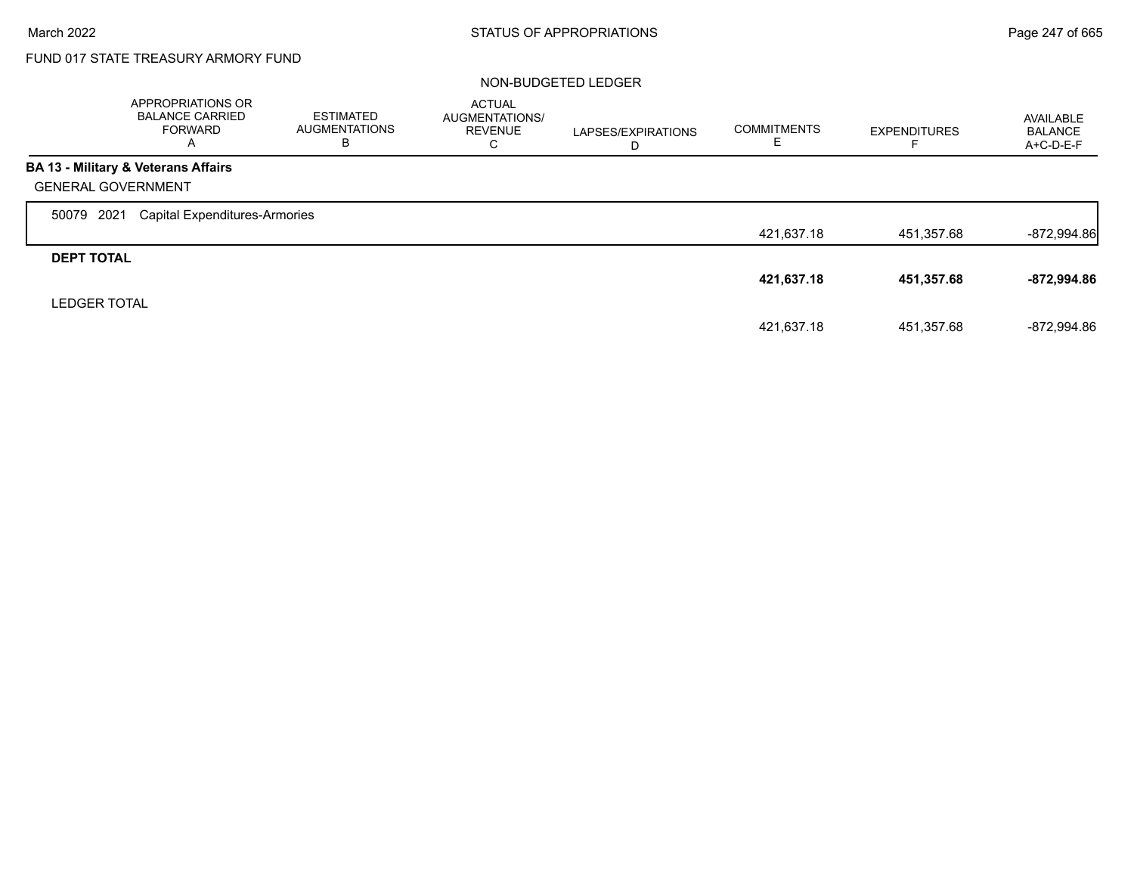г

# FUND 017 STATE TREASURY ARMORY FUND

## NON-BUDGETED LEDGER

|                     | APPROPRIATIONS OR<br><b>BALANCE CARRIED</b><br><b>FORWARD</b><br>A | <b>ESTIMATED</b><br><b>AUGMENTATIONS</b><br>B | <b>ACTUAL</b><br>AUGMENTATIONS/<br><b>REVENUE</b><br>С | LAPSES/EXPIRATIONS<br>D | <b>COMMITMENTS</b> | <b>EXPENDITURES</b> | AVAILABLE<br><b>BALANCE</b><br>A+C-D-E-F |
|---------------------|--------------------------------------------------------------------|-----------------------------------------------|--------------------------------------------------------|-------------------------|--------------------|---------------------|------------------------------------------|
|                     | <b>BA 13 - Military &amp; Veterans Affairs</b>                     |                                               |                                                        |                         |                    |                     |                                          |
|                     | <b>GENERAL GOVERNMENT</b>                                          |                                               |                                                        |                         |                    |                     |                                          |
| 50079               | 2021<br><b>Capital Expenditures-Armories</b>                       |                                               |                                                        |                         |                    |                     |                                          |
|                     |                                                                    |                                               |                                                        |                         | 421,637.18         | 451,357.68          | $-872,994.86$                            |
| <b>DEPT TOTAL</b>   |                                                                    |                                               |                                                        |                         |                    |                     |                                          |
|                     |                                                                    |                                               |                                                        |                         | 421,637.18         | 451,357.68          | -872,994.86                              |
| <b>LEDGER TOTAL</b> |                                                                    |                                               |                                                        |                         |                    |                     |                                          |
|                     |                                                                    |                                               |                                                        |                         | 421.637.18         | 451.357.68          | -872.994.86                              |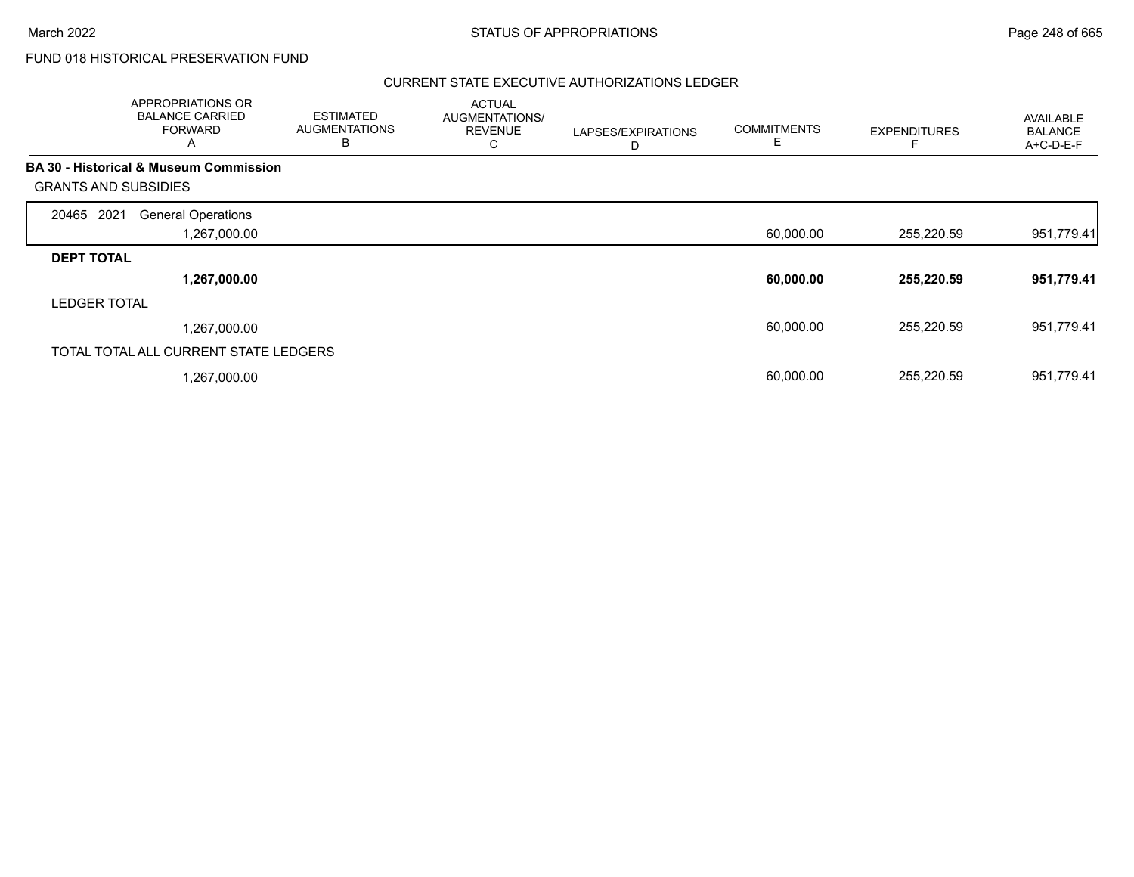# FUND 018 HISTORICAL PRESERVATION FUND

## CURRENT STATE EXECUTIVE AUTHORIZATIONS LEDGER

|                             | APPROPRIATIONS OR<br><b>BALANCE CARRIED</b><br><b>FORWARD</b><br>A | <b>ESTIMATED</b><br><b>AUGMENTATIONS</b><br>B | <b>ACTUAL</b><br>AUGMENTATIONS/<br><b>REVENUE</b><br>С | LAPSES/EXPIRATIONS<br>D | <b>COMMITMENTS</b><br>Е | <b>EXPENDITURES</b> | AVAILABLE<br><b>BALANCE</b><br>A+C-D-E-F |
|-----------------------------|--------------------------------------------------------------------|-----------------------------------------------|--------------------------------------------------------|-------------------------|-------------------------|---------------------|------------------------------------------|
|                             | <b>BA 30 - Historical &amp; Museum Commission</b>                  |                                               |                                                        |                         |                         |                     |                                          |
| <b>GRANTS AND SUBSIDIES</b> |                                                                    |                                               |                                                        |                         |                         |                     |                                          |
| 2021<br>20465               | <b>General Operations</b>                                          |                                               |                                                        |                         |                         |                     |                                          |
|                             | 1,267,000.00                                                       |                                               |                                                        |                         | 60,000.00               | 255,220.59          | 951,779.41                               |
| <b>DEPT TOTAL</b>           |                                                                    |                                               |                                                        |                         |                         |                     |                                          |
|                             | 1,267,000.00                                                       |                                               |                                                        |                         | 60,000.00               | 255,220.59          | 951,779.41                               |
| <b>LEDGER TOTAL</b>         |                                                                    |                                               |                                                        |                         |                         |                     |                                          |
|                             | 1,267,000.00                                                       |                                               |                                                        |                         | 60,000.00               | 255,220.59          | 951,779.41                               |
|                             | TOTAL TOTAL ALL CURRENT STATE LEDGERS                              |                                               |                                                        |                         |                         |                     |                                          |
|                             | 1,267,000.00                                                       |                                               |                                                        |                         | 60,000.00               | 255,220.59          | 951,779.41                               |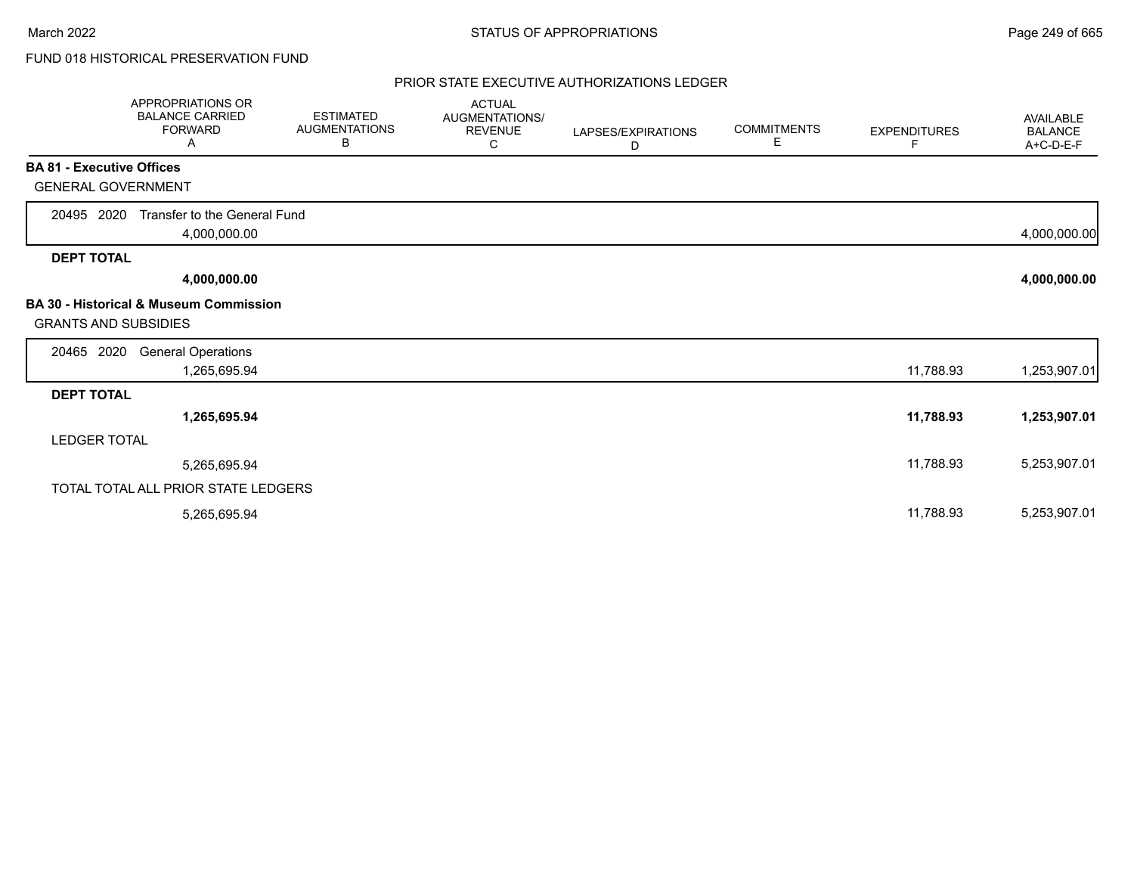# FUND 018 HISTORICAL PRESERVATION FUND

## PRIOR STATE EXECUTIVE AUTHORIZATIONS LEDGER

|                                  | APPROPRIATIONS OR<br><b>BALANCE CARRIED</b><br><b>FORWARD</b><br>Α | <b>ESTIMATED</b><br><b>AUGMENTATIONS</b><br>В | <b>ACTUAL</b><br>AUGMENTATIONS/<br><b>REVENUE</b><br>C | LAPSES/EXPIRATIONS<br>D | <b>COMMITMENTS</b><br>E. | <b>EXPENDITURES</b><br>F | <b>AVAILABLE</b><br><b>BALANCE</b><br>A+C-D-E-F |
|----------------------------------|--------------------------------------------------------------------|-----------------------------------------------|--------------------------------------------------------|-------------------------|--------------------------|--------------------------|-------------------------------------------------|
| <b>BA 81 - Executive Offices</b> |                                                                    |                                               |                                                        |                         |                          |                          |                                                 |
| <b>GENERAL GOVERNMENT</b>        |                                                                    |                                               |                                                        |                         |                          |                          |                                                 |
| 20495 2020                       | Transfer to the General Fund<br>4,000,000.00                       |                                               |                                                        |                         |                          |                          | 4,000,000.00                                    |
| <b>DEPT TOTAL</b>                |                                                                    |                                               |                                                        |                         |                          |                          |                                                 |
|                                  | 4,000,000.00                                                       |                                               |                                                        |                         |                          |                          | 4,000,000.00                                    |
| <b>GRANTS AND SUBSIDIES</b>      | <b>BA 30 - Historical &amp; Museum Commission</b>                  |                                               |                                                        |                         |                          |                          |                                                 |
| 20465 2020                       | <b>General Operations</b><br>1,265,695.94                          |                                               |                                                        |                         |                          | 11,788.93                | 1,253,907.01                                    |
| <b>DEPT TOTAL</b>                |                                                                    |                                               |                                                        |                         |                          |                          |                                                 |
|                                  | 1,265,695.94                                                       |                                               |                                                        |                         |                          | 11,788.93                | 1,253,907.01                                    |
| <b>LEDGER TOTAL</b>              |                                                                    |                                               |                                                        |                         |                          |                          |                                                 |
|                                  | 5,265,695.94                                                       |                                               |                                                        |                         |                          | 11,788.93                | 5,253,907.01                                    |
|                                  | TOTAL TOTAL ALL PRIOR STATE LEDGERS                                |                                               |                                                        |                         |                          |                          |                                                 |
|                                  | 5,265,695.94                                                       |                                               |                                                        |                         |                          | 11,788.93                | 5,253,907.01                                    |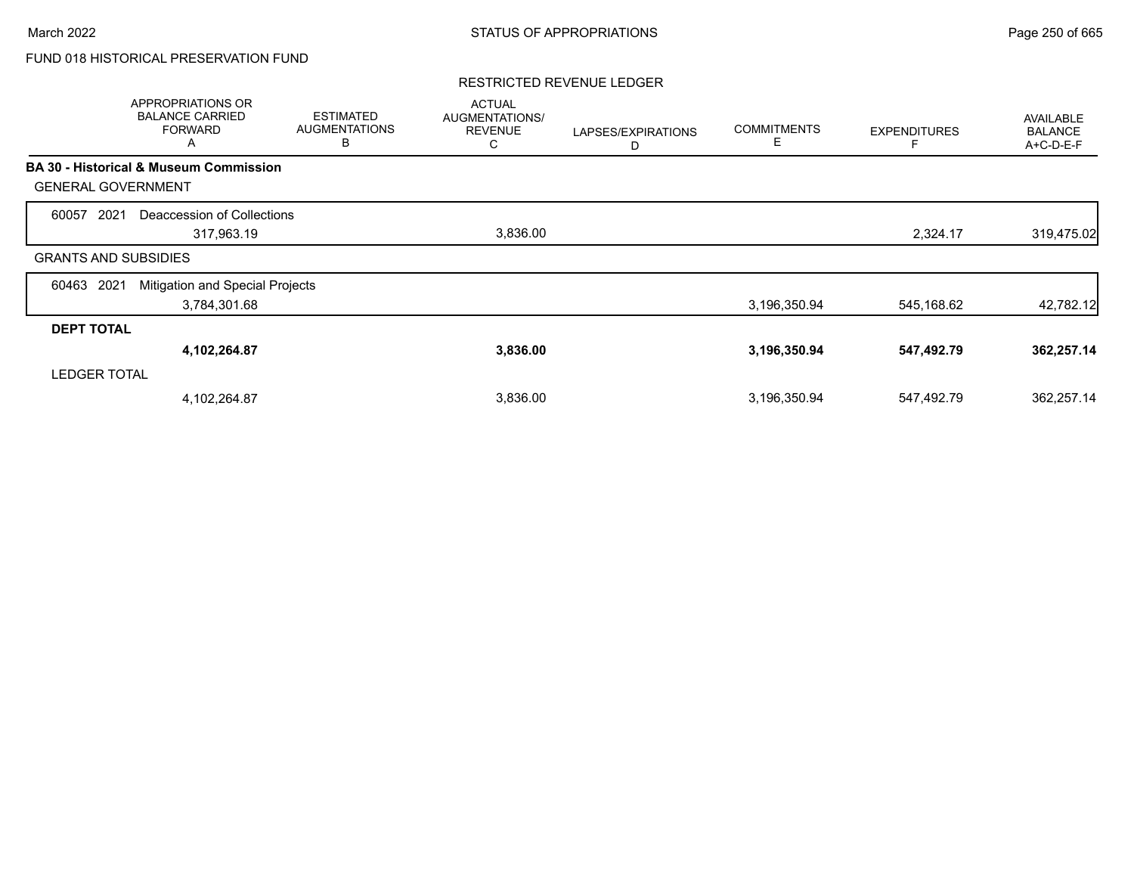# FUND 018 HISTORICAL PRESERVATION FUND

## RESTRICTED REVENUE LEDGER

|                             | APPROPRIATIONS OR<br><b>BALANCE CARRIED</b><br><b>FORWARD</b><br>Α | <b>ESTIMATED</b><br><b>AUGMENTATIONS</b><br>В | <b>ACTUAL</b><br>AUGMENTATIONS/<br><b>REVENUE</b><br>С | LAPSES/EXPIRATIONS<br>D | <b>COMMITMENTS</b><br>E | <b>EXPENDITURES</b> | AVAILABLE<br><b>BALANCE</b><br>A+C-D-E-F |
|-----------------------------|--------------------------------------------------------------------|-----------------------------------------------|--------------------------------------------------------|-------------------------|-------------------------|---------------------|------------------------------------------|
|                             | <b>BA 30 - Historical &amp; Museum Commission</b>                  |                                               |                                                        |                         |                         |                     |                                          |
| <b>GENERAL GOVERNMENT</b>   |                                                                    |                                               |                                                        |                         |                         |                     |                                          |
| 2021<br>60057               | Deaccession of Collections                                         |                                               |                                                        |                         |                         |                     |                                          |
|                             | 317,963.19                                                         |                                               | 3,836.00                                               |                         |                         | 2,324.17            | 319,475.02                               |
| <b>GRANTS AND SUBSIDIES</b> |                                                                    |                                               |                                                        |                         |                         |                     |                                          |
| 2021<br>60463               | Mitigation and Special Projects                                    |                                               |                                                        |                         |                         |                     |                                          |
|                             | 3,784,301.68                                                       |                                               |                                                        |                         | 3,196,350.94            | 545,168.62          | 42,782.12                                |
| <b>DEPT TOTAL</b>           |                                                                    |                                               |                                                        |                         |                         |                     |                                          |
|                             | 4,102,264.87                                                       |                                               | 3,836.00                                               |                         | 3,196,350.94            | 547,492.79          | 362,257.14                               |
| <b>LEDGER TOTAL</b>         |                                                                    |                                               |                                                        |                         |                         |                     |                                          |
|                             | 4,102,264.87                                                       |                                               | 3,836.00                                               |                         | 3,196,350.94            | 547,492.79          | 362,257.14                               |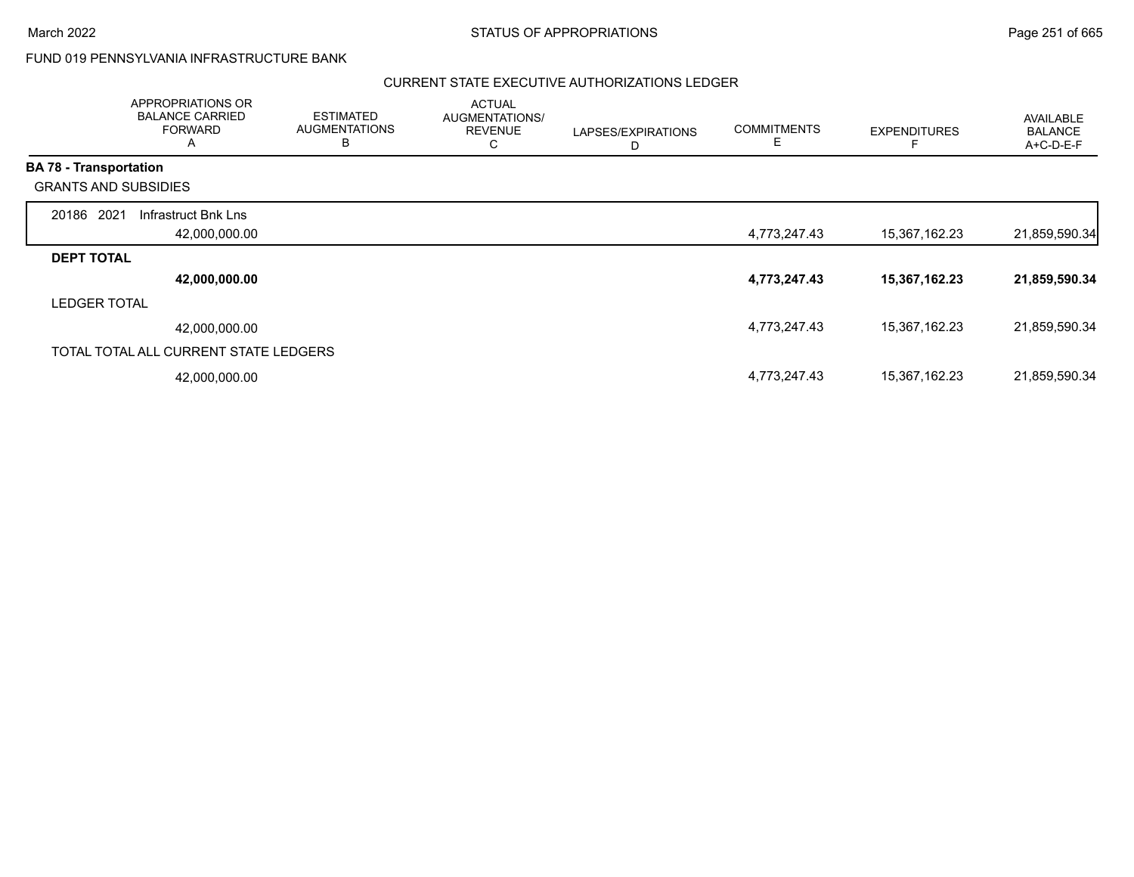Г

# FUND 019 PENNSYLVANIA INFRASTRUCTURE BANK

## CURRENT STATE EXECUTIVE AUTHORIZATIONS LEDGER

|                               | APPROPRIATIONS OR<br><b>BALANCE CARRIED</b><br><b>FORWARD</b><br>A | <b>ESTIMATED</b><br><b>AUGMENTATIONS</b><br>B | <b>ACTUAL</b><br>AUGMENTATIONS/<br><b>REVENUE</b><br>С | LAPSES/EXPIRATIONS<br>D | <b>COMMITMENTS</b><br>Ε | <b>EXPENDITURES</b> | <b>AVAILABLE</b><br><b>BALANCE</b><br>A+C-D-E-F |
|-------------------------------|--------------------------------------------------------------------|-----------------------------------------------|--------------------------------------------------------|-------------------------|-------------------------|---------------------|-------------------------------------------------|
| <b>BA 78 - Transportation</b> |                                                                    |                                               |                                                        |                         |                         |                     |                                                 |
| <b>GRANTS AND SUBSIDIES</b>   |                                                                    |                                               |                                                        |                         |                         |                     |                                                 |
| 20186 2021                    | Infrastruct Bnk Lns                                                |                                               |                                                        |                         |                         |                     |                                                 |
|                               | 42,000,000.00                                                      |                                               |                                                        |                         | 4,773,247.43            | 15,367,162.23       | 21,859,590.34                                   |
| <b>DEPT TOTAL</b>             |                                                                    |                                               |                                                        |                         |                         |                     |                                                 |
|                               | 42,000,000.00                                                      |                                               |                                                        |                         | 4,773,247.43            | 15,367,162.23       | 21,859,590.34                                   |
| <b>LEDGER TOTAL</b>           |                                                                    |                                               |                                                        |                         |                         |                     |                                                 |
|                               | 42,000,000.00                                                      |                                               |                                                        |                         | 4,773,247.43            | 15,367,162.23       | 21,859,590.34                                   |
|                               | TOTAL TOTAL ALL CURRENT STATE LEDGERS                              |                                               |                                                        |                         |                         |                     |                                                 |
|                               | 42,000,000.00                                                      |                                               |                                                        |                         | 4,773,247.43            | 15,367,162.23       | 21,859,590.34                                   |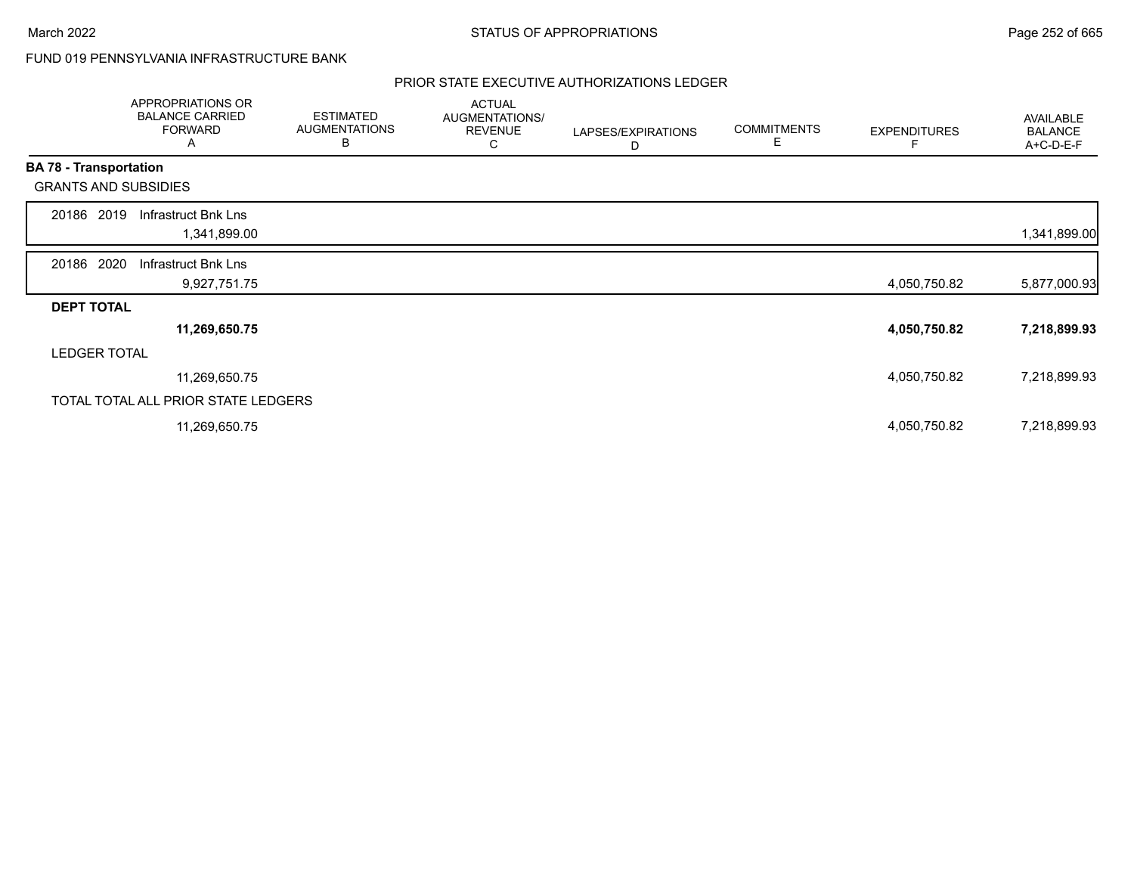# FUND 019 PENNSYLVANIA INFRASTRUCTURE BANK

## PRIOR STATE EXECUTIVE AUTHORIZATIONS LEDGER

|                               | APPROPRIATIONS OR<br><b>BALANCE CARRIED</b><br><b>FORWARD</b><br>A | <b>ESTIMATED</b><br><b>AUGMENTATIONS</b><br>В | <b>ACTUAL</b><br>AUGMENTATIONS/<br><b>REVENUE</b><br>С | LAPSES/EXPIRATIONS<br>D | <b>COMMITMENTS</b><br>Е | <b>EXPENDITURES</b> | AVAILABLE<br><b>BALANCE</b><br>A+C-D-E-F |
|-------------------------------|--------------------------------------------------------------------|-----------------------------------------------|--------------------------------------------------------|-------------------------|-------------------------|---------------------|------------------------------------------|
| <b>BA 78 - Transportation</b> |                                                                    |                                               |                                                        |                         |                         |                     |                                          |
|                               | <b>GRANTS AND SUBSIDIES</b>                                        |                                               |                                                        |                         |                         |                     |                                          |
| 20186 2019                    | Infrastruct Bnk Lns                                                |                                               |                                                        |                         |                         |                     |                                          |
|                               | 1,341,899.00                                                       |                                               |                                                        |                         |                         |                     | 1,341,899.00                             |
| 20186 2020                    | Infrastruct Bnk Lns                                                |                                               |                                                        |                         |                         |                     |                                          |
|                               | 9,927,751.75                                                       |                                               |                                                        |                         |                         | 4,050,750.82        | 5,877,000.93                             |
| <b>DEPT TOTAL</b>             |                                                                    |                                               |                                                        |                         |                         |                     |                                          |
|                               | 11,269,650.75                                                      |                                               |                                                        |                         |                         | 4,050,750.82        | 7,218,899.93                             |
|                               | <b>LEDGER TOTAL</b>                                                |                                               |                                                        |                         |                         |                     |                                          |
|                               | 11,269,650.75                                                      |                                               |                                                        |                         |                         | 4,050,750.82        | 7,218,899.93                             |
|                               | TOTAL TOTAL ALL PRIOR STATE LEDGERS                                |                                               |                                                        |                         |                         |                     |                                          |
|                               | 11,269,650.75                                                      |                                               |                                                        |                         |                         | 4,050,750.82        | 7,218,899.93                             |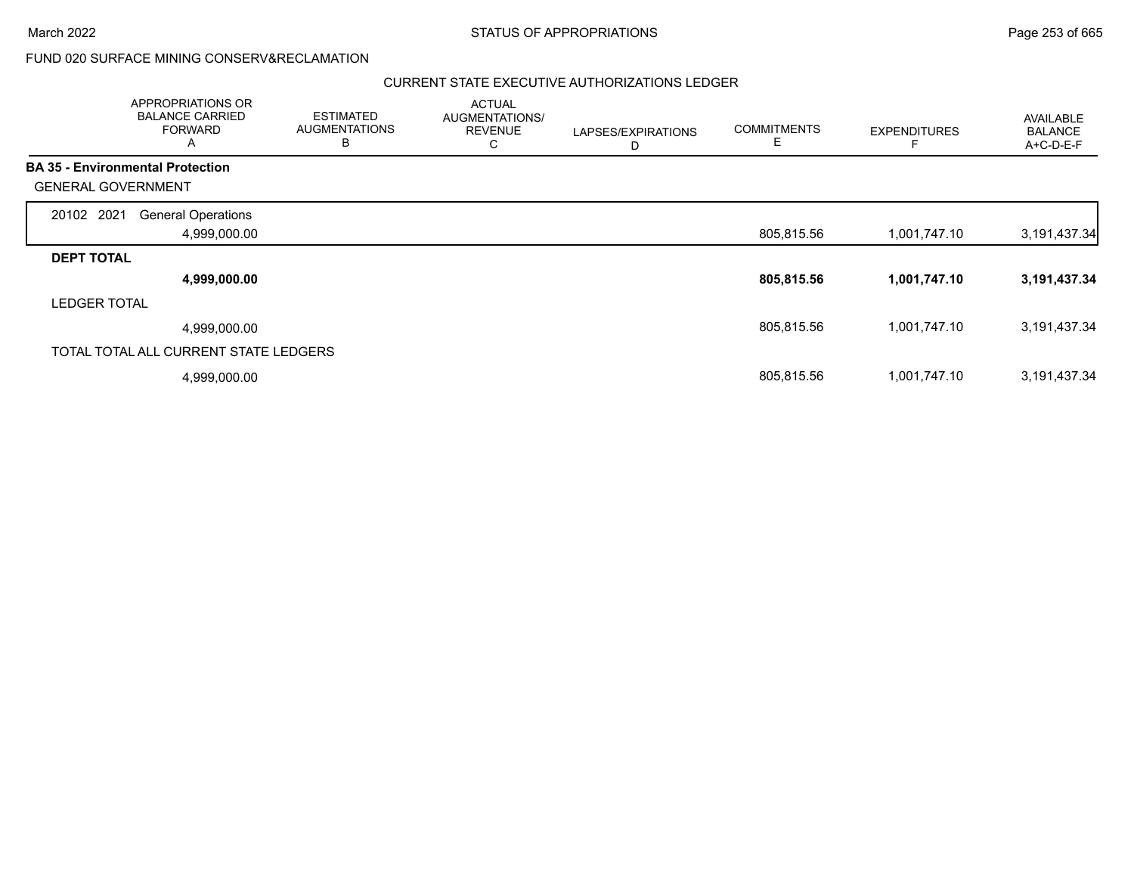| APPROPRIATIONS OR<br><b>BALANCE CARRIED</b><br><b>FORWARD</b><br>A | <b>ESTIMATED</b><br><b>AUGMENTATIONS</b><br>B | <b>ACTUAL</b><br>AUGMENTATIONS/<br><b>REVENUE</b><br>U | LAPSES/EXPIRATIONS<br>D | <b>COMMITMENTS</b><br>Е | <b>EXPENDITURES</b> | <b>AVAILABLE</b><br><b>BALANCE</b><br>A+C-D-E-F |
|--------------------------------------------------------------------|-----------------------------------------------|--------------------------------------------------------|-------------------------|-------------------------|---------------------|-------------------------------------------------|
| <b>BA 35 - Environmental Protection</b>                            |                                               |                                                        |                         |                         |                     |                                                 |
| <b>GENERAL GOVERNMENT</b>                                          |                                               |                                                        |                         |                         |                     |                                                 |
| 20102 2021<br><b>General Operations</b>                            |                                               |                                                        |                         |                         |                     |                                                 |
| 4,999,000.00                                                       |                                               |                                                        |                         | 805,815.56              | 1,001,747.10        | 3,191,437.34                                    |
| <b>DEPT TOTAL</b>                                                  |                                               |                                                        |                         |                         |                     |                                                 |
| 4,999,000.00                                                       |                                               |                                                        |                         | 805,815.56              | 1,001,747.10        | 3,191,437.34                                    |
| <b>LEDGER TOTAL</b>                                                |                                               |                                                        |                         |                         |                     |                                                 |
| 4,999,000.00                                                       |                                               |                                                        |                         | 805,815.56              | 1,001,747.10        | 3,191,437.34                                    |
| TOTAL TOTAL ALL CURRENT STATE LEDGERS                              |                                               |                                                        |                         |                         |                     |                                                 |
| 4,999,000.00                                                       |                                               |                                                        |                         | 805,815.56              | 1,001,747.10        | 3,191,437.34                                    |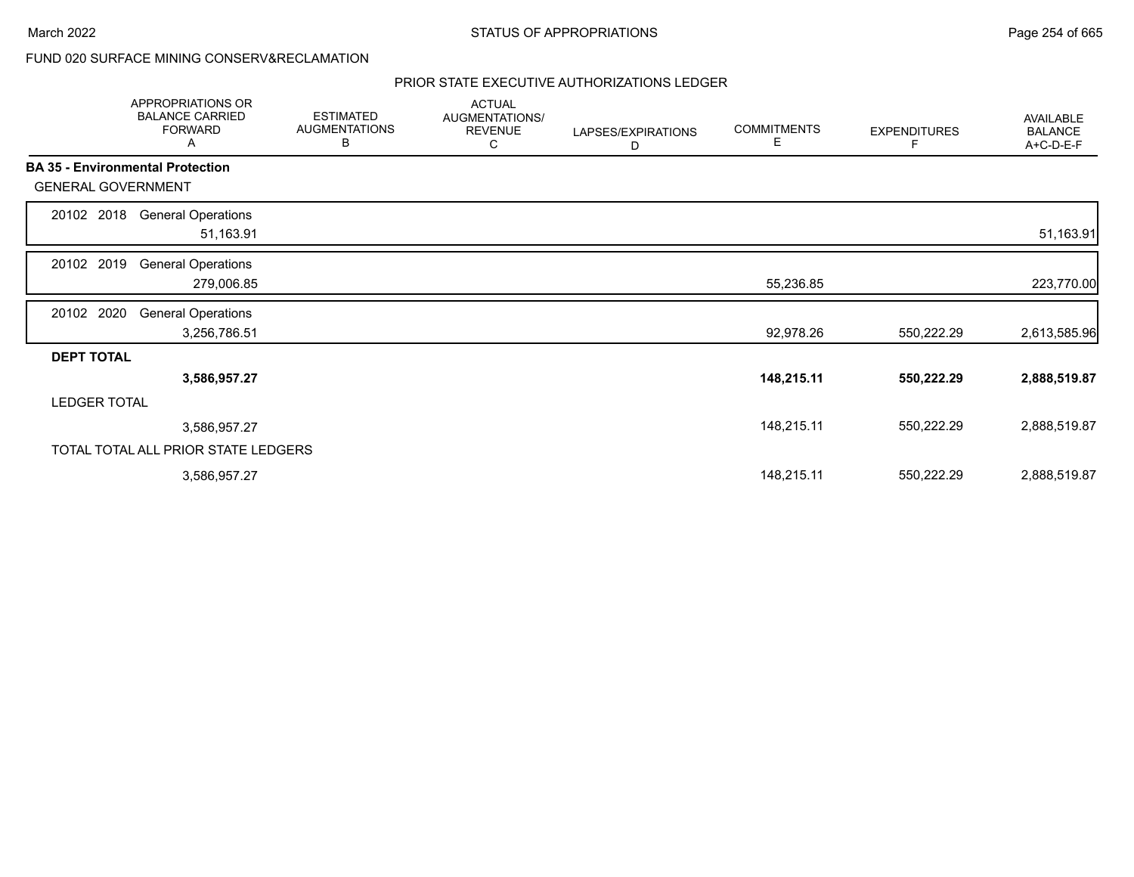|                           | APPROPRIATIONS OR<br><b>BALANCE CARRIED</b><br><b>FORWARD</b><br>Α | <b>ESTIMATED</b><br><b>AUGMENTATIONS</b><br>В | <b>ACTUAL</b><br>AUGMENTATIONS/<br><b>REVENUE</b><br>С | LAPSES/EXPIRATIONS<br>D | <b>COMMITMENTS</b><br>Е | <b>EXPENDITURES</b><br>F | AVAILABLE<br><b>BALANCE</b><br>A+C-D-E-F |
|---------------------------|--------------------------------------------------------------------|-----------------------------------------------|--------------------------------------------------------|-------------------------|-------------------------|--------------------------|------------------------------------------|
|                           | <b>BA 35 - Environmental Protection</b>                            |                                               |                                                        |                         |                         |                          |                                          |
| <b>GENERAL GOVERNMENT</b> |                                                                    |                                               |                                                        |                         |                         |                          |                                          |
| 20102 2018                | <b>General Operations</b><br>51,163.91                             |                                               |                                                        |                         |                         |                          | 51,163.91                                |
| 20102 2019                | <b>General Operations</b><br>279,006.85                            |                                               |                                                        |                         | 55,236.85               |                          | 223,770.00                               |
| 20102 2020                | <b>General Operations</b><br>3,256,786.51                          |                                               |                                                        |                         | 92,978.26               | 550,222.29               | 2,613,585.96                             |
| <b>DEPT TOTAL</b>         |                                                                    |                                               |                                                        |                         |                         |                          |                                          |
|                           | 3,586,957.27                                                       |                                               |                                                        |                         | 148,215.11              | 550,222.29               | 2,888,519.87                             |
| <b>LEDGER TOTAL</b>       |                                                                    |                                               |                                                        |                         |                         |                          |                                          |
|                           | 3,586,957.27                                                       |                                               |                                                        |                         | 148,215.11              | 550,222.29               | 2,888,519.87                             |
|                           | TOTAL TOTAL ALL PRIOR STATE LEDGERS                                |                                               |                                                        |                         |                         |                          |                                          |
|                           | 3,586,957.27                                                       |                                               |                                                        |                         | 148,215.11              | 550,222.29               | 2,888,519.87                             |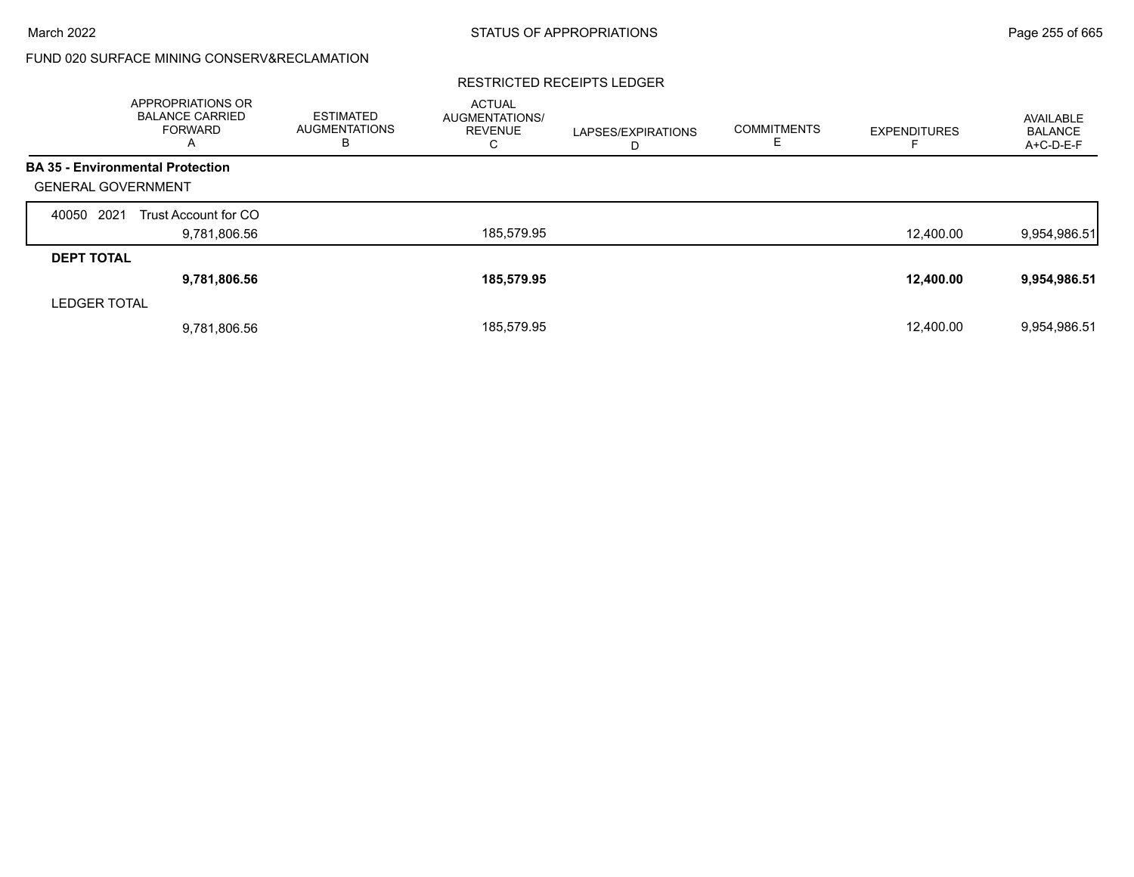#### RESTRICTED RECEIPTS LEDGER

|                           | <b>APPROPRIATIONS OR</b><br><b>BALANCE CARRIED</b><br>FORWARD<br>A | <b>ESTIMATED</b><br><b>AUGMENTATIONS</b><br>в | <b>ACTUAL</b><br>AUGMENTATIONS/<br><b>REVENUE</b><br>С | LAPSES/EXPIRATIONS<br>D | <b>COMMITMENTS</b><br>E. | <b>EXPENDITURES</b> | AVAILABLE<br><b>BALANCE</b><br>$A+C-D-E-F$ |
|---------------------------|--------------------------------------------------------------------|-----------------------------------------------|--------------------------------------------------------|-------------------------|--------------------------|---------------------|--------------------------------------------|
|                           | <b>BA 35 - Environmental Protection</b>                            |                                               |                                                        |                         |                          |                     |                                            |
| <b>GENERAL GOVERNMENT</b> |                                                                    |                                               |                                                        |                         |                          |                     |                                            |
| 2021<br>40050             | Trust Account for CO                                               |                                               |                                                        |                         |                          |                     |                                            |
|                           | 9,781,806.56                                                       |                                               | 185,579.95                                             |                         |                          | 12,400.00           | 9,954,986.51                               |
| <b>DEPT TOTAL</b>         |                                                                    |                                               |                                                        |                         |                          |                     |                                            |
|                           | 9,781,806.56                                                       |                                               | 185,579.95                                             |                         |                          | 12,400.00           | 9,954,986.51                               |
| <b>LEDGER TOTAL</b>       |                                                                    |                                               |                                                        |                         |                          |                     |                                            |
|                           | 9,781,806.56                                                       |                                               | 185.579.95                                             |                         |                          | 12.400.00           | 9,954,986.51                               |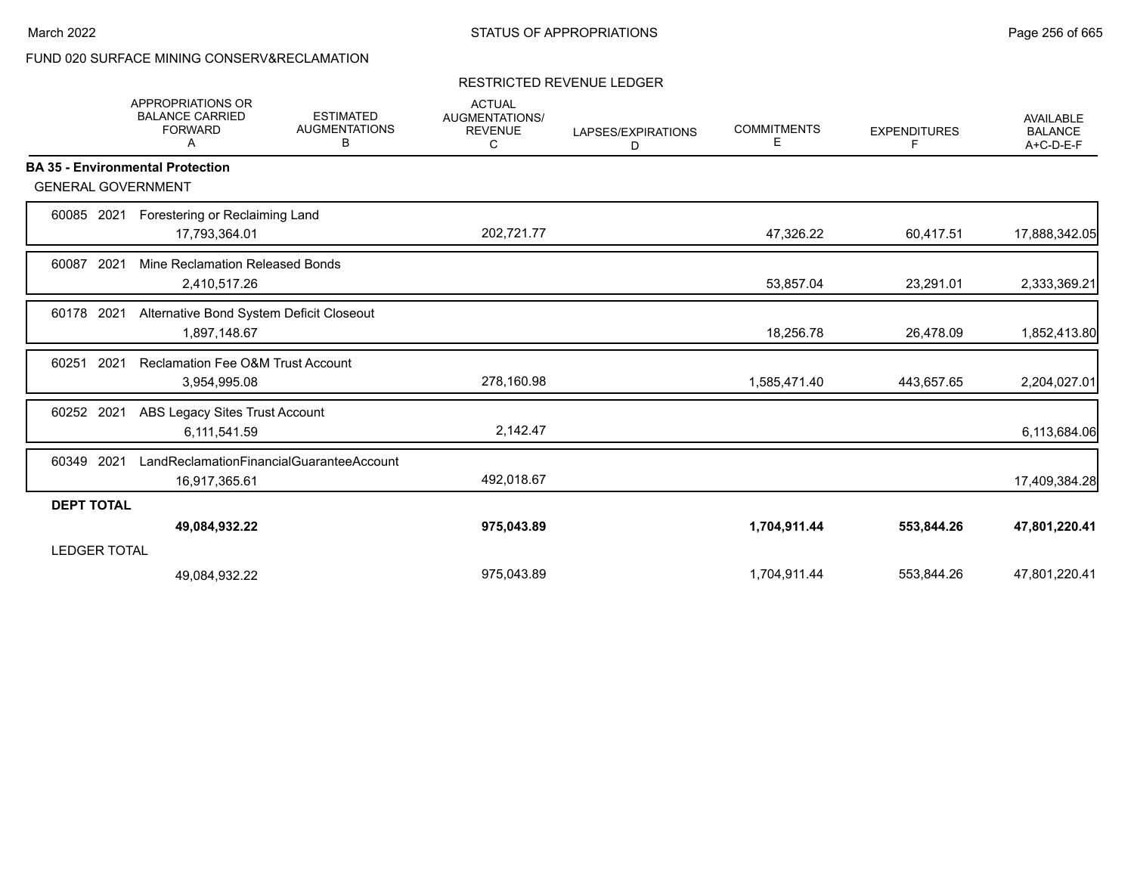#### RESTRICTED REVENUE LEDGER

|                           | <b>APPROPRIATIONS OR</b><br><b>BALANCE CARRIED</b><br><b>FORWARD</b><br>A | <b>ESTIMATED</b><br><b>AUGMENTATIONS</b><br>в | <b>ACTUAL</b><br>AUGMENTATIONS/<br><b>REVENUE</b><br>С | LAPSES/EXPIRATIONS<br>D | <b>COMMITMENTS</b><br>Е | <b>EXPENDITURES</b><br>F | <b>AVAILABLE</b><br><b>BALANCE</b><br>A+C-D-E-F |
|---------------------------|---------------------------------------------------------------------------|-----------------------------------------------|--------------------------------------------------------|-------------------------|-------------------------|--------------------------|-------------------------------------------------|
|                           | <b>BA 35 - Environmental Protection</b>                                   |                                               |                                                        |                         |                         |                          |                                                 |
| <b>GENERAL GOVERNMENT</b> |                                                                           |                                               |                                                        |                         |                         |                          |                                                 |
| 60085 2021                | Forestering or Reclaiming Land                                            |                                               |                                                        |                         |                         |                          |                                                 |
|                           | 17,793,364.01                                                             |                                               | 202,721.77                                             |                         | 47,326.22               | 60,417.51                | 17,888,342.05                                   |
| 60087<br>2021             | Mine Reclamation Released Bonds                                           |                                               |                                                        |                         |                         |                          |                                                 |
|                           | 2,410,517.26                                                              |                                               |                                                        |                         | 53,857.04               | 23,291.01                | 2,333,369.21                                    |
| 2021<br>60178             | Alternative Bond System Deficit Closeout                                  |                                               |                                                        |                         |                         |                          |                                                 |
|                           | 1,897,148.67                                                              |                                               |                                                        |                         | 18,256.78               | 26,478.09                | 1,852,413.80                                    |
| 2021<br>60251             | <b>Reclamation Fee O&amp;M Trust Account</b>                              |                                               |                                                        |                         |                         |                          |                                                 |
|                           | 3,954,995.08                                                              |                                               | 278,160.98                                             |                         | 1,585,471.40            | 443,657.65               | 2,204,027.01                                    |
| 2021<br>60252             | ABS Legacy Sites Trust Account                                            |                                               |                                                        |                         |                         |                          |                                                 |
|                           | 6,111,541.59                                                              |                                               | 2,142.47                                               |                         |                         |                          | 6,113,684.06                                    |
| 2021<br>60349             | LandReclamationFinancialGuaranteeAccount                                  |                                               |                                                        |                         |                         |                          |                                                 |
|                           | 16,917,365.61                                                             |                                               | 492,018.67                                             |                         |                         |                          | 17,409,384.28                                   |
| <b>DEPT TOTAL</b>         |                                                                           |                                               |                                                        |                         |                         |                          |                                                 |
|                           | 49,084,932.22                                                             |                                               | 975,043.89                                             |                         | 1,704,911.44            | 553,844.26               | 47,801,220.41                                   |
| <b>LEDGER TOTAL</b>       |                                                                           |                                               |                                                        |                         |                         |                          |                                                 |
|                           | 49,084,932.22                                                             |                                               | 975,043.89                                             |                         | 1,704,911.44            | 553,844.26               | 47,801,220.41                                   |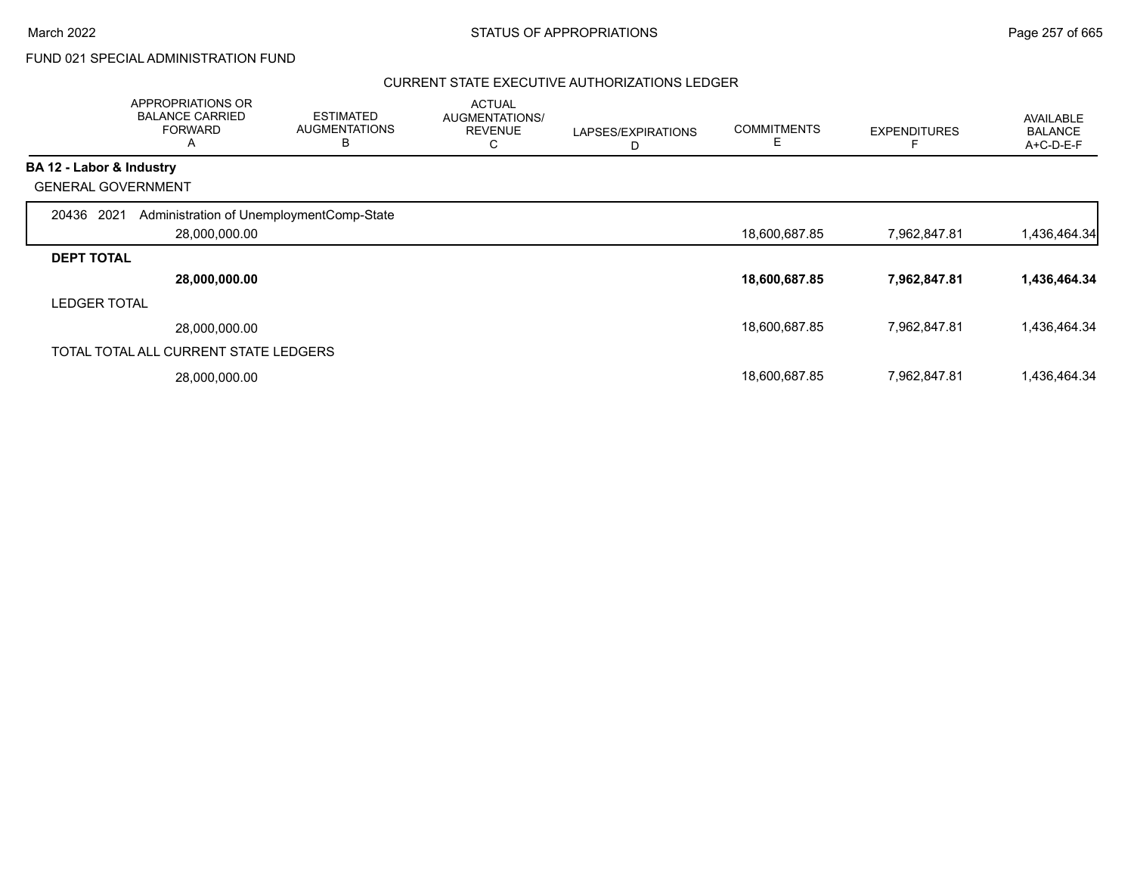# FUND 021 SPECIAL ADMINISTRATION FUND

|                          | APPROPRIATIONS OR<br><b>BALANCE CARRIED</b><br><b>FORWARD</b><br>A | <b>ESTIMATED</b><br><b>AUGMENTATIONS</b><br>B | <b>ACTUAL</b><br>AUGMENTATIONS/<br><b>REVENUE</b><br>С | LAPSES/EXPIRATIONS<br>D | <b>COMMITMENTS</b><br>Ε | <b>EXPENDITURES</b> | <b>AVAILABLE</b><br><b>BALANCE</b><br>A+C-D-E-F |
|--------------------------|--------------------------------------------------------------------|-----------------------------------------------|--------------------------------------------------------|-------------------------|-------------------------|---------------------|-------------------------------------------------|
| BA 12 - Labor & Industry |                                                                    |                                               |                                                        |                         |                         |                     |                                                 |
|                          | <b>GENERAL GOVERNMENT</b>                                          |                                               |                                                        |                         |                         |                     |                                                 |
| 20436                    | 2021<br>Administration of UnemploymentComp-State<br>28,000,000.00  |                                               |                                                        |                         | 18,600,687.85           | 7,962,847.81        | 1,436,464.34                                    |
| <b>DEPT TOTAL</b>        |                                                                    |                                               |                                                        |                         |                         |                     |                                                 |
|                          | 28,000,000.00                                                      |                                               |                                                        |                         | 18,600,687.85           | 7,962,847.81        | 1,436,464.34                                    |
| <b>LEDGER TOTAL</b>      |                                                                    |                                               |                                                        |                         |                         |                     |                                                 |
|                          | 28,000,000.00                                                      |                                               |                                                        |                         | 18,600,687.85           | 7,962,847.81        | 1,436,464.34                                    |
|                          | TOTAL TOTAL ALL CURRENT STATE LEDGERS                              |                                               |                                                        |                         |                         |                     |                                                 |
|                          | 28,000,000.00                                                      |                                               |                                                        |                         | 18,600,687.85           | 7,962,847.81        | 1,436,464.34                                    |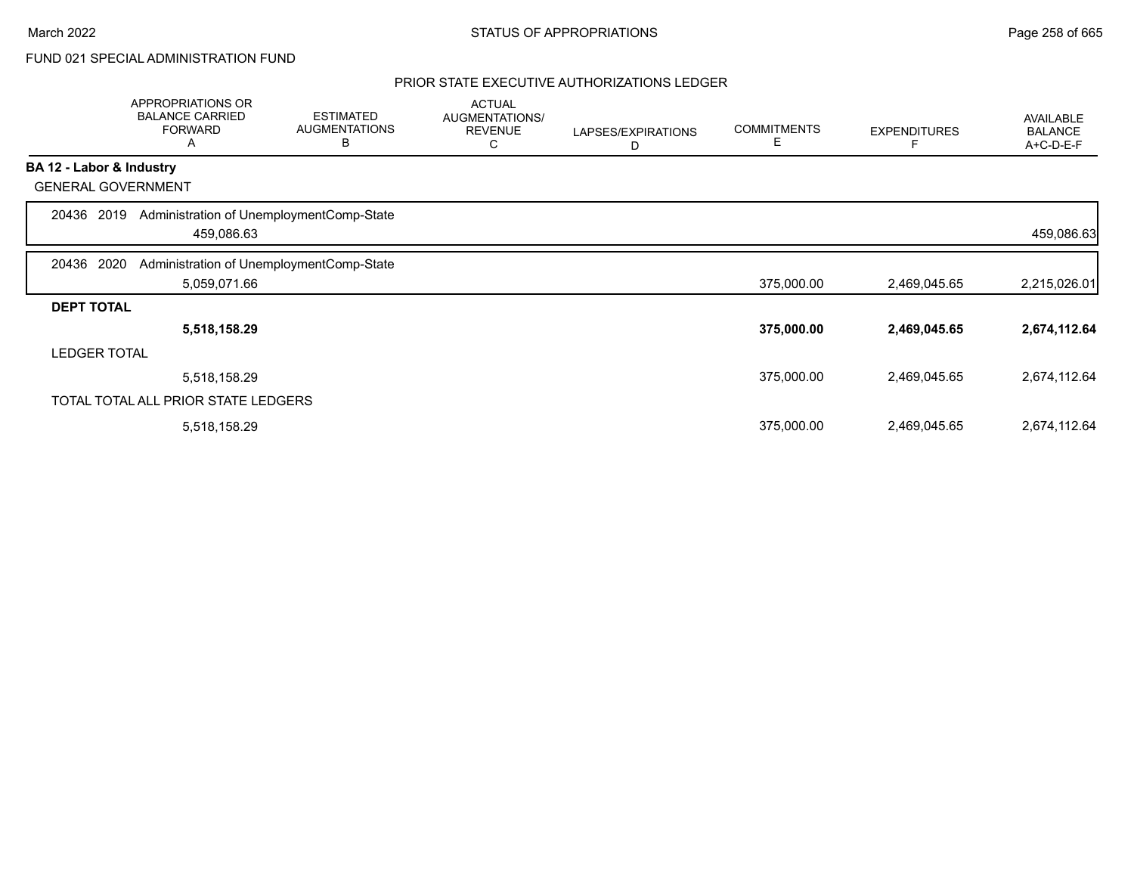# FUND 021 SPECIAL ADMINISTRATION FUND

|                   | APPROPRIATIONS OR<br><b>BALANCE CARRIED</b><br><b>FORWARD</b><br>Α | <b>ESTIMATED</b><br><b>AUGMENTATIONS</b><br>В | <b>ACTUAL</b><br>AUGMENTATIONS/<br><b>REVENUE</b><br>С | LAPSES/EXPIRATIONS<br>D | <b>COMMITMENTS</b><br>Е | <b>EXPENDITURES</b> | AVAILABLE<br><b>BALANCE</b><br>A+C-D-E-F |
|-------------------|--------------------------------------------------------------------|-----------------------------------------------|--------------------------------------------------------|-------------------------|-------------------------|---------------------|------------------------------------------|
|                   | BA 12 - Labor & Industry                                           |                                               |                                                        |                         |                         |                     |                                          |
|                   | <b>GENERAL GOVERNMENT</b>                                          |                                               |                                                        |                         |                         |                     |                                          |
| 20436 2019        | Administration of UnemploymentComp-State<br>459,086.63             |                                               |                                                        |                         |                         |                     | 459,086.63                               |
| 20436 2020        | Administration of UnemploymentComp-State                           |                                               |                                                        |                         |                         |                     |                                          |
|                   | 5,059,071.66                                                       |                                               |                                                        |                         | 375,000.00              | 2,469,045.65        | 2,215,026.01                             |
| <b>DEPT TOTAL</b> |                                                                    |                                               |                                                        |                         |                         |                     |                                          |
|                   | 5,518,158.29                                                       |                                               |                                                        |                         | 375,000.00              | 2,469,045.65        | 2,674,112.64                             |
|                   | <b>LEDGER TOTAL</b>                                                |                                               |                                                        |                         |                         |                     |                                          |
|                   | 5,518,158.29                                                       |                                               |                                                        |                         | 375,000.00              | 2,469,045.65        | 2,674,112.64                             |
|                   | TOTAL TOTAL ALL PRIOR STATE LEDGERS                                |                                               |                                                        |                         |                         |                     |                                          |
|                   | 5,518,158.29                                                       |                                               |                                                        |                         | 375,000.00              | 2,469,045.65        | 2,674,112.64                             |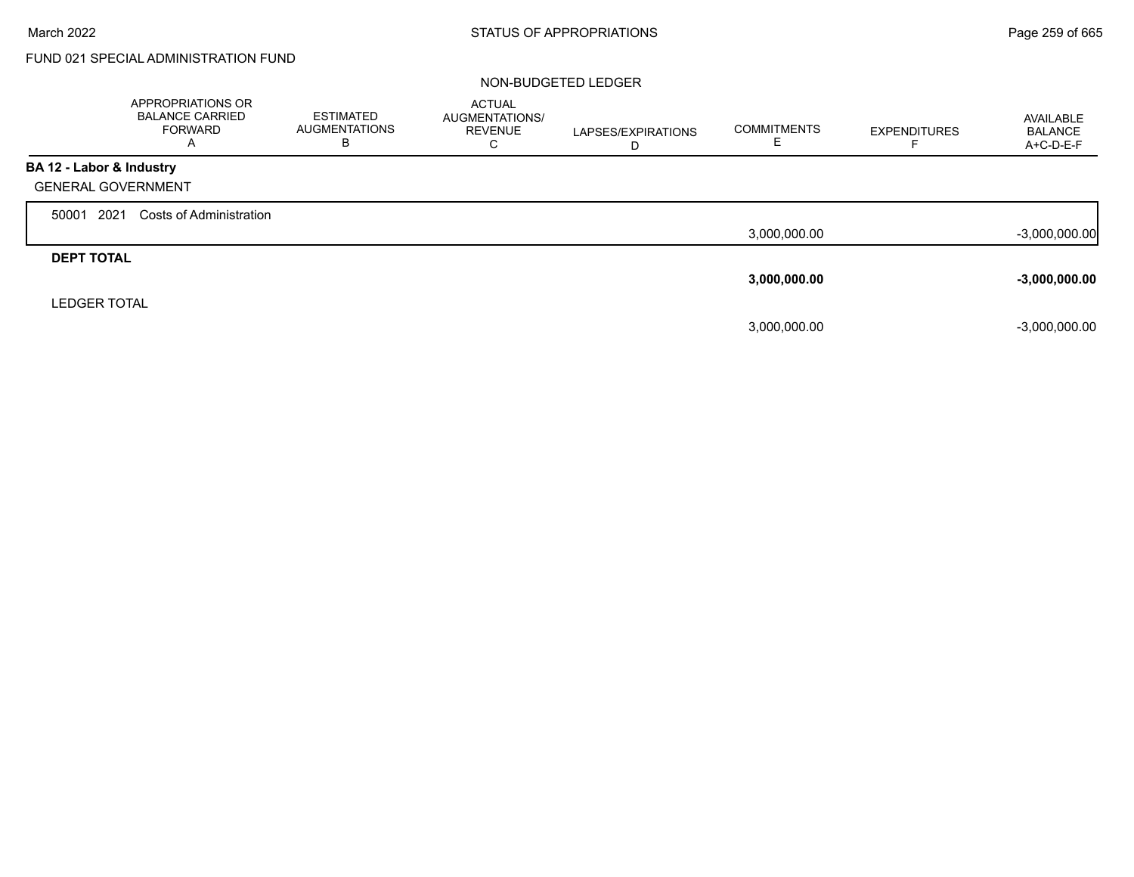г

# FUND 021 SPECIAL ADMINISTRATION FUND

|                           | APPROPRIATIONS OR<br><b>BALANCE CARRIED</b><br><b>FORWARD</b><br>$\overline{A}$ | <b>ESTIMATED</b><br><b>AUGMENTATIONS</b><br>В | <b>ACTUAL</b><br>AUGMENTATIONS/<br><b>REVENUE</b><br>С | LAPSES/EXPIRATIONS<br>D | <b>COMMITMENTS</b> | <b>EXPENDITURES</b> | AVAILABLE<br><b>BALANCE</b><br>A+C-D-E-F |
|---------------------------|---------------------------------------------------------------------------------|-----------------------------------------------|--------------------------------------------------------|-------------------------|--------------------|---------------------|------------------------------------------|
| BA 12 - Labor & Industry  |                                                                                 |                                               |                                                        |                         |                    |                     |                                          |
| <b>GENERAL GOVERNMENT</b> |                                                                                 |                                               |                                                        |                         |                    |                     |                                          |
| 2021<br>50001             | <b>Costs of Administration</b>                                                  |                                               |                                                        |                         |                    |                     |                                          |
|                           |                                                                                 |                                               |                                                        |                         | 3,000,000.00       |                     | $-3,000,000.00$                          |
| <b>DEPT TOTAL</b>         |                                                                                 |                                               |                                                        |                         |                    |                     |                                          |
|                           |                                                                                 |                                               |                                                        |                         | 3,000,000.00       |                     | $-3,000,000.00$                          |
| <b>LEDGER TOTAL</b>       |                                                                                 |                                               |                                                        |                         |                    |                     |                                          |
|                           |                                                                                 |                                               |                                                        |                         | 3,000,000.00       |                     | $-3,000,000.00$                          |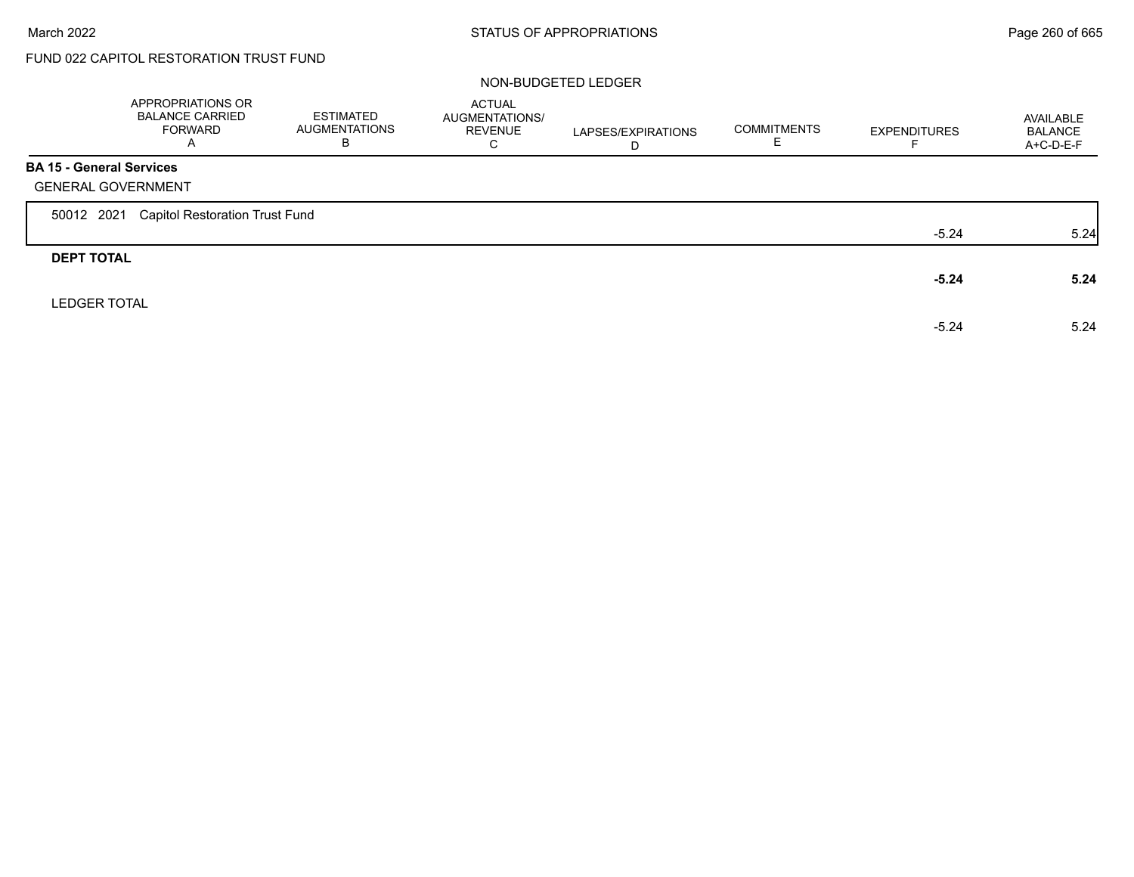г

# FUND 022 CAPITOL RESTORATION TRUST FUND

| <b>ACTUAL</b><br><b>ESTIMATED</b><br>AUGMENTATIONS/<br>AVAILABLE<br><b>COMMITMENTS</b><br>AUGMENTATIONS<br>REVENUE<br><b>EXPENDITURES</b><br><b>BALANCE</b><br>LAPSES/EXPIRATIONS<br>C<br>A+C-D-E-F<br>Е.<br>D |      |
|----------------------------------------------------------------------------------------------------------------------------------------------------------------------------------------------------------------|------|
|                                                                                                                                                                                                                |      |
|                                                                                                                                                                                                                |      |
|                                                                                                                                                                                                                |      |
| $-5.24$                                                                                                                                                                                                        | 5.24 |
|                                                                                                                                                                                                                |      |
| $-5.24$                                                                                                                                                                                                        | 5.24 |
|                                                                                                                                                                                                                |      |
|                                                                                                                                                                                                                | 5.24 |
| $-5.24$                                                                                                                                                                                                        |      |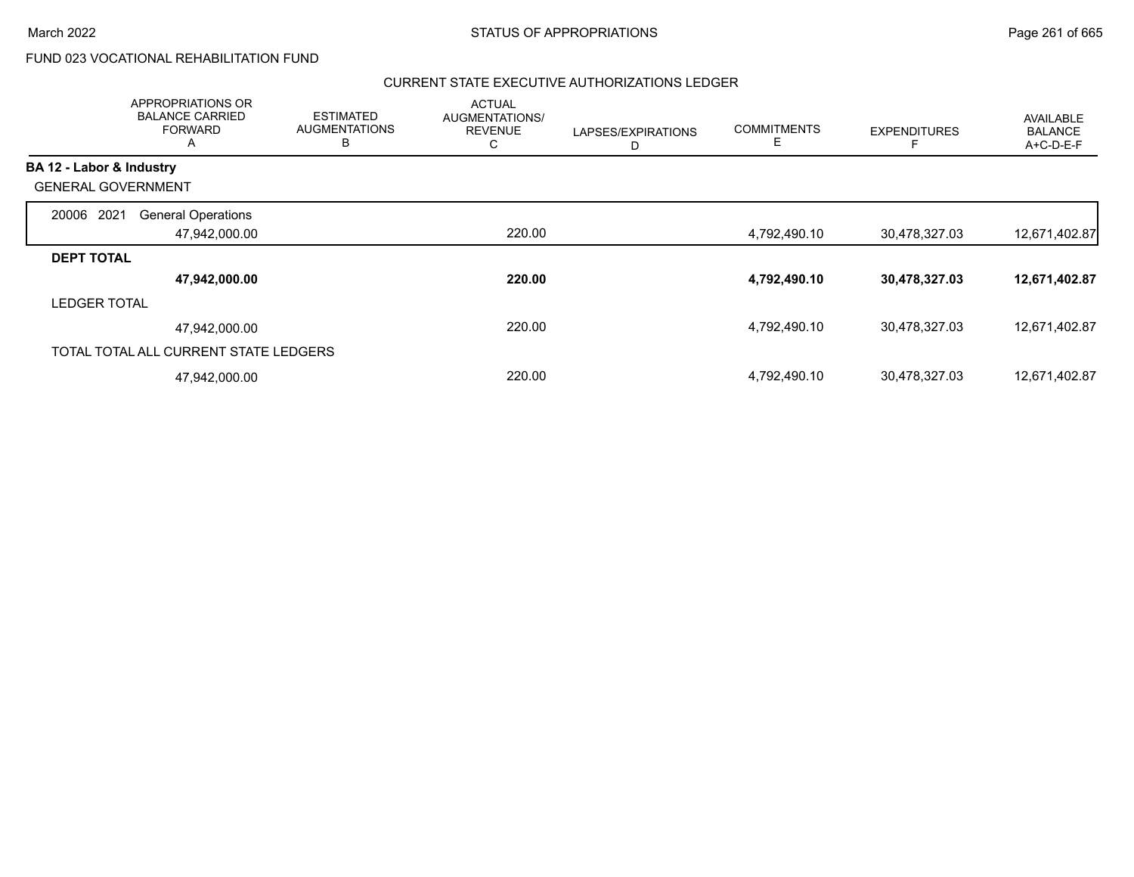# FUND 023 VOCATIONAL REHABILITATION FUND

|                           | APPROPRIATIONS OR<br><b>BALANCE CARRIED</b><br><b>FORWARD</b> | <b>ESTIMATED</b><br><b>AUGMENTATIONS</b><br>в | <b>ACTUAL</b><br>AUGMENTATIONS/<br><b>REVENUE</b><br>C | LAPSES/EXPIRATIONS<br>D | <b>COMMITMENTS</b><br>E | <b>EXPENDITURES</b> | AVAILABLE<br><b>BALANCE</b><br>A+C-D-E-F |
|---------------------------|---------------------------------------------------------------|-----------------------------------------------|--------------------------------------------------------|-------------------------|-------------------------|---------------------|------------------------------------------|
| BA 12 - Labor & Industry  |                                                               |                                               |                                                        |                         |                         |                     |                                          |
| <b>GENERAL GOVERNMENT</b> |                                                               |                                               |                                                        |                         |                         |                     |                                          |
| 2021<br>20006             | <b>General Operations</b>                                     |                                               |                                                        |                         |                         |                     |                                          |
|                           | 47,942,000.00                                                 |                                               | 220.00                                                 |                         | 4,792,490.10            | 30,478,327.03       | 12,671,402.87                            |
| <b>DEPT TOTAL</b>         |                                                               |                                               |                                                        |                         |                         |                     |                                          |
|                           | 47,942,000.00                                                 |                                               | 220.00                                                 |                         | 4,792,490.10            | 30,478,327.03       | 12,671,402.87                            |
| <b>LEDGER TOTAL</b>       |                                                               |                                               |                                                        |                         |                         |                     |                                          |
|                           | 47,942,000.00                                                 |                                               | 220.00                                                 |                         | 4,792,490.10            | 30,478,327.03       | 12,671,402.87                            |
|                           | TOTAL TOTAL ALL CURRENT STATE LEDGERS                         |                                               |                                                        |                         |                         |                     |                                          |
|                           | 47,942,000.00                                                 |                                               | 220.00                                                 |                         | 4,792,490.10            | 30,478,327.03       | 12,671,402.87                            |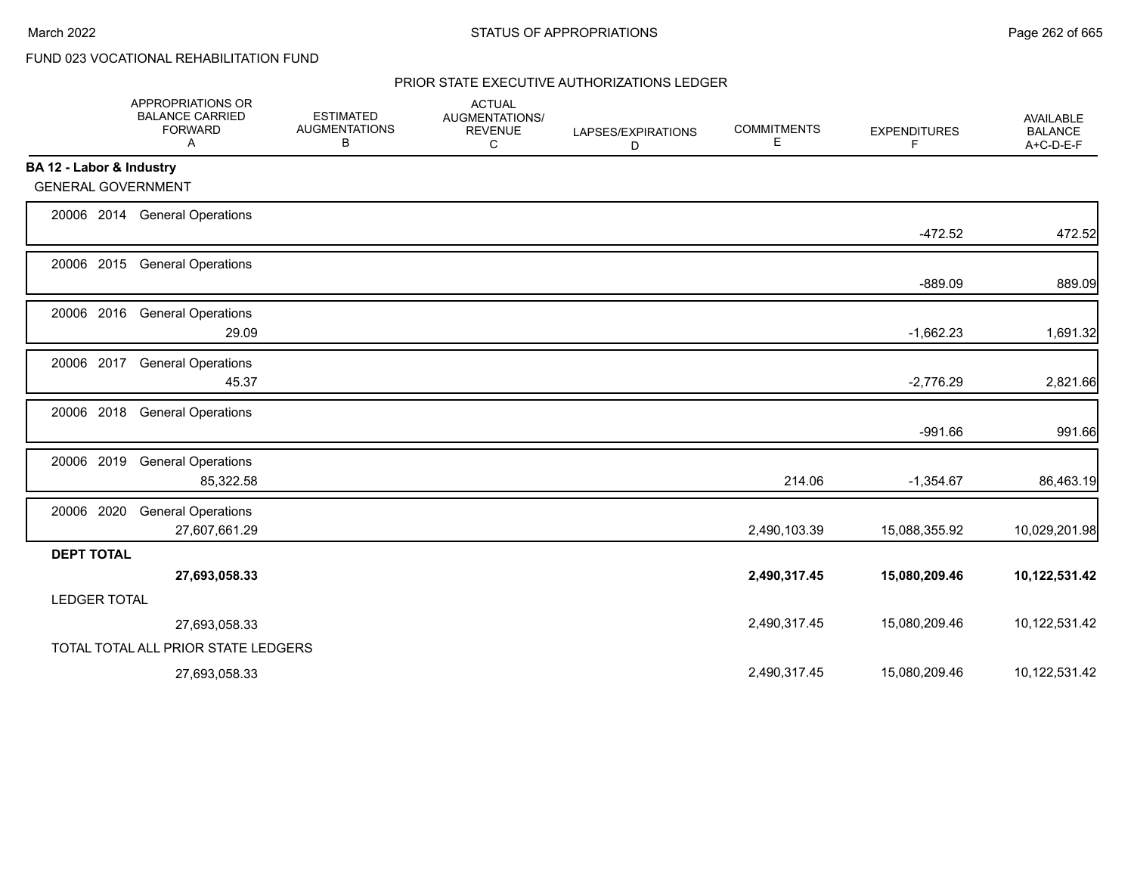# FUND 023 VOCATIONAL REHABILITATION FUND

|                           | APPROPRIATIONS OR<br><b>BALANCE CARRIED</b><br><b>FORWARD</b><br>Α | <b>ESTIMATED</b><br><b>AUGMENTATIONS</b><br>В | <b>ACTUAL</b><br>AUGMENTATIONS/<br><b>REVENUE</b><br>C | LAPSES/EXPIRATIONS<br>D | <b>COMMITMENTS</b><br>Е | <b>EXPENDITURES</b><br>F | AVAILABLE<br><b>BALANCE</b><br>A+C-D-E-F |
|---------------------------|--------------------------------------------------------------------|-----------------------------------------------|--------------------------------------------------------|-------------------------|-------------------------|--------------------------|------------------------------------------|
| BA 12 - Labor & Industry  |                                                                    |                                               |                                                        |                         |                         |                          |                                          |
| <b>GENERAL GOVERNMENT</b> |                                                                    |                                               |                                                        |                         |                         |                          |                                          |
|                           | 20006 2014 General Operations                                      |                                               |                                                        |                         |                         | $-472.52$                | 472.52                                   |
|                           | 20006 2015 General Operations                                      |                                               |                                                        |                         |                         | $-889.09$                | 889.09                                   |
| 20006 2016                | <b>General Operations</b><br>29.09                                 |                                               |                                                        |                         |                         | $-1,662.23$              | 1,691.32                                 |
| 20006 2017                | <b>General Operations</b><br>45.37                                 |                                               |                                                        |                         |                         | $-2,776.29$              | 2,821.66                                 |
| 20006 2018                | <b>General Operations</b>                                          |                                               |                                                        |                         |                         | $-991.66$                | 991.66                                   |
| 20006 2019                | <b>General Operations</b><br>85,322.58                             |                                               |                                                        |                         | 214.06                  | $-1,354.67$              | 86,463.19                                |
| 20006 2020                | <b>General Operations</b><br>27,607,661.29                         |                                               |                                                        |                         | 2,490,103.39            | 15,088,355.92            | 10,029,201.98                            |
| <b>DEPT TOTAL</b>         | 27,693,058.33                                                      |                                               |                                                        |                         | 2,490,317.45            | 15,080,209.46            | 10,122,531.42                            |
| <b>LEDGER TOTAL</b>       |                                                                    |                                               |                                                        |                         |                         |                          |                                          |
|                           | 27,693,058.33                                                      |                                               |                                                        |                         | 2,490,317.45            | 15,080,209.46            | 10,122,531.42                            |
|                           | TOTAL TOTAL ALL PRIOR STATE LEDGERS                                |                                               |                                                        |                         |                         |                          |                                          |
|                           | 27,693,058.33                                                      |                                               |                                                        |                         | 2,490,317.45            | 15,080,209.46            | 10,122,531.42                            |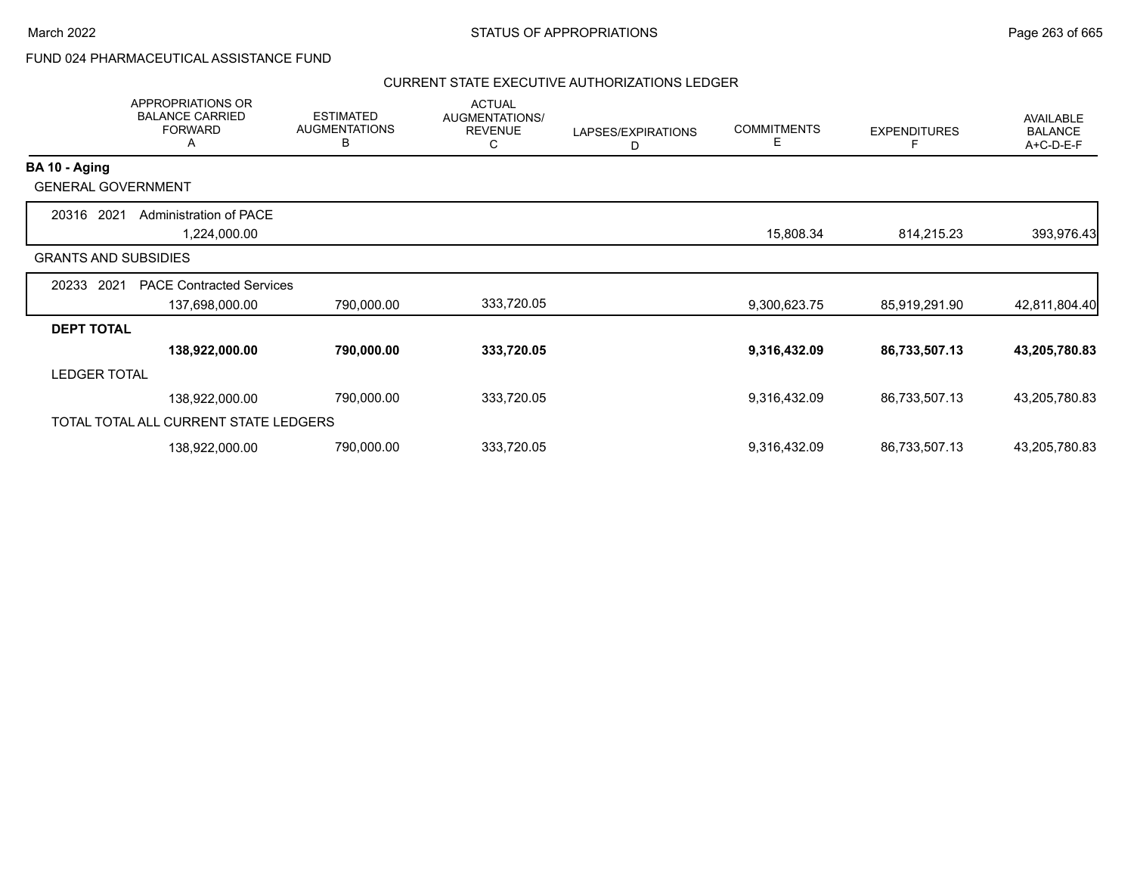# FUND 024 PHARMACEUTICAL ASSISTANCE FUND

|                             | <b>APPROPRIATIONS OR</b><br><b>BALANCE CARRIED</b><br><b>FORWARD</b><br>A | <b>ESTIMATED</b><br><b>AUGMENTATIONS</b><br>В | <b>ACTUAL</b><br>AUGMENTATIONS/<br><b>REVENUE</b><br>С | LAPSES/EXPIRATIONS<br>D | <b>COMMITMENTS</b><br>Е | <b>EXPENDITURES</b> | AVAILABLE<br><b>BALANCE</b><br>A+C-D-E-F |
|-----------------------------|---------------------------------------------------------------------------|-----------------------------------------------|--------------------------------------------------------|-------------------------|-------------------------|---------------------|------------------------------------------|
| BA 10 - Aging               |                                                                           |                                               |                                                        |                         |                         |                     |                                          |
| <b>GENERAL GOVERNMENT</b>   |                                                                           |                                               |                                                        |                         |                         |                     |                                          |
| 2021<br>20316               | Administration of PACE<br>1,224,000.00                                    |                                               |                                                        |                         | 15,808.34               | 814,215.23          | 393,976.43                               |
| <b>GRANTS AND SUBSIDIES</b> |                                                                           |                                               |                                                        |                         |                         |                     |                                          |
| 2021<br>20233               | <b>PACE Contracted Services</b>                                           |                                               |                                                        |                         |                         |                     |                                          |
|                             | 137,698,000.00                                                            | 790,000.00                                    | 333,720.05                                             |                         | 9,300,623.75            | 85,919,291.90       | 42,811,804.40                            |
| <b>DEPT TOTAL</b>           |                                                                           |                                               |                                                        |                         |                         |                     |                                          |
|                             | 138,922,000.00                                                            | 790,000.00                                    | 333,720.05                                             |                         | 9,316,432.09            | 86,733,507.13       | 43,205,780.83                            |
| <b>LEDGER TOTAL</b>         |                                                                           |                                               |                                                        |                         |                         |                     |                                          |
|                             | 138,922,000.00                                                            | 790,000.00                                    | 333,720.05                                             |                         | 9,316,432.09            | 86,733,507.13       | 43,205,780.83                            |
|                             | TOTAL TOTAL ALL CURRENT STATE LEDGERS                                     |                                               |                                                        |                         |                         |                     |                                          |
|                             | 138,922,000.00                                                            | 790,000.00                                    | 333,720.05                                             |                         | 9,316,432.09            | 86,733,507.13       | 43,205,780.83                            |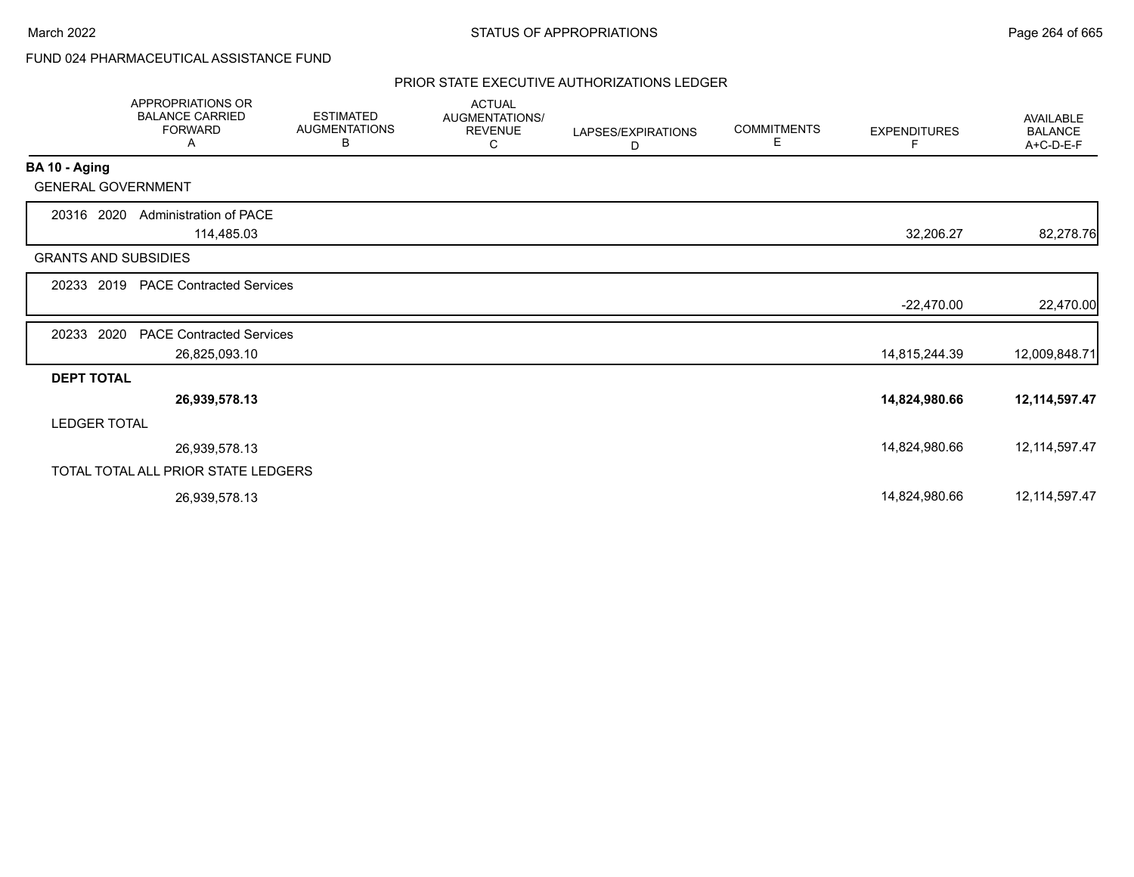# FUND 024 PHARMACEUTICAL ASSISTANCE FUND

|                             | <b>APPROPRIATIONS OR</b><br><b>BALANCE CARRIED</b><br><b>FORWARD</b><br>Α | <b>ESTIMATED</b><br><b>AUGMENTATIONS</b><br>В | <b>ACTUAL</b><br>AUGMENTATIONS/<br><b>REVENUE</b><br>C | LAPSES/EXPIRATIONS<br>D | <b>COMMITMENTS</b><br>E. | <b>EXPENDITURES</b><br>F | <b>AVAILABLE</b><br><b>BALANCE</b><br>A+C-D-E-F |
|-----------------------------|---------------------------------------------------------------------------|-----------------------------------------------|--------------------------------------------------------|-------------------------|--------------------------|--------------------------|-------------------------------------------------|
| BA 10 - Aging               |                                                                           |                                               |                                                        |                         |                          |                          |                                                 |
| <b>GENERAL GOVERNMENT</b>   |                                                                           |                                               |                                                        |                         |                          |                          |                                                 |
| 20316 2020                  | <b>Administration of PACE</b><br>114,485.03                               |                                               |                                                        |                         |                          | 32,206.27                | 82,278.76                                       |
| <b>GRANTS AND SUBSIDIES</b> |                                                                           |                                               |                                                        |                         |                          |                          |                                                 |
|                             | 20233 2019 PACE Contracted Services                                       |                                               |                                                        |                         |                          |                          |                                                 |
|                             |                                                                           |                                               |                                                        |                         |                          | $-22,470.00$             | 22,470.00                                       |
| 2020<br>20233               | <b>PACE Contracted Services</b>                                           |                                               |                                                        |                         |                          |                          |                                                 |
|                             | 26,825,093.10                                                             |                                               |                                                        |                         |                          | 14,815,244.39            | 12,009,848.71                                   |
| <b>DEPT TOTAL</b>           |                                                                           |                                               |                                                        |                         |                          |                          |                                                 |
|                             | 26,939,578.13                                                             |                                               |                                                        |                         |                          | 14,824,980.66            | 12,114,597.47                                   |
| <b>LEDGER TOTAL</b>         |                                                                           |                                               |                                                        |                         |                          |                          |                                                 |
|                             | 26,939,578.13                                                             |                                               |                                                        |                         |                          | 14,824,980.66            | 12, 114, 597. 47                                |
|                             | TOTAL TOTAL ALL PRIOR STATE LEDGERS                                       |                                               |                                                        |                         |                          |                          |                                                 |
|                             | 26,939,578.13                                                             |                                               |                                                        |                         |                          | 14,824,980.66            | 12, 114, 597. 47                                |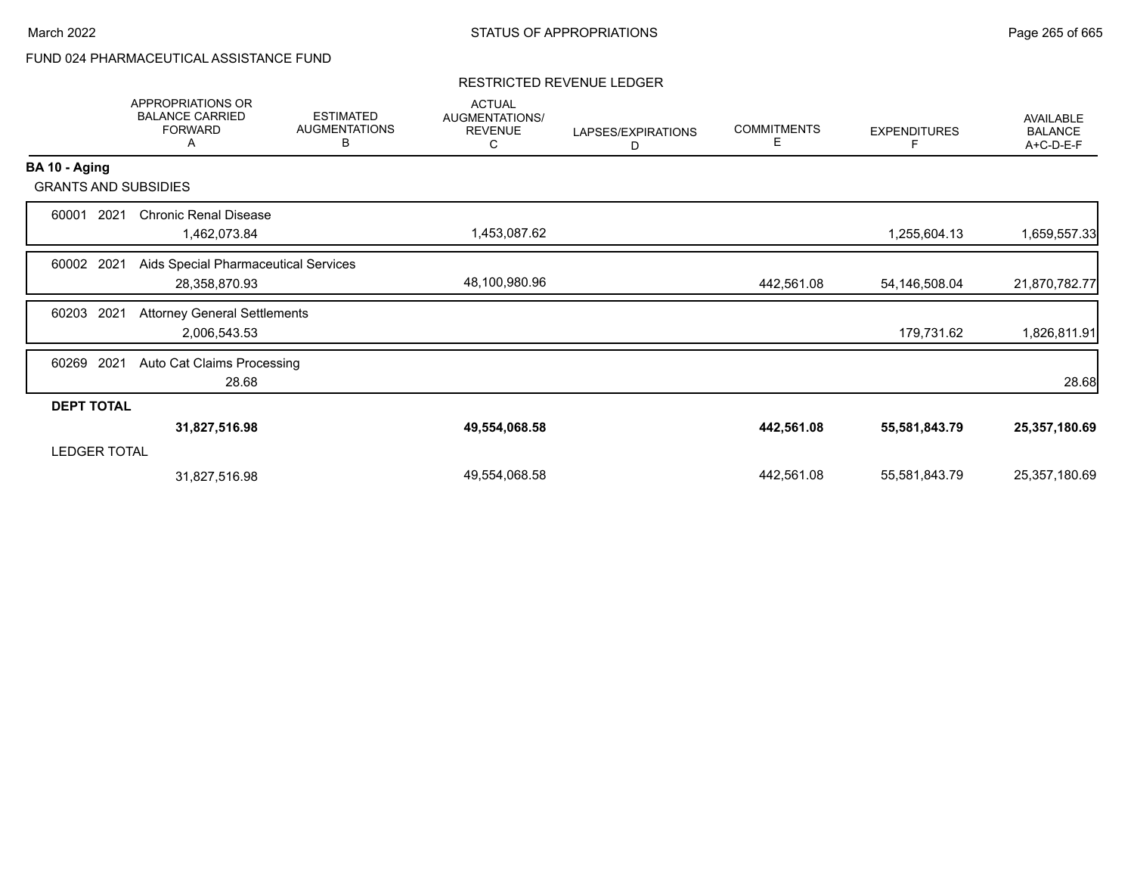# FUND 024 PHARMACEUTICAL ASSISTANCE FUND

#### RESTRICTED REVENUE LEDGER

|                     | <b>APPROPRIATIONS OR</b><br><b>BALANCE CARRIED</b><br><b>FORWARD</b><br>A | <b>ESTIMATED</b><br><b>AUGMENTATIONS</b><br>В | <b>ACTUAL</b><br>AUGMENTATIONS/<br><b>REVENUE</b><br>С | LAPSES/EXPIRATIONS<br>D | <b>COMMITMENTS</b><br>Е | <b>EXPENDITURES</b> | AVAILABLE<br><b>BALANCE</b><br>A+C-D-E-F |
|---------------------|---------------------------------------------------------------------------|-----------------------------------------------|--------------------------------------------------------|-------------------------|-------------------------|---------------------|------------------------------------------|
| BA 10 - Aging       |                                                                           |                                               |                                                        |                         |                         |                     |                                          |
|                     | <b>GRANTS AND SUBSIDIES</b>                                               |                                               |                                                        |                         |                         |                     |                                          |
| 60001               | <b>Chronic Renal Disease</b><br>2021<br>1,462,073.84                      |                                               | 1,453,087.62                                           |                         |                         | 1,255,604.13        | 1,659,557.33                             |
| 60002               | 2021<br>Aids Special Pharmaceutical Services<br>28,358,870.93             |                                               | 48,100,980.96                                          |                         | 442,561.08              | 54,146,508.04       | 21,870,782.77                            |
| 60203               | <b>Attorney General Settlements</b><br>2021<br>2,006,543.53               |                                               |                                                        |                         |                         | 179,731.62          | 1,826,811.91                             |
| 60269               | 2021<br>Auto Cat Claims Processing<br>28.68                               |                                               |                                                        |                         |                         |                     | 28.68                                    |
| <b>DEPT TOTAL</b>   |                                                                           |                                               |                                                        |                         |                         |                     |                                          |
|                     | 31,827,516.98                                                             |                                               | 49,554,068.58                                          |                         | 442,561.08              | 55,581,843.79       | 25,357,180.69                            |
| <b>LEDGER TOTAL</b> |                                                                           |                                               |                                                        |                         |                         |                     |                                          |
|                     | 31,827,516.98                                                             |                                               | 49,554,068.58                                          |                         | 442,561.08              | 55,581,843.79       | 25,357,180.69                            |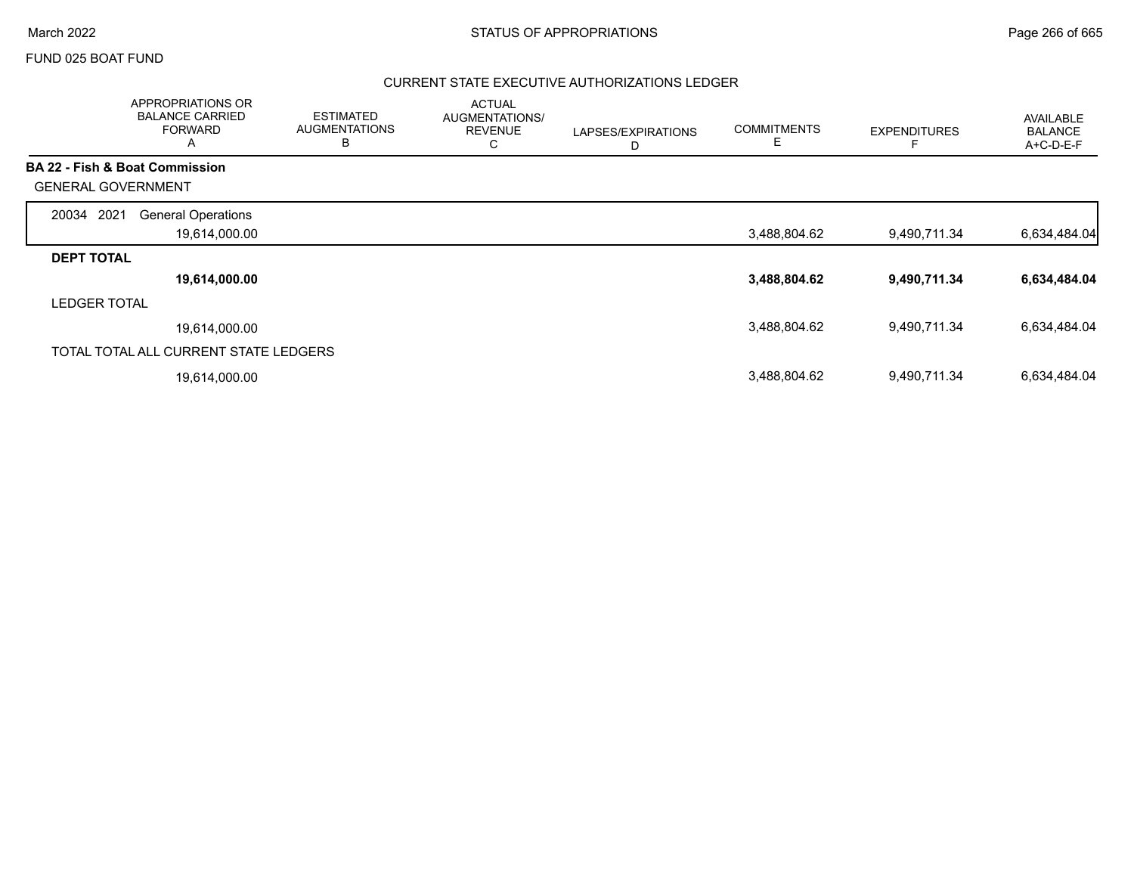#### FUND 025 BOAT FUND

|                           | <b>APPROPRIATIONS OR</b><br><b>BALANCE CARRIED</b><br><b>FORWARD</b><br>$\mathsf{A}$ | <b>ESTIMATED</b><br><b>AUGMENTATIONS</b><br>B | <b>ACTUAL</b><br>AUGMENTATIONS/<br><b>REVENUE</b><br>С | LAPSES/EXPIRATIONS<br>D | <b>COMMITMENTS</b><br>Е | <b>EXPENDITURES</b> | <b>AVAILABLE</b><br><b>BALANCE</b><br>A+C-D-E-F |
|---------------------------|--------------------------------------------------------------------------------------|-----------------------------------------------|--------------------------------------------------------|-------------------------|-------------------------|---------------------|-------------------------------------------------|
|                           | <b>BA 22 - Fish &amp; Boat Commission</b>                                            |                                               |                                                        |                         |                         |                     |                                                 |
| <b>GENERAL GOVERNMENT</b> |                                                                                      |                                               |                                                        |                         |                         |                     |                                                 |
| 2021<br>20034             | <b>General Operations</b>                                                            |                                               |                                                        |                         |                         |                     |                                                 |
|                           | 19,614,000.00                                                                        |                                               |                                                        |                         | 3,488,804.62            | 9,490,711.34        | 6,634,484.04                                    |
| <b>DEPT TOTAL</b>         |                                                                                      |                                               |                                                        |                         |                         |                     |                                                 |
|                           | 19,614,000.00                                                                        |                                               |                                                        |                         | 3,488,804.62            | 9,490,711.34        | 6,634,484.04                                    |
| <b>LEDGER TOTAL</b>       |                                                                                      |                                               |                                                        |                         |                         |                     |                                                 |
|                           | 19.614.000.00                                                                        |                                               |                                                        |                         | 3,488,804.62            | 9,490,711.34        | 6,634,484.04                                    |
|                           | TOTAL TOTAL ALL CURRENT STATE LEDGERS                                                |                                               |                                                        |                         |                         |                     |                                                 |
|                           | 19,614,000.00                                                                        |                                               |                                                        |                         | 3,488,804.62            | 9,490,711.34        | 6,634,484.04                                    |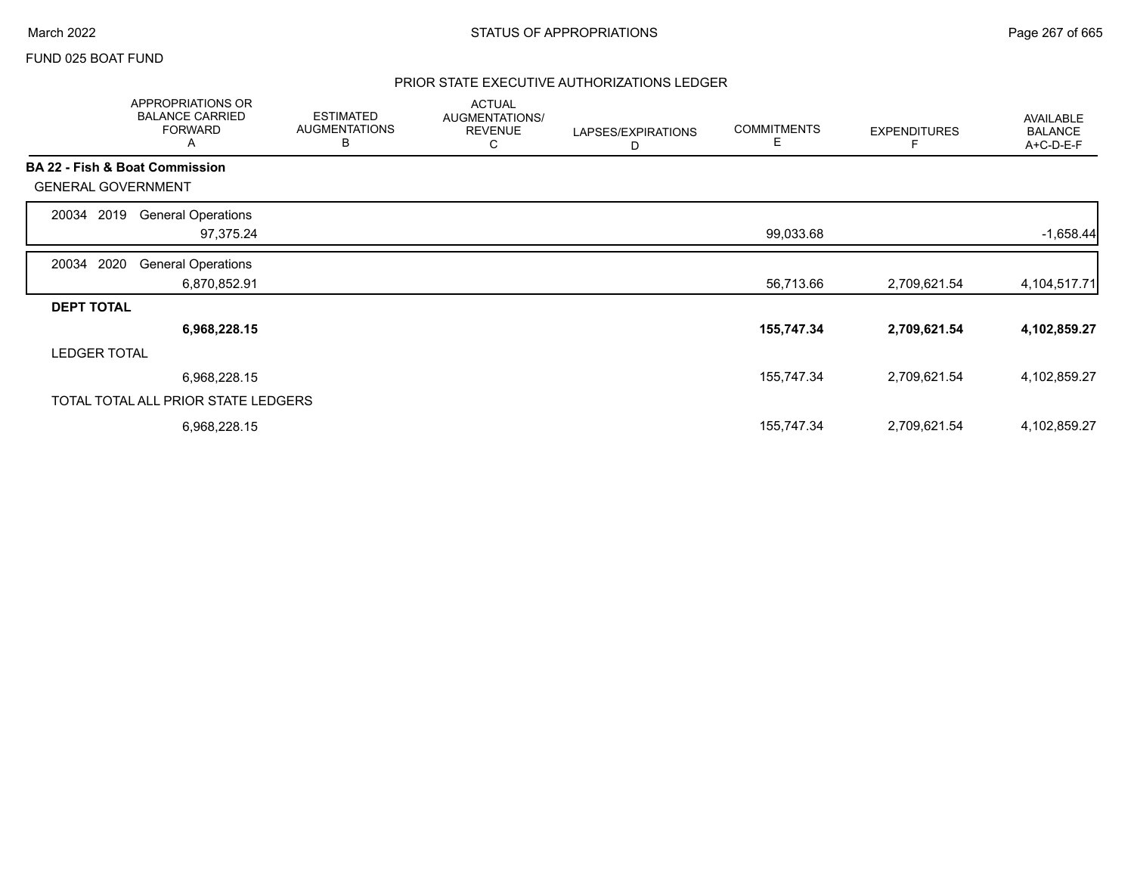#### FUND 025 BOAT FUND

|                           | APPROPRIATIONS OR<br><b>BALANCE CARRIED</b><br><b>FORWARD</b><br>Α | <b>ESTIMATED</b><br><b>AUGMENTATIONS</b><br>В | <b>ACTUAL</b><br>AUGMENTATIONS/<br><b>REVENUE</b><br>С | LAPSES/EXPIRATIONS<br>D | <b>COMMITMENTS</b><br>E | <b>EXPENDITURES</b> | <b>AVAILABLE</b><br><b>BALANCE</b><br>A+C-D-E-F |
|---------------------------|--------------------------------------------------------------------|-----------------------------------------------|--------------------------------------------------------|-------------------------|-------------------------|---------------------|-------------------------------------------------|
|                           | BA 22 - Fish & Boat Commission                                     |                                               |                                                        |                         |                         |                     |                                                 |
| <b>GENERAL GOVERNMENT</b> |                                                                    |                                               |                                                        |                         |                         |                     |                                                 |
| 2019<br>20034             | <b>General Operations</b>                                          |                                               |                                                        |                         |                         |                     |                                                 |
|                           | 97,375.24                                                          |                                               |                                                        |                         | 99,033.68               |                     | $-1,658.44$                                     |
| 2020<br>20034             | <b>General Operations</b>                                          |                                               |                                                        |                         |                         |                     |                                                 |
|                           | 6,870,852.91                                                       |                                               |                                                        |                         | 56,713.66               | 2,709,621.54        | 4,104,517.71                                    |
| <b>DEPT TOTAL</b>         |                                                                    |                                               |                                                        |                         |                         |                     |                                                 |
|                           | 6,968,228.15                                                       |                                               |                                                        |                         | 155,747.34              | 2,709,621.54        | 4,102,859.27                                    |
| <b>LEDGER TOTAL</b>       |                                                                    |                                               |                                                        |                         |                         |                     |                                                 |
|                           | 6,968,228.15                                                       |                                               |                                                        |                         | 155,747.34              | 2,709,621.54        | 4,102,859.27                                    |
|                           | TOTAL TOTAL ALL PRIOR STATE LEDGERS                                |                                               |                                                        |                         |                         |                     |                                                 |
|                           | 6,968,228.15                                                       |                                               |                                                        |                         | 155,747.34              | 2,709,621.54        | 4,102,859.27                                    |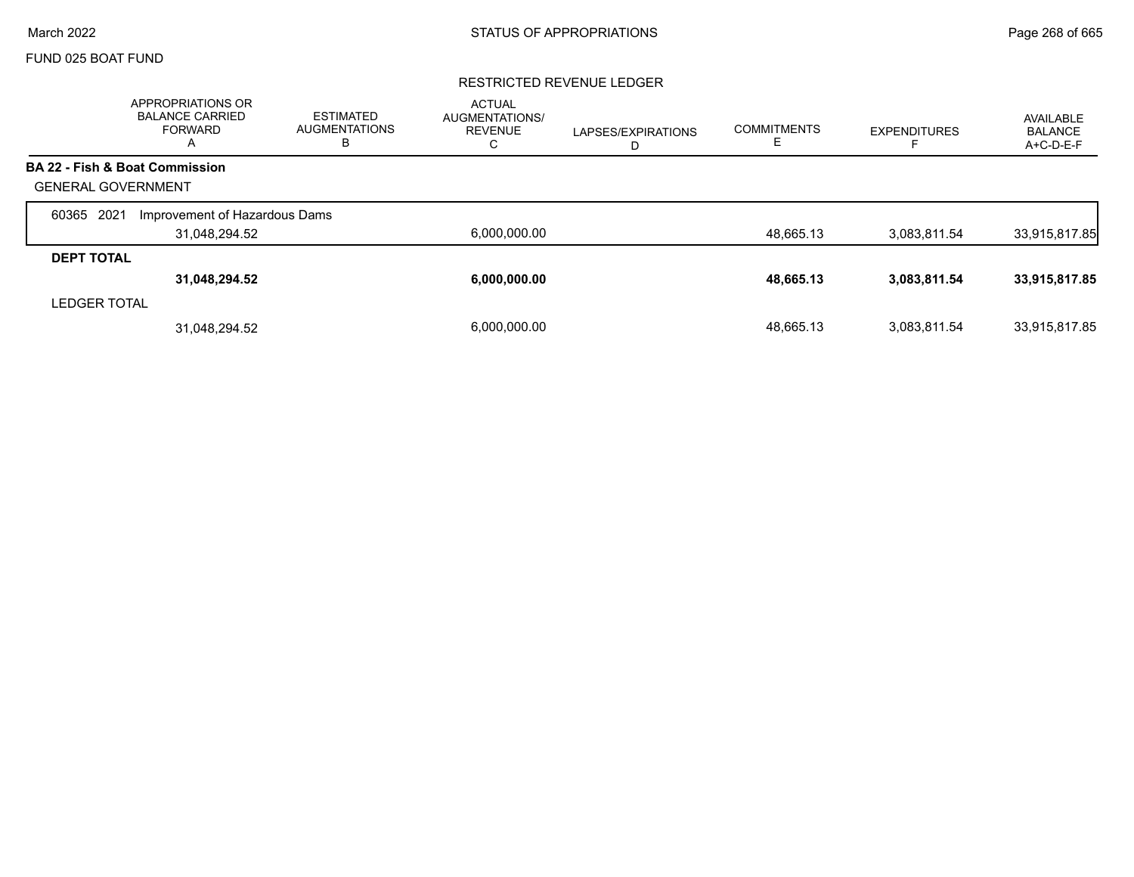# FUND 025 BOAT FUND

### RESTRICTED REVENUE LEDGER

|                           | APPROPRIATIONS OR<br><b>BALANCE CARRIED</b><br><b>FORWARD</b><br>A | <b>ESTIMATED</b><br><b>AUGMENTATIONS</b><br>ь | <b>ACTUAL</b><br>AUGMENTATIONS/<br><b>REVENUE</b><br>С | LAPSES/EXPIRATIONS<br>D | <b>COMMITMENTS</b> | <b>EXPENDITURES</b> | AVAILABLE<br><b>BALANCE</b><br>A+C-D-E-F |
|---------------------------|--------------------------------------------------------------------|-----------------------------------------------|--------------------------------------------------------|-------------------------|--------------------|---------------------|------------------------------------------|
|                           | BA 22 - Fish & Boat Commission                                     |                                               |                                                        |                         |                    |                     |                                          |
| <b>GENERAL GOVERNMENT</b> |                                                                    |                                               |                                                        |                         |                    |                     |                                          |
| 2021<br>60365             | Improvement of Hazardous Dams                                      |                                               |                                                        |                         |                    |                     |                                          |
|                           | 31,048,294.52                                                      |                                               | 6,000,000.00                                           |                         | 48,665.13          | 3,083,811.54        | 33,915,817.85                            |
| <b>DEPT TOTAL</b>         |                                                                    |                                               |                                                        |                         |                    |                     |                                          |
|                           | 31,048,294.52                                                      |                                               | 6,000,000.00                                           |                         | 48,665.13          | 3,083,811.54        | 33,915,817.85                            |
| <b>LEDGER TOTAL</b>       |                                                                    |                                               |                                                        |                         |                    |                     |                                          |
|                           | 31,048,294.52                                                      |                                               | 6.000.000.00                                           |                         | 48.665.13          | 3.083.811.54        | 33,915,817.85                            |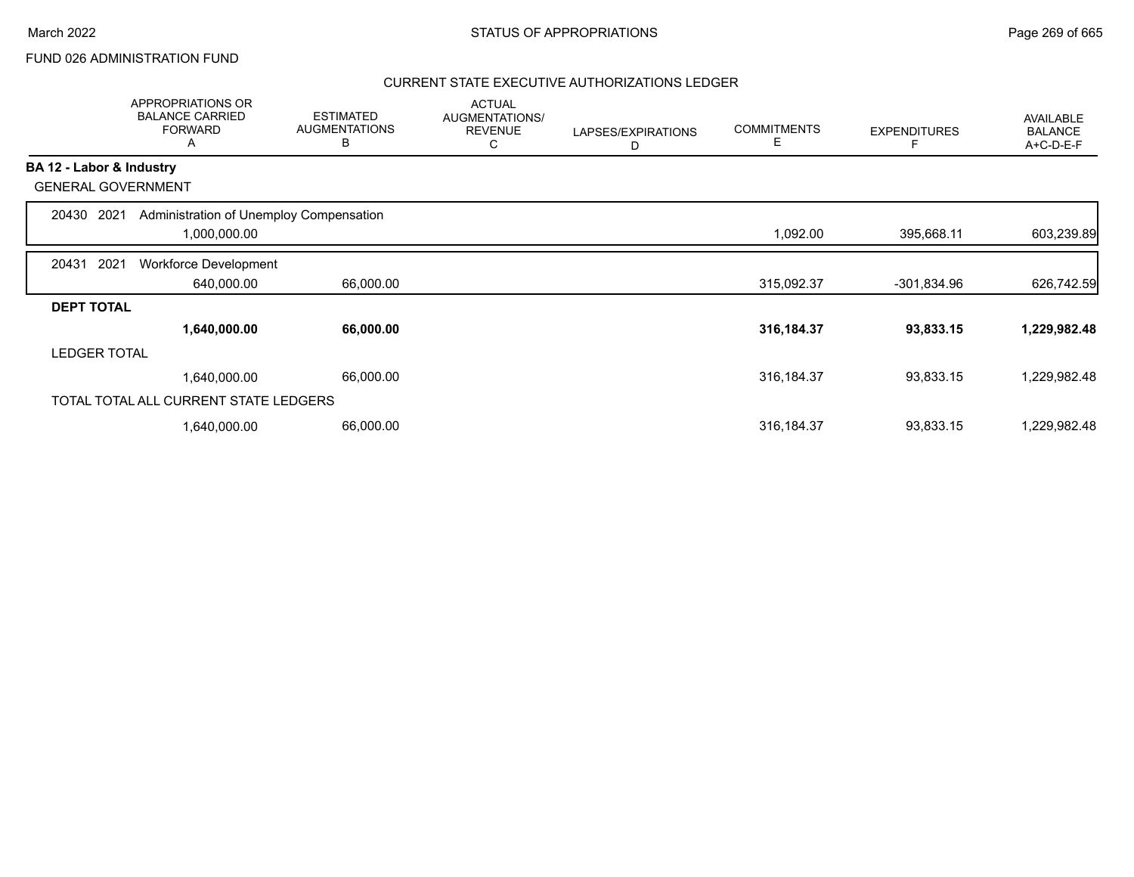# FUND 026 ADMINISTRATION FUND

|                          | APPROPRIATIONS OR<br><b>BALANCE CARRIED</b><br><b>FORWARD</b><br>A | <b>ESTIMATED</b><br><b>AUGMENTATIONS</b><br>В | <b>ACTUAL</b><br>AUGMENTATIONS/<br><b>REVENUE</b><br>C | LAPSES/EXPIRATIONS<br>D | <b>COMMITMENTS</b><br>Е | <b>EXPENDITURES</b> | AVAILABLE<br><b>BALANCE</b><br>A+C-D-E-F |
|--------------------------|--------------------------------------------------------------------|-----------------------------------------------|--------------------------------------------------------|-------------------------|-------------------------|---------------------|------------------------------------------|
| BA 12 - Labor & Industry |                                                                    |                                               |                                                        |                         |                         |                     |                                          |
|                          | <b>GENERAL GOVERNMENT</b>                                          |                                               |                                                        |                         |                         |                     |                                          |
| 20430                    | Administration of Unemploy Compensation<br>2021                    |                                               |                                                        |                         |                         |                     |                                          |
|                          | 1,000,000.00                                                       |                                               |                                                        |                         | 1,092.00                | 395,668.11          | 603,239.89                               |
| 20431                    | 2021<br>Workforce Development                                      |                                               |                                                        |                         |                         |                     |                                          |
|                          | 640,000.00                                                         | 66,000.00                                     |                                                        |                         | 315,092.37              | -301,834.96         | 626,742.59                               |
| <b>DEPT TOTAL</b>        |                                                                    |                                               |                                                        |                         |                         |                     |                                          |
|                          | 1,640,000.00                                                       | 66,000.00                                     |                                                        |                         | 316,184.37              | 93,833.15           | 1,229,982.48                             |
| <b>LEDGER TOTAL</b>      |                                                                    |                                               |                                                        |                         |                         |                     |                                          |
|                          | 1,640,000.00                                                       | 66,000.00                                     |                                                        |                         | 316, 184. 37            | 93,833.15           | 1,229,982.48                             |
|                          | TOTAL TOTAL ALL CURRENT STATE LEDGERS                              |                                               |                                                        |                         |                         |                     |                                          |
|                          | 1,640,000.00                                                       | 66,000.00                                     |                                                        |                         | 316, 184. 37            | 93,833.15           | 1,229,982.48                             |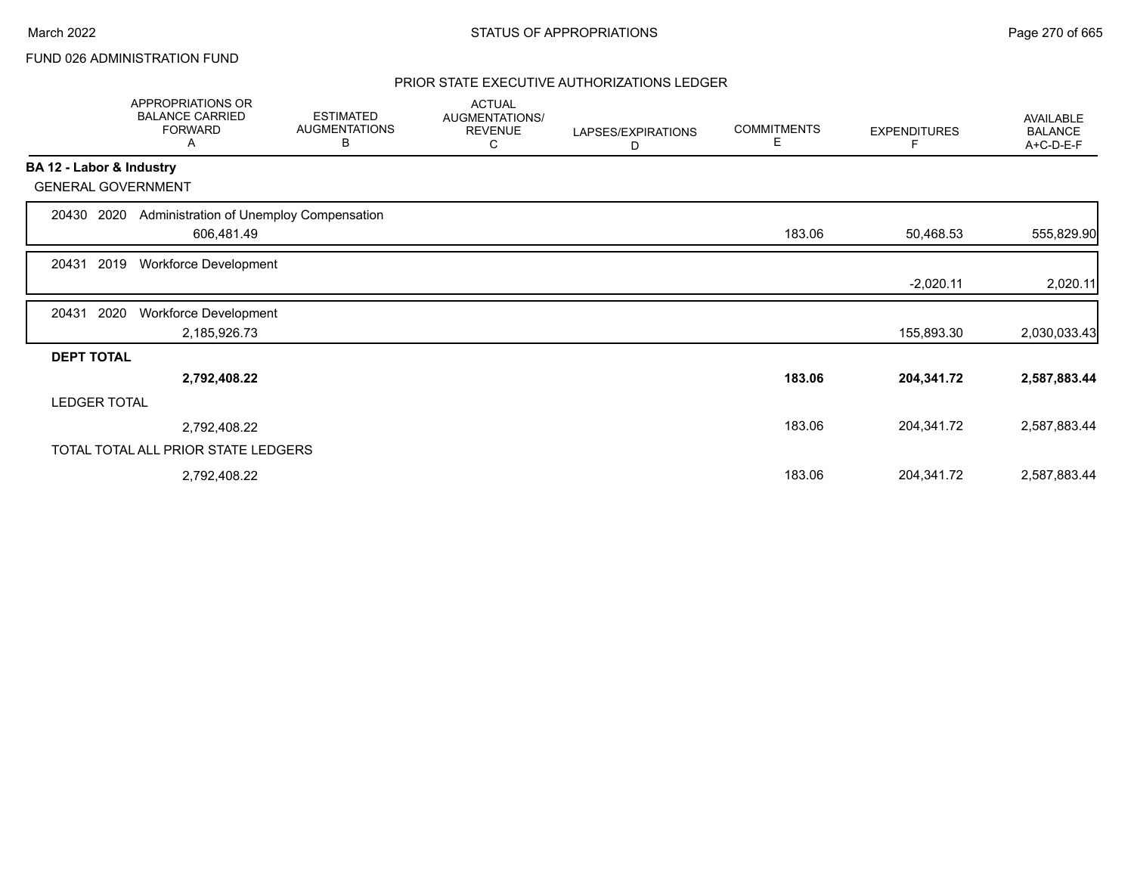# FUND 026 ADMINISTRATION FUND

|                          | APPROPRIATIONS OR<br><b>BALANCE CARRIED</b><br><b>FORWARD</b><br>Α | <b>ESTIMATED</b><br><b>AUGMENTATIONS</b><br>В | <b>ACTUAL</b><br>AUGMENTATIONS/<br><b>REVENUE</b><br>С | LAPSES/EXPIRATIONS<br>D | <b>COMMITMENTS</b><br>Е | <b>EXPENDITURES</b> | AVAILABLE<br><b>BALANCE</b><br>A+C-D-E-F |
|--------------------------|--------------------------------------------------------------------|-----------------------------------------------|--------------------------------------------------------|-------------------------|-------------------------|---------------------|------------------------------------------|
| BA 12 - Labor & Industry |                                                                    |                                               |                                                        |                         |                         |                     |                                          |
|                          | <b>GENERAL GOVERNMENT</b>                                          |                                               |                                                        |                         |                         |                     |                                          |
| 20430                    | Administration of Unemploy Compensation<br>2020                    |                                               |                                                        |                         |                         |                     |                                          |
|                          | 606,481.49                                                         |                                               |                                                        |                         | 183.06                  | 50,468.53           | 555,829.90                               |
| 20431                    | 2019<br>Workforce Development                                      |                                               |                                                        |                         |                         |                     |                                          |
|                          |                                                                    |                                               |                                                        |                         |                         | $-2,020.11$         | 2,020.11                                 |
| 20431                    | 2020<br>Workforce Development                                      |                                               |                                                        |                         |                         |                     |                                          |
|                          | 2,185,926.73                                                       |                                               |                                                        |                         |                         | 155,893.30          | 2,030,033.43                             |
| <b>DEPT TOTAL</b>        |                                                                    |                                               |                                                        |                         |                         |                     |                                          |
|                          | 2,792,408.22                                                       |                                               |                                                        |                         | 183.06                  | 204,341.72          | 2,587,883.44                             |
| <b>LEDGER TOTAL</b>      |                                                                    |                                               |                                                        |                         |                         |                     |                                          |
|                          | 2,792,408.22                                                       |                                               |                                                        |                         | 183.06                  | 204,341.72          | 2,587,883.44                             |
|                          | TOTAL TOTAL ALL PRIOR STATE LEDGERS                                |                                               |                                                        |                         |                         |                     |                                          |
|                          | 2,792,408.22                                                       |                                               |                                                        |                         | 183.06                  | 204,341.72          | 2,587,883.44                             |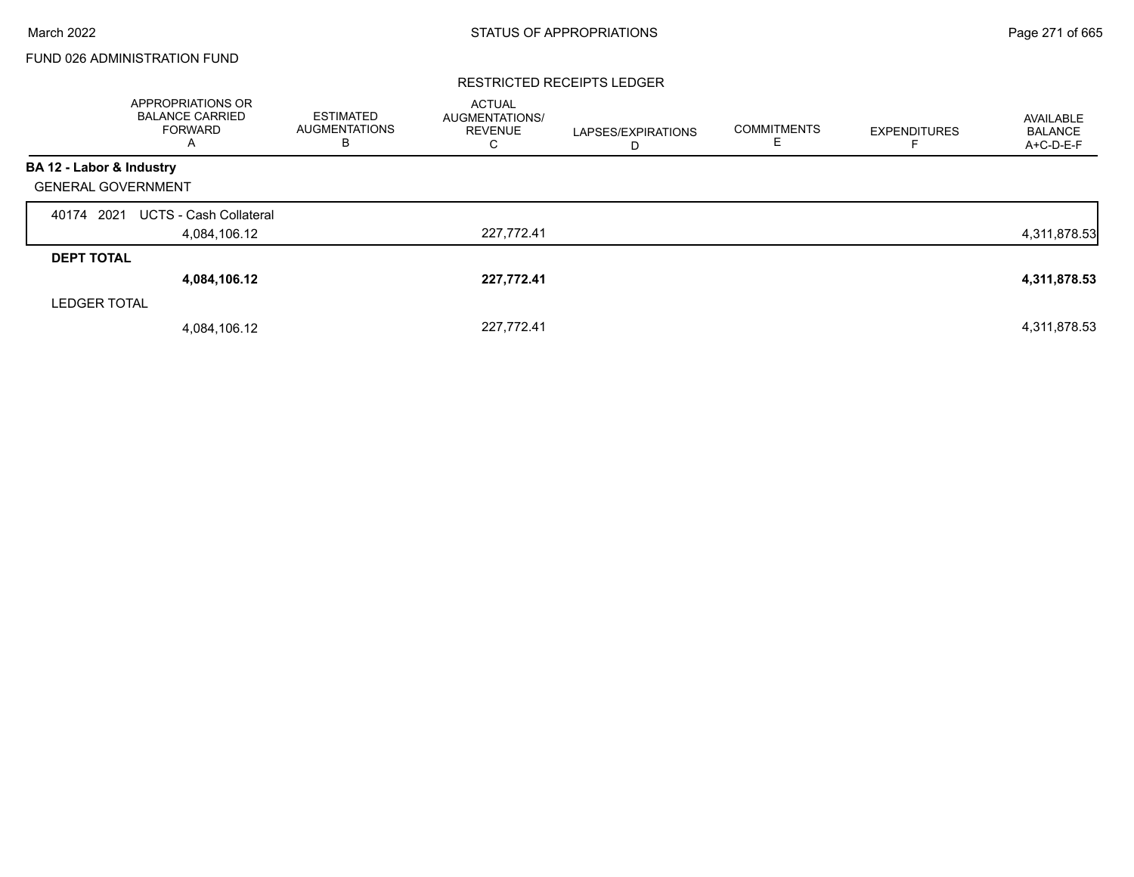# FUND 026 ADMINISTRATION FUND

#### RESTRICTED RECEIPTS LEDGER

|                           | <b>APPROPRIATIONS OR</b><br><b>BALANCE CARRIED</b><br>FORWARD<br>A | <b>ESTIMATED</b><br><b>AUGMENTATIONS</b><br>в | <b>ACTUAL</b><br>AUGMENTATIONS/<br><b>REVENUE</b><br>С | LAPSES/EXPIRATIONS<br>D | <b>COMMITMENTS</b><br>E. | <b>EXPENDITURES</b> | AVAILABLE<br><b>BALANCE</b><br>A+C-D-E-F |
|---------------------------|--------------------------------------------------------------------|-----------------------------------------------|--------------------------------------------------------|-------------------------|--------------------------|---------------------|------------------------------------------|
| BA 12 - Labor & Industry  |                                                                    |                                               |                                                        |                         |                          |                     |                                          |
| <b>GENERAL GOVERNMENT</b> |                                                                    |                                               |                                                        |                         |                          |                     |                                          |
| 40174 2021                | <b>UCTS - Cash Collateral</b>                                      |                                               |                                                        |                         |                          |                     |                                          |
|                           | 4,084,106.12                                                       |                                               | 227,772.41                                             |                         |                          |                     | 4,311,878.53                             |
| <b>DEPT TOTAL</b>         |                                                                    |                                               |                                                        |                         |                          |                     |                                          |
|                           | 4,084,106.12                                                       |                                               | 227,772.41                                             |                         |                          |                     | 4,311,878.53                             |
| <b>LEDGER TOTAL</b>       |                                                                    |                                               |                                                        |                         |                          |                     |                                          |
|                           | 4,084,106.12                                                       |                                               | 227,772.41                                             |                         |                          |                     | 4,311,878.53                             |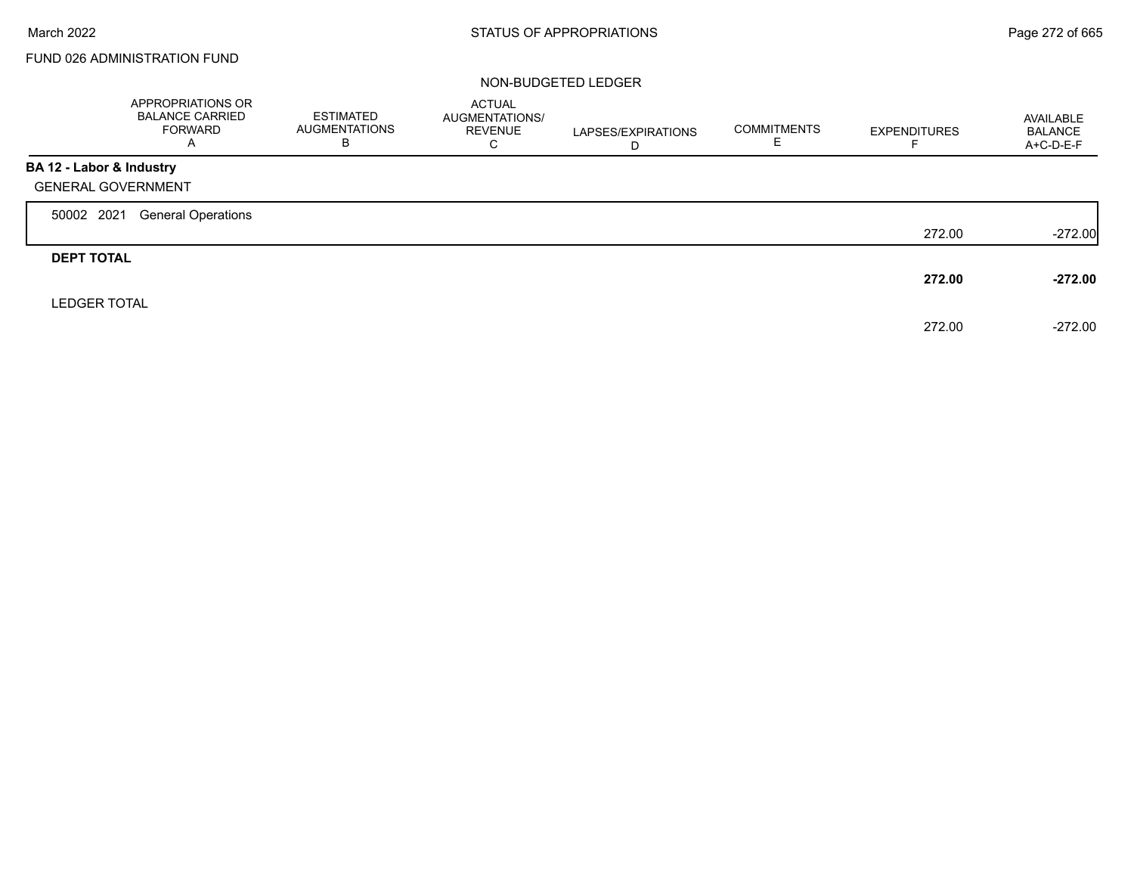# FUND 026 ADMINISTRATION FUND

|                           | APPROPRIATIONS OR<br><b>BALANCE CARRIED</b><br><b>FORWARD</b><br>A | <b>ESTIMATED</b><br>AUGMENTATIONS<br>В | ACTUAL<br><b>AUGMENTATIONS/</b><br>REVENUE<br>C | LAPSES/EXPIRATIONS<br>D | <b>COMMITMENTS</b><br>ᄇ | <b>EXPENDITURES</b> | AVAILABLE<br><b>BALANCE</b><br>A+C-D-E-F |
|---------------------------|--------------------------------------------------------------------|----------------------------------------|-------------------------------------------------|-------------------------|-------------------------|---------------------|------------------------------------------|
| BA 12 - Labor & Industry  |                                                                    |                                        |                                                 |                         |                         |                     |                                          |
| <b>GENERAL GOVERNMENT</b> |                                                                    |                                        |                                                 |                         |                         |                     |                                          |
| 50002 2021                | <b>General Operations</b>                                          |                                        |                                                 |                         |                         |                     |                                          |
|                           |                                                                    |                                        |                                                 |                         |                         | 272.00              | $-272.00$                                |
| <b>DEPT TOTAL</b>         |                                                                    |                                        |                                                 |                         |                         |                     |                                          |
|                           |                                                                    |                                        |                                                 |                         |                         | 272.00              | $-272.00$                                |
| <b>LEDGER TOTAL</b>       |                                                                    |                                        |                                                 |                         |                         |                     |                                          |
|                           |                                                                    |                                        |                                                 |                         |                         | 272.00              | $-272.00$                                |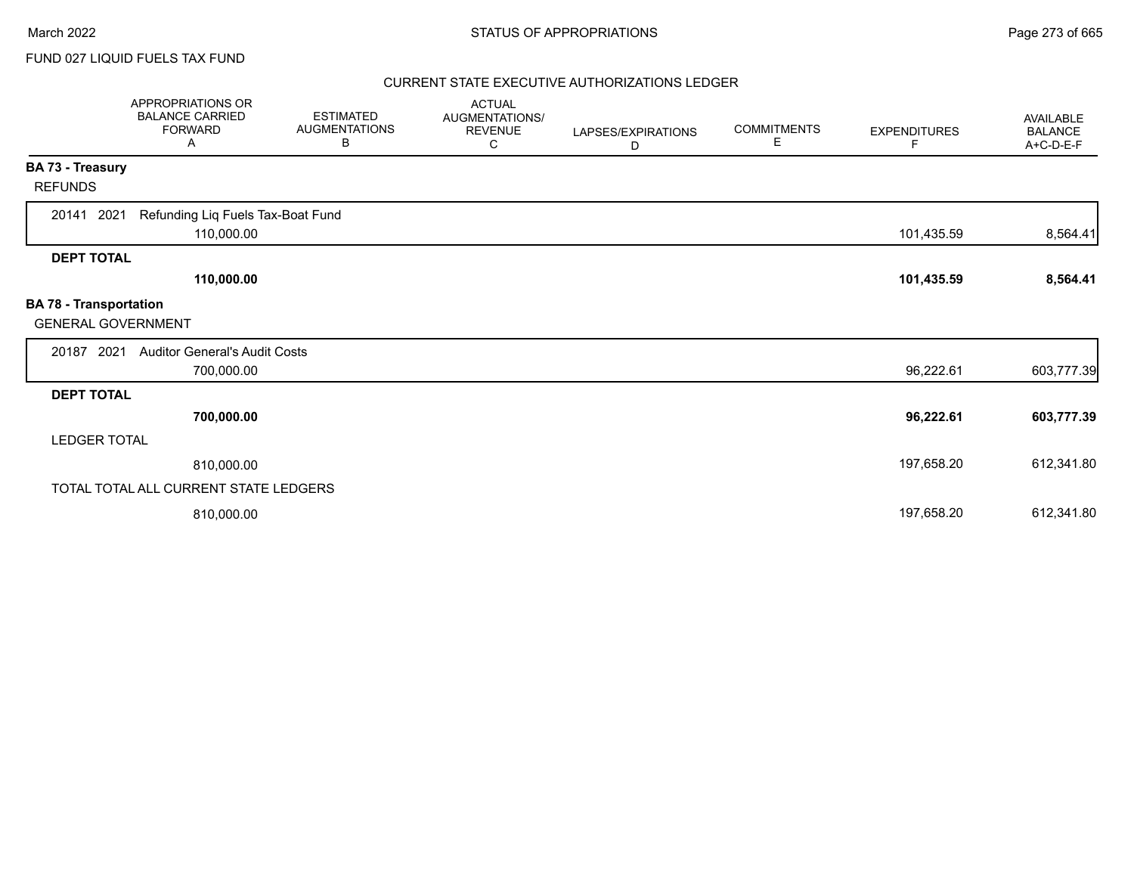# FUND 027 LIQUID FUELS TAX FUND

|                                                            | <b>APPROPRIATIONS OR</b><br><b>BALANCE CARRIED</b><br><b>FORWARD</b><br>Α | <b>ESTIMATED</b><br><b>AUGMENTATIONS</b><br>В | <b>ACTUAL</b><br><b>AUGMENTATIONS/</b><br><b>REVENUE</b><br>С | LAPSES/EXPIRATIONS<br>D | <b>COMMITMENTS</b><br>Е | <b>EXPENDITURES</b><br>F | AVAILABLE<br><b>BALANCE</b><br>A+C-D-E-F |
|------------------------------------------------------------|---------------------------------------------------------------------------|-----------------------------------------------|---------------------------------------------------------------|-------------------------|-------------------------|--------------------------|------------------------------------------|
| <b>BA 73 - Treasury</b>                                    |                                                                           |                                               |                                                               |                         |                         |                          |                                          |
| <b>REFUNDS</b>                                             |                                                                           |                                               |                                                               |                         |                         |                          |                                          |
| 2021<br>20141                                              | Refunding Liq Fuels Tax-Boat Fund<br>110,000.00                           |                                               |                                                               |                         |                         | 101,435.59               | 8,564.41                                 |
| <b>DEPT TOTAL</b>                                          |                                                                           |                                               |                                                               |                         |                         |                          |                                          |
|                                                            | 110,000.00                                                                |                                               |                                                               |                         |                         | 101,435.59               | 8,564.41                                 |
| <b>BA 78 - Transportation</b><br><b>GENERAL GOVERNMENT</b> |                                                                           |                                               |                                                               |                         |                         |                          |                                          |
| 20187 2021                                                 | <b>Auditor General's Audit Costs</b>                                      |                                               |                                                               |                         |                         |                          |                                          |
|                                                            | 700,000.00                                                                |                                               |                                                               |                         |                         | 96,222.61                | 603,777.39                               |
| <b>DEPT TOTAL</b>                                          |                                                                           |                                               |                                                               |                         |                         |                          |                                          |
|                                                            | 700,000.00                                                                |                                               |                                                               |                         |                         | 96,222.61                | 603,777.39                               |
| <b>LEDGER TOTAL</b>                                        |                                                                           |                                               |                                                               |                         |                         |                          |                                          |
|                                                            | 810,000.00                                                                |                                               |                                                               |                         |                         | 197,658.20               | 612,341.80                               |
|                                                            | TOTAL TOTAL ALL CURRENT STATE LEDGERS                                     |                                               |                                                               |                         |                         |                          |                                          |
|                                                            | 810,000.00                                                                |                                               |                                                               |                         |                         | 197,658.20               | 612,341.80                               |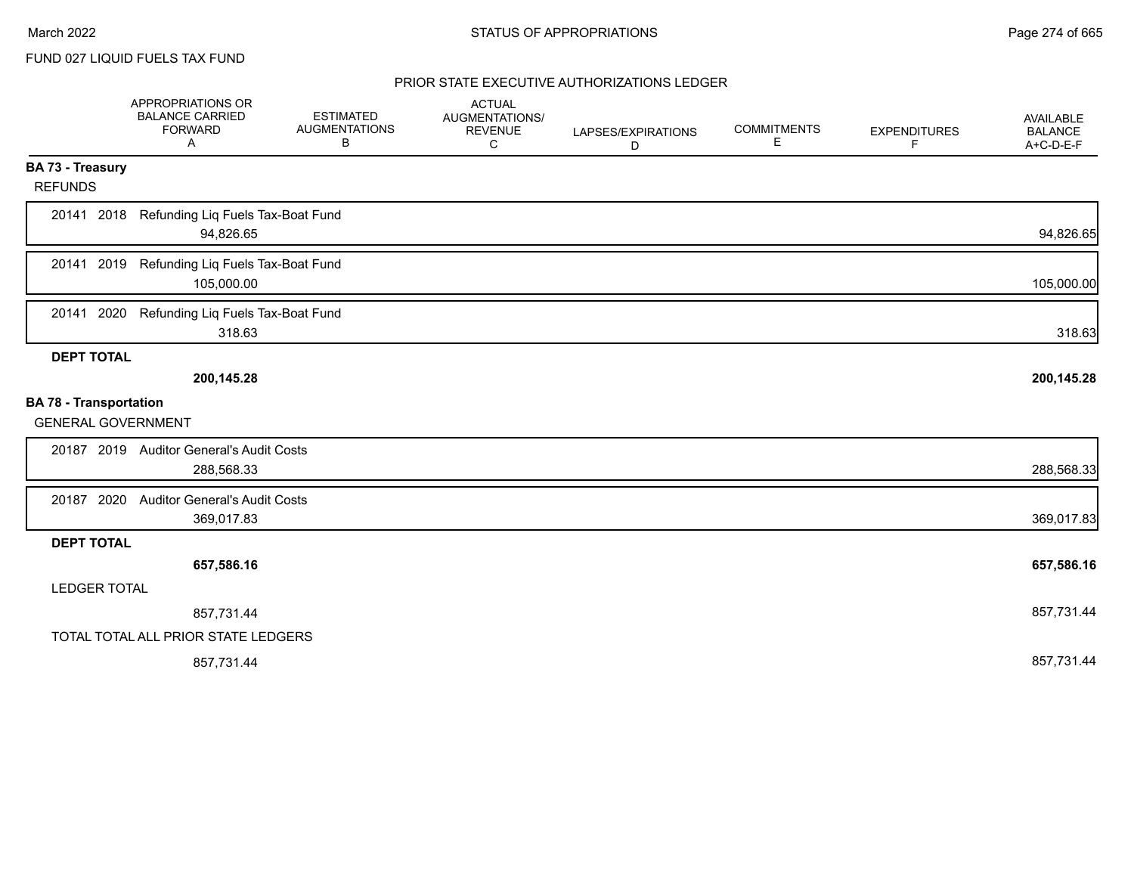FUND 027 LIQUID FUELS TAX FUND

|                               | APPROPRIATIONS OR<br><b>BALANCE CARRIED</b><br><b>FORWARD</b><br>Α | <b>ESTIMATED</b><br><b>AUGMENTATIONS</b><br>В | <b>ACTUAL</b><br>AUGMENTATIONS/<br><b>REVENUE</b><br>C | LAPSES/EXPIRATIONS<br>D | <b>COMMITMENTS</b><br>Е | <b>EXPENDITURES</b><br>F | AVAILABLE<br><b>BALANCE</b><br>A+C-D-E-F |
|-------------------------------|--------------------------------------------------------------------|-----------------------------------------------|--------------------------------------------------------|-------------------------|-------------------------|--------------------------|------------------------------------------|
| BA 73 - Treasury              |                                                                    |                                               |                                                        |                         |                         |                          |                                          |
| <b>REFUNDS</b>                |                                                                    |                                               |                                                        |                         |                         |                          |                                          |
| 20141 2018                    | Refunding Liq Fuels Tax-Boat Fund<br>94,826.65                     |                                               |                                                        |                         |                         |                          | 94,826.65                                |
| 20141 2019                    | Refunding Liq Fuels Tax-Boat Fund<br>105,000.00                    |                                               |                                                        |                         |                         |                          | 105,000.00                               |
| 2020<br>20141                 | Refunding Liq Fuels Tax-Boat Fund<br>318.63                        |                                               |                                                        |                         |                         |                          | 318.63                                   |
| <b>DEPT TOTAL</b>             |                                                                    |                                               |                                                        |                         |                         |                          |                                          |
|                               | 200,145.28                                                         |                                               |                                                        |                         |                         |                          | 200,145.28                               |
| <b>BA 78 - Transportation</b> |                                                                    |                                               |                                                        |                         |                         |                          |                                          |
| <b>GENERAL GOVERNMENT</b>     |                                                                    |                                               |                                                        |                         |                         |                          |                                          |
|                               | 20187 2019 Auditor General's Audit Costs                           |                                               |                                                        |                         |                         |                          |                                          |
|                               | 288,568.33                                                         |                                               |                                                        |                         |                         |                          | 288,568.33                               |
| 20187 2020                    | <b>Auditor General's Audit Costs</b>                               |                                               |                                                        |                         |                         |                          |                                          |
|                               | 369,017.83                                                         |                                               |                                                        |                         |                         |                          | 369,017.83                               |
| <b>DEPT TOTAL</b>             |                                                                    |                                               |                                                        |                         |                         |                          |                                          |
|                               | 657,586.16                                                         |                                               |                                                        |                         |                         |                          | 657,586.16                               |
| <b>LEDGER TOTAL</b>           |                                                                    |                                               |                                                        |                         |                         |                          |                                          |
|                               | 857,731.44                                                         |                                               |                                                        |                         |                         |                          | 857,731.44                               |
|                               | TOTAL TOTAL ALL PRIOR STATE LEDGERS                                |                                               |                                                        |                         |                         |                          |                                          |
|                               | 857,731.44                                                         |                                               |                                                        |                         |                         |                          | 857,731.44                               |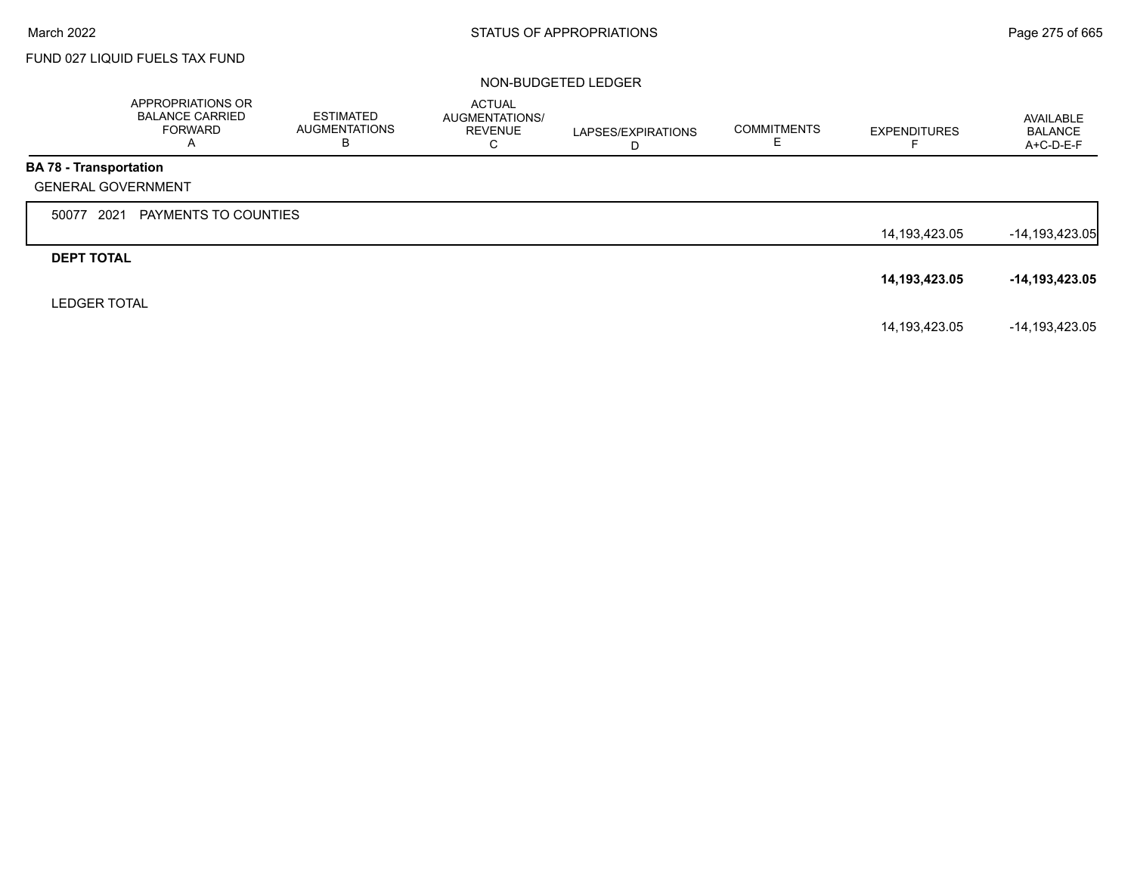# FUND 027 LIQUID FUELS TAX FUND

|                               | APPROPRIATIONS OR<br><b>BALANCE CARRIED</b><br><b>FORWARD</b><br>A | <b>ESTIMATED</b><br>AUGMENTATIONS<br>в | <b>ACTUAL</b><br><b>AUGMENTATIONS/</b><br><b>REVENUE</b><br>◡ | LAPSES/EXPIRATIONS<br>D | <b>COMMITMENTS</b> | <b>EXPENDITURES</b> | AVAILABLE<br><b>BALANCE</b><br>$A+C-D-E-F$ |
|-------------------------------|--------------------------------------------------------------------|----------------------------------------|---------------------------------------------------------------|-------------------------|--------------------|---------------------|--------------------------------------------|
| <b>BA 78 - Transportation</b> |                                                                    |                                        |                                                               |                         |                    |                     |                                            |
|                               | <b>GENERAL GOVERNMENT</b>                                          |                                        |                                                               |                         |                    |                     |                                            |
| 50077                         | 2021<br>PAYMENTS TO COUNTIES                                       |                                        |                                                               |                         |                    |                     |                                            |
|                               |                                                                    |                                        |                                                               |                         |                    | 14,193,423.05       | $-14, 193, 423.05$                         |
| <b>DEPT TOTAL</b>             |                                                                    |                                        |                                                               |                         |                    |                     |                                            |
|                               |                                                                    |                                        |                                                               |                         |                    | 14,193,423.05       | -14,193,423.05                             |
| <b>LEDGER TOTAL</b>           |                                                                    |                                        |                                                               |                         |                    |                     |                                            |
|                               |                                                                    |                                        |                                                               |                         |                    | 14,193,423.05       | -14,193,423.05                             |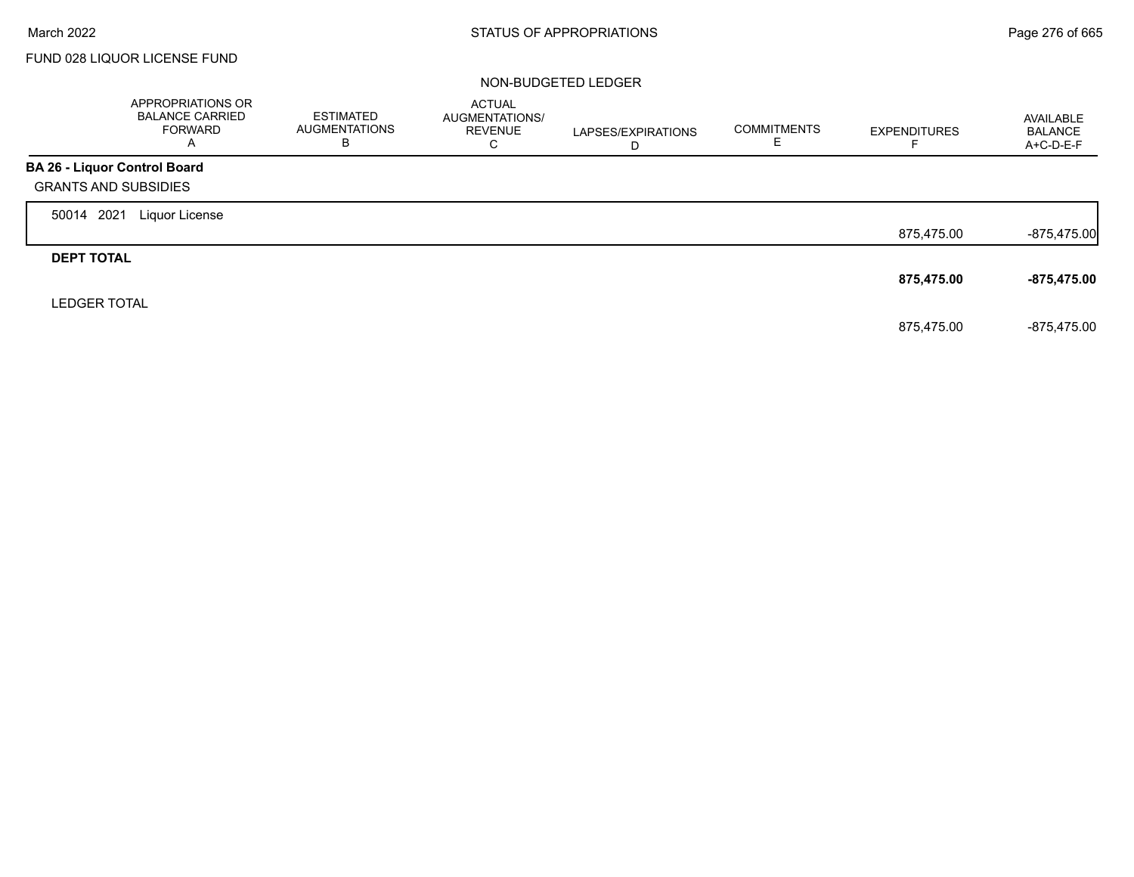г

# FUND 028 LIQUOR LICENSE FUND

|                                     | APPROPRIATIONS OR<br><b>BALANCE CARRIED</b><br>FORWARD<br>A | <b>ESTIMATED</b><br><b>AUGMENTATIONS</b><br>в | <b>ACTUAL</b><br>AUGMENTATIONS/<br><b>REVENUE</b><br>C | LAPSES/EXPIRATIONS<br>D | <b>COMMITMENTS</b><br>Е | <b>EXPENDITURES</b> | AVAILABLE<br><b>BALANCE</b><br>A+C-D-E-F |
|-------------------------------------|-------------------------------------------------------------|-----------------------------------------------|--------------------------------------------------------|-------------------------|-------------------------|---------------------|------------------------------------------|
| <b>BA 26 - Liquor Control Board</b> |                                                             |                                               |                                                        |                         |                         |                     |                                          |
| <b>GRANTS AND SUBSIDIES</b>         |                                                             |                                               |                                                        |                         |                         |                     |                                          |
| 2021<br>50014                       | Liquor License                                              |                                               |                                                        |                         |                         |                     |                                          |
|                                     |                                                             |                                               |                                                        |                         |                         | 875,475.00          | $-875,475.00$                            |
| <b>DEPT TOTAL</b>                   |                                                             |                                               |                                                        |                         |                         |                     |                                          |
|                                     |                                                             |                                               |                                                        |                         |                         | 875,475.00          | -875,475.00                              |
| <b>LEDGER TOTAL</b>                 |                                                             |                                               |                                                        |                         |                         |                     |                                          |
|                                     |                                                             |                                               |                                                        |                         |                         | 875.475.00          | -875.475.00                              |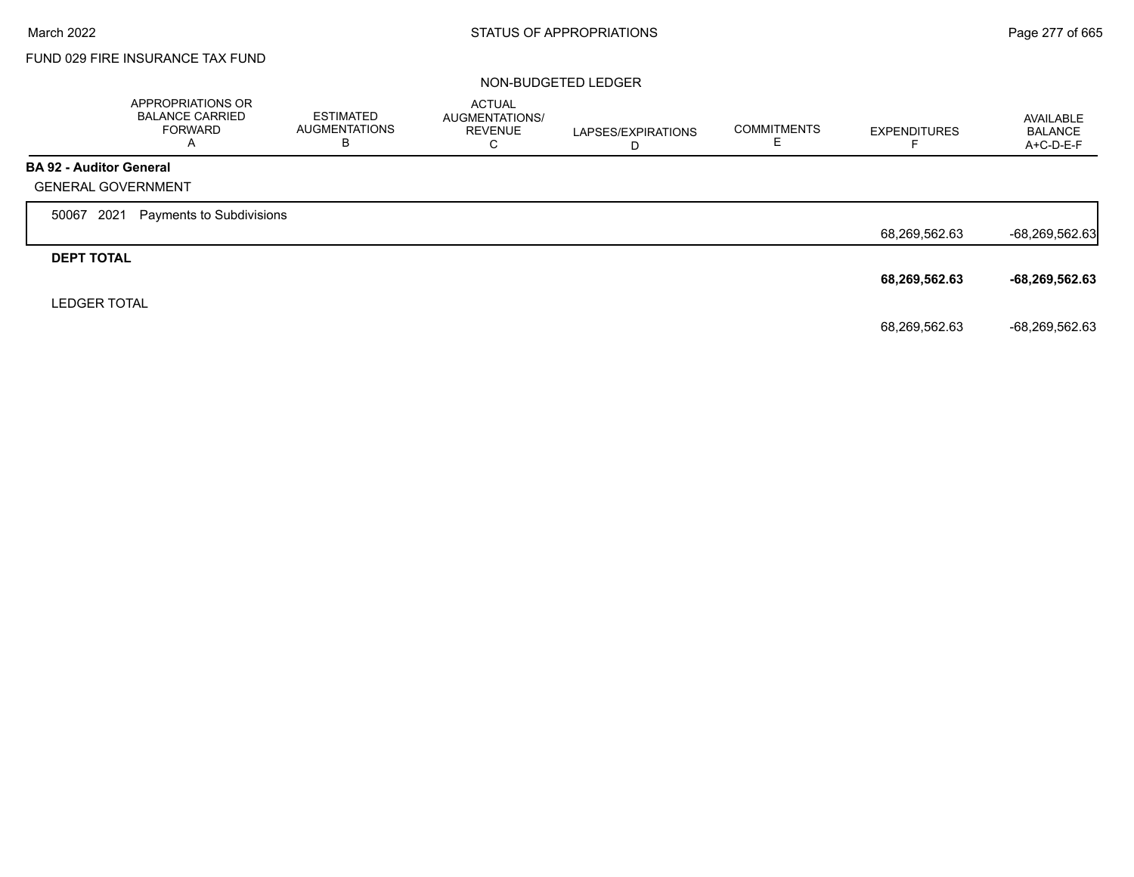# FUND 029 FIRE INSURANCE TAX FUND

|                                | APPROPRIATIONS OR<br><b>BALANCE CARRIED</b><br><b>FORWARD</b><br>Α | <b>ESTIMATED</b><br><b>AUGMENTATIONS</b><br>в | <b>ACTUAL</b><br>AUGMENTATIONS/<br><b>REVENUE</b><br>C | LAPSES/EXPIRATIONS<br>D | <b>COMMITMENTS</b><br>ᄂ | <b>EXPENDITURES</b> | <b>AVAILABLE</b><br><b>BALANCE</b><br>$A+C-D-E-F$ |
|--------------------------------|--------------------------------------------------------------------|-----------------------------------------------|--------------------------------------------------------|-------------------------|-------------------------|---------------------|---------------------------------------------------|
| <b>BA 92 - Auditor General</b> |                                                                    |                                               |                                                        |                         |                         |                     |                                                   |
| <b>GENERAL GOVERNMENT</b>      |                                                                    |                                               |                                                        |                         |                         |                     |                                                   |
| 2021<br>50067                  | Payments to Subdivisions                                           |                                               |                                                        |                         |                         |                     |                                                   |
|                                |                                                                    |                                               |                                                        |                         |                         | 68,269,562.63       | -68,269,562.63                                    |
| <b>DEPT TOTAL</b>              |                                                                    |                                               |                                                        |                         |                         |                     |                                                   |
|                                |                                                                    |                                               |                                                        |                         |                         | 68,269,562.63       | -68,269,562.63                                    |
| <b>LEDGER TOTAL</b>            |                                                                    |                                               |                                                        |                         |                         |                     |                                                   |
|                                |                                                                    |                                               |                                                        |                         |                         | 68,269,562.63       | -68,269,562.63                                    |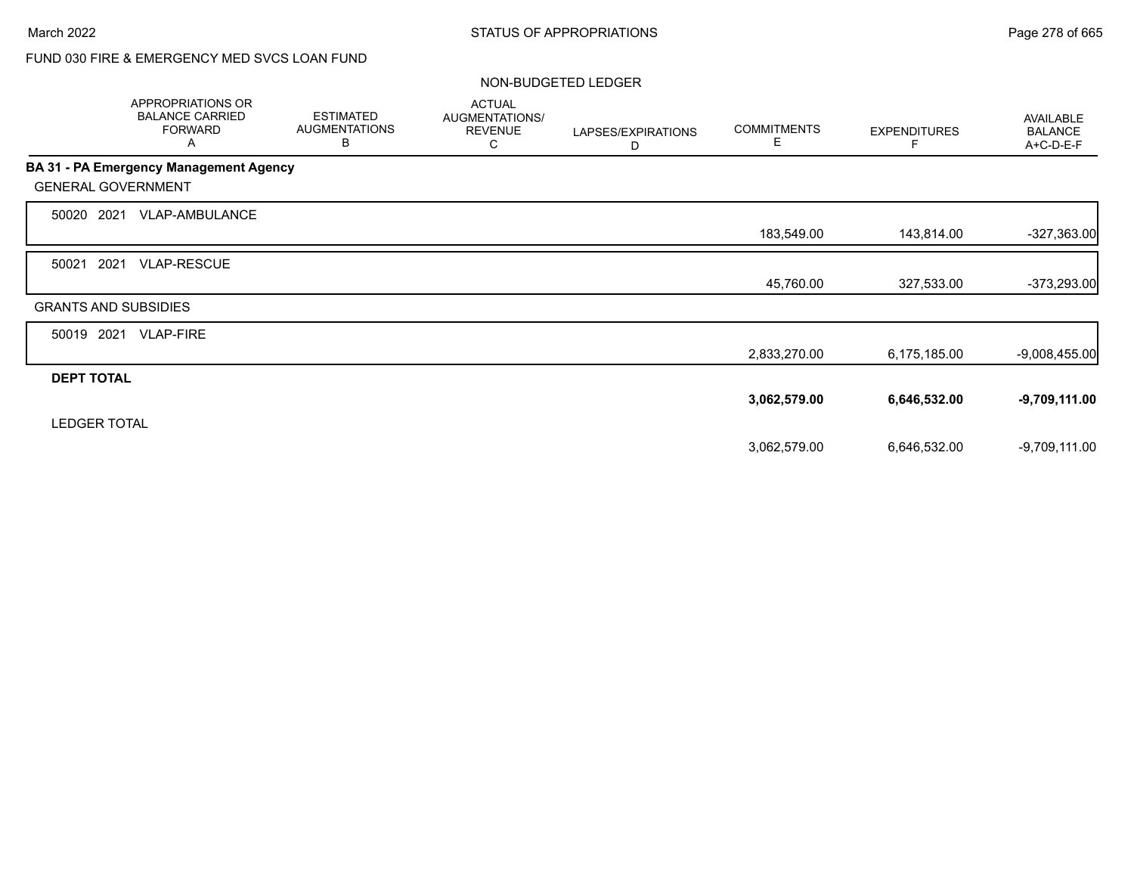# FUND 030 FIRE & EMERGENCY MED SVCS LOAN FUND

|                             | <b>APPROPRIATIONS OR</b><br><b>BALANCE CARRIED</b><br><b>FORWARD</b><br>A | <b>ESTIMATED</b><br><b>AUGMENTATIONS</b><br>B | <b>ACTUAL</b><br>AUGMENTATIONS/<br><b>REVENUE</b><br>С | LAPSES/EXPIRATIONS<br>D | <b>COMMITMENTS</b><br>Е | <b>EXPENDITURES</b><br>F. | <b>AVAILABLE</b><br><b>BALANCE</b><br>A+C-D-E-F |
|-----------------------------|---------------------------------------------------------------------------|-----------------------------------------------|--------------------------------------------------------|-------------------------|-------------------------|---------------------------|-------------------------------------------------|
|                             | BA 31 - PA Emergency Management Agency                                    |                                               |                                                        |                         |                         |                           |                                                 |
| <b>GENERAL GOVERNMENT</b>   |                                                                           |                                               |                                                        |                         |                         |                           |                                                 |
| 2021<br>50020               | VLAP-AMBULANCE                                                            |                                               |                                                        |                         |                         |                           |                                                 |
|                             |                                                                           |                                               |                                                        |                         | 183,549.00              | 143,814.00                | $-327,363.00$                                   |
| 2021<br>50021               | <b>VLAP-RESCUE</b>                                                        |                                               |                                                        |                         |                         |                           |                                                 |
|                             |                                                                           |                                               |                                                        |                         | 45,760.00               | 327,533.00                | $-373,293.00$                                   |
| <b>GRANTS AND SUBSIDIES</b> |                                                                           |                                               |                                                        |                         |                         |                           |                                                 |
| 50019 2021                  | <b>VLAP-FIRE</b>                                                          |                                               |                                                        |                         |                         |                           |                                                 |
|                             |                                                                           |                                               |                                                        |                         | 2,833,270.00            | 6,175,185.00              | $-9,008,455.00$                                 |
| <b>DEPT TOTAL</b>           |                                                                           |                                               |                                                        |                         |                         |                           |                                                 |
|                             |                                                                           |                                               |                                                        |                         | 3,062,579.00            | 6,646,532.00              | $-9,709,111.00$                                 |
| <b>LEDGER TOTAL</b>         |                                                                           |                                               |                                                        |                         |                         |                           |                                                 |
|                             |                                                                           |                                               |                                                        |                         | 3,062,579.00            | 6,646,532.00              | $-9,709,111.00$                                 |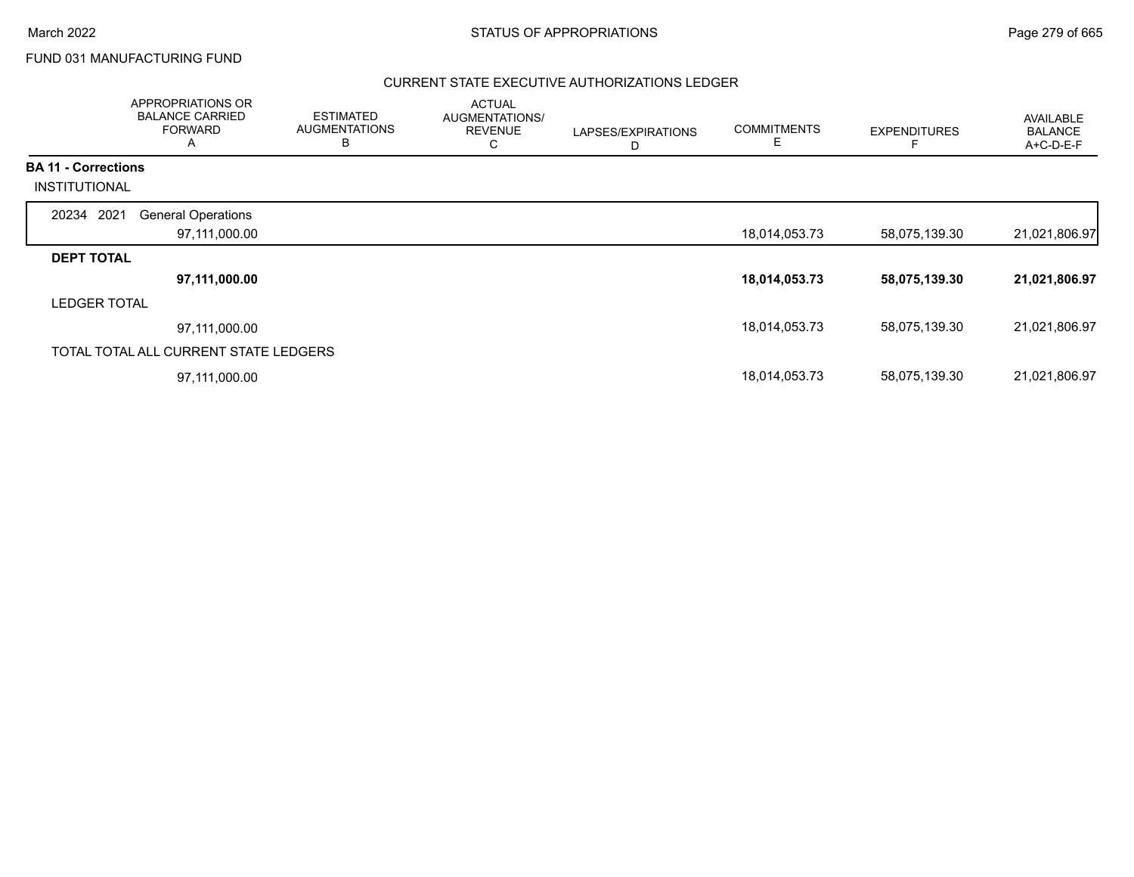FUND 031 MANUFACTURING FUND

|                            | APPROPRIATIONS OR<br><b>BALANCE CARRIED</b><br><b>FORWARD</b><br>A | <b>ESTIMATED</b><br><b>AUGMENTATIONS</b><br>B | <b>ACTUAL</b><br>AUGMENTATIONS/<br><b>REVENUE</b><br>С | LAPSES/EXPIRATIONS<br>D | <b>COMMITMENTS</b><br>Ε | <b>EXPENDITURES</b> | AVAILABLE<br><b>BALANCE</b><br>A+C-D-E-F |
|----------------------------|--------------------------------------------------------------------|-----------------------------------------------|--------------------------------------------------------|-------------------------|-------------------------|---------------------|------------------------------------------|
| <b>BA 11 - Corrections</b> |                                                                    |                                               |                                                        |                         |                         |                     |                                          |
| INSTITUTIONAL              |                                                                    |                                               |                                                        |                         |                         |                     |                                          |
| 20234 2021                 | <b>General Operations</b>                                          |                                               |                                                        |                         |                         |                     |                                          |
|                            | 97,111,000.00                                                      |                                               |                                                        |                         | 18,014,053.73           | 58,075,139.30       | 21,021,806.97                            |
| <b>DEPT TOTAL</b>          |                                                                    |                                               |                                                        |                         |                         |                     |                                          |
|                            | 97,111,000.00                                                      |                                               |                                                        |                         | 18,014,053.73           | 58,075,139.30       | 21,021,806.97                            |
| <b>LEDGER TOTAL</b>        |                                                                    |                                               |                                                        |                         |                         |                     |                                          |
|                            | 97,111,000.00                                                      |                                               |                                                        |                         | 18,014,053.73           | 58,075,139.30       | 21,021,806.97                            |
|                            | TOTAL TOTAL ALL CURRENT STATE LEDGERS                              |                                               |                                                        |                         |                         |                     |                                          |
|                            | 97,111,000.00                                                      |                                               |                                                        |                         | 18,014,053.73           | 58,075,139.30       | 21,021,806.97                            |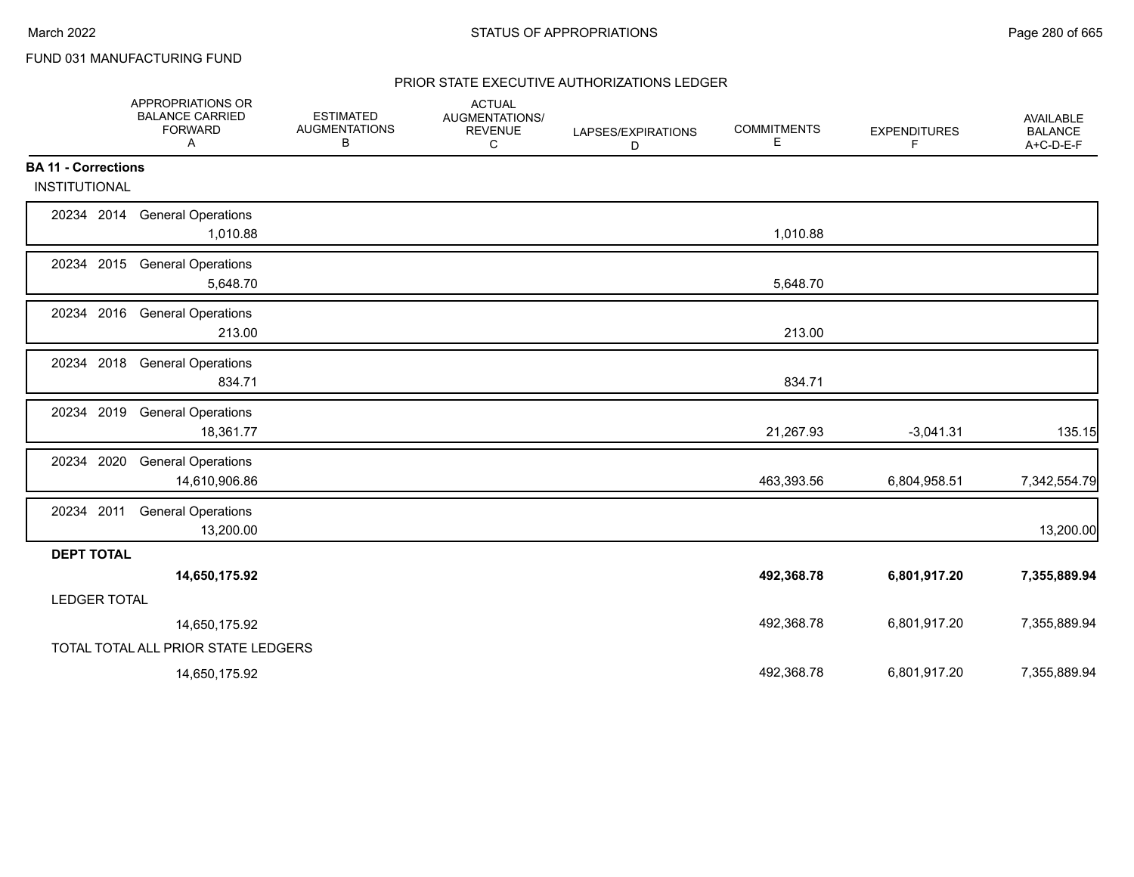# FUND 031 MANUFACTURING FUND

|                            | APPROPRIATIONS OR<br><b>BALANCE CARRIED</b><br><b>FORWARD</b><br>Α | <b>ESTIMATED</b><br><b>AUGMENTATIONS</b><br>в | <b>ACTUAL</b><br>AUGMENTATIONS/<br><b>REVENUE</b><br>C | LAPSES/EXPIRATIONS<br>D | <b>COMMITMENTS</b><br>Е | <b>EXPENDITURES</b><br>F | AVAILABLE<br><b>BALANCE</b><br>A+C-D-E-F |
|----------------------------|--------------------------------------------------------------------|-----------------------------------------------|--------------------------------------------------------|-------------------------|-------------------------|--------------------------|------------------------------------------|
| <b>BA 11 - Corrections</b> |                                                                    |                                               |                                                        |                         |                         |                          |                                          |
| <b>INSTITUTIONAL</b>       |                                                                    |                                               |                                                        |                         |                         |                          |                                          |
|                            | 20234 2014 General Operations<br>1,010.88                          |                                               |                                                        |                         | 1,010.88                |                          |                                          |
|                            | 20234 2015 General Operations<br>5,648.70                          |                                               |                                                        |                         | 5,648.70                |                          |                                          |
|                            | 20234 2016 General Operations<br>213.00                            |                                               |                                                        |                         | 213.00                  |                          |                                          |
| 20234 2018                 | <b>General Operations</b><br>834.71                                |                                               |                                                        |                         | 834.71                  |                          |                                          |
| 20234 2019                 | <b>General Operations</b><br>18,361.77                             |                                               |                                                        |                         | 21,267.93               | $-3,041.31$              | 135.15                                   |
| 20234 2020                 | <b>General Operations</b><br>14,610,906.86                         |                                               |                                                        |                         | 463,393.56              | 6,804,958.51             | 7,342,554.79                             |
| 20234 2011                 | <b>General Operations</b><br>13,200.00                             |                                               |                                                        |                         |                         |                          | 13,200.00                                |
| <b>DEPT TOTAL</b>          |                                                                    |                                               |                                                        |                         |                         |                          |                                          |
|                            | 14,650,175.92                                                      |                                               |                                                        |                         | 492,368.78              | 6,801,917.20             | 7,355,889.94                             |
| <b>LEDGER TOTAL</b>        |                                                                    |                                               |                                                        |                         |                         |                          |                                          |
|                            | 14,650,175.92                                                      |                                               |                                                        |                         | 492,368.78              | 6,801,917.20             | 7,355,889.94                             |
|                            | TOTAL TOTAL ALL PRIOR STATE LEDGERS                                |                                               |                                                        |                         |                         |                          |                                          |
|                            | 14,650,175.92                                                      |                                               |                                                        |                         | 492,368.78              | 6,801,917.20             | 7,355,889.94                             |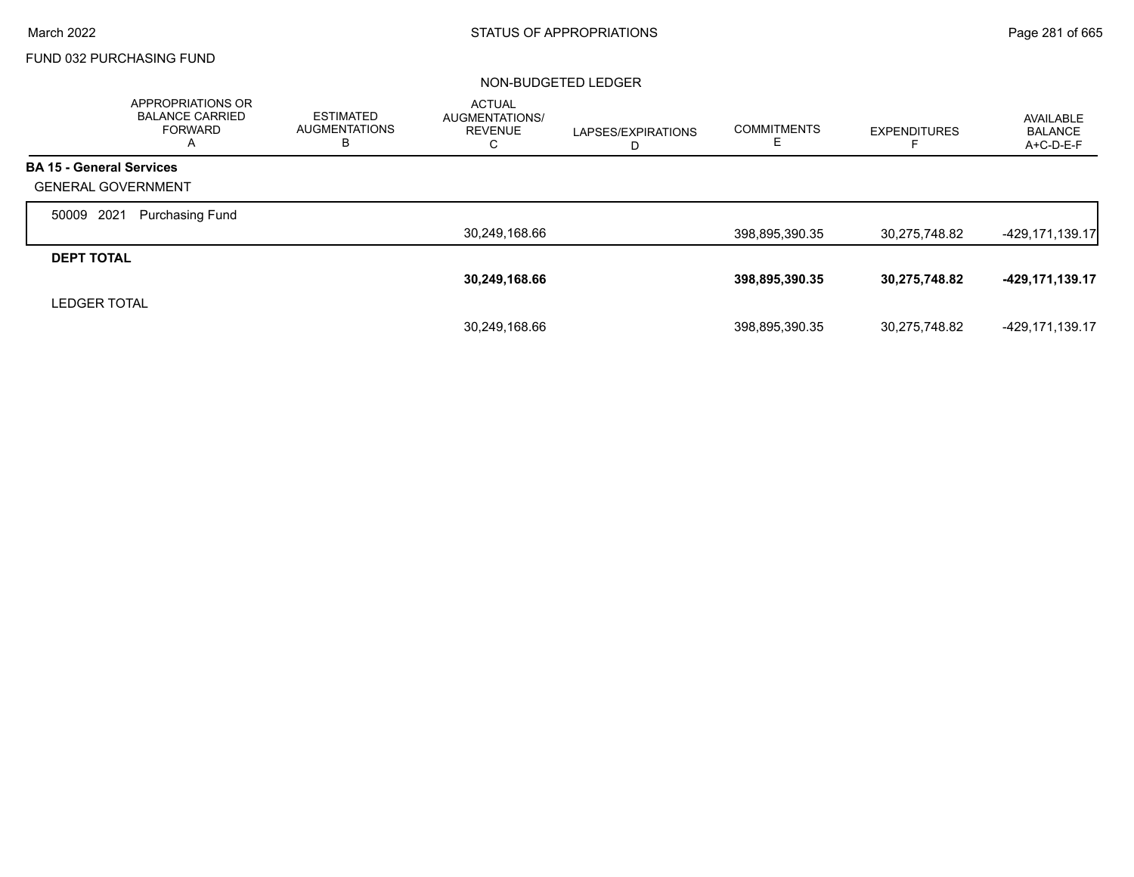# FUND 032 PURCHASING FUND

|                                 | APPROPRIATIONS OR<br><b>BALANCE CARRIED</b><br><b>FORWARD</b><br>A | <b>ESTIMATED</b><br><b>AUGMENTATIONS</b><br>в | <b>ACTUAL</b><br>AUGMENTATIONS/<br><b>REVENUE</b><br>С | LAPSES/EXPIRATIONS<br>D | <b>COMMITMENTS</b><br>ᄂ | <b>EXPENDITURES</b> | AVAILABLE<br><b>BALANCE</b><br>A+C-D-E-F |
|---------------------------------|--------------------------------------------------------------------|-----------------------------------------------|--------------------------------------------------------|-------------------------|-------------------------|---------------------|------------------------------------------|
| <b>BA 15 - General Services</b> |                                                                    |                                               |                                                        |                         |                         |                     |                                          |
| <b>GENERAL GOVERNMENT</b>       |                                                                    |                                               |                                                        |                         |                         |                     |                                          |
| 2021<br>50009                   | <b>Purchasing Fund</b>                                             |                                               |                                                        |                         |                         |                     |                                          |
|                                 |                                                                    |                                               | 30,249,168.66                                          |                         | 398,895,390.35          | 30,275,748.82       | $-429, 171, 139.17$                      |
| <b>DEPT TOTAL</b>               |                                                                    |                                               |                                                        |                         |                         |                     |                                          |
|                                 |                                                                    |                                               | 30,249,168.66                                          |                         | 398,895,390.35          | 30,275,748.82       | -429,171,139.17                          |
| <b>LEDGER TOTAL</b>             |                                                                    |                                               |                                                        |                         |                         |                     |                                          |
|                                 |                                                                    |                                               | 30.249.168.66                                          |                         | 398,895,390.35          | 30,275,748.82       | -429,171,139.17                          |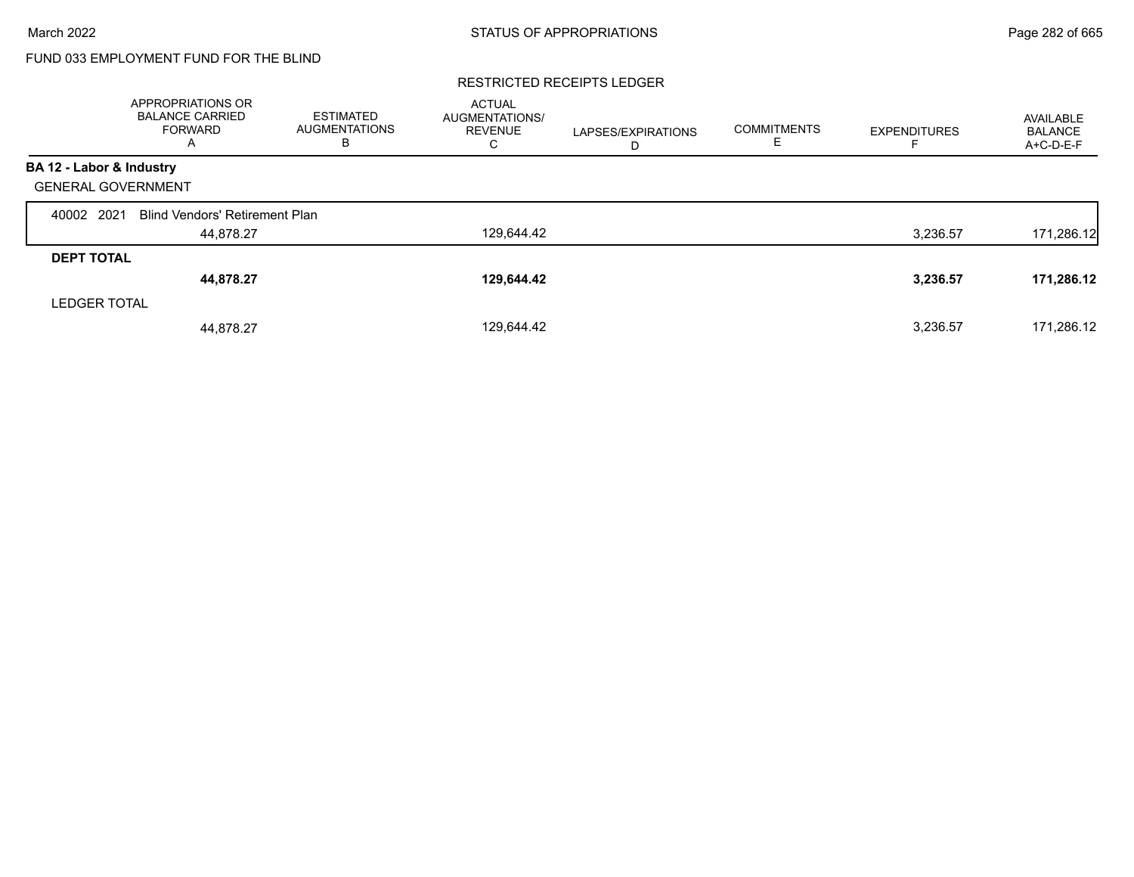# FUND 033 EMPLOYMENT FUND FOR THE BLIND

#### RESTRICTED RECEIPTS LEDGER

|                           | <b>APPROPRIATIONS OR</b><br><b>BALANCE CARRIED</b><br><b>FORWARD</b><br>A | <b>ESTIMATED</b><br><b>AUGMENTATIONS</b><br>в | <b>ACTUAL</b><br>AUGMENTATIONS/<br><b>REVENUE</b><br>С | LAPSES/EXPIRATIONS<br>D | <b>COMMITMENTS</b><br>ᄇ | <b>EXPENDITURES</b> | AVAILABLE<br><b>BALANCE</b><br>A+C-D-E-F |
|---------------------------|---------------------------------------------------------------------------|-----------------------------------------------|--------------------------------------------------------|-------------------------|-------------------------|---------------------|------------------------------------------|
| BA 12 - Labor & Industry  |                                                                           |                                               |                                                        |                         |                         |                     |                                          |
| <b>GENERAL GOVERNMENT</b> |                                                                           |                                               |                                                        |                         |                         |                     |                                          |
| 40002 2021                | <b>Blind Vendors' Retirement Plan</b>                                     |                                               |                                                        |                         |                         |                     |                                          |
|                           | 44.878.27                                                                 |                                               | 129,644.42                                             |                         |                         | 3,236.57            | 171,286.12                               |
| <b>DEPT TOTAL</b>         |                                                                           |                                               |                                                        |                         |                         |                     |                                          |
|                           | 44,878.27                                                                 |                                               | 129,644.42                                             |                         |                         | 3,236.57            | 171,286.12                               |
| <b>LEDGER TOTAL</b>       |                                                                           |                                               |                                                        |                         |                         |                     |                                          |
|                           | 44.878.27                                                                 |                                               | 129,644.42                                             |                         |                         | 3,236.57            | 171,286.12                               |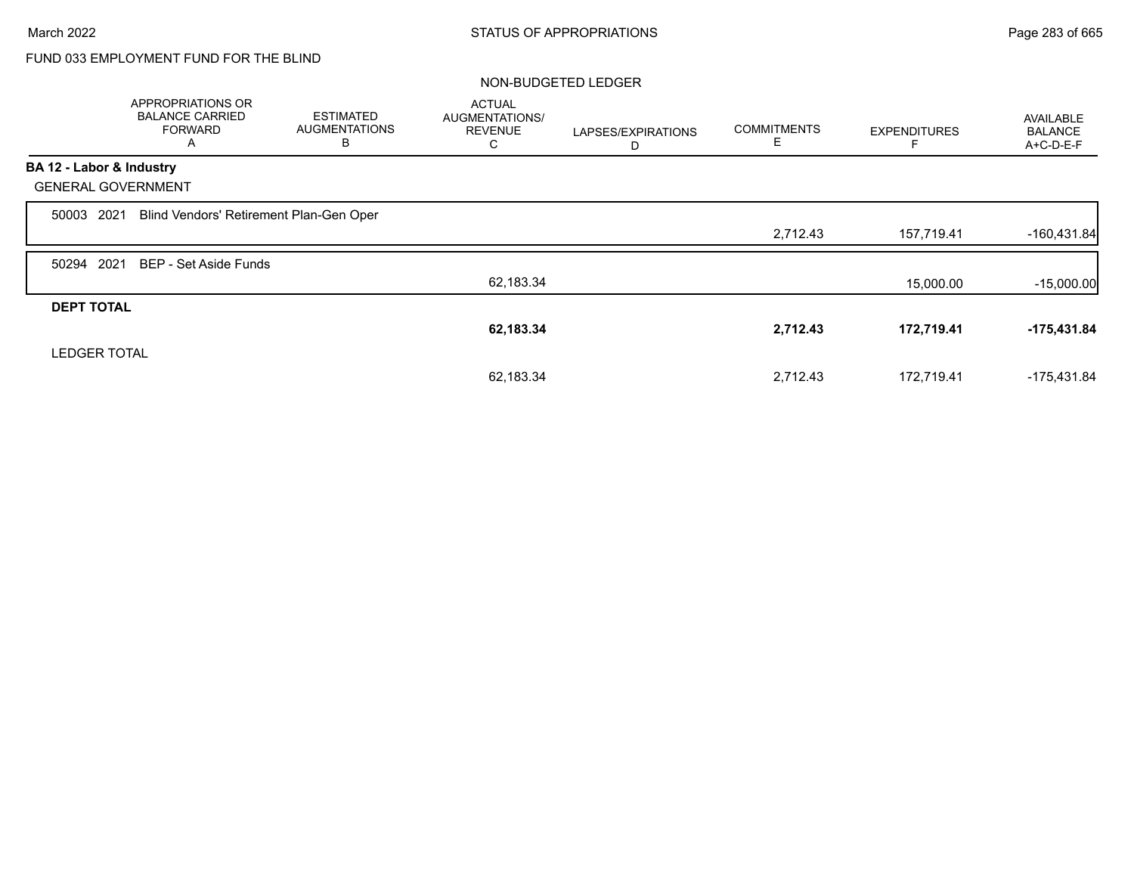# FUND 033 EMPLOYMENT FUND FOR THE BLIND

|                           | APPROPRIATIONS OR<br><b>BALANCE CARRIED</b><br><b>FORWARD</b><br>A | <b>ESTIMATED</b><br><b>AUGMENTATIONS</b><br>В | <b>ACTUAL</b><br>AUGMENTATIONS/<br><b>REVENUE</b><br>U | LAPSES/EXPIRATIONS<br>D | <b>COMMITMENTS</b><br>E | <b>EXPENDITURES</b> | AVAILABLE<br><b>BALANCE</b><br>A+C-D-E-F |
|---------------------------|--------------------------------------------------------------------|-----------------------------------------------|--------------------------------------------------------|-------------------------|-------------------------|---------------------|------------------------------------------|
| BA 12 - Labor & Industry  |                                                                    |                                               |                                                        |                         |                         |                     |                                          |
| <b>GENERAL GOVERNMENT</b> |                                                                    |                                               |                                                        |                         |                         |                     |                                          |
| 2021<br>50003             | Blind Vendors' Retirement Plan-Gen Oper                            |                                               |                                                        |                         |                         |                     |                                          |
|                           |                                                                    |                                               |                                                        |                         | 2,712.43                | 157,719.41          | $-160,431.84$                            |
| 2021<br>50294             | BEP - Set Aside Funds                                              |                                               |                                                        |                         |                         |                     |                                          |
|                           |                                                                    |                                               | 62,183.34                                              |                         |                         | 15,000.00           | $-15,000.00$                             |
| <b>DEPT TOTAL</b>         |                                                                    |                                               |                                                        |                         |                         |                     |                                          |
|                           |                                                                    |                                               | 62,183.34                                              |                         | 2,712.43                | 172,719.41          | $-175,431.84$                            |
| <b>LEDGER TOTAL</b>       |                                                                    |                                               |                                                        |                         |                         |                     |                                          |
|                           |                                                                    |                                               | 62,183.34                                              |                         | 2,712.43                | 172,719.41          | $-175,431.84$                            |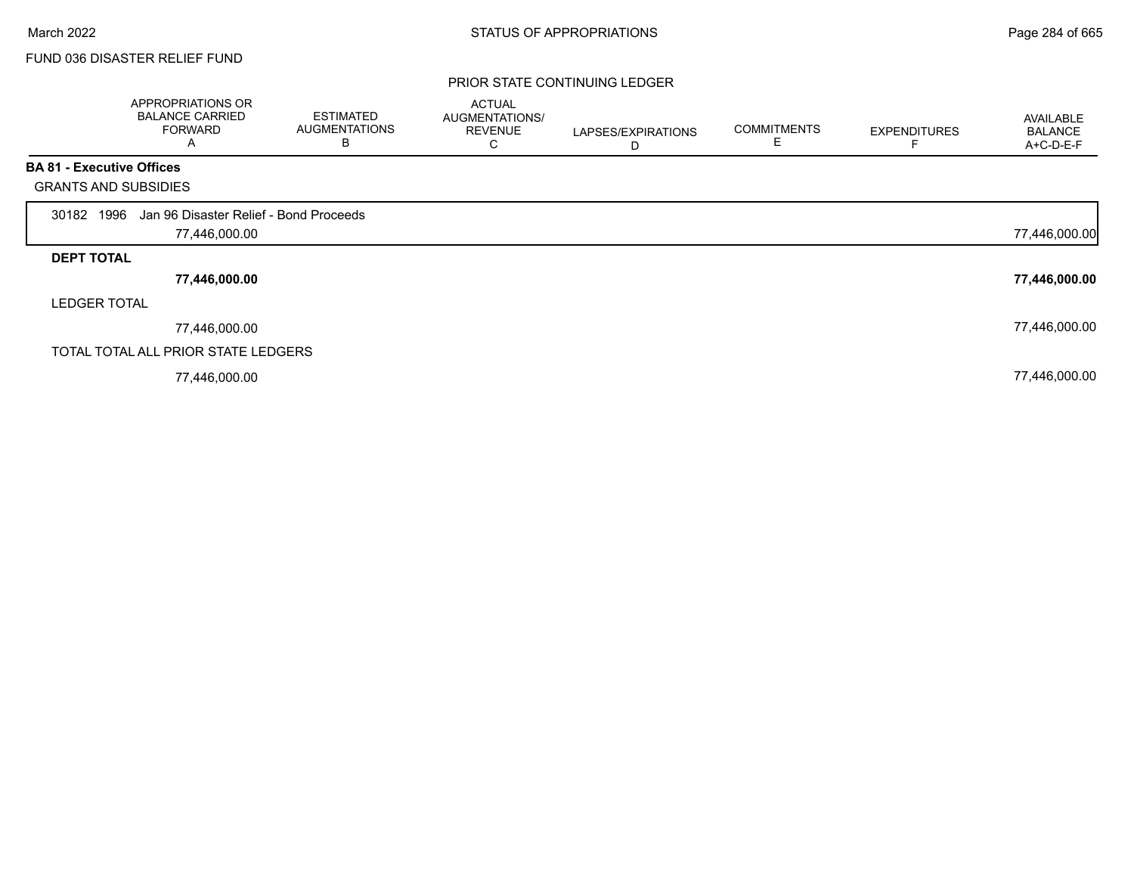# FUND 036 DISASTER RELIEF FUND

#### PRIOR STATE CONTINUING LEDGER

|                                  | APPROPRIATIONS OR<br><b>BALANCE CARRIED</b><br><b>FORWARD</b><br>A | <b>ESTIMATED</b><br><b>AUGMENTATIONS</b><br>B | <b>ACTUAL</b><br>AUGMENTATIONS/<br><b>REVENUE</b><br>C | LAPSES/EXPIRATIONS<br>D | <b>COMMITMENTS</b><br>E | <b>EXPENDITURES</b> | AVAILABLE<br><b>BALANCE</b><br>A+C-D-E-F |
|----------------------------------|--------------------------------------------------------------------|-----------------------------------------------|--------------------------------------------------------|-------------------------|-------------------------|---------------------|------------------------------------------|
| <b>BA 81 - Executive Offices</b> |                                                                    |                                               |                                                        |                         |                         |                     |                                          |
| <b>GRANTS AND SUBSIDIES</b>      |                                                                    |                                               |                                                        |                         |                         |                     |                                          |
| 30182 1996                       | Jan 96 Disaster Relief - Bond Proceeds                             |                                               |                                                        |                         |                         |                     |                                          |
|                                  | 77,446,000.00                                                      |                                               |                                                        |                         |                         |                     | 77,446,000.00                            |
| <b>DEPT TOTAL</b>                |                                                                    |                                               |                                                        |                         |                         |                     |                                          |
|                                  | 77,446,000.00                                                      |                                               |                                                        |                         |                         |                     | 77,446,000.00                            |
| <b>LEDGER TOTAL</b>              |                                                                    |                                               |                                                        |                         |                         |                     |                                          |
|                                  | 77,446,000.00                                                      |                                               |                                                        |                         |                         |                     | 77,446,000.00                            |
|                                  | TOTAL TOTAL ALL PRIOR STATE LEDGERS                                |                                               |                                                        |                         |                         |                     |                                          |
|                                  | 77,446,000.00                                                      |                                               |                                                        |                         |                         |                     | 77,446,000.00                            |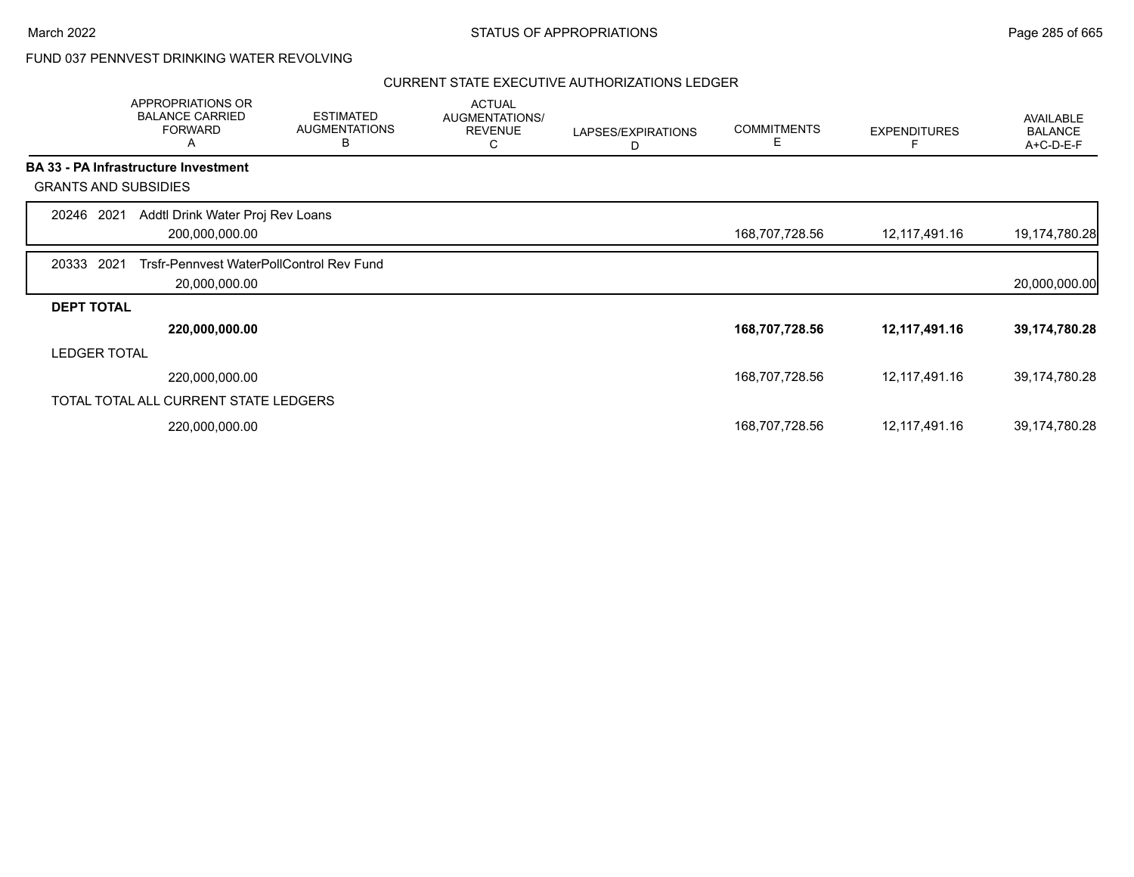# FUND 037 PENNVEST DRINKING WATER REVOLVING

|                             | APPROPRIATIONS OR<br><b>BALANCE CARRIED</b><br><b>FORWARD</b><br>Α | <b>ESTIMATED</b><br><b>AUGMENTATIONS</b><br>В | <b>ACTUAL</b><br><b>AUGMENTATIONS/</b><br><b>REVENUE</b><br>С | LAPSES/EXPIRATIONS<br>D | <b>COMMITMENTS</b><br>Е | <b>EXPENDITURES</b> | AVAILABLE<br><b>BALANCE</b><br>A+C-D-E-F |
|-----------------------------|--------------------------------------------------------------------|-----------------------------------------------|---------------------------------------------------------------|-------------------------|-------------------------|---------------------|------------------------------------------|
|                             | <b>BA 33 - PA Infrastructure Investment</b>                        |                                               |                                                               |                         |                         |                     |                                          |
| <b>GRANTS AND SUBSIDIES</b> |                                                                    |                                               |                                                               |                         |                         |                     |                                          |
| 20246 2021                  | Addtl Drink Water Proj Rev Loans                                   |                                               |                                                               |                         |                         |                     |                                          |
|                             | 200,000,000.00                                                     |                                               |                                                               |                         | 168,707,728.56          | 12,117,491.16       | 19,174,780.28                            |
| 2021<br>20333               | Trsfr-Pennyest WaterPollControl Rev Fund                           |                                               |                                                               |                         |                         |                     |                                          |
|                             | 20,000,000.00                                                      |                                               |                                                               |                         |                         |                     | 20,000,000.00                            |
| <b>DEPT TOTAL</b>           |                                                                    |                                               |                                                               |                         |                         |                     |                                          |
|                             | 220,000,000.00                                                     |                                               |                                                               |                         | 168,707,728.56          | 12,117,491.16       | 39,174,780.28                            |
| <b>LEDGER TOTAL</b>         |                                                                    |                                               |                                                               |                         |                         |                     |                                          |
|                             | 220,000,000.00                                                     |                                               |                                                               |                         | 168,707,728.56          | 12,117,491.16       | 39,174,780.28                            |
|                             | TOTAL TOTAL ALL CURRENT STATE LEDGERS                              |                                               |                                                               |                         |                         |                     |                                          |
|                             | 220,000,000.00                                                     |                                               |                                                               |                         | 168,707,728.56          | 12,117,491.16       | 39,174,780.28                            |
|                             |                                                                    |                                               |                                                               |                         |                         |                     |                                          |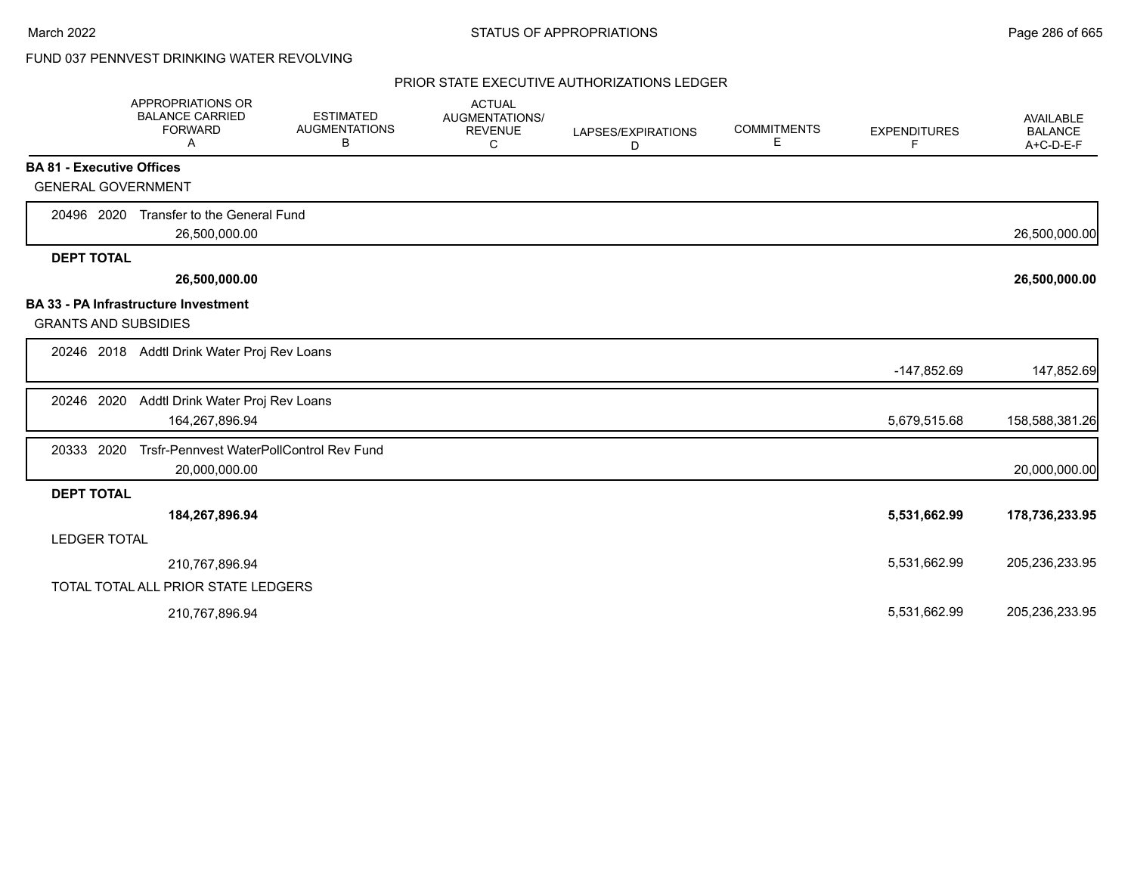# FUND 037 PENNVEST DRINKING WATER REVOLVING

|                                  | <b>APPROPRIATIONS OR</b><br><b>BALANCE CARRIED</b><br><b>FORWARD</b><br>A | <b>ESTIMATED</b><br><b>AUGMENTATIONS</b><br>В | <b>ACTUAL</b><br><b>AUGMENTATIONS/</b><br><b>REVENUE</b><br>С | LAPSES/EXPIRATIONS<br>D | <b>COMMITMENTS</b><br>E | <b>EXPENDITURES</b><br>F | <b>AVAILABLE</b><br><b>BALANCE</b><br>A+C-D-E-F |
|----------------------------------|---------------------------------------------------------------------------|-----------------------------------------------|---------------------------------------------------------------|-------------------------|-------------------------|--------------------------|-------------------------------------------------|
| <b>BA 81 - Executive Offices</b> |                                                                           |                                               |                                                               |                         |                         |                          |                                                 |
| <b>GENERAL GOVERNMENT</b>        |                                                                           |                                               |                                                               |                         |                         |                          |                                                 |
| 20496 2020                       | Transfer to the General Fund<br>26,500,000.00                             |                                               |                                                               |                         |                         |                          | 26,500,000.00                                   |
| <b>DEPT TOTAL</b>                |                                                                           |                                               |                                                               |                         |                         |                          |                                                 |
|                                  | 26,500,000.00                                                             |                                               |                                                               |                         |                         |                          | 26,500,000.00                                   |
|                                  | <b>BA 33 - PA Infrastructure Investment</b>                               |                                               |                                                               |                         |                         |                          |                                                 |
| <b>GRANTS AND SUBSIDIES</b>      |                                                                           |                                               |                                                               |                         |                         |                          |                                                 |
|                                  | 20246 2018 Addtl Drink Water Proj Rev Loans                               |                                               |                                                               |                         |                         |                          |                                                 |
|                                  |                                                                           |                                               |                                                               |                         |                         | -147,852.69              | 147,852.69                                      |
| 20246 2020                       | Addtl Drink Water Proj Rev Loans                                          |                                               |                                                               |                         |                         |                          |                                                 |
|                                  | 164,267,896.94                                                            |                                               |                                                               |                         |                         | 5,679,515.68             | 158,588,381.26                                  |
| 20333 2020                       | Trsfr-Pennvest WaterPollControl Rev Fund                                  |                                               |                                                               |                         |                         |                          |                                                 |
|                                  | 20,000,000.00                                                             |                                               |                                                               |                         |                         |                          | 20,000,000.00                                   |
| <b>DEPT TOTAL</b>                |                                                                           |                                               |                                                               |                         |                         |                          |                                                 |
|                                  | 184,267,896.94                                                            |                                               |                                                               |                         |                         | 5,531,662.99             | 178,736,233.95                                  |
| <b>LEDGER TOTAL</b>              |                                                                           |                                               |                                                               |                         |                         |                          |                                                 |
|                                  | 210,767,896.94                                                            |                                               |                                                               |                         |                         | 5,531,662.99             | 205,236,233.95                                  |
|                                  | TOTAL TOTAL ALL PRIOR STATE LEDGERS                                       |                                               |                                                               |                         |                         |                          |                                                 |
|                                  | 210,767,896.94                                                            |                                               |                                                               |                         |                         | 5,531,662.99             | 205,236,233.95                                  |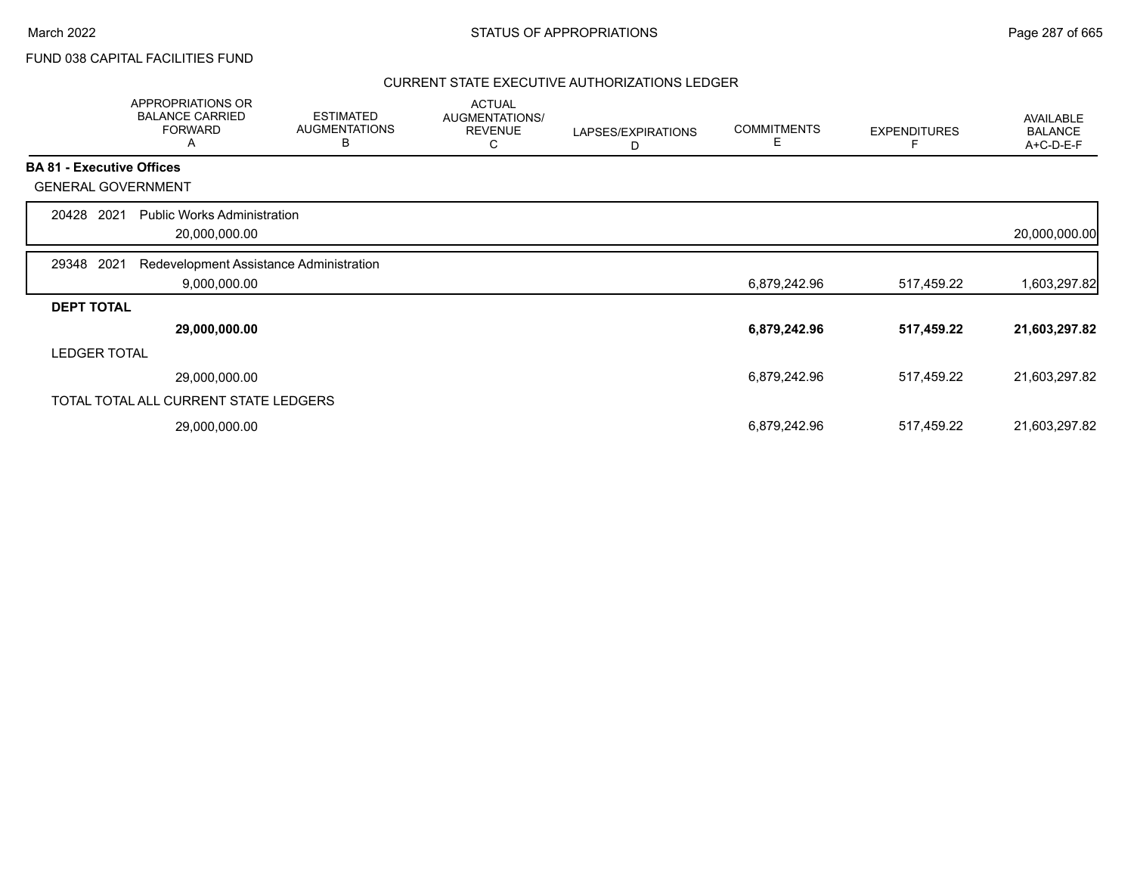# FUND 038 CAPITAL FACILITIES FUND

|                   | APPROPRIATIONS OR<br><b>BALANCE CARRIED</b><br><b>FORWARD</b><br>A | <b>ESTIMATED</b><br><b>AUGMENTATIONS</b><br>B | <b>ACTUAL</b><br>AUGMENTATIONS/<br><b>REVENUE</b><br>С | LAPSES/EXPIRATIONS<br>D | <b>COMMITMENTS</b><br>Е | <b>EXPENDITURES</b> | AVAILABLE<br><b>BALANCE</b><br>A+C-D-E-F |
|-------------------|--------------------------------------------------------------------|-----------------------------------------------|--------------------------------------------------------|-------------------------|-------------------------|---------------------|------------------------------------------|
|                   | <b>BA 81 - Executive Offices</b>                                   |                                               |                                                        |                         |                         |                     |                                          |
|                   | <b>GENERAL GOVERNMENT</b>                                          |                                               |                                                        |                         |                         |                     |                                          |
| 20428             | <b>Public Works Administration</b><br>2021<br>20,000,000.00        |                                               |                                                        |                         |                         |                     | 20,000,000.00                            |
| 29348             | 2021<br>Redevelopment Assistance Administration                    |                                               |                                                        |                         |                         |                     |                                          |
|                   | 9,000,000.00                                                       |                                               |                                                        |                         | 6,879,242.96            | 517,459.22          | 1,603,297.82                             |
| <b>DEPT TOTAL</b> |                                                                    |                                               |                                                        |                         |                         |                     |                                          |
|                   | 29,000,000.00                                                      |                                               |                                                        |                         | 6,879,242.96            | 517,459.22          | 21,603,297.82                            |
|                   | <b>LEDGER TOTAL</b>                                                |                                               |                                                        |                         |                         |                     |                                          |
|                   | 29,000,000.00                                                      |                                               |                                                        |                         | 6,879,242.96            | 517,459.22          | 21,603,297.82                            |
|                   | TOTAL TOTAL ALL CURRENT STATE LEDGERS                              |                                               |                                                        |                         |                         |                     |                                          |
|                   | 29,000,000.00                                                      |                                               |                                                        |                         | 6,879,242.96            | 517,459.22          | 21,603,297.82                            |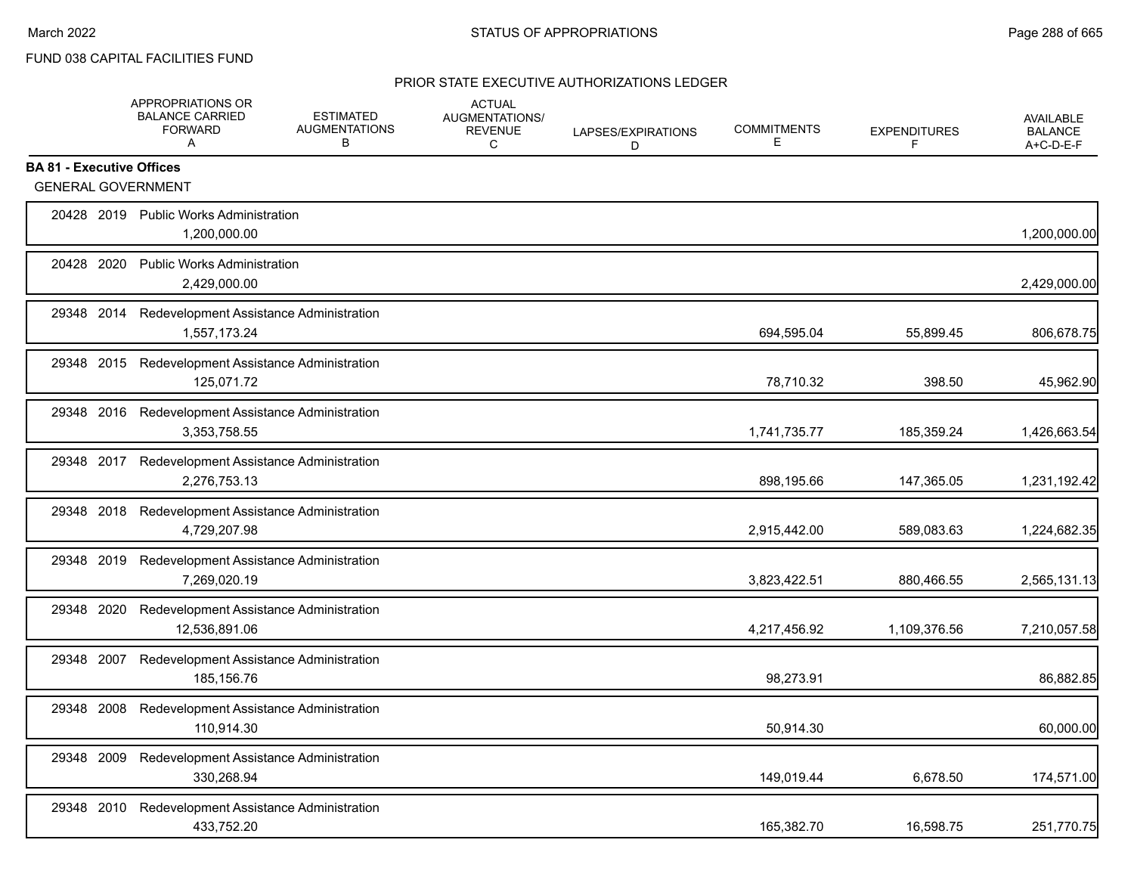# FUND 038 CAPITAL FACILITIES FUND

|                                  |            | APPROPRIATIONS OR<br><b>BALANCE CARRIED</b><br><b>FORWARD</b><br>A | <b>ESTIMATED</b><br><b>AUGMENTATIONS</b><br>В | <b>ACTUAL</b><br>AUGMENTATIONS/<br><b>REVENUE</b><br>C | LAPSES/EXPIRATIONS<br>D | <b>COMMITMENTS</b><br>Е | <b>EXPENDITURES</b><br>F | <b>AVAILABLE</b><br><b>BALANCE</b><br>A+C-D-E-F |
|----------------------------------|------------|--------------------------------------------------------------------|-----------------------------------------------|--------------------------------------------------------|-------------------------|-------------------------|--------------------------|-------------------------------------------------|
| <b>BA 81 - Executive Offices</b> |            |                                                                    |                                               |                                                        |                         |                         |                          |                                                 |
|                                  |            | <b>GENERAL GOVERNMENT</b>                                          |                                               |                                                        |                         |                         |                          |                                                 |
|                                  |            | 20428 2019 Public Works Administration<br>1,200,000.00             |                                               |                                                        |                         |                         |                          | 1,200,000.00                                    |
| 20428 2020                       |            | <b>Public Works Administration</b><br>2,429,000.00                 |                                               |                                                        |                         |                         |                          | 2,429,000.00                                    |
|                                  |            | 29348 2014 Redevelopment Assistance Administration<br>1,557,173.24 |                                               |                                                        |                         | 694,595.04              | 55,899.45                | 806,678.75                                      |
|                                  |            | 29348 2015 Redevelopment Assistance Administration<br>125,071.72   |                                               |                                                        |                         | 78,710.32               | 398.50                   | 45,962.90                                       |
|                                  |            | 29348 2016 Redevelopment Assistance Administration<br>3,353,758.55 |                                               |                                                        |                         | 1,741,735.77            | 185,359.24               | 1,426,663.54                                    |
|                                  |            | 29348 2017 Redevelopment Assistance Administration<br>2,276,753.13 |                                               |                                                        |                         | 898,195.66              | 147,365.05               | 1,231,192.42                                    |
|                                  |            | 29348 2018 Redevelopment Assistance Administration<br>4,729,207.98 |                                               |                                                        |                         | 2,915,442.00            | 589,083.63               | 1,224,682.35                                    |
|                                  |            | 29348 2019 Redevelopment Assistance Administration<br>7,269,020.19 |                                               |                                                        |                         | 3,823,422.51            | 880,466.55               | 2,565,131.13                                    |
| 29348 2020                       |            | Redevelopment Assistance Administration<br>12,536,891.06           |                                               |                                                        |                         | 4,217,456.92            | 1,109,376.56             | 7,210,057.58                                    |
| 29348 2007                       |            | Redevelopment Assistance Administration<br>185,156.76              |                                               |                                                        |                         | 98,273.91               |                          | 86,882.85                                       |
| 29348                            | 2008       | Redevelopment Assistance Administration<br>110,914.30              |                                               |                                                        |                         | 50,914.30               |                          | 60,000.00                                       |
| 29348                            | 2009       | Redevelopment Assistance Administration<br>330,268.94              |                                               |                                                        |                         | 149,019.44              | 6,678.50                 | 174,571.00                                      |
|                                  | 29348 2010 | Redevelopment Assistance Administration<br>433,752.20              |                                               |                                                        |                         | 165,382.70              | 16,598.75                | 251,770.75                                      |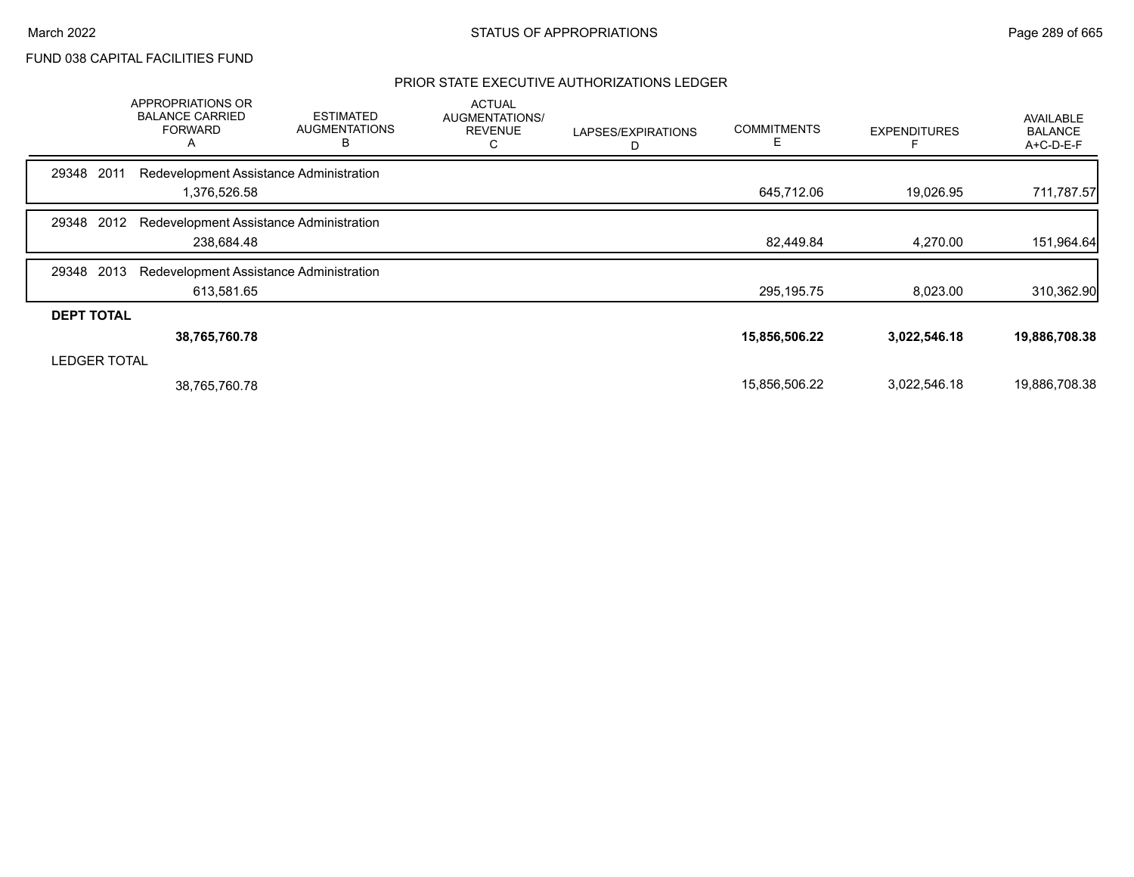## PRIOR STATE EXECUTIVE AUTHORIZATIONS LEDGER

|                     | <b>APPROPRIATIONS OR</b><br><b>BALANCE CARRIED</b><br><b>FORWARD</b><br>A | <b>ESTIMATED</b><br><b>AUGMENTATIONS</b><br>В | <b>ACTUAL</b><br>AUGMENTATIONS/<br><b>REVENUE</b><br>С | LAPSES/EXPIRATIONS<br>D | <b>COMMITMENTS</b><br>E. | <b>EXPENDITURES</b> | <b>AVAILABLE</b><br><b>BALANCE</b><br>$A+C-D-E-F$ |
|---------------------|---------------------------------------------------------------------------|-----------------------------------------------|--------------------------------------------------------|-------------------------|--------------------------|---------------------|---------------------------------------------------|
| 2011<br>29348       | Redevelopment Assistance Administration                                   |                                               |                                                        |                         |                          |                     |                                                   |
|                     | 1,376,526.58                                                              |                                               |                                                        |                         | 645,712.06               | 19,026.95           | 711,787.57                                        |
| 2012<br>29348       | Redevelopment Assistance Administration                                   |                                               |                                                        |                         |                          |                     |                                                   |
|                     | 238,684.48                                                                |                                               |                                                        |                         | 82,449.84                | 4,270.00            | 151,964.64                                        |
| 2013<br>29348       | Redevelopment Assistance Administration                                   |                                               |                                                        |                         |                          |                     |                                                   |
|                     | 613,581.65                                                                |                                               |                                                        |                         | 295,195.75               | 8,023.00            | 310,362.90                                        |
| <b>DEPT TOTAL</b>   |                                                                           |                                               |                                                        |                         |                          |                     |                                                   |
|                     | 38,765,760.78                                                             |                                               |                                                        |                         | 15,856,506.22            | 3,022,546.18        | 19,886,708.38                                     |
| <b>LEDGER TOTAL</b> |                                                                           |                                               |                                                        |                         |                          |                     |                                                   |
|                     | 38,765,760.78                                                             |                                               |                                                        |                         | 15,856,506.22            | 3,022,546.18        | 19,886,708.38                                     |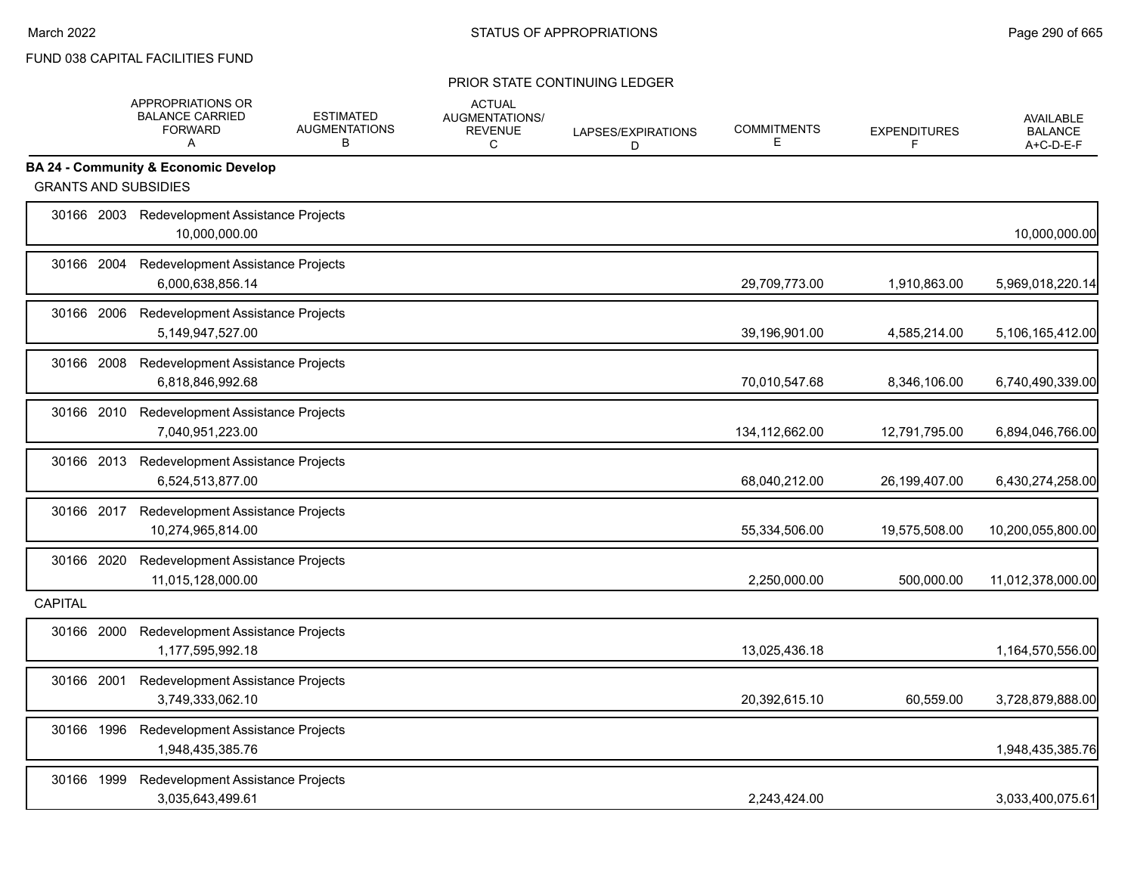|                             | APPROPRIATIONS OR<br><b>BALANCE CARRIED</b><br><b>FORWARD</b><br>A | <b>ESTIMATED</b><br><b>AUGMENTATIONS</b><br>B | <b>ACTUAL</b><br>AUGMENTATIONS/<br><b>REVENUE</b><br>C | LAPSES/EXPIRATIONS<br>D | <b>COMMITMENTS</b><br>Е | <b>EXPENDITURES</b><br>F | <b>AVAILABLE</b><br><b>BALANCE</b><br>A+C-D-E-F |
|-----------------------------|--------------------------------------------------------------------|-----------------------------------------------|--------------------------------------------------------|-------------------------|-------------------------|--------------------------|-------------------------------------------------|
|                             | <b>BA 24 - Community &amp; Economic Develop</b>                    |                                               |                                                        |                         |                         |                          |                                                 |
| <b>GRANTS AND SUBSIDIES</b> |                                                                    |                                               |                                                        |                         |                         |                          |                                                 |
|                             | 30166 2003 Redevelopment Assistance Projects<br>10.000.000.00      |                                               |                                                        |                         |                         |                          | 10,000,000.00                                   |
| 30166 2004                  | Redevelopment Assistance Projects<br>6,000,638,856.14              |                                               |                                                        |                         | 29,709,773.00           | 1,910,863.00             | 5,969,018,220.14                                |
| 30166 2006                  | Redevelopment Assistance Projects<br>5,149,947,527.00              |                                               |                                                        |                         | 39,196,901.00           | 4,585,214.00             | 5,106,165,412.00                                |
| 30166 2008                  | Redevelopment Assistance Projects<br>6,818,846,992.68              |                                               |                                                        |                         | 70,010,547.68           | 8,346,106.00             | 6,740,490,339.00                                |
| 30166 2010                  | Redevelopment Assistance Projects<br>7,040,951,223.00              |                                               |                                                        |                         | 134,112,662.00          | 12,791,795.00            | 6,894,046,766.00                                |
| 30166 2013                  | Redevelopment Assistance Projects<br>6,524,513,877.00              |                                               |                                                        |                         | 68,040,212.00           | 26,199,407.00            | 6,430,274,258.00                                |
| 30166 2017                  | Redevelopment Assistance Projects<br>10,274,965,814.00             |                                               |                                                        |                         | 55,334,506.00           | 19,575,508.00            | 10,200,055,800.00                               |
| 30166 2020                  | Redevelopment Assistance Projects<br>11,015,128,000.00             |                                               |                                                        |                         | 2,250,000.00            | 500,000.00               | 11,012,378,000.00                               |
| <b>CAPITAL</b>              |                                                                    |                                               |                                                        |                         |                         |                          |                                                 |
| 30166 2000                  | Redevelopment Assistance Projects<br>1,177,595,992.18              |                                               |                                                        |                         | 13,025,436.18           |                          | 1,164,570,556.00                                |
| 30166 2001                  | Redevelopment Assistance Projects<br>3,749,333,062.10              |                                               |                                                        |                         | 20,392,615.10           | 60,559.00                | 3,728,879,888.00                                |
| 30166 1996                  | Redevelopment Assistance Projects<br>1,948,435,385.76              |                                               |                                                        |                         |                         |                          | 1,948,435,385.76                                |
| 30166 1999                  | Redevelopment Assistance Projects<br>3,035,643,499.61              |                                               |                                                        |                         | 2,243,424.00            |                          | 3,033,400,075.61                                |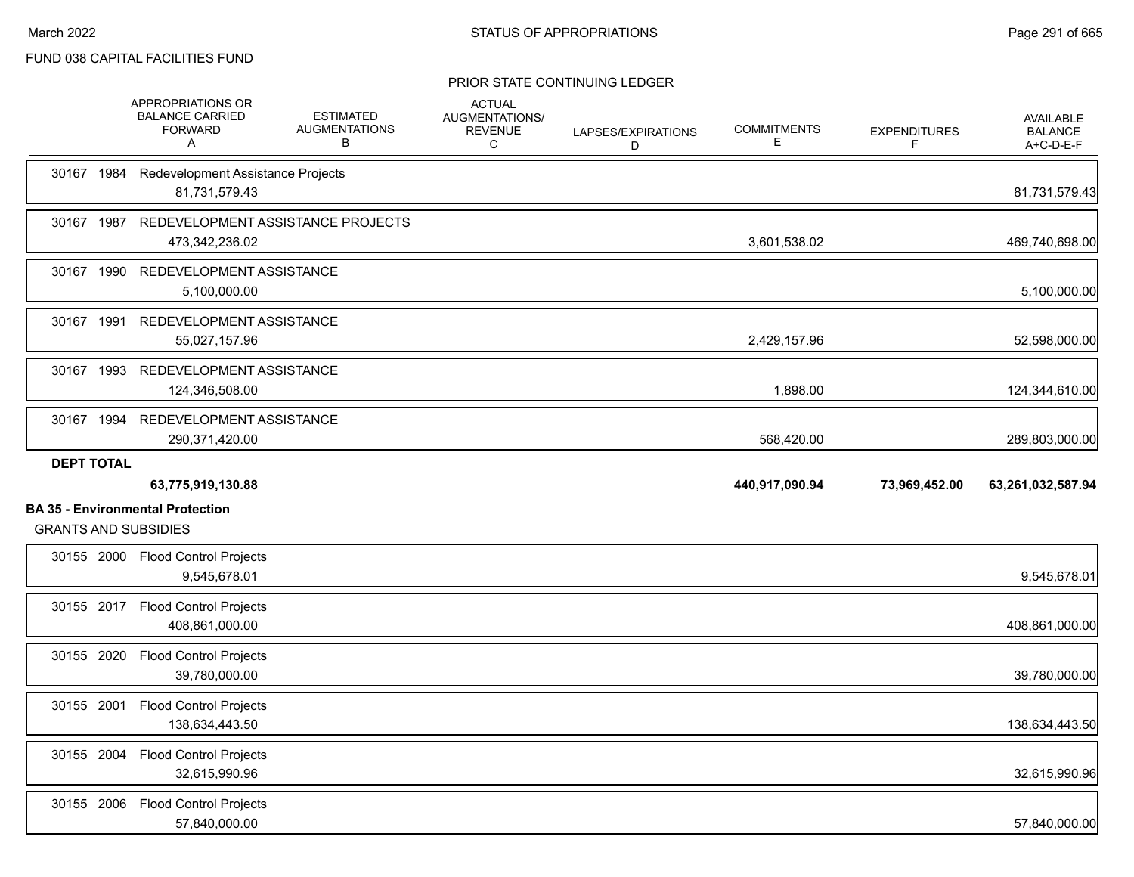|                   | APPROPRIATIONS OR<br><b>BALANCE CARRIED</b><br><b>FORWARD</b><br>A     | <b>ESTIMATED</b><br><b>AUGMENTATIONS</b><br>в | <b>ACTUAL</b><br>AUGMENTATIONS/<br><b>REVENUE</b><br>C | LAPSES/EXPIRATIONS<br>D | <b>COMMITMENTS</b><br>Е | <b>EXPENDITURES</b><br>F | <b>AVAILABLE</b><br><b>BALANCE</b><br>A+C-D-E-F |
|-------------------|------------------------------------------------------------------------|-----------------------------------------------|--------------------------------------------------------|-------------------------|-------------------------|--------------------------|-------------------------------------------------|
|                   | 30167 1984 Redevelopment Assistance Projects<br>81,731,579.43          |                                               |                                                        |                         |                         |                          | 81,731,579.43                                   |
|                   | 30167 1987 REDEVELOPMENT ASSISTANCE PROJECTS<br>473,342,236.02         |                                               |                                                        |                         | 3,601,538.02            |                          | 469,740,698.00                                  |
|                   | 30167 1990 REDEVELOPMENT ASSISTANCE<br>5,100,000.00                    |                                               |                                                        |                         |                         |                          | 5,100,000.00                                    |
|                   | 30167 1991 REDEVELOPMENT ASSISTANCE<br>55,027,157.96                   |                                               |                                                        |                         | 2,429,157.96            |                          | 52,598,000.00                                   |
|                   | 30167 1993 REDEVELOPMENT ASSISTANCE<br>124,346,508.00                  |                                               |                                                        |                         | 1,898.00                |                          | 124,344,610.00                                  |
|                   | 30167 1994 REDEVELOPMENT ASSISTANCE<br>290,371,420.00                  |                                               |                                                        |                         | 568,420.00              |                          | 289,803,000.00                                  |
| <b>DEPT TOTAL</b> |                                                                        |                                               |                                                        |                         |                         |                          |                                                 |
|                   | 63,775,919,130.88                                                      |                                               |                                                        |                         | 440,917,090.94          | 73,969,452.00            | 63,261,032,587.94                               |
|                   | <b>BA 35 - Environmental Protection</b><br><b>GRANTS AND SUBSIDIES</b> |                                               |                                                        |                         |                         |                          |                                                 |
|                   | 30155 2000 Flood Control Projects<br>9,545,678.01                      |                                               |                                                        |                         |                         |                          | 9,545,678.01                                    |
|                   | 30155 2017 Flood Control Projects<br>408,861,000.00                    |                                               |                                                        |                         |                         |                          | 408,861,000.00                                  |
|                   | 30155 2020 Flood Control Projects<br>39,780,000.00                     |                                               |                                                        |                         |                         |                          | 39,780,000.00                                   |
|                   | 30155 2001 Flood Control Projects<br>138,634,443.50                    |                                               |                                                        |                         |                         |                          | 138,634,443.50                                  |
|                   | 30155 2004 Flood Control Projects<br>32,615,990.96                     |                                               |                                                        |                         |                         |                          | 32,615,990.96                                   |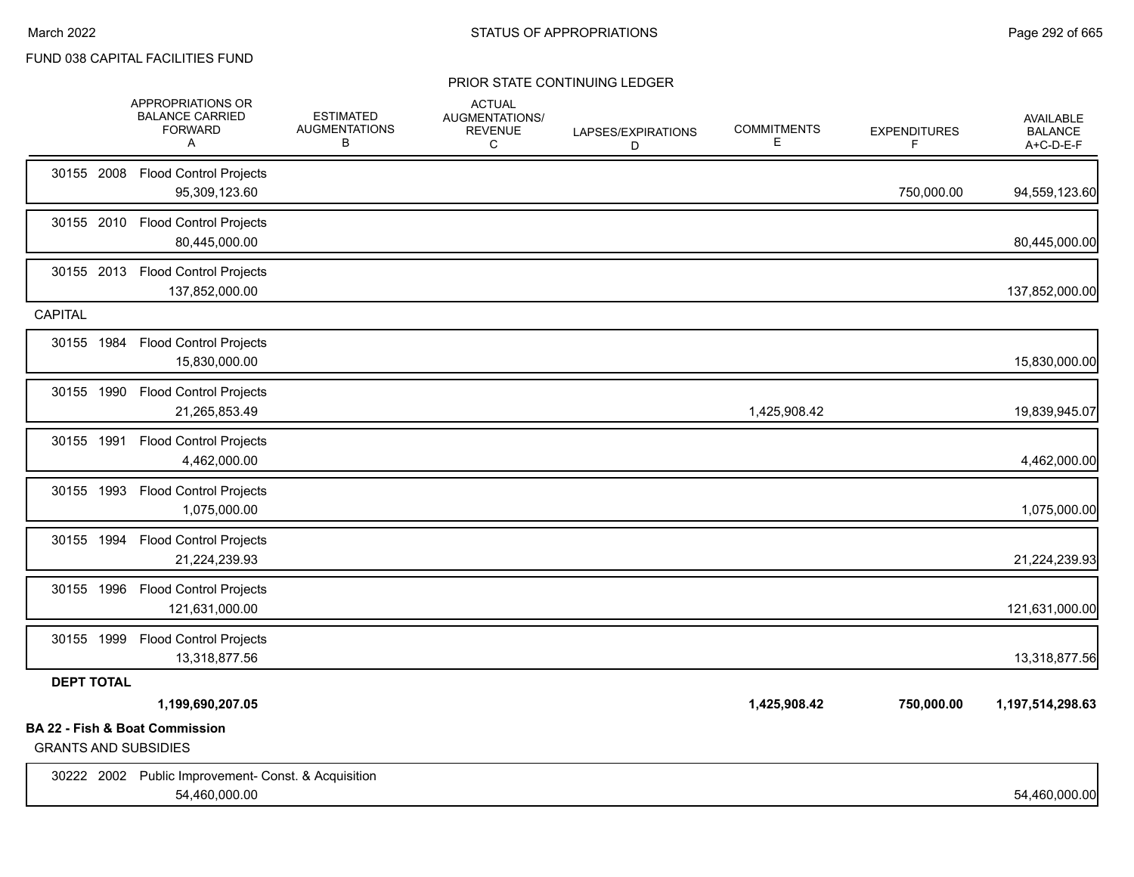|                             | APPROPRIATIONS OR<br><b>BALANCE CARRIED</b><br><b>FORWARD</b><br>A   | <b>ESTIMATED</b><br><b>AUGMENTATIONS</b><br>В | <b>ACTUAL</b><br><b>AUGMENTATIONS/</b><br><b>REVENUE</b><br>C | LAPSES/EXPIRATIONS<br>D | <b>COMMITMENTS</b><br>E. | <b>EXPENDITURES</b><br>F | <b>AVAILABLE</b><br><b>BALANCE</b><br>A+C-D-E-F |
|-----------------------------|----------------------------------------------------------------------|-----------------------------------------------|---------------------------------------------------------------|-------------------------|--------------------------|--------------------------|-------------------------------------------------|
|                             | 30155 2008 Flood Control Projects<br>95,309,123.60                   |                                               |                                                               |                         |                          | 750,000.00               | 94,559,123.60                                   |
|                             | 30155 2010 Flood Control Projects<br>80,445,000.00                   |                                               |                                                               |                         |                          |                          | 80,445,000.00                                   |
|                             | 30155 2013 Flood Control Projects<br>137,852,000.00                  |                                               |                                                               |                         |                          |                          | 137,852,000.00                                  |
| <b>CAPITAL</b>              |                                                                      |                                               |                                                               |                         |                          |                          |                                                 |
|                             | 30155 1984 Flood Control Projects<br>15,830,000.00                   |                                               |                                                               |                         |                          |                          | 15,830,000.00                                   |
|                             | 30155 1990 Flood Control Projects<br>21,265,853.49                   |                                               |                                                               |                         | 1,425,908.42             |                          | 19,839,945.07                                   |
|                             | 30155 1991 Flood Control Projects<br>4,462,000.00                    |                                               |                                                               |                         |                          |                          | 4,462,000.00                                    |
|                             | 30155 1993 Flood Control Projects<br>1,075,000.00                    |                                               |                                                               |                         |                          |                          | 1,075,000.00                                    |
|                             | 30155 1994 Flood Control Projects<br>21,224,239.93                   |                                               |                                                               |                         |                          |                          | 21,224,239.93                                   |
|                             | 30155 1996 Flood Control Projects<br>121,631,000.00                  |                                               |                                                               |                         |                          |                          | 121,631,000.00                                  |
|                             | 30155 1999 Flood Control Projects<br>13,318,877.56                   |                                               |                                                               |                         |                          |                          | 13,318,877.56                                   |
| <b>DEPT TOTAL</b>           |                                                                      |                                               |                                                               |                         |                          |                          |                                                 |
|                             | 1,199,690,207.05                                                     |                                               |                                                               |                         | 1,425,908.42             | 750,000.00               | 1,197,514,298.63                                |
| <b>GRANTS AND SUBSIDIES</b> | <b>BA 22 - Fish &amp; Boat Commission</b>                            |                                               |                                                               |                         |                          |                          |                                                 |
|                             | 30222 2002 Public Improvement- Const. & Acquisition<br>54,460,000.00 |                                               |                                                               |                         |                          |                          | 54,460,000.00                                   |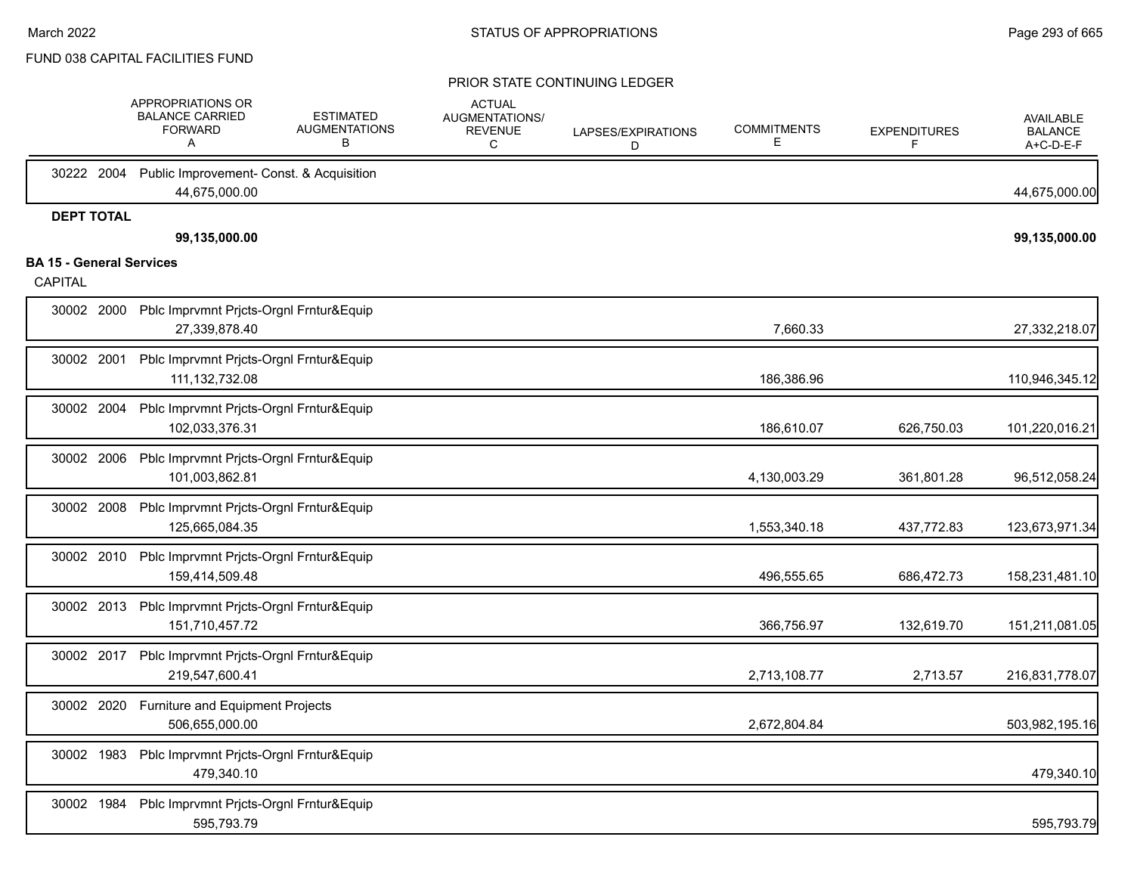|                                 | APPROPRIATIONS OR<br><b>BALANCE CARRIED</b><br><b>FORWARD</b><br>A   | <b>ESTIMATED</b><br><b>AUGMENTATIONS</b><br>в | <b>ACTUAL</b><br>AUGMENTATIONS/<br><b>REVENUE</b><br>C | LAPSES/EXPIRATIONS<br>D | <b>COMMITMENTS</b><br>E. | <b>EXPENDITURES</b><br>E | <b>AVAILABLE</b><br><b>BALANCE</b><br>A+C-D-E-F |
|---------------------------------|----------------------------------------------------------------------|-----------------------------------------------|--------------------------------------------------------|-------------------------|--------------------------|--------------------------|-------------------------------------------------|
| 30222 2004                      | Public Improvement- Const. & Acquisition<br>44,675,000.00            |                                               |                                                        |                         |                          |                          | 44,675,000.00                                   |
| <b>DEPT TOTAL</b>               | 99,135,000.00                                                        |                                               |                                                        |                         |                          |                          | 99,135,000.00                                   |
| <b>BA 15 - General Services</b> |                                                                      |                                               |                                                        |                         |                          |                          |                                                 |
| <b>CAPITAL</b>                  |                                                                      |                                               |                                                        |                         |                          |                          |                                                 |
| 30002 2000                      | Pblc Imprvmnt Prjcts-Orgnl Frntur&Equip<br>27,339,878.40             |                                               |                                                        |                         | 7,660.33                 |                          | 27,332,218.07                                   |
| 30002 2001                      | Pblc Imprvmnt Prjcts-Orgnl Frntur&Equip<br>111, 132, 732.08          |                                               |                                                        |                         | 186,386.96               |                          | 110,946,345.12                                  |
| 30002 2004                      | Pblc Imprvmnt Prjcts-Orgnl Frntur&Equip<br>102,033,376.31            |                                               |                                                        |                         | 186,610.07               | 626,750.03               | 101,220,016.21                                  |
| 30002 2006                      | Pblc Imprvmnt Prjcts-Orgnl Frntur&Equip<br>101,003,862.81            |                                               |                                                        |                         | 4,130,003.29             | 361,801.28               | 96,512,058.24                                   |
| 30002 2008                      | Pblc Imprvmnt Prjcts-Orgnl Frntur&Equip<br>125,665,084.35            |                                               |                                                        |                         | 1,553,340.18             | 437,772.83               | 123,673,971.34                                  |
|                                 | 30002 2010 Pblc Imprvmnt Prjcts-Orgnl Frntur&Equip<br>159,414,509.48 |                                               |                                                        |                         | 496,555.65               | 686,472.73               | 158,231,481.10                                  |
|                                 | 30002 2013 Pblc Imprvmnt Pricts-Orgnl Frntur&Equip<br>151,710,457.72 |                                               |                                                        |                         | 366,756.97               | 132,619.70               | 151,211,081.05                                  |
|                                 | 30002 2017 Pblc Imprvmnt Pricts-Orgnl Frntur&Equip<br>219,547,600.41 |                                               |                                                        |                         | 2,713,108.77             | 2,713.57                 | 216,831,778.07                                  |
| 30002 2020                      | Furniture and Equipment Projects<br>506,655,000.00                   |                                               |                                                        |                         | 2,672,804.84             |                          | 503,982,195.16                                  |
| 30002 1983                      | Pblc Imprvmnt Prjcts-Orgnl Frntur&Equip<br>479,340.10                |                                               |                                                        |                         |                          |                          | 479,340.10                                      |
| 30002 1984                      | Pblc Imprvmnt Prjcts-Orgnl Frntur&Equip<br>595,793.79                |                                               |                                                        |                         |                          |                          | 595,793.79                                      |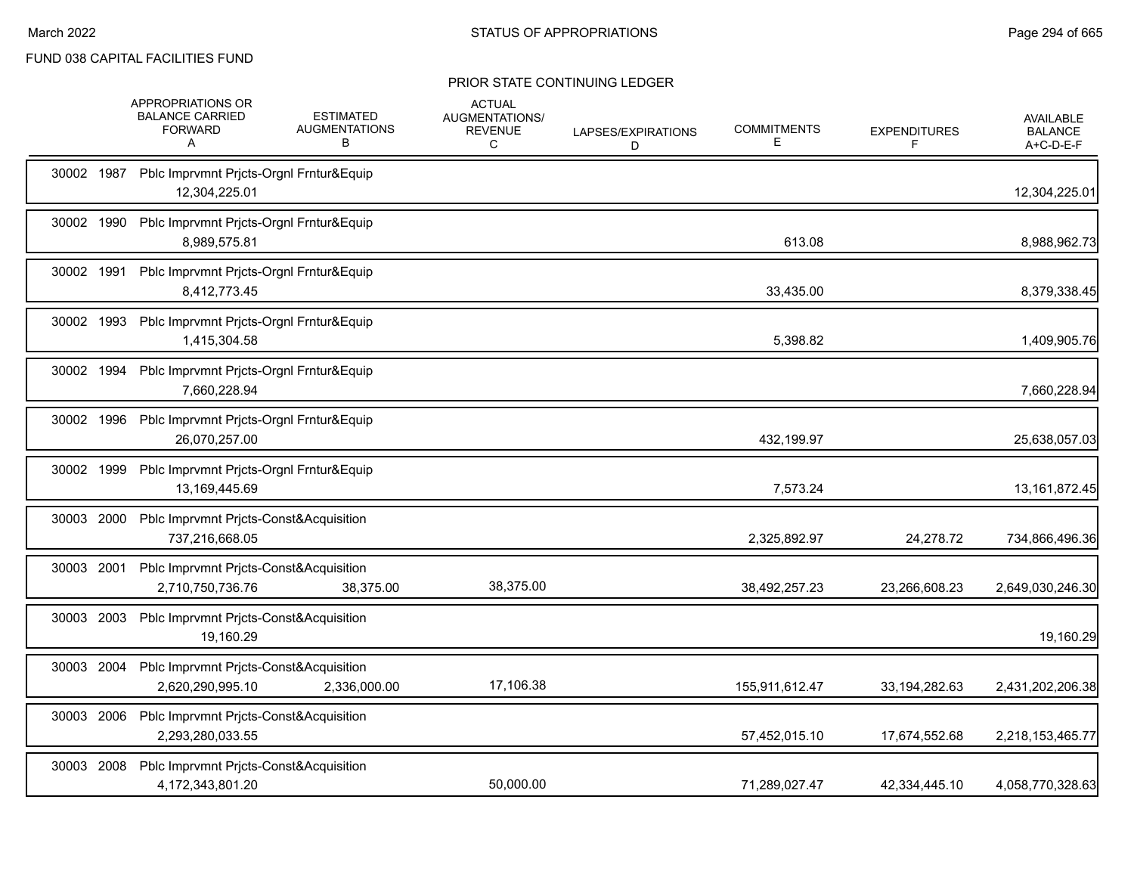|            | APPROPRIATIONS OR<br><b>BALANCE CARRIED</b><br><b>FORWARD</b><br>A    | <b>ESTIMATED</b><br><b>AUGMENTATIONS</b><br>В | <b>ACTUAL</b><br>AUGMENTATIONS/<br><b>REVENUE</b><br>C | LAPSES/EXPIRATIONS<br>D | <b>COMMITMENTS</b><br>Е | <b>EXPENDITURES</b><br>F | <b>AVAILABLE</b><br><b>BALANCE</b><br>A+C-D-E-F |
|------------|-----------------------------------------------------------------------|-----------------------------------------------|--------------------------------------------------------|-------------------------|-------------------------|--------------------------|-------------------------------------------------|
|            | 30002 1987 Pblc Imprvmnt Pricts-Orgnl Frntur&Equip<br>12,304,225.01   |                                               |                                                        |                         |                         |                          | 12,304,225.01                                   |
| 30002 1990 | Pblc Imprvmnt Prjcts-Orgnl Frntur&Equip<br>8,989,575.81               |                                               |                                                        |                         | 613.08                  |                          | 8,988,962.73                                    |
| 30002 1991 | Pblc Imprvmnt Pricts-Orgnl Frntur&Equip<br>8,412,773.45               |                                               |                                                        |                         | 33,435.00               |                          | 8,379,338.45                                    |
| 30002 1993 | Pblc Imprvmnt Prjcts-Orgnl Frntur&Equip<br>1,415,304.58               |                                               |                                                        |                         | 5,398.82                |                          | 1,409,905.76                                    |
|            | 30002 1994 Pblc Imprvmnt Pricts-Orgnl Frntur&Equip<br>7,660,228.94    |                                               |                                                        |                         |                         |                          | 7,660,228.94                                    |
| 30002 1996 | Pblc Imprvmnt Prjcts-Orgnl Frntur&Equip<br>26,070,257.00              |                                               |                                                        |                         | 432,199.97              |                          | 25,638,057.03                                   |
| 30002 1999 | Pblc Imprvmnt Prjcts-Orgnl Frntur&Equip<br>13,169,445.69              |                                               |                                                        |                         | 7,573.24                |                          | 13, 161, 872. 45                                |
| 30003 2000 | Pblc Imprvmnt Prjcts-Const&Acquisition<br>737,216,668.05              |                                               |                                                        |                         | 2,325,892.97            | 24,278.72                | 734,866,496.36                                  |
| 30003 2001 | Pblc Imprvmnt Prjcts-Const&Acquisition<br>2,710,750,736.76            | 38,375.00                                     | 38,375.00                                              |                         | 38,492,257.23           | 23,266,608.23            | 2,649,030,246.30                                |
|            | 30003 2003 Pblc Imprvmnt Prjcts-Const&Acquisition<br>19,160.29        |                                               |                                                        |                         |                         |                          | 19,160.29                                       |
|            | 30003 2004 Pblc Imprvmnt Prjcts-Const&Acquisition<br>2,620,290,995.10 | 2,336,000.00                                  | 17,106.38                                              |                         | 155,911,612.47          | 33,194,282.63            | 2,431,202,206.38                                |
| 30003 2006 | Pblc Imprvmnt Pricts-Const&Acquisition<br>2,293,280,033.55            |                                               |                                                        |                         | 57,452,015.10           | 17,674,552.68            | 2,218,153,465.77                                |
| 30003 2008 | Pblc Imprvmnt Prjcts-Const&Acquisition<br>4,172,343,801.20            |                                               | 50.000.00                                              |                         | 71.289.027.47           | 42,334,445.10            | 4,058,770,328.63                                |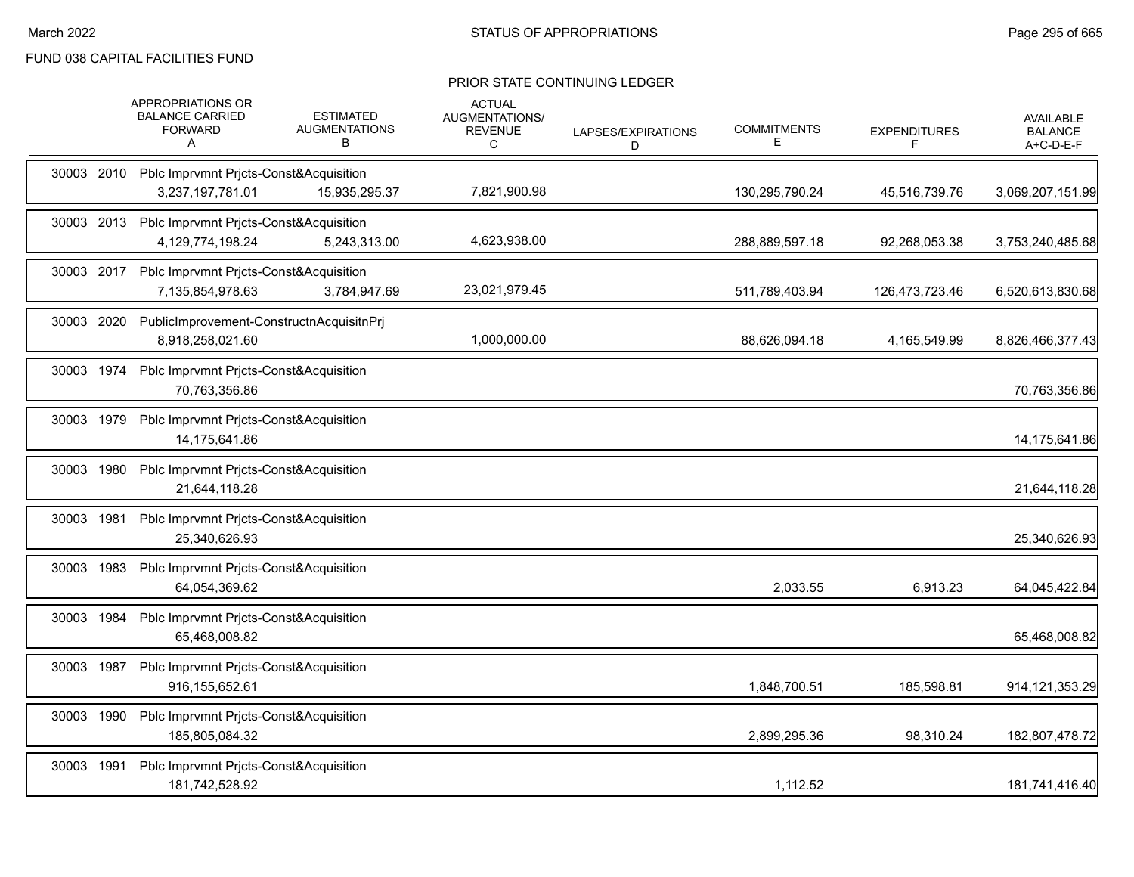|            |      | APPROPRIATIONS OR<br><b>BALANCE CARRIED</b><br><b>FORWARD</b><br>Α    | <b>ESTIMATED</b><br><b>AUGMENTATIONS</b><br>В | <b>ACTUAL</b><br>AUGMENTATIONS/<br><b>REVENUE</b><br>C | LAPSES/EXPIRATIONS<br>D | <b>COMMITMENTS</b><br>Е | <b>EXPENDITURES</b><br>F | <b>AVAILABLE</b><br><b>BALANCE</b><br>A+C-D-E-F |
|------------|------|-----------------------------------------------------------------------|-----------------------------------------------|--------------------------------------------------------|-------------------------|-------------------------|--------------------------|-------------------------------------------------|
|            |      | 30003 2010 Pblc Imprvmnt Pricts-Const&Acquisition<br>3,237,197,781.01 | 15,935,295.37                                 | 7,821,900.98                                           |                         | 130,295,790.24          | 45,516,739.76            | 3,069,207,151.99                                |
| 30003 2013 |      | Pblc Imprvmnt Prjcts-Const&Acquisition<br>4,129,774,198.24            | 5,243,313.00                                  | 4,623,938.00                                           |                         | 288,889,597.18          | 92,268,053.38            | 3,753,240,485.68                                |
|            |      | 30003 2017 Pblc Imprvmnt Pricts-Const&Acquisition<br>7,135,854,978.63 | 3,784,947.69                                  | 23,021,979.45                                          |                         | 511,789,403.94          | 126,473,723.46           | 6,520,613,830.68                                |
| 30003 2020 |      | PublicImprovement-ConstructnAcquisitnPrj<br>8.918.258.021.60          |                                               | 1,000,000.00                                           |                         | 88,626,094.18           | 4,165,549.99             | 8,826,466,377.43                                |
| 30003 1974 |      | Pblc Imprvmnt Pricts-Const&Acquisition<br>70.763.356.86               |                                               |                                                        |                         |                         |                          | 70,763,356.86                                   |
| 30003 1979 |      | Pblc Imprvmnt Pricts-Const&Acquisition<br>14.175.641.86               |                                               |                                                        |                         |                         |                          | 14,175,641.86                                   |
| 30003      | 1980 | Pblc Imprvmnt Pricts-Const&Acquisition<br>21,644,118.28               |                                               |                                                        |                         |                         |                          | 21,644,118.28                                   |
| 30003 1981 |      | Pblc Imprvmnt Pricts-Const&Acquisition<br>25,340,626.93               |                                               |                                                        |                         |                         |                          | 25,340,626.93                                   |
| 30003 1983 |      | Pblc Imprvmnt Pricts-Const&Acquisition<br>64,054,369.62               |                                               |                                                        |                         | 2,033.55                | 6,913.23                 | 64,045,422.84                                   |
| 30003      | 1984 | Pblc Imprvmnt Prjcts-Const&Acquisition<br>65,468,008.82               |                                               |                                                        |                         |                         |                          | 65,468,008.82                                   |
| 30003 1987 |      | Pblc Imprvmnt Pricts-Const&Acquisition<br>916,155,652.61              |                                               |                                                        |                         | 1,848,700.51            | 185,598.81               | 914, 121, 353. 29                               |
| 30003      | 1990 | Pblc Imprvmnt Pricts-Const&Acquisition<br>185,805,084.32              |                                               |                                                        |                         | 2,899,295.36            | 98,310.24                | 182,807,478.72                                  |
| 30003 1991 |      | Pblc Imprvmnt Pricts-Const&Acquisition<br>181,742,528.92              |                                               |                                                        |                         | 1,112.52                |                          | 181,741,416.40                                  |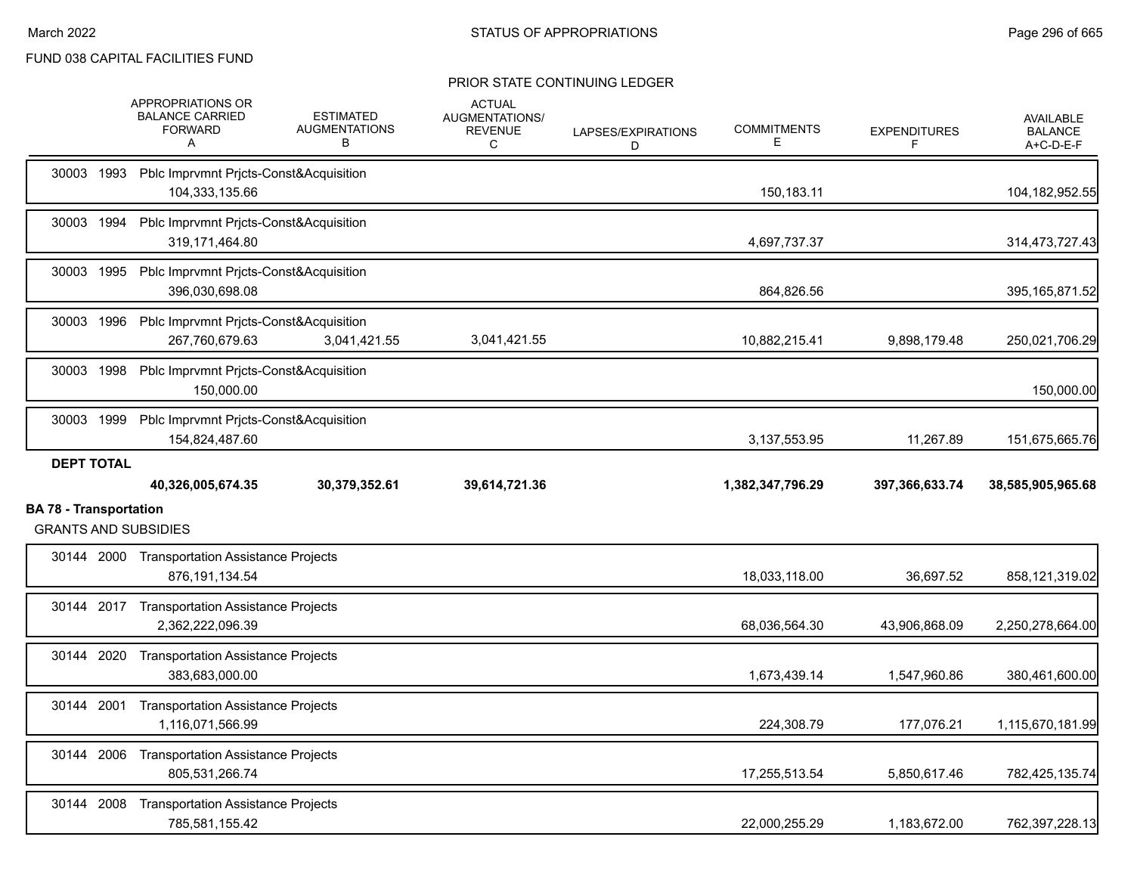|                                                              | APPROPRIATIONS OR<br><b>BALANCE CARRIED</b><br><b>FORWARD</b><br>A  | <b>ESTIMATED</b><br><b>AUGMENTATIONS</b><br>В | <b>ACTUAL</b><br><b>AUGMENTATIONS/</b><br><b>REVENUE</b><br>С | LAPSES/EXPIRATIONS<br>D | <b>COMMITMENTS</b><br>E. | <b>EXPENDITURES</b><br>F | <b>AVAILABLE</b><br><b>BALANCE</b><br>A+C-D-E-F |
|--------------------------------------------------------------|---------------------------------------------------------------------|-----------------------------------------------|---------------------------------------------------------------|-------------------------|--------------------------|--------------------------|-------------------------------------------------|
|                                                              | 30003 1993 Pblc Imprvmnt Prjcts-Const&Acquisition<br>104,333,135.66 |                                               |                                                               |                         | 150,183.11               |                          | 104,182,952.55                                  |
|                                                              | 30003 1994 Pblc Imprvmnt Pricts-Const&Acquisition<br>319,171,464.80 |                                               |                                                               |                         | 4,697,737.37             |                          | 314,473,727.43                                  |
|                                                              | 30003 1995 Pblc Imprvmnt Pricts-Const&Acquisition<br>396,030,698.08 |                                               |                                                               |                         | 864,826.56               |                          | 395, 165, 871.52                                |
|                                                              | 30003 1996 Pblc Imprvmnt Pricts-Const&Acquisition<br>267.760.679.63 | 3,041,421.55                                  | 3,041,421.55                                                  |                         | 10,882,215.41            | 9,898,179.48             | 250,021,706.29                                  |
|                                                              | 30003 1998 Pblc Imprvmnt Prjcts-Const&Acquisition<br>150.000.00     |                                               |                                                               |                         |                          |                          | 150,000.00                                      |
| 30003 1999                                                   | Pblc Imprvmnt Prjcts-Const&Acquisition<br>154,824,487.60            |                                               |                                                               |                         | 3,137,553.95             | 11,267.89                | 151,675,665.76                                  |
| <b>DEPT TOTAL</b>                                            | 40,326,005,674.35                                                   | 30,379,352.61                                 | 39,614,721.36                                                 |                         | 1,382,347,796.29         | 397,366,633.74           | 38,585,905,965.68                               |
| <b>BA 78 - Transportation</b><br><b>GRANTS AND SUBSIDIES</b> |                                                                     |                                               |                                                               |                         |                          |                          |                                                 |
|                                                              | 30144 2000 Transportation Assistance Projects<br>876, 191, 134.54   |                                               |                                                               |                         | 18,033,118.00            | 36,697.52                | 858,121,319.02                                  |
|                                                              | 30144 2017 Transportation Assistance Projects<br>2,362,222,096.39   |                                               |                                                               |                         | 68,036,564.30            | 43,906,868.09            | 2,250,278,664.00                                |
|                                                              | 30144 2020 Transportation Assistance Projects<br>383,683,000.00     |                                               |                                                               |                         | 1,673,439.14             | 1,547,960.86             | 380,461,600.00                                  |
|                                                              | 30144 2001 Transportation Assistance Projects<br>1,116,071,566.99   |                                               |                                                               |                         | 224,308.79               | 177,076.21               | 1,115,670,181.99                                |
|                                                              | 30144 2006 Transportation Assistance Projects<br>805.531.266.74     |                                               |                                                               |                         | 17,255,513.54            | 5,850,617.46             | 782,425,135.74                                  |
| 30144 2008                                                   | <b>Transportation Assistance Projects</b><br>785,581,155.42         |                                               |                                                               |                         | 22,000,255.29            | 1,183,672.00             | 762,397,228.13                                  |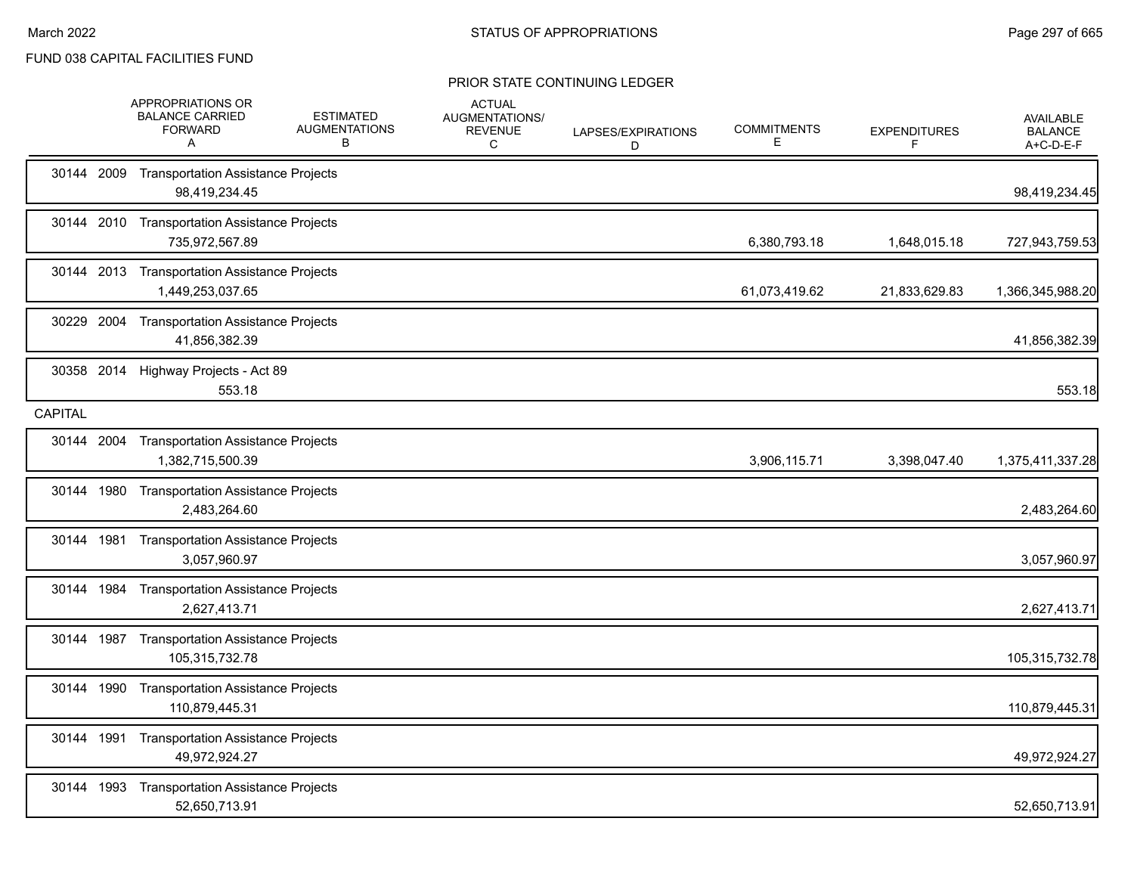|                |            | APPROPRIATIONS OR<br><b>BALANCE CARRIED</b><br><b>FORWARD</b><br>A | <b>ESTIMATED</b><br><b>AUGMENTATIONS</b><br>В | <b>ACTUAL</b><br>AUGMENTATIONS/<br><b>REVENUE</b><br>C | LAPSES/EXPIRATIONS<br>D | <b>COMMITMENTS</b><br>Е | <b>EXPENDITURES</b><br>F | AVAILABLE<br><b>BALANCE</b><br>A+C-D-E-F |
|----------------|------------|--------------------------------------------------------------------|-----------------------------------------------|--------------------------------------------------------|-------------------------|-------------------------|--------------------------|------------------------------------------|
|                | 30144 2009 | <b>Transportation Assistance Projects</b><br>98,419,234.45         |                                               |                                                        |                         |                         |                          | 98,419,234.45                            |
|                |            | 30144 2010 Transportation Assistance Projects<br>735,972,567.89    |                                               |                                                        |                         | 6,380,793.18            | 1,648,015.18             | 727,943,759.53                           |
|                |            | 30144 2013 Transportation Assistance Projects<br>1,449,253,037.65  |                                               |                                                        |                         | 61,073,419.62           | 21,833,629.83            | 1,366,345,988.20                         |
|                | 30229 2004 | <b>Transportation Assistance Projects</b><br>41,856,382.39         |                                               |                                                        |                         |                         |                          | 41,856,382.39                            |
|                | 30358 2014 | Highway Projects - Act 89<br>553.18                                |                                               |                                                        |                         |                         |                          | 553.18                                   |
| <b>CAPITAL</b> |            |                                                                    |                                               |                                                        |                         |                         |                          |                                          |
|                |            | 30144 2004 Transportation Assistance Projects<br>1,382,715,500.39  |                                               |                                                        |                         | 3,906,115.71            | 3,398,047.40             | 1,375,411,337.28                         |
|                |            | 30144 1980 Transportation Assistance Projects<br>2,483,264.60      |                                               |                                                        |                         |                         |                          | 2,483,264.60                             |
|                | 30144 1981 | <b>Transportation Assistance Projects</b><br>3,057,960.97          |                                               |                                                        |                         |                         |                          | 3,057,960.97                             |
|                |            | 30144 1984 Transportation Assistance Projects<br>2,627,413.71      |                                               |                                                        |                         |                         |                          | 2,627,413.71                             |
|                | 30144 1987 | <b>Transportation Assistance Projects</b><br>105,315,732.78        |                                               |                                                        |                         |                         |                          | 105,315,732.78                           |
|                | 30144 1990 | <b>Transportation Assistance Projects</b><br>110,879,445.31        |                                               |                                                        |                         |                         |                          | 110,879,445.31                           |
|                | 30144 1991 | <b>Transportation Assistance Projects</b><br>49,972,924.27         |                                               |                                                        |                         |                         |                          | 49,972,924.27                            |
|                | 30144 1993 | <b>Transportation Assistance Projects</b><br>52,650,713.91         |                                               |                                                        |                         |                         |                          | 52,650,713.91                            |
|                |            |                                                                    |                                               |                                                        |                         |                         |                          |                                          |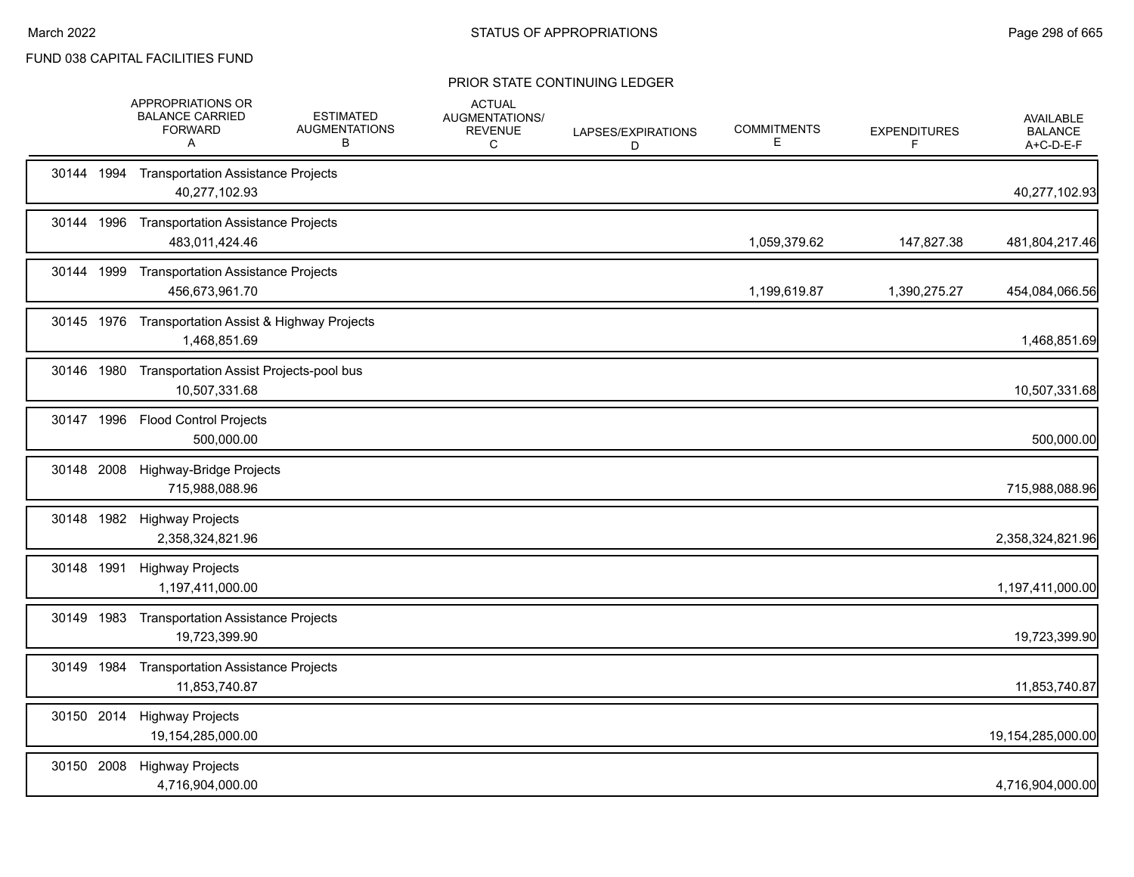|            | APPROPRIATIONS OR<br><b>BALANCE CARRIED</b><br><b>FORWARD</b><br>A  | <b>ESTIMATED</b><br><b>AUGMENTATIONS</b><br>B | <b>ACTUAL</b><br>AUGMENTATIONS/<br><b>REVENUE</b><br>C | LAPSES/EXPIRATIONS<br>D | <b>COMMITMENTS</b><br>E | <b>EXPENDITURES</b><br>F | <b>AVAILABLE</b><br><b>BALANCE</b><br>A+C-D-E-F |
|------------|---------------------------------------------------------------------|-----------------------------------------------|--------------------------------------------------------|-------------------------|-------------------------|--------------------------|-------------------------------------------------|
|            | 30144 1994 Transportation Assistance Projects<br>40,277,102.93      |                                               |                                                        |                         |                         |                          | 40,277,102.93                                   |
| 30144 1996 | <b>Transportation Assistance Projects</b><br>483,011,424.46         |                                               |                                                        |                         | 1,059,379.62            | 147,827.38               | 481,804,217.46                                  |
|            | 30144 1999 Transportation Assistance Projects<br>456,673,961.70     |                                               |                                                        |                         | 1,199,619.87            | 1,390,275.27             | 454,084,066.56                                  |
|            | 30145 1976 Transportation Assist & Highway Projects<br>1,468,851.69 |                                               |                                                        |                         |                         |                          | 1,468,851.69                                    |
|            | 30146 1980 Transportation Assist Projects-pool bus<br>10,507,331.68 |                                               |                                                        |                         |                         |                          | 10,507,331.68                                   |
|            | 30147 1996 Flood Control Projects<br>500,000.00                     |                                               |                                                        |                         |                         |                          | 500,000.00                                      |
| 30148 2008 | Highway-Bridge Projects<br>715,988,088.96                           |                                               |                                                        |                         |                         |                          | 715,988,088.96                                  |
|            | 30148 1982 Highway Projects<br>2,358,324,821.96                     |                                               |                                                        |                         |                         |                          | 2,358,324,821.96                                |
| 30148 1991 | <b>Highway Projects</b><br>1,197,411,000.00                         |                                               |                                                        |                         |                         |                          | 1,197,411,000.00                                |
| 30149 1983 | <b>Transportation Assistance Projects</b><br>19,723,399.90          |                                               |                                                        |                         |                         |                          | 19,723,399.90                                   |
|            | 30149 1984 Transportation Assistance Projects<br>11,853,740.87      |                                               |                                                        |                         |                         |                          | 11,853,740.87                                   |
| 30150 2014 | <b>Highway Projects</b><br>19,154,285,000.00                        |                                               |                                                        |                         |                         |                          | 19,154,285,000.00                               |
| 30150 2008 | <b>Highway Projects</b><br>4,716,904,000.00                         |                                               |                                                        |                         |                         |                          | 4,716,904,000.00                                |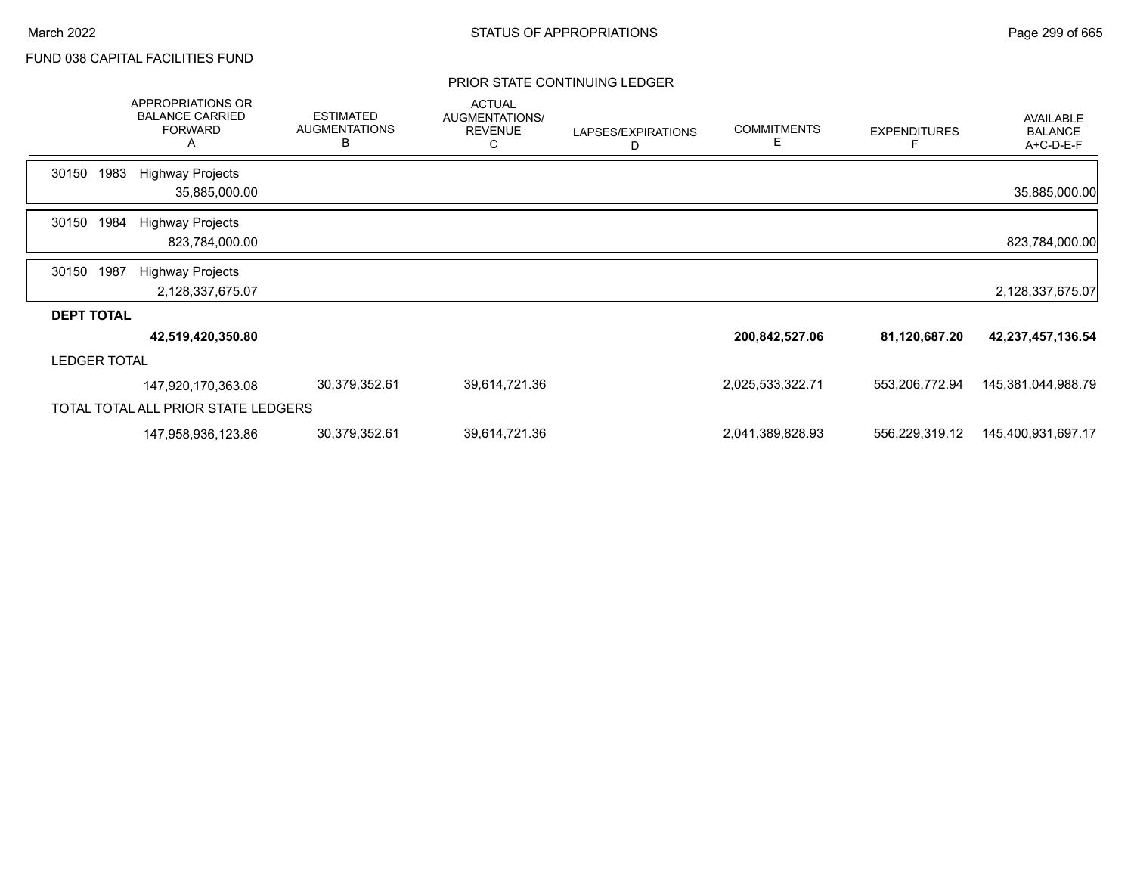|                     |      | APPROPRIATIONS OR<br><b>BALANCE CARRIED</b><br><b>FORWARD</b><br>А | <b>ESTIMATED</b><br><b>AUGMENTATIONS</b><br>в | <b>ACTUAL</b><br>AUGMENTATIONS/<br><b>REVENUE</b><br>С | LAPSES/EXPIRATIONS<br>D | <b>COMMITMENTS</b><br>E. | <b>EXPENDITURES</b><br>F | <b>AVAILABLE</b><br><b>BALANCE</b><br>A+C-D-E-F |
|---------------------|------|--------------------------------------------------------------------|-----------------------------------------------|--------------------------------------------------------|-------------------------|--------------------------|--------------------------|-------------------------------------------------|
| 30150               | 1983 | <b>Highway Projects</b><br>35,885,000.00                           |                                               |                                                        |                         |                          |                          | 35,885,000.00                                   |
| 30150               | 1984 | <b>Highway Projects</b><br>823,784,000.00                          |                                               |                                                        |                         |                          |                          | 823,784,000.00                                  |
| 30150               | 1987 | <b>Highway Projects</b><br>2,128,337,675.07                        |                                               |                                                        |                         |                          |                          | 2,128,337,675.07                                |
| <b>DEPT TOTAL</b>   |      |                                                                    |                                               |                                                        |                         |                          |                          |                                                 |
|                     |      | 42,519,420,350.80                                                  |                                               |                                                        |                         | 200,842,527.06           | 81,120,687.20            | 42,237,457,136.54                               |
| <b>LEDGER TOTAL</b> |      |                                                                    |                                               |                                                        |                         |                          |                          |                                                 |
|                     |      | 147,920,170,363.08                                                 | 30,379,352.61                                 | 39,614,721.36                                          |                         | 2,025,533,322.71         | 553,206,772.94           | 145,381,044,988.79                              |
|                     |      | TOTAL TOTAL ALL PRIOR STATE LEDGERS                                |                                               |                                                        |                         |                          |                          |                                                 |
|                     |      | 147,958,936,123.86                                                 | 30,379,352.61                                 | 39,614,721.36                                          |                         | 2,041,389,828.93         | 556,229,319.12           | 145,400,931,697.17                              |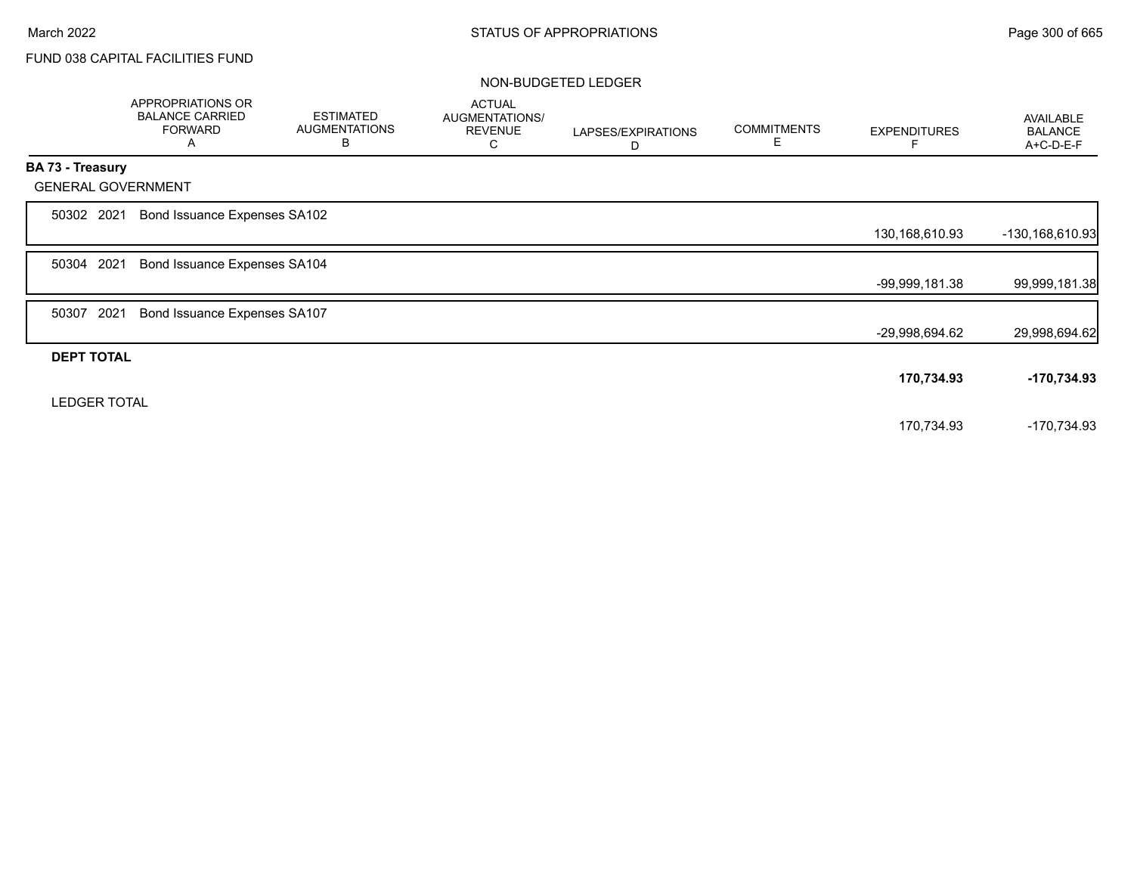|                     | APPROPRIATIONS OR<br><b>BALANCE CARRIED</b><br><b>FORWARD</b><br>A | <b>ESTIMATED</b><br><b>AUGMENTATIONS</b><br>B | <b>ACTUAL</b><br><b>AUGMENTATIONS/</b><br><b>REVENUE</b><br>С | LAPSES/EXPIRATIONS<br>D | <b>COMMITMENTS</b><br>E. | <b>EXPENDITURES</b> | AVAILABLE<br><b>BALANCE</b><br>A+C-D-E-F |
|---------------------|--------------------------------------------------------------------|-----------------------------------------------|---------------------------------------------------------------|-------------------------|--------------------------|---------------------|------------------------------------------|
| BA 73 - Treasury    |                                                                    |                                               |                                                               |                         |                          |                     |                                          |
|                     | <b>GENERAL GOVERNMENT</b>                                          |                                               |                                                               |                         |                          |                     |                                          |
| 50302 2021          | Bond Issuance Expenses SA102                                       |                                               |                                                               |                         |                          |                     |                                          |
|                     |                                                                    |                                               |                                                               |                         |                          | 130,168,610.93      | -130,168,610.93                          |
| 50304 2021          | Bond Issuance Expenses SA104                                       |                                               |                                                               |                         |                          |                     |                                          |
|                     |                                                                    |                                               |                                                               |                         |                          | -99,999,181.38      | 99,999,181.38                            |
| 50307               | 2021<br>Bond Issuance Expenses SA107                               |                                               |                                                               |                         |                          |                     |                                          |
|                     |                                                                    |                                               |                                                               |                         |                          | -29,998,694.62      | 29,998,694.62                            |
| <b>DEPT TOTAL</b>   |                                                                    |                                               |                                                               |                         |                          |                     |                                          |
|                     |                                                                    |                                               |                                                               |                         |                          | 170,734.93          | -170,734.93                              |
| <b>LEDGER TOTAL</b> |                                                                    |                                               |                                                               |                         |                          |                     |                                          |
|                     |                                                                    |                                               |                                                               |                         |                          | 170,734.93          | -170,734.93                              |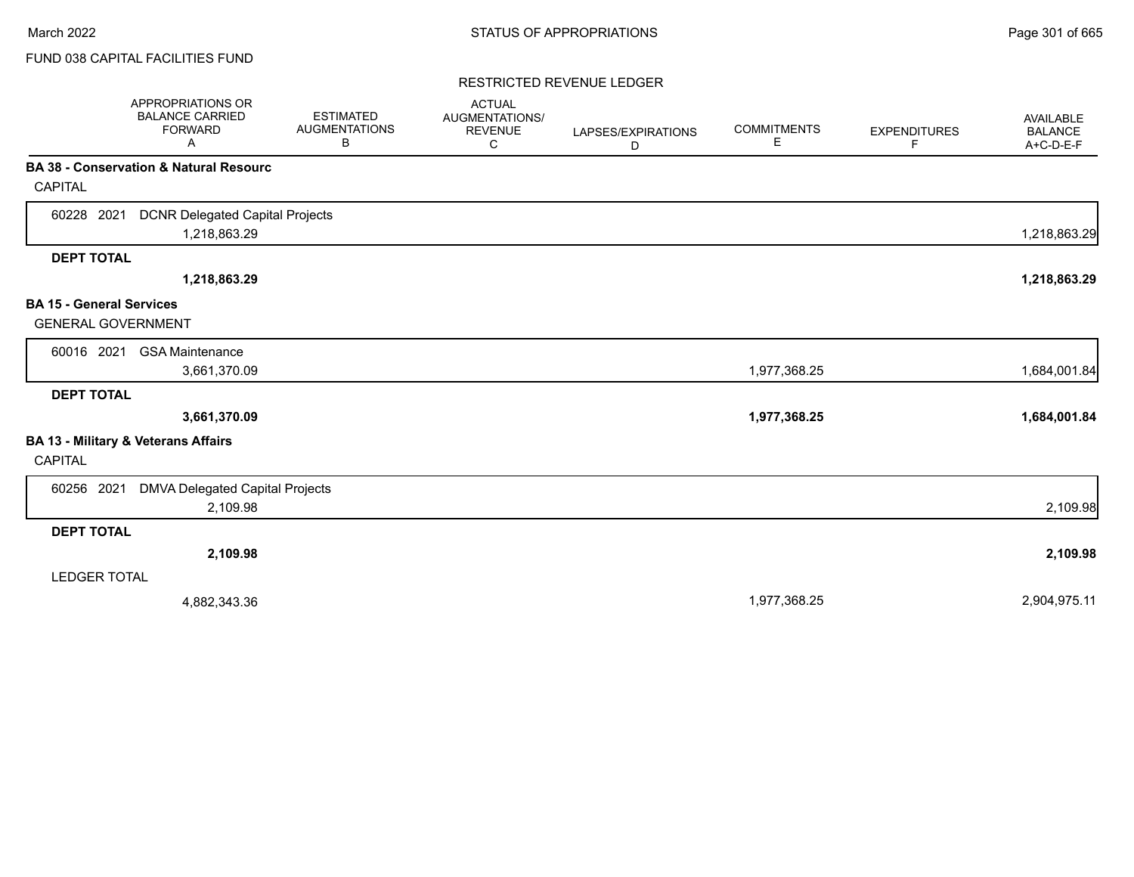### RESTRICTED REVENUE LEDGER

|                                 | APPROPRIATIONS OR<br><b>BALANCE CARRIED</b><br><b>FORWARD</b><br>A | <b>ESTIMATED</b><br><b>AUGMENTATIONS</b><br>В | <b>ACTUAL</b><br>AUGMENTATIONS/<br><b>REVENUE</b><br>С | LAPSES/EXPIRATIONS<br>D | <b>COMMITMENTS</b><br>Е | <b>EXPENDITURES</b><br>F | AVAILABLE<br><b>BALANCE</b><br>A+C-D-E-F |
|---------------------------------|--------------------------------------------------------------------|-----------------------------------------------|--------------------------------------------------------|-------------------------|-------------------------|--------------------------|------------------------------------------|
| CAPITAL                         | <b>BA 38 - Conservation &amp; Natural Resourc</b>                  |                                               |                                                        |                         |                         |                          |                                          |
|                                 |                                                                    |                                               |                                                        |                         |                         |                          |                                          |
| 60228 2021                      | <b>DCNR Delegated Capital Projects</b><br>1,218,863.29             |                                               |                                                        |                         |                         |                          | 1,218,863.29                             |
| <b>DEPT TOTAL</b>               |                                                                    |                                               |                                                        |                         |                         |                          |                                          |
|                                 | 1,218,863.29                                                       |                                               |                                                        |                         |                         |                          | 1,218,863.29                             |
| <b>BA 15 - General Services</b> |                                                                    |                                               |                                                        |                         |                         |                          |                                          |
| <b>GENERAL GOVERNMENT</b>       |                                                                    |                                               |                                                        |                         |                         |                          |                                          |
| 60016 2021                      | <b>GSA Maintenance</b>                                             |                                               |                                                        |                         |                         |                          |                                          |
|                                 | 3,661,370.09                                                       |                                               |                                                        |                         | 1,977,368.25            |                          | 1,684,001.84                             |
| <b>DEPT TOTAL</b>               |                                                                    |                                               |                                                        |                         |                         |                          |                                          |
|                                 | 3,661,370.09                                                       |                                               |                                                        |                         | 1,977,368.25            |                          | 1,684,001.84                             |
| CAPITAL                         | BA 13 - Military & Veterans Affairs                                |                                               |                                                        |                         |                         |                          |                                          |
| 60256 2021                      | DMVA Delegated Capital Projects                                    |                                               |                                                        |                         |                         |                          |                                          |
|                                 | 2,109.98                                                           |                                               |                                                        |                         |                         |                          | 2,109.98                                 |
| <b>DEPT TOTAL</b>               |                                                                    |                                               |                                                        |                         |                         |                          |                                          |
|                                 | 2,109.98                                                           |                                               |                                                        |                         |                         |                          | 2,109.98                                 |
| <b>LEDGER TOTAL</b>             |                                                                    |                                               |                                                        |                         |                         |                          |                                          |
|                                 | 4,882,343.36                                                       |                                               |                                                        |                         | 1,977,368.25            |                          | 2,904,975.11                             |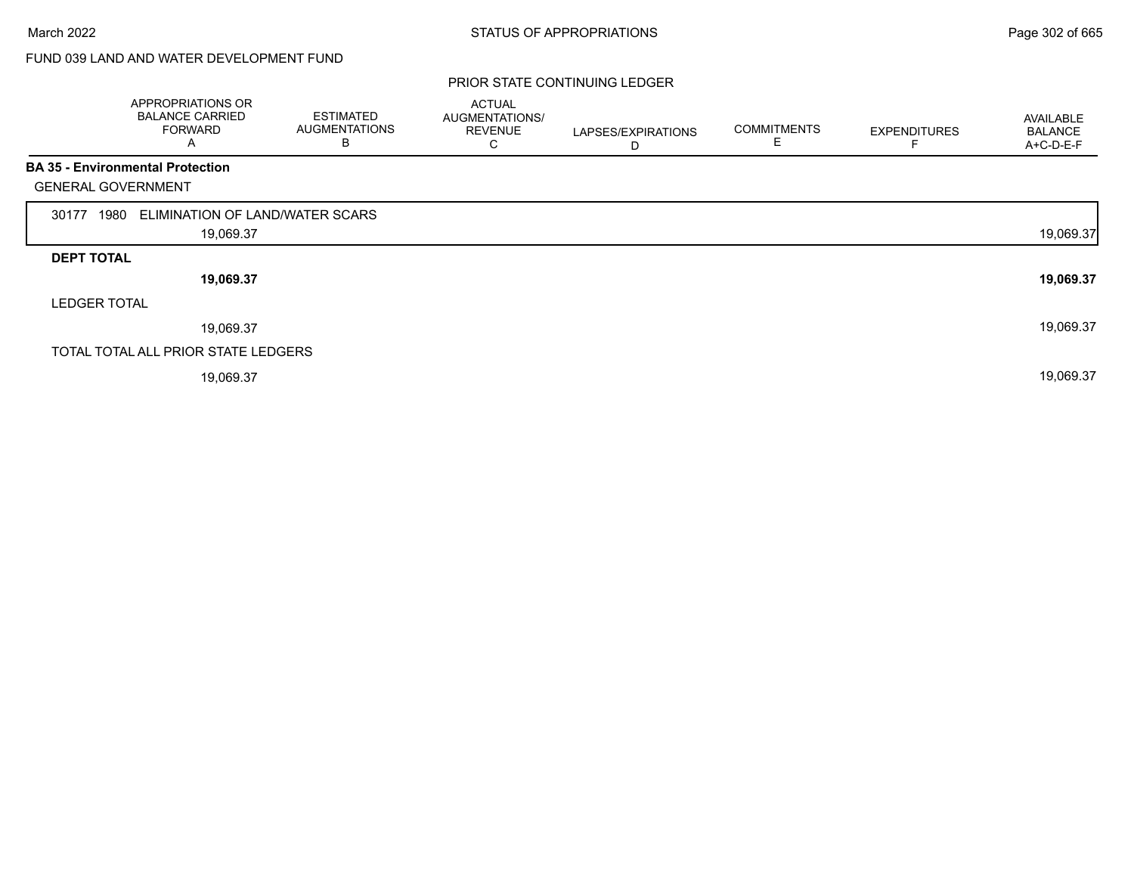# FUND 039 LAND AND WATER DEVELOPMENT FUND

|                           | APPROPRIATIONS OR<br><b>BALANCE CARRIED</b><br><b>FORWARD</b><br>A | <b>ESTIMATED</b><br><b>AUGMENTATIONS</b><br>B | <b>ACTUAL</b><br>AUGMENTATIONS/<br><b>REVENUE</b><br>С | LAPSES/EXPIRATIONS<br>D | <b>COMMITMENTS</b><br>E | <b>EXPENDITURES</b> | AVAILABLE<br><b>BALANCE</b><br>A+C-D-E-F |
|---------------------------|--------------------------------------------------------------------|-----------------------------------------------|--------------------------------------------------------|-------------------------|-------------------------|---------------------|------------------------------------------|
|                           | <b>BA 35 - Environmental Protection</b>                            |                                               |                                                        |                         |                         |                     |                                          |
| <b>GENERAL GOVERNMENT</b> |                                                                    |                                               |                                                        |                         |                         |                     |                                          |
| 1980<br>30177             | ELIMINATION OF LAND/WATER SCARS                                    |                                               |                                                        |                         |                         |                     |                                          |
|                           | 19,069.37                                                          |                                               |                                                        |                         |                         |                     | 19,069.37                                |
| <b>DEPT TOTAL</b>         |                                                                    |                                               |                                                        |                         |                         |                     |                                          |
|                           | 19,069.37                                                          |                                               |                                                        |                         |                         |                     | 19,069.37                                |
| <b>LEDGER TOTAL</b>       |                                                                    |                                               |                                                        |                         |                         |                     |                                          |
|                           | 19,069.37                                                          |                                               |                                                        |                         |                         |                     | 19,069.37                                |
|                           | TOTAL TOTAL ALL PRIOR STATE LEDGERS                                |                                               |                                                        |                         |                         |                     |                                          |
|                           | 19,069.37                                                          |                                               |                                                        |                         |                         |                     | 19,069.37                                |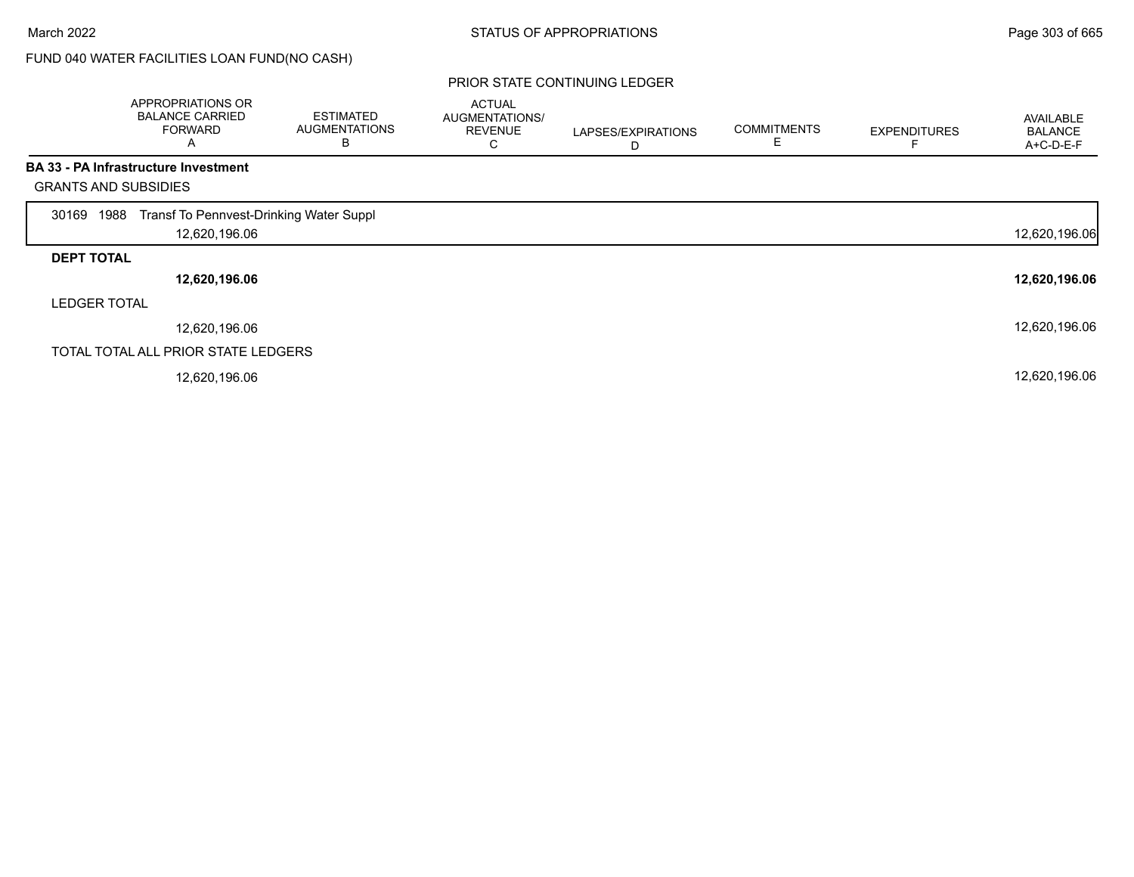# FUND 040 WATER FACILITIES LOAN FUND(NO CASH)

|                             | APPROPRIATIONS OR<br><b>BALANCE CARRIED</b><br><b>FORWARD</b><br>Α | <b>ESTIMATED</b><br><b>AUGMENTATIONS</b><br>В | <b>ACTUAL</b><br>AUGMENTATIONS/<br><b>REVENUE</b><br>С | LAPSES/EXPIRATIONS<br>D | <b>COMMITMENTS</b><br>Ε | <b>EXPENDITURES</b> | AVAILABLE<br><b>BALANCE</b><br>A+C-D-E-F |
|-----------------------------|--------------------------------------------------------------------|-----------------------------------------------|--------------------------------------------------------|-------------------------|-------------------------|---------------------|------------------------------------------|
|                             | <b>BA 33 - PA Infrastructure Investment</b>                        |                                               |                                                        |                         |                         |                     |                                          |
| <b>GRANTS AND SUBSIDIES</b> |                                                                    |                                               |                                                        |                         |                         |                     |                                          |
| 1988<br>30169               | Transf To Pennvest-Drinking Water Suppl                            |                                               |                                                        |                         |                         |                     |                                          |
|                             | 12,620,196.06                                                      |                                               |                                                        |                         |                         |                     | 12,620,196.06                            |
| <b>DEPT TOTAL</b>           |                                                                    |                                               |                                                        |                         |                         |                     |                                          |
|                             | 12,620,196.06                                                      |                                               |                                                        |                         |                         |                     | 12,620,196.06                            |
| <b>LEDGER TOTAL</b>         |                                                                    |                                               |                                                        |                         |                         |                     |                                          |
|                             | 12,620,196.06                                                      |                                               |                                                        |                         |                         |                     | 12,620,196.06                            |
|                             | TOTAL TOTAL ALL PRIOR STATE LEDGERS                                |                                               |                                                        |                         |                         |                     |                                          |
|                             | 12,620,196.06                                                      |                                               |                                                        |                         |                         |                     | 12,620,196.06                            |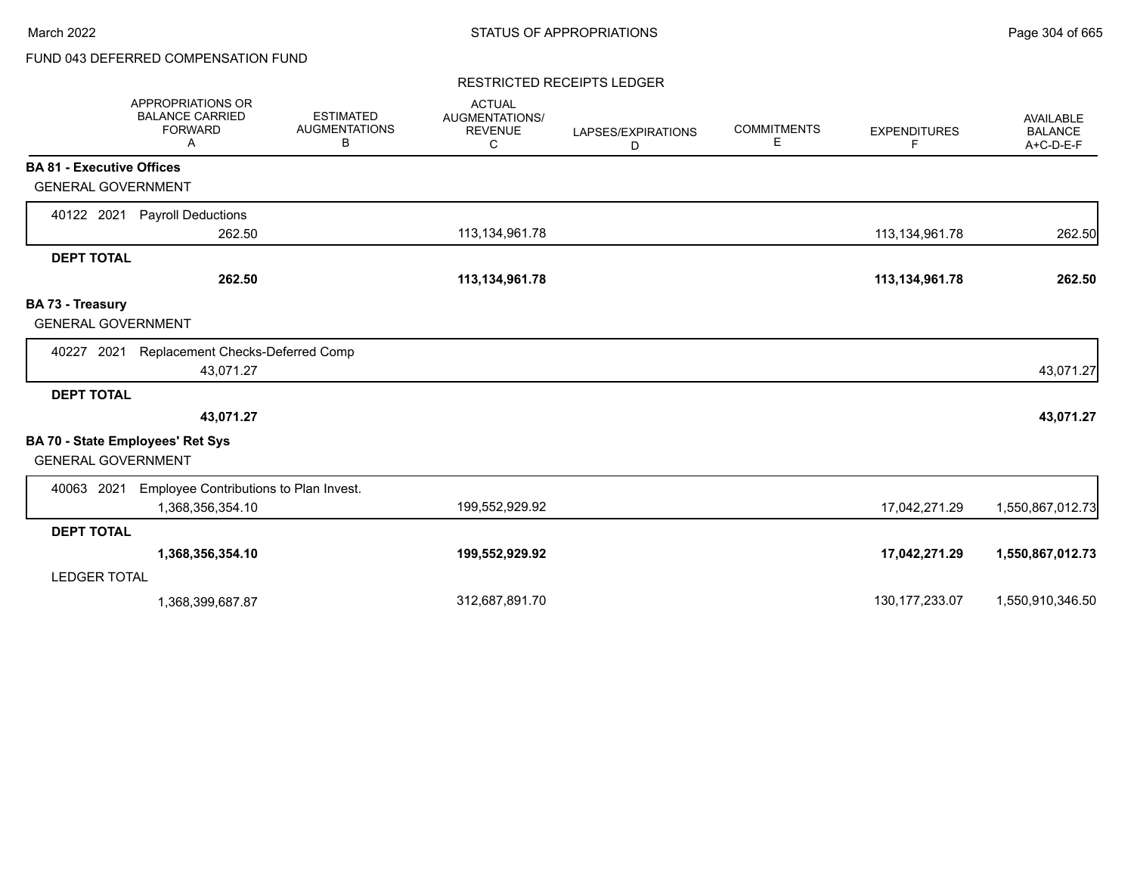# FUND 043 DEFERRED COMPENSATION FUND

### RESTRICTED RECEIPTS LEDGER

|                                  | <b>APPROPRIATIONS OR</b><br><b>BALANCE CARRIED</b><br><b>FORWARD</b><br>A | <b>ESTIMATED</b><br><b>AUGMENTATIONS</b><br>В | <b>ACTUAL</b><br>AUGMENTATIONS/<br><b>REVENUE</b><br>С | LAPSES/EXPIRATIONS<br>D | <b>COMMITMENTS</b><br>Е | <b>EXPENDITURES</b><br>F. | AVAILABLE<br><b>BALANCE</b><br>A+C-D-E-F |
|----------------------------------|---------------------------------------------------------------------------|-----------------------------------------------|--------------------------------------------------------|-------------------------|-------------------------|---------------------------|------------------------------------------|
| <b>BA 81 - Executive Offices</b> |                                                                           |                                               |                                                        |                         |                         |                           |                                          |
| <b>GENERAL GOVERNMENT</b>        |                                                                           |                                               |                                                        |                         |                         |                           |                                          |
| 40122 2021                       | <b>Payroll Deductions</b>                                                 |                                               |                                                        |                         |                         |                           |                                          |
|                                  | 262.50                                                                    |                                               | 113,134,961.78                                         |                         |                         | 113,134,961.78            | 262.50                                   |
| <b>DEPT TOTAL</b>                |                                                                           |                                               |                                                        |                         |                         |                           |                                          |
|                                  | 262.50                                                                    |                                               | 113,134,961.78                                         |                         |                         | 113,134,961.78            | 262.50                                   |
| BA 73 - Treasury                 |                                                                           |                                               |                                                        |                         |                         |                           |                                          |
| <b>GENERAL GOVERNMENT</b>        |                                                                           |                                               |                                                        |                         |                         |                           |                                          |
| 40227 2021                       | Replacement Checks-Deferred Comp                                          |                                               |                                                        |                         |                         |                           |                                          |
|                                  | 43,071.27                                                                 |                                               |                                                        |                         |                         |                           | 43,071.27                                |
| <b>DEPT TOTAL</b>                |                                                                           |                                               |                                                        |                         |                         |                           |                                          |
|                                  | 43,071.27                                                                 |                                               |                                                        |                         |                         |                           | 43,071.27                                |
| <b>GENERAL GOVERNMENT</b>        | BA 70 - State Employees' Ret Sys                                          |                                               |                                                        |                         |                         |                           |                                          |
| 40063 2021                       | Employee Contributions to Plan Invest.                                    |                                               |                                                        |                         |                         |                           |                                          |
|                                  | 1,368,356,354.10                                                          |                                               | 199,552,929.92                                         |                         |                         | 17,042,271.29             | 1,550,867,012.73                         |
| <b>DEPT TOTAL</b>                |                                                                           |                                               |                                                        |                         |                         |                           |                                          |
|                                  | 1,368,356,354.10                                                          |                                               | 199,552,929.92                                         |                         |                         | 17,042,271.29             | 1,550,867,012.73                         |
| <b>LEDGER TOTAL</b>              |                                                                           |                                               |                                                        |                         |                         |                           |                                          |
|                                  | 1,368,399,687.87                                                          |                                               | 312,687,891.70                                         |                         |                         | 130, 177, 233.07          | 1,550,910,346.50                         |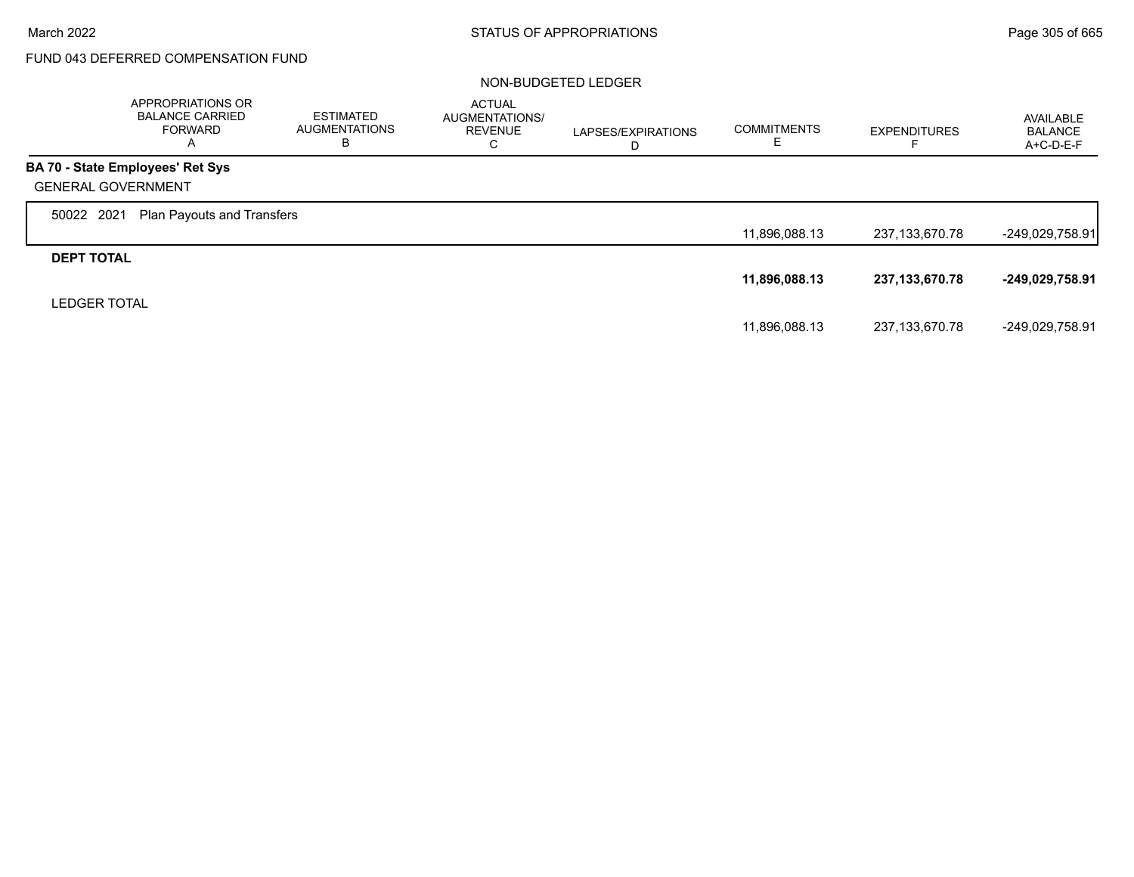г

# FUND 043 DEFERRED COMPENSATION FUND

|                           | APPROPRIATIONS OR<br><b>BALANCE CARRIED</b><br><b>FORWARD</b><br>A | <b>ESTIMATED</b><br><b>AUGMENTATIONS</b><br>в | <b>ACTUAL</b><br>AUGMENTATIONS/<br><b>REVENUE</b><br>С | LAPSES/EXPIRATIONS<br>D | <b>COMMITMENTS</b> | <b>EXPENDITURES</b> | AVAILABLE<br>BALANCE<br>A+C-D-E-F |
|---------------------------|--------------------------------------------------------------------|-----------------------------------------------|--------------------------------------------------------|-------------------------|--------------------|---------------------|-----------------------------------|
|                           | BA 70 - State Employees' Ret Sys                                   |                                               |                                                        |                         |                    |                     |                                   |
| <b>GENERAL GOVERNMENT</b> |                                                                    |                                               |                                                        |                         |                    |                     |                                   |
| 50022 2021                | <b>Plan Payouts and Transfers</b>                                  |                                               |                                                        |                         |                    |                     |                                   |
|                           |                                                                    |                                               |                                                        |                         | 11,896,088.13      | 237,133,670.78      | -249,029,758.91                   |
| <b>DEPT TOTAL</b>         |                                                                    |                                               |                                                        |                         |                    |                     |                                   |
|                           |                                                                    |                                               |                                                        |                         | 11,896,088.13      | 237,133,670.78      | -249,029,758.91                   |
| <b>LEDGER TOTAL</b>       |                                                                    |                                               |                                                        |                         |                    |                     |                                   |
|                           |                                                                    |                                               |                                                        |                         | 11,896,088.13      | 237,133,670.78      | -249,029,758.91                   |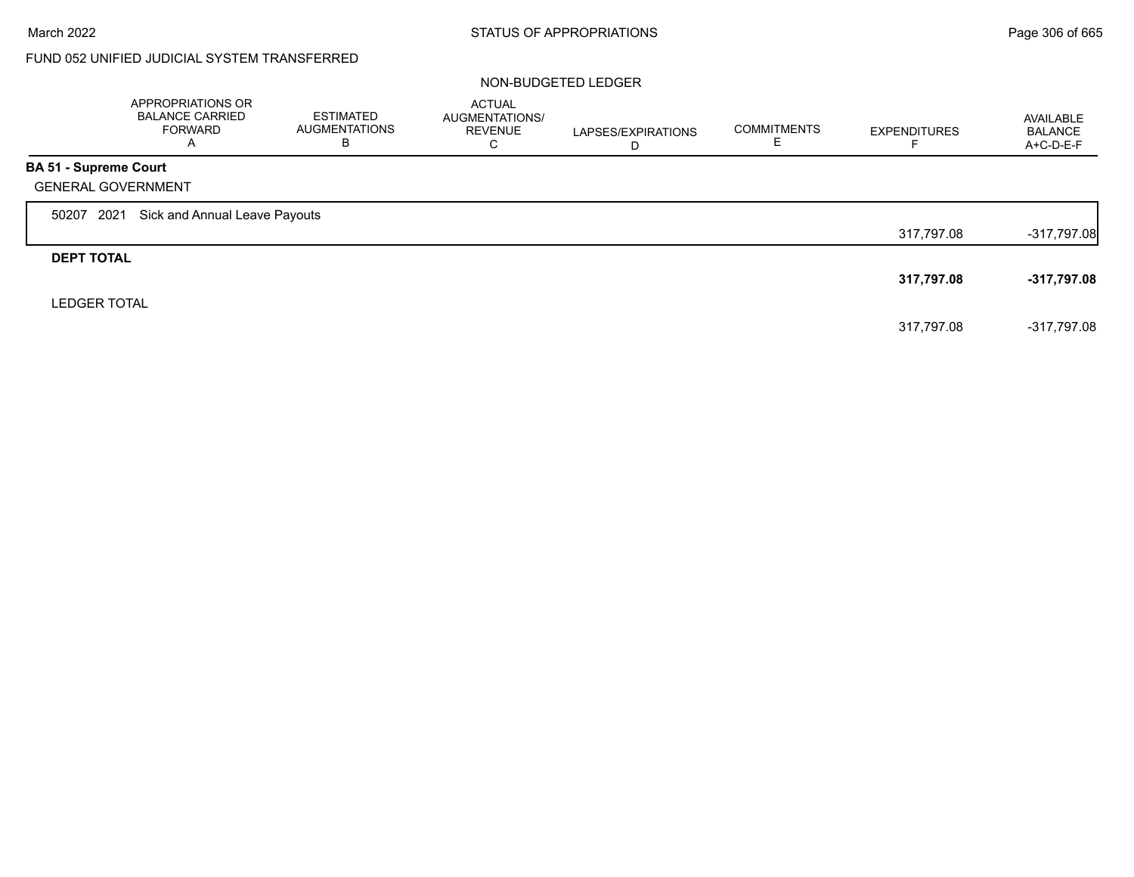$\Gamma$ 

# FUND 052 UNIFIED JUDICIAL SYSTEM TRANSFERRED

|                              | APPROPRIATIONS OR<br><b>BALANCE CARRIED</b><br>FORWARD<br>A | <b>ESTIMATED</b><br><b>AUGMENTATIONS</b><br>в | <b>ACTUAL</b><br>AUGMENTATIONS/<br><b>REVENUE</b><br>C | LAPSES/EXPIRATIONS<br>D | <b>COMMITMENTS</b> | <b>EXPENDITURES</b> | AVAILABLE<br><b>BALANCE</b><br>$A+C-D-E-F$ |
|------------------------------|-------------------------------------------------------------|-----------------------------------------------|--------------------------------------------------------|-------------------------|--------------------|---------------------|--------------------------------------------|
| <b>BA 51 - Supreme Court</b> |                                                             |                                               |                                                        |                         |                    |                     |                                            |
|                              | <b>GENERAL GOVERNMENT</b>                                   |                                               |                                                        |                         |                    |                     |                                            |
| 50207                        | Sick and Annual Leave Payouts<br>2021                       |                                               |                                                        |                         |                    |                     |                                            |
|                              |                                                             |                                               |                                                        |                         |                    | 317.797.08          | $-317,797.08$                              |
| <b>DEPT TOTAL</b>            |                                                             |                                               |                                                        |                         |                    |                     |                                            |
|                              |                                                             |                                               |                                                        |                         |                    | 317,797.08          | $-317,797.08$                              |
| <b>LEDGER TOTAL</b>          |                                                             |                                               |                                                        |                         |                    |                     |                                            |
|                              |                                                             |                                               |                                                        |                         |                    | 317.797.08          | -317,797.08                                |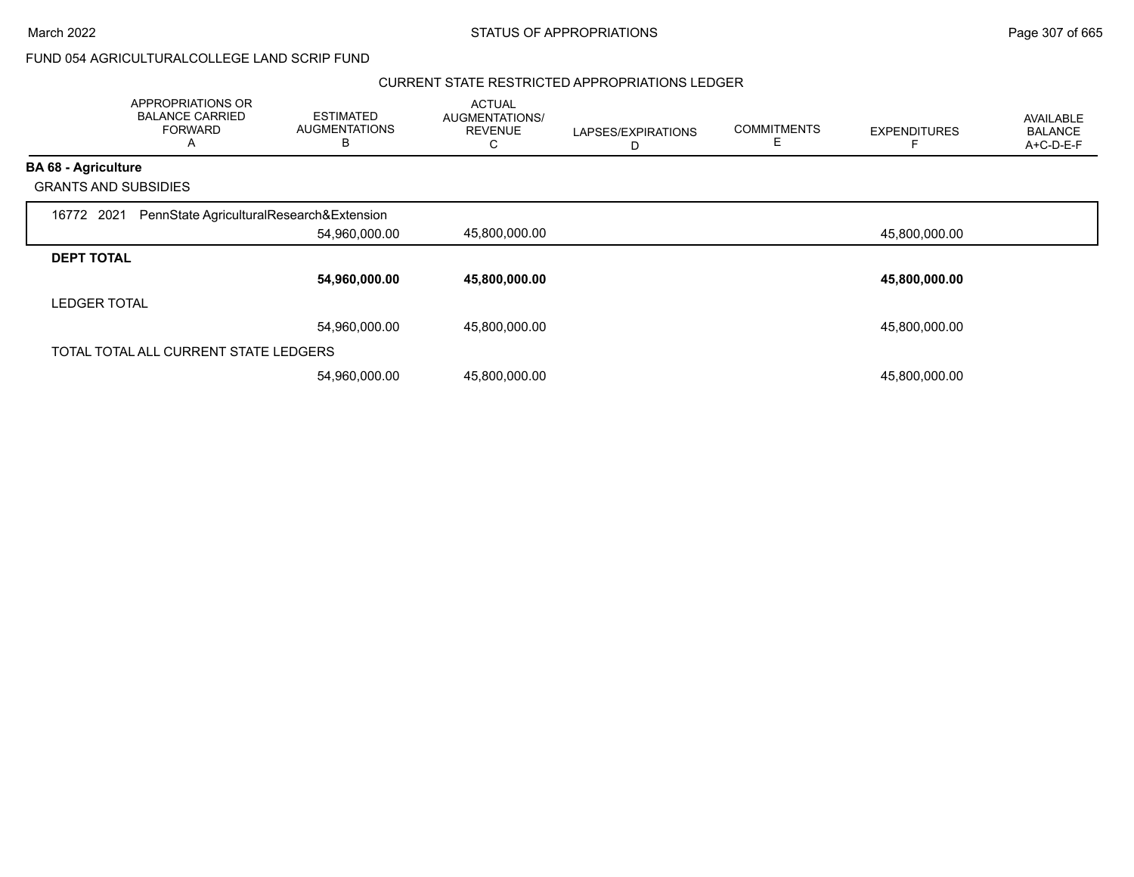## FUND 054 AGRICULTURALCOLLEGE LAND SCRIP FUND

#### CURRENT STATE RESTRICTED APPROPRIATIONS LEDGER

|                             | APPROPRIATIONS OR<br><b>BALANCE CARRIED</b><br><b>FORWARD</b><br>A | <b>ESTIMATED</b><br><b>AUGMENTATIONS</b><br>В | <b>ACTUAL</b><br>AUGMENTATIONS/<br><b>REVENUE</b><br>C | LAPSES/EXPIRATIONS<br>D | <b>COMMITMENTS</b><br>Е | <b>EXPENDITURES</b> | <b>AVAILABLE</b><br><b>BALANCE</b><br>A+C-D-E-F |
|-----------------------------|--------------------------------------------------------------------|-----------------------------------------------|--------------------------------------------------------|-------------------------|-------------------------|---------------------|-------------------------------------------------|
| <b>BA 68 - Agriculture</b>  |                                                                    |                                               |                                                        |                         |                         |                     |                                                 |
| <b>GRANTS AND SUBSIDIES</b> |                                                                    |                                               |                                                        |                         |                         |                     |                                                 |
| 16772 2021                  | PennState AgriculturalResearch&Extension                           |                                               |                                                        |                         |                         |                     |                                                 |
|                             |                                                                    | 54,960,000.00                                 | 45,800,000.00                                          |                         |                         | 45,800,000.00       |                                                 |
| <b>DEPT TOTAL</b>           |                                                                    |                                               |                                                        |                         |                         |                     |                                                 |
|                             |                                                                    | 54,960,000.00                                 | 45,800,000.00                                          |                         |                         | 45,800,000.00       |                                                 |
| <b>LEDGER TOTAL</b>         |                                                                    |                                               |                                                        |                         |                         |                     |                                                 |
|                             |                                                                    | 54.960.000.00                                 | 45.800.000.00                                          |                         |                         | 45,800,000.00       |                                                 |
|                             | TOTAL TOTAL ALL CURRENT STATE LEDGERS                              |                                               |                                                        |                         |                         |                     |                                                 |
|                             |                                                                    | 54,960,000.00                                 | 45,800,000.00                                          |                         |                         | 45,800,000.00       |                                                 |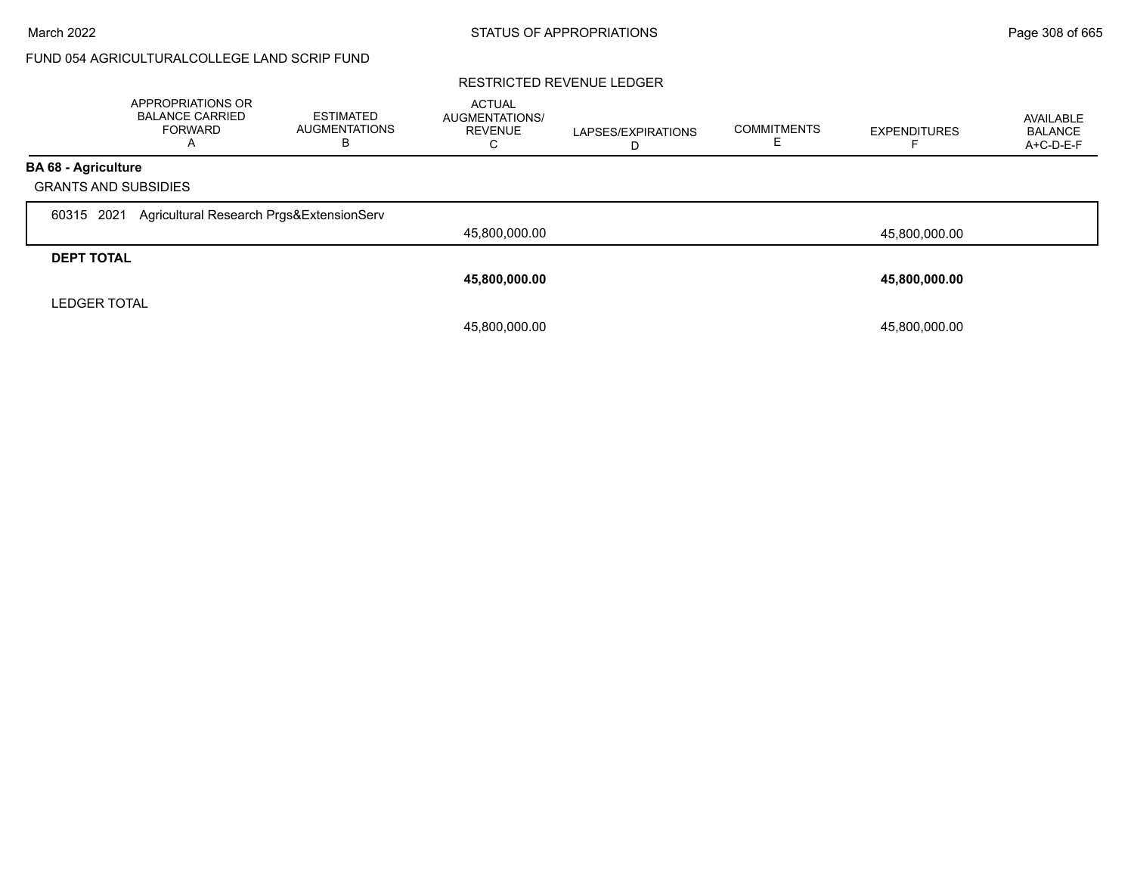# FUND 054 AGRICULTURALCOLLEGE LAND SCRIP FUND

#### RESTRICTED REVENUE LEDGER

|                             | <b>APPROPRIATIONS OR</b><br><b>BALANCE CARRIED</b><br><b>FORWARD</b> | <b>ESTIMATED</b><br><b>AUGMENTATIONS</b><br>В | <b>ACTUAL</b><br><b>AUGMENTATIONS/</b><br><b>REVENUE</b><br>U | LAPSES/EXPIRATIONS<br>D | <b>COMMITMENTS</b> | <b>EXPENDITURES</b> | AVAILABLE<br><b>BALANCE</b><br>A+C-D-E-F |
|-----------------------------|----------------------------------------------------------------------|-----------------------------------------------|---------------------------------------------------------------|-------------------------|--------------------|---------------------|------------------------------------------|
| <b>BA 68 - Agriculture</b>  |                                                                      |                                               |                                                               |                         |                    |                     |                                          |
| <b>GRANTS AND SUBSIDIES</b> |                                                                      |                                               |                                                               |                         |                    |                     |                                          |
| 2021<br>60315               | Agricultural Research Prgs&ExtensionServ                             |                                               |                                                               |                         |                    |                     |                                          |
|                             |                                                                      |                                               | 45,800,000.00                                                 |                         |                    | 45,800,000.00       |                                          |
| <b>DEPT TOTAL</b>           |                                                                      |                                               |                                                               |                         |                    |                     |                                          |
|                             |                                                                      |                                               | 45,800,000.00                                                 |                         |                    | 45,800,000.00       |                                          |
| <b>LEDGER TOTAL</b>         |                                                                      |                                               |                                                               |                         |                    |                     |                                          |
|                             |                                                                      |                                               | 45,800,000.00                                                 |                         |                    | 45,800,000.00       |                                          |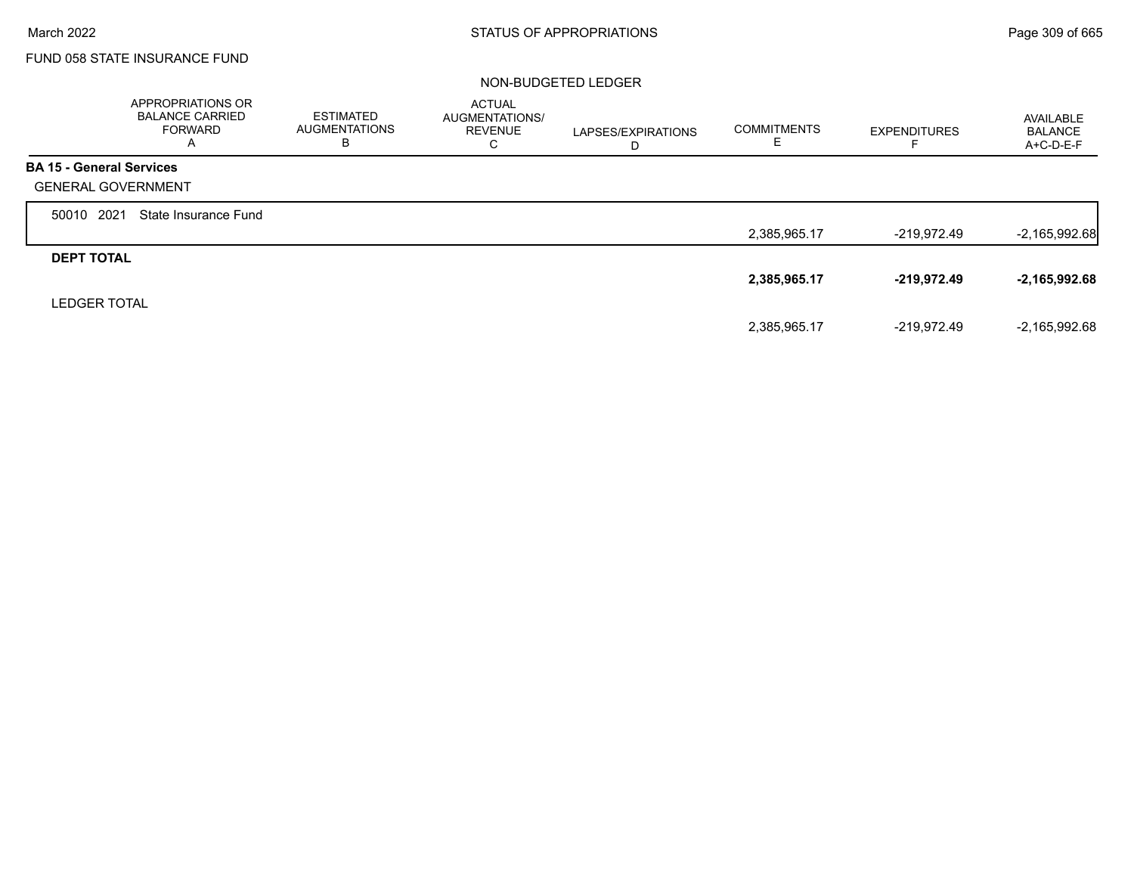г

# FUND 058 STATE INSURANCE FUND

|                                 | APPROPRIATIONS OR<br><b>BALANCE CARRIED</b><br><b>FORWARD</b><br>A | <b>ESTIMATED</b><br><b>AUGMENTATIONS</b><br>в | <b>ACTUAL</b><br>AUGMENTATIONS/<br><b>REVENUE</b><br>С | LAPSES/EXPIRATIONS<br>D | <b>COMMITMENTS</b><br>Е | <b>EXPENDITURES</b> | AVAILABLE<br><b>BALANCE</b><br>$A+C-D-E-F$ |
|---------------------------------|--------------------------------------------------------------------|-----------------------------------------------|--------------------------------------------------------|-------------------------|-------------------------|---------------------|--------------------------------------------|
| <b>BA 15 - General Services</b> |                                                                    |                                               |                                                        |                         |                         |                     |                                            |
| <b>GENERAL GOVERNMENT</b>       |                                                                    |                                               |                                                        |                         |                         |                     |                                            |
| 2021<br>50010                   | State Insurance Fund                                               |                                               |                                                        |                         |                         |                     |                                            |
|                                 |                                                                    |                                               |                                                        |                         | 2,385,965.17            | $-219,972.49$       | $-2,165,992.68$                            |
| <b>DEPT TOTAL</b>               |                                                                    |                                               |                                                        |                         |                         |                     |                                            |
|                                 |                                                                    |                                               |                                                        |                         | 2,385,965.17            | -219,972.49         | $-2,165,992.68$                            |
| <b>LEDGER TOTAL</b>             |                                                                    |                                               |                                                        |                         |                         |                     |                                            |
|                                 |                                                                    |                                               |                                                        |                         | 2,385,965.17            | -219,972.49         | $-2,165,992.68$                            |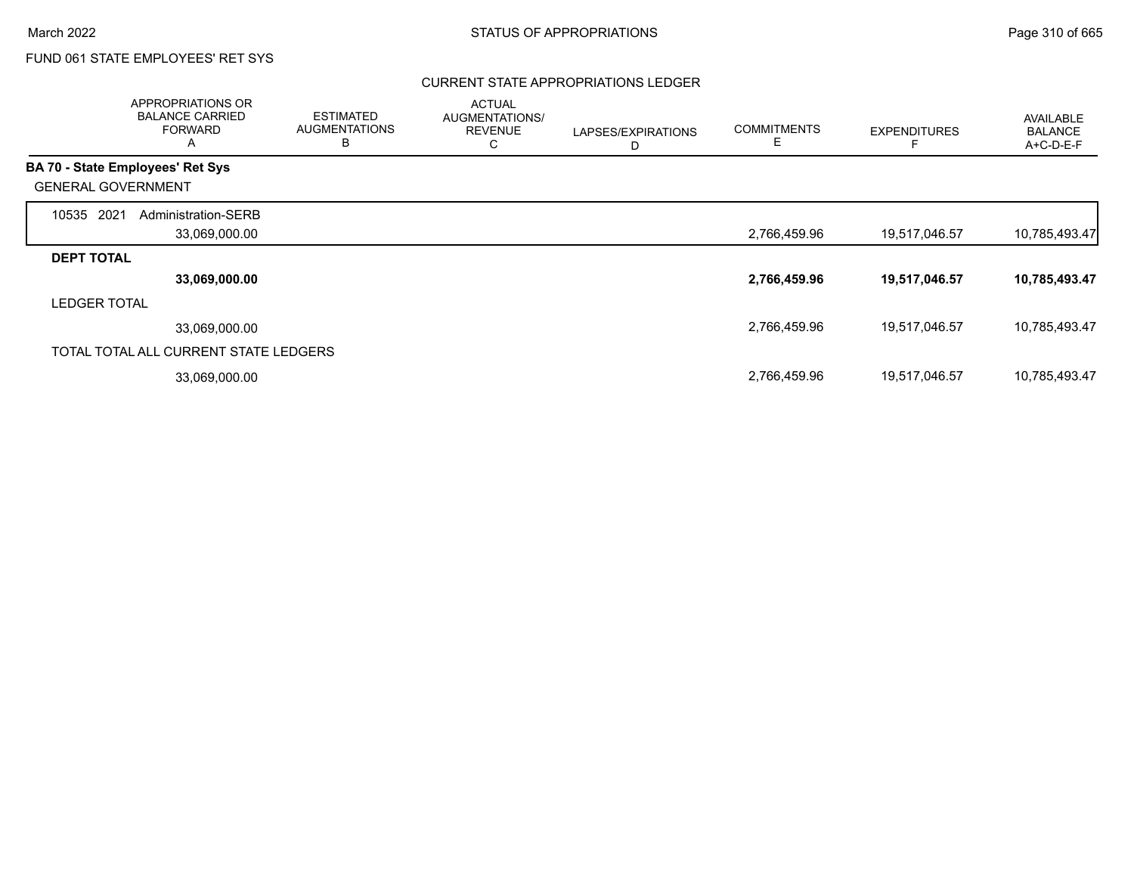## CURRENT STATE APPROPRIATIONS LEDGER

|                                         | APPROPRIATIONS OR<br><b>BALANCE CARRIED</b><br><b>FORWARD</b><br>A | <b>ESTIMATED</b><br><b>AUGMENTATIONS</b><br>B | <b>ACTUAL</b><br>AUGMENTATIONS/<br><b>REVENUE</b><br>C | LAPSES/EXPIRATIONS<br>D | <b>COMMITMENTS</b><br>Е | <b>EXPENDITURES</b> | <b>AVAILABLE</b><br><b>BALANCE</b><br>A+C-D-E-F |
|-----------------------------------------|--------------------------------------------------------------------|-----------------------------------------------|--------------------------------------------------------|-------------------------|-------------------------|---------------------|-------------------------------------------------|
| <b>BA 70 - State Employees' Ret Sys</b> |                                                                    |                                               |                                                        |                         |                         |                     |                                                 |
| <b>GENERAL GOVERNMENT</b>               |                                                                    |                                               |                                                        |                         |                         |                     |                                                 |
| 2021<br>10535                           | Administration-SERB                                                |                                               |                                                        |                         |                         |                     |                                                 |
|                                         | 33,069,000.00                                                      |                                               |                                                        |                         | 2,766,459.96            | 19,517,046.57       | 10,785,493.47                                   |
| <b>DEPT TOTAL</b>                       |                                                                    |                                               |                                                        |                         |                         |                     |                                                 |
|                                         | 33,069,000.00                                                      |                                               |                                                        |                         | 2,766,459.96            | 19,517,046.57       | 10,785,493.47                                   |
| <b>LEDGER TOTAL</b>                     |                                                                    |                                               |                                                        |                         |                         |                     |                                                 |
|                                         | 33,069,000.00                                                      |                                               |                                                        |                         | 2,766,459.96            | 19,517,046.57       | 10,785,493.47                                   |
|                                         | TOTAL TOTAL ALL CURRENT STATE LEDGERS                              |                                               |                                                        |                         |                         |                     |                                                 |
|                                         | 33,069,000.00                                                      |                                               |                                                        |                         | 2,766,459.96            | 19,517,046.57       | 10,785,493.47                                   |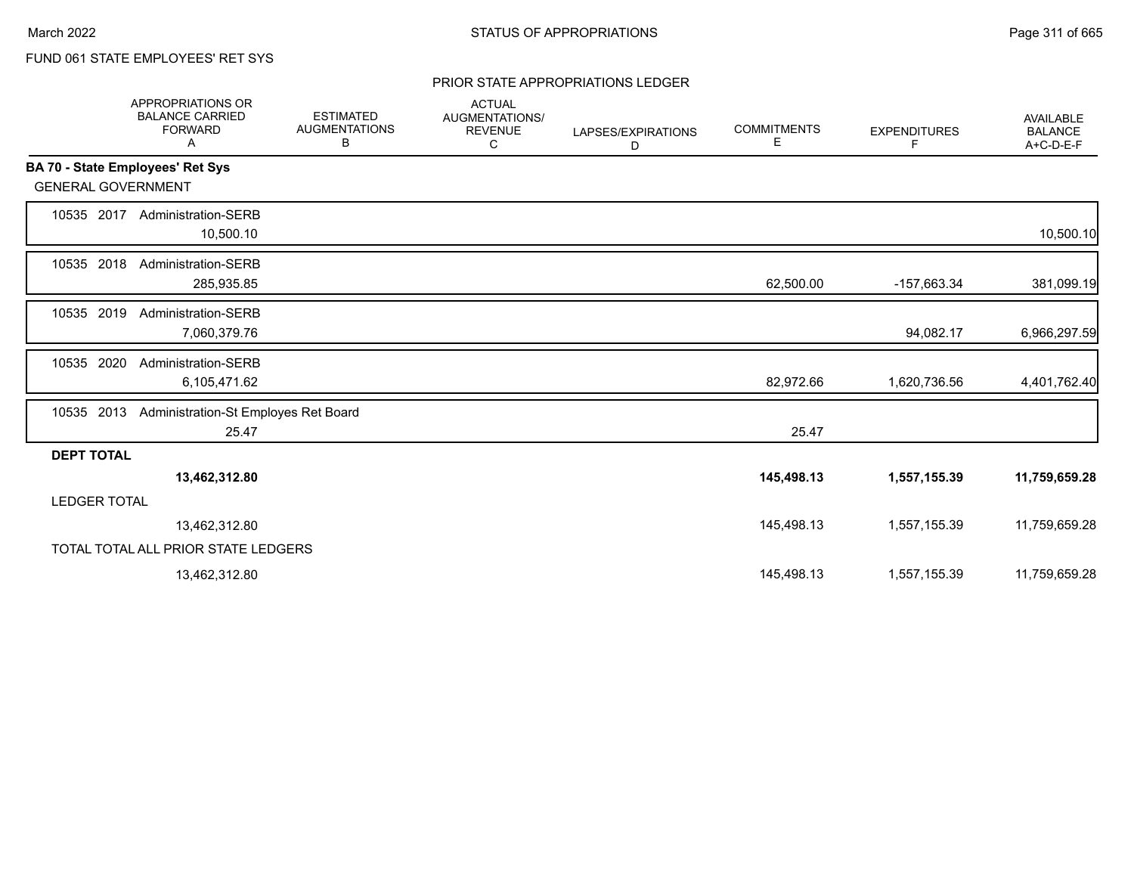#### PRIOR STATE APPROPRIATIONS LEDGER

|                           | APPROPRIATIONS OR<br><b>BALANCE CARRIED</b><br><b>FORWARD</b><br>Α | <b>ESTIMATED</b><br><b>AUGMENTATIONS</b><br>В | <b>ACTUAL</b><br>AUGMENTATIONS/<br><b>REVENUE</b><br>С | LAPSES/EXPIRATIONS<br>D | <b>COMMITMENTS</b><br>Е | <b>EXPENDITURES</b><br>F | <b>AVAILABLE</b><br><b>BALANCE</b><br>A+C-D-E-F |
|---------------------------|--------------------------------------------------------------------|-----------------------------------------------|--------------------------------------------------------|-------------------------|-------------------------|--------------------------|-------------------------------------------------|
|                           | BA 70 - State Employees' Ret Sys                                   |                                               |                                                        |                         |                         |                          |                                                 |
| <b>GENERAL GOVERNMENT</b> |                                                                    |                                               |                                                        |                         |                         |                          |                                                 |
| 10535 2017                | <b>Administration-SERB</b><br>10,500.10                            |                                               |                                                        |                         |                         |                          | 10,500.10                                       |
| 10535 2018                | Administration-SERB<br>285,935.85                                  |                                               |                                                        |                         | 62,500.00               | -157,663.34              | 381,099.19                                      |
| 2019<br>10535             | Administration-SERB<br>7,060,379.76                                |                                               |                                                        |                         |                         | 94,082.17                | 6,966,297.59                                    |
| 2020<br>10535             | Administration-SERB<br>6,105,471.62                                |                                               |                                                        |                         | 82,972.66               | 1,620,736.56             | 4,401,762.40                                    |
| 2013<br>10535             | Administration-St Employes Ret Board<br>25.47                      |                                               |                                                        |                         | 25.47                   |                          |                                                 |
| <b>DEPT TOTAL</b>         |                                                                    |                                               |                                                        |                         |                         |                          |                                                 |
|                           | 13,462,312.80                                                      |                                               |                                                        |                         | 145,498.13              | 1,557,155.39             | 11,759,659.28                                   |
| <b>LEDGER TOTAL</b>       |                                                                    |                                               |                                                        |                         |                         |                          |                                                 |
|                           | 13,462,312.80                                                      |                                               |                                                        |                         | 145,498.13              | 1,557,155.39             | 11,759,659.28                                   |
|                           | TOTAL TOTAL ALL PRIOR STATE LEDGERS                                |                                               |                                                        |                         |                         |                          |                                                 |
|                           | 13,462,312.80                                                      |                                               |                                                        |                         | 145,498.13              | 1,557,155.39             | 11,759,659.28                                   |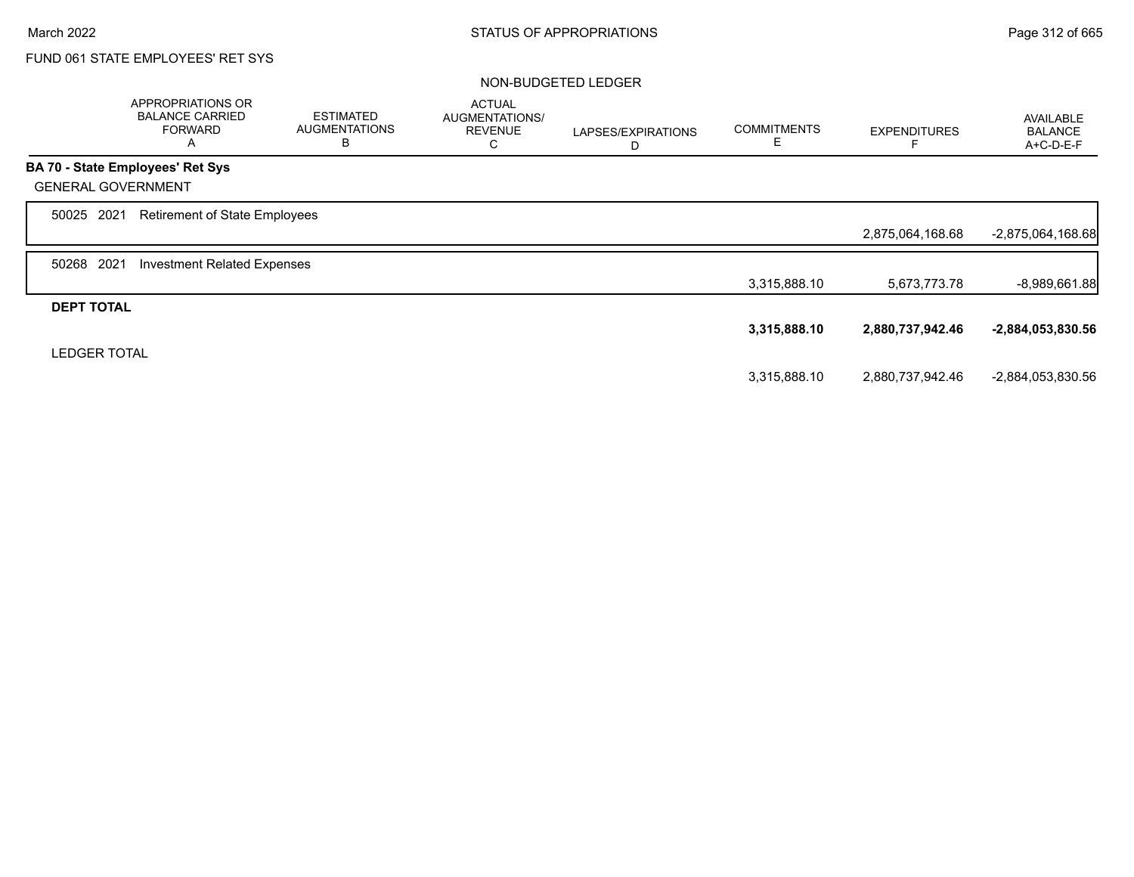|                           | APPROPRIATIONS OR<br><b>BALANCE CARRIED</b><br><b>FORWARD</b><br>A | <b>ESTIMATED</b><br><b>AUGMENTATIONS</b><br>B | <b>ACTUAL</b><br>AUGMENTATIONS/<br><b>REVENUE</b><br>C | LAPSES/EXPIRATIONS<br>D | <b>COMMITMENTS</b><br>Ε | <b>EXPENDITURES</b> | <b>AVAILABLE</b><br><b>BALANCE</b><br>A+C-D-E-F |
|---------------------------|--------------------------------------------------------------------|-----------------------------------------------|--------------------------------------------------------|-------------------------|-------------------------|---------------------|-------------------------------------------------|
|                           | <b>BA 70 - State Employees' Ret Sys</b>                            |                                               |                                                        |                         |                         |                     |                                                 |
| <b>GENERAL GOVERNMENT</b> |                                                                    |                                               |                                                        |                         |                         |                     |                                                 |
| 50025 2021                | <b>Retirement of State Employees</b>                               |                                               |                                                        |                         |                         |                     |                                                 |
|                           |                                                                    |                                               |                                                        |                         |                         | 2,875,064,168.68    | $-2,875,064,168.68$                             |
| 2021<br>50268             | <b>Investment Related Expenses</b>                                 |                                               |                                                        |                         |                         |                     |                                                 |
|                           |                                                                    |                                               |                                                        |                         | 3,315,888.10            | 5,673,773.78        | $-8,989,661.88$                                 |
| <b>DEPT TOTAL</b>         |                                                                    |                                               |                                                        |                         |                         |                     |                                                 |
|                           |                                                                    |                                               |                                                        |                         | 3,315,888.10            | 2,880,737,942.46    | -2,884,053,830.56                               |
| <b>LEDGER TOTAL</b>       |                                                                    |                                               |                                                        |                         |                         |                     |                                                 |
|                           |                                                                    |                                               |                                                        |                         | 3,315,888.10            | 2,880,737,942.46    | -2,884,053,830.56                               |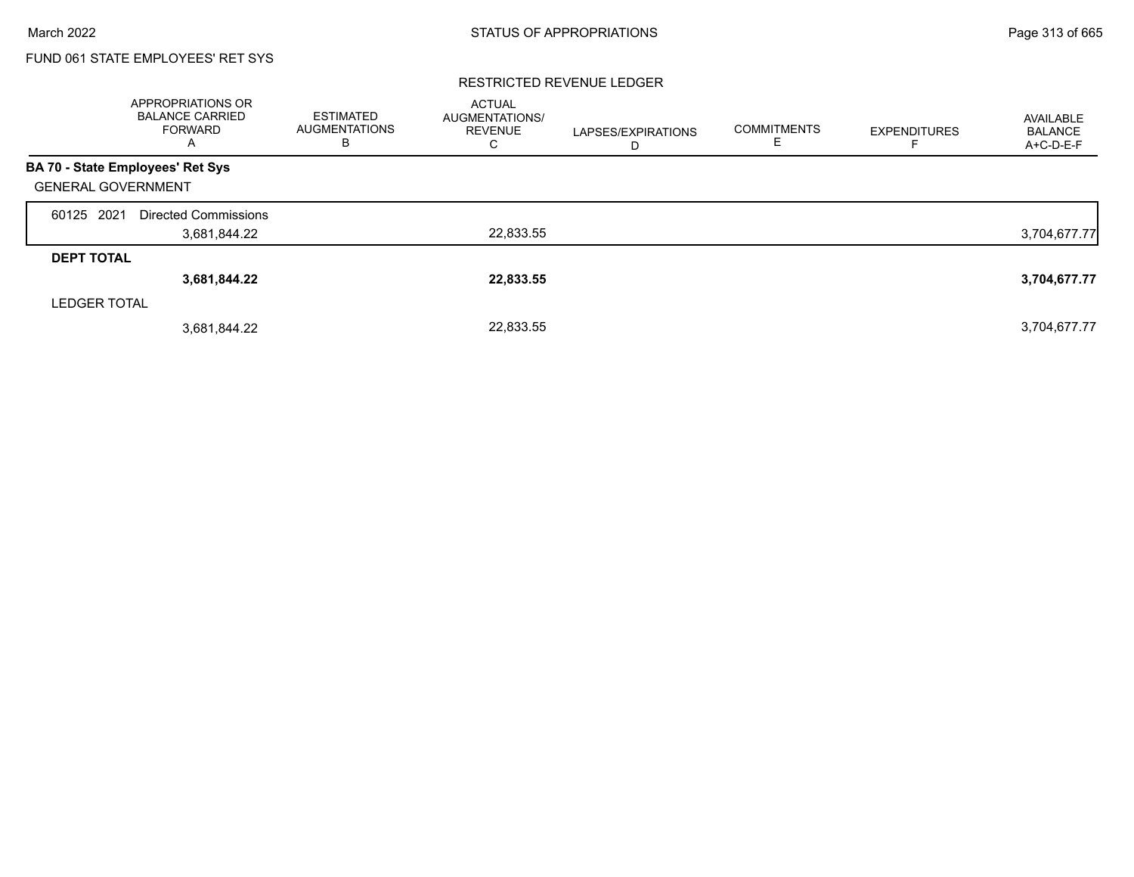### RESTRICTED REVENUE LEDGER

|                                  | APPROPRIATIONS OR<br><b>BALANCE CARRIED</b><br><b>FORWARD</b><br>A | <b>ESTIMATED</b><br><b>AUGMENTATIONS</b><br>в | <b>ACTUAL</b><br>AUGMENTATIONS/<br><b>REVENUE</b><br>C | LAPSES/EXPIRATIONS<br>D | <b>COMMITMENTS</b><br>E. | <b>EXPENDITURES</b> | AVAILABLE<br><b>BALANCE</b><br>A+C-D-E-F |
|----------------------------------|--------------------------------------------------------------------|-----------------------------------------------|--------------------------------------------------------|-------------------------|--------------------------|---------------------|------------------------------------------|
| BA 70 - State Employees' Ret Sys |                                                                    |                                               |                                                        |                         |                          |                     |                                          |
| <b>GENERAL GOVERNMENT</b>        |                                                                    |                                               |                                                        |                         |                          |                     |                                          |
| 60125 2021                       | Directed Commissions                                               |                                               |                                                        |                         |                          |                     |                                          |
|                                  | 3,681,844.22                                                       |                                               | 22,833.55                                              |                         |                          |                     | 3,704,677.77                             |
| <b>DEPT TOTAL</b>                |                                                                    |                                               |                                                        |                         |                          |                     |                                          |
|                                  | 3,681,844.22                                                       |                                               | 22,833.55                                              |                         |                          |                     | 3,704,677.77                             |
| <b>LEDGER TOTAL</b>              |                                                                    |                                               |                                                        |                         |                          |                     |                                          |
|                                  | 3,681,844.22                                                       |                                               | 22.833.55                                              |                         |                          |                     | 3,704,677.77                             |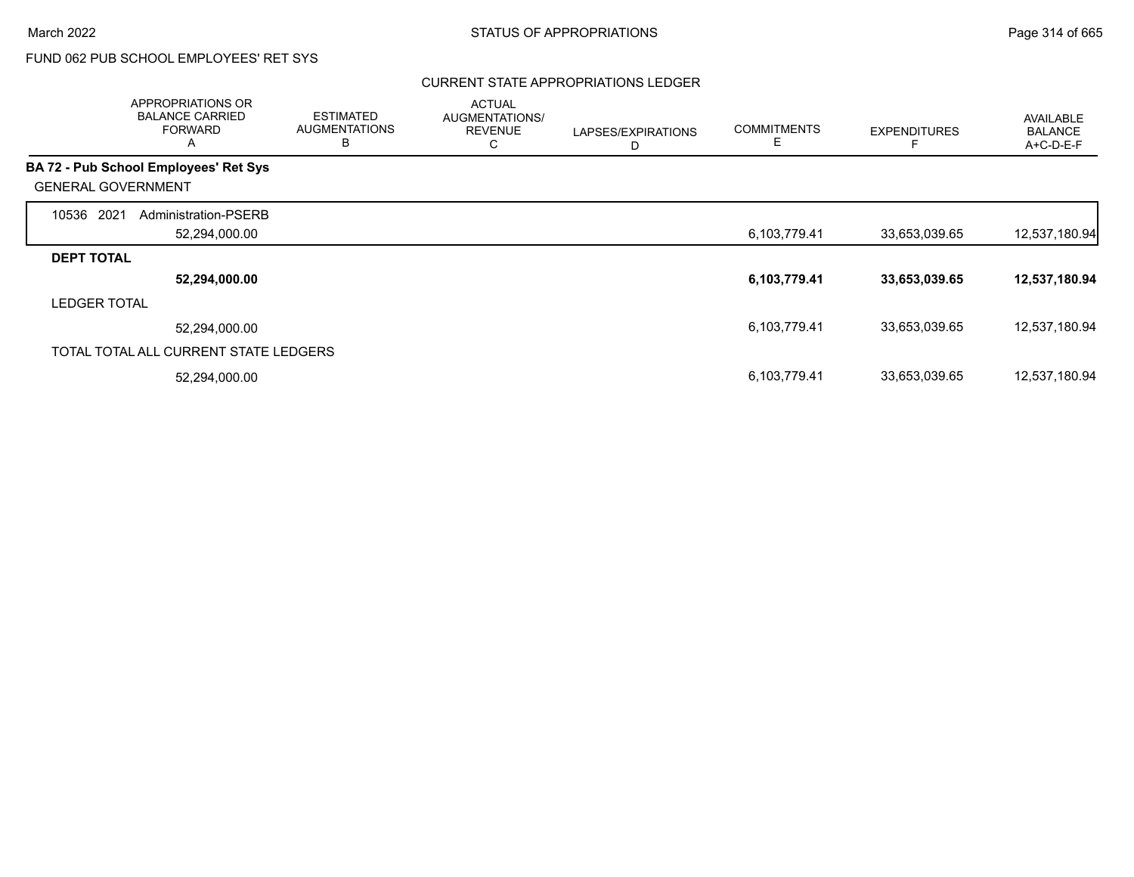## CURRENT STATE APPROPRIATIONS LEDGER

|                           | APPROPRIATIONS OR<br><b>BALANCE CARRIED</b><br><b>FORWARD</b><br>A | <b>ESTIMATED</b><br><b>AUGMENTATIONS</b><br>B | <b>ACTUAL</b><br>AUGMENTATIONS/<br><b>REVENUE</b><br>С | LAPSES/EXPIRATIONS<br>D | <b>COMMITMENTS</b><br>Е | <b>EXPENDITURES</b> | <b>AVAILABLE</b><br><b>BALANCE</b><br>A+C-D-E-F |
|---------------------------|--------------------------------------------------------------------|-----------------------------------------------|--------------------------------------------------------|-------------------------|-------------------------|---------------------|-------------------------------------------------|
|                           | <b>BA 72 - Pub School Employees' Ret Sys</b>                       |                                               |                                                        |                         |                         |                     |                                                 |
| <b>GENERAL GOVERNMENT</b> |                                                                    |                                               |                                                        |                         |                         |                     |                                                 |
| 10536<br>2021             | Administration-PSERB                                               |                                               |                                                        |                         |                         |                     |                                                 |
|                           | 52,294,000.00                                                      |                                               |                                                        |                         | 6,103,779.41            | 33,653,039.65       | 12,537,180.94                                   |
| <b>DEPT TOTAL</b>         |                                                                    |                                               |                                                        |                         |                         |                     |                                                 |
|                           | 52,294,000.00                                                      |                                               |                                                        |                         | 6,103,779.41            | 33,653,039.65       | 12,537,180.94                                   |
| <b>LEDGER TOTAL</b>       |                                                                    |                                               |                                                        |                         |                         |                     |                                                 |
|                           | 52,294,000.00                                                      |                                               |                                                        |                         | 6,103,779.41            | 33,653,039.65       | 12,537,180.94                                   |
|                           | TOTAL TOTAL ALL CURRENT STATE LEDGERS                              |                                               |                                                        |                         |                         |                     |                                                 |
|                           | 52,294,000.00                                                      |                                               |                                                        |                         | 6,103,779.41            | 33,653,039.65       | 12,537,180.94                                   |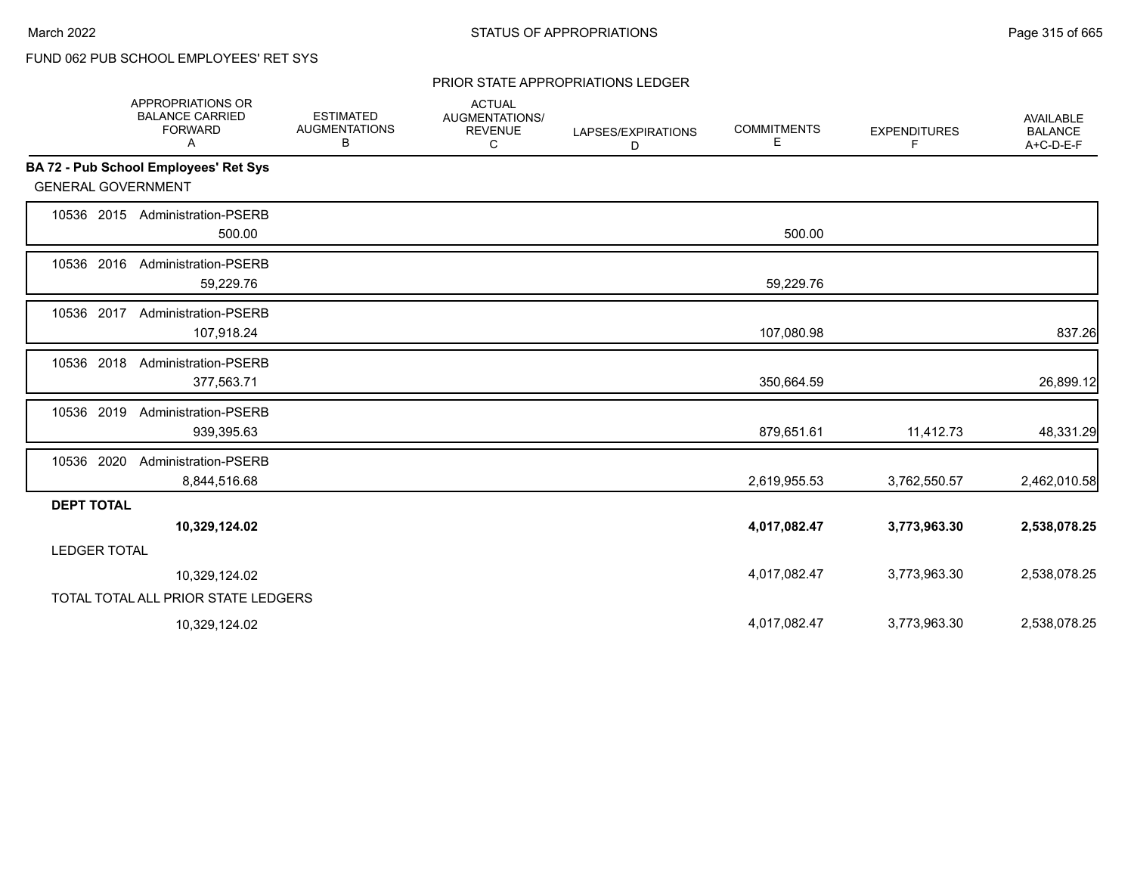#### PRIOR STATE APPROPRIATIONS LEDGER

|                           | APPROPRIATIONS OR<br><b>BALANCE CARRIED</b><br><b>FORWARD</b><br>Α | <b>ESTIMATED</b><br><b>AUGMENTATIONS</b><br>В | <b>ACTUAL</b><br>AUGMENTATIONS/<br><b>REVENUE</b><br>C | LAPSES/EXPIRATIONS<br>D | <b>COMMITMENTS</b><br>Е | <b>EXPENDITURES</b><br>F. | <b>AVAILABLE</b><br><b>BALANCE</b><br>A+C-D-E-F |
|---------------------------|--------------------------------------------------------------------|-----------------------------------------------|--------------------------------------------------------|-------------------------|-------------------------|---------------------------|-------------------------------------------------|
|                           | <b>BA 72 - Pub School Employees' Ret Sys</b>                       |                                               |                                                        |                         |                         |                           |                                                 |
| <b>GENERAL GOVERNMENT</b> |                                                                    |                                               |                                                        |                         |                         |                           |                                                 |
|                           | 10536 2015 Administration-PSERB<br>500.00                          |                                               |                                                        |                         | 500.00                  |                           |                                                 |
| 10536 2016                | <b>Administration-PSERB</b><br>59,229.76                           |                                               |                                                        |                         | 59,229.76               |                           |                                                 |
| 10536 2017                | <b>Administration-PSERB</b><br>107,918.24                          |                                               |                                                        |                         | 107,080.98              |                           | 837.26                                          |
| 10536 2018                | <b>Administration-PSERB</b><br>377,563.71                          |                                               |                                                        |                         | 350,664.59              |                           | 26,899.12                                       |
| 10536 2019                | Administration-PSERB<br>939,395.63                                 |                                               |                                                        |                         | 879,651.61              | 11,412.73                 | 48,331.29                                       |
| 10536 2020                | Administration-PSERB<br>8,844,516.68                               |                                               |                                                        |                         | 2,619,955.53            | 3,762,550.57              | 2,462,010.58                                    |
| <b>DEPT TOTAL</b>         |                                                                    |                                               |                                                        |                         |                         |                           |                                                 |
|                           | 10,329,124.02                                                      |                                               |                                                        |                         | 4,017,082.47            | 3,773,963.30              | 2,538,078.25                                    |
| <b>LEDGER TOTAL</b>       |                                                                    |                                               |                                                        |                         |                         |                           |                                                 |
|                           | 10,329,124.02                                                      |                                               |                                                        |                         | 4,017,082.47            | 3,773,963.30              | 2,538,078.25                                    |
|                           | TOTAL TOTAL ALL PRIOR STATE LEDGERS                                |                                               |                                                        |                         |                         |                           |                                                 |
|                           | 10,329,124.02                                                      |                                               |                                                        |                         | 4,017,082.47            | 3,773,963.30              | 2,538,078.25                                    |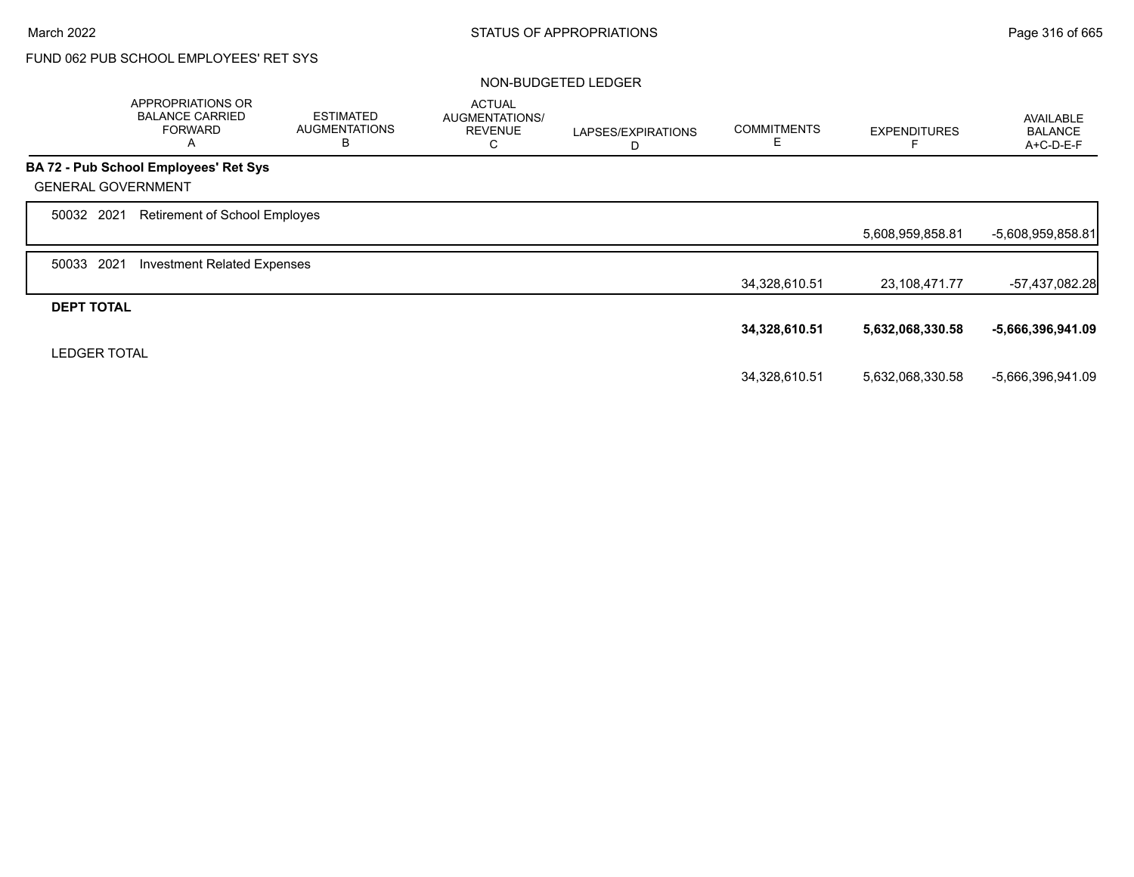|                           | APPROPRIATIONS OR<br><b>BALANCE CARRIED</b><br><b>FORWARD</b><br>A | <b>ESTIMATED</b><br><b>AUGMENTATIONS</b><br>B | <b>ACTUAL</b><br>AUGMENTATIONS/<br><b>REVENUE</b><br>С | LAPSES/EXPIRATIONS<br>D | <b>COMMITMENTS</b><br>Е | <b>EXPENDITURES</b> | <b>AVAILABLE</b><br><b>BALANCE</b><br>A+C-D-E-F |
|---------------------------|--------------------------------------------------------------------|-----------------------------------------------|--------------------------------------------------------|-------------------------|-------------------------|---------------------|-------------------------------------------------|
|                           | <b>BA 72 - Pub School Employees' Ret Sys</b>                       |                                               |                                                        |                         |                         |                     |                                                 |
| <b>GENERAL GOVERNMENT</b> |                                                                    |                                               |                                                        |                         |                         |                     |                                                 |
| 50032 2021                | Retirement of School Employes                                      |                                               |                                                        |                         |                         |                     |                                                 |
|                           |                                                                    |                                               |                                                        |                         |                         | 5,608,959,858.81    | -5,608,959,858.81                               |
| 2021<br>50033             | <b>Investment Related Expenses</b>                                 |                                               |                                                        |                         |                         |                     |                                                 |
|                           |                                                                    |                                               |                                                        |                         | 34,328,610.51           | 23,108,471.77       | -57,437,082.28                                  |
| <b>DEPT TOTAL</b>         |                                                                    |                                               |                                                        |                         |                         |                     |                                                 |
|                           |                                                                    |                                               |                                                        |                         | 34,328,610.51           | 5,632,068,330.58    | -5,666,396,941.09                               |
| <b>LEDGER TOTAL</b>       |                                                                    |                                               |                                                        |                         |                         |                     |                                                 |
|                           |                                                                    |                                               |                                                        |                         | 34,328,610.51           | 5,632,068,330.58    | -5,666,396,941.09                               |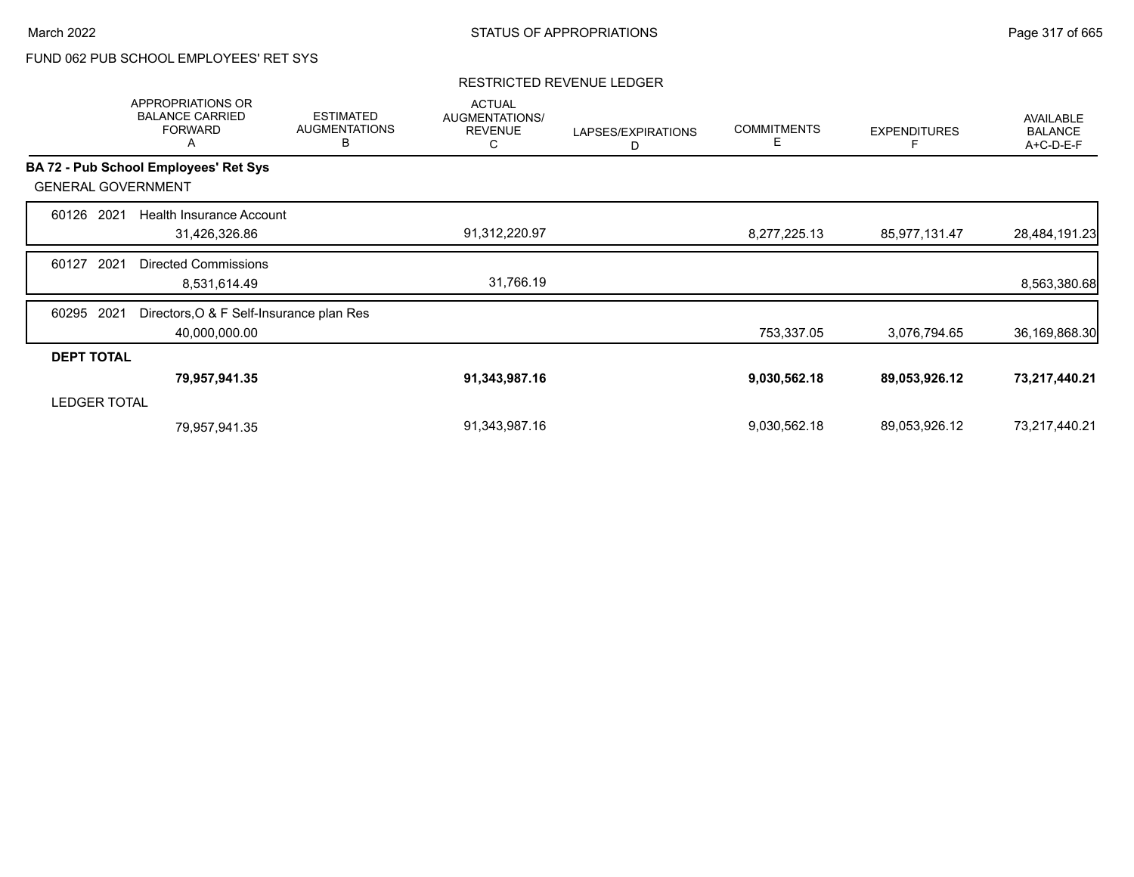#### RESTRICTED REVENUE LEDGER

|                     | APPROPRIATIONS OR<br><b>BALANCE CARRIED</b><br><b>FORWARD</b><br>Α | <b>ESTIMATED</b><br><b>AUGMENTATIONS</b><br>В | <b>ACTUAL</b><br>AUGMENTATIONS/<br><b>REVENUE</b><br>С | LAPSES/EXPIRATIONS<br>D | <b>COMMITMENTS</b><br>Е | <b>EXPENDITURES</b> | AVAILABLE<br><b>BALANCE</b><br>A+C-D-E-F |
|---------------------|--------------------------------------------------------------------|-----------------------------------------------|--------------------------------------------------------|-------------------------|-------------------------|---------------------|------------------------------------------|
|                     | BA 72 - Pub School Employees' Ret Sys                              |                                               |                                                        |                         |                         |                     |                                          |
|                     | <b>GENERAL GOVERNMENT</b>                                          |                                               |                                                        |                         |                         |                     |                                          |
| 60126               | 2021<br>Health Insurance Account                                   |                                               |                                                        |                         |                         |                     |                                          |
|                     | 31,426,326.86                                                      |                                               | 91,312,220.97                                          |                         | 8,277,225.13            | 85,977,131.47       | 28,484,191.23                            |
| 60127               | 2021<br><b>Directed Commissions</b>                                |                                               |                                                        |                         |                         |                     |                                          |
|                     | 8,531,614.49                                                       |                                               | 31,766.19                                              |                         |                         |                     | 8,563,380.68                             |
| 60295               | Directors, O & F Self-Insurance plan Res<br>2021                   |                                               |                                                        |                         |                         |                     |                                          |
|                     | 40,000,000.00                                                      |                                               |                                                        |                         | 753,337.05              | 3,076,794.65        | 36,169,868.30                            |
| <b>DEPT TOTAL</b>   |                                                                    |                                               |                                                        |                         |                         |                     |                                          |
|                     | 79,957,941.35                                                      |                                               | 91,343,987.16                                          |                         | 9,030,562.18            | 89,053,926.12       | 73,217,440.21                            |
| <b>LEDGER TOTAL</b> |                                                                    |                                               |                                                        |                         |                         |                     |                                          |
|                     | 79,957,941.35                                                      |                                               | 91,343,987.16                                          |                         | 9,030,562.18            | 89,053,926.12       | 73,217,440.21                            |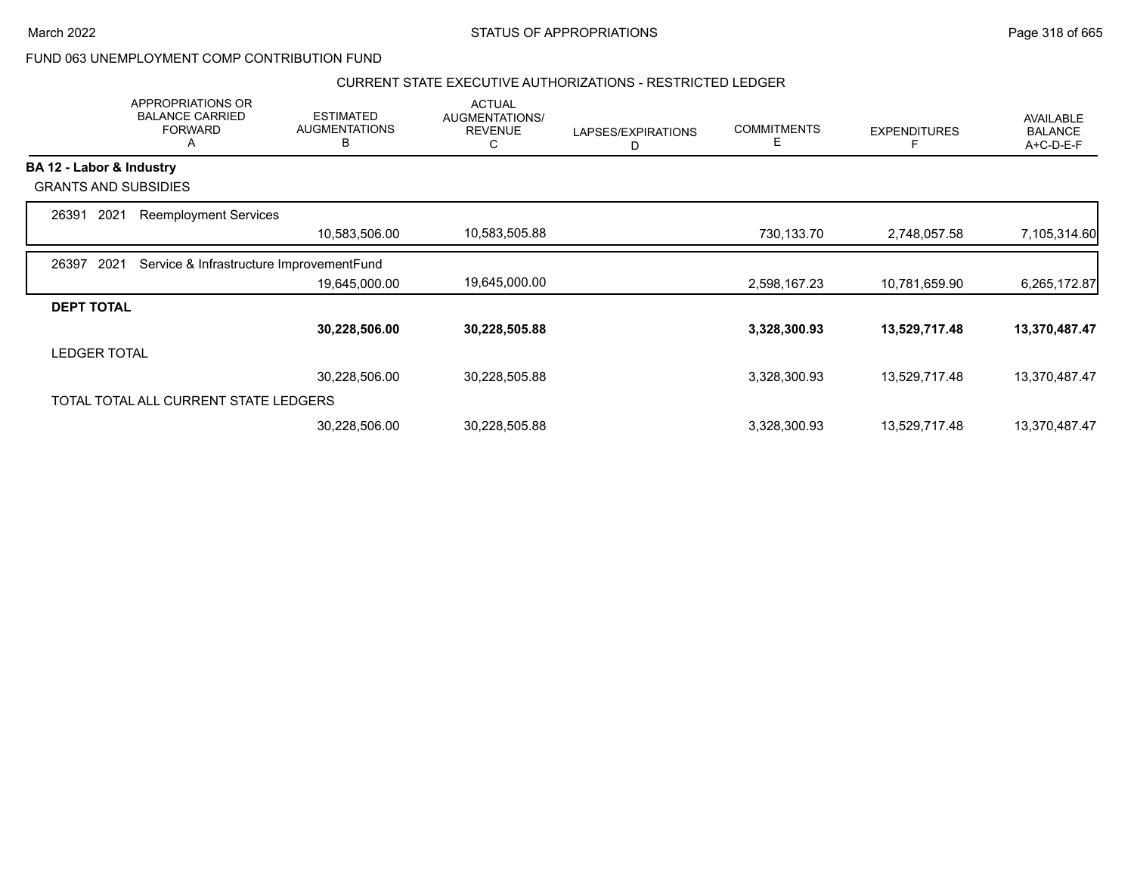## CURRENT STATE EXECUTIVE AUTHORIZATIONS - RESTRICTED LEDGER

|                             | APPROPRIATIONS OR<br><b>BALANCE CARRIED</b><br><b>FORWARD</b><br>A | <b>ESTIMATED</b><br><b>AUGMENTATIONS</b><br>В | <b>ACTUAL</b><br>AUGMENTATIONS/<br><b>REVENUE</b><br>С | LAPSES/EXPIRATIONS<br>D | <b>COMMITMENTS</b><br>E | <b>EXPENDITURES</b> | <b>AVAILABLE</b><br><b>BALANCE</b><br>A+C-D-E-F |
|-----------------------------|--------------------------------------------------------------------|-----------------------------------------------|--------------------------------------------------------|-------------------------|-------------------------|---------------------|-------------------------------------------------|
| BA 12 - Labor & Industry    |                                                                    |                                               |                                                        |                         |                         |                     |                                                 |
| <b>GRANTS AND SUBSIDIES</b> |                                                                    |                                               |                                                        |                         |                         |                     |                                                 |
| 2021<br>26391               | <b>Reemployment Services</b>                                       |                                               |                                                        |                         |                         |                     |                                                 |
|                             |                                                                    | 10,583,506.00                                 | 10,583,505.88                                          |                         | 730,133.70              | 2,748,057.58        | 7,105,314.60                                    |
| 2021<br>26397               | Service & Infrastructure ImprovementFund                           |                                               |                                                        |                         |                         |                     |                                                 |
|                             |                                                                    | 19,645,000.00                                 | 19,645,000.00                                          |                         | 2,598,167.23            | 10,781,659.90       | 6,265,172.87                                    |
| <b>DEPT TOTAL</b>           |                                                                    |                                               |                                                        |                         |                         |                     |                                                 |
|                             |                                                                    | 30,228,506.00                                 | 30,228,505.88                                          |                         | 3,328,300.93            | 13,529,717.48       | 13,370,487.47                                   |
| <b>LEDGER TOTAL</b>         |                                                                    |                                               |                                                        |                         |                         |                     |                                                 |
|                             |                                                                    | 30,228,506.00                                 | 30,228,505.88                                          |                         | 3,328,300.93            | 13,529,717.48       | 13,370,487.47                                   |
|                             | TOTAL TOTAL ALL CURRENT STATE LEDGERS                              |                                               |                                                        |                         |                         |                     |                                                 |
|                             |                                                                    | 30,228,506.00                                 | 30,228,505.88                                          |                         | 3,328,300.93            | 13,529,717.48       | 13,370,487.47                                   |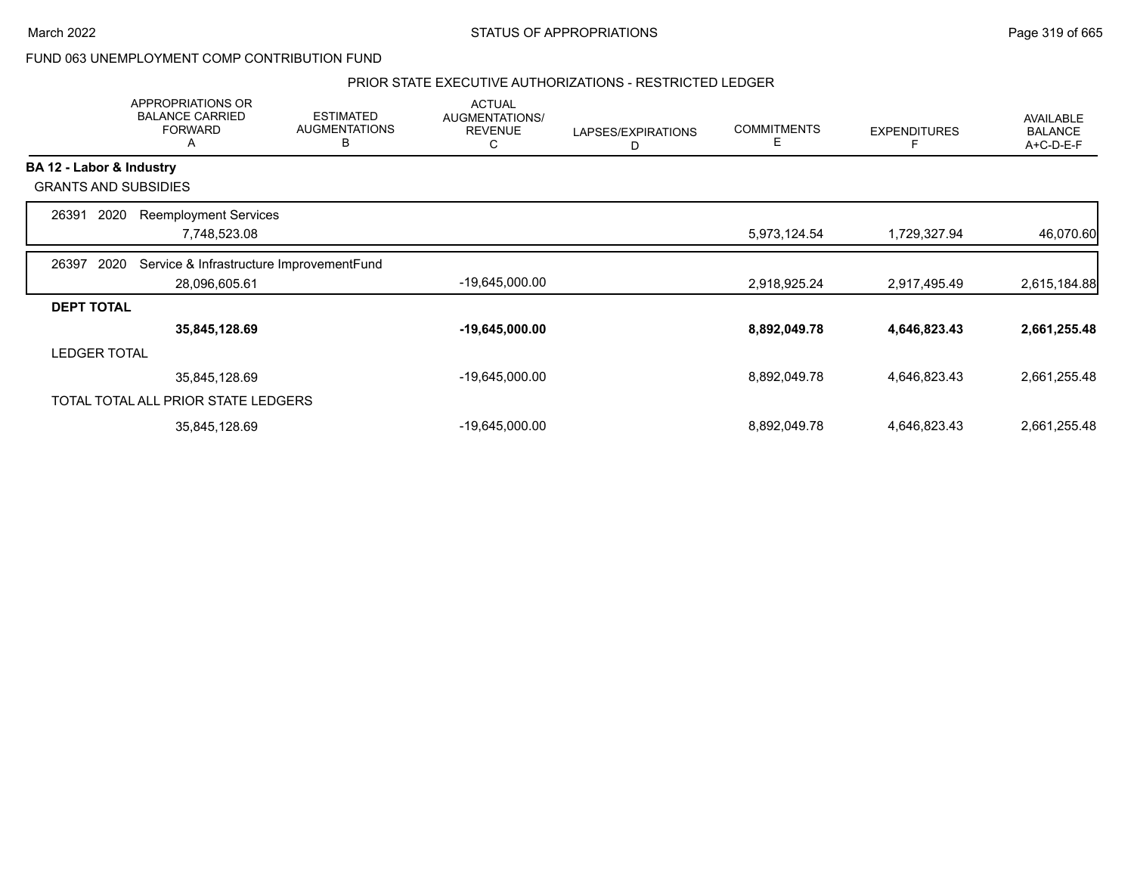### PRIOR STATE EXECUTIVE AUTHORIZATIONS - RESTRICTED LEDGER

|                          | APPROPRIATIONS OR<br><b>BALANCE CARRIED</b><br><b>FORWARD</b><br>A | <b>ESTIMATED</b><br><b>AUGMENTATIONS</b><br>в | <b>ACTUAL</b><br>AUGMENTATIONS/<br><b>REVENUE</b><br>С | LAPSES/EXPIRATIONS<br>D | <b>COMMITMENTS</b><br>E | <b>EXPENDITURES</b> | AVAILABLE<br><b>BALANCE</b><br>A+C-D-E-F |
|--------------------------|--------------------------------------------------------------------|-----------------------------------------------|--------------------------------------------------------|-------------------------|-------------------------|---------------------|------------------------------------------|
| BA 12 - Labor & Industry |                                                                    |                                               |                                                        |                         |                         |                     |                                          |
|                          | <b>GRANTS AND SUBSIDIES</b>                                        |                                               |                                                        |                         |                         |                     |                                          |
| 26391                    | 2020<br><b>Reemployment Services</b>                               |                                               |                                                        |                         |                         |                     |                                          |
|                          | 7,748,523.08                                                       |                                               |                                                        |                         | 5,973,124.54            | 1,729,327.94        | 46,070.60                                |
| 26397                    | Service & Infrastructure ImprovementFund<br>2020                   |                                               |                                                        |                         |                         |                     |                                          |
|                          | 28,096,605.61                                                      |                                               | $-19,645,000.00$                                       |                         | 2,918,925.24            | 2,917,495.49        | 2,615,184.88                             |
| <b>DEPT TOTAL</b>        |                                                                    |                                               |                                                        |                         |                         |                     |                                          |
|                          | 35,845,128.69                                                      |                                               | $-19,645,000.00$                                       |                         | 8,892,049.78            | 4,646,823.43        | 2,661,255.48                             |
| <b>LEDGER TOTAL</b>      |                                                                    |                                               |                                                        |                         |                         |                     |                                          |
|                          | 35,845,128.69                                                      |                                               | -19,645,000.00                                         |                         | 8,892,049.78            | 4,646,823.43        | 2,661,255.48                             |
|                          | TOTAL TOTAL ALL PRIOR STATE LEDGERS                                |                                               |                                                        |                         |                         |                     |                                          |
|                          | 35,845,128.69                                                      |                                               | -19,645,000.00                                         |                         | 8,892,049.78            | 4,646,823.43        | 2,661,255.48                             |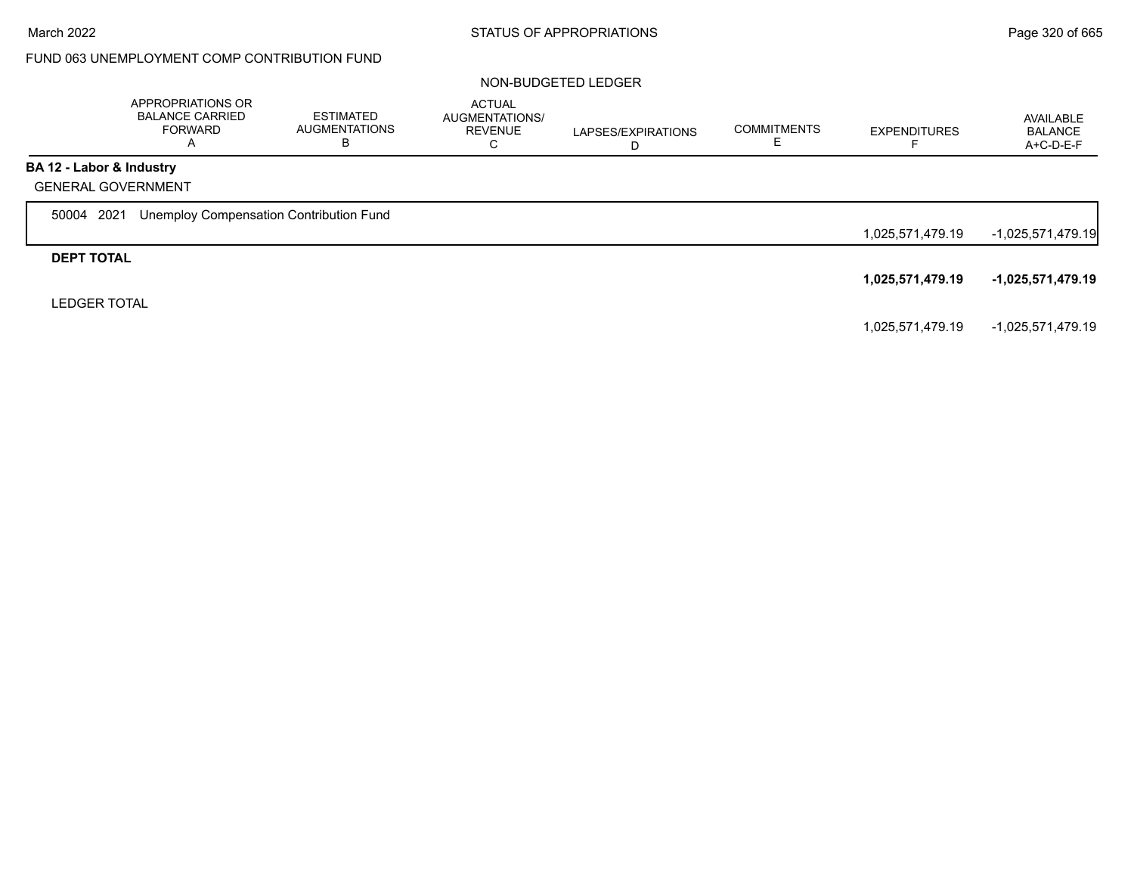|                          | APPROPRIATIONS OR<br><b>BALANCE CARRIED</b><br><b>FORWARD</b><br>A | <b>ESTIMATED</b><br><b>AUGMENTATIONS</b><br>В | <b>ACTUAL</b><br><b>AUGMENTATIONS/</b><br><b>REVENUE</b><br>С | LAPSES/EXPIRATIONS<br>D | <b>COMMITMENTS</b> | <b>EXPENDITURES</b> | AVAILABLE<br><b>BALANCE</b><br>A+C-D-E-F |
|--------------------------|--------------------------------------------------------------------|-----------------------------------------------|---------------------------------------------------------------|-------------------------|--------------------|---------------------|------------------------------------------|
| BA 12 - Labor & Industry |                                                                    |                                               |                                                               |                         |                    |                     |                                          |
|                          | <b>GENERAL GOVERNMENT</b>                                          |                                               |                                                               |                         |                    |                     |                                          |
| 50004 2021               | Unemploy Compensation Contribution Fund                            |                                               |                                                               |                         |                    |                     |                                          |
|                          |                                                                    |                                               |                                                               |                         |                    | 1,025,571,479.19    | $-1,025,571,479.19$                      |
| <b>DEPT TOTAL</b>        |                                                                    |                                               |                                                               |                         |                    |                     |                                          |
|                          |                                                                    |                                               |                                                               |                         |                    | 1,025,571,479.19    | -1,025,571,479.19                        |
| <b>LEDGER TOTAL</b>      |                                                                    |                                               |                                                               |                         |                    |                     |                                          |
|                          |                                                                    |                                               |                                                               |                         |                    | 1,025,571,479.19    | -1,025,571,479.19                        |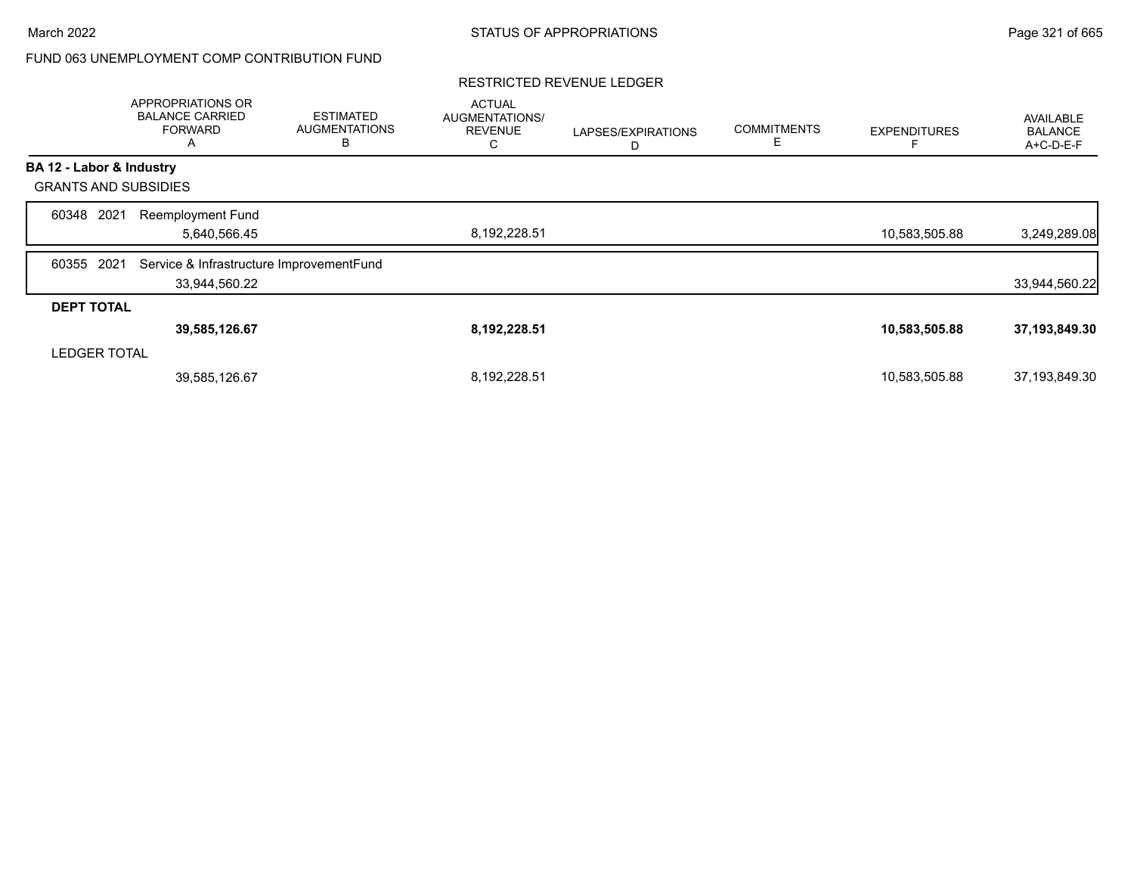### RESTRICTED REVENUE LEDGER

|                             | APPROPRIATIONS OR<br><b>BALANCE CARRIED</b><br><b>FORWARD</b><br>A | <b>ESTIMATED</b><br><b>AUGMENTATIONS</b><br>B | <b>ACTUAL</b><br>AUGMENTATIONS/<br><b>REVENUE</b><br>С | LAPSES/EXPIRATIONS<br>D | <b>COMMITMENTS</b><br>Е | <b>EXPENDITURES</b> | AVAILABLE<br><b>BALANCE</b><br>A+C-D-E-F |
|-----------------------------|--------------------------------------------------------------------|-----------------------------------------------|--------------------------------------------------------|-------------------------|-------------------------|---------------------|------------------------------------------|
| BA 12 - Labor & Industry    |                                                                    |                                               |                                                        |                         |                         |                     |                                          |
| <b>GRANTS AND SUBSIDIES</b> |                                                                    |                                               |                                                        |                         |                         |                     |                                          |
| 2021<br>60348               | <b>Reemployment Fund</b><br>5,640,566.45                           |                                               | 8,192,228.51                                           |                         |                         | 10,583,505.88       | 3,249,289.08                             |
| 2021<br>60355               | Service & Infrastructure ImprovementFund<br>33,944,560.22          |                                               |                                                        |                         |                         |                     | 33,944,560.22                            |
| <b>DEPT TOTAL</b>           |                                                                    |                                               |                                                        |                         |                         |                     |                                          |
|                             | 39,585,126.67                                                      |                                               | 8,192,228.51                                           |                         |                         | 10,583,505.88       | 37,193,849.30                            |
| <b>LEDGER TOTAL</b>         |                                                                    |                                               |                                                        |                         |                         |                     |                                          |
|                             | 39,585,126.67                                                      |                                               | 8,192,228.51                                           |                         |                         | 10,583,505.88       | 37,193,849.30                            |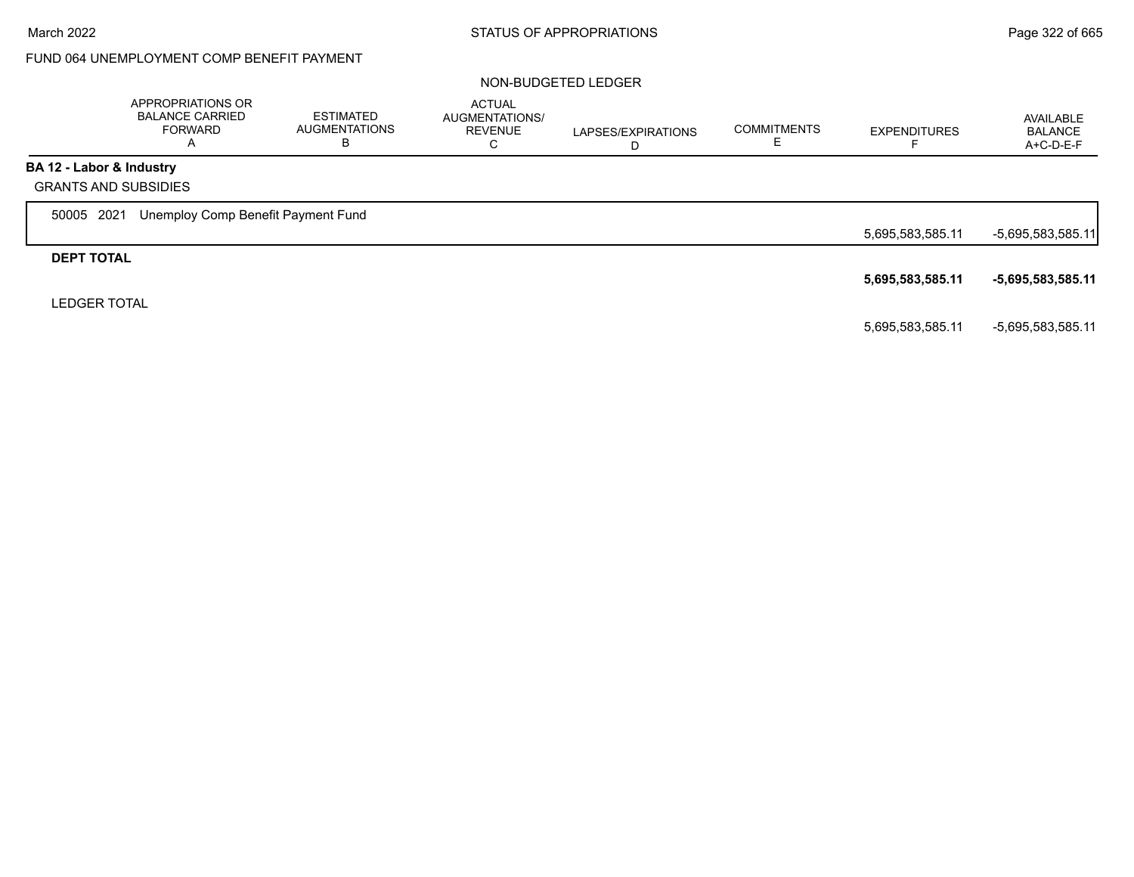# FUND 064 UNEMPLOYMENT COMP BENEFIT PAYMENT

|                          | APPROPRIATIONS OR<br><b>BALANCE CARRIED</b><br><b>FORWARD</b><br>A | <b>ESTIMATED</b><br><b>AUGMENTATIONS</b><br>В | <b>ACTUAL</b><br>AUGMENTATIONS/<br><b>REVENUE</b><br>С | LAPSES/EXPIRATIONS<br>D | <b>COMMITMENTS</b> | <b>EXPENDITURES</b> | AVAILABLE<br><b>BALANCE</b><br>A+C-D-E-F |
|--------------------------|--------------------------------------------------------------------|-----------------------------------------------|--------------------------------------------------------|-------------------------|--------------------|---------------------|------------------------------------------|
| BA 12 - Labor & Industry |                                                                    |                                               |                                                        |                         |                    |                     |                                          |
|                          | <b>GRANTS AND SUBSIDIES</b>                                        |                                               |                                                        |                         |                    |                     |                                          |
| 50005 2021               | Unemploy Comp Benefit Payment Fund                                 |                                               |                                                        |                         |                    |                     |                                          |
|                          |                                                                    |                                               |                                                        |                         |                    | 5,695,583,585.11    | $-5,695,583,585.11$                      |
| <b>DEPT TOTAL</b>        |                                                                    |                                               |                                                        |                         |                    |                     |                                          |
|                          |                                                                    |                                               |                                                        |                         |                    | 5,695,583,585.11    | -5,695,583,585.11                        |
| <b>LEDGER TOTAL</b>      |                                                                    |                                               |                                                        |                         |                    |                     |                                          |
|                          |                                                                    |                                               |                                                        |                         |                    | 5,695,583,585.11    | -5,695,583,585.11                        |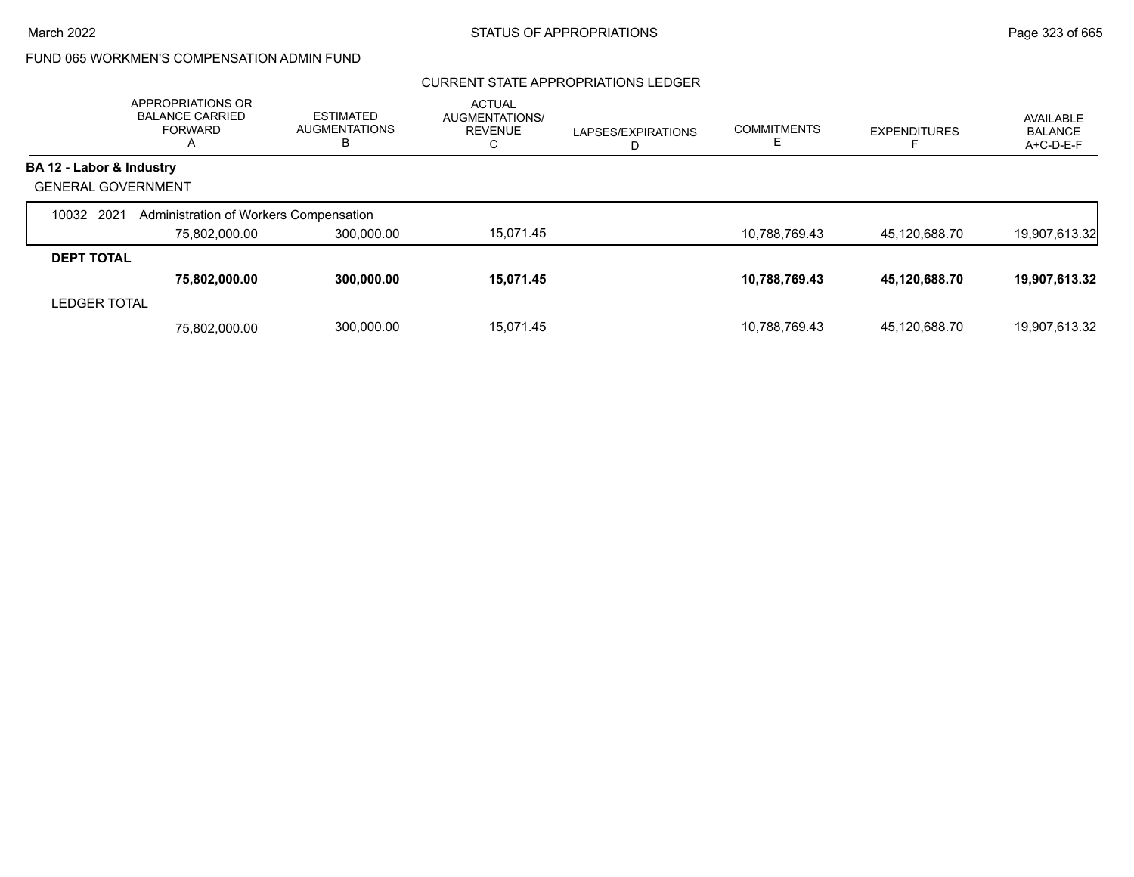# FUND 065 WORKMEN'S COMPENSATION ADMIN FUND

### CURRENT STATE APPROPRIATIONS LEDGER

|                           | APPROPRIATIONS OR<br><b>BALANCE CARRIED</b><br><b>FORWARD</b><br>A | <b>ESTIMATED</b><br><b>AUGMENTATIONS</b><br>в | <b>ACTUAL</b><br>AUGMENTATIONS/<br><b>REVENUE</b><br>С | LAPSES/EXPIRATIONS<br>D | <b>COMMITMENTS</b> | <b>EXPENDITURES</b> | <b>AVAILABLE</b><br><b>BALANCE</b><br>$A+C-D-E-F$ |
|---------------------------|--------------------------------------------------------------------|-----------------------------------------------|--------------------------------------------------------|-------------------------|--------------------|---------------------|---------------------------------------------------|
| BA 12 - Labor & Industry  |                                                                    |                                               |                                                        |                         |                    |                     |                                                   |
| <b>GENERAL GOVERNMENT</b> |                                                                    |                                               |                                                        |                         |                    |                     |                                                   |
| 10032 2021                | Administration of Workers Compensation                             |                                               |                                                        |                         |                    |                     |                                                   |
|                           | 75,802,000.00                                                      | 300,000.00                                    | 15,071.45                                              |                         | 10,788,769.43      | 45,120,688.70       | 19,907,613.32                                     |
| <b>DEPT TOTAL</b>         |                                                                    |                                               |                                                        |                         |                    |                     |                                                   |
|                           | 75,802,000.00                                                      | 300,000.00                                    | 15,071.45                                              |                         | 10,788,769.43      | 45,120,688.70       | 19,907,613.32                                     |
| <b>LEDGER TOTAL</b>       |                                                                    |                                               |                                                        |                         |                    |                     |                                                   |
|                           | 75.802.000.00                                                      | 300,000.00                                    | 15.071.45                                              |                         | 10.788.769.43      | 45.120.688.70       | 19.907.613.32                                     |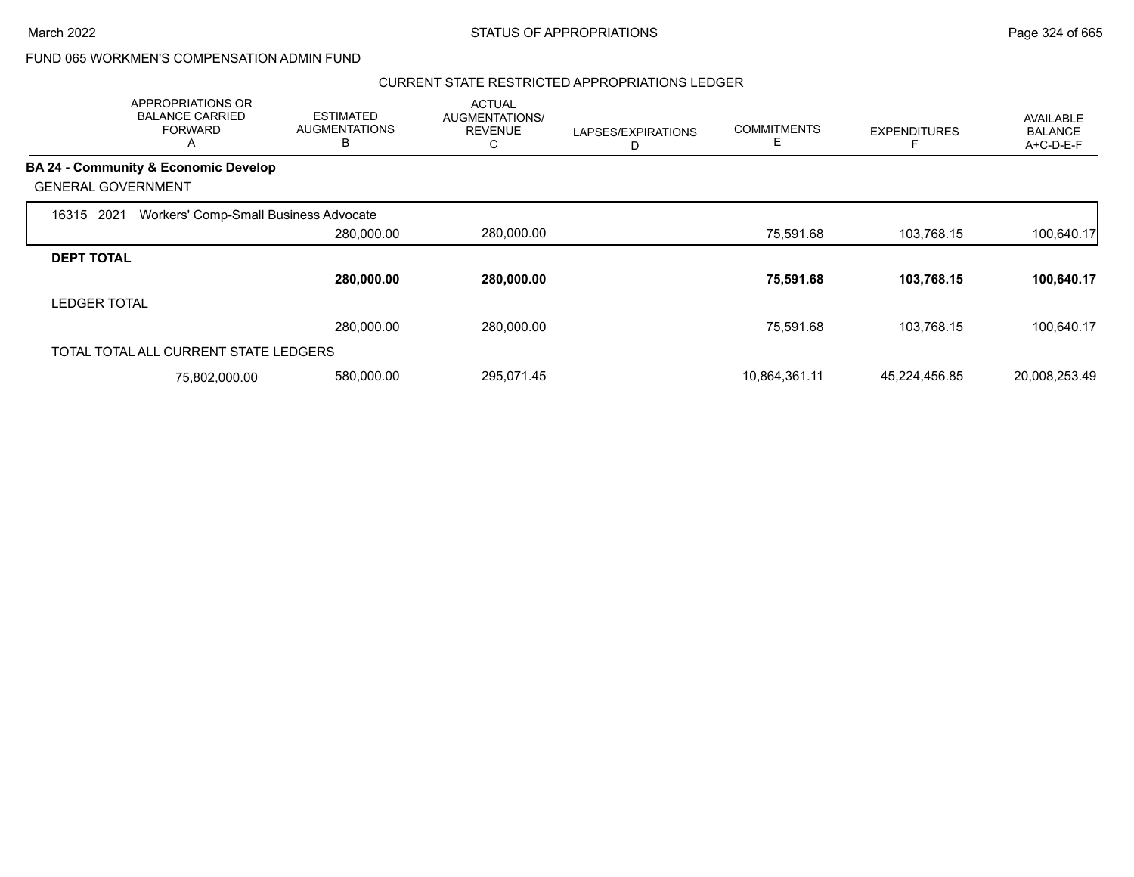## FUND 065 WORKMEN'S COMPENSATION ADMIN FUND

#### CURRENT STATE RESTRICTED APPROPRIATIONS LEDGER

|                           | APPROPRIATIONS OR<br><b>BALANCE CARRIED</b><br><b>FORWARD</b><br>$\mathsf{A}$ | <b>ESTIMATED</b><br><b>AUGMENTATIONS</b><br>B | <b>ACTUAL</b><br>AUGMENTATIONS/<br><b>REVENUE</b><br>С | LAPSES/EXPIRATIONS<br>D | <b>COMMITMENTS</b><br>Е | <b>EXPENDITURES</b> | AVAILABLE<br><b>BALANCE</b><br>A+C-D-E-F |
|---------------------------|-------------------------------------------------------------------------------|-----------------------------------------------|--------------------------------------------------------|-------------------------|-------------------------|---------------------|------------------------------------------|
|                           | <b>BA 24 - Community &amp; Economic Develop</b>                               |                                               |                                                        |                         |                         |                     |                                          |
| <b>GENERAL GOVERNMENT</b> |                                                                               |                                               |                                                        |                         |                         |                     |                                          |
| 2021<br>16315             | Workers' Comp-Small Business Advocate                                         |                                               |                                                        |                         |                         |                     |                                          |
|                           |                                                                               | 280,000.00                                    | 280,000.00                                             |                         | 75,591.68               | 103.768.15          | 100,640.17                               |
| <b>DEPT TOTAL</b>         |                                                                               |                                               |                                                        |                         |                         |                     |                                          |
|                           |                                                                               | 280,000.00                                    | 280,000.00                                             |                         | 75,591.68               | 103,768.15          | 100,640.17                               |
| <b>LEDGER TOTAL</b>       |                                                                               |                                               |                                                        |                         |                         |                     |                                          |
|                           |                                                                               | 280,000.00                                    | 280,000.00                                             |                         | 75,591.68               | 103.768.15          | 100,640.17                               |
|                           | TOTAL TOTAL ALL CURRENT STATE LEDGERS                                         |                                               |                                                        |                         |                         |                     |                                          |
|                           | 75,802,000.00                                                                 | 580,000.00                                    | 295,071.45                                             |                         | 10,864,361.11           | 45,224,456.85       | 20,008,253.49                            |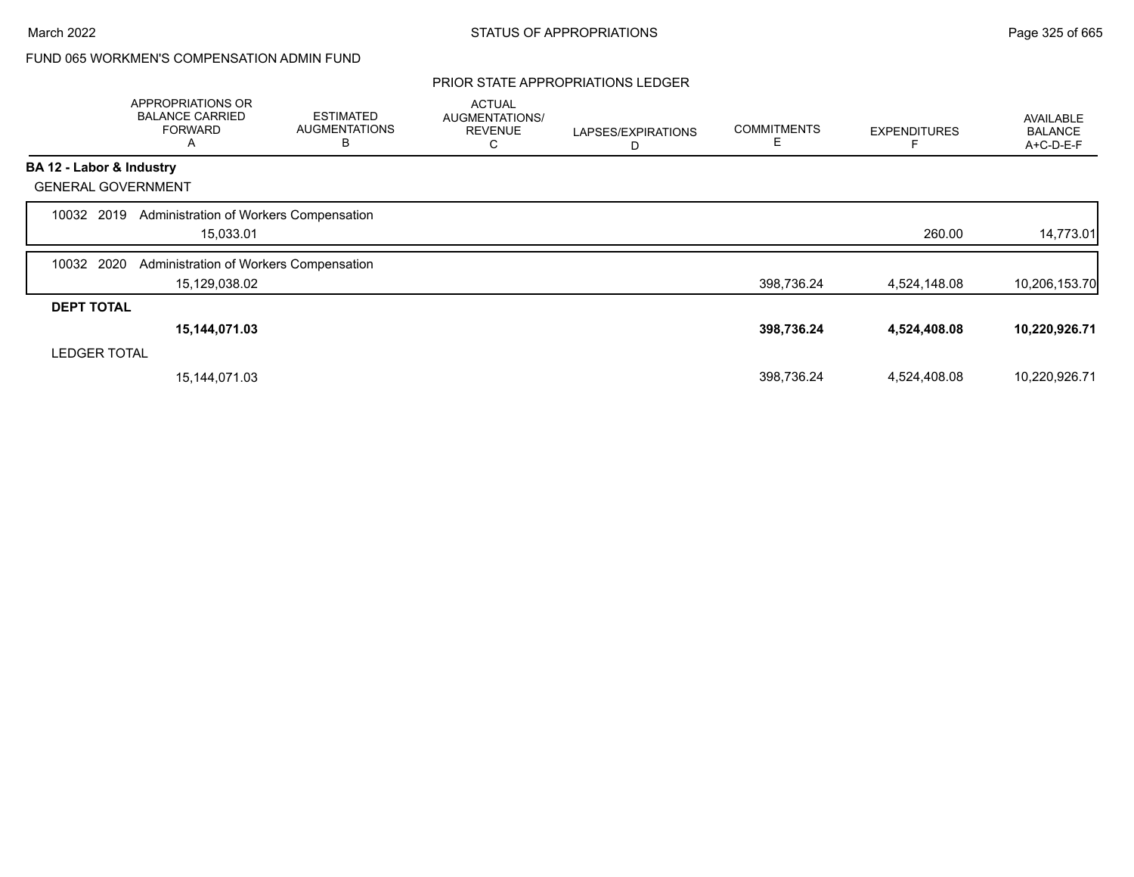# FUND 065 WORKMEN'S COMPENSATION ADMIN FUND

#### PRIOR STATE APPROPRIATIONS LEDGER

|                           | APPROPRIATIONS OR<br><b>BALANCE CARRIED</b><br><b>FORWARD</b><br>A | <b>ESTIMATED</b><br><b>AUGMENTATIONS</b><br>В | <b>ACTUAL</b><br>AUGMENTATIONS/<br><b>REVENUE</b><br>U | LAPSES/EXPIRATIONS<br>D | <b>COMMITMENTS</b><br>E | <b>EXPENDITURES</b> | AVAILABLE<br><b>BALANCE</b><br>A+C-D-E-F |
|---------------------------|--------------------------------------------------------------------|-----------------------------------------------|--------------------------------------------------------|-------------------------|-------------------------|---------------------|------------------------------------------|
| BA 12 - Labor & Industry  |                                                                    |                                               |                                                        |                         |                         |                     |                                          |
| <b>GENERAL GOVERNMENT</b> |                                                                    |                                               |                                                        |                         |                         |                     |                                          |
| 10032 2019                | Administration of Workers Compensation                             |                                               |                                                        |                         |                         |                     |                                          |
|                           | 15,033.01                                                          |                                               |                                                        |                         |                         | 260.00              | 14,773.01                                |
| 2020<br>10032             | Administration of Workers Compensation                             |                                               |                                                        |                         |                         |                     |                                          |
|                           | 15,129,038.02                                                      |                                               |                                                        |                         | 398,736.24              | 4,524,148.08        | 10,206,153.70                            |
| <b>DEPT TOTAL</b>         |                                                                    |                                               |                                                        |                         |                         |                     |                                          |
|                           | 15,144,071.03                                                      |                                               |                                                        |                         | 398,736.24              | 4,524,408.08        | 10,220,926.71                            |
| <b>LEDGER TOTAL</b>       |                                                                    |                                               |                                                        |                         |                         |                     |                                          |
|                           | 15,144,071.03                                                      |                                               |                                                        |                         | 398,736.24              | 4,524,408.08        | 10,220,926.71                            |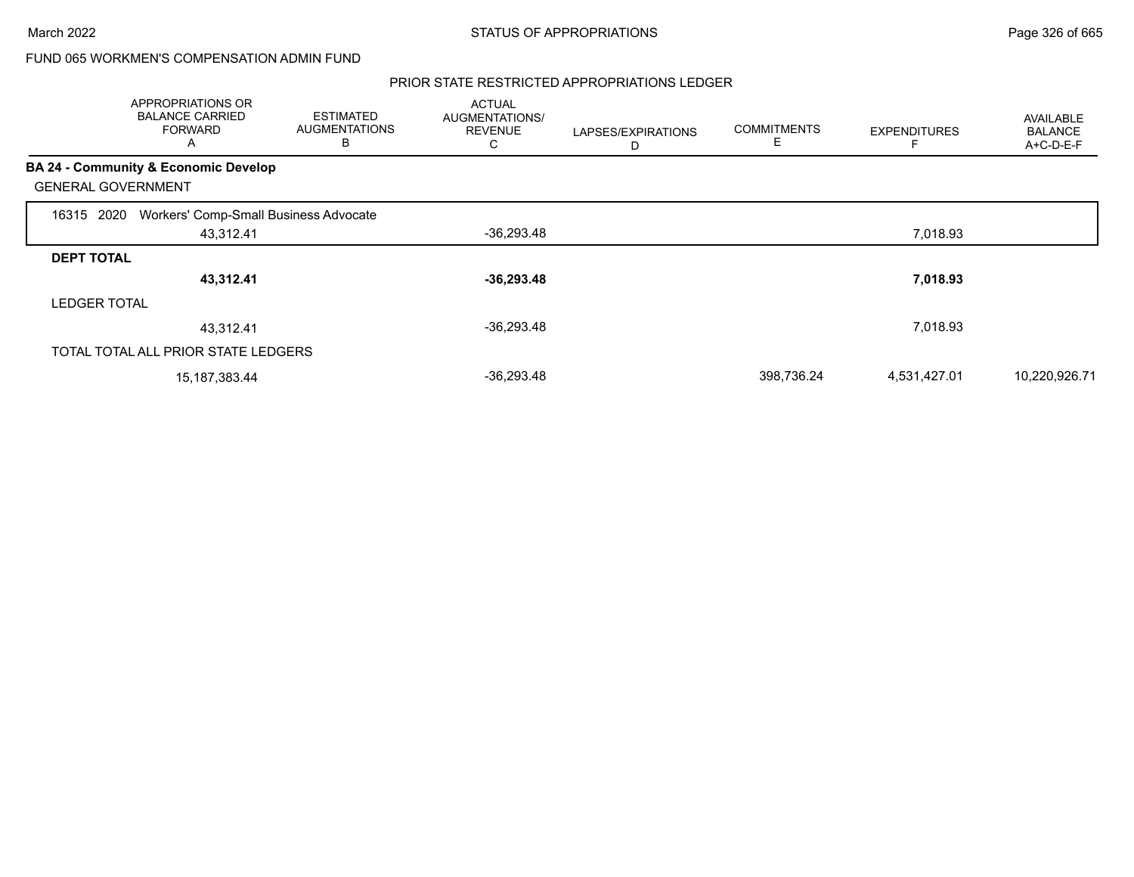## FUND 065 WORKMEN'S COMPENSATION ADMIN FUND

#### PRIOR STATE RESTRICTED APPROPRIATIONS LEDGER

|                           | APPROPRIATIONS OR<br><b>BALANCE CARRIED</b><br><b>FORWARD</b><br>A | <b>ESTIMATED</b><br><b>AUGMENTATIONS</b><br>B | <b>ACTUAL</b><br>AUGMENTATIONS/<br><b>REVENUE</b><br>С | LAPSES/EXPIRATIONS<br>D | <b>COMMITMENTS</b><br>E | <b>EXPENDITURES</b> | AVAILABLE<br><b>BALANCE</b><br>A+C-D-E-F |
|---------------------------|--------------------------------------------------------------------|-----------------------------------------------|--------------------------------------------------------|-------------------------|-------------------------|---------------------|------------------------------------------|
|                           | <b>BA 24 - Community &amp; Economic Develop</b>                    |                                               |                                                        |                         |                         |                     |                                          |
| <b>GENERAL GOVERNMENT</b> |                                                                    |                                               |                                                        |                         |                         |                     |                                          |
| 16315 2020                | Workers' Comp-Small Business Advocate                              |                                               |                                                        |                         |                         |                     |                                          |
|                           | 43,312.41                                                          |                                               | -36,293.48                                             |                         |                         | 7,018.93            |                                          |
| <b>DEPT TOTAL</b>         |                                                                    |                                               |                                                        |                         |                         |                     |                                          |
|                           | 43,312.41                                                          |                                               | $-36,293.48$                                           |                         |                         | 7,018.93            |                                          |
| <b>LEDGER TOTAL</b>       |                                                                    |                                               |                                                        |                         |                         |                     |                                          |
|                           | 43,312.41                                                          |                                               | $-36,293.48$                                           |                         |                         | 7,018.93            |                                          |
|                           | TOTAL TOTAL ALL PRIOR STATE LEDGERS                                |                                               |                                                        |                         |                         |                     |                                          |
|                           | 15, 187, 383. 44                                                   |                                               | $-36,293.48$                                           |                         | 398,736.24              | 4,531,427.01        | 10,220,926.71                            |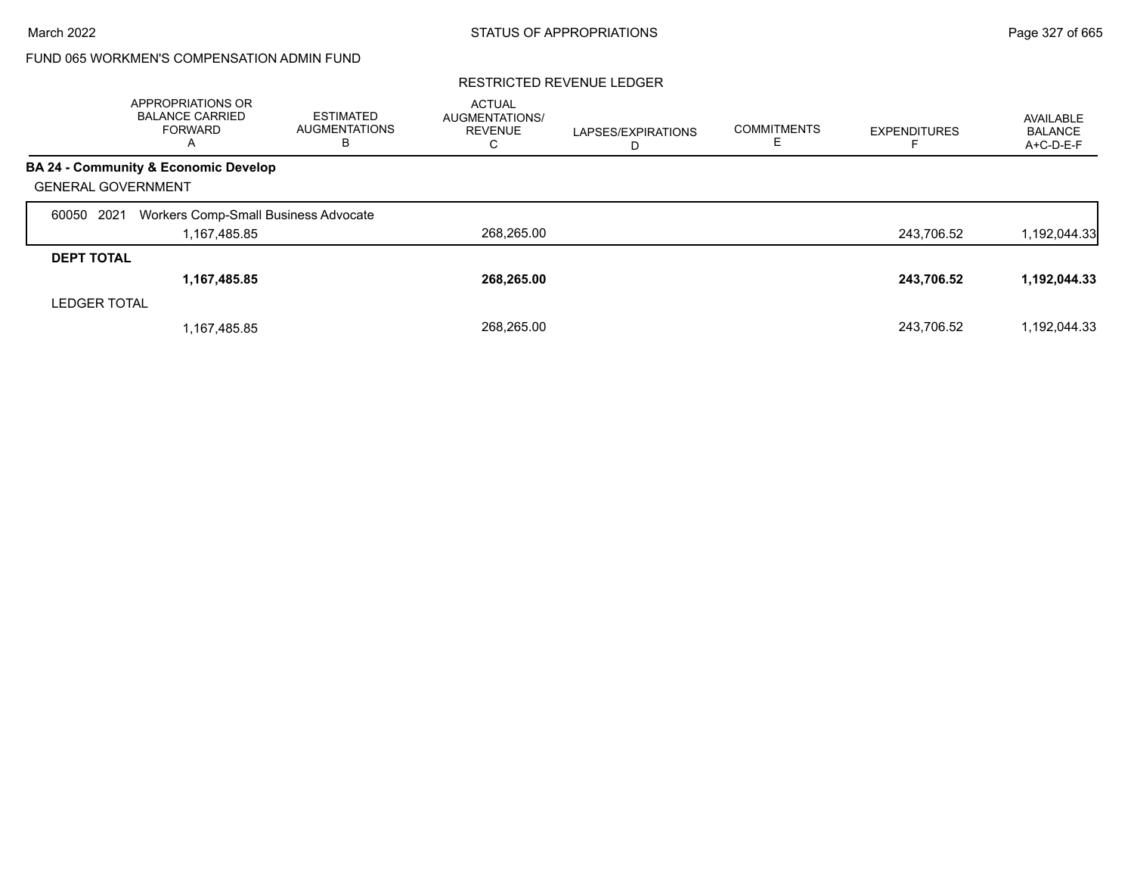# FUND 065 WORKMEN'S COMPENSATION ADMIN FUND

|                           | <b>APPROPRIATIONS OR</b><br><b>BALANCE CARRIED</b><br><b>FORWARD</b><br>A | <b>ESTIMATED</b><br><b>AUGMENTATIONS</b><br>в | <b>ACTUAL</b><br>AUGMENTATIONS/<br><b>REVENUE</b><br>С | LAPSES/EXPIRATIONS<br>D | <b>COMMITMENTS</b> | <b>EXPENDITURES</b> | AVAILABLE<br><b>BALANCE</b><br>A+C-D-E-F |
|---------------------------|---------------------------------------------------------------------------|-----------------------------------------------|--------------------------------------------------------|-------------------------|--------------------|---------------------|------------------------------------------|
|                           | BA 24 - Community & Economic Develop                                      |                                               |                                                        |                         |                    |                     |                                          |
| <b>GENERAL GOVERNMENT</b> |                                                                           |                                               |                                                        |                         |                    |                     |                                          |
| 2021<br>60050             | Workers Comp-Small Business Advocate                                      |                                               |                                                        |                         |                    |                     |                                          |
|                           | 1,167,485.85                                                              |                                               | 268,265.00                                             |                         |                    | 243,706.52          | 1,192,044.33                             |
| <b>DEPT TOTAL</b>         |                                                                           |                                               |                                                        |                         |                    |                     |                                          |
|                           | 1,167,485.85                                                              |                                               | 268.265.00                                             |                         |                    | 243,706.52          | 1,192,044.33                             |
| <b>LEDGER TOTAL</b>       |                                                                           |                                               |                                                        |                         |                    |                     |                                          |
|                           | 1,167,485.85                                                              |                                               | 268.265.00                                             |                         |                    | 243.706.52          | 1,192,044.33                             |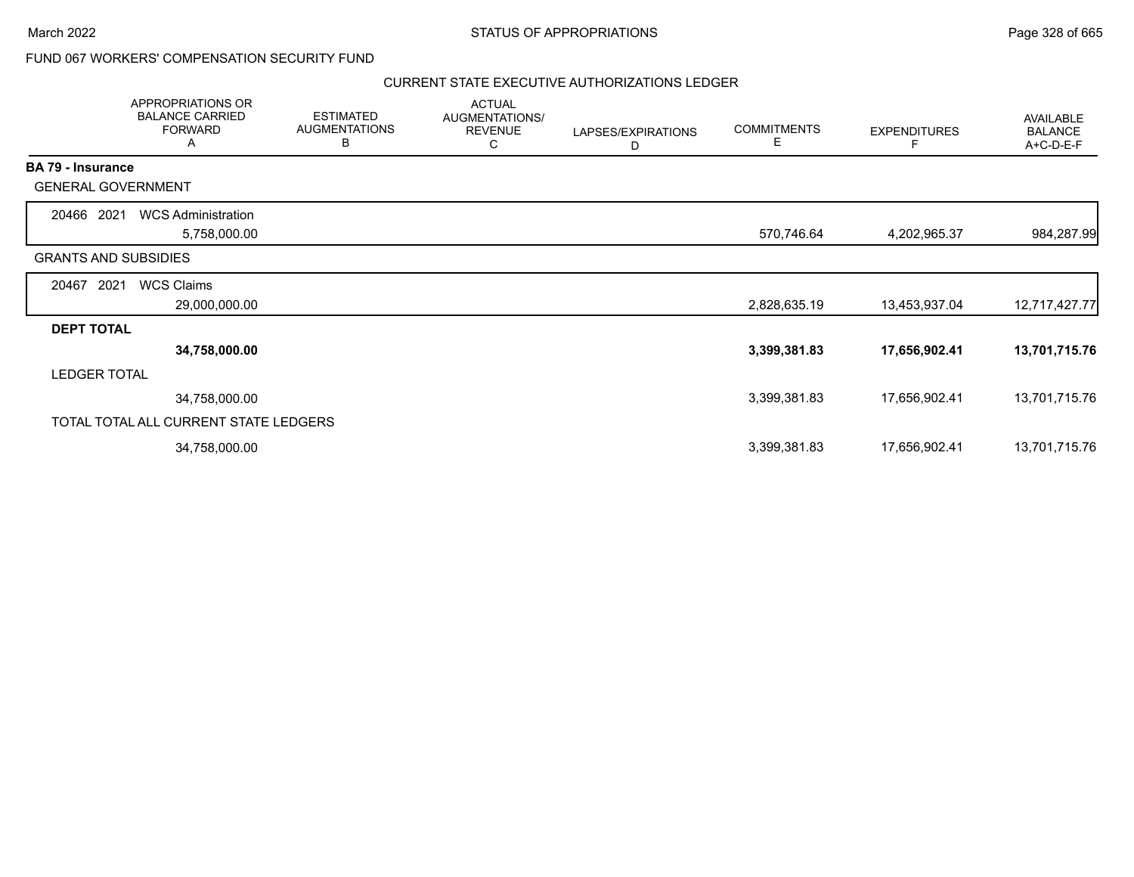### FUND 067 WORKERS' COMPENSATION SECURITY FUND

### CURRENT STATE EXECUTIVE AUTHORIZATIONS LEDGER

|                          | APPROPRIATIONS OR<br><b>BALANCE CARRIED</b><br><b>FORWARD</b><br>A | <b>ESTIMATED</b><br><b>AUGMENTATIONS</b><br>В | <b>ACTUAL</b><br>AUGMENTATIONS/<br><b>REVENUE</b><br>C | LAPSES/EXPIRATIONS<br>D | <b>COMMITMENTS</b><br>E. | <b>EXPENDITURES</b><br>F | AVAILABLE<br><b>BALANCE</b><br>A+C-D-E-F |
|--------------------------|--------------------------------------------------------------------|-----------------------------------------------|--------------------------------------------------------|-------------------------|--------------------------|--------------------------|------------------------------------------|
| <b>BA 79 - Insurance</b> |                                                                    |                                               |                                                        |                         |                          |                          |                                          |
|                          | <b>GENERAL GOVERNMENT</b>                                          |                                               |                                                        |                         |                          |                          |                                          |
| 20466 2021               | <b>WCS Administration</b>                                          |                                               |                                                        |                         |                          |                          |                                          |
|                          | 5,758,000.00                                                       |                                               |                                                        |                         | 570,746.64               | 4,202,965.37             | 984,287.99                               |
|                          | <b>GRANTS AND SUBSIDIES</b>                                        |                                               |                                                        |                         |                          |                          |                                          |
| 20467                    | <b>WCS Claims</b><br>2021                                          |                                               |                                                        |                         |                          |                          |                                          |
|                          | 29,000,000.00                                                      |                                               |                                                        |                         | 2,828,635.19             | 13,453,937.04            | 12,717,427.77                            |
| <b>DEPT TOTAL</b>        |                                                                    |                                               |                                                        |                         |                          |                          |                                          |
|                          | 34,758,000.00                                                      |                                               |                                                        |                         | 3,399,381.83             | 17,656,902.41            | 13,701,715.76                            |
| <b>LEDGER TOTAL</b>      |                                                                    |                                               |                                                        |                         |                          |                          |                                          |
|                          | 34,758,000.00                                                      |                                               |                                                        |                         | 3,399,381.83             | 17,656,902.41            | 13,701,715.76                            |
|                          | TOTAL TOTAL ALL CURRENT STATE LEDGERS                              |                                               |                                                        |                         |                          |                          |                                          |
|                          | 34,758,000.00                                                      |                                               |                                                        |                         | 3,399,381.83             | 17,656,902.41            | 13,701,715.76                            |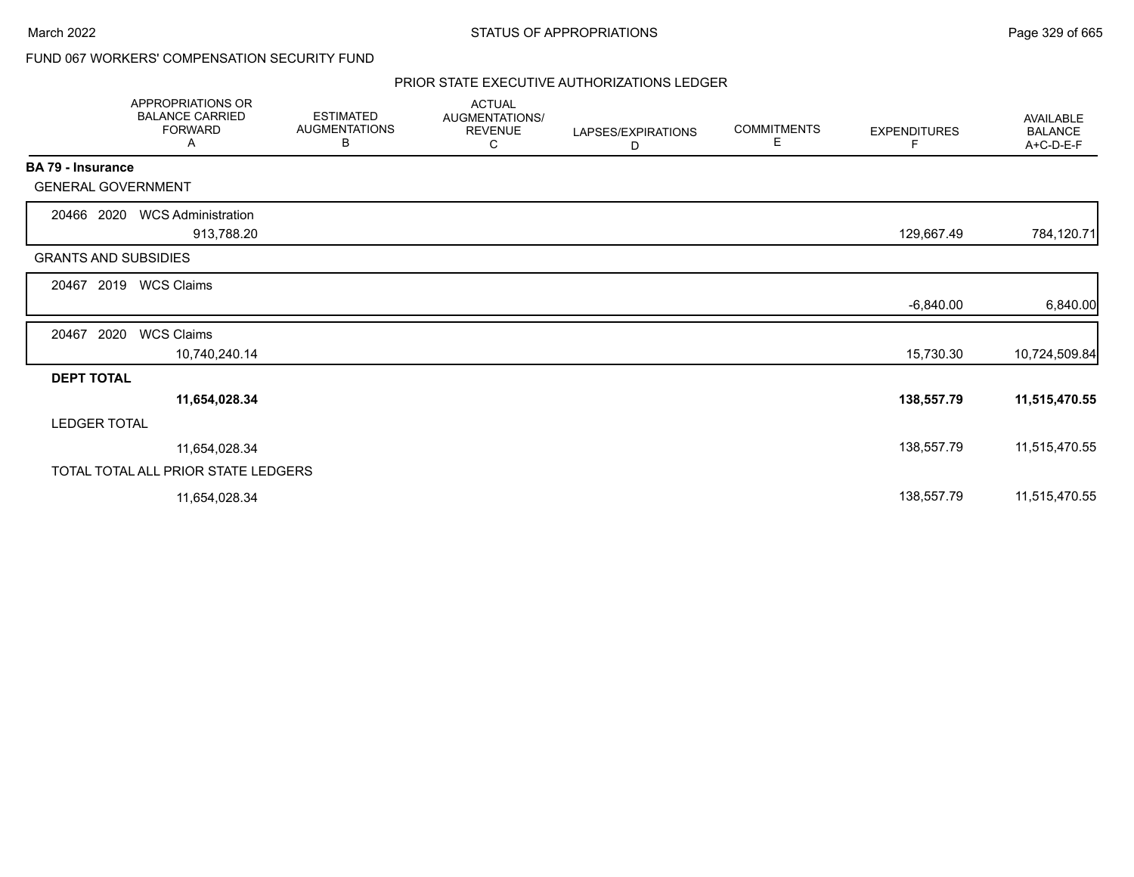### FUND 067 WORKERS' COMPENSATION SECURITY FUND

### PRIOR STATE EXECUTIVE AUTHORIZATIONS LEDGER

|                             | APPROPRIATIONS OR<br><b>BALANCE CARRIED</b><br><b>FORWARD</b><br>Α | <b>ESTIMATED</b><br><b>AUGMENTATIONS</b><br>В | <b>ACTUAL</b><br>AUGMENTATIONS/<br><b>REVENUE</b><br>С | LAPSES/EXPIRATIONS<br>D | <b>COMMITMENTS</b><br>Е | <b>EXPENDITURES</b><br>F | <b>AVAILABLE</b><br><b>BALANCE</b><br>A+C-D-E-F |
|-----------------------------|--------------------------------------------------------------------|-----------------------------------------------|--------------------------------------------------------|-------------------------|-------------------------|--------------------------|-------------------------------------------------|
| BA 79 - Insurance           |                                                                    |                                               |                                                        |                         |                         |                          |                                                 |
| <b>GENERAL GOVERNMENT</b>   |                                                                    |                                               |                                                        |                         |                         |                          |                                                 |
| 20466 2020                  | <b>WCS Administration</b><br>913,788.20                            |                                               |                                                        |                         |                         | 129,667.49               | 784,120.71                                      |
| <b>GRANTS AND SUBSIDIES</b> |                                                                    |                                               |                                                        |                         |                         |                          |                                                 |
| 2019<br>20467               | <b>WCS Claims</b>                                                  |                                               |                                                        |                         |                         |                          |                                                 |
|                             |                                                                    |                                               |                                                        |                         |                         | $-6,840.00$              | 6,840.00                                        |
| 2020<br>20467               | <b>WCS Claims</b>                                                  |                                               |                                                        |                         |                         |                          |                                                 |
|                             | 10,740,240.14                                                      |                                               |                                                        |                         |                         | 15,730.30                | 10,724,509.84                                   |
| <b>DEPT TOTAL</b>           |                                                                    |                                               |                                                        |                         |                         |                          |                                                 |
|                             | 11,654,028.34                                                      |                                               |                                                        |                         |                         | 138,557.79               | 11,515,470.55                                   |
| <b>LEDGER TOTAL</b>         |                                                                    |                                               |                                                        |                         |                         |                          |                                                 |
|                             | 11,654,028.34                                                      |                                               |                                                        |                         |                         | 138,557.79               | 11,515,470.55                                   |
|                             | TOTAL TOTAL ALL PRIOR STATE LEDGERS                                |                                               |                                                        |                         |                         |                          |                                                 |
|                             | 11,654,028.34                                                      |                                               |                                                        |                         |                         | 138,557.79               | 11,515,470.55                                   |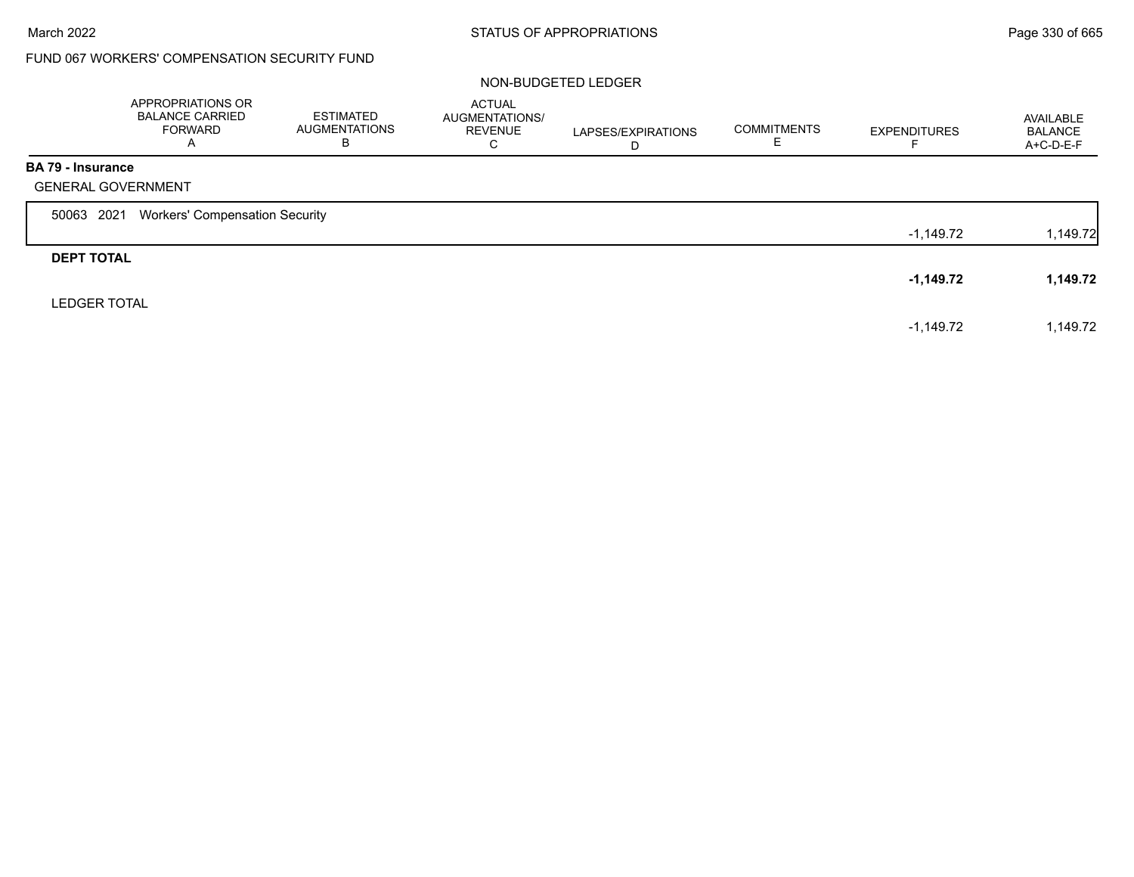## FUND 067 WORKERS' COMPENSATION SECURITY FUND

### NON-BUDGETED LEDGER

|                          | APPROPRIATIONS OR<br><b>BALANCE CARRIED</b><br>FORWARD<br>$\overline{A}$ | ESTIMATED<br><b>AUGMENTATIONS</b><br>В | <b>ACTUAL</b><br>AUGMENTATIONS/<br><b>REVENUE</b><br>С | LAPSES/EXPIRATIONS<br>D | <b>COMMITMENTS</b> | <b>EXPENDITURES</b> | AVAILABLE<br><b>BALANCE</b><br>$A+C-D-E-F$ |
|--------------------------|--------------------------------------------------------------------------|----------------------------------------|--------------------------------------------------------|-------------------------|--------------------|---------------------|--------------------------------------------|
| <b>BA 79 - Insurance</b> |                                                                          |                                        |                                                        |                         |                    |                     |                                            |
|                          | <b>GENERAL GOVERNMENT</b>                                                |                                        |                                                        |                         |                    |                     |                                            |
| 50063 2021               | <b>Workers' Compensation Security</b>                                    |                                        |                                                        |                         |                    |                     |                                            |
|                          |                                                                          |                                        |                                                        |                         |                    | -1,149.72           | 1,149.72                                   |
| <b>DEPT TOTAL</b>        |                                                                          |                                        |                                                        |                         |                    |                     |                                            |
|                          |                                                                          |                                        |                                                        |                         |                    | $-1,149.72$         | 1,149.72                                   |
| <b>LEDGER TOTAL</b>      |                                                                          |                                        |                                                        |                         |                    |                     |                                            |
|                          |                                                                          |                                        |                                                        |                         |                    | $-1,149.72$         | 1,149.72                                   |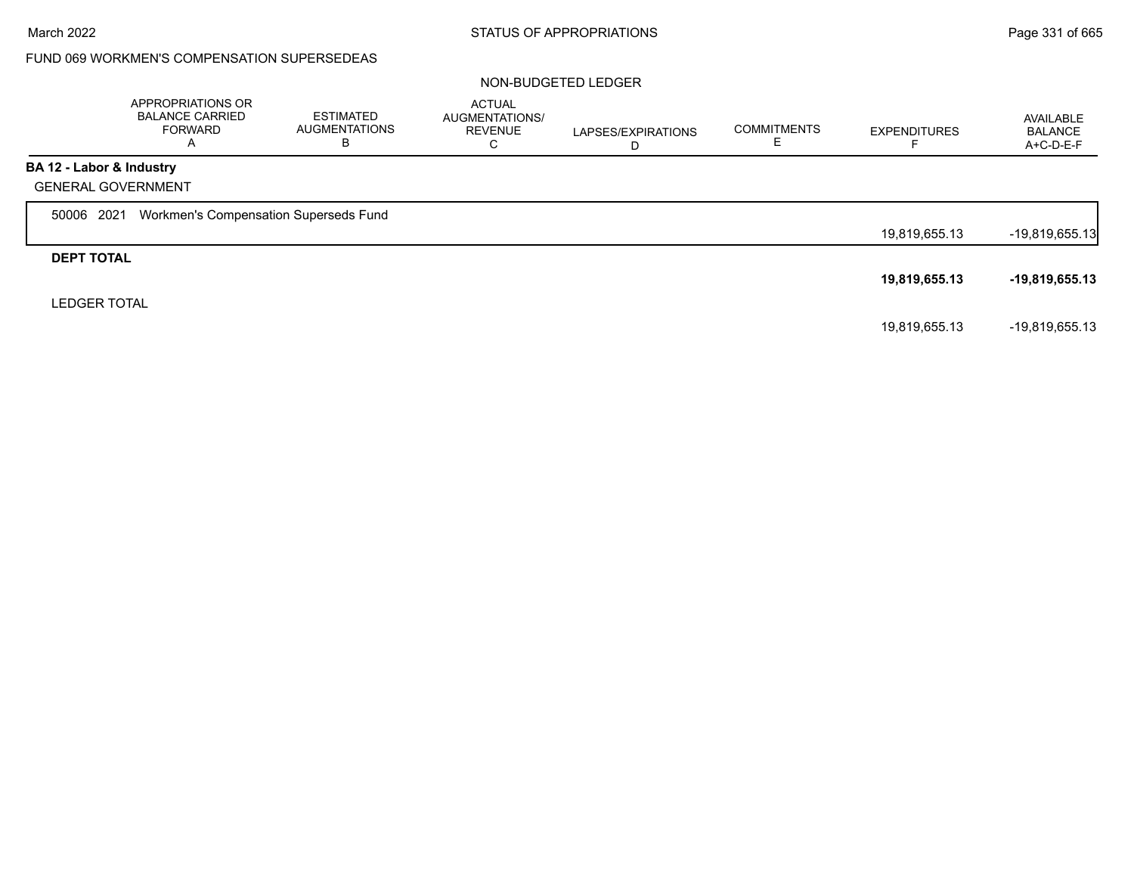### FUND 069 WORKMEN'S COMPENSATION SUPERSEDEAS

#### NON-BUDGETED LEDGER

|                          | APPROPRIATIONS OR<br><b>BALANCE CARRIED</b><br><b>FORWARD</b><br>A | <b>ESTIMATED</b><br>AUGMENTATIONS<br>В | <b>ACTUAL</b><br>AUGMENTATIONS/<br><b>REVENUE</b><br>С | LAPSES/EXPIRATIONS<br>D | <b>COMMITMENTS</b><br>ᆮ | <b>EXPENDITURES</b><br>⊢ | AVAILABLE<br><b>BALANCE</b><br>A+C-D-E-F |
|--------------------------|--------------------------------------------------------------------|----------------------------------------|--------------------------------------------------------|-------------------------|-------------------------|--------------------------|------------------------------------------|
| BA 12 - Labor & Industry |                                                                    |                                        |                                                        |                         |                         |                          |                                          |
|                          | <b>GENERAL GOVERNMENT</b>                                          |                                        |                                                        |                         |                         |                          |                                          |
| 50006 2021               | Workmen's Compensation Superseds Fund                              |                                        |                                                        |                         |                         |                          |                                          |
|                          |                                                                    |                                        |                                                        |                         |                         | 19,819,655.13            | $-19,819,655.13$                         |
| <b>DEPT TOTAL</b>        |                                                                    |                                        |                                                        |                         |                         |                          |                                          |
|                          |                                                                    |                                        |                                                        |                         |                         | 19,819,655.13            | $-19,819,655.13$                         |
| <b>LEDGER TOTAL</b>      |                                                                    |                                        |                                                        |                         |                         |                          |                                          |
|                          |                                                                    |                                        |                                                        |                         |                         | 19,819,655.13            | -19,819,655.13                           |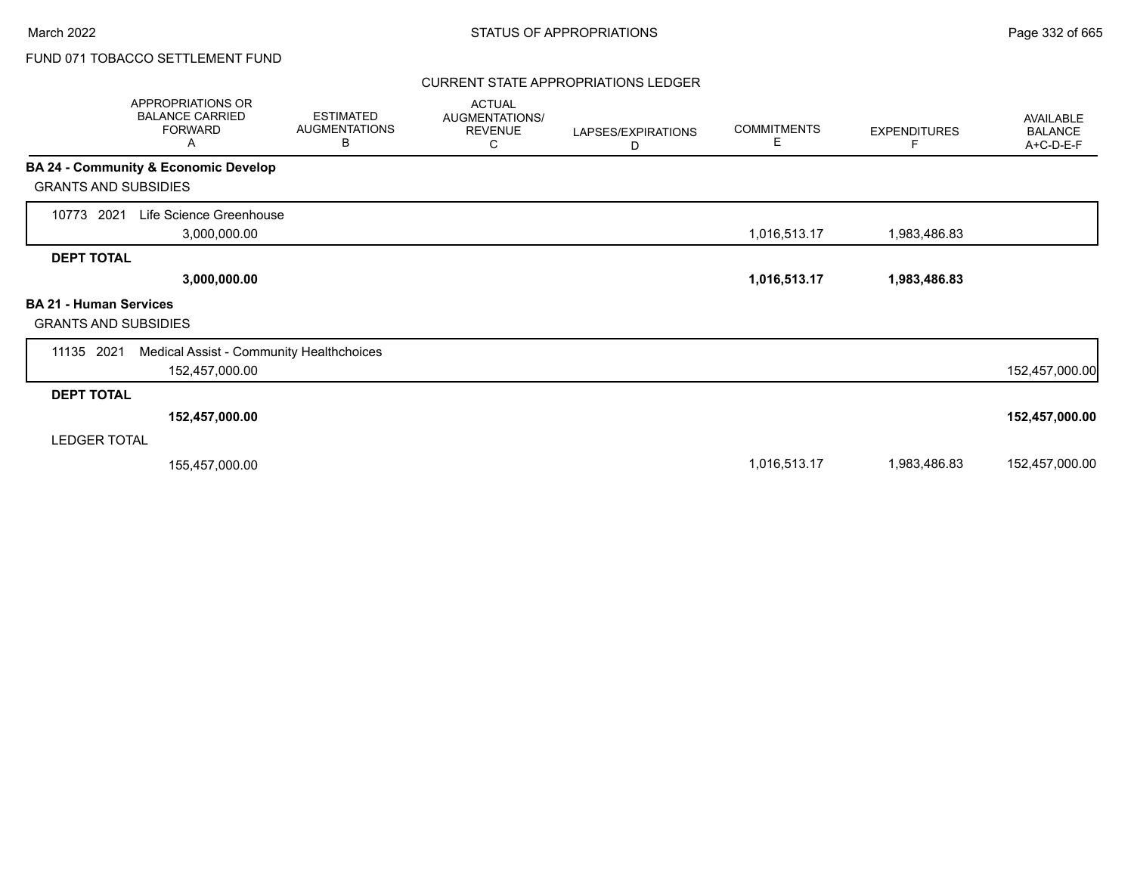### CURRENT STATE APPROPRIATIONS LEDGER

| <b>APPROPRIATIONS OR</b><br><b>BALANCE CARRIED</b><br><b>FORWARD</b><br>Α | <b>ESTIMATED</b><br><b>AUGMENTATIONS</b><br>В | <b>ACTUAL</b><br>AUGMENTATIONS/<br><b>REVENUE</b><br>С | LAPSES/EXPIRATIONS<br>D | <b>COMMITMENTS</b><br>Е | <b>EXPENDITURES</b><br>F | AVAILABLE<br><b>BALANCE</b><br>A+C-D-E-F |
|---------------------------------------------------------------------------|-----------------------------------------------|--------------------------------------------------------|-------------------------|-------------------------|--------------------------|------------------------------------------|
| BA 24 - Community & Economic Develop<br><b>GRANTS AND SUBSIDIES</b>       |                                               |                                                        |                         |                         |                          |                                          |
| Life Science Greenhouse<br>10773<br>2021<br>3,000,000.00                  |                                               |                                                        |                         | 1,016,513.17            | 1,983,486.83             |                                          |
| <b>DEPT TOTAL</b><br>3,000,000.00                                         |                                               |                                                        |                         | 1,016,513.17            | 1,983,486.83             |                                          |
| <b>BA 21 - Human Services</b><br><b>GRANTS AND SUBSIDIES</b>              |                                               |                                                        |                         |                         |                          |                                          |
| 11135 2021<br>152,457,000.00                                              | Medical Assist - Community Healthchoices      |                                                        |                         |                         |                          | 152,457,000.00                           |
| <b>DEPT TOTAL</b>                                                         |                                               |                                                        |                         |                         |                          |                                          |
| 152,457,000.00                                                            |                                               |                                                        |                         |                         |                          | 152,457,000.00                           |
| <b>LEDGER TOTAL</b>                                                       |                                               |                                                        |                         |                         |                          |                                          |
| 155,457,000.00                                                            |                                               |                                                        |                         | 1,016,513.17            | 1,983,486.83             | 152,457,000.00                           |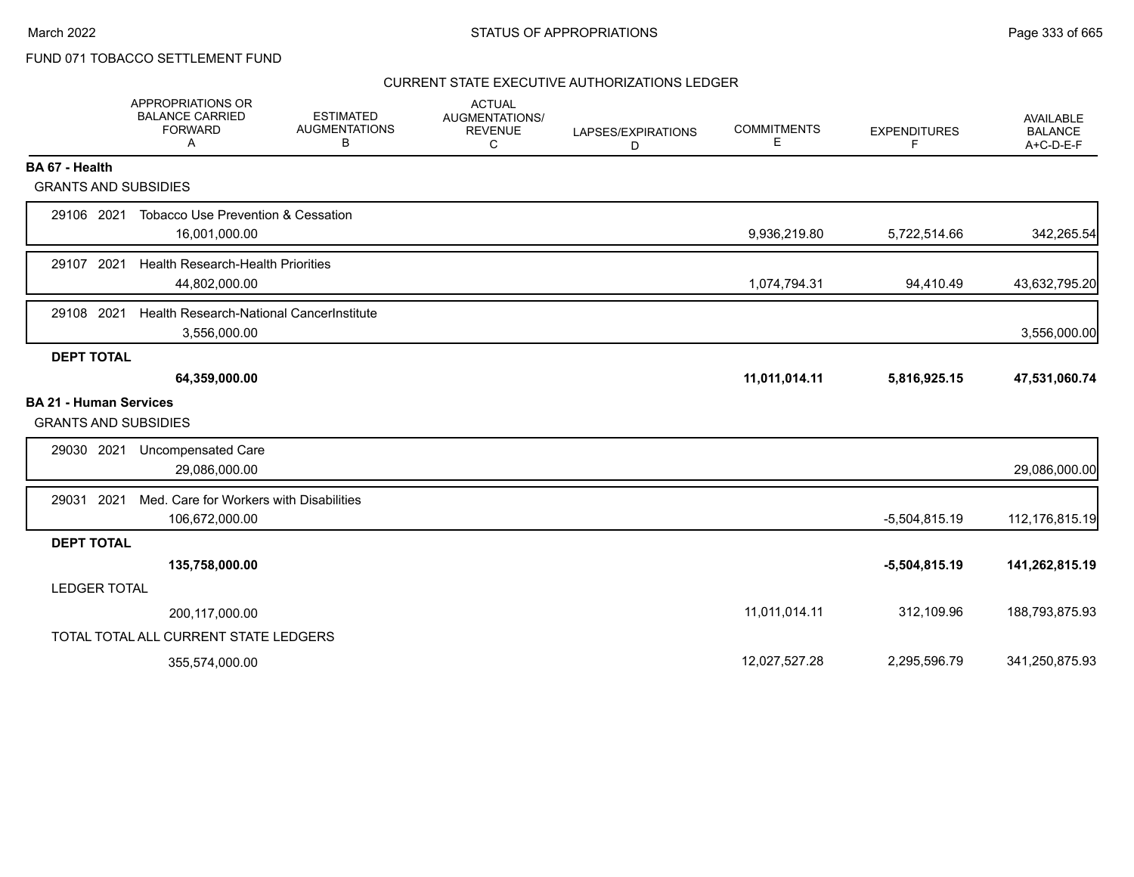### CURRENT STATE EXECUTIVE AUTHORIZATIONS LEDGER

|                                                              | APPROPRIATIONS OR<br><b>BALANCE CARRIED</b><br><b>FORWARD</b><br>A | <b>ESTIMATED</b><br><b>AUGMENTATIONS</b><br>в | <b>ACTUAL</b><br>AUGMENTATIONS/<br><b>REVENUE</b><br>C | LAPSES/EXPIRATIONS<br>D | <b>COMMITMENTS</b><br>Ε | <b>EXPENDITURES</b><br>F | AVAILABLE<br><b>BALANCE</b><br>$A+C-D-E-F$ |
|--------------------------------------------------------------|--------------------------------------------------------------------|-----------------------------------------------|--------------------------------------------------------|-------------------------|-------------------------|--------------------------|--------------------------------------------|
| BA 67 - Health                                               |                                                                    |                                               |                                                        |                         |                         |                          |                                            |
| <b>GRANTS AND SUBSIDIES</b>                                  |                                                                    |                                               |                                                        |                         |                         |                          |                                            |
| 29106 2021                                                   | <b>Tobacco Use Prevention &amp; Cessation</b><br>16,001,000.00     |                                               |                                                        |                         | 9,936,219.80            | 5,722,514.66             | 342,265.54                                 |
| 29107 2021                                                   | <b>Health Research-Health Priorities</b><br>44,802,000.00          |                                               |                                                        |                         | 1,074,794.31            | 94,410.49                | 43,632,795.20                              |
| 29108 2021                                                   | Health Research-National CancerInstitute<br>3,556,000.00           |                                               |                                                        |                         |                         |                          | 3,556,000.00                               |
| <b>DEPT TOTAL</b>                                            |                                                                    |                                               |                                                        |                         |                         |                          |                                            |
|                                                              | 64,359,000.00                                                      |                                               |                                                        |                         | 11,011,014.11           | 5,816,925.15             | 47,531,060.74                              |
| <b>BA 21 - Human Services</b><br><b>GRANTS AND SUBSIDIES</b> |                                                                    |                                               |                                                        |                         |                         |                          |                                            |
| 29030 2021                                                   | <b>Uncompensated Care</b><br>29,086,000.00                         |                                               |                                                        |                         |                         |                          | 29,086,000.00                              |
| 2021<br>29031                                                | Med. Care for Workers with Disabilities<br>106,672,000.00          |                                               |                                                        |                         |                         | $-5,504,815.19$          | 112,176,815.19                             |
| <b>DEPT TOTAL</b>                                            |                                                                    |                                               |                                                        |                         |                         |                          |                                            |
|                                                              | 135,758,000.00                                                     |                                               |                                                        |                         |                         | $-5,504,815.19$          | 141,262,815.19                             |
| <b>LEDGER TOTAL</b>                                          |                                                                    |                                               |                                                        |                         |                         |                          |                                            |
|                                                              | 200,117,000.00                                                     |                                               |                                                        |                         | 11,011,014.11           | 312,109.96               | 188,793,875.93                             |
|                                                              | TOTAL TOTAL ALL CURRENT STATE LEDGERS                              |                                               |                                                        |                         |                         |                          |                                            |
|                                                              | 355,574,000.00                                                     |                                               |                                                        |                         | 12,027,527.28           | 2,295,596.79             | 341,250,875.93                             |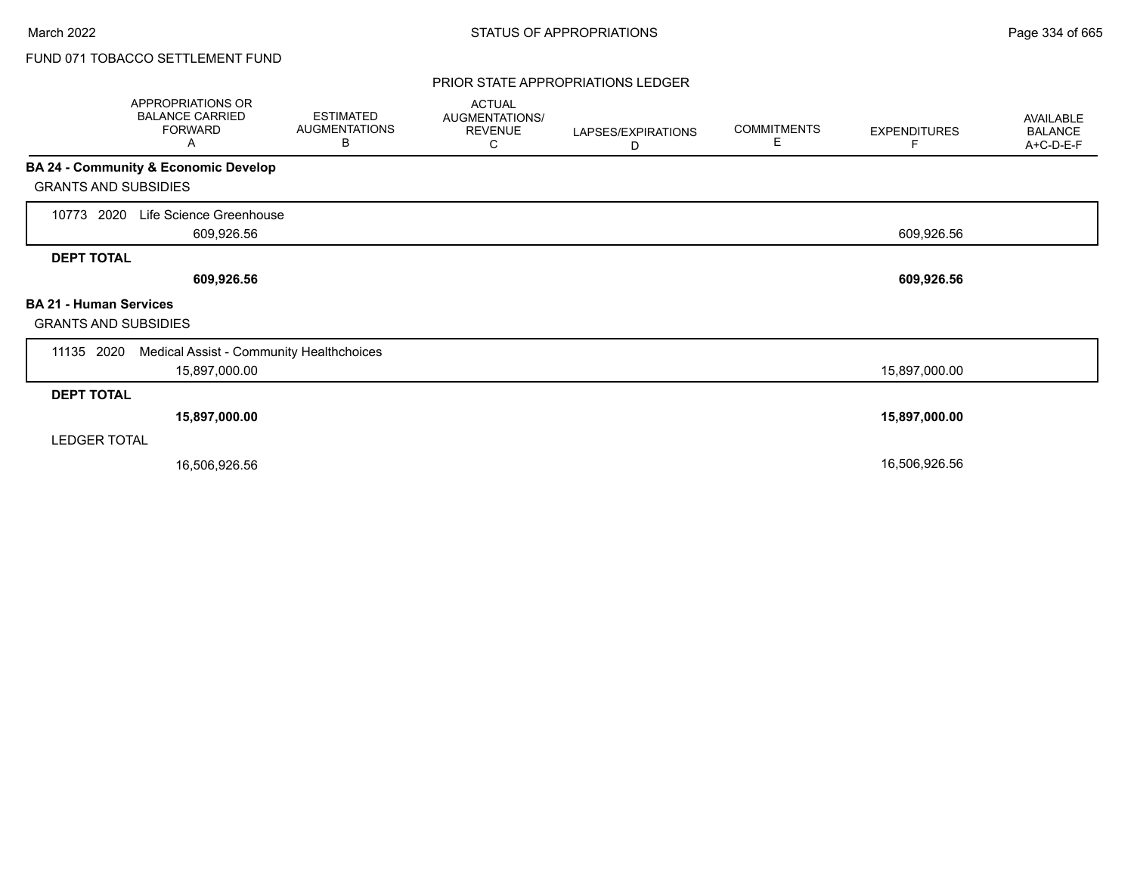#### PRIOR STATE APPROPRIATIONS LEDGER

|                                                              | APPROPRIATIONS OR<br><b>BALANCE CARRIED</b><br><b>FORWARD</b><br>A | <b>ESTIMATED</b><br><b>AUGMENTATIONS</b><br>В | <b>ACTUAL</b><br>AUGMENTATIONS/<br><b>REVENUE</b><br>С | LAPSES/EXPIRATIONS<br>D | <b>COMMITMENTS</b><br>E | <b>EXPENDITURES</b><br>F | AVAILABLE<br><b>BALANCE</b><br>A+C-D-E-F |
|--------------------------------------------------------------|--------------------------------------------------------------------|-----------------------------------------------|--------------------------------------------------------|-------------------------|-------------------------|--------------------------|------------------------------------------|
|                                                              | BA 24 - Community & Economic Develop                               |                                               |                                                        |                         |                         |                          |                                          |
| <b>GRANTS AND SUBSIDIES</b>                                  |                                                                    |                                               |                                                        |                         |                         |                          |                                          |
| 2020<br>10773                                                | Life Science Greenhouse<br>609,926.56                              |                                               |                                                        |                         |                         | 609,926.56               |                                          |
| <b>DEPT TOTAL</b>                                            |                                                                    |                                               |                                                        |                         |                         |                          |                                          |
|                                                              | 609,926.56                                                         |                                               |                                                        |                         |                         | 609,926.56               |                                          |
| <b>BA 21 - Human Services</b><br><b>GRANTS AND SUBSIDIES</b> |                                                                    |                                               |                                                        |                         |                         |                          |                                          |
| 11135 2020                                                   | Medical Assist - Community Healthchoices                           |                                               |                                                        |                         |                         |                          |                                          |
|                                                              | 15,897,000.00                                                      |                                               |                                                        |                         |                         | 15,897,000.00            |                                          |
| <b>DEPT TOTAL</b>                                            |                                                                    |                                               |                                                        |                         |                         |                          |                                          |
|                                                              | 15,897,000.00                                                      |                                               |                                                        |                         |                         | 15,897,000.00            |                                          |
| <b>LEDGER TOTAL</b>                                          |                                                                    |                                               |                                                        |                         |                         |                          |                                          |
|                                                              | 16,506,926.56                                                      |                                               |                                                        |                         |                         | 16,506,926.56            |                                          |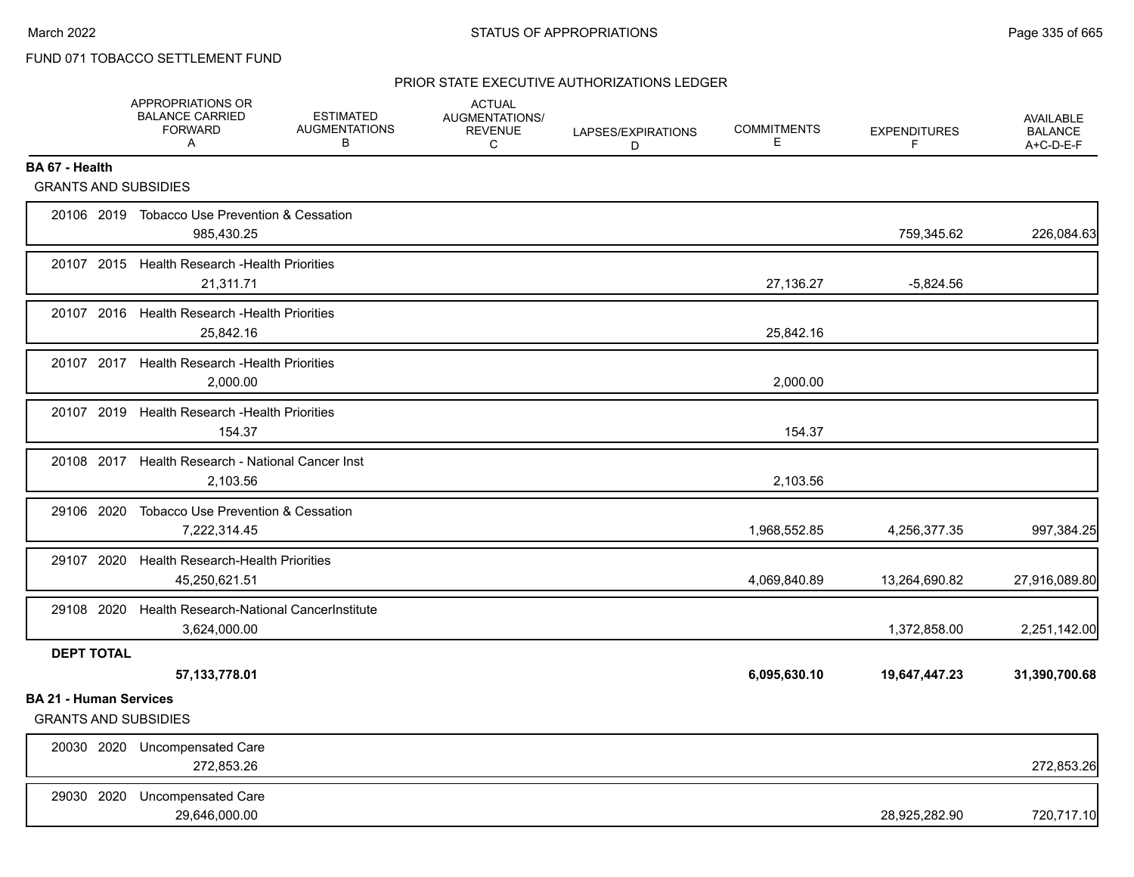### PRIOR STATE EXECUTIVE AUTHORIZATIONS LEDGER

|                                                              | APPROPRIATIONS OR<br><b>BALANCE CARRIED</b><br><b>FORWARD</b><br>Α | <b>ESTIMATED</b><br><b>AUGMENTATIONS</b><br>В | <b>ACTUAL</b><br><b>AUGMENTATIONS/</b><br><b>REVENUE</b><br>$\mathsf{C}$ | LAPSES/EXPIRATIONS<br>D | <b>COMMITMENTS</b><br>E. | <b>EXPENDITURES</b><br>F | <b>AVAILABLE</b><br><b>BALANCE</b><br>A+C-D-E-F |
|--------------------------------------------------------------|--------------------------------------------------------------------|-----------------------------------------------|--------------------------------------------------------------------------|-------------------------|--------------------------|--------------------------|-------------------------------------------------|
| BA 67 - Health                                               |                                                                    |                                               |                                                                          |                         |                          |                          |                                                 |
| <b>GRANTS AND SUBSIDIES</b>                                  |                                                                    |                                               |                                                                          |                         |                          |                          |                                                 |
|                                                              | 20106 2019 Tobacco Use Prevention & Cessation<br>985,430.25        |                                               |                                                                          |                         |                          | 759,345.62               | 226,084.63                                      |
| 20107 2015                                                   | <b>Health Research - Health Priorities</b><br>21,311.71            |                                               |                                                                          |                         | 27,136.27                | $-5,824.56$              |                                                 |
| 20107 2016                                                   | Health Research - Health Priorities<br>25,842.16                   |                                               |                                                                          |                         | 25,842.16                |                          |                                                 |
| 20107 2017                                                   | <b>Health Research - Health Priorities</b><br>2,000.00             |                                               |                                                                          |                         | 2,000.00                 |                          |                                                 |
| 20107 2019                                                   | <b>Health Research - Health Priorities</b><br>154.37               |                                               |                                                                          |                         | 154.37                   |                          |                                                 |
| 20108 2017                                                   | Health Research - National Cancer Inst<br>2,103.56                 |                                               |                                                                          |                         | 2,103.56                 |                          |                                                 |
| 29106 2020                                                   | Tobacco Use Prevention & Cessation<br>7,222,314.45                 |                                               |                                                                          |                         | 1,968,552.85             | 4,256,377.35             | 997,384.25                                      |
| 29107 2020                                                   | <b>Health Research-Health Priorities</b><br>45,250,621.51          |                                               |                                                                          |                         | 4,069,840.89             | 13,264,690.82            | 27,916,089.80                                   |
| 29108 2020                                                   | Health Research-National CancerInstitute<br>3,624,000.00           |                                               |                                                                          |                         |                          | 1,372,858.00             | 2,251,142.00                                    |
| <b>DEPT TOTAL</b>                                            | 57, 133, 778.01                                                    |                                               |                                                                          |                         | 6,095,630.10             | 19,647,447.23            | 31,390,700.68                                   |
| <b>BA 21 - Human Services</b><br><b>GRANTS AND SUBSIDIES</b> |                                                                    |                                               |                                                                          |                         |                          |                          |                                                 |
| 20030 2020                                                   | <b>Uncompensated Care</b><br>272,853.26                            |                                               |                                                                          |                         |                          |                          | 272,853.26                                      |
| 29030 2020                                                   | <b>Uncompensated Care</b><br>29.646.000.00                         |                                               |                                                                          |                         |                          | 28,925,282.90            | 720,717.10                                      |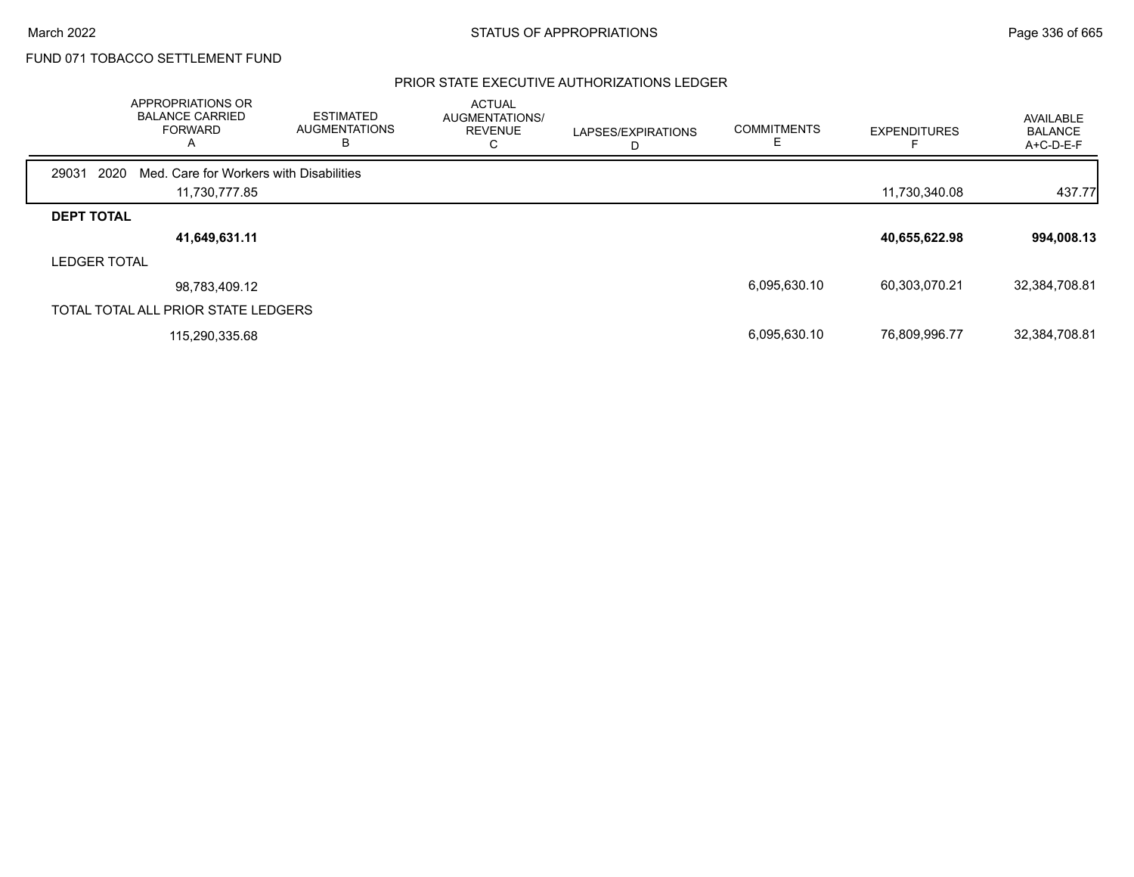### PRIOR STATE EXECUTIVE AUTHORIZATIONS LEDGER

|                     | <b>APPROPRIATIONS OR</b><br><b>BALANCE CARRIED</b><br><b>FORWARD</b> | <b>ESTIMATED</b><br><b>AUGMENTATIONS</b><br>В | <b>ACTUAL</b><br>AUGMENTATIONS/<br><b>REVENUE</b><br>◡ | LAPSES/EXPIRATIONS<br>D | <b>COMMITMENTS</b> | <b>EXPENDITURES</b> | AVAILABLE<br><b>BALANCE</b><br>A+C-D-E-F |
|---------------------|----------------------------------------------------------------------|-----------------------------------------------|--------------------------------------------------------|-------------------------|--------------------|---------------------|------------------------------------------|
| 2020<br>29031       | Med. Care for Workers with Disabilities                              |                                               |                                                        |                         |                    |                     |                                          |
|                     | 11,730,777.85                                                        |                                               |                                                        |                         |                    | 11,730,340.08       | 437.77                                   |
| <b>DEPT TOTAL</b>   |                                                                      |                                               |                                                        |                         |                    |                     |                                          |
|                     | 41,649,631.11                                                        |                                               |                                                        |                         |                    | 40,655,622.98       | 994,008.13                               |
| <b>LEDGER TOTAL</b> |                                                                      |                                               |                                                        |                         |                    |                     |                                          |
|                     | 98,783,409.12                                                        |                                               |                                                        |                         | 6,095,630.10       | 60,303,070.21       | 32,384,708.81                            |
|                     | TOTAL TOTAL ALL PRIOR STATE LEDGERS                                  |                                               |                                                        |                         |                    |                     |                                          |
|                     | 115,290,335.68                                                       |                                               |                                                        |                         | 6,095,630.10       | 76,809,996.77       | 32,384,708.81                            |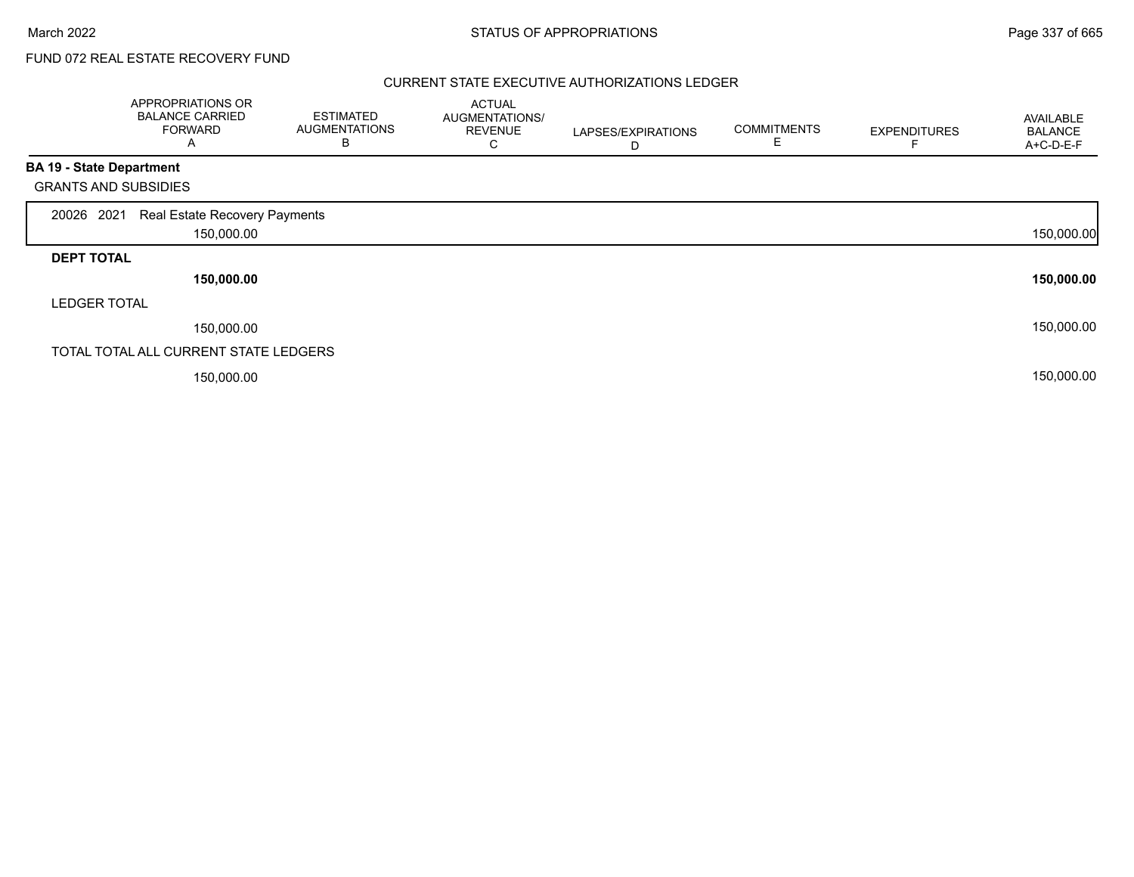## FUND 072 REAL ESTATE RECOVERY FUND

### CURRENT STATE EXECUTIVE AUTHORIZATIONS LEDGER

|                                 | APPROPRIATIONS OR<br><b>BALANCE CARRIED</b><br><b>FORWARD</b><br>A | <b>ESTIMATED</b><br><b>AUGMENTATIONS</b><br>B | <b>ACTUAL</b><br>AUGMENTATIONS/<br><b>REVENUE</b><br>С | LAPSES/EXPIRATIONS<br>D | <b>COMMITMENTS</b><br>E | <b>EXPENDITURES</b> | AVAILABLE<br><b>BALANCE</b><br>A+C-D-E-F |
|---------------------------------|--------------------------------------------------------------------|-----------------------------------------------|--------------------------------------------------------|-------------------------|-------------------------|---------------------|------------------------------------------|
| <b>BA 19 - State Department</b> |                                                                    |                                               |                                                        |                         |                         |                     |                                          |
| <b>GRANTS AND SUBSIDIES</b>     |                                                                    |                                               |                                                        |                         |                         |                     |                                          |
| 20026 2021                      | Real Estate Recovery Payments                                      |                                               |                                                        |                         |                         |                     |                                          |
|                                 | 150,000.00                                                         |                                               |                                                        |                         |                         |                     | 150,000.00                               |
| <b>DEPT TOTAL</b>               |                                                                    |                                               |                                                        |                         |                         |                     |                                          |
|                                 | 150,000.00                                                         |                                               |                                                        |                         |                         |                     | 150,000.00                               |
| <b>LEDGER TOTAL</b>             |                                                                    |                                               |                                                        |                         |                         |                     |                                          |
|                                 | 150,000.00                                                         |                                               |                                                        |                         |                         |                     | 150,000.00                               |
|                                 | TOTAL TOTAL ALL CURRENT STATE LEDGERS                              |                                               |                                                        |                         |                         |                     |                                          |
|                                 | 150,000.00                                                         |                                               |                                                        |                         |                         |                     | 150,000.00                               |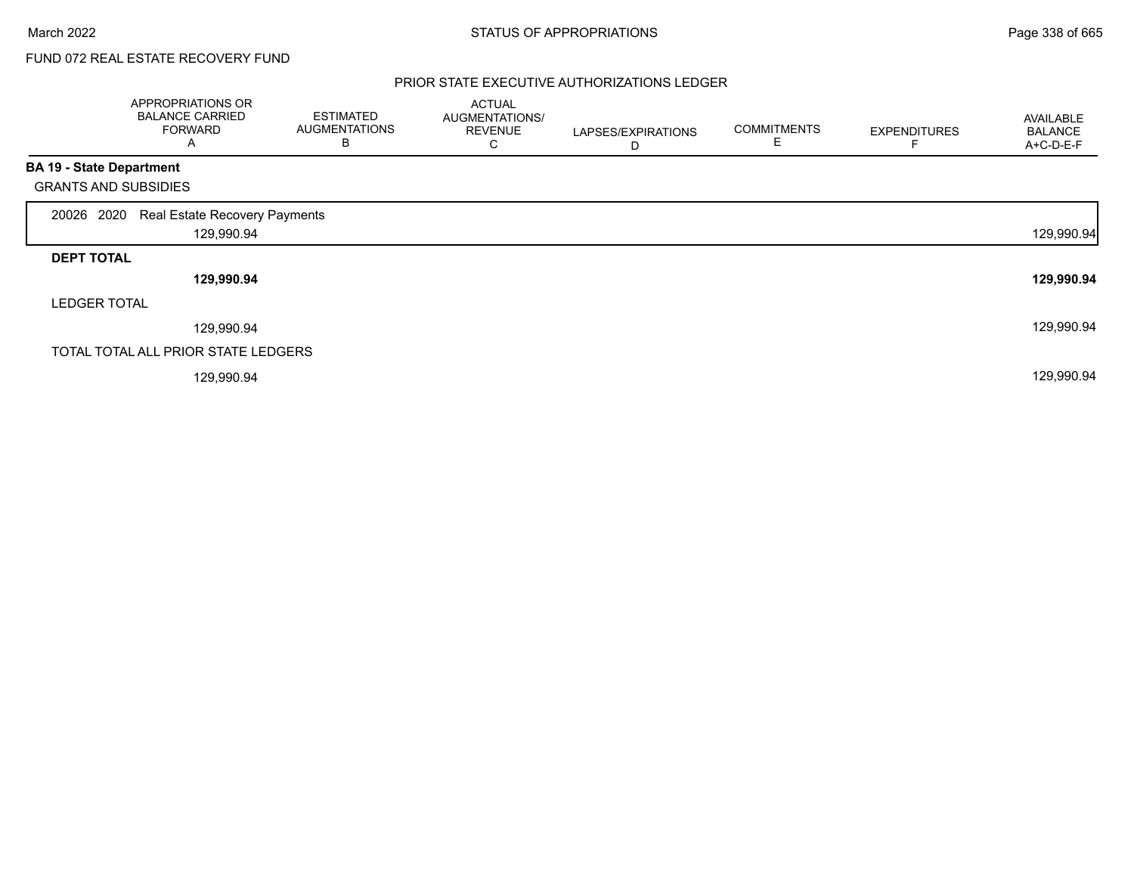# FUND 072 REAL ESTATE RECOVERY FUND

### PRIOR STATE EXECUTIVE AUTHORIZATIONS LEDGER

|                                 | APPROPRIATIONS OR<br><b>BALANCE CARRIED</b><br><b>FORWARD</b><br>A | <b>ESTIMATED</b><br><b>AUGMENTATIONS</b><br>B | <b>ACTUAL</b><br>AUGMENTATIONS/<br><b>REVENUE</b><br>С | LAPSES/EXPIRATIONS<br>D | <b>COMMITMENTS</b><br>E | <b>EXPENDITURES</b> | <b>AVAILABLE</b><br><b>BALANCE</b><br>A+C-D-E-F |
|---------------------------------|--------------------------------------------------------------------|-----------------------------------------------|--------------------------------------------------------|-------------------------|-------------------------|---------------------|-------------------------------------------------|
| <b>BA 19 - State Department</b> |                                                                    |                                               |                                                        |                         |                         |                     |                                                 |
| <b>GRANTS AND SUBSIDIES</b>     |                                                                    |                                               |                                                        |                         |                         |                     |                                                 |
| 20026 2020                      | Real Estate Recovery Payments                                      |                                               |                                                        |                         |                         |                     |                                                 |
|                                 | 129,990.94                                                         |                                               |                                                        |                         |                         |                     | 129,990.94                                      |
| <b>DEPT TOTAL</b>               |                                                                    |                                               |                                                        |                         |                         |                     |                                                 |
|                                 | 129,990.94                                                         |                                               |                                                        |                         |                         |                     | 129,990.94                                      |
| <b>LEDGER TOTAL</b>             |                                                                    |                                               |                                                        |                         |                         |                     |                                                 |
|                                 | 129,990.94                                                         |                                               |                                                        |                         |                         |                     | 129,990.94                                      |
|                                 | TOTAL TOTAL ALL PRIOR STATE LEDGERS                                |                                               |                                                        |                         |                         |                     |                                                 |
|                                 | 129,990.94                                                         |                                               |                                                        |                         |                         |                     | 129,990.94                                      |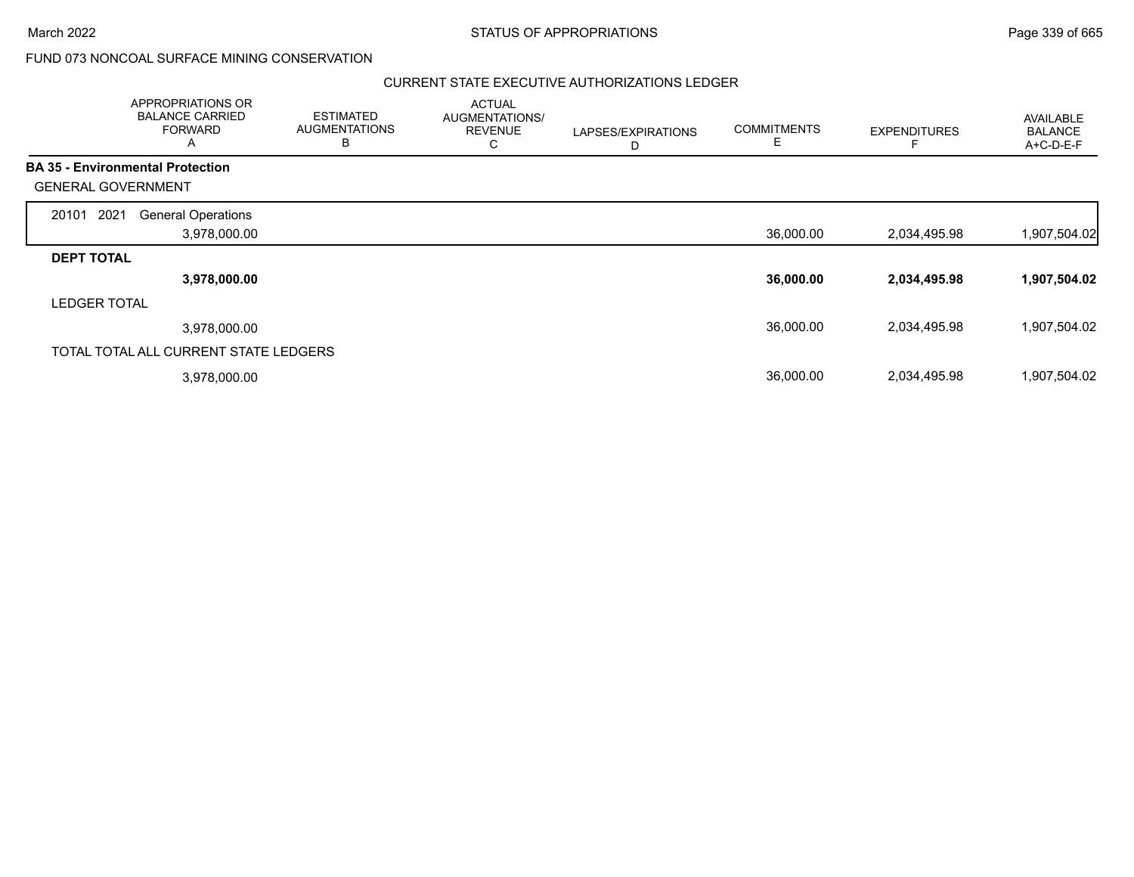### CURRENT STATE EXECUTIVE AUTHORIZATIONS LEDGER

|                                         | <b>APPROPRIATIONS OR</b><br><b>BALANCE CARRIED</b><br><b>FORWARD</b><br>A | <b>ESTIMATED</b><br><b>AUGMENTATIONS</b><br>B | <b>ACTUAL</b><br>AUGMENTATIONS/<br><b>REVENUE</b><br>U | LAPSES/EXPIRATIONS<br>D | <b>COMMITMENTS</b><br>Е | <b>EXPENDITURES</b> | <b>AVAILABLE</b><br><b>BALANCE</b><br>A+C-D-E-F |
|-----------------------------------------|---------------------------------------------------------------------------|-----------------------------------------------|--------------------------------------------------------|-------------------------|-------------------------|---------------------|-------------------------------------------------|
| <b>BA 35 - Environmental Protection</b> |                                                                           |                                               |                                                        |                         |                         |                     |                                                 |
| <b>GENERAL GOVERNMENT</b>               |                                                                           |                                               |                                                        |                         |                         |                     |                                                 |
| 2021<br>20101                           | <b>General Operations</b>                                                 |                                               |                                                        |                         |                         |                     |                                                 |
|                                         | 3,978,000.00                                                              |                                               |                                                        |                         | 36,000.00               | 2,034,495.98        | 1,907,504.02                                    |
| <b>DEPT TOTAL</b>                       |                                                                           |                                               |                                                        |                         |                         |                     |                                                 |
|                                         | 3,978,000.00                                                              |                                               |                                                        |                         | 36,000.00               | 2,034,495.98        | 1,907,504.02                                    |
| <b>LEDGER TOTAL</b>                     |                                                                           |                                               |                                                        |                         |                         |                     |                                                 |
|                                         | 3,978,000.00                                                              |                                               |                                                        |                         | 36,000.00               | 2,034,495.98        | 1,907,504.02                                    |
|                                         | TOTAL TOTAL ALL CURRENT STATE LEDGERS                                     |                                               |                                                        |                         |                         |                     |                                                 |
|                                         | 3,978,000.00                                                              |                                               |                                                        |                         | 36,000.00               | 2,034,495.98        | 1,907,504.02                                    |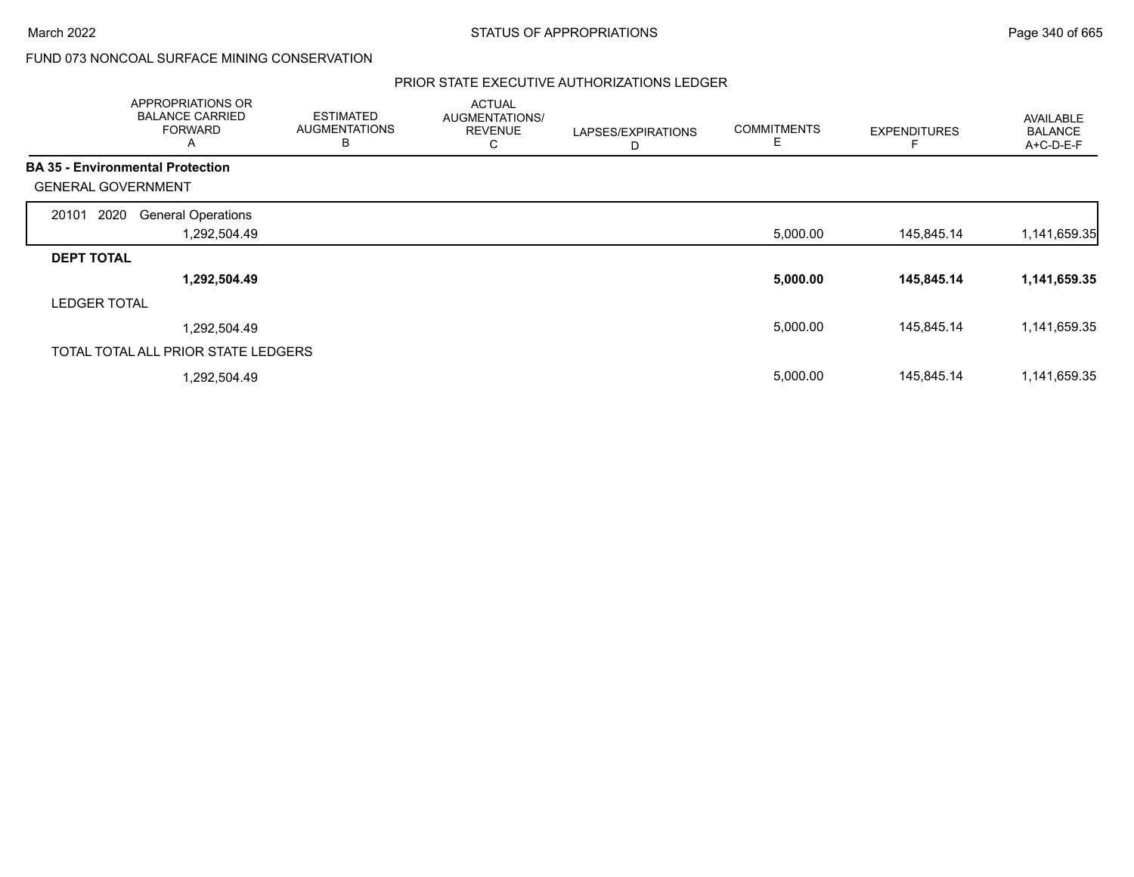### PRIOR STATE EXECUTIVE AUTHORIZATIONS LEDGER

|                           | <b>APPROPRIATIONS OR</b><br><b>BALANCE CARRIED</b><br><b>FORWARD</b><br>A | <b>ESTIMATED</b><br><b>AUGMENTATIONS</b><br>B | <b>ACTUAL</b><br>AUGMENTATIONS/<br><b>REVENUE</b><br>С | LAPSES/EXPIRATIONS<br>D | <b>COMMITMENTS</b><br>Е | <b>EXPENDITURES</b> | AVAILABLE<br><b>BALANCE</b><br>A+C-D-E-F |
|---------------------------|---------------------------------------------------------------------------|-----------------------------------------------|--------------------------------------------------------|-------------------------|-------------------------|---------------------|------------------------------------------|
|                           | <b>BA 35 - Environmental Protection</b>                                   |                                               |                                                        |                         |                         |                     |                                          |
| <b>GENERAL GOVERNMENT</b> |                                                                           |                                               |                                                        |                         |                         |                     |                                          |
| 2020<br>20101             | <b>General Operations</b>                                                 |                                               |                                                        |                         |                         |                     |                                          |
|                           | 1,292,504.49                                                              |                                               |                                                        |                         | 5,000.00                | 145,845.14          | 1,141,659.35                             |
| <b>DEPT TOTAL</b>         |                                                                           |                                               |                                                        |                         |                         |                     |                                          |
|                           | 1,292,504.49                                                              |                                               |                                                        |                         | 5,000.00                | 145,845.14          | 1,141,659.35                             |
| <b>LEDGER TOTAL</b>       |                                                                           |                                               |                                                        |                         |                         |                     |                                          |
|                           | 1,292,504.49                                                              |                                               |                                                        |                         | 5,000.00                | 145,845.14          | 1,141,659.35                             |
|                           | TOTAL TOTAL ALL PRIOR STATE LEDGERS                                       |                                               |                                                        |                         |                         |                     |                                          |
|                           | 1,292,504.49                                                              |                                               |                                                        |                         | 5,000.00                | 145,845.14          | 1,141,659.35                             |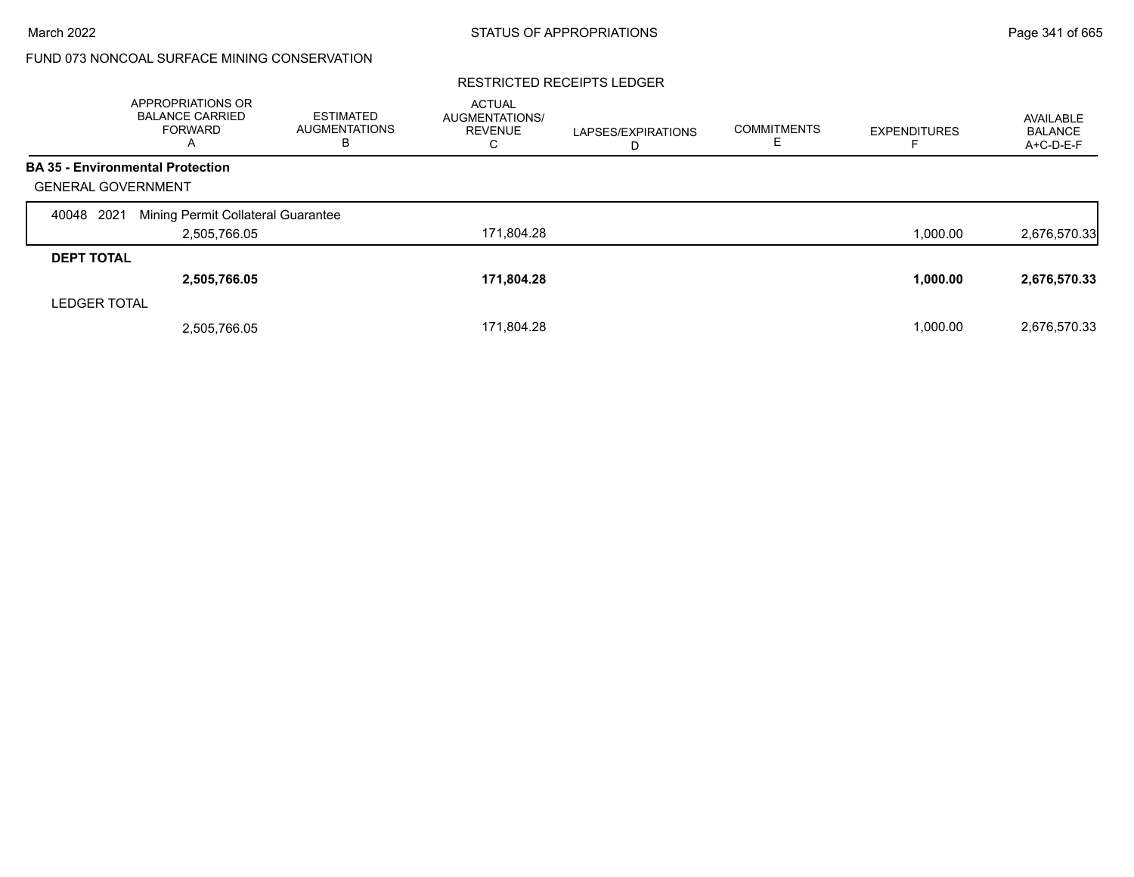#### RESTRICTED RECEIPTS LEDGER

|                           | <b>APPROPRIATIONS OR</b><br><b>BALANCE CARRIED</b><br><b>FORWARD</b><br>A | <b>ESTIMATED</b><br><b>AUGMENTATIONS</b><br>в | <b>ACTUAL</b><br><b>AUGMENTATIONS/</b><br><b>REVENUE</b><br>С | LAPSES/EXPIRATIONS<br>D | <b>COMMITMENTS</b> | <b>EXPENDITURES</b> | AVAILABLE<br><b>BALANCE</b><br>A+C-D-E-F |
|---------------------------|---------------------------------------------------------------------------|-----------------------------------------------|---------------------------------------------------------------|-------------------------|--------------------|---------------------|------------------------------------------|
|                           | <b>BA 35 - Environmental Protection</b>                                   |                                               |                                                               |                         |                    |                     |                                          |
| <b>GENERAL GOVERNMENT</b> |                                                                           |                                               |                                                               |                         |                    |                     |                                          |
| 2021<br>40048             | Mining Permit Collateral Guarantee                                        |                                               |                                                               |                         |                    |                     |                                          |
|                           | 2,505,766.05                                                              |                                               | 171,804.28                                                    |                         |                    | 1,000.00            | 2,676,570.33                             |
| <b>DEPT TOTAL</b>         |                                                                           |                                               |                                                               |                         |                    |                     |                                          |
|                           | 2,505,766.05                                                              |                                               | 171,804.28                                                    |                         |                    | 1,000.00            | 2,676,570.33                             |
| <b>LEDGER TOTAL</b>       |                                                                           |                                               |                                                               |                         |                    |                     |                                          |
|                           | 2,505,766.05                                                              |                                               | 171.804.28                                                    |                         |                    | 1.000.00            | 2,676,570.33                             |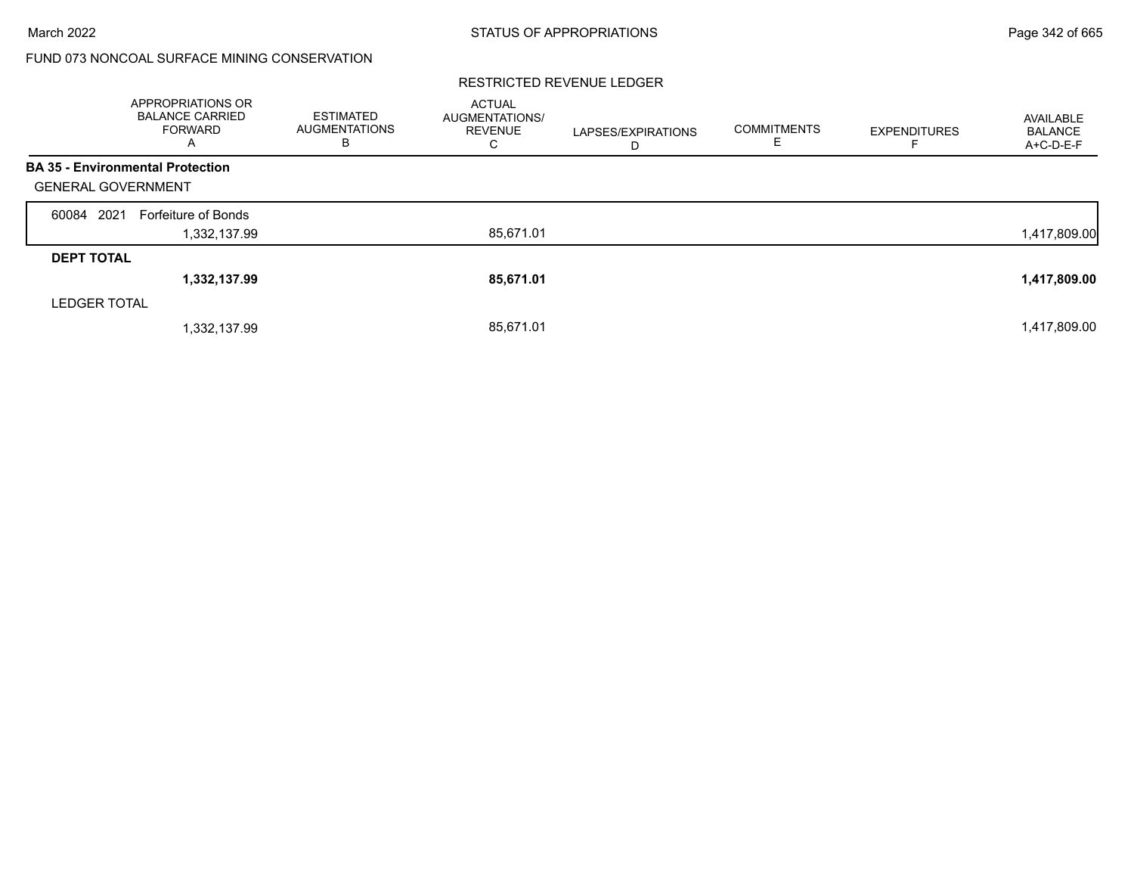|                           | <b>APPROPRIATIONS OR</b><br><b>BALANCE CARRIED</b><br><b>FORWARD</b><br>A | <b>ESTIMATED</b><br>AUGMENTATIONS<br>в | <b>ACTUAL</b><br>AUGMENTATIONS/<br><b>REVENUE</b><br>С | LAPSES/EXPIRATIONS<br>D | <b>COMMITMENTS</b><br>E. | <b>EXPENDITURES</b> | AVAILABLE<br><b>BALANCE</b><br>$A+C-D-E-F$ |
|---------------------------|---------------------------------------------------------------------------|----------------------------------------|--------------------------------------------------------|-------------------------|--------------------------|---------------------|--------------------------------------------|
|                           | <b>BA 35 - Environmental Protection</b>                                   |                                        |                                                        |                         |                          |                     |                                            |
| <b>GENERAL GOVERNMENT</b> |                                                                           |                                        |                                                        |                         |                          |                     |                                            |
| 60084 2021                | Forfeiture of Bonds                                                       |                                        |                                                        |                         |                          |                     |                                            |
|                           | 1,332,137.99                                                              |                                        | 85,671.01                                              |                         |                          |                     | 1,417,809.00                               |
| <b>DEPT TOTAL</b>         |                                                                           |                                        |                                                        |                         |                          |                     |                                            |
|                           | 1,332,137.99                                                              |                                        | 85,671.01                                              |                         |                          |                     | 1,417,809.00                               |
| <b>LEDGER TOTAL</b>       |                                                                           |                                        |                                                        |                         |                          |                     |                                            |
|                           | 1,332,137.99                                                              |                                        | 85,671.01                                              |                         |                          |                     | 1,417,809.00                               |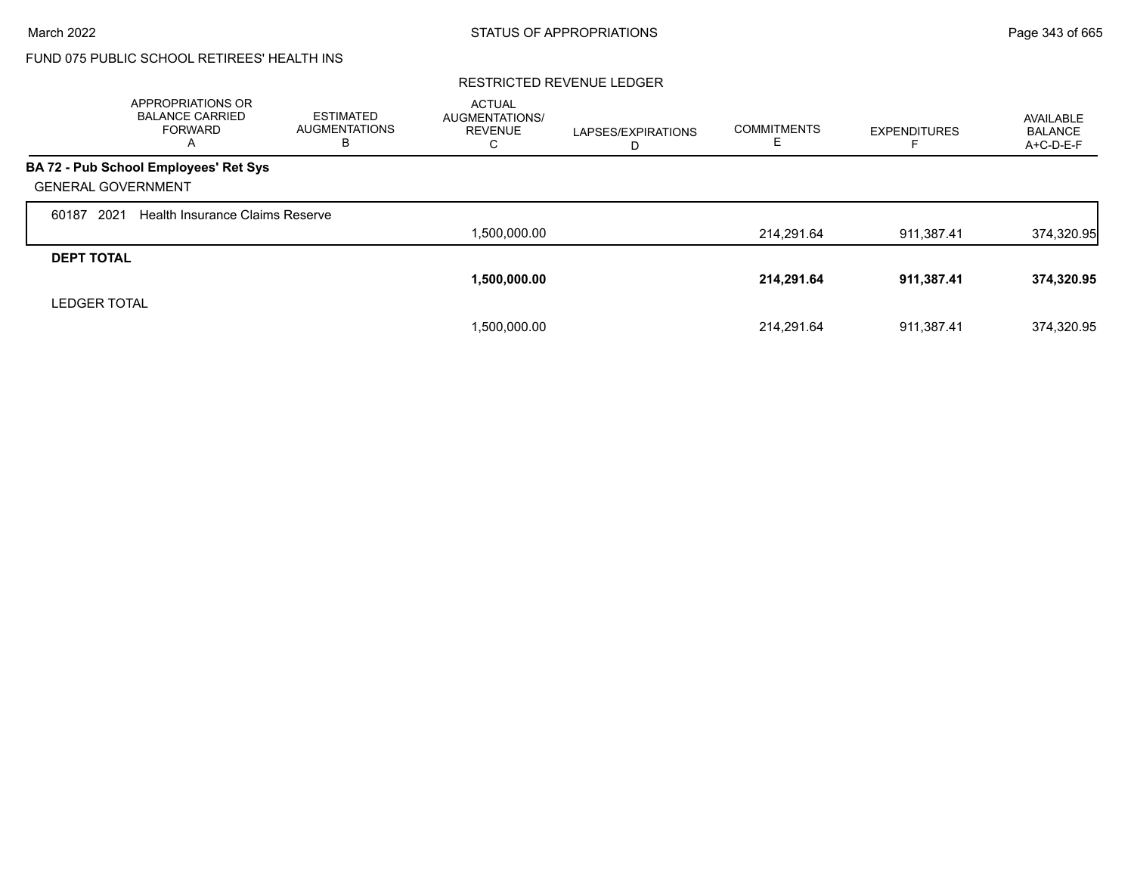# FUND 075 PUBLIC SCHOOL RETIREES' HEALTH INS

|                           | APPROPRIATIONS OR<br><b>BALANCE CARRIED</b><br><b>FORWARD</b><br>A | <b>ESTIMATED</b><br><b>AUGMENTATIONS</b><br>в | <b>ACTUAL</b><br><b>AUGMENTATIONS/</b><br><b>REVENUE</b><br>С | LAPSES/EXPIRATIONS<br>D | <b>COMMITMENTS</b><br>ᄂ | <b>EXPENDITURES</b> | AVAILABLE<br><b>BALANCE</b><br>A+C-D-E-F |
|---------------------------|--------------------------------------------------------------------|-----------------------------------------------|---------------------------------------------------------------|-------------------------|-------------------------|---------------------|------------------------------------------|
|                           | BA 72 - Pub School Employees' Ret Sys                              |                                               |                                                               |                         |                         |                     |                                          |
| <b>GENERAL GOVERNMENT</b> |                                                                    |                                               |                                                               |                         |                         |                     |                                          |
| 2021<br>60187             | Health Insurance Claims Reserve                                    |                                               |                                                               |                         |                         |                     |                                          |
|                           |                                                                    |                                               | 1,500,000.00                                                  |                         | 214,291.64              | 911,387.41          | 374,320.95                               |
| <b>DEPT TOTAL</b>         |                                                                    |                                               |                                                               |                         |                         |                     |                                          |
|                           |                                                                    |                                               | 1,500,000.00                                                  |                         | 214,291.64              | 911,387.41          | 374,320.95                               |
| <b>LEDGER TOTAL</b>       |                                                                    |                                               |                                                               |                         |                         |                     |                                          |
|                           |                                                                    |                                               | 1,500,000.00                                                  |                         | 214.291.64              | 911.387.41          | 374.320.95                               |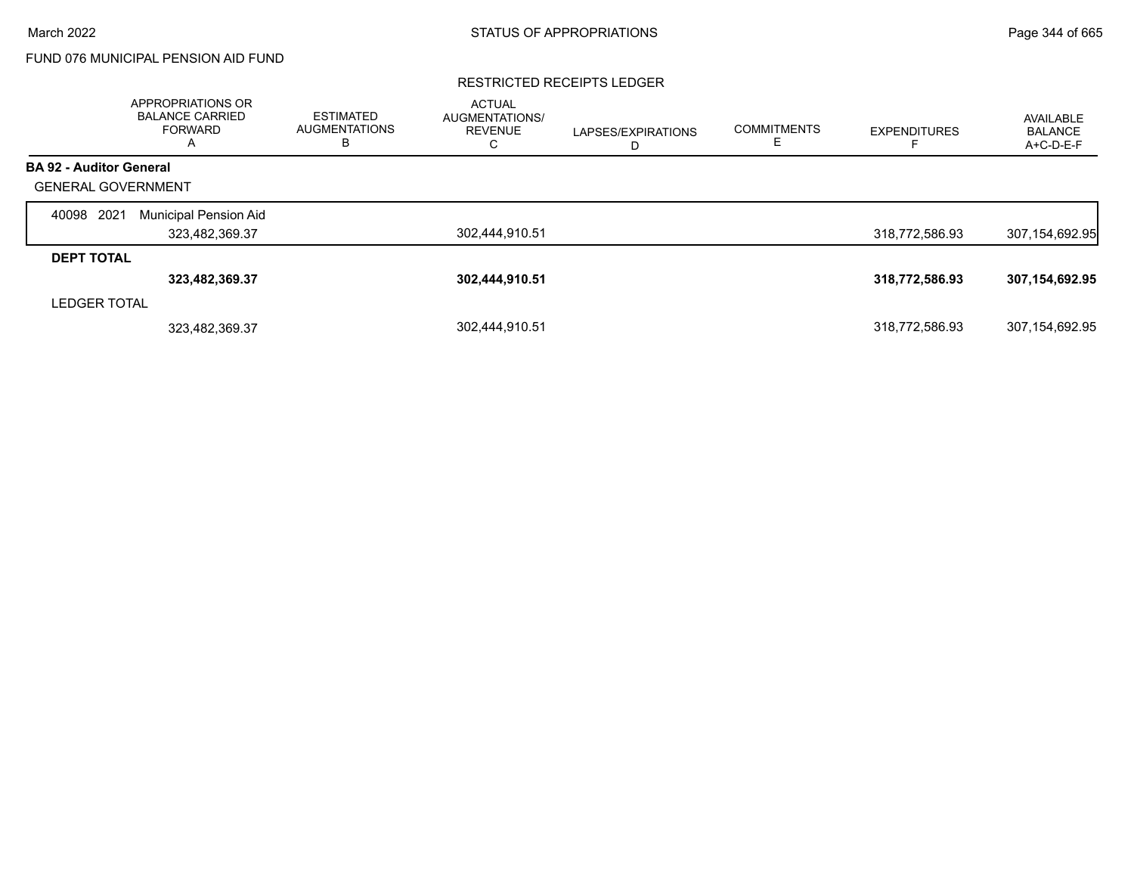## FUND 076 MUNICIPAL PENSION AID FUND

#### RESTRICTED RECEIPTS LEDGER

|                                | APPROPRIATIONS OR<br><b>BALANCE CARRIED</b><br>FORWARD<br>A | ESTIMATED<br><b>AUGMENTATIONS</b><br>В | <b>ACTUAL</b><br>AUGMENTATIONS/<br><b>REVENUE</b><br>C | LAPSES/EXPIRATIONS<br>D | <b>COMMITMENTS</b><br>E. | <b>EXPENDITURES</b> | AVAILABLE<br><b>BALANCE</b><br>A+C-D-E-F |
|--------------------------------|-------------------------------------------------------------|----------------------------------------|--------------------------------------------------------|-------------------------|--------------------------|---------------------|------------------------------------------|
| <b>BA 92 - Auditor General</b> |                                                             |                                        |                                                        |                         |                          |                     |                                          |
| <b>GENERAL GOVERNMENT</b>      |                                                             |                                        |                                                        |                         |                          |                     |                                          |
| 2021<br>40098                  | Municipal Pension Aid                                       |                                        |                                                        |                         |                          |                     |                                          |
|                                | 323,482,369.37                                              |                                        | 302,444,910.51                                         |                         |                          | 318,772,586.93      | 307,154,692.95                           |
| <b>DEPT TOTAL</b>              |                                                             |                                        |                                                        |                         |                          |                     |                                          |
|                                | 323,482,369.37                                              |                                        | 302,444,910.51                                         |                         |                          | 318,772,586.93      | 307,154,692.95                           |
| <b>LEDGER TOTAL</b>            |                                                             |                                        |                                                        |                         |                          |                     |                                          |
|                                | 323,482,369.37                                              |                                        | 302.444.910.51                                         |                         |                          | 318,772,586.93      | 307.154.692.95                           |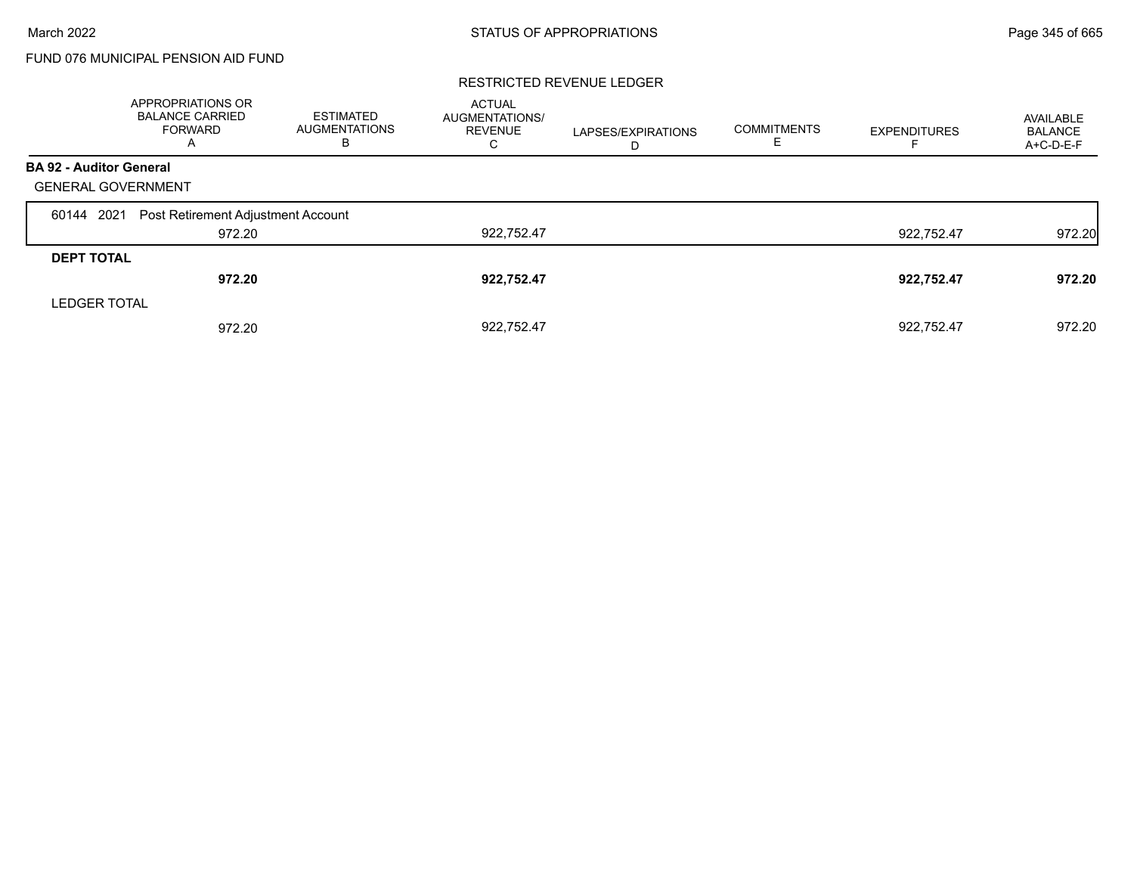## FUND 076 MUNICIPAL PENSION AID FUND

|                                | APPROPRIATIONS OR<br><b>BALANCE CARRIED</b><br><b>FORWARD</b><br>A | <b>ESTIMATED</b><br><b>AUGMENTATIONS</b><br>В | <b>ACTUAL</b><br>AUGMENTATIONS/<br><b>REVENUE</b><br>С | LAPSES/EXPIRATIONS<br>D | <b>COMMITMENTS</b> | <b>EXPENDITURES</b> | AVAILABLE<br><b>BALANCE</b><br>A+C-D-E-F |
|--------------------------------|--------------------------------------------------------------------|-----------------------------------------------|--------------------------------------------------------|-------------------------|--------------------|---------------------|------------------------------------------|
| <b>BA 92 - Auditor General</b> |                                                                    |                                               |                                                        |                         |                    |                     |                                          |
| <b>GENERAL GOVERNMENT</b>      |                                                                    |                                               |                                                        |                         |                    |                     |                                          |
| 60144 2021                     | Post Retirement Adjustment Account                                 |                                               |                                                        |                         |                    |                     |                                          |
|                                | 972.20                                                             |                                               | 922,752.47                                             |                         |                    | 922.752.47          | 972.20                                   |
| <b>DEPT TOTAL</b>              |                                                                    |                                               |                                                        |                         |                    |                     |                                          |
|                                | 972.20                                                             |                                               | 922,752.47                                             |                         |                    | 922,752.47          | 972.20                                   |
| <b>LEDGER TOTAL</b>            |                                                                    |                                               |                                                        |                         |                    |                     |                                          |
|                                | 972.20                                                             |                                               | 922.752.47                                             |                         |                    | 922.752.47          | 972.20                                   |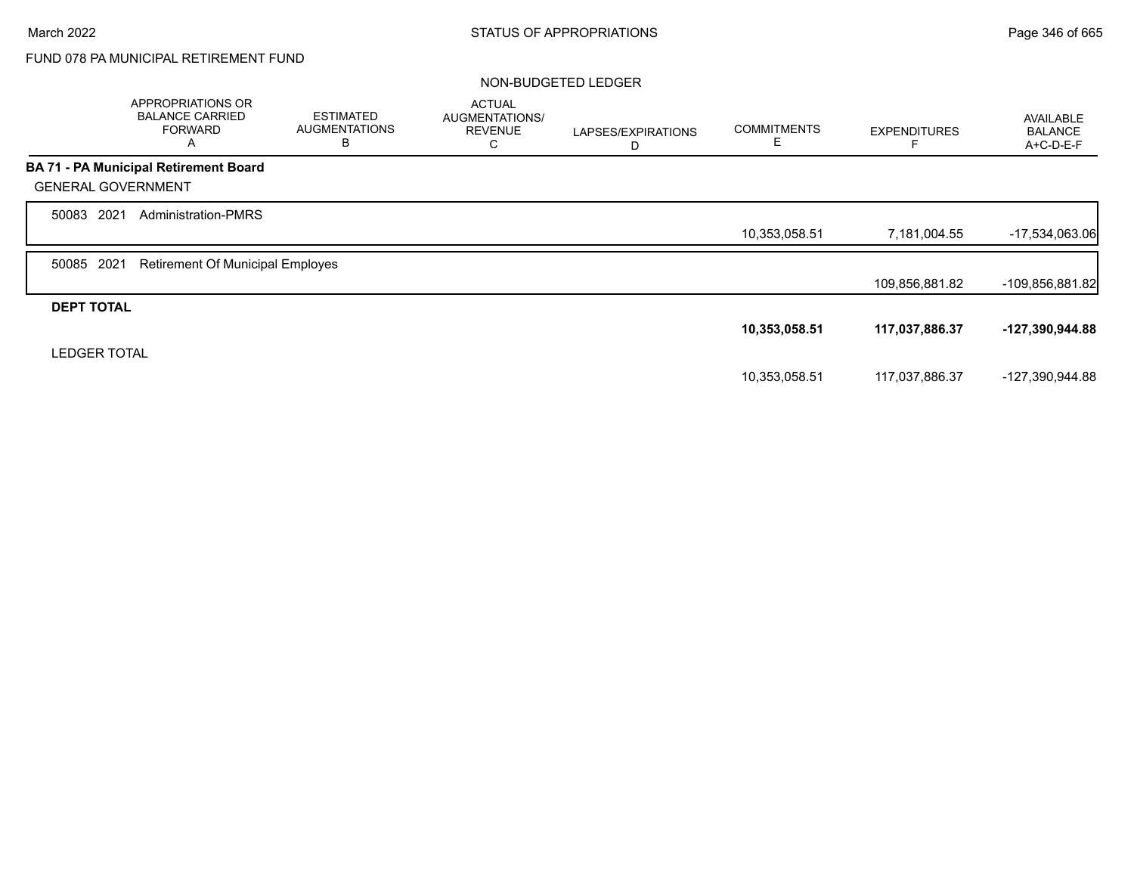# FUND 078 PA MUNICIPAL RETIREMENT FUND

### NON-BUDGETED LEDGER

|                           | APPROPRIATIONS OR<br><b>BALANCE CARRIED</b><br><b>FORWARD</b><br>A | <b>ESTIMATED</b><br><b>AUGMENTATIONS</b><br>B | <b>ACTUAL</b><br>AUGMENTATIONS/<br><b>REVENUE</b><br>C | LAPSES/EXPIRATIONS<br>D | <b>COMMITMENTS</b><br>Ε | <b>EXPENDITURES</b> | <b>AVAILABLE</b><br><b>BALANCE</b><br>A+C-D-E-F |
|---------------------------|--------------------------------------------------------------------|-----------------------------------------------|--------------------------------------------------------|-------------------------|-------------------------|---------------------|-------------------------------------------------|
|                           | <b>BA 71 - PA Municipal Retirement Board</b>                       |                                               |                                                        |                         |                         |                     |                                                 |
| <b>GENERAL GOVERNMENT</b> |                                                                    |                                               |                                                        |                         |                         |                     |                                                 |
| 2021<br>50083             | <b>Administration-PMRS</b>                                         |                                               |                                                        |                         |                         |                     |                                                 |
|                           |                                                                    |                                               |                                                        |                         | 10,353,058.51           | 7,181,004.55        | $-17,534,063.06$                                |
| 2021<br>50085             | <b>Retirement Of Municipal Employes</b>                            |                                               |                                                        |                         |                         |                     |                                                 |
|                           |                                                                    |                                               |                                                        |                         |                         | 109,856,881.82      | $-109,856,881.82$                               |
| <b>DEPT TOTAL</b>         |                                                                    |                                               |                                                        |                         |                         |                     |                                                 |
|                           |                                                                    |                                               |                                                        |                         | 10,353,058.51           | 117,037,886.37      | -127,390,944.88                                 |
| <b>LEDGER TOTAL</b>       |                                                                    |                                               |                                                        |                         |                         |                     |                                                 |
|                           |                                                                    |                                               |                                                        |                         | 10,353,058.51           | 117,037,886.37      | -127,390,944.88                                 |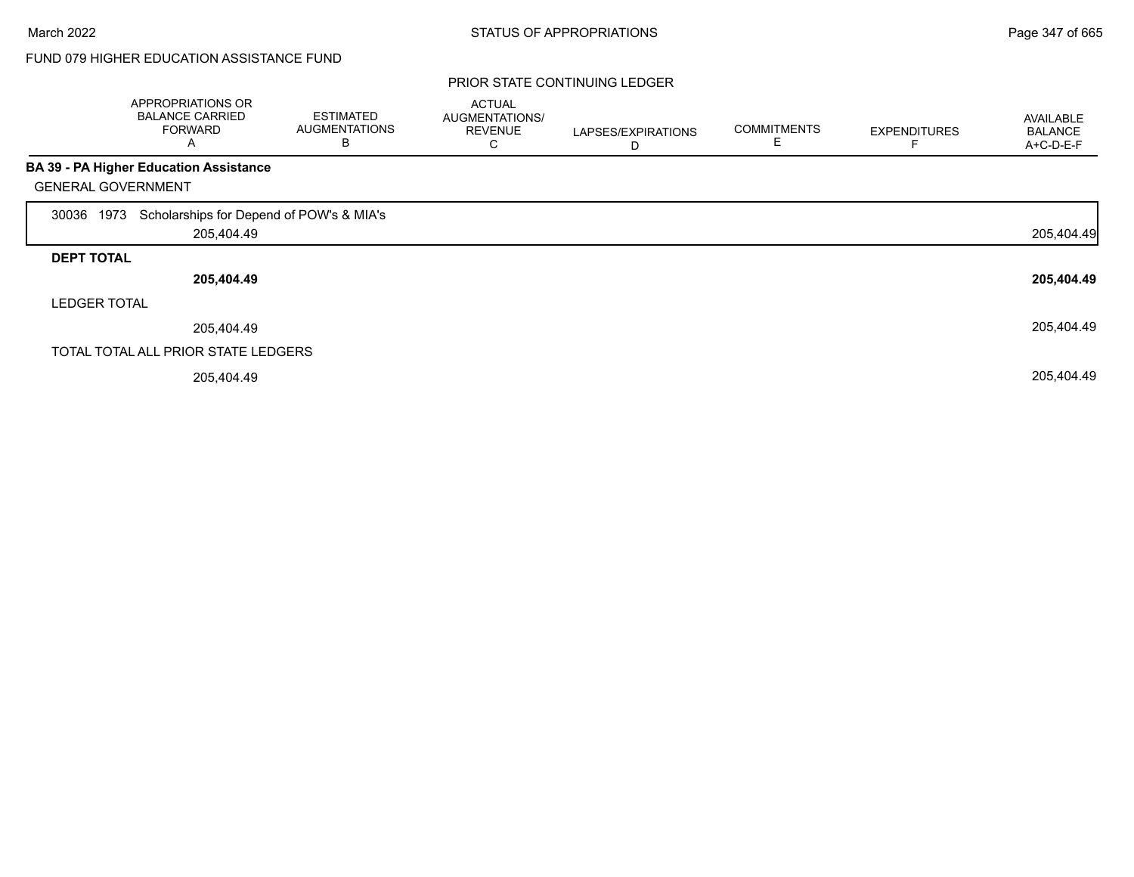### PRIOR STATE CONTINUING LEDGER

|                           | APPROPRIATIONS OR<br><b>BALANCE CARRIED</b><br><b>FORWARD</b><br>Α | <b>ESTIMATED</b><br><b>AUGMENTATIONS</b><br>В | <b>ACTUAL</b><br>AUGMENTATIONS/<br><b>REVENUE</b><br>С | LAPSES/EXPIRATIONS<br>D | <b>COMMITMENTS</b><br>Ε | <b>EXPENDITURES</b> | AVAILABLE<br><b>BALANCE</b><br>A+C-D-E-F |
|---------------------------|--------------------------------------------------------------------|-----------------------------------------------|--------------------------------------------------------|-------------------------|-------------------------|---------------------|------------------------------------------|
|                           | <b>BA 39 - PA Higher Education Assistance</b>                      |                                               |                                                        |                         |                         |                     |                                          |
| <b>GENERAL GOVERNMENT</b> |                                                                    |                                               |                                                        |                         |                         |                     |                                          |
| 1973<br>30036             | Scholarships for Depend of POW's & MIA's                           |                                               |                                                        |                         |                         |                     |                                          |
|                           | 205,404.49                                                         |                                               |                                                        |                         |                         |                     | 205,404.49                               |
| <b>DEPT TOTAL</b>         |                                                                    |                                               |                                                        |                         |                         |                     |                                          |
|                           | 205,404.49                                                         |                                               |                                                        |                         |                         |                     | 205,404.49                               |
| <b>LEDGER TOTAL</b>       |                                                                    |                                               |                                                        |                         |                         |                     |                                          |
|                           | 205,404.49                                                         |                                               |                                                        |                         |                         |                     | 205,404.49                               |
|                           | TOTAL TOTAL ALL PRIOR STATE LEDGERS                                |                                               |                                                        |                         |                         |                     |                                          |
|                           | 205,404.49                                                         |                                               |                                                        |                         |                         |                     | 205,404.49                               |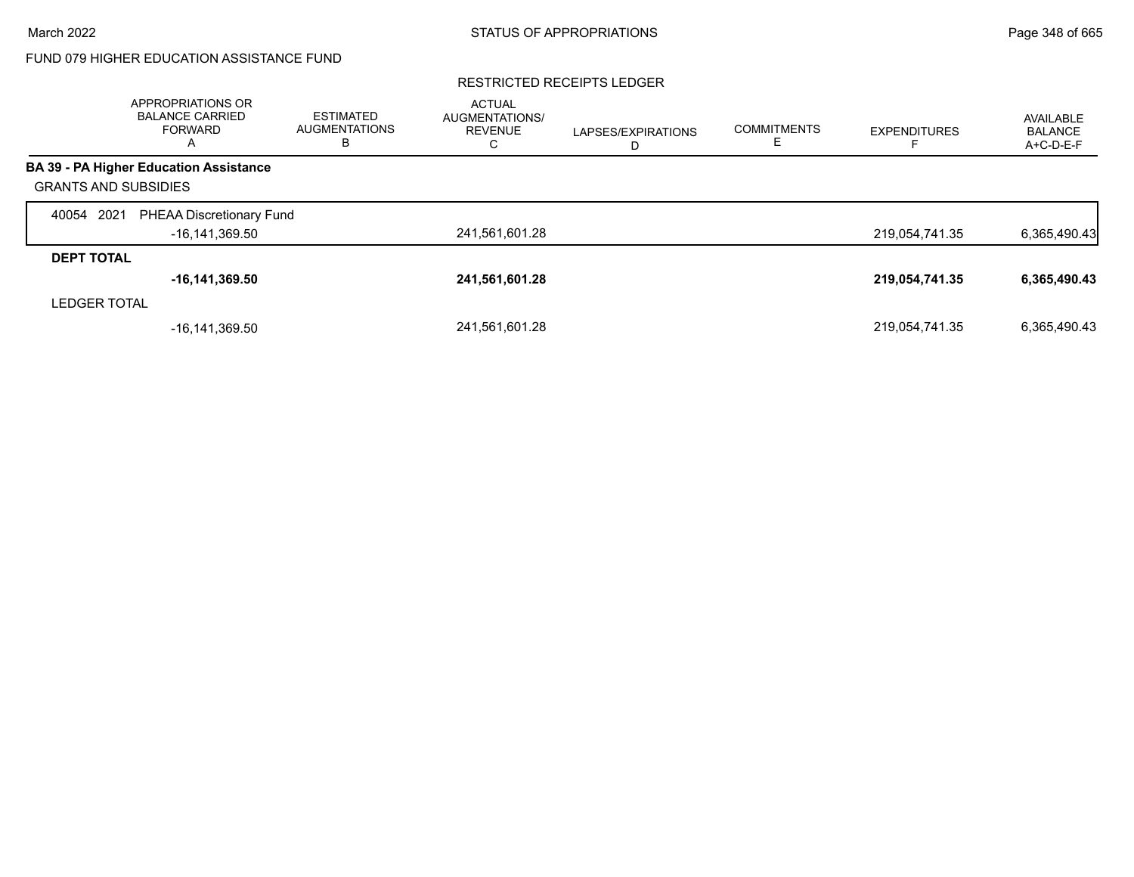### RESTRICTED RECEIPTS LEDGER

|                             | <b>APPROPRIATIONS OR</b><br><b>BALANCE CARRIED</b><br><b>FORWARD</b><br>A | <b>ESTIMATED</b><br><b>AUGMENTATIONS</b><br>в | <b>ACTUAL</b><br><b>AUGMENTATIONS/</b><br><b>REVENUE</b><br>C | LAPSES/EXPIRATIONS<br>D | <b>COMMITMENTS</b> | <b>EXPENDITURES</b> | AVAILABLE<br><b>BALANCE</b><br>A+C-D-E-F |
|-----------------------------|---------------------------------------------------------------------------|-----------------------------------------------|---------------------------------------------------------------|-------------------------|--------------------|---------------------|------------------------------------------|
|                             | <b>BA 39 - PA Higher Education Assistance</b>                             |                                               |                                                               |                         |                    |                     |                                          |
| <b>GRANTS AND SUBSIDIES</b> |                                                                           |                                               |                                                               |                         |                    |                     |                                          |
| 2021<br>40054               | <b>PHEAA Discretionary Fund</b>                                           |                                               |                                                               |                         |                    |                     |                                          |
|                             | -16,141,369.50                                                            |                                               | 241,561,601.28                                                |                         |                    | 219,054,741.35      | 6,365,490.43                             |
| <b>DEPT TOTAL</b>           |                                                                           |                                               |                                                               |                         |                    |                     |                                          |
|                             | $-16, 141, 369.50$                                                        |                                               | 241,561,601.28                                                |                         |                    | 219,054,741.35      | 6,365,490.43                             |
| <b>LEDGER TOTAL</b>         |                                                                           |                                               |                                                               |                         |                    |                     |                                          |
|                             | $-16, 141, 369.50$                                                        |                                               | 241,561,601.28                                                |                         |                    | 219,054,741.35      | 6.365.490.43                             |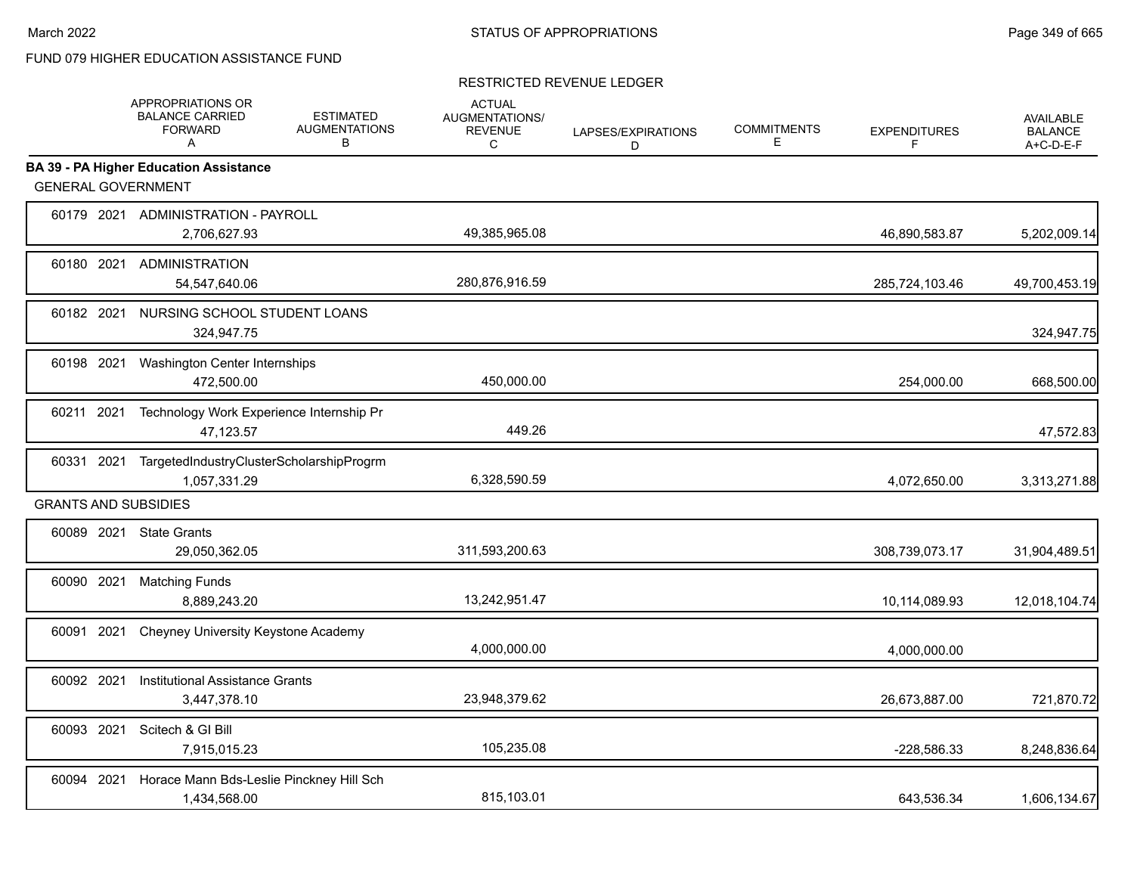|                             | APPROPRIATIONS OR<br><b>BALANCE CARRIED</b><br><b>FORWARD</b><br>A | <b>ESTIMATED</b><br><b>AUGMENTATIONS</b><br>B | <b>ACTUAL</b><br><b>AUGMENTATIONS/</b><br><b>REVENUE</b><br>C | LAPSES/EXPIRATIONS<br>D | <b>COMMITMENTS</b><br>E | <b>EXPENDITURES</b><br>F | <b>AVAILABLE</b><br><b>BALANCE</b><br>$A+C-D-E-F$ |
|-----------------------------|--------------------------------------------------------------------|-----------------------------------------------|---------------------------------------------------------------|-------------------------|-------------------------|--------------------------|---------------------------------------------------|
|                             | <b>BA 39 - PA Higher Education Assistance</b>                      |                                               |                                                               |                         |                         |                          |                                                   |
| <b>GENERAL GOVERNMENT</b>   |                                                                    |                                               |                                                               |                         |                         |                          |                                                   |
|                             | 60179 2021 ADMINISTRATION - PAYROLL<br>2,706,627.93                |                                               | 49,385,965.08                                                 |                         |                         | 46,890,583.87            | 5,202,009.14                                      |
|                             | 60180 2021 ADMINISTRATION<br>54,547,640.06                         |                                               | 280,876,916.59                                                |                         |                         | 285,724,103.46           | 49,700,453.19                                     |
| 60182 2021                  | NURSING SCHOOL STUDENT LOANS<br>324,947.75                         |                                               |                                                               |                         |                         |                          | 324,947.75                                        |
| 60198 2021                  | Washington Center Internships<br>472,500.00                        |                                               | 450,000.00                                                    |                         |                         | 254,000.00               | 668,500.00                                        |
| 60211 2021                  | Technology Work Experience Internship Pr<br>47,123.57              |                                               | 449.26                                                        |                         |                         |                          | 47,572.83                                         |
| 60331 2021                  | TargetedIndustryClusterScholarshipProgrm<br>1,057,331.29           |                                               | 6,328,590.59                                                  |                         |                         | 4,072,650.00             | 3,313,271.88                                      |
| <b>GRANTS AND SUBSIDIES</b> |                                                                    |                                               |                                                               |                         |                         |                          |                                                   |
|                             | 60089 2021 State Grants<br>29,050,362.05                           |                                               | 311,593,200.63                                                |                         |                         | 308,739,073.17           | 31,904,489.51                                     |
| 60090 2021                  | <b>Matching Funds</b><br>8,889,243.20                              |                                               | 13,242,951.47                                                 |                         |                         | 10,114,089.93            | 12,018,104.74                                     |
| 60091 2021                  | Cheyney University Keystone Academy                                |                                               | 4,000,000.00                                                  |                         |                         | 4,000,000.00             |                                                   |
| 60092 2021                  | <b>Institutional Assistance Grants</b><br>3,447,378.10             |                                               | 23,948,379.62                                                 |                         |                         | 26,673,887.00            | 721,870.72                                        |
| 60093 2021                  | Scitech & GI Bill<br>7,915,015.23                                  |                                               | 105,235.08                                                    |                         |                         | -228,586.33              | 8,248,836.64                                      |
| 60094 2021                  | Horace Mann Bds-Leslie Pinckney Hill Sch<br>1,434,568.00           |                                               | 815,103.01                                                    |                         |                         | 643,536.34               | 1,606,134.67                                      |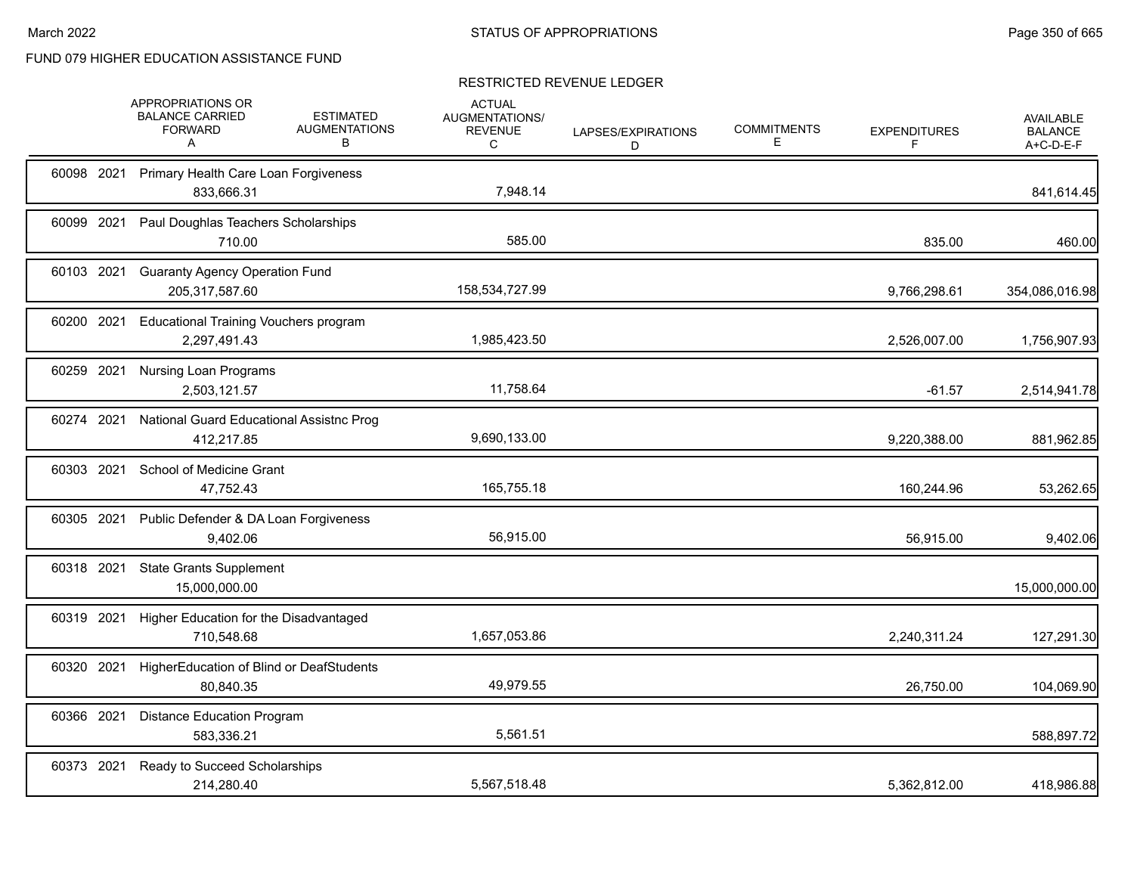|            | APPROPRIATIONS OR<br><b>BALANCE CARRIED</b><br><b>FORWARD</b><br>Α | <b>ESTIMATED</b><br><b>AUGMENTATIONS</b><br>в | <b>ACTUAL</b><br>AUGMENTATIONS/<br><b>REVENUE</b><br>C | LAPSES/EXPIRATIONS<br>D | <b>COMMITMENTS</b><br>Е | <b>EXPENDITURES</b><br>F | AVAILABLE<br><b>BALANCE</b><br>A+C-D-E-F |
|------------|--------------------------------------------------------------------|-----------------------------------------------|--------------------------------------------------------|-------------------------|-------------------------|--------------------------|------------------------------------------|
| 60098 2021 | Primary Health Care Loan Forgiveness<br>833,666.31                 |                                               | 7,948.14                                               |                         |                         |                          | 841,614.45                               |
| 60099 2021 | Paul Doughlas Teachers Scholarships<br>710.00                      |                                               | 585.00                                                 |                         |                         | 835.00                   | 460.00                                   |
| 60103 2021 | <b>Guaranty Agency Operation Fund</b><br>205,317,587.60            |                                               | 158,534,727.99                                         |                         |                         | 9,766,298.61             | 354,086,016.98                           |
| 60200 2021 | <b>Educational Training Vouchers program</b><br>2,297,491.43       |                                               | 1,985,423.50                                           |                         |                         | 2,526,007.00             | 1,756,907.93                             |
| 60259 2021 | <b>Nursing Loan Programs</b><br>2,503,121.57                       |                                               | 11,758.64                                              |                         |                         | $-61.57$                 | 2,514,941.78                             |
| 60274 2021 | National Guard Educational Assistnc Prog<br>412,217.85             |                                               | 9,690,133.00                                           |                         |                         | 9,220,388.00             | 881,962.85                               |
| 60303 2021 | School of Medicine Grant<br>47,752.43                              |                                               | 165,755.18                                             |                         |                         | 160,244.96               | 53,262.65                                |
| 60305 2021 | Public Defender & DA Loan Forgiveness<br>9.402.06                  |                                               | 56,915.00                                              |                         |                         | 56,915.00                | 9,402.06                                 |
| 60318 2021 | <b>State Grants Supplement</b><br>15,000,000.00                    |                                               |                                                        |                         |                         |                          | 15,000,000.00                            |
| 60319 2021 | Higher Education for the Disadvantaged<br>710,548.68               |                                               | 1,657,053.86                                           |                         |                         | 2,240,311.24             | 127,291.30                               |
| 60320 2021 | HigherEducation of Blind or DeafStudents<br>80,840.35              |                                               | 49,979.55                                              |                         |                         | 26,750.00                | 104,069.90                               |
| 60366 2021 | <b>Distance Education Program</b><br>583,336.21                    |                                               | 5,561.51                                               |                         |                         |                          | 588,897.72                               |
| 60373 2021 | Ready to Succeed Scholarships<br>214,280.40                        |                                               | 5,567,518.48                                           |                         |                         | 5,362,812.00             | 418,986.88                               |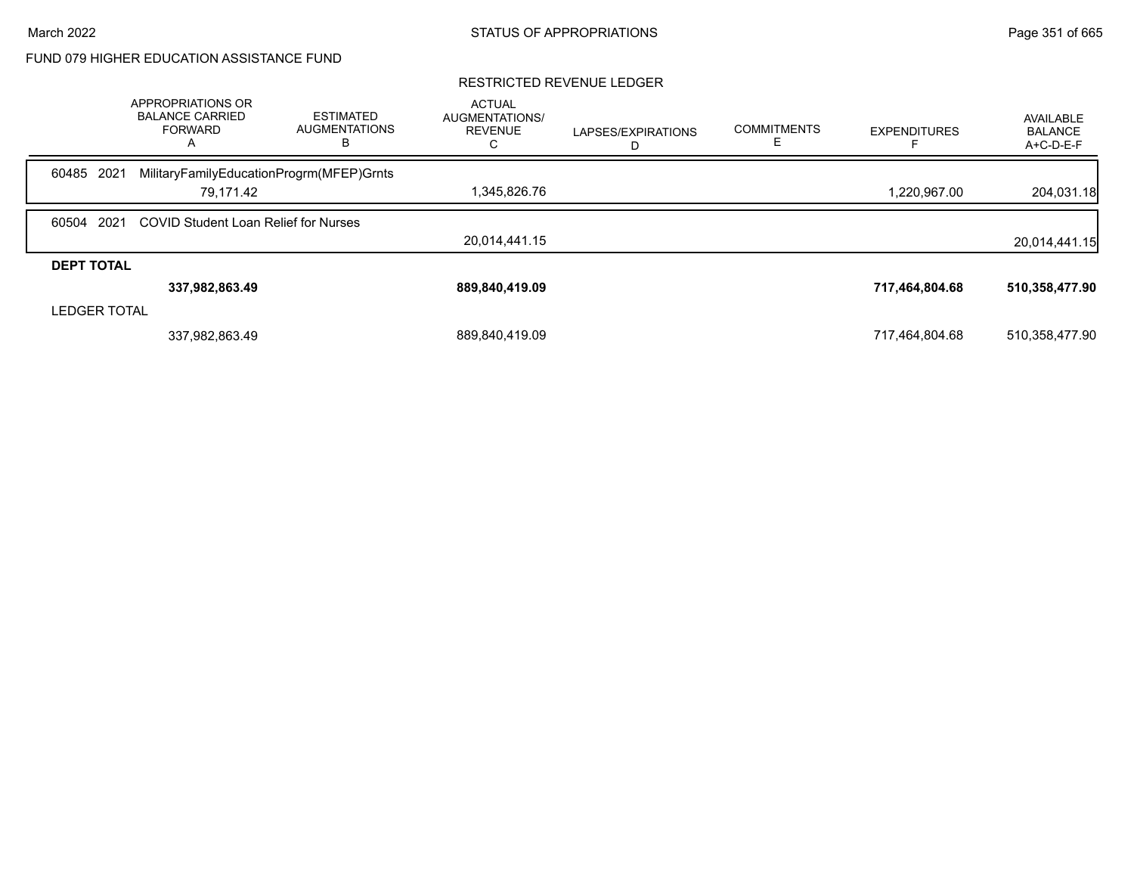|                     | APPROPRIATIONS OR<br><b>BALANCE CARRIED</b><br>FORWARD<br>A | <b>ESTIMATED</b><br><b>AUGMENTATIONS</b><br>В | <b>ACTUAL</b><br><b>AUGMENTATIONS/</b><br><b>REVENUE</b> | LAPSES/EXPIRATIONS | <b>COMMITMENTS</b> | <b>EXPENDITURES</b> | AVAILABLE<br><b>BALANCE</b><br>A+C-D-E-F |
|---------------------|-------------------------------------------------------------|-----------------------------------------------|----------------------------------------------------------|--------------------|--------------------|---------------------|------------------------------------------|
| 60485 2021          | MilitaryFamilyEducationProgrm(MFEP)Grnts                    |                                               |                                                          |                    |                    |                     |                                          |
|                     | 79,171.42                                                   |                                               | 1,345,826.76                                             |                    |                    | 1,220,967.00        | 204,031.18                               |
| 60504 2021          | <b>COVID Student Loan Relief for Nurses</b>                 |                                               |                                                          |                    |                    |                     |                                          |
|                     |                                                             |                                               | 20.014.441.15                                            |                    |                    |                     | 20,014,441.15                            |
| <b>DEPT TOTAL</b>   |                                                             |                                               |                                                          |                    |                    |                     |                                          |
|                     | 337,982,863.49                                              |                                               | 889,840,419.09                                           |                    |                    | 717,464,804.68      | 510,358,477.90                           |
| <b>LEDGER TOTAL</b> |                                                             |                                               |                                                          |                    |                    |                     |                                          |
|                     | 337,982,863.49                                              |                                               | 889,840,419.09                                           |                    |                    | 717,464,804.68      | 510,358,477.90                           |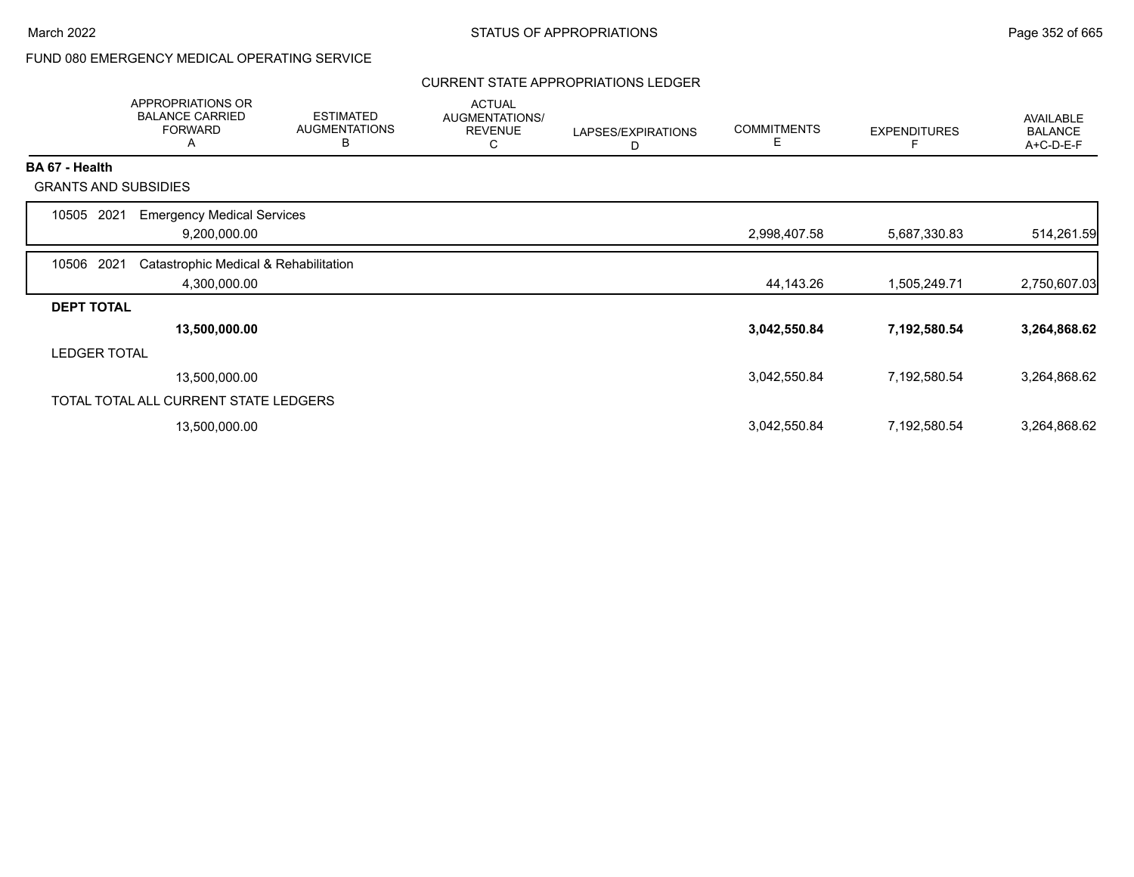## FUND 080 EMERGENCY MEDICAL OPERATING SERVICE

### CURRENT STATE APPROPRIATIONS LEDGER

|                       | <b>APPROPRIATIONS OR</b><br><b>BALANCE CARRIED</b><br><b>FORWARD</b><br>A | <b>ESTIMATED</b><br><b>AUGMENTATIONS</b><br>В | <b>ACTUAL</b><br>AUGMENTATIONS/<br><b>REVENUE</b><br>C | LAPSES/EXPIRATIONS<br>D | <b>COMMITMENTS</b><br>Ε | <b>EXPENDITURES</b> | <b>AVAILABLE</b><br><b>BALANCE</b><br>A+C-D-E-F |
|-----------------------|---------------------------------------------------------------------------|-----------------------------------------------|--------------------------------------------------------|-------------------------|-------------------------|---------------------|-------------------------------------------------|
| <b>BA 67 - Health</b> |                                                                           |                                               |                                                        |                         |                         |                     |                                                 |
|                       | <b>GRANTS AND SUBSIDIES</b>                                               |                                               |                                                        |                         |                         |                     |                                                 |
| 10505<br>2021         | <b>Emergency Medical Services</b>                                         |                                               |                                                        |                         |                         |                     |                                                 |
|                       | 9,200,000.00                                                              |                                               |                                                        |                         | 2,998,407.58            | 5,687,330.83        | 514,261.59                                      |
| 10506 2021            | Catastrophic Medical & Rehabilitation                                     |                                               |                                                        |                         |                         |                     |                                                 |
|                       | 4,300,000.00                                                              |                                               |                                                        |                         | 44,143.26               | 1,505,249.71        | 2,750,607.03                                    |
| <b>DEPT TOTAL</b>     |                                                                           |                                               |                                                        |                         |                         |                     |                                                 |
|                       | 13,500,000.00                                                             |                                               |                                                        |                         | 3,042,550.84            | 7,192,580.54        | 3,264,868.62                                    |
| LEDGER TOTAL          |                                                                           |                                               |                                                        |                         |                         |                     |                                                 |
|                       | 13,500,000.00                                                             |                                               |                                                        |                         | 3,042,550.84            | 7,192,580.54        | 3,264,868.62                                    |
|                       | TOTAL TOTAL ALL CURRENT STATE LEDGERS                                     |                                               |                                                        |                         |                         |                     |                                                 |
|                       | 13,500,000.00                                                             |                                               |                                                        |                         | 3,042,550.84            | 7,192,580.54        | 3,264,868.62                                    |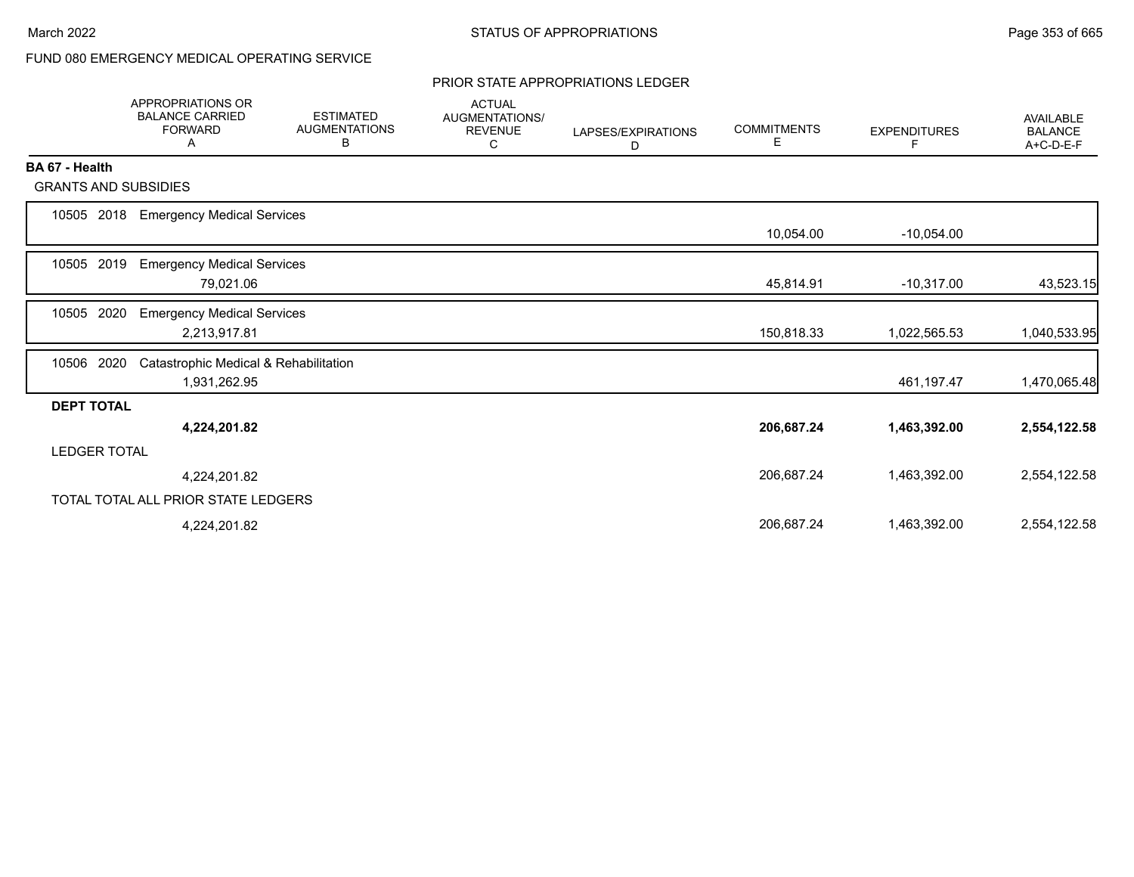## FUND 080 EMERGENCY MEDICAL OPERATING SERVICE

#### PRIOR STATE APPROPRIATIONS LEDGER

|                             | <b>APPROPRIATIONS OR</b><br><b>BALANCE CARRIED</b><br><b>FORWARD</b><br>A | <b>ESTIMATED</b><br><b>AUGMENTATIONS</b><br>В | <b>ACTUAL</b><br><b>AUGMENTATIONS/</b><br><b>REVENUE</b><br>С | LAPSES/EXPIRATIONS<br>D | <b>COMMITMENTS</b><br>E. | <b>EXPENDITURES</b><br>F. | <b>AVAILABLE</b><br><b>BALANCE</b><br>A+C-D-E-F |
|-----------------------------|---------------------------------------------------------------------------|-----------------------------------------------|---------------------------------------------------------------|-------------------------|--------------------------|---------------------------|-------------------------------------------------|
| BA 67 - Health              |                                                                           |                                               |                                                               |                         |                          |                           |                                                 |
| <b>GRANTS AND SUBSIDIES</b> |                                                                           |                                               |                                                               |                         |                          |                           |                                                 |
| 2018<br>10505               | <b>Emergency Medical Services</b>                                         |                                               |                                                               |                         | 10,054.00                | $-10,054.00$              |                                                 |
| 2019<br>10505               | <b>Emergency Medical Services</b><br>79,021.06                            |                                               |                                                               |                         | 45,814.91                | $-10,317.00$              | 43,523.15                                       |
| 2020<br>10505               | <b>Emergency Medical Services</b><br>2,213,917.81                         |                                               |                                                               |                         | 150,818.33               | 1,022,565.53              | 1,040,533.95                                    |
| 2020<br>10506               | Catastrophic Medical & Rehabilitation<br>1,931,262.95                     |                                               |                                                               |                         |                          | 461,197.47                | 1,470,065.48                                    |
| <b>DEPT TOTAL</b>           |                                                                           |                                               |                                                               |                         |                          |                           |                                                 |
|                             | 4,224,201.82                                                              |                                               |                                                               |                         | 206,687.24               | 1,463,392.00              | 2,554,122.58                                    |
| <b>LEDGER TOTAL</b>         |                                                                           |                                               |                                                               |                         |                          |                           |                                                 |
|                             | 4,224,201.82                                                              |                                               |                                                               |                         | 206,687.24               | 1,463,392.00              | 2,554,122.58                                    |
|                             | TOTAL TOTAL ALL PRIOR STATE LEDGERS                                       |                                               |                                                               |                         |                          |                           |                                                 |
|                             | 4,224,201.82                                                              |                                               |                                                               |                         | 206,687.24               | 1,463,392.00              | 2,554,122.58                                    |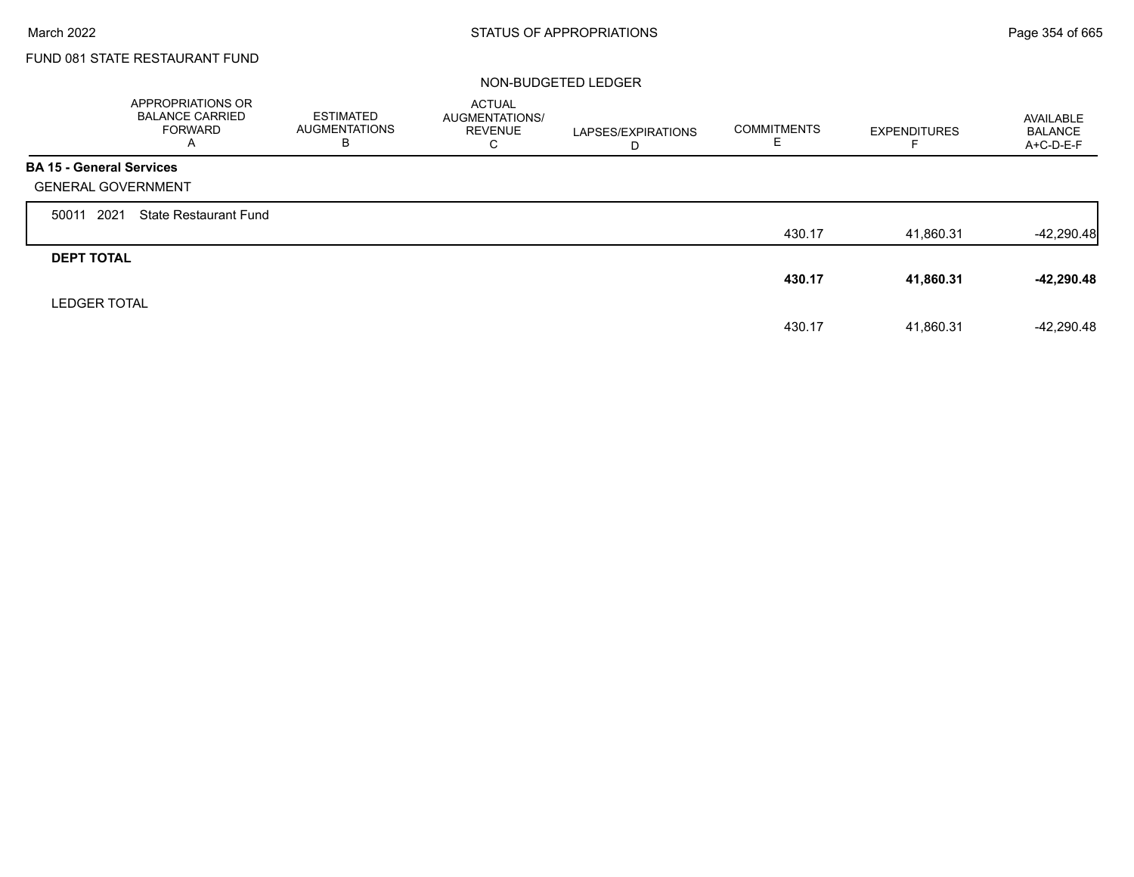г

## FUND 081 STATE RESTAURANT FUND

### NON-BUDGETED LEDGER

|                                 | <b>APPROPRIATIONS OR</b><br><b>BALANCE CARRIED</b><br>FORWARD<br>A | <b>ESTIMATED</b><br><b>AUGMENTATIONS</b><br>в | <b>ACTUAL</b><br>AUGMENTATIONS/<br><b>REVENUE</b><br>С | LAPSES/EXPIRATIONS<br>D | <b>COMMITMENTS</b><br>E | <b>EXPENDITURES</b> | AVAILABLE<br><b>BALANCE</b><br>A+C-D-E-F |
|---------------------------------|--------------------------------------------------------------------|-----------------------------------------------|--------------------------------------------------------|-------------------------|-------------------------|---------------------|------------------------------------------|
| <b>BA 15 - General Services</b> |                                                                    |                                               |                                                        |                         |                         |                     |                                          |
| <b>GENERAL GOVERNMENT</b>       |                                                                    |                                               |                                                        |                         |                         |                     |                                          |
| 2021<br>50011                   | <b>State Restaurant Fund</b>                                       |                                               |                                                        |                         |                         |                     |                                          |
|                                 |                                                                    |                                               |                                                        |                         | 430.17                  | 41,860.31           | $-42,290.48$                             |
| <b>DEPT TOTAL</b>               |                                                                    |                                               |                                                        |                         |                         |                     |                                          |
|                                 |                                                                    |                                               |                                                        |                         | 430.17                  | 41,860.31           | $-42,290.48$                             |
| <b>LEDGER TOTAL</b>             |                                                                    |                                               |                                                        |                         |                         |                     |                                          |
|                                 |                                                                    |                                               |                                                        |                         | 430.17                  | 41,860.31           | $-42,290.48$                             |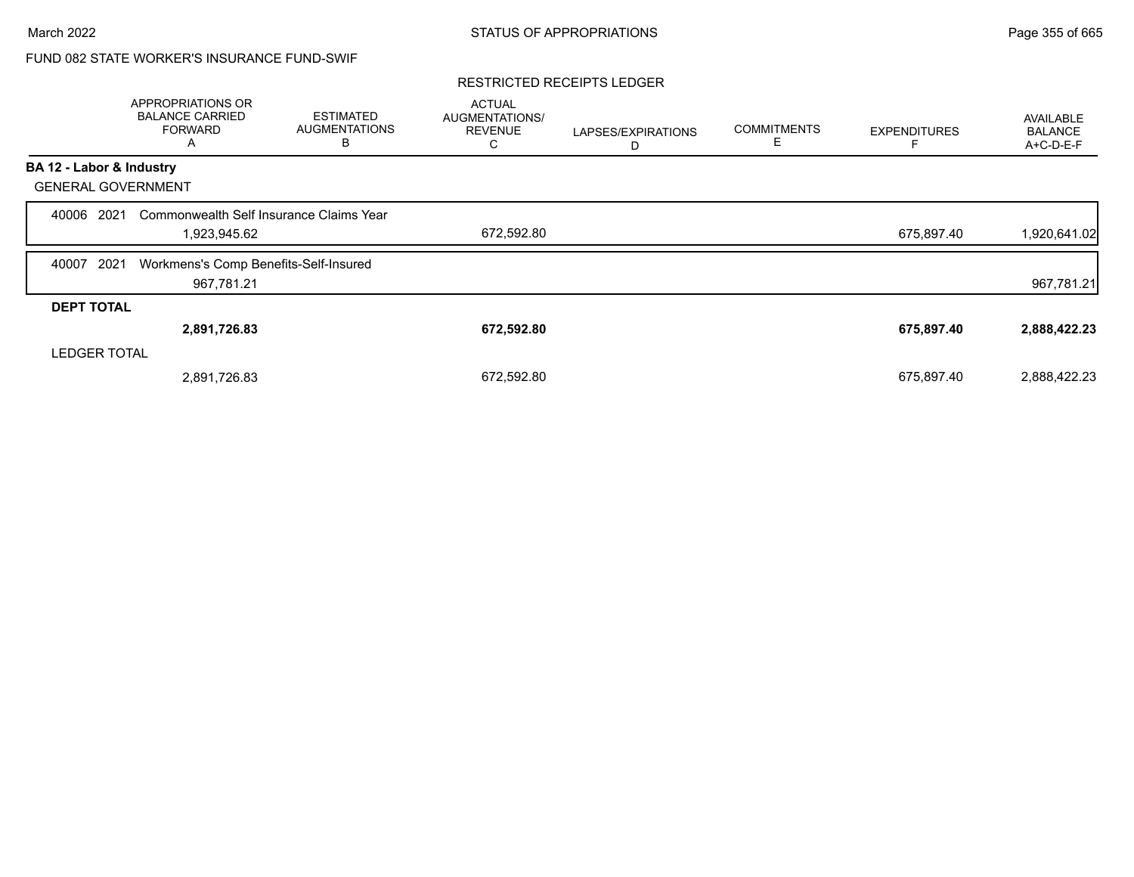## FUND 082 STATE WORKER'S INSURANCE FUND-SWIF

#### RESTRICTED RECEIPTS LEDGER

|                           | APPROPRIATIONS OR<br><b>BALANCE CARRIED</b><br><b>FORWARD</b><br>A | <b>ESTIMATED</b><br><b>AUGMENTATIONS</b><br>в | <b>ACTUAL</b><br><b>AUGMENTATIONS/</b><br><b>REVENUE</b><br>С | LAPSES/EXPIRATIONS<br>D | <b>COMMITMENTS</b><br>Е | <b>EXPENDITURES</b> | AVAILABLE<br><b>BALANCE</b><br>A+C-D-E-F |
|---------------------------|--------------------------------------------------------------------|-----------------------------------------------|---------------------------------------------------------------|-------------------------|-------------------------|---------------------|------------------------------------------|
| BA 12 - Labor & Industry  |                                                                    |                                               |                                                               |                         |                         |                     |                                          |
| <b>GENERAL GOVERNMENT</b> |                                                                    |                                               |                                                               |                         |                         |                     |                                          |
| 2021<br>40006             | Commonwealth Self Insurance Claims Year                            |                                               |                                                               |                         |                         |                     |                                          |
|                           | 1,923,945.62                                                       |                                               | 672,592.80                                                    |                         |                         | 675,897.40          | 1,920,641.02                             |
| 2021<br>40007             | Workmens's Comp Benefits-Self-Insured                              |                                               |                                                               |                         |                         |                     |                                          |
|                           | 967,781.21                                                         |                                               |                                                               |                         |                         |                     | 967,781.21                               |
| <b>DEPT TOTAL</b>         |                                                                    |                                               |                                                               |                         |                         |                     |                                          |
|                           | 2,891,726.83                                                       |                                               | 672,592.80                                                    |                         |                         | 675,897.40          | 2,888,422.23                             |
| <b>LEDGER TOTAL</b>       |                                                                    |                                               |                                                               |                         |                         |                     |                                          |
|                           | 2,891,726.83                                                       |                                               | 672,592.80                                                    |                         |                         | 675,897.40          | 2,888,422.23                             |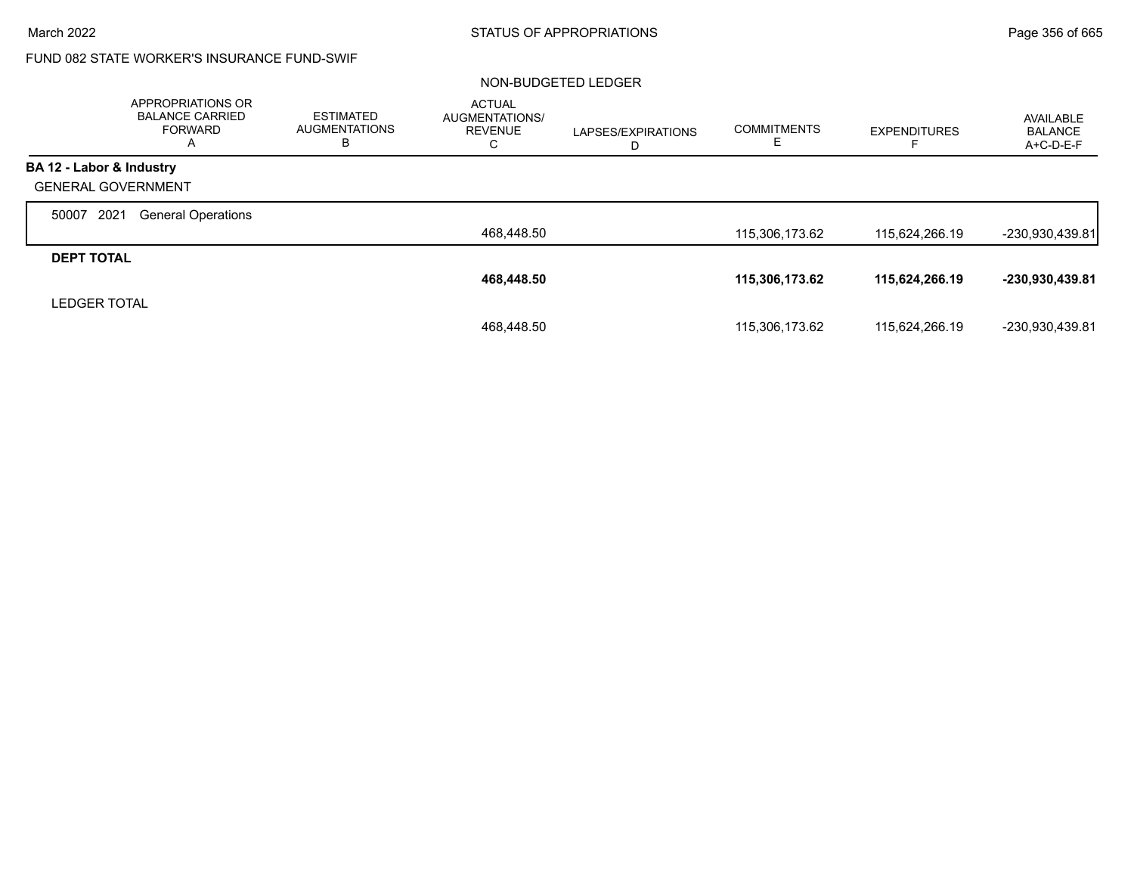## FUND 082 STATE WORKER'S INSURANCE FUND-SWIF

### NON-BUDGETED LEDGER

|                           | APPROPRIATIONS OR<br><b>BALANCE CARRIED</b><br><b>FORWARD</b><br>A | <b>ESTIMATED</b><br><b>AUGMENTATIONS</b><br>в | <b>ACTUAL</b><br>AUGMENTATIONS/<br><b>REVENUE</b><br>С | LAPSES/EXPIRATIONS<br>D | <b>COMMITMENTS</b><br>Е | <b>EXPENDITURES</b> | AVAILABLE<br><b>BALANCE</b><br>$A+C-D-E-F$ |
|---------------------------|--------------------------------------------------------------------|-----------------------------------------------|--------------------------------------------------------|-------------------------|-------------------------|---------------------|--------------------------------------------|
| BA 12 - Labor & Industry  |                                                                    |                                               |                                                        |                         |                         |                     |                                            |
| <b>GENERAL GOVERNMENT</b> |                                                                    |                                               |                                                        |                         |                         |                     |                                            |
| 2021<br>50007             | <b>General Operations</b>                                          |                                               |                                                        |                         |                         |                     |                                            |
|                           |                                                                    |                                               | 468,448.50                                             |                         | 115,306,173.62          | 115,624,266.19      | -230,930,439.81                            |
| <b>DEPT TOTAL</b>         |                                                                    |                                               |                                                        |                         |                         |                     |                                            |
|                           |                                                                    |                                               | 468,448.50                                             |                         | 115,306,173.62          | 115,624,266.19      | -230,930,439.81                            |
| <b>LEDGER TOTAL</b>       |                                                                    |                                               |                                                        |                         |                         |                     |                                            |
|                           |                                                                    |                                               | 468.448.50                                             |                         | 115,306,173.62          | 115,624,266.19      | -230,930,439.81                            |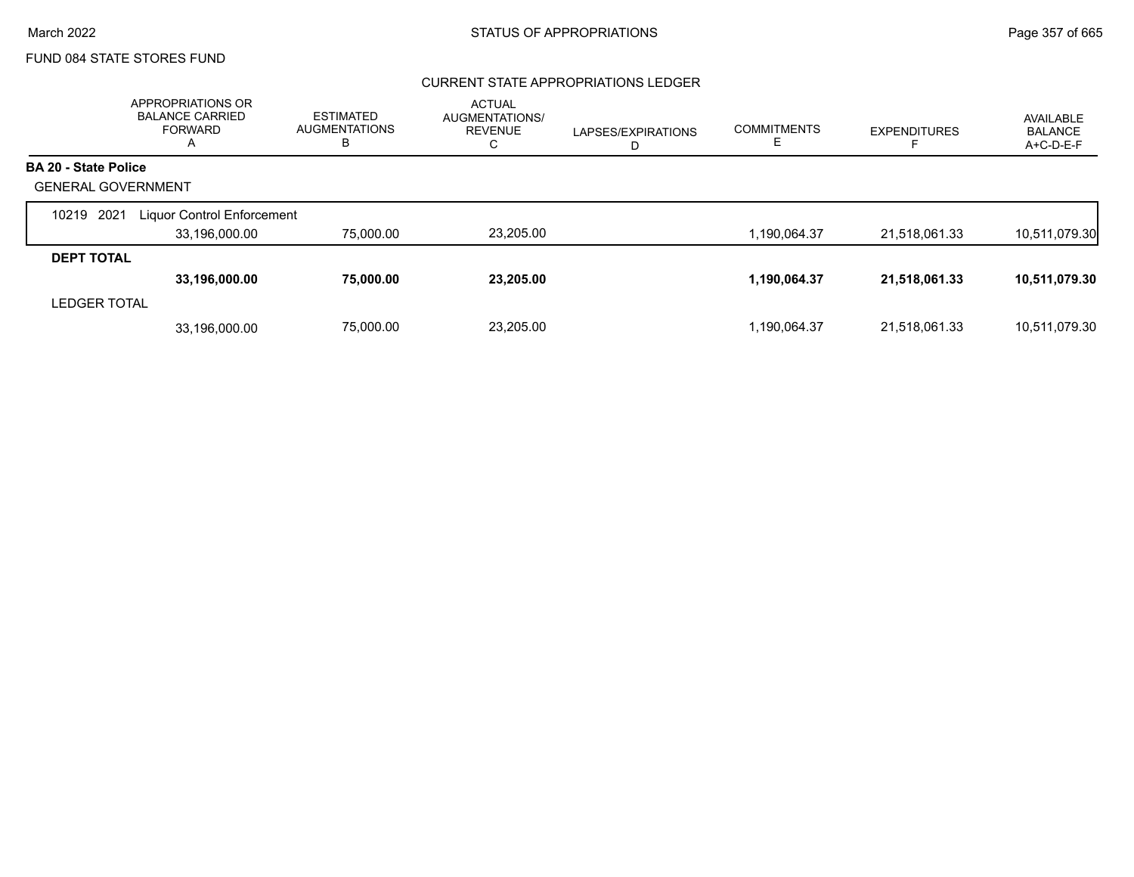### CURRENT STATE APPROPRIATIONS LEDGER

|                             | APPROPRIATIONS OR<br><b>BALANCE CARRIED</b><br><b>FORWARD</b><br>A | <b>ESTIMATED</b><br><b>AUGMENTATIONS</b><br>B | <b>ACTUAL</b><br>AUGMENTATIONS/<br><b>REVENUE</b><br>С | LAPSES/EXPIRATIONS<br>D | <b>COMMITMENTS</b> | <b>EXPENDITURES</b> | AVAILABLE<br><b>BALANCE</b><br>A+C-D-E-F |
|-----------------------------|--------------------------------------------------------------------|-----------------------------------------------|--------------------------------------------------------|-------------------------|--------------------|---------------------|------------------------------------------|
| <b>BA 20 - State Police</b> |                                                                    |                                               |                                                        |                         |                    |                     |                                          |
| <b>GENERAL GOVERNMENT</b>   |                                                                    |                                               |                                                        |                         |                    |                     |                                          |
| 2021<br>10219               | <b>Liquor Control Enforcement</b>                                  |                                               |                                                        |                         |                    |                     |                                          |
|                             | 33,196,000.00                                                      | 75,000.00                                     | 23,205.00                                              |                         | .190,064.37        | 21,518,061.33       | 10,511,079.30                            |
| <b>DEPT TOTAL</b>           |                                                                    |                                               |                                                        |                         |                    |                     |                                          |
|                             | 33,196,000.00                                                      | 75,000.00                                     | 23,205.00                                              |                         | 1,190,064.37       | 21,518,061.33       | 10,511,079.30                            |
| <b>LEDGER TOTAL</b>         |                                                                    |                                               |                                                        |                         |                    |                     |                                          |
|                             | 33.196.000.00                                                      | 75,000.00                                     | 23.205.00                                              |                         | 1.190.064.37       | 21.518.061.33       | 10,511,079.30                            |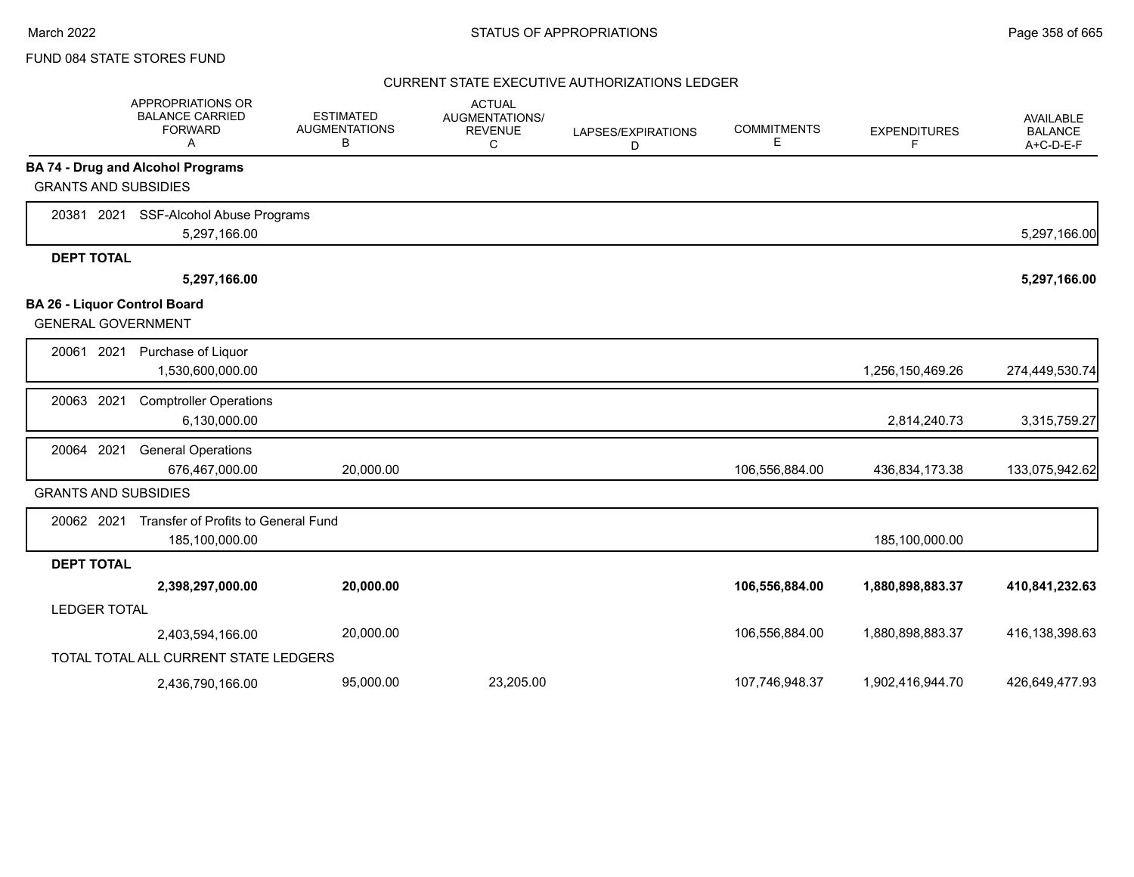### CURRENT STATE EXECUTIVE AUTHORIZATIONS LEDGER

|                                                           | APPROPRIATIONS OR<br><b>BALANCE CARRIED</b><br><b>FORWARD</b><br>Α | <b>ESTIMATED</b><br><b>AUGMENTATIONS</b><br>В | <b>ACTUAL</b><br><b>AUGMENTATIONS/</b><br><b>REVENUE</b><br>C | LAPSES/EXPIRATIONS<br>D | <b>COMMITMENTS</b><br>Е | <b>EXPENDITURES</b><br>F | AVAILABLE<br><b>BALANCE</b><br>$A+C-D-E-F$ |
|-----------------------------------------------------------|--------------------------------------------------------------------|-----------------------------------------------|---------------------------------------------------------------|-------------------------|-------------------------|--------------------------|--------------------------------------------|
|                                                           | <b>BA 74 - Drug and Alcohol Programs</b>                           |                                               |                                                               |                         |                         |                          |                                            |
| <b>GRANTS AND SUBSIDIES</b>                               |                                                                    |                                               |                                                               |                         |                         |                          |                                            |
| 2021<br>20381                                             | SSF-Alcohol Abuse Programs                                         |                                               |                                                               |                         |                         |                          |                                            |
|                                                           | 5,297,166.00                                                       |                                               |                                                               |                         |                         |                          | 5,297,166.00                               |
| <b>DEPT TOTAL</b>                                         |                                                                    |                                               |                                                               |                         |                         |                          |                                            |
|                                                           | 5,297,166.00                                                       |                                               |                                                               |                         |                         |                          | 5,297,166.00                               |
| BA 26 - Liquor Control Board<br><b>GENERAL GOVERNMENT</b> |                                                                    |                                               |                                                               |                         |                         |                          |                                            |
| 20061<br>2021                                             | Purchase of Liquor<br>1,530,600,000.00                             |                                               |                                                               |                         |                         | 1,256,150,469.26         | 274,449,530.74                             |
| 2021<br>20063                                             | <b>Comptroller Operations</b><br>6,130,000.00                      |                                               |                                                               |                         |                         | 2,814,240.73             | 3,315,759.27                               |
| 20064 2021                                                | <b>General Operations</b><br>676,467,000.00                        | 20,000.00                                     |                                                               |                         | 106,556,884.00          | 436,834,173.38           | 133,075,942.62                             |
| <b>GRANTS AND SUBSIDIES</b>                               |                                                                    |                                               |                                                               |                         |                         |                          |                                            |
| 20062 2021                                                | Transfer of Profits to General Fund<br>185,100,000.00              |                                               |                                                               |                         |                         | 185,100,000.00           |                                            |
| <b>DEPT TOTAL</b>                                         |                                                                    |                                               |                                                               |                         |                         |                          |                                            |
|                                                           | 2,398,297,000.00                                                   | 20,000.00                                     |                                                               |                         | 106,556,884.00          | 1,880,898,883.37         | 410,841,232.63                             |
| <b>LEDGER TOTAL</b>                                       |                                                                    |                                               |                                                               |                         |                         |                          |                                            |
|                                                           | 2,403,594,166.00                                                   | 20,000.00                                     |                                                               |                         | 106,556,884.00          | 1,880,898,883.37         | 416,138,398.63                             |
|                                                           | TOTAL TOTAL ALL CURRENT STATE LEDGERS                              |                                               |                                                               |                         |                         |                          |                                            |
|                                                           | 2,436,790,166.00                                                   | 95,000.00                                     | 23,205.00                                                     |                         | 107,746,948.37          | 1,902,416,944.70         | 426.649.477.93                             |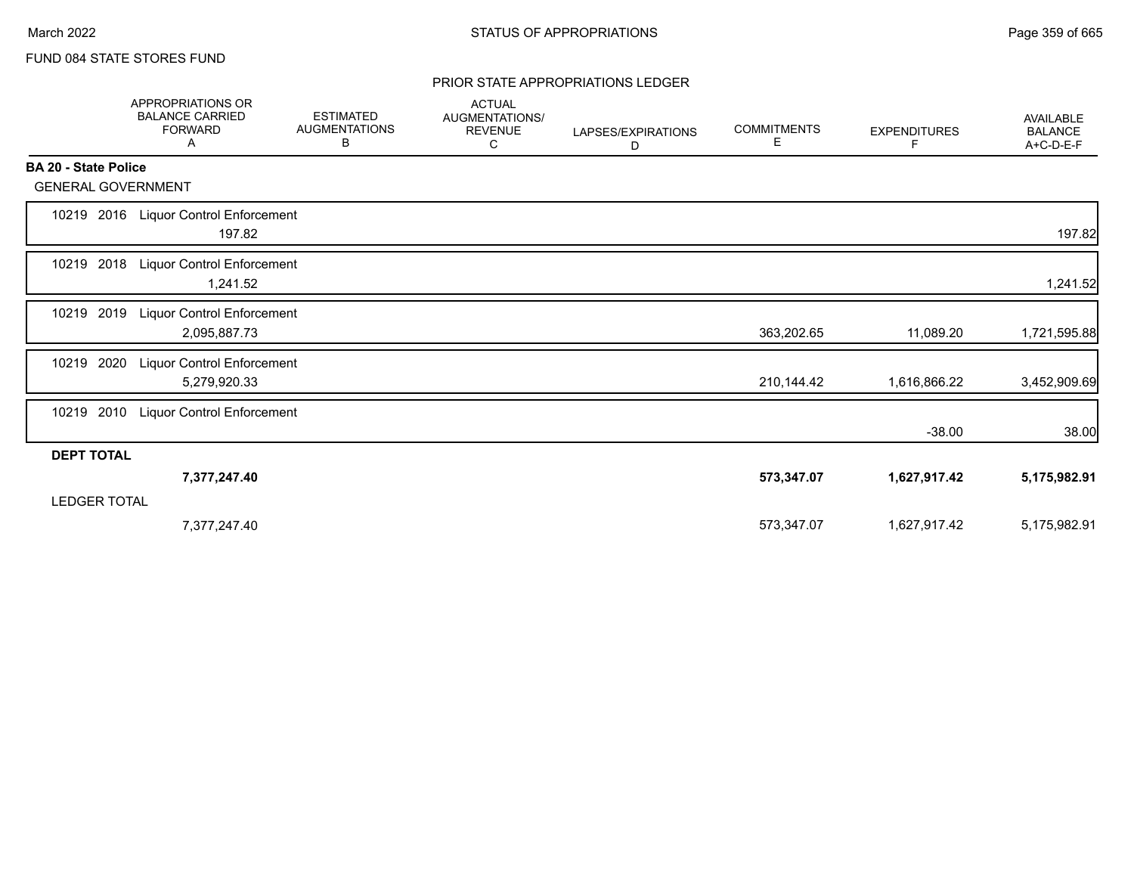#### PRIOR STATE APPROPRIATIONS LEDGER

|                             | APPROPRIATIONS OR<br><b>BALANCE CARRIED</b><br><b>FORWARD</b><br>Α | <b>ESTIMATED</b><br><b>AUGMENTATIONS</b><br>В | <b>ACTUAL</b><br>AUGMENTATIONS/<br><b>REVENUE</b><br>С | LAPSES/EXPIRATIONS<br>D | <b>COMMITMENTS</b><br>Е | <b>EXPENDITURES</b><br>F | <b>AVAILABLE</b><br><b>BALANCE</b><br>A+C-D-E-F |
|-----------------------------|--------------------------------------------------------------------|-----------------------------------------------|--------------------------------------------------------|-------------------------|-------------------------|--------------------------|-------------------------------------------------|
| <b>BA 20 - State Police</b> |                                                                    |                                               |                                                        |                         |                         |                          |                                                 |
| <b>GENERAL GOVERNMENT</b>   |                                                                    |                                               |                                                        |                         |                         |                          |                                                 |
| 10219                       | 2016 Liquor Control Enforcement<br>197.82                          |                                               |                                                        |                         |                         |                          | 197.82                                          |
| 10219 2018                  | <b>Liquor Control Enforcement</b><br>1,241.52                      |                                               |                                                        |                         |                         |                          | 1,241.52                                        |
| 2019<br>10219               | <b>Liquor Control Enforcement</b><br>2,095,887.73                  |                                               |                                                        |                         | 363,202.65              | 11,089.20                | 1,721,595.88                                    |
| 10219<br>2020               | <b>Liquor Control Enforcement</b><br>5,279,920.33                  |                                               |                                                        |                         | 210,144.42              | 1,616,866.22             | 3,452,909.69                                    |
| 2010<br>10219               | <b>Liquor Control Enforcement</b>                                  |                                               |                                                        |                         |                         | $-38.00$                 | 38.00                                           |
| <b>DEPT TOTAL</b>           |                                                                    |                                               |                                                        |                         |                         |                          |                                                 |
| <b>LEDGER TOTAL</b>         | 7,377,247.40                                                       |                                               |                                                        |                         | 573,347.07              | 1,627,917.42             | 5,175,982.91                                    |
|                             | 7,377,247.40                                                       |                                               |                                                        |                         | 573,347.07              | 1,627,917.42             | 5,175,982.91                                    |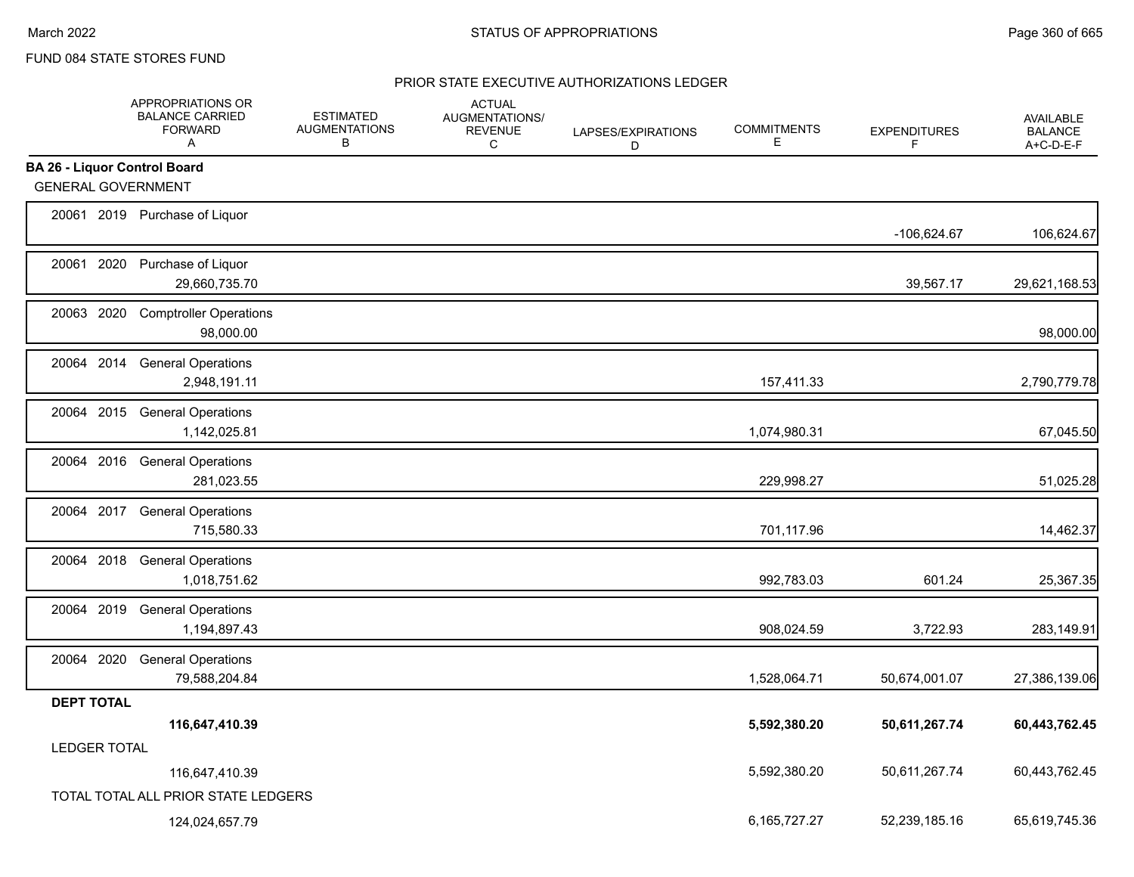### PRIOR STATE EXECUTIVE AUTHORIZATIONS LEDGER

|                                     | APPROPRIATIONS OR<br><b>BALANCE CARRIED</b><br><b>FORWARD</b><br>A | <b>ESTIMATED</b><br><b>AUGMENTATIONS</b><br>B | <b>ACTUAL</b><br><b>AUGMENTATIONS/</b><br><b>REVENUE</b><br>C | LAPSES/EXPIRATIONS<br>D | <b>COMMITMENTS</b><br>E | <b>EXPENDITURES</b><br>F | AVAILABLE<br><b>BALANCE</b><br>A+C-D-E-F |
|-------------------------------------|--------------------------------------------------------------------|-----------------------------------------------|---------------------------------------------------------------|-------------------------|-------------------------|--------------------------|------------------------------------------|
| <b>BA 26 - Liquor Control Board</b> |                                                                    |                                               |                                                               |                         |                         |                          |                                          |
| <b>GENERAL GOVERNMENT</b>           |                                                                    |                                               |                                                               |                         |                         |                          |                                          |
|                                     | 20061 2019 Purchase of Liquor                                      |                                               |                                                               |                         |                         | -106,624.67              | 106,624.67                               |
|                                     | 20061 2020 Purchase of Liquor<br>29,660,735.70                     |                                               |                                                               |                         |                         | 39,567.17                | 29,621,168.53                            |
| 20063 2020                          | <b>Comptroller Operations</b><br>98,000.00                         |                                               |                                                               |                         |                         |                          | 98,000.00                                |
|                                     | 20064 2014 General Operations<br>2,948,191.11                      |                                               |                                                               |                         | 157,411.33              |                          | 2,790,779.78                             |
|                                     | 20064 2015 General Operations<br>1,142,025.81                      |                                               |                                                               |                         | 1,074,980.31            |                          | 67,045.50                                |
|                                     | 20064 2016 General Operations<br>281,023.55                        |                                               |                                                               |                         | 229,998.27              |                          | 51,025.28                                |
|                                     | 20064 2017 General Operations<br>715,580.33                        |                                               |                                                               |                         | 701,117.96              |                          | 14,462.37                                |
|                                     | 20064 2018 General Operations<br>1,018,751.62                      |                                               |                                                               |                         | 992,783.03              | 601.24                   | 25,367.35                                |
| 20064 2019                          | <b>General Operations</b><br>1,194,897.43                          |                                               |                                                               |                         | 908,024.59              | 3,722.93                 | 283,149.91                               |
| 20064 2020                          | <b>General Operations</b><br>79,588,204.84                         |                                               |                                                               |                         | 1,528,064.71            | 50,674,001.07            | 27,386,139.06                            |
| <b>DEPT TOTAL</b>                   |                                                                    |                                               |                                                               |                         |                         |                          |                                          |
|                                     | 116,647,410.39                                                     |                                               |                                                               |                         | 5,592,380.20            | 50,611,267.74            | 60,443,762.45                            |
| <b>LEDGER TOTAL</b>                 |                                                                    |                                               |                                                               |                         |                         |                          |                                          |
|                                     | 116,647,410.39                                                     |                                               |                                                               |                         | 5,592,380.20            | 50,611,267.74            | 60,443,762.45                            |
|                                     | TOTAL TOTAL ALL PRIOR STATE LEDGERS                                |                                               |                                                               |                         |                         |                          |                                          |
|                                     | 124,024,657.79                                                     |                                               |                                                               |                         | 6,165,727.27            | 52,239,185.16            | 65,619,745.36                            |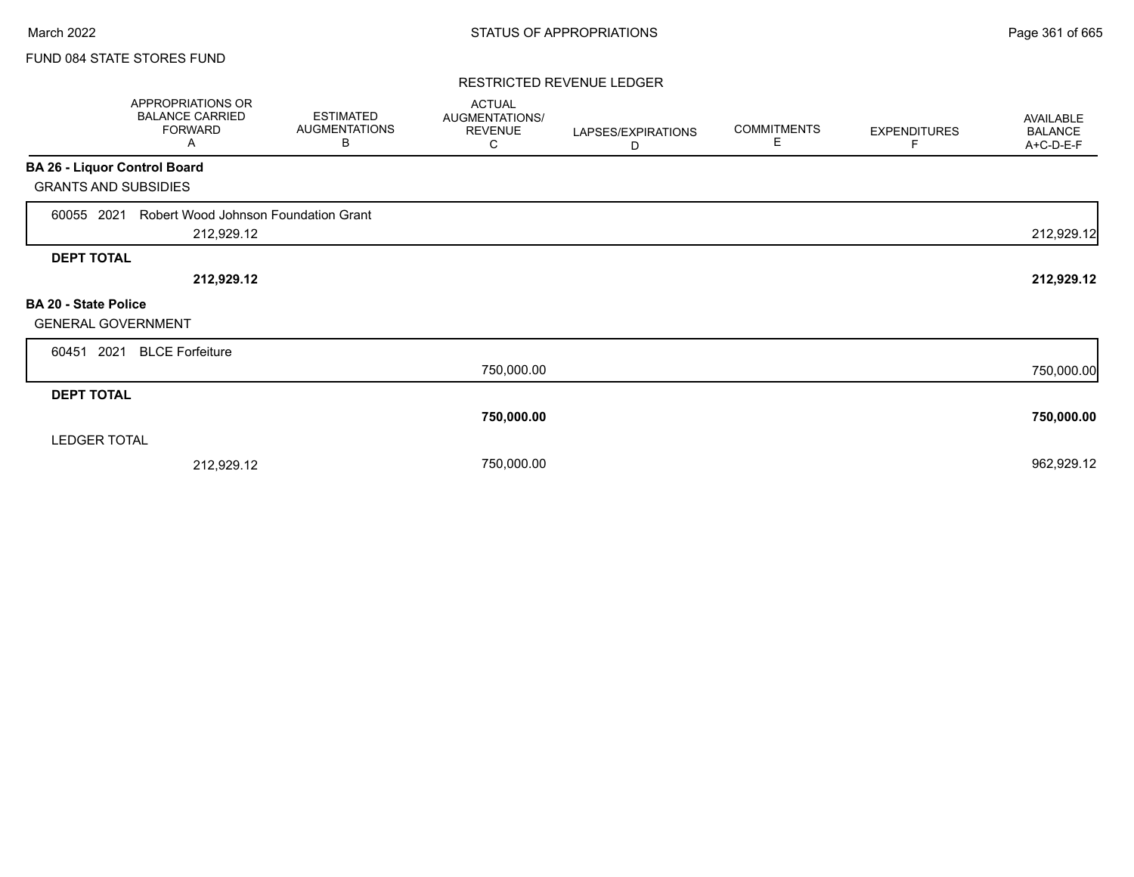### FUND 084 STATE STORES FUND

#### RESTRICTED REVENUE LEDGER

|                              | APPROPRIATIONS OR<br><b>BALANCE CARRIED</b><br><b>FORWARD</b><br>Α | <b>ESTIMATED</b><br><b>AUGMENTATIONS</b><br>В | <b>ACTUAL</b><br>AUGMENTATIONS/<br><b>REVENUE</b><br>С | LAPSES/EXPIRATIONS<br>D | <b>COMMITMENTS</b><br>Е | <b>EXPENDITURES</b> | AVAILABLE<br><b>BALANCE</b><br>A+C-D-E-F |
|------------------------------|--------------------------------------------------------------------|-----------------------------------------------|--------------------------------------------------------|-------------------------|-------------------------|---------------------|------------------------------------------|
| BA 26 - Liquor Control Board |                                                                    |                                               |                                                        |                         |                         |                     |                                          |
| <b>GRANTS AND SUBSIDIES</b>  |                                                                    |                                               |                                                        |                         |                         |                     |                                          |
| 60055 2021                   | Robert Wood Johnson Foundation Grant                               |                                               |                                                        |                         |                         |                     |                                          |
|                              | 212,929.12                                                         |                                               |                                                        |                         |                         |                     | 212,929.12                               |
| <b>DEPT TOTAL</b>            |                                                                    |                                               |                                                        |                         |                         |                     |                                          |
|                              | 212,929.12                                                         |                                               |                                                        |                         |                         |                     | 212,929.12                               |
| BA 20 - State Police         |                                                                    |                                               |                                                        |                         |                         |                     |                                          |
| <b>GENERAL GOVERNMENT</b>    |                                                                    |                                               |                                                        |                         |                         |                     |                                          |
| 2021<br>60451                | <b>BLCE Forfeiture</b>                                             |                                               |                                                        |                         |                         |                     |                                          |
|                              |                                                                    |                                               | 750,000.00                                             |                         |                         |                     | 750,000.00                               |
| <b>DEPT TOTAL</b>            |                                                                    |                                               |                                                        |                         |                         |                     |                                          |
|                              |                                                                    |                                               | 750,000.00                                             |                         |                         |                     | 750,000.00                               |
| <b>LEDGER TOTAL</b>          |                                                                    |                                               |                                                        |                         |                         |                     |                                          |
|                              | 212,929.12                                                         |                                               | 750,000.00                                             |                         |                         |                     | 962,929.12                               |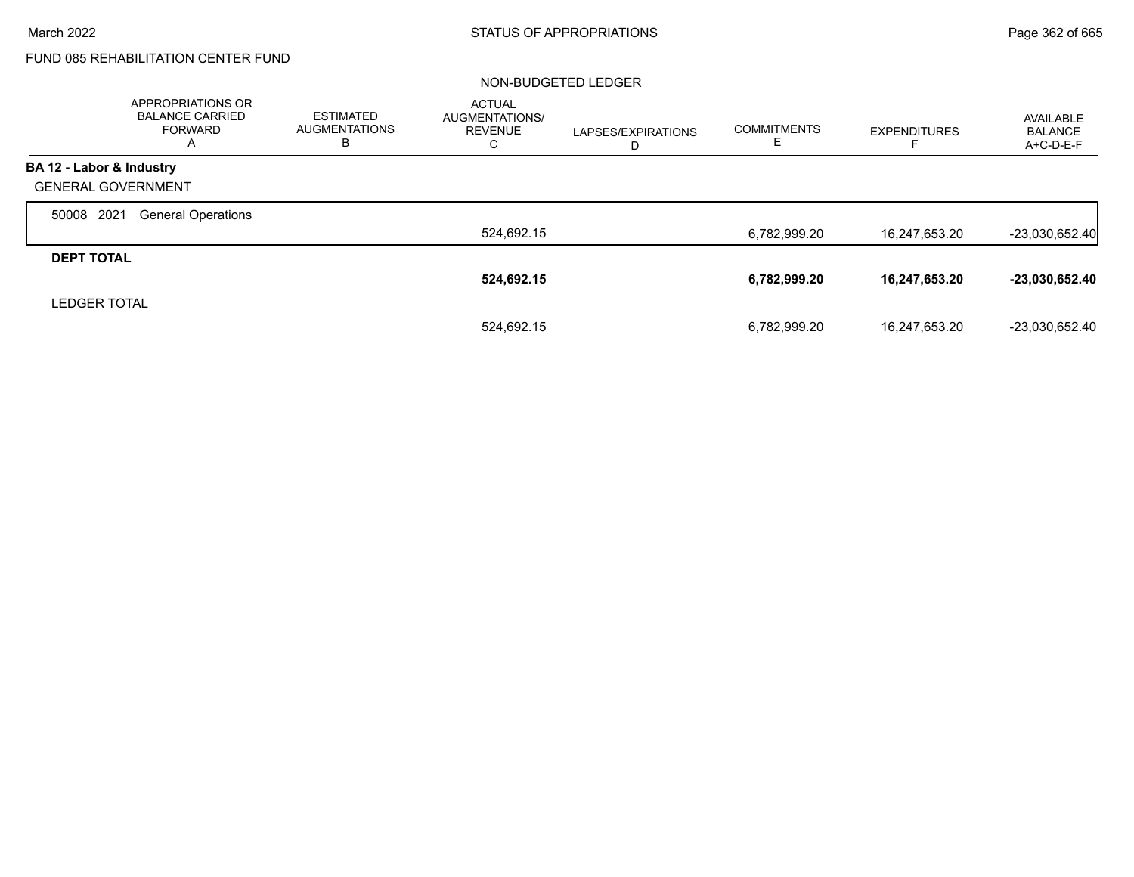# FUND 085 REHABILITATION CENTER FUND

#### NON-BUDGETED LEDGER

|                           | <b>APPROPRIATIONS OR</b><br><b>BALANCE CARRIED</b><br><b>FORWARD</b><br>A | <b>ESTIMATED</b><br><b>AUGMENTATIONS</b><br>в | <b>ACTUAL</b><br><b>AUGMENTATIONS/</b><br><b>REVENUE</b><br>С | LAPSES/EXPIRATIONS<br>D | <b>COMMITMENTS</b><br>ᄂ | <b>EXPENDITURES</b> | AVAILABLE<br><b>BALANCE</b><br>A+C-D-E-F |
|---------------------------|---------------------------------------------------------------------------|-----------------------------------------------|---------------------------------------------------------------|-------------------------|-------------------------|---------------------|------------------------------------------|
| BA 12 - Labor & Industry  |                                                                           |                                               |                                                               |                         |                         |                     |                                          |
| <b>GENERAL GOVERNMENT</b> |                                                                           |                                               |                                                               |                         |                         |                     |                                          |
| 2021<br>50008             | <b>General Operations</b>                                                 |                                               |                                                               |                         |                         |                     |                                          |
|                           |                                                                           |                                               | 524,692.15                                                    |                         | 6,782,999.20            | 16,247,653.20       | $-23,030,652.40$                         |
| <b>DEPT TOTAL</b>         |                                                                           |                                               |                                                               |                         |                         |                     |                                          |
|                           |                                                                           |                                               | 524,692.15                                                    |                         | 6,782,999.20            | 16,247,653.20       | $-23,030,652.40$                         |
| <b>LEDGER TOTAL</b>       |                                                                           |                                               |                                                               |                         |                         |                     |                                          |
|                           |                                                                           |                                               | 524.692.15                                                    |                         | 6,782,999.20            | 16,247,653.20       | -23,030,652.40                           |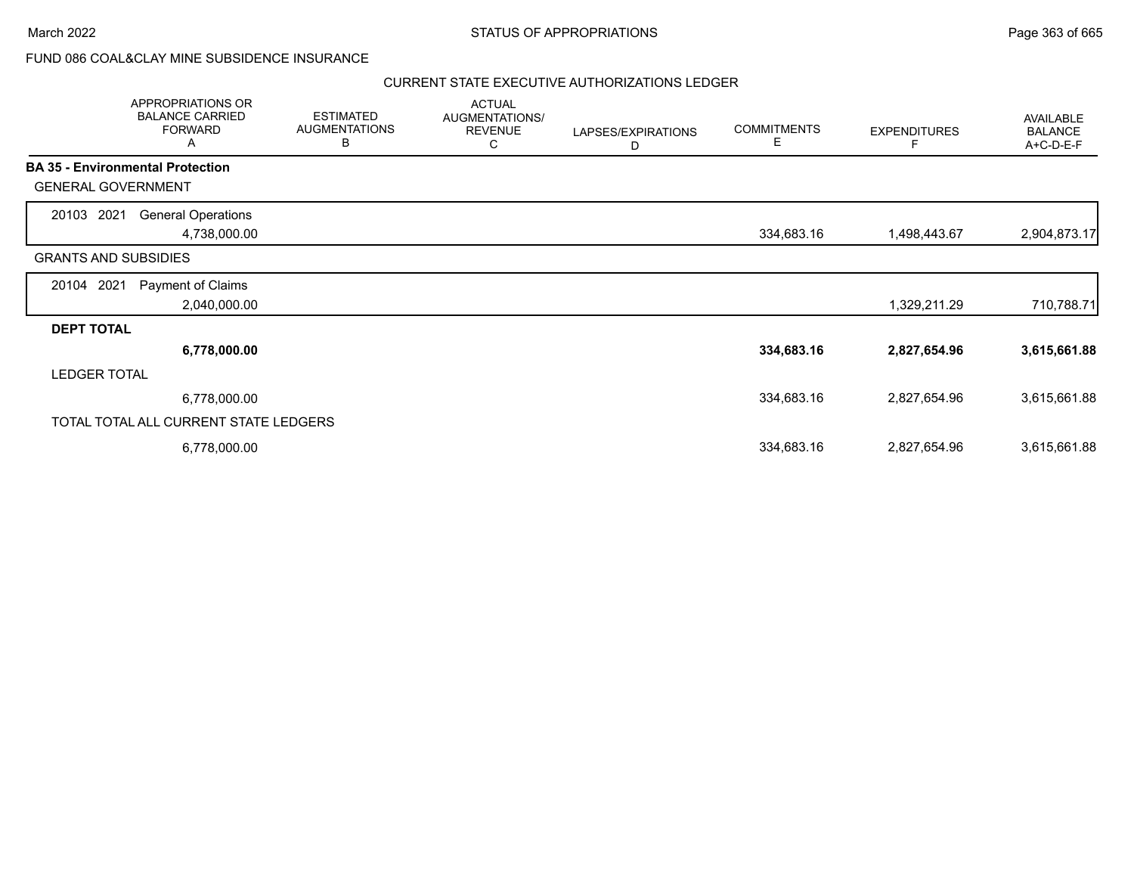## FUND 086 COAL&CLAY MINE SUBSIDENCE INSURANCE

|                                         | APPROPRIATIONS OR<br><b>BALANCE CARRIED</b><br><b>FORWARD</b><br>A | <b>ESTIMATED</b><br><b>AUGMENTATIONS</b><br>В | <b>ACTUAL</b><br>AUGMENTATIONS/<br><b>REVENUE</b><br>С | LAPSES/EXPIRATIONS<br>D | <b>COMMITMENTS</b><br>Е | <b>EXPENDITURES</b> | AVAILABLE<br><b>BALANCE</b><br>A+C-D-E-F |
|-----------------------------------------|--------------------------------------------------------------------|-----------------------------------------------|--------------------------------------------------------|-------------------------|-------------------------|---------------------|------------------------------------------|
| <b>BA 35 - Environmental Protection</b> |                                                                    |                                               |                                                        |                         |                         |                     |                                          |
| <b>GENERAL GOVERNMENT</b>               |                                                                    |                                               |                                                        |                         |                         |                     |                                          |
| 20103 2021                              | <b>General Operations</b>                                          |                                               |                                                        |                         |                         |                     |                                          |
|                                         | 4,738,000.00                                                       |                                               |                                                        |                         | 334,683.16              | 1,498,443.67        | 2,904,873.17                             |
| <b>GRANTS AND SUBSIDIES</b>             |                                                                    |                                               |                                                        |                         |                         |                     |                                          |
| 20104 2021                              | Payment of Claims                                                  |                                               |                                                        |                         |                         |                     |                                          |
|                                         | 2,040,000.00                                                       |                                               |                                                        |                         |                         | 1,329,211.29        | 710,788.71                               |
| <b>DEPT TOTAL</b>                       |                                                                    |                                               |                                                        |                         |                         |                     |                                          |
|                                         | 6,778,000.00                                                       |                                               |                                                        |                         | 334,683.16              | 2,827,654.96        | 3,615,661.88                             |
| <b>LEDGER TOTAL</b>                     |                                                                    |                                               |                                                        |                         |                         |                     |                                          |
|                                         | 6,778,000.00                                                       |                                               |                                                        |                         | 334,683.16              | 2,827,654.96        | 3,615,661.88                             |
|                                         | TOTAL TOTAL ALL CURRENT STATE LEDGERS                              |                                               |                                                        |                         |                         |                     |                                          |
|                                         | 6,778,000.00                                                       |                                               |                                                        |                         | 334,683.16              | 2,827,654.96        | 3,615,661.88                             |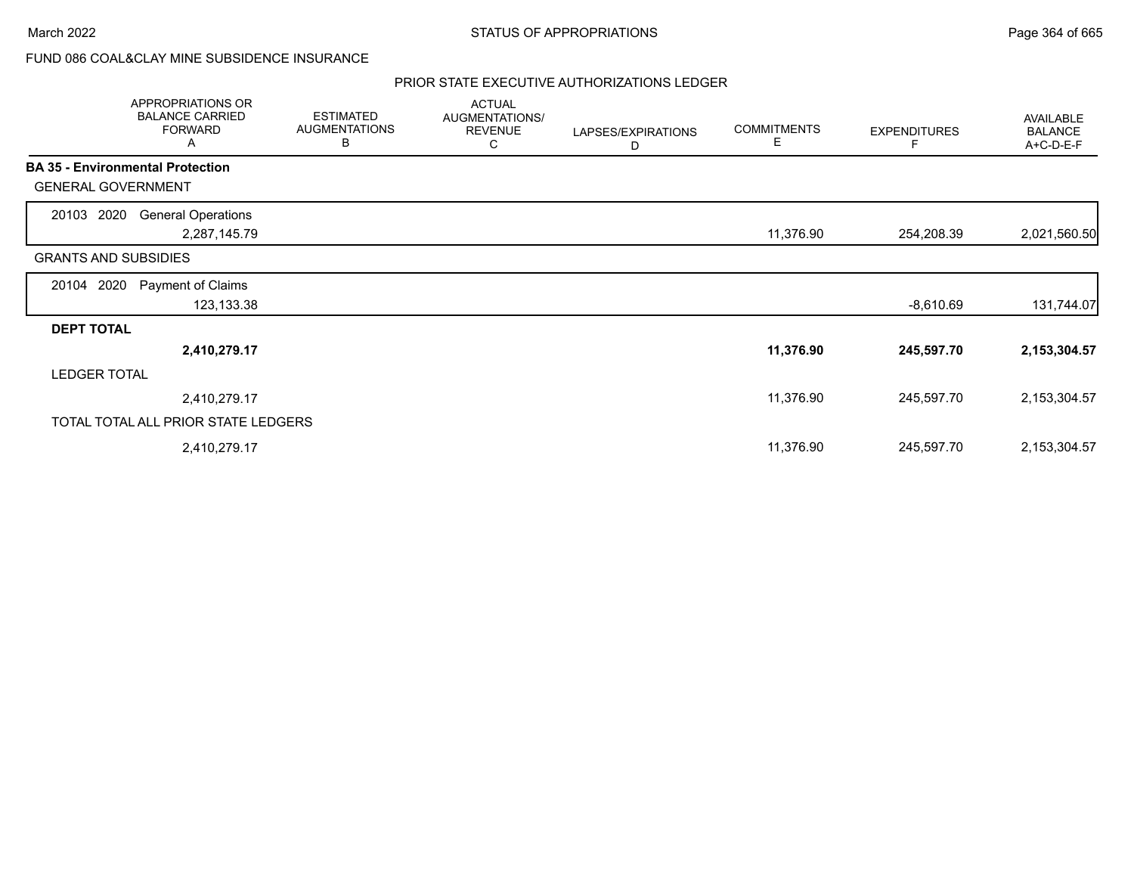# FUND 086 COAL&CLAY MINE SUBSIDENCE INSURANCE

|                                         | APPROPRIATIONS OR<br><b>BALANCE CARRIED</b><br><b>FORWARD</b><br>A | <b>ESTIMATED</b><br><b>AUGMENTATIONS</b><br>B | <b>ACTUAL</b><br>AUGMENTATIONS/<br><b>REVENUE</b><br>С | LAPSES/EXPIRATIONS<br>D | <b>COMMITMENTS</b><br>Е | <b>EXPENDITURES</b><br>F | AVAILABLE<br><b>BALANCE</b><br>A+C-D-E-F |
|-----------------------------------------|--------------------------------------------------------------------|-----------------------------------------------|--------------------------------------------------------|-------------------------|-------------------------|--------------------------|------------------------------------------|
| <b>BA 35 - Environmental Protection</b> |                                                                    |                                               |                                                        |                         |                         |                          |                                          |
| <b>GENERAL GOVERNMENT</b>               |                                                                    |                                               |                                                        |                         |                         |                          |                                          |
| 20103 2020                              | <b>General Operations</b>                                          |                                               |                                                        |                         |                         |                          |                                          |
|                                         | 2,287,145.79                                                       |                                               |                                                        |                         | 11,376.90               | 254,208.39               | 2,021,560.50                             |
| <b>GRANTS AND SUBSIDIES</b>             |                                                                    |                                               |                                                        |                         |                         |                          |                                          |
| 20104 2020                              | Payment of Claims                                                  |                                               |                                                        |                         |                         |                          |                                          |
|                                         | 123,133.38                                                         |                                               |                                                        |                         |                         | -8,610.69                | 131,744.07                               |
| <b>DEPT TOTAL</b>                       |                                                                    |                                               |                                                        |                         |                         |                          |                                          |
|                                         | 2,410,279.17                                                       |                                               |                                                        |                         | 11,376.90               | 245,597.70               | 2,153,304.57                             |
| <b>LEDGER TOTAL</b>                     |                                                                    |                                               |                                                        |                         |                         |                          |                                          |
|                                         | 2,410,279.17                                                       |                                               |                                                        |                         | 11,376.90               | 245,597.70               | 2,153,304.57                             |
|                                         | TOTAL TOTAL ALL PRIOR STATE LEDGERS                                |                                               |                                                        |                         |                         |                          |                                          |
|                                         | 2,410,279.17                                                       |                                               |                                                        |                         | 11,376.90               | 245,597.70               | 2,153,304.57                             |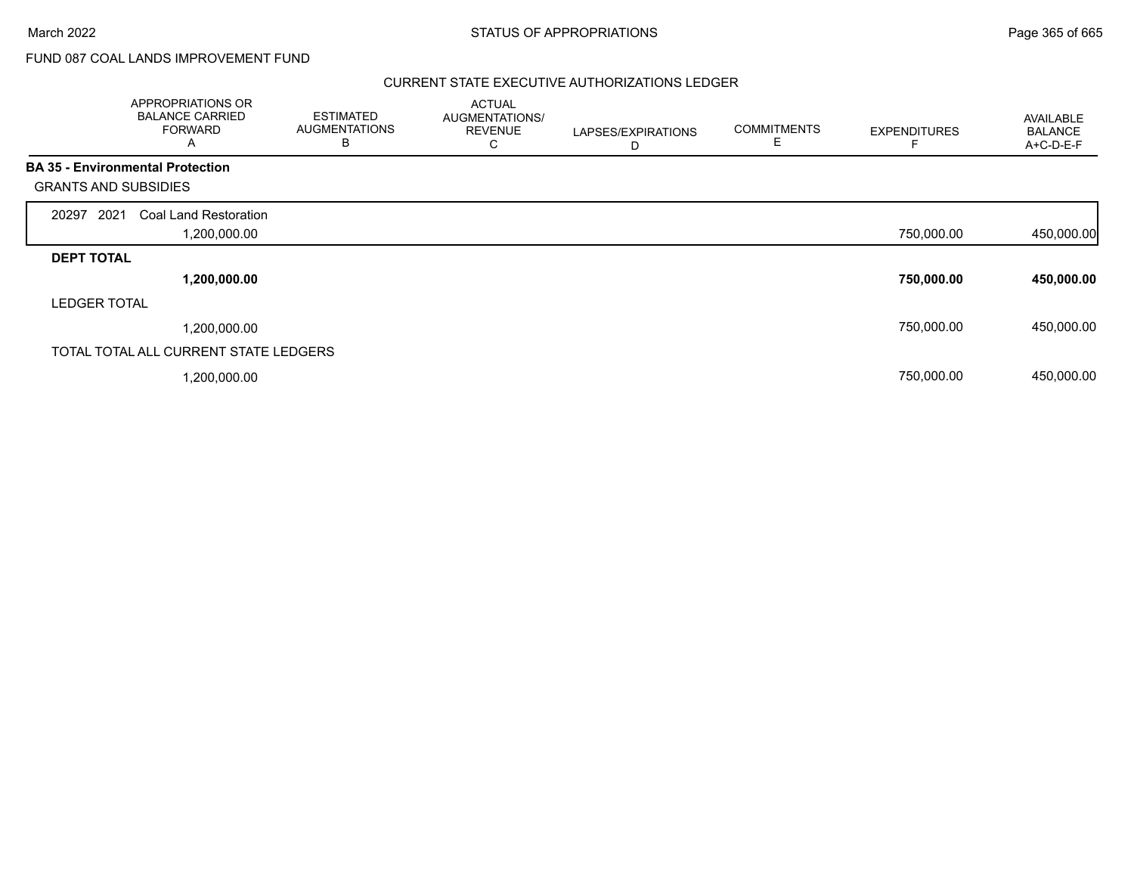# FUND 087 COAL LANDS IMPROVEMENT FUND

|                             | APPROPRIATIONS OR<br><b>BALANCE CARRIED</b><br><b>FORWARD</b><br>A | <b>ESTIMATED</b><br><b>AUGMENTATIONS</b><br>В | <b>ACTUAL</b><br>AUGMENTATIONS/<br><b>REVENUE</b><br>С | LAPSES/EXPIRATIONS<br>D | <b>COMMITMENTS</b><br>Е | <b>EXPENDITURES</b> | AVAILABLE<br><b>BALANCE</b><br>A+C-D-E-F |
|-----------------------------|--------------------------------------------------------------------|-----------------------------------------------|--------------------------------------------------------|-------------------------|-------------------------|---------------------|------------------------------------------|
|                             | <b>BA 35 - Environmental Protection</b>                            |                                               |                                                        |                         |                         |                     |                                          |
| <b>GRANTS AND SUBSIDIES</b> |                                                                    |                                               |                                                        |                         |                         |                     |                                          |
| 2021<br>20297               | Coal Land Restoration                                              |                                               |                                                        |                         |                         |                     |                                          |
|                             | 1,200,000.00                                                       |                                               |                                                        |                         |                         | 750,000.00          | 450,000.00                               |
| <b>DEPT TOTAL</b>           |                                                                    |                                               |                                                        |                         |                         |                     |                                          |
|                             | 1,200,000.00                                                       |                                               |                                                        |                         |                         | 750,000.00          | 450,000.00                               |
| <b>LEDGER TOTAL</b>         |                                                                    |                                               |                                                        |                         |                         |                     |                                          |
|                             | 1,200,000.00                                                       |                                               |                                                        |                         |                         | 750,000.00          | 450,000.00                               |
|                             | TOTAL TOTAL ALL CURRENT STATE LEDGERS                              |                                               |                                                        |                         |                         |                     |                                          |
|                             | ,200,000.00                                                        |                                               |                                                        |                         |                         | 750,000.00          | 450,000.00                               |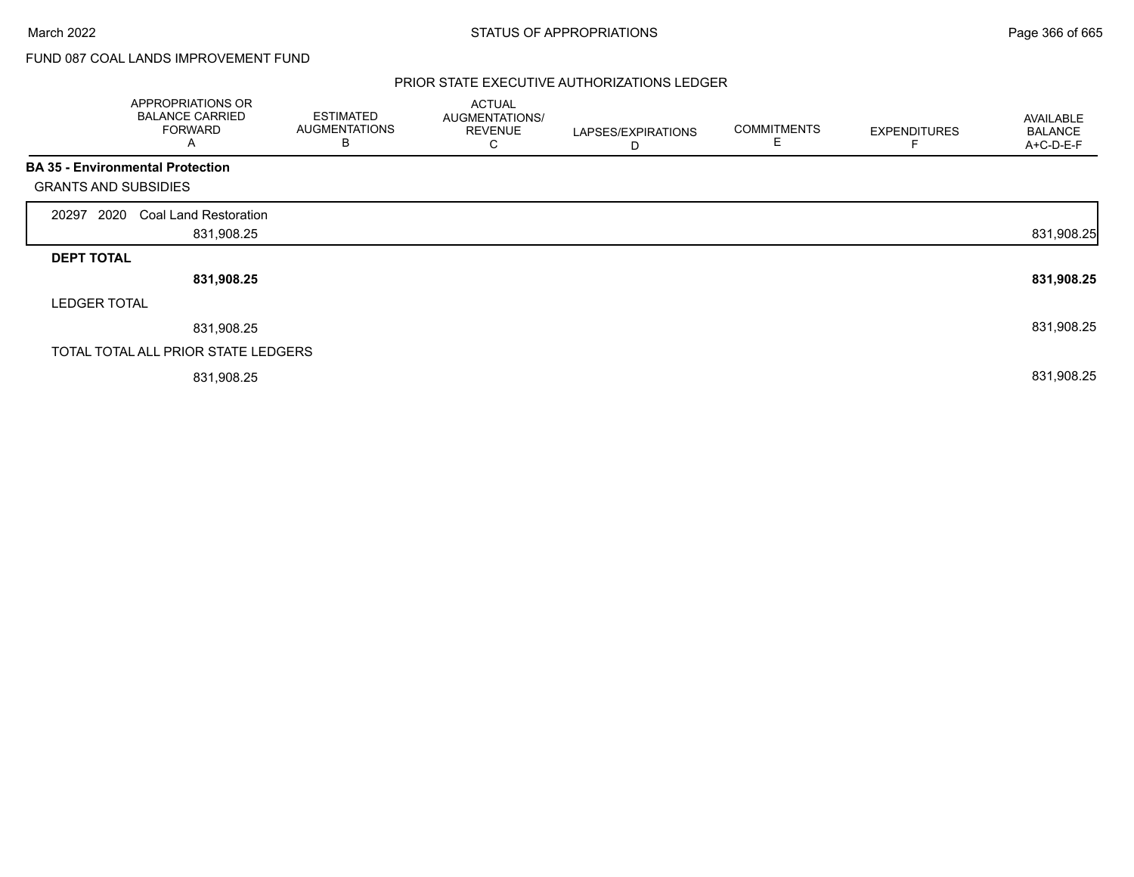# FUND 087 COAL LANDS IMPROVEMENT FUND

|                             | APPROPRIATIONS OR<br><b>BALANCE CARRIED</b><br><b>FORWARD</b><br>A | <b>ESTIMATED</b><br><b>AUGMENTATIONS</b><br>В | <b>ACTUAL</b><br>AUGMENTATIONS/<br><b>REVENUE</b><br>С | LAPSES/EXPIRATIONS<br>D | <b>COMMITMENTS</b><br>E | <b>EXPENDITURES</b> | AVAILABLE<br><b>BALANCE</b><br>A+C-D-E-F |
|-----------------------------|--------------------------------------------------------------------|-----------------------------------------------|--------------------------------------------------------|-------------------------|-------------------------|---------------------|------------------------------------------|
|                             | <b>BA 35 - Environmental Protection</b>                            |                                               |                                                        |                         |                         |                     |                                          |
| <b>GRANTS AND SUBSIDIES</b> |                                                                    |                                               |                                                        |                         |                         |                     |                                          |
| 2020<br>20297               | <b>Coal Land Restoration</b>                                       |                                               |                                                        |                         |                         |                     |                                          |
|                             | 831,908.25                                                         |                                               |                                                        |                         |                         |                     | 831,908.25                               |
| <b>DEPT TOTAL</b>           |                                                                    |                                               |                                                        |                         |                         |                     |                                          |
|                             | 831,908.25                                                         |                                               |                                                        |                         |                         |                     | 831,908.25                               |
| <b>LEDGER TOTAL</b>         |                                                                    |                                               |                                                        |                         |                         |                     |                                          |
|                             | 831,908.25                                                         |                                               |                                                        |                         |                         |                     | 831,908.25                               |
|                             | TOTAL TOTAL ALL PRIOR STATE LEDGERS                                |                                               |                                                        |                         |                         |                     |                                          |
|                             | 831,908.25                                                         |                                               |                                                        |                         |                         |                     | 831,908.25                               |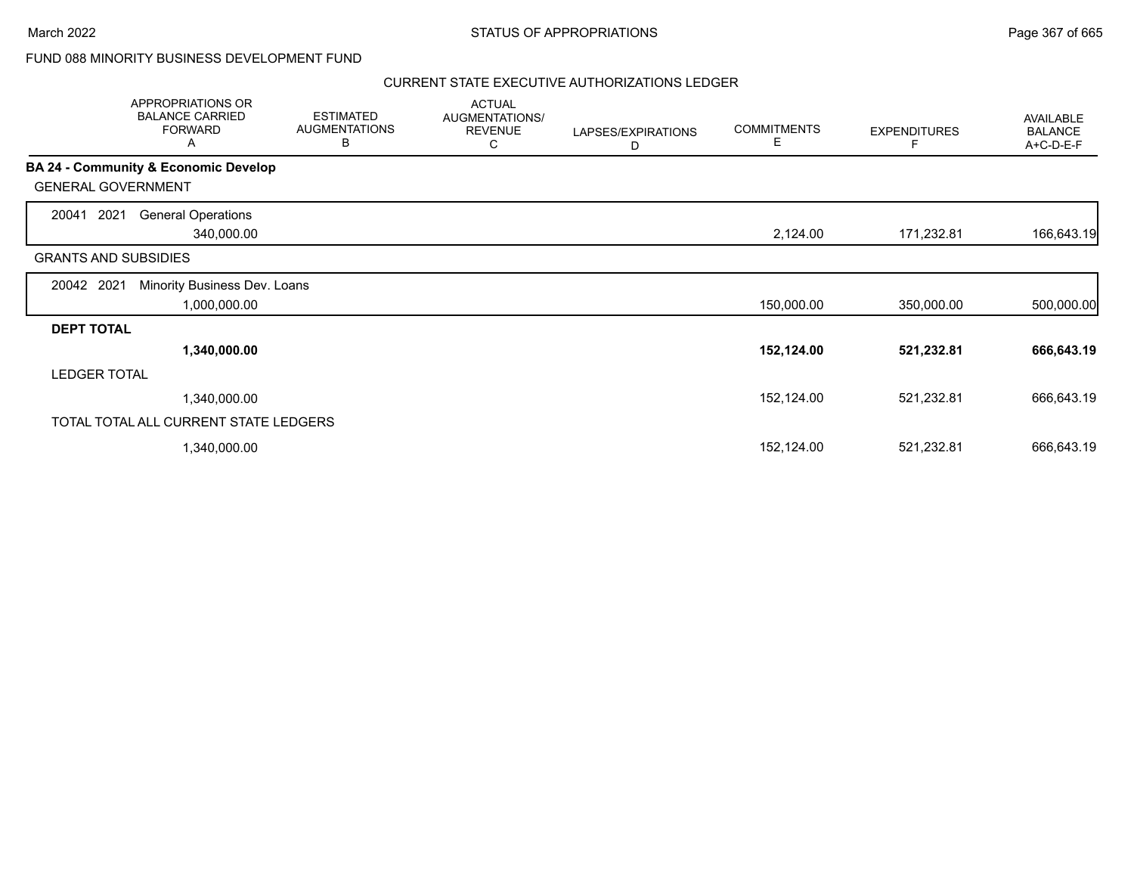## FUND 088 MINORITY BUSINESS DEVELOPMENT FUND

|                             | APPROPRIATIONS OR<br><b>BALANCE CARRIED</b><br><b>FORWARD</b><br>Α | <b>ESTIMATED</b><br><b>AUGMENTATIONS</b><br>В | <b>ACTUAL</b><br>AUGMENTATIONS/<br><b>REVENUE</b><br>С | LAPSES/EXPIRATIONS<br>D | <b>COMMITMENTS</b><br>Е | <b>EXPENDITURES</b> | AVAILABLE<br><b>BALANCE</b><br>A+C-D-E-F |
|-----------------------------|--------------------------------------------------------------------|-----------------------------------------------|--------------------------------------------------------|-------------------------|-------------------------|---------------------|------------------------------------------|
|                             | <b>BA 24 - Community &amp; Economic Develop</b>                    |                                               |                                                        |                         |                         |                     |                                          |
| <b>GENERAL GOVERNMENT</b>   |                                                                    |                                               |                                                        |                         |                         |                     |                                          |
| 2021<br>20041               | <b>General Operations</b>                                          |                                               |                                                        |                         |                         |                     |                                          |
|                             | 340,000.00                                                         |                                               |                                                        |                         | 2,124.00                | 171,232.81          | 166,643.19                               |
| <b>GRANTS AND SUBSIDIES</b> |                                                                    |                                               |                                                        |                         |                         |                     |                                          |
| 20042 2021                  | Minority Business Dev. Loans                                       |                                               |                                                        |                         |                         |                     |                                          |
|                             | 1,000,000.00                                                       |                                               |                                                        |                         | 150,000.00              | 350,000.00          | 500,000.00                               |
| <b>DEPT TOTAL</b>           |                                                                    |                                               |                                                        |                         |                         |                     |                                          |
|                             | 1,340,000.00                                                       |                                               |                                                        |                         | 152,124.00              | 521,232.81          | 666,643.19                               |
| <b>LEDGER TOTAL</b>         |                                                                    |                                               |                                                        |                         |                         |                     |                                          |
|                             | 1,340,000.00                                                       |                                               |                                                        |                         | 152,124.00              | 521,232.81          | 666,643.19                               |
|                             | TOTAL TOTAL ALL CURRENT STATE LEDGERS                              |                                               |                                                        |                         |                         |                     |                                          |
|                             | 1,340,000.00                                                       |                                               |                                                        |                         | 152,124.00              | 521,232.81          | 666,643.19                               |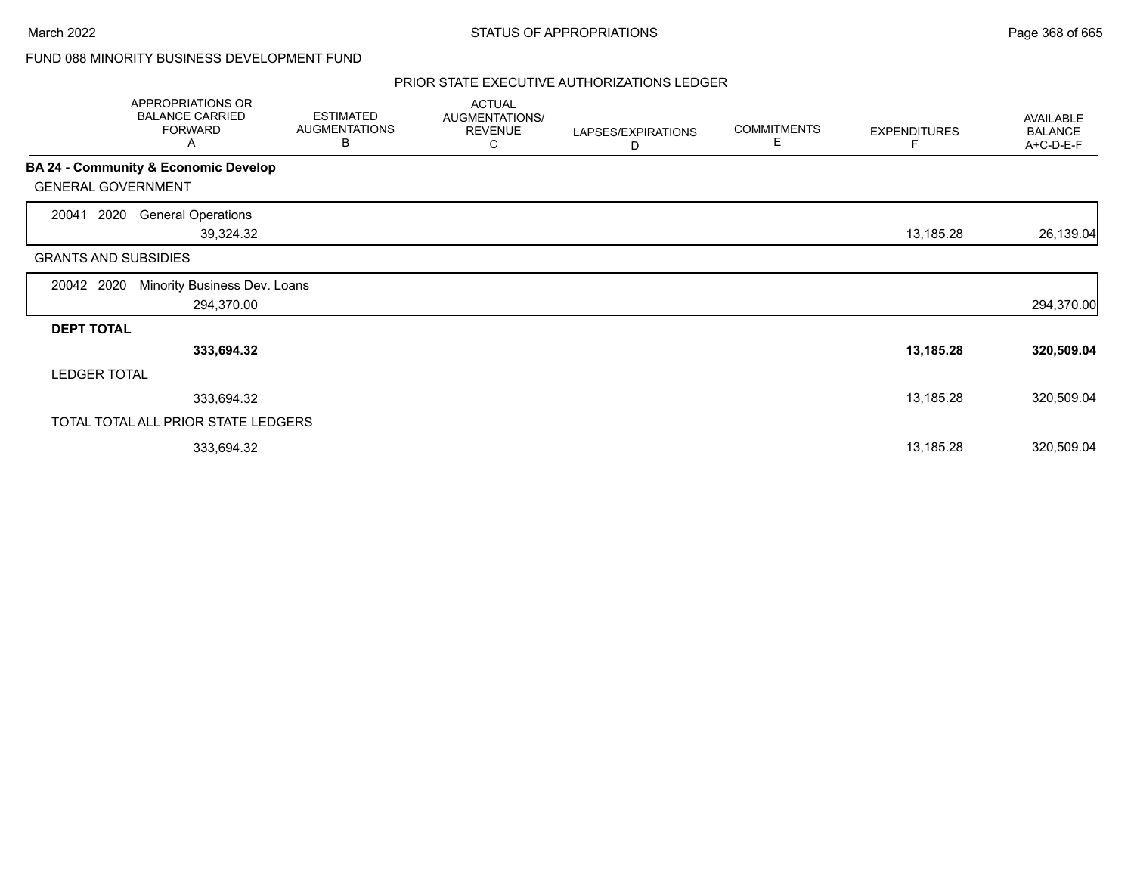# FUND 088 MINORITY BUSINESS DEVELOPMENT FUND

|                             | APPROPRIATIONS OR<br><b>BALANCE CARRIED</b><br><b>FORWARD</b><br>A | <b>ESTIMATED</b><br><b>AUGMENTATIONS</b><br>B | <b>ACTUAL</b><br>AUGMENTATIONS/<br><b>REVENUE</b><br>С | LAPSES/EXPIRATIONS<br>D | <b>COMMITMENTS</b><br>E. | <b>EXPENDITURES</b><br>F | AVAILABLE<br><b>BALANCE</b><br>A+C-D-E-F |
|-----------------------------|--------------------------------------------------------------------|-----------------------------------------------|--------------------------------------------------------|-------------------------|--------------------------|--------------------------|------------------------------------------|
|                             | <b>BA 24 - Community &amp; Economic Develop</b>                    |                                               |                                                        |                         |                          |                          |                                          |
| <b>GENERAL GOVERNMENT</b>   |                                                                    |                                               |                                                        |                         |                          |                          |                                          |
| 2020<br>20041               | <b>General Operations</b><br>39,324.32                             |                                               |                                                        |                         |                          | 13,185.28                | 26,139.04                                |
| <b>GRANTS AND SUBSIDIES</b> |                                                                    |                                               |                                                        |                         |                          |                          |                                          |
| 20042 2020                  | Minority Business Dev. Loans<br>294,370.00                         |                                               |                                                        |                         |                          |                          | 294,370.00                               |
| <b>DEPT TOTAL</b>           |                                                                    |                                               |                                                        |                         |                          |                          |                                          |
|                             | 333,694.32                                                         |                                               |                                                        |                         |                          | 13,185.28                | 320,509.04                               |
| <b>LEDGER TOTAL</b>         |                                                                    |                                               |                                                        |                         |                          |                          |                                          |
|                             | 333,694.32                                                         |                                               |                                                        |                         |                          | 13,185.28                | 320,509.04                               |
|                             | TOTAL TOTAL ALL PRIOR STATE LEDGERS                                |                                               |                                                        |                         |                          |                          |                                          |
|                             | 333,694.32                                                         |                                               |                                                        |                         |                          | 13,185.28                | 320,509.04                               |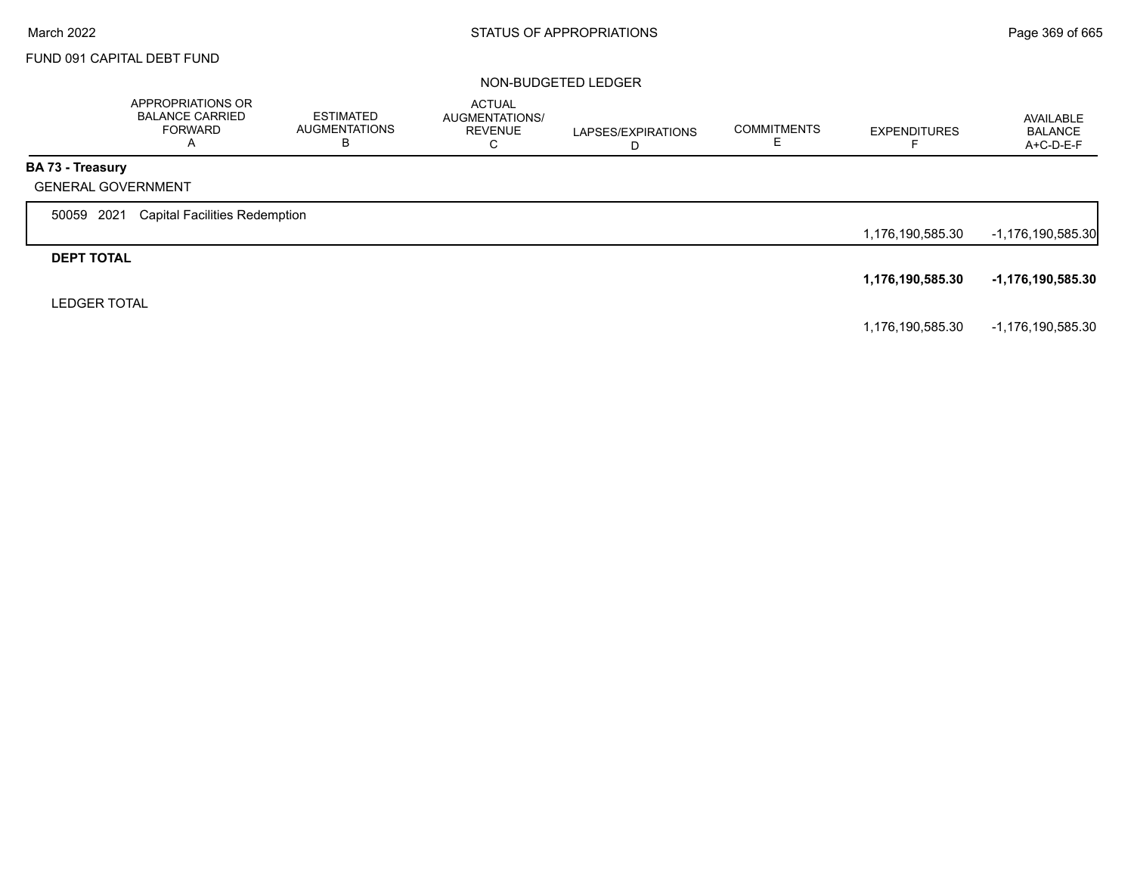## FUND 091 CAPITAL DEBT FUND

#### NON-BUDGETED LEDGER

|                                               | APPROPRIATIONS OR<br><b>BALANCE CARRIED</b><br><b>FORWARD</b><br>$\mathsf{A}$ | ESTIMATED<br><b>AUGMENTATIONS</b><br>ь | <b>ACTUAL</b><br>AUGMENTATIONS/<br><b>REVENUE</b><br>С | LAPSES/EXPIRATIONS<br>D | <b>COMMITMENTS</b> | <b>EXPENDITURES</b> | AVAILABLE<br><b>BALANCE</b><br>$A+C-D-E-F$ |
|-----------------------------------------------|-------------------------------------------------------------------------------|----------------------------------------|--------------------------------------------------------|-------------------------|--------------------|---------------------|--------------------------------------------|
| BA 73 - Treasury<br><b>GENERAL GOVERNMENT</b> |                                                                               |                                        |                                                        |                         |                    |                     |                                            |
| 2021<br>50059                                 | <b>Capital Facilities Redemption</b>                                          |                                        |                                                        |                         |                    | 1,176,190,585.30    | -1,176,190,585.30                          |
| <b>DEPT TOTAL</b>                             |                                                                               |                                        |                                                        |                         |                    |                     |                                            |
| <b>LEDGER TOTAL</b>                           |                                                                               |                                        |                                                        |                         |                    | 1,176,190,585.30    | -1,176,190,585.30                          |

1,176,190,585.30 -1,176,190,585.30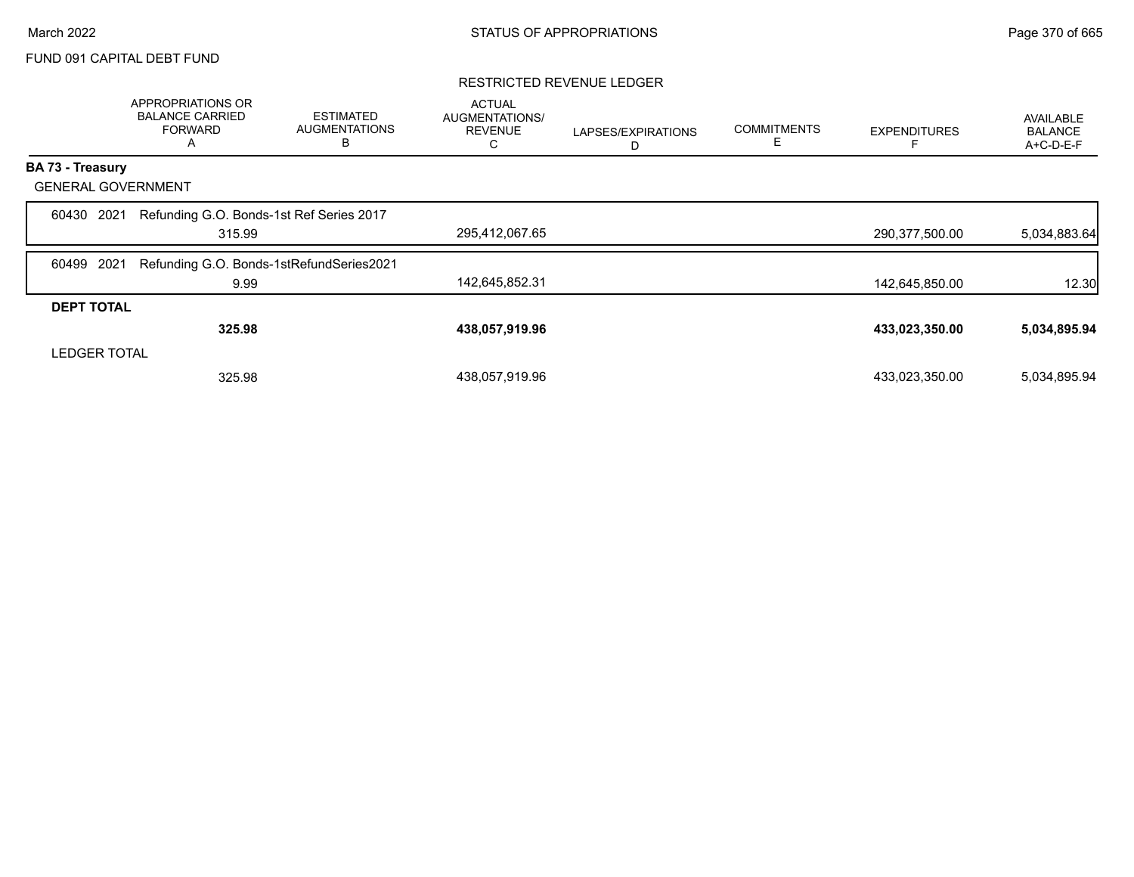### FUND 091 CAPITAL DEBT FUND

### RESTRICTED REVENUE LEDGER

|                           | APPROPRIATIONS OR<br><b>BALANCE CARRIED</b><br><b>FORWARD</b><br>A | <b>ESTIMATED</b><br><b>AUGMENTATIONS</b><br>В | <b>ACTUAL</b><br>AUGMENTATIONS/<br><b>REVENUE</b><br>С | LAPSES/EXPIRATIONS<br>D | <b>COMMITMENTS</b><br>Е | <b>EXPENDITURES</b> | AVAILABLE<br><b>BALANCE</b><br>A+C-D-E-F |
|---------------------------|--------------------------------------------------------------------|-----------------------------------------------|--------------------------------------------------------|-------------------------|-------------------------|---------------------|------------------------------------------|
| <b>BA 73 - Treasury</b>   |                                                                    |                                               |                                                        |                         |                         |                     |                                          |
| <b>GENERAL GOVERNMENT</b> |                                                                    |                                               |                                                        |                         |                         |                     |                                          |
| 2021<br>60430             | Refunding G.O. Bonds-1st Ref Series 2017<br>315.99                 |                                               | 295,412,067.65                                         |                         |                         | 290,377,500.00      | 5,034,883.64                             |
| 2021<br>60499             | Refunding G.O. Bonds-1stRefundSeries2021                           |                                               |                                                        |                         |                         |                     |                                          |
|                           | 9.99                                                               |                                               | 142,645,852.31                                         |                         |                         | 142,645,850.00      | 12.30                                    |
| <b>DEPT TOTAL</b>         |                                                                    |                                               |                                                        |                         |                         |                     |                                          |
|                           | 325.98                                                             |                                               | 438,057,919.96                                         |                         |                         | 433,023,350.00      | 5,034,895.94                             |
| <b>LEDGER TOTAL</b>       |                                                                    |                                               |                                                        |                         |                         |                     |                                          |
|                           | 325.98                                                             |                                               | 438,057,919.96                                         |                         |                         | 433,023,350.00      | 5,034,895.94                             |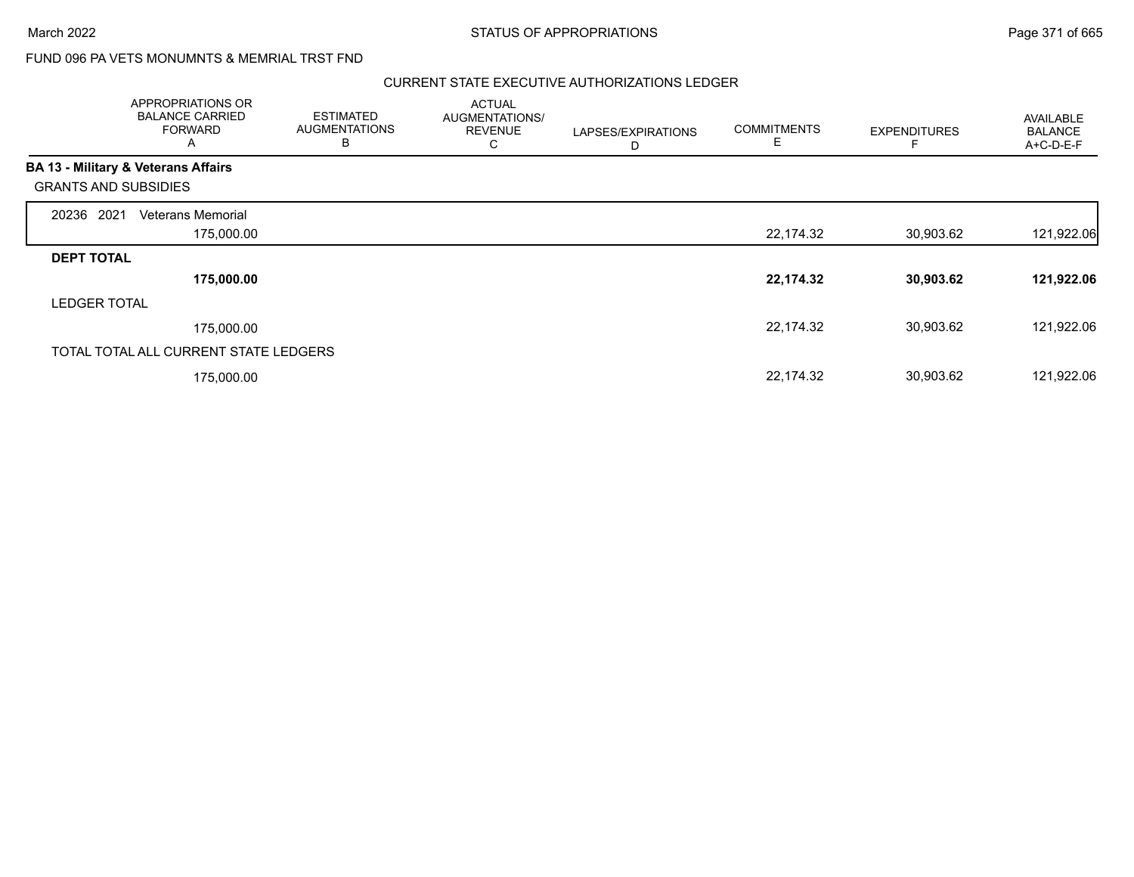# FUND 096 PA VETS MONUMNTS & MEMRIAL TRST FND

|                                                | APPROPRIATIONS OR<br><b>BALANCE CARRIED</b><br><b>FORWARD</b><br>A | <b>ESTIMATED</b><br><b>AUGMENTATIONS</b><br>B | <b>ACTUAL</b><br>AUGMENTATIONS/<br><b>REVENUE</b><br>С | LAPSES/EXPIRATIONS<br>D | <b>COMMITMENTS</b><br>Е | <b>EXPENDITURES</b> | <b>AVAILABLE</b><br><b>BALANCE</b><br>A+C-D-E-F |
|------------------------------------------------|--------------------------------------------------------------------|-----------------------------------------------|--------------------------------------------------------|-------------------------|-------------------------|---------------------|-------------------------------------------------|
| <b>BA 13 - Military &amp; Veterans Affairs</b> |                                                                    |                                               |                                                        |                         |                         |                     |                                                 |
| <b>GRANTS AND SUBSIDIES</b>                    |                                                                    |                                               |                                                        |                         |                         |                     |                                                 |
| 2021<br>20236                                  | Veterans Memorial                                                  |                                               |                                                        |                         |                         |                     |                                                 |
|                                                | 175,000.00                                                         |                                               |                                                        |                         | 22,174.32               | 30,903.62           | 121,922.06                                      |
| <b>DEPT TOTAL</b>                              |                                                                    |                                               |                                                        |                         |                         |                     |                                                 |
|                                                | 175,000.00                                                         |                                               |                                                        |                         | 22,174.32               | 30,903.62           | 121,922.06                                      |
| <b>LEDGER TOTAL</b>                            |                                                                    |                                               |                                                        |                         |                         |                     |                                                 |
|                                                | 175,000.00                                                         |                                               |                                                        |                         | 22,174.32               | 30,903.62           | 121,922.06                                      |
|                                                | TOTAL TOTAL ALL CURRENT STATE LEDGERS                              |                                               |                                                        |                         |                         |                     |                                                 |
|                                                | 175,000.00                                                         |                                               |                                                        |                         | 22,174.32               | 30,903.62           | 121,922.06                                      |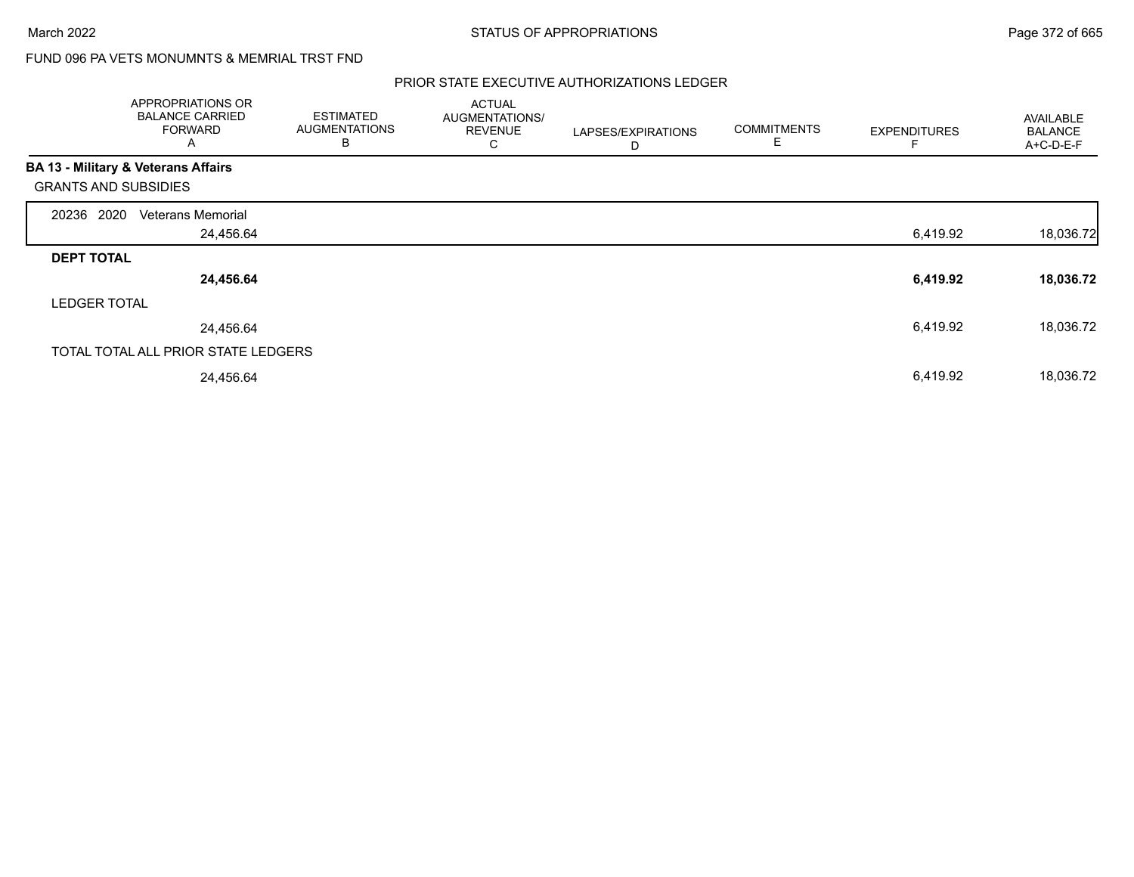# FUND 096 PA VETS MONUMNTS & MEMRIAL TRST FND

|                                                | APPROPRIATIONS OR<br><b>BALANCE CARRIED</b><br><b>FORWARD</b><br>Α | <b>ESTIMATED</b><br><b>AUGMENTATIONS</b><br>B | <b>ACTUAL</b><br>AUGMENTATIONS/<br><b>REVENUE</b><br>С | LAPSES/EXPIRATIONS<br>D | <b>COMMITMENTS</b><br>E | <b>EXPENDITURES</b> | <b>AVAILABLE</b><br><b>BALANCE</b><br>A+C-D-E-F |
|------------------------------------------------|--------------------------------------------------------------------|-----------------------------------------------|--------------------------------------------------------|-------------------------|-------------------------|---------------------|-------------------------------------------------|
| <b>BA 13 - Military &amp; Veterans Affairs</b> |                                                                    |                                               |                                                        |                         |                         |                     |                                                 |
| <b>GRANTS AND SUBSIDIES</b>                    |                                                                    |                                               |                                                        |                         |                         |                     |                                                 |
| 20236 2020                                     | <b>Veterans Memorial</b>                                           |                                               |                                                        |                         |                         |                     |                                                 |
|                                                | 24,456.64                                                          |                                               |                                                        |                         |                         | 6,419.92            | 18,036.72                                       |
| <b>DEPT TOTAL</b>                              |                                                                    |                                               |                                                        |                         |                         |                     |                                                 |
|                                                | 24,456.64                                                          |                                               |                                                        |                         |                         | 6,419.92            | 18,036.72                                       |
| <b>LEDGER TOTAL</b>                            |                                                                    |                                               |                                                        |                         |                         |                     |                                                 |
|                                                | 24,456.64                                                          |                                               |                                                        |                         |                         | 6,419.92            | 18,036.72                                       |
|                                                | TOTAL TOTAL ALL PRIOR STATE LEDGERS                                |                                               |                                                        |                         |                         |                     |                                                 |
|                                                | 24,456.64                                                          |                                               |                                                        |                         |                         | 6,419.92            | 18,036.72                                       |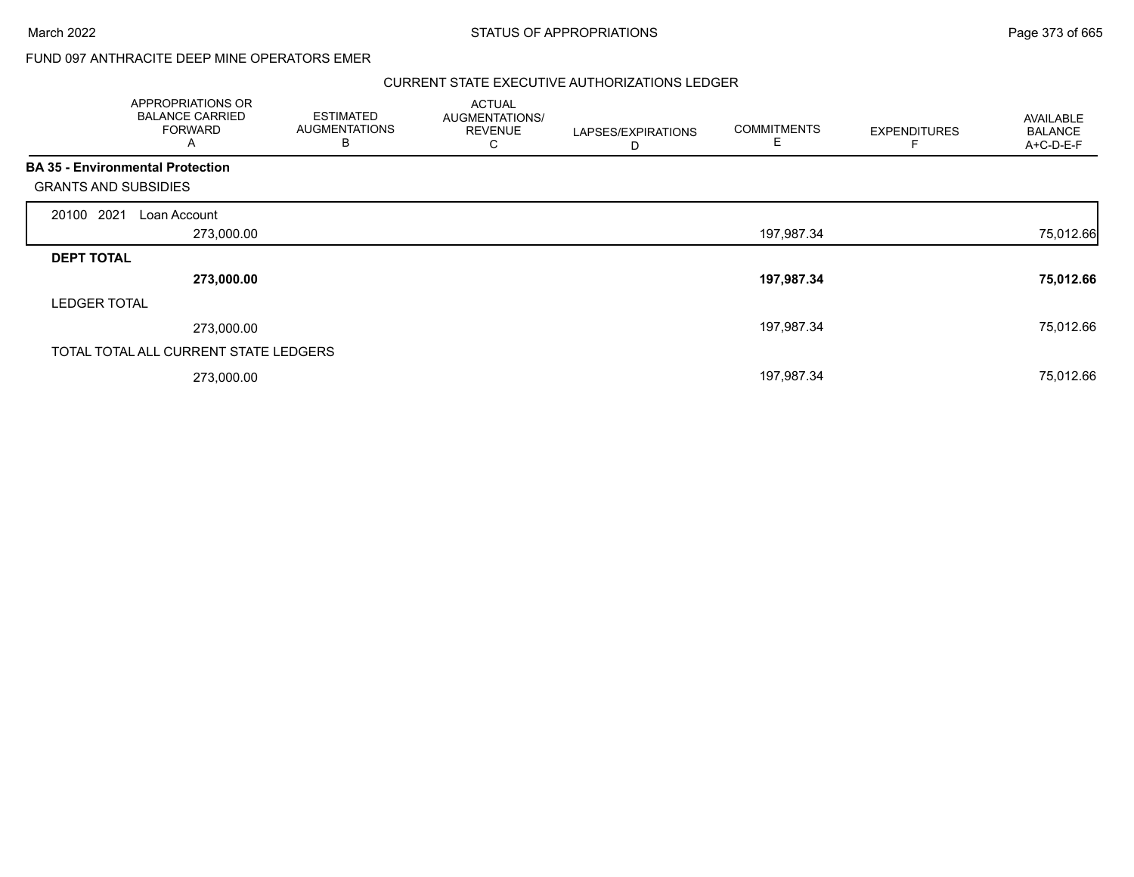March 2022 **STATUS OF APPROPRIATIONS** STATUS OF APPROPRIATIONS

## FUND 097 ANTHRACITE DEEP MINE OPERATORS EMER

|                             | APPROPRIATIONS OR<br><b>BALANCE CARRIED</b><br><b>FORWARD</b><br>A | <b>ESTIMATED</b><br><b>AUGMENTATIONS</b><br>В | <b>ACTUAL</b><br>AUGMENTATIONS/<br><b>REVENUE</b><br>ں | LAPSES/EXPIRATIONS<br>D | <b>COMMITMENTS</b> | <b>EXPENDITURES</b> | <b>AVAILABLE</b><br><b>BALANCE</b><br>A+C-D-E-F |
|-----------------------------|--------------------------------------------------------------------|-----------------------------------------------|--------------------------------------------------------|-------------------------|--------------------|---------------------|-------------------------------------------------|
| <b>GRANTS AND SUBSIDIES</b> | <b>BA 35 - Environmental Protection</b>                            |                                               |                                                        |                         |                    |                     |                                                 |
| 20100 2021                  | Loan Account                                                       |                                               |                                                        |                         |                    |                     |                                                 |
|                             | 273,000.00                                                         |                                               |                                                        |                         | 197,987.34         |                     | 75,012.66                                       |
| <b>DEPT TOTAL</b>           |                                                                    |                                               |                                                        |                         |                    |                     |                                                 |
|                             | 273,000.00                                                         |                                               |                                                        |                         | 197,987.34         |                     | 75,012.66                                       |
| <b>LEDGER TOTAL</b>         |                                                                    |                                               |                                                        |                         |                    |                     |                                                 |
|                             | 273,000.00                                                         |                                               |                                                        |                         | 197,987.34         |                     | 75,012.66                                       |
|                             | TOTAL TOTAL ALL CURRENT STATE LEDGERS                              |                                               |                                                        |                         |                    |                     |                                                 |
|                             | 273,000.00                                                         |                                               |                                                        |                         | 197,987.34         |                     | 75,012.66                                       |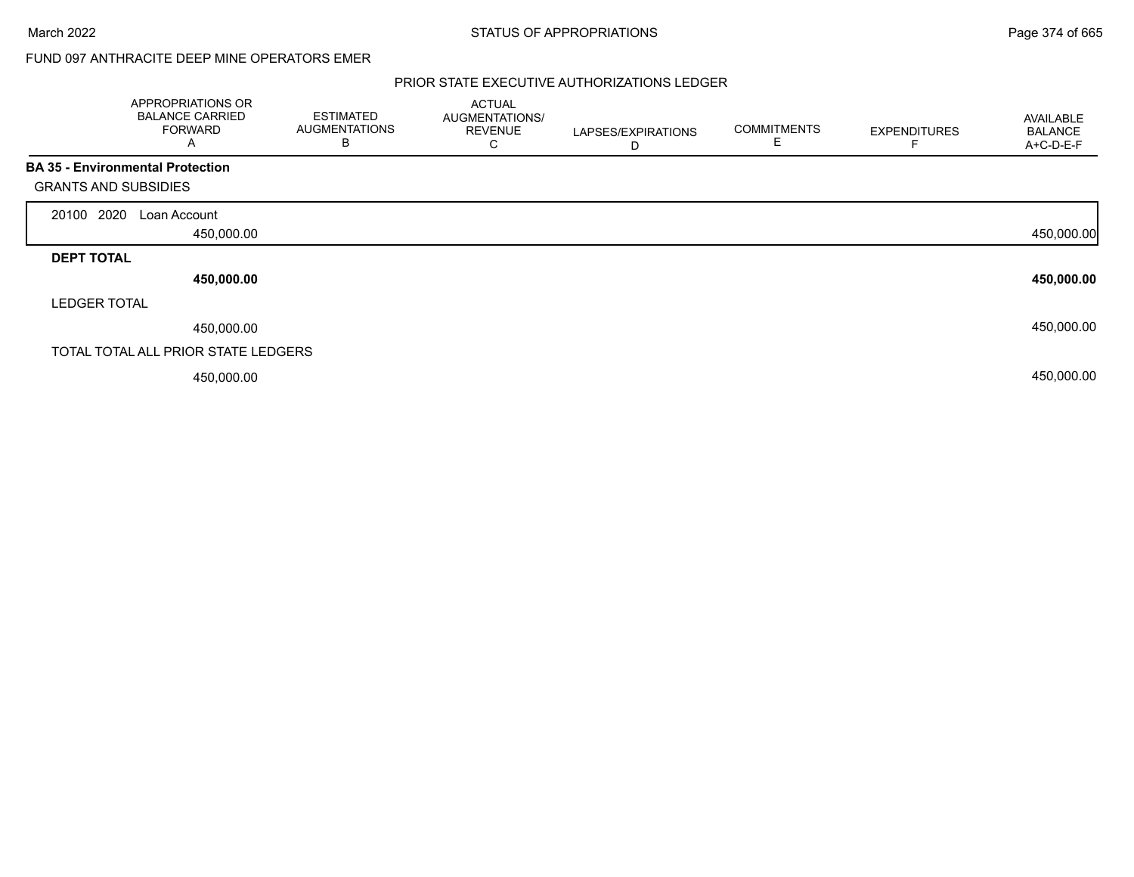## FUND 097 ANTHRACITE DEEP MINE OPERATORS EMER

|                             | APPROPRIATIONS OR<br><b>BALANCE CARRIED</b><br><b>FORWARD</b><br>A | <b>ESTIMATED</b><br><b>AUGMENTATIONS</b><br>B | <b>ACTUAL</b><br>AUGMENTATIONS/<br><b>REVENUE</b><br>С | LAPSES/EXPIRATIONS<br>D | <b>COMMITMENTS</b><br>E | <b>EXPENDITURES</b> | AVAILABLE<br><b>BALANCE</b><br>A+C-D-E-F |
|-----------------------------|--------------------------------------------------------------------|-----------------------------------------------|--------------------------------------------------------|-------------------------|-------------------------|---------------------|------------------------------------------|
|                             | <b>BA 35 - Environmental Protection</b>                            |                                               |                                                        |                         |                         |                     |                                          |
| <b>GRANTS AND SUBSIDIES</b> |                                                                    |                                               |                                                        |                         |                         |                     |                                          |
| 2020<br>20100               | Loan Account                                                       |                                               |                                                        |                         |                         |                     |                                          |
|                             | 450,000.00                                                         |                                               |                                                        |                         |                         |                     | 450,000.00                               |
| <b>DEPT TOTAL</b>           |                                                                    |                                               |                                                        |                         |                         |                     |                                          |
|                             | 450,000.00                                                         |                                               |                                                        |                         |                         |                     | 450,000.00                               |
| <b>LEDGER TOTAL</b>         |                                                                    |                                               |                                                        |                         |                         |                     |                                          |
|                             | 450,000.00                                                         |                                               |                                                        |                         |                         |                     | 450,000.00                               |
|                             | TOTAL TOTAL ALL PRIOR STATE LEDGERS                                |                                               |                                                        |                         |                         |                     |                                          |
|                             | 450,000.00                                                         |                                               |                                                        |                         |                         |                     | 450,000.00                               |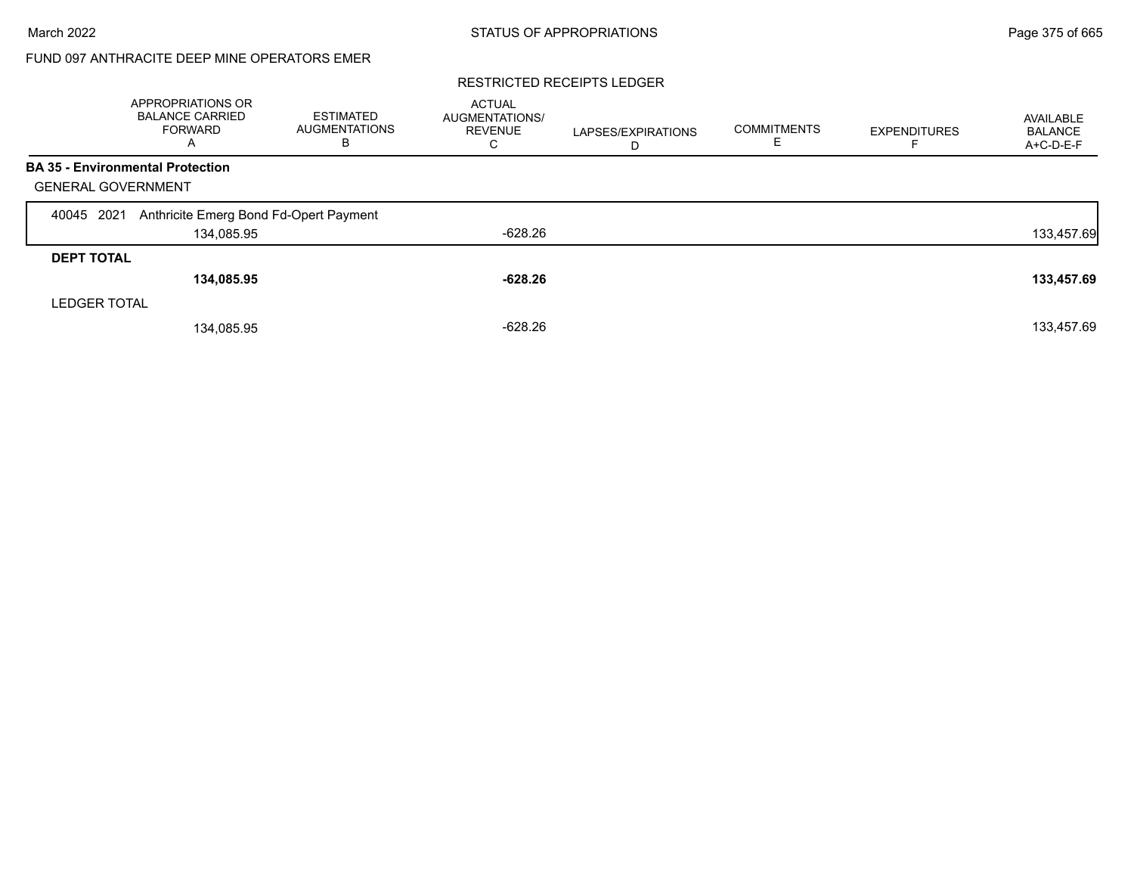# FUND 097 ANTHRACITE DEEP MINE OPERATORS EMER

#### RESTRICTED RECEIPTS LEDGER

|                                         | APPROPRIATIONS OR<br><b>BALANCE CARRIED</b><br><b>FORWARD</b><br>A | <b>ESTIMATED</b><br><b>AUGMENTATIONS</b><br>в | <b>ACTUAL</b><br><b>AUGMENTATIONS/</b><br><b>REVENUE</b><br>С | LAPSES/EXPIRATIONS<br>D | <b>COMMITMENTS</b> | <b>EXPENDITURES</b> | AVAILABLE<br><b>BALANCE</b><br>A+C-D-E-F |
|-----------------------------------------|--------------------------------------------------------------------|-----------------------------------------------|---------------------------------------------------------------|-------------------------|--------------------|---------------------|------------------------------------------|
| <b>BA 35 - Environmental Protection</b> |                                                                    |                                               |                                                               |                         |                    |                     |                                          |
| <b>GENERAL GOVERNMENT</b>               |                                                                    |                                               |                                                               |                         |                    |                     |                                          |
| 2021<br>40045                           | Anthricite Emerg Bond Fd-Opert Payment                             |                                               |                                                               |                         |                    |                     |                                          |
|                                         | 134,085.95                                                         |                                               | $-628.26$                                                     |                         |                    |                     | 133,457.69                               |
| <b>DEPT TOTAL</b>                       |                                                                    |                                               |                                                               |                         |                    |                     |                                          |
|                                         | 134,085.95                                                         |                                               | $-628.26$                                                     |                         |                    |                     | 133,457.69                               |
| <b>LEDGER TOTAL</b>                     |                                                                    |                                               |                                                               |                         |                    |                     |                                          |
|                                         | 134,085.95                                                         |                                               | $-628.26$                                                     |                         |                    |                     | 133,457.69                               |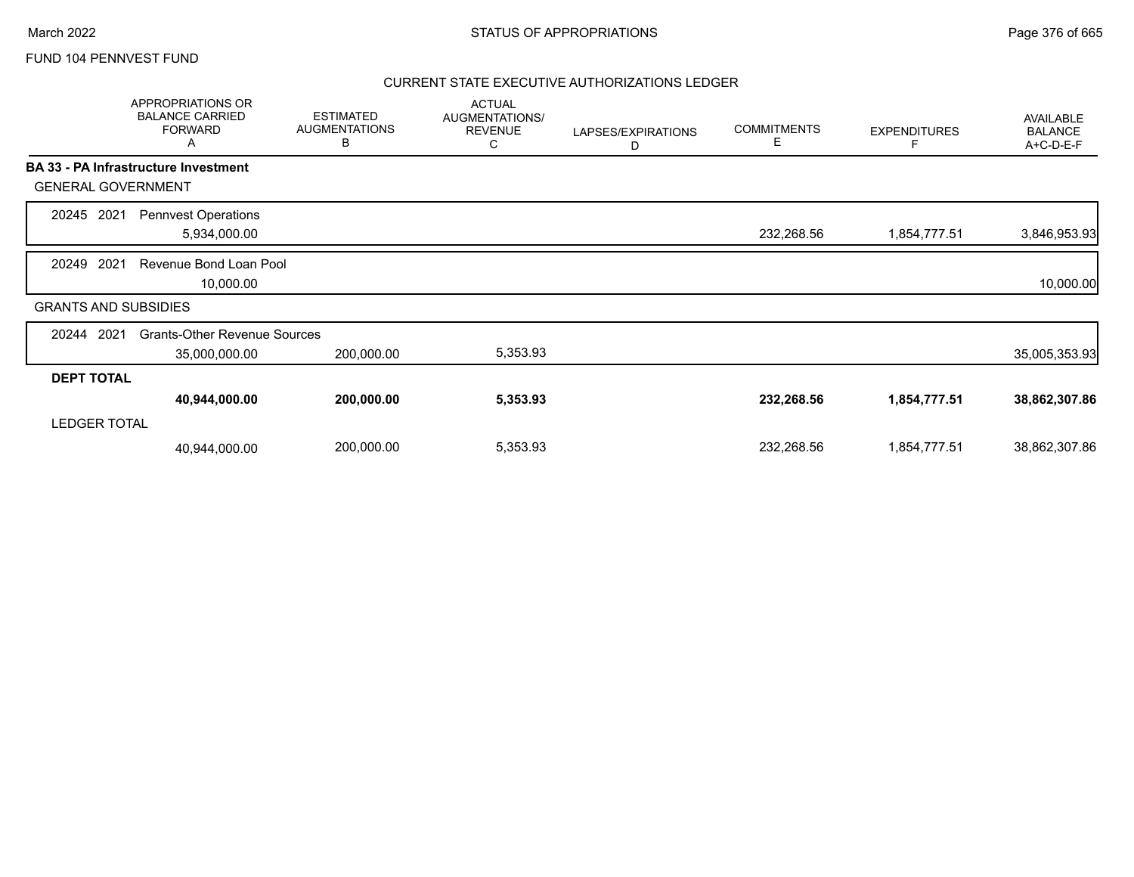|                             | APPROPRIATIONS OR<br><b>BALANCE CARRIED</b><br><b>FORWARD</b><br>A | <b>ESTIMATED</b><br><b>AUGMENTATIONS</b><br>В | <b>ACTUAL</b><br>AUGMENTATIONS/<br><b>REVENUE</b><br>С | LAPSES/EXPIRATIONS<br>D | <b>COMMITMENTS</b><br>Е | <b>EXPENDITURES</b><br>F | <b>AVAILABLE</b><br><b>BALANCE</b><br>A+C-D-E-F |
|-----------------------------|--------------------------------------------------------------------|-----------------------------------------------|--------------------------------------------------------|-------------------------|-------------------------|--------------------------|-------------------------------------------------|
|                             | <b>BA 33 - PA Infrastructure Investment</b>                        |                                               |                                                        |                         |                         |                          |                                                 |
| <b>GENERAL GOVERNMENT</b>   |                                                                    |                                               |                                                        |                         |                         |                          |                                                 |
| 2021<br>20245               | <b>Pennvest Operations</b><br>5,934,000.00                         |                                               |                                                        |                         | 232,268.56              | 1,854,777.51             | 3,846,953.93                                    |
| 2021<br>20249               | Revenue Bond Loan Pool<br>10,000.00                                |                                               |                                                        |                         |                         |                          | 10,000.00                                       |
| <b>GRANTS AND SUBSIDIES</b> |                                                                    |                                               |                                                        |                         |                         |                          |                                                 |
| 2021<br>20244               | <b>Grants-Other Revenue Sources</b><br>35,000,000.00               | 200,000.00                                    | 5,353.93                                               |                         |                         |                          | 35,005,353.93                                   |
| <b>DEPT TOTAL</b>           |                                                                    |                                               |                                                        |                         |                         |                          |                                                 |
| <b>LEDGER TOTAL</b>         | 40,944,000.00                                                      | 200,000.00                                    | 5,353.93                                               |                         | 232,268.56              | 1,854,777.51             | 38,862,307.86                                   |
|                             | 40,944,000.00                                                      | 200,000.00                                    | 5,353.93                                               |                         | 232,268.56              | 1,854,777.51             | 38,862,307.86                                   |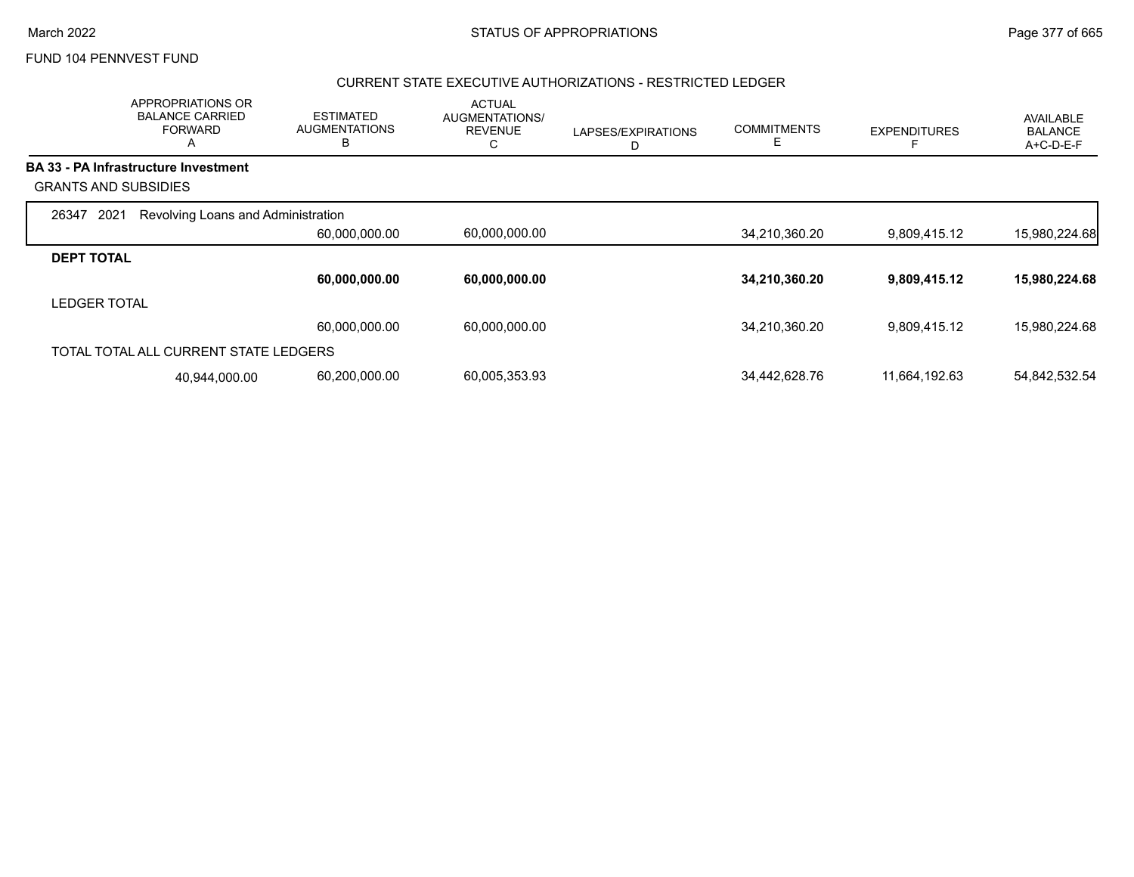#### CURRENT STATE EXECUTIVE AUTHORIZATIONS - RESTRICTED LEDGER

|                             | APPROPRIATIONS OR<br><b>BALANCE CARRIED</b><br><b>FORWARD</b><br>A | <b>ESTIMATED</b><br><b>AUGMENTATIONS</b><br>B | <b>ACTUAL</b><br>AUGMENTATIONS/<br><b>REVENUE</b><br>С | LAPSES/EXPIRATIONS<br>D | <b>COMMITMENTS</b><br>E | <b>EXPENDITURES</b> | AVAILABLE<br><b>BALANCE</b><br>A+C-D-E-F |
|-----------------------------|--------------------------------------------------------------------|-----------------------------------------------|--------------------------------------------------------|-------------------------|-------------------------|---------------------|------------------------------------------|
|                             | <b>BA 33 - PA Infrastructure Investment</b>                        |                                               |                                                        |                         |                         |                     |                                          |
| <b>GRANTS AND SUBSIDIES</b> |                                                                    |                                               |                                                        |                         |                         |                     |                                          |
| 2021<br>26347               | Revolving Loans and Administration                                 |                                               |                                                        |                         |                         |                     |                                          |
|                             |                                                                    | 60,000,000.00                                 | 60,000,000.00                                          |                         | 34,210,360.20           | 9,809,415.12        | 15,980,224.68                            |
| <b>DEPT TOTAL</b>           |                                                                    |                                               |                                                        |                         |                         |                     |                                          |
|                             |                                                                    | 60,000,000.00                                 | 60,000,000.00                                          |                         | 34,210,360.20           | 9,809,415.12        | 15,980,224.68                            |
| <b>LEDGER TOTAL</b>         |                                                                    |                                               |                                                        |                         |                         |                     |                                          |
|                             |                                                                    | 60,000,000.00                                 | 60,000,000.00                                          |                         | 34,210,360.20           | 9,809,415.12        | 15,980,224.68                            |
|                             | TOTAL TOTAL ALL CURRENT STATE LEDGERS                              |                                               |                                                        |                         |                         |                     |                                          |
|                             | 40,944,000.00                                                      | 60,200,000.00                                 | 60,005,353.93                                          |                         | 34,442,628.76           | 11,664,192.63       | 54,842,532.54                            |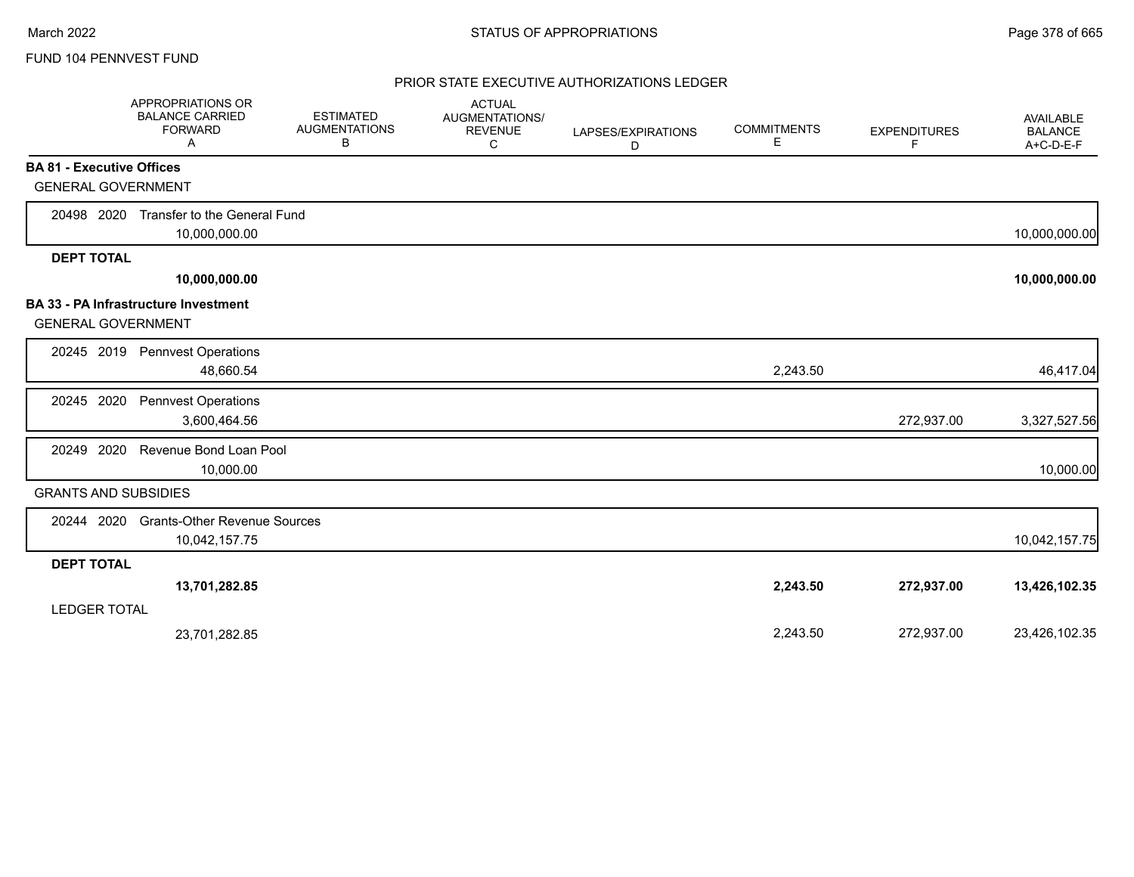|                                  | <b>APPROPRIATIONS OR</b><br><b>BALANCE CARRIED</b><br><b>FORWARD</b><br>A | <b>ESTIMATED</b><br><b>AUGMENTATIONS</b><br>В | <b>ACTUAL</b><br>AUGMENTATIONS/<br><b>REVENUE</b><br>C | LAPSES/EXPIRATIONS<br>D | <b>COMMITMENTS</b><br>Е | <b>EXPENDITURES</b><br>F | <b>AVAILABLE</b><br><b>BALANCE</b><br>A+C-D-E-F |
|----------------------------------|---------------------------------------------------------------------------|-----------------------------------------------|--------------------------------------------------------|-------------------------|-------------------------|--------------------------|-------------------------------------------------|
| <b>BA 81 - Executive Offices</b> |                                                                           |                                               |                                                        |                         |                         |                          |                                                 |
| <b>GENERAL GOVERNMENT</b>        |                                                                           |                                               |                                                        |                         |                         |                          |                                                 |
| 20498 2020                       | Transfer to the General Fund                                              |                                               |                                                        |                         |                         |                          |                                                 |
|                                  | 10,000,000.00                                                             |                                               |                                                        |                         |                         |                          | 10,000,000.00                                   |
| <b>DEPT TOTAL</b>                |                                                                           |                                               |                                                        |                         |                         |                          |                                                 |
|                                  | 10,000,000.00                                                             |                                               |                                                        |                         |                         |                          | 10,000,000.00                                   |
| <b>GENERAL GOVERNMENT</b>        | <b>BA 33 - PA Infrastructure Investment</b>                               |                                               |                                                        |                         |                         |                          |                                                 |
| 20245 2019                       | <b>Pennvest Operations</b><br>48,660.54                                   |                                               |                                                        |                         | 2,243.50                |                          | 46,417.04                                       |
| 20245 2020                       | <b>Pennvest Operations</b><br>3,600,464.56                                |                                               |                                                        |                         |                         | 272,937.00               | 3,327,527.56                                    |
| 2020<br>20249                    | Revenue Bond Loan Pool<br>10,000.00                                       |                                               |                                                        |                         |                         |                          | 10,000.00                                       |
| <b>GRANTS AND SUBSIDIES</b>      |                                                                           |                                               |                                                        |                         |                         |                          |                                                 |
| 20244 2020                       | <b>Grants-Other Revenue Sources</b><br>10,042,157.75                      |                                               |                                                        |                         |                         |                          | 10,042,157.75                                   |
| <b>DEPT TOTAL</b>                |                                                                           |                                               |                                                        |                         |                         |                          |                                                 |
| <b>LEDGER TOTAL</b>              | 13,701,282.85                                                             |                                               |                                                        |                         | 2,243.50                | 272,937.00               | 13,426,102.35                                   |
|                                  | 23,701,282.85                                                             |                                               |                                                        |                         | 2,243.50                | 272,937.00               | 23,426,102.35                                   |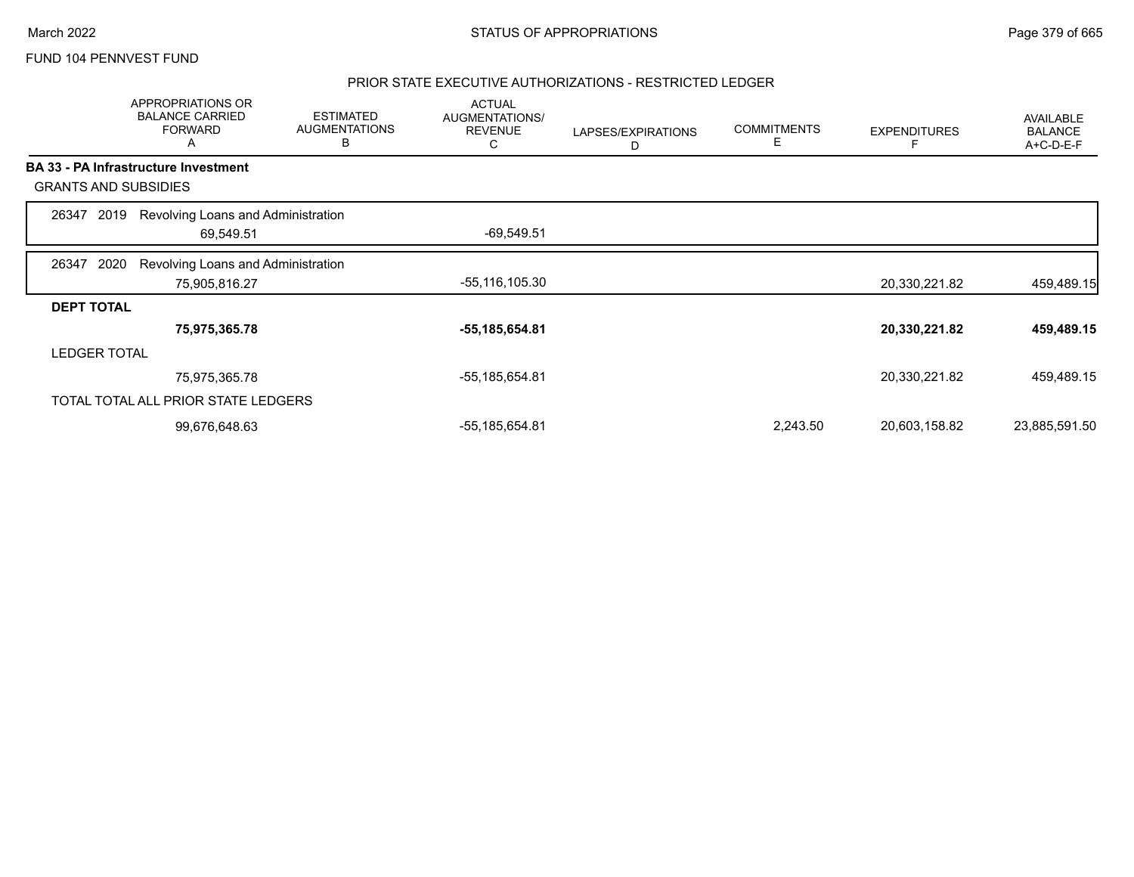### PRIOR STATE EXECUTIVE AUTHORIZATIONS - RESTRICTED LEDGER

|                   |                             | APPROPRIATIONS OR<br><b>BALANCE CARRIED</b><br><b>FORWARD</b><br>A | <b>ESTIMATED</b><br><b>AUGMENTATIONS</b><br>В | <b>ACTUAL</b><br>AUGMENTATIONS/<br><b>REVENUE</b><br>C | LAPSES/EXPIRATIONS<br>D | <b>COMMITMENTS</b><br>Е | <b>EXPENDITURES</b> | AVAILABLE<br><b>BALANCE</b><br>A+C-D-E-F |
|-------------------|-----------------------------|--------------------------------------------------------------------|-----------------------------------------------|--------------------------------------------------------|-------------------------|-------------------------|---------------------|------------------------------------------|
|                   |                             | BA 33 - PA Infrastructure Investment                               |                                               |                                                        |                         |                         |                     |                                          |
|                   | <b>GRANTS AND SUBSIDIES</b> |                                                                    |                                               |                                                        |                         |                         |                     |                                          |
| 26347             | 2019                        | Revolving Loans and Administration                                 |                                               |                                                        |                         |                         |                     |                                          |
|                   |                             | 69,549.51                                                          |                                               | $-69,549.51$                                           |                         |                         |                     |                                          |
| 26347             | 2020                        | Revolving Loans and Administration                                 |                                               |                                                        |                         |                         |                     |                                          |
|                   |                             | 75,905,816.27                                                      |                                               | -55,116,105.30                                         |                         |                         | 20,330,221.82       | 459,489.15                               |
| <b>DEPT TOTAL</b> |                             |                                                                    |                                               |                                                        |                         |                         |                     |                                          |
|                   |                             | 75,975,365.78                                                      |                                               | -55,185,654.81                                         |                         |                         | 20,330,221.82       | 459,489.15                               |
|                   | <b>LEDGER TOTAL</b>         |                                                                    |                                               |                                                        |                         |                         |                     |                                          |
|                   |                             | 75,975,365.78                                                      |                                               | -55,185,654.81                                         |                         |                         | 20,330,221.82       | 459,489.15                               |
|                   |                             | TOTAL TOTAL ALL PRIOR STATE LEDGERS                                |                                               |                                                        |                         |                         |                     |                                          |
|                   |                             | 99,676,648.63                                                      |                                               | -55,185,654.81                                         |                         | 2,243.50                | 20,603,158.82       | 23,885,591.50                            |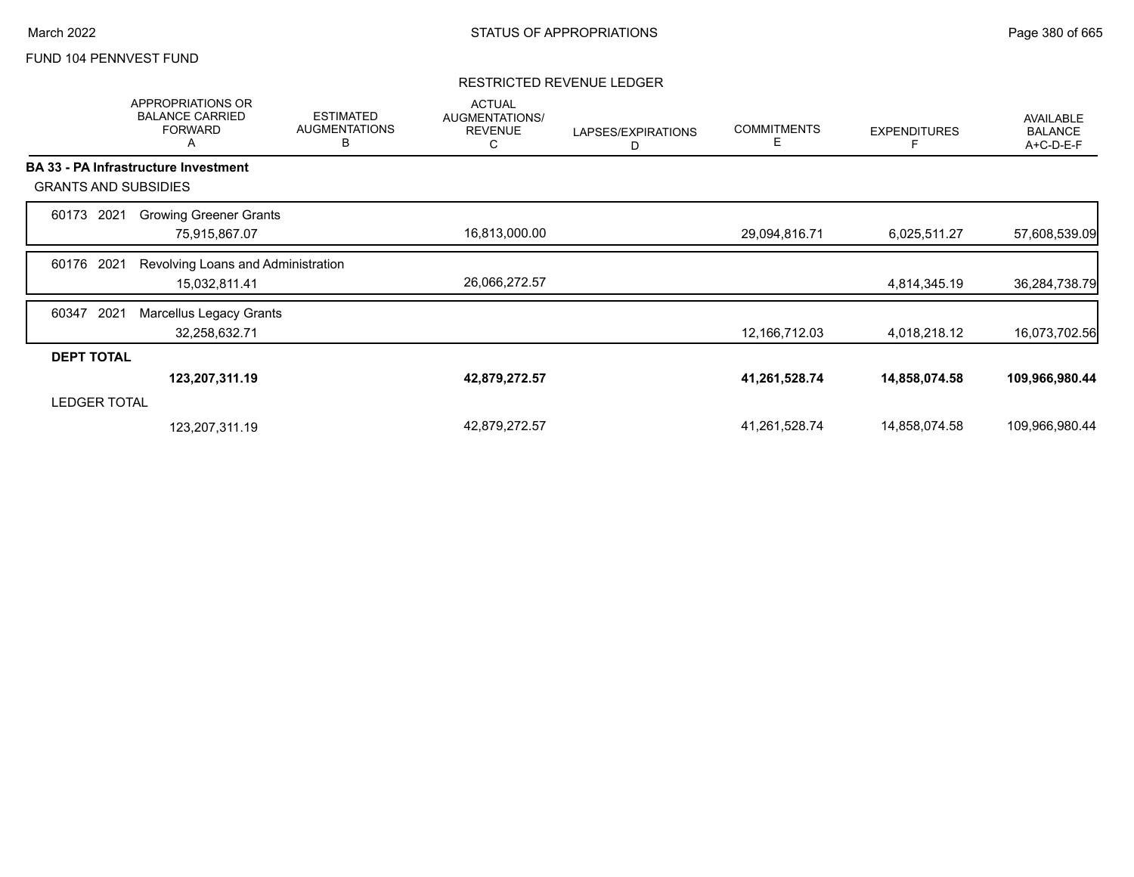### RESTRICTED REVENUE LEDGER

|                             | <b>APPROPRIATIONS OR</b><br><b>BALANCE CARRIED</b><br><b>FORWARD</b><br>A | <b>ESTIMATED</b><br><b>AUGMENTATIONS</b><br>B | <b>ACTUAL</b><br>AUGMENTATIONS/<br><b>REVENUE</b><br>С | LAPSES/EXPIRATIONS<br>D | <b>COMMITMENTS</b><br>Е | <b>EXPENDITURES</b> | <b>AVAILABLE</b><br><b>BALANCE</b><br>A+C-D-E-F |
|-----------------------------|---------------------------------------------------------------------------|-----------------------------------------------|--------------------------------------------------------|-------------------------|-------------------------|---------------------|-------------------------------------------------|
|                             | <b>BA 33 - PA Infrastructure Investment</b>                               |                                               |                                                        |                         |                         |                     |                                                 |
| <b>GRANTS AND SUBSIDIES</b> |                                                                           |                                               |                                                        |                         |                         |                     |                                                 |
| 2021<br>60173               | <b>Growing Greener Grants</b>                                             |                                               |                                                        |                         |                         |                     |                                                 |
|                             | 75,915,867.07                                                             |                                               | 16,813,000.00                                          |                         | 29,094,816.71           | 6,025,511.27        | 57,608,539.09                                   |
| 2021<br>60176               | Revolving Loans and Administration                                        |                                               |                                                        |                         |                         |                     |                                                 |
|                             | 15,032,811.41                                                             |                                               | 26,066,272.57                                          |                         |                         | 4,814,345.19        | 36,284,738.79                                   |
| 2021<br>60347               | Marcellus Legacy Grants                                                   |                                               |                                                        |                         |                         |                     |                                                 |
|                             | 32,258,632.71                                                             |                                               |                                                        |                         | 12,166,712.03           | 4,018,218.12        | 16,073,702.56                                   |
| <b>DEPT TOTAL</b>           |                                                                           |                                               |                                                        |                         |                         |                     |                                                 |
|                             | 123,207,311.19                                                            |                                               | 42,879,272.57                                          |                         | 41,261,528.74           | 14,858,074.58       | 109,966,980.44                                  |
| <b>LEDGER TOTAL</b>         |                                                                           |                                               |                                                        |                         |                         |                     |                                                 |
|                             | 123,207,311.19                                                            |                                               | 42,879,272.57                                          |                         | 41,261,528.74           | 14,858,074.58       | 109,966,980.44                                  |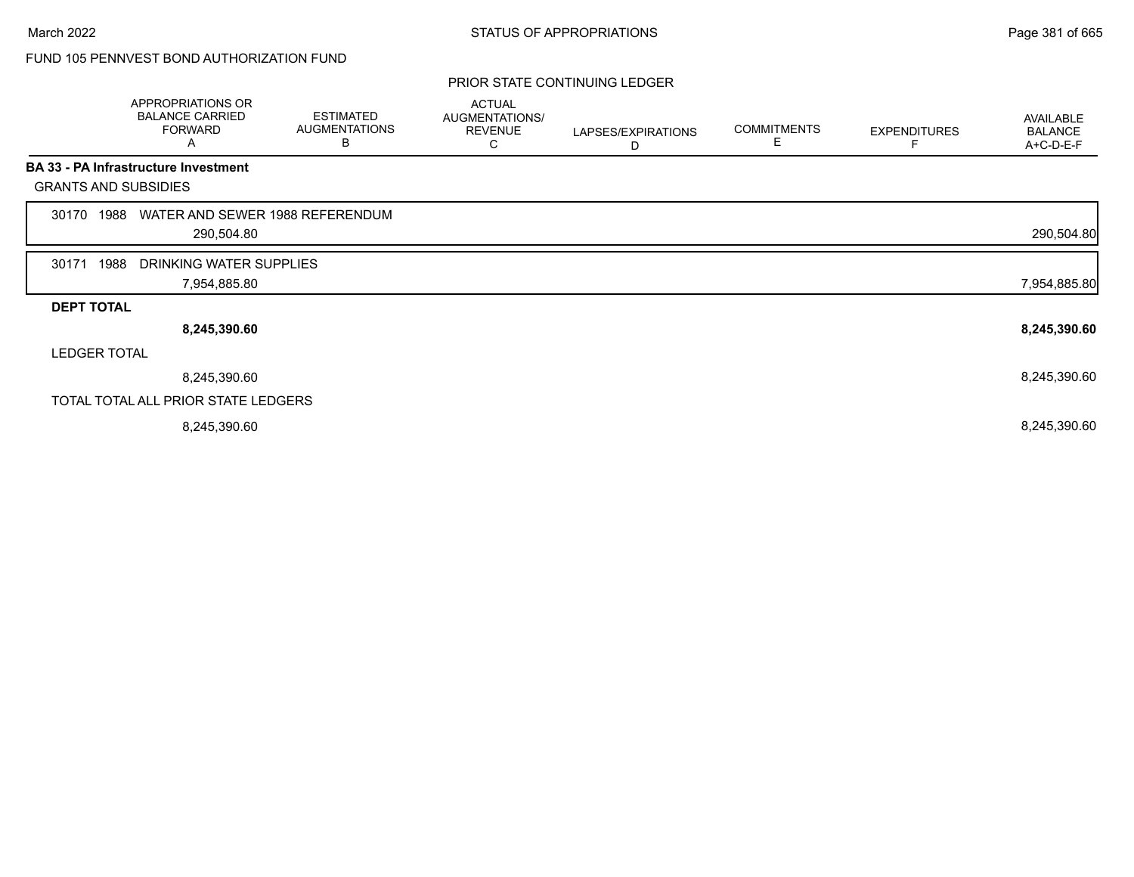# FUND 105 PENNVEST BOND AUTHORIZATION FUND

#### PRIOR STATE CONTINUING LEDGER

|                   | APPROPRIATIONS OR<br><b>BALANCE CARRIED</b><br><b>FORWARD</b><br>A | <b>ESTIMATED</b><br><b>AUGMENTATIONS</b><br>В | <b>ACTUAL</b><br>AUGMENTATIONS/<br><b>REVENUE</b><br>С | LAPSES/EXPIRATIONS<br>D | <b>COMMITMENTS</b><br>E | <b>EXPENDITURES</b> | AVAILABLE<br><b>BALANCE</b><br>A+C-D-E-F |
|-------------------|--------------------------------------------------------------------|-----------------------------------------------|--------------------------------------------------------|-------------------------|-------------------------|---------------------|------------------------------------------|
|                   | <b>BA 33 - PA Infrastructure Investment</b>                        |                                               |                                                        |                         |                         |                     |                                          |
|                   | <b>GRANTS AND SUBSIDIES</b>                                        |                                               |                                                        |                         |                         |                     |                                          |
| 30170             | WATER AND SEWER 1988 REFERENDUM<br>1988                            |                                               |                                                        |                         |                         |                     |                                          |
|                   | 290,504.80                                                         |                                               |                                                        |                         |                         |                     | 290,504.80                               |
| 30171             | 1988<br>DRINKING WATER SUPPLIES                                    |                                               |                                                        |                         |                         |                     |                                          |
|                   | 7,954,885.80                                                       |                                               |                                                        |                         |                         |                     | 7,954,885.80                             |
| <b>DEPT TOTAL</b> |                                                                    |                                               |                                                        |                         |                         |                     |                                          |
|                   | 8,245,390.60                                                       |                                               |                                                        |                         |                         |                     | 8,245,390.60                             |
|                   | <b>LEDGER TOTAL</b>                                                |                                               |                                                        |                         |                         |                     |                                          |
|                   | 8,245,390.60                                                       |                                               |                                                        |                         |                         |                     | 8,245,390.60                             |
|                   | TOTAL TOTAL ALL PRIOR STATE LEDGERS                                |                                               |                                                        |                         |                         |                     |                                          |
|                   | 8,245,390.60                                                       |                                               |                                                        |                         |                         |                     | 8,245,390.60                             |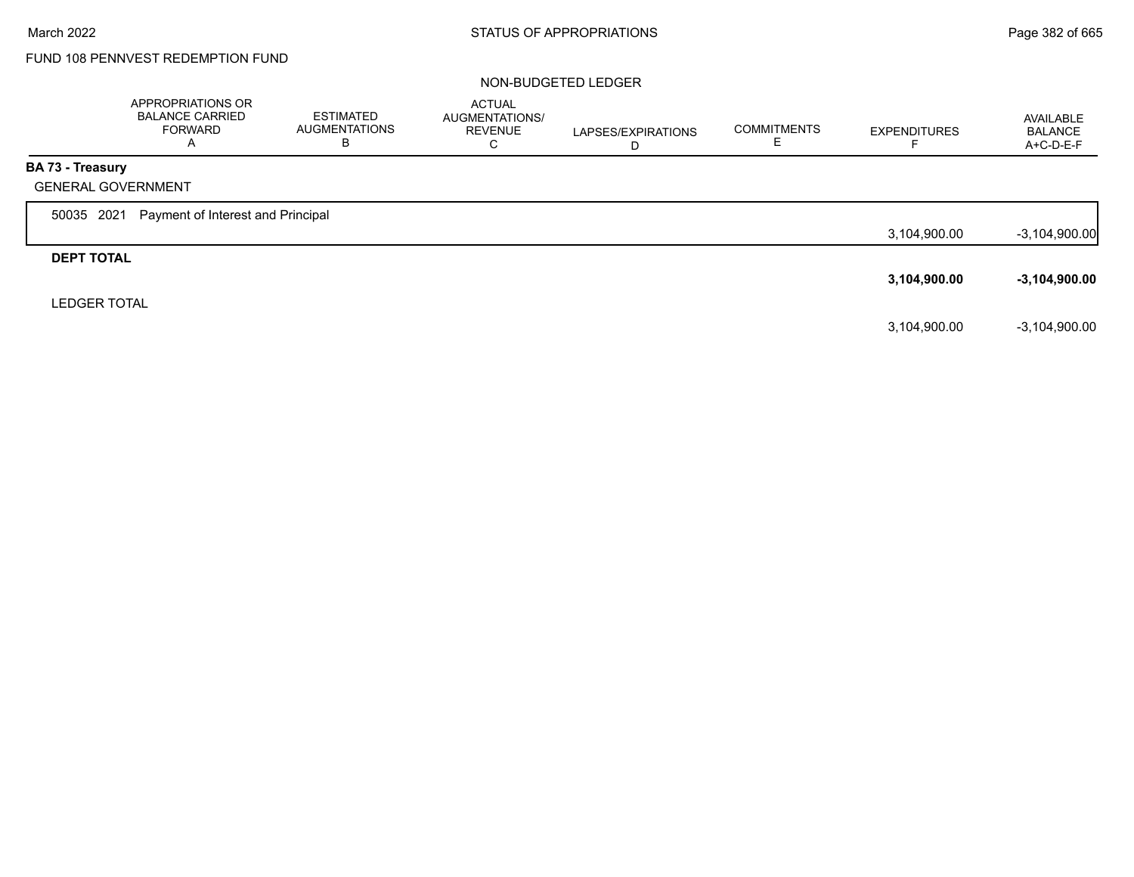# FUND 108 PENNVEST REDEMPTION FUND

#### NON-BUDGETED LEDGER

|                         | APPROPRIATIONS OR<br><b>BALANCE CARRIED</b><br>FORWARD<br>A | ESTIMATED<br>AUGMENTATIONS<br>в | <b>ACTUAL</b><br>AUGMENTATIONS/<br><b>REVENUE</b><br>С | LAPSES/EXPIRATIONS<br>D | <b>COMMITMENTS</b> | <b>EXPENDITURES</b> | AVAILABLE<br><b>BALANCE</b><br>$A+C-D-E-F$ |
|-------------------------|-------------------------------------------------------------|---------------------------------|--------------------------------------------------------|-------------------------|--------------------|---------------------|--------------------------------------------|
| <b>BA 73 - Treasury</b> |                                                             |                                 |                                                        |                         |                    |                     |                                            |
|                         | <b>GENERAL GOVERNMENT</b>                                   |                                 |                                                        |                         |                    |                     |                                            |
| 50035 2021              | Payment of Interest and Principal                           |                                 |                                                        |                         |                    |                     |                                            |
|                         |                                                             |                                 |                                                        |                         |                    | 3,104,900.00        | $-3,104,900.00$                            |
| <b>DEPT TOTAL</b>       |                                                             |                                 |                                                        |                         |                    |                     |                                            |
|                         |                                                             |                                 |                                                        |                         |                    | 3,104,900.00        | $-3,104,900.00$                            |
| <b>LEDGER TOTAL</b>     |                                                             |                                 |                                                        |                         |                    |                     |                                            |
|                         |                                                             |                                 |                                                        |                         |                    | 3,104,900.00        | $-3,104,900.00$                            |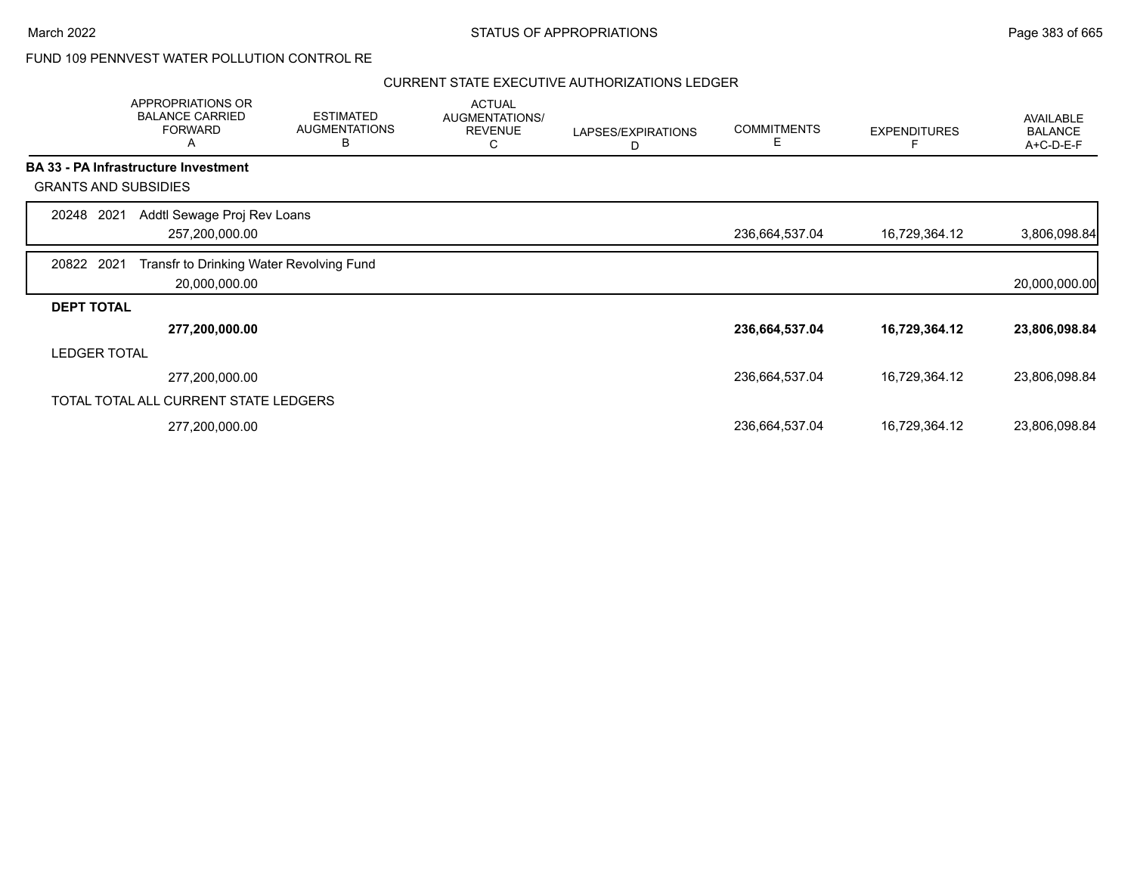## FUND 109 PENNVEST WATER POLLUTION CONTROL RE

|                             | APPROPRIATIONS OR<br><b>BALANCE CARRIED</b><br><b>FORWARD</b><br>Α | <b>ESTIMATED</b><br><b>AUGMENTATIONS</b><br>B | <b>ACTUAL</b><br>AUGMENTATIONS/<br><b>REVENUE</b><br>С | LAPSES/EXPIRATIONS<br>D | <b>COMMITMENTS</b><br>Е | <b>EXPENDITURES</b> | AVAILABLE<br><b>BALANCE</b><br>A+C-D-E-F |
|-----------------------------|--------------------------------------------------------------------|-----------------------------------------------|--------------------------------------------------------|-------------------------|-------------------------|---------------------|------------------------------------------|
|                             | <b>BA 33 - PA Infrastructure Investment</b>                        |                                               |                                                        |                         |                         |                     |                                          |
| <b>GRANTS AND SUBSIDIES</b> |                                                                    |                                               |                                                        |                         |                         |                     |                                          |
| 20248<br>2021               | Addtl Sewage Proj Rev Loans                                        |                                               |                                                        |                         |                         |                     |                                          |
|                             | 257,200,000.00                                                     |                                               |                                                        |                         | 236,664,537.04          | 16,729,364.12       | 3,806,098.84                             |
| 20822 2021                  | Transfr to Drinking Water Revolving Fund<br>20,000,000.00          |                                               |                                                        |                         |                         |                     | 20,000,000.00                            |
| <b>DEPT TOTAL</b>           |                                                                    |                                               |                                                        |                         |                         |                     |                                          |
|                             | 277,200,000.00                                                     |                                               |                                                        |                         | 236,664,537.04          | 16,729,364.12       | 23,806,098.84                            |
| <b>LEDGER TOTAL</b>         |                                                                    |                                               |                                                        |                         |                         |                     |                                          |
|                             | 277,200,000.00                                                     |                                               |                                                        |                         | 236,664,537.04          | 16,729,364.12       | 23,806,098.84                            |
|                             | TOTAL TOTAL ALL CURRENT STATE LEDGERS                              |                                               |                                                        |                         |                         |                     |                                          |
|                             | 277,200,000.00                                                     |                                               |                                                        |                         | 236,664,537.04          | 16,729,364.12       | 23,806,098.84                            |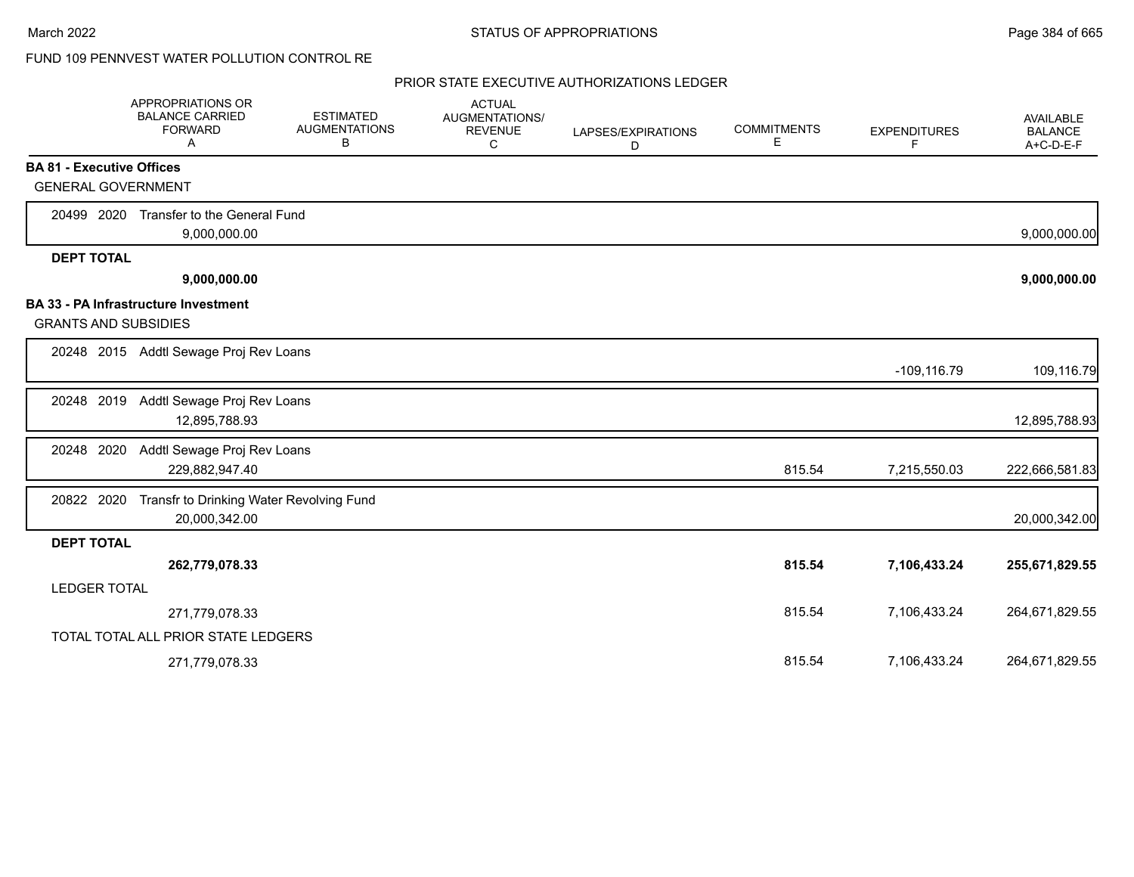# FUND 109 PENNVEST WATER POLLUTION CONTROL RE

|                     | APPROPRIATIONS OR<br><b>BALANCE CARRIED</b><br><b>FORWARD</b><br>Α | <b>ESTIMATED</b><br><b>AUGMENTATIONS</b><br>В | <b>ACTUAL</b><br>AUGMENTATIONS/<br><b>REVENUE</b><br>C | LAPSES/EXPIRATIONS<br>D | <b>COMMITMENTS</b><br>E | <b>EXPENDITURES</b><br>F | AVAILABLE<br><b>BALANCE</b><br>A+C-D-E-F |
|---------------------|--------------------------------------------------------------------|-----------------------------------------------|--------------------------------------------------------|-------------------------|-------------------------|--------------------------|------------------------------------------|
|                     | <b>BA 81 - Executive Offices</b>                                   |                                               |                                                        |                         |                         |                          |                                          |
|                     | <b>GENERAL GOVERNMENT</b>                                          |                                               |                                                        |                         |                         |                          |                                          |
| 20499 2020          | Transfer to the General Fund<br>9,000,000.00                       |                                               |                                                        |                         |                         |                          | 9,000,000.00                             |
| <b>DEPT TOTAL</b>   |                                                                    |                                               |                                                        |                         |                         |                          |                                          |
|                     | 9,000,000.00                                                       |                                               |                                                        |                         |                         |                          | 9,000,000.00                             |
|                     | BA 33 - PA Infrastructure Investment                               |                                               |                                                        |                         |                         |                          |                                          |
|                     | <b>GRANTS AND SUBSIDIES</b>                                        |                                               |                                                        |                         |                         |                          |                                          |
|                     | 20248 2015 Addtl Sewage Proj Rev Loans                             |                                               |                                                        |                         |                         | $-109, 116.79$           | 109,116.79                               |
| 20248 2019          | Addtl Sewage Proj Rev Loans<br>12,895,788.93                       |                                               |                                                        |                         |                         |                          | 12,895,788.93                            |
| 20248 2020          | Addtl Sewage Proj Rev Loans<br>229,882,947.40                      |                                               |                                                        |                         | 815.54                  | 7,215,550.03             | 222,666,581.83                           |
| 20822 2020          | 20,000,342.00                                                      | Transfr to Drinking Water Revolving Fund      |                                                        |                         |                         |                          | 20,000,342.00                            |
| <b>DEPT TOTAL</b>   |                                                                    |                                               |                                                        |                         |                         |                          |                                          |
|                     | 262,779,078.33                                                     |                                               |                                                        |                         | 815.54                  | 7,106,433.24             | 255,671,829.55                           |
| <b>LEDGER TOTAL</b> |                                                                    |                                               |                                                        |                         |                         |                          |                                          |
|                     | 271,779,078.33                                                     |                                               |                                                        |                         | 815.54                  | 7,106,433.24             | 264,671,829.55                           |
|                     | TOTAL TOTAL ALL PRIOR STATE LEDGERS                                |                                               |                                                        |                         |                         |                          |                                          |
|                     | 271,779,078.33                                                     |                                               |                                                        |                         | 815.54                  | 7,106,433.24             | 264,671,829.55                           |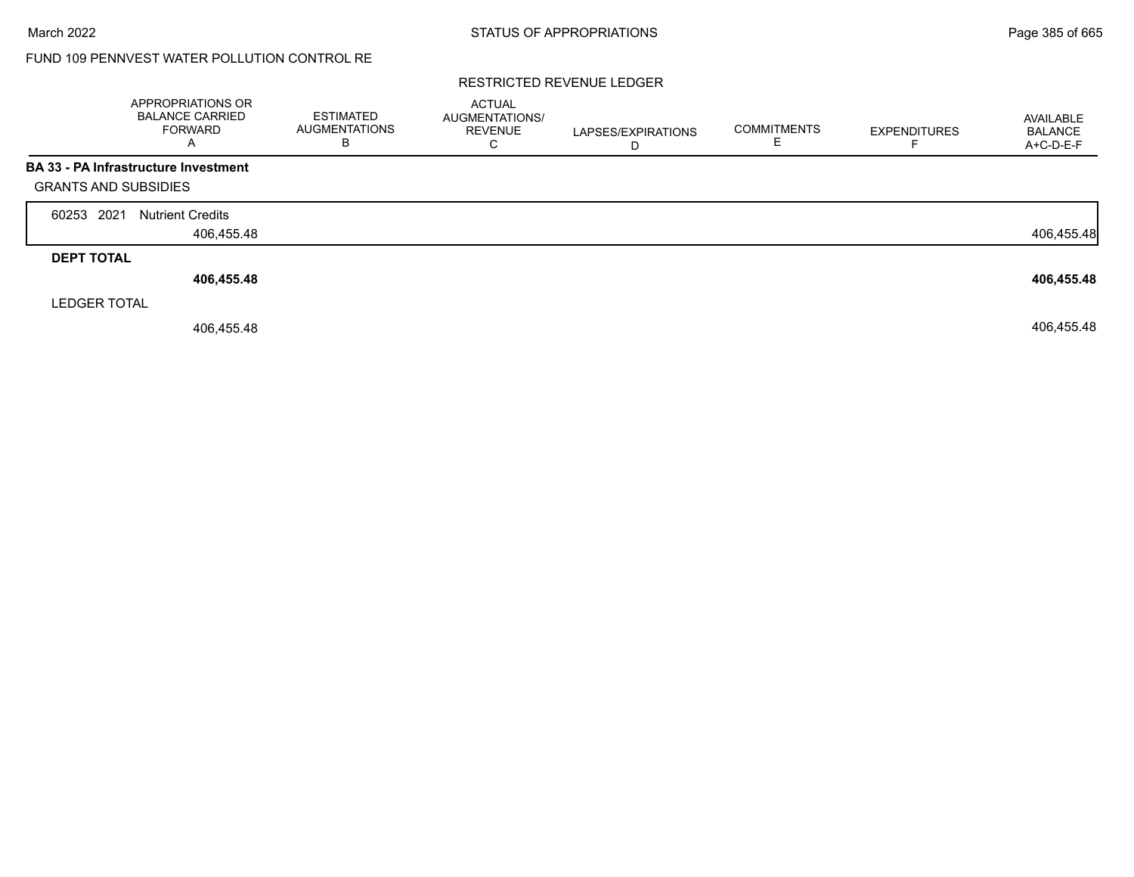# FUND 109 PENNVEST WATER POLLUTION CONTROL RE

#### RESTRICTED REVENUE LEDGER

|                     | APPROPRIATIONS OR<br><b>BALANCE CARRIED</b><br><b>FORWARD</b><br>A | <b>ESTIMATED</b><br><b>AUGMENTATIONS</b><br>B | ACTUAL<br>AUGMENTATIONS/<br><b>REVENUE</b><br>C | LAPSES/EXPIRATIONS<br>D | <b>COMMITMENTS</b><br>E | <b>EXPENDITURES</b> | AVAILABLE<br><b>BALANCE</b><br>A+C-D-E-F |
|---------------------|--------------------------------------------------------------------|-----------------------------------------------|-------------------------------------------------|-------------------------|-------------------------|---------------------|------------------------------------------|
|                     | <b>BA 33 - PA Infrastructure Investment</b>                        |                                               |                                                 |                         |                         |                     |                                          |
|                     | <b>GRANTS AND SUBSIDIES</b>                                        |                                               |                                                 |                         |                         |                     |                                          |
| 60253 2021          | <b>Nutrient Credits</b>                                            |                                               |                                                 |                         |                         |                     |                                          |
|                     | 406,455.48                                                         |                                               |                                                 |                         |                         |                     | 406,455.48                               |
| <b>DEPT TOTAL</b>   |                                                                    |                                               |                                                 |                         |                         |                     |                                          |
|                     | 406,455.48                                                         |                                               |                                                 |                         |                         |                     | 406,455.48                               |
| <b>LEDGER TOTAL</b> |                                                                    |                                               |                                                 |                         |                         |                     |                                          |
|                     | 406,455.48                                                         |                                               |                                                 |                         |                         |                     | 406,455.48                               |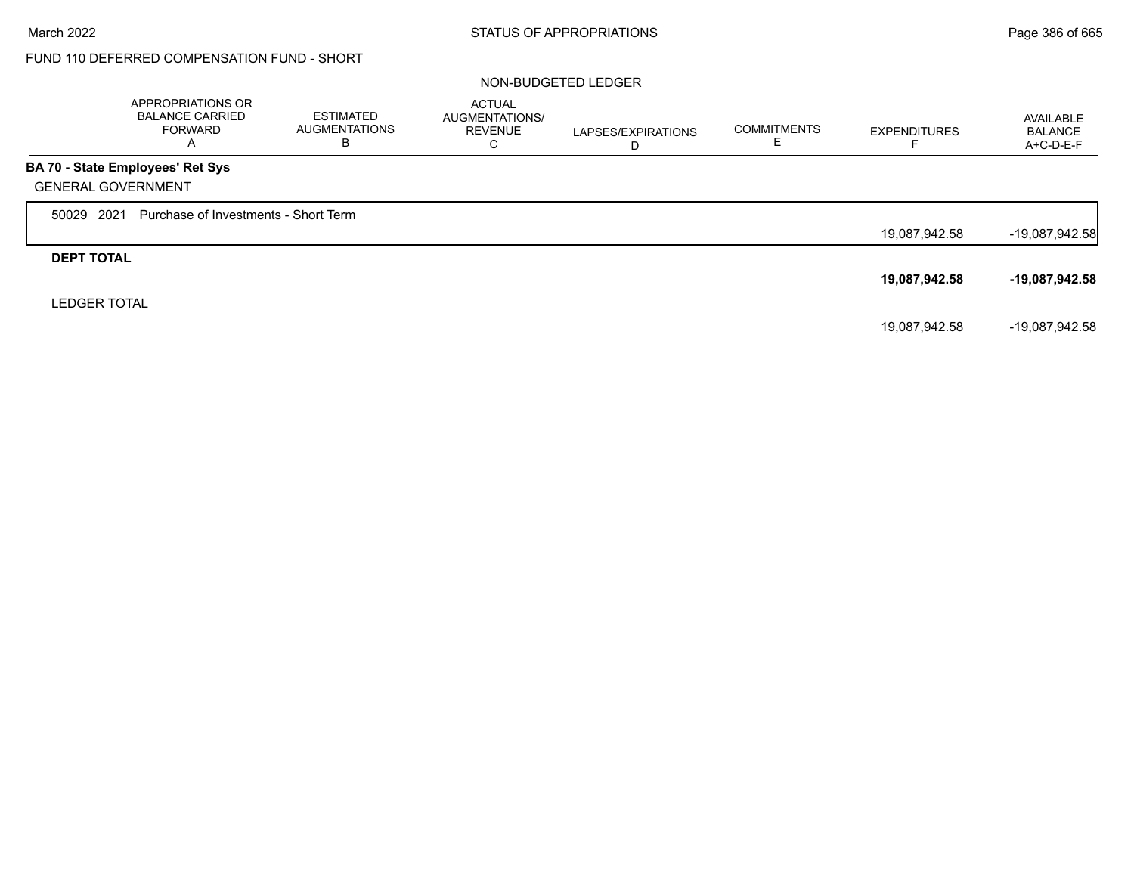# FUND 110 DEFERRED COMPENSATION FUND - SHORT

#### NON-BUDGETED LEDGER

|                           | APPROPRIATIONS OR<br><b>BALANCE CARRIED</b><br><b>FORWARD</b><br>A | <b>ESTIMATED</b><br><b>AUGMENTATIONS</b><br>В | <b>ACTUAL</b><br>AUGMENTATIONS/<br><b>REVENUE</b><br>C | LAPSES/EXPIRATIONS<br>D | <b>COMMITMENTS</b> | <b>EXPENDITURES</b> | AVAILABLE<br><b>BALANCE</b><br>$A+C-D-E-F$ |
|---------------------------|--------------------------------------------------------------------|-----------------------------------------------|--------------------------------------------------------|-------------------------|--------------------|---------------------|--------------------------------------------|
|                           | BA 70 - State Employees' Ret Sys                                   |                                               |                                                        |                         |                    |                     |                                            |
| <b>GENERAL GOVERNMENT</b> |                                                                    |                                               |                                                        |                         |                    |                     |                                            |
| 50029 2021                | Purchase of Investments - Short Term                               |                                               |                                                        |                         |                    |                     |                                            |
|                           |                                                                    |                                               |                                                        |                         |                    | 19,087,942.58       | $-19,087,942.58$                           |
| <b>DEPT TOTAL</b>         |                                                                    |                                               |                                                        |                         |                    |                     |                                            |
|                           |                                                                    |                                               |                                                        |                         |                    | 19,087,942.58       | -19,087,942.58                             |
| <b>LEDGER TOTAL</b>       |                                                                    |                                               |                                                        |                         |                    |                     |                                            |
|                           |                                                                    |                                               |                                                        |                         |                    | 19,087,942.58       | -19,087,942.58                             |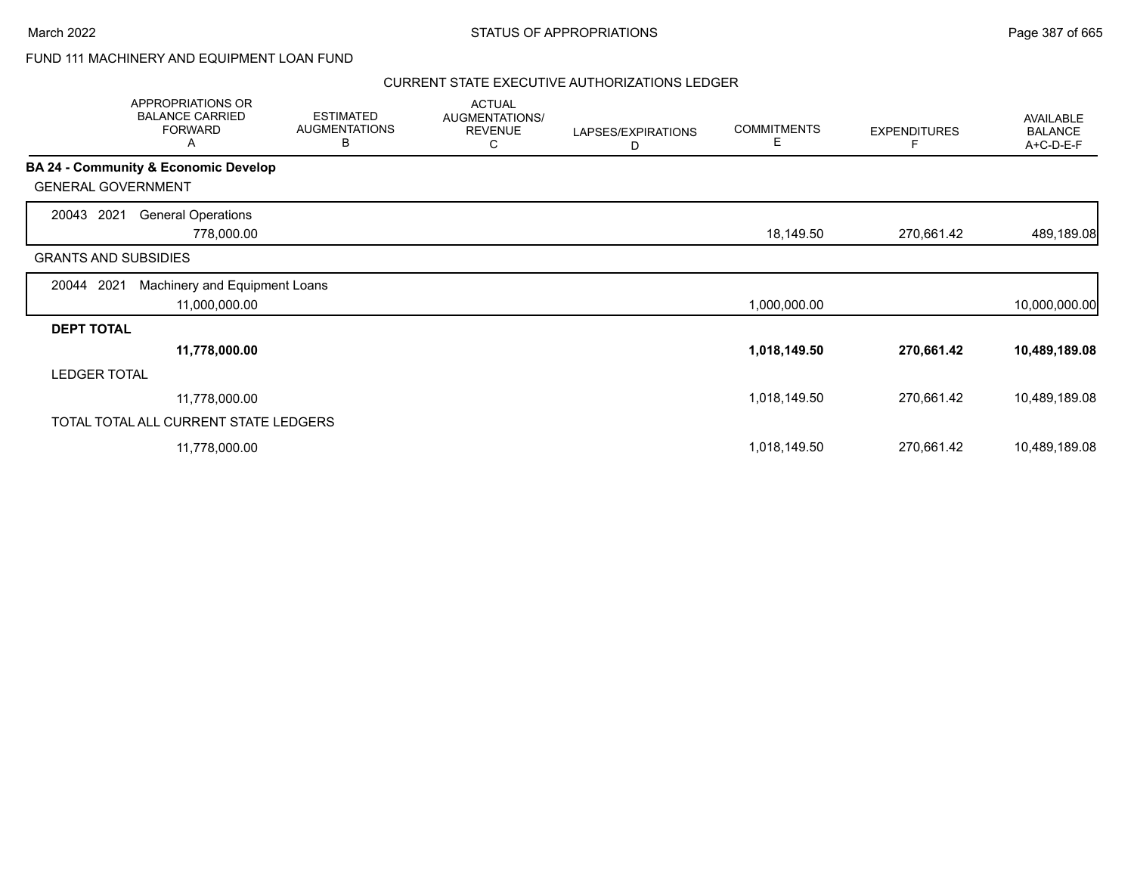## FUND 111 MACHINERY AND EQUIPMENT LOAN FUND

|                             | APPROPRIATIONS OR<br><b>BALANCE CARRIED</b><br><b>FORWARD</b><br>A | <b>ESTIMATED</b><br><b>AUGMENTATIONS</b><br>В | <b>ACTUAL</b><br>AUGMENTATIONS/<br><b>REVENUE</b><br>С | LAPSES/EXPIRATIONS<br>D | <b>COMMITMENTS</b><br>Е | <b>EXPENDITURES</b><br>F | AVAILABLE<br><b>BALANCE</b><br>A+C-D-E-F |
|-----------------------------|--------------------------------------------------------------------|-----------------------------------------------|--------------------------------------------------------|-------------------------|-------------------------|--------------------------|------------------------------------------|
|                             | <b>BA 24 - Community &amp; Economic Develop</b>                    |                                               |                                                        |                         |                         |                          |                                          |
| <b>GENERAL GOVERNMENT</b>   |                                                                    |                                               |                                                        |                         |                         |                          |                                          |
| 2021<br>20043               | <b>General Operations</b>                                          |                                               |                                                        |                         |                         |                          |                                          |
|                             | 778,000.00                                                         |                                               |                                                        |                         | 18,149.50               | 270,661.42               | 489,189.08                               |
| <b>GRANTS AND SUBSIDIES</b> |                                                                    |                                               |                                                        |                         |                         |                          |                                          |
| 2021<br>20044               | Machinery and Equipment Loans                                      |                                               |                                                        |                         |                         |                          |                                          |
|                             | 11,000,000.00                                                      |                                               |                                                        |                         | 1,000,000.00            |                          | 10,000,000.00                            |
| <b>DEPT TOTAL</b>           |                                                                    |                                               |                                                        |                         |                         |                          |                                          |
|                             | 11,778,000.00                                                      |                                               |                                                        |                         | 1,018,149.50            | 270,661.42               | 10,489,189.08                            |
| <b>LEDGER TOTAL</b>         |                                                                    |                                               |                                                        |                         |                         |                          |                                          |
|                             | 11,778,000.00                                                      |                                               |                                                        |                         | 1,018,149.50            | 270,661.42               | 10,489,189.08                            |
|                             | TOTAL TOTAL ALL CURRENT STATE LEDGERS                              |                                               |                                                        |                         |                         |                          |                                          |
|                             | 11,778,000.00                                                      |                                               |                                                        |                         | 1,018,149.50            | 270,661.42               | 10,489,189.08                            |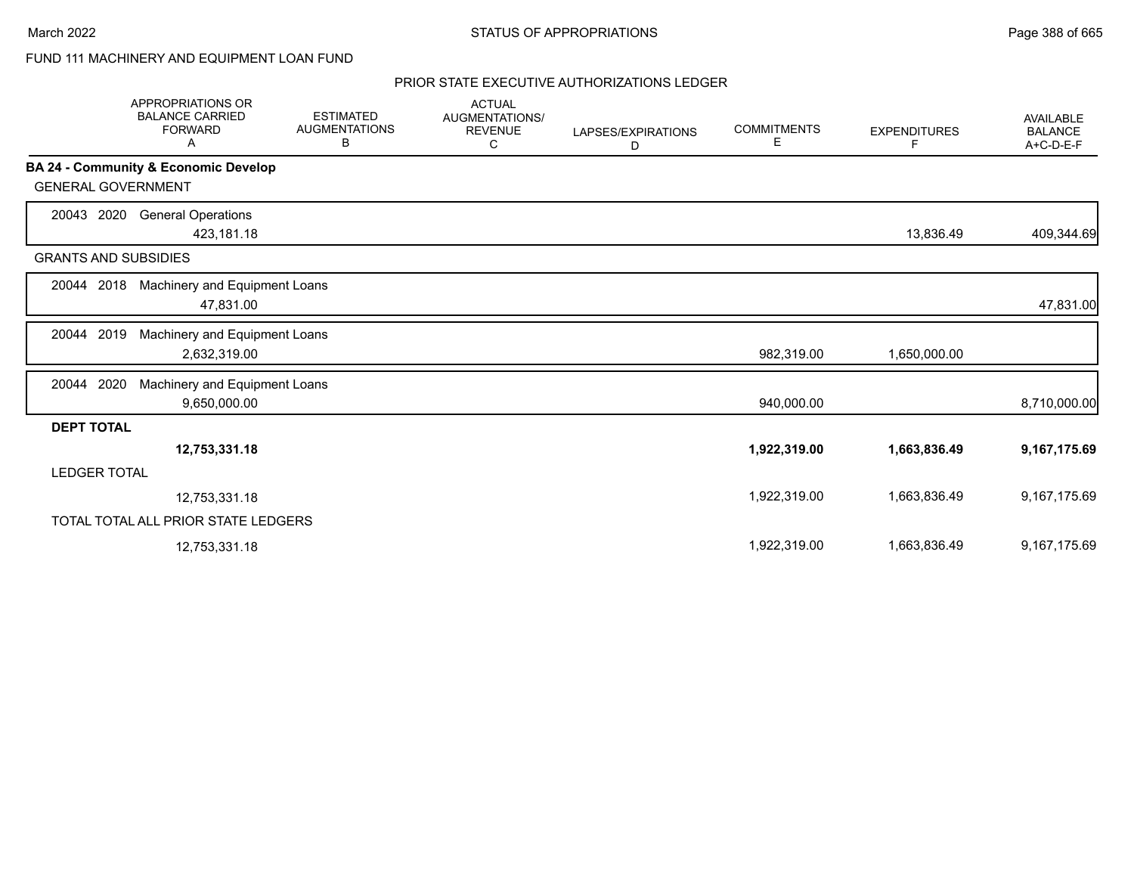# FUND 111 MACHINERY AND EQUIPMENT LOAN FUND

|                             | <b>APPROPRIATIONS OR</b><br><b>BALANCE CARRIED</b><br><b>FORWARD</b><br>A | <b>ESTIMATED</b><br><b>AUGMENTATIONS</b><br>В | <b>ACTUAL</b><br>AUGMENTATIONS/<br><b>REVENUE</b><br>С | LAPSES/EXPIRATIONS<br>D | <b>COMMITMENTS</b><br>Е | <b>EXPENDITURES</b><br>F | <b>AVAILABLE</b><br><b>BALANCE</b><br>A+C-D-E-F |
|-----------------------------|---------------------------------------------------------------------------|-----------------------------------------------|--------------------------------------------------------|-------------------------|-------------------------|--------------------------|-------------------------------------------------|
|                             | BA 24 - Community & Economic Develop                                      |                                               |                                                        |                         |                         |                          |                                                 |
| <b>GENERAL GOVERNMENT</b>   |                                                                           |                                               |                                                        |                         |                         |                          |                                                 |
| 2020<br>20043               | <b>General Operations</b><br>423,181.18                                   |                                               |                                                        |                         |                         | 13,836.49                | 409,344.69                                      |
| <b>GRANTS AND SUBSIDIES</b> |                                                                           |                                               |                                                        |                         |                         |                          |                                                 |
| 20044 2018                  | Machinery and Equipment Loans<br>47,831.00                                |                                               |                                                        |                         |                         |                          | 47,831.00                                       |
| 2019<br>20044               | Machinery and Equipment Loans<br>2,632,319.00                             |                                               |                                                        |                         | 982,319.00              | 1,650,000.00             |                                                 |
| 20044 2020                  | Machinery and Equipment Loans<br>9,650,000.00                             |                                               |                                                        |                         | 940,000.00              |                          | 8,710,000.00                                    |
| <b>DEPT TOTAL</b>           |                                                                           |                                               |                                                        |                         |                         |                          |                                                 |
|                             | 12,753,331.18                                                             |                                               |                                                        |                         | 1,922,319.00            | 1,663,836.49             | 9,167,175.69                                    |
| <b>LEDGER TOTAL</b>         |                                                                           |                                               |                                                        |                         |                         |                          |                                                 |
|                             | 12,753,331.18                                                             |                                               |                                                        |                         | 1,922,319.00            | 1,663,836.49             | 9,167,175.69                                    |
|                             | TOTAL TOTAL ALL PRIOR STATE LEDGERS                                       |                                               |                                                        |                         |                         |                          |                                                 |
|                             | 12,753,331.18                                                             |                                               |                                                        |                         | 1.922.319.00            | 1.663.836.49             | 9,167,175.69                                    |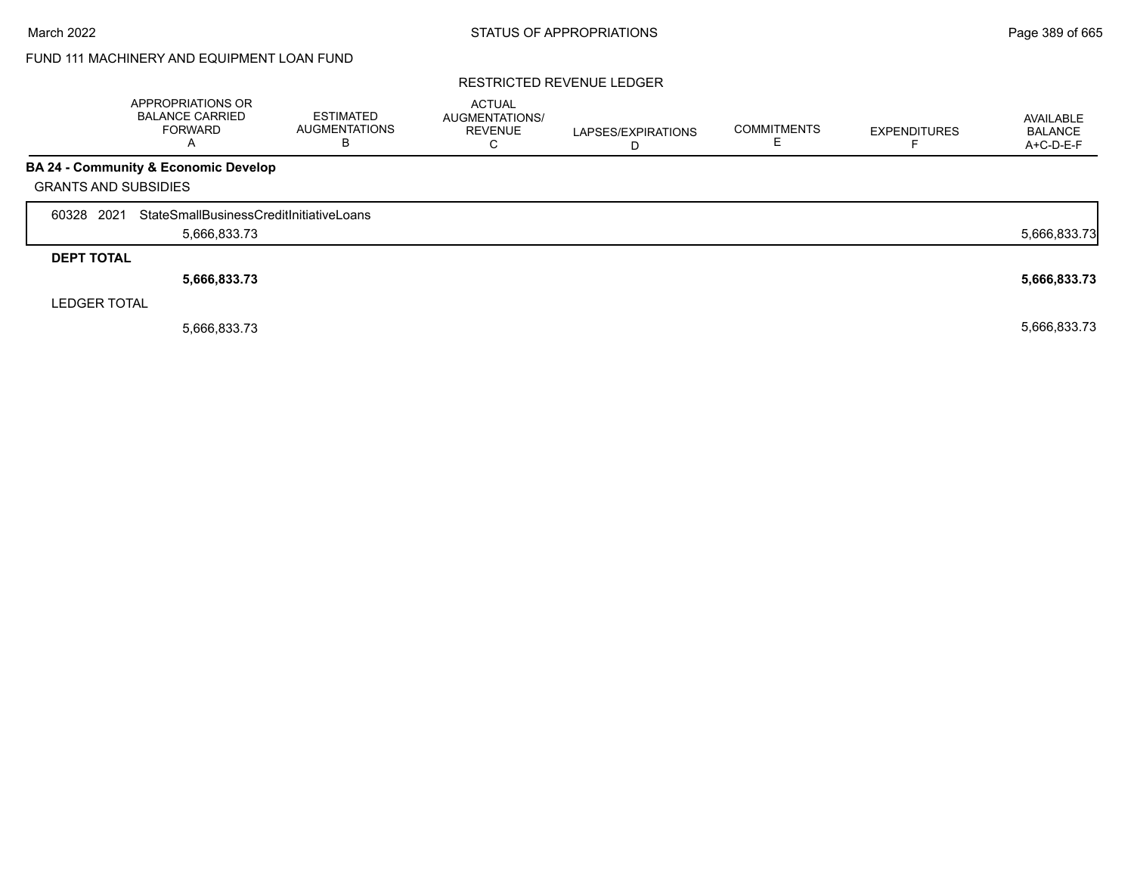# FUND 111 MACHINERY AND EQUIPMENT LOAN FUND

#### RESTRICTED REVENUE LEDGER

|                   |                             | APPROPRIATIONS OR<br><b>BALANCE CARRIED</b><br><b>FORWARD</b><br>A | <b>ESTIMATED</b><br><b>AUGMENTATIONS</b><br>в | <b>ACTUAL</b><br>AUGMENTATIONS/<br><b>REVENUE</b> | LAPSES/EXPIRATIONS<br>D | <b>COMMITMENTS</b> | <b>EXPENDITURES</b> | AVAILABLE<br><b>BALANCE</b><br>A+C-D-E-F |
|-------------------|-----------------------------|--------------------------------------------------------------------|-----------------------------------------------|---------------------------------------------------|-------------------------|--------------------|---------------------|------------------------------------------|
|                   |                             | <b>BA 24 - Community &amp; Economic Develop</b>                    |                                               |                                                   |                         |                    |                     |                                          |
|                   | <b>GRANTS AND SUBSIDIES</b> |                                                                    |                                               |                                                   |                         |                    |                     |                                          |
| 60328 2021        |                             | StateSmallBusinessCreditInitiativeLoans                            |                                               |                                                   |                         |                    |                     |                                          |
|                   |                             | 5,666,833.73                                                       |                                               |                                                   |                         |                    |                     | 5,666,833.73                             |
| <b>DEPT TOTAL</b> |                             |                                                                    |                                               |                                                   |                         |                    |                     |                                          |
|                   |                             | 5,666,833.73                                                       |                                               |                                                   |                         |                    |                     | 5,666,833.73                             |
|                   | <b>LEDGER TOTAL</b>         |                                                                    |                                               |                                                   |                         |                    |                     |                                          |
|                   |                             | 5,666,833.73                                                       |                                               |                                                   |                         |                    |                     | 5,666,833.73                             |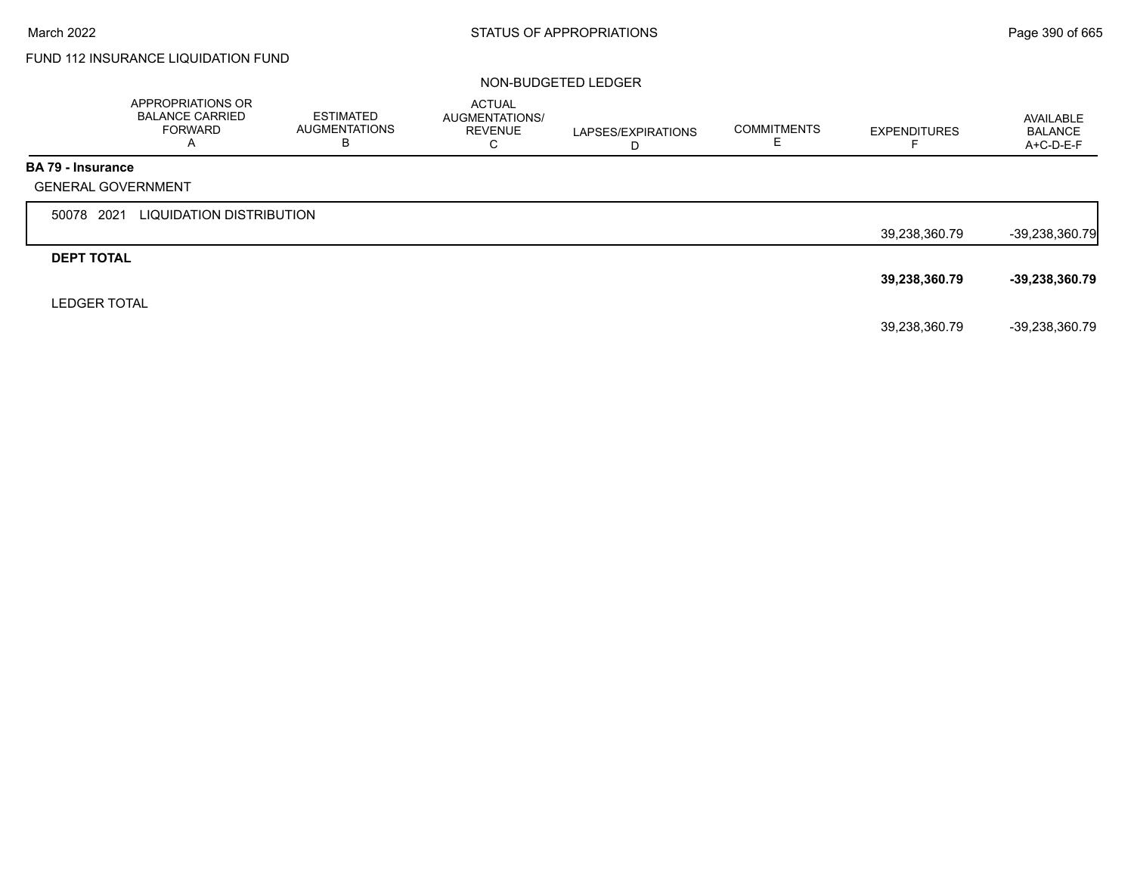# FUND 112 INSURANCE LIQUIDATION FUND

#### NON-BUDGETED LEDGER

|                          | APPROPRIATIONS OR<br><b>BALANCE CARRIED</b><br><b>FORWARD</b><br>A | <b>ESTIMATED</b><br><b>AUGMENTATIONS</b><br>В | <b>ACTUAL</b><br>AUGMENTATIONS/<br><b>REVENUE</b><br>C | LAPSES/EXPIRATIONS<br>D | <b>COMMITMENTS</b> | <b>EXPENDITURES</b><br>⊢ | AVAILABLE<br><b>BALANCE</b><br>A+C-D-E-F |
|--------------------------|--------------------------------------------------------------------|-----------------------------------------------|--------------------------------------------------------|-------------------------|--------------------|--------------------------|------------------------------------------|
| <b>BA 79 - Insurance</b> |                                                                    |                                               |                                                        |                         |                    |                          |                                          |
|                          | <b>GENERAL GOVERNMENT</b>                                          |                                               |                                                        |                         |                    |                          |                                          |
| 50078 2021               | LIQUIDATION DISTRIBUTION                                           |                                               |                                                        |                         |                    |                          |                                          |
|                          |                                                                    |                                               |                                                        |                         |                    | 39,238,360.79            | $-39,238,360.79$                         |
| <b>DEPT TOTAL</b>        |                                                                    |                                               |                                                        |                         |                    |                          |                                          |
|                          |                                                                    |                                               |                                                        |                         |                    | 39,238,360.79            | $-39,238,360.79$                         |
| <b>LEDGER TOTAL</b>      |                                                                    |                                               |                                                        |                         |                    |                          |                                          |
|                          |                                                                    |                                               |                                                        |                         |                    | 39,238,360.79            | -39,238,360.79                           |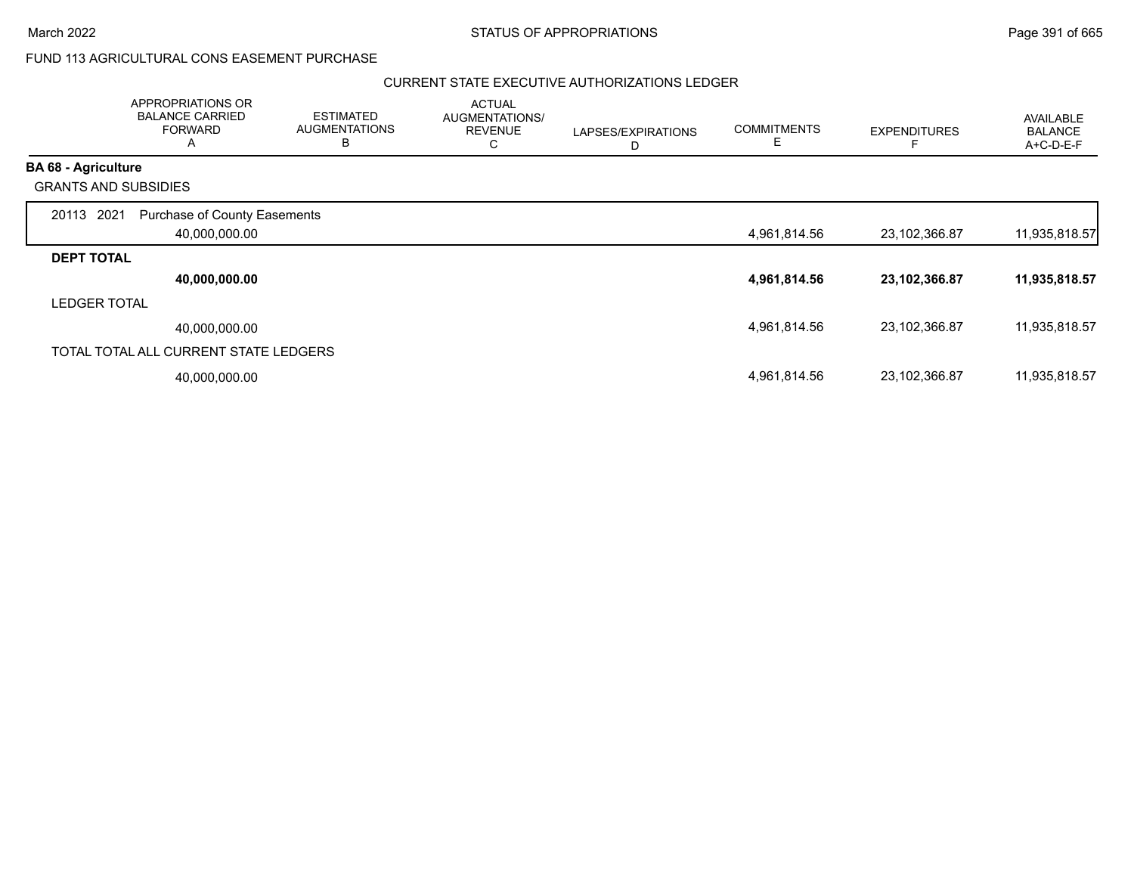$\overline{\phantom{a}}$ 

# FUND 113 AGRICULTURAL CONS EASEMENT PURCHASE

|                             | APPROPRIATIONS OR<br><b>BALANCE CARRIED</b><br><b>FORWARD</b><br>A | <b>ESTIMATED</b><br><b>AUGMENTATIONS</b><br>в | <b>ACTUAL</b><br>AUGMENTATIONS/<br><b>REVENUE</b><br>С | LAPSES/EXPIRATIONS<br>D | <b>COMMITMENTS</b><br>Е | <b>EXPENDITURES</b> | <b>AVAILABLE</b><br><b>BALANCE</b><br>A+C-D-E-F |
|-----------------------------|--------------------------------------------------------------------|-----------------------------------------------|--------------------------------------------------------|-------------------------|-------------------------|---------------------|-------------------------------------------------|
| <b>BA 68 - Agriculture</b>  |                                                                    |                                               |                                                        |                         |                         |                     |                                                 |
| <b>GRANTS AND SUBSIDIES</b> |                                                                    |                                               |                                                        |                         |                         |                     |                                                 |
| 20113 2021                  | <b>Purchase of County Easements</b>                                |                                               |                                                        |                         |                         |                     |                                                 |
|                             | 40,000,000.00                                                      |                                               |                                                        |                         | 4,961,814.56            | 23,102,366.87       | 11,935,818.57                                   |
| <b>DEPT TOTAL</b>           |                                                                    |                                               |                                                        |                         |                         |                     |                                                 |
|                             | 40,000,000.00                                                      |                                               |                                                        |                         | 4,961,814.56            | 23,102,366.87       | 11,935,818.57                                   |
| <b>LEDGER TOTAL</b>         |                                                                    |                                               |                                                        |                         |                         |                     |                                                 |
|                             | 40,000,000.00                                                      |                                               |                                                        |                         | 4,961,814.56            | 23,102,366.87       | 11,935,818.57                                   |
|                             | TOTAL TOTAL ALL CURRENT STATE LEDGERS                              |                                               |                                                        |                         |                         |                     |                                                 |
|                             | 40,000,000.00                                                      |                                               |                                                        |                         | 4,961,814.56            | 23,102,366.87       | 11,935,818.57                                   |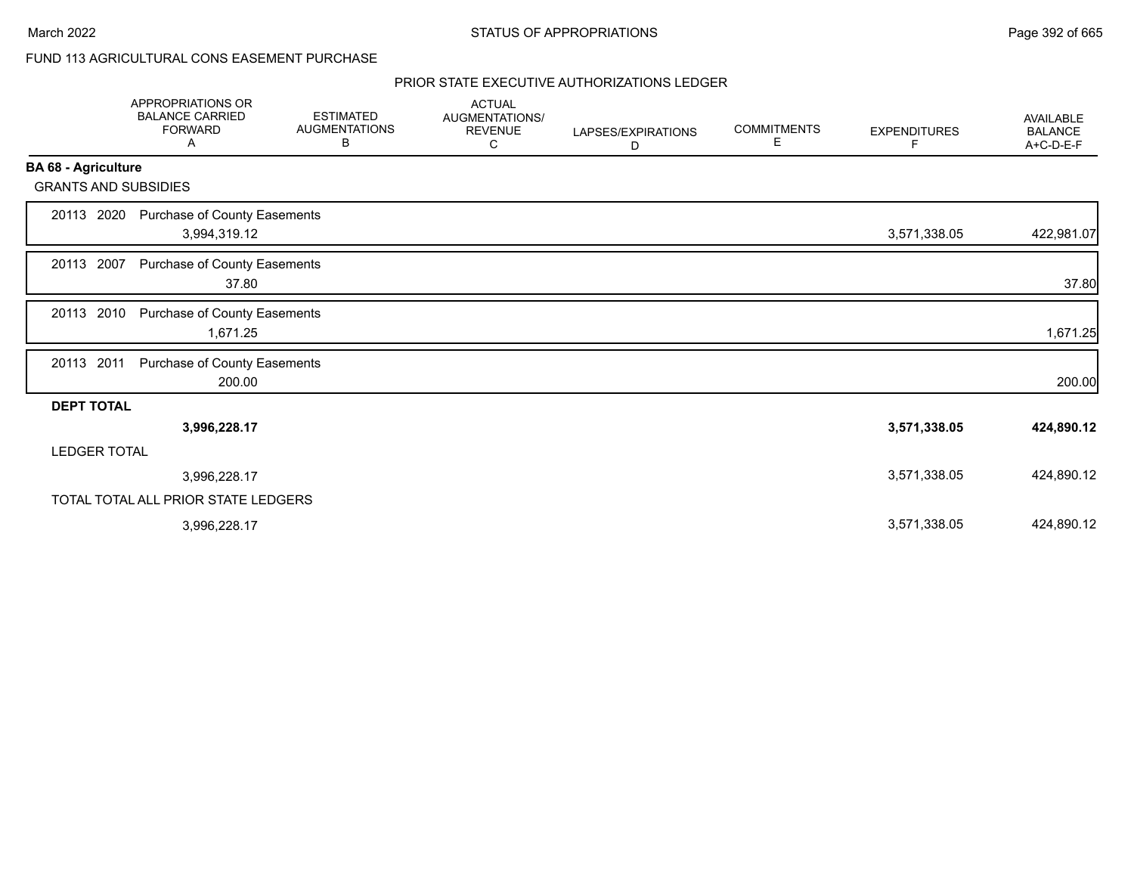# FUND 113 AGRICULTURAL CONS EASEMENT PURCHASE

|                             | <b>APPROPRIATIONS OR</b><br><b>BALANCE CARRIED</b><br><b>FORWARD</b><br>Α | <b>ESTIMATED</b><br><b>AUGMENTATIONS</b><br>В | <b>ACTUAL</b><br>AUGMENTATIONS/<br><b>REVENUE</b><br>С | LAPSES/EXPIRATIONS<br>D | <b>COMMITMENTS</b><br>Е | <b>EXPENDITURES</b><br>F. | <b>AVAILABLE</b><br><b>BALANCE</b><br>A+C-D-E-F |
|-----------------------------|---------------------------------------------------------------------------|-----------------------------------------------|--------------------------------------------------------|-------------------------|-------------------------|---------------------------|-------------------------------------------------|
| <b>BA 68 - Agriculture</b>  |                                                                           |                                               |                                                        |                         |                         |                           |                                                 |
| <b>GRANTS AND SUBSIDIES</b> |                                                                           |                                               |                                                        |                         |                         |                           |                                                 |
| 20113 2020                  | Purchase of County Easements<br>3,994,319.12                              |                                               |                                                        |                         |                         | 3,571,338.05              | 422,981.07                                      |
| 20113 2007                  | Purchase of County Easements<br>37.80                                     |                                               |                                                        |                         |                         |                           | 37.80                                           |
| 20113 2010                  | Purchase of County Easements<br>1,671.25                                  |                                               |                                                        |                         |                         |                           | 1,671.25                                        |
| 20113 2011                  | Purchase of County Easements<br>200.00                                    |                                               |                                                        |                         |                         |                           | 200.00                                          |
| <b>DEPT TOTAL</b>           |                                                                           |                                               |                                                        |                         |                         |                           |                                                 |
|                             | 3,996,228.17                                                              |                                               |                                                        |                         |                         | 3,571,338.05              | 424,890.12                                      |
| <b>LEDGER TOTAL</b>         |                                                                           |                                               |                                                        |                         |                         |                           |                                                 |
|                             | 3,996,228.17                                                              |                                               |                                                        |                         |                         | 3,571,338.05              | 424,890.12                                      |
|                             | TOTAL TOTAL ALL PRIOR STATE LEDGERS                                       |                                               |                                                        |                         |                         |                           |                                                 |
|                             | 3,996,228.17                                                              |                                               |                                                        |                         |                         | 3,571,338.05              | 424,890.12                                      |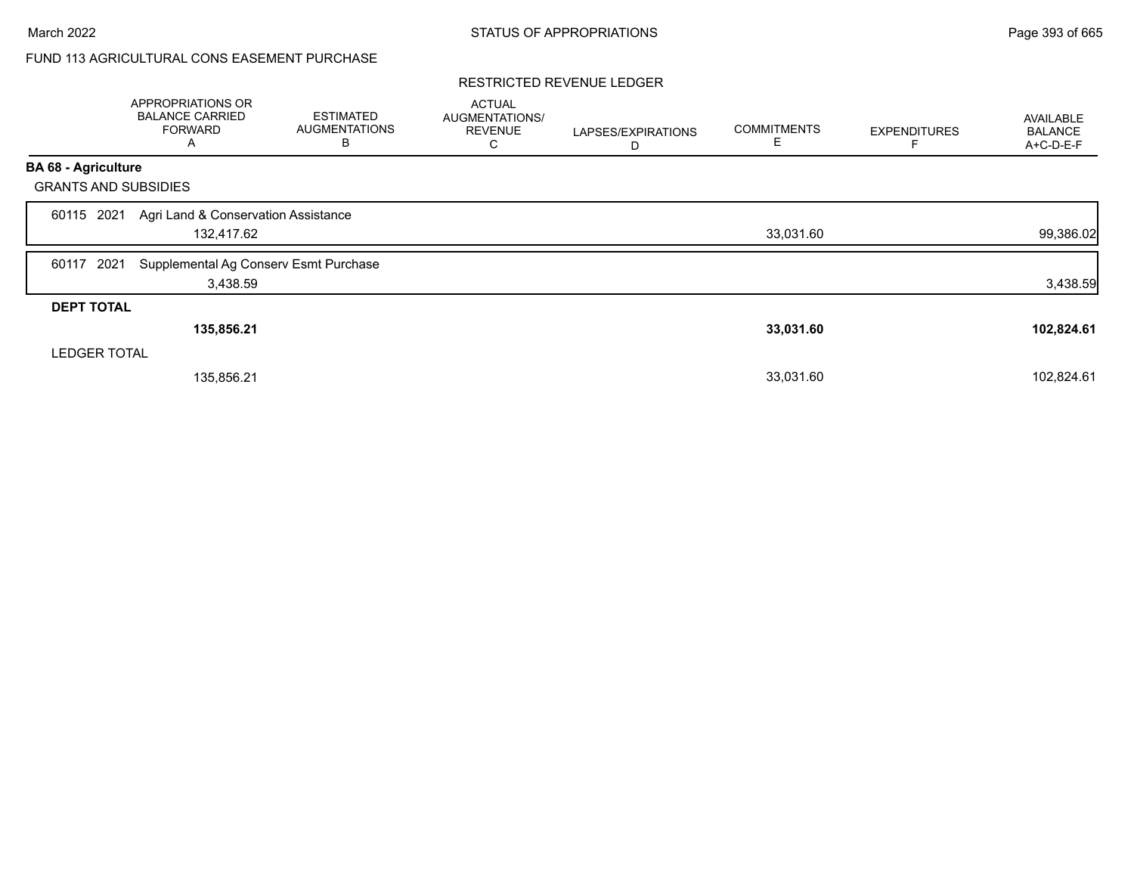# FUND 113 AGRICULTURAL CONS EASEMENT PURCHASE

#### RESTRICTED REVENUE LEDGER

|                             | <b>APPROPRIATIONS OR</b><br><b>BALANCE CARRIED</b><br><b>FORWARD</b><br>A | <b>ESTIMATED</b><br><b>AUGMENTATIONS</b><br>в | <b>ACTUAL</b><br>AUGMENTATIONS/<br><b>REVENUE</b><br>С | LAPSES/EXPIRATIONS<br>D | <b>COMMITMENTS</b><br>E | <b>EXPENDITURES</b> | AVAILABLE<br><b>BALANCE</b><br>A+C-D-E-F |
|-----------------------------|---------------------------------------------------------------------------|-----------------------------------------------|--------------------------------------------------------|-------------------------|-------------------------|---------------------|------------------------------------------|
| <b>BA 68 - Agriculture</b>  |                                                                           |                                               |                                                        |                         |                         |                     |                                          |
| <b>GRANTS AND SUBSIDIES</b> |                                                                           |                                               |                                                        |                         |                         |                     |                                          |
| 2021<br>60115               | Agri Land & Conservation Assistance<br>132,417.62                         |                                               |                                                        |                         | 33,031.60               |                     | 99,386.02                                |
| 2021<br>60117               | Supplemental Ag Conserv Esmt Purchase<br>3,438.59                         |                                               |                                                        |                         |                         |                     | 3,438.59                                 |
| <b>DEPT TOTAL</b>           |                                                                           |                                               |                                                        |                         |                         |                     |                                          |
|                             | 135,856.21                                                                |                                               |                                                        |                         | 33,031.60               |                     | 102,824.61                               |
| <b>LEDGER TOTAL</b>         |                                                                           |                                               |                                                        |                         |                         |                     |                                          |
|                             | 135,856.21                                                                |                                               |                                                        |                         | 33,031.60               |                     | 102,824.61                               |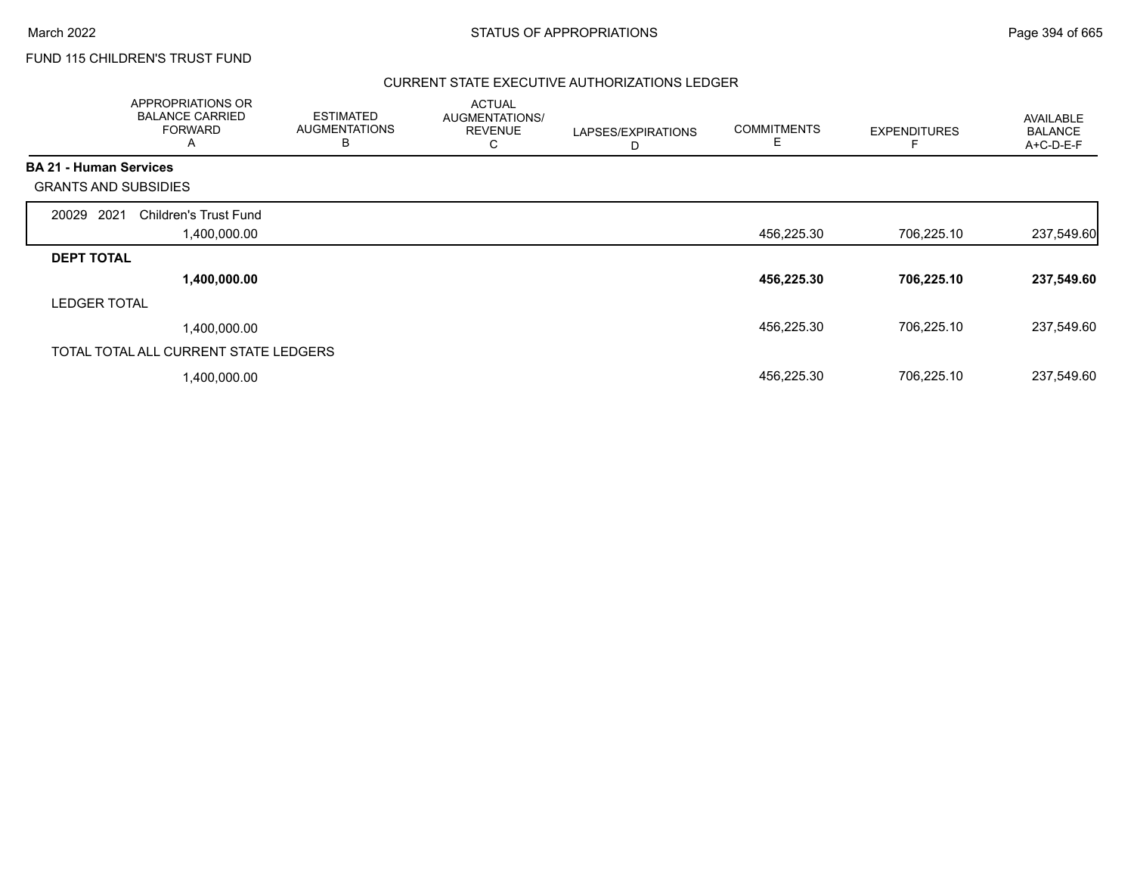# FUND 115 CHILDREN'S TRUST FUND

|                               | APPROPRIATIONS OR<br><b>BALANCE CARRIED</b><br><b>FORWARD</b><br>A | <b>ESTIMATED</b><br><b>AUGMENTATIONS</b><br>B | <b>ACTUAL</b><br>AUGMENTATIONS/<br><b>REVENUE</b><br>C | LAPSES/EXPIRATIONS<br>D | <b>COMMITMENTS</b><br>E | <b>EXPENDITURES</b> | AVAILABLE<br><b>BALANCE</b><br>A+C-D-E-F |
|-------------------------------|--------------------------------------------------------------------|-----------------------------------------------|--------------------------------------------------------|-------------------------|-------------------------|---------------------|------------------------------------------|
| <b>BA 21 - Human Services</b> |                                                                    |                                               |                                                        |                         |                         |                     |                                          |
| <b>GRANTS AND SUBSIDIES</b>   |                                                                    |                                               |                                                        |                         |                         |                     |                                          |
| 2021<br>20029                 | <b>Children's Trust Fund</b>                                       |                                               |                                                        |                         |                         |                     |                                          |
|                               | 00.000.00, ا                                                       |                                               |                                                        |                         | 456,225.30              | 706,225.10          | 237,549.60                               |
| <b>DEPT TOTAL</b>             |                                                                    |                                               |                                                        |                         |                         |                     |                                          |
|                               | 1,400,000.00                                                       |                                               |                                                        |                         | 456,225.30              | 706,225.10          | 237,549.60                               |
| <b>LEDGER TOTAL</b>           |                                                                    |                                               |                                                        |                         |                         |                     |                                          |
|                               | 1,400,000.00                                                       |                                               |                                                        |                         | 456,225.30              | 706,225.10          | 237,549.60                               |
|                               | TOTAL TOTAL ALL CURRENT STATE LEDGERS                              |                                               |                                                        |                         |                         |                     |                                          |
|                               | 1,400,000.00                                                       |                                               |                                                        |                         | 456,225.30              | 706,225.10          | 237,549.60                               |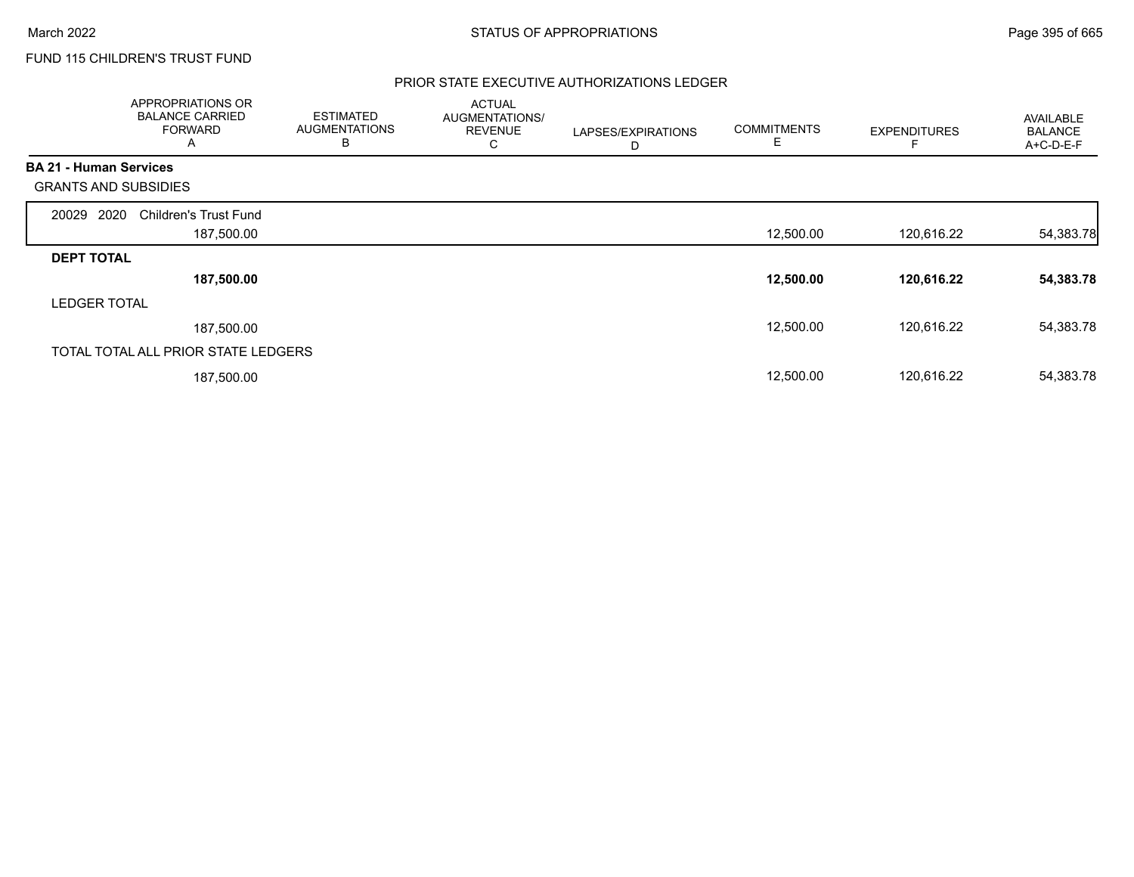# FUND 115 CHILDREN'S TRUST FUND

|                               | <b>APPROPRIATIONS OR</b><br><b>BALANCE CARRIED</b><br><b>FORWARD</b><br>A | <b>ESTIMATED</b><br><b>AUGMENTATIONS</b><br>в | <b>ACTUAL</b><br>AUGMENTATIONS/<br><b>REVENUE</b><br>С | LAPSES/EXPIRATIONS<br>D | <b>COMMITMENTS</b><br>Е | <b>EXPENDITURES</b> | <b>AVAILABLE</b><br><b>BALANCE</b><br>A+C-D-E-F |
|-------------------------------|---------------------------------------------------------------------------|-----------------------------------------------|--------------------------------------------------------|-------------------------|-------------------------|---------------------|-------------------------------------------------|
| <b>BA 21 - Human Services</b> |                                                                           |                                               |                                                        |                         |                         |                     |                                                 |
| <b>GRANTS AND SUBSIDIES</b>   |                                                                           |                                               |                                                        |                         |                         |                     |                                                 |
| 2020<br>20029                 | <b>Children's Trust Fund</b>                                              |                                               |                                                        |                         |                         |                     |                                                 |
|                               | 187,500.00                                                                |                                               |                                                        |                         | 12,500.00               | 120,616.22          | 54,383.78                                       |
| <b>DEPT TOTAL</b>             |                                                                           |                                               |                                                        |                         |                         |                     |                                                 |
|                               | 187,500.00                                                                |                                               |                                                        |                         | 12,500.00               | 120,616.22          | 54,383.78                                       |
| <b>LEDGER TOTAL</b>           |                                                                           |                                               |                                                        |                         |                         |                     |                                                 |
|                               | 187,500.00                                                                |                                               |                                                        |                         | 12,500.00               | 120.616.22          | 54,383.78                                       |
|                               | TOTAL TOTAL ALL PRIOR STATE LEDGERS                                       |                                               |                                                        |                         |                         |                     |                                                 |
|                               | 187,500.00                                                                |                                               |                                                        |                         | 12,500.00               | 120,616.22          | 54,383.78                                       |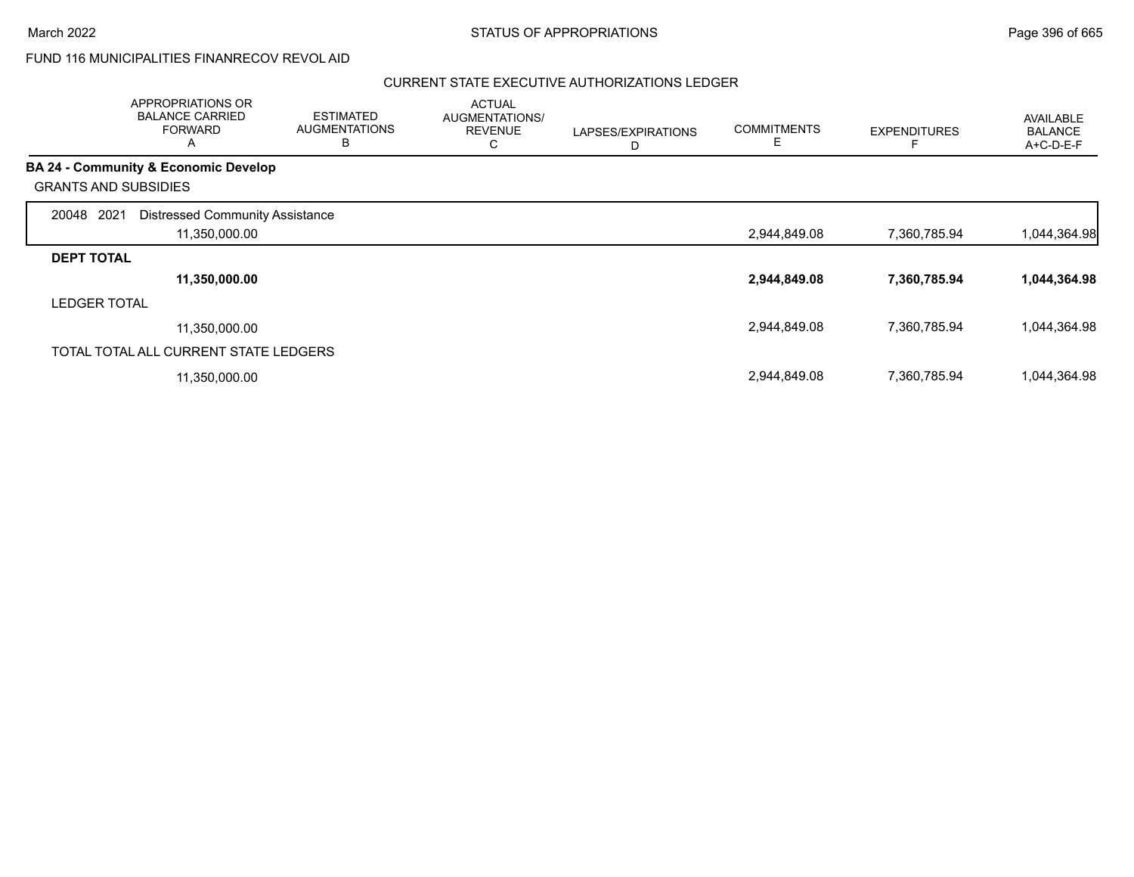## FUND 116 MUNICIPALITIES FINANRECOV REVOL AID

|                             | <b>APPROPRIATIONS OR</b><br><b>BALANCE CARRIED</b><br><b>FORWARD</b><br>Α | <b>ESTIMATED</b><br><b>AUGMENTATIONS</b><br>В | <b>ACTUAL</b><br>AUGMENTATIONS/<br><b>REVENUE</b><br>С | LAPSES/EXPIRATIONS<br>D | <b>COMMITMENTS</b><br>E | <b>EXPENDITURES</b> | <b>AVAILABLE</b><br><b>BALANCE</b><br>A+C-D-E-F |
|-----------------------------|---------------------------------------------------------------------------|-----------------------------------------------|--------------------------------------------------------|-------------------------|-------------------------|---------------------|-------------------------------------------------|
|                             | <b>BA 24 - Community &amp; Economic Develop</b>                           |                                               |                                                        |                         |                         |                     |                                                 |
| <b>GRANTS AND SUBSIDIES</b> |                                                                           |                                               |                                                        |                         |                         |                     |                                                 |
| 2021<br>20048               | <b>Distressed Community Assistance</b><br>11,350,000.00                   |                                               |                                                        |                         | 2,944,849.08            | 7,360,785.94        | 1,044,364.98                                    |
| <b>DEPT TOTAL</b>           |                                                                           |                                               |                                                        |                         |                         |                     |                                                 |
|                             | 11,350,000.00                                                             |                                               |                                                        |                         | 2,944,849.08            | 7,360,785.94        | 1,044,364.98                                    |
| <b>LEDGER TOTAL</b>         |                                                                           |                                               |                                                        |                         |                         |                     |                                                 |
|                             | 11,350,000.00                                                             |                                               |                                                        |                         | 2,944,849.08            | 7,360,785.94        | 1,044,364.98                                    |
|                             | TOTAL TOTAL ALL CURRENT STATE LEDGERS                                     |                                               |                                                        |                         |                         |                     |                                                 |
|                             | 11,350,000.00                                                             |                                               |                                                        |                         | 2,944,849.08            | 7,360,785.94        | 1,044,364.98                                    |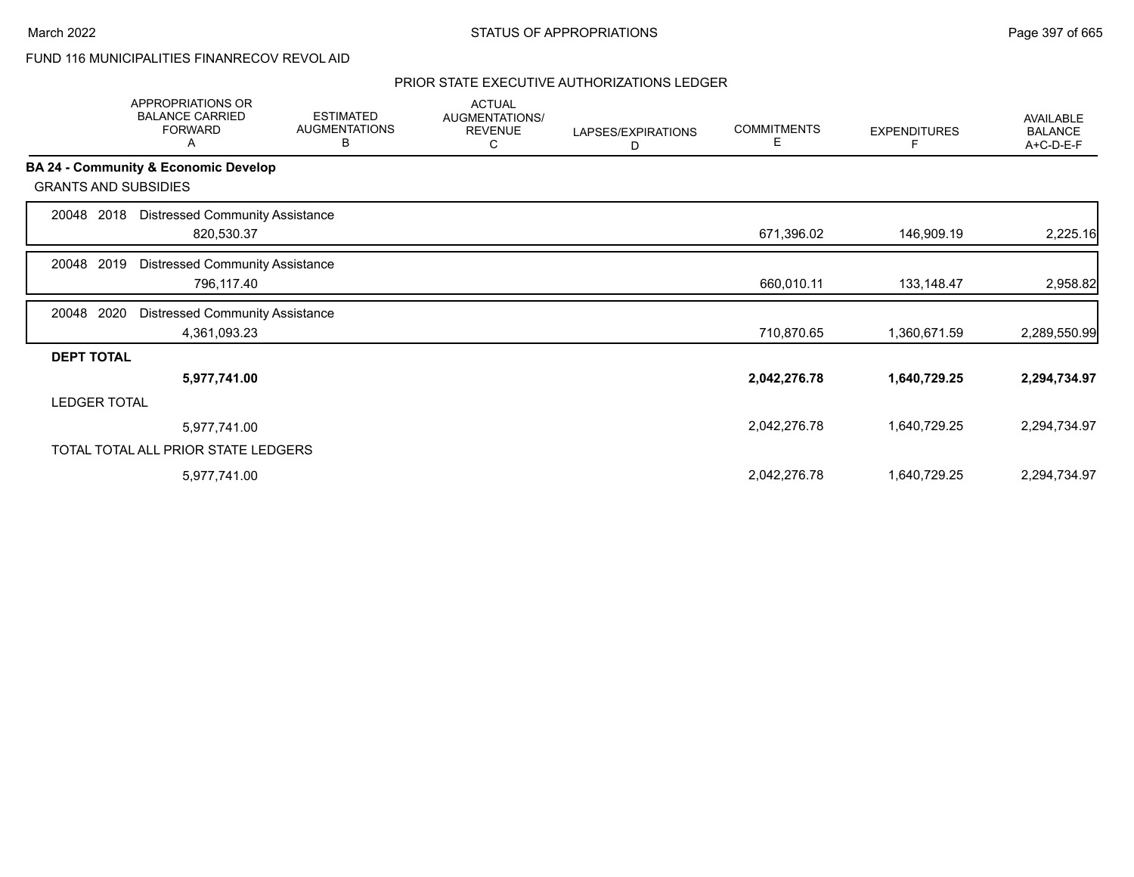# FUND 116 MUNICIPALITIES FINANRECOV REVOL AID

|                             | <b>APPROPRIATIONS OR</b><br><b>BALANCE CARRIED</b><br><b>FORWARD</b><br>A | <b>ESTIMATED</b><br><b>AUGMENTATIONS</b><br>в | <b>ACTUAL</b><br>AUGMENTATIONS/<br><b>REVENUE</b><br>С | LAPSES/EXPIRATIONS<br>D | <b>COMMITMENTS</b><br>E | <b>EXPENDITURES</b> | <b>AVAILABLE</b><br><b>BALANCE</b><br>A+C-D-E-F |
|-----------------------------|---------------------------------------------------------------------------|-----------------------------------------------|--------------------------------------------------------|-------------------------|-------------------------|---------------------|-------------------------------------------------|
|                             | BA 24 - Community & Economic Develop                                      |                                               |                                                        |                         |                         |                     |                                                 |
| <b>GRANTS AND SUBSIDIES</b> |                                                                           |                                               |                                                        |                         |                         |                     |                                                 |
| 2018<br>20048               | <b>Distressed Community Assistance</b><br>820,530.37                      |                                               |                                                        |                         | 671,396.02              | 146,909.19          | 2,225.16                                        |
| 2019<br>20048               | <b>Distressed Community Assistance</b><br>796,117.40                      |                                               |                                                        |                         | 660,010.11              | 133,148.47          | 2,958.82                                        |
| 2020<br>20048               | <b>Distressed Community Assistance</b><br>4,361,093.23                    |                                               |                                                        |                         | 710,870.65              | 1,360,671.59        | 2,289,550.99                                    |
| <b>DEPT TOTAL</b>           |                                                                           |                                               |                                                        |                         |                         |                     |                                                 |
|                             | 5,977,741.00                                                              |                                               |                                                        |                         | 2,042,276.78            | 1,640,729.25        | 2,294,734.97                                    |
| <b>LEDGER TOTAL</b>         |                                                                           |                                               |                                                        |                         |                         |                     |                                                 |
|                             | 5,977,741.00                                                              |                                               |                                                        |                         | 2,042,276.78            | 1,640,729.25        | 2,294,734.97                                    |
|                             | TOTAL TOTAL ALL PRIOR STATE LEDGERS                                       |                                               |                                                        |                         |                         |                     |                                                 |
|                             | 5,977,741.00                                                              |                                               |                                                        |                         | 2,042,276.78            | 1,640,729.25        | 2,294,734.97                                    |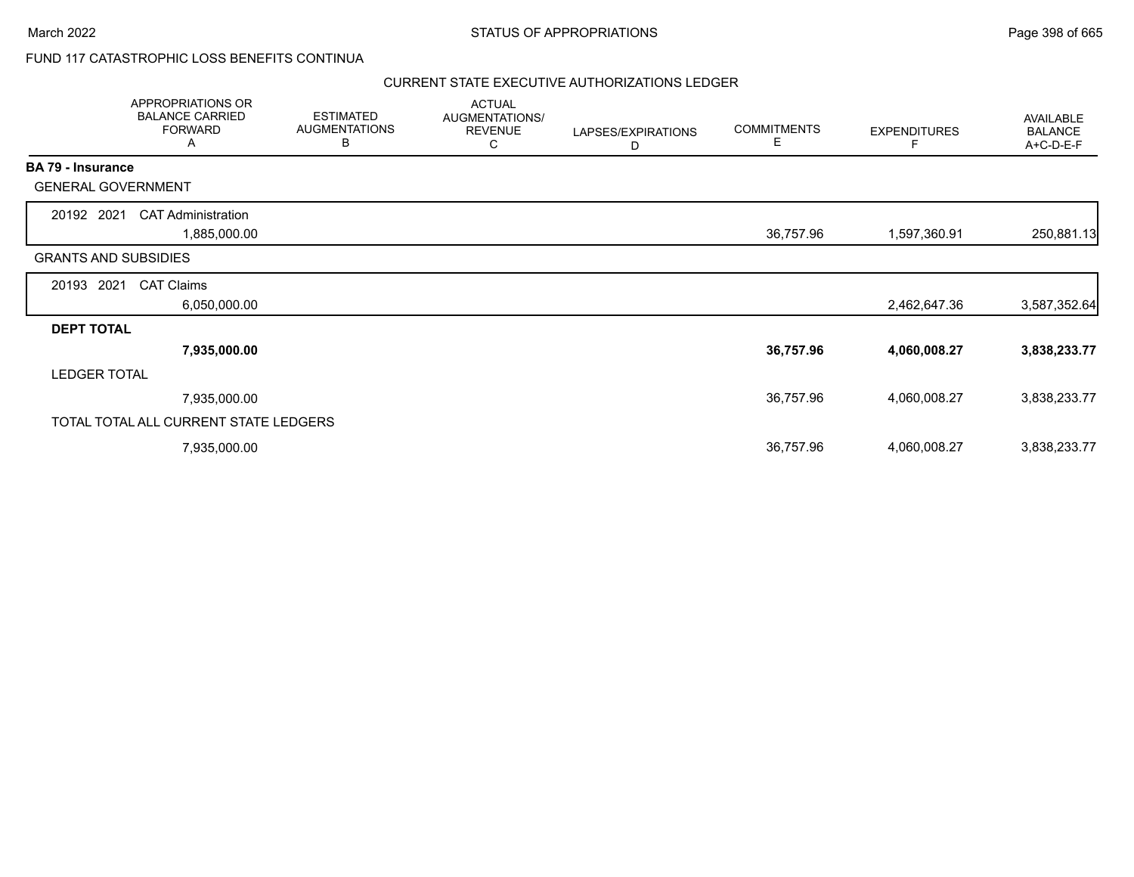### FUND 117 CATASTROPHIC LOSS BENEFITS CONTINUA

|                          | APPROPRIATIONS OR<br><b>BALANCE CARRIED</b><br><b>FORWARD</b><br>A | <b>ESTIMATED</b><br><b>AUGMENTATIONS</b><br>В | <b>ACTUAL</b><br>AUGMENTATIONS/<br><b>REVENUE</b><br>C | LAPSES/EXPIRATIONS<br>D | <b>COMMITMENTS</b><br>E. | <b>EXPENDITURES</b> | AVAILABLE<br><b>BALANCE</b><br>A+C-D-E-F |
|--------------------------|--------------------------------------------------------------------|-----------------------------------------------|--------------------------------------------------------|-------------------------|--------------------------|---------------------|------------------------------------------|
| <b>BA 79 - Insurance</b> |                                                                    |                                               |                                                        |                         |                          |                     |                                          |
|                          | <b>GENERAL GOVERNMENT</b>                                          |                                               |                                                        |                         |                          |                     |                                          |
| 20192 2021               | <b>CAT Administration</b>                                          |                                               |                                                        |                         |                          |                     |                                          |
|                          | 1,885,000.00                                                       |                                               |                                                        |                         | 36,757.96                | 1,597,360.91        | 250,881.13                               |
|                          | <b>GRANTS AND SUBSIDIES</b>                                        |                                               |                                                        |                         |                          |                     |                                          |
| 20193                    | 2021<br><b>CAT Claims</b>                                          |                                               |                                                        |                         |                          |                     |                                          |
|                          | 6,050,000.00                                                       |                                               |                                                        |                         |                          | 2,462,647.36        | 3,587,352.64                             |
| <b>DEPT TOTAL</b>        |                                                                    |                                               |                                                        |                         |                          |                     |                                          |
|                          | 7,935,000.00                                                       |                                               |                                                        |                         | 36,757.96                | 4,060,008.27        | 3,838,233.77                             |
| <b>LEDGER TOTAL</b>      |                                                                    |                                               |                                                        |                         |                          |                     |                                          |
|                          | 7,935,000.00                                                       |                                               |                                                        |                         | 36,757.96                | 4,060,008.27        | 3,838,233.77                             |
|                          | TOTAL TOTAL ALL CURRENT STATE LEDGERS                              |                                               |                                                        |                         |                          |                     |                                          |
|                          | 7,935,000.00                                                       |                                               |                                                        |                         | 36,757.96                | 4,060,008.27        | 3,838,233.77                             |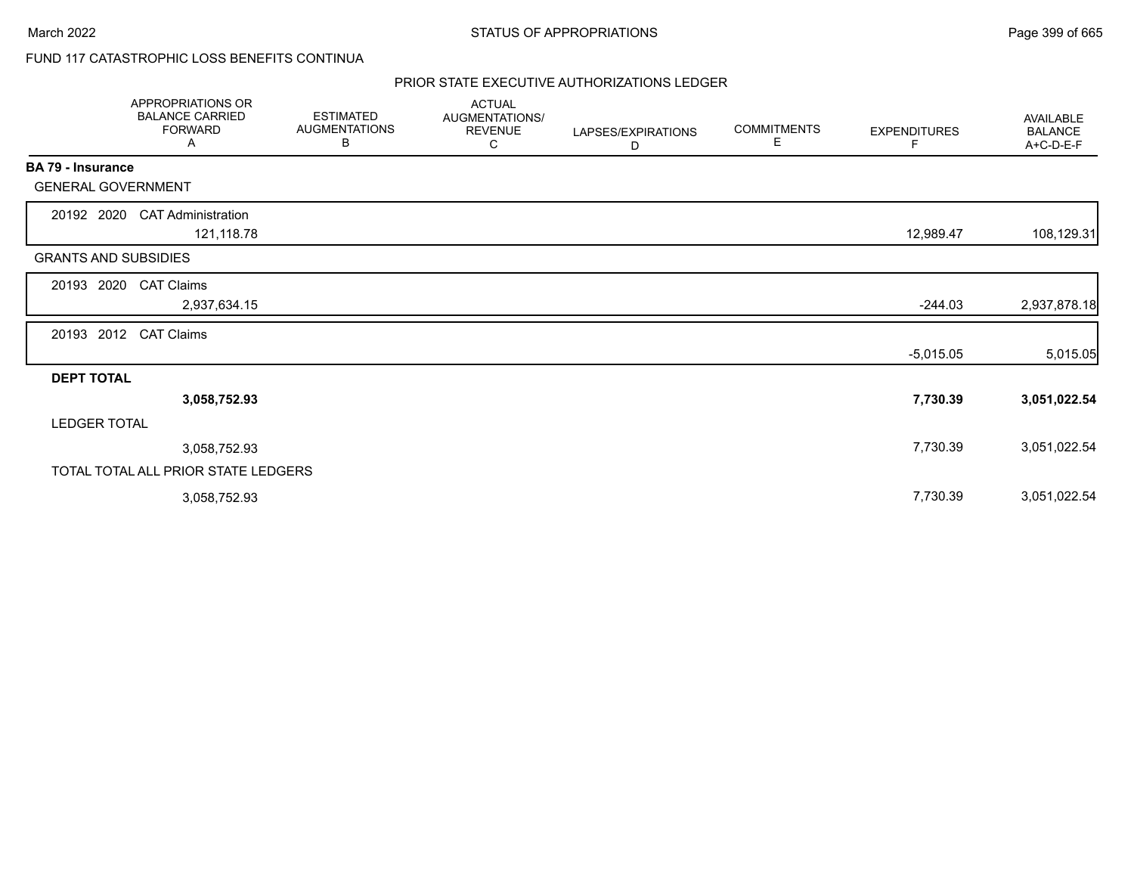# FUND 117 CATASTROPHIC LOSS BENEFITS CONTINUA

|                             | <b>APPROPRIATIONS OR</b><br><b>BALANCE CARRIED</b><br><b>FORWARD</b><br>Α | <b>ESTIMATED</b><br><b>AUGMENTATIONS</b><br>В | <b>ACTUAL</b><br>AUGMENTATIONS/<br><b>REVENUE</b><br>С | LAPSES/EXPIRATIONS<br>D | <b>COMMITMENTS</b><br>Е | <b>EXPENDITURES</b><br>F | <b>AVAILABLE</b><br><b>BALANCE</b><br>A+C-D-E-F |
|-----------------------------|---------------------------------------------------------------------------|-----------------------------------------------|--------------------------------------------------------|-------------------------|-------------------------|--------------------------|-------------------------------------------------|
| BA 79 - Insurance           |                                                                           |                                               |                                                        |                         |                         |                          |                                                 |
| <b>GENERAL GOVERNMENT</b>   |                                                                           |                                               |                                                        |                         |                         |                          |                                                 |
| 20192 2020                  | <b>CAT Administration</b><br>121,118.78                                   |                                               |                                                        |                         |                         | 12,989.47                | 108,129.31                                      |
| <b>GRANTS AND SUBSIDIES</b> |                                                                           |                                               |                                                        |                         |                         |                          |                                                 |
| 20193<br>2020               | <b>CAT Claims</b>                                                         |                                               |                                                        |                         |                         |                          |                                                 |
|                             | 2,937,634.15                                                              |                                               |                                                        |                         |                         | $-244.03$                | 2,937,878.18                                    |
| 20193 2012                  | <b>CAT Claims</b>                                                         |                                               |                                                        |                         |                         |                          |                                                 |
|                             |                                                                           |                                               |                                                        |                         |                         | $-5,015.05$              | 5,015.05                                        |
| <b>DEPT TOTAL</b>           |                                                                           |                                               |                                                        |                         |                         |                          |                                                 |
|                             | 3,058,752.93                                                              |                                               |                                                        |                         |                         | 7,730.39                 | 3,051,022.54                                    |
| <b>LEDGER TOTAL</b>         |                                                                           |                                               |                                                        |                         |                         |                          |                                                 |
|                             | 3,058,752.93                                                              |                                               |                                                        |                         |                         | 7,730.39                 | 3,051,022.54                                    |
|                             | TOTAL TOTAL ALL PRIOR STATE LEDGERS                                       |                                               |                                                        |                         |                         |                          |                                                 |
|                             | 3,058,752.93                                                              |                                               |                                                        |                         |                         | 7,730.39                 | 3,051,022.54                                    |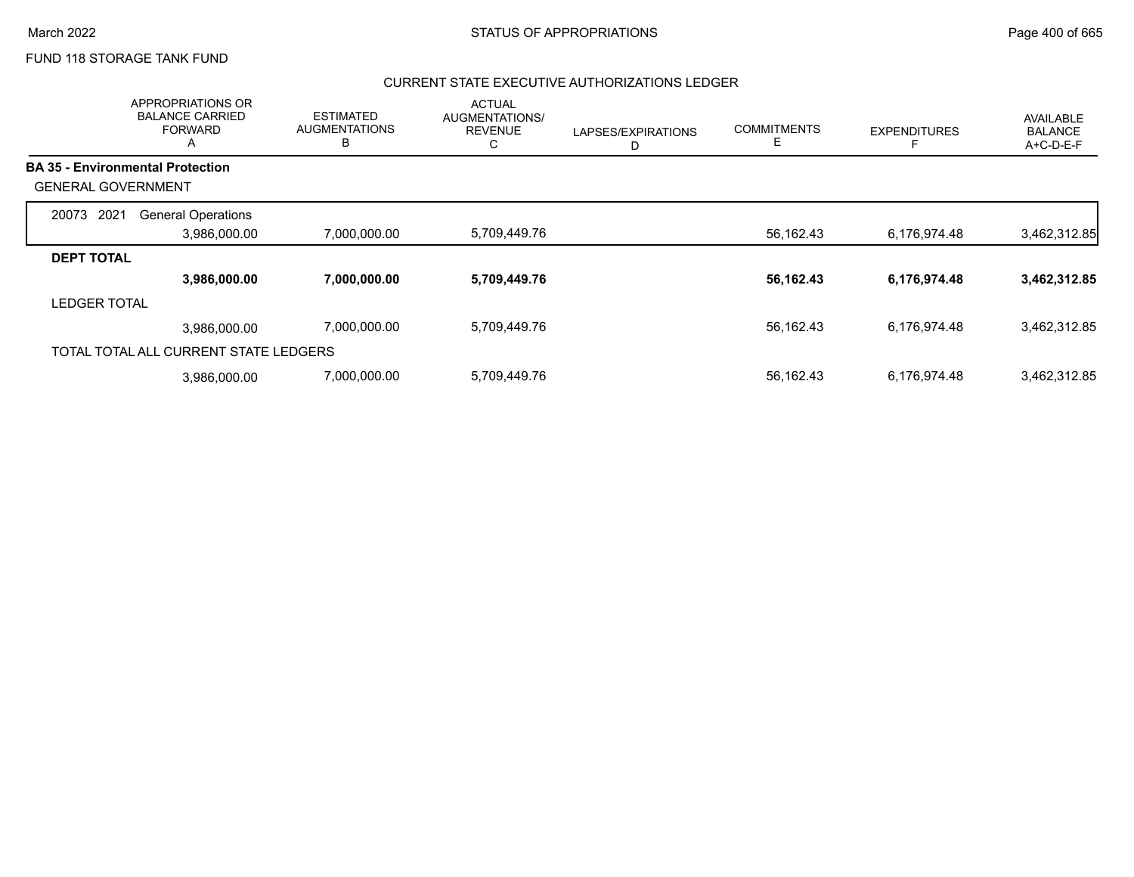### FUND 118 STORAGE TANK FUND

|                           | APPROPRIATIONS OR<br><b>BALANCE CARRIED</b><br><b>FORWARD</b><br>Α | <b>ESTIMATED</b><br><b>AUGMENTATIONS</b><br>B | <b>ACTUAL</b><br><b>AUGMENTATIONS/</b><br><b>REVENUE</b><br>С | LAPSES/EXPIRATIONS<br>D | <b>COMMITMENTS</b><br>Е | <b>EXPENDITURES</b> | AVAILABLE<br><b>BALANCE</b><br>A+C-D-E-F |
|---------------------------|--------------------------------------------------------------------|-----------------------------------------------|---------------------------------------------------------------|-------------------------|-------------------------|---------------------|------------------------------------------|
|                           | <b>BA 35 - Environmental Protection</b>                            |                                               |                                                               |                         |                         |                     |                                          |
| <b>GENERAL GOVERNMENT</b> |                                                                    |                                               |                                                               |                         |                         |                     |                                          |
| 2021<br>20073             | <b>General Operations</b>                                          |                                               |                                                               |                         |                         |                     |                                          |
|                           | 3,986,000.00                                                       | 7,000,000.00                                  | 5,709,449.76                                                  |                         | 56,162.43               | 6,176,974.48        | 3,462,312.85                             |
| <b>DEPT TOTAL</b>         |                                                                    |                                               |                                                               |                         |                         |                     |                                          |
|                           | 3,986,000.00                                                       | 7,000,000.00                                  | 5,709,449.76                                                  |                         | 56,162.43               | 6,176,974.48        | 3,462,312.85                             |
| <b>LEDGER TOTAL</b>       |                                                                    |                                               |                                                               |                         |                         |                     |                                          |
|                           | 3,986,000.00                                                       | 7,000,000.00                                  | 5,709,449.76                                                  |                         | 56,162.43               | 6,176,974.48        | 3,462,312.85                             |
|                           | TOTAL TOTAL ALL CURRENT STATE LEDGERS                              |                                               |                                                               |                         |                         |                     |                                          |
|                           | 3.986.000.00                                                       | 7,000,000.00                                  | 5,709,449.76                                                  |                         | 56,162.43               | 6,176,974.48        | 3,462,312.85                             |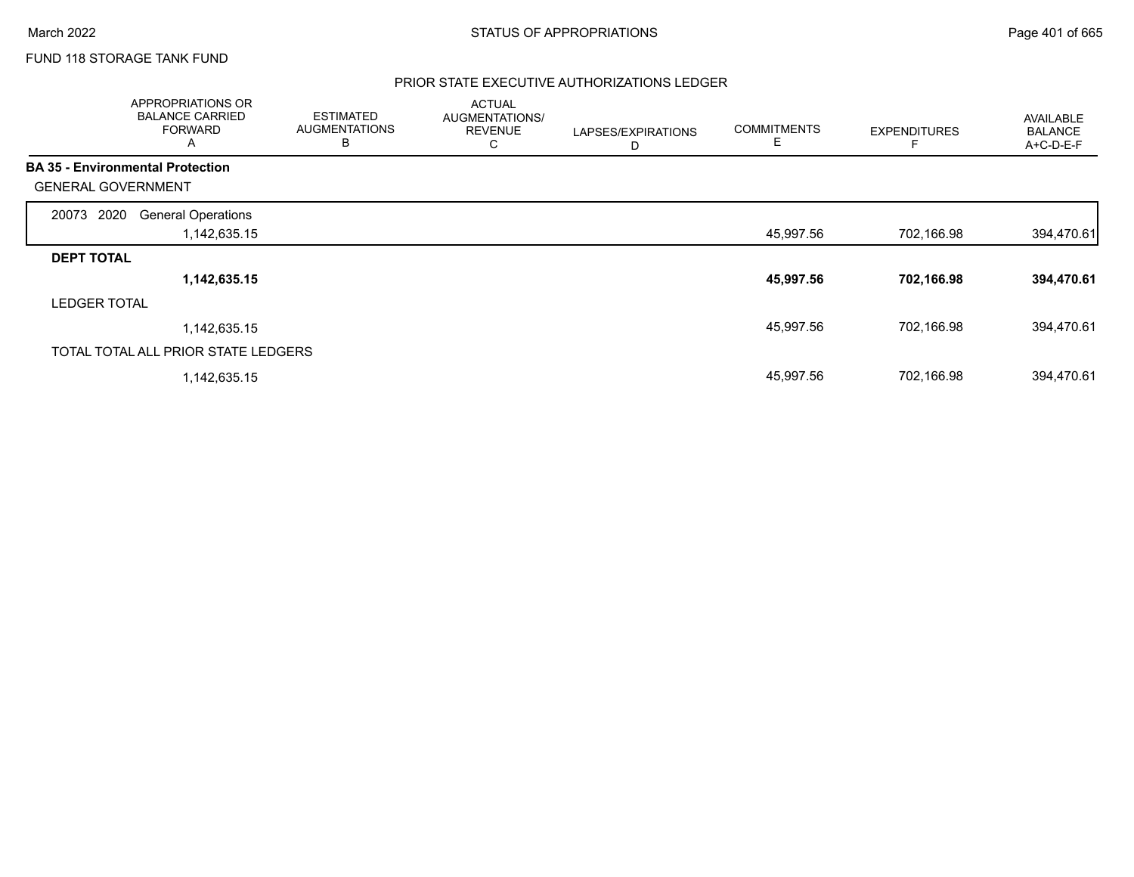## FUND 118 STORAGE TANK FUND

|                                         | APPROPRIATIONS OR<br><b>BALANCE CARRIED</b><br><b>FORWARD</b><br>A | <b>ESTIMATED</b><br><b>AUGMENTATIONS</b><br>В | <b>ACTUAL</b><br>AUGMENTATIONS/<br><b>REVENUE</b><br>С | LAPSES/EXPIRATIONS<br>D | <b>COMMITMENTS</b><br>Е | <b>EXPENDITURES</b> | <b>AVAILABLE</b><br><b>BALANCE</b><br>A+C-D-E-F |
|-----------------------------------------|--------------------------------------------------------------------|-----------------------------------------------|--------------------------------------------------------|-------------------------|-------------------------|---------------------|-------------------------------------------------|
| <b>BA 35 - Environmental Protection</b> |                                                                    |                                               |                                                        |                         |                         |                     |                                                 |
| <b>GENERAL GOVERNMENT</b>               |                                                                    |                                               |                                                        |                         |                         |                     |                                                 |
| 2020<br>20073                           | <b>General Operations</b>                                          |                                               |                                                        |                         |                         |                     |                                                 |
|                                         | 1,142,635.15                                                       |                                               |                                                        |                         | 45,997.56               | 702,166.98          | 394,470.61                                      |
| <b>DEPT TOTAL</b>                       |                                                                    |                                               |                                                        |                         |                         |                     |                                                 |
|                                         | 1,142,635.15                                                       |                                               |                                                        |                         | 45,997.56               | 702,166.98          | 394,470.61                                      |
| <b>LEDGER TOTAL</b>                     |                                                                    |                                               |                                                        |                         |                         |                     |                                                 |
|                                         | 1,142,635.15                                                       |                                               |                                                        |                         | 45,997.56               | 702,166.98          | 394,470.61                                      |
| TOTAL TOTAL ALL PRIOR STATE LEDGERS     |                                                                    |                                               |                                                        |                         |                         |                     |                                                 |
|                                         | 1,142,635.15                                                       |                                               |                                                        |                         | 45,997.56               | 702,166.98          | 394,470.61                                      |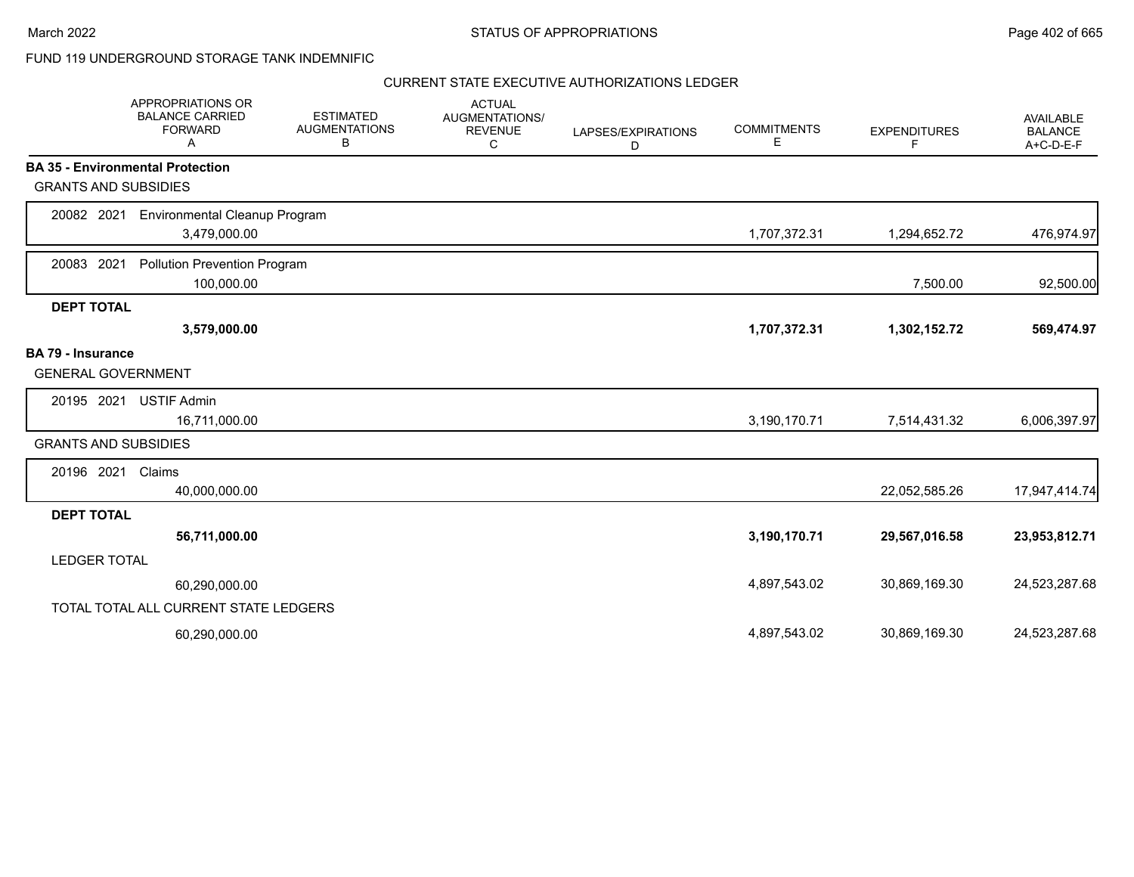٠.

### FUND 119 UNDERGROUND STORAGE TANK INDEMNIFIC

|                             | APPROPRIATIONS OR<br><b>BALANCE CARRIED</b><br><b>FORWARD</b><br>A | <b>ESTIMATED</b><br><b>AUGMENTATIONS</b><br>В | <b>ACTUAL</b><br>AUGMENTATIONS/<br><b>REVENUE</b><br>С | LAPSES/EXPIRATIONS<br>D | <b>COMMITMENTS</b><br>Е | <b>EXPENDITURES</b><br>F | <b>AVAILABLE</b><br><b>BALANCE</b><br>A+C-D-E-F |
|-----------------------------|--------------------------------------------------------------------|-----------------------------------------------|--------------------------------------------------------|-------------------------|-------------------------|--------------------------|-------------------------------------------------|
|                             | <b>BA 35 - Environmental Protection</b>                            |                                               |                                                        |                         |                         |                          |                                                 |
| <b>GRANTS AND SUBSIDIES</b> |                                                                    |                                               |                                                        |                         |                         |                          |                                                 |
| 20082 2021                  | <b>Environmental Cleanup Program</b>                               |                                               |                                                        |                         |                         |                          |                                                 |
|                             | 3,479,000.00                                                       |                                               |                                                        |                         | 1,707,372.31            | 1,294,652.72             | 476,974.97                                      |
| 20083 2021                  | <b>Pollution Prevention Program</b>                                |                                               |                                                        |                         |                         |                          |                                                 |
|                             | 100,000.00                                                         |                                               |                                                        |                         |                         | 7,500.00                 | 92,500.00                                       |
| <b>DEPT TOTAL</b>           |                                                                    |                                               |                                                        |                         |                         |                          |                                                 |
|                             | 3,579,000.00                                                       |                                               |                                                        |                         | 1,707,372.31            | 1,302,152.72             | 569,474.97                                      |
| <b>BA 79 - Insurance</b>    |                                                                    |                                               |                                                        |                         |                         |                          |                                                 |
| <b>GENERAL GOVERNMENT</b>   |                                                                    |                                               |                                                        |                         |                         |                          |                                                 |
| 20195 2021                  | <b>USTIF Admin</b>                                                 |                                               |                                                        |                         |                         |                          |                                                 |
|                             | 16,711,000.00                                                      |                                               |                                                        |                         | 3,190,170.71            | 7,514,431.32             | 6,006,397.97                                    |
| <b>GRANTS AND SUBSIDIES</b> |                                                                    |                                               |                                                        |                         |                         |                          |                                                 |
| 20196 2021                  | Claims                                                             |                                               |                                                        |                         |                         |                          |                                                 |
|                             | 40,000,000.00                                                      |                                               |                                                        |                         |                         | 22,052,585.26            | 17,947,414.74                                   |
| <b>DEPT TOTAL</b>           |                                                                    |                                               |                                                        |                         |                         |                          |                                                 |
|                             | 56,711,000.00                                                      |                                               |                                                        |                         | 3,190,170.71            | 29,567,016.58            | 23,953,812.71                                   |
| <b>LEDGER TOTAL</b>         |                                                                    |                                               |                                                        |                         |                         |                          |                                                 |
|                             | 60,290,000.00                                                      |                                               |                                                        |                         | 4,897,543.02            | 30,869,169.30            | 24,523,287.68                                   |
|                             | TOTAL TOTAL ALL CURRENT STATE LEDGERS                              |                                               |                                                        |                         |                         |                          |                                                 |
|                             | 60,290,000.00                                                      |                                               |                                                        |                         | 4,897,543.02            | 30,869,169.30            | 24,523,287.68                                   |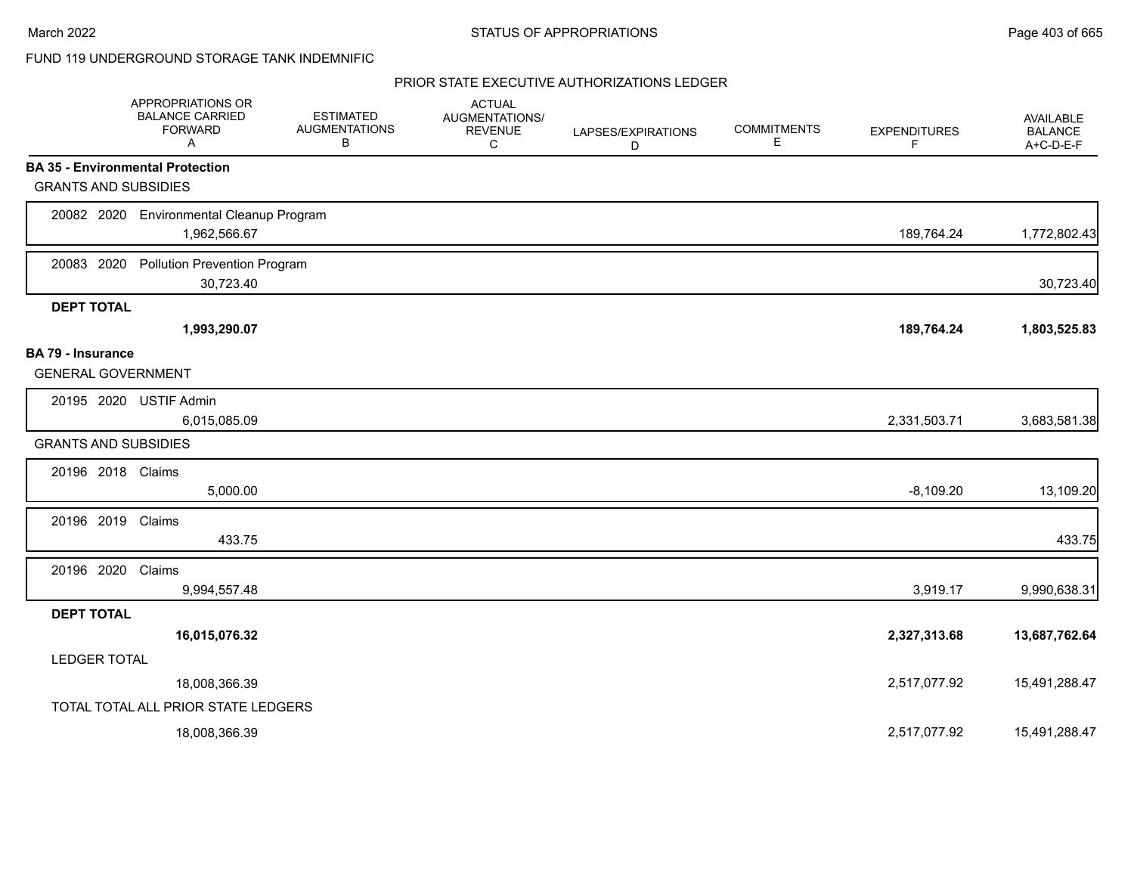### FUND 119 UNDERGROUND STORAGE TANK INDEMNIFIC

|                                                       | APPROPRIATIONS OR<br><b>BALANCE CARRIED</b><br><b>FORWARD</b><br>A | <b>ESTIMATED</b><br><b>AUGMENTATIONS</b><br>B | <b>ACTUAL</b><br>AUGMENTATIONS/<br><b>REVENUE</b><br>C | LAPSES/EXPIRATIONS<br>D | <b>COMMITMENTS</b><br>Е | <b>EXPENDITURES</b><br>F | AVAILABLE<br><b>BALANCE</b><br>A+C-D-E-F |
|-------------------------------------------------------|--------------------------------------------------------------------|-----------------------------------------------|--------------------------------------------------------|-------------------------|-------------------------|--------------------------|------------------------------------------|
|                                                       | <b>BA 35 - Environmental Protection</b>                            |                                               |                                                        |                         |                         |                          |                                          |
| <b>GRANTS AND SUBSIDIES</b>                           |                                                                    |                                               |                                                        |                         |                         |                          |                                          |
|                                                       | 20082 2020 Environmental Cleanup Program<br>1,962,566.67           |                                               |                                                        |                         |                         | 189,764.24               | 1,772,802.43                             |
| 20083 2020                                            | <b>Pollution Prevention Program</b><br>30,723.40                   |                                               |                                                        |                         |                         |                          | 30,723.40                                |
| <b>DEPT TOTAL</b>                                     |                                                                    |                                               |                                                        |                         |                         |                          |                                          |
|                                                       | 1,993,290.07                                                       |                                               |                                                        |                         |                         | 189,764.24               | 1,803,525.83                             |
| <b>BA 79 - Insurance</b><br><b>GENERAL GOVERNMENT</b> |                                                                    |                                               |                                                        |                         |                         |                          |                                          |
| 20195 2020                                            | <b>USTIF Admin</b><br>6,015,085.09                                 |                                               |                                                        |                         |                         | 2,331,503.71             | 3,683,581.38                             |
| <b>GRANTS AND SUBSIDIES</b>                           |                                                                    |                                               |                                                        |                         |                         |                          |                                          |
| 20196 2018 Claims                                     |                                                                    |                                               |                                                        |                         |                         |                          |                                          |
|                                                       | 5,000.00                                                           |                                               |                                                        |                         |                         | $-8,109.20$              | 13,109.20                                |
| 20196 2019                                            | Claims                                                             |                                               |                                                        |                         |                         |                          |                                          |
|                                                       | 433.75                                                             |                                               |                                                        |                         |                         |                          | 433.75                                   |
| 20196 2020                                            | Claims<br>9,994,557.48                                             |                                               |                                                        |                         |                         | 3,919.17                 | 9,990,638.31                             |
| <b>DEPT TOTAL</b>                                     |                                                                    |                                               |                                                        |                         |                         |                          |                                          |
|                                                       | 16,015,076.32                                                      |                                               |                                                        |                         |                         | 2,327,313.68             | 13,687,762.64                            |
| <b>LEDGER TOTAL</b>                                   |                                                                    |                                               |                                                        |                         |                         |                          |                                          |
|                                                       | 18,008,366.39                                                      |                                               |                                                        |                         |                         | 2,517,077.92             | 15,491,288.47                            |
|                                                       | TOTAL TOTAL ALL PRIOR STATE LEDGERS                                |                                               |                                                        |                         |                         |                          |                                          |
|                                                       | 18,008,366.39                                                      |                                               |                                                        |                         |                         | 2,517,077.92             | 15,491,288.47                            |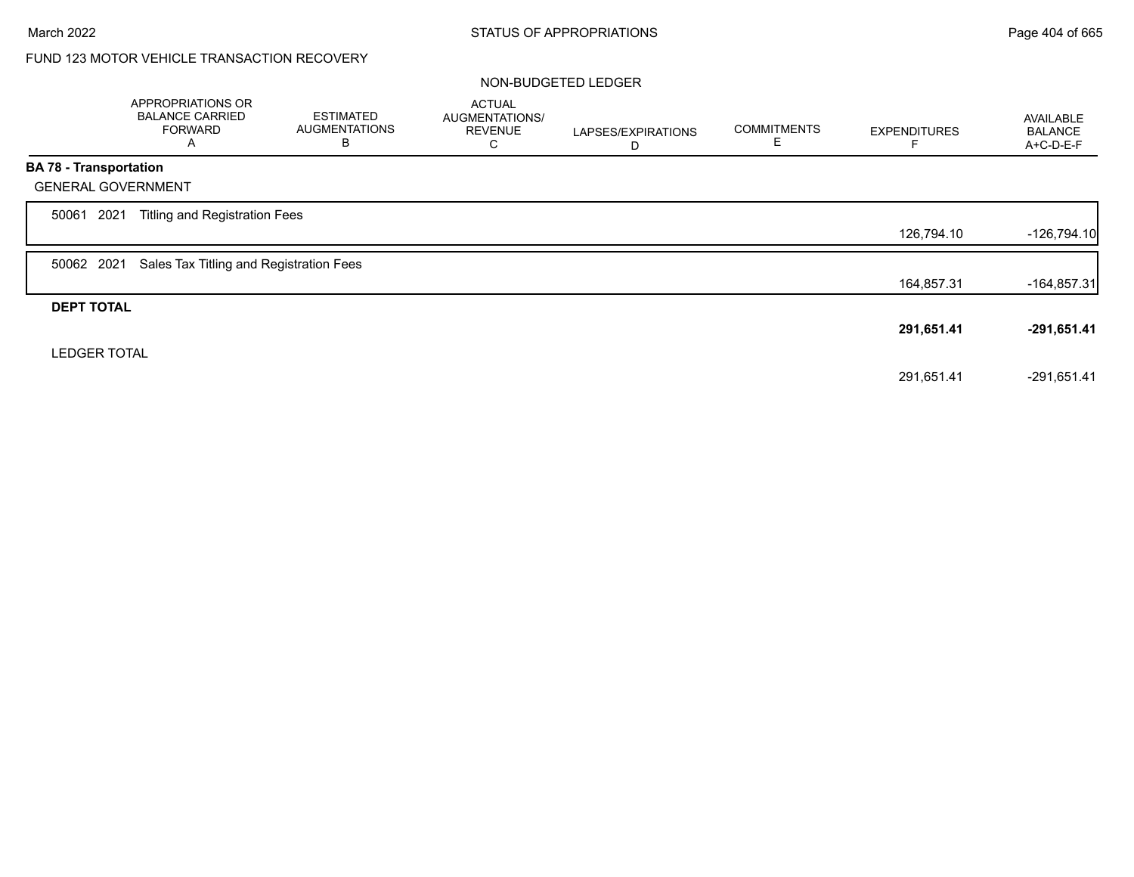## FUND 123 MOTOR VEHICLE TRANSACTION RECOVERY

### NON-BUDGETED LEDGER

|                               | APPROPRIATIONS OR<br><b>BALANCE CARRIED</b><br><b>FORWARD</b><br>A | <b>ESTIMATED</b><br><b>AUGMENTATIONS</b><br>B | <b>ACTUAL</b><br>AUGMENTATIONS/<br><b>REVENUE</b><br>С | LAPSES/EXPIRATIONS<br>D | <b>COMMITMENTS</b><br>Ε | <b>EXPENDITURES</b> | AVAILABLE<br><b>BALANCE</b><br>A+C-D-E-F |
|-------------------------------|--------------------------------------------------------------------|-----------------------------------------------|--------------------------------------------------------|-------------------------|-------------------------|---------------------|------------------------------------------|
| <b>BA 78 - Transportation</b> |                                                                    |                                               |                                                        |                         |                         |                     |                                          |
| <b>GENERAL GOVERNMENT</b>     |                                                                    |                                               |                                                        |                         |                         |                     |                                          |
| 2021<br>50061                 | Titling and Registration Fees                                      |                                               |                                                        |                         |                         |                     |                                          |
|                               |                                                                    |                                               |                                                        |                         |                         | 126,794.10          | $-126,794.10$                            |
| 50062 2021                    | Sales Tax Titling and Registration Fees                            |                                               |                                                        |                         |                         |                     |                                          |
|                               |                                                                    |                                               |                                                        |                         |                         | 164,857.31          | $-164,857.31$                            |
| <b>DEPT TOTAL</b>             |                                                                    |                                               |                                                        |                         |                         |                     |                                          |
|                               |                                                                    |                                               |                                                        |                         |                         | 291,651.41          | $-291,651.41$                            |
| <b>LEDGER TOTAL</b>           |                                                                    |                                               |                                                        |                         |                         |                     |                                          |
|                               |                                                                    |                                               |                                                        |                         |                         | 291,651.41          | $-291,651.41$                            |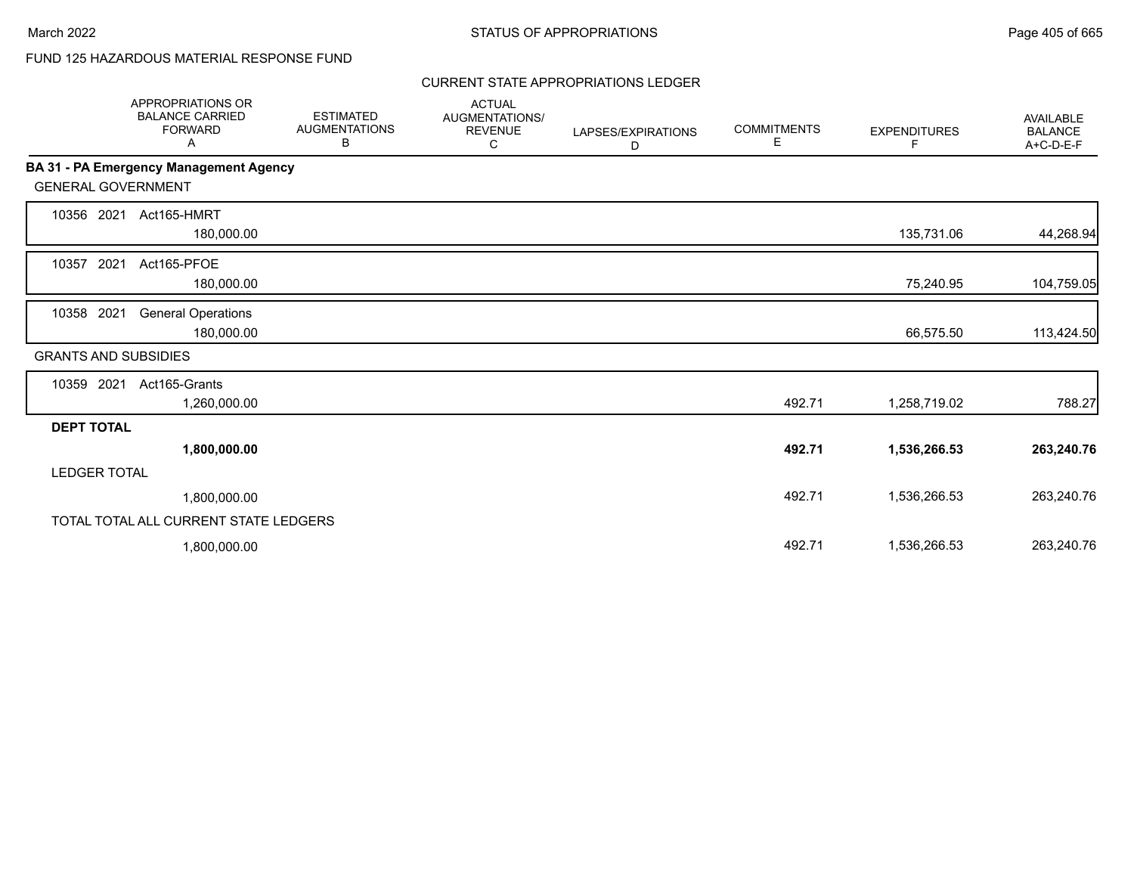# FUND 125 HAZARDOUS MATERIAL RESPONSE FUND

#### CURRENT STATE APPROPRIATIONS LEDGER

|                             | <b>APPROPRIATIONS OR</b><br><b>BALANCE CARRIED</b><br><b>FORWARD</b><br>Α | <b>ESTIMATED</b><br><b>AUGMENTATIONS</b><br>В | <b>ACTUAL</b><br>AUGMENTATIONS/<br><b>REVENUE</b><br>С | LAPSES/EXPIRATIONS<br>D | <b>COMMITMENTS</b><br>E. | <b>EXPENDITURES</b><br>F. | <b>AVAILABLE</b><br><b>BALANCE</b><br>A+C-D-E-F |
|-----------------------------|---------------------------------------------------------------------------|-----------------------------------------------|--------------------------------------------------------|-------------------------|--------------------------|---------------------------|-------------------------------------------------|
|                             | <b>BA 31 - PA Emergency Management Agency</b>                             |                                               |                                                        |                         |                          |                           |                                                 |
| <b>GENERAL GOVERNMENT</b>   |                                                                           |                                               |                                                        |                         |                          |                           |                                                 |
| 10356 2021                  | Act165-HMRT<br>180,000.00                                                 |                                               |                                                        |                         |                          | 135,731.06                | 44,268.94                                       |
| 2021<br>10357               | Act165-PFOE<br>180,000.00                                                 |                                               |                                                        |                         |                          | 75,240.95                 | 104,759.05                                      |
| 10358 2021                  | <b>General Operations</b><br>180,000.00                                   |                                               |                                                        |                         |                          | 66,575.50                 | 113,424.50                                      |
| <b>GRANTS AND SUBSIDIES</b> |                                                                           |                                               |                                                        |                         |                          |                           |                                                 |
| 10359 2021                  | Act165-Grants<br>1,260,000.00                                             |                                               |                                                        |                         | 492.71                   | 1,258,719.02              | 788.27                                          |
| <b>DEPT TOTAL</b>           |                                                                           |                                               |                                                        |                         |                          |                           |                                                 |
|                             | 1,800,000.00                                                              |                                               |                                                        |                         | 492.71                   | 1,536,266.53              | 263,240.76                                      |
| <b>LEDGER TOTAL</b>         |                                                                           |                                               |                                                        |                         |                          |                           |                                                 |
|                             | 1,800,000.00                                                              |                                               |                                                        |                         | 492.71                   | 1,536,266.53              | 263,240.76                                      |
|                             | TOTAL TOTAL ALL CURRENT STATE LEDGERS                                     |                                               |                                                        |                         |                          |                           |                                                 |
|                             | 1,800,000.00                                                              |                                               |                                                        |                         | 492.71                   | 1,536,266.53              | 263,240.76                                      |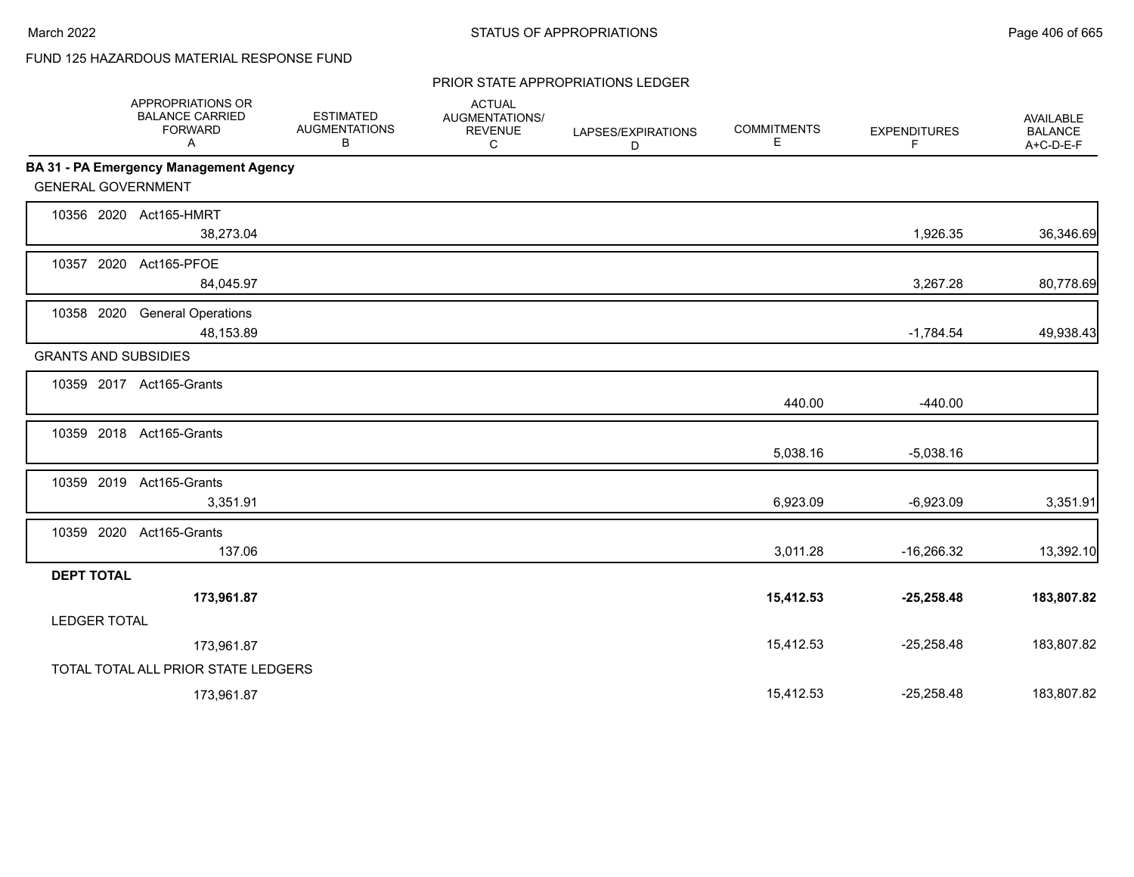# FUND 125 HAZARDOUS MATERIAL RESPONSE FUND

#### PRIOR STATE APPROPRIATIONS LEDGER

|                             | APPROPRIATIONS OR<br><b>BALANCE CARRIED</b><br><b>FORWARD</b><br>Α | <b>ESTIMATED</b><br><b>AUGMENTATIONS</b><br>В | <b>ACTUAL</b><br>AUGMENTATIONS/<br><b>REVENUE</b><br>С | LAPSES/EXPIRATIONS<br>D | <b>COMMITMENTS</b><br>Е | <b>EXPENDITURES</b><br>F | <b>AVAILABLE</b><br><b>BALANCE</b><br>$A+C-D-E-F$ |
|-----------------------------|--------------------------------------------------------------------|-----------------------------------------------|--------------------------------------------------------|-------------------------|-------------------------|--------------------------|---------------------------------------------------|
|                             | BA 31 - PA Emergency Management Agency                             |                                               |                                                        |                         |                         |                          |                                                   |
| <b>GENERAL GOVERNMENT</b>   |                                                                    |                                               |                                                        |                         |                         |                          |                                                   |
|                             | 10356 2020 Act165-HMRT<br>38,273.04                                |                                               |                                                        |                         |                         | 1,926.35                 | 36,346.69                                         |
|                             | 10357 2020 Act165-PFOE<br>84,045.97                                |                                               |                                                        |                         |                         | 3,267.28                 | 80,778.69                                         |
| 10358 2020                  | <b>General Operations</b><br>48,153.89                             |                                               |                                                        |                         |                         | $-1,784.54$              | 49,938.43                                         |
| <b>GRANTS AND SUBSIDIES</b> |                                                                    |                                               |                                                        |                         |                         |                          |                                                   |
|                             | 10359 2017 Act165-Grants                                           |                                               |                                                        |                         | 440.00                  | $-440.00$                |                                                   |
|                             | 10359 2018 Act165-Grants                                           |                                               |                                                        |                         | 5,038.16                | $-5,038.16$              |                                                   |
|                             | 10359 2019 Act165-Grants<br>3,351.91                               |                                               |                                                        |                         | 6,923.09                | $-6,923.09$              | 3,351.91                                          |
|                             | 10359 2020 Act165-Grants<br>137.06                                 |                                               |                                                        |                         | 3,011.28                | $-16,266.32$             | 13,392.10                                         |
| <b>DEPT TOTAL</b>           |                                                                    |                                               |                                                        |                         |                         |                          |                                                   |
| <b>LEDGER TOTAL</b>         | 173,961.87                                                         |                                               |                                                        |                         | 15,412.53               | $-25,258.48$             | 183,807.82                                        |
|                             | 173,961.87                                                         |                                               |                                                        |                         | 15,412.53               | $-25,258.48$             | 183,807.82                                        |
|                             | TOTAL TOTAL ALL PRIOR STATE LEDGERS                                |                                               |                                                        |                         |                         |                          |                                                   |
|                             | 173,961.87                                                         |                                               |                                                        |                         | 15,412.53               | $-25,258.48$             | 183,807.82                                        |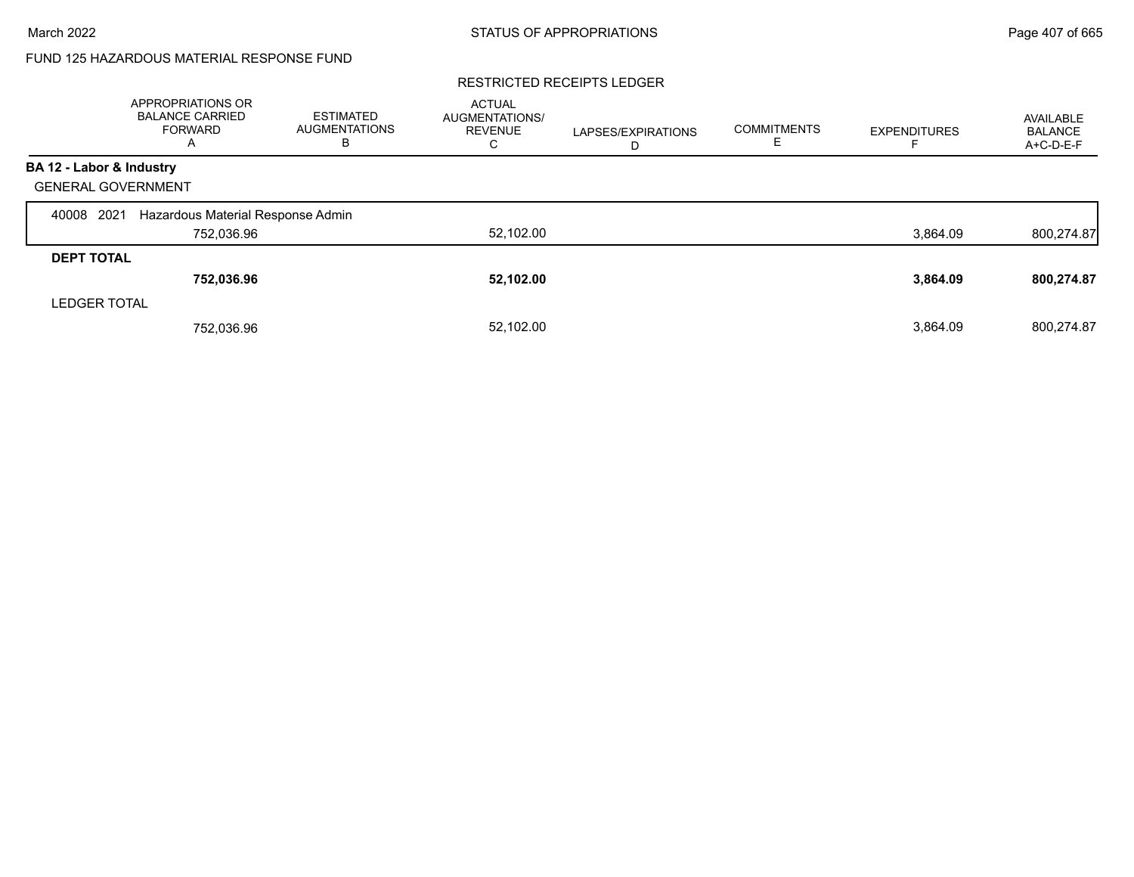# FUND 125 HAZARDOUS MATERIAL RESPONSE FUND

#### RESTRICTED RECEIPTS LEDGER

|                           | <b>APPROPRIATIONS OR</b><br><b>BALANCE CARRIED</b><br><b>FORWARD</b><br>A | <b>ESTIMATED</b><br>AUGMENTATIONS<br>в | <b>ACTUAL</b><br><b>AUGMENTATIONS/</b><br><b>REVENUE</b><br>C | LAPSES/EXPIRATIONS<br>D | <b>COMMITMENTS</b><br>ᄂ | <b>EXPENDITURES</b> | AVAILABLE<br><b>BALANCE</b><br>A+C-D-E-F |
|---------------------------|---------------------------------------------------------------------------|----------------------------------------|---------------------------------------------------------------|-------------------------|-------------------------|---------------------|------------------------------------------|
| BA 12 - Labor & Industry  |                                                                           |                                        |                                                               |                         |                         |                     |                                          |
| <b>GENERAL GOVERNMENT</b> |                                                                           |                                        |                                                               |                         |                         |                     |                                          |
| 2021<br>40008             | Hazardous Material Response Admin                                         |                                        |                                                               |                         |                         |                     |                                          |
|                           | 752,036.96                                                                |                                        | 52,102.00                                                     |                         |                         | 3,864.09            | 800,274.87                               |
| <b>DEPT TOTAL</b>         |                                                                           |                                        |                                                               |                         |                         |                     |                                          |
|                           | 752,036.96                                                                |                                        | 52,102.00                                                     |                         |                         | 3,864.09            | 800,274.87                               |
| <b>LEDGER TOTAL</b>       |                                                                           |                                        |                                                               |                         |                         |                     |                                          |
|                           | 752,036.96                                                                |                                        | 52,102.00                                                     |                         |                         | 3,864.09            | 800,274.87                               |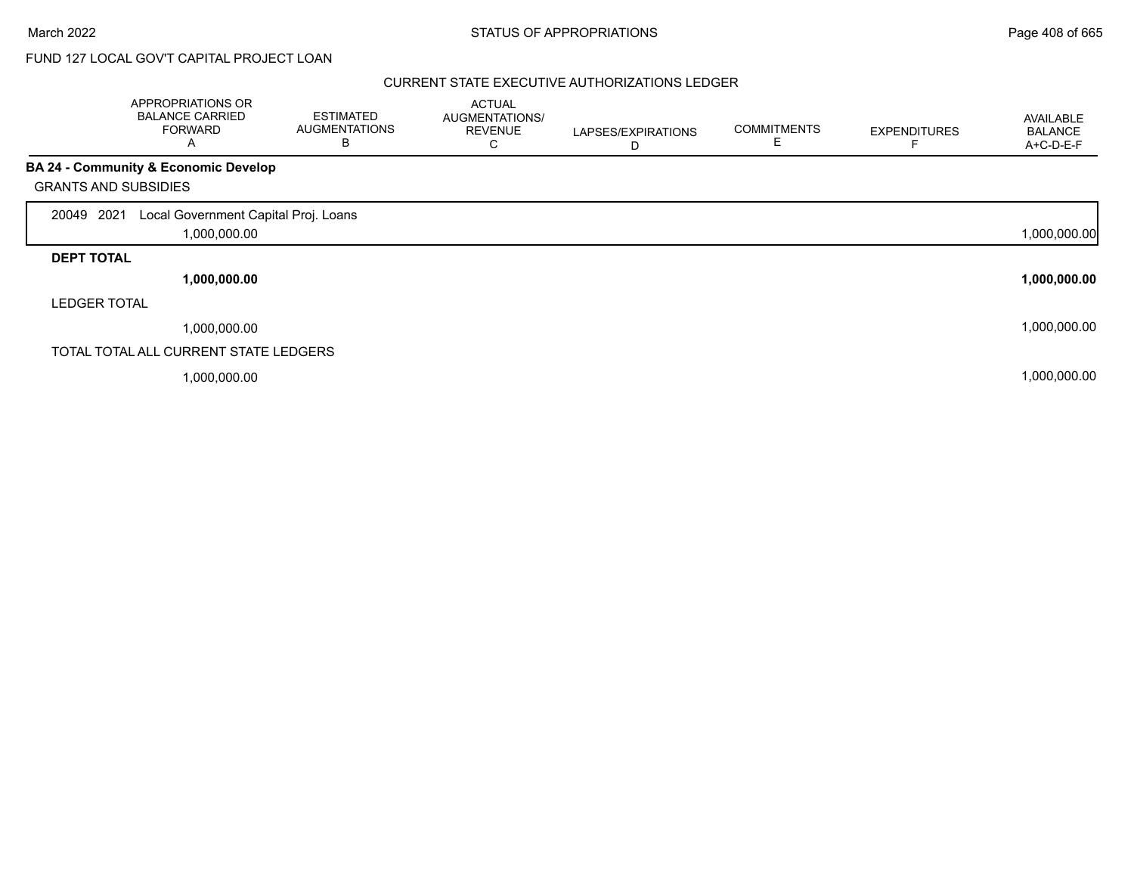# FUND 127 LOCAL GOV'T CAPITAL PROJECT LOAN

|                             | APPROPRIATIONS OR<br><b>BALANCE CARRIED</b><br><b>FORWARD</b><br>A | <b>ESTIMATED</b><br><b>AUGMENTATIONS</b><br>B | <b>ACTUAL</b><br>AUGMENTATIONS/<br><b>REVENUE</b><br>С | LAPSES/EXPIRATIONS<br>D | <b>COMMITMENTS</b><br>E. | <b>EXPENDITURES</b> | AVAILABLE<br><b>BALANCE</b><br>A+C-D-E-F |
|-----------------------------|--------------------------------------------------------------------|-----------------------------------------------|--------------------------------------------------------|-------------------------|--------------------------|---------------------|------------------------------------------|
|                             | <b>BA 24 - Community &amp; Economic Develop</b>                    |                                               |                                                        |                         |                          |                     |                                          |
| <b>GRANTS AND SUBSIDIES</b> |                                                                    |                                               |                                                        |                         |                          |                     |                                          |
| 20049 2021                  | Local Government Capital Proj. Loans<br>1,000,000.00               |                                               |                                                        |                         |                          |                     | 1,000,000.00                             |
| <b>DEPT TOTAL</b>           |                                                                    |                                               |                                                        |                         |                          |                     |                                          |
|                             | 1,000,000.00                                                       |                                               |                                                        |                         |                          |                     | 1,000,000.00                             |
| <b>LEDGER TOTAL</b>         |                                                                    |                                               |                                                        |                         |                          |                     |                                          |
|                             | 1,000,000.00                                                       |                                               |                                                        |                         |                          |                     | 1,000,000.00                             |
|                             | TOTAL TOTAL ALL CURRENT STATE LEDGERS                              |                                               |                                                        |                         |                          |                     |                                          |
|                             | 1,000,000.00                                                       |                                               |                                                        |                         |                          |                     | 1,000,000.00                             |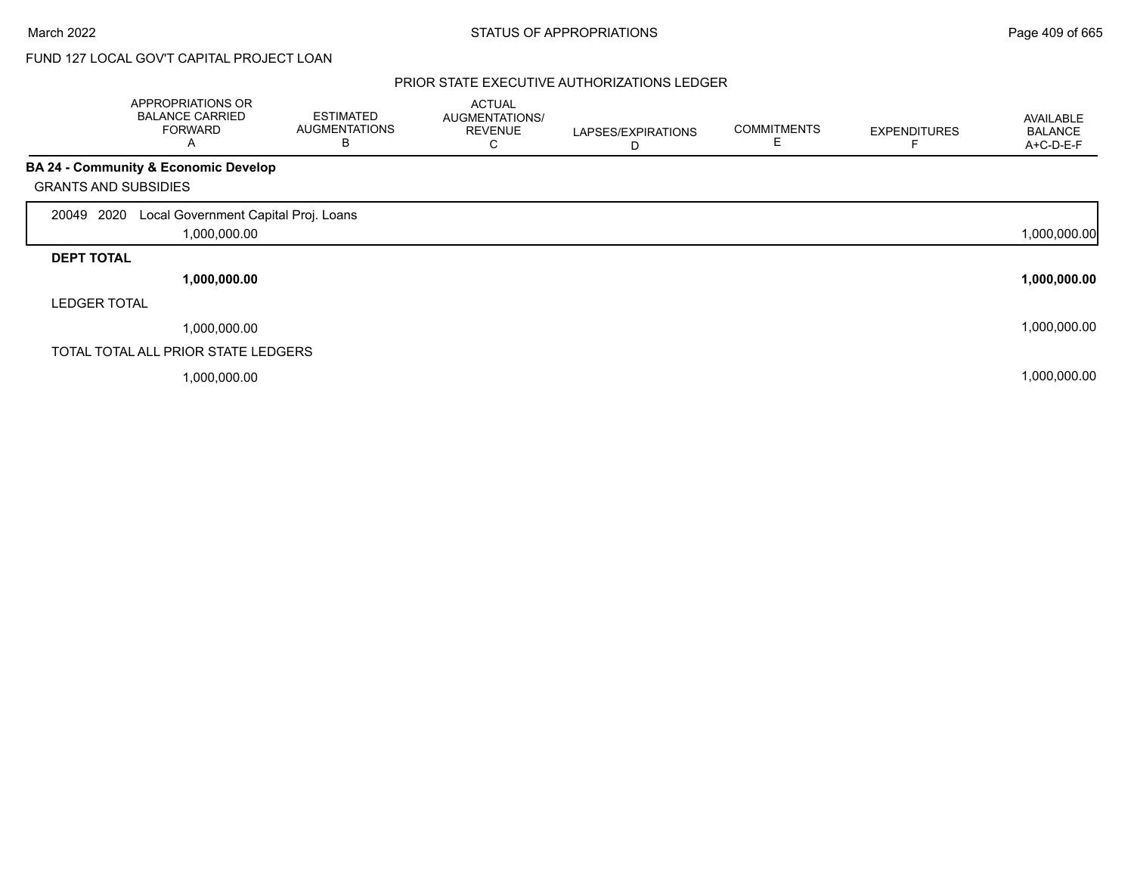# FUND 127 LOCAL GOV'T CAPITAL PROJECT LOAN

|                             | APPROPRIATIONS OR<br><b>BALANCE CARRIED</b><br><b>FORWARD</b><br>A | <b>ESTIMATED</b><br><b>AUGMENTATIONS</b><br>B | <b>ACTUAL</b><br>AUGMENTATIONS/<br><b>REVENUE</b><br>С | LAPSES/EXPIRATIONS<br>D | <b>COMMITMENTS</b><br>Е | <b>EXPENDITURES</b> | AVAILABLE<br><b>BALANCE</b><br>A+C-D-E-F |
|-----------------------------|--------------------------------------------------------------------|-----------------------------------------------|--------------------------------------------------------|-------------------------|-------------------------|---------------------|------------------------------------------|
|                             | <b>BA 24 - Community &amp; Economic Develop</b>                    |                                               |                                                        |                         |                         |                     |                                          |
| <b>GRANTS AND SUBSIDIES</b> |                                                                    |                                               |                                                        |                         |                         |                     |                                          |
| 20049 2020                  | Local Government Capital Proj. Loans                               |                                               |                                                        |                         |                         |                     |                                          |
|                             | 1,000,000.00                                                       |                                               |                                                        |                         |                         |                     | 1,000,000.00                             |
| <b>DEPT TOTAL</b>           |                                                                    |                                               |                                                        |                         |                         |                     |                                          |
|                             | 1,000,000.00                                                       |                                               |                                                        |                         |                         |                     | 1,000,000.00                             |
| <b>LEDGER TOTAL</b>         |                                                                    |                                               |                                                        |                         |                         |                     |                                          |
|                             | 1,000,000.00                                                       |                                               |                                                        |                         |                         |                     | 1,000,000.00                             |
|                             | TOTAL TOTAL ALL PRIOR STATE LEDGERS                                |                                               |                                                        |                         |                         |                     |                                          |
|                             | 1,000,000.00                                                       |                                               |                                                        |                         |                         |                     | 1,000,000.00                             |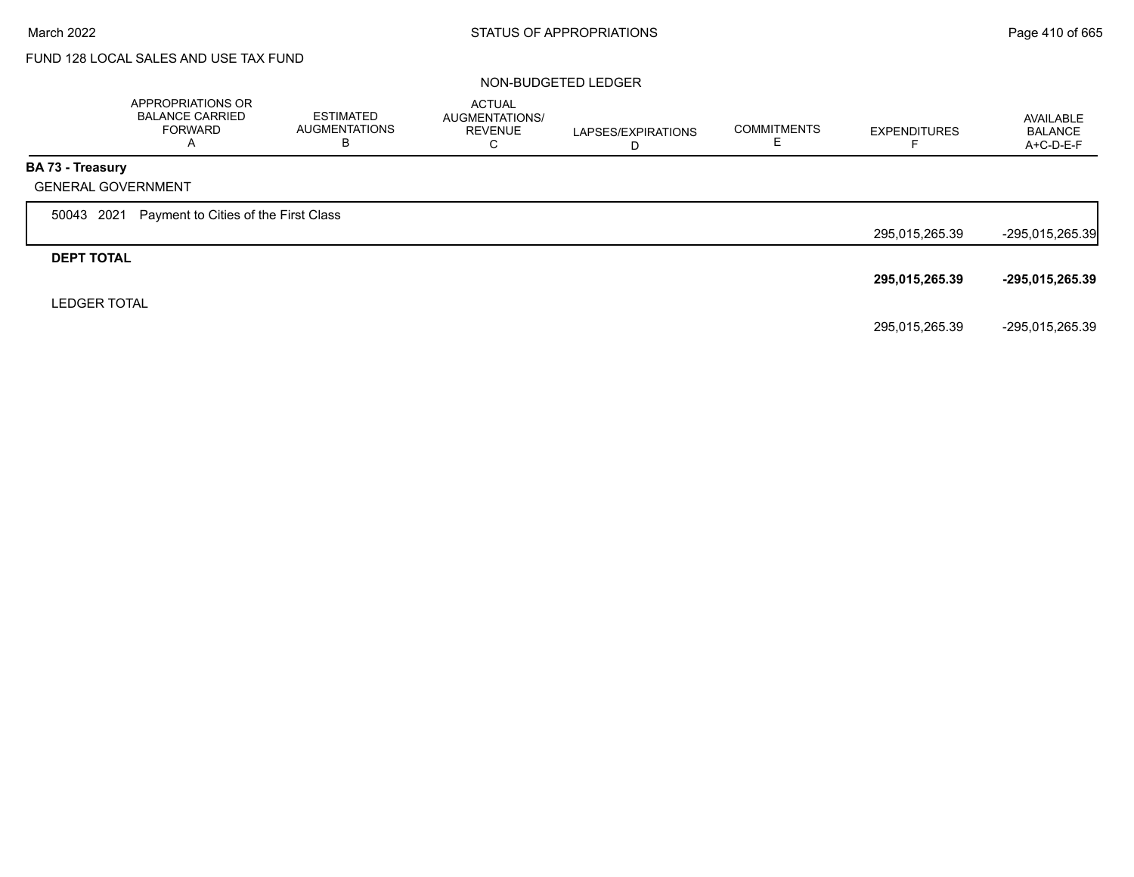# FUND 128 LOCAL SALES AND USE TAX FUND

#### NON-BUDGETED LEDGER

|                           | APPROPRIATIONS OR<br><b>BALANCE CARRIED</b><br><b>FORWARD</b><br>A | ESTIMATED<br>AUGMENTATIONS<br>В | <b>ACTUAL</b><br><b>AUGMENTATIONS/</b><br><b>REVENUE</b><br>C | LAPSES/EXPIRATIONS<br>D | <b>COMMITMENTS</b> | <b>EXPENDITURES</b> | AVAILABLE<br><b>BALANCE</b><br>A+C-D-E-F |
|---------------------------|--------------------------------------------------------------------|---------------------------------|---------------------------------------------------------------|-------------------------|--------------------|---------------------|------------------------------------------|
| BA 73 - Treasury          |                                                                    |                                 |                                                               |                         |                    |                     |                                          |
| <b>GENERAL GOVERNMENT</b> |                                                                    |                                 |                                                               |                         |                    |                     |                                          |
| 2021<br>50043             | Payment to Cities of the First Class                               |                                 |                                                               |                         |                    |                     |                                          |
|                           |                                                                    |                                 |                                                               |                         |                    | 295,015,265.39      | -295,015,265.39                          |
| <b>DEPT TOTAL</b>         |                                                                    |                                 |                                                               |                         |                    |                     |                                          |
|                           |                                                                    |                                 |                                                               |                         |                    | 295,015,265.39      | -295,015,265.39                          |
| <b>LEDGER TOTAL</b>       |                                                                    |                                 |                                                               |                         |                    |                     |                                          |
|                           |                                                                    |                                 |                                                               |                         |                    | 295,015,265.39      | -295,015,265.39                          |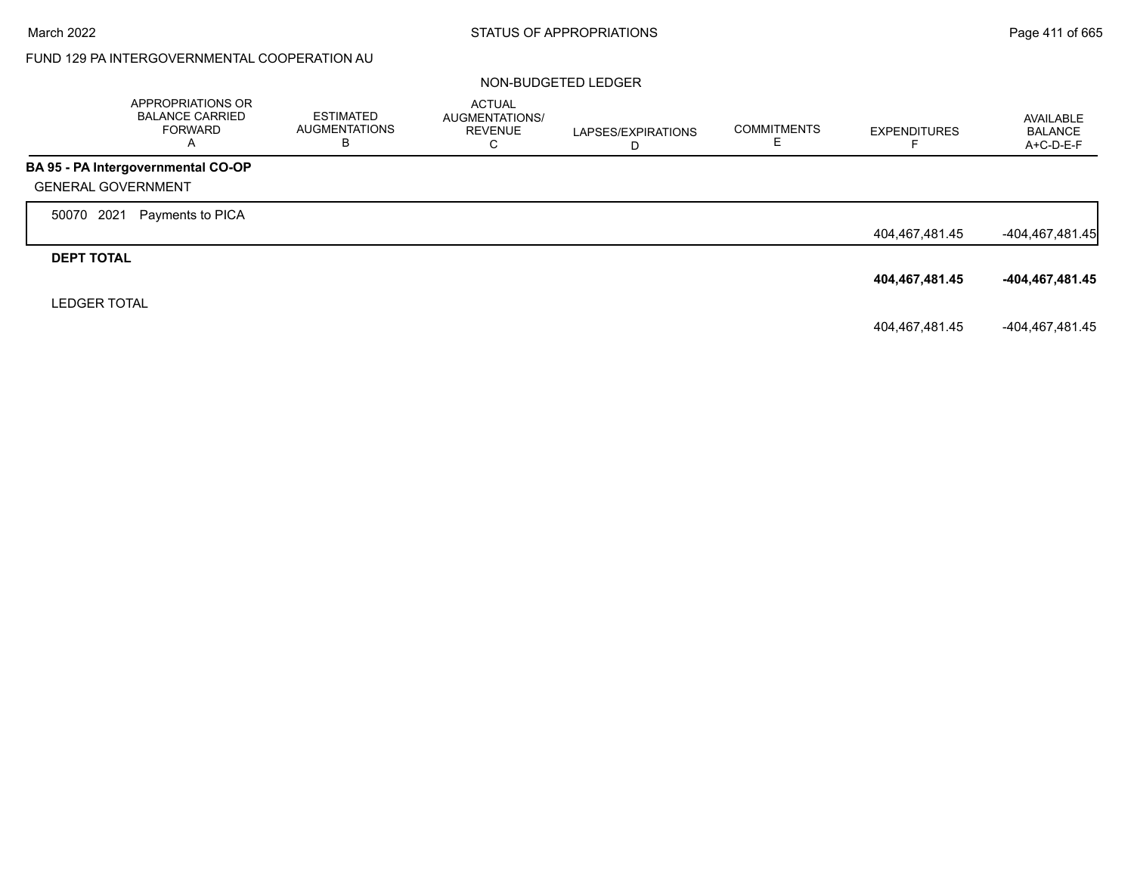# FUND 129 PA INTERGOVERNMENTAL COOPERATION AU

#### NON-BUDGETED LEDGER

|                           | APPROPRIATIONS OR<br><b>BALANCE CARRIED</b><br><b>FORWARD</b><br>A | <b>ESTIMATED</b><br>AUGMENTATIONS<br>В | <b>ACTUAL</b><br>AUGMENTATIONS/<br><b>REVENUE</b><br>С | LAPSES/EXPIRATIONS<br>D | <b>COMMITMENTS</b><br>c. | <b>EXPENDITURES</b><br>⊢ | AVAILABLE<br><b>BALANCE</b><br>A+C-D-E-F |
|---------------------------|--------------------------------------------------------------------|----------------------------------------|--------------------------------------------------------|-------------------------|--------------------------|--------------------------|------------------------------------------|
|                           | BA 95 - PA Intergovernmental CO-OP                                 |                                        |                                                        |                         |                          |                          |                                          |
| <b>GENERAL GOVERNMENT</b> |                                                                    |                                        |                                                        |                         |                          |                          |                                          |
| 2021<br>50070             | Payments to PICA                                                   |                                        |                                                        |                         |                          |                          |                                          |
|                           |                                                                    |                                        |                                                        |                         |                          | 404,467,481.45           | -404,467,481.45                          |
| <b>DEPT TOTAL</b>         |                                                                    |                                        |                                                        |                         |                          |                          |                                          |
|                           |                                                                    |                                        |                                                        |                         |                          | 404,467,481.45           | -404,467,481.45                          |
| <b>LEDGER TOTAL</b>       |                                                                    |                                        |                                                        |                         |                          |                          |                                          |
|                           |                                                                    |                                        |                                                        |                         |                          | 404,467,481.45           | -404,467,481.45                          |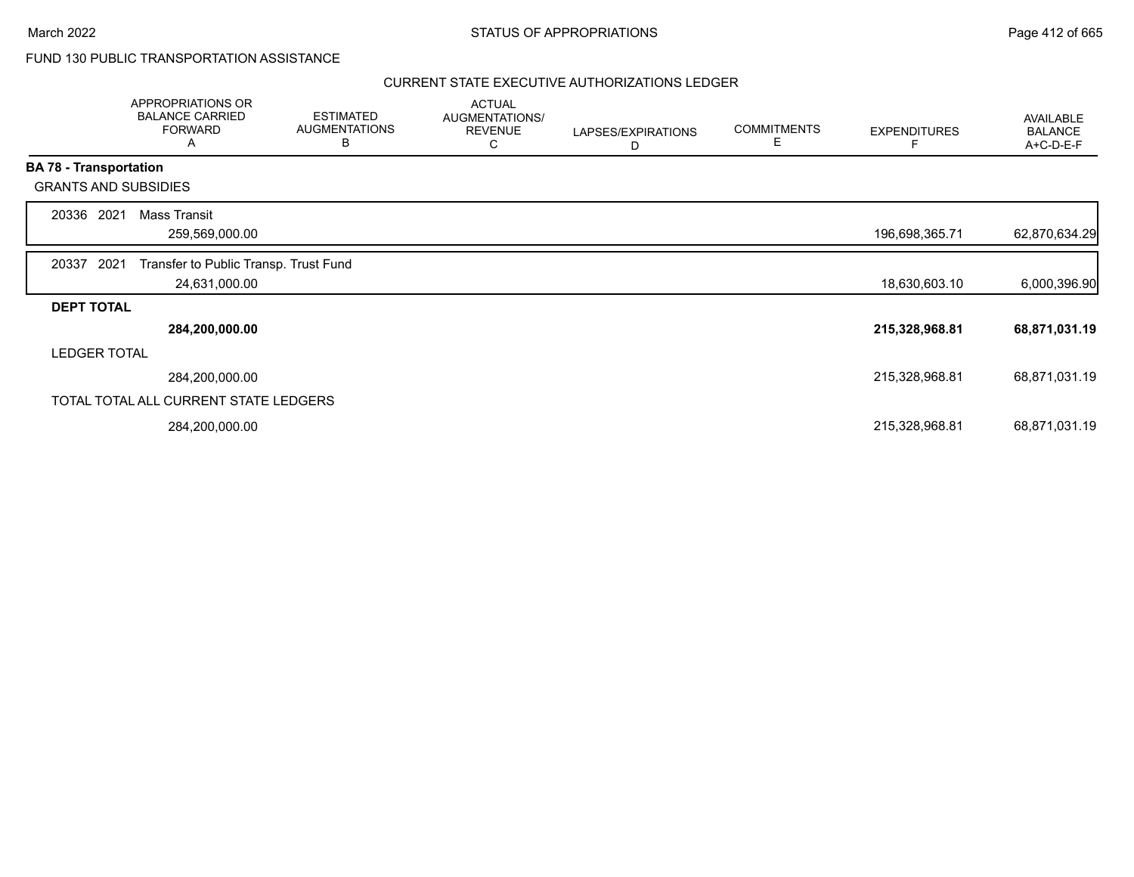### FUND 130 PUBLIC TRANSPORTATION ASSISTANCE

|                   | APPROPRIATIONS OR<br><b>BALANCE CARRIED</b><br><b>FORWARD</b><br>Α |                | <b>ESTIMATED</b><br><b>AUGMENTATIONS</b><br>В | <b>ACTUAL</b><br>AUGMENTATIONS/<br><b>REVENUE</b><br>С | LAPSES/EXPIRATIONS<br>D | <b>COMMITMENTS</b><br>Е | <b>EXPENDITURES</b> | AVAILABLE<br><b>BALANCE</b><br>A+C-D-E-F |
|-------------------|--------------------------------------------------------------------|----------------|-----------------------------------------------|--------------------------------------------------------|-------------------------|-------------------------|---------------------|------------------------------------------|
|                   | <b>BA 78 - Transportation</b>                                      |                |                                               |                                                        |                         |                         |                     |                                          |
|                   | <b>GRANTS AND SUBSIDIES</b>                                        |                |                                               |                                                        |                         |                         |                     |                                          |
| 20336             | <b>Mass Transit</b><br>2021                                        |                |                                               |                                                        |                         |                         |                     |                                          |
|                   | 259,569,000.00                                                     |                |                                               |                                                        |                         |                         | 196,698,365.71      | 62,870,634.29                            |
| 20337             | 2021                                                               |                | Transfer to Public Transp. Trust Fund         |                                                        |                         |                         |                     |                                          |
|                   |                                                                    | 24,631,000.00  |                                               |                                                        |                         |                         | 18,630,603.10       | 6,000,396.90                             |
| <b>DEPT TOTAL</b> |                                                                    |                |                                               |                                                        |                         |                         |                     |                                          |
|                   |                                                                    | 284,200,000.00 |                                               |                                                        |                         |                         | 215,328,968.81      | 68,871,031.19                            |
|                   | <b>LEDGER TOTAL</b>                                                |                |                                               |                                                        |                         |                         |                     |                                          |
|                   | 284,200,000.00                                                     |                |                                               |                                                        |                         |                         | 215,328,968.81      | 68,871,031.19                            |
|                   | TOTAL TOTAL ALL CURRENT STATE LEDGERS                              |                |                                               |                                                        |                         |                         |                     |                                          |
|                   | 284,200,000.00                                                     |                |                                               |                                                        |                         |                         | 215,328,968.81      | 68,871,031.19                            |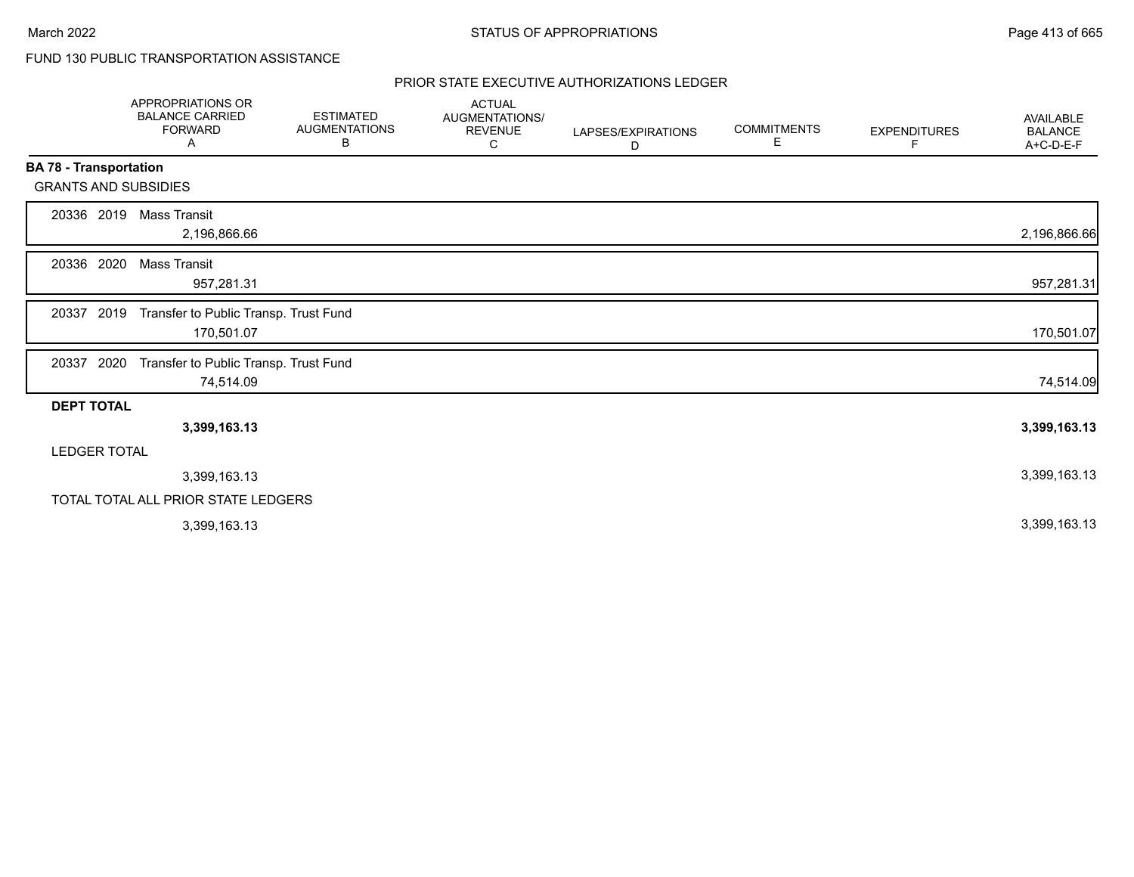# FUND 130 PUBLIC TRANSPORTATION ASSISTANCE

|                               | <b>APPROPRIATIONS OR</b><br><b>BALANCE CARRIED</b><br><b>FORWARD</b><br>Α | <b>ESTIMATED</b><br><b>AUGMENTATIONS</b><br>В | <b>ACTUAL</b><br><b>AUGMENTATIONS/</b><br><b>REVENUE</b><br>С | LAPSES/EXPIRATIONS<br>D | <b>COMMITMENTS</b><br>Е | <b>EXPENDITURES</b><br>F | <b>AVAILABLE</b><br><b>BALANCE</b><br>A+C-D-E-F |
|-------------------------------|---------------------------------------------------------------------------|-----------------------------------------------|---------------------------------------------------------------|-------------------------|-------------------------|--------------------------|-------------------------------------------------|
| <b>BA 78 - Transportation</b> |                                                                           |                                               |                                                               |                         |                         |                          |                                                 |
| <b>GRANTS AND SUBSIDIES</b>   |                                                                           |                                               |                                                               |                         |                         |                          |                                                 |
| 2019<br>20336                 | Mass Transit<br>2,196,866.66                                              |                                               |                                                               |                         |                         |                          | 2,196,866.66                                    |
| 20336 2020                    | Mass Transit<br>957,281.31                                                |                                               |                                                               |                         |                         |                          | 957,281.31                                      |
| 2019<br>20337                 | Transfer to Public Transp. Trust Fund<br>170,501.07                       |                                               |                                                               |                         |                         |                          | 170,501.07                                      |
| 2020<br>20337                 | Transfer to Public Transp. Trust Fund<br>74,514.09                        |                                               |                                                               |                         |                         |                          | 74,514.09                                       |
| <b>DEPT TOTAL</b>             |                                                                           |                                               |                                                               |                         |                         |                          |                                                 |
|                               | 3,399,163.13                                                              |                                               |                                                               |                         |                         |                          | 3,399,163.13                                    |
| <b>LEDGER TOTAL</b>           |                                                                           |                                               |                                                               |                         |                         |                          |                                                 |
|                               | 3,399,163.13                                                              |                                               |                                                               |                         |                         |                          | 3,399,163.13                                    |
|                               | TOTAL TOTAL ALL PRIOR STATE LEDGERS                                       |                                               |                                                               |                         |                         |                          |                                                 |
|                               | 3,399,163.13                                                              |                                               |                                                               |                         |                         |                          | 3,399,163.13                                    |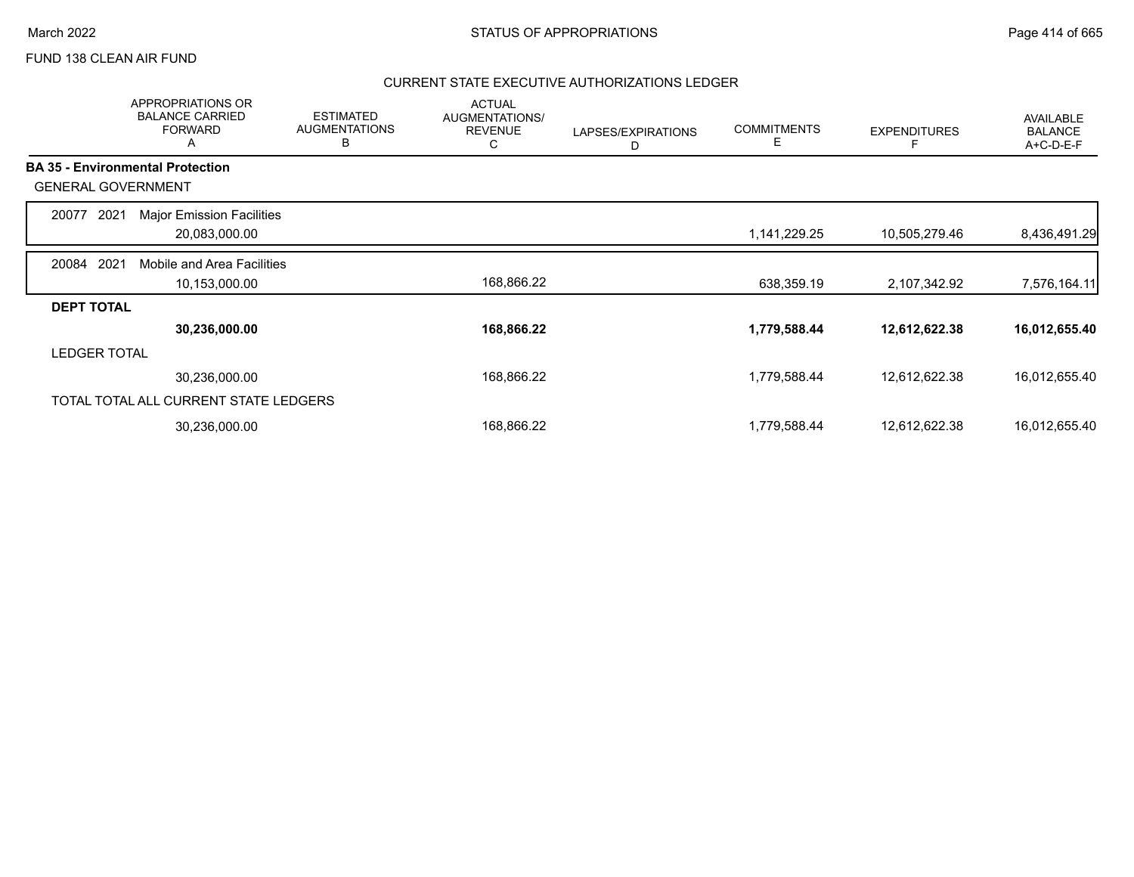### FUND 138 CLEAN AIR FUND

|                           | <b>APPROPRIATIONS OR</b><br><b>BALANCE CARRIED</b><br><b>FORWARD</b><br>A | <b>ESTIMATED</b><br><b>AUGMENTATIONS</b><br>В | <b>ACTUAL</b><br>AUGMENTATIONS/<br><b>REVENUE</b><br>C | LAPSES/EXPIRATIONS<br>D | <b>COMMITMENTS</b><br>Е | <b>EXPENDITURES</b> | AVAILABLE<br><b>BALANCE</b><br>A+C-D-E-F |
|---------------------------|---------------------------------------------------------------------------|-----------------------------------------------|--------------------------------------------------------|-------------------------|-------------------------|---------------------|------------------------------------------|
|                           | <b>BA 35 - Environmental Protection</b>                                   |                                               |                                                        |                         |                         |                     |                                          |
| <b>GENERAL GOVERNMENT</b> |                                                                           |                                               |                                                        |                         |                         |                     |                                          |
| 2021<br>20077             | <b>Major Emission Facilities</b>                                          |                                               |                                                        |                         |                         |                     |                                          |
|                           | 20,083,000.00                                                             |                                               |                                                        |                         | 1,141,229.25            | 10,505,279.46       | 8,436,491.29                             |
| 2021<br>20084             | Mobile and Area Facilities                                                |                                               |                                                        |                         |                         |                     |                                          |
|                           | 10,153,000.00                                                             |                                               | 168,866.22                                             |                         | 638,359.19              | 2,107,342.92        | 7,576,164.11                             |
| <b>DEPT TOTAL</b>         |                                                                           |                                               |                                                        |                         |                         |                     |                                          |
|                           | 30,236,000.00                                                             |                                               | 168,866.22                                             |                         | 1,779,588.44            | 12,612,622.38       | 16,012,655.40                            |
| <b>LEDGER TOTAL</b>       |                                                                           |                                               |                                                        |                         |                         |                     |                                          |
|                           | 30,236,000.00                                                             |                                               | 168,866.22                                             |                         | 1,779,588.44            | 12,612,622.38       | 16,012,655.40                            |
|                           | TOTAL TOTAL ALL CURRENT STATE LEDGERS                                     |                                               |                                                        |                         |                         |                     |                                          |
|                           | 30,236,000.00                                                             |                                               | 168,866.22                                             |                         | 1,779,588.44            | 12,612,622.38       | 16,012,655.40                            |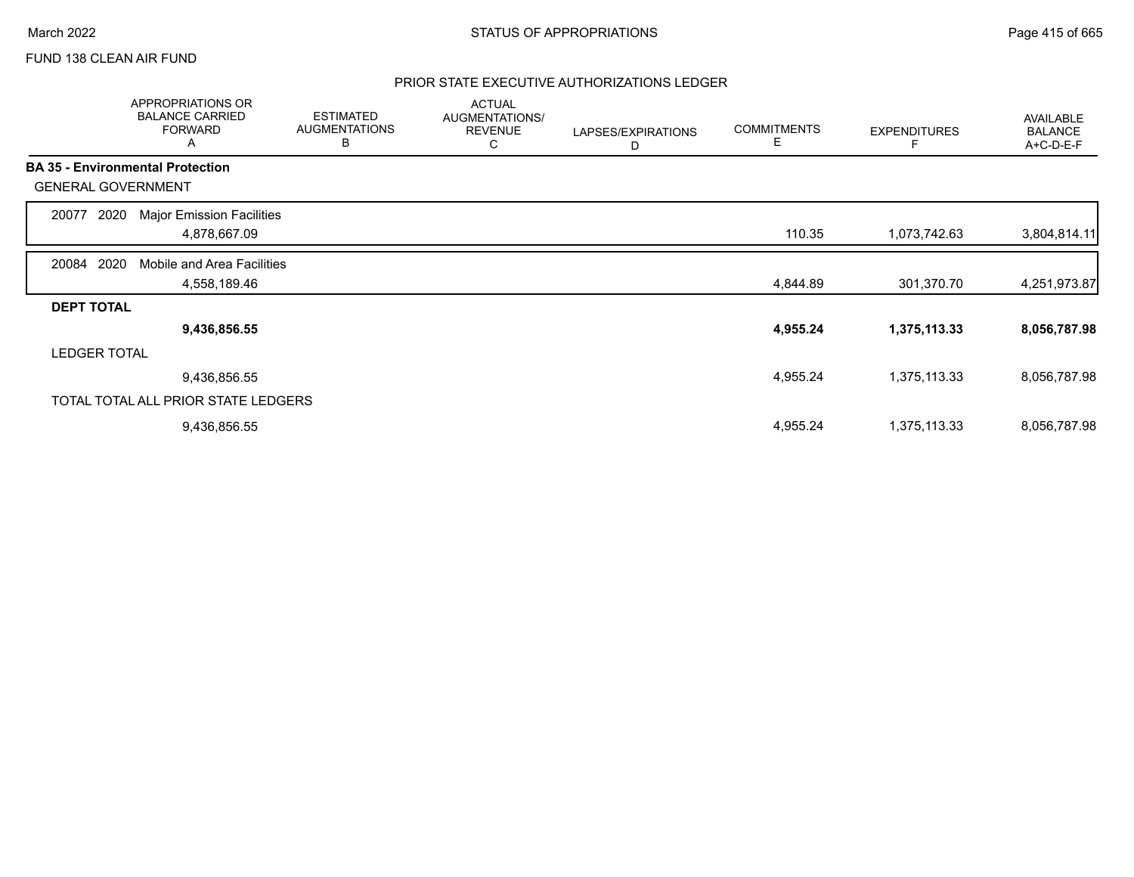### FUND 138 CLEAN AIR FUND

|                           | APPROPRIATIONS OR<br><b>BALANCE CARRIED</b><br><b>FORWARD</b><br>Α | <b>ESTIMATED</b><br><b>AUGMENTATIONS</b><br>В | <b>ACTUAL</b><br>AUGMENTATIONS/<br><b>REVENUE</b><br>С | LAPSES/EXPIRATIONS<br>D | <b>COMMITMENTS</b><br>Е | <b>EXPENDITURES</b> | AVAILABLE<br><b>BALANCE</b><br>A+C-D-E-F |
|---------------------------|--------------------------------------------------------------------|-----------------------------------------------|--------------------------------------------------------|-------------------------|-------------------------|---------------------|------------------------------------------|
|                           | <b>BA 35 - Environmental Protection</b>                            |                                               |                                                        |                         |                         |                     |                                          |
| <b>GENERAL GOVERNMENT</b> |                                                                    |                                               |                                                        |                         |                         |                     |                                          |
| 2020<br>20077             | <b>Major Emission Facilities</b>                                   |                                               |                                                        |                         |                         |                     |                                          |
|                           | 4,878,667.09                                                       |                                               |                                                        |                         | 110.35                  | 1,073,742.63        | 3,804,814.11                             |
| 2020<br>20084             | Mobile and Area Facilities                                         |                                               |                                                        |                         |                         |                     |                                          |
|                           | 4,558,189.46                                                       |                                               |                                                        |                         | 4,844.89                | 301,370.70          | 4,251,973.87                             |
| <b>DEPT TOTAL</b>         |                                                                    |                                               |                                                        |                         |                         |                     |                                          |
|                           | 9,436,856.55                                                       |                                               |                                                        |                         | 4,955.24                | 1,375,113.33        | 8,056,787.98                             |
| <b>LEDGER TOTAL</b>       |                                                                    |                                               |                                                        |                         |                         |                     |                                          |
|                           | 9,436,856.55                                                       |                                               |                                                        |                         | 4,955.24                | 1,375,113.33        | 8,056,787.98                             |
|                           | TOTAL TOTAL ALL PRIOR STATE LEDGERS                                |                                               |                                                        |                         |                         |                     |                                          |
|                           | 9,436,856.55                                                       |                                               |                                                        |                         | 4,955.24                | 1,375,113.33        | 8,056,787.98                             |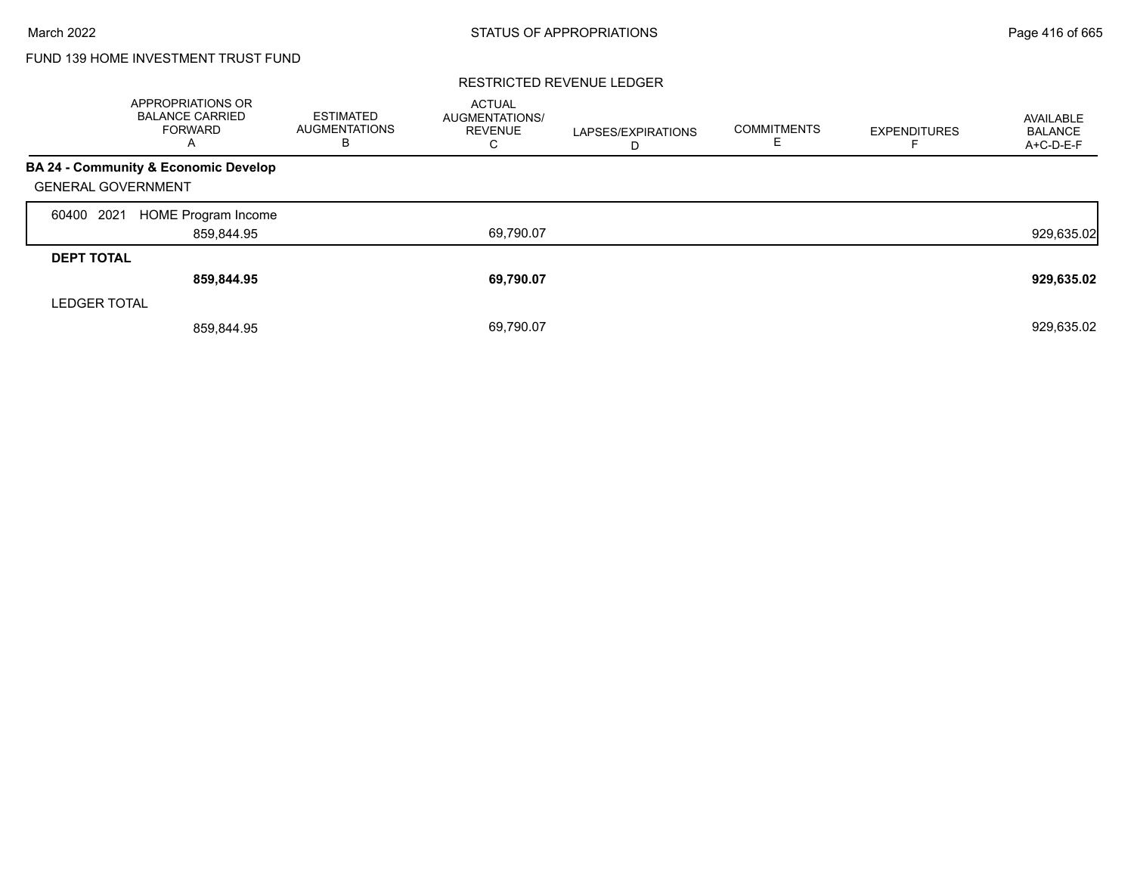# FUND 139 HOME INVESTMENT TRUST FUND

|                           | APPROPRIATIONS OR<br><b>BALANCE CARRIED</b><br><b>FORWARD</b><br>A | <b>ESTIMATED</b><br><b>AUGMENTATIONS</b><br>В | <b>ACTUAL</b><br>AUGMENTATIONS/<br><b>REVENUE</b><br>С | LAPSES/EXPIRATIONS<br>D | <b>COMMITMENTS</b><br>ᄂ | <b>EXPENDITURES</b> | AVAILABLE<br><b>BALANCE</b><br>A+C-D-E-F |
|---------------------------|--------------------------------------------------------------------|-----------------------------------------------|--------------------------------------------------------|-------------------------|-------------------------|---------------------|------------------------------------------|
|                           | BA 24 - Community & Economic Develop                               |                                               |                                                        |                         |                         |                     |                                          |
| <b>GENERAL GOVERNMENT</b> |                                                                    |                                               |                                                        |                         |                         |                     |                                          |
| 2021<br>60400             | HOME Program Income                                                |                                               |                                                        |                         |                         |                     |                                          |
|                           | 859,844.95                                                         |                                               | 69,790.07                                              |                         |                         |                     | 929,635.02                               |
| <b>DEPT TOTAL</b>         |                                                                    |                                               |                                                        |                         |                         |                     |                                          |
|                           | 859,844.95                                                         |                                               | 69,790.07                                              |                         |                         |                     | 929,635.02                               |
| <b>LEDGER TOTAL</b>       |                                                                    |                                               |                                                        |                         |                         |                     |                                          |
|                           | 859.844.95                                                         |                                               | 69,790.07                                              |                         |                         |                     | 929,635.02                               |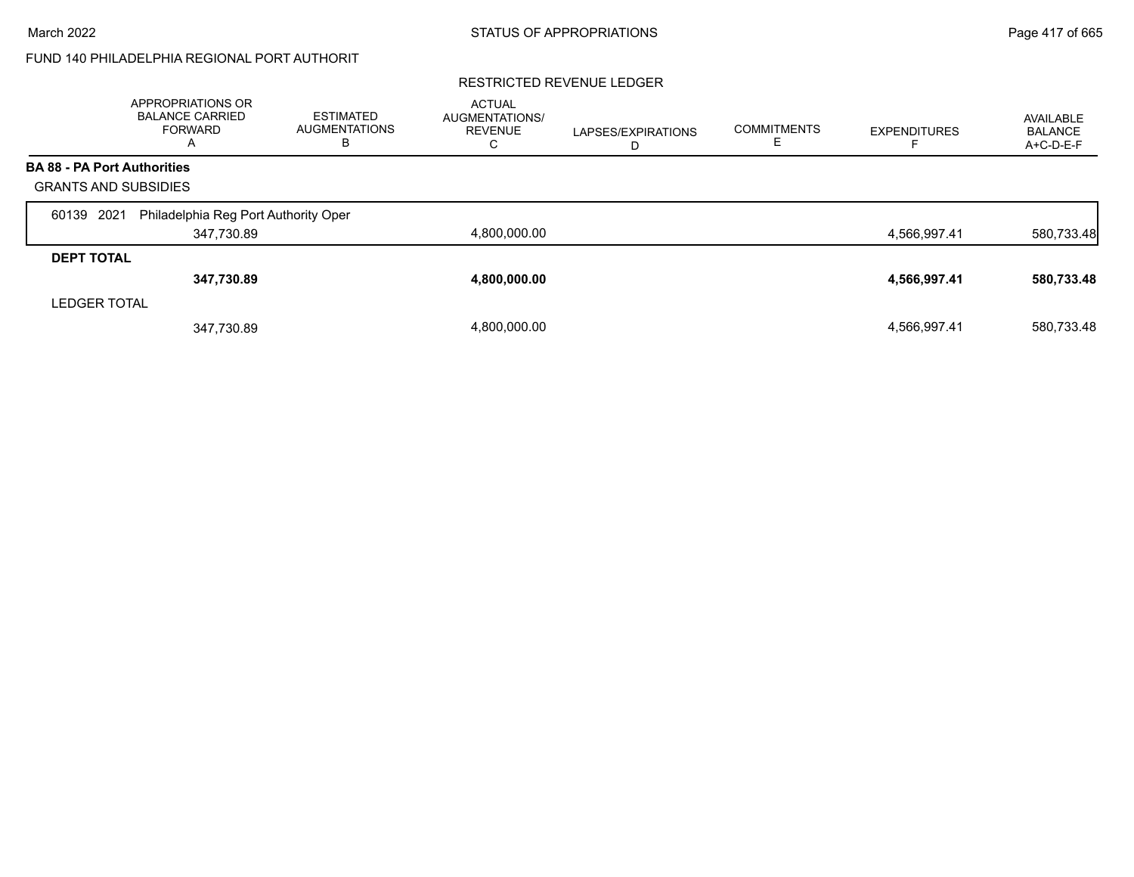# FUND 140 PHILADELPHIA REGIONAL PORT AUTHORIT

|                                    | <b>APPROPRIATIONS OR</b><br><b>BALANCE CARRIED</b><br><b>FORWARD</b><br>A | <b>ESTIMATED</b><br><b>AUGMENTATIONS</b><br>в | <b>ACTUAL</b><br><b>AUGMENTATIONS/</b><br><b>REVENUE</b><br>С | LAPSES/EXPIRATIONS<br>D | <b>COMMITMENTS</b> | <b>EXPENDITURES</b> | AVAILABLE<br><b>BALANCE</b><br>A+C-D-E-F |
|------------------------------------|---------------------------------------------------------------------------|-----------------------------------------------|---------------------------------------------------------------|-------------------------|--------------------|---------------------|------------------------------------------|
| <b>BA 88 - PA Port Authorities</b> |                                                                           |                                               |                                                               |                         |                    |                     |                                          |
| <b>GRANTS AND SUBSIDIES</b>        |                                                                           |                                               |                                                               |                         |                    |                     |                                          |
| 2021<br>60139                      | Philadelphia Reg Port Authority Oper                                      |                                               |                                                               |                         |                    |                     |                                          |
|                                    | 347,730.89                                                                |                                               | 4,800,000.00                                                  |                         |                    | 4,566,997.41        | 580,733.48                               |
| <b>DEPT TOTAL</b>                  |                                                                           |                                               |                                                               |                         |                    |                     |                                          |
|                                    | 347,730.89                                                                |                                               | 4,800,000.00                                                  |                         |                    | 4,566,997.41        | 580,733.48                               |
| <b>LEDGER TOTAL</b>                |                                                                           |                                               |                                                               |                         |                    |                     |                                          |
|                                    | 347,730.89                                                                |                                               | 4.800.000.00                                                  |                         |                    | 4,566,997.41        | 580,733.48                               |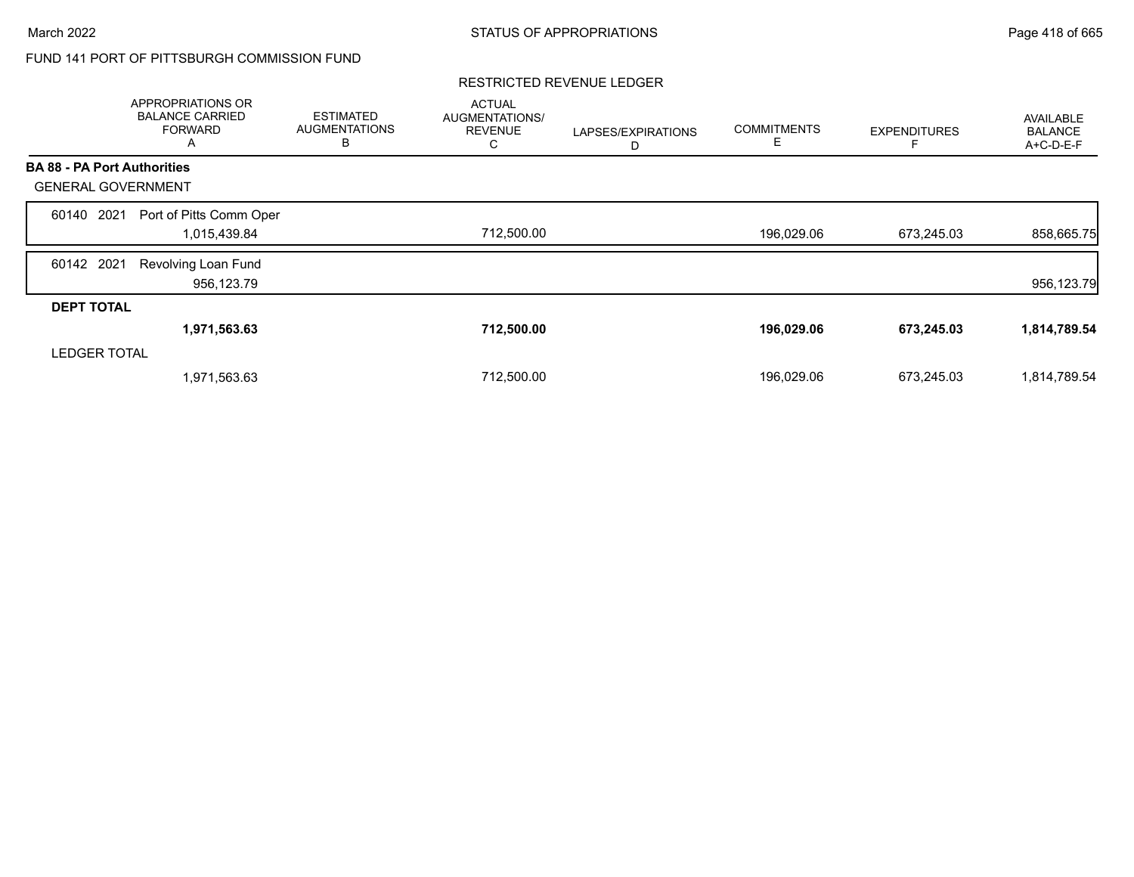# FUND 141 PORT OF PITTSBURGH COMMISSION FUND

|                                    | APPROPRIATIONS OR<br><b>BALANCE CARRIED</b><br><b>FORWARD</b><br>A | <b>ESTIMATED</b><br><b>AUGMENTATIONS</b><br>В | <b>ACTUAL</b><br>AUGMENTATIONS/<br><b>REVENUE</b><br>С | LAPSES/EXPIRATIONS<br>D | <b>COMMITMENTS</b><br>Е | <b>EXPENDITURES</b> | AVAILABLE<br><b>BALANCE</b><br>A+C-D-E-F |
|------------------------------------|--------------------------------------------------------------------|-----------------------------------------------|--------------------------------------------------------|-------------------------|-------------------------|---------------------|------------------------------------------|
| <b>BA 88 - PA Port Authorities</b> |                                                                    |                                               |                                                        |                         |                         |                     |                                          |
| <b>GENERAL GOVERNMENT</b>          |                                                                    |                                               |                                                        |                         |                         |                     |                                          |
| 2021<br>60140                      | Port of Pitts Comm Oper                                            |                                               |                                                        |                         |                         |                     |                                          |
|                                    | 1,015,439.84                                                       |                                               | 712,500.00                                             |                         | 196,029.06              | 673,245.03          | 858,665.75                               |
| 60142 2021                         | Revolving Loan Fund                                                |                                               |                                                        |                         |                         |                     |                                          |
|                                    | 956,123.79                                                         |                                               |                                                        |                         |                         |                     | 956,123.79                               |
| <b>DEPT TOTAL</b>                  |                                                                    |                                               |                                                        |                         |                         |                     |                                          |
|                                    | 1,971,563.63                                                       |                                               | 712,500.00                                             |                         | 196,029.06              | 673,245.03          | 1,814,789.54                             |
| <b>LEDGER TOTAL</b>                |                                                                    |                                               |                                                        |                         |                         |                     |                                          |
|                                    | 1,971,563.63                                                       |                                               | 712,500.00                                             |                         | 196,029.06              | 673,245.03          | 1,814,789.54                             |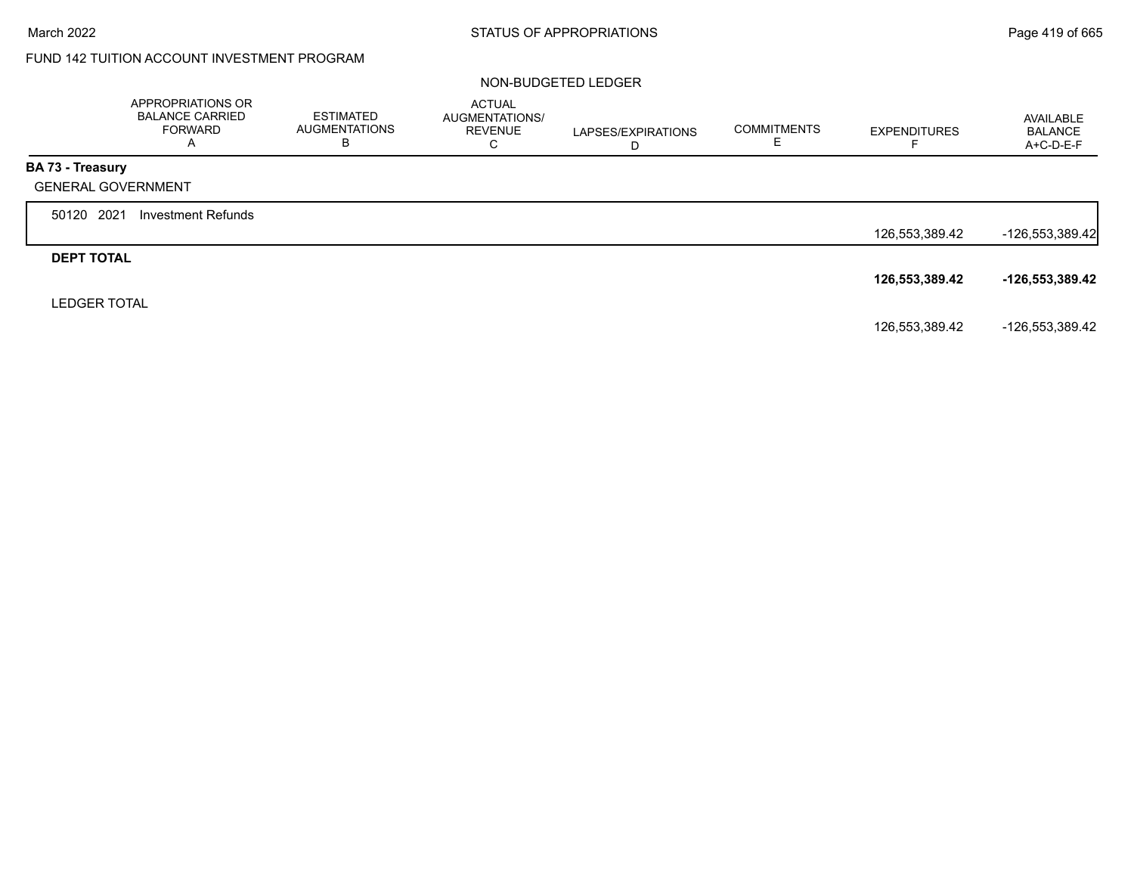# FUND 142 TUITION ACCOUNT INVESTMENT PROGRAM

#### NON-BUDGETED LEDGER

|                         | APPROPRIATIONS OR<br><b>BALANCE CARRIED</b><br><b>FORWARD</b><br>A | <b>ESTIMATED</b><br><b>AUGMENTATIONS</b><br>в | ACTUAL<br>AUGMENTATIONS/<br><b>REVENUE</b><br>C | LAPSES/EXPIRATIONS<br>D | <b>COMMITMENTS</b><br>Е | <b>EXPENDITURES</b> | AVAILABLE<br><b>BALANCE</b><br>A+C-D-E-F |
|-------------------------|--------------------------------------------------------------------|-----------------------------------------------|-------------------------------------------------|-------------------------|-------------------------|---------------------|------------------------------------------|
| <b>BA 73 - Treasury</b> |                                                                    |                                               |                                                 |                         |                         |                     |                                          |
|                         | <b>GENERAL GOVERNMENT</b>                                          |                                               |                                                 |                         |                         |                     |                                          |
| 50120 2021              | <b>Investment Refunds</b>                                          |                                               |                                                 |                         |                         |                     |                                          |
|                         |                                                                    |                                               |                                                 |                         |                         | 126,553,389.42      | -126,553,389.42                          |
| <b>DEPT TOTAL</b>       |                                                                    |                                               |                                                 |                         |                         |                     |                                          |
|                         |                                                                    |                                               |                                                 |                         |                         | 126,553,389.42      | -126,553,389.42                          |
| <b>LEDGER TOTAL</b>     |                                                                    |                                               |                                                 |                         |                         |                     |                                          |
|                         |                                                                    |                                               |                                                 |                         |                         | 126,553,389.42      | -126,553,389.42                          |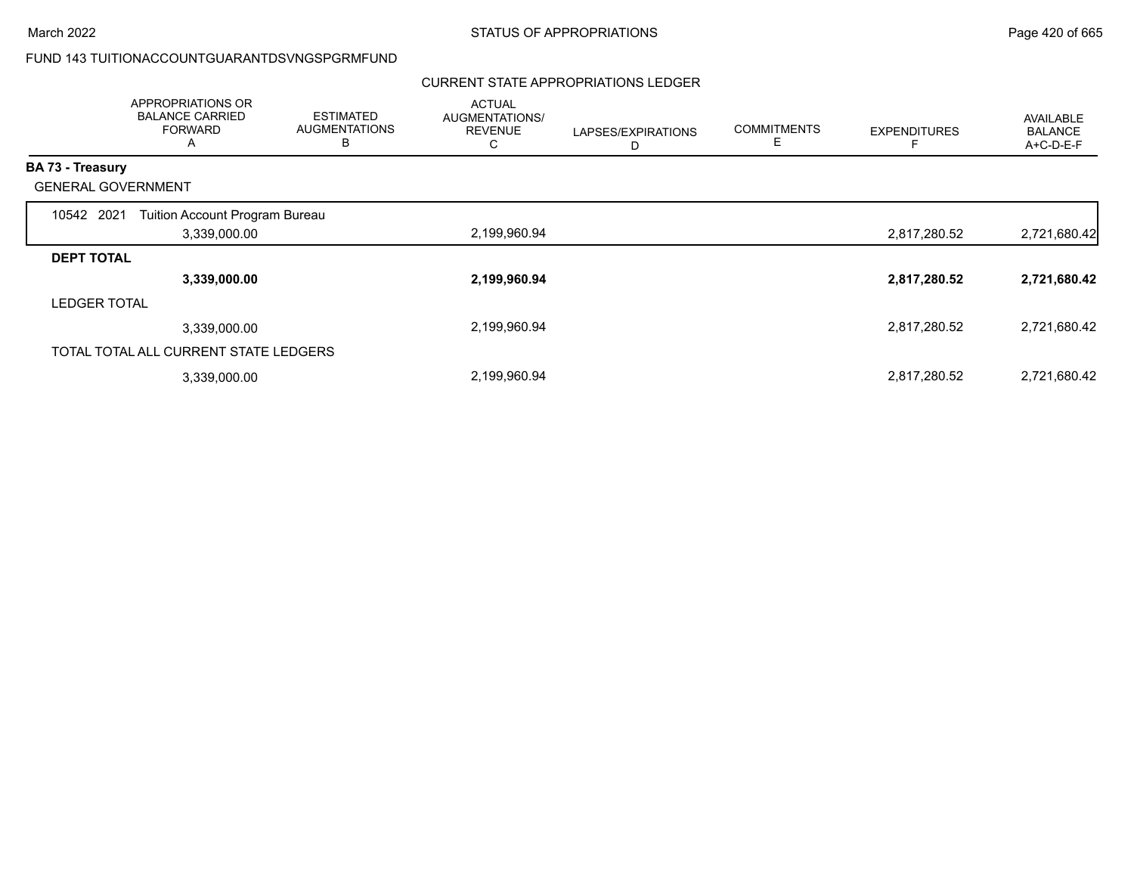### FUND 143 TUITIONACCOUNTGUARANTDSVNGSPGRMFUND

#### CURRENT STATE APPROPRIATIONS LEDGER

|                           | APPROPRIATIONS OR<br><b>BALANCE CARRIED</b><br><b>FORWARD</b><br>$\overline{A}$ | <b>ESTIMATED</b><br><b>AUGMENTATIONS</b><br>в | <b>ACTUAL</b><br>AUGMENTATIONS/<br><b>REVENUE</b><br>С | LAPSES/EXPIRATIONS<br>D | <b>COMMITMENTS</b><br>Е | <b>EXPENDITURES</b> | AVAILABLE<br><b>BALANCE</b><br>A+C-D-E-F |
|---------------------------|---------------------------------------------------------------------------------|-----------------------------------------------|--------------------------------------------------------|-------------------------|-------------------------|---------------------|------------------------------------------|
| <b>BA 73 - Treasury</b>   |                                                                                 |                                               |                                                        |                         |                         |                     |                                          |
| <b>GENERAL GOVERNMENT</b> |                                                                                 |                                               |                                                        |                         |                         |                     |                                          |
| 10542 2021                | Tuition Account Program Bureau                                                  |                                               |                                                        |                         |                         |                     |                                          |
|                           | 3,339,000.00                                                                    |                                               | 2,199,960.94                                           |                         |                         | 2,817,280.52        | 2,721,680.42                             |
| <b>DEPT TOTAL</b>         |                                                                                 |                                               |                                                        |                         |                         |                     |                                          |
|                           | 3,339,000.00                                                                    |                                               | 2,199,960.94                                           |                         |                         | 2,817,280.52        | 2,721,680.42                             |
| <b>LEDGER TOTAL</b>       |                                                                                 |                                               |                                                        |                         |                         |                     |                                          |
|                           | 3,339,000.00                                                                    |                                               | 2,199,960.94                                           |                         |                         | 2,817,280.52        | 2,721,680.42                             |
|                           | TOTAL TOTAL ALL CURRENT STATE LEDGERS                                           |                                               |                                                        |                         |                         |                     |                                          |
|                           | 3,339,000.00                                                                    |                                               | 2,199,960.94                                           |                         |                         | 2,817,280.52        | 2,721,680.42                             |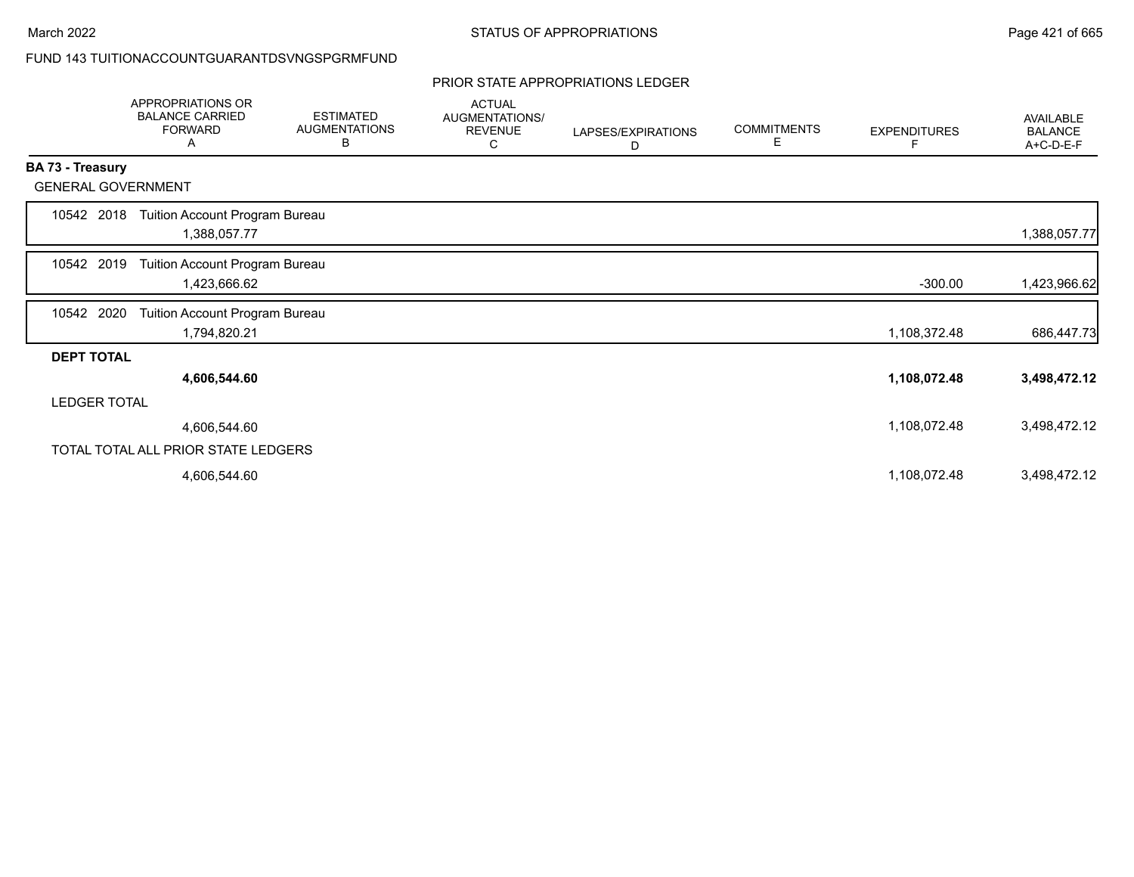# FUND 143 TUITIONACCOUNTGUARANTDSVNGSPGRMFUND

#### PRIOR STATE APPROPRIATIONS LEDGER

|                           | <b>APPROPRIATIONS OR</b><br><b>BALANCE CARRIED</b><br><b>FORWARD</b><br>A | <b>ESTIMATED</b><br><b>AUGMENTATIONS</b><br>В | <b>ACTUAL</b><br>AUGMENTATIONS/<br><b>REVENUE</b><br>С | LAPSES/EXPIRATIONS<br>D | <b>COMMITMENTS</b><br>Е | <b>EXPENDITURES</b><br>F | AVAILABLE<br><b>BALANCE</b><br>A+C-D-E-F |
|---------------------------|---------------------------------------------------------------------------|-----------------------------------------------|--------------------------------------------------------|-------------------------|-------------------------|--------------------------|------------------------------------------|
| <b>BA 73 - Treasury</b>   |                                                                           |                                               |                                                        |                         |                         |                          |                                          |
| <b>GENERAL GOVERNMENT</b> |                                                                           |                                               |                                                        |                         |                         |                          |                                          |
| 10542 2018                | Tuition Account Program Bureau<br>1,388,057.77                            |                                               |                                                        |                         |                         |                          | 1,388,057.77                             |
| 10542 2019                | Tuition Account Program Bureau<br>1,423,666.62                            |                                               |                                                        |                         |                         | $-300.00$                | 1,423,966.62                             |
| 10542 2020                | Tuition Account Program Bureau<br>1,794,820.21                            |                                               |                                                        |                         |                         | 1,108,372.48             | 686,447.73                               |
| <b>DEPT TOTAL</b>         |                                                                           |                                               |                                                        |                         |                         |                          |                                          |
|                           | 4,606,544.60                                                              |                                               |                                                        |                         |                         | 1,108,072.48             | 3,498,472.12                             |
| <b>LEDGER TOTAL</b>       |                                                                           |                                               |                                                        |                         |                         |                          |                                          |
|                           | 4,606,544.60                                                              |                                               |                                                        |                         |                         | 1,108,072.48             | 3,498,472.12                             |
|                           | TOTAL TOTAL ALL PRIOR STATE LEDGERS                                       |                                               |                                                        |                         |                         |                          |                                          |
|                           | 4,606,544.60                                                              |                                               |                                                        |                         |                         | 1,108,072.48             | 3,498,472.12                             |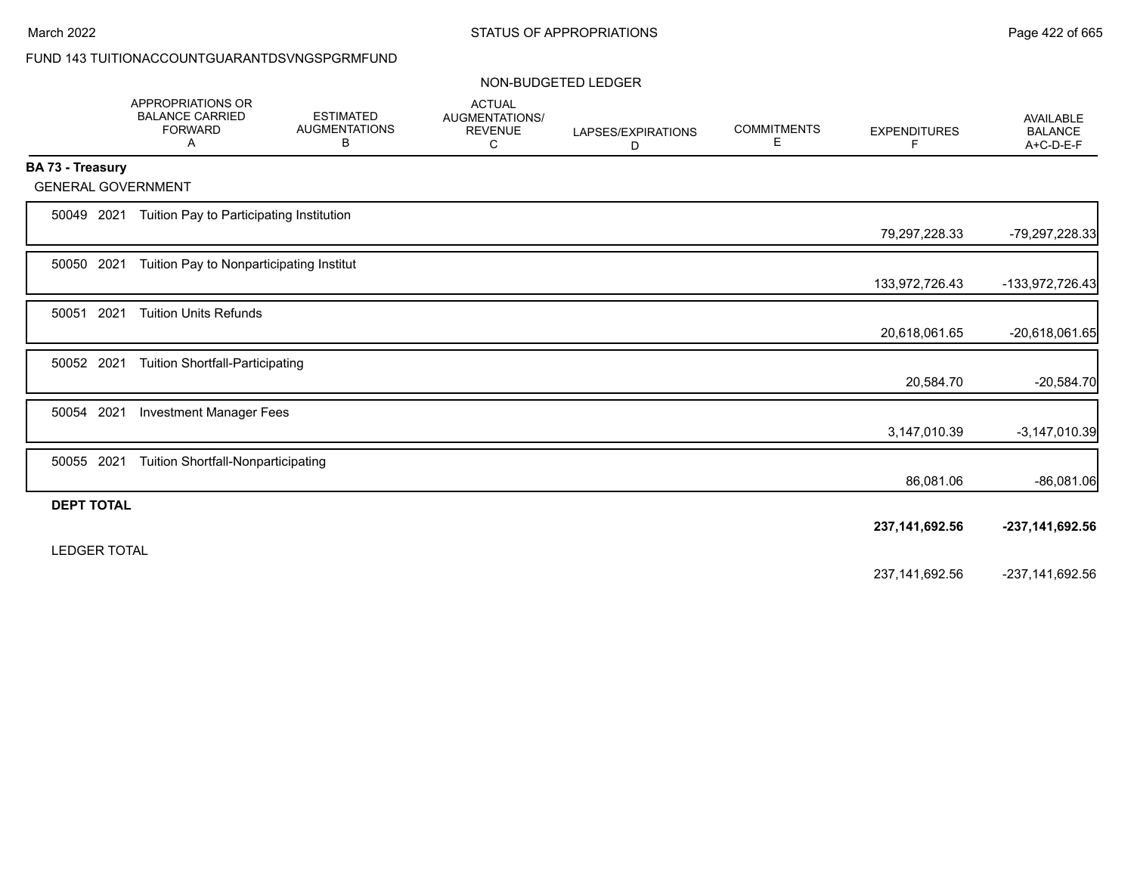# FUND 143 TUITIONACCOUNTGUARANTDSVNGSPGRMFUND

#### NON-BUDGETED LEDGER

|                           | <b>APPROPRIATIONS OR</b><br><b>BALANCE CARRIED</b><br><b>FORWARD</b><br>Α | <b>ESTIMATED</b><br><b>AUGMENTATIONS</b><br>В | <b>ACTUAL</b><br>AUGMENTATIONS/<br><b>REVENUE</b><br>С | LAPSES/EXPIRATIONS<br>D | <b>COMMITMENTS</b><br>Е | <b>EXPENDITURES</b><br>F | AVAILABLE<br><b>BALANCE</b><br>A+C-D-E-F |
|---------------------------|---------------------------------------------------------------------------|-----------------------------------------------|--------------------------------------------------------|-------------------------|-------------------------|--------------------------|------------------------------------------|
| <b>BA 73 - Treasury</b>   |                                                                           |                                               |                                                        |                         |                         |                          |                                          |
| <b>GENERAL GOVERNMENT</b> |                                                                           |                                               |                                                        |                         |                         |                          |                                          |
| 50049 2021                | Tuition Pay to Participating Institution                                  |                                               |                                                        |                         |                         | 79,297,228.33            | -79,297,228.33                           |
| 50050 2021                | Tuition Pay to Nonparticipating Institut                                  |                                               |                                                        |                         |                         |                          |                                          |
|                           |                                                                           |                                               |                                                        |                         |                         | 133,972,726.43           | -133,972,726.43                          |
| 2021<br>50051             | <b>Tuition Units Refunds</b>                                              |                                               |                                                        |                         |                         | 20,618,061.65            | -20,618,061.65                           |
|                           |                                                                           |                                               |                                                        |                         |                         |                          |                                          |
| 50052 2021                | <b>Tuition Shortfall-Participating</b>                                    |                                               |                                                        |                         |                         | 20,584.70                | $-20,584.70$                             |
| 2021<br>50054             | <b>Investment Manager Fees</b>                                            |                                               |                                                        |                         |                         |                          |                                          |
|                           |                                                                           |                                               |                                                        |                         |                         | 3,147,010.39             | $-3,147,010.39$                          |
| 50055 2021                | <b>Tuition Shortfall-Nonparticipating</b>                                 |                                               |                                                        |                         |                         | 86,081.06                | $-86,081.06$                             |
| <b>DEPT TOTAL</b>         |                                                                           |                                               |                                                        |                         |                         |                          |                                          |
|                           |                                                                           |                                               |                                                        |                         |                         | 237, 141, 692. 56        | -237, 141, 692. 56                       |
| <b>LEDGER TOTAL</b>       |                                                                           |                                               |                                                        |                         |                         |                          |                                          |
|                           |                                                                           |                                               |                                                        |                         |                         | 237, 141, 692. 56        | -237, 141, 692. 56                       |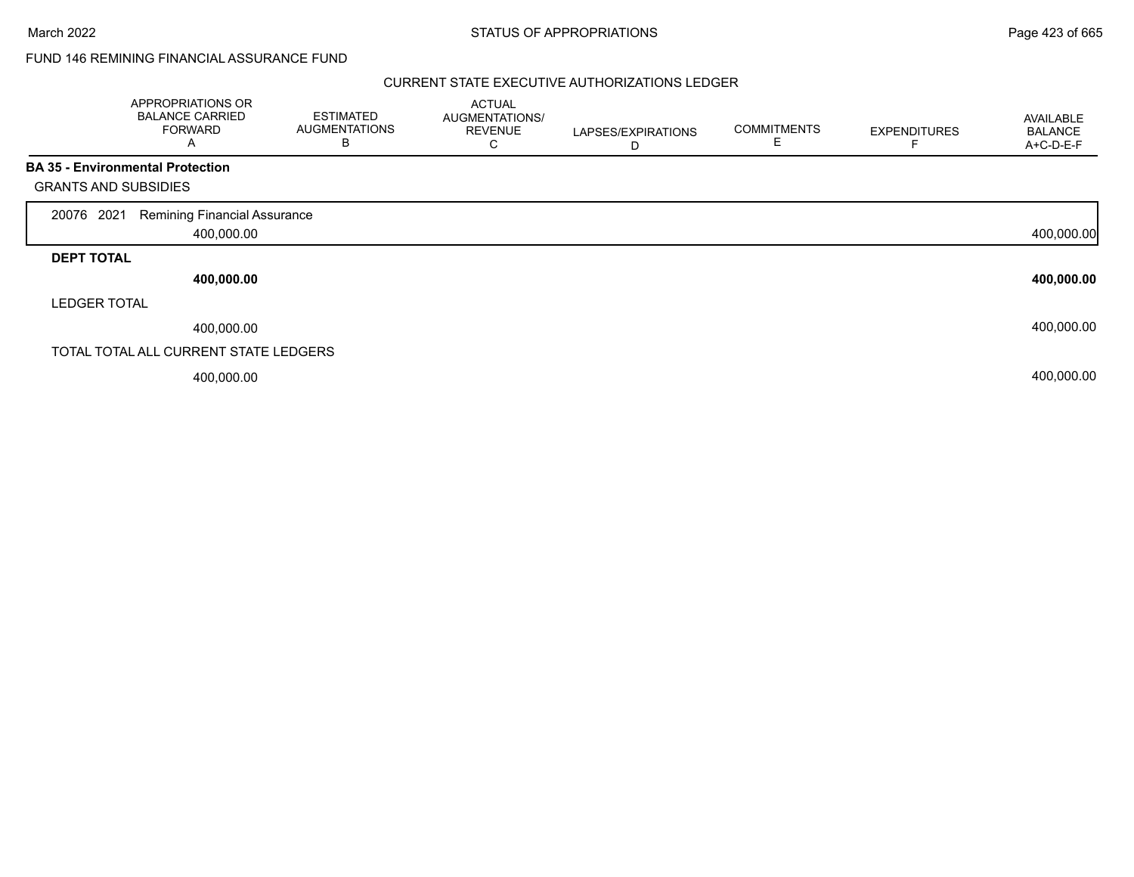### FUND 146 REMINING FINANCIAL ASSURANCE FUND

|                             | APPROPRIATIONS OR<br><b>BALANCE CARRIED</b><br><b>FORWARD</b><br>$\mathsf{A}$ | <b>ESTIMATED</b><br><b>AUGMENTATIONS</b><br>B | <b>ACTUAL</b><br>AUGMENTATIONS/<br><b>REVENUE</b><br>С | LAPSES/EXPIRATIONS<br>D | <b>COMMITMENTS</b><br>E. | <b>EXPENDITURES</b> | AVAILABLE<br><b>BALANCE</b><br>A+C-D-E-F |
|-----------------------------|-------------------------------------------------------------------------------|-----------------------------------------------|--------------------------------------------------------|-------------------------|--------------------------|---------------------|------------------------------------------|
|                             | <b>BA 35 - Environmental Protection</b>                                       |                                               |                                                        |                         |                          |                     |                                          |
| <b>GRANTS AND SUBSIDIES</b> |                                                                               |                                               |                                                        |                         |                          |                     |                                          |
| 2021<br>20076               | Remining Financial Assurance                                                  |                                               |                                                        |                         |                          |                     |                                          |
|                             | 400,000.00                                                                    |                                               |                                                        |                         |                          |                     | 400,000.00                               |
| <b>DEPT TOTAL</b>           |                                                                               |                                               |                                                        |                         |                          |                     |                                          |
|                             | 400,000.00                                                                    |                                               |                                                        |                         |                          |                     | 400,000.00                               |
| <b>LEDGER TOTAL</b>         |                                                                               |                                               |                                                        |                         |                          |                     |                                          |
|                             | 400,000.00                                                                    |                                               |                                                        |                         |                          |                     | 400,000.00                               |
|                             | TOTAL TOTAL ALL CURRENT STATE LEDGERS                                         |                                               |                                                        |                         |                          |                     |                                          |
|                             | 400,000.00                                                                    |                                               |                                                        |                         |                          |                     | 400,000.00                               |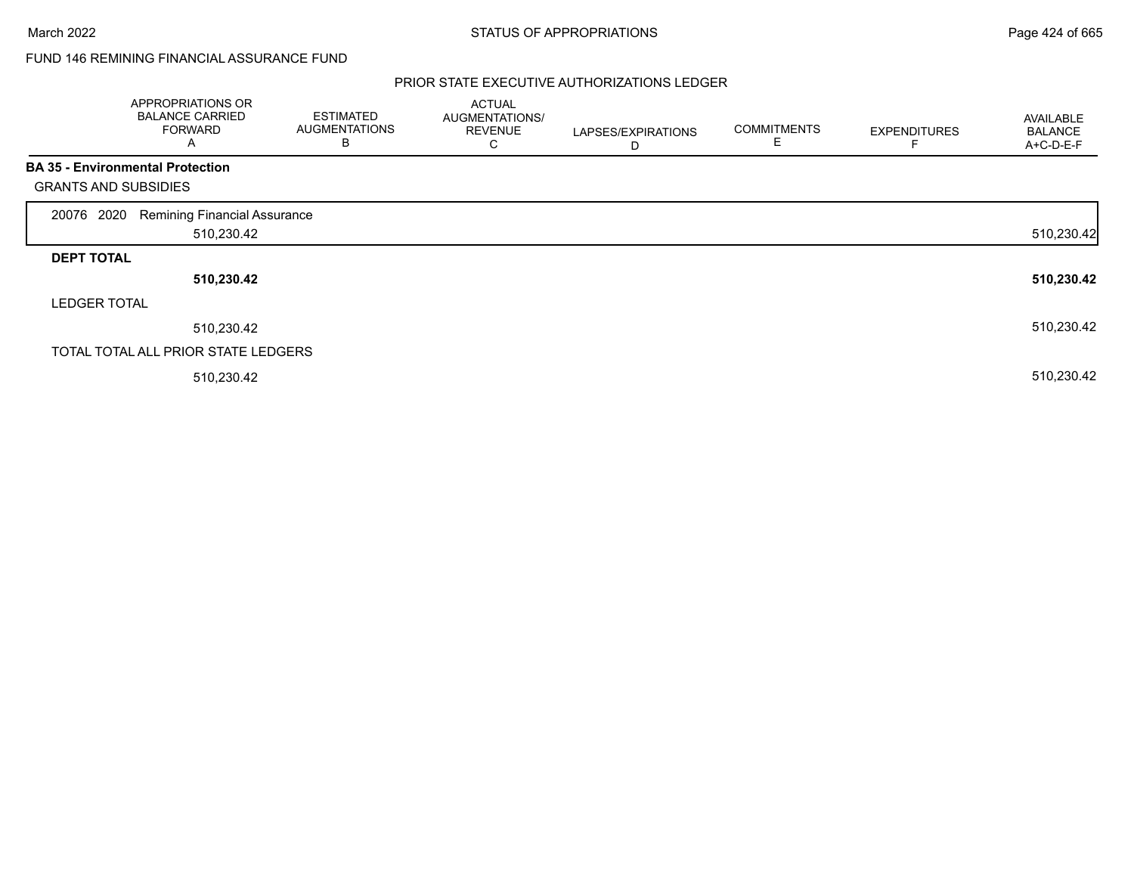### FUND 146 REMINING FINANCIAL ASSURANCE FUND

|                             | APPROPRIATIONS OR<br><b>BALANCE CARRIED</b><br><b>FORWARD</b><br>$\mathsf{A}$ | <b>ESTIMATED</b><br><b>AUGMENTATIONS</b><br>B | <b>ACTUAL</b><br>AUGMENTATIONS/<br><b>REVENUE</b><br>С | LAPSES/EXPIRATIONS<br>D | <b>COMMITMENTS</b><br>Е | <b>EXPENDITURES</b> | <b>AVAILABLE</b><br><b>BALANCE</b><br>A+C-D-E-F |
|-----------------------------|-------------------------------------------------------------------------------|-----------------------------------------------|--------------------------------------------------------|-------------------------|-------------------------|---------------------|-------------------------------------------------|
|                             | <b>BA 35 - Environmental Protection</b>                                       |                                               |                                                        |                         |                         |                     |                                                 |
| <b>GRANTS AND SUBSIDIES</b> |                                                                               |                                               |                                                        |                         |                         |                     |                                                 |
| 2020<br>20076               | <b>Remining Financial Assurance</b>                                           |                                               |                                                        |                         |                         |                     |                                                 |
|                             | 510,230.42                                                                    |                                               |                                                        |                         |                         |                     | 510,230.42                                      |
| <b>DEPT TOTAL</b>           |                                                                               |                                               |                                                        |                         |                         |                     |                                                 |
|                             | 510,230.42                                                                    |                                               |                                                        |                         |                         |                     | 510,230.42                                      |
| <b>LEDGER TOTAL</b>         |                                                                               |                                               |                                                        |                         |                         |                     |                                                 |
|                             | 510,230.42                                                                    |                                               |                                                        |                         |                         |                     | 510,230.42                                      |
|                             | TOTAL TOTAL ALL PRIOR STATE LEDGERS                                           |                                               |                                                        |                         |                         |                     |                                                 |
|                             | 510,230.42                                                                    |                                               |                                                        |                         |                         |                     | 510,230.42                                      |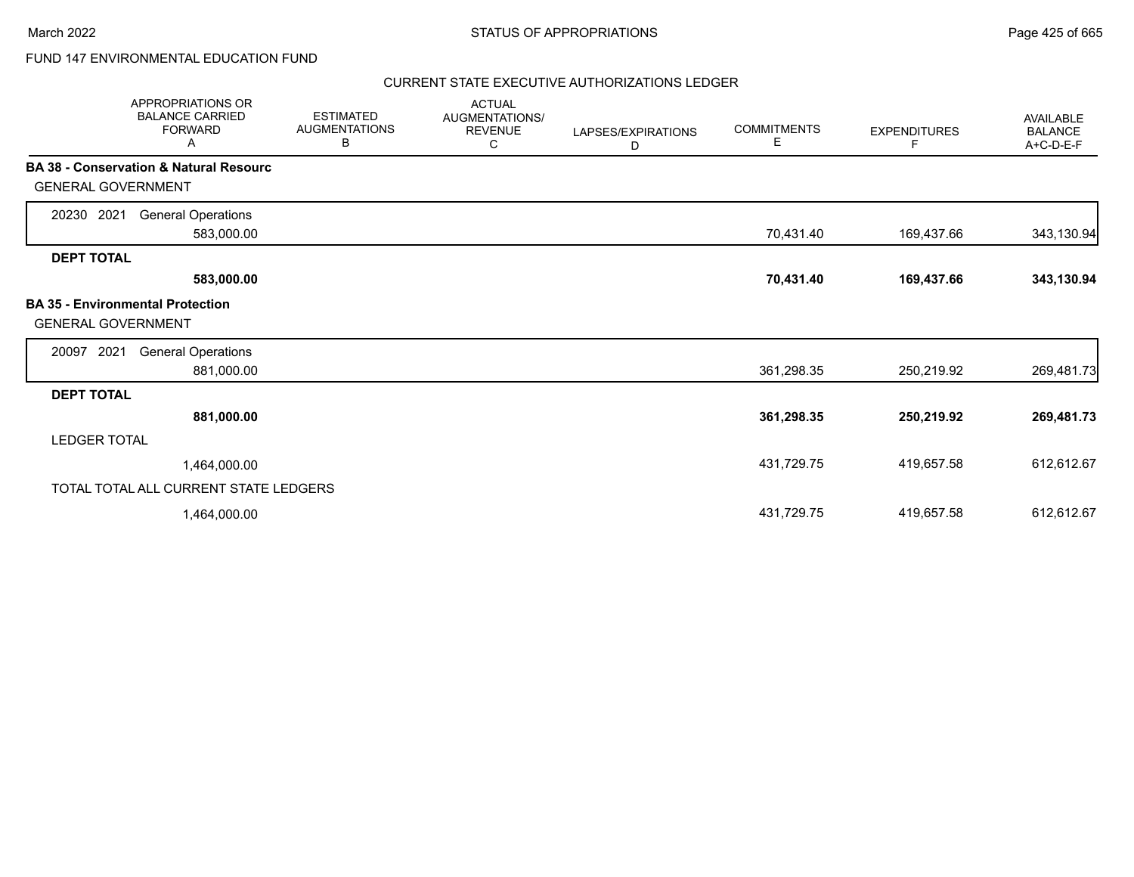# FUND 147 ENVIRONMENTAL EDUCATION FUND

| <b>APPROPRIATIONS OR</b><br><b>BALANCE CARRIED</b><br><b>FORWARD</b><br>Α | <b>ESTIMATED</b><br><b>AUGMENTATIONS</b><br>В | <b>ACTUAL</b><br>AUGMENTATIONS/<br><b>REVENUE</b><br>С | LAPSES/EXPIRATIONS<br>D | <b>COMMITMENTS</b><br>Е | <b>EXPENDITURES</b><br>F | <b>AVAILABLE</b><br><b>BALANCE</b><br>A+C-D-E-F |
|---------------------------------------------------------------------------|-----------------------------------------------|--------------------------------------------------------|-------------------------|-------------------------|--------------------------|-------------------------------------------------|
| BA 38 - Conservation & Natural Resourc                                    |                                               |                                                        |                         |                         |                          |                                                 |
| <b>GENERAL GOVERNMENT</b>                                                 |                                               |                                                        |                         |                         |                          |                                                 |
| 2021<br>20230<br><b>General Operations</b>                                |                                               |                                                        |                         |                         |                          |                                                 |
| 583,000.00                                                                |                                               |                                                        |                         | 70,431.40               | 169,437.66               | 343,130.94                                      |
| <b>DEPT TOTAL</b>                                                         |                                               |                                                        |                         |                         |                          |                                                 |
| 583,000.00                                                                |                                               |                                                        |                         | 70,431.40               | 169,437.66               | 343,130.94                                      |
| <b>BA 35 - Environmental Protection</b><br><b>GENERAL GOVERNMENT</b>      |                                               |                                                        |                         |                         |                          |                                                 |
| 2021<br><b>General Operations</b><br>20097                                |                                               |                                                        |                         |                         |                          |                                                 |
| 881,000.00                                                                |                                               |                                                        |                         | 361,298.35              | 250,219.92               | 269,481.73                                      |
| <b>DEPT TOTAL</b>                                                         |                                               |                                                        |                         |                         |                          |                                                 |
| 881,000.00                                                                |                                               |                                                        |                         | 361,298.35              | 250,219.92               | 269,481.73                                      |
| <b>LEDGER TOTAL</b>                                                       |                                               |                                                        |                         |                         |                          |                                                 |
| 1,464,000.00                                                              |                                               |                                                        |                         | 431,729.75              | 419,657.58               | 612,612.67                                      |
| TOTAL TOTAL ALL CURRENT STATE LEDGERS                                     |                                               |                                                        |                         |                         |                          |                                                 |
| 1,464,000.00                                                              |                                               |                                                        |                         | 431,729.75              | 419,657.58               | 612,612.67                                      |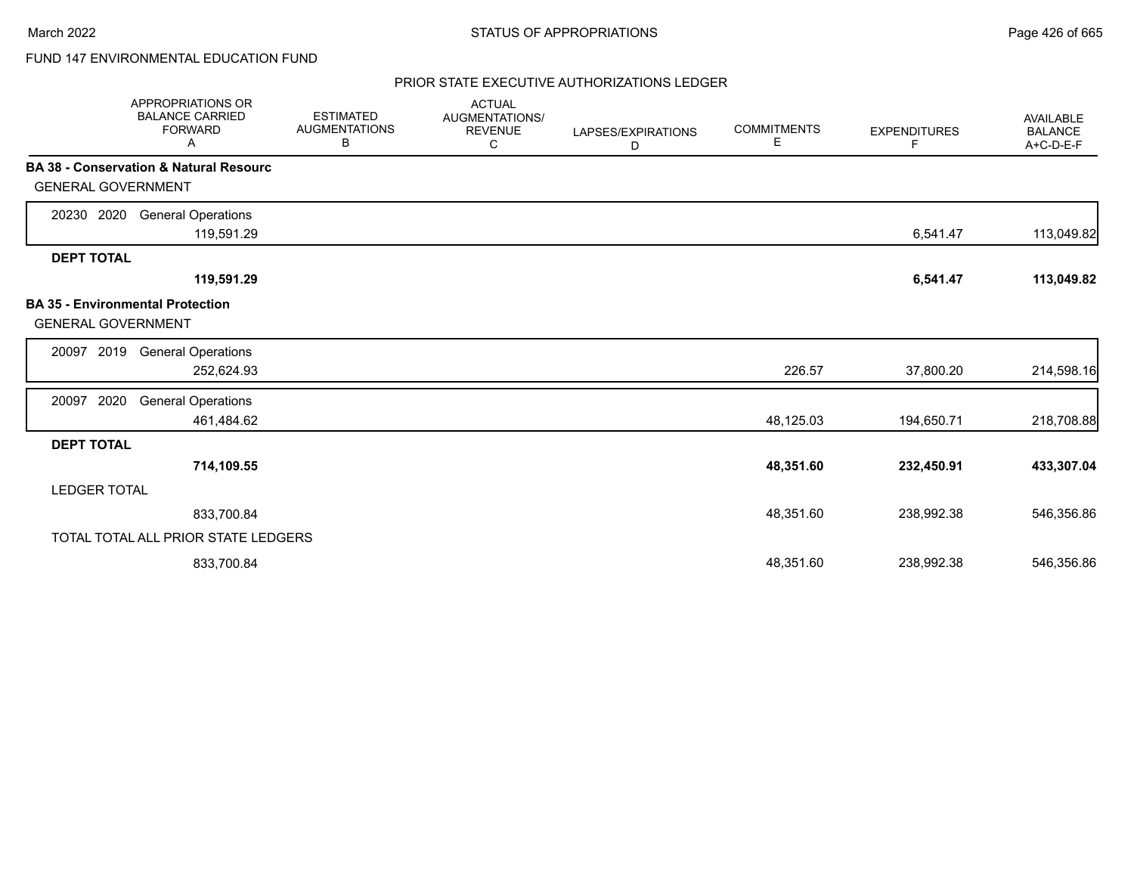# FUND 147 ENVIRONMENTAL EDUCATION FUND

|                           | <b>APPROPRIATIONS OR</b><br><b>BALANCE CARRIED</b><br><b>FORWARD</b><br>Α | <b>ESTIMATED</b><br><b>AUGMENTATIONS</b><br>В | <b>ACTUAL</b><br>AUGMENTATIONS/<br><b>REVENUE</b><br>С | LAPSES/EXPIRATIONS<br>D | <b>COMMITMENTS</b><br>Е | <b>EXPENDITURES</b><br>F | AVAILABLE<br><b>BALANCE</b><br>A+C-D-E-F |
|---------------------------|---------------------------------------------------------------------------|-----------------------------------------------|--------------------------------------------------------|-------------------------|-------------------------|--------------------------|------------------------------------------|
| <b>GENERAL GOVERNMENT</b> | <b>BA 38 - Conservation &amp; Natural Resourc</b>                         |                                               |                                                        |                         |                         |                          |                                          |
| 20230 2020                | <b>General Operations</b><br>119,591.29                                   |                                               |                                                        |                         |                         | 6,541.47                 | 113,049.82                               |
| <b>DEPT TOTAL</b>         | 119,591.29                                                                |                                               |                                                        |                         |                         | 6,541.47                 | 113,049.82                               |
| <b>GENERAL GOVERNMENT</b> | <b>BA 35 - Environmental Protection</b>                                   |                                               |                                                        |                         |                         |                          |                                          |
| 2019<br>20097             | <b>General Operations</b><br>252,624.93                                   |                                               |                                                        |                         | 226.57                  | 37,800.20                | 214,598.16                               |
| 2020<br>20097             | <b>General Operations</b><br>461,484.62                                   |                                               |                                                        |                         | 48,125.03               | 194,650.71               | 218,708.88                               |
| <b>DEPT TOTAL</b>         | 714,109.55                                                                |                                               |                                                        |                         | 48,351.60               | 232,450.91               | 433,307.04                               |
| <b>LEDGER TOTAL</b>       |                                                                           |                                               |                                                        |                         |                         |                          |                                          |
|                           | 833,700.84                                                                |                                               |                                                        |                         | 48,351.60               | 238,992.38               | 546,356.86                               |
|                           | TOTAL TOTAL ALL PRIOR STATE LEDGERS                                       |                                               |                                                        |                         |                         |                          |                                          |
|                           | 833,700.84                                                                |                                               |                                                        |                         | 48,351.60               | 238,992.38               | 546,356.86                               |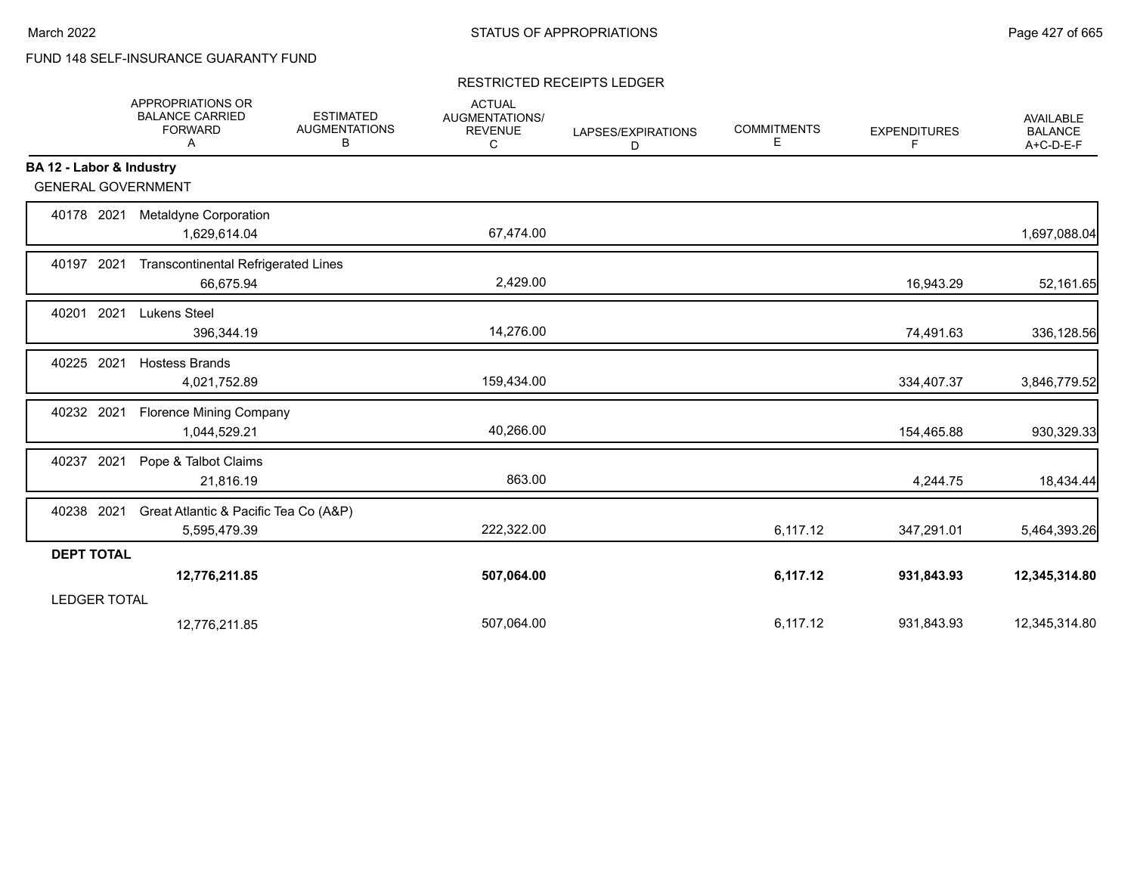# FUND 148 SELF-INSURANCE GUARANTY FUND

### RESTRICTED RECEIPTS LEDGER

|                           | <b>APPROPRIATIONS OR</b><br><b>BALANCE CARRIED</b><br><b>FORWARD</b><br>Α | <b>ESTIMATED</b><br><b>AUGMENTATIONS</b><br>В | <b>ACTUAL</b><br><b>AUGMENTATIONS/</b><br><b>REVENUE</b><br>C | LAPSES/EXPIRATIONS<br>D | <b>COMMITMENTS</b><br>E | <b>EXPENDITURES</b><br>F | <b>AVAILABLE</b><br><b>BALANCE</b><br>A+C-D-E-F |
|---------------------------|---------------------------------------------------------------------------|-----------------------------------------------|---------------------------------------------------------------|-------------------------|-------------------------|--------------------------|-------------------------------------------------|
| BA 12 - Labor & Industry  |                                                                           |                                               |                                                               |                         |                         |                          |                                                 |
| <b>GENERAL GOVERNMENT</b> |                                                                           |                                               |                                                               |                         |                         |                          |                                                 |
| 40178 2021                | Metaldyne Corporation<br>1,629,614.04                                     |                                               | 67,474.00                                                     |                         |                         |                          | 1,697,088.04                                    |
| 40197 2021                | <b>Transcontinental Refrigerated Lines</b><br>66,675.94                   |                                               | 2,429.00                                                      |                         |                         | 16,943.29                | 52,161.65                                       |
| 2021<br>40201             | Lukens Steel<br>396,344.19                                                |                                               | 14,276.00                                                     |                         |                         | 74,491.63                | 336,128.56                                      |
| 40225 2021                | <b>Hostess Brands</b><br>4,021,752.89                                     |                                               | 159,434.00                                                    |                         |                         | 334,407.37               | 3,846,779.52                                    |
| 40232 2021                | <b>Florence Mining Company</b><br>1,044,529.21                            |                                               | 40,266.00                                                     |                         |                         | 154,465.88               | 930,329.33                                      |
| 40237 2021                | Pope & Talbot Claims<br>21,816.19                                         |                                               | 863.00                                                        |                         |                         | 4,244.75                 | 18,434.44                                       |
| 40238 2021                | Great Atlantic & Pacific Tea Co (A&P)<br>5,595,479.39                     |                                               | 222,322.00                                                    |                         | 6,117.12                | 347,291.01               | 5,464,393.26                                    |
| <b>DEPT TOTAL</b>         |                                                                           |                                               |                                                               |                         |                         |                          |                                                 |
|                           | 12,776,211.85                                                             |                                               | 507,064.00                                                    |                         | 6,117.12                | 931,843.93               | 12,345,314.80                                   |
| <b>LEDGER TOTAL</b>       |                                                                           |                                               |                                                               |                         |                         |                          |                                                 |
|                           | 12,776,211.85                                                             |                                               | 507,064.00                                                    |                         | 6,117.12                | 931,843.93               | 12,345,314.80                                   |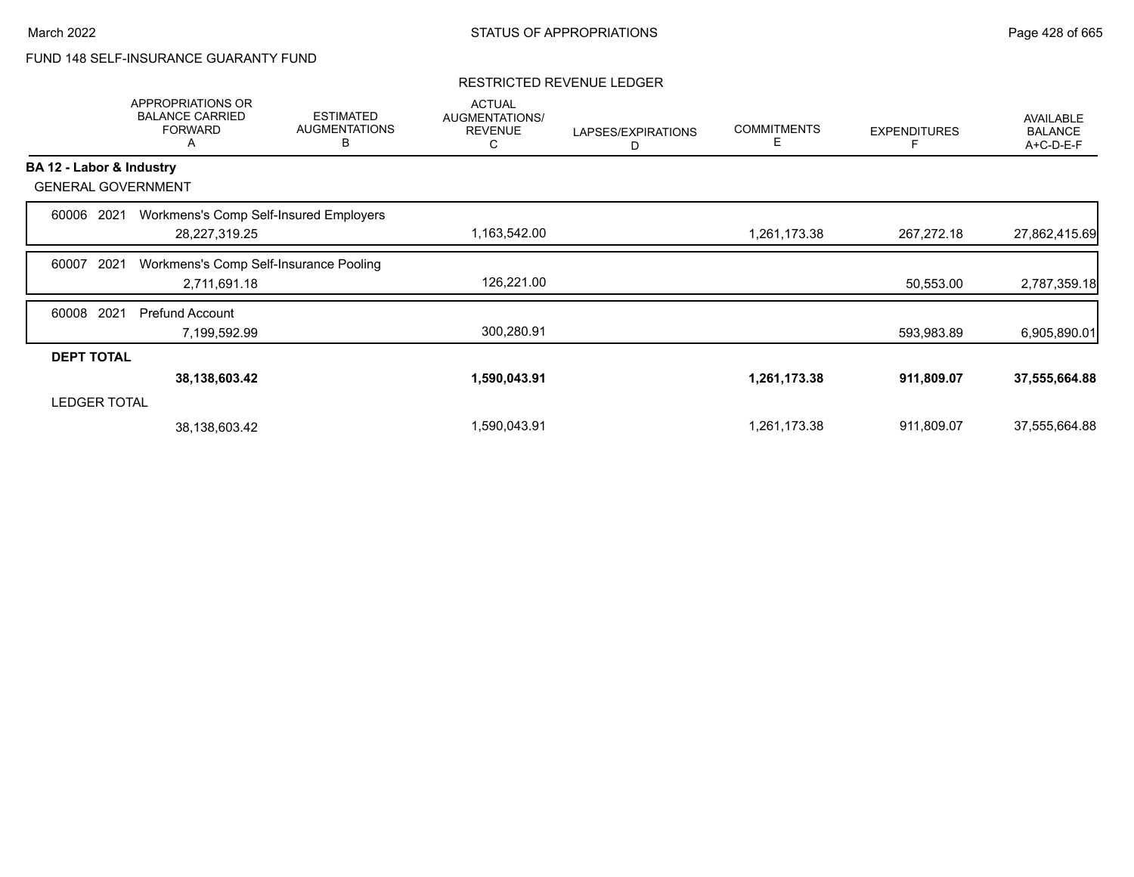# FUND 148 SELF-INSURANCE GUARANTY FUND

|                          | <b>APPROPRIATIONS OR</b><br><b>BALANCE CARRIED</b><br><b>FORWARD</b><br>A | <b>ESTIMATED</b><br><b>AUGMENTATIONS</b><br>B | <b>ACTUAL</b><br>AUGMENTATIONS/<br><b>REVENUE</b><br>С | LAPSES/EXPIRATIONS<br>D | <b>COMMITMENTS</b><br>Е | <b>EXPENDITURES</b> | <b>AVAILABLE</b><br><b>BALANCE</b><br>A+C-D-E-F |
|--------------------------|---------------------------------------------------------------------------|-----------------------------------------------|--------------------------------------------------------|-------------------------|-------------------------|---------------------|-------------------------------------------------|
| BA 12 - Labor & Industry |                                                                           |                                               |                                                        |                         |                         |                     |                                                 |
|                          | <b>GENERAL GOVERNMENT</b>                                                 |                                               |                                                        |                         |                         |                     |                                                 |
| 60006                    | 2021                                                                      | Workmens's Comp Self-Insured Employers        |                                                        |                         |                         |                     |                                                 |
|                          | 28,227,319.25                                                             |                                               | 1,163,542.00                                           |                         | 1,261,173.38            | 267,272.18          | 27,862,415.69                                   |
| 60007                    | 2021                                                                      | Workmens's Comp Self-Insurance Pooling        |                                                        |                         |                         |                     |                                                 |
|                          | 2,711,691.18                                                              |                                               | 126,221.00                                             |                         |                         | 50,553.00           | 2,787,359.18                                    |
| 60008                    | 2021<br>Prefund Account                                                   |                                               |                                                        |                         |                         |                     |                                                 |
|                          | 7,199,592.99                                                              |                                               | 300,280.91                                             |                         |                         | 593,983.89          | 6,905,890.01                                    |
| <b>DEPT TOTAL</b>        |                                                                           |                                               |                                                        |                         |                         |                     |                                                 |
|                          | 38,138,603.42                                                             |                                               | 1,590,043.91                                           |                         | 1,261,173.38            | 911,809.07          | 37,555,664.88                                   |
| <b>LEDGER TOTAL</b>      |                                                                           |                                               |                                                        |                         |                         |                     |                                                 |
|                          | 38,138,603.42                                                             |                                               | 1,590,043.91                                           |                         | 1,261,173.38            | 911.809.07          | 37,555,664.88                                   |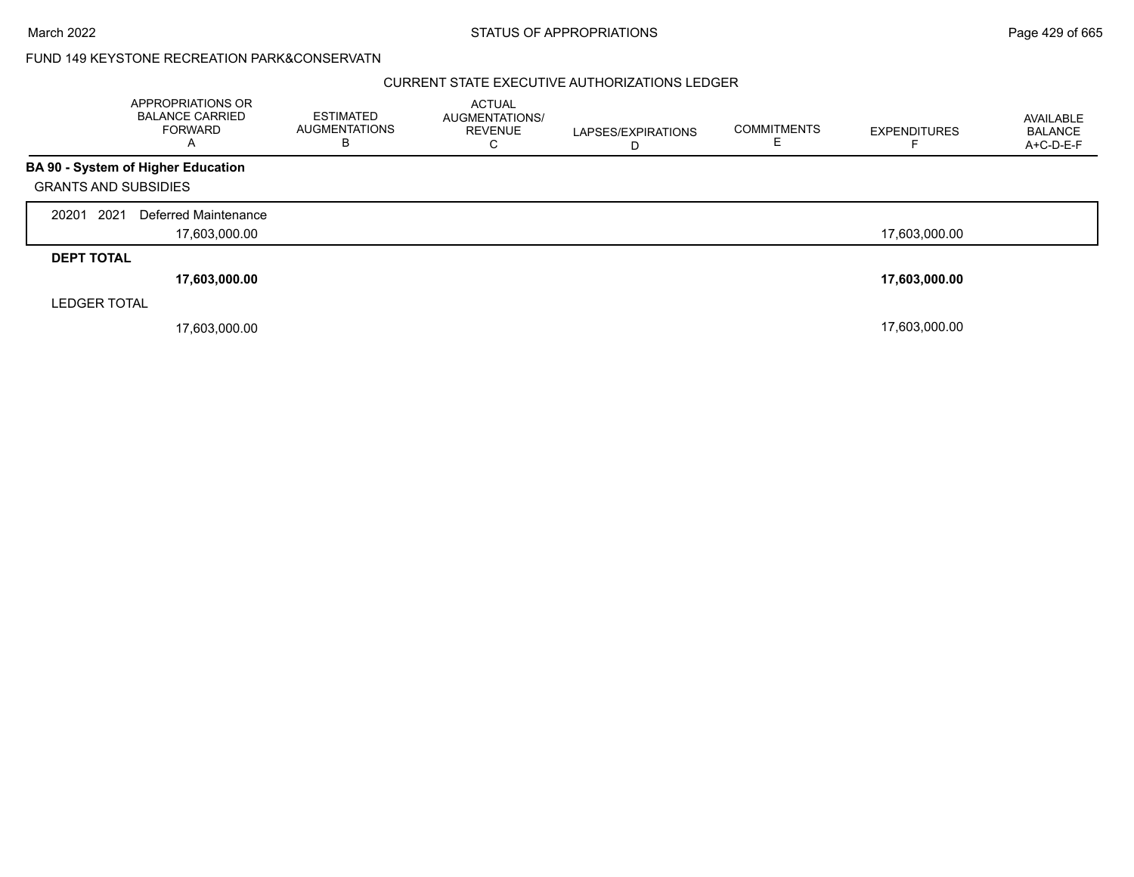March 2022 **STATUS OF APPROPRIATIONS** STATUS OF APPROPRIATIONS

### FUND 149 KEYSTONE RECREATION PARK&CONSERVATN

|                             | APPROPRIATIONS OR<br><b>BALANCE CARRIED</b><br><b>FORWARD</b><br>A | <b>ESTIMATED</b><br><b>AUGMENTATIONS</b><br>в | <b>ACTUAL</b><br><b>AUGMENTATIONS/</b><br><b>REVENUE</b><br>С | LAPSES/EXPIRATIONS<br>D | <b>COMMITMENTS</b> | <b>EXPENDITURES</b> | AVAILABLE<br><b>BALANCE</b><br>A+C-D-E-F |
|-----------------------------|--------------------------------------------------------------------|-----------------------------------------------|---------------------------------------------------------------|-------------------------|--------------------|---------------------|------------------------------------------|
|                             | <b>BA 90 - System of Higher Education</b>                          |                                               |                                                               |                         |                    |                     |                                          |
| <b>GRANTS AND SUBSIDIES</b> |                                                                    |                                               |                                                               |                         |                    |                     |                                          |
| 2021<br>20201               | Deferred Maintenance                                               |                                               |                                                               |                         |                    |                     |                                          |
|                             | 17,603,000.00                                                      |                                               |                                                               |                         |                    | 17,603,000.00       |                                          |
| <b>DEPT TOTAL</b>           |                                                                    |                                               |                                                               |                         |                    |                     |                                          |
|                             | 17,603,000.00                                                      |                                               |                                                               |                         |                    | 17,603,000.00       |                                          |
| <b>LEDGER TOTAL</b>         |                                                                    |                                               |                                                               |                         |                    |                     |                                          |
|                             | 17,603,000.00                                                      |                                               |                                                               |                         |                    | 17,603,000.00       |                                          |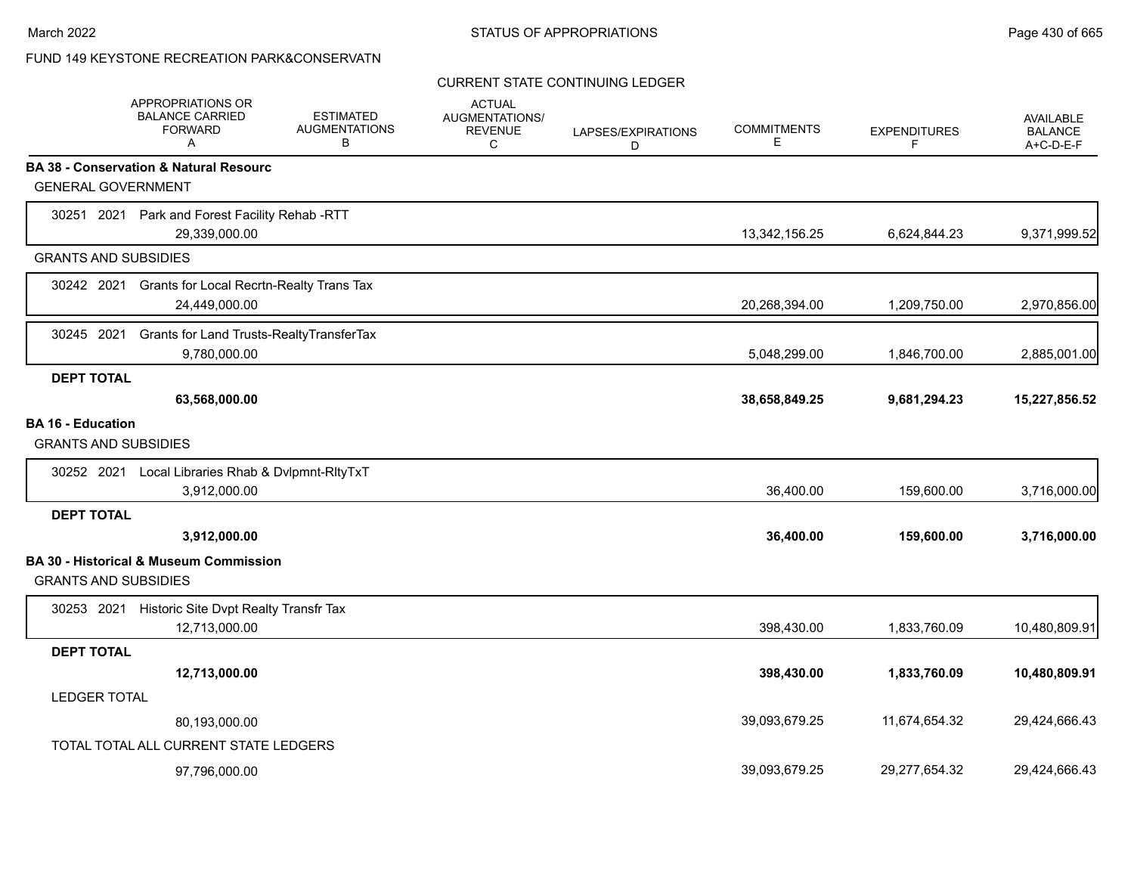### FUND 149 KEYSTONE RECREATION PARK&CONSERVATN

#### CURRENT STATE CONTINUING LEDGER

|                             | APPROPRIATIONS OR<br><b>BALANCE CARRIED</b><br><b>FORWARD</b><br>A | <b>ESTIMATED</b><br><b>AUGMENTATIONS</b><br>В | <b>ACTUAL</b><br>AUGMENTATIONS/<br><b>REVENUE</b><br>C | LAPSES/EXPIRATIONS<br>D | <b>COMMITMENTS</b><br>Е | <b>EXPENDITURES</b><br>F | <b>AVAILABLE</b><br><b>BALANCE</b><br>A+C-D-E-F |
|-----------------------------|--------------------------------------------------------------------|-----------------------------------------------|--------------------------------------------------------|-------------------------|-------------------------|--------------------------|-------------------------------------------------|
|                             | <b>BA 38 - Conservation &amp; Natural Resourc</b>                  |                                               |                                                        |                         |                         |                          |                                                 |
| <b>GENERAL GOVERNMENT</b>   |                                                                    |                                               |                                                        |                         |                         |                          |                                                 |
|                             | 30251 2021 Park and Forest Facility Rehab -RTT                     |                                               |                                                        |                         |                         |                          |                                                 |
|                             | 29,339,000.00                                                      |                                               |                                                        |                         | 13,342,156.25           | 6,624,844.23             | 9,371,999.52                                    |
| <b>GRANTS AND SUBSIDIES</b> |                                                                    |                                               |                                                        |                         |                         |                          |                                                 |
| 30242 2021                  | Grants for Local Recrtn-Realty Trans Tax                           |                                               |                                                        |                         |                         |                          |                                                 |
|                             | 24,449,000.00                                                      |                                               |                                                        |                         | 20,268,394.00           | 1,209,750.00             | 2,970,856.00                                    |
| 30245 2021                  | Grants for Land Trusts-RealtyTransferTax                           |                                               |                                                        |                         |                         |                          |                                                 |
|                             | 9,780,000.00                                                       |                                               |                                                        |                         | 5,048,299.00            | 1,846,700.00             | 2,885,001.00                                    |
| <b>DEPT TOTAL</b>           |                                                                    |                                               |                                                        |                         |                         |                          |                                                 |
|                             | 63,568,000.00                                                      |                                               |                                                        |                         | 38,658,849.25           | 9,681,294.23             | 15,227,856.52                                   |
| <b>BA 16 - Education</b>    |                                                                    |                                               |                                                        |                         |                         |                          |                                                 |
| <b>GRANTS AND SUBSIDIES</b> |                                                                    |                                               |                                                        |                         |                         |                          |                                                 |
|                             | 30252 2021 Local Libraries Rhab & Dvlpmnt-RltyTxT                  |                                               |                                                        |                         |                         |                          |                                                 |
|                             | 3,912,000.00                                                       |                                               |                                                        |                         | 36,400.00               | 159,600.00               | 3,716,000.00                                    |
| <b>DEPT TOTAL</b>           |                                                                    |                                               |                                                        |                         |                         |                          |                                                 |
|                             | 3,912,000.00                                                       |                                               |                                                        |                         | 36,400.00               | 159,600.00               | 3,716,000.00                                    |
|                             | <b>BA 30 - Historical &amp; Museum Commission</b>                  |                                               |                                                        |                         |                         |                          |                                                 |
| <b>GRANTS AND SUBSIDIES</b> |                                                                    |                                               |                                                        |                         |                         |                          |                                                 |
|                             | 30253 2021 Historic Site Dvpt Realty Transfr Tax                   |                                               |                                                        |                         |                         |                          |                                                 |
|                             | 12,713,000.00                                                      |                                               |                                                        |                         | 398,430.00              | 1,833,760.09             | 10,480,809.91                                   |
| <b>DEPT TOTAL</b>           |                                                                    |                                               |                                                        |                         |                         |                          |                                                 |
|                             | 12,713,000.00                                                      |                                               |                                                        |                         | 398,430.00              | 1,833,760.09             | 10,480,809.91                                   |
| <b>LEDGER TOTAL</b>         |                                                                    |                                               |                                                        |                         |                         |                          |                                                 |
|                             | 80,193,000.00                                                      |                                               |                                                        |                         | 39,093,679.25           | 11,674,654.32            | 29,424,666.43                                   |
|                             | TOTAL TOTAL ALL CURRENT STATE LEDGERS                              |                                               |                                                        |                         |                         |                          |                                                 |
|                             | 97,796,000.00                                                      |                                               |                                                        |                         | 39.093.679.25           | 29,277,654.32            | 29,424,666.43                                   |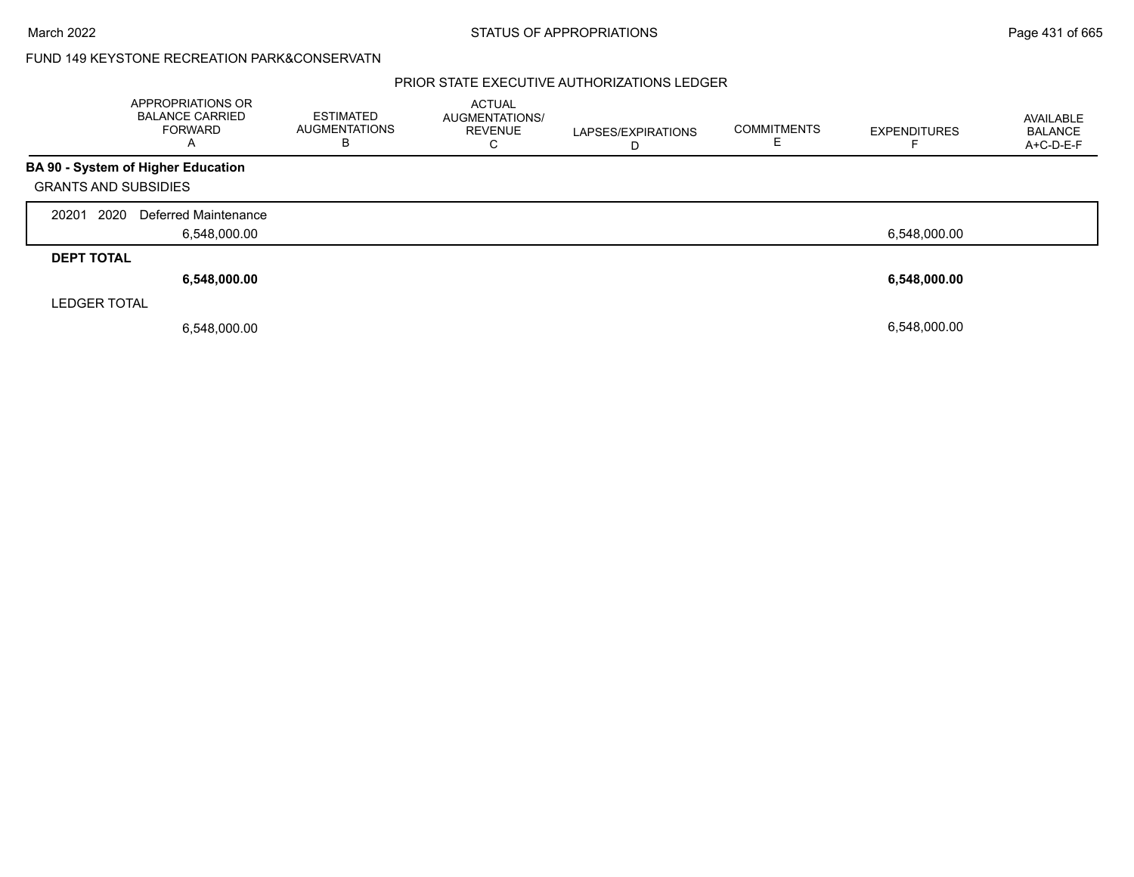### FUND 149 KEYSTONE RECREATION PARK&CONSERVATN

|                             | APPROPRIATIONS OR<br><b>BALANCE CARRIED</b><br><b>FORWARD</b><br>A | <b>ESTIMATED</b><br><b>AUGMENTATIONS</b><br>в | <b>ACTUAL</b><br><b>AUGMENTATIONS/</b><br><b>REVENUE</b><br>С | LAPSES/EXPIRATIONS<br>D | <b>COMMITMENTS</b> | <b>EXPENDITURES</b> | AVAILABLE<br>BALANCE<br>A+C-D-E-F |
|-----------------------------|--------------------------------------------------------------------|-----------------------------------------------|---------------------------------------------------------------|-------------------------|--------------------|---------------------|-----------------------------------|
|                             | <b>BA 90 - System of Higher Education</b>                          |                                               |                                                               |                         |                    |                     |                                   |
| <b>GRANTS AND SUBSIDIES</b> |                                                                    |                                               |                                                               |                         |                    |                     |                                   |
| 2020<br>20201               | Deferred Maintenance                                               |                                               |                                                               |                         |                    |                     |                                   |
|                             | 6,548,000.00                                                       |                                               |                                                               |                         |                    | 6,548,000.00        |                                   |
| <b>DEPT TOTAL</b>           |                                                                    |                                               |                                                               |                         |                    |                     |                                   |
|                             | 6,548,000.00                                                       |                                               |                                                               |                         |                    | 6,548,000.00        |                                   |
| <b>LEDGER TOTAL</b>         |                                                                    |                                               |                                                               |                         |                    |                     |                                   |
|                             | 6,548,000.00                                                       |                                               |                                                               |                         |                    | 6.548.000.00        |                                   |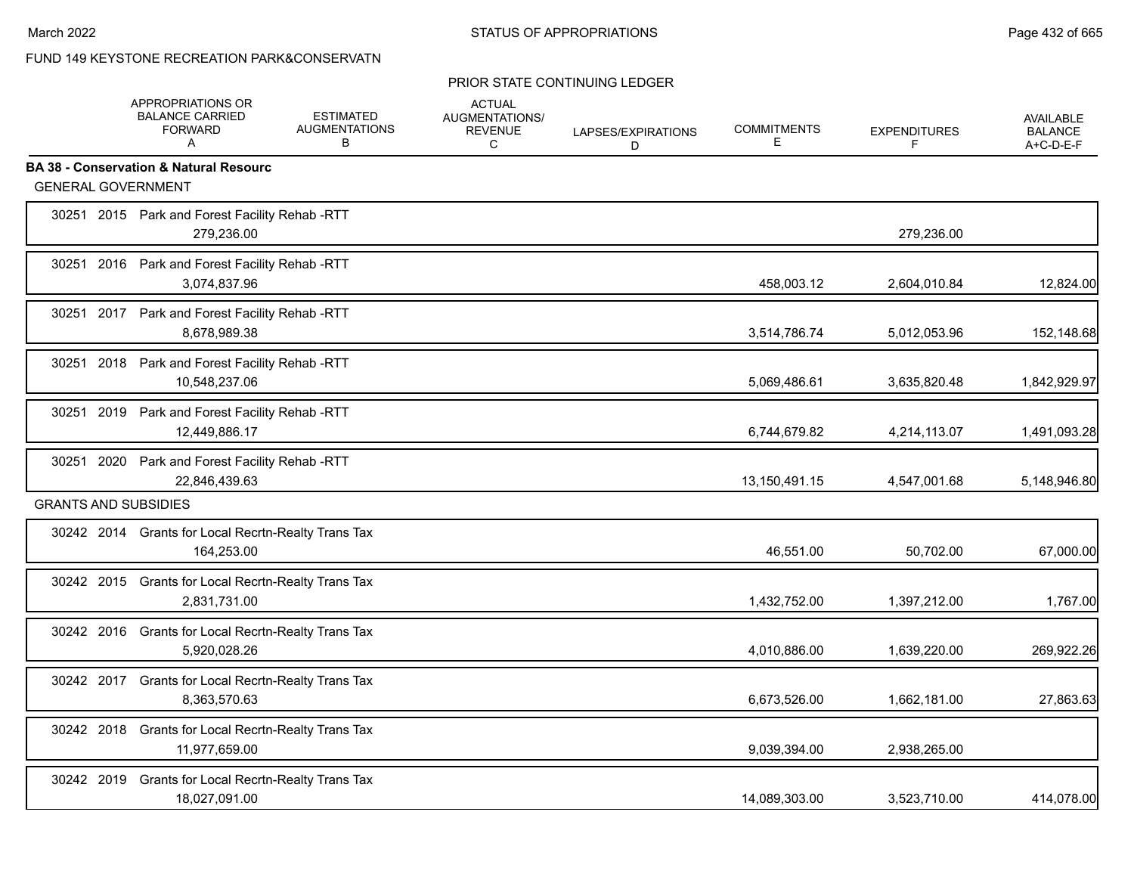## FUND 149 KEYSTONE RECREATION PARK&CONSERVATN

#### PRIOR STATE CONTINUING LEDGER

|                             | <b>APPROPRIATIONS OR</b><br><b>BALANCE CARRIED</b><br><b>FORWARD</b><br>A | <b>ESTIMATED</b><br><b>AUGMENTATIONS</b><br>B | <b>ACTUAL</b><br>AUGMENTATIONS/<br><b>REVENUE</b><br>C | LAPSES/EXPIRATIONS<br>D | <b>COMMITMENTS</b><br>Е | <b>EXPENDITURES</b><br>F | AVAILABLE<br><b>BALANCE</b><br>A+C-D-E-F |
|-----------------------------|---------------------------------------------------------------------------|-----------------------------------------------|--------------------------------------------------------|-------------------------|-------------------------|--------------------------|------------------------------------------|
|                             | <b>BA 38 - Conservation &amp; Natural Resourc</b>                         |                                               |                                                        |                         |                         |                          |                                          |
|                             | <b>GENERAL GOVERNMENT</b>                                                 |                                               |                                                        |                         |                         |                          |                                          |
|                             | 30251 2015 Park and Forest Facility Rehab -RTT<br>279,236.00              |                                               |                                                        |                         |                         | 279,236.00               |                                          |
|                             | 30251 2016 Park and Forest Facility Rehab -RTT<br>3,074,837.96            |                                               |                                                        |                         | 458,003.12              | 2,604,010.84             | 12,824.00                                |
|                             | 30251 2017 Park and Forest Facility Rehab -RTT<br>8,678,989.38            |                                               |                                                        |                         | 3,514,786.74            | 5,012,053.96             | 152,148.68                               |
|                             | 30251 2018 Park and Forest Facility Rehab -RTT<br>10,548,237.06           |                                               |                                                        |                         | 5,069,486.61            | 3,635,820.48             | 1,842,929.97                             |
|                             | 30251 2019 Park and Forest Facility Rehab -RTT<br>12,449,886.17           |                                               |                                                        |                         | 6,744,679.82            | 4,214,113.07             | 1,491,093.28                             |
|                             | 30251 2020 Park and Forest Facility Rehab -RTT<br>22,846,439.63           |                                               |                                                        |                         | 13,150,491.15           | 4,547,001.68             | 5,148,946.80                             |
| <b>GRANTS AND SUBSIDIES</b> |                                                                           |                                               |                                                        |                         |                         |                          |                                          |
|                             | 30242 2014 Grants for Local Recrtn-Realty Trans Tax<br>164,253.00         |                                               |                                                        |                         | 46,551.00               | 50,702.00                | 67,000.00                                |
|                             | 30242 2015 Grants for Local Recrtn-Realty Trans Tax<br>2.831.731.00       |                                               |                                                        |                         | 1,432,752.00            | 1,397,212.00             | 1,767.00                                 |
| 30242 2016                  | <b>Grants for Local Recrtn-Realty Trans Tax</b><br>5,920,028.26           |                                               |                                                        |                         | 4,010,886.00            | 1,639,220.00             | 269,922.26                               |
|                             | 30242 2017 Grants for Local Recrtn-Realty Trans Tax<br>8,363,570.63       |                                               |                                                        |                         | 6,673,526.00            | 1,662,181.00             | 27,863.63                                |
|                             | 30242 2018 Grants for Local Recrtn-Realty Trans Tax<br>11,977,659.00      |                                               |                                                        |                         | 9,039,394.00            | 2,938,265.00             |                                          |
| 30242 2019                  | Grants for Local Recrtn-Realty Trans Tax<br>18,027,091.00                 |                                               |                                                        |                         | 14,089,303.00           | 3,523,710.00             | 414,078.00                               |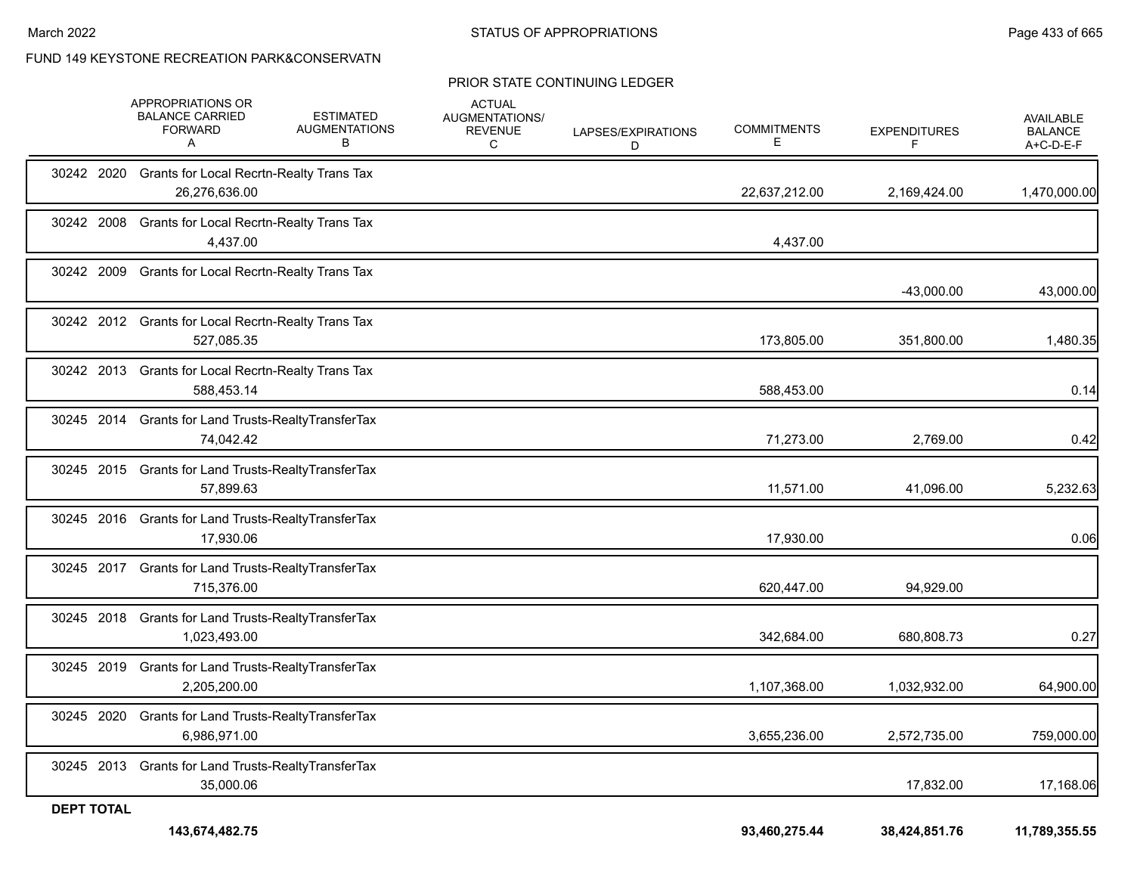FUND 149 KEYSTONE RECREATION PARK&CONSERVATN

#### PRIOR STATE CONTINUING LEDGER

|                   | APPROPRIATIONS OR<br><b>BALANCE CARRIED</b><br><b>FORWARD</b><br>A   | <b>ESTIMATED</b><br><b>AUGMENTATIONS</b><br>В | <b>ACTUAL</b><br>AUGMENTATIONS/<br><b>REVENUE</b><br>C | LAPSES/EXPIRATIONS<br>D | <b>COMMITMENTS</b><br>E. | <b>EXPENDITURES</b> | AVAILABLE<br><b>BALANCE</b><br>A+C-D-E-F |
|-------------------|----------------------------------------------------------------------|-----------------------------------------------|--------------------------------------------------------|-------------------------|--------------------------|---------------------|------------------------------------------|
|                   | 30242 2020 Grants for Local Recrtn-Realty Trans Tax<br>26,276,636.00 |                                               |                                                        |                         | 22,637,212.00            | 2,169,424.00        | 1,470,000.00                             |
| 30242 2008        | Grants for Local Recrtn-Realty Trans Tax<br>4,437.00                 |                                               |                                                        |                         | 4,437.00                 |                     |                                          |
| 30242 2009        | Grants for Local Recrtn-Realty Trans Tax                             |                                               |                                                        |                         |                          | -43,000.00          | 43,000.00                                |
|                   | 30242 2012 Grants for Local Recrtn-Realty Trans Tax<br>527,085.35    |                                               |                                                        |                         | 173,805.00               | 351,800.00          | 1,480.35                                 |
|                   | 30242 2013 Grants for Local Recrtn-Realty Trans Tax<br>588,453.14    |                                               |                                                        |                         | 588,453.00               |                     | 0.14                                     |
|                   | 30245 2014 Grants for Land Trusts-RealtyTransferTax<br>74,042.42     |                                               |                                                        |                         | 71,273.00                | 2,769.00            | 0.42                                     |
|                   | 30245 2015 Grants for Land Trusts-RealtyTransferTax<br>57,899.63     |                                               |                                                        |                         | 11,571.00                | 41,096.00           | 5,232.63                                 |
|                   | 30245 2016 Grants for Land Trusts-RealtyTransferTax<br>17,930.06     |                                               |                                                        |                         | 17,930.00                |                     | 0.06                                     |
| 30245 2017        | <b>Grants for Land Trusts-RealtyTransferTax</b><br>715,376.00        |                                               |                                                        |                         | 620,447.00               | 94,929.00           |                                          |
|                   | 30245 2018 Grants for Land Trusts-RealtyTransferTax<br>1,023,493.00  |                                               |                                                        |                         | 342,684.00               | 680,808.73          | 0.27                                     |
| 30245 2019        | <b>Grants for Land Trusts-RealtyTransferTax</b><br>2,205,200.00      |                                               |                                                        |                         | 1,107,368.00             | 1,032,932.00        | 64,900.00                                |
| 30245 2020        | Grants for Land Trusts-Realty Transfer Tax<br>6,986,971.00           |                                               |                                                        |                         | 3,655,236.00             | 2,572,735.00        | 759,000.00                               |
|                   | 30245 2013 Grants for Land Trusts-RealtyTransferTax<br>35,000.06     |                                               |                                                        |                         |                          | 17,832.00           | 17,168.06                                |
| <b>DEPT TOTAL</b> | 143,674,482.75                                                       |                                               |                                                        |                         | 93,460,275.44            | 38,424,851.76       | 11,789,355.55                            |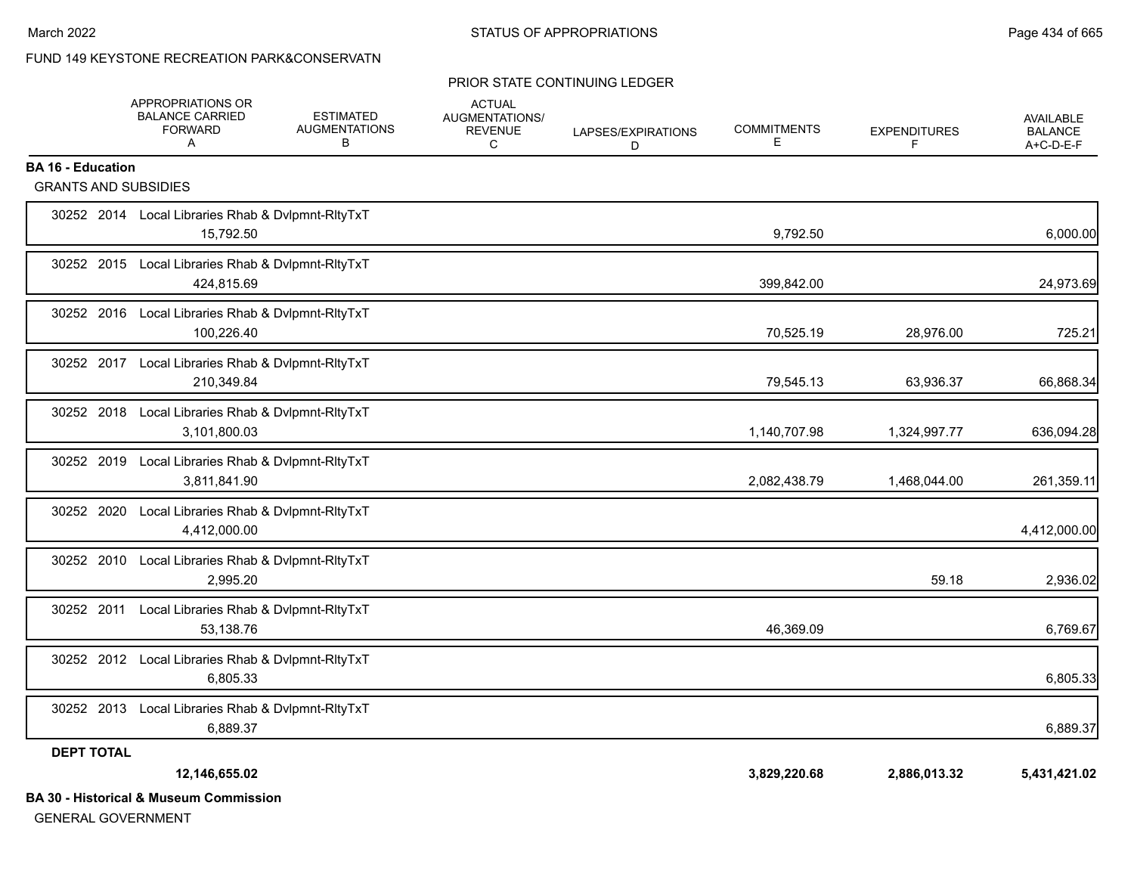# FUND 149 KEYSTONE RECREATION PARK&CONSERVATN

#### PRIOR STATE CONTINUING LEDGER

|                                                         | APPROPRIATIONS OR<br><b>BALANCE CARRIED</b><br><b>FORWARD</b><br>$\mathsf{A}$ | <b>ESTIMATED</b><br><b>AUGMENTATIONS</b><br>В | <b>ACTUAL</b><br><b>AUGMENTATIONS/</b><br><b>REVENUE</b><br>C | LAPSES/EXPIRATIONS<br>D | <b>COMMITMENTS</b><br>Е | <b>EXPENDITURES</b><br>F | <b>AVAILABLE</b><br><b>BALANCE</b><br>A+C-D-E-F |
|---------------------------------------------------------|-------------------------------------------------------------------------------|-----------------------------------------------|---------------------------------------------------------------|-------------------------|-------------------------|--------------------------|-------------------------------------------------|
| <b>BA 16 - Education</b><br><b>GRANTS AND SUBSIDIES</b> |                                                                               |                                               |                                                               |                         |                         |                          |                                                 |
|                                                         |                                                                               |                                               |                                                               |                         |                         |                          |                                                 |
|                                                         | 30252 2014 Local Libraries Rhab & Dvlpmnt-RltyTxT<br>15,792.50                |                                               |                                                               |                         | 9,792.50                |                          | 6,000.00                                        |
|                                                         | 30252 2015 Local Libraries Rhab & Dvlpmnt-RltyTxT<br>424,815.69               |                                               |                                                               |                         | 399,842.00              |                          | 24,973.69                                       |
|                                                         | 30252 2016 Local Libraries Rhab & Dvlpmnt-RltyTxT<br>100,226.40               |                                               |                                                               |                         | 70,525.19               | 28,976.00                | 725.21                                          |
|                                                         | 30252 2017 Local Libraries Rhab & Dvlpmnt-RltyTxT<br>210,349.84               |                                               |                                                               |                         | 79,545.13               | 63,936.37                | 66,868.34                                       |
| 30252 2018                                              | Local Libraries Rhab & Dvlpmnt-RltyTxT<br>3,101,800.03                        |                                               |                                                               |                         | 1,140,707.98            | 1,324,997.77             | 636,094.28                                      |
| 30252 2019                                              | Local Libraries Rhab & Dvlpmnt-RltyTxT<br>3,811,841.90                        |                                               |                                                               |                         | 2,082,438.79            | 1,468,044.00             | 261,359.11                                      |
| 30252 2020                                              | Local Libraries Rhab & Dvlpmnt-RltyTxT<br>4,412,000.00                        |                                               |                                                               |                         |                         |                          | 4,412,000.00                                    |
| 30252 2010                                              | Local Libraries Rhab & Dvlpmnt-RltyTxT<br>2.995.20                            |                                               |                                                               |                         |                         | 59.18                    | 2,936.02                                        |
| 30252 2011                                              | Local Libraries Rhab & Dvlpmnt-RltyTxT<br>53.138.76                           |                                               |                                                               |                         | 46,369.09               |                          | 6,769.67                                        |
|                                                         | 30252 2012 Local Libraries Rhab & Dvlpmnt-RltyTxT<br>6.805.33                 |                                               |                                                               |                         |                         |                          | 6,805.33                                        |
|                                                         | 30252 2013 Local Libraries Rhab & Dvlpmnt-RltyTxT<br>6,889.37                 |                                               |                                                               |                         |                         |                          | 6,889.37                                        |
| <b>DEPT TOTAL</b>                                       |                                                                               |                                               |                                                               |                         |                         |                          |                                                 |
|                                                         | 12,146,655.02                                                                 |                                               |                                                               |                         | 3,829,220.68            | 2,886,013.32             | 5,431,421.02                                    |
|                                                         | <b>BA 30 - Historical &amp; Museum Commission</b>                             |                                               |                                                               |                         |                         |                          |                                                 |

GENERAL GOVERNMENT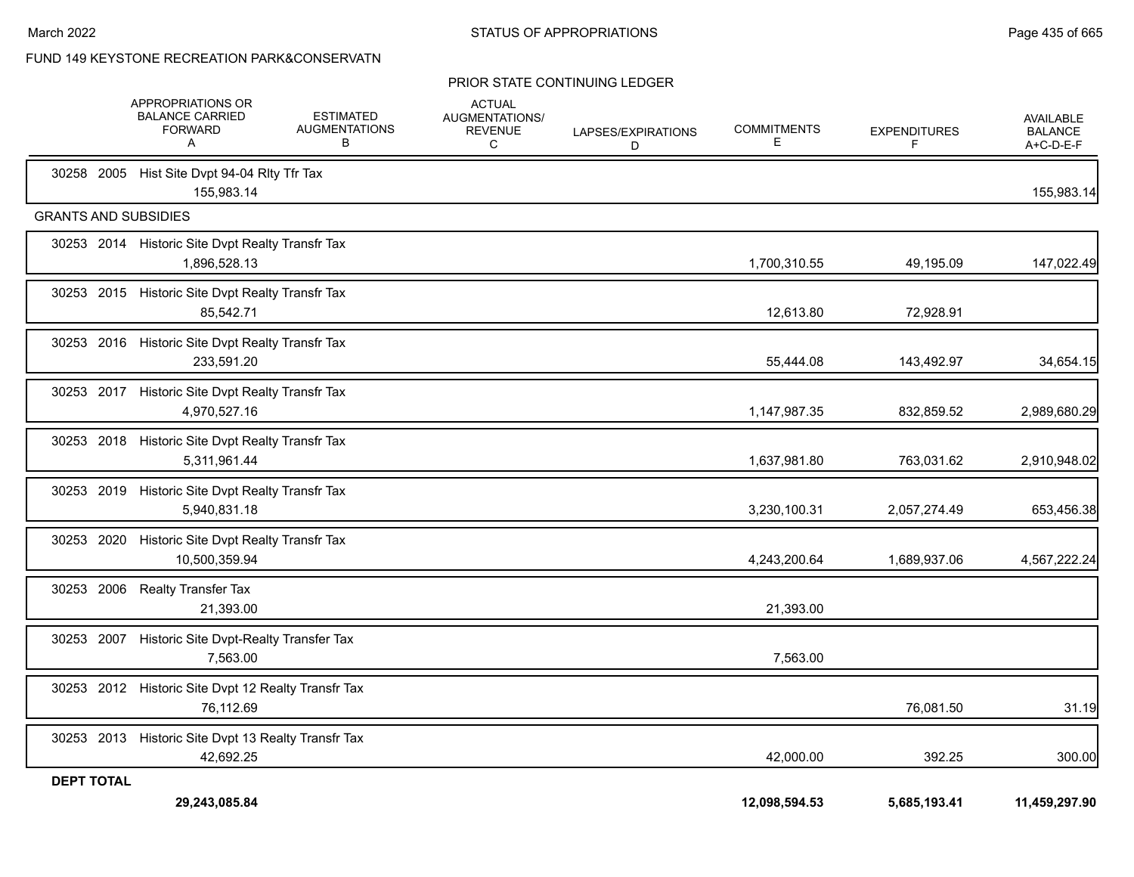### FUND 149 KEYSTONE RECREATION PARK&CONSERVATN

#### PRIOR STATE CONTINUING LEDGER

|                             | APPROPRIATIONS OR<br><b>BALANCE CARRIED</b><br><b>FORWARD</b><br>A | <b>ESTIMATED</b><br><b>AUGMENTATIONS</b><br>В | <b>ACTUAL</b><br><b>AUGMENTATIONS/</b><br><b>REVENUE</b><br>C | LAPSES/EXPIRATIONS<br>D | <b>COMMITMENTS</b><br>Е | <b>EXPENDITURES</b><br>F | AVAILABLE<br><b>BALANCE</b><br>A+C-D-E-F |
|-----------------------------|--------------------------------------------------------------------|-----------------------------------------------|---------------------------------------------------------------|-------------------------|-------------------------|--------------------------|------------------------------------------|
|                             | 30258 2005 Hist Site Dvpt 94-04 Rlty Tfr Tax<br>155,983.14         |                                               |                                                               |                         |                         |                          | 155,983.14                               |
| <b>GRANTS AND SUBSIDIES</b> |                                                                    |                                               |                                                               |                         |                         |                          |                                          |
|                             | 30253 2014 Historic Site Dvpt Realty Transfr Tax<br>1,896,528.13   |                                               |                                                               |                         | 1,700,310.55            | 49,195.09                | 147,022.49                               |
|                             | 30253 2015 Historic Site Dvpt Realty Transfr Tax<br>85,542.71      |                                               |                                                               |                         | 12,613.80               | 72,928.91                |                                          |
|                             | 30253 2016 Historic Site Dvpt Realty Transfr Tax<br>233,591.20     |                                               |                                                               |                         | 55,444.08               | 143,492.97               | 34,654.15                                |
|                             | 30253 2017 Historic Site Dvpt Realty Transfr Tax<br>4,970,527.16   |                                               |                                                               |                         | 1,147,987.35            | 832,859.52               | 2,989,680.29                             |
|                             | 30253 2018 Historic Site Dvpt Realty Transfr Tax<br>5,311,961.44   |                                               |                                                               |                         | 1,637,981.80            | 763,031.62               | 2,910,948.02                             |
|                             | 30253 2019 Historic Site Dvpt Realty Transfr Tax<br>5,940,831.18   |                                               |                                                               |                         | 3,230,100.31            | 2,057,274.49             | 653,456.38                               |
|                             | 30253 2020 Historic Site Dvpt Realty Transfr Tax<br>10,500,359.94  |                                               |                                                               |                         | 4,243,200.64            | 1,689,937.06             | 4,567,222.24                             |
| 30253 2006                  | <b>Realty Transfer Tax</b><br>21,393.00                            |                                               |                                                               |                         | 21,393.00               |                          |                                          |
|                             | 30253 2007 Historic Site Dvpt-Realty Transfer Tax<br>7.563.00      |                                               |                                                               |                         | 7,563.00                |                          |                                          |
|                             | 30253 2012 Historic Site Dvpt 12 Realty Transfr Tax<br>76,112.69   |                                               |                                                               |                         |                         | 76,081.50                | 31.19                                    |
|                             | 30253 2013 Historic Site Dvpt 13 Realty Transfr Tax<br>42,692.25   |                                               |                                                               |                         | 42,000.00               | 392.25                   | 300.00                                   |
| <b>DEPT TOTAL</b>           | 29,243,085.84                                                      |                                               |                                                               |                         | 12,098,594.53           | 5,685,193.41             | 11,459,297.90                            |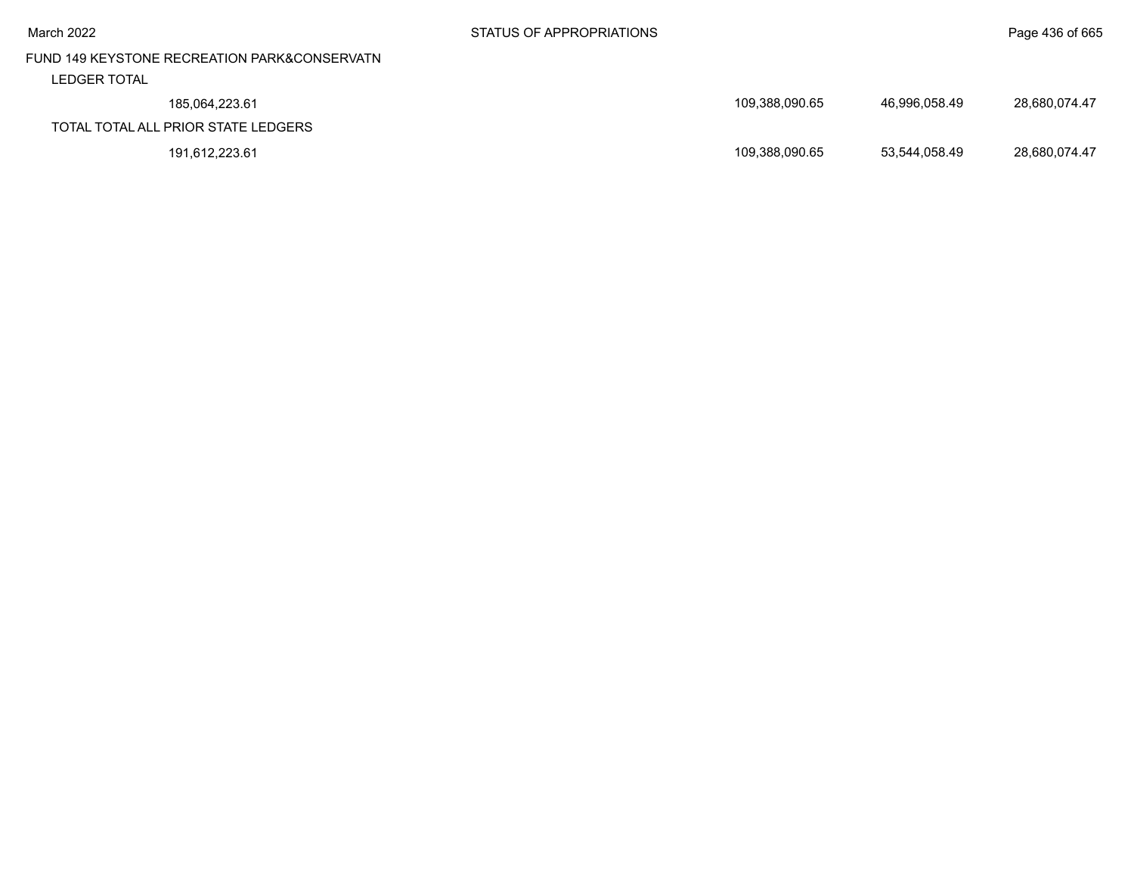# FUND 149 KEYSTONE RECREATION PARK&CONSERVATN LEDGER TOTAL

| LEDUEN IVIAL                        |                |               |               |
|-------------------------------------|----------------|---------------|---------------|
| 185.064.223.61                      | 109.388.090.65 | 46.996.058.49 | 28.680.074.47 |
| TOTAL TOTAL ALL PRIOR STATE LEDGERS |                |               |               |
| 191,612,223.61                      | 109.388.090.65 | 53,544,058.49 | 28,680,074.47 |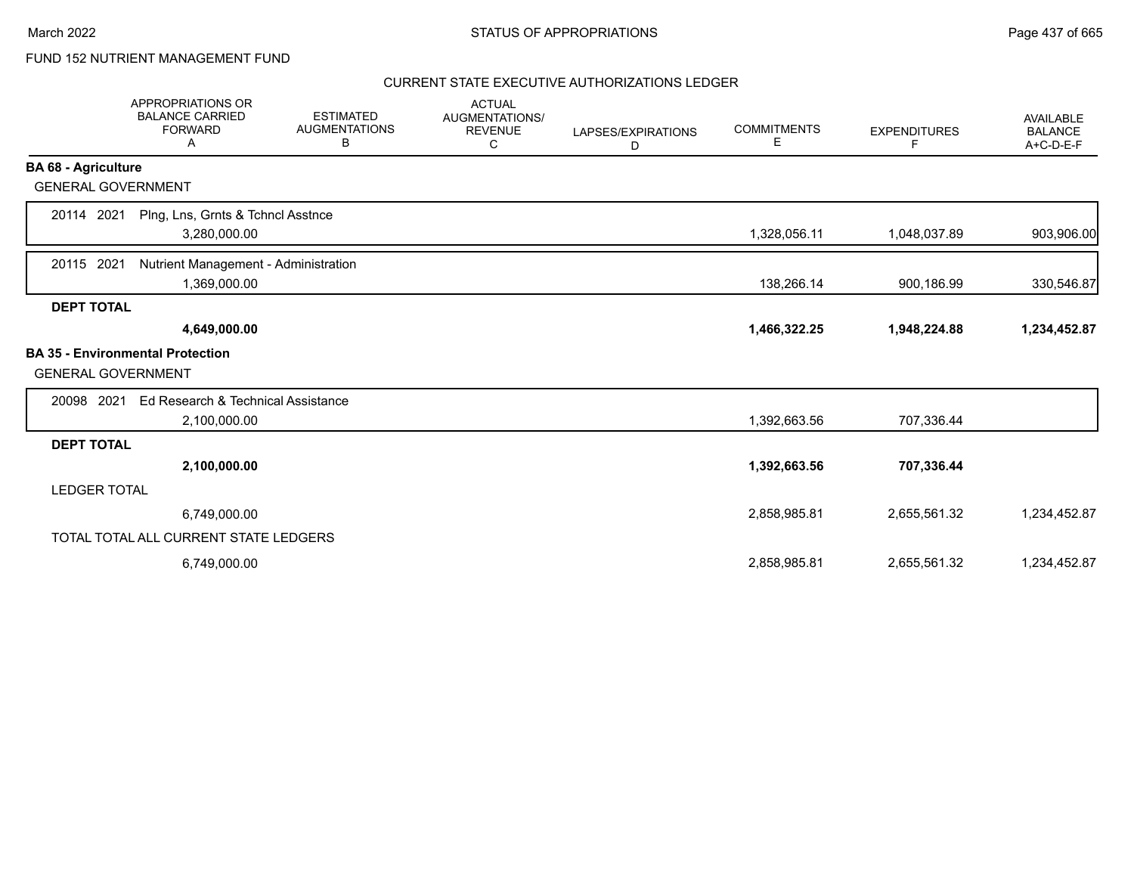# FUND 152 NUTRIENT MANAGEMENT FUND

|                            | <b>APPROPRIATIONS OR</b><br><b>BALANCE CARRIED</b><br><b>FORWARD</b><br>Α | <b>ESTIMATED</b><br><b>AUGMENTATIONS</b><br>В | <b>ACTUAL</b><br>AUGMENTATIONS/<br><b>REVENUE</b><br>C | LAPSES/EXPIRATIONS<br>D | <b>COMMITMENTS</b><br>Е | <b>EXPENDITURES</b><br>F | <b>AVAILABLE</b><br><b>BALANCE</b><br>A+C-D-E-F |
|----------------------------|---------------------------------------------------------------------------|-----------------------------------------------|--------------------------------------------------------|-------------------------|-------------------------|--------------------------|-------------------------------------------------|
| <b>BA 68 - Agriculture</b> |                                                                           |                                               |                                                        |                         |                         |                          |                                                 |
| <b>GENERAL GOVERNMENT</b>  |                                                                           |                                               |                                                        |                         |                         |                          |                                                 |
| 20114 2021                 | Plng, Lns, Grnts & Tchncl Asstnce<br>3,280,000.00                         |                                               |                                                        |                         | 1,328,056.11            | 1,048,037.89             | 903,906.00                                      |
| 20115<br>2021              | Nutrient Management - Administration<br>1,369,000.00                      |                                               |                                                        |                         | 138,266.14              | 900,186.99               | 330,546.87                                      |
| <b>DEPT TOTAL</b>          |                                                                           |                                               |                                                        |                         |                         |                          |                                                 |
|                            | 4,649,000.00                                                              |                                               |                                                        |                         | 1,466,322.25            | 1,948,224.88             | 1,234,452.87                                    |
| <b>GENERAL GOVERNMENT</b>  | <b>BA 35 - Environmental Protection</b>                                   |                                               |                                                        |                         |                         |                          |                                                 |
| 20098 2021                 | Ed Research & Technical Assistance                                        |                                               |                                                        |                         |                         |                          |                                                 |
|                            | 2,100,000.00                                                              |                                               |                                                        |                         | 1,392,663.56            | 707,336.44               |                                                 |
| <b>DEPT TOTAL</b>          |                                                                           |                                               |                                                        |                         |                         |                          |                                                 |
|                            | 2,100,000.00                                                              |                                               |                                                        |                         | 1,392,663.56            | 707,336.44               |                                                 |
| <b>LEDGER TOTAL</b>        |                                                                           |                                               |                                                        |                         |                         |                          |                                                 |
|                            | 6,749,000.00                                                              |                                               |                                                        |                         | 2,858,985.81            | 2,655,561.32             | 1,234,452.87                                    |
|                            | TOTAL TOTAL ALL CURRENT STATE LEDGERS                                     |                                               |                                                        |                         |                         |                          |                                                 |
|                            | 6,749,000.00                                                              |                                               |                                                        |                         | 2,858,985.81            | 2,655,561.32             | 1,234,452.87                                    |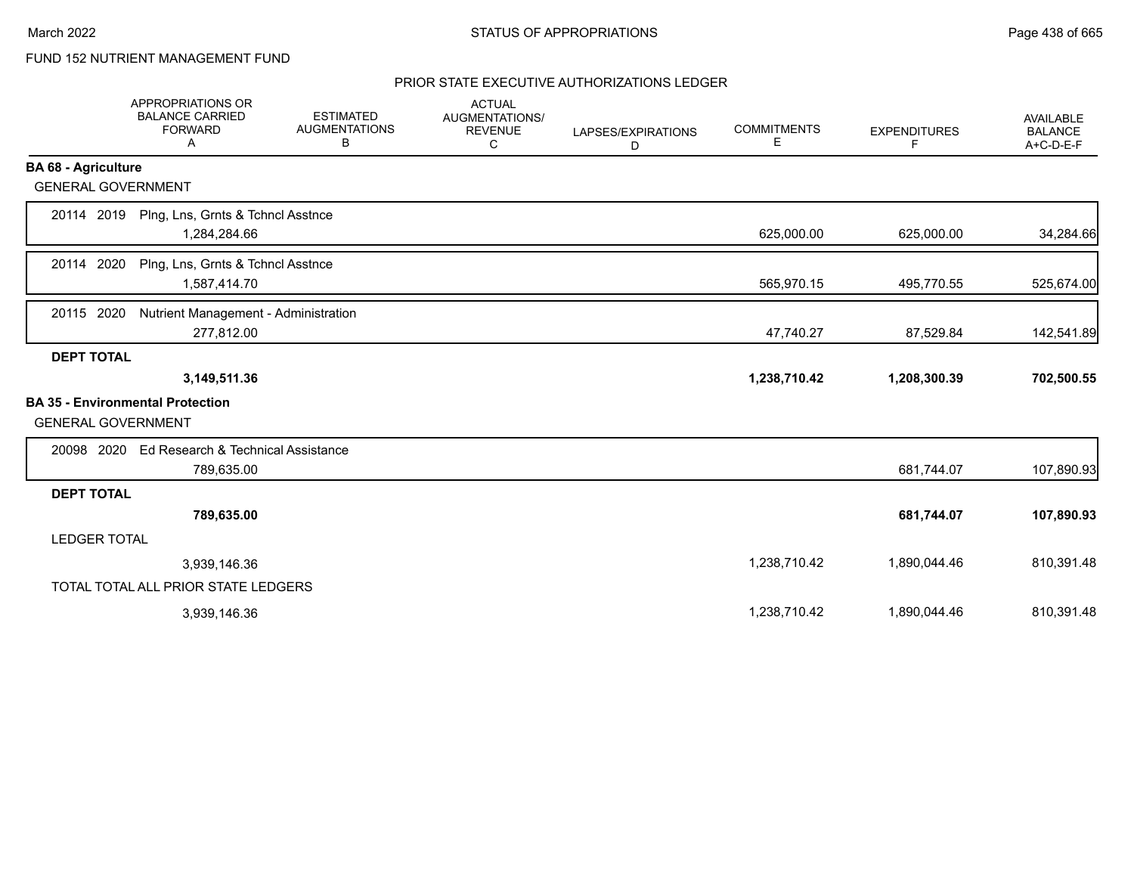# FUND 152 NUTRIENT MANAGEMENT FUND

|                            | <b>APPROPRIATIONS OR</b><br><b>BALANCE CARRIED</b><br><b>FORWARD</b><br>Α | <b>ESTIMATED</b><br><b>AUGMENTATIONS</b><br>В | <b>ACTUAL</b><br>AUGMENTATIONS/<br><b>REVENUE</b><br>С | LAPSES/EXPIRATIONS<br>D | <b>COMMITMENTS</b><br>Е | <b>EXPENDITURES</b><br>F. | <b>AVAILABLE</b><br><b>BALANCE</b><br>A+C-D-E-F |
|----------------------------|---------------------------------------------------------------------------|-----------------------------------------------|--------------------------------------------------------|-------------------------|-------------------------|---------------------------|-------------------------------------------------|
| <b>BA 68 - Agriculture</b> |                                                                           |                                               |                                                        |                         |                         |                           |                                                 |
| <b>GENERAL GOVERNMENT</b>  |                                                                           |                                               |                                                        |                         |                         |                           |                                                 |
| 20114 2019                 | Plng, Lns, Grnts & Tchncl Asstnce<br>1,284,284.66                         |                                               |                                                        |                         | 625,000.00              | 625,000.00                | 34,284.66                                       |
| 20114 2020                 | Plng, Lns, Grnts & Tchncl Asstnce<br>1,587,414.70                         |                                               |                                                        |                         | 565,970.15              | 495,770.55                | 525,674.00                                      |
| 20115 2020                 | Nutrient Management - Administration<br>277,812.00                        |                                               |                                                        |                         | 47,740.27               | 87,529.84                 | 142,541.89                                      |
| <b>DEPT TOTAL</b>          |                                                                           |                                               |                                                        |                         |                         |                           |                                                 |
|                            | 3,149,511.36                                                              |                                               |                                                        |                         | 1,238,710.42            | 1,208,300.39              | 702,500.55                                      |
| <b>GENERAL GOVERNMENT</b>  | <b>BA 35 - Environmental Protection</b>                                   |                                               |                                                        |                         |                         |                           |                                                 |
| 20098 2020                 | Ed Research & Technical Assistance<br>789,635.00                          |                                               |                                                        |                         |                         | 681,744.07                | 107,890.93                                      |
| <b>DEPT TOTAL</b>          |                                                                           |                                               |                                                        |                         |                         |                           |                                                 |
|                            | 789,635.00                                                                |                                               |                                                        |                         |                         | 681,744.07                | 107,890.93                                      |
| <b>LEDGER TOTAL</b>        |                                                                           |                                               |                                                        |                         |                         |                           |                                                 |
|                            | 3,939,146.36                                                              |                                               |                                                        |                         | 1,238,710.42            | 1,890,044.46              | 810,391.48                                      |
|                            | TOTAL TOTAL ALL PRIOR STATE LEDGERS                                       |                                               |                                                        |                         |                         |                           |                                                 |
|                            | 3,939,146.36                                                              |                                               |                                                        |                         | 1,238,710.42            | 1,890,044.46              | 810,391.48                                      |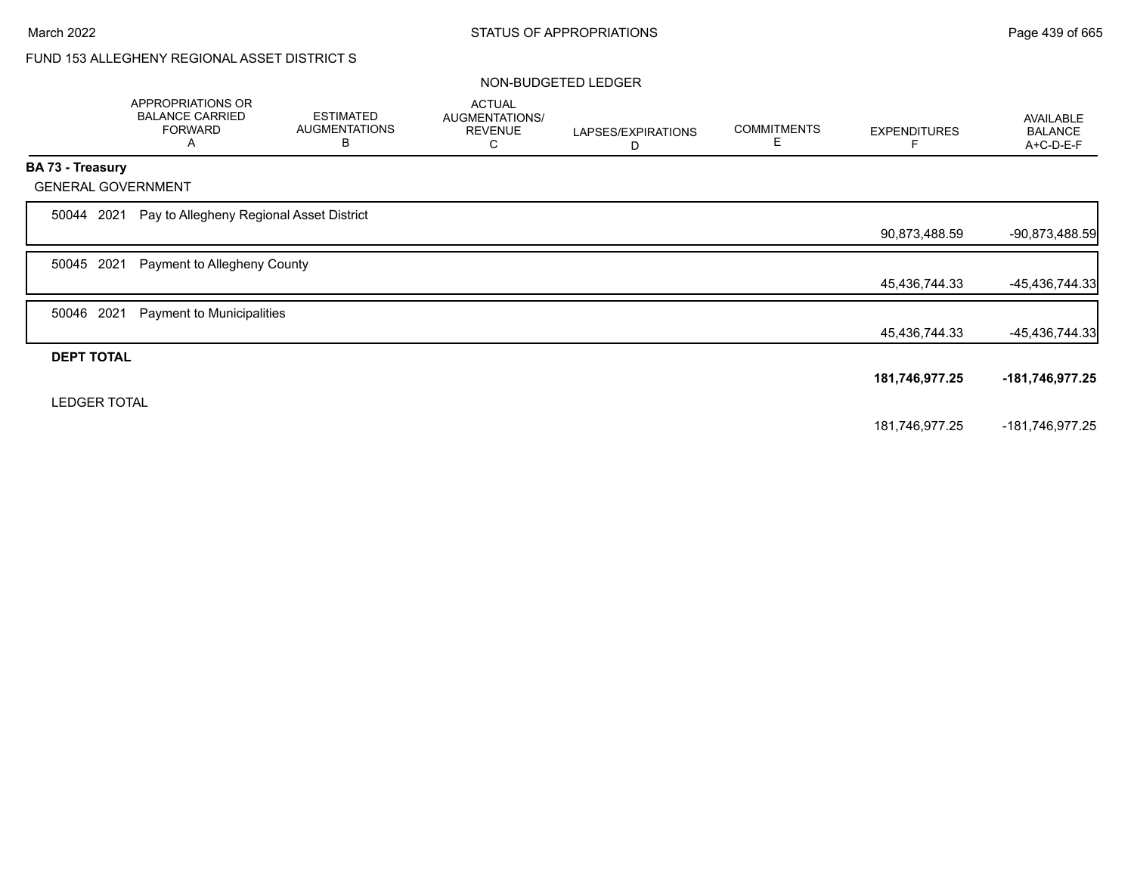# FUND 153 ALLEGHENY REGIONAL ASSET DISTRICT S

### NON-BUDGETED LEDGER

|                   | APPROPRIATIONS OR<br><b>BALANCE CARRIED</b><br><b>FORWARD</b><br>A | <b>ESTIMATED</b><br><b>AUGMENTATIONS</b><br>В | <b>ACTUAL</b><br>AUGMENTATIONS/<br><b>REVENUE</b><br>С | LAPSES/EXPIRATIONS<br>D | <b>COMMITMENTS</b><br>Е | <b>EXPENDITURES</b> | AVAILABLE<br><b>BALANCE</b><br>A+C-D-E-F |
|-------------------|--------------------------------------------------------------------|-----------------------------------------------|--------------------------------------------------------|-------------------------|-------------------------|---------------------|------------------------------------------|
| BA 73 - Treasury  |                                                                    |                                               |                                                        |                         |                         |                     |                                          |
|                   | <b>GENERAL GOVERNMENT</b>                                          |                                               |                                                        |                         |                         |                     |                                          |
| 50044             | 2021                                                               | Pay to Allegheny Regional Asset District      |                                                        |                         |                         |                     |                                          |
|                   |                                                                    |                                               |                                                        |                         |                         | 90,873,488.59       | $-90,873,488.59$                         |
| 50045             | 2021<br>Payment to Allegheny County                                |                                               |                                                        |                         |                         |                     |                                          |
|                   |                                                                    |                                               |                                                        |                         |                         | 45,436,744.33       | $-45,436,744.33$                         |
| 50046             | 2021<br>Payment to Municipalities                                  |                                               |                                                        |                         |                         |                     |                                          |
|                   |                                                                    |                                               |                                                        |                         |                         | 45,436,744.33       | $-45,436,744.33$                         |
| <b>DEPT TOTAL</b> |                                                                    |                                               |                                                        |                         |                         |                     |                                          |
|                   |                                                                    |                                               |                                                        |                         |                         | 181,746,977.25      | -181,746,977.25                          |
|                   | <b>LEDGER TOTAL</b>                                                |                                               |                                                        |                         |                         |                     |                                          |
|                   |                                                                    |                                               |                                                        |                         |                         | 181,746,977.25      | -181,746,977.25                          |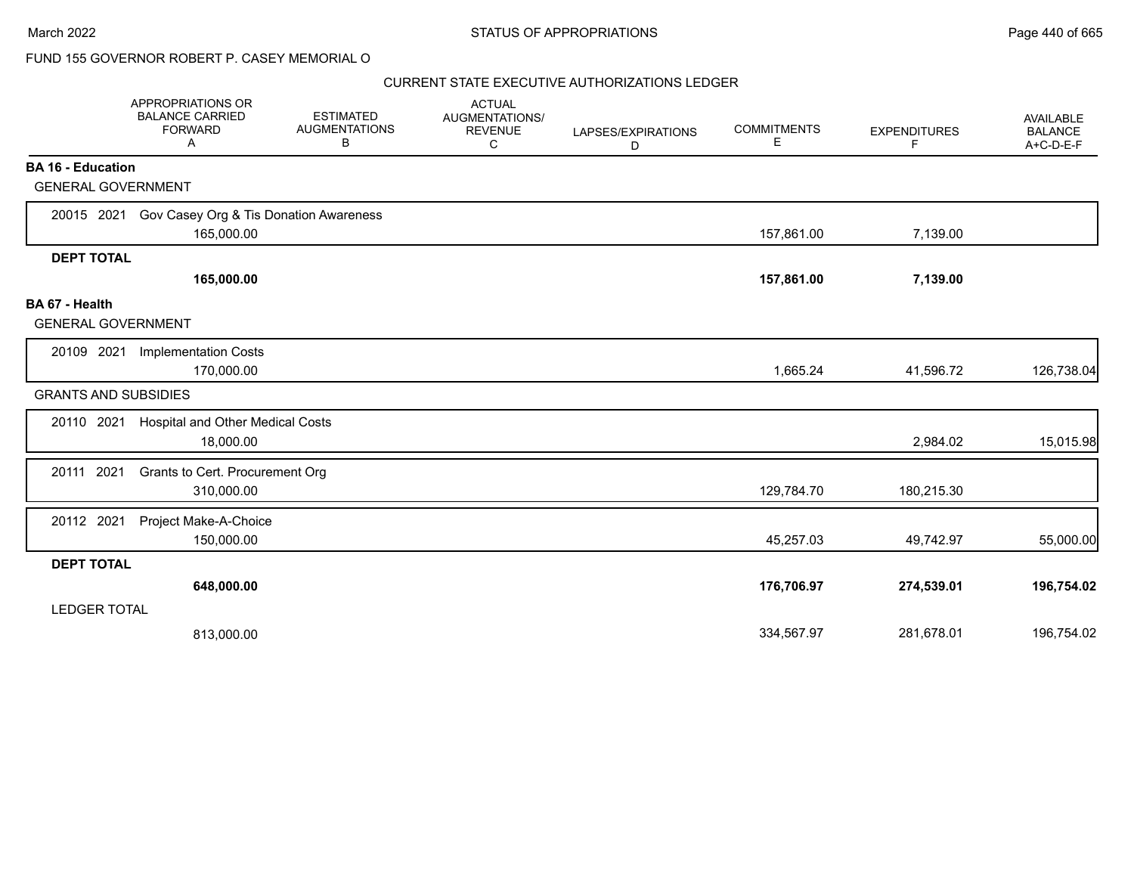|                                                       | APPROPRIATIONS OR<br><b>BALANCE CARRIED</b><br><b>FORWARD</b><br>A | <b>ESTIMATED</b><br><b>AUGMENTATIONS</b><br>В | <b>ACTUAL</b><br><b>AUGMENTATIONS/</b><br><b>REVENUE</b><br>C | LAPSES/EXPIRATIONS<br>D | <b>COMMITMENTS</b><br>Е | <b>EXPENDITURES</b><br>F | <b>AVAILABLE</b><br><b>BALANCE</b><br>A+C-D-E-F |
|-------------------------------------------------------|--------------------------------------------------------------------|-----------------------------------------------|---------------------------------------------------------------|-------------------------|-------------------------|--------------------------|-------------------------------------------------|
| <b>BA 16 - Education</b><br><b>GENERAL GOVERNMENT</b> |                                                                    |                                               |                                                               |                         |                         |                          |                                                 |
| 20015 2021                                            | Gov Casey Org & Tis Donation Awareness                             |                                               |                                                               |                         |                         |                          |                                                 |
|                                                       | 165,000.00                                                         |                                               |                                                               |                         | 157,861.00              | 7,139.00                 |                                                 |
| <b>DEPT TOTAL</b>                                     |                                                                    |                                               |                                                               |                         |                         |                          |                                                 |
|                                                       | 165,000.00                                                         |                                               |                                                               |                         | 157,861.00              | 7,139.00                 |                                                 |
| BA 67 - Health<br><b>GENERAL GOVERNMENT</b>           |                                                                    |                                               |                                                               |                         |                         |                          |                                                 |
| 20109 2021                                            | <b>Implementation Costs</b>                                        |                                               |                                                               |                         |                         |                          |                                                 |
|                                                       | 170,000.00                                                         |                                               |                                                               |                         | 1,665.24                | 41,596.72                | 126,738.04                                      |
| <b>GRANTS AND SUBSIDIES</b>                           |                                                                    |                                               |                                                               |                         |                         |                          |                                                 |
| 20110 2021                                            | <b>Hospital and Other Medical Costs</b><br>18,000.00               |                                               |                                                               |                         |                         | 2,984.02                 | 15,015.98                                       |
| 20111 2021                                            | Grants to Cert. Procurement Org<br>310,000.00                      |                                               |                                                               |                         | 129,784.70              | 180,215.30               |                                                 |
| 20112 2021                                            | Project Make-A-Choice<br>150,000.00                                |                                               |                                                               |                         | 45,257.03               | 49,742.97                | 55,000.00                                       |
| <b>DEPT TOTAL</b>                                     |                                                                    |                                               |                                                               |                         |                         |                          |                                                 |
|                                                       | 648,000.00                                                         |                                               |                                                               |                         | 176,706.97              | 274,539.01               | 196,754.02                                      |
| <b>LEDGER TOTAL</b>                                   |                                                                    |                                               |                                                               |                         |                         |                          |                                                 |
|                                                       | 813,000.00                                                         |                                               |                                                               |                         | 334,567.97              | 281,678.01               | 196,754.02                                      |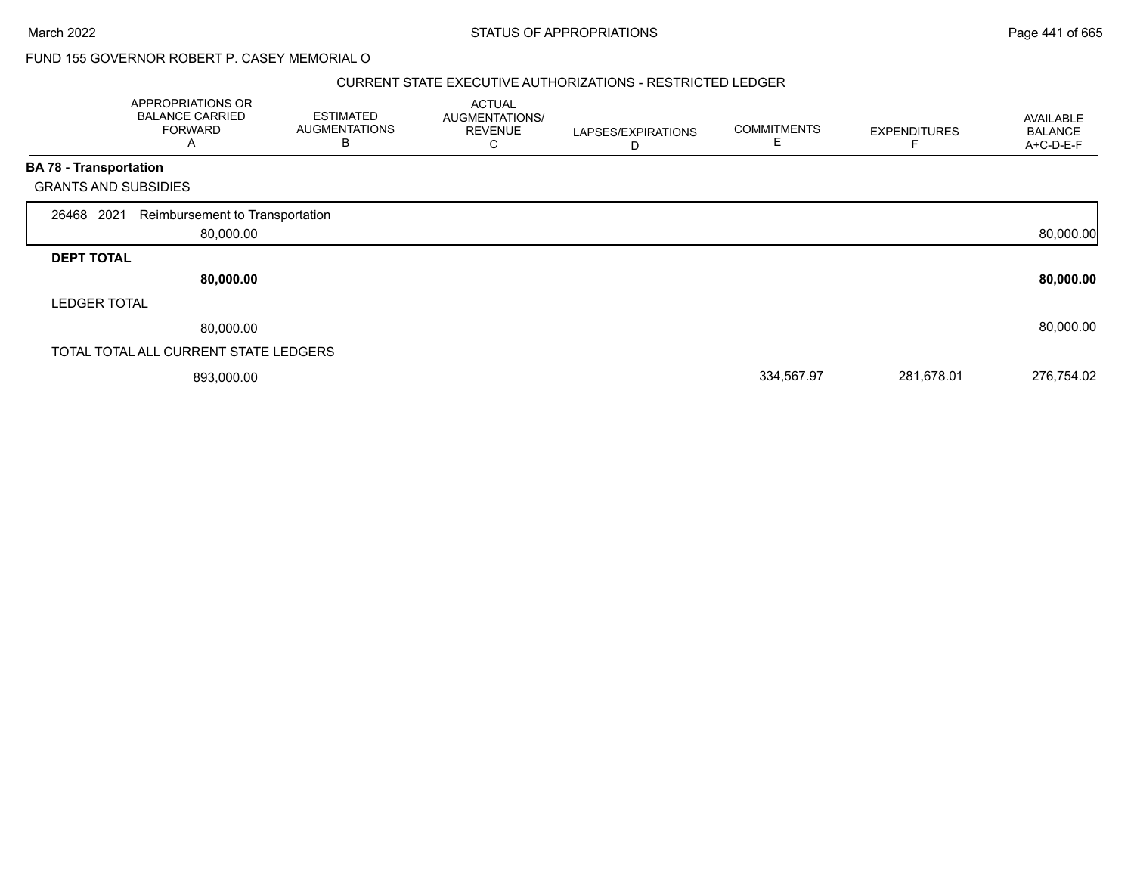#### CURRENT STATE EXECUTIVE AUTHORIZATIONS - RESTRICTED LEDGER

|                               | APPROPRIATIONS OR<br><b>BALANCE CARRIED</b><br><b>FORWARD</b><br>A | <b>ESTIMATED</b><br><b>AUGMENTATIONS</b><br>в | <b>ACTUAL</b><br>AUGMENTATIONS/<br><b>REVENUE</b><br>С | LAPSES/EXPIRATIONS<br>D | <b>COMMITMENTS</b><br>Е | <b>EXPENDITURES</b> | AVAILABLE<br><b>BALANCE</b><br>A+C-D-E-F |
|-------------------------------|--------------------------------------------------------------------|-----------------------------------------------|--------------------------------------------------------|-------------------------|-------------------------|---------------------|------------------------------------------|
| <b>BA 78 - Transportation</b> |                                                                    |                                               |                                                        |                         |                         |                     |                                          |
|                               | <b>GRANTS AND SUBSIDIES</b>                                        |                                               |                                                        |                         |                         |                     |                                          |
| 26468 2021                    | Reimbursement to Transportation<br>80,000.00                       |                                               |                                                        |                         |                         |                     | 80,000.00                                |
| <b>DEPT TOTAL</b>             |                                                                    |                                               |                                                        |                         |                         |                     |                                          |
|                               | 80,000.00                                                          |                                               |                                                        |                         |                         |                     | 80,000.00                                |
| <b>LEDGER TOTAL</b>           |                                                                    |                                               |                                                        |                         |                         |                     |                                          |
|                               | 80,000.00                                                          |                                               |                                                        |                         |                         |                     | 80,000.00                                |
|                               | TOTAL TOTAL ALL CURRENT STATE LEDGERS                              |                                               |                                                        |                         |                         |                     |                                          |
|                               | 893,000.00                                                         |                                               |                                                        |                         | 334,567.97              | 281,678.01          | 276,754.02                               |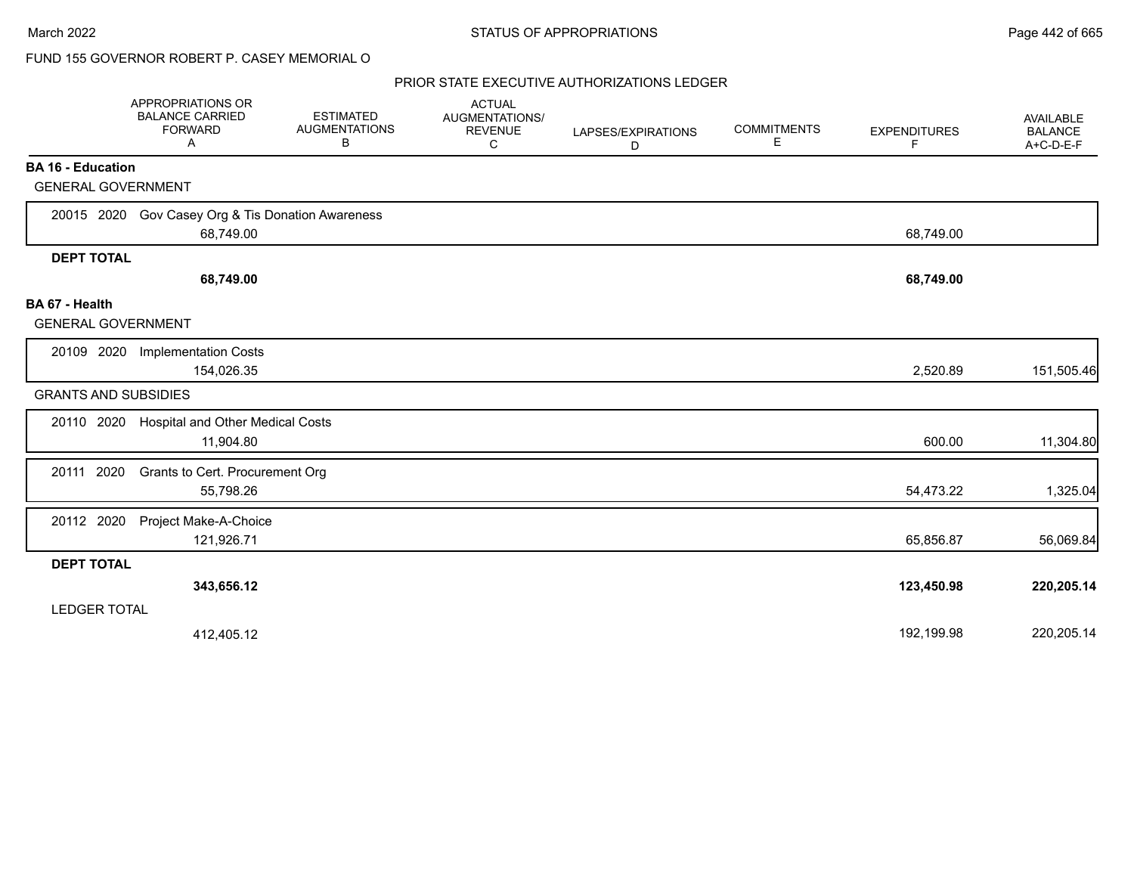|                                             | APPROPRIATIONS OR<br><b>BALANCE CARRIED</b><br><b>FORWARD</b><br>A | <b>ESTIMATED</b><br><b>AUGMENTATIONS</b><br>B | <b>ACTUAL</b><br>AUGMENTATIONS/<br><b>REVENUE</b><br>C | LAPSES/EXPIRATIONS<br>D | <b>COMMITMENTS</b><br>Е | <b>EXPENDITURES</b><br>F | <b>AVAILABLE</b><br><b>BALANCE</b><br>A+C-D-E-F |
|---------------------------------------------|--------------------------------------------------------------------|-----------------------------------------------|--------------------------------------------------------|-------------------------|-------------------------|--------------------------|-------------------------------------------------|
| <b>BA 16 - Education</b>                    |                                                                    |                                               |                                                        |                         |                         |                          |                                                 |
| <b>GENERAL GOVERNMENT</b>                   |                                                                    |                                               |                                                        |                         |                         |                          |                                                 |
|                                             | 20015 2020 Gov Casey Org & Tis Donation Awareness<br>68,749.00     |                                               |                                                        |                         |                         | 68,749.00                |                                                 |
| <b>DEPT TOTAL</b>                           |                                                                    |                                               |                                                        |                         |                         |                          |                                                 |
|                                             | 68,749.00                                                          |                                               |                                                        |                         |                         | 68,749.00                |                                                 |
| BA 67 - Health<br><b>GENERAL GOVERNMENT</b> |                                                                    |                                               |                                                        |                         |                         |                          |                                                 |
| 20109 2020                                  | <b>Implementation Costs</b><br>154,026.35                          |                                               |                                                        |                         |                         | 2,520.89                 | 151,505.46                                      |
| <b>GRANTS AND SUBSIDIES</b>                 |                                                                    |                                               |                                                        |                         |                         |                          |                                                 |
| 20110 2020                                  | Hospital and Other Medical Costs<br>11,904.80                      |                                               |                                                        |                         |                         | 600.00                   | 11,304.80                                       |
| 20111 2020                                  | Grants to Cert. Procurement Org<br>55,798.26                       |                                               |                                                        |                         |                         | 54,473.22                | 1,325.04                                        |
| 20112 2020                                  | Project Make-A-Choice<br>121,926.71                                |                                               |                                                        |                         |                         | 65,856.87                | 56,069.84                                       |
| <b>DEPT TOTAL</b>                           |                                                                    |                                               |                                                        |                         |                         |                          |                                                 |
|                                             | 343,656.12                                                         |                                               |                                                        |                         |                         | 123,450.98               | 220,205.14                                      |
| <b>LEDGER TOTAL</b>                         |                                                                    |                                               |                                                        |                         |                         |                          |                                                 |
|                                             | 412,405.12                                                         |                                               |                                                        |                         |                         | 192,199.98               | 220,205.14                                      |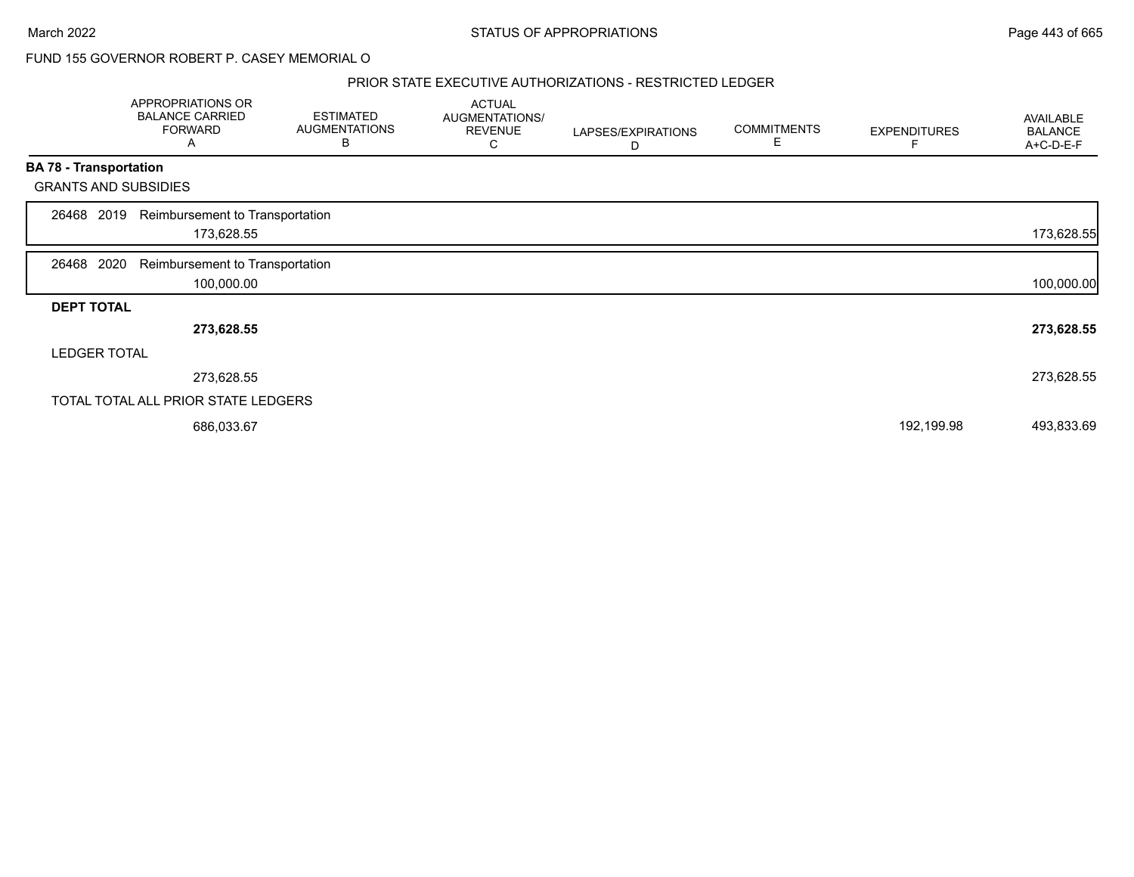#### PRIOR STATE EXECUTIVE AUTHORIZATIONS - RESTRICTED LEDGER

|                   | APPROPRIATIONS OR<br><b>BALANCE CARRIED</b><br><b>FORWARD</b><br>A | <b>ESTIMATED</b><br><b>AUGMENTATIONS</b><br>в | <b>ACTUAL</b><br><b>AUGMENTATIONS/</b><br><b>REVENUE</b><br>С | LAPSES/EXPIRATIONS<br>D | <b>COMMITMENTS</b><br>Е | <b>EXPENDITURES</b> | AVAILABLE<br><b>BALANCE</b><br>A+C-D-E-F |
|-------------------|--------------------------------------------------------------------|-----------------------------------------------|---------------------------------------------------------------|-------------------------|-------------------------|---------------------|------------------------------------------|
|                   | <b>BA 78 - Transportation</b>                                      |                                               |                                                               |                         |                         |                     |                                          |
|                   | <b>GRANTS AND SUBSIDIES</b>                                        |                                               |                                                               |                         |                         |                     |                                          |
| 26468             | Reimbursement to Transportation<br>2019<br>173,628.55              |                                               |                                                               |                         |                         |                     | 173,628.55                               |
| 26468             | 2020<br>Reimbursement to Transportation<br>100,000.00              |                                               |                                                               |                         |                         |                     | 100,000.00                               |
| <b>DEPT TOTAL</b> |                                                                    |                                               |                                                               |                         |                         |                     |                                          |
|                   | 273,628.55                                                         |                                               |                                                               |                         |                         |                     | 273,628.55                               |
|                   | <b>LEDGER TOTAL</b>                                                |                                               |                                                               |                         |                         |                     |                                          |
|                   | 273,628.55                                                         |                                               |                                                               |                         |                         |                     | 273,628.55                               |
|                   | TOTAL TOTAL ALL PRIOR STATE LEDGERS                                |                                               |                                                               |                         |                         |                     |                                          |
|                   | 686,033.67                                                         |                                               |                                                               |                         |                         | 192,199.98          | 493,833.69                               |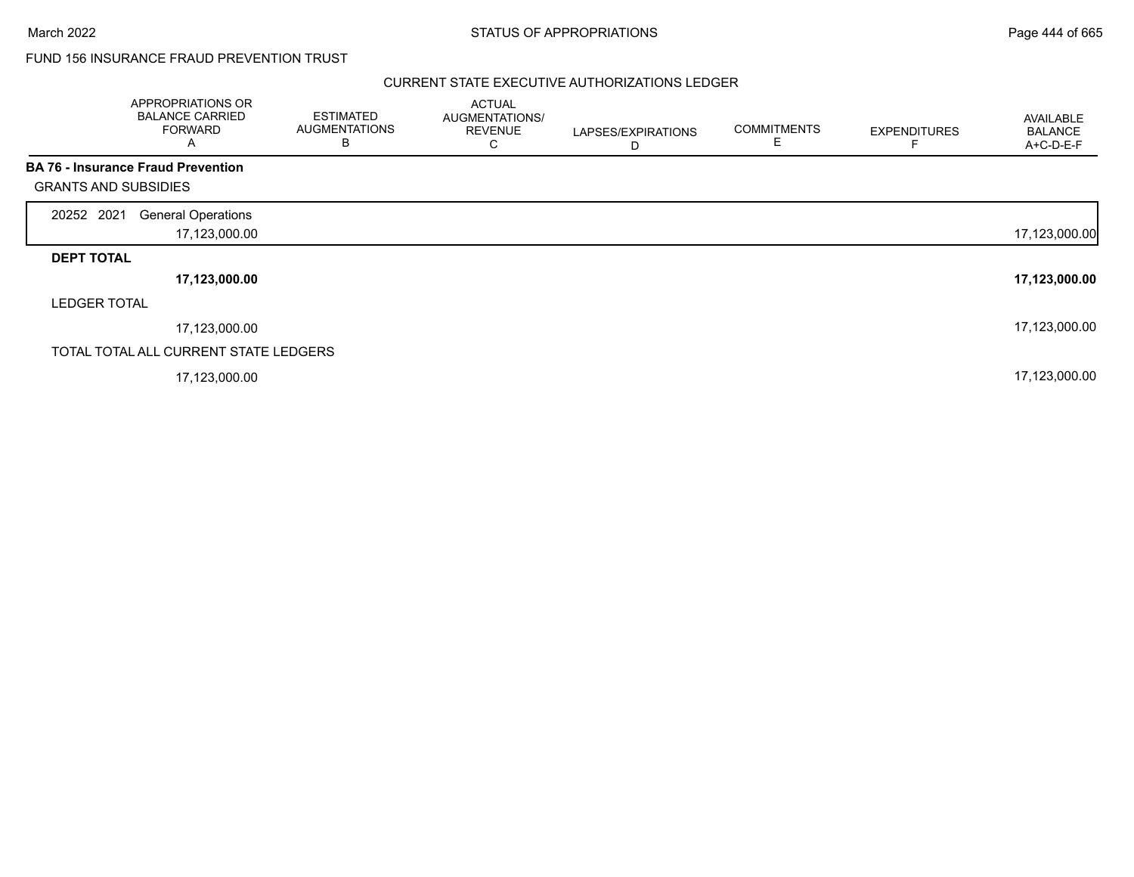# FUND 156 INSURANCE FRAUD PREVENTION TRUST

|                             | APPROPRIATIONS OR<br><b>BALANCE CARRIED</b><br><b>FORWARD</b><br>A | <b>ESTIMATED</b><br><b>AUGMENTATIONS</b><br>в | <b>ACTUAL</b><br>AUGMENTATIONS/<br><b>REVENUE</b><br>С | LAPSES/EXPIRATIONS<br>D | <b>COMMITMENTS</b><br>E | <b>EXPENDITURES</b> | AVAILABLE<br><b>BALANCE</b><br>A+C-D-E-F |
|-----------------------------|--------------------------------------------------------------------|-----------------------------------------------|--------------------------------------------------------|-------------------------|-------------------------|---------------------|------------------------------------------|
|                             | <b>BA 76 - Insurance Fraud Prevention</b>                          |                                               |                                                        |                         |                         |                     |                                          |
| <b>GRANTS AND SUBSIDIES</b> |                                                                    |                                               |                                                        |                         |                         |                     |                                          |
| 20252 2021                  | <b>General Operations</b>                                          |                                               |                                                        |                         |                         |                     |                                          |
|                             | 17,123,000.00                                                      |                                               |                                                        |                         |                         |                     | 17,123,000.00                            |
| <b>DEPT TOTAL</b>           |                                                                    |                                               |                                                        |                         |                         |                     |                                          |
|                             | 17,123,000.00                                                      |                                               |                                                        |                         |                         |                     | 17,123,000.00                            |
| <b>LEDGER TOTAL</b>         |                                                                    |                                               |                                                        |                         |                         |                     |                                          |
|                             | 17,123,000.00                                                      |                                               |                                                        |                         |                         |                     | 17,123,000.00                            |
|                             | TOTAL TOTAL ALL CURRENT STATE LEDGERS                              |                                               |                                                        |                         |                         |                     |                                          |
|                             | 17,123,000.00                                                      |                                               |                                                        |                         |                         |                     | 17,123,000.00                            |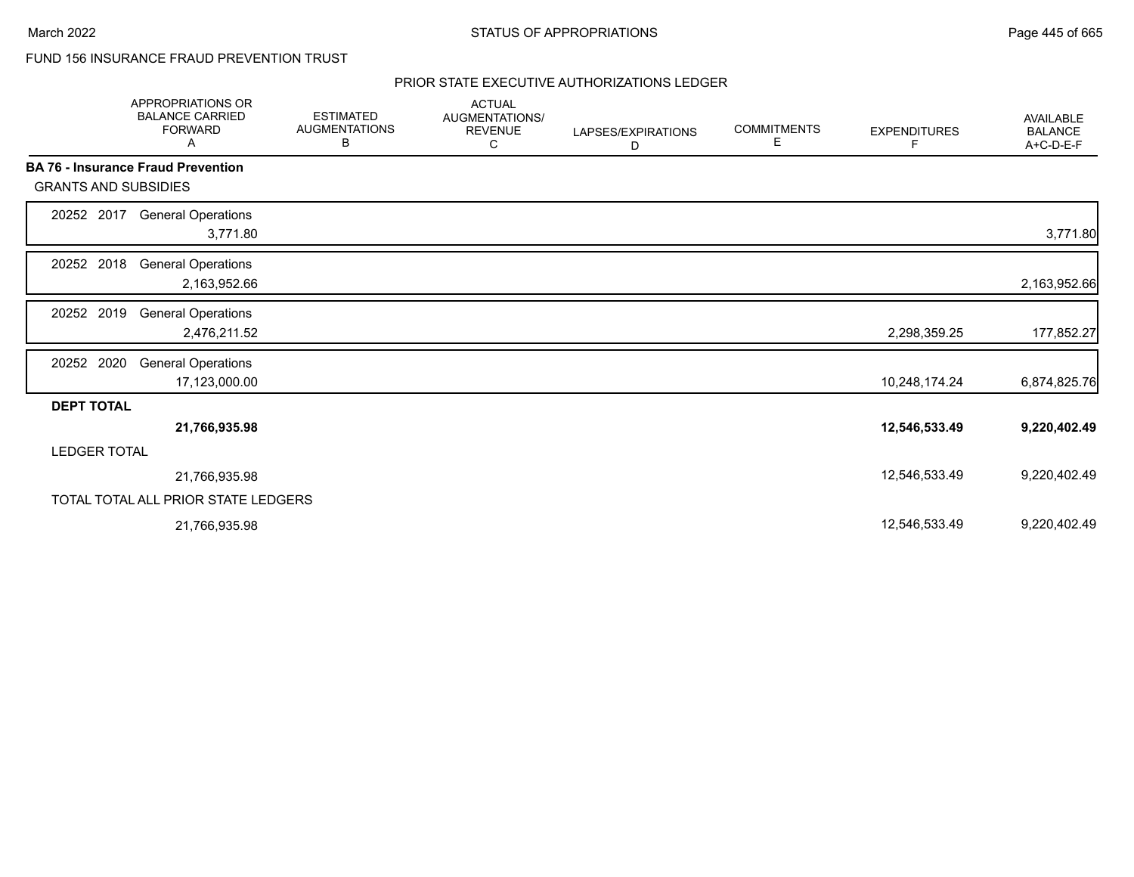# FUND 156 INSURANCE FRAUD PREVENTION TRUST

|                             | <b>APPROPRIATIONS OR</b><br><b>BALANCE CARRIED</b><br><b>FORWARD</b><br>Α | <b>ESTIMATED</b><br><b>AUGMENTATIONS</b><br>В | <b>ACTUAL</b><br>AUGMENTATIONS/<br><b>REVENUE</b><br>С | LAPSES/EXPIRATIONS<br>D | <b>COMMITMENTS</b><br>Е | <b>EXPENDITURES</b><br>F | <b>AVAILABLE</b><br><b>BALANCE</b><br>A+C-D-E-F |
|-----------------------------|---------------------------------------------------------------------------|-----------------------------------------------|--------------------------------------------------------|-------------------------|-------------------------|--------------------------|-------------------------------------------------|
|                             | <b>BA 76 - Insurance Fraud Prevention</b>                                 |                                               |                                                        |                         |                         |                          |                                                 |
| <b>GRANTS AND SUBSIDIES</b> |                                                                           |                                               |                                                        |                         |                         |                          |                                                 |
| 20252 2017                  | <b>General Operations</b><br>3,771.80                                     |                                               |                                                        |                         |                         |                          | 3,771.80                                        |
| 20252 2018                  | <b>General Operations</b><br>2,163,952.66                                 |                                               |                                                        |                         |                         |                          | 2,163,952.66                                    |
| 20252 2019                  | <b>General Operations</b><br>2,476,211.52                                 |                                               |                                                        |                         |                         | 2,298,359.25             | 177,852.27                                      |
| 20252 2020                  | <b>General Operations</b><br>17,123,000.00                                |                                               |                                                        |                         |                         | 10,248,174.24            | 6,874,825.76                                    |
| <b>DEPT TOTAL</b>           |                                                                           |                                               |                                                        |                         |                         |                          |                                                 |
|                             | 21,766,935.98                                                             |                                               |                                                        |                         |                         | 12,546,533.49            | 9,220,402.49                                    |
| <b>LEDGER TOTAL</b>         |                                                                           |                                               |                                                        |                         |                         |                          |                                                 |
|                             | 21,766,935.98                                                             |                                               |                                                        |                         |                         | 12,546,533.49            | 9,220,402.49                                    |
|                             | TOTAL TOTAL ALL PRIOR STATE LEDGERS                                       |                                               |                                                        |                         |                         |                          |                                                 |
|                             | 21,766,935.98                                                             |                                               |                                                        |                         |                         | 12,546,533.49            | 9,220,402.49                                    |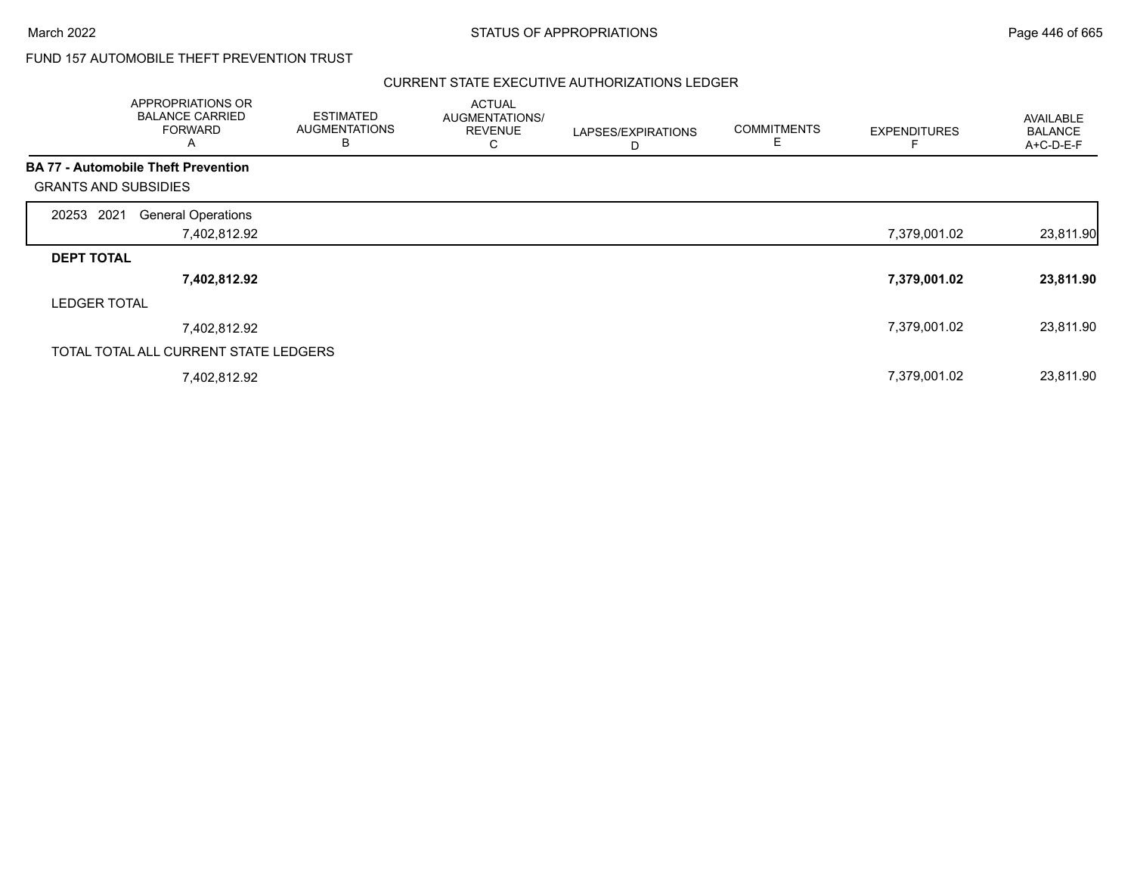# FUND 157 AUTOMOBILE THEFT PREVENTION TRUST

|                                            | APPROPRIATIONS OR<br><b>BALANCE CARRIED</b><br><b>FORWARD</b><br>A | <b>ESTIMATED</b><br><b>AUGMENTATIONS</b><br>в | <b>ACTUAL</b><br><b>AUGMENTATIONS/</b><br><b>REVENUE</b><br>С | LAPSES/EXPIRATIONS<br>D | <b>COMMITMENTS</b><br>E | <b>EXPENDITURES</b> | AVAILABLE<br><b>BALANCE</b><br>A+C-D-E-F |
|--------------------------------------------|--------------------------------------------------------------------|-----------------------------------------------|---------------------------------------------------------------|-------------------------|-------------------------|---------------------|------------------------------------------|
| <b>BA 77 - Automobile Theft Prevention</b> |                                                                    |                                               |                                                               |                         |                         |                     |                                          |
| <b>GRANTS AND SUBSIDIES</b>                |                                                                    |                                               |                                                               |                         |                         |                     |                                          |
| 2021<br>20253                              | <b>General Operations</b>                                          |                                               |                                                               |                         |                         |                     |                                          |
|                                            | 7,402,812.92                                                       |                                               |                                                               |                         |                         | 7,379,001.02        | 23,811.90                                |
| <b>DEPT TOTAL</b>                          |                                                                    |                                               |                                                               |                         |                         |                     |                                          |
|                                            | 7,402,812.92                                                       |                                               |                                                               |                         |                         | 7,379,001.02        | 23,811.90                                |
| <b>LEDGER TOTAL</b>                        |                                                                    |                                               |                                                               |                         |                         |                     |                                          |
|                                            | 7,402,812.92                                                       |                                               |                                                               |                         |                         | 7,379,001.02        | 23,811.90                                |
|                                            | TOTAL TOTAL ALL CURRENT STATE LEDGERS                              |                                               |                                                               |                         |                         |                     |                                          |
|                                            | 7,402,812.92                                                       |                                               |                                                               |                         |                         | 7,379,001.02        | 23,811.90                                |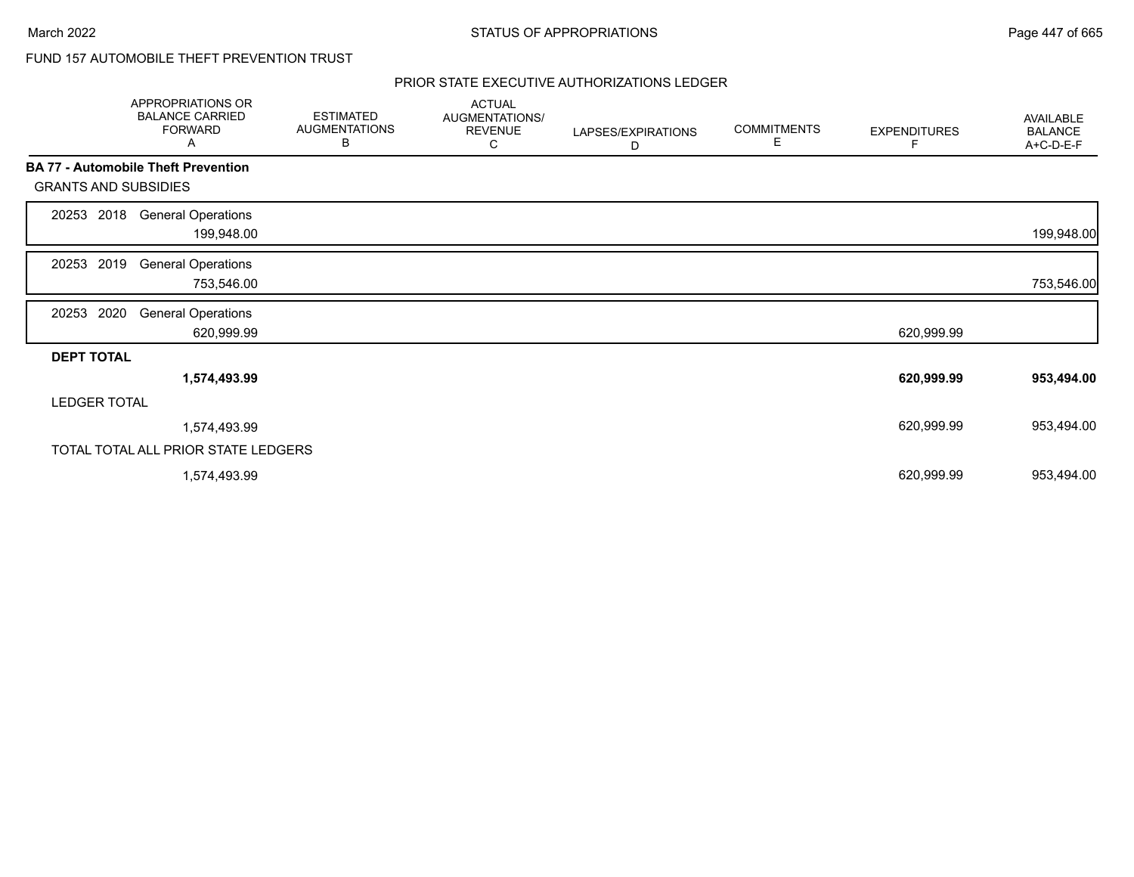# FUND 157 AUTOMOBILE THEFT PREVENTION TRUST

|                             | APPROPRIATIONS OR<br><b>BALANCE CARRIED</b><br><b>FORWARD</b><br>Α | <b>ESTIMATED</b><br><b>AUGMENTATIONS</b><br>В | <b>ACTUAL</b><br>AUGMENTATIONS/<br><b>REVENUE</b><br>С | LAPSES/EXPIRATIONS<br>D | <b>COMMITMENTS</b><br>Е | <b>EXPENDITURES</b><br>F | AVAILABLE<br><b>BALANCE</b><br>A+C-D-E-F |
|-----------------------------|--------------------------------------------------------------------|-----------------------------------------------|--------------------------------------------------------|-------------------------|-------------------------|--------------------------|------------------------------------------|
|                             | <b>BA 77 - Automobile Theft Prevention</b>                         |                                               |                                                        |                         |                         |                          |                                          |
| <b>GRANTS AND SUBSIDIES</b> |                                                                    |                                               |                                                        |                         |                         |                          |                                          |
| 2018<br>20253               | <b>General Operations</b><br>199,948.00                            |                                               |                                                        |                         |                         |                          | 199,948.00                               |
| 2019<br>20253               | <b>General Operations</b><br>753,546.00                            |                                               |                                                        |                         |                         |                          | 753,546.00                               |
| 2020<br>20253               | <b>General Operations</b><br>620,999.99                            |                                               |                                                        |                         |                         | 620,999.99               |                                          |
| <b>DEPT TOTAL</b>           |                                                                    |                                               |                                                        |                         |                         |                          |                                          |
|                             | 1,574,493.99                                                       |                                               |                                                        |                         |                         | 620,999.99               | 953,494.00                               |
| <b>LEDGER TOTAL</b>         |                                                                    |                                               |                                                        |                         |                         |                          |                                          |
|                             | 1,574,493.99                                                       |                                               |                                                        |                         |                         | 620,999.99               | 953,494.00                               |
|                             | TOTAL TOTAL ALL PRIOR STATE LEDGERS                                |                                               |                                                        |                         |                         |                          |                                          |
|                             | 1,574,493.99                                                       |                                               |                                                        |                         |                         | 620,999.99               | 953,494.00                               |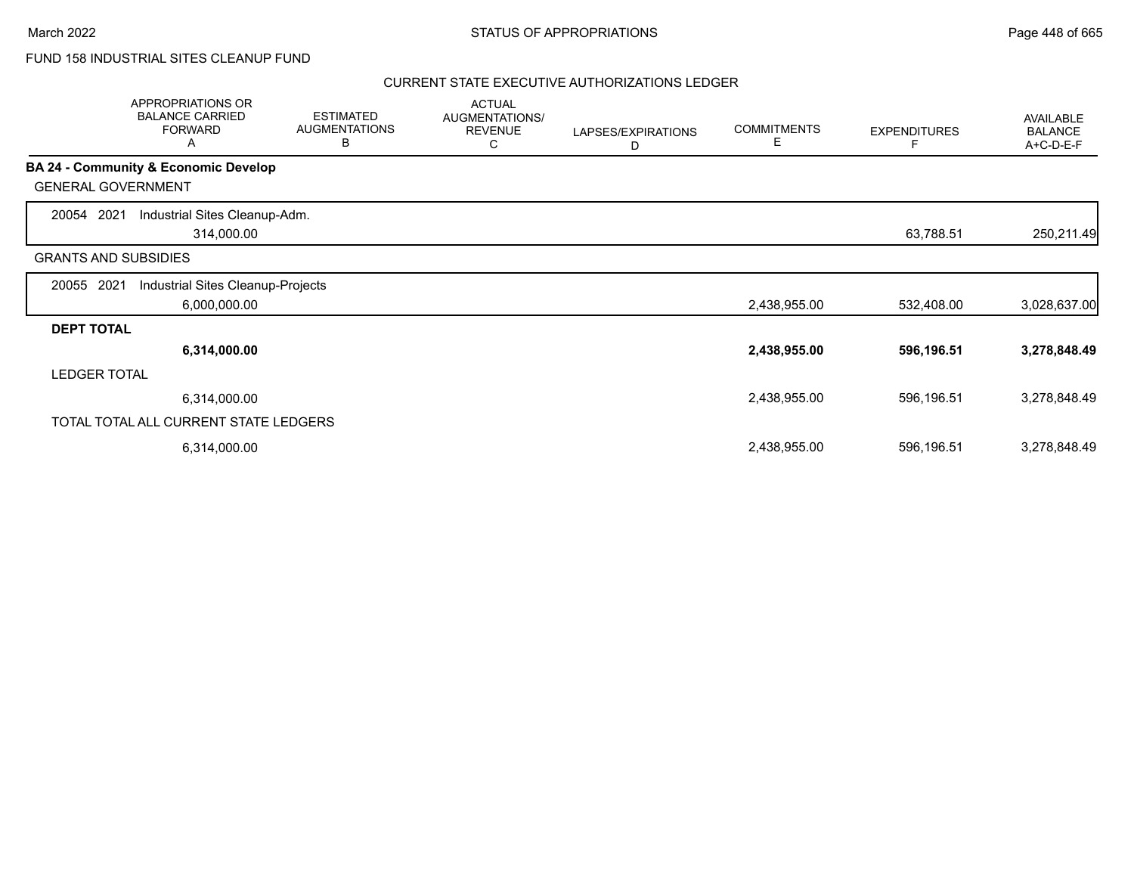# FUND 158 INDUSTRIAL SITES CLEANUP FUND

|                             | APPROPRIATIONS OR<br><b>BALANCE CARRIED</b><br><b>FORWARD</b><br>Α | <b>ESTIMATED</b><br><b>AUGMENTATIONS</b><br>В | <b>ACTUAL</b><br>AUGMENTATIONS/<br><b>REVENUE</b><br>С | LAPSES/EXPIRATIONS<br>D | <b>COMMITMENTS</b><br>E | <b>EXPENDITURES</b> | AVAILABLE<br><b>BALANCE</b><br>A+C-D-E-F |
|-----------------------------|--------------------------------------------------------------------|-----------------------------------------------|--------------------------------------------------------|-------------------------|-------------------------|---------------------|------------------------------------------|
|                             | <b>BA 24 - Community &amp; Economic Develop</b>                    |                                               |                                                        |                         |                         |                     |                                          |
| <b>GENERAL GOVERNMENT</b>   |                                                                    |                                               |                                                        |                         |                         |                     |                                          |
| 2021<br>20054               | Industrial Sites Cleanup-Adm.                                      |                                               |                                                        |                         |                         |                     |                                          |
|                             | 314,000.00                                                         |                                               |                                                        |                         |                         | 63,788.51           | 250,211.49                               |
| <b>GRANTS AND SUBSIDIES</b> |                                                                    |                                               |                                                        |                         |                         |                     |                                          |
| 2021<br>20055               | Industrial Sites Cleanup-Projects                                  |                                               |                                                        |                         |                         |                     |                                          |
|                             | 6,000,000.00                                                       |                                               |                                                        |                         | 2,438,955.00            | 532,408.00          | 3,028,637.00                             |
| <b>DEPT TOTAL</b>           |                                                                    |                                               |                                                        |                         |                         |                     |                                          |
|                             | 6,314,000.00                                                       |                                               |                                                        |                         | 2,438,955.00            | 596,196.51          | 3,278,848.49                             |
| <b>LEDGER TOTAL</b>         |                                                                    |                                               |                                                        |                         |                         |                     |                                          |
|                             | 6,314,000.00                                                       |                                               |                                                        |                         | 2,438,955.00            | 596,196.51          | 3,278,848.49                             |
|                             | TOTAL TOTAL ALL CURRENT STATE LEDGERS                              |                                               |                                                        |                         |                         |                     |                                          |
|                             | 6,314,000.00                                                       |                                               |                                                        |                         | 2,438,955.00            | 596,196.51          | 3,278,848.49                             |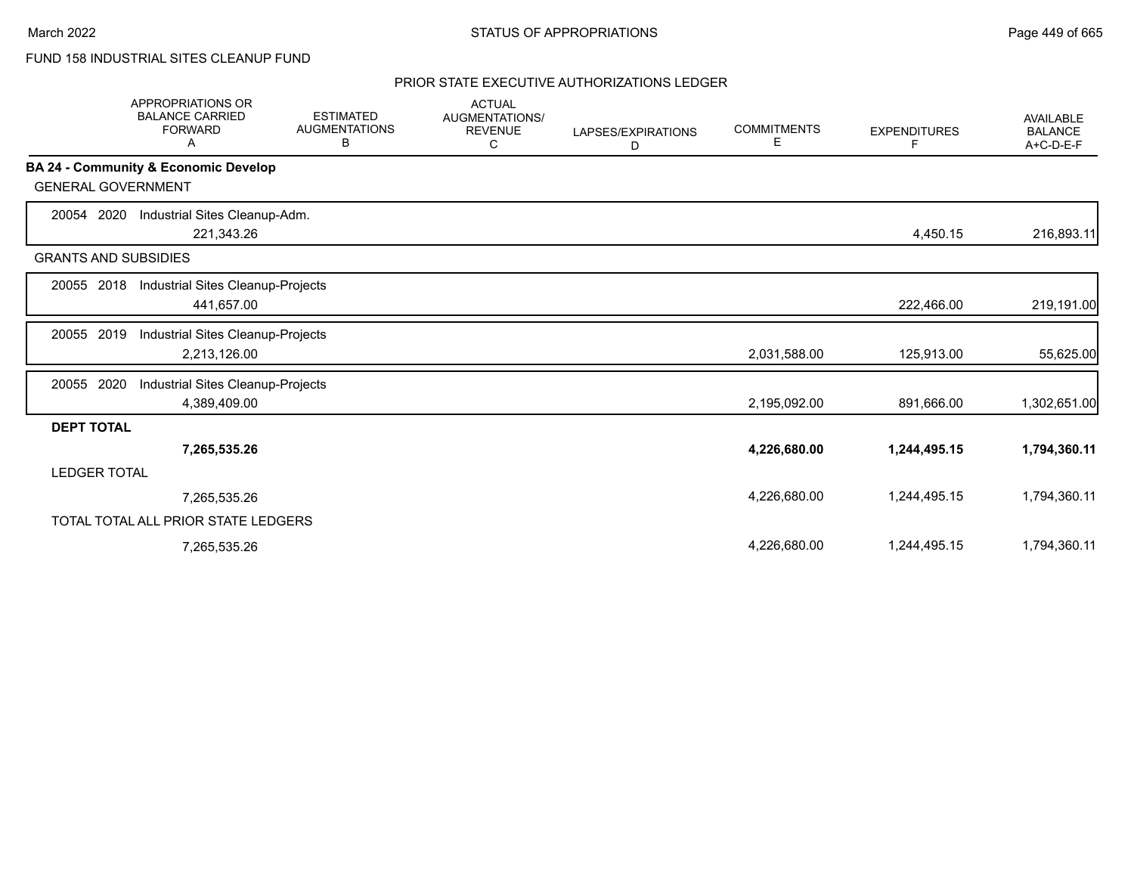# FUND 158 INDUSTRIAL SITES CLEANUP FUND

|                             | <b>APPROPRIATIONS OR</b><br><b>BALANCE CARRIED</b><br><b>FORWARD</b><br>Α | <b>ESTIMATED</b><br><b>AUGMENTATIONS</b><br>в | <b>ACTUAL</b><br><b>AUGMENTATIONS/</b><br><b>REVENUE</b><br>C | LAPSES/EXPIRATIONS<br>D | <b>COMMITMENTS</b><br>Е | <b>EXPENDITURES</b><br>F | <b>AVAILABLE</b><br><b>BALANCE</b><br>A+C-D-E-F |
|-----------------------------|---------------------------------------------------------------------------|-----------------------------------------------|---------------------------------------------------------------|-------------------------|-------------------------|--------------------------|-------------------------------------------------|
|                             | BA 24 - Community & Economic Develop                                      |                                               |                                                               |                         |                         |                          |                                                 |
| <b>GENERAL GOVERNMENT</b>   |                                                                           |                                               |                                                               |                         |                         |                          |                                                 |
| 2020<br>20054               | Industrial Sites Cleanup-Adm.                                             |                                               |                                                               |                         |                         |                          |                                                 |
|                             | 221,343.26                                                                |                                               |                                                               |                         |                         | 4,450.15                 | 216,893.11                                      |
| <b>GRANTS AND SUBSIDIES</b> |                                                                           |                                               |                                                               |                         |                         |                          |                                                 |
| 20055 2018                  | Industrial Sites Cleanup-Projects                                         |                                               |                                                               |                         |                         |                          |                                                 |
|                             | 441,657.00                                                                |                                               |                                                               |                         |                         | 222,466.00               | 219,191.00                                      |
| 2019<br>20055               | Industrial Sites Cleanup-Projects                                         |                                               |                                                               |                         |                         |                          |                                                 |
|                             | 2,213,126.00                                                              |                                               |                                                               |                         | 2,031,588.00            | 125,913.00               | 55,625.00                                       |
| 2020<br>20055               | Industrial Sites Cleanup-Projects                                         |                                               |                                                               |                         |                         |                          |                                                 |
|                             | 4,389,409.00                                                              |                                               |                                                               |                         | 2,195,092.00            | 891,666.00               | 1,302,651.00                                    |
| <b>DEPT TOTAL</b>           |                                                                           |                                               |                                                               |                         |                         |                          |                                                 |
|                             | 7,265,535.26                                                              |                                               |                                                               |                         | 4,226,680.00            | 1,244,495.15             | 1,794,360.11                                    |
| <b>LEDGER TOTAL</b>         |                                                                           |                                               |                                                               |                         |                         |                          |                                                 |
|                             | 7,265,535.26                                                              |                                               |                                                               |                         | 4,226,680.00            | 1,244,495.15             | 1,794,360.11                                    |
|                             | TOTAL TOTAL ALL PRIOR STATE LEDGERS                                       |                                               |                                                               |                         |                         |                          |                                                 |
|                             | 7,265,535.26                                                              |                                               |                                                               |                         | 4.226.680.00            | 1,244,495.15             | 1,794,360.11                                    |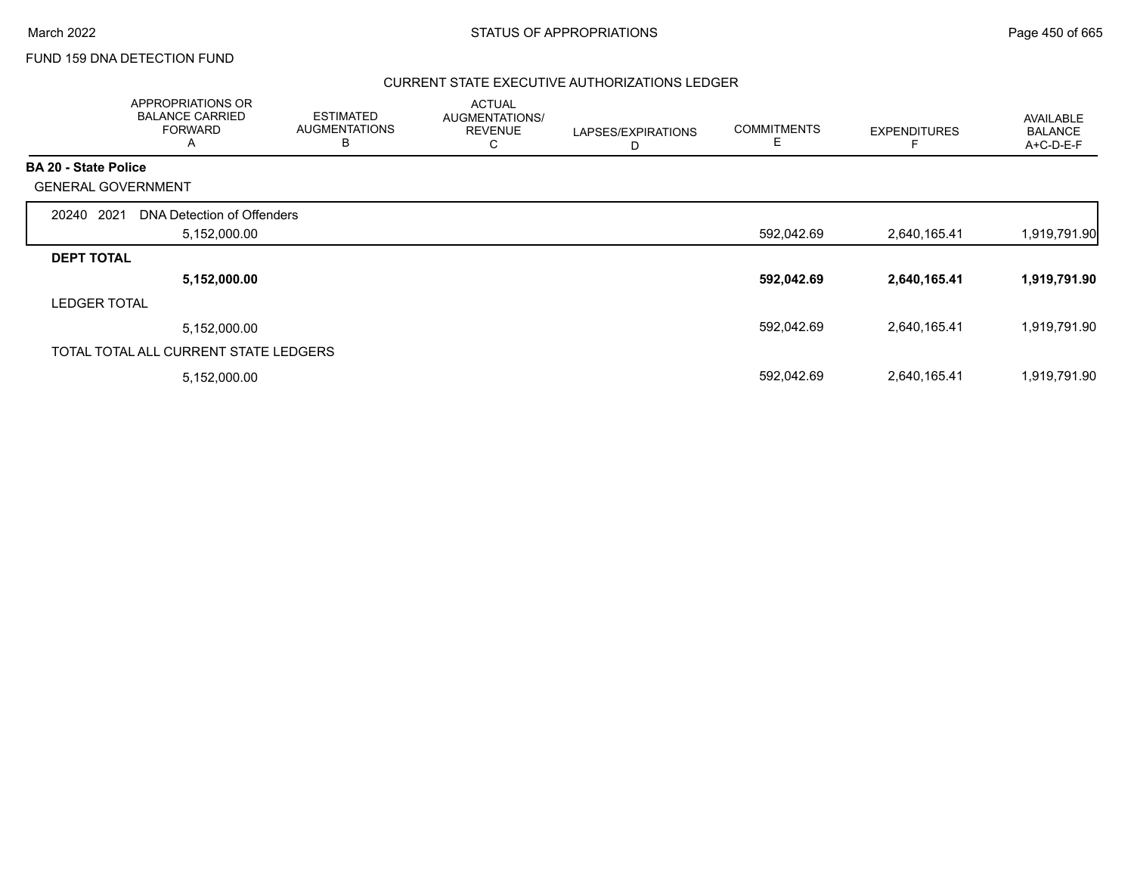# FUND 159 DNA DETECTION FUND

|                             | APPROPRIATIONS OR<br><b>BALANCE CARRIED</b><br><b>FORWARD</b><br>A | <b>ESTIMATED</b><br><b>AUGMENTATIONS</b><br>B | <b>ACTUAL</b><br>AUGMENTATIONS/<br><b>REVENUE</b><br>С | LAPSES/EXPIRATIONS<br>D | <b>COMMITMENTS</b><br>E | <b>EXPENDITURES</b> | AVAILABLE<br><b>BALANCE</b><br>A+C-D-E-F |
|-----------------------------|--------------------------------------------------------------------|-----------------------------------------------|--------------------------------------------------------|-------------------------|-------------------------|---------------------|------------------------------------------|
| <b>BA 20 - State Police</b> |                                                                    |                                               |                                                        |                         |                         |                     |                                          |
|                             | <b>GENERAL GOVERNMENT</b>                                          |                                               |                                                        |                         |                         |                     |                                          |
| 20240                       | 2021<br>DNA Detection of Offenders                                 |                                               |                                                        |                         |                         |                     |                                          |
|                             | 5,152,000.00                                                       |                                               |                                                        |                         | 592,042.69              | 2,640,165.41        | 1,919,791.90                             |
| <b>DEPT TOTAL</b>           |                                                                    |                                               |                                                        |                         |                         |                     |                                          |
|                             | 5,152,000.00                                                       |                                               |                                                        |                         | 592,042.69              | 2,640,165.41        | 1,919,791.90                             |
| <b>LEDGER TOTAL</b>         |                                                                    |                                               |                                                        |                         |                         |                     |                                          |
|                             | 5,152,000.00                                                       |                                               |                                                        |                         | 592,042.69              | 2,640,165.41        | 1,919,791.90                             |
|                             | TOTAL TOTAL ALL CURRENT STATE LEDGERS                              |                                               |                                                        |                         |                         |                     |                                          |
|                             | 5,152,000.00                                                       |                                               |                                                        |                         | 592,042.69              | 2,640,165.41        | 1,919,791.90                             |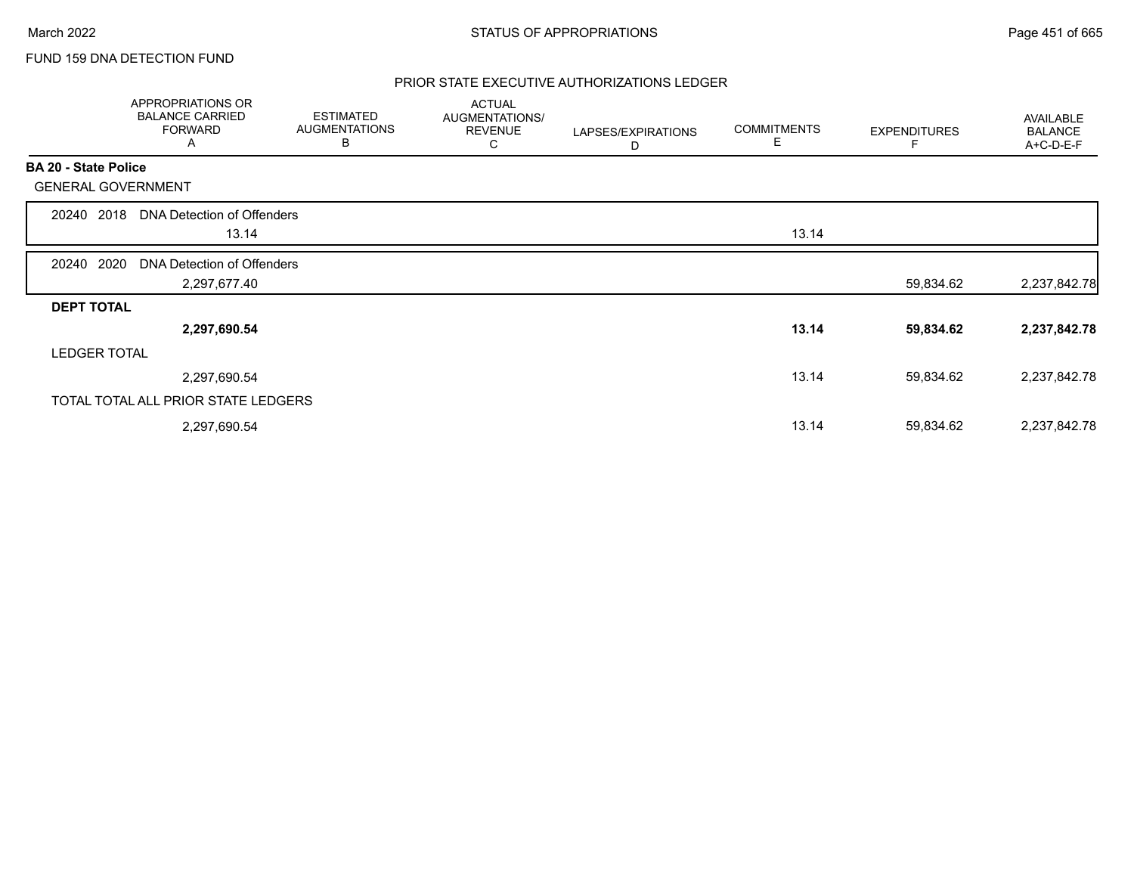# FUND 159 DNA DETECTION FUND

|                           | APPROPRIATIONS OR<br><b>BALANCE CARRIED</b><br><b>FORWARD</b><br>A | <b>ESTIMATED</b><br><b>AUGMENTATIONS</b><br>В | <b>ACTUAL</b><br>AUGMENTATIONS/<br><b>REVENUE</b><br>C | LAPSES/EXPIRATIONS<br>D | <b>COMMITMENTS</b><br>Е | <b>EXPENDITURES</b> | AVAILABLE<br><b>BALANCE</b><br>A+C-D-E-F |
|---------------------------|--------------------------------------------------------------------|-----------------------------------------------|--------------------------------------------------------|-------------------------|-------------------------|---------------------|------------------------------------------|
| BA 20 - State Police      |                                                                    |                                               |                                                        |                         |                         |                     |                                          |
| <b>GENERAL GOVERNMENT</b> |                                                                    |                                               |                                                        |                         |                         |                     |                                          |
| 2018<br>20240             | DNA Detection of Offenders                                         |                                               |                                                        |                         |                         |                     |                                          |
|                           | 13.14                                                              |                                               |                                                        |                         | 13.14                   |                     |                                          |
| 2020<br>20240             | DNA Detection of Offenders                                         |                                               |                                                        |                         |                         |                     |                                          |
|                           | 2,297,677.40                                                       |                                               |                                                        |                         |                         | 59,834.62           | 2,237,842.78                             |
| <b>DEPT TOTAL</b>         |                                                                    |                                               |                                                        |                         |                         |                     |                                          |
|                           | 2,297,690.54                                                       |                                               |                                                        |                         | 13.14                   | 59,834.62           | 2,237,842.78                             |
| <b>LEDGER TOTAL</b>       |                                                                    |                                               |                                                        |                         |                         |                     |                                          |
|                           | 2,297,690.54                                                       |                                               |                                                        |                         | 13.14                   | 59,834.62           | 2,237,842.78                             |
|                           | TOTAL TOTAL ALL PRIOR STATE LEDGERS                                |                                               |                                                        |                         |                         |                     |                                          |
|                           | 2,297,690.54                                                       |                                               |                                                        |                         | 13.14                   | 59,834.62           | 2,237,842.78                             |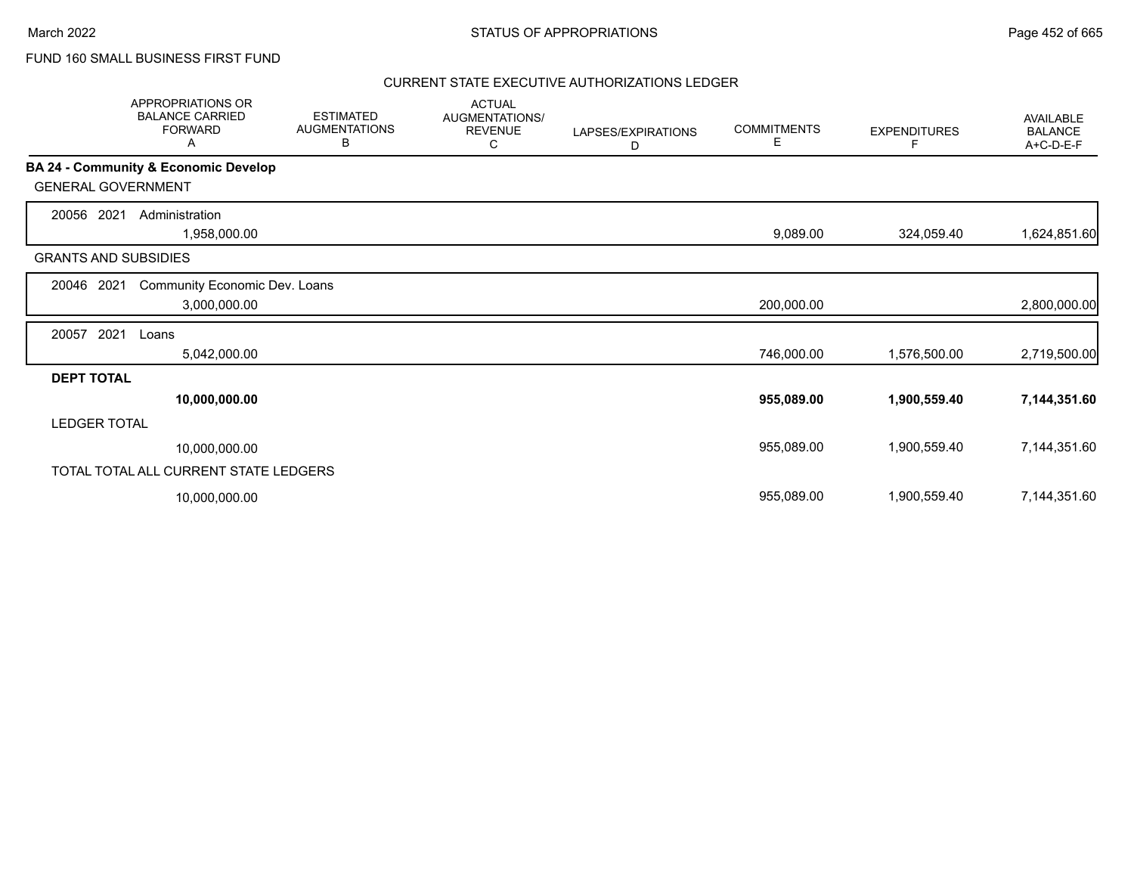# FUND 160 SMALL BUSINESS FIRST FUND

|                             | APPROPRIATIONS OR<br><b>BALANCE CARRIED</b><br><b>FORWARD</b><br>A | <b>ESTIMATED</b><br><b>AUGMENTATIONS</b><br>В | <b>ACTUAL</b><br>AUGMENTATIONS/<br><b>REVENUE</b><br>С | LAPSES/EXPIRATIONS<br>D | <b>COMMITMENTS</b><br>Е | <b>EXPENDITURES</b> | <b>AVAILABLE</b><br><b>BALANCE</b><br>A+C-D-E-F |
|-----------------------------|--------------------------------------------------------------------|-----------------------------------------------|--------------------------------------------------------|-------------------------|-------------------------|---------------------|-------------------------------------------------|
|                             | BA 24 - Community & Economic Develop                               |                                               |                                                        |                         |                         |                     |                                                 |
| <b>GENERAL GOVERNMENT</b>   |                                                                    |                                               |                                                        |                         |                         |                     |                                                 |
| 20056<br>2021               | Administration                                                     |                                               |                                                        |                         |                         |                     |                                                 |
|                             | 1,958,000.00                                                       |                                               |                                                        |                         | 9,089.00                | 324,059.40          | 1,624,851.60                                    |
| <b>GRANTS AND SUBSIDIES</b> |                                                                    |                                               |                                                        |                         |                         |                     |                                                 |
| 20046<br>2021               | Community Economic Dev. Loans                                      |                                               |                                                        |                         |                         |                     |                                                 |
|                             | 3,000,000.00                                                       |                                               |                                                        |                         | 200,000.00              |                     | 2,800,000.00                                    |
| 2021<br>20057               | Loans                                                              |                                               |                                                        |                         |                         |                     |                                                 |
|                             | 5,042,000.00                                                       |                                               |                                                        |                         | 746,000.00              | 1,576,500.00        | 2,719,500.00                                    |
| <b>DEPT TOTAL</b>           |                                                                    |                                               |                                                        |                         |                         |                     |                                                 |
|                             | 10,000,000.00                                                      |                                               |                                                        |                         | 955,089.00              | 1,900,559.40        | 7,144,351.60                                    |
| <b>LEDGER TOTAL</b>         |                                                                    |                                               |                                                        |                         |                         |                     |                                                 |
|                             | 10,000,000.00                                                      |                                               |                                                        |                         | 955,089.00              | 1,900,559.40        | 7,144,351.60                                    |
|                             | TOTAL TOTAL ALL CURRENT STATE LEDGERS                              |                                               |                                                        |                         |                         |                     |                                                 |
|                             | 10,000,000.00                                                      |                                               |                                                        |                         | 955,089.00              | 1,900,559.40        | 7,144,351.60                                    |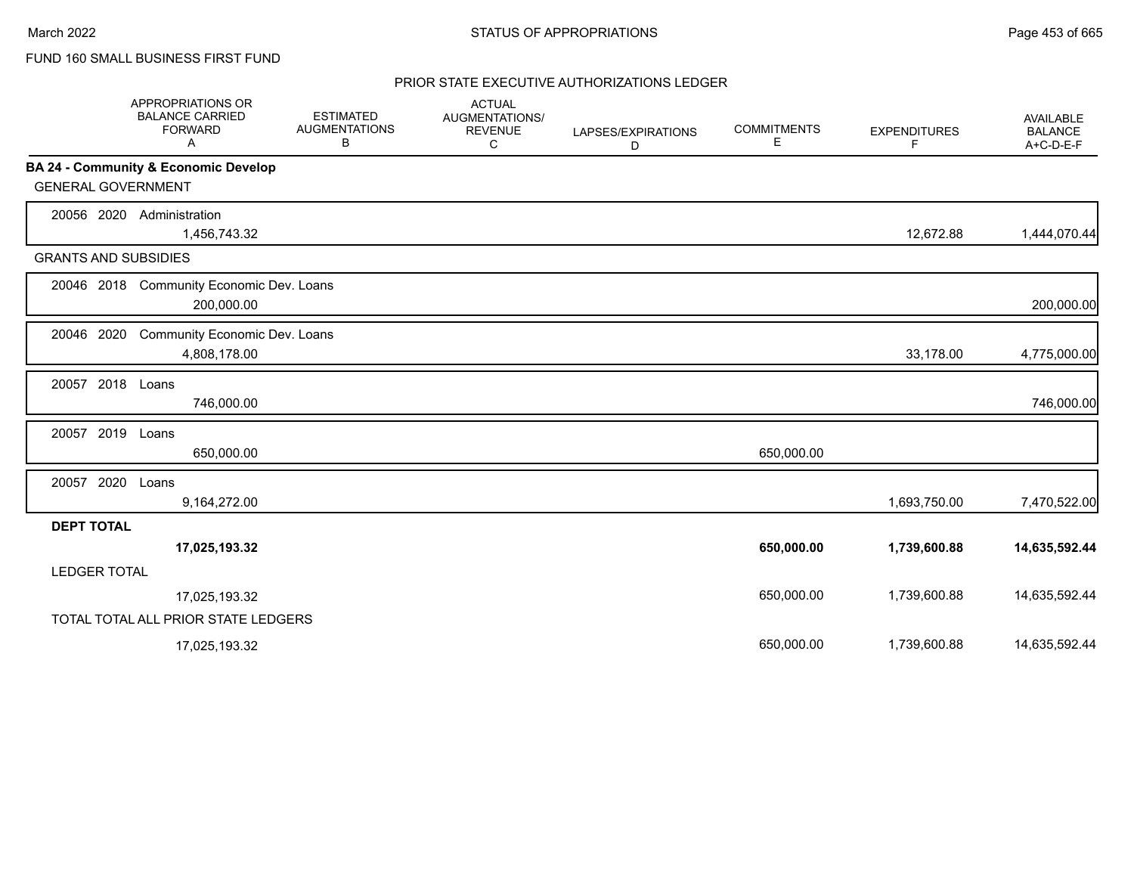# FUND 160 SMALL BUSINESS FIRST FUND

|                             | <b>APPROPRIATIONS OR</b><br><b>BALANCE CARRIED</b><br><b>FORWARD</b><br>A | <b>ESTIMATED</b><br><b>AUGMENTATIONS</b><br>В | <b>ACTUAL</b><br>AUGMENTATIONS/<br><b>REVENUE</b><br>С | LAPSES/EXPIRATIONS<br>D | <b>COMMITMENTS</b><br>Е | <b>EXPENDITURES</b><br>F | <b>AVAILABLE</b><br><b>BALANCE</b><br>A+C-D-E-F |
|-----------------------------|---------------------------------------------------------------------------|-----------------------------------------------|--------------------------------------------------------|-------------------------|-------------------------|--------------------------|-------------------------------------------------|
|                             | BA 24 - Community & Economic Develop                                      |                                               |                                                        |                         |                         |                          |                                                 |
| <b>GENERAL GOVERNMENT</b>   |                                                                           |                                               |                                                        |                         |                         |                          |                                                 |
| 20056 2020                  | Administration<br>1,456,743.32                                            |                                               |                                                        |                         |                         | 12,672.88                | 1,444,070.44                                    |
| <b>GRANTS AND SUBSIDIES</b> |                                                                           |                                               |                                                        |                         |                         |                          |                                                 |
|                             | 20046 2018 Community Economic Dev. Loans<br>200,000.00                    |                                               |                                                        |                         |                         |                          | 200,000.00                                      |
| 20046 2020                  | Community Economic Dev. Loans<br>4,808,178.00                             |                                               |                                                        |                         |                         | 33,178.00                | 4,775,000.00                                    |
| 20057 2018 Loans            | 746,000.00                                                                |                                               |                                                        |                         |                         |                          | 746,000.00                                      |
| 20057 2019                  | Loans<br>650,000.00                                                       |                                               |                                                        |                         | 650,000.00              |                          |                                                 |
| 20057 2020                  | Loans<br>9,164,272.00                                                     |                                               |                                                        |                         |                         | 1,693,750.00             | 7,470,522.00                                    |
| <b>DEPT TOTAL</b>           |                                                                           |                                               |                                                        |                         |                         |                          |                                                 |
|                             | 17,025,193.32                                                             |                                               |                                                        |                         | 650,000.00              | 1,739,600.88             | 14,635,592.44                                   |
| <b>LEDGER TOTAL</b>         |                                                                           |                                               |                                                        |                         |                         |                          |                                                 |
|                             | 17,025,193.32                                                             |                                               |                                                        |                         | 650,000.00              | 1,739,600.88             | 14,635,592.44                                   |
|                             | TOTAL TOTAL ALL PRIOR STATE LEDGERS                                       |                                               |                                                        |                         |                         |                          |                                                 |
|                             | 17,025,193.32                                                             |                                               |                                                        |                         | 650,000.00              | 1,739,600.88             | 14,635,592.44                                   |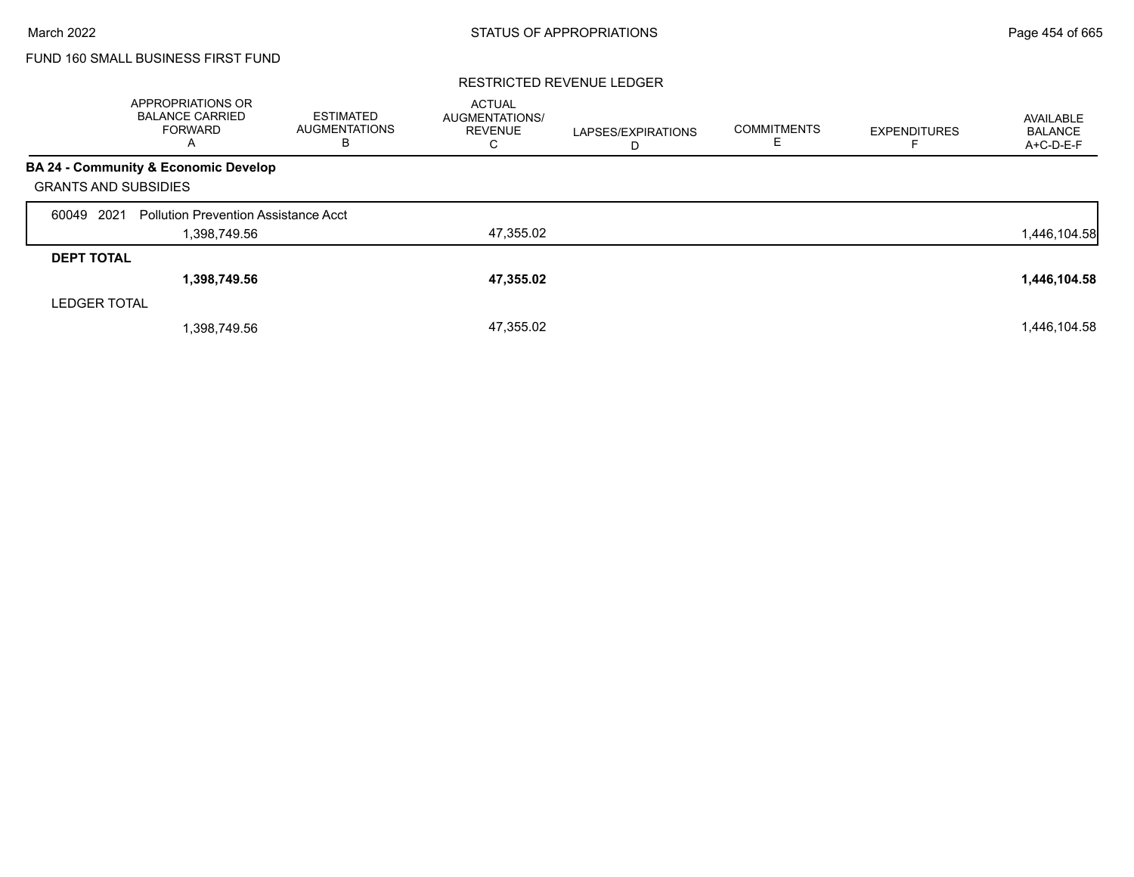# FUND 160 SMALL BUSINESS FIRST FUND

#### RESTRICTED REVENUE LEDGER

|                             | APPROPRIATIONS OR<br><b>BALANCE CARRIED</b><br>FORWARD<br>A | <b>ESTIMATED</b><br><b>AUGMENTATIONS</b><br>в | <b>ACTUAL</b><br><b>AUGMENTATIONS/</b><br><b>REVENUE</b><br>C | LAPSES/EXPIRATIONS<br>D | <b>COMMITMENTS</b><br>Е | <b>EXPENDITURES</b> | AVAILABLE<br><b>BALANCE</b><br>A+C-D-E-F |
|-----------------------------|-------------------------------------------------------------|-----------------------------------------------|---------------------------------------------------------------|-------------------------|-------------------------|---------------------|------------------------------------------|
|                             | BA 24 - Community & Economic Develop                        |                                               |                                                               |                         |                         |                     |                                          |
| <b>GRANTS AND SUBSIDIES</b> |                                                             |                                               |                                                               |                         |                         |                     |                                          |
| 2021<br>60049               | <b>Pollution Prevention Assistance Acct</b>                 |                                               |                                                               |                         |                         |                     |                                          |
|                             | 1,398,749.56                                                |                                               | 47,355.02                                                     |                         |                         |                     | 1,446,104.58                             |
| <b>DEPT TOTAL</b>           |                                                             |                                               |                                                               |                         |                         |                     |                                          |
|                             | 1,398,749.56                                                |                                               | 47,355.02                                                     |                         |                         |                     | 1,446,104.58                             |
| <b>LEDGER TOTAL</b>         |                                                             |                                               |                                                               |                         |                         |                     |                                          |
|                             | 1,398,749.56                                                |                                               | 47,355.02                                                     |                         |                         |                     | 1,446,104.58                             |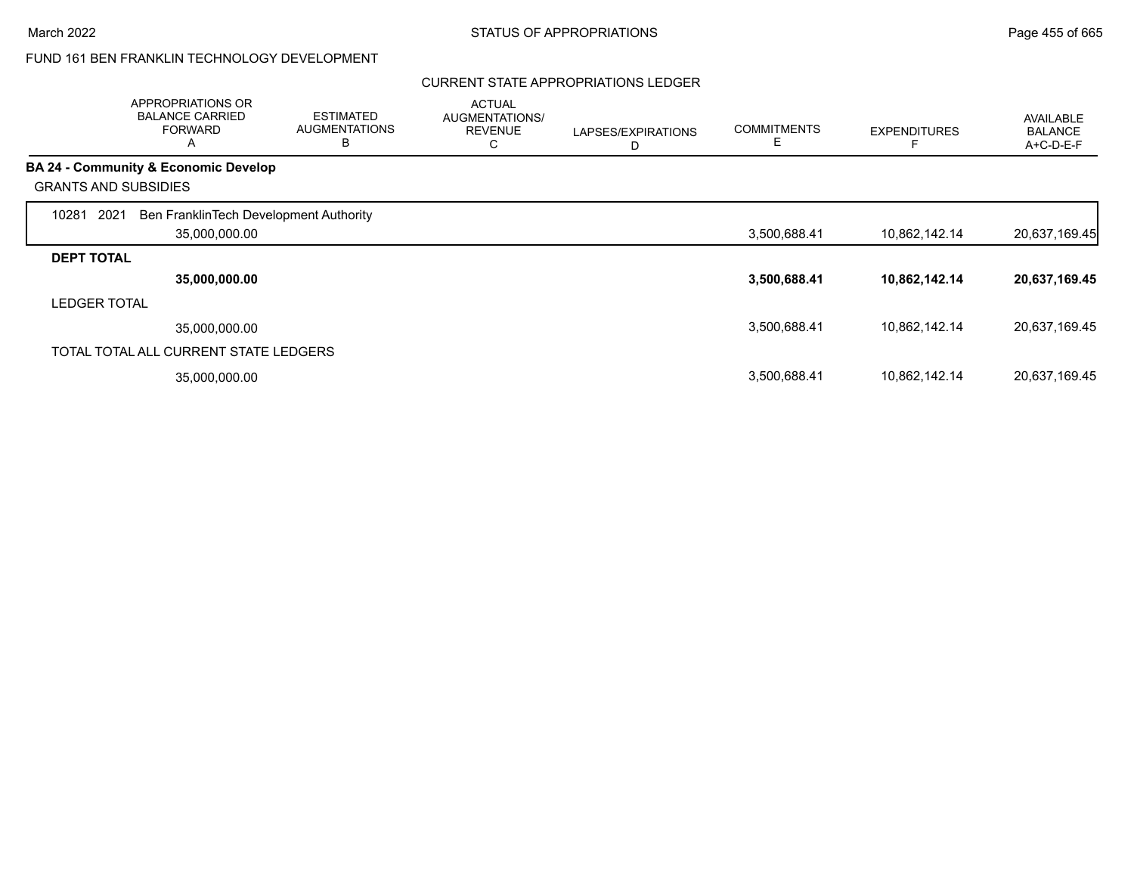#### CURRENT STATE APPROPRIATIONS LEDGER

|                     | <b>APPROPRIATIONS OR</b><br><b>BALANCE CARRIED</b><br><b>FORWARD</b><br>$\mathsf{H}$ | <b>ESTIMATED</b><br><b>AUGMENTATIONS</b><br>В | <b>ACTUAL</b><br>AUGMENTATIONS/<br><b>REVENUE</b><br>C | LAPSES/EXPIRATIONS<br>D | <b>COMMITMENTS</b><br>Ε | <b>EXPENDITURES</b> | <b>AVAILABLE</b><br><b>BALANCE</b><br>A+C-D-E-F |
|---------------------|--------------------------------------------------------------------------------------|-----------------------------------------------|--------------------------------------------------------|-------------------------|-------------------------|---------------------|-------------------------------------------------|
|                     | <b>BA 24 - Community &amp; Economic Develop</b>                                      |                                               |                                                        |                         |                         |                     |                                                 |
|                     | <b>GRANTS AND SUBSIDIES</b>                                                          |                                               |                                                        |                         |                         |                     |                                                 |
| 10281               | Ben FranklinTech Development Authority<br>2021<br>35,000,000.00                      |                                               |                                                        |                         | 3,500,688.41            | 10,862,142.14       | 20,637,169.45                                   |
| <b>DEPT TOTAL</b>   |                                                                                      |                                               |                                                        |                         |                         |                     |                                                 |
|                     | 35,000,000.00                                                                        |                                               |                                                        |                         | 3,500,688.41            | 10,862,142.14       | 20,637,169.45                                   |
| <b>LEDGER TOTAL</b> |                                                                                      |                                               |                                                        |                         |                         |                     |                                                 |
|                     | 35,000,000.00                                                                        |                                               |                                                        |                         | 3,500,688.41            | 10,862,142.14       | 20,637,169.45                                   |
|                     | TOTAL TOTAL ALL CURRENT STATE LEDGERS                                                |                                               |                                                        |                         |                         |                     |                                                 |
|                     | 35,000,000.00                                                                        |                                               |                                                        |                         | 3,500,688.41            | 10,862,142.14       | 20,637,169.45                                   |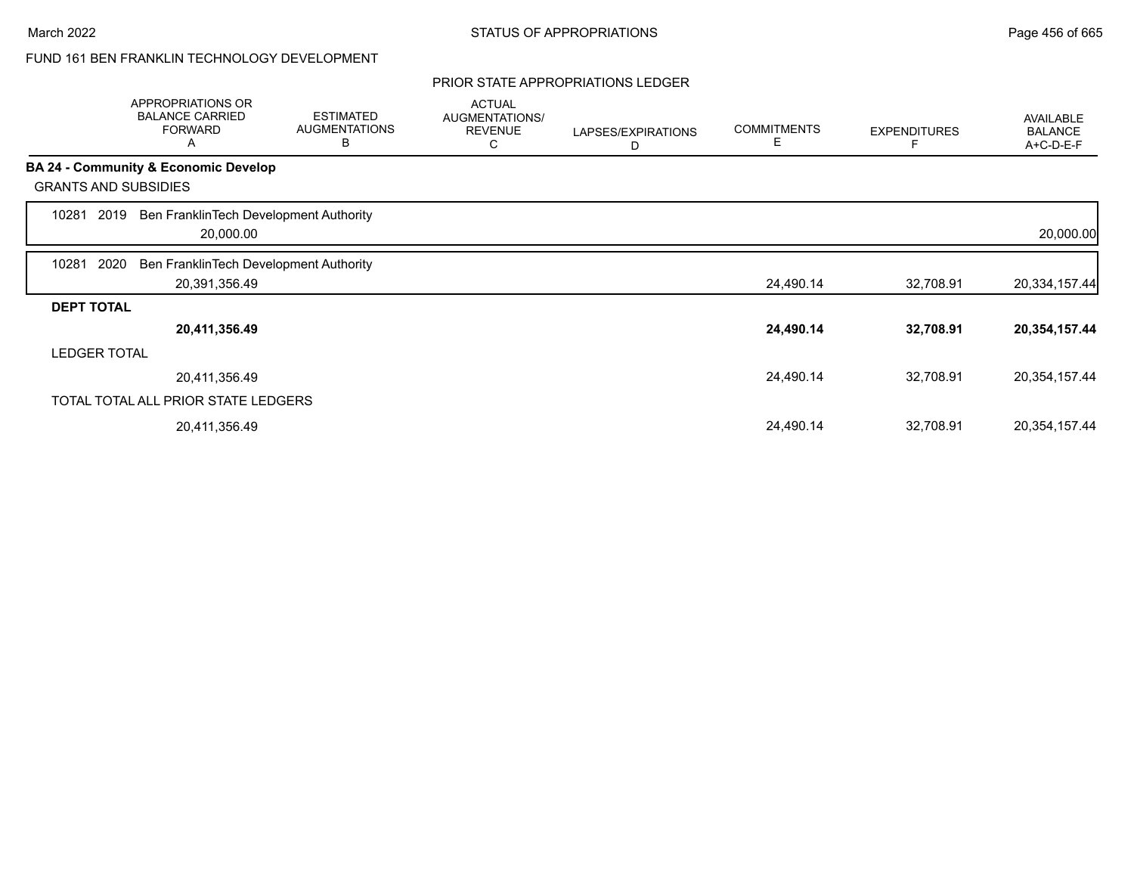#### PRIOR STATE APPROPRIATIONS LEDGER

|                   | APPROPRIATIONS OR<br><b>BALANCE CARRIED</b><br><b>FORWARD</b><br>Α | <b>ESTIMATED</b><br><b>AUGMENTATIONS</b><br>В | <b>ACTUAL</b><br>AUGMENTATIONS/<br><b>REVENUE</b><br>С | LAPSES/EXPIRATIONS<br>D | <b>COMMITMENTS</b><br>Е | <b>EXPENDITURES</b> | <b>AVAILABLE</b><br><b>BALANCE</b><br>A+C-D-E-F |
|-------------------|--------------------------------------------------------------------|-----------------------------------------------|--------------------------------------------------------|-------------------------|-------------------------|---------------------|-------------------------------------------------|
|                   | <b>BA 24 - Community &amp; Economic Develop</b>                    |                                               |                                                        |                         |                         |                     |                                                 |
|                   | <b>GRANTS AND SUBSIDIES</b>                                        |                                               |                                                        |                         |                         |                     |                                                 |
| 10281             | Ben FranklinTech Development Authority<br>2019<br>20,000.00        |                                               |                                                        |                         |                         |                     | 20,000.00                                       |
| 10281             | 2020<br>Ben FranklinTech Development Authority                     |                                               |                                                        |                         |                         |                     |                                                 |
|                   | 20,391,356.49                                                      |                                               |                                                        |                         | 24,490.14               | 32,708.91           | 20,334,157.44                                   |
| <b>DEPT TOTAL</b> |                                                                    |                                               |                                                        |                         |                         |                     |                                                 |
|                   | 20,411,356.49                                                      |                                               |                                                        |                         | 24,490.14               | 32,708.91           | 20,354,157.44                                   |
|                   | <b>LEDGER TOTAL</b>                                                |                                               |                                                        |                         |                         |                     |                                                 |
|                   | 20,411,356.49                                                      |                                               |                                                        |                         | 24,490.14               | 32,708.91           | 20,354,157.44                                   |
|                   | TOTAL TOTAL ALL PRIOR STATE LEDGERS                                |                                               |                                                        |                         |                         |                     |                                                 |
|                   | 20,411,356.49                                                      |                                               |                                                        |                         | 24,490.14               | 32,708.91           | 20,354,157.44                                   |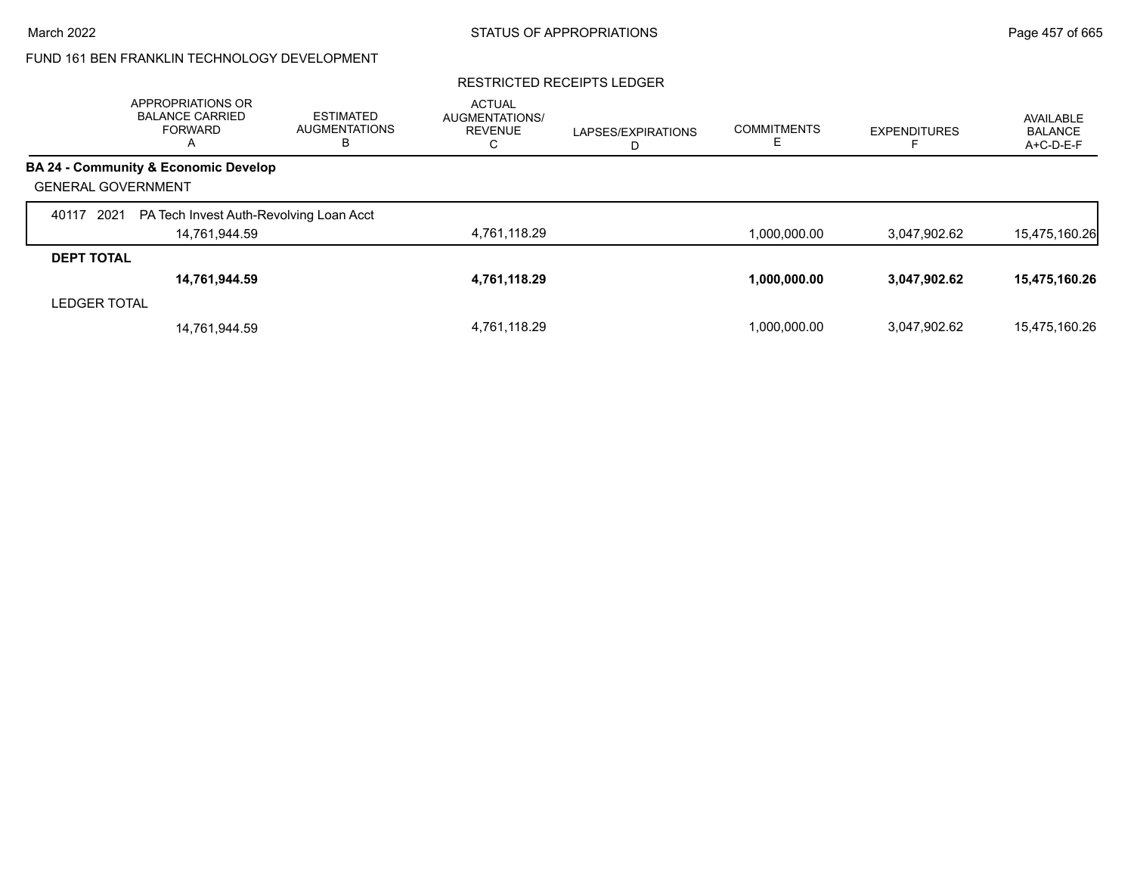### RESTRICTED RECEIPTS LEDGER

|                           | APPROPRIATIONS OR<br><b>BALANCE CARRIED</b><br><b>FORWARD</b><br>$\overline{A}$ | <b>ESTIMATED</b><br><b>AUGMENTATIONS</b><br>В | <b>ACTUAL</b><br><b>AUGMENTATIONS/</b><br><b>REVENUE</b><br>С | LAPSES/EXPIRATIONS<br>D | <b>COMMITMENTS</b> | <b>EXPENDITURES</b> | AVAILABLE<br><b>BALANCE</b><br>A+C-D-E-F |
|---------------------------|---------------------------------------------------------------------------------|-----------------------------------------------|---------------------------------------------------------------|-------------------------|--------------------|---------------------|------------------------------------------|
|                           | <b>BA 24 - Community &amp; Economic Develop</b>                                 |                                               |                                                               |                         |                    |                     |                                          |
| <b>GENERAL GOVERNMENT</b> |                                                                                 |                                               |                                                               |                         |                    |                     |                                          |
| 2021<br>40117             | PA Tech Invest Auth-Revolving Loan Acct                                         |                                               |                                                               |                         |                    |                     |                                          |
|                           | 14,761,944.59                                                                   |                                               | 4,761,118.29                                                  |                         | 1,000,000.00       | 3,047,902.62        | 15,475,160.26                            |
| <b>DEPT TOTAL</b>         |                                                                                 |                                               |                                                               |                         |                    |                     |                                          |
|                           | 14,761,944.59                                                                   |                                               | 4,761,118.29                                                  |                         | 1,000,000.00       | 3,047,902.62        | 15,475,160.26                            |
| <b>LEDGER TOTAL</b>       |                                                                                 |                                               |                                                               |                         |                    |                     |                                          |
|                           | 14,761,944.59                                                                   |                                               | 4,761,118.29                                                  |                         | 1.000.000.00       | 3.047.902.62        | 15,475,160.26                            |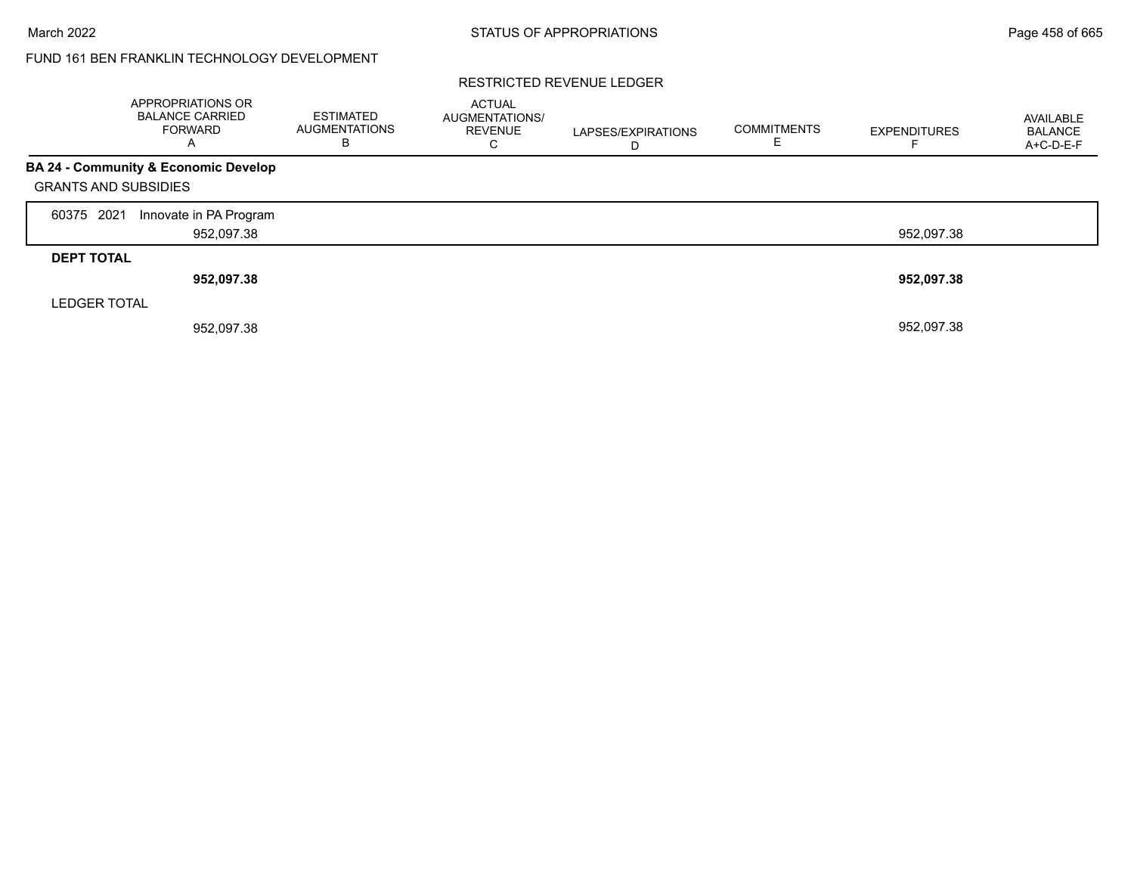### RESTRICTED REVENUE LEDGER

|                             | APPROPRIATIONS OR<br><b>BALANCE CARRIED</b><br><b>FORWARD</b><br>А | <b>ESTIMATED</b><br><b>AUGMENTATIONS</b><br>В | <b>ACTUAL</b><br>AUGMENTATIONS/<br><b>REVENUE</b><br>С | LAPSES/EXPIRATIONS<br>D | <b>COMMITMENTS</b> | <b>EXPENDITURES</b> | AVAILABLE<br><b>BALANCE</b><br>A+C-D-E-F |
|-----------------------------|--------------------------------------------------------------------|-----------------------------------------------|--------------------------------------------------------|-------------------------|--------------------|---------------------|------------------------------------------|
|                             | <b>BA 24 - Community &amp; Economic Develop</b>                    |                                               |                                                        |                         |                    |                     |                                          |
| <b>GRANTS AND SUBSIDIES</b> |                                                                    |                                               |                                                        |                         |                    |                     |                                          |
| 60375 2021                  | Innovate in PA Program                                             |                                               |                                                        |                         |                    |                     |                                          |
|                             | 952,097.38                                                         |                                               |                                                        |                         |                    | 952,097.38          |                                          |
| <b>DEPT TOTAL</b>           |                                                                    |                                               |                                                        |                         |                    |                     |                                          |
|                             | 952,097.38                                                         |                                               |                                                        |                         |                    | 952,097.38          |                                          |
| <b>LEDGER TOTAL</b>         |                                                                    |                                               |                                                        |                         |                    |                     |                                          |
|                             | 952,097.38                                                         |                                               |                                                        |                         |                    | 952,097.38          |                                          |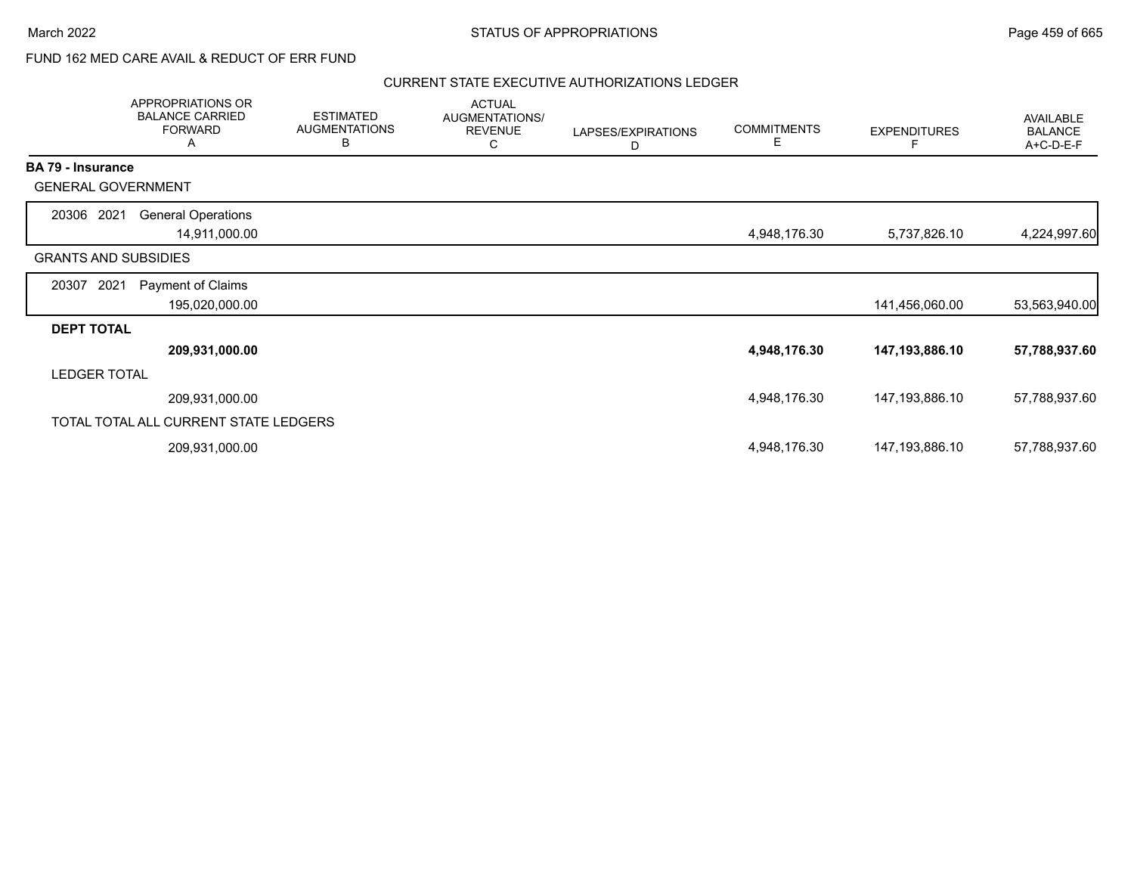# FUND 162 MED CARE AVAIL & REDUCT OF ERR FUND

|                          | APPROPRIATIONS OR<br><b>BALANCE CARRIED</b><br><b>FORWARD</b><br>A | <b>ESTIMATED</b><br><b>AUGMENTATIONS</b><br>B | <b>ACTUAL</b><br>AUGMENTATIONS/<br><b>REVENUE</b><br>C | LAPSES/EXPIRATIONS<br>D | <b>COMMITMENTS</b><br>E. | <b>EXPENDITURES</b> | <b>AVAILABLE</b><br><b>BALANCE</b><br>A+C-D-E-F |
|--------------------------|--------------------------------------------------------------------|-----------------------------------------------|--------------------------------------------------------|-------------------------|--------------------------|---------------------|-------------------------------------------------|
| <b>BA 79 - Insurance</b> |                                                                    |                                               |                                                        |                         |                          |                     |                                                 |
|                          | <b>GENERAL GOVERNMENT</b>                                          |                                               |                                                        |                         |                          |                     |                                                 |
| 20306 2021               | <b>General Operations</b>                                          |                                               |                                                        |                         |                          |                     |                                                 |
|                          | 14,911,000.00                                                      |                                               |                                                        |                         | 4,948,176.30             | 5,737,826.10        | 4,224,997.60                                    |
|                          | <b>GRANTS AND SUBSIDIES</b>                                        |                                               |                                                        |                         |                          |                     |                                                 |
| 20307                    | Payment of Claims<br>2021                                          |                                               |                                                        |                         |                          |                     |                                                 |
|                          | 195,020,000.00                                                     |                                               |                                                        |                         |                          | 141,456,060.00      | 53,563,940.00                                   |
| <b>DEPT TOTAL</b>        |                                                                    |                                               |                                                        |                         |                          |                     |                                                 |
|                          | 209,931,000.00                                                     |                                               |                                                        |                         | 4,948,176.30             | 147,193,886.10      | 57,788,937.60                                   |
| <b>LEDGER TOTAL</b>      |                                                                    |                                               |                                                        |                         |                          |                     |                                                 |
|                          | 209,931,000.00                                                     |                                               |                                                        |                         | 4,948,176.30             | 147,193,886.10      | 57,788,937.60                                   |
|                          | TOTAL TOTAL ALL CURRENT STATE LEDGERS                              |                                               |                                                        |                         |                          |                     |                                                 |
|                          | 209,931,000.00                                                     |                                               |                                                        |                         | 4,948,176.30             | 147,193,886.10      | 57,788,937.60                                   |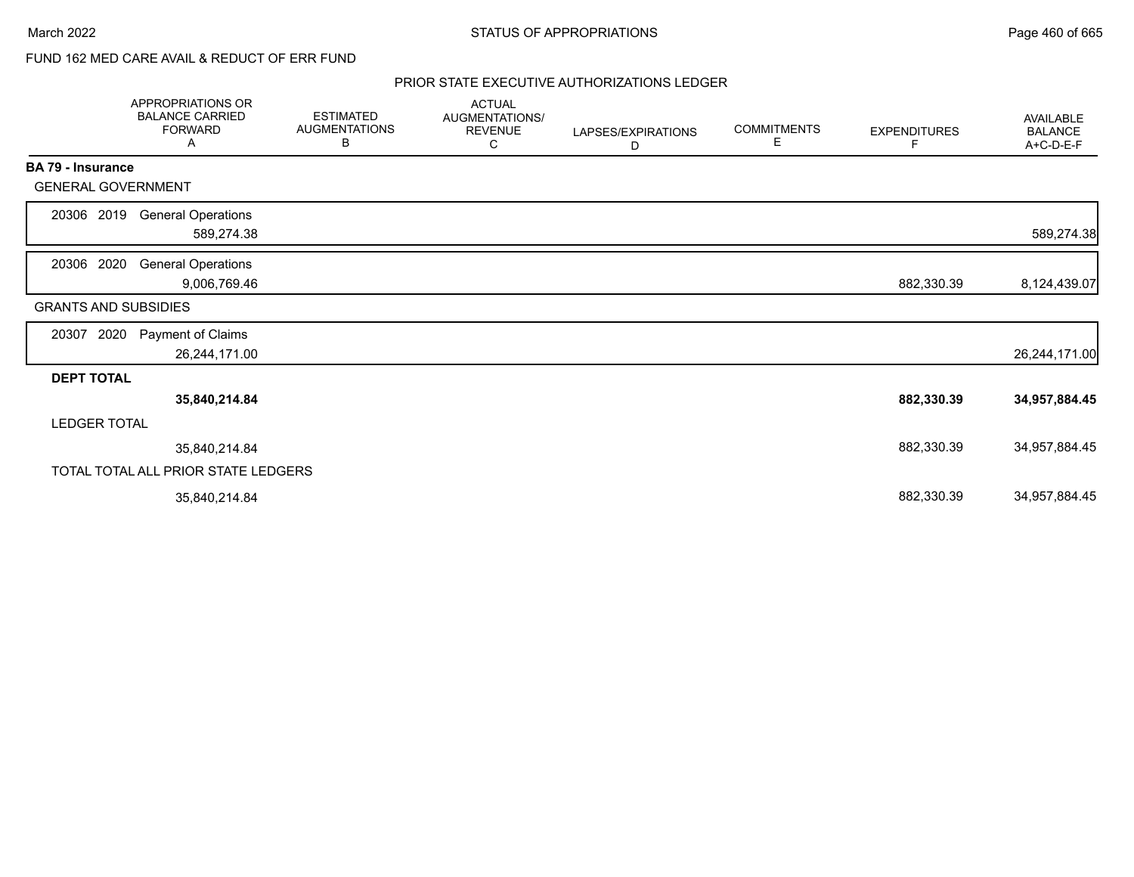# FUND 162 MED CARE AVAIL & REDUCT OF ERR FUND

|                             | APPROPRIATIONS OR<br><b>BALANCE CARRIED</b><br><b>FORWARD</b><br>A | <b>ESTIMATED</b><br><b>AUGMENTATIONS</b><br>В | <b>ACTUAL</b><br>AUGMENTATIONS/<br><b>REVENUE</b><br>С | LAPSES/EXPIRATIONS<br>D | <b>COMMITMENTS</b><br>Е | <b>EXPENDITURES</b><br>F | AVAILABLE<br><b>BALANCE</b><br>A+C-D-E-F |
|-----------------------------|--------------------------------------------------------------------|-----------------------------------------------|--------------------------------------------------------|-------------------------|-------------------------|--------------------------|------------------------------------------|
| <b>BA 79 - Insurance</b>    |                                                                    |                                               |                                                        |                         |                         |                          |                                          |
| <b>GENERAL GOVERNMENT</b>   |                                                                    |                                               |                                                        |                         |                         |                          |                                          |
| 20306 2019                  | <b>General Operations</b>                                          |                                               |                                                        |                         |                         |                          |                                          |
|                             | 589,274.38                                                         |                                               |                                                        |                         |                         |                          | 589,274.38                               |
| 20306 2020                  | <b>General Operations</b>                                          |                                               |                                                        |                         |                         |                          |                                          |
|                             | 9,006,769.46                                                       |                                               |                                                        |                         |                         | 882,330.39               | 8,124,439.07                             |
| <b>GRANTS AND SUBSIDIES</b> |                                                                    |                                               |                                                        |                         |                         |                          |                                          |
| 2020<br>20307               | Payment of Claims                                                  |                                               |                                                        |                         |                         |                          |                                          |
|                             | 26,244,171.00                                                      |                                               |                                                        |                         |                         |                          | 26,244,171.00                            |
| <b>DEPT TOTAL</b>           |                                                                    |                                               |                                                        |                         |                         |                          |                                          |
|                             | 35,840,214.84                                                      |                                               |                                                        |                         |                         | 882,330.39               | 34,957,884.45                            |
| <b>LEDGER TOTAL</b>         |                                                                    |                                               |                                                        |                         |                         |                          |                                          |
|                             | 35,840,214.84                                                      |                                               |                                                        |                         |                         | 882,330.39               | 34,957,884.45                            |
|                             | TOTAL TOTAL ALL PRIOR STATE LEDGERS                                |                                               |                                                        |                         |                         |                          |                                          |
|                             | 35,840,214.84                                                      |                                               |                                                        |                         |                         | 882,330.39               | 34,957,884.45                            |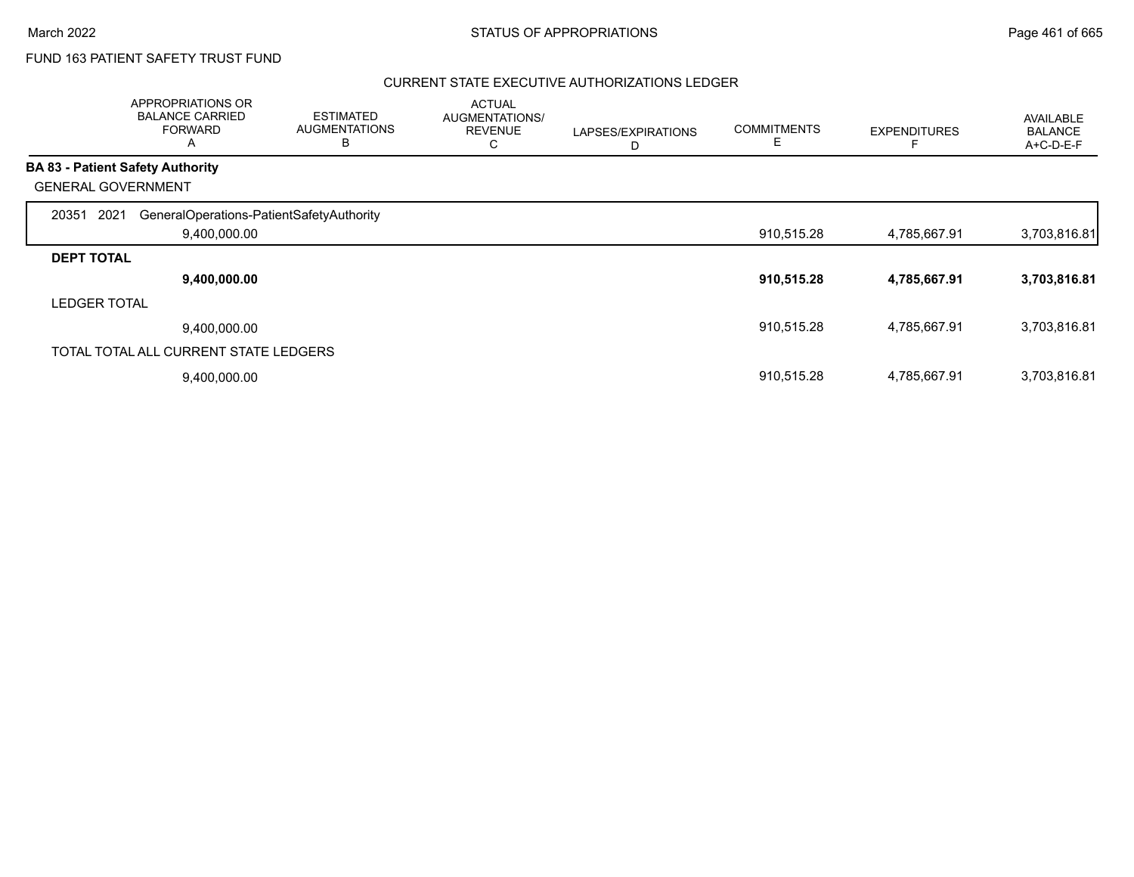# FUND 163 PATIENT SAFETY TRUST FUND

|                           | APPROPRIATIONS OR<br><b>BALANCE CARRIED</b><br><b>FORWARD</b><br>$\mathsf{A}$ | <b>ESTIMATED</b><br><b>AUGMENTATIONS</b><br>в | <b>ACTUAL</b><br>AUGMENTATIONS/<br><b>REVENUE</b><br>С | LAPSES/EXPIRATIONS<br>D | <b>COMMITMENTS</b><br>E. | <b>EXPENDITURES</b> | AVAILABLE<br><b>BALANCE</b><br>A+C-D-E-F |
|---------------------------|-------------------------------------------------------------------------------|-----------------------------------------------|--------------------------------------------------------|-------------------------|--------------------------|---------------------|------------------------------------------|
|                           | <b>BA 83 - Patient Safety Authority</b>                                       |                                               |                                                        |                         |                          |                     |                                          |
| <b>GENERAL GOVERNMENT</b> |                                                                               |                                               |                                                        |                         |                          |                     |                                          |
| 2021<br>20351             | GeneralOperations-PatientSafetyAuthority                                      |                                               |                                                        |                         |                          |                     |                                          |
|                           | 9,400,000.00                                                                  |                                               |                                                        |                         | 910,515.28               | 4,785,667.91        | 3,703,816.81                             |
| <b>DEPT TOTAL</b>         |                                                                               |                                               |                                                        |                         |                          |                     |                                          |
|                           | 9,400,000.00                                                                  |                                               |                                                        |                         | 910,515.28               | 4,785,667.91        | 3,703,816.81                             |
| <b>LEDGER TOTAL</b>       |                                                                               |                                               |                                                        |                         |                          |                     |                                          |
|                           | 9,400,000.00                                                                  |                                               |                                                        |                         | 910,515.28               | 4,785,667.91        | 3,703,816.81                             |
|                           | TOTAL TOTAL ALL CURRENT STATE LEDGERS                                         |                                               |                                                        |                         |                          |                     |                                          |
|                           | 9,400,000.00                                                                  |                                               |                                                        |                         | 910,515.28               | 4,785,667.91        | 3,703,816.81                             |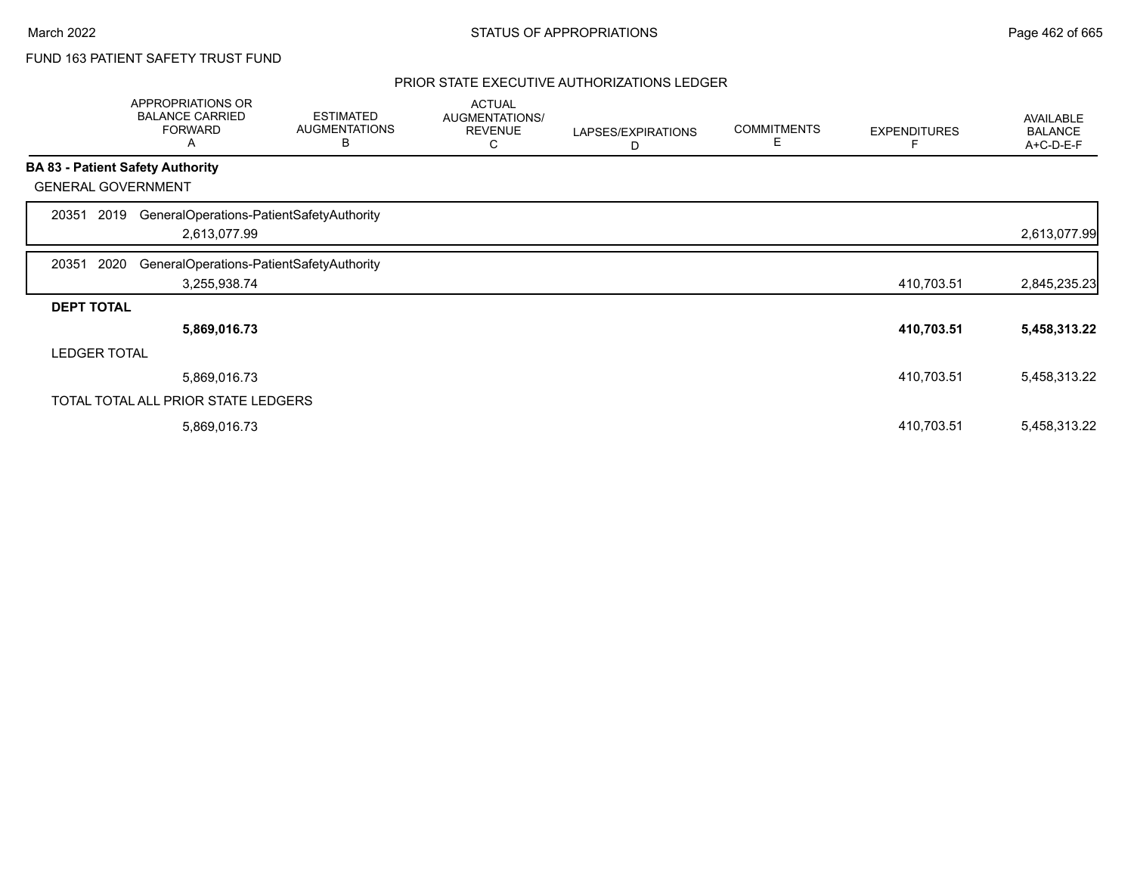# FUND 163 PATIENT SAFETY TRUST FUND

| APPROPRIATIONS OR<br><b>BALANCE CARRIED</b><br><b>FORWARD</b><br>A | <b>ESTIMATED</b><br><b>AUGMENTATIONS</b><br>В | <b>ACTUAL</b><br>AUGMENTATIONS/<br><b>REVENUE</b><br>C                                                                      | LAPSES/EXPIRATIONS<br>D | <b>COMMITMENTS</b><br>Е | <b>EXPENDITURES</b> | AVAILABLE<br><b>BALANCE</b><br>A+C-D-E-F |
|--------------------------------------------------------------------|-----------------------------------------------|-----------------------------------------------------------------------------------------------------------------------------|-------------------------|-------------------------|---------------------|------------------------------------------|
| <b>BA 83 - Patient Safety Authority</b>                            |                                               |                                                                                                                             |                         |                         |                     |                                          |
| <b>GENERAL GOVERNMENT</b>                                          |                                               |                                                                                                                             |                         |                         |                     |                                          |
| 2019                                                               |                                               |                                                                                                                             |                         |                         |                     |                                          |
| 2,613,077.99                                                       |                                               |                                                                                                                             |                         |                         |                     | 2,613,077.99                             |
| 2020                                                               |                                               |                                                                                                                             |                         |                         |                     |                                          |
| 3,255,938.74                                                       |                                               |                                                                                                                             |                         |                         | 410,703.51          | 2,845,235.23                             |
| <b>DEPT TOTAL</b>                                                  |                                               |                                                                                                                             |                         |                         |                     |                                          |
| 5,869,016.73                                                       |                                               |                                                                                                                             |                         |                         | 410,703.51          | 5,458,313.22                             |
| <b>LEDGER TOTAL</b>                                                |                                               |                                                                                                                             |                         |                         |                     |                                          |
| 5,869,016.73                                                       |                                               |                                                                                                                             |                         |                         | 410,703.51          | 5,458,313.22                             |
|                                                                    |                                               |                                                                                                                             |                         |                         |                     |                                          |
| 5,869,016.73                                                       |                                               |                                                                                                                             |                         |                         | 410,703.51          | 5,458,313.22                             |
|                                                                    |                                               | GeneralOperations-PatientSafetyAuthority<br>GeneralOperations-PatientSafetyAuthority<br>TOTAL TOTAL ALL PRIOR STATE LEDGERS |                         |                         |                     |                                          |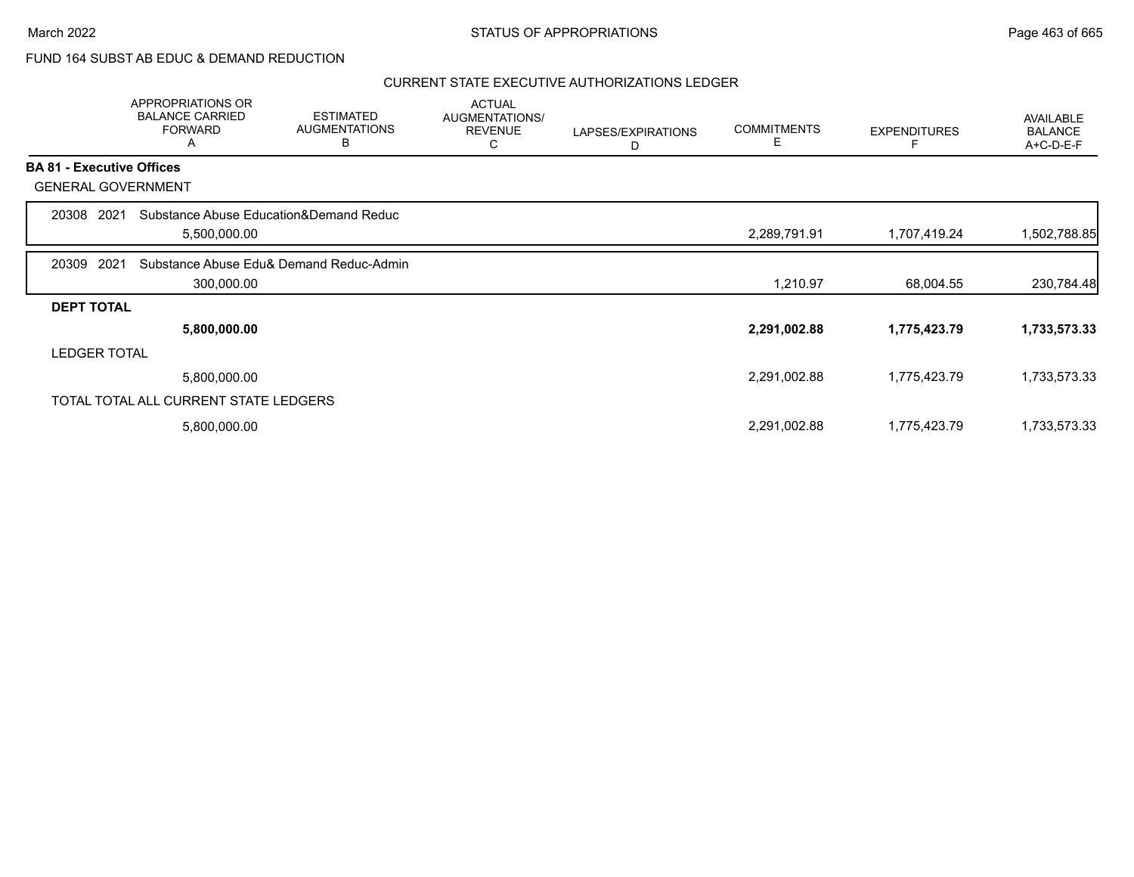# FUND 164 SUBST AB EDUC & DEMAND REDUCTION

|                     | APPROPRIATIONS OR<br><b>BALANCE CARRIED</b><br><b>FORWARD</b><br>Α | <b>ESTIMATED</b><br><b>AUGMENTATIONS</b><br>B | <b>ACTUAL</b><br><b>AUGMENTATIONS/</b><br><b>REVENUE</b><br>С | LAPSES/EXPIRATIONS<br>D | <b>COMMITMENTS</b><br>Е | <b>EXPENDITURES</b> | AVAILABLE<br><b>BALANCE</b><br>A+C-D-E-F |
|---------------------|--------------------------------------------------------------------|-----------------------------------------------|---------------------------------------------------------------|-------------------------|-------------------------|---------------------|------------------------------------------|
|                     | <b>BA 81 - Executive Offices</b>                                   |                                               |                                                               |                         |                         |                     |                                          |
|                     | <b>GENERAL GOVERNMENT</b>                                          |                                               |                                                               |                         |                         |                     |                                          |
| 20308               | 2021                                                               | Substance Abuse Education&Demand Reduc        |                                                               |                         |                         |                     |                                          |
|                     | 5,500,000.00                                                       |                                               |                                                               |                         | 2,289,791.91            | 1,707,419.24        | 1,502,788.85                             |
| 20309               | 2021                                                               | Substance Abuse Edu& Demand Reduc-Admin       |                                                               |                         |                         |                     |                                          |
|                     | 300,000.00                                                         |                                               |                                                               |                         | 1,210.97                | 68,004.55           | 230,784.48                               |
| <b>DEPT TOTAL</b>   |                                                                    |                                               |                                                               |                         |                         |                     |                                          |
|                     | 5,800,000.00                                                       |                                               |                                                               |                         | 2,291,002.88            | 1,775,423.79        | 1,733,573.33                             |
| <b>LEDGER TOTAL</b> |                                                                    |                                               |                                                               |                         |                         |                     |                                          |
|                     | 5,800,000.00                                                       |                                               |                                                               |                         | 2,291,002.88            | 1,775,423.79        | 1,733,573.33                             |
|                     | TOTAL TOTAL ALL CURRENT STATE LEDGERS                              |                                               |                                                               |                         |                         |                     |                                          |
|                     | 5,800,000.00                                                       |                                               |                                                               |                         | 2,291,002.88            | 1,775,423.79        | 1,733,573.33                             |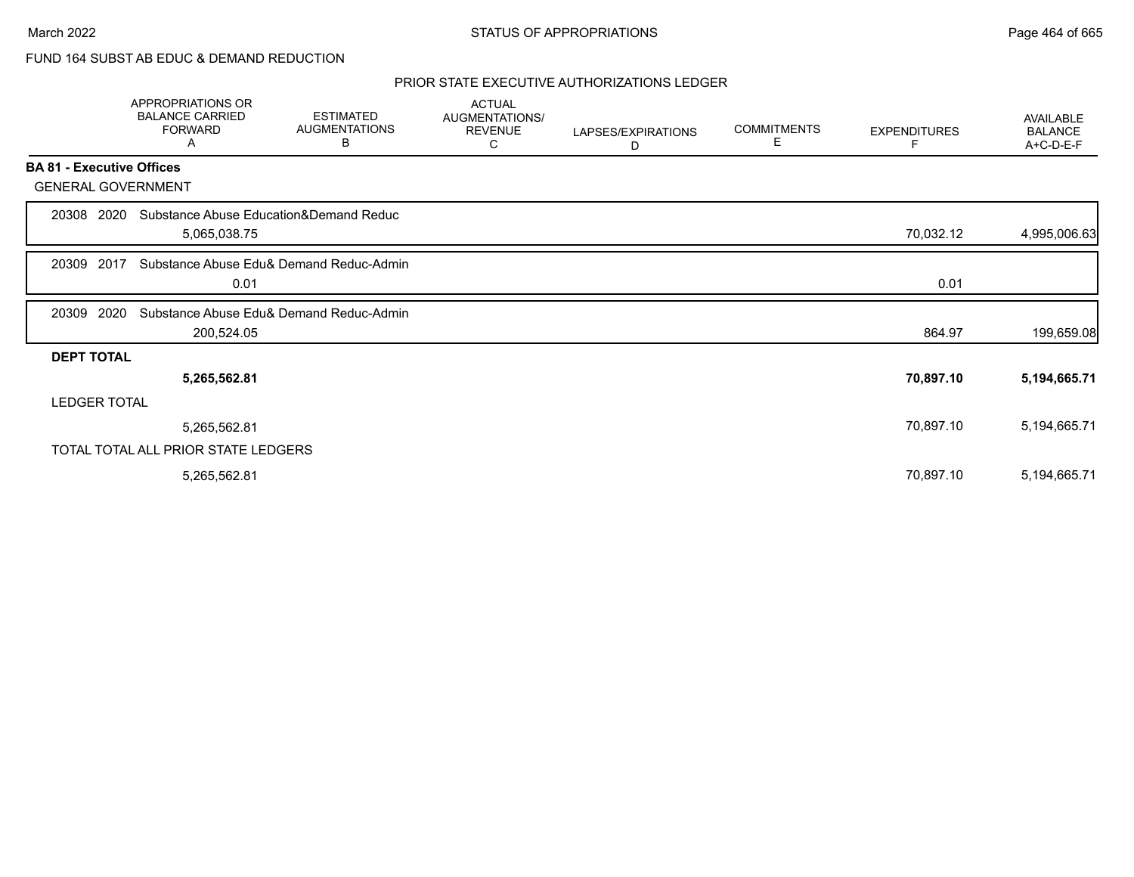# FUND 164 SUBST AB EDUC & DEMAND REDUCTION

|                                  | <b>APPROPRIATIONS OR</b><br><b>BALANCE CARRIED</b><br><b>FORWARD</b><br>Α | <b>ESTIMATED</b><br><b>AUGMENTATIONS</b><br>В | <b>ACTUAL</b><br>AUGMENTATIONS/<br><b>REVENUE</b><br>C | LAPSES/EXPIRATIONS<br>D | <b>COMMITMENTS</b><br>E. | <b>EXPENDITURES</b> | <b>AVAILABLE</b><br><b>BALANCE</b><br>A+C-D-E-F |
|----------------------------------|---------------------------------------------------------------------------|-----------------------------------------------|--------------------------------------------------------|-------------------------|--------------------------|---------------------|-------------------------------------------------|
| <b>BA 81 - Executive Offices</b> |                                                                           |                                               |                                                        |                         |                          |                     |                                                 |
| <b>GENERAL GOVERNMENT</b>        |                                                                           |                                               |                                                        |                         |                          |                     |                                                 |
| 20308 2020                       | Substance Abuse Education&Demand Reduc<br>5,065,038.75                    |                                               |                                                        |                         |                          | 70,032.12           | 4,995,006.63                                    |
| 2017<br>20309                    | 0.01                                                                      | Substance Abuse Edu& Demand Reduc-Admin       |                                                        |                         |                          | 0.01                |                                                 |
| 2020<br>20309                    | 200,524.05                                                                | Substance Abuse Edu& Demand Reduc-Admin       |                                                        |                         |                          | 864.97              | 199,659.08                                      |
| <b>DEPT TOTAL</b>                |                                                                           |                                               |                                                        |                         |                          |                     |                                                 |
|                                  | 5,265,562.81                                                              |                                               |                                                        |                         |                          | 70,897.10           | 5,194,665.71                                    |
| <b>LEDGER TOTAL</b>              |                                                                           |                                               |                                                        |                         |                          |                     |                                                 |
|                                  | 5,265,562.81                                                              |                                               |                                                        |                         |                          | 70,897.10           | 5,194,665.71                                    |
|                                  | TOTAL TOTAL ALL PRIOR STATE LEDGERS                                       |                                               |                                                        |                         |                          |                     |                                                 |
|                                  | 5,265,562.81                                                              |                                               |                                                        |                         |                          | 70,897.10           | 5,194,665.71                                    |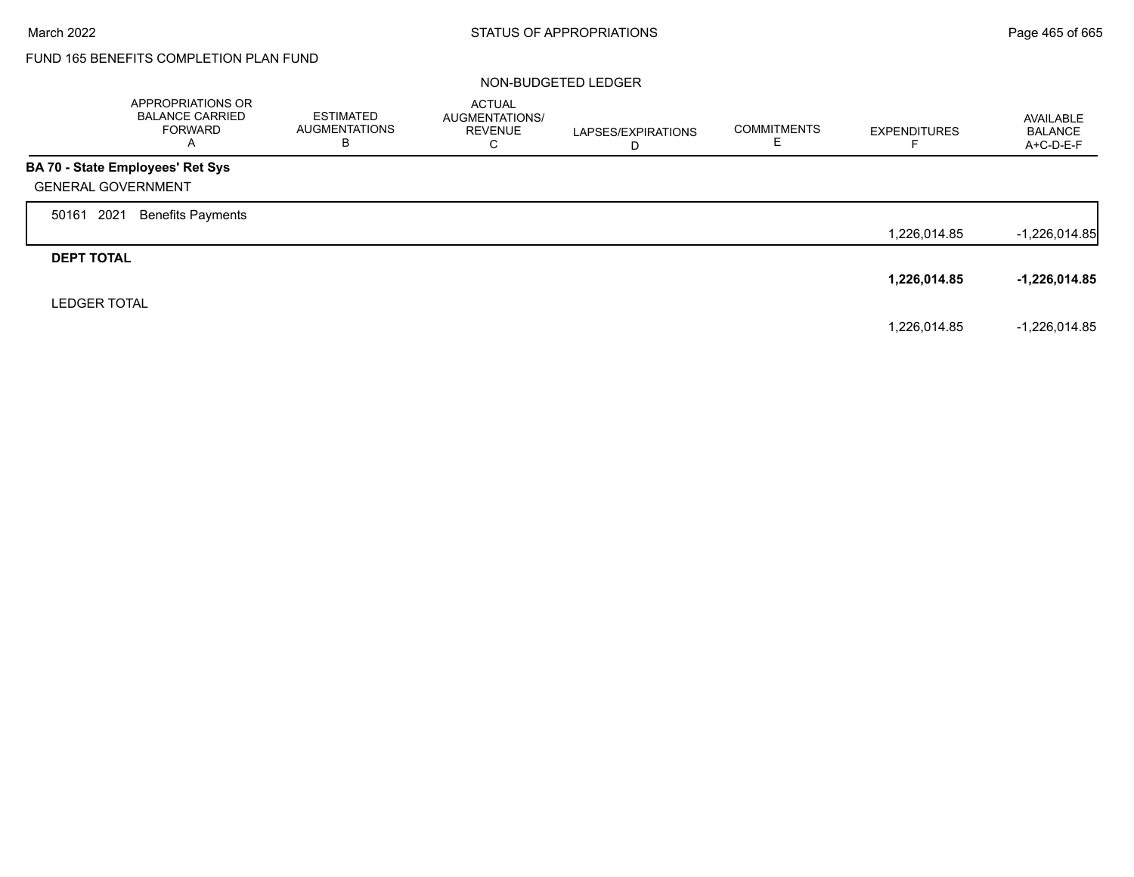Г

# FUND 165 BENEFITS COMPLETION PLAN FUND

### NON-BUDGETED LEDGER

|                           | APPROPRIATIONS OR<br><b>BALANCE CARRIED</b><br><b>FORWARD</b><br>A | ESTIMATED<br><b>AUGMENTATIONS</b><br>В | <b>ACTUAL</b><br>AUGMENTATIONS/<br><b>REVENUE</b><br>C | LAPSES/EXPIRATIONS<br>D | <b>COMMITMENTS</b> | <b>EXPENDITURES</b> | AVAILABLE<br><b>BALANCE</b><br>A+C-D-E-F |
|---------------------------|--------------------------------------------------------------------|----------------------------------------|--------------------------------------------------------|-------------------------|--------------------|---------------------|------------------------------------------|
|                           | <b>BA 70 - State Employees' Ret Sys</b>                            |                                        |                                                        |                         |                    |                     |                                          |
| <b>GENERAL GOVERNMENT</b> |                                                                    |                                        |                                                        |                         |                    |                     |                                          |
| 2021<br>50161             | <b>Benefits Payments</b>                                           |                                        |                                                        |                         |                    |                     |                                          |
|                           |                                                                    |                                        |                                                        |                         |                    | 1,226,014.85        | $-1,226,014.85$                          |
| <b>DEPT TOTAL</b>         |                                                                    |                                        |                                                        |                         |                    |                     |                                          |
|                           |                                                                    |                                        |                                                        |                         |                    | 1,226,014.85        | -1,226,014.85                            |
| <b>LEDGER TOTAL</b>       |                                                                    |                                        |                                                        |                         |                    |                     |                                          |
|                           |                                                                    |                                        |                                                        |                         |                    | 1,226,014.85        | $-1,226,014.85$                          |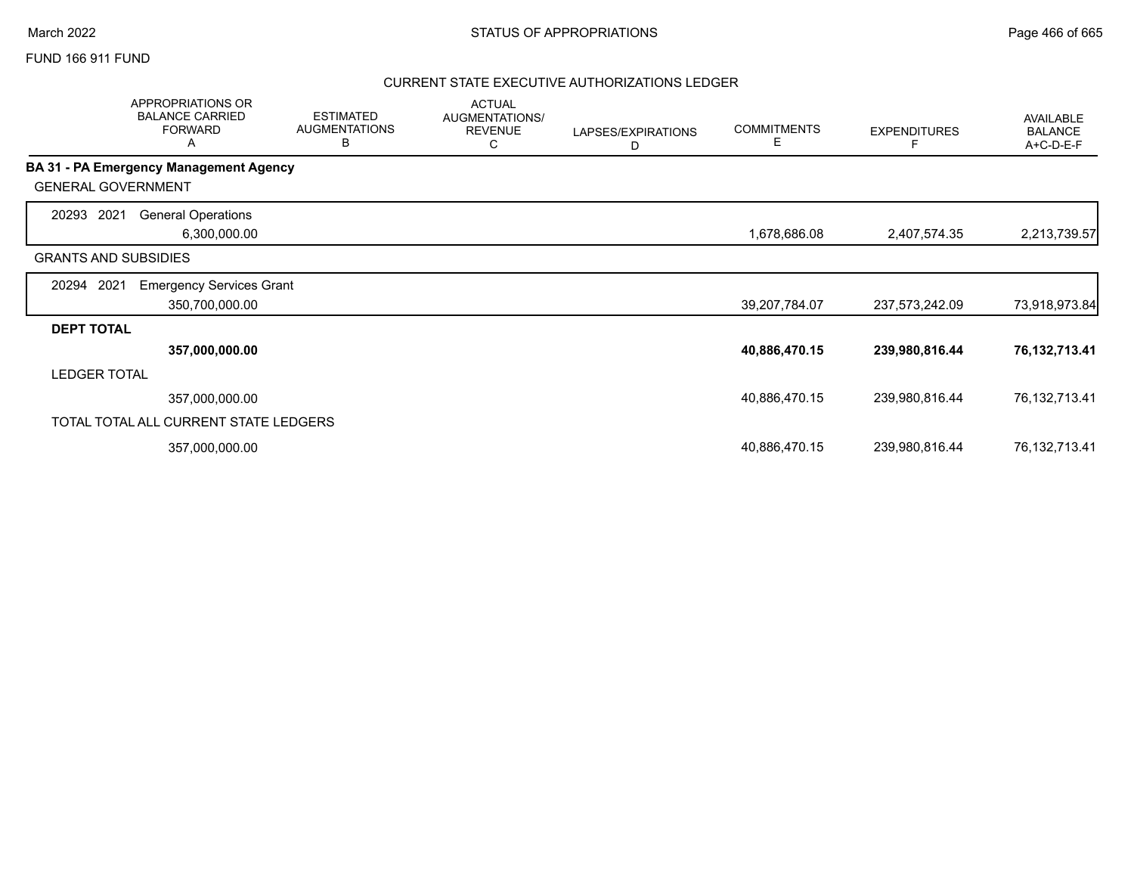### FUND 166 911 FUND

|                             | <b>APPROPRIATIONS OR</b><br><b>BALANCE CARRIED</b><br><b>FORWARD</b><br>Α | <b>ESTIMATED</b><br><b>AUGMENTATIONS</b><br>В | <b>ACTUAL</b><br>AUGMENTATIONS/<br><b>REVENUE</b><br>С | LAPSES/EXPIRATIONS<br>D | <b>COMMITMENTS</b><br>Е | <b>EXPENDITURES</b> | <b>AVAILABLE</b><br><b>BALANCE</b><br>A+C-D-E-F |
|-----------------------------|---------------------------------------------------------------------------|-----------------------------------------------|--------------------------------------------------------|-------------------------|-------------------------|---------------------|-------------------------------------------------|
|                             | BA 31 - PA Emergency Management Agency                                    |                                               |                                                        |                         |                         |                     |                                                 |
| <b>GENERAL GOVERNMENT</b>   |                                                                           |                                               |                                                        |                         |                         |                     |                                                 |
| 2021<br>20293               | <b>General Operations</b><br>6,300,000.00                                 |                                               |                                                        |                         | 1,678,686.08            | 2,407,574.35        | 2,213,739.57                                    |
| <b>GRANTS AND SUBSIDIES</b> |                                                                           |                                               |                                                        |                         |                         |                     |                                                 |
| 2021<br>20294               | <b>Emergency Services Grant</b><br>350,700,000.00                         |                                               |                                                        |                         | 39,207,784.07           | 237,573,242.09      | 73,918,973.84                                   |
| <b>DEPT TOTAL</b>           |                                                                           |                                               |                                                        |                         |                         |                     |                                                 |
|                             | 357,000,000.00                                                            |                                               |                                                        |                         | 40,886,470.15           | 239,980,816.44      | 76, 132, 713. 41                                |
| <b>LEDGER TOTAL</b>         |                                                                           |                                               |                                                        |                         |                         |                     |                                                 |
|                             | 357,000,000.00                                                            |                                               |                                                        |                         | 40,886,470.15           | 239,980,816.44      | 76,132,713.41                                   |
|                             | TOTAL TOTAL ALL CURRENT STATE LEDGERS                                     |                                               |                                                        |                         |                         |                     |                                                 |
|                             | 357,000,000.00                                                            |                                               |                                                        |                         | 40,886,470.15           | 239,980,816.44      | 76, 132, 713. 41                                |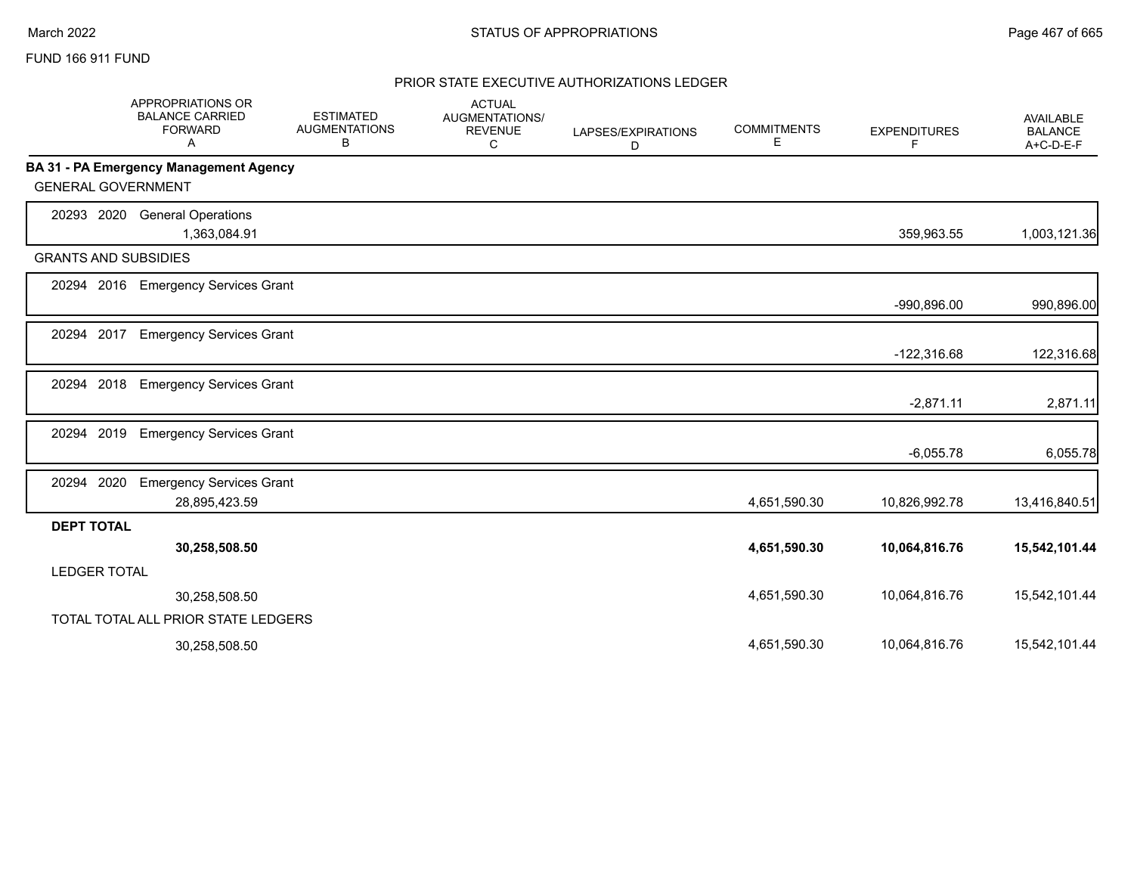### FUND 166 911 FUND

|                     | <b>APPROPRIATIONS OR</b><br><b>BALANCE CARRIED</b><br><b>FORWARD</b><br>A | <b>ESTIMATED</b><br><b>AUGMENTATIONS</b><br>В | <b>ACTUAL</b><br><b>AUGMENTATIONS/</b><br><b>REVENUE</b><br>C | LAPSES/EXPIRATIONS<br>D | <b>COMMITMENTS</b><br>E. | <b>EXPENDITURES</b><br>F | <b>AVAILABLE</b><br><b>BALANCE</b><br>A+C-D-E-F |
|---------------------|---------------------------------------------------------------------------|-----------------------------------------------|---------------------------------------------------------------|-------------------------|--------------------------|--------------------------|-------------------------------------------------|
|                     | BA 31 - PA Emergency Management Agency                                    |                                               |                                                               |                         |                          |                          |                                                 |
|                     | <b>GENERAL GOVERNMENT</b>                                                 |                                               |                                                               |                         |                          |                          |                                                 |
| 20293 2020          | <b>General Operations</b><br>1,363,084.91                                 |                                               |                                                               |                         |                          | 359,963.55               | 1,003,121.36                                    |
|                     | <b>GRANTS AND SUBSIDIES</b>                                               |                                               |                                                               |                         |                          |                          |                                                 |
| 20294               | <b>Emergency Services Grant</b><br>2016                                   |                                               |                                                               |                         |                          | $-990,896.00$            | 990,896.00                                      |
| 2017<br>20294       | <b>Emergency Services Grant</b>                                           |                                               |                                                               |                         |                          | $-122,316.68$            | 122,316.68                                      |
| 20294               | 2018<br><b>Emergency Services Grant</b>                                   |                                               |                                                               |                         |                          | $-2,871.11$              | 2,871.11                                        |
| 20294               | 2019<br><b>Emergency Services Grant</b>                                   |                                               |                                                               |                         |                          | $-6,055.78$              | 6,055.78                                        |
| 2020<br>20294       | <b>Emergency Services Grant</b><br>28,895,423.59                          |                                               |                                                               |                         | 4,651,590.30             | 10,826,992.78            | 13,416,840.51                                   |
| <b>DEPT TOTAL</b>   |                                                                           |                                               |                                                               |                         |                          |                          |                                                 |
|                     | 30,258,508.50                                                             |                                               |                                                               |                         | 4,651,590.30             | 10,064,816.76            | 15,542,101.44                                   |
| <b>LEDGER TOTAL</b> |                                                                           |                                               |                                                               |                         |                          |                          |                                                 |
|                     | 30,258,508.50                                                             |                                               |                                                               |                         | 4,651,590.30             | 10,064,816.76            | 15,542,101.44                                   |
|                     | TOTAL TOTAL ALL PRIOR STATE LEDGERS                                       |                                               |                                                               |                         |                          |                          |                                                 |
|                     | 30,258,508.50                                                             |                                               |                                                               |                         | 4.651.590.30             | 10,064,816.76            | 15,542,101.44                                   |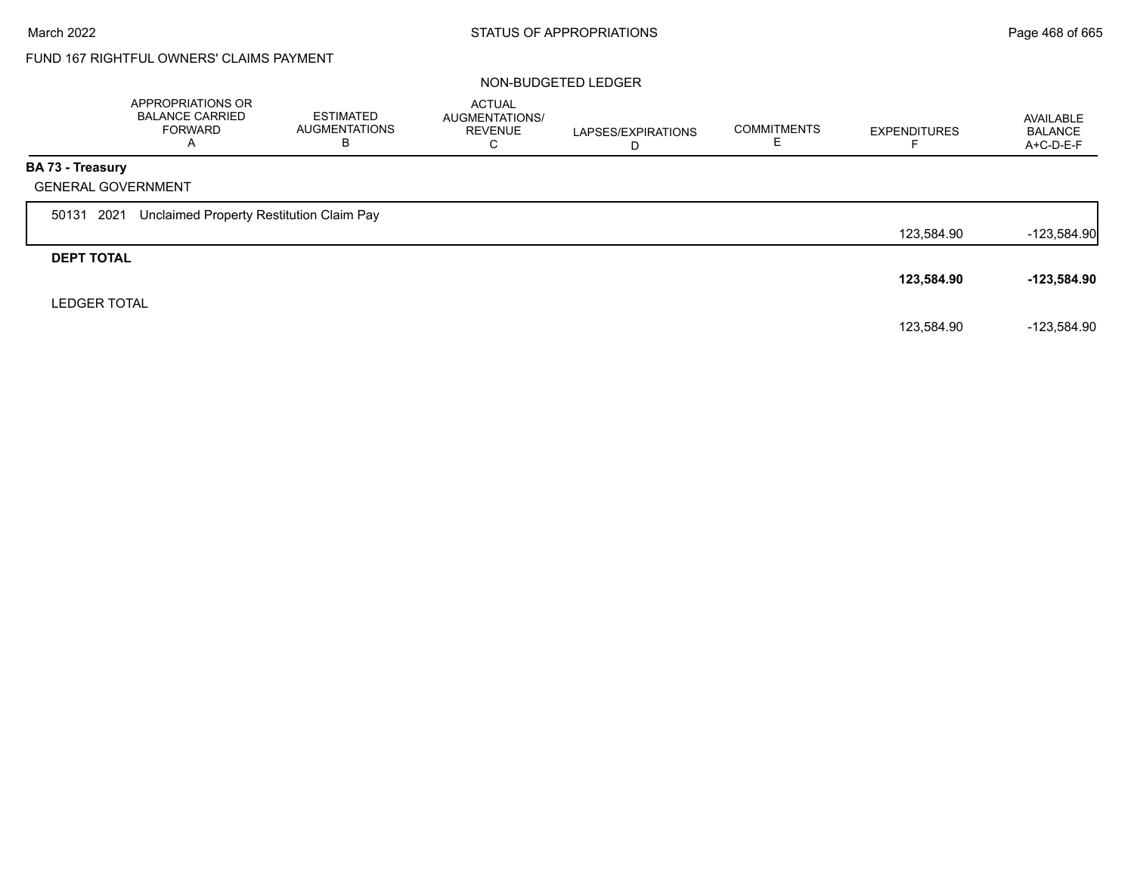# FUND 167 RIGHTFUL OWNERS' CLAIMS PAYMENT

### NON-BUDGETED LEDGER

|                         | APPROPRIATIONS OR<br><b>BALANCE CARRIED</b><br><b>FORWARD</b><br>A | ESTIMATED<br><b>AUGMENTATIONS</b><br>В | <b>ACTUAL</b><br>AUGMENTATIONS/<br><b>REVENUE</b><br>C | LAPSES/EXPIRATIONS<br>D | <b>COMMITMENTS</b><br>ᄇ | <b>EXPENDITURES</b> | AVAILABLE<br><b>BALANCE</b><br>$A+C-D-E-F$ |
|-------------------------|--------------------------------------------------------------------|----------------------------------------|--------------------------------------------------------|-------------------------|-------------------------|---------------------|--------------------------------------------|
| <b>BA 73 - Treasury</b> |                                                                    |                                        |                                                        |                         |                         |                     |                                            |
|                         | <b>GENERAL GOVERNMENT</b>                                          |                                        |                                                        |                         |                         |                     |                                            |
| 50131 2021              | Unclaimed Property Restitution Claim Pay                           |                                        |                                                        |                         |                         |                     |                                            |
|                         |                                                                    |                                        |                                                        |                         |                         | 123,584.90          | $-123,584.90$                              |
| <b>DEPT TOTAL</b>       |                                                                    |                                        |                                                        |                         |                         |                     |                                            |
|                         |                                                                    |                                        |                                                        |                         |                         | 123,584.90          | $-123,584.90$                              |
| <b>LEDGER TOTAL</b>     |                                                                    |                                        |                                                        |                         |                         |                     |                                            |
|                         |                                                                    |                                        |                                                        |                         |                         | 123,584.90          | $-123,584.90$                              |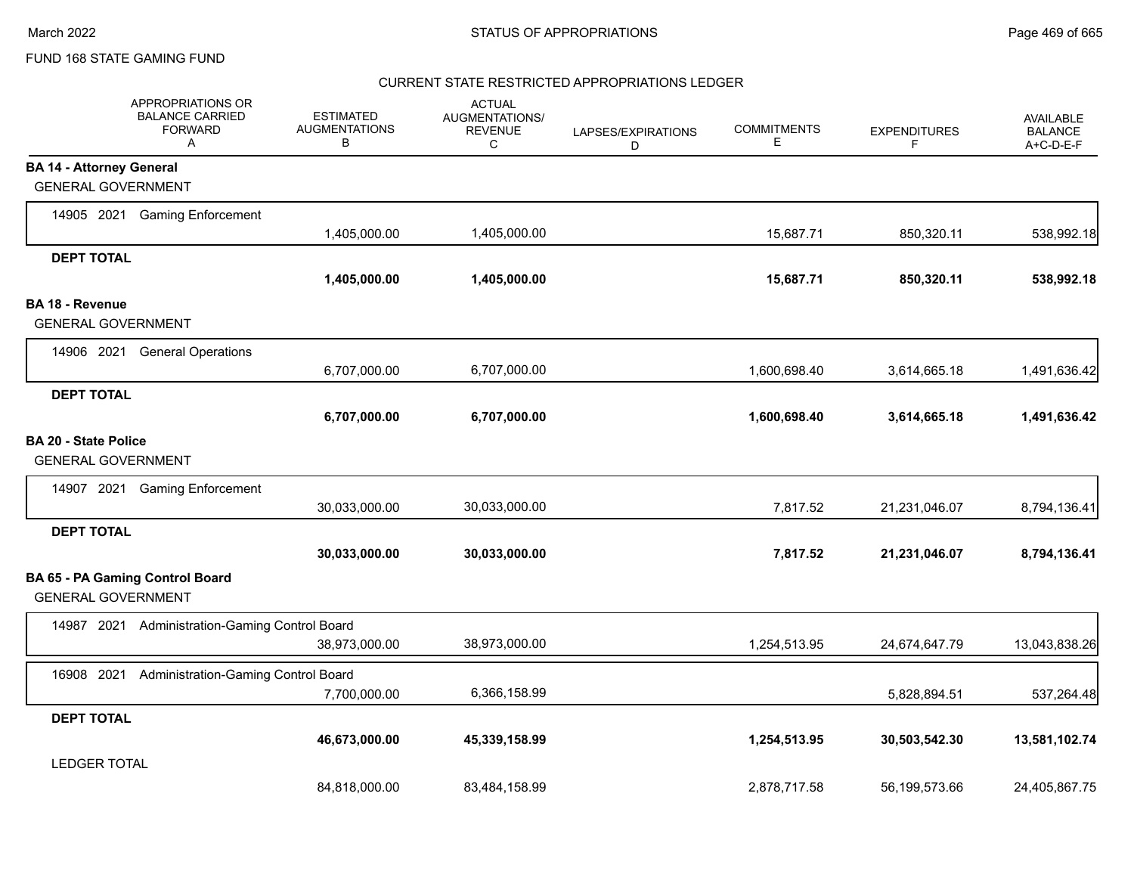#### CURRENT STATE RESTRICTED APPROPRIATIONS LEDGER

|                                 | APPROPRIATIONS OR<br><b>BALANCE CARRIED</b><br><b>FORWARD</b><br>Α | <b>ESTIMATED</b><br><b>AUGMENTATIONS</b><br>В | <b>ACTUAL</b><br><b>AUGMENTATIONS/</b><br><b>REVENUE</b><br>C | LAPSES/EXPIRATIONS<br>D | <b>COMMITMENTS</b><br>Е | <b>EXPENDITURES</b><br>F | <b>AVAILABLE</b><br><b>BALANCE</b><br>A+C-D-E-F |
|---------------------------------|--------------------------------------------------------------------|-----------------------------------------------|---------------------------------------------------------------|-------------------------|-------------------------|--------------------------|-------------------------------------------------|
| <b>BA 14 - Attorney General</b> |                                                                    |                                               |                                                               |                         |                         |                          |                                                 |
| <b>GENERAL GOVERNMENT</b>       |                                                                    |                                               |                                                               |                         |                         |                          |                                                 |
|                                 | 14905 2021 Gaming Enforcement                                      | 1,405,000.00                                  | 1,405,000.00                                                  |                         | 15,687.71               | 850,320.11               | 538,992.18                                      |
| <b>DEPT TOTAL</b>               |                                                                    |                                               |                                                               |                         |                         |                          |                                                 |
|                                 |                                                                    | 1,405,000.00                                  | 1,405,000.00                                                  |                         | 15,687.71               | 850,320.11               | 538,992.18                                      |
| BA 18 - Revenue                 |                                                                    |                                               |                                                               |                         |                         |                          |                                                 |
| <b>GENERAL GOVERNMENT</b>       |                                                                    |                                               |                                                               |                         |                         |                          |                                                 |
| 14906 2021                      | <b>General Operations</b>                                          |                                               |                                                               |                         |                         |                          |                                                 |
|                                 |                                                                    | 6,707,000.00                                  | 6,707,000.00                                                  |                         | 1,600,698.40            | 3,614,665.18             | 1,491,636.42                                    |
| <b>DEPT TOTAL</b>               |                                                                    |                                               |                                                               |                         |                         |                          |                                                 |
|                                 |                                                                    | 6,707,000.00                                  | 6,707,000.00                                                  |                         | 1,600,698.40            | 3,614,665.18             | 1,491,636.42                                    |
| <b>BA 20 - State Police</b>     |                                                                    |                                               |                                                               |                         |                         |                          |                                                 |
| <b>GENERAL GOVERNMENT</b>       |                                                                    |                                               |                                                               |                         |                         |                          |                                                 |
|                                 | 14907 2021 Gaming Enforcement                                      |                                               |                                                               |                         |                         |                          |                                                 |
|                                 |                                                                    | 30,033,000.00                                 | 30,033,000.00                                                 |                         | 7,817.52                | 21,231,046.07            | 8,794,136.41                                    |
| <b>DEPT TOTAL</b>               |                                                                    |                                               |                                                               |                         |                         |                          |                                                 |
|                                 |                                                                    | 30,033,000.00                                 | 30,033,000.00                                                 |                         | 7,817.52                | 21,231,046.07            | 8,794,136.41                                    |
| <b>GENERAL GOVERNMENT</b>       | <b>BA 65 - PA Gaming Control Board</b>                             |                                               |                                                               |                         |                         |                          |                                                 |
|                                 | 14987 2021 Administration-Gaming Control Board                     |                                               |                                                               |                         |                         |                          |                                                 |
|                                 |                                                                    | 38,973,000.00                                 | 38,973,000.00                                                 |                         | 1,254,513.95            | 24,674,647.79            | 13,043,838.26                                   |
| 16908 2021                      | Administration-Gaming Control Board                                |                                               |                                                               |                         |                         |                          |                                                 |
|                                 |                                                                    | 7,700,000.00                                  | 6,366,158.99                                                  |                         |                         | 5,828,894.51             | 537,264.48                                      |
| <b>DEPT TOTAL</b>               |                                                                    |                                               |                                                               |                         |                         |                          |                                                 |
|                                 |                                                                    | 46,673,000.00                                 | 45,339,158.99                                                 |                         | 1,254,513.95            | 30,503,542.30            | 13,581,102.74                                   |
| <b>LEDGER TOTAL</b>             |                                                                    |                                               |                                                               |                         |                         |                          |                                                 |
|                                 |                                                                    | 84,818,000.00                                 | 83,484,158.99                                                 |                         | 2,878,717.58            | 56,199,573.66            | 24,405,867.75                                   |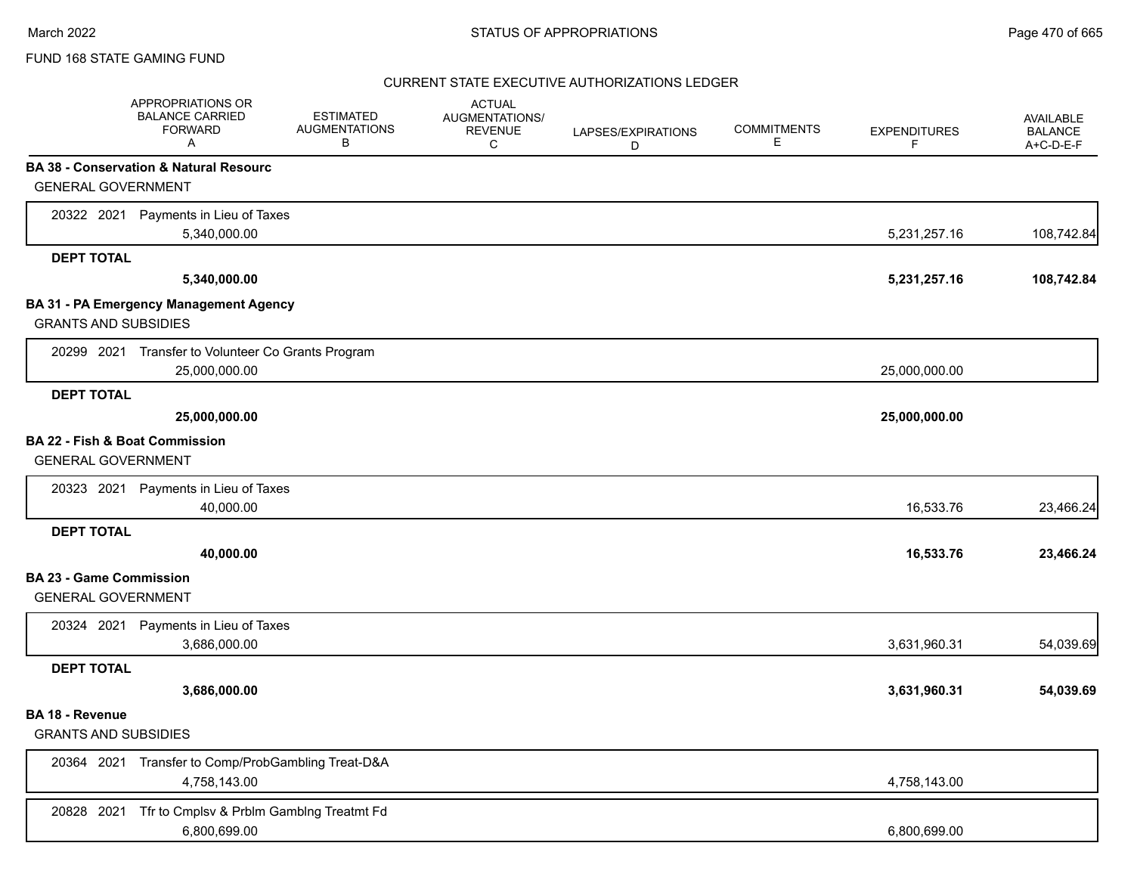### CURRENT STATE EXECUTIVE AUTHORIZATIONS LEDGER

|                                | APPROPRIATIONS OR<br><b>BALANCE CARRIED</b><br><b>FORWARD</b><br>A | <b>ESTIMATED</b><br><b>AUGMENTATIONS</b><br>В | <b>ACTUAL</b><br>AUGMENTATIONS/<br><b>REVENUE</b><br>C | LAPSES/EXPIRATIONS<br>D | <b>COMMITMENTS</b><br>Е | <b>EXPENDITURES</b><br>F | AVAILABLE<br><b>BALANCE</b><br>A+C-D-E-F |
|--------------------------------|--------------------------------------------------------------------|-----------------------------------------------|--------------------------------------------------------|-------------------------|-------------------------|--------------------------|------------------------------------------|
|                                | BA 38 - Conservation & Natural Resourc                             |                                               |                                                        |                         |                         |                          |                                          |
| <b>GENERAL GOVERNMENT</b>      |                                                                    |                                               |                                                        |                         |                         |                          |                                          |
|                                | 20322 2021 Payments in Lieu of Taxes                               |                                               |                                                        |                         |                         |                          |                                          |
|                                | 5,340,000.00                                                       |                                               |                                                        |                         |                         | 5,231,257.16             | 108,742.84                               |
| <b>DEPT TOTAL</b>              |                                                                    |                                               |                                                        |                         |                         |                          |                                          |
|                                | 5,340,000.00                                                       |                                               |                                                        |                         |                         | 5,231,257.16             | 108,742.84                               |
|                                | BA 31 - PA Emergency Management Agency                             |                                               |                                                        |                         |                         |                          |                                          |
| <b>GRANTS AND SUBSIDIES</b>    |                                                                    |                                               |                                                        |                         |                         |                          |                                          |
|                                | 20299 2021 Transfer to Volunteer Co Grants Program                 |                                               |                                                        |                         |                         |                          |                                          |
|                                | 25,000,000.00                                                      |                                               |                                                        |                         |                         | 25,000,000.00            |                                          |
| <b>DEPT TOTAL</b>              |                                                                    |                                               |                                                        |                         |                         |                          |                                          |
|                                | 25,000,000.00                                                      |                                               |                                                        |                         |                         | 25,000,000.00            |                                          |
| BA 22 - Fish & Boat Commission |                                                                    |                                               |                                                        |                         |                         |                          |                                          |
| <b>GENERAL GOVERNMENT</b>      |                                                                    |                                               |                                                        |                         |                         |                          |                                          |
|                                | 20323 2021 Payments in Lieu of Taxes                               |                                               |                                                        |                         |                         |                          |                                          |
|                                | 40,000.00                                                          |                                               |                                                        |                         |                         | 16,533.76                | 23,466.24                                |
| <b>DEPT TOTAL</b>              |                                                                    |                                               |                                                        |                         |                         |                          |                                          |
|                                | 40,000.00                                                          |                                               |                                                        |                         |                         | 16,533.76                | 23,466.24                                |
| <b>BA 23 - Game Commission</b> |                                                                    |                                               |                                                        |                         |                         |                          |                                          |
| <b>GENERAL GOVERNMENT</b>      |                                                                    |                                               |                                                        |                         |                         |                          |                                          |
| 20324 2021                     | Payments in Lieu of Taxes                                          |                                               |                                                        |                         |                         |                          |                                          |
|                                | 3,686,000.00                                                       |                                               |                                                        |                         |                         | 3,631,960.31             | 54,039.69                                |
| <b>DEPT TOTAL</b>              |                                                                    |                                               |                                                        |                         |                         |                          |                                          |
|                                | 3,686,000.00                                                       |                                               |                                                        |                         |                         | 3,631,960.31             | 54,039.69                                |
| <b>BA 18 - Revenue</b>         |                                                                    |                                               |                                                        |                         |                         |                          |                                          |
| <b>GRANTS AND SUBSIDIES</b>    |                                                                    |                                               |                                                        |                         |                         |                          |                                          |
|                                | 20364 2021 Transfer to Comp/ProbGambling Treat-D&A                 |                                               |                                                        |                         |                         |                          |                                          |
|                                | 4,758,143.00                                                       |                                               |                                                        |                         |                         | 4,758,143.00             |                                          |
| 20828 2021                     | Tfr to Cmplsv & Prblm Gamblng Treatmt Fd                           |                                               |                                                        |                         |                         |                          |                                          |
|                                | 6,800,699.00                                                       |                                               |                                                        |                         |                         | 6,800,699.00             |                                          |
|                                |                                                                    |                                               |                                                        |                         |                         |                          |                                          |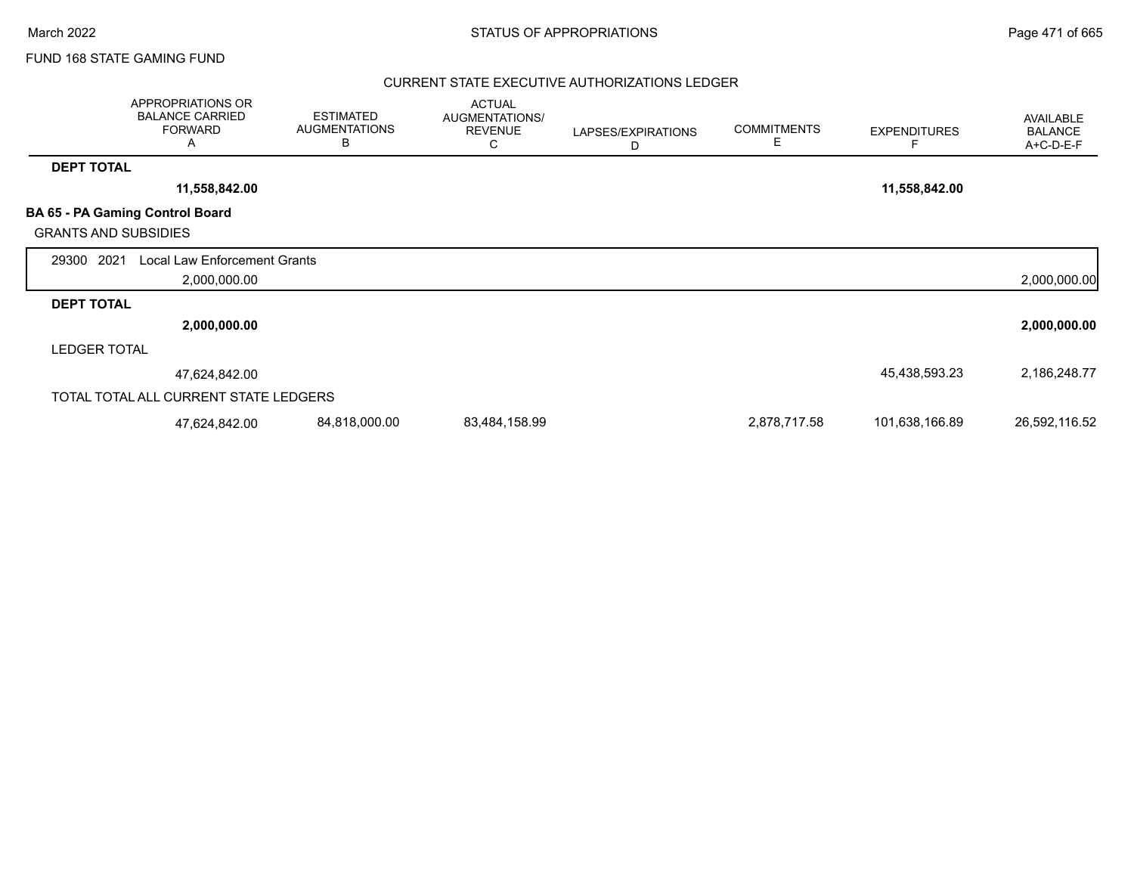### CURRENT STATE EXECUTIVE AUTHORIZATIONS LEDGER

|                             | APPROPRIATIONS OR<br><b>BALANCE CARRIED</b><br><b>FORWARD</b><br>A | <b>ESTIMATED</b><br><b>AUGMENTATIONS</b><br>B | <b>ACTUAL</b><br>AUGMENTATIONS/<br><b>REVENUE</b><br>С | LAPSES/EXPIRATIONS<br>D | <b>COMMITMENTS</b><br>Е | <b>EXPENDITURES</b> | AVAILABLE<br><b>BALANCE</b><br>A+C-D-E-F |
|-----------------------------|--------------------------------------------------------------------|-----------------------------------------------|--------------------------------------------------------|-------------------------|-------------------------|---------------------|------------------------------------------|
| <b>DEPT TOTAL</b>           |                                                                    |                                               |                                                        |                         |                         |                     |                                          |
|                             | 11,558,842.00                                                      |                                               |                                                        |                         |                         | 11,558,842.00       |                                          |
| <b>GRANTS AND SUBSIDIES</b> | BA 65 - PA Gaming Control Board                                    |                                               |                                                        |                         |                         |                     |                                          |
| 2021<br>29300               | <b>Local Law Enforcement Grants</b><br>2,000,000.00                |                                               |                                                        |                         |                         |                     | 2,000,000.00                             |
| <b>DEPT TOTAL</b>           |                                                                    |                                               |                                                        |                         |                         |                     |                                          |
|                             | 2,000,000.00                                                       |                                               |                                                        |                         |                         |                     | 2,000,000.00                             |
| <b>LEDGER TOTAL</b>         |                                                                    |                                               |                                                        |                         |                         |                     |                                          |
|                             | 47,624,842.00                                                      |                                               |                                                        |                         |                         | 45,438,593.23       | 2,186,248.77                             |
|                             | TOTAL TOTAL ALL CURRENT STATE LEDGERS                              |                                               |                                                        |                         |                         |                     |                                          |
|                             | 47,624,842.00                                                      | 84,818,000.00                                 | 83,484,158.99                                          |                         | 2,878,717.58            | 101,638,166.89      | 26,592,116.52                            |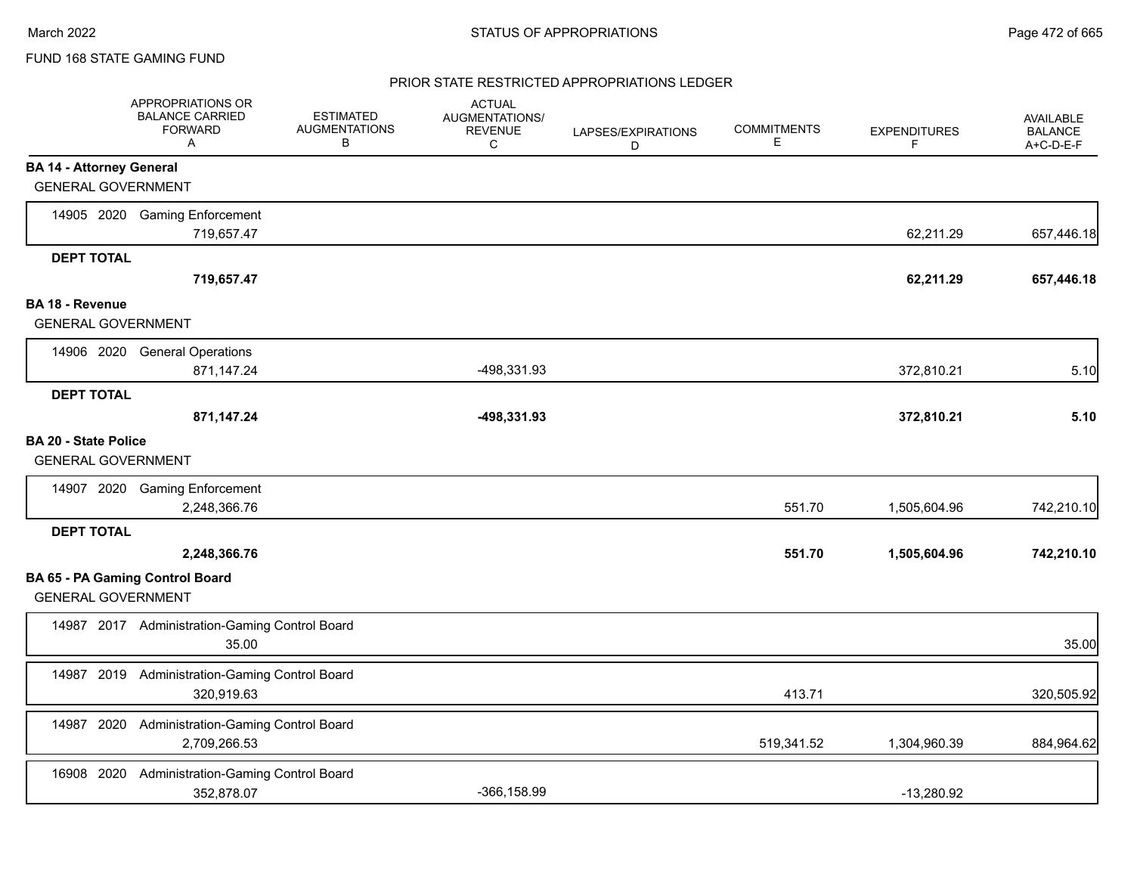### PRIOR STATE RESTRICTED APPROPRIATIONS LEDGER

|                                                              | APPROPRIATIONS OR<br><b>BALANCE CARRIED</b><br><b>FORWARD</b><br>A | <b>ESTIMATED</b><br><b>AUGMENTATIONS</b><br>В | <b>ACTUAL</b><br>AUGMENTATIONS/<br><b>REVENUE</b><br>C | LAPSES/EXPIRATIONS<br>D | <b>COMMITMENTS</b><br>Е | <b>EXPENDITURES</b><br>F | <b>AVAILABLE</b><br><b>BALANCE</b><br>A+C-D-E-F |
|--------------------------------------------------------------|--------------------------------------------------------------------|-----------------------------------------------|--------------------------------------------------------|-------------------------|-------------------------|--------------------------|-------------------------------------------------|
| <b>BA 14 - Attorney General</b><br><b>GENERAL GOVERNMENT</b> |                                                                    |                                               |                                                        |                         |                         |                          |                                                 |
|                                                              | 14905 2020 Gaming Enforcement<br>719,657.47                        |                                               |                                                        |                         |                         | 62,211.29                | 657,446.18                                      |
| <b>DEPT TOTAL</b>                                            | 719,657.47                                                         |                                               |                                                        |                         |                         | 62,211.29                | 657,446.18                                      |
| <b>BA 18 - Revenue</b><br><b>GENERAL GOVERNMENT</b>          |                                                                    |                                               |                                                        |                         |                         |                          |                                                 |
|                                                              | 14906 2020 General Operations<br>871,147.24                        |                                               | -498,331.93                                            |                         |                         | 372,810.21               | 5.10                                            |
| <b>DEPT TOTAL</b>                                            | 871,147.24                                                         |                                               | -498,331.93                                            |                         |                         | 372,810.21               | 5.10                                            |
| <b>BA 20 - State Police</b><br><b>GENERAL GOVERNMENT</b>     |                                                                    |                                               |                                                        |                         |                         |                          |                                                 |
|                                                              | 14907 2020 Gaming Enforcement<br>2,248,366.76                      |                                               |                                                        |                         | 551.70                  | 1,505,604.96             | 742,210.10                                      |
| <b>DEPT TOTAL</b>                                            | 2,248,366.76                                                       |                                               |                                                        |                         | 551.70                  | 1,505,604.96             | 742,210.10                                      |
| <b>GENERAL GOVERNMENT</b>                                    | BA 65 - PA Gaming Control Board                                    |                                               |                                                        |                         |                         |                          |                                                 |
|                                                              | 14987 2017 Administration-Gaming Control Board<br>35.00            |                                               |                                                        |                         |                         |                          | 35.00                                           |
|                                                              | 14987 2019 Administration-Gaming Control Board<br>320,919.63       |                                               |                                                        |                         | 413.71                  |                          | 320,505.92                                      |
|                                                              | 14987 2020 Administration-Gaming Control Board<br>2,709,266.53     |                                               |                                                        |                         | 519,341.52              | 1,304,960.39             | 884,964.62                                      |
| 16908 2020                                                   | Administration-Gaming Control Board<br>352,878.07                  |                                               | $-366, 158.99$                                         |                         |                         | $-13,280.92$             |                                                 |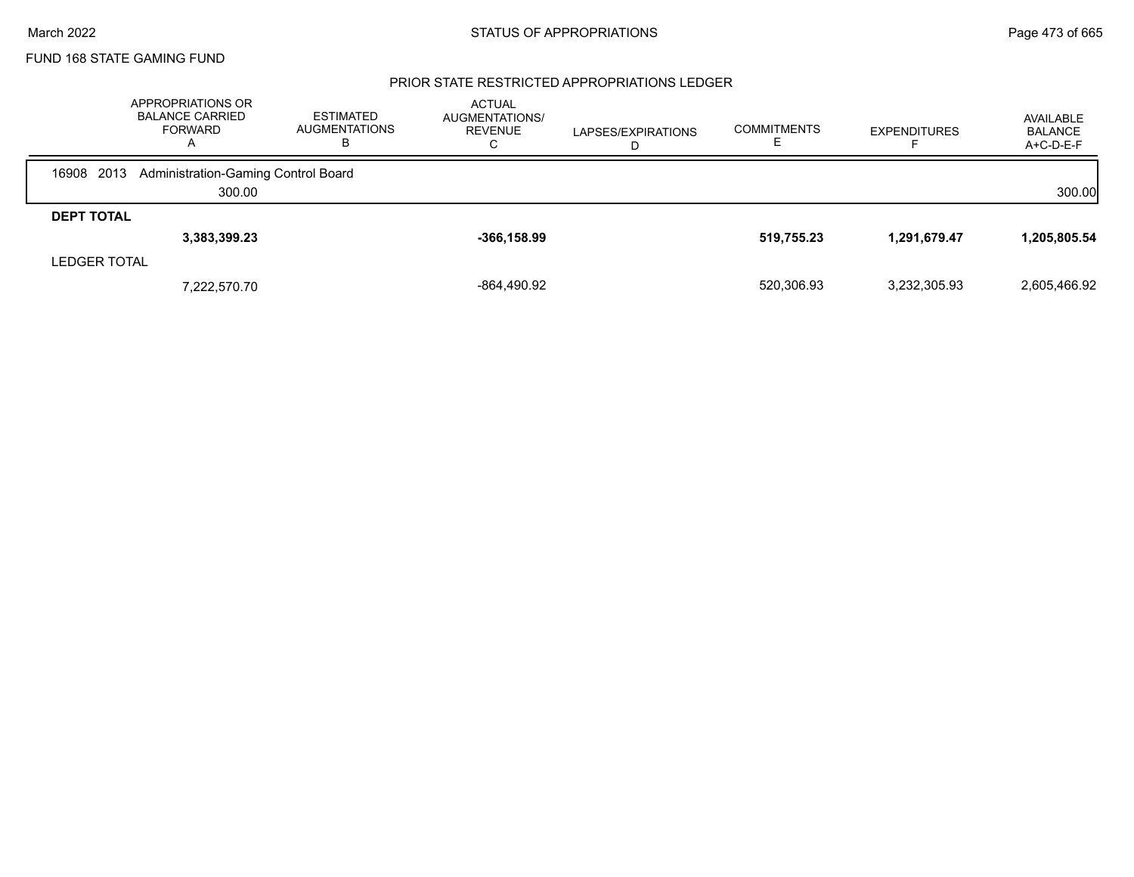### PRIOR STATE RESTRICTED APPROPRIATIONS LEDGER

|                     | APPROPRIATIONS OR<br><b>BALANCE CARRIED</b><br><b>FORWARD</b><br>$\mathsf{A}$ | ESTIMATED<br>AUGMENTATIONS<br>ь | <b>ACTUAL</b><br>AUGMENTATIONS/<br><b>REVENUE</b><br>U | LAPSES/EXPIRATIONS | <b>COMMITMENTS</b> | <b>EXPENDITURES</b> | AVAILABLE<br><b>BALANCE</b><br>$A+C-D-E-F$ |
|---------------------|-------------------------------------------------------------------------------|---------------------------------|--------------------------------------------------------|--------------------|--------------------|---------------------|--------------------------------------------|
| 2013<br>16908       | Administration-Gaming Control Board                                           |                                 |                                                        |                    |                    |                     |                                            |
|                     | 300.00                                                                        |                                 |                                                        |                    |                    |                     | 300.00                                     |
| <b>DEPT TOTAL</b>   |                                                                               |                                 |                                                        |                    |                    |                     |                                            |
|                     | 3,383,399.23                                                                  |                                 | $-366, 158.99$                                         |                    | 519,755.23         | 1,291,679.47        | 1,205,805.54                               |
| <b>LEDGER TOTAL</b> |                                                                               |                                 |                                                        |                    |                    |                     |                                            |
|                     | 7,222,570.70                                                                  |                                 | -864,490.92                                            |                    | 520,306.93         | 3,232,305.93        | 2,605,466.92                               |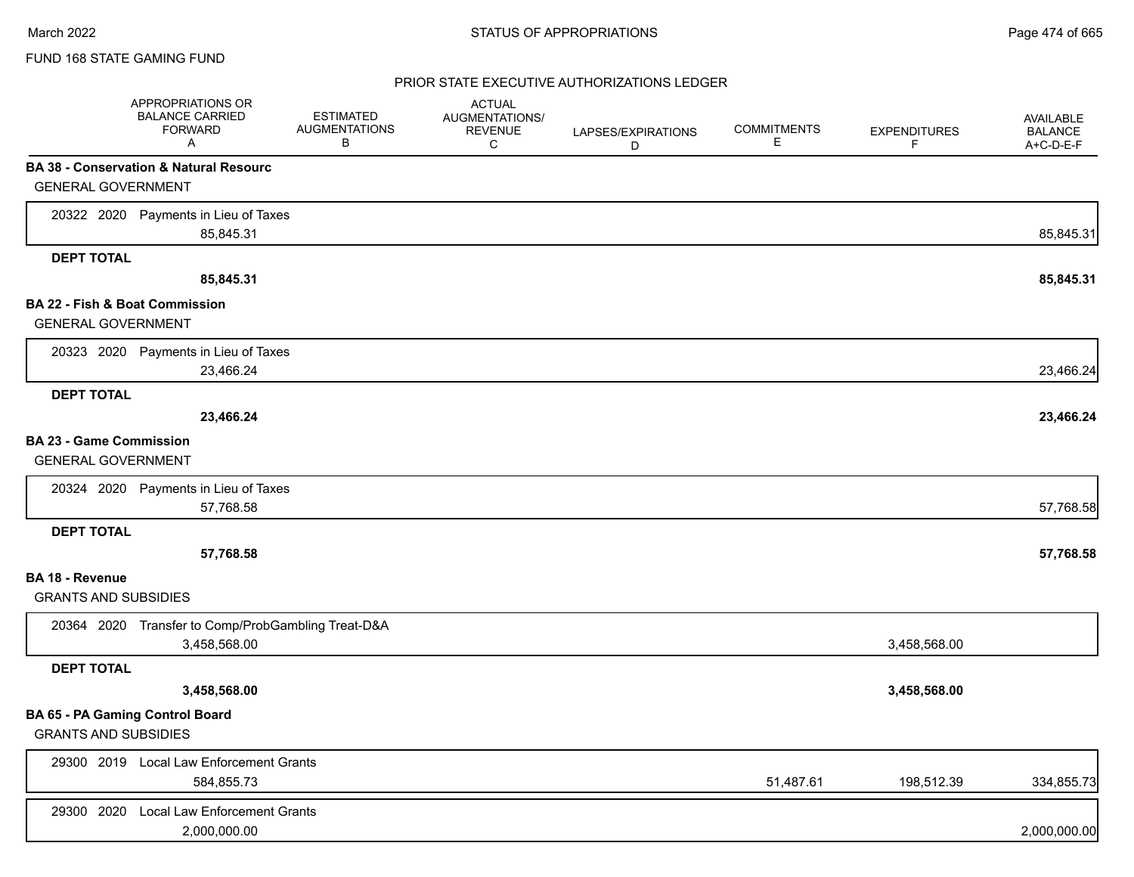### PRIOR STATE EXECUTIVE AUTHORIZATIONS LEDGER

|                                           | APPROPRIATIONS OR<br><b>BALANCE CARRIED</b><br><b>FORWARD</b><br>Α | <b>ESTIMATED</b><br><b>AUGMENTATIONS</b><br>В | <b>ACTUAL</b><br>AUGMENTATIONS/<br><b>REVENUE</b><br>C | LAPSES/EXPIRATIONS<br>D | <b>COMMITMENTS</b><br>Е | <b>EXPENDITURES</b><br>F | AVAILABLE<br><b>BALANCE</b><br>A+C-D-E-F |
|-------------------------------------------|--------------------------------------------------------------------|-----------------------------------------------|--------------------------------------------------------|-------------------------|-------------------------|--------------------------|------------------------------------------|
|                                           | <b>BA 38 - Conservation &amp; Natural Resourc</b>                  |                                               |                                                        |                         |                         |                          |                                          |
| <b>GENERAL GOVERNMENT</b>                 |                                                                    |                                               |                                                        |                         |                         |                          |                                          |
|                                           | 20322 2020 Payments in Lieu of Taxes                               |                                               |                                                        |                         |                         |                          |                                          |
|                                           | 85,845.31                                                          |                                               |                                                        |                         |                         |                          | 85,845.31                                |
| <b>DEPT TOTAL</b>                         |                                                                    |                                               |                                                        |                         |                         |                          |                                          |
|                                           | 85,845.31                                                          |                                               |                                                        |                         |                         |                          | 85,845.31                                |
| <b>BA 22 - Fish &amp; Boat Commission</b> |                                                                    |                                               |                                                        |                         |                         |                          |                                          |
| <b>GENERAL GOVERNMENT</b>                 |                                                                    |                                               |                                                        |                         |                         |                          |                                          |
|                                           | 20323 2020 Payments in Lieu of Taxes                               |                                               |                                                        |                         |                         |                          |                                          |
|                                           | 23,466.24                                                          |                                               |                                                        |                         |                         |                          | 23,466.24                                |
| <b>DEPT TOTAL</b>                         |                                                                    |                                               |                                                        |                         |                         |                          |                                          |
|                                           | 23,466.24                                                          |                                               |                                                        |                         |                         |                          | 23,466.24                                |
| <b>BA 23 - Game Commission</b>            |                                                                    |                                               |                                                        |                         |                         |                          |                                          |
| <b>GENERAL GOVERNMENT</b>                 |                                                                    |                                               |                                                        |                         |                         |                          |                                          |
|                                           | 20324 2020 Payments in Lieu of Taxes                               |                                               |                                                        |                         |                         |                          |                                          |
|                                           | 57,768.58                                                          |                                               |                                                        |                         |                         |                          | 57,768.58                                |
| <b>DEPT TOTAL</b>                         |                                                                    |                                               |                                                        |                         |                         |                          |                                          |
|                                           | 57,768.58                                                          |                                               |                                                        |                         |                         |                          | 57,768.58                                |
| <b>BA 18 - Revenue</b>                    |                                                                    |                                               |                                                        |                         |                         |                          |                                          |
| <b>GRANTS AND SUBSIDIES</b>               |                                                                    |                                               |                                                        |                         |                         |                          |                                          |
|                                           | 20364 2020 Transfer to Comp/ProbGambling Treat-D&A                 |                                               |                                                        |                         |                         |                          |                                          |
|                                           | 3,458,568.00                                                       |                                               |                                                        |                         |                         | 3,458,568.00             |                                          |
| <b>DEPT TOTAL</b>                         |                                                                    |                                               |                                                        |                         |                         |                          |                                          |
|                                           | 3,458,568.00                                                       |                                               |                                                        |                         |                         | 3,458,568.00             |                                          |
| BA 65 - PA Gaming Control Board           |                                                                    |                                               |                                                        |                         |                         |                          |                                          |
| <b>GRANTS AND SUBSIDIES</b>               |                                                                    |                                               |                                                        |                         |                         |                          |                                          |
|                                           | 29300 2019 Local Law Enforcement Grants                            |                                               |                                                        |                         |                         |                          |                                          |
|                                           | 584,855.73                                                         |                                               |                                                        |                         | 51,487.61               | 198,512.39               | 334,855.73                               |
| 29300 2020                                | <b>Local Law Enforcement Grants</b>                                |                                               |                                                        |                         |                         |                          |                                          |
|                                           | 2,000,000.00                                                       |                                               |                                                        |                         |                         |                          | 2,000,000.00                             |
|                                           |                                                                    |                                               |                                                        |                         |                         |                          |                                          |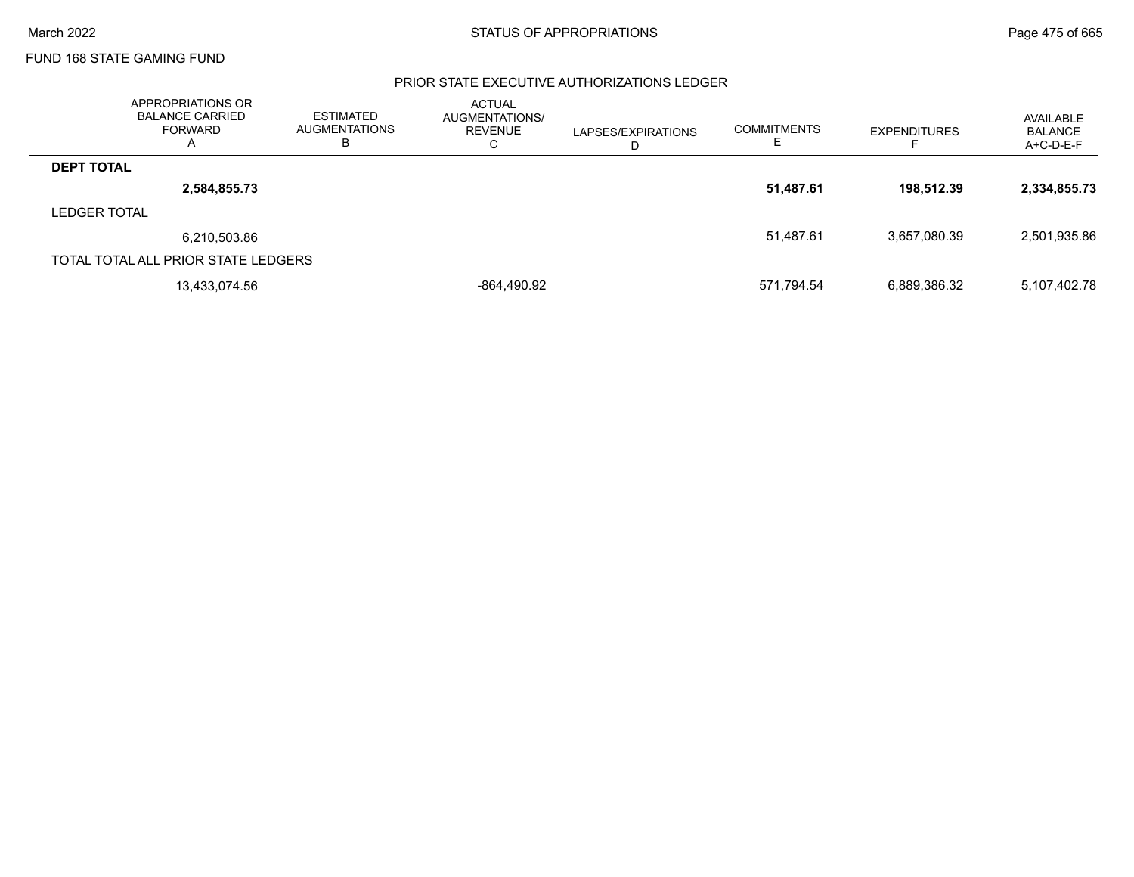### PRIOR STATE EXECUTIVE AUTHORIZATIONS LEDGER

|                     | APPROPRIATIONS OR<br><b>BALANCE CARRIED</b><br>FORWARD<br>Α | <b>ESTIMATED</b><br><b>AUGMENTATIONS</b><br>В | <b>ACTUAL</b><br>AUGMENTATIONS/<br>REVENUE<br>⌒<br>◡ | LAPSES/EXPIRATIONS<br>D | <b>COMMITMENTS</b> | <b>EXPENDITURES</b> | AVAILABLE<br><b>BALANCE</b><br>A+C-D-E-F |
|---------------------|-------------------------------------------------------------|-----------------------------------------------|------------------------------------------------------|-------------------------|--------------------|---------------------|------------------------------------------|
| <b>DEPT TOTAL</b>   |                                                             |                                               |                                                      |                         |                    |                     |                                          |
|                     | 2,584,855.73                                                |                                               |                                                      |                         | 51,487.61          | 198.512.39          | 2,334,855.73                             |
| <b>LEDGER TOTAL</b> |                                                             |                                               |                                                      |                         |                    |                     |                                          |
|                     | 6,210,503.86                                                |                                               |                                                      |                         | 51,487.61          | 3.657.080.39        | 2,501,935.86                             |
|                     | TOTAL TOTAL ALL PRIOR STATE LEDGERS                         |                                               |                                                      |                         |                    |                     |                                          |
|                     | 13,433,074.56                                               |                                               | -864,490.92                                          |                         | 571,794.54         | 6,889,386.32        | 5,107,402.78                             |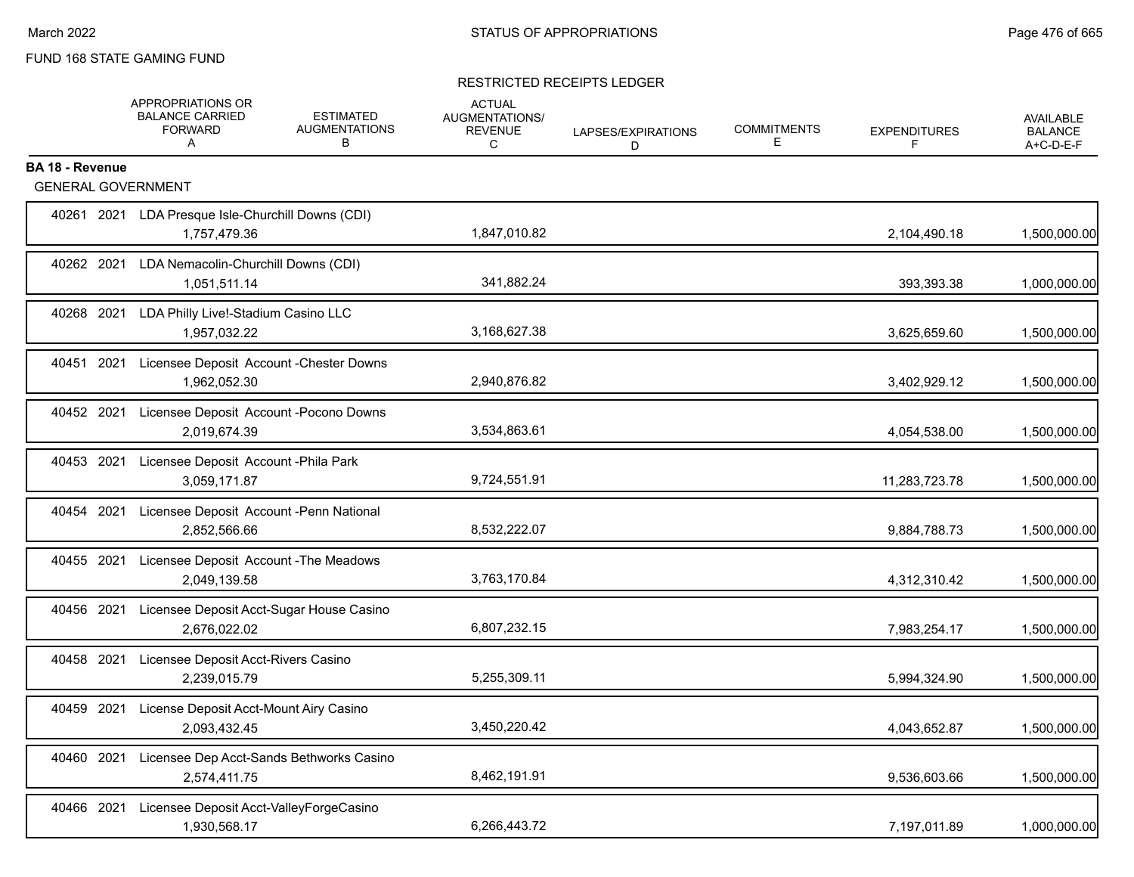### RESTRICTED RECEIPTS LEDGER

|                        |                           | APPROPRIATIONS OR<br><b>BALANCE CARRIED</b><br><b>FORWARD</b><br>A | <b>ESTIMATED</b><br><b>AUGMENTATIONS</b><br>В     | <b>ACTUAL</b><br>AUGMENTATIONS/<br><b>REVENUE</b><br>C | LAPSES/EXPIRATIONS<br>D. | <b>COMMITMENTS</b><br>Е | <b>EXPENDITURES</b><br>F | <b>AVAILABLE</b><br><b>BALANCE</b><br>A+C-D-E-F |
|------------------------|---------------------------|--------------------------------------------------------------------|---------------------------------------------------|--------------------------------------------------------|--------------------------|-------------------------|--------------------------|-------------------------------------------------|
| <b>BA 18 - Revenue</b> | <b>GENERAL GOVERNMENT</b> |                                                                    |                                                   |                                                        |                          |                         |                          |                                                 |
|                        |                           |                                                                    |                                                   |                                                        |                          |                         |                          |                                                 |
|                        |                           | 1,757,479.36                                                       | 40261 2021 LDA Presque Isle-Churchill Downs (CDI) | 1,847,010.82                                           |                          |                         | 2,104,490.18             | 1,500,000.00                                    |
| 40262 2021             |                           | 1,051,511.14                                                       | LDA Nemacolin-Churchill Downs (CDI)               | 341,882.24                                             |                          |                         | 393,393.38               | 1,000,000.00                                    |
| 40268 2021             |                           | LDA Philly Live!-Stadium Casino LLC<br>1,957,032.22                |                                                   | 3,168,627.38                                           |                          |                         | 3,625,659.60             | 1,500,000.00                                    |
| 40451 2021             |                           | 1,962,052.30                                                       | Licensee Deposit Account - Chester Downs          | 2,940,876.82                                           |                          |                         | 3,402,929.12             | 1,500,000.00                                    |
| 40452 2021             |                           | 2,019,674.39                                                       | Licensee Deposit Account - Pocono Downs           | 3,534,863.61                                           |                          |                         | 4,054,538.00             | 1,500,000.00                                    |
| 40453 2021             |                           | 3,059,171.87                                                       | Licensee Deposit Account - Phila Park             | 9,724,551.91                                           |                          |                         | 11,283,723.78            | 1,500,000.00                                    |
| 40454 2021             |                           | 2,852,566.66                                                       | Licensee Deposit Account -Penn National           | 8,532,222.07                                           |                          |                         | 9,884,788.73             | 1,500,000.00                                    |
| 40455 2021             |                           | 2,049,139.58                                                       | Licensee Deposit Account - The Meadows            | 3,763,170.84                                           |                          |                         | 4,312,310.42             | 1,500,000.00                                    |
| 40456 2021             |                           | 2,676,022.02                                                       | Licensee Deposit Acct-Sugar House Casino          | 6,807,232.15                                           |                          |                         | 7,983,254.17             | 1,500,000.00                                    |
| 40458 2021             |                           | Licensee Deposit Acct-Rivers Casino<br>2,239,015.79                |                                                   | 5,255,309.11                                           |                          |                         | 5,994,324.90             | 1,500,000.00                                    |
| 40459 2021             |                           | 2,093,432.45                                                       | License Deposit Acct-Mount Airy Casino            | 3,450,220.42                                           |                          |                         | 4,043,652.87             | 1,500,000.00                                    |
| 40460 2021             |                           | 2,574,411.75                                                       | Licensee Dep Acct-Sands Bethworks Casino          | 8,462,191.91                                           |                          |                         | 9,536,603.66             | 1,500,000.00                                    |
| 40466 2021             |                           | 1,930,568.17                                                       | Licensee Deposit Acct-ValleyForgeCasino           | 6,266,443.72                                           |                          |                         | 7,197,011.89             | 1,000,000.00                                    |
|                        |                           |                                                                    |                                                   |                                                        |                          |                         |                          |                                                 |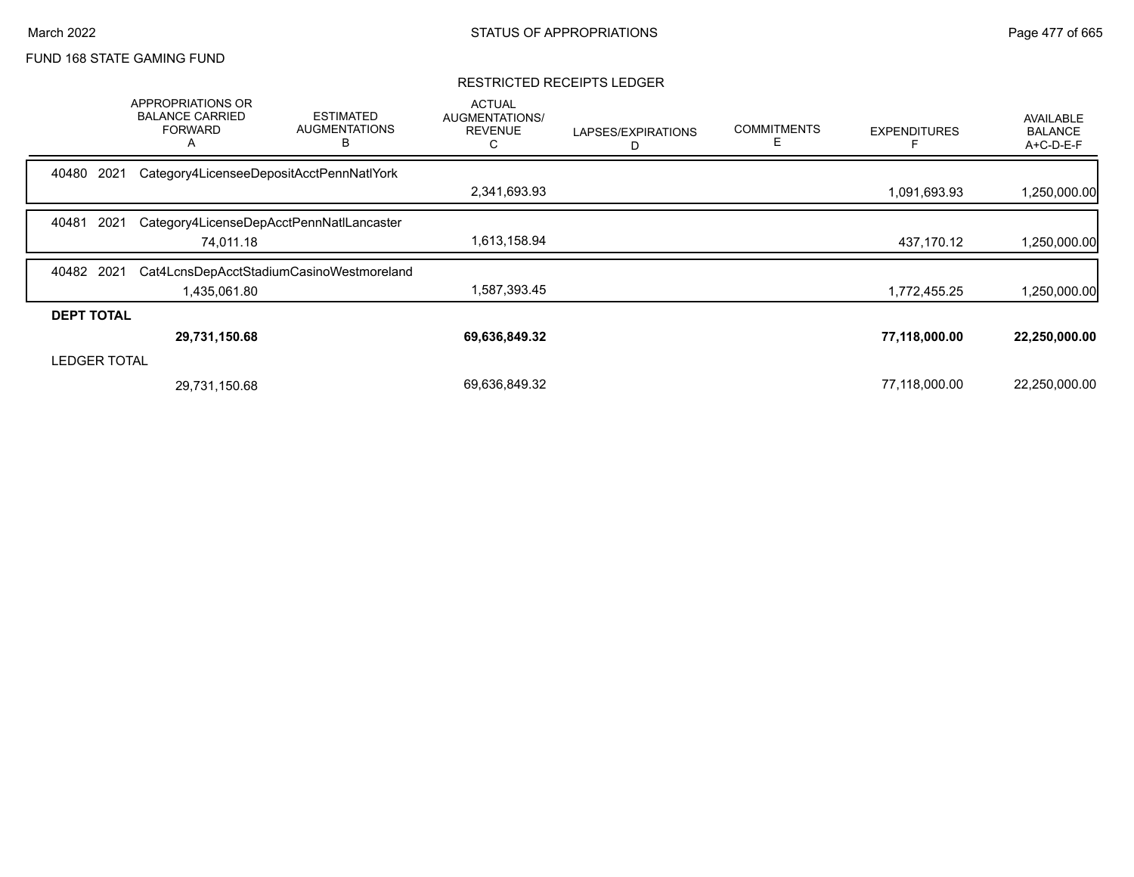#### RESTRICTED RECEIPTS LEDGER

|                   | <b>APPROPRIATIONS OR</b><br><b>BALANCE CARRIED</b><br><b>FORWARD</b><br>A | <b>ESTIMATED</b><br><b>AUGMENTATIONS</b><br>в | <b>ACTUAL</b><br>AUGMENTATIONS/<br><b>REVENUE</b><br>С | LAPSES/EXPIRATIONS<br>D | <b>COMMITMENTS</b><br>E | <b>EXPENDITURES</b> | AVAILABLE<br><b>BALANCE</b><br>A+C-D-E-F |
|-------------------|---------------------------------------------------------------------------|-----------------------------------------------|--------------------------------------------------------|-------------------------|-------------------------|---------------------|------------------------------------------|
| 40480             | 2021                                                                      | Category4LicenseeDepositAcctPennNatlYork      |                                                        |                         |                         |                     |                                          |
|                   |                                                                           |                                               | 2,341,693.93                                           |                         |                         | 1,091,693.93        | 1,250,000.00                             |
| 40481             | 2021                                                                      | Category4LicenseDepAcctPennNatILancaster      |                                                        |                         |                         |                     |                                          |
|                   | 74,011.18                                                                 |                                               | 1,613,158.94                                           |                         |                         | 437,170.12          | 1,250,000.00                             |
| 40482 2021        |                                                                           | Cat4LcnsDepAcctStadiumCasinoWestmoreland      |                                                        |                         |                         |                     |                                          |
|                   | 1,435,061.80                                                              |                                               | 1,587,393.45                                           |                         |                         | 1,772,455.25        | 1,250,000.00                             |
| <b>DEPT TOTAL</b> |                                                                           |                                               |                                                        |                         |                         |                     |                                          |
|                   | 29,731,150.68                                                             |                                               | 69,636,849.32                                          |                         |                         | 77,118,000.00       | 22,250,000.00                            |
| LEDGER TOTAL      |                                                                           |                                               |                                                        |                         |                         |                     |                                          |
|                   | 29,731,150.68                                                             |                                               | 69,636,849.32                                          |                         |                         | 77,118,000.00       | 22,250,000.00                            |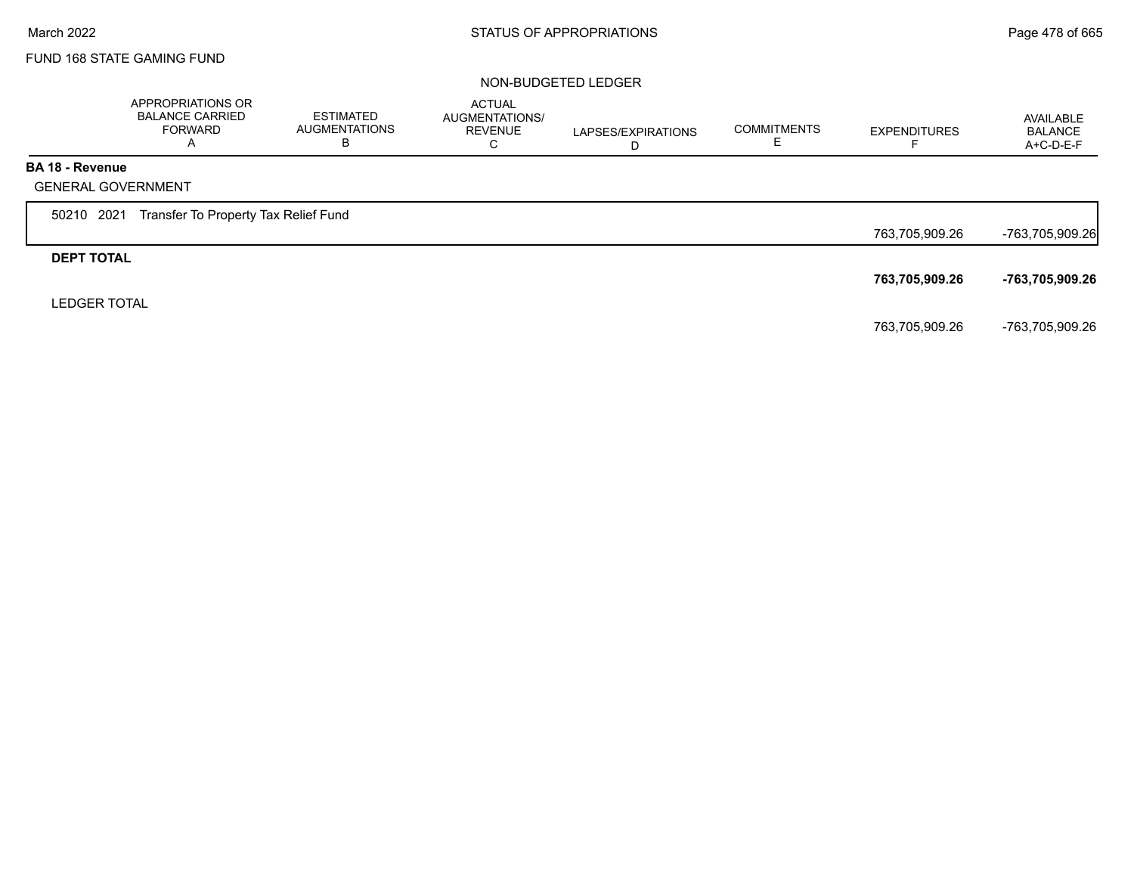#### NON-BUDGETED LEDGER

|                        | APPROPRIATIONS OR<br><b>BALANCE CARRIED</b><br><b>FORWARD</b><br>A | <b>ESTIMATED</b><br><b>AUGMENTATIONS</b><br>В | <b>ACTUAL</b><br>AUGMENTATIONS/<br><b>REVENUE</b><br>C | LAPSES/EXPIRATIONS<br>D | <b>COMMITMENTS</b> | <b>EXPENDITURES</b> | AVAILABLE<br><b>BALANCE</b><br>$A+C-D-E-F$ |
|------------------------|--------------------------------------------------------------------|-----------------------------------------------|--------------------------------------------------------|-------------------------|--------------------|---------------------|--------------------------------------------|
| <b>BA 18 - Revenue</b> |                                                                    |                                               |                                                        |                         |                    |                     |                                            |
|                        | <b>GENERAL GOVERNMENT</b>                                          |                                               |                                                        |                         |                    |                     |                                            |
| 50210 2021             | Transfer To Property Tax Relief Fund                               |                                               |                                                        |                         |                    |                     |                                            |
|                        |                                                                    |                                               |                                                        |                         |                    | 763,705,909.26      | -763,705,909.26                            |
| <b>DEPT TOTAL</b>      |                                                                    |                                               |                                                        |                         |                    |                     |                                            |
|                        |                                                                    |                                               |                                                        |                         |                    | 763,705,909.26      | -763,705,909.26                            |
| <b>LEDGER TOTAL</b>    |                                                                    |                                               |                                                        |                         |                    |                     |                                            |
|                        |                                                                    |                                               |                                                        |                         |                    | 763,705,909.26      | -763,705,909.26                            |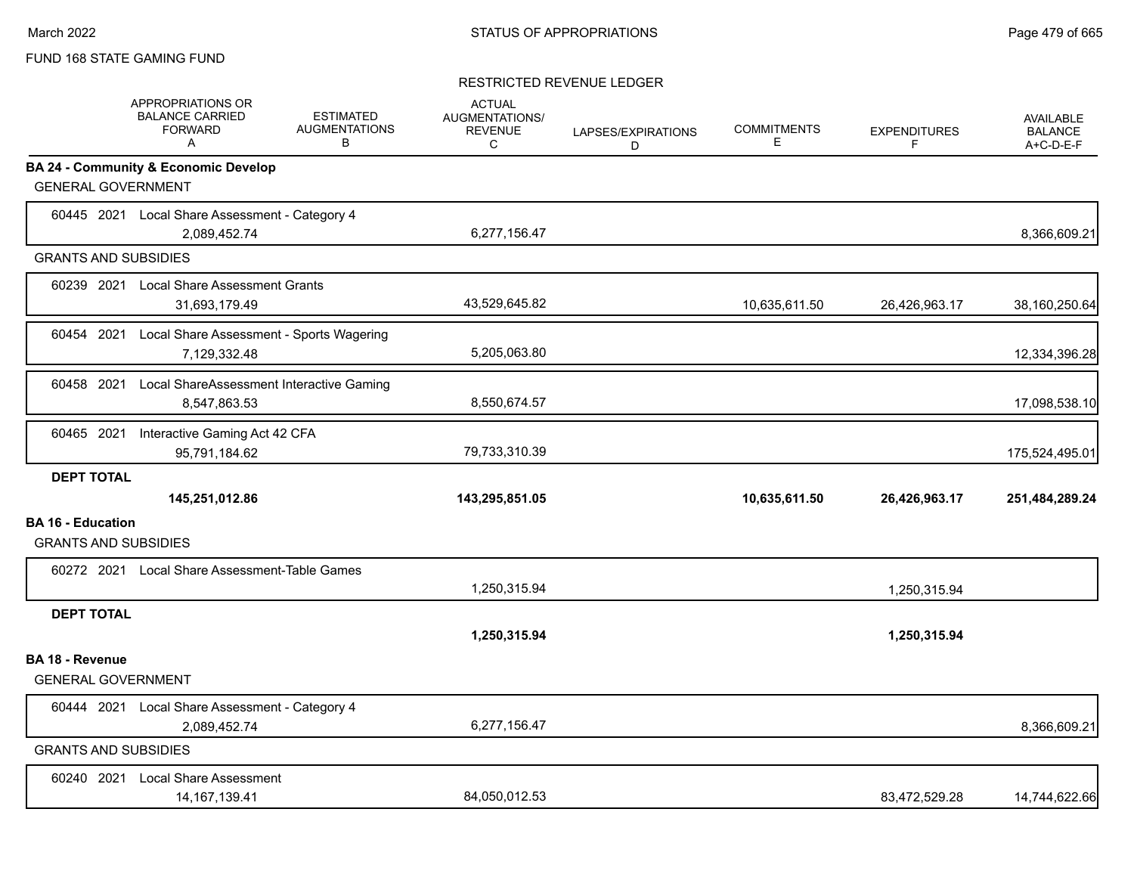### RESTRICTED REVENUE LEDGER

|                          | <b>APPROPRIATIONS OR</b><br><b>BALANCE CARRIED</b><br><b>FORWARD</b><br>$\mathsf{A}$ | <b>ESTIMATED</b><br><b>AUGMENTATIONS</b><br>В | <b>ACTUAL</b><br>AUGMENTATIONS/<br><b>REVENUE</b><br>C | LAPSES/EXPIRATIONS<br>D | <b>COMMITMENTS</b><br>Е | <b>EXPENDITURES</b><br>F | <b>AVAILABLE</b><br><b>BALANCE</b><br>A+C-D-E-F |
|--------------------------|--------------------------------------------------------------------------------------|-----------------------------------------------|--------------------------------------------------------|-------------------------|-------------------------|--------------------------|-------------------------------------------------|
|                          | <b>BA 24 - Community &amp; Economic Develop</b>                                      |                                               |                                                        |                         |                         |                          |                                                 |
|                          | <b>GENERAL GOVERNMENT</b>                                                            |                                               |                                                        |                         |                         |                          |                                                 |
|                          | 60445 2021 Local Share Assessment - Category 4<br>2,089,452.74                       |                                               | 6,277,156.47                                           |                         |                         |                          | 8,366,609.21                                    |
|                          | <b>GRANTS AND SUBSIDIES</b>                                                          |                                               |                                                        |                         |                         |                          |                                                 |
|                          | 60239 2021 Local Share Assessment Grants<br>31,693,179.49                            |                                               | 43,529,645.82                                          |                         | 10,635,611.50           | 26,426,963.17            | 38,160,250.64                                   |
| 60454 2021               | Local Share Assessment - Sports Wagering<br>7,129,332.48                             |                                               | 5,205,063.80                                           |                         |                         |                          | 12,334,396.28                                   |
| 60458 2021               | Local ShareAssessment Interactive Gaming<br>8,547,863.53                             |                                               | 8,550,674.57                                           |                         |                         |                          | 17,098,538.10                                   |
| 60465 2021               | Interactive Gaming Act 42 CFA<br>95,791,184.62                                       |                                               | 79,733,310.39                                          |                         |                         |                          | 175,524,495.01                                  |
| <b>DEPT TOTAL</b>        |                                                                                      |                                               |                                                        |                         |                         |                          |                                                 |
|                          | 145,251,012.86                                                                       |                                               | 143,295,851.05                                         |                         | 10,635,611.50           | 26,426,963.17            | 251,484,289.24                                  |
| <b>BA 16 - Education</b> | <b>GRANTS AND SUBSIDIES</b>                                                          |                                               |                                                        |                         |                         |                          |                                                 |
|                          | 60272 2021 Local Share Assessment-Table Games                                        |                                               | 1,250,315.94                                           |                         |                         | 1,250,315.94             |                                                 |
| <b>DEPT TOTAL</b>        |                                                                                      |                                               |                                                        |                         |                         |                          |                                                 |
|                          |                                                                                      |                                               | 1,250,315.94                                           |                         |                         | 1,250,315.94             |                                                 |
| <b>BA 18 - Revenue</b>   | <b>GENERAL GOVERNMENT</b>                                                            |                                               |                                                        |                         |                         |                          |                                                 |
|                          | 60444 2021 Local Share Assessment - Category 4<br>2,089,452.74                       |                                               | 6,277,156.47                                           |                         |                         |                          | 8,366,609.21                                    |
|                          | <b>GRANTS AND SUBSIDIES</b>                                                          |                                               |                                                        |                         |                         |                          |                                                 |
| 60240 2021               | <b>Local Share Assessment</b><br>14.167.139.41                                       |                                               | 84.050.012.53                                          |                         |                         | 83,472,529.28            | 14,744,622.66                                   |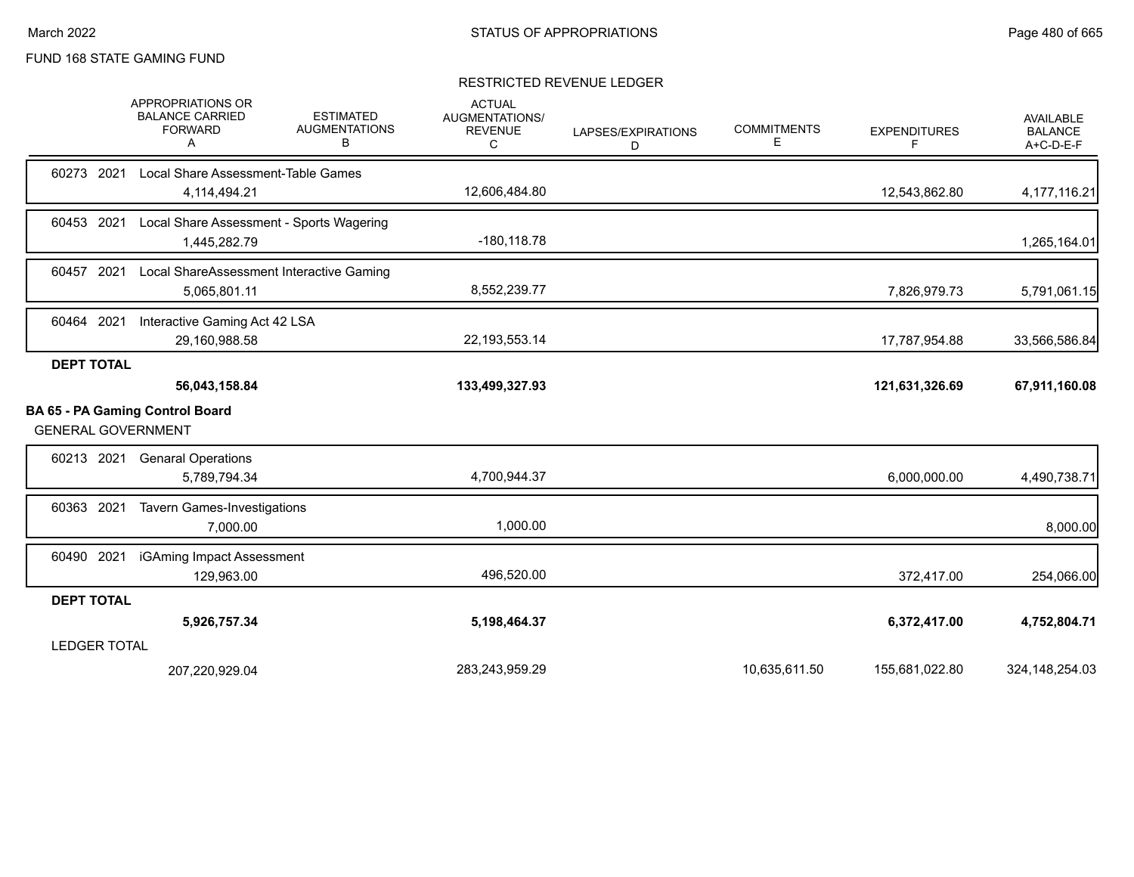### RESTRICTED REVENUE LEDGER

|                           | APPROPRIATIONS OR<br><b>BALANCE CARRIED</b><br><b>FORWARD</b><br>Α | <b>ESTIMATED</b><br><b>AUGMENTATIONS</b><br>в | <b>ACTUAL</b><br><b>AUGMENTATIONS/</b><br><b>REVENUE</b><br>С | LAPSES/EXPIRATIONS<br>D | <b>COMMITMENTS</b><br>Е | <b>EXPENDITURES</b><br>F | <b>AVAILABLE</b><br><b>BALANCE</b><br>A+C-D-E-F |
|---------------------------|--------------------------------------------------------------------|-----------------------------------------------|---------------------------------------------------------------|-------------------------|-------------------------|--------------------------|-------------------------------------------------|
| 60273 2021                | Local Share Assessment-Table Games                                 |                                               |                                                               |                         |                         |                          |                                                 |
|                           | 4,114,494.21                                                       |                                               | 12,606,484.80                                                 |                         |                         | 12,543,862.80            | 4,177,116.21                                    |
| 60453 2021                | Local Share Assessment - Sports Wagering                           |                                               |                                                               |                         |                         |                          |                                                 |
|                           | 1,445,282.79                                                       |                                               | $-180, 118.78$                                                |                         |                         |                          | 1,265,164.01                                    |
| 60457 2021                | Local ShareAssessment Interactive Gaming                           |                                               |                                                               |                         |                         |                          |                                                 |
|                           | 5,065,801.11                                                       |                                               | 8,552,239.77                                                  |                         |                         | 7,826,979.73             | 5,791,061.15                                    |
| 60464 2021                | Interactive Gaming Act 42 LSA                                      |                                               |                                                               |                         |                         |                          |                                                 |
|                           | 29,160,988.58                                                      |                                               | 22, 193, 553. 14                                              |                         |                         | 17,787,954.88            | 33,566,586.84                                   |
| <b>DEPT TOTAL</b>         |                                                                    |                                               |                                                               |                         |                         |                          |                                                 |
|                           | 56,043,158.84                                                      |                                               | 133,499,327.93                                                |                         |                         | 121,631,326.69           | 67,911,160.08                                   |
| <b>GENERAL GOVERNMENT</b> | BA 65 - PA Gaming Control Board                                    |                                               |                                                               |                         |                         |                          |                                                 |
| 60213 2021                | <b>Genaral Operations</b>                                          |                                               |                                                               |                         |                         |                          |                                                 |
|                           | 5,789,794.34                                                       |                                               | 4,700,944.37                                                  |                         |                         | 6,000,000.00             | 4,490,738.71                                    |
| 60363 2021                | <b>Tavern Games-Investigations</b>                                 |                                               |                                                               |                         |                         |                          |                                                 |
|                           | 7,000.00                                                           |                                               | 1,000.00                                                      |                         |                         |                          | 8,000.00                                        |
| 60490 2021                | iGAming Impact Assessment                                          |                                               |                                                               |                         |                         |                          |                                                 |
|                           | 129,963.00                                                         |                                               | 496,520.00                                                    |                         |                         | 372,417.00               | 254,066.00                                      |
| <b>DEPT TOTAL</b>         |                                                                    |                                               |                                                               |                         |                         |                          |                                                 |
|                           | 5,926,757.34                                                       |                                               | 5,198,464.37                                                  |                         |                         | 6,372,417.00             | 4,752,804.71                                    |
| <b>LEDGER TOTAL</b>       |                                                                    |                                               |                                                               |                         |                         |                          |                                                 |
|                           | 207,220,929.04                                                     |                                               | 283,243,959.29                                                |                         | 10,635,611.50           | 155,681,022.80           | 324, 148, 254.03                                |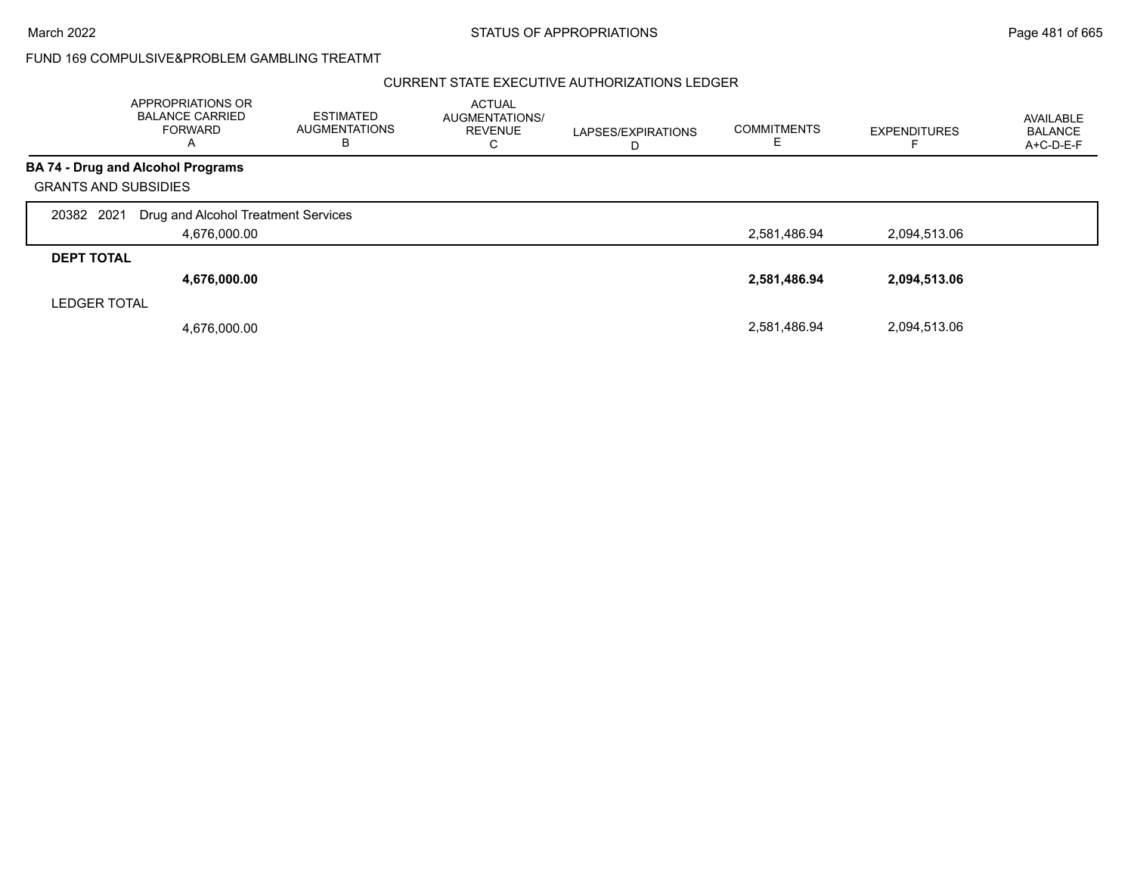### CURRENT STATE EXECUTIVE AUTHORIZATIONS LEDGER

|                             | APPROPRIATIONS OR<br><b>BALANCE CARRIED</b><br><b>FORWARD</b><br>A | <b>ESTIMATED</b><br><b>AUGMENTATIONS</b><br>в | <b>ACTUAL</b><br>AUGMENTATIONS/<br><b>REVENUE</b><br>С | LAPSES/EXPIRATIONS<br>D | <b>COMMITMENTS</b> | <b>EXPENDITURES</b> | AVAILABLE<br><b>BALANCE</b><br>A+C-D-E-F |
|-----------------------------|--------------------------------------------------------------------|-----------------------------------------------|--------------------------------------------------------|-------------------------|--------------------|---------------------|------------------------------------------|
|                             | <b>BA 74 - Drug and Alcohol Programs</b>                           |                                               |                                                        |                         |                    |                     |                                          |
| <b>GRANTS AND SUBSIDIES</b> |                                                                    |                                               |                                                        |                         |                    |                     |                                          |
| 2021<br>20382               | Drug and Alcohol Treatment Services                                |                                               |                                                        |                         |                    |                     |                                          |
|                             | 4,676,000.00                                                       |                                               |                                                        |                         | 2,581,486.94       | 2,094,513.06        |                                          |
| <b>DEPT TOTAL</b>           |                                                                    |                                               |                                                        |                         |                    |                     |                                          |
|                             | 4,676,000.00                                                       |                                               |                                                        |                         | 2,581,486.94       | 2,094,513.06        |                                          |
| <b>LEDGER TOTAL</b>         |                                                                    |                                               |                                                        |                         |                    |                     |                                          |
|                             | 4,676,000.00                                                       |                                               |                                                        |                         | 2,581,486.94       | 2.094.513.06        |                                          |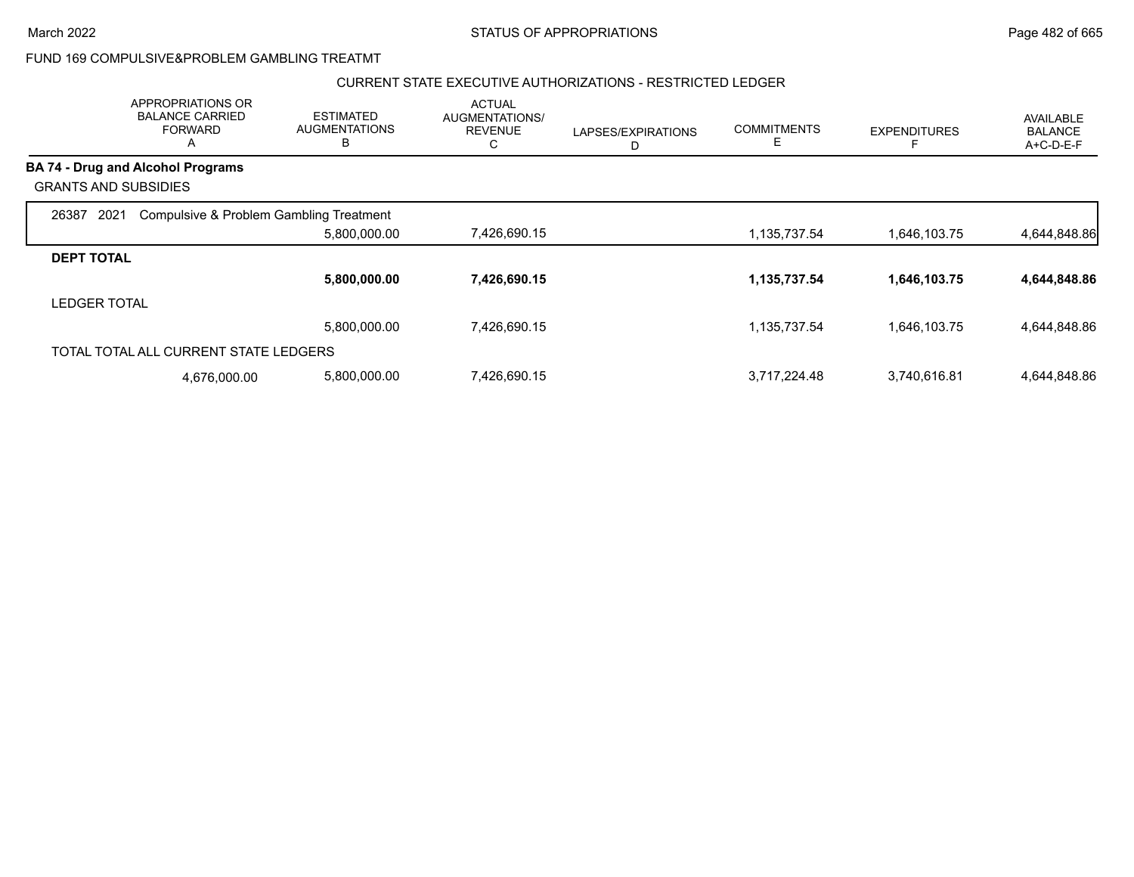#### CURRENT STATE EXECUTIVE AUTHORIZATIONS - RESTRICTED LEDGER

|                                          | APPROPRIATIONS OR<br><b>BALANCE CARRIED</b><br><b>FORWARD</b><br>Α | <b>ESTIMATED</b><br><b>AUGMENTATIONS</b><br>В | <b>ACTUAL</b><br>AUGMENTATIONS/<br><b>REVENUE</b><br>С | LAPSES/EXPIRATIONS<br>D | <b>COMMITMENTS</b><br>Е | <b>EXPENDITURES</b> | <b>AVAILABLE</b><br><b>BALANCE</b><br>A+C-D-E-F |
|------------------------------------------|--------------------------------------------------------------------|-----------------------------------------------|--------------------------------------------------------|-------------------------|-------------------------|---------------------|-------------------------------------------------|
| <b>BA 74 - Drug and Alcohol Programs</b> |                                                                    |                                               |                                                        |                         |                         |                     |                                                 |
| <b>GRANTS AND SUBSIDIES</b>              |                                                                    |                                               |                                                        |                         |                         |                     |                                                 |
| 2021<br>26387                            | Compulsive & Problem Gambling Treatment                            |                                               |                                                        |                         |                         |                     |                                                 |
|                                          |                                                                    | 5,800,000.00                                  | 7,426,690.15                                           |                         | 1,135,737.54            | 1,646,103.75        | 4,644,848.86                                    |
| <b>DEPT TOTAL</b>                        |                                                                    |                                               |                                                        |                         |                         |                     |                                                 |
|                                          |                                                                    | 5,800,000.00                                  | 7,426,690.15                                           |                         | 1,135,737.54            | 1,646,103.75        | 4,644,848.86                                    |
| <b>LEDGER TOTAL</b>                      |                                                                    |                                               |                                                        |                         |                         |                     |                                                 |
|                                          |                                                                    | 5,800,000.00                                  | 7,426,690.15                                           |                         | 1,135,737.54            | 1,646,103.75        | 4,644,848.86                                    |
|                                          | TOTAL TOTAL ALL CURRENT STATE LEDGERS                              |                                               |                                                        |                         |                         |                     |                                                 |
|                                          | 4,676,000.00                                                       | 5,800,000.00                                  | 7,426,690.15                                           |                         | 3,717,224.48            | 3,740,616.81        | 4,644,848.86                                    |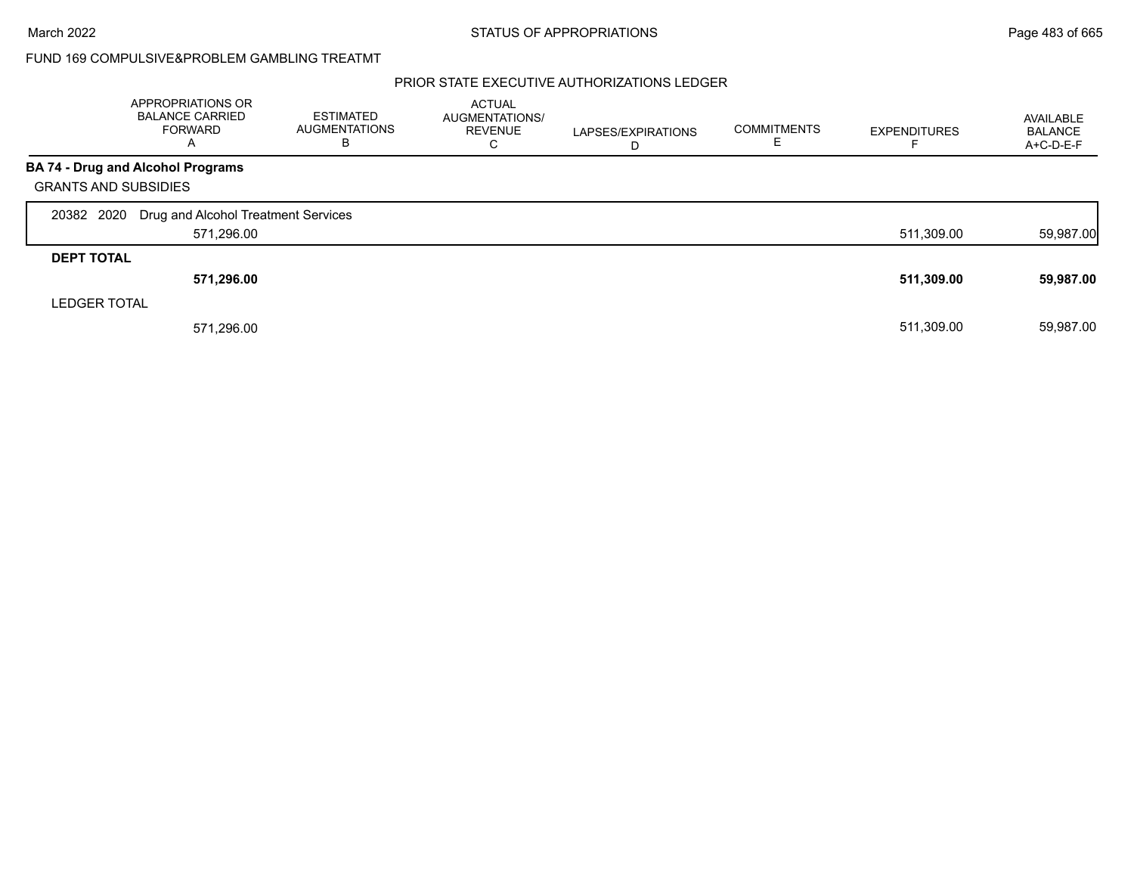### PRIOR STATE EXECUTIVE AUTHORIZATIONS LEDGER

|                             | APPROPRIATIONS OR<br><b>BALANCE CARRIED</b><br>FORWARD<br>A | <b>ESTIMATED</b><br><b>AUGMENTATIONS</b><br>В | <b>ACTUAL</b><br>AUGMENTATIONS/<br><b>REVENUE</b><br>C | LAPSES/EXPIRATIONS<br>D | <b>COMMITMENTS</b><br>ᄂ | <b>EXPENDITURES</b> | AVAILABLE<br><b>BALANCE</b><br>$A+C-D-E-F$ |
|-----------------------------|-------------------------------------------------------------|-----------------------------------------------|--------------------------------------------------------|-------------------------|-------------------------|---------------------|--------------------------------------------|
|                             | <b>BA 74 - Drug and Alcohol Programs</b>                    |                                               |                                                        |                         |                         |                     |                                            |
| <b>GRANTS AND SUBSIDIES</b> |                                                             |                                               |                                                        |                         |                         |                     |                                            |
| 20382 2020                  | Drug and Alcohol Treatment Services                         |                                               |                                                        |                         |                         |                     |                                            |
|                             | 571,296.00                                                  |                                               |                                                        |                         |                         | 511,309.00          | 59,987.00                                  |
| <b>DEPT TOTAL</b>           |                                                             |                                               |                                                        |                         |                         |                     |                                            |
|                             | 571,296.00                                                  |                                               |                                                        |                         |                         | 511,309.00          | 59,987.00                                  |
| <b>LEDGER TOTAL</b>         |                                                             |                                               |                                                        |                         |                         |                     |                                            |
|                             | 571,296.00                                                  |                                               |                                                        |                         |                         | 511.309.00          | 59,987.00                                  |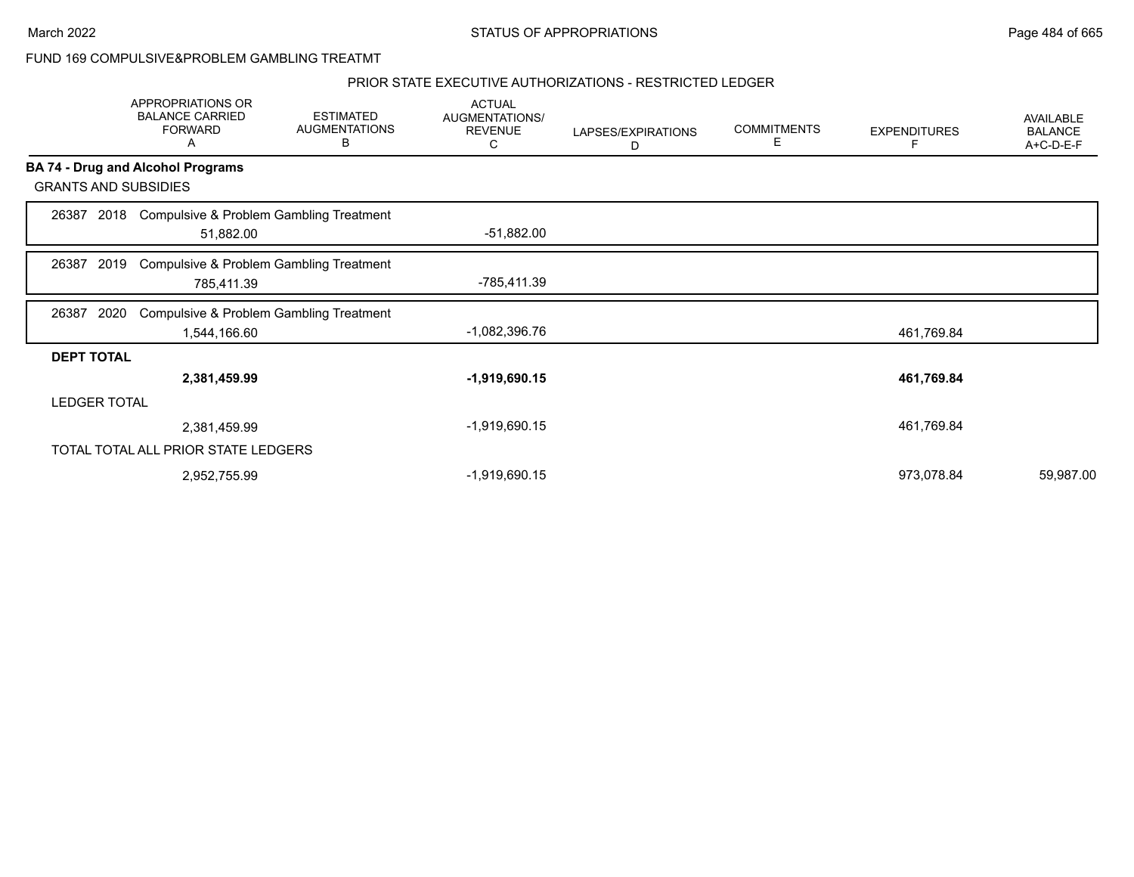### PRIOR STATE EXECUTIVE AUTHORIZATIONS - RESTRICTED LEDGER

|                   | APPROPRIATIONS OR<br><b>BALANCE CARRIED</b><br><b>FORWARD</b><br>Α | <b>ESTIMATED</b><br><b>AUGMENTATIONS</b><br>В | <b>ACTUAL</b><br>AUGMENTATIONS/<br><b>REVENUE</b><br>С | LAPSES/EXPIRATIONS<br>D | <b>COMMITMENTS</b><br>Е | <b>EXPENDITURES</b><br>F | AVAILABLE<br><b>BALANCE</b><br>A+C-D-E-F |
|-------------------|--------------------------------------------------------------------|-----------------------------------------------|--------------------------------------------------------|-------------------------|-------------------------|--------------------------|------------------------------------------|
|                   | <b>BA 74 - Drug and Alcohol Programs</b>                           |                                               |                                                        |                         |                         |                          |                                          |
|                   | <b>GRANTS AND SUBSIDIES</b>                                        |                                               |                                                        |                         |                         |                          |                                          |
| 26387             | 51,882.00                                                          | 2018 Compulsive & Problem Gambling Treatment  | $-51,882.00$                                           |                         |                         |                          |                                          |
| 26387             | 2019<br>785,411.39                                                 | Compulsive & Problem Gambling Treatment       | -785,411.39                                            |                         |                         |                          |                                          |
| 26387             | 2020                                                               | Compulsive & Problem Gambling Treatment       | -1,082,396.76                                          |                         |                         |                          |                                          |
|                   | 1,544,166.60                                                       |                                               |                                                        |                         |                         | 461,769.84               |                                          |
| <b>DEPT TOTAL</b> | 2,381,459.99                                                       |                                               | $-1,919,690.15$                                        |                         |                         | 461,769.84               |                                          |
|                   | <b>LEDGER TOTAL</b>                                                |                                               |                                                        |                         |                         |                          |                                          |
|                   | 2,381,459.99                                                       |                                               | -1,919,690.15                                          |                         |                         | 461,769.84               |                                          |
|                   | TOTAL TOTAL ALL PRIOR STATE LEDGERS                                |                                               |                                                        |                         |                         |                          |                                          |
|                   | 2,952,755.99                                                       |                                               | -1,919,690.15                                          |                         |                         | 973,078.84               | 59,987.00                                |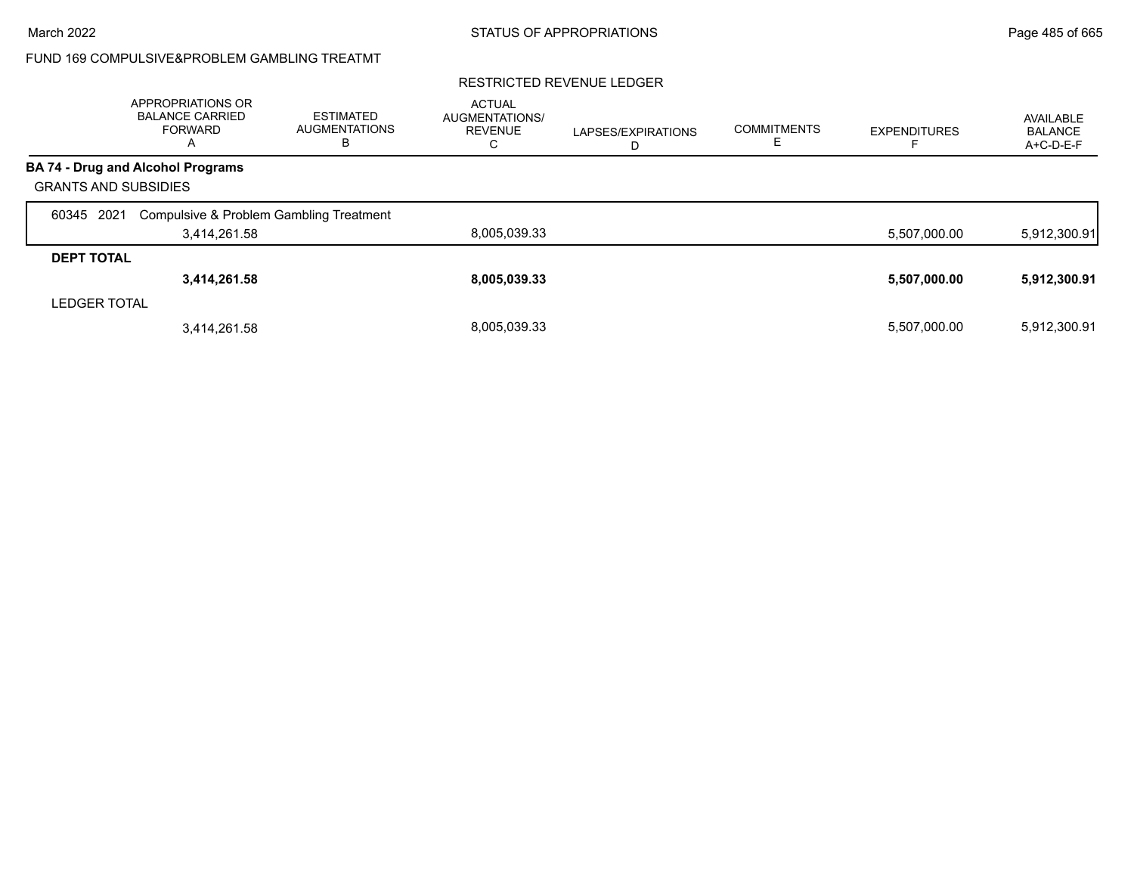#### RESTRICTED REVENUE LEDGER

|                             | APPROPRIATIONS OR<br><b>BALANCE CARRIED</b><br><b>FORWARD</b><br>A | <b>ESTIMATED</b><br><b>AUGMENTATIONS</b><br>в | <b>ACTUAL</b><br>AUGMENTATIONS/<br><b>REVENUE</b><br>◡ | LAPSES/EXPIRATIONS<br>ш | <b>COMMITMENTS</b> | <b>EXPENDITURES</b> | AVAILABLE<br><b>BALANCE</b><br>A+C-D-E-F |
|-----------------------------|--------------------------------------------------------------------|-----------------------------------------------|--------------------------------------------------------|-------------------------|--------------------|---------------------|------------------------------------------|
|                             | <b>BA 74 - Drug and Alcohol Programs</b>                           |                                               |                                                        |                         |                    |                     |                                          |
| <b>GRANTS AND SUBSIDIES</b> |                                                                    |                                               |                                                        |                         |                    |                     |                                          |
| 2021<br>60345               | Compulsive & Problem Gambling Treatment                            |                                               |                                                        |                         |                    |                     |                                          |
|                             | 3,414,261.58                                                       |                                               | 8,005,039.33                                           |                         |                    | 5,507,000.00        | 5,912,300.91                             |
| <b>DEPT TOTAL</b>           |                                                                    |                                               |                                                        |                         |                    |                     |                                          |
|                             | 3,414,261.58                                                       |                                               | 8,005,039.33                                           |                         |                    | 5,507,000.00        | 5,912,300.91                             |
| <b>LEDGER TOTAL</b>         |                                                                    |                                               |                                                        |                         |                    |                     |                                          |
|                             | 3,414,261.58                                                       |                                               | 8.005.039.33                                           |                         |                    | 5,507,000.00        | 5,912,300.91                             |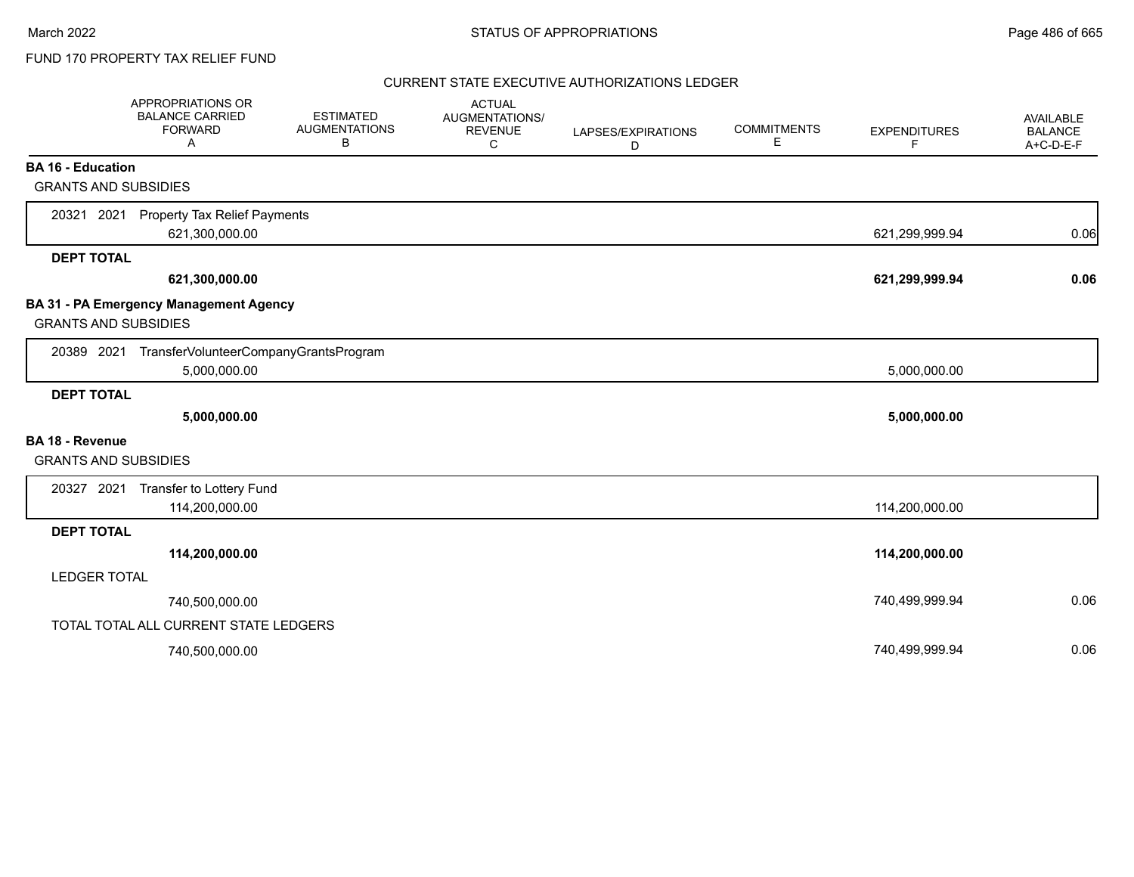### CURRENT STATE EXECUTIVE AUTHORIZATIONS LEDGER

|                             | <b>APPROPRIATIONS OR</b><br><b>BALANCE CARRIED</b><br><b>FORWARD</b><br>A | <b>ESTIMATED</b><br><b>AUGMENTATIONS</b><br>В | <b>ACTUAL</b><br>AUGMENTATIONS/<br><b>REVENUE</b><br>C | LAPSES/EXPIRATIONS<br>D | <b>COMMITMENTS</b><br>Е | <b>EXPENDITURES</b><br>F | AVAILABLE<br><b>BALANCE</b><br>A+C-D-E-F |
|-----------------------------|---------------------------------------------------------------------------|-----------------------------------------------|--------------------------------------------------------|-------------------------|-------------------------|--------------------------|------------------------------------------|
| <b>BA 16 - Education</b>    |                                                                           |                                               |                                                        |                         |                         |                          |                                          |
| <b>GRANTS AND SUBSIDIES</b> |                                                                           |                                               |                                                        |                         |                         |                          |                                          |
| 20321 2021                  | <b>Property Tax Relief Payments</b><br>621,300,000.00                     |                                               |                                                        |                         |                         | 621,299,999.94           | 0.06                                     |
| <b>DEPT TOTAL</b>           |                                                                           |                                               |                                                        |                         |                         |                          |                                          |
|                             | 621,300,000.00                                                            |                                               |                                                        |                         |                         | 621,299,999.94           | 0.06                                     |
| <b>GRANTS AND SUBSIDIES</b> | <b>BA 31 - PA Emergency Management Agency</b>                             |                                               |                                                        |                         |                         |                          |                                          |
| 20389 2021                  | TransferVolunteerCompanyGrantsProgram<br>5,000,000.00                     |                                               |                                                        |                         |                         | 5,000,000.00             |                                          |
| <b>DEPT TOTAL</b>           |                                                                           |                                               |                                                        |                         |                         |                          |                                          |
|                             | 5,000,000.00                                                              |                                               |                                                        |                         |                         | 5,000,000.00             |                                          |
| <b>BA 18 - Revenue</b>      |                                                                           |                                               |                                                        |                         |                         |                          |                                          |
| <b>GRANTS AND SUBSIDIES</b> |                                                                           |                                               |                                                        |                         |                         |                          |                                          |
| 20327 2021                  | Transfer to Lottery Fund                                                  |                                               |                                                        |                         |                         |                          |                                          |
|                             | 114,200,000.00                                                            |                                               |                                                        |                         |                         | 114,200,000.00           |                                          |
| <b>DEPT TOTAL</b>           |                                                                           |                                               |                                                        |                         |                         |                          |                                          |
|                             | 114,200,000.00                                                            |                                               |                                                        |                         |                         | 114,200,000.00           |                                          |
| <b>LEDGER TOTAL</b>         |                                                                           |                                               |                                                        |                         |                         |                          |                                          |
|                             | 740,500,000.00                                                            |                                               |                                                        |                         |                         | 740,499,999.94           | 0.06                                     |
|                             | TOTAL TOTAL ALL CURRENT STATE LEDGERS                                     |                                               |                                                        |                         |                         |                          |                                          |
|                             | 740,500,000.00                                                            |                                               |                                                        |                         |                         | 740,499,999.94           | 0.06                                     |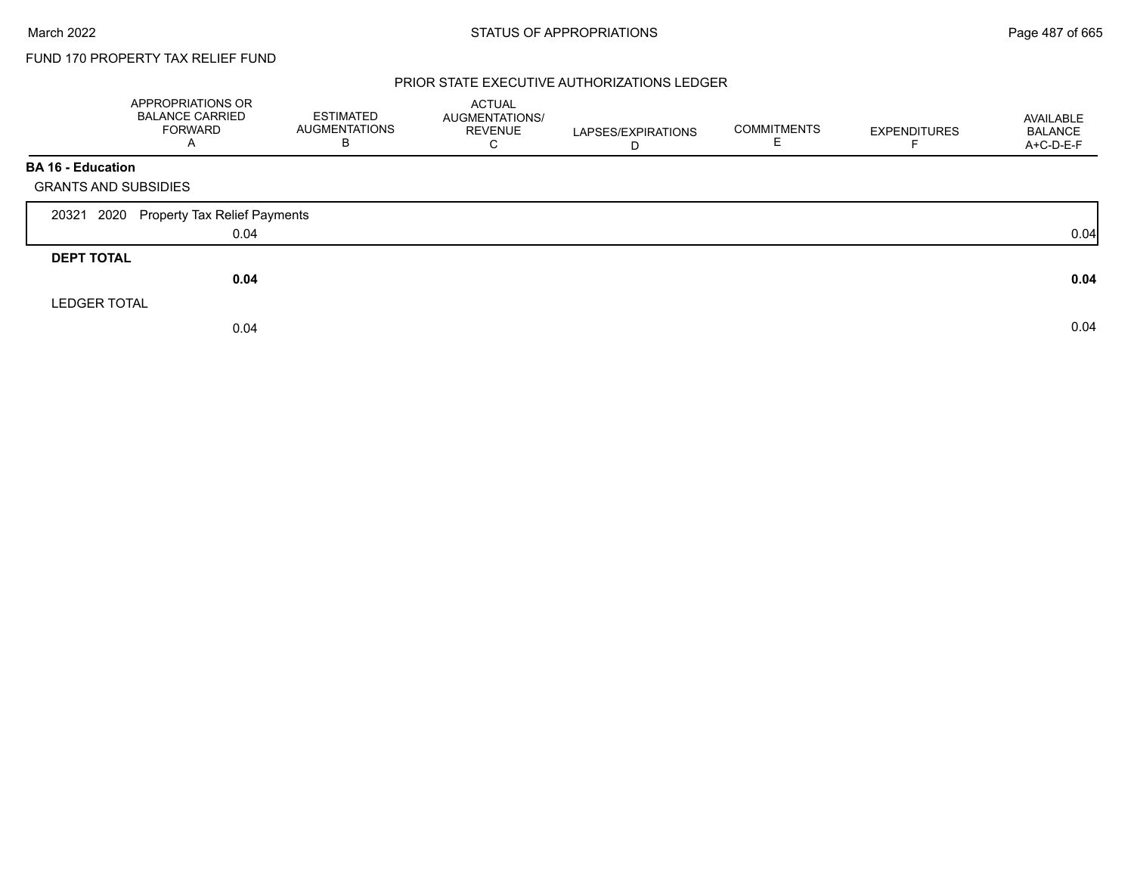### PRIOR STATE EXECUTIVE AUTHORIZATIONS LEDGER

|                             | APPROPRIATIONS OR<br><b>BALANCE CARRIED</b><br><b>FORWARD</b><br>A | <b>ESTIMATED</b><br>AUGMENTATIONS<br>B | ACTUAL<br><b>AUGMENTATIONS/</b><br><b>REVENUE</b><br>C | LAPSES/EXPIRATIONS<br>D | <b>COMMITMENTS</b><br>E. | <b>EXPENDITURES</b> | AVAILABLE<br><b>BALANCE</b><br>A+C-D-E-F |
|-----------------------------|--------------------------------------------------------------------|----------------------------------------|--------------------------------------------------------|-------------------------|--------------------------|---------------------|------------------------------------------|
| <b>BA 16 - Education</b>    |                                                                    |                                        |                                                        |                         |                          |                     |                                          |
| <b>GRANTS AND SUBSIDIES</b> |                                                                    |                                        |                                                        |                         |                          |                     |                                          |
| 2020<br>20321               | Property Tax Relief Payments                                       |                                        |                                                        |                         |                          |                     |                                          |
|                             | 0.04                                                               |                                        |                                                        |                         |                          |                     | 0.04                                     |
| <b>DEPT TOTAL</b>           |                                                                    |                                        |                                                        |                         |                          |                     |                                          |
|                             | 0.04                                                               |                                        |                                                        |                         |                          |                     | 0.04                                     |
| <b>LEDGER TOTAL</b>         |                                                                    |                                        |                                                        |                         |                          |                     |                                          |
|                             | 0.04                                                               |                                        |                                                        |                         |                          |                     | 0.04                                     |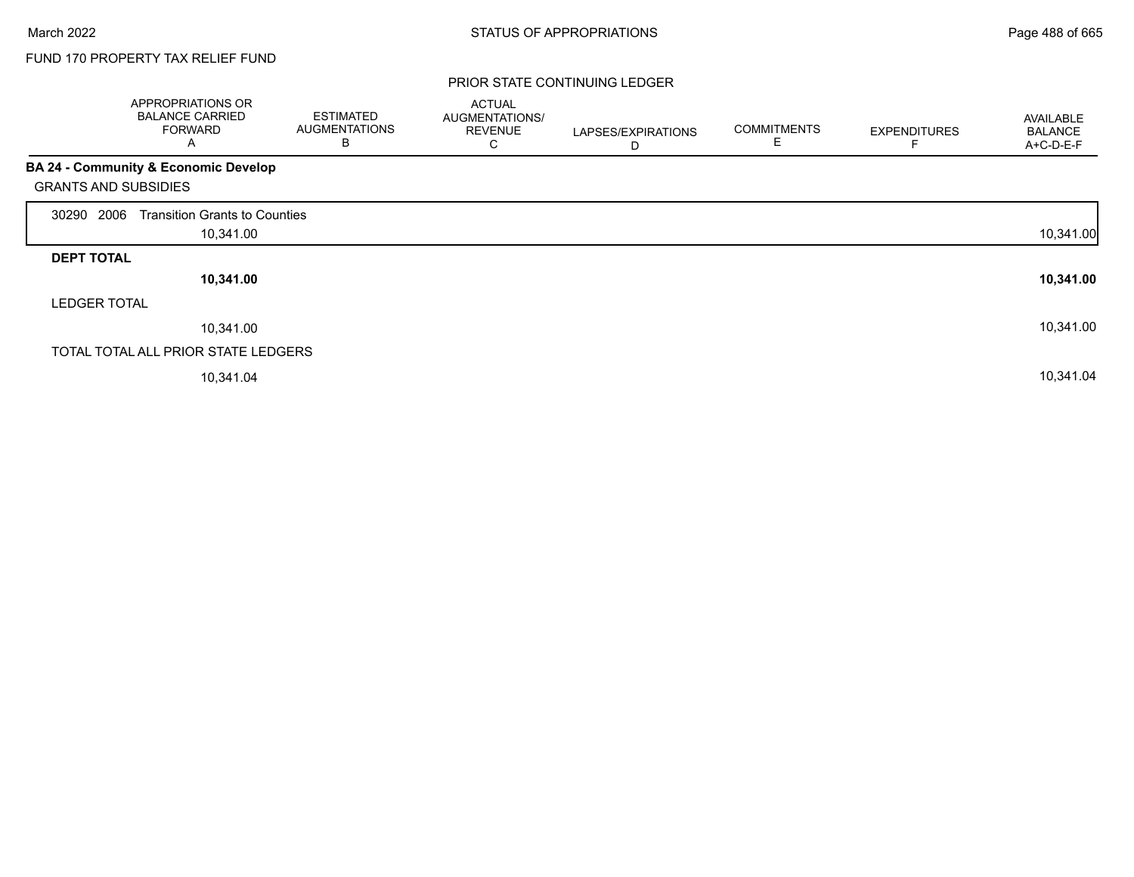### PRIOR STATE CONTINUING LEDGER

|                             | APPROPRIATIONS OR<br><b>BALANCE CARRIED</b><br><b>FORWARD</b><br>Α | <b>ESTIMATED</b><br><b>AUGMENTATIONS</b><br>В | <b>ACTUAL</b><br>AUGMENTATIONS/<br><b>REVENUE</b><br>С | LAPSES/EXPIRATIONS<br>D | <b>COMMITMENTS</b><br>E. | <b>EXPENDITURES</b> | <b>AVAILABLE</b><br><b>BALANCE</b><br>A+C-D-E-F |
|-----------------------------|--------------------------------------------------------------------|-----------------------------------------------|--------------------------------------------------------|-------------------------|--------------------------|---------------------|-------------------------------------------------|
|                             | <b>BA 24 - Community &amp; Economic Develop</b>                    |                                               |                                                        |                         |                          |                     |                                                 |
| <b>GRANTS AND SUBSIDIES</b> |                                                                    |                                               |                                                        |                         |                          |                     |                                                 |
| 2006<br>30290               | <b>Transition Grants to Counties</b>                               |                                               |                                                        |                         |                          |                     |                                                 |
|                             | 10,341.00                                                          |                                               |                                                        |                         |                          |                     | 10,341.00                                       |
| <b>DEPT TOTAL</b>           |                                                                    |                                               |                                                        |                         |                          |                     |                                                 |
|                             | 10,341.00                                                          |                                               |                                                        |                         |                          |                     | 10,341.00                                       |
| <b>LEDGER TOTAL</b>         |                                                                    |                                               |                                                        |                         |                          |                     |                                                 |
|                             | 10,341.00                                                          |                                               |                                                        |                         |                          |                     | 10,341.00                                       |
|                             | TOTAL TOTAL ALL PRIOR STATE LEDGERS                                |                                               |                                                        |                         |                          |                     |                                                 |
|                             | 10,341.04                                                          |                                               |                                                        |                         |                          |                     | 10,341.04                                       |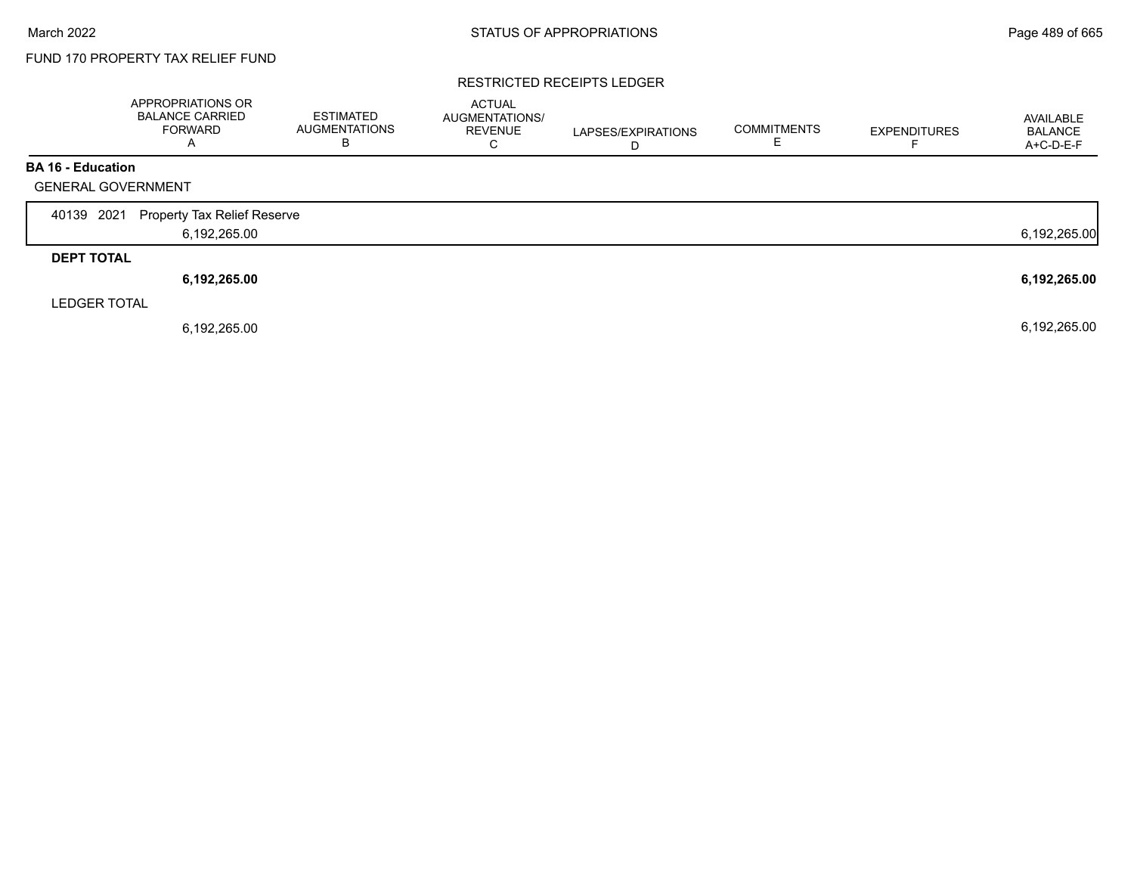#### RESTRICTED RECEIPTS LEDGER

|                           | APPROPRIATIONS OR<br><b>BALANCE CARRIED</b><br><b>FORWARD</b><br>А | <b>ESTIMATED</b><br><b>AUGMENTATIONS</b><br>B | <b>ACTUAL</b><br>AUGMENTATIONS/<br><b>REVENUE</b><br>C | LAPSES/EXPIRATIONS<br>D | <b>COMMITMENTS</b> | <b>EXPENDITURES</b> | AVAILABLE<br><b>BALANCE</b><br>A+C-D-E-F |
|---------------------------|--------------------------------------------------------------------|-----------------------------------------------|--------------------------------------------------------|-------------------------|--------------------|---------------------|------------------------------------------|
| <b>BA 16 - Education</b>  |                                                                    |                                               |                                                        |                         |                    |                     |                                          |
| <b>GENERAL GOVERNMENT</b> |                                                                    |                                               |                                                        |                         |                    |                     |                                          |
| 2021<br>40139             | <b>Property Tax Relief Reserve</b>                                 |                                               |                                                        |                         |                    |                     |                                          |
|                           | 6,192,265.00                                                       |                                               |                                                        |                         |                    |                     | 6,192,265.00                             |
| <b>DEPT TOTAL</b>         |                                                                    |                                               |                                                        |                         |                    |                     |                                          |
|                           | 6,192,265.00                                                       |                                               |                                                        |                         |                    |                     | 6,192,265.00                             |
| <b>LEDGER TOTAL</b>       |                                                                    |                                               |                                                        |                         |                    |                     |                                          |
|                           | 6,192,265.00                                                       |                                               |                                                        |                         |                    |                     | 6,192,265.00                             |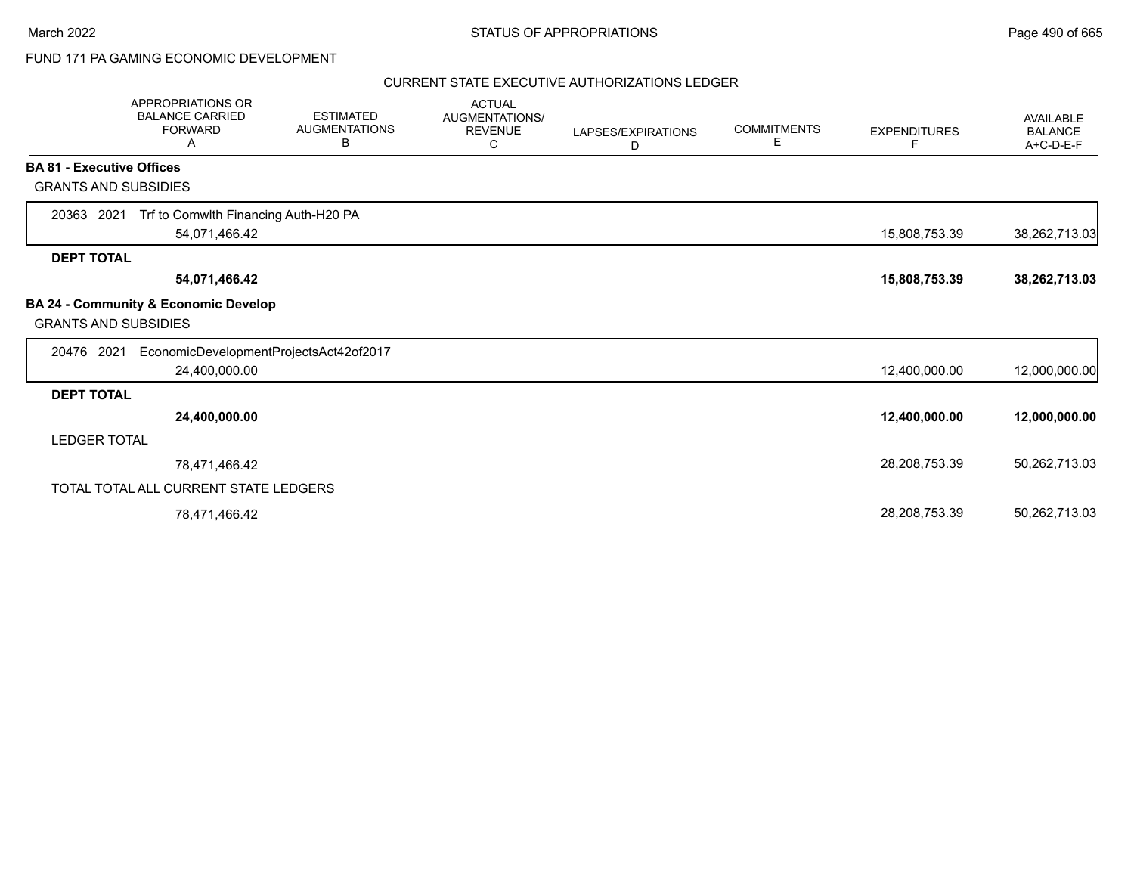# FUND 171 PA GAMING ECONOMIC DEVELOPMENT

### CURRENT STATE EXECUTIVE AUTHORIZATIONS LEDGER

|                                  | <b>APPROPRIATIONS OR</b><br><b>BALANCE CARRIED</b><br><b>FORWARD</b><br>А | <b>ESTIMATED</b><br><b>AUGMENTATIONS</b><br>В | <b>ACTUAL</b><br>AUGMENTATIONS/<br><b>REVENUE</b><br>С | LAPSES/EXPIRATIONS<br>D | <b>COMMITMENTS</b><br>Е | <b>EXPENDITURES</b><br>F | <b>AVAILABLE</b><br><b>BALANCE</b><br>A+C-D-E-F |
|----------------------------------|---------------------------------------------------------------------------|-----------------------------------------------|--------------------------------------------------------|-------------------------|-------------------------|--------------------------|-------------------------------------------------|
| <b>BA 81 - Executive Offices</b> |                                                                           |                                               |                                                        |                         |                         |                          |                                                 |
| <b>GRANTS AND SUBSIDIES</b>      |                                                                           |                                               |                                                        |                         |                         |                          |                                                 |
| 20363 2021                       | Trf to Comwlth Financing Auth-H20 PA                                      |                                               |                                                        |                         |                         |                          |                                                 |
|                                  | 54,071,466.42                                                             |                                               |                                                        |                         |                         | 15,808,753.39            | 38,262,713.03                                   |
| <b>DEPT TOTAL</b>                |                                                                           |                                               |                                                        |                         |                         |                          |                                                 |
|                                  | 54,071,466.42                                                             |                                               |                                                        |                         |                         | 15,808,753.39            | 38,262,713.03                                   |
| <b>GRANTS AND SUBSIDIES</b>      | BA 24 - Community & Economic Develop                                      |                                               |                                                        |                         |                         |                          |                                                 |
| 20476 2021                       | EconomicDevelopmentProjectsAct42of2017                                    |                                               |                                                        |                         |                         |                          |                                                 |
|                                  | 24,400,000.00                                                             |                                               |                                                        |                         |                         | 12,400,000.00            | 12,000,000.00                                   |
| <b>DEPT TOTAL</b>                |                                                                           |                                               |                                                        |                         |                         |                          |                                                 |
|                                  | 24,400,000.00                                                             |                                               |                                                        |                         |                         | 12,400,000.00            | 12,000,000.00                                   |
| <b>LEDGER TOTAL</b>              |                                                                           |                                               |                                                        |                         |                         |                          |                                                 |
|                                  | 78,471,466.42                                                             |                                               |                                                        |                         |                         | 28,208,753.39            | 50,262,713.03                                   |
|                                  | TOTAL TOTAL ALL CURRENT STATE LEDGERS                                     |                                               |                                                        |                         |                         |                          |                                                 |
|                                  | 78,471,466.42                                                             |                                               |                                                        |                         |                         | 28,208,753.39            | 50,262,713.03                                   |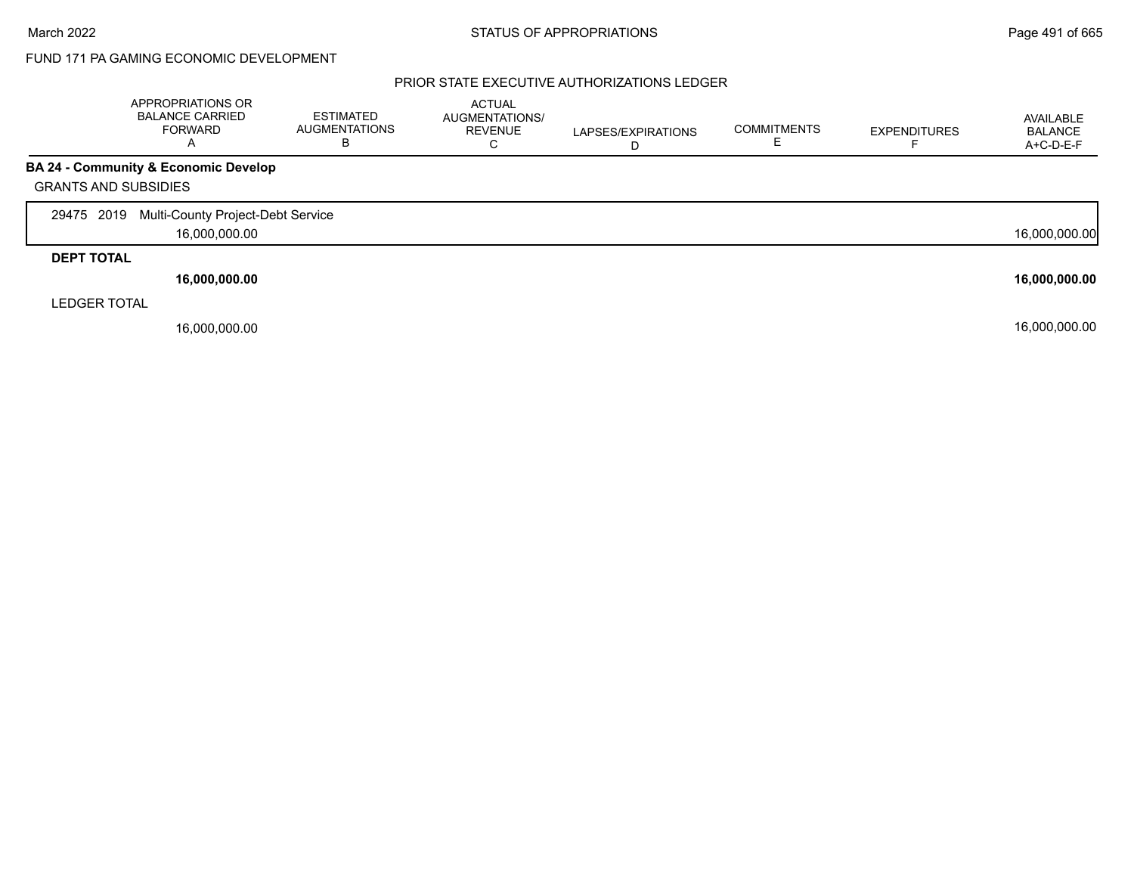# FUND 171 PA GAMING ECONOMIC DEVELOPMENT

### PRIOR STATE EXECUTIVE AUTHORIZATIONS LEDGER

|                             | APPROPRIATIONS OR<br><b>BALANCE CARRIED</b><br><b>FORWARD</b><br>A | <b>ESTIMATED</b><br><b>AUGMENTATIONS</b><br>B | <b>ACTUAL</b><br>AUGMENTATIONS/<br><b>REVENUE</b><br>С | LAPSES/EXPIRATIONS<br>D | <b>COMMITMENTS</b> | <b>EXPENDITURES</b> | AVAILABLE<br><b>BALANCE</b><br>A+C-D-E-F |
|-----------------------------|--------------------------------------------------------------------|-----------------------------------------------|--------------------------------------------------------|-------------------------|--------------------|---------------------|------------------------------------------|
|                             | <b>BA 24 - Community &amp; Economic Develop</b>                    |                                               |                                                        |                         |                    |                     |                                          |
| <b>GRANTS AND SUBSIDIES</b> |                                                                    |                                               |                                                        |                         |                    |                     |                                          |
| 29475 2019                  | Multi-County Project-Debt Service                                  |                                               |                                                        |                         |                    |                     |                                          |
|                             | 16,000,000.00                                                      |                                               |                                                        |                         |                    |                     | 16,000,000.00                            |
| <b>DEPT TOTAL</b>           |                                                                    |                                               |                                                        |                         |                    |                     |                                          |
|                             | 16,000,000.00                                                      |                                               |                                                        |                         |                    |                     | 16,000,000.00                            |
| <b>LEDGER TOTAL</b>         |                                                                    |                                               |                                                        |                         |                    |                     |                                          |
|                             | 16,000,000.00                                                      |                                               |                                                        |                         |                    |                     | 16,000,000.00                            |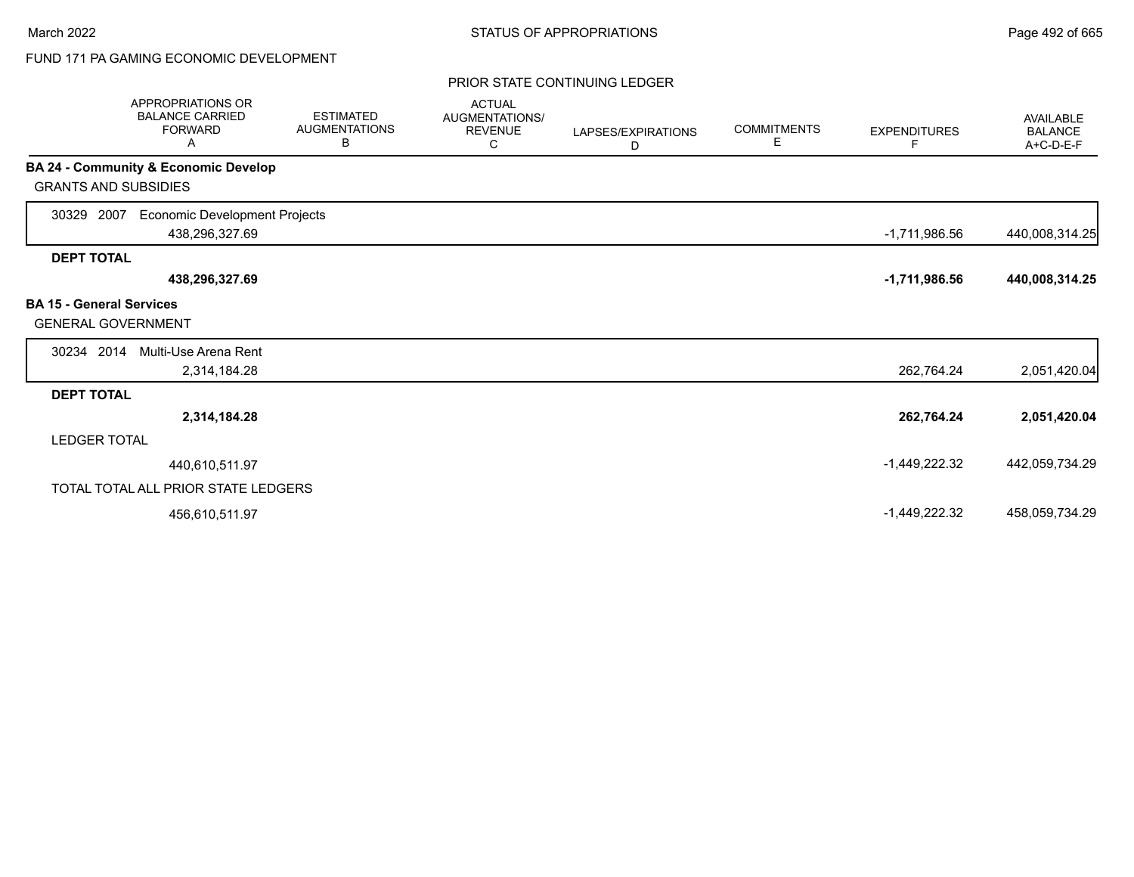# FUND 171 PA GAMING ECONOMIC DEVELOPMENT

### PRIOR STATE CONTINUING LEDGER

| <b>APPROPRIATIONS OR</b><br><b>BALANCE CARRIED</b><br><b>FORWARD</b><br>Α |                                                        | <b>ESTIMATED</b><br><b>AUGMENTATIONS</b><br>В | <b>ACTUAL</b><br>AUGMENTATIONS/<br><b>REVENUE</b><br>C | LAPSES/EXPIRATIONS<br>D | <b>COMMITMENTS</b><br>Е | <b>EXPENDITURES</b><br>F | AVAILABLE<br><b>BALANCE</b><br>A+C-D-E-F |
|---------------------------------------------------------------------------|--------------------------------------------------------|-----------------------------------------------|--------------------------------------------------------|-------------------------|-------------------------|--------------------------|------------------------------------------|
| BA 24 - Community & Economic Develop                                      |                                                        |                                               |                                                        |                         |                         |                          |                                          |
| <b>GRANTS AND SUBSIDIES</b>                                               |                                                        |                                               |                                                        |                         |                         |                          |                                          |
| 2007<br>30329                                                             | <b>Economic Development Projects</b><br>438,296,327.69 |                                               |                                                        |                         |                         | $-1,711,986.56$          | 440,008,314.25                           |
| <b>DEPT TOTAL</b>                                                         |                                                        |                                               |                                                        |                         |                         |                          |                                          |
|                                                                           | 438,296,327.69                                         |                                               |                                                        |                         |                         | $-1,711,986.56$          | 440,008,314.25                           |
| <b>BA 15 - General Services</b><br><b>GENERAL GOVERNMENT</b>              |                                                        |                                               |                                                        |                         |                         |                          |                                          |
| 30234 2014                                                                | Multi-Use Arena Rent                                   |                                               |                                                        |                         |                         |                          |                                          |
|                                                                           | 2,314,184.28                                           |                                               |                                                        |                         |                         | 262,764.24               | 2,051,420.04                             |
| <b>DEPT TOTAL</b>                                                         |                                                        |                                               |                                                        |                         |                         |                          |                                          |
|                                                                           | 2,314,184.28                                           |                                               |                                                        |                         |                         | 262,764.24               | 2,051,420.04                             |
| <b>LEDGER TOTAL</b>                                                       |                                                        |                                               |                                                        |                         |                         |                          |                                          |
|                                                                           | 440,610,511.97                                         |                                               |                                                        |                         |                         | -1,449,222.32            | 442,059,734.29                           |
| TOTAL TOTAL ALL PRIOR STATE LEDGERS                                       |                                                        |                                               |                                                        |                         |                         |                          |                                          |
|                                                                           | 456,610,511.97                                         |                                               |                                                        |                         |                         | $-1,449,222.32$          | 458,059,734.29                           |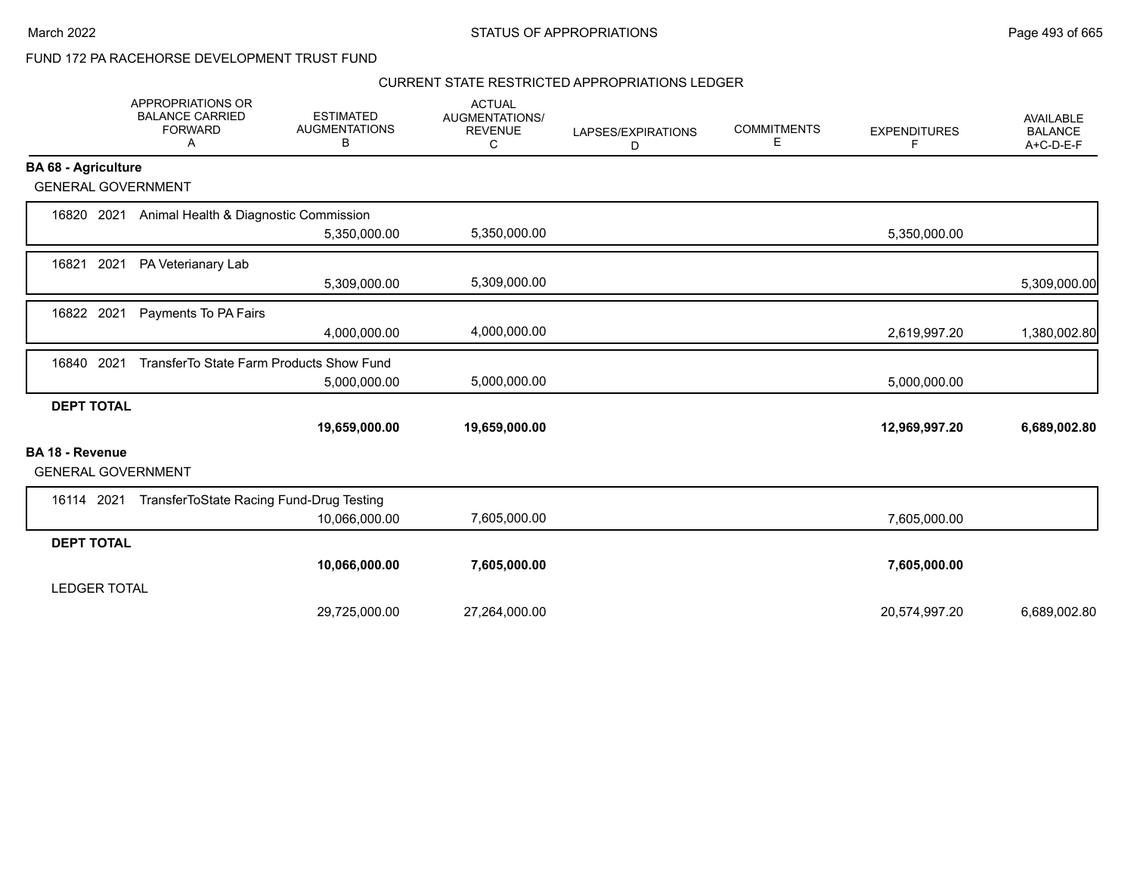# FUND 172 PA RACEHORSE DEVELOPMENT TRUST FUND

#### CURRENT STATE RESTRICTED APPROPRIATIONS LEDGER

|                            | APPROPRIATIONS OR<br><b>BALANCE CARRIED</b><br><b>FORWARD</b><br>Α | <b>ESTIMATED</b><br><b>AUGMENTATIONS</b><br>в | <b>ACTUAL</b><br>AUGMENTATIONS/<br><b>REVENUE</b><br>С | LAPSES/EXPIRATIONS<br>D | <b>COMMITMENTS</b><br>Ε | <b>EXPENDITURES</b><br>F | <b>AVAILABLE</b><br><b>BALANCE</b><br>A+C-D-E-F |
|----------------------------|--------------------------------------------------------------------|-----------------------------------------------|--------------------------------------------------------|-------------------------|-------------------------|--------------------------|-------------------------------------------------|
| <b>BA 68 - Agriculture</b> |                                                                    |                                               |                                                        |                         |                         |                          |                                                 |
|                            | <b>GENERAL GOVERNMENT</b>                                          |                                               |                                                        |                         |                         |                          |                                                 |
| 16820                      | Animal Health & Diagnostic Commission<br>2021                      |                                               |                                                        |                         |                         |                          |                                                 |
|                            |                                                                    | 5,350,000.00                                  | 5,350,000.00                                           |                         |                         | 5,350,000.00             |                                                 |
| 16821                      | 2021<br>PA Veterianary Lab                                         |                                               |                                                        |                         |                         |                          |                                                 |
|                            |                                                                    | 5,309,000.00                                  | 5,309,000.00                                           |                         |                         |                          | 5,309,000.00                                    |
| 16822 2021                 | Payments To PA Fairs                                               |                                               |                                                        |                         |                         |                          |                                                 |
|                            |                                                                    | 4,000,000.00                                  | 4,000,000.00                                           |                         |                         | 2,619,997.20             | 1,380,002.80                                    |
| 16840                      | 2021<br>TransferTo State Farm Products Show Fund                   |                                               |                                                        |                         |                         |                          |                                                 |
|                            |                                                                    | 5,000,000.00                                  | 5,000,000.00                                           |                         |                         | 5,000,000.00             |                                                 |
| <b>DEPT TOTAL</b>          |                                                                    |                                               |                                                        |                         |                         |                          |                                                 |
|                            |                                                                    | 19,659,000.00                                 | 19,659,000.00                                          |                         |                         | 12,969,997.20            | 6,689,002.80                                    |
| BA 18 - Revenue            | <b>GENERAL GOVERNMENT</b>                                          |                                               |                                                        |                         |                         |                          |                                                 |
| 16114 2021                 | TransferToState Racing Fund-Drug Testing                           |                                               |                                                        |                         |                         |                          |                                                 |
|                            |                                                                    | 10,066,000.00                                 | 7,605,000.00                                           |                         |                         | 7,605,000.00             |                                                 |
| <b>DEPT TOTAL</b>          |                                                                    |                                               |                                                        |                         |                         |                          |                                                 |
|                            |                                                                    | 10,066,000.00                                 | 7,605,000.00                                           |                         |                         | 7,605,000.00             |                                                 |
| <b>LEDGER TOTAL</b>        |                                                                    |                                               |                                                        |                         |                         |                          |                                                 |
|                            |                                                                    | 29,725,000.00                                 | 27,264,000.00                                          |                         |                         | 20,574,997.20            | 6,689,002.80                                    |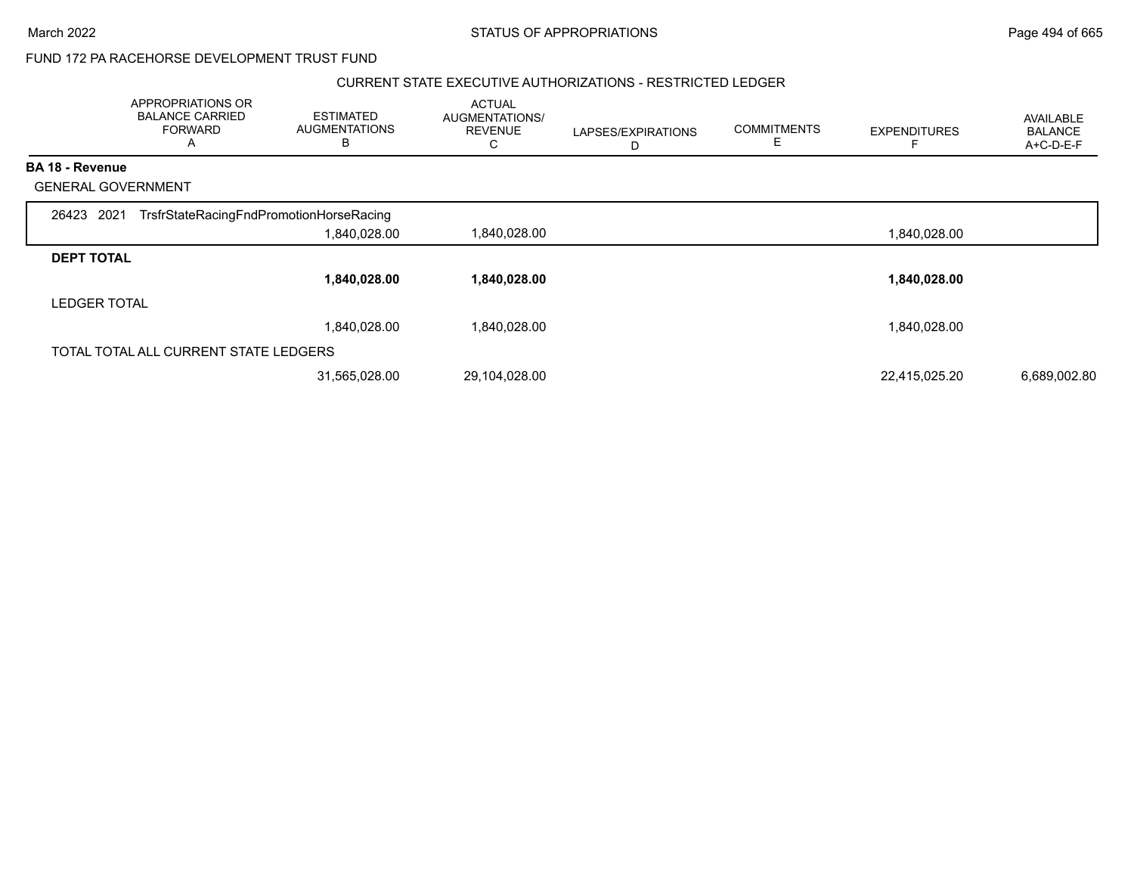#### March 2022 **STATUS OF APPROPRIATIONS** STATUS OF APPROPRIATIONS

# FUND 172 PA RACEHORSE DEVELOPMENT TRUST FUND

#### CURRENT STATE EXECUTIVE AUTHORIZATIONS - RESTRICTED LEDGER

|                           | APPROPRIATIONS OR<br><b>BALANCE CARRIED</b><br><b>FORWARD</b><br>A | <b>ESTIMATED</b><br><b>AUGMENTATIONS</b><br>В | <b>ACTUAL</b><br>AUGMENTATIONS/<br><b>REVENUE</b><br>C | LAPSES/EXPIRATIONS<br>D | <b>COMMITMENTS</b> | <b>EXPENDITURES</b> | <b>AVAILABLE</b><br><b>BALANCE</b><br>A+C-D-E-F |
|---------------------------|--------------------------------------------------------------------|-----------------------------------------------|--------------------------------------------------------|-------------------------|--------------------|---------------------|-------------------------------------------------|
| <b>BA 18 - Revenue</b>    |                                                                    |                                               |                                                        |                         |                    |                     |                                                 |
| <b>GENERAL GOVERNMENT</b> |                                                                    |                                               |                                                        |                         |                    |                     |                                                 |
| 26423 2021                | TrsfrStateRacingFndPromotionHorseRacing                            |                                               |                                                        |                         |                    |                     |                                                 |
|                           |                                                                    | 1,840,028.00                                  | 1,840,028.00                                           |                         |                    | 1,840,028.00        |                                                 |
| <b>DEPT TOTAL</b>         |                                                                    |                                               |                                                        |                         |                    |                     |                                                 |
|                           |                                                                    | 1,840,028.00                                  | 1,840,028.00                                           |                         |                    | 1,840,028.00        |                                                 |
| <b>LEDGER TOTAL</b>       |                                                                    |                                               |                                                        |                         |                    |                     |                                                 |
|                           |                                                                    | 1,840,028.00                                  | 1,840,028.00                                           |                         |                    | 1,840,028.00        |                                                 |
|                           | TOTAL TOTAL ALL CURRENT STATE LEDGERS                              |                                               |                                                        |                         |                    |                     |                                                 |
|                           |                                                                    | 31,565,028.00                                 | 29,104,028.00                                          |                         |                    | 22,415,025.20       | 6,689,002.80                                    |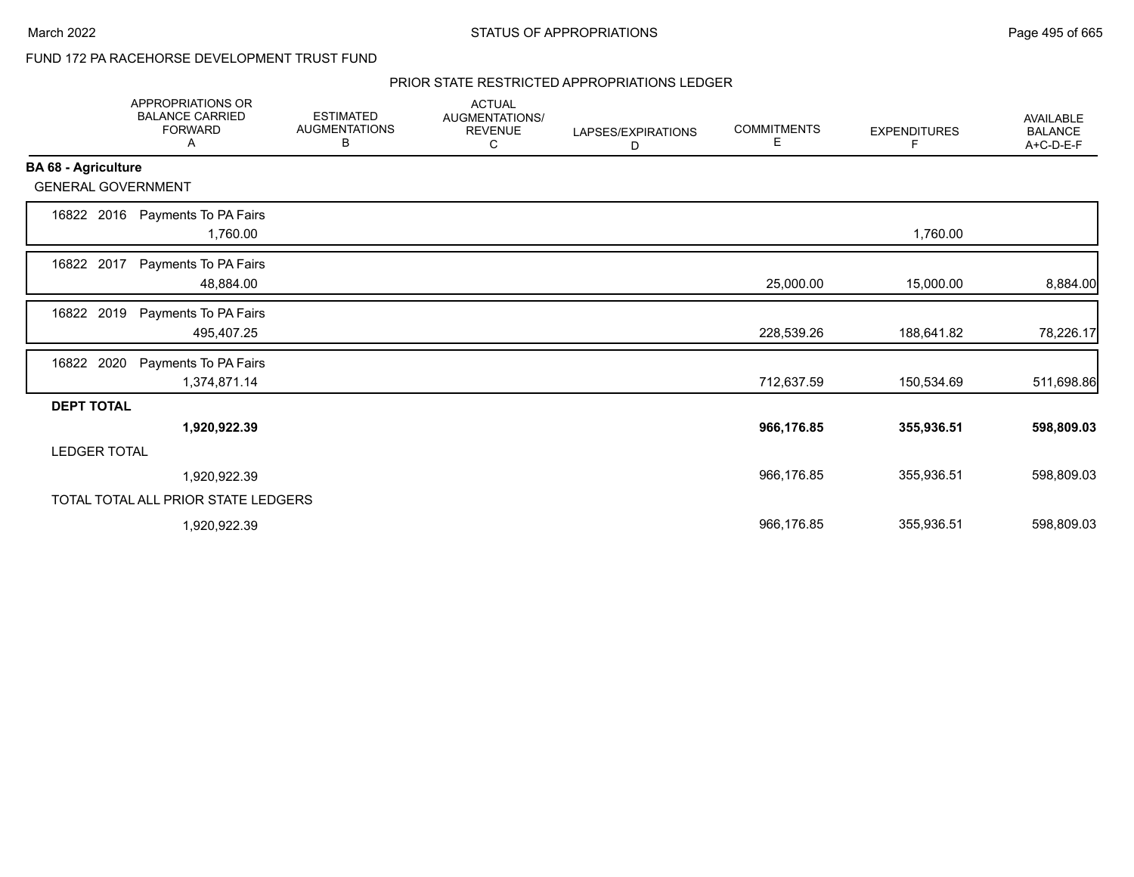# FUND 172 PA RACEHORSE DEVELOPMENT TRUST FUND

### PRIOR STATE RESTRICTED APPROPRIATIONS LEDGER

|                            | <b>APPROPRIATIONS OR</b><br><b>BALANCE CARRIED</b><br><b>FORWARD</b><br>Α | <b>ESTIMATED</b><br><b>AUGMENTATIONS</b><br>В | <b>ACTUAL</b><br><b>AUGMENTATIONS/</b><br><b>REVENUE</b><br>С | LAPSES/EXPIRATIONS<br>D | <b>COMMITMENTS</b><br>Е | <b>EXPENDITURES</b><br>F | <b>AVAILABLE</b><br><b>BALANCE</b><br>A+C-D-E-F |
|----------------------------|---------------------------------------------------------------------------|-----------------------------------------------|---------------------------------------------------------------|-------------------------|-------------------------|--------------------------|-------------------------------------------------|
| <b>BA 68 - Agriculture</b> |                                                                           |                                               |                                                               |                         |                         |                          |                                                 |
| <b>GENERAL GOVERNMENT</b>  |                                                                           |                                               |                                                               |                         |                         |                          |                                                 |
| 16822 2016                 | Payments To PA Fairs<br>1,760.00                                          |                                               |                                                               |                         |                         | 1,760.00                 |                                                 |
| 16822 2017                 | Payments To PA Fairs<br>48,884.00                                         |                                               |                                                               |                         | 25,000.00               | 15,000.00                | 8,884.00                                        |
| 2019<br>16822              | Payments To PA Fairs<br>495,407.25                                        |                                               |                                                               |                         | 228,539.26              | 188,641.82               | 78,226.17                                       |
| 16822<br>2020              | Payments To PA Fairs<br>1,374,871.14                                      |                                               |                                                               |                         | 712,637.59              | 150,534.69               | 511,698.86                                      |
| <b>DEPT TOTAL</b>          |                                                                           |                                               |                                                               |                         |                         |                          |                                                 |
|                            | 1,920,922.39                                                              |                                               |                                                               |                         | 966,176.85              | 355,936.51               | 598,809.03                                      |
| <b>LEDGER TOTAL</b>        |                                                                           |                                               |                                                               |                         |                         |                          |                                                 |
|                            | 1,920,922.39                                                              |                                               |                                                               |                         | 966,176.85              | 355,936.51               | 598,809.03                                      |
|                            | TOTAL TOTAL ALL PRIOR STATE LEDGERS                                       |                                               |                                                               |                         |                         |                          |                                                 |
|                            | 1,920,922.39                                                              |                                               |                                                               |                         | 966,176.85              | 355,936.51               | 598,809.03                                      |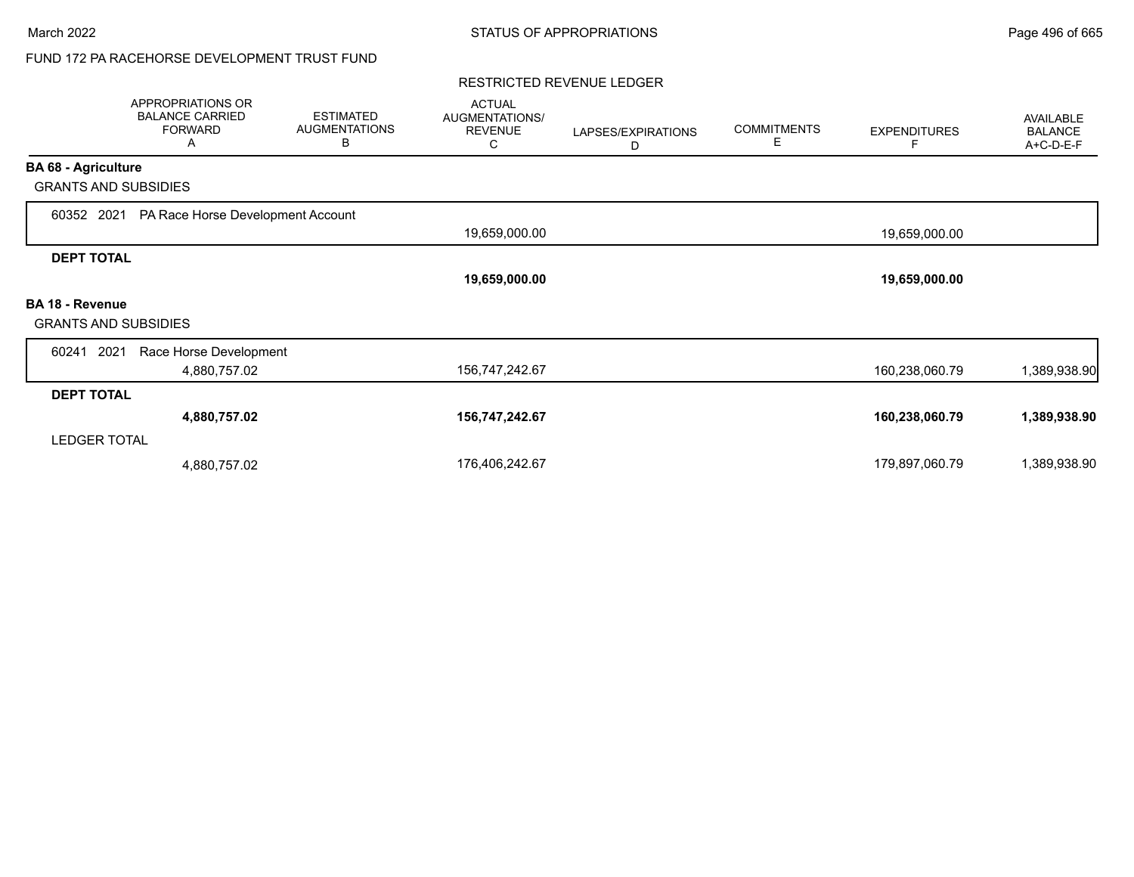# FUND 172 PA RACEHORSE DEVELOPMENT TRUST FUND

#### RESTRICTED REVENUE LEDGER

|                             | APPROPRIATIONS OR<br><b>BALANCE CARRIED</b><br><b>FORWARD</b><br>A | <b>ESTIMATED</b><br><b>AUGMENTATIONS</b><br>В | <b>ACTUAL</b><br>AUGMENTATIONS/<br><b>REVENUE</b><br>С | LAPSES/EXPIRATIONS<br>D | <b>COMMITMENTS</b><br>Е | <b>EXPENDITURES</b> | <b>AVAILABLE</b><br><b>BALANCE</b><br>A+C-D-E-F |
|-----------------------------|--------------------------------------------------------------------|-----------------------------------------------|--------------------------------------------------------|-------------------------|-------------------------|---------------------|-------------------------------------------------|
| <b>BA 68 - Agriculture</b>  |                                                                    |                                               |                                                        |                         |                         |                     |                                                 |
| <b>GRANTS AND SUBSIDIES</b> |                                                                    |                                               |                                                        |                         |                         |                     |                                                 |
| 60352 2021                  | PA Race Horse Development Account                                  |                                               |                                                        |                         |                         |                     |                                                 |
|                             |                                                                    |                                               | 19,659,000.00                                          |                         |                         | 19,659,000.00       |                                                 |
| <b>DEPT TOTAL</b>           |                                                                    |                                               |                                                        |                         |                         |                     |                                                 |
|                             |                                                                    |                                               | 19,659,000.00                                          |                         |                         | 19,659,000.00       |                                                 |
| <b>BA 18 - Revenue</b>      |                                                                    |                                               |                                                        |                         |                         |                     |                                                 |
| <b>GRANTS AND SUBSIDIES</b> |                                                                    |                                               |                                                        |                         |                         |                     |                                                 |
| 2021<br>60241               | Race Horse Development                                             |                                               |                                                        |                         |                         |                     |                                                 |
|                             | 4,880,757.02                                                       |                                               | 156,747,242.67                                         |                         |                         | 160,238,060.79      | 1,389,938.90                                    |
| <b>DEPT TOTAL</b>           |                                                                    |                                               |                                                        |                         |                         |                     |                                                 |
|                             | 4,880,757.02                                                       |                                               | 156,747,242.67                                         |                         |                         | 160,238,060.79      | 1,389,938.90                                    |
| <b>LEDGER TOTAL</b>         |                                                                    |                                               |                                                        |                         |                         |                     |                                                 |
|                             | 4,880,757.02                                                       |                                               | 176,406,242.67                                         |                         |                         | 179,897,060.79      | 1,389,938.90                                    |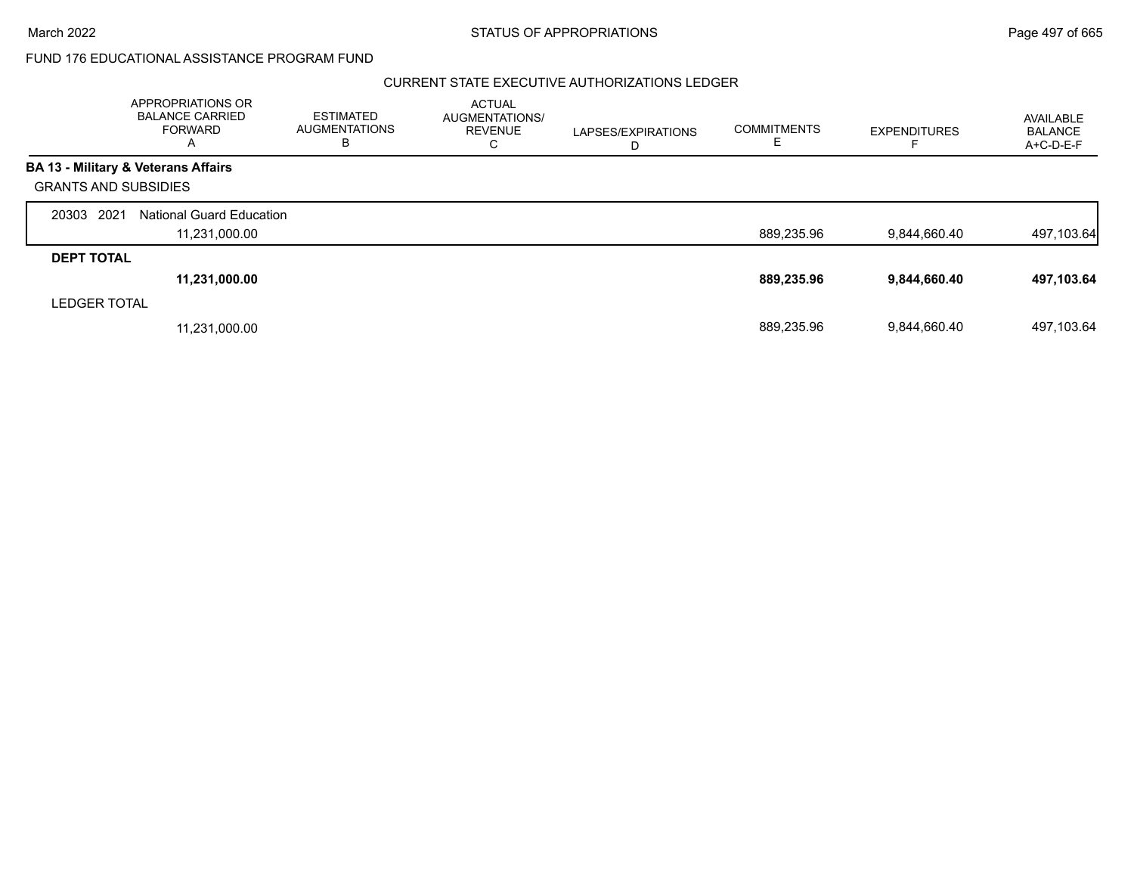### CURRENT STATE EXECUTIVE AUTHORIZATIONS LEDGER

|                             | APPROPRIATIONS OR<br><b>BALANCE CARRIED</b><br><b>FORWARD</b><br>A | <b>ESTIMATED</b><br><b>AUGMENTATIONS</b><br>В | <b>ACTUAL</b><br>AUGMENTATIONS/<br><b>REVENUE</b><br>С | LAPSES/EXPIRATIONS<br>D | <b>COMMITMENTS</b><br>Е. | <b>EXPENDITURES</b> | AVAILABLE<br><b>BALANCE</b><br>A+C-D-E-F |
|-----------------------------|--------------------------------------------------------------------|-----------------------------------------------|--------------------------------------------------------|-------------------------|--------------------------|---------------------|------------------------------------------|
|                             | <b>BA 13 - Military &amp; Veterans Affairs</b>                     |                                               |                                                        |                         |                          |                     |                                          |
| <b>GRANTS AND SUBSIDIES</b> |                                                                    |                                               |                                                        |                         |                          |                     |                                          |
| 20303 2021                  | <b>National Guard Education</b>                                    |                                               |                                                        |                         |                          |                     |                                          |
|                             | 11,231,000.00                                                      |                                               |                                                        |                         | 889,235.96               | 9,844,660.40        | 497,103.64                               |
| <b>DEPT TOTAL</b>           |                                                                    |                                               |                                                        |                         |                          |                     |                                          |
|                             | 11,231,000.00                                                      |                                               |                                                        |                         | 889,235.96               | 9,844,660.40        | 497,103.64                               |
| <b>LEDGER TOTAL</b>         |                                                                    |                                               |                                                        |                         |                          |                     |                                          |
|                             | 11,231,000.00                                                      |                                               |                                                        |                         | 889.235.96               | 9.844.660.40        | 497.103.64                               |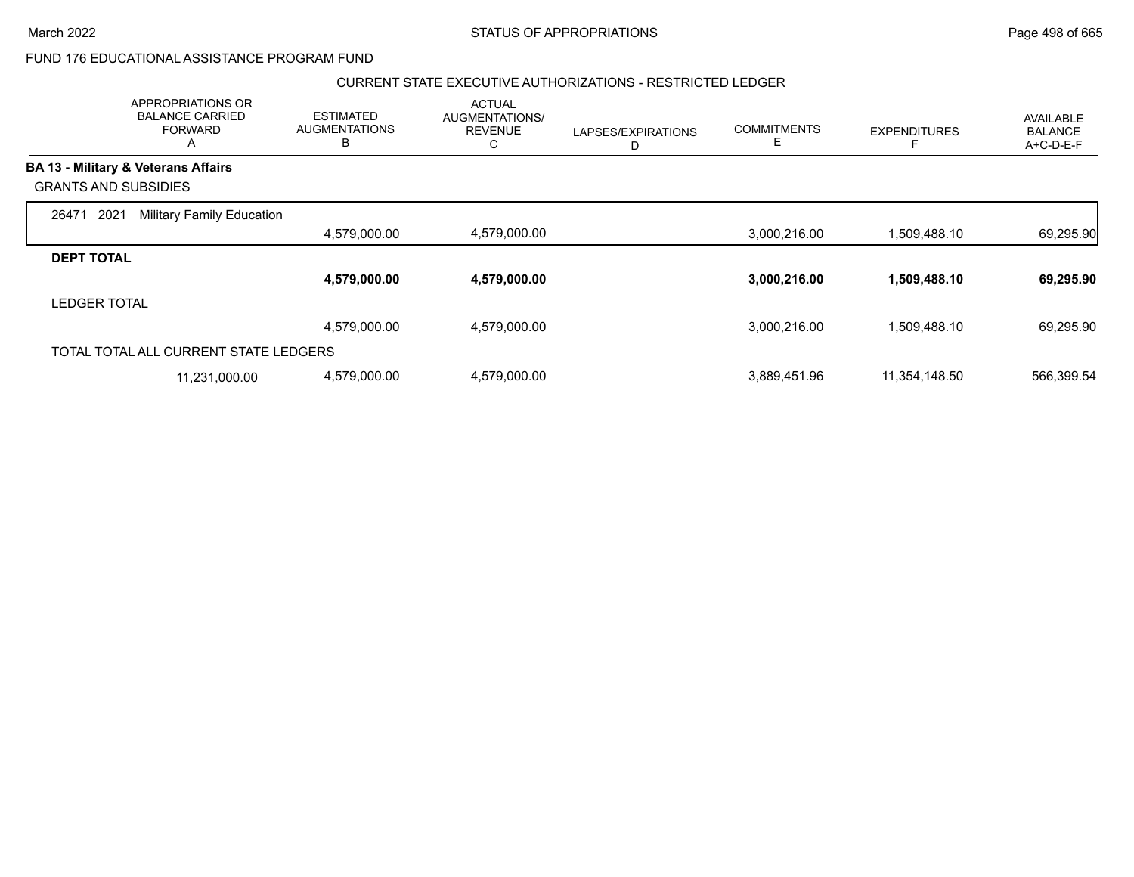#### CURRENT STATE EXECUTIVE AUTHORIZATIONS - RESTRICTED LEDGER

| APPROPRIATIONS OR<br><b>BALANCE CARRIED</b><br><b>FORWARD</b><br>A | <b>ESTIMATED</b><br><b>AUGMENTATIONS</b><br>B |              | <b>ACTUAL</b><br><b>AUGMENTATIONS/</b><br><b>REVENUE</b><br>С | LAPSES/EXPIRATIONS<br>D | <b>COMMITMENTS</b> | <b>EXPENDITURES</b> | AVAILABLE<br><b>BALANCE</b><br>A+C-D-E-F |
|--------------------------------------------------------------------|-----------------------------------------------|--------------|---------------------------------------------------------------|-------------------------|--------------------|---------------------|------------------------------------------|
| <b>BA 13 - Military &amp; Veterans Affairs</b>                     |                                               |              |                                                               |                         |                    |                     |                                          |
| <b>GRANTS AND SUBSIDIES</b>                                        |                                               |              |                                                               |                         |                    |                     |                                          |
| 2021<br><b>Military Family Education</b><br>26471                  |                                               |              |                                                               |                         |                    |                     |                                          |
|                                                                    |                                               | 4,579,000.00 | 4,579,000.00                                                  |                         | 3,000,216.00       | 1,509,488.10        | 69,295.90                                |
| <b>DEPT TOTAL</b>                                                  |                                               |              |                                                               |                         |                    |                     |                                          |
|                                                                    |                                               | 4,579,000.00 | 4,579,000.00                                                  |                         | 3,000,216.00       | 1,509,488.10        | 69,295.90                                |
| <b>LEDGER TOTAL</b>                                                |                                               |              |                                                               |                         |                    |                     |                                          |
|                                                                    |                                               | 4,579,000.00 | 4,579,000.00                                                  |                         | 3,000,216.00       | 1,509,488.10        | 69,295.90                                |
| TOTAL TOTAL ALL CURRENT STATE LEDGERS                              |                                               |              |                                                               |                         |                    |                     |                                          |
| 11,231,000.00                                                      |                                               | 4,579,000.00 | 4,579,000.00                                                  |                         | 3,889,451.96       | 11,354,148.50       | 566,399.54                               |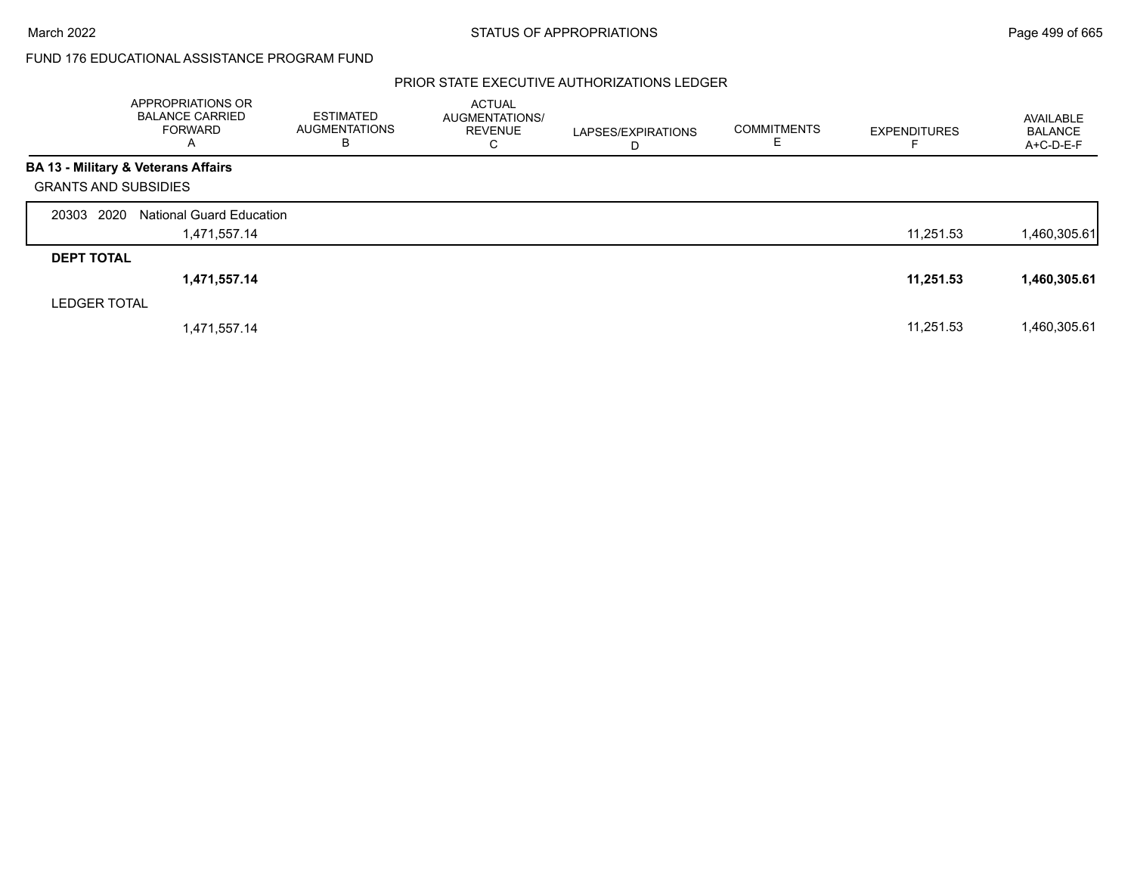# PRIOR STATE EXECUTIVE AUTHORIZATIONS LEDGER

|                             | APPROPRIATIONS OR<br><b>BALANCE CARRIED</b><br>FORWARD<br>A | <b>ESTIMATED</b><br><b>AUGMENTATIONS</b><br>В | <b>ACTUAL</b><br>AUGMENTATIONS/<br><b>REVENUE</b><br>C | LAPSES/EXPIRATIONS<br>D | <b>COMMITMENTS</b><br>E. | <b>EXPENDITURES</b> | AVAILABLE<br><b>BALANCE</b><br>$A+C-D-E-F$ |
|-----------------------------|-------------------------------------------------------------|-----------------------------------------------|--------------------------------------------------------|-------------------------|--------------------------|---------------------|--------------------------------------------|
|                             | <b>BA 13 - Military &amp; Veterans Affairs</b>              |                                               |                                                        |                         |                          |                     |                                            |
| <b>GRANTS AND SUBSIDIES</b> |                                                             |                                               |                                                        |                         |                          |                     |                                            |
| 20303 2020                  | <b>National Guard Education</b>                             |                                               |                                                        |                         |                          |                     |                                            |
|                             | 1,471,557.14                                                |                                               |                                                        |                         |                          | 11,251.53           | 1,460,305.61                               |
| <b>DEPT TOTAL</b>           |                                                             |                                               |                                                        |                         |                          |                     |                                            |
|                             | 1,471,557.14                                                |                                               |                                                        |                         |                          | 11,251.53           | 1,460,305.61                               |
| <b>LEDGER TOTAL</b>         |                                                             |                                               |                                                        |                         |                          |                     |                                            |
|                             | 1,471,557.14                                                |                                               |                                                        |                         |                          | 11,251.53           | 1,460,305.61                               |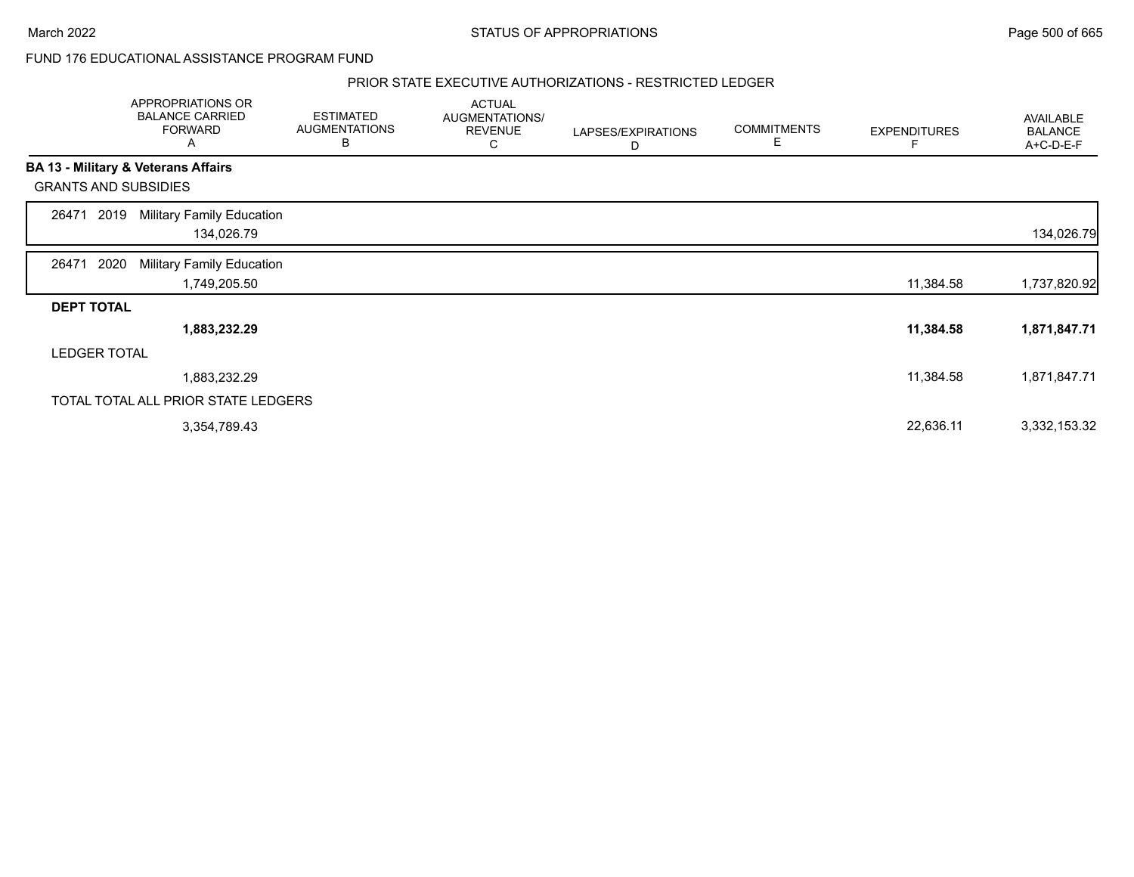### PRIOR STATE EXECUTIVE AUTHORIZATIONS - RESTRICTED LEDGER

|                   | <b>APPROPRIATIONS OR</b><br><b>BALANCE CARRIED</b><br><b>FORWARD</b><br>A | <b>ESTIMATED</b><br><b>AUGMENTATIONS</b><br>В | <b>ACTUAL</b><br>AUGMENTATIONS/<br><b>REVENUE</b><br>С | LAPSES/EXPIRATIONS<br>D | <b>COMMITMENTS</b><br>Е | <b>EXPENDITURES</b> | AVAILABLE<br><b>BALANCE</b><br>A+C-D-E-F |
|-------------------|---------------------------------------------------------------------------|-----------------------------------------------|--------------------------------------------------------|-------------------------|-------------------------|---------------------|------------------------------------------|
|                   | BA 13 - Military & Veterans Affairs                                       |                                               |                                                        |                         |                         |                     |                                          |
|                   | <b>GRANTS AND SUBSIDIES</b>                                               |                                               |                                                        |                         |                         |                     |                                          |
| 26471             | <b>Military Family Education</b><br>2019<br>134,026.79                    |                                               |                                                        |                         |                         |                     | 134,026.79                               |
| 26471             | 2020<br><b>Military Family Education</b><br>1,749,205.50                  |                                               |                                                        |                         |                         | 11,384.58           | 1,737,820.92                             |
| <b>DEPT TOTAL</b> |                                                                           |                                               |                                                        |                         |                         |                     |                                          |
|                   | 1,883,232.29                                                              |                                               |                                                        |                         |                         | 11,384.58           | 1,871,847.71                             |
|                   | <b>LEDGER TOTAL</b>                                                       |                                               |                                                        |                         |                         |                     |                                          |
|                   | 1,883,232.29                                                              |                                               |                                                        |                         |                         | 11,384.58           | 1,871,847.71                             |
|                   | TOTAL TOTAL ALL PRIOR STATE LEDGERS                                       |                                               |                                                        |                         |                         |                     |                                          |
|                   | 3,354,789.43                                                              |                                               |                                                        |                         |                         | 22,636.11           | 3,332,153.32                             |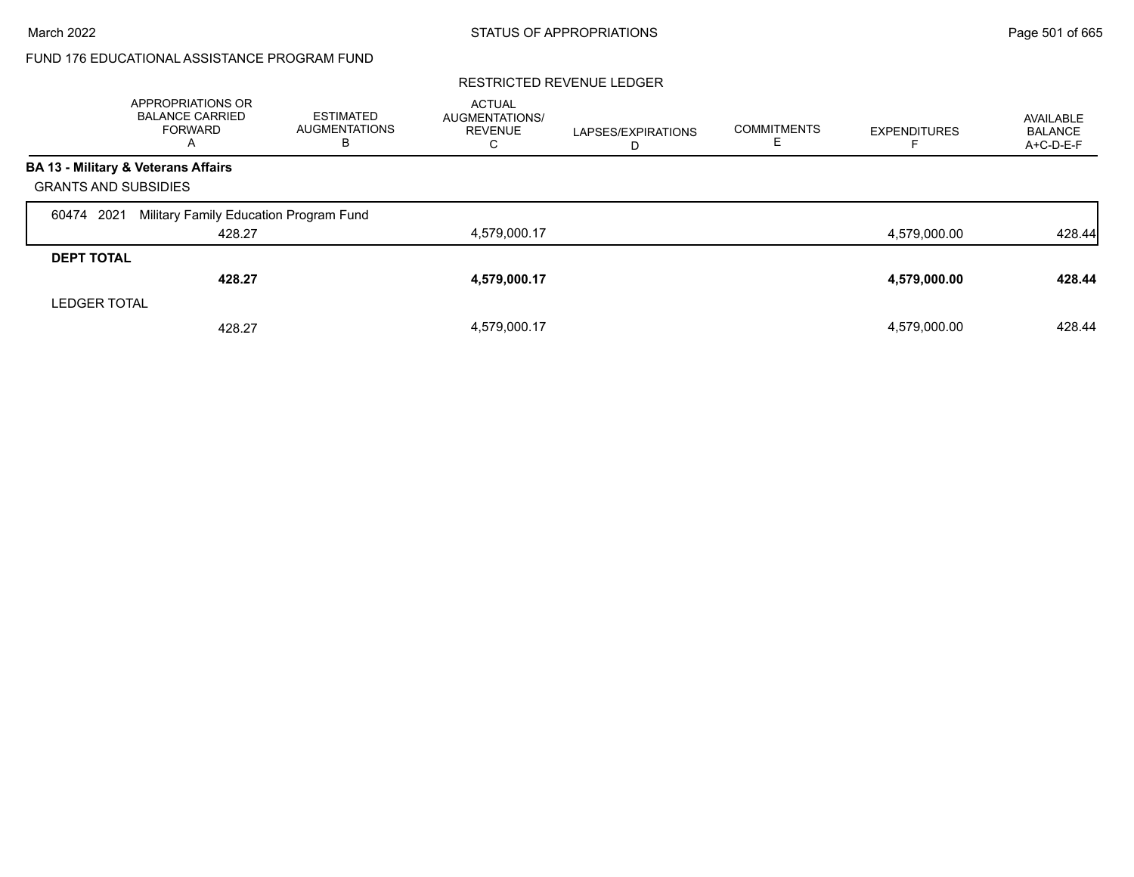#### RESTRICTED REVENUE LEDGER

|                             | APPROPRIATIONS OR<br><b>BALANCE CARRIED</b><br>FORWARD<br>$\overline{\mathsf{A}}$ | ESTIMATED<br><b>AUGMENTATIONS</b><br>В | <b>ACTUAL</b><br>AUGMENTATIONS/<br><b>REVENUE</b><br>С | LAPSES/EXPIRATIONS<br>D | <b>COMMITMENTS</b> | <b>EXPENDITURES</b> | AVAILABLE<br><b>BALANCE</b><br>A+C-D-E-F |
|-----------------------------|-----------------------------------------------------------------------------------|----------------------------------------|--------------------------------------------------------|-------------------------|--------------------|---------------------|------------------------------------------|
|                             | BA 13 - Military & Veterans Affairs                                               |                                        |                                                        |                         |                    |                     |                                          |
| <b>GRANTS AND SUBSIDIES</b> |                                                                                   |                                        |                                                        |                         |                    |                     |                                          |
| 2021<br>60474               | Military Family Education Program Fund                                            |                                        |                                                        |                         |                    |                     |                                          |
|                             | 428.27                                                                            |                                        | 4,579,000.17                                           |                         |                    | 4,579,000.00        | 428.44                                   |
| <b>DEPT TOTAL</b>           |                                                                                   |                                        |                                                        |                         |                    |                     |                                          |
|                             | 428.27                                                                            |                                        | 4,579,000.17                                           |                         |                    | 4,579,000.00        | 428.44                                   |
| <b>LEDGER TOTAL</b>         |                                                                                   |                                        |                                                        |                         |                    |                     |                                          |
|                             | 428.27                                                                            |                                        | 4,579,000.17                                           |                         |                    | 4,579,000.00        | 428.44                                   |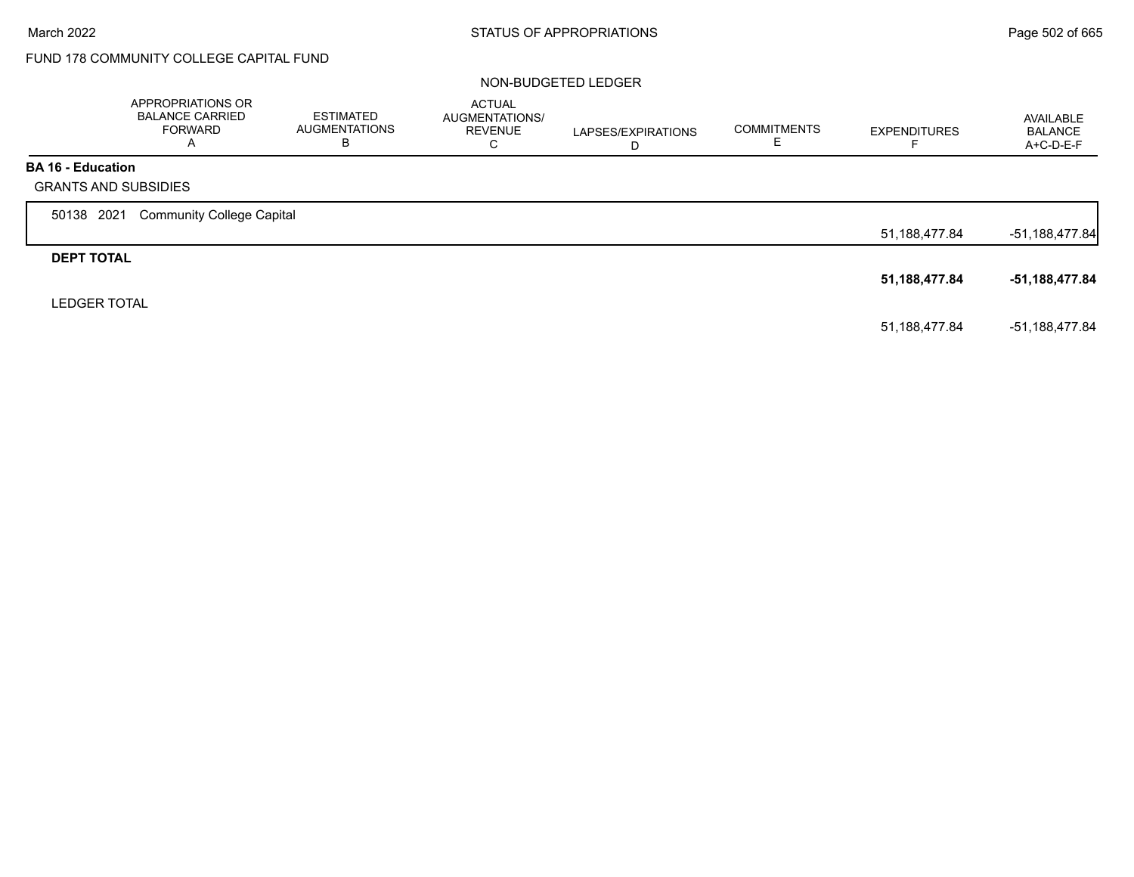# FUND 178 COMMUNITY COLLEGE CAPITAL FUND

### NON-BUDGETED LEDGER

|                          | APPROPRIATIONS OR<br><b>BALANCE CARRIED</b><br><b>FORWARD</b><br>A | ESTIMATED<br><b>AUGMENTATIONS</b><br>В | <b>ACTUAL</b><br>AUGMENTATIONS/<br><b>REVENUE</b><br>C | LAPSES/EXPIRATIONS<br>D | <b>COMMITMENTS</b> | <b>EXPENDITURES</b> | AVAILABLE<br><b>BALANCE</b><br>A+C-D-E-F |
|--------------------------|--------------------------------------------------------------------|----------------------------------------|--------------------------------------------------------|-------------------------|--------------------|---------------------|------------------------------------------|
| <b>BA 16 - Education</b> | <b>GRANTS AND SUBSIDIES</b>                                        |                                        |                                                        |                         |                    |                     |                                          |
| 50138 2021               | <b>Community College Capital</b>                                   |                                        |                                                        |                         |                    |                     |                                          |
|                          |                                                                    |                                        |                                                        |                         |                    | 51,188,477.84       | $-51,188,477.84$                         |
| <b>DEPT TOTAL</b>        |                                                                    |                                        |                                                        |                         |                    |                     |                                          |
|                          |                                                                    |                                        |                                                        |                         |                    | 51,188,477.84       | -51,188,477.84                           |
| <b>LEDGER TOTAL</b>      |                                                                    |                                        |                                                        |                         |                    |                     |                                          |
|                          |                                                                    |                                        |                                                        |                         |                    | 51,188,477.84       | -51.188.477.84                           |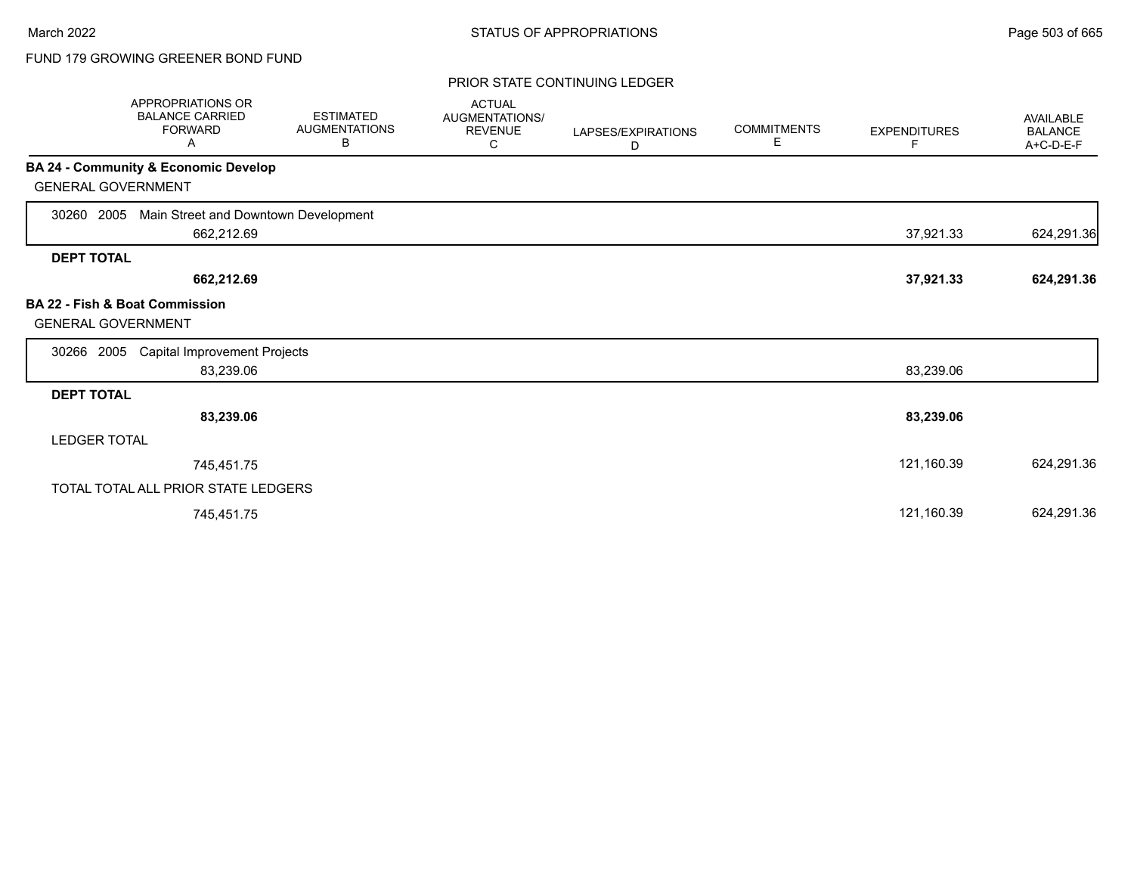# FUND 179 GROWING GREENER BOND FUND

### PRIOR STATE CONTINUING LEDGER

| <b>APPROPRIATIONS OR</b><br><b>BALANCE CARRIED</b><br><b>FORWARD</b><br>Α | <b>ESTIMATED</b><br><b>AUGMENTATIONS</b><br>В | <b>ACTUAL</b><br>AUGMENTATIONS/<br><b>REVENUE</b><br>С | LAPSES/EXPIRATIONS<br>D | <b>COMMITMENTS</b><br>Е | <b>EXPENDITURES</b><br>F | <b>AVAILABLE</b><br><b>BALANCE</b><br>A+C-D-E-F |
|---------------------------------------------------------------------------|-----------------------------------------------|--------------------------------------------------------|-------------------------|-------------------------|--------------------------|-------------------------------------------------|
| <b>BA 24 - Community &amp; Economic Develop</b>                           |                                               |                                                        |                         |                         |                          |                                                 |
| <b>GENERAL GOVERNMENT</b>                                                 |                                               |                                                        |                         |                         |                          |                                                 |
| Main Street and Downtown Development<br>2005<br>30260                     |                                               |                                                        |                         |                         |                          |                                                 |
| 662,212.69                                                                |                                               |                                                        |                         |                         | 37,921.33                | 624,291.36                                      |
| <b>DEPT TOTAL</b>                                                         |                                               |                                                        |                         |                         |                          |                                                 |
| 662,212.69                                                                |                                               |                                                        |                         |                         | 37,921.33                | 624,291.36                                      |
| <b>BA 22 - Fish &amp; Boat Commission</b><br><b>GENERAL GOVERNMENT</b>    |                                               |                                                        |                         |                         |                          |                                                 |
| <b>Capital Improvement Projects</b><br>30266<br>2005                      |                                               |                                                        |                         |                         |                          |                                                 |
| 83,239.06                                                                 |                                               |                                                        |                         |                         | 83,239.06                |                                                 |
| <b>DEPT TOTAL</b>                                                         |                                               |                                                        |                         |                         |                          |                                                 |
| 83,239.06                                                                 |                                               |                                                        |                         |                         | 83,239.06                |                                                 |
| <b>LEDGER TOTAL</b>                                                       |                                               |                                                        |                         |                         |                          |                                                 |
| 745,451.75                                                                |                                               |                                                        |                         |                         | 121,160.39               | 624,291.36                                      |
| TOTAL TOTAL ALL PRIOR STATE LEDGERS                                       |                                               |                                                        |                         |                         |                          |                                                 |
| 745,451.75                                                                |                                               |                                                        |                         |                         | 121,160.39               | 624,291.36                                      |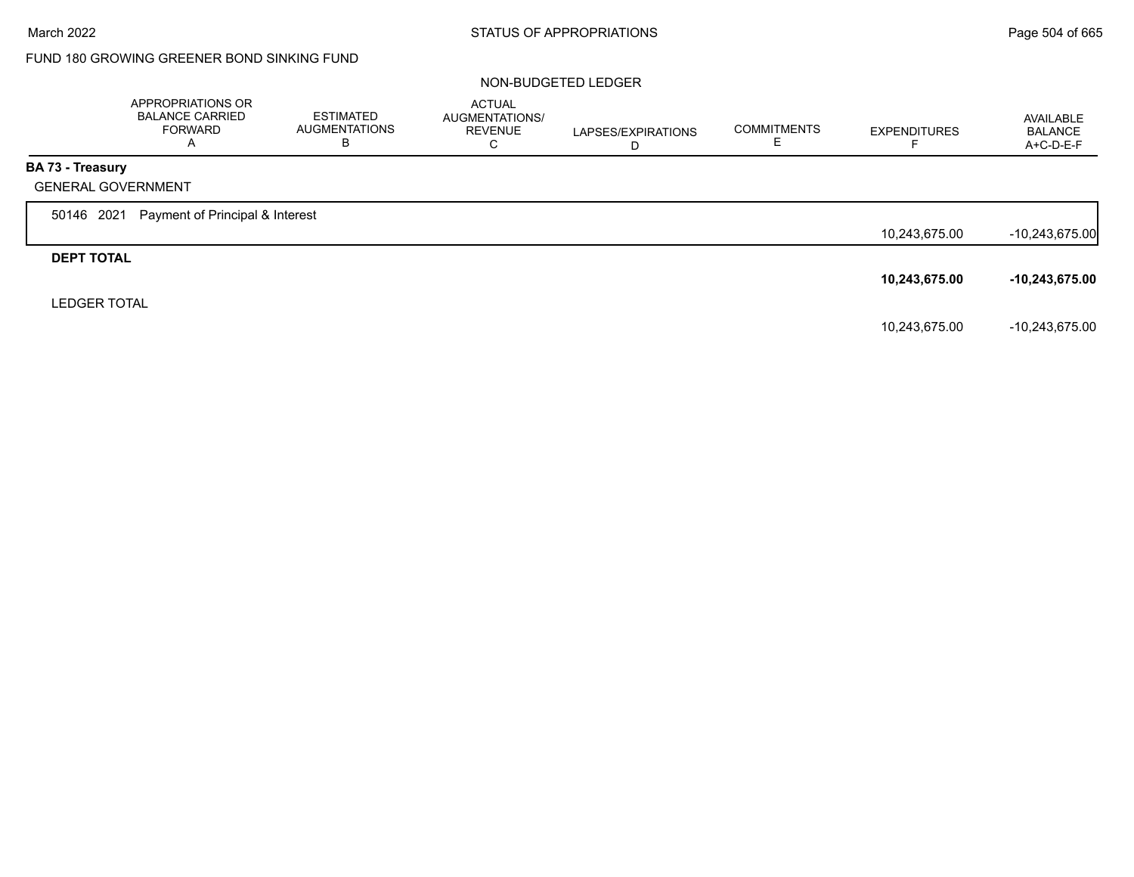# FUND 180 GROWING GREENER BOND SINKING FUND

#### NON-BUDGETED LEDGER

|                         | APPROPRIATIONS OR<br><b>BALANCE CARRIED</b><br><b>FORWARD</b><br>A | <b>ESTIMATED</b><br><b>AUGMENTATIONS</b><br>В | <b>ACTUAL</b><br>AUGMENTATIONS/<br><b>REVENUE</b><br>C | LAPSES/EXPIRATIONS<br>D | <b>COMMITMENTS</b> | <b>EXPENDITURES</b><br>− | AVAILABLE<br><b>BALANCE</b><br>$A+C-D-E-F$ |
|-------------------------|--------------------------------------------------------------------|-----------------------------------------------|--------------------------------------------------------|-------------------------|--------------------|--------------------------|--------------------------------------------|
| <b>BA 73 - Treasury</b> |                                                                    |                                               |                                                        |                         |                    |                          |                                            |
|                         | <b>GENERAL GOVERNMENT</b>                                          |                                               |                                                        |                         |                    |                          |                                            |
| 50146 2021              | Payment of Principal & Interest                                    |                                               |                                                        |                         |                    |                          |                                            |
|                         |                                                                    |                                               |                                                        |                         |                    | 10,243,675.00            | $-10,243,675.00$                           |
| <b>DEPT TOTAL</b>       |                                                                    |                                               |                                                        |                         |                    |                          |                                            |
|                         |                                                                    |                                               |                                                        |                         |                    | 10,243,675.00            | $-10,243,675.00$                           |
| <b>LEDGER TOTAL</b>     |                                                                    |                                               |                                                        |                         |                    |                          |                                            |
|                         |                                                                    |                                               |                                                        |                         |                    | 10,243,675.00            | -10,243,675.00                             |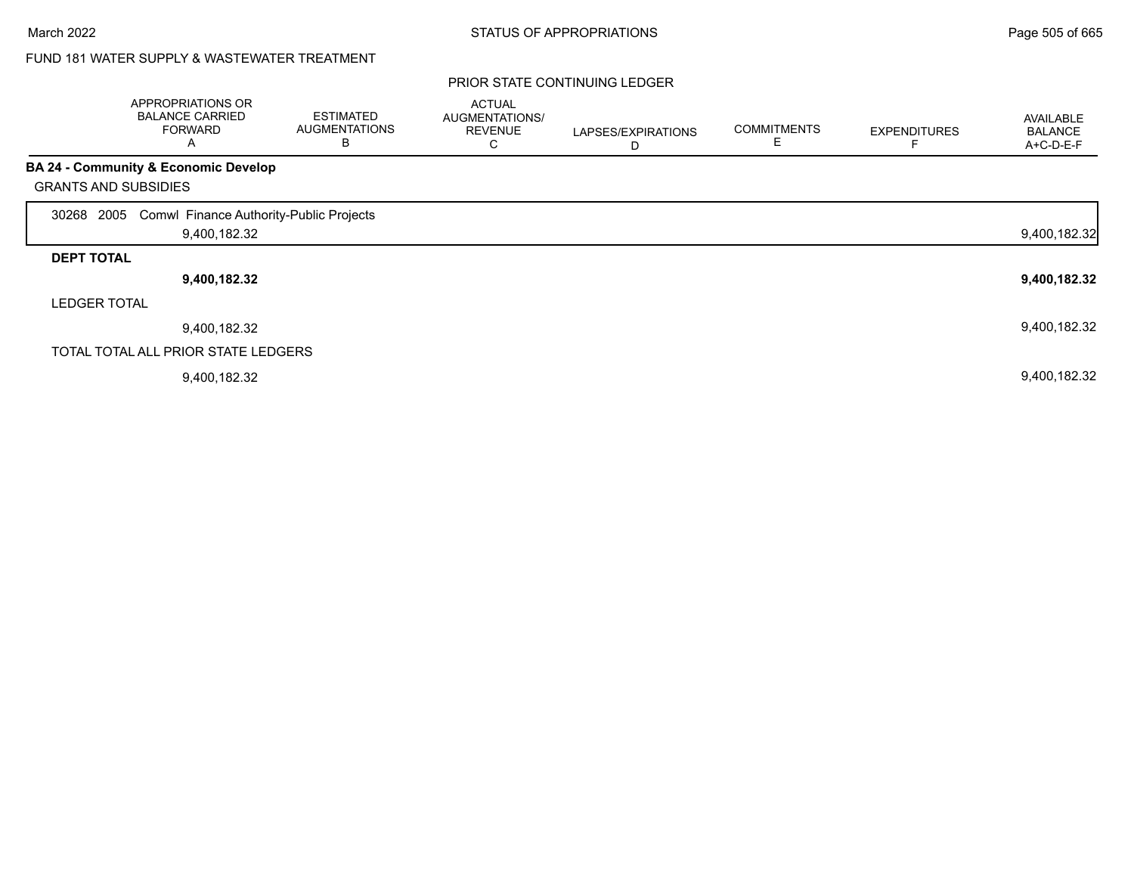# FUND 181 WATER SUPPLY & WASTEWATER TREATMENT

|                     | APPROPRIATIONS OR<br><b>BALANCE CARRIED</b><br><b>FORWARD</b><br>Α | <b>ESTIMATED</b><br><b>AUGMENTATIONS</b><br>В | <b>ACTUAL</b><br>AUGMENTATIONS/<br><b>REVENUE</b><br>С | LAPSES/EXPIRATIONS<br>D | <b>COMMITMENTS</b> | <b>EXPENDITURES</b> | <b>AVAILABLE</b><br><b>BALANCE</b><br>A+C-D-E-F |
|---------------------|--------------------------------------------------------------------|-----------------------------------------------|--------------------------------------------------------|-------------------------|--------------------|---------------------|-------------------------------------------------|
|                     | <b>BA 24 - Community &amp; Economic Develop</b>                    |                                               |                                                        |                         |                    |                     |                                                 |
|                     | <b>GRANTS AND SUBSIDIES</b>                                        |                                               |                                                        |                         |                    |                     |                                                 |
| 30268               | 2005 Comwl Finance Authority-Public Projects                       |                                               |                                                        |                         |                    |                     |                                                 |
|                     | 9,400,182.32                                                       |                                               |                                                        |                         |                    |                     | 9,400,182.32                                    |
| <b>DEPT TOTAL</b>   |                                                                    |                                               |                                                        |                         |                    |                     |                                                 |
|                     | 9,400,182.32                                                       |                                               |                                                        |                         |                    |                     | 9,400,182.32                                    |
| <b>LEDGER TOTAL</b> |                                                                    |                                               |                                                        |                         |                    |                     |                                                 |
|                     | 9,400,182.32                                                       |                                               |                                                        |                         |                    |                     | 9,400,182.32                                    |
|                     | TOTAL TOTAL ALL PRIOR STATE LEDGERS                                |                                               |                                                        |                         |                    |                     |                                                 |
|                     | 9,400,182.32                                                       |                                               |                                                        |                         |                    |                     | 9,400,182.32                                    |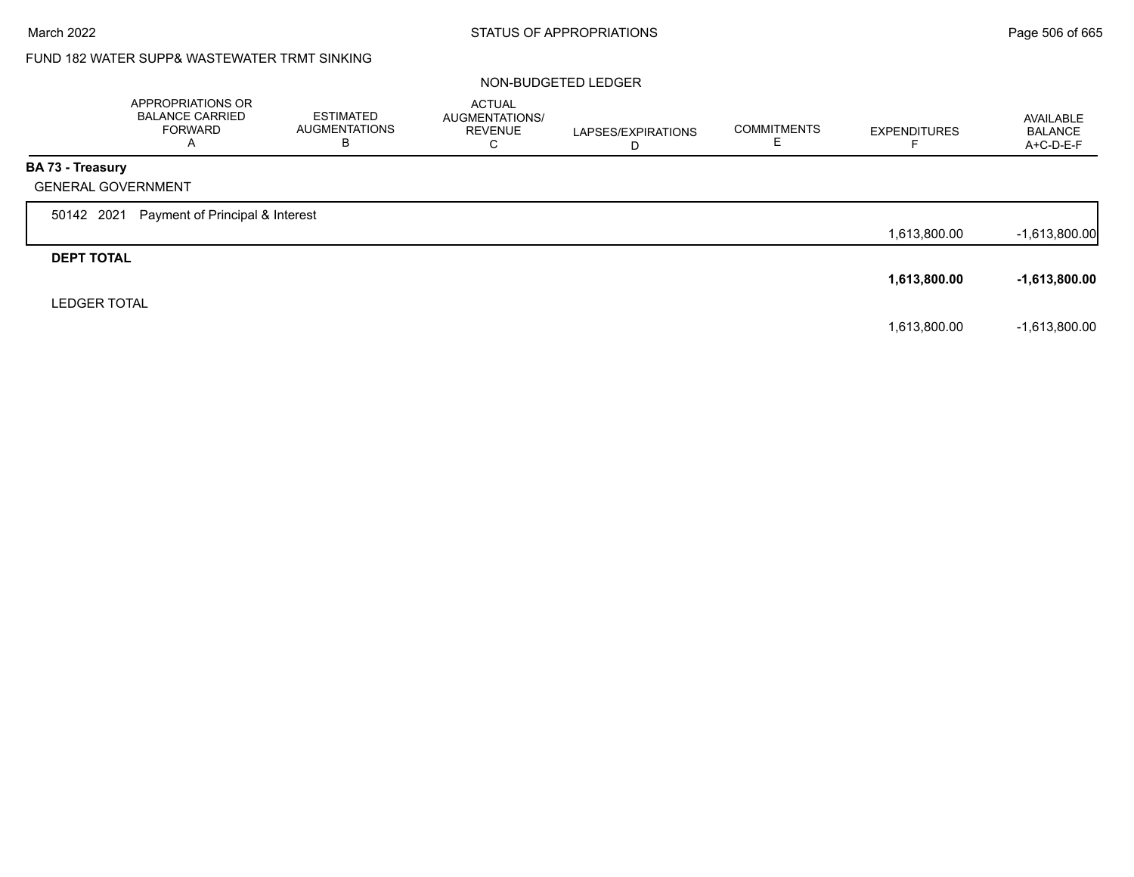# FUND 182 WATER SUPP& WASTEWATER TRMT SINKING

### NON-BUDGETED LEDGER

|                     | APPROPRIATIONS OR<br><b>BALANCE CARRIED</b><br><b>FORWARD</b><br>$\overline{A}$ | ESTIMATED<br><b>AUGMENTATIONS</b><br>В | <b>ACTUAL</b><br>AUGMENTATIONS/<br><b>REVENUE</b><br>С | LAPSES/EXPIRATIONS<br>D | <b>COMMITMENTS</b> | <b>EXPENDITURES</b> | AVAILABLE<br><b>BALANCE</b><br>A+C-D-E-F |
|---------------------|---------------------------------------------------------------------------------|----------------------------------------|--------------------------------------------------------|-------------------------|--------------------|---------------------|------------------------------------------|
| BA 73 - Treasury    |                                                                                 |                                        |                                                        |                         |                    |                     |                                          |
|                     | <b>GENERAL GOVERNMENT</b>                                                       |                                        |                                                        |                         |                    |                     |                                          |
| 50142 2021          | Payment of Principal & Interest                                                 |                                        |                                                        |                         |                    |                     |                                          |
|                     |                                                                                 |                                        |                                                        |                         |                    | 1,613,800.00        | $-1,613,800.00$                          |
| <b>DEPT TOTAL</b>   |                                                                                 |                                        |                                                        |                         |                    |                     |                                          |
|                     |                                                                                 |                                        |                                                        |                         |                    | 1,613,800.00        | $-1,613,800.00$                          |
| <b>LEDGER TOTAL</b> |                                                                                 |                                        |                                                        |                         |                    |                     |                                          |
|                     |                                                                                 |                                        |                                                        |                         |                    | 1,613,800.00        | $-1,613,800.00$                          |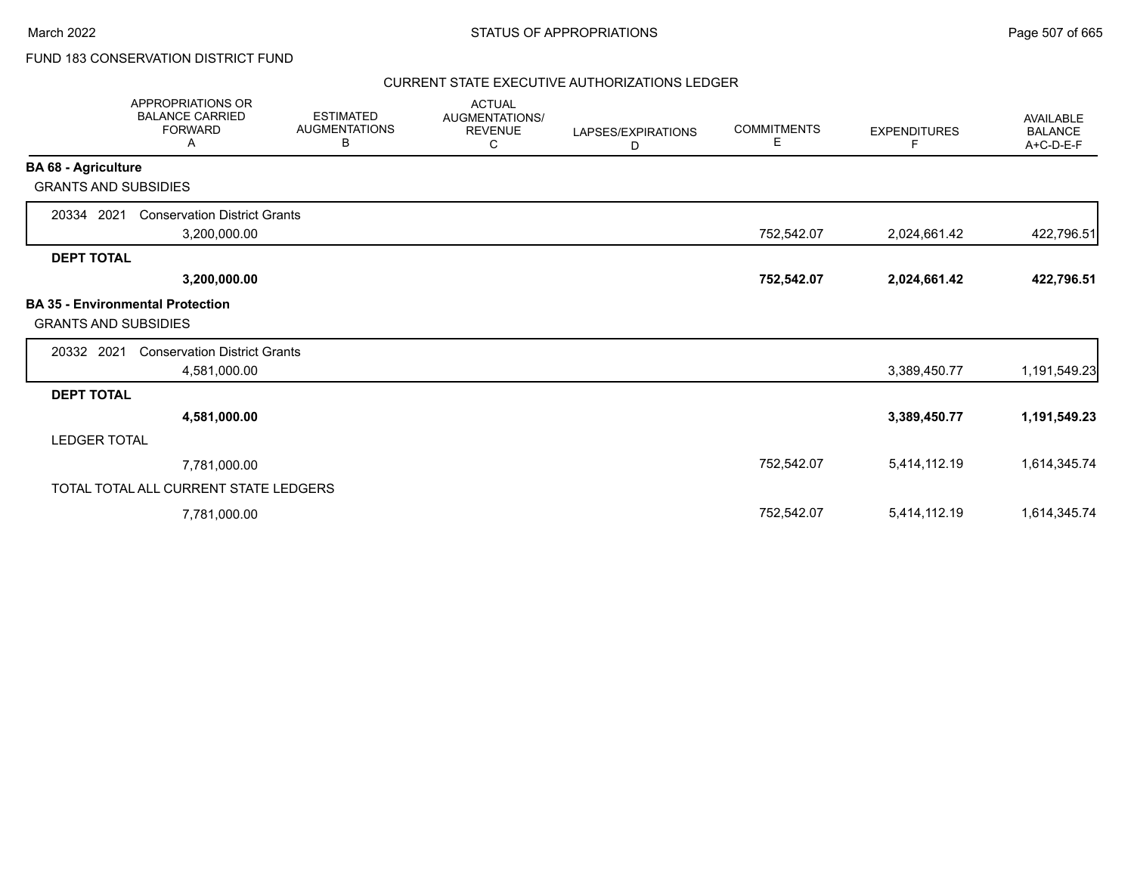# FUND 183 CONSERVATION DISTRICT FUND

### CURRENT STATE EXECUTIVE AUTHORIZATIONS LEDGER

|                             | <b>APPROPRIATIONS OR</b><br><b>BALANCE CARRIED</b><br><b>FORWARD</b><br>Α | <b>ESTIMATED</b><br><b>AUGMENTATIONS</b><br>В | <b>ACTUAL</b><br>AUGMENTATIONS/<br><b>REVENUE</b><br>С | LAPSES/EXPIRATIONS<br>D | <b>COMMITMENTS</b><br>Е | <b>EXPENDITURES</b><br>F | <b>AVAILABLE</b><br><b>BALANCE</b><br>A+C-D-E-F |
|-----------------------------|---------------------------------------------------------------------------|-----------------------------------------------|--------------------------------------------------------|-------------------------|-------------------------|--------------------------|-------------------------------------------------|
| <b>BA 68 - Agriculture</b>  |                                                                           |                                               |                                                        |                         |                         |                          |                                                 |
| <b>GRANTS AND SUBSIDIES</b> |                                                                           |                                               |                                                        |                         |                         |                          |                                                 |
| 20334 2021                  | <b>Conservation District Grants</b>                                       |                                               |                                                        |                         |                         |                          |                                                 |
|                             | 3,200,000.00                                                              |                                               |                                                        |                         | 752,542.07              | 2,024,661.42             | 422,796.51                                      |
| <b>DEPT TOTAL</b>           |                                                                           |                                               |                                                        |                         |                         |                          |                                                 |
|                             | 3,200,000.00                                                              |                                               |                                                        |                         | 752,542.07              | 2,024,661.42             | 422,796.51                                      |
| <b>GRANTS AND SUBSIDIES</b> | <b>BA 35 - Environmental Protection</b>                                   |                                               |                                                        |                         |                         |                          |                                                 |
| 20332 2021                  | <b>Conservation District Grants</b>                                       |                                               |                                                        |                         |                         |                          |                                                 |
|                             | 4,581,000.00                                                              |                                               |                                                        |                         |                         | 3,389,450.77             | 1,191,549.23                                    |
| <b>DEPT TOTAL</b>           |                                                                           |                                               |                                                        |                         |                         |                          |                                                 |
|                             | 4,581,000.00                                                              |                                               |                                                        |                         |                         | 3,389,450.77             | 1,191,549.23                                    |
| <b>LEDGER TOTAL</b>         |                                                                           |                                               |                                                        |                         |                         |                          |                                                 |
|                             | 7,781,000.00                                                              |                                               |                                                        |                         | 752,542.07              | 5,414,112.19             | 1,614,345.74                                    |
|                             | TOTAL TOTAL ALL CURRENT STATE LEDGERS                                     |                                               |                                                        |                         |                         |                          |                                                 |
|                             | 7,781,000.00                                                              |                                               |                                                        |                         | 752,542.07              | 5,414,112.19             | 1,614,345.74                                    |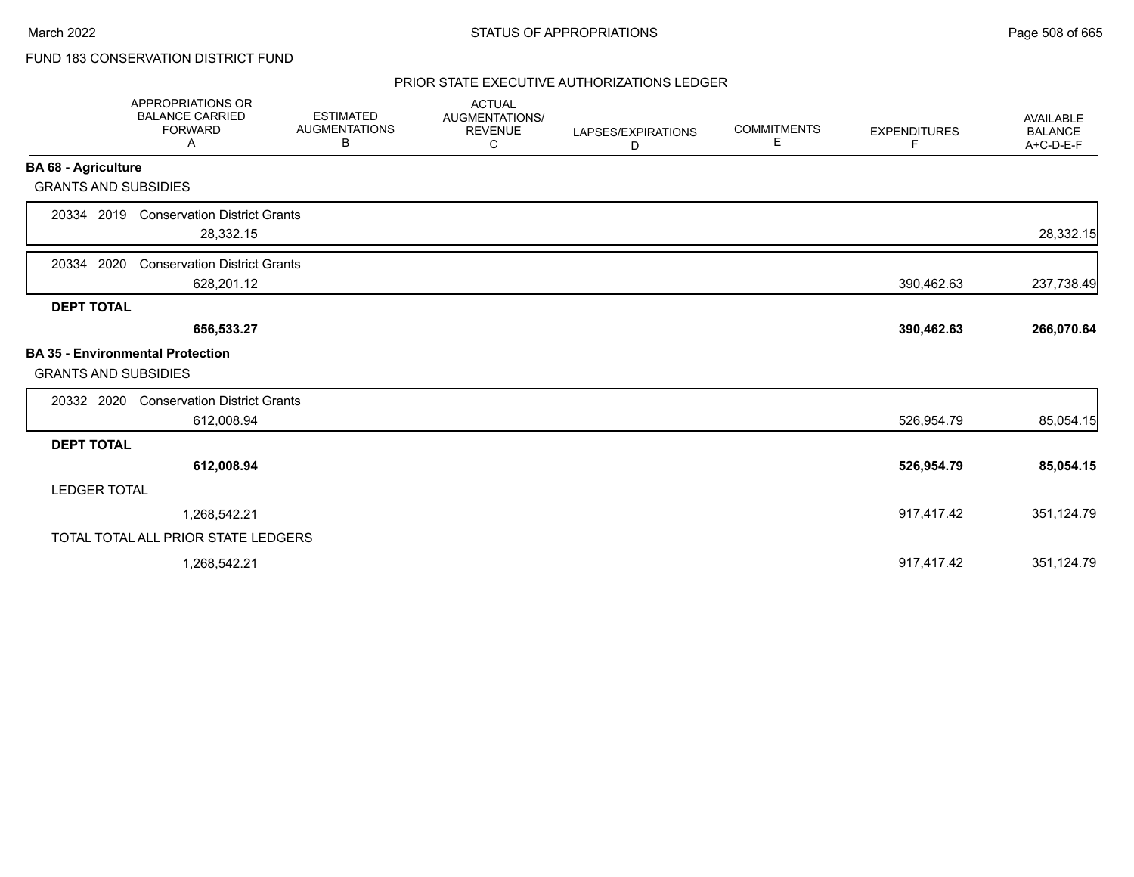# FUND 183 CONSERVATION DISTRICT FUND

## PRIOR STATE EXECUTIVE AUTHORIZATIONS LEDGER

|                             | APPROPRIATIONS OR<br><b>BALANCE CARRIED</b><br><b>FORWARD</b><br>Α | <b>ESTIMATED</b><br><b>AUGMENTATIONS</b><br>В | <b>ACTUAL</b><br>AUGMENTATIONS/<br><b>REVENUE</b><br>С | LAPSES/EXPIRATIONS<br>D | <b>COMMITMENTS</b><br>Е | <b>EXPENDITURES</b><br>F | <b>AVAILABLE</b><br><b>BALANCE</b><br>A+C-D-E-F |
|-----------------------------|--------------------------------------------------------------------|-----------------------------------------------|--------------------------------------------------------|-------------------------|-------------------------|--------------------------|-------------------------------------------------|
| <b>BA 68 - Agriculture</b>  |                                                                    |                                               |                                                        |                         |                         |                          |                                                 |
| <b>GRANTS AND SUBSIDIES</b> |                                                                    |                                               |                                                        |                         |                         |                          |                                                 |
| 20334 2019                  | <b>Conservation District Grants</b><br>28,332.15                   |                                               |                                                        |                         |                         |                          | 28,332.15                                       |
| 2020<br>20334               | <b>Conservation District Grants</b><br>628,201.12                  |                                               |                                                        |                         |                         | 390,462.63               | 237,738.49                                      |
| <b>DEPT TOTAL</b>           |                                                                    |                                               |                                                        |                         |                         |                          |                                                 |
|                             | 656,533.27                                                         |                                               |                                                        |                         |                         | 390,462.63               | 266,070.64                                      |
| <b>GRANTS AND SUBSIDIES</b> | <b>BA 35 - Environmental Protection</b>                            |                                               |                                                        |                         |                         |                          |                                                 |
| 20332 2020                  | <b>Conservation District Grants</b>                                |                                               |                                                        |                         |                         |                          |                                                 |
|                             | 612,008.94                                                         |                                               |                                                        |                         |                         | 526,954.79               | 85,054.15                                       |
| <b>DEPT TOTAL</b>           |                                                                    |                                               |                                                        |                         |                         |                          |                                                 |
|                             | 612,008.94                                                         |                                               |                                                        |                         |                         | 526,954.79               | 85,054.15                                       |
| <b>LEDGER TOTAL</b>         |                                                                    |                                               |                                                        |                         |                         |                          |                                                 |
|                             | 1,268,542.21                                                       |                                               |                                                        |                         |                         | 917,417.42               | 351,124.79                                      |
|                             | TOTAL TOTAL ALL PRIOR STATE LEDGERS                                |                                               |                                                        |                         |                         |                          |                                                 |
|                             | 1,268,542.21                                                       |                                               |                                                        |                         |                         | 917,417.42               | 351,124.79                                      |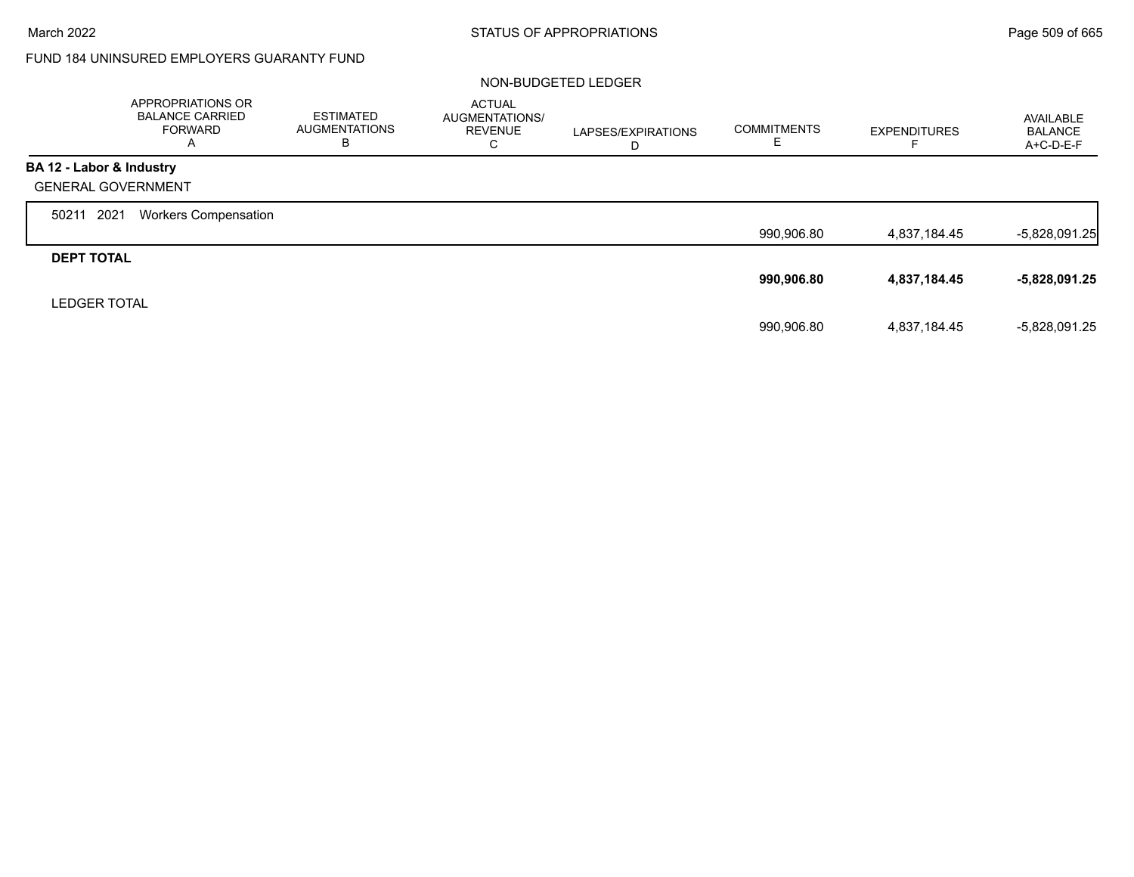г

## FUND 184 UNINSURED EMPLOYERS GUARANTY FUND

### NON-BUDGETED LEDGER

|                           | APPROPRIATIONS OR<br><b>BALANCE CARRIED</b><br><b>FORWARD</b><br>Α | <b>ESTIMATED</b><br><b>AUGMENTATIONS</b><br>в | <b>ACTUAL</b><br>AUGMENTATIONS/<br><b>REVENUE</b><br>C | LAPSES/EXPIRATIONS<br>D | <b>COMMITMENTS</b><br>E | <b>EXPENDITURES</b> | <b>AVAILABLE</b><br><b>BALANCE</b><br>$A+C-D-E-F$ |
|---------------------------|--------------------------------------------------------------------|-----------------------------------------------|--------------------------------------------------------|-------------------------|-------------------------|---------------------|---------------------------------------------------|
| BA 12 - Labor & Industry  |                                                                    |                                               |                                                        |                         |                         |                     |                                                   |
| <b>GENERAL GOVERNMENT</b> |                                                                    |                                               |                                                        |                         |                         |                     |                                                   |
| 2021<br>50211             | <b>Workers Compensation</b>                                        |                                               |                                                        |                         |                         |                     |                                                   |
|                           |                                                                    |                                               |                                                        |                         | 990,906.80              | 4,837,184.45        | $-5,828,091.25$                                   |
| <b>DEPT TOTAL</b>         |                                                                    |                                               |                                                        |                         |                         |                     |                                                   |
|                           |                                                                    |                                               |                                                        |                         | 990,906.80              | 4,837,184.45        | -5,828,091.25                                     |
| <b>LEDGER TOTAL</b>       |                                                                    |                                               |                                                        |                         |                         |                     |                                                   |
|                           |                                                                    |                                               |                                                        |                         | 990.906.80              | 4.837.184.45        | $-5.828.091.25$                                   |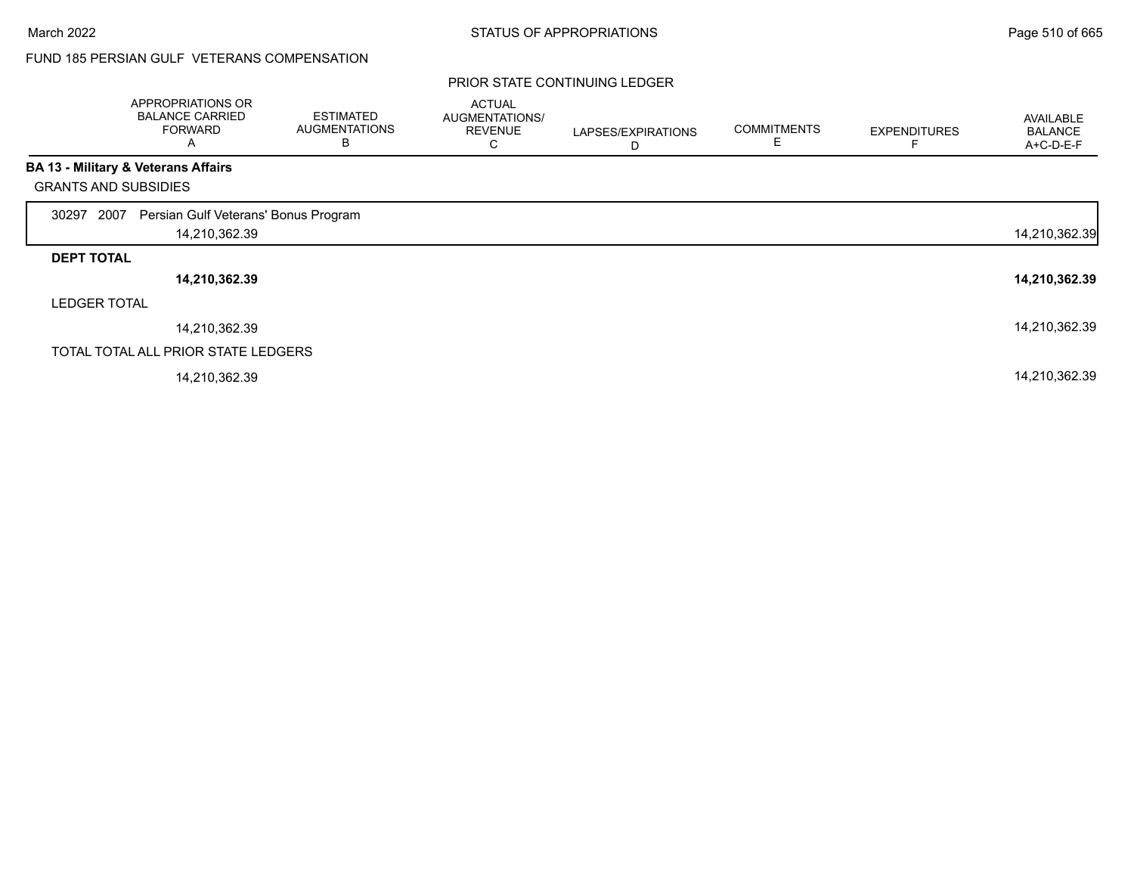## FUND 185 PERSIAN GULF VETERANS COMPENSATION

|                             | APPROPRIATIONS OR<br><b>BALANCE CARRIED</b><br><b>FORWARD</b><br>A | <b>ESTIMATED</b><br><b>AUGMENTATIONS</b><br>В | <b>ACTUAL</b><br><b>AUGMENTATIONS/</b><br><b>REVENUE</b><br>С | LAPSES/EXPIRATIONS<br>D | <b>COMMITMENTS</b> | <b>EXPENDITURES</b> | AVAILABLE<br><b>BALANCE</b><br>A+C-D-E-F |
|-----------------------------|--------------------------------------------------------------------|-----------------------------------------------|---------------------------------------------------------------|-------------------------|--------------------|---------------------|------------------------------------------|
|                             | <b>BA 13 - Military &amp; Veterans Affairs</b>                     |                                               |                                                               |                         |                    |                     |                                          |
| <b>GRANTS AND SUBSIDIES</b> |                                                                    |                                               |                                                               |                         |                    |                     |                                          |
| 2007<br>30297               | Persian Gulf Veterans' Bonus Program                               |                                               |                                                               |                         |                    |                     |                                          |
|                             | 14,210,362.39                                                      |                                               |                                                               |                         |                    |                     | 14,210,362.39                            |
| <b>DEPT TOTAL</b>           |                                                                    |                                               |                                                               |                         |                    |                     |                                          |
|                             | 14,210,362.39                                                      |                                               |                                                               |                         |                    |                     | 14,210,362.39                            |
| <b>LEDGER TOTAL</b>         |                                                                    |                                               |                                                               |                         |                    |                     |                                          |
|                             | 14,210,362.39                                                      |                                               |                                                               |                         |                    |                     | 14,210,362.39                            |
|                             | TOTAL TOTAL ALL PRIOR STATE LEDGERS                                |                                               |                                                               |                         |                    |                     |                                          |
|                             | 14,210,362.39                                                      |                                               |                                                               |                         |                    |                     | 14,210,362.39                            |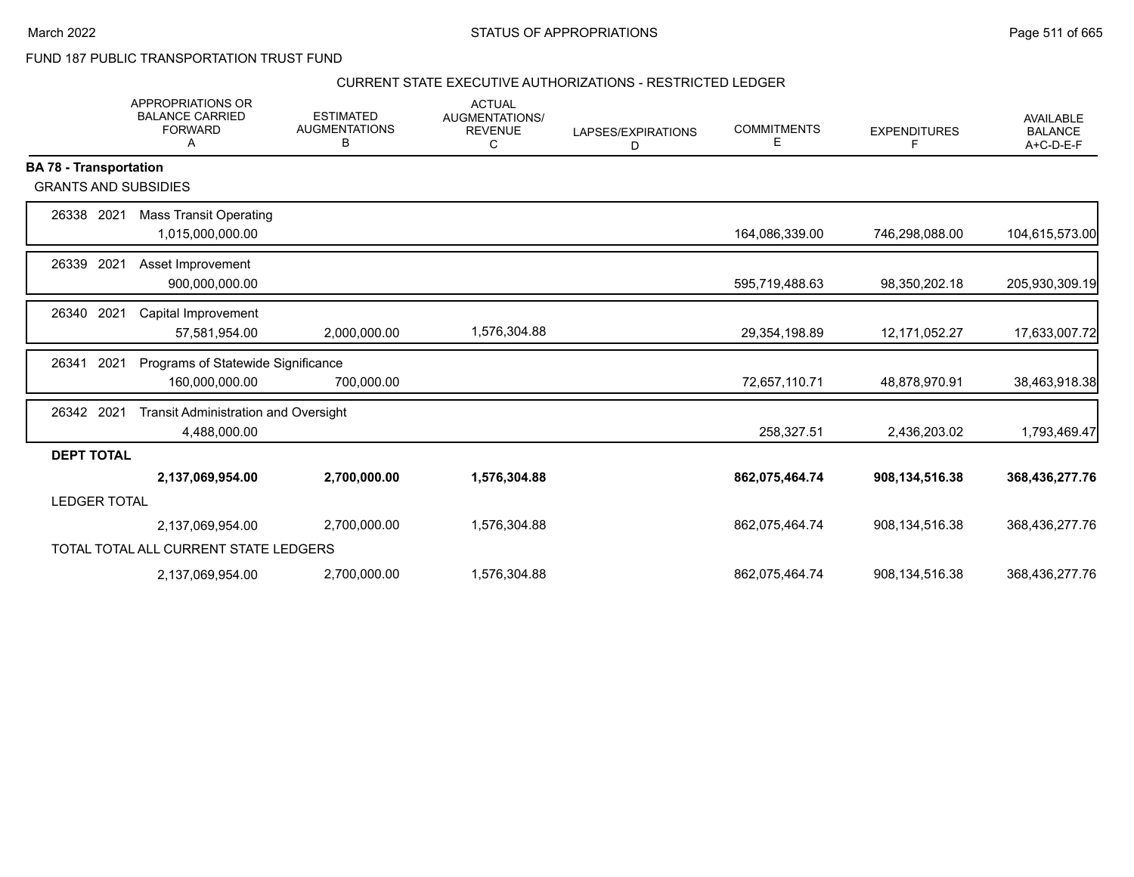FUND 187 PUBLIC TRANSPORTATION TRUST FUND

# CURRENT STATE EXECUTIVE AUTHORIZATIONS - RESTRICTED LEDGER

|                               | <b>APPROPRIATIONS OR</b><br><b>BALANCE CARRIED</b><br><b>FORWARD</b><br>Α | <b>ESTIMATED</b><br><b>AUGMENTATIONS</b><br>В | <b>ACTUAL</b><br>AUGMENTATIONS/<br><b>REVENUE</b><br>C | LAPSES/EXPIRATIONS<br>D | <b>COMMITMENTS</b><br>Ε | <b>EXPENDITURES</b><br>F. | <b>AVAILABLE</b><br><b>BALANCE</b><br>A+C-D-E-F |
|-------------------------------|---------------------------------------------------------------------------|-----------------------------------------------|--------------------------------------------------------|-------------------------|-------------------------|---------------------------|-------------------------------------------------|
| <b>BA 78 - Transportation</b> |                                                                           |                                               |                                                        |                         |                         |                           |                                                 |
| <b>GRANTS AND SUBSIDIES</b>   |                                                                           |                                               |                                                        |                         |                         |                           |                                                 |
| 26338 2021                    | <b>Mass Transit Operating</b>                                             |                                               |                                                        |                         |                         |                           |                                                 |
|                               | 1,015,000,000.00                                                          |                                               |                                                        |                         | 164,086,339.00          | 746,298,088.00            | 104,615,573.00                                  |
| 2021<br>26339                 | Asset Improvement                                                         |                                               |                                                        |                         |                         |                           |                                                 |
|                               | 900,000,000.00                                                            |                                               |                                                        |                         | 595,719,488.63          | 98,350,202.18             | 205,930,309.19                                  |
| 2021<br>26340                 | Capital Improvement                                                       |                                               |                                                        |                         |                         |                           |                                                 |
|                               | 57,581,954.00                                                             | 2,000,000.00                                  | 1,576,304.88                                           |                         | 29,354,198.89           | 12,171,052.27             | 17,633,007.72                                   |
| 2021<br>26341                 | Programs of Statewide Significance                                        |                                               |                                                        |                         |                         |                           |                                                 |
|                               | 160,000,000.00                                                            | 700,000.00                                    |                                                        |                         | 72,657,110.71           | 48,878,970.91             | 38,463,918.38                                   |
| 26342 2021                    | <b>Transit Administration and Oversight</b>                               |                                               |                                                        |                         |                         |                           |                                                 |
|                               | 4,488,000.00                                                              |                                               |                                                        |                         | 258,327.51              | 2,436,203.02              | 1,793,469.47                                    |
| <b>DEPT TOTAL</b>             |                                                                           |                                               |                                                        |                         |                         |                           |                                                 |
|                               | 2,137,069,954.00                                                          | 2,700,000.00                                  | 1,576,304.88                                           |                         | 862,075,464.74          | 908,134,516.38            | 368,436,277.76                                  |
| <b>LEDGER TOTAL</b>           |                                                                           |                                               |                                                        |                         |                         |                           |                                                 |
|                               | 2,137,069,954.00                                                          | 2,700,000.00                                  | 1,576,304.88                                           |                         | 862,075,464.74          | 908, 134, 516. 38         | 368,436,277.76                                  |
|                               | TOTAL TOTAL ALL CURRENT STATE LEDGERS                                     |                                               |                                                        |                         |                         |                           |                                                 |
|                               | 2,137,069,954.00                                                          | 2,700,000.00                                  | 1,576,304.88                                           |                         | 862,075,464.74          | 908,134,516.38            | 368,436,277.76                                  |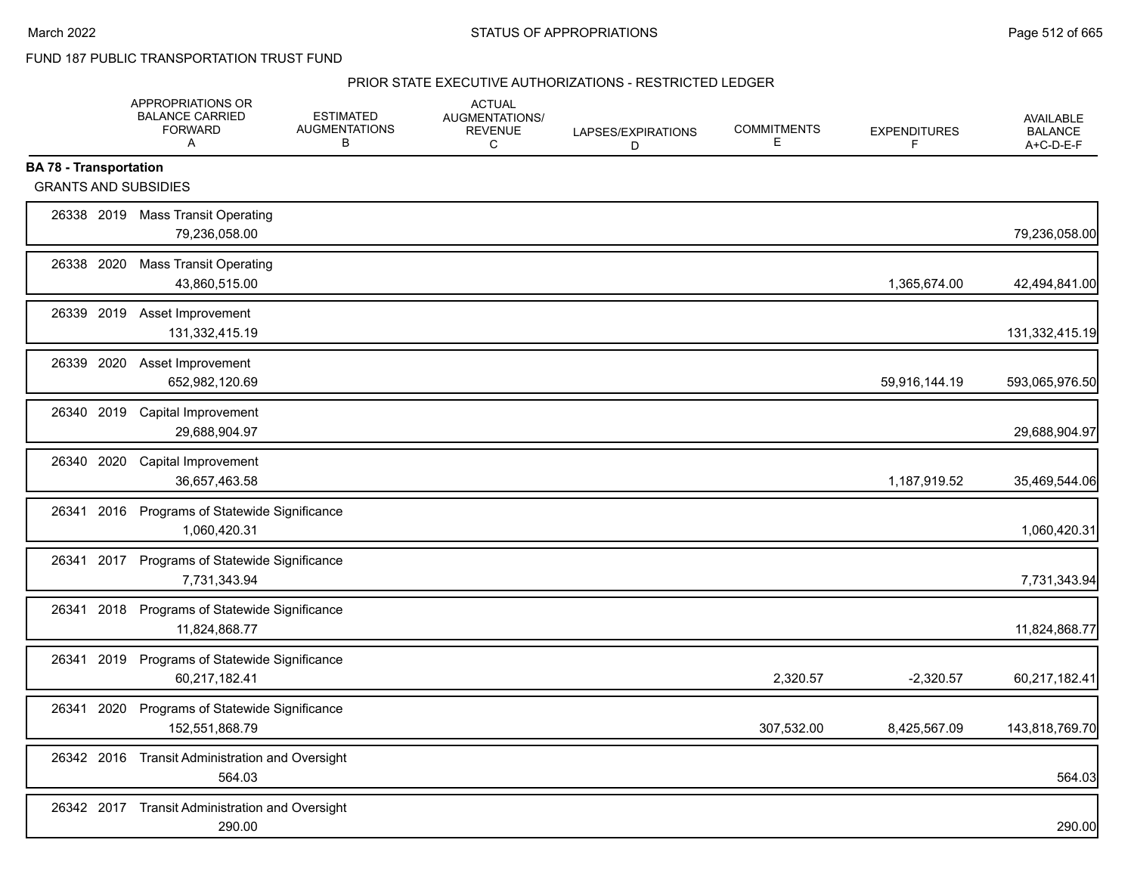FUND 187 PUBLIC TRANSPORTATION TRUST FUND

#### PRIOR STATE EXECUTIVE AUTHORIZATIONS - RESTRICTED LEDGER

|                                                              | APPROPRIATIONS OR<br><b>BALANCE CARRIED</b><br><b>FORWARD</b><br>Α | <b>ESTIMATED</b><br><b>AUGMENTATIONS</b><br>В | <b>ACTUAL</b><br>AUGMENTATIONS/<br><b>REVENUE</b><br>C | LAPSES/EXPIRATIONS<br>D | <b>COMMITMENTS</b><br>Е | <b>EXPENDITURES</b><br>F | <b>AVAILABLE</b><br><b>BALANCE</b><br>A+C-D-E-F |
|--------------------------------------------------------------|--------------------------------------------------------------------|-----------------------------------------------|--------------------------------------------------------|-------------------------|-------------------------|--------------------------|-------------------------------------------------|
| <b>BA 78 - Transportation</b><br><b>GRANTS AND SUBSIDIES</b> |                                                                    |                                               |                                                        |                         |                         |                          |                                                 |
|                                                              | 26338 2019 Mass Transit Operating<br>79,236,058.00                 |                                               |                                                        |                         |                         |                          | 79,236,058.00                                   |
| 26338 2020                                                   | <b>Mass Transit Operating</b><br>43,860,515.00                     |                                               |                                                        |                         |                         | 1,365,674.00             | 42,494,841.00                                   |
| 26339 2019                                                   | Asset Improvement<br>131,332,415.19                                |                                               |                                                        |                         |                         |                          | 131,332,415.19                                  |
| 26339 2020                                                   | Asset Improvement<br>652,982,120.69                                |                                               |                                                        |                         |                         | 59,916,144.19            | 593,065,976.50                                  |
| 26340 2019                                                   | <b>Capital Improvement</b><br>29,688,904.97                        |                                               |                                                        |                         |                         |                          | 29,688,904.97                                   |
| 26340 2020                                                   | Capital Improvement<br>36,657,463.58                               |                                               |                                                        |                         |                         | 1,187,919.52             | 35,469,544.06                                   |
| 26341                                                        | 2016 Programs of Statewide Significance<br>1,060,420.31            |                                               |                                                        |                         |                         |                          | 1,060,420.31                                    |
| 26341 2017                                                   | Programs of Statewide Significance<br>7,731,343.94                 |                                               |                                                        |                         |                         |                          | 7,731,343.94                                    |
| 26341<br>2018                                                | Programs of Statewide Significance<br>11,824,868.77                |                                               |                                                        |                         |                         |                          | 11,824,868.77                                   |
| 2019<br>26341                                                | Programs of Statewide Significance<br>60,217,182.41                |                                               |                                                        |                         | 2,320.57                | $-2,320.57$              | 60,217,182.41                                   |
| 2020<br>26341                                                | Programs of Statewide Significance<br>152,551,868.79               |                                               |                                                        |                         | 307,532.00              | 8,425,567.09             | 143,818,769.70                                  |
|                                                              | 26342 2016 Transit Administration and Oversight<br>564.03          |                                               |                                                        |                         |                         |                          | 564.03                                          |
| 26342 2017                                                   | <b>Transit Administration and Oversight</b><br>290.00              |                                               |                                                        |                         |                         |                          | 290.00                                          |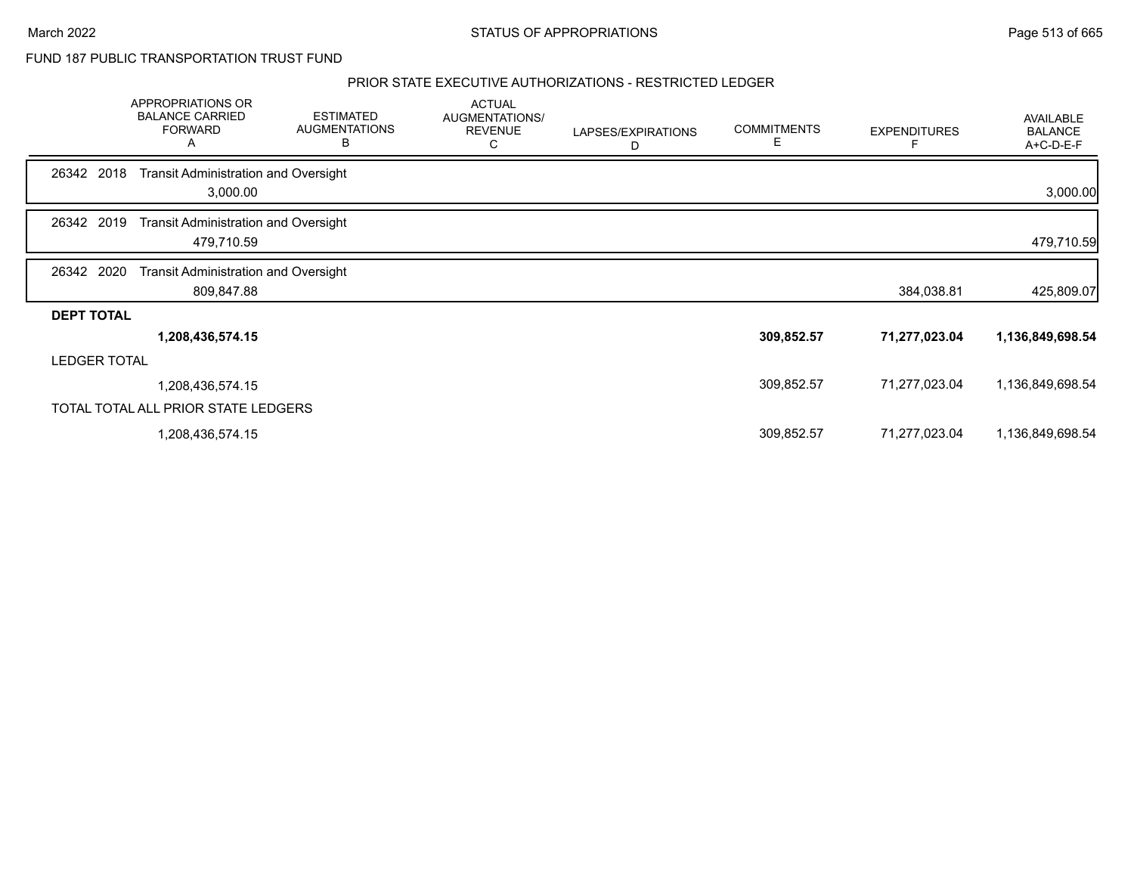FUND 187 PUBLIC TRANSPORTATION TRUST FUND

### PRIOR STATE EXECUTIVE AUTHORIZATIONS - RESTRICTED LEDGER

|                     | APPROPRIATIONS OR<br><b>BALANCE CARRIED</b><br><b>FORWARD</b><br>A | <b>ESTIMATED</b><br><b>AUGMENTATIONS</b><br>В | <b>ACTUAL</b><br>AUGMENTATIONS/<br><b>REVENUE</b><br>C | LAPSES/EXPIRATIONS<br>D | <b>COMMITMENTS</b><br>Е | <b>EXPENDITURES</b> | <b>AVAILABLE</b><br><b>BALANCE</b><br>A+C-D-E-F |
|---------------------|--------------------------------------------------------------------|-----------------------------------------------|--------------------------------------------------------|-------------------------|-------------------------|---------------------|-------------------------------------------------|
| 26342 2018          | <b>Transit Administration and Oversight</b><br>3,000.00            |                                               |                                                        |                         |                         |                     | 3,000.00                                        |
| 26342 2019          | <b>Transit Administration and Oversight</b><br>479,710.59          |                                               |                                                        |                         |                         |                     | 479,710.59                                      |
| 26342 2020          | <b>Transit Administration and Oversight</b><br>809,847.88          |                                               |                                                        |                         |                         | 384,038.81          | 425,809.07                                      |
| <b>DEPT TOTAL</b>   |                                                                    |                                               |                                                        |                         |                         |                     |                                                 |
|                     | 1,208,436,574.15                                                   |                                               |                                                        |                         | 309,852.57              | 71,277,023.04       | 1,136,849,698.54                                |
| <b>LEDGER TOTAL</b> |                                                                    |                                               |                                                        |                         |                         |                     |                                                 |
|                     | 1,208,436,574.15                                                   |                                               |                                                        |                         | 309,852.57              | 71,277,023.04       | 1,136,849,698.54                                |
|                     | TOTAL TOTAL ALL PRIOR STATE LEDGERS                                |                                               |                                                        |                         |                         |                     |                                                 |
|                     | 1,208,436,574.15                                                   |                                               |                                                        |                         | 309,852.57              | 71,277,023.04       | 1,136,849,698.54                                |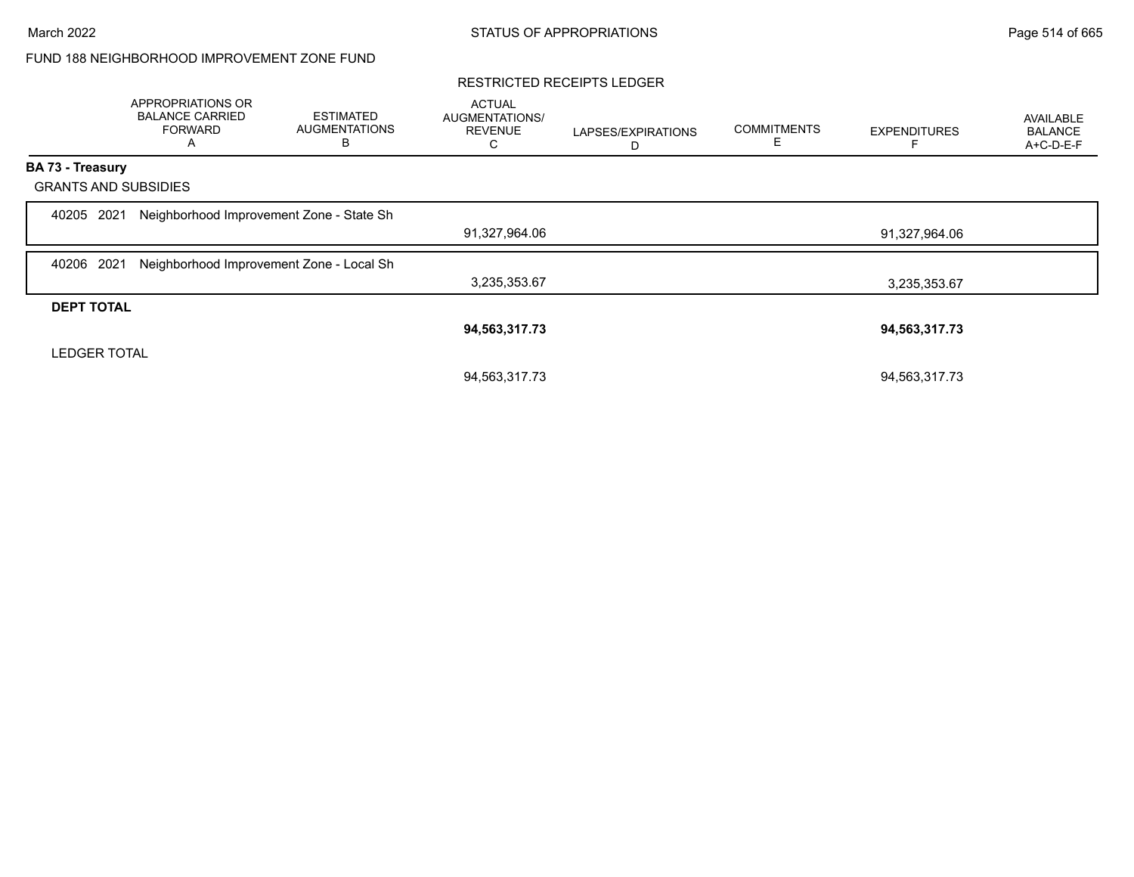## FUND 188 NEIGHBORHOOD IMPROVEMENT ZONE FUND

#### RESTRICTED RECEIPTS LEDGER

|                             | APPROPRIATIONS OR<br><b>BALANCE CARRIED</b><br><b>FORWARD</b><br>A | <b>ESTIMATED</b><br><b>AUGMENTATIONS</b><br>В | <b>ACTUAL</b><br>AUGMENTATIONS/<br><b>REVENUE</b><br>С | LAPSES/EXPIRATIONS<br>D | <b>COMMITMENTS</b><br>E | <b>EXPENDITURES</b> | <b>AVAILABLE</b><br><b>BALANCE</b><br>A+C-D-E-F |
|-----------------------------|--------------------------------------------------------------------|-----------------------------------------------|--------------------------------------------------------|-------------------------|-------------------------|---------------------|-------------------------------------------------|
| <b>BA 73 - Treasury</b>     |                                                                    |                                               |                                                        |                         |                         |                     |                                                 |
| <b>GRANTS AND SUBSIDIES</b> |                                                                    |                                               |                                                        |                         |                         |                     |                                                 |
| 2021<br>40205               | Neighborhood Improvement Zone - State Sh                           |                                               |                                                        |                         |                         |                     |                                                 |
|                             |                                                                    |                                               | 91,327,964.06                                          |                         |                         | 91,327,964.06       |                                                 |
| 2021<br>40206               | Neighborhood Improvement Zone - Local Sh                           |                                               |                                                        |                         |                         |                     |                                                 |
|                             |                                                                    |                                               | 3,235,353.67                                           |                         |                         | 3,235,353.67        |                                                 |
| <b>DEPT TOTAL</b>           |                                                                    |                                               |                                                        |                         |                         |                     |                                                 |
|                             |                                                                    |                                               | 94,563,317.73                                          |                         |                         | 94,563,317.73       |                                                 |
| <b>LEDGER TOTAL</b>         |                                                                    |                                               |                                                        |                         |                         |                     |                                                 |
|                             |                                                                    |                                               | 94,563,317.73                                          |                         |                         | 94,563,317.73       |                                                 |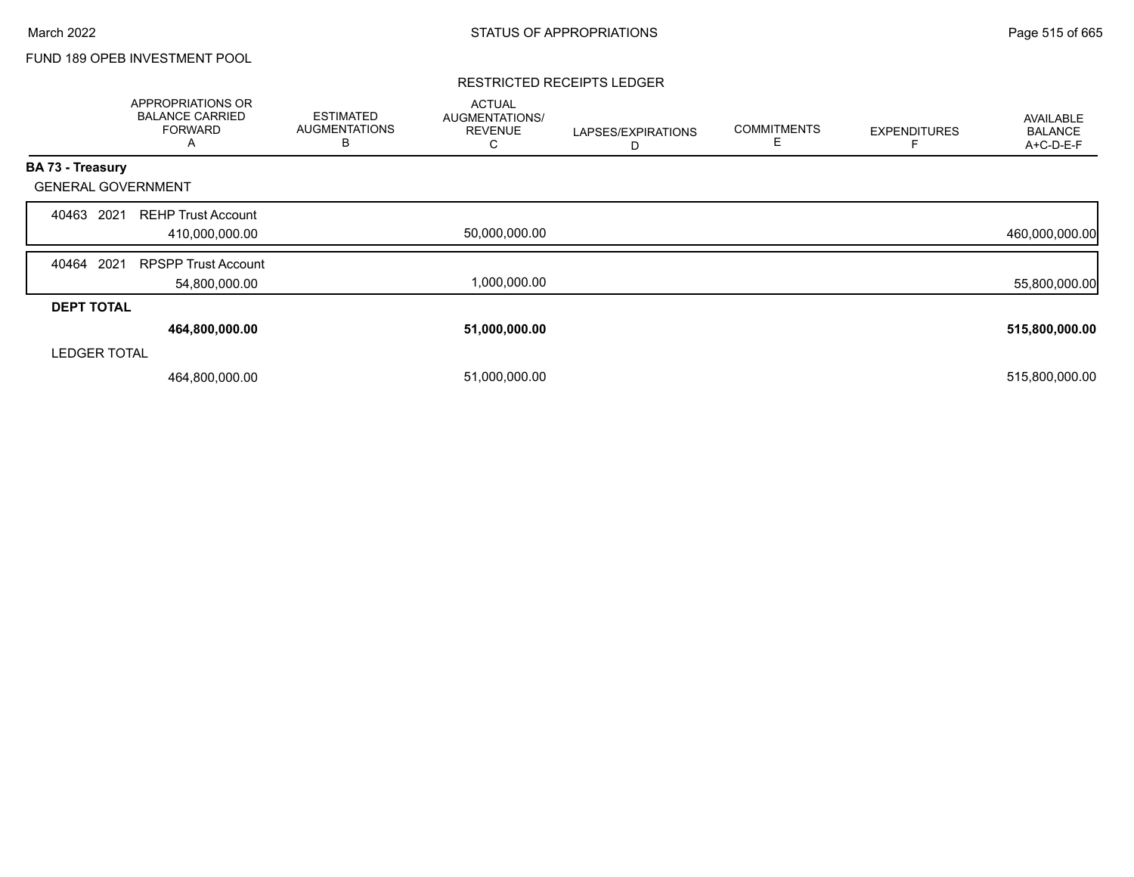## FUND 189 OPEB INVESTMENT POOL

### RESTRICTED RECEIPTS LEDGER

|                           | <b>APPROPRIATIONS OR</b><br><b>BALANCE CARRIED</b><br><b>FORWARD</b><br>А | <b>ESTIMATED</b><br><b>AUGMENTATIONS</b><br>B | <b>ACTUAL</b><br>AUGMENTATIONS/<br><b>REVENUE</b><br>Ō | LAPSES/EXPIRATIONS<br>D | <b>COMMITMENTS</b><br>E | <b>EXPENDITURES</b> | AVAILABLE<br><b>BALANCE</b><br>A+C-D-E-F |
|---------------------------|---------------------------------------------------------------------------|-----------------------------------------------|--------------------------------------------------------|-------------------------|-------------------------|---------------------|------------------------------------------|
| BA 73 - Treasury          |                                                                           |                                               |                                                        |                         |                         |                     |                                          |
| <b>GENERAL GOVERNMENT</b> |                                                                           |                                               |                                                        |                         |                         |                     |                                          |
| 2021<br>40463             | <b>REHP Trust Account</b><br>410,000,000.00                               |                                               | 50,000,000.00                                          |                         |                         |                     | 460,000,000.00                           |
| 2021<br>40464             | <b>RPSPP Trust Account</b><br>54,800,000.00                               |                                               | 1,000,000.00                                           |                         |                         |                     | 55,800,000.00                            |
| <b>DEPT TOTAL</b>         |                                                                           |                                               |                                                        |                         |                         |                     |                                          |
|                           | 464,800,000.00                                                            |                                               | 51,000,000.00                                          |                         |                         |                     | 515,800,000.00                           |
| <b>LEDGER TOTAL</b>       |                                                                           |                                               |                                                        |                         |                         |                     |                                          |
|                           | 464,800,000.00                                                            |                                               | 51,000,000.00                                          |                         |                         |                     | 515,800,000.00                           |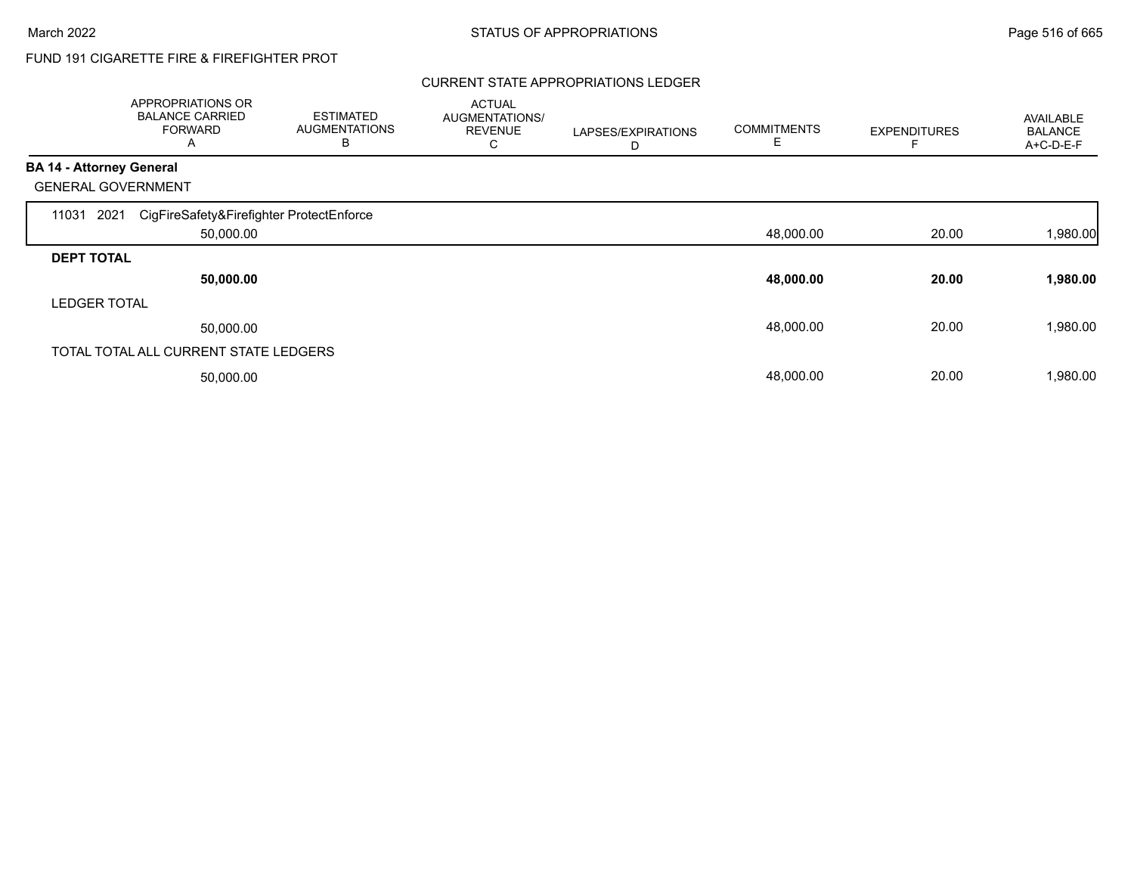# FUND 191 CIGARETTE FIRE & FIREFIGHTER PROT

### CURRENT STATE APPROPRIATIONS LEDGER

|                                 | APPROPRIATIONS OR<br><b>BALANCE CARRIED</b><br><b>FORWARD</b><br>A | <b>ESTIMATED</b><br><b>AUGMENTATIONS</b><br>B | <b>ACTUAL</b><br>AUGMENTATIONS/<br><b>REVENUE</b><br>С | LAPSES/EXPIRATIONS<br>D | <b>COMMITMENTS</b><br>E | <b>EXPENDITURES</b> | AVAILABLE<br><b>BALANCE</b><br>A+C-D-E-F |
|---------------------------------|--------------------------------------------------------------------|-----------------------------------------------|--------------------------------------------------------|-------------------------|-------------------------|---------------------|------------------------------------------|
| <b>BA 14 - Attorney General</b> |                                                                    |                                               |                                                        |                         |                         |                     |                                          |
|                                 | <b>GENERAL GOVERNMENT</b>                                          |                                               |                                                        |                         |                         |                     |                                          |
| 11031                           | CigFireSafety&Firefighter ProtectEnforce<br>2021                   |                                               |                                                        |                         |                         |                     |                                          |
|                                 | 50,000.00                                                          |                                               |                                                        |                         | 48,000.00               | 20.00               | 1,980.00                                 |
| <b>DEPT TOTAL</b>               |                                                                    |                                               |                                                        |                         |                         |                     |                                          |
|                                 | 50,000.00                                                          |                                               |                                                        |                         | 48,000.00               | 20.00               | 1,980.00                                 |
| <b>LEDGER TOTAL</b>             |                                                                    |                                               |                                                        |                         |                         |                     |                                          |
|                                 | 50,000.00                                                          |                                               |                                                        |                         | 48,000.00               | 20.00               | 1,980.00                                 |
|                                 | TOTAL TOTAL ALL CURRENT STATE LEDGERS                              |                                               |                                                        |                         |                         |                     |                                          |
|                                 | 50,000.00                                                          |                                               |                                                        |                         | 48,000.00               | 20.00               | 1,980.00                                 |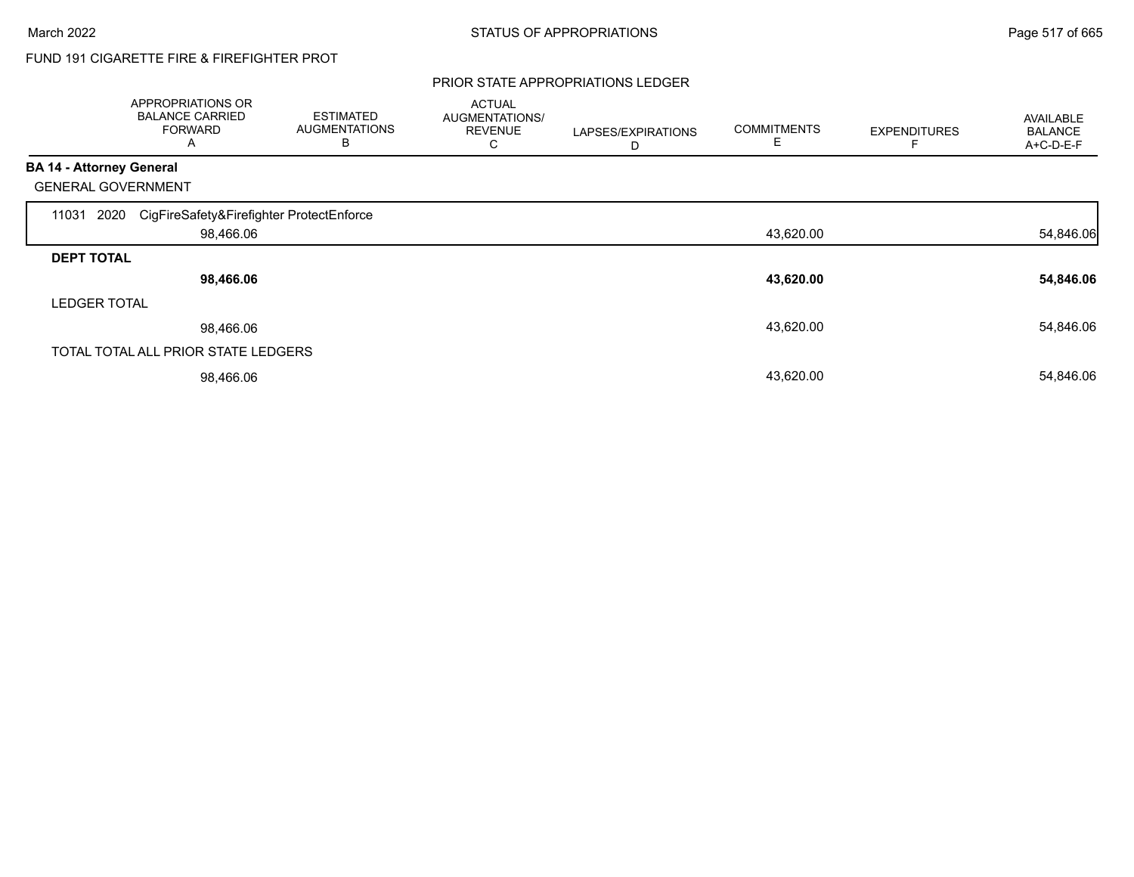# FUND 191 CIGARETTE FIRE & FIREFIGHTER PROT

#### PRIOR STATE APPROPRIATIONS LEDGER

|                                 | APPROPRIATIONS OR<br><b>BALANCE CARRIED</b><br><b>FORWARD</b><br>A | <b>ESTIMATED</b><br><b>AUGMENTATIONS</b><br>B | <b>ACTUAL</b><br>AUGMENTATIONS/<br><b>REVENUE</b><br>С | LAPSES/EXPIRATIONS<br>D | <b>COMMITMENTS</b><br>E | <b>EXPENDITURES</b> | AVAILABLE<br><b>BALANCE</b><br>A+C-D-E-F |
|---------------------------------|--------------------------------------------------------------------|-----------------------------------------------|--------------------------------------------------------|-------------------------|-------------------------|---------------------|------------------------------------------|
| <b>BA 14 - Attorney General</b> |                                                                    |                                               |                                                        |                         |                         |                     |                                          |
|                                 | <b>GENERAL GOVERNMENT</b>                                          |                                               |                                                        |                         |                         |                     |                                          |
| 11031                           | CigFireSafety&Firefighter ProtectEnforce<br>2020                   |                                               |                                                        |                         |                         |                     |                                          |
|                                 | 98,466.06                                                          |                                               |                                                        |                         | 43,620.00               |                     | 54,846.06                                |
| <b>DEPT TOTAL</b>               |                                                                    |                                               |                                                        |                         |                         |                     |                                          |
|                                 | 98,466.06                                                          |                                               |                                                        |                         | 43,620.00               |                     | 54,846.06                                |
| <b>LEDGER TOTAL</b>             |                                                                    |                                               |                                                        |                         |                         |                     |                                          |
|                                 | 98,466.06                                                          |                                               |                                                        |                         | 43,620.00               |                     | 54,846.06                                |
|                                 | TOTAL TOTAL ALL PRIOR STATE LEDGERS                                |                                               |                                                        |                         |                         |                     |                                          |
|                                 | 98,466.06                                                          |                                               |                                                        |                         | 43,620.00               |                     | 54,846.06                                |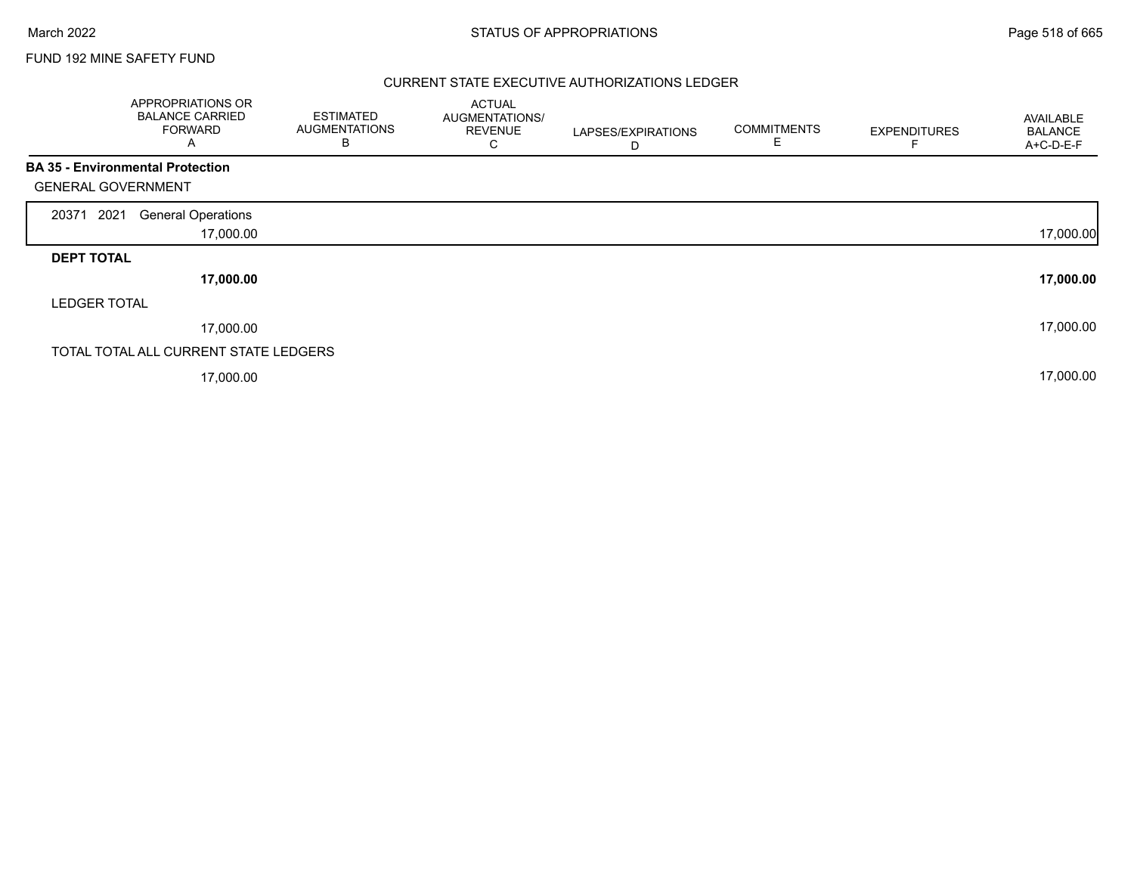## FUND 192 MINE SAFETY FUND

### CURRENT STATE EXECUTIVE AUTHORIZATIONS LEDGER

| APPROPRIATIONS OR<br><b>BALANCE CARRIED</b><br><b>FORWARD</b><br>A |           | <b>ESTIMATED</b><br><b>AUGMENTATIONS</b><br>В | <b>ACTUAL</b><br>AUGMENTATIONS/<br><b>REVENUE</b><br>С | LAPSES/EXPIRATIONS<br>D | <b>COMMITMENTS</b><br>E | <b>EXPENDITURES</b> | AVAILABLE<br><b>BALANCE</b><br>A+C-D-E-F |
|--------------------------------------------------------------------|-----------|-----------------------------------------------|--------------------------------------------------------|-------------------------|-------------------------|---------------------|------------------------------------------|
| <b>BA 35 - Environmental Protection</b>                            |           |                                               |                                                        |                         |                         |                     |                                          |
| <b>GENERAL GOVERNMENT</b>                                          |           |                                               |                                                        |                         |                         |                     |                                          |
| 2021<br><b>General Operations</b><br>20371                         |           |                                               |                                                        |                         |                         |                     |                                          |
|                                                                    | 17,000.00 |                                               |                                                        |                         |                         |                     | 17,000.00                                |
| <b>DEPT TOTAL</b>                                                  |           |                                               |                                                        |                         |                         |                     |                                          |
|                                                                    | 17,000.00 |                                               |                                                        |                         |                         |                     | 17,000.00                                |
| <b>LEDGER TOTAL</b>                                                |           |                                               |                                                        |                         |                         |                     |                                          |
|                                                                    | 17,000.00 |                                               |                                                        |                         |                         |                     | 17,000.00                                |
| TOTAL TOTAL ALL CURRENT STATE LEDGERS                              |           |                                               |                                                        |                         |                         |                     |                                          |
|                                                                    | 17,000.00 |                                               |                                                        |                         |                         |                     | 17,000.00                                |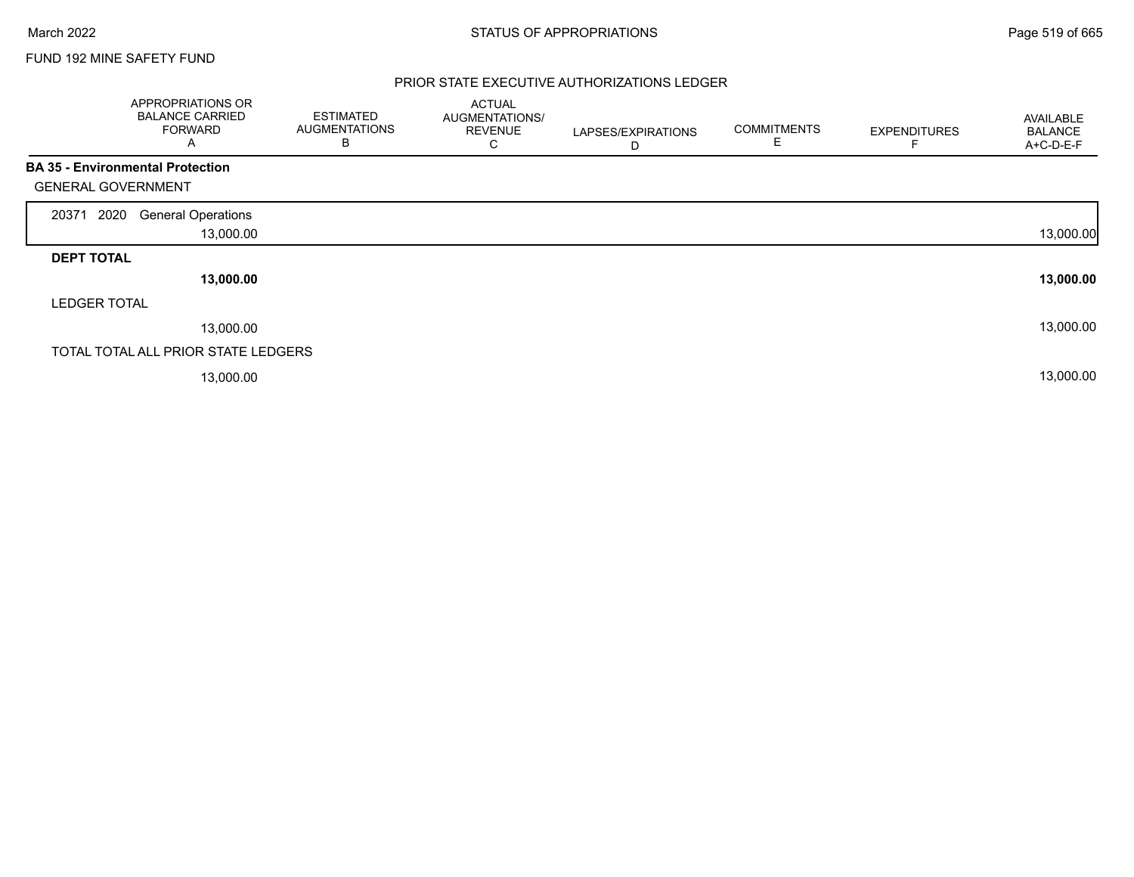$\Gamma$ 

## FUND 192 MINE SAFETY FUND

### PRIOR STATE EXECUTIVE AUTHORIZATIONS LEDGER

|                                         | APPROPRIATIONS OR<br><b>BALANCE CARRIED</b><br><b>FORWARD</b><br>A | <b>ESTIMATED</b><br><b>AUGMENTATIONS</b><br>В | <b>ACTUAL</b><br>AUGMENTATIONS/<br><b>REVENUE</b><br>С | LAPSES/EXPIRATIONS<br>D | <b>COMMITMENTS</b><br>E | <b>EXPENDITURES</b> | AVAILABLE<br><b>BALANCE</b><br>A+C-D-E-F |
|-----------------------------------------|--------------------------------------------------------------------|-----------------------------------------------|--------------------------------------------------------|-------------------------|-------------------------|---------------------|------------------------------------------|
| <b>BA 35 - Environmental Protection</b> |                                                                    |                                               |                                                        |                         |                         |                     |                                          |
| <b>GENERAL GOVERNMENT</b>               |                                                                    |                                               |                                                        |                         |                         |                     |                                          |
| 2020<br>20371                           | <b>General Operations</b>                                          |                                               |                                                        |                         |                         |                     |                                          |
|                                         | 13,000.00                                                          |                                               |                                                        |                         |                         |                     | 13,000.00                                |
| <b>DEPT TOTAL</b>                       |                                                                    |                                               |                                                        |                         |                         |                     |                                          |
|                                         | 13,000.00                                                          |                                               |                                                        |                         |                         |                     | 13,000.00                                |
| <b>LEDGER TOTAL</b>                     |                                                                    |                                               |                                                        |                         |                         |                     |                                          |
|                                         | 13,000.00                                                          |                                               |                                                        |                         |                         |                     | 13,000.00                                |
|                                         | TOTAL TOTAL ALL PRIOR STATE LEDGERS                                |                                               |                                                        |                         |                         |                     |                                          |
|                                         | 13,000.00                                                          |                                               |                                                        |                         |                         |                     | 13,000.00                                |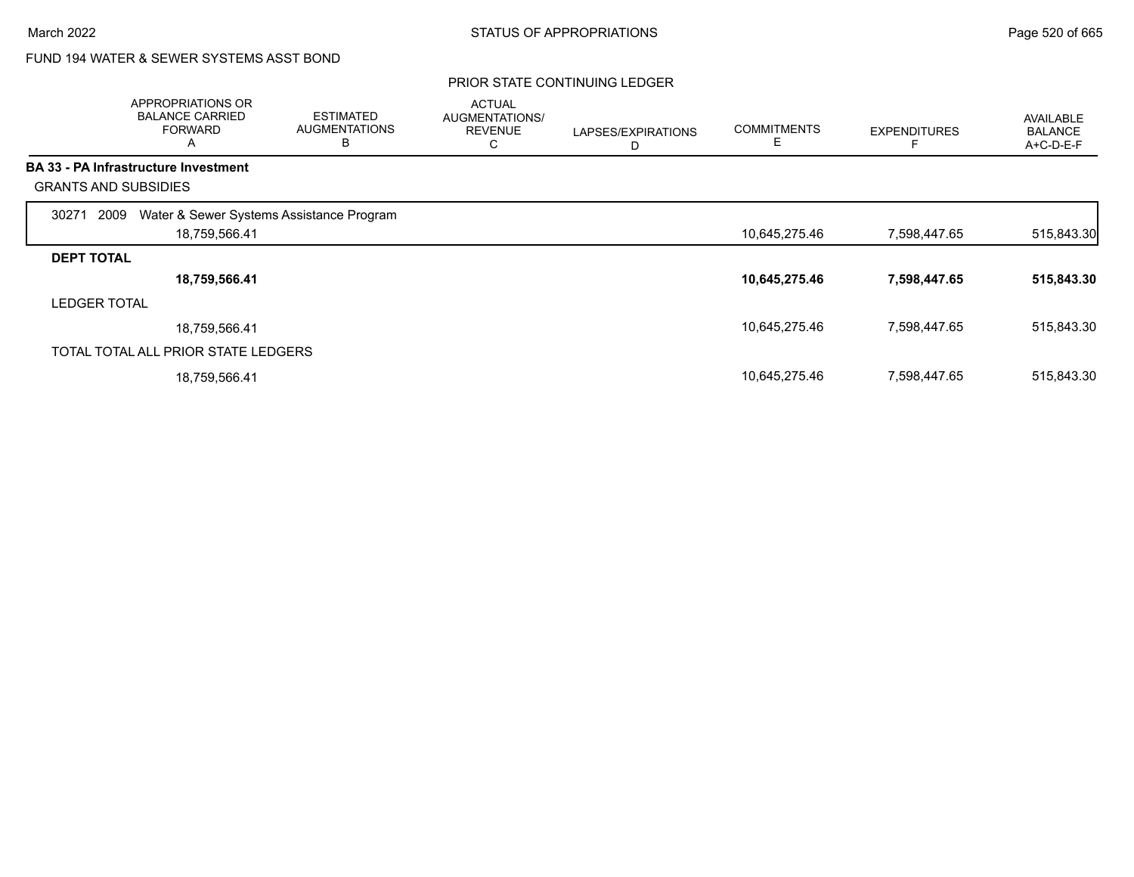## FUND 194 WATER & SEWER SYSTEMS ASST BOND

|                     | APPROPRIATIONS OR<br><b>BALANCE CARRIED</b><br><b>FORWARD</b><br>Α | <b>ESTIMATED</b><br><b>AUGMENTATIONS</b><br>B | <b>ACTUAL</b><br>AUGMENTATIONS/<br><b>REVENUE</b><br>С | LAPSES/EXPIRATIONS<br>D | <b>COMMITMENTS</b><br>E | <b>EXPENDITURES</b> | AVAILABLE<br><b>BALANCE</b><br>A+C-D-E-F |
|---------------------|--------------------------------------------------------------------|-----------------------------------------------|--------------------------------------------------------|-------------------------|-------------------------|---------------------|------------------------------------------|
|                     | <b>BA 33 - PA Infrastructure Investment</b>                        |                                               |                                                        |                         |                         |                     |                                          |
|                     | <b>GRANTS AND SUBSIDIES</b>                                        |                                               |                                                        |                         |                         |                     |                                          |
| 30271               | Water & Sewer Systems Assistance Program<br>2009                   |                                               |                                                        |                         |                         |                     |                                          |
|                     | 18,759,566.41                                                      |                                               |                                                        |                         | 10,645,275.46           | 7,598,447.65        | 515,843.30                               |
| <b>DEPT TOTAL</b>   |                                                                    |                                               |                                                        |                         |                         |                     |                                          |
|                     | 18,759,566.41                                                      |                                               |                                                        |                         | 10,645,275.46           | 7,598,447.65        | 515,843.30                               |
| <b>LEDGER TOTAL</b> |                                                                    |                                               |                                                        |                         |                         |                     |                                          |
|                     | 18,759,566.41                                                      |                                               |                                                        |                         | 10,645,275.46           | 7,598,447.65        | 515,843.30                               |
|                     | TOTAL TOTAL ALL PRIOR STATE LEDGERS                                |                                               |                                                        |                         |                         |                     |                                          |
|                     | 18,759,566.41                                                      |                                               |                                                        |                         | 10,645,275.46           | 7,598,447.65        | 515,843.30                               |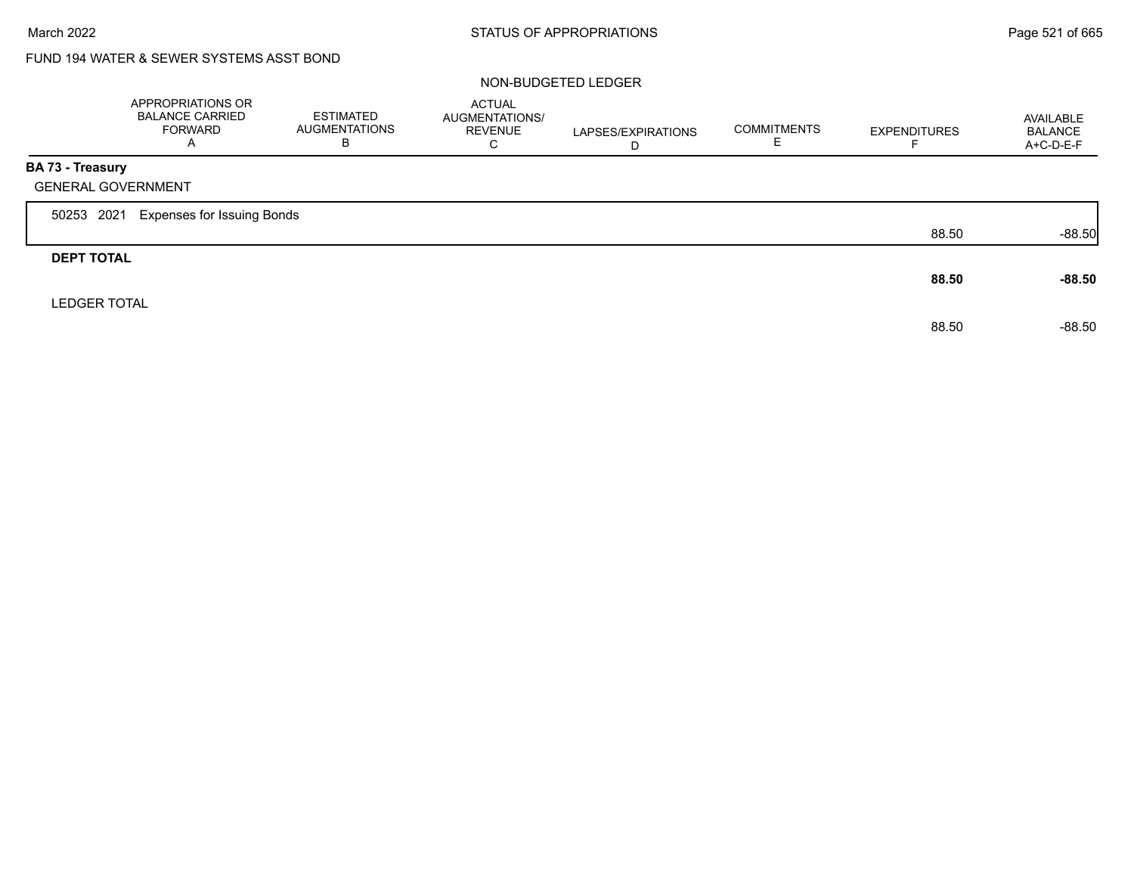# FUND 194 WATER & SEWER SYSTEMS ASST BOND

### NON-BUDGETED LEDGER

|                                                      | APPROPRIATIONS OR<br><b>BALANCE CARRIED</b><br><b>FORWARD</b><br>$\overline{A}$ | <b>ESTIMATED</b><br><b>AUGMENTATIONS</b><br>B | <b>ACTUAL</b><br>AUGMENTATIONS/<br><b>REVENUE</b><br>C | LAPSES/EXPIRATIONS<br>D | <b>COMMITMENTS</b> | <b>EXPENDITURES</b> | AVAILABLE<br><b>BALANCE</b><br>A+C-D-E-F |
|------------------------------------------------------|---------------------------------------------------------------------------------|-----------------------------------------------|--------------------------------------------------------|-------------------------|--------------------|---------------------|------------------------------------------|
| <b>BA 73 - Treasury</b><br><b>GENERAL GOVERNMENT</b> |                                                                                 |                                               |                                                        |                         |                    |                     |                                          |
| 50253 2021                                           | <b>Expenses for Issuing Bonds</b>                                               |                                               |                                                        |                         |                    |                     |                                          |
|                                                      |                                                                                 |                                               |                                                        |                         |                    | 88.50               | $-88.50$                                 |
| <b>DEPT TOTAL</b>                                    |                                                                                 |                                               |                                                        |                         |                    | 88.50               | $-88.50$                                 |
| <b>LEDGER TOTAL</b>                                  |                                                                                 |                                               |                                                        |                         |                    | 88.50               | $-88.50$                                 |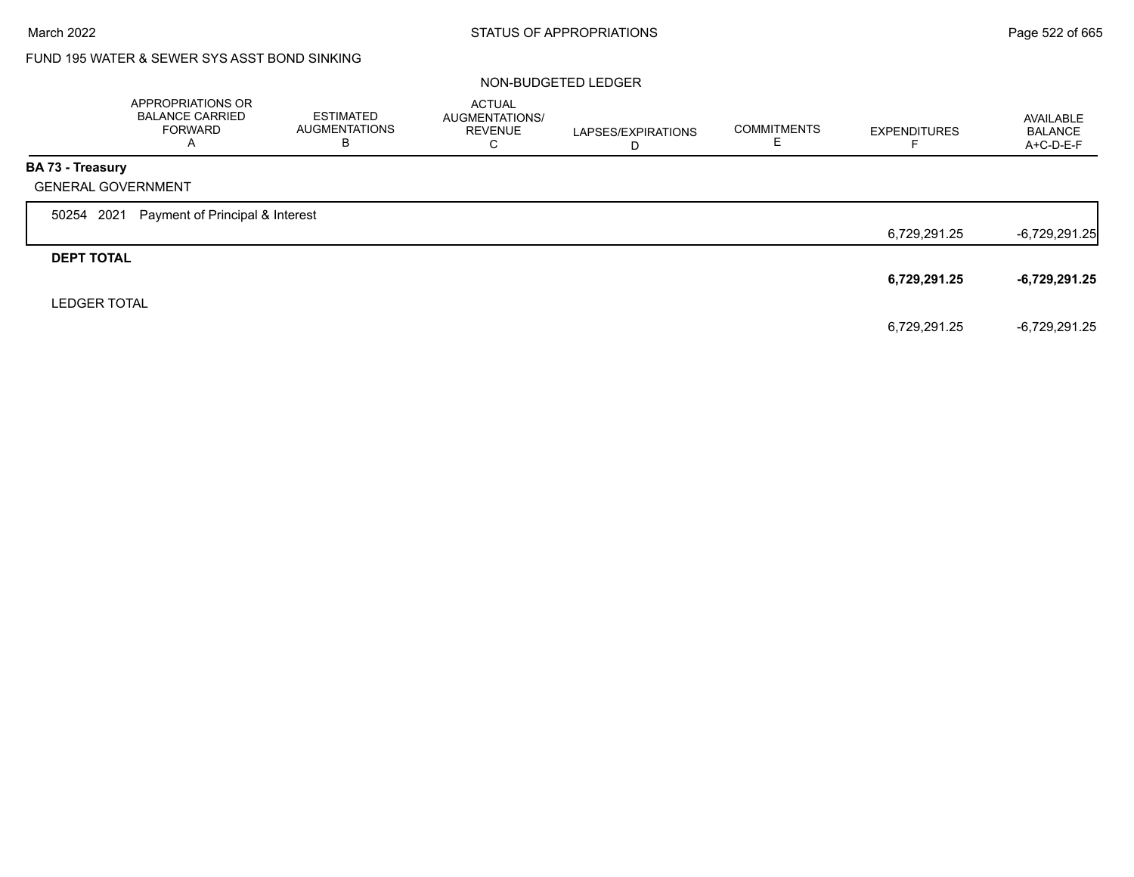# FUND 195 WATER & SEWER SYS ASST BOND SINKING

### NON-BUDGETED LEDGER

|                     | APPROPRIATIONS OR<br><b>BALANCE CARRIED</b><br><b>FORWARD</b><br>A | <b>ESTIMATED</b><br><b>AUGMENTATIONS</b><br>В | <b>ACTUAL</b><br>AUGMENTATIONS/<br><b>REVENUE</b><br>C | LAPSES/EXPIRATIONS<br>D | <b>COMMITMENTS</b> | <b>EXPENDITURES</b> | AVAILABLE<br><b>BALANCE</b><br>A+C-D-E-F |
|---------------------|--------------------------------------------------------------------|-----------------------------------------------|--------------------------------------------------------|-------------------------|--------------------|---------------------|------------------------------------------|
| BA 73 - Treasury    |                                                                    |                                               |                                                        |                         |                    |                     |                                          |
|                     | <b>GENERAL GOVERNMENT</b>                                          |                                               |                                                        |                         |                    |                     |                                          |
| 50254 2021          | Payment of Principal & Interest                                    |                                               |                                                        |                         |                    |                     |                                          |
|                     |                                                                    |                                               |                                                        |                         |                    | 6,729,291.25        | $-6,729,291.25$                          |
| <b>DEPT TOTAL</b>   |                                                                    |                                               |                                                        |                         |                    |                     |                                          |
|                     |                                                                    |                                               |                                                        |                         |                    | 6,729,291.25        | $-6,729,291.25$                          |
| <b>LEDGER TOTAL</b> |                                                                    |                                               |                                                        |                         |                    |                     |                                          |
|                     |                                                                    |                                               |                                                        |                         |                    | 6,729,291.25        | $-6.729.291.25$                          |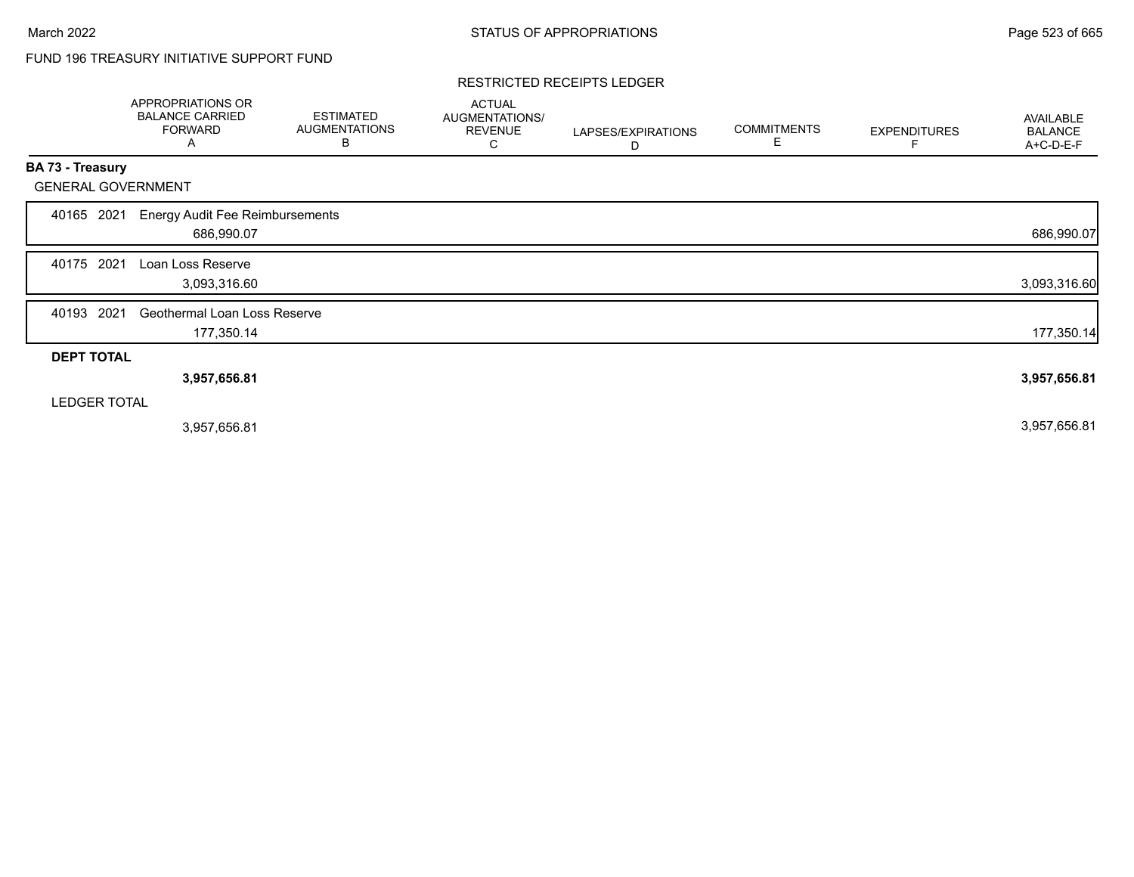# FUND 196 TREASURY INITIATIVE SUPPORT FUND

#### RESTRICTED RECEIPTS LEDGER

|                           | APPROPRIATIONS OR<br><b>BALANCE CARRIED</b><br><b>FORWARD</b><br>A | <b>ESTIMATED</b><br><b>AUGMENTATIONS</b><br>B | <b>ACTUAL</b><br>AUGMENTATIONS/<br><b>REVENUE</b><br>С | LAPSES/EXPIRATIONS<br>D | <b>COMMITMENTS</b><br>Е | <b>EXPENDITURES</b> | <b>AVAILABLE</b><br><b>BALANCE</b><br>A+C-D-E-F |
|---------------------------|--------------------------------------------------------------------|-----------------------------------------------|--------------------------------------------------------|-------------------------|-------------------------|---------------------|-------------------------------------------------|
| BA 73 - Treasury          |                                                                    |                                               |                                                        |                         |                         |                     |                                                 |
| <b>GENERAL GOVERNMENT</b> |                                                                    |                                               |                                                        |                         |                         |                     |                                                 |
| 2021<br>40165             | <b>Energy Audit Fee Reimbursements</b>                             |                                               |                                                        |                         |                         |                     |                                                 |
|                           | 686,990.07                                                         |                                               |                                                        |                         |                         |                     | 686,990.07                                      |
| 2021<br>40175             | Loan Loss Reserve                                                  |                                               |                                                        |                         |                         |                     |                                                 |
|                           | 3,093,316.60                                                       |                                               |                                                        |                         |                         |                     | 3,093,316.60                                    |
| 2021<br>40193             | Geothermal Loan Loss Reserve                                       |                                               |                                                        |                         |                         |                     |                                                 |
|                           | 177,350.14                                                         |                                               |                                                        |                         |                         |                     | 177,350.14                                      |
| <b>DEPT TOTAL</b>         |                                                                    |                                               |                                                        |                         |                         |                     |                                                 |
|                           | 3,957,656.81                                                       |                                               |                                                        |                         |                         |                     | 3,957,656.81                                    |
| <b>LEDGER TOTAL</b>       |                                                                    |                                               |                                                        |                         |                         |                     |                                                 |
|                           | 3,957,656.81                                                       |                                               |                                                        |                         |                         |                     | 3,957,656.81                                    |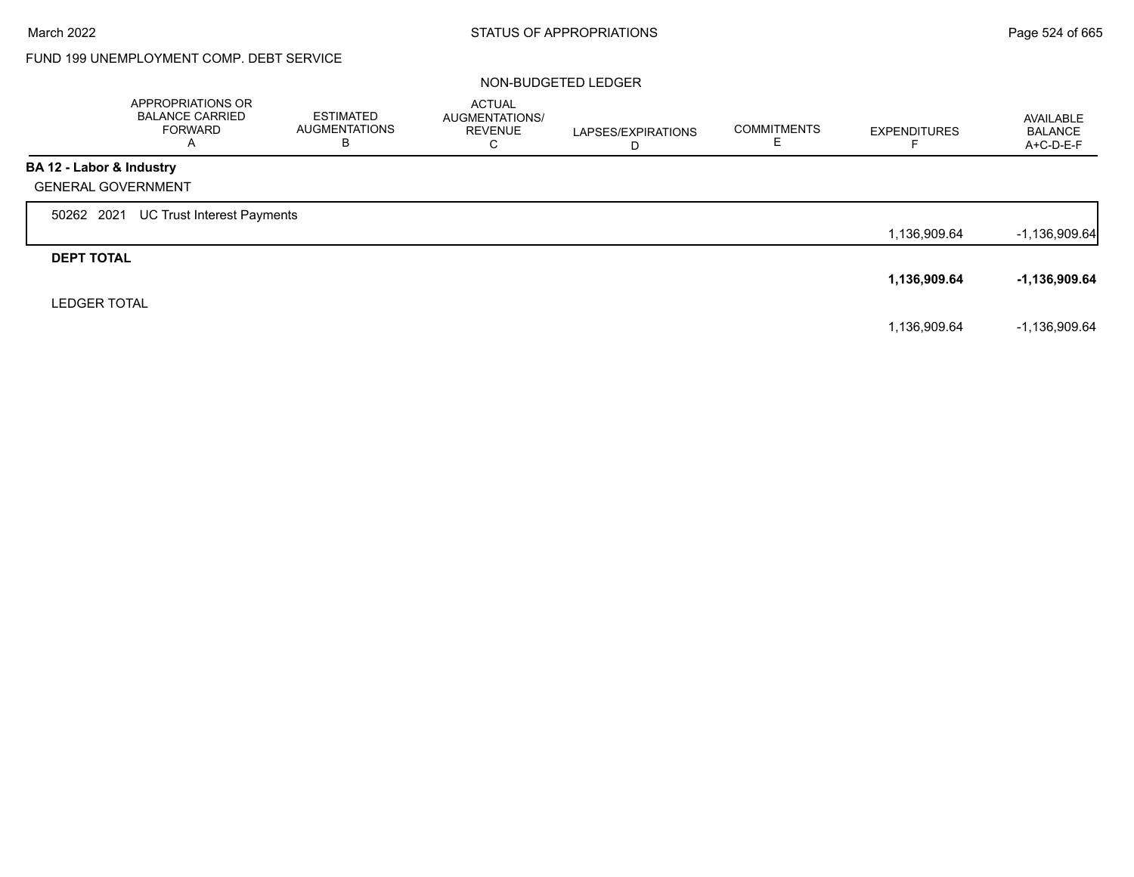## FUND 199 UNEMPLOYMENT COMP. DEBT SERVICE

### NON-BUDGETED LEDGER

|                           | APPROPRIATIONS OR<br><b>BALANCE CARRIED</b><br><b>FORWARD</b><br>Α | <b>ESTIMATED</b><br><b>AUGMENTATIONS</b><br>B | <b>ACTUAL</b><br>AUGMENTATIONS/<br><b>REVENUE</b><br>C | LAPSES/EXPIRATIONS<br>D | <b>COMMITMENTS</b> | <b>EXPENDITURES</b> | AVAILABLE<br><b>BALANCE</b><br>A+C-D-E-F |
|---------------------------|--------------------------------------------------------------------|-----------------------------------------------|--------------------------------------------------------|-------------------------|--------------------|---------------------|------------------------------------------|
| BA 12 - Labor & Industry  |                                                                    |                                               |                                                        |                         |                    |                     |                                          |
| <b>GENERAL GOVERNMENT</b> |                                                                    |                                               |                                                        |                         |                    |                     |                                          |
| 50262 2021                | UC Trust Interest Payments                                         |                                               |                                                        |                         |                    |                     |                                          |
|                           |                                                                    |                                               |                                                        |                         |                    | 1,136,909.64        | $-1,136,909.64$                          |
| <b>DEPT TOTAL</b>         |                                                                    |                                               |                                                        |                         |                    |                     |                                          |
|                           |                                                                    |                                               |                                                        |                         |                    | 1,136,909.64        | -1,136,909.64                            |
| <b>LEDGER TOTAL</b>       |                                                                    |                                               |                                                        |                         |                    |                     |                                          |
|                           |                                                                    |                                               |                                                        |                         |                    | 1,136,909.64        | $-1,136,909.64$                          |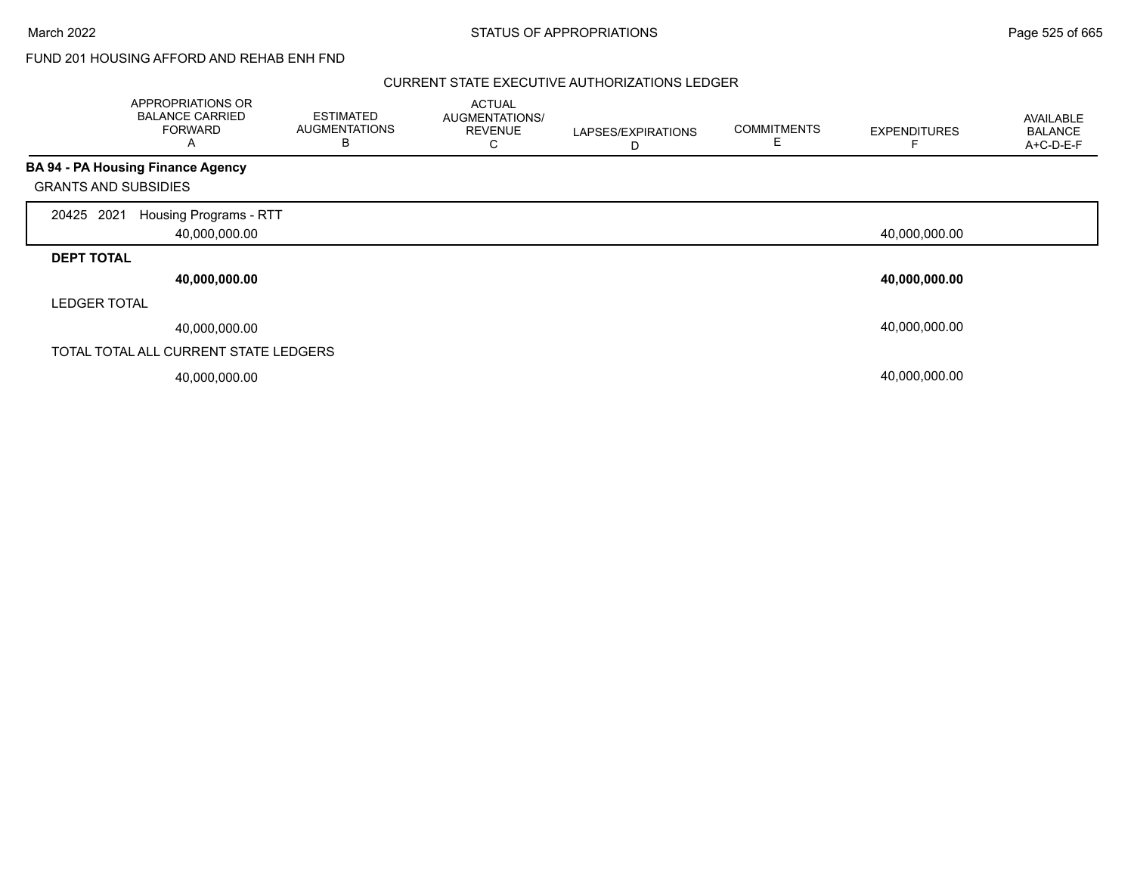March 2022 **STATUS OF APPROPRIATIONS** STATUS OF APPROPRIATIONS

## FUND 201 HOUSING AFFORD AND REHAB ENH FND

### CURRENT STATE EXECUTIVE AUTHORIZATIONS LEDGER

|                             | APPROPRIATIONS OR<br><b>BALANCE CARRIED</b><br><b>FORWARD</b><br>A | <b>ESTIMATED</b><br><b>AUGMENTATIONS</b><br>в | <b>ACTUAL</b><br>AUGMENTATIONS/<br><b>REVENUE</b><br>С | LAPSES/EXPIRATIONS<br>D | <b>COMMITMENTS</b><br>E | <b>EXPENDITURES</b> | AVAILABLE<br><b>BALANCE</b><br>A+C-D-E-F |
|-----------------------------|--------------------------------------------------------------------|-----------------------------------------------|--------------------------------------------------------|-------------------------|-------------------------|---------------------|------------------------------------------|
|                             | BA 94 - PA Housing Finance Agency                                  |                                               |                                                        |                         |                         |                     |                                          |
| <b>GRANTS AND SUBSIDIES</b> |                                                                    |                                               |                                                        |                         |                         |                     |                                          |
| 2021<br>20425               | Housing Programs - RTT                                             |                                               |                                                        |                         |                         |                     |                                          |
|                             | 40,000,000.00                                                      |                                               |                                                        |                         |                         | 40,000,000.00       |                                          |
| <b>DEPT TOTAL</b>           |                                                                    |                                               |                                                        |                         |                         |                     |                                          |
|                             | 40,000,000.00                                                      |                                               |                                                        |                         |                         | 40,000,000.00       |                                          |
| <b>LEDGER TOTAL</b>         |                                                                    |                                               |                                                        |                         |                         |                     |                                          |
|                             | 40,000,000.00                                                      |                                               |                                                        |                         |                         | 40,000,000.00       |                                          |
|                             | TOTAL TOTAL ALL CURRENT STATE LEDGERS                              |                                               |                                                        |                         |                         |                     |                                          |
|                             | 40,000,000.00                                                      |                                               |                                                        |                         |                         | 40,000,000.00       |                                          |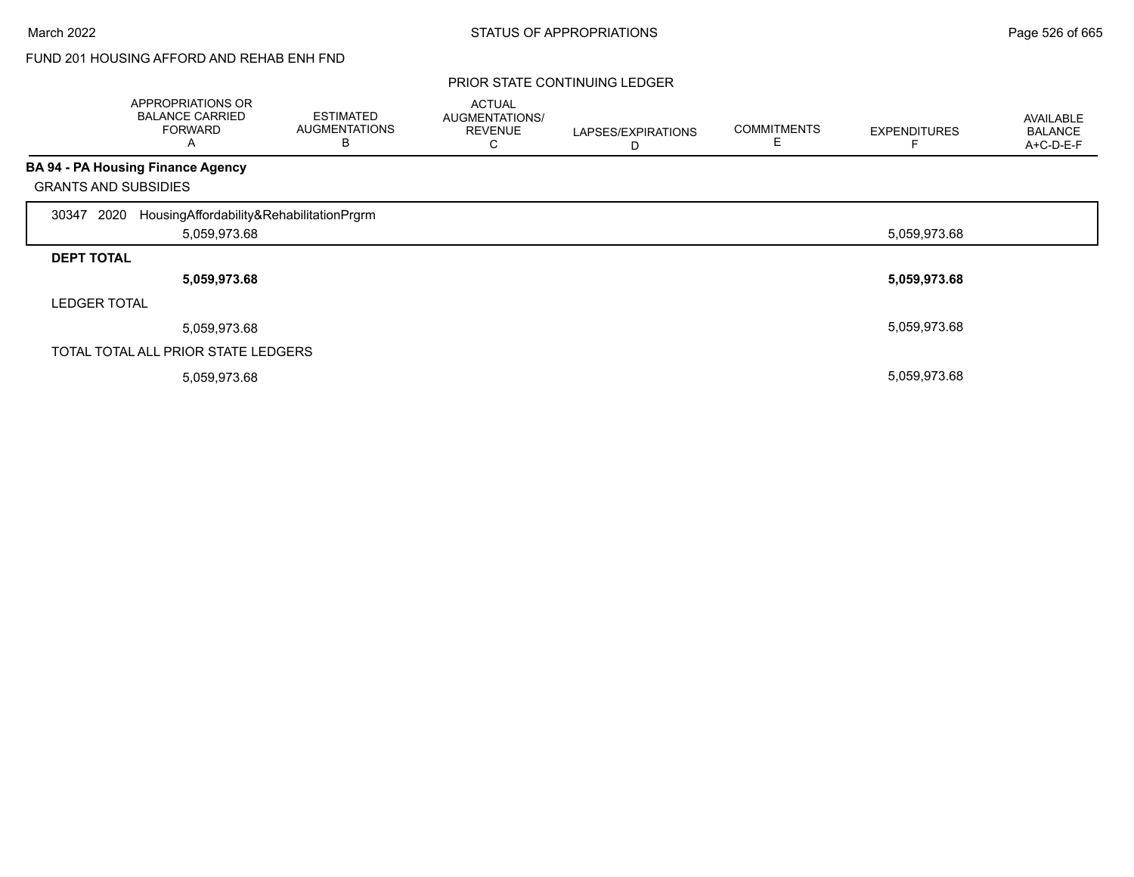# FUND 201 HOUSING AFFORD AND REHAB ENH FND

|                             | APPROPRIATIONS OR<br><b>BALANCE CARRIED</b><br><b>FORWARD</b><br>Α | <b>ESTIMATED</b><br><b>AUGMENTATIONS</b><br>B | <b>ACTUAL</b><br>AUGMENTATIONS/<br><b>REVENUE</b><br>◡ | LAPSES/EXPIRATIONS<br>D | <b>COMMITMENTS</b><br>⊢ | <b>EXPENDITURES</b> | AVAILABLE<br><b>BALANCE</b><br>A+C-D-E-F |
|-----------------------------|--------------------------------------------------------------------|-----------------------------------------------|--------------------------------------------------------|-------------------------|-------------------------|---------------------|------------------------------------------|
|                             | <b>BA 94 - PA Housing Finance Agency</b>                           |                                               |                                                        |                         |                         |                     |                                          |
| <b>GRANTS AND SUBSIDIES</b> |                                                                    |                                               |                                                        |                         |                         |                     |                                          |
| 2020<br>30347               | HousingAffordability&RehabilitationPrgrm                           |                                               |                                                        |                         |                         |                     |                                          |
|                             | 5,059,973.68                                                       |                                               |                                                        |                         |                         | 5,059,973.68        |                                          |
| <b>DEPT TOTAL</b>           |                                                                    |                                               |                                                        |                         |                         |                     |                                          |
|                             | 5,059,973.68                                                       |                                               |                                                        |                         |                         | 5,059,973.68        |                                          |
| <b>LEDGER TOTAL</b>         |                                                                    |                                               |                                                        |                         |                         |                     |                                          |
|                             | 5,059,973.68                                                       |                                               |                                                        |                         |                         | 5,059,973.68        |                                          |
|                             | TOTAL TOTAL ALL PRIOR STATE LEDGERS                                |                                               |                                                        |                         |                         |                     |                                          |
|                             | 5,059,973.68                                                       |                                               |                                                        |                         |                         | 5,059,973.68        |                                          |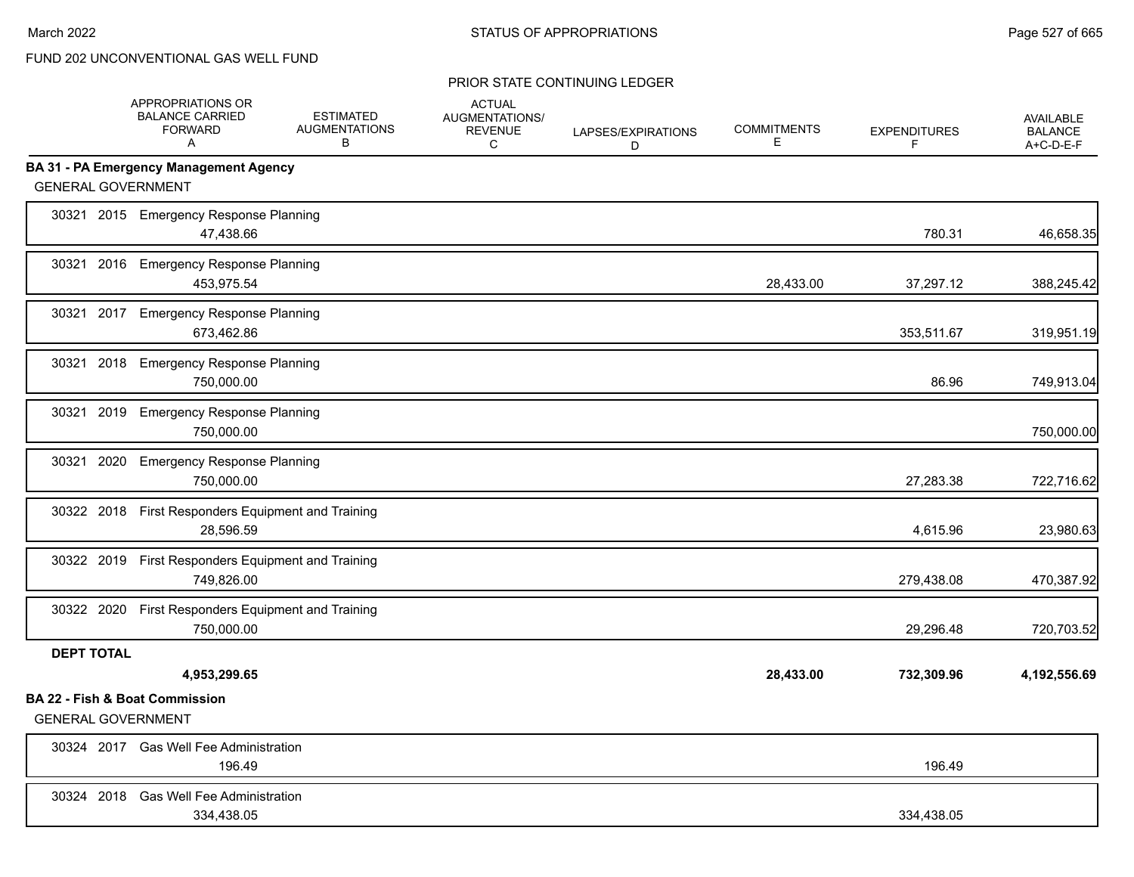|                           | APPROPRIATIONS OR<br><b>BALANCE CARRIED</b><br><b>FORWARD</b><br>A | <b>ESTIMATED</b><br><b>AUGMENTATIONS</b><br>B | <b>ACTUAL</b><br>AUGMENTATIONS/<br><b>REVENUE</b><br>C | LAPSES/EXPIRATIONS<br>D | <b>COMMITMENTS</b><br>E | <b>EXPENDITURES</b><br>F | <b>AVAILABLE</b><br><b>BALANCE</b><br>A+C-D-E-F |
|---------------------------|--------------------------------------------------------------------|-----------------------------------------------|--------------------------------------------------------|-------------------------|-------------------------|--------------------------|-------------------------------------------------|
|                           | <b>BA 31 - PA Emergency Management Agency</b>                      |                                               |                                                        |                         |                         |                          |                                                 |
| <b>GENERAL GOVERNMENT</b> |                                                                    |                                               |                                                        |                         |                         |                          |                                                 |
|                           | 30321 2015 Emergency Response Planning<br>47,438.66                |                                               |                                                        |                         |                         | 780.31                   | 46,658.35                                       |
|                           | 30321 2016 Emergency Response Planning<br>453,975.54               |                                               |                                                        |                         | 28,433.00               | 37,297.12                | 388,245.42                                      |
| 30321                     | 2017 Emergency Response Planning<br>673,462.86                     |                                               |                                                        |                         |                         | 353,511.67               | 319,951.19                                      |
|                           | 30321 2018 Emergency Response Planning<br>750,000.00               |                                               |                                                        |                         |                         | 86.96                    | 749,913.04                                      |
| 30321                     | 2019 Emergency Response Planning<br>750,000.00                     |                                               |                                                        |                         |                         |                          | 750,000.00                                      |
| 2020<br>30321             | <b>Emergency Response Planning</b><br>750,000.00                   |                                               |                                                        |                         |                         | 27,283.38                | 722,716.62                                      |
|                           | 30322 2018 First Responders Equipment and Training<br>28,596.59    |                                               |                                                        |                         |                         | 4,615.96                 | 23,980.63                                       |
|                           | 30322 2019 First Responders Equipment and Training<br>749,826.00   |                                               |                                                        |                         |                         | 279,438.08               | 470,387.92                                      |
|                           | 30322 2020 First Responders Equipment and Training<br>750,000.00   |                                               |                                                        |                         |                         | 29,296.48                | 720,703.52                                      |
| <b>DEPT TOTAL</b>         | 4,953,299.65                                                       |                                               |                                                        |                         | 28,433.00               | 732,309.96               | 4,192,556.69                                    |
| <b>GENERAL GOVERNMENT</b> | <b>BA 22 - Fish &amp; Boat Commission</b>                          |                                               |                                                        |                         |                         |                          |                                                 |
|                           | 30324 2017 Gas Well Fee Administration<br>196.49                   |                                               |                                                        |                         |                         | 196.49                   |                                                 |
|                           | 30324 2018 Gas Well Fee Administration<br>334,438.05               |                                               |                                                        |                         |                         | 334,438.05               |                                                 |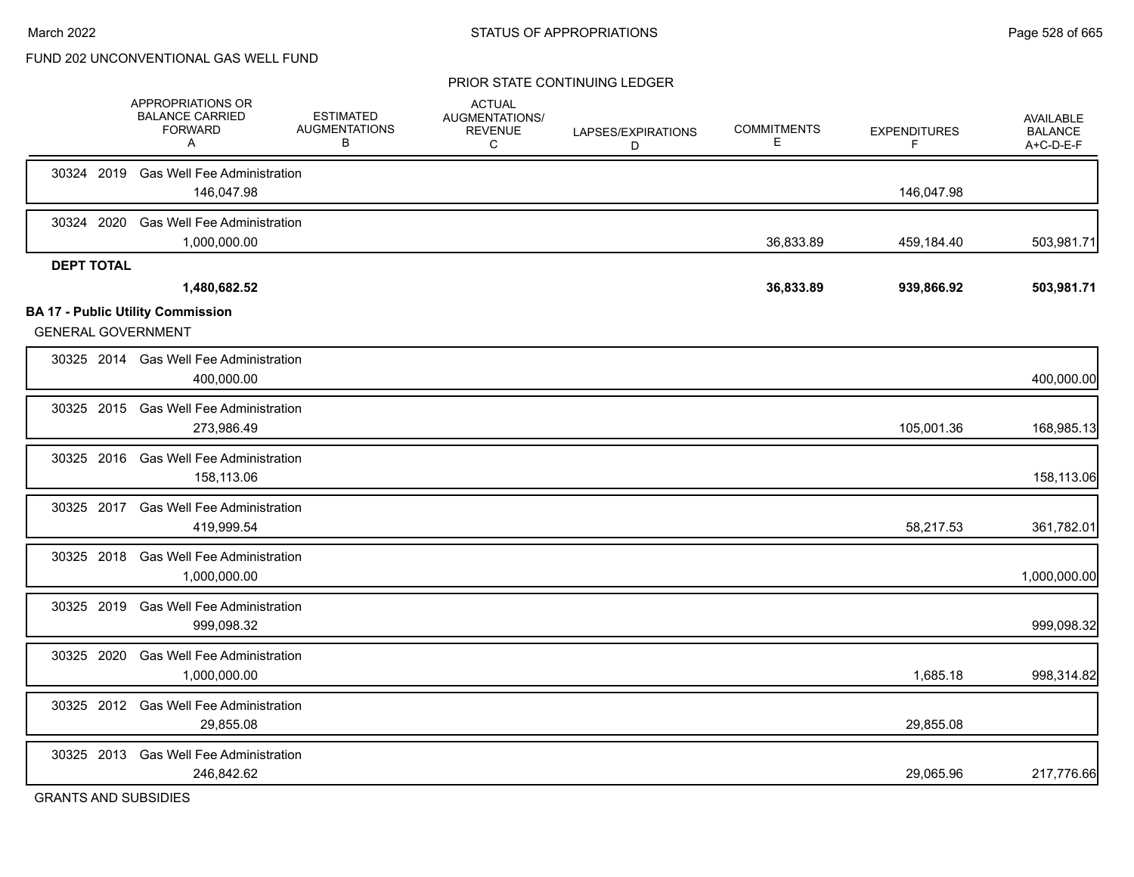#### PRIOR STATE CONTINUING LEDGER

|                   | APPROPRIATIONS OR<br><b>BALANCE CARRIED</b><br><b>FORWARD</b><br>A | <b>ESTIMATED</b><br><b>AUGMENTATIONS</b><br>B | <b>ACTUAL</b><br>AUGMENTATIONS/<br><b>REVENUE</b><br>С | LAPSES/EXPIRATIONS<br>D | <b>COMMITMENTS</b><br>Е | <b>EXPENDITURES</b><br>F | <b>AVAILABLE</b><br><b>BALANCE</b><br>A+C-D-E-F |
|-------------------|--------------------------------------------------------------------|-----------------------------------------------|--------------------------------------------------------|-------------------------|-------------------------|--------------------------|-------------------------------------------------|
|                   | 30324 2019 Gas Well Fee Administration<br>146,047.98               |                                               |                                                        |                         |                         | 146,047.98               |                                                 |
| 30324 2020        | <b>Gas Well Fee Administration</b><br>1,000,000.00                 |                                               |                                                        |                         | 36,833.89               | 459,184.40               | 503,981.71                                      |
| <b>DEPT TOTAL</b> | 1,480,682.52<br><b>BA 17 - Public Utility Commission</b>           |                                               |                                                        |                         | 36,833.89               | 939,866.92               | 503,981.71                                      |
|                   | <b>GENERAL GOVERNMENT</b>                                          |                                               |                                                        |                         |                         |                          |                                                 |
|                   | 30325 2014 Gas Well Fee Administration<br>400,000.00               |                                               |                                                        |                         |                         |                          | 400,000.00                                      |
|                   | 30325 2015 Gas Well Fee Administration<br>273,986.49               |                                               |                                                        |                         |                         | 105,001.36               | 168,985.13                                      |
|                   | 30325 2016 Gas Well Fee Administration<br>158,113.06               |                                               |                                                        |                         |                         |                          | 158,113.06                                      |
|                   | 30325 2017 Gas Well Fee Administration<br>419,999.54               |                                               |                                                        |                         |                         | 58,217.53                | 361,782.01                                      |
| 30325 2018        | <b>Gas Well Fee Administration</b><br>1,000,000.00                 |                                               |                                                        |                         |                         |                          | 1,000,000.00                                    |
|                   | 30325 2019 Gas Well Fee Administration<br>999,098.32               |                                               |                                                        |                         |                         |                          | 999,098.32                                      |
| 30325 2020        | <b>Gas Well Fee Administration</b><br>1,000,000.00                 |                                               |                                                        |                         |                         | 1,685.18                 | 998,314.82                                      |
|                   | 30325 2012 Gas Well Fee Administration<br>29,855.08                |                                               |                                                        |                         |                         | 29,855.08                |                                                 |
| 30325 2013        | <b>Gas Well Fee Administration</b><br>246,842.62                   |                                               |                                                        |                         |                         | 29,065.96                | 217,776.66                                      |
|                   |                                                                    |                                               |                                                        |                         |                         |                          |                                                 |

GRANTS AND SUBSIDIES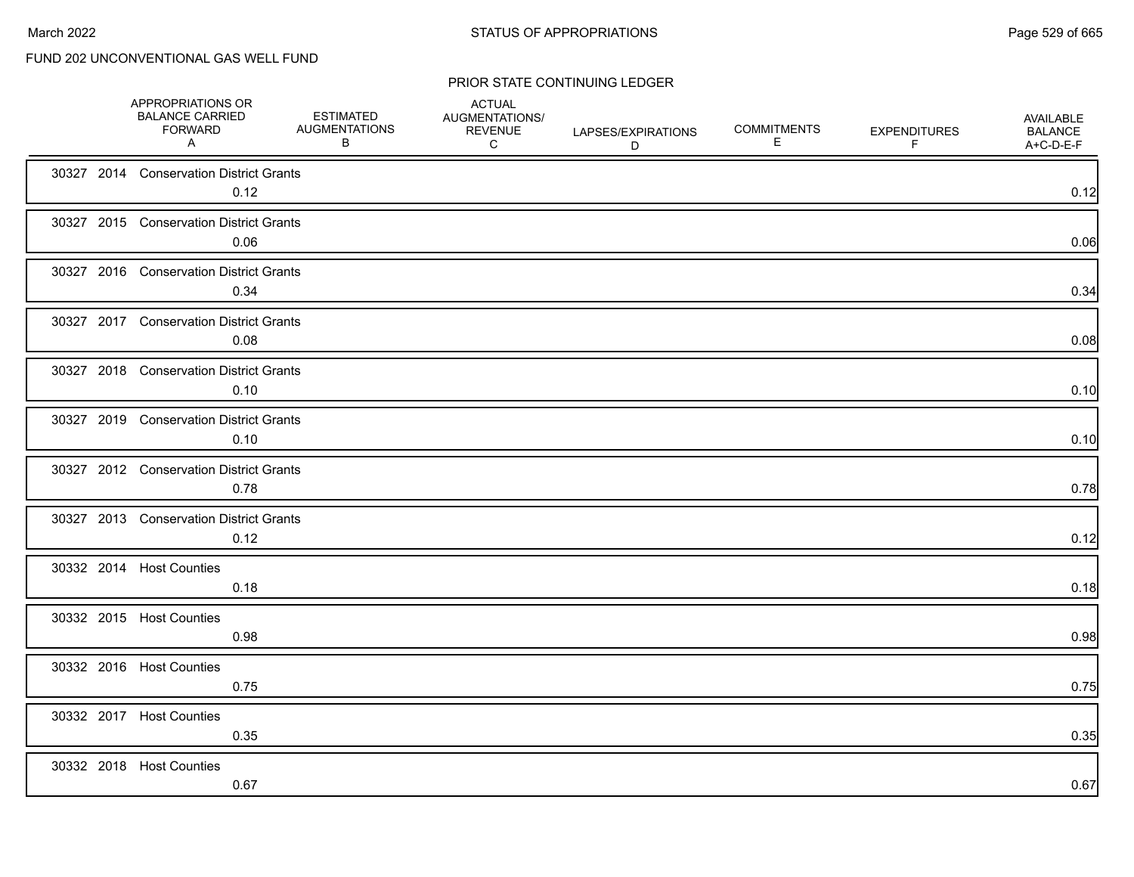| APPROPRIATIONS OR<br><b>BALANCE CARRIED</b><br><b>FORWARD</b><br>A | <b>ESTIMATED</b><br><b>AUGMENTATIONS</b><br>B | <b>ACTUAL</b><br>AUGMENTATIONS/<br><b>REVENUE</b><br>C | LAPSES/EXPIRATIONS<br>D | <b>COMMITMENTS</b><br>Е | <b>EXPENDITURES</b><br>F | AVAILABLE<br><b>BALANCE</b><br>A+C-D-E-F |
|--------------------------------------------------------------------|-----------------------------------------------|--------------------------------------------------------|-------------------------|-------------------------|--------------------------|------------------------------------------|
| 30327 2014 Conservation District Grants<br>0.12                    |                                               |                                                        |                         |                         |                          | 0.12                                     |
| 30327 2015 Conservation District Grants<br>0.06                    |                                               |                                                        |                         |                         |                          | 0.06                                     |
| 30327 2016 Conservation District Grants<br>0.34                    |                                               |                                                        |                         |                         |                          | 0.34                                     |
| 30327 2017 Conservation District Grants<br>0.08                    |                                               |                                                        |                         |                         |                          | 0.08                                     |
| 30327 2018 Conservation District Grants<br>0.10                    |                                               |                                                        |                         |                         |                          | 0.10                                     |
| 30327 2019 Conservation District Grants<br>0.10                    |                                               |                                                        |                         |                         |                          | 0.10                                     |
| 30327 2012 Conservation District Grants<br>0.78                    |                                               |                                                        |                         |                         |                          | 0.78                                     |
| 30327 2013 Conservation District Grants<br>0.12                    |                                               |                                                        |                         |                         |                          | 0.12                                     |
| 30332 2014 Host Counties<br>0.18                                   |                                               |                                                        |                         |                         |                          | 0.18                                     |
| 30332 2015 Host Counties<br>0.98                                   |                                               |                                                        |                         |                         |                          | 0.98                                     |
| 30332 2016 Host Counties<br>0.75                                   |                                               |                                                        |                         |                         |                          | 0.75                                     |
| 30332 2017 Host Counties<br>0.35                                   |                                               |                                                        |                         |                         |                          | 0.35                                     |
| 30332 2018 Host Counties<br>0.67                                   |                                               |                                                        |                         |                         |                          | 0.67                                     |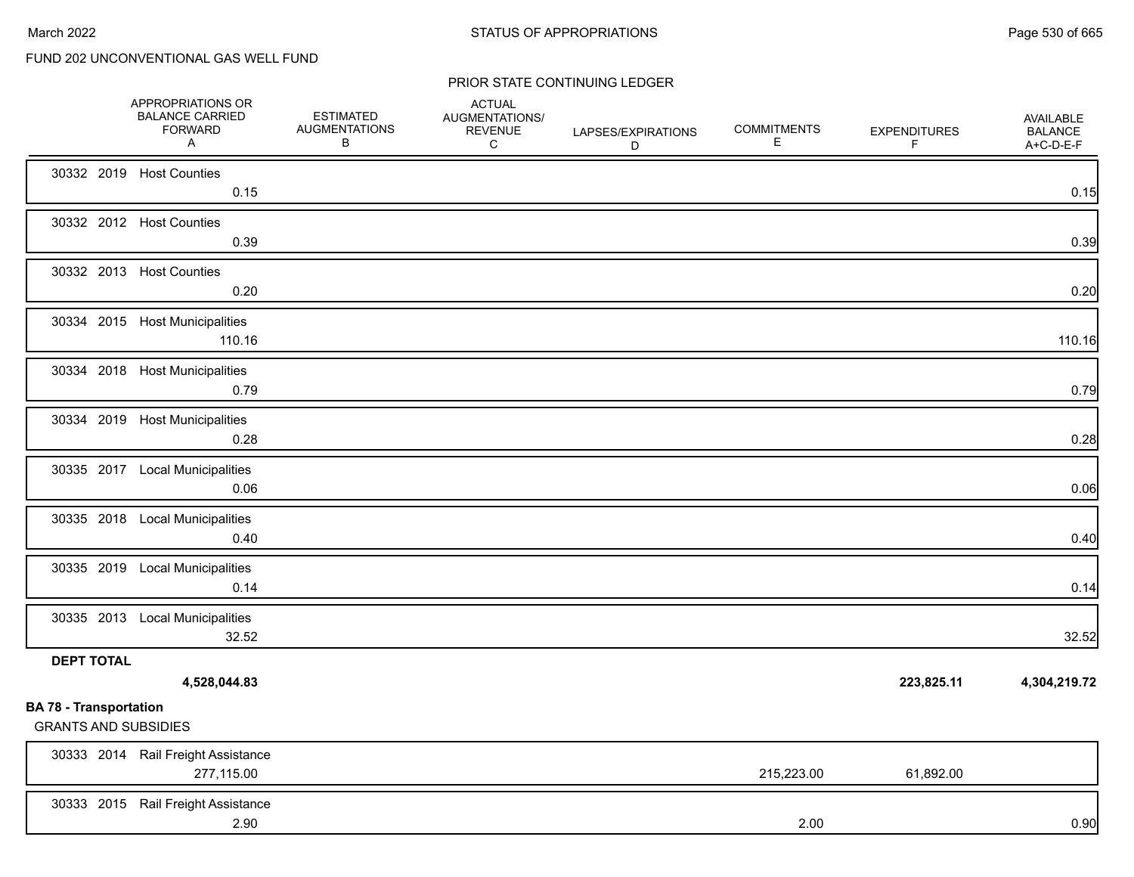|                                                              | APPROPRIATIONS OR<br><b>BALANCE CARRIED</b><br><b>FORWARD</b><br>A | <b>ESTIMATED</b><br><b>AUGMENTATIONS</b><br>В | <b>ACTUAL</b><br>AUGMENTATIONS/<br><b>REVENUE</b><br>C | LAPSES/EXPIRATIONS<br>D | <b>COMMITMENTS</b><br>E | <b>EXPENDITURES</b><br>F | <b>AVAILABLE</b><br><b>BALANCE</b><br>A+C-D-E-F |
|--------------------------------------------------------------|--------------------------------------------------------------------|-----------------------------------------------|--------------------------------------------------------|-------------------------|-------------------------|--------------------------|-------------------------------------------------|
|                                                              | 30332 2019 Host Counties<br>0.15                                   |                                               |                                                        |                         |                         |                          | 0.15                                            |
|                                                              | 30332 2012 Host Counties<br>0.39                                   |                                               |                                                        |                         |                         |                          | 0.39                                            |
|                                                              | 30332 2013 Host Counties<br>0.20                                   |                                               |                                                        |                         |                         |                          | 0.20                                            |
|                                                              | 30334 2015 Host Municipalities<br>110.16                           |                                               |                                                        |                         |                         |                          | 110.16                                          |
|                                                              | 30334 2018 Host Municipalities<br>0.79                             |                                               |                                                        |                         |                         |                          | 0.79                                            |
|                                                              | 30334 2019 Host Municipalities<br>0.28                             |                                               |                                                        |                         |                         |                          | 0.28                                            |
|                                                              | 30335 2017 Local Municipalities<br>0.06                            |                                               |                                                        |                         |                         |                          | 0.06                                            |
|                                                              | 30335 2018 Local Municipalities<br>0.40                            |                                               |                                                        |                         |                         |                          | 0.40                                            |
|                                                              | 30335 2019 Local Municipalities<br>0.14                            |                                               |                                                        |                         |                         |                          | 0.14                                            |
|                                                              | 30335 2013 Local Municipalities<br>32.52                           |                                               |                                                        |                         |                         |                          | 32.52                                           |
| <b>DEPT TOTAL</b>                                            | 4,528,044.83                                                       |                                               |                                                        |                         |                         | 223,825.11               | 4,304,219.72                                    |
| <b>BA 78 - Transportation</b><br><b>GRANTS AND SUBSIDIES</b> |                                                                    |                                               |                                                        |                         |                         |                          |                                                 |
|                                                              | 30333 2014 Rail Freight Assistance<br>277,115.00                   |                                               |                                                        |                         | 215,223.00              | 61,892.00                |                                                 |
|                                                              | 30333 2015 Rail Freight Assistance<br>2.90                         |                                               |                                                        |                         | 2.00                    |                          | 0.90                                            |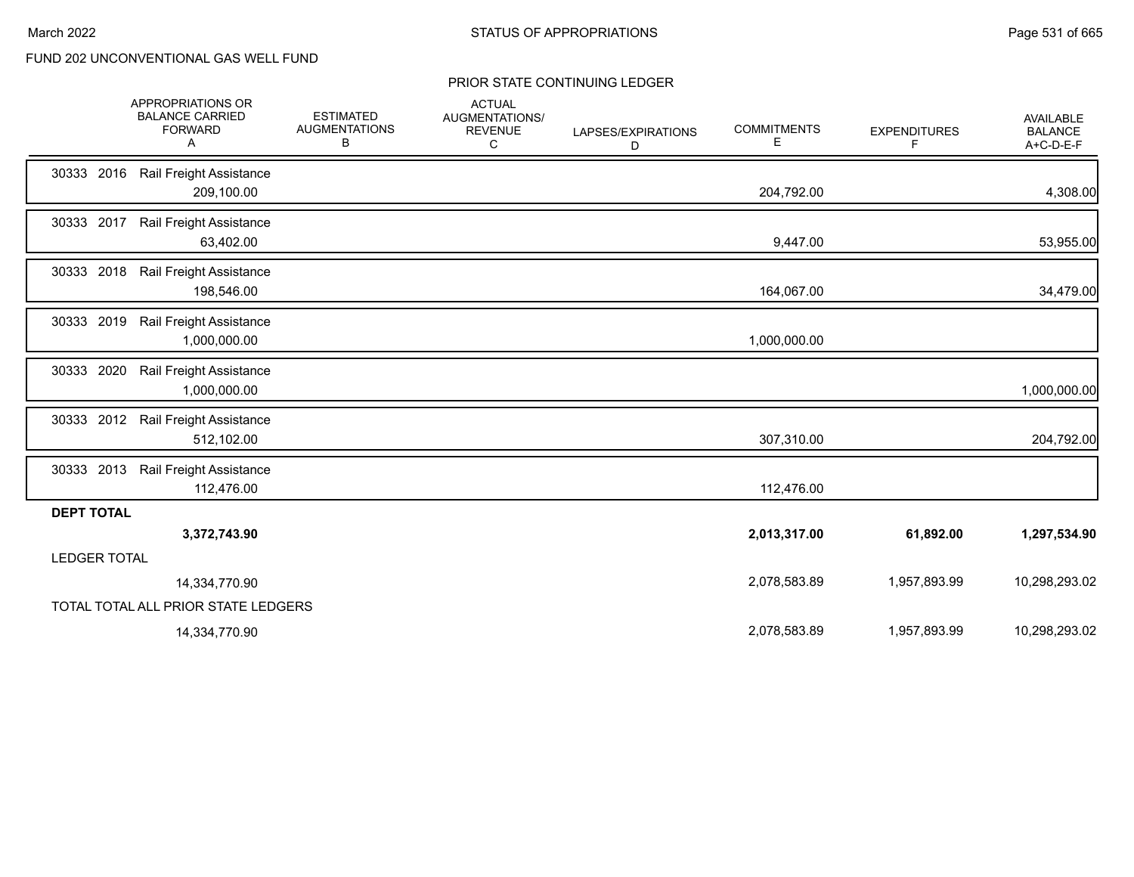|                     | APPROPRIATIONS OR<br><b>BALANCE CARRIED</b><br><b>FORWARD</b><br>A | <b>ESTIMATED</b><br><b>AUGMENTATIONS</b><br>В | <b>ACTUAL</b><br><b>AUGMENTATIONS/</b><br><b>REVENUE</b><br>C | LAPSES/EXPIRATIONS<br>D | <b>COMMITMENTS</b><br>Е | <b>EXPENDITURES</b><br>F | <b>AVAILABLE</b><br><b>BALANCE</b><br>A+C-D-E-F |
|---------------------|--------------------------------------------------------------------|-----------------------------------------------|---------------------------------------------------------------|-------------------------|-------------------------|--------------------------|-------------------------------------------------|
| 30333<br>2016       | Rail Freight Assistance<br>209,100.00                              |                                               |                                                               |                         | 204,792.00              |                          | 4,308.00                                        |
| 30333 2017          | Rail Freight Assistance<br>63,402.00                               |                                               |                                                               |                         | 9,447.00                |                          | 53,955.00                                       |
| 30333 2018          | Rail Freight Assistance<br>198,546.00                              |                                               |                                                               |                         | 164,067.00              |                          | 34,479.00                                       |
| 30333 2019          | Rail Freight Assistance<br>1,000,000.00                            |                                               |                                                               |                         | 1,000,000.00            |                          |                                                 |
| 30333 2020          | Rail Freight Assistance<br>1,000,000.00                            |                                               |                                                               |                         |                         |                          | 1,000,000.00                                    |
| 30333 2012          | Rail Freight Assistance<br>512,102.00                              |                                               |                                                               |                         | 307,310.00              |                          | 204,792.00                                      |
| 30333 2013          | Rail Freight Assistance<br>112,476.00                              |                                               |                                                               |                         | 112,476.00              |                          |                                                 |
| <b>DEPT TOTAL</b>   |                                                                    |                                               |                                                               |                         |                         |                          |                                                 |
|                     | 3,372,743.90                                                       |                                               |                                                               |                         | 2,013,317.00            | 61,892.00                | 1,297,534.90                                    |
| <b>LEDGER TOTAL</b> |                                                                    |                                               |                                                               |                         |                         |                          |                                                 |
|                     | 14,334,770.90                                                      |                                               |                                                               |                         | 2,078,583.89            | 1,957,893.99             | 10,298,293.02                                   |
|                     | TOTAL TOTAL ALL PRIOR STATE LEDGERS                                |                                               |                                                               |                         |                         |                          |                                                 |
|                     | 14,334,770.90                                                      |                                               |                                                               |                         | 2,078,583.89            | 1,957,893.99             | 10,298,293.02                                   |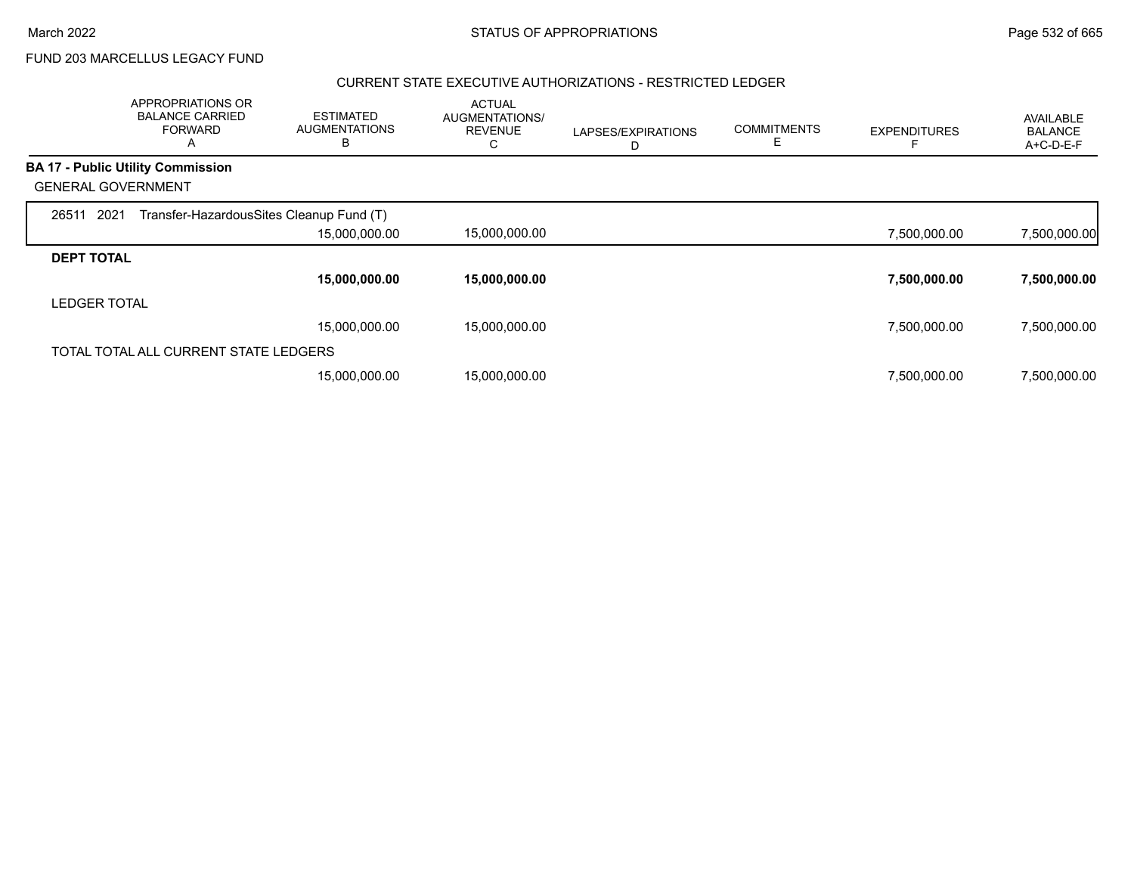$\overline{\phantom{0}}$ 

FUND 203 MARCELLUS LEGACY FUND

### CURRENT STATE EXECUTIVE AUTHORIZATIONS - RESTRICTED LEDGER

|                           | APPROPRIATIONS OR<br><b>BALANCE CARRIED</b><br><b>FORWARD</b><br>A | <b>ESTIMATED</b><br><b>AUGMENTATIONS</b><br>в | <b>ACTUAL</b><br>AUGMENTATIONS/<br><b>REVENUE</b> | LAPSES/EXPIRATIONS<br>D | <b>COMMITMENTS</b><br>Ε | <b>EXPENDITURES</b> | AVAILABLE<br><b>BALANCE</b><br>A+C-D-E-F |
|---------------------------|--------------------------------------------------------------------|-----------------------------------------------|---------------------------------------------------|-------------------------|-------------------------|---------------------|------------------------------------------|
|                           | <b>BA 17 - Public Utility Commission</b>                           |                                               |                                                   |                         |                         |                     |                                          |
| <b>GENERAL GOVERNMENT</b> |                                                                    |                                               |                                                   |                         |                         |                     |                                          |
| 2021<br>26511             | Transfer-HazardousSites Cleanup Fund (T)                           |                                               |                                                   |                         |                         |                     |                                          |
|                           |                                                                    | 15,000,000.00                                 | 15,000,000.00                                     |                         |                         | 7,500,000.00        | 7,500,000.00                             |
| <b>DEPT TOTAL</b>         |                                                                    |                                               |                                                   |                         |                         |                     |                                          |
|                           |                                                                    | 15,000,000.00                                 | 15,000,000.00                                     |                         |                         | 7,500,000.00        | 7,500,000.00                             |
| <b>LEDGER TOTAL</b>       |                                                                    |                                               |                                                   |                         |                         |                     |                                          |
|                           |                                                                    | 15,000,000.00                                 | 15,000,000.00                                     |                         |                         | 7,500,000.00        | 7,500,000.00                             |
|                           | TOTAL TOTAL ALL CURRENT STATE LEDGERS                              |                                               |                                                   |                         |                         |                     |                                          |
|                           |                                                                    | 15,000,000.00                                 | 15,000,000.00                                     |                         |                         | 7,500,000.00        | 7,500,000.00                             |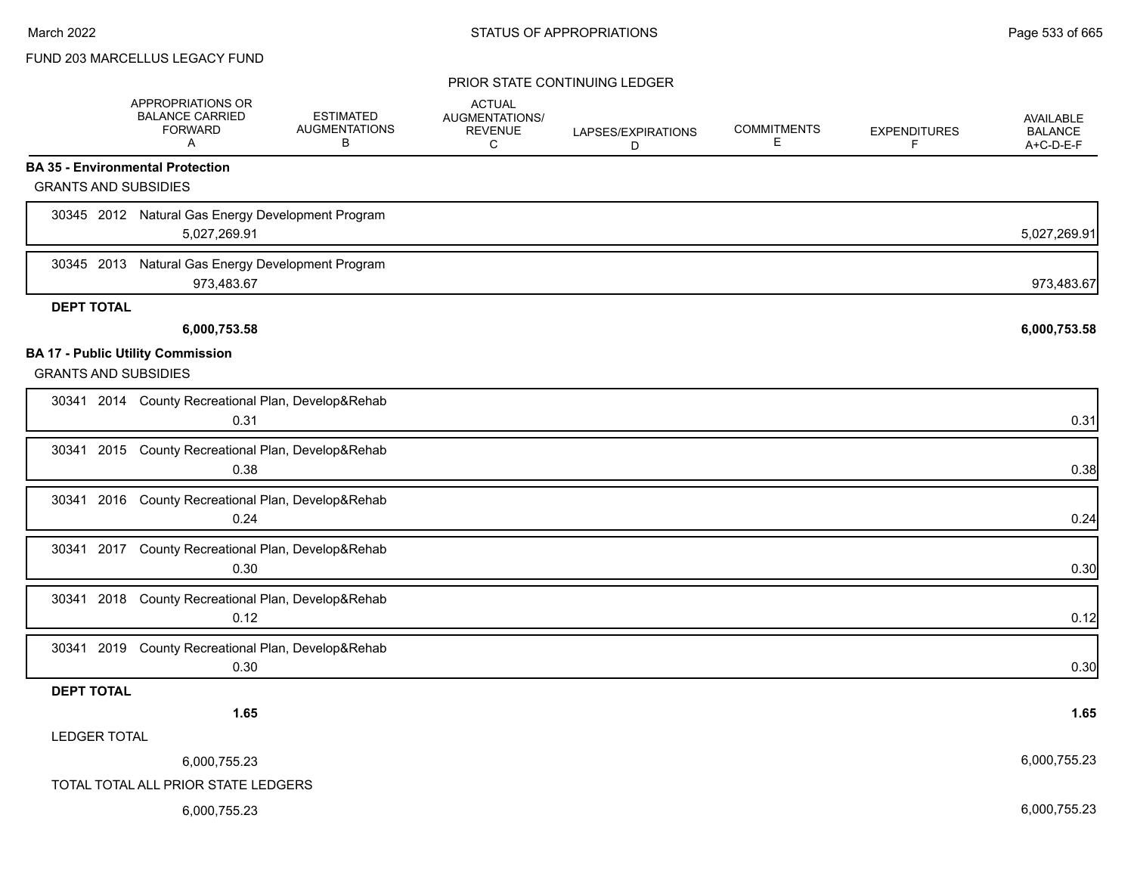## FUND 203 MARCELLUS LEGACY FUND

|                             | APPROPRIATIONS OR<br><b>BALANCE CARRIED</b><br><b>FORWARD</b><br>A | <b>ESTIMATED</b><br><b>AUGMENTATIONS</b><br>В | <b>ACTUAL</b><br>AUGMENTATIONS/<br><b>REVENUE</b><br>С | LAPSES/EXPIRATIONS<br>D | <b>COMMITMENTS</b><br>Е | <b>EXPENDITURES</b><br>F | <b>AVAILABLE</b><br><b>BALANCE</b><br>A+C-D-E-F |
|-----------------------------|--------------------------------------------------------------------|-----------------------------------------------|--------------------------------------------------------|-------------------------|-------------------------|--------------------------|-------------------------------------------------|
|                             | <b>BA 35 - Environmental Protection</b>                            |                                               |                                                        |                         |                         |                          |                                                 |
| <b>GRANTS AND SUBSIDIES</b> |                                                                    |                                               |                                                        |                         |                         |                          |                                                 |
|                             | 30345 2012 Natural Gas Energy Development Program<br>5,027,269.91  |                                               |                                                        |                         |                         |                          | 5,027,269.91                                    |
| 30345 2013                  | Natural Gas Energy Development Program<br>973,483.67               |                                               |                                                        |                         |                         |                          | 973,483.67                                      |
| <b>DEPT TOTAL</b>           |                                                                    |                                               |                                                        |                         |                         |                          |                                                 |
|                             | 6,000,753.58                                                       |                                               |                                                        |                         |                         |                          | 6,000,753.58                                    |
| <b>GRANTS AND SUBSIDIES</b> | <b>BA 17 - Public Utility Commission</b>                           |                                               |                                                        |                         |                         |                          |                                                 |
|                             | 30341 2014 County Recreational Plan, Develop&Rehab<br>0.31         |                                               |                                                        |                         |                         |                          | 0.31                                            |
|                             | 30341 2015 County Recreational Plan, Develop&Rehab<br>0.38         |                                               |                                                        |                         |                         |                          | 0.38                                            |
|                             | 30341 2016 County Recreational Plan, Develop&Rehab<br>0.24         |                                               |                                                        |                         |                         |                          | 0.24                                            |
|                             | 30341 2017 County Recreational Plan, Develop&Rehab<br>0.30         |                                               |                                                        |                         |                         |                          | 0.30                                            |
| 30341 2018                  | County Recreational Plan, Develop&Rehab<br>0.12                    |                                               |                                                        |                         |                         |                          | 0.12                                            |
|                             | 30341 2019 County Recreational Plan, Develop&Rehab<br>0.30         |                                               |                                                        |                         |                         |                          | 0.30                                            |
| <b>DEPT TOTAL</b>           |                                                                    |                                               |                                                        |                         |                         |                          |                                                 |
|                             | 1.65                                                               |                                               |                                                        |                         |                         |                          | 1.65                                            |
| <b>LEDGER TOTAL</b>         |                                                                    |                                               |                                                        |                         |                         |                          |                                                 |
|                             | 6,000,755.23                                                       |                                               |                                                        |                         |                         |                          | 6,000,755.23                                    |
|                             | TOTAL TOTAL ALL PRIOR STATE LEDGERS                                |                                               |                                                        |                         |                         |                          |                                                 |
|                             | 6,000,755.23                                                       |                                               |                                                        |                         |                         |                          | 6,000,755.23                                    |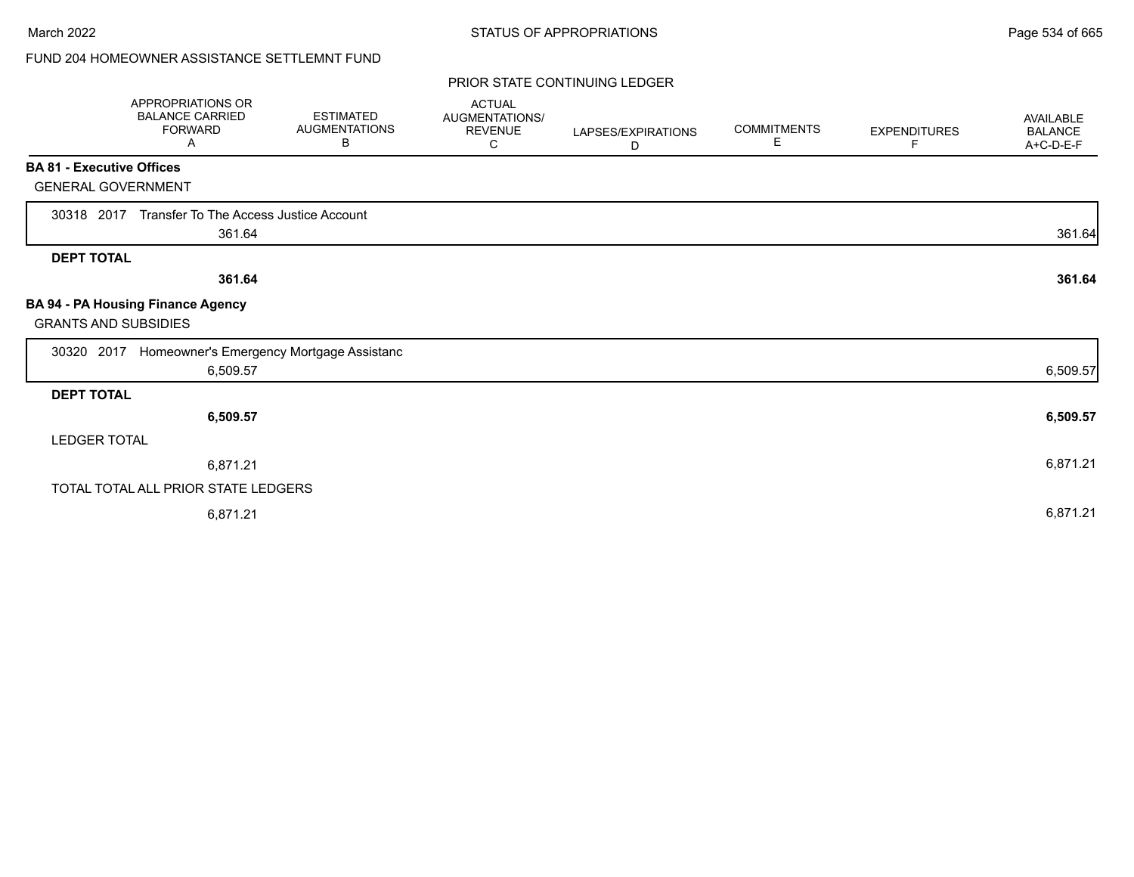# FUND 204 HOMEOWNER ASSISTANCE SETTLEMNT FUND

|                                  | APPROPRIATIONS OR<br><b>BALANCE CARRIED</b><br><b>FORWARD</b><br>A | <b>ESTIMATED</b><br><b>AUGMENTATIONS</b><br>B | <b>ACTUAL</b><br><b>AUGMENTATIONS/</b><br><b>REVENUE</b><br>С | LAPSES/EXPIRATIONS<br>D | <b>COMMITMENTS</b><br>E. | <b>EXPENDITURES</b><br>F. | <b>AVAILABLE</b><br><b>BALANCE</b><br>A+C-D-E-F |
|----------------------------------|--------------------------------------------------------------------|-----------------------------------------------|---------------------------------------------------------------|-------------------------|--------------------------|---------------------------|-------------------------------------------------|
| <b>BA 81 - Executive Offices</b> |                                                                    |                                               |                                                               |                         |                          |                           |                                                 |
| <b>GENERAL GOVERNMENT</b>        |                                                                    |                                               |                                                               |                         |                          |                           |                                                 |
| 30318 2017                       | Transfer To The Access Justice Account<br>361.64                   |                                               |                                                               |                         |                          |                           | 361.64                                          |
| <b>DEPT TOTAL</b>                |                                                                    |                                               |                                                               |                         |                          |                           |                                                 |
|                                  | 361.64                                                             |                                               |                                                               |                         |                          |                           | 361.64                                          |
| <b>GRANTS AND SUBSIDIES</b>      | BA 94 - PA Housing Finance Agency                                  |                                               |                                                               |                         |                          |                           |                                                 |
| 30320 2017                       | Homeowner's Emergency Mortgage Assistanc                           |                                               |                                                               |                         |                          |                           |                                                 |
|                                  | 6,509.57                                                           |                                               |                                                               |                         |                          |                           | 6,509.57                                        |
| <b>DEPT TOTAL</b>                |                                                                    |                                               |                                                               |                         |                          |                           |                                                 |
|                                  | 6,509.57                                                           |                                               |                                                               |                         |                          |                           | 6,509.57                                        |
| <b>LEDGER TOTAL</b>              |                                                                    |                                               |                                                               |                         |                          |                           |                                                 |
|                                  | 6,871.21                                                           |                                               |                                                               |                         |                          |                           | 6,871.21                                        |
|                                  | TOTAL TOTAL ALL PRIOR STATE LEDGERS                                |                                               |                                                               |                         |                          |                           |                                                 |
|                                  | 6,871.21                                                           |                                               |                                                               |                         |                          |                           | 6,871.21                                        |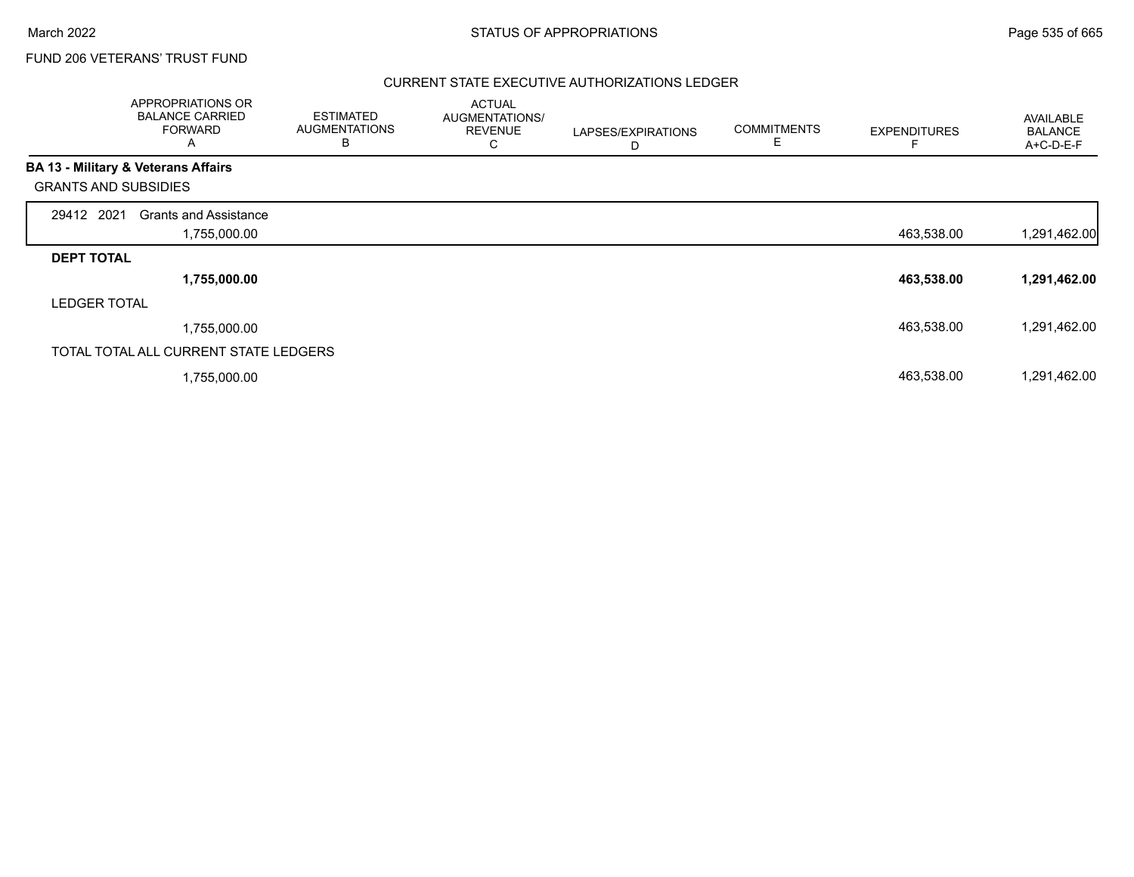## FUND 206 VETERANS' TRUST FUND

### CURRENT STATE EXECUTIVE AUTHORIZATIONS LEDGER

|                             | APPROPRIATIONS OR<br><b>BALANCE CARRIED</b><br><b>FORWARD</b><br>A | <b>ESTIMATED</b><br><b>AUGMENTATIONS</b><br>в | <b>ACTUAL</b><br>AUGMENTATIONS/<br><b>REVENUE</b><br>С | LAPSES/EXPIRATIONS<br>D | <b>COMMITMENTS</b><br>E | <b>EXPENDITURES</b> | AVAILABLE<br><b>BALANCE</b><br>A+C-D-E-F |
|-----------------------------|--------------------------------------------------------------------|-----------------------------------------------|--------------------------------------------------------|-------------------------|-------------------------|---------------------|------------------------------------------|
|                             | BA 13 - Military & Veterans Affairs                                |                                               |                                                        |                         |                         |                     |                                          |
| <b>GRANTS AND SUBSIDIES</b> |                                                                    |                                               |                                                        |                         |                         |                     |                                          |
| 29412 2021                  | <b>Grants and Assistance</b>                                       |                                               |                                                        |                         |                         |                     |                                          |
|                             | 1,755,000.00                                                       |                                               |                                                        |                         |                         | 463,538.00          | 1,291,462.00                             |
| <b>DEPT TOTAL</b>           |                                                                    |                                               |                                                        |                         |                         |                     |                                          |
|                             | 1,755,000.00                                                       |                                               |                                                        |                         |                         | 463,538.00          | 1,291,462.00                             |
| <b>LEDGER TOTAL</b>         |                                                                    |                                               |                                                        |                         |                         |                     |                                          |
|                             | 1,755,000.00                                                       |                                               |                                                        |                         |                         | 463,538.00          | 1,291,462.00                             |
|                             | TOTAL TOTAL ALL CURRENT STATE LEDGERS                              |                                               |                                                        |                         |                         |                     |                                          |
|                             | 1,755,000.00                                                       |                                               |                                                        |                         |                         | 463,538.00          | 1,291,462.00                             |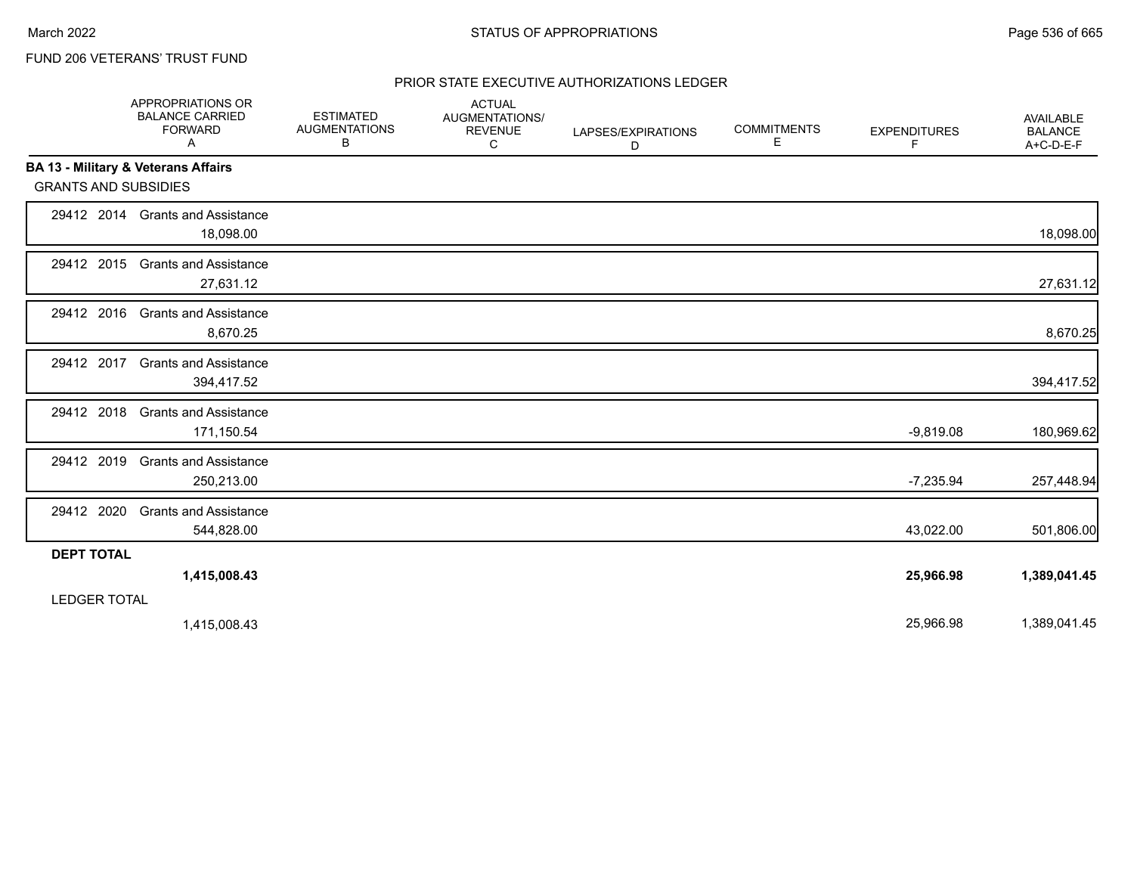# FUND 206 VETERANS' TRUST FUND

## PRIOR STATE EXECUTIVE AUTHORIZATIONS LEDGER

|                                                | <b>APPROPRIATIONS OR</b><br><b>BALANCE CARRIED</b><br><b>FORWARD</b><br>A | <b>ESTIMATED</b><br><b>AUGMENTATIONS</b><br>В | <b>ACTUAL</b><br>AUGMENTATIONS/<br><b>REVENUE</b><br>C | LAPSES/EXPIRATIONS<br>D | <b>COMMITMENTS</b><br>Е | <b>EXPENDITURES</b><br>F. | <b>AVAILABLE</b><br><b>BALANCE</b><br>A+C-D-E-F |
|------------------------------------------------|---------------------------------------------------------------------------|-----------------------------------------------|--------------------------------------------------------|-------------------------|-------------------------|---------------------------|-------------------------------------------------|
| <b>BA 13 - Military &amp; Veterans Affairs</b> |                                                                           |                                               |                                                        |                         |                         |                           |                                                 |
| <b>GRANTS AND SUBSIDIES</b>                    |                                                                           |                                               |                                                        |                         |                         |                           |                                                 |
|                                                | 29412 2014 Grants and Assistance<br>18,098.00                             |                                               |                                                        |                         |                         |                           | 18,098.00                                       |
| 29412 2015                                     | <b>Grants and Assistance</b><br>27,631.12                                 |                                               |                                                        |                         |                         |                           | 27,631.12                                       |
| 29412 2016                                     | <b>Grants and Assistance</b><br>8,670.25                                  |                                               |                                                        |                         |                         |                           | 8,670.25                                        |
| 29412 2017                                     | <b>Grants and Assistance</b><br>394,417.52                                |                                               |                                                        |                         |                         |                           | 394,417.52                                      |
| 29412 2018                                     | <b>Grants and Assistance</b><br>171,150.54                                |                                               |                                                        |                         |                         | $-9,819.08$               | 180,969.62                                      |
| 29412 2019                                     | <b>Grants and Assistance</b><br>250,213.00                                |                                               |                                                        |                         |                         | $-7,235.94$               | 257,448.94                                      |
| 29412 2020                                     | <b>Grants and Assistance</b><br>544,828.00                                |                                               |                                                        |                         |                         | 43,022.00                 | 501,806.00                                      |
| <b>DEPT TOTAL</b>                              |                                                                           |                                               |                                                        |                         |                         |                           |                                                 |
|                                                | 1,415,008.43                                                              |                                               |                                                        |                         |                         | 25,966.98                 | 1,389,041.45                                    |
| <b>LEDGER TOTAL</b>                            |                                                                           |                                               |                                                        |                         |                         |                           |                                                 |
|                                                | 1,415,008.43                                                              |                                               |                                                        |                         |                         | 25,966.98                 | 1,389,041.45                                    |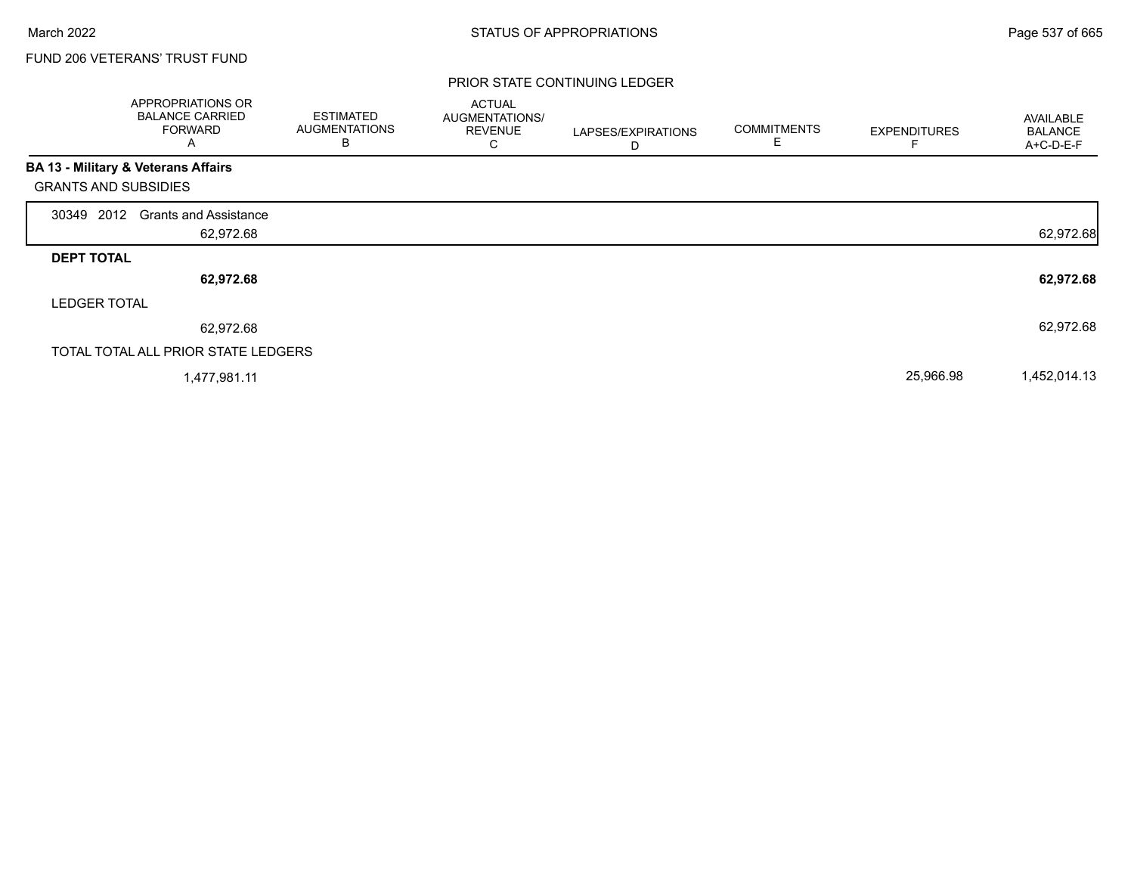г

## FUND 206 VETERANS' TRUST FUND

|                             | APPROPRIATIONS OR<br><b>BALANCE CARRIED</b><br><b>FORWARD</b><br>Α | <b>ESTIMATED</b><br><b>AUGMENTATIONS</b><br>B | <b>ACTUAL</b><br>AUGMENTATIONS/<br><b>REVENUE</b><br>С | LAPSES/EXPIRATIONS<br>D | <b>COMMITMENTS</b> | <b>EXPENDITURES</b> | AVAILABLE<br><b>BALANCE</b><br>A+C-D-E-F |
|-----------------------------|--------------------------------------------------------------------|-----------------------------------------------|--------------------------------------------------------|-------------------------|--------------------|---------------------|------------------------------------------|
|                             | <b>BA 13 - Military &amp; Veterans Affairs</b>                     |                                               |                                                        |                         |                    |                     |                                          |
| <b>GRANTS AND SUBSIDIES</b> |                                                                    |                                               |                                                        |                         |                    |                     |                                          |
| 30349 2012                  | <b>Grants and Assistance</b>                                       |                                               |                                                        |                         |                    |                     |                                          |
|                             | 62,972.68                                                          |                                               |                                                        |                         |                    |                     | 62,972.68                                |
| <b>DEPT TOTAL</b>           |                                                                    |                                               |                                                        |                         |                    |                     |                                          |
|                             | 62,972.68                                                          |                                               |                                                        |                         |                    |                     | 62,972.68                                |
| <b>LEDGER TOTAL</b>         |                                                                    |                                               |                                                        |                         |                    |                     |                                          |
|                             | 62,972.68                                                          |                                               |                                                        |                         |                    |                     | 62,972.68                                |
|                             | TOTAL TOTAL ALL PRIOR STATE LEDGERS                                |                                               |                                                        |                         |                    |                     |                                          |
|                             | 1,477,981.11                                                       |                                               |                                                        |                         |                    | 25,966.98           | 1,452,014.13                             |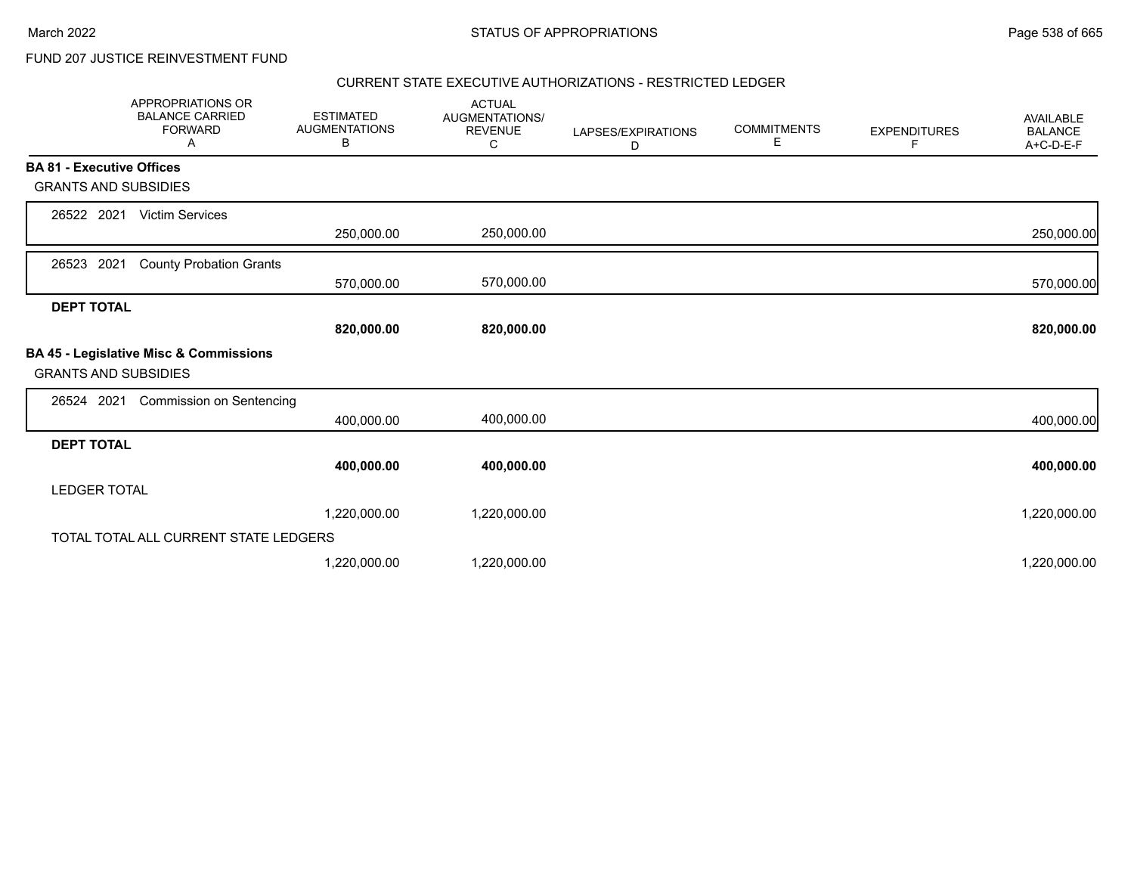## FUND 207 JUSTICE REINVESTMENT FUND

### CURRENT STATE EXECUTIVE AUTHORIZATIONS - RESTRICTED LEDGER

|                                  | <b>APPROPRIATIONS OR</b><br><b>BALANCE CARRIED</b><br><b>FORWARD</b><br>A | <b>ESTIMATED</b><br><b>AUGMENTATIONS</b><br>в | <b>ACTUAL</b><br><b>AUGMENTATIONS/</b><br><b>REVENUE</b><br>C | LAPSES/EXPIRATIONS<br>D | <b>COMMITMENTS</b><br>Е | <b>EXPENDITURES</b><br>F | AVAILABLE<br><b>BALANCE</b><br>A+C-D-E-F |
|----------------------------------|---------------------------------------------------------------------------|-----------------------------------------------|---------------------------------------------------------------|-------------------------|-------------------------|--------------------------|------------------------------------------|
| <b>BA 81 - Executive Offices</b> |                                                                           |                                               |                                                               |                         |                         |                          |                                          |
| <b>GRANTS AND SUBSIDIES</b>      |                                                                           |                                               |                                                               |                         |                         |                          |                                          |
| 26522 2021                       | <b>Victim Services</b>                                                    |                                               |                                                               |                         |                         |                          |                                          |
|                                  |                                                                           | 250,000.00                                    | 250,000.00                                                    |                         |                         |                          | 250,000.00                               |
| 2021<br>26523                    | <b>County Probation Grants</b>                                            |                                               |                                                               |                         |                         |                          |                                          |
|                                  |                                                                           | 570,000.00                                    | 570,000.00                                                    |                         |                         |                          | 570,000.00                               |
| <b>DEPT TOTAL</b>                |                                                                           |                                               |                                                               |                         |                         |                          |                                          |
|                                  |                                                                           | 820,000.00                                    | 820,000.00                                                    |                         |                         |                          | 820,000.00                               |
| <b>GRANTS AND SUBSIDIES</b>      | BA 45 - Legislative Misc & Commissions                                    |                                               |                                                               |                         |                         |                          |                                          |
| 26524 2021                       | <b>Commission on Sentencing</b>                                           |                                               |                                                               |                         |                         |                          |                                          |
|                                  |                                                                           | 400,000.00                                    | 400,000.00                                                    |                         |                         |                          | 400,000.00                               |
| <b>DEPT TOTAL</b>                |                                                                           |                                               |                                                               |                         |                         |                          |                                          |
|                                  |                                                                           | 400,000.00                                    | 400,000.00                                                    |                         |                         |                          | 400,000.00                               |
| <b>LEDGER TOTAL</b>              |                                                                           |                                               |                                                               |                         |                         |                          |                                          |
|                                  |                                                                           | 1,220,000.00                                  | 1,220,000.00                                                  |                         |                         |                          | 1,220,000.00                             |
|                                  | TOTAL TOTAL ALL CURRENT STATE LEDGERS                                     |                                               |                                                               |                         |                         |                          |                                          |
|                                  |                                                                           | 1,220,000.00                                  | 1,220,000.00                                                  |                         |                         |                          | 1,220,000.00                             |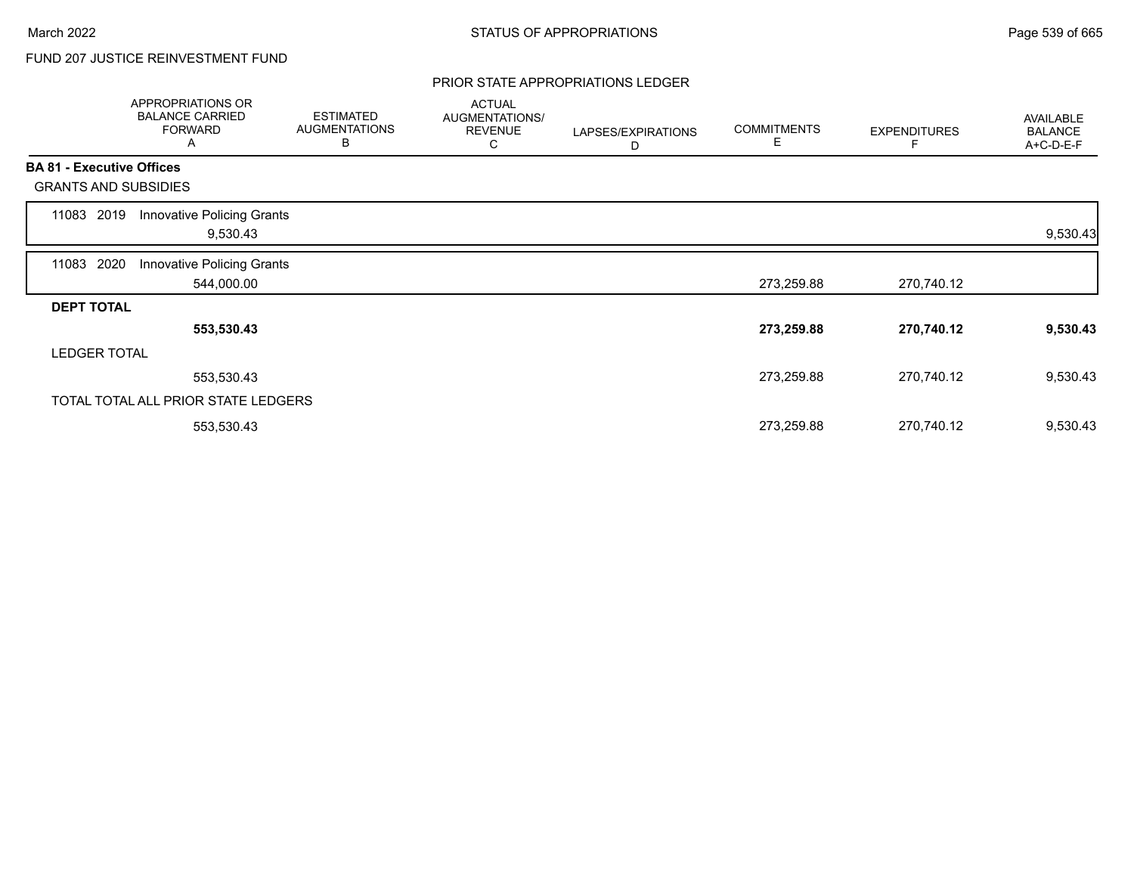# FUND 207 JUSTICE REINVESTMENT FUND

#### PRIOR STATE APPROPRIATIONS LEDGER

|       | <b>APPROPRIATIONS OR</b><br><b>BALANCE CARRIED</b><br><b>FORWARD</b><br>Α | <b>ESTIMATED</b><br><b>AUGMENTATIONS</b><br>B | <b>ACTUAL</b><br>AUGMENTATIONS/<br><b>REVENUE</b><br>С | LAPSES/EXPIRATIONS<br>D | <b>COMMITMENTS</b><br>Е | <b>EXPENDITURES</b> | <b>AVAILABLE</b><br><b>BALANCE</b><br>A+C-D-E-F |
|-------|---------------------------------------------------------------------------|-----------------------------------------------|--------------------------------------------------------|-------------------------|-------------------------|---------------------|-------------------------------------------------|
|       | <b>BA 81 - Executive Offices</b>                                          |                                               |                                                        |                         |                         |                     |                                                 |
|       | <b>GRANTS AND SUBSIDIES</b>                                               |                                               |                                                        |                         |                         |                     |                                                 |
| 11083 | Innovative Policing Grants<br>2019<br>9,530.43                            |                                               |                                                        |                         |                         |                     | 9,530.43                                        |
| 11083 | 2020<br>Innovative Policing Grants<br>544,000.00                          |                                               |                                                        |                         | 273,259.88              | 270,740.12          |                                                 |
|       | <b>DEPT TOTAL</b>                                                         |                                               |                                                        |                         |                         |                     |                                                 |
|       | 553,530.43                                                                |                                               |                                                        |                         | 273,259.88              | 270,740.12          | 9,530.43                                        |
|       | <b>LEDGER TOTAL</b>                                                       |                                               |                                                        |                         |                         |                     |                                                 |
|       | 553,530.43                                                                |                                               |                                                        |                         | 273,259.88              | 270,740.12          | 9,530.43                                        |
|       | TOTAL TOTAL ALL PRIOR STATE LEDGERS                                       |                                               |                                                        |                         |                         |                     |                                                 |
|       | 553,530.43                                                                |                                               |                                                        |                         | 273,259.88              | 270,740.12          | 9,530.43                                        |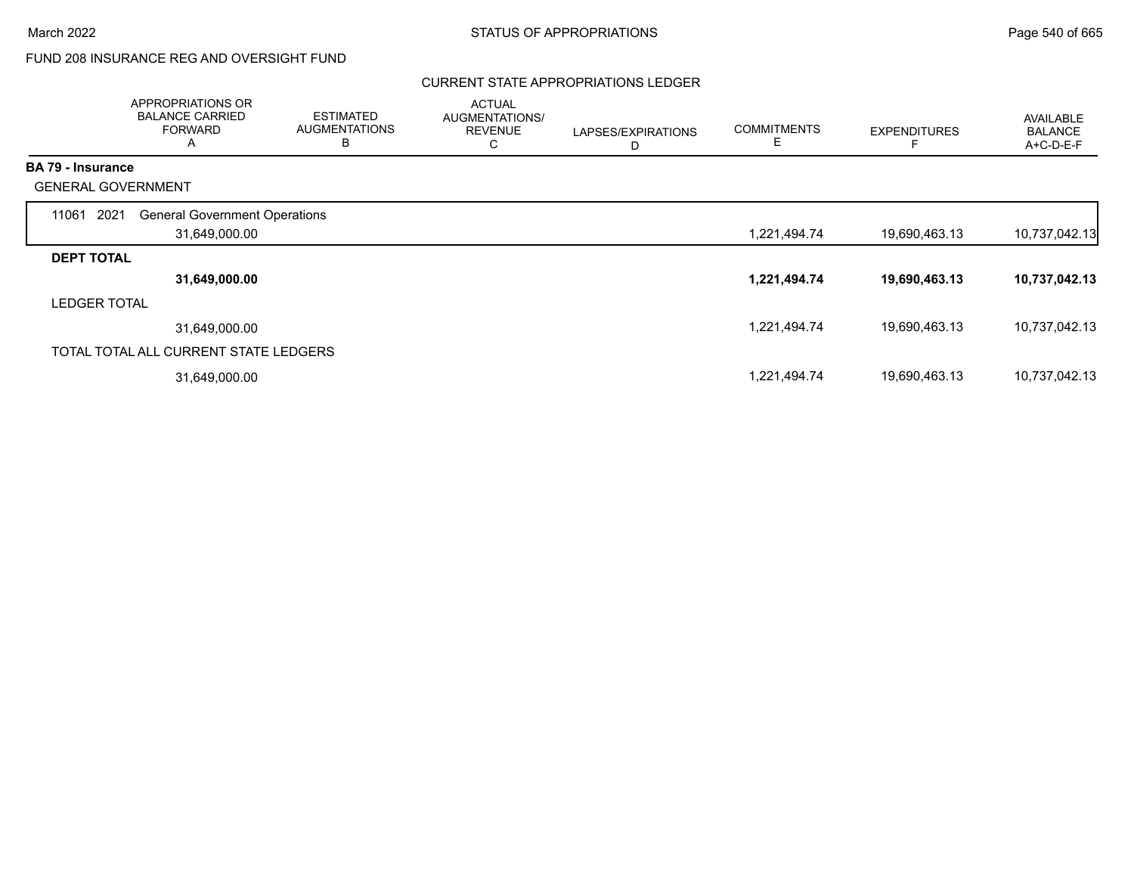# FUND 208 INSURANCE REG AND OVERSIGHT FUND

### CURRENT STATE APPROPRIATIONS LEDGER

|                          | APPROPRIATIONS OR<br><b>BALANCE CARRIED</b><br><b>FORWARD</b><br>A | <b>ESTIMATED</b><br><b>AUGMENTATIONS</b><br>В | <b>ACTUAL</b><br>AUGMENTATIONS/<br><b>REVENUE</b><br>С | LAPSES/EXPIRATIONS<br>D | <b>COMMITMENTS</b><br>Е | <b>EXPENDITURES</b> | AVAILABLE<br><b>BALANCE</b><br>A+C-D-E-F |
|--------------------------|--------------------------------------------------------------------|-----------------------------------------------|--------------------------------------------------------|-------------------------|-------------------------|---------------------|------------------------------------------|
| <b>BA 79 - Insurance</b> |                                                                    |                                               |                                                        |                         |                         |                     |                                          |
|                          | <b>GENERAL GOVERNMENT</b>                                          |                                               |                                                        |                         |                         |                     |                                          |
| 11061                    | 2021<br><b>General Government Operations</b>                       |                                               |                                                        |                         |                         |                     |                                          |
|                          | 31,649,000.00                                                      |                                               |                                                        |                         | 1,221,494.74            | 19,690,463.13       | 10,737,042.13                            |
| <b>DEPT TOTAL</b>        |                                                                    |                                               |                                                        |                         |                         |                     |                                          |
|                          | 31,649,000.00                                                      |                                               |                                                        |                         | 1,221,494.74            | 19,690,463.13       | 10,737,042.13                            |
| <b>LEDGER TOTAL</b>      |                                                                    |                                               |                                                        |                         |                         |                     |                                          |
|                          | 31,649,000.00                                                      |                                               |                                                        |                         | 1,221,494.74            | 19,690,463.13       | 10,737,042.13                            |
|                          | TOTAL TOTAL ALL CURRENT STATE LEDGERS                              |                                               |                                                        |                         |                         |                     |                                          |
|                          | 31,649,000.00                                                      |                                               |                                                        |                         | 1,221,494.74            | 19,690,463.13       | 10,737,042.13                            |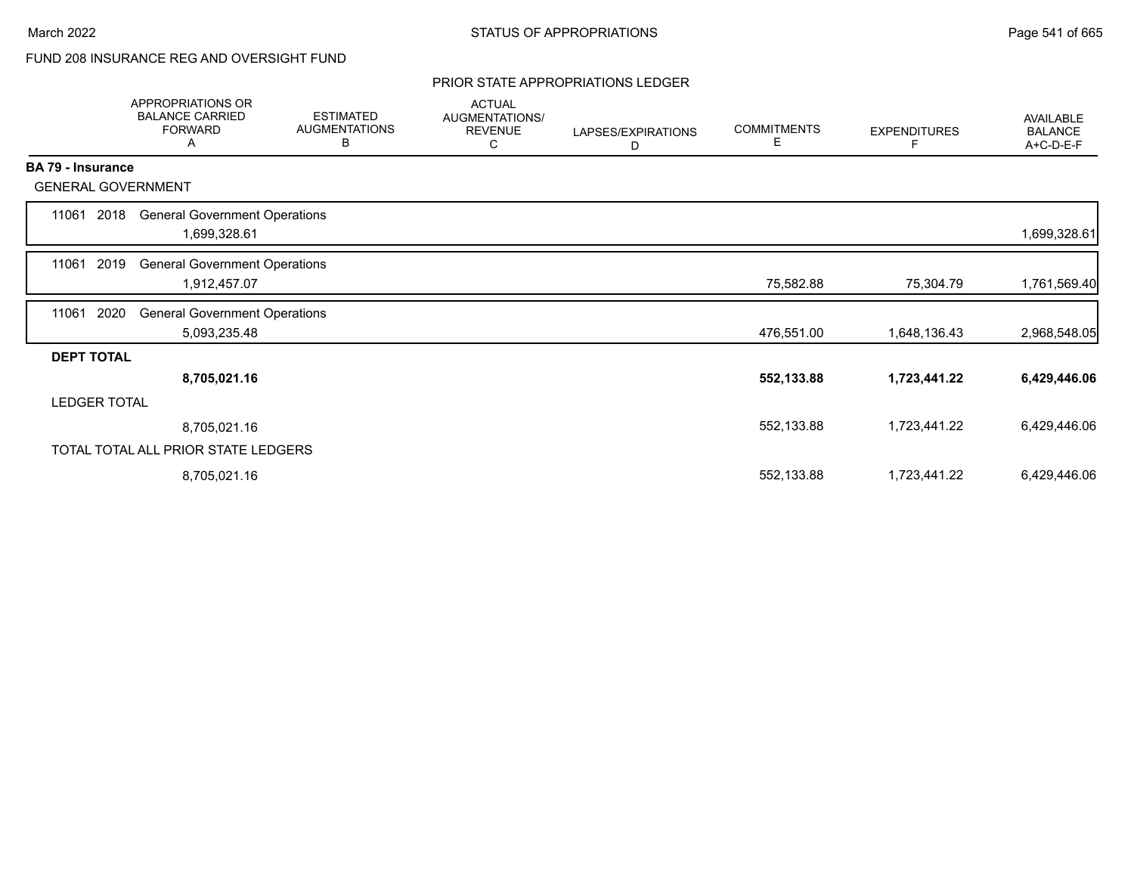# FUND 208 INSURANCE REG AND OVERSIGHT FUND

#### PRIOR STATE APPROPRIATIONS LEDGER

|                           | APPROPRIATIONS OR<br><b>BALANCE CARRIED</b><br><b>FORWARD</b><br>A | <b>ESTIMATED</b><br><b>AUGMENTATIONS</b><br>В | <b>ACTUAL</b><br>AUGMENTATIONS/<br><b>REVENUE</b><br>С | LAPSES/EXPIRATIONS<br>D | <b>COMMITMENTS</b><br>Е | <b>EXPENDITURES</b><br>F | AVAILABLE<br><b>BALANCE</b><br>A+C-D-E-F |
|---------------------------|--------------------------------------------------------------------|-----------------------------------------------|--------------------------------------------------------|-------------------------|-------------------------|--------------------------|------------------------------------------|
| <b>BA 79 - Insurance</b>  |                                                                    |                                               |                                                        |                         |                         |                          |                                          |
| <b>GENERAL GOVERNMENT</b> |                                                                    |                                               |                                                        |                         |                         |                          |                                          |
| 11061<br>2018             | <b>General Government Operations</b><br>1,699,328.61               |                                               |                                                        |                         |                         |                          | 1,699,328.61                             |
| 2019<br>11061             | <b>General Government Operations</b><br>1,912,457.07               |                                               |                                                        |                         | 75,582.88               | 75,304.79                | 1,761,569.40                             |
| 2020<br>11061             | <b>General Government Operations</b><br>5,093,235.48               |                                               |                                                        |                         | 476,551.00              | 1,648,136.43             | 2,968,548.05                             |
| <b>DEPT TOTAL</b>         |                                                                    |                                               |                                                        |                         |                         |                          |                                          |
|                           | 8,705,021.16                                                       |                                               |                                                        |                         | 552,133.88              | 1,723,441.22             | 6,429,446.06                             |
| <b>LEDGER TOTAL</b>       |                                                                    |                                               |                                                        |                         |                         |                          |                                          |
|                           | 8,705,021.16                                                       |                                               |                                                        |                         | 552,133.88              | 1,723,441.22             | 6,429,446.06                             |
|                           | TOTAL TOTAL ALL PRIOR STATE LEDGERS                                |                                               |                                                        |                         |                         |                          |                                          |
|                           | 8,705,021.16                                                       |                                               |                                                        |                         | 552,133.88              | 1,723,441.22             | 6,429,446.06                             |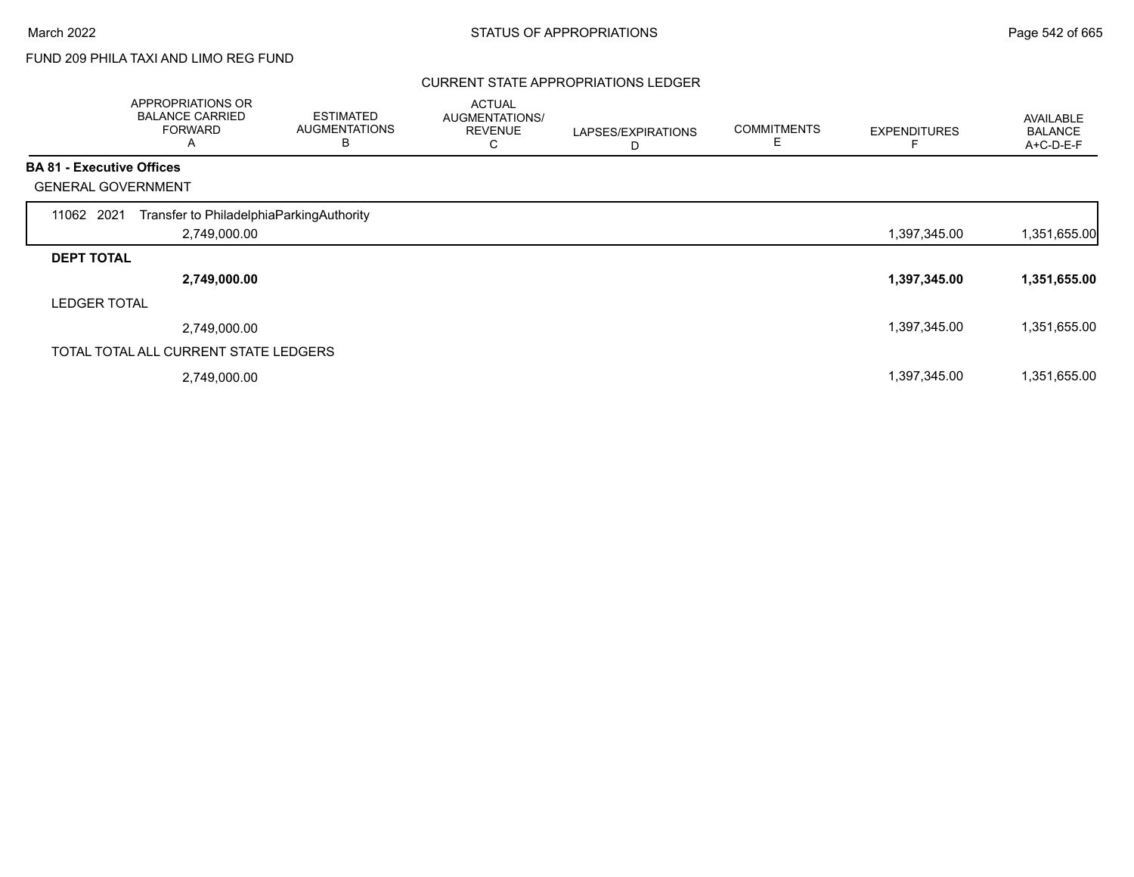# FUND 209 PHILA TAXI AND LIMO REG FUND

### CURRENT STATE APPROPRIATIONS LEDGER

|                                  | APPROPRIATIONS OR<br><b>BALANCE CARRIED</b><br><b>FORWARD</b><br>Α | <b>ESTIMATED</b><br><b>AUGMENTATIONS</b><br>B | <b>ACTUAL</b><br>AUGMENTATIONS/<br><b>REVENUE</b><br>С | LAPSES/EXPIRATIONS<br>D | <b>COMMITMENTS</b> | <b>EXPENDITURES</b> | AVAILABLE<br><b>BALANCE</b><br>A+C-D-E-F |
|----------------------------------|--------------------------------------------------------------------|-----------------------------------------------|--------------------------------------------------------|-------------------------|--------------------|---------------------|------------------------------------------|
| <b>BA 81 - Executive Offices</b> |                                                                    |                                               |                                                        |                         |                    |                     |                                          |
|                                  | <b>GENERAL GOVERNMENT</b>                                          |                                               |                                                        |                         |                    |                     |                                          |
| 11062 2021                       | Transfer to PhiladelphiaParkingAuthority                           |                                               |                                                        |                         |                    |                     |                                          |
|                                  | 2,749,000.00                                                       |                                               |                                                        |                         |                    | 1,397,345.00        | 1,351,655.00                             |
| <b>DEPT TOTAL</b>                |                                                                    |                                               |                                                        |                         |                    |                     |                                          |
|                                  | 2,749,000.00                                                       |                                               |                                                        |                         |                    | 1,397,345.00        | 1,351,655.00                             |
| <b>LEDGER TOTAL</b>              |                                                                    |                                               |                                                        |                         |                    |                     |                                          |
|                                  | 2,749,000.00                                                       |                                               |                                                        |                         |                    | 1,397,345.00        | 1,351,655.00                             |
|                                  | TOTAL TOTAL ALL CURRENT STATE LEDGERS                              |                                               |                                                        |                         |                    |                     |                                          |
|                                  | 2,749,000.00                                                       |                                               |                                                        |                         |                    | 1,397,345.00        | 1,351,655.00                             |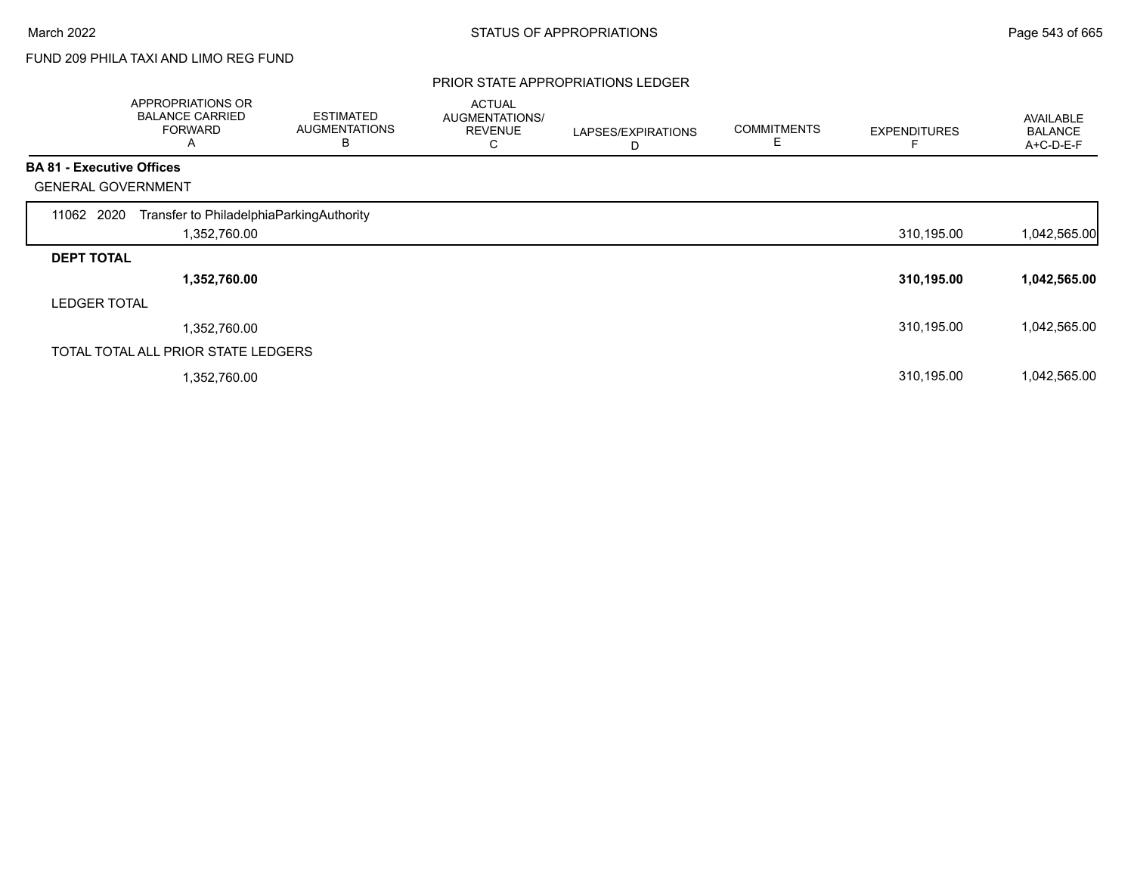# FUND 209 PHILA TAXI AND LIMO REG FUND

#### PRIOR STATE APPROPRIATIONS LEDGER

|                                  | APPROPRIATIONS OR<br><b>BALANCE CARRIED</b><br><b>FORWARD</b><br>A | <b>ESTIMATED</b><br><b>AUGMENTATIONS</b><br>B | <b>ACTUAL</b><br><b>AUGMENTATIONS/</b><br><b>REVENUE</b><br>С | LAPSES/EXPIRATIONS<br>D | <b>COMMITMENTS</b> | <b>EXPENDITURES</b> | AVAILABLE<br><b>BALANCE</b><br>A+C-D-E-F |
|----------------------------------|--------------------------------------------------------------------|-----------------------------------------------|---------------------------------------------------------------|-------------------------|--------------------|---------------------|------------------------------------------|
| <b>BA 81 - Executive Offices</b> |                                                                    |                                               |                                                               |                         |                    |                     |                                          |
|                                  | <b>GENERAL GOVERNMENT</b>                                          |                                               |                                                               |                         |                    |                     |                                          |
| 11062 2020                       | Transfer to PhiladelphiaParkingAuthority                           |                                               |                                                               |                         |                    |                     |                                          |
|                                  | 1,352,760.00                                                       |                                               |                                                               |                         |                    | 310,195.00          | 1,042,565.00                             |
| <b>DEPT TOTAL</b>                |                                                                    |                                               |                                                               |                         |                    |                     |                                          |
|                                  | 1,352,760.00                                                       |                                               |                                                               |                         |                    | 310,195.00          | 1,042,565.00                             |
| <b>LEDGER TOTAL</b>              |                                                                    |                                               |                                                               |                         |                    |                     |                                          |
|                                  | 1,352,760.00                                                       |                                               |                                                               |                         |                    | 310,195.00          | 1,042,565.00                             |
|                                  | TOTAL TOTAL ALL PRIOR STATE LEDGERS                                |                                               |                                                               |                         |                    |                     |                                          |
|                                  | 1,352,760.00                                                       |                                               |                                                               |                         |                    | 310,195.00          | 1,042,565.00                             |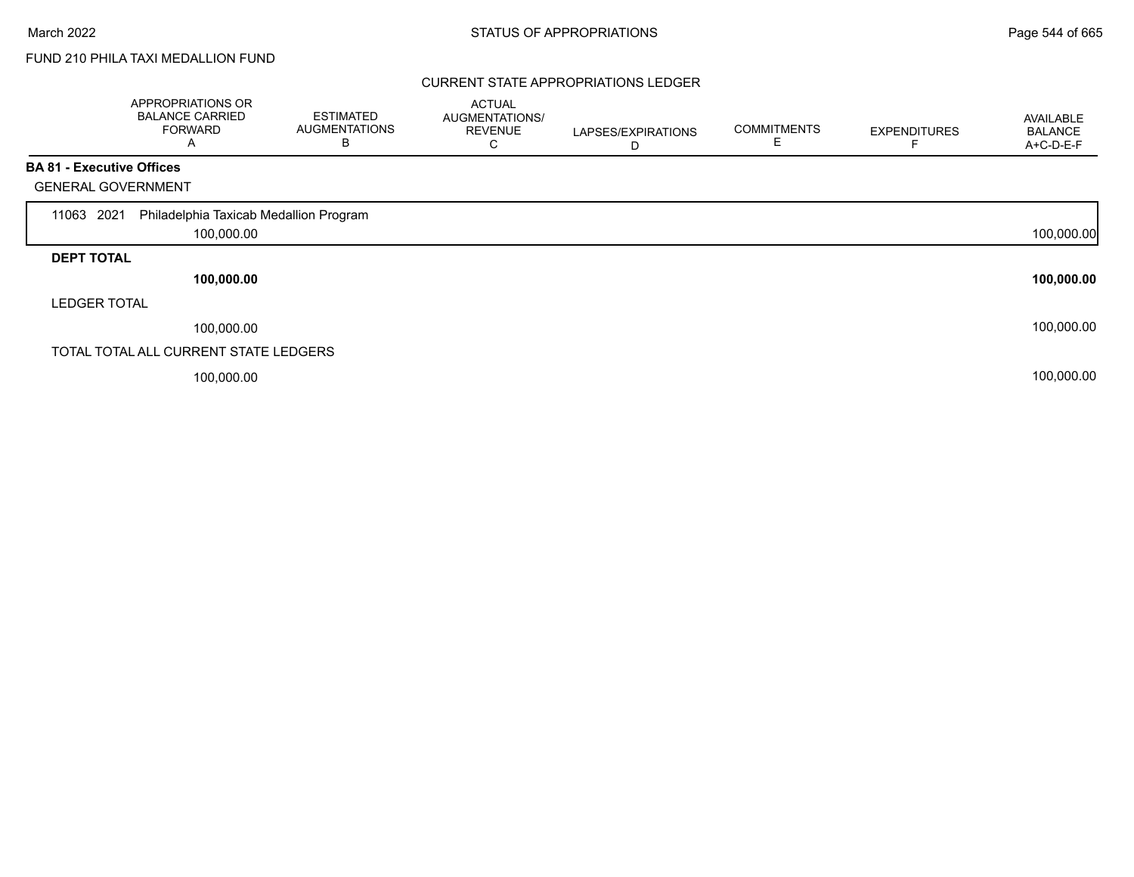# FUND 210 PHILA TAXI MEDALLION FUND

### CURRENT STATE APPROPRIATIONS LEDGER

|                                  | APPROPRIATIONS OR<br><b>BALANCE CARRIED</b><br><b>FORWARD</b><br>A | <b>ESTIMATED</b><br><b>AUGMENTATIONS</b><br>В | <b>ACTUAL</b><br><b>AUGMENTATIONS/</b><br><b>REVENUE</b><br>С | LAPSES/EXPIRATIONS<br>D | <b>COMMITMENTS</b> | <b>EXPENDITURES</b> | AVAILABLE<br><b>BALANCE</b><br>A+C-D-E-F |
|----------------------------------|--------------------------------------------------------------------|-----------------------------------------------|---------------------------------------------------------------|-------------------------|--------------------|---------------------|------------------------------------------|
| <b>BA 81 - Executive Offices</b> |                                                                    |                                               |                                                               |                         |                    |                     |                                          |
| <b>GENERAL GOVERNMENT</b>        |                                                                    |                                               |                                                               |                         |                    |                     |                                          |
| 2021<br>11063                    | Philadelphia Taxicab Medallion Program                             |                                               |                                                               |                         |                    |                     |                                          |
|                                  | 100,000.00                                                         |                                               |                                                               |                         |                    |                     | 100,000.00                               |
| <b>DEPT TOTAL</b>                |                                                                    |                                               |                                                               |                         |                    |                     |                                          |
|                                  | 100,000.00                                                         |                                               |                                                               |                         |                    |                     | 100,000.00                               |
| <b>LEDGER TOTAL</b>              |                                                                    |                                               |                                                               |                         |                    |                     |                                          |
|                                  | 100,000.00                                                         |                                               |                                                               |                         |                    |                     | 100,000.00                               |
|                                  | TOTAL TOTAL ALL CURRENT STATE LEDGERS                              |                                               |                                                               |                         |                    |                     |                                          |
|                                  | 100,000.00                                                         |                                               |                                                               |                         |                    |                     | 100,000.00                               |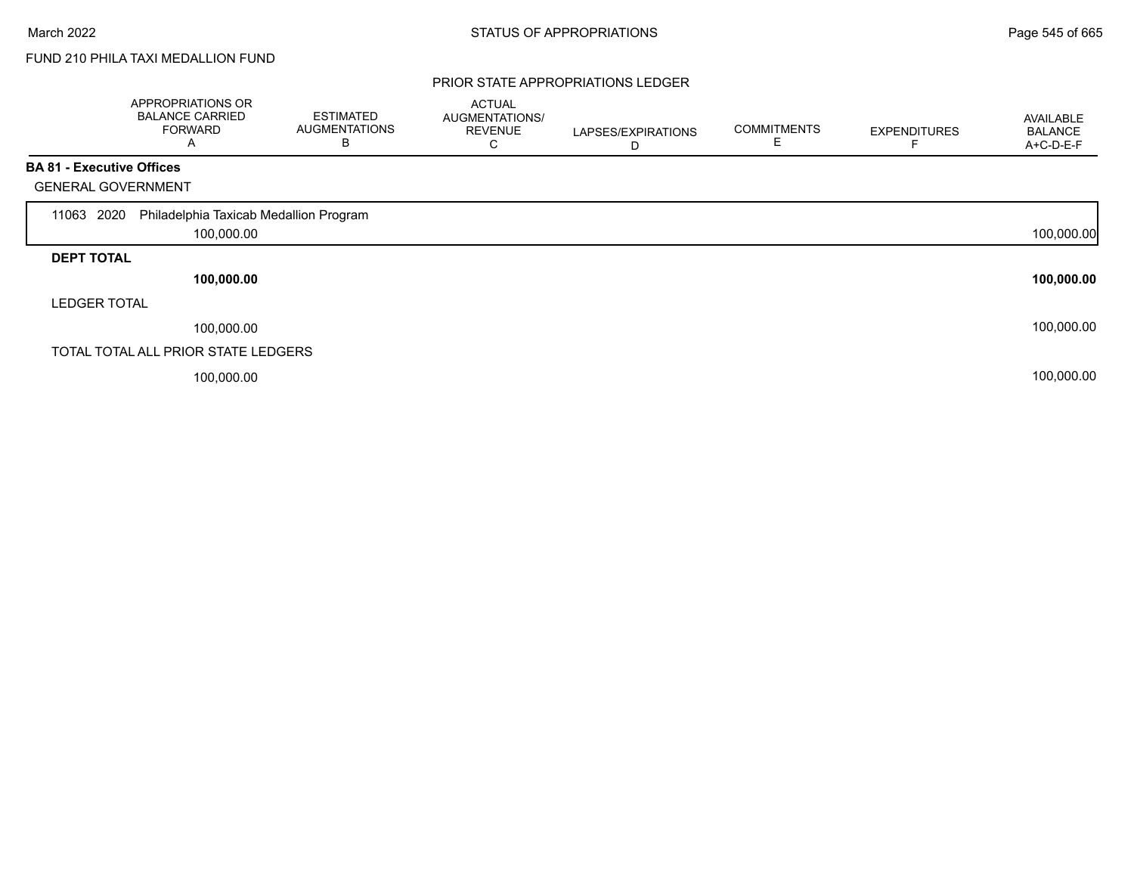Г

# FUND 210 PHILA TAXI MEDALLION FUND

#### PRIOR STATE APPROPRIATIONS LEDGER

|                                  | APPROPRIATIONS OR<br><b>BALANCE CARRIED</b><br><b>FORWARD</b><br>Α | <b>ESTIMATED</b><br><b>AUGMENTATIONS</b><br>В | <b>ACTUAL</b><br>AUGMENTATIONS/<br><b>REVENUE</b><br>С | LAPSES/EXPIRATIONS<br>D | <b>COMMITMENTS</b> | <b>EXPENDITURES</b> | <b>AVAILABLE</b><br><b>BALANCE</b><br>A+C-D-E-F |
|----------------------------------|--------------------------------------------------------------------|-----------------------------------------------|--------------------------------------------------------|-------------------------|--------------------|---------------------|-------------------------------------------------|
| <b>BA 81 - Executive Offices</b> |                                                                    |                                               |                                                        |                         |                    |                     |                                                 |
| <b>GENERAL GOVERNMENT</b>        |                                                                    |                                               |                                                        |                         |                    |                     |                                                 |
| 2020<br>11063                    | Philadelphia Taxicab Medallion Program                             |                                               |                                                        |                         |                    |                     |                                                 |
|                                  | 100,000.00                                                         |                                               |                                                        |                         |                    |                     | 100,000.00                                      |
| <b>DEPT TOTAL</b>                |                                                                    |                                               |                                                        |                         |                    |                     |                                                 |
|                                  | 100,000.00                                                         |                                               |                                                        |                         |                    |                     | 100,000.00                                      |
| <b>LEDGER TOTAL</b>              |                                                                    |                                               |                                                        |                         |                    |                     |                                                 |
|                                  | 100,000.00                                                         |                                               |                                                        |                         |                    |                     | 100,000.00                                      |
|                                  | TOTAL TOTAL ALL PRIOR STATE LEDGERS                                |                                               |                                                        |                         |                    |                     |                                                 |
|                                  | 100,000.00                                                         |                                               |                                                        |                         |                    |                     | 100,000.00                                      |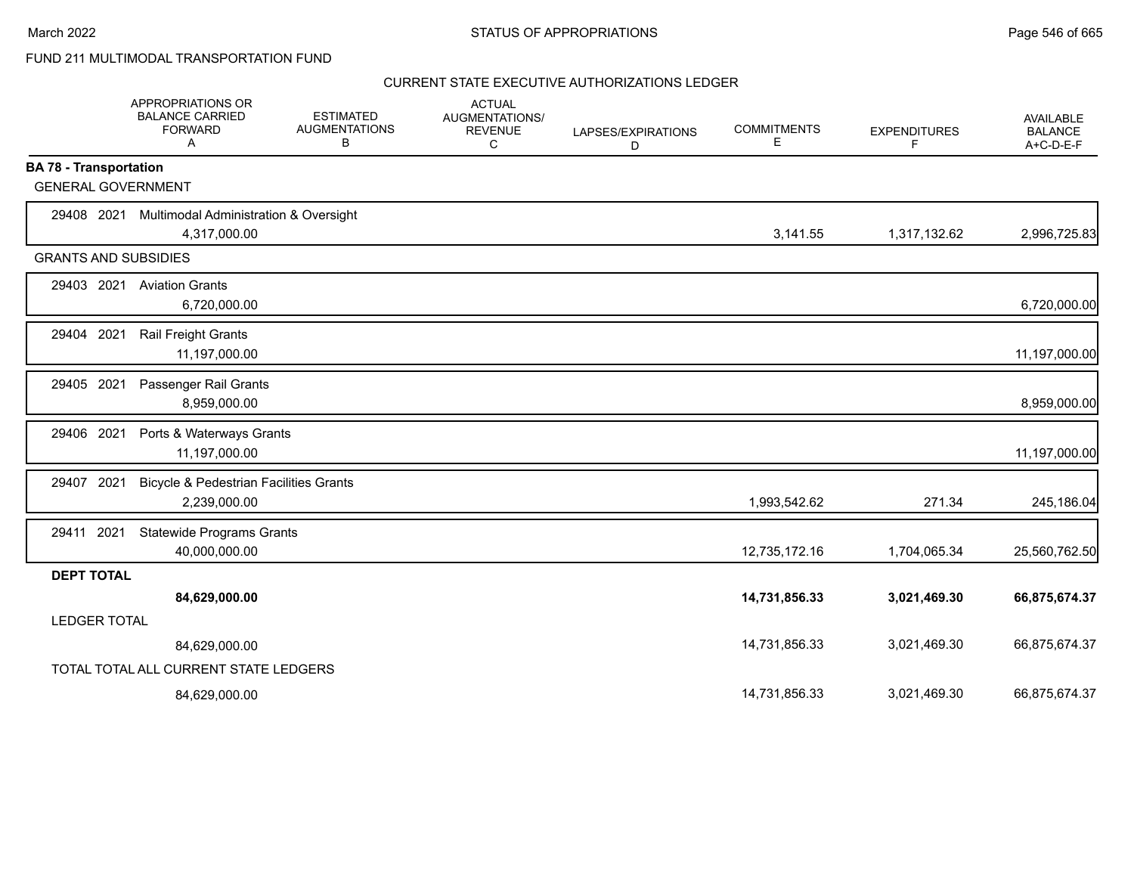|                               | APPROPRIATIONS OR<br><b>BALANCE CARRIED</b><br><b>FORWARD</b><br>Α | <b>ESTIMATED</b><br><b>AUGMENTATIONS</b><br>В | <b>ACTUAL</b><br>AUGMENTATIONS/<br><b>REVENUE</b><br>C | LAPSES/EXPIRATIONS<br>D | <b>COMMITMENTS</b><br>Е | <b>EXPENDITURES</b><br>F. | <b>AVAILABLE</b><br><b>BALANCE</b><br>$A+C-D-E-F$ |
|-------------------------------|--------------------------------------------------------------------|-----------------------------------------------|--------------------------------------------------------|-------------------------|-------------------------|---------------------------|---------------------------------------------------|
| <b>BA 78 - Transportation</b> |                                                                    |                                               |                                                        |                         |                         |                           |                                                   |
| <b>GENERAL GOVERNMENT</b>     |                                                                    |                                               |                                                        |                         |                         |                           |                                                   |
| 29408 2021                    | Multimodal Administration & Oversight                              |                                               |                                                        |                         |                         |                           |                                                   |
|                               | 4,317,000.00                                                       |                                               |                                                        |                         | 3,141.55                | 1,317,132.62              | 2,996,725.83                                      |
| <b>GRANTS AND SUBSIDIES</b>   |                                                                    |                                               |                                                        |                         |                         |                           |                                                   |
| 29403 2021                    | <b>Aviation Grants</b>                                             |                                               |                                                        |                         |                         |                           |                                                   |
|                               | 6,720,000.00                                                       |                                               |                                                        |                         |                         |                           | 6,720,000.00                                      |
| 29404<br>2021                 | Rail Freight Grants                                                |                                               |                                                        |                         |                         |                           |                                                   |
|                               | 11,197,000.00                                                      |                                               |                                                        |                         |                         |                           | 11,197,000.00                                     |
| 29405 2021                    | Passenger Rail Grants                                              |                                               |                                                        |                         |                         |                           |                                                   |
|                               | 8,959,000.00                                                       |                                               |                                                        |                         |                         |                           | 8,959,000.00                                      |
| 29406 2021                    | Ports & Waterways Grants                                           |                                               |                                                        |                         |                         |                           |                                                   |
|                               | 11,197,000.00                                                      |                                               |                                                        |                         |                         |                           | 11,197,000.00                                     |
| 29407 2021                    | <b>Bicycle &amp; Pedestrian Facilities Grants</b>                  |                                               |                                                        |                         |                         |                           |                                                   |
|                               | 2,239,000.00                                                       |                                               |                                                        |                         | 1,993,542.62            | 271.34                    | 245,186.04                                        |
| 29411 2021                    | <b>Statewide Programs Grants</b>                                   |                                               |                                                        |                         |                         |                           |                                                   |
|                               | 40,000,000.00                                                      |                                               |                                                        |                         | 12,735,172.16           | 1,704,065.34              | 25,560,762.50                                     |
| <b>DEPT TOTAL</b>             |                                                                    |                                               |                                                        |                         |                         |                           |                                                   |
|                               | 84,629,000.00                                                      |                                               |                                                        |                         | 14,731,856.33           | 3,021,469.30              | 66,875,674.37                                     |
| <b>LEDGER TOTAL</b>           |                                                                    |                                               |                                                        |                         |                         |                           |                                                   |
|                               | 84,629,000.00                                                      |                                               |                                                        |                         | 14,731,856.33           | 3,021,469.30              | 66,875,674.37                                     |
|                               | TOTAL TOTAL ALL CURRENT STATE LEDGERS                              |                                               |                                                        |                         |                         |                           |                                                   |
|                               | 84,629,000.00                                                      |                                               |                                                        |                         | 14,731,856.33           | 3,021,469.30              | 66,875,674.37                                     |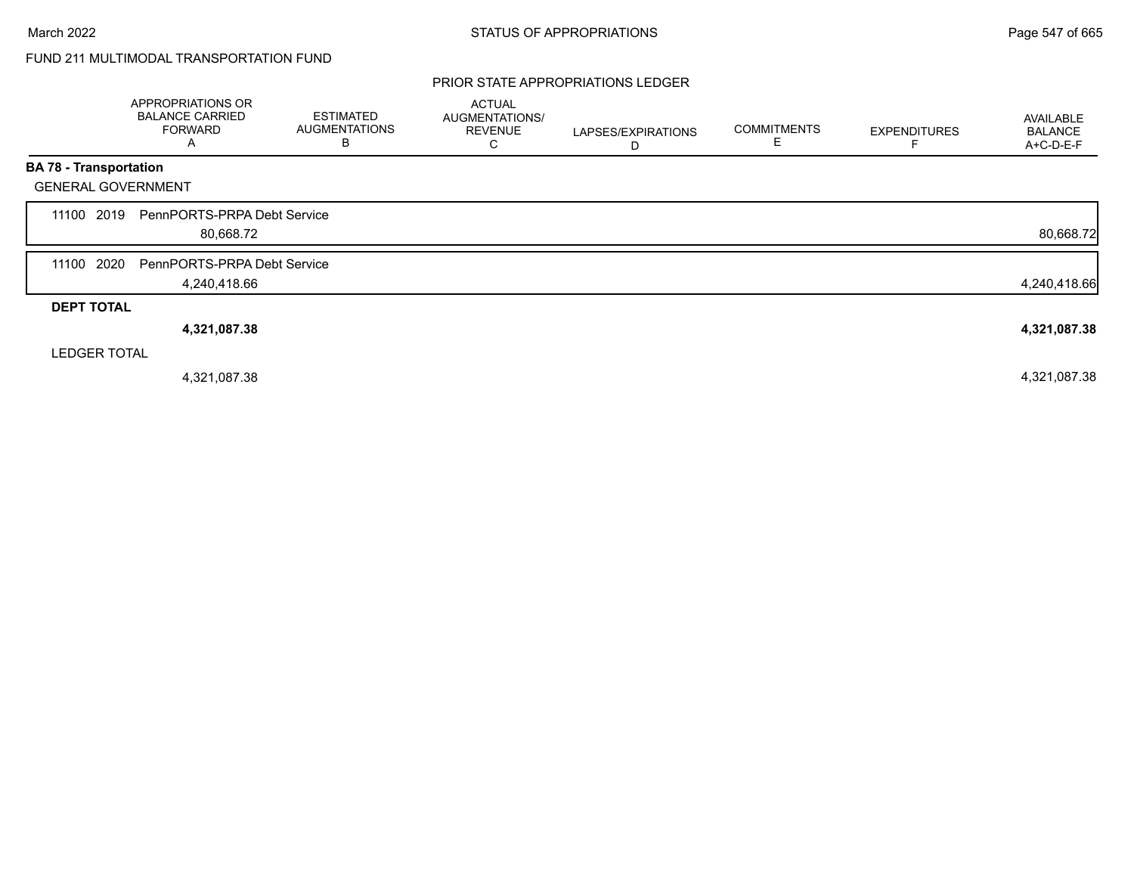#### PRIOR STATE APPROPRIATIONS LEDGER

|                               | APPROPRIATIONS OR<br><b>BALANCE CARRIED</b><br><b>FORWARD</b><br>A | <b>ESTIMATED</b><br><b>AUGMENTATIONS</b><br>B | <b>ACTUAL</b><br><b>AUGMENTATIONS/</b><br><b>REVENUE</b><br>С | LAPSES/EXPIRATIONS<br>D | <b>COMMITMENTS</b> | <b>EXPENDITURES</b> | AVAILABLE<br><b>BALANCE</b><br>A+C-D-E-F |
|-------------------------------|--------------------------------------------------------------------|-----------------------------------------------|---------------------------------------------------------------|-------------------------|--------------------|---------------------|------------------------------------------|
| <b>BA 78 - Transportation</b> |                                                                    |                                               |                                                               |                         |                    |                     |                                          |
| <b>GENERAL GOVERNMENT</b>     |                                                                    |                                               |                                                               |                         |                    |                     |                                          |
| 2019<br>11100                 | PennPORTS-PRPA Debt Service<br>80,668.72                           |                                               |                                                               |                         |                    |                     | 80,668.72                                |
| 2020<br>11100                 | PennPORTS-PRPA Debt Service<br>4,240,418.66                        |                                               |                                                               |                         |                    |                     | 4,240,418.66                             |
| <b>DEPT TOTAL</b>             |                                                                    |                                               |                                                               |                         |                    |                     |                                          |
|                               | 4,321,087.38                                                       |                                               |                                                               |                         |                    |                     | 4,321,087.38                             |
| <b>LEDGER TOTAL</b>           |                                                                    |                                               |                                                               |                         |                    |                     |                                          |
|                               | 4,321,087.38                                                       |                                               |                                                               |                         |                    |                     | 4,321,087.38                             |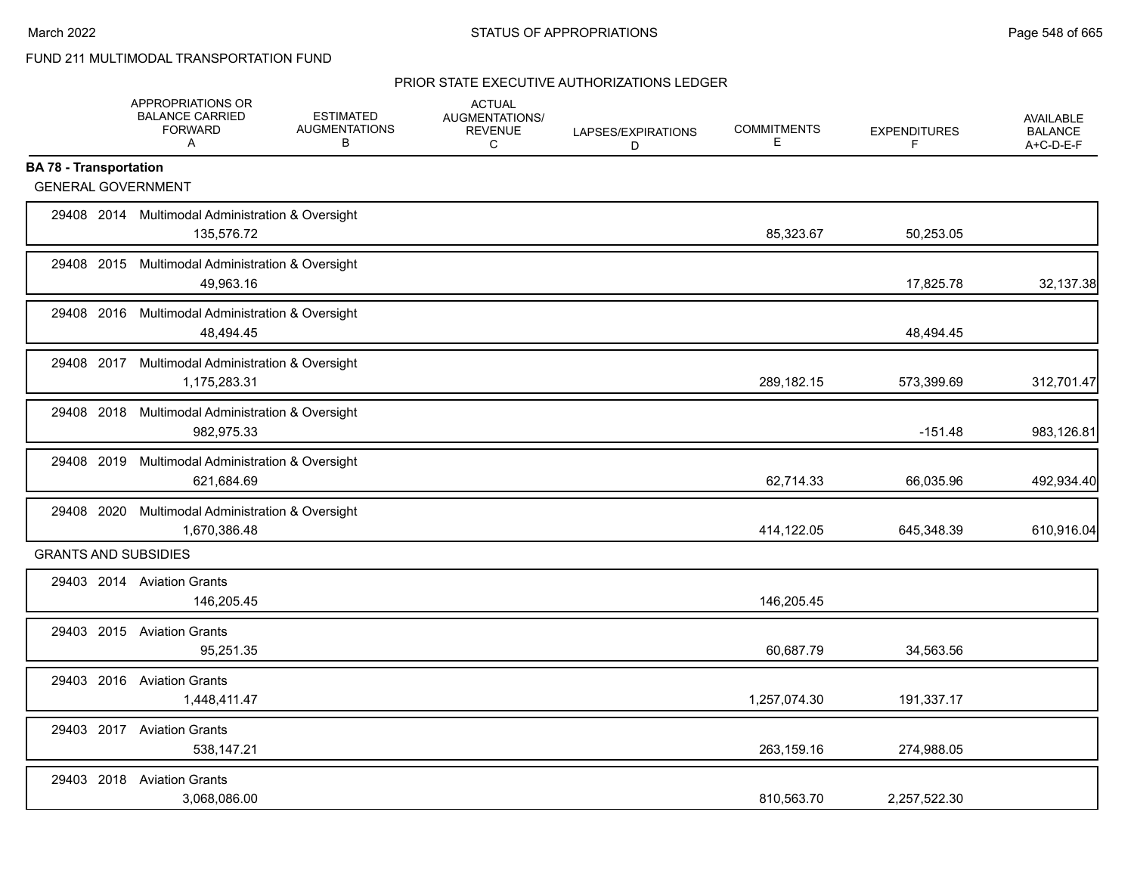|                               | APPROPRIATIONS OR<br><b>BALANCE CARRIED</b><br><b>FORWARD</b><br>$\mathsf{A}$ | <b>ESTIMATED</b><br><b>AUGMENTATIONS</b><br>В | <b>ACTUAL</b><br>AUGMENTATIONS/<br><b>REVENUE</b><br>C | LAPSES/EXPIRATIONS<br>D | <b>COMMITMENTS</b><br>Е | <b>EXPENDITURES</b><br>F | AVAILABLE<br><b>BALANCE</b><br>A+C-D-E-F |
|-------------------------------|-------------------------------------------------------------------------------|-----------------------------------------------|--------------------------------------------------------|-------------------------|-------------------------|--------------------------|------------------------------------------|
| <b>BA 78 - Transportation</b> |                                                                               |                                               |                                                        |                         |                         |                          |                                          |
| <b>GENERAL GOVERNMENT</b>     |                                                                               |                                               |                                                        |                         |                         |                          |                                          |
|                               | 29408 2014 Multimodal Administration & Oversight<br>135,576.72                |                                               |                                                        |                         | 85,323.67               | 50,253.05                |                                          |
|                               | 29408 2015 Multimodal Administration & Oversight<br>49,963.16                 |                                               |                                                        |                         |                         | 17,825.78                | 32,137.38                                |
|                               | 29408 2016 Multimodal Administration & Oversight<br>48,494.45                 |                                               |                                                        |                         |                         | 48,494.45                |                                          |
|                               | 29408 2017 Multimodal Administration & Oversight<br>1,175,283.31              |                                               |                                                        |                         | 289,182.15              | 573,399.69               | 312,701.47                               |
|                               | 29408 2018 Multimodal Administration & Oversight<br>982,975.33                |                                               |                                                        |                         |                         | $-151.48$                | 983,126.81                               |
|                               | 29408 2019 Multimodal Administration & Oversight<br>621,684.69                |                                               |                                                        |                         | 62,714.33               | 66,035.96                | 492,934.40                               |
|                               | 29408 2020 Multimodal Administration & Oversight<br>1,670,386.48              |                                               |                                                        |                         | 414,122.05              | 645,348.39               | 610,916.04                               |
| <b>GRANTS AND SUBSIDIES</b>   |                                                                               |                                               |                                                        |                         |                         |                          |                                          |
|                               | 29403 2014 Aviation Grants<br>146,205.45                                      |                                               |                                                        |                         | 146,205.45              |                          |                                          |
|                               | 29403 2015 Aviation Grants<br>95,251.35                                       |                                               |                                                        |                         | 60,687.79               | 34,563.56                |                                          |
|                               | 29403 2016 Aviation Grants<br>1,448,411.47                                    |                                               |                                                        |                         | 1,257,074.30            | 191,337.17               |                                          |
|                               | 29403 2017 Aviation Grants<br>538,147.21                                      |                                               |                                                        |                         | 263,159.16              | 274,988.05               |                                          |
|                               | 29403 2018 Aviation Grants<br>3,068,086.00                                    |                                               |                                                        |                         | 810,563.70              | 2,257,522.30             |                                          |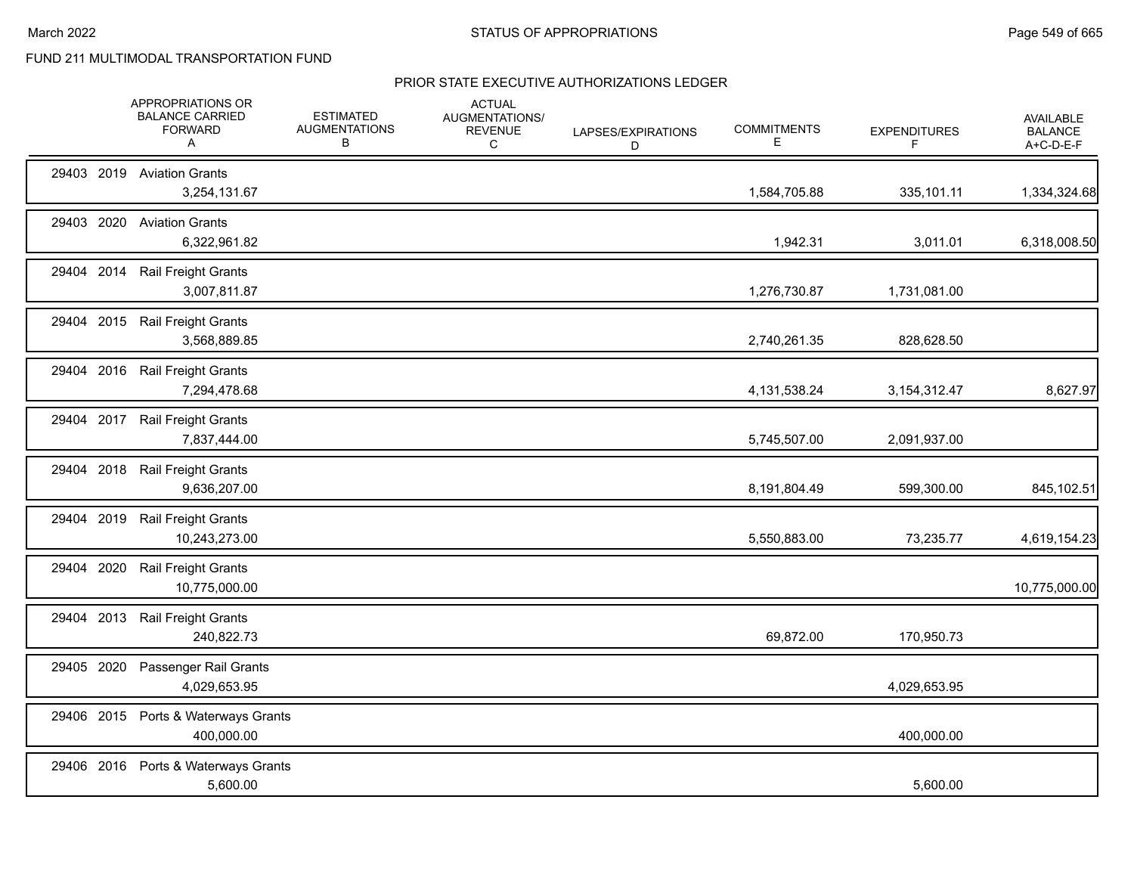|            |      | APPROPRIATIONS OR<br><b>BALANCE CARRIED</b><br><b>FORWARD</b><br>Α | <b>ESTIMATED</b><br><b>AUGMENTATIONS</b><br>B | <b>ACTUAL</b><br>AUGMENTATIONS/<br><b>REVENUE</b><br>C | LAPSES/EXPIRATIONS<br>D | <b>COMMITMENTS</b><br>Ε | <b>EXPENDITURES</b><br>F | AVAILABLE<br><b>BALANCE</b><br>A+C-D-E-F |
|------------|------|--------------------------------------------------------------------|-----------------------------------------------|--------------------------------------------------------|-------------------------|-------------------------|--------------------------|------------------------------------------|
|            |      | 29403 2019 Aviation Grants<br>3,254,131.67                         |                                               |                                                        |                         | 1,584,705.88            | 335,101.11               | 1,334,324.68                             |
| 29403 2020 |      | <b>Aviation Grants</b><br>6,322,961.82                             |                                               |                                                        |                         | 1,942.31                | 3,011.01                 | 6,318,008.50                             |
| 29404 2014 |      | <b>Rail Freight Grants</b><br>3,007,811.87                         |                                               |                                                        |                         | 1,276,730.87            | 1,731,081.00             |                                          |
|            |      | 29404 2015 Rail Freight Grants<br>3,568,889.85                     |                                               |                                                        |                         | 2,740,261.35            | 828,628.50               |                                          |
|            |      | 29404 2016 Rail Freight Grants<br>7,294,478.68                     |                                               |                                                        |                         | 4,131,538.24            | 3,154,312.47             | 8,627.97                                 |
|            |      | 29404 2017 Rail Freight Grants<br>7,837,444.00                     |                                               |                                                        |                         | 5,745,507.00            | 2,091,937.00             |                                          |
|            |      | 29404 2018 Rail Freight Grants<br>9,636,207.00                     |                                               |                                                        |                         | 8,191,804.49            | 599,300.00               | 845,102.51                               |
|            |      | 29404 2019 Rail Freight Grants<br>10,243,273.00                    |                                               |                                                        |                         | 5,550,883.00            | 73,235.77                | 4,619,154.23                             |
| 29404      | 2020 | <b>Rail Freight Grants</b><br>10,775,000.00                        |                                               |                                                        |                         |                         |                          | 10,775,000.00                            |
| 29404 2013 |      | <b>Rail Freight Grants</b><br>240,822.73                           |                                               |                                                        |                         | 69,872.00               | 170,950.73               |                                          |
| 29405 2020 |      | Passenger Rail Grants<br>4,029,653.95                              |                                               |                                                        |                         |                         | 4,029,653.95             |                                          |
| 29406 2015 |      | Ports & Waterways Grants<br>400,000.00                             |                                               |                                                        |                         |                         | 400,000.00               |                                          |
|            |      | 29406 2016 Ports & Waterways Grants<br>5,600.00                    |                                               |                                                        |                         |                         | 5,600.00                 |                                          |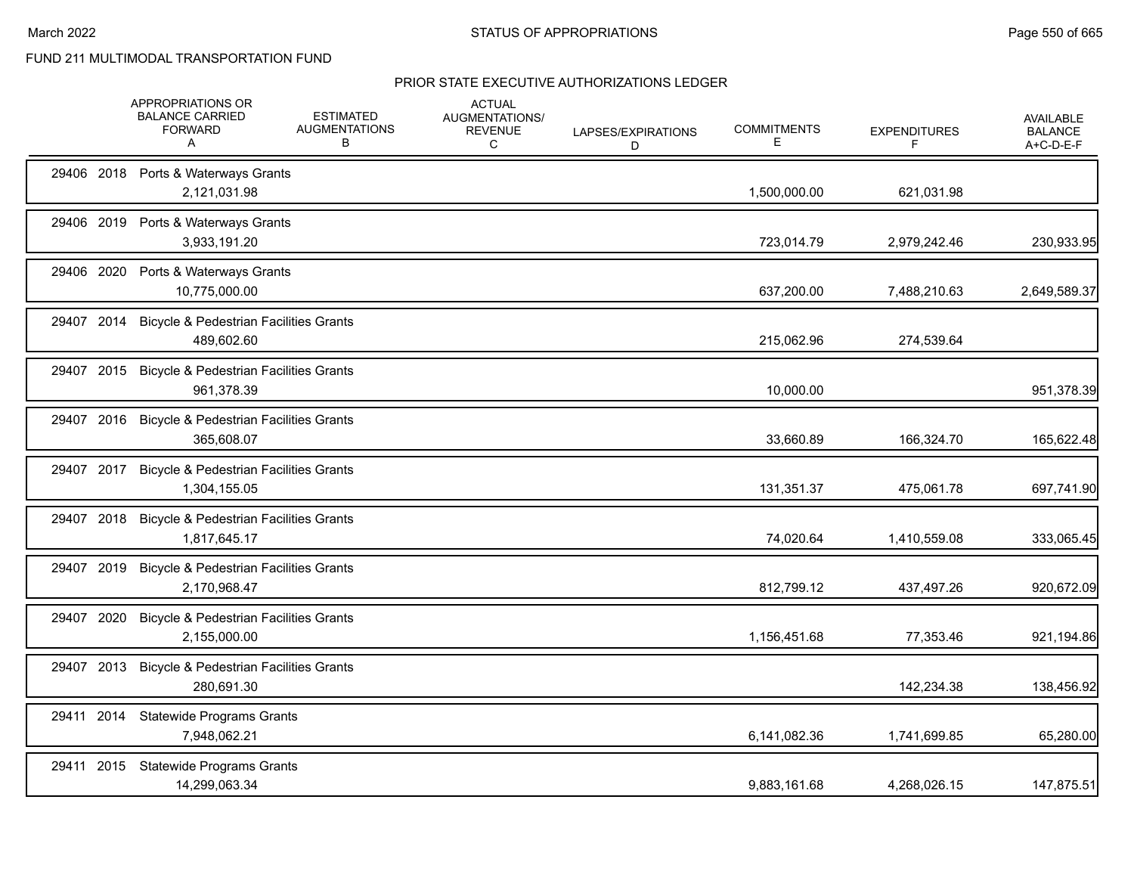|            | APPROPRIATIONS OR<br><b>BALANCE CARRIED</b><br><b>FORWARD</b><br>A | <b>ESTIMATED</b><br><b>AUGMENTATIONS</b><br>в | <b>ACTUAL</b><br>AUGMENTATIONS/<br><b>REVENUE</b><br>С | LAPSES/EXPIRATIONS<br>D | <b>COMMITMENTS</b><br>Е | <b>EXPENDITURES</b><br>F | <b>AVAILABLE</b><br><b>BALANCE</b><br>A+C-D-E-F |
|------------|--------------------------------------------------------------------|-----------------------------------------------|--------------------------------------------------------|-------------------------|-------------------------|--------------------------|-------------------------------------------------|
|            | 29406 2018 Ports & Waterways Grants<br>2,121,031.98                |                                               |                                                        |                         | 1,500,000.00            | 621,031.98               |                                                 |
|            | 29406 2019 Ports & Waterways Grants<br>3,933,191.20                |                                               |                                                        |                         | 723,014.79              | 2,979,242.46             | 230,933.95                                      |
| 29406 2020 | Ports & Waterways Grants<br>10,775,000.00                          |                                               |                                                        |                         | 637,200.00              | 7,488,210.63             | 2,649,589.37                                    |
| 29407 2014 | <b>Bicycle &amp; Pedestrian Facilities Grants</b><br>489,602.60    |                                               |                                                        |                         | 215,062.96              | 274,539.64               |                                                 |
| 29407 2015 | <b>Bicycle &amp; Pedestrian Facilities Grants</b><br>961,378.39    |                                               |                                                        |                         | 10,000.00               |                          | 951,378.39                                      |
| 29407 2016 | <b>Bicycle &amp; Pedestrian Facilities Grants</b><br>365,608.07    |                                               |                                                        |                         | 33,660.89               | 166,324.70               | 165,622.48                                      |
| 29407 2017 | <b>Bicycle &amp; Pedestrian Facilities Grants</b><br>1,304,155.05  |                                               |                                                        |                         | 131,351.37              | 475,061.78               | 697,741.90                                      |
| 29407 2018 | <b>Bicycle &amp; Pedestrian Facilities Grants</b><br>1,817,645.17  |                                               |                                                        |                         | 74,020.64               | 1,410,559.08             | 333,065.45                                      |
| 29407 2019 | <b>Bicycle &amp; Pedestrian Facilities Grants</b><br>2,170,968.47  |                                               |                                                        |                         | 812,799.12              | 437,497.26               | 920,672.09                                      |
| 29407 2020 | <b>Bicycle &amp; Pedestrian Facilities Grants</b><br>2,155,000.00  |                                               |                                                        |                         | 1,156,451.68            | 77,353.46                | 921,194.86                                      |
| 29407 2013 | <b>Bicycle &amp; Pedestrian Facilities Grants</b><br>280,691.30    |                                               |                                                        |                         |                         | 142,234.38               | 138,456.92                                      |
| 29411 2014 | <b>Statewide Programs Grants</b><br>7,948,062.21                   |                                               |                                                        |                         | 6,141,082.36            | 1,741,699.85             | 65,280.00                                       |
| 29411 2015 | <b>Statewide Programs Grants</b><br>14,299,063.34                  |                                               |                                                        |                         | 9,883,161.68            | 4,268,026.15             | 147,875.51                                      |
|            |                                                                    |                                               |                                                        |                         |                         |                          |                                                 |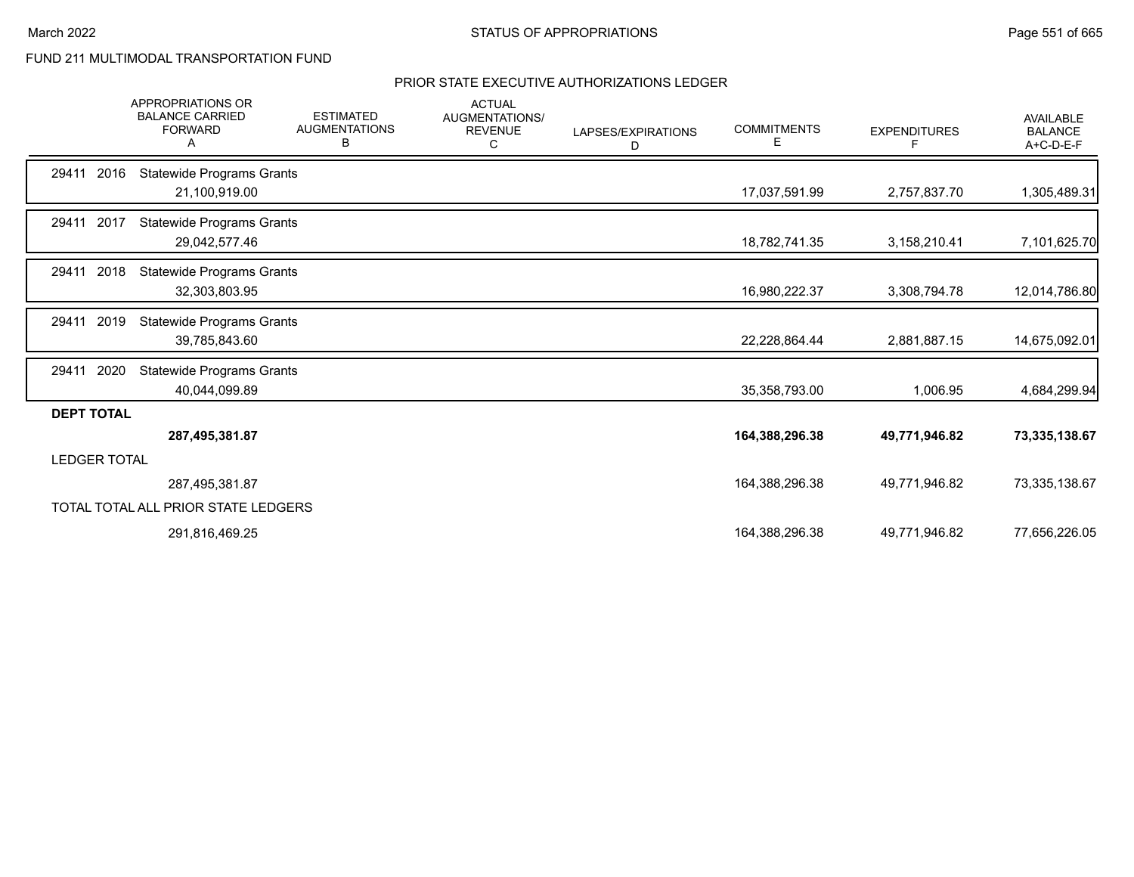|                     | <b>APPROPRIATIONS OR</b><br><b>BALANCE CARRIED</b><br><b>FORWARD</b> | <b>ESTIMATED</b><br><b>AUGMENTATIONS</b><br>В | <b>ACTUAL</b><br>AUGMENTATIONS/<br><b>REVENUE</b><br>C | LAPSES/EXPIRATIONS<br>D | <b>COMMITMENTS</b><br>E. | <b>EXPENDITURES</b><br>F | <b>AVAILABLE</b><br><b>BALANCE</b><br>A+C-D-E-F |
|---------------------|----------------------------------------------------------------------|-----------------------------------------------|--------------------------------------------------------|-------------------------|--------------------------|--------------------------|-------------------------------------------------|
| 2016<br>29411       | <b>Statewide Programs Grants</b><br>21,100,919.00                    |                                               |                                                        |                         | 17,037,591.99            | 2,757,837.70             | 1,305,489.31                                    |
| 29411 2017          | <b>Statewide Programs Grants</b><br>29,042,577.46                    |                                               |                                                        |                         | 18,782,741.35            | 3,158,210.41             | 7,101,625.70                                    |
| 2018<br>29411       | <b>Statewide Programs Grants</b><br>32,303,803.95                    |                                               |                                                        |                         | 16,980,222.37            | 3,308,794.78             | 12,014,786.80                                   |
| 2019<br>29411       | <b>Statewide Programs Grants</b><br>39,785,843.60                    |                                               |                                                        |                         | 22,228,864.44            | 2,881,887.15             | 14,675,092.01                                   |
| 2020<br>29411       | <b>Statewide Programs Grants</b><br>40,044,099.89                    |                                               |                                                        |                         | 35,358,793.00            | 1,006.95                 | 4,684,299.94                                    |
| <b>DEPT TOTAL</b>   | 287,495,381.87                                                       |                                               |                                                        |                         | 164,388,296.38           | 49,771,946.82            | 73,335,138.67                                   |
| <b>LEDGER TOTAL</b> |                                                                      |                                               |                                                        |                         |                          |                          |                                                 |
|                     | 287,495,381.87                                                       |                                               |                                                        |                         | 164,388,296.38           | 49,771,946.82            | 73,335,138.67                                   |
|                     | TOTAL TOTAL ALL PRIOR STATE LEDGERS                                  |                                               |                                                        |                         |                          |                          |                                                 |
|                     | 291,816,469.25                                                       |                                               |                                                        |                         | 164,388,296.38           | 49,771,946.82            | 77,656,226.05                                   |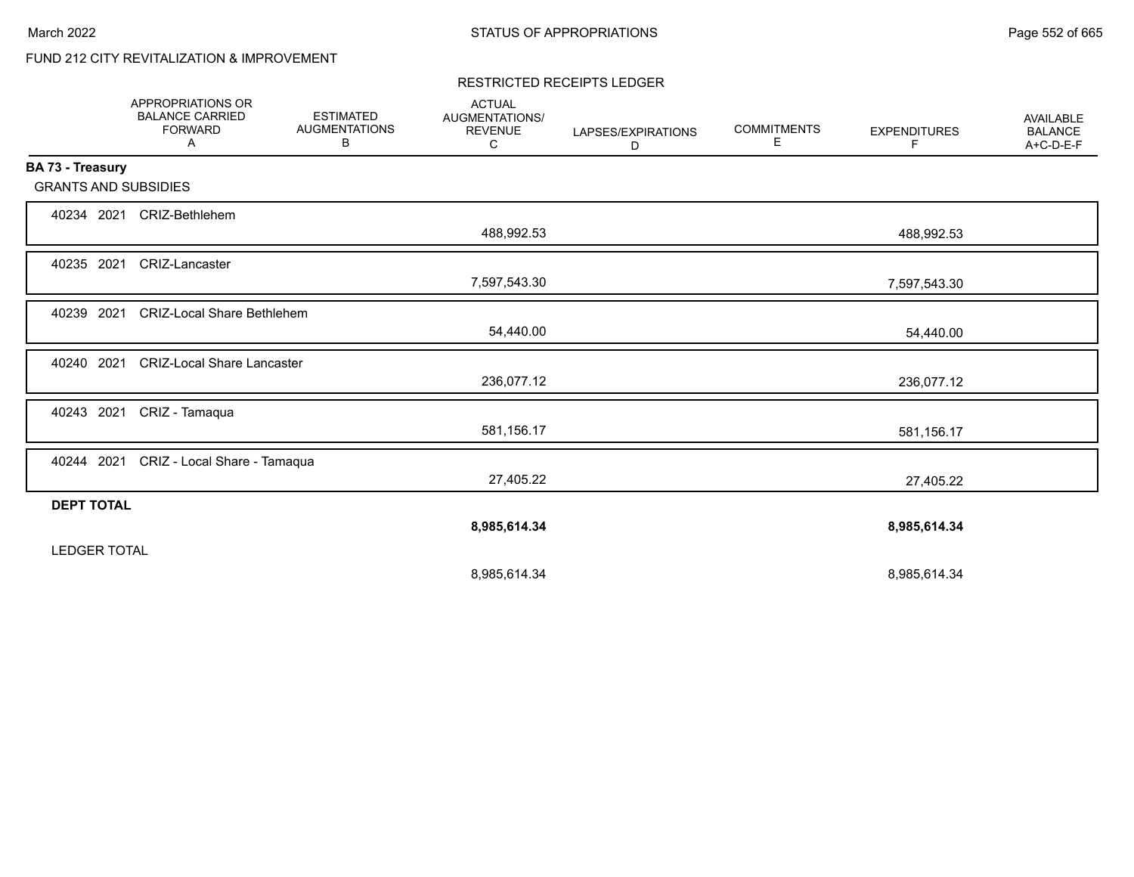# FUND 212 CITY REVITALIZATION & IMPROVEMENT

#### RESTRICTED RECEIPTS LEDGER

|                             | <b>APPROPRIATIONS OR</b><br><b>BALANCE CARRIED</b><br><b>FORWARD</b><br>Α | <b>ESTIMATED</b><br><b>AUGMENTATIONS</b><br>В | <b>ACTUAL</b><br>AUGMENTATIONS/<br><b>REVENUE</b><br>C | LAPSES/EXPIRATIONS<br>D | <b>COMMITMENTS</b><br>E | <b>EXPENDITURES</b><br>F. | <b>AVAILABLE</b><br><b>BALANCE</b><br>A+C-D-E-F |
|-----------------------------|---------------------------------------------------------------------------|-----------------------------------------------|--------------------------------------------------------|-------------------------|-------------------------|---------------------------|-------------------------------------------------|
| BA 73 - Treasury            |                                                                           |                                               |                                                        |                         |                         |                           |                                                 |
| <b>GRANTS AND SUBSIDIES</b> |                                                                           |                                               |                                                        |                         |                         |                           |                                                 |
| 40234 2021                  | CRIZ-Bethlehem                                                            |                                               |                                                        |                         |                         |                           |                                                 |
|                             |                                                                           |                                               | 488,992.53                                             |                         |                         | 488,992.53                |                                                 |
| 40235 2021                  | <b>CRIZ-Lancaster</b>                                                     |                                               |                                                        |                         |                         |                           |                                                 |
|                             |                                                                           |                                               | 7,597,543.30                                           |                         |                         | 7,597,543.30              |                                                 |
| 40239 2021                  | <b>CRIZ-Local Share Bethlehem</b>                                         |                                               |                                                        |                         |                         |                           |                                                 |
|                             |                                                                           |                                               | 54,440.00                                              |                         |                         | 54,440.00                 |                                                 |
| 40240 2021                  | <b>CRIZ-Local Share Lancaster</b>                                         |                                               |                                                        |                         |                         |                           |                                                 |
|                             |                                                                           |                                               | 236,077.12                                             |                         |                         | 236,077.12                |                                                 |
| 40243 2021                  | CRIZ - Tamaqua                                                            |                                               |                                                        |                         |                         |                           |                                                 |
|                             |                                                                           |                                               | 581,156.17                                             |                         |                         | 581,156.17                |                                                 |
| 40244 2021                  | CRIZ - Local Share - Tamaqua                                              |                                               |                                                        |                         |                         |                           |                                                 |
|                             |                                                                           |                                               | 27,405.22                                              |                         |                         | 27,405.22                 |                                                 |
| <b>DEPT TOTAL</b>           |                                                                           |                                               |                                                        |                         |                         |                           |                                                 |
|                             |                                                                           |                                               | 8,985,614.34                                           |                         |                         | 8,985,614.34              |                                                 |
| <b>LEDGER TOTAL</b>         |                                                                           |                                               |                                                        |                         |                         |                           |                                                 |
|                             |                                                                           |                                               | 8,985,614.34                                           |                         |                         | 8,985,614.34              |                                                 |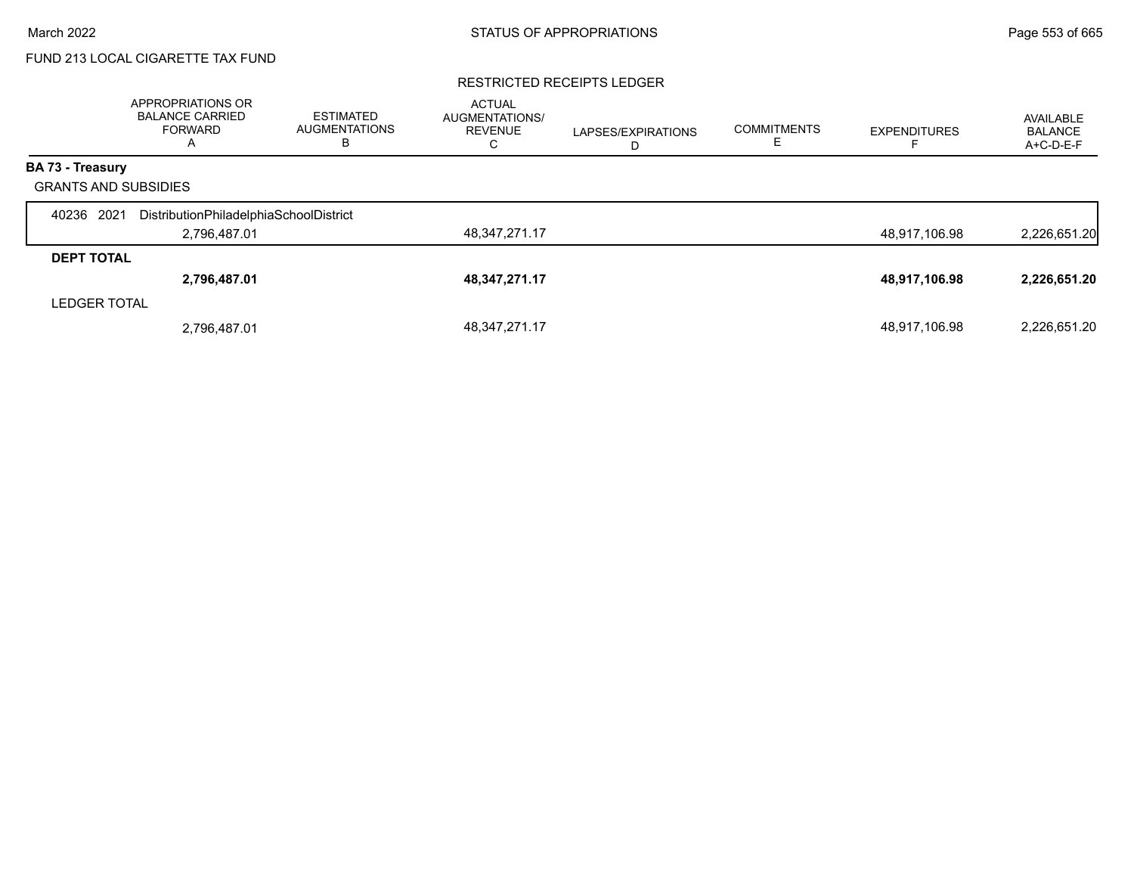# FUND 213 LOCAL CIGARETTE TAX FUND

#### RESTRICTED RECEIPTS LEDGER

|                             | APPROPRIATIONS OR<br><b>BALANCE CARRIED</b><br>FORWARD<br>A | <b>ESTIMATED</b><br><b>AUGMENTATIONS</b><br>в | <b>ACTUAL</b><br><b>AUGMENTATIONS/</b><br><b>REVENUE</b><br>С | LAPSES/EXPIRATIONS<br>D | <b>COMMITMENTS</b> | <b>EXPENDITURES</b> | AVAILABLE<br><b>BALANCE</b><br>A+C-D-E-F |
|-----------------------------|-------------------------------------------------------------|-----------------------------------------------|---------------------------------------------------------------|-------------------------|--------------------|---------------------|------------------------------------------|
| <b>BA 73 - Treasury</b>     |                                                             |                                               |                                                               |                         |                    |                     |                                          |
| <b>GRANTS AND SUBSIDIES</b> |                                                             |                                               |                                                               |                         |                    |                     |                                          |
| 2021<br>40236               | DistributionPhiladelphiaSchoolDistrict                      |                                               |                                                               |                         |                    |                     |                                          |
|                             | 2,796,487.01                                                |                                               | 48,347,271.17                                                 |                         |                    | 48,917,106.98       | 2,226,651.20                             |
| <b>DEPT TOTAL</b>           |                                                             |                                               |                                                               |                         |                    |                     |                                          |
|                             | 2,796,487.01                                                |                                               | 48,347,271.17                                                 |                         |                    | 48,917,106.98       | 2,226,651.20                             |
| <b>LEDGER TOTAL</b>         |                                                             |                                               |                                                               |                         |                    |                     |                                          |
|                             | 2,796,487.01                                                |                                               | 48.347.271.17                                                 |                         |                    | 48,917,106.98       | 2,226,651.20                             |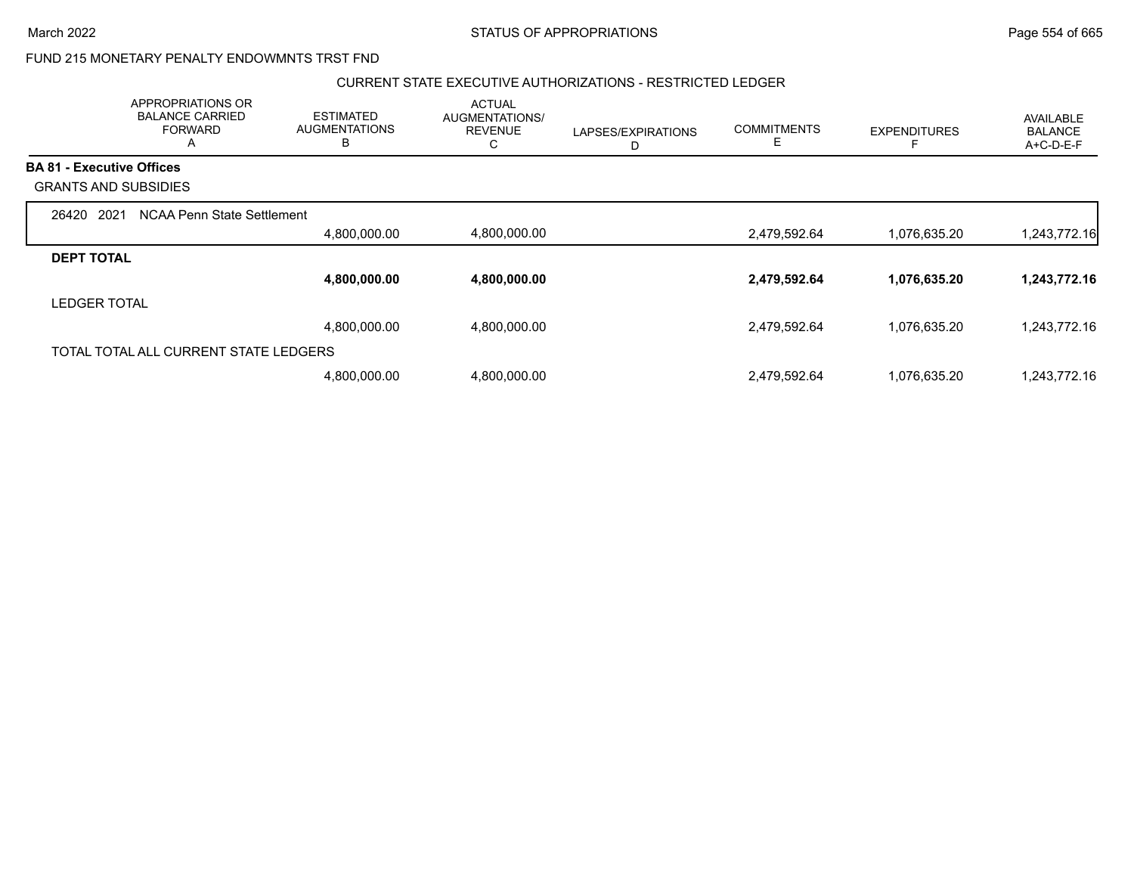## FUND 215 MONETARY PENALTY ENDOWMNTS TRST FND

#### CURRENT STATE EXECUTIVE AUTHORIZATIONS - RESTRICTED LEDGER

|                                  | APPROPRIATIONS OR<br><b>BALANCE CARRIED</b><br><b>FORWARD</b><br>A | <b>ESTIMATED</b><br><b>AUGMENTATIONS</b><br>B | <b>ACTUAL</b><br>AUGMENTATIONS/<br><b>REVENUE</b><br>С | LAPSES/EXPIRATIONS<br>D | <b>COMMITMENTS</b><br>E. | <b>EXPENDITURES</b> | <b>AVAILABLE</b><br><b>BALANCE</b><br>A+C-D-E-F |
|----------------------------------|--------------------------------------------------------------------|-----------------------------------------------|--------------------------------------------------------|-------------------------|--------------------------|---------------------|-------------------------------------------------|
| <b>BA 81 - Executive Offices</b> |                                                                    |                                               |                                                        |                         |                          |                     |                                                 |
|                                  | <b>GRANTS AND SUBSIDIES</b>                                        |                                               |                                                        |                         |                          |                     |                                                 |
| 2021<br>26420                    | NCAA Penn State Settlement                                         |                                               |                                                        |                         |                          |                     |                                                 |
|                                  |                                                                    | 4,800,000.00                                  | 4,800,000.00                                           |                         | 2,479,592.64             | 1,076,635.20        | 1,243,772.16                                    |
| <b>DEPT TOTAL</b>                |                                                                    |                                               |                                                        |                         |                          |                     |                                                 |
|                                  |                                                                    | 4,800,000.00                                  | 4,800,000.00                                           |                         | 2,479,592.64             | 1,076,635.20        | 1,243,772.16                                    |
| <b>LEDGER TOTAL</b>              |                                                                    |                                               |                                                        |                         |                          |                     |                                                 |
|                                  |                                                                    | 4,800,000.00                                  | 4,800,000.00                                           |                         | 2,479,592.64             | 1,076,635.20        | 1,243,772.16                                    |
|                                  | TOTAL TOTAL ALL CURRENT STATE LEDGERS                              |                                               |                                                        |                         |                          |                     |                                                 |
|                                  |                                                                    | 4,800,000.00                                  | 4,800,000.00                                           |                         | 2,479,592.64             | 1,076,635.20        | 1,243,772.16                                    |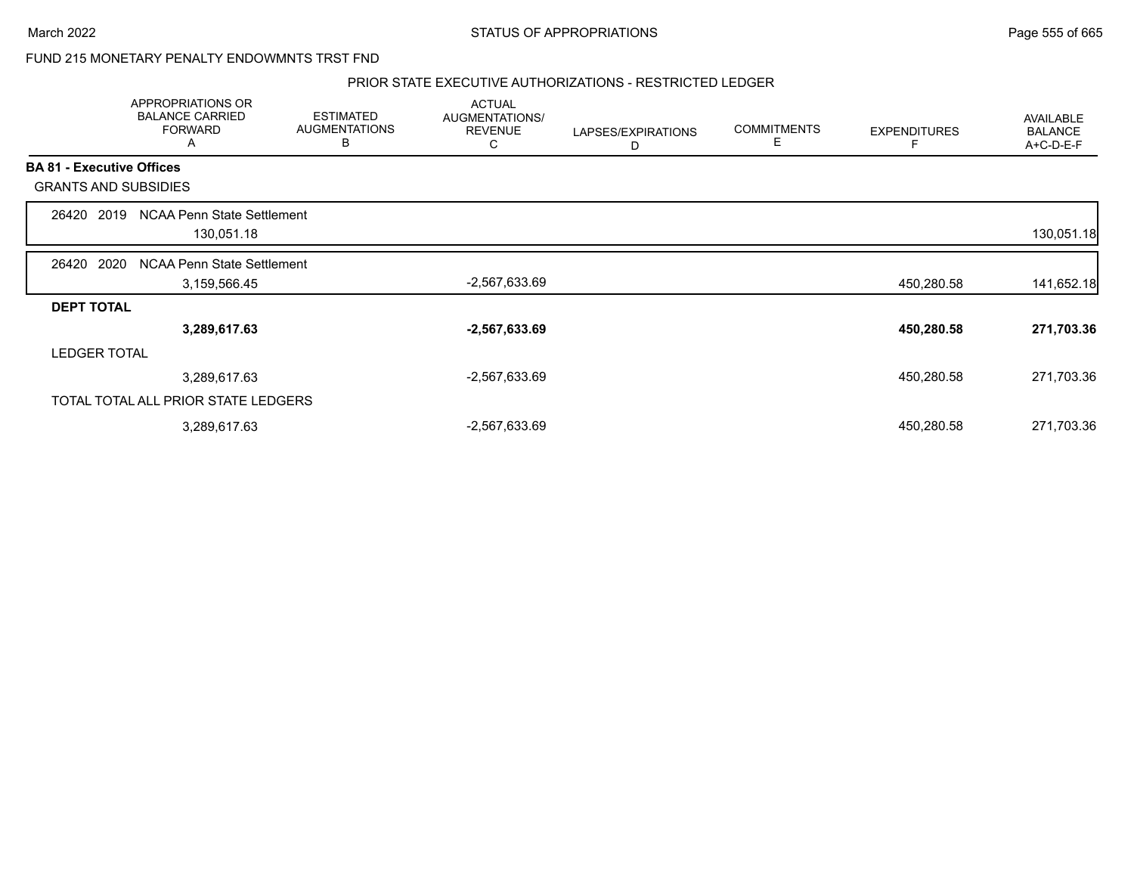### FUND 215 MONETARY PENALTY ENDOWMNTS TRST FND

#### PRIOR STATE EXECUTIVE AUTHORIZATIONS - RESTRICTED LEDGER

|                   | APPROPRIATIONS OR<br><b>BALANCE CARRIED</b><br><b>FORWARD</b><br>Α | <b>ESTIMATED</b><br><b>AUGMENTATIONS</b><br>В | <b>ACTUAL</b><br>AUGMENTATIONS/<br><b>REVENUE</b><br>С | LAPSES/EXPIRATIONS<br>D | <b>COMMITMENTS</b><br>E | <b>EXPENDITURES</b> | AVAILABLE<br><b>BALANCE</b><br>A+C-D-E-F |
|-------------------|--------------------------------------------------------------------|-----------------------------------------------|--------------------------------------------------------|-------------------------|-------------------------|---------------------|------------------------------------------|
|                   | <b>BA 81 - Executive Offices</b>                                   |                                               |                                                        |                         |                         |                     |                                          |
|                   | <b>GRANTS AND SUBSIDIES</b>                                        |                                               |                                                        |                         |                         |                     |                                          |
| 26420             | <b>NCAA Penn State Settlement</b><br>2019<br>130,051.18            |                                               |                                                        |                         |                         |                     | 130,051.18                               |
| 26420             | 2020<br>NCAA Penn State Settlement<br>3,159,566.45                 |                                               | -2,567,633.69                                          |                         |                         | 450,280.58          | 141,652.18                               |
| <b>DEPT TOTAL</b> |                                                                    |                                               |                                                        |                         |                         |                     |                                          |
|                   | 3,289,617.63                                                       |                                               | $-2,567,633.69$                                        |                         |                         | 450,280.58          | 271,703.36                               |
|                   | <b>LEDGER TOTAL</b>                                                |                                               |                                                        |                         |                         |                     |                                          |
|                   | 3,289,617.63                                                       |                                               | -2,567,633.69                                          |                         |                         | 450,280.58          | 271,703.36                               |
|                   | TOTAL TOTAL ALL PRIOR STATE LEDGERS                                |                                               |                                                        |                         |                         |                     |                                          |
|                   | 3,289,617.63                                                       |                                               | -2,567,633.69                                          |                         |                         | 450,280.58          | 271,703.36                               |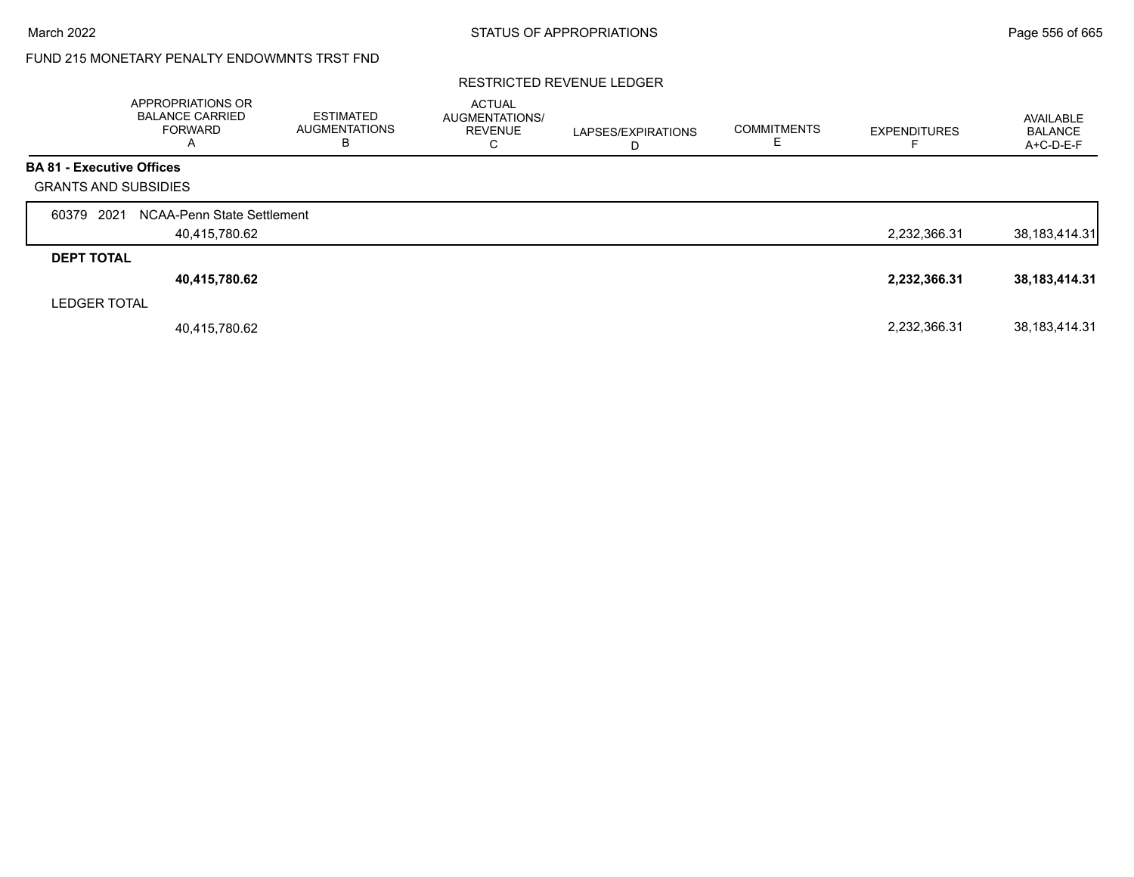## FUND 215 MONETARY PENALTY ENDOWMNTS TRST FND

#### RESTRICTED REVENUE LEDGER

|                                  | APPROPRIATIONS OR<br><b>BALANCE CARRIED</b><br><b>FORWARD</b><br>A | <b>ESTIMATED</b><br><b>AUGMENTATIONS</b><br>В | <b>ACTUAL</b><br>AUGMENTATIONS/<br><b>REVENUE</b><br>⌒<br>◡ | LAPSES/EXPIRATIONS | <b>COMMITMENTS</b> | <b>EXPENDITURES</b> | AVAILABLE<br><b>BALANCE</b><br>A+C-D-E-F |
|----------------------------------|--------------------------------------------------------------------|-----------------------------------------------|-------------------------------------------------------------|--------------------|--------------------|---------------------|------------------------------------------|
| <b>BA 81 - Executive Offices</b> |                                                                    |                                               |                                                             |                    |                    |                     |                                          |
| <b>GRANTS AND SUBSIDIES</b>      |                                                                    |                                               |                                                             |                    |                    |                     |                                          |
| 2021<br>60379                    | NCAA-Penn State Settlement                                         |                                               |                                                             |                    |                    |                     |                                          |
|                                  | 40,415,780.62                                                      |                                               |                                                             |                    |                    | 2,232,366.31        | 38, 183, 414. 31                         |
| <b>DEPT TOTAL</b>                |                                                                    |                                               |                                                             |                    |                    |                     |                                          |
|                                  | 40,415,780.62                                                      |                                               |                                                             |                    |                    | 2,232,366.31        | 38, 183, 414. 31                         |
| <b>LEDGER TOTAL</b>              |                                                                    |                                               |                                                             |                    |                    |                     |                                          |
|                                  | 40,415,780.62                                                      |                                               |                                                             |                    |                    | 2,232,366.31        | 38, 183, 414. 31                         |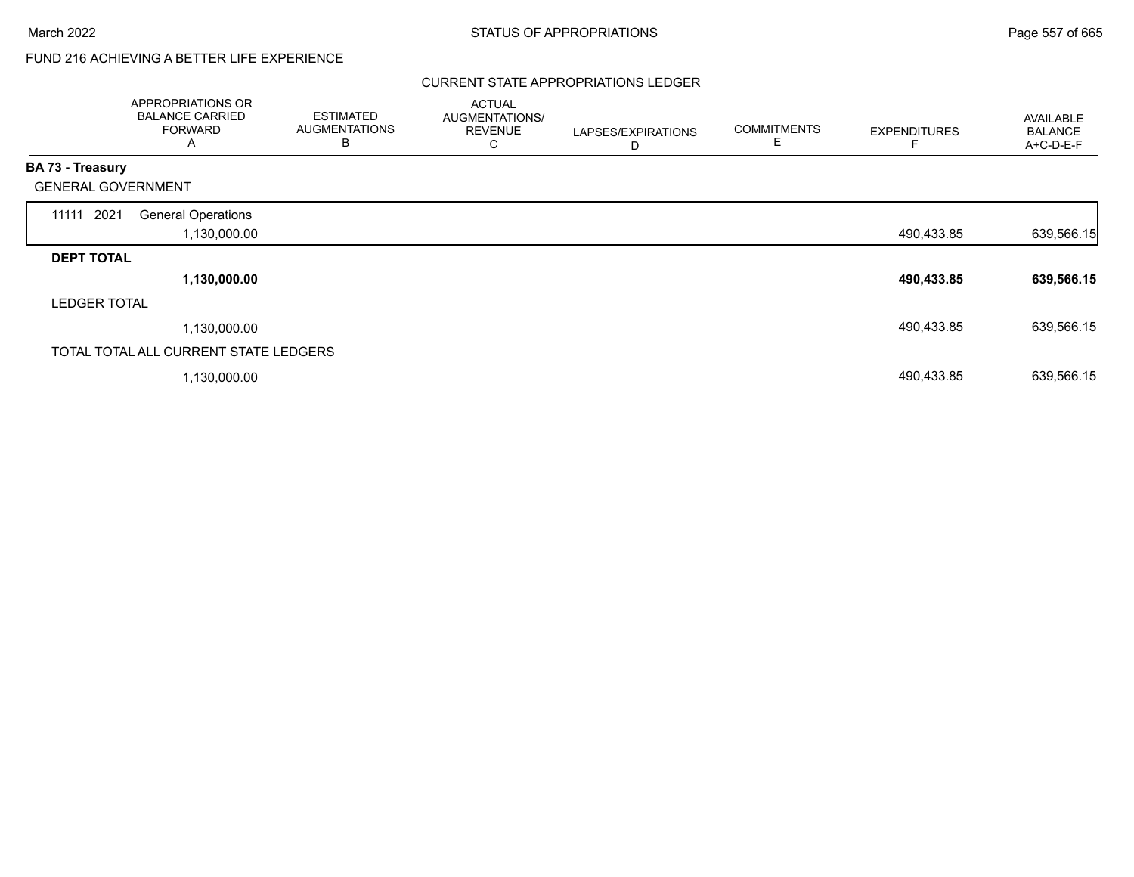# FUND 216 ACHIEVING A BETTER LIFE EXPERIENCE

### CURRENT STATE APPROPRIATIONS LEDGER

|                           | APPROPRIATIONS OR<br><b>BALANCE CARRIED</b><br><b>FORWARD</b><br>A | <b>ESTIMATED</b><br><b>AUGMENTATIONS</b><br>В | <b>ACTUAL</b><br>AUGMENTATIONS/<br><b>REVENUE</b><br>C | LAPSES/EXPIRATIONS<br>D | <b>COMMITMENTS</b><br>Е | <b>EXPENDITURES</b> | <b>AVAILABLE</b><br><b>BALANCE</b><br>A+C-D-E-F |
|---------------------------|--------------------------------------------------------------------|-----------------------------------------------|--------------------------------------------------------|-------------------------|-------------------------|---------------------|-------------------------------------------------|
| <b>BA 73 - Treasury</b>   |                                                                    |                                               |                                                        |                         |                         |                     |                                                 |
| <b>GENERAL GOVERNMENT</b> |                                                                    |                                               |                                                        |                         |                         |                     |                                                 |
| 11111 2021                | <b>General Operations</b><br>1,130,000.00                          |                                               |                                                        |                         |                         | 490,433.85          | 639,566.15                                      |
| <b>DEPT TOTAL</b>         |                                                                    |                                               |                                                        |                         |                         |                     |                                                 |
|                           | 1,130,000.00                                                       |                                               |                                                        |                         |                         | 490,433.85          | 639,566.15                                      |
| <b>LEDGER TOTAL</b>       |                                                                    |                                               |                                                        |                         |                         |                     |                                                 |
|                           | 1,130,000.00                                                       |                                               |                                                        |                         |                         | 490,433.85          | 639,566.15                                      |
|                           | TOTAL TOTAL ALL CURRENT STATE LEDGERS                              |                                               |                                                        |                         |                         |                     |                                                 |
|                           | 1,130,000.00                                                       |                                               |                                                        |                         |                         | 490,433.85          | 639,566.15                                      |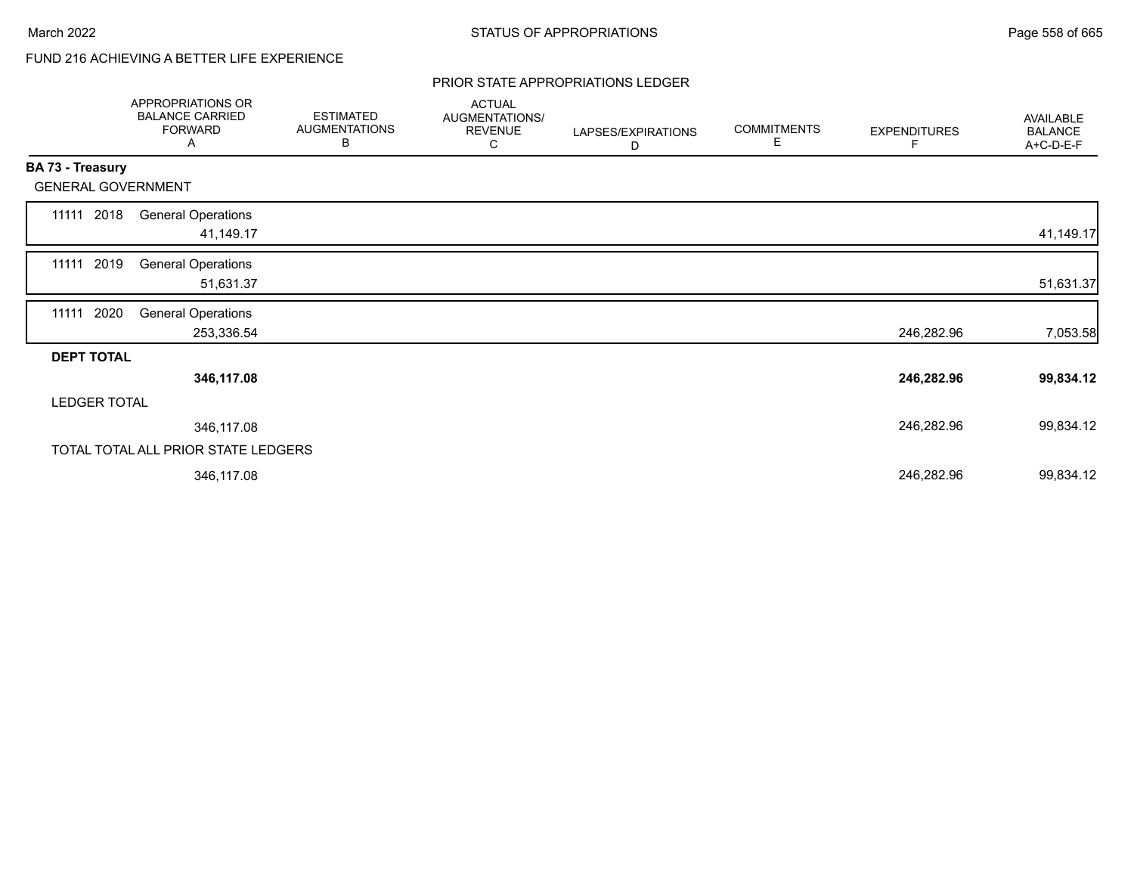# FUND 216 ACHIEVING A BETTER LIFE EXPERIENCE

#### PRIOR STATE APPROPRIATIONS LEDGER

|                     |      | APPROPRIATIONS OR<br><b>BALANCE CARRIED</b><br><b>FORWARD</b><br>A | <b>ESTIMATED</b><br><b>AUGMENTATIONS</b><br>B | <b>ACTUAL</b><br>AUGMENTATIONS/<br><b>REVENUE</b><br>С | LAPSES/EXPIRATIONS<br>D | <b>COMMITMENTS</b><br>Е | <b>EXPENDITURES</b><br>F | <b>AVAILABLE</b><br><b>BALANCE</b><br>A+C-D-E-F |
|---------------------|------|--------------------------------------------------------------------|-----------------------------------------------|--------------------------------------------------------|-------------------------|-------------------------|--------------------------|-------------------------------------------------|
| BA 73 - Treasury    |      |                                                                    |                                               |                                                        |                         |                         |                          |                                                 |
|                     |      | <b>GENERAL GOVERNMENT</b>                                          |                                               |                                                        |                         |                         |                          |                                                 |
| 11111               | 2018 | <b>General Operations</b><br>41,149.17                             |                                               |                                                        |                         |                         |                          | 41,149.17                                       |
| 11111 2019          |      | <b>General Operations</b><br>51,631.37                             |                                               |                                                        |                         |                         |                          | 51,631.37                                       |
| 11111               | 2020 | <b>General Operations</b><br>253,336.54                            |                                               |                                                        |                         |                         | 246,282.96               | 7,053.58                                        |
| <b>DEPT TOTAL</b>   |      |                                                                    |                                               |                                                        |                         |                         |                          |                                                 |
|                     |      | 346,117.08                                                         |                                               |                                                        |                         |                         | 246,282.96               | 99,834.12                                       |
| <b>LEDGER TOTAL</b> |      |                                                                    |                                               |                                                        |                         |                         |                          |                                                 |
|                     |      | 346,117.08                                                         |                                               |                                                        |                         |                         | 246,282.96               | 99,834.12                                       |
|                     |      | TOTAL TOTAL ALL PRIOR STATE LEDGERS                                |                                               |                                                        |                         |                         |                          |                                                 |
|                     |      | 346,117.08                                                         |                                               |                                                        |                         |                         | 246,282.96               | 99,834.12                                       |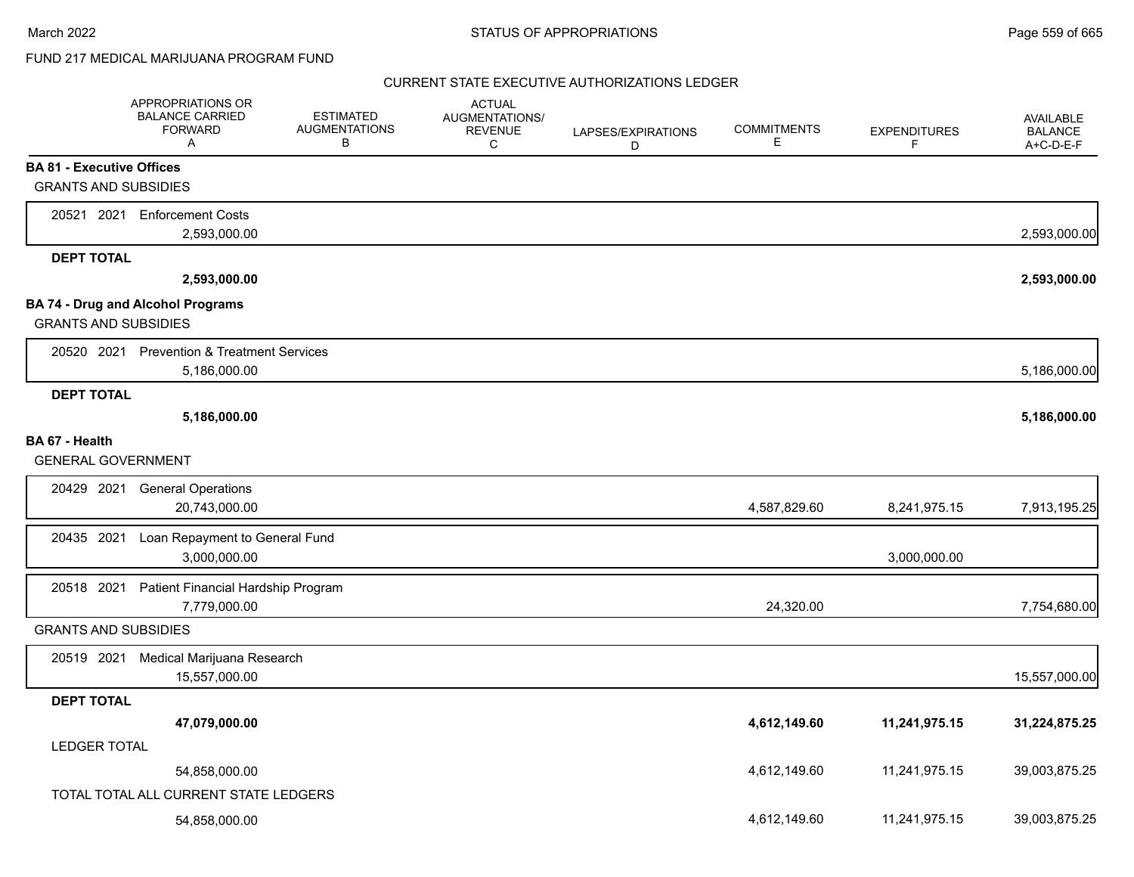## FUND 217 MEDICAL MARIJUANA PROGRAM FUND

|                                  | APPROPRIATIONS OR<br><b>BALANCE CARRIED</b><br><b>FORWARD</b><br>A | <b>ESTIMATED</b><br><b>AUGMENTATIONS</b><br>В | <b>ACTUAL</b><br>AUGMENTATIONS/<br><b>REVENUE</b><br>C | LAPSES/EXPIRATIONS<br>D | <b>COMMITMENTS</b><br>Е | <b>EXPENDITURES</b><br>F | <b>AVAILABLE</b><br><b>BALANCE</b><br>A+C-D-E-F |
|----------------------------------|--------------------------------------------------------------------|-----------------------------------------------|--------------------------------------------------------|-------------------------|-------------------------|--------------------------|-------------------------------------------------|
| <b>BA 81 - Executive Offices</b> |                                                                    |                                               |                                                        |                         |                         |                          |                                                 |
| <b>GRANTS AND SUBSIDIES</b>      |                                                                    |                                               |                                                        |                         |                         |                          |                                                 |
|                                  | 20521 2021 Enforcement Costs                                       |                                               |                                                        |                         |                         |                          |                                                 |
|                                  | 2,593,000.00                                                       |                                               |                                                        |                         |                         |                          | 2,593,000.00                                    |
| <b>DEPT TOTAL</b>                |                                                                    |                                               |                                                        |                         |                         |                          |                                                 |
|                                  | 2,593,000.00                                                       |                                               |                                                        |                         |                         |                          | 2,593,000.00                                    |
| <b>GRANTS AND SUBSIDIES</b>      | <b>BA 74 - Drug and Alcohol Programs</b>                           |                                               |                                                        |                         |                         |                          |                                                 |
|                                  |                                                                    |                                               |                                                        |                         |                         |                          |                                                 |
|                                  | 20520 2021 Prevention & Treatment Services<br>5,186,000.00         |                                               |                                                        |                         |                         |                          | 5,186,000.00                                    |
| <b>DEPT TOTAL</b>                |                                                                    |                                               |                                                        |                         |                         |                          |                                                 |
|                                  | 5,186,000.00                                                       |                                               |                                                        |                         |                         |                          | 5,186,000.00                                    |
| BA 67 - Health                   |                                                                    |                                               |                                                        |                         |                         |                          |                                                 |
| <b>GENERAL GOVERNMENT</b>        |                                                                    |                                               |                                                        |                         |                         |                          |                                                 |
| 20429 2021                       | <b>General Operations</b>                                          |                                               |                                                        |                         |                         |                          |                                                 |
|                                  | 20,743,000.00                                                      |                                               |                                                        |                         | 4,587,829.60            | 8,241,975.15             | 7,913,195.25                                    |
| 20435 2021                       | Loan Repayment to General Fund                                     |                                               |                                                        |                         |                         |                          |                                                 |
|                                  | 3,000,000.00                                                       |                                               |                                                        |                         |                         | 3,000,000.00             |                                                 |
| 20518 2021                       | Patient Financial Hardship Program                                 |                                               |                                                        |                         |                         |                          |                                                 |
|                                  | 7,779,000.00                                                       |                                               |                                                        |                         | 24,320.00               |                          | 7,754,680.00                                    |
| <b>GRANTS AND SUBSIDIES</b>      |                                                                    |                                               |                                                        |                         |                         |                          |                                                 |
| 20519 2021                       | Medical Marijuana Research                                         |                                               |                                                        |                         |                         |                          |                                                 |
|                                  | 15,557,000.00                                                      |                                               |                                                        |                         |                         |                          | 15,557,000.00                                   |
| <b>DEPT TOTAL</b>                |                                                                    |                                               |                                                        |                         |                         |                          |                                                 |
|                                  | 47,079,000.00                                                      |                                               |                                                        |                         | 4,612,149.60            | 11,241,975.15            | 31,224,875.25                                   |
| <b>LEDGER TOTAL</b>              |                                                                    |                                               |                                                        |                         |                         |                          |                                                 |
|                                  | 54,858,000.00                                                      |                                               |                                                        |                         | 4,612,149.60            | 11,241,975.15            | 39,003,875.25                                   |
|                                  | TOTAL TOTAL ALL CURRENT STATE LEDGERS                              |                                               |                                                        |                         |                         |                          |                                                 |
|                                  | 54,858,000.00                                                      |                                               |                                                        |                         | 4,612,149.60            | 11,241,975.15            | 39,003,875.25                                   |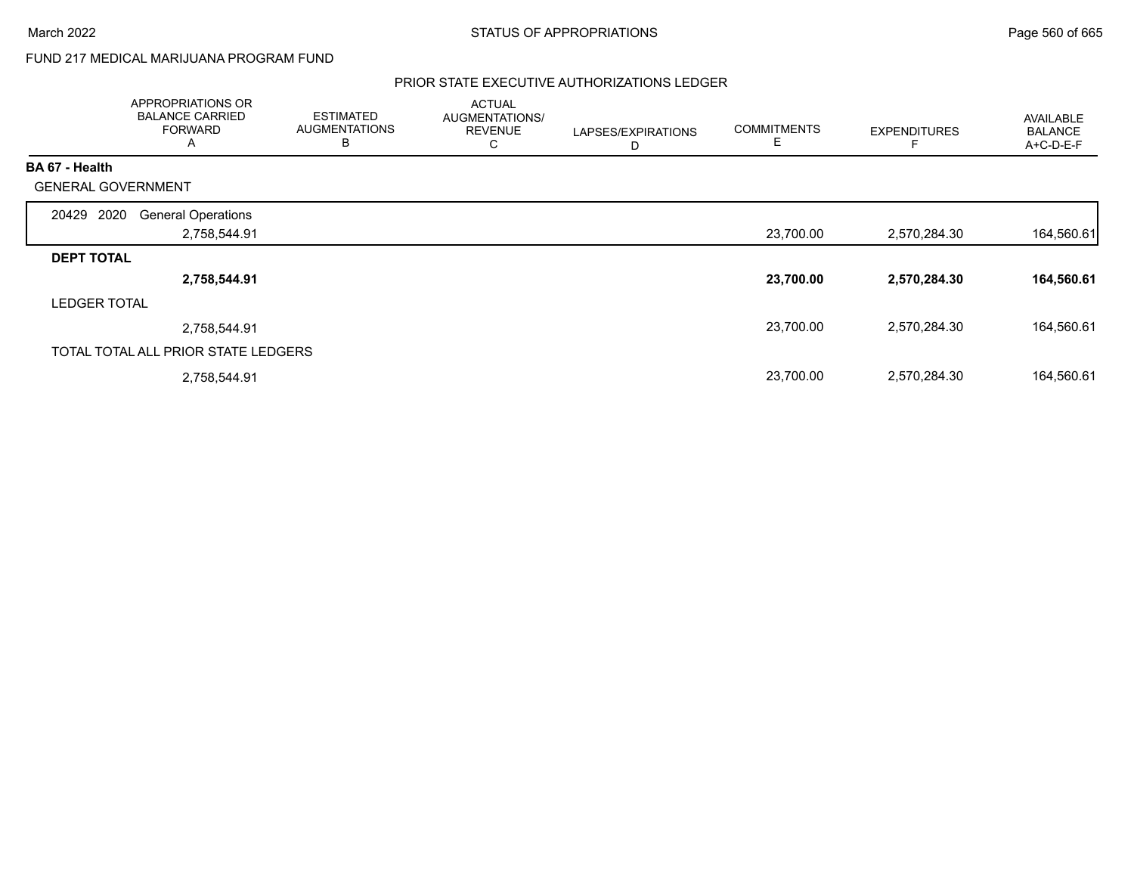## FUND 217 MEDICAL MARIJUANA PROGRAM FUND

|                           | APPROPRIATIONS OR<br><b>BALANCE CARRIED</b><br><b>FORWARD</b><br>A | <b>ESTIMATED</b><br><b>AUGMENTATIONS</b><br>B | <b>ACTUAL</b><br>AUGMENTATIONS/<br><b>REVENUE</b><br>С | LAPSES/EXPIRATIONS<br>D | <b>COMMITMENTS</b> | <b>EXPENDITURES</b> | <b>AVAILABLE</b><br><b>BALANCE</b><br>A+C-D-E-F |
|---------------------------|--------------------------------------------------------------------|-----------------------------------------------|--------------------------------------------------------|-------------------------|--------------------|---------------------|-------------------------------------------------|
| <b>BA 67 - Health</b>     |                                                                    |                                               |                                                        |                         |                    |                     |                                                 |
| <b>GENERAL GOVERNMENT</b> |                                                                    |                                               |                                                        |                         |                    |                     |                                                 |
| 2020<br>20429             | <b>General Operations</b>                                          |                                               |                                                        |                         |                    |                     |                                                 |
|                           | 2,758,544.91                                                       |                                               |                                                        |                         | 23,700.00          | 2,570,284.30        | 164,560.61                                      |
| <b>DEPT TOTAL</b>         |                                                                    |                                               |                                                        |                         |                    |                     |                                                 |
|                           | 2,758,544.91                                                       |                                               |                                                        |                         | 23,700.00          | 2,570,284.30        | 164,560.61                                      |
| <b>LEDGER TOTAL</b>       |                                                                    |                                               |                                                        |                         |                    |                     |                                                 |
|                           | 2,758,544.91                                                       |                                               |                                                        |                         | 23,700.00          | 2,570,284.30        | 164,560.61                                      |
|                           | TOTAL TOTAL ALL PRIOR STATE LEDGERS                                |                                               |                                                        |                         |                    |                     |                                                 |
|                           | 2,758,544.91                                                       |                                               |                                                        |                         | 23,700.00          | 2,570,284.30        | 164,560.61                                      |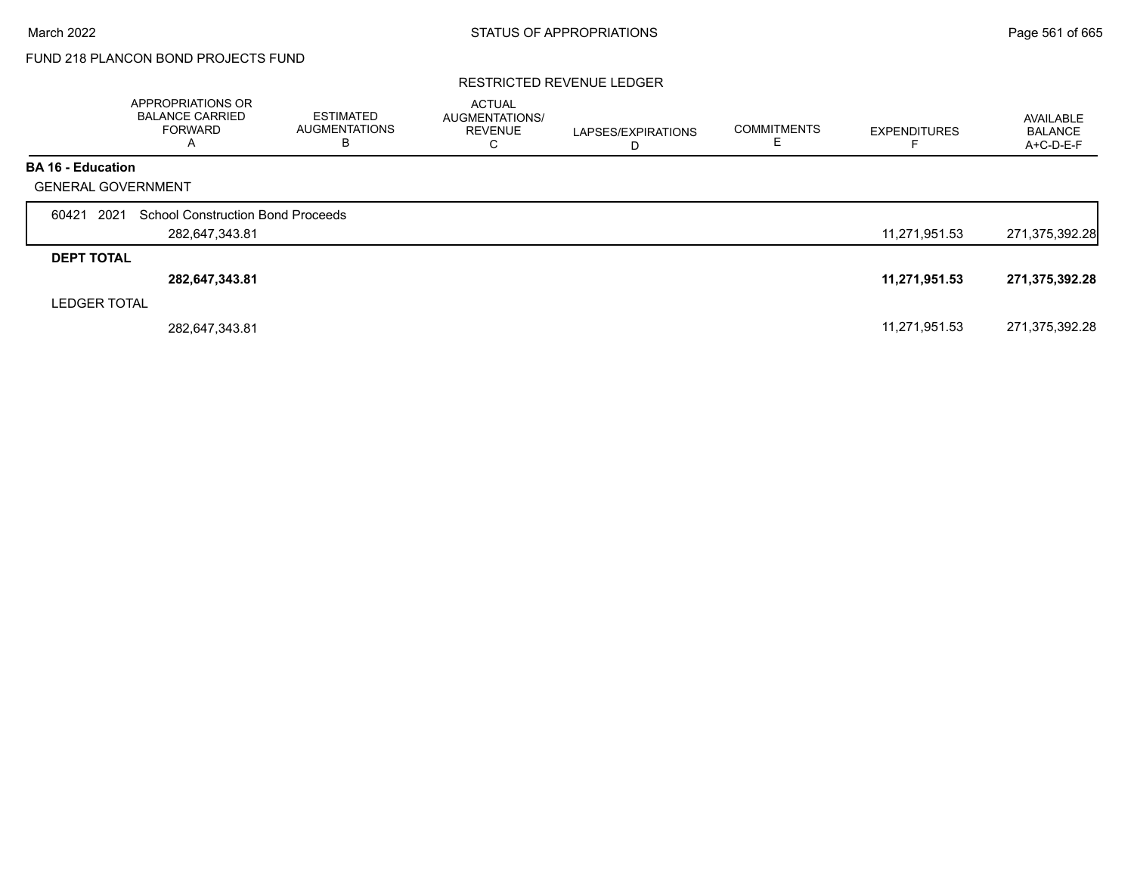# FUND 218 PLANCON BOND PROJECTS FUND

#### RESTRICTED REVENUE LEDGER

|                           | <b>APPROPRIATIONS OR</b><br><b>BALANCE CARRIED</b><br><b>FORWARD</b><br>A | <b>ESTIMATED</b><br><b>AUGMENTATIONS</b><br>в | <b>ACTUAL</b><br>AUGMENTATIONS/<br><b>REVENUE</b><br>С | LAPSES/EXPIRATIONS<br>D | <b>COMMITMENTS</b> | <b>EXPENDITURES</b> | AVAILABLE<br><b>BALANCE</b><br>$A+C-D-E-F$ |
|---------------------------|---------------------------------------------------------------------------|-----------------------------------------------|--------------------------------------------------------|-------------------------|--------------------|---------------------|--------------------------------------------|
| <b>BA 16 - Education</b>  |                                                                           |                                               |                                                        |                         |                    |                     |                                            |
| <b>GENERAL GOVERNMENT</b> |                                                                           |                                               |                                                        |                         |                    |                     |                                            |
| 2021<br>60421             | <b>School Construction Bond Proceeds</b>                                  |                                               |                                                        |                         |                    |                     |                                            |
|                           | 282,647,343.81                                                            |                                               |                                                        |                         |                    | 11,271,951.53       | 271,375,392.28                             |
| <b>DEPT TOTAL</b>         |                                                                           |                                               |                                                        |                         |                    |                     |                                            |
|                           | 282,647,343.81                                                            |                                               |                                                        |                         |                    | 11,271,951.53       | 271,375,392.28                             |
| <b>LEDGER TOTAL</b>       |                                                                           |                                               |                                                        |                         |                    |                     |                                            |
|                           | 282,647,343.81                                                            |                                               |                                                        |                         |                    | 11,271,951.53       | 271,375,392.28                             |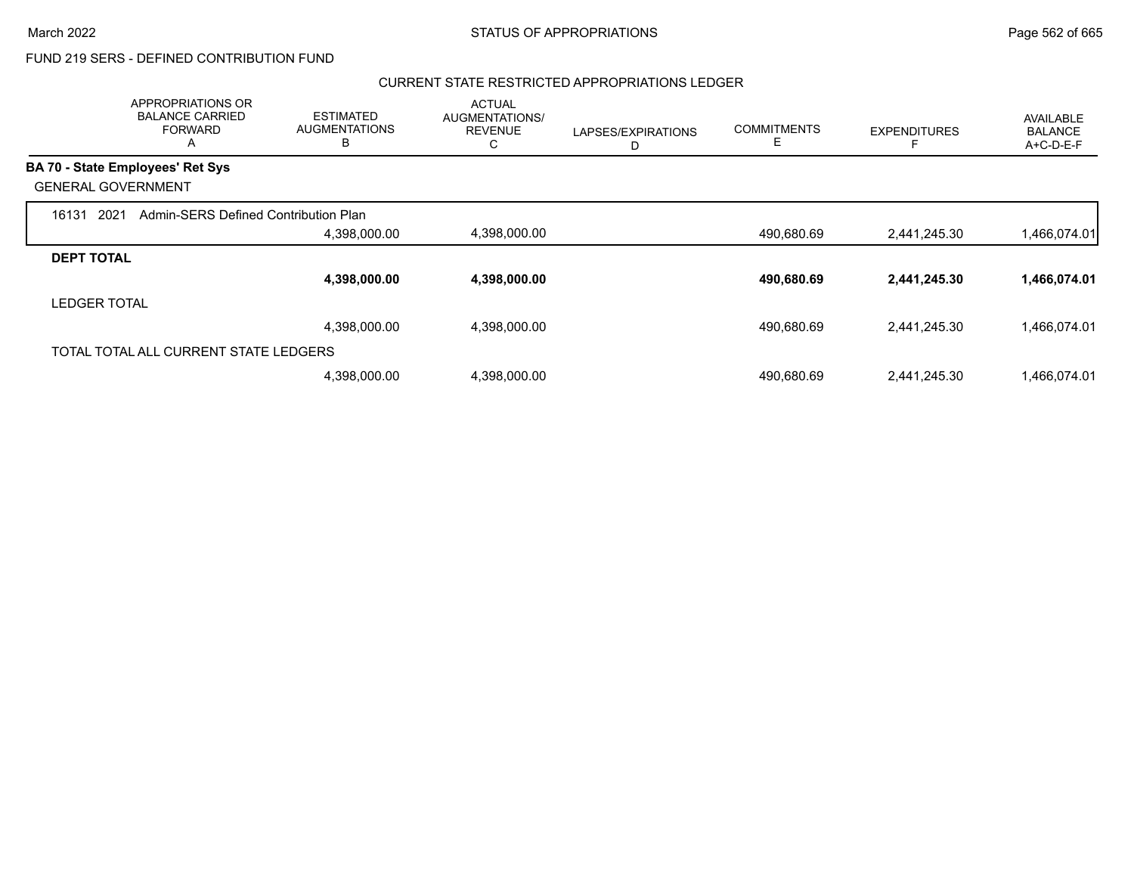#### CURRENT STATE RESTRICTED APPROPRIATIONS LEDGER

|                     | APPROPRIATIONS OR<br><b>BALANCE CARRIED</b><br><b>FORWARD</b><br>A | <b>ESTIMATED</b><br><b>AUGMENTATIONS</b><br>B | <b>ACTUAL</b><br>AUGMENTATIONS/<br><b>REVENUE</b><br>С | LAPSES/EXPIRATIONS<br>D | <b>COMMITMENTS</b> | <b>EXPENDITURES</b> | AVAILABLE<br><b>BALANCE</b><br>A+C-D-E-F |
|---------------------|--------------------------------------------------------------------|-----------------------------------------------|--------------------------------------------------------|-------------------------|--------------------|---------------------|------------------------------------------|
|                     | <b>BA 70 - State Employees' Ret Sys</b>                            |                                               |                                                        |                         |                    |                     |                                          |
|                     | <b>GENERAL GOVERNMENT</b>                                          |                                               |                                                        |                         |                    |                     |                                          |
| 2021<br>16131       | Admin-SERS Defined Contribution Plan                               |                                               |                                                        |                         |                    |                     |                                          |
|                     |                                                                    | 4,398,000.00                                  | 4,398,000.00                                           |                         | 490,680.69         | 2,441,245.30        | 1,466,074.01                             |
| <b>DEPT TOTAL</b>   |                                                                    |                                               |                                                        |                         |                    |                     |                                          |
|                     |                                                                    | 4,398,000.00                                  | 4,398,000.00                                           |                         | 490,680.69         | 2,441,245.30        | 1,466,074.01                             |
| <b>LEDGER TOTAL</b> |                                                                    |                                               |                                                        |                         |                    |                     |                                          |
|                     |                                                                    | 4,398,000.00                                  | 4.398.000.00                                           |                         | 490,680.69         | 2,441,245.30        | 1,466,074.01                             |
|                     | TOTAL TOTAL ALL CURRENT STATE LEDGERS                              |                                               |                                                        |                         |                    |                     |                                          |
|                     |                                                                    | 4,398,000.00                                  | 4,398,000.00                                           |                         | 490,680.69         | 2,441,245.30        | 1,466,074.01                             |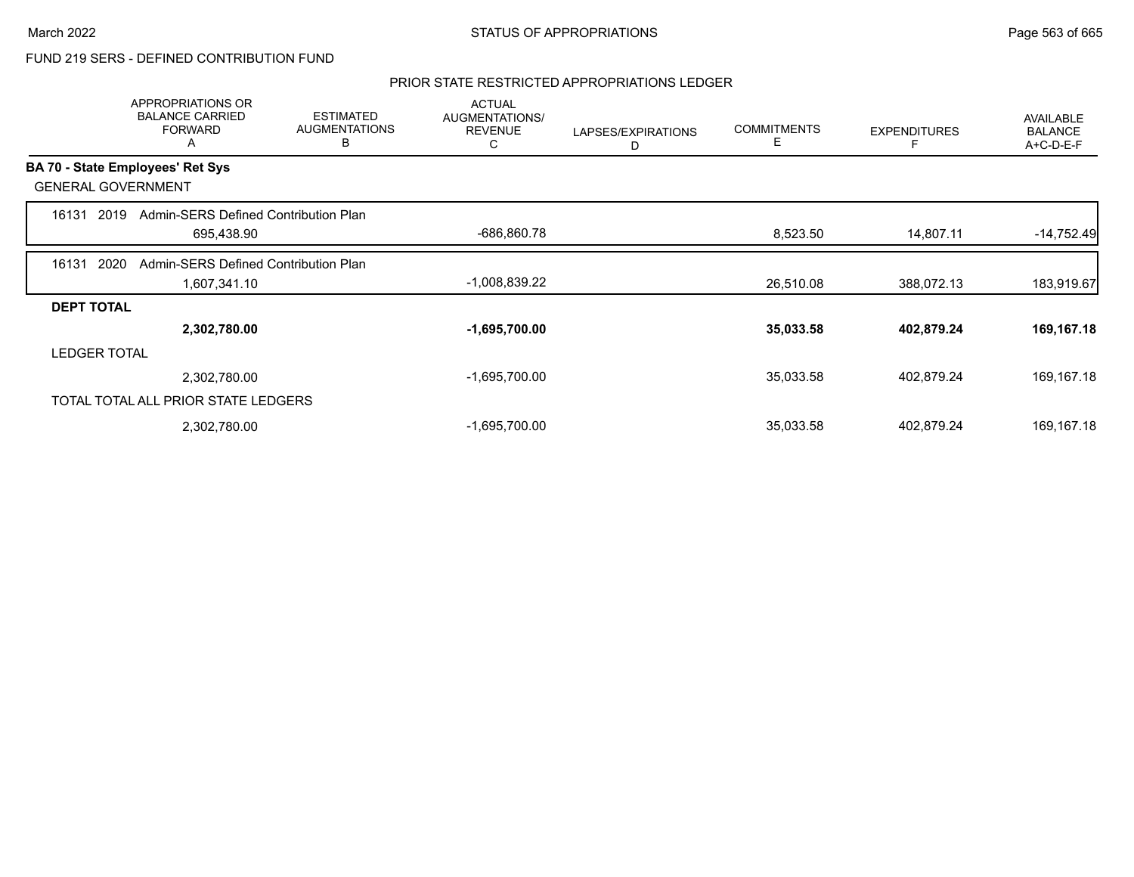### PRIOR STATE RESTRICTED APPROPRIATIONS LEDGER

|                     | <b>APPROPRIATIONS OR</b><br><b>BALANCE CARRIED</b><br><b>FORWARD</b><br>A | <b>ESTIMATED</b><br><b>AUGMENTATIONS</b><br>в | <b>ACTUAL</b><br>AUGMENTATIONS/<br><b>REVENUE</b><br>C | LAPSES/EXPIRATIONS<br>D | <b>COMMITMENTS</b><br>Е | <b>EXPENDITURES</b> | AVAILABLE<br><b>BALANCE</b><br>A+C-D-E-F |
|---------------------|---------------------------------------------------------------------------|-----------------------------------------------|--------------------------------------------------------|-------------------------|-------------------------|---------------------|------------------------------------------|
|                     | BA 70 - State Employees' Ret Sys                                          |                                               |                                                        |                         |                         |                     |                                          |
|                     | <b>GENERAL GOVERNMENT</b>                                                 |                                               |                                                        |                         |                         |                     |                                          |
| 16131               | Admin-SERS Defined Contribution Plan<br>2019                              |                                               |                                                        |                         |                         |                     |                                          |
|                     | 695,438.90                                                                |                                               | -686,860.78                                            |                         | 8,523.50                | 14,807.11           | $-14,752.49$                             |
| 16131               | 2020<br>Admin-SERS Defined Contribution Plan                              |                                               |                                                        |                         |                         |                     |                                          |
|                     | 1,607,341.10                                                              |                                               | $-1,008,839.22$                                        |                         | 26,510.08               | 388,072.13          | 183,919.67                               |
| <b>DEPT TOTAL</b>   |                                                                           |                                               |                                                        |                         |                         |                     |                                          |
|                     | 2,302,780.00                                                              |                                               | $-1,695,700.00$                                        |                         | 35,033.58               | 402,879.24          | 169,167.18                               |
| <b>LEDGER TOTAL</b> |                                                                           |                                               |                                                        |                         |                         |                     |                                          |
|                     | 2,302,780.00                                                              |                                               | $-1,695,700.00$                                        |                         | 35,033.58               | 402,879.24          | 169,167.18                               |
|                     | TOTAL TOTAL ALL PRIOR STATE LEDGERS                                       |                                               |                                                        |                         |                         |                     |                                          |
|                     | 2,302,780.00                                                              |                                               | $-1,695,700.00$                                        |                         | 35,033.58               | 402,879.24          | 169, 167. 18                             |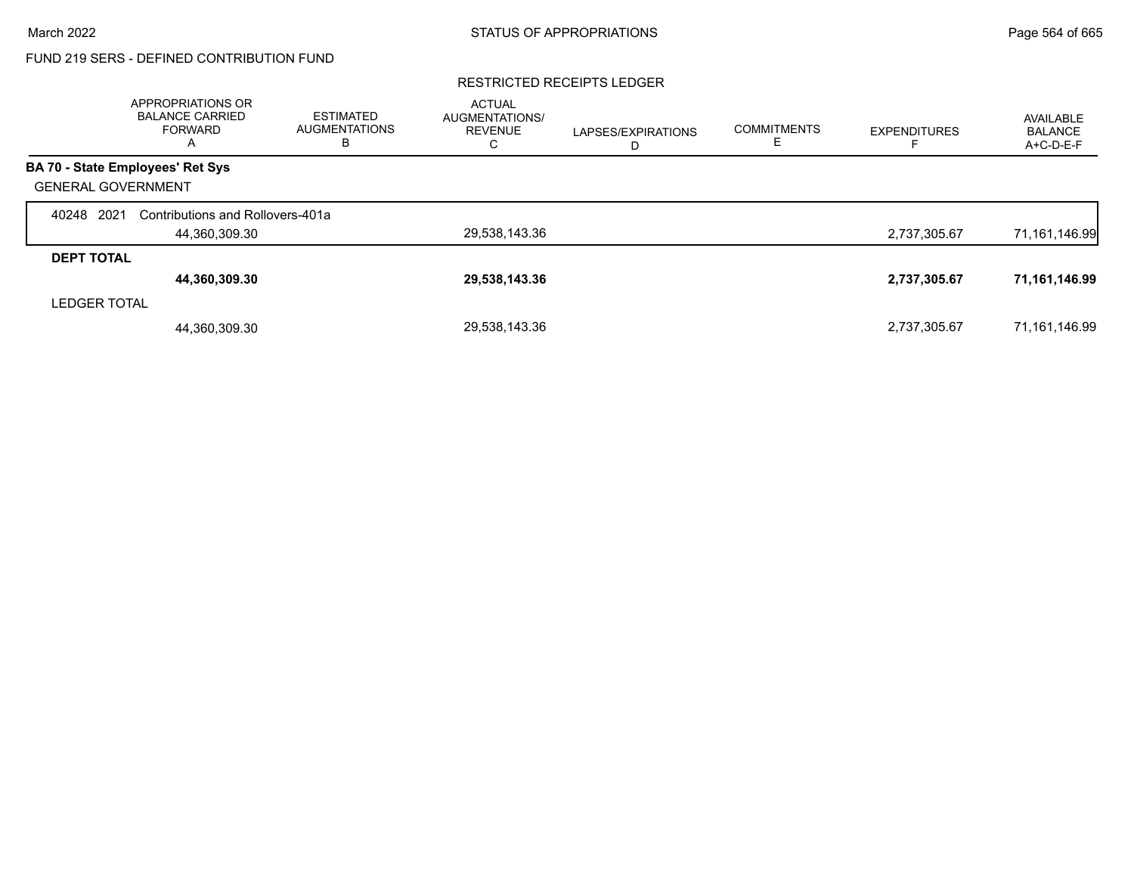#### RESTRICTED RECEIPTS LEDGER

|                           | <b>APPROPRIATIONS OR</b><br><b>BALANCE CARRIED</b><br><b>FORWARD</b><br>A | <b>ESTIMATED</b><br><b>AUGMENTATIONS</b><br>в | <b>ACTUAL</b><br><b>AUGMENTATIONS/</b><br><b>REVENUE</b><br>С | LAPSES/EXPIRATIONS<br>D | <b>COMMITMENTS</b> | <b>EXPENDITURES</b> | AVAILABLE<br><b>BALANCE</b><br>A+C-D-E-F |
|---------------------------|---------------------------------------------------------------------------|-----------------------------------------------|---------------------------------------------------------------|-------------------------|--------------------|---------------------|------------------------------------------|
|                           | <b>BA 70 - State Employees' Ret Sys</b>                                   |                                               |                                                               |                         |                    |                     |                                          |
| <b>GENERAL GOVERNMENT</b> |                                                                           |                                               |                                                               |                         |                    |                     |                                          |
| 2021<br>40248             | Contributions and Rollovers-401a                                          |                                               |                                                               |                         |                    |                     |                                          |
|                           | 44,360,309.30                                                             |                                               | 29,538,143.36                                                 |                         |                    | 2,737,305.67        | 71,161,146.99                            |
| <b>DEPT TOTAL</b>         |                                                                           |                                               |                                                               |                         |                    |                     |                                          |
|                           | 44,360,309.30                                                             |                                               | 29,538,143.36                                                 |                         |                    | 2,737,305.67        | 71,161,146.99                            |
| <b>LEDGER TOTAL</b>       |                                                                           |                                               |                                                               |                         |                    |                     |                                          |
|                           | 44,360,309.30                                                             |                                               | 29,538,143.36                                                 |                         |                    | 2,737,305.67        | 71,161,146.99                            |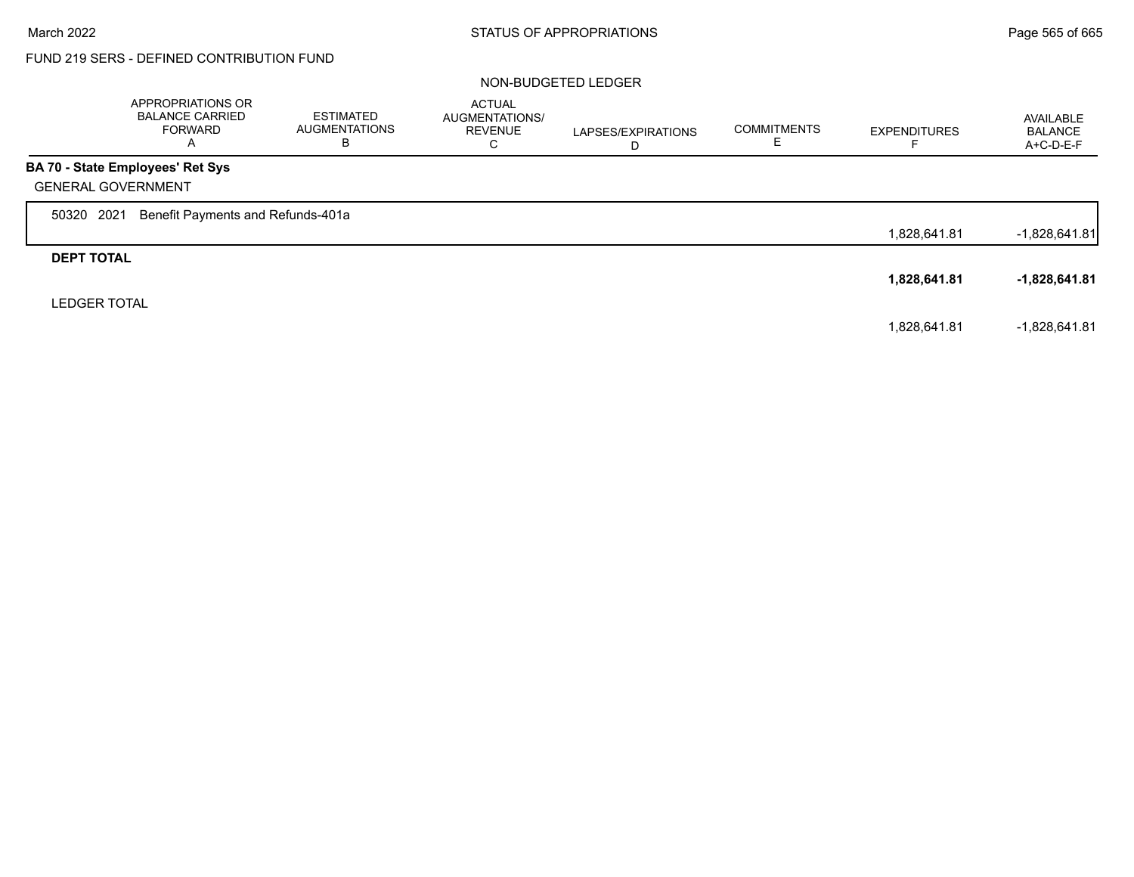$\Gamma$ 

# FUND 219 SERS - DEFINED CONTRIBUTION FUND

#### NON-BUDGETED LEDGER

|                           | APPROPRIATIONS OR<br><b>BALANCE CARRIED</b><br>FORWARD<br>A | <b>ESTIMATED</b><br><b>AUGMENTATIONS</b><br>в | <b>ACTUAL</b><br>AUGMENTATIONS/<br><b>REVENUE</b><br>С | LAPSES/EXPIRATIONS<br>D | <b>COMMITMENTS</b> | <b>EXPENDITURES</b> | AVAILABLE<br><b>BALANCE</b><br>$A+C-D-E-F$ |
|---------------------------|-------------------------------------------------------------|-----------------------------------------------|--------------------------------------------------------|-------------------------|--------------------|---------------------|--------------------------------------------|
|                           | <b>BA 70 - State Employees' Ret Sys</b>                     |                                               |                                                        |                         |                    |                     |                                            |
| <b>GENERAL GOVERNMENT</b> |                                                             |                                               |                                                        |                         |                    |                     |                                            |
| 2021<br>50320             | Benefit Payments and Refunds-401a                           |                                               |                                                        |                         |                    |                     |                                            |
|                           |                                                             |                                               |                                                        |                         |                    | 1,828,641.81        | $-1,828,641.81$                            |
| <b>DEPT TOTAL</b>         |                                                             |                                               |                                                        |                         |                    |                     |                                            |
|                           |                                                             |                                               |                                                        |                         |                    | 1,828,641.81        | -1,828,641.81                              |
| <b>LEDGER TOTAL</b>       |                                                             |                                               |                                                        |                         |                    |                     |                                            |
|                           |                                                             |                                               |                                                        |                         |                    | 1,828,641.81        | $-1,828,641.81$                            |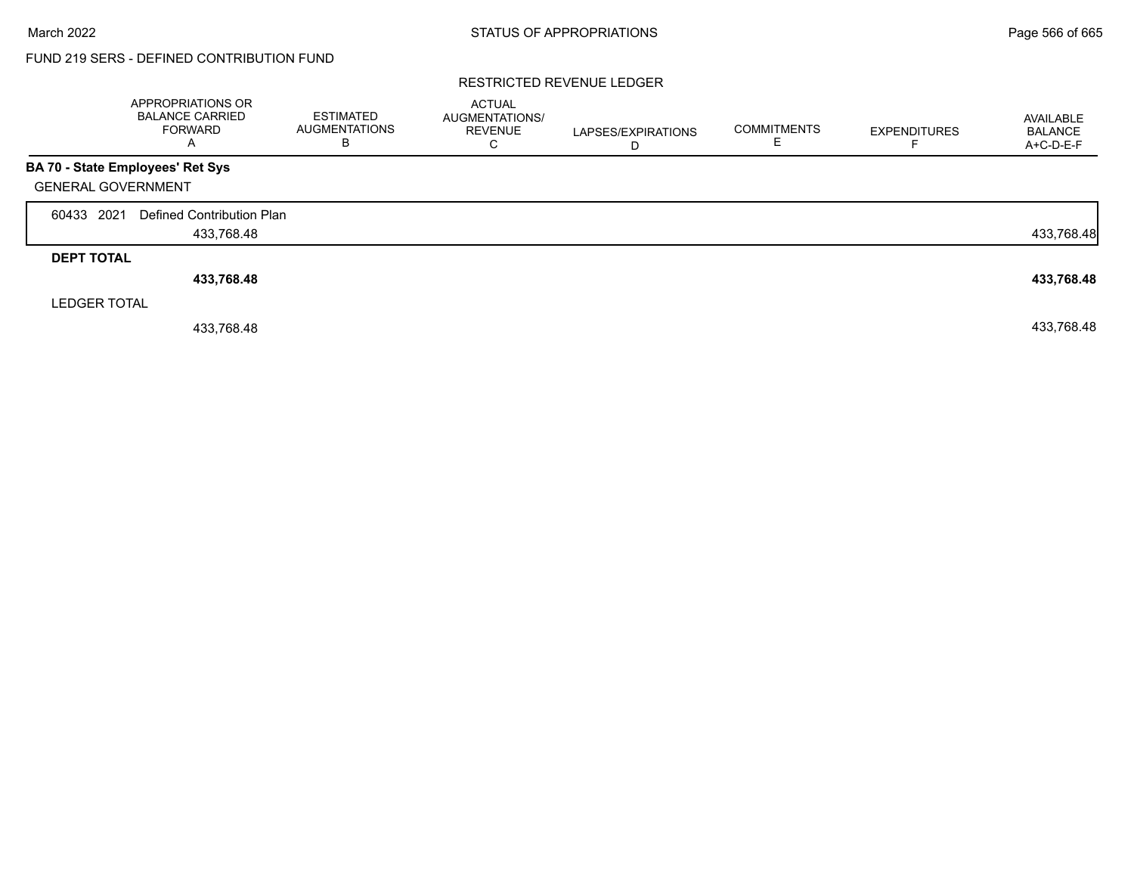#### RESTRICTED REVENUE LEDGER

|                     | APPROPRIATIONS OR<br><b>BALANCE CARRIED</b><br><b>FORWARD</b><br>A | ESTIMATED<br><b>AUGMENTATIONS</b><br>В | <b>ACTUAL</b><br><b>AUGMENTATIONS/</b><br><b>REVENUE</b><br>С | LAPSES/EXPIRATIONS<br>D | <b>COMMITMENTS</b> | <b>EXPENDITURES</b> | AVAILABLE<br><b>BALANCE</b><br>A+C-D-E-F |
|---------------------|--------------------------------------------------------------------|----------------------------------------|---------------------------------------------------------------|-------------------------|--------------------|---------------------|------------------------------------------|
|                     | BA 70 - State Employees' Ret Sys                                   |                                        |                                                               |                         |                    |                     |                                          |
|                     | <b>GENERAL GOVERNMENT</b>                                          |                                        |                                                               |                         |                    |                     |                                          |
| 60433 2021          | Defined Contribution Plan                                          |                                        |                                                               |                         |                    |                     |                                          |
|                     | 433,768.48                                                         |                                        |                                                               |                         |                    |                     | 433,768.48                               |
| <b>DEPT TOTAL</b>   |                                                                    |                                        |                                                               |                         |                    |                     |                                          |
|                     | 433,768.48                                                         |                                        |                                                               |                         |                    |                     | 433,768.48                               |
| <b>LEDGER TOTAL</b> |                                                                    |                                        |                                                               |                         |                    |                     |                                          |
|                     | 433.768.48                                                         |                                        |                                                               |                         |                    |                     | 433,768.48                               |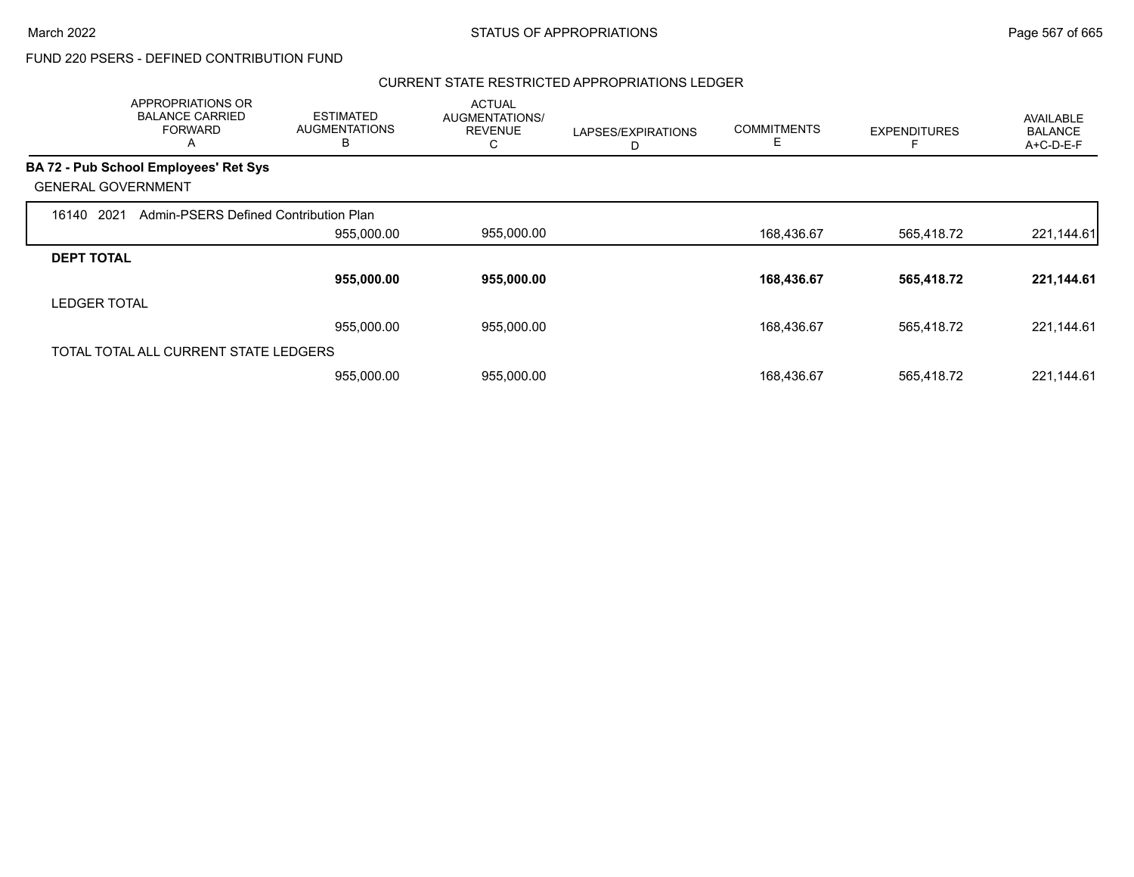$\overline{\phantom{a}}$ 

## FUND 220 PSERS - DEFINED CONTRIBUTION FUND

#### CURRENT STATE RESTRICTED APPROPRIATIONS LEDGER

|                           | <b>APPROPRIATIONS OR</b><br><b>BALANCE CARRIED</b><br><b>FORWARD</b><br>A | <b>ESTIMATED</b><br><b>AUGMENTATIONS</b><br>в | <b>ACTUAL</b><br>AUGMENTATIONS/<br><b>REVENUE</b><br>C | LAPSES/EXPIRATIONS<br>D | <b>COMMITMENTS</b><br>E | <b>EXPENDITURES</b> | AVAILABLE<br><b>BALANCE</b><br>A+C-D-E-F |
|---------------------------|---------------------------------------------------------------------------|-----------------------------------------------|--------------------------------------------------------|-------------------------|-------------------------|---------------------|------------------------------------------|
|                           | BA 72 - Pub School Employees' Ret Sys                                     |                                               |                                                        |                         |                         |                     |                                          |
| <b>GENERAL GOVERNMENT</b> |                                                                           |                                               |                                                        |                         |                         |                     |                                          |
| 2021<br>16140             | Admin-PSERS Defined Contribution Plan                                     |                                               |                                                        |                         |                         |                     |                                          |
|                           |                                                                           | 955,000.00                                    | 955,000.00                                             |                         | 168,436.67              | 565,418.72          | 221,144.61                               |
| <b>DEPT TOTAL</b>         |                                                                           |                                               |                                                        |                         |                         |                     |                                          |
|                           |                                                                           | 955,000.00                                    | 955,000.00                                             |                         | 168,436.67              | 565,418.72          | 221,144.61                               |
| <b>LEDGER TOTAL</b>       |                                                                           |                                               |                                                        |                         |                         |                     |                                          |
|                           |                                                                           | 955,000.00                                    | 955,000.00                                             |                         | 168,436.67              | 565.418.72          | 221,144.61                               |
|                           | TOTAL TOTAL ALL CURRENT STATE LEDGERS                                     |                                               |                                                        |                         |                         |                     |                                          |
|                           |                                                                           | 955,000.00                                    | 955,000.00                                             |                         | 168,436.67              | 565.418.72          | 221,144.61                               |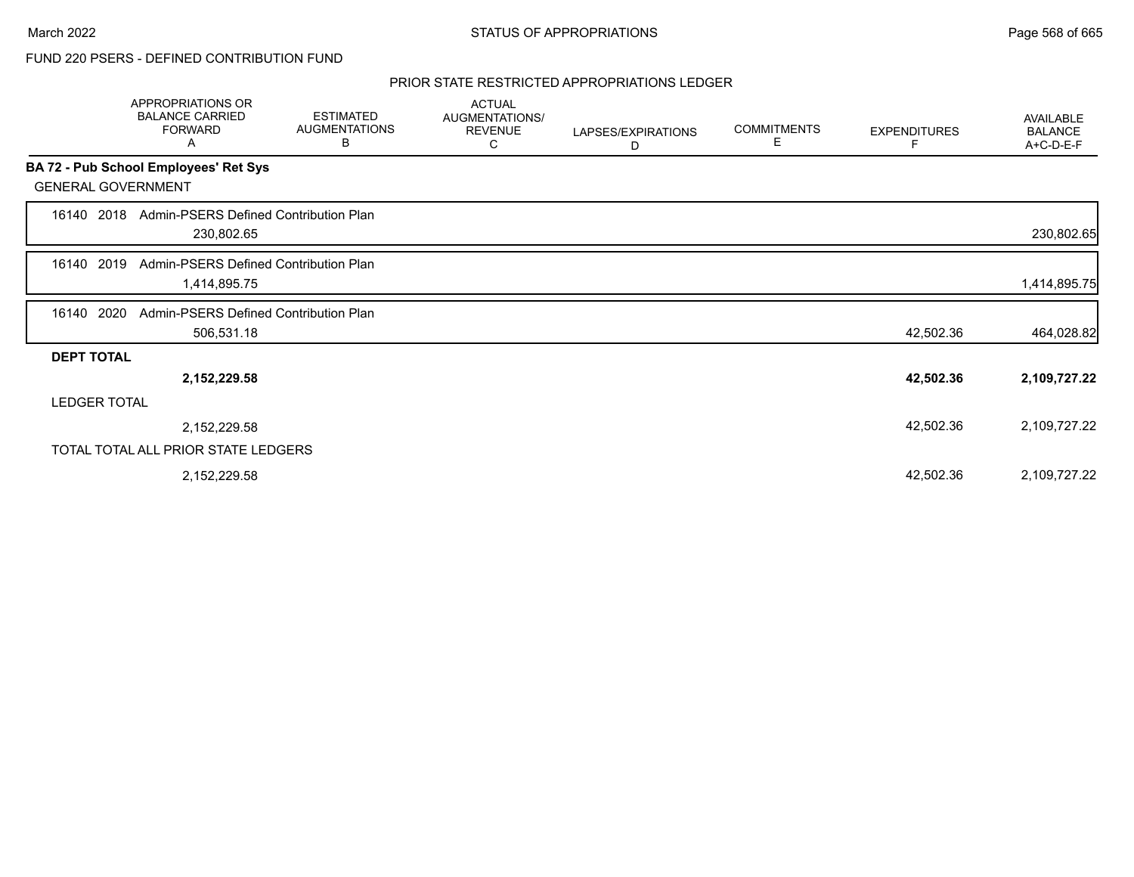#### PRIOR STATE RESTRICTED APPROPRIATIONS LEDGER

|                           | APPROPRIATIONS OR<br><b>BALANCE CARRIED</b><br><b>FORWARD</b><br>Α | <b>ESTIMATED</b><br><b>AUGMENTATIONS</b><br>В | <b>ACTUAL</b><br>AUGMENTATIONS/<br><b>REVENUE</b><br>С | LAPSES/EXPIRATIONS<br>D | <b>COMMITMENTS</b><br>Е | <b>EXPENDITURES</b><br>F | AVAILABLE<br><b>BALANCE</b><br>A+C-D-E-F |
|---------------------------|--------------------------------------------------------------------|-----------------------------------------------|--------------------------------------------------------|-------------------------|-------------------------|--------------------------|------------------------------------------|
|                           | BA 72 - Pub School Employees' Ret Sys                              |                                               |                                                        |                         |                         |                          |                                          |
| <b>GENERAL GOVERNMENT</b> |                                                                    |                                               |                                                        |                         |                         |                          |                                          |
| 16140 2018                | Admin-PSERS Defined Contribution Plan<br>230,802.65                |                                               |                                                        |                         |                         |                          | 230,802.65                               |
| 16140 2019                | Admin-PSERS Defined Contribution Plan<br>1,414,895.75              |                                               |                                                        |                         |                         |                          | 1,414,895.75                             |
| 2020<br>16140             | Admin-PSERS Defined Contribution Plan<br>506,531.18                |                                               |                                                        |                         |                         | 42,502.36                | 464,028.82                               |
| <b>DEPT TOTAL</b>         |                                                                    |                                               |                                                        |                         |                         |                          |                                          |
|                           | 2,152,229.58                                                       |                                               |                                                        |                         |                         | 42,502.36                | 2,109,727.22                             |
| <b>LEDGER TOTAL</b>       |                                                                    |                                               |                                                        |                         |                         |                          |                                          |
|                           | 2,152,229.58                                                       |                                               |                                                        |                         |                         | 42,502.36                | 2,109,727.22                             |
|                           | TOTAL TOTAL ALL PRIOR STATE LEDGERS                                |                                               |                                                        |                         |                         |                          |                                          |
|                           | 2,152,229.58                                                       |                                               |                                                        |                         |                         | 42,502.36                | 2,109,727.22                             |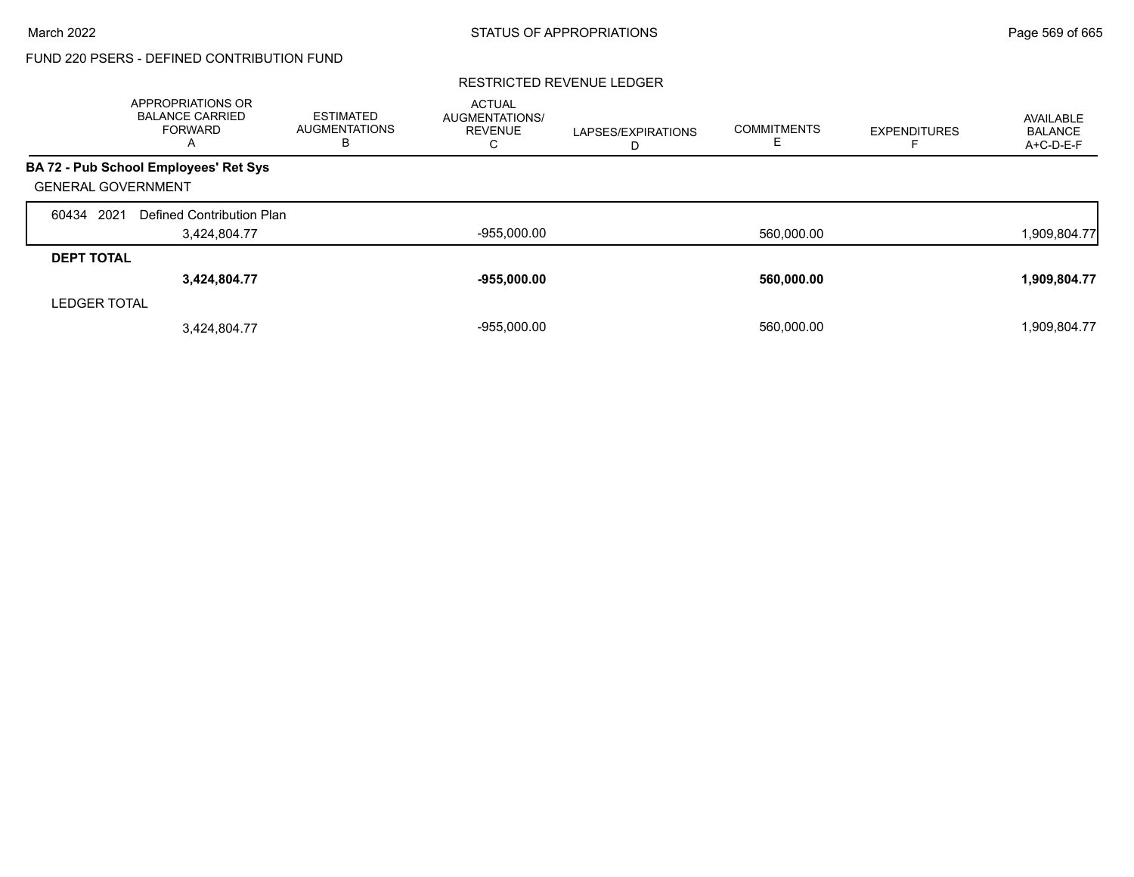#### RESTRICTED REVENUE LEDGER

|                           | APPROPRIATIONS OR<br><b>BALANCE CARRIED</b><br><b>FORWARD</b><br>$\overline{A}$ | <b>ESTIMATED</b><br><b>AUGMENTATIONS</b><br>в | <b>ACTUAL</b><br><b>AUGMENTATIONS/</b><br><b>REVENUE</b><br>U | LAPSES/EXPIRATIONS<br>D | <b>COMMITMENTS</b> | <b>EXPENDITURES</b> | AVAILABLE<br><b>BALANCE</b><br>A+C-D-E-F |
|---------------------------|---------------------------------------------------------------------------------|-----------------------------------------------|---------------------------------------------------------------|-------------------------|--------------------|---------------------|------------------------------------------|
|                           | BA 72 - Pub School Employees' Ret Sys                                           |                                               |                                                               |                         |                    |                     |                                          |
| <b>GENERAL GOVERNMENT</b> |                                                                                 |                                               |                                                               |                         |                    |                     |                                          |
| 60434 2021                | Defined Contribution Plan                                                       |                                               |                                                               |                         |                    |                     |                                          |
|                           | 3,424,804.77                                                                    |                                               | $-955,000.00$                                                 |                         | 560,000.00         |                     | 1,909,804.77                             |
| <b>DEPT TOTAL</b>         |                                                                                 |                                               |                                                               |                         |                    |                     |                                          |
|                           | 3,424,804.77                                                                    |                                               | $-955,000.00$                                                 |                         | 560,000.00         |                     | 1,909,804.77                             |
| <b>LEDGER TOTAL</b>       |                                                                                 |                                               |                                                               |                         |                    |                     |                                          |
|                           | 3,424,804.77                                                                    |                                               | $-955.000.00$                                                 |                         | 560.000.00         |                     | 1,909,804.77                             |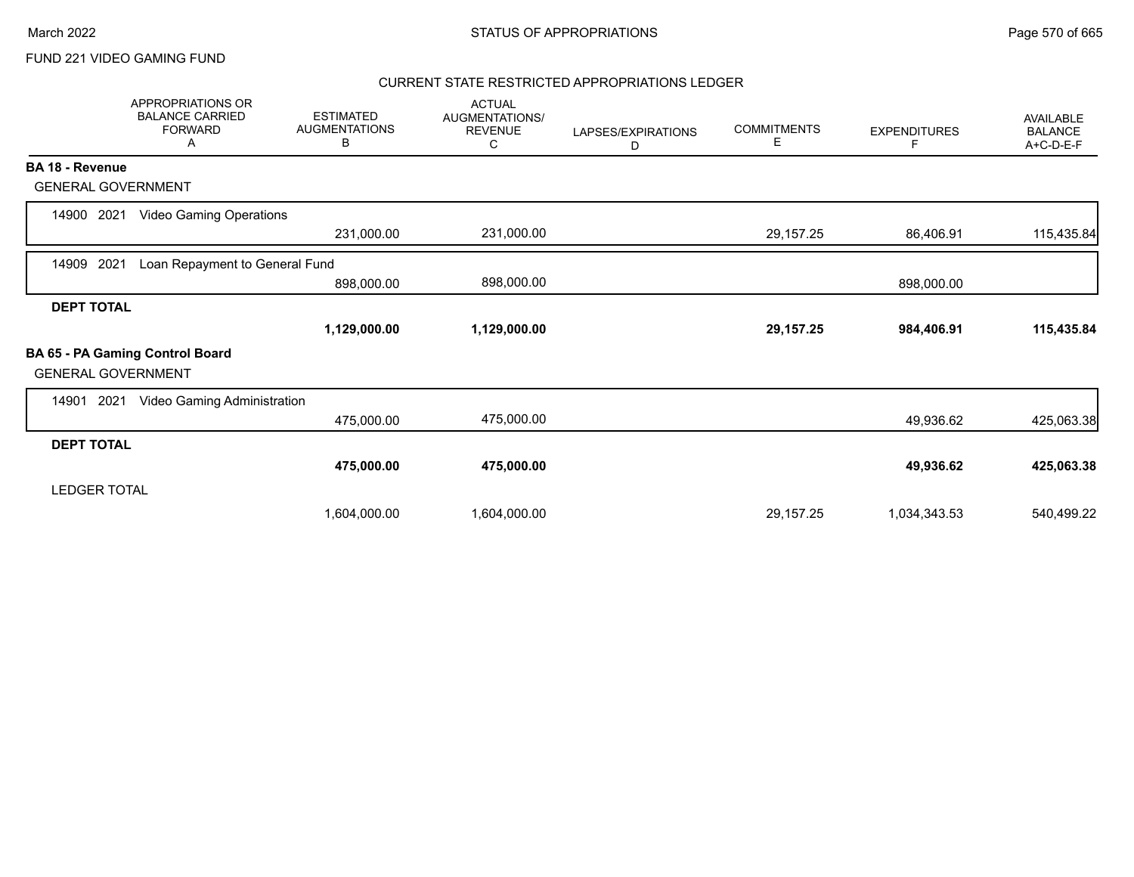### CURRENT STATE RESTRICTED APPROPRIATIONS LEDGER

|                           | <b>APPROPRIATIONS OR</b><br><b>BALANCE CARRIED</b><br><b>FORWARD</b><br>A | <b>ESTIMATED</b><br><b>AUGMENTATIONS</b><br>В | <b>ACTUAL</b><br><b>AUGMENTATIONS/</b><br><b>REVENUE</b><br>С | LAPSES/EXPIRATIONS<br>D | <b>COMMITMENTS</b><br>Е | <b>EXPENDITURES</b><br>F | <b>AVAILABLE</b><br><b>BALANCE</b><br>A+C-D-E-F |
|---------------------------|---------------------------------------------------------------------------|-----------------------------------------------|---------------------------------------------------------------|-------------------------|-------------------------|--------------------------|-------------------------------------------------|
| <b>BA 18 - Revenue</b>    |                                                                           |                                               |                                                               |                         |                         |                          |                                                 |
| <b>GENERAL GOVERNMENT</b> |                                                                           |                                               |                                                               |                         |                         |                          |                                                 |
| 2021<br>14900             | <b>Video Gaming Operations</b>                                            |                                               |                                                               |                         |                         |                          |                                                 |
|                           |                                                                           | 231,000.00                                    | 231,000.00                                                    |                         | 29,157.25               | 86,406.91                | 115,435.84                                      |
| 2021<br>14909             | Loan Repayment to General Fund                                            |                                               |                                                               |                         |                         |                          |                                                 |
|                           |                                                                           | 898,000.00                                    | 898,000.00                                                    |                         |                         | 898,000.00               |                                                 |
| <b>DEPT TOTAL</b>         |                                                                           |                                               |                                                               |                         |                         |                          |                                                 |
|                           |                                                                           | 1,129,000.00                                  | 1,129,000.00                                                  |                         | 29, 157. 25             | 984,406.91               | 115,435.84                                      |
| <b>GENERAL GOVERNMENT</b> | BA 65 - PA Gaming Control Board                                           |                                               |                                                               |                         |                         |                          |                                                 |
| 2021<br>14901             | Video Gaming Administration                                               |                                               |                                                               |                         |                         |                          |                                                 |
|                           |                                                                           | 475,000.00                                    | 475,000.00                                                    |                         |                         | 49,936.62                | 425,063.38                                      |
| <b>DEPT TOTAL</b>         |                                                                           |                                               |                                                               |                         |                         |                          |                                                 |
|                           |                                                                           | 475,000.00                                    | 475,000.00                                                    |                         |                         | 49,936.62                | 425,063.38                                      |
| <b>LEDGER TOTAL</b>       |                                                                           |                                               |                                                               |                         |                         |                          |                                                 |
|                           |                                                                           | 1,604,000.00                                  | 1,604,000.00                                                  |                         | 29,157.25               | 1,034,343.53             | 540,499.22                                      |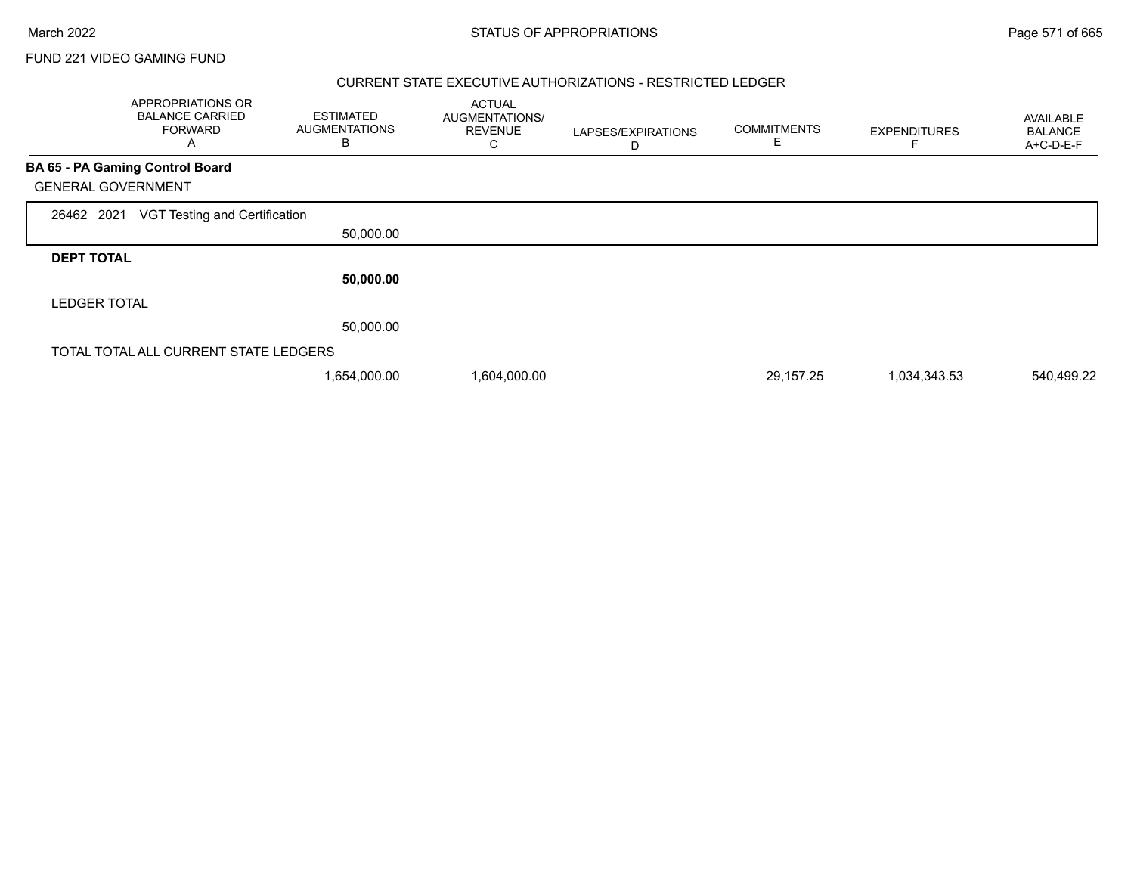Г

FUND 221 VIDEO GAMING FUND

#### CURRENT STATE EXECUTIVE AUTHORIZATIONS - RESTRICTED LEDGER

|                           | APPROPRIATIONS OR<br><b>BALANCE CARRIED</b><br><b>FORWARD</b><br>Α | <b>ESTIMATED</b><br><b>AUGMENTATIONS</b><br>В | <b>ACTUAL</b><br>AUGMENTATIONS/<br><b>REVENUE</b><br>U | LAPSES/EXPIRATIONS<br>D | <b>COMMITMENTS</b><br>Ε | <b>EXPENDITURES</b> | <b>AVAILABLE</b><br><b>BALANCE</b><br>A+C-D-E-F |
|---------------------------|--------------------------------------------------------------------|-----------------------------------------------|--------------------------------------------------------|-------------------------|-------------------------|---------------------|-------------------------------------------------|
|                           | <b>BA 65 - PA Gaming Control Board</b>                             |                                               |                                                        |                         |                         |                     |                                                 |
| <b>GENERAL GOVERNMENT</b> |                                                                    |                                               |                                                        |                         |                         |                     |                                                 |
| 26462 2021                | VGT Testing and Certification                                      |                                               |                                                        |                         |                         |                     |                                                 |
|                           |                                                                    | 50,000.00                                     |                                                        |                         |                         |                     |                                                 |
| <b>DEPT TOTAL</b>         |                                                                    |                                               |                                                        |                         |                         |                     |                                                 |
|                           |                                                                    | 50,000.00                                     |                                                        |                         |                         |                     |                                                 |
| <b>LEDGER TOTAL</b>       |                                                                    |                                               |                                                        |                         |                         |                     |                                                 |
|                           |                                                                    | 50,000.00                                     |                                                        |                         |                         |                     |                                                 |
|                           | TOTAL TOTAL ALL CURRENT STATE LEDGERS                              |                                               |                                                        |                         |                         |                     |                                                 |
|                           |                                                                    | 1,654,000.00                                  | 1,604,000.00                                           |                         | 29,157.25               | 1,034,343.53        | 540,499.22                                      |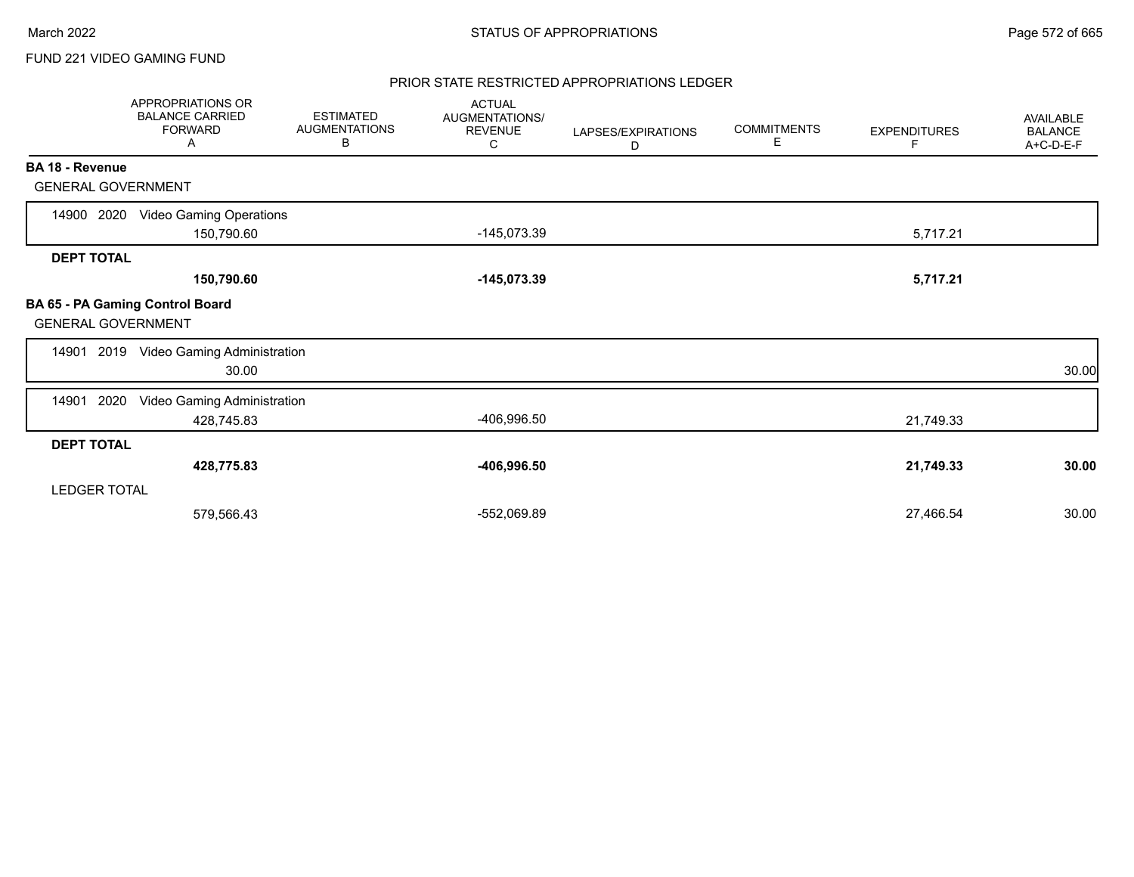#### PRIOR STATE RESTRICTED APPROPRIATIONS LEDGER

|                           | APPROPRIATIONS OR<br><b>BALANCE CARRIED</b><br><b>FORWARD</b><br>Α | <b>ESTIMATED</b><br><b>AUGMENTATIONS</b><br>В | <b>ACTUAL</b><br>AUGMENTATIONS/<br><b>REVENUE</b><br>С | LAPSES/EXPIRATIONS<br>D | <b>COMMITMENTS</b><br>Е | <b>EXPENDITURES</b><br>F | AVAILABLE<br><b>BALANCE</b><br>A+C-D-E-F |
|---------------------------|--------------------------------------------------------------------|-----------------------------------------------|--------------------------------------------------------|-------------------------|-------------------------|--------------------------|------------------------------------------|
| BA 18 - Revenue           |                                                                    |                                               |                                                        |                         |                         |                          |                                          |
| <b>GENERAL GOVERNMENT</b> |                                                                    |                                               |                                                        |                         |                         |                          |                                          |
| 14900 2020                | <b>Video Gaming Operations</b><br>150,790.60                       |                                               | $-145,073.39$                                          |                         |                         | 5,717.21                 |                                          |
| <b>DEPT TOTAL</b>         |                                                                    |                                               |                                                        |                         |                         |                          |                                          |
|                           | 150,790.60                                                         |                                               | $-145,073.39$                                          |                         |                         | 5,717.21                 |                                          |
| <b>GENERAL GOVERNMENT</b> | BA 65 - PA Gaming Control Board                                    |                                               |                                                        |                         |                         |                          |                                          |
|                           | 14901 2019 Video Gaming Administration<br>30.00                    |                                               |                                                        |                         |                         |                          | 30.00                                    |
| 14901<br>2020             | Video Gaming Administration<br>428,745.83                          |                                               | -406,996.50                                            |                         |                         | 21,749.33                |                                          |
| <b>DEPT TOTAL</b>         |                                                                    |                                               |                                                        |                         |                         |                          |                                          |
|                           | 428,775.83                                                         |                                               | $-406,996.50$                                          |                         |                         | 21,749.33                | 30.00                                    |
| <b>LEDGER TOTAL</b>       |                                                                    |                                               |                                                        |                         |                         |                          |                                          |
|                           | 579,566.43                                                         |                                               | -552,069.89                                            |                         |                         | 27,466.54                | 30.00                                    |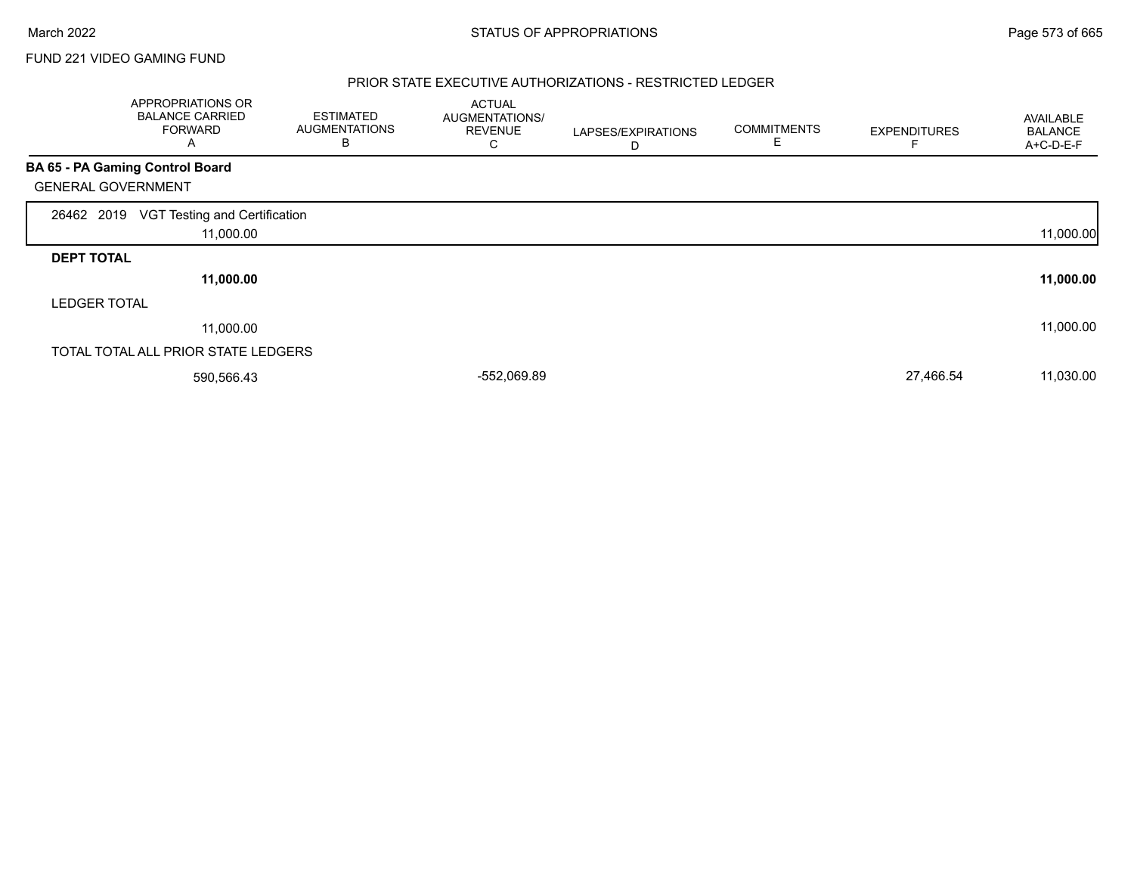#### PRIOR STATE EXECUTIVE AUTHORIZATIONS - RESTRICTED LEDGER

|                           | APPROPRIATIONS OR<br><b>BALANCE CARRIED</b><br><b>FORWARD</b><br>A | <b>ESTIMATED</b><br><b>AUGMENTATIONS</b><br>B | <b>ACTUAL</b><br>AUGMENTATIONS/<br><b>REVENUE</b><br>С | LAPSES/EXPIRATIONS<br>D | <b>COMMITMENTS</b><br>E | <b>EXPENDITURES</b> | AVAILABLE<br><b>BALANCE</b><br>A+C-D-E-F |
|---------------------------|--------------------------------------------------------------------|-----------------------------------------------|--------------------------------------------------------|-------------------------|-------------------------|---------------------|------------------------------------------|
|                           | <b>BA 65 - PA Gaming Control Board</b>                             |                                               |                                                        |                         |                         |                     |                                          |
| <b>GENERAL GOVERNMENT</b> |                                                                    |                                               |                                                        |                         |                         |                     |                                          |
| 26462 2019                | VGT Testing and Certification<br>11,000.00                         |                                               |                                                        |                         |                         |                     | 11,000.00                                |
| <b>DEPT TOTAL</b>         |                                                                    |                                               |                                                        |                         |                         |                     |                                          |
|                           | 11,000.00                                                          |                                               |                                                        |                         |                         |                     | 11,000.00                                |
| <b>LEDGER TOTAL</b>       |                                                                    |                                               |                                                        |                         |                         |                     |                                          |
|                           | 11,000.00                                                          |                                               |                                                        |                         |                         |                     | 11,000.00                                |
|                           | TOTAL TOTAL ALL PRIOR STATE LEDGERS                                |                                               |                                                        |                         |                         |                     |                                          |
|                           | 590,566.43                                                         |                                               | -552,069.89                                            |                         |                         | 27,466.54           | 11,030.00                                |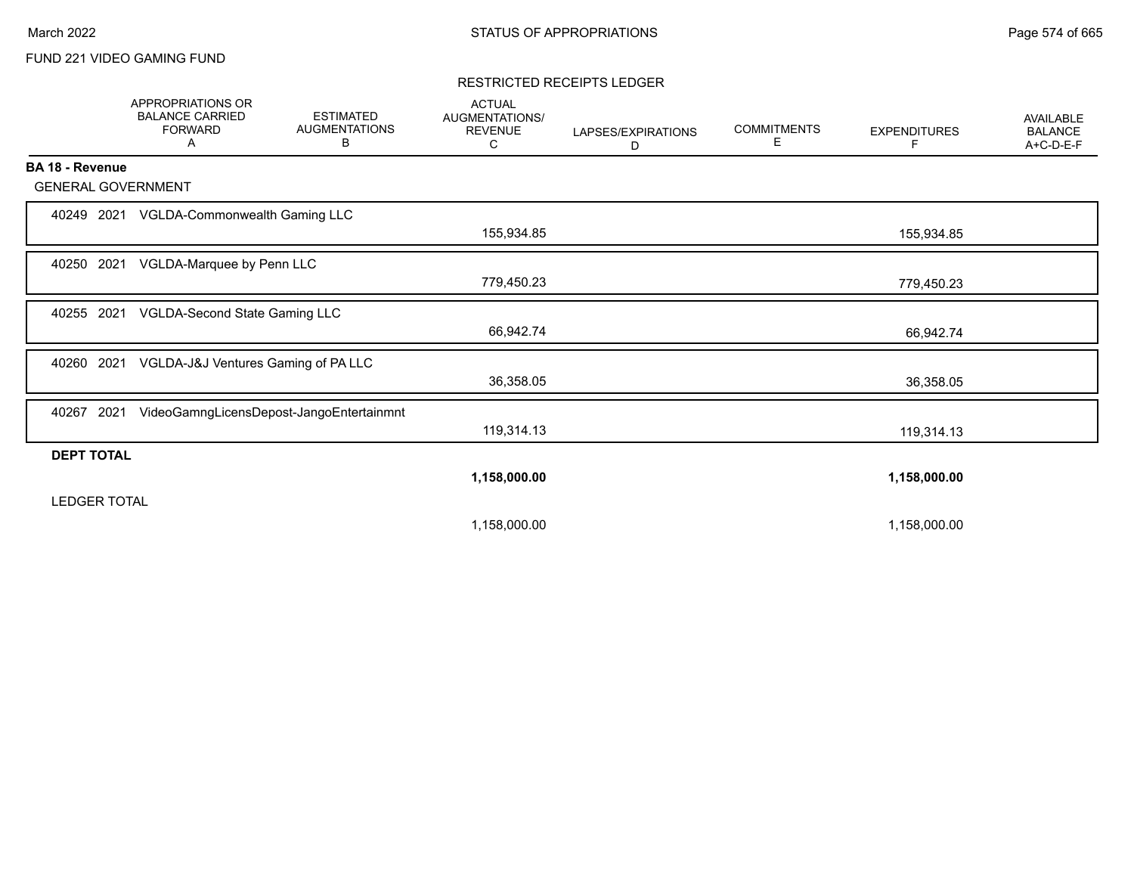#### RESTRICTED RECEIPTS LEDGER

|                           | <b>APPROPRIATIONS OR</b><br><b>BALANCE CARRIED</b><br><b>FORWARD</b><br>A | <b>ESTIMATED</b><br><b>AUGMENTATIONS</b><br>В | <b>ACTUAL</b><br>AUGMENTATIONS/<br><b>REVENUE</b><br>С | LAPSES/EXPIRATIONS<br>D | <b>COMMITMENTS</b><br>Е | <b>EXPENDITURES</b><br>F | <b>AVAILABLE</b><br><b>BALANCE</b><br>A+C-D-E-F |
|---------------------------|---------------------------------------------------------------------------|-----------------------------------------------|--------------------------------------------------------|-------------------------|-------------------------|--------------------------|-------------------------------------------------|
| <b>BA 18 - Revenue</b>    |                                                                           |                                               |                                                        |                         |                         |                          |                                                 |
| <b>GENERAL GOVERNMENT</b> |                                                                           |                                               |                                                        |                         |                         |                          |                                                 |
| 40249<br>2021             | VGLDA-Commonwealth Gaming LLC                                             |                                               | 155,934.85                                             |                         |                         | 155,934.85               |                                                 |
| 40250 2021                | VGLDA-Marquee by Penn LLC                                                 |                                               | 779,450.23                                             |                         |                         | 779,450.23               |                                                 |
| 40255 2021                | VGLDA-Second State Gaming LLC                                             |                                               | 66,942.74                                              |                         |                         | 66,942.74                |                                                 |
| 40260<br>2021             | VGLDA-J&J Ventures Gaming of PA LLC                                       |                                               | 36,358.05                                              |                         |                         | 36,358.05                |                                                 |
| 2021<br>40267             |                                                                           | VideoGamngLicensDepost-JangoEntertainmnt      | 119,314.13                                             |                         |                         | 119,314.13               |                                                 |
| <b>DEPT TOTAL</b>         |                                                                           |                                               |                                                        |                         |                         |                          |                                                 |
| <b>LEDGER TOTAL</b>       |                                                                           |                                               | 1,158,000.00                                           |                         |                         | 1,158,000.00             |                                                 |
|                           |                                                                           |                                               | 1,158,000.00                                           |                         |                         | 1,158,000.00             |                                                 |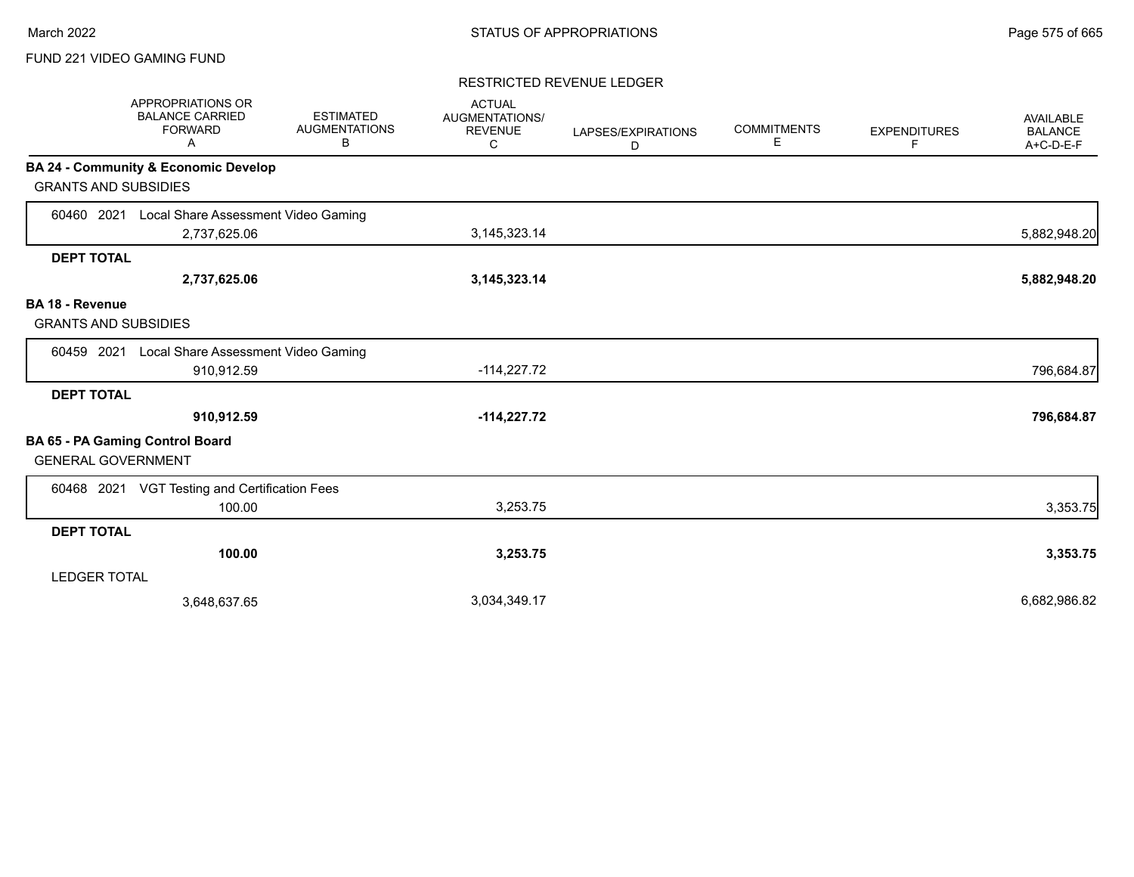#### RESTRICTED REVENUE LEDGER

|                                                       | <b>APPROPRIATIONS OR</b><br><b>BALANCE CARRIED</b><br><b>FORWARD</b><br>A | <b>ESTIMATED</b><br><b>AUGMENTATIONS</b><br>В | <b>ACTUAL</b><br>AUGMENTATIONS/<br><b>REVENUE</b><br>C | LAPSES/EXPIRATIONS<br>D | <b>COMMITMENTS</b><br>E | <b>EXPENDITURES</b><br>F | <b>AVAILABLE</b><br><b>BALANCE</b><br>$A+C-D-E-F$ |
|-------------------------------------------------------|---------------------------------------------------------------------------|-----------------------------------------------|--------------------------------------------------------|-------------------------|-------------------------|--------------------------|---------------------------------------------------|
|                                                       | <b>BA 24 - Community &amp; Economic Develop</b>                           |                                               |                                                        |                         |                         |                          |                                                   |
| <b>GRANTS AND SUBSIDIES</b>                           |                                                                           |                                               |                                                        |                         |                         |                          |                                                   |
| 60460 2021                                            | Local Share Assessment Video Gaming                                       |                                               |                                                        |                         |                         |                          |                                                   |
|                                                       | 2,737,625.06                                                              |                                               | 3,145,323.14                                           |                         |                         |                          | 5,882,948.20                                      |
| <b>DEPT TOTAL</b>                                     |                                                                           |                                               |                                                        |                         |                         |                          |                                                   |
|                                                       | 2,737,625.06                                                              |                                               | 3, 145, 323. 14                                        |                         |                         |                          | 5,882,948.20                                      |
| <b>BA 18 - Revenue</b><br><b>GRANTS AND SUBSIDIES</b> |                                                                           |                                               |                                                        |                         |                         |                          |                                                   |
| 60459 2021                                            | Local Share Assessment Video Gaming                                       |                                               |                                                        |                         |                         |                          |                                                   |
|                                                       | 910,912.59                                                                |                                               | $-114,227.72$                                          |                         |                         |                          | 796,684.87                                        |
| <b>DEPT TOTAL</b>                                     |                                                                           |                                               |                                                        |                         |                         |                          |                                                   |
|                                                       | 910,912.59                                                                |                                               | $-114,227.72$                                          |                         |                         |                          | 796,684.87                                        |
| <b>GENERAL GOVERNMENT</b>                             | <b>BA 65 - PA Gaming Control Board</b>                                    |                                               |                                                        |                         |                         |                          |                                                   |
|                                                       | 60468 2021 VGT Testing and Certification Fees                             |                                               |                                                        |                         |                         |                          |                                                   |
|                                                       | 100.00                                                                    |                                               | 3,253.75                                               |                         |                         |                          | 3,353.75                                          |
| <b>DEPT TOTAL</b>                                     |                                                                           |                                               |                                                        |                         |                         |                          |                                                   |
|                                                       | 100.00                                                                    |                                               | 3,253.75                                               |                         |                         |                          | 3,353.75                                          |
| <b>LEDGER TOTAL</b>                                   |                                                                           |                                               |                                                        |                         |                         |                          |                                                   |
|                                                       | 3,648,637.65                                                              |                                               | 3,034,349.17                                           |                         |                         |                          | 6,682,986.82                                      |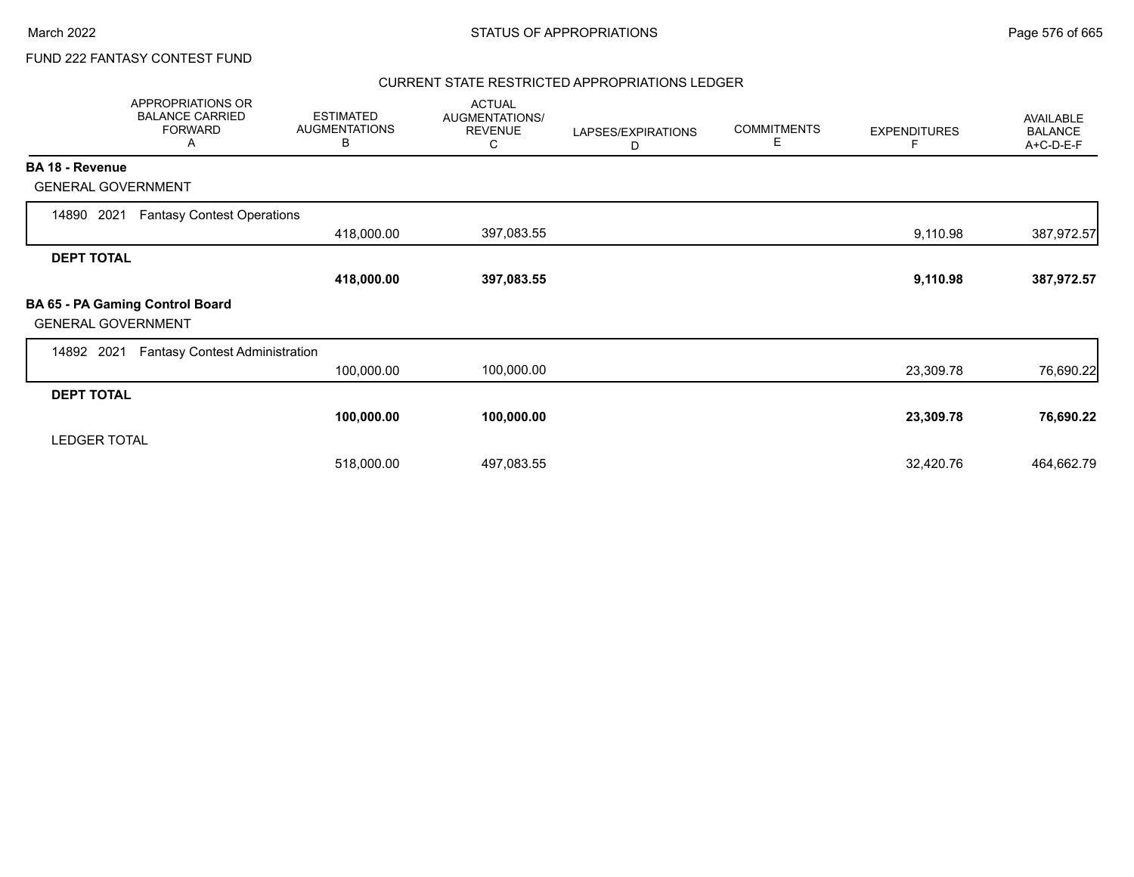# FUND 222 FANTASY CONTEST FUND

### CURRENT STATE RESTRICTED APPROPRIATIONS LEDGER

|                           | APPROPRIATIONS OR<br><b>BALANCE CARRIED</b><br><b>FORWARD</b><br>A | <b>ESTIMATED</b><br><b>AUGMENTATIONS</b><br>В | <b>ACTUAL</b><br>AUGMENTATIONS/<br><b>REVENUE</b><br>C | LAPSES/EXPIRATIONS<br>D | <b>COMMITMENTS</b><br>Е | <b>EXPENDITURES</b> | AVAILABLE<br><b>BALANCE</b><br>A+C-D-E-F |
|---------------------------|--------------------------------------------------------------------|-----------------------------------------------|--------------------------------------------------------|-------------------------|-------------------------|---------------------|------------------------------------------|
| <b>BA 18 - Revenue</b>    |                                                                    |                                               |                                                        |                         |                         |                     |                                          |
| <b>GENERAL GOVERNMENT</b> |                                                                    |                                               |                                                        |                         |                         |                     |                                          |
| 2021<br>14890             | <b>Fantasy Contest Operations</b>                                  |                                               |                                                        |                         |                         |                     |                                          |
|                           |                                                                    | 418,000.00                                    | 397,083.55                                             |                         |                         | 9,110.98            | 387,972.57                               |
| <b>DEPT TOTAL</b>         |                                                                    |                                               |                                                        |                         |                         |                     |                                          |
|                           |                                                                    | 418,000.00                                    | 397,083.55                                             |                         |                         | 9,110.98            | 387,972.57                               |
| <b>GENERAL GOVERNMENT</b> | BA 65 - PA Gaming Control Board                                    |                                               |                                                        |                         |                         |                     |                                          |
| 14892<br>2021             | <b>Fantasy Contest Administration</b>                              |                                               |                                                        |                         |                         |                     |                                          |
|                           |                                                                    | 100,000.00                                    | 100,000.00                                             |                         |                         | 23,309.78           | 76,690.22                                |
| <b>DEPT TOTAL</b>         |                                                                    |                                               |                                                        |                         |                         |                     |                                          |
|                           |                                                                    | 100,000.00                                    | 100,000.00                                             |                         |                         | 23,309.78           | 76,690.22                                |
| <b>LEDGER TOTAL</b>       |                                                                    |                                               |                                                        |                         |                         |                     |                                          |
|                           |                                                                    | 518,000.00                                    | 497,083.55                                             |                         |                         | 32,420.76           | 464,662.79                               |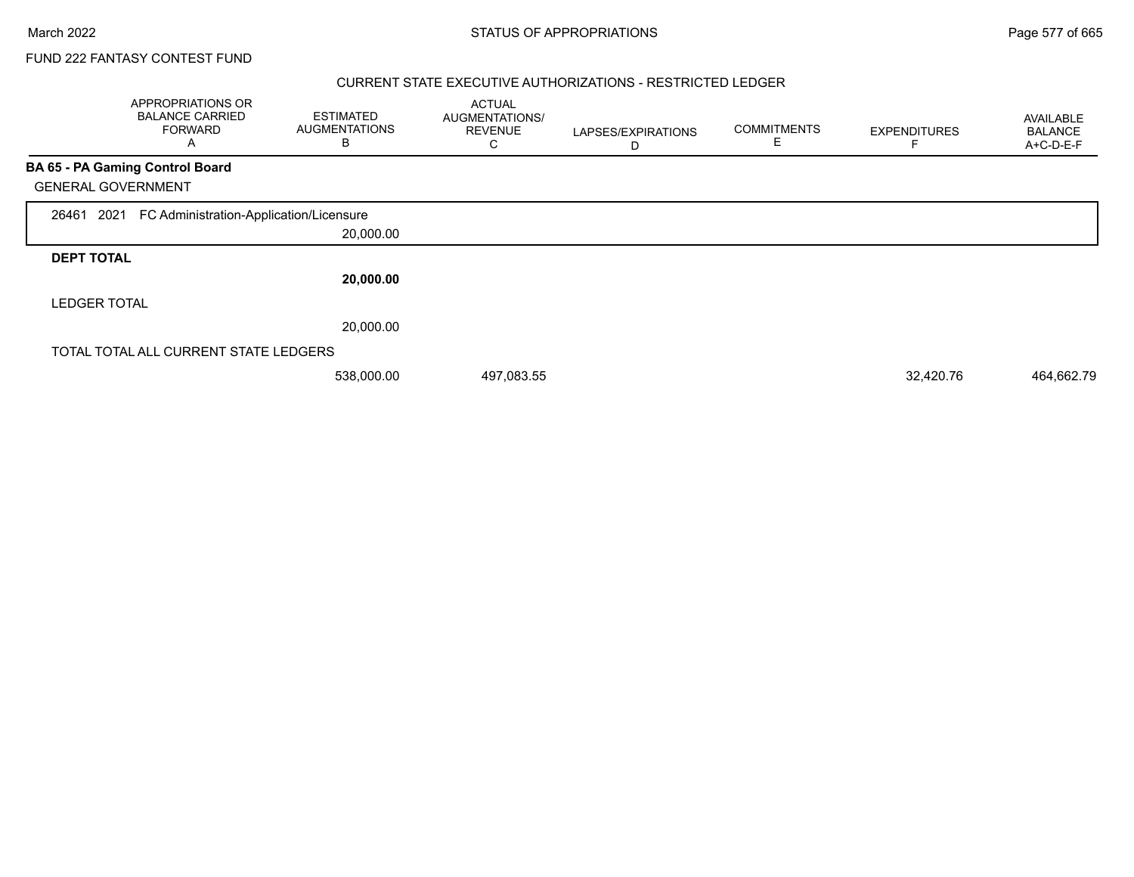## CURRENT STATE EXECUTIVE AUTHORIZATIONS - RESTRICTED LEDGER

|                           | APPROPRIATIONS OR<br><b>BALANCE CARRIED</b><br><b>FORWARD</b><br>A | <b>ESTIMATED</b><br><b>AUGMENTATIONS</b><br>B | <b>ACTUAL</b><br>AUGMENTATIONS/<br><b>REVENUE</b><br>С | LAPSES/EXPIRATIONS<br>D | <b>COMMITMENTS</b><br>E | <b>EXPENDITURES</b> | AVAILABLE<br><b>BALANCE</b><br>A+C-D-E-F |
|---------------------------|--------------------------------------------------------------------|-----------------------------------------------|--------------------------------------------------------|-------------------------|-------------------------|---------------------|------------------------------------------|
|                           | <b>BA 65 - PA Gaming Control Board</b>                             |                                               |                                                        |                         |                         |                     |                                          |
| <b>GENERAL GOVERNMENT</b> |                                                                    |                                               |                                                        |                         |                         |                     |                                          |
| 2021<br>26461             | FC Administration-Application/Licensure                            |                                               |                                                        |                         |                         |                     |                                          |
|                           |                                                                    | 20,000.00                                     |                                                        |                         |                         |                     |                                          |
| <b>DEPT TOTAL</b>         |                                                                    |                                               |                                                        |                         |                         |                     |                                          |
|                           |                                                                    | 20,000.00                                     |                                                        |                         |                         |                     |                                          |
| <b>LEDGER TOTAL</b>       |                                                                    |                                               |                                                        |                         |                         |                     |                                          |
|                           |                                                                    | 20,000.00                                     |                                                        |                         |                         |                     |                                          |
|                           | TOTAL TOTAL ALL CURRENT STATE LEDGERS                              |                                               |                                                        |                         |                         |                     |                                          |
|                           |                                                                    | 538,000.00                                    | 497,083.55                                             |                         |                         | 32,420.76           | 464,662.79                               |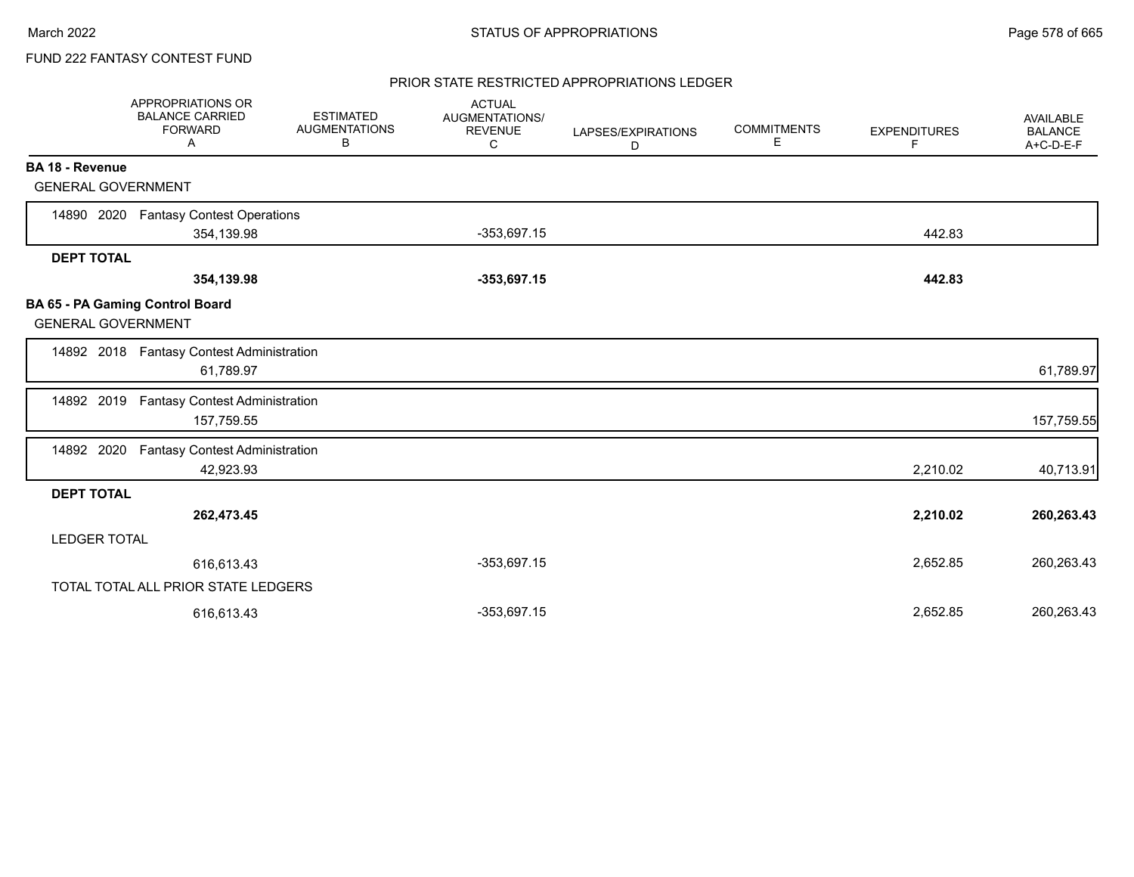## PRIOR STATE RESTRICTED APPROPRIATIONS LEDGER

|                           | APPROPRIATIONS OR<br><b>BALANCE CARRIED</b><br><b>FORWARD</b><br>Α | <b>ESTIMATED</b><br><b>AUGMENTATIONS</b><br>В | <b>ACTUAL</b><br>AUGMENTATIONS/<br><b>REVENUE</b><br>C | LAPSES/EXPIRATIONS<br>D | <b>COMMITMENTS</b><br>Е | <b>EXPENDITURES</b><br>F | AVAILABLE<br><b>BALANCE</b><br>A+C-D-E-F |
|---------------------------|--------------------------------------------------------------------|-----------------------------------------------|--------------------------------------------------------|-------------------------|-------------------------|--------------------------|------------------------------------------|
| <b>BA 18 - Revenue</b>    |                                                                    |                                               |                                                        |                         |                         |                          |                                          |
| <b>GENERAL GOVERNMENT</b> |                                                                    |                                               |                                                        |                         |                         |                          |                                          |
| 14890 2020                | <b>Fantasy Contest Operations</b>                                  |                                               |                                                        |                         |                         |                          |                                          |
|                           | 354,139.98                                                         |                                               | $-353,697.15$                                          |                         |                         | 442.83                   |                                          |
| <b>DEPT TOTAL</b>         |                                                                    |                                               |                                                        |                         |                         |                          |                                          |
|                           | 354,139.98                                                         |                                               | $-353,697.15$                                          |                         |                         | 442.83                   |                                          |
| <b>GENERAL GOVERNMENT</b> | BA 65 - PA Gaming Control Board                                    |                                               |                                                        |                         |                         |                          |                                          |
|                           | 14892 2018 Fantasy Contest Administration<br>61,789.97             |                                               |                                                        |                         |                         |                          | 61,789.97                                |
| 14892 2019                | <b>Fantasy Contest Administration</b><br>157,759.55                |                                               |                                                        |                         |                         |                          | 157,759.55                               |
| 14892 2020                | <b>Fantasy Contest Administration</b><br>42,923.93                 |                                               |                                                        |                         |                         | 2,210.02                 | 40,713.91                                |
| <b>DEPT TOTAL</b>         |                                                                    |                                               |                                                        |                         |                         |                          |                                          |
|                           | 262,473.45                                                         |                                               |                                                        |                         |                         | 2,210.02                 | 260,263.43                               |
| <b>LEDGER TOTAL</b>       |                                                                    |                                               |                                                        |                         |                         |                          |                                          |
|                           | 616,613.43                                                         |                                               | $-353,697.15$                                          |                         |                         | 2,652.85                 | 260,263.43                               |
|                           | TOTAL TOTAL ALL PRIOR STATE LEDGERS                                |                                               |                                                        |                         |                         |                          |                                          |
|                           | 616,613.43                                                         |                                               | $-353,697.15$                                          |                         |                         | 2,652.85                 | 260,263.43                               |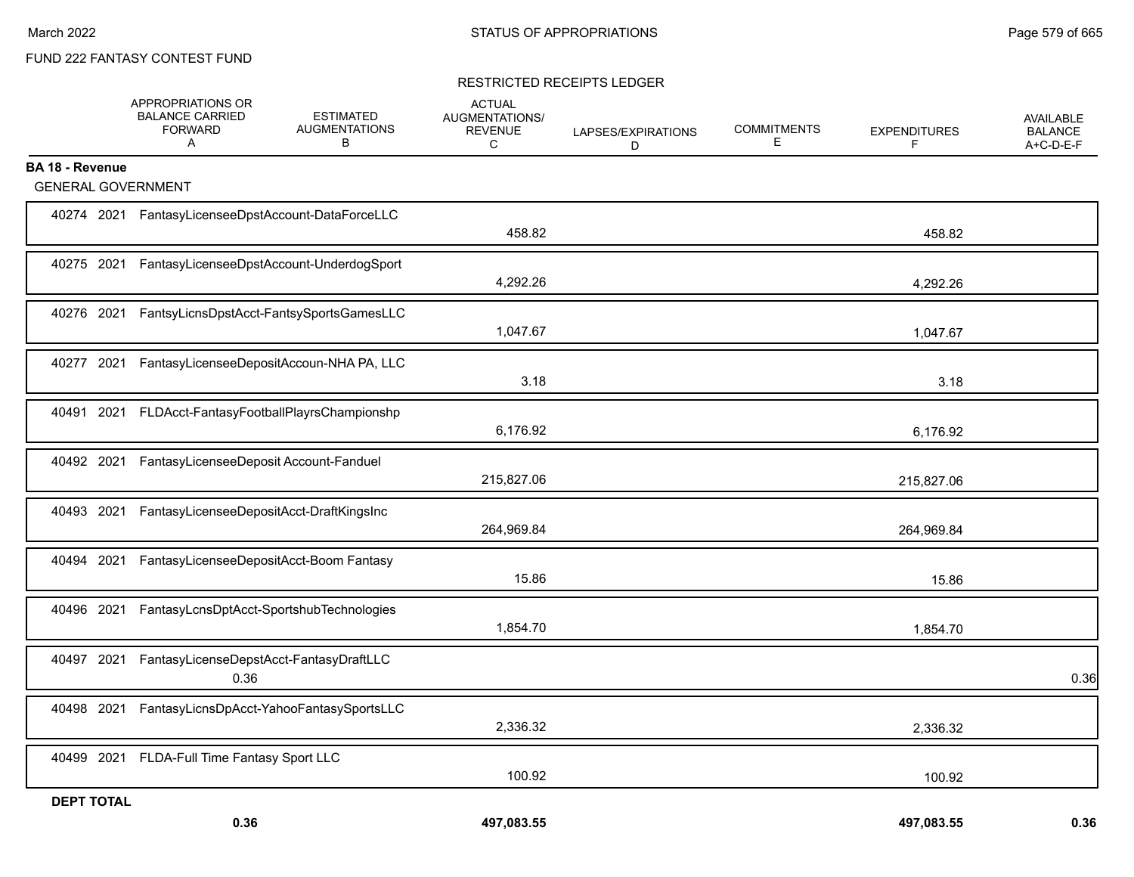## RESTRICTED RECEIPTS LEDGER

|                           | APPROPRIATIONS OR<br><b>BALANCE CARRIED</b><br><b>FORWARD</b><br>$\mathsf{A}$ | <b>ESTIMATED</b><br><b>AUGMENTATIONS</b><br>В | <b>ACTUAL</b><br>AUGMENTATIONS/<br><b>REVENUE</b><br>C | LAPSES/EXPIRATIONS<br>D | <b>COMMITMENTS</b><br>Е. | <b>EXPENDITURES</b><br>F | <b>AVAILABLE</b><br><b>BALANCE</b><br>A+C-D-E-F |
|---------------------------|-------------------------------------------------------------------------------|-----------------------------------------------|--------------------------------------------------------|-------------------------|--------------------------|--------------------------|-------------------------------------------------|
| <b>BA 18 - Revenue</b>    |                                                                               |                                               |                                                        |                         |                          |                          |                                                 |
| <b>GENERAL GOVERNMENT</b> |                                                                               |                                               |                                                        |                         |                          |                          |                                                 |
|                           | 40274 2021 FantasyLicenseeDpstAccount-DataForceLLC                            |                                               | 458.82                                                 |                         |                          | 458.82                   |                                                 |
|                           | 40275 2021 FantasyLicenseeDpstAccount-UnderdogSport                           |                                               | 4,292.26                                               |                         |                          | 4,292.26                 |                                                 |
| 40276 2021                |                                                                               | FantsyLicnsDpstAcct-FantsySportsGamesLLC      | 1,047.67                                               |                         |                          | 1,047.67                 |                                                 |
| 40277 2021                |                                                                               | FantasyLicenseeDepositAccoun-NHA PA, LLC      | 3.18                                                   |                         |                          | 3.18                     |                                                 |
| 40491 2021                |                                                                               | FLDAcct-FantasyFootballPlayrsChampionshp      | 6,176.92                                               |                         |                          | 6,176.92                 |                                                 |
| 40492 2021                | FantasyLicenseeDeposit Account-Fanduel                                        |                                               | 215,827.06                                             |                         |                          | 215,827.06               |                                                 |
| 40493 2021                | FantasyLicenseeDepositAcct-DraftKingsInc                                      |                                               | 264,969.84                                             |                         |                          | 264,969.84               |                                                 |
| 2021<br>40494             |                                                                               | FantasyLicenseeDepositAcct-Boom Fantasy       | 15.86                                                  |                         |                          | 15.86                    |                                                 |
| 40496 2021                |                                                                               | FantasyLcnsDptAcct-SportshubTechnologies      | 1,854.70                                               |                         |                          | 1,854.70                 |                                                 |
| 40497 2021                | 0.36                                                                          | FantasyLicenseDepstAcct-FantasyDraftLLC       |                                                        |                         |                          |                          | 0.36                                            |
| 40498 2021                |                                                                               | FantasyLicnsDpAcct-YahooFantasySportsLLC      | 2,336.32                                               |                         |                          | 2,336.32                 |                                                 |
| 40499 2021                | FLDA-Full Time Fantasy Sport LLC                                              |                                               | 100.92                                                 |                         |                          | 100.92                   |                                                 |
| <b>DEPT TOTAL</b>         | 0.36                                                                          |                                               | 497,083.55                                             |                         |                          | 497,083.55               | 0.36                                            |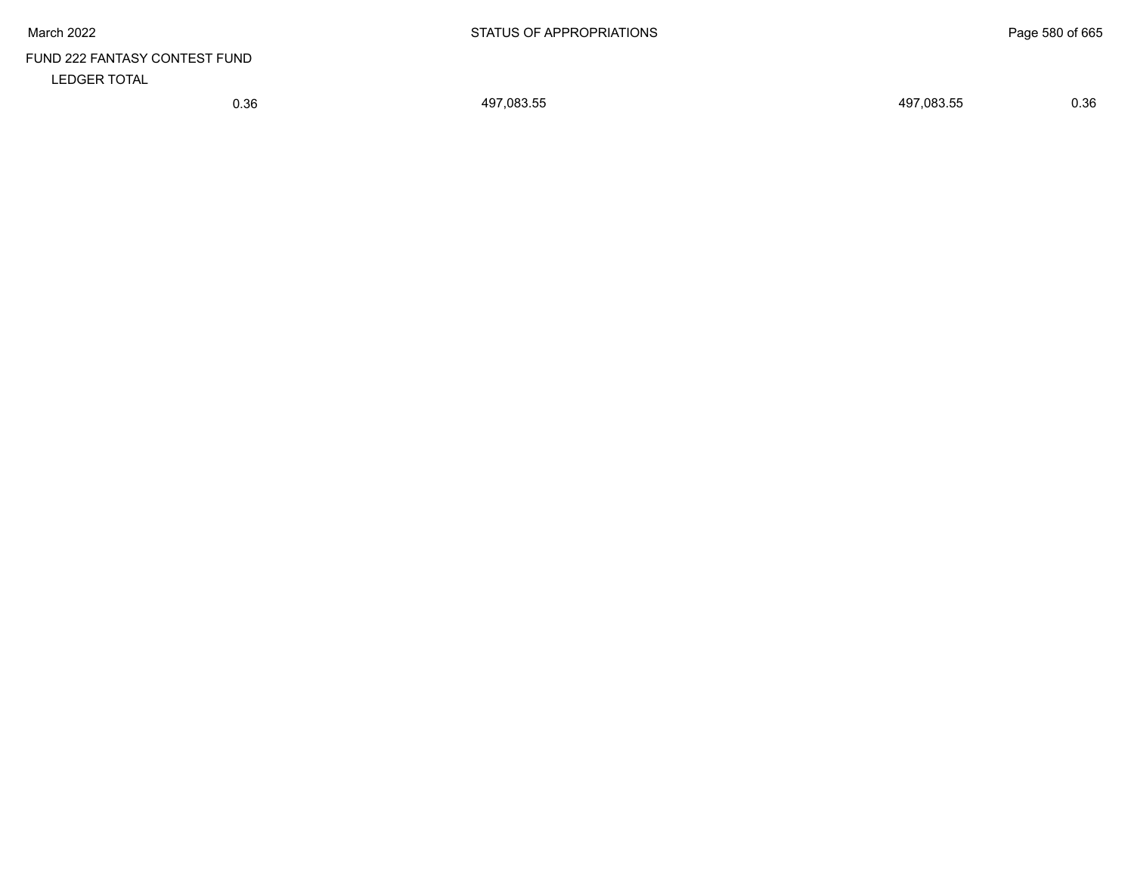# FUND 222 FANTASY CONTEST FUND LEDGER TOTAL

0.36 497,083.55 497,083.55 0.36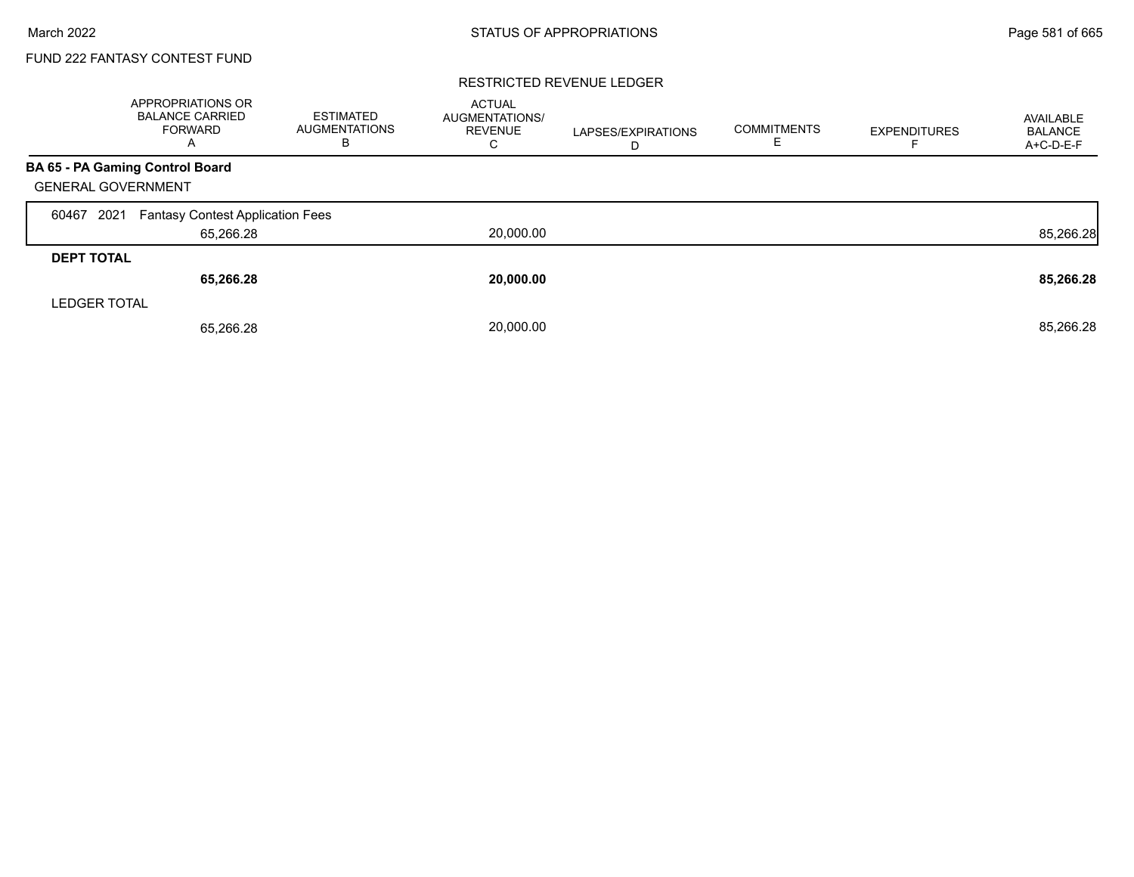### RESTRICTED REVENUE LEDGER

|                           | APPROPRIATIONS OR<br><b>BALANCE CARRIED</b><br><b>FORWARD</b><br>A | ESTIMATED<br><b>AUGMENTATIONS</b><br>в | <b>ACTUAL</b><br>AUGMENTATIONS/<br><b>REVENUE</b><br>С | LAPSES/EXPIRATIONS<br>D | <b>COMMITMENTS</b> | <b>EXPENDITURES</b> | AVAILABLE<br><b>BALANCE</b><br>A+C-D-E-F |
|---------------------------|--------------------------------------------------------------------|----------------------------------------|--------------------------------------------------------|-------------------------|--------------------|---------------------|------------------------------------------|
|                           | BA 65 - PA Gaming Control Board                                    |                                        |                                                        |                         |                    |                     |                                          |
| <b>GENERAL GOVERNMENT</b> |                                                                    |                                        |                                                        |                         |                    |                     |                                          |
| 2021<br>60467             | <b>Fantasy Contest Application Fees</b>                            |                                        |                                                        |                         |                    |                     |                                          |
|                           | 65,266.28                                                          |                                        | 20,000.00                                              |                         |                    |                     | 85,266.28                                |
| <b>DEPT TOTAL</b>         |                                                                    |                                        |                                                        |                         |                    |                     |                                          |
|                           | 65,266.28                                                          |                                        | 20,000.00                                              |                         |                    |                     | 85,266.28                                |
| <b>LEDGER TOTAL</b>       |                                                                    |                                        |                                                        |                         |                    |                     |                                          |
|                           | 65,266.28                                                          |                                        | 20,000.00                                              |                         |                    |                     | 85,266.28                                |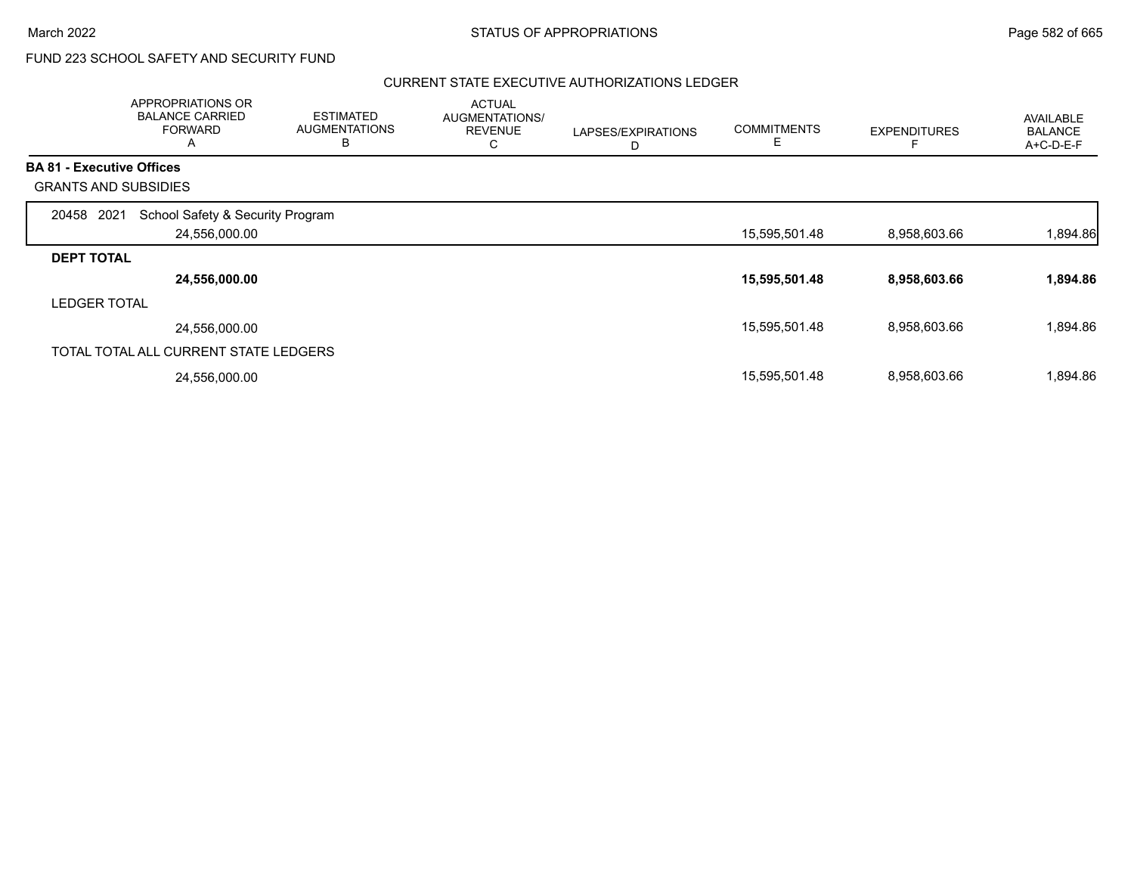# FUND 223 SCHOOL SAFETY AND SECURITY FUND

## CURRENT STATE EXECUTIVE AUTHORIZATIONS LEDGER

|                                  | APPROPRIATIONS OR<br><b>BALANCE CARRIED</b><br><b>FORWARD</b><br>A | <b>ESTIMATED</b><br><b>AUGMENTATIONS</b><br>B | <b>ACTUAL</b><br>AUGMENTATIONS/<br><b>REVENUE</b><br>С | LAPSES/EXPIRATIONS<br>D | <b>COMMITMENTS</b><br>Е | <b>EXPENDITURES</b> | AVAILABLE<br><b>BALANCE</b><br>A+C-D-E-F |
|----------------------------------|--------------------------------------------------------------------|-----------------------------------------------|--------------------------------------------------------|-------------------------|-------------------------|---------------------|------------------------------------------|
| <b>BA 81 - Executive Offices</b> |                                                                    |                                               |                                                        |                         |                         |                     |                                          |
|                                  | <b>GRANTS AND SUBSIDIES</b>                                        |                                               |                                                        |                         |                         |                     |                                          |
| 20458 2021                       | School Safety & Security Program                                   |                                               |                                                        |                         |                         |                     |                                          |
|                                  | 24,556,000.00                                                      |                                               |                                                        |                         | 15,595,501.48           | 8,958,603.66        | 1,894.86                                 |
| <b>DEPT TOTAL</b>                |                                                                    |                                               |                                                        |                         |                         |                     |                                          |
|                                  | 24,556,000.00                                                      |                                               |                                                        |                         | 15,595,501.48           | 8,958,603.66        | 1,894.86                                 |
| <b>LEDGER TOTAL</b>              |                                                                    |                                               |                                                        |                         |                         |                     |                                          |
|                                  | 24,556,000.00                                                      |                                               |                                                        |                         | 15,595,501.48           | 8,958,603.66        | 1,894.86                                 |
|                                  | TOTAL TOTAL ALL CURRENT STATE LEDGERS                              |                                               |                                                        |                         |                         |                     |                                          |
|                                  | 24,556,000.00                                                      |                                               |                                                        |                         | 15,595,501.48           | 8,958,603.66        | 1,894.86                                 |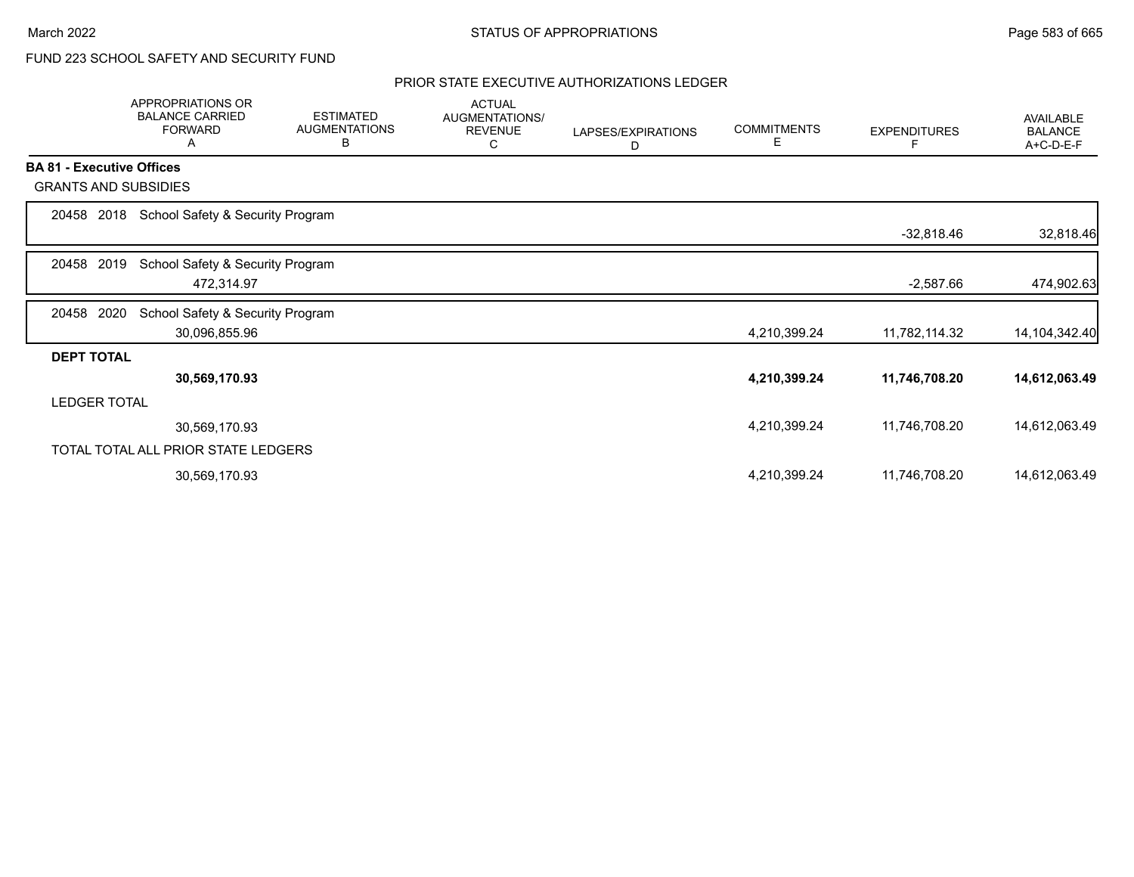# FUND 223 SCHOOL SAFETY AND SECURITY FUND

## PRIOR STATE EXECUTIVE AUTHORIZATIONS LEDGER

|                                  | APPROPRIATIONS OR<br><b>BALANCE CARRIED</b><br><b>FORWARD</b><br>A | <b>ESTIMATED</b><br><b>AUGMENTATIONS</b><br>в | <b>ACTUAL</b><br>AUGMENTATIONS/<br><b>REVENUE</b><br>С | LAPSES/EXPIRATIONS<br>D | <b>COMMITMENTS</b><br>Е | <b>EXPENDITURES</b> | AVAILABLE<br><b>BALANCE</b><br>A+C-D-E-F |
|----------------------------------|--------------------------------------------------------------------|-----------------------------------------------|--------------------------------------------------------|-------------------------|-------------------------|---------------------|------------------------------------------|
| <b>BA 81 - Executive Offices</b> |                                                                    |                                               |                                                        |                         |                         |                     |                                          |
| <b>GRANTS AND SUBSIDIES</b>      |                                                                    |                                               |                                                        |                         |                         |                     |                                          |
| 2018<br>20458                    | School Safety & Security Program                                   |                                               |                                                        |                         |                         |                     |                                          |
|                                  |                                                                    |                                               |                                                        |                         |                         | $-32,818.46$        | 32,818.46                                |
| 2019<br>20458                    | School Safety & Security Program                                   |                                               |                                                        |                         |                         |                     |                                          |
|                                  | 472,314.97                                                         |                                               |                                                        |                         |                         | $-2,587.66$         | 474,902.63                               |
| 20458<br>2020                    | School Safety & Security Program                                   |                                               |                                                        |                         |                         |                     |                                          |
|                                  | 30,096,855.96                                                      |                                               |                                                        |                         | 4,210,399.24            | 11,782,114.32       | 14, 104, 342. 40                         |
| <b>DEPT TOTAL</b>                |                                                                    |                                               |                                                        |                         |                         |                     |                                          |
|                                  | 30,569,170.93                                                      |                                               |                                                        |                         | 4,210,399.24            | 11,746,708.20       | 14,612,063.49                            |
| <b>LEDGER TOTAL</b>              |                                                                    |                                               |                                                        |                         |                         |                     |                                          |
|                                  | 30,569,170.93                                                      |                                               |                                                        |                         | 4,210,399.24            | 11,746,708.20       | 14,612,063.49                            |
|                                  | TOTAL TOTAL ALL PRIOR STATE LEDGERS                                |                                               |                                                        |                         |                         |                     |                                          |
|                                  | 30,569,170.93                                                      |                                               |                                                        |                         | 4,210,399.24            | 11,746,708.20       | 14,612,063.49                            |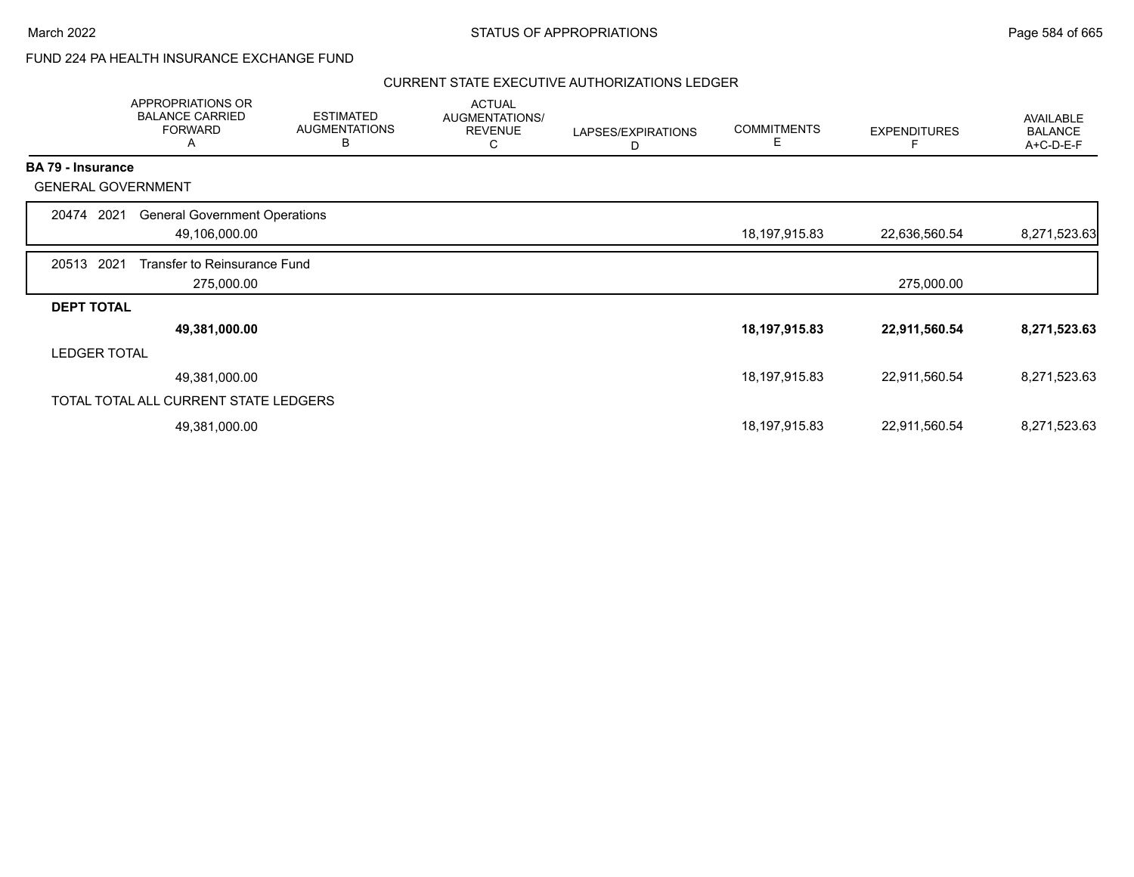# FUND 224 PA HEALTH INSURANCE EXCHANGE FUND

## CURRENT STATE EXECUTIVE AUTHORIZATIONS LEDGER

|                          | APPROPRIATIONS OR<br><b>BALANCE CARRIED</b><br><b>FORWARD</b><br>Α | <b>ESTIMATED</b><br><b>AUGMENTATIONS</b><br>B | <b>ACTUAL</b><br>AUGMENTATIONS/<br><b>REVENUE</b><br>С | LAPSES/EXPIRATIONS<br>D | <b>COMMITMENTS</b><br>Е | <b>EXPENDITURES</b> | AVAILABLE<br><b>BALANCE</b><br>A+C-D-E-F |
|--------------------------|--------------------------------------------------------------------|-----------------------------------------------|--------------------------------------------------------|-------------------------|-------------------------|---------------------|------------------------------------------|
| <b>BA 79 - Insurance</b> |                                                                    |                                               |                                                        |                         |                         |                     |                                          |
|                          | <b>GENERAL GOVERNMENT</b>                                          |                                               |                                                        |                         |                         |                     |                                          |
| 20474                    | <b>General Government Operations</b><br>2021                       |                                               |                                                        |                         |                         |                     |                                          |
|                          | 49,106,000.00                                                      |                                               |                                                        |                         | 18,197,915.83           | 22,636,560.54       | 8,271,523.63                             |
| 20513                    | 2021<br>Transfer to Reinsurance Fund                               |                                               |                                                        |                         |                         |                     |                                          |
|                          | 275,000.00                                                         |                                               |                                                        |                         |                         | 275,000.00          |                                          |
| <b>DEPT TOTAL</b>        |                                                                    |                                               |                                                        |                         |                         |                     |                                          |
|                          | 49,381,000.00                                                      |                                               |                                                        |                         | 18,197,915.83           | 22,911,560.54       | 8,271,523.63                             |
| <b>LEDGER TOTAL</b>      |                                                                    |                                               |                                                        |                         |                         |                     |                                          |
|                          | 49,381,000.00                                                      |                                               |                                                        |                         | 18, 197, 915.83         | 22,911,560.54       | 8,271,523.63                             |
|                          | TOTAL TOTAL ALL CURRENT STATE LEDGERS                              |                                               |                                                        |                         |                         |                     |                                          |
|                          | 49,381,000.00                                                      |                                               |                                                        |                         | 18,197,915.83           | 22,911,560.54       | 8,271,523.63                             |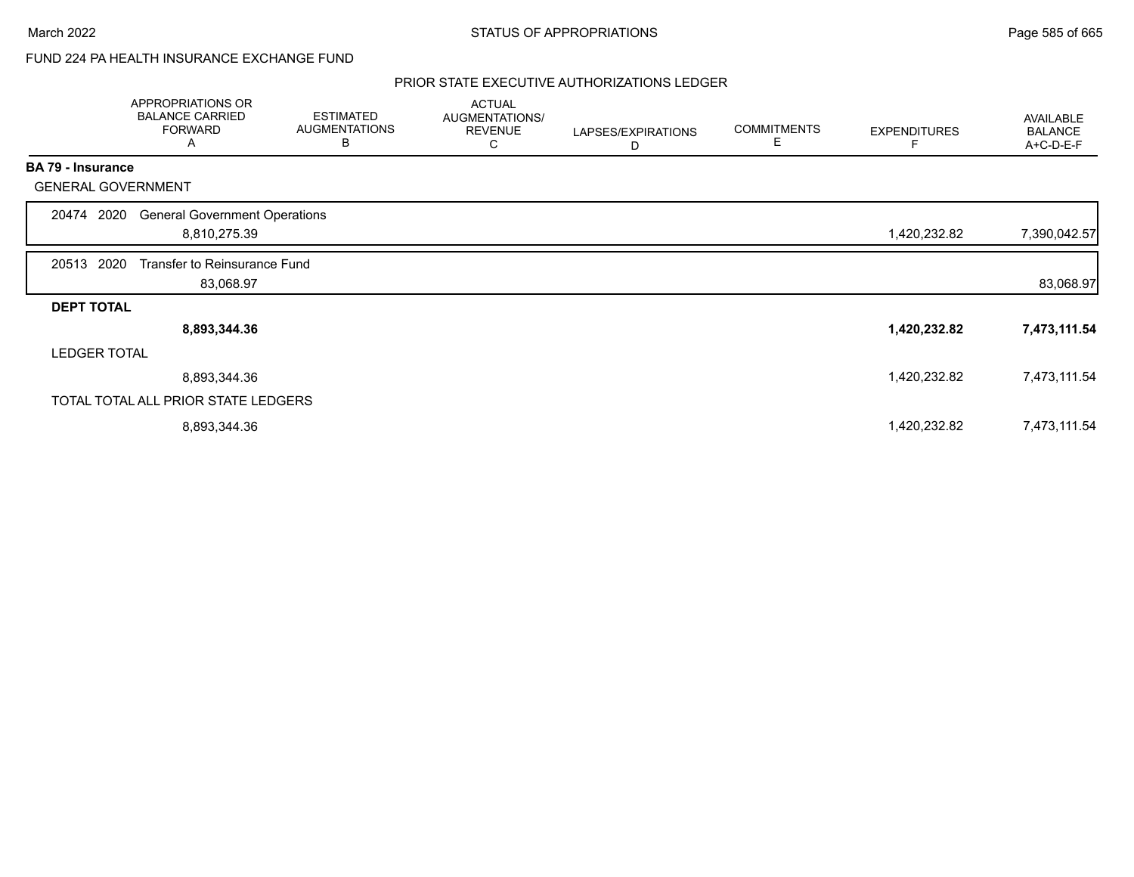# FUND 224 PA HEALTH INSURANCE EXCHANGE FUND

## PRIOR STATE EXECUTIVE AUTHORIZATIONS LEDGER

|                          | APPROPRIATIONS OR<br><b>BALANCE CARRIED</b><br><b>FORWARD</b><br>Α | <b>ESTIMATED</b><br><b>AUGMENTATIONS</b><br>В | <b>ACTUAL</b><br>AUGMENTATIONS/<br><b>REVENUE</b><br>С | LAPSES/EXPIRATIONS<br>D | <b>COMMITMENTS</b><br>Е | <b>EXPENDITURES</b> | AVAILABLE<br><b>BALANCE</b><br>A+C-D-E-F |
|--------------------------|--------------------------------------------------------------------|-----------------------------------------------|--------------------------------------------------------|-------------------------|-------------------------|---------------------|------------------------------------------|
| <b>BA 79 - Insurance</b> |                                                                    |                                               |                                                        |                         |                         |                     |                                          |
|                          | <b>GENERAL GOVERNMENT</b>                                          |                                               |                                                        |                         |                         |                     |                                          |
| 20474                    | <b>General Government Operations</b><br>2020                       |                                               |                                                        |                         |                         |                     |                                          |
|                          | 8,810,275.39                                                       |                                               |                                                        |                         |                         | 1,420,232.82        | 7,390,042.57                             |
| 20513                    | 2020<br>Transfer to Reinsurance Fund                               |                                               |                                                        |                         |                         |                     |                                          |
|                          | 83,068.97                                                          |                                               |                                                        |                         |                         |                     | 83,068.97                                |
| <b>DEPT TOTAL</b>        |                                                                    |                                               |                                                        |                         |                         |                     |                                          |
|                          | 8,893,344.36                                                       |                                               |                                                        |                         |                         | 1,420,232.82        | 7,473,111.54                             |
| <b>LEDGER TOTAL</b>      |                                                                    |                                               |                                                        |                         |                         |                     |                                          |
|                          | 8,893,344.36                                                       |                                               |                                                        |                         |                         | 1,420,232.82        | 7,473,111.54                             |
|                          | TOTAL TOTAL ALL PRIOR STATE LEDGERS                                |                                               |                                                        |                         |                         |                     |                                          |
|                          | 8,893,344.36                                                       |                                               |                                                        |                         |                         | 1,420,232.82        | 7,473,111.54                             |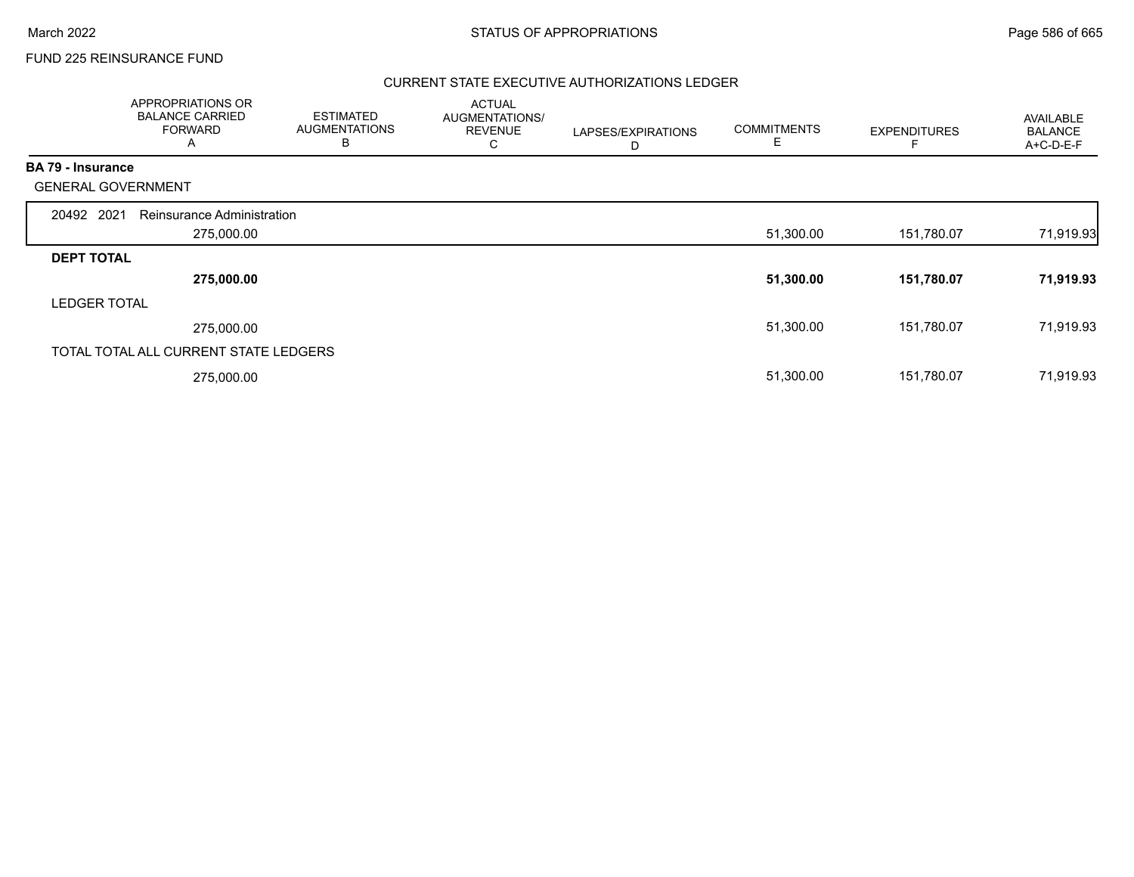## FUND 225 REINSURANCE FUND

## CURRENT STATE EXECUTIVE AUTHORIZATIONS LEDGER

|                          | APPROPRIATIONS OR<br><b>BALANCE CARRIED</b><br><b>FORWARD</b><br>A | <b>ESTIMATED</b><br><b>AUGMENTATIONS</b><br>B | <b>ACTUAL</b><br>AUGMENTATIONS/<br><b>REVENUE</b><br>С | LAPSES/EXPIRATIONS<br>D | <b>COMMITMENTS</b><br>E | <b>EXPENDITURES</b> | <b>AVAILABLE</b><br><b>BALANCE</b><br>A+C-D-E-F |
|--------------------------|--------------------------------------------------------------------|-----------------------------------------------|--------------------------------------------------------|-------------------------|-------------------------|---------------------|-------------------------------------------------|
| <b>BA 79 - Insurance</b> |                                                                    |                                               |                                                        |                         |                         |                     |                                                 |
|                          | <b>GENERAL GOVERNMENT</b>                                          |                                               |                                                        |                         |                         |                     |                                                 |
| 20492 2021               | Reinsurance Administration                                         |                                               |                                                        |                         |                         |                     |                                                 |
|                          | 275,000.00                                                         |                                               |                                                        |                         | 51,300.00               | 151,780.07          | 71,919.93                                       |
| <b>DEPT TOTAL</b>        |                                                                    |                                               |                                                        |                         |                         |                     |                                                 |
|                          | 275,000.00                                                         |                                               |                                                        |                         | 51,300.00               | 151,780.07          | 71,919.93                                       |
| <b>LEDGER TOTAL</b>      |                                                                    |                                               |                                                        |                         |                         |                     |                                                 |
|                          | 275,000.00                                                         |                                               |                                                        |                         | 51,300.00               | 151,780.07          | 71,919.93                                       |
|                          | TOTAL TOTAL ALL CURRENT STATE LEDGERS                              |                                               |                                                        |                         |                         |                     |                                                 |
|                          | 275,000.00                                                         |                                               |                                                        |                         | 51,300.00               | 151,780.07          | 71,919.93                                       |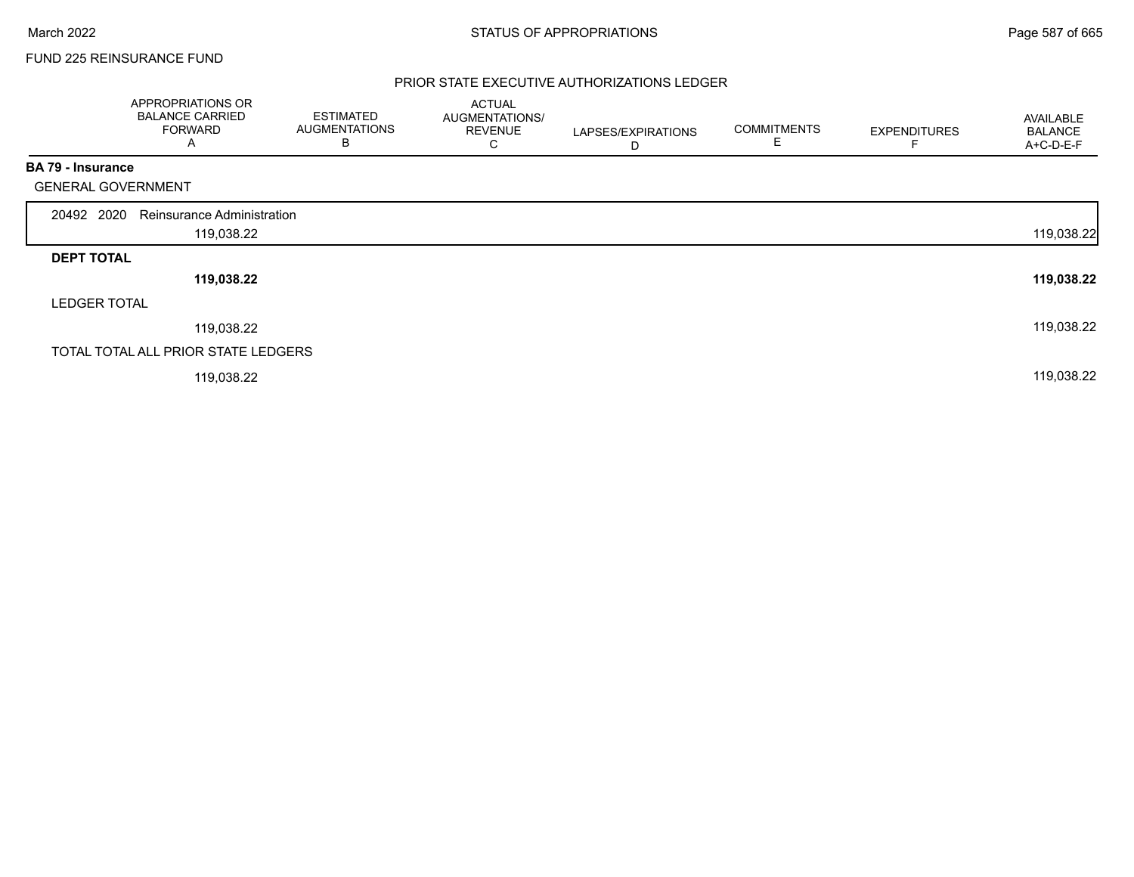## FUND 225 REINSURANCE FUND

## PRIOR STATE EXECUTIVE AUTHORIZATIONS LEDGER

|                           | APPROPRIATIONS OR<br><b>BALANCE CARRIED</b><br><b>FORWARD</b><br>A | <b>ESTIMATED</b><br><b>AUGMENTATIONS</b><br>В | <b>ACTUAL</b><br>AUGMENTATIONS/<br><b>REVENUE</b><br>C | LAPSES/EXPIRATIONS<br>D | <b>COMMITMENTS</b><br>Е | <b>EXPENDITURES</b> | AVAILABLE<br><b>BALANCE</b><br>A+C-D-E-F |
|---------------------------|--------------------------------------------------------------------|-----------------------------------------------|--------------------------------------------------------|-------------------------|-------------------------|---------------------|------------------------------------------|
| <b>BA 79 - Insurance</b>  |                                                                    |                                               |                                                        |                         |                         |                     |                                          |
| <b>GENERAL GOVERNMENT</b> |                                                                    |                                               |                                                        |                         |                         |                     |                                          |
| 20492 2020                | <b>Reinsurance Administration</b>                                  |                                               |                                                        |                         |                         |                     |                                          |
|                           | 119,038.22                                                         |                                               |                                                        |                         |                         |                     | 119,038.22                               |
| <b>DEPT TOTAL</b>         |                                                                    |                                               |                                                        |                         |                         |                     |                                          |
|                           | 119,038.22                                                         |                                               |                                                        |                         |                         |                     | 119,038.22                               |
| <b>LEDGER TOTAL</b>       |                                                                    |                                               |                                                        |                         |                         |                     |                                          |
|                           | 119,038.22                                                         |                                               |                                                        |                         |                         |                     | 119,038.22                               |
|                           | TOTAL TOTAL ALL PRIOR STATE LEDGERS                                |                                               |                                                        |                         |                         |                     |                                          |
|                           | 119,038.22                                                         |                                               |                                                        |                         |                         |                     | 119,038.22                               |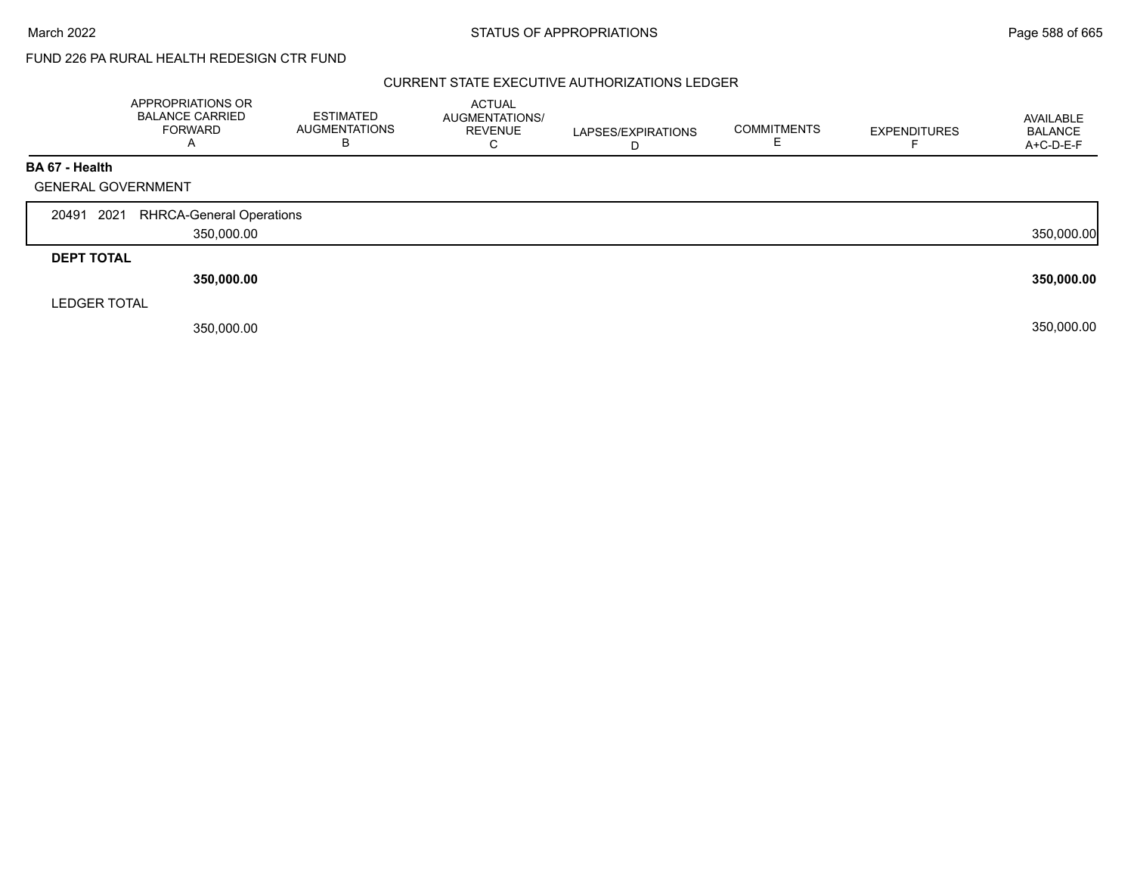# FUND 226 PA RURAL HEALTH REDESIGN CTR FUND

## CURRENT STATE EXECUTIVE AUTHORIZATIONS LEDGER

|                     | APPROPRIATIONS OR<br><b>BALANCE CARRIED</b><br><b>FORWARD</b><br>A | <b>ESTIMATED</b><br><b>AUGMENTATIONS</b><br>в | ACTUAL<br>AUGMENTATIONS/<br><b>REVENUE</b><br>⌒<br>Ü | LAPSES/EXPIRATIONS<br>D | <b>COMMITMENTS</b> | <b>EXPENDITURES</b> | AVAILABLE<br><b>BALANCE</b><br>A+C-D-E-F |
|---------------------|--------------------------------------------------------------------|-----------------------------------------------|------------------------------------------------------|-------------------------|--------------------|---------------------|------------------------------------------|
| BA 67 - Health      |                                                                    |                                               |                                                      |                         |                    |                     |                                          |
|                     | <b>GENERAL GOVERNMENT</b>                                          |                                               |                                                      |                         |                    |                     |                                          |
|                     |                                                                    |                                               |                                                      |                         |                    |                     |                                          |
| 20491 2021          | <b>RHRCA-General Operations</b>                                    |                                               |                                                      |                         |                    |                     |                                          |
|                     | 350,000.00                                                         |                                               |                                                      |                         |                    |                     | 350,000.00                               |
| <b>DEPT TOTAL</b>   |                                                                    |                                               |                                                      |                         |                    |                     |                                          |
|                     | 350,000.00                                                         |                                               |                                                      |                         |                    |                     | 350,000.00                               |
| <b>LEDGER TOTAL</b> |                                                                    |                                               |                                                      |                         |                    |                     |                                          |
|                     | 350,000.00                                                         |                                               |                                                      |                         |                    |                     | 350,000.00                               |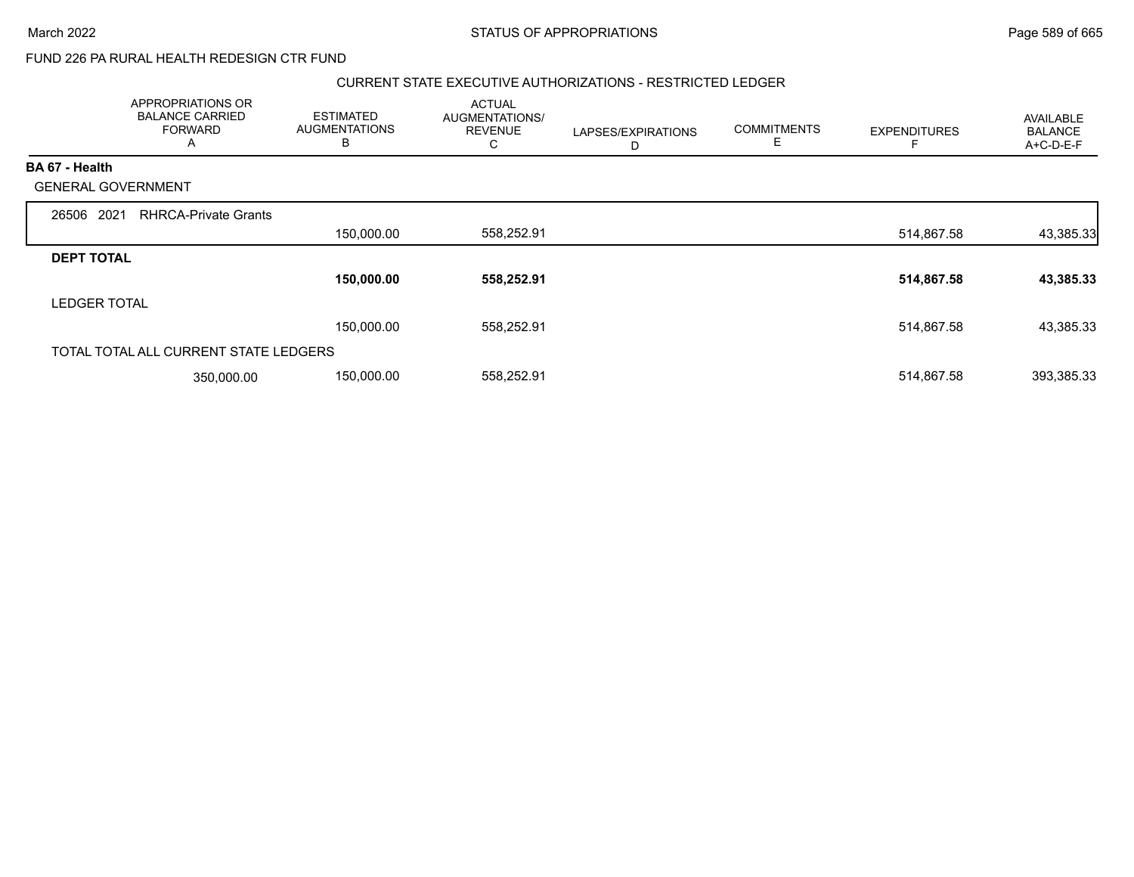# FUND 226 PA RURAL HEALTH REDESIGN CTR FUND

#### CURRENT STATE EXECUTIVE AUTHORIZATIONS - RESTRICTED LEDGER

|                           | APPROPRIATIONS OR<br><b>BALANCE CARRIED</b><br><b>FORWARD</b><br>A | <b>ESTIMATED</b><br><b>AUGMENTATIONS</b><br>В | <b>ACTUAL</b><br>AUGMENTATIONS/<br><b>REVENUE</b><br>С | LAPSES/EXPIRATIONS<br>D | <b>COMMITMENTS</b><br>Е | <b>EXPENDITURES</b> | AVAILABLE<br><b>BALANCE</b><br>A+C-D-E-F |
|---------------------------|--------------------------------------------------------------------|-----------------------------------------------|--------------------------------------------------------|-------------------------|-------------------------|---------------------|------------------------------------------|
| <b>BA 67 - Health</b>     |                                                                    |                                               |                                                        |                         |                         |                     |                                          |
| <b>GENERAL GOVERNMENT</b> |                                                                    |                                               |                                                        |                         |                         |                     |                                          |
| 2021<br>26506             | <b>RHRCA-Private Grants</b>                                        |                                               |                                                        |                         |                         |                     |                                          |
|                           |                                                                    | 150,000.00                                    | 558,252.91                                             |                         |                         | 514,867.58          | 43,385.33                                |
| <b>DEPT TOTAL</b>         |                                                                    |                                               |                                                        |                         |                         |                     |                                          |
|                           |                                                                    | 150,000.00                                    | 558,252.91                                             |                         |                         | 514,867.58          | 43,385.33                                |
| <b>LEDGER TOTAL</b>       |                                                                    |                                               |                                                        |                         |                         |                     |                                          |
|                           |                                                                    | 150,000.00                                    | 558,252.91                                             |                         |                         | 514,867.58          | 43,385.33                                |
|                           | TOTAL TOTAL ALL CURRENT STATE LEDGERS                              |                                               |                                                        |                         |                         |                     |                                          |
|                           | 350,000.00                                                         | 150,000.00                                    | 558,252.91                                             |                         |                         | 514,867.58          | 393,385.33                               |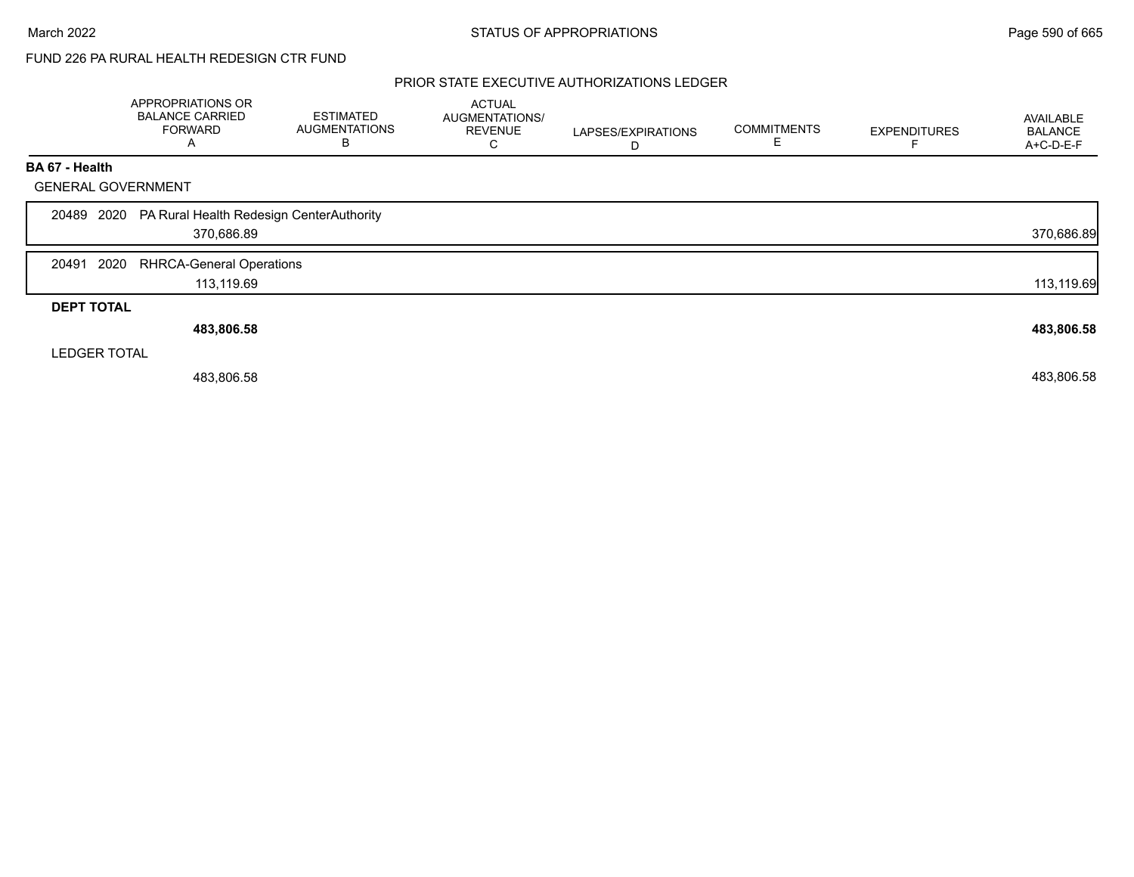# FUND 226 PA RURAL HEALTH REDESIGN CTR FUND

## PRIOR STATE EXECUTIVE AUTHORIZATIONS LEDGER

|                           | APPROPRIATIONS OR<br><b>BALANCE CARRIED</b><br><b>FORWARD</b><br>A | <b>ESTIMATED</b><br><b>AUGMENTATIONS</b><br>В | <b>ACTUAL</b><br>AUGMENTATIONS/<br><b>REVENUE</b><br>C | LAPSES/EXPIRATIONS<br>D | <b>COMMITMENTS</b> | <b>EXPENDITURES</b> | AVAILABLE<br><b>BALANCE</b><br>A+C-D-E-F |
|---------------------------|--------------------------------------------------------------------|-----------------------------------------------|--------------------------------------------------------|-------------------------|--------------------|---------------------|------------------------------------------|
| BA 67 - Health            |                                                                    |                                               |                                                        |                         |                    |                     |                                          |
| <b>GENERAL GOVERNMENT</b> |                                                                    |                                               |                                                        |                         |                    |                     |                                          |
|                           | 20489 2020 PA Rural Health Redesign CenterAuthority<br>370,686.89  |                                               |                                                        |                         |                    |                     | 370,686.89                               |
| 2020<br>20491             | <b>RHRCA-General Operations</b><br>113,119.69                      |                                               |                                                        |                         |                    |                     | 113,119.69                               |
| <b>DEPT TOTAL</b>         |                                                                    |                                               |                                                        |                         |                    |                     |                                          |
|                           | 483,806.58                                                         |                                               |                                                        |                         |                    |                     | 483,806.58                               |
| <b>LEDGER TOTAL</b>       |                                                                    |                                               |                                                        |                         |                    |                     |                                          |
|                           | 483,806.58                                                         |                                               |                                                        |                         |                    |                     | 483,806.58                               |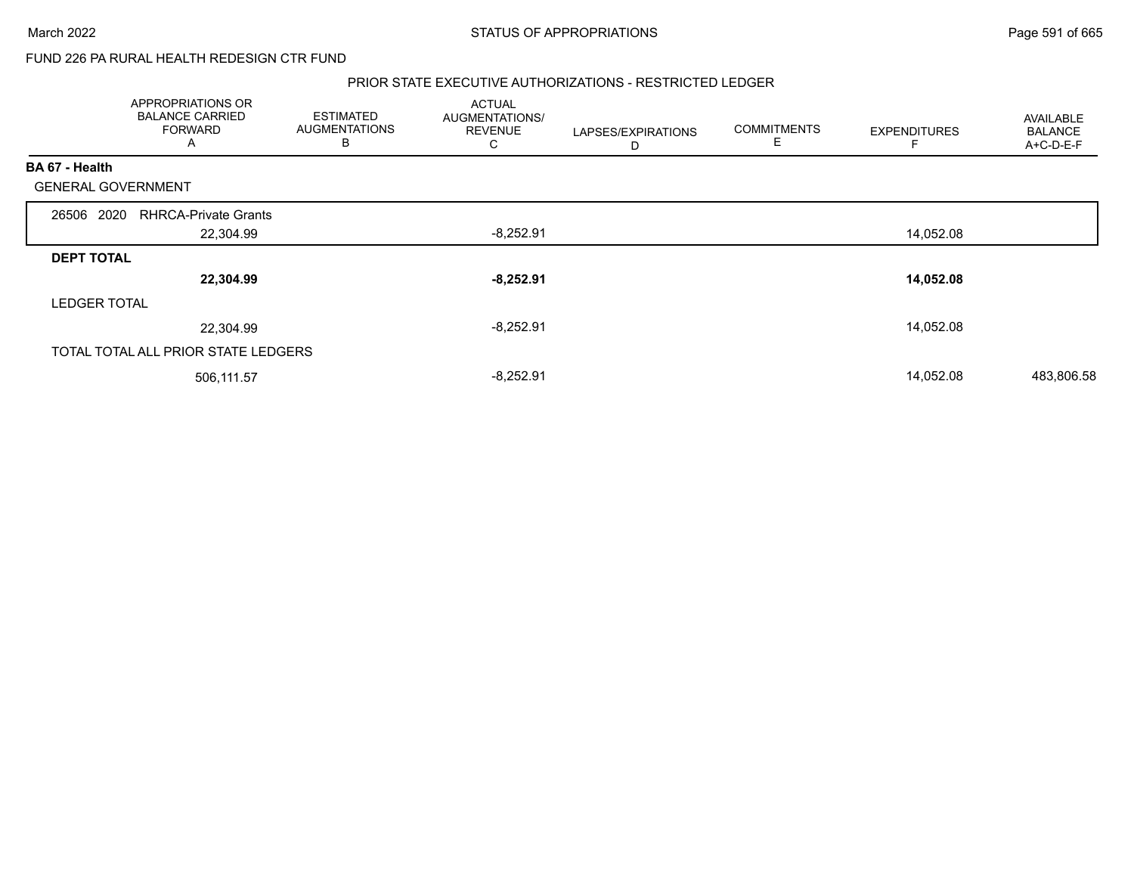# FUND 226 PA RURAL HEALTH REDESIGN CTR FUND

### PRIOR STATE EXECUTIVE AUTHORIZATIONS - RESTRICTED LEDGER

|                           | APPROPRIATIONS OR<br><b>BALANCE CARRIED</b><br>FORWARD<br>A | <b>ESTIMATED</b><br><b>AUGMENTATIONS</b><br>B | <b>ACTUAL</b><br>AUGMENTATIONS/<br><b>REVENUE</b><br>C | LAPSES/EXPIRATIONS<br>D | <b>COMMITMENTS</b><br>Ε | <b>EXPENDITURES</b> | <b>AVAILABLE</b><br><b>BALANCE</b><br>A+C-D-E-F |
|---------------------------|-------------------------------------------------------------|-----------------------------------------------|--------------------------------------------------------|-------------------------|-------------------------|---------------------|-------------------------------------------------|
| BA 67 - Health            |                                                             |                                               |                                                        |                         |                         |                     |                                                 |
| <b>GENERAL GOVERNMENT</b> |                                                             |                                               |                                                        |                         |                         |                     |                                                 |
| 26506 2020                | <b>RHRCA-Private Grants</b>                                 |                                               |                                                        |                         |                         |                     |                                                 |
|                           | 22,304.99                                                   |                                               | $-8,252.91$                                            |                         |                         | 14,052.08           |                                                 |
| <b>DEPT TOTAL</b>         |                                                             |                                               |                                                        |                         |                         |                     |                                                 |
|                           | 22,304.99                                                   |                                               | $-8,252.91$                                            |                         |                         | 14,052.08           |                                                 |
| <b>LEDGER TOTAL</b>       |                                                             |                                               |                                                        |                         |                         |                     |                                                 |
|                           | 22,304.99                                                   |                                               | $-8,252.91$                                            |                         |                         | 14,052.08           |                                                 |
|                           | TOTAL TOTAL ALL PRIOR STATE LEDGERS                         |                                               |                                                        |                         |                         |                     |                                                 |
|                           | 506,111.57                                                  |                                               | $-8,252.91$                                            |                         |                         | 14,052.08           | 483,806.58                                      |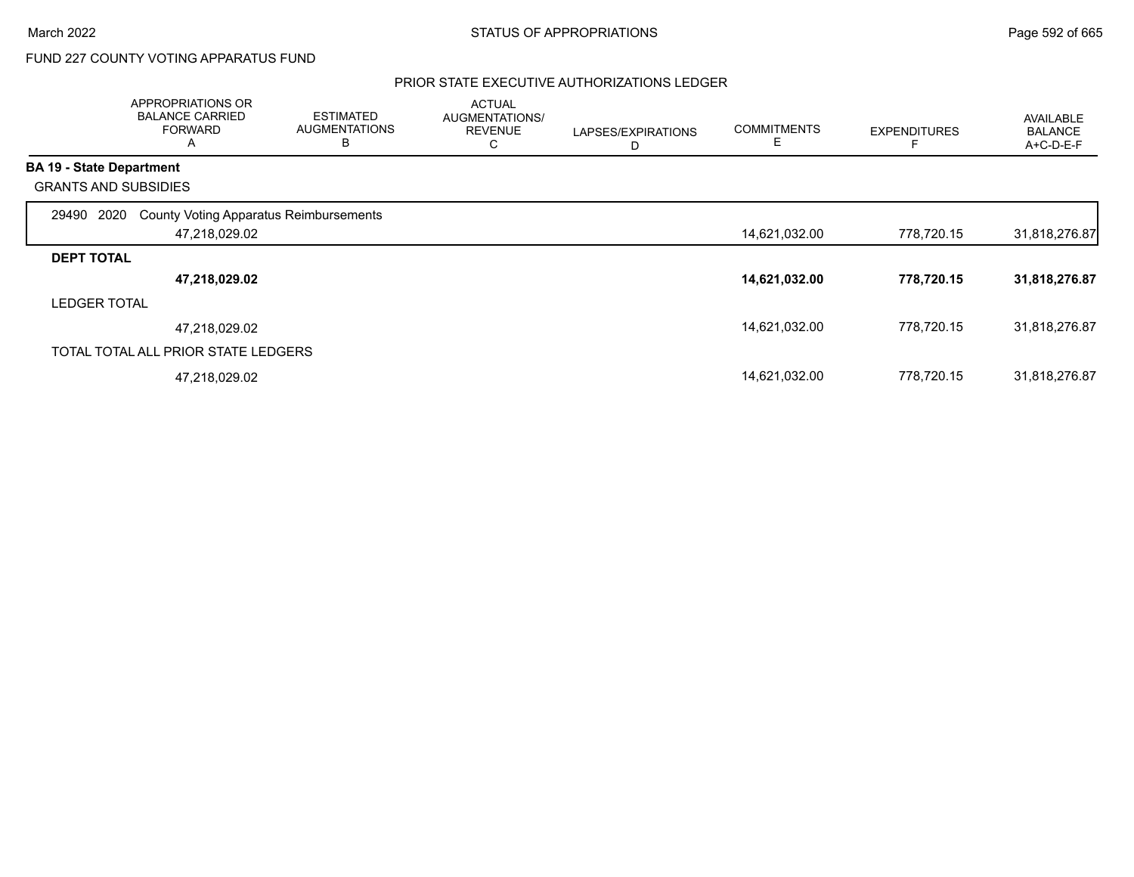# FUND 227 COUNTY VOTING APPARATUS FUND

## PRIOR STATE EXECUTIVE AUTHORIZATIONS LEDGER

|                                 | APPROPRIATIONS OR<br><b>BALANCE CARRIED</b><br><b>FORWARD</b><br>Α | <b>ESTIMATED</b><br><b>AUGMENTATIONS</b><br>B | <b>ACTUAL</b><br><b>AUGMENTATIONS/</b><br><b>REVENUE</b><br>С | LAPSES/EXPIRATIONS<br>D | <b>COMMITMENTS</b><br>Е | <b>EXPENDITURES</b> | AVAILABLE<br><b>BALANCE</b><br>A+C-D-E-F |
|---------------------------------|--------------------------------------------------------------------|-----------------------------------------------|---------------------------------------------------------------|-------------------------|-------------------------|---------------------|------------------------------------------|
| <b>BA 19 - State Department</b> |                                                                    |                                               |                                                               |                         |                         |                     |                                          |
| <b>GRANTS AND SUBSIDIES</b>     |                                                                    |                                               |                                                               |                         |                         |                     |                                          |
| 29490<br>2020                   | <b>County Voting Apparatus Reimbursements</b><br>47,218,029.02     |                                               |                                                               |                         | 14,621,032.00           | 778,720.15          | 31,818,276.87                            |
| <b>DEPT TOTAL</b>               |                                                                    |                                               |                                                               |                         |                         |                     |                                          |
|                                 | 47,218,029.02                                                      |                                               |                                                               |                         | 14,621,032.00           | 778,720.15          | 31,818,276.87                            |
| <b>LEDGER TOTAL</b>             |                                                                    |                                               |                                                               |                         |                         |                     |                                          |
|                                 | 47,218,029.02                                                      |                                               |                                                               |                         | 14,621,032.00           | 778.720.15          | 31,818,276.87                            |
|                                 | TOTAL TOTAL ALL PRIOR STATE LEDGERS                                |                                               |                                                               |                         |                         |                     |                                          |
|                                 | 47,218,029.02                                                      |                                               |                                                               |                         | 14,621,032.00           | 778.720.15          | 31,818,276.87                            |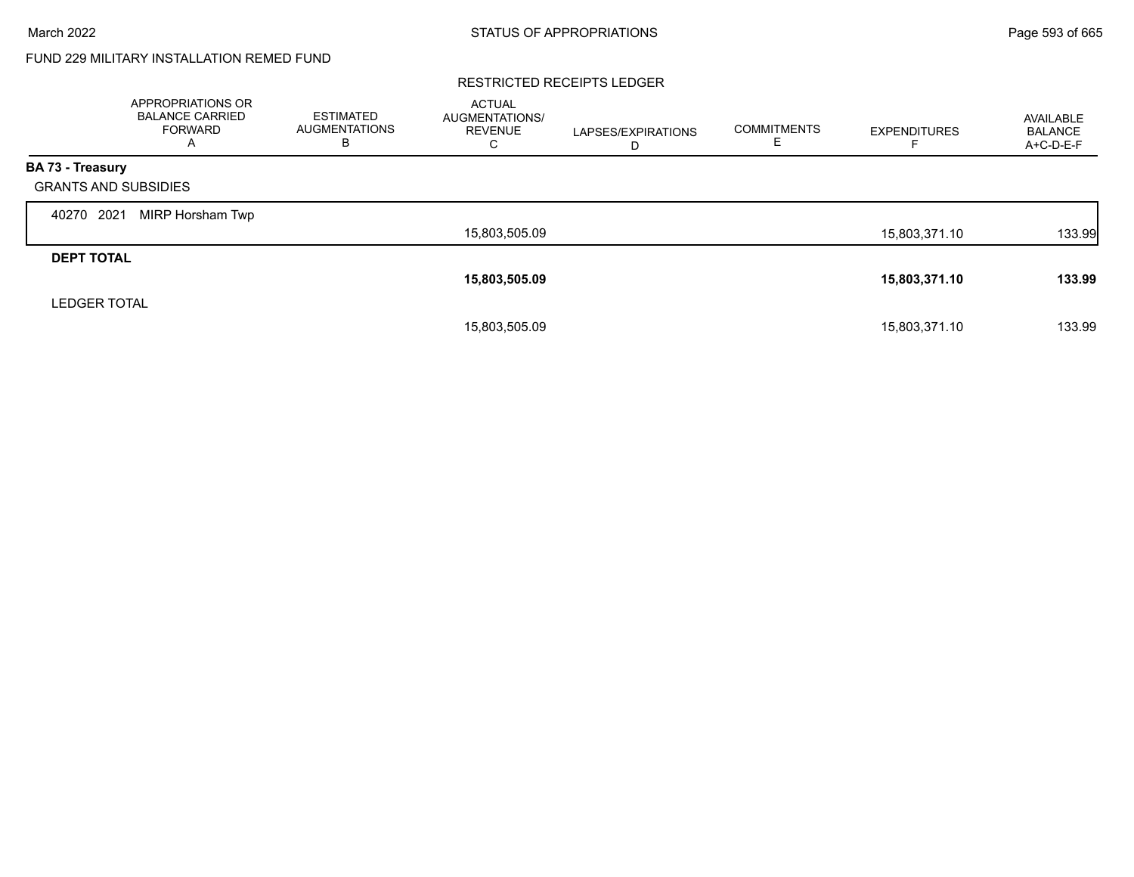# FUND 229 MILITARY INSTALLATION REMED FUND

### RESTRICTED RECEIPTS LEDGER

|                             | <b>APPROPRIATIONS OR</b><br><b>BALANCE CARRIED</b><br>FORWARD<br>A | <b>ESTIMATED</b><br><b>AUGMENTATIONS</b><br>в | <b>ACTUAL</b><br>AUGMENTATIONS/<br><b>REVENUE</b><br>С | LAPSES/EXPIRATIONS<br>D | <b>COMMITMENTS</b> | <b>EXPENDITURES</b> | AVAILABLE<br><b>BALANCE</b><br>A+C-D-E-F |
|-----------------------------|--------------------------------------------------------------------|-----------------------------------------------|--------------------------------------------------------|-------------------------|--------------------|---------------------|------------------------------------------|
| <b>BA 73 - Treasury</b>     |                                                                    |                                               |                                                        |                         |                    |                     |                                          |
| <b>GRANTS AND SUBSIDIES</b> |                                                                    |                                               |                                                        |                         |                    |                     |                                          |
| 2021<br>40270               | MIRP Horsham Twp                                                   |                                               |                                                        |                         |                    |                     |                                          |
|                             |                                                                    |                                               | 15,803,505.09                                          |                         |                    | 15,803,371.10       | 133.99                                   |
| <b>DEPT TOTAL</b>           |                                                                    |                                               |                                                        |                         |                    |                     |                                          |
|                             |                                                                    |                                               | 15,803,505.09                                          |                         |                    | 15,803,371.10       | 133.99                                   |
| <b>LEDGER TOTAL</b>         |                                                                    |                                               |                                                        |                         |                    |                     |                                          |
|                             |                                                                    |                                               | 15,803,505.09                                          |                         |                    | 15.803.371.10       | 133.99                                   |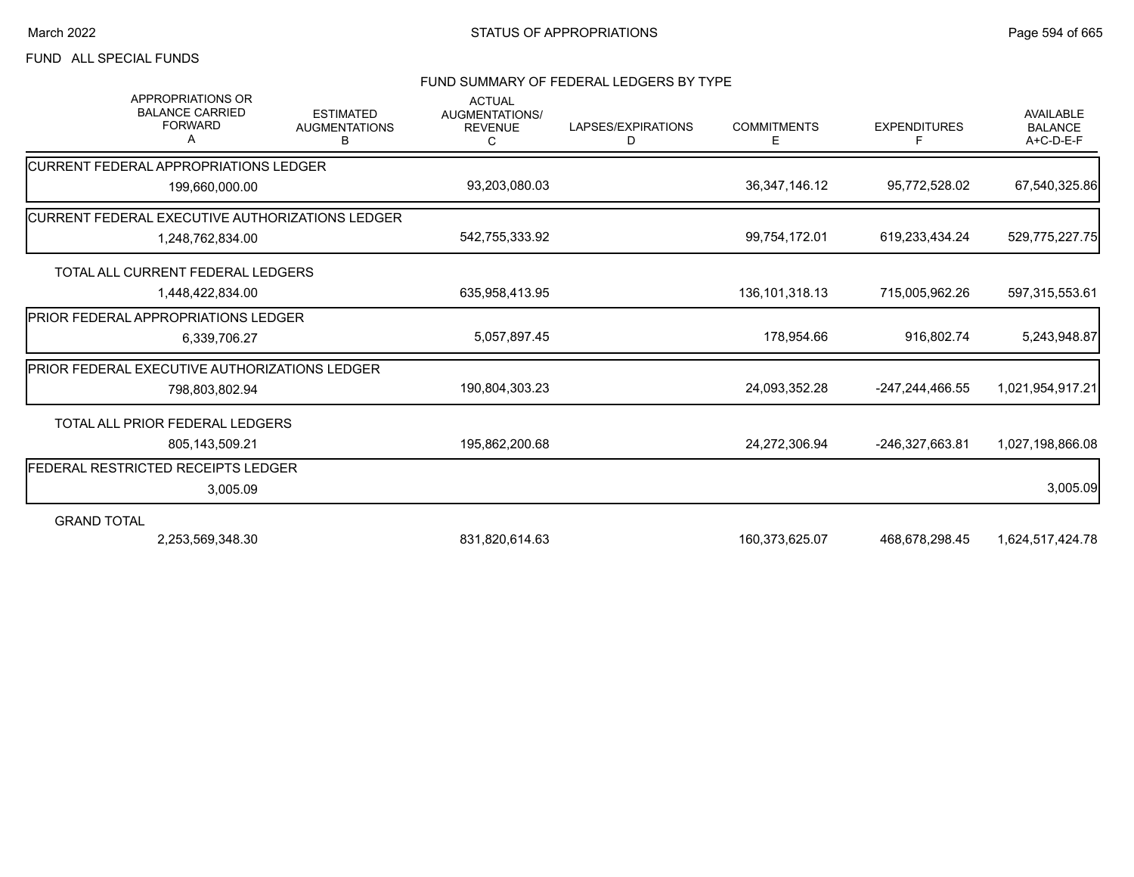## FUND ALL SPECIAL FUNDS

#### FUND SUMMARY OF FEDERAL LEDGERS BY TYPE

| <b>APPROPRIATIONS OR</b><br><b>BALANCE CARRIED</b><br><b>FORWARD</b><br>A | <b>ESTIMATED</b><br><b>AUGMENTATIONS</b><br>в | <b>ACTUAL</b><br>AUGMENTATIONS/<br><b>REVENUE</b><br>C | LAPSES/EXPIRATIONS<br>D | <b>COMMITMENTS</b><br>Е | <b>EXPENDITURES</b><br>F | <b>AVAILABLE</b><br><b>BALANCE</b><br>A+C-D-E-F |
|---------------------------------------------------------------------------|-----------------------------------------------|--------------------------------------------------------|-------------------------|-------------------------|--------------------------|-------------------------------------------------|
| <b>ICURRENT FEDERAL APPROPRIATIONS LEDGER</b>                             |                                               |                                                        |                         |                         |                          |                                                 |
| 199,660,000.00                                                            |                                               | 93,203,080.03                                          |                         | 36, 347, 146. 12        | 95,772,528.02            | 67,540,325.86                                   |
| <b>ICURRENT FEDERAL EXECUTIVE AUTHORIZATIONS LEDGER</b>                   |                                               |                                                        |                         |                         |                          |                                                 |
| 1,248,762,834.00                                                          |                                               | 542,755,333.92                                         |                         | 99,754,172.01           | 619,233,434.24           | 529,775,227.75                                  |
| TOTAL ALL CURRENT FEDERAL LEDGERS                                         |                                               |                                                        |                         |                         |                          |                                                 |
| 1,448,422,834.00                                                          |                                               | 635,958,413.95                                         |                         | 136, 101, 318. 13       | 715,005,962.26           | 597,315,553.61                                  |
| <b>IPRIOR FEDERAL APPROPRIATIONS LEDGER</b>                               |                                               |                                                        |                         |                         |                          |                                                 |
| 6,339,706.27                                                              |                                               | 5,057,897.45                                           |                         | 178,954.66              | 916,802.74               | 5,243,948.87                                    |
| <b>PRIOR FEDERAL EXECUTIVE AUTHORIZATIONS LEDGER</b>                      |                                               |                                                        |                         |                         |                          |                                                 |
| 798.803.802.94                                                            |                                               | 190,804,303.23                                         |                         | 24,093,352.28           | -247,244,466.55          | 1,021,954,917.21                                |
| TOTAL ALL PRIOR FEDERAL LEDGERS                                           |                                               |                                                        |                         |                         |                          |                                                 |
| 805,143,509.21                                                            |                                               | 195,862,200.68                                         |                         | 24,272,306.94           | -246,327,663.81          | 1,027,198,866.08                                |
| FEDERAL RESTRICTED RECEIPTS LEDGER                                        |                                               |                                                        |                         |                         |                          |                                                 |
| 3,005.09                                                                  |                                               |                                                        |                         |                         |                          | 3,005.09                                        |
| <b>GRAND TOTAL</b>                                                        |                                               |                                                        |                         |                         |                          |                                                 |
| 2,253,569,348.30                                                          |                                               | 831,820,614.63                                         |                         | 160,373,625.07          | 468,678,298.45           | 1,624,517,424.78                                |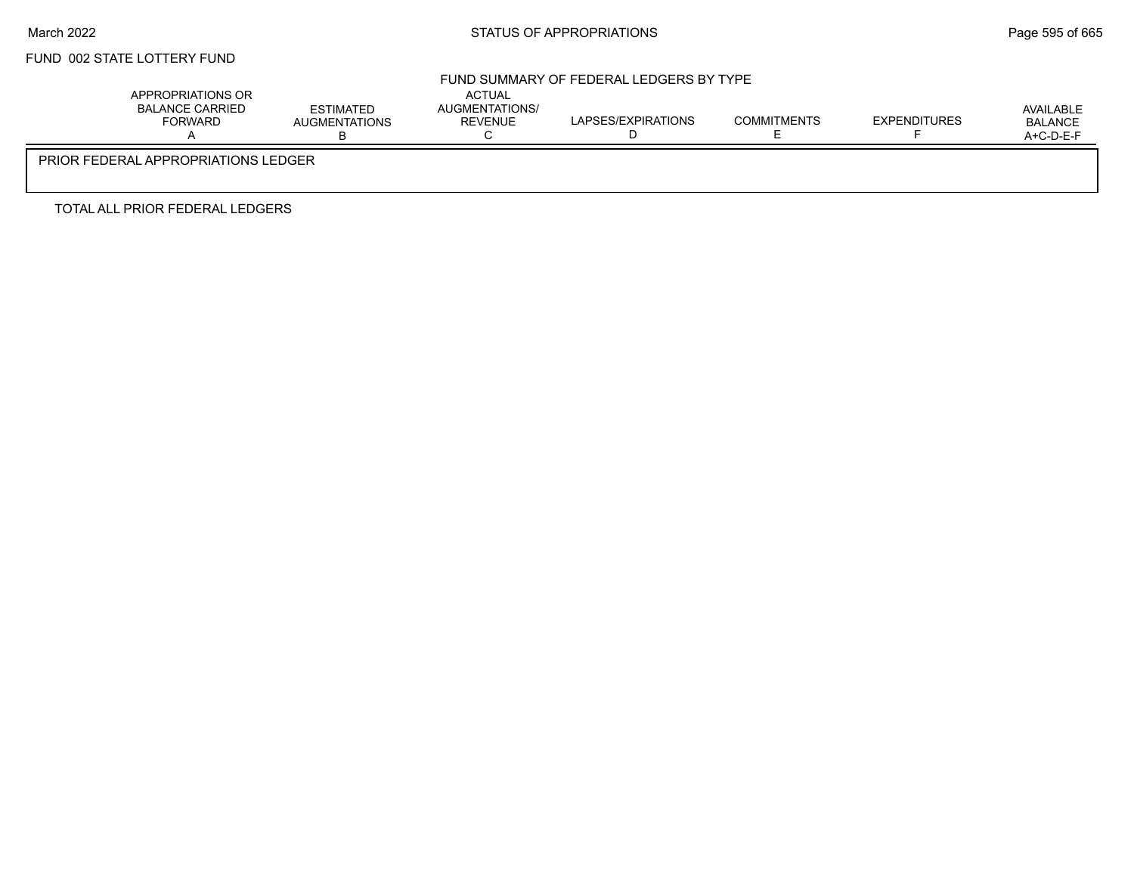# FUND 002 STATE LOTTERY FUND

## FUND SUMMARY OF FEDERAL LEDGERS BY TYPE

| APPROPRIATIONS OR<br>BALANCE CARRIED<br>FORWARD | ESTIMATED<br><b>AUGMENTATIONS</b> | <b>ACTUAL</b><br>AUGMENTATIONS/<br><b>REVENUE</b> | LAPSES/EXPIRATIONS | <b>COMMITMENTS</b> | <b>EXPENDITURES</b> | AVAILABLE<br><b>BALANCE</b><br>$A+C-D-E-F$ |  |  |
|-------------------------------------------------|-----------------------------------|---------------------------------------------------|--------------------|--------------------|---------------------|--------------------------------------------|--|--|
| PRIOR FEDERAL APPROPRIATIONS LEDGER             |                                   |                                                   |                    |                    |                     |                                            |  |  |

TOTAL ALL PRIOR FEDERAL LEDGERS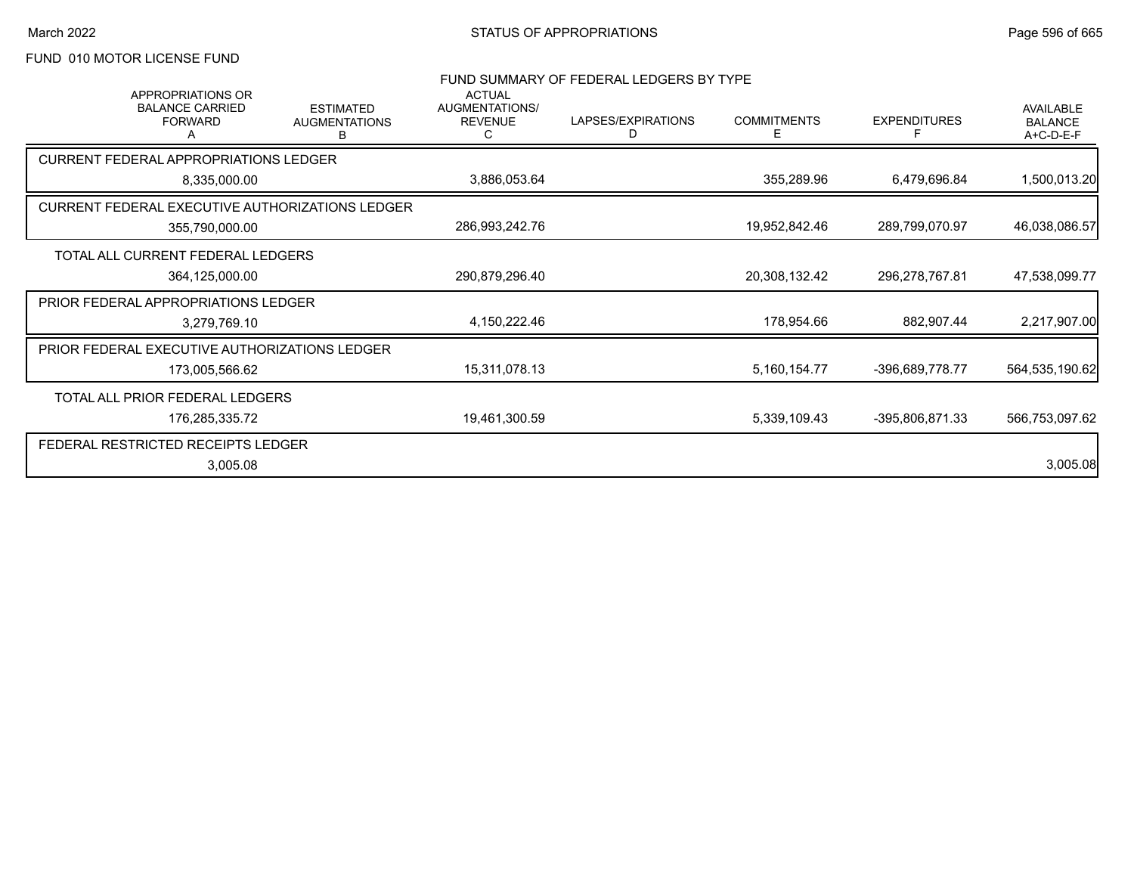# FUND 010 MOTOR LICENSE FUND

| <b>APPROPRIATIONS OR</b>                        |                                               | <b>ACTUAL</b>                    | FUND SUMMARY OF FEDERAL LEDGERS BY TYPE |                         |                     |                                                 |
|-------------------------------------------------|-----------------------------------------------|----------------------------------|-----------------------------------------|-------------------------|---------------------|-------------------------------------------------|
| <b>BALANCE CARRIED</b><br><b>FORWARD</b>        | <b>ESTIMATED</b><br><b>AUGMENTATIONS</b><br>в | AUGMENTATIONS/<br><b>REVENUE</b> | LAPSES/EXPIRATIONS<br>D                 | <b>COMMITMENTS</b><br>Е | <b>EXPENDITURES</b> | <b>AVAILABLE</b><br><b>BALANCE</b><br>A+C-D-E-F |
| <b>CURRENT FEDERAL APPROPRIATIONS LEDGER</b>    |                                               |                                  |                                         |                         |                     |                                                 |
| 8,335,000.00                                    |                                               | 3,886,053.64                     |                                         | 355,289.96              | 6,479,696.84        | 1,500,013.20                                    |
| CURRENT FEDERAL EXECUTIVE AUTHORIZATIONS LEDGER |                                               |                                  |                                         |                         |                     |                                                 |
| 355,790,000.00                                  |                                               | 286,993,242.76                   |                                         | 19,952,842.46           | 289,799,070.97      | 46,038,086.57                                   |
| TOTAL ALL CURRENT FEDERAL LEDGERS               |                                               |                                  |                                         |                         |                     |                                                 |
| 364,125,000.00                                  |                                               | 290,879,296.40                   |                                         | 20,308,132.42           | 296,278,767.81      | 47,538,099.77                                   |
| PRIOR FEDERAL APPROPRIATIONS LEDGER             |                                               |                                  |                                         |                         |                     |                                                 |
| 3,279,769.10                                    |                                               | 4,150,222.46                     |                                         | 178,954.66              | 882,907.44          | 2,217,907.00                                    |
| PRIOR FEDERAL EXECUTIVE AUTHORIZATIONS LEDGER   |                                               |                                  |                                         |                         |                     |                                                 |
| 173,005,566.62                                  |                                               | 15,311,078.13                    |                                         | 5,160,154.77            | -396,689,778.77     | 564,535,190.62                                  |
| TOTAL ALL PRIOR FEDERAL LEDGERS                 |                                               |                                  |                                         |                         |                     |                                                 |
| 176,285,335.72                                  |                                               | 19,461,300.59                    |                                         | 5,339,109.43            | -395,806,871.33     | 566,753,097.62                                  |
| FEDERAL RESTRICTED RECEIPTS LEDGER              |                                               |                                  |                                         |                         |                     |                                                 |
| 3,005.08                                        |                                               |                                  |                                         |                         |                     | 3,005.08                                        |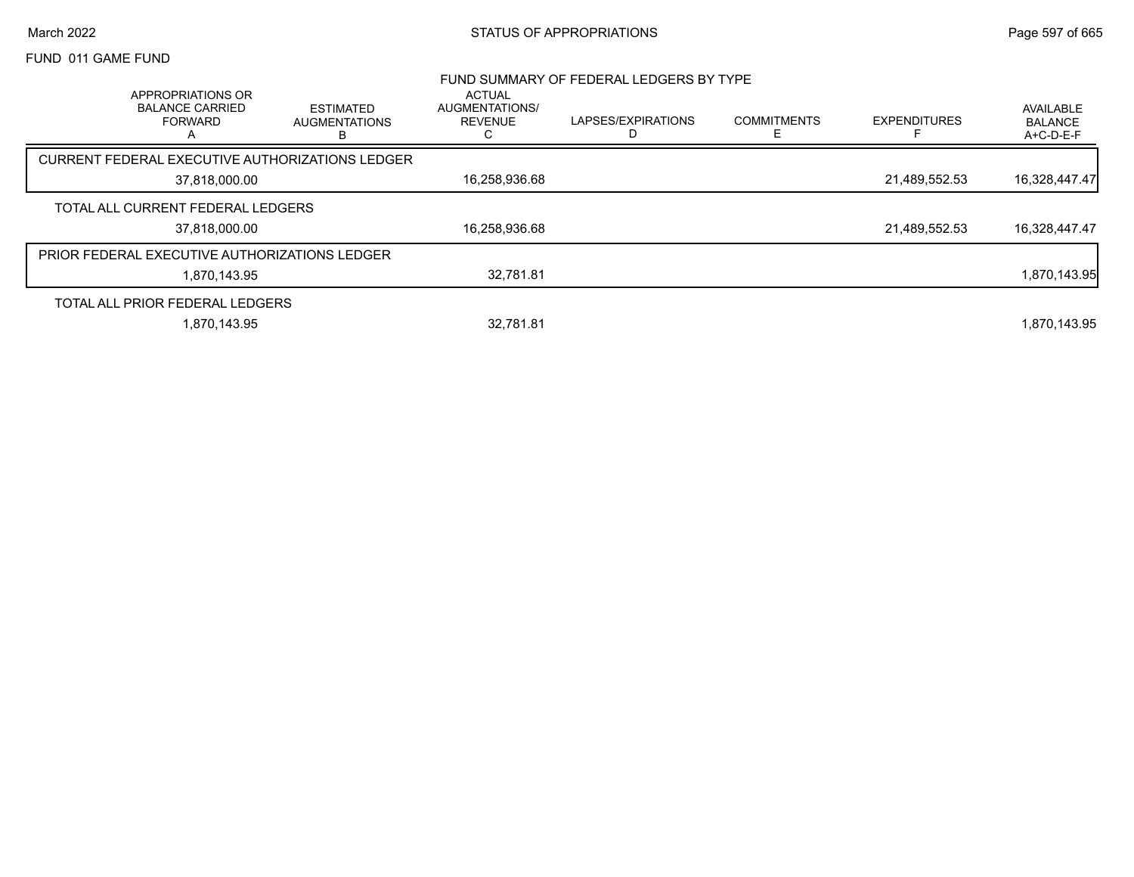## March 2022 **STATUS OF APPROPRIATIONS** STATUS OF APPROPRIATIONS

## FUND 011 GAME FUND

|                                                                    |                                               |                                                        | FUND SUMMARY OF FEDERAL LEDGERS BY TYPE |                    |                     |                                          |
|--------------------------------------------------------------------|-----------------------------------------------|--------------------------------------------------------|-----------------------------------------|--------------------|---------------------|------------------------------------------|
| APPROPRIATIONS OR<br><b>BALANCE CARRIED</b><br><b>FORWARD</b><br>А | <b>ESTIMATED</b><br><b>AUGMENTATIONS</b><br>в | <b>ACTUAL</b><br>AUGMENTATIONS/<br><b>REVENUE</b><br>С | LAPSES/EXPIRATIONS                      | <b>COMMITMENTS</b> | <b>EXPENDITURES</b> | AVAILABLE<br><b>BALANCE</b><br>A+C-D-E-F |
| CURRENT FEDERAL EXECUTIVE AUTHORIZATIONS LEDGER                    |                                               |                                                        |                                         |                    |                     |                                          |
| 37,818,000.00                                                      |                                               | 16,258,936.68                                          |                                         |                    | 21,489,552.53       | 16,328,447.47                            |
| TOTAL ALL CURRENT FEDERAL LEDGERS                                  |                                               |                                                        |                                         |                    |                     |                                          |
| 37.818.000.00                                                      |                                               | 16,258,936.68                                          |                                         |                    | 21.489.552.53       | 16,328,447.47                            |
| <b>PRIOR FEDERAL EXECUTIVE AUTHORIZATIONS LEDGER</b>               |                                               |                                                        |                                         |                    |                     |                                          |
| 1.870.143.95                                                       |                                               | 32.781.81                                              |                                         |                    |                     | 1,870,143.95                             |
| TOTAL ALL PRIOR FEDERAL LEDGERS                                    |                                               |                                                        |                                         |                    |                     |                                          |
| 1.870.143.95                                                       |                                               | 32.781.81                                              |                                         |                    |                     | 1.870.143.95                             |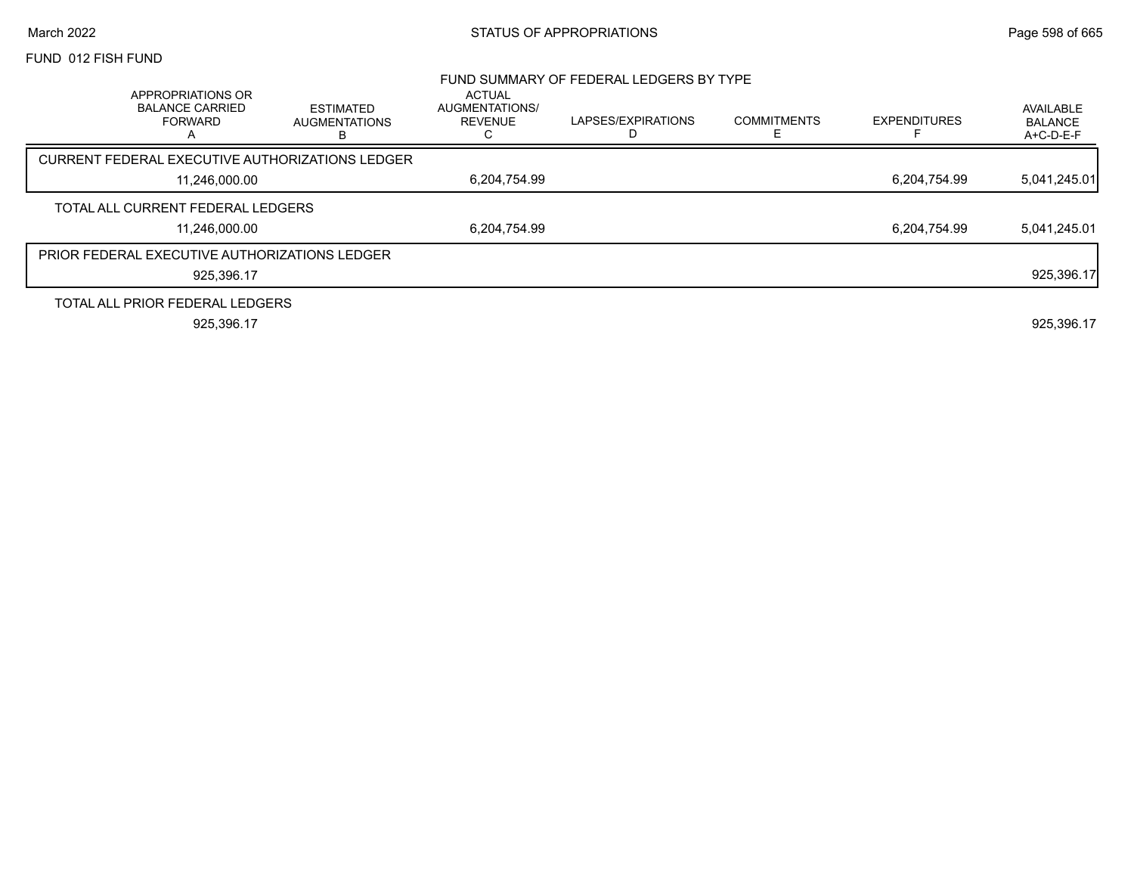## March 2022 **Example 2022** Page 598 of 665

## FUND 012 FISH FUND

|                                                                    |                                        |                                                        | FUND SUMMARY OF FEDERAL LEDGERS BY TYPE |                    |                     |                                          |
|--------------------------------------------------------------------|----------------------------------------|--------------------------------------------------------|-----------------------------------------|--------------------|---------------------|------------------------------------------|
| APPROPRIATIONS OR<br><b>BALANCE CARRIED</b><br><b>FORWARD</b><br>A | ESTIMATED<br><b>AUGMENTATIONS</b><br>В | <b>ACTUAL</b><br>AUGMENTATIONS/<br><b>REVENUE</b><br>◡ | LAPSES/EXPIRATIONS                      | <b>COMMITMENTS</b> | <b>EXPENDITURES</b> | AVAILABLE<br><b>BALANCE</b><br>A+C-D-E-F |
| CURRENT FEDERAL EXECUTIVE AUTHORIZATIONS LEDGER                    |                                        |                                                        |                                         |                    |                     |                                          |
| 11.246.000.00                                                      |                                        | 6,204,754.99                                           |                                         |                    | 6.204.754.99        | 5,041,245.01                             |
| TOTAL ALL CURRENT FEDERAL LEDGERS                                  |                                        |                                                        |                                         |                    |                     |                                          |
| 11.246.000.00                                                      |                                        | 6.204.754.99                                           |                                         |                    | 6.204.754.99        | 5,041,245.01                             |
| PRIOR FEDERAL EXECUTIVE AUTHORIZATIONS LEDGER                      |                                        |                                                        |                                         |                    |                     |                                          |
| 925,396.17                                                         |                                        |                                                        |                                         |                    |                     | 925,396.17                               |
| TOTAL ALL PRIOR FEDERAL LEDGERS                                    |                                        |                                                        |                                         |                    |                     |                                          |
| 925.396.17                                                         |                                        |                                                        |                                         |                    |                     | 925,396.17                               |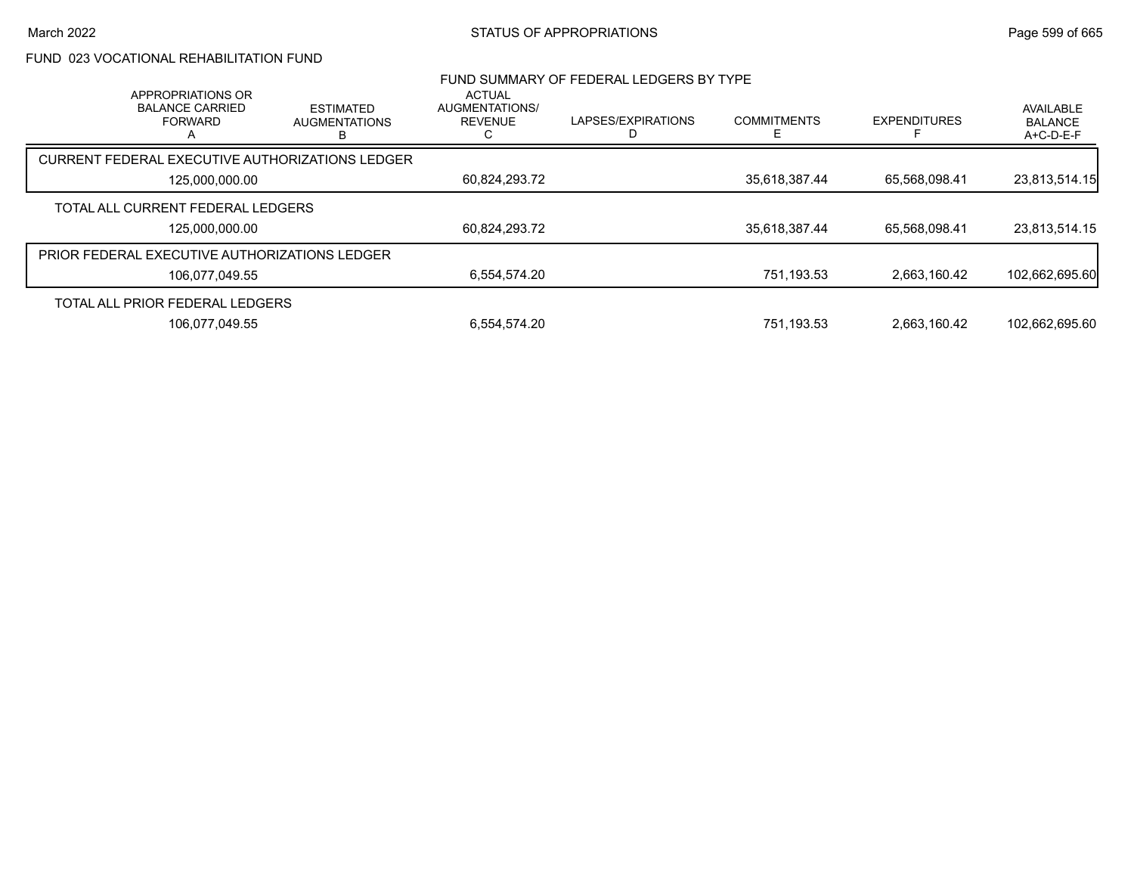# FUND 023 VOCATIONAL REHABILITATION FUND

| APPROPRIATIONS OR                                    |                                               | <b>ACTUAL</b>                    | FUND SUMMARY OF FEDERAL LEDGERS BY TYPE |                         |                     |                                          |
|------------------------------------------------------|-----------------------------------------------|----------------------------------|-----------------------------------------|-------------------------|---------------------|------------------------------------------|
| <b>BALANCE CARRIED</b><br><b>FORWARD</b>             | <b>ESTIMATED</b><br><b>AUGMENTATIONS</b><br>в | AUGMENTATIONS/<br><b>REVENUE</b> | LAPSES/EXPIRATIONS                      | <b>COMMITMENTS</b><br>F | <b>EXPENDITURES</b> | AVAILABLE<br><b>BALANCE</b><br>A+C-D-E-F |
| CURRENT FEDERAL EXECUTIVE AUTHORIZATIONS LEDGER      |                                               |                                  |                                         |                         |                     |                                          |
| 125,000,000.00                                       |                                               | 60,824,293.72                    |                                         | 35,618,387.44           | 65,568,098.41       | 23,813,514.15                            |
| TOTAL ALL CURRENT FEDERAL LEDGERS                    |                                               |                                  |                                         |                         |                     |                                          |
| 125,000,000.00                                       |                                               | 60,824,293.72                    |                                         | 35,618,387.44           | 65,568,098.41       | 23,813,514.15                            |
| <b>PRIOR FEDERAL EXECUTIVE AUTHORIZATIONS LEDGER</b> |                                               |                                  |                                         |                         |                     |                                          |
| 106,077,049.55                                       |                                               | 6.554.574.20                     |                                         | 751,193.53              | 2.663.160.42        | 102,662,695.60                           |
| TOTAL ALL PRIOR FEDERAL LEDGERS                      |                                               |                                  |                                         |                         |                     |                                          |
| 106.077.049.55                                       |                                               | 6.554.574.20                     |                                         | 751.193.53              | 2.663.160.42        | 102.662.695.60                           |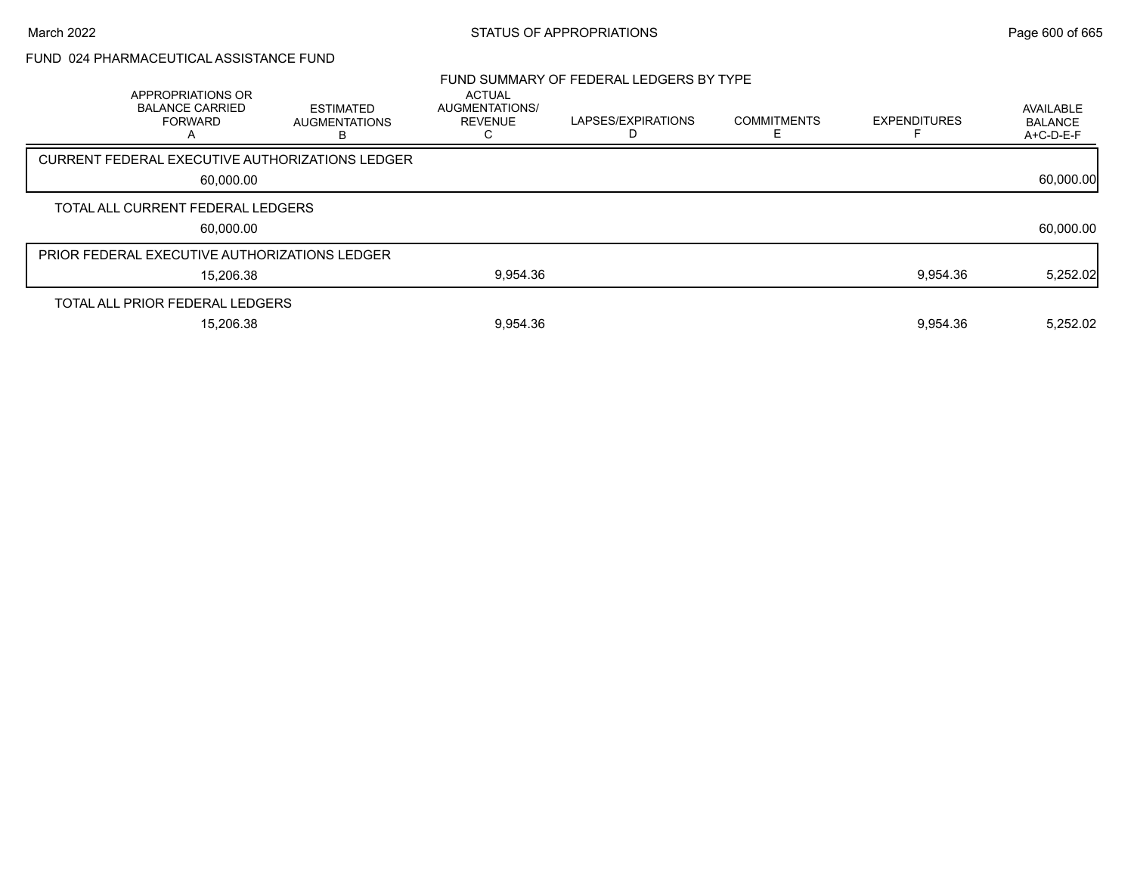## FUND 024 PHARMACEUTICAL ASSISTANCE FUND

| APPROPRIATIONS OR<br><b>BALANCE CARRIED</b><br><b>FORWARD</b><br>A | <b>ESTIMATED</b><br><b>AUGMENTATIONS</b>        | <b>ACTUAL</b><br>AUGMENTATIONS/<br>REVENUE<br>С | FUND SUMMARY OF FEDERAL LEDGERS BY TYPE<br>LAPSES/EXPIRATIONS | <b>COMMITMENTS</b> | <b>EXPENDITURES</b> | AVAILABLE<br><b>BALANCE</b><br>A+C-D-E-F |
|--------------------------------------------------------------------|-------------------------------------------------|-------------------------------------------------|---------------------------------------------------------------|--------------------|---------------------|------------------------------------------|
|                                                                    | CURRENT FEDERAL EXECUTIVE AUTHORIZATIONS LEDGER |                                                 |                                                               |                    |                     |                                          |
| 60,000.00                                                          |                                                 |                                                 |                                                               |                    |                     | 60,000.00                                |
| TOTAL ALL CURRENT FEDERAL LEDGERS                                  |                                                 |                                                 |                                                               |                    |                     |                                          |
| 60,000.00                                                          |                                                 |                                                 |                                                               |                    |                     | 60,000.00                                |
| PRIOR FEDERAL EXECUTIVE AUTHORIZATIONS LEDGER                      |                                                 |                                                 |                                                               |                    |                     |                                          |
| 15,206.38                                                          |                                                 | 9,954.36                                        |                                                               |                    | 9,954.36            | 5,252.02                                 |
| TOTAL ALL PRIOR FEDERAL LEDGERS                                    |                                                 |                                                 |                                                               |                    |                     |                                          |
| 15,206.38                                                          |                                                 | 9,954.36                                        |                                                               |                    | 9.954.36            | 5,252.02                                 |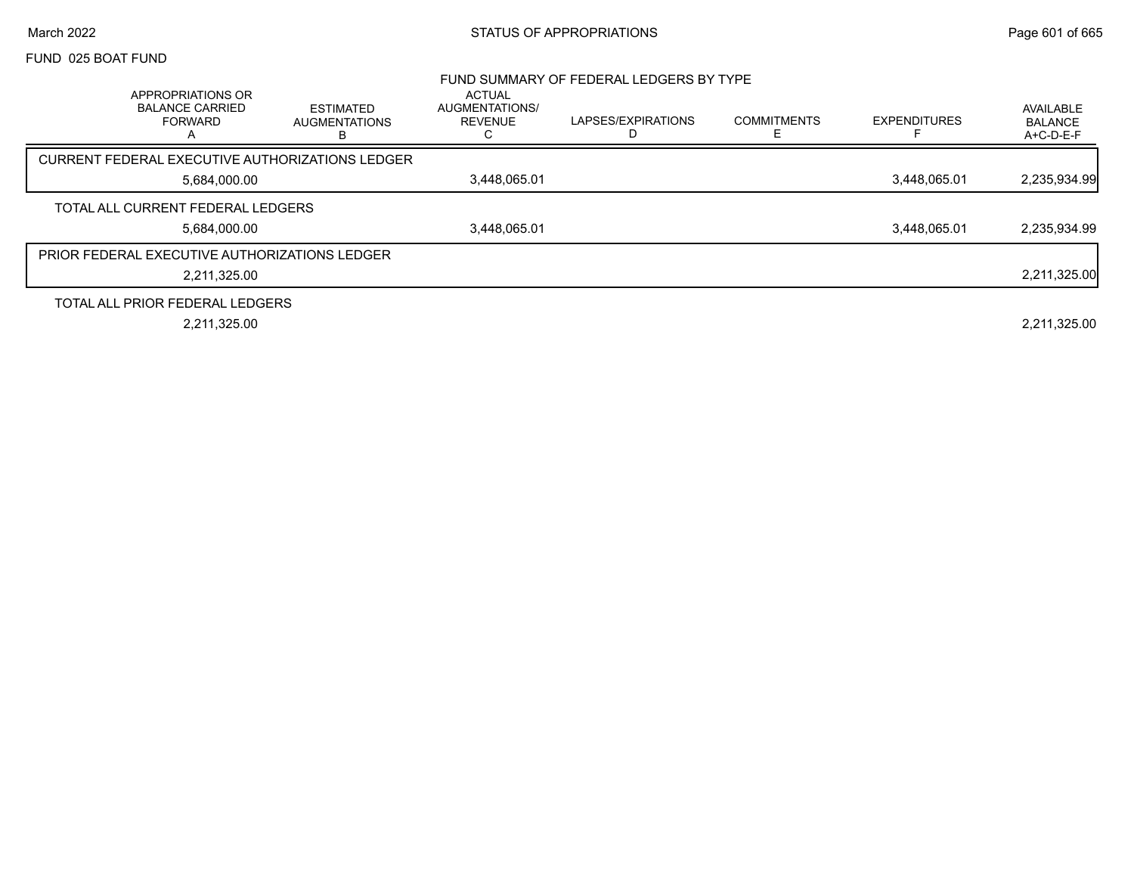## March 2022 **STATUS OF APPROPRIATIONS** STATUS OF APPROPRIATIONS

## FUND 025 BOAT FUND

|                                                                    |                                               |                                                        | FUND SUMMARY OF FEDERAL LEDGERS BY TYPE |                    |                     |                                   |
|--------------------------------------------------------------------|-----------------------------------------------|--------------------------------------------------------|-----------------------------------------|--------------------|---------------------|-----------------------------------|
| APPROPRIATIONS OR<br><b>BALANCE CARRIED</b><br><b>FORWARD</b><br>A | <b>ESTIMATED</b><br><b>AUGMENTATIONS</b><br>В | <b>ACTUAL</b><br>AUGMENTATIONS/<br><b>REVENUE</b><br>С | LAPSES/EXPIRATIONS                      | <b>COMMITMENTS</b> | <b>EXPENDITURES</b> | AVAILABLE<br>BALANCE<br>A+C-D-E-F |
| CURRENT FEDERAL EXECUTIVE AUTHORIZATIONS LEDGER                    |                                               |                                                        |                                         |                    |                     |                                   |
| 5,684,000.00                                                       |                                               | 3.448.065.01                                           |                                         |                    | 3.448.065.01        | 2,235,934.99                      |
| TOTAL ALL CURRENT FEDERAL LEDGERS                                  |                                               |                                                        |                                         |                    |                     |                                   |
| 5.684.000.00                                                       |                                               | 3.448.065.01                                           |                                         |                    | 3.448.065.01        | 2,235,934.99                      |
| <b>PRIOR FEDERAL EXECUTIVE AUTHORIZATIONS LEDGER</b>               |                                               |                                                        |                                         |                    |                     |                                   |
| 2,211,325.00                                                       |                                               |                                                        |                                         |                    |                     | 2,211,325.00                      |
| TOTAL ALL PRIOR FEDERAL LEDGERS                                    |                                               |                                                        |                                         |                    |                     |                                   |
| 2,211,325.00                                                       |                                               |                                                        |                                         |                    |                     | 2,211,325.00                      |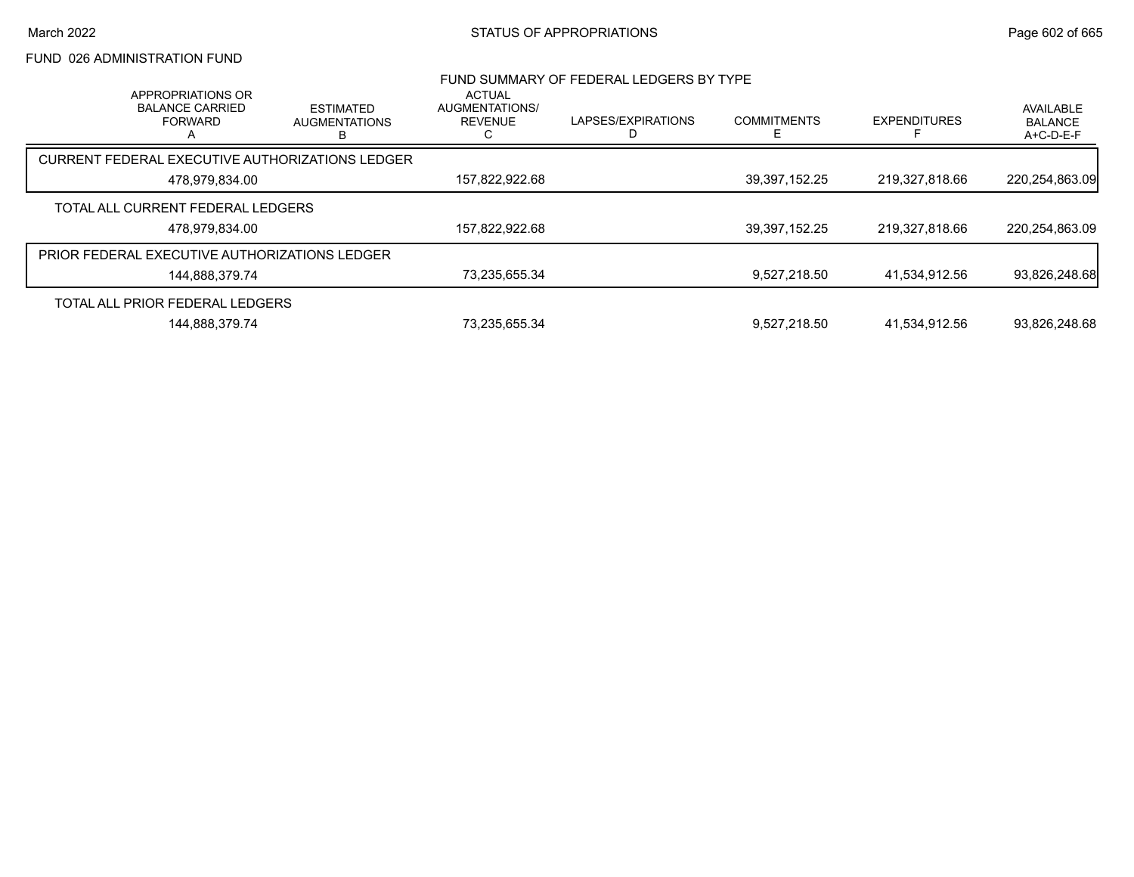# FUND 026 ADMINISTRATION FUND

|                                                      | APPROPRIATIONS OR                        |                                          | <b>ACTUAL</b>                    | FUND SUMMARY OF FEDERAL LEDGERS BY TYPE |                    |                     |                                          |
|------------------------------------------------------|------------------------------------------|------------------------------------------|----------------------------------|-----------------------------------------|--------------------|---------------------|------------------------------------------|
|                                                      | <b>BALANCE CARRIED</b><br><b>FORWARD</b> | <b>ESTIMATED</b><br><b>AUGMENTATIONS</b> | AUGMENTATIONS/<br><b>REVENUE</b> | LAPSES/EXPIRATIONS                      | <b>COMMITMENTS</b> | <b>EXPENDITURES</b> | AVAILABLE<br><b>BALANCE</b><br>A+C-D-E-F |
| CURRENT FEDERAL EXECUTIVE AUTHORIZATIONS LEDGER      |                                          |                                          |                                  |                                         |                    |                     |                                          |
|                                                      | 478,979,834.00                           |                                          | 157,822,922.68                   |                                         | 39, 397, 152. 25   | 219,327,818.66      | 220,254,863.09                           |
| TOTAL ALL CURRENT FEDERAL LEDGERS                    |                                          |                                          |                                  |                                         |                    |                     |                                          |
|                                                      | 478.979.834.00                           |                                          | 157,822,922.68                   |                                         | 39,397,152.25      | 219,327,818.66      | 220.254.863.09                           |
| <b>PRIOR FEDERAL EXECUTIVE AUTHORIZATIONS LEDGER</b> |                                          |                                          |                                  |                                         |                    |                     |                                          |
|                                                      | 144,888,379.74                           |                                          | 73,235,655.34                    |                                         | 9.527.218.50       | 41.534.912.56       | 93,826,248.68                            |
| TOTAL ALL PRIOR FEDERAL LEDGERS                      |                                          |                                          |                                  |                                         |                    |                     |                                          |
|                                                      | 144.888.379.74                           |                                          | 73.235.655.34                    |                                         | 9.527.218.50       | 41.534.912.56       | 93.826.248.68                            |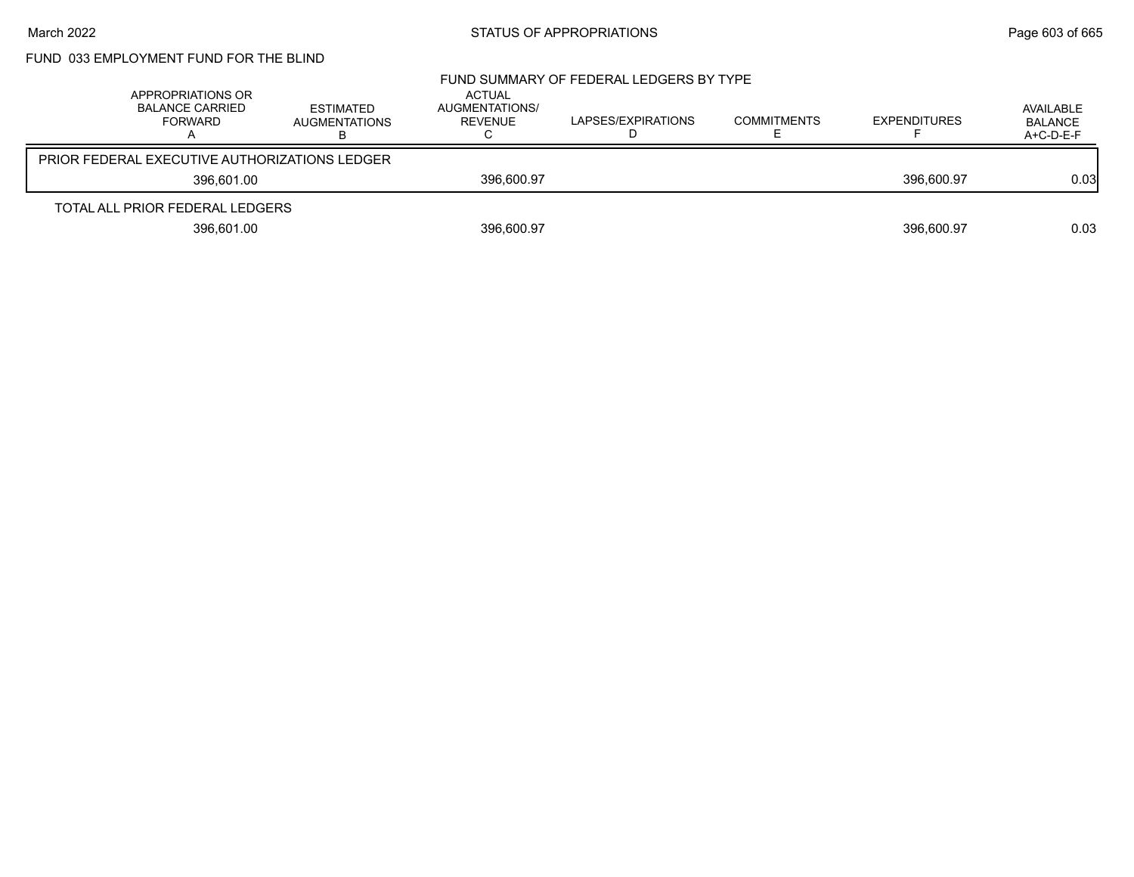# FUND 033 EMPLOYMENT FUND FOR THE BLIND

| APPROPRIATIONS OR<br>BALANCE CARRIED<br><b>FORWARD</b> | ESTIMATED<br><b>AUGMENTATIONS</b> | ACTUAL<br>AUGMENTATIONS/<br>REVENUE | FUND SUMMARY OF FEDERAL LEDGERS BY TYPE<br>LAPSES/EXPIRATIONS | <b>COMMITMENTS</b> | <b>EXPENDITURES</b> | AVAILABLE<br><b>BALANCE</b><br>$A+C-D-E-F$ |
|--------------------------------------------------------|-----------------------------------|-------------------------------------|---------------------------------------------------------------|--------------------|---------------------|--------------------------------------------|
| PRIOR FEDERAL EXECUTIVE AUTHORIZATIONS LEDGER          |                                   |                                     |                                                               |                    |                     |                                            |
| 396.601.00                                             |                                   | 396,600.97                          |                                                               |                    | 396.600.97          | 0.03                                       |
| TOTAL ALL PRIOR FEDERAL LEDGERS                        |                                   |                                     |                                                               |                    |                     |                                            |
| 396.601.00                                             |                                   | 396,600.97                          |                                                               |                    | 396.600.97          | 0.03                                       |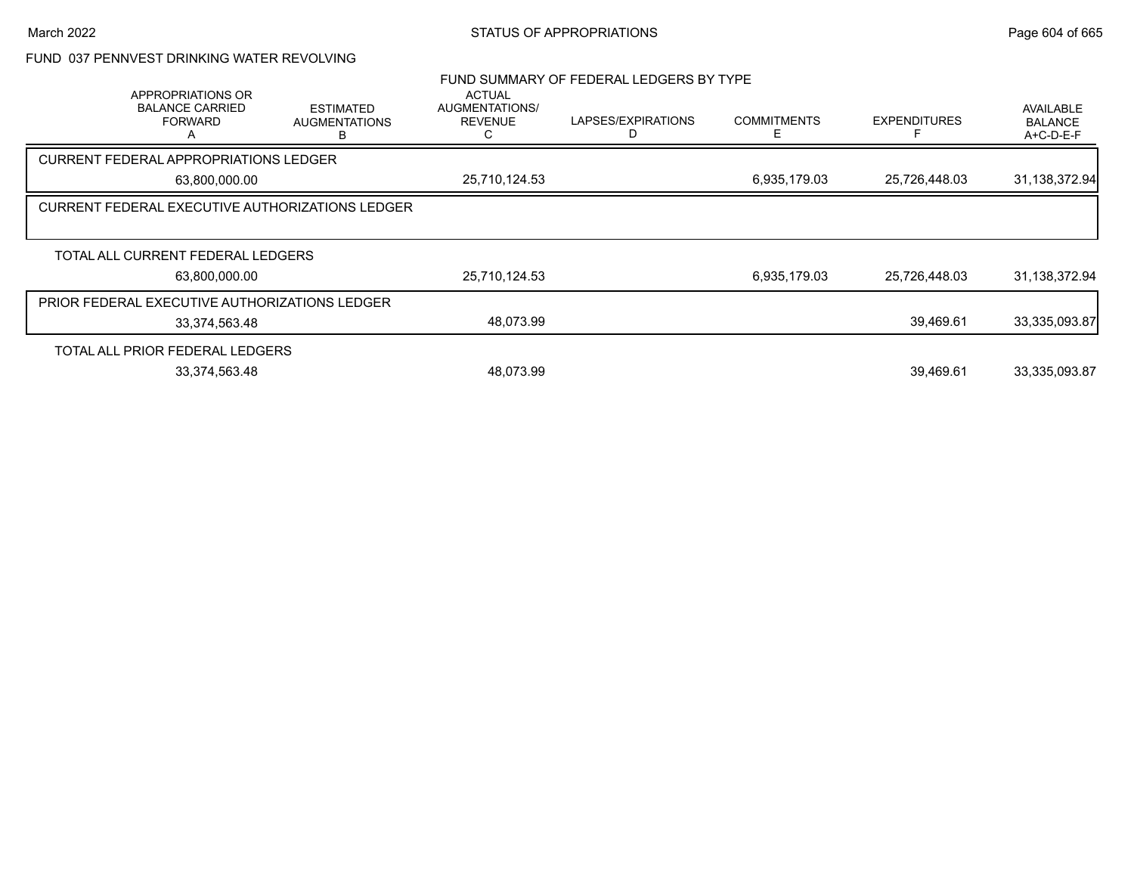## FUND 037 PENNVEST DRINKING WATER REVOLVING

|               | APPROPRIATIONS OR<br><b>BALANCE CARRIED</b><br><b>FORWARD</b> | <b>ESTIMATED</b><br><b>AUGMENTATIONS</b><br>в | <b>ACTUAL</b><br>AUGMENTATIONS/<br><b>REVENUE</b> | FUND SUMMARY OF FEDERAL LEDGERS BY TYPE<br>LAPSES/EXPIRATIONS | <b>COMMITMENTS</b><br>F | <b>EXPENDITURES</b> | <b>AVAILABLE</b><br><b>BALANCE</b><br>$A+C-D-E-F$ |
|---------------|---------------------------------------------------------------|-----------------------------------------------|---------------------------------------------------|---------------------------------------------------------------|-------------------------|---------------------|---------------------------------------------------|
|               | CURRENT FEDERAL APPROPRIATIONS LEDGER                         |                                               |                                                   |                                                               |                         |                     |                                                   |
|               | 63,800,000.00                                                 |                                               | 25,710,124.53                                     |                                                               | 6,935,179.03            | 25,726,448.03       | 31,138,372.94                                     |
|               | <b>CURRENT FEDERAL EXECUTIVE AUTHORIZATIONS LEDGER</b>        |                                               |                                                   |                                                               |                         |                     |                                                   |
|               | TOTAL ALL CURRENT FEDERAL LEDGERS                             |                                               |                                                   |                                                               |                         |                     |                                                   |
| 63.800.000.00 |                                                               |                                               | 25,710,124.53                                     |                                                               | 6,935,179.03            | 25,726,448.03       | 31, 138, 372. 94                                  |
|               | PRIOR FEDERAL EXECUTIVE AUTHORIZATIONS LEDGER                 |                                               |                                                   |                                                               |                         |                     |                                                   |
|               | 33,374,563.48                                                 |                                               | 48,073.99                                         |                                                               |                         | 39,469.61           | 33,335,093.87                                     |
|               | TOTAL ALL PRIOR FEDERAL LEDGERS                               |                                               |                                                   |                                                               |                         |                     |                                                   |
|               | 33,374,563.48                                                 |                                               | 48.073.99                                         |                                                               |                         | 39.469.61           | 33,335,093.87                                     |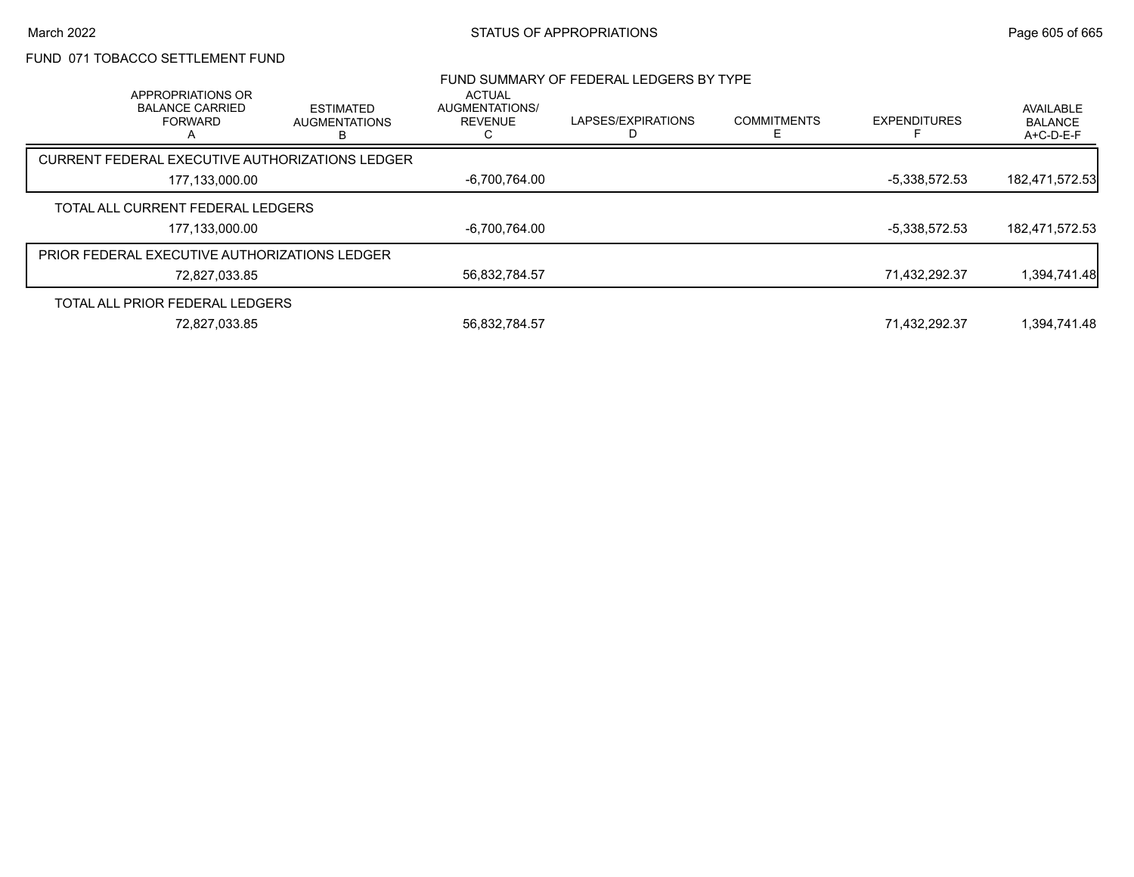# FUND 071 TOBACCO SETTLEMENT FUND

| APPROPRIATIONS OR                                    |                                               | <b>ACTUAL</b>                    | FUND SUMMARY OF FEDERAL LEDGERS BY TYPE |                         |                     |                                          |
|------------------------------------------------------|-----------------------------------------------|----------------------------------|-----------------------------------------|-------------------------|---------------------|------------------------------------------|
| <b>BALANCE CARRIED</b><br><b>FORWARD</b>             | <b>ESTIMATED</b><br><b>AUGMENTATIONS</b><br>B | AUGMENTATIONS/<br><b>REVENUE</b> | LAPSES/EXPIRATIONS                      | <b>COMMITMENTS</b><br>F | <b>EXPENDITURES</b> | AVAILABLE<br><b>BALANCE</b><br>A+C-D-E-F |
| CURRENT FEDERAL EXECUTIVE AUTHORIZATIONS LEDGER      |                                               |                                  |                                         |                         |                     |                                          |
| 177,133,000.00                                       |                                               | -6,700,764.00                    |                                         |                         | -5,338,572.53       | 182,471,572.53                           |
| TOTAL ALL CURRENT FEDERAL LEDGERS                    |                                               |                                  |                                         |                         |                     |                                          |
| 177,133,000.00                                       |                                               | -6,700,764.00                    |                                         |                         | -5,338,572.53       | 182,471,572.53                           |
| <b>PRIOR FEDERAL EXECUTIVE AUTHORIZATIONS LEDGER</b> |                                               |                                  |                                         |                         |                     |                                          |
| 72,827,033.85                                        |                                               | 56,832,784.57                    |                                         |                         | 71,432,292.37       | 1,394,741.48                             |
| TOTAL ALL PRIOR FEDERAL LEDGERS                      |                                               |                                  |                                         |                         |                     |                                          |
| 72,827,033.85                                        |                                               | 56,832,784.57                    |                                         |                         | 71,432,292.37       | 1,394,741.48                             |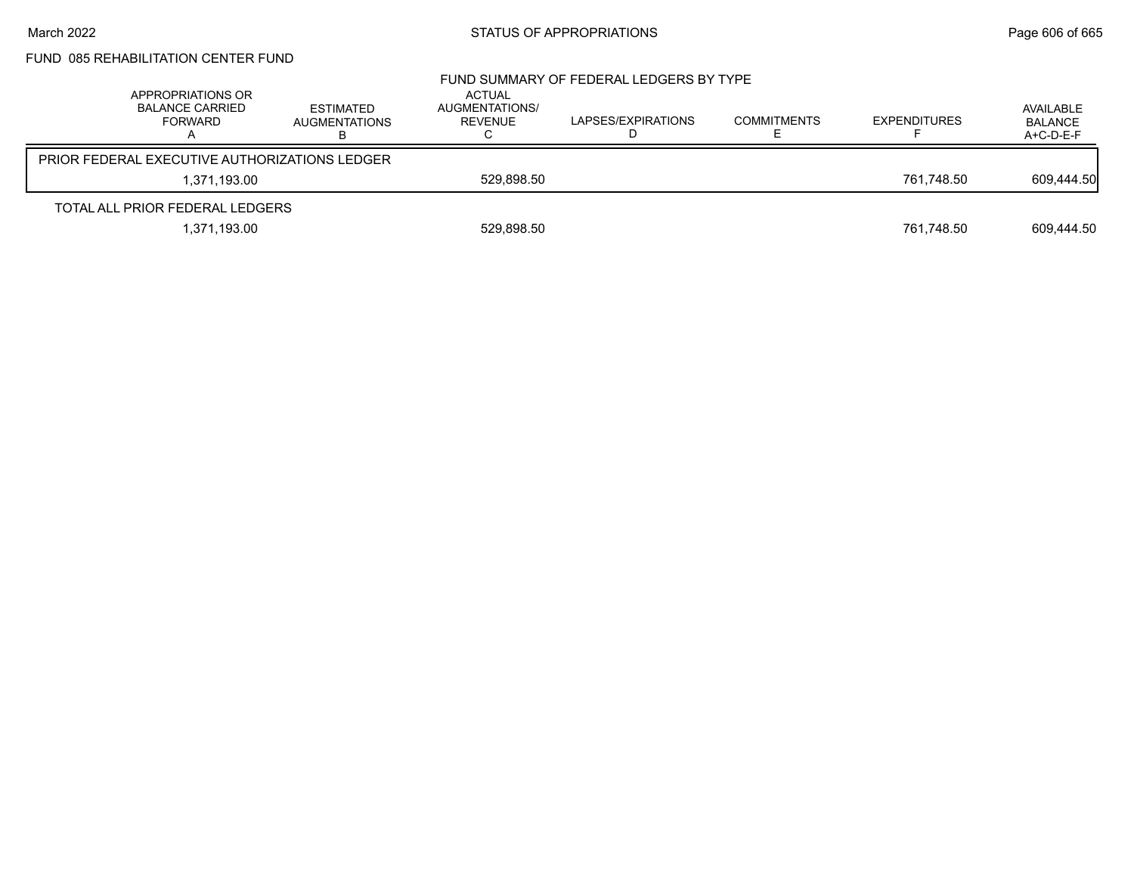# FUND 085 REHABILITATION CENTER FUND

| APPROPRIATIONS OR<br>BALANCE CARRIED<br><b>FORWARD</b> | ESTIMATED<br><b>AUGMENTATIONS</b> | ACTUAL<br>AUGMENTATIONS/<br>REVENUE | FUND SUMMARY OF FEDERAL LEDGERS BY TYPE<br>LAPSES/EXPIRATIONS | <b>COMMITMENTS</b> | <b>EXPENDITURES</b> | AVAILABLE<br><b>BALANCE</b><br>A+C-D-E-F |
|--------------------------------------------------------|-----------------------------------|-------------------------------------|---------------------------------------------------------------|--------------------|---------------------|------------------------------------------|
| PRIOR FEDERAL EXECUTIVE AUTHORIZATIONS LEDGER          |                                   |                                     |                                                               |                    |                     |                                          |
|                                                        | 1.371.193.00                      | 529,898.50                          |                                                               |                    | 761.748.50          | 609,444.50                               |
| TOTAL ALL PRIOR FEDERAL LEDGERS                        |                                   |                                     |                                                               |                    |                     |                                          |
|                                                        | 1,371,193.00                      | 529,898.50                          |                                                               |                    | 761,748.50          | 609.444.50                               |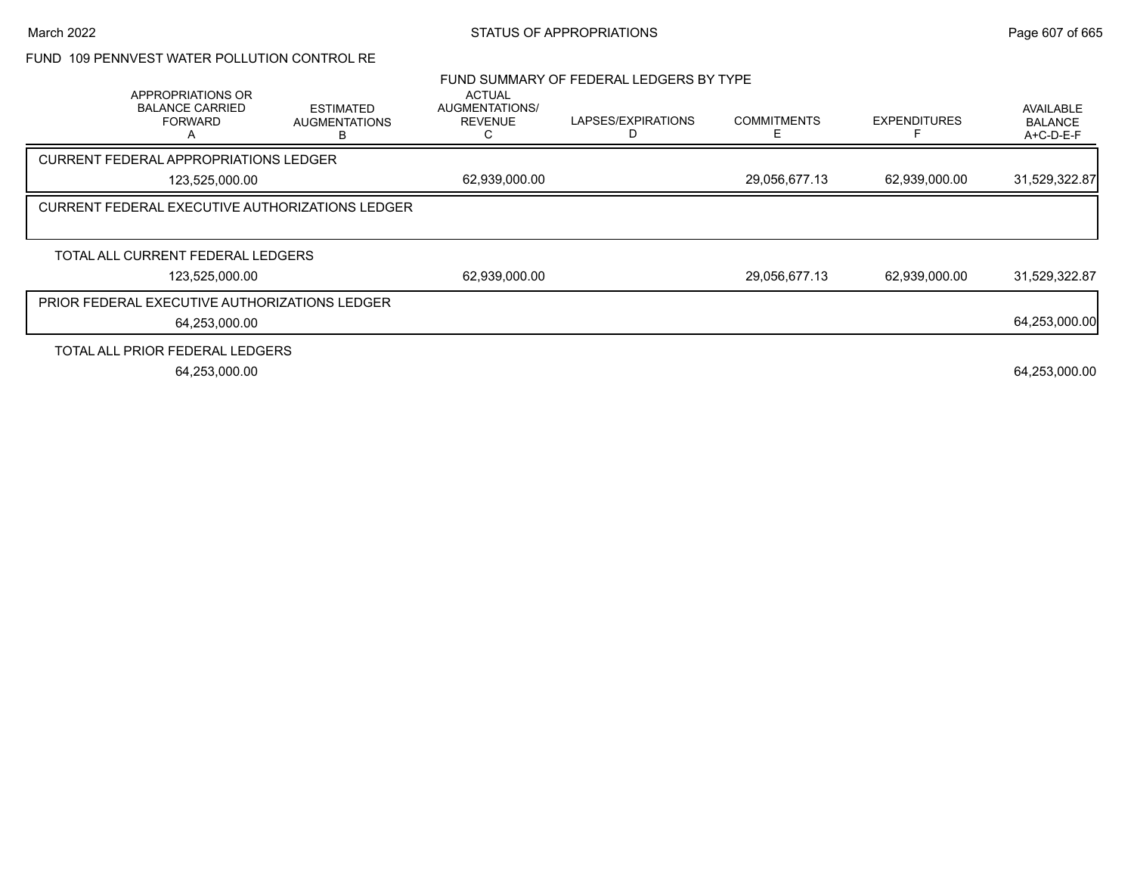## FUND 109 PENNVEST WATER POLLUTION CONTROL RE

|                                                               |                                                        |                                                   | FUND SUMMARY OF FEDERAL LEDGERS BY TYPE |                    |                     |                                                 |
|---------------------------------------------------------------|--------------------------------------------------------|---------------------------------------------------|-----------------------------------------|--------------------|---------------------|-------------------------------------------------|
| APPROPRIATIONS OR<br><b>BALANCE CARRIED</b><br><b>FORWARD</b> | <b>ESTIMATED</b><br><b>AUGMENTATIONS</b><br>B.         | <b>ACTUAL</b><br>AUGMENTATIONS/<br><b>REVENUE</b> | LAPSES/EXPIRATIONS                      | <b>COMMITMENTS</b> | <b>EXPENDITURES</b> | <b>AVAILABLE</b><br><b>BALANCE</b><br>A+C-D-E-F |
| <b>CURRENT FEDERAL APPROPRIATIONS LEDGER</b>                  |                                                        |                                                   |                                         |                    |                     |                                                 |
| 123,525,000.00                                                |                                                        | 62,939,000.00                                     |                                         | 29,056,677.13      | 62,939,000.00       | 31,529,322.87                                   |
|                                                               | <b>CURRENT FEDERAL EXECUTIVE AUTHORIZATIONS LEDGER</b> |                                                   |                                         |                    |                     |                                                 |
|                                                               |                                                        |                                                   |                                         |                    |                     |                                                 |
| TOTAL ALL CURRENT FEDERAL LEDGERS                             |                                                        |                                                   |                                         |                    |                     |                                                 |
| 123,525,000.00                                                |                                                        | 62,939,000.00                                     |                                         | 29,056,677.13      | 62,939,000.00       | 31,529,322.87                                   |
| PRIOR FEDERAL EXECUTIVE AUTHORIZATIONS LEDGER                 |                                                        |                                                   |                                         |                    |                     |                                                 |
| 64,253,000.00                                                 |                                                        |                                                   |                                         |                    |                     | 64,253,000.00                                   |
| TOTAL ALL PRIOR FEDERAL LEDGERS                               |                                                        |                                                   |                                         |                    |                     |                                                 |
| 64,253,000.00                                                 |                                                        |                                                   |                                         |                    |                     | 64,253,000.00                                   |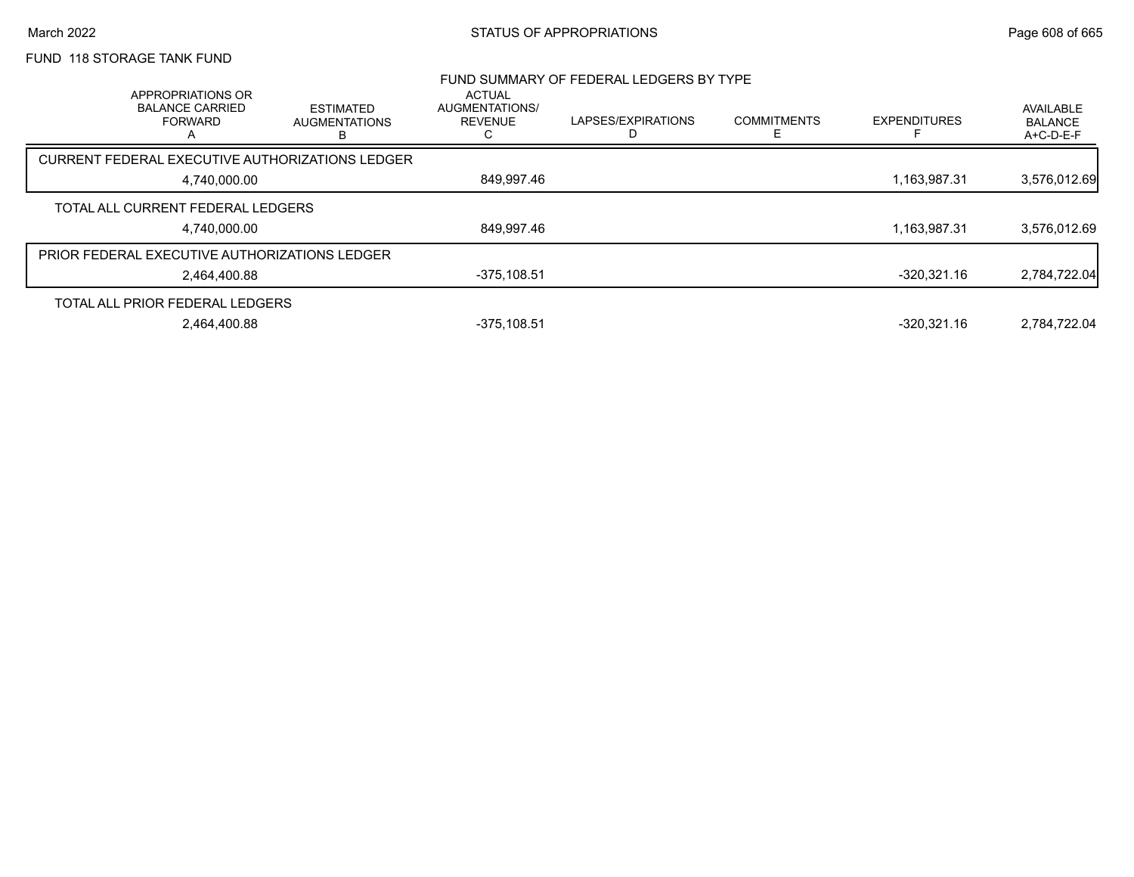## March 2022 **STATUS OF APPROPRIATIONS** STATUS OF APPROPRIATIONS

## FUND 118 STORAGE TANK FUND

| FUND SUMMARY OF FEDERAL LEDGERS BY TYPE<br>ACTUAL<br>APPROPRIATIONS OR |                                                      |                                               |                                  |                    |                    |                     |                                          |
|------------------------------------------------------------------------|------------------------------------------------------|-----------------------------------------------|----------------------------------|--------------------|--------------------|---------------------|------------------------------------------|
|                                                                        | <b>BALANCE CARRIED</b><br><b>FORWARD</b>             | <b>ESTIMATED</b><br><b>AUGMENTATIONS</b><br>в | AUGMENTATIONS/<br><b>REVENUE</b> | LAPSES/EXPIRATIONS | <b>COMMITMENTS</b> | <b>EXPENDITURES</b> | AVAILABLE<br><b>BALANCE</b><br>A+C-D-E-F |
|                                                                        | CURRENT FEDERAL EXECUTIVE AUTHORIZATIONS LEDGER      |                                               |                                  |                    |                    |                     |                                          |
|                                                                        | 4,740,000.00                                         |                                               | 849,997.46                       |                    |                    | 1.163.987.31        | 3,576,012.69                             |
|                                                                        | TOTAL ALL CURRENT FEDERAL LEDGERS                    |                                               |                                  |                    |                    |                     |                                          |
|                                                                        | 4,740,000.00                                         |                                               | 849,997.46                       |                    |                    | 1,163,987.31        | 3,576,012.69                             |
|                                                                        | <b>PRIOR FEDERAL EXECUTIVE AUTHORIZATIONS LEDGER</b> |                                               |                                  |                    |                    |                     |                                          |
|                                                                        | 2.464.400.88                                         |                                               | $-375,108.51$                    |                    |                    | $-320.321.16$       | 2,784,722.04                             |
|                                                                        | TOTAL ALL PRIOR FEDERAL LEDGERS                      |                                               |                                  |                    |                    |                     |                                          |
|                                                                        | 2.464.400.88                                         |                                               | $-375.108.51$                    |                    |                    | $-320.321.16$       | 2.784.722.04                             |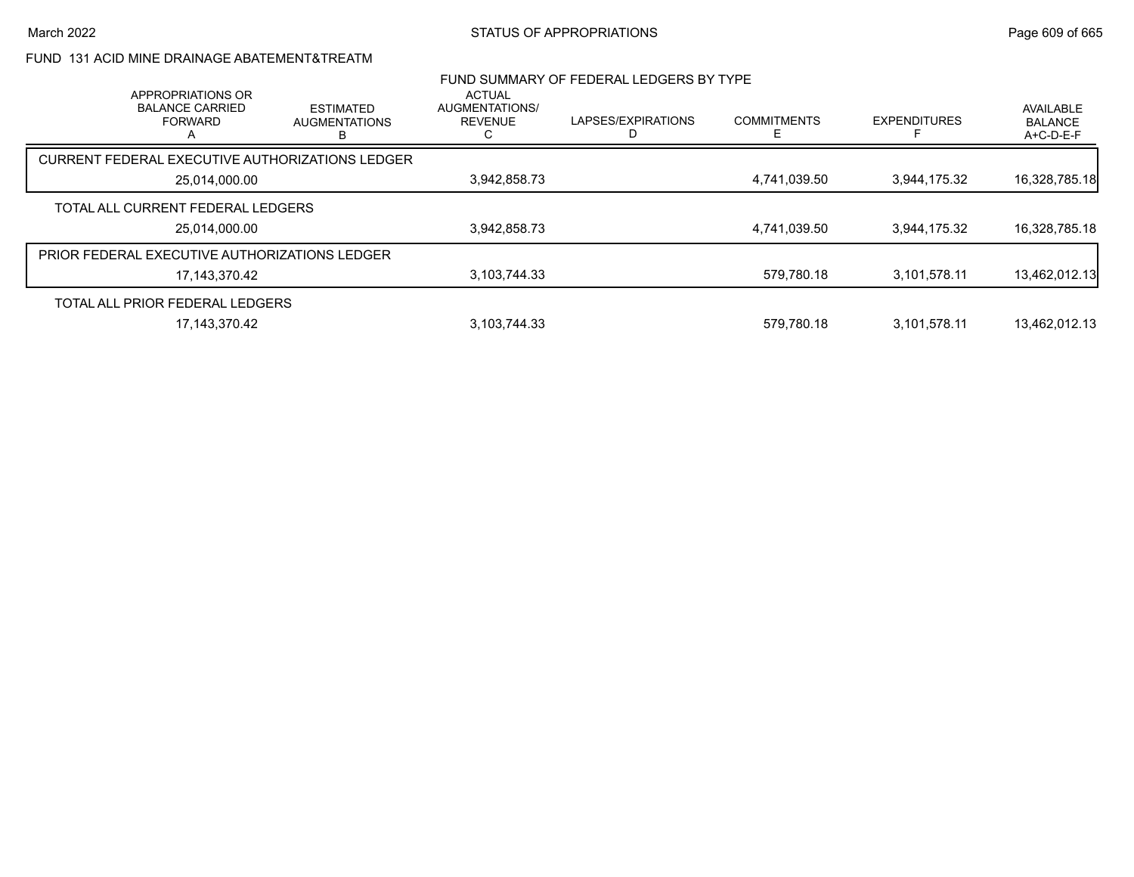# FUND 131 ACID MINE DRAINAGE ABATEMENT&TREATM

|               | APPROPRIATIONS OR                                    |                                               | <b>ACTUAL</b>                    | FUND SUMMARY OF FEDERAL LEDGERS BY TYPE |                    |                     |                                          |
|---------------|------------------------------------------------------|-----------------------------------------------|----------------------------------|-----------------------------------------|--------------------|---------------------|------------------------------------------|
|               | <b>BALANCE CARRIED</b><br><b>FORWARD</b>             | <b>ESTIMATED</b><br><b>AUGMENTATIONS</b><br>в | AUGMENTATIONS/<br><b>REVENUE</b> | LAPSES/EXPIRATIONS                      | <b>COMMITMENTS</b> | <b>EXPENDITURES</b> | AVAILABLE<br><b>BALANCE</b><br>A+C-D-E-F |
|               | CURRENT FEDERAL EXECUTIVE AUTHORIZATIONS LEDGER      |                                               |                                  |                                         |                    |                     |                                          |
| 25.014.000.00 |                                                      | 3,942,858.73                                  |                                  | 4,741,039.50                            | 3.944.175.32       | 16,328,785.18       |                                          |
|               | TOTAL ALL CURRENT FEDERAL LEDGERS                    |                                               |                                  |                                         |                    |                     |                                          |
|               | 25,014,000.00                                        |                                               | 3,942,858.73                     |                                         | 4,741,039.50       | 3.944.175.32        | 16,328,785.18                            |
|               | <b>PRIOR FEDERAL EXECUTIVE AUTHORIZATIONS LEDGER</b> |                                               |                                  |                                         |                    |                     |                                          |
|               | 17.143.370.42                                        |                                               | 3,103,744.33                     |                                         | 579.780.18         | 3,101,578.11        | 13,462,012.13                            |
|               | TOTAL ALL PRIOR FEDERAL LEDGERS                      |                                               |                                  |                                         |                    |                     |                                          |
|               | 17, 143, 370. 42                                     |                                               | 3,103,744.33                     |                                         | 579.780.18         | 3.101.578.11        | 13,462,012.13                            |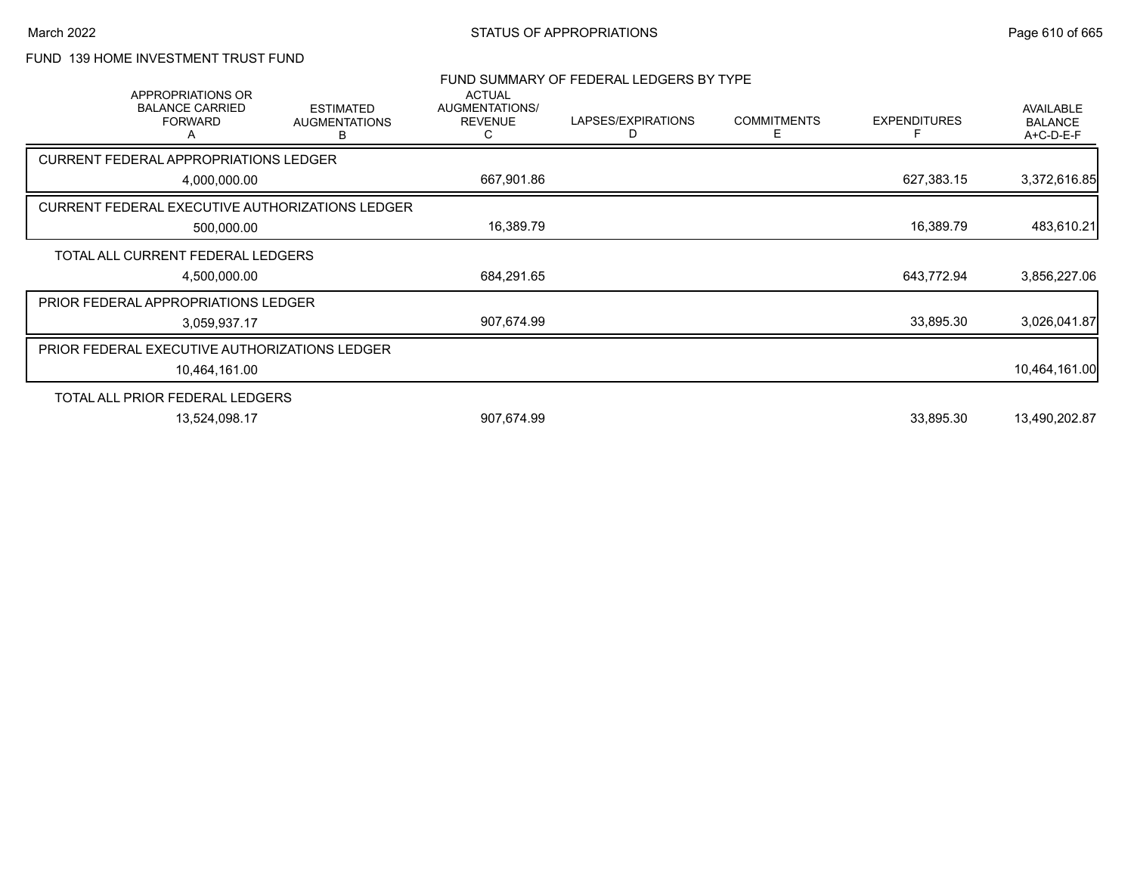## March 2022 **STATUS OF APPROPRIATIONS** STATUS OF APPROPRIATIONS

# FUND 139 HOME INVESTMENT TRUST FUND

| <b>BALANCE CARRIED</b><br><b>FORWARD</b><br>A | <b>ESTIMATED</b><br><b>AUGMENTATIONS</b><br>В | AUGMENTATIONS/<br><b>REVENUE</b><br>C                                                                                                                                                                                                                           | LAPSES/EXPIRATIONS<br>D | <b>COMMITMENTS</b><br>Е | <b>EXPENDITURES</b>                     | <b>AVAILABLE</b><br><b>BALANCE</b><br>A+C-D-E-F |
|-----------------------------------------------|-----------------------------------------------|-----------------------------------------------------------------------------------------------------------------------------------------------------------------------------------------------------------------------------------------------------------------|-------------------------|-------------------------|-----------------------------------------|-------------------------------------------------|
|                                               |                                               |                                                                                                                                                                                                                                                                 |                         |                         |                                         |                                                 |
| 4,000,000.00                                  |                                               | 667,901.86                                                                                                                                                                                                                                                      |                         |                         | 627,383.15                              | 3,372,616.85                                    |
|                                               |                                               |                                                                                                                                                                                                                                                                 |                         |                         |                                         |                                                 |
| 500,000.00                                    |                                               | 16,389.79                                                                                                                                                                                                                                                       |                         |                         | 16,389.79                               | 483,610.21                                      |
|                                               |                                               |                                                                                                                                                                                                                                                                 |                         |                         |                                         |                                                 |
| 4,500,000.00                                  |                                               | 684,291.65                                                                                                                                                                                                                                                      |                         |                         | 643,772.94                              | 3,856,227.06                                    |
|                                               |                                               |                                                                                                                                                                                                                                                                 |                         |                         |                                         |                                                 |
| 3,059,937.17                                  |                                               | 907,674.99                                                                                                                                                                                                                                                      |                         |                         | 33,895.30                               | 3,026,041.87                                    |
|                                               |                                               |                                                                                                                                                                                                                                                                 |                         |                         |                                         |                                                 |
| 10,464,161.00                                 |                                               |                                                                                                                                                                                                                                                                 |                         |                         |                                         | 10,464,161.00                                   |
|                                               |                                               |                                                                                                                                                                                                                                                                 |                         |                         |                                         |                                                 |
| 13,524,098.17                                 |                                               | 907,674.99                                                                                                                                                                                                                                                      |                         |                         | 33,895.30                               | 13,490,202.87                                   |
|                                               | APPROPRIATIONS OR                             | <b>CURRENT FEDERAL APPROPRIATIONS LEDGER</b><br>CURRENT FEDERAL EXECUTIVE AUTHORIZATIONS LEDGER<br>TOTAL ALL CURRENT FEDERAL LEDGERS<br>PRIOR FEDERAL APPROPRIATIONS LEDGER<br>PRIOR FEDERAL EXECUTIVE AUTHORIZATIONS LEDGER<br>TOTAL ALL PRIOR FEDERAL LEDGERS | <b>ACTUAL</b>           |                         | FUND SUMMARY OF FEDERAL LEDGERS BY TYPE |                                                 |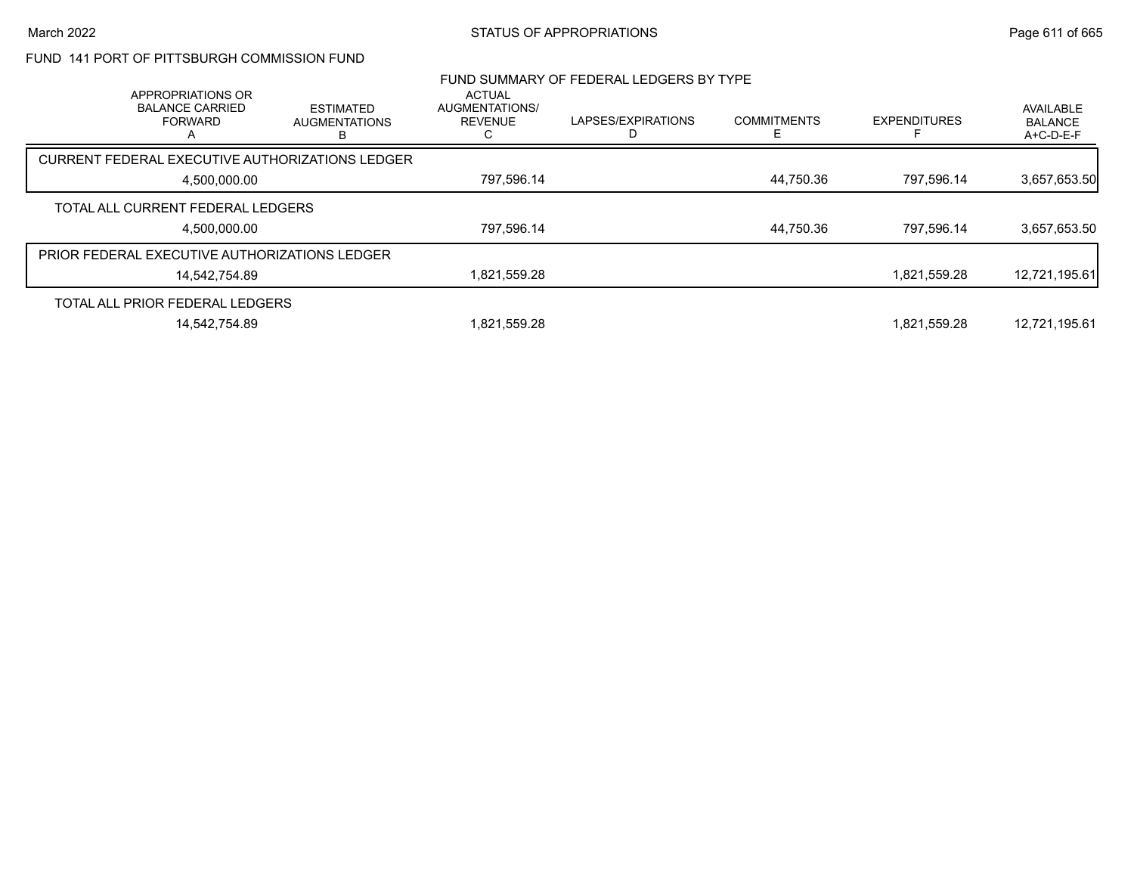## FUND 141 PORT OF PITTSBURGH COMMISSION FUND

| APPROPRIATIONS OR                                    |                                               | <b>ACTUAL</b>                    | FUND SUMMARY OF FEDERAL LEDGERS BY TYPE |                    |                     |                                          |
|------------------------------------------------------|-----------------------------------------------|----------------------------------|-----------------------------------------|--------------------|---------------------|------------------------------------------|
| <b>BALANCE CARRIED</b><br><b>FORWARD</b>             | <b>ESTIMATED</b><br><b>AUGMENTATIONS</b><br>в | AUGMENTATIONS/<br><b>REVENUE</b> | LAPSES/EXPIRATIONS                      | <b>COMMITMENTS</b> | <b>EXPENDITURES</b> | AVAILABLE<br><b>BALANCE</b><br>A+C-D-E-F |
| CURRENT FEDERAL EXECUTIVE AUTHORIZATIONS LEDGER      |                                               |                                  |                                         |                    |                     |                                          |
| 4.500.000.00                                         |                                               | 797,596.14                       |                                         | 44,750.36          | 797.596.14          | 3,657,653.50                             |
| TOTAL ALL CURRENT FEDERAL LEDGERS                    |                                               |                                  |                                         |                    |                     |                                          |
| 4,500,000.00                                         |                                               | 797,596.14                       |                                         | 44,750.36          | 797.596.14          | 3,657,653.50                             |
| <b>PRIOR FEDERAL EXECUTIVE AUTHORIZATIONS LEDGER</b> |                                               |                                  |                                         |                    |                     |                                          |
| 14.542.754.89                                        |                                               | 1,821,559.28                     |                                         |                    | 1,821,559.28        | 12,721,195.61                            |
| TOTAL ALL PRIOR FEDERAL LEDGERS                      |                                               |                                  |                                         |                    |                     |                                          |
| 14,542,754.89                                        |                                               | 1,821,559.28                     |                                         |                    | 1,821,559.28        | 12,721,195.61                            |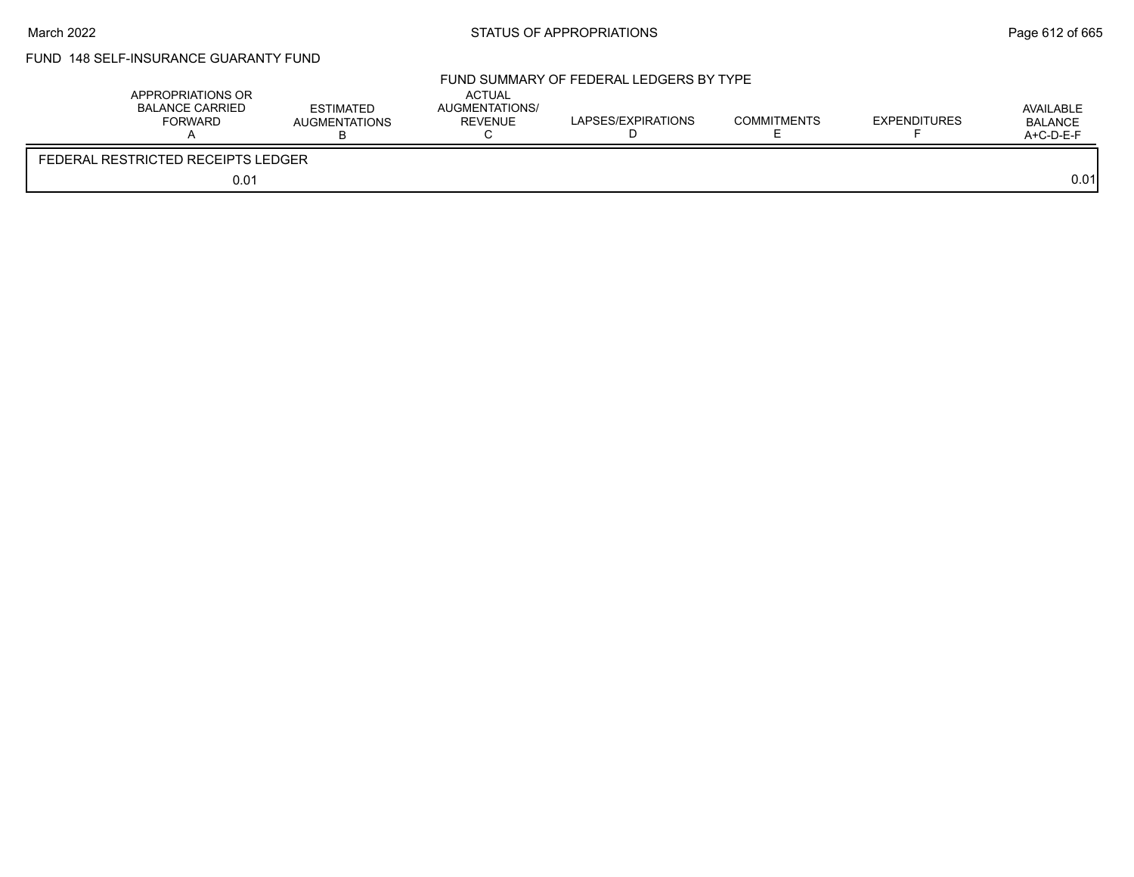# FUND 148 SELF-INSURANCE GUARANTY FUND

|                                    | APPROPRIATIONS OR<br>BALANCE CARRIED<br><b>FORWARD</b> | <b>ESTIMATED</b><br><b>AUGMENTATIONS</b> | <b>ACTUAL</b><br>AUGMENTATIONS/<br><b>REVENUE</b> | FUND SUMMARY OF FEDERAL LEDGERS BY TYPE<br>LAPSES/EXPIRATIONS | <b>COMMITMENTS</b> | <b>EXPENDITURES</b> | AVAILABLE<br><b>BALANCE</b><br>A+C-D-E-F |
|------------------------------------|--------------------------------------------------------|------------------------------------------|---------------------------------------------------|---------------------------------------------------------------|--------------------|---------------------|------------------------------------------|
| FEDERAL RESTRICTED RECEIPTS LEDGER |                                                        |                                          |                                                   |                                                               |                    |                     |                                          |
|                                    | 0.01                                                   |                                          |                                                   |                                                               |                    |                     | 0.01                                     |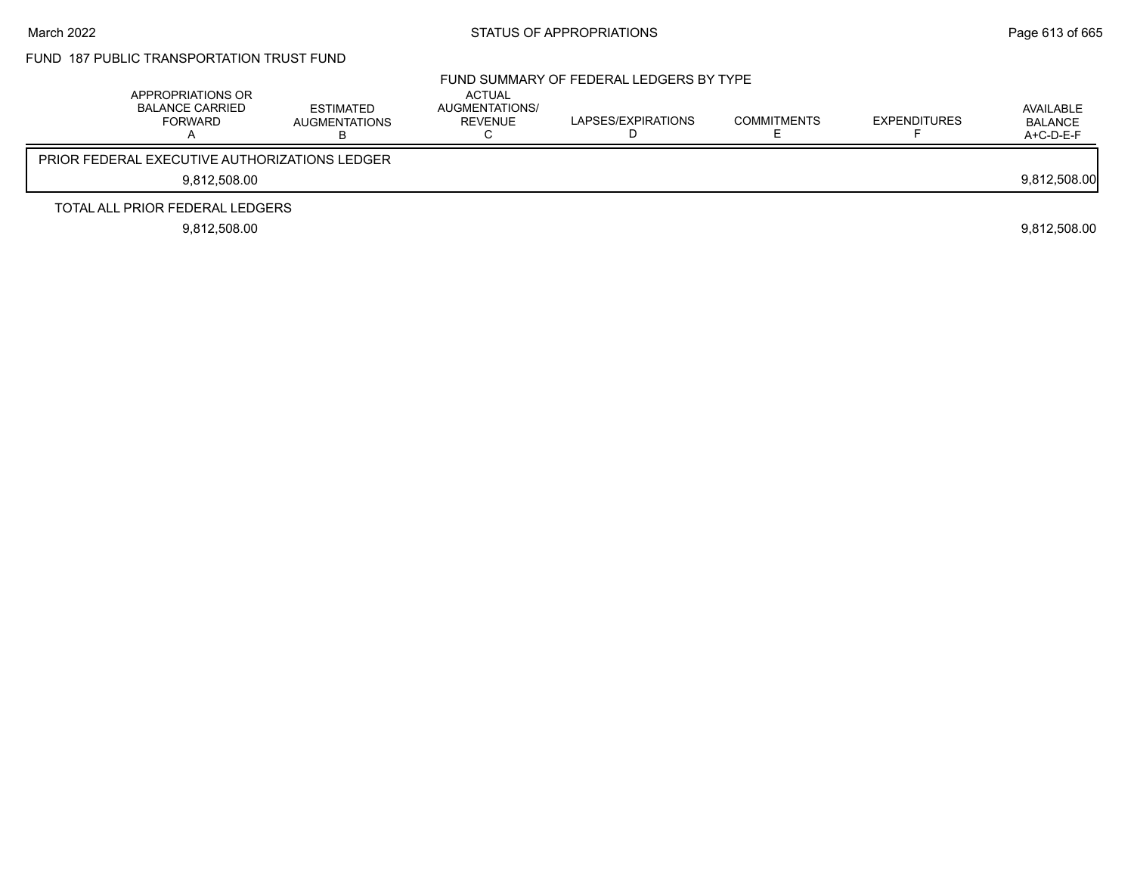# FUND 187 PUBLIC TRANSPORTATION TRUST FUND

| APPROPRIATIONS OR<br><b>BALANCE CARRIED</b><br>FORWARD | <b>ESTIMATED</b><br><b>AUGMENTATIONS</b> | ACTUAL<br>AUGMENTATIONS/<br>REVENUE | FUND SUMMARY OF FEDERAL LEDGERS BY TYPE<br>LAPSES/EXPIRATIONS | <b>COMMITMENTS</b> | <b>EXPENDITURES</b> | AVAILABLE<br><b>BALANCE</b><br>$A+C-D-E-F$ |
|--------------------------------------------------------|------------------------------------------|-------------------------------------|---------------------------------------------------------------|--------------------|---------------------|--------------------------------------------|
| <b>PRIOR FEDERAL EXECUTIVE AUTHORIZATIONS LEDGER</b>   |                                          |                                     |                                                               |                    |                     |                                            |
| 9.812.508.00                                           |                                          |                                     |                                                               |                    |                     | 9,812,508.00                               |
| TOTAL ALL PRIOR FEDERAL LEDGERS                        |                                          |                                     |                                                               |                    |                     |                                            |
| 9.812.508.00                                           |                                          |                                     |                                                               |                    |                     | 9.812.508.00                               |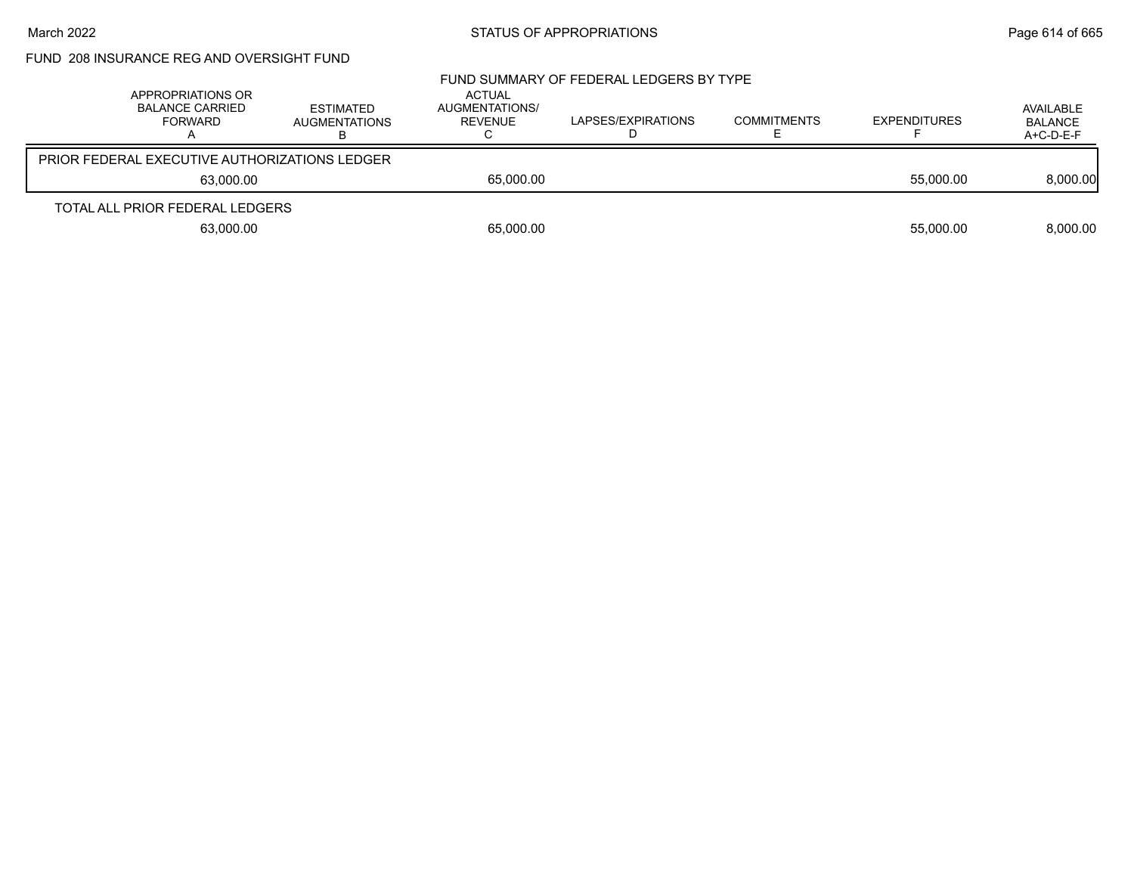## FUND 208 INSURANCE REG AND OVERSIGHT FUND

| APPROPRIATIONS OR<br><b>BALANCE CARRIED</b><br>FORWARD |           | ESTIMATED<br><b>AUGMENTATIONS</b> | ACTUAL<br>AUGMENTATIONS/<br>REVENUE | FUND SUMMARY OF FEDERAL LEDGERS BY TYPE<br>LAPSES/EXPIRATIONS | <b>COMMITMENTS</b> | <b>EXPENDITURES</b> | AVAILABLE<br><b>BALANCE</b><br>$A+C-D-E-F$ |
|--------------------------------------------------------|-----------|-----------------------------------|-------------------------------------|---------------------------------------------------------------|--------------------|---------------------|--------------------------------------------|
| <b>PRIOR FEDERAL EXECUTIVE AUTHORIZATIONS LEDGER</b>   |           |                                   |                                     |                                                               |                    |                     |                                            |
|                                                        | 63.000.00 |                                   | 65,000.00                           |                                                               |                    | 55,000.00           | 8,000.00                                   |
| TOTAL ALL PRIOR FEDERAL LEDGERS                        |           |                                   |                                     |                                                               |                    |                     |                                            |
|                                                        | 63,000.00 |                                   | 65,000.00                           |                                                               |                    | 55,000.00           | 8.000.00                                   |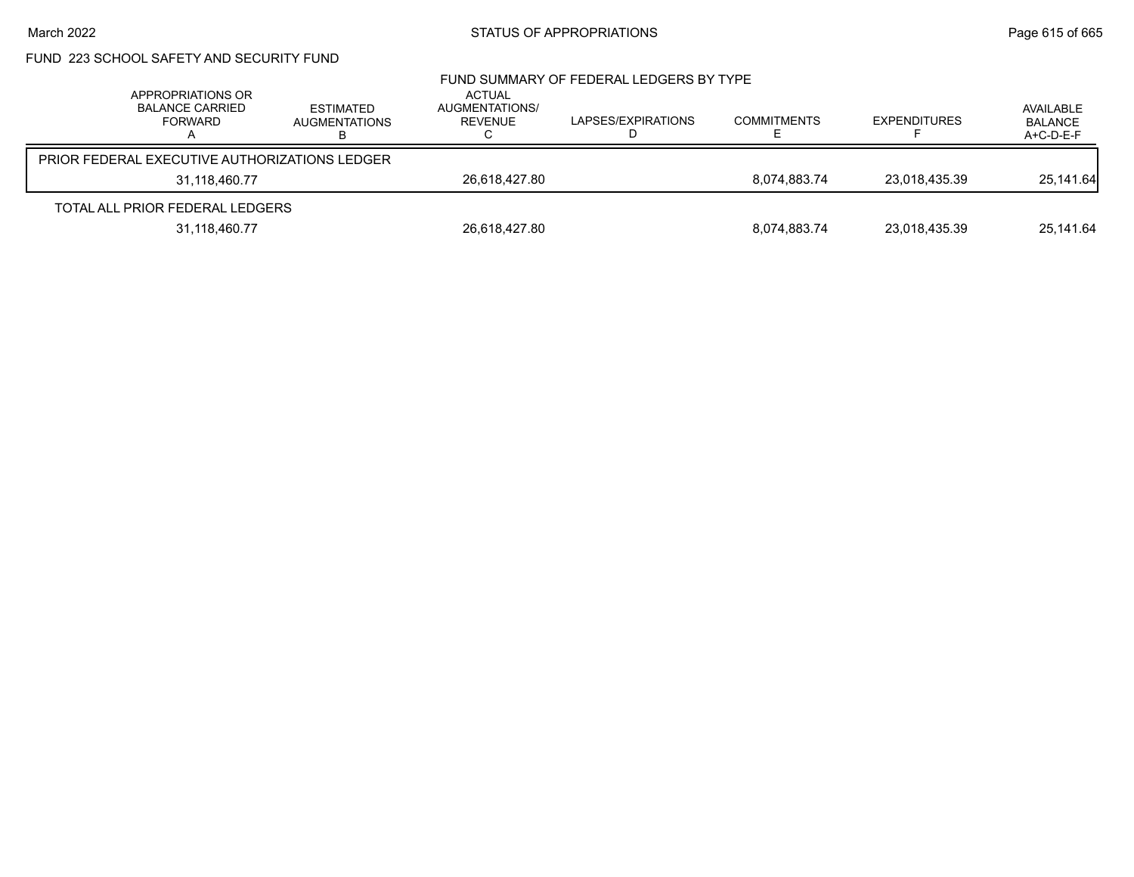# FUND 223 SCHOOL SAFETY AND SECURITY FUND

| APPROPRIATIONS OR<br><b>BALANCE CARRIED</b><br>FORWARD | <b>ESTIMATED</b><br>AUGMENTATIONS<br>в | <b>ACTUAL</b><br>AUGMENTATIONS/<br>REVENUE | FUND SUMMARY OF FEDERAL LEDGERS BY TYPE<br>LAPSES/EXPIRATIONS | <b>COMMITMENTS</b> | <b>EXPENDITURES</b> | AVAILABLE<br><b>BALANCE</b><br>A+C-D-E-F |
|--------------------------------------------------------|----------------------------------------|--------------------------------------------|---------------------------------------------------------------|--------------------|---------------------|------------------------------------------|
| <b>PRIOR FEDERAL EXECUTIVE AUTHORIZATIONS LEDGER</b>   |                                        |                                            |                                                               |                    |                     |                                          |
| 31.118.460.77                                          |                                        | 26,618,427.80                              |                                                               | 8.074.883.74       | 23,018,435.39       | 25,141.64                                |
| TOTAL ALL PRIOR FEDERAL LEDGERS                        |                                        |                                            |                                                               |                    |                     |                                          |
| 31,118,460.77                                          |                                        | 26,618,427.80                              |                                                               | 8,074,883.74       | 23,018,435.39       | 25,141.64                                |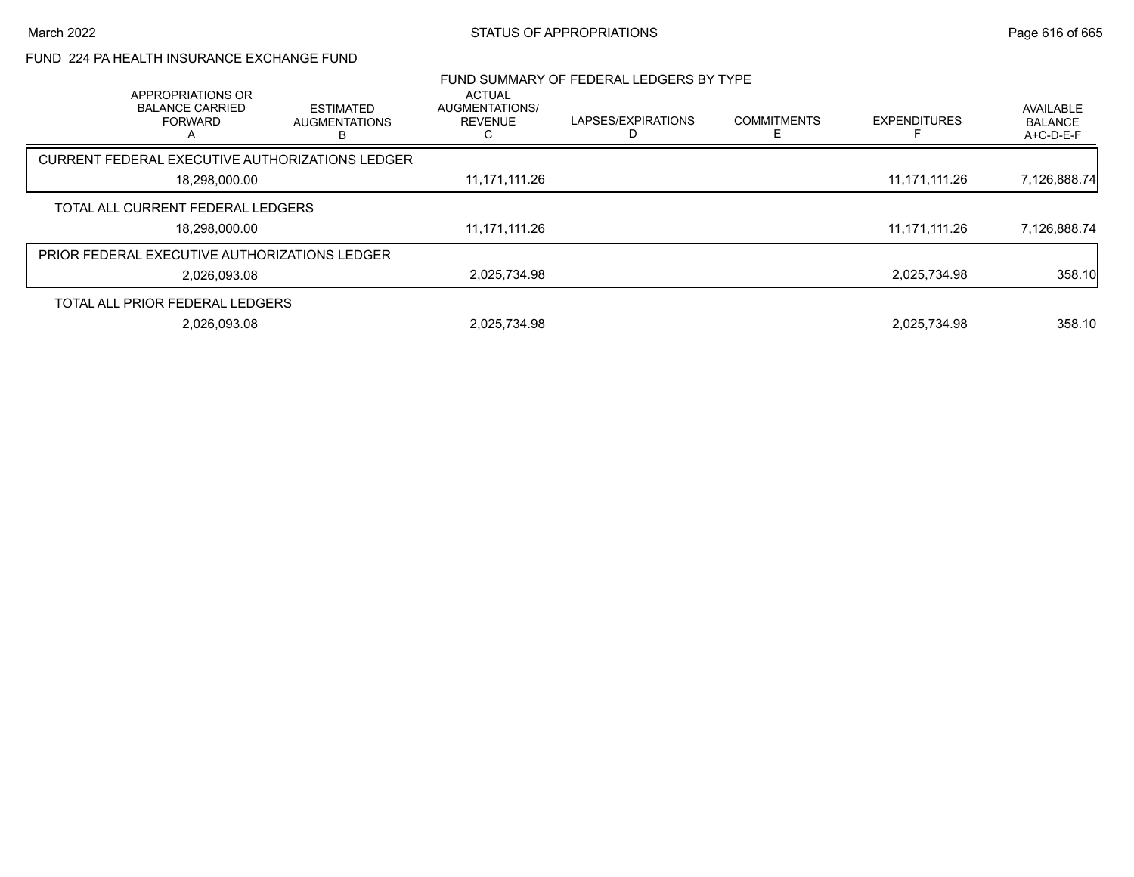### FUND 224 PA HEALTH INSURANCE EXCHANGE FUND

|                                                               |                                               |                                                   | FUND SUMMARY OF FEDERAL LEDGERS BY TYPE |                    |                     |                                          |
|---------------------------------------------------------------|-----------------------------------------------|---------------------------------------------------|-----------------------------------------|--------------------|---------------------|------------------------------------------|
| APPROPRIATIONS OR<br><b>BALANCE CARRIED</b><br><b>FORWARD</b> | <b>ESTIMATED</b><br><b>AUGMENTATIONS</b><br>в | <b>ACTUAL</b><br>AUGMENTATIONS/<br><b>REVENUE</b> | LAPSES/EXPIRATIONS                      | <b>COMMITMENTS</b> | <b>EXPENDITURES</b> | AVAILABLE<br><b>BALANCE</b><br>A+C-D-E-F |
| CURRENT FEDERAL EXECUTIVE AUTHORIZATIONS LEDGER               |                                               |                                                   |                                         |                    |                     |                                          |
| 18,298,000.00                                                 |                                               | 11,171,111.26                                     |                                         |                    | 11, 171, 111. 26    | 7,126,888.74                             |
| TOTAL ALL CURRENT FEDERAL LEDGERS                             |                                               |                                                   |                                         |                    |                     |                                          |
| 18,298,000.00                                                 |                                               | 11,171,111.26                                     |                                         |                    | 11.171.111.26       | 7,126,888.74                             |
| <b>PRIOR FEDERAL EXECUTIVE AUTHORIZATIONS LEDGER</b>          |                                               |                                                   |                                         |                    |                     |                                          |
| 2.026.093.08                                                  |                                               | 2.025.734.98                                      |                                         |                    | 2.025.734.98        | 358.10                                   |
| TOTAL ALL PRIOR FEDERAL LEDGERS                               |                                               |                                                   |                                         |                    |                     |                                          |
| 2.026.093.08                                                  |                                               | 2.025.734.98                                      |                                         |                    | 2.025.734.98        | 358.10                                   |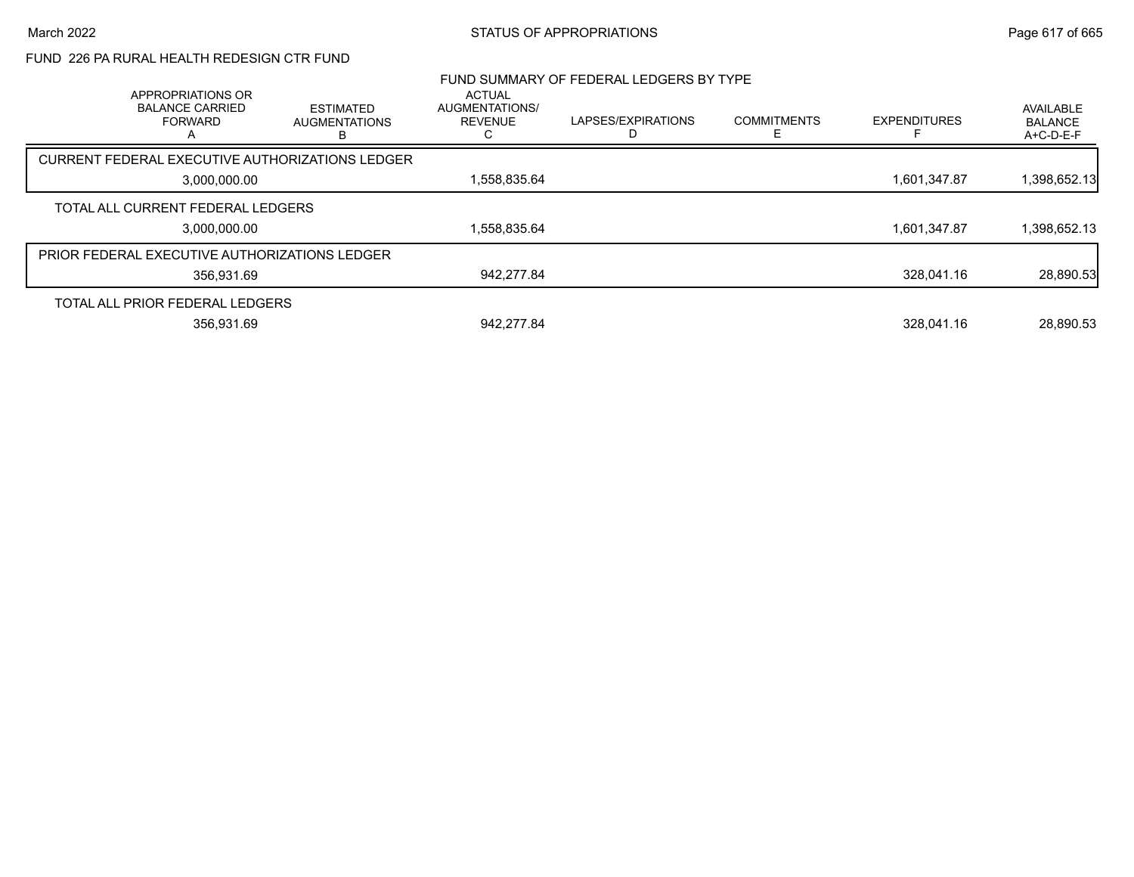### FUND 226 PA RURAL HEALTH REDESIGN CTR FUND

| APPROPRIATIONS OR                                    |                                               | <b>ACTUAL</b>                    | FUND SUMMARY OF FEDERAL LEDGERS BY TYPE |                         |                     |                                          |
|------------------------------------------------------|-----------------------------------------------|----------------------------------|-----------------------------------------|-------------------------|---------------------|------------------------------------------|
| <b>BALANCE CARRIED</b><br><b>FORWARD</b>             | <b>ESTIMATED</b><br><b>AUGMENTATIONS</b><br>B | AUGMENTATIONS/<br><b>REVENUE</b> | LAPSES/EXPIRATIONS                      | <b>COMMITMENTS</b><br>F | <b>EXPENDITURES</b> | AVAILABLE<br><b>BALANCE</b><br>A+C-D-E-F |
| CURRENT FEDERAL EXECUTIVE AUTHORIZATIONS LEDGER      |                                               |                                  |                                         |                         |                     |                                          |
| 3,000,000.00                                         |                                               | 1,558,835.64                     |                                         |                         | 1,601,347.87        | 1,398,652.13                             |
| TOTAL ALL CURRENT FEDERAL LEDGERS                    |                                               |                                  |                                         |                         |                     |                                          |
| 3,000,000.00                                         |                                               | 1,558,835.64                     |                                         |                         | 1,601,347.87        | 1,398,652.13                             |
| <b>PRIOR FEDERAL EXECUTIVE AUTHORIZATIONS LEDGER</b> |                                               |                                  |                                         |                         |                     |                                          |
| 356.931.69                                           |                                               | 942,277.84                       |                                         |                         | 328.041.16          | 28,890.53                                |
| TOTAL ALL PRIOR FEDERAL LEDGERS                      |                                               |                                  |                                         |                         |                     |                                          |
| 356,931.69                                           |                                               | 942.277.84                       |                                         |                         | 328.041.16          | 28,890.53                                |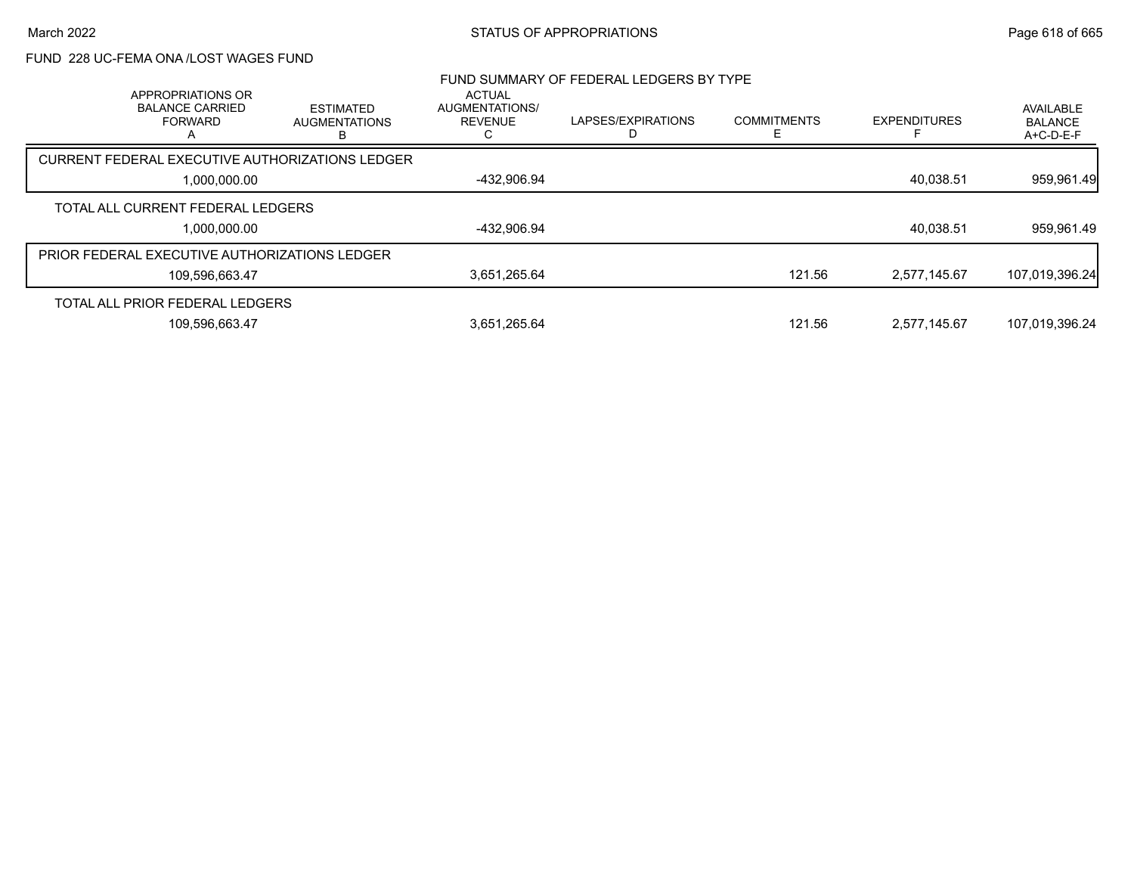### FUND 228 UC-FEMA ONA /LOST WAGES FUND

| APPROPRIATIONS OR                                    |                                               | <b>ACTUAL</b>                    | FUND SUMMARY OF FEDERAL LEDGERS BY TYPE |                    |                     |                                          |
|------------------------------------------------------|-----------------------------------------------|----------------------------------|-----------------------------------------|--------------------|---------------------|------------------------------------------|
| <b>BALANCE CARRIED</b><br><b>FORWARD</b>             | <b>ESTIMATED</b><br><b>AUGMENTATIONS</b><br>в | AUGMENTATIONS/<br><b>REVENUE</b> | LAPSES/EXPIRATIONS                      | <b>COMMITMENTS</b> | <b>EXPENDITURES</b> | AVAILABLE<br><b>BALANCE</b><br>A+C-D-E-F |
| CURRENT FEDERAL EXECUTIVE AUTHORIZATIONS LEDGER      |                                               |                                  |                                         |                    |                     |                                          |
| 1,000,000.00                                         |                                               | -432,906.94                      |                                         |                    | 40,038.51           | 959,961.49                               |
| TOTAL ALL CURRENT FEDERAL LEDGERS                    |                                               |                                  |                                         |                    |                     |                                          |
| 1,000,000.00                                         |                                               | -432,906.94                      |                                         |                    | 40,038.51           | 959,961.49                               |
| <b>PRIOR FEDERAL EXECUTIVE AUTHORIZATIONS LEDGER</b> |                                               |                                  |                                         |                    |                     |                                          |
| 109,596,663.47                                       |                                               | 3,651,265.64                     |                                         | 121.56             | 2.577.145.67        | 107,019,396.24                           |
| TOTAL ALL PRIOR FEDERAL LEDGERS                      |                                               |                                  |                                         |                    |                     |                                          |
| 109,596,663.47                                       |                                               | 3,651,265.64                     |                                         | 121.56             | 2.577.145.67        | 107,019,396.24                           |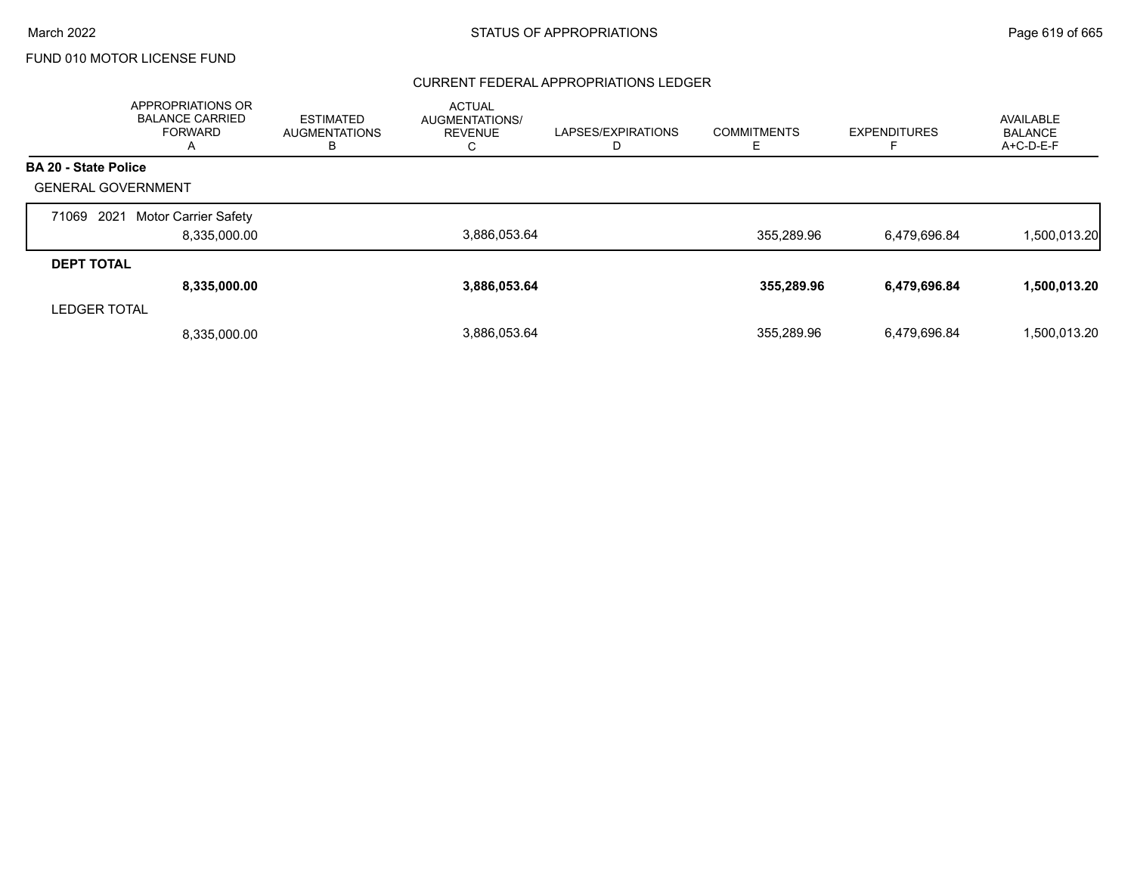#### CURRENT FEDERAL APPROPRIATIONS LEDGER

|                             | APPROPRIATIONS OR<br><b>BALANCE CARRIED</b><br><b>FORWARD</b><br>A | ESTIMATED<br><b>AUGMENTATIONS</b><br>В | <b>ACTUAL</b><br>AUGMENTATIONS/<br><b>REVENUE</b> | LAPSES/EXPIRATIONS<br>D | <b>COMMITMENTS</b> | <b>EXPENDITURES</b> | AVAILABLE<br><b>BALANCE</b><br>A+C-D-E-F |
|-----------------------------|--------------------------------------------------------------------|----------------------------------------|---------------------------------------------------|-------------------------|--------------------|---------------------|------------------------------------------|
| <b>BA 20 - State Police</b> |                                                                    |                                        |                                                   |                         |                    |                     |                                          |
| <b>GENERAL GOVERNMENT</b>   |                                                                    |                                        |                                                   |                         |                    |                     |                                          |
| 2021<br>71069               | Motor Carrier Safety                                               |                                        |                                                   |                         |                    |                     |                                          |
|                             | 8.335.000.00                                                       |                                        | 3.886.053.64                                      |                         | 355.289.96         | 6,479,696.84        | 1,500,013.20                             |
| <b>DEPT TOTAL</b>           |                                                                    |                                        |                                                   |                         |                    |                     |                                          |
|                             | 8,335,000.00                                                       |                                        | 3,886,053.64                                      |                         | 355,289.96         | 6,479,696.84        | 1,500,013.20                             |
| <b>LEDGER TOTAL</b>         |                                                                    |                                        |                                                   |                         |                    |                     |                                          |
|                             | 8.335.000.00                                                       |                                        | 3.886.053.64                                      |                         | 355.289.96         | 6,479,696.84        | 1.500.013.20                             |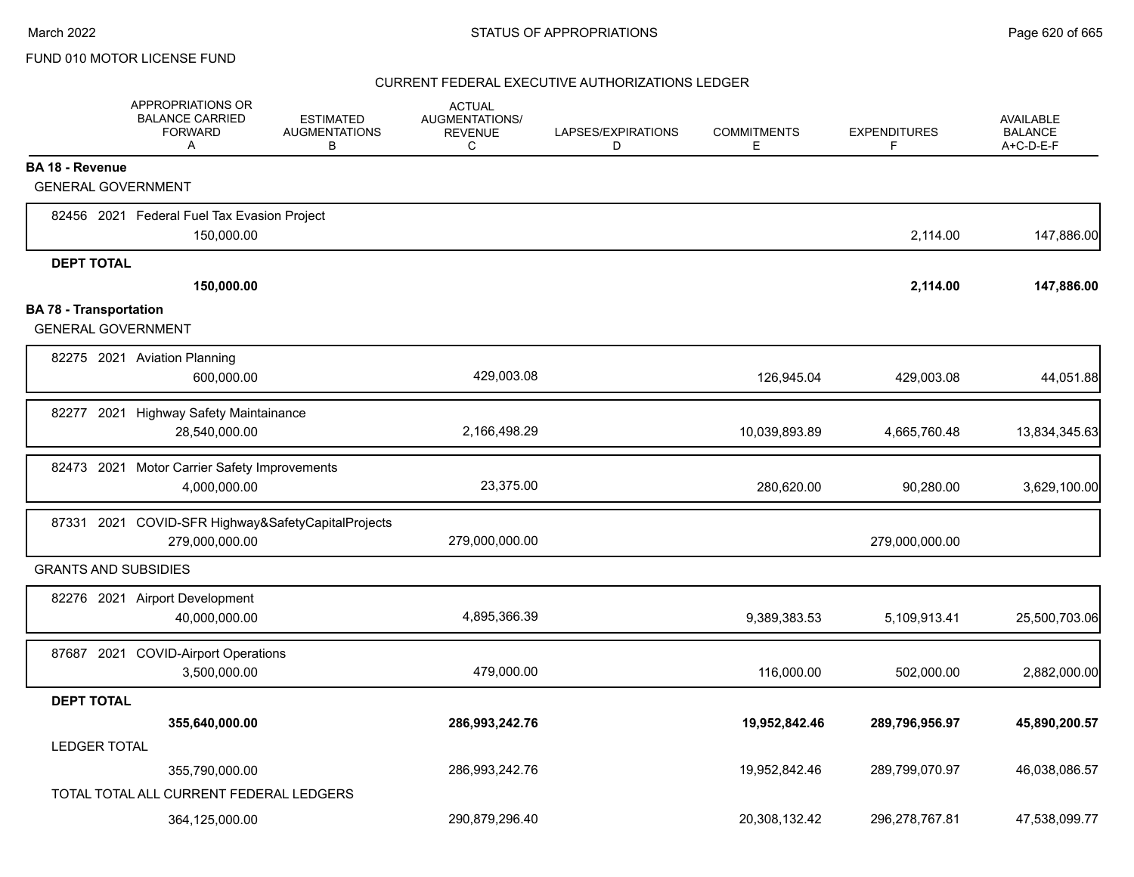|                               | APPROPRIATIONS OR<br><b>BALANCE CARRIED</b><br><b>FORWARD</b><br>A | ESTIMATED<br><b>AUGMENTATIONS</b><br>B | <b>ACTUAL</b><br>AUGMENTATIONS/<br><b>REVENUE</b><br>С | LAPSES/EXPIRATIONS<br>D | <b>COMMITMENTS</b><br>E. | <b>EXPENDITURES</b><br>F | AVAILABLE<br><b>BALANCE</b><br>A+C-D-E-F |
|-------------------------------|--------------------------------------------------------------------|----------------------------------------|--------------------------------------------------------|-------------------------|--------------------------|--------------------------|------------------------------------------|
| <b>BA 18 - Revenue</b>        |                                                                    |                                        |                                                        |                         |                          |                          |                                          |
|                               | <b>GENERAL GOVERNMENT</b>                                          |                                        |                                                        |                         |                          |                          |                                          |
|                               | 82456 2021 Federal Fuel Tax Evasion Project                        |                                        |                                                        |                         |                          |                          |                                          |
|                               | 150,000.00                                                         |                                        |                                                        |                         |                          | 2,114.00                 | 147,886.00                               |
| <b>DEPT TOTAL</b>             |                                                                    |                                        |                                                        |                         |                          |                          |                                          |
|                               | 150,000.00                                                         |                                        |                                                        |                         |                          | 2,114.00                 | 147,886.00                               |
| <b>BA 78 - Transportation</b> |                                                                    |                                        |                                                        |                         |                          |                          |                                          |
| <b>GENERAL GOVERNMENT</b>     |                                                                    |                                        |                                                        |                         |                          |                          |                                          |
|                               | 82275 2021 Aviation Planning                                       |                                        |                                                        |                         |                          |                          |                                          |
|                               | 600,000.00                                                         |                                        | 429,003.08                                             |                         | 126,945.04               | 429,003.08               | 44,051.88                                |
|                               | 82277 2021 Highway Safety Maintainance                             |                                        |                                                        |                         |                          |                          |                                          |
|                               | 28,540,000.00                                                      |                                        | 2,166,498.29                                           |                         | 10,039,893.89            | 4,665,760.48             | 13,834,345.63                            |
|                               | 82473 2021 Motor Carrier Safety Improvements                       |                                        |                                                        |                         |                          |                          |                                          |
|                               | 4,000,000.00                                                       |                                        | 23,375.00                                              |                         | 280,620.00               | 90,280.00                | 3,629,100.00                             |
|                               | 87331 2021 COVID-SFR Highway&SafetyCapitalProjects                 |                                        |                                                        |                         |                          |                          |                                          |
|                               | 279,000,000.00                                                     |                                        | 279,000,000.00                                         |                         |                          | 279,000,000.00           |                                          |
|                               | <b>GRANTS AND SUBSIDIES</b>                                        |                                        |                                                        |                         |                          |                          |                                          |
|                               | 82276 2021 Airport Development                                     |                                        |                                                        |                         |                          |                          |                                          |
|                               | 40,000,000.00                                                      |                                        | 4,895,366.39                                           |                         | 9,389,383.53             | 5,109,913.41             | 25,500,703.06                            |
|                               | 87687 2021 COVID-Airport Operations                                |                                        |                                                        |                         |                          |                          |                                          |
|                               | 3,500,000.00                                                       |                                        | 479,000.00                                             |                         | 116,000.00               | 502,000.00               | 2,882,000.00                             |
| <b>DEPT TOTAL</b>             |                                                                    |                                        |                                                        |                         |                          |                          |                                          |
|                               | 355,640,000.00                                                     |                                        | 286,993,242.76                                         |                         | 19,952,842.46            | 289,796,956.97           | 45,890,200.57                            |
| <b>LEDGER TOTAL</b>           |                                                                    |                                        |                                                        |                         |                          |                          |                                          |
|                               | 355,790,000.00                                                     |                                        | 286,993,242.76                                         |                         | 19,952,842.46            | 289,799,070.97           | 46,038,086.57                            |
|                               | TOTAL TOTAL ALL CURRENT FEDERAL LEDGERS                            |                                        |                                                        |                         |                          |                          |                                          |
|                               | 364,125,000.00                                                     |                                        | 290,879,296.40                                         |                         | 20,308,132.42            | 296,278,767.81           | 47,538,099.77                            |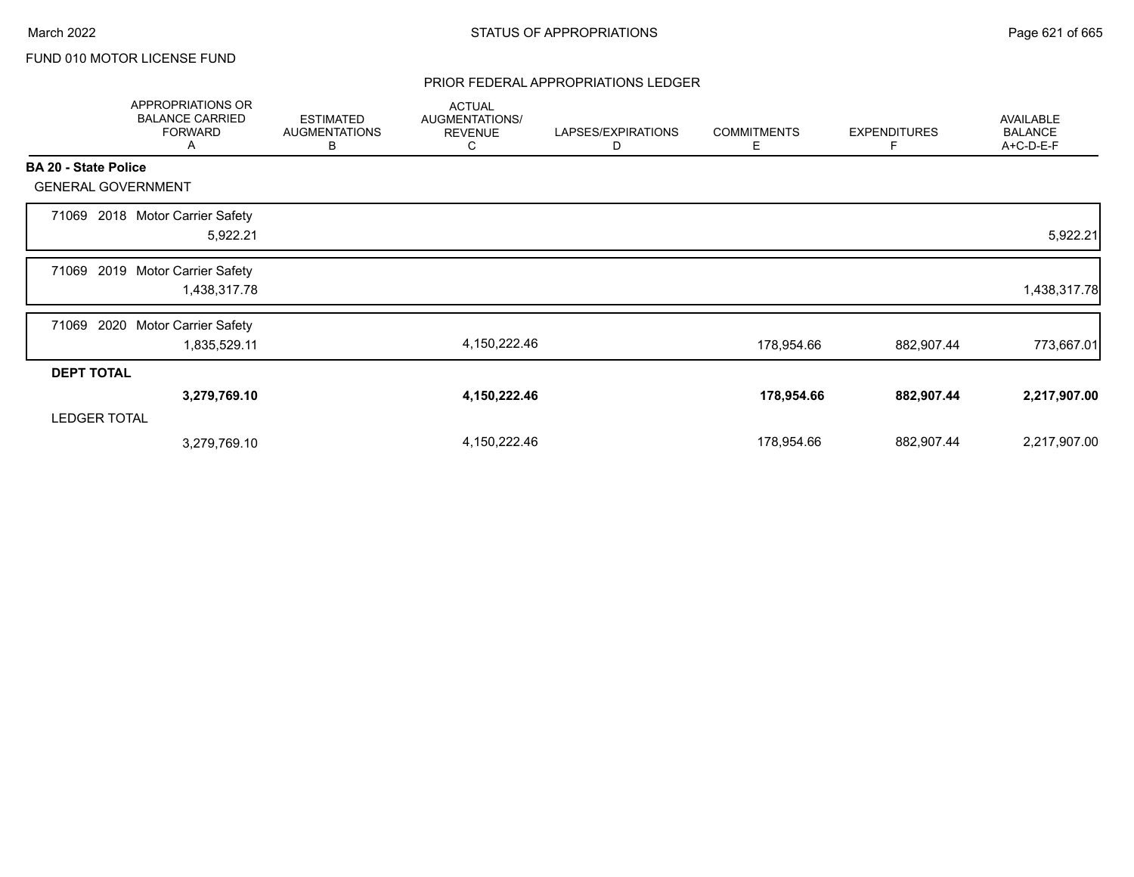### PRIOR FEDERAL APPROPRIATIONS LEDGER

|                             | APPROPRIATIONS OR<br><b>BALANCE CARRIED</b><br><b>FORWARD</b><br>A | <b>ESTIMATED</b><br><b>AUGMENTATIONS</b><br>В | <b>ACTUAL</b><br>AUGMENTATIONS/<br><b>REVENUE</b><br>C | LAPSES/EXPIRATIONS<br>D | <b>COMMITMENTS</b><br>Е | <b>EXPENDITURES</b><br>F | AVAILABLE<br><b>BALANCE</b><br>A+C-D-E-F |
|-----------------------------|--------------------------------------------------------------------|-----------------------------------------------|--------------------------------------------------------|-------------------------|-------------------------|--------------------------|------------------------------------------|
| <b>BA 20 - State Police</b> |                                                                    |                                               |                                                        |                         |                         |                          |                                          |
| <b>GENERAL GOVERNMENT</b>   |                                                                    |                                               |                                                        |                         |                         |                          |                                          |
| 71069                       | 2018 Motor Carrier Safety<br>5,922.21                              |                                               |                                                        |                         |                         |                          | 5,922.21                                 |
| 71069                       | 2019 Motor Carrier Safety<br>1,438,317.78                          |                                               |                                                        |                         |                         |                          | 1,438,317.78                             |
| 2020<br>71069               | <b>Motor Carrier Safety</b><br>1,835,529.11                        |                                               | 4,150,222.46                                           |                         | 178,954.66              | 882,907.44               | 773,667.01                               |
| <b>DEPT TOTAL</b>           |                                                                    |                                               |                                                        |                         |                         |                          |                                          |
|                             | 3,279,769.10                                                       |                                               | 4,150,222.46                                           |                         | 178,954.66              | 882,907.44               | 2,217,907.00                             |
| <b>LEDGER TOTAL</b>         |                                                                    |                                               |                                                        |                         |                         |                          |                                          |
|                             | 3,279,769.10                                                       |                                               | 4,150,222.46                                           |                         | 178,954.66              | 882,907.44               | 2,217,907.00                             |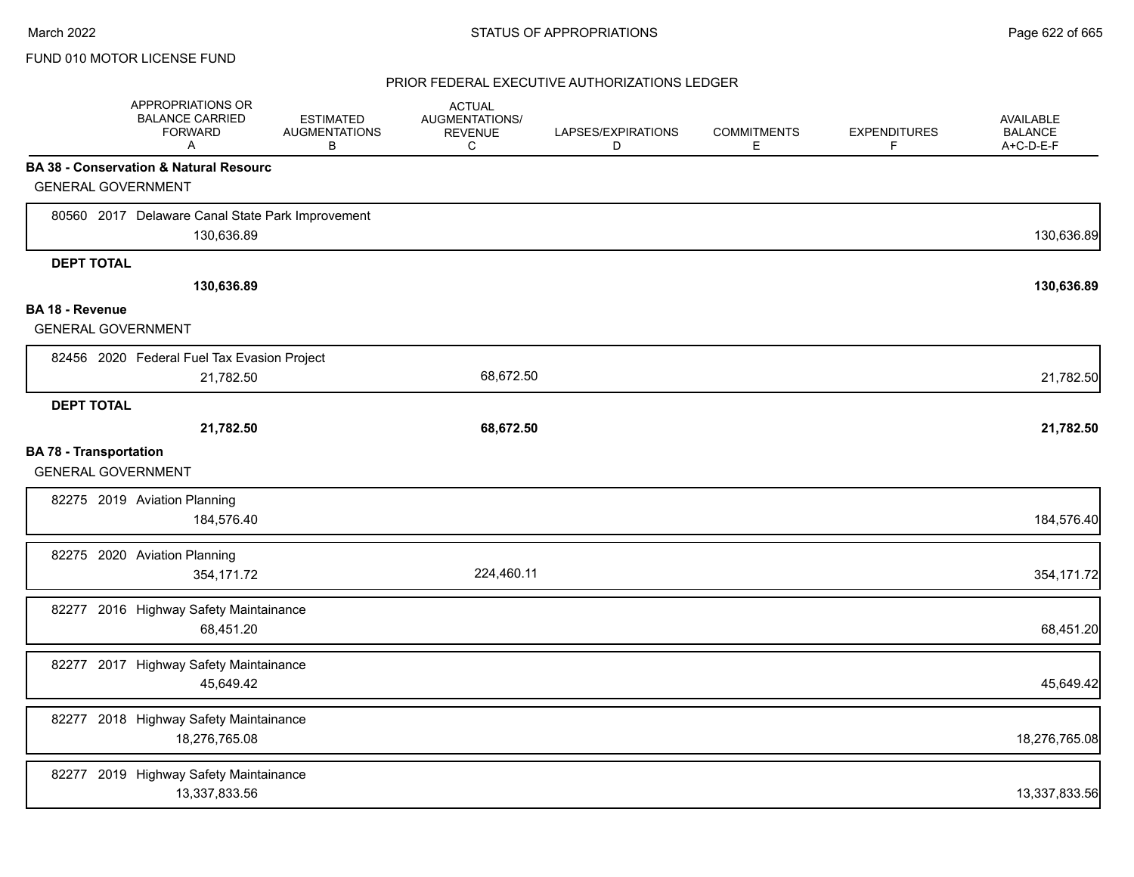|                               | APPROPRIATIONS OR<br><b>BALANCE CARRIED</b><br><b>FORWARD</b><br>Α | <b>ESTIMATED</b><br><b>AUGMENTATIONS</b><br>В | <b>ACTUAL</b><br>AUGMENTATIONS/<br><b>REVENUE</b><br>C | LAPSES/EXPIRATIONS<br>D | <b>COMMITMENTS</b><br>Е | <b>EXPENDITURES</b><br>F | <b>AVAILABLE</b><br><b>BALANCE</b><br>A+C-D-E-F |
|-------------------------------|--------------------------------------------------------------------|-----------------------------------------------|--------------------------------------------------------|-------------------------|-------------------------|--------------------------|-------------------------------------------------|
|                               | <b>BA 38 - Conservation &amp; Natural Resourc</b>                  |                                               |                                                        |                         |                         |                          |                                                 |
|                               | <b>GENERAL GOVERNMENT</b>                                          |                                               |                                                        |                         |                         |                          |                                                 |
|                               | 80560 2017 Delaware Canal State Park Improvement<br>130,636.89     |                                               |                                                        |                         |                         |                          | 130,636.89                                      |
| <b>DEPT TOTAL</b>             |                                                                    |                                               |                                                        |                         |                         |                          |                                                 |
|                               | 130,636.89                                                         |                                               |                                                        |                         |                         |                          | 130,636.89                                      |
| <b>BA 18 - Revenue</b>        |                                                                    |                                               |                                                        |                         |                         |                          |                                                 |
|                               | <b>GENERAL GOVERNMENT</b>                                          |                                               |                                                        |                         |                         |                          |                                                 |
|                               | 82456 2020 Federal Fuel Tax Evasion Project                        |                                               |                                                        |                         |                         |                          |                                                 |
|                               | 21,782.50                                                          |                                               | 68,672.50                                              |                         |                         |                          | 21,782.50                                       |
| <b>DEPT TOTAL</b>             |                                                                    |                                               |                                                        |                         |                         |                          |                                                 |
|                               | 21,782.50                                                          |                                               | 68,672.50                                              |                         |                         |                          | 21,782.50                                       |
| <b>BA 78 - Transportation</b> | <b>GENERAL GOVERNMENT</b>                                          |                                               |                                                        |                         |                         |                          |                                                 |
|                               | 82275 2019 Aviation Planning<br>184,576.40                         |                                               |                                                        |                         |                         |                          | 184,576.40                                      |
|                               | 82275 2020 Aviation Planning<br>354,171.72                         |                                               | 224,460.11                                             |                         |                         |                          | 354,171.72                                      |
|                               | 82277 2016 Highway Safety Maintainance<br>68,451.20                |                                               |                                                        |                         |                         |                          | 68,451.20                                       |
|                               | 82277 2017 Highway Safety Maintainance<br>45,649.42                |                                               |                                                        |                         |                         |                          | 45,649.42                                       |
|                               | 82277 2018 Highway Safety Maintainance<br>18,276,765.08            |                                               |                                                        |                         |                         |                          | 18,276,765.08                                   |
|                               | 82277 2019 Highway Safety Maintainance<br>13,337,833.56            |                                               |                                                        |                         |                         |                          | 13,337,833.56                                   |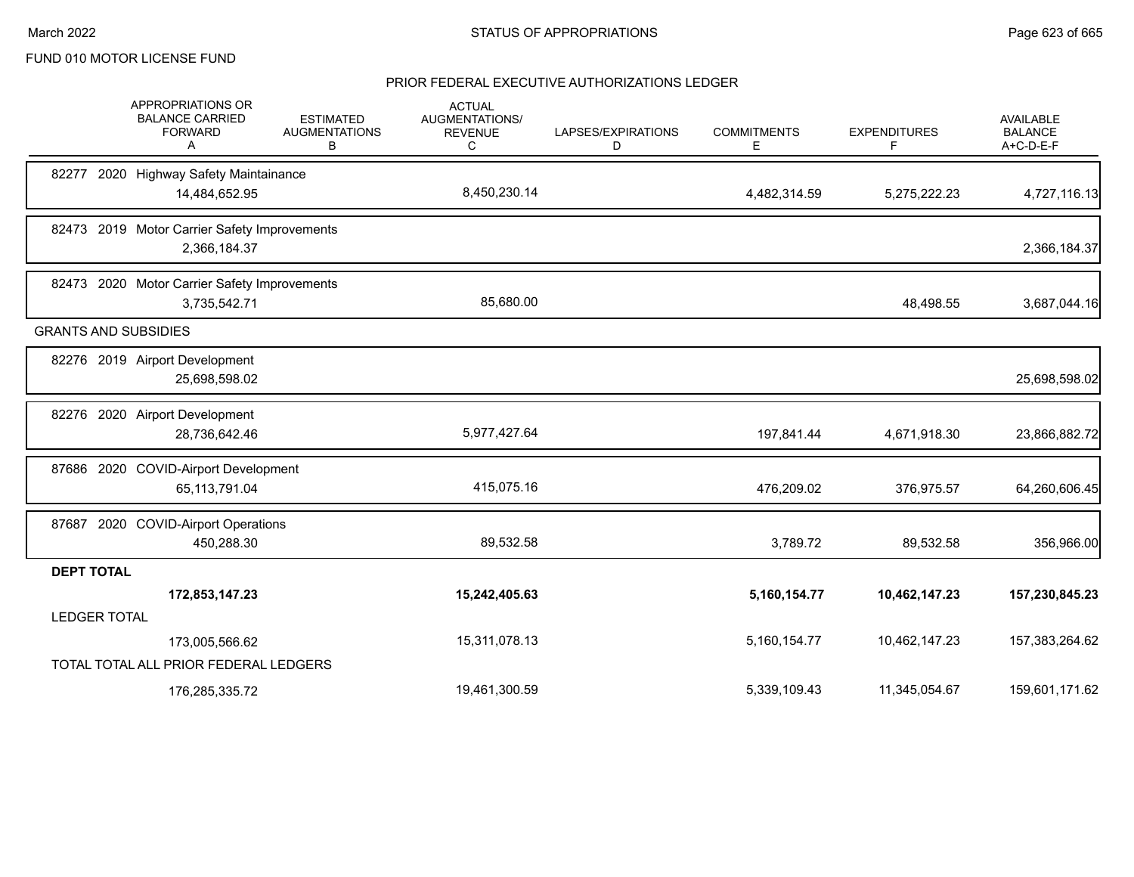|                   | APPROPRIATIONS OR<br><b>BALANCE CARRIED</b><br><b>FORWARD</b><br>A | <b>ESTIMATED</b><br><b>AUGMENTATIONS</b><br>В | <b>ACTUAL</b><br><b>AUGMENTATIONS/</b><br><b>REVENUE</b><br>С | LAPSES/EXPIRATIONS<br>D | <b>COMMITMENTS</b><br>Е | <b>EXPENDITURES</b><br>F | AVAILABLE<br><b>BALANCE</b><br>A+C-D-E-F |
|-------------------|--------------------------------------------------------------------|-----------------------------------------------|---------------------------------------------------------------|-------------------------|-------------------------|--------------------------|------------------------------------------|
|                   | 82277 2020 Highway Safety Maintainance                             |                                               |                                                               |                         |                         |                          |                                          |
|                   | 14,484,652.95                                                      |                                               | 8,450,230.14                                                  |                         | 4,482,314.59            | 5,275,222.23             | 4,727,116.13                             |
|                   | 82473 2019 Motor Carrier Safety Improvements                       |                                               |                                                               |                         |                         |                          |                                          |
|                   | 2,366,184.37                                                       |                                               |                                                               |                         |                         |                          | 2,366,184.37                             |
|                   | 82473 2020 Motor Carrier Safety Improvements                       |                                               |                                                               |                         |                         |                          |                                          |
|                   | 3,735,542.71                                                       |                                               | 85,680.00                                                     |                         |                         | 48,498.55                | 3,687,044.16                             |
|                   | <b>GRANTS AND SUBSIDIES</b>                                        |                                               |                                                               |                         |                         |                          |                                          |
|                   | 82276 2019 Airport Development                                     |                                               |                                                               |                         |                         |                          |                                          |
|                   | 25,698,598.02                                                      |                                               |                                                               |                         |                         |                          | 25,698,598.02                            |
|                   | 82276 2020 Airport Development                                     |                                               |                                                               |                         |                         |                          |                                          |
|                   | 28,736,642.46                                                      |                                               | 5,977,427.64                                                  |                         | 197,841.44              | 4,671,918.30             | 23,866,882.72                            |
|                   | 87686 2020 COVID-Airport Development                               |                                               |                                                               |                         |                         |                          |                                          |
|                   | 65,113,791.04                                                      |                                               | 415,075.16                                                    |                         | 476,209.02              | 376,975.57               | 64,260,606.45                            |
|                   | 87687 2020 COVID-Airport Operations                                |                                               |                                                               |                         |                         |                          |                                          |
|                   | 450,288.30                                                         |                                               | 89,532.58                                                     |                         | 3,789.72                | 89,532.58                | 356,966.00                               |
| <b>DEPT TOTAL</b> |                                                                    |                                               |                                                               |                         |                         |                          |                                          |
|                   | 172,853,147.23                                                     |                                               | 15,242,405.63                                                 |                         | 5,160,154.77            | 10,462,147.23            | 157,230,845.23                           |
|                   | <b>LEDGER TOTAL</b>                                                |                                               |                                                               |                         |                         |                          |                                          |
|                   | 173,005,566.62                                                     |                                               | 15,311,078.13                                                 |                         | 5,160,154.77            | 10,462,147.23            | 157,383,264.62                           |
|                   | TOTAL TOTAL ALL PRIOR FEDERAL LEDGERS                              |                                               |                                                               |                         |                         |                          |                                          |
|                   | 176,285,335.72                                                     |                                               | 19,461,300.59                                                 |                         | 5,339,109.43            | 11,345,054.67            | 159,601,171.62                           |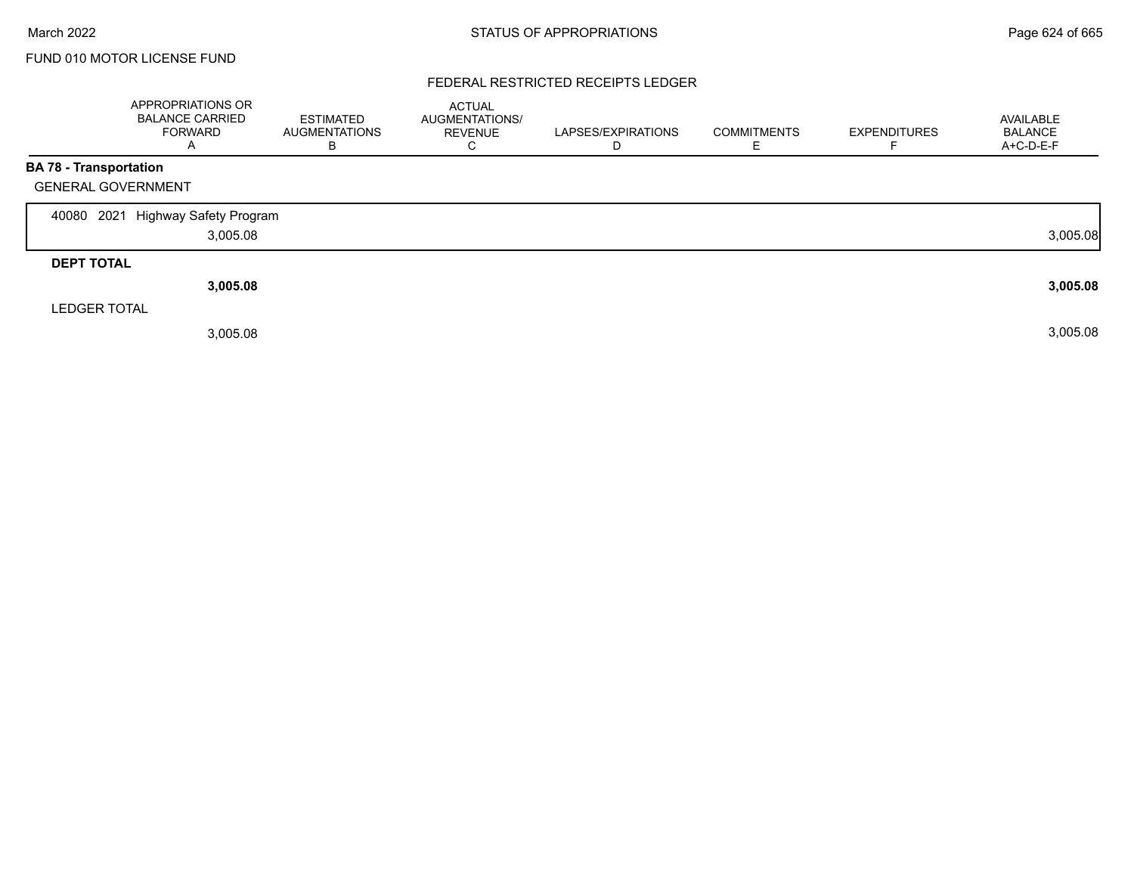### FEDERAL RESTRICTED RECEIPTS LEDGER

|                               | <b>APPROPRIATIONS OR</b><br><b>BALANCE CARRIED</b><br>FORWARD<br>A | <b>ESTIMATED</b><br><b>AUGMENTATIONS</b><br>В | <b>ACTUAL</b><br>AUGMENTATIONS/<br><b>REVENUE</b><br>С | LAPSES/EXPIRATIONS<br>D | <b>COMMITMENTS</b> | <b>EXPENDITURES</b> | AVAILABLE<br><b>BALANCE</b><br>A+C-D-E-F |
|-------------------------------|--------------------------------------------------------------------|-----------------------------------------------|--------------------------------------------------------|-------------------------|--------------------|---------------------|------------------------------------------|
| <b>BA 78 - Transportation</b> |                                                                    |                                               |                                                        |                         |                    |                     |                                          |
| <b>GENERAL GOVERNMENT</b>     |                                                                    |                                               |                                                        |                         |                    |                     |                                          |
| 2021<br>40080                 | Highway Safety Program                                             |                                               |                                                        |                         |                    |                     |                                          |
|                               | 3,005.08                                                           |                                               |                                                        |                         |                    |                     | 3,005.08                                 |
| <b>DEPT TOTAL</b>             |                                                                    |                                               |                                                        |                         |                    |                     |                                          |
|                               | 3,005.08                                                           |                                               |                                                        |                         |                    |                     | 3,005.08                                 |
| <b>LEDGER TOTAL</b>           |                                                                    |                                               |                                                        |                         |                    |                     |                                          |
|                               | 3,005.08                                                           |                                               |                                                        |                         |                    |                     | 3,005.08                                 |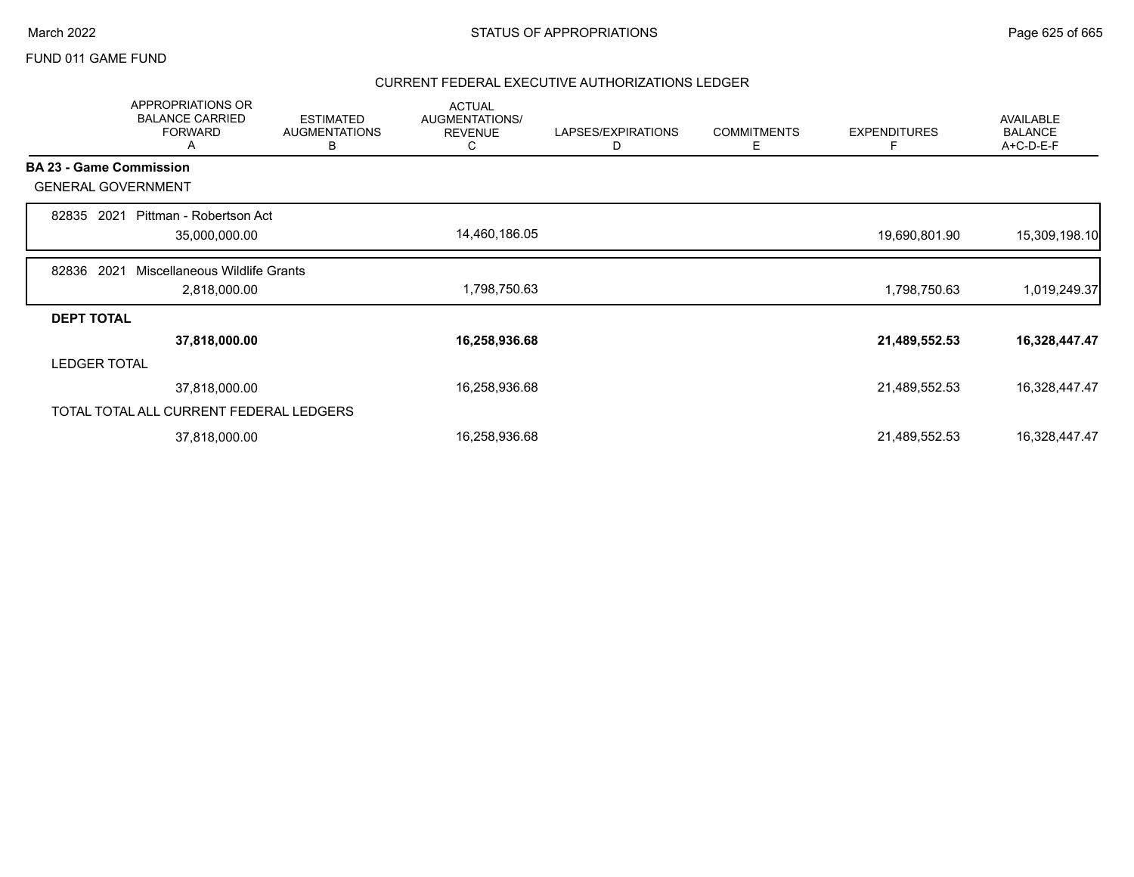### FUND 011 GAME FUND

|                   | <b>APPROPRIATIONS OR</b><br><b>BALANCE CARRIED</b><br><b>FORWARD</b><br>A | <b>ESTIMATED</b><br><b>AUGMENTATIONS</b><br>В | <b>ACTUAL</b><br>AUGMENTATIONS/<br><b>REVENUE</b><br>С | LAPSES/EXPIRATIONS<br>D | <b>COMMITMENTS</b><br>Е | <b>EXPENDITURES</b><br>F | <b>AVAILABLE</b><br><b>BALANCE</b><br>A+C-D-E-F |
|-------------------|---------------------------------------------------------------------------|-----------------------------------------------|--------------------------------------------------------|-------------------------|-------------------------|--------------------------|-------------------------------------------------|
|                   | <b>BA 23 - Game Commission</b>                                            |                                               |                                                        |                         |                         |                          |                                                 |
|                   | <b>GENERAL GOVERNMENT</b>                                                 |                                               |                                                        |                         |                         |                          |                                                 |
| 82835             | 2021<br>Pittman - Robertson Act<br>35,000,000.00                          |                                               | 14,460,186.05                                          |                         |                         | 19,690,801.90            | 15,309,198.10                                   |
| 82836             | 2021<br>Miscellaneous Wildlife Grants<br>2,818,000.00                     |                                               | 1,798,750.63                                           |                         |                         | 1,798,750.63             | 1,019,249.37                                    |
| <b>DEPT TOTAL</b> |                                                                           |                                               |                                                        |                         |                         |                          |                                                 |
|                   | 37,818,000.00                                                             |                                               | 16,258,936.68                                          |                         |                         | 21,489,552.53            | 16,328,447.47                                   |
|                   | <b>LEDGER TOTAL</b>                                                       |                                               |                                                        |                         |                         |                          |                                                 |
|                   | 37,818,000.00                                                             |                                               | 16,258,936.68                                          |                         |                         | 21,489,552.53            | 16,328,447.47                                   |
|                   | TOTAL TOTAL ALL CURRENT FEDERAL LEDGERS                                   |                                               |                                                        |                         |                         |                          |                                                 |
|                   | 37,818,000.00                                                             |                                               | 16,258,936.68                                          |                         |                         | 21,489,552.53            | 16,328,447.47                                   |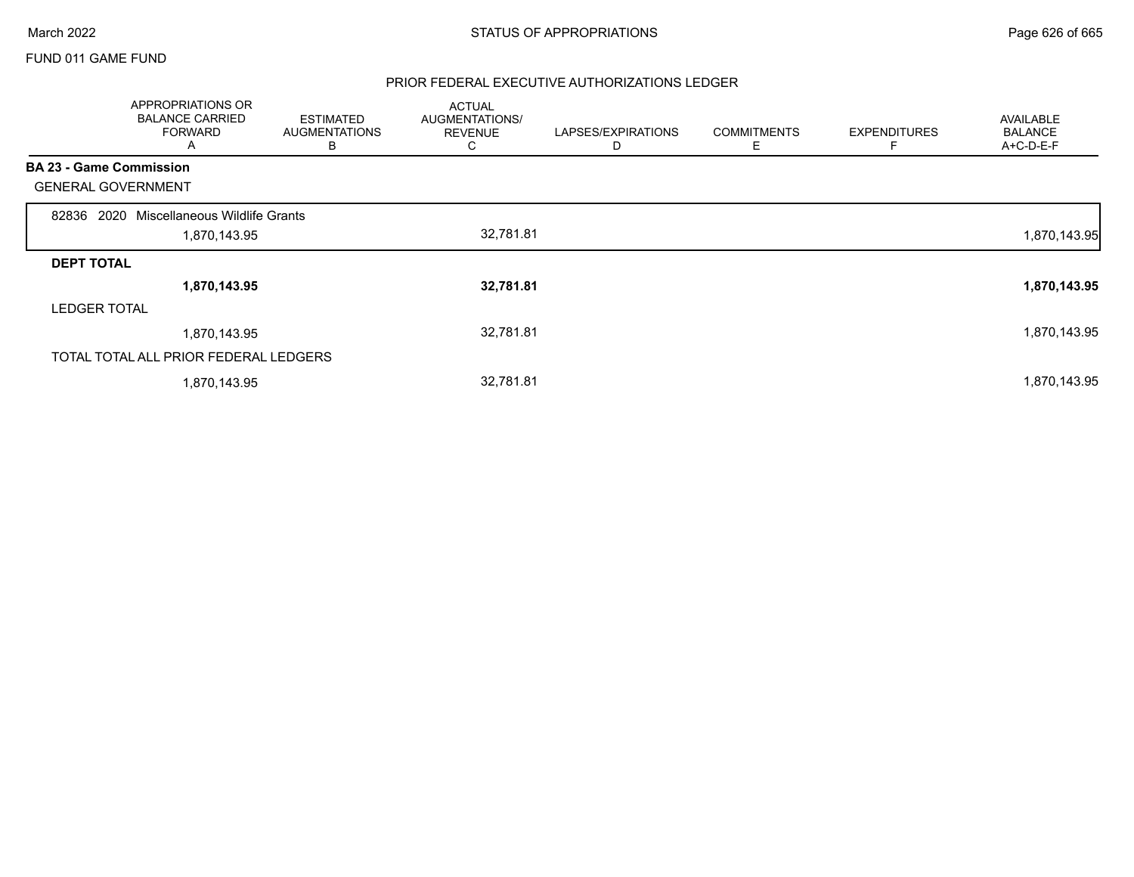### FUND 011 GAME FUND

|                                | APPROPRIATIONS OR<br><b>BALANCE CARRIED</b><br><b>FORWARD</b><br>A | ESTIMATED<br><b>AUGMENTATIONS</b><br>В | <b>ACTUAL</b><br>AUGMENTATIONS/<br><b>REVENUE</b><br>C | LAPSES/EXPIRATIONS | <b>COMMITMENTS</b><br>Е | <b>EXPENDITURES</b><br>F | <b>AVAILABLE</b><br><b>BALANCE</b><br>A+C-D-E-F |
|--------------------------------|--------------------------------------------------------------------|----------------------------------------|--------------------------------------------------------|--------------------|-------------------------|--------------------------|-------------------------------------------------|
| <b>BA 23 - Game Commission</b> |                                                                    |                                        |                                                        |                    |                         |                          |                                                 |
| <b>GENERAL GOVERNMENT</b>      |                                                                    |                                        |                                                        |                    |                         |                          |                                                 |
| 2020<br>82836                  | Miscellaneous Wildlife Grants                                      |                                        |                                                        |                    |                         |                          |                                                 |
|                                | 1,870,143.95                                                       |                                        | 32,781.81                                              |                    |                         |                          | 1,870,143.95                                    |
| <b>DEPT TOTAL</b>              |                                                                    |                                        |                                                        |                    |                         |                          |                                                 |
|                                | 1,870,143.95                                                       |                                        | 32,781.81                                              |                    |                         |                          | 1,870,143.95                                    |
| <b>LEDGER TOTAL</b>            |                                                                    |                                        |                                                        |                    |                         |                          |                                                 |
|                                | 1,870,143.95                                                       |                                        | 32,781.81                                              |                    |                         |                          | 1,870,143.95                                    |
|                                | TOTAL TOTAL ALL PRIOR FEDERAL LEDGERS                              |                                        |                                                        |                    |                         |                          |                                                 |
|                                | 1,870,143.95                                                       |                                        | 32,781.81                                              |                    |                         |                          | 1,870,143.95                                    |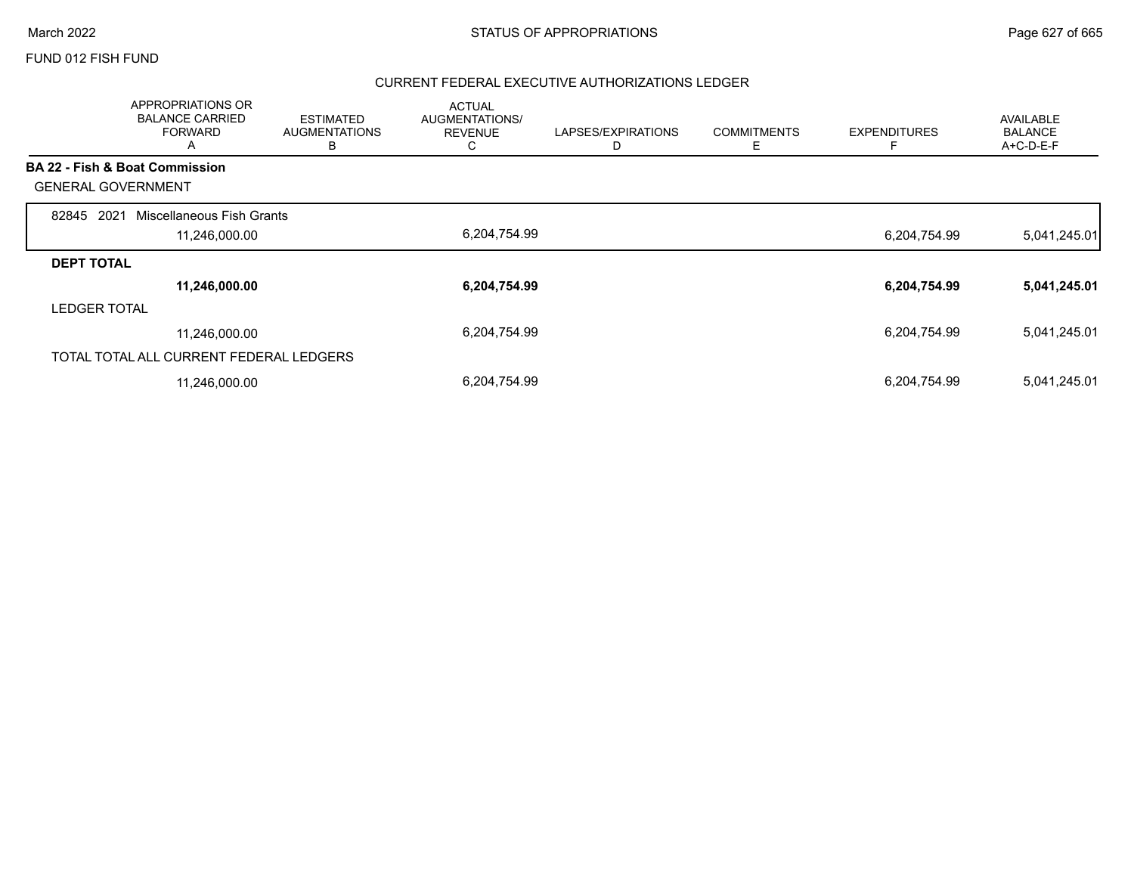#### FUND 012 FISH FUND

|                           | APPROPRIATIONS OR<br><b>BALANCE CARRIED</b><br><b>FORWARD</b><br>A | <b>ESTIMATED</b><br><b>AUGMENTATIONS</b><br>B | <b>ACTUAL</b><br>AUGMENTATIONS/<br><b>REVENUE</b><br>C | LAPSES/EXPIRATIONS | <b>COMMITMENTS</b><br>Ε | <b>EXPENDITURES</b> | <b>AVAILABLE</b><br><b>BALANCE</b><br>A+C-D-E-F |
|---------------------------|--------------------------------------------------------------------|-----------------------------------------------|--------------------------------------------------------|--------------------|-------------------------|---------------------|-------------------------------------------------|
|                           | <b>BA 22 - Fish &amp; Boat Commission</b>                          |                                               |                                                        |                    |                         |                     |                                                 |
| <b>GENERAL GOVERNMENT</b> |                                                                    |                                               |                                                        |                    |                         |                     |                                                 |
| 2021<br>82845             | Miscellaneous Fish Grants                                          |                                               |                                                        |                    |                         |                     |                                                 |
|                           | 11,246,000.00                                                      |                                               | 6,204,754.99                                           |                    |                         | 6,204,754.99        | 5,041,245.01                                    |
| <b>DEPT TOTAL</b>         |                                                                    |                                               |                                                        |                    |                         |                     |                                                 |
|                           | 11,246,000.00                                                      |                                               | 6,204,754.99                                           |                    |                         | 6,204,754.99        | 5,041,245.01                                    |
| <b>LEDGER TOTAL</b>       |                                                                    |                                               |                                                        |                    |                         |                     |                                                 |
|                           | 11,246,000.00                                                      |                                               | 6,204,754.99                                           |                    |                         | 6,204,754.99        | 5,041,245.01                                    |
|                           | TOTAL TOTAL ALL CURRENT FEDERAL LEDGERS                            |                                               |                                                        |                    |                         |                     |                                                 |
|                           | 11,246,000.00                                                      |                                               | 6,204,754.99                                           |                    |                         | 6,204,754.99        | 5,041,245.01                                    |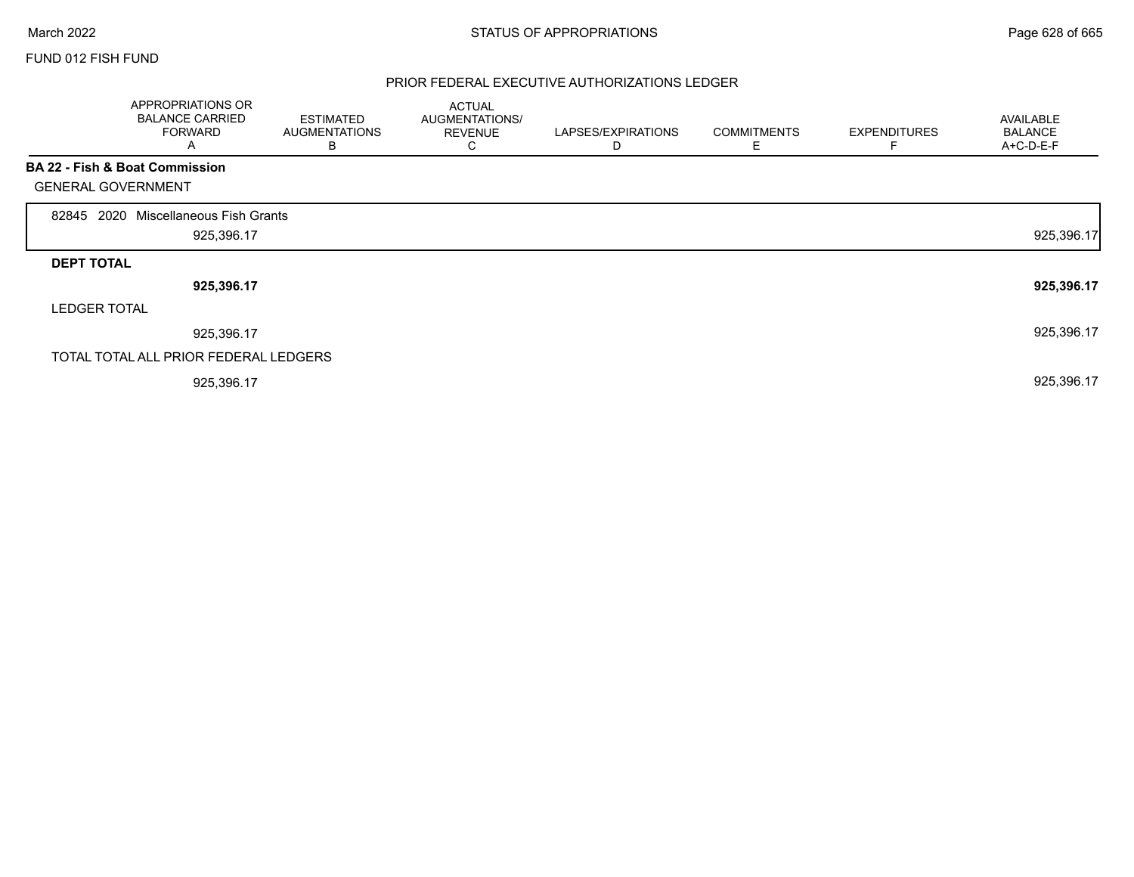Г

### FUND 012 FISH FUND

|                           | APPROPRIATIONS OR<br><b>BALANCE CARRIED</b><br><b>FORWARD</b><br>A | <b>ESTIMATED</b><br><b>AUGMENTATIONS</b><br>B | <b>ACTUAL</b><br>AUGMENTATIONS/<br><b>REVENUE</b><br>C | LAPSES/EXPIRATIONS<br>D | <b>COMMITMENTS</b><br>Ε | <b>EXPENDITURES</b><br>F | <b>AVAILABLE</b><br><b>BALANCE</b><br>A+C-D-E-F |
|---------------------------|--------------------------------------------------------------------|-----------------------------------------------|--------------------------------------------------------|-------------------------|-------------------------|--------------------------|-------------------------------------------------|
|                           | BA 22 - Fish & Boat Commission                                     |                                               |                                                        |                         |                         |                          |                                                 |
| <b>GENERAL GOVERNMENT</b> |                                                                    |                                               |                                                        |                         |                         |                          |                                                 |
| 2020<br>82845             | Miscellaneous Fish Grants                                          |                                               |                                                        |                         |                         |                          |                                                 |
|                           | 925,396.17                                                         |                                               |                                                        |                         |                         |                          | 925,396.17                                      |
| <b>DEPT TOTAL</b>         |                                                                    |                                               |                                                        |                         |                         |                          |                                                 |
|                           | 925,396.17                                                         |                                               |                                                        |                         |                         |                          | 925,396.17                                      |
| <b>LEDGER TOTAL</b>       |                                                                    |                                               |                                                        |                         |                         |                          |                                                 |
|                           | 925,396.17                                                         |                                               |                                                        |                         |                         |                          | 925,396.17                                      |
|                           | TOTAL TOTAL ALL PRIOR FEDERAL LEDGERS                              |                                               |                                                        |                         |                         |                          |                                                 |
|                           | 925,396.17                                                         |                                               |                                                        |                         |                         |                          | 925,396.17                                      |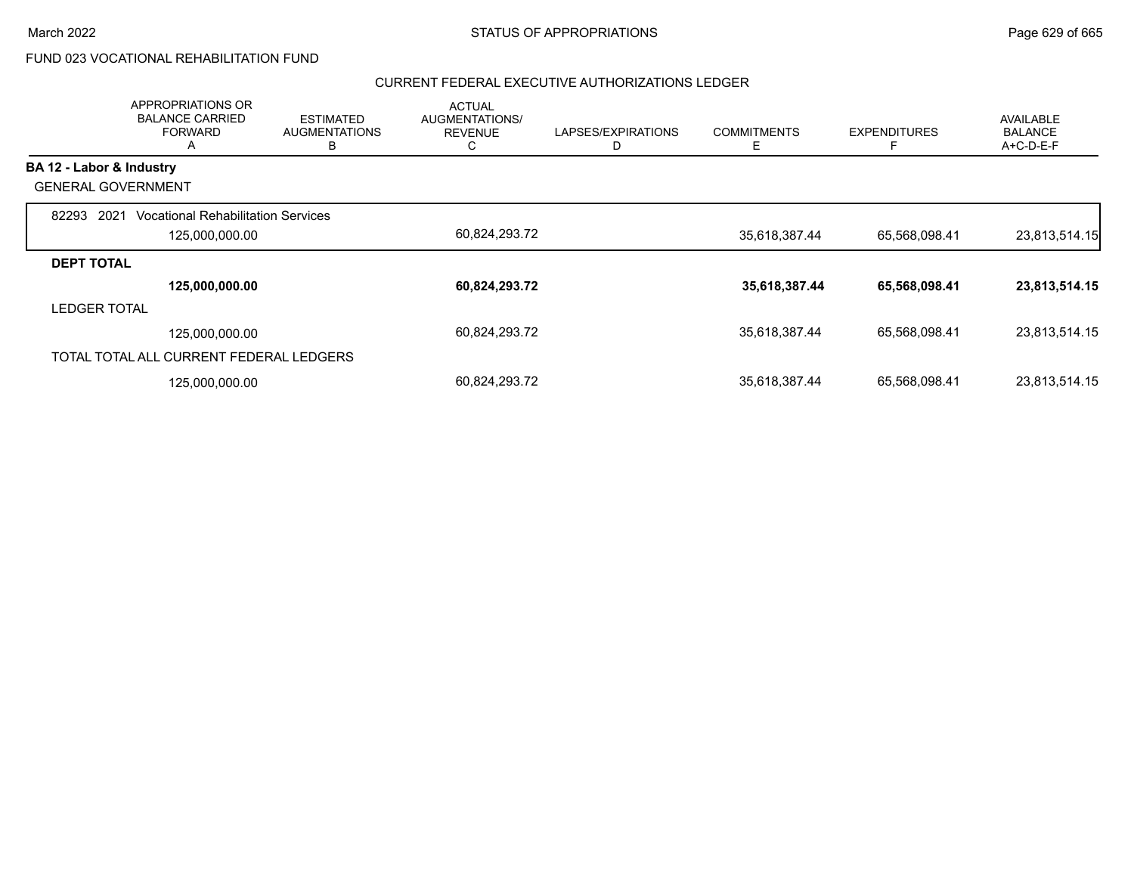# FUND 023 VOCATIONAL REHABILITATION FUND

|                           | <b>APPROPRIATIONS OR</b><br><b>BALANCE CARRIED</b><br><b>FORWARD</b><br>A | <b>ESTIMATED</b><br><b>AUGMENTATIONS</b><br>в | <b>ACTUAL</b><br><b>AUGMENTATIONS/</b><br><b>REVENUE</b><br>◡ | LAPSES/EXPIRATIONS<br>D | <b>COMMITMENTS</b><br>Е | <b>EXPENDITURES</b><br>E | <b>AVAILABLE</b><br><b>BALANCE</b><br>$A+C-D-E-F$ |
|---------------------------|---------------------------------------------------------------------------|-----------------------------------------------|---------------------------------------------------------------|-------------------------|-------------------------|--------------------------|---------------------------------------------------|
| BA 12 - Labor & Industry  |                                                                           |                                               |                                                               |                         |                         |                          |                                                   |
| <b>GENERAL GOVERNMENT</b> |                                                                           |                                               |                                                               |                         |                         |                          |                                                   |
| 82293<br>2021             | <b>Vocational Rehabilitation Services</b>                                 |                                               |                                                               |                         |                         |                          |                                                   |
|                           | 125,000,000.00                                                            |                                               | 60,824,293.72                                                 |                         | 35,618,387.44           | 65,568,098.41            | 23,813,514.15                                     |
| <b>DEPT TOTAL</b>         |                                                                           |                                               |                                                               |                         |                         |                          |                                                   |
|                           | 125,000,000.00                                                            |                                               | 60,824,293.72                                                 |                         | 35,618,387.44           | 65,568,098.41            | 23,813,514.15                                     |
| <b>LEDGER TOTAL</b>       |                                                                           |                                               |                                                               |                         |                         |                          |                                                   |
|                           | 125,000,000.00                                                            |                                               | 60,824,293.72                                                 |                         | 35,618,387.44           | 65,568,098.41            | 23,813,514.15                                     |
|                           | TOTAL TOTAL ALL CURRENT FEDERAL LEDGERS                                   |                                               |                                                               |                         |                         |                          |                                                   |
|                           | 125,000,000.00                                                            |                                               | 60,824,293.72                                                 |                         | 35,618,387.44           | 65,568,098.41            | 23,813,514.15                                     |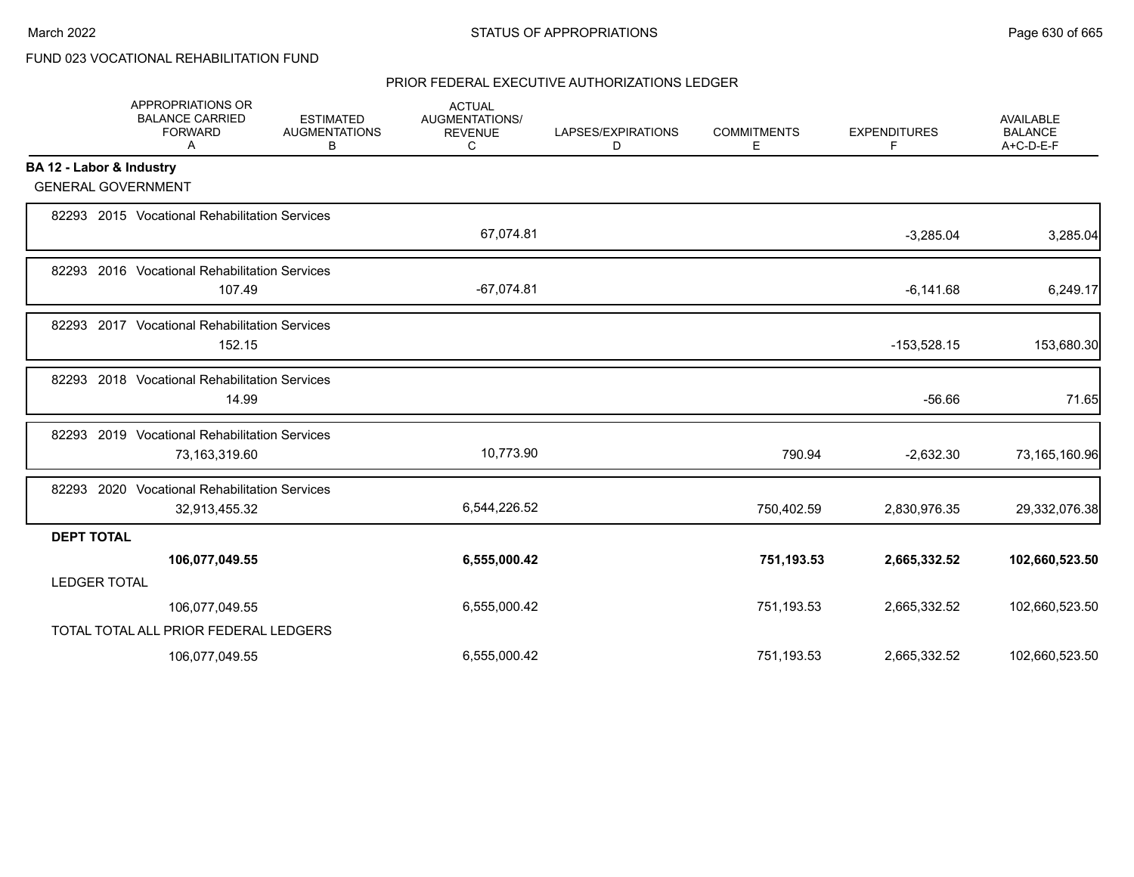# FUND 023 VOCATIONAL REHABILITATION FUND

|                     | APPROPRIATIONS OR<br><b>BALANCE CARRIED</b><br><b>FORWARD</b><br>Α | <b>ESTIMATED</b><br><b>AUGMENTATIONS</b><br>В | <b>ACTUAL</b><br><b>AUGMENTATIONS/</b><br><b>REVENUE</b><br>С | LAPSES/EXPIRATIONS<br>D | <b>COMMITMENTS</b><br>Е | <b>EXPENDITURES</b><br>F | <b>AVAILABLE</b><br><b>BALANCE</b><br>A+C-D-E-F |
|---------------------|--------------------------------------------------------------------|-----------------------------------------------|---------------------------------------------------------------|-------------------------|-------------------------|--------------------------|-------------------------------------------------|
|                     | BA 12 - Labor & Industry                                           |                                               |                                                               |                         |                         |                          |                                                 |
|                     | <b>GENERAL GOVERNMENT</b>                                          |                                               |                                                               |                         |                         |                          |                                                 |
|                     | 82293 2015 Vocational Rehabilitation Services                      |                                               | 67,074.81                                                     |                         |                         | $-3,285.04$              | 3,285.04                                        |
|                     | 82293 2016 Vocational Rehabilitation Services<br>107.49            |                                               | $-67,074.81$                                                  |                         |                         | $-6,141.68$              | 6,249.17                                        |
|                     | 82293 2017 Vocational Rehabilitation Services<br>152.15            |                                               |                                                               |                         |                         | $-153,528.15$            | 153,680.30                                      |
|                     | 82293 2018 Vocational Rehabilitation Services<br>14.99             |                                               |                                                               |                         |                         | $-56.66$                 | 71.65                                           |
| 82293               | 2019 Vocational Rehabilitation Services<br>73,163,319.60           |                                               | 10,773.90                                                     |                         | 790.94                  | $-2,632.30$              | 73,165,160.96                                   |
|                     | 82293 2020 Vocational Rehabilitation Services<br>32,913,455.32     |                                               | 6,544,226.52                                                  |                         | 750,402.59              | 2,830,976.35             | 29,332,076.38                                   |
| <b>DEPT TOTAL</b>   |                                                                    |                                               |                                                               |                         |                         |                          |                                                 |
|                     | 106,077,049.55                                                     |                                               | 6,555,000.42                                                  |                         | 751,193.53              | 2,665,332.52             | 102,660,523.50                                  |
| <b>LEDGER TOTAL</b> |                                                                    |                                               |                                                               |                         |                         |                          |                                                 |
|                     | 106,077,049.55                                                     |                                               | 6,555,000.42                                                  |                         | 751,193.53              | 2,665,332.52             | 102,660,523.50                                  |
|                     | TOTAL TOTAL ALL PRIOR FEDERAL LEDGERS                              |                                               |                                                               |                         |                         |                          |                                                 |
|                     | 106,077,049.55                                                     |                                               | 6,555,000.42                                                  |                         | 751,193.53              | 2,665,332.52             | 102,660,523.50                                  |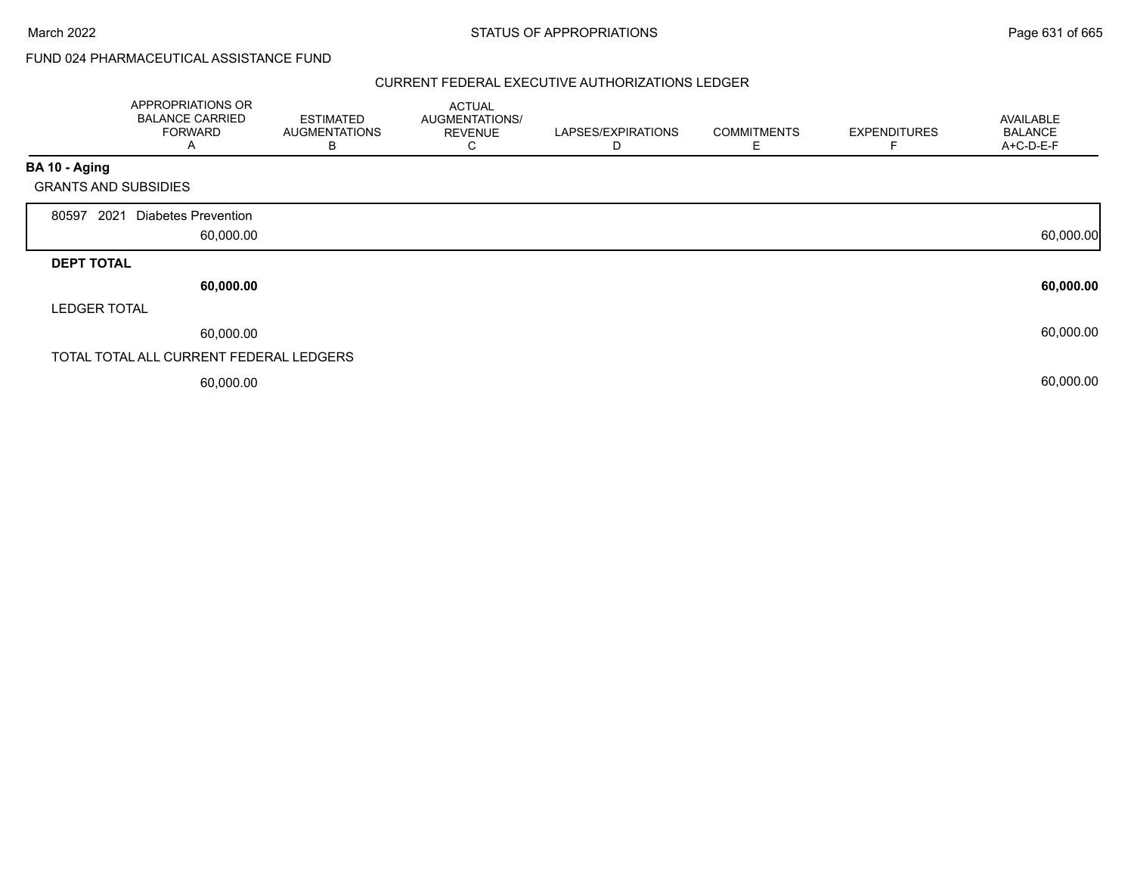# FUND 024 PHARMACEUTICAL ASSISTANCE FUND

|                             | APPROPRIATIONS OR<br><b>BALANCE CARRIED</b><br><b>FORWARD</b><br>A | <b>ESTIMATED</b><br><b>AUGMENTATIONS</b><br>в | <b>ACTUAL</b><br>AUGMENTATIONS/<br><b>REVENUE</b><br>С | LAPSES/EXPIRATIONS<br>D | <b>COMMITMENTS</b><br>Е | <b>EXPENDITURES</b> | AVAILABLE<br><b>BALANCE</b><br>A+C-D-E-F |
|-----------------------------|--------------------------------------------------------------------|-----------------------------------------------|--------------------------------------------------------|-------------------------|-------------------------|---------------------|------------------------------------------|
| BA 10 - Aging               |                                                                    |                                               |                                                        |                         |                         |                     |                                          |
| <b>GRANTS AND SUBSIDIES</b> |                                                                    |                                               |                                                        |                         |                         |                     |                                          |
| 80597<br>2021               | <b>Diabetes Prevention</b><br>60,000.00                            |                                               |                                                        |                         |                         |                     | 60,000.00                                |
| <b>DEPT TOTAL</b>           |                                                                    |                                               |                                                        |                         |                         |                     |                                          |
|                             | 60,000.00                                                          |                                               |                                                        |                         |                         |                     | 60,000.00                                |
| <b>LEDGER TOTAL</b>         |                                                                    |                                               |                                                        |                         |                         |                     |                                          |
|                             | 60,000.00                                                          |                                               |                                                        |                         |                         |                     | 60,000.00                                |
|                             | TOTAL TOTAL ALL CURRENT FEDERAL LEDGERS                            |                                               |                                                        |                         |                         |                     |                                          |
|                             | 60,000.00                                                          |                                               |                                                        |                         |                         |                     | 60,000.00                                |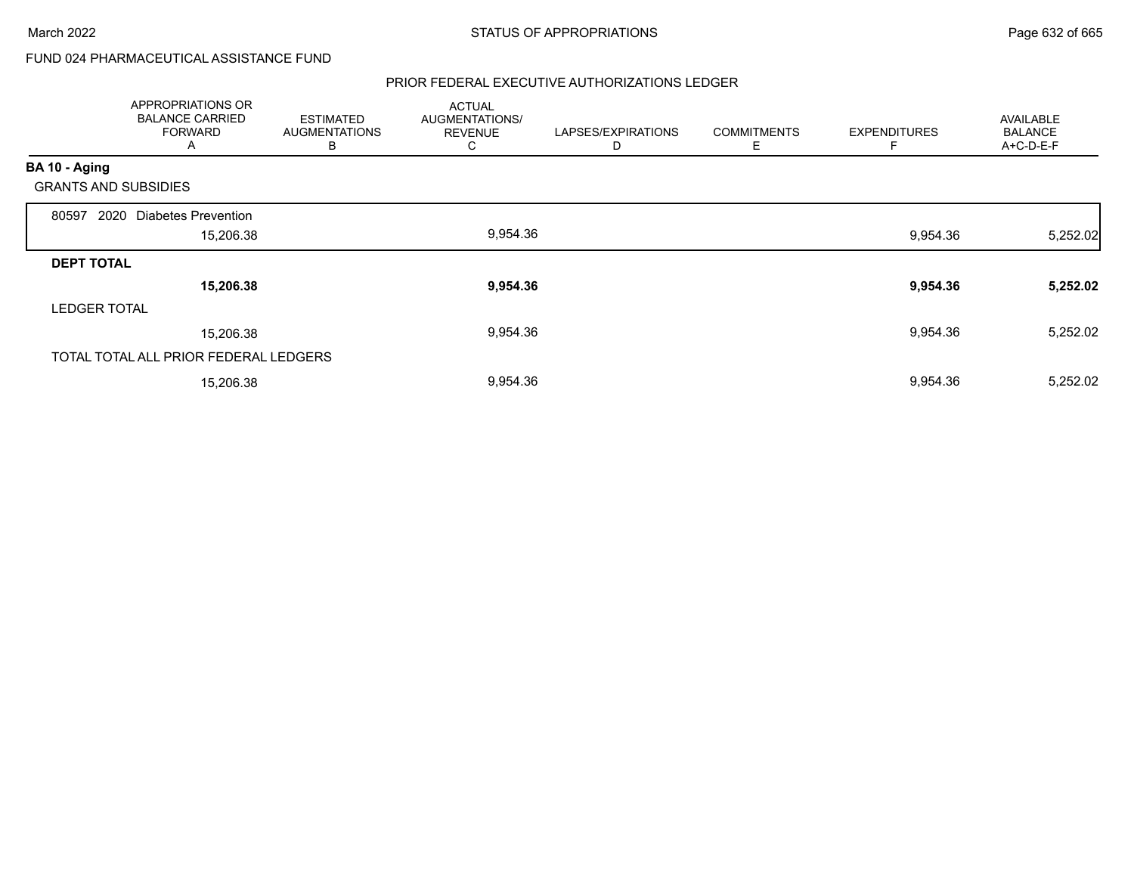# FUND 024 PHARMACEUTICAL ASSISTANCE FUND

|                             | APPROPRIATIONS OR<br><b>BALANCE CARRIED</b><br><b>FORWARD</b><br>A | <b>ESTIMATED</b><br><b>AUGMENTATIONS</b><br>В | <b>ACTUAL</b><br>AUGMENTATIONS/<br><b>REVENUE</b><br>⌒<br>◡ | LAPSES/EXPIRATIONS<br>D | <b>COMMITMENTS</b><br>Е | <b>EXPENDITURES</b> | <b>AVAILABLE</b><br><b>BALANCE</b><br>A+C-D-E-F |
|-----------------------------|--------------------------------------------------------------------|-----------------------------------------------|-------------------------------------------------------------|-------------------------|-------------------------|---------------------|-------------------------------------------------|
| BA 10 - Aging               |                                                                    |                                               |                                                             |                         |                         |                     |                                                 |
| <b>GRANTS AND SUBSIDIES</b> |                                                                    |                                               |                                                             |                         |                         |                     |                                                 |
| 2020<br>80597               | <b>Diabetes Prevention</b>                                         |                                               |                                                             |                         |                         |                     |                                                 |
|                             | 15,206.38                                                          |                                               | 9,954.36                                                    |                         |                         | 9,954.36            | 5,252.02                                        |
| <b>DEPT TOTAL</b>           |                                                                    |                                               |                                                             |                         |                         |                     |                                                 |
|                             | 15,206.38                                                          |                                               | 9,954.36                                                    |                         |                         | 9,954.36            | 5,252.02                                        |
| <b>LEDGER TOTAL</b>         |                                                                    |                                               |                                                             |                         |                         |                     |                                                 |
|                             | 15,206.38                                                          |                                               | 9,954.36                                                    |                         |                         | 9,954.36            | 5,252.02                                        |
|                             | TOTAL TOTAL ALL PRIOR FEDERAL LEDGERS                              |                                               |                                                             |                         |                         |                     |                                                 |
|                             | 15,206.38                                                          |                                               | 9,954.36                                                    |                         |                         | 9,954.36            | 5,252.02                                        |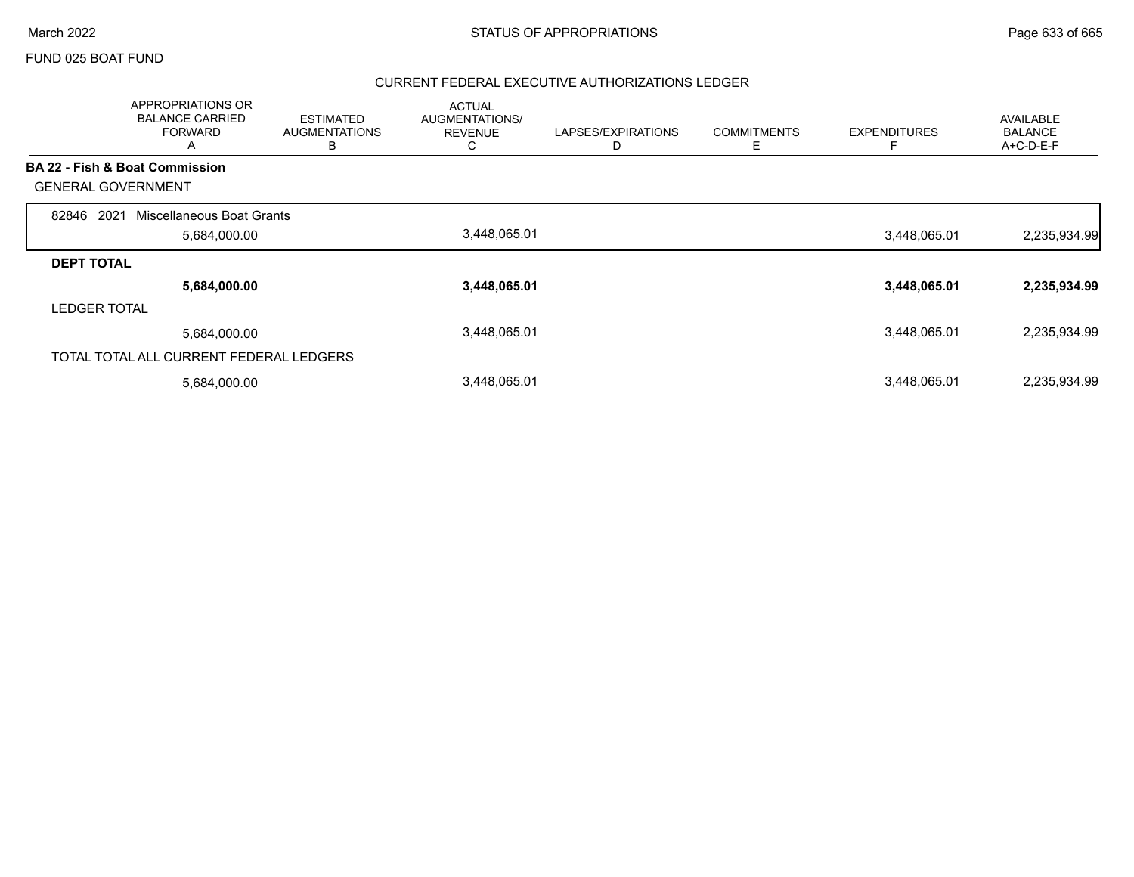#### FUND 025 BOAT FUND

|                           | <b>APPROPRIATIONS OR</b><br><b>BALANCE CARRIED</b><br><b>FORWARD</b><br>A | <b>ESTIMATED</b><br><b>AUGMENTATIONS</b><br>В | <b>ACTUAL</b><br>AUGMENTATIONS/<br><b>REVENUE</b><br>C. | LAPSES/EXPIRATIONS<br>D | <b>COMMITMENTS</b><br>Ε | <b>EXPENDITURES</b> | <b>AVAILABLE</b><br><b>BALANCE</b><br>A+C-D-E-F |
|---------------------------|---------------------------------------------------------------------------|-----------------------------------------------|---------------------------------------------------------|-------------------------|-------------------------|---------------------|-------------------------------------------------|
|                           | <b>BA 22 - Fish &amp; Boat Commission</b>                                 |                                               |                                                         |                         |                         |                     |                                                 |
| <b>GENERAL GOVERNMENT</b> |                                                                           |                                               |                                                         |                         |                         |                     |                                                 |
| 82846<br>2021             | Miscellaneous Boat Grants                                                 |                                               |                                                         |                         |                         |                     |                                                 |
|                           | 5,684,000.00                                                              |                                               | 3,448,065.01                                            |                         |                         | 3,448,065.01        | 2,235,934.99                                    |
| <b>DEPT TOTAL</b>         |                                                                           |                                               |                                                         |                         |                         |                     |                                                 |
|                           | 5,684,000.00                                                              |                                               | 3,448,065.01                                            |                         |                         | 3,448,065.01        | 2,235,934.99                                    |
| <b>LEDGER TOTAL</b>       |                                                                           |                                               |                                                         |                         |                         |                     |                                                 |
|                           | 5,684,000.00                                                              |                                               | 3,448,065.01                                            |                         |                         | 3,448,065.01        | 2,235,934.99                                    |
|                           | TOTAL TOTAL ALL CURRENT FEDERAL LEDGERS                                   |                                               |                                                         |                         |                         |                     |                                                 |
|                           | 5,684,000.00                                                              |                                               | 3,448,065.01                                            |                         |                         | 3,448,065.01        | 2,235,934.99                                    |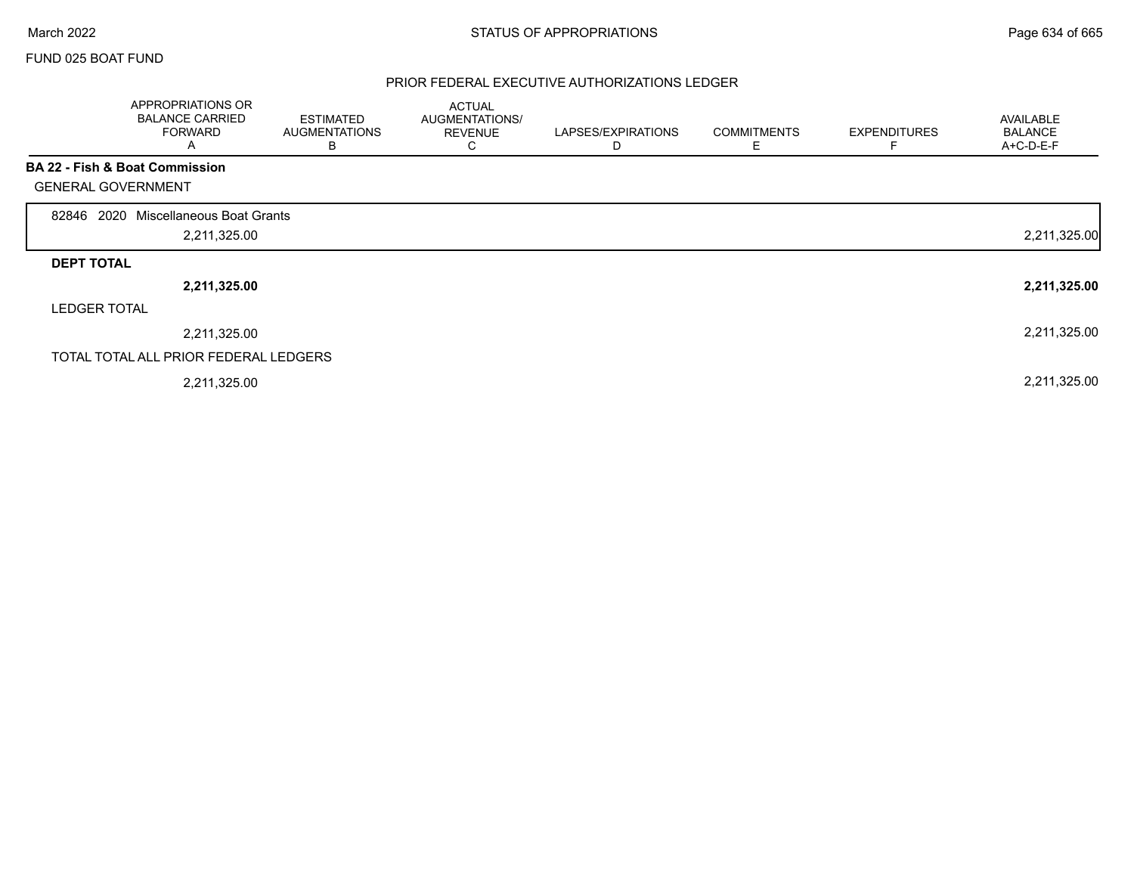$\Gamma$ 

### FUND 025 BOAT FUND

|                           | APPROPRIATIONS OR<br><b>BALANCE CARRIED</b><br><b>FORWARD</b><br>A | <b>ESTIMATED</b><br><b>AUGMENTATIONS</b><br>в | <b>ACTUAL</b><br>AUGMENTATIONS/<br><b>REVENUE</b><br>C | LAPSES/EXPIRATIONS<br>D | <b>COMMITMENTS</b><br>Е | <b>EXPENDITURES</b><br>F | <b>AVAILABLE</b><br><b>BALANCE</b><br>A+C-D-E-F |
|---------------------------|--------------------------------------------------------------------|-----------------------------------------------|--------------------------------------------------------|-------------------------|-------------------------|--------------------------|-------------------------------------------------|
|                           | BA 22 - Fish & Boat Commission                                     |                                               |                                                        |                         |                         |                          |                                                 |
| <b>GENERAL GOVERNMENT</b> |                                                                    |                                               |                                                        |                         |                         |                          |                                                 |
| 2020<br>82846             | Miscellaneous Boat Grants                                          |                                               |                                                        |                         |                         |                          |                                                 |
|                           | 2,211,325.00                                                       |                                               |                                                        |                         |                         |                          | 2,211,325.00                                    |
| <b>DEPT TOTAL</b>         |                                                                    |                                               |                                                        |                         |                         |                          |                                                 |
|                           | 2,211,325.00                                                       |                                               |                                                        |                         |                         |                          | 2,211,325.00                                    |
| <b>LEDGER TOTAL</b>       |                                                                    |                                               |                                                        |                         |                         |                          |                                                 |
|                           | 2,211,325.00                                                       |                                               |                                                        |                         |                         |                          | 2,211,325.00                                    |
|                           | TOTAL TOTAL ALL PRIOR FEDERAL LEDGERS                              |                                               |                                                        |                         |                         |                          |                                                 |
|                           | 2,211,325.00                                                       |                                               |                                                        |                         |                         |                          | 2,211,325.00                                    |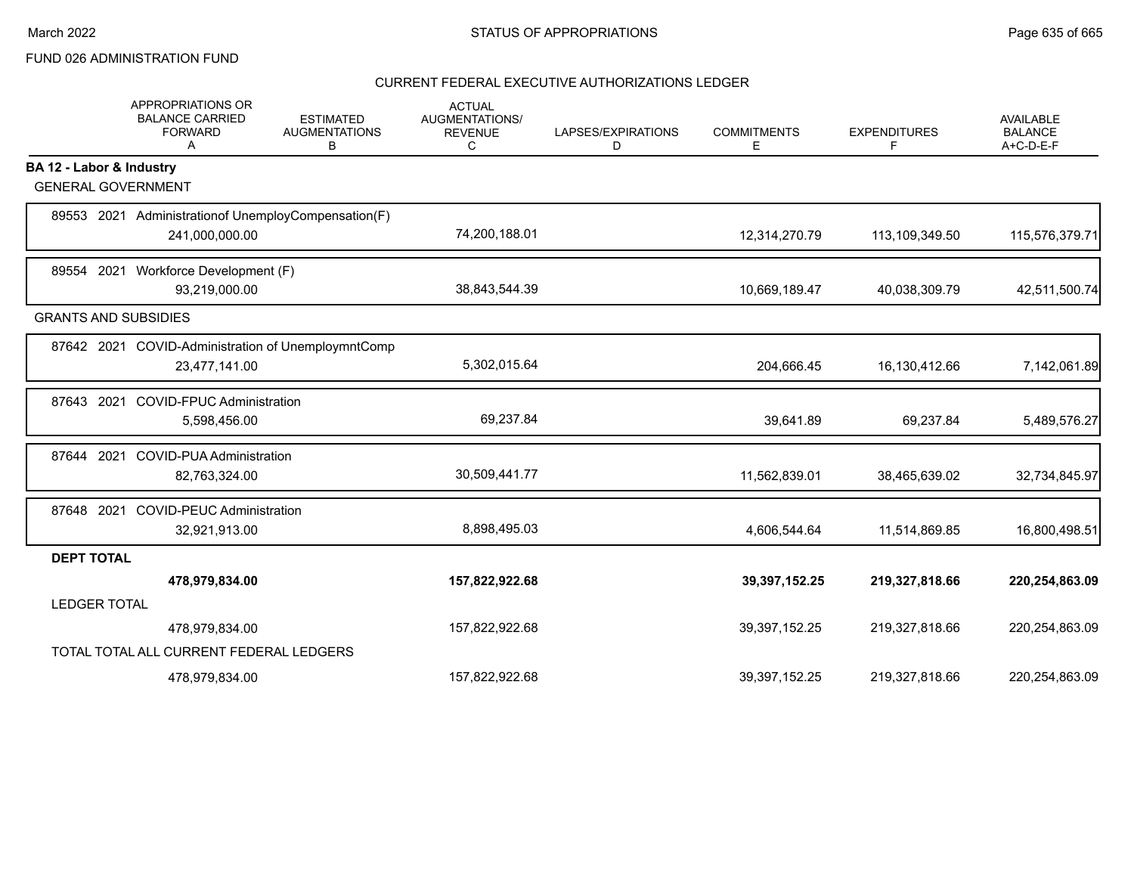# FUND 026 ADMINISTRATION FUND

|                             | <b>APPROPRIATIONS OR</b><br><b>BALANCE CARRIED</b><br><b>FORWARD</b><br>A | <b>ESTIMATED</b><br><b>AUGMENTATIONS</b><br>В | <b>ACTUAL</b><br>AUGMENTATIONS/<br><b>REVENUE</b><br>С | LAPSES/EXPIRATIONS<br>D | <b>COMMITMENTS</b><br>E. | <b>EXPENDITURES</b><br>F | <b>AVAILABLE</b><br><b>BALANCE</b><br>A+C-D-E-F |
|-----------------------------|---------------------------------------------------------------------------|-----------------------------------------------|--------------------------------------------------------|-------------------------|--------------------------|--------------------------|-------------------------------------------------|
| BA 12 - Labor & Industry    |                                                                           |                                               |                                                        |                         |                          |                          |                                                 |
| <b>GENERAL GOVERNMENT</b>   |                                                                           |                                               |                                                        |                         |                          |                          |                                                 |
|                             | 89553 2021 Administrationof UnemployCompensation(F)                       |                                               |                                                        |                         |                          |                          |                                                 |
|                             | 241,000,000.00                                                            |                                               | 74,200,188.01                                          |                         | 12,314,270.79            | 113,109,349.50           | 115,576,379.71                                  |
|                             | 89554 2021 Workforce Development (F)                                      |                                               |                                                        |                         |                          |                          |                                                 |
|                             | 93,219,000.00                                                             |                                               | 38,843,544.39                                          |                         | 10,669,189.47            | 40,038,309.79            | 42,511,500.74                                   |
| <b>GRANTS AND SUBSIDIES</b> |                                                                           |                                               |                                                        |                         |                          |                          |                                                 |
|                             | 87642 2021 COVID-Administration of UnemploymntComp                        |                                               |                                                        |                         |                          |                          |                                                 |
|                             | 23,477,141.00                                                             |                                               | 5,302,015.64                                           |                         | 204,666.45               | 16,130,412.66            | 7,142,061.89                                    |
| 87643 2021                  | <b>COVID-FPUC Administration</b>                                          |                                               |                                                        |                         |                          |                          |                                                 |
|                             | 5,598,456.00                                                              |                                               | 69,237.84                                              |                         | 39,641.89                | 69,237.84                | 5,489,576.27                                    |
| 87644 2021                  | <b>COVID-PUA Administration</b>                                           |                                               |                                                        |                         |                          |                          |                                                 |
|                             | 82,763,324.00                                                             |                                               | 30,509,441.77                                          |                         | 11,562,839.01            | 38,465,639.02            | 32,734,845.97                                   |
| 87648 2021                  | <b>COVID-PEUC Administration</b>                                          |                                               |                                                        |                         |                          |                          |                                                 |
|                             | 32,921,913.00                                                             |                                               | 8,898,495.03                                           |                         | 4,606,544.64             | 11,514,869.85            | 16,800,498.51                                   |
| <b>DEPT TOTAL</b>           |                                                                           |                                               |                                                        |                         |                          |                          |                                                 |
|                             | 478,979,834.00                                                            |                                               | 157,822,922.68                                         |                         | 39,397,152.25            | 219,327,818.66           | 220,254,863.09                                  |
| <b>LEDGER TOTAL</b>         |                                                                           |                                               |                                                        |                         |                          |                          |                                                 |
|                             | 478,979,834.00                                                            |                                               | 157,822,922.68                                         |                         | 39,397,152.25            | 219,327,818.66           | 220,254,863.09                                  |
|                             | TOTAL TOTAL ALL CURRENT FEDERAL LEDGERS                                   |                                               |                                                        |                         |                          |                          |                                                 |
|                             | 478,979,834.00                                                            |                                               | 157,822,922.68                                         |                         | 39,397,152.25            | 219,327,818.66           | 220,254,863.09                                  |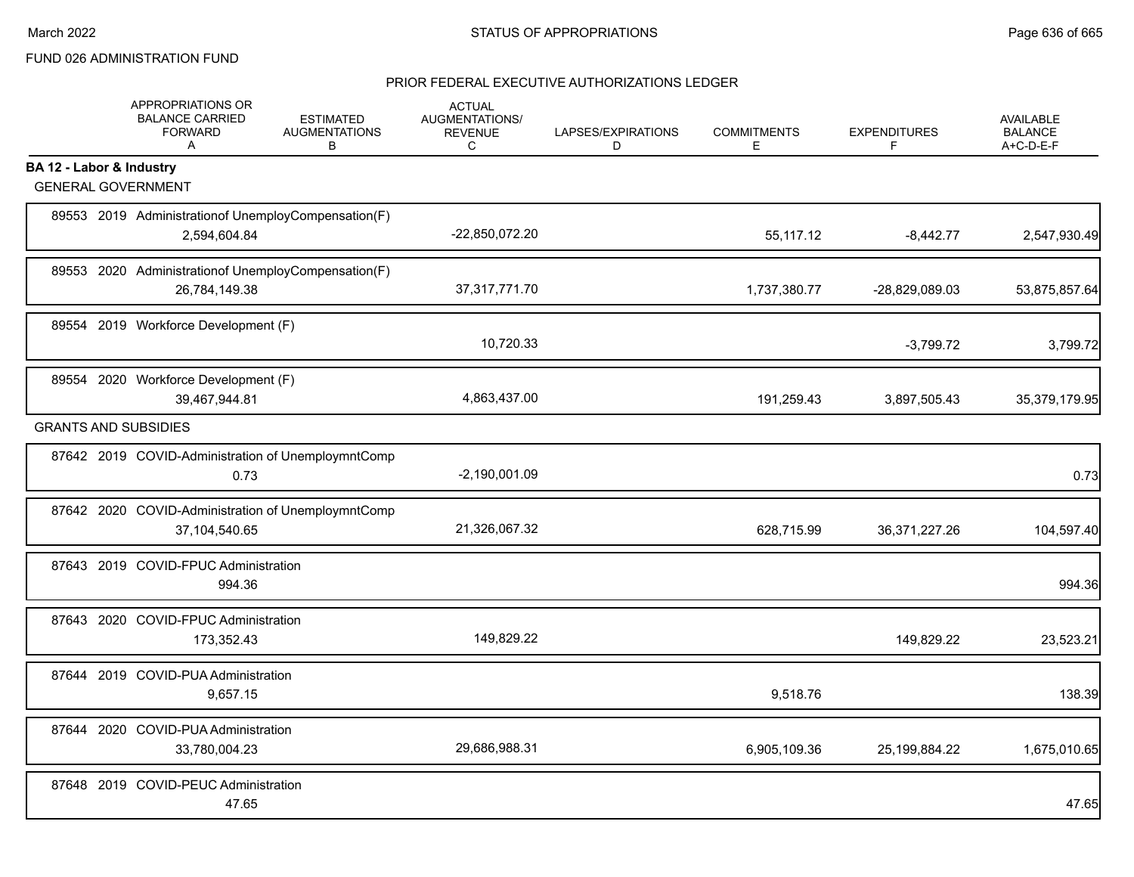# FUND 026 ADMINISTRATION FUND

|                          | APPROPRIATIONS OR<br><b>BALANCE CARRIED</b><br><b>FORWARD</b><br>$\mathsf{A}$ | <b>ESTIMATED</b><br><b>AUGMENTATIONS</b><br>B | <b>ACTUAL</b><br>AUGMENTATIONS/<br><b>REVENUE</b><br>C | LAPSES/EXPIRATIONS<br>D | <b>COMMITMENTS</b><br>E. | <b>EXPENDITURES</b><br>F | <b>AVAILABLE</b><br><b>BALANCE</b><br>A+C-D-E-F |
|--------------------------|-------------------------------------------------------------------------------|-----------------------------------------------|--------------------------------------------------------|-------------------------|--------------------------|--------------------------|-------------------------------------------------|
| BA 12 - Labor & Industry |                                                                               |                                               |                                                        |                         |                          |                          |                                                 |
|                          | <b>GENERAL GOVERNMENT</b>                                                     |                                               |                                                        |                         |                          |                          |                                                 |
|                          | 89553 2019 Administration of Unemploy Compensation (F)<br>2,594,604.84        |                                               | -22,850,072.20                                         |                         | 55,117.12                | $-8,442.77$              | 2,547,930.49                                    |
|                          | 89553 2020 Administrationof UnemployCompensation(F)<br>26,784,149.38          |                                               | 37, 317, 771. 70                                       |                         | 1,737,380.77             | -28,829,089.03           | 53,875,857.64                                   |
|                          | 89554 2019 Workforce Development (F)                                          |                                               | 10,720.33                                              |                         |                          | $-3,799.72$              | 3,799.72                                        |
|                          | 89554 2020 Workforce Development (F)<br>39,467,944.81                         |                                               | 4,863,437.00                                           |                         | 191,259.43               | 3,897,505.43             | 35,379,179.95                                   |
|                          | <b>GRANTS AND SUBSIDIES</b>                                                   |                                               |                                                        |                         |                          |                          |                                                 |
|                          | 87642 2019 COVID-Administration of UnemploymntComp<br>0.73                    |                                               | $-2,190,001.09$                                        |                         |                          |                          | 0.73                                            |
|                          | 87642 2020 COVID-Administration of UnemploymntComp<br>37,104,540.65           |                                               | 21,326,067.32                                          |                         | 628,715.99               | 36, 371, 227. 26         | 104,597.40                                      |
|                          | 87643 2019 COVID-FPUC Administration<br>994.36                                |                                               |                                                        |                         |                          |                          | 994.36                                          |
|                          | 87643 2020 COVID-FPUC Administration<br>173,352.43                            |                                               | 149,829.22                                             |                         |                          | 149,829.22               | 23,523.21                                       |
|                          | 87644 2019 COVID-PUA Administration<br>9,657.15                               |                                               |                                                        |                         | 9,518.76                 |                          | 138.39                                          |
|                          | 87644 2020 COVID-PUA Administration<br>33,780,004.23                          |                                               | 29,686,988.31                                          |                         | 6,905,109.36             | 25,199,884.22            | 1,675,010.65                                    |
|                          | 87648 2019 COVID-PEUC Administration<br>47.65                                 |                                               |                                                        |                         |                          |                          | 47.65                                           |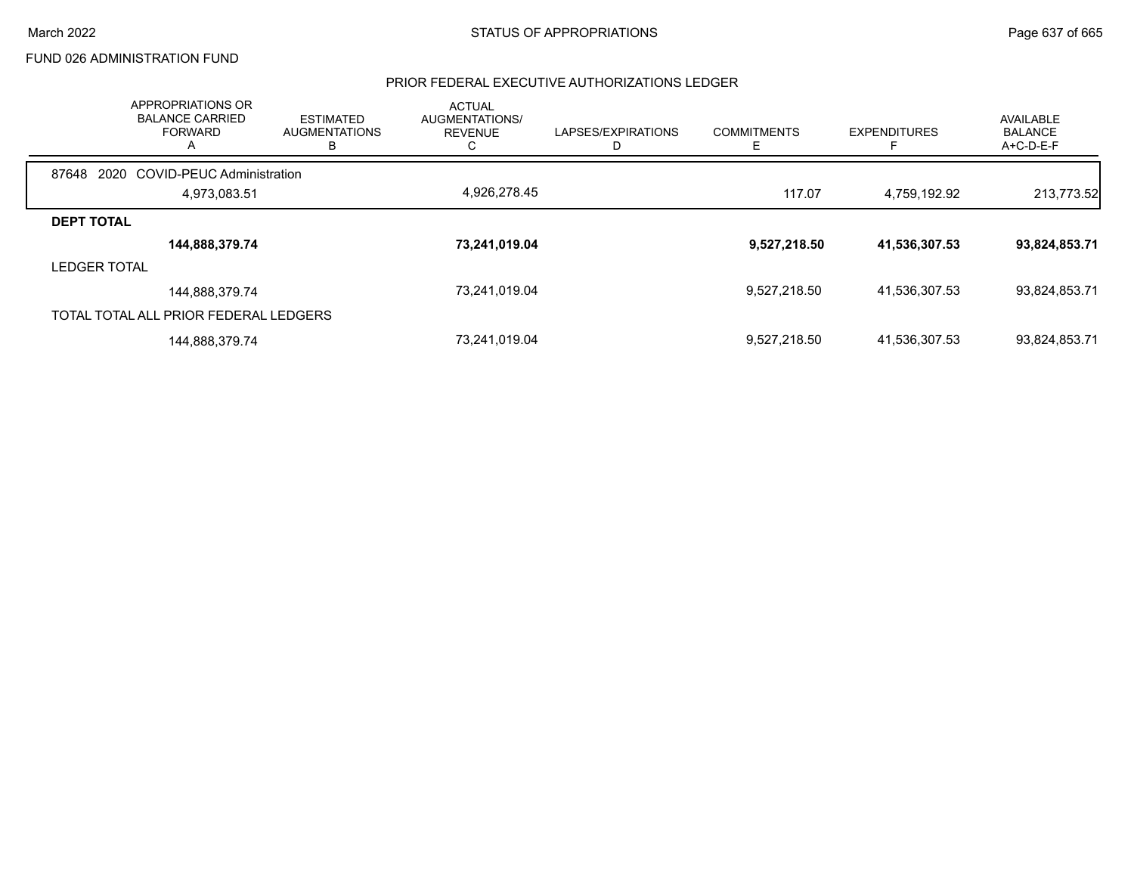### FUND 026 ADMINISTRATION FUND

| APPROPRIATIONS OR<br><b>BALANCE CARRIED</b><br><b>FORWARD</b><br>А | <b>ESTIMATED</b><br><b>AUGMENTATIONS</b><br>в | <b>ACTUAL</b><br>AUGMENTATIONS/<br><b>REVENUE</b> | LAPSES/EXPIRATIONS | <b>COMMITMENTS</b><br>Е | <b>EXPENDITURES</b> | AVAILABLE<br><b>BALANCE</b><br>$A+C-D-E-F$ |
|--------------------------------------------------------------------|-----------------------------------------------|---------------------------------------------------|--------------------|-------------------------|---------------------|--------------------------------------------|
| 2020 COVID-PEUC Administration<br>87648                            |                                               |                                                   |                    |                         |                     |                                            |
| 4,973,083.51                                                       |                                               | 4,926,278.45                                      |                    | 117.07                  | 4,759,192.92        | 213,773.52                                 |
| <b>DEPT TOTAL</b>                                                  |                                               |                                                   |                    |                         |                     |                                            |
| 144,888,379.74                                                     |                                               | 73,241,019.04                                     |                    | 9,527,218.50            | 41,536,307.53       | 93,824,853.71                              |
| <b>LEDGER TOTAL</b>                                                |                                               |                                                   |                    |                         |                     |                                            |
| 144,888,379.74                                                     |                                               | 73,241,019.04                                     |                    | 9,527,218.50            | 41,536,307.53       | 93,824,853.71                              |
| TOTAL TOTAL ALL PRIOR FEDERAL LEDGERS                              |                                               |                                                   |                    |                         |                     |                                            |
| 144,888,379.74                                                     |                                               | 73,241,019.04                                     |                    | 9,527,218.50            | 41,536,307.53       | 93,824,853.71                              |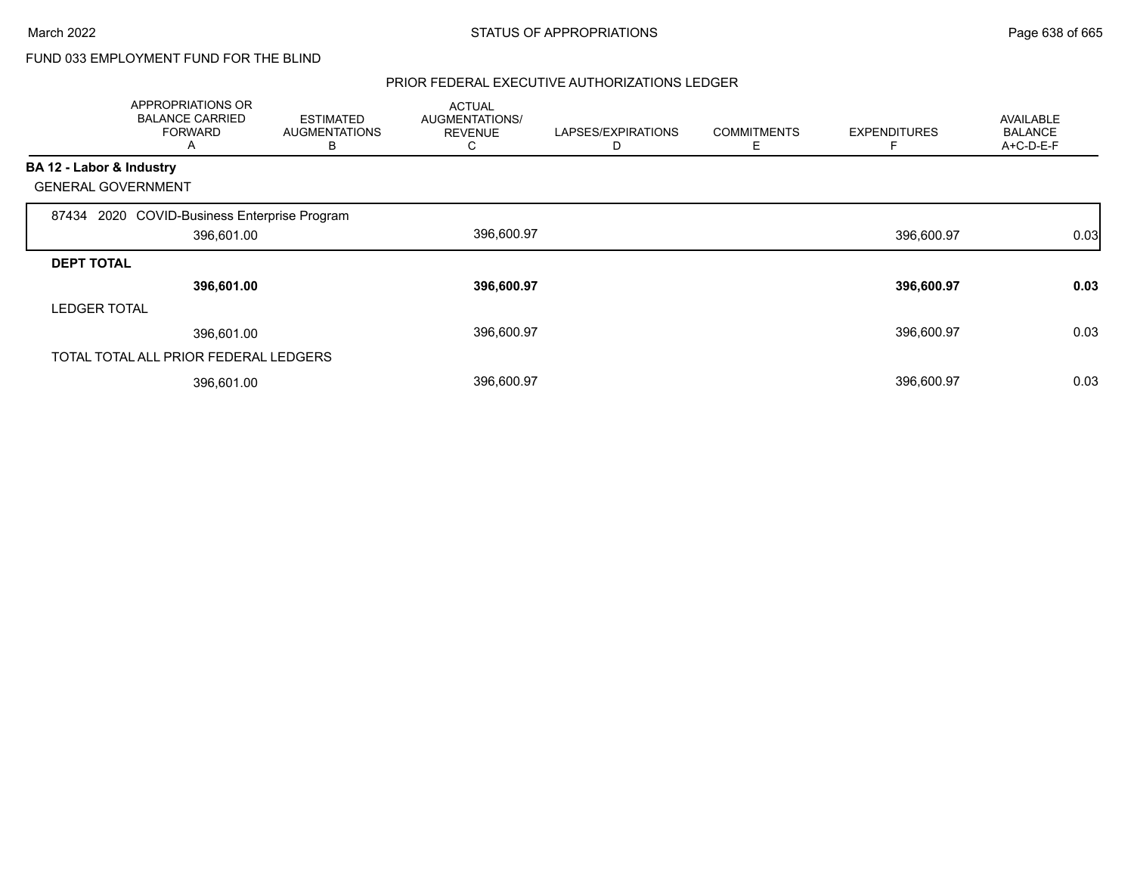# FUND 033 EMPLOYMENT FUND FOR THE BLIND

|                          | APPROPRIATIONS OR<br><b>BALANCE CARRIED</b><br><b>FORWARD</b><br>A | <b>ESTIMATED</b><br>AUGMENTATIONS<br>В | <b>ACTUAL</b><br>AUGMENTATIONS/<br><b>REVENUE</b><br>U | LAPSES/EXPIRATIONS<br>D | <b>COMMITMENTS</b><br>Е | <b>EXPENDITURES</b> | <b>AVAILABLE</b><br><b>BALANCE</b><br>$A+C-D-E-F$ |
|--------------------------|--------------------------------------------------------------------|----------------------------------------|--------------------------------------------------------|-------------------------|-------------------------|---------------------|---------------------------------------------------|
| BA 12 - Labor & Industry |                                                                    |                                        |                                                        |                         |                         |                     |                                                   |
|                          | <b>GENERAL GOVERNMENT</b>                                          |                                        |                                                        |                         |                         |                     |                                                   |
|                          | 87434 2020 COVID-Business Enterprise Program                       |                                        |                                                        |                         |                         |                     |                                                   |
|                          | 396,601.00                                                         |                                        | 396,600.97                                             |                         |                         | 396,600.97          | 0.03                                              |
| <b>DEPT TOTAL</b>        |                                                                    |                                        |                                                        |                         |                         |                     |                                                   |
|                          | 396,601.00                                                         |                                        | 396,600.97                                             |                         |                         | 396,600.97          | 0.03                                              |
| <b>LEDGER TOTAL</b>      |                                                                    |                                        |                                                        |                         |                         |                     |                                                   |
|                          | 396,601.00                                                         |                                        | 396,600.97                                             |                         |                         | 396,600.97          | 0.03                                              |
|                          | TOTAL TOTAL ALL PRIOR FEDERAL LEDGERS                              |                                        |                                                        |                         |                         |                     |                                                   |
|                          | 396,601.00                                                         |                                        | 396,600.97                                             |                         |                         | 396,600.97          | 0.03                                              |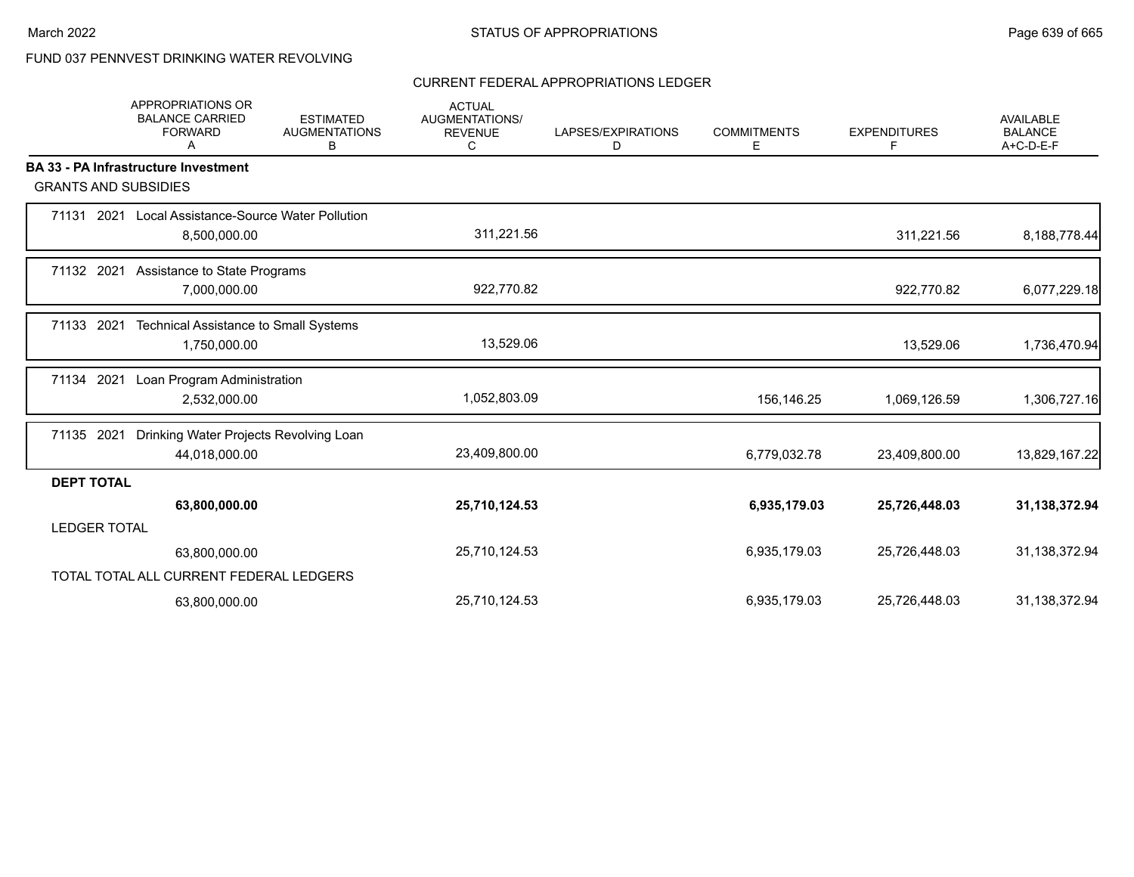# FUND 037 PENNVEST DRINKING WATER REVOLVING

#### CURRENT FEDERAL APPROPRIATIONS LEDGER

|                             | <b>APPROPRIATIONS OR</b><br><b>BALANCE CARRIED</b><br><b>FORWARD</b><br>A | <b>ESTIMATED</b><br><b>AUGMENTATIONS</b><br>В | <b>ACTUAL</b><br>AUGMENTATIONS/<br><b>REVENUE</b><br>C | LAPSES/EXPIRATIONS<br>D | <b>COMMITMENTS</b><br>E. | <b>EXPENDITURES</b><br>F | <b>AVAILABLE</b><br><b>BALANCE</b><br>A+C-D-E-F |
|-----------------------------|---------------------------------------------------------------------------|-----------------------------------------------|--------------------------------------------------------|-------------------------|--------------------------|--------------------------|-------------------------------------------------|
|                             | <b>BA 33 - PA Infrastructure Investment</b>                               |                                               |                                                        |                         |                          |                          |                                                 |
| <b>GRANTS AND SUBSIDIES</b> |                                                                           |                                               |                                                        |                         |                          |                          |                                                 |
|                             | 71131 2021 Local Assistance-Source Water Pollution<br>8,500,000.00        |                                               | 311,221.56                                             |                         |                          | 311,221.56               | 8,188,778.44                                    |
| 71132 2021                  | Assistance to State Programs<br>7,000,000.00                              |                                               | 922,770.82                                             |                         |                          | 922,770.82               | 6,077,229.18                                    |
| 71133 2021                  | <b>Technical Assistance to Small Systems</b><br>1,750,000.00              |                                               | 13,529.06                                              |                         |                          | 13,529.06                | 1,736,470.94                                    |
| 71134 2021                  | Loan Program Administration<br>2,532,000.00                               |                                               | 1,052,803.09                                           |                         | 156,146.25               | 1,069,126.59             | 1,306,727.16                                    |
| 71135 2021                  | Drinking Water Projects Revolving Loan<br>44,018,000.00                   |                                               | 23,409,800.00                                          |                         | 6,779,032.78             | 23,409,800.00            | 13,829,167.22                                   |
| <b>DEPT TOTAL</b>           |                                                                           |                                               |                                                        |                         |                          |                          |                                                 |
|                             | 63,800,000.00                                                             |                                               | 25,710,124.53                                          |                         | 6,935,179.03             | 25,726,448.03            | 31,138,372.94                                   |
| <b>LEDGER TOTAL</b>         |                                                                           |                                               |                                                        |                         |                          |                          |                                                 |
|                             | 63,800,000.00                                                             |                                               | 25,710,124.53                                          |                         | 6,935,179.03             | 25,726,448.03            | 31,138,372.94                                   |
|                             | TOTAL TOTAL ALL CURRENT FEDERAL LEDGERS                                   |                                               |                                                        |                         |                          |                          |                                                 |
|                             | 63,800,000.00                                                             |                                               | 25,710,124.53                                          |                         | 6,935,179.03             | 25,726,448.03            | 31,138,372.94                                   |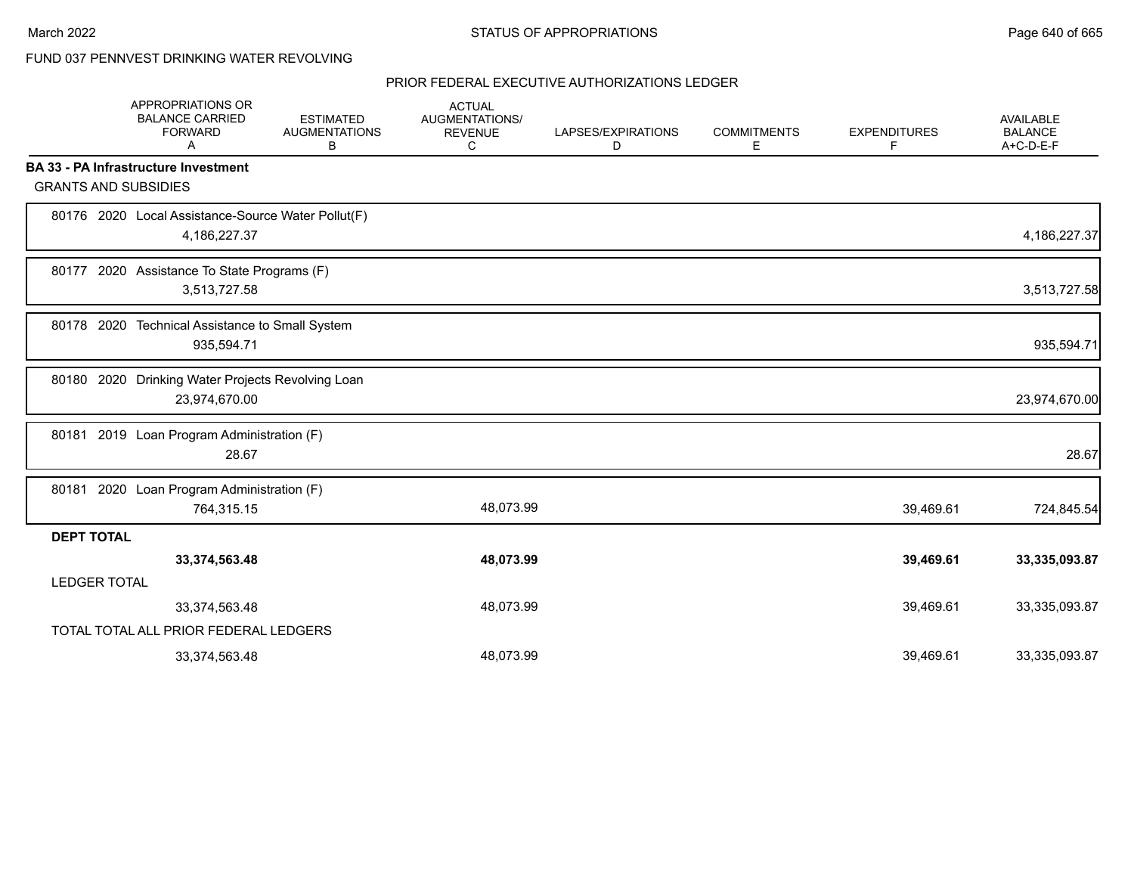# FUND 037 PENNVEST DRINKING WATER REVOLVING

|                     | APPROPRIATIONS OR<br><b>BALANCE CARRIED</b><br><b>FORWARD</b><br>A | <b>ESTIMATED</b><br><b>AUGMENTATIONS</b><br>В | <b>ACTUAL</b><br><b>AUGMENTATIONS/</b><br><b>REVENUE</b><br>C | LAPSES/EXPIRATIONS<br>D | <b>COMMITMENTS</b><br>E | <b>EXPENDITURES</b><br>F | <b>AVAILABLE</b><br><b>BALANCE</b><br>A+C-D-E-F |
|---------------------|--------------------------------------------------------------------|-----------------------------------------------|---------------------------------------------------------------|-------------------------|-------------------------|--------------------------|-------------------------------------------------|
|                     | <b>BA 33 - PA Infrastructure Investment</b>                        |                                               |                                                               |                         |                         |                          |                                                 |
|                     | <b>GRANTS AND SUBSIDIES</b>                                        |                                               |                                                               |                         |                         |                          |                                                 |
|                     | 80176 2020 Local Assistance-Source Water Pollut(F)<br>4,186,227.37 |                                               |                                                               |                         |                         |                          | 4,186,227.37                                    |
|                     | 80177 2020 Assistance To State Programs (F)<br>3,513,727.58        |                                               |                                                               |                         |                         |                          | 3,513,727.58                                    |
|                     | 80178 2020 Technical Assistance to Small System<br>935,594.71      |                                               |                                                               |                         |                         |                          | 935,594.71                                      |
|                     | 80180 2020 Drinking Water Projects Revolving Loan<br>23,974,670.00 |                                               |                                                               |                         |                         |                          | 23,974,670.00                                   |
|                     | 80181 2019 Loan Program Administration (F)<br>28.67                |                                               |                                                               |                         |                         |                          | 28.67                                           |
|                     | 80181 2020 Loan Program Administration (F)<br>764,315.15           |                                               | 48,073.99                                                     |                         |                         | 39,469.61                | 724,845.54                                      |
| <b>DEPT TOTAL</b>   |                                                                    |                                               |                                                               |                         |                         |                          |                                                 |
|                     | 33,374,563.48                                                      |                                               | 48,073.99                                                     |                         |                         | 39,469.61                | 33,335,093.87                                   |
| <b>LEDGER TOTAL</b> |                                                                    |                                               |                                                               |                         |                         |                          |                                                 |
|                     | 33,374,563.48                                                      |                                               | 48,073.99                                                     |                         |                         | 39,469.61                | 33,335,093.87                                   |
|                     | TOTAL TOTAL ALL PRIOR FEDERAL LEDGERS                              |                                               |                                                               |                         |                         |                          |                                                 |
|                     | 33,374,563.48                                                      |                                               | 48,073.99                                                     |                         |                         | 39,469.61                | 33,335,093.87                                   |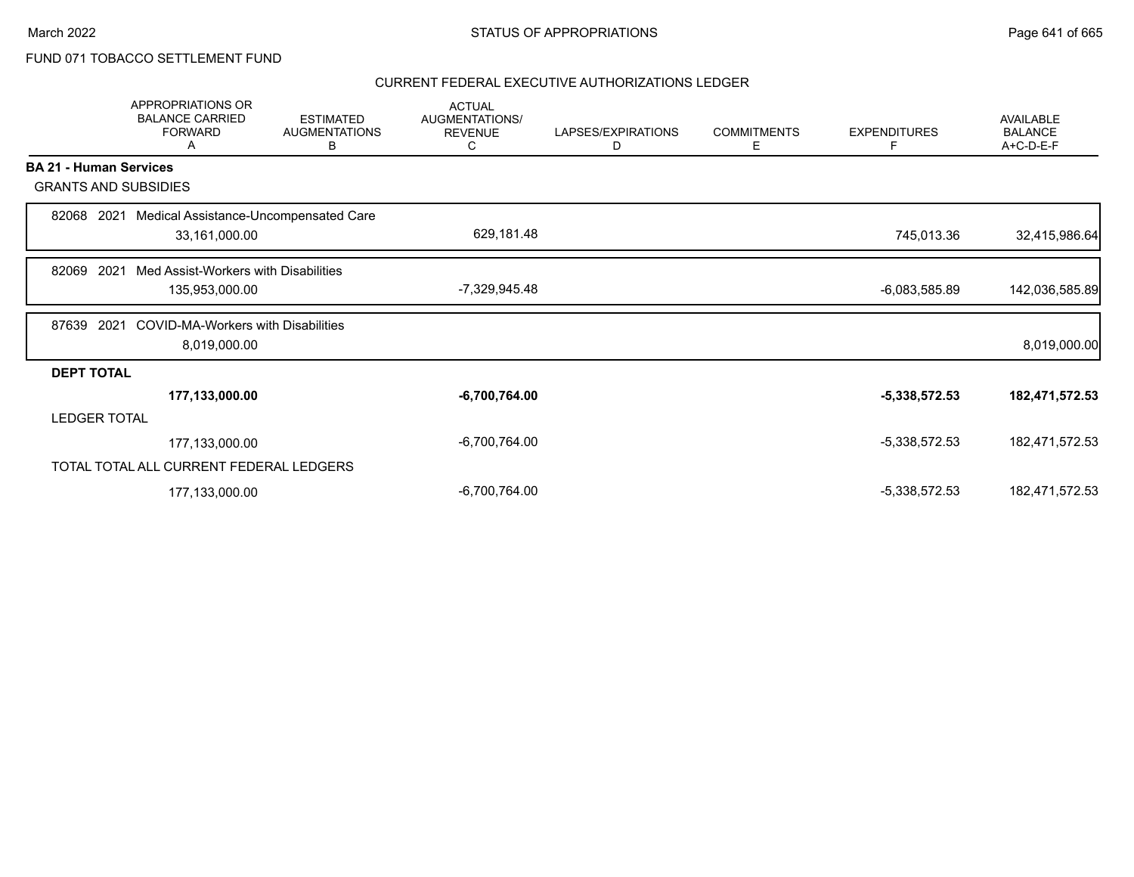# FUND 071 TOBACCO SETTLEMENT FUND

|                               | <b>APPROPRIATIONS OR</b><br><b>BALANCE CARRIED</b><br><b>FORWARD</b><br>А | <b>ESTIMATED</b><br><b>AUGMENTATIONS</b><br>B | <b>ACTUAL</b><br>AUGMENTATIONS/<br><b>REVENUE</b><br>C | LAPSES/EXPIRATIONS<br>D | <b>COMMITMENTS</b><br>E. | <b>EXPENDITURES</b><br>F | AVAILABLE<br><b>BALANCE</b><br>A+C-D-E-F |
|-------------------------------|---------------------------------------------------------------------------|-----------------------------------------------|--------------------------------------------------------|-------------------------|--------------------------|--------------------------|------------------------------------------|
| <b>BA 21 - Human Services</b> |                                                                           |                                               |                                                        |                         |                          |                          |                                          |
| <b>GRANTS AND SUBSIDIES</b>   |                                                                           |                                               |                                                        |                         |                          |                          |                                          |
| 82068<br>2021                 | Medical Assistance-Uncompensated Care                                     |                                               |                                                        |                         |                          |                          |                                          |
|                               | 33,161,000.00                                                             |                                               | 629,181.48                                             |                         |                          | 745,013.36               | 32,415,986.64                            |
| 2021<br>82069                 | Med Assist-Workers with Disabilities                                      |                                               |                                                        |                         |                          |                          |                                          |
|                               | 135,953,000.00                                                            |                                               | -7,329,945.48                                          |                         |                          | -6,083,585.89            | 142,036,585.89                           |
| 87639<br>2021                 | <b>COVID-MA-Workers with Disabilities</b>                                 |                                               |                                                        |                         |                          |                          |                                          |
|                               | 8,019,000.00                                                              |                                               |                                                        |                         |                          |                          | 8,019,000.00                             |
| <b>DEPT TOTAL</b>             |                                                                           |                                               |                                                        |                         |                          |                          |                                          |
|                               | 177,133,000.00                                                            |                                               | $-6,700,764.00$                                        |                         |                          | $-5,338,572.53$          | 182,471,572.53                           |
| <b>LEDGER TOTAL</b>           |                                                                           |                                               |                                                        |                         |                          |                          |                                          |
|                               | 177,133,000.00                                                            |                                               | $-6,700,764.00$                                        |                         |                          | $-5,338,572.53$          | 182,471,572.53                           |
|                               | TOTAL TOTAL ALL CURRENT FEDERAL LEDGERS                                   |                                               |                                                        |                         |                          |                          |                                          |
|                               | 177,133,000.00                                                            |                                               | $-6,700,764.00$                                        |                         |                          | $-5,338,572.53$          | 182,471,572.53                           |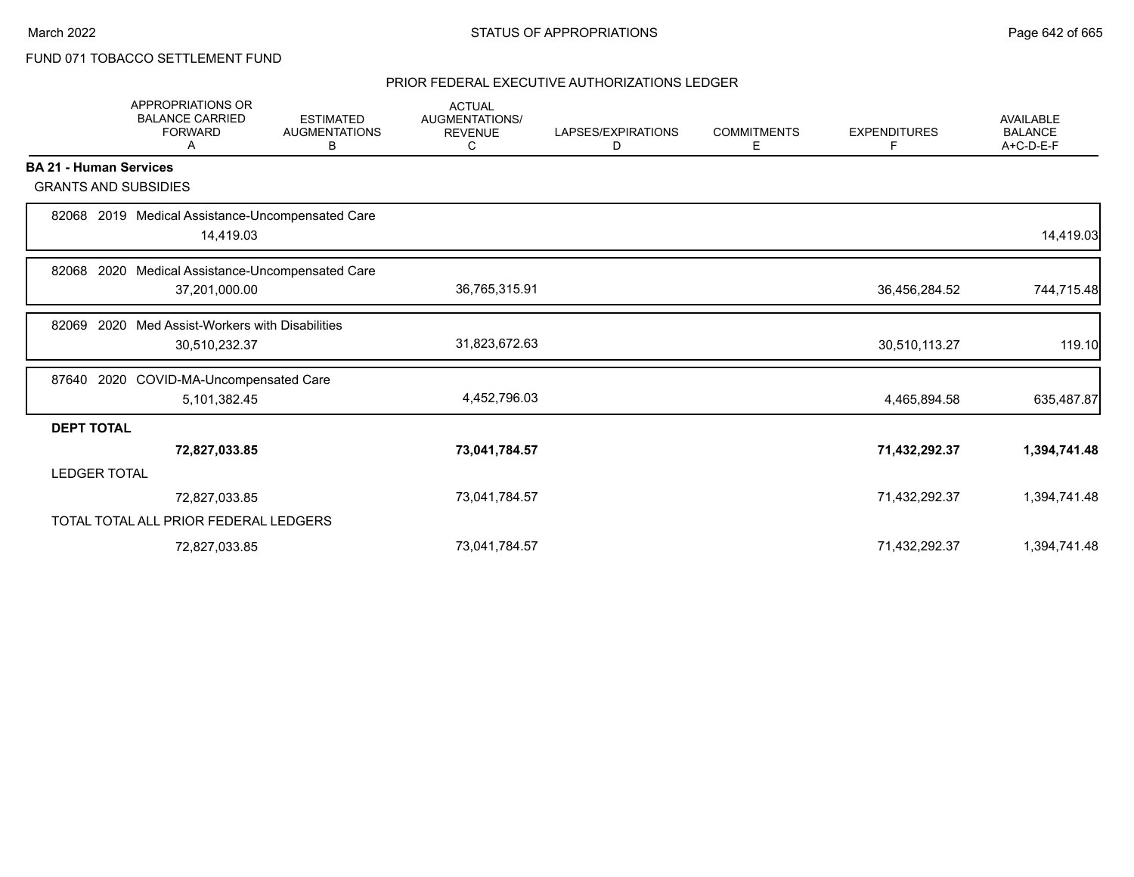# FUND 071 TOBACCO SETTLEMENT FUND

|                               | <b>APPROPRIATIONS OR</b><br><b>BALANCE CARRIED</b><br><b>FORWARD</b><br>A | <b>ESTIMATED</b><br><b>AUGMENTATIONS</b><br>В | <b>ACTUAL</b><br>AUGMENTATIONS/<br><b>REVENUE</b><br>С | LAPSES/EXPIRATIONS<br>D | <b>COMMITMENTS</b><br>Е | <b>EXPENDITURES</b><br>F | <b>AVAILABLE</b><br><b>BALANCE</b><br>A+C-D-E-F |
|-------------------------------|---------------------------------------------------------------------------|-----------------------------------------------|--------------------------------------------------------|-------------------------|-------------------------|--------------------------|-------------------------------------------------|
| <b>BA 21 - Human Services</b> |                                                                           |                                               |                                                        |                         |                         |                          |                                                 |
| <b>GRANTS AND SUBSIDIES</b>   |                                                                           |                                               |                                                        |                         |                         |                          |                                                 |
| 82068                         | 2019 Medical Assistance-Uncompensated Care<br>14,419.03                   |                                               |                                                        |                         |                         |                          | 14,419.03                                       |
| 82068<br>2020                 | Medical Assistance-Uncompensated Care                                     |                                               |                                                        |                         |                         |                          |                                                 |
|                               | 37,201,000.00                                                             |                                               | 36,765,315.91                                          |                         |                         | 36,456,284.52            | 744,715.48                                      |
| 82069<br>2020                 | Med Assist-Workers with Disabilities                                      |                                               |                                                        |                         |                         |                          |                                                 |
|                               | 30,510,232.37                                                             |                                               | 31,823,672.63                                          |                         |                         | 30,510,113.27            | 119.10                                          |
| 87640                         | 2020 COVID-MA-Uncompensated Care                                          |                                               |                                                        |                         |                         |                          |                                                 |
|                               | 5,101,382.45                                                              |                                               | 4,452,796.03                                           |                         |                         | 4,465,894.58             | 635,487.87                                      |
| <b>DEPT TOTAL</b>             |                                                                           |                                               |                                                        |                         |                         |                          |                                                 |
|                               | 72,827,033.85                                                             |                                               | 73,041,784.57                                          |                         |                         | 71,432,292.37            | 1,394,741.48                                    |
| <b>LEDGER TOTAL</b>           |                                                                           |                                               |                                                        |                         |                         |                          |                                                 |
|                               | 72,827,033.85                                                             |                                               | 73,041,784.57                                          |                         |                         | 71,432,292.37            | 1,394,741.48                                    |
|                               | TOTAL TOTAL ALL PRIOR FEDERAL LEDGERS                                     |                                               |                                                        |                         |                         |                          |                                                 |
|                               | 72,827,033.85                                                             |                                               | 73,041,784.57                                          |                         |                         | 71,432,292.37            | 1,394,741.48                                    |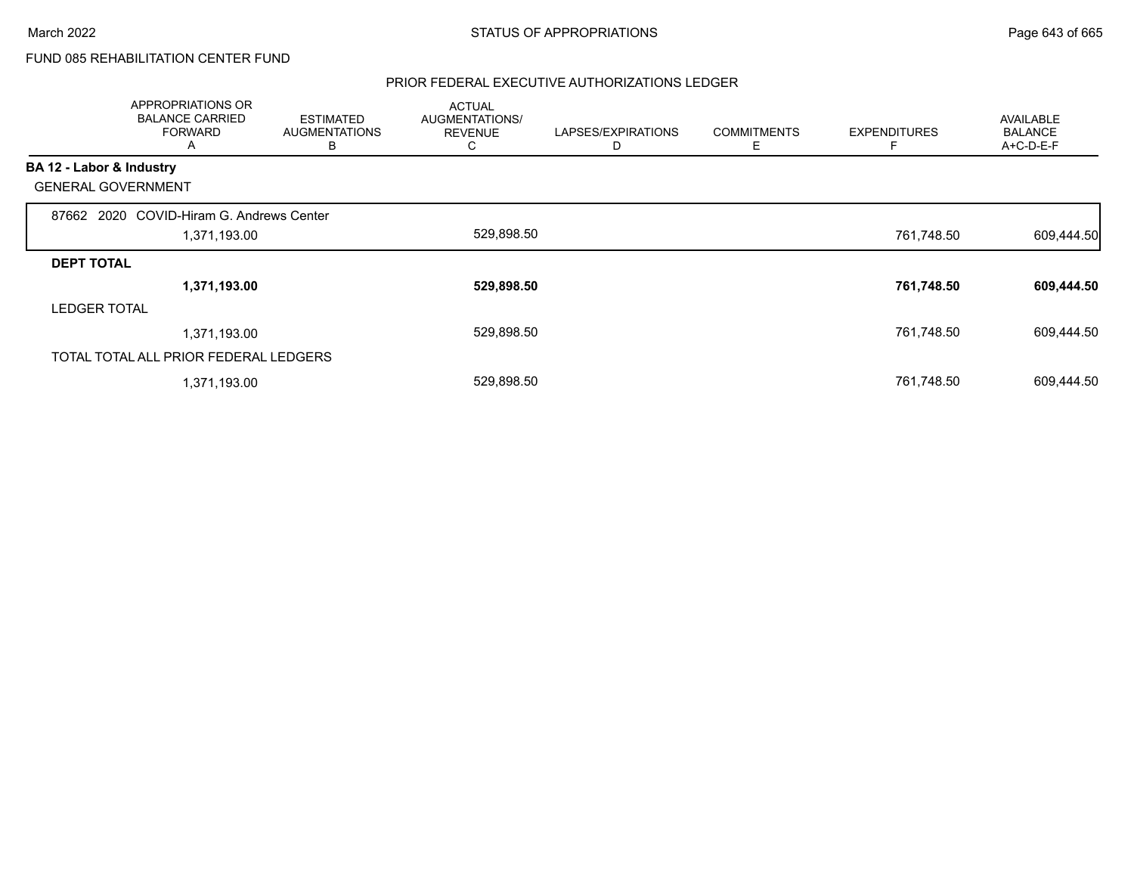# FUND 085 REHABILITATION CENTER FUND

|                          | <b>APPROPRIATIONS OR</b><br><b>BALANCE CARRIED</b><br><b>FORWARD</b><br>A | <b>ESTIMATED</b><br><b>AUGMENTATIONS</b><br>В | <b>ACTUAL</b><br>AUGMENTATIONS/<br><b>REVENUE</b><br>C | LAPSES/EXPIRATIONS | <b>COMMITMENTS</b><br>Е | <b>EXPENDITURES</b> | <b>AVAILABLE</b><br><b>BALANCE</b><br>A+C-D-E-F |
|--------------------------|---------------------------------------------------------------------------|-----------------------------------------------|--------------------------------------------------------|--------------------|-------------------------|---------------------|-------------------------------------------------|
| BA 12 - Labor & Industry |                                                                           |                                               |                                                        |                    |                         |                     |                                                 |
|                          | <b>GENERAL GOVERNMENT</b>                                                 |                                               |                                                        |                    |                         |                     |                                                 |
| 87662                    | 2020 COVID-Hiram G. Andrews Center                                        |                                               |                                                        |                    |                         |                     |                                                 |
|                          | 1,371,193.00                                                              |                                               | 529,898.50                                             |                    |                         | 761,748.50          | 609,444.50                                      |
| <b>DEPT TOTAL</b>        |                                                                           |                                               |                                                        |                    |                         |                     |                                                 |
|                          | 1,371,193.00                                                              |                                               | 529,898.50                                             |                    |                         | 761,748.50          | 609,444.50                                      |
| <b>LEDGER TOTAL</b>      |                                                                           |                                               |                                                        |                    |                         |                     |                                                 |
|                          | 1,371,193.00                                                              |                                               | 529,898.50                                             |                    |                         | 761,748.50          | 609,444.50                                      |
|                          | TOTAL TOTAL ALL PRIOR FEDERAL LEDGERS                                     |                                               |                                                        |                    |                         |                     |                                                 |
|                          | 1,371,193.00                                                              |                                               | 529,898.50                                             |                    |                         | 761,748.50          | 609,444.50                                      |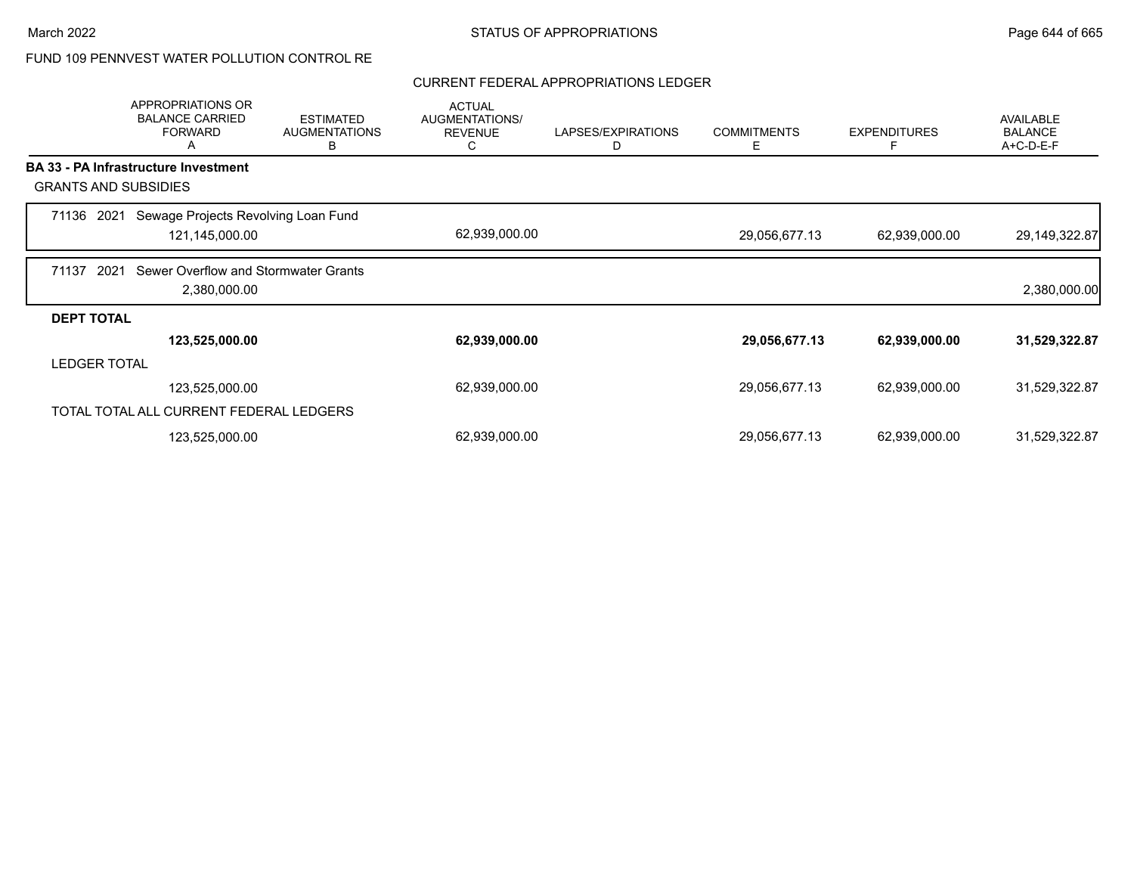# FUND 109 PENNVEST WATER POLLUTION CONTROL RE

#### CURRENT FEDERAL APPROPRIATIONS LEDGER

|                   | <b>APPROPRIATIONS OR</b><br><b>BALANCE CARRIED</b><br><b>FORWARD</b><br>A | <b>ESTIMATED</b><br><b>AUGMENTATIONS</b><br>В | <b>ACTUAL</b><br><b>AUGMENTATIONS/</b><br><b>REVENUE</b><br>С | LAPSES/EXPIRATIONS<br>D | <b>COMMITMENTS</b><br>Е | <b>EXPENDITURES</b><br>F | <b>AVAILABLE</b><br><b>BALANCE</b><br>A+C-D-E-F |
|-------------------|---------------------------------------------------------------------------|-----------------------------------------------|---------------------------------------------------------------|-------------------------|-------------------------|--------------------------|-------------------------------------------------|
|                   | <b>BA 33 - PA Infrastructure Investment</b>                               |                                               |                                                               |                         |                         |                          |                                                 |
|                   | <b>GRANTS AND SUBSIDIES</b>                                               |                                               |                                                               |                         |                         |                          |                                                 |
| 71136             | Sewage Projects Revolving Loan Fund<br>2021                               |                                               |                                                               |                         |                         |                          |                                                 |
|                   | 121,145,000.00                                                            |                                               | 62,939,000.00                                                 |                         | 29,056,677.13           | 62,939,000.00            | 29,149,322.87                                   |
| 71137             | 2021<br>Sewer Overflow and Stormwater Grants                              |                                               |                                                               |                         |                         |                          |                                                 |
|                   | 2,380,000.00                                                              |                                               |                                                               |                         |                         |                          | 2,380,000.00                                    |
| <b>DEPT TOTAL</b> |                                                                           |                                               |                                                               |                         |                         |                          |                                                 |
|                   | 123,525,000.00                                                            |                                               | 62,939,000.00                                                 |                         | 29,056,677.13           | 62,939,000.00            | 31,529,322.87                                   |
|                   | <b>LEDGER TOTAL</b>                                                       |                                               |                                                               |                         |                         |                          |                                                 |
|                   | 123,525,000.00                                                            |                                               | 62,939,000.00                                                 |                         | 29,056,677.13           | 62,939,000.00            | 31,529,322.87                                   |
|                   | TOTAL TOTAL ALL CURRENT FEDERAL LEDGERS                                   |                                               |                                                               |                         |                         |                          |                                                 |
|                   | 123,525,000.00                                                            |                                               | 62,939,000.00                                                 |                         | 29,056,677.13           | 62,939,000.00            | 31,529,322.87                                   |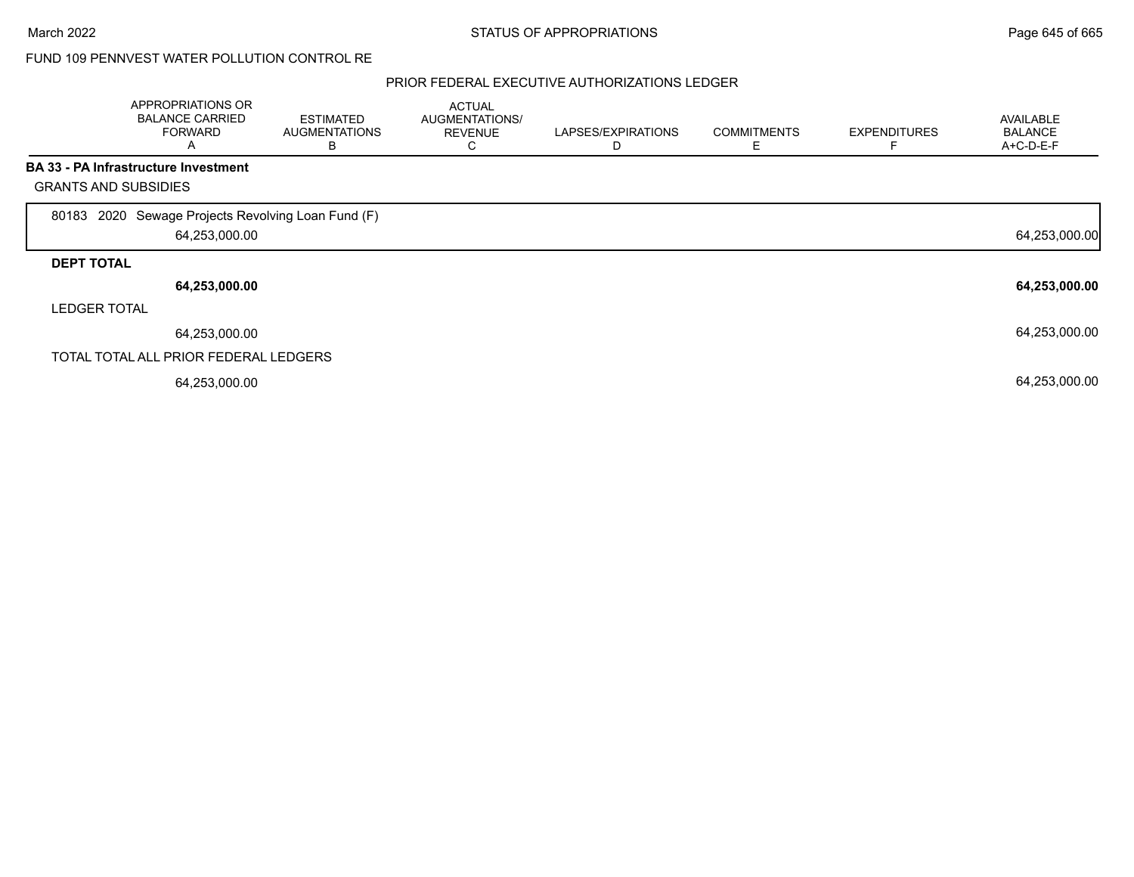### FUND 109 PENNVEST WATER POLLUTION CONTROL RE

|                             | APPROPRIATIONS OR<br><b>BALANCE CARRIED</b><br><b>FORWARD</b><br>A | <b>ESTIMATED</b><br><b>AUGMENTATIONS</b><br>в | <b>ACTUAL</b><br>AUGMENTATIONS/<br><b>REVENUE</b><br>Ü | LAPSES/EXPIRATIONS | <b>COMMITMENTS</b> | <b>EXPENDITURES</b> | <b>AVAILABLE</b><br><b>BALANCE</b><br>A+C-D-E-F |
|-----------------------------|--------------------------------------------------------------------|-----------------------------------------------|--------------------------------------------------------|--------------------|--------------------|---------------------|-------------------------------------------------|
|                             | BA 33 - PA Infrastructure Investment                               |                                               |                                                        |                    |                    |                     |                                                 |
| <b>GRANTS AND SUBSIDIES</b> |                                                                    |                                               |                                                        |                    |                    |                     |                                                 |
| 80183                       | 2020 Sewage Projects Revolving Loan Fund (F)<br>64,253,000.00      |                                               |                                                        |                    |                    |                     | 64,253,000.00                                   |
| <b>DEPT TOTAL</b>           |                                                                    |                                               |                                                        |                    |                    |                     |                                                 |
|                             | 64,253,000.00                                                      |                                               |                                                        |                    |                    |                     | 64,253,000.00                                   |
| <b>LEDGER TOTAL</b>         |                                                                    |                                               |                                                        |                    |                    |                     |                                                 |
|                             | 64,253,000.00                                                      |                                               |                                                        |                    |                    |                     | 64,253,000.00                                   |
|                             | TOTAL TOTAL ALL PRIOR FEDERAL LEDGERS                              |                                               |                                                        |                    |                    |                     |                                                 |
|                             | 64,253,000.00                                                      |                                               |                                                        |                    |                    |                     | 64,253,000.00                                   |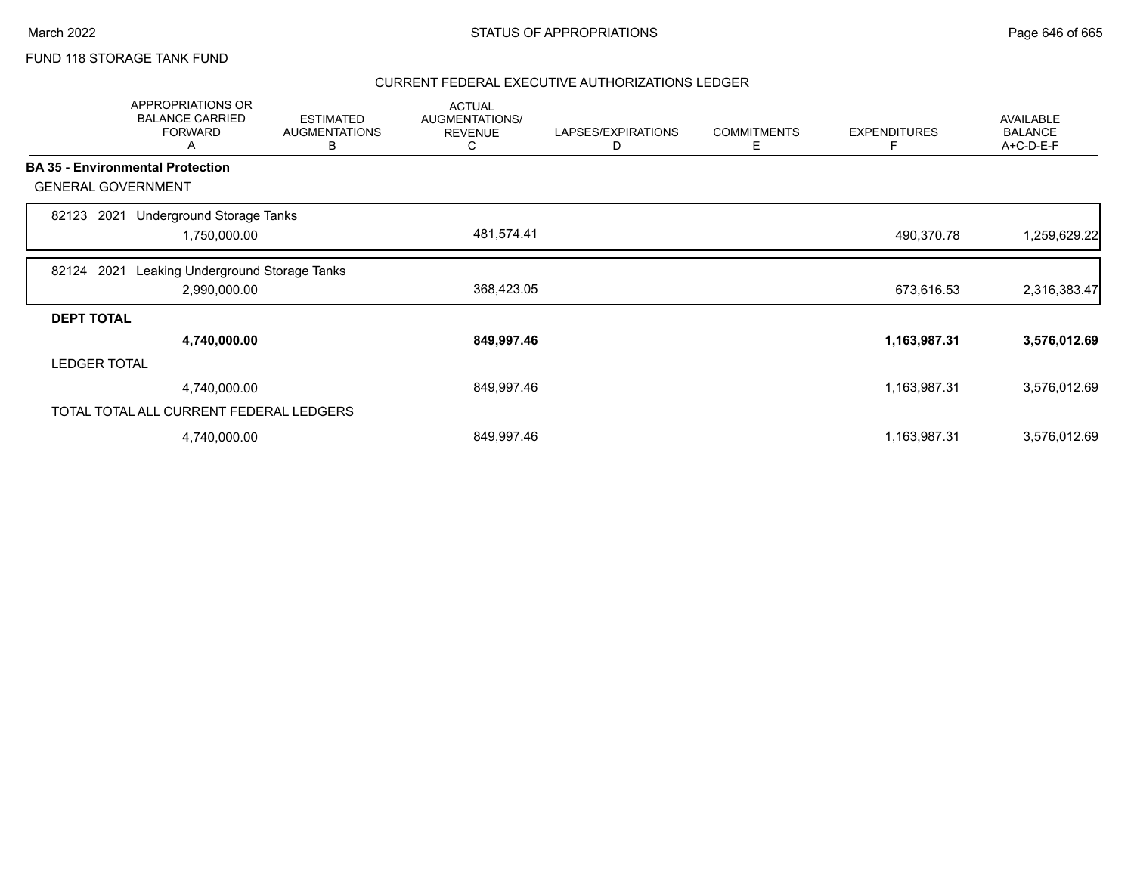# FUND 118 STORAGE TANK FUND

|                     | APPROPRIATIONS OR<br><b>BALANCE CARRIED</b><br><b>FORWARD</b><br>A | <b>ESTIMATED</b><br><b>AUGMENTATIONS</b><br>В | <b>ACTUAL</b><br>AUGMENTATIONS/<br><b>REVENUE</b><br>C | LAPSES/EXPIRATIONS<br>D | <b>COMMITMENTS</b><br>Ε | <b>EXPENDITURES</b><br>Е | <b>AVAILABLE</b><br><b>BALANCE</b><br>A+C-D-E-F |
|---------------------|--------------------------------------------------------------------|-----------------------------------------------|--------------------------------------------------------|-------------------------|-------------------------|--------------------------|-------------------------------------------------|
|                     | <b>BA 35 - Environmental Protection</b>                            |                                               |                                                        |                         |                         |                          |                                                 |
|                     | <b>GENERAL GOVERNMENT</b>                                          |                                               |                                                        |                         |                         |                          |                                                 |
| 82123               | <b>Underground Storage Tanks</b><br>2021                           |                                               |                                                        |                         |                         |                          |                                                 |
|                     | 1,750,000.00                                                       |                                               | 481,574.41                                             |                         |                         | 490,370.78               | 1,259,629.22                                    |
| 82124               | Leaking Underground Storage Tanks<br>2021                          |                                               |                                                        |                         |                         |                          |                                                 |
|                     | 2,990,000.00                                                       |                                               | 368,423.05                                             |                         |                         | 673,616.53               | 2,316,383.47                                    |
| <b>DEPT TOTAL</b>   |                                                                    |                                               |                                                        |                         |                         |                          |                                                 |
|                     | 4,740,000.00                                                       |                                               | 849,997.46                                             |                         |                         | 1,163,987.31             | 3,576,012.69                                    |
| <b>LEDGER TOTAL</b> |                                                                    |                                               |                                                        |                         |                         |                          |                                                 |
|                     | 4,740,000.00                                                       |                                               | 849,997.46                                             |                         |                         | 1,163,987.31             | 3,576,012.69                                    |
|                     | TOTAL TOTAL ALL CURRENT FEDERAL LEDGERS                            |                                               |                                                        |                         |                         |                          |                                                 |
|                     | 4,740,000.00                                                       |                                               | 849,997.46                                             |                         |                         | 1,163,987.31             | 3,576,012.69                                    |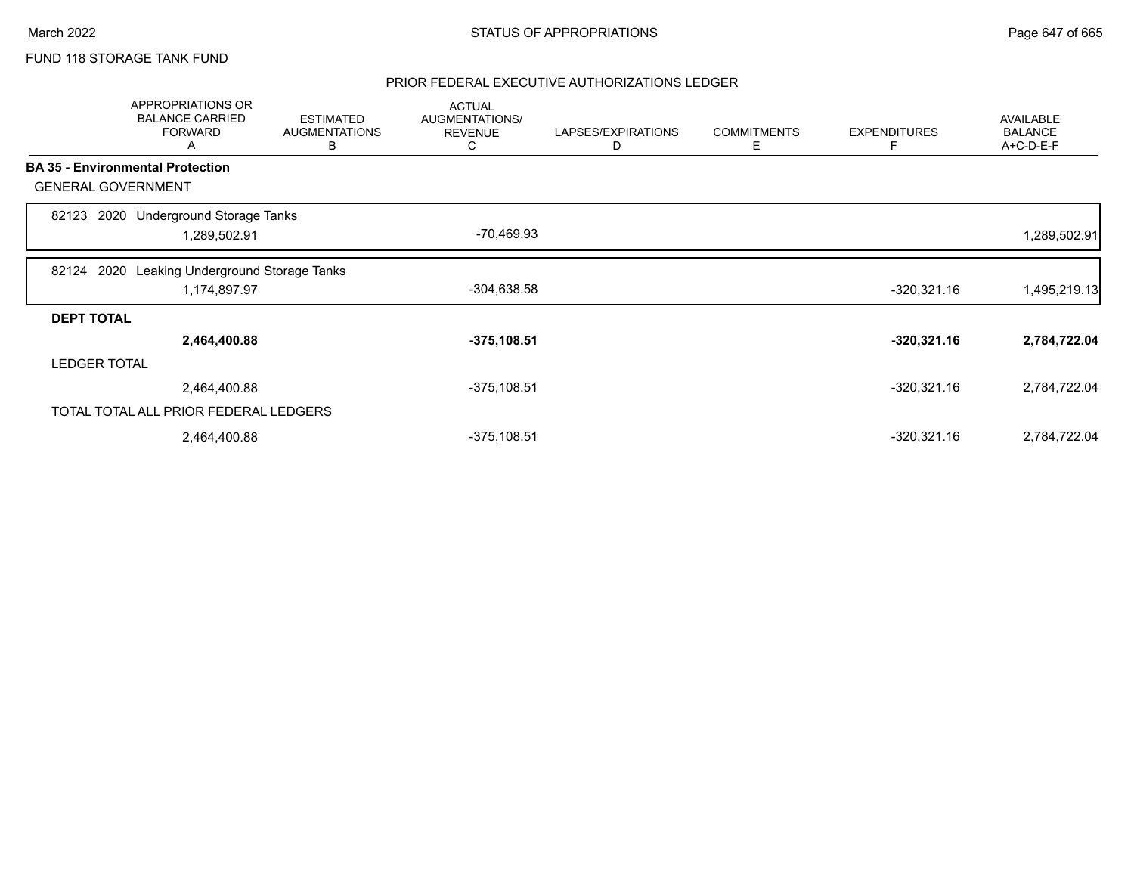# FUND 118 STORAGE TANK FUND

|                     | <b>APPROPRIATIONS OR</b><br><b>BALANCE CARRIED</b><br><b>FORWARD</b><br>A | <b>ESTIMATED</b><br><b>AUGMENTATIONS</b><br>В | <b>ACTUAL</b><br>AUGMENTATIONS/<br><b>REVENUE</b><br>С | LAPSES/EXPIRATIONS<br>D | <b>COMMITMENTS</b><br>Е | <b>EXPENDITURES</b><br>Е | <b>AVAILABLE</b><br><b>BALANCE</b><br>A+C-D-E-F |
|---------------------|---------------------------------------------------------------------------|-----------------------------------------------|--------------------------------------------------------|-------------------------|-------------------------|--------------------------|-------------------------------------------------|
|                     | <b>BA 35 - Environmental Protection</b>                                   |                                               |                                                        |                         |                         |                          |                                                 |
|                     | <b>GENERAL GOVERNMENT</b>                                                 |                                               |                                                        |                         |                         |                          |                                                 |
| 82123               | 2020 Underground Storage Tanks<br>1,289,502.91                            |                                               | -70,469.93                                             |                         |                         |                          | 1,289,502.91                                    |
|                     |                                                                           |                                               |                                                        |                         |                         |                          |                                                 |
| 82124               | Leaking Underground Storage Tanks<br>2020                                 |                                               |                                                        |                         |                         |                          |                                                 |
|                     | 1,174,897.97                                                              |                                               | $-304,638.58$                                          |                         |                         | $-320,321.16$            | 1,495,219.13                                    |
| <b>DEPT TOTAL</b>   |                                                                           |                                               |                                                        |                         |                         |                          |                                                 |
|                     | 2,464,400.88                                                              |                                               | $-375,108.51$                                          |                         |                         | $-320,321.16$            | 2,784,722.04                                    |
| <b>LEDGER TOTAL</b> |                                                                           |                                               |                                                        |                         |                         |                          |                                                 |
|                     | 2,464,400.88                                                              |                                               | $-375, 108.51$                                         |                         |                         | $-320,321.16$            | 2,784,722.04                                    |
|                     | TOTAL TOTAL ALL PRIOR FEDERAL LEDGERS                                     |                                               |                                                        |                         |                         |                          |                                                 |
|                     | 2,464,400.88                                                              |                                               | $-375,108.51$                                          |                         |                         | $-320,321.16$            | 2,784,722.04                                    |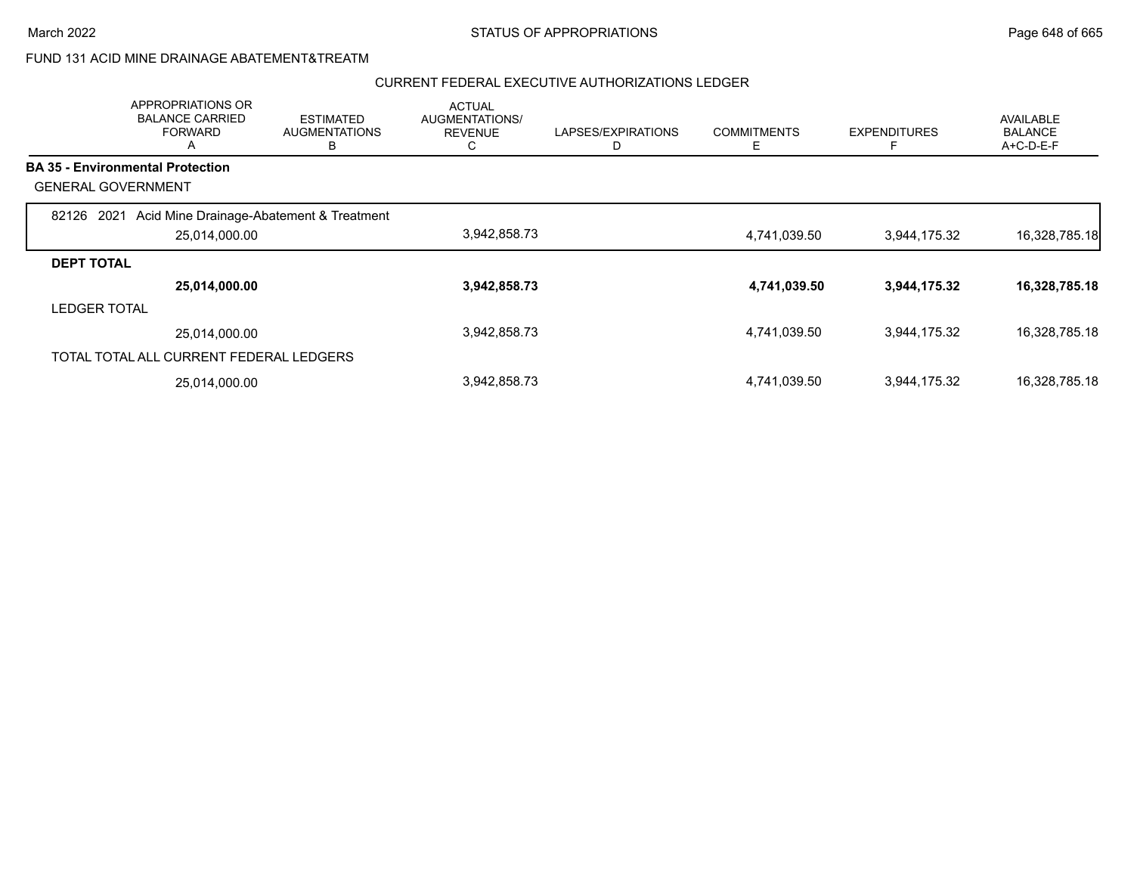### FUND 131 ACID MINE DRAINAGE ABATEMENT&TREATM

|                           | <b>APPROPRIATIONS OR</b><br><b>BALANCE CARRIED</b><br><b>FORWARD</b><br>A | <b>ESTIMATED</b><br><b>AUGMENTATIONS</b><br>в | <b>ACTUAL</b><br><b>AUGMENTATIONS/</b><br><b>REVENUE</b><br>◡ | LAPSES/EXPIRATIONS | <b>COMMITMENTS</b><br>Е | <b>EXPENDITURES</b><br>E | <b>AVAILABLE</b><br><b>BALANCE</b><br>$A+C-D-E-F$ |
|---------------------------|---------------------------------------------------------------------------|-----------------------------------------------|---------------------------------------------------------------|--------------------|-------------------------|--------------------------|---------------------------------------------------|
|                           | <b>BA 35 - Environmental Protection</b>                                   |                                               |                                                               |                    |                         |                          |                                                   |
| <b>GENERAL GOVERNMENT</b> |                                                                           |                                               |                                                               |                    |                         |                          |                                                   |
| 2021<br>82126             | Acid Mine Drainage-Abatement & Treatment                                  |                                               |                                                               |                    |                         |                          |                                                   |
|                           | 25,014,000.00                                                             |                                               | 3,942,858.73                                                  |                    | 4,741,039.50            | 3,944,175.32             | 16,328,785.18                                     |
| <b>DEPT TOTAL</b>         |                                                                           |                                               |                                                               |                    |                         |                          |                                                   |
|                           | 25,014,000.00                                                             |                                               | 3,942,858.73                                                  |                    | 4,741,039.50            | 3,944,175.32             | 16,328,785.18                                     |
| <b>LEDGER TOTAL</b>       |                                                                           |                                               |                                                               |                    |                         |                          |                                                   |
|                           | 25.014.000.00                                                             |                                               | 3,942,858.73                                                  |                    | 4,741,039.50            | 3,944,175.32             | 16,328,785.18                                     |
|                           | TOTAL TOTAL ALL CURRENT FEDERAL LEDGERS                                   |                                               |                                                               |                    |                         |                          |                                                   |
|                           | 25,014,000.00                                                             |                                               | 3,942,858.73                                                  |                    | 4,741,039.50            | 3,944,175.32             | 16,328,785.18                                     |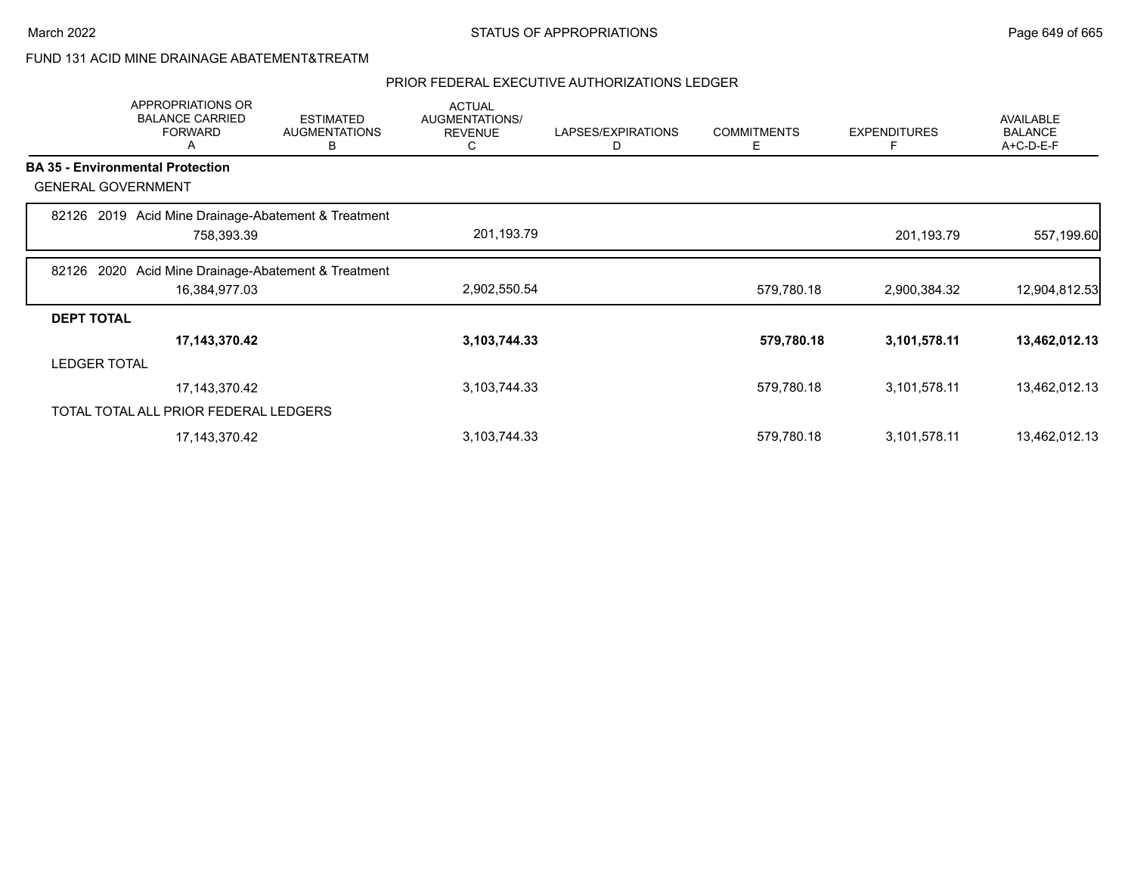### FUND 131 ACID MINE DRAINAGE ABATEMENT&TREATM

|                           | APPROPRIATIONS OR<br><b>BALANCE CARRIED</b><br><b>FORWARD</b><br>A | <b>ESTIMATED</b><br><b>AUGMENTATIONS</b><br>В | <b>ACTUAL</b><br>AUGMENTATIONS/<br><b>REVENUE</b><br>C | LAPSES/EXPIRATIONS<br>D | <b>COMMITMENTS</b><br>Е | <b>EXPENDITURES</b><br>F | AVAILABLE<br><b>BALANCE</b><br>A+C-D-E-F |
|---------------------------|--------------------------------------------------------------------|-----------------------------------------------|--------------------------------------------------------|-------------------------|-------------------------|--------------------------|------------------------------------------|
|                           | <b>BA 35 - Environmental Protection</b>                            |                                               |                                                        |                         |                         |                          |                                          |
| <b>GENERAL GOVERNMENT</b> |                                                                    |                                               |                                                        |                         |                         |                          |                                          |
|                           | 82126 2019 Acid Mine Drainage-Abatement & Treatment<br>758,393.39  |                                               | 201,193.79                                             |                         |                         | 201,193.79               | 557,199.60                               |
| 82126                     | 2020 Acid Mine Drainage-Abatement & Treatment                      |                                               |                                                        |                         |                         |                          |                                          |
|                           | 16,384,977.03                                                      |                                               | 2,902,550.54                                           |                         | 579,780.18              | 2,900,384.32             | 12,904,812.53                            |
| <b>DEPT TOTAL</b>         |                                                                    |                                               |                                                        |                         |                         |                          |                                          |
|                           | 17,143,370.42                                                      |                                               | 3,103,744.33                                           |                         | 579,780.18              | 3,101,578.11             | 13,462,012.13                            |
| <b>LEDGER TOTAL</b>       |                                                                    |                                               |                                                        |                         |                         |                          |                                          |
|                           | 17,143,370.42                                                      |                                               | 3,103,744.33                                           |                         | 579,780.18              | 3,101,578.11             | 13,462,012.13                            |
|                           | TOTAL TOTAL ALL PRIOR FEDERAL LEDGERS                              |                                               |                                                        |                         |                         |                          |                                          |
|                           | 17, 143, 370. 42                                                   |                                               | 3,103,744.33                                           |                         | 579,780.18              | 3,101,578.11             | 13,462,012.13                            |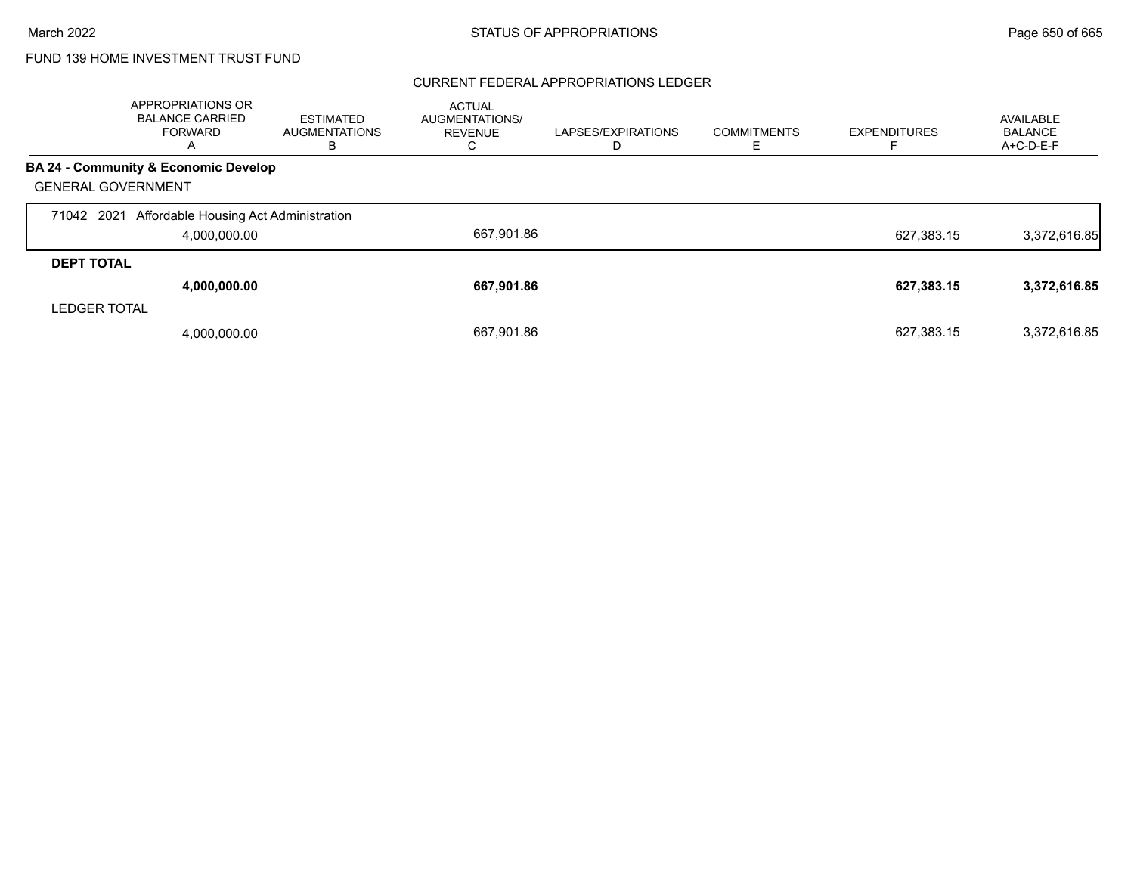#### CURRENT FEDERAL APPROPRIATIONS LEDGER

|                           | APPROPRIATIONS OR<br><b>BALANCE CARRIED</b><br><b>FORWARD</b><br>A | <b>ESTIMATED</b><br><b>AUGMENTATIONS</b><br>в | <b>ACTUAL</b><br>AUGMENTATIONS/<br><b>REVENUE</b><br>◡ | LAPSES/EXPIRATIONS | <b>COMMITMENTS</b> | <b>EXPENDITURES</b> | AVAILABLE<br><b>BALANCE</b><br>A+C-D-E-F |
|---------------------------|--------------------------------------------------------------------|-----------------------------------------------|--------------------------------------------------------|--------------------|--------------------|---------------------|------------------------------------------|
|                           | BA 24 - Community & Economic Develop                               |                                               |                                                        |                    |                    |                     |                                          |
| <b>GENERAL GOVERNMENT</b> |                                                                    |                                               |                                                        |                    |                    |                     |                                          |
| 71042 2021                | Affordable Housing Act Administration                              |                                               |                                                        |                    |                    |                     |                                          |
|                           | 4,000,000.00                                                       |                                               | 667.901.86                                             |                    |                    | 627.383.15          | 3,372,616.85                             |
| <b>DEPT TOTAL</b>         |                                                                    |                                               |                                                        |                    |                    |                     |                                          |
|                           | 4,000,000.00                                                       |                                               | 667,901.86                                             |                    |                    | 627,383.15          | 3,372,616.85                             |
| <b>LEDGER TOTAL</b>       |                                                                    |                                               |                                                        |                    |                    |                     |                                          |
|                           | 4,000,000.00                                                       |                                               | 667.901.86                                             |                    |                    | 627,383.15          | 3,372,616.85                             |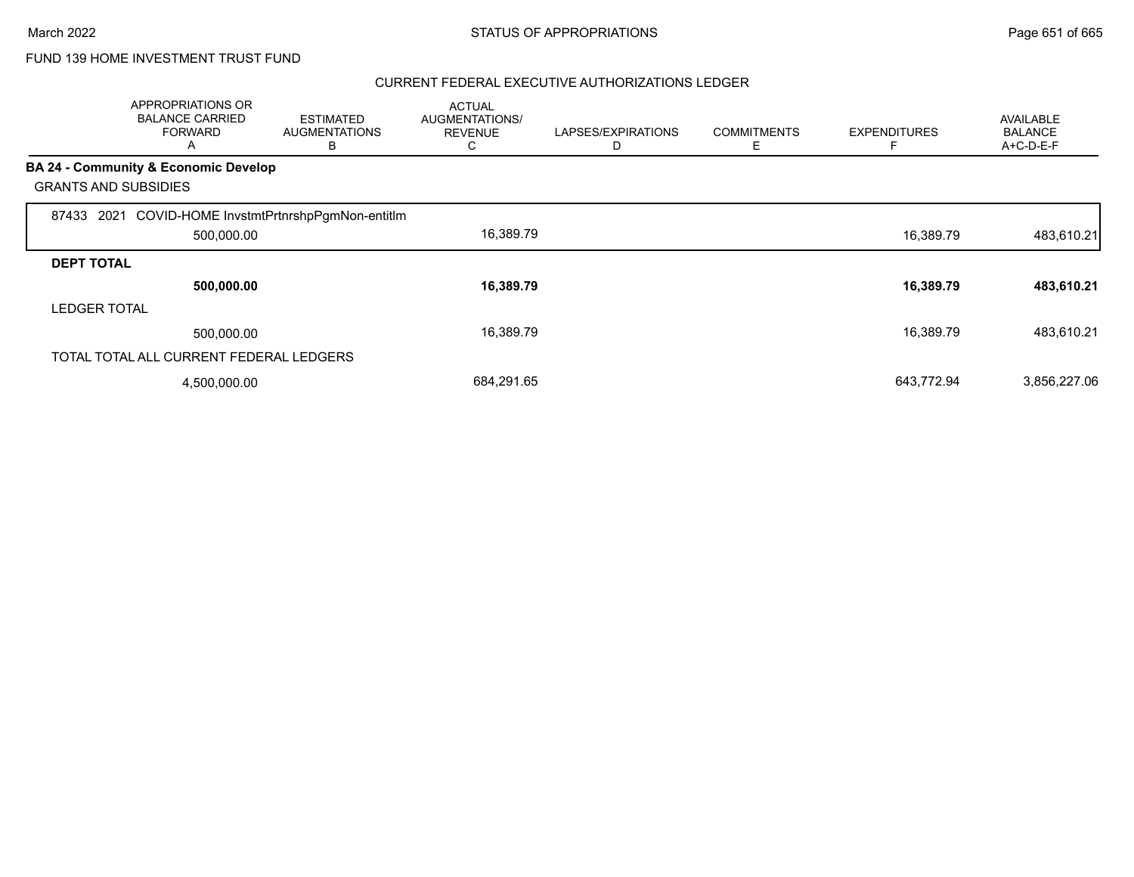|                             | APPROPRIATIONS OR<br><b>BALANCE CARRIED</b><br><b>FORWARD</b><br>A | <b>ESTIMATED</b><br><b>AUGMENTATIONS</b><br>В | <b>ACTUAL</b><br>AUGMENTATIONS/<br><b>REVENUE</b><br>C | LAPSES/EXPIRATIONS<br>D | <b>COMMITMENTS</b><br>Ε | <b>EXPENDITURES</b> | AVAILABLE<br><b>BALANCE</b><br>A+C-D-E-F |
|-----------------------------|--------------------------------------------------------------------|-----------------------------------------------|--------------------------------------------------------|-------------------------|-------------------------|---------------------|------------------------------------------|
| <b>GRANTS AND SUBSIDIES</b> | BA 24 - Community & Economic Develop                               |                                               |                                                        |                         |                         |                     |                                          |
| 87433                       | 2021 COVID-HOME InvstmtPrtnrshpPgmNon-entitIm                      |                                               |                                                        |                         |                         |                     |                                          |
|                             | 500,000.00                                                         |                                               | 16,389.79                                              |                         |                         | 16,389.79           | 483,610.21                               |
| <b>DEPT TOTAL</b>           |                                                                    |                                               |                                                        |                         |                         |                     |                                          |
|                             | 500,000.00                                                         |                                               | 16,389.79                                              |                         |                         | 16,389.79           | 483,610.21                               |
| <b>LEDGER TOTAL</b>         |                                                                    |                                               |                                                        |                         |                         |                     |                                          |
|                             | 500,000.00                                                         |                                               | 16,389.79                                              |                         |                         | 16,389.79           | 483.610.21                               |
|                             | TOTAL TOTAL ALL CURRENT FEDERAL LEDGERS                            |                                               |                                                        |                         |                         |                     |                                          |
|                             | 4,500,000.00                                                       |                                               | 684,291.65                                             |                         |                         | 643,772.94          | 3,856,227.06                             |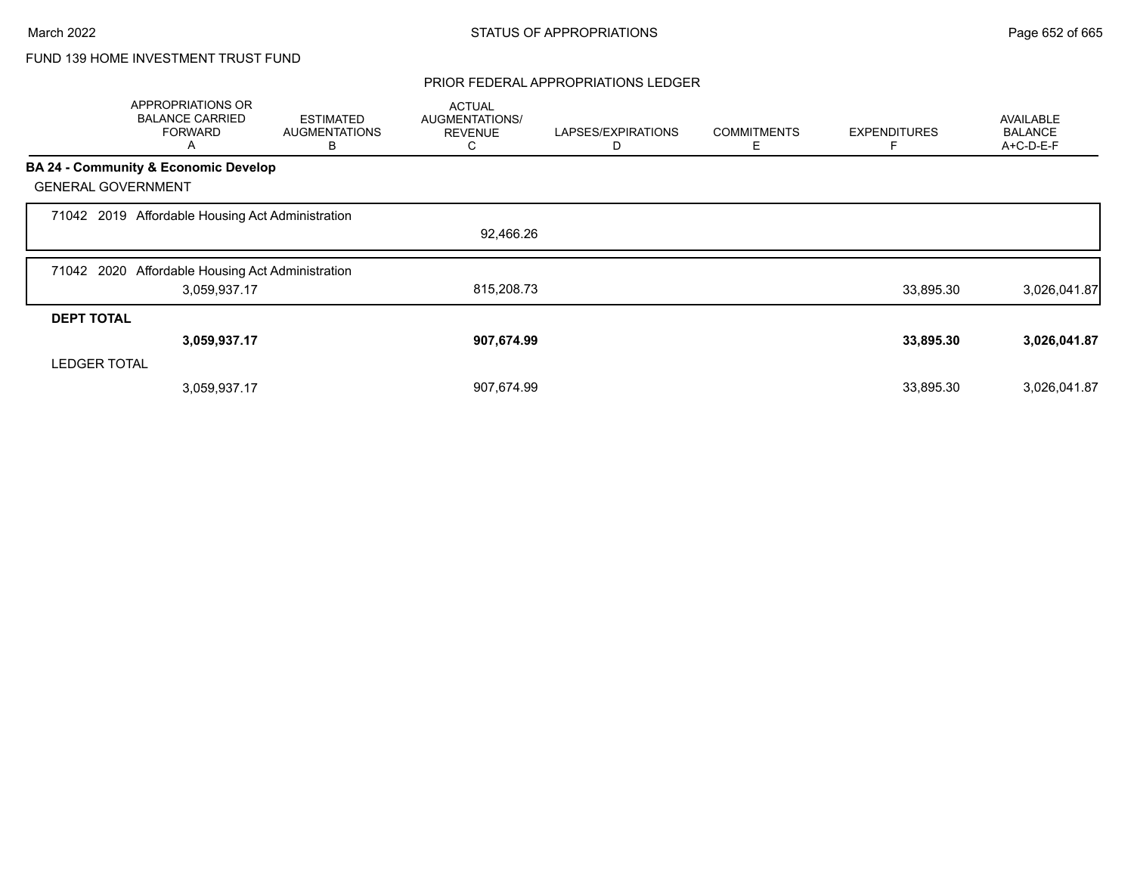### PRIOR FEDERAL APPROPRIATIONS LEDGER

|                     | APPROPRIATIONS OR<br><b>BALANCE CARRIED</b><br><b>FORWARD</b><br>Α | <b>ESTIMATED</b><br><b>AUGMENTATIONS</b><br>В | <b>ACTUAL</b><br>AUGMENTATIONS/<br><b>REVENUE</b><br>С | LAPSES/EXPIRATIONS<br>D | <b>COMMITMENTS</b><br>Е | <b>EXPENDITURES</b> | <b>AVAILABLE</b><br><b>BALANCE</b><br>A+C-D-E-F |
|---------------------|--------------------------------------------------------------------|-----------------------------------------------|--------------------------------------------------------|-------------------------|-------------------------|---------------------|-------------------------------------------------|
|                     | <b>BA 24 - Community &amp; Economic Develop</b>                    |                                               |                                                        |                         |                         |                     |                                                 |
|                     | <b>GENERAL GOVERNMENT</b>                                          |                                               |                                                        |                         |                         |                     |                                                 |
|                     | 71042 2019 Affordable Housing Act Administration                   |                                               |                                                        |                         |                         |                     |                                                 |
|                     |                                                                    |                                               | 92,466.26                                              |                         |                         |                     |                                                 |
| 71042 2020          | Affordable Housing Act Administration                              |                                               |                                                        |                         |                         |                     |                                                 |
|                     | 3,059,937.17                                                       |                                               | 815,208.73                                             |                         |                         | 33,895.30           | 3,026,041.87                                    |
| <b>DEPT TOTAL</b>   |                                                                    |                                               |                                                        |                         |                         |                     |                                                 |
|                     | 3,059,937.17                                                       |                                               | 907,674.99                                             |                         |                         | 33,895.30           | 3,026,041.87                                    |
| <b>LEDGER TOTAL</b> |                                                                    |                                               |                                                        |                         |                         |                     |                                                 |
|                     | 3,059,937.17                                                       |                                               | 907,674.99                                             |                         |                         | 33,895.30           | 3,026,041.87                                    |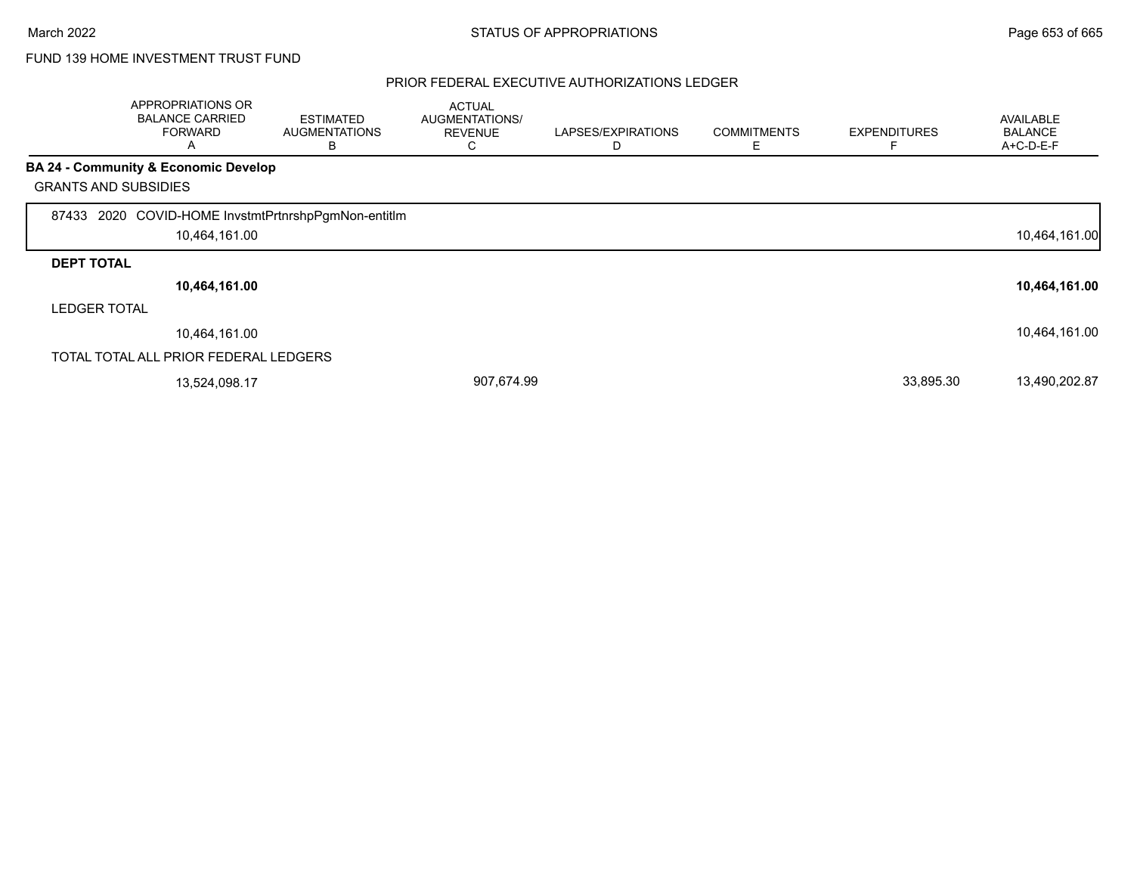|                             | APPROPRIATIONS OR<br><b>BALANCE CARRIED</b><br><b>FORWARD</b><br>A | <b>ESTIMATED</b><br><b>AUGMENTATIONS</b><br>B | <b>ACTUAL</b><br>AUGMENTATIONS/<br><b>REVENUE</b><br>С | LAPSES/EXPIRATIONS<br>D | <b>COMMITMENTS</b><br>Ε | <b>EXPENDITURES</b> | <b>AVAILABLE</b><br><b>BALANCE</b><br>A+C-D-E-F |
|-----------------------------|--------------------------------------------------------------------|-----------------------------------------------|--------------------------------------------------------|-------------------------|-------------------------|---------------------|-------------------------------------------------|
|                             | <b>BA 24 - Community &amp; Economic Develop</b>                    |                                               |                                                        |                         |                         |                     |                                                 |
| <b>GRANTS AND SUBSIDIES</b> |                                                                    |                                               |                                                        |                         |                         |                     |                                                 |
| 87433                       | 2020 COVID-HOME InvstmtPrtnrshpPgmNon-entitIm<br>10,464,161.00     |                                               |                                                        |                         |                         |                     | 10,464,161.00                                   |
| <b>DEPT TOTAL</b>           |                                                                    |                                               |                                                        |                         |                         |                     |                                                 |
|                             | 10,464,161.00                                                      |                                               |                                                        |                         |                         |                     | 10,464,161.00                                   |
| <b>LEDGER TOTAL</b>         |                                                                    |                                               |                                                        |                         |                         |                     |                                                 |
|                             | 10,464,161.00                                                      |                                               |                                                        |                         |                         |                     | 10,464,161.00                                   |
|                             | TOTAL TOTAL ALL PRIOR FEDERAL LEDGERS                              |                                               |                                                        |                         |                         |                     |                                                 |
|                             | 13,524,098.17                                                      |                                               | 907,674.99                                             |                         |                         | 33,895.30           | 13,490,202.87                                   |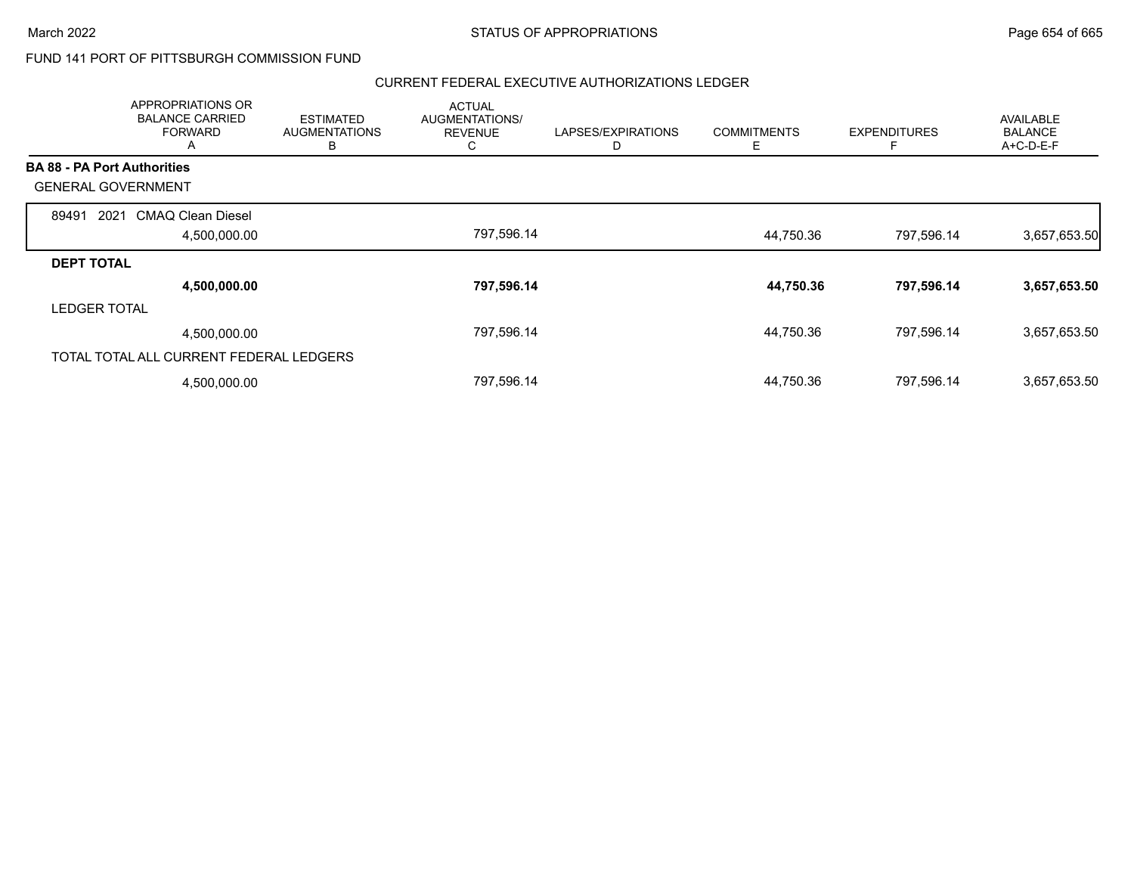### FUND 141 PORT OF PITTSBURGH COMMISSION FUND

| APPROPRIATIONS OR<br><b>BALANCE CARRIED</b><br><b>FORWARD</b><br>A | <b>ESTIMATED</b><br><b>AUGMENTATIONS</b><br>в | <b>ACTUAL</b><br>AUGMENTATIONS/<br><b>REVENUE</b><br>Ü | LAPSES/EXPIRATIONS<br>D | <b>COMMITMENTS</b><br>Е | <b>EXPENDITURES</b><br>F | AVAILABLE<br><b>BALANCE</b><br>A+C-D-E-F |
|--------------------------------------------------------------------|-----------------------------------------------|--------------------------------------------------------|-------------------------|-------------------------|--------------------------|------------------------------------------|
| <b>BA 88 - PA Port Authorities</b>                                 |                                               |                                                        |                         |                         |                          |                                          |
| <b>GENERAL GOVERNMENT</b>                                          |                                               |                                                        |                         |                         |                          |                                          |
| 89491<br>2021<br>CMAQ Clean Diesel                                 |                                               |                                                        |                         |                         |                          |                                          |
|                                                                    | 4,500,000.00                                  | 797,596.14                                             |                         | 44,750.36               | 797,596.14               | 3,657,653.50                             |
| <b>DEPT TOTAL</b>                                                  |                                               |                                                        |                         |                         |                          |                                          |
|                                                                    | 4,500,000.00                                  | 797,596.14                                             |                         | 44,750.36               | 797,596.14               | 3,657,653.50                             |
| <b>LEDGER TOTAL</b>                                                |                                               |                                                        |                         |                         |                          |                                          |
|                                                                    | 4,500,000.00                                  | 797,596.14                                             |                         | 44,750.36               | 797,596.14               | 3,657,653.50                             |
| TOTAL TOTAL ALL CURRENT FEDERAL LEDGERS                            |                                               |                                                        |                         |                         |                          |                                          |
|                                                                    | 4,500,000.00                                  | 797,596.14                                             |                         | 44,750.36               | 797,596.14               | 3,657,653.50                             |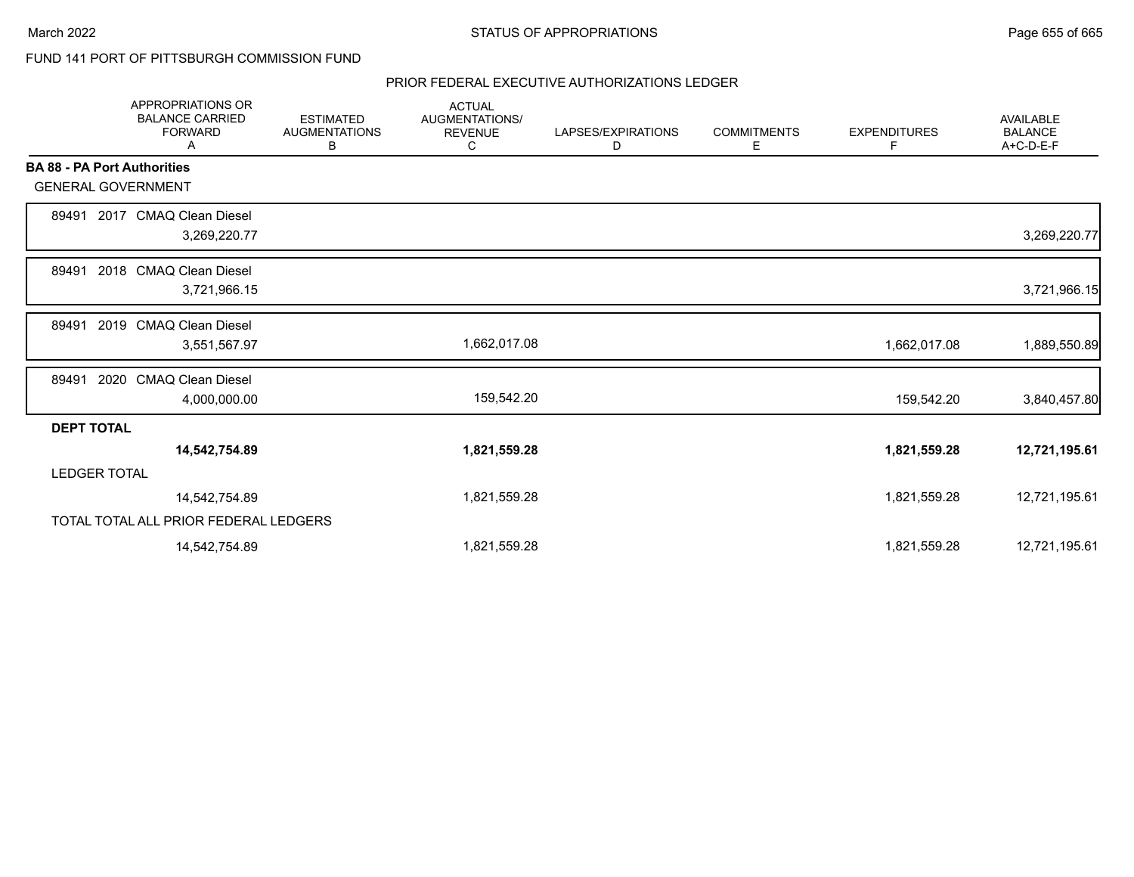### FUND 141 PORT OF PITTSBURGH COMMISSION FUND

|                                    | <b>APPROPRIATIONS OR</b><br><b>BALANCE CARRIED</b><br><b>FORWARD</b><br>Α | <b>ESTIMATED</b><br><b>AUGMENTATIONS</b><br>В | <b>ACTUAL</b><br><b>AUGMENTATIONS/</b><br><b>REVENUE</b><br>C | LAPSES/EXPIRATIONS<br>D | <b>COMMITMENTS</b><br>Е | <b>EXPENDITURES</b><br>F | <b>AVAILABLE</b><br><b>BALANCE</b><br>A+C-D-E-F |
|------------------------------------|---------------------------------------------------------------------------|-----------------------------------------------|---------------------------------------------------------------|-------------------------|-------------------------|--------------------------|-------------------------------------------------|
| <b>BA 88 - PA Port Authorities</b> |                                                                           |                                               |                                                               |                         |                         |                          |                                                 |
| <b>GENERAL GOVERNMENT</b>          |                                                                           |                                               |                                                               |                         |                         |                          |                                                 |
| 89491                              | 2017 CMAQ Clean Diesel<br>3,269,220.77                                    |                                               |                                                               |                         |                         |                          | 3,269,220.77                                    |
| 89491                              | 2018 CMAQ Clean Diesel<br>3,721,966.15                                    |                                               |                                                               |                         |                         |                          | 3,721,966.15                                    |
| 89491                              | 2019 CMAQ Clean Diesel<br>3,551,567.97                                    |                                               | 1,662,017.08                                                  |                         |                         | 1,662,017.08             | 1,889,550.89                                    |
| 89491                              | 2020 CMAQ Clean Diesel<br>4,000,000.00                                    |                                               | 159,542.20                                                    |                         |                         | 159,542.20               | 3,840,457.80                                    |
| <b>DEPT TOTAL</b>                  |                                                                           |                                               |                                                               |                         |                         |                          |                                                 |
|                                    | 14,542,754.89                                                             |                                               | 1,821,559.28                                                  |                         |                         | 1,821,559.28             | 12,721,195.61                                   |
| <b>LEDGER TOTAL</b>                |                                                                           |                                               |                                                               |                         |                         |                          |                                                 |
|                                    | 14,542,754.89                                                             |                                               | 1,821,559.28                                                  |                         |                         | 1,821,559.28             | 12,721,195.61                                   |
|                                    | TOTAL TOTAL ALL PRIOR FEDERAL LEDGERS                                     |                                               |                                                               |                         |                         |                          |                                                 |
|                                    | 14,542,754.89                                                             |                                               | 1,821,559.28                                                  |                         |                         | 1,821,559.28             | 12,721,195.61                                   |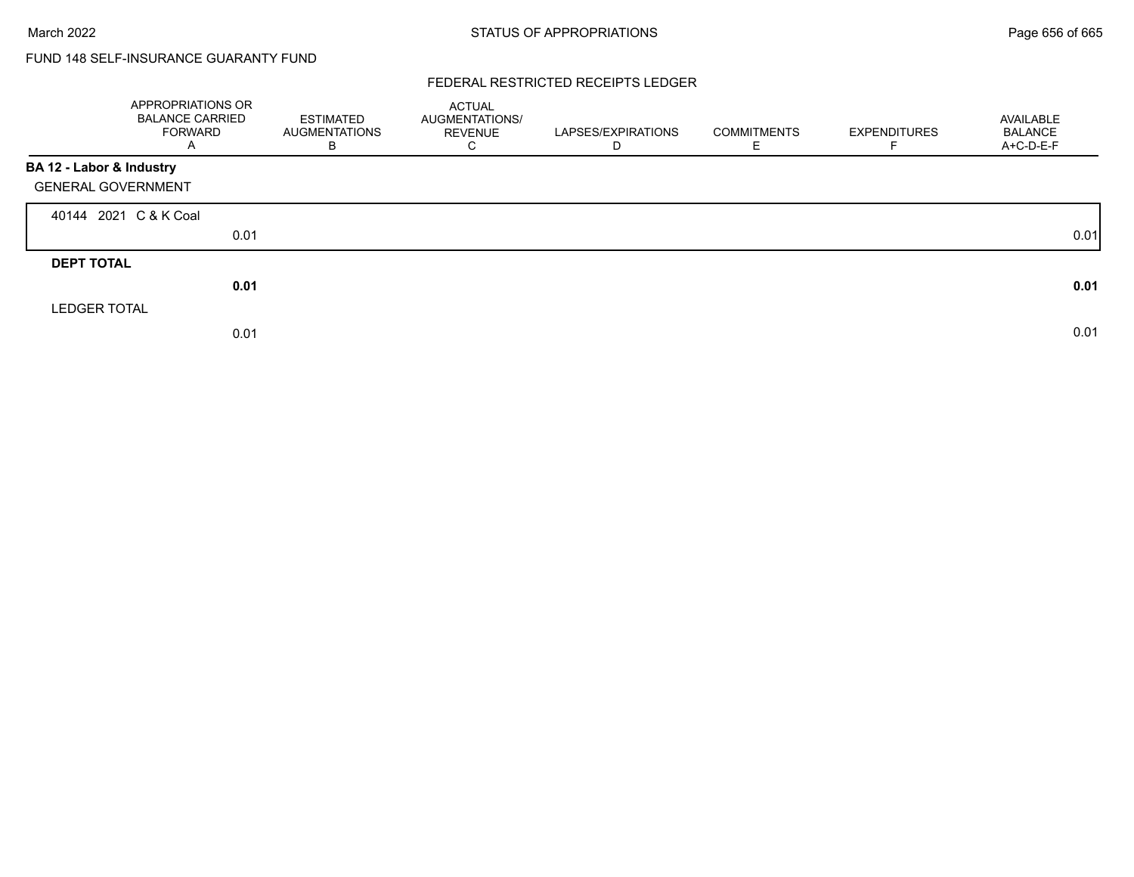## FUND 148 SELF-INSURANCE GUARANTY FUND

### FEDERAL RESTRICTED RECEIPTS LEDGER

|                           | APPROPRIATIONS OR<br><b>BALANCE CARRIED</b><br><b>FORWARD</b><br>A | <b>ESTIMATED</b><br><b>AUGMENTATIONS</b><br>B | ACTUAL<br>AUGMENTATIONS/<br>REVENUE<br>⌒<br>◡ | LAPSES/EXPIRATIONS<br>D | <b>COMMITMENTS</b> | <b>EXPENDITURES</b> | AVAILABLE<br><b>BALANCE</b><br>A+C-D-E-F |
|---------------------------|--------------------------------------------------------------------|-----------------------------------------------|-----------------------------------------------|-------------------------|--------------------|---------------------|------------------------------------------|
| BA 12 - Labor & Industry  |                                                                    |                                               |                                               |                         |                    |                     |                                          |
| <b>GENERAL GOVERNMENT</b> |                                                                    |                                               |                                               |                         |                    |                     |                                          |
|                           | 40144 2021 C & K Coal                                              |                                               |                                               |                         |                    |                     |                                          |
|                           | 0.01                                                               |                                               |                                               |                         |                    |                     | 0.01                                     |
| <b>DEPT TOTAL</b>         |                                                                    |                                               |                                               |                         |                    |                     |                                          |
|                           | 0.01                                                               |                                               |                                               |                         |                    |                     | 0.01                                     |
| <b>LEDGER TOTAL</b>       |                                                                    |                                               |                                               |                         |                    |                     |                                          |
|                           | 0.01                                                               |                                               |                                               |                         |                    |                     | 0.01                                     |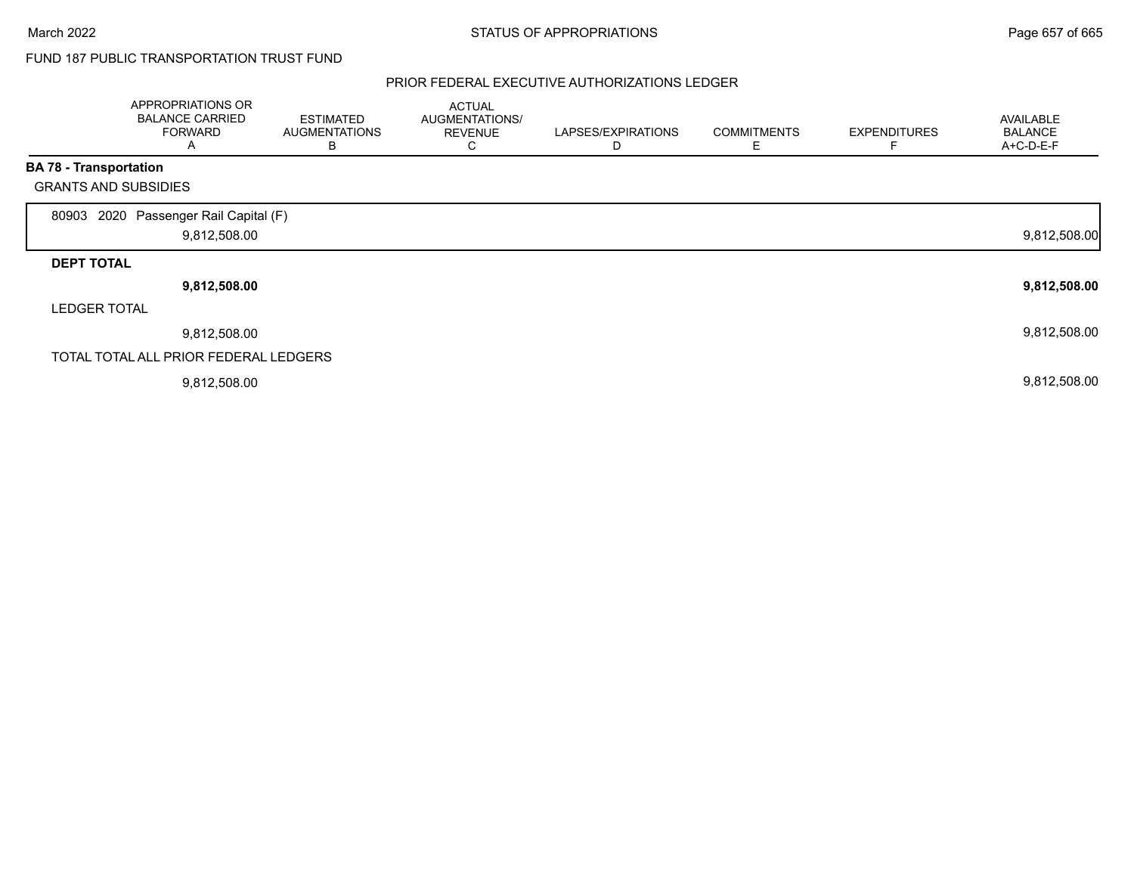## FUND 187 PUBLIC TRANSPORTATION TRUST FUND

|                               | APPROPRIATIONS OR<br><b>BALANCE CARRIED</b><br><b>FORWARD</b><br>A | <b>ESTIMATED</b><br><b>AUGMENTATIONS</b><br>В | <b>ACTUAL</b><br>AUGMENTATIONS/<br><b>REVENUE</b><br>С | LAPSES/EXPIRATIONS<br>D | <b>COMMITMENTS</b><br>Е | <b>EXPENDITURES</b> | <b>AVAILABLE</b><br><b>BALANCE</b><br>A+C-D-E-F |
|-------------------------------|--------------------------------------------------------------------|-----------------------------------------------|--------------------------------------------------------|-------------------------|-------------------------|---------------------|-------------------------------------------------|
| <b>BA 78 - Transportation</b> |                                                                    |                                               |                                                        |                         |                         |                     |                                                 |
| <b>GRANTS AND SUBSIDIES</b>   |                                                                    |                                               |                                                        |                         |                         |                     |                                                 |
| 80903                         | 2020 Passenger Rail Capital (F)<br>9,812,508.00                    |                                               |                                                        |                         |                         |                     | 9,812,508.00                                    |
| <b>DEPT TOTAL</b>             |                                                                    |                                               |                                                        |                         |                         |                     |                                                 |
|                               | 9,812,508.00                                                       |                                               |                                                        |                         |                         |                     | 9,812,508.00                                    |
| <b>LEDGER TOTAL</b>           |                                                                    |                                               |                                                        |                         |                         |                     |                                                 |
|                               | 9,812,508.00                                                       |                                               |                                                        |                         |                         |                     | 9,812,508.00                                    |
|                               | TOTAL TOTAL ALL PRIOR FEDERAL LEDGERS                              |                                               |                                                        |                         |                         |                     |                                                 |
|                               | 9,812,508.00                                                       |                                               |                                                        |                         |                         |                     | 9,812,508.00                                    |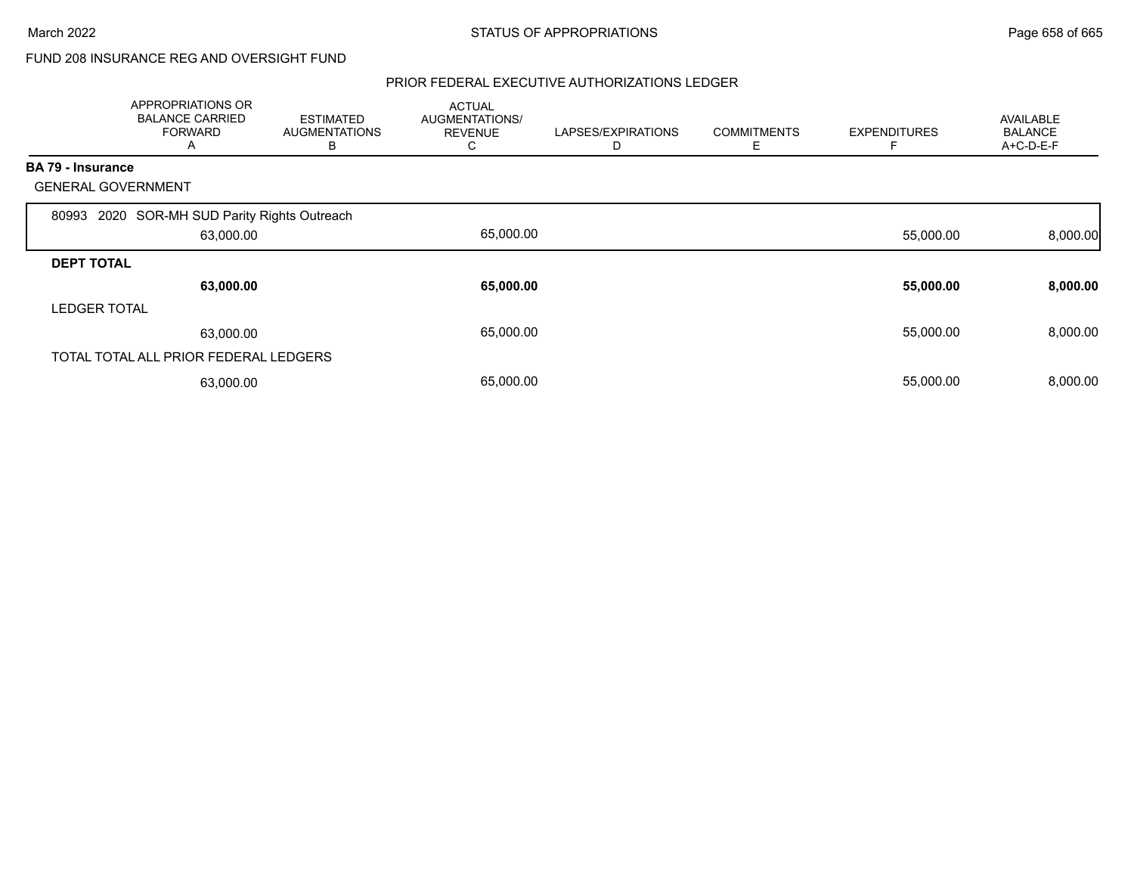## FUND 208 INSURANCE REG AND OVERSIGHT FUND

|                           | APPROPRIATIONS OR<br><b>BALANCE CARRIED</b><br><b>FORWARD</b><br>$\mathsf{A}$ | <b>ESTIMATED</b><br><b>AUGMENTATIONS</b><br>В | <b>ACTUAL</b><br>AUGMENTATIONS/<br><b>REVENUE</b><br>С | LAPSES/EXPIRATIONS | <b>COMMITMENTS</b><br>Ε | <b>EXPENDITURES</b> | <b>AVAILABLE</b><br><b>BALANCE</b><br>A+C-D-E-F |
|---------------------------|-------------------------------------------------------------------------------|-----------------------------------------------|--------------------------------------------------------|--------------------|-------------------------|---------------------|-------------------------------------------------|
| BA 79 - Insurance         |                                                                               |                                               |                                                        |                    |                         |                     |                                                 |
| <b>GENERAL GOVERNMENT</b> |                                                                               |                                               |                                                        |                    |                         |                     |                                                 |
| 80993                     | 2020 SOR-MH SUD Parity Rights Outreach                                        |                                               |                                                        |                    |                         |                     |                                                 |
|                           | 63,000.00                                                                     |                                               | 65,000.00                                              |                    |                         | 55,000.00           | 8,000.00                                        |
| <b>DEPT TOTAL</b>         |                                                                               |                                               |                                                        |                    |                         |                     |                                                 |
|                           | 63,000.00                                                                     |                                               | 65,000.00                                              |                    |                         | 55,000.00           | 8,000.00                                        |
| <b>LEDGER TOTAL</b>       |                                                                               |                                               |                                                        |                    |                         |                     |                                                 |
|                           | 63,000.00                                                                     |                                               | 65,000.00                                              |                    |                         | 55,000.00           | 8,000.00                                        |
|                           | TOTAL TOTAL ALL PRIOR FEDERAL LEDGERS                                         |                                               |                                                        |                    |                         |                     |                                                 |
|                           | 63,000.00                                                                     |                                               | 65,000.00                                              |                    |                         | 55,000.00           | 8,000.00                                        |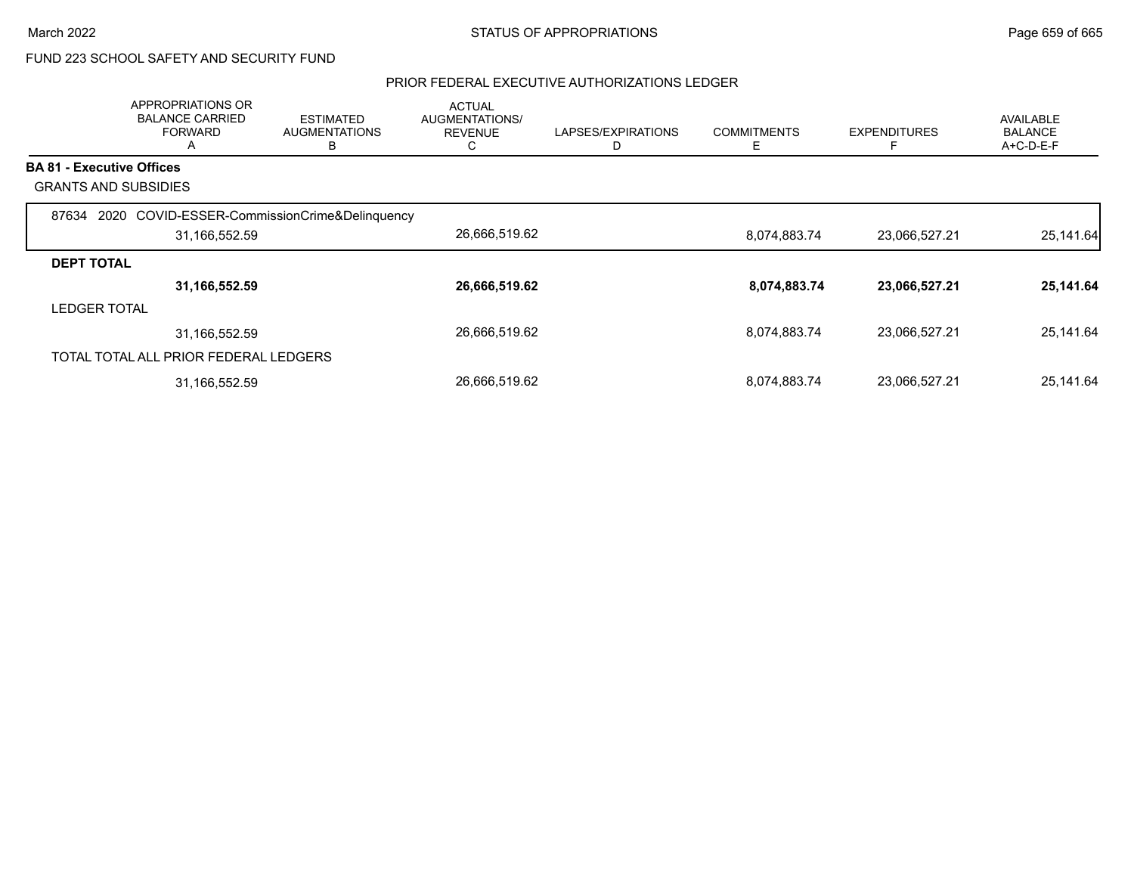## FUND 223 SCHOOL SAFETY AND SECURITY FUND

|                                  | APPROPRIATIONS OR<br><b>BALANCE CARRIED</b><br><b>FORWARD</b><br>A | <b>ESTIMATED</b><br><b>AUGMENTATIONS</b><br>В | <b>ACTUAL</b><br><b>AUGMENTATIONS/</b><br><b>REVENUE</b><br>C | LAPSES/EXPIRATIONS<br>D | <b>COMMITMENTS</b><br>Е | <b>EXPENDITURES</b> | AVAILABLE<br><b>BALANCE</b><br>A+C-D-E-F |
|----------------------------------|--------------------------------------------------------------------|-----------------------------------------------|---------------------------------------------------------------|-------------------------|-------------------------|---------------------|------------------------------------------|
| <b>BA 81 - Executive Offices</b> |                                                                    |                                               |                                                               |                         |                         |                     |                                          |
|                                  | <b>GRANTS AND SUBSIDIES</b>                                        |                                               |                                                               |                         |                         |                     |                                          |
| 87634                            | 2020<br>31,166,552.59                                              | COVID-ESSER-CommissionCrime&Delinquency       | 26,666,519.62                                                 |                         | 8,074,883.74            | 23,066,527.21       | 25,141.64                                |
| <b>DEPT TOTAL</b>                |                                                                    |                                               |                                                               |                         |                         |                     |                                          |
|                                  | 31,166,552.59                                                      |                                               | 26,666,519.62                                                 |                         | 8,074,883.74            | 23,066,527.21       | 25,141.64                                |
| <b>LEDGER TOTAL</b>              |                                                                    |                                               |                                                               |                         |                         |                     |                                          |
|                                  | 31,166,552.59                                                      |                                               | 26,666,519.62                                                 |                         | 8,074,883.74            | 23,066,527.21       | 25,141.64                                |
|                                  | TOTAL TOTAL ALL PRIOR FEDERAL LEDGERS                              |                                               |                                                               |                         |                         |                     |                                          |
|                                  | 31,166,552.59                                                      |                                               | 26,666,519.62                                                 |                         | 8,074,883.74            | 23,066,527.21       | 25,141.64                                |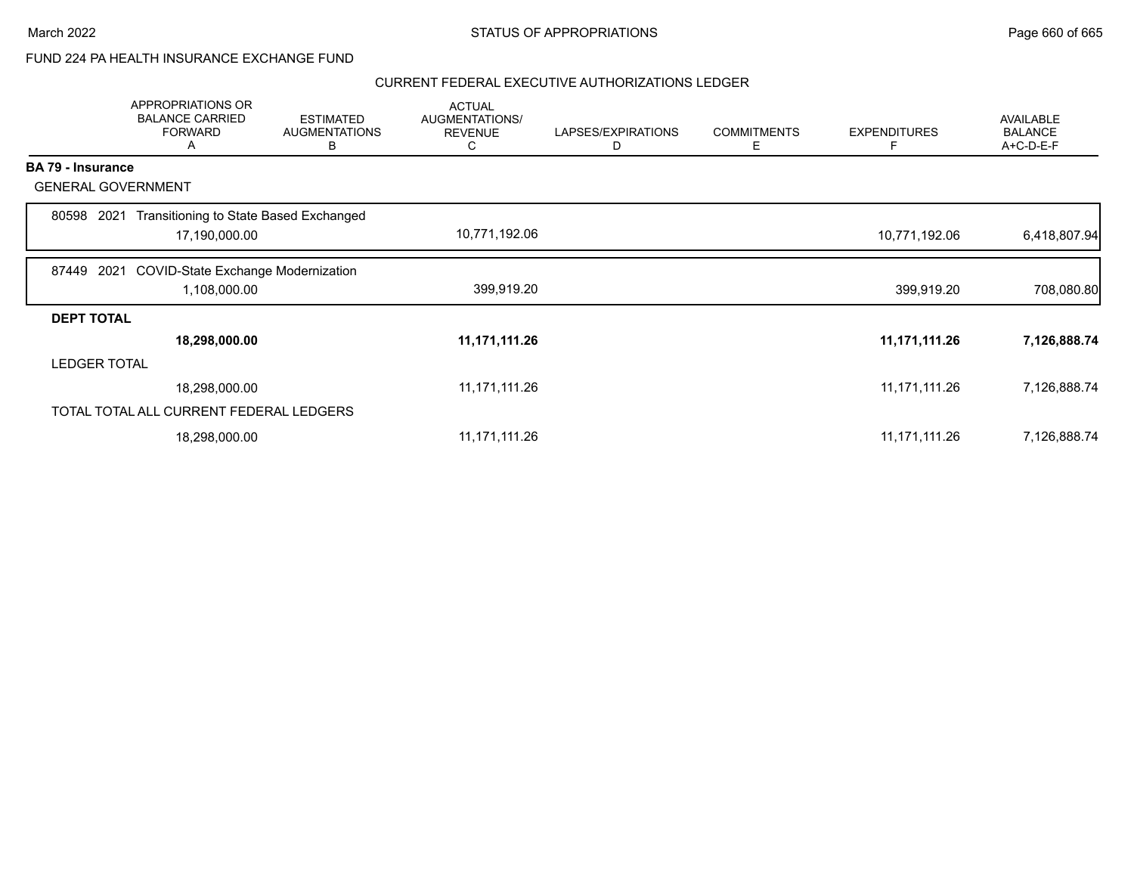### FUND 224 PA HEALTH INSURANCE EXCHANGE FUND

|                   | APPROPRIATIONS OR<br><b>BALANCE CARRIED</b><br><b>FORWARD</b><br>Α | <b>ESTIMATED</b><br><b>AUGMENTATIONS</b><br>В | <b>ACTUAL</b><br>AUGMENTATIONS/<br><b>REVENUE</b><br>C | LAPSES/EXPIRATIONS<br>D | <b>COMMITMENTS</b><br>Ε | <b>EXPENDITURES</b><br>F | <b>AVAILABLE</b><br><b>BALANCE</b><br>A+C-D-E-F |
|-------------------|--------------------------------------------------------------------|-----------------------------------------------|--------------------------------------------------------|-------------------------|-------------------------|--------------------------|-------------------------------------------------|
| BA 79 - Insurance |                                                                    |                                               |                                                        |                         |                         |                          |                                                 |
|                   | <b>GENERAL GOVERNMENT</b>                                          |                                               |                                                        |                         |                         |                          |                                                 |
| 80598             | Transitioning to State Based Exchanged<br>2021                     |                                               |                                                        |                         |                         |                          |                                                 |
|                   | 17,190,000.00                                                      |                                               | 10,771,192.06                                          |                         |                         | 10,771,192.06            | 6,418,807.94                                    |
| 87449             | <b>COVID-State Exchange Modernization</b><br>2021                  |                                               |                                                        |                         |                         |                          |                                                 |
|                   | 1,108,000.00                                                       |                                               | 399,919.20                                             |                         |                         | 399,919.20               | 708,080.80                                      |
| <b>DEPT TOTAL</b> |                                                                    |                                               |                                                        |                         |                         |                          |                                                 |
|                   | 18,298,000.00                                                      |                                               | 11,171,111.26                                          |                         |                         | 11, 171, 111.26          | 7,126,888.74                                    |
|                   | <b>LEDGER TOTAL</b>                                                |                                               |                                                        |                         |                         |                          |                                                 |
|                   | 18,298,000.00                                                      |                                               | 11,171,111.26                                          |                         |                         | 11,171,111.26            | 7,126,888.74                                    |
|                   | TOTAL TOTAL ALL CURRENT FEDERAL LEDGERS                            |                                               |                                                        |                         |                         |                          |                                                 |
|                   | 18,298,000.00                                                      |                                               | 11,171,111.26                                          |                         |                         | 11,171,111.26            | 7,126,888.74                                    |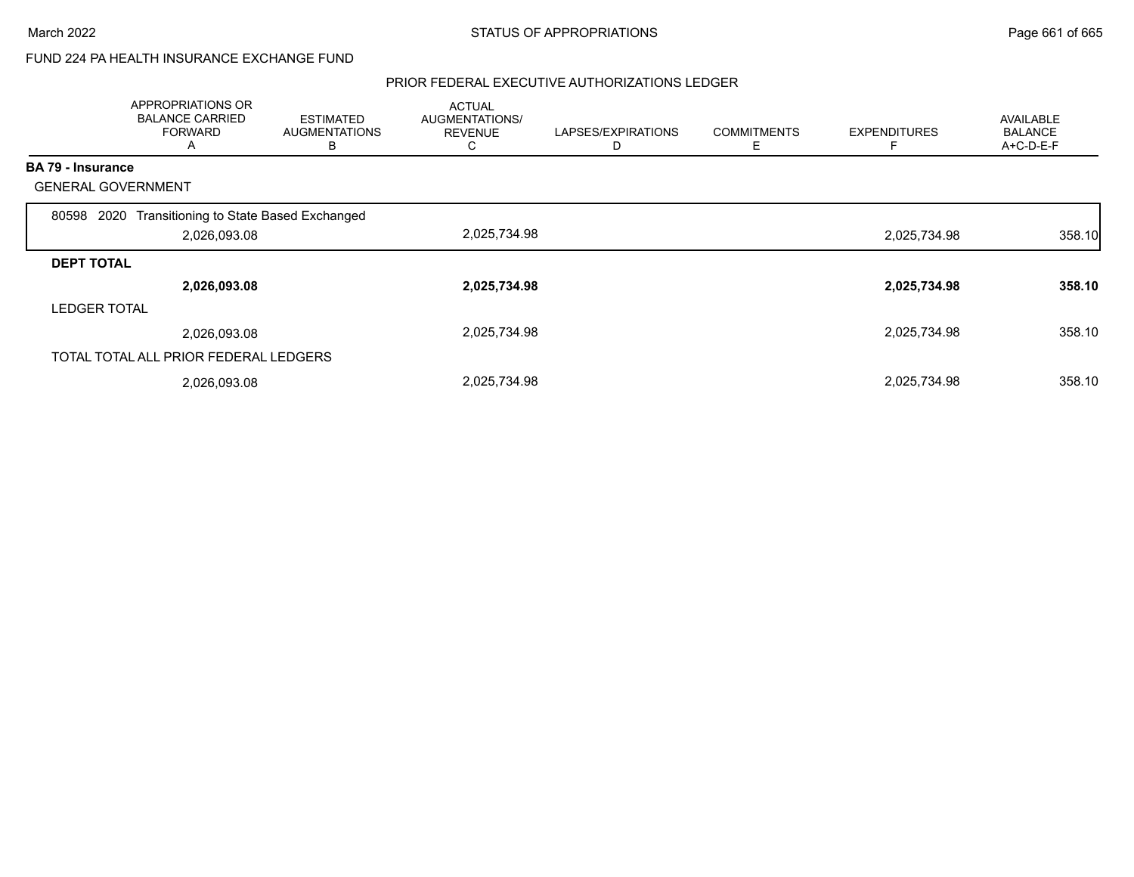### FUND 224 PA HEALTH INSURANCE EXCHANGE FUND

|                           | APPROPRIATIONS OR<br><b>BALANCE CARRIED</b><br><b>FORWARD</b><br>A | <b>ESTIMATED</b><br><b>AUGMENTATIONS</b><br>B | <b>ACTUAL</b><br>AUGMENTATIONS/<br><b>REVENUE</b><br>С | LAPSES/EXPIRATIONS<br>D | <b>COMMITMENTS</b><br>Е | <b>EXPENDITURES</b> | AVAILABLE<br><b>BALANCE</b><br>$A+C-D-E-F$ |
|---------------------------|--------------------------------------------------------------------|-----------------------------------------------|--------------------------------------------------------|-------------------------|-------------------------|---------------------|--------------------------------------------|
| <b>BA 79 - Insurance</b>  |                                                                    |                                               |                                                        |                         |                         |                     |                                            |
| <b>GENERAL GOVERNMENT</b> |                                                                    |                                               |                                                        |                         |                         |                     |                                            |
| 80598<br>2020             | Transitioning to State Based Exchanged                             |                                               |                                                        |                         |                         |                     |                                            |
|                           | 2,026,093.08                                                       |                                               | 2,025,734.98                                           |                         |                         | 2,025,734.98        | 358.10                                     |
| <b>DEPT TOTAL</b>         |                                                                    |                                               |                                                        |                         |                         |                     |                                            |
|                           | 2,026,093.08                                                       |                                               | 2,025,734.98                                           |                         |                         | 2,025,734.98        | 358.10                                     |
| <b>LEDGER TOTAL</b>       |                                                                    |                                               |                                                        |                         |                         |                     |                                            |
|                           | 2,026,093.08                                                       |                                               | 2,025,734.98                                           |                         |                         | 2,025,734.98        | 358.10                                     |
|                           | TOTAL TOTAL ALL PRIOR FEDERAL LEDGERS                              |                                               |                                                        |                         |                         |                     |                                            |
|                           | 2,026,093.08                                                       |                                               | 2,025,734.98                                           |                         |                         | 2,025,734.98        | 358.10                                     |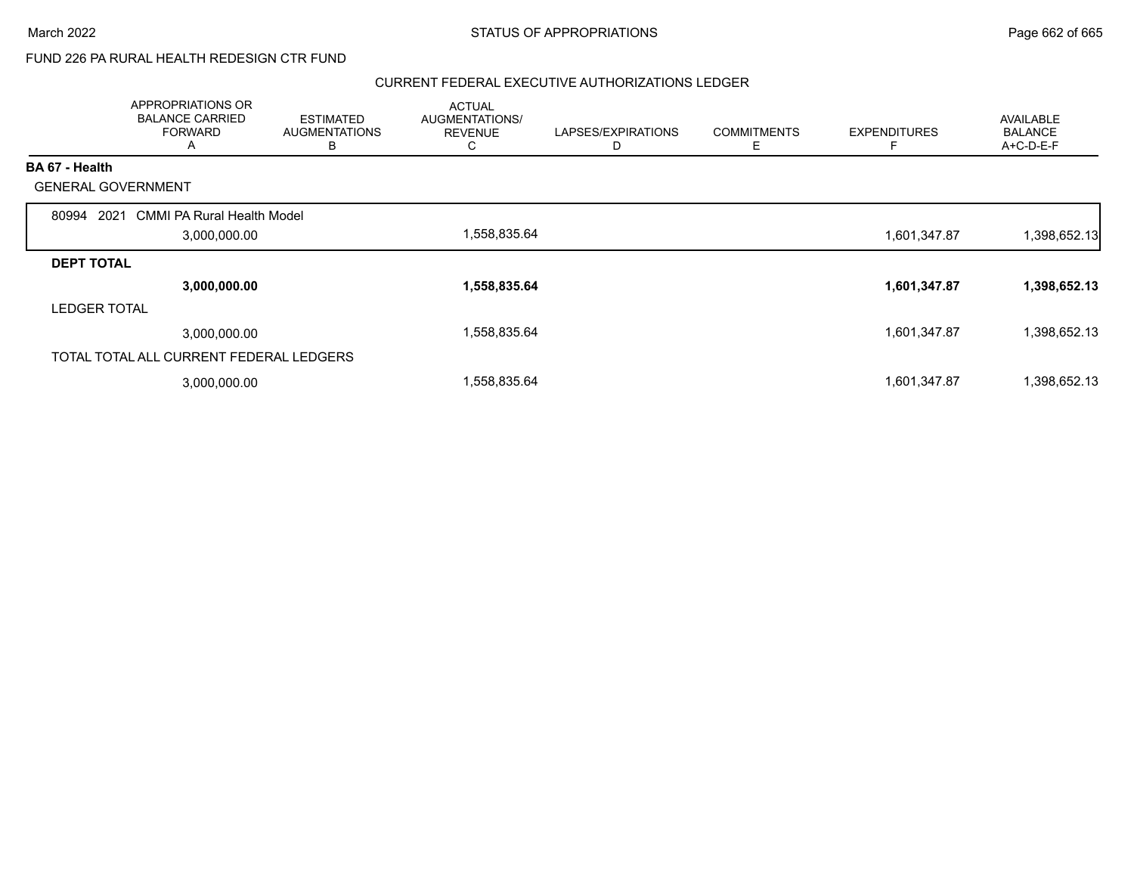## FUND 226 PA RURAL HEALTH REDESIGN CTR FUND

|                           | APPROPRIATIONS OR<br><b>BALANCE CARRIED</b><br><b>FORWARD</b><br>A | <b>ESTIMATED</b><br><b>AUGMENTATIONS</b><br>в | <b>ACTUAL</b><br>AUGMENTATIONS/<br><b>REVENUE</b><br>C | LAPSES/EXPIRATIONS<br>D | <b>COMMITMENTS</b><br>Ε | <b>EXPENDITURES</b> | AVAILABLE<br><b>BALANCE</b><br>A+C-D-E-F |
|---------------------------|--------------------------------------------------------------------|-----------------------------------------------|--------------------------------------------------------|-------------------------|-------------------------|---------------------|------------------------------------------|
| BA 67 - Health            |                                                                    |                                               |                                                        |                         |                         |                     |                                          |
| <b>GENERAL GOVERNMENT</b> |                                                                    |                                               |                                                        |                         |                         |                     |                                          |
| 2021<br>80994             | <b>CMMI PA Rural Health Model</b>                                  |                                               |                                                        |                         |                         |                     |                                          |
|                           | 3,000,000.00                                                       |                                               | 1,558,835.64                                           |                         |                         | 1,601,347.87        | 1,398,652.13                             |
| <b>DEPT TOTAL</b>         |                                                                    |                                               |                                                        |                         |                         |                     |                                          |
|                           | 3,000,000.00                                                       |                                               | 1,558,835.64                                           |                         |                         | 1,601,347.87        | 1,398,652.13                             |
| <b>LEDGER TOTAL</b>       |                                                                    |                                               |                                                        |                         |                         |                     |                                          |
|                           | 3,000,000.00                                                       |                                               | 1,558,835.64                                           |                         |                         | 1,601,347.87        | 1,398,652.13                             |
|                           | TOTAL TOTAL ALL CURRENT FEDERAL LEDGERS                            |                                               |                                                        |                         |                         |                     |                                          |
|                           | 3,000,000.00                                                       |                                               | 1,558,835.64                                           |                         |                         | 1,601,347.87        | 1,398,652.13                             |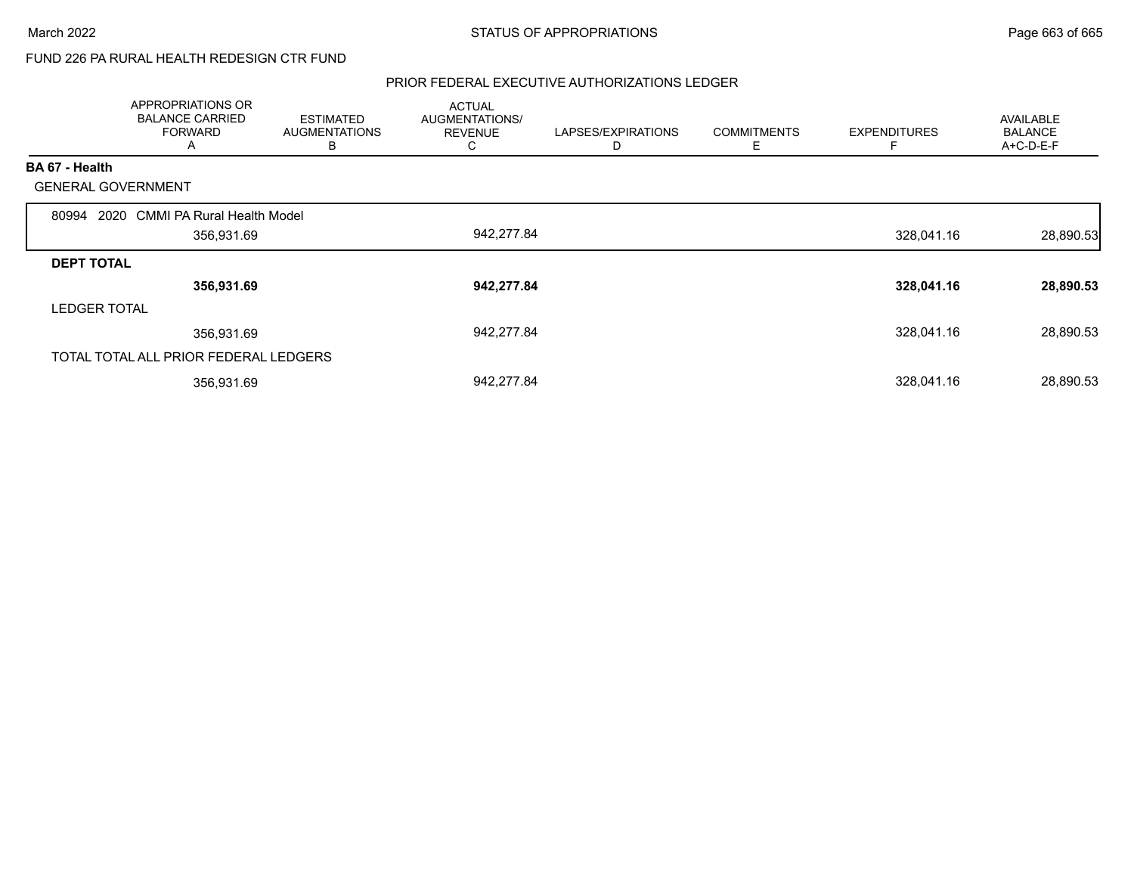## FUND 226 PA RURAL HEALTH REDESIGN CTR FUND

|                     | APPROPRIATIONS OR<br><b>BALANCE CARRIED</b><br><b>FORWARD</b><br>A | <b>ESTIMATED</b><br><b>AUGMENTATIONS</b><br>В | <b>ACTUAL</b><br>AUGMENTATIONS/<br><b>REVENUE</b><br>C | LAPSES/EXPIRATIONS<br>D | <b>COMMITMENTS</b><br>Ε | <b>EXPENDITURES</b><br>F | <b>AVAILABLE</b><br><b>BALANCE</b><br>A+C-D-E-F |
|---------------------|--------------------------------------------------------------------|-----------------------------------------------|--------------------------------------------------------|-------------------------|-------------------------|--------------------------|-------------------------------------------------|
| BA 67 - Health      |                                                                    |                                               |                                                        |                         |                         |                          |                                                 |
|                     | <b>GENERAL GOVERNMENT</b>                                          |                                               |                                                        |                         |                         |                          |                                                 |
| 80994               | <b>CMMI PA Rural Health Model</b><br>2020                          |                                               |                                                        |                         |                         |                          |                                                 |
|                     | 356,931.69                                                         |                                               | 942,277.84                                             |                         |                         | 328,041.16               | 28,890.53                                       |
| <b>DEPT TOTAL</b>   |                                                                    |                                               |                                                        |                         |                         |                          |                                                 |
|                     | 356,931.69                                                         |                                               | 942,277.84                                             |                         |                         | 328,041.16               | 28,890.53                                       |
| <b>LEDGER TOTAL</b> |                                                                    |                                               |                                                        |                         |                         |                          |                                                 |
|                     | 356,931.69                                                         |                                               | 942,277.84                                             |                         |                         | 328,041.16               | 28,890.53                                       |
|                     | TOTAL TOTAL ALL PRIOR FEDERAL LEDGERS                              |                                               |                                                        |                         |                         |                          |                                                 |
|                     | 356,931.69                                                         |                                               | 942,277.84                                             |                         |                         | 328,041.16               | 28,890.53                                       |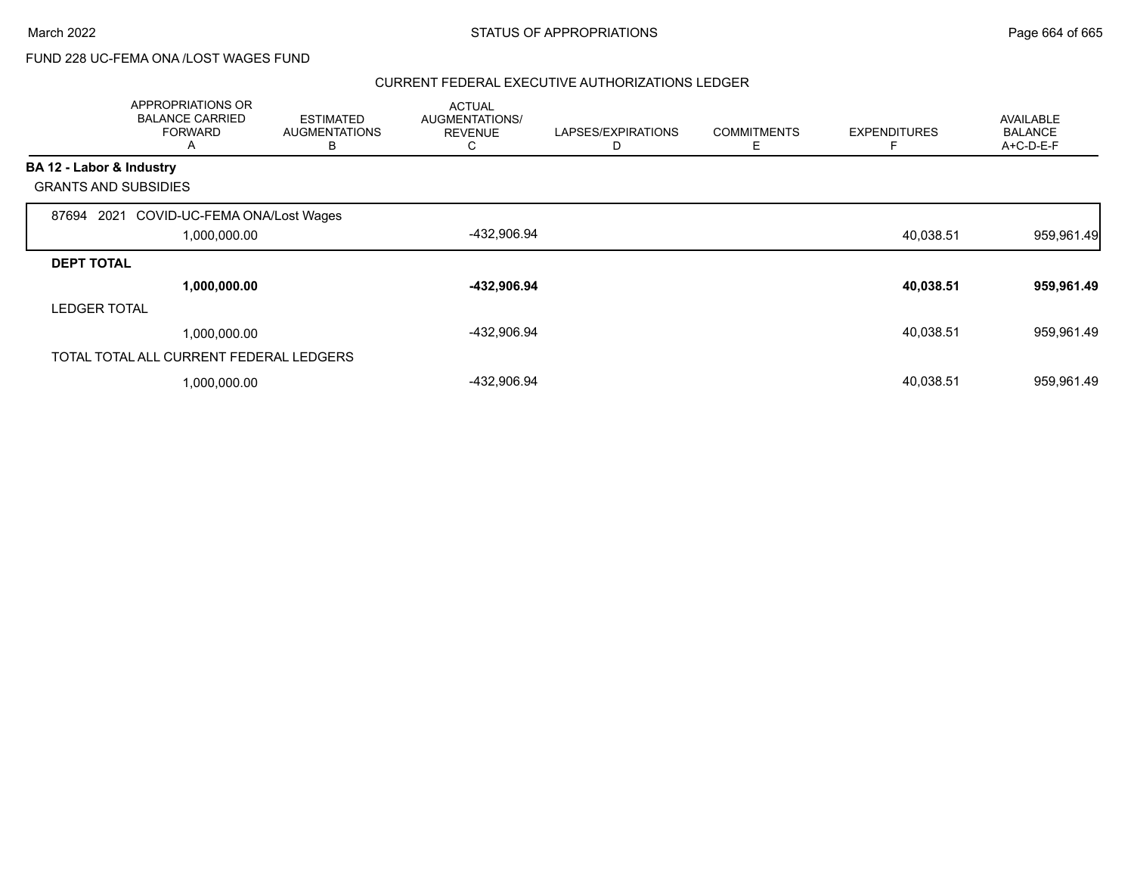## FUND 228 UC-FEMA ONA /LOST WAGES FUND

|                          | APPROPRIATIONS OR<br><b>BALANCE CARRIED</b><br><b>FORWARD</b><br>A | <b>ESTIMATED</b><br><b>AUGMENTATIONS</b><br>в | <b>ACTUAL</b><br>AUGMENTATIONS/<br><b>REVENUE</b><br>C | LAPSES/EXPIRATIONS<br>D | <b>COMMITMENTS</b><br>Е | <b>EXPENDITURES</b> | AVAILABLE<br><b>BALANCE</b><br>A+C-D-E-F |
|--------------------------|--------------------------------------------------------------------|-----------------------------------------------|--------------------------------------------------------|-------------------------|-------------------------|---------------------|------------------------------------------|
| BA 12 - Labor & Industry |                                                                    |                                               |                                                        |                         |                         |                     |                                          |
|                          | <b>GRANTS AND SUBSIDIES</b>                                        |                                               |                                                        |                         |                         |                     |                                          |
| 87694                    | COVID-UC-FEMA ONA/Lost Wages<br>2021                               |                                               |                                                        |                         |                         |                     |                                          |
|                          | 1,000,000.00                                                       |                                               | -432,906.94                                            |                         |                         | 40,038.51           | 959,961.49                               |
| <b>DEPT TOTAL</b>        |                                                                    |                                               |                                                        |                         |                         |                     |                                          |
|                          | 1,000,000.00                                                       |                                               | -432,906.94                                            |                         |                         | 40,038.51           | 959,961.49                               |
| <b>LEDGER TOTAL</b>      |                                                                    |                                               |                                                        |                         |                         |                     |                                          |
|                          | 1,000,000.00                                                       |                                               | -432,906.94                                            |                         |                         | 40,038.51           | 959,961.49                               |
|                          | TOTAL TOTAL ALL CURRENT FEDERAL LEDGERS                            |                                               |                                                        |                         |                         |                     |                                          |
|                          | 1,000,000.00                                                       |                                               | -432,906.94                                            |                         |                         | 40,038.51           | 959,961.49                               |